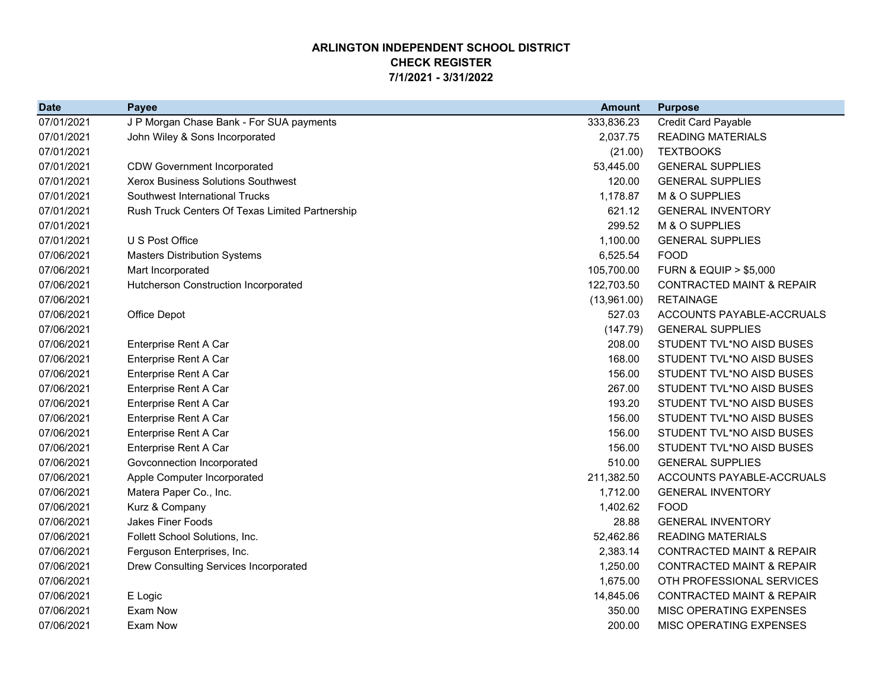## **ARLINGTON INDEPENDENT SCHOOL DISTRICT CHECK REGISTER7/1/2021 - 3/31/2022**

| <b>Date</b> | <b>Payee</b>                                    | <b>Amount</b> | <b>Purpose</b>                       |
|-------------|-------------------------------------------------|---------------|--------------------------------------|
| 07/01/2021  | J P Morgan Chase Bank - For SUA payments        | 333,836.23    | <b>Credit Card Payable</b>           |
| 07/01/2021  | John Wiley & Sons Incorporated                  | 2,037.75      | <b>READING MATERIALS</b>             |
| 07/01/2021  |                                                 | (21.00)       | <b>TEXTBOOKS</b>                     |
| 07/01/2021  | <b>CDW Government Incorporated</b>              | 53,445.00     | <b>GENERAL SUPPLIES</b>              |
| 07/01/2021  | Xerox Business Solutions Southwest              | 120.00        | <b>GENERAL SUPPLIES</b>              |
| 07/01/2021  | Southwest International Trucks                  | 1,178.87      | M & O SUPPLIES                       |
| 07/01/2021  | Rush Truck Centers Of Texas Limited Partnership | 621.12        | <b>GENERAL INVENTORY</b>             |
| 07/01/2021  |                                                 | 299.52        | M & O SUPPLIES                       |
| 07/01/2021  | U S Post Office                                 | 1,100.00      | <b>GENERAL SUPPLIES</b>              |
| 07/06/2021  | <b>Masters Distribution Systems</b>             | 6,525.54      | <b>FOOD</b>                          |
| 07/06/2021  | Mart Incorporated                               | 105,700.00    | <b>FURN &amp; EQUIP &gt; \$5,000</b> |
| 07/06/2021  | Hutcherson Construction Incorporated            | 122,703.50    | <b>CONTRACTED MAINT &amp; REPAIR</b> |
| 07/06/2021  |                                                 | (13,961.00)   | <b>RETAINAGE</b>                     |
| 07/06/2021  | Office Depot                                    | 527.03        | ACCOUNTS PAYABLE-ACCRUALS            |
| 07/06/2021  |                                                 | (147.79)      | <b>GENERAL SUPPLIES</b>              |
| 07/06/2021  | Enterprise Rent A Car                           | 208.00        | STUDENT TVL*NO AISD BUSES            |
| 07/06/2021  | Enterprise Rent A Car                           | 168.00        | STUDENT TVL*NO AISD BUSES            |
| 07/06/2021  | Enterprise Rent A Car                           | 156.00        | STUDENT TVL*NO AISD BUSES            |
| 07/06/2021  | Enterprise Rent A Car                           | 267.00        | STUDENT TVL*NO AISD BUSES            |
| 07/06/2021  | Enterprise Rent A Car                           | 193.20        | STUDENT TVL*NO AISD BUSES            |
| 07/06/2021  | Enterprise Rent A Car                           | 156.00        | STUDENT TVL*NO AISD BUSES            |
| 07/06/2021  | Enterprise Rent A Car                           | 156.00        | STUDENT TVL*NO AISD BUSES            |
| 07/06/2021  | Enterprise Rent A Car                           | 156.00        | STUDENT TVL*NO AISD BUSES            |
| 07/06/2021  | Govconnection Incorporated                      | 510.00        | <b>GENERAL SUPPLIES</b>              |
| 07/06/2021  | Apple Computer Incorporated                     | 211,382.50    | ACCOUNTS PAYABLE-ACCRUALS            |
| 07/06/2021  | Matera Paper Co., Inc.                          | 1,712.00      | <b>GENERAL INVENTORY</b>             |
| 07/06/2021  | Kurz & Company                                  | 1,402.62      | <b>FOOD</b>                          |
| 07/06/2021  | <b>Jakes Finer Foods</b>                        | 28.88         | <b>GENERAL INVENTORY</b>             |
| 07/06/2021  | Follett School Solutions, Inc.                  | 52,462.86     | <b>READING MATERIALS</b>             |
| 07/06/2021  | Ferguson Enterprises, Inc.                      | 2,383.14      | <b>CONTRACTED MAINT &amp; REPAIR</b> |
| 07/06/2021  | Drew Consulting Services Incorporated           | 1,250.00      | <b>CONTRACTED MAINT &amp; REPAIR</b> |
| 07/06/2021  |                                                 | 1,675.00      | OTH PROFESSIONAL SERVICES            |
| 07/06/2021  | E Logic                                         | 14,845.06     | <b>CONTRACTED MAINT &amp; REPAIR</b> |
| 07/06/2021  | <b>Exam Now</b>                                 | 350.00        | MISC OPERATING EXPENSES              |
| 07/06/2021  | Exam Now                                        | 200.00        | MISC OPERATING EXPENSES              |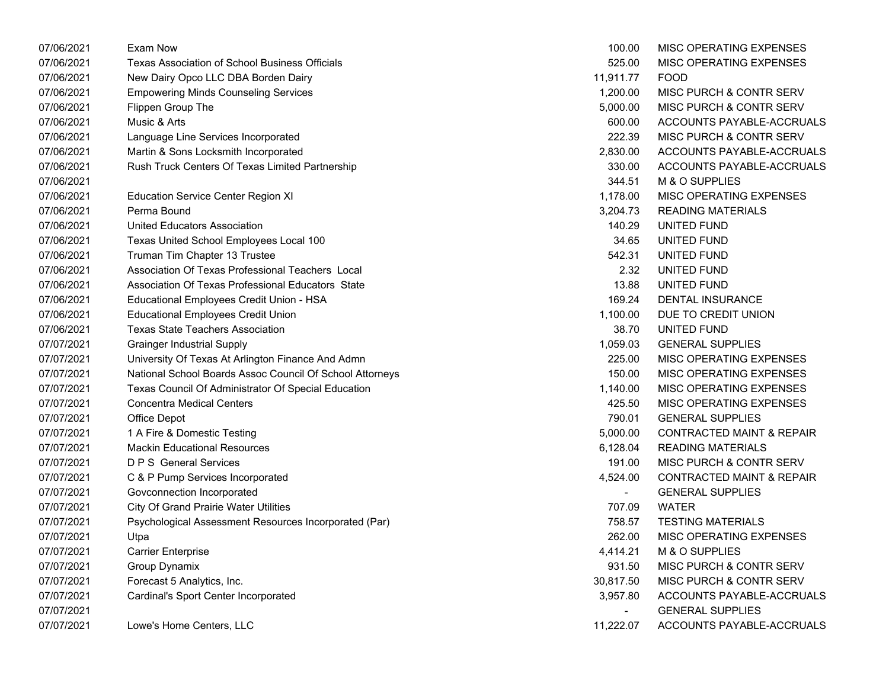| 07/06/2021 | Exam Now                                                 | 100.00         | MISC OPERATING EXPENSES              |
|------------|----------------------------------------------------------|----------------|--------------------------------------|
| 07/06/2021 | Texas Association of School Business Officials           | 525.00         | <b>MISC OPERATING EXPENSES</b>       |
| 07/06/2021 | New Dairy Opco LLC DBA Borden Dairy                      | 11,911.77      | <b>FOOD</b>                          |
| 07/06/2021 | <b>Empowering Minds Counseling Services</b>              | 1,200.00       | MISC PURCH & CONTR SERV              |
| 07/06/2021 | Flippen Group The                                        | 5,000.00       | <b>MISC PURCH &amp; CONTR SERV</b>   |
| 07/06/2021 | Music & Arts                                             | 600.00         | ACCOUNTS PAYABLE-ACCRUALS            |
| 07/06/2021 | Language Line Services Incorporated                      | 222.39         | MISC PURCH & CONTR SERV              |
| 07/06/2021 | Martin & Sons Locksmith Incorporated                     | 2,830.00       | ACCOUNTS PAYABLE-ACCRUALS            |
| 07/06/2021 | Rush Truck Centers Of Texas Limited Partnership          | 330.00         | ACCOUNTS PAYABLE-ACCRUALS            |
| 07/06/2021 |                                                          | 344.51         | M & O SUPPLIES                       |
| 07/06/2021 | <b>Education Service Center Region XI</b>                | 1,178.00       | MISC OPERATING EXPENSES              |
| 07/06/2021 | Perma Bound                                              | 3,204.73       | <b>READING MATERIALS</b>             |
| 07/06/2021 | <b>United Educators Association</b>                      | 140.29         | UNITED FUND                          |
| 07/06/2021 | Texas United School Employees Local 100                  | 34.65          | UNITED FUND                          |
| 07/06/2021 | Truman Tim Chapter 13 Trustee                            | 542.31         | UNITED FUND                          |
| 07/06/2021 | Association Of Texas Professional Teachers Local         | 2.32           | UNITED FUND                          |
| 07/06/2021 | Association Of Texas Professional Educators State        | 13.88          | UNITED FUND                          |
| 07/06/2021 | Educational Employees Credit Union - HSA                 | 169.24         | DENTAL INSURANCE                     |
| 07/06/2021 | <b>Educational Employees Credit Union</b>                | 1,100.00       | DUE TO CREDIT UNION                  |
| 07/06/2021 | <b>Texas State Teachers Association</b>                  | 38.70          | UNITED FUND                          |
| 07/07/2021 | <b>Grainger Industrial Supply</b>                        | 1,059.03       | <b>GENERAL SUPPLIES</b>              |
| 07/07/2021 | University Of Texas At Arlington Finance And Admn        | 225.00         | <b>MISC OPERATING EXPENSES</b>       |
| 07/07/2021 | National School Boards Assoc Council Of School Attorneys | 150.00         | MISC OPERATING EXPENSES              |
| 07/07/2021 | Texas Council Of Administrator Of Special Education      | 1,140.00       | MISC OPERATING EXPENSES              |
| 07/07/2021 | <b>Concentra Medical Centers</b>                         | 425.50         | MISC OPERATING EXPENSES              |
| 07/07/2021 | Office Depot                                             | 790.01         | <b>GENERAL SUPPLIES</b>              |
| 07/07/2021 | 1 A Fire & Domestic Testing                              | 5,000.00       | <b>CONTRACTED MAINT &amp; REPAIR</b> |
| 07/07/2021 | <b>Mackin Educational Resources</b>                      | 6,128.04       | <b>READING MATERIALS</b>             |
| 07/07/2021 | <b>D P S</b> General Services                            | 191.00         | MISC PURCH & CONTR SERV              |
| 07/07/2021 | C & P Pump Services Incorporated                         | 4,524.00       | <b>CONTRACTED MAINT &amp; REPAIR</b> |
| 07/07/2021 | Govconnection Incorporated                               | $\blacksquare$ | <b>GENERAL SUPPLIES</b>              |
| 07/07/2021 | <b>City Of Grand Prairie Water Utilities</b>             | 707.09         | <b>WATER</b>                         |
| 07/07/2021 | Psychological Assessment Resources Incorporated (Par)    | 758.57         | <b>TESTING MATERIALS</b>             |
| 07/07/2021 | Utpa                                                     | 262.00         | <b>MISC OPERATING EXPENSES</b>       |
| 07/07/2021 | <b>Carrier Enterprise</b>                                | 4,414.21       | M & O SUPPLIES                       |
| 07/07/2021 | Group Dynamix                                            | 931.50         | MISC PURCH & CONTR SERV              |
| 07/07/2021 | Forecast 5 Analytics, Inc.                               | 30,817.50      | MISC PURCH & CONTR SERV              |
| 07/07/2021 | Cardinal's Sport Center Incorporated                     | 3,957.80       | ACCOUNTS PAYABLE-ACCRUALS            |
| 07/07/2021 |                                                          | $\blacksquare$ | <b>GENERAL SUPPLIES</b>              |
| 07/07/2021 | Lowe's Home Centers, LLC                                 | 11,222.07      | ACCOUNTS PAYABLE-ACCRUALS            |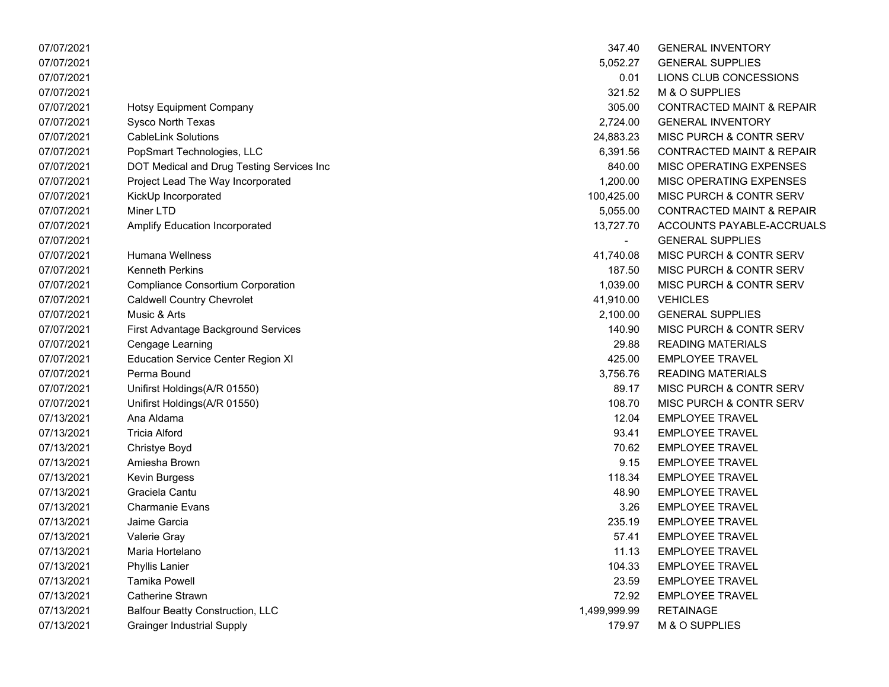| 07/07/2021 |                                           | 347.40       | <b>GENERAL INVENTORY</b>             |
|------------|-------------------------------------------|--------------|--------------------------------------|
| 07/07/2021 |                                           | 5,052.27     | <b>GENERAL SUPPLIES</b>              |
| 07/07/2021 |                                           | 0.01         | LIONS CLUB CONCESSIONS               |
| 07/07/2021 |                                           | 321.52       | M & O SUPPLIES                       |
| 07/07/2021 | <b>Hotsy Equipment Company</b>            | 305.00       | <b>CONTRACTED MAINT &amp; REPAIR</b> |
| 07/07/2021 | Sysco North Texas                         | 2,724.00     | <b>GENERAL INVENTORY</b>             |
| 07/07/2021 | <b>CableLink Solutions</b>                | 24,883.23    | MISC PURCH & CONTR SERV              |
| 07/07/2021 | PopSmart Technologies, LLC                | 6,391.56     | <b>CONTRACTED MAINT &amp; REPAIR</b> |
| 07/07/2021 | DOT Medical and Drug Testing Services Inc | 840.00       | MISC OPERATING EXPENSES              |
| 07/07/2021 | Project Lead The Way Incorporated         | 1,200.00     | MISC OPERATING EXPENSES              |
| 07/07/2021 | KickUp Incorporated                       | 100,425.00   | MISC PURCH & CONTR SERV              |
| 07/07/2021 | Miner LTD                                 | 5,055.00     | <b>CONTRACTED MAINT &amp; REPAIR</b> |
| 07/07/2021 | <b>Amplify Education Incorporated</b>     | 13,727.70    | ACCOUNTS PAYABLE-ACCRUALS            |
| 07/07/2021 |                                           |              | <b>GENERAL SUPPLIES</b>              |
| 07/07/2021 | <b>Humana Wellness</b>                    | 41,740.08    | MISC PURCH & CONTR SERV              |
| 07/07/2021 | <b>Kenneth Perkins</b>                    | 187.50       | MISC PURCH & CONTR SERV              |
| 07/07/2021 | <b>Compliance Consortium Corporation</b>  | 1,039.00     | MISC PURCH & CONTR SERV              |
| 07/07/2021 | <b>Caldwell Country Chevrolet</b>         | 41,910.00    | <b>VEHICLES</b>                      |
| 07/07/2021 | Music & Arts                              | 2,100.00     | <b>GENERAL SUPPLIES</b>              |
| 07/07/2021 | First Advantage Background Services       | 140.90       | MISC PURCH & CONTR SERV              |
| 07/07/2021 | Cengage Learning                          | 29.88        | <b>READING MATERIALS</b>             |
| 07/07/2021 | <b>Education Service Center Region XI</b> | 425.00       | <b>EMPLOYEE TRAVEL</b>               |
| 07/07/2021 | Perma Bound                               | 3,756.76     | <b>READING MATERIALS</b>             |
| 07/07/2021 | Unifirst Holdings(A/R 01550)              | 89.17        | MISC PURCH & CONTR SERV              |
| 07/07/2021 | Unifirst Holdings(A/R 01550)              | 108.70       | MISC PURCH & CONTR SERV              |
| 07/13/2021 | Ana Aldama                                | 12.04        | <b>EMPLOYEE TRAVEL</b>               |
| 07/13/2021 | <b>Tricia Alford</b>                      | 93.41        | <b>EMPLOYEE TRAVEL</b>               |
| 07/13/2021 | Christye Boyd                             | 70.62        | <b>EMPLOYEE TRAVEL</b>               |
| 07/13/2021 | Amiesha Brown                             | 9.15         | <b>EMPLOYEE TRAVEL</b>               |
| 07/13/2021 | Kevin Burgess                             | 118.34       | <b>EMPLOYEE TRAVEL</b>               |
| 07/13/2021 | Graciela Cantu                            | 48.90        | <b>EMPLOYEE TRAVEL</b>               |
| 07/13/2021 | Charmanie Evans                           | 3.26         | <b>EMPLOYEE TRAVEL</b>               |
| 07/13/2021 | Jaime Garcia                              | 235.19       | <b>EMPLOYEE TRAVEL</b>               |
| 07/13/2021 | Valerie Gray                              | 57.41        | <b>EMPLOYEE TRAVEL</b>               |
| 07/13/2021 | Maria Hortelano                           | 11.13        | <b>EMPLOYEE TRAVEL</b>               |
| 07/13/2021 | Phyllis Lanier                            | 104.33       | <b>EMPLOYEE TRAVEL</b>               |
| 07/13/2021 | <b>Tamika Powell</b>                      | 23.59        | <b>EMPLOYEE TRAVEL</b>               |
| 07/13/2021 | Catherine Strawn                          | 72.92        | <b>EMPLOYEE TRAVEL</b>               |
| 07/13/2021 | <b>Balfour Beatty Construction, LLC</b>   | 1,499,999.99 | <b>RETAINAGE</b>                     |
| 07/13/2021 | <b>Grainger Industrial Supply</b>         | 179.97       | M & O SUPPLIES                       |

| 347.40     | <b>GENERAL INVENTORY</b>             |
|------------|--------------------------------------|
| 5,052.27   | <b>GENERAL SUPPLIES</b>              |
| 0.01       | LIONS CLUB CONCESSIONS               |
| 321.52     | <b>M &amp; O SUPPLIES</b>            |
| 305.00     | <b>CONTRACTED MAINT &amp; REPAIR</b> |
| 2,724.00   | <b>GENERAL INVENTORY</b>             |
| 24,883.23  | <b>MISC PURCH &amp; CONTR SERV</b>   |
| 6,391.56   | <b>CONTRACTED MAINT &amp; REPAIR</b> |
| 840.00     | <b>MISC OPERATING EXPENSES</b>       |
| 1.200.00   | <b>MISC OPERATING EXPENSES</b>       |
| 00,425.00  | <b>MISC PURCH &amp; CONTR SERV</b>   |
| 5,055.00   | <b>CONTRACTED MAINT &amp; REPAIR</b> |
| 13,727.70  | ACCOUNTS PAYABLE-ACCRUAL             |
|            | <b>GENERAL SUPPLIES</b>              |
| 41,740.08  | MISC PURCH & CONTR SERV              |
| 187.50     | <b>MISC PURCH &amp; CONTR SERV</b>   |
| 1.039.00   | <b>MISC PURCH &amp; CONTR SERV</b>   |
| 41,910.00  | <b>VEHICLES</b>                      |
| 2,100.00   | <b>GENERAL SUPPLIES</b>              |
| 140.90     | MISC PURCH & CONTR SERV              |
| 29.88      | <b>READING MATERIALS</b>             |
| 425.00     | <b>EMPLOYEE TRAVEL</b>               |
| 3,756.76   | <b>READING MATERIALS</b>             |
| 89.17      | <b>MISC PURCH &amp; CONTR SERV</b>   |
| 108.70     | <b>MISC PURCH &amp; CONTR SERV</b>   |
| 12.04      | <b>EMPLOYEE TRAVEL</b>               |
| 93.41      | <b>EMPLOYEE TRAVEL</b>               |
| 70.62      | <b>EMPLOYEE TRAVEL</b>               |
| 9.15       | <b>EMPLOYEE TRAVEL</b>               |
| 118.34     | <b>EMPLOYEE TRAVEL</b>               |
| 48.90      | <b>EMPLOYEE TRAVEL</b>               |
| 3.26       | <b>EMPLOYEE TRAVEL</b>               |
| 235.19     | <b>EMPLOYEE TRAVEL</b>               |
| 57.41      | <b>EMPLOYEE TRAVEL</b>               |
| 11.13      | <b>EMPLOYEE TRAVEL</b>               |
| 104.33     | <b>EMPLOYEE TRAVEL</b>               |
| 23.59      | <b>EMPLOYEE TRAVEL</b>               |
| 72.92      | <b>EMPLOYEE TRAVEL</b>               |
| 199,999.99 | <b>RETAINAGE</b>                     |
| 179.97     | <b>M &amp; O SUPPLIES</b>            |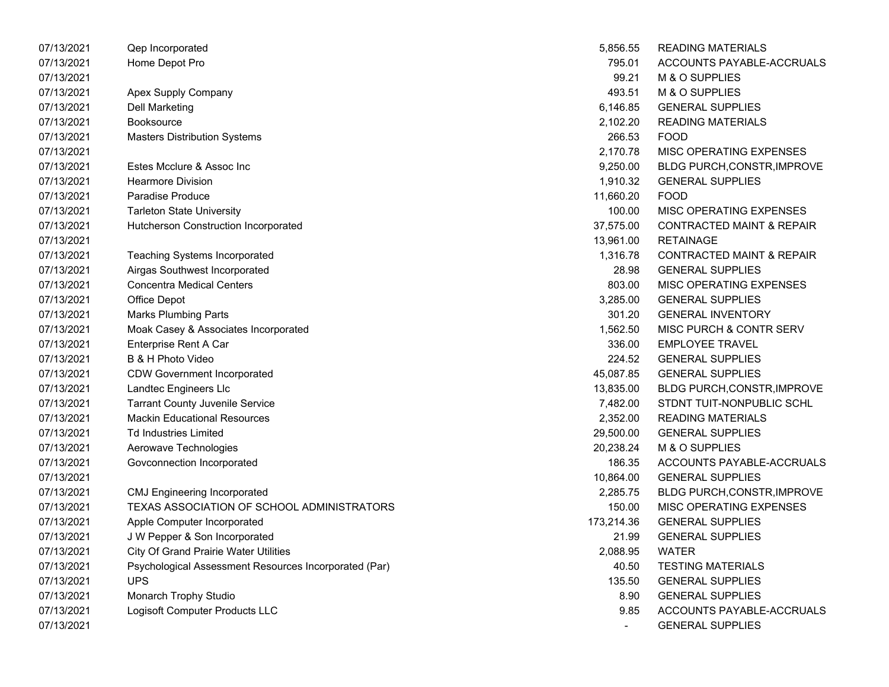| 07/13/2021 | Qep Incorporated                                      | 5,856.55   | <b>READING MATERIALS</b>             |
|------------|-------------------------------------------------------|------------|--------------------------------------|
| 07/13/2021 | Home Depot Pro                                        | 795.01     | ACCOUNTS PAYABLE-ACCRUALS            |
| 07/13/2021 |                                                       | 99.21      | M & O SUPPLIES                       |
| 07/13/2021 | Apex Supply Company                                   | 493.51     | M & O SUPPLIES                       |
| 07/13/2021 | <b>Dell Marketing</b>                                 | 6,146.85   | <b>GENERAL SUPPLIES</b>              |
| 07/13/2021 | <b>Booksource</b>                                     | 2,102.20   | <b>READING MATERIALS</b>             |
| 07/13/2021 | <b>Masters Distribution Systems</b>                   | 266.53     | <b>FOOD</b>                          |
| 07/13/2021 |                                                       | 2,170.78   | MISC OPERATING EXPENSES              |
| 07/13/2021 | Estes Mcclure & Assoc Inc                             | 9,250.00   | <b>BLDG PURCH, CONSTR, IMPROVE</b>   |
| 07/13/2021 | <b>Hearmore Division</b>                              | 1,910.32   | <b>GENERAL SUPPLIES</b>              |
| 07/13/2021 | Paradise Produce                                      | 11,660.20  | <b>FOOD</b>                          |
| 07/13/2021 | <b>Tarleton State University</b>                      | 100.00     | MISC OPERATING EXPENSES              |
| 07/13/2021 | Hutcherson Construction Incorporated                  | 37,575.00  | <b>CONTRACTED MAINT &amp; REPAIR</b> |
| 07/13/2021 |                                                       | 13,961.00  | <b>RETAINAGE</b>                     |
| 07/13/2021 | Teaching Systems Incorporated                         | 1,316.78   | <b>CONTRACTED MAINT &amp; REPAIR</b> |
| 07/13/2021 | Airgas Southwest Incorporated                         | 28.98      | <b>GENERAL SUPPLIES</b>              |
| 07/13/2021 | <b>Concentra Medical Centers</b>                      | 803.00     | MISC OPERATING EXPENSES              |
| 07/13/2021 | Office Depot                                          | 3,285.00   | <b>GENERAL SUPPLIES</b>              |
| 07/13/2021 | Marks Plumbing Parts                                  | 301.20     | <b>GENERAL INVENTORY</b>             |
| 07/13/2021 | Moak Casey & Associates Incorporated                  | 1,562.50   | MISC PURCH & CONTR SERV              |
| 07/13/2021 | Enterprise Rent A Car                                 | 336.00     | <b>EMPLOYEE TRAVEL</b>               |
| 07/13/2021 | B & H Photo Video                                     | 224.52     | <b>GENERAL SUPPLIES</b>              |
| 07/13/2021 | <b>CDW Government Incorporated</b>                    | 45,087.85  | <b>GENERAL SUPPLIES</b>              |
| 07/13/2021 | Landtec Engineers Llc                                 | 13,835.00  | <b>BLDG PURCH, CONSTR, IMPROVE</b>   |
| 07/13/2021 | <b>Tarrant County Juvenile Service</b>                | 7,482.00   | STDNT TUIT-NONPUBLIC SCHL            |
| 07/13/2021 | <b>Mackin Educational Resources</b>                   | 2,352.00   | <b>READING MATERIALS</b>             |
| 07/13/2021 | <b>Td Industries Limited</b>                          | 29,500.00  | <b>GENERAL SUPPLIES</b>              |
| 07/13/2021 | Aerowave Technologies                                 | 20,238.24  | M & O SUPPLIES                       |
| 07/13/2021 | Govconnection Incorporated                            | 186.35     | ACCOUNTS PAYABLE-ACCRUALS            |
| 07/13/2021 |                                                       | 10,864.00  | <b>GENERAL SUPPLIES</b>              |
| 07/13/2021 | <b>CMJ Engineering Incorporated</b>                   | 2,285.75   | <b>BLDG PURCH,CONSTR,IMPROVE</b>     |
| 07/13/2021 | TEXAS ASSOCIATION OF SCHOOL ADMINISTRATORS            | 150.00     | MISC OPERATING EXPENSES              |
| 07/13/2021 | Apple Computer Incorporated                           | 173,214.36 | <b>GENERAL SUPPLIES</b>              |
| 07/13/2021 | J W Pepper & Son Incorporated                         | 21.99      | <b>GENERAL SUPPLIES</b>              |
| 07/13/2021 | <b>City Of Grand Prairie Water Utilities</b>          | 2,088.95   | <b>WATER</b>                         |
| 07/13/2021 | Psychological Assessment Resources Incorporated (Par) | 40.50      | <b>TESTING MATERIALS</b>             |
| 07/13/2021 | <b>UPS</b>                                            | 135.50     | <b>GENERAL SUPPLIES</b>              |
| 07/13/2021 | Monarch Trophy Studio                                 | 8.90       | <b>GENERAL SUPPLIES</b>              |
| 07/13/2021 | Logisoft Computer Products LLC                        | 9.85       | ACCOUNTS PAYABLE-ACCRUALS            |
| 07/13/2021 |                                                       |            | <b>GENERAL SUPPLIES</b>              |

| 5,856.55   | READING MATERIALS                    |
|------------|--------------------------------------|
| 795.01     | ACCOUNTS PAYABLE-ACCRUALS            |
| 99.21      | <b>M &amp; O SUPPLIES</b>            |
| 493.51     | <b>M &amp; O SUPPLIES</b>            |
| 6,146.85   | <b>GENERAL SUPPLIES</b>              |
| 2,102.20   | <b>READING MATERIALS</b>             |
| 266.53     | <b>FOOD</b>                          |
| 2,170.78   | <b>MISC OPERATING EXPENSES</b>       |
| 9,250.00   | BLDG PURCH, CONSTR, IMPROVE          |
| 1,910.32   | <b>GENERAL SUPPLIES</b>              |
| 11,660.20  | <b>FOOD</b>                          |
| 100.00     | <b>MISC OPERATING EXPENSES</b>       |
| 37,575.00  | <b>CONTRACTED MAINT &amp; REPAIR</b> |
| 13,961.00  | RETAINAGE                            |
| 1,316.78   | <b>CONTRACTED MAINT &amp; REPAIR</b> |
| 28.98      | <b>GENERAL SUPPLIES</b>              |
| 803.00     | <b>MISC OPERATING EXPENSES</b>       |
| 3,285.00   | <b>GENERAL SUPPLIES</b>              |
| 301.20     | <b>GENERAL INVENTORY</b>             |
| 1,562.50   | <b>MISC PURCH &amp; CONTR SERV</b>   |
| 336.00     | <b>EMPLOYEE TRAVEL</b>               |
| 224.52     | <b>GENERAL SUPPLIES</b>              |
| 45,087.85  | <b>GENERAL SUPPLIES</b>              |
| 13,835.00  | BLDG PURCH, CONSTR, IMPROVE          |
| 7,482.00   | STDNT TUIT-NONPUBLIC SCHL            |
| 2,352.00   | <b>READING MATERIALS</b>             |
| 29,500.00  | <b>GENERAL SUPPLIES</b>              |
| 20,238.24  | M & O SUPPLIES                       |
| 186.35     | ACCOUNTS PAYABLE-ACCRUALS            |
| 10,864.00  | <b>GENERAL SUPPLIES</b>              |
| 2,285.75   | <b>BLDG PURCH, CONSTR, IMPROVE</b>   |
| 150.00     | <b>MISC OPERATING EXPENSES</b>       |
| 173,214.36 | <b>GENERAL SUPPLIES</b>              |
| 21.99      | <b>GENERAL SUPPLIES</b>              |
| 2,088.95   | <b>WATER</b>                         |
| 40.50      | <b>TESTING MATERIALS</b>             |
| 135.50     | <b>GENERAL SUPPLIES</b>              |
| 8.90       | <b>GENERAL SUPPLIES</b>              |
| 9.85       | <b>ACCOUNTS PAYABLE-ACCRUALS</b>     |
|            | <b>GENERAL SUPPLIES</b>              |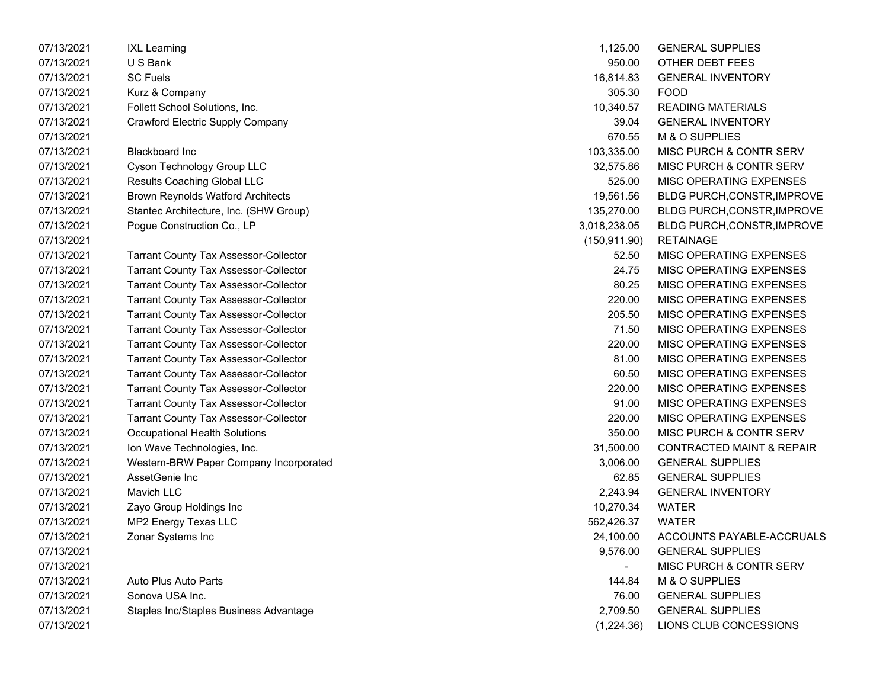| 07/13/2021 | IXL Learning                                 | 1,125.00       | <b>GENERAL SUPPLIES</b>              |
|------------|----------------------------------------------|----------------|--------------------------------------|
| 07/13/2021 | U S Bank                                     | 950.00         | OTHER DEBT FEES                      |
| 07/13/2021 | <b>SC Fuels</b>                              | 16,814.83      | <b>GENERAL INVENTORY</b>             |
| 07/13/2021 | Kurz & Company                               | 305.30         | <b>FOOD</b>                          |
| 07/13/2021 | Follett School Solutions, Inc.               | 10,340.57      | <b>READING MATERIALS</b>             |
| 07/13/2021 | <b>Crawford Electric Supply Company</b>      | 39.04          | <b>GENERAL INVENTORY</b>             |
| 07/13/2021 |                                              | 670.55         | M & O SUPPLIES                       |
| 07/13/2021 | <b>Blackboard Inc</b>                        | 103,335.00     | MISC PURCH & CONTR SERV              |
| 07/13/2021 | Cyson Technology Group LLC                   | 32,575.86      | MISC PURCH & CONTR SERV              |
| 07/13/2021 | <b>Results Coaching Global LLC</b>           | 525.00         | MISC OPERATING EXPENSES              |
| 07/13/2021 | <b>Brown Reynolds Watford Architects</b>     | 19,561.56      | BLDG PURCH, CONSTR, IMPROVE          |
| 07/13/2021 | Stantec Architecture, Inc. (SHW Group)       | 135,270.00     | BLDG PURCH, CONSTR, IMPROVE          |
| 07/13/2021 | Pogue Construction Co., LP                   | 3,018,238.05   | BLDG PURCH, CONSTR, IMPROVE          |
| 07/13/2021 |                                              | (150, 911.90)  | <b>RETAINAGE</b>                     |
| 07/13/2021 | <b>Tarrant County Tax Assessor-Collector</b> | 52.50          | MISC OPERATING EXPENSES              |
| 07/13/2021 | <b>Tarrant County Tax Assessor-Collector</b> | 24.75          | MISC OPERATING EXPENSES              |
| 07/13/2021 | <b>Tarrant County Tax Assessor-Collector</b> | 80.25          | MISC OPERATING EXPENSES              |
| 07/13/2021 | <b>Tarrant County Tax Assessor-Collector</b> | 220.00         | MISC OPERATING EXPENSES              |
| 07/13/2021 | <b>Tarrant County Tax Assessor-Collector</b> | 205.50         | MISC OPERATING EXPENSES              |
| 07/13/2021 | <b>Tarrant County Tax Assessor-Collector</b> | 71.50          | MISC OPERATING EXPENSES              |
| 07/13/2021 | <b>Tarrant County Tax Assessor-Collector</b> | 220.00         | MISC OPERATING EXPENSES              |
| 07/13/2021 | <b>Tarrant County Tax Assessor-Collector</b> | 81.00          | MISC OPERATING EXPENSES              |
| 07/13/2021 | <b>Tarrant County Tax Assessor-Collector</b> | 60.50          | MISC OPERATING EXPENSES              |
| 07/13/2021 | <b>Tarrant County Tax Assessor-Collector</b> | 220.00         | MISC OPERATING EXPENSES              |
| 07/13/2021 | <b>Tarrant County Tax Assessor-Collector</b> | 91.00          | MISC OPERATING EXPENSES              |
| 07/13/2021 | <b>Tarrant County Tax Assessor-Collector</b> | 220.00         | MISC OPERATING EXPENSES              |
| 07/13/2021 | Occupational Health Solutions                | 350.00         | MISC PURCH & CONTR SERV              |
| 07/13/2021 | Ion Wave Technologies, Inc.                  | 31,500.00      | <b>CONTRACTED MAINT &amp; REPAIR</b> |
| 07/13/2021 | Western-BRW Paper Company Incorporated       | 3,006.00       | <b>GENERAL SUPPLIES</b>              |
| 07/13/2021 | AssetGenie Inc                               | 62.85          | <b>GENERAL SUPPLIES</b>              |
| 07/13/2021 | Mavich LLC                                   | 2,243.94       | <b>GENERAL INVENTORY</b>             |
| 07/13/2021 | Zayo Group Holdings Inc                      | 10,270.34      | <b>WATER</b>                         |
| 07/13/2021 | MP2 Energy Texas LLC                         | 562,426.37     | <b>WATER</b>                         |
| 07/13/2021 | Zonar Systems Inc                            | 24,100.00      | ACCOUNTS PAYABLE-ACCRUALS            |
| 07/13/2021 |                                              | 9,576.00       | <b>GENERAL SUPPLIES</b>              |
| 07/13/2021 |                                              | $\blacksquare$ | MISC PURCH & CONTR SERV              |
| 07/13/2021 | Auto Plus Auto Parts                         | 144.84         | M & O SUPPLIES                       |
| 07/13/2021 | Sonova USA Inc.                              | 76.00          | <b>GENERAL SUPPLIES</b>              |
| 07/13/2021 | Staples Inc/Staples Business Advantage       | 2,709.50       | <b>GENERAL SUPPLIES</b>              |
| 07/13/2021 |                                              | (1,224.36)     | LIONS CLUB CONCESSIONS               |
|            |                                              |                |                                      |

| 1,125.00      | <b>GENERAL SUPPLIES</b>              |
|---------------|--------------------------------------|
| 950.00        | OTHER DEBT FEES                      |
| 16,814.83     | <b>GENERAL INVENTORY</b>             |
| 305.30        | FOOD                                 |
| 10,340.57     | <b>READING MATERIALS</b>             |
| 39.04         | <b>GENERAL INVENTORY</b>             |
| 670.55        | M & O SUPPLIES                       |
| 103,335.00    | <b>MISC PURCH &amp; CONTR SERV</b>   |
| 32,575.86     | <b>MISC PURCH &amp; CONTR SERV</b>   |
| 525.00        | <b>MISC OPERATING EXPENSES</b>       |
| 19.561.56     | <b>BLDG PURCH, CONSTR, IMPROVE</b>   |
| 135,270.00    | BLDG PURCH, CONSTR, IMPROVE          |
| 3,018,238.05  | BLDG PURCH, CONSTR, IMPROVE          |
| (150, 911.90) | <b>RETAINAGE</b>                     |
| 52.50         | <b>MISC OPERATING EXPENSES</b>       |
| 24.75         | <b>MISC OPERATING EXPENSES</b>       |
| 80.25         | <b>MISC OPERATING EXPENSES</b>       |
| 220.00        | <b>MISC OPERATING EXPENSES</b>       |
| 205.50        | <b>MISC OPERATING EXPENSES</b>       |
| 71.50         | <b>MISC OPERATING EXPENSES</b>       |
| 220.00        | MISC OPERATING EXPENSES              |
| 81.00         | <b>MISC OPERATING EXPENSES</b>       |
| 60.50         | <b>MISC OPERATING EXPENSES</b>       |
| 220.00        | <b>MISC OPERATING EXPENSES</b>       |
| 91.00         | <b>MISC OPERATING EXPENSES</b>       |
| 220.00        | <b>MISC OPERATING EXPENSES</b>       |
| 350.00        | <b>MISC PURCH &amp; CONTR SERV</b>   |
| 31,500.00     | <b>CONTRACTED MAINT &amp; REPAIR</b> |
| 3,006.00      | <b>GENERAL SUPPLIES</b>              |
| 62.85         | <b>GENERAL SUPPLIES</b>              |
| 2,243.94      | <b>GENERAL INVENTORY</b>             |
| 10,270.34     | WATER                                |
| 562,426.37    | <b>WATER</b>                         |
| 24,100.00     | ACCOUNTS PAYABLE-ACCRUALS            |
| 9,576.00      | <b>GENERAL SUPPLIES</b>              |
|               | <b>MISC PURCH &amp; CONTR SERV</b>   |
| 144.84        | M & O SUPPLIES                       |
| 76.00         | <b>GENERAL SUPPLIES</b>              |
| 2,709.50      | <b>GENERAL SUPPLIES</b>              |
| (1,224.36)    | LIONS CLUB CONCESSIONS               |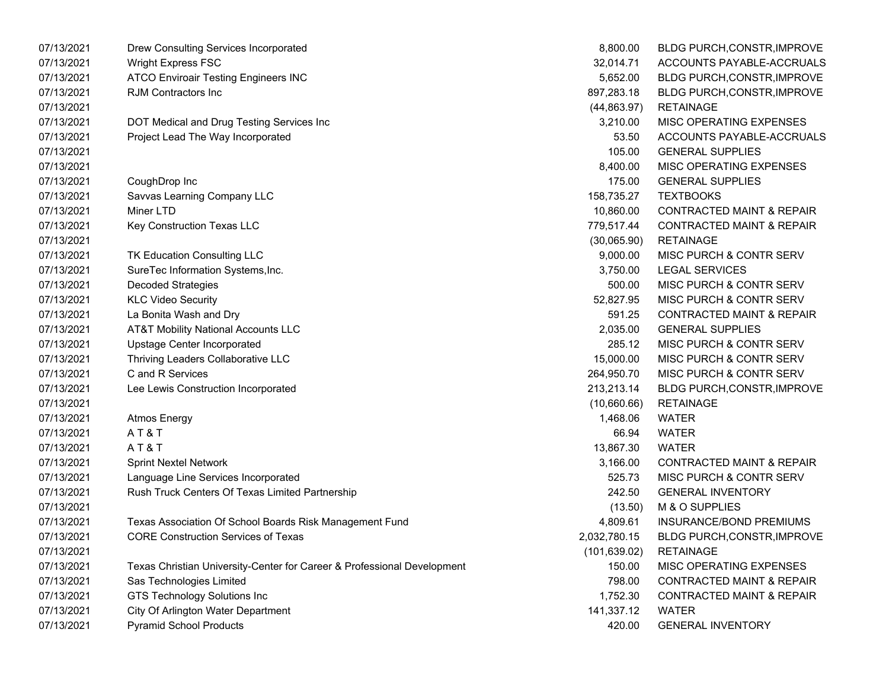| 07/13/2021 | Drew Consulting Services Incorporated                                   | 8,800.00      | BLDG PURCH, CONSTR, IMPROVE          |
|------------|-------------------------------------------------------------------------|---------------|--------------------------------------|
| 07/13/2021 | <b>Wright Express FSC</b>                                               | 32,014.71     | ACCOUNTS PAYABLE-ACCRUALS            |
| 07/13/2021 | <b>ATCO Enviroair Testing Engineers INC</b>                             | 5,652.00      | <b>BLDG PURCH, CONSTR, IMPROVE</b>   |
| 07/13/2021 | <b>RJM Contractors Inc</b>                                              | 897,283.18    | BLDG PURCH, CONSTR, IMPROVE          |
| 07/13/2021 |                                                                         | (44, 863.97)  | <b>RETAINAGE</b>                     |
| 07/13/2021 | DOT Medical and Drug Testing Services Inc                               | 3,210.00      | MISC OPERATING EXPENSES              |
| 07/13/2021 | Project Lead The Way Incorporated                                       | 53.50         | ACCOUNTS PAYABLE-ACCRUALS            |
| 07/13/2021 |                                                                         | 105.00        | <b>GENERAL SUPPLIES</b>              |
| 07/13/2021 |                                                                         | 8,400.00      | MISC OPERATING EXPENSES              |
| 07/13/2021 | CoughDrop Inc                                                           | 175.00        | <b>GENERAL SUPPLIES</b>              |
| 07/13/2021 | Savvas Learning Company LLC                                             | 158,735.27    | <b>TEXTBOOKS</b>                     |
| 07/13/2021 | Miner LTD                                                               | 10,860.00     | <b>CONTRACTED MAINT &amp; REPAIR</b> |
| 07/13/2021 | Key Construction Texas LLC                                              | 779,517.44    | CONTRACTED MAINT & REPAIR            |
| 07/13/2021 |                                                                         | (30,065.90)   | <b>RETAINAGE</b>                     |
| 07/13/2021 | TK Education Consulting LLC                                             | 9,000.00      | MISC PURCH & CONTR SERV              |
| 07/13/2021 | SureTec Information Systems, Inc.                                       | 3,750.00      | <b>LEGAL SERVICES</b>                |
| 07/13/2021 | <b>Decoded Strategies</b>                                               | 500.00        | MISC PURCH & CONTR SERV              |
| 07/13/2021 | <b>KLC Video Security</b>                                               | 52,827.95     | MISC PURCH & CONTR SERV              |
| 07/13/2021 | La Bonita Wash and Dry                                                  | 591.25        | <b>CONTRACTED MAINT &amp; REPAIR</b> |
| 07/13/2021 | <b>AT&amp;T Mobility National Accounts LLC</b>                          | 2,035.00      | <b>GENERAL SUPPLIES</b>              |
| 07/13/2021 | Upstage Center Incorporated                                             | 285.12        | MISC PURCH & CONTR SERV              |
| 07/13/2021 | Thriving Leaders Collaborative LLC                                      | 15,000.00     | MISC PURCH & CONTR SERV              |
| 07/13/2021 | C and R Services                                                        | 264,950.70    | MISC PURCH & CONTR SERV              |
| 07/13/2021 | Lee Lewis Construction Incorporated                                     | 213,213.14    | BLDG PURCH, CONSTR, IMPROVE          |
| 07/13/2021 |                                                                         | (10,660.66)   | <b>RETAINAGE</b>                     |
| 07/13/2021 | <b>Atmos Energy</b>                                                     | 1,468.06      | <b>WATER</b>                         |
| 07/13/2021 | AT&T                                                                    | 66.94         | <b>WATER</b>                         |
| 07/13/2021 | AT&T                                                                    | 13,867.30     | <b>WATER</b>                         |
| 07/13/2021 | <b>Sprint Nextel Network</b>                                            | 3,166.00      | <b>CONTRACTED MAINT &amp; REPAIR</b> |
| 07/13/2021 | Language Line Services Incorporated                                     | 525.73        | MISC PURCH & CONTR SERV              |
| 07/13/2021 | Rush Truck Centers Of Texas Limited Partnership                         | 242.50        | <b>GENERAL INVENTORY</b>             |
| 07/13/2021 |                                                                         | (13.50)       | M & O SUPPLIES                       |
| 07/13/2021 | Texas Association Of School Boards Risk Management Fund                 | 4,809.61      | INSURANCE/BOND PREMIUMS              |
| 07/13/2021 | <b>CORE Construction Services of Texas</b>                              | 2,032,780.15  | BLDG PURCH, CONSTR, IMPROVE          |
| 07/13/2021 |                                                                         | (101, 639.02) | <b>RETAINAGE</b>                     |
| 07/13/2021 | Texas Christian University-Center for Career & Professional Development | 150.00        | MISC OPERATING EXPENSES              |
| 07/13/2021 | Sas Technologies Limited                                                | 798.00        | <b>CONTRACTED MAINT &amp; REPAIR</b> |
| 07/13/2021 | <b>GTS Technology Solutions Inc</b>                                     | 1,752.30      | <b>CONTRACTED MAINT &amp; REPAIR</b> |
| 07/13/2021 | City Of Arlington Water Department                                      | 141,337.12    | <b>WATER</b>                         |
| 07/13/2021 | <b>Pyramid School Products</b>                                          | 420.00        | <b>GENERAL INVENTORY</b>             |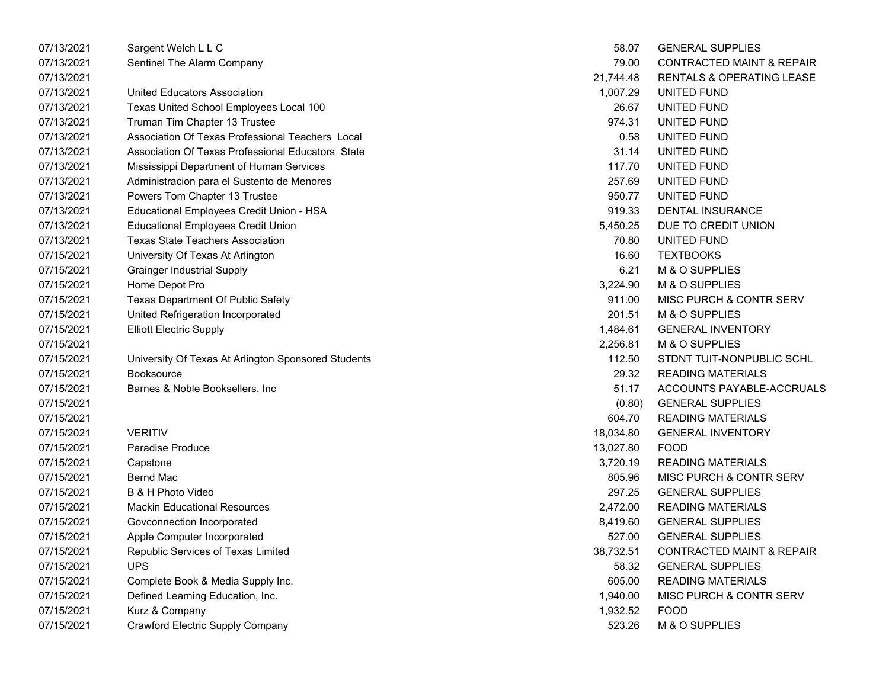| 07/13/2021 | Sargent Welch L L C                                 | 58.07     | <b>GENERAL SUPPLIES</b>              |
|------------|-----------------------------------------------------|-----------|--------------------------------------|
| 07/13/2021 | Sentinel The Alarm Company                          | 79.00     | <b>CONTRACTED MAINT &amp; REPAIR</b> |
| 07/13/2021 |                                                     | 21,744.48 | RENTALS & OPERATING LEASE            |
| 07/13/2021 | United Educators Association                        | 1,007.29  | UNITED FUND                          |
| 07/13/2021 | Texas United School Employees Local 100             | 26.67     | UNITED FUND                          |
| 07/13/2021 | Truman Tim Chapter 13 Trustee                       | 974.31    | UNITED FUND                          |
| 07/13/2021 | Association Of Texas Professional Teachers Local    | 0.58      | UNITED FUND                          |
| 07/13/2021 | Association Of Texas Professional Educators State   | 31.14     | UNITED FUND                          |
| 07/13/2021 | Mississippi Department of Human Services            | 117.70    | UNITED FUND                          |
| 07/13/2021 | Administracion para el Sustento de Menores          | 257.69    | UNITED FUND                          |
| 07/13/2021 | Powers Tom Chapter 13 Trustee                       | 950.77    | UNITED FUND                          |
| 07/13/2021 | Educational Employees Credit Union - HSA            | 919.33    | <b>DENTAL INSURANCE</b>              |
| 07/13/2021 | <b>Educational Employees Credit Union</b>           | 5,450.25  | DUE TO CREDIT UNION                  |
| 07/13/2021 | <b>Texas State Teachers Association</b>             | 70.80     | UNITED FUND                          |
| 07/15/2021 | University Of Texas At Arlington                    | 16.60     | <b>TEXTBOOKS</b>                     |
| 07/15/2021 | <b>Grainger Industrial Supply</b>                   | 6.21      | M & O SUPPLIES                       |
| 07/15/2021 | Home Depot Pro                                      | 3,224.90  | M & O SUPPLIES                       |
| 07/15/2021 | Texas Department Of Public Safety                   | 911.00    | MISC PURCH & CONTR SERV              |
| 07/15/2021 | United Refrigeration Incorporated                   | 201.51    | M & O SUPPLIES                       |
| 07/15/2021 | <b>Elliott Electric Supply</b>                      | 1,484.61  | <b>GENERAL INVENTORY</b>             |
| 07/15/2021 |                                                     | 2,256.81  | M & O SUPPLIES                       |
| 07/15/2021 | University Of Texas At Arlington Sponsored Students | 112.50    | STDNT TUIT-NONPUBLIC SCHL            |
| 07/15/2021 | <b>Booksource</b>                                   | 29.32     | <b>READING MATERIALS</b>             |
| 07/15/2021 | Barnes & Noble Booksellers, Inc                     | 51.17     | ACCOUNTS PAYABLE-ACCRUALS            |
| 07/15/2021 |                                                     | (0.80)    | <b>GENERAL SUPPLIES</b>              |
| 07/15/2021 |                                                     | 604.70    | <b>READING MATERIALS</b>             |
| 07/15/2021 | <b>VERITIV</b>                                      | 18,034.80 | <b>GENERAL INVENTORY</b>             |
| 07/15/2021 | Paradise Produce                                    | 13,027.80 | <b>FOOD</b>                          |
| 07/15/2021 | Capstone                                            | 3,720.19  | <b>READING MATERIALS</b>             |
| 07/15/2021 | <b>Bernd Mac</b>                                    | 805.96    | MISC PURCH & CONTR SERV              |
| 07/15/2021 | B & H Photo Video                                   | 297.25    | <b>GENERAL SUPPLIES</b>              |
| 07/15/2021 | <b>Mackin Educational Resources</b>                 | 2,472.00  | <b>READING MATERIALS</b>             |
| 07/15/2021 | Govconnection Incorporated                          | 8,419.60  | <b>GENERAL SUPPLIES</b>              |
| 07/15/2021 | Apple Computer Incorporated                         | 527.00    | <b>GENERAL SUPPLIES</b>              |
| 07/15/2021 | Republic Services of Texas Limited                  | 38,732.51 | <b>CONTRACTED MAINT &amp; REPAIR</b> |
| 07/15/2021 | <b>UPS</b>                                          | 58.32     | <b>GENERAL SUPPLIES</b>              |
| 07/15/2021 | Complete Book & Media Supply Inc.                   | 605.00    | <b>READING MATERIALS</b>             |
| 07/15/2021 | Defined Learning Education, Inc.                    | 1,940.00  | MISC PURCH & CONTR SERV              |
| 07/15/2021 | Kurz & Company                                      | 1,932.52  | <b>FOOD</b>                          |
| 07/15/2021 | <b>Crawford Electric Supply Company</b>             | 523.26    | M & O SUPPLIES                       |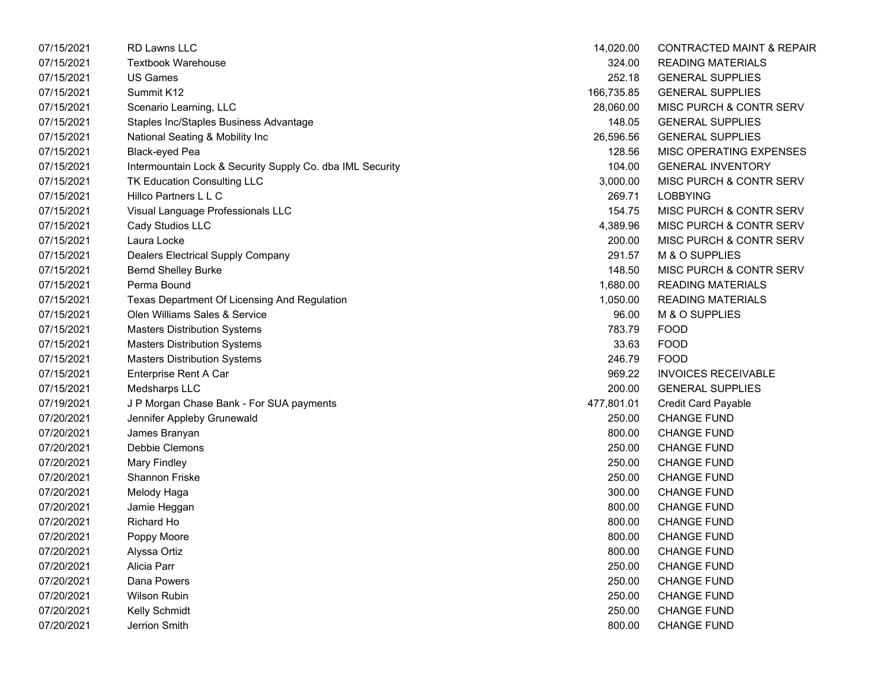| 07/15/2021 | <b>RD Lawns LLC</b>                                       | 14,020.00  | <b>CONTRACTED MAINT &amp; REPAIR</b> |
|------------|-----------------------------------------------------------|------------|--------------------------------------|
| 07/15/2021 | <b>Textbook Warehouse</b>                                 | 324.00     | <b>READING MATERIALS</b>             |
| 07/15/2021 | <b>US Games</b>                                           | 252.18     | <b>GENERAL SUPPLIES</b>              |
| 07/15/2021 | Summit K12                                                | 166,735.85 | <b>GENERAL SUPPLIES</b>              |
| 07/15/2021 | Scenario Learning, LLC                                    | 28,060.00  | MISC PURCH & CONTR SERV              |
| 07/15/2021 | Staples Inc/Staples Business Advantage                    | 148.05     | <b>GENERAL SUPPLIES</b>              |
| 07/15/2021 | National Seating & Mobility Inc                           | 26,596.56  | <b>GENERAL SUPPLIES</b>              |
| 07/15/2021 | <b>Black-eyed Pea</b>                                     | 128.56     | MISC OPERATING EXPENSES              |
| 07/15/2021 | Intermountain Lock & Security Supply Co. dba IML Security | 104.00     | <b>GENERAL INVENTORY</b>             |
| 07/15/2021 | TK Education Consulting LLC                               | 3,000.00   | MISC PURCH & CONTR SERV              |
| 07/15/2021 | Hillco Partners L L C                                     | 269.71     | <b>LOBBYING</b>                      |
| 07/15/2021 | Visual Language Professionals LLC                         | 154.75     | MISC PURCH & CONTR SERV              |
| 07/15/2021 | Cady Studios LLC                                          | 4,389.96   | MISC PURCH & CONTR SERV              |
| 07/15/2021 | Laura Locke                                               | 200.00     | MISC PURCH & CONTR SERV              |
| 07/15/2021 | Dealers Electrical Supply Company                         | 291.57     | M & O SUPPLIES                       |
| 07/15/2021 | <b>Bernd Shelley Burke</b>                                | 148.50     | MISC PURCH & CONTR SERV              |
| 07/15/2021 | Perma Bound                                               | 1,680.00   | <b>READING MATERIALS</b>             |
| 07/15/2021 | Texas Department Of Licensing And Regulation              | 1,050.00   | <b>READING MATERIALS</b>             |
| 07/15/2021 | Olen Williams Sales & Service                             | 96.00      | M & O SUPPLIES                       |
| 07/15/2021 | <b>Masters Distribution Systems</b>                       | 783.79     | <b>FOOD</b>                          |
| 07/15/2021 | <b>Masters Distribution Systems</b>                       | 33.63      | <b>FOOD</b>                          |
| 07/15/2021 | <b>Masters Distribution Systems</b>                       | 246.79     | <b>FOOD</b>                          |
| 07/15/2021 | Enterprise Rent A Car                                     | 969.22     | <b>INVOICES RECEIVABLE</b>           |
| 07/15/2021 | Medsharps LLC                                             | 200.00     | <b>GENERAL SUPPLIES</b>              |
| 07/19/2021 | J P Morgan Chase Bank - For SUA payments                  | 477,801.01 | <b>Credit Card Payable</b>           |
| 07/20/2021 | Jennifer Appleby Grunewald                                | 250.00     | <b>CHANGE FUND</b>                   |
| 07/20/2021 | James Branyan                                             | 800.00     | <b>CHANGE FUND</b>                   |
| 07/20/2021 | Debbie Clemons                                            | 250.00     | <b>CHANGE FUND</b>                   |
| 07/20/2021 | <b>Mary Findley</b>                                       | 250.00     | <b>CHANGE FUND</b>                   |
| 07/20/2021 | Shannon Friske                                            | 250.00     | <b>CHANGE FUND</b>                   |
| 07/20/2021 | Melody Haga                                               | 300.00     | <b>CHANGE FUND</b>                   |
| 07/20/2021 | Jamie Heggan                                              | 800.00     | <b>CHANGE FUND</b>                   |
| 07/20/2021 | Richard Ho                                                | 800.00     | <b>CHANGE FUND</b>                   |
| 07/20/2021 | Poppy Moore                                               | 800.00     | <b>CHANGE FUND</b>                   |
| 07/20/2021 | Alyssa Ortiz                                              | 800.00     | <b>CHANGE FUND</b>                   |
| 07/20/2021 | Alicia Parr                                               | 250.00     | <b>CHANGE FUND</b>                   |
| 07/20/2021 | Dana Powers                                               | 250.00     | <b>CHANGE FUND</b>                   |
| 07/20/2021 | <b>Wilson Rubin</b>                                       | 250.00     | <b>CHANGE FUND</b>                   |
| 07/20/2021 | Kelly Schmidt                                             | 250.00     | <b>CHANGE FUND</b>                   |
| 07/20/2021 | Jerrion Smith                                             | 800.00     | <b>CHANGE FUND</b>                   |

| 14,020.00  | <b>CONTRACTED MAINT &amp; REPAI</b> |
|------------|-------------------------------------|
| 324.00     | <b>READING MATERIALS</b>            |
| 252.18     | <b>GENERAL SUPPLIES</b>             |
| 166,735.85 | <b>GENERAL SUPPLIES</b>             |
| 28,060.00  | MISC PURCH & CONTR SERV             |
| 148.05     | <b>GENERAL SUPPLIES</b>             |
| 26,596.56  | <b>GENERAL SUPPLIES</b>             |
| 128.56     | MISC OPERATING EXPENSES             |
| 104.00     | <b>GENERAL INVENTORY</b>            |
| 3,000.00   | MISC PURCH & CONTR SERV             |
| 269.71     | <b>LOBBYING</b>                     |
| 154.75     | MISC PURCH & CONTR SERV             |
| 4,389.96   | MISC PURCH & CONTR SERV             |
| 200.00     | MISC PURCH & CONTR SERV             |
| 291.57     | M & O SUPPLIES                      |
| 148.50     | MISC PURCH & CONTR SERV             |
| 1,680.00   | <b>READING MATERIALS</b>            |
|            | 1,050.00 READING MATERIALS          |
| 96.00      | M & O SUPPLIES                      |
| 783.79     | <b>FOOD</b>                         |
| 33.63      | <b>FOOD</b>                         |
| 246.79     | <b>FOOD</b>                         |
| 969.22     | <b>INVOICES RECEIVABLE</b>          |
| 200.00     | <b>GENERAL SUPPLIES</b>             |
| 477,801.01 | <b>Credit Card Payable</b>          |
| 250.00     | <b>CHANGE FUND</b>                  |
| 800.00     | <b>CHANGE FUND</b>                  |
| 250.00     | <b>CHANGE FUND</b>                  |
| 250.00     | <b>CHANGE FUND</b>                  |
| 250.00     | <b>CHANGE FUND</b>                  |
| 300.00     | <b>CHANGE FUND</b>                  |
| 800.00     | <b>CHANGE FUND</b>                  |
| 800.00     | <b>CHANGE FUND</b>                  |
| 800.00     | <b>CHANGE FUND</b>                  |
| 800.00     | <b>CHANGE FUND</b>                  |
| 250.00     | <b>CHANGE FUND</b>                  |
| 250.00     | <b>CHANGE FUND</b>                  |
| 250.00     | <b>CHANGE FUND</b>                  |
| 250.00     | <b>CHANGE FUND</b>                  |
| 800.00     | <b>CHANGE FUND</b>                  |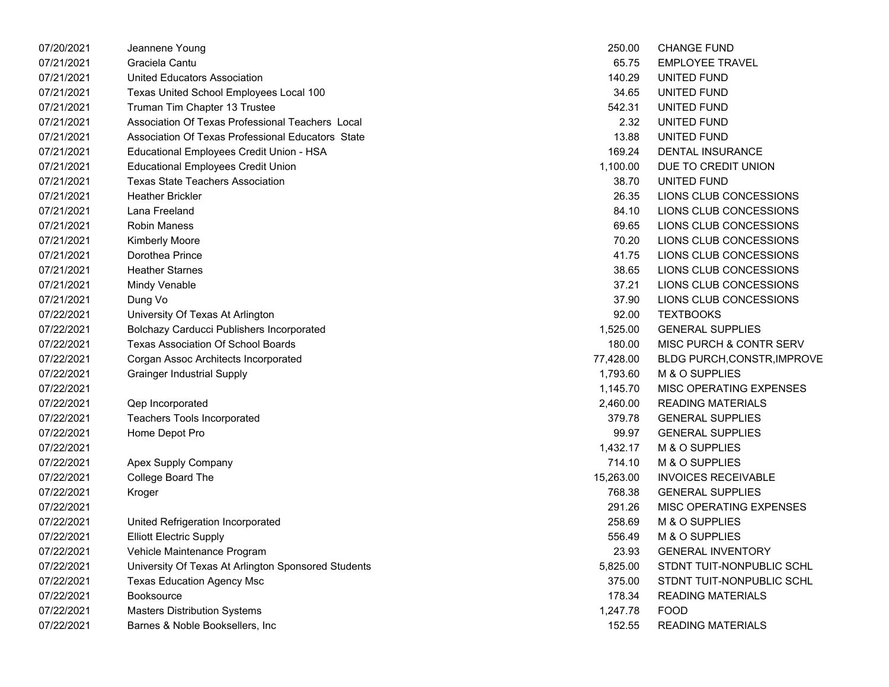| 07/20/2021 | Jeannene Young                                      | 250.00    | <b>CHANGE FUND</b>                 |
|------------|-----------------------------------------------------|-----------|------------------------------------|
| 07/21/2021 | Graciela Cantu                                      | 65.75     | <b>EMPLOYEE TRAVEL</b>             |
| 07/21/2021 | <b>United Educators Association</b>                 | 140.29    | UNITED FUND                        |
| 07/21/2021 | Texas United School Employees Local 100             | 34.65     | UNITED FUND                        |
| 07/21/2021 | Truman Tim Chapter 13 Trustee                       | 542.31    | UNITED FUND                        |
| 07/21/2021 | Association Of Texas Professional Teachers Local    | 2.32      | UNITED FUND                        |
| 07/21/2021 | Association Of Texas Professional Educators State   | 13.88     | UNITED FUND                        |
| 07/21/2021 | Educational Employees Credit Union - HSA            | 169.24    | <b>DENTAL INSURANCE</b>            |
| 07/21/2021 | <b>Educational Employees Credit Union</b>           | 1,100.00  | DUE TO CREDIT UNION                |
| 07/21/2021 | <b>Texas State Teachers Association</b>             | 38.70     | UNITED FUND                        |
| 07/21/2021 | <b>Heather Brickler</b>                             | 26.35     | LIONS CLUB CONCESSIONS             |
| 07/21/2021 | Lana Freeland                                       | 84.10     | LIONS CLUB CONCESSIONS             |
| 07/21/2021 | <b>Robin Maness</b>                                 | 69.65     | LIONS CLUB CONCESSIONS             |
| 07/21/2021 | Kimberly Moore                                      | 70.20     | LIONS CLUB CONCESSIONS             |
| 07/21/2021 | Dorothea Prince                                     | 41.75     | LIONS CLUB CONCESSIONS             |
| 07/21/2021 | <b>Heather Starnes</b>                              | 38.65     | LIONS CLUB CONCESSIONS             |
| 07/21/2021 | Mindy Venable                                       | 37.21     | LIONS CLUB CONCESSIONS             |
| 07/21/2021 | Dung Vo                                             | 37.90     | LIONS CLUB CONCESSIONS             |
| 07/22/2021 | University Of Texas At Arlington                    | 92.00     | <b>TEXTBOOKS</b>                   |
| 07/22/2021 | Bolchazy Carducci Publishers Incorporated           | 1,525.00  | <b>GENERAL SUPPLIES</b>            |
| 07/22/2021 | <b>Texas Association Of School Boards</b>           | 180.00    | MISC PURCH & CONTR SERV            |
| 07/22/2021 | Corgan Assoc Architects Incorporated                | 77,428.00 | <b>BLDG PURCH, CONSTR, IMPROVE</b> |
| 07/22/2021 | <b>Grainger Industrial Supply</b>                   | 1,793.60  | M & O SUPPLIES                     |
| 07/22/2021 |                                                     | 1,145.70  | MISC OPERATING EXPENSES            |
| 07/22/2021 | Qep Incorporated                                    | 2,460.00  | <b>READING MATERIALS</b>           |
| 07/22/2021 | Teachers Tools Incorporated                         | 379.78    | <b>GENERAL SUPPLIES</b>            |
| 07/22/2021 | Home Depot Pro                                      | 99.97     | <b>GENERAL SUPPLIES</b>            |
| 07/22/2021 |                                                     | 1,432.17  | M & O SUPPLIES                     |
| 07/22/2021 | Apex Supply Company                                 | 714.10    | M & O SUPPLIES                     |
| 07/22/2021 | College Board The                                   | 15,263.00 | <b>INVOICES RECEIVABLE</b>         |
| 07/22/2021 | Kroger                                              | 768.38    | <b>GENERAL SUPPLIES</b>            |
| 07/22/2021 |                                                     | 291.26    | MISC OPERATING EXPENSES            |
| 07/22/2021 | United Refrigeration Incorporated                   | 258.69    | M & O SUPPLIES                     |
| 07/22/2021 | <b>Elliott Electric Supply</b>                      | 556.49    | M & O SUPPLIES                     |
| 07/22/2021 | Vehicle Maintenance Program                         | 23.93     | <b>GENERAL INVENTORY</b>           |
| 07/22/2021 | University Of Texas At Arlington Sponsored Students | 5,825.00  | STDNT TUIT-NONPUBLIC SCHL          |
| 07/22/2021 | <b>Texas Education Agency Msc</b>                   | 375.00    | STDNT TUIT-NONPUBLIC SCHL          |
| 07/22/2021 | Booksource                                          | 178.34    | <b>READING MATERIALS</b>           |
| 07/22/2021 | <b>Masters Distribution Systems</b>                 | 1,247.78  | <b>FOOD</b>                        |
| 07/22/2021 | Barnes & Noble Booksellers, Inc                     | 152.55    | <b>READING MATERIALS</b>           |

| 250.00   | <b>CHANGE FUND</b>                  |
|----------|-------------------------------------|
| 65.75    | <b>EMPLOYEE TRAVEL</b>              |
|          | 140.29 UNITED FUND                  |
|          | 34.65 UNITED FUND                   |
| 542.31   | UNITED FUND                         |
| 2.32     | UNITED FUND                         |
|          | 13.88 UNITED FUND                   |
|          | 169.24 DENTAL INSURANCE             |
|          | 1,100.00 DUE TO CREDIT UNION        |
| 38.70    | UNITED FUND                         |
|          | 26.35 LIONS CLUB CONCESSIONS        |
|          | 84.10 LIONS CLUB CONCESSIONS        |
|          | 69.65 LIONS CLUB CONCESSIONS        |
|          | 70.20 LIONS CLUB CONCESSIONS        |
| 41.75    | LIONS CLUB CONCESSIONS              |
| 38.65    | LIONS CLUB CONCESSIONS              |
|          | 37.21 LIONS CLUB CONCESSIONS        |
|          | 37.90 LIONS CLUB CONCESSIONS        |
|          | 92.00 TEXTBOOKS                     |
|          | 1,525.00 GENERAL SUPPLIES           |
|          | 180.00 MISC PURCH & CONTR SERV      |
|          | 77,428.00 BLDG PURCH,CONSTR,IMPROVE |
|          | 1,793.60 M & O SUPPLIES             |
|          | 1,145.70 MISC OPERATING EXPENSES    |
|          | 2,460.00 READING MATERIALS          |
| 379.78   | <b>GENERAL SUPPLIES</b>             |
| 99.97    | <b>GENERAL SUPPLIES</b>             |
|          | 1,432.17 M & O SUPPLIES             |
| 714.10   | M & O SUPPLIES                      |
|          | 15,263.00 INVOICES RECEIVABLE       |
| 768.38   | <b>GENERAL SUPPLIES</b>             |
|          | 291.26 MISC OPERATING EXPENSES      |
|          | 258.69 M & O SUPPLIES               |
|          | 556.49 M & O SUPPLIES               |
| 23.93    | <b>GENERAL INVENTORY</b>            |
| 5,825.00 | STDNT TUIT-NONPUBLIC SCHL           |
| 375.00   | STDNT TUIT-NONPUBLIC SCHL           |
| 178.34   | <b>READING MATERIALS</b>            |
| 1,247.78 | <b>FOOD</b>                         |
| 152.55   | <b>READING MATERIALS</b>            |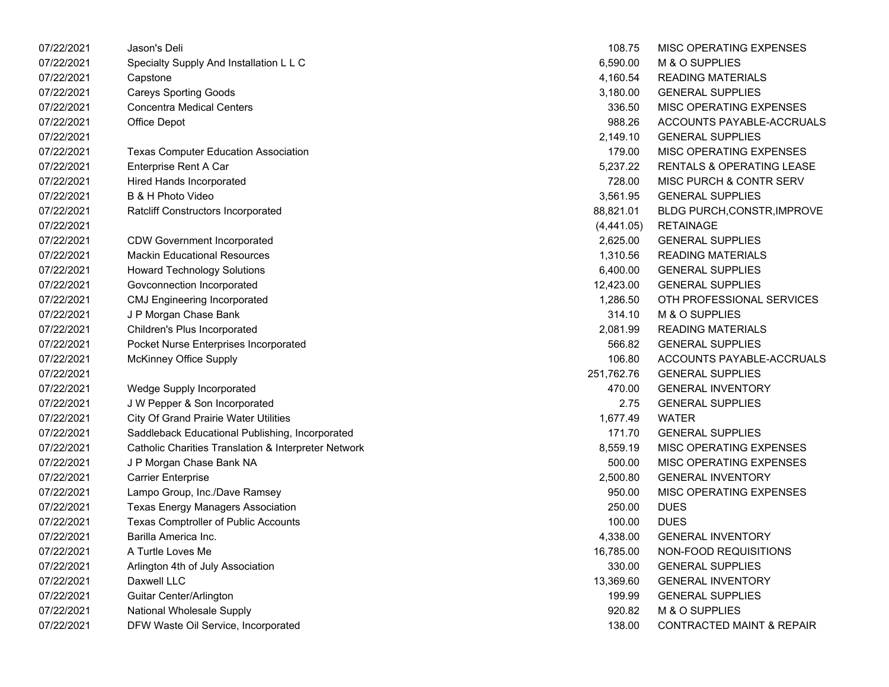| 07/22/2021 | Jason's Deli                                         | 108.75     | MISC OPERATING EXPENSES              |
|------------|------------------------------------------------------|------------|--------------------------------------|
| 07/22/2021 | Specialty Supply And Installation L L C              | 6,590.00   | M & O SUPPLIES                       |
| 07/22/2021 | Capstone                                             | 4,160.54   | <b>READING MATERIALS</b>             |
| 07/22/2021 | <b>Careys Sporting Goods</b>                         | 3,180.00   | <b>GENERAL SUPPLIES</b>              |
| 07/22/2021 | <b>Concentra Medical Centers</b>                     | 336.50     | MISC OPERATING EXPENSES              |
| 07/22/2021 | Office Depot                                         | 988.26     | ACCOUNTS PAYABLE-ACCRUALS            |
| 07/22/2021 |                                                      | 2,149.10   | <b>GENERAL SUPPLIES</b>              |
| 07/22/2021 | <b>Texas Computer Education Association</b>          | 179.00     | MISC OPERATING EXPENSES              |
| 07/22/2021 | Enterprise Rent A Car                                | 5,237.22   | RENTALS & OPERATING LEASE            |
| 07/22/2021 | Hired Hands Incorporated                             | 728.00     | MISC PURCH & CONTR SERV              |
| 07/22/2021 | B & H Photo Video                                    | 3,561.95   | <b>GENERAL SUPPLIES</b>              |
| 07/22/2021 | Ratcliff Constructors Incorporated                   | 88,821.01  | BLDG PURCH, CONSTR, IMPROVE          |
| 07/22/2021 |                                                      | (4,441.05) | <b>RETAINAGE</b>                     |
| 07/22/2021 | <b>CDW Government Incorporated</b>                   | 2,625.00   | <b>GENERAL SUPPLIES</b>              |
| 07/22/2021 | <b>Mackin Educational Resources</b>                  | 1,310.56   | <b>READING MATERIALS</b>             |
| 07/22/2021 | <b>Howard Technology Solutions</b>                   | 6,400.00   | <b>GENERAL SUPPLIES</b>              |
| 07/22/2021 | Govconnection Incorporated                           | 12,423.00  | <b>GENERAL SUPPLIES</b>              |
| 07/22/2021 | <b>CMJ Engineering Incorporated</b>                  | 1,286.50   | OTH PROFESSIONAL SERVICES            |
| 07/22/2021 | J P Morgan Chase Bank                                | 314.10     | M & O SUPPLIES                       |
| 07/22/2021 | Children's Plus Incorporated                         | 2,081.99   | <b>READING MATERIALS</b>             |
| 07/22/2021 | Pocket Nurse Enterprises Incorporated                | 566.82     | <b>GENERAL SUPPLIES</b>              |
| 07/22/2021 | <b>McKinney Office Supply</b>                        | 106.80     | ACCOUNTS PAYABLE-ACCRUALS            |
| 07/22/2021 |                                                      | 251,762.76 | <b>GENERAL SUPPLIES</b>              |
| 07/22/2021 | Wedge Supply Incorporated                            | 470.00     | <b>GENERAL INVENTORY</b>             |
| 07/22/2021 | J W Pepper & Son Incorporated                        | 2.75       | <b>GENERAL SUPPLIES</b>              |
| 07/22/2021 | <b>City Of Grand Prairie Water Utilities</b>         | 1,677.49   | <b>WATER</b>                         |
| 07/22/2021 | Saddleback Educational Publishing, Incorporated      | 171.70     | <b>GENERAL SUPPLIES</b>              |
| 07/22/2021 | Catholic Charities Translation & Interpreter Network | 8,559.19   | MISC OPERATING EXPENSES              |
| 07/22/2021 | J P Morgan Chase Bank NA                             | 500.00     | MISC OPERATING EXPENSES              |
| 07/22/2021 | <b>Carrier Enterprise</b>                            | 2,500.80   | <b>GENERAL INVENTORY</b>             |
| 07/22/2021 | Lampo Group, Inc./Dave Ramsey                        | 950.00     | MISC OPERATING EXPENSES              |
| 07/22/2021 | <b>Texas Energy Managers Association</b>             | 250.00     | <b>DUES</b>                          |
| 07/22/2021 | Texas Comptroller of Public Accounts                 | 100.00     | <b>DUES</b>                          |
| 07/22/2021 | Barilla America Inc.                                 | 4,338.00   | <b>GENERAL INVENTORY</b>             |
| 07/22/2021 | A Turtle Loves Me                                    | 16,785.00  | NON-FOOD REQUISITIONS                |
| 07/22/2021 | Arlington 4th of July Association                    | 330.00     | <b>GENERAL SUPPLIES</b>              |
| 07/22/2021 | Daxwell LLC                                          | 13,369.60  | <b>GENERAL INVENTORY</b>             |
| 07/22/2021 | Guitar Center/Arlington                              | 199.99     | <b>GENERAL SUPPLIES</b>              |
| 07/22/2021 | National Wholesale Supply                            | 920.82     | M & O SUPPLIES                       |
| 07/22/2021 | DFW Waste Oil Service, Incorporated                  | 138.00     | <b>CONTRACTED MAINT &amp; REPAIR</b> |
|            |                                                      |            |                                      |

| 108.75     | <b>MISC OPERATING EXPENSES</b>       |
|------------|--------------------------------------|
| 6.590.00   | M & O SUPPLIES                       |
| 4,160.54   | <b>READING MATERIALS</b>             |
| 3,180.00   | <b>GENERAL SUPPLIES</b>              |
| 336.50     | <b>MISC OPERATING EXPENSES</b>       |
| 988.26     | ACCOUNTS PAYABLE-ACCRUALS            |
| 2,149.10   | <b>GENERAL SUPPLIES</b>              |
| 179.00     | <b>MISC OPERATING EXPENSES</b>       |
| 5,237.22   | <b>RENTALS &amp; OPERATING LEASE</b> |
| 728.00     | MISC PURCH & CONTR SERV              |
| 3,561.95   | <b>GENERAL SUPPLIES</b>              |
| 88,821.01  | BLDG PURCH, CONSTR, IMPROVE          |
|            | (4,441.05) RETAINAGE                 |
| 2,625.00   | <b>GENERAL SUPPLIES</b>              |
| 1,310.56   | <b>READING MATERIALS</b>             |
| 6,400.00   | <b>GENERAL SUPPLIES</b>              |
| 12,423.00  | <b>GENERAL SUPPLIES</b>              |
| 1,286.50   | OTH PROFESSIONAL SERVICES            |
| 314.10     | M & O SUPPLIES                       |
| 2,081.99   | <b>READING MATERIALS</b>             |
| 566.82     | <b>GENERAL SUPPLIES</b>              |
| 106.80     | ACCOUNTS PAYABLE-ACCRUALS            |
| 251,762.76 | <b>GENERAL SUPPLIES</b>              |
| 470.00     | <b>GENERAL INVENTORY</b>             |
| 2.75       | <b>GENERAL SUPPLIES</b>              |
| 1,677.49   | WATER                                |
| 171.70     | <b>GENERAL SUPPLIES</b>              |
| 8,559.19   | <b>MISC OPERATING EXPENSES</b>       |
| 500.00     | <b>MISC OPERATING EXPENSES</b>       |
| 2,500.80   | <b>GENERAL INVENTORY</b>             |
| 950.00     | <b>MISC OPERATING EXPENSES</b>       |
| 250.00     | DUES                                 |
| 100.00     | <b>DUES</b>                          |
| 4,338.00   | <b>GENERAL INVENTORY</b>             |
| 16,785.00  | <b>NON-FOOD REQUISITIONS</b>         |
| 330.00     | <b>GENERAL SUPPLIES</b>              |
| 13,369.60  | <b>GENERAL INVENTORY</b>             |
| 199.99     | <b>GENERAL SUPPLIES</b>              |
| 920.82     | M & O SUPPLIES                       |
| 138.00     | <b>CONTRACTED MAINT &amp; REPAIR</b> |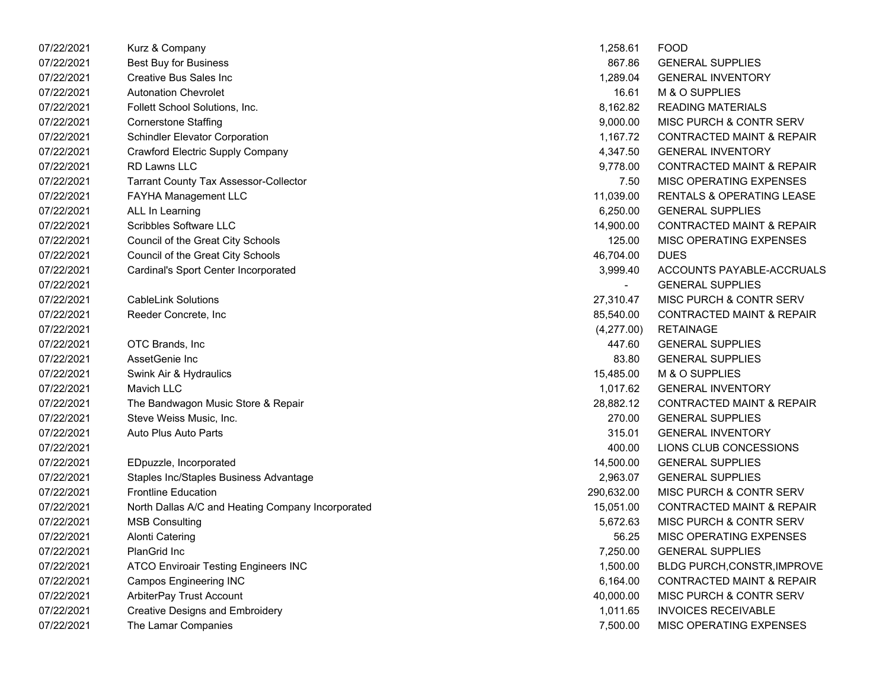| 07/22/2021 | Kurz & Company                                    | 1,258.61   | <b>FOOD</b>                          |
|------------|---------------------------------------------------|------------|--------------------------------------|
| 07/22/2021 | <b>Best Buy for Business</b>                      | 867.86     | <b>GENERAL SUPPLIES</b>              |
| 07/22/2021 | Creative Bus Sales Inc                            | 1,289.04   | <b>GENERAL INVENTORY</b>             |
| 07/22/2021 | <b>Autonation Chevrolet</b>                       | 16.61      | M & O SUPPLIES                       |
| 07/22/2021 | Follett School Solutions, Inc.                    | 8,162.82   | <b>READING MATERIALS</b>             |
| 07/22/2021 | <b>Cornerstone Staffing</b>                       | 9,000.00   | MISC PURCH & CONTR SERV              |
| 07/22/2021 | <b>Schindler Elevator Corporation</b>             | 1,167.72   | <b>CONTRACTED MAINT &amp; REPAIR</b> |
| 07/22/2021 | Crawford Electric Supply Company                  | 4,347.50   | <b>GENERAL INVENTORY</b>             |
| 07/22/2021 | RD Lawns LLC                                      | 9,778.00   | <b>CONTRACTED MAINT &amp; REPAIR</b> |
| 07/22/2021 | <b>Tarrant County Tax Assessor-Collector</b>      | 7.50       | MISC OPERATING EXPENSES              |
| 07/22/2021 | FAYHA Management LLC                              | 11,039.00  | <b>RENTALS &amp; OPERATING LEASE</b> |
| 07/22/2021 | ALL In Learning                                   | 6,250.00   | <b>GENERAL SUPPLIES</b>              |
| 07/22/2021 | Scribbles Software LLC                            | 14,900.00  | <b>CONTRACTED MAINT &amp; REPAIR</b> |
| 07/22/2021 | Council of the Great City Schools                 | 125.00     | MISC OPERATING EXPENSES              |
| 07/22/2021 | Council of the Great City Schools                 | 46,704.00  | <b>DUES</b>                          |
| 07/22/2021 | Cardinal's Sport Center Incorporated              | 3,999.40   | ACCOUNTS PAYABLE-ACCRUALS            |
| 07/22/2021 |                                                   |            | <b>GENERAL SUPPLIES</b>              |
| 07/22/2021 | <b>CableLink Solutions</b>                        | 27,310.47  | MISC PURCH & CONTR SERV              |
| 07/22/2021 | Reeder Concrete, Inc                              | 85,540.00  | <b>CONTRACTED MAINT &amp; REPAIR</b> |
| 07/22/2021 |                                                   | (4,277.00) | <b>RETAINAGE</b>                     |
| 07/22/2021 | OTC Brands, Inc.                                  | 447.60     | <b>GENERAL SUPPLIES</b>              |
| 07/22/2021 | AssetGenie Inc                                    | 83.80      | <b>GENERAL SUPPLIES</b>              |
| 07/22/2021 | Swink Air & Hydraulics                            | 15,485.00  | M & O SUPPLIES                       |
| 07/22/2021 | Mavich LLC                                        | 1,017.62   | <b>GENERAL INVENTORY</b>             |
| 07/22/2021 | The Bandwagon Music Store & Repair                | 28,882.12  | <b>CONTRACTED MAINT &amp; REPAIR</b> |
| 07/22/2021 | Steve Weiss Music, Inc.                           | 270.00     | <b>GENERAL SUPPLIES</b>              |
| 07/22/2021 | Auto Plus Auto Parts                              | 315.01     | <b>GENERAL INVENTORY</b>             |
| 07/22/2021 |                                                   | 400.00     | LIONS CLUB CONCESSIONS               |
| 07/22/2021 | EDpuzzle, Incorporated                            | 14,500.00  | <b>GENERAL SUPPLIES</b>              |
| 07/22/2021 | Staples Inc/Staples Business Advantage            | 2,963.07   | <b>GENERAL SUPPLIES</b>              |
| 07/22/2021 | <b>Frontline Education</b>                        | 290,632.00 | MISC PURCH & CONTR SERV              |
| 07/22/2021 | North Dallas A/C and Heating Company Incorporated | 15,051.00  | <b>CONTRACTED MAINT &amp; REPAIR</b> |
| 07/22/2021 | <b>MSB Consulting</b>                             | 5,672.63   | MISC PURCH & CONTR SERV              |
| 07/22/2021 | <b>Alonti Catering</b>                            | 56.25      | MISC OPERATING EXPENSES              |
| 07/22/2021 | <b>PlanGrid Inc</b>                               | 7,250.00   | <b>GENERAL SUPPLIES</b>              |
| 07/22/2021 | ATCO Enviroair Testing Engineers INC              | 1,500.00   | BLDG PURCH, CONSTR, IMPROVE          |
| 07/22/2021 | <b>Campos Engineering INC</b>                     | 6,164.00   | <b>CONTRACTED MAINT &amp; REPAIR</b> |
| 07/22/2021 | ArbiterPay Trust Account                          | 40,000.00  | <b>MISC PURCH &amp; CONTR SERV</b>   |
| 07/22/2021 | <b>Creative Designs and Embroidery</b>            | 1,011.65   | <b>INVOICES RECEIVABLE</b>           |
| 07/22/2021 | The Lamar Companies                               | 7,500.00   | MISC OPERATING EXPENSES              |
|            |                                                   |            |                                      |

| 1,258.61   | FOOD                                 |
|------------|--------------------------------------|
| 867.86     | <b>GENERAL SUPPLIES</b>              |
| 1,289.04   | <b>GENERAL INVENTORY</b>             |
| 16.61      | M & O SUPPLIES                       |
| 8,162.82   | <b>READING MATERIALS</b>             |
| 9,000.00   | <b>MISC PURCH &amp; CONTR SERV</b>   |
| 1,167.72   | <b>CONTRACTED MAINT &amp; REPAIR</b> |
| 4,347.50   | <b>GENERAL INVENTORY</b>             |
| 9,778.00   | <b>CONTRACTED MAINT &amp; REPAIR</b> |
| 7.50       | <b>MISC OPERATING EXPENSES</b>       |
| 11.039.00  | <b>RENTALS &amp; OPERATING LEASE</b> |
| 6,250.00   | <b>GENERAL SUPPLIES</b>              |
| 14,900.00  | <b>CONTRACTED MAINT &amp; REPAIR</b> |
| 125.00     | <b>MISC OPERATING EXPENSES</b>       |
| 46,704.00  | <b>DUES</b>                          |
| 3,999.40   | ACCOUNTS PAYABLE-ACCRUALS            |
|            | <b>GENERAL SUPPLIES</b>              |
| 27,310.47  | MISC PURCH & CONTR SERV              |
| 85,540.00  | <b>CONTRACTED MAINT &amp; REPAIR</b> |
| (4,277.00) | RETAINAGE                            |
| 447.60     | <b>GENERAL SUPPLIES</b>              |
| 83.80      | <b>GENERAL SUPPLIES</b>              |
| 15,485.00  | M & O SUPPLIES                       |
| 1,017.62   | <b>GENERAL INVENTORY</b>             |
| 28,882.12  | <b>CONTRACTED MAINT &amp; REPAIR</b> |
| 270.00     | <b>GENERAL SUPPLIES</b>              |
| 315.01     | <b>GENERAL INVENTORY</b>             |
| 400.00     | LIONS CLUB CONCESSIONS               |
| 14,500.00  | <b>GENERAL SUPPLIES</b>              |
| 2,963.07   | <b>GENERAL SUPPLIES</b>              |
| 290,632.00 | <b>MISC PURCH &amp; CONTR SERV</b>   |
| 15,051.00  | <b>CONTRACTED MAINT &amp; REPAIR</b> |
| 5,672.63   | <b>MISC PURCH &amp; CONTR SERV</b>   |
| 56.25      | <b>MISC OPERATING EXPENSES</b>       |
| 7,250.00   | <b>GENERAL SUPPLIES</b>              |
| 1,500.00   | BLDG PURCH, CONSTR, IMPROVE          |
| 6,164.00   | <b>CONTRACTED MAINT &amp; REPAIR</b> |
| 40,000.00  | MISC PURCH & CONTR SERV              |
| 1,011.65   | <b>INVOICES RECEIVABLE</b>           |
| 7,500.00   | MISC OPERATING EXPENSES              |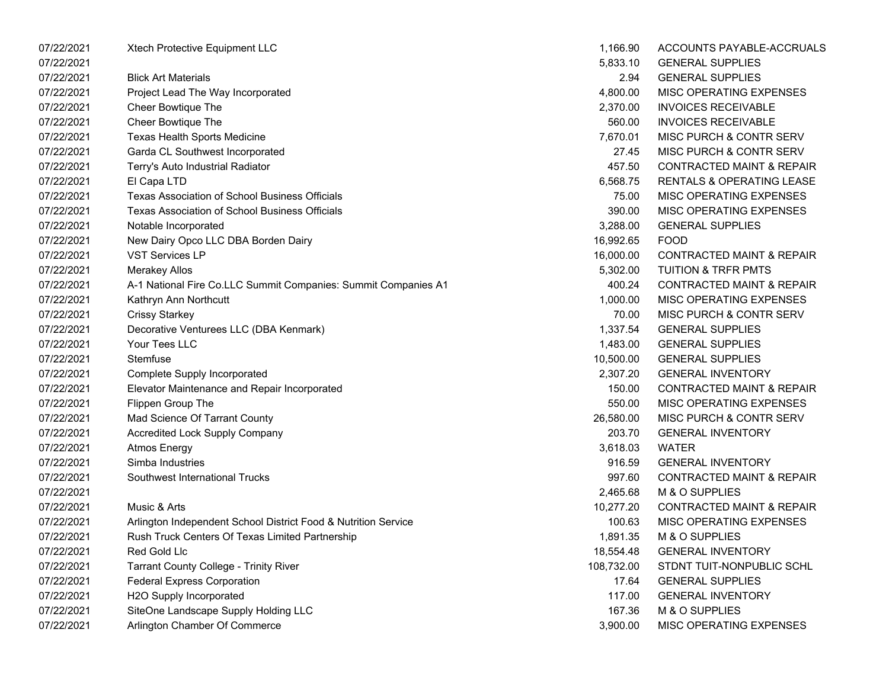| 07/22/2021 | Xtech Protective Equipment LLC                                 | 1,166.90   | ACCOUNTS PAYABLE-ACCRUALS            |
|------------|----------------------------------------------------------------|------------|--------------------------------------|
| 07/22/2021 |                                                                | 5,833.10   | <b>GENERAL SUPPLIES</b>              |
| 07/22/2021 | <b>Blick Art Materials</b>                                     | 2.94       | <b>GENERAL SUPPLIES</b>              |
| 07/22/2021 | Project Lead The Way Incorporated                              | 4,800.00   | MISC OPERATING EXPENSES              |
| 07/22/2021 | <b>Cheer Bowtique The</b>                                      | 2,370.00   | <b>INVOICES RECEIVABLE</b>           |
| 07/22/2021 | <b>Cheer Bowtique The</b>                                      | 560.00     | <b>INVOICES RECEIVABLE</b>           |
| 07/22/2021 | Texas Health Sports Medicine                                   | 7,670.01   | MISC PURCH & CONTR SERV              |
| 07/22/2021 | Garda CL Southwest Incorporated                                | 27.45      | MISC PURCH & CONTR SERV              |
| 07/22/2021 | Terry's Auto Industrial Radiator                               | 457.50     | <b>CONTRACTED MAINT &amp; REPAIR</b> |
| 07/22/2021 | El Capa LTD                                                    | 6,568.75   | <b>RENTALS &amp; OPERATING LEASE</b> |
| 07/22/2021 | <b>Texas Association of School Business Officials</b>          | 75.00      | MISC OPERATING EXPENSES              |
| 07/22/2021 | <b>Texas Association of School Business Officials</b>          | 390.00     | MISC OPERATING EXPENSES              |
| 07/22/2021 | Notable Incorporated                                           | 3,288.00   | <b>GENERAL SUPPLIES</b>              |
| 07/22/2021 | New Dairy Opco LLC DBA Borden Dairy                            | 16,992.65  | <b>FOOD</b>                          |
| 07/22/2021 | <b>VST Services LP</b>                                         | 16,000.00  | <b>CONTRACTED MAINT &amp; REPAIR</b> |
| 07/22/2021 | <b>Merakey Allos</b>                                           | 5,302.00   | <b>TUITION &amp; TRFR PMTS</b>       |
| 07/22/2021 | A-1 National Fire Co.LLC Summit Companies: Summit Companies A1 | 400.24     | <b>CONTRACTED MAINT &amp; REPAIR</b> |
| 07/22/2021 | Kathryn Ann Northcutt                                          | 1,000.00   | MISC OPERATING EXPENSES              |
| 07/22/2021 | <b>Crissy Starkey</b>                                          | 70.00      | MISC PURCH & CONTR SERV              |
| 07/22/2021 | Decorative Venturees LLC (DBA Kenmark)                         | 1,337.54   | <b>GENERAL SUPPLIES</b>              |
| 07/22/2021 | Your Tees LLC                                                  | 1,483.00   | <b>GENERAL SUPPLIES</b>              |
| 07/22/2021 | Stemfuse                                                       | 10,500.00  | <b>GENERAL SUPPLIES</b>              |
| 07/22/2021 | <b>Complete Supply Incorporated</b>                            | 2,307.20   | <b>GENERAL INVENTORY</b>             |
| 07/22/2021 | Elevator Maintenance and Repair Incorporated                   | 150.00     | <b>CONTRACTED MAINT &amp; REPAIR</b> |
| 07/22/2021 | Flippen Group The                                              | 550.00     | MISC OPERATING EXPENSES              |
| 07/22/2021 | Mad Science Of Tarrant County                                  | 26,580.00  | MISC PURCH & CONTR SERV              |
| 07/22/2021 | <b>Accredited Lock Supply Company</b>                          | 203.70     | <b>GENERAL INVENTORY</b>             |
| 07/22/2021 | <b>Atmos Energy</b>                                            | 3,618.03   | <b>WATER</b>                         |
| 07/22/2021 | Simba Industries                                               | 916.59     | <b>GENERAL INVENTORY</b>             |
| 07/22/2021 | Southwest International Trucks                                 | 997.60     | <b>CONTRACTED MAINT &amp; REPAIR</b> |
| 07/22/2021 |                                                                | 2,465.68   | M & O SUPPLIES                       |
| 07/22/2021 | Music & Arts                                                   | 10,277.20  | <b>CONTRACTED MAINT &amp; REPAIR</b> |
| 07/22/2021 | Arlington Independent School District Food & Nutrition Service | 100.63     | MISC OPERATING EXPENSES              |
| 07/22/2021 | <b>Rush Truck Centers Of Texas Limited Partnership</b>         | 1,891.35   | M & O SUPPLIES                       |
| 07/22/2021 | Red Gold Llc                                                   | 18,554.48  | <b>GENERAL INVENTORY</b>             |
| 07/22/2021 | <b>Tarrant County College - Trinity River</b>                  | 108,732.00 | STDNT TUIT-NONPUBLIC SCHL            |
| 07/22/2021 | <b>Federal Express Corporation</b>                             | 17.64      | <b>GENERAL SUPPLIES</b>              |
| 07/22/2021 | H2O Supply Incorporated                                        | 117.00     | <b>GENERAL INVENTORY</b>             |
| 07/22/2021 | SiteOne Landscape Supply Holding LLC                           | 167.36     | M & O SUPPLIES                       |
| 07/22/2021 | Arlington Chamber Of Commerce                                  | 3,900.00   | MISC OPERATING EXPENSES              |

| 1,166.90  | ACCOUNTS PAYABLE-ACCRUALS            |
|-----------|--------------------------------------|
| 5,833.10  | <b>GENERAL SUPPLIES</b>              |
| 2.94      | <b>GENERAL SUPPLIES</b>              |
| 4,800.00  | <b>MISC OPERATING EXPENSES</b>       |
| 2,370.00  | <b>INVOICES RECEIVABLE</b>           |
| 560.00    | <b>INVOICES RECEIVABLE</b>           |
| 7,670.01  | <b>MISC PURCH &amp; CONTR SERV</b>   |
| 27.45     | <b>MISC PURCH &amp; CONTR SERV</b>   |
| 457.50    | <b>CONTRACTED MAINT &amp; REPAIR</b> |
| 6,568.75  | <b>RENTALS &amp; OPERATING LEASE</b> |
| 75.00     | <b>MISC OPERATING EXPENSES</b>       |
| 390.00    | <b>MISC OPERATING EXPENSES</b>       |
| 3,288.00  | <b>GENERAL SUPPLIES</b>              |
| 16,992.65 | FOOD                                 |
| 16,000.00 | <b>CONTRACTED MAINT &amp; REPAIR</b> |
| 5,302.00  | <b>TUITION &amp; TRFR PMTS</b>       |
| 400.24    | <b>CONTRACTED MAINT &amp; REPAIR</b> |
| 1,000.00  | <b>MISC OPERATING EXPENSES</b>       |
| 70.00     | <b>MISC PURCH &amp; CONTR SERV</b>   |
| 1,337.54  | <b>GENERAL SUPPLIES</b>              |
| 1,483.00  | <b>GENERAL SUPPLIES</b>              |
| 10,500.00 | <b>GENERAL SUPPLIES</b>              |
| 2,307.20  | <b>GENERAL INVENTORY</b>             |
| 150.00    | <b>CONTRACTED MAINT &amp; REPAIR</b> |
| 550.00    | <b>MISC OPERATING EXPENSES</b>       |
| 26,580.00 | <b>MISC PURCH &amp; CONTR SERV</b>   |
| 203.70    | <b>GENERAL INVENTORY</b>             |
| 3,618.03  | WATER                                |
| 916.59    | <b>GENERAL INVENTORY</b>             |
| 997.60    | <b>CONTRACTED MAINT &amp; REPAIR</b> |
| 2.465.68  | <b>M &amp; O SUPPLIES</b>            |
| 10,277.20 | <b>CONTRACTED MAINT &amp; REPAIR</b> |
| 100.63    | <b>MISC OPERATING EXPENSES</b>       |
| 1,891.35  | M & O SUPPLIES                       |
| 18,554.48 | <b>GENERAL INVENTORY</b>             |
| 08,732.00 | STDNT TUIT-NONPUBLIC SCHL            |
| 17.64     | <b>GENERAL SUPPLIES</b>              |
| 117.00    | <b>GENERAL INVENTORY</b>             |
| 167.36    | M & O SUPPLIES                       |
| 3,900.00  | MISC OPERATING EXPENSES              |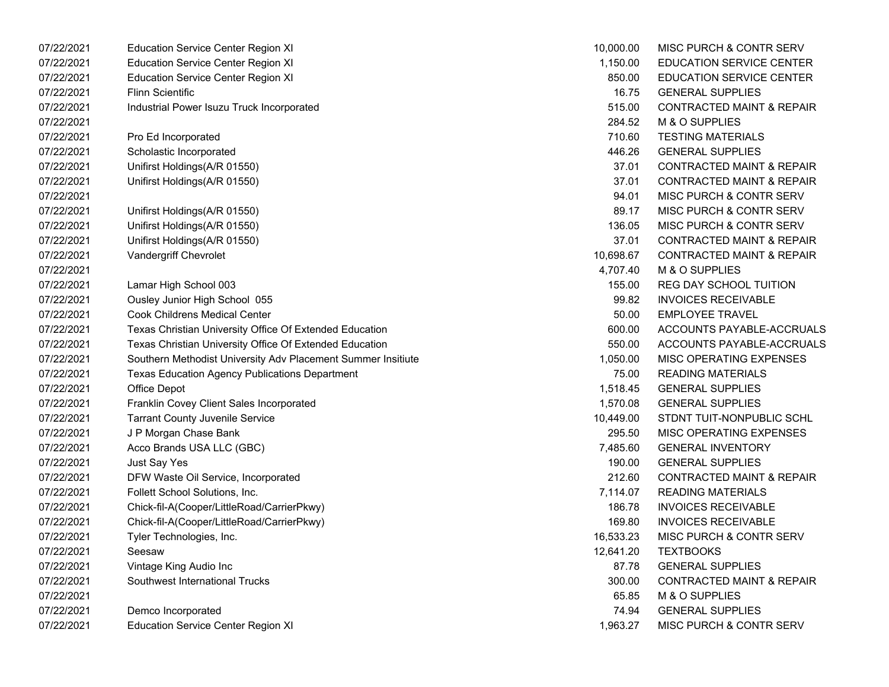| 07/22/2021 | <b>Education Service Center Region XI</b>                    | 10,000.00 | MISC PURCH & CONTR SERV              |
|------------|--------------------------------------------------------------|-----------|--------------------------------------|
| 07/22/2021 | <b>Education Service Center Region XI</b>                    | 1,150.00  | <b>EDUCATION SERVICE CENTER</b>      |
| 07/22/2021 | <b>Education Service Center Region XI</b>                    | 850.00    | <b>EDUCATION SERVICE CENTER</b>      |
| 07/22/2021 | <b>Flinn Scientific</b>                                      | 16.75     | <b>GENERAL SUPPLIES</b>              |
| 07/22/2021 | Industrial Power Isuzu Truck Incorporated                    | 515.00    | <b>CONTRACTED MAINT &amp; REPAIR</b> |
| 07/22/2021 |                                                              | 284.52    | M & O SUPPLIES                       |
| 07/22/2021 | Pro Ed Incorporated                                          | 710.60    | <b>TESTING MATERIALS</b>             |
| 07/22/2021 | Scholastic Incorporated                                      | 446.26    | <b>GENERAL SUPPLIES</b>              |
| 07/22/2021 | Unifirst Holdings(A/R 01550)                                 | 37.01     | <b>CONTRACTED MAINT &amp; REPAIR</b> |
| 07/22/2021 | Unifirst Holdings(A/R 01550)                                 | 37.01     | <b>CONTRACTED MAINT &amp; REPAIR</b> |
| 07/22/2021 |                                                              | 94.01     | MISC PURCH & CONTR SERV              |
| 07/22/2021 | Unifirst Holdings(A/R 01550)                                 | 89.17     | MISC PURCH & CONTR SERV              |
| 07/22/2021 | Unifirst Holdings(A/R 01550)                                 | 136.05    | MISC PURCH & CONTR SERV              |
| 07/22/2021 | Unifirst Holdings(A/R 01550)                                 | 37.01     | <b>CONTRACTED MAINT &amp; REPAIR</b> |
| 07/22/2021 | Vandergriff Chevrolet                                        | 10,698.67 | <b>CONTRACTED MAINT &amp; REPAIR</b> |
| 07/22/2021 |                                                              | 4,707.40  | M & O SUPPLIES                       |
| 07/22/2021 | Lamar High School 003                                        | 155.00    | <b>REG DAY SCHOOL TUITION</b>        |
| 07/22/2021 | Ousley Junior High School 055                                | 99.82     | <b>INVOICES RECEIVABLE</b>           |
| 07/22/2021 | <b>Cook Childrens Medical Center</b>                         | 50.00     | <b>EMPLOYEE TRAVEL</b>               |
| 07/22/2021 | Texas Christian University Office Of Extended Education      | 600.00    | ACCOUNTS PAYABLE-ACCRUALS            |
| 07/22/2021 | Texas Christian University Office Of Extended Education      | 550.00    | ACCOUNTS PAYABLE-ACCRUALS            |
| 07/22/2021 | Southern Methodist University Adv Placement Summer Insitiute | 1,050.00  | MISC OPERATING EXPENSES              |
| 07/22/2021 | <b>Texas Education Agency Publications Department</b>        | 75.00     | <b>READING MATERIALS</b>             |
| 07/22/2021 | Office Depot                                                 | 1,518.45  | <b>GENERAL SUPPLIES</b>              |
| 07/22/2021 | Franklin Covey Client Sales Incorporated                     | 1,570.08  | <b>GENERAL SUPPLIES</b>              |
| 07/22/2021 | <b>Tarrant County Juvenile Service</b>                       | 10,449.00 | STDNT TUIT-NONPUBLIC SCHL            |
| 07/22/2021 | J P Morgan Chase Bank                                        | 295.50    | MISC OPERATING EXPENSES              |
| 07/22/2021 | Acco Brands USA LLC (GBC)                                    | 7,485.60  | <b>GENERAL INVENTORY</b>             |
| 07/22/2021 | Just Say Yes                                                 | 190.00    | <b>GENERAL SUPPLIES</b>              |
| 07/22/2021 | DFW Waste Oil Service, Incorporated                          | 212.60    | <b>CONTRACTED MAINT &amp; REPAIR</b> |
| 07/22/2021 | Follett School Solutions, Inc.                               | 7,114.07  | <b>READING MATERIALS</b>             |
| 07/22/2021 | Chick-fil-A(Cooper/LittleRoad/CarrierPkwy)                   | 186.78    | <b>INVOICES RECEIVABLE</b>           |
| 07/22/2021 | Chick-fil-A(Cooper/LittleRoad/CarrierPkwy)                   | 169.80    | <b>INVOICES RECEIVABLE</b>           |
| 07/22/2021 | Tyler Technologies, Inc.                                     | 16,533.23 | MISC PURCH & CONTR SERV              |
| 07/22/2021 | Seesaw                                                       | 12,641.20 | <b>TEXTBOOKS</b>                     |
| 07/22/2021 | Vintage King Audio Inc                                       | 87.78     | <b>GENERAL SUPPLIES</b>              |
| 07/22/2021 | Southwest International Trucks                               | 300.00    | <b>CONTRACTED MAINT &amp; REPAIR</b> |
| 07/22/2021 |                                                              | 65.85     | M & O SUPPLIES                       |
| 07/22/2021 | Demco Incorporated                                           | 74.94     | <b>GENERAL SUPPLIES</b>              |
| 07/22/2021 | <b>Education Service Center Region XI</b>                    | 1,963.27  | MISC PURCH & CONTR SERV              |
|            |                                                              |           |                                      |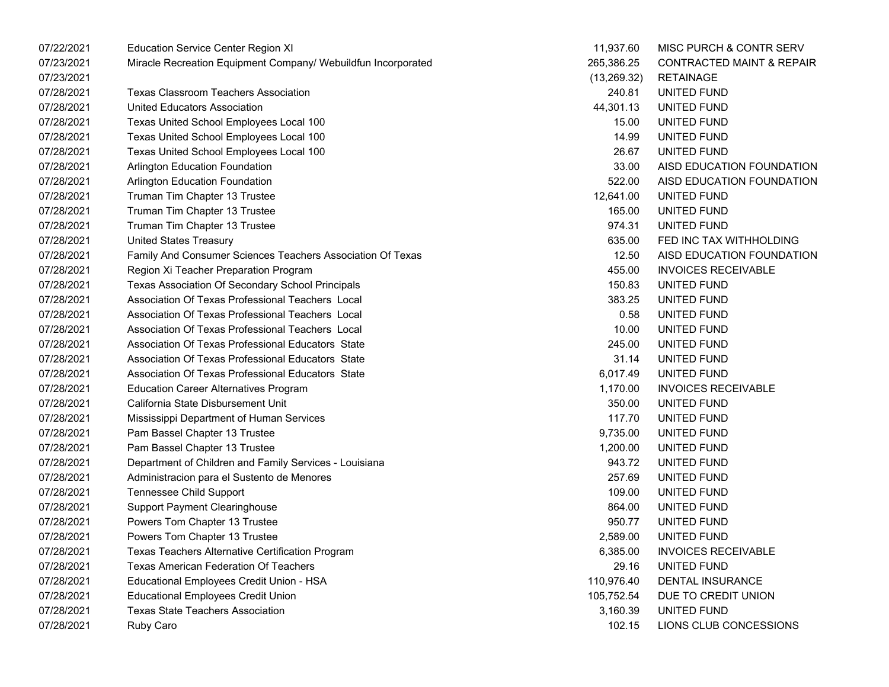| 07/22/2021 | <b>Education Service Center Region XI</b>                     | 11,937.60    | MISC PURCH & CONTR SERV              |
|------------|---------------------------------------------------------------|--------------|--------------------------------------|
| 07/23/2021 | Miracle Recreation Equipment Company/ Webuildfun Incorporated | 265,386.25   | <b>CONTRACTED MAINT &amp; REPAIR</b> |
| 07/23/2021 |                                                               | (13, 269.32) | <b>RETAINAGE</b>                     |
| 07/28/2021 | <b>Texas Classroom Teachers Association</b>                   | 240.81       | UNITED FUND                          |
| 07/28/2021 | <b>United Educators Association</b>                           | 44,301.13    | UNITED FUND                          |
| 07/28/2021 | Texas United School Employees Local 100                       | 15.00        | UNITED FUND                          |
| 07/28/2021 | Texas United School Employees Local 100                       | 14.99        | UNITED FUND                          |
| 07/28/2021 | Texas United School Employees Local 100                       | 26.67        | UNITED FUND                          |
| 07/28/2021 | Arlington Education Foundation                                | 33.00        | AISD EDUCATION FOUNDATION            |
| 07/28/2021 | Arlington Education Foundation                                | 522.00       | AISD EDUCATION FOUNDATION            |
| 07/28/2021 | Truman Tim Chapter 13 Trustee                                 | 12,641.00    | UNITED FUND                          |
| 07/28/2021 | Truman Tim Chapter 13 Trustee                                 | 165.00       | UNITED FUND                          |
| 07/28/2021 | Truman Tim Chapter 13 Trustee                                 | 974.31       | UNITED FUND                          |
| 07/28/2021 | <b>United States Treasury</b>                                 | 635.00       | FED INC TAX WITHHOLDING              |
| 07/28/2021 | Family And Consumer Sciences Teachers Association Of Texas    | 12.50        | AISD EDUCATION FOUNDATION            |
| 07/28/2021 | Region Xi Teacher Preparation Program                         | 455.00       | <b>INVOICES RECEIVABLE</b>           |
| 07/28/2021 | Texas Association Of Secondary School Principals              | 150.83       | UNITED FUND                          |
| 07/28/2021 | Association Of Texas Professional Teachers Local              | 383.25       | UNITED FUND                          |
| 07/28/2021 | Association Of Texas Professional Teachers Local              | 0.58         | UNITED FUND                          |
| 07/28/2021 | Association Of Texas Professional Teachers Local              | 10.00        | UNITED FUND                          |
| 07/28/2021 | Association Of Texas Professional Educators State             | 245.00       | UNITED FUND                          |
| 07/28/2021 | Association Of Texas Professional Educators State             | 31.14        | UNITED FUND                          |
| 07/28/2021 | Association Of Texas Professional Educators State             | 6,017.49     | UNITED FUND                          |
| 07/28/2021 | <b>Education Career Alternatives Program</b>                  | 1,170.00     | <b>INVOICES RECEIVABLE</b>           |
| 07/28/2021 | California State Disbursement Unit                            | 350.00       | UNITED FUND                          |
| 07/28/2021 | Mississippi Department of Human Services                      | 117.70       | UNITED FUND                          |
| 07/28/2021 | Pam Bassel Chapter 13 Trustee                                 | 9,735.00     | UNITED FUND                          |
| 07/28/2021 | Pam Bassel Chapter 13 Trustee                                 | 1,200.00     | UNITED FUND                          |
| 07/28/2021 | Department of Children and Family Services - Louisiana        | 943.72       | UNITED FUND                          |
| 07/28/2021 | Administracion para el Sustento de Menores                    | 257.69       | UNITED FUND                          |
| 07/28/2021 | <b>Tennessee Child Support</b>                                | 109.00       | UNITED FUND                          |
| 07/28/2021 | <b>Support Payment Clearinghouse</b>                          | 864.00       | UNITED FUND                          |
| 07/28/2021 | Powers Tom Chapter 13 Trustee                                 | 950.77       | UNITED FUND                          |
| 07/28/2021 | Powers Tom Chapter 13 Trustee                                 | 2,589.00     | UNITED FUND                          |
| 07/28/2021 | Texas Teachers Alternative Certification Program              | 6,385.00     | <b>INVOICES RECEIVABLE</b>           |
| 07/28/2021 | <b>Texas American Federation Of Teachers</b>                  | 29.16        | UNITED FUND                          |
| 07/28/2021 | Educational Employees Credit Union - HSA                      | 110,976.40   | <b>DENTAL INSURANCE</b>              |
| 07/28/2021 | <b>Educational Employees Credit Union</b>                     | 105,752.54   | DUE TO CREDIT UNION                  |
| 07/28/2021 | <b>Texas State Teachers Association</b>                       | 3,160.39     | UNITED FUND                          |
| 07/28/2021 | Ruby Caro                                                     | 102.15       | LIONS CLUB CONCESSIONS               |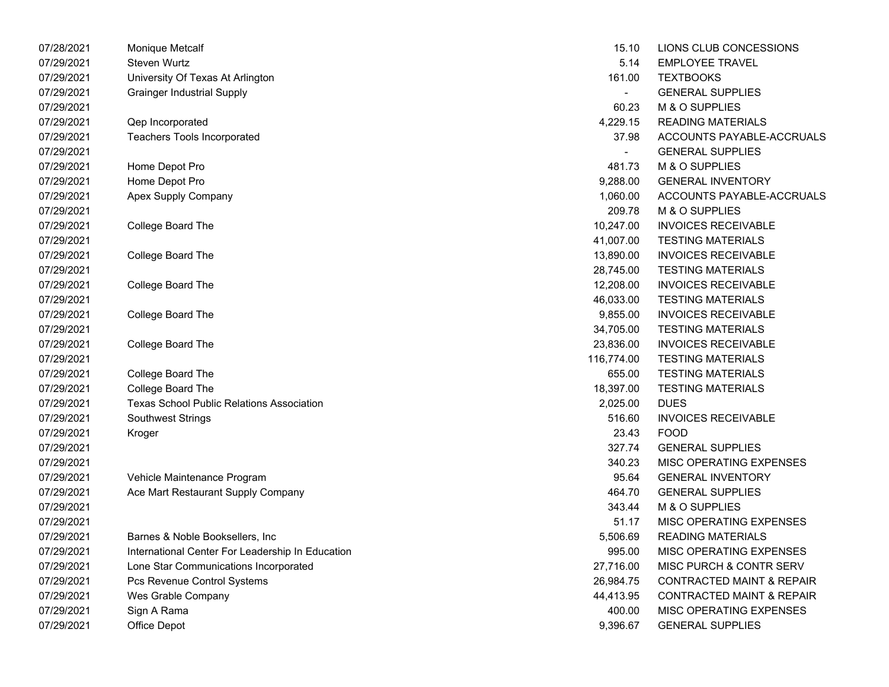| 07/28/2021 | Monique Metcalf                                  | 15.10      | LIONS CLUB CONCESSIONS               |
|------------|--------------------------------------------------|------------|--------------------------------------|
| 07/29/2021 | Steven Wurtz                                     | 5.14       | <b>EMPLOYEE TRAVEL</b>               |
| 07/29/2021 | University Of Texas At Arlington                 | 161.00     | <b>TEXTBOOKS</b>                     |
| 07/29/2021 | <b>Grainger Industrial Supply</b>                |            | <b>GENERAL SUPPLIES</b>              |
| 07/29/2021 |                                                  | 60.23      | M & O SUPPLIES                       |
| 07/29/2021 | Qep Incorporated                                 | 4,229.15   | <b>READING MATERIALS</b>             |
| 07/29/2021 | <b>Teachers Tools Incorporated</b>               | 37.98      | ACCOUNTS PAYABLE-ACCRUALS            |
| 07/29/2021 |                                                  |            | <b>GENERAL SUPPLIES</b>              |
| 07/29/2021 | Home Depot Pro                                   | 481.73     | M & O SUPPLIES                       |
| 07/29/2021 | Home Depot Pro                                   | 9,288.00   | <b>GENERAL INVENTORY</b>             |
| 07/29/2021 | Apex Supply Company                              | 1,060.00   | ACCOUNTS PAYABLE-ACCRUALS            |
| 07/29/2021 |                                                  | 209.78     | M & O SUPPLIES                       |
| 07/29/2021 | College Board The                                | 10,247.00  | <b>INVOICES RECEIVABLE</b>           |
| 07/29/2021 |                                                  | 41,007.00  | <b>TESTING MATERIALS</b>             |
| 07/29/2021 | College Board The                                | 13,890.00  | <b>INVOICES RECEIVABLE</b>           |
| 07/29/2021 |                                                  | 28,745.00  | <b>TESTING MATERIALS</b>             |
| 07/29/2021 | College Board The                                | 12,208.00  | <b>INVOICES RECEIVABLE</b>           |
| 07/29/2021 |                                                  | 46,033.00  | <b>TESTING MATERIALS</b>             |
| 07/29/2021 | College Board The                                | 9,855.00   | <b>INVOICES RECEIVABLE</b>           |
| 07/29/2021 |                                                  | 34,705.00  | <b>TESTING MATERIALS</b>             |
| 07/29/2021 | College Board The                                | 23,836.00  | <b>INVOICES RECEIVABLE</b>           |
| 07/29/2021 |                                                  | 116,774.00 | <b>TESTING MATERIALS</b>             |
| 07/29/2021 | College Board The                                | 655.00     | <b>TESTING MATERIALS</b>             |
| 07/29/2021 | College Board The                                | 18,397.00  | <b>TESTING MATERIALS</b>             |
| 07/29/2021 | <b>Texas School Public Relations Association</b> | 2,025.00   | <b>DUES</b>                          |
| 07/29/2021 | <b>Southwest Strings</b>                         | 516.60     | <b>INVOICES RECEIVABLE</b>           |
| 07/29/2021 | Kroger                                           | 23.43      | <b>FOOD</b>                          |
| 07/29/2021 |                                                  | 327.74     | <b>GENERAL SUPPLIES</b>              |
| 07/29/2021 |                                                  | 340.23     | MISC OPERATING EXPENSES              |
| 07/29/2021 | Vehicle Maintenance Program                      | 95.64      | <b>GENERAL INVENTORY</b>             |
| 07/29/2021 | Ace Mart Restaurant Supply Company               | 464.70     | <b>GENERAL SUPPLIES</b>              |
| 07/29/2021 |                                                  | 343.44     | M & O SUPPLIES                       |
| 07/29/2021 |                                                  | 51.17      | MISC OPERATING EXPENSES              |
| 07/29/2021 | Barnes & Noble Booksellers, Inc.                 | 5,506.69   | <b>READING MATERIALS</b>             |
| 07/29/2021 | International Center For Leadership In Education | 995.00     | MISC OPERATING EXPENSES              |
| 07/29/2021 | Lone Star Communications Incorporated            | 27,716.00  | MISC PURCH & CONTR SERV              |
| 07/29/2021 | Pcs Revenue Control Systems                      | 26,984.75  | <b>CONTRACTED MAINT &amp; REPAIR</b> |
| 07/29/2021 | Wes Grable Company                               | 44,413.95  | <b>CONTRACTED MAINT &amp; REPAIR</b> |
| 07/29/2021 | Sign A Rama                                      | 400.00     | MISC OPERATING EXPENSES              |
| 07/29/2021 | Office Depot                                     | 9,396.67   | <b>GENERAL SUPPLIES</b>              |
|            |                                                  |            |                                      |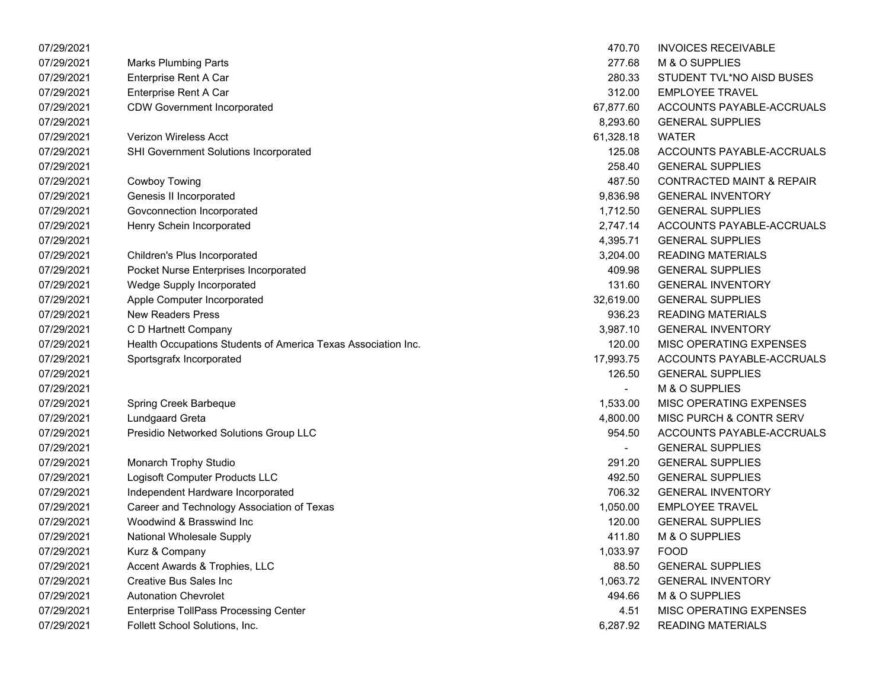| 07/29/2021 |                                                               | 470.70                   | <b>INVOICES RECEIVABLE</b>           |
|------------|---------------------------------------------------------------|--------------------------|--------------------------------------|
| 07/29/2021 | <b>Marks Plumbing Parts</b>                                   | 277.68                   | M & O SUPPLIES                       |
| 07/29/2021 | Enterprise Rent A Car                                         | 280.33                   | STUDENT TVL*NO AISD BUSES            |
| 07/29/2021 | Enterprise Rent A Car                                         | 312.00                   | <b>EMPLOYEE TRAVEL</b>               |
| 07/29/2021 | <b>CDW Government Incorporated</b>                            | 67,877.60                | ACCOUNTS PAYABLE-ACCRUALS            |
| 07/29/2021 |                                                               | 8,293.60                 | <b>GENERAL SUPPLIES</b>              |
| 07/29/2021 | Verizon Wireless Acct                                         | 61,328.18                | <b>WATER</b>                         |
| 07/29/2021 | SHI Government Solutions Incorporated                         | 125.08                   | ACCOUNTS PAYABLE-ACCRUALS            |
| 07/29/2021 |                                                               | 258.40                   | <b>GENERAL SUPPLIES</b>              |
| 07/29/2021 | <b>Cowboy Towing</b>                                          | 487.50                   | <b>CONTRACTED MAINT &amp; REPAIR</b> |
| 07/29/2021 | Genesis II Incorporated                                       | 9,836.98                 | <b>GENERAL INVENTORY</b>             |
| 07/29/2021 | Govconnection Incorporated                                    | 1,712.50                 | <b>GENERAL SUPPLIES</b>              |
| 07/29/2021 | Henry Schein Incorporated                                     | 2,747.14                 | ACCOUNTS PAYABLE-ACCRUALS            |
| 07/29/2021 |                                                               | 4,395.71                 | <b>GENERAL SUPPLIES</b>              |
| 07/29/2021 | Children's Plus Incorporated                                  | 3,204.00                 | <b>READING MATERIALS</b>             |
| 07/29/2021 | Pocket Nurse Enterprises Incorporated                         | 409.98                   | <b>GENERAL SUPPLIES</b>              |
| 07/29/2021 | Wedge Supply Incorporated                                     | 131.60                   | <b>GENERAL INVENTORY</b>             |
| 07/29/2021 | Apple Computer Incorporated                                   | 32,619.00                | <b>GENERAL SUPPLIES</b>              |
| 07/29/2021 | <b>New Readers Press</b>                                      | 936.23                   | <b>READING MATERIALS</b>             |
| 07/29/2021 | C D Hartnett Company                                          | 3,987.10                 | <b>GENERAL INVENTORY</b>             |
| 07/29/2021 | Health Occupations Students of America Texas Association Inc. | 120.00                   | MISC OPERATING EXPENSES              |
| 07/29/2021 | Sportsgrafx Incorporated                                      | 17,993.75                | ACCOUNTS PAYABLE-ACCRUALS            |
| 07/29/2021 |                                                               | 126.50                   | <b>GENERAL SUPPLIES</b>              |
| 07/29/2021 |                                                               | $\overline{\phantom{0}}$ | M & O SUPPLIES                       |
| 07/29/2021 | Spring Creek Barbeque                                         | 1,533.00                 | MISC OPERATING EXPENSES              |
| 07/29/2021 | Lundgaard Greta                                               | 4,800.00                 | MISC PURCH & CONTR SERV              |
| 07/29/2021 | Presidio Networked Solutions Group LLC                        | 954.50                   | ACCOUNTS PAYABLE-ACCRUALS            |
| 07/29/2021 |                                                               |                          | <b>GENERAL SUPPLIES</b>              |
| 07/29/2021 | Monarch Trophy Studio                                         | 291.20                   | <b>GENERAL SUPPLIES</b>              |
| 07/29/2021 | Logisoft Computer Products LLC                                | 492.50                   | <b>GENERAL SUPPLIES</b>              |
| 07/29/2021 | Independent Hardware Incorporated                             | 706.32                   | <b>GENERAL INVENTORY</b>             |
| 07/29/2021 | Career and Technology Association of Texas                    | 1,050.00                 | <b>EMPLOYEE TRAVEL</b>               |
| 07/29/2021 | Woodwind & Brasswind Inc                                      | 120.00                   | <b>GENERAL SUPPLIES</b>              |
| 07/29/2021 | National Wholesale Supply                                     | 411.80                   | M & O SUPPLIES                       |
| 07/29/2021 | Kurz & Company                                                | 1,033.97                 | <b>FOOD</b>                          |
| 07/29/2021 | Accent Awards & Trophies, LLC                                 | 88.50                    | <b>GENERAL SUPPLIES</b>              |
| 07/29/2021 | <b>Creative Bus Sales Inc</b>                                 | 1,063.72                 | <b>GENERAL INVENTORY</b>             |
| 07/29/2021 | <b>Autonation Chevrolet</b>                                   | 494.66                   | M & O SUPPLIES                       |
| 07/29/2021 | <b>Enterprise TollPass Processing Center</b>                  | 4.51                     | MISC OPERATING EXPENSES              |
| 07/29/2021 | Follett School Solutions, Inc.                                | 6,287.92                 | <b>READING MATERIALS</b>             |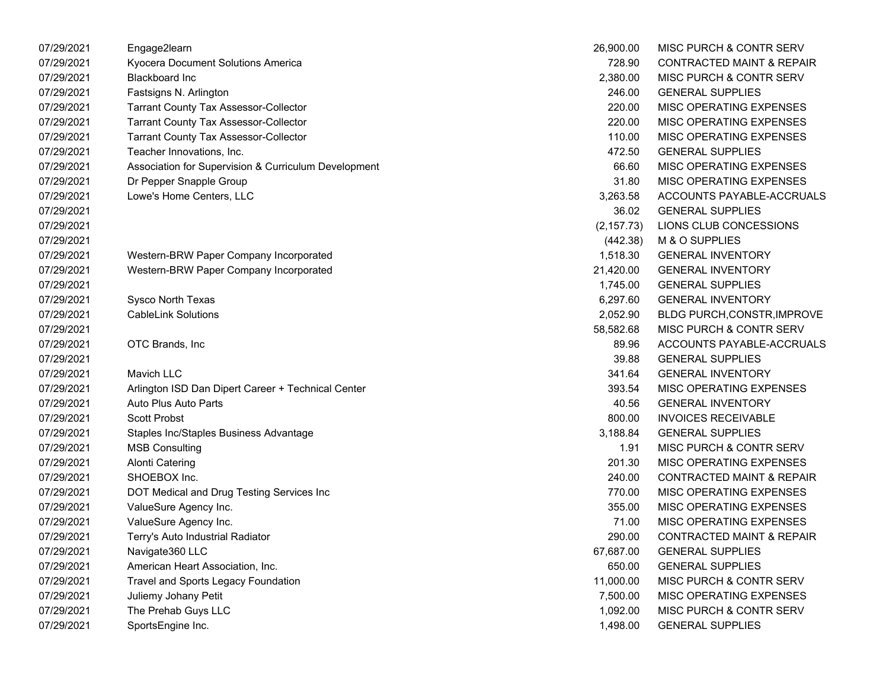| 07/29/2021 | Engage2learn                                         | 26,900.00   | MISC PURCH & CONTR SERV              |
|------------|------------------------------------------------------|-------------|--------------------------------------|
| 07/29/2021 | Kyocera Document Solutions America                   | 728.90      | <b>CONTRACTED MAINT &amp; REPAIR</b> |
| 07/29/2021 | <b>Blackboard Inc</b>                                | 2,380.00    | MISC PURCH & CONTR SERV              |
| 07/29/2021 | Fastsigns N. Arlington                               | 246.00      | <b>GENERAL SUPPLIES</b>              |
| 07/29/2021 | <b>Tarrant County Tax Assessor-Collector</b>         | 220.00      | MISC OPERATING EXPENSES              |
| 07/29/2021 | <b>Tarrant County Tax Assessor-Collector</b>         | 220.00      | MISC OPERATING EXPENSES              |
| 07/29/2021 | <b>Tarrant County Tax Assessor-Collector</b>         | 110.00      | <b>MISC OPERATING EXPENSES</b>       |
| 07/29/2021 | Teacher Innovations, Inc.                            | 472.50      | <b>GENERAL SUPPLIES</b>              |
| 07/29/2021 | Association for Supervision & Curriculum Development | 66.60       | MISC OPERATING EXPENSES              |
| 07/29/2021 | Dr Pepper Snapple Group                              | 31.80       | MISC OPERATING EXPENSES              |
| 07/29/2021 | Lowe's Home Centers, LLC                             | 3,263.58    | ACCOUNTS PAYABLE-ACCRUALS            |
| 07/29/2021 |                                                      | 36.02       | <b>GENERAL SUPPLIES</b>              |
| 07/29/2021 |                                                      | (2, 157.73) | LIONS CLUB CONCESSIONS               |
| 07/29/2021 |                                                      | (442.38)    | M & O SUPPLIES                       |
| 07/29/2021 | Western-BRW Paper Company Incorporated               | 1,518.30    | <b>GENERAL INVENTORY</b>             |
| 07/29/2021 | Western-BRW Paper Company Incorporated               | 21,420.00   | <b>GENERAL INVENTORY</b>             |
| 07/29/2021 |                                                      | 1,745.00    | <b>GENERAL SUPPLIES</b>              |
| 07/29/2021 | Sysco North Texas                                    | 6,297.60    | <b>GENERAL INVENTORY</b>             |
| 07/29/2021 | <b>CableLink Solutions</b>                           | 2,052.90    | <b>BLDG PURCH, CONSTR, IMPROVE</b>   |
| 07/29/2021 |                                                      | 58,582.68   | MISC PURCH & CONTR SERV              |
| 07/29/2021 | OTC Brands, Inc.                                     | 89.96       | ACCOUNTS PAYABLE-ACCRUALS            |
| 07/29/2021 |                                                      | 39.88       | <b>GENERAL SUPPLIES</b>              |
| 07/29/2021 | Mavich LLC                                           | 341.64      | <b>GENERAL INVENTORY</b>             |
| 07/29/2021 | Arlington ISD Dan Dipert Career + Technical Center   | 393.54      | <b>MISC OPERATING EXPENSES</b>       |
| 07/29/2021 | Auto Plus Auto Parts                                 | 40.56       | <b>GENERAL INVENTORY</b>             |
| 07/29/2021 | <b>Scott Probst</b>                                  | 800.00      | <b>INVOICES RECEIVABLE</b>           |
| 07/29/2021 | Staples Inc/Staples Business Advantage               | 3,188.84    | <b>GENERAL SUPPLIES</b>              |
| 07/29/2021 | <b>MSB Consulting</b>                                | 1.91        | MISC PURCH & CONTR SERV              |
| 07/29/2021 | <b>Alonti Catering</b>                               | 201.30      | <b>MISC OPERATING EXPENSES</b>       |
| 07/29/2021 | SHOEBOX Inc.                                         | 240.00      | <b>CONTRACTED MAINT &amp; REPAIR</b> |
| 07/29/2021 | DOT Medical and Drug Testing Services Inc            | 770.00      | MISC OPERATING EXPENSES              |
| 07/29/2021 | ValueSure Agency Inc.                                | 355.00      | MISC OPERATING EXPENSES              |
| 07/29/2021 | ValueSure Agency Inc.                                | 71.00       | <b>MISC OPERATING EXPENSES</b>       |
| 07/29/2021 | Terry's Auto Industrial Radiator                     | 290.00      | <b>CONTRACTED MAINT &amp; REPAIR</b> |
| 07/29/2021 | Navigate 360 LLC                                     | 67,687.00   | <b>GENERAL SUPPLIES</b>              |
| 07/29/2021 | American Heart Association, Inc.                     | 650.00      | <b>GENERAL SUPPLIES</b>              |
| 07/29/2021 | <b>Travel and Sports Legacy Foundation</b>           | 11,000.00   | MISC PURCH & CONTR SERV              |
| 07/29/2021 | Juliemy Johany Petit                                 | 7,500.00    | MISC OPERATING EXPENSES              |
| 07/29/2021 | The Prehab Guys LLC                                  | 1,092.00    | <b>MISC PURCH &amp; CONTR SERV</b>   |
| 07/29/2021 | SportsEngine Inc.                                    | 1,498.00    | <b>GENERAL SUPPLIES</b>              |

| 26,900.00   | <b>MISC PURCH &amp; CONTR SERV</b>   |
|-------------|--------------------------------------|
| 728.90      | CONTRACTED MAINT & REPAIR            |
| 2,380.00    | <b>MISC PURCH &amp; CONTR SERV</b>   |
| 246.00      | <b>GENERAL SUPPLIES</b>              |
| 220.00      | <b>MISC OPERATING EXPENSES</b>       |
| 220.00      | <b>MISC OPERATING EXPENSES</b>       |
| 110.00      | <b>MISC OPERATING EXPENSES</b>       |
| 472.50      | <b>GENERAL SUPPLIES</b>              |
| 66.60       | <b>MISC OPERATING EXPENSES</b>       |
| 31.80       | <b>MISC OPERATING EXPENSES</b>       |
| 3.263.58    | <b>ACCOUNTS PAYABLE-ACCRUALS</b>     |
| 36.02       | <b>GENERAL SUPPLIES</b>              |
| (2, 157.73) | LIONS CLUB CONCESSIONS               |
| (442.38)    | M & O SUPPLIES                       |
| 1,518.30    | <b>GENERAL INVENTORY</b>             |
| 21,420.00   | <b>GENERAL INVENTORY</b>             |
| 1,745.00    | <b>GENERAL SUPPLIES</b>              |
| 6,297.60    | <b>GENERAL INVENTORY</b>             |
| 2,052.90    | BLDG PURCH, CONSTR, IMPROVE          |
| 58,582.68   | <b>MISC PURCH &amp; CONTR SERV</b>   |
| 89.96       | ACCOUNTS PAYABLE-ACCRUALS            |
| 39.88       | <b>GENERAL SUPPLIES</b>              |
| 341.64      | <b>GENERAL INVENTORY</b>             |
| 393.54      | <b>MISC OPERATING EXPENSES</b>       |
| 40.56       | <b>GENERAL INVENTORY</b>             |
| 800.00      | <b>INVOICES RECEIVABLE</b>           |
| 3,188.84    | <b>GENERAL SUPPLIES</b>              |
| 1.91        | <b>MISC PURCH &amp; CONTR SERV</b>   |
| 201.30      | <b>MISC OPERATING EXPENSES</b>       |
| 240.00      | <b>CONTRACTED MAINT &amp; REPAIR</b> |
| 770.00      | <b>MISC OPERATING EXPENSES</b>       |
| 355.00      | <b>MISC OPERATING EXPENSES</b>       |
| 71.00       | <b>MISC OPERATING EXPENSES</b>       |
| 290.00      | <b>CONTRACTED MAINT &amp; REPAIR</b> |
| 67,687.00   | <b>GENERAL SUPPLIES</b>              |
| 650.00      | <b>GENERAL SUPPLIES</b>              |
| 11,000.00   | MISC PURCH & CONTR SERV              |
| 7,500.00    | MISC OPERATING EXPENSES              |
| 1,092.00    | MISC PURCH & CONTR SERV              |
| 1,498.00    | <b>GENERAL SUPPLIES</b>              |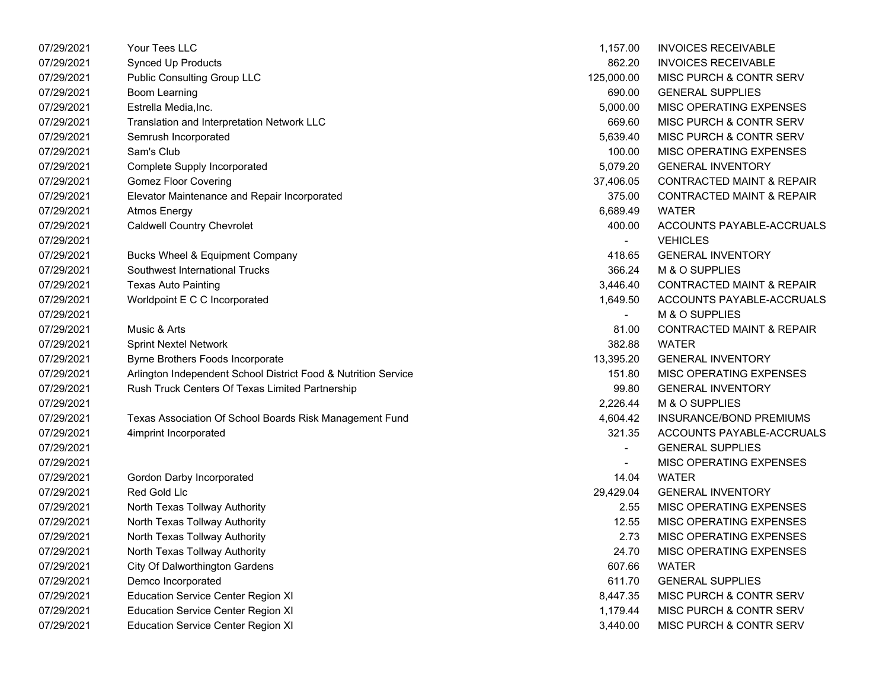| 07/29/2021 | Your Tees LLC                                                  | 1,157.00   | <b>INVOICES RECEIVABLE</b>           |
|------------|----------------------------------------------------------------|------------|--------------------------------------|
| 07/29/2021 | <b>Synced Up Products</b>                                      | 862.20     | <b>INVOICES RECEIVABLE</b>           |
| 07/29/2021 | <b>Public Consulting Group LLC</b>                             | 125,000.00 | MISC PURCH & CONTR SERV              |
| 07/29/2021 | <b>Boom Learning</b>                                           | 690.00     | <b>GENERAL SUPPLIES</b>              |
| 07/29/2021 | Estrella Media, Inc.                                           | 5,000.00   | MISC OPERATING EXPENSES              |
| 07/29/2021 | Translation and Interpretation Network LLC                     | 669.60     | MISC PURCH & CONTR SERV              |
| 07/29/2021 | Semrush Incorporated                                           | 5,639.40   | MISC PURCH & CONTR SERV              |
| 07/29/2021 | Sam's Club                                                     | 100.00     | MISC OPERATING EXPENSES              |
| 07/29/2021 | <b>Complete Supply Incorporated</b>                            | 5,079.20   | <b>GENERAL INVENTORY</b>             |
| 07/29/2021 | <b>Gomez Floor Covering</b>                                    | 37,406.05  | <b>CONTRACTED MAINT &amp; REPAIR</b> |
| 07/29/2021 | Elevator Maintenance and Repair Incorporated                   | 375.00     | <b>CONTRACTED MAINT &amp; REPAIR</b> |
| 07/29/2021 | <b>Atmos Energy</b>                                            | 6,689.49   | <b>WATER</b>                         |
| 07/29/2021 | <b>Caldwell Country Chevrolet</b>                              | 400.00     | ACCOUNTS PAYABLE-ACCRUALS            |
| 07/29/2021 |                                                                |            | <b>VEHICLES</b>                      |
| 07/29/2021 | Bucks Wheel & Equipment Company                                | 418.65     | <b>GENERAL INVENTORY</b>             |
| 07/29/2021 | Southwest International Trucks                                 | 366.24     | M & O SUPPLIES                       |
| 07/29/2021 | <b>Texas Auto Painting</b>                                     | 3,446.40   | <b>CONTRACTED MAINT &amp; REPAIR</b> |
| 07/29/2021 | Worldpoint E C C Incorporated                                  | 1,649.50   | ACCOUNTS PAYABLE-ACCRUALS            |
| 07/29/2021 |                                                                |            | M & O SUPPLIES                       |
| 07/29/2021 | Music & Arts                                                   | 81.00      | <b>CONTRACTED MAINT &amp; REPAIR</b> |
| 07/29/2021 | <b>Sprint Nextel Network</b>                                   | 382.88     | <b>WATER</b>                         |
| 07/29/2021 | Byrne Brothers Foods Incorporate                               | 13,395.20  | <b>GENERAL INVENTORY</b>             |
| 07/29/2021 | Arlington Independent School District Food & Nutrition Service | 151.80     | MISC OPERATING EXPENSES              |
| 07/29/2021 | Rush Truck Centers Of Texas Limited Partnership                | 99.80      | <b>GENERAL INVENTORY</b>             |
| 07/29/2021 |                                                                | 2,226.44   | M & O SUPPLIES                       |
| 07/29/2021 | Texas Association Of School Boards Risk Management Fund        | 4,604.42   | INSURANCE/BOND PREMIUMS              |
| 07/29/2021 | 4imprint Incorporated                                          | 321.35     | ACCOUNTS PAYABLE-ACCRUALS            |
| 07/29/2021 |                                                                |            | <b>GENERAL SUPPLIES</b>              |
| 07/29/2021 |                                                                |            | MISC OPERATING EXPENSES              |
| 07/29/2021 | Gordon Darby Incorporated                                      | 14.04      | <b>WATER</b>                         |
| 07/29/2021 | Red Gold Llc                                                   | 29,429.04  | <b>GENERAL INVENTORY</b>             |
| 07/29/2021 | North Texas Tollway Authority                                  | 2.55       | MISC OPERATING EXPENSES              |
| 07/29/2021 | North Texas Tollway Authority                                  | 12.55      | MISC OPERATING EXPENSES              |
| 07/29/2021 | North Texas Tollway Authority                                  | 2.73       | MISC OPERATING EXPENSES              |
| 07/29/2021 | North Texas Tollway Authority                                  | 24.70      | MISC OPERATING EXPENSES              |
| 07/29/2021 | <b>City Of Dalworthington Gardens</b>                          | 607.66     | <b>WATER</b>                         |
| 07/29/2021 | Demco Incorporated                                             | 611.70     | <b>GENERAL SUPPLIES</b>              |
| 07/29/2021 | <b>Education Service Center Region XI</b>                      | 8,447.35   | MISC PURCH & CONTR SERV              |
| 07/29/2021 | <b>Education Service Center Region XI</b>                      | 1,179.44   | MISC PURCH & CONTR SERV              |
| 07/29/2021 | <b>Education Service Center Region XI</b>                      | 3,440.00   | MISC PURCH & CONTR SERV              |

| 1,157.00                 | <b>INVOICES RECEIVABLE</b>           |
|--------------------------|--------------------------------------|
| 862.20                   | <b>INVOICES RECEIVABLE</b>           |
| 125.000.00               | MISC PURCH & CONTR SERV              |
| 690.00                   | <b>GENERAL SUPPLIES</b>              |
| 5,000.00                 | <b>MISC OPERATING EXPENSES</b>       |
| 669.60                   | <b>MISC PURCH &amp; CONTR SERV</b>   |
| 5,639.40                 | MISC PURCH & CONTR SERV              |
| 100.00                   | <b>MISC OPERATING EXPENSES</b>       |
| 5,079.20                 | <b>GENERAL INVENTORY</b>             |
| 37,406.05                | <b>CONTRACTED MAINT &amp; REPAIR</b> |
| 375.00                   | <b>CONTRACTED MAINT &amp; REPAIR</b> |
| 6,689.49                 | WATER                                |
| 400.00                   | ACCOUNTS PAYABLE-ACCRUALS            |
|                          | <b>VEHICLES</b>                      |
| 418.65                   | <b>GENERAL INVENTORY</b>             |
| 366.24                   | M & O SUPPLIES                       |
| 3,446.40                 | <b>CONTRACTED MAINT &amp; REPAIR</b> |
| 1,649.50                 | ACCOUNTS PAYABLE-ACCRUALS            |
| $\overline{\phantom{0}}$ | <b>M &amp; O SUPPLIES</b>            |
| 81.00                    | <b>CONTRACTED MAINT &amp; REPAIR</b> |
| 382.88                   | <b>WATFR</b>                         |
| 13,395.20                | <b>GENERAL INVENTORY</b>             |
| 151.80                   | <b>MISC OPERATING EXPENSES</b>       |
| 99.80                    | <b>GENERAL INVENTORY</b>             |
| 2,226.44                 | M & O SUPPLIES                       |
| 4,604.42                 | <b>INSURANCE/BOND PREMIUMS</b>       |
| 321.35                   | ACCOUNTS PAYABLE-ACCRUALS            |
|                          | <b>GENERAL SUPPLIES</b>              |
|                          | <b>MISC OPERATING EXPENSES</b>       |
| 14.04                    | <b>WATFR</b>                         |
| 29,429.04                | <b>GENERAL INVENTORY</b>             |
| 2.55                     | <b>MISC OPERATING EXPENSES</b>       |
| 12.55                    | <b>MISC OPERATING EXPENSES</b>       |
| 2.73                     | <b>MISC OPERATING EXPENSES</b>       |
| 24.70                    | MISC OPERATING EXPENSES              |
| 607.66                   | <b>WATER</b>                         |
| 611.70                   | <b>GENERAL SUPPLIES</b>              |
| 8,447.35                 | MISC PURCH & CONTR SERV              |
| 1,179.44                 | MISC PURCH & CONTR SERV              |
| 3,440.00                 | MISC PURCH & CONTR SERV              |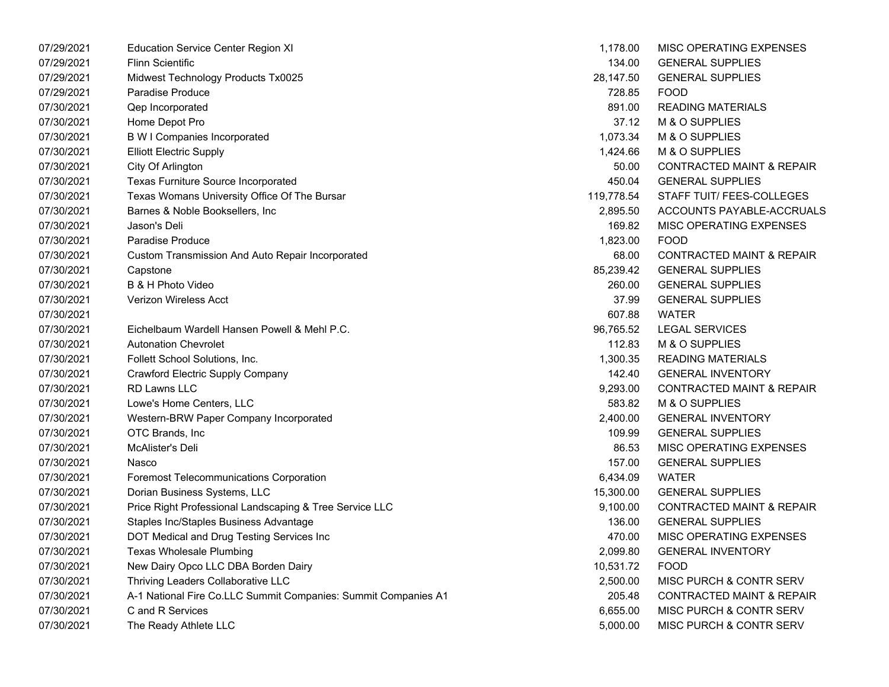| 07/29/2021 | <b>Education Service Center Region XI</b>                      | 1,178.00   | MISC OPERATING EXPENSES              |
|------------|----------------------------------------------------------------|------------|--------------------------------------|
| 07/29/2021 | <b>Flinn Scientific</b>                                        | 134.00     | <b>GENERAL SUPPLIES</b>              |
| 07/29/2021 | Midwest Technology Products Tx0025                             | 28,147.50  | <b>GENERAL SUPPLIES</b>              |
| 07/29/2021 | Paradise Produce                                               | 728.85     | <b>FOOD</b>                          |
| 07/30/2021 | Qep Incorporated                                               | 891.00     | <b>READING MATERIALS</b>             |
| 07/30/2021 | Home Depot Pro                                                 | 37.12      | M & O SUPPLIES                       |
| 07/30/2021 | <b>B W I Companies Incorporated</b>                            | 1,073.34   | M & O SUPPLIES                       |
| 07/30/2021 | <b>Elliott Electric Supply</b>                                 | 1,424.66   | M & O SUPPLIES                       |
| 07/30/2021 | City Of Arlington                                              | 50.00      | <b>CONTRACTED MAINT &amp; REPAIR</b> |
| 07/30/2021 | Texas Furniture Source Incorporated                            | 450.04     | <b>GENERAL SUPPLIES</b>              |
| 07/30/2021 | Texas Womans University Office Of The Bursar                   | 119,778.54 | STAFF TUIT/ FEES-COLLEGES            |
| 07/30/2021 | Barnes & Noble Booksellers, Inc.                               | 2,895.50   | ACCOUNTS PAYABLE-ACCRUALS            |
| 07/30/2021 | Jason's Deli                                                   | 169.82     | MISC OPERATING EXPENSES              |
| 07/30/2021 | Paradise Produce                                               | 1,823.00   | <b>FOOD</b>                          |
| 07/30/2021 | Custom Transmission And Auto Repair Incorporated               | 68.00      | <b>CONTRACTED MAINT &amp; REPAIR</b> |
| 07/30/2021 | Capstone                                                       | 85,239.42  | <b>GENERAL SUPPLIES</b>              |
| 07/30/2021 | B & H Photo Video                                              | 260.00     | <b>GENERAL SUPPLIES</b>              |
| 07/30/2021 | Verizon Wireless Acct                                          | 37.99      | <b>GENERAL SUPPLIES</b>              |
| 07/30/2021 |                                                                | 607.88     | <b>WATER</b>                         |
| 07/30/2021 | Eichelbaum Wardell Hansen Powell & Mehl P.C.                   | 96,765.52  | <b>LEGAL SERVICES</b>                |
| 07/30/2021 | <b>Autonation Chevrolet</b>                                    | 112.83     | M & O SUPPLIES                       |
| 07/30/2021 | Follett School Solutions, Inc.                                 | 1,300.35   | <b>READING MATERIALS</b>             |
| 07/30/2021 | Crawford Electric Supply Company                               | 142.40     | <b>GENERAL INVENTORY</b>             |
| 07/30/2021 | <b>RD Lawns LLC</b>                                            | 9,293.00   | <b>CONTRACTED MAINT &amp; REPAIR</b> |
| 07/30/2021 | Lowe's Home Centers, LLC                                       | 583.82     | M & O SUPPLIES                       |
| 07/30/2021 | Western-BRW Paper Company Incorporated                         | 2,400.00   | <b>GENERAL INVENTORY</b>             |
| 07/30/2021 | OTC Brands, Inc                                                | 109.99     | <b>GENERAL SUPPLIES</b>              |
| 07/30/2021 | McAlister's Deli                                               | 86.53      | MISC OPERATING EXPENSES              |
| 07/30/2021 | Nasco                                                          | 157.00     | <b>GENERAL SUPPLIES</b>              |
| 07/30/2021 | Foremost Telecommunications Corporation                        | 6,434.09   | <b>WATER</b>                         |
| 07/30/2021 | Dorian Business Systems, LLC                                   | 15,300.00  | <b>GENERAL SUPPLIES</b>              |
| 07/30/2021 | Price Right Professional Landscaping & Tree Service LLC        | 9,100.00   | <b>CONTRACTED MAINT &amp; REPAIR</b> |
| 07/30/2021 | Staples Inc/Staples Business Advantage                         | 136.00     | <b>GENERAL SUPPLIES</b>              |
| 07/30/2021 | DOT Medical and Drug Testing Services Inc                      | 470.00     | MISC OPERATING EXPENSES              |
| 07/30/2021 | <b>Texas Wholesale Plumbing</b>                                | 2,099.80   | <b>GENERAL INVENTORY</b>             |
| 07/30/2021 | New Dairy Opco LLC DBA Borden Dairy                            | 10,531.72  | <b>FOOD</b>                          |
| 07/30/2021 | Thriving Leaders Collaborative LLC                             | 2,500.00   | MISC PURCH & CONTR SERV              |
| 07/30/2021 | A-1 National Fire Co.LLC Summit Companies: Summit Companies A1 | 205.48     | <b>CONTRACTED MAINT &amp; REPAIR</b> |
| 07/30/2021 | C and R Services                                               | 6,655.00   | MISC PURCH & CONTR SERV              |
| 07/30/2021 | The Ready Athlete LLC                                          | 5,000.00   | MISC PURCH & CONTR SERV              |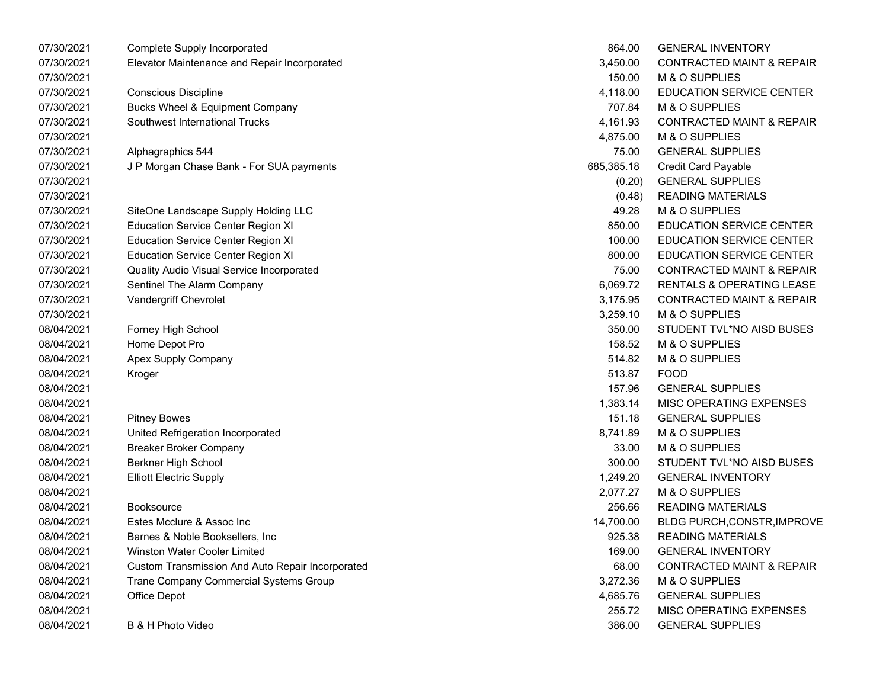| 07/30/2021 | Complete Supply Incorporated                     | 864.00     | <b>GENERAL INVENTORY</b>             |
|------------|--------------------------------------------------|------------|--------------------------------------|
| 07/30/2021 | Elevator Maintenance and Repair Incorporated     | 3,450.00   | <b>CONTRACTED MAINT &amp; REPAIR</b> |
| 07/30/2021 |                                                  | 150.00     | M & O SUPPLIES                       |
| 07/30/2021 | <b>Conscious Discipline</b>                      | 4,118.00   | EDUCATION SERVICE CENTER             |
| 07/30/2021 | <b>Bucks Wheel &amp; Equipment Company</b>       | 707.84     | M & O SUPPLIES                       |
| 07/30/2021 | Southwest International Trucks                   | 4,161.93   | <b>CONTRACTED MAINT &amp; REPAIR</b> |
| 07/30/2021 |                                                  | 4,875.00   | M & O SUPPLIES                       |
| 07/30/2021 | Alphagraphics 544                                | 75.00      | <b>GENERAL SUPPLIES</b>              |
| 07/30/2021 | J P Morgan Chase Bank - For SUA payments         | 685,385.18 | <b>Credit Card Payable</b>           |
| 07/30/2021 |                                                  | (0.20)     | <b>GENERAL SUPPLIES</b>              |
| 07/30/2021 |                                                  | (0.48)     | <b>READING MATERIALS</b>             |
| 07/30/2021 | SiteOne Landscape Supply Holding LLC             | 49.28      | M & O SUPPLIES                       |
| 07/30/2021 | <b>Education Service Center Region XI</b>        | 850.00     | <b>EDUCATION SERVICE CENTER</b>      |
| 07/30/2021 | <b>Education Service Center Region XI</b>        | 100.00     | EDUCATION SERVICE CENTER             |
| 07/30/2021 | <b>Education Service Center Region XI</b>        | 800.00     | <b>EDUCATION SERVICE CENTER</b>      |
| 07/30/2021 | Quality Audio Visual Service Incorporated        | 75.00      | <b>CONTRACTED MAINT &amp; REPAIR</b> |
| 07/30/2021 | Sentinel The Alarm Company                       | 6,069.72   | <b>RENTALS &amp; OPERATING LEASE</b> |
| 07/30/2021 | Vandergriff Chevrolet                            | 3,175.95   | <b>CONTRACTED MAINT &amp; REPAIR</b> |
| 07/30/2021 |                                                  | 3,259.10   | M & O SUPPLIES                       |
| 08/04/2021 | Forney High School                               | 350.00     | STUDENT TVL*NO AISD BUSES            |
| 08/04/2021 | Home Depot Pro                                   | 158.52     | M & O SUPPLIES                       |
| 08/04/2021 | Apex Supply Company                              | 514.82     | M & O SUPPLIES                       |
| 08/04/2021 | Kroger                                           | 513.87     | <b>FOOD</b>                          |
| 08/04/2021 |                                                  | 157.96     | <b>GENERAL SUPPLIES</b>              |
| 08/04/2021 |                                                  | 1,383.14   | MISC OPERATING EXPENSES              |
| 08/04/2021 | <b>Pitney Bowes</b>                              | 151.18     | <b>GENERAL SUPPLIES</b>              |
| 08/04/2021 | United Refrigeration Incorporated                | 8,741.89   | M & O SUPPLIES                       |
| 08/04/2021 | <b>Breaker Broker Company</b>                    | 33.00      | M & O SUPPLIES                       |
| 08/04/2021 | Berkner High School                              | 300.00     | STUDENT TVL*NO AISD BUSES            |
| 08/04/2021 | <b>Elliott Electric Supply</b>                   | 1,249.20   | <b>GENERAL INVENTORY</b>             |
| 08/04/2021 |                                                  | 2,077.27   | M & O SUPPLIES                       |
| 08/04/2021 | <b>Booksource</b>                                | 256.66     | <b>READING MATERIALS</b>             |
| 08/04/2021 | Estes Mcclure & Assoc Inc                        | 14,700.00  | <b>BLDG PURCH, CONSTR, IMPROVE</b>   |
| 08/04/2021 | Barnes & Noble Booksellers, Inc                  | 925.38     | <b>READING MATERIALS</b>             |
| 08/04/2021 | Winston Water Cooler Limited                     | 169.00     | <b>GENERAL INVENTORY</b>             |
| 08/04/2021 | Custom Transmission And Auto Repair Incorporated | 68.00      | <b>CONTRACTED MAINT &amp; REPAIR</b> |
| 08/04/2021 | Trane Company Commercial Systems Group           | 3,272.36   | M & O SUPPLIES                       |
| 08/04/2021 | Office Depot                                     | 4,685.76   | <b>GENERAL SUPPLIES</b>              |
| 08/04/2021 |                                                  | 255.72     | MISC OPERATING EXPENSES              |
| 08/04/2021 | B & H Photo Video                                | 386.00     | <b>GENERAL SUPPLIES</b>              |
|            |                                                  |            |                                      |

| 864.00     | <b>GENERAL INVENTORY</b>             |
|------------|--------------------------------------|
| 3,450.00   | <b>CONTRACTED MAINT &amp; REPAIR</b> |
| 150.00     | <b>M &amp; O SUPPLIES</b>            |
| 4,118.00   | <b>EDUCATION SERVICE CENTER</b>      |
| 707.84     | M & O SUPPLIES                       |
| 4,161.93   | <b>CONTRACTED MAINT &amp; REPAIR</b> |
| 4,875.00   | <b>M &amp; O SUPPLIES</b>            |
| 75.00      | <b>GENERAL SUPPLIES</b>              |
| 685,385.18 | <b>Credit Card Payable</b>           |
| (0.20)     | <b>GENERAL SUPPLIES</b>              |
| (0.48)     | <b>READING MATERIALS</b>             |
| 49.28      | <b>M &amp; O SUPPLIES</b>            |
| 850.00     | <b>EDUCATION SERVICE CENTER</b>      |
| 100.00     | <b>EDUCATION SERVICE CENTER</b>      |
| 800.00     | <b>EDUCATION SERVICE CENTER</b>      |
| 75.00      | <b>CONTRACTED MAINT &amp; REPAIR</b> |
| 6,069.72   | RENTALS & OPERATING LEASE            |
| 3,175.95   | <b>CONTRACTED MAINT &amp; REPAIR</b> |
| 3,259.10   | <b>M &amp; O SUPPLIES</b>            |
| 350.00     | STUDENT TVL*NO AISD BUSES            |
| 158.52     | <b>M &amp; O SUPPLIES</b>            |
| 514.82     | <b>M &amp; O SUPPLIES</b>            |
| 513.87     | <b>FOOD</b>                          |
| 157.96     | <b>GENERAL SUPPLIES</b>              |
| 1,383.14   | <b>MISC OPERATING EXPENSES</b>       |
| 151.18     | <b>GENERAL SUPPLIES</b>              |
| 8,741.89   | M & O SUPPLIES                       |
| 33.00      | <b>M &amp; O SUPPLIES</b>            |
| 300.00     | STUDENT TVL*NO AISD BUSES            |
| 1,249.20   | <b>GENERAL INVENTORY</b>             |
| 2,077.27   | M & O SUPPLIES                       |
| 256.66     | <b>READING MATERIALS</b>             |
| 14,700.00  | BLDG PURCH, CONSTR, IMPROVE          |
| 925.38     | <b>READING MATERIALS</b>             |
| 169.00     | <b>GENERAL INVENTORY</b>             |
| 68.00      | <b>CONTRACTED MAINT &amp; REPAIR</b> |
| 3,272.36   | <b>M &amp; O SUPPLIES</b>            |
| 4,685.76   | <b>GENERAL SUPPLIES</b>              |
| 255.72     | <b>MISC OPERATING EXPENSES</b>       |
| 386.00     | <b>GENERAL SUPPLIES</b>              |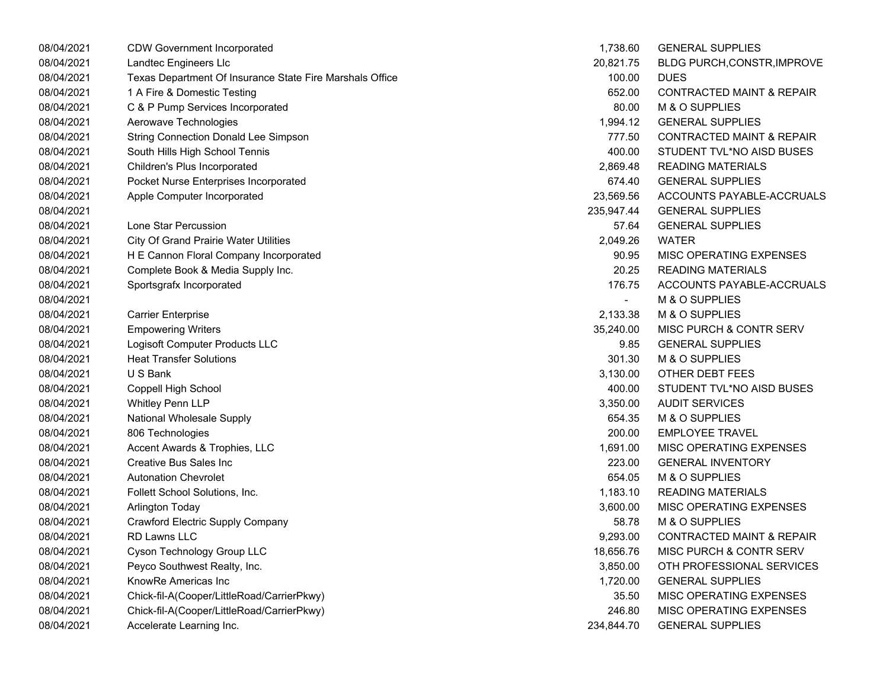| 08/04/2021 | <b>CDW Government Incorporated</b>                       | 1,738.60                 | <b>GENERAL SUPPLIES</b>              |
|------------|----------------------------------------------------------|--------------------------|--------------------------------------|
| 08/04/2021 | Landtec Engineers Llc                                    | 20,821.75                | BLDG PURCH, CONSTR, IMPROVE          |
| 08/04/2021 | Texas Department Of Insurance State Fire Marshals Office | 100.00                   | <b>DUES</b>                          |
| 08/04/2021 | 1 A Fire & Domestic Testing                              | 652.00                   | <b>CONTRACTED MAINT &amp; REPAIR</b> |
| 08/04/2021 | C & P Pump Services Incorporated                         | 80.00                    | M & O SUPPLIES                       |
| 08/04/2021 | Aerowave Technologies                                    | 1,994.12                 | <b>GENERAL SUPPLIES</b>              |
| 08/04/2021 | <b>String Connection Donald Lee Simpson</b>              | 777.50                   | <b>CONTRACTED MAINT &amp; REPAIR</b> |
| 08/04/2021 | South Hills High School Tennis                           | 400.00                   | STUDENT TVL*NO AISD BUSES            |
| 08/04/2021 | Children's Plus Incorporated                             | 2,869.48                 | <b>READING MATERIALS</b>             |
| 08/04/2021 | Pocket Nurse Enterprises Incorporated                    | 674.40                   | <b>GENERAL SUPPLIES</b>              |
| 08/04/2021 | Apple Computer Incorporated                              | 23,569.56                | ACCOUNTS PAYABLE-ACCRUALS            |
| 08/04/2021 |                                                          | 235,947.44               | <b>GENERAL SUPPLIES</b>              |
| 08/04/2021 | Lone Star Percussion                                     | 57.64                    | <b>GENERAL SUPPLIES</b>              |
| 08/04/2021 | <b>City Of Grand Prairie Water Utilities</b>             | 2,049.26                 | <b>WATER</b>                         |
| 08/04/2021 | H E Cannon Floral Company Incorporated                   | 90.95                    | MISC OPERATING EXPENSES              |
| 08/04/2021 | Complete Book & Media Supply Inc.                        | 20.25                    | <b>READING MATERIALS</b>             |
| 08/04/2021 | Sportsgrafx Incorporated                                 | 176.75                   | ACCOUNTS PAYABLE-ACCRUALS            |
| 08/04/2021 |                                                          | $\overline{\phantom{0}}$ | M & O SUPPLIES                       |
| 08/04/2021 | <b>Carrier Enterprise</b>                                | 2,133.38                 | M & O SUPPLIES                       |
| 08/04/2021 | <b>Empowering Writers</b>                                | 35,240.00                | MISC PURCH & CONTR SERV              |
| 08/04/2021 | Logisoft Computer Products LLC                           | 9.85                     | <b>GENERAL SUPPLIES</b>              |
| 08/04/2021 | <b>Heat Transfer Solutions</b>                           | 301.30                   | M & O SUPPLIES                       |
| 08/04/2021 | U S Bank                                                 | 3,130.00                 | OTHER DEBT FEES                      |
| 08/04/2021 | Coppell High School                                      | 400.00                   | STUDENT TVL*NO AISD BUSES            |
| 08/04/2021 | <b>Whitley Penn LLP</b>                                  | 3,350.00                 | <b>AUDIT SERVICES</b>                |
| 08/04/2021 | National Wholesale Supply                                | 654.35                   | M & O SUPPLIES                       |
| 08/04/2021 | 806 Technologies                                         | 200.00                   | <b>EMPLOYEE TRAVEL</b>               |
| 08/04/2021 | Accent Awards & Trophies, LLC                            | 1,691.00                 | MISC OPERATING EXPENSES              |
| 08/04/2021 | Creative Bus Sales Inc                                   | 223.00                   | <b>GENERAL INVENTORY</b>             |
| 08/04/2021 | <b>Autonation Chevrolet</b>                              | 654.05                   | M & O SUPPLIES                       |
| 08/04/2021 | Follett School Solutions, Inc.                           | 1,183.10                 | <b>READING MATERIALS</b>             |
| 08/04/2021 | Arlington Today                                          | 3,600.00                 | MISC OPERATING EXPENSES              |
| 08/04/2021 | Crawford Electric Supply Company                         | 58.78                    | M & O SUPPLIES                       |
| 08/04/2021 | <b>RD Lawns LLC</b>                                      | 9,293.00                 | <b>CONTRACTED MAINT &amp; REPAIR</b> |
| 08/04/2021 | Cyson Technology Group LLC                               | 18,656.76                | <b>MISC PURCH &amp; CONTR SERV</b>   |
| 08/04/2021 | Peyco Southwest Realty, Inc.                             | 3,850.00                 | OTH PROFESSIONAL SERVICES            |
| 08/04/2021 | KnowRe Americas Inc                                      | 1,720.00                 | <b>GENERAL SUPPLIES</b>              |
| 08/04/2021 | Chick-fil-A(Cooper/LittleRoad/CarrierPkwy)               | 35.50                    | MISC OPERATING EXPENSES              |
| 08/04/2021 | Chick-fil-A(Cooper/LittleRoad/CarrierPkwy)               | 246.80                   | MISC OPERATING EXPENSES              |
| 08/04/2021 | Accelerate Learning Inc.                                 | 234,844.70               | <b>GENERAL SUPPLIES</b>              |

| 1,738.60   | <b>GENERAL SUPPLIES</b>              |
|------------|--------------------------------------|
| 20,821.75  | BLDG PURCH, CONSTR, IMPROVE          |
| 100.00     | <b>DUES</b>                          |
| 652.00     | <b>CONTRACTED MAINT &amp; REPAIR</b> |
| 80.00      | M & O SUPPLIES                       |
| 1,994.12   | <b>GENERAL SUPPLIES</b>              |
| 777.50     | <b>CONTRACTED MAINT &amp; REPAIR</b> |
| 400.00     | STUDENT TVL*NO AISD BUSES            |
| 2,869.48   | <b>READING MATERIALS</b>             |
| 674.40     | <b>GENERAL SUPPLIES</b>              |
| 23,569.56  | ACCOUNTS PAYABLE-ACCRUALS            |
| 235,947.44 | <b>GENERAL SUPPLIES</b>              |
| 57.64      | <b>GENERAL SUPPLIES</b>              |
| 2,049.26   | <b>WATER</b>                         |
| 90.95      | MISC OPERATING EXPENSES              |
| 20.25      | <b>READING MATERIALS</b>             |
| 176.75     | ACCOUNTS PAYABLE-ACCRUALS            |
|            | M & O SUPPLIES                       |
| 2,133.38   | M & O SUPPLIES                       |
| 35,240.00  | MISC PURCH & CONTR SERV              |
| 9.85       | <b>GENERAL SUPPLIES</b>              |
| 301.30     | M & O SUPPLIES                       |
| 3,130.00   | OTHER DEBT FEES                      |
| 400.00     | STUDENT TVL*NO AISD BUSES            |
| 3,350.00   | <b>AUDIT SERVICES</b>                |
| 654.35     | M & O SUPPLIES                       |
| 200.00     | <b>EMPLOYEE TRAVEL</b>               |
| 1,691.00   | MISC OPERATING EXPENSES              |
| 223.00     | <b>GENERAL INVENTORY</b>             |
| 654.05     | M & O SUPPLIES                       |
| 1,183.10   | <b>READING MATERIALS</b>             |
| 3,600.00   | MISC OPERATING EXPENSES              |
| 58.78      | M & O SUPPLIES                       |
| 9,293.00   | <b>CONTRACTED MAINT &amp; REPAIR</b> |
| 18,656.76  | MISC PURCH & CONTR SERV              |
| 3,850.00   | OTH PROFESSIONAL SERVICES            |
| 1,720.00   | <b>GENERAL SUPPLIES</b>              |
| 35.50      | <b>MISC OPERATING EXPENSES</b>       |
| 246.80     | <b>MISC OPERATING EXPENSES</b>       |
| 234,844.70 | <b>GENERAL SUPPLIES</b>              |
|            |                                      |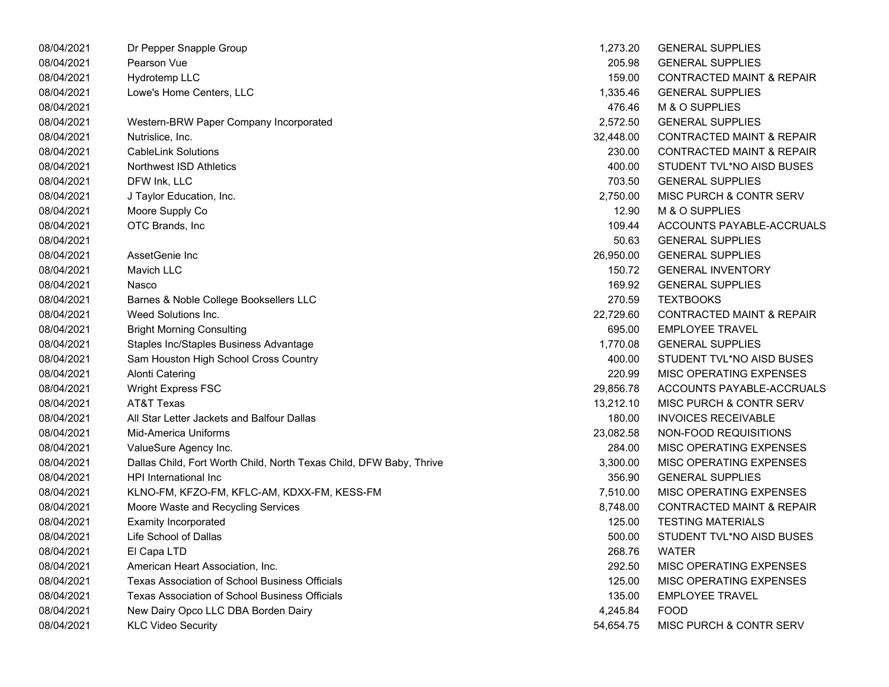| 08/04/2021 | Dr Pepper Snapple Group                                             | 1,273.20  | <b>GENERAL SUPPLIES</b>              |
|------------|---------------------------------------------------------------------|-----------|--------------------------------------|
| 08/04/2021 | Pearson Vue                                                         | 205.98    | <b>GENERAL SUPPLIES</b>              |
| 08/04/2021 | Hydrotemp LLC                                                       | 159.00    | <b>CONTRACTED MAINT &amp; REPAIR</b> |
| 08/04/2021 | Lowe's Home Centers, LLC                                            | 1,335.46  | <b>GENERAL SUPPLIES</b>              |
| 08/04/2021 |                                                                     | 476.46    | M & O SUPPLIES                       |
| 08/04/2021 | Western-BRW Paper Company Incorporated                              | 2,572.50  | <b>GENERAL SUPPLIES</b>              |
| 08/04/2021 | Nutrislice, Inc.                                                    | 32,448.00 | <b>CONTRACTED MAINT &amp; REPAIR</b> |
| 08/04/2021 | <b>CableLink Solutions</b>                                          | 230.00    | <b>CONTRACTED MAINT &amp; REPAIR</b> |
| 08/04/2021 | Northwest ISD Athletics                                             | 400.00    | STUDENT TVL*NO AISD BUSES            |
| 08/04/2021 | DFW Ink, LLC                                                        | 703.50    | <b>GENERAL SUPPLIES</b>              |
| 08/04/2021 | J Taylor Education, Inc.                                            | 2,750.00  | MISC PURCH & CONTR SERV              |
| 08/04/2021 | Moore Supply Co                                                     | 12.90     | M & O SUPPLIES                       |
| 08/04/2021 | OTC Brands, Inc                                                     | 109.44    | ACCOUNTS PAYABLE-ACCRUALS            |
| 08/04/2021 |                                                                     | 50.63     | <b>GENERAL SUPPLIES</b>              |
| 08/04/2021 | AssetGenie Inc                                                      | 26,950.00 | <b>GENERAL SUPPLIES</b>              |
| 08/04/2021 | <b>Mavich LLC</b>                                                   | 150.72    | <b>GENERAL INVENTORY</b>             |
| 08/04/2021 | Nasco                                                               | 169.92    | <b>GENERAL SUPPLIES</b>              |
| 08/04/2021 | Barnes & Noble College Booksellers LLC                              | 270.59    | <b>TEXTBOOKS</b>                     |
| 08/04/2021 | Weed Solutions Inc.                                                 | 22,729.60 | <b>CONTRACTED MAINT &amp; REPAIR</b> |
| 08/04/2021 | <b>Bright Morning Consulting</b>                                    | 695.00    | <b>EMPLOYEE TRAVEL</b>               |
| 08/04/2021 | Staples Inc/Staples Business Advantage                              | 1,770.08  | <b>GENERAL SUPPLIES</b>              |
| 08/04/2021 | Sam Houston High School Cross Country                               | 400.00    | STUDENT TVL*NO AISD BUSES            |
| 08/04/2021 | <b>Alonti Catering</b>                                              | 220.99    | MISC OPERATING EXPENSES              |
| 08/04/2021 | Wright Express FSC                                                  | 29,856.78 | ACCOUNTS PAYABLE-ACCRUALS            |
| 08/04/2021 | AT&T Texas                                                          | 13,212.10 | <b>MISC PURCH &amp; CONTR SERV</b>   |
| 08/04/2021 | All Star Letter Jackets and Balfour Dallas                          | 180.00    | <b>INVOICES RECEIVABLE</b>           |
| 08/04/2021 | Mid-America Uniforms                                                | 23,082.58 | NON-FOOD REQUISITIONS                |
| 08/04/2021 | ValueSure Agency Inc.                                               | 284.00    | MISC OPERATING EXPENSES              |
| 08/04/2021 | Dallas Child, Fort Worth Child, North Texas Child, DFW Baby, Thrive | 3,300.00  | MISC OPERATING EXPENSES              |
| 08/04/2021 | HPI International Inc                                               | 356.90    | <b>GENERAL SUPPLIES</b>              |
| 08/04/2021 | KLNO-FM, KFZO-FM, KFLC-AM, KDXX-FM, KESS-FM                         | 7,510.00  | MISC OPERATING EXPENSES              |
| 08/04/2021 | Moore Waste and Recycling Services                                  | 8,748.00  | <b>CONTRACTED MAINT &amp; REPAIR</b> |
| 08/04/2021 | <b>Examity Incorporated</b>                                         | 125.00    | <b>TESTING MATERIALS</b>             |
| 08/04/2021 | Life School of Dallas                                               | 500.00    | STUDENT TVL*NO AISD BUSES            |
| 08/04/2021 | El Capa LTD                                                         | 268.76    | <b>WATER</b>                         |
| 08/04/2021 | American Heart Association, Inc.                                    | 292.50    | MISC OPERATING EXPENSES              |
| 08/04/2021 | <b>Texas Association of School Business Officials</b>               | 125.00    | MISC OPERATING EXPENSES              |
| 08/04/2021 | Texas Association of School Business Officials                      | 135.00    | <b>EMPLOYEE TRAVEL</b>               |
| 08/04/2021 | New Dairy Opco LLC DBA Borden Dairy                                 | 4,245.84  | <b>FOOD</b>                          |
| 08/04/2021 | <b>KLC Video Security</b>                                           | 54,654.75 | MISC PURCH & CONTR SERV              |

| 1,273.20  | <b>GENERAL SUPPLIES</b>              |
|-----------|--------------------------------------|
| 205.98    | <b>GENERAL SUPPLIES</b>              |
| 159.00    | <b>CONTRACTED MAINT &amp; REPAIR</b> |
| 1,335.46  | <b>GENERAL SUPPLIES</b>              |
| 476.46    | M & O SUPPLIES                       |
| 2,572.50  | <b>GENERAL SUPPLIES</b>              |
| 32,448.00 | <b>CONTRACTED MAINT &amp; REPAIR</b> |
| 230.00    | <b>CONTRACTED MAINT &amp; REPAIR</b> |
| 400.00    | STUDENT TVL*NO AISD BUSES            |
| 703.50    | <b>GENERAL SUPPLIES</b>              |
| 2,750.00  | <b>MISC PURCH &amp; CONTR SERV</b>   |
| 12.90     | <b>M &amp; O SUPPLIES</b>            |
| 109.44    | ACCOUNTS PAYABLE-ACCRUALS            |
| 50.63     | <b>GENERAL SUPPLIES</b>              |
| 26,950.00 | <b>GENERAL SUPPLIES</b>              |
| 150.72    | <b>GENERAL INVENTORY</b>             |
| 169.92    | <b>GENERAL SUPPLIES</b>              |
| 270.59    | <b>TEXTBOOKS</b>                     |
| 22,729.60 | <b>CONTRACTED MAINT &amp; REPAIR</b> |
| 695.00    | <b>EMPLOYEE TRAVEL</b>               |
| 1,770.08  | <b>GENERAL SUPPLIES</b>              |
| 400.00    | STUDENT TVL*NO AISD BUSES            |
| 220.99    | <b>MISC OPERATING EXPENSES</b>       |
| 29,856.78 | ACCOUNTS PAYABLE-ACCRUALS            |
| 13,212.10 | <b>MISC PURCH &amp; CONTR SERV</b>   |
| 180.00    | <b>INVOICES RECEIVABLE</b>           |
| 23,082.58 | NON-FOOD REQUISITIONS                |
| 284.00    | <b>MISC OPERATING EXPENSES</b>       |
| 3,300.00  | <b>MISC OPERATING EXPENSES</b>       |
| 356.90    | <b>GENERAL SUPPLIES</b>              |
| 7.510.00  | <b>MISC OPERATING EXPENSES</b>       |
| 8,748.00  | <b>CONTRACTED MAINT &amp; REPAIR</b> |
| 125.00    | <b>TESTING MATERIALS</b>             |
| 500.00    | STUDENT TVL*NO AISD BUSES            |
| 268.76    | <b>WATER</b>                         |
| 292.50    | <b>MISC OPERATING EXPENSES</b>       |
| 125.00    | <b>MISC OPERATING EXPENSES</b>       |
| 135.00    | <b>EMPLOYEE TRAVEL</b>               |
| 4,245.84  | <b>FOOD</b>                          |
| 54,654.75 | MISC PURCH & CONTR SERV              |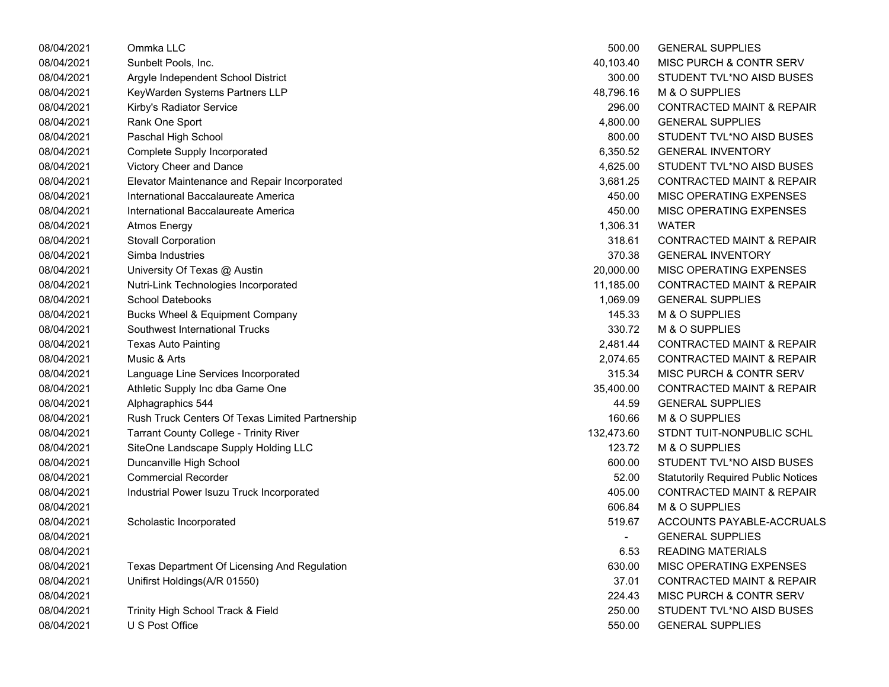| 08/04/2021 | Ommka LLC                                       | 500.00     | <b>GENERAL SUPPLIES</b>                    |
|------------|-------------------------------------------------|------------|--------------------------------------------|
| 08/04/2021 | Sunbelt Pools, Inc.                             | 40,103.40  | MISC PURCH & CONTR SERV                    |
| 08/04/2021 | Argyle Independent School District              | 300.00     | STUDENT TVL*NO AISD BUSES                  |
| 08/04/2021 | KeyWarden Systems Partners LLP                  | 48,796.16  | M & O SUPPLIES                             |
| 08/04/2021 | Kirby's Radiator Service                        | 296.00     | <b>CONTRACTED MAINT &amp; REPAIR</b>       |
| 08/04/2021 | Rank One Sport                                  | 4,800.00   | <b>GENERAL SUPPLIES</b>                    |
| 08/04/2021 | Paschal High School                             | 800.00     | STUDENT TVL*NO AISD BUSES                  |
| 08/04/2021 | <b>Complete Supply Incorporated</b>             | 6,350.52   | <b>GENERAL INVENTORY</b>                   |
| 08/04/2021 | Victory Cheer and Dance                         | 4,625.00   | STUDENT TVL*NO AISD BUSES                  |
| 08/04/2021 | Elevator Maintenance and Repair Incorporated    | 3,681.25   | <b>CONTRACTED MAINT &amp; REPAIR</b>       |
| 08/04/2021 | International Baccalaureate America             | 450.00     | MISC OPERATING EXPENSES                    |
| 08/04/2021 | International Baccalaureate America             | 450.00     | MISC OPERATING EXPENSES                    |
| 08/04/2021 | <b>Atmos Energy</b>                             | 1,306.31   | <b>WATER</b>                               |
| 08/04/2021 | <b>Stovall Corporation</b>                      | 318.61     | <b>CONTRACTED MAINT &amp; REPAIR</b>       |
| 08/04/2021 | Simba Industries                                | 370.38     | <b>GENERAL INVENTORY</b>                   |
| 08/04/2021 | University Of Texas @ Austin                    | 20,000.00  | MISC OPERATING EXPENSES                    |
| 08/04/2021 | Nutri-Link Technologies Incorporated            | 11,185.00  | <b>CONTRACTED MAINT &amp; REPAIR</b>       |
| 08/04/2021 | <b>School Datebooks</b>                         | 1,069.09   | <b>GENERAL SUPPLIES</b>                    |
| 08/04/2021 | Bucks Wheel & Equipment Company                 | 145.33     | M & O SUPPLIES                             |
| 08/04/2021 | Southwest International Trucks                  | 330.72     | M & O SUPPLIES                             |
| 08/04/2021 | <b>Texas Auto Painting</b>                      | 2,481.44   | <b>CONTRACTED MAINT &amp; REPAIR</b>       |
| 08/04/2021 | Music & Arts                                    | 2,074.65   | <b>CONTRACTED MAINT &amp; REPAIR</b>       |
| 08/04/2021 | Language Line Services Incorporated             | 315.34     | MISC PURCH & CONTR SERV                    |
| 08/04/2021 | Athletic Supply Inc dba Game One                | 35,400.00  | <b>CONTRACTED MAINT &amp; REPAIR</b>       |
| 08/04/2021 | Alphagraphics 544                               | 44.59      | <b>GENERAL SUPPLIES</b>                    |
| 08/04/2021 | Rush Truck Centers Of Texas Limited Partnership | 160.66     | M & O SUPPLIES                             |
| 08/04/2021 | <b>Tarrant County College - Trinity River</b>   | 132,473.60 | STDNT TUIT-NONPUBLIC SCHL                  |
| 08/04/2021 | SiteOne Landscape Supply Holding LLC            | 123.72     | M & O SUPPLIES                             |
| 08/04/2021 | Duncanville High School                         | 600.00     | STUDENT TVL*NO AISD BUSES                  |
| 08/04/2021 | <b>Commercial Recorder</b>                      | 52.00      | <b>Statutorily Required Public Notices</b> |
| 08/04/2021 | Industrial Power Isuzu Truck Incorporated       | 405.00     | <b>CONTRACTED MAINT &amp; REPAIR</b>       |
| 08/04/2021 |                                                 | 606.84     | M & O SUPPLIES                             |
| 08/04/2021 | Scholastic Incorporated                         | 519.67     | ACCOUNTS PAYABLE-ACCRUALS                  |
| 08/04/2021 |                                                 |            | <b>GENERAL SUPPLIES</b>                    |
| 08/04/2021 |                                                 | 6.53       | <b>READING MATERIALS</b>                   |
| 08/04/2021 | Texas Department Of Licensing And Regulation    | 630.00     | MISC OPERATING EXPENSES                    |
| 08/04/2021 | Unifirst Holdings(A/R 01550)                    | 37.01      | <b>CONTRACTED MAINT &amp; REPAIR</b>       |
| 08/04/2021 |                                                 | 224.43     | MISC PURCH & CONTR SERV                    |
| 08/04/2021 | Trinity High School Track & Field               | 250.00     | STUDENT TVL*NO AISD BUSES                  |
| 08/04/2021 | U S Post Office                                 | 550.00     | <b>GENERAL SUPPLIES</b>                    |
|            |                                                 |            |                                            |

| 500.00         | <b>GENERAL SUPPLIES</b>                    |
|----------------|--------------------------------------------|
| 40,103.40      | <b>MISC PURCH &amp; CONTR SERV</b>         |
| 300.00         | STUDENT TVL*NO AISD BUSES                  |
| 48,796.16      | <b>M &amp; O SUPPLIES</b>                  |
| 296.00         | <b>CONTRACTED MAINT &amp; REPAIR</b>       |
| 4,800.00       | <b>GENERAL SUPPLIES</b>                    |
| 800.00         | STUDENT TVL*NO AISD BUSES                  |
| 6,350.52       | <b>GENERAL INVENTORY</b>                   |
| 4,625.00       | STUDENT TVL*NO AISD BUSES                  |
| 3,681.25       | <b>CONTRACTED MAINT &amp; REPAIR</b>       |
| 450.00         | <b>MISC OPERATING EXPENSES</b>             |
| 450.00         | <b>MISC OPERATING EXPENSES</b>             |
| 1,306.31       | WATER                                      |
| 318.61         | <b>CONTRACTED MAINT &amp; REPAIR</b>       |
| 370.38         | <b>GENERAL INVENTORY</b>                   |
| 20,000.00      | <b>MISC OPERATING EXPENSES</b>             |
| 11,185.00      | <b>CONTRACTED MAINT &amp; REPAIR</b>       |
| 1,069.09       | <b>GENERAL SUPPLIES</b>                    |
| 145.33         | <b>M &amp; O SUPPLIES</b>                  |
| 330.72         | <b>M &amp; O SUPPLIES</b>                  |
| 2,481.44       | <b>CONTRACTED MAINT &amp; REPAIR</b>       |
| 2,074.65       | <b>CONTRACTED MAINT &amp; REPAIR</b>       |
| 315.34         | <b>MISC PURCH &amp; CONTR SERV</b>         |
| 35,400.00      | <b>CONTRACTED MAINT &amp; REPAIR</b>       |
| 44.59          | <b>GENERAL SUPPLIES</b>                    |
| 160.66         | <b>M &amp; O SUPPLIES</b>                  |
| 132,473.60     | STDNT TUIT-NONPUBLIC SCHL                  |
| 123.72         | M & O SUPPLIES                             |
| 600.00         | STUDENT TVL*NO AISD BUSES                  |
| 52.00          | <b>Statutorily Required Public Notices</b> |
| 405.00         | <b>CONTRACTED MAINT &amp; REPAIR</b>       |
| 606.84         | <b>M &amp; O SUPPLIES</b>                  |
| 519.67         | ACCOUNTS PAYABLE-ACCRUALS                  |
| $\overline{a}$ | <b>GENERAL SUPPLIES</b>                    |
| 6.53           | <b>READING MATERIALS</b>                   |
| 630.00         | <b>MISC OPERATING EXPENSES</b>             |
| 37.01          | <b>CONTRACTED MAINT &amp; REPAIR</b>       |
| 224.43         | <b>MISC PURCH &amp; CONTR SERV</b>         |
| 250.00         | STUDENT TVL*NO AISD BUSES                  |
| 550.00         | <b>GENERAL SUPPLIES</b>                    |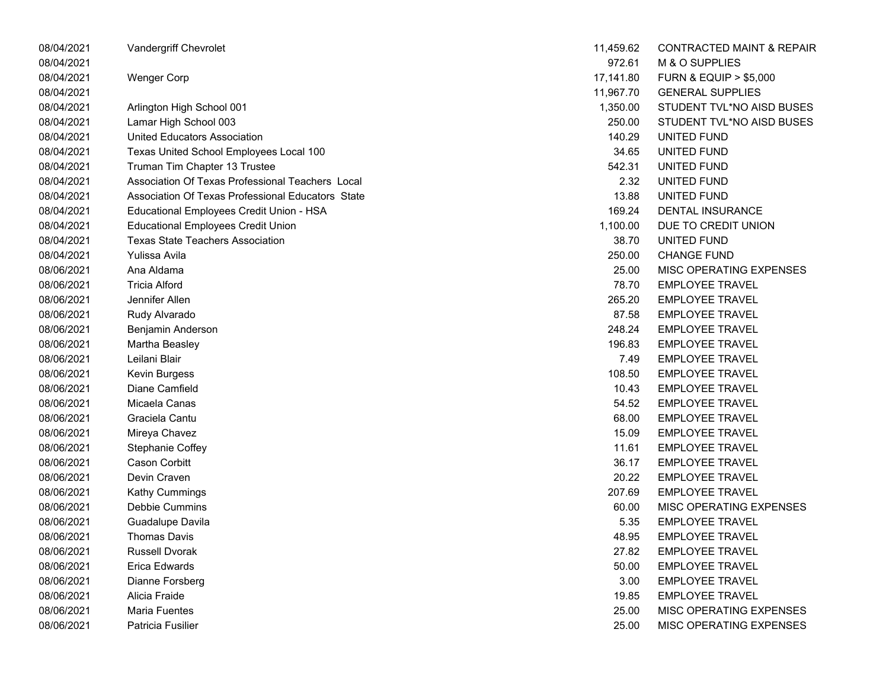| 08/04/2021 | Vandergriff Chevrolet                             | 11,459.62 | <b>CONTRACTED MAINT &amp; REPAIR</b> |
|------------|---------------------------------------------------|-----------|--------------------------------------|
| 08/04/2021 |                                                   | 972.61    | M & O SUPPLIES                       |
| 08/04/2021 | <b>Wenger Corp</b>                                | 17,141.80 | <b>FURN &amp; EQUIP &gt; \$5,000</b> |
| 08/04/2021 |                                                   | 11,967.70 | <b>GENERAL SUPPLIES</b>              |
| 08/04/2021 | Arlington High School 001                         | 1,350.00  | STUDENT TVL*NO AISD BUSES            |
| 08/04/2021 | Lamar High School 003                             | 250.00    | STUDENT TVL*NO AISD BUSES            |
| 08/04/2021 | United Educators Association                      | 140.29    | UNITED FUND                          |
| 08/04/2021 | Texas United School Employees Local 100           | 34.65     | UNITED FUND                          |
| 08/04/2021 | Truman Tim Chapter 13 Trustee                     | 542.31    | UNITED FUND                          |
| 08/04/2021 | Association Of Texas Professional Teachers Local  | 2.32      | UNITED FUND                          |
| 08/04/2021 | Association Of Texas Professional Educators State | 13.88     | UNITED FUND                          |
| 08/04/2021 | Educational Employees Credit Union - HSA          | 169.24    | DENTAL INSURANCE                     |
| 08/04/2021 | <b>Educational Employees Credit Union</b>         | 1,100.00  | DUE TO CREDIT UNION                  |
| 08/04/2021 | <b>Texas State Teachers Association</b>           | 38.70     | UNITED FUND                          |
| 08/04/2021 | Yulissa Avila                                     | 250.00    | <b>CHANGE FUND</b>                   |
| 08/06/2021 | Ana Aldama                                        | 25.00     | MISC OPERATING EXPENSES              |
| 08/06/2021 | <b>Tricia Alford</b>                              | 78.70     | <b>EMPLOYEE TRAVEL</b>               |
| 08/06/2021 | Jennifer Allen                                    | 265.20    | <b>EMPLOYEE TRAVEL</b>               |
| 08/06/2021 | Rudy Alvarado                                     | 87.58     | <b>EMPLOYEE TRAVEL</b>               |
| 08/06/2021 | Benjamin Anderson                                 | 248.24    | <b>EMPLOYEE TRAVEL</b>               |
| 08/06/2021 | Martha Beasley                                    | 196.83    | <b>EMPLOYEE TRAVEL</b>               |
| 08/06/2021 | Leilani Blair                                     | 7.49      | <b>EMPLOYEE TRAVEL</b>               |
| 08/06/2021 | Kevin Burgess                                     | 108.50    | <b>EMPLOYEE TRAVEL</b>               |
| 08/06/2021 | Diane Camfield                                    | 10.43     | <b>EMPLOYEE TRAVEL</b>               |
| 08/06/2021 | Micaela Canas                                     | 54.52     | <b>EMPLOYEE TRAVEL</b>               |
| 08/06/2021 | Graciela Cantu                                    | 68.00     | <b>EMPLOYEE TRAVEL</b>               |
| 08/06/2021 | Mireya Chavez                                     | 15.09     | <b>EMPLOYEE TRAVEL</b>               |
| 08/06/2021 | Stephanie Coffey                                  | 11.61     | <b>EMPLOYEE TRAVEL</b>               |
| 08/06/2021 | <b>Cason Corbitt</b>                              | 36.17     | <b>EMPLOYEE TRAVEL</b>               |
| 08/06/2021 | Devin Craven                                      | 20.22     | <b>EMPLOYEE TRAVEL</b>               |
| 08/06/2021 | Kathy Cummings                                    | 207.69    | <b>EMPLOYEE TRAVEL</b>               |
| 08/06/2021 | Debbie Cummins                                    | 60.00     | MISC OPERATING EXPENSES              |
| 08/06/2021 | Guadalupe Davila                                  | 5.35      | <b>EMPLOYEE TRAVEL</b>               |
| 08/06/2021 | <b>Thomas Davis</b>                               | 48.95     | <b>EMPLOYEE TRAVEL</b>               |
| 08/06/2021 | <b>Russell Dvorak</b>                             | 27.82     | <b>EMPLOYEE TRAVEL</b>               |
| 08/06/2021 | Erica Edwards                                     | 50.00     | <b>EMPLOYEE TRAVEL</b>               |
| 08/06/2021 | Dianne Forsberg                                   | 3.00      | <b>EMPLOYEE TRAVEL</b>               |
| 08/06/2021 | Alicia Fraide                                     | 19.85     | <b>EMPLOYEE TRAVEL</b>               |
| 08/06/2021 | Maria Fuentes                                     | 25.00     | MISC OPERATING EXPENSES              |
| 08/06/2021 | Patricia Fusilier                                 | 25.00     | MISC OPERATING EXPENSES              |

| 11,459.62 | CONTRACTED MAINT & REPAIR            |
|-----------|--------------------------------------|
| 972.61    | M & O SUPPLIES                       |
| 17,141.80 | <b>FURN &amp; EQUIP &gt; \$5,000</b> |
| 11,967.70 | <b>GENERAL SUPPLIES</b>              |
| 1,350.00  | STUDENT TVL*NO AISD BUSES            |
| 250.00    | STUDENT TVL*NO AISD BUSES            |
| 140.29    | UNITED FUND                          |
| 34.65     | UNITED FUND                          |
| 542.31    | UNITED FUND                          |
| 2.32      | UNITED FUND                          |
| 13.88     | UNITED FUND                          |
| 169.24    | <b>DENTAL INSURANCE</b>              |
| 1,100.00  | DUE TO CREDIT UNION                  |
| 38.70     | UNITED FUND                          |
| 250.00    | <b>CHANGE FUND</b>                   |
| 25.00     | MISC OPERATING EXPENSES              |
| 78.70     | <b>EMPLOYEE TRAVEL</b>               |
| 265.20    | <b>EMPLOYEE TRAVEL</b>               |
| 87.58     | <b>EMPLOYEE TRAVEL</b>               |
|           | 248.24 EMPLOYEE TRAVEL               |
|           | 196.83 EMPLOYEE TRAVEL               |
|           | 7.49 EMPLOYEE TRAVEL                 |
|           | 108.50 EMPLOYEE TRAVEL               |
|           | 10.43 EMPLOYEE TRAVEL                |
| 54.52     | <b>EMPLOYEE TRAVEL</b>               |
| 68.00     | <b>EMPLOYEE TRAVEL</b>               |
| 15.09     | <b>EMPLOYEE TRAVEL</b>               |
| 11.61     | <b>EMPLOYEE TRAVEL</b>               |
| 36.17     | <b>EMPLOYEE TRAVEL</b>               |
| 20.22     | <b>EMPLOYEE TRAVEL</b>               |
| 207.69    | <b>EMPLOYEE TRAVEL</b>               |
| 60.00     | MISC OPERATING EXPENSES              |
| 5.35      | <b>EMPLOYEE TRAVEL</b>               |
| 48.95     | <b>EMPLOYEE TRAVEL</b>               |
| 27.82     | <b>EMPLOYEE TRAVEL</b>               |
| 50.00     | <b>EMPLOYEE TRAVEL</b>               |
| 3.00      | <b>EMPLOYEE TRAVEL</b>               |
| 19.85     | <b>EMPLOYEE TRAVEL</b>               |
| 25.00     | <b>MISC OPERATING EXPENSES</b>       |
| 25.00     | MISC OPERATING EXPENSES              |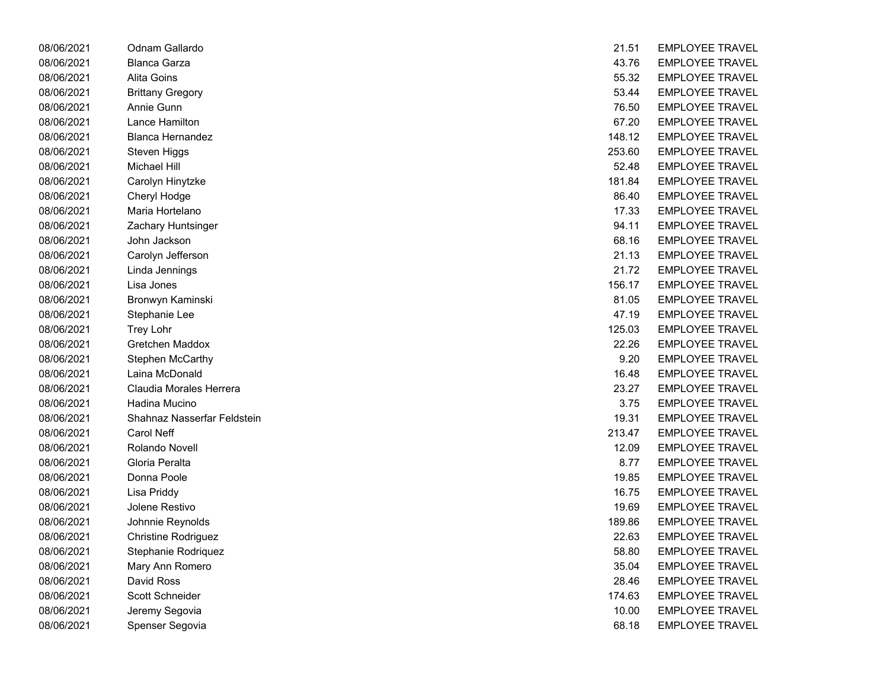| 08/06/2021 | Odnam Gallardo              | 21.51  | <b>EMPLOYEE TRAVEL</b> |
|------------|-----------------------------|--------|------------------------|
| 08/06/2021 | <b>Blanca Garza</b>         | 43.76  | <b>EMPLOYEE TRAVEL</b> |
| 08/06/2021 | Alita Goins                 | 55.32  | <b>EMPLOYEE TRAVEL</b> |
| 08/06/2021 | <b>Brittany Gregory</b>     | 53.44  | <b>EMPLOYEE TRAVEL</b> |
| 08/06/2021 | Annie Gunn                  | 76.50  | <b>EMPLOYEE TRAVEL</b> |
| 08/06/2021 | Lance Hamilton              | 67.20  | <b>EMPLOYEE TRAVEL</b> |
| 08/06/2021 | <b>Blanca Hernandez</b>     | 148.12 | <b>EMPLOYEE TRAVEL</b> |
| 08/06/2021 | Steven Higgs                | 253.60 | <b>EMPLOYEE TRAVEL</b> |
| 08/06/2021 | <b>Michael Hill</b>         | 52.48  | <b>EMPLOYEE TRAVEL</b> |
| 08/06/2021 | Carolyn Hinytzke            | 181.84 | <b>EMPLOYEE TRAVEL</b> |
| 08/06/2021 | Cheryl Hodge                | 86.40  | <b>EMPLOYEE TRAVEL</b> |
| 08/06/2021 | Maria Hortelano             | 17.33  | <b>EMPLOYEE TRAVEL</b> |
| 08/06/2021 | Zachary Huntsinger          | 94.11  | <b>EMPLOYEE TRAVEL</b> |
| 08/06/2021 | John Jackson                | 68.16  | <b>EMPLOYEE TRAVEL</b> |
| 08/06/2021 | Carolyn Jefferson           | 21.13  | <b>EMPLOYEE TRAVEL</b> |
| 08/06/2021 | Linda Jennings              | 21.72  | <b>EMPLOYEE TRAVEL</b> |
| 08/06/2021 | Lisa Jones                  | 156.17 | <b>EMPLOYEE TRAVEL</b> |
| 08/06/2021 | Bronwyn Kaminski            | 81.05  | <b>EMPLOYEE TRAVEL</b> |
| 08/06/2021 | Stephanie Lee               | 47.19  | <b>EMPLOYEE TRAVEL</b> |
| 08/06/2021 | Trey Lohr                   | 125.03 | <b>EMPLOYEE TRAVEL</b> |
| 08/06/2021 | Gretchen Maddox             | 22.26  | <b>EMPLOYEE TRAVEL</b> |
| 08/06/2021 | Stephen McCarthy            | 9.20   | <b>EMPLOYEE TRAVEL</b> |
| 08/06/2021 | Laina McDonald              | 16.48  | <b>EMPLOYEE TRAVEL</b> |
| 08/06/2021 | Claudia Morales Herrera     | 23.27  | <b>EMPLOYEE TRAVEL</b> |
| 08/06/2021 | Hadina Mucino               | 3.75   | <b>EMPLOYEE TRAVEL</b> |
| 08/06/2021 | Shahnaz Nasserfar Feldstein | 19.31  | <b>EMPLOYEE TRAVEL</b> |
| 08/06/2021 | Carol Neff                  | 213.47 | <b>EMPLOYEE TRAVEL</b> |
| 08/06/2021 | Rolando Novell              | 12.09  | <b>EMPLOYEE TRAVEL</b> |
| 08/06/2021 | Gloria Peralta              | 8.77   | <b>EMPLOYEE TRAVEL</b> |
| 08/06/2021 | Donna Poole                 | 19.85  | <b>EMPLOYEE TRAVEL</b> |
| 08/06/2021 | Lisa Priddy                 | 16.75  | <b>EMPLOYEE TRAVEL</b> |
| 08/06/2021 | Jolene Restivo              | 19.69  | <b>EMPLOYEE TRAVEL</b> |
| 08/06/2021 | Johnnie Reynolds            | 189.86 | <b>EMPLOYEE TRAVEL</b> |
| 08/06/2021 | <b>Christine Rodriguez</b>  | 22.63  | <b>EMPLOYEE TRAVEL</b> |
| 08/06/2021 | Stephanie Rodriquez         | 58.80  | <b>EMPLOYEE TRAVEL</b> |
| 08/06/2021 | Mary Ann Romero             | 35.04  | <b>EMPLOYEE TRAVEL</b> |
| 08/06/2021 | David Ross                  | 28.46  | <b>EMPLOYEE TRAVEL</b> |
| 08/06/2021 | Scott Schneider             | 174.63 | <b>EMPLOYEE TRAVEL</b> |
| 08/06/2021 | Jeremy Segovia              | 10.00  | <b>EMPLOYEE TRAVEL</b> |
| 08/06/2021 | Spenser Segovia             | 68.18  | <b>EMPLOYEE TRAVEL</b> |
|            |                             |        |                        |

| 21.51  | <b>EMPLOYEE TRAVEL</b> |
|--------|------------------------|
| 43.76  | <b>EMPLOYEE TRAVEL</b> |
| 55.32  | <b>EMPLOYEE TRAVEL</b> |
| 53.44  | <b>EMPLOYEE TRAVEL</b> |
| 76.50  | <b>EMPLOYEE TRAVEL</b> |
| 67.20  | <b>EMPLOYEE TRAVEL</b> |
| 148.12 | <b>EMPLOYEE TRAVEL</b> |
| 253.60 | <b>EMPLOYEE TRAVEL</b> |
| 52.48  | <b>EMPLOYEE TRAVEL</b> |
| 181.84 | <b>EMPLOYEE TRAVEL</b> |
| 86.40  | <b>EMPLOYEE TRAVEL</b> |
| 17.33  | <b>EMPLOYEE TRAVEL</b> |
| 94.11  | EMPLOYEE TRAVEL        |
| 68.16  | <b>EMPLOYEE TRAVEL</b> |
| 21.13  | EMPLOYEE TRAVEL        |
| 21.72  | <b>EMPLOYEE TRAVEL</b> |
| 156.17 | <b>EMPLOYEE TRAVEL</b> |
| 81.05  | <b>EMPLOYEE TRAVEL</b> |
| 47.19  | <b>EMPLOYEE TRAVEL</b> |
| 125.03 | <b>EMPLOYEE TRAVEL</b> |
| 22.26  | <b>EMPLOYEE TRAVEL</b> |
| 9.20   | <b>EMPLOYEE TRAVEL</b> |
| 16.48  | <b>EMPLOYEE TRAVEL</b> |
| 23.27  | EMPLOYEE TRAVEL        |
| 3.75   | EMPLOYEE TRAVEL        |
| 19.31  | <b>EMPLOYEE TRAVEL</b> |
| 213.47 | <b>EMPLOYEE TRAVEL</b> |
| 12.09  | <b>EMPLOYEE TRAVEL</b> |
| 8.77   | <b>EMPLOYEE TRAVEL</b> |
| 19.85  | <b>EMPLOYEE TRAVEL</b> |
| 16.75  | EMPLOYEE TRAVEL        |
| 19.69  | <b>EMPLOYEE TRAVEL</b> |
| 189.86 | <b>EMPLOYEE TRAVEL</b> |
| 22.63  | <b>EMPLOYEE TRAVEL</b> |
| 58.80  | <b>EMPLOYEE TRAVEL</b> |
| 35.04  | <b>EMPLOYEE TRAVEL</b> |
| 28.46  | <b>EMPLOYEE TRAVEL</b> |
| 174.63 | <b>EMPLOYEE TRAVEL</b> |
| 10.00  | <b>EMPLOYEE TRAVEL</b> |
| 68.18  | EMPLOYEE TRAVEL        |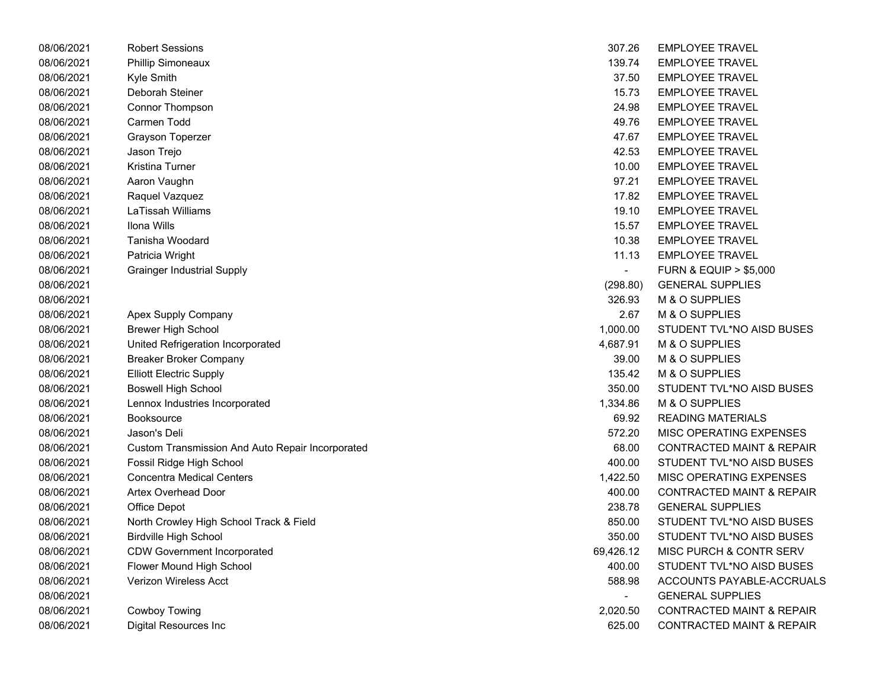| 08/06/2021 | <b>Robert Sessions</b>                           | 307.26                   | <b>EMPLOYEE TRAVEL</b>               |
|------------|--------------------------------------------------|--------------------------|--------------------------------------|
| 08/06/2021 | <b>Phillip Simoneaux</b>                         | 139.74                   | <b>EMPLOYEE TRAVEL</b>               |
| 08/06/2021 | Kyle Smith                                       | 37.50                    | <b>EMPLOYEE TRAVEL</b>               |
| 08/06/2021 | Deborah Steiner                                  | 15.73                    | <b>EMPLOYEE TRAVEL</b>               |
| 08/06/2021 | Connor Thompson                                  | 24.98                    | <b>EMPLOYEE TRAVEL</b>               |
| 08/06/2021 | Carmen Todd                                      | 49.76                    | <b>EMPLOYEE TRAVEL</b>               |
| 08/06/2021 | Grayson Toperzer                                 | 47.67                    | <b>EMPLOYEE TRAVEL</b>               |
| 08/06/2021 | Jason Trejo                                      | 42.53                    | <b>EMPLOYEE TRAVEL</b>               |
| 08/06/2021 | Kristina Turner                                  | 10.00                    | <b>EMPLOYEE TRAVEL</b>               |
| 08/06/2021 | Aaron Vaughn                                     | 97.21                    | <b>EMPLOYEE TRAVEL</b>               |
| 08/06/2021 | Raquel Vazquez                                   | 17.82                    | <b>EMPLOYEE TRAVEL</b>               |
| 08/06/2021 | LaTissah Williams                                | 19.10                    | <b>EMPLOYEE TRAVEL</b>               |
| 08/06/2021 | Ilona Wills                                      | 15.57                    | <b>EMPLOYEE TRAVEL</b>               |
| 08/06/2021 | Tanisha Woodard                                  | 10.38                    | <b>EMPLOYEE TRAVEL</b>               |
| 08/06/2021 | Patricia Wright                                  | 11.13                    | <b>EMPLOYEE TRAVEL</b>               |
| 08/06/2021 | <b>Grainger Industrial Supply</b>                | $\overline{a}$           | <b>FURN &amp; EQUIP &gt; \$5,000</b> |
| 08/06/2021 |                                                  | (298.80)                 | <b>GENERAL SUPPLIES</b>              |
| 08/06/2021 |                                                  | 326.93                   | M & O SUPPLIES                       |
| 08/06/2021 | <b>Apex Supply Company</b>                       | 2.67                     | M & O SUPPLIES                       |
| 08/06/2021 | <b>Brewer High School</b>                        | 1,000.00                 | STUDENT TVL*NO AISD BUSES            |
| 08/06/2021 | United Refrigeration Incorporated                | 4,687.91                 | M & O SUPPLIES                       |
| 08/06/2021 | <b>Breaker Broker Company</b>                    | 39.00                    | M & O SUPPLIES                       |
| 08/06/2021 | <b>Elliott Electric Supply</b>                   | 135.42                   | M & O SUPPLIES                       |
| 08/06/2021 | <b>Boswell High School</b>                       | 350.00                   | STUDENT TVL*NO AISD BUSES            |
| 08/06/2021 | Lennox Industries Incorporated                   | 1,334.86                 | M & O SUPPLIES                       |
| 08/06/2021 | <b>Booksource</b>                                | 69.92                    | <b>READING MATERIALS</b>             |
| 08/06/2021 | Jason's Deli                                     | 572.20                   | MISC OPERATING EXPENSES              |
| 08/06/2021 | Custom Transmission And Auto Repair Incorporated | 68.00                    | <b>CONTRACTED MAINT &amp; REPAIR</b> |
| 08/06/2021 | Fossil Ridge High School                         | 400.00                   | STUDENT TVL*NO AISD BUSES            |
| 08/06/2021 | <b>Concentra Medical Centers</b>                 | 1,422.50                 | MISC OPERATING EXPENSES              |
| 08/06/2021 | <b>Artex Overhead Door</b>                       | 400.00                   | <b>CONTRACTED MAINT &amp; REPAIR</b> |
| 08/06/2021 | Office Depot                                     | 238.78                   | <b>GENERAL SUPPLIES</b>              |
| 08/06/2021 | North Crowley High School Track & Field          | 850.00                   | STUDENT TVL*NO AISD BUSES            |
| 08/06/2021 | <b>Birdville High School</b>                     | 350.00                   | STUDENT TVL*NO AISD BUSES            |
| 08/06/2021 | <b>CDW Government Incorporated</b>               | 69,426.12                | MISC PURCH & CONTR SERV              |
| 08/06/2021 | Flower Mound High School                         | 400.00                   | STUDENT TVL*NO AISD BUSES            |
| 08/06/2021 | <b>Verizon Wireless Acct</b>                     | 588.98                   | ACCOUNTS PAYABLE-ACCRUALS            |
| 08/06/2021 |                                                  | $\overline{\phantom{0}}$ | <b>GENERAL SUPPLIES</b>              |
| 08/06/2021 | Cowboy Towing                                    | 2,020.50                 | <b>CONTRACTED MAINT &amp; REPAIR</b> |
| 08/06/2021 | Digital Resources Inc.                           | 625.00                   | CONTRACTED MAINT & REPAIR            |

| 08/06/2021 | <b>Robert Sessions</b>                           | 307.26                   | <b>EMPLOYEE TRAVEL</b>               |
|------------|--------------------------------------------------|--------------------------|--------------------------------------|
| 08/06/2021 | Phillip Simoneaux                                | 139.74                   | <b>EMPLOYEE TRAVEL</b>               |
| 08/06/2021 | Kyle Smith                                       | 37.50                    | <b>EMPLOYEE TRAVEL</b>               |
| 08/06/2021 | Deborah Steiner                                  | 15.73                    | <b>EMPLOYEE TRAVEL</b>               |
| 08/06/2021 | Connor Thompson                                  | 24.98                    | <b>EMPLOYEE TRAVEL</b>               |
| 08/06/2021 | Carmen Todd                                      | 49.76                    | <b>EMPLOYEE TRAVEL</b>               |
| 08/06/2021 | <b>Grayson Toperzer</b>                          | 47.67                    | <b>EMPLOYEE TRAVEL</b>               |
| 08/06/2021 | Jason Trejo                                      | 42.53                    | <b>EMPLOYEE TRAVEL</b>               |
| 08/06/2021 | Kristina Turner                                  | 10.00                    | <b>EMPLOYEE TRAVEL</b>               |
| 08/06/2021 | Aaron Vaughn                                     | 97.21                    | <b>EMPLOYEE TRAVEL</b>               |
| 08/06/2021 | Raquel Vazquez                                   | 17.82                    | <b>EMPLOYEE TRAVEL</b>               |
| 08/06/2021 | LaTissah Williams                                | 19.10                    | <b>EMPLOYEE TRAVEL</b>               |
| 08/06/2021 | Ilona Wills                                      | 15.57                    | <b>EMPLOYEE TRAVEL</b>               |
| 08/06/2021 | Tanisha Woodard                                  | 10.38                    | <b>EMPLOYEE TRAVEL</b>               |
| 08/06/2021 | Patricia Wright                                  | 11.13                    | <b>EMPLOYEE TRAVEL</b>               |
| 08/06/2021 | <b>Grainger Industrial Supply</b>                |                          | <b>FURN &amp; EQUIP &gt; \$5,000</b> |
| 08/06/2021 |                                                  | (298.80)                 | <b>GENERAL SUPPLIES</b>              |
| 08/06/2021 |                                                  | 326.93                   | M & O SUPPLIES                       |
| 08/06/2021 | Apex Supply Company                              | 2.67                     | M & O SUPPLIES                       |
| 08/06/2021 | <b>Brewer High School</b>                        | 1,000.00                 | STUDENT TVL*NO AISD BUSES            |
| 08/06/2021 | United Refrigeration Incorporated                | 4,687.91                 | M & O SUPPLIES                       |
| 08/06/2021 | <b>Breaker Broker Company</b>                    | 39.00                    | M & O SUPPLIES                       |
| 08/06/2021 | <b>Elliott Electric Supply</b>                   | 135.42                   | M & O SUPPLIES                       |
| 08/06/2021 | <b>Boswell High School</b>                       | 350.00                   | STUDENT TVL*NO AISD BUSES            |
| 08/06/2021 | Lennox Industries Incorporated                   | 1,334.86                 | M & O SUPPLIES                       |
| 08/06/2021 | <b>Booksource</b>                                | 69.92                    | <b>READING MATERIALS</b>             |
| 08/06/2021 | Jason's Deli                                     | 572.20                   | MISC OPERATING EXPENSES              |
| 08/06/2021 | Custom Transmission And Auto Repair Incorporated | 68.00                    | <b>CONTRACTED MAINT &amp; REPAIR</b> |
| 08/06/2021 | Fossil Ridge High School                         | 400.00                   | STUDENT TVL*NO AISD BUSES            |
| 08/06/2021 | <b>Concentra Medical Centers</b>                 | 1,422.50                 | MISC OPERATING EXPENSES              |
| 08/06/2021 | Artex Overhead Door                              | 400.00                   | <b>CONTRACTED MAINT &amp; REPAIR</b> |
| 08/06/2021 | Office Depot                                     | 238.78                   | <b>GENERAL SUPPLIES</b>              |
| 08/06/2021 | North Crowley High School Track & Field          | 850.00                   | STUDENT TVL*NO AISD BUSES            |
| 08/06/2021 | <b>Birdville High School</b>                     | 350.00                   | STUDENT TVL*NO AISD BUSES            |
| 08/06/2021 | <b>CDW Government Incorporated</b>               | 69,426.12                | MISC PURCH & CONTR SERV              |
| 08/06/2021 | Flower Mound High School                         | 400.00                   | STUDENT TVL*NO AISD BUSES            |
| 08/06/2021 | Verizon Wireless Acct                            | 588.98                   | ACCOUNTS PAYABLE-ACCRUALS            |
| 08/06/2021 |                                                  | $\overline{\phantom{0}}$ | <b>GENERAL SUPPLIES</b>              |
| 08/06/2021 | <b>Cowboy Towing</b>                             | 2,020.50                 | <b>CONTRACTED MAINT &amp; REPAIR</b> |
| 08/06/2021 | Digital Resources Inc                            | 625.00                   | <b>CONTRACTED MAINT &amp; REPAIR</b> |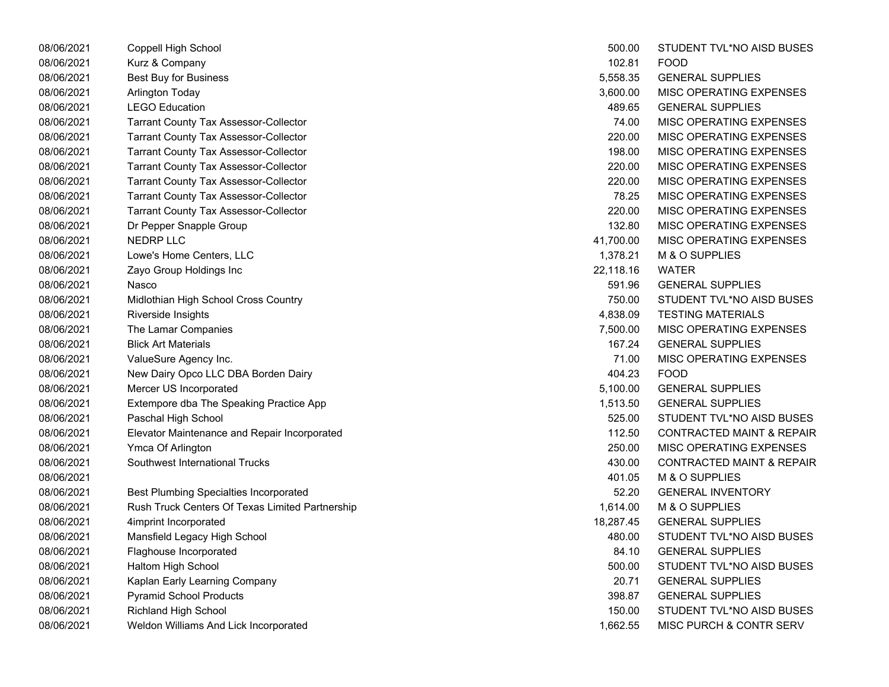| 08/06/2021 | Coppell High School                             | 500.00    | STUDENT TVL*NO AISD BUSES            |
|------------|-------------------------------------------------|-----------|--------------------------------------|
| 08/06/2021 | Kurz & Company                                  | 102.81    | <b>FOOD</b>                          |
| 08/06/2021 | <b>Best Buy for Business</b>                    | 5,558.35  | <b>GENERAL SUPPLIES</b>              |
| 08/06/2021 | Arlington Today                                 | 3,600.00  | MISC OPERATING EXPENSES              |
| 08/06/2021 | <b>LEGO Education</b>                           | 489.65    | <b>GENERAL SUPPLIES</b>              |
| 08/06/2021 | <b>Tarrant County Tax Assessor-Collector</b>    | 74.00     | MISC OPERATING EXPENSES              |
| 08/06/2021 | <b>Tarrant County Tax Assessor-Collector</b>    | 220.00    | MISC OPERATING EXPENSES              |
| 08/06/2021 | <b>Tarrant County Tax Assessor-Collector</b>    | 198.00    | MISC OPERATING EXPENSES              |
| 08/06/2021 | <b>Tarrant County Tax Assessor-Collector</b>    | 220.00    | <b>MISC OPERATING EXPENSES</b>       |
| 08/06/2021 | <b>Tarrant County Tax Assessor-Collector</b>    | 220.00    | MISC OPERATING EXPENSES              |
| 08/06/2021 | <b>Tarrant County Tax Assessor-Collector</b>    | 78.25     | MISC OPERATING EXPENSES              |
| 08/06/2021 | <b>Tarrant County Tax Assessor-Collector</b>    | 220.00    | MISC OPERATING EXPENSES              |
| 08/06/2021 | Dr Pepper Snapple Group                         | 132.80    | MISC OPERATING EXPENSES              |
| 08/06/2021 | NEDRP LLC                                       | 41,700.00 | MISC OPERATING EXPENSES              |
| 08/06/2021 | Lowe's Home Centers, LLC                        | 1,378.21  | M & O SUPPLIES                       |
| 08/06/2021 | Zayo Group Holdings Inc                         | 22,118.16 | <b>WATER</b>                         |
| 08/06/2021 | Nasco                                           | 591.96    | <b>GENERAL SUPPLIES</b>              |
| 08/06/2021 | Midlothian High School Cross Country            | 750.00    | STUDENT TVL*NO AISD BUSES            |
| 08/06/2021 | Riverside Insights                              | 4,838.09  | <b>TESTING MATERIALS</b>             |
| 08/06/2021 | The Lamar Companies                             | 7,500.00  | <b>MISC OPERATING EXPENSES</b>       |
| 08/06/2021 | <b>Blick Art Materials</b>                      | 167.24    | <b>GENERAL SUPPLIES</b>              |
| 08/06/2021 | ValueSure Agency Inc.                           | 71.00     | MISC OPERATING EXPENSES              |
| 08/06/2021 | New Dairy Opco LLC DBA Borden Dairy             | 404.23    | <b>FOOD</b>                          |
| 08/06/2021 | Mercer US Incorporated                          | 5,100.00  | <b>GENERAL SUPPLIES</b>              |
| 08/06/2021 | Extempore dba The Speaking Practice App         | 1,513.50  | <b>GENERAL SUPPLIES</b>              |
| 08/06/2021 | Paschal High School                             | 525.00    | STUDENT TVL*NO AISD BUSES            |
| 08/06/2021 | Elevator Maintenance and Repair Incorporated    | 112.50    | <b>CONTRACTED MAINT &amp; REPAIR</b> |
| 08/06/2021 | Ymca Of Arlington                               | 250.00    | MISC OPERATING EXPENSES              |
| 08/06/2021 | Southwest International Trucks                  | 430.00    | <b>CONTRACTED MAINT &amp; REPAIR</b> |
| 08/06/2021 |                                                 | 401.05    | M & O SUPPLIES                       |
| 08/06/2021 | <b>Best Plumbing Specialties Incorporated</b>   | 52.20     | <b>GENERAL INVENTORY</b>             |
| 08/06/2021 | Rush Truck Centers Of Texas Limited Partnership | 1,614.00  | M & O SUPPLIES                       |
| 08/06/2021 | 4imprint Incorporated                           | 18,287.45 | <b>GENERAL SUPPLIES</b>              |
| 08/06/2021 | Mansfield Legacy High School                    | 480.00    | STUDENT TVL*NO AISD BUSES            |
| 08/06/2021 | Flaghouse Incorporated                          | 84.10     | <b>GENERAL SUPPLIES</b>              |
| 08/06/2021 | Haltom High School                              | 500.00    | STUDENT TVL*NO AISD BUSES            |
| 08/06/2021 | Kaplan Early Learning Company                   | 20.71     | <b>GENERAL SUPPLIES</b>              |
| 08/06/2021 | <b>Pyramid School Products</b>                  | 398.87    | <b>GENERAL SUPPLIES</b>              |
| 08/06/2021 | <b>Richland High School</b>                     | 150.00    | STUDENT TVL*NO AISD BUSES            |
| 08/06/2021 | Weldon Williams And Lick Incorporated           | 1,662.55  | <b>MISC PURCH &amp; CONTR SERV</b>   |

| 500.00    | STUDENT TVL*NO AISD BUSES            |
|-----------|--------------------------------------|
| 102.81    | FOOD                                 |
| 5,558.35  | <b>GENERAL SUPPLIES</b>              |
| 3,600.00  | <b>MISC OPERATING EXPENSES</b>       |
| 489.65    | <b>GENERAL SUPPLIES</b>              |
| 74.00     | <b>MISC OPERATING EXPENSES</b>       |
| 220.00    | MISC OPERATING EXPENSES              |
| 198.00    | <b>MISC OPERATING EXPENSES</b>       |
| 220.00    | <b>MISC OPERATING EXPENSES</b>       |
| 220.00    | MISC OPERATING EXPENSES              |
| 78.25     | <b>MISC OPERATING EXPENSES</b>       |
| 220.00    | MISC OPERATING EXPENSES              |
| 132.80    | <b>MISC OPERATING EXPENSES</b>       |
| 41,700.00 | <b>MISC OPERATING EXPENSES</b>       |
| 1,378.21  | M & O SUPPLIES                       |
| 22,118.16 | <b>WATER</b>                         |
| 591.96    | <b>GENERAL SUPPLIES</b>              |
| 750.00    | STUDENT TVL*NO AISD BUSES            |
| 4,838.09  | <b>TESTING MATERIALS</b>             |
| 7,500.00  | <b>MISC OPERATING EXPENSES</b>       |
| 167.24    | <b>GENERAL SUPPLIES</b>              |
| 71.00     | <b>MISC OPERATING EXPENSES</b>       |
| 404.23    | FOOD                                 |
| 5,100.00  | <b>GENERAL SUPPLIES</b>              |
| 1,513.50  | <b>GENERAL SUPPLIES</b>              |
| 525.00    | STUDENT TVL*NO AISD BUSES            |
| 112.50    | <b>CONTRACTED MAINT &amp; REPAIR</b> |
| 250.00    | <b>MISC OPERATING EXPENSES</b>       |
| 430.00    | <b>CONTRACTED MAINT &amp; REPAIR</b> |
| 401.05    | M & O SUPPLIES                       |
| 52.20     | <b>GENERAL INVENTORY</b>             |
| 1,614.00  | M & O SUPPLIES                       |
| 18,287.45 | <b>GENERAL SUPPLIES</b>              |
| 480.00    | <b>STUDENT TVL*NO AISD BUSES</b>     |
| 84.10     | <b>GENERAL SUPPLIES</b>              |
| 500.00    | STUDENT TVL*NO AISD BUSES            |
| 20.71     | <b>GENERAL SUPPLIES</b>              |
| 398.87    | <b>GENERAL SUPPLIES</b>              |
| 150.00    | STUDENT TVL*NO AISD BUSES            |
| 1,662.55  | MISC PURCH & CONTR SERV              |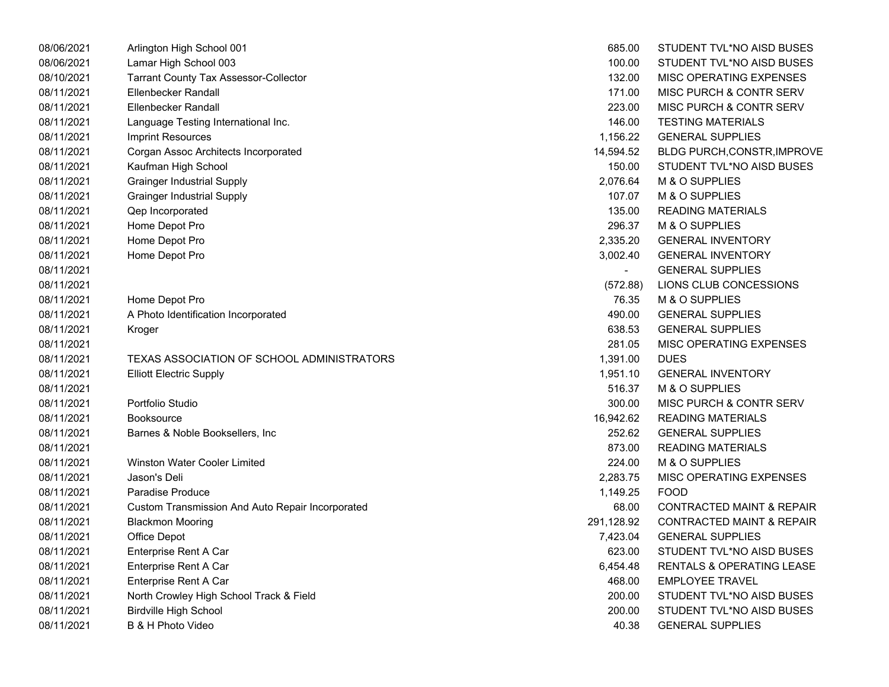| 08/06/2021 | Arlington High School 001                        | 685.00                   | STUDENT TVL*NO AISD BUSES            |
|------------|--------------------------------------------------|--------------------------|--------------------------------------|
| 08/06/2021 | Lamar High School 003                            | 100.00                   | STUDENT TVL*NO AISD BUSES            |
| 08/10/2021 | <b>Tarrant County Tax Assessor-Collector</b>     | 132.00                   | MISC OPERATING EXPENSES              |
| 08/11/2021 | Ellenbecker Randall                              | 171.00                   | <b>MISC PURCH &amp; CONTR SERV</b>   |
| 08/11/2021 | <b>Ellenbecker Randall</b>                       | 223.00                   | <b>MISC PURCH &amp; CONTR SERV</b>   |
| 08/11/2021 | Language Testing International Inc.              | 146.00                   | <b>TESTING MATERIALS</b>             |
| 08/11/2021 | Imprint Resources                                | 1,156.22                 | <b>GENERAL SUPPLIES</b>              |
| 08/11/2021 | Corgan Assoc Architects Incorporated             | 14,594.52                | <b>BLDG PURCH, CONSTR, IMPROVE</b>   |
| 08/11/2021 | Kaufman High School                              | 150.00                   | STUDENT TVL*NO AISD BUSES            |
| 08/11/2021 | <b>Grainger Industrial Supply</b>                | 2,076.64                 | M & O SUPPLIES                       |
| 08/11/2021 | <b>Grainger Industrial Supply</b>                | 107.07                   | M & O SUPPLIES                       |
| 08/11/2021 | Qep Incorporated                                 | 135.00                   | <b>READING MATERIALS</b>             |
| 08/11/2021 | Home Depot Pro                                   | 296.37                   | M & O SUPPLIES                       |
| 08/11/2021 | Home Depot Pro                                   | 2,335.20                 | <b>GENERAL INVENTORY</b>             |
| 08/11/2021 | Home Depot Pro                                   | 3,002.40                 | <b>GENERAL INVENTORY</b>             |
| 08/11/2021 |                                                  | $\overline{\phantom{0}}$ | <b>GENERAL SUPPLIES</b>              |
| 08/11/2021 |                                                  | (572.88)                 | LIONS CLUB CONCESSIONS               |
| 08/11/2021 | Home Depot Pro                                   | 76.35                    | M & O SUPPLIES                       |
| 08/11/2021 | A Photo Identification Incorporated              | 490.00                   | <b>GENERAL SUPPLIES</b>              |
| 08/11/2021 | Kroger                                           | 638.53                   | <b>GENERAL SUPPLIES</b>              |
| 08/11/2021 |                                                  | 281.05                   | MISC OPERATING EXPENSES              |
| 08/11/2021 | TEXAS ASSOCIATION OF SCHOOL ADMINISTRATORS       | 1,391.00                 | <b>DUES</b>                          |
| 08/11/2021 | <b>Elliott Electric Supply</b>                   | 1,951.10                 | <b>GENERAL INVENTORY</b>             |
| 08/11/2021 |                                                  | 516.37                   | M & O SUPPLIES                       |
| 08/11/2021 | Portfolio Studio                                 | 300.00                   | MISC PURCH & CONTR SERV              |
| 08/11/2021 | <b>Booksource</b>                                | 16,942.62                | <b>READING MATERIALS</b>             |
| 08/11/2021 | Barnes & Noble Booksellers, Inc.                 | 252.62                   | <b>GENERAL SUPPLIES</b>              |
| 08/11/2021 |                                                  | 873.00                   | <b>READING MATERIALS</b>             |
| 08/11/2021 | <b>Winston Water Cooler Limited</b>              | 224.00                   | M & O SUPPLIES                       |
| 08/11/2021 | Jason's Deli                                     | 2,283.75                 | MISC OPERATING EXPENSES              |
| 08/11/2021 | Paradise Produce                                 | 1,149.25                 | <b>FOOD</b>                          |
| 08/11/2021 | Custom Transmission And Auto Repair Incorporated | 68.00                    | <b>CONTRACTED MAINT &amp; REPAIR</b> |
| 08/11/2021 | <b>Blackmon Mooring</b>                          | 291,128.92               | <b>CONTRACTED MAINT &amp; REPAIR</b> |
| 08/11/2021 | Office Depot                                     | 7,423.04                 | <b>GENERAL SUPPLIES</b>              |
| 08/11/2021 | Enterprise Rent A Car                            | 623.00                   | STUDENT TVL*NO AISD BUSES            |
| 08/11/2021 | Enterprise Rent A Car                            | 6,454.48                 | <b>RENTALS &amp; OPERATING LEASE</b> |
| 08/11/2021 | Enterprise Rent A Car                            | 468.00                   | <b>EMPLOYEE TRAVEL</b>               |
| 08/11/2021 | North Crowley High School Track & Field          | 200.00                   | STUDENT TVL*NO AISD BUSES            |
| 08/11/2021 | <b>Birdville High School</b>                     | 200.00                   | STUDENT TVL*NO AISD BUSES            |
| 08/11/2021 | B & H Photo Video                                | 40.38                    | <b>GENERAL SUPPLIES</b>              |

| 685.00                       | STUDENT TVL*NO AISD BUSES             |
|------------------------------|---------------------------------------|
| 100.00                       | STUDENT TVL*NO AISD BUSES             |
| 132.00                       | <b>MISC OPERATING EXPENSES</b>        |
| 171.00                       | MISC PURCH & CONTR SERV               |
| 223.00                       | MISC PURCH & CONTR SERV               |
| 146.00                       | <b>TESTING MATERIALS</b>              |
|                              | 1,156.22 GENERAL SUPPLIES             |
|                              | 14,594.52 BLDG PURCH, CONSTR, IMPROVE |
|                              | 150.00 STUDENT TVL*NO AISD BUSES      |
| 2,076.64                     | <b>M &amp; O SUPPLIES</b>             |
| 107.07                       | M & O SUPPLIES                        |
| 135.00                       | <b>READING MATERIALS</b>              |
|                              | 296.37 M & O SUPPLIES                 |
| 2,335.20                     | <b>GENERAL INVENTORY</b>              |
| 3,002.40                     | <b>GENERAL INVENTORY</b>              |
| $\qquad \qquad \blacksquare$ | <b>GENERAL SUPPLIES</b>               |
|                              | (572.88) LIONS CLUB CONCESSIONS       |
|                              | 76.35 M & O SUPPLIES                  |
| 490.00                       | <b>GENERAL SUPPLIES</b>               |
| 638.53                       | <b>GENERAL SUPPLIES</b>               |
| 281.05                       | MISC OPERATING EXPENSES               |
| 1,391.00                     | <b>DUES</b>                           |
|                              | 1,951.10 GENERAL INVENTORY            |
|                              | 516.37 M & O SUPPLIES                 |
| 300.00                       | MISC PURCH & CONTR SERV               |
| 16,942.62                    | <b>READING MATERIALS</b>              |
|                              | 252.62 GENERAL SUPPLIES               |
|                              | 873.00 READING MATERIALS              |
|                              | 224.00 M & O SUPPLIES                 |
| 2,283.75                     | <b>MISC OPERATING EXPENSES</b>        |
| 1,149.25                     | FOOD                                  |
| 68.00                        | <b>CONTRACTED MAINT &amp; REPAIR</b>  |
|                              | 291,128.92 CONTRACTED MAINT & REPAIR  |
| 7,423.04                     | <b>GENERAL SUPPLIES</b>               |
| 623.00                       | STUDENT TVL*NO AISD BUSES             |
| 6,454.48                     | RENTALS & OPERATING LEASE             |
| 468.00                       | <b>EMPLOYEE TRAVEL</b>                |
| 200.00                       | STUDENT TVL*NO AISD BUSES             |
| 200.00                       | STUDENT TVL*NO AISD BUSES             |
| 40.38                        | <b>GENERAL SUPPLIES</b>               |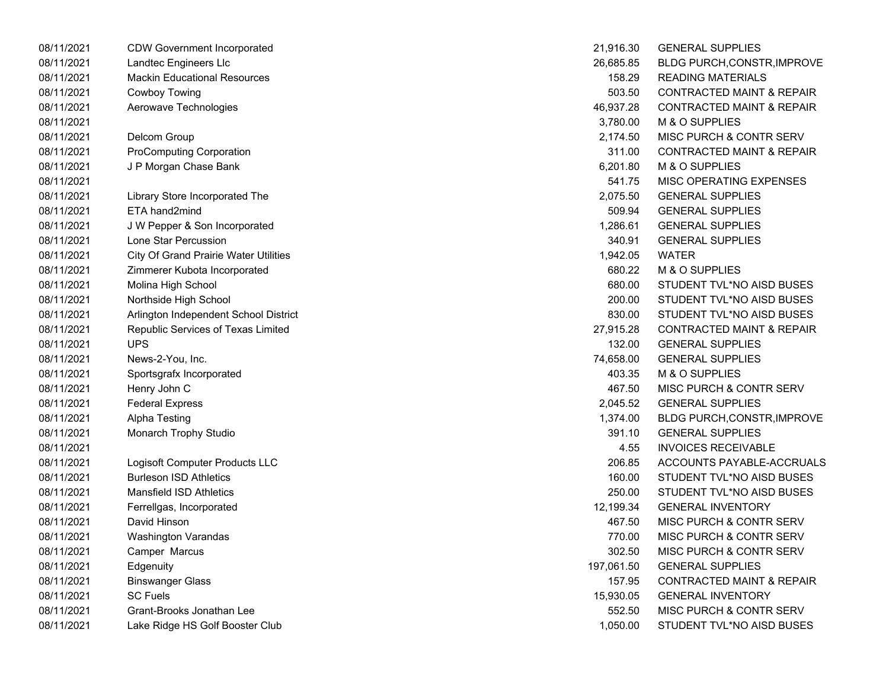| 08/11/2021 | <b>CDW Government Incorporated</b>           | 21,916.30  | <b>GENERAL SUPPLIES</b>              |
|------------|----------------------------------------------|------------|--------------------------------------|
| 08/11/2021 | Landtec Engineers Llc                        | 26,685.85  | BLDG PURCH, CONSTR, IMPROVE          |
| 08/11/2021 | <b>Mackin Educational Resources</b>          | 158.29     | <b>READING MATERIALS</b>             |
| 08/11/2021 | <b>Cowboy Towing</b>                         | 503.50     | <b>CONTRACTED MAINT &amp; REPAIR</b> |
| 08/11/2021 | Aerowave Technologies                        | 46,937.28  | <b>CONTRACTED MAINT &amp; REPAIR</b> |
| 08/11/2021 |                                              | 3,780.00   | M & O SUPPLIES                       |
| 08/11/2021 | Delcom Group                                 | 2,174.50   | MISC PURCH & CONTR SERV              |
| 08/11/2021 | <b>ProComputing Corporation</b>              | 311.00     | <b>CONTRACTED MAINT &amp; REPAIR</b> |
| 08/11/2021 | J P Morgan Chase Bank                        | 6,201.80   | M & O SUPPLIES                       |
| 08/11/2021 |                                              | 541.75     | MISC OPERATING EXPENSES              |
| 08/11/2021 | Library Store Incorporated The               | 2,075.50   | <b>GENERAL SUPPLIES</b>              |
| 08/11/2021 | ETA hand2mind                                | 509.94     | <b>GENERAL SUPPLIES</b>              |
| 08/11/2021 | J W Pepper & Son Incorporated                | 1,286.61   | <b>GENERAL SUPPLIES</b>              |
| 08/11/2021 | Lone Star Percussion                         | 340.91     | <b>GENERAL SUPPLIES</b>              |
| 08/11/2021 | <b>City Of Grand Prairie Water Utilities</b> | 1,942.05   | <b>WATER</b>                         |
| 08/11/2021 | Zimmerer Kubota Incorporated                 | 680.22     | M & O SUPPLIES                       |
| 08/11/2021 | Molina High School                           | 680.00     | STUDENT TVL*NO AISD BUSES            |
| 08/11/2021 | Northside High School                        | 200.00     | STUDENT TVL*NO AISD BUSES            |
| 08/11/2021 | Arlington Independent School District        | 830.00     | STUDENT TVL*NO AISD BUSES            |
| 08/11/2021 | Republic Services of Texas Limited           | 27,915.28  | <b>CONTRACTED MAINT &amp; REPAIR</b> |
| 08/11/2021 | <b>UPS</b>                                   | 132.00     | <b>GENERAL SUPPLIES</b>              |
| 08/11/2021 | News-2-You, Inc.                             | 74,658.00  | <b>GENERAL SUPPLIES</b>              |
| 08/11/2021 | Sportsgrafx Incorporated                     | 403.35     | M & O SUPPLIES                       |
| 08/11/2021 | Henry John C                                 | 467.50     | MISC PURCH & CONTR SERV              |
| 08/11/2021 | <b>Federal Express</b>                       | 2,045.52   | <b>GENERAL SUPPLIES</b>              |
| 08/11/2021 | <b>Alpha Testing</b>                         | 1,374.00   | BLDG PURCH, CONSTR, IMPROVE          |
| 08/11/2021 | Monarch Trophy Studio                        | 391.10     | <b>GENERAL SUPPLIES</b>              |
| 08/11/2021 |                                              | 4.55       | <b>INVOICES RECEIVABLE</b>           |
| 08/11/2021 | Logisoft Computer Products LLC               | 206.85     | ACCOUNTS PAYABLE-ACCRUALS            |
| 08/11/2021 | <b>Burleson ISD Athletics</b>                | 160.00     | STUDENT TVL*NO AISD BUSES            |
| 08/11/2021 | <b>Mansfield ISD Athletics</b>               | 250.00     | STUDENT TVL*NO AISD BUSES            |
| 08/11/2021 | Ferrellgas, Incorporated                     | 12,199.34  | <b>GENERAL INVENTORY</b>             |
| 08/11/2021 | David Hinson                                 | 467.50     | MISC PURCH & CONTR SERV              |
| 08/11/2021 | Washington Varandas                          | 770.00     | MISC PURCH & CONTR SERV              |
| 08/11/2021 | Camper Marcus                                | 302.50     | MISC PURCH & CONTR SERV              |
| 08/11/2021 | Edgenuity                                    | 197,061.50 | <b>GENERAL SUPPLIES</b>              |
| 08/11/2021 | <b>Binswanger Glass</b>                      | 157.95     | <b>CONTRACTED MAINT &amp; REPAIR</b> |
| 08/11/2021 | <b>SC Fuels</b>                              | 15,930.05  | <b>GENERAL INVENTORY</b>             |
| 08/11/2021 | Grant-Brooks Jonathan Lee                    | 552.50     | MISC PURCH & CONTR SERV              |
| 08/11/2021 | Lake Ridge HS Golf Booster Club              | 1,050.00   | STUDENT TVL*NO AISD BUSES            |
|            |                                              |            |                                      |

| 21,916.30  | <b>GENERAL SUPPLIES</b>              |
|------------|--------------------------------------|
| 26,685.85  | BLDG PURCH, CONSTR, IMPROVE          |
| 158.29     | <b>READING MATERIALS</b>             |
| 503.50     | <b>CONTRACTED MAINT &amp; REPAIR</b> |
| 46,937.28  | <b>CONTRACTED MAINT &amp; REPAIR</b> |
| 3,780.00   | <b>M &amp; O SUPPLIES</b>            |
| 2,174.50   | MISC PURCH & CONTR SERV              |
| 311.00     | <b>CONTRACTED MAINT &amp; REPAIR</b> |
| 6,201.80   | M & O SUPPLIES                       |
| 541.75     | <b>MISC OPERATING EXPENSES</b>       |
| 2,075.50   | <b>GENERAL SUPPLIES</b>              |
| 509.94     | <b>GENERAL SUPPLIES</b>              |
| 1,286.61   | <b>GENERAL SUPPLIES</b>              |
| 340.91     | <b>GENERAL SUPPLIES</b>              |
| 1,942.05   | <b>WATER</b>                         |
| 680.22     | <b>M &amp; O SUPPLIES</b>            |
| 680.00     | STUDENT TVL*NO AISD BUSES            |
| 200.00     | STUDENT TVL*NO AISD BUSES            |
| 830.00     | STUDENT TVL*NO AISD BUSES            |
| 27,915.28  | <b>CONTRACTED MAINT &amp; REPAIR</b> |
| 132.00     | <b>GENERAL SUPPLIES</b>              |
| 74,658.00  | <b>GENERAL SUPPLIES</b>              |
| 403.35     | M & O SUPPLIES                       |
| 467.50     | <b>MISC PURCH &amp; CONTR SERV</b>   |
| 2,045.52   | <b>GENERAL SUPPLIES</b>              |
| 1,374.00   | <b>BLDG PURCH, CONSTR, IMPROVE</b>   |
| 391.10     | <b>GENERAL SUPPLIES</b>              |
| 4.55       | <b>INVOICES RECEIVABLE</b>           |
| 206.85     | ACCOUNTS PAYABLE-ACCRUALS            |
| 160.00     | STUDENT TVL*NO AISD BUSES            |
| 250.00     | STUDENT TVL*NO AISD BUSES            |
| 12,199.34  | <b>GENERAL INVENTORY</b>             |
| 467.50     | MISC PURCH & CONTR SERV              |
| 770.00     | MISC PURCH & CONTR SERV              |
| 302.50     | MISC PURCH & CONTR SERV              |
| 197,061.50 | <b>GENERAL SUPPLIES</b>              |
| 157.95     | <b>CONTRACTED MAINT &amp; REPAIR</b> |
| 15,930.05  | <b>GENERAL INVENTORY</b>             |
| 552.50     | <b>MISC PURCH &amp; CONTR SERV</b>   |
| 1.050.00   | STUDENT TVL*NO AISD BUSES            |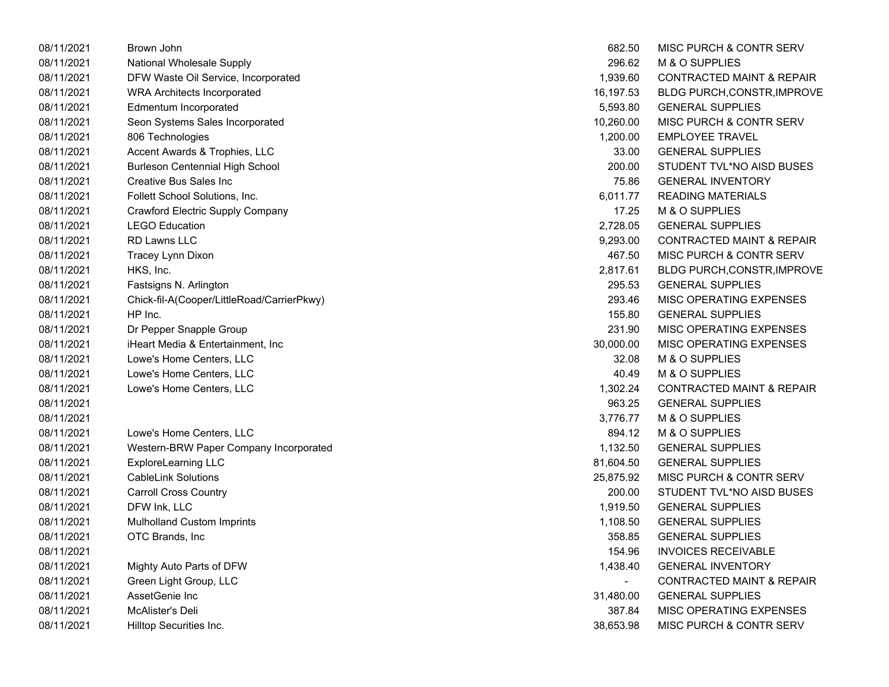| 08/11/2021 | Brown John                                 | 682.50        | MISC PURCH & CONTR SERV              |
|------------|--------------------------------------------|---------------|--------------------------------------|
| 08/11/2021 | National Wholesale Supply                  | 296.62        | M & O SUPPLIES                       |
| 08/11/2021 | DFW Waste Oil Service, Incorporated        | 1,939.60      | <b>CONTRACTED MAINT &amp; REPAIR</b> |
| 08/11/2021 | <b>WRA Architects Incorporated</b>         | 16,197.53     | BLDG PURCH, CONSTR, IMPROVE          |
| 08/11/2021 | Edmentum Incorporated                      | 5,593.80      | <b>GENERAL SUPPLIES</b>              |
| 08/11/2021 | Seon Systems Sales Incorporated            | 10,260.00     | <b>MISC PURCH &amp; CONTR SERV</b>   |
| 08/11/2021 | 806 Technologies                           | 1,200.00      | <b>EMPLOYEE TRAVEL</b>               |
| 08/11/2021 | Accent Awards & Trophies, LLC              | 33.00         | <b>GENERAL SUPPLIES</b>              |
| 08/11/2021 | <b>Burleson Centennial High School</b>     | 200.00        | STUDENT TVL*NO AISD BUSES            |
| 08/11/2021 | Creative Bus Sales Inc                     | 75.86         | <b>GENERAL INVENTORY</b>             |
| 08/11/2021 | Follett School Solutions, Inc.             | 6,011.77      | <b>READING MATERIALS</b>             |
| 08/11/2021 | Crawford Electric Supply Company           | 17.25         | M & O SUPPLIES                       |
| 08/11/2021 | <b>LEGO Education</b>                      | 2,728.05      | <b>GENERAL SUPPLIES</b>              |
| 08/11/2021 | RD Lawns LLC                               | 9,293.00      | <b>CONTRACTED MAINT &amp; REPAIR</b> |
| 08/11/2021 | Tracey Lynn Dixon                          | 467.50        | <b>MISC PURCH &amp; CONTR SERV</b>   |
| 08/11/2021 | HKS, Inc.                                  | 2,817.61      | BLDG PURCH, CONSTR, IMPROVE          |
| 08/11/2021 | Fastsigns N. Arlington                     | 295.53        | <b>GENERAL SUPPLIES</b>              |
| 08/11/2021 | Chick-fil-A(Cooper/LittleRoad/CarrierPkwy) | 293.46        | <b>MISC OPERATING EXPENSES</b>       |
| 08/11/2021 | HP Inc.                                    | 155.80        | <b>GENERAL SUPPLIES</b>              |
| 08/11/2021 | Dr Pepper Snapple Group                    | 231.90        | MISC OPERATING EXPENSES              |
| 08/11/2021 | iHeart Media & Entertainment, Inc.         | 30,000.00     | MISC OPERATING EXPENSES              |
| 08/11/2021 | Lowe's Home Centers, LLC                   | 32.08         | M & O SUPPLIES                       |
| 08/11/2021 | Lowe's Home Centers, LLC                   | 40.49         | M & O SUPPLIES                       |
| 08/11/2021 | Lowe's Home Centers, LLC                   | 1,302.24      | <b>CONTRACTED MAINT &amp; REPAIR</b> |
| 08/11/2021 |                                            | 963.25        | <b>GENERAL SUPPLIES</b>              |
| 08/11/2021 |                                            | 3,776.77      | M & O SUPPLIES                       |
| 08/11/2021 | Lowe's Home Centers, LLC                   | 894.12        | M & O SUPPLIES                       |
| 08/11/2021 | Western-BRW Paper Company Incorporated     | 1,132.50      | <b>GENERAL SUPPLIES</b>              |
| 08/11/2021 | <b>ExploreLearning LLC</b>                 | 81,604.50     | <b>GENERAL SUPPLIES</b>              |
| 08/11/2021 | <b>CableLink Solutions</b>                 | 25,875.92     | <b>MISC PURCH &amp; CONTR SERV</b>   |
| 08/11/2021 | <b>Carroll Cross Country</b>               | 200.00        | STUDENT TVL*NO AISD BUSES            |
| 08/11/2021 | DFW Ink, LLC                               | 1,919.50      | <b>GENERAL SUPPLIES</b>              |
| 08/11/2021 | <b>Mulholland Custom Imprints</b>          | 1,108.50      | <b>GENERAL SUPPLIES</b>              |
| 08/11/2021 | OTC Brands, Inc                            | 358.85        | <b>GENERAL SUPPLIES</b>              |
| 08/11/2021 |                                            | 154.96        | <b>INVOICES RECEIVABLE</b>           |
| 08/11/2021 | Mighty Auto Parts of DFW                   | 1,438.40      | <b>GENERAL INVENTORY</b>             |
| 08/11/2021 | Green Light Group, LLC                     | $\frac{1}{2}$ | <b>CONTRACTED MAINT &amp; REPAIR</b> |
| 08/11/2021 | AssetGenie Inc                             | 31,480.00     | <b>GENERAL SUPPLIES</b>              |
| 08/11/2021 | McAlister's Deli                           | 387.84        | MISC OPERATING EXPENSES              |
| 08/11/2021 | Hilltop Securities Inc.                    | 38,653.98     | <b>MISC PURCH &amp; CONTR SERV</b>   |

| 682.50    | MISC PURCH & CONTR SERV              |
|-----------|--------------------------------------|
| 296.62    | <b>M &amp; O SUPPLIES</b>            |
| 1,939.60  | <b>CONTRACTED MAINT &amp; REPAIR</b> |
| 16,197.53 | BLDG PURCH, CONSTR, IMPROVE          |
| 5,593.80  | <b>GENERAL SUPPLIES</b>              |
| 10,260.00 | <b>MISC PURCH &amp; CONTR SERV</b>   |
| 1,200.00  | <b>EMPLOYEE TRAVEL</b>               |
|           | 33.00 GENERAL SUPPLIES               |
| 200.00    | STUDENT TVL*NO AISD BUSES            |
| 75.86     | <b>GENERAL INVENTORY</b>             |
| 6,011.77  | <b>READING MATERIALS</b>             |
| 17.25     | M & O SUPPLIES                       |
| 2,728.05  | <b>GENERAL SUPPLIES</b>              |
| 9,293.00  | <b>CONTRACTED MAINT &amp; REPAIR</b> |
| 467.50    | <b>MISC PURCH &amp; CONTR SERV</b>   |
| 2,817.61  | BLDG PURCH, CONSTR, IMPROVE          |
| 295.53    | <b>GENERAL SUPPLIES</b>              |
| 293.46    | <b>MISC OPERATING EXPENSES</b>       |
| 155.80    | <b>GENERAL SUPPLIES</b>              |
| 231.90    | <b>MISC OPERATING EXPENSES</b>       |
| 30,000.00 | MISC OPERATING EXPENSES              |
| 32.08     | <b>M &amp; O SUPPLIES</b>            |
| 40.49     | <b>M &amp; O SUPPLIES</b>            |
| 1,302.24  | <b>CONTRACTED MAINT &amp; REPAIR</b> |
| 963.25    | <b>GENERAL SUPPLIES</b>              |
| 3,776.77  | <b>M &amp; O SUPPLIES</b>            |
| 894.12    | M & O SUPPLIES                       |
| 1,132.50  | <b>GENERAL SUPPLIES</b>              |
| 81,604.50 | <b>GENERAL SUPPLIES</b>              |
| 25,875.92 | <b>MISC PURCH &amp; CONTR SERV</b>   |
| 200.00    | STUDENT TVL*NO AISD BUSES            |
| 1,919.50  | <b>GENERAL SUPPLIES</b>              |
| 1,108.50  | <b>GENERAL SUPPLIES</b>              |
| 358.85    | <b>GENERAL SUPPLIES</b>              |
| 154.96    | <b>INVOICES RECEIVABLE</b>           |
| 1,438.40  | <b>GENERAL INVENTORY</b>             |
|           | <b>CONTRACTED MAINT &amp; REPAIR</b> |
| 31,480.00 | <b>GENERAL SUPPLIES</b>              |
| 387.84    | <b>MISC OPERATING EXPENSES</b>       |
| 38,653.98 | MISC PURCH & CONTR SERV              |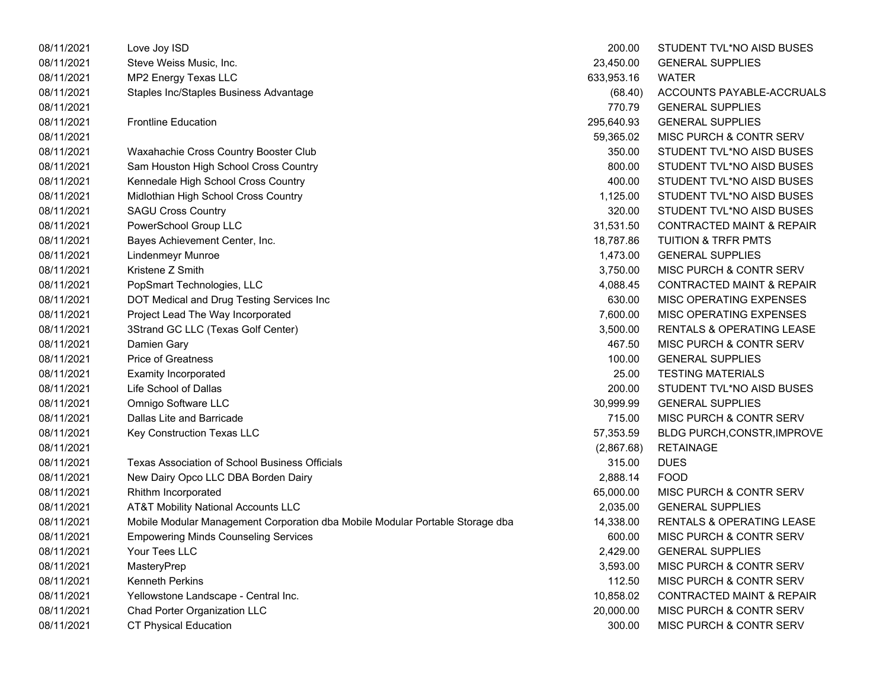| 08/11/2021 | Love Joy ISD                                                                  | 200.00     | STUDENT TVL*NO AISD BUSES            |
|------------|-------------------------------------------------------------------------------|------------|--------------------------------------|
| 08/11/2021 | Steve Weiss Music, Inc.                                                       | 23,450.00  | <b>GENERAL SUPPLIES</b>              |
| 08/11/2021 | MP2 Energy Texas LLC                                                          | 633,953.16 | <b>WATER</b>                         |
| 08/11/2021 | Staples Inc/Staples Business Advantage                                        | (68.40)    | ACCOUNTS PAYABLE-ACCRUALS            |
| 08/11/2021 |                                                                               | 770.79     | <b>GENERAL SUPPLIES</b>              |
| 08/11/2021 | <b>Frontline Education</b>                                                    | 295,640.93 | <b>GENERAL SUPPLIES</b>              |
| 08/11/2021 |                                                                               | 59,365.02  | MISC PURCH & CONTR SERV              |
| 08/11/2021 | Waxahachie Cross Country Booster Club                                         | 350.00     | STUDENT TVL*NO AISD BUSES            |
| 08/11/2021 | Sam Houston High School Cross Country                                         | 800.00     | STUDENT TVL*NO AISD BUSES            |
| 08/11/2021 | Kennedale High School Cross Country                                           | 400.00     | STUDENT TVL*NO AISD BUSES            |
| 08/11/2021 | Midlothian High School Cross Country                                          | 1,125.00   | STUDENT TVL*NO AISD BUSES            |
| 08/11/2021 | <b>SAGU Cross Country</b>                                                     | 320.00     | STUDENT TVL*NO AISD BUSES            |
| 08/11/2021 | PowerSchool Group LLC                                                         | 31,531.50  | <b>CONTRACTED MAINT &amp; REPAIR</b> |
| 08/11/2021 | Bayes Achievement Center, Inc.                                                | 18,787.86  | <b>TUITION &amp; TRFR PMTS</b>       |
| 08/11/2021 | Lindenmeyr Munroe                                                             | 1,473.00   | <b>GENERAL SUPPLIES</b>              |
| 08/11/2021 | Kristene Z Smith                                                              | 3,750.00   | MISC PURCH & CONTR SERV              |
| 08/11/2021 | PopSmart Technologies, LLC                                                    | 4,088.45   | <b>CONTRACTED MAINT &amp; REPAIR</b> |
| 08/11/2021 | DOT Medical and Drug Testing Services Inc                                     | 630.00     | MISC OPERATING EXPENSES              |
| 08/11/2021 | Project Lead The Way Incorporated                                             | 7,600.00   | MISC OPERATING EXPENSES              |
| 08/11/2021 | 3Strand GC LLC (Texas Golf Center)                                            | 3,500.00   | RENTALS & OPERATING LEASE            |
| 08/11/2021 | Damien Gary                                                                   | 467.50     | <b>MISC PURCH &amp; CONTR SERV</b>   |
| 08/11/2021 | <b>Price of Greatness</b>                                                     | 100.00     | <b>GENERAL SUPPLIES</b>              |
| 08/11/2021 | <b>Examity Incorporated</b>                                                   | 25.00      | <b>TESTING MATERIALS</b>             |
| 08/11/2021 | Life School of Dallas                                                         | 200.00     | STUDENT TVL*NO AISD BUSES            |
| 08/11/2021 | Omnigo Software LLC                                                           | 30,999.99  | <b>GENERAL SUPPLIES</b>              |
| 08/11/2021 | Dallas Lite and Barricade                                                     | 715.00     | MISC PURCH & CONTR SERV              |
| 08/11/2021 | Key Construction Texas LLC                                                    | 57,353.59  | BLDG PURCH, CONSTR, IMPROVE          |
| 08/11/2021 |                                                                               | (2,867.68) | <b>RETAINAGE</b>                     |
| 08/11/2021 | <b>Texas Association of School Business Officials</b>                         | 315.00     | <b>DUES</b>                          |
| 08/11/2021 | New Dairy Opco LLC DBA Borden Dairy                                           | 2,888.14   | <b>FOOD</b>                          |
| 08/11/2021 | Rhithm Incorporated                                                           | 65,000.00  | MISC PURCH & CONTR SERV              |
| 08/11/2021 | AT&T Mobility National Accounts LLC                                           | 2,035.00   | <b>GENERAL SUPPLIES</b>              |
| 08/11/2021 | Mobile Modular Management Corporation dba Mobile Modular Portable Storage dba | 14,338.00  | <b>RENTALS &amp; OPERATING LEASE</b> |
| 08/11/2021 | <b>Empowering Minds Counseling Services</b>                                   | 600.00     | <b>MISC PURCH &amp; CONTR SERV</b>   |
| 08/11/2021 | Your Tees LLC                                                                 | 2,429.00   | <b>GENERAL SUPPLIES</b>              |
| 08/11/2021 | MasteryPrep                                                                   | 3,593.00   | MISC PURCH & CONTR SERV              |
| 08/11/2021 | Kenneth Perkins                                                               | 112.50     | MISC PURCH & CONTR SERV              |
| 08/11/2021 | Yellowstone Landscape - Central Inc.                                          | 10,858.02  | <b>CONTRACTED MAINT &amp; REPAIR</b> |
| 08/11/2021 | Chad Porter Organization LLC                                                  | 20,000.00  | MISC PURCH & CONTR SERV              |
| 08/11/2021 | <b>CT Physical Education</b>                                                  | 300.00     | MISC PURCH & CONTR SERV              |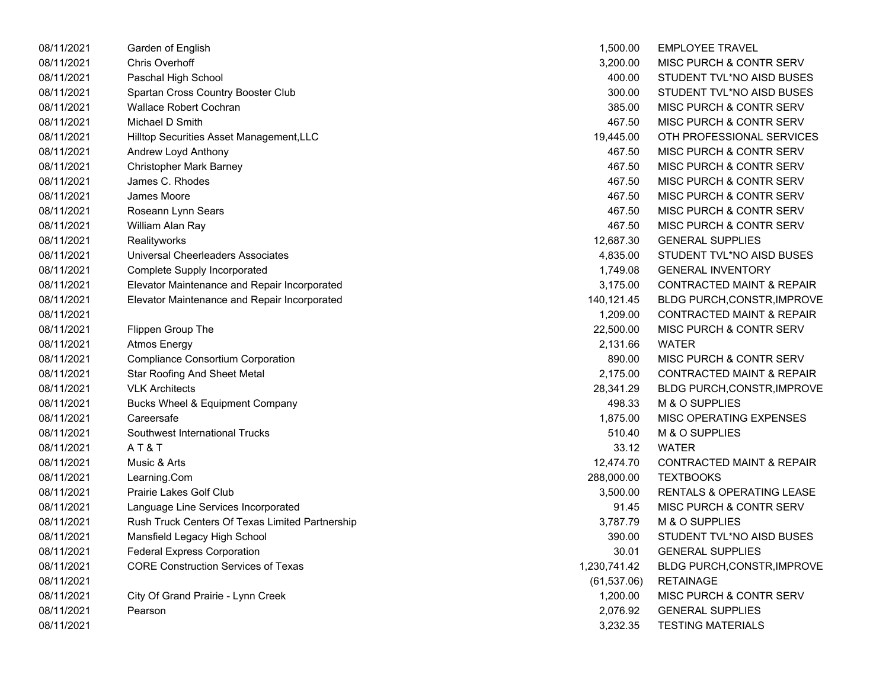| 08/11/2021 | Garden of English                               | 1,500.00     | <b>EMPLOYEE TRAVEL</b>               |
|------------|-------------------------------------------------|--------------|--------------------------------------|
| 08/11/2021 | <b>Chris Overhoff</b>                           | 3,200.00     | <b>MISC PURCH &amp; CONTR SERV</b>   |
| 08/11/2021 | Paschal High School                             | 400.00       | STUDENT TVL*NO AISD BUSES            |
| 08/11/2021 | Spartan Cross Country Booster Club              | 300.00       | STUDENT TVL*NO AISD BUSES            |
| 08/11/2021 | <b>Wallace Robert Cochran</b>                   | 385.00       | <b>MISC PURCH &amp; CONTR SERV</b>   |
| 08/11/2021 | Michael D Smith                                 | 467.50       | <b>MISC PURCH &amp; CONTR SERV</b>   |
| 08/11/2021 | Hilltop Securities Asset Management, LLC        | 19,445.00    | OTH PROFESSIONAL SERVICES            |
| 08/11/2021 | Andrew Loyd Anthony                             | 467.50       | <b>MISC PURCH &amp; CONTR SERV</b>   |
| 08/11/2021 | <b>Christopher Mark Barney</b>                  | 467.50       | <b>MISC PURCH &amp; CONTR SERV</b>   |
| 08/11/2021 | James C. Rhodes                                 | 467.50       | <b>MISC PURCH &amp; CONTR SERV</b>   |
| 08/11/2021 | James Moore                                     | 467.50       | <b>MISC PURCH &amp; CONTR SERV</b>   |
| 08/11/2021 | Roseann Lynn Sears                              | 467.50       | <b>MISC PURCH &amp; CONTR SERV</b>   |
| 08/11/2021 | William Alan Ray                                | 467.50       | <b>MISC PURCH &amp; CONTR SERV</b>   |
| 08/11/2021 | Realityworks                                    | 12,687.30    | <b>GENERAL SUPPLIES</b>              |
| 08/11/2021 | Universal Cheerleaders Associates               | 4,835.00     | STUDENT TVL*NO AISD BUSES            |
| 08/11/2021 | Complete Supply Incorporated                    | 1,749.08     | <b>GENERAL INVENTORY</b>             |
| 08/11/2021 | Elevator Maintenance and Repair Incorporated    | 3,175.00     | <b>CONTRACTED MAINT &amp; REPAIR</b> |
| 08/11/2021 | Elevator Maintenance and Repair Incorporated    | 140,121.45   | BLDG PURCH, CONSTR, IMPROVE          |
| 08/11/2021 |                                                 | 1,209.00     | <b>CONTRACTED MAINT &amp; REPAIR</b> |
| 08/11/2021 | Flippen Group The                               | 22,500.00    | <b>MISC PURCH &amp; CONTR SERV</b>   |
| 08/11/2021 | <b>Atmos Energy</b>                             | 2,131.66     | <b>WATER</b>                         |
| 08/11/2021 | <b>Compliance Consortium Corporation</b>        | 890.00       | <b>MISC PURCH &amp; CONTR SERV</b>   |
| 08/11/2021 | <b>Star Roofing And Sheet Metal</b>             | 2,175.00     | <b>CONTRACTED MAINT &amp; REPAIR</b> |
| 08/11/2021 | <b>VLK Architects</b>                           | 28,341.29    | BLDG PURCH, CONSTR, IMPROVE          |
| 08/11/2021 | Bucks Wheel & Equipment Company                 | 498.33       | M & O SUPPLIES                       |
| 08/11/2021 | Careersafe                                      | 1,875.00     | MISC OPERATING EXPENSES              |
| 08/11/2021 | Southwest International Trucks                  | 510.40       | M & O SUPPLIES                       |
| 08/11/2021 | AT&T                                            | 33.12        | <b>WATER</b>                         |
| 08/11/2021 | Music & Arts                                    | 12,474.70    | <b>CONTRACTED MAINT &amp; REPAIR</b> |
| 08/11/2021 | Learning.Com                                    | 288,000.00   | <b>TEXTBOOKS</b>                     |
| 08/11/2021 | <b>Prairie Lakes Golf Club</b>                  | 3,500.00     | <b>RENTALS &amp; OPERATING LEASE</b> |
| 08/11/2021 | Language Line Services Incorporated             | 91.45        | <b>MISC PURCH &amp; CONTR SERV</b>   |
| 08/11/2021 | Rush Truck Centers Of Texas Limited Partnership | 3,787.79     | M & O SUPPLIES                       |
| 08/11/2021 | Mansfield Legacy High School                    | 390.00       | STUDENT TVL*NO AISD BUSES            |
| 08/11/2021 | <b>Federal Express Corporation</b>              | 30.01        | <b>GENERAL SUPPLIES</b>              |
| 08/11/2021 | <b>CORE Construction Services of Texas</b>      | 1,230,741.42 | <b>BLDG PURCH, CONSTR, IMPROVE</b>   |
| 08/11/2021 |                                                 | (61, 537.06) | <b>RETAINAGE</b>                     |
| 08/11/2021 | City Of Grand Prairie - Lynn Creek              | 1,200.00     | MISC PURCH & CONTR SERV              |
| 08/11/2021 | Pearson                                         | 2,076.92     | <b>GENERAL SUPPLIES</b>              |
| 08/11/2021 |                                                 | 3.232.35     | <b>TESTING MATERIALS</b>             |

| 1,500.00     | EMPLOYEE TRAVEL                      |
|--------------|--------------------------------------|
| 3.200.00     | <b>MISC PURCH &amp; CONTR SERV</b>   |
| 400.00       | STUDENT TVL*NO AISD BUSES            |
| 300.00       | STUDENT TVL*NO AISD BUSES            |
| 385.00       | <b>MISC PURCH &amp; CONTR SERV</b>   |
| 467.50       | <b>MISC PURCH &amp; CONTR SERV</b>   |
| 19,445.00    | OTH PROFESSIONAL SERVICES            |
| 467.50       | <b>MISC PURCH &amp; CONTR SERV</b>   |
| 467.50       | <b>MISC PURCH &amp; CONTR SERV</b>   |
| 467.50       | <b>MISC PURCH &amp; CONTR SERV</b>   |
| 467.50       | MISC PURCH & CONTR SERV              |
| 467.50       | <b>MISC PURCH &amp; CONTR SERV</b>   |
| 467.50       | <b>MISC PURCH &amp; CONTR SERV</b>   |
| 12,687.30    | <b>GENERAL SUPPLIES</b>              |
| 4,835.00     | STUDENT TVL*NO AISD BUSES            |
| 1,749.08     | <b>GENERAL INVENTORY</b>             |
| 3,175.00     | <b>CONTRACTED MAINT &amp; REPAIR</b> |
| 140,121.45   | BLDG PURCH, CONSTR, IMPROVE          |
| 1,209.00     | <b>CONTRACTED MAINT &amp; REPAIR</b> |
| 22,500.00    | <b>MISC PURCH &amp; CONTR SERV</b>   |
| 2,131.66     | WATER                                |
| 890.00       | <b>MISC PURCH &amp; CONTR SERV</b>   |
| 2,175.00     | <b>CONTRACTED MAINT &amp; REPAIR</b> |
| 28,341.29    | BLDG PURCH, CONSTR, IMPROVE          |
| 498.33       | <b>M &amp; O SUPPLIES</b>            |
| 1,875.00     | <b>MISC OPERATING EXPENSES</b>       |
| 510.40       | M & O SUPPLIES                       |
| 33.12        | WATER                                |
| 12,474.70    | <b>CONTRACTED MAINT &amp; REPAIR</b> |
| 288,000.00   | <b>TEXTBOOKS</b>                     |
| 3,500.00     | <b>RENTALS &amp; OPERATING LEASE</b> |
| 91.45        | <b>MISC PURCH &amp; CONTR SERV</b>   |
| 3,787.79     | <b>M &amp; O SUPPLIES</b>            |
| 390.00       | STUDENT TVL*NO AISD BUSES            |
| 30.01        | <b>GENERAL SUPPLIES</b>              |
| ,230,741.42  | BLDG PURCH, CONSTR, IMPROVE          |
| (61, 537.06) | <b>RETAINAGE</b>                     |
| 1,200.00     | <b>MISC PURCH &amp; CONTR SERV</b>   |
| 2,076.92     | <b>GENERAL SUPPLIES</b>              |
| 3,232.35     | <b>TESTING MATERIALS</b>             |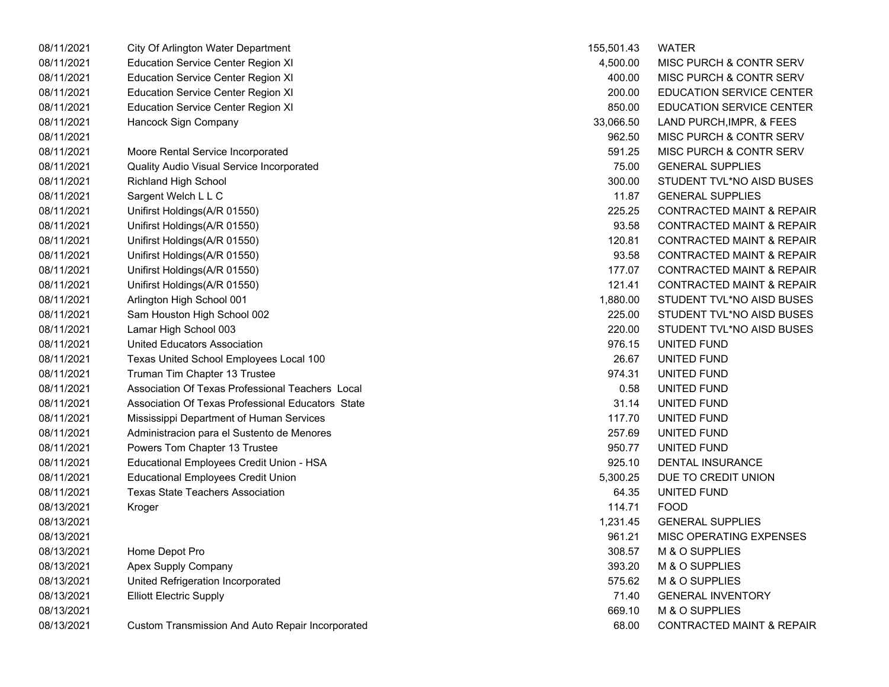| 08/11/2021 | City Of Arlington Water Department                | 155,501.43 | <b>WATER</b>                         |
|------------|---------------------------------------------------|------------|--------------------------------------|
| 08/11/2021 | <b>Education Service Center Region XI</b>         | 4,500.00   | MISC PURCH & CONTR SERV              |
| 08/11/2021 | <b>Education Service Center Region XI</b>         | 400.00     | MISC PURCH & CONTR SERV              |
| 08/11/2021 | <b>Education Service Center Region XI</b>         | 200.00     | EDUCATION SERVICE CENTER             |
| 08/11/2021 | <b>Education Service Center Region XI</b>         | 850.00     | EDUCATION SERVICE CENTER             |
| 08/11/2021 | Hancock Sign Company                              | 33,066.50  | LAND PURCH, IMPR, & FEES             |
| 08/11/2021 |                                                   | 962.50     | MISC PURCH & CONTR SERV              |
| 08/11/2021 | Moore Rental Service Incorporated                 | 591.25     | MISC PURCH & CONTR SERV              |
| 08/11/2021 | Quality Audio Visual Service Incorporated         | 75.00      | <b>GENERAL SUPPLIES</b>              |
| 08/11/2021 | Richland High School                              | 300.00     | STUDENT TVL*NO AISD BUSES            |
| 08/11/2021 | Sargent Welch L L C                               | 11.87      | <b>GENERAL SUPPLIES</b>              |
| 08/11/2021 | Unifirst Holdings(A/R 01550)                      | 225.25     | <b>CONTRACTED MAINT &amp; REPAIR</b> |
| 08/11/2021 | Unifirst Holdings(A/R 01550)                      | 93.58      | <b>CONTRACTED MAINT &amp; REPAIR</b> |
| 08/11/2021 | Unifirst Holdings(A/R 01550)                      | 120.81     | <b>CONTRACTED MAINT &amp; REPAIR</b> |
| 08/11/2021 | Unifirst Holdings(A/R 01550)                      | 93.58      | <b>CONTRACTED MAINT &amp; REPAIR</b> |
| 08/11/2021 | Unifirst Holdings(A/R 01550)                      | 177.07     | <b>CONTRACTED MAINT &amp; REPAIR</b> |
| 08/11/2021 | Unifirst Holdings(A/R 01550)                      | 121.41     | <b>CONTRACTED MAINT &amp; REPAIR</b> |
| 08/11/2021 | Arlington High School 001                         | 1,880.00   | STUDENT TVL*NO AISD BUSES            |
| 08/11/2021 | Sam Houston High School 002                       | 225.00     | STUDENT TVL*NO AISD BUSES            |
| 08/11/2021 | Lamar High School 003                             | 220.00     | STUDENT TVL*NO AISD BUSES            |
| 08/11/2021 | United Educators Association                      | 976.15     | UNITED FUND                          |
| 08/11/2021 | Texas United School Employees Local 100           | 26.67      | UNITED FUND                          |
| 08/11/2021 | Truman Tim Chapter 13 Trustee                     | 974.31     | UNITED FUND                          |
| 08/11/2021 | Association Of Texas Professional Teachers Local  | 0.58       | UNITED FUND                          |
| 08/11/2021 | Association Of Texas Professional Educators State | 31.14      | UNITED FUND                          |
| 08/11/2021 | Mississippi Department of Human Services          | 117.70     | UNITED FUND                          |
| 08/11/2021 | Administracion para el Sustento de Menores        | 257.69     | UNITED FUND                          |
| 08/11/2021 | Powers Tom Chapter 13 Trustee                     | 950.77     | UNITED FUND                          |
| 08/11/2021 | Educational Employees Credit Union - HSA          | 925.10     | DENTAL INSURANCE                     |
| 08/11/2021 | <b>Educational Employees Credit Union</b>         | 5,300.25   | DUE TO CREDIT UNION                  |
| 08/11/2021 | <b>Texas State Teachers Association</b>           | 64.35      | UNITED FUND                          |
| 08/13/2021 | Kroger                                            | 114.71     | <b>FOOD</b>                          |
| 08/13/2021 |                                                   | 1,231.45   | <b>GENERAL SUPPLIES</b>              |
| 08/13/2021 |                                                   | 961.21     | MISC OPERATING EXPENSES              |
| 08/13/2021 | Home Depot Pro                                    | 308.57     | M & O SUPPLIES                       |
| 08/13/2021 | Apex Supply Company                               | 393.20     | M & O SUPPLIES                       |
| 08/13/2021 | United Refrigeration Incorporated                 | 575.62     | M & O SUPPLIES                       |
| 08/13/2021 | <b>Elliott Electric Supply</b>                    | 71.40      | <b>GENERAL INVENTORY</b>             |
| 08/13/2021 |                                                   | 669.10     | M & O SUPPLIES                       |
| 08/13/2021 | Custom Transmission And Auto Repair Incorporated  | 68.00      | <b>CONTRACTED MAINT &amp; REPAIR</b> |

| 155,501.43 | <b>WATER</b>                         |
|------------|--------------------------------------|
| 4,500.00   | MISC PURCH & CONTR SERV              |
| 400.00     | MISC PURCH & CONTR SERV              |
| 200.00     | <b>EDUCATION SERVICE CENTER</b>      |
| 850.00     | <b>EDUCATION SERVICE CENTER</b>      |
| 33,066.50  | LAND PURCH, IMPR, & FEES             |
| 962.50     | MISC PURCH & CONTR SERV              |
| 591.25     | MISC PURCH & CONTR SERV              |
| 75.00      | <b>GENERAL SUPPLIES</b>              |
| 300.00     | STUDENT TVL*NO AISD BUSES            |
| 11.87      | <b>GENERAL SUPPLIES</b>              |
| 225.25     | <b>CONTRACTED MAINT &amp; REPAIR</b> |
| 93.58      | <b>CONTRACTED MAINT &amp; REPAIR</b> |
| 120.81     | <b>CONTRACTED MAINT &amp; REPAIR</b> |
| 93.58      | <b>CONTRACTED MAINT &amp; REPAIR</b> |
| 177.07     | <b>CONTRACTED MAINT &amp; REPAIR</b> |
| 121.41     | <b>CONTRACTED MAINT &amp; REPAIR</b> |
| 1.880.00   | STUDENT TVL*NO AISD BUSES            |
| 225.00     | STUDENT TVL*NO AISD BUSES            |
| 220.00     | STUDENT TVL*NO AISD BUSES            |
| 976.15     | UNITED FUND                          |
| 26.67      | UNITED FUND                          |
| 974.31     | UNITED FUND                          |
| 0.58       | UNITED FUND                          |
| 31.14      | UNITED FUND                          |
| 117.70     | UNITED FUND                          |
| 257.69     | UNITED FUND                          |
| 950.77     | UNITED FUND                          |
| 925.10     | <b>DENTAL INSURANCE</b>              |
| 5,300.25   | DUE TO CREDIT UNION                  |
| 64.35      | UNITED FUND                          |
| 114.71     | <b>FOOD</b>                          |
| 1,231.45   | <b>GENERAL SUPPLIES</b>              |
| 961.21     | <b>MISC OPERATING EXPENSES</b>       |
| 308.57     | M & O SUPPLIES                       |
| 393.20     | M & O SUPPLIES                       |
| 575.62     | M & O SUPPLIES                       |
| 71.40      | <b>GENERAL INVENTORY</b>             |
| 669.10     | M & O SUPPLIES                       |
| 68.00      | <b>CONTRACTED MAINT &amp; REPAIR</b> |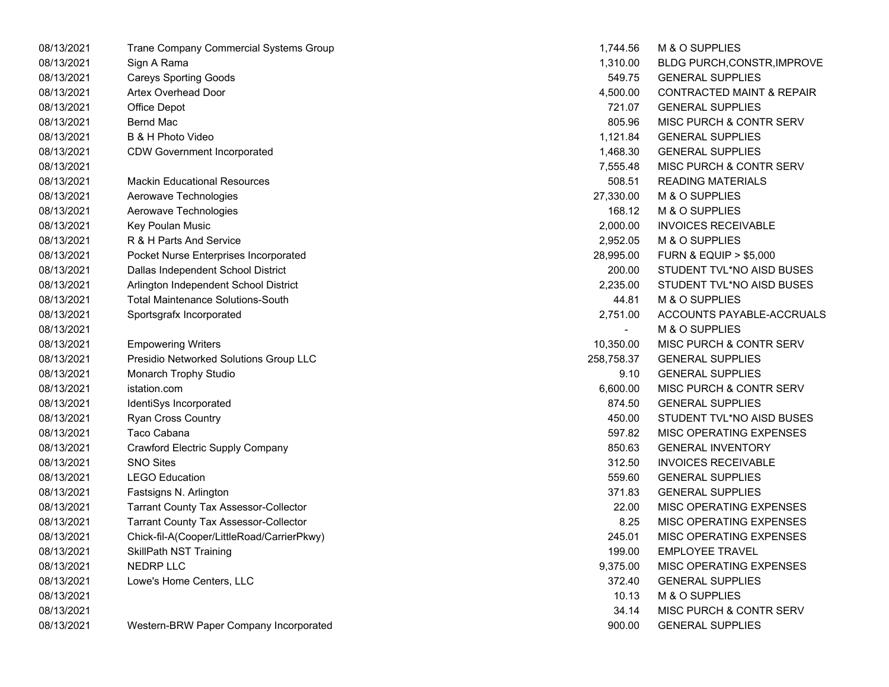| 08/13/2021 | Trane Company Commercial Systems Group       | 1.744.56       | M & O SUPPLIES                       |
|------------|----------------------------------------------|----------------|--------------------------------------|
| 08/13/2021 | Sign A Rama                                  | 1,310.00       | <b>BLDG PURCH, CONSTR, IMPROVE</b>   |
| 08/13/2021 | <b>Careys Sporting Goods</b>                 | 549.75         | <b>GENERAL SUPPLIES</b>              |
| 08/13/2021 | <b>Artex Overhead Door</b>                   | 4,500.00       | <b>CONTRACTED MAINT &amp; REPAIR</b> |
| 08/13/2021 | Office Depot                                 | 721.07         | <b>GENERAL SUPPLIES</b>              |
| 08/13/2021 | <b>Bernd Mac</b>                             | 805.96         | MISC PURCH & CONTR SERV              |
| 08/13/2021 | B & H Photo Video                            | 1,121.84       | <b>GENERAL SUPPLIES</b>              |
| 08/13/2021 | <b>CDW Government Incorporated</b>           | 1,468.30       | <b>GENERAL SUPPLIES</b>              |
| 08/13/2021 |                                              | 7,555.48       | MISC PURCH & CONTR SERV              |
| 08/13/2021 | <b>Mackin Educational Resources</b>          | 508.51         | <b>READING MATERIALS</b>             |
| 08/13/2021 | Aerowave Technologies                        | 27,330.00      | M & O SUPPLIES                       |
| 08/13/2021 | Aerowave Technologies                        | 168.12         | M & O SUPPLIES                       |
| 08/13/2021 | Key Poulan Music                             | 2,000.00       | <b>INVOICES RECEIVABLE</b>           |
| 08/13/2021 | R & H Parts And Service                      | 2,952.05       | M & O SUPPLIES                       |
| 08/13/2021 | Pocket Nurse Enterprises Incorporated        | 28,995.00      | <b>FURN &amp; EQUIP &gt; \$5,000</b> |
| 08/13/2021 | Dallas Independent School District           | 200.00         | STUDENT TVL*NO AISD BUSES            |
| 08/13/2021 | Arlington Independent School District        | 2,235.00       | STUDENT TVL*NO AISD BUSES            |
| 08/13/2021 | <b>Total Maintenance Solutions-South</b>     | 44.81          | M & O SUPPLIES                       |
| 08/13/2021 | Sportsgrafx Incorporated                     | 2,751.00       | ACCOUNTS PAYABLE-ACCRUALS            |
| 08/13/2021 |                                              | $\blacksquare$ | M & O SUPPLIES                       |
| 08/13/2021 | <b>Empowering Writers</b>                    | 10,350.00      | MISC PURCH & CONTR SERV              |
| 08/13/2021 | Presidio Networked Solutions Group LLC       | 258,758.37     | <b>GENERAL SUPPLIES</b>              |
| 08/13/2021 | Monarch Trophy Studio                        | 9.10           | <b>GENERAL SUPPLIES</b>              |
| 08/13/2021 | istation.com                                 | 6,600.00       | MISC PURCH & CONTR SERV              |
| 08/13/2021 | IdentiSys Incorporated                       | 874.50         | <b>GENERAL SUPPLIES</b>              |
| 08/13/2021 | Ryan Cross Country                           | 450.00         | STUDENT TVL*NO AISD BUSES            |
| 08/13/2021 | Taco Cabana                                  | 597.82         | MISC OPERATING EXPENSES              |
| 08/13/2021 | Crawford Electric Supply Company             | 850.63         | <b>GENERAL INVENTORY</b>             |
| 08/13/2021 | <b>SNO Sites</b>                             | 312.50         | <b>INVOICES RECEIVABLE</b>           |
| 08/13/2021 | <b>LEGO Education</b>                        | 559.60         | <b>GENERAL SUPPLIES</b>              |
| 08/13/2021 | Fastsigns N. Arlington                       | 371.83         | <b>GENERAL SUPPLIES</b>              |
| 08/13/2021 | <b>Tarrant County Tax Assessor-Collector</b> | 22.00          | MISC OPERATING EXPENSES              |
| 08/13/2021 | <b>Tarrant County Tax Assessor-Collector</b> | 8.25           | MISC OPERATING EXPENSES              |
| 08/13/2021 | Chick-fil-A(Cooper/LittleRoad/CarrierPkwy)   | 245.01         | MISC OPERATING EXPENSES              |
| 08/13/2021 | <b>SkillPath NST Training</b>                | 199.00         | <b>EMPLOYEE TRAVEL</b>               |
| 08/13/2021 | <b>NEDRP LLC</b>                             | 9,375.00       | MISC OPERATING EXPENSES              |
| 08/13/2021 | Lowe's Home Centers, LLC                     | 372.40         | <b>GENERAL SUPPLIES</b>              |
| 08/13/2021 |                                              | 10.13          | M & O SUPPLIES                       |
| 08/13/2021 |                                              | 34.14          | MISC PURCH & CONTR SERV              |
| 08/13/2021 | Western-BRW Paper Company Incorporated       | 900.00         | <b>GENERAL SUPPLIES</b>              |
|            |                                              |                |                                      |

| 1,744.56   | M & O SUPPLIES                       |
|------------|--------------------------------------|
| 1,310.00   | BLDG PURCH, CONSTR, IMPROVE          |
| 549.75     | <b>GENERAL SUPPLIES</b>              |
| 4,500.00   | <b>CONTRACTED MAINT &amp; REPAIR</b> |
| 721.07     | <b>GENERAL SUPPLIES</b>              |
| 805.96     | MISC PURCH & CONTR SERV              |
| 1,121.84   | <b>GENERAL SUPPLIES</b>              |
| 1,468.30   | <b>GENERAL SUPPLIES</b>              |
| 7,555.48   | <b>MISC PURCH &amp; CONTR SERV</b>   |
| 508.51     | <b>READING MATERIALS</b>             |
| 27.330.00  | M & O SUPPLIES                       |
| 168.12     | M & O SUPPLIES                       |
| 2,000.00   | <b>INVOICES RECEIVABLE</b>           |
| 2,952.05   | M & O SUPPLIES                       |
| 28,995.00  | <b>FURN &amp; EQUIP &gt; \$5,000</b> |
| 200.00     | STUDENT TVL*NO AISD BUSES            |
| 2,235.00   | STUDENT TVL*NO AISD BUSES            |
|            | 44.81 M & O SUPPLIES                 |
| 2,751.00   | ACCOUNTS PAYABLE-ACCRUALS            |
|            | <b>M &amp; O SUPPLIES</b>            |
| 10,350.00  | <b>MISC PURCH &amp; CONTR SERV</b>   |
| 258,758.37 | <b>GENERAL SUPPLIES</b>              |
| 9.10       | <b>GENERAL SUPPLIES</b>              |
| 6,600.00   | <b>MISC PURCH &amp; CONTR SERV</b>   |
| 874.50     | <b>GENERAL SUPPLIES</b>              |
| 450.00     | STUDENT TVL*NO AISD BUSES            |
| 597.82     | <b>MISC OPERATING EXPENSES</b>       |
| 850.63     | <b>GENERAL INVENTORY</b>             |
| 312.50     | <b>INVOICES RECEIVABLE</b>           |
| 559.60     | <b>GENERAL SUPPLIES</b>              |
| 371.83     | <b>GENERAL SUPPLIES</b>              |
| 22.00      | <b>MISC OPERATING EXPENSES</b>       |
| 8.25       | <b>MISC OPERATING EXPENSES</b>       |
| 245.01     | <b>MISC OPERATING EXPENSES</b>       |
| 199.00     | <b>EMPLOYEE TRAVEL</b>               |
| 9.375.00   | MISC OPERATING EXPENSES              |
| 372.40     | <b>GENERAL SUPPLIES</b>              |
| 10.13      | M & O SUPPLIES                       |
| 34.14      | <b>MISC PURCH &amp; CONTR SERV</b>   |
| 900.00     | <b>GENERAL SUPPLIES</b>              |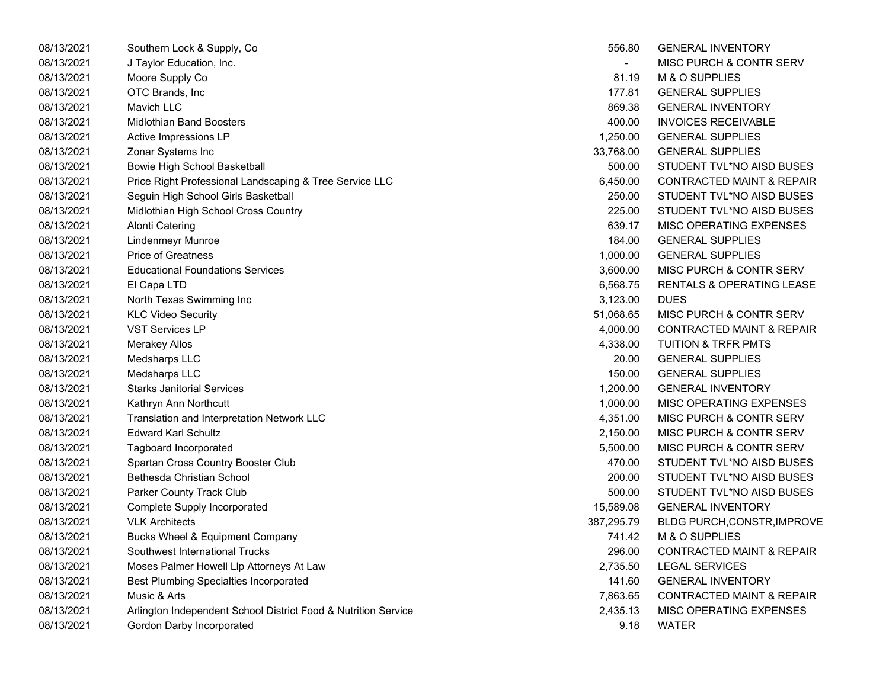| 08/13/2021 | Southern Lock & Supply, Co.                                    | 556.80                   | <b>GENERAL INVENTORY</b>             |
|------------|----------------------------------------------------------------|--------------------------|--------------------------------------|
| 08/13/2021 | J Taylor Education, Inc.                                       | $\overline{\phantom{a}}$ | <b>MISC PURCH &amp; CONTR SERV</b>   |
| 08/13/2021 | Moore Supply Co                                                | 81.19                    | M & O SUPPLIES                       |
| 08/13/2021 | OTC Brands, Inc.                                               | 177.81                   | <b>GENERAL SUPPLIES</b>              |
| 08/13/2021 | Mavich LLC                                                     | 869.38                   | <b>GENERAL INVENTORY</b>             |
| 08/13/2021 | <b>Midlothian Band Boosters</b>                                | 400.00                   | <b>INVOICES RECEIVABLE</b>           |
| 08/13/2021 | Active Impressions LP                                          | 1,250.00                 | <b>GENERAL SUPPLIES</b>              |
| 08/13/2021 | Zonar Systems Inc                                              | 33,768.00                | <b>GENERAL SUPPLIES</b>              |
| 08/13/2021 | Bowie High School Basketball                                   | 500.00                   | STUDENT TVL*NO AISD BUSES            |
| 08/13/2021 | Price Right Professional Landscaping & Tree Service LLC        | 6,450.00                 | <b>CONTRACTED MAINT &amp; REPAIR</b> |
| 08/13/2021 | Seguin High School Girls Basketball                            | 250.00                   | STUDENT TVL*NO AISD BUSES            |
| 08/13/2021 | Midlothian High School Cross Country                           | 225.00                   | STUDENT TVL*NO AISD BUSES            |
| 08/13/2021 | <b>Alonti Catering</b>                                         | 639.17                   | MISC OPERATING EXPENSES              |
| 08/13/2021 | Lindenmeyr Munroe                                              | 184.00                   | <b>GENERAL SUPPLIES</b>              |
| 08/13/2021 | <b>Price of Greatness</b>                                      | 1,000.00                 | <b>GENERAL SUPPLIES</b>              |
| 08/13/2021 | <b>Educational Foundations Services</b>                        | 3,600.00                 | MISC PURCH & CONTR SERV              |
| 08/13/2021 | El Capa LTD                                                    | 6,568.75                 | <b>RENTALS &amp; OPERATING LEASE</b> |
| 08/13/2021 | North Texas Swimming Inc                                       | 3,123.00                 | <b>DUES</b>                          |
| 08/13/2021 | <b>KLC Video Security</b>                                      | 51,068.65                | MISC PURCH & CONTR SERV              |
| 08/13/2021 | <b>VST Services LP</b>                                         | 4,000.00                 | <b>CONTRACTED MAINT &amp; REPAIR</b> |
| 08/13/2021 | <b>Merakey Allos</b>                                           | 4,338.00                 | <b>TUITION &amp; TRFR PMTS</b>       |
| 08/13/2021 | Medsharps LLC                                                  | 20.00                    | <b>GENERAL SUPPLIES</b>              |
| 08/13/2021 | Medsharps LLC                                                  | 150.00                   | <b>GENERAL SUPPLIES</b>              |
| 08/13/2021 | <b>Starks Janitorial Services</b>                              | 1,200.00                 | <b>GENERAL INVENTORY</b>             |
| 08/13/2021 | Kathryn Ann Northcutt                                          | 1,000.00                 | MISC OPERATING EXPENSES              |
| 08/13/2021 | Translation and Interpretation Network LLC                     | 4,351.00                 | MISC PURCH & CONTR SERV              |
| 08/13/2021 | <b>Edward Karl Schultz</b>                                     | 2,150.00                 | <b>MISC PURCH &amp; CONTR SERV</b>   |
| 08/13/2021 | Tagboard Incorporated                                          | 5,500.00                 | <b>MISC PURCH &amp; CONTR SERV</b>   |
| 08/13/2021 | Spartan Cross Country Booster Club                             | 470.00                   | STUDENT TVL*NO AISD BUSES            |
| 08/13/2021 | Bethesda Christian School                                      | 200.00                   | STUDENT TVL*NO AISD BUSES            |
| 08/13/2021 | <b>Parker County Track Club</b>                                | 500.00                   | STUDENT TVL*NO AISD BUSES            |
| 08/13/2021 | Complete Supply Incorporated                                   | 15,589.08                | <b>GENERAL INVENTORY</b>             |
| 08/13/2021 | <b>VLK Architects</b>                                          | 387,295.79               | BLDG PURCH, CONSTR, IMPROV           |
| 08/13/2021 | <b>Bucks Wheel &amp; Equipment Company</b>                     | 741.42                   | M & O SUPPLIES                       |
| 08/13/2021 | Southwest International Trucks                                 | 296.00                   | <b>CONTRACTED MAINT &amp; REPAIR</b> |
| 08/13/2021 | Moses Palmer Howell Llp Attorneys At Law                       | 2,735.50                 | <b>LEGAL SERVICES</b>                |
| 08/13/2021 | <b>Best Plumbing Specialties Incorporated</b>                  | 141.60                   | <b>GENERAL INVENTORY</b>             |
| 08/13/2021 | Music & Arts                                                   | 7,863.65                 | <b>CONTRACTED MAINT &amp; REPAIR</b> |
| 08/13/2021 | Arlington Independent School District Food & Nutrition Service | 2,435.13                 | MISC OPERATING EXPENSES              |
| 08/13/2021 | Gordon Darby Incorporated                                      | 9.18                     | <b>WATER</b>                         |

| 556.80     | <b>GENERAL INVENTORY</b>             |
|------------|--------------------------------------|
|            | <b>MISC PURCH &amp; CONTR SERV</b>   |
| 81.19      | M & O SUPPLIES                       |
| 177.81     | <b>GENERAL SUPPLIES</b>              |
| 869.38     | <b>GENERAL INVENTORY</b>             |
| 400.00     | <b>INVOICES RECEIVABLE</b>           |
| 1,250.00   | <b>GENERAL SUPPLIES</b>              |
| 33,768.00  | <b>GENERAL SUPPLIES</b>              |
| 500.00     | STUDENT TVL*NO AISD BUSES            |
| 6,450.00   | <b>CONTRACTED MAINT &amp; REPAIR</b> |
| 250.00     | STUDENT TVL*NO AISD BUSES            |
| 225.00     | STUDENT TVL*NO AISD BUSES            |
| 639.17     | <b>MISC OPERATING EXPENSES</b>       |
| 184.00     | <b>GENERAL SUPPLIES</b>              |
| 1,000.00   | <b>GENERAL SUPPLIES</b>              |
| 3,600.00   | MISC PURCH & CONTR SERV              |
| 6,568.75   | <b>RENTALS &amp; OPERATING LEASE</b> |
| 3,123.00   | <b>DUES</b>                          |
| 51,068.65  | <b>MISC PURCH &amp; CONTR SERV</b>   |
| 4,000.00   | <b>CONTRACTED MAINT &amp; REPAIR</b> |
| 4,338.00   | <b>TUITION &amp; TRFR PMTS</b>       |
| 20.00      | <b>GENERAL SUPPLIES</b>              |
| 150.00     | <b>GENERAL SUPPLIES</b>              |
| 1,200.00   | <b>GENERAL INVENTORY</b>             |
| 1,000.00   | <b>MISC OPERATING EXPENSES</b>       |
| 4,351.00   | MISC PURCH & CONTR SERV              |
| 2,150.00   | <b>MISC PURCH &amp; CONTR SERV</b>   |
| 5,500.00   | <b>MISC PURCH &amp; CONTR SERV</b>   |
| 470.00     | STUDENT TVL*NO AISD BUSES            |
| 200.00     | STUDENT TVL*NO AISD BUSES            |
| 500.00     | STUDENT TVL*NO AISD BUSES            |
| 15,589.08  | <b>GENERAL INVENTORY</b>             |
| 387,295.79 | BLDG PURCH, CONSTR, IMPROVE          |
| 741.42     | M & O SUPPLIES                       |
| 296.00     | <b>CONTRACTED MAINT &amp; REPAIR</b> |
| 2,735.50   | <b>LEGAL SERVICES</b>                |
| 141.60     | <b>GENERAL INVENTORY</b>             |
| 7,863.65   | <b>CONTRACTED MAINT &amp; REPAIR</b> |
| 2,435.13   | <b>MISC OPERATING EXPENSES</b>       |
| 9.18       | <b>WATER</b>                         |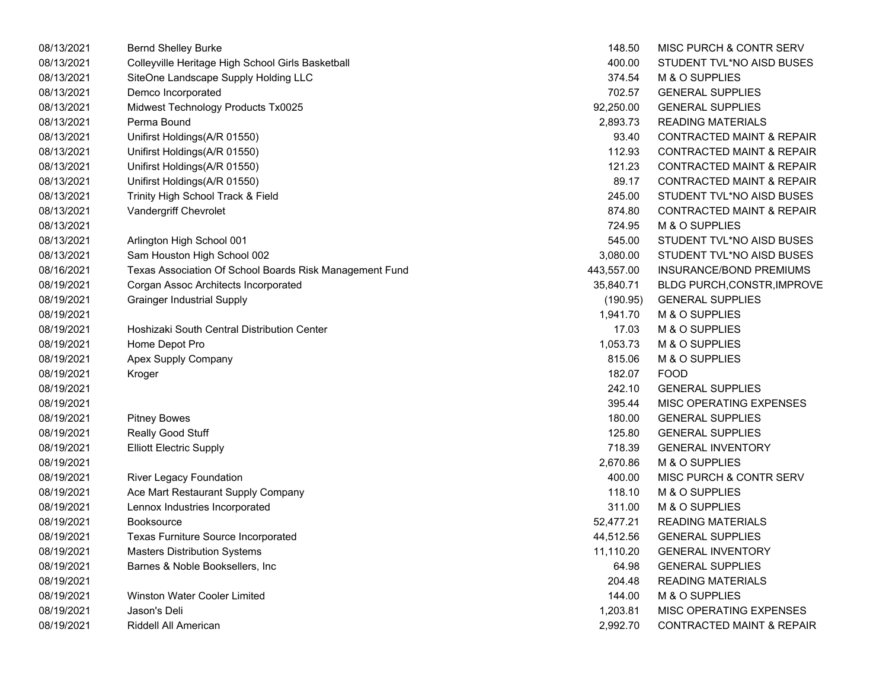| 08/13/2021 | <b>Bernd Shelley Burke</b>                              | 148.50     | MISC PURCH & CONTR SERV              |
|------------|---------------------------------------------------------|------------|--------------------------------------|
| 08/13/2021 | Colleyville Heritage High School Girls Basketball       | 400.00     | STUDENT TVL*NO AISD BUSES            |
| 08/13/2021 | SiteOne Landscape Supply Holding LLC                    | 374.54     | M & O SUPPLIES                       |
| 08/13/2021 | Demco Incorporated                                      | 702.57     | <b>GENERAL SUPPLIES</b>              |
| 08/13/2021 | Midwest Technology Products Tx0025                      | 92,250.00  | <b>GENERAL SUPPLIES</b>              |
| 08/13/2021 | Perma Bound                                             | 2,893.73   | <b>READING MATERIALS</b>             |
| 08/13/2021 | Unifirst Holdings(A/R 01550)                            | 93.40      | <b>CONTRACTED MAINT &amp; REPAIR</b> |
| 08/13/2021 | Unifirst Holdings(A/R 01550)                            | 112.93     | <b>CONTRACTED MAINT &amp; REPAIR</b> |
| 08/13/2021 | Unifirst Holdings(A/R 01550)                            | 121.23     | <b>CONTRACTED MAINT &amp; REPAIR</b> |
| 08/13/2021 | Unifirst Holdings(A/R 01550)                            | 89.17      | <b>CONTRACTED MAINT &amp; REPAIR</b> |
| 08/13/2021 | Trinity High School Track & Field                       | 245.00     | STUDENT TVL*NO AISD BUSES            |
| 08/13/2021 | Vandergriff Chevrolet                                   | 874.80     | <b>CONTRACTED MAINT &amp; REPAIR</b> |
| 08/13/2021 |                                                         | 724.95     | M & O SUPPLIES                       |
| 08/13/2021 | Arlington High School 001                               | 545.00     | STUDENT TVL*NO AISD BUSES            |
| 08/13/2021 | Sam Houston High School 002                             | 3,080.00   | STUDENT TVL*NO AISD BUSES            |
| 08/16/2021 | Texas Association Of School Boards Risk Management Fund | 443,557.00 | INSURANCE/BOND PREMIUMS              |
| 08/19/2021 | Corgan Assoc Architects Incorporated                    | 35,840.71  | <b>BLDG PURCH, CONSTR, IMPROV</b>    |
| 08/19/2021 | <b>Grainger Industrial Supply</b>                       | (190.95)   | <b>GENERAL SUPPLIES</b>              |
| 08/19/2021 |                                                         | 1,941.70   | M & O SUPPLIES                       |
| 08/19/2021 | Hoshizaki South Central Distribution Center             | 17.03      | M & O SUPPLIES                       |
| 08/19/2021 | Home Depot Pro                                          | 1,053.73   | M & O SUPPLIES                       |
| 08/19/2021 | Apex Supply Company                                     | 815.06     | M & O SUPPLIES                       |
| 08/19/2021 | Kroger                                                  | 182.07     | <b>FOOD</b>                          |
| 08/19/2021 |                                                         | 242.10     | <b>GENERAL SUPPLIES</b>              |
| 08/19/2021 |                                                         | 395.44     | MISC OPERATING EXPENSES              |
| 08/19/2021 | <b>Pitney Bowes</b>                                     | 180.00     | <b>GENERAL SUPPLIES</b>              |
| 08/19/2021 | Really Good Stuff                                       | 125.80     | <b>GENERAL SUPPLIES</b>              |
| 08/19/2021 | <b>Elliott Electric Supply</b>                          | 718.39     | <b>GENERAL INVENTORY</b>             |
| 08/19/2021 |                                                         | 2,670.86   | M & O SUPPLIES                       |
| 08/19/2021 | <b>River Legacy Foundation</b>                          | 400.00     | MISC PURCH & CONTR SERV              |
| 08/19/2021 | Ace Mart Restaurant Supply Company                      | 118.10     | M & O SUPPLIES                       |
| 08/19/2021 | Lennox Industries Incorporated                          | 311.00     | M & O SUPPLIES                       |
| 08/19/2021 | <b>Booksource</b>                                       | 52,477.21  | <b>READING MATERIALS</b>             |
| 08/19/2021 | Texas Furniture Source Incorporated                     | 44,512.56  | <b>GENERAL SUPPLIES</b>              |
| 08/19/2021 | <b>Masters Distribution Systems</b>                     | 11,110.20  | <b>GENERAL INVENTORY</b>             |
| 08/19/2021 | Barnes & Noble Booksellers, Inc                         | 64.98      | <b>GENERAL SUPPLIES</b>              |
| 08/19/2021 |                                                         | 204.48     | <b>READING MATERIALS</b>             |
| 08/19/2021 | Winston Water Cooler Limited                            | 144.00     | M & O SUPPLIES                       |
| 08/19/2021 | Jason's Deli                                            | 1,203.81   | MISC OPERATING EXPENSES              |
| 08/19/2021 | Riddell All American                                    | 2,992.70   | <b>CONTRACTED MAINT &amp; REPAIR</b> |

| 148.50    | <b>MISC PURCH &amp; CONTR SERV</b>   |
|-----------|--------------------------------------|
| 400.00    | STUDENT TVL*NO AISD BUSES            |
| 374.54    | <b>M &amp; O SUPPLIES</b>            |
| 702.57    | <b>GENERAL SUPPLIES</b>              |
| 92,250.00 | <b>GENERAL SUPPLIES</b>              |
| 2,893.73  | <b>READING MATERIALS</b>             |
| 93.40     | <b>CONTRACTED MAINT &amp; REPAIR</b> |
| 112.93    | <b>CONTRACTED MAINT &amp; REPAIR</b> |
| 121.23    | <b>CONTRACTED MAINT &amp; REPAIR</b> |
| 89.17     | <b>CONTRACTED MAINT &amp; REPAIR</b> |
| 245.00    | STUDENT TVL*NO AISD BUSES            |
| 874.80    | <b>CONTRACTED MAINT &amp; REPAIR</b> |
| 724.95    | <b>M &amp; O SUPPLIES</b>            |
| 545.00    | STUDENT TVL*NO AISD BUSES            |
| 3,080.00  | STUDENT TVL*NO AISD BUSES            |
| 43,557.00 | <b>INSURANCE/BOND PREMIUMS</b>       |
| 35,840.71 | <b>BLDG PURCH, CONSTR, IMPROVE</b>   |
|           | (190.95) GENERAL SUPPLIES            |
| 1,941.70  | M & O SUPPLIES                       |
| 17.03     | M & O SUPPLIES                       |
| 1,053.73  | M & O SUPPLIES                       |
| 815.06    | M & O SUPPLIES                       |
| 182.07    | <b>FOOD</b>                          |
| 242.10    | <b>GENERAL SUPPLIES</b>              |
| 395.44    | <b>MISC OPERATING EXPENSES</b>       |
| 180.00    | <b>GENERAL SUPPLIES</b>              |
| 125.80    | <b>GENERAL SUPPLIES</b>              |
| 718.39    | <b>GENERAL INVENTORY</b>             |
| 2,670.86  | M & O SUPPLIES                       |
| 400.00    | <b>MISC PURCH &amp; CONTR SERV</b>   |
| 118.10    | M & O SUPPLIES                       |
| 311.00    | M & O SUPPLIES                       |
| 52,477.21 | <b>READING MATERIALS</b>             |
| 44,512.56 | <b>GENERAL SUPPLIES</b>              |
| 11,110.20 | <b>GENERAL INVENTORY</b>             |
| 64.98     | <b>GENERAL SUPPLIES</b>              |
| 204.48    | <b>READING MATERIALS</b>             |
| 144.00    | M & O SUPPLIES                       |
| 1,203.81  | <b>MISC OPERATING EXPENSES</b>       |
| 2,992.70  | <b>CONTRACTED MAINT &amp; REPAIR</b> |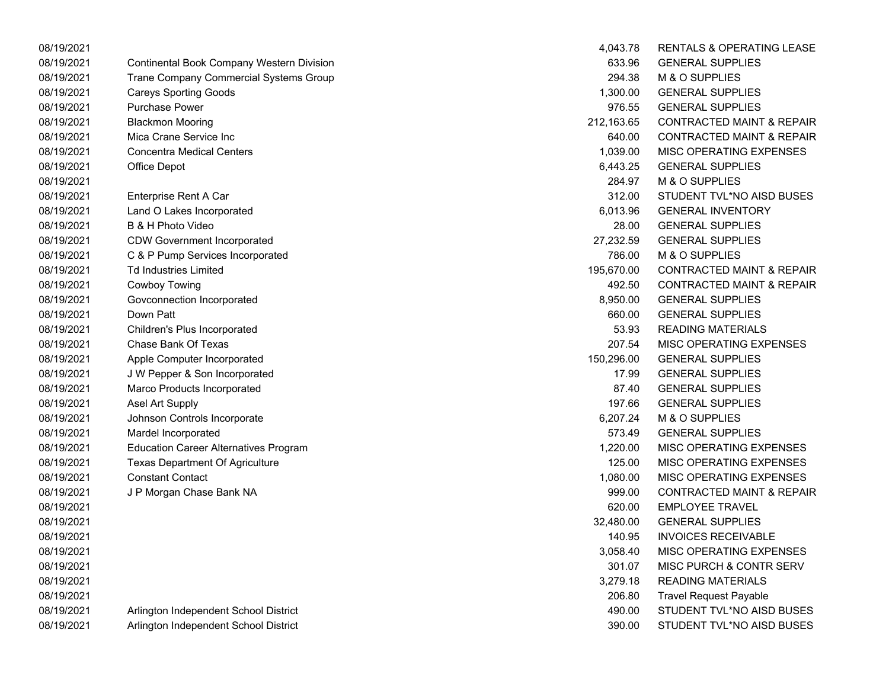| 08/19/2021 |                                                  | 4,043.78   | <b>RENTALS &amp; OPERATING LEASE</b> |
|------------|--------------------------------------------------|------------|--------------------------------------|
| 08/19/2021 | <b>Continental Book Company Western Division</b> | 633.96     | <b>GENERAL SUPPLIES</b>              |
| 08/19/2021 | Trane Company Commercial Systems Group           | 294.38     | M & O SUPPLIES                       |
| 08/19/2021 | <b>Careys Sporting Goods</b>                     | 1,300.00   | <b>GENERAL SUPPLIES</b>              |
| 08/19/2021 | <b>Purchase Power</b>                            | 976.55     | <b>GENERAL SUPPLIES</b>              |
| 08/19/2021 | <b>Blackmon Mooring</b>                          | 212,163.65 | <b>CONTRACTED MAINT &amp; REPAIR</b> |
| 08/19/2021 | Mica Crane Service Inc                           | 640.00     | <b>CONTRACTED MAINT &amp; REPAIR</b> |
| 08/19/2021 | <b>Concentra Medical Centers</b>                 | 1,039.00   | MISC OPERATING EXPENSES              |
| 08/19/2021 | Office Depot                                     | 6,443.25   | <b>GENERAL SUPPLIES</b>              |
| 08/19/2021 |                                                  | 284.97     | M & O SUPPLIES                       |
| 08/19/2021 | Enterprise Rent A Car                            | 312.00     | STUDENT TVL*NO AISD BUSES            |
| 08/19/2021 | Land O Lakes Incorporated                        | 6,013.96   | <b>GENERAL INVENTORY</b>             |
| 08/19/2021 | B & H Photo Video                                | 28.00      | <b>GENERAL SUPPLIES</b>              |
| 08/19/2021 | <b>CDW Government Incorporated</b>               | 27,232.59  | <b>GENERAL SUPPLIES</b>              |
| 08/19/2021 | C & P Pump Services Incorporated                 | 786.00     | M & O SUPPLIES                       |
| 08/19/2021 | <b>Td Industries Limited</b>                     | 195,670.00 | <b>CONTRACTED MAINT &amp; REPAIR</b> |
| 08/19/2021 | Cowboy Towing                                    | 492.50     | <b>CONTRACTED MAINT &amp; REPAIR</b> |
| 08/19/2021 | Govconnection Incorporated                       | 8,950.00   | <b>GENERAL SUPPLIES</b>              |
| 08/19/2021 | Down Patt                                        | 660.00     | <b>GENERAL SUPPLIES</b>              |
| 08/19/2021 | Children's Plus Incorporated                     | 53.93      | <b>READING MATERIALS</b>             |
| 08/19/2021 | <b>Chase Bank Of Texas</b>                       | 207.54     | MISC OPERATING EXPENSES              |
| 08/19/2021 | Apple Computer Incorporated                      | 150,296.00 | <b>GENERAL SUPPLIES</b>              |
| 08/19/2021 | J W Pepper & Son Incorporated                    | 17.99      | <b>GENERAL SUPPLIES</b>              |
| 08/19/2021 | Marco Products Incorporated                      | 87.40      | <b>GENERAL SUPPLIES</b>              |
| 08/19/2021 | Asel Art Supply                                  | 197.66     | <b>GENERAL SUPPLIES</b>              |
| 08/19/2021 | Johnson Controls Incorporate                     | 6,207.24   | M & O SUPPLIES                       |
| 08/19/2021 | Mardel Incorporated                              | 573.49     | <b>GENERAL SUPPLIES</b>              |
| 08/19/2021 | <b>Education Career Alternatives Program</b>     | 1,220.00   | <b>MISC OPERATING EXPENSES</b>       |
| 08/19/2021 | <b>Texas Department Of Agriculture</b>           | 125.00     | MISC OPERATING EXPENSES              |
| 08/19/2021 | <b>Constant Contact</b>                          | 1,080.00   | <b>MISC OPERATING EXPENSES</b>       |
| 08/19/2021 | J P Morgan Chase Bank NA                         | 999.00     | <b>CONTRACTED MAINT &amp; REPAIR</b> |
| 08/19/2021 |                                                  | 620.00     | <b>EMPLOYEE TRAVEL</b>               |
| 08/19/2021 |                                                  | 32,480.00  | <b>GENERAL SUPPLIES</b>              |
| 08/19/2021 |                                                  | 140.95     | <b>INVOICES RECEIVABLE</b>           |
| 08/19/2021 |                                                  | 3,058.40   | <b>MISC OPERATING EXPENSES</b>       |
| 08/19/2021 |                                                  | 301.07     | MISC PURCH & CONTR SERV              |
| 08/19/2021 |                                                  | 3,279.18   | <b>READING MATERIALS</b>             |
| 08/19/2021 |                                                  | 206.80     | <b>Travel Request Payable</b>        |
| 08/19/2021 | Arlington Independent School District            | 490.00     | STUDENT TVL*NO AISD BUSES            |
| 08/19/2021 | Arlington Independent School District            | 390.00     | STUDENT TVL*NO AISD BUSES            |

| 4,043.78   | <b>RENTALS &amp; OPERATING LEASE</b> |
|------------|--------------------------------------|
| 633.96     | <b>GENERAL SUPPLIES</b>              |
| 294.38     | M & O SUPPLIES                       |
| 1,300.00   | <b>GENERAL SUPPLIES</b>              |
| 976.55     | <b>GENERAL SUPPLIES</b>              |
| 212,163.65 | <b>CONTRACTED MAINT &amp; REPAIR</b> |
| 640.00     | <b>CONTRACTED MAINT &amp; REPAIR</b> |
| 1,039.00   | <b>MISC OPERATING EXPENSES</b>       |
| 6,443.25   | <b>GENERAL SUPPLIES</b>              |
| 284.97     | M & O SUPPLIES                       |
| 312.00     | STUDENT TVL*NO AISD BUSES            |
| 6,013.96   | <b>GENERAL INVENTORY</b>             |
| 28.00      | <b>GENERAL SUPPLIES</b>              |
| 27,232.59  | <b>GENERAL SUPPLIES</b>              |
| 786.00     | M & O SUPPLIES                       |
| 195,670.00 | <b>CONTRACTED MAINT &amp; REPAIR</b> |
| 492.50     | <b>CONTRACTED MAINT &amp; REPAIR</b> |
| 8,950.00   | <b>GENERAL SUPPLIES</b>              |
| 660.00     | <b>GENERAL SUPPLIES</b>              |
| 53.93      | <b>READING MATERIALS</b>             |
| 207.54     | MISC OPERATING EXPENSES              |
| 150.296.00 | <b>GENERAL SUPPLIES</b>              |
| 17.99      | <b>GENERAL SUPPLIES</b>              |
| 87.40      | <b>GENERAL SUPPLIES</b>              |
| 197.66     | <b>GENERAL SUPPLIES</b>              |
| 6,207.24   | M & O SUPPLIES                       |
| 573.49     | <b>GENERAL SUPPLIES</b>              |
| 1,220.00   | <b>MISC OPERATING EXPENSES</b>       |
| 125.00     | <b>MISC OPERATING EXPENSES</b>       |
| 1,080.00   | <b>MISC OPERATING EXPENSES</b>       |
| 999.00     | <b>CONTRACTED MAINT &amp; REPAIR</b> |
| 620.00     | <b>EMPLOYEE TRAVEL</b>               |
| 32,480.00  | <b>GENERAL SUPPLIES</b>              |
| 140.95     | <b>INVOICES RECEIVABLE</b>           |
| 3,058.40   | MISC OPERATING EXPENSES              |
| 301.07     | <b>MISC PURCH &amp; CONTR SERV</b>   |
| 3,279.18   | <b>READING MATERIALS</b>             |
| 206.80     | <b>Travel Request Payable</b>        |
| 490.00     | STUDENT TVL*NO AISD BUSES            |
| 390.00     | STUDENT TVL*NO AISD BUSES            |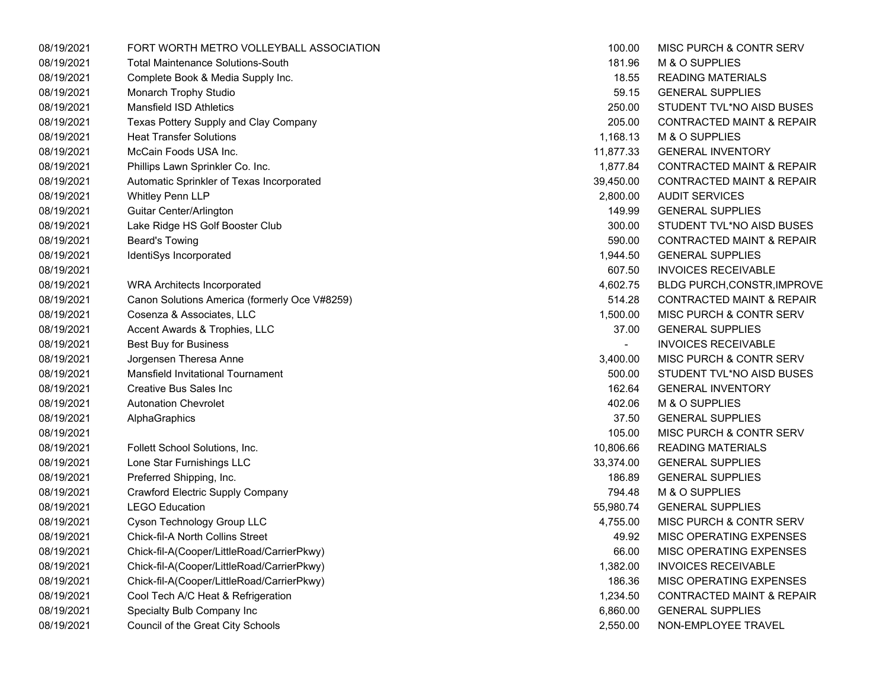| 08/19/2021 | FORT WORTH METRO VOLLEYBALL ASSOCIATION       | 100.00         | MISC PURCH & CONTR SERV              |
|------------|-----------------------------------------------|----------------|--------------------------------------|
| 08/19/2021 | <b>Total Maintenance Solutions-South</b>      | 181.96         | M & O SUPPLIES                       |
| 08/19/2021 | Complete Book & Media Supply Inc.             | 18.55          | <b>READING MATERIALS</b>             |
| 08/19/2021 | Monarch Trophy Studio                         | 59.15          | <b>GENERAL SUPPLIES</b>              |
| 08/19/2021 | <b>Mansfield ISD Athletics</b>                | 250.00         | STUDENT TVL*NO AISD BUSES            |
| 08/19/2021 | Texas Pottery Supply and Clay Company         | 205.00         | <b>CONTRACTED MAINT &amp; REPAIR</b> |
| 08/19/2021 | <b>Heat Transfer Solutions</b>                | 1,168.13       | M & O SUPPLIES                       |
| 08/19/2021 | McCain Foods USA Inc.                         | 11,877.33      | <b>GENERAL INVENTORY</b>             |
| 08/19/2021 | Phillips Lawn Sprinkler Co. Inc.              | 1,877.84       | <b>CONTRACTED MAINT &amp; REPAIR</b> |
| 08/19/2021 | Automatic Sprinkler of Texas Incorporated     | 39,450.00      | CONTRACTED MAINT & REPAIR            |
| 08/19/2021 | Whitley Penn LLP                              | 2,800.00       | <b>AUDIT SERVICES</b>                |
| 08/19/2021 | Guitar Center/Arlington                       | 149.99         | <b>GENERAL SUPPLIES</b>              |
| 08/19/2021 | Lake Ridge HS Golf Booster Club               | 300.00         | STUDENT TVL*NO AISD BUSES            |
| 08/19/2021 | <b>Beard's Towing</b>                         | 590.00         | <b>CONTRACTED MAINT &amp; REPAIR</b> |
| 08/19/2021 | IdentiSys Incorporated                        | 1,944.50       | <b>GENERAL SUPPLIES</b>              |
| 08/19/2021 |                                               | 607.50         | <b>INVOICES RECEIVABLE</b>           |
| 08/19/2021 | <b>WRA Architects Incorporated</b>            | 4,602.75       | <b>BLDG PURCH, CONSTR, IMPROVE</b>   |
| 08/19/2021 | Canon Solutions America (formerly Oce V#8259) | 514.28         | <b>CONTRACTED MAINT &amp; REPAIR</b> |
| 08/19/2021 | Cosenza & Associates, LLC                     | 1,500.00       | MISC PURCH & CONTR SERV              |
| 08/19/2021 | Accent Awards & Trophies, LLC                 | 37.00          | <b>GENERAL SUPPLIES</b>              |
| 08/19/2021 | <b>Best Buy for Business</b>                  | $\blacksquare$ | <b>INVOICES RECEIVABLE</b>           |
| 08/19/2021 | Jorgensen Theresa Anne                        | 3,400.00       | MISC PURCH & CONTR SERV              |
| 08/19/2021 | <b>Mansfield Invitational Tournament</b>      | 500.00         | STUDENT TVL*NO AISD BUSES            |
| 08/19/2021 | Creative Bus Sales Inc                        | 162.64         | <b>GENERAL INVENTORY</b>             |
| 08/19/2021 | <b>Autonation Chevrolet</b>                   | 402.06         | M & O SUPPLIES                       |
| 08/19/2021 | AlphaGraphics                                 | 37.50          | <b>GENERAL SUPPLIES</b>              |
| 08/19/2021 |                                               | 105.00         | MISC PURCH & CONTR SERV              |
| 08/19/2021 | Follett School Solutions, Inc.                | 10,806.66      | <b>READING MATERIALS</b>             |
| 08/19/2021 | Lone Star Furnishings LLC                     | 33,374.00      | <b>GENERAL SUPPLIES</b>              |
| 08/19/2021 | Preferred Shipping, Inc.                      | 186.89         | <b>GENERAL SUPPLIES</b>              |
| 08/19/2021 | Crawford Electric Supply Company              | 794.48         | M & O SUPPLIES                       |
| 08/19/2021 | <b>LEGO Education</b>                         | 55,980.74      | <b>GENERAL SUPPLIES</b>              |
| 08/19/2021 | Cyson Technology Group LLC                    | 4,755.00       | MISC PURCH & CONTR SERV              |
| 08/19/2021 | Chick-fil-A North Collins Street              | 49.92          | MISC OPERATING EXPENSES              |
| 08/19/2021 | Chick-fil-A(Cooper/LittleRoad/CarrierPkwy)    | 66.00          | MISC OPERATING EXPENSES              |
| 08/19/2021 | Chick-fil-A(Cooper/LittleRoad/CarrierPkwy)    | 1,382.00       | <b>INVOICES RECEIVABLE</b>           |
| 08/19/2021 | Chick-fil-A(Cooper/LittleRoad/CarrierPkwy)    | 186.36         | MISC OPERATING EXPENSES              |
| 08/19/2021 | Cool Tech A/C Heat & Refrigeration            | 1,234.50       | <b>CONTRACTED MAINT &amp; REPAIR</b> |
| 08/19/2021 | Specialty Bulb Company Inc                    | 6,860.00       | <b>GENERAL SUPPLIES</b>              |
| 08/19/2021 | Council of the Great City Schools             | 2,550.00       | NON-EMPLOYEE TRAVEL                  |
|            |                                               |                |                                      |

| 100.00    | MISC PURCH & CONTR SERV              |
|-----------|--------------------------------------|
| 181.96    | <b>M &amp; O SUPPLIES</b>            |
| 18.55     | <b>READING MATERIALS</b>             |
| 59.15     | <b>GENERAL SUPPLIES</b>              |
| 250.00    | STUDENT TVL*NO AISD BUSES            |
| 205.00    | <b>CONTRACTED MAINT &amp; REPAIR</b> |
| 1,168.13  | M & O SUPPLIES                       |
| 11,877.33 | <b>GENERAL INVENTORY</b>             |
| 1,877.84  | <b>CONTRACTED MAINT &amp; REPAIR</b> |
| 39,450.00 | <b>CONTRACTED MAINT &amp; REPAIR</b> |
| 2.800.00  | <b>AUDIT SERVICES</b>                |
| 149.99    | <b>GENERAL SUPPLIES</b>              |
| 300.00    | STUDENT TVL*NO AISD BUSES            |
| 590.00    | <b>CONTRACTED MAINT &amp; REPAIR</b> |
| 1,944.50  | <b>GENERAL SUPPLIES</b>              |
| 607.50    | <b>INVOICES RECEIVABLE</b>           |
| 4,602.75  | <b>BLDG PURCH, CONSTR, IMPROVE</b>   |
| 514.28    | <b>CONTRACTED MAINT &amp; REPAIR</b> |
| 1,500.00  | <b>MISC PURCH &amp; CONTR SERV</b>   |
| 37.00     | <b>GENERAL SUPPLIES</b>              |
|           | <b>INVOICES RECEIVABLE</b>           |
| 3,400.00  | <b>MISC PURCH &amp; CONTR SERV</b>   |
| 500.00    | STUDENT TVL*NO AISD BUSES            |
| 162.64    | <b>GENERAL INVENTORY</b>             |
| 402.06    | M & O SUPPLIES                       |
| 37.50     | <b>GENERAL SUPPLIES</b>              |
| 105.00    | <b>MISC PURCH &amp; CONTR SERV</b>   |
| 10,806.66 | <b>READING MATERIALS</b>             |
| 33,374.00 | <b>GENERAL SUPPLIES</b>              |
| 186.89    | <b>GENERAL SUPPLIES</b>              |
| 794.48    | M & O SUPPLIES                       |
| 55,980.74 | <b>GENERAL SUPPLIES</b>              |
| 4,755.00  | <b>MISC PURCH &amp; CONTR SERV</b>   |
| 49.92     | <b>MISC OPERATING EXPENSES</b>       |
| 66.00     | <b>MISC OPERATING EXPENSES</b>       |
| 1,382.00  | <b>INVOICES RECEIVABLE</b>           |
| 186.36    | <b>MISC OPERATING EXPENSES</b>       |
| 1,234.50  | <b>CONTRACTED MAINT &amp; REPAIR</b> |
| 6,860.00  | <b>GENERAL SUPPLIES</b>              |
| 2,550.00  | NON-EMPLOYEE TRAVEL                  |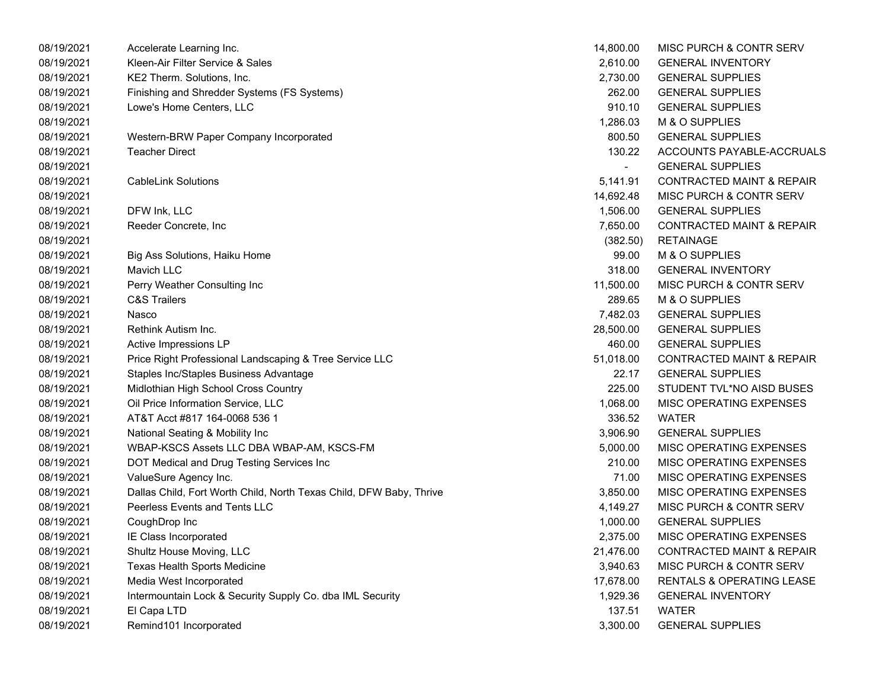| 08/19/2021 | Accelerate Learning Inc.                                            | 14,800.00 | MISC PURCH & CONTR SERV              |
|------------|---------------------------------------------------------------------|-----------|--------------------------------------|
| 08/19/2021 | Kleen-Air Filter Service & Sales                                    | 2,610.00  | <b>GENERAL INVENTORY</b>             |
| 08/19/2021 | KE2 Therm. Solutions, Inc.                                          | 2,730.00  | <b>GENERAL SUPPLIES</b>              |
| 08/19/2021 | Finishing and Shredder Systems (FS Systems)                         | 262.00    | <b>GENERAL SUPPLIES</b>              |
| 08/19/2021 | Lowe's Home Centers, LLC                                            | 910.10    | <b>GENERAL SUPPLIES</b>              |
| 08/19/2021 |                                                                     | 1,286.03  | M & O SUPPLIES                       |
| 08/19/2021 | Western-BRW Paper Company Incorporated                              | 800.50    | <b>GENERAL SUPPLIES</b>              |
| 08/19/2021 | <b>Teacher Direct</b>                                               | 130.22    | ACCOUNTS PAYABLE-ACCRUALS            |
| 08/19/2021 |                                                                     |           | <b>GENERAL SUPPLIES</b>              |
| 08/19/2021 | <b>CableLink Solutions</b>                                          | 5,141.91  | <b>CONTRACTED MAINT &amp; REPAIR</b> |
| 08/19/2021 |                                                                     | 14,692.48 | MISC PURCH & CONTR SERV              |
| 08/19/2021 | DFW Ink, LLC                                                        | 1,506.00  | <b>GENERAL SUPPLIES</b>              |
| 08/19/2021 | Reeder Concrete, Inc                                                | 7,650.00  | <b>CONTRACTED MAINT &amp; REPAIR</b> |
| 08/19/2021 |                                                                     | (382.50)  | <b>RETAINAGE</b>                     |
| 08/19/2021 | Big Ass Solutions, Haiku Home                                       | 99.00     | M & O SUPPLIES                       |
| 08/19/2021 | Mavich LLC                                                          | 318.00    | <b>GENERAL INVENTORY</b>             |
| 08/19/2021 | Perry Weather Consulting Inc                                        | 11,500.00 | MISC PURCH & CONTR SERV              |
| 08/19/2021 | <b>C&amp;S Trailers</b>                                             | 289.65    | M & O SUPPLIES                       |
| 08/19/2021 | Nasco                                                               | 7,482.03  | <b>GENERAL SUPPLIES</b>              |
| 08/19/2021 | Rethink Autism Inc.                                                 | 28,500.00 | <b>GENERAL SUPPLIES</b>              |
| 08/19/2021 | Active Impressions LP                                               | 460.00    | <b>GENERAL SUPPLIES</b>              |
| 08/19/2021 | Price Right Professional Landscaping & Tree Service LLC             | 51,018.00 | <b>CONTRACTED MAINT &amp; REPAIR</b> |
| 08/19/2021 | Staples Inc/Staples Business Advantage                              | 22.17     | <b>GENERAL SUPPLIES</b>              |
| 08/19/2021 | Midlothian High School Cross Country                                | 225.00    | STUDENT TVL*NO AISD BUSES            |
| 08/19/2021 | Oil Price Information Service, LLC                                  | 1,068.00  | MISC OPERATING EXPENSES              |
| 08/19/2021 | AT&T Acct #817 164-0068 536 1                                       | 336.52    | <b>WATER</b>                         |
| 08/19/2021 | National Seating & Mobility Inc                                     | 3,906.90  | <b>GENERAL SUPPLIES</b>              |
| 08/19/2021 | WBAP-KSCS Assets LLC DBA WBAP-AM, KSCS-FM                           | 5,000.00  | MISC OPERATING EXPENSES              |
| 08/19/2021 | DOT Medical and Drug Testing Services Inc                           | 210.00    | MISC OPERATING EXPENSES              |
| 08/19/2021 | ValueSure Agency Inc.                                               | 71.00     | MISC OPERATING EXPENSES              |
| 08/19/2021 | Dallas Child, Fort Worth Child, North Texas Child, DFW Baby, Thrive | 3,850.00  | MISC OPERATING EXPENSES              |
| 08/19/2021 | Peerless Events and Tents LLC                                       | 4,149.27  | MISC PURCH & CONTR SERV              |
| 08/19/2021 | CoughDrop Inc                                                       | 1,000.00  | <b>GENERAL SUPPLIES</b>              |
| 08/19/2021 | IE Class Incorporated                                               | 2,375.00  | MISC OPERATING EXPENSES              |
| 08/19/2021 | Shultz House Moving, LLC                                            | 21,476.00 | <b>CONTRACTED MAINT &amp; REPAIR</b> |
| 08/19/2021 | Texas Health Sports Medicine                                        | 3,940.63  | MISC PURCH & CONTR SERV              |
| 08/19/2021 | Media West Incorporated                                             | 17,678.00 | RENTALS & OPERATING LEASE            |
| 08/19/2021 | Intermountain Lock & Security Supply Co. dba IML Security           | 1,929.36  | <b>GENERAL INVENTORY</b>             |
| 08/19/2021 | El Capa LTD                                                         | 137.51    | <b>WATER</b>                         |
| 08/19/2021 | Remind101 Incorporated                                              | 3,300.00  | <b>GENERAL SUPPLIES</b>              |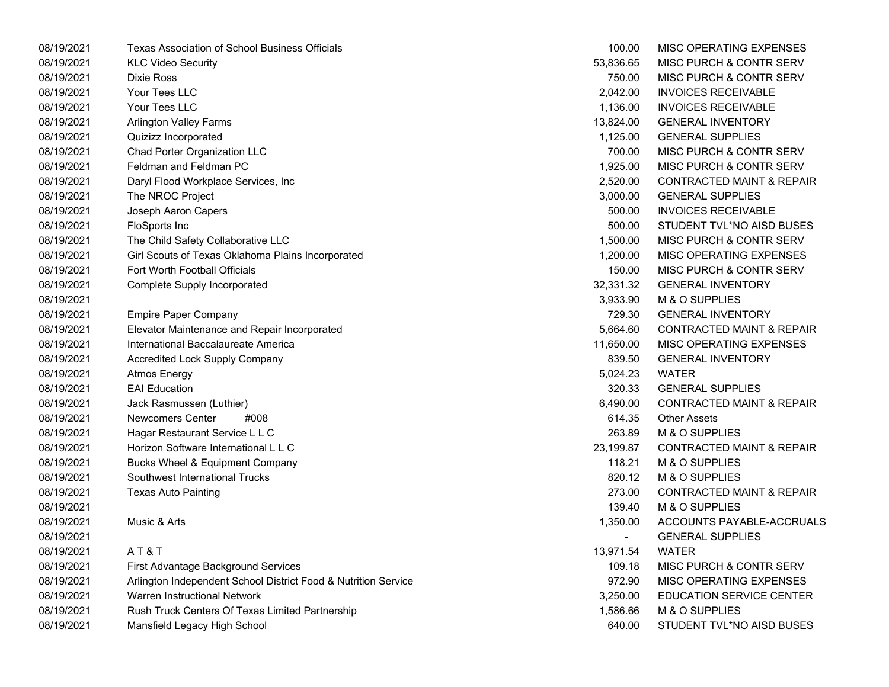| 08/19/2021 | <b>Texas Association of School Business Officials</b>          | 100.00    | MISC OPERATING EXPENSES              |
|------------|----------------------------------------------------------------|-----------|--------------------------------------|
| 08/19/2021 | <b>KLC Video Security</b>                                      | 53,836.65 | <b>MISC PURCH &amp; CONTR SERV</b>   |
| 08/19/2021 | <b>Dixie Ross</b>                                              | 750.00    | MISC PURCH & CONTR SERV              |
| 08/19/2021 | Your Tees LLC                                                  | 2,042.00  | <b>INVOICES RECEIVABLE</b>           |
| 08/19/2021 | Your Tees LLC                                                  | 1,136.00  | <b>INVOICES RECEIVABLE</b>           |
| 08/19/2021 | <b>Arlington Valley Farms</b>                                  | 13,824.00 | <b>GENERAL INVENTORY</b>             |
| 08/19/2021 | Quizizz Incorporated                                           | 1,125.00  | <b>GENERAL SUPPLIES</b>              |
| 08/19/2021 | Chad Porter Organization LLC                                   | 700.00    | MISC PURCH & CONTR SERV              |
| 08/19/2021 | Feldman and Feldman PC                                         | 1,925.00  | MISC PURCH & CONTR SERV              |
| 08/19/2021 | Daryl Flood Workplace Services, Inc.                           | 2,520.00  | <b>CONTRACTED MAINT &amp; REPAIR</b> |
| 08/19/2021 | The NROC Project                                               | 3,000.00  | <b>GENERAL SUPPLIES</b>              |
| 08/19/2021 | Joseph Aaron Capers                                            | 500.00    | <b>INVOICES RECEIVABLE</b>           |
| 08/19/2021 | FloSports Inc                                                  | 500.00    | STUDENT TVL*NO AISD BUSES            |
| 08/19/2021 | The Child Safety Collaborative LLC                             | 1,500.00  | MISC PURCH & CONTR SERV              |
| 08/19/2021 | Girl Scouts of Texas Oklahoma Plains Incorporated              | 1,200.00  | MISC OPERATING EXPENSES              |
| 08/19/2021 | Fort Worth Football Officials                                  | 150.00    | MISC PURCH & CONTR SERV              |
| 08/19/2021 | <b>Complete Supply Incorporated</b>                            | 32,331.32 | <b>GENERAL INVENTORY</b>             |
| 08/19/2021 |                                                                | 3,933.90  | M & O SUPPLIES                       |
| 08/19/2021 | <b>Empire Paper Company</b>                                    | 729.30    | <b>GENERAL INVENTORY</b>             |
| 08/19/2021 | Elevator Maintenance and Repair Incorporated                   | 5,664.60  | <b>CONTRACTED MAINT &amp; REPAIR</b> |
| 08/19/2021 | International Baccalaureate America                            | 11,650.00 | MISC OPERATING EXPENSES              |
| 08/19/2021 | <b>Accredited Lock Supply Company</b>                          | 839.50    | <b>GENERAL INVENTORY</b>             |
| 08/19/2021 | <b>Atmos Energy</b>                                            | 5,024.23  | <b>WATER</b>                         |
| 08/19/2021 | <b>EAI Education</b>                                           | 320.33    | <b>GENERAL SUPPLIES</b>              |
| 08/19/2021 | Jack Rasmussen (Luthier)                                       | 6,490.00  | <b>CONTRACTED MAINT &amp; REPAIR</b> |
| 08/19/2021 | <b>Newcomers Center</b><br>#008                                | 614.35    | <b>Other Assets</b>                  |
| 08/19/2021 | Hagar Restaurant Service L L C                                 | 263.89    | M & O SUPPLIES                       |
| 08/19/2021 | Horizon Software International L L C                           | 23,199.87 | <b>CONTRACTED MAINT &amp; REPAIR</b> |
| 08/19/2021 | Bucks Wheel & Equipment Company                                | 118.21    | M & O SUPPLIES                       |
| 08/19/2021 | Southwest International Trucks                                 | 820.12    | M & O SUPPLIES                       |
| 08/19/2021 | <b>Texas Auto Painting</b>                                     | 273.00    | <b>CONTRACTED MAINT &amp; REPAIR</b> |
| 08/19/2021 |                                                                | 139.40    | M & O SUPPLIES                       |
| 08/19/2021 | Music & Arts                                                   | 1,350.00  | ACCOUNTS PAYABLE-ACCRUALS            |
| 08/19/2021 |                                                                |           | <b>GENERAL SUPPLIES</b>              |
| 08/19/2021 | AT&T                                                           | 13,971.54 | <b>WATER</b>                         |
| 08/19/2021 | First Advantage Background Services                            | 109.18    | MISC PURCH & CONTR SERV              |
| 08/19/2021 | Arlington Independent School District Food & Nutrition Service | 972.90    | MISC OPERATING EXPENSES              |
| 08/19/2021 | Warren Instructional Network                                   | 3,250.00  | EDUCATION SERVICE CENTER             |
| 08/19/2021 | Rush Truck Centers Of Texas Limited Partnership                | 1,586.66  | M & O SUPPLIES                       |
| 08/19/2021 | Mansfield Legacy High School                                   | 640.00    | STUDENT TVL*NO AISD BUSES            |

| 100.00    | MISC OPERATING EXPENSES              |
|-----------|--------------------------------------|
| 53,836.65 | MISC PURCH & CONTR SERV              |
| 750.00    | <b>MISC PURCH &amp; CONTR SERV</b>   |
| 2,042.00  | <b>INVOICES RECEIVABLE</b>           |
| 1,136.00  | <b>INVOICES RECEIVABLE</b>           |
| 13,824.00 | <b>GENERAL INVENTORY</b>             |
| 1,125.00  | <b>GENERAL SUPPLIES</b>              |
| 700.00    | <b>MISC PURCH &amp; CONTR SERV</b>   |
| 1,925.00  | MISC PURCH & CONTR SERV              |
| 2,520.00  | <b>CONTRACTED MAINT &amp; REPAIR</b> |
| 3,000.00  | <b>GENERAL SUPPLIES</b>              |
| 500.00    | <b>INVOICES RECEIVABLE</b>           |
| 500.00    | STUDENT TVL*NO AISD BUSES            |
| 1,500.00  | MISC PURCH & CONTR SERV              |
| 1,200.00  | MISC OPERATING EXPENSES              |
| 150.00    | <b>MISC PURCH &amp; CONTR SERV</b>   |
| 32,331.32 | <b>GENERAL INVENTORY</b>             |
| 3,933.90  | M & O SUPPLIES                       |
| 729.30    | <b>GENERAL INVENTORY</b>             |
| 5,664.60  | <b>CONTRACTED MAINT &amp; REPAIR</b> |
| 11,650.00 | MISC OPERATING EXPENSES              |
| 839.50    | <b>GENERAL INVENTORY</b>             |
| 5,024.23  | <b>WATER</b>                         |
| 320.33    | <b>GENERAL SUPPLIES</b>              |
| 6,490.00  | <b>CONTRACTED MAINT &amp; REPAIR</b> |
| 614.35    | <b>Other Assets</b>                  |
| 263.89    | <b>M &amp; O SUPPLIES</b>            |
| 23.199.87 | <b>CONTRACTED MAINT &amp; REPAIR</b> |
| 118.21    | M & O SUPPLIES                       |
| 820.12    | M & O SUPPLIES                       |
| 273.00    | <b>CONTRACTED MAINT &amp; REPAIR</b> |
| 139.40    | <b>M &amp; O SUPPLIES</b>            |
| 1,350.00  | ACCOUNTS PAYABLE-ACCRUALS            |
|           | <b>GENERAL SUPPLIES</b>              |
| 13,971.54 | <b>WATER</b>                         |
| 109.18    | <b>MISC PURCH &amp; CONTR SERV</b>   |
| 972.90    | MISC OPERATING EXPENSES              |
| 3.250.00  | <b>EDUCATION SERVICE CENTER</b>      |
| 1,586.66  | M & O SUPPLIES                       |
| 640.00    | STUDENT TVL*NO AISD BUSES            |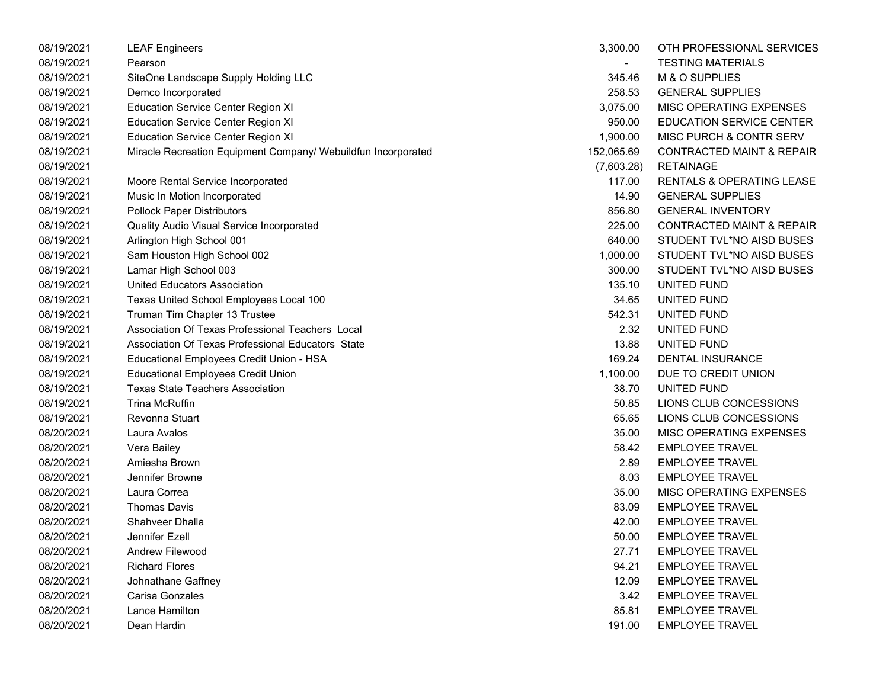| 08/19/2021 | <b>LEAF Engineers</b>                                         | 3,300.00   | OTH PROFESSIONAL SERVICES            |
|------------|---------------------------------------------------------------|------------|--------------------------------------|
| 08/19/2021 | Pearson                                                       |            | <b>TESTING MATERIALS</b>             |
| 08/19/2021 | SiteOne Landscape Supply Holding LLC                          | 345.46     | M & O SUPPLIES                       |
| 08/19/2021 | Demco Incorporated                                            | 258.53     | <b>GENERAL SUPPLIES</b>              |
| 08/19/2021 | <b>Education Service Center Region XI</b>                     | 3,075.00   | MISC OPERATING EXPENSES              |
| 08/19/2021 | <b>Education Service Center Region XI</b>                     | 950.00     | <b>EDUCATION SERVICE CENTER</b>      |
| 08/19/2021 | <b>Education Service Center Region XI</b>                     | 1,900.00   | MISC PURCH & CONTR SERV              |
| 08/19/2021 | Miracle Recreation Equipment Company/ Webuildfun Incorporated | 152,065.69 | <b>CONTRACTED MAINT &amp; REPAIR</b> |
| 08/19/2021 |                                                               | (7,603.28) | <b>RETAINAGE</b>                     |
| 08/19/2021 | Moore Rental Service Incorporated                             | 117.00     | RENTALS & OPERATING LEASE            |
| 08/19/2021 | Music In Motion Incorporated                                  | 14.90      | <b>GENERAL SUPPLIES</b>              |
| 08/19/2021 | <b>Pollock Paper Distributors</b>                             | 856.80     | <b>GENERAL INVENTORY</b>             |
| 08/19/2021 | Quality Audio Visual Service Incorporated                     | 225.00     | <b>CONTRACTED MAINT &amp; REPAIR</b> |
| 08/19/2021 | Arlington High School 001                                     | 640.00     | STUDENT TVL*NO AISD BUSES            |
| 08/19/2021 | Sam Houston High School 002                                   | 1,000.00   | STUDENT TVL*NO AISD BUSES            |
| 08/19/2021 | Lamar High School 003                                         | 300.00     | STUDENT TVL*NO AISD BUSES            |
| 08/19/2021 | <b>United Educators Association</b>                           | 135.10     | UNITED FUND                          |
| 08/19/2021 | Texas United School Employees Local 100                       | 34.65      | UNITED FUND                          |
| 08/19/2021 | Truman Tim Chapter 13 Trustee                                 | 542.31     | UNITED FUND                          |
| 08/19/2021 | Association Of Texas Professional Teachers Local              | 2.32       | UNITED FUND                          |
| 08/19/2021 | Association Of Texas Professional Educators State             | 13.88      | UNITED FUND                          |
| 08/19/2021 | Educational Employees Credit Union - HSA                      | 169.24     | DENTAL INSURANCE                     |
| 08/19/2021 | <b>Educational Employees Credit Union</b>                     | 1,100.00   | DUE TO CREDIT UNION                  |
| 08/19/2021 | <b>Texas State Teachers Association</b>                       | 38.70      | UNITED FUND                          |
| 08/19/2021 | <b>Trina McRuffin</b>                                         | 50.85      | LIONS CLUB CONCESSIONS               |
| 08/19/2021 | Revonna Stuart                                                | 65.65      | LIONS CLUB CONCESSIONS               |
| 08/20/2021 | Laura Avalos                                                  | 35.00      | MISC OPERATING EXPENSES              |
| 08/20/2021 | Vera Bailey                                                   | 58.42      | <b>EMPLOYEE TRAVEL</b>               |
| 08/20/2021 | Amiesha Brown                                                 | 2.89       | <b>EMPLOYEE TRAVEL</b>               |
| 08/20/2021 | Jennifer Browne                                               | 8.03       | <b>EMPLOYEE TRAVEL</b>               |
| 08/20/2021 | Laura Correa                                                  | 35.00      | MISC OPERATING EXPENSES              |
| 08/20/2021 | <b>Thomas Davis</b>                                           | 83.09      | <b>EMPLOYEE TRAVEL</b>               |
| 08/20/2021 | Shahveer Dhalla                                               | 42.00      | <b>EMPLOYEE TRAVEL</b>               |
| 08/20/2021 | Jennifer Ezell                                                | 50.00      | <b>EMPLOYEE TRAVEL</b>               |
| 08/20/2021 | Andrew Filewood                                               | 27.71      | <b>EMPLOYEE TRAVEL</b>               |
| 08/20/2021 | <b>Richard Flores</b>                                         | 94.21      | <b>EMPLOYEE TRAVEL</b>               |
| 08/20/2021 | Johnathane Gaffney                                            | 12.09      | <b>EMPLOYEE TRAVEL</b>               |
| 08/20/2021 | Carisa Gonzales                                               | 3.42       | <b>EMPLOYEE TRAVEL</b>               |
| 08/20/2021 | Lance Hamilton                                                | 85.81      | <b>EMPLOYEE TRAVEL</b>               |
| 08/20/2021 | Dean Hardin                                                   | 191.00     | <b>EMPLOYEE TRAVEL</b>               |

| 3,300.00  | OTH PROFESSIONAL SERVICES            |
|-----------|--------------------------------------|
|           | TESTING MATERIALS                    |
| 345.46    | M & O SUPPLIES                       |
| 258.53    | <b>GENERAL SUPPLIES</b>              |
| 3,075.00  | <b>MISC OPERATING EXPENSES</b>       |
| 950.00    | <b>EDUCATION SERVICE CENTER</b>      |
| 1,900.00  | MISC PURCH & CONTR SERV              |
| 52,065.69 | CONTRACTED MAINT & REPAIR            |
|           | (7,603.28) RETAINAGE                 |
| 117.00    | <b>RENTALS &amp; OPERATING LEASE</b> |
| 14.90     | <b>GENERAL SUPPLIES</b>              |
| 856.80    | <b>GENERAL INVENTORY</b>             |
| 225.00    | <b>CONTRACTED MAINT &amp; REPAIR</b> |
| 640.00    | STUDENT TVL*NO AISD BUSES            |
| 1,000.00  | STUDENT TVL*NO AISD BUSES            |
| 300.00    | STUDENT TVL*NO AISD BUSES            |
| 135.10    | UNITED FUND                          |
| 34.65     | UNITED FUND                          |
| 542.31    | UNITED FUND                          |
| 2.32      | UNITED FUND                          |
| 13.88     | UNITED FUND                          |
| 169.24    | <b>DENTAL INSURANCE</b>              |
| 1,100.00  | DUE TO CREDIT UNION                  |
| 38.70     | UNITED FUND                          |
| 50.85     | LIONS CLUB CONCESSIONS               |
| 65.65     | LIONS CLUB CONCESSIONS               |
| 35.00     | <b>MISC OPERATING EXPENSES</b>       |
| 58.42     | <b>EMPLOYEE TRAVEL</b>               |
| 2.89      | <b>EMPLOYEE TRAVEL</b>               |
| 8.03      | <b>EMPLOYEE TRAVEL</b>               |
| 35.00     | <b>MISC OPERATING EXPENSES</b>       |
| 83.09     | <b>EMPLOYEE TRAVEL</b>               |
| 42.00     | <b>EMPLOYEE TRAVEL</b>               |
| 50.00     | EMPLOYEE TRAVEL                      |
| 27.71     | <b>EMPLOYEE TRAVEL</b>               |
| 94.21     | <b>EMPLOYEE TRAVEL</b>               |
| 12.09     | <b>EMPLOYEE TRAVEL</b>               |
| 3.42      | <b>EMPLOYEE TRAVEL</b>               |
| 85.81     | <b>EMPLOYEE TRAVEL</b>               |
| 191.00    | <b>EMPLOYEE TRAVEL</b>               |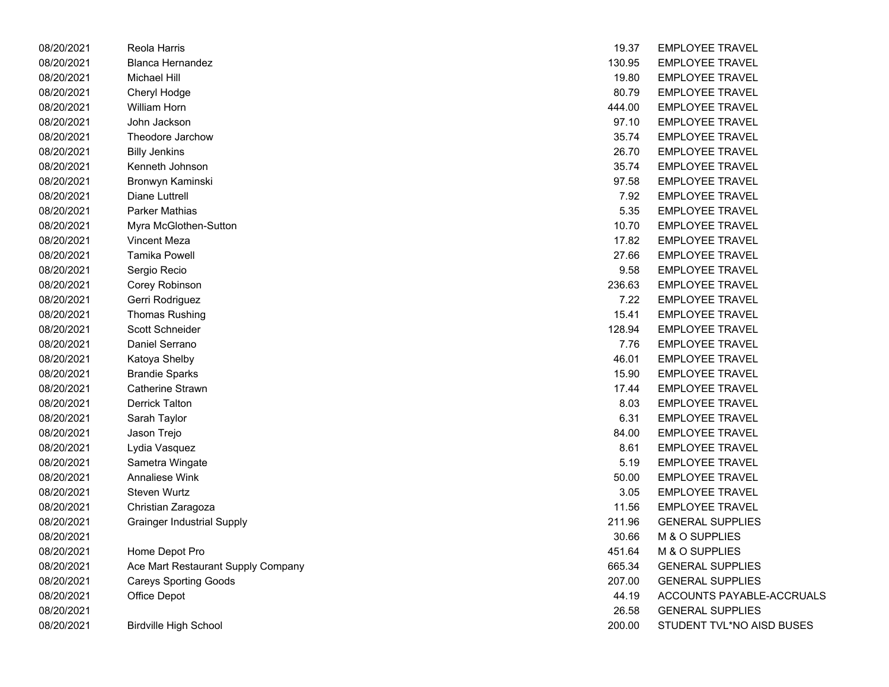| 08/20/2021 | Reola Harris                       | 19.37  | <b>EMPLOYEE TRAVEL</b>    |
|------------|------------------------------------|--------|---------------------------|
| 08/20/2021 | <b>Blanca Hernandez</b>            | 130.95 | <b>EMPLOYEE TRAVEL</b>    |
| 08/20/2021 | <b>Michael Hill</b>                | 19.80  | <b>EMPLOYEE TRAVEL</b>    |
| 08/20/2021 | Cheryl Hodge                       | 80.79  | <b>EMPLOYEE TRAVEL</b>    |
| 08/20/2021 | William Horn                       | 444.00 | <b>EMPLOYEE TRAVEL</b>    |
| 08/20/2021 | John Jackson                       | 97.10  | <b>EMPLOYEE TRAVEL</b>    |
| 08/20/2021 | Theodore Jarchow                   | 35.74  | <b>EMPLOYEE TRAVEL</b>    |
| 08/20/2021 | <b>Billy Jenkins</b>               | 26.70  | <b>EMPLOYEE TRAVEL</b>    |
| 08/20/2021 | Kenneth Johnson                    | 35.74  | <b>EMPLOYEE TRAVEL</b>    |
| 08/20/2021 | Bronwyn Kaminski                   | 97.58  | <b>EMPLOYEE TRAVEL</b>    |
| 08/20/2021 | Diane Luttrell                     | 7.92   | <b>EMPLOYEE TRAVEL</b>    |
| 08/20/2021 | Parker Mathias                     | 5.35   | <b>EMPLOYEE TRAVEL</b>    |
| 08/20/2021 | Myra McGlothen-Sutton              | 10.70  | <b>EMPLOYEE TRAVEL</b>    |
| 08/20/2021 | <b>Vincent Meza</b>                | 17.82  | <b>EMPLOYEE TRAVEL</b>    |
| 08/20/2021 | <b>Tamika Powell</b>               | 27.66  | <b>EMPLOYEE TRAVEL</b>    |
| 08/20/2021 | Sergio Recio                       | 9.58   | <b>EMPLOYEE TRAVEL</b>    |
| 08/20/2021 | Corey Robinson                     | 236.63 | <b>EMPLOYEE TRAVEL</b>    |
| 08/20/2021 | Gerri Rodriguez                    | 7.22   | <b>EMPLOYEE TRAVEL</b>    |
| 08/20/2021 | <b>Thomas Rushing</b>              | 15.41  | <b>EMPLOYEE TRAVEL</b>    |
| 08/20/2021 | <b>Scott Schneider</b>             | 128.94 | <b>EMPLOYEE TRAVEL</b>    |
| 08/20/2021 | Daniel Serrano                     | 7.76   | <b>EMPLOYEE TRAVEL</b>    |
| 08/20/2021 | Katoya Shelby                      | 46.01  | EMPLOYEE TRAVEL           |
| 08/20/2021 | <b>Brandie Sparks</b>              | 15.90  | <b>EMPLOYEE TRAVEL</b>    |
| 08/20/2021 | Catherine Strawn                   | 17.44  | <b>EMPLOYEE TRAVEL</b>    |
| 08/20/2021 | <b>Derrick Talton</b>              | 8.03   | <b>EMPLOYEE TRAVEL</b>    |
| 08/20/2021 | Sarah Taylor                       | 6.31   | <b>EMPLOYEE TRAVEL</b>    |
| 08/20/2021 | Jason Trejo                        | 84.00  | <b>EMPLOYEE TRAVEL</b>    |
| 08/20/2021 | Lydia Vasquez                      | 8.61   | <b>EMPLOYEE TRAVEL</b>    |
| 08/20/2021 | Sametra Wingate                    | 5.19   | <b>EMPLOYEE TRAVEL</b>    |
| 08/20/2021 | <b>Annaliese Wink</b>              | 50.00  | <b>EMPLOYEE TRAVEL</b>    |
| 08/20/2021 | Steven Wurtz                       | 3.05   | <b>EMPLOYEE TRAVEL</b>    |
| 08/20/2021 | Christian Zaragoza                 | 11.56  | <b>EMPLOYEE TRAVEL</b>    |
| 08/20/2021 | <b>Grainger Industrial Supply</b>  | 211.96 | <b>GENERAL SUPPLIES</b>   |
| 08/20/2021 |                                    | 30.66  | M & O SUPPLIES            |
| 08/20/2021 | Home Depot Pro                     | 451.64 | M & O SUPPLIES            |
| 08/20/2021 | Ace Mart Restaurant Supply Company | 665.34 | <b>GENERAL SUPPLIES</b>   |
| 08/20/2021 | <b>Careys Sporting Goods</b>       | 207.00 | <b>GENERAL SUPPLIES</b>   |
| 08/20/2021 | Office Depot                       | 44.19  | ACCOUNTS PAYABLE-ACCRUALS |
| 08/20/2021 |                                    | 26.58  | <b>GENERAL SUPPLIES</b>   |
| 08/20/2021 | <b>Birdville High School</b>       | 200.00 | STUDENT TVL*NO AISD BUSES |

| Harris                        | 19.37  | <b>EMPLOYEE TRAVEL</b>    |
|-------------------------------|--------|---------------------------|
| Hernandez                     | 130.95 | <b>EMPLOYEE TRAVEL</b>    |
| ll Hill                       | 19.80  | <b>EMPLOYEE TRAVEL</b>    |
| Hodge                         | 80.79  | <b>EMPLOYEE TRAVEL</b>    |
| ı Horn                        | 444.00 | <b>EMPLOYEE TRAVEL</b>    |
| ackson                        | 97.10  | <b>EMPLOYEE TRAVEL</b>    |
| ore Jarchow                   | 35.74  | <b>EMPLOYEE TRAVEL</b>    |
| nkins                         | 26.70  | <b>EMPLOYEE TRAVEL</b>    |
| h Johnson                     | 35.74  | <b>EMPLOYEE TRAVEL</b>    |
| ⁄n Kaminski                   | 97.58  | <b>EMPLOYEE TRAVEL</b>    |
| Luttrell                      | 7.92   | <b>EMPLOYEE TRAVEL</b>    |
| Mathias                       | 5.35   | <b>EMPLOYEE TRAVEL</b>    |
| <b>IcGlothen-Sutton</b>       | 10.70  | <b>EMPLOYEE TRAVEL</b>    |
| t Meza                        | 17.82  | <b>EMPLOYEE TRAVEL</b>    |
| <b>Powell</b>                 | 27.66  | <b>EMPLOYEE TRAVEL</b>    |
| Recio                         | 9.58   | <b>EMPLOYEE TRAVEL</b>    |
| Robinson                      | 236.63 | <b>EMPLOYEE TRAVEL</b>    |
| odriguez!                     | 7.22   | <b>EMPLOYEE TRAVEL</b>    |
| s Rushing                     | 15.41  | <b>EMPLOYEE TRAVEL</b>    |
| ichneider                     | 128.94 | <b>EMPLOYEE TRAVEL</b>    |
| Serrano                       | 7.76   | <b>EMPLOYEE TRAVEL</b>    |
| Shelby                        | 46.01  | <b>EMPLOYEE TRAVEL</b>    |
| e Sparks                      | 15.90  | <b>EMPLOYEE TRAVEL</b>    |
| ine Strawn                    | 17.44  | <b>EMPLOYEE TRAVEL</b>    |
| ∶ Talton                      | 8.03   | <b>EMPLOYEE TRAVEL</b>    |
| Taylor                        | 6.31   | <b>EMPLOYEE TRAVEL</b>    |
| Trejo                         | 84.00  | <b>EMPLOYEE TRAVEL</b>    |
| /asquez                       | 8.61   | <b>EMPLOYEE TRAVEL</b>    |
| a Wingate <sup>-</sup>        | 5.19   | <b>EMPLOYEE TRAVEL</b>    |
| ese Wink                      | 50.00  | <b>EMPLOYEE TRAVEL</b>    |
| Wurtz                         | 3.05   | <b>EMPLOYEE TRAVEL</b>    |
| an Zaragoza                   | 11.56  | <b>EMPLOYEE TRAVEL</b>    |
| er Industrial Supply          | 211.96 | <b>GENERAL SUPPLIES</b>   |
|                               | 30.66  | M & O SUPPLIES            |
| Depot Pro                     | 451.64 | M & O SUPPLIES            |
| art Restaurant Supply Company | 665.34 | <b>GENERAL SUPPLIES</b>   |
| Sporting Goods                | 207.00 | <b>GENERAL SUPPLIES</b>   |
| Depot                         | 44.19  | ACCOUNTS PAYABLE-ACCRUAL  |
|                               | 26.58  | <b>GENERAL SUPPLIES</b>   |
| e High School                 | 200.00 | STUDENT TVL*NO AISD BUSES |
|                               |        |                           |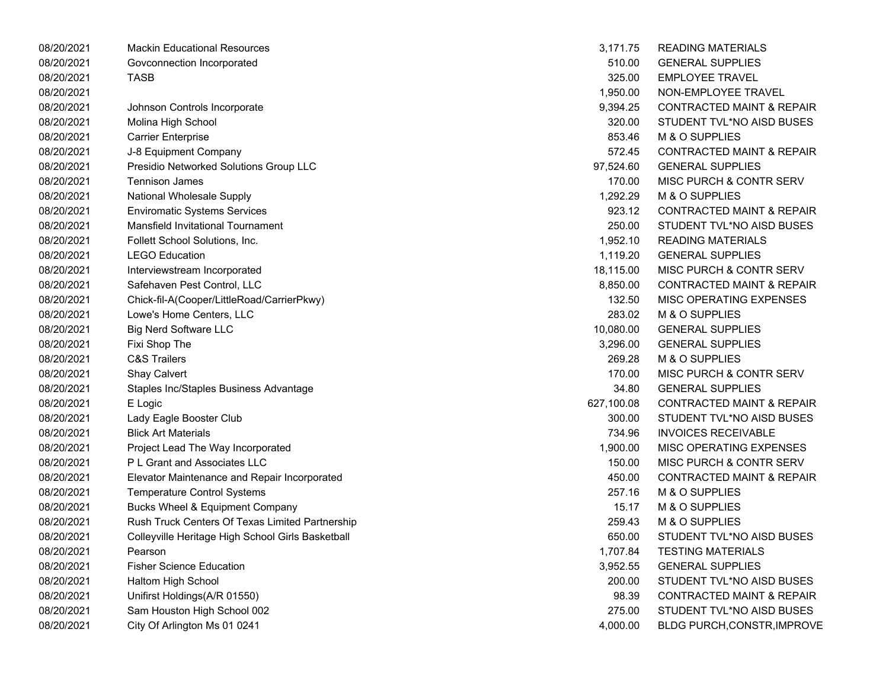| 08/20/2021 | <b>Mackin Educational Resources</b>               | 3,171.75   | <b>READING MATERIALS</b>             |
|------------|---------------------------------------------------|------------|--------------------------------------|
| 08/20/2021 | Govconnection Incorporated                        | 510.00     | <b>GENERAL SUPPLIES</b>              |
| 08/20/2021 | <b>TASB</b>                                       | 325.00     | <b>EMPLOYEE TRAVEL</b>               |
| 08/20/2021 |                                                   | 1,950.00   | NON-EMPLOYEE TRAVEL                  |
| 08/20/2021 | Johnson Controls Incorporate                      | 9,394.25   | <b>CONTRACTED MAINT &amp; REPAIR</b> |
| 08/20/2021 | Molina High School                                | 320.00     | STUDENT TVL*NO AISD BUSES            |
| 08/20/2021 | <b>Carrier Enterprise</b>                         | 853.46     | M & O SUPPLIES                       |
| 08/20/2021 | J-8 Equipment Company                             | 572.45     | <b>CONTRACTED MAINT &amp; REPAIR</b> |
| 08/20/2021 | Presidio Networked Solutions Group LLC            | 97,524.60  | <b>GENERAL SUPPLIES</b>              |
| 08/20/2021 | <b>Tennison James</b>                             | 170.00     | MISC PURCH & CONTR SERV              |
| 08/20/2021 | National Wholesale Supply                         | 1,292.29   | M & O SUPPLIES                       |
| 08/20/2021 | <b>Enviromatic Systems Services</b>               | 923.12     | <b>CONTRACTED MAINT &amp; REPAIR</b> |
| 08/20/2021 | Mansfield Invitational Tournament                 | 250.00     | STUDENT TVL*NO AISD BUSES            |
| 08/20/2021 | Follett School Solutions, Inc.                    | 1,952.10   | <b>READING MATERIALS</b>             |
| 08/20/2021 | <b>LEGO Education</b>                             | 1,119.20   | <b>GENERAL SUPPLIES</b>              |
| 08/20/2021 | Interviewstream Incorporated                      | 18,115.00  | MISC PURCH & CONTR SERV              |
| 08/20/2021 | Safehaven Pest Control, LLC                       | 8,850.00   | <b>CONTRACTED MAINT &amp; REPAIR</b> |
| 08/20/2021 | Chick-fil-A(Cooper/LittleRoad/CarrierPkwy)        | 132.50     | <b>MISC OPERATING EXPENSES</b>       |
| 08/20/2021 | Lowe's Home Centers, LLC                          | 283.02     | M & O SUPPLIES                       |
| 08/20/2021 | <b>Big Nerd Software LLC</b>                      | 10,080.00  | <b>GENERAL SUPPLIES</b>              |
| 08/20/2021 | Fixi Shop The                                     | 3,296.00   | <b>GENERAL SUPPLIES</b>              |
| 08/20/2021 | <b>C&amp;S Trailers</b>                           | 269.28     | M & O SUPPLIES                       |
| 08/20/2021 | Shay Calvert                                      | 170.00     | <b>MISC PURCH &amp; CONTR SERV</b>   |
| 08/20/2021 | Staples Inc/Staples Business Advantage            | 34.80      | <b>GENERAL SUPPLIES</b>              |
| 08/20/2021 | E Logic                                           | 627,100.08 | <b>CONTRACTED MAINT &amp; REPAIR</b> |
| 08/20/2021 | Lady Eagle Booster Club                           | 300.00     | STUDENT TVL*NO AISD BUSES            |
| 08/20/2021 | <b>Blick Art Materials</b>                        | 734.96     | <b>INVOICES RECEIVABLE</b>           |
| 08/20/2021 | Project Lead The Way Incorporated                 | 1,900.00   | MISC OPERATING EXPENSES              |
| 08/20/2021 | P L Grant and Associates LLC                      | 150.00     | <b>MISC PURCH &amp; CONTR SERV</b>   |
| 08/20/2021 | Elevator Maintenance and Repair Incorporated      | 450.00     | <b>CONTRACTED MAINT &amp; REPAIR</b> |
| 08/20/2021 | <b>Temperature Control Systems</b>                | 257.16     | M & O SUPPLIES                       |
| 08/20/2021 | <b>Bucks Wheel &amp; Equipment Company</b>        | 15.17      | M & O SUPPLIES                       |
| 08/20/2021 | Rush Truck Centers Of Texas Limited Partnership   | 259.43     | M & O SUPPLIES                       |
| 08/20/2021 | Colleyville Heritage High School Girls Basketball | 650.00     | STUDENT TVL*NO AISD BUSES            |
| 08/20/2021 | Pearson                                           | 1,707.84   | <b>TESTING MATERIALS</b>             |
| 08/20/2021 | <b>Fisher Science Education</b>                   | 3,952.55   | <b>GENERAL SUPPLIES</b>              |
| 08/20/2021 | Haltom High School                                | 200.00     | STUDENT TVL*NO AISD BUSES            |
| 08/20/2021 | Unifirst Holdings(A/R 01550)                      | 98.39      | <b>CONTRACTED MAINT &amp; REPAIR</b> |
| 08/20/2021 | Sam Houston High School 002                       | 275.00     | STUDENT TVL*NO AISD BUSES            |
| 08/20/2021 | City Of Arlington Ms 01 0241                      | 4,000.00   | BLDG PURCH, CONSTR, IMPROVE          |

| 3,171.75  | READING MATERIALS                    |
|-----------|--------------------------------------|
| 510.00    | <b>GENERAL SUPPLIES</b>              |
|           | 325.00 EMPLOYEE TRAVEL               |
| 1,950.00  | NON-EMPLOYEE TRAVEL                  |
| 9.394.25  | <b>CONTRACTED MAINT &amp; REPAIR</b> |
| 320.00    | STUDENT TVL*NO AISD BUSES            |
|           | 853.46 M & O SUPPLIES                |
| 572.45    | CONTRACTED MAINT & REPAIR            |
| 97.524.60 | <b>GENERAL SUPPLIES</b>              |
| 170.00    | MISC PURCH & CONTR SERV              |
| 1.292.29  | M & O SUPPLIES                       |
| 923.12    | <b>CONTRACTED MAINT &amp; REPAIR</b> |
| 250.00    | STUDENT TVL*NO AISD BUSES            |
| 1,952.10  | READING MATERIALS                    |
| 1,119.20  | <b>GENERAL SUPPLIES</b>              |
| 18,115.00 | <b>MISC PURCH &amp; CONTR SERV</b>   |
|           | 8,850.00 CONTRACTED MAINT & REPAIR   |
|           | 132.50 MISC OPERATING EXPENSES       |
| 283.02    | M & O SUPPLIES                       |
| 10,080.00 | <b>GENERAL SUPPLIES</b>              |
| 3.296.00  | <b>GENERAL SUPPLIES</b>              |
|           | 269.28 M & O SUPPLIES                |
| 170.00    | MISC PURCH & CONTR SERV              |
| 34.80     | <b>GENERAL SUPPLIES</b>              |
| 27,100.08 | <b>CONTRACTED MAINT &amp; REPAIR</b> |
| 300.00    | STUDENT TVL*NO AISD BUSES            |
|           | 734.96 INVOICES RECEIVABLE           |
| 1,900.00  | MISC OPERATING EXPENSES              |
| 150.00    | <b>MISC PURCH &amp; CONTR SERV</b>   |
| 450.00    | <b>CONTRACTED MAINT &amp; REPAIR</b> |
| 257.16    | M & O SUPPLIES                       |
| 15.17     | <b>M &amp; O SUPPLIES</b>            |
| 259.43    | M & O SUPPLIES                       |
| 650.00    | STUDENT TVL*NO AISD BUSES            |
| 1,707.84  | <b>TESTING MATERIALS</b>             |
| 3,952.55  | <b>GENERAL SUPPLIES</b>              |
| 200.00    | STUDENT TVL*NO AISD BUSES            |
| 98.39     | <b>CONTRACTED MAINT &amp; REPAIR</b> |
| 275.00    | STUDENT TVL*NO AISD BUSES            |
| 4,000.00  | BLDG PURCH, CONSTR, IMPROVE          |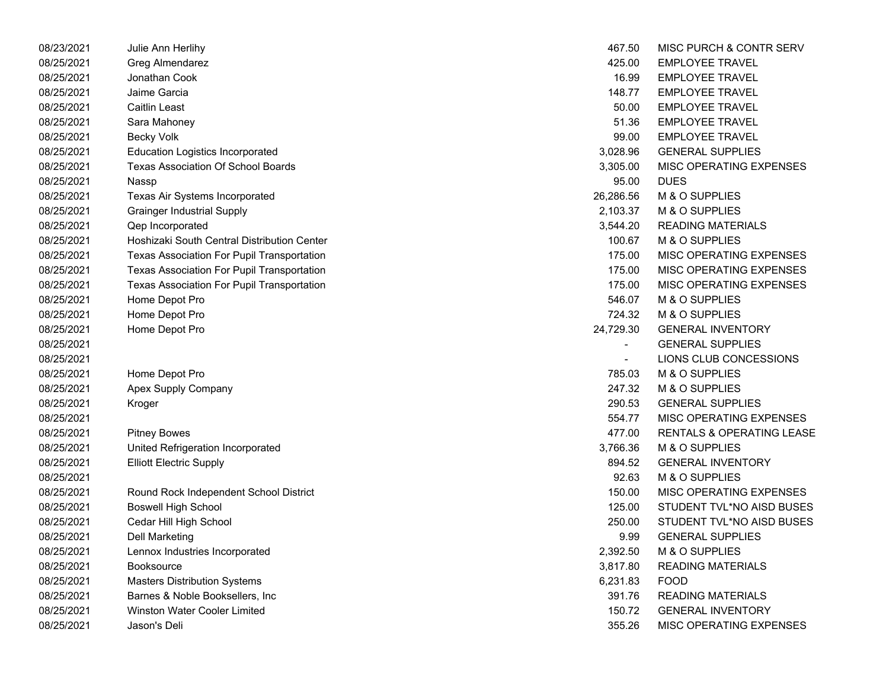| 08/23/2021 | Julie Ann Herlihy                                 | 467.50         | MISC PURCH & CONTR SERV   |
|------------|---------------------------------------------------|----------------|---------------------------|
| 08/25/2021 | Greg Almendarez                                   | 425.00         | <b>EMPLOYEE TRAVEL</b>    |
| 08/25/2021 | Jonathan Cook                                     | 16.99          | <b>EMPLOYEE TRAVEL</b>    |
| 08/25/2021 | Jaime Garcia                                      | 148.77         | <b>EMPLOYEE TRAVEL</b>    |
| 08/25/2021 | <b>Caitlin Least</b>                              | 50.00          | <b>EMPLOYEE TRAVEL</b>    |
| 08/25/2021 | Sara Mahoney                                      | 51.36          | <b>EMPLOYEE TRAVEL</b>    |
| 08/25/2021 | <b>Becky Volk</b>                                 | 99.00          | <b>EMPLOYEE TRAVEL</b>    |
| 08/25/2021 | <b>Education Logistics Incorporated</b>           | 3,028.96       | <b>GENERAL SUPPLIES</b>   |
| 08/25/2021 | <b>Texas Association Of School Boards</b>         | 3,305.00       | MISC OPERATING EXPENSES   |
| 08/25/2021 | Nassp                                             | 95.00          | <b>DUES</b>               |
| 08/25/2021 | Texas Air Systems Incorporated                    | 26,286.56      | M & O SUPPLIES            |
| 08/25/2021 | <b>Grainger Industrial Supply</b>                 | 2,103.37       | M & O SUPPLIES            |
| 08/25/2021 | Qep Incorporated                                  | 3,544.20       | <b>READING MATERIALS</b>  |
| 08/25/2021 | Hoshizaki South Central Distribution Center       | 100.67         | M & O SUPPLIES            |
| 08/25/2021 | <b>Texas Association For Pupil Transportation</b> | 175.00         | MISC OPERATING EXPENSES   |
| 08/25/2021 | Texas Association For Pupil Transportation        | 175.00         | MISC OPERATING EXPENSES   |
| 08/25/2021 | Texas Association For Pupil Transportation        | 175.00         | MISC OPERATING EXPENSES   |
| 08/25/2021 | Home Depot Pro                                    | 546.07         | M & O SUPPLIES            |
| 08/25/2021 | Home Depot Pro                                    | 724.32         | M & O SUPPLIES            |
| 08/25/2021 | Home Depot Pro                                    | 24,729.30      | <b>GENERAL INVENTORY</b>  |
| 08/25/2021 |                                                   | $\blacksquare$ | <b>GENERAL SUPPLIES</b>   |
| 08/25/2021 |                                                   | $\blacksquare$ | LIONS CLUB CONCESSIONS    |
| 08/25/2021 | Home Depot Pro                                    | 785.03         | M & O SUPPLIES            |
| 08/25/2021 | Apex Supply Company                               | 247.32         | M & O SUPPLIES            |
| 08/25/2021 | Kroger                                            | 290.53         | <b>GENERAL SUPPLIES</b>   |
| 08/25/2021 |                                                   | 554.77         | MISC OPERATING EXPENSES   |
| 08/25/2021 | <b>Pitney Bowes</b>                               | 477.00         | RENTALS & OPERATING LEASE |
| 08/25/2021 | United Refrigeration Incorporated                 | 3,766.36       | M & O SUPPLIES            |
| 08/25/2021 | <b>Elliott Electric Supply</b>                    | 894.52         | <b>GENERAL INVENTORY</b>  |
| 08/25/2021 |                                                   | 92.63          | M & O SUPPLIES            |
| 08/25/2021 | Round Rock Independent School District            | 150.00         | MISC OPERATING EXPENSES   |
| 08/25/2021 | <b>Boswell High School</b>                        | 125.00         | STUDENT TVL*NO AISD BUSES |
| 08/25/2021 | Cedar Hill High School                            | 250.00         | STUDENT TVL*NO AISD BUSES |
| 08/25/2021 | <b>Dell Marketing</b>                             | 9.99           | <b>GENERAL SUPPLIES</b>   |
| 08/25/2021 | Lennox Industries Incorporated                    | 2,392.50       | M & O SUPPLIES            |
| 08/25/2021 | <b>Booksource</b>                                 | 3,817.80       | <b>READING MATERIALS</b>  |
| 08/25/2021 | <b>Masters Distribution Systems</b>               | 6,231.83       | <b>FOOD</b>               |
| 08/25/2021 | Barnes & Noble Booksellers, Inc.                  | 391.76         | <b>READING MATERIALS</b>  |
| 08/25/2021 | Winston Water Cooler Limited                      | 150.72         | <b>GENERAL INVENTORY</b>  |
| 08/25/2021 | Jason's Deli                                      | 355.26         | MISC OPERATING EXPENSES   |

| 467.50    | MISC PURCH & CONTR SERV              |
|-----------|--------------------------------------|
| 425.00    | <b>EMPLOYEE TRAVEL</b>               |
| 16.99     | <b>EMPLOYEE TRAVEL</b>               |
| 148.77    | <b>EMPLOYEE TRAVEL</b>               |
| 50.00     | <b>EMPLOYEE TRAVEL</b>               |
| 51.36     | <b>EMPLOYEE TRAVEL</b>               |
| 99.00     | <b>EMPLOYEE TRAVEL</b>               |
| 3,028.96  | <b>GENERAL SUPPLIES</b>              |
| 3,305.00  | <b>MISC OPERATING EXPENSES</b>       |
| 95.00     | <b>DUES</b>                          |
| 26.286.56 | M & O SUPPLIES                       |
| 2,103.37  | M & O SUPPLIES                       |
| 3,544.20  | <b>READING MATERIALS</b>             |
| 100.67    | M & O SUPPLIES                       |
| 175.00    | <b>MISC OPERATING EXPENSES</b>       |
| 175.00    | <b>MISC OPERATING EXPENSES</b>       |
| 175.00    | <b>MISC OPERATING EXPENSES</b>       |
| 546.07    | M & O SUPPLIES                       |
| 724.32    | <b>M &amp; O SUPPLIES</b>            |
| 24,729.30 | <b>GENERAL INVENTORY</b>             |
|           | <b>GENERAL SUPPLIES</b>              |
|           | LIONS CLUB CONCESSIONS               |
| 785.03    | M & O SUPPLIES                       |
| 247.32    | M & O SUPPLIES                       |
| 290.53    | <b>GENERAL SUPPLIES</b>              |
| 554.77    | <b>MISC OPERATING EXPENSES</b>       |
| 477.00    | <b>RENTALS &amp; OPERATING LEASE</b> |
| 3,766.36  | M & O SUPPLIES                       |
| 894.52    | <b>GENERAL INVENTORY</b>             |
| 92.63     | M & O SUPPLIES                       |
| 150.00    | <b>MISC OPERATING EXPENSES</b>       |
| 125.00    | STUDENT TVL*NO AISD BUSES            |
| 250.00    | STUDENT TVL*NO AISD BUSES            |
| 9.99      | <b>GENERAL SUPPLIES</b>              |
| 2,392.50  | M & O SUPPLIES                       |
| 3,817.80  | <b>READING MATERIALS</b>             |
| 6,231.83  | <b>FOOD</b>                          |
| 391.76    | <b>READING MATERIALS</b>             |
| 150.72    | <b>GENERAL INVENTORY</b>             |
| 355.26    | MISC OPERATING EXPENSES              |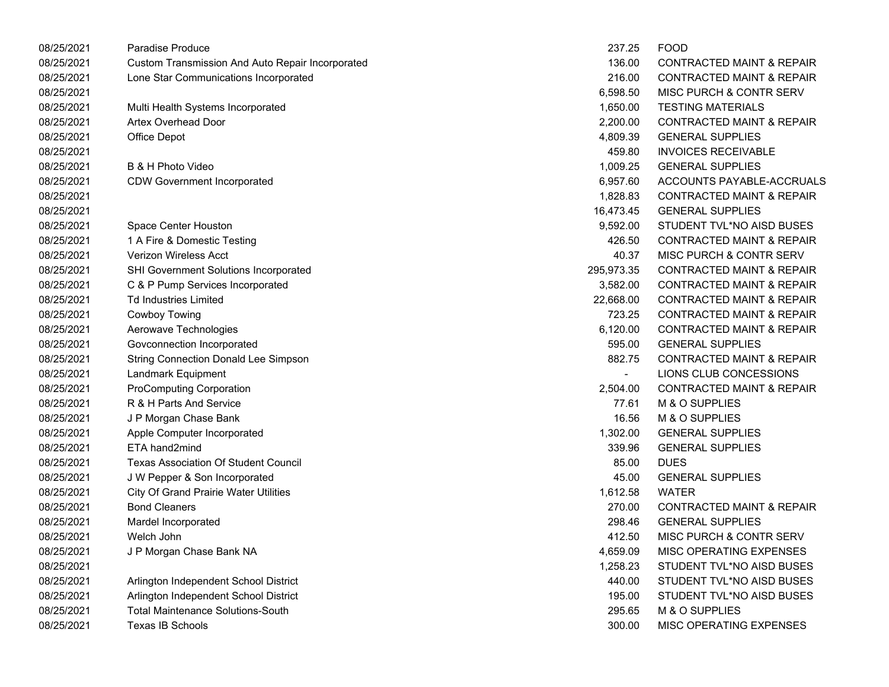| 08/25/2021 | Paradise Produce                                 | 237.25     | <b>FOOD</b>                          |
|------------|--------------------------------------------------|------------|--------------------------------------|
| 08/25/2021 | Custom Transmission And Auto Repair Incorporated | 136.00     | <b>CONTRACTED MAINT &amp; REPAIR</b> |
| 08/25/2021 | Lone Star Communications Incorporated            | 216.00     | <b>CONTRACTED MAINT &amp; REPAIR</b> |
| 08/25/2021 |                                                  | 6,598.50   | MISC PURCH & CONTR SERV              |
| 08/25/2021 | Multi Health Systems Incorporated                | 1,650.00   | <b>TESTING MATERIALS</b>             |
| 08/25/2021 | Artex Overhead Door                              | 2,200.00   | <b>CONTRACTED MAINT &amp; REPAIR</b> |
| 08/25/2021 | Office Depot                                     | 4,809.39   | <b>GENERAL SUPPLIES</b>              |
| 08/25/2021 |                                                  | 459.80     | <b>INVOICES RECEIVABLE</b>           |
| 08/25/2021 | B & H Photo Video                                | 1,009.25   | <b>GENERAL SUPPLIES</b>              |
| 08/25/2021 | <b>CDW Government Incorporated</b>               | 6,957.60   | ACCOUNTS PAYABLE-ACCRUALS            |
| 08/25/2021 |                                                  | 1,828.83   | <b>CONTRACTED MAINT &amp; REPAIR</b> |
| 08/25/2021 |                                                  | 16,473.45  | <b>GENERAL SUPPLIES</b>              |
| 08/25/2021 | Space Center Houston                             | 9,592.00   | STUDENT TVL*NO AISD BUSES            |
| 08/25/2021 | 1 A Fire & Domestic Testing                      | 426.50     | <b>CONTRACTED MAINT &amp; REPAIR</b> |
| 08/25/2021 | <b>Verizon Wireless Acct</b>                     | 40.37      | MISC PURCH & CONTR SERV              |
| 08/25/2021 | SHI Government Solutions Incorporated            | 295,973.35 | <b>CONTRACTED MAINT &amp; REPAIR</b> |
| 08/25/2021 | C & P Pump Services Incorporated                 | 3,582.00   | <b>CONTRACTED MAINT &amp; REPAIR</b> |
| 08/25/2021 | <b>Td Industries Limited</b>                     | 22,668.00  | <b>CONTRACTED MAINT &amp; REPAIR</b> |
| 08/25/2021 | <b>Cowboy Towing</b>                             | 723.25     | <b>CONTRACTED MAINT &amp; REPAIR</b> |
| 08/25/2021 | Aerowave Technologies                            | 6,120.00   | <b>CONTRACTED MAINT &amp; REPAIR</b> |
| 08/25/2021 | Govconnection Incorporated                       | 595.00     | <b>GENERAL SUPPLIES</b>              |
| 08/25/2021 | <b>String Connection Donald Lee Simpson</b>      | 882.75     | <b>CONTRACTED MAINT &amp; REPAIR</b> |
| 08/25/2021 | Landmark Equipment                               |            | LIONS CLUB CONCESSIONS               |
| 08/25/2021 | <b>ProComputing Corporation</b>                  | 2,504.00   | <b>CONTRACTED MAINT &amp; REPAIR</b> |
| 08/25/2021 | R & H Parts And Service                          | 77.61      | M & O SUPPLIES                       |
| 08/25/2021 | J P Morgan Chase Bank                            | 16.56      | M & O SUPPLIES                       |
| 08/25/2021 | Apple Computer Incorporated                      | 1,302.00   | <b>GENERAL SUPPLIES</b>              |
| 08/25/2021 | ETA hand2mind                                    | 339.96     | <b>GENERAL SUPPLIES</b>              |
| 08/25/2021 | <b>Texas Association Of Student Council</b>      | 85.00      | <b>DUES</b>                          |
| 08/25/2021 | J W Pepper & Son Incorporated                    | 45.00      | <b>GENERAL SUPPLIES</b>              |
| 08/25/2021 | <b>City Of Grand Prairie Water Utilities</b>     | 1,612.58   | <b>WATER</b>                         |
| 08/25/2021 | <b>Bond Cleaners</b>                             | 270.00     | <b>CONTRACTED MAINT &amp; REPAIR</b> |
| 08/25/2021 | Mardel Incorporated                              | 298.46     | <b>GENERAL SUPPLIES</b>              |
| 08/25/2021 | Welch John                                       | 412.50     | MISC PURCH & CONTR SERV              |
| 08/25/2021 | J P Morgan Chase Bank NA                         | 4,659.09   | MISC OPERATING EXPENSES              |
| 08/25/2021 |                                                  | 1,258.23   | STUDENT TVL*NO AISD BUSES            |
| 08/25/2021 | Arlington Independent School District            | 440.00     | STUDENT TVL*NO AISD BUSES            |
| 08/25/2021 | Arlington Independent School District            | 195.00     | STUDENT TVL*NO AISD BUSES            |
| 08/25/2021 | <b>Total Maintenance Solutions-South</b>         | 295.65     | M & O SUPPLIES                       |
| 08/25/2021 | <b>Texas IB Schools</b>                          | 300.00     | <b>MISC OPERATING EXPENSES</b>       |
|            |                                                  |            |                                      |

| 237.25         | <b>FOOD</b>                          |
|----------------|--------------------------------------|
| 136.00         | <b>CONTRACTED MAINT &amp; REPAIR</b> |
| 216.00         | <b>CONTRACTED MAINT &amp; REPAIR</b> |
| 6,598.50       | <b>MISC PURCH &amp; CONTR SERV</b>   |
| 1,650.00       | <b>TESTING MATERIALS</b>             |
| 2,200.00       | <b>CONTRACTED MAINT &amp; REPAIR</b> |
| 4,809.39       | <b>GENERAL SUPPLIES</b>              |
| 459.80         | <b>INVOICES RECEIVABLE</b>           |
| 1,009.25       | <b>GENERAL SUPPLIES</b>              |
| 6,957.60       | ACCOUNTS PAYABLE-ACCRUALS            |
| 1,828.83       | <b>CONTRACTED MAINT &amp; REPAIR</b> |
| 16,473.45      | <b>GENERAL SUPPLIES</b>              |
| 9,592.00       | STUDENT TVL*NO AISD BUSES            |
| 426.50         | <b>CONTRACTED MAINT &amp; REPAIR</b> |
| 40.37          | <b>MISC PURCH &amp; CONTR SERV</b>   |
| 95.973.35      | <b>CONTRACTED MAINT &amp; REPAIR</b> |
| 3,582.00       | <b>CONTRACTED MAINT &amp; REPAIR</b> |
| 22,668.00      | <b>CONTRACTED MAINT &amp; REPAIR</b> |
| 723.25         | <b>CONTRACTED MAINT &amp; REPAIR</b> |
| 6,120.00       | <b>CONTRACTED MAINT &amp; REPAIR</b> |
| 595.00         | <b>GENERAL SUPPLIES</b>              |
| 882.75         | <b>CONTRACTED MAINT &amp; REPAIR</b> |
| $\overline{a}$ | LIONS CLUB CONCESSIONS               |
| 2,504.00       | <b>CONTRACTED MAINT &amp; REPAIR</b> |
| 77.61          | M & O SUPPLIES                       |
| 16.56          | M & O SUPPLIES                       |
| 1.302.00       | <b>GENERAL SUPPLIES</b>              |
| 339.96         | <b>GENERAL SUPPLIES</b>              |
| 85.00          | DUES                                 |
| 45.00          | <b>GENERAL SUPPLIES</b>              |
| 1,612.58       | WATER                                |
| 270.00         | <b>CONTRACTED MAINT &amp; REPAIR</b> |
| 298.46         | <b>GENERAL SUPPLIES</b>              |
| 412.50         | MISC PURCH & CONTR SERV              |
| 4,659.09       | MISC OPERATING EXPENSES              |
| 1.258.23       | STUDENT TVL*NO AISD BUSES            |
| 440.00         | STUDENT TVL*NO AISD BUSES            |
| 195.00         | STUDENT TVL*NO AISD BUSES            |
| 295.65         | M & O SUPPLIES                       |
| 300.00         | MISC OPERATING EXPENSES              |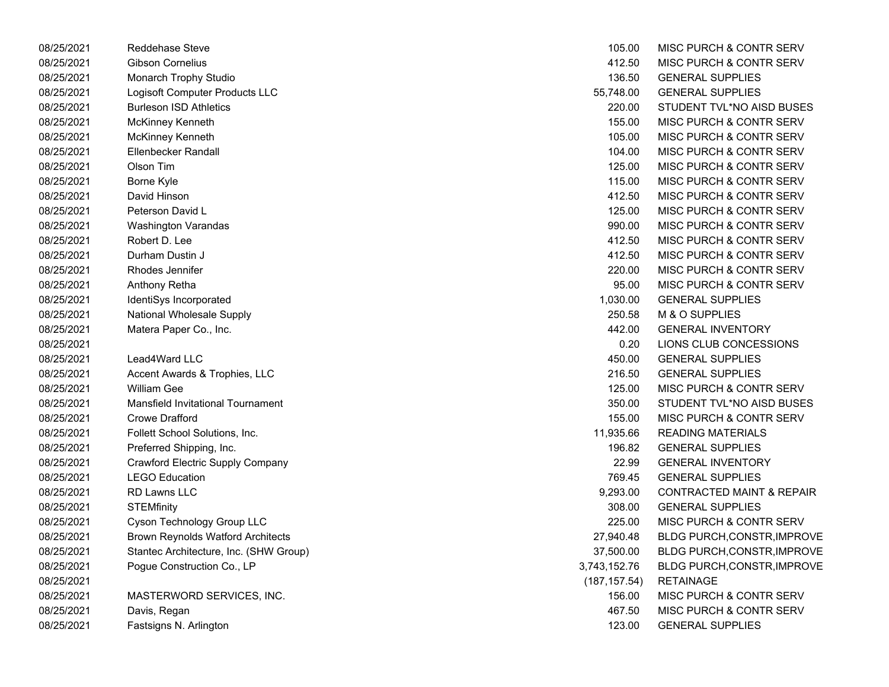| 08/25/2021 | <b>Reddehase Steve</b>                   | 105.00        | MISC PURCH & CONTR SERV              |
|------------|------------------------------------------|---------------|--------------------------------------|
| 08/25/2021 | <b>Gibson Cornelius</b>                  | 412.50        | <b>MISC PURCH &amp; CONTR SERV</b>   |
| 08/25/2021 | Monarch Trophy Studio                    | 136.50        | <b>GENERAL SUPPLIES</b>              |
| 08/25/2021 | Logisoft Computer Products LLC           | 55,748.00     | <b>GENERAL SUPPLIES</b>              |
| 08/25/2021 | <b>Burleson ISD Athletics</b>            | 220.00        | STUDENT TVL*NO AISD BUSES            |
| 08/25/2021 | McKinney Kenneth                         | 155.00        | MISC PURCH & CONTR SERV              |
| 08/25/2021 | McKinney Kenneth                         | 105.00        | MISC PURCH & CONTR SERV              |
| 08/25/2021 | Ellenbecker Randall                      | 104.00        | <b>MISC PURCH &amp; CONTR SERV</b>   |
| 08/25/2021 | Olson Tim                                | 125.00        | MISC PURCH & CONTR SERV              |
| 08/25/2021 | Borne Kyle                               | 115.00        | MISC PURCH & CONTR SERV              |
| 08/25/2021 | David Hinson                             | 412.50        | MISC PURCH & CONTR SERV              |
| 08/25/2021 | Peterson David L                         | 125.00        | <b>MISC PURCH &amp; CONTR SERV</b>   |
| 08/25/2021 | <b>Washington Varandas</b>               | 990.00        | <b>MISC PURCH &amp; CONTR SERV</b>   |
| 08/25/2021 | Robert D. Lee                            | 412.50        | MISC PURCH & CONTR SERV              |
| 08/25/2021 | Durham Dustin J                          | 412.50        | MISC PURCH & CONTR SERV              |
| 08/25/2021 | Rhodes Jennifer                          | 220.00        | MISC PURCH & CONTR SERV              |
| 08/25/2021 | Anthony Retha                            | 95.00         | <b>MISC PURCH &amp; CONTR SERV</b>   |
| 08/25/2021 | IdentiSys Incorporated                   | 1,030.00      | <b>GENERAL SUPPLIES</b>              |
| 08/25/2021 | National Wholesale Supply                | 250.58        | M & O SUPPLIES                       |
| 08/25/2021 | Matera Paper Co., Inc.                   | 442.00        | <b>GENERAL INVENTORY</b>             |
| 08/25/2021 |                                          | 0.20          | LIONS CLUB CONCESSIONS               |
| 08/25/2021 | Lead4Ward LLC                            | 450.00        | <b>GENERAL SUPPLIES</b>              |
| 08/25/2021 | Accent Awards & Trophies, LLC            | 216.50        | <b>GENERAL SUPPLIES</b>              |
| 08/25/2021 | <b>William Gee</b>                       | 125.00        | MISC PURCH & CONTR SERV              |
| 08/25/2021 | Mansfield Invitational Tournament        | 350.00        | STUDENT TVL*NO AISD BUSES            |
| 08/25/2021 | Crowe Drafford                           | 155.00        | MISC PURCH & CONTR SERV              |
| 08/25/2021 | Follett School Solutions, Inc.           | 11,935.66     | <b>READING MATERIALS</b>             |
| 08/25/2021 | Preferred Shipping, Inc.                 | 196.82        | <b>GENERAL SUPPLIES</b>              |
| 08/25/2021 | Crawford Electric Supply Company         | 22.99         | <b>GENERAL INVENTORY</b>             |
| 08/25/2021 | <b>LEGO Education</b>                    | 769.45        | <b>GENERAL SUPPLIES</b>              |
| 08/25/2021 | <b>RD Lawns LLC</b>                      | 9,293.00      | <b>CONTRACTED MAINT &amp; REPAIR</b> |
| 08/25/2021 | <b>STEMfinity</b>                        | 308.00        | <b>GENERAL SUPPLIES</b>              |
| 08/25/2021 | Cyson Technology Group LLC               | 225.00        | MISC PURCH & CONTR SERV              |
| 08/25/2021 | <b>Brown Reynolds Watford Architects</b> | 27,940.48     | <b>BLDG PURCH, CONSTR, IMPROVE</b>   |
| 08/25/2021 | Stantec Architecture, Inc. (SHW Group)   | 37,500.00     | BLDG PURCH, CONSTR, IMPROVE          |
| 08/25/2021 | Pogue Construction Co., LP               | 3,743,152.76  | BLDG PURCH, CONSTR, IMPROVE          |
| 08/25/2021 |                                          | (187, 157.54) | <b>RETAINAGE</b>                     |
| 08/25/2021 | MASTERWORD SERVICES, INC.                | 156.00        | MISC PURCH & CONTR SERV              |
| 08/25/2021 | Davis, Regan                             | 467.50        | MISC PURCH & CONTR SERV              |
| 08/25/2021 | Fastsigns N. Arlington                   | 123.00        | <b>GENERAL SUPPLIES</b>              |

| 105.00        | MISC PURCH & CONTR SERV               |
|---------------|---------------------------------------|
| 412.50        | <b>MISC PURCH &amp; CONTR SERV</b>    |
| 136.50        | <b>GENERAL SUPPLIES</b>               |
|               | 55,748.00 GENERAL SUPPLIES            |
| 220.00        | STUDENT TVL*NO AISD BUSES             |
| 155.00        | MISC PURCH & CONTR SERV               |
| 105.00        | MISC PURCH & CONTR SERV               |
| 104.00        | MISC PURCH & CONTR SERV               |
| 125.00        | MISC PURCH & CONTR SERV               |
| 115.00        | MISC PURCH & CONTR SERV               |
| 412.50        | MISC PURCH & CONTR SERV               |
| 125.00        | MISC PURCH & CONTR SERV               |
|               | 990.00 MISC PURCH & CONTR SERV        |
| 412.50        | MISC PURCH & CONTR SERV               |
| 412.50        | MISC PURCH & CONTR SERV               |
| 220.00        | MISC PURCH & CONTR SERV               |
|               | 95.00 MISC PURCH & CONTR SERV         |
|               | 1,030.00 GENERAL SUPPLIES             |
|               | 250.58 M & O SUPPLIES                 |
| 442.00        | <b>GENERAL INVENTORY</b>              |
| 0.20          | LIONS CLUB CONCESSIONS                |
|               | 450.00 GENERAL SUPPLIES               |
|               | 216.50 GENERAL SUPPLIES               |
| 125.00        | MISC PURCH & CONTR SERV               |
| 350.00        | STUDENT TVL*NO AISD BUSES             |
| 155.00        | MISC PURCH & CONTR SERV               |
| 11,935.66     | <b>READING MATERIALS</b>              |
|               | 196.82 GENERAL SUPPLIES               |
|               | 22.99 GENERAL INVENTORY               |
| 769.45        | <b>GENERAL SUPPLIES</b>               |
| 9,293.00      | <b>CONTRACTED MAINT &amp; REPAIR</b>  |
| 308.00        | <b>GENERAL SUPPLIES</b>               |
|               | 225.00 MISC PURCH & CONTR SERV        |
|               | 27,940.48 BLDG PURCH, CONSTR, IMPROVE |
| 37,500.00     | BLDG PURCH, CONSTR, IMPROVE           |
| ,743,152.76   | <b>BLDG PURCH, CONSTR, IMPROVE</b>    |
| (187, 157.54) | <b>RETAINAGE</b>                      |
| 156.00        | MISC PURCH & CONTR SERV               |
| 467.50        | MISC PURCH & CONTR SERV               |
| 123.00        | <b>GENERAL SUPPLIES</b>               |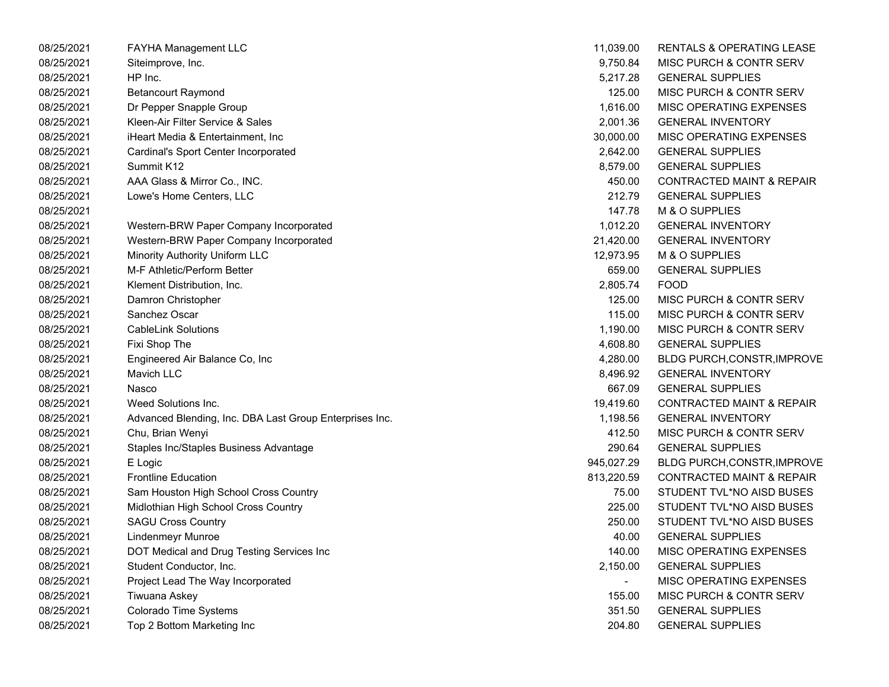| 08/25/2021 | <b>FAYHA Management LLC</b>                             | 11,039.00      | RENTALS & OPERATING LEASE            |
|------------|---------------------------------------------------------|----------------|--------------------------------------|
| 08/25/2021 | Siteimprove, Inc.                                       | 9,750.84       | MISC PURCH & CONTR SERV              |
| 08/25/2021 | HP Inc.                                                 | 5,217.28       | <b>GENERAL SUPPLIES</b>              |
| 08/25/2021 | <b>Betancourt Raymond</b>                               | 125.00         | MISC PURCH & CONTR SERV              |
| 08/25/2021 | Dr Pepper Snapple Group                                 | 1,616.00       | MISC OPERATING EXPENSES              |
| 08/25/2021 | Kleen-Air Filter Service & Sales                        | 2,001.36       | <b>GENERAL INVENTORY</b>             |
| 08/25/2021 | iHeart Media & Entertainment, Inc                       | 30,000.00      | MISC OPERATING EXPENSES              |
| 08/25/2021 | Cardinal's Sport Center Incorporated                    | 2,642.00       | <b>GENERAL SUPPLIES</b>              |
| 08/25/2021 | Summit K12                                              | 8,579.00       | <b>GENERAL SUPPLIES</b>              |
| 08/25/2021 | AAA Glass & Mirror Co., INC.                            | 450.00         | <b>CONTRACTED MAINT &amp; REPAIR</b> |
| 08/25/2021 | Lowe's Home Centers, LLC                                | 212.79         | <b>GENERAL SUPPLIES</b>              |
| 08/25/2021 |                                                         | 147.78         | M & O SUPPLIES                       |
| 08/25/2021 | Western-BRW Paper Company Incorporated                  | 1,012.20       | <b>GENERAL INVENTORY</b>             |
| 08/25/2021 | Western-BRW Paper Company Incorporated                  | 21,420.00      | <b>GENERAL INVENTORY</b>             |
| 08/25/2021 | Minority Authority Uniform LLC                          | 12,973.95      | M & O SUPPLIES                       |
| 08/25/2021 | M-F Athletic/Perform Better                             | 659.00         | <b>GENERAL SUPPLIES</b>              |
| 08/25/2021 | Klement Distribution, Inc.                              | 2,805.74       | <b>FOOD</b>                          |
| 08/25/2021 | Damron Christopher                                      | 125.00         | MISC PURCH & CONTR SERV              |
| 08/25/2021 | Sanchez Oscar                                           | 115.00         | MISC PURCH & CONTR SERV              |
| 08/25/2021 | <b>CableLink Solutions</b>                              | 1,190.00       | MISC PURCH & CONTR SERV              |
| 08/25/2021 | Fixi Shop The                                           | 4,608.80       | <b>GENERAL SUPPLIES</b>              |
| 08/25/2021 | Engineered Air Balance Co, Inc                          | 4,280.00       | <b>BLDG PURCH, CONSTR, IMPROVE</b>   |
| 08/25/2021 | Mavich LLC                                              | 8,496.92       | <b>GENERAL INVENTORY</b>             |
| 08/25/2021 | Nasco                                                   | 667.09         | <b>GENERAL SUPPLIES</b>              |
| 08/25/2021 | Weed Solutions Inc.                                     | 19,419.60      | <b>CONTRACTED MAINT &amp; REPAIR</b> |
| 08/25/2021 | Advanced Blending, Inc. DBA Last Group Enterprises Inc. | 1,198.56       | <b>GENERAL INVENTORY</b>             |
| 08/25/2021 | Chu, Brian Wenyi                                        | 412.50         | MISC PURCH & CONTR SERV              |
| 08/25/2021 | Staples Inc/Staples Business Advantage                  | 290.64         | <b>GENERAL SUPPLIES</b>              |
| 08/25/2021 | E Logic                                                 | 945,027.29     | <b>BLDG PURCH, CONSTR, IMPROVE</b>   |
| 08/25/2021 | <b>Frontline Education</b>                              | 813,220.59     | <b>CONTRACTED MAINT &amp; REPAIR</b> |
| 08/25/2021 | Sam Houston High School Cross Country                   | 75.00          | STUDENT TVL*NO AISD BUSES            |
| 08/25/2021 | Midlothian High School Cross Country                    | 225.00         | STUDENT TVL*NO AISD BUSES            |
| 08/25/2021 | <b>SAGU Cross Country</b>                               | 250.00         | STUDENT TVL*NO AISD BUSES            |
| 08/25/2021 | Lindenmeyr Munroe                                       | 40.00          | <b>GENERAL SUPPLIES</b>              |
| 08/25/2021 | DOT Medical and Drug Testing Services Inc               | 140.00         | MISC OPERATING EXPENSES              |
| 08/25/2021 | Student Conductor, Inc.                                 | 2,150.00       | <b>GENERAL SUPPLIES</b>              |
| 08/25/2021 | Project Lead The Way Incorporated                       | $\blacksquare$ | MISC OPERATING EXPENSES              |
| 08/25/2021 | Tiwuana Askey                                           | 155.00         | MISC PURCH & CONTR SERV              |
| 08/25/2021 | Colorado Time Systems                                   | 351.50         | <b>GENERAL SUPPLIES</b>              |
| 08/25/2021 | Top 2 Bottom Marketing Inc                              | 204.80         | <b>GENERAL SUPPLIES</b>              |
|            |                                                         |                |                                      |

| 11,039.00  | <b>RENTALS &amp; OPERATING LEASE</b> |
|------------|--------------------------------------|
| 9,750.84   | <b>MISC PURCH &amp; CONTR SERV</b>   |
| 5,217.28   | <b>GENERAL SUPPLIES</b>              |
| 125.00     | <b>MISC PURCH &amp; CONTR SERV</b>   |
| 1,616.00   | <b>MISC OPERATING EXPENSES</b>       |
| 2,001.36   | <b>GENERAL INVENTORY</b>             |
| 30,000.00  | <b>MISC OPERATING EXPENSES</b>       |
| 2,642.00   | <b>GENERAL SUPPLIES</b>              |
| 8,579.00   | <b>GENERAL SUPPLIES</b>              |
| 450.00     | <b>CONTRACTED MAINT &amp; REPAIR</b> |
| 212.79     | <b>GENERAL SUPPLIES</b>              |
| 147.78     | M & O SUPPLIES                       |
| 1,012.20   | <b>GENERAL INVENTORY</b>             |
| 21,420.00  | <b>GENERAL INVENTORY</b>             |
| 12,973.95  | M & O SUPPLIES                       |
| 659.00     | <b>GENERAL SUPPLIES</b>              |
| 2,805.74   | <b>FOOD</b>                          |
| 125.00     | MISC PURCH & CONTR SERV              |
| 115.00     | <b>MISC PURCH &amp; CONTR SERV</b>   |
| 1,190.00   | <b>MISC PURCH &amp; CONTR SERV</b>   |
| 4,608.80   | <b>GENERAL SUPPLIES</b>              |
| 4,280.00   | BLDG PURCH, CONSTR, IMPROVE          |
| 8,496.92   | <b>GENERAL INVENTORY</b>             |
| 667.09     | <b>GENERAL SUPPLIES</b>              |
| 19,419.60  | <b>CONTRACTED MAINT &amp; REPAIR</b> |
| 1,198.56   | <b>GENERAL INVENTORY</b>             |
| 412.50     | <b>MISC PURCH &amp; CONTR SERV</b>   |
| 290.64     | <b>GENERAL SUPPLIES</b>              |
| 945,027.29 | BLDG PURCH, CONSTR, IMPROVE          |
| 813,220.59 | <b>CONTRACTED MAINT &amp; REPAIR</b> |
| 75.00      | STUDENT TVL*NO AISD BUSES            |
| 225.00     | STUDENT TVL*NO AISD BUSES            |
| 250.00     | STUDENT TVL*NO AISD BUSES            |
| 40.00      | <b>GENERAL SUPPLIES</b>              |
| 140.00     | MISC OPERATING EXPENSES              |
| 2,150.00   | <b>GENERAL SUPPLIES</b>              |
|            | <b>MISC OPERATING EXPENSES</b>       |
| 155.00     | <b>MISC PURCH &amp; CONTR SERV</b>   |
| 351.50     | <b>GENERAL SUPPLIES</b>              |
| 204.80     | <b>GENERAL SUPPLIES</b>              |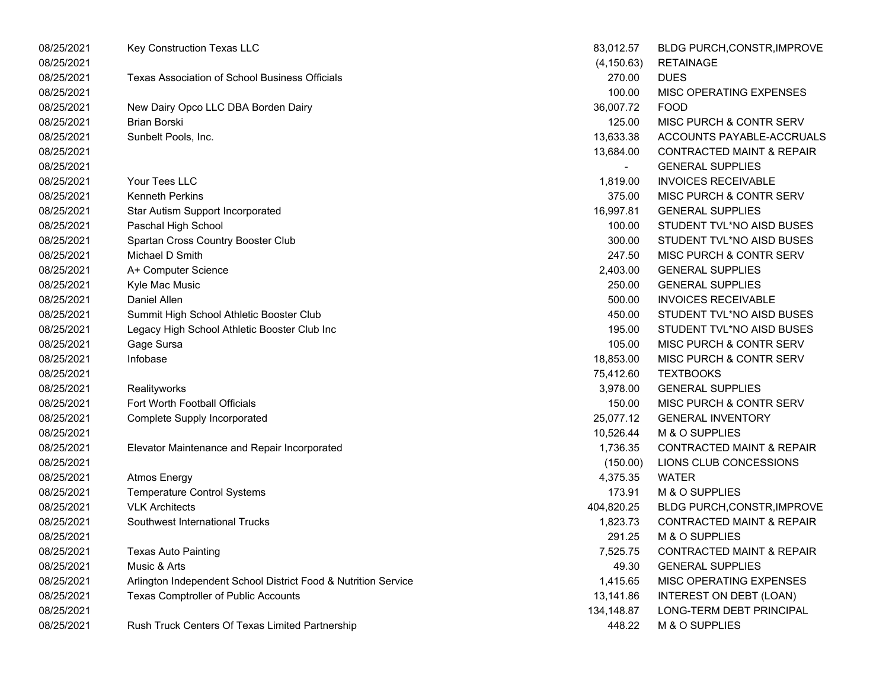| 08/25/2021 | Key Construction Texas LLC                                     | 83,012.57                | <b>BLDG PURCH, CONSTR, IMPROVE</b>   |
|------------|----------------------------------------------------------------|--------------------------|--------------------------------------|
| 08/25/2021 |                                                                | (4, 150.63)              | <b>RETAINAGE</b>                     |
| 08/25/2021 | Texas Association of School Business Officials                 | 270.00                   | <b>DUES</b>                          |
| 08/25/2021 |                                                                | 100.00                   | MISC OPERATING EXPENSES              |
| 08/25/2021 | New Dairy Opco LLC DBA Borden Dairy                            | 36,007.72                | <b>FOOD</b>                          |
| 08/25/2021 | <b>Brian Borski</b>                                            | 125.00                   | MISC PURCH & CONTR SERV              |
| 08/25/2021 | Sunbelt Pools, Inc.                                            | 13,633.38                | ACCOUNTS PAYABLE-ACCRUALS            |
| 08/25/2021 |                                                                | 13,684.00                | <b>CONTRACTED MAINT &amp; REPAIR</b> |
| 08/25/2021 |                                                                | $\overline{\phantom{0}}$ | <b>GENERAL SUPPLIES</b>              |
| 08/25/2021 | Your Tees LLC                                                  | 1,819.00                 | <b>INVOICES RECEIVABLE</b>           |
| 08/25/2021 | <b>Kenneth Perkins</b>                                         | 375.00                   | MISC PURCH & CONTR SERV              |
| 08/25/2021 | Star Autism Support Incorporated                               | 16,997.81                | <b>GENERAL SUPPLIES</b>              |
| 08/25/2021 | Paschal High School                                            | 100.00                   | STUDENT TVL*NO AISD BUSES            |
| 08/25/2021 | Spartan Cross Country Booster Club                             | 300.00                   | STUDENT TVL*NO AISD BUSES            |
| 08/25/2021 | Michael D Smith                                                | 247.50                   | MISC PURCH & CONTR SERV              |
| 08/25/2021 | A+ Computer Science                                            | 2,403.00                 | <b>GENERAL SUPPLIES</b>              |
| 08/25/2021 | Kyle Mac Music                                                 | 250.00                   | <b>GENERAL SUPPLIES</b>              |
| 08/25/2021 | <b>Daniel Allen</b>                                            | 500.00                   | <b>INVOICES RECEIVABLE</b>           |
| 08/25/2021 | Summit High School Athletic Booster Club                       | 450.00                   | STUDENT TVL*NO AISD BUSES            |
| 08/25/2021 | Legacy High School Athletic Booster Club Inc                   | 195.00                   | STUDENT TVL*NO AISD BUSES            |
| 08/25/2021 | Gage Sursa                                                     | 105.00                   | MISC PURCH & CONTR SERV              |
| 08/25/2021 | Infobase                                                       | 18,853.00                | MISC PURCH & CONTR SERV              |
| 08/25/2021 |                                                                | 75,412.60                | <b>TEXTBOOKS</b>                     |
| 08/25/2021 | Realityworks                                                   | 3,978.00                 | <b>GENERAL SUPPLIES</b>              |
| 08/25/2021 | Fort Worth Football Officials                                  | 150.00                   | MISC PURCH & CONTR SERV              |
| 08/25/2021 | <b>Complete Supply Incorporated</b>                            | 25,077.12                | <b>GENERAL INVENTORY</b>             |
| 08/25/2021 |                                                                | 10,526.44                | M & O SUPPLIES                       |
| 08/25/2021 | Elevator Maintenance and Repair Incorporated                   | 1,736.35                 | <b>CONTRACTED MAINT &amp; REPAIR</b> |
| 08/25/2021 |                                                                | (150.00)                 | LIONS CLUB CONCESSIONS               |
| 08/25/2021 | <b>Atmos Energy</b>                                            | 4,375.35                 | <b>WATER</b>                         |
| 08/25/2021 | <b>Temperature Control Systems</b>                             | 173.91                   | M & O SUPPLIES                       |
| 08/25/2021 | <b>VLK Architects</b>                                          | 404,820.25               | BLDG PURCH, CONSTR, IMPROVE          |
| 08/25/2021 | Southwest International Trucks                                 | 1,823.73                 | <b>CONTRACTED MAINT &amp; REPAIR</b> |
| 08/25/2021 |                                                                | 291.25                   | M & O SUPPLIES                       |
| 08/25/2021 | <b>Texas Auto Painting</b>                                     | 7,525.75                 | <b>CONTRACTED MAINT &amp; REPAIR</b> |
| 08/25/2021 | Music & Arts                                                   | 49.30                    | <b>GENERAL SUPPLIES</b>              |
| 08/25/2021 | Arlington Independent School District Food & Nutrition Service | 1,415.65                 | MISC OPERATING EXPENSES              |
| 08/25/2021 | Texas Comptroller of Public Accounts                           | 13,141.86                | INTEREST ON DEBT (LOAN)              |
| 08/25/2021 |                                                                | 134,148.87               | LONG-TERM DEBT PRINCIPAL             |
| 08/25/2021 | Rush Truck Centers Of Texas Limited Partnership                | 448.22                   | M & O SUPPLIES                       |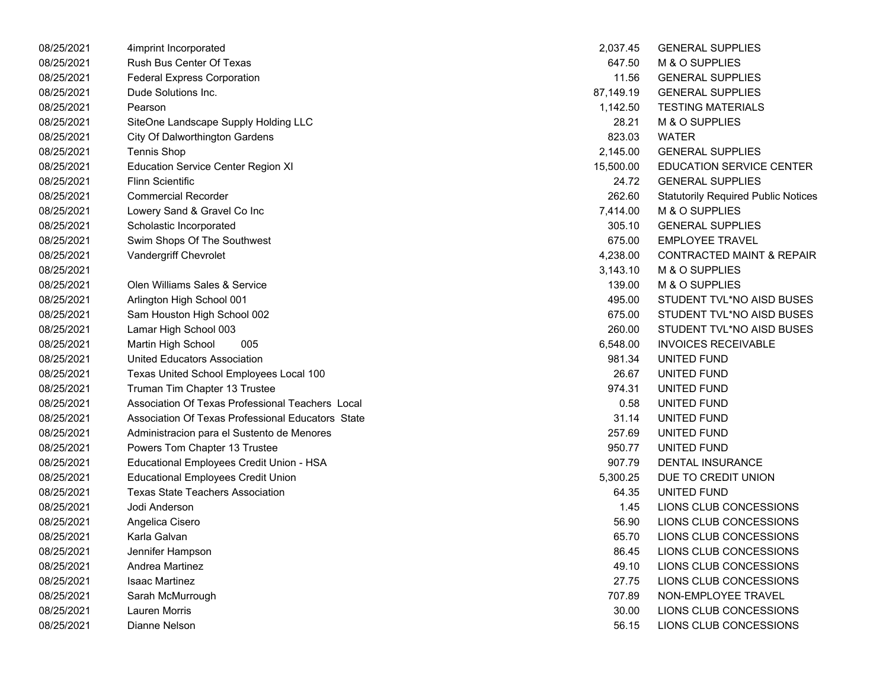| 08/25/2021 | 4imprint Incorporated                             | 2,037.45  | <b>GENERAL SUPPLIES</b>                    |
|------------|---------------------------------------------------|-----------|--------------------------------------------|
| 08/25/2021 | Rush Bus Center Of Texas                          | 647.50    | M & O SUPPLIES                             |
| 08/25/2021 | <b>Federal Express Corporation</b>                | 11.56     | <b>GENERAL SUPPLIES</b>                    |
| 08/25/2021 | Dude Solutions Inc.                               | 87,149.19 | <b>GENERAL SUPPLIES</b>                    |
| 08/25/2021 | Pearson                                           | 1,142.50  | <b>TESTING MATERIALS</b>                   |
| 08/25/2021 | SiteOne Landscape Supply Holding LLC              | 28.21     | M & O SUPPLIES                             |
| 08/25/2021 | City Of Dalworthington Gardens                    | 823.03    | <b>WATER</b>                               |
| 08/25/2021 | Tennis Shop                                       | 2,145.00  | <b>GENERAL SUPPLIES</b>                    |
| 08/25/2021 | <b>Education Service Center Region XI</b>         | 15,500.00 | <b>EDUCATION SERVICE CENTER</b>            |
| 08/25/2021 | Flinn Scientific                                  | 24.72     | <b>GENERAL SUPPLIES</b>                    |
| 08/25/2021 | <b>Commercial Recorder</b>                        | 262.60    | <b>Statutorily Required Public Notices</b> |
| 08/25/2021 | Lowery Sand & Gravel Co Inc                       | 7,414.00  | M & O SUPPLIES                             |
| 08/25/2021 | Scholastic Incorporated                           | 305.10    | <b>GENERAL SUPPLIES</b>                    |
| 08/25/2021 | Swim Shops Of The Southwest                       | 675.00    | <b>EMPLOYEE TRAVEL</b>                     |
| 08/25/2021 | Vandergriff Chevrolet                             | 4,238.00  | <b>CONTRACTED MAINT &amp; REPAIR</b>       |
| 08/25/2021 |                                                   | 3,143.10  | M & O SUPPLIES                             |
| 08/25/2021 | Olen Williams Sales & Service                     | 139.00    | M & O SUPPLIES                             |
| 08/25/2021 | Arlington High School 001                         | 495.00    | STUDENT TVL*NO AISD BUSES                  |
| 08/25/2021 | Sam Houston High School 002                       | 675.00    | STUDENT TVL*NO AISD BUSES                  |
| 08/25/2021 | Lamar High School 003                             | 260.00    | STUDENT TVL*NO AISD BUSES                  |
| 08/25/2021 | Martin High School<br>005                         | 6,548.00  | <b>INVOICES RECEIVABLE</b>                 |
| 08/25/2021 | United Educators Association                      | 981.34    | UNITED FUND                                |
| 08/25/2021 | Texas United School Employees Local 100           | 26.67     | UNITED FUND                                |
| 08/25/2021 | Truman Tim Chapter 13 Trustee                     | 974.31    | UNITED FUND                                |
| 08/25/2021 | Association Of Texas Professional Teachers Local  | 0.58      | UNITED FUND                                |
| 08/25/2021 | Association Of Texas Professional Educators State | 31.14     | UNITED FUND                                |
| 08/25/2021 | Administracion para el Sustento de Menores        | 257.69    | UNITED FUND                                |
| 08/25/2021 | Powers Tom Chapter 13 Trustee                     | 950.77    | UNITED FUND                                |
| 08/25/2021 | Educational Employees Credit Union - HSA          | 907.79    | <b>DENTAL INSURANCE</b>                    |
| 08/25/2021 | <b>Educational Employees Credit Union</b>         | 5,300.25  | DUE TO CREDIT UNION                        |
| 08/25/2021 | <b>Texas State Teachers Association</b>           | 64.35     | UNITED FUND                                |
| 08/25/2021 | Jodi Anderson                                     | 1.45      | LIONS CLUB CONCESSIONS                     |
| 08/25/2021 | Angelica Cisero                                   | 56.90     | LIONS CLUB CONCESSIONS                     |
| 08/25/2021 | Karla Galvan                                      | 65.70     | LIONS CLUB CONCESSIONS                     |
| 08/25/2021 | Jennifer Hampson                                  | 86.45     | LIONS CLUB CONCESSIONS                     |
| 08/25/2021 | Andrea Martinez                                   | 49.10     | LIONS CLUB CONCESSIONS                     |
| 08/25/2021 | <b>Isaac Martinez</b>                             | 27.75     | LIONS CLUB CONCESSIONS                     |
| 08/25/2021 | Sarah McMurrough                                  | 707.89    | NON-EMPLOYEE TRAVEL                        |
| 08/25/2021 | <b>Lauren Morris</b>                              | 30.00     | LIONS CLUB CONCESSIONS                     |
| 08/25/2021 | Dianne Nelson                                     | 56.15     | LIONS CLUB CONCESSIONS                     |

| 2,037.45  | <b>GENERAL SUPPLIES</b>                    |
|-----------|--------------------------------------------|
| 647.50    | M & O SUPPLIES                             |
| 11.56     | <b>GENERAL SUPPLIES</b>                    |
| 87,149.19 | <b>GENERAL SUPPLIES</b>                    |
| 1,142.50  | <b>TESTING MATERIALS</b>                   |
|           | 28.21 M & O SUPPLIES                       |
|           | 823.03 WATER                               |
|           | 2,145.00 GENERAL SUPPLIES                  |
| 15,500.00 | <b>EDUCATION SERVICE CENTER</b>            |
| 24.72     | <b>GENERAL SUPPLIES</b>                    |
| 262.60    | <b>Statutorily Required Public Notices</b> |
| 7,414.00  | <b>M &amp; O SUPPLIES</b>                  |
| 305.10    | <b>GENERAL SUPPLIES</b>                    |
| 675.00    | <b>EMPLOYEE TRAVEL</b>                     |
| 4,238.00  | <b>CONTRACTED MAINT &amp; REPAIR</b>       |
|           | 3,143.10 M & O SUPPLIES                    |
| 139.00    | M & O SUPPLIES                             |
| 495.00    | STUDENT TVL*NO AISD BUSES                  |
| 675.00    | STUDENT TVL*NO AISD BUSES                  |
| 260.00    | STUDENT TVL*NO AISD BUSES                  |
|           | 6,548.00 INVOICES RECEIVABLE               |
| 981.34    | <b>UNITED FUND</b>                         |
| 26.67     | UNITED FUND                                |
| 974.31    | UNITED FUND                                |
| 0.58      | UNITED FUND                                |
|           | 31.14 UNITED FUND                          |
|           | 257.69 UNITED FUND                         |
| 950.77    | UNITED FUND                                |
| 907.79    | <b>DENTAL INSURANCE</b>                    |
| 5,300.25  | DUE TO CREDIT UNION                        |
| 64.35     | UNITED FUND                                |
| 1.45      | LIONS CLUB CONCESSIONS                     |
| 56.90     | LIONS CLUB CONCESSIONS                     |
| 65.70     | LIONS CLUB CONCESSIONS                     |
| 86.45     | LIONS CLUB CONCESSIONS                     |
| 49.10     | LIONS CLUB CONCESSIONS                     |
| 27.75     | LIONS CLUB CONCESSIONS                     |
| 707.89    | NON-EMPLOYEE TRAVEL                        |
| 30.00     | LIONS CLUB CONCESSIONS                     |
| 56.15     | LIONS CLUB CONCESSIONS                     |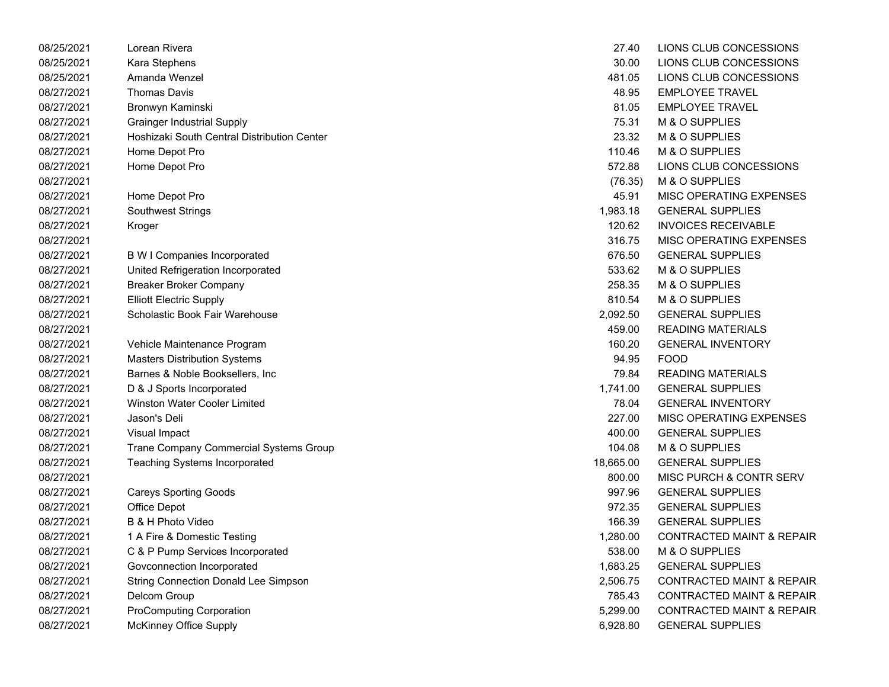| 08/25/2021 | Lorean Rivera                               | 27.40     | LIONS CLUB CONCESSIONS               |
|------------|---------------------------------------------|-----------|--------------------------------------|
| 08/25/2021 | Kara Stephens                               | 30.00     | LIONS CLUB CONCESSIONS               |
| 08/25/2021 | Amanda Wenzel                               | 481.05    | LIONS CLUB CONCESSIONS               |
| 08/27/2021 | <b>Thomas Davis</b>                         | 48.95     | <b>EMPLOYEE TRAVEL</b>               |
| 08/27/2021 | Bronwyn Kaminski                            | 81.05     | <b>EMPLOYEE TRAVEL</b>               |
| 08/27/2021 | <b>Grainger Industrial Supply</b>           | 75.31     | M & O SUPPLIES                       |
| 08/27/2021 | Hoshizaki South Central Distribution Center | 23.32     | M & O SUPPLIES                       |
| 08/27/2021 | Home Depot Pro                              | 110.46    | M & O SUPPLIES                       |
| 08/27/2021 | Home Depot Pro                              | 572.88    | LIONS CLUB CONCESSIONS               |
| 08/27/2021 |                                             | (76.35)   | M & O SUPPLIES                       |
| 08/27/2021 | Home Depot Pro                              | 45.91     | MISC OPERATING EXPENSES              |
| 08/27/2021 | <b>Southwest Strings</b>                    | 1,983.18  | <b>GENERAL SUPPLIES</b>              |
| 08/27/2021 | Kroger                                      | 120.62    | <b>INVOICES RECEIVABLE</b>           |
| 08/27/2021 |                                             | 316.75    | MISC OPERATING EXPENSES              |
| 08/27/2021 | B W I Companies Incorporated                | 676.50    | <b>GENERAL SUPPLIES</b>              |
| 08/27/2021 | United Refrigeration Incorporated           | 533.62    | M & O SUPPLIES                       |
| 08/27/2021 | <b>Breaker Broker Company</b>               | 258.35    | M & O SUPPLIES                       |
| 08/27/2021 | <b>Elliott Electric Supply</b>              | 810.54    | M & O SUPPLIES                       |
| 08/27/2021 | Scholastic Book Fair Warehouse              | 2,092.50  | <b>GENERAL SUPPLIES</b>              |
| 08/27/2021 |                                             | 459.00    | <b>READING MATERIALS</b>             |
| 08/27/2021 | Vehicle Maintenance Program                 | 160.20    | <b>GENERAL INVENTORY</b>             |
| 08/27/2021 | <b>Masters Distribution Systems</b>         | 94.95     | <b>FOOD</b>                          |
| 08/27/2021 | Barnes & Noble Booksellers, Inc.            | 79.84     | <b>READING MATERIALS</b>             |
| 08/27/2021 | D & J Sports Incorporated                   | 1,741.00  | <b>GENERAL SUPPLIES</b>              |
| 08/27/2021 | <b>Winston Water Cooler Limited</b>         | 78.04     | <b>GENERAL INVENTORY</b>             |
| 08/27/2021 | Jason's Deli                                | 227.00    | MISC OPERATING EXPENSES              |
| 08/27/2021 | Visual Impact                               | 400.00    | <b>GENERAL SUPPLIES</b>              |
| 08/27/2021 | Trane Company Commercial Systems Group      | 104.08    | M & O SUPPLIES                       |
| 08/27/2021 | <b>Teaching Systems Incorporated</b>        | 18,665.00 | <b>GENERAL SUPPLIES</b>              |
| 08/27/2021 |                                             | 800.00    | <b>MISC PURCH &amp; CONTR SERV</b>   |
| 08/27/2021 | <b>Careys Sporting Goods</b>                | 997.96    | <b>GENERAL SUPPLIES</b>              |
| 08/27/2021 | Office Depot                                | 972.35    | <b>GENERAL SUPPLIES</b>              |
| 08/27/2021 | <b>B &amp; H Photo Video</b>                | 166.39    | <b>GENERAL SUPPLIES</b>              |
| 08/27/2021 | 1 A Fire & Domestic Testing                 | 1,280.00  | <b>CONTRACTED MAINT &amp; REPAIR</b> |
| 08/27/2021 | C & P Pump Services Incorporated            | 538.00    | M & O SUPPLIES                       |
| 08/27/2021 | Govconnection Incorporated                  | 1,683.25  | <b>GENERAL SUPPLIES</b>              |
| 08/27/2021 | <b>String Connection Donald Lee Simpson</b> | 2,506.75  | <b>CONTRACTED MAINT &amp; REPAIR</b> |
| 08/27/2021 | Delcom Group                                | 785.43    | <b>CONTRACTED MAINT &amp; REPAIR</b> |
| 08/27/2021 | <b>ProComputing Corporation</b>             | 5,299.00  | <b>CONTRACTED MAINT &amp; REPAIR</b> |
| 08/27/2021 | McKinney Office Supply                      | 6,928.80  | <b>GENERAL SUPPLIES</b>              |

| 27.40    | LIONS CLUB CONCESSIONS               |
|----------|--------------------------------------|
| 30.00    | LIONS CLUB CONCESSIONS               |
|          | 481.05 LIONS CLUB CONCESSIONS        |
|          | 48.95 EMPLOYEE TRAVEL                |
| 81.05    | <b>EMPLOYEE TRAVEL</b>               |
| 75.31    | M & O SUPPLIES                       |
|          | 23.32 M & O SUPPLIES                 |
|          | 110.46 M & O SUPPLIES                |
| 572.88   | LIONS CLUB CONCESSIONS               |
|          | (76.35) M & O SUPPLIES               |
| 45.91    | MISC OPERATING EXPENSES              |
|          | 1,983.18 GENERAL SUPPLIES            |
|          | 120.62 INVOICES RECEIVABLE           |
|          | 316.75 MISC OPERATING EXPENSES       |
| 676.50   | <b>GENERAL SUPPLIES</b>              |
| 533.62   | M & O SUPPLIES                       |
|          | 258.35 M & O SUPPLIES                |
|          | 810.54 M & O SUPPLIES                |
|          | 2,092.50 GENERAL SUPPLIES            |
| 459.00   | <b>READING MATERIALS</b>             |
| 160.20   | <b>GENERAL INVENTORY</b>             |
|          | 94.95 FOOD                           |
|          | 79.84 READING MATERIALS              |
|          | 1,741.00 GENERAL SUPPLIES            |
| 78.04    | <b>GENERAL INVENTORY</b>             |
| 227.00   | MISC OPERATING EXPENSES              |
|          | 400.00 GENERAL SUPPLIES              |
|          | 104.08 M & O SUPPLIES                |
|          | 18,665.00 GENERAL SUPPLIES           |
| 800.00   | <b>MISC PURCH &amp; CONTR SERV</b>   |
| 997.96   | <b>GENERAL SUPPLIES</b>              |
|          | 972.35 GENERAL SUPPLIES              |
|          | 166.39 GENERAL SUPPLIES              |
|          | 1,280.00 CONTRACTED MAINT & REPAIR   |
| 538.00   | <b>M &amp; O SUPPLIES</b>            |
| 1,683.25 | <b>GENERAL SUPPLIES</b>              |
| 2,506.75 | <b>CONTRACTED MAINT &amp; REPAIR</b> |
| 785.43   | <b>CONTRACTED MAINT &amp; REPAIR</b> |
| 5,299.00 | <b>CONTRACTED MAINT &amp; REPAIR</b> |
| 6,928.80 | <b>GENERAL SUPPLIES</b>              |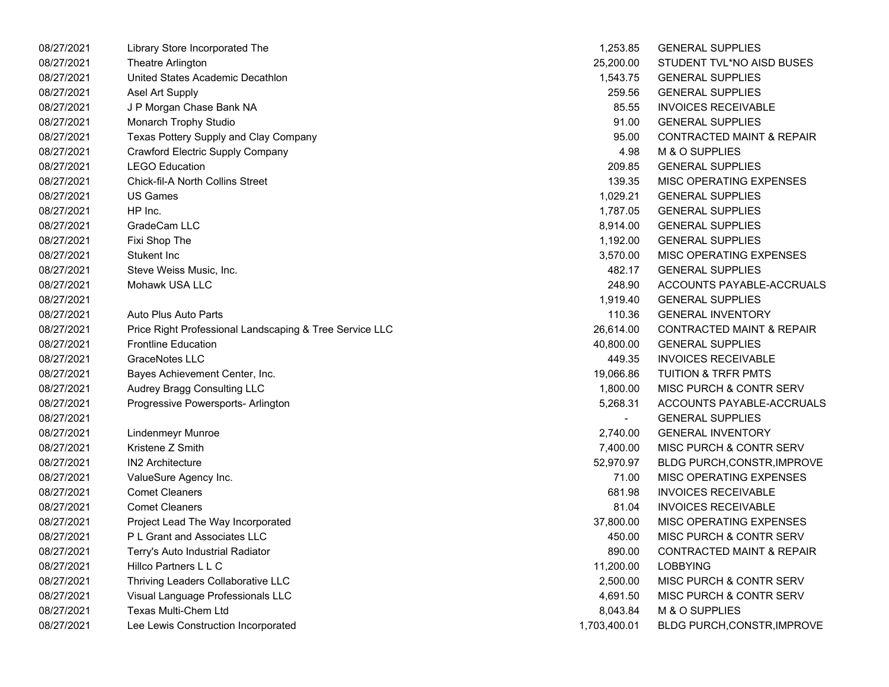| 08/27/2021 | Library Store Incorporated The                          | 1,253.85                 | <b>GENERAL SUPPLIES</b>              |
|------------|---------------------------------------------------------|--------------------------|--------------------------------------|
| 08/27/2021 | Theatre Arlington                                       | 25,200.00                | STUDENT TVL*NO AISD BUSES            |
| 08/27/2021 | United States Academic Decathlon                        | 1,543.75                 | <b>GENERAL SUPPLIES</b>              |
| 08/27/2021 | Asel Art Supply                                         | 259.56                   | <b>GENERAL SUPPLIES</b>              |
| 08/27/2021 | J P Morgan Chase Bank NA                                | 85.55                    | <b>INVOICES RECEIVABLE</b>           |
| 08/27/2021 | Monarch Trophy Studio                                   | 91.00                    | <b>GENERAL SUPPLIES</b>              |
| 08/27/2021 | Texas Pottery Supply and Clay Company                   | 95.00                    | <b>CONTRACTED MAINT &amp; REPAIR</b> |
| 08/27/2021 | Crawford Electric Supply Company                        | 4.98                     | M & O SUPPLIES                       |
| 08/27/2021 | <b>LEGO Education</b>                                   | 209.85                   | <b>GENERAL SUPPLIES</b>              |
| 08/27/2021 | <b>Chick-fil-A North Collins Street</b>                 | 139.35                   | MISC OPERATING EXPENSES              |
| 08/27/2021 | <b>US Games</b>                                         | 1,029.21                 | <b>GENERAL SUPPLIES</b>              |
| 08/27/2021 | HP Inc.                                                 | 1,787.05                 | <b>GENERAL SUPPLIES</b>              |
| 08/27/2021 | GradeCam LLC                                            | 8,914.00                 | <b>GENERAL SUPPLIES</b>              |
| 08/27/2021 | Fixi Shop The                                           | 1,192.00                 | <b>GENERAL SUPPLIES</b>              |
| 08/27/2021 | Stukent Inc                                             | 3,570.00                 | MISC OPERATING EXPENSES              |
| 08/27/2021 | Steve Weiss Music, Inc.                                 | 482.17                   | <b>GENERAL SUPPLIES</b>              |
| 08/27/2021 | Mohawk USA LLC                                          | 248.90                   | ACCOUNTS PAYABLE-ACCRUALS            |
| 08/27/2021 |                                                         | 1,919.40                 | <b>GENERAL SUPPLIES</b>              |
| 08/27/2021 | Auto Plus Auto Parts                                    | 110.36                   | <b>GENERAL INVENTORY</b>             |
| 08/27/2021 | Price Right Professional Landscaping & Tree Service LLC | 26,614.00                | <b>CONTRACTED MAINT &amp; REPAIR</b> |
| 08/27/2021 | <b>Frontline Education</b>                              | 40,800.00                | <b>GENERAL SUPPLIES</b>              |
| 08/27/2021 | GraceNotes LLC                                          | 449.35                   | <b>INVOICES RECEIVABLE</b>           |
| 08/27/2021 | Bayes Achievement Center, Inc.                          | 19,066.86                | <b>TUITION &amp; TRFR PMTS</b>       |
| 08/27/2021 | Audrey Bragg Consulting LLC                             | 1,800.00                 | MISC PURCH & CONTR SERV              |
| 08/27/2021 | Progressive Powersports- Arlington                      | 5,268.31                 | ACCOUNTS PAYABLE-ACCRUALS            |
| 08/27/2021 |                                                         | $\overline{\phantom{0}}$ | <b>GENERAL SUPPLIES</b>              |
| 08/27/2021 | Lindenmeyr Munroe                                       | 2,740.00                 | <b>GENERAL INVENTORY</b>             |
| 08/27/2021 | Kristene Z Smith                                        | 7,400.00                 | MISC PURCH & CONTR SERV              |
| 08/27/2021 | <b>IN2 Architecture</b>                                 | 52,970.97                | <b>BLDG PURCH, CONSTR, IMPROVE</b>   |
| 08/27/2021 | ValueSure Agency Inc.                                   | 71.00                    | MISC OPERATING EXPENSES              |
| 08/27/2021 | <b>Comet Cleaners</b>                                   | 681.98                   | <b>INVOICES RECEIVABLE</b>           |
| 08/27/2021 | <b>Comet Cleaners</b>                                   | 81.04                    | <b>INVOICES RECEIVABLE</b>           |
| 08/27/2021 | Project Lead The Way Incorporated                       | 37,800.00                | MISC OPERATING EXPENSES              |
| 08/27/2021 | P L Grant and Associates LLC                            | 450.00                   | MISC PURCH & CONTR SERV              |
| 08/27/2021 | Terry's Auto Industrial Radiator                        | 890.00                   | <b>CONTRACTED MAINT &amp; REPAIR</b> |
| 08/27/2021 | Hillco Partners L L C                                   | 11,200.00                | <b>LOBBYING</b>                      |
| 08/27/2021 | Thriving Leaders Collaborative LLC                      | 2,500.00                 | MISC PURCH & CONTR SERV              |
| 08/27/2021 | Visual Language Professionals LLC                       | 4,691.50                 | MISC PURCH & CONTR SERV              |
| 08/27/2021 | Texas Multi-Chem Ltd                                    | 8,043.84                 | M & O SUPPLIES                       |
| 08/27/2021 | Lee Lewis Construction Incorporated                     | 1,703,400.01             | <b>BLDG PURCH, CONSTR, IMPROVE</b>   |
|            |                                                         |                          |                                      |

| 1,253.85       | <b>GENERAL SUPPLIES</b>              |
|----------------|--------------------------------------|
| 25.200.00      | STUDENT TVL*NO AISD BUSES            |
| 1,543.75       | <b>GENERAL SUPPLIES</b>              |
| 259.56         | <b>GENERAL SUPPLIES</b>              |
| 85.55          | <b>INVOICES RECEIVABLE</b>           |
| 91.00          | <b>GENERAL SUPPLIES</b>              |
| 95.00          | <b>CONTRACTED MAINT &amp; REPAIR</b> |
| 4.98           | M & O SUPPLIES                       |
| 209.85         | <b>GENERAL SUPPLIES</b>              |
| 139.35         | <b>MISC OPERATING EXPENSES</b>       |
| 1,029.21       | <b>GENERAL SUPPLIES</b>              |
| 1,787.05       | <b>GENERAL SUPPLIES</b>              |
| 8,914.00       | <b>GENERAL SUPPLIES</b>              |
| 1,192.00       | <b>GENERAL SUPPLIES</b>              |
| 3,570.00       | <b>MISC OPERATING EXPENSES</b>       |
| 482.17         | <b>GENERAL SUPPLIES</b>              |
| 248.90         | <b>ACCOUNTS PAYABLE-ACCRUALS</b>     |
| 1,919.40       | <b>GENERAL SUPPLIES</b>              |
| 110.36         | <b>GENERAL INVENTORY</b>             |
| 26,614.00      | <b>CONTRACTED MAINT &amp; REPAIR</b> |
| 40,800.00      | <b>GENERAL SUPPLIES</b>              |
| 449.35         | <b>INVOICES RECEIVABLE</b>           |
| 19,066.86      | <b>TUITION &amp; TRFR PMTS</b>       |
| 1,800.00       | <b>MISC PURCH &amp; CONTR SERV</b>   |
| 5,268.31       | ACCOUNTS PAYABLE-ACCRUALS            |
| $\overline{a}$ | <b>GENERAL SUPPLIES</b>              |
| 2,740.00       | <b>GENERAL INVENTORY</b>             |
| 7,400.00       | <b>MISC PURCH &amp; CONTR SERV</b>   |
| 52,970.97      | BLDG PURCH, CONSTR, IMPROVE          |
| 71.00          | <b>MISC OPERATING EXPENSES</b>       |
| 681.98         | <b>INVOICES RECEIVABLE</b>           |
| 81.04          | <b>INVOICES RECEIVABLE</b>           |
| 37,800.00      | <b>MISC OPERATING EXPENSES</b>       |
| 450.00         | <b>MISC PURCH &amp; CONTR SERV</b>   |
| 890.00         | <b>CONTRACTED MAINT &amp; REPAIR</b> |
| 11,200.00      | <b>LOBBYING</b>                      |
| 2,500.00       | <b>MISC PURCH &amp; CONTR SERV</b>   |
| 4,691.50       | MISC PURCH & CONTR SERV              |
| 8,043.84       | M & O SUPPLIES                       |
| 703,400.01     | BLDG PURCH, CONSTR, IMPROVE          |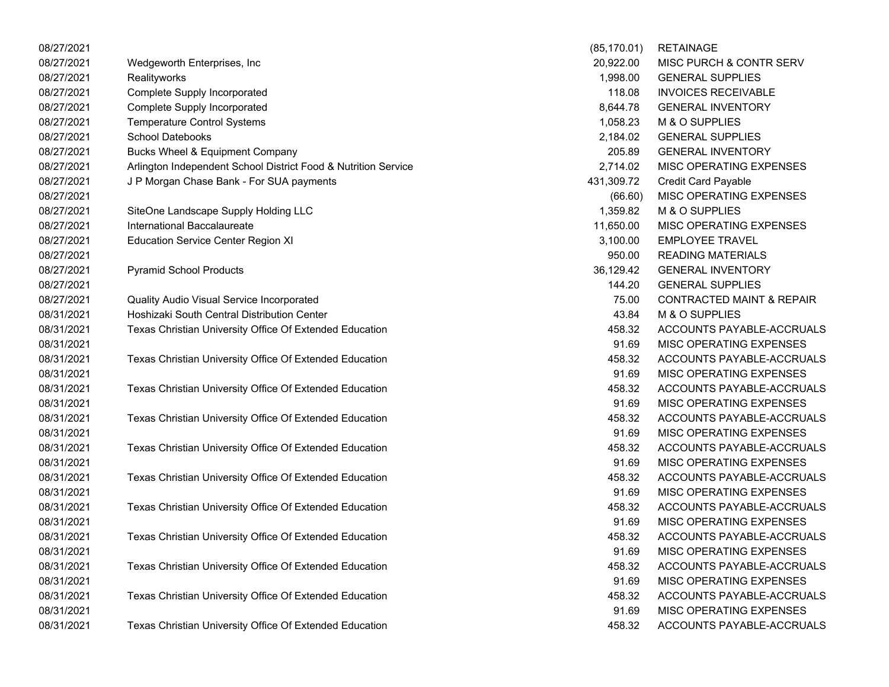| 08/27/2021 |                                                                | (85, 170.01) | <b>RETAINAGE</b>                     |
|------------|----------------------------------------------------------------|--------------|--------------------------------------|
| 08/27/2021 | Wedgeworth Enterprises, Inc                                    | 20,922.00    | MISC PURCH & CONTR SERV              |
| 08/27/2021 | Realityworks                                                   | 1,998.00     | <b>GENERAL SUPPLIES</b>              |
| 08/27/2021 | <b>Complete Supply Incorporated</b>                            | 118.08       | <b>INVOICES RECEIVABLE</b>           |
| 08/27/2021 | <b>Complete Supply Incorporated</b>                            | 8,644.78     | <b>GENERAL INVENTORY</b>             |
| 08/27/2021 | <b>Temperature Control Systems</b>                             | 1,058.23     | M & O SUPPLIES                       |
| 08/27/2021 | <b>School Datebooks</b>                                        | 2,184.02     | <b>GENERAL SUPPLIES</b>              |
| 08/27/2021 | Bucks Wheel & Equipment Company                                | 205.89       | <b>GENERAL INVENTORY</b>             |
| 08/27/2021 | Arlington Independent School District Food & Nutrition Service | 2,714.02     | MISC OPERATING EXPENSES              |
| 08/27/2021 | J P Morgan Chase Bank - For SUA payments                       | 431,309.72   | <b>Credit Card Payable</b>           |
| 08/27/2021 |                                                                | (66.60)      | MISC OPERATING EXPENSES              |
| 08/27/2021 | SiteOne Landscape Supply Holding LLC                           | 1,359.82     | M & O SUPPLIES                       |
| 08/27/2021 | International Baccalaureate                                    | 11,650.00    | MISC OPERATING EXPENSES              |
| 08/27/2021 | <b>Education Service Center Region XI</b>                      | 3,100.00     | <b>EMPLOYEE TRAVEL</b>               |
| 08/27/2021 |                                                                | 950.00       | <b>READING MATERIALS</b>             |
| 08/27/2021 | <b>Pyramid School Products</b>                                 | 36,129.42    | <b>GENERAL INVENTORY</b>             |
| 08/27/2021 |                                                                | 144.20       | <b>GENERAL SUPPLIES</b>              |
| 08/27/2021 | Quality Audio Visual Service Incorporated                      | 75.00        | <b>CONTRACTED MAINT &amp; REPAIR</b> |
| 08/31/2021 | Hoshizaki South Central Distribution Center                    | 43.84        | M & O SUPPLIES                       |
| 08/31/2021 | Texas Christian University Office Of Extended Education        | 458.32       | ACCOUNTS PAYABLE-ACCRUALS            |
| 08/31/2021 |                                                                | 91.69        | MISC OPERATING EXPENSES              |
| 08/31/2021 | Texas Christian University Office Of Extended Education        | 458.32       | ACCOUNTS PAYABLE-ACCRUALS            |
| 08/31/2021 |                                                                | 91.69        | MISC OPERATING EXPENSES              |
| 08/31/2021 | Texas Christian University Office Of Extended Education        | 458.32       | ACCOUNTS PAYABLE-ACCRUALS            |
| 08/31/2021 |                                                                | 91.69        | MISC OPERATING EXPENSES              |
| 08/31/2021 | Texas Christian University Office Of Extended Education        | 458.32       | ACCOUNTS PAYABLE-ACCRUALS            |
| 08/31/2021 |                                                                | 91.69        | MISC OPERATING EXPENSES              |
| 08/31/2021 | Texas Christian University Office Of Extended Education        | 458.32       | ACCOUNTS PAYABLE-ACCRUALS            |
| 08/31/2021 |                                                                | 91.69        | MISC OPERATING EXPENSES              |
| 08/31/2021 | Texas Christian University Office Of Extended Education        | 458.32       | ACCOUNTS PAYABLE-ACCRUALS            |
| 08/31/2021 |                                                                | 91.69        | MISC OPERATING EXPENSES              |
| 08/31/2021 | Texas Christian University Office Of Extended Education        | 458.32       | ACCOUNTS PAYABLE-ACCRUALS            |
| 08/31/2021 |                                                                | 91.69        | MISC OPERATING EXPENSES              |
| 08/31/2021 | Texas Christian University Office Of Extended Education        | 458.32       | ACCOUNTS PAYABLE-ACCRUALS            |
| 08/31/2021 |                                                                | 91.69        | MISC OPERATING EXPENSES              |
| 08/31/2021 | Texas Christian University Office Of Extended Education        | 458.32       | ACCOUNTS PAYABLE-ACCRUALS            |
| 08/31/2021 |                                                                | 91.69        | MISC OPERATING EXPENSES              |
| 08/31/2021 | Texas Christian University Office Of Extended Education        | 458.32       | ACCOUNTS PAYABLE-ACCRUALS            |
| 08/31/2021 |                                                                | 91.69        | MISC OPERATING EXPENSES              |
| 08/31/2021 | Texas Christian University Office Of Extended Education        | 458.32       | ACCOUNTS PAYABLE-ACCRUALS            |

| (85, 170.01) | <b>RETAINAGE</b>                     |
|--------------|--------------------------------------|
| 20,922.00    | MISC PURCH & CONTR SERV              |
| 1,998.00     | <b>GENERAL SUPPLIES</b>              |
| 118.08       | <b>INVOICES RECEIVABLE</b>           |
| 8,644.78     | <b>GENERAL INVENTORY</b>             |
| 1,058.23     | M & O SUPPLIES                       |
| 2,184.02     | <b>GENERAL SUPPLIES</b>              |
| 205.89       | <b>GENERAL INVENTORY</b>             |
| 2,714.02     | MISC OPERATING EXPENSES              |
| 431,309.72   | <b>Credit Card Payable</b>           |
|              | (66.60) MISC OPERATING EXPENSES      |
| 1,359.82     | M & O SUPPLIES                       |
| 11,650.00    | MISC OPERATING EXPENSES              |
| 3,100.00     | <b>EMPLOYEE TRAVEL</b>               |
|              | 950.00 READING MATERIALS             |
| 36,129.42    | <b>GENERAL INVENTORY</b>             |
| 144.20       | <b>GENERAL SUPPLIES</b>              |
| 75.00        | <b>CONTRACTED MAINT &amp; REPAIR</b> |
| 43.84        | M & O SUPPLIES                       |
| 458.32       | ACCOUNTS PAYABLE-ACCRUALS            |
| 91.69        | <b>MISC OPERATING EXPENSES</b>       |
| 458.32       | ACCOUNTS PAYABLE-ACCRUALS            |
| 91.69        | <b>MISC OPERATING EXPENSES</b>       |
| 458.32       | ACCOUNTS PAYABLE-ACCRUALS            |
| 91.69        | <b>MISC OPERATING EXPENSES</b>       |
| 458.32       | ACCOUNTS PAYABLE-ACCRUALS            |
| 91.69        | <b>MISC OPERATING EXPENSES</b>       |
| 458.32       | ACCOUNTS PAYABLE-ACCRUALS            |
| 91.69        | <b>MISC OPERATING EXPENSES</b>       |
| 458.32       | ACCOUNTS PAYABLE-ACCRUALS            |
| 91.69        | <b>MISC OPERATING EXPENSES</b>       |
| 458.32       | ACCOUNTS PAYABLE-ACCRUALS            |
| 91.69        | MISC OPERATING EXPENSES              |
| 458.32       | ACCOUNTS PAYABLE-ACCRUALS            |
| 91.69        | <b>MISC OPERATING EXPENSES</b>       |
| 458.32       | ACCOUNTS PAYABLE-ACCRUALS            |
| 91.69        | <b>MISC OPERATING EXPENSES</b>       |
| 458.32       | ACCOUNTS PAYABLE-ACCRUALS            |
| 91.69        | <b>MISC OPERATING EXPENSES</b>       |
| 458.32       | ACCOUNTS PAYABLE-ACCRUALS            |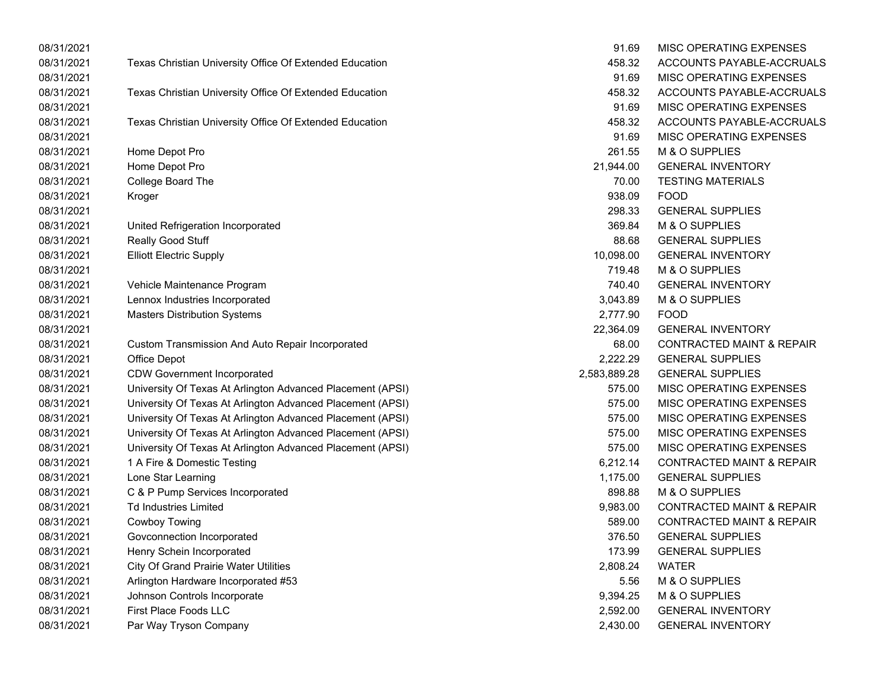| 08/31/2021 |                                                            | 91.69        | MISC OPERATING EXPENSES              |
|------------|------------------------------------------------------------|--------------|--------------------------------------|
| 08/31/2021 | Texas Christian University Office Of Extended Education    | 458.32       | ACCOUNTS PAYABLE-ACCRUALS            |
| 08/31/2021 |                                                            | 91.69        | MISC OPERATING EXPENSES              |
| 08/31/2021 | Texas Christian University Office Of Extended Education    | 458.32       | ACCOUNTS PAYABLE-ACCRUALS            |
| 08/31/2021 |                                                            | 91.69        | MISC OPERATING EXPENSES              |
| 08/31/2021 | Texas Christian University Office Of Extended Education    | 458.32       | ACCOUNTS PAYABLE-ACCRUALS            |
| 08/31/2021 |                                                            | 91.69        | MISC OPERATING EXPENSES              |
| 08/31/2021 | Home Depot Pro                                             | 261.55       | M & O SUPPLIES                       |
| 08/31/2021 | Home Depot Pro                                             | 21,944.00    | <b>GENERAL INVENTORY</b>             |
| 08/31/2021 | College Board The                                          | 70.00        | <b>TESTING MATERIALS</b>             |
| 08/31/2021 | Kroger                                                     | 938.09       | <b>FOOD</b>                          |
| 08/31/2021 |                                                            | 298.33       | <b>GENERAL SUPPLIES</b>              |
| 08/31/2021 | United Refrigeration Incorporated                          | 369.84       | M & O SUPPLIES                       |
| 08/31/2021 | Really Good Stuff                                          | 88.68        | <b>GENERAL SUPPLIES</b>              |
| 08/31/2021 | <b>Elliott Electric Supply</b>                             | 10,098.00    | <b>GENERAL INVENTORY</b>             |
| 08/31/2021 |                                                            | 719.48       | M & O SUPPLIES                       |
| 08/31/2021 | Vehicle Maintenance Program                                | 740.40       | <b>GENERAL INVENTORY</b>             |
| 08/31/2021 | Lennox Industries Incorporated                             | 3,043.89     | M & O SUPPLIES                       |
| 08/31/2021 | <b>Masters Distribution Systems</b>                        | 2,777.90     | <b>FOOD</b>                          |
| 08/31/2021 |                                                            | 22,364.09    | <b>GENERAL INVENTORY</b>             |
| 08/31/2021 | Custom Transmission And Auto Repair Incorporated           | 68.00        | <b>CONTRACTED MAINT &amp; REPAIR</b> |
| 08/31/2021 | Office Depot                                               | 2,222.29     | <b>GENERAL SUPPLIES</b>              |
| 08/31/2021 | <b>CDW Government Incorporated</b>                         | 2,583,889.28 | <b>GENERAL SUPPLIES</b>              |
| 08/31/2021 | University Of Texas At Arlington Advanced Placement (APSI) | 575.00       | MISC OPERATING EXPENSES              |
| 08/31/2021 | University Of Texas At Arlington Advanced Placement (APSI) | 575.00       | MISC OPERATING EXPENSES              |
| 08/31/2021 | University Of Texas At Arlington Advanced Placement (APSI) | 575.00       | MISC OPERATING EXPENSES              |
| 08/31/2021 | University Of Texas At Arlington Advanced Placement (APSI) | 575.00       | MISC OPERATING EXPENSES              |
| 08/31/2021 | University Of Texas At Arlington Advanced Placement (APSI) | 575.00       | MISC OPERATING EXPENSES              |
| 08/31/2021 | 1 A Fire & Domestic Testing                                | 6,212.14     | <b>CONTRACTED MAINT &amp; REPAIR</b> |
| 08/31/2021 | Lone Star Learning                                         | 1,175.00     | <b>GENERAL SUPPLIES</b>              |
| 08/31/2021 | C & P Pump Services Incorporated                           | 898.88       | M & O SUPPLIES                       |
| 08/31/2021 | <b>Td Industries Limited</b>                               | 9,983.00     | <b>CONTRACTED MAINT &amp; REPAIR</b> |
| 08/31/2021 | Cowboy Towing                                              | 589.00       | <b>CONTRACTED MAINT &amp; REPAIR</b> |
| 08/31/2021 | Govconnection Incorporated                                 | 376.50       | <b>GENERAL SUPPLIES</b>              |
| 08/31/2021 | Henry Schein Incorporated                                  | 173.99       | <b>GENERAL SUPPLIES</b>              |
| 08/31/2021 | <b>City Of Grand Prairie Water Utilities</b>               | 2,808.24     | <b>WATER</b>                         |
| 08/31/2021 | Arlington Hardware Incorporated #53                        | 5.56         | M & O SUPPLIES                       |
| 08/31/2021 | Johnson Controls Incorporate                               | 9,394.25     | M & O SUPPLIES                       |
| 08/31/2021 | First Place Foods LLC                                      | 2,592.00     | <b>GENERAL INVENTORY</b>             |
| 08/31/2021 | Par Way Tryson Company                                     | 2,430.00     | <b>GENERAL INVENTORY</b>             |

| 91.69     | MISC OPERATING EXPENSES              |
|-----------|--------------------------------------|
| 458.32    | ACCOUNTS PAYABLE-ACCRUALS            |
| 91.69     | <b>MISC OPERATING EXPENSES</b>       |
| 458.32    | ACCOUNTS PAYABLE-ACCRUALS            |
| 91.69     | MISC OPERATING EXPENSES              |
| 458.32    | ACCOUNTS PAYABLE-ACCRUALS            |
| 91.69     | <b>MISC OPERATING EXPENSES</b>       |
| 261.55    | M & O SUPPLIES                       |
| 21,944.00 | <b>GENERAL INVENTORY</b>             |
| 70.00     | <b>TESTING MATERIALS</b>             |
| 938.09    | FOOD                                 |
| 298.33    | <b>GENERAL SUPPLIES</b>              |
| 369.84    | M & O SUPPLIES                       |
| 88.68     | <b>GENERAL SUPPLIES</b>              |
| 10,098.00 | <b>GENERAL INVENTORY</b>             |
| 719.48    | M & O SUPPLIES                       |
| 740.40    | <b>GENERAL INVENTORY</b>             |
| 3,043.89  | M & O SUPPLIES                       |
| 2,777.90  | <b>FOOD</b>                          |
| 22,364.09 | <b>GENERAL INVENTORY</b>             |
| 68.00     | <b>CONTRACTED MAINT &amp; REPAIR</b> |
| 2,222.29  | <b>GENERAL SUPPLIES</b>              |
|           | 83,889.28 GENERAL SUPPLIES           |
| 575.00    | MISC OPERATING EXPENSES              |
| 575.00    | <b>MISC OPERATING EXPENSES</b>       |
| 575.00    | <b>MISC OPERATING EXPENSES</b>       |
| 575.00    | <b>MISC OPERATING EXPENSES</b>       |
| 575.00    | <b>MISC OPERATING EXPENSES</b>       |
| 6,212.14  | <b>CONTRACTED MAINT &amp; REPAIR</b> |
| 1,175.00  | <b>GENERAL SUPPLIES</b>              |
| 898.88    | M & O SUPPLIES                       |
| 9,983.00  | <b>CONTRACTED MAINT &amp; REPAIR</b> |
| 589.00    | <b>CONTRACTED MAINT &amp; REPAIR</b> |
| 376.50    | <b>GENERAL SUPPLIES</b>              |
| 173.99    | <b>GENERAL SUPPLIES</b>              |
| 2,808.24  | <b>WATER</b>                         |
| 5.56      | M & O SUPPLIES                       |
| 9,394.25  | M & O SUPPLIES                       |
| 2,592.00  | <b>GENERAL INVENTORY</b>             |
| 2,430.00  | <b>GENERAL INVENTORY</b>             |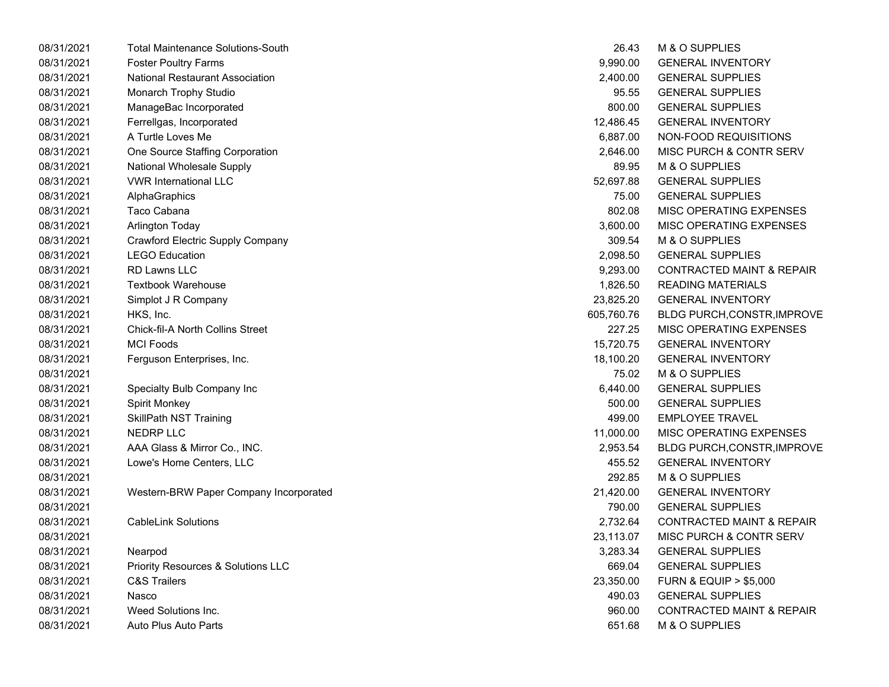| 08/31/2021 | <b>Total Maintenance Solutions-South</b> | 26.43      | M & O SUPPLIES                       |
|------------|------------------------------------------|------------|--------------------------------------|
| 08/31/2021 | <b>Foster Poultry Farms</b>              | 9,990.00   | <b>GENERAL INVENTORY</b>             |
| 08/31/2021 | <b>National Restaurant Association</b>   | 2,400.00   | <b>GENERAL SUPPLIES</b>              |
| 08/31/2021 | Monarch Trophy Studio                    | 95.55      | <b>GENERAL SUPPLIES</b>              |
| 08/31/2021 | ManageBac Incorporated                   | 800.00     | <b>GENERAL SUPPLIES</b>              |
| 08/31/2021 | Ferrellgas, Incorporated                 | 12,486.45  | <b>GENERAL INVENTORY</b>             |
| 08/31/2021 | A Turtle Loves Me                        | 6,887.00   | NON-FOOD REQUISITIONS                |
| 08/31/2021 | One Source Staffing Corporation          | 2,646.00   | MISC PURCH & CONTR SERV              |
| 08/31/2021 | <b>National Wholesale Supply</b>         | 89.95      | M & O SUPPLIES                       |
| 08/31/2021 | <b>VWR International LLC</b>             | 52,697.88  | <b>GENERAL SUPPLIES</b>              |
| 08/31/2021 | AlphaGraphics                            | 75.00      | <b>GENERAL SUPPLIES</b>              |
| 08/31/2021 | Taco Cabana                              | 802.08     | MISC OPERATING EXPENSES              |
| 08/31/2021 | <b>Arlington Today</b>                   | 3,600.00   | MISC OPERATING EXPENSES              |
| 08/31/2021 | <b>Crawford Electric Supply Company</b>  | 309.54     | M & O SUPPLIES                       |
| 08/31/2021 | <b>LEGO Education</b>                    | 2,098.50   | <b>GENERAL SUPPLIES</b>              |
| 08/31/2021 | <b>RD Lawns LLC</b>                      | 9,293.00   | <b>CONTRACTED MAINT &amp; REPAIR</b> |
| 08/31/2021 | <b>Textbook Warehouse</b>                | 1,826.50   | <b>READING MATERIALS</b>             |
| 08/31/2021 | Simplot J R Company                      | 23,825.20  | <b>GENERAL INVENTORY</b>             |
| 08/31/2021 | HKS, Inc.                                | 605,760.76 | <b>BLDG PURCH, CONSTR, IMPROVE</b>   |
| 08/31/2021 | <b>Chick-fil-A North Collins Street</b>  | 227.25     | MISC OPERATING EXPENSES              |
| 08/31/2021 | <b>MCI Foods</b>                         | 15,720.75  | <b>GENERAL INVENTORY</b>             |
| 08/31/2021 | Ferguson Enterprises, Inc.               | 18,100.20  | <b>GENERAL INVENTORY</b>             |
| 08/31/2021 |                                          | 75.02      | M & O SUPPLIES                       |
| 08/31/2021 | Specialty Bulb Company Inc               | 6,440.00   | <b>GENERAL SUPPLIES</b>              |
| 08/31/2021 | <b>Spirit Monkey</b>                     | 500.00     | <b>GENERAL SUPPLIES</b>              |
| 08/31/2021 | <b>SkillPath NST Training</b>            | 499.00     | <b>EMPLOYEE TRAVEL</b>               |
| 08/31/2021 | <b>NEDRP LLC</b>                         | 11,000.00  | MISC OPERATING EXPENSES              |
| 08/31/2021 | AAA Glass & Mirror Co., INC.             | 2,953.54   | <b>BLDG PURCH, CONSTR, IMPROVE</b>   |
| 08/31/2021 | Lowe's Home Centers, LLC                 | 455.52     | <b>GENERAL INVENTORY</b>             |
| 08/31/2021 |                                          | 292.85     | M & O SUPPLIES                       |
| 08/31/2021 | Western-BRW Paper Company Incorporated   | 21,420.00  | <b>GENERAL INVENTORY</b>             |
| 08/31/2021 |                                          | 790.00     | <b>GENERAL SUPPLIES</b>              |
| 08/31/2021 | <b>CableLink Solutions</b>               | 2,732.64   | <b>CONTRACTED MAINT &amp; REPAIR</b> |
| 08/31/2021 |                                          | 23,113.07  | MISC PURCH & CONTR SERV              |
| 08/31/2021 | Nearpod                                  | 3,283.34   | <b>GENERAL SUPPLIES</b>              |
| 08/31/2021 | Priority Resources & Solutions LLC       | 669.04     | <b>GENERAL SUPPLIES</b>              |
| 08/31/2021 | <b>C&amp;S Trailers</b>                  | 23,350.00  | <b>FURN &amp; EQUIP &gt; \$5,000</b> |
| 08/31/2021 | Nasco                                    | 490.03     | <b>GENERAL SUPPLIES</b>              |
| 08/31/2021 | Weed Solutions Inc.                      | 960.00     | <b>CONTRACTED MAINT &amp; REPAIR</b> |
| 08/31/2021 | Auto Plus Auto Parts                     | 651.68     | M & O SUPPLIES                       |

| 26.43      | M & O SUPPLIES                       |
|------------|--------------------------------------|
| 9,990.00   | <b>GENERAL INVENTORY</b>             |
| 2,400.00   | <b>GENERAL SUPPLIES</b>              |
| 95.55      | <b>GENERAL SUPPLIES</b>              |
| 800.00     | <b>GENERAL SUPPLIES</b>              |
| 12,486.45  | <b>GENERAL INVENTORY</b>             |
| 6,887.00   | NON-FOOD REQUISITIONS                |
| 2,646.00   | MISC PURCH & CONTR SERV              |
| 89.95      | M & O SUPPLIES                       |
| 52,697.88  | <b>GENERAL SUPPLIES</b>              |
| 75.00      | <b>GENERAL SUPPLIES</b>              |
| 802.08     | MISC OPERATING EXPENSES              |
| 3,600.00   | MISC OPERATING EXPENSES              |
| 309.54     | M & O SUPPLIES                       |
| 2,098.50   | <b>GENERAL SUPPLIES</b>              |
| 9,293.00   | <b>CONTRACTED MAINT &amp; REPAIR</b> |
| 1,826.50   | <b>READING MATERIALS</b>             |
| 23,825.20  | <b>GENERAL INVENTORY</b>             |
| 605,760.76 | BLDG PURCH, CONSTR, IMPROVE          |
| 227.25     | <b>MISC OPERATING EXPENSES</b>       |
| 15,720.75  | <b>GENERAL INVENTORY</b>             |
| 18,100.20  | <b>GENERAL INVENTORY</b>             |
| 75.02      | M & O SUPPLIES                       |
| 6,440.00   | <b>GENERAL SUPPLIES</b>              |
| 500.00     | <b>GENERAL SUPPLIES</b>              |
| 499.00     | <b>EMPLOYEE TRAVEL</b>               |
| 11,000.00  | MISC OPERATING EXPENSES              |
| 2,953.54   | BLDG PURCH, CONSTR, IMPROVE          |
| 455.52     | <b>GENERAL INVENTORY</b>             |
| 292.85     | M & O SUPPLIES                       |
| 21,420.00  | <b>GENERAL INVENTORY</b>             |
| 790.00     | <b>GENERAL SUPPLIES</b>              |
| 2,732.64   | <b>CONTRACTED MAINT &amp; REPAIR</b> |
| 23,113.07  | MISC PURCH & CONTR SERV              |
| 3,283.34   | <b>GENERAL SUPPLIES</b>              |
| 669.04     | <b>GENERAL SUPPLIES</b>              |
| 23,350.00  | <b>FURN &amp; EQUIP &gt; \$5,000</b> |
| 490.03     | <b>GENERAL SUPPLIES</b>              |
| 960.00     | <b>CONTRACTED MAINT &amp; REPAIR</b> |
| 651.68     | M & O SUPPLIES                       |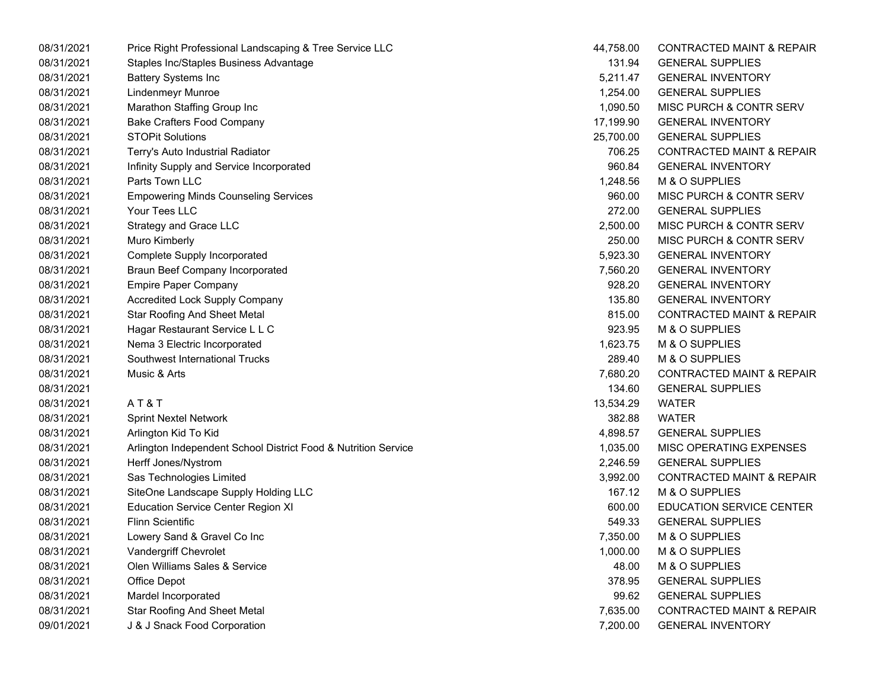| 08/31/2021 | Price Right Professional Landscaping & Tree Service LLC        | 44,758.00 | <b>CONTRACTED MAINT &amp; REPAIR</b> |
|------------|----------------------------------------------------------------|-----------|--------------------------------------|
| 08/31/2021 | Staples Inc/Staples Business Advantage                         | 131.94    | <b>GENERAL SUPPLIES</b>              |
| 08/31/2021 | <b>Battery Systems Inc</b>                                     | 5,211.47  | <b>GENERAL INVENTORY</b>             |
| 08/31/2021 | <b>Lindenmeyr Munroe</b>                                       | 1,254.00  | <b>GENERAL SUPPLIES</b>              |
| 08/31/2021 | Marathon Staffing Group Inc                                    | 1,090.50  | MISC PURCH & CONTR SERV              |
| 08/31/2021 | <b>Bake Crafters Food Company</b>                              | 17,199.90 | <b>GENERAL INVENTORY</b>             |
| 08/31/2021 | <b>STOPit Solutions</b>                                        | 25,700.00 | <b>GENERAL SUPPLIES</b>              |
| 08/31/2021 | Terry's Auto Industrial Radiator                               | 706.25    | <b>CONTRACTED MAINT &amp; REPAIR</b> |
| 08/31/2021 | Infinity Supply and Service Incorporated                       | 960.84    | <b>GENERAL INVENTORY</b>             |
| 08/31/2021 | Parts Town LLC                                                 | 1,248.56  | M & O SUPPLIES                       |
| 08/31/2021 | <b>Empowering Minds Counseling Services</b>                    | 960.00    | MISC PURCH & CONTR SERV              |
| 08/31/2021 | Your Tees LLC                                                  | 272.00    | <b>GENERAL SUPPLIES</b>              |
| 08/31/2021 | Strategy and Grace LLC                                         | 2,500.00  | MISC PURCH & CONTR SERV              |
| 08/31/2021 | Muro Kimberly                                                  | 250.00    | MISC PURCH & CONTR SERV              |
| 08/31/2021 | <b>Complete Supply Incorporated</b>                            | 5,923.30  | <b>GENERAL INVENTORY</b>             |
| 08/31/2021 | <b>Braun Beef Company Incorporated</b>                         | 7,560.20  | <b>GENERAL INVENTORY</b>             |
| 08/31/2021 | <b>Empire Paper Company</b>                                    | 928.20    | <b>GENERAL INVENTORY</b>             |
| 08/31/2021 | <b>Accredited Lock Supply Company</b>                          | 135.80    | <b>GENERAL INVENTORY</b>             |
| 08/31/2021 | <b>Star Roofing And Sheet Metal</b>                            | 815.00    | <b>CONTRACTED MAINT &amp; REPAIR</b> |
| 08/31/2021 | Hagar Restaurant Service L L C                                 | 923.95    | M & O SUPPLIES                       |
| 08/31/2021 | Nema 3 Electric Incorporated                                   | 1,623.75  | M & O SUPPLIES                       |
| 08/31/2021 | Southwest International Trucks                                 | 289.40    | M & O SUPPLIES                       |
| 08/31/2021 | Music & Arts                                                   | 7,680.20  | <b>CONTRACTED MAINT &amp; REPAIR</b> |
| 08/31/2021 |                                                                | 134.60    | <b>GENERAL SUPPLIES</b>              |
| 08/31/2021 | AT&T                                                           | 13,534.29 | <b>WATER</b>                         |
| 08/31/2021 | <b>Sprint Nextel Network</b>                                   | 382.88    | <b>WATER</b>                         |
| 08/31/2021 | Arlington Kid To Kid                                           | 4,898.57  | <b>GENERAL SUPPLIES</b>              |
| 08/31/2021 | Arlington Independent School District Food & Nutrition Service | 1,035.00  | MISC OPERATING EXPENSES              |
| 08/31/2021 | Herff Jones/Nystrom                                            | 2,246.59  | <b>GENERAL SUPPLIES</b>              |
| 08/31/2021 | Sas Technologies Limited                                       | 3,992.00  | <b>CONTRACTED MAINT &amp; REPAIR</b> |
| 08/31/2021 | SiteOne Landscape Supply Holding LLC                           | 167.12    | M & O SUPPLIES                       |
| 08/31/2021 | <b>Education Service Center Region XI</b>                      | 600.00    | <b>EDUCATION SERVICE CENTER</b>      |
| 08/31/2021 | <b>Flinn Scientific</b>                                        | 549.33    | <b>GENERAL SUPPLIES</b>              |
| 08/31/2021 | Lowery Sand & Gravel Co Inc                                    | 7,350.00  | M & O SUPPLIES                       |
| 08/31/2021 | Vandergriff Chevrolet                                          | 1,000.00  | M & O SUPPLIES                       |
| 08/31/2021 | Olen Williams Sales & Service                                  | 48.00     | M & O SUPPLIES                       |
| 08/31/2021 | Office Depot                                                   | 378.95    | <b>GENERAL SUPPLIES</b>              |
| 08/31/2021 | Mardel Incorporated                                            | 99.62     | <b>GENERAL SUPPLIES</b>              |
| 08/31/2021 | <b>Star Roofing And Sheet Metal</b>                            | 7,635.00  | <b>CONTRACTED MAINT &amp; REPAIR</b> |
| 09/01/2021 | J & J Snack Food Corporation                                   | 7,200.00  | <b>GENERAL INVENTORY</b>             |
|            |                                                                |           |                                      |

| 44,758.00 | <b>CONTRACTED MAINT &amp; REPAIR</b> |
|-----------|--------------------------------------|
| 131.94    | <b>GENERAL SUPPLIES</b>              |
| 5,211.47  | <b>GENERAL INVENTORY</b>             |
| 1,254.00  | <b>GENERAL SUPPLIES</b>              |
| 1,090.50  | <b>MISC PURCH &amp; CONTR SERV</b>   |
| 17,199.90 | <b>GENERAL INVENTORY</b>             |
| 25,700.00 | <b>GENERAL SUPPLIES</b>              |
| 706.25    | <b>CONTRACTED MAINT &amp; REPAIR</b> |
| 960.84    | <b>GENERAL INVENTORY</b>             |
| 1,248.56  | <b>M &amp; O SUPPLIES</b>            |
| 960.00    | MISC PURCH & CONTR SERV              |
| 272.00    | <b>GENERAL SUPPLIES</b>              |
| 2,500.00  | MISC PURCH & CONTR SERV              |
| 250.00    | <b>MISC PURCH &amp; CONTR SERV</b>   |
| 5,923.30  | <b>GENERAL INVENTORY</b>             |
| 7,560.20  | <b>GENERAL INVENTORY</b>             |
| 928.20    | <b>GENERAL INVENTORY</b>             |
| 135.80    | <b>GENERAL INVENTORY</b>             |
| 815.00    | <b>CONTRACTED MAINT &amp; REPAIR</b> |
| 923.95    | <b>M &amp; O SUPPLIES</b>            |
| 1,623.75  | <b>M &amp; O SUPPLIES</b>            |
| 289.40    | <b>M &amp; O SUPPLIES</b>            |
| 7,680.20  | <b>CONTRACTED MAINT &amp; REPAIR</b> |
| 134.60    | <b>GENERAL SUPPLIES</b>              |
| 13,534.29 | <b>WATER</b>                         |
| 382.88    | <b>WATER</b>                         |
| 4,898.57  | <b>GENERAL SUPPLIES</b>              |
| 1,035.00  | <b>MISC OPERATING EXPENSES</b>       |
| 2,246.59  | <b>GENERAL SUPPLIES</b>              |
| 3,992.00  | <b>CONTRACTED MAINT &amp; REPAIR</b> |
| 167.12    | <b>M &amp; O SUPPLIES</b>            |
| 600.00    | <b>EDUCATION SERVICE CENTER</b>      |
| 549.33    | <b>GENERAL SUPPLIES</b>              |
| 7,350.00  | M & O SUPPLIES                       |
| 1,000.00  | M & O SUPPLIES                       |
| 48.00     | <b>M &amp; O SUPPLIES</b>            |
| 378.95    | <b>GENERAL SUPPLIES</b>              |
| 99.62     | <b>GENERAL SUPPLIES</b>              |
| 7,635.00  | <b>CONTRACTED MAINT &amp; REPAIR</b> |
| 7.200.00  | <b>GENERAL INVENTORY</b>             |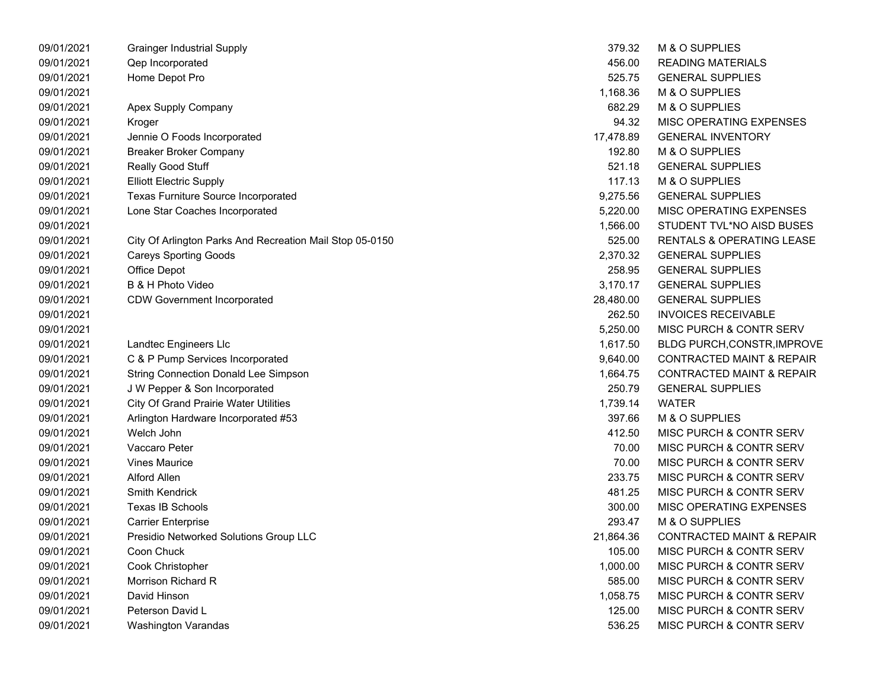| 09/01/2021 | <b>Grainger Industrial Supply</b>                        | 379.32    | M & O SUPPLIES                       |
|------------|----------------------------------------------------------|-----------|--------------------------------------|
| 09/01/2021 | Qep Incorporated                                         | 456.00    | <b>READING MATERIALS</b>             |
| 09/01/2021 | Home Depot Pro                                           | 525.75    | <b>GENERAL SUPPLIES</b>              |
| 09/01/2021 |                                                          | 1,168.36  | M & O SUPPLIES                       |
| 09/01/2021 | Apex Supply Company                                      | 682.29    | M & O SUPPLIES                       |
| 09/01/2021 | Kroger                                                   | 94.32     | MISC OPERATING EXPENSES              |
| 09/01/2021 | Jennie O Foods Incorporated                              | 17,478.89 | <b>GENERAL INVENTORY</b>             |
| 09/01/2021 | <b>Breaker Broker Company</b>                            | 192.80    | M & O SUPPLIES                       |
| 09/01/2021 | <b>Really Good Stuff</b>                                 | 521.18    | <b>GENERAL SUPPLIES</b>              |
| 09/01/2021 | <b>Elliott Electric Supply</b>                           | 117.13    | M & O SUPPLIES                       |
| 09/01/2021 | <b>Texas Furniture Source Incorporated</b>               | 9,275.56  | <b>GENERAL SUPPLIES</b>              |
| 09/01/2021 | Lone Star Coaches Incorporated                           | 5,220.00  | MISC OPERATING EXPENSES              |
| 09/01/2021 |                                                          | 1,566.00  | STUDENT TVL*NO AISD BUSES            |
| 09/01/2021 | City Of Arlington Parks And Recreation Mail Stop 05-0150 | 525.00    | <b>RENTALS &amp; OPERATING LEASE</b> |
| 09/01/2021 | <b>Careys Sporting Goods</b>                             | 2,370.32  | <b>GENERAL SUPPLIES</b>              |
| 09/01/2021 | Office Depot                                             | 258.95    | <b>GENERAL SUPPLIES</b>              |
| 09/01/2021 | B & H Photo Video                                        | 3,170.17  | <b>GENERAL SUPPLIES</b>              |
| 09/01/2021 | <b>CDW Government Incorporated</b>                       | 28,480.00 | <b>GENERAL SUPPLIES</b>              |
| 09/01/2021 |                                                          | 262.50    | <b>INVOICES RECEIVABLE</b>           |
| 09/01/2021 |                                                          | 5,250.00  | MISC PURCH & CONTR SERV              |
| 09/01/2021 | Landtec Engineers Llc                                    | 1,617.50  | BLDG PURCH,CONSTR, IMPROVE           |
| 09/01/2021 | C & P Pump Services Incorporated                         | 9,640.00  | <b>CONTRACTED MAINT &amp; REPAIR</b> |
| 09/01/2021 | <b>String Connection Donald Lee Simpson</b>              | 1,664.75  | <b>CONTRACTED MAINT &amp; REPAIR</b> |
| 09/01/2021 | J W Pepper & Son Incorporated                            | 250.79    | <b>GENERAL SUPPLIES</b>              |
| 09/01/2021 | <b>City Of Grand Prairie Water Utilities</b>             | 1,739.14  | WATER                                |
| 09/01/2021 | Arlington Hardware Incorporated #53                      | 397.66    | M & O SUPPLIES                       |
| 09/01/2021 | Welch John                                               | 412.50    | MISC PURCH & CONTR SERV              |
| 09/01/2021 | Vaccaro Peter                                            | 70.00     | MISC PURCH & CONTR SERV              |
| 09/01/2021 | <b>Vines Maurice</b>                                     | 70.00     | MISC PURCH & CONTR SERV              |
| 09/01/2021 | Alford Allen                                             | 233.75    | MISC PURCH & CONTR SERV              |
| 09/01/2021 | Smith Kendrick                                           | 481.25    | MISC PURCH & CONTR SERV              |
| 09/01/2021 | Texas IB Schools                                         | 300.00    | MISC OPERATING EXPENSES              |
| 09/01/2021 | <b>Carrier Enterprise</b>                                | 293.47    | M & O SUPPLIES                       |
| 09/01/2021 | Presidio Networked Solutions Group LLC                   | 21,864.36 | <b>CONTRACTED MAINT &amp; REPAIR</b> |
| 09/01/2021 | Coon Chuck                                               | 105.00    | MISC PURCH & CONTR SERV              |
| 09/01/2021 | Cook Christopher                                         | 1,000.00  | MISC PURCH & CONTR SERV              |
| 09/01/2021 | Morrison Richard R                                       | 585.00    | MISC PURCH & CONTR SERV              |
| 09/01/2021 | David Hinson                                             | 1,058.75  | <b>MISC PURCH &amp; CONTR SERV</b>   |
| 09/01/2021 | Peterson David L                                         | 125.00    | <b>MISC PURCH &amp; CONTR SERV</b>   |
| 09/01/2021 | <b>Washington Varandas</b>                               | 536.25    | MISC PURCH & CONTR SERV              |

| 379.32    | <b>M &amp; O SUPPLIES</b>            |
|-----------|--------------------------------------|
| 456.00    | <b>READING MATERIALS</b>             |
| 525.75    | <b>GENERAL SUPPLIES</b>              |
| 1,168.36  | M & O SUPPLIES                       |
| 682.29    | M & O SUPPLIES                       |
| 94.32     | <b>MISC OPERATING EXPENSES</b>       |
| 17,478.89 | <b>GENERAL INVENTORY</b>             |
| 192.80    | M & O SUPPLIES                       |
| 521.18    | <b>GENERAL SUPPLIES</b>              |
| 117.13    | M & O SUPPLIES                       |
| 9,275.56  | <b>GENERAL SUPPLIES</b>              |
| 5,220.00  | <b>MISC OPERATING EXPENSES</b>       |
| 1,566.00  | STUDENT TVL*NO AISD BUSES            |
| 525.00    | RENTALS & OPERATING LEASE            |
| 2,370.32  | <b>GENERAL SUPPLIES</b>              |
| 258.95    | <b>GENERAL SUPPLIES</b>              |
| 3,170.17  | <b>GENERAL SUPPLIES</b>              |
| 28,480.00 | <b>GENERAL SUPPLIES</b>              |
| 262.50    | <b>INVOICES RECEIVABLE</b>           |
| 5,250.00  | <b>MISC PURCH &amp; CONTR SERV</b>   |
| 1.617.50  | <b>BLDG PURCH, CONSTR, IMPROVE</b>   |
| 9,640.00  | <b>CONTRACTED MAINT &amp; REPAIR</b> |
| 1,664.75  | <b>CONTRACTED MAINT &amp; REPAIR</b> |
| 250.79    | <b>GENERAL SUPPLIES</b>              |
| 1,739.14  | <b>WATER</b>                         |
| 397.66    | M & O SUPPLIES                       |
| 412.50    | <b>MISC PURCH &amp; CONTR SERV</b>   |
| 70.00     | <b>MISC PURCH &amp; CONTR SERV</b>   |
| 70.00     | <b>MISC PURCH &amp; CONTR SERV</b>   |
| 233.75    | MISC PURCH & CONTR SERV              |
| 481.25    | <b>MISC PURCH &amp; CONTR SERV</b>   |
| 300.00    | <b>MISC OPERATING EXPENSES</b>       |
| 293.47    | M & O SUPPLIES                       |
| 21,864.36 | <b>CONTRACTED MAINT &amp; REPAIR</b> |
| 105.00    | MISC PURCH & CONTR SERV              |
| 1,000.00  | <b>MISC PURCH &amp; CONTR SERV</b>   |
| 585.00    | <b>MISC PURCH &amp; CONTR SERV</b>   |
| 1,058.75  | MISC PURCH & CONTR SERV              |
| 125.00    | <b>MISC PURCH &amp; CONTR SERV</b>   |
| 536.25    | MISC PURCH & CONTR SERV              |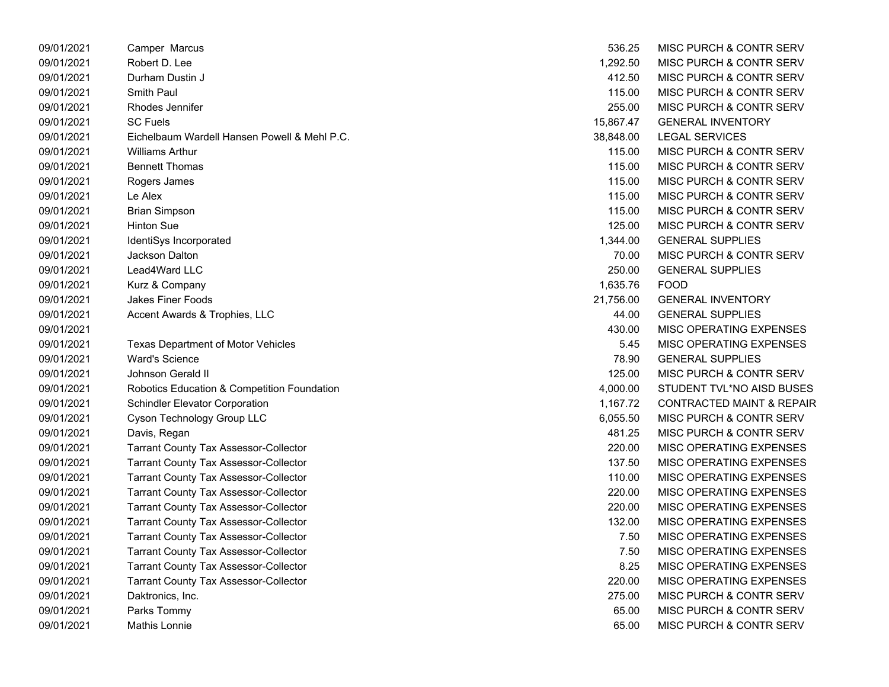| 09/01/2021 | Camper Marcus                                          | 536.25    | MISC PURCH & CONTR SERV              |
|------------|--------------------------------------------------------|-----------|--------------------------------------|
| 09/01/2021 | Robert D. Lee                                          | 1,292.50  | MISC PURCH & CONTR SERV              |
| 09/01/2021 | Durham Dustin J                                        | 412.50    | MISC PURCH & CONTR SERV              |
| 09/01/2021 | Smith Paul                                             | 115.00    | MISC PURCH & CONTR SERV              |
| 09/01/2021 | Rhodes Jennifer                                        | 255.00    | MISC PURCH & CONTR SERV              |
| 09/01/2021 | <b>SC Fuels</b>                                        | 15,867.47 | <b>GENERAL INVENTORY</b>             |
| 09/01/2021 | Eichelbaum Wardell Hansen Powell & Mehl P.C.           | 38,848.00 | <b>LEGAL SERVICES</b>                |
| 09/01/2021 | Williams Arthur                                        | 115.00    | MISC PURCH & CONTR SERV              |
| 09/01/2021 | <b>Bennett Thomas</b>                                  | 115.00    | MISC PURCH & CONTR SERV              |
| 09/01/2021 | Rogers James                                           | 115.00    | MISC PURCH & CONTR SERV              |
| 09/01/2021 | Le Alex                                                | 115.00    | MISC PURCH & CONTR SERV              |
| 09/01/2021 | <b>Brian Simpson</b>                                   | 115.00    | MISC PURCH & CONTR SERV              |
| 09/01/2021 | <b>Hinton Sue</b>                                      | 125.00    | MISC PURCH & CONTR SERV              |
| 09/01/2021 | IdentiSys Incorporated                                 | 1,344.00  | <b>GENERAL SUPPLIES</b>              |
| 09/01/2021 | <b>Jackson Dalton</b>                                  | 70.00     | MISC PURCH & CONTR SERV              |
| 09/01/2021 | Lead4Ward LLC                                          | 250.00    | <b>GENERAL SUPPLIES</b>              |
| 09/01/2021 | Kurz & Company                                         | 1,635.76  | <b>FOOD</b>                          |
| 09/01/2021 | Jakes Finer Foods                                      | 21,756.00 | <b>GENERAL INVENTORY</b>             |
| 09/01/2021 | Accent Awards & Trophies, LLC                          | 44.00     | <b>GENERAL SUPPLIES</b>              |
| 09/01/2021 |                                                        | 430.00    | MISC OPERATING EXPENSES              |
| 09/01/2021 | <b>Texas Department of Motor Vehicles</b>              | 5.45      | MISC OPERATING EXPENSES              |
| 09/01/2021 | <b>Ward's Science</b>                                  | 78.90     | <b>GENERAL SUPPLIES</b>              |
| 09/01/2021 | Johnson Gerald II                                      | 125.00    | MISC PURCH & CONTR SERV              |
| 09/01/2021 | <b>Robotics Education &amp; Competition Foundation</b> | 4,000.00  | STUDENT TVL*NO AISD BUSES            |
| 09/01/2021 | <b>Schindler Elevator Corporation</b>                  | 1,167.72  | <b>CONTRACTED MAINT &amp; REPAIR</b> |
| 09/01/2021 | Cyson Technology Group LLC                             | 6,055.50  | MISC PURCH & CONTR SERV              |
| 09/01/2021 | Davis, Regan                                           | 481.25    | MISC PURCH & CONTR SERV              |
| 09/01/2021 | <b>Tarrant County Tax Assessor-Collector</b>           | 220.00    | MISC OPERATING EXPENSES              |
| 09/01/2021 | <b>Tarrant County Tax Assessor-Collector</b>           | 137.50    | MISC OPERATING EXPENSES              |
| 09/01/2021 | <b>Tarrant County Tax Assessor-Collector</b>           | 110.00    | MISC OPERATING EXPENSES              |
| 09/01/2021 | <b>Tarrant County Tax Assessor-Collector</b>           | 220.00    | MISC OPERATING EXPENSES              |
| 09/01/2021 | <b>Tarrant County Tax Assessor-Collector</b>           | 220.00    | MISC OPERATING EXPENSES              |
| 09/01/2021 | <b>Tarrant County Tax Assessor-Collector</b>           | 132.00    | MISC OPERATING EXPENSES              |
| 09/01/2021 | <b>Tarrant County Tax Assessor-Collector</b>           | 7.50      | MISC OPERATING EXPENSES              |
| 09/01/2021 | Tarrant County Tax Assessor-Collector                  | 7.50      | MISC OPERATING EXPENSES              |
| 09/01/2021 | <b>Tarrant County Tax Assessor-Collector</b>           | 8.25      | MISC OPERATING EXPENSES              |
| 09/01/2021 | <b>Tarrant County Tax Assessor-Collector</b>           | 220.00    | MISC OPERATING EXPENSES              |
| 09/01/2021 | Daktronics, Inc.                                       | 275.00    | MISC PURCH & CONTR SERV              |
| 09/01/2021 | Parks Tommy                                            | 65.00     | MISC PURCH & CONTR SERV              |
| 09/01/2021 | Mathis Lonnie                                          | 65.00     | MISC PURCH & CONTR SERV              |

| 536.25    | <b>MISC PURCH &amp; CONTR SERV</b>   |
|-----------|--------------------------------------|
| 1,292.50  | MISC PURCH & CONTR SERV              |
| 412.50    | MISC PURCH & CONTR SERV              |
| 115.00    | <b>MISC PURCH &amp; CONTR SERV</b>   |
| 255.00    | <b>MISC PURCH &amp; CONTR SERV</b>   |
| 15,867.47 | <b>GENERAL INVENTORY</b>             |
| 38.848.00 | <b>LEGAL SERVICES</b>                |
| 115.00    | <b>MISC PURCH &amp; CONTR SERV</b>   |
| 115.00    | <b>MISC PURCH &amp; CONTR SERV</b>   |
| 115.00    | <b>MISC PURCH &amp; CONTR SERV</b>   |
| 115.00    | <b>MISC PURCH &amp; CONTR SERV</b>   |
| 115.00    | <b>MISC PURCH &amp; CONTR SERV</b>   |
| 125.00    | <b>MISC PURCH &amp; CONTR SERV</b>   |
| 1,344.00  | <b>GENERAL SUPPLIES</b>              |
| 70.00     | <b>MISC PURCH &amp; CONTR SERV</b>   |
| 250.00    | <b>GENERAL SUPPLIES</b>              |
| 1,635.76  | FOOD                                 |
| 21,756.00 | <b>GENERAL INVENTORY</b>             |
| 44.00     | <b>GENERAL SUPPLIES</b>              |
| 430.00    | <b>MISC OPERATING EXPENSES</b>       |
| 5.45      | <b>MISC OPERATING EXPENSES</b>       |
| 78.90     | <b>GENERAL SUPPLIES</b>              |
| 125.00    | <b>MISC PURCH &amp; CONTR SERV</b>   |
| 4,000.00  | STUDENT TVL*NO AISD BUSES            |
| 1,167.72  | <b>CONTRACTED MAINT &amp; REPAIR</b> |
| 6,055.50  | <b>MISC PURCH &amp; CONTR SERV</b>   |
| 481.25    | MISC PURCH & CONTR SERV              |
| 220.00    | <b>MISC OPERATING EXPENSES</b>       |
| 137.50    | <b>MISC OPERATING EXPENSES</b>       |
| 110.00    | <b>MISC OPERATING EXPENSES</b>       |
| 220.00    | <b>MISC OPERATING EXPENSES</b>       |
| 220.00    | <b>MISC OPERATING EXPENSES</b>       |
| 132.00    | <b>MISC OPERATING EXPENSES</b>       |
| 7.50      | <b>MISC OPERATING EXPENSES</b>       |
| 7.50      | MISC OPERATING EXPENSES              |
| 8.25      | <b>MISC OPERATING EXPENSES</b>       |
| 220.00    | <b>MISC OPERATING EXPENSES</b>       |
| 275.00    | MISC PURCH & CONTR SERV              |
| 65.00     | MISC PURCH & CONTR SERV              |
| 65.00     | <b>MISC PURCH &amp; CONTR SERV</b>   |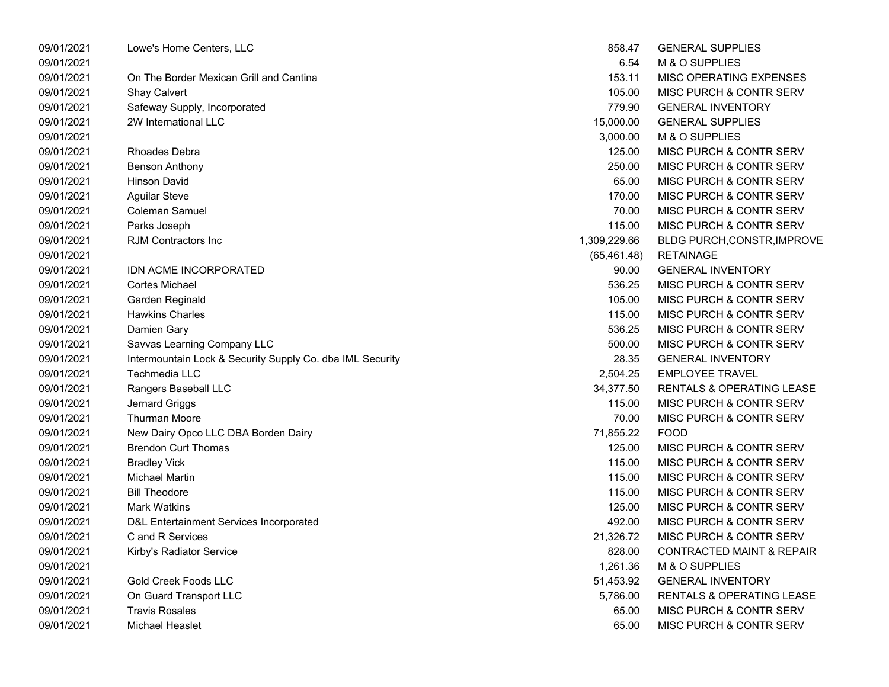| 09/01/2021 | Lowe's Home Centers, LLC                                  | 858.47       | <b>GENERAL SUPPLIES</b>              |
|------------|-----------------------------------------------------------|--------------|--------------------------------------|
| 09/01/2021 |                                                           | 6.54         | M & O SUPPLIES                       |
| 09/01/2021 | On The Border Mexican Grill and Cantina                   | 153.11       | MISC OPERATING EXPENSES              |
| 09/01/2021 | <b>Shay Calvert</b>                                       | 105.00       | MISC PURCH & CONTR SERV              |
| 09/01/2021 | Safeway Supply, Incorporated                              | 779.90       | <b>GENERAL INVENTORY</b>             |
| 09/01/2021 | 2W International LLC                                      | 15,000.00    | <b>GENERAL SUPPLIES</b>              |
| 09/01/2021 |                                                           | 3,000.00     | M & O SUPPLIES                       |
| 09/01/2021 | <b>Rhoades Debra</b>                                      | 125.00       | MISC PURCH & CONTR SERV              |
| 09/01/2021 | <b>Benson Anthony</b>                                     | 250.00       | MISC PURCH & CONTR SERV              |
| 09/01/2021 | <b>Hinson David</b>                                       | 65.00        | MISC PURCH & CONTR SERV              |
| 09/01/2021 | <b>Aguilar Steve</b>                                      | 170.00       | MISC PURCH & CONTR SERV              |
| 09/01/2021 | Coleman Samuel                                            | 70.00        | MISC PURCH & CONTR SERV              |
| 09/01/2021 | Parks Joseph                                              | 115.00       | MISC PURCH & CONTR SERV              |
| 09/01/2021 | RJM Contractors Inc                                       | 1,309,229.66 | <b>BLDG PURCH, CONSTR, IMPROVE</b>   |
| 09/01/2021 |                                                           | (65, 461.48) | <b>RETAINAGE</b>                     |
| 09/01/2021 | IDN ACME INCORPORATED                                     | 90.00        | <b>GENERAL INVENTORY</b>             |
| 09/01/2021 | Cortes Michael                                            | 536.25       | MISC PURCH & CONTR SERV              |
| 09/01/2021 | Garden Reginald                                           | 105.00       | MISC PURCH & CONTR SERV              |
| 09/01/2021 | <b>Hawkins Charles</b>                                    | 115.00       | MISC PURCH & CONTR SERV              |
| 09/01/2021 | Damien Gary                                               | 536.25       | MISC PURCH & CONTR SERV              |
| 09/01/2021 | Savvas Learning Company LLC                               | 500.00       | MISC PURCH & CONTR SERV              |
| 09/01/2021 | Intermountain Lock & Security Supply Co. dba IML Security | 28.35        | <b>GENERAL INVENTORY</b>             |
| 09/01/2021 | Techmedia LLC                                             | 2,504.25     | <b>EMPLOYEE TRAVEL</b>               |
| 09/01/2021 | Rangers Baseball LLC                                      | 34,377.50    | RENTALS & OPERATING LEASE            |
| 09/01/2021 | Jernard Griggs                                            | 115.00       | MISC PURCH & CONTR SERV              |
| 09/01/2021 | <b>Thurman Moore</b>                                      | 70.00        | MISC PURCH & CONTR SERV              |
| 09/01/2021 | New Dairy Opco LLC DBA Borden Dairy                       | 71,855.22    | <b>FOOD</b>                          |
| 09/01/2021 | <b>Brendon Curt Thomas</b>                                | 125.00       | MISC PURCH & CONTR SERV              |
| 09/01/2021 | <b>Bradley Vick</b>                                       | 115.00       | MISC PURCH & CONTR SERV              |
| 09/01/2021 | <b>Michael Martin</b>                                     | 115.00       | MISC PURCH & CONTR SERV              |
| 09/01/2021 | <b>Bill Theodore</b>                                      | 115.00       | MISC PURCH & CONTR SERV              |
| 09/01/2021 | <b>Mark Watkins</b>                                       | 125.00       | MISC PURCH & CONTR SERV              |
| 09/01/2021 | D&L Entertainment Services Incorporated                   | 492.00       | MISC PURCH & CONTR SERV              |
| 09/01/2021 | C and R Services                                          | 21,326.72    | MISC PURCH & CONTR SERV              |
| 09/01/2021 | Kirby's Radiator Service                                  | 828.00       | CONTRACTED MAINT & REPAIR            |
| 09/01/2021 |                                                           | 1,261.36     | M & O SUPPLIES                       |
| 09/01/2021 | <b>Gold Creek Foods LLC</b>                               | 51,453.92    | <b>GENERAL INVENTORY</b>             |
| 09/01/2021 | On Guard Transport LLC                                    | 5,786.00     | <b>RENTALS &amp; OPERATING LEASE</b> |
| 09/01/2021 | <b>Travis Rosales</b>                                     | 65.00        | MISC PURCH & CONTR SERV              |
| 09/01/2021 | Michael Heaslet                                           | 65.00        | MISC PURCH & CONTR SERV              |
|            |                                                           |              |                                      |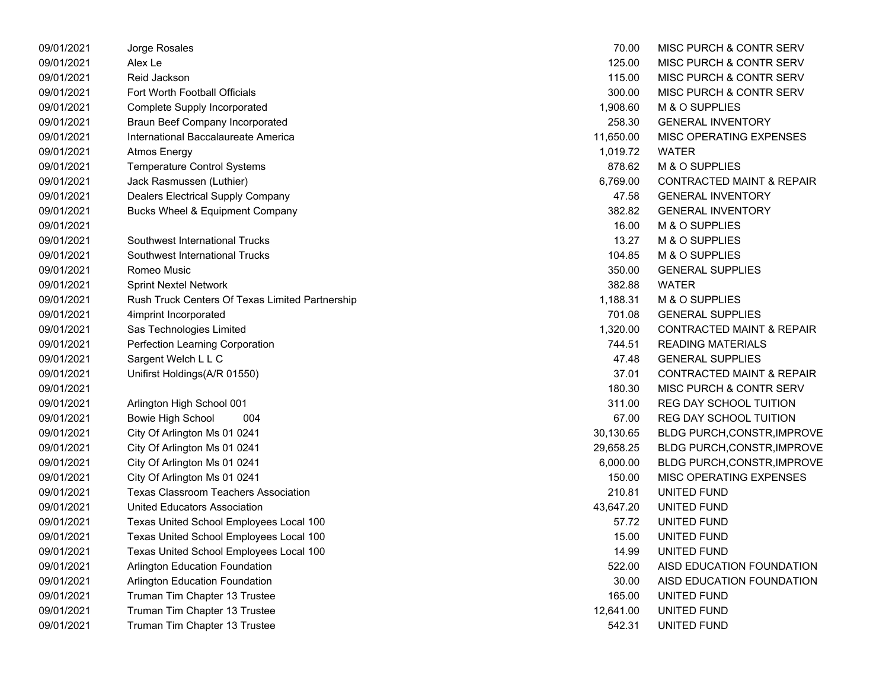| 09/01/2021 | Jorge Rosales                                   | 70.00     | MISC PURCH & CONTR SERV              |
|------------|-------------------------------------------------|-----------|--------------------------------------|
| 09/01/2021 | Alex Le                                         | 125.00    | MISC PURCH & CONTR SERV              |
| 09/01/2021 | Reid Jackson                                    | 115.00    | MISC PURCH & CONTR SERV              |
| 09/01/2021 | Fort Worth Football Officials                   | 300.00    | MISC PURCH & CONTR SERV              |
| 09/01/2021 | Complete Supply Incorporated                    | 1,908.60  | M & O SUPPLIES                       |
| 09/01/2021 | <b>Braun Beef Company Incorporated</b>          | 258.30    | <b>GENERAL INVENTORY</b>             |
| 09/01/2021 | International Baccalaureate America             | 11,650.00 | MISC OPERATING EXPENSES              |
| 09/01/2021 | <b>Atmos Energy</b>                             | 1,019.72  | <b>WATER</b>                         |
| 09/01/2021 | <b>Temperature Control Systems</b>              | 878.62    | M & O SUPPLIES                       |
| 09/01/2021 | Jack Rasmussen (Luthier)                        | 6,769.00  | <b>CONTRACTED MAINT &amp; REPAIR</b> |
| 09/01/2021 | Dealers Electrical Supply Company               | 47.58     | <b>GENERAL INVENTORY</b>             |
| 09/01/2021 | Bucks Wheel & Equipment Company                 | 382.82    | <b>GENERAL INVENTORY</b>             |
| 09/01/2021 |                                                 | 16.00     | M & O SUPPLIES                       |
| 09/01/2021 | Southwest International Trucks                  | 13.27     | M & O SUPPLIES                       |
| 09/01/2021 | Southwest International Trucks                  | 104.85    | M & O SUPPLIES                       |
| 09/01/2021 | Romeo Music                                     | 350.00    | <b>GENERAL SUPPLIES</b>              |
| 09/01/2021 | <b>Sprint Nextel Network</b>                    | 382.88    | <b>WATER</b>                         |
| 09/01/2021 | Rush Truck Centers Of Texas Limited Partnership | 1,188.31  | M & O SUPPLIES                       |
| 09/01/2021 | 4imprint Incorporated                           | 701.08    | <b>GENERAL SUPPLIES</b>              |
| 09/01/2021 | Sas Technologies Limited                        | 1,320.00  | <b>CONTRACTED MAINT &amp; REPAIR</b> |
| 09/01/2021 | Perfection Learning Corporation                 | 744.51    | <b>READING MATERIALS</b>             |
| 09/01/2021 | Sargent Welch L L C                             | 47.48     | <b>GENERAL SUPPLIES</b>              |
| 09/01/2021 | Unifirst Holdings(A/R 01550)                    | 37.01     | <b>CONTRACTED MAINT &amp; REPAIR</b> |
| 09/01/2021 |                                                 | 180.30    | <b>MISC PURCH &amp; CONTR SERV</b>   |
| 09/01/2021 | Arlington High School 001                       | 311.00    | <b>REG DAY SCHOOL TUITION</b>        |
| 09/01/2021 | <b>Bowie High School</b><br>004                 | 67.00     | <b>REG DAY SCHOOL TUITION</b>        |
| 09/01/2021 | City Of Arlington Ms 01 0241                    | 30,130.65 | <b>BLDG PURCH, CONSTR, IMPROVE</b>   |
| 09/01/2021 | City Of Arlington Ms 01 0241                    | 29,658.25 | <b>BLDG PURCH, CONSTR, IMPROVE</b>   |
| 09/01/2021 | City Of Arlington Ms 01 0241                    | 6,000.00  | <b>BLDG PURCH, CONSTR, IMPROVE</b>   |
| 09/01/2021 | City Of Arlington Ms 01 0241                    | 150.00    | MISC OPERATING EXPENSES              |
| 09/01/2021 | <b>Texas Classroom Teachers Association</b>     | 210.81    | UNITED FUND                          |
| 09/01/2021 | <b>United Educators Association</b>             | 43,647.20 | UNITED FUND                          |
| 09/01/2021 | Texas United School Employees Local 100         | 57.72     | UNITED FUND                          |
| 09/01/2021 | Texas United School Employees Local 100         | 15.00     | UNITED FUND                          |
| 09/01/2021 | Texas United School Employees Local 100         | 14.99     | UNITED FUND                          |
| 09/01/2021 | Arlington Education Foundation                  | 522.00    | AISD EDUCATION FOUNDATION            |
| 09/01/2021 | Arlington Education Foundation                  | 30.00     | AISD EDUCATION FOUNDATION            |
| 09/01/2021 | Truman Tim Chapter 13 Trustee                   | 165.00    | UNITED FUND                          |
| 09/01/2021 | Truman Tim Chapter 13 Trustee                   | 12,641.00 | UNITED FUND                          |
| 09/01/2021 | Truman Tim Chapter 13 Trustee                   | 542.31    | UNITED FUND                          |

| 70.00     | MISC PURCH & CONTR SERV              |
|-----------|--------------------------------------|
| 125.00    | MISC PURCH & CONTR SERV              |
| 115.00    | MISC PURCH & CONTR SERV              |
| 300.00    | <b>MISC PURCH &amp; CONTR SERV</b>   |
| 1,908.60  | M & O SUPPLIES                       |
| 258.30    | <b>GENERAL INVENTORY</b>             |
| 11,650.00 | <b>MISC OPERATING EXPENSES</b>       |
| 1,019.72  | <b>WATER</b>                         |
| 878.62    | M & O SUPPLIES                       |
| 6,769.00  | <b>CONTRACTED MAINT &amp; REPAIR</b> |
| 47.58     | <b>GENERAL INVENTORY</b>             |
| 382.82    | <b>GENERAL INVENTORY</b>             |
| 16.00     | M & O SUPPLIES                       |
| 13.27     | M & O SUPPLIES                       |
| 104.85    | M & O SUPPLIES                       |
| 350.00    | <b>GENERAL SUPPLIES</b>              |
| 382.88    | <b>WATER</b>                         |
| 1,188.31  | M & O SUPPLIES                       |
| 701.08    | <b>GENERAL SUPPLIES</b>              |
| 1,320.00  | <b>CONTRACTED MAINT &amp; REPAIR</b> |
| 744.51    | <b>READING MATERIALS</b>             |
| 47.48     | <b>GENERAL SUPPLIES</b>              |
| 37.01     | <b>CONTRACTED MAINT &amp; REPAIR</b> |
| 180.30    | <b>MISC PURCH &amp; CONTR SERV</b>   |
| 311.00    | <b>REG DAY SCHOOL TUITION</b>        |
| 67.00     | <b>REG DAY SCHOOL TUITION</b>        |
| 30,130.65 | BLDG PURCH, CONSTR, IMPROVE          |
| 29,658.25 | BLDG PURCH, CONSTR, IMPROVE          |
| 6,000.00  | BLDG PURCH, CONSTR, IMPROVE          |
| 150.00    | MISC OPERATING EXPENSES              |
| 210.81    | <b>UNITED FUND</b>                   |
| 43,647.20 | <b>UNITED FUND</b>                   |
|           | 57.72 UNITED FUND                    |
| 15.00     | <b>UNITED FUND</b>                   |
| 14.99     | UNITED FUND                          |
| 522.00    | AISD EDUCATION FOUNDATION            |
| 30.00     | AISD EDUCATION FOUNDATION            |
| 165.00    | UNITED FUND                          |
| 12,641.00 | <b>UNITED FUND</b>                   |
| 542.31    | UNITED FUND                          |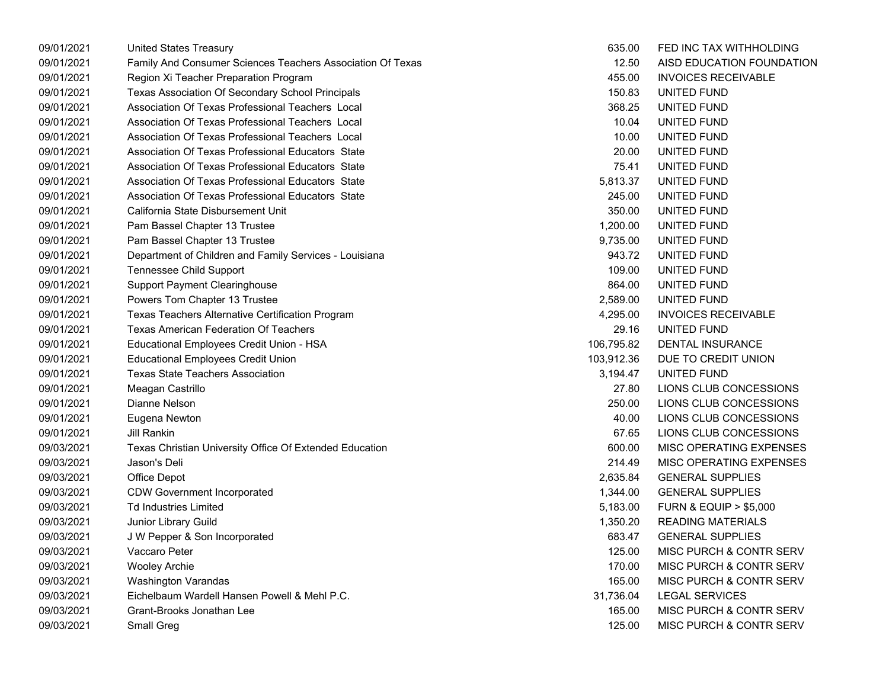| 09/01/2021 | <b>United States Treasury</b>                              | 635.00     | FED INC TAX WITHHOLDING              |
|------------|------------------------------------------------------------|------------|--------------------------------------|
| 09/01/2021 | Family And Consumer Sciences Teachers Association Of Texas | 12.50      | AISD EDUCATION FOUNDATION            |
| 09/01/2021 | Region Xi Teacher Preparation Program                      | 455.00     | <b>INVOICES RECEIVABLE</b>           |
| 09/01/2021 | Texas Association Of Secondary School Principals           | 150.83     | UNITED FUND                          |
| 09/01/2021 | Association Of Texas Professional Teachers Local           | 368.25     | UNITED FUND                          |
| 09/01/2021 | Association Of Texas Professional Teachers Local           | 10.04      | UNITED FUND                          |
| 09/01/2021 | Association Of Texas Professional Teachers Local           | 10.00      | UNITED FUND                          |
| 09/01/2021 | Association Of Texas Professional Educators State          | 20.00      | UNITED FUND                          |
| 09/01/2021 | Association Of Texas Professional Educators State          | 75.41      | UNITED FUND                          |
| 09/01/2021 | Association Of Texas Professional Educators State          | 5,813.37   | UNITED FUND                          |
| 09/01/2021 | Association Of Texas Professional Educators State          | 245.00     | UNITED FUND                          |
| 09/01/2021 | California State Disbursement Unit                         | 350.00     | UNITED FUND                          |
| 09/01/2021 | Pam Bassel Chapter 13 Trustee                              | 1,200.00   | UNITED FUND                          |
| 09/01/2021 | Pam Bassel Chapter 13 Trustee                              | 9,735.00   | UNITED FUND                          |
| 09/01/2021 | Department of Children and Family Services - Louisiana     | 943.72     | UNITED FUND                          |
| 09/01/2021 | <b>Tennessee Child Support</b>                             | 109.00     | UNITED FUND                          |
| 09/01/2021 | <b>Support Payment Clearinghouse</b>                       | 864.00     | UNITED FUND                          |
| 09/01/2021 | Powers Tom Chapter 13 Trustee                              | 2,589.00   | UNITED FUND                          |
| 09/01/2021 | Texas Teachers Alternative Certification Program           | 4,295.00   | <b>INVOICES RECEIVABLE</b>           |
| 09/01/2021 | <b>Texas American Federation Of Teachers</b>               | 29.16      | UNITED FUND                          |
| 09/01/2021 | Educational Employees Credit Union - HSA                   | 106,795.82 | <b>DENTAL INSURANCE</b>              |
| 09/01/2021 | <b>Educational Employees Credit Union</b>                  | 103,912.36 | DUE TO CREDIT UNION                  |
| 09/01/2021 | <b>Texas State Teachers Association</b>                    | 3,194.47   | UNITED FUND                          |
| 09/01/2021 | Meagan Castrillo                                           | 27.80      | LIONS CLUB CONCESSIONS               |
| 09/01/2021 | Dianne Nelson                                              | 250.00     | LIONS CLUB CONCESSIONS               |
| 09/01/2021 | Eugena Newton                                              | 40.00      | LIONS CLUB CONCESSIONS               |
| 09/01/2021 | <b>Jill Rankin</b>                                         | 67.65      | LIONS CLUB CONCESSIONS               |
| 09/03/2021 | Texas Christian University Office Of Extended Education    | 600.00     | <b>MISC OPERATING EXPENSES</b>       |
| 09/03/2021 | Jason's Deli                                               | 214.49     | <b>MISC OPERATING EXPENSES</b>       |
| 09/03/2021 | Office Depot                                               | 2,635.84   | <b>GENERAL SUPPLIES</b>              |
| 09/03/2021 | <b>CDW Government Incorporated</b>                         | 1,344.00   | <b>GENERAL SUPPLIES</b>              |
| 09/03/2021 | <b>Td Industries Limited</b>                               | 5,183.00   | <b>FURN &amp; EQUIP &gt; \$5,000</b> |
| 09/03/2021 | Junior Library Guild                                       | 1,350.20   | <b>READING MATERIALS</b>             |
| 09/03/2021 | J W Pepper & Son Incorporated                              | 683.47     | <b>GENERAL SUPPLIES</b>              |
| 09/03/2021 | Vaccaro Peter                                              | 125.00     | <b>MISC PURCH &amp; CONTR SERV</b>   |
| 09/03/2021 | <b>Wooley Archie</b>                                       | 170.00     | MISC PURCH & CONTR SERV              |
| 09/03/2021 | Washington Varandas                                        | 165.00     | <b>MISC PURCH &amp; CONTR SERV</b>   |
| 09/03/2021 | Eichelbaum Wardell Hansen Powell & Mehl P.C.               | 31,736.04  | <b>LEGAL SERVICES</b>                |
| 09/03/2021 | Grant-Brooks Jonathan Lee                                  | 165.00     | <b>MISC PURCH &amp; CONTR SERV</b>   |
| 09/03/2021 | Small Greg                                                 | 125.00     | MISC PURCH & CONTR SERV              |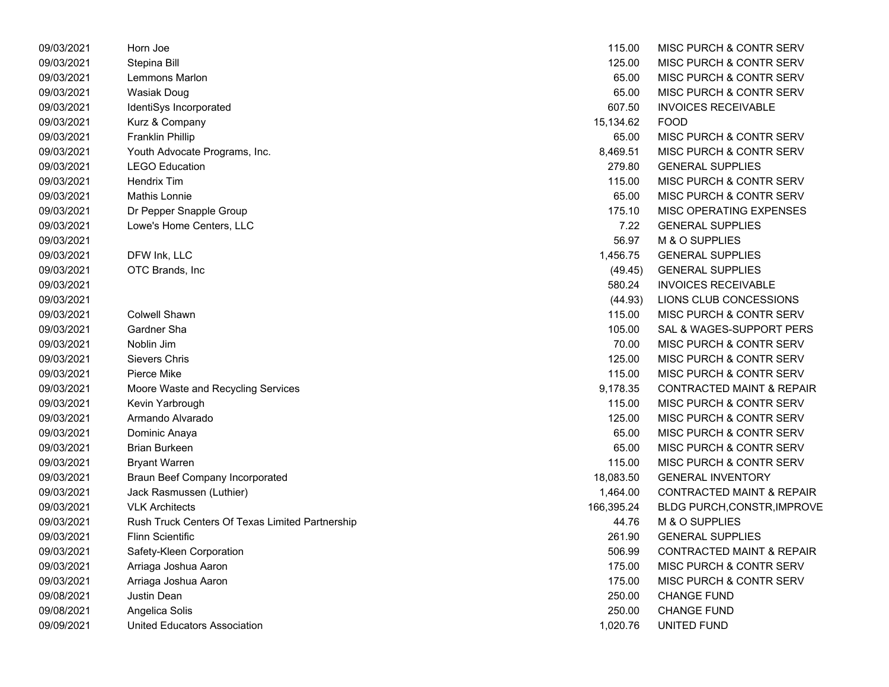| 09/03/2021 | Horn Joe                                        | 115.00     | MISC PURCH & CONTR SERV              |
|------------|-------------------------------------------------|------------|--------------------------------------|
| 09/03/2021 | Stepina Bill                                    | 125.00     | <b>MISC PURCH &amp; CONTR SERV</b>   |
| 09/03/2021 | Lemmons Marlon                                  | 65.00      | MISC PURCH & CONTR SERV              |
| 09/03/2021 | <b>Wasiak Doug</b>                              | 65.00      | MISC PURCH & CONTR SERV              |
| 09/03/2021 | IdentiSys Incorporated                          | 607.50     | <b>INVOICES RECEIVABLE</b>           |
| 09/03/2021 | Kurz & Company                                  | 15,134.62  | <b>FOOD</b>                          |
| 09/03/2021 | <b>Franklin Phillip</b>                         | 65.00      | MISC PURCH & CONTR SERV              |
| 09/03/2021 | Youth Advocate Programs, Inc.                   | 8,469.51   | MISC PURCH & CONTR SERV              |
| 09/03/2021 | <b>LEGO Education</b>                           | 279.80     | <b>GENERAL SUPPLIES</b>              |
| 09/03/2021 | <b>Hendrix Tim</b>                              | 115.00     | MISC PURCH & CONTR SERV              |
| 09/03/2021 | Mathis Lonnie                                   | 65.00      | MISC PURCH & CONTR SERV              |
| 09/03/2021 | Dr Pepper Snapple Group                         | 175.10     | MISC OPERATING EXPENSES              |
| 09/03/2021 | Lowe's Home Centers, LLC                        | 7.22       | <b>GENERAL SUPPLIES</b>              |
| 09/03/2021 |                                                 | 56.97      | M & O SUPPLIES                       |
| 09/03/2021 | DFW Ink, LLC                                    | 1,456.75   | <b>GENERAL SUPPLIES</b>              |
| 09/03/2021 | OTC Brands, Inc                                 | (49.45)    | <b>GENERAL SUPPLIES</b>              |
| 09/03/2021 |                                                 | 580.24     | <b>INVOICES RECEIVABLE</b>           |
| 09/03/2021 |                                                 | (44.93)    | LIONS CLUB CONCESSIONS               |
| 09/03/2021 | <b>Colwell Shawn</b>                            | 115.00     | MISC PURCH & CONTR SERV              |
| 09/03/2021 | Gardner Sha                                     | 105.00     | SAL & WAGES-SUPPORT PERS             |
| 09/03/2021 | Noblin Jim                                      | 70.00      | MISC PURCH & CONTR SERV              |
| 09/03/2021 | <b>Sievers Chris</b>                            | 125.00     | MISC PURCH & CONTR SERV              |
| 09/03/2021 | Pierce Mike                                     | 115.00     | MISC PURCH & CONTR SERV              |
| 09/03/2021 | Moore Waste and Recycling Services              | 9,178.35   | <b>CONTRACTED MAINT &amp; REPAIR</b> |
| 09/03/2021 | Kevin Yarbrough                                 | 115.00     | MISC PURCH & CONTR SERV              |
| 09/03/2021 | Armando Alvarado                                | 125.00     | MISC PURCH & CONTR SERV              |
| 09/03/2021 | Dominic Anaya                                   | 65.00      | MISC PURCH & CONTR SERV              |
| 09/03/2021 | <b>Brian Burkeen</b>                            | 65.00      | MISC PURCH & CONTR SERV              |
| 09/03/2021 | <b>Bryant Warren</b>                            | 115.00     | MISC PURCH & CONTR SERV              |
| 09/03/2021 | Braun Beef Company Incorporated                 | 18,083.50  | <b>GENERAL INVENTORY</b>             |
| 09/03/2021 | Jack Rasmussen (Luthier)                        | 1,464.00   | <b>CONTRACTED MAINT &amp; REPAIR</b> |
| 09/03/2021 | <b>VLK Architects</b>                           | 166,395.24 | BLDG PURCH, CONSTR, IMPROVE          |
| 09/03/2021 | Rush Truck Centers Of Texas Limited Partnership | 44.76      | M & O SUPPLIES                       |
| 09/03/2021 | Flinn Scientific                                | 261.90     | <b>GENERAL SUPPLIES</b>              |
| 09/03/2021 | Safety-Kleen Corporation                        | 506.99     | <b>CONTRACTED MAINT &amp; REPAIR</b> |
| 09/03/2021 | Arriaga Joshua Aaron                            | 175.00     | MISC PURCH & CONTR SERV              |
| 09/03/2021 | Arriaga Joshua Aaron                            | 175.00     | MISC PURCH & CONTR SERV              |
| 09/08/2021 | Justin Dean                                     | 250.00     | <b>CHANGE FUND</b>                   |
| 09/08/2021 | Angelica Solis                                  | 250.00     | <b>CHANGE FUND</b>                   |
| 09/09/2021 | United Educators Association                    | 1,020.76   | UNITED FUND                          |

| 115.00     | MISC PURCH & CONTR SERV              |
|------------|--------------------------------------|
| 125.00     | MISC PURCH & CONTR SERV              |
| 65.00      | MISC PURCH & CONTR SERV              |
| 65.00      | <b>MISC PURCH &amp; CONTR SERV</b>   |
| 607.50     | <b>INVOICES RECEIVABLE</b>           |
| 15,134.62  | FOOD                                 |
| 65.00      | <b>MISC PURCH &amp; CONTR SERV</b>   |
| 8,469.51   | <b>MISC PURCH &amp; CONTR SERV</b>   |
| 279.80     | <b>GENERAL SUPPLIES</b>              |
| 115.00     | <b>MISC PURCH &amp; CONTR SERV</b>   |
| 65.00      | <b>MISC PURCH &amp; CONTR SERV</b>   |
| 175.10     | <b>MISC OPERATING EXPENSES</b>       |
| 7.22       | <b>GENERAL SUPPLIES</b>              |
| 56.97      | M & O SUPPLIES                       |
| 1,456.75   | <b>GENERAL SUPPLIES</b>              |
| (49.45)    | <b>GENERAL SUPPLIES</b>              |
| 580.24     | <b>INVOICES RECEIVABLE</b>           |
| (44.93)    | LIONS CLUB CONCESSIONS               |
| 115.00     | <b>MISC PURCH &amp; CONTR SERV</b>   |
| 105.00     | SAL & WAGES-SUPPORT PERS             |
| 70.00      | <b>MISC PURCH &amp; CONTR SERV</b>   |
| 125.00     | <b>MISC PURCH &amp; CONTR SERV</b>   |
| 115.00     | <b>MISC PURCH &amp; CONTR SERV</b>   |
| 9,178.35   | <b>CONTRACTED MAINT &amp; REPAIR</b> |
| 115.00     | <b>MISC PURCH &amp; CONTR SERV</b>   |
| 125.00     | <b>MISC PURCH &amp; CONTR SERV</b>   |
| 65.00      | <b>MISC PURCH &amp; CONTR SERV</b>   |
| 65.00      | <b>MISC PURCH &amp; CONTR SERV</b>   |
| 115.00     | <b>MISC PURCH &amp; CONTR SERV</b>   |
| 18,083.50  | <b>GENERAL INVENTORY</b>             |
| 1,464.00   | <b>CONTRACTED MAINT &amp; REPAIR</b> |
| 166,395.24 | <b>BLDG PURCH, CONSTR, IMPROVE</b>   |
| 44.76      | M & O SUPPLIES                       |
| 261.90     | <b>GENERAL SUPPLIES</b>              |
| 506.99     | <b>CONTRACTED MAINT &amp; REPAIR</b> |
| 175.00     | <b>MISC PURCH &amp; CONTR SERV</b>   |
| 175.00     | MISC PURCH & CONTR SERV              |
| 250.00     | <b>CHANGE FUND</b>                   |
| 250.00     | <b>CHANGE FUND</b>                   |
| 1,020.76   | UNITED FUND                          |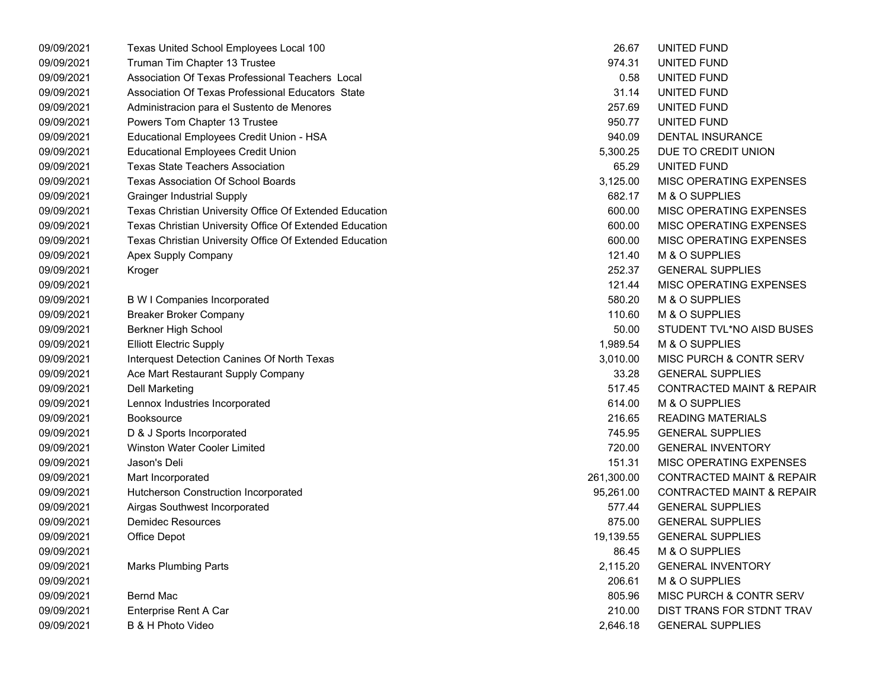| 09/09/2021 | Texas United School Employees Local 100                 | 26.67      | UNITED FUND                          |
|------------|---------------------------------------------------------|------------|--------------------------------------|
| 09/09/2021 | Truman Tim Chapter 13 Trustee                           | 974.31     | UNITED FUND                          |
| 09/09/2021 | Association Of Texas Professional Teachers Local        | 0.58       | UNITED FUND                          |
| 09/09/2021 | Association Of Texas Professional Educators State       | 31.14      | UNITED FUND                          |
| 09/09/2021 | Administracion para el Sustento de Menores              | 257.69     | UNITED FUND                          |
| 09/09/2021 | Powers Tom Chapter 13 Trustee                           | 950.77     | UNITED FUND                          |
| 09/09/2021 | Educational Employees Credit Union - HSA                | 940.09     | DENTAL INSURANCE                     |
| 09/09/2021 | <b>Educational Employees Credit Union</b>               | 5,300.25   | DUE TO CREDIT UNION                  |
| 09/09/2021 | <b>Texas State Teachers Association</b>                 | 65.29      | UNITED FUND                          |
| 09/09/2021 | <b>Texas Association Of School Boards</b>               | 3,125.00   | <b>MISC OPERATING EXPENSES</b>       |
| 09/09/2021 | <b>Grainger Industrial Supply</b>                       | 682.17     | M & O SUPPLIES                       |
| 09/09/2021 | Texas Christian University Office Of Extended Education | 600.00     | MISC OPERATING EXPENSES              |
| 09/09/2021 | Texas Christian University Office Of Extended Education | 600.00     | MISC OPERATING EXPENSES              |
| 09/09/2021 | Texas Christian University Office Of Extended Education | 600.00     | <b>MISC OPERATING EXPENSES</b>       |
| 09/09/2021 | Apex Supply Company                                     | 121.40     | M & O SUPPLIES                       |
| 09/09/2021 | Kroger                                                  | 252.37     | <b>GENERAL SUPPLIES</b>              |
| 09/09/2021 |                                                         | 121.44     | MISC OPERATING EXPENSES              |
| 09/09/2021 | B W I Companies Incorporated                            | 580.20     | M & O SUPPLIES                       |
| 09/09/2021 | Breaker Broker Company                                  | 110.60     | M & O SUPPLIES                       |
| 09/09/2021 | Berkner High School                                     | 50.00      | STUDENT TVL*NO AISD BUSES            |
| 09/09/2021 | <b>Elliott Electric Supply</b>                          | 1,989.54   | M & O SUPPLIES                       |
| 09/09/2021 | Interquest Detection Canines Of North Texas             | 3,010.00   | <b>MISC PURCH &amp; CONTR SERV</b>   |
| 09/09/2021 | Ace Mart Restaurant Supply Company                      | 33.28      | <b>GENERAL SUPPLIES</b>              |
| 09/09/2021 | Dell Marketing                                          | 517.45     | <b>CONTRACTED MAINT &amp; REPAIR</b> |
| 09/09/2021 | Lennox Industries Incorporated                          | 614.00     | M & O SUPPLIES                       |
| 09/09/2021 | <b>Booksource</b>                                       | 216.65     | <b>READING MATERIALS</b>             |
| 09/09/2021 | D & J Sports Incorporated                               | 745.95     | <b>GENERAL SUPPLIES</b>              |
| 09/09/2021 | <b>Winston Water Cooler Limited</b>                     | 720.00     | <b>GENERAL INVENTORY</b>             |
| 09/09/2021 | Jason's Deli                                            | 151.31     | MISC OPERATING EXPENSES              |
| 09/09/2021 | Mart Incorporated                                       | 261,300.00 | <b>CONTRACTED MAINT &amp; REPAIR</b> |
| 09/09/2021 | Hutcherson Construction Incorporated                    | 95,261.00  | <b>CONTRACTED MAINT &amp; REPAIR</b> |
| 09/09/2021 | Airgas Southwest Incorporated                           | 577.44     | <b>GENERAL SUPPLIES</b>              |
| 09/09/2021 | <b>Demidec Resources</b>                                | 875.00     | <b>GENERAL SUPPLIES</b>              |
| 09/09/2021 | Office Depot                                            | 19,139.55  | <b>GENERAL SUPPLIES</b>              |
| 09/09/2021 |                                                         | 86.45      | M & O SUPPLIES                       |
| 09/09/2021 | <b>Marks Plumbing Parts</b>                             | 2,115.20   | <b>GENERAL INVENTORY</b>             |
| 09/09/2021 |                                                         | 206.61     | M & O SUPPLIES                       |
| 09/09/2021 | Bernd Mac                                               | 805.96     | MISC PURCH & CONTR SERV              |
| 09/09/2021 | Enterprise Rent A Car                                   | 210.00     | DIST TRANS FOR STDNT TRAV            |
| 09/09/2021 | B & H Photo Video                                       | 2,646.18   | <b>GENERAL SUPPLIES</b>              |

| 26.67      | UNITED FUND                          |
|------------|--------------------------------------|
| 974.31     | UNITED FUND                          |
| 0.58       | UNITED FUND                          |
| 31.14      | UNITED FUND                          |
| 257.69     | UNITED FUND                          |
| 950.77     | UNITED FUND                          |
| 940.09     | <b>DENTAL INSURANCE</b>              |
| 5,300.25   | DUE TO CREDIT UNION                  |
| 65.29      | UNITED FUND                          |
| 3,125.00   | <b>MISC OPERATING EXPENSES</b>       |
| 682.17     | <b>M &amp; O SUPPLIES</b>            |
| 600.00     | <b>MISC OPERATING EXPENSES</b>       |
| 600.00     | <b>MISC OPERATING EXPENSES</b>       |
| 600.00     | <b>MISC OPERATING EXPENSES</b>       |
| 121.40     | M & O SUPPLIES                       |
| 252.37     | <b>GENERAL SUPPLIES</b>              |
| 121.44     | MISC OPERATING EXPENSES              |
| 580.20     | <b>M &amp; O SUPPLIES</b>            |
| 110.60     | <b>M &amp; O SUPPLIES</b>            |
| 50.00      | STUDENT TVL*NO AISD BUSES            |
| 1,989.54   | M & O SUPPLIES                       |
| 3,010.00   | <b>MISC PURCH &amp; CONTR SERV</b>   |
| 33.28      | <b>GENERAL SUPPLIES</b>              |
| 517.45     | <b>CONTRACTED MAINT &amp; REPAIR</b> |
| 614.00     | M & O SUPPLIES                       |
| 216.65     | <b>READING MATERIALS</b>             |
| 745.95     | <b>GENERAL SUPPLIES</b>              |
| 720.00     | <b>GENERAL INVENTORY</b>             |
| 151.31     | <b>MISC OPERATING EXPENSES</b>       |
| 261,300.00 | <b>CONTRACTED MAINT &amp; REPAIR</b> |
| 95,261.00  | <b>CONTRACTED MAINT &amp; REPAIR</b> |
| 577.44     | <b>GENERAL SUPPLIES</b>              |
| 875.00     | <b>GENERAL SUPPLIES</b>              |
| 19,139.55  | <b>GENERAL SUPPLIES</b>              |
| 86.45      | <b>M &amp; O SUPPLIES</b>            |
| 2,115.20   | <b>GENERAL INVENTORY</b>             |
| 206.61     | <b>M &amp; O SUPPLIES</b>            |
| 805.96     | MISC PURCH & CONTR SERV              |
| 210.00     | DIST TRANS FOR STDNT TRAV            |
| 2 646 18   | <b>GENERAL SUPPLIES</b>              |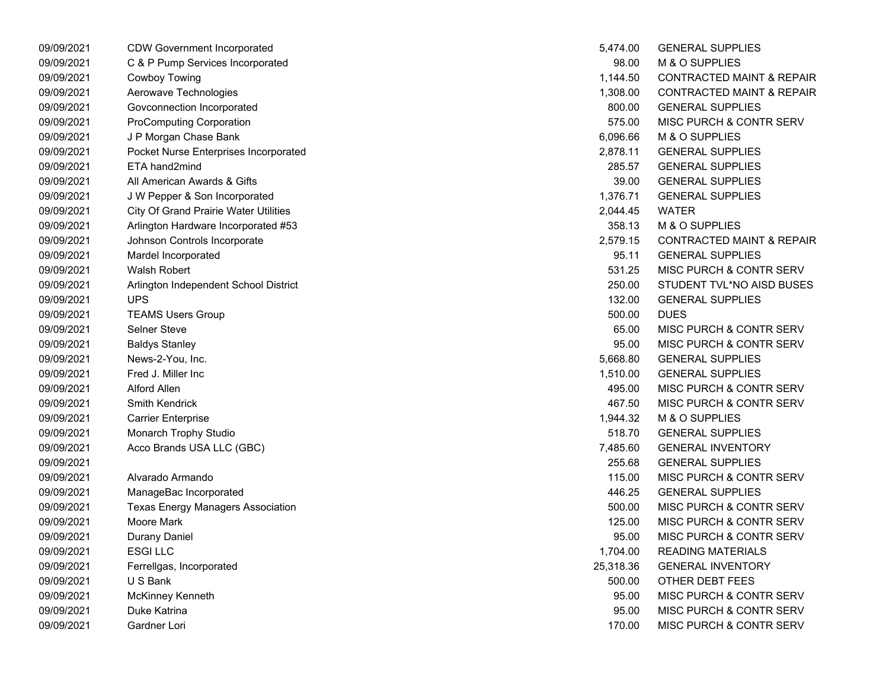| 09/09/2021 | <b>CDW Government Incorporated</b>           | 5,474.00  | <b>GENERAL SUPPLIES</b>              |
|------------|----------------------------------------------|-----------|--------------------------------------|
| 09/09/2021 | C & P Pump Services Incorporated             | 98.00     | M & O SUPPLIES                       |
| 09/09/2021 | Cowboy Towing                                | 1,144.50  | <b>CONTRACTED MAINT &amp; REPAIR</b> |
| 09/09/2021 | Aerowave Technologies                        | 1,308.00  | <b>CONTRACTED MAINT &amp; REPAIR</b> |
| 09/09/2021 | Govconnection Incorporated                   | 800.00    | <b>GENERAL SUPPLIES</b>              |
| 09/09/2021 | <b>ProComputing Corporation</b>              | 575.00    | MISC PURCH & CONTR SERV              |
| 09/09/2021 | J P Morgan Chase Bank                        | 6,096.66  | M & O SUPPLIES                       |
| 09/09/2021 | Pocket Nurse Enterprises Incorporated        | 2,878.11  | <b>GENERAL SUPPLIES</b>              |
| 09/09/2021 | ETA hand2mind                                | 285.57    | <b>GENERAL SUPPLIES</b>              |
| 09/09/2021 | All American Awards & Gifts                  | 39.00     | <b>GENERAL SUPPLIES</b>              |
| 09/09/2021 | J W Pepper & Son Incorporated                | 1,376.71  | <b>GENERAL SUPPLIES</b>              |
| 09/09/2021 | <b>City Of Grand Prairie Water Utilities</b> | 2,044.45  | <b>WATER</b>                         |
| 09/09/2021 | Arlington Hardware Incorporated #53          | 358.13    | M & O SUPPLIES                       |
| 09/09/2021 | Johnson Controls Incorporate                 | 2,579.15  | <b>CONTRACTED MAINT &amp; REPAIR</b> |
| 09/09/2021 | Mardel Incorporated                          | 95.11     | <b>GENERAL SUPPLIES</b>              |
| 09/09/2021 | <b>Walsh Robert</b>                          | 531.25    | MISC PURCH & CONTR SERV              |
| 09/09/2021 | Arlington Independent School District        | 250.00    | STUDENT TVL*NO AISD BUSES            |
| 09/09/2021 | <b>UPS</b>                                   | 132.00    | <b>GENERAL SUPPLIES</b>              |
| 09/09/2021 | <b>TEAMS Users Group</b>                     | 500.00    | <b>DUES</b>                          |
| 09/09/2021 | <b>Selner Steve</b>                          | 65.00     | MISC PURCH & CONTR SERV              |
| 09/09/2021 | <b>Baldys Stanley</b>                        | 95.00     | MISC PURCH & CONTR SERV              |
| 09/09/2021 | News-2-You, Inc.                             | 5,668.80  | <b>GENERAL SUPPLIES</b>              |
| 09/09/2021 | Fred J. Miller Inc                           | 1,510.00  | <b>GENERAL SUPPLIES</b>              |
| 09/09/2021 | Alford Allen                                 | 495.00    | MISC PURCH & CONTR SERV              |
| 09/09/2021 | Smith Kendrick                               | 467.50    | MISC PURCH & CONTR SERV              |
| 09/09/2021 | <b>Carrier Enterprise</b>                    | 1,944.32  | M & O SUPPLIES                       |
| 09/09/2021 | Monarch Trophy Studio                        | 518.70    | <b>GENERAL SUPPLIES</b>              |
| 09/09/2021 | Acco Brands USA LLC (GBC)                    | 7,485.60  | <b>GENERAL INVENTORY</b>             |
| 09/09/2021 |                                              | 255.68    | <b>GENERAL SUPPLIES</b>              |
| 09/09/2021 | Alvarado Armando                             | 115.00    | MISC PURCH & CONTR SERV              |
| 09/09/2021 | ManageBac Incorporated                       | 446.25    | <b>GENERAL SUPPLIES</b>              |
| 09/09/2021 | <b>Texas Energy Managers Association</b>     | 500.00    | MISC PURCH & CONTR SERV              |
| 09/09/2021 | Moore Mark                                   | 125.00    | MISC PURCH & CONTR SERV              |
| 09/09/2021 | <b>Durany Daniel</b>                         | 95.00     | MISC PURCH & CONTR SERV              |
| 09/09/2021 | <b>ESGILLC</b>                               | 1,704.00  | <b>READING MATERIALS</b>             |
| 09/09/2021 | Ferrellgas, Incorporated                     | 25,318.36 | <b>GENERAL INVENTORY</b>             |
| 09/09/2021 | U S Bank                                     | 500.00    | OTHER DEBT FEES                      |
| 09/09/2021 | McKinney Kenneth                             | 95.00     | MISC PURCH & CONTR SERV              |
| 09/09/2021 | Duke Katrina                                 | 95.00     | MISC PURCH & CONTR SERV              |
| 09/09/2021 | Gardner Lori                                 | 170.00    | MISC PURCH & CONTR SERV              |

| 5,474.00  | <b>GENERAL SUPPLIES</b>              |
|-----------|--------------------------------------|
| 98.00     | <b>M &amp; O SUPPLIES</b>            |
| 1,144.50  | <b>CONTRACTED MAINT &amp; REPAIR</b> |
| 1,308.00  | <b>CONTRACTED MAINT &amp; REPAIR</b> |
| 800.00    | <b>GENERAL SUPPLIES</b>              |
| 575.00    | MISC PURCH & CONTR SERV              |
| 6,096.66  | <b>M &amp; O SUPPLIES</b>            |
| 2,878.11  | <b>GENERAL SUPPLIES</b>              |
| 285.57    | <b>GENERAL SUPPLIES</b>              |
| 39.00     | <b>GENERAL SUPPLIES</b>              |
| 1,376.71  | <b>GENERAL SUPPLIES</b>              |
| 2,044.45  | WATER                                |
| 358.13    | M & O SUPPLIES                       |
| 2,579.15  | <b>CONTRACTED MAINT &amp; REPAIR</b> |
| 95.11     | <b>GENERAL SUPPLIES</b>              |
| 531.25    | MISC PURCH & CONTR SERV              |
| 250.00    | STUDENT TVL*NO AISD BUSES            |
| 132.00    | <b>GENERAL SUPPLIES</b>              |
| 500.00    | <b>DUES</b>                          |
| 65.00     | MISC PURCH & CONTR SERV              |
| 95.00     | <b>MISC PURCH &amp; CONTR SERV</b>   |
| 5,668.80  | <b>GENERAL SUPPLIES</b>              |
| 1,510.00  | <b>GENERAL SUPPLIES</b>              |
| 495.00    | <b>MISC PURCH &amp; CONTR SERV</b>   |
| 467.50    | <b>MISC PURCH &amp; CONTR SERV</b>   |
| 1,944.32  | <b>M &amp; O SUPPLIES</b>            |
| 518.70    | <b>GENERAL SUPPLIES</b>              |
| 7,485.60  | <b>GENERAL INVENTORY</b>             |
| 255.68    | <b>GENERAL SUPPLIES</b>              |
| 115.00    | <b>MISC PURCH &amp; CONTR SERV</b>   |
| 446.25    | <b>GENERAL SUPPLIES</b>              |
| 500.00    | MISC PURCH & CONTR SERV              |
| 125.00    | <b>MISC PURCH &amp; CONTR SERV</b>   |
| 95.00     | <b>MISC PURCH &amp; CONTR SERV</b>   |
| 1,704.00  | <b>READING MATERIALS</b>             |
| 25,318.36 | <b>GENERAL INVENTORY</b>             |
| 500.00    | OTHER DEBT FEES                      |
| 95.00     | <b>MISC PURCH &amp; CONTR SERV</b>   |
| 95.00     | <b>MISC PURCH &amp; CONTR SERV</b>   |
| 170.00    | MISC PURCH & CONTR SERV              |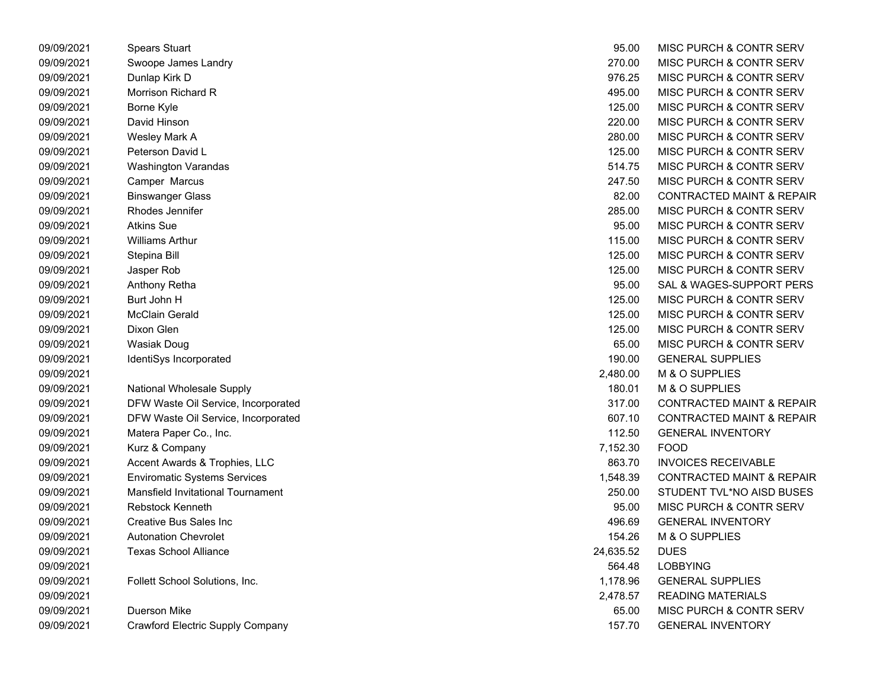| 09/09/2021 | <b>Spears Stuart</b>                    | 95.00     | MISC PURCH & CONTR SERV              |
|------------|-----------------------------------------|-----------|--------------------------------------|
| 09/09/2021 | Swoope James Landry                     | 270.00    | MISC PURCH & CONTR SERV              |
| 09/09/2021 | Dunlap Kirk D                           | 976.25    | MISC PURCH & CONTR SERV              |
| 09/09/2021 | Morrison Richard R                      | 495.00    | MISC PURCH & CONTR SERV              |
| 09/09/2021 | Borne Kyle                              | 125.00    | MISC PURCH & CONTR SERV              |
| 09/09/2021 | David Hinson                            | 220.00    | MISC PURCH & CONTR SERV              |
| 09/09/2021 | Wesley Mark A                           | 280.00    | MISC PURCH & CONTR SERV              |
| 09/09/2021 | Peterson David L                        | 125.00    | MISC PURCH & CONTR SERV              |
| 09/09/2021 | Washington Varandas                     | 514.75    | MISC PURCH & CONTR SERV              |
| 09/09/2021 | Camper Marcus                           | 247.50    | MISC PURCH & CONTR SERV              |
| 09/09/2021 | <b>Binswanger Glass</b>                 | 82.00     | <b>CONTRACTED MAINT &amp; REPAIR</b> |
| 09/09/2021 | Rhodes Jennifer                         | 285.00    | MISC PURCH & CONTR SERV              |
| 09/09/2021 | <b>Atkins Sue</b>                       | 95.00     | MISC PURCH & CONTR SERV              |
| 09/09/2021 | <b>Williams Arthur</b>                  | 115.00    | MISC PURCH & CONTR SERV              |
| 09/09/2021 | Stepina Bill                            | 125.00    | MISC PURCH & CONTR SERV              |
| 09/09/2021 | Jasper Rob                              | 125.00    | MISC PURCH & CONTR SERV              |
| 09/09/2021 | Anthony Retha                           | 95.00     | SAL & WAGES-SUPPORT PERS             |
| 09/09/2021 | Burt John H                             | 125.00    | MISC PURCH & CONTR SERV              |
| 09/09/2021 | <b>McClain Gerald</b>                   | 125.00    | MISC PURCH & CONTR SERV              |
| 09/09/2021 | Dixon Glen                              | 125.00    | MISC PURCH & CONTR SERV              |
| 09/09/2021 | <b>Wasiak Doug</b>                      | 65.00     | MISC PURCH & CONTR SERV              |
| 09/09/2021 | IdentiSys Incorporated                  | 190.00    | <b>GENERAL SUPPLIES</b>              |
| 09/09/2021 |                                         | 2,480.00  | M & O SUPPLIES                       |
| 09/09/2021 | <b>National Wholesale Supply</b>        | 180.01    | M & O SUPPLIES                       |
| 09/09/2021 | DFW Waste Oil Service, Incorporated     | 317.00    | <b>CONTRACTED MAINT &amp; REPAIR</b> |
| 09/09/2021 | DFW Waste Oil Service, Incorporated     | 607.10    | <b>CONTRACTED MAINT &amp; REPAIR</b> |
| 09/09/2021 | Matera Paper Co., Inc.                  | 112.50    | <b>GENERAL INVENTORY</b>             |
| 09/09/2021 | Kurz & Company                          | 7,152.30  | <b>FOOD</b>                          |
| 09/09/2021 | Accent Awards & Trophies, LLC           | 863.70    | <b>INVOICES RECEIVABLE</b>           |
| 09/09/2021 | <b>Enviromatic Systems Services</b>     | 1,548.39  | <b>CONTRACTED MAINT &amp; REPAIR</b> |
| 09/09/2021 | Mansfield Invitational Tournament       | 250.00    | STUDENT TVL*NO AISD BUSES            |
| 09/09/2021 | <b>Rebstock Kenneth</b>                 | 95.00     | MISC PURCH & CONTR SERV              |
| 09/09/2021 | <b>Creative Bus Sales Inc</b>           | 496.69    | <b>GENERAL INVENTORY</b>             |
| 09/09/2021 | <b>Autonation Chevrolet</b>             | 154.26    | M & O SUPPLIES                       |
| 09/09/2021 | <b>Texas School Alliance</b>            | 24,635.52 | <b>DUES</b>                          |
| 09/09/2021 |                                         | 564.48    | <b>LOBBYING</b>                      |
| 09/09/2021 | Follett School Solutions, Inc.          | 1,178.96  | <b>GENERAL SUPPLIES</b>              |
| 09/09/2021 |                                         | 2,478.57  | <b>READING MATERIALS</b>             |
| 09/09/2021 | <b>Duerson Mike</b>                     | 65.00     | MISC PURCH & CONTR SERV              |
| 09/09/2021 | <b>Crawford Electric Supply Company</b> | 157.70    | <b>GENERAL INVENTORY</b>             |
|            |                                         |           |                                      |

| 95.00     | <b>MISC PURCH &amp; CONTR SERV</b>   |
|-----------|--------------------------------------|
| 270.00    | <b>MISC PURCH &amp; CONTR SERV</b>   |
| 976.25    | MISC PURCH & CONTR SERV              |
| 495.00    | <b>MISC PURCH &amp; CONTR SERV</b>   |
| 125.00    | <b>MISC PURCH &amp; CONTR SERV</b>   |
| 220.00    | <b>MISC PURCH &amp; CONTR SERV</b>   |
| 280.00    | <b>MISC PURCH &amp; CONTR SERV</b>   |
| 125.00    | <b>MISC PURCH &amp; CONTR SERV</b>   |
| 514.75    | MISC PURCH & CONTR SERV              |
| 247.50    | <b>MISC PURCH &amp; CONTR SERV</b>   |
| 82.00     | <b>CONTRACTED MAINT &amp; REPAIR</b> |
| 285.00    | <b>MISC PURCH &amp; CONTR SERV</b>   |
| 95.00     | <b>MISC PURCH &amp; CONTR SERV</b>   |
| 115.00    | <b>MISC PURCH &amp; CONTR SERV</b>   |
| 125.00    | <b>MISC PURCH &amp; CONTR SERV</b>   |
| 125.00    | <b>MISC PURCH &amp; CONTR SERV</b>   |
| 95.00     | SAL & WAGES-SUPPORT PERS             |
| 125.00    | MISC PURCH & CONTR SERV              |
| 125.00    | <b>MISC PURCH &amp; CONTR SERV</b>   |
| 125.00    | <b>MISC PURCH &amp; CONTR SERV</b>   |
| 65.00     | <b>MISC PURCH &amp; CONTR SERV</b>   |
| 190.00    | <b>GENERAL SUPPLIES</b>              |
| 2,480.00  | M & O SUPPLIES                       |
| 180.01    | M & O SUPPLIES                       |
| 317.00    | <b>CONTRACTED MAINT &amp; REPAIR</b> |
| 607.10    | <b>CONTRACTED MAINT &amp; REPAIR</b> |
| 112.50    | <b>GENERAL INVENTORY</b>             |
| 7,152.30  | FOOD                                 |
| 863.70    | <b>INVOICES RECEIVABLE</b>           |
| 1,548.39  | <b>CONTRACTED MAINT &amp; REPAIR</b> |
| 250.00    | STUDENT TVL*NO AISD BUSES            |
| 95.00     | MISC PURCH & CONTR SERV              |
| 496.69    | GENERAL INVENTORY                    |
| 154.26    | <b>M &amp; O SUPPLIES</b>            |
| 24,635.52 | DUES                                 |
| 564.48    | <b>LOBBYING</b>                      |
| 1,178.96  | <b>GENERAL SUPPLIES</b>              |
| 2,478.57  | <b>READING MATERIALS</b>             |
| 65.00     | <b>MISC PURCH &amp; CONTR SERV</b>   |
| 157.70    | <b>GENERAL INVENTORY</b>             |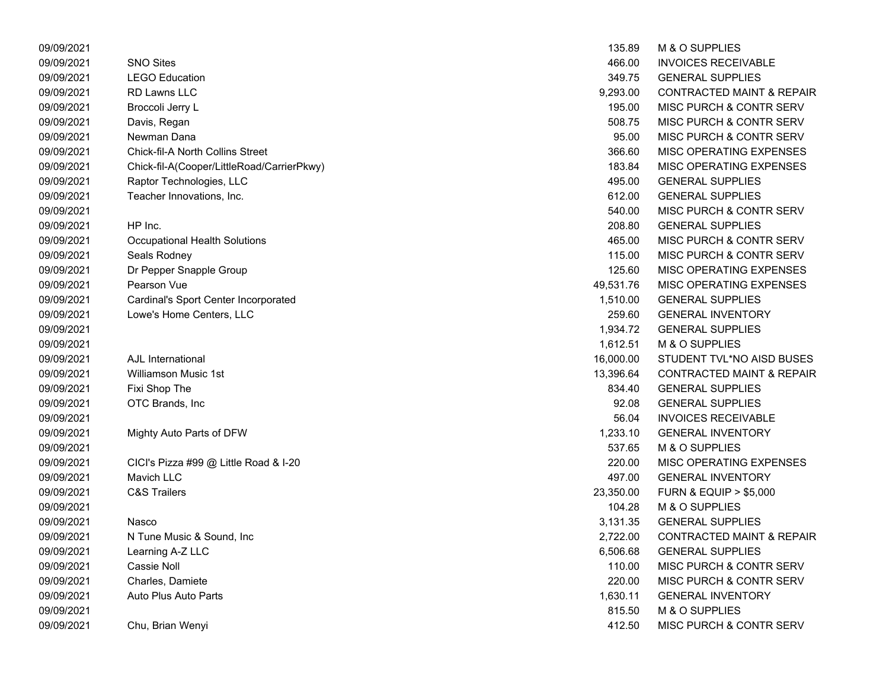| 09/09/2021 |                                            | 135.89    | M & O SUPPLIES                       |
|------------|--------------------------------------------|-----------|--------------------------------------|
| 09/09/2021 | <b>SNO Sites</b>                           | 466.00    | <b>INVOICES RECEIVABLE</b>           |
| 09/09/2021 | <b>LEGO Education</b>                      | 349.75    | <b>GENERAL SUPPLIES</b>              |
| 09/09/2021 | <b>RD Lawns LLC</b>                        | 9,293.00  | <b>CONTRACTED MAINT &amp; REPAIR</b> |
| 09/09/2021 | Broccoli Jerry L                           | 195.00    | MISC PURCH & CONTR SERV              |
| 09/09/2021 | Davis, Regan                               | 508.75    | MISC PURCH & CONTR SERV              |
| 09/09/2021 | Newman Dana                                | 95.00     | MISC PURCH & CONTR SERV              |
| 09/09/2021 | <b>Chick-fil-A North Collins Street</b>    | 366.60    | MISC OPERATING EXPENSES              |
| 09/09/2021 | Chick-fil-A(Cooper/LittleRoad/CarrierPkwy) | 183.84    | MISC OPERATING EXPENSES              |
| 09/09/2021 | Raptor Technologies, LLC                   | 495.00    | <b>GENERAL SUPPLIES</b>              |
| 09/09/2021 | Teacher Innovations, Inc.                  | 612.00    | <b>GENERAL SUPPLIES</b>              |
| 09/09/2021 |                                            | 540.00    | MISC PURCH & CONTR SERV              |
| 09/09/2021 | HP Inc.                                    | 208.80    | <b>GENERAL SUPPLIES</b>              |
| 09/09/2021 | <b>Occupational Health Solutions</b>       | 465.00    | MISC PURCH & CONTR SERV              |
| 09/09/2021 | Seals Rodney                               | 115.00    | MISC PURCH & CONTR SERV              |
| 09/09/2021 | Dr Pepper Snapple Group                    | 125.60    | MISC OPERATING EXPENSES              |
| 09/09/2021 | Pearson Vue                                | 49,531.76 | MISC OPERATING EXPENSES              |
| 09/09/2021 | Cardinal's Sport Center Incorporated       | 1,510.00  | <b>GENERAL SUPPLIES</b>              |
| 09/09/2021 | Lowe's Home Centers, LLC                   | 259.60    | <b>GENERAL INVENTORY</b>             |
| 09/09/2021 |                                            | 1,934.72  | <b>GENERAL SUPPLIES</b>              |
| 09/09/2021 |                                            | 1,612.51  | M & O SUPPLIES                       |
| 09/09/2021 | AJL International                          | 16,000.00 | STUDENT TVL*NO AISD BUSES            |
| 09/09/2021 | <b>Williamson Music 1st</b>                | 13,396.64 | <b>CONTRACTED MAINT &amp; REPAIR</b> |
| 09/09/2021 | Fixi Shop The                              | 834.40    | <b>GENERAL SUPPLIES</b>              |
| 09/09/2021 | OTC Brands, Inc                            | 92.08     | <b>GENERAL SUPPLIES</b>              |
| 09/09/2021 |                                            | 56.04     | <b>INVOICES RECEIVABLE</b>           |
| 09/09/2021 | Mighty Auto Parts of DFW                   | 1,233.10  | <b>GENERAL INVENTORY</b>             |
| 09/09/2021 |                                            | 537.65    | M & O SUPPLIES                       |
| 09/09/2021 | CICI's Pizza #99 @ Little Road & I-20      | 220.00    | MISC OPERATING EXPENSES              |
| 09/09/2021 | Mavich LLC                                 | 497.00    | <b>GENERAL INVENTORY</b>             |
| 09/09/2021 | <b>C&amp;S Trailers</b>                    | 23,350.00 | <b>FURN &amp; EQUIP &gt; \$5,000</b> |
| 09/09/2021 |                                            | 104.28    | M & O SUPPLIES                       |
| 09/09/2021 | Nasco                                      | 3,131.35  | <b>GENERAL SUPPLIES</b>              |
| 09/09/2021 | N Tune Music & Sound, Inc.                 | 2,722.00  | <b>CONTRACTED MAINT &amp; REPAIR</b> |
| 09/09/2021 | Learning A-Z LLC                           | 6,506.68  | <b>GENERAL SUPPLIES</b>              |
| 09/09/2021 | Cassie Noll                                | 110.00    | MISC PURCH & CONTR SERV              |
| 09/09/2021 | Charles, Damiete                           | 220.00    | MISC PURCH & CONTR SERV              |
| 09/09/2021 | Auto Plus Auto Parts                       | 1,630.11  | <b>GENERAL INVENTORY</b>             |
| 09/09/2021 |                                            | 815.50    | M & O SUPPLIES                       |
| 09/09/2021 | Chu, Brian Wenyi                           | 412.50    | MISC PURCH & CONTR SERV              |
|            |                                            |           |                                      |

| 135.89    | <b>M &amp; O SUPPLIES</b>            |
|-----------|--------------------------------------|
| 466.00    | INVOICES RECEIVABLE                  |
| 349.75    | <b>GENERAL SUPPLIES</b>              |
| 9,293.00  | <b>CONTRACTED MAINT &amp; REPAIR</b> |
| 195.00    | MISC PURCH & CONTR SERV              |
| 508.75    | <b>MISC PURCH &amp; CONTR SERV</b>   |
| 95.00     | <b>MISC PURCH &amp; CONTR SERV</b>   |
| 366.60    | <b>MISC OPERATING EXPENSES</b>       |
| 183.84    | <b>MISC OPERATING EXPENSES</b>       |
| 495.00    | <b>GENERAL SUPPLIES</b>              |
| 612.00    | <b>GENERAL SUPPLIES</b>              |
| 540.00    | MISC PURCH & CONTR SERV              |
| 208.80    | <b>GENERAL SUPPLIES</b>              |
| 465.00    | MISC PURCH & CONTR SERV              |
| 115.00    | MISC PURCH & CONTR SERV              |
| 125.60    | <b>MISC OPERATING EXPENSES</b>       |
| 49,531.76 | MISC OPERATING EXPENSES              |
| 1,510.00  | <b>GENERAL SUPPLIES</b>              |
| 259.60    | <b>GENERAL INVENTORY</b>             |
| 1,934.72  | <b>GENERAL SUPPLIES</b>              |
| 1,612.51  | <b>M &amp; O SUPPLIES</b>            |
| 16,000.00 | STUDENT TVL*NO AISD BUSES            |
| 13,396.64 | <b>CONTRACTED MAINT &amp; REPAIR</b> |
| 834.40    | <b>GENERAL SUPPLIES</b>              |
| 92.08     | <b>GENERAL SUPPLIES</b>              |
| 56.04     | <b>INVOICES RECEIVABLE</b>           |
| 1,233.10  | <b>GENERAL INVENTORY</b>             |
| 537.65    | M & O SUPPLIES                       |
| 220.00    | <b>MISC OPERATING EXPENSES</b>       |
| 497.00    | <b>GENERAL INVENTORY</b>             |
| 23,350.00 | <b>FURN &amp; EQUIP &gt; \$5,000</b> |
| 104.28    | <b>M &amp; O SUPPLIES</b>            |
| 3,131.35  | <b>GENERAL SUPPLIES</b>              |
| 2,722.00  | <b>CONTRACTED MAINT &amp; REPAIR</b> |
| 6.506.68  | <b>GENERAL SUPPLIES</b>              |
| 110.00    | MISC PURCH & CONTR SERV              |
| 220.00    | <b>MISC PURCH &amp; CONTR SERV</b>   |
| 1,630.11  | <b>GENERAL INVENTORY</b>             |
| 815.50    | <b>M &amp; O SUPPLIES</b>            |
| 412.50    | <b>MISC PURCH &amp; CONTR SERV</b>   |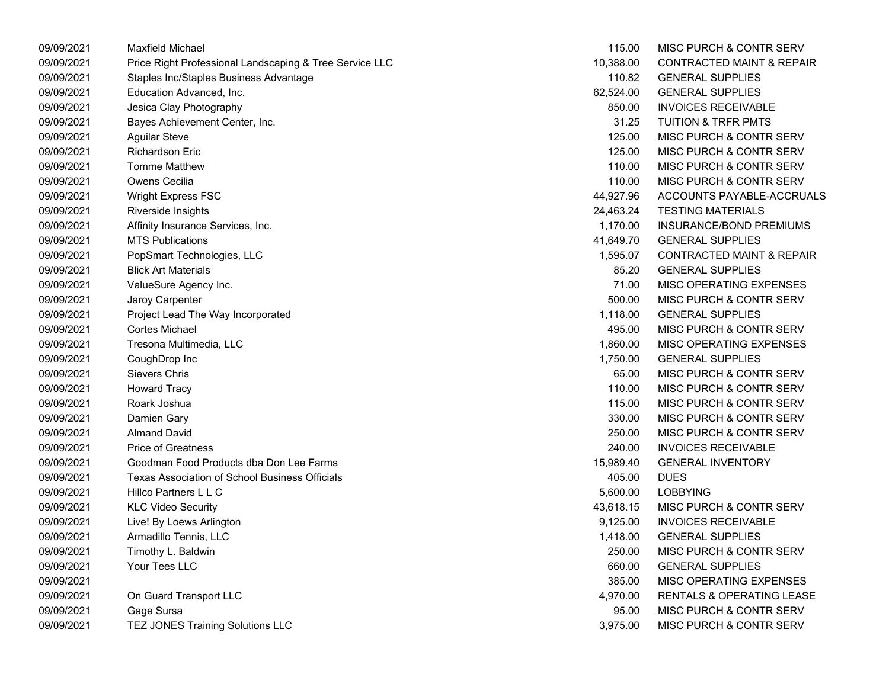| 09/09/2021 | <b>Maxfield Michael</b>                                 | 115.00    | MISC PURCH & CONTR SERV              |
|------------|---------------------------------------------------------|-----------|--------------------------------------|
| 09/09/2021 | Price Right Professional Landscaping & Tree Service LLC | 10,388.00 | <b>CONTRACTED MAINT &amp; REPAIR</b> |
| 09/09/2021 | Staples Inc/Staples Business Advantage                  | 110.82    | <b>GENERAL SUPPLIES</b>              |
| 09/09/2021 | Education Advanced, Inc.                                | 62,524.00 | <b>GENERAL SUPPLIES</b>              |
| 09/09/2021 | Jesica Clay Photography                                 | 850.00    | <b>INVOICES RECEIVABLE</b>           |
| 09/09/2021 | Bayes Achievement Center, Inc.                          | 31.25     | <b>TUITION &amp; TRFR PMTS</b>       |
| 09/09/2021 | <b>Aguilar Steve</b>                                    | 125.00    | MISC PURCH & CONTR SERV              |
| 09/09/2021 | <b>Richardson Eric</b>                                  | 125.00    | MISC PURCH & CONTR SERV              |
| 09/09/2021 | <b>Tomme Matthew</b>                                    | 110.00    | MISC PURCH & CONTR SERV              |
| 09/09/2021 | Owens Cecilia                                           | 110.00    | MISC PURCH & CONTR SERV              |
| 09/09/2021 | Wright Express FSC                                      | 44,927.96 | ACCOUNTS PAYABLE-ACCRUALS            |
| 09/09/2021 | Riverside Insights                                      | 24,463.24 | <b>TESTING MATERIALS</b>             |
| 09/09/2021 | Affinity Insurance Services, Inc.                       | 1,170.00  | INSURANCE/BOND PREMIUMS              |
| 09/09/2021 | <b>MTS Publications</b>                                 | 41,649.70 | <b>GENERAL SUPPLIES</b>              |
| 09/09/2021 | PopSmart Technologies, LLC                              | 1,595.07  | <b>CONTRACTED MAINT &amp; REPAIR</b> |
| 09/09/2021 | <b>Blick Art Materials</b>                              | 85.20     | <b>GENERAL SUPPLIES</b>              |
| 09/09/2021 | ValueSure Agency Inc.                                   | 71.00     | MISC OPERATING EXPENSES              |
| 09/09/2021 | Jaroy Carpenter                                         | 500.00    | MISC PURCH & CONTR SERV              |
| 09/09/2021 | Project Lead The Way Incorporated                       | 1,118.00  | <b>GENERAL SUPPLIES</b>              |
| 09/09/2021 | <b>Cortes Michael</b>                                   | 495.00    | MISC PURCH & CONTR SERV              |
| 09/09/2021 | Tresona Multimedia, LLC                                 | 1,860.00  | <b>MISC OPERATING EXPENSES</b>       |
| 09/09/2021 | CoughDrop Inc                                           | 1,750.00  | <b>GENERAL SUPPLIES</b>              |
| 09/09/2021 | Sievers Chris                                           | 65.00     | MISC PURCH & CONTR SERV              |
| 09/09/2021 | <b>Howard Tracy</b>                                     | 110.00    | MISC PURCH & CONTR SERV              |
| 09/09/2021 | Roark Joshua                                            | 115.00    | MISC PURCH & CONTR SERV              |
| 09/09/2021 | Damien Gary                                             | 330.00    | MISC PURCH & CONTR SERV              |
| 09/09/2021 | <b>Almand David</b>                                     | 250.00    | MISC PURCH & CONTR SERV              |
| 09/09/2021 | <b>Price of Greatness</b>                               | 240.00    | <b>INVOICES RECEIVABLE</b>           |
| 09/09/2021 | Goodman Food Products dba Don Lee Farms                 | 15,989.40 | <b>GENERAL INVENTORY</b>             |
| 09/09/2021 | Texas Association of School Business Officials          | 405.00    | <b>DUES</b>                          |
| 09/09/2021 | Hillco Partners L L C                                   | 5,600.00  | <b>LOBBYING</b>                      |
| 09/09/2021 | <b>KLC Video Security</b>                               | 43,618.15 | MISC PURCH & CONTR SERV              |
| 09/09/2021 | Live! By Loews Arlington                                | 9,125.00  | <b>INVOICES RECEIVABLE</b>           |
| 09/09/2021 | Armadillo Tennis, LLC                                   | 1,418.00  | <b>GENERAL SUPPLIES</b>              |
| 09/09/2021 | Timothy L. Baldwin                                      | 250.00    | MISC PURCH & CONTR SERV              |
| 09/09/2021 | Your Tees LLC                                           | 660.00    | <b>GENERAL SUPPLIES</b>              |
| 09/09/2021 |                                                         | 385.00    | MISC OPERATING EXPENSES              |
| 09/09/2021 | On Guard Transport LLC                                  | 4,970.00  | RENTALS & OPERATING LEASE            |
| 09/09/2021 | Gage Sursa                                              | 95.00     | MISC PURCH & CONTR SERV              |
| 09/09/2021 | TEZ JONES Training Solutions LLC                        | 3,975.00  | MISC PURCH & CONTR SERV              |

| 115.00    | <b>MISC PURCH &amp; CONTR SERV</b>   |
|-----------|--------------------------------------|
| 10,388.00 | <b>CONTRACTED MAINT &amp; REPAIR</b> |
| 110.82    | <b>GENERAL SUPPLIES</b>              |
| 62,524.00 | <b>GENERAL SUPPLIES</b>              |
| 850.00    | <b>INVOICES RECEIVABLE</b>           |
| 31.25     | <b>TUITION &amp; TRFR PMTS</b>       |
| 125.00    | <b>MISC PURCH &amp; CONTR SERV</b>   |
| 125.00    | MISC PURCH & CONTR SERV              |
| 110.00    | <b>MISC PURCH &amp; CONTR SERV</b>   |
| 110.00    | <b>MISC PURCH &amp; CONTR SERV</b>   |
| 44,927.96 | ACCOUNTS PAYABLE-ACCRUALS            |
| 24,463.24 | <b>TESTING MATERIALS</b>             |
| 1,170.00  | <b>INSURANCE/BOND PREMIUMS</b>       |
| 41,649.70 | <b>GENERAL SUPPLIES</b>              |
| 1,595.07  | CONTRACTED MAINT & REPAIR            |
| 85.20     | <b>GENERAL SUPPLIES</b>              |
| 71.00     | <b>MISC OPERATING EXPENSES</b>       |
| 500.00    | <b>MISC PURCH &amp; CONTR SERV</b>   |
| 1,118.00  | <b>GENERAL SUPPLIES</b>              |
| 495.00    | MISC PURCH & CONTR SERV              |
| 1,860.00  | MISC OPERATING EXPENSES              |
| 1,750.00  | <b>GENERAL SUPPLIES</b>              |
| 65.00     | <b>MISC PURCH &amp; CONTR SERV</b>   |
| 110.00    | <b>MISC PURCH &amp; CONTR SERV</b>   |
| 115.00    | <b>MISC PURCH &amp; CONTR SERV</b>   |
| 330.00    | MISC PURCH & CONTR SERV              |
| 250.00    | <b>MISC PURCH &amp; CONTR SERV</b>   |
| 240.00    | <b>INVOICES RECEIVABLE</b>           |
| 15,989.40 | <b>GENERAL INVENTORY</b>             |
| 405.00    | DUES                                 |
| 5,600.00  | LOBBYING                             |
| 43,618.15 | MISC PURCH & CONTR SERV              |
| 9,125.00  | <b>INVOICES RECEIVABLE</b>           |
| 1,418.00  | <b>GENERAL SUPPLIES</b>              |
| 250.00    | MISC PURCH & CONTR SERV              |
| 660.00    | <b>GENERAL SUPPLIES</b>              |
| 385.00    | <b>MISC OPERATING EXPENSES</b>       |
| 4,970.00  | <b>RENTALS &amp; OPERATING LEASE</b> |
| 95.00     | MISC PURCH & CONTR SERV              |
| 3,975.00  | MISC PURCH & CONTR SERV              |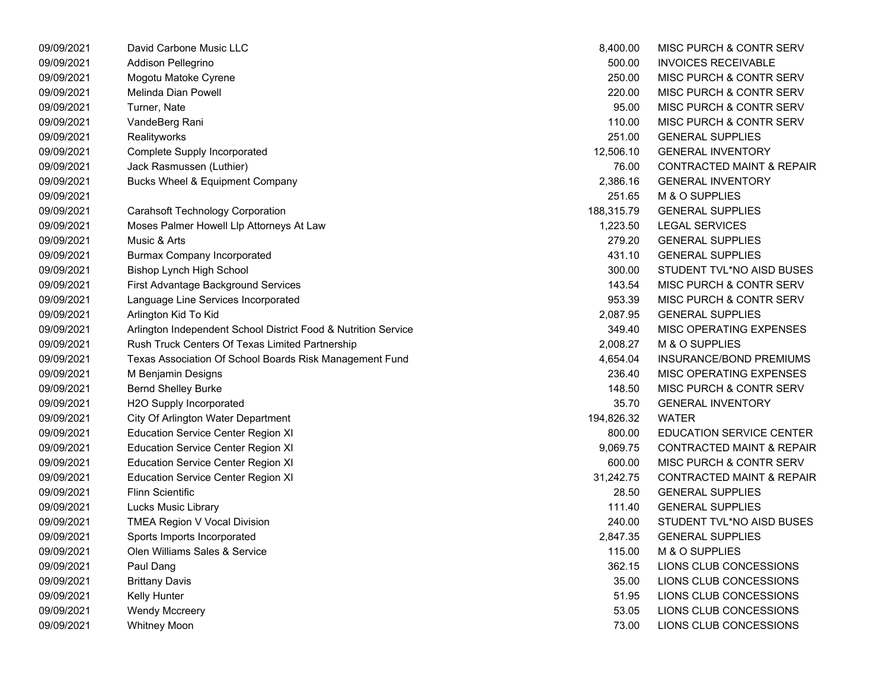| 09/09/2021 | David Carbone Music LLC                                        | 8,400.00   | MISC PURCH & CONTR SERV              |
|------------|----------------------------------------------------------------|------------|--------------------------------------|
| 09/09/2021 | Addison Pellegrino                                             | 500.00     | <b>INVOICES RECEIVABLE</b>           |
| 09/09/2021 | Mogotu Matoke Cyrene                                           | 250.00     | MISC PURCH & CONTR SERV              |
| 09/09/2021 | Melinda Dian Powell                                            | 220.00     | MISC PURCH & CONTR SERV              |
| 09/09/2021 | Turner, Nate                                                   | 95.00      | MISC PURCH & CONTR SERV              |
| 09/09/2021 | VandeBerg Rani                                                 | 110.00     | MISC PURCH & CONTR SERV              |
| 09/09/2021 | Realityworks                                                   | 251.00     | <b>GENERAL SUPPLIES</b>              |
| 09/09/2021 | Complete Supply Incorporated                                   | 12,506.10  | <b>GENERAL INVENTORY</b>             |
| 09/09/2021 | Jack Rasmussen (Luthier)                                       | 76.00      | <b>CONTRACTED MAINT &amp; REPAIR</b> |
| 09/09/2021 | <b>Bucks Wheel &amp; Equipment Company</b>                     | 2,386.16   | <b>GENERAL INVENTORY</b>             |
| 09/09/2021 |                                                                | 251.65     | M & O SUPPLIES                       |
| 09/09/2021 | <b>Carahsoft Technology Corporation</b>                        | 188,315.79 | <b>GENERAL SUPPLIES</b>              |
| 09/09/2021 | Moses Palmer Howell Llp Attorneys At Law                       | 1,223.50   | <b>LEGAL SERVICES</b>                |
| 09/09/2021 | Music & Arts                                                   | 279.20     | <b>GENERAL SUPPLIES</b>              |
| 09/09/2021 | <b>Burmax Company Incorporated</b>                             | 431.10     | <b>GENERAL SUPPLIES</b>              |
| 09/09/2021 | Bishop Lynch High School                                       | 300.00     | STUDENT TVL*NO AISD BUSES            |
| 09/09/2021 | First Advantage Background Services                            | 143.54     | MISC PURCH & CONTR SERV              |
| 09/09/2021 | Language Line Services Incorporated                            | 953.39     | MISC PURCH & CONTR SERV              |
| 09/09/2021 | Arlington Kid To Kid                                           | 2,087.95   | <b>GENERAL SUPPLIES</b>              |
| 09/09/2021 | Arlington Independent School District Food & Nutrition Service | 349.40     | MISC OPERATING EXPENSES              |
| 09/09/2021 | Rush Truck Centers Of Texas Limited Partnership                | 2,008.27   | M & O SUPPLIES                       |
| 09/09/2021 | Texas Association Of School Boards Risk Management Fund        | 4,654.04   | INSURANCE/BOND PREMIUMS              |
| 09/09/2021 | M Benjamin Designs                                             | 236.40     | MISC OPERATING EXPENSES              |
| 09/09/2021 | <b>Bernd Shelley Burke</b>                                     | 148.50     | MISC PURCH & CONTR SERV              |
| 09/09/2021 | H2O Supply Incorporated                                        | 35.70      | <b>GENERAL INVENTORY</b>             |
| 09/09/2021 | City Of Arlington Water Department                             | 194,826.32 | <b>WATER</b>                         |
| 09/09/2021 | <b>Education Service Center Region XI</b>                      | 800.00     | <b>EDUCATION SERVICE CENTER</b>      |
| 09/09/2021 | <b>Education Service Center Region XI</b>                      | 9,069.75   | <b>CONTRACTED MAINT &amp; REPAIR</b> |
| 09/09/2021 | <b>Education Service Center Region XI</b>                      | 600.00     | MISC PURCH & CONTR SERV              |
| 09/09/2021 | <b>Education Service Center Region XI</b>                      | 31,242.75  | <b>CONTRACTED MAINT &amp; REPAIR</b> |
| 09/09/2021 | <b>Flinn Scientific</b>                                        | 28.50      | <b>GENERAL SUPPLIES</b>              |
| 09/09/2021 | <b>Lucks Music Library</b>                                     | 111.40     | <b>GENERAL SUPPLIES</b>              |
| 09/09/2021 | TMEA Region V Vocal Division                                   | 240.00     | STUDENT TVL*NO AISD BUSES            |
| 09/09/2021 | Sports Imports Incorporated                                    | 2,847.35   | <b>GENERAL SUPPLIES</b>              |
| 09/09/2021 | Olen Williams Sales & Service                                  | 115.00     | M & O SUPPLIES                       |
| 09/09/2021 | Paul Dang                                                      | 362.15     | LIONS CLUB CONCESSIONS               |
| 09/09/2021 | <b>Brittany Davis</b>                                          | 35.00      | LIONS CLUB CONCESSIONS               |
| 09/09/2021 | Kelly Hunter                                                   | 51.95      | LIONS CLUB CONCESSIONS               |
| 09/09/2021 | <b>Wendy Mccreery</b>                                          | 53.05      | LIONS CLUB CONCESSIONS               |
| 09/09/2021 | <b>Whitney Moon</b>                                            | 73.00      | LIONS CLUB CONCESSIONS               |

| 8,400.00   | <b>MISC PURCH &amp; CONTR SERV</b>   |
|------------|--------------------------------------|
| 500.00     | <b>INVOICES RECEIVABLE</b>           |
| 250.00     | MISC PURCH & CONTR SERV              |
| 220.00     | MISC PURCH & CONTR SERV              |
| 95.00      | <b>MISC PURCH &amp; CONTR SERV</b>   |
| 110.00     | <b>MISC PURCH &amp; CONTR SERV</b>   |
| 251.00     | <b>GENERAL SUPPLIES</b>              |
| 12,506.10  | <b>GENERAL INVENTORY</b>             |
| 76.00      | <b>CONTRACTED MAINT &amp; REPAIR</b> |
| 2.386.16   | <b>GENERAL INVENTORY</b>             |
| 251.65     | M & O SUPPLIES                       |
| 188,315.79 | <b>GENERAL SUPPLIES</b>              |
| 1,223.50   | <b>LEGAL SERVICES</b>                |
| 279.20     | <b>GENERAL SUPPLIES</b>              |
| 431.10     | <b>GENERAL SUPPLIES</b>              |
| 300.00     | STUDENT TVL*NO AISD BUSES            |
| 143.54     | MISC PURCH & CONTR SERV              |
| 953.39     | MISC PURCH & CONTR SERV              |
| 2,087.95   | <b>GENERAL SUPPLIES</b>              |
| 349.40     | <b>MISC OPERATING EXPENSES</b>       |
| 2,008.27   | M & O SUPPLIES                       |
| 4,654.04   | <b>INSURANCE/BOND PREMIUMS</b>       |
| 236.40     | <b>MISC OPERATING EXPENSES</b>       |
| 148.50     | MISC PURCH & CONTR SERV              |
| 35.70      | <b>GENERAL INVENTORY</b>             |
| 194,826.32 | <b>WATER</b>                         |
| 800.00     | <b>EDUCATION SERVICE CENTER</b>      |
| 9,069.75   | <b>CONTRACTED MAINT &amp; REPAIR</b> |
| 600.00     | MISC PURCH & CONTR SERV              |
| 31,242.75  | <b>CONTRACTED MAINT &amp; REPAIR</b> |
| 28.50      | <b>GENERAL SUPPLIES</b>              |
| 111.40     | <b>GENERAL SUPPLIES</b>              |
| 240.00     | STUDENT TVL*NO AISD BUSES            |
| 2,847.35   | <b>GENERAL SUPPLIES</b>              |
| 115.00     | M & O SUPPLIES                       |
| 362.15     | LIONS CLUB CONCESSIONS               |
| 35.00      | LIONS CLUB CONCESSIONS               |
| 51.95      | LIONS CLUB CONCESSIONS               |
| 53.05      | LIONS CLUB CONCESSIONS               |
| 73.00      | LIONS CLUB CONCESSIONS               |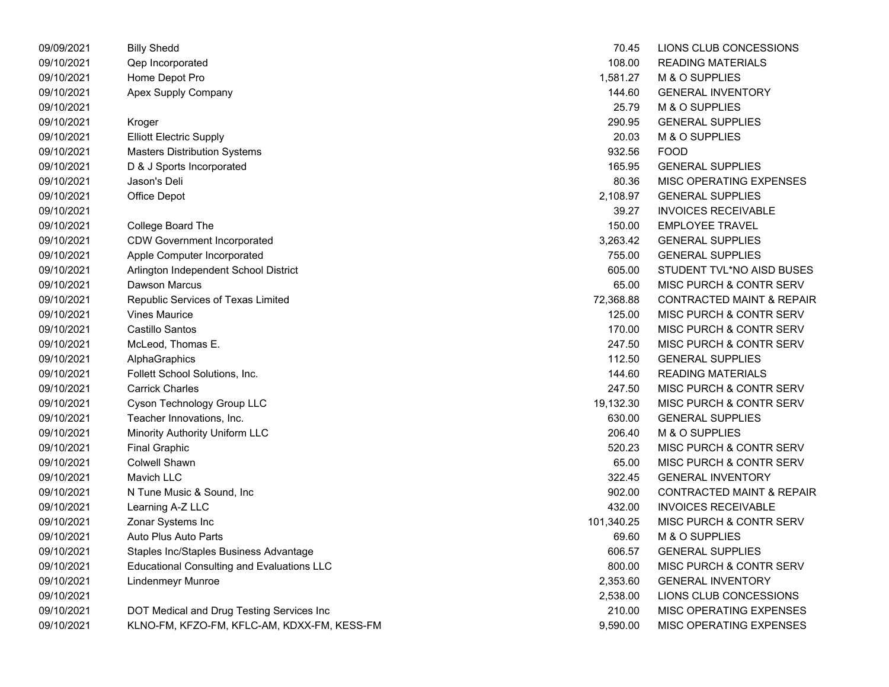| 09/09/2021 | <b>Billy Shedd</b>                                | 70.45      | LIONS CLUB CONCESSIONS               |
|------------|---------------------------------------------------|------------|--------------------------------------|
| 09/10/2021 | Qep Incorporated                                  | 108.00     | <b>READING MATERIALS</b>             |
| 09/10/2021 | Home Depot Pro                                    | 1,581.27   | M & O SUPPLIES                       |
| 09/10/2021 | Apex Supply Company                               | 144.60     | <b>GENERAL INVENTORY</b>             |
| 09/10/2021 |                                                   | 25.79      | M & O SUPPLIES                       |
| 09/10/2021 | Kroger                                            | 290.95     | <b>GENERAL SUPPLIES</b>              |
| 09/10/2021 | <b>Elliott Electric Supply</b>                    | 20.03      | M & O SUPPLIES                       |
| 09/10/2021 | <b>Masters Distribution Systems</b>               | 932.56     | <b>FOOD</b>                          |
| 09/10/2021 | D & J Sports Incorporated                         | 165.95     | <b>GENERAL SUPPLIES</b>              |
| 09/10/2021 | Jason's Deli                                      | 80.36      | MISC OPERATING EXPENSES              |
| 09/10/2021 | Office Depot                                      | 2,108.97   | <b>GENERAL SUPPLIES</b>              |
| 09/10/2021 |                                                   | 39.27      | <b>INVOICES RECEIVABLE</b>           |
| 09/10/2021 | College Board The                                 | 150.00     | <b>EMPLOYEE TRAVEL</b>               |
| 09/10/2021 | <b>CDW Government Incorporated</b>                | 3,263.42   | <b>GENERAL SUPPLIES</b>              |
| 09/10/2021 | Apple Computer Incorporated                       | 755.00     | <b>GENERAL SUPPLIES</b>              |
| 09/10/2021 | Arlington Independent School District             | 605.00     | STUDENT TVL*NO AISD BUSES            |
| 09/10/2021 | <b>Dawson Marcus</b>                              | 65.00      | MISC PURCH & CONTR SERV              |
| 09/10/2021 | Republic Services of Texas Limited                | 72,368.88  | <b>CONTRACTED MAINT &amp; REPAIR</b> |
| 09/10/2021 | <b>Vines Maurice</b>                              | 125.00     | MISC PURCH & CONTR SERV              |
| 09/10/2021 | Castillo Santos                                   | 170.00     | MISC PURCH & CONTR SERV              |
| 09/10/2021 | McLeod, Thomas E.                                 | 247.50     | MISC PURCH & CONTR SERV              |
| 09/10/2021 | AlphaGraphics                                     | 112.50     | <b>GENERAL SUPPLIES</b>              |
| 09/10/2021 | Follett School Solutions, Inc.                    | 144.60     | <b>READING MATERIALS</b>             |
| 09/10/2021 | <b>Carrick Charles</b>                            | 247.50     | MISC PURCH & CONTR SERV              |
| 09/10/2021 | Cyson Technology Group LLC                        | 19,132.30  | MISC PURCH & CONTR SERV              |
| 09/10/2021 | Teacher Innovations, Inc.                         | 630.00     | <b>GENERAL SUPPLIES</b>              |
| 09/10/2021 | Minority Authority Uniform LLC                    | 206.40     | M & O SUPPLIES                       |
| 09/10/2021 | <b>Final Graphic</b>                              | 520.23     | MISC PURCH & CONTR SERV              |
| 09/10/2021 | <b>Colwell Shawn</b>                              | 65.00      | MISC PURCH & CONTR SERV              |
| 09/10/2021 | Mavich LLC                                        | 322.45     | <b>GENERAL INVENTORY</b>             |
| 09/10/2021 | N Tune Music & Sound, Inc.                        | 902.00     | <b>CONTRACTED MAINT &amp; REPAIR</b> |
| 09/10/2021 | Learning A-Z LLC                                  | 432.00     | <b>INVOICES RECEIVABLE</b>           |
| 09/10/2021 | Zonar Systems Inc                                 | 101,340.25 | MISC PURCH & CONTR SERV              |
| 09/10/2021 | Auto Plus Auto Parts                              | 69.60      | M & O SUPPLIES                       |
| 09/10/2021 | Staples Inc/Staples Business Advantage            | 606.57     | <b>GENERAL SUPPLIES</b>              |
| 09/10/2021 | <b>Educational Consulting and Evaluations LLC</b> | 800.00     | MISC PURCH & CONTR SERV              |
| 09/10/2021 | <b>Lindenmeyr Munroe</b>                          | 2,353.60   | <b>GENERAL INVENTORY</b>             |
| 09/10/2021 |                                                   | 2,538.00   | LIONS CLUB CONCESSIONS               |
| 09/10/2021 | DOT Medical and Drug Testing Services Inc         | 210.00     | MISC OPERATING EXPENSES              |
| 09/10/2021 | KLNO-FM, KFZO-FM, KFLC-AM, KDXX-FM, KESS-FM       | 9,590.00   | MISC OPERATING EXPENSES              |

|        | 70.45      | LIONS CLUB CONCESSIONS               |
|--------|------------|--------------------------------------|
|        | 108.00     | <b>READING MATERIALS</b>             |
|        | 1,581.27   | M & O SUPPLIES                       |
|        | 144.60     | <b>GENERAL INVENTORY</b>             |
|        | 25.79      | M & O SUPPLIES                       |
|        | 290.95     | <b>GENERAL SUPPLIES</b>              |
|        | 20.03      | M & O SUPPLIES                       |
|        | 932.56     | <b>FOOD</b>                          |
|        | 165.95     | <b>GENERAL SUPPLIES</b>              |
|        | 80.36      | MISC OPERATING EXPENSES              |
|        | 2,108.97   | <b>GENERAL SUPPLIES</b>              |
|        | 39.27      | <b>INVOICES RECEIVABLE</b>           |
|        | 150.00     | <b>EMPLOYEE TRAVEL</b>               |
|        | 3,263.42   | <b>GENERAL SUPPLIES</b>              |
|        | 755.00     | <b>GENERAL SUPPLIES</b>              |
|        | 605.00     | STUDENT TVL*NO AISD BUSES            |
|        | 65.00      | MISC PURCH & CONTR SERV              |
|        | 72,368.88  | <b>CONTRACTED MAINT &amp; REPAIR</b> |
|        | 125.00     | MISC PURCH & CONTR SERV              |
|        | 170.00     | <b>MISC PURCH &amp; CONTR SERV</b>   |
|        | 247.50     | <b>MISC PURCH &amp; CONTR SERV</b>   |
|        | 112.50     | <b>GENERAL SUPPLIES</b>              |
|        | 144.60     | <b>READING MATERIALS</b>             |
|        | 247.50     | MISC PURCH & CONTR SERV              |
|        | 19,132.30  | MISC PURCH & CONTR SERV              |
|        | 630.00     | <b>GENERAL SUPPLIES</b>              |
|        | 206.40     | M & O SUPPLIES                       |
|        | 520.23     | MISC PURCH & CONTR SERV              |
|        | 65.00      | MISC PURCH & CONTR SERV              |
|        | 322.45     | <b>GENERAL INVENTORY</b>             |
|        | 902.00     | <b>CONTRACTED MAINT &amp; REPAIR</b> |
|        | 432.00     | <b>INVOICES RECEIVABLE</b>           |
|        | 101,340.25 | MISC PURCH & CONTR SERV              |
|        | 69.60      | M & O SUPPLIES                       |
|        | 606.57     | <b>GENERAL SUPPLIES</b>              |
|        | 800.00     | <b>MISC PURCH &amp; CONTR SERV</b>   |
|        | 2,353.60   | <b>GENERAL INVENTORY</b>             |
|        | 2,538.00   | LIONS CLUB CONCESSIONS               |
|        | 210.00     | MISC OPERATING EXPENSES              |
| ESS-FM | 9,590.00   | MISC OPERATING EXPENSES              |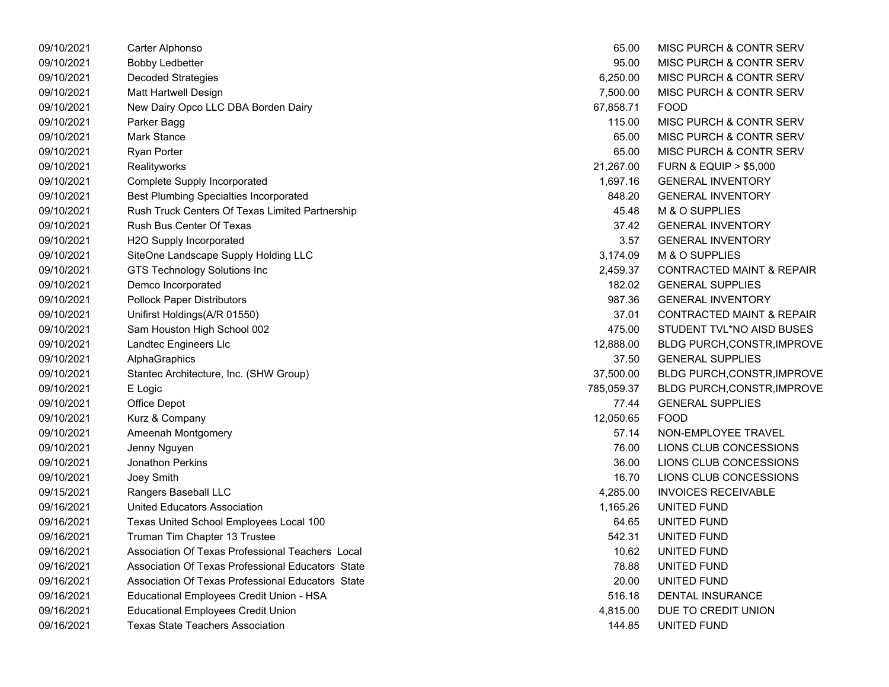| 09/10/2021 | Carter Alphonso                                   | 65.00      | <b>MISC PURCH &amp; CONTR SERV</b>   |
|------------|---------------------------------------------------|------------|--------------------------------------|
| 09/10/2021 | <b>Bobby Ledbetter</b>                            | 95.00      | <b>MISC PURCH &amp; CONTR SERV</b>   |
| 09/10/2021 | <b>Decoded Strategies</b>                         | 6,250.00   | <b>MISC PURCH &amp; CONTR SERV</b>   |
| 09/10/2021 | Matt Hartwell Design                              | 7,500.00   | <b>MISC PURCH &amp; CONTR SERV</b>   |
| 09/10/2021 | New Dairy Opco LLC DBA Borden Dairy               | 67,858.71  | <b>FOOD</b>                          |
| 09/10/2021 | Parker Bagg                                       | 115.00     | <b>MISC PURCH &amp; CONTR SERV</b>   |
| 09/10/2021 | Mark Stance                                       | 65.00      | <b>MISC PURCH &amp; CONTR SERV</b>   |
| 09/10/2021 | <b>Ryan Porter</b>                                | 65.00      | <b>MISC PURCH &amp; CONTR SERV</b>   |
| 09/10/2021 | Realityworks                                      | 21,267.00  | <b>FURN &amp; EQUIP &gt; \$5,000</b> |
| 09/10/2021 | <b>Complete Supply Incorporated</b>               | 1,697.16   | <b>GENERAL INVENTORY</b>             |
| 09/10/2021 | <b>Best Plumbing Specialties Incorporated</b>     | 848.20     | <b>GENERAL INVENTORY</b>             |
| 09/10/2021 | Rush Truck Centers Of Texas Limited Partnership   | 45.48      | M & O SUPPLIES                       |
| 09/10/2021 | <b>Rush Bus Center Of Texas</b>                   | 37.42      | <b>GENERAL INVENTORY</b>             |
| 09/10/2021 | H2O Supply Incorporated                           | 3.57       | <b>GENERAL INVENTORY</b>             |
| 09/10/2021 | SiteOne Landscape Supply Holding LLC              | 3,174.09   | M & O SUPPLIES                       |
| 09/10/2021 | <b>GTS Technology Solutions Inc</b>               | 2,459.37   | <b>CONTRACTED MAINT &amp; REPAIR</b> |
| 09/10/2021 | Demco Incorporated                                | 182.02     | <b>GENERAL SUPPLIES</b>              |
| 09/10/2021 | <b>Pollock Paper Distributors</b>                 | 987.36     | <b>GENERAL INVENTORY</b>             |
| 09/10/2021 | Unifirst Holdings(A/R 01550)                      | 37.01      | <b>CONTRACTED MAINT &amp; REPAIR</b> |
| 09/10/2021 | Sam Houston High School 002                       | 475.00     | STUDENT TVL*NO AISD BUSES            |
| 09/10/2021 | Landtec Engineers Llc                             | 12,888.00  | BLDG PURCH, CONSTR, IMPROVE          |
| 09/10/2021 | AlphaGraphics                                     | 37.50      | <b>GENERAL SUPPLIES</b>              |
| 09/10/2021 | Stantec Architecture, Inc. (SHW Group)            | 37,500.00  | BLDG PURCH,CONSTR, IMPROVE           |
| 09/10/2021 | E Logic                                           | 785,059.37 | <b>BLDG PURCH,CONSTR,IMPROVE</b>     |
| 09/10/2021 | Office Depot                                      | 77.44      | <b>GENERAL SUPPLIES</b>              |
| 09/10/2021 | Kurz & Company                                    | 12,050.65  | <b>FOOD</b>                          |
| 09/10/2021 | Ameenah Montgomery                                | 57.14      | NON-EMPLOYEE TRAVEL                  |
| 09/10/2021 | Jenny Nguyen                                      | 76.00      | LIONS CLUB CONCESSIONS               |
| 09/10/2021 | <b>Jonathon Perkins</b>                           | 36.00      | LIONS CLUB CONCESSIONS               |
| 09/10/2021 | Joey Smith                                        | 16.70      | LIONS CLUB CONCESSIONS               |
| 09/15/2021 | Rangers Baseball LLC                              | 4,285.00   | <b>INVOICES RECEIVABLE</b>           |
| 09/16/2021 | United Educators Association                      | 1,165.26   | UNITED FUND                          |
| 09/16/2021 | Texas United School Employees Local 100           | 64.65      | UNITED FUND                          |
| 09/16/2021 | Truman Tim Chapter 13 Trustee                     | 542.31     | UNITED FUND                          |
| 09/16/2021 | Association Of Texas Professional Teachers Local  | 10.62      | UNITED FUND                          |
| 09/16/2021 | Association Of Texas Professional Educators State | 78.88      | UNITED FUND                          |
| 09/16/2021 | Association Of Texas Professional Educators State | 20.00      | UNITED FUND                          |
| 09/16/2021 | Educational Employees Credit Union - HSA          | 516.18     | <b>DENTAL INSURANCE</b>              |
| 09/16/2021 | <b>Educational Employees Credit Union</b>         | 4,815.00   | DUE TO CREDIT UNION                  |
| 09/16/2021 | Texas State Teachers Association                  | 144.85     | UNITED FUND                          |

| 65.00      | MISC PURCH & CONTR SERV              |
|------------|--------------------------------------|
| 95.00      | <b>MISC PURCH &amp; CONTR SERV</b>   |
| 6,250.00   | <b>MISC PURCH &amp; CONTR SERV</b>   |
| 7,500.00   | <b>MISC PURCH &amp; CONTR SERV</b>   |
| 67,858.71  | FOOD                                 |
| 115.00     | <b>MISC PURCH &amp; CONTR SERV</b>   |
| 65.00      | <b>MISC PURCH &amp; CONTR SERV</b>   |
| 65.00      | <b>MISC PURCH &amp; CONTR SERV</b>   |
| 21,267.00  | <b>FURN &amp; EQUIP &gt; \$5,000</b> |
| 1,697.16   | <b>GENERAL INVENTORY</b>             |
| 848.20     | <b>GENERAL INVENTORY</b>             |
| 45.48      | <b>M &amp; O SUPPLIES</b>            |
| 37.42      | <b>GENERAL INVENTORY</b>             |
| 3.57       | <b>GENERAL INVENTORY</b>             |
| 3,174.09   | <b>M &amp; O SUPPLIES</b>            |
| 2,459.37   | <b>CONTRACTED MAINT &amp; REPAIR</b> |
| 182.02     | <b>GENERAL SUPPLIES</b>              |
| 987.36     | <b>GENERAL INVENTORY</b>             |
| 37.01      | <b>CONTRACTED MAINT &amp; REPAIR</b> |
| 475.00     | STUDENT TVL*NO AISD BUSES            |
| 12,888.00  | <b>BLDG PURCH, CONSTR, IMPROV</b>    |
| 37.50      | <b>GENERAL SUPPLIES</b>              |
| 37,500.00  | <b>BLDG PURCH, CONSTR, IMPROV</b>    |
| 785,059.37 | <b>BLDG PURCH, CONSTR, IMPROV</b>    |
| 77.44      | <b>GENERAL SUPPLIES</b>              |
| 12,050.65  | <b>FOOD</b>                          |
| 57.14      | <b>NON-EMPLOYEE TRAVEL</b>           |
| 76.00      | LIONS CLUB CONCESSIONS               |
| 36.00      | LIONS CLUB CONCESSIONS               |
| 16.70      | LIONS CLUB CONCESSIONS               |
| 4,285.00   | <b>INVOICES RECEIVABLE</b>           |
| 1,165.26   | UNITED FUND                          |
| 64.65      | UNITED FUND                          |
| 542.31     | UNITED FUND                          |
| 10.62      | UNITED FUND                          |
| 78.88      | UNITED FUND                          |
| 20.00      | UNITED FUND                          |
| 516.18     | <b>DENTAL INSURANCE</b>              |
| 4,815.00   | DUE TO CREDIT UNION                  |
| 144.85     | UNITED FUND                          |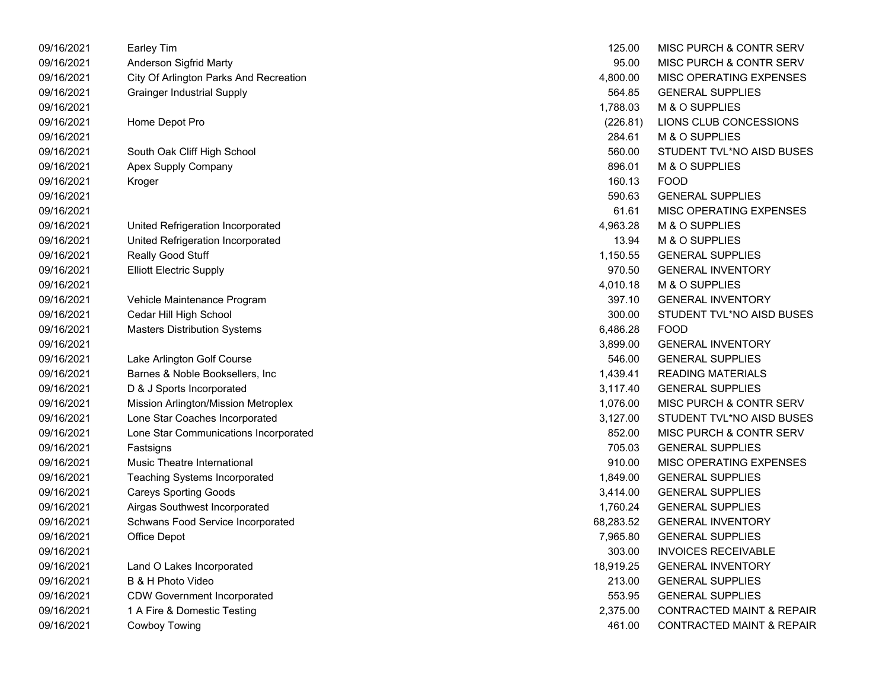| 09/16/2021 | <b>Earley Tim</b>                      | 125.00    | <b>MISC PURCH &amp; CONTR SERV</b>   |
|------------|----------------------------------------|-----------|--------------------------------------|
| 09/16/2021 | Anderson Sigfrid Marty                 | 95.00     | MISC PURCH & CONTR SERV              |
| 09/16/2021 | City Of Arlington Parks And Recreation | 4,800.00  | MISC OPERATING EXPENSES              |
| 09/16/2021 | <b>Grainger Industrial Supply</b>      | 564.85    | <b>GENERAL SUPPLIES</b>              |
| 09/16/2021 |                                        | 1,788.03  | M & O SUPPLIES                       |
| 09/16/2021 | Home Depot Pro                         | (226.81)  | LIONS CLUB CONCESSIONS               |
| 09/16/2021 |                                        | 284.61    | M & O SUPPLIES                       |
| 09/16/2021 | South Oak Cliff High School            | 560.00    | STUDENT TVL*NO AISD BUSES            |
| 09/16/2021 | Apex Supply Company                    | 896.01    | M & O SUPPLIES                       |
| 09/16/2021 | Kroger                                 | 160.13    | <b>FOOD</b>                          |
| 09/16/2021 |                                        | 590.63    | <b>GENERAL SUPPLIES</b>              |
| 09/16/2021 |                                        | 61.61     | MISC OPERATING EXPENSES              |
| 09/16/2021 | United Refrigeration Incorporated      | 4,963.28  | M & O SUPPLIES                       |
| 09/16/2021 | United Refrigeration Incorporated      | 13.94     | M & O SUPPLIES                       |
| 09/16/2021 | Really Good Stuff                      | 1,150.55  | <b>GENERAL SUPPLIES</b>              |
| 09/16/2021 | <b>Elliott Electric Supply</b>         | 970.50    | <b>GENERAL INVENTORY</b>             |
| 09/16/2021 |                                        | 4,010.18  | M & O SUPPLIES                       |
| 09/16/2021 | Vehicle Maintenance Program            | 397.10    | <b>GENERAL INVENTORY</b>             |
| 09/16/2021 | Cedar Hill High School                 | 300.00    | STUDENT TVL*NO AISD BUSES            |
| 09/16/2021 | <b>Masters Distribution Systems</b>    | 6,486.28  | <b>FOOD</b>                          |
| 09/16/2021 |                                        | 3,899.00  | <b>GENERAL INVENTORY</b>             |
| 09/16/2021 | Lake Arlington Golf Course             | 546.00    | <b>GENERAL SUPPLIES</b>              |
| 09/16/2021 | Barnes & Noble Booksellers, Inc        | 1,439.41  | <b>READING MATERIALS</b>             |
| 09/16/2021 | D & J Sports Incorporated              | 3,117.40  | <b>GENERAL SUPPLIES</b>              |
| 09/16/2021 | Mission Arlington/Mission Metroplex    | 1,076.00  | MISC PURCH & CONTR SERV              |
| 09/16/2021 | Lone Star Coaches Incorporated         | 3,127.00  | STUDENT TVL*NO AISD BUSES            |
| 09/16/2021 | Lone Star Communications Incorporated  | 852.00    | MISC PURCH & CONTR SERV              |
| 09/16/2021 | Fastsigns                              | 705.03    | <b>GENERAL SUPPLIES</b>              |
| 09/16/2021 | Music Theatre International            | 910.00    | MISC OPERATING EXPENSES              |
| 09/16/2021 | <b>Teaching Systems Incorporated</b>   | 1,849.00  | <b>GENERAL SUPPLIES</b>              |
| 09/16/2021 | <b>Careys Sporting Goods</b>           | 3,414.00  | <b>GENERAL SUPPLIES</b>              |
| 09/16/2021 | Airgas Southwest Incorporated          | 1,760.24  | <b>GENERAL SUPPLIES</b>              |
| 09/16/2021 | Schwans Food Service Incorporated      | 68,283.52 | <b>GENERAL INVENTORY</b>             |
| 09/16/2021 | <b>Office Depot</b>                    | 7,965.80  | <b>GENERAL SUPPLIES</b>              |
| 09/16/2021 |                                        | 303.00    | <b>INVOICES RECEIVABLE</b>           |
| 09/16/2021 | Land O Lakes Incorporated              | 18,919.25 | <b>GENERAL INVENTORY</b>             |
| 09/16/2021 | B & H Photo Video                      | 213.00    | <b>GENERAL SUPPLIES</b>              |
| 09/16/2021 | <b>CDW Government Incorporated</b>     | 553.95    | <b>GENERAL SUPPLIES</b>              |
| 09/16/2021 | 1 A Fire & Domestic Testing            | 2,375.00  | <b>CONTRACTED MAINT &amp; REPAIR</b> |
| 09/16/2021 | Cowboy Towing                          | 461.00    | <b>CONTRACTED MAINT &amp; REPAIR</b> |

| 125.00    | MISC PURCH & CONTR SERV              |
|-----------|--------------------------------------|
| 95.00     | <b>MISC PURCH &amp; CONTR SERV</b>   |
| 4,800.00  | <b>MISC OPERATING EXPENSES</b>       |
| 564.85    | <b>GENERAL SUPPLIES</b>              |
| 1.788.03  | M & O SUPPLIES                       |
| (226.81)  | LIONS CLUB CONCESSIONS               |
| 284.61    | M & O SUPPLIES                       |
| 560.00    | STUDENT TVL*NO AISD BUSES            |
| 896.01    | <b>M &amp; O SUPPLIES</b>            |
| 160.13    | FOOD                                 |
| 590.63    | <b>GENERAL SUPPLIES</b>              |
| 61.61     | <b>MISC OPERATING EXPENSES</b>       |
| 4,963.28  | M & O SUPPLIES                       |
| 13.94     | M & O SUPPLIES                       |
| 1,150.55  | <b>GENERAL SUPPLIES</b>              |
| 970.50    | <b>GENERAL INVENTORY</b>             |
| 4,010.18  | M & O SUPPLIES                       |
| 397.10    | <b>GENERAL INVENTORY</b>             |
| 300.00    | STUDENT TVL*NO AISD BUSES            |
| 6,486.28  | FOOD                                 |
| 3,899.00  | <b>GENERAL INVENTORY</b>             |
| 546.00    | <b>GENERAL SUPPLIES</b>              |
| 1,439.41  | <b>READING MATERIALS</b>             |
| 3,117.40  | <b>GENERAL SUPPLIES</b>              |
| 1,076.00  | <b>MISC PURCH &amp; CONTR SERV</b>   |
| 3,127.00  | STUDENT TVL*NO AISD BUSES            |
| 852.00    | <b>MISC PURCH &amp; CONTR SERV</b>   |
| 705.03    | <b>GENERAL SUPPLIES</b>              |
| 910.00    | <b>MISC OPERATING EXPENSES</b>       |
| 1,849.00  | <b>GENERAL SUPPLIES</b>              |
| 3,414.00  | <b>GENERAL SUPPLIES</b>              |
| 1,760.24  | <b>GENERAL SUPPLIES</b>              |
| 68,283.52 | <b>GENERAL INVENTORY</b>             |
| 7,965.80  | <b>GENERAL SUPPLIES</b>              |
| 303.00    | <b>INVOICES RECEIVABLE</b>           |
| 18,919.25 | <b>GENERAL INVENTORY</b>             |
| 213.00    | <b>GENERAL SUPPLIES</b>              |
| 553.95    | <b>GENERAL SUPPLIES</b>              |
| 2,375.00  | <b>CONTRACTED MAINT &amp; REPAIR</b> |
| 461.00    | CONTRACTED MAINT & REPAIR            |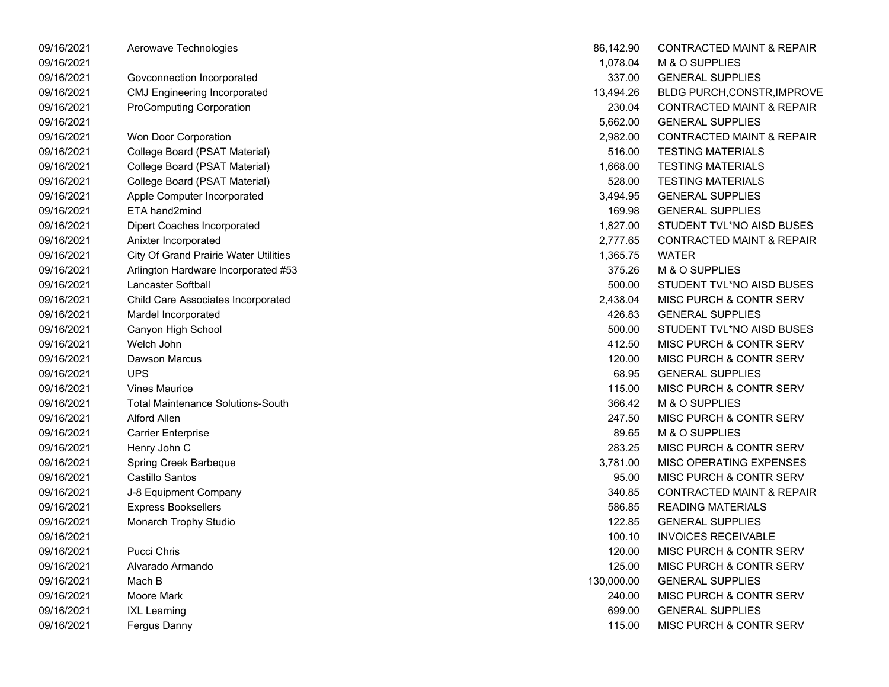| 09/16/2021 | Aerowave Technologies                        | 86,142.90  | <b>CONTRACTED MAINT &amp; REPAIR</b> |
|------------|----------------------------------------------|------------|--------------------------------------|
| 09/16/2021 |                                              | 1,078.04   | M & O SUPPLIES                       |
| 09/16/2021 | Govconnection Incorporated                   | 337.00     | <b>GENERAL SUPPLIES</b>              |
| 09/16/2021 | <b>CMJ Engineering Incorporated</b>          | 13,494.26  | <b>BLDG PURCH, CONSTR, IMPROVE</b>   |
| 09/16/2021 | <b>ProComputing Corporation</b>              | 230.04     | <b>CONTRACTED MAINT &amp; REPAIR</b> |
| 09/16/2021 |                                              | 5,662.00   | <b>GENERAL SUPPLIES</b>              |
| 09/16/2021 | Won Door Corporation                         | 2,982.00   | <b>CONTRACTED MAINT &amp; REPAIR</b> |
| 09/16/2021 | College Board (PSAT Material)                | 516.00     | <b>TESTING MATERIALS</b>             |
| 09/16/2021 | College Board (PSAT Material)                | 1,668.00   | <b>TESTING MATERIALS</b>             |
| 09/16/2021 | College Board (PSAT Material)                | 528.00     | <b>TESTING MATERIALS</b>             |
| 09/16/2021 | Apple Computer Incorporated                  | 3,494.95   | <b>GENERAL SUPPLIES</b>              |
| 09/16/2021 | ETA hand2mind                                | 169.98     | <b>GENERAL SUPPLIES</b>              |
| 09/16/2021 | <b>Dipert Coaches Incorporated</b>           | 1,827.00   | STUDENT TVL*NO AISD BUSES            |
| 09/16/2021 | Anixter Incorporated                         | 2,777.65   | <b>CONTRACTED MAINT &amp; REPAIR</b> |
| 09/16/2021 | <b>City Of Grand Prairie Water Utilities</b> | 1,365.75   | <b>WATER</b>                         |
| 09/16/2021 | Arlington Hardware Incorporated #53          | 375.26     | M & O SUPPLIES                       |
| 09/16/2021 | Lancaster Softball                           | 500.00     | STUDENT TVL*NO AISD BUSES            |
| 09/16/2021 | Child Care Associates Incorporated           | 2,438.04   | MISC PURCH & CONTR SERV              |
| 09/16/2021 | Mardel Incorporated                          | 426.83     | <b>GENERAL SUPPLIES</b>              |
| 09/16/2021 | Canyon High School                           | 500.00     | STUDENT TVL*NO AISD BUSES            |
| 09/16/2021 | Welch John                                   | 412.50     | MISC PURCH & CONTR SERV              |
| 09/16/2021 | Dawson Marcus                                | 120.00     | MISC PURCH & CONTR SERV              |
| 09/16/2021 | <b>UPS</b>                                   | 68.95      | <b>GENERAL SUPPLIES</b>              |
| 09/16/2021 | <b>Vines Maurice</b>                         | 115.00     | MISC PURCH & CONTR SERV              |
| 09/16/2021 | <b>Total Maintenance Solutions-South</b>     | 366.42     | M & O SUPPLIES                       |
| 09/16/2021 | Alford Allen                                 | 247.50     | MISC PURCH & CONTR SERV              |
| 09/16/2021 | <b>Carrier Enterprise</b>                    | 89.65      | M & O SUPPLIES                       |
| 09/16/2021 | Henry John C                                 | 283.25     | MISC PURCH & CONTR SERV              |
| 09/16/2021 | Spring Creek Barbeque                        | 3,781.00   | MISC OPERATING EXPENSES              |
| 09/16/2021 | Castillo Santos                              | 95.00      | MISC PURCH & CONTR SERV              |
| 09/16/2021 | J-8 Equipment Company                        | 340.85     | <b>CONTRACTED MAINT &amp; REPAIR</b> |
| 09/16/2021 | <b>Express Booksellers</b>                   | 586.85     | <b>READING MATERIALS</b>             |
| 09/16/2021 | Monarch Trophy Studio                        | 122.85     | <b>GENERAL SUPPLIES</b>              |
| 09/16/2021 |                                              | 100.10     | <b>INVOICES RECEIVABLE</b>           |
| 09/16/2021 | <b>Pucci Chris</b>                           | 120.00     | <b>MISC PURCH &amp; CONTR SERV</b>   |
| 09/16/2021 | Alvarado Armando                             | 125.00     | MISC PURCH & CONTR SERV              |
| 09/16/2021 | Mach B                                       | 130,000.00 | <b>GENERAL SUPPLIES</b>              |
| 09/16/2021 | Moore Mark                                   | 240.00     | <b>MISC PURCH &amp; CONTR SERV</b>   |
| 09/16/2021 | <b>IXL Learning</b>                          | 699.00     | <b>GENERAL SUPPLIES</b>              |
| 09/16/2021 | Fergus Danny                                 | 115.00     | MISC PURCH & CONTR SERV              |

| 86,142.90  | <b>CONTRACTED MAINT &amp; REPAIR</b> |
|------------|--------------------------------------|
| 1,078.04   | M & O SUPPLIES                       |
| 337.00     | <b>GENERAL SUPPLIES</b>              |
| 13,494.26  | <b>BLDG PURCH, CONSTR, IMPROVE</b>   |
| 230.04     | <b>CONTRACTED MAINT &amp; REPAIR</b> |
| 5,662.00   | <b>GENERAL SUPPLIES</b>              |
|            | 2,982.00 CONTRACTED MAINT & REPAIR   |
| 516.00     | <b>TESTING MATERIALS</b>             |
| 1,668.00   | <b>TESTING MATERIALS</b>             |
| 528.00     | <b>TESTING MATERIALS</b>             |
| 3,494.95   | <b>GENERAL SUPPLIES</b>              |
|            | 169.98 GENERAL SUPPLIES              |
| 1,827.00   | STUDENT TVL*NO AISD BUSES            |
| 2,777.65   | <b>CONTRACTED MAINT &amp; REPAIR</b> |
| 1,365.75   | WATER                                |
|            | 375.26 M & O SUPPLIES                |
|            | 500.00 STUDENT TVL*NO AISD BUSES     |
| 2,438.04   | MISC PURCH & CONTR SERV              |
| 426.83     | <b>GENERAL SUPPLIES</b>              |
| 500.00     | STUDENT TVL*NO AISD BUSES            |
| 412.50     | MISC PURCH & CONTR SERV              |
| 120.00     | MISC PURCH & CONTR SERV              |
| 68.95      | <b>GENERAL SUPPLIES</b>              |
| 115.00     | MISC PURCH & CONTR SERV              |
| 366.42     | M & O SUPPLIES                       |
| 247.50     | MISC PURCH & CONTR SERV              |
| 89.65      | M & O SUPPLIES                       |
| 283.25     | <b>MISC PURCH &amp; CONTR SERV</b>   |
| 3,781.00   | <b>MISC OPERATING EXPENSES</b>       |
| 95.00      | <b>MISC PURCH &amp; CONTR SERV</b>   |
| 340.85     | <b>CONTRACTED MAINT &amp; REPAIR</b> |
| 586.85     | <b>READING MATERIALS</b>             |
| 122.85     | <b>GENERAL SUPPLIES</b>              |
| 100.10     | <b>INVOICES RECEIVABLE</b>           |
| 120.00     | <b>MISC PURCH &amp; CONTR SERV</b>   |
| 125.00     | <b>MISC PURCH &amp; CONTR SERV</b>   |
| 130,000.00 | <b>GENERAL SUPPLIES</b>              |
| 240.00     | MISC PURCH & CONTR SERV              |
| 699.00     | <b>GENERAL SUPPLIES</b>              |
| 115.00     | MISC PURCH & CONTR SERV              |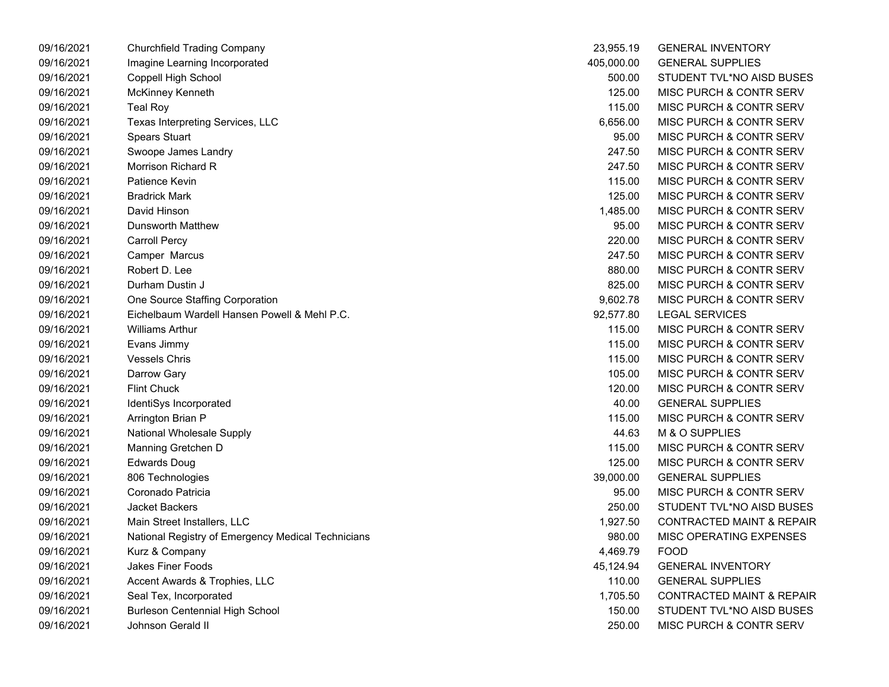| 09/16/2021 | Churchfield Trading Company                        | 23,955.19  | <b>GENERAL INVENTORY</b>             |
|------------|----------------------------------------------------|------------|--------------------------------------|
| 09/16/2021 | Imagine Learning Incorporated                      | 405,000.00 | <b>GENERAL SUPPLIES</b>              |
| 09/16/2021 | Coppell High School                                | 500.00     | STUDENT TVL*NO AISD BUSES            |
| 09/16/2021 | McKinney Kenneth                                   | 125.00     | MISC PURCH & CONTR SERV              |
| 09/16/2021 | Teal Roy                                           | 115.00     | MISC PURCH & CONTR SERV              |
| 09/16/2021 | Texas Interpreting Services, LLC                   | 6,656.00   | MISC PURCH & CONTR SERV              |
| 09/16/2021 | <b>Spears Stuart</b>                               | 95.00      | MISC PURCH & CONTR SERV              |
| 09/16/2021 | Swoope James Landry                                | 247.50     | MISC PURCH & CONTR SERV              |
| 09/16/2021 | Morrison Richard R                                 | 247.50     | MISC PURCH & CONTR SERV              |
| 09/16/2021 | Patience Kevin                                     | 115.00     | MISC PURCH & CONTR SERV              |
| 09/16/2021 | <b>Bradrick Mark</b>                               | 125.00     | MISC PURCH & CONTR SERV              |
| 09/16/2021 | David Hinson                                       | 1,485.00   | MISC PURCH & CONTR SERV              |
| 09/16/2021 | <b>Dunsworth Matthew</b>                           | 95.00      | MISC PURCH & CONTR SERV              |
| 09/16/2021 | <b>Carroll Percy</b>                               | 220.00     | <b>MISC PURCH &amp; CONTR SERV</b>   |
| 09/16/2021 | Camper Marcus                                      | 247.50     | MISC PURCH & CONTR SERV              |
| 09/16/2021 | Robert D. Lee                                      | 880.00     | MISC PURCH & CONTR SERV              |
| 09/16/2021 | Durham Dustin J                                    | 825.00     | MISC PURCH & CONTR SERV              |
| 09/16/2021 | One Source Staffing Corporation                    | 9,602.78   | MISC PURCH & CONTR SERV              |
| 09/16/2021 | Eichelbaum Wardell Hansen Powell & Mehl P.C.       | 92,577.80  | <b>LEGAL SERVICES</b>                |
| 09/16/2021 | <b>Williams Arthur</b>                             | 115.00     | MISC PURCH & CONTR SERV              |
| 09/16/2021 | Evans Jimmy                                        | 115.00     | MISC PURCH & CONTR SERV              |
| 09/16/2021 | <b>Vessels Chris</b>                               | 115.00     | MISC PURCH & CONTR SERV              |
| 09/16/2021 | Darrow Gary                                        | 105.00     | MISC PURCH & CONTR SERV              |
| 09/16/2021 | <b>Flint Chuck</b>                                 | 120.00     | MISC PURCH & CONTR SERV              |
| 09/16/2021 | IdentiSys Incorporated                             | 40.00      | <b>GENERAL SUPPLIES</b>              |
| 09/16/2021 | Arrington Brian P                                  | 115.00     | MISC PURCH & CONTR SERV              |
| 09/16/2021 | National Wholesale Supply                          | 44.63      | M & O SUPPLIES                       |
| 09/16/2021 | Manning Gretchen D                                 | 115.00     | MISC PURCH & CONTR SERV              |
| 09/16/2021 | <b>Edwards Doug</b>                                | 125.00     | MISC PURCH & CONTR SERV              |
| 09/16/2021 | 806 Technologies                                   | 39,000.00  | <b>GENERAL SUPPLIES</b>              |
| 09/16/2021 | Coronado Patricia                                  | 95.00      | MISC PURCH & CONTR SERV              |
| 09/16/2021 | Jacket Backers                                     | 250.00     | STUDENT TVL*NO AISD BUSES            |
| 09/16/2021 | Main Street Installers, LLC                        | 1,927.50   | <b>CONTRACTED MAINT &amp; REPAIR</b> |
| 09/16/2021 | National Registry of Emergency Medical Technicians | 980.00     | MISC OPERATING EXPENSES              |
| 09/16/2021 | Kurz & Company                                     | 4,469.79   | <b>FOOD</b>                          |
| 09/16/2021 | Jakes Finer Foods                                  | 45,124.94  | <b>GENERAL INVENTORY</b>             |
| 09/16/2021 | Accent Awards & Trophies, LLC                      | 110.00     | <b>GENERAL SUPPLIES</b>              |
| 09/16/2021 | Seal Tex, Incorporated                             | 1,705.50   | <b>CONTRACTED MAINT &amp; REPAIR</b> |
| 09/16/2021 | <b>Burleson Centennial High School</b>             | 150.00     | STUDENT TVL*NO AISD BUSES            |
| 09/16/2021 | Johnson Gerald II                                  | 250.00     | MISC PURCH & CONTR SERV              |

| 23,955.19  | <b>GENERAL INVENTORY</b>             |
|------------|--------------------------------------|
| 405.000.00 | <b>GENERAL SUPPLIES</b>              |
| 500.00     | STUDENT TVL*NO AISD BUSES            |
| 125.00     | <b>MISC PURCH &amp; CONTR SERV</b>   |
| 115.00     | <b>MISC PURCH &amp; CONTR SERV</b>   |
| 6,656.00   | <b>MISC PURCH &amp; CONTR SERV</b>   |
| 95.00      | MISC PURCH & CONTR SERV              |
| 247.50     | <b>MISC PURCH &amp; CONTR SERV</b>   |
| 247.50     | <b>MISC PURCH &amp; CONTR SERV</b>   |
| 115.00     | <b>MISC PURCH &amp; CONTR SERV</b>   |
| 125.00     | MISC PURCH & CONTR SERV              |
| 1,485.00   | <b>MISC PURCH &amp; CONTR SERV</b>   |
| 95.00      | <b>MISC PURCH &amp; CONTR SERV</b>   |
| 220.00     | <b>MISC PURCH &amp; CONTR SERV</b>   |
| 247.50     | <b>MISC PURCH &amp; CONTR SERV</b>   |
| 880.00     | <b>MISC PURCH &amp; CONTR SERV</b>   |
| 825.00     | <b>MISC PURCH &amp; CONTR SERV</b>   |
| 9,602.78   | <b>MISC PURCH &amp; CONTR SERV</b>   |
| 92,577.80  | LEGAL SERVICES                       |
| 115.00     | <b>MISC PURCH &amp; CONTR SERV</b>   |
| 115.00     | MISC PURCH & CONTR SERV              |
| 115.00     | <b>MISC PURCH &amp; CONTR SERV</b>   |
| 105.00     | <b>MISC PURCH &amp; CONTR SERV</b>   |
| 120.00     | <b>MISC PURCH &amp; CONTR SERV</b>   |
| 40.00      | <b>GENERAL SUPPLIES</b>              |
| 115.00     | <b>MISC PURCH &amp; CONTR SERV</b>   |
| 44.63      | <b>M &amp; O SUPPLIES</b>            |
| 115.00     | <b>MISC PURCH &amp; CONTR SERV</b>   |
| 125.00     | <b>MISC PURCH &amp; CONTR SERV</b>   |
| 39,000.00  | <b>GENERAL SUPPLIES</b>              |
| 95.00      | MISC PURCH & CONTR SERV              |
| 250.00     | STUDENT TVL*NO AISD BUSES            |
| 1,927.50   | <b>CONTRACTED MAINT &amp; REPAIR</b> |
| 980.00     | <b>MISC OPERATING EXPENSES</b>       |
| 4,469.79   | <b>FOOD</b>                          |
| 45,124.94  | <b>GENERAL INVENTORY</b>             |
| 110.00     | <b>GENERAL SUPPLIES</b>              |
| 1,705.50   | <b>CONTRACTED MAINT &amp; REPAIR</b> |
| 150.00     | STUDENT TVL*NO AISD BUSES            |
| 250.00     | <b>MISC PURCH &amp; CONTR SERV</b>   |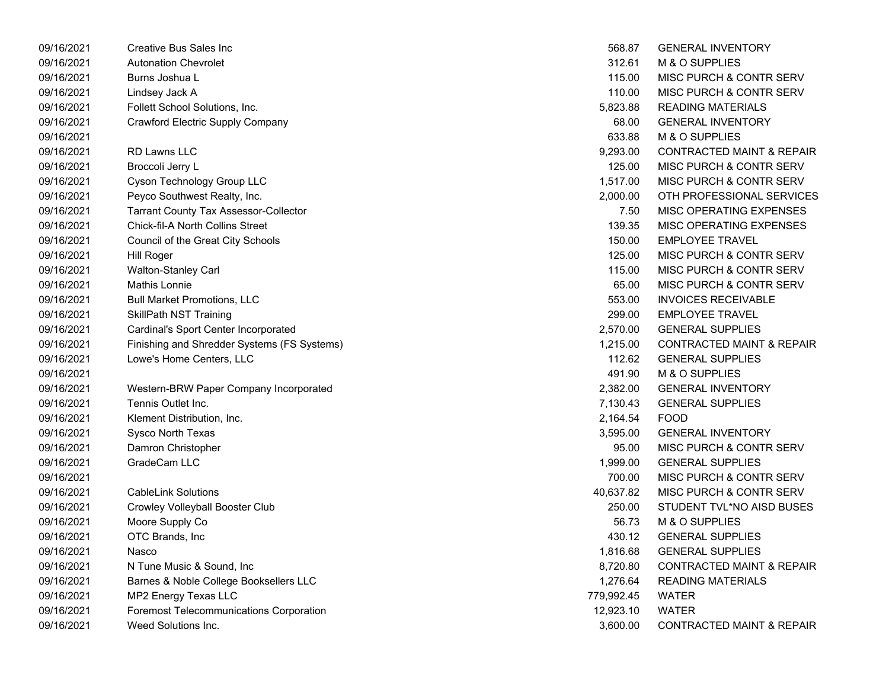| 09/16/2021 | Creative Bus Sales Inc                       | 568.87     | <b>GENERAL INVENTORY</b>             |
|------------|----------------------------------------------|------------|--------------------------------------|
| 09/16/2021 | <b>Autonation Chevrolet</b>                  | 312.61     | M & O SUPPLIES                       |
| 09/16/2021 | Burns Joshua L                               | 115.00     | MISC PURCH & CONTR SERV              |
| 09/16/2021 | Lindsey Jack A                               | 110.00     | MISC PURCH & CONTR SERV              |
| 09/16/2021 | Follett School Solutions, Inc.               | 5,823.88   | <b>READING MATERIALS</b>             |
| 09/16/2021 | <b>Crawford Electric Supply Company</b>      | 68.00      | <b>GENERAL INVENTORY</b>             |
| 09/16/2021 |                                              | 633.88     | M & O SUPPLIES                       |
| 09/16/2021 | <b>RD Lawns LLC</b>                          | 9,293.00   | <b>CONTRACTED MAINT &amp; REPAIR</b> |
| 09/16/2021 | Broccoli Jerry L                             | 125.00     | MISC PURCH & CONTR SERV              |
| 09/16/2021 | Cyson Technology Group LLC                   | 1,517.00   | MISC PURCH & CONTR SERV              |
| 09/16/2021 | Peyco Southwest Realty, Inc.                 | 2,000.00   | OTH PROFESSIONAL SERVICES            |
| 09/16/2021 | <b>Tarrant County Tax Assessor-Collector</b> | 7.50       | MISC OPERATING EXPENSES              |
| 09/16/2021 | Chick-fil-A North Collins Street             | 139.35     | MISC OPERATING EXPENSES              |
| 09/16/2021 | Council of the Great City Schools            | 150.00     | <b>EMPLOYEE TRAVEL</b>               |
| 09/16/2021 | <b>Hill Roger</b>                            | 125.00     | MISC PURCH & CONTR SERV              |
| 09/16/2021 | <b>Walton-Stanley Carl</b>                   | 115.00     | MISC PURCH & CONTR SERV              |
| 09/16/2021 | <b>Mathis Lonnie</b>                         | 65.00      | MISC PURCH & CONTR SERV              |
| 09/16/2021 | <b>Bull Market Promotions, LLC</b>           | 553.00     | <b>INVOICES RECEIVABLE</b>           |
| 09/16/2021 | <b>SkillPath NST Training</b>                | 299.00     | <b>EMPLOYEE TRAVEL</b>               |
| 09/16/2021 | Cardinal's Sport Center Incorporated         | 2,570.00   | <b>GENERAL SUPPLIES</b>              |
| 09/16/2021 | Finishing and Shredder Systems (FS Systems)  | 1,215.00   | <b>CONTRACTED MAINT &amp; REPAIR</b> |
| 09/16/2021 | Lowe's Home Centers, LLC                     | 112.62     | <b>GENERAL SUPPLIES</b>              |
| 09/16/2021 |                                              | 491.90     | M & O SUPPLIES                       |
| 09/16/2021 | Western-BRW Paper Company Incorporated       | 2,382.00   | <b>GENERAL INVENTORY</b>             |
| 09/16/2021 | Tennis Outlet Inc.                           | 7,130.43   | <b>GENERAL SUPPLIES</b>              |
| 09/16/2021 | Klement Distribution, Inc.                   | 2,164.54   | <b>FOOD</b>                          |
| 09/16/2021 | Sysco North Texas                            | 3,595.00   | <b>GENERAL INVENTORY</b>             |
| 09/16/2021 | Damron Christopher                           | 95.00      | MISC PURCH & CONTR SERV              |
| 09/16/2021 | GradeCam LLC                                 | 1,999.00   | <b>GENERAL SUPPLIES</b>              |
| 09/16/2021 |                                              | 700.00     | MISC PURCH & CONTR SERV              |
| 09/16/2021 | <b>CableLink Solutions</b>                   | 40,637.82  | MISC PURCH & CONTR SERV              |
| 09/16/2021 | Crowley Volleyball Booster Club              | 250.00     | STUDENT TVL*NO AISD BUSES            |
| 09/16/2021 | Moore Supply Co                              | 56.73      | M & O SUPPLIES                       |
| 09/16/2021 | OTC Brands, Inc                              | 430.12     | <b>GENERAL SUPPLIES</b>              |
| 09/16/2021 | Nasco                                        | 1,816.68   | <b>GENERAL SUPPLIES</b>              |
| 09/16/2021 | N Tune Music & Sound, Inc.                   | 8,720.80   | <b>CONTRACTED MAINT &amp; REPAIR</b> |
| 09/16/2021 | Barnes & Noble College Booksellers LLC       | 1,276.64   | <b>READING MATERIALS</b>             |
| 09/16/2021 | MP2 Energy Texas LLC                         | 779,992.45 | <b>WATER</b>                         |
| 09/16/2021 | Foremost Telecommunications Corporation      | 12,923.10  | <b>WATER</b>                         |
| 09/16/2021 | Weed Solutions Inc.                          | 3,600.00   | <b>CONTRACTED MAINT &amp; REPAIR</b> |

| 568.87     | <b>GENERAL INVENTORY</b>             |
|------------|--------------------------------------|
| 312.61     | <b>M &amp; O SUPPLIES</b>            |
| 115.00     | MISC PURCH & CONTR SERV              |
| 110.00     | MISC PURCH & CONTR SERV              |
| 5,823.88   | <b>READING MATERIALS</b>             |
| 68.00      | <b>GENERAL INVENTORY</b>             |
| 633.88     | M & O SUPPLIES                       |
| 9,293.00   | <b>CONTRACTED MAINT &amp; REPAIR</b> |
| 125.00     | MISC PURCH & CONTR SERV              |
| 1,517.00   | MISC PURCH & CONTR SERV              |
| 2,000.00   | OTH PROFESSIONAL SERVICES            |
| 7.50       | <b>MISC OPERATING EXPENSES</b>       |
| 139.35     | MISC OPERATING EXPENSES              |
| 150.00     | <b>EMPLOYEE TRAVEL</b>               |
| 125.00     | MISC PURCH & CONTR SERV              |
| 115.00     | MISC PURCH & CONTR SERV              |
| 65.00      | MISC PURCH & CONTR SERV              |
| 553.00     | <b>INVOICES RECEIVABLE</b>           |
| 299.00     | <b>EMPLOYEE TRAVEL</b>               |
| 2,570.00   | <b>GENERAL SUPPLIES</b>              |
| 1,215.00   | <b>CONTRACTED MAINT &amp; REPAIR</b> |
| 112.62     | <b>GENERAL SUPPLIES</b>              |
| 491.90     | M & O SUPPLIES                       |
| 2,382.00   | <b>GENERAL INVENTORY</b>             |
| 7,130.43   | <b>GENERAL SUPPLIES</b>              |
| 2,164.54   | <b>FOOD</b>                          |
| 3,595.00   | <b>GENERAL INVENTORY</b>             |
| 95.00      | MISC PURCH & CONTR SERV              |
| 1,999.00   | <b>GENERAL SUPPLIES</b>              |
| 700.00     | MISC PURCH & CONTR SERV              |
| 40,637.82  | MISC PURCH & CONTR SERV              |
| 250.00     | STUDENT TVL*NO AISD BUSES            |
| 56.73      | M & O SUPPLIES                       |
| 430.12     | <b>GENERAL SUPPLIES</b>              |
| 1,816.68   | <b>GENERAL SUPPLIES</b>              |
| 8,720.80   | <b>CONTRACTED MAINT &amp; REPAIR</b> |
| 1,276.64   | <b>READING MATERIALS</b>             |
| 779,992.45 | <b>WATER</b>                         |
| 12,923.10  | <b>WATER</b>                         |
| 3,600.00   | <b>CONTRACTED MAINT &amp; REPAIR</b> |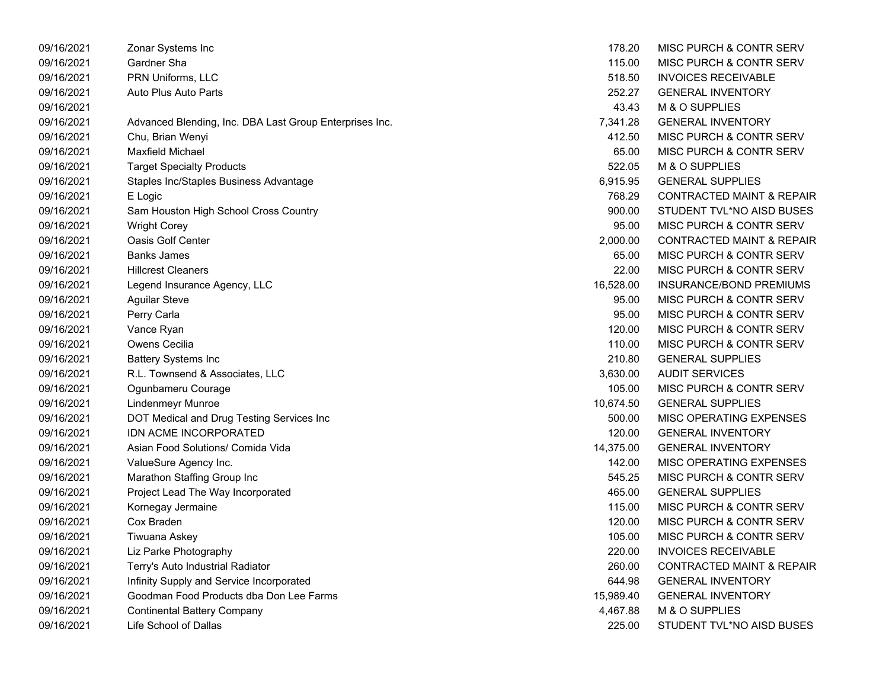| 09/16/2021 | Zonar Systems Inc                                       | 178.20    | MISC PURCH & CONTR SERV              |
|------------|---------------------------------------------------------|-----------|--------------------------------------|
| 09/16/2021 | Gardner Sha                                             | 115.00    | MISC PURCH & CONTR SERV              |
| 09/16/2021 | PRN Uniforms, LLC                                       | 518.50    | <b>INVOICES RECEIVABLE</b>           |
| 09/16/2021 | Auto Plus Auto Parts                                    | 252.27    | <b>GENERAL INVENTORY</b>             |
| 09/16/2021 |                                                         | 43.43     | M & O SUPPLIES                       |
| 09/16/2021 | Advanced Blending, Inc. DBA Last Group Enterprises Inc. | 7,341.28  | <b>GENERAL INVENTORY</b>             |
| 09/16/2021 | Chu, Brian Wenyi                                        | 412.50    | MISC PURCH & CONTR SERV              |
| 09/16/2021 | <b>Maxfield Michael</b>                                 | 65.00     | MISC PURCH & CONTR SERV              |
| 09/16/2021 | <b>Target Specialty Products</b>                        | 522.05    | M & O SUPPLIES                       |
| 09/16/2021 | Staples Inc/Staples Business Advantage                  | 6,915.95  | <b>GENERAL SUPPLIES</b>              |
| 09/16/2021 | E Logic                                                 | 768.29    | <b>CONTRACTED MAINT &amp; REPAIR</b> |
| 09/16/2021 | Sam Houston High School Cross Country                   | 900.00    | STUDENT TVL*NO AISD BUSES            |
| 09/16/2021 | <b>Wright Corey</b>                                     | 95.00     | MISC PURCH & CONTR SERV              |
| 09/16/2021 | Oasis Golf Center                                       | 2,000.00  | <b>CONTRACTED MAINT &amp; REPAIR</b> |
| 09/16/2021 | <b>Banks James</b>                                      | 65.00     | MISC PURCH & CONTR SERV              |
| 09/16/2021 | <b>Hillcrest Cleaners</b>                               | 22.00     | MISC PURCH & CONTR SERV              |
| 09/16/2021 | Legend Insurance Agency, LLC                            | 16,528.00 | INSURANCE/BOND PREMIUMS              |
| 09/16/2021 | <b>Aguilar Steve</b>                                    | 95.00     | MISC PURCH & CONTR SERV              |
| 09/16/2021 | Perry Carla                                             | 95.00     | MISC PURCH & CONTR SERV              |
| 09/16/2021 | Vance Ryan                                              | 120.00    | MISC PURCH & CONTR SERV              |
| 09/16/2021 | <b>Owens Cecilia</b>                                    | 110.00    | MISC PURCH & CONTR SERV              |
| 09/16/2021 | <b>Battery Systems Inc</b>                              | 210.80    | <b>GENERAL SUPPLIES</b>              |
| 09/16/2021 | R.L. Townsend & Associates, LLC                         | 3,630.00  | <b>AUDIT SERVICES</b>                |
| 09/16/2021 | Ogunbameru Courage                                      | 105.00    | MISC PURCH & CONTR SERV              |
| 09/16/2021 | Lindenmeyr Munroe                                       | 10,674.50 | <b>GENERAL SUPPLIES</b>              |
| 09/16/2021 | DOT Medical and Drug Testing Services Inc               | 500.00    | MISC OPERATING EXPENSES              |
| 09/16/2021 | <b>IDN ACME INCORPORATED</b>                            | 120.00    | <b>GENERAL INVENTORY</b>             |
| 09/16/2021 | Asian Food Solutions/ Comida Vida                       | 14,375.00 | <b>GENERAL INVENTORY</b>             |
| 09/16/2021 | ValueSure Agency Inc.                                   | 142.00    | MISC OPERATING EXPENSES              |
| 09/16/2021 | Marathon Staffing Group Inc                             | 545.25    | MISC PURCH & CONTR SERV              |
| 09/16/2021 | Project Lead The Way Incorporated                       | 465.00    | <b>GENERAL SUPPLIES</b>              |
| 09/16/2021 | Kornegay Jermaine                                       | 115.00    | MISC PURCH & CONTR SERV              |
| 09/16/2021 | Cox Braden                                              | 120.00    | MISC PURCH & CONTR SERV              |
| 09/16/2021 | Tiwuana Askey                                           | 105.00    | MISC PURCH & CONTR SERV              |
| 09/16/2021 | Liz Parke Photography                                   | 220.00    | <b>INVOICES RECEIVABLE</b>           |
| 09/16/2021 | Terry's Auto Industrial Radiator                        | 260.00    | <b>CONTRACTED MAINT &amp; REPAIR</b> |
| 09/16/2021 | Infinity Supply and Service Incorporated                | 644.98    | <b>GENERAL INVENTORY</b>             |
| 09/16/2021 | Goodman Food Products dba Don Lee Farms                 | 15,989.40 | <b>GENERAL INVENTORY</b>             |
| 09/16/2021 | Continental Battery Company                             | 4,467.88  | M & O SUPPLIES                       |
| 09/16/2021 | Life School of Dallas                                   | 225.00    | STUDENT TVL*NO AISD BUSES            |

| 178.20    | MISC PURCH & CONTR SERV              |
|-----------|--------------------------------------|
| 115.00    | MISC PURCH & CONTR SERV              |
| 518.50    | <b>INVOICES RECEIVABLE</b>           |
| 252.27    | <b>GENERAL INVENTORY</b>             |
| 43.43     | <b>M &amp; O SUPPLIES</b>            |
| 7,341.28  | <b>GENERAL INVENTORY</b>             |
| 412.50    | <b>MISC PURCH &amp; CONTR SERV</b>   |
| 65.00     | <b>MISC PURCH &amp; CONTR SERV</b>   |
| 522.05    | M & O SUPPLIES                       |
| 6,915.95  | <b>GENERAL SUPPLIES</b>              |
| 768.29    | <b>CONTRACTED MAINT &amp; REPAIR</b> |
| 900.00    | STUDENT TVL*NO AISD BUSES            |
| 95.00     | <b>MISC PURCH &amp; CONTR SERV</b>   |
| 2,000.00  | <b>CONTRACTED MAINT &amp; REPAIR</b> |
| 65.00     | MISC PURCH & CONTR SERV              |
| 22.00     | MISC PURCH & CONTR SERV              |
| 16,528.00 | <b>INSURANCE/BOND PREMIUMS</b>       |
| 95.00     | MISC PURCH & CONTR SERV              |
| 95.00     | <b>MISC PURCH &amp; CONTR SERV</b>   |
| 120.00    | <b>MISC PURCH &amp; CONTR SERV</b>   |
| 110.00    | <b>MISC PURCH &amp; CONTR SERV</b>   |
| 210.80    | <b>GENERAL SUPPLIES</b>              |
| 3,630.00  | <b>AUDIT SERVICES</b>                |
| 105.00    | <b>MISC PURCH &amp; CONTR SERV</b>   |
| 10,674.50 | <b>GENERAL SUPPLIES</b>              |
| 500.00    | <b>MISC OPERATING EXPENSES</b>       |
| 120.00    | <b>GENERAL INVENTORY</b>             |
| 14,375.00 | <b>GENERAL INVENTORY</b>             |
| 142.00    | <b>MISC OPERATING EXPENSES</b>       |
| 545.25    | MISC PURCH & CONTR SERV              |
| 465.00    | <b>GENERAL SUPPLIES</b>              |
| 115.00    | <b>MISC PURCH &amp; CONTR SERV</b>   |
| 120.00    | <b>MISC PURCH &amp; CONTR SERV</b>   |
| 105.00    | MISC PURCH & CONTR SERV              |
| 220.00    | <b>INVOICES RECEIVABLE</b>           |
| 260.00    | <b>CONTRACTED MAINT &amp; REPAIR</b> |
| 644.98    | <b>GENERAL INVENTORY</b>             |
| 15,989.40 | <b>GENERAL INVENTORY</b>             |
| 4,467.88  | M & O SUPPLIES                       |
| 225.00    | STUDENT TVL*NO AISD BUSES            |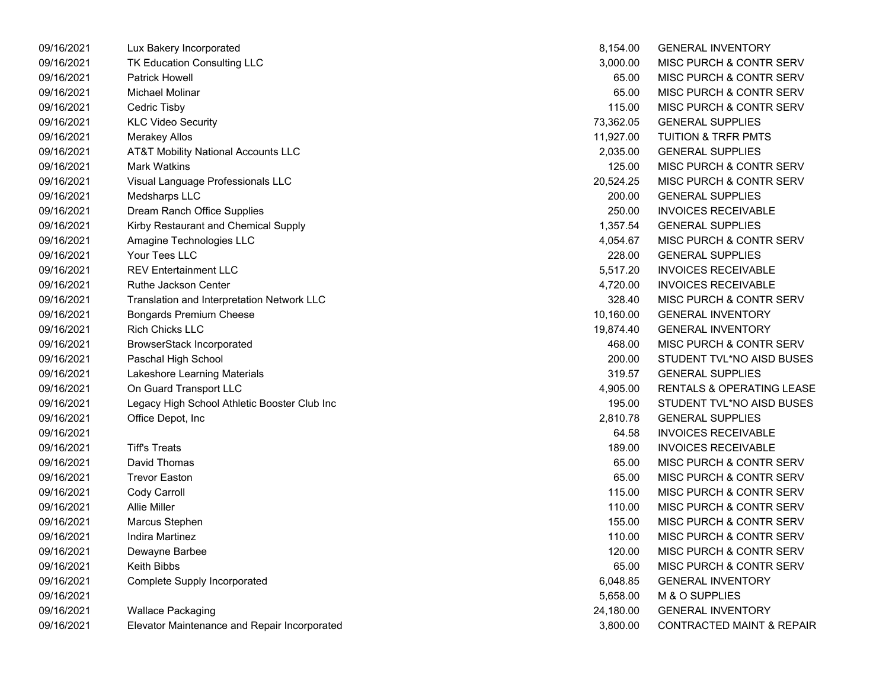| 09/16/2021 | Lux Bakery Incorporated                        | 8,154.00  | <b>GENERAL INVENTORY</b>             |
|------------|------------------------------------------------|-----------|--------------------------------------|
| 09/16/2021 | <b>TK Education Consulting LLC</b>             | 3,000.00  | MISC PURCH & CONTR SERV              |
| 09/16/2021 | <b>Patrick Howell</b>                          | 65.00     | MISC PURCH & CONTR SERV              |
| 09/16/2021 | Michael Molinar                                | 65.00     | MISC PURCH & CONTR SERV              |
| 09/16/2021 | Cedric Tisby                                   | 115.00    | MISC PURCH & CONTR SERV              |
| 09/16/2021 | <b>KLC Video Security</b>                      | 73,362.05 | <b>GENERAL SUPPLIES</b>              |
| 09/16/2021 | <b>Merakey Allos</b>                           | 11,927.00 | <b>TUITION &amp; TRFR PMTS</b>       |
| 09/16/2021 | <b>AT&amp;T Mobility National Accounts LLC</b> | 2,035.00  | <b>GENERAL SUPPLIES</b>              |
| 09/16/2021 | <b>Mark Watkins</b>                            | 125.00    | MISC PURCH & CONTR SERV              |
| 09/16/2021 | Visual Language Professionals LLC              | 20,524.25 | MISC PURCH & CONTR SERV              |
| 09/16/2021 | Medsharps LLC                                  | 200.00    | <b>GENERAL SUPPLIES</b>              |
| 09/16/2021 | Dream Ranch Office Supplies                    | 250.00    | <b>INVOICES RECEIVABLE</b>           |
| 09/16/2021 | Kirby Restaurant and Chemical Supply           | 1,357.54  | <b>GENERAL SUPPLIES</b>              |
| 09/16/2021 | Amagine Technologies LLC                       | 4,054.67  | MISC PURCH & CONTR SERV              |
| 09/16/2021 | Your Tees LLC                                  | 228.00    | <b>GENERAL SUPPLIES</b>              |
| 09/16/2021 | <b>REV Entertainment LLC</b>                   | 5,517.20  | <b>INVOICES RECEIVABLE</b>           |
| 09/16/2021 | Ruthe Jackson Center                           | 4,720.00  | <b>INVOICES RECEIVABLE</b>           |
| 09/16/2021 | Translation and Interpretation Network LLC     | 328.40    | MISC PURCH & CONTR SERV              |
| 09/16/2021 | Bongards Premium Cheese                        | 10,160.00 | <b>GENERAL INVENTORY</b>             |
| 09/16/2021 | <b>Rich Chicks LLC</b>                         | 19,874.40 | <b>GENERAL INVENTORY</b>             |
| 09/16/2021 | <b>BrowserStack Incorporated</b>               | 468.00    | MISC PURCH & CONTR SERV              |
| 09/16/2021 | Paschal High School                            | 200.00    | STUDENT TVL*NO AISD BUSES            |
| 09/16/2021 | Lakeshore Learning Materials                   | 319.57    | <b>GENERAL SUPPLIES</b>              |
| 09/16/2021 | On Guard Transport LLC                         | 4,905.00  | RENTALS & OPERATING LEASE            |
| 09/16/2021 | Legacy High School Athletic Booster Club Inc   | 195.00    | STUDENT TVL*NO AISD BUSES            |
| 09/16/2021 | Office Depot, Inc                              | 2,810.78  | <b>GENERAL SUPPLIES</b>              |
| 09/16/2021 |                                                | 64.58     | <b>INVOICES RECEIVABLE</b>           |
| 09/16/2021 | <b>Tiff's Treats</b>                           | 189.00    | <b>INVOICES RECEIVABLE</b>           |
| 09/16/2021 | David Thomas                                   | 65.00     | MISC PURCH & CONTR SERV              |
| 09/16/2021 | <b>Trevor Easton</b>                           | 65.00     | MISC PURCH & CONTR SERV              |
| 09/16/2021 | Cody Carroll                                   | 115.00    | MISC PURCH & CONTR SERV              |
| 09/16/2021 | <b>Allie Miller</b>                            | 110.00    | MISC PURCH & CONTR SERV              |
| 09/16/2021 | Marcus Stephen                                 | 155.00    | MISC PURCH & CONTR SERV              |
| 09/16/2021 | <b>Indira Martinez</b>                         | 110.00    | MISC PURCH & CONTR SERV              |
| 09/16/2021 | Dewayne Barbee                                 | 120.00    | MISC PURCH & CONTR SERV              |
| 09/16/2021 | <b>Keith Bibbs</b>                             | 65.00     | MISC PURCH & CONTR SERV              |
| 09/16/2021 | <b>Complete Supply Incorporated</b>            | 6,048.85  | <b>GENERAL INVENTORY</b>             |
| 09/16/2021 |                                                | 5,658.00  | M & O SUPPLIES                       |
| 09/16/2021 | <b>Wallace Packaging</b>                       | 24,180.00 | <b>GENERAL INVENTORY</b>             |
| 09/16/2021 | Elevator Maintenance and Repair Incorporated   | 3,800.00  | <b>CONTRACTED MAINT &amp; REPAIR</b> |
|            |                                                |           |                                      |

| 8,154.00  | <b>GENERAL INVENTORY</b>             |
|-----------|--------------------------------------|
| 3,000.00  | MISC PURCH & CONTR SERV              |
| 65.00     | <b>MISC PURCH &amp; CONTR SERV</b>   |
| 65.00     | MISC PURCH & CONTR SERV              |
| 115.00    | MISC PURCH & CONTR SERV              |
| 73,362.05 | <b>GENERAL SUPPLIES</b>              |
| 11,927.00 | <b>TUITION &amp; TRFR PMTS</b>       |
| 2,035.00  | <b>GENERAL SUPPLIES</b>              |
| 125.00    | <b>MISC PURCH &amp; CONTR SERV</b>   |
| 20,524.25 | MISC PURCH & CONTR SERV              |
| 200.00    | <b>GENERAL SUPPLIES</b>              |
| 250.00    | <b>INVOICES RECEIVABLE</b>           |
| 1,357.54  | <b>GENERAL SUPPLIES</b>              |
| 4,054.67  | MISC PURCH & CONTR SERV              |
| 228.00    | <b>GENERAL SUPPLIES</b>              |
| 5,517.20  | <b>INVOICES RECEIVABLE</b>           |
| 4,720.00  | <b>INVOICES RECEIVABLE</b>           |
| 328.40    | <b>MISC PURCH &amp; CONTR SERV</b>   |
| 10,160.00 | <b>GENERAL INVENTORY</b>             |
| 19,874.40 | <b>GENERAL INVENTORY</b>             |
| 468.00    | <b>MISC PURCH &amp; CONTR SERV</b>   |
| 200.00    | STUDENT TVL*NO AISD BUSES            |
| 319.57    | <b>GENERAL SUPPLIES</b>              |
| 4,905.00  | <b>RENTALS &amp; OPERATING LEASE</b> |
| 195.00    | STUDENT TVL*NO AISD BUSES            |
| 2,810.78  | <b>GENERAL SUPPLIES</b>              |
| 64.58     | <b>INVOICES RECEIVABLE</b>           |
| 189.00    | <b>INVOICES RECEIVABLE</b>           |
| 65.00     | <b>MISC PURCH &amp; CONTR SERV</b>   |
| 65.00     | MISC PURCH & CONTR SERV              |
| 115.00    | <b>MISC PURCH &amp; CONTR SERV</b>   |
| 110.00    | <b>MISC PURCH &amp; CONTR SERV</b>   |
| 155.00    | MISC PURCH & CONTR SERV              |
| 110.00    | <b>MISC PURCH &amp; CONTR SERV</b>   |
| 120.00    | <b>MISC PURCH &amp; CONTR SERV</b>   |
| 65.00     | MISC PURCH & CONTR SERV              |
| 6,048.85  | <b>GENERAL INVENTORY</b>             |
| 5,658.00  | M & O SUPPLIES                       |
| 24,180.00 | <b>GENERAL INVENTORY</b>             |
| 3.800.00  | <b>CONTRACTED MAINT &amp; REPAIR</b> |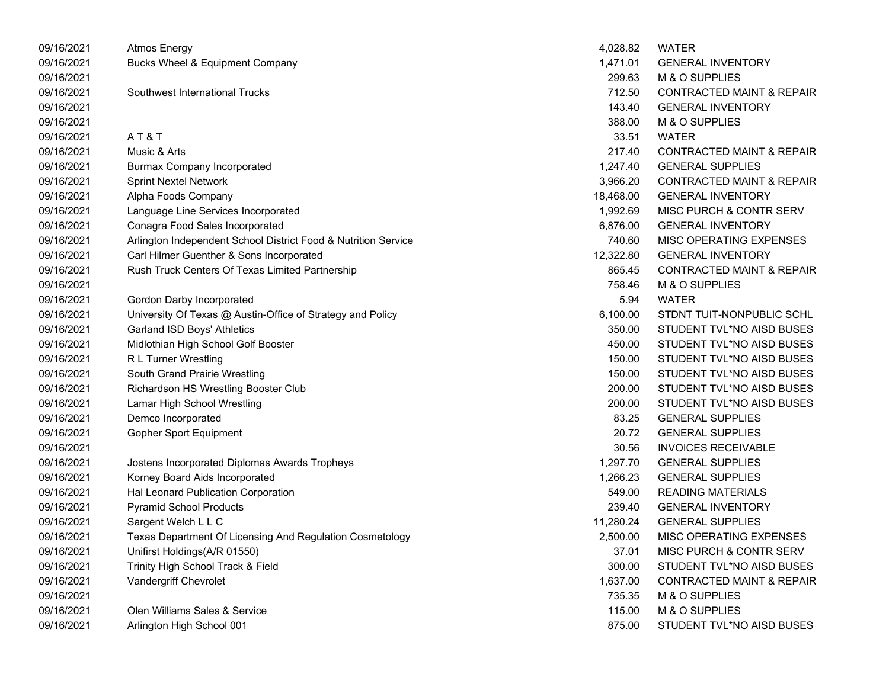| 09/16/2021 | <b>Atmos Energy</b>                                            | 4,028.82  | <b>WATER</b>                         |
|------------|----------------------------------------------------------------|-----------|--------------------------------------|
| 09/16/2021 | Bucks Wheel & Equipment Company                                | 1,471.01  | <b>GENERAL INVENTORY</b>             |
| 09/16/2021 |                                                                | 299.63    | M & O SUPPLIES                       |
| 09/16/2021 | Southwest International Trucks                                 | 712.50    | <b>CONTRACTED MAINT &amp; REPAIR</b> |
| 09/16/2021 |                                                                | 143.40    | <b>GENERAL INVENTORY</b>             |
| 09/16/2021 |                                                                | 388.00    | M & O SUPPLIES                       |
| 09/16/2021 | AT&T                                                           | 33.51     | <b>WATER</b>                         |
| 09/16/2021 | Music & Arts                                                   | 217.40    | <b>CONTRACTED MAINT &amp; REPAIR</b> |
| 09/16/2021 | <b>Burmax Company Incorporated</b>                             | 1,247.40  | <b>GENERAL SUPPLIES</b>              |
| 09/16/2021 | <b>Sprint Nextel Network</b>                                   | 3,966.20  | CONTRACTED MAINT & REPAIR            |
| 09/16/2021 | Alpha Foods Company                                            | 18,468.00 | <b>GENERAL INVENTORY</b>             |
| 09/16/2021 | Language Line Services Incorporated                            | 1,992.69  | MISC PURCH & CONTR SERV              |
| 09/16/2021 | Conagra Food Sales Incorporated                                | 6,876.00  | <b>GENERAL INVENTORY</b>             |
| 09/16/2021 | Arlington Independent School District Food & Nutrition Service | 740.60    | MISC OPERATING EXPENSES              |
| 09/16/2021 | Carl Hilmer Guenther & Sons Incorporated                       | 12,322.80 | <b>GENERAL INVENTORY</b>             |
| 09/16/2021 | Rush Truck Centers Of Texas Limited Partnership                | 865.45    | <b>CONTRACTED MAINT &amp; REPAIR</b> |
| 09/16/2021 |                                                                | 758.46    | M & O SUPPLIES                       |
| 09/16/2021 | Gordon Darby Incorporated                                      | 5.94      | <b>WATER</b>                         |
| 09/16/2021 | University Of Texas @ Austin-Office of Strategy and Policy     | 6,100.00  | STDNT TUIT-NONPUBLIC SCHL            |
| 09/16/2021 | Garland ISD Boys' Athletics                                    | 350.00    | STUDENT TVL*NO AISD BUSES            |
| 09/16/2021 | Midlothian High School Golf Booster                            | 450.00    | STUDENT TVL*NO AISD BUSES            |
| 09/16/2021 | R L Turner Wrestling                                           | 150.00    | STUDENT TVL*NO AISD BUSES            |
| 09/16/2021 | South Grand Prairie Wrestling                                  | 150.00    | STUDENT TVL*NO AISD BUSES            |
| 09/16/2021 | Richardson HS Wrestling Booster Club                           | 200.00    | STUDENT TVL*NO AISD BUSES            |
| 09/16/2021 | Lamar High School Wrestling                                    | 200.00    | STUDENT TVL*NO AISD BUSES            |
| 09/16/2021 | Demco Incorporated                                             | 83.25     | <b>GENERAL SUPPLIES</b>              |
| 09/16/2021 | Gopher Sport Equipment                                         | 20.72     | <b>GENERAL SUPPLIES</b>              |
| 09/16/2021 |                                                                | 30.56     | <b>INVOICES RECEIVABLE</b>           |
| 09/16/2021 | Jostens Incorporated Diplomas Awards Tropheys                  | 1,297.70  | <b>GENERAL SUPPLIES</b>              |
| 09/16/2021 | Korney Board Aids Incorporated                                 | 1,266.23  | <b>GENERAL SUPPLIES</b>              |
| 09/16/2021 | Hal Leonard Publication Corporation                            | 549.00    | <b>READING MATERIALS</b>             |
| 09/16/2021 | <b>Pyramid School Products</b>                                 | 239.40    | <b>GENERAL INVENTORY</b>             |
| 09/16/2021 | Sargent Welch L L C                                            | 11,280.24 | <b>GENERAL SUPPLIES</b>              |
| 09/16/2021 | Texas Department Of Licensing And Regulation Cosmetology       | 2,500.00  | MISC OPERATING EXPENSES              |
| 09/16/2021 | Unifirst Holdings(A/R 01550)                                   | 37.01     | MISC PURCH & CONTR SERV              |
| 09/16/2021 | Trinity High School Track & Field                              | 300.00    | STUDENT TVL*NO AISD BUSES            |
| 09/16/2021 | Vandergriff Chevrolet                                          | 1,637.00  | <b>CONTRACTED MAINT &amp; REPAIR</b> |
| 09/16/2021 |                                                                | 735.35    | M & O SUPPLIES                       |
| 09/16/2021 | Olen Williams Sales & Service                                  | 115.00    | M & O SUPPLIES                       |
| 09/16/2021 | Arlington High School 001                                      | 875.00    | STUDENT TVL*NO AISD BUSES            |
|            |                                                                |           |                                      |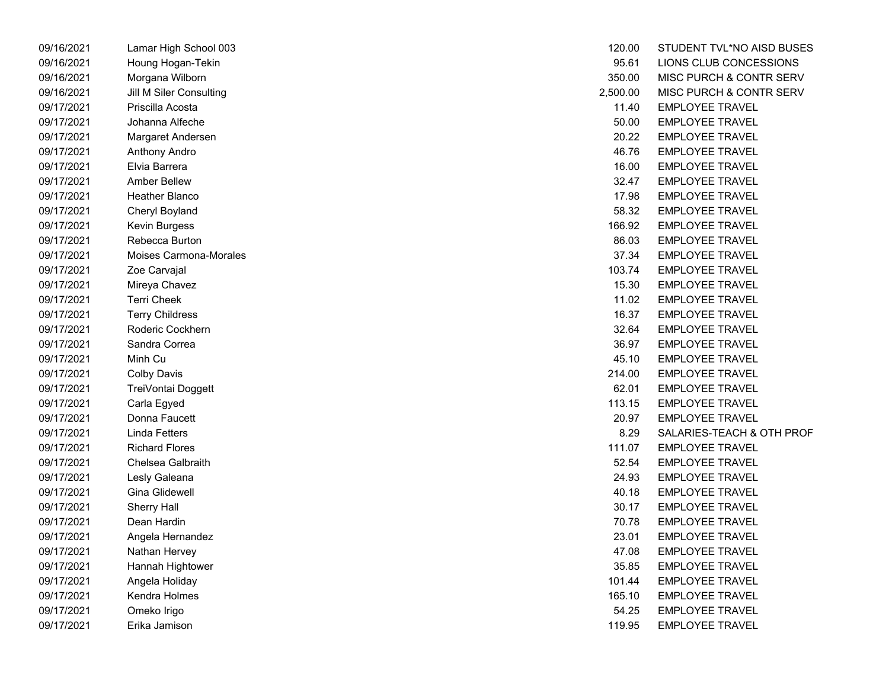| 09/16/2021 | Lamar High School 003   | 120.00   | STUDENT TVL*NO A       |
|------------|-------------------------|----------|------------------------|
| 09/16/2021 | Houng Hogan-Tekin       | 95.61    | LIONS CLUB CONCE       |
| 09/16/2021 | Morgana Wilborn         | 350.00   | MISC PURCH & CON       |
| 09/16/2021 | Jill M Siler Consulting | 2,500.00 | MISC PURCH & CON       |
| 09/17/2021 | Priscilla Acosta        | 11.40    | <b>EMPLOYEE TRAVEL</b> |
| 09/17/2021 | Johanna Alfeche         | 50.00    | <b>EMPLOYEE TRAVEL</b> |
| 09/17/2021 | Margaret Andersen       | 20.22    | <b>EMPLOYEE TRAVEL</b> |
| 09/17/2021 | Anthony Andro           | 46.76    | <b>EMPLOYEE TRAVEL</b> |
| 09/17/2021 | Elvia Barrera           | 16.00    | <b>EMPLOYEE TRAVEL</b> |
| 09/17/2021 | <b>Amber Bellew</b>     | 32.47    | <b>EMPLOYEE TRAVEL</b> |
| 09/17/2021 | Heather Blanco          | 17.98    | <b>EMPLOYEE TRAVEL</b> |
| 09/17/2021 | Cheryl Boyland          | 58.32    | <b>EMPLOYEE TRAVEL</b> |
| 09/17/2021 | Kevin Burgess           | 166.92   | <b>EMPLOYEE TRAVEL</b> |
| 09/17/2021 | Rebecca Burton          | 86.03    | <b>EMPLOYEE TRAVEL</b> |
| 09/17/2021 | Moises Carmona-Morales  | 37.34    | <b>EMPLOYEE TRAVEL</b> |
| 09/17/2021 | Zoe Carvajal            | 103.74   | <b>EMPLOYEE TRAVEL</b> |
| 09/17/2021 | Mireya Chavez           | 15.30    | <b>EMPLOYEE TRAVEL</b> |
| 09/17/2021 | <b>Terri Cheek</b>      | 11.02    | <b>EMPLOYEE TRAVEL</b> |
| 09/17/2021 | <b>Terry Childress</b>  | 16.37    | <b>EMPLOYEE TRAVEL</b> |
| 09/17/2021 | Roderic Cockhern        | 32.64    | <b>EMPLOYEE TRAVEL</b> |
| 09/17/2021 | Sandra Correa           | 36.97    | <b>EMPLOYEE TRAVEL</b> |
| 09/17/2021 | Minh Cu                 | 45.10    | <b>EMPLOYEE TRAVEL</b> |
| 09/17/2021 | <b>Colby Davis</b>      | 214.00   | <b>EMPLOYEE TRAVEL</b> |
| 09/17/2021 | TreiVontai Doggett      | 62.01    | <b>EMPLOYEE TRAVEL</b> |
| 09/17/2021 | Carla Egyed             | 113.15   | <b>EMPLOYEE TRAVEL</b> |
| 09/17/2021 | Donna Faucett           | 20.97    | <b>EMPLOYEE TRAVEL</b> |
| 09/17/2021 | <b>Linda Fetters</b>    | 8.29     | SALARIES-TEACH &       |
| 09/17/2021 | <b>Richard Flores</b>   | 111.07   | <b>EMPLOYEE TRAVEL</b> |
| 09/17/2021 | Chelsea Galbraith       | 52.54    | <b>EMPLOYEE TRAVEL</b> |
| 09/17/2021 | Lesly Galeana           | 24.93    | <b>EMPLOYEE TRAVEL</b> |
| 09/17/2021 | Gina Glidewell          | 40.18    | <b>EMPLOYEE TRAVEL</b> |
| 09/17/2021 | <b>Sherry Hall</b>      | 30.17    | <b>EMPLOYEE TRAVEL</b> |
| 09/17/2021 | Dean Hardin             | 70.78    | <b>EMPLOYEE TRAVEL</b> |
| 09/17/2021 | Angela Hernandez        | 23.01    | <b>EMPLOYEE TRAVEL</b> |
| 09/17/2021 | Nathan Hervey           | 47.08    | <b>EMPLOYEE TRAVEL</b> |
| 09/17/2021 | Hannah Hightower        | 35.85    | <b>EMPLOYEE TRAVEL</b> |
| 09/17/2021 | Angela Holiday          | 101.44   | <b>EMPLOYEE TRAVEL</b> |
| 09/17/2021 | Kendra Holmes           | 165.10   | <b>EMPLOYEE TRAVEL</b> |
| 09/17/2021 | Omeko Irigo             | 54.25    | <b>EMPLOYEE TRAVEL</b> |
| 09/17/2021 | Erika Jamison           | 119.95   | <b>EMPLOYEE TRAVEL</b> |

| 09/16/2021 | Lamar High School 003   | 120.00   | STUDENT TVL*NO AISD BUSES |
|------------|-------------------------|----------|---------------------------|
| 09/16/2021 | Houng Hogan-Tekin       | 95.61    | LIONS CLUB CONCESSIONS    |
| 09/16/2021 | Morgana Wilborn         | 350.00   | MISC PURCH & CONTR SERV   |
| 09/16/2021 | Jill M Siler Consulting | 2,500.00 | MISC PURCH & CONTR SERV   |
| 09/17/2021 | Priscilla Acosta        | 11.40    | <b>EMPLOYEE TRAVEL</b>    |
| 09/17/2021 | Johanna Alfeche         | 50.00    | <b>EMPLOYEE TRAVEL</b>    |
| 09/17/2021 | Margaret Andersen       | 20.22    | <b>EMPLOYEE TRAVEL</b>    |
| 09/17/2021 | Anthony Andro           | 46.76    | <b>EMPLOYEE TRAVEL</b>    |
| 09/17/2021 | Elvia Barrera           | 16.00    | <b>EMPLOYEE TRAVEL</b>    |
| 09/17/2021 | <b>Amber Bellew</b>     | 32.47    | <b>EMPLOYEE TRAVEL</b>    |
| 09/17/2021 | Heather Blanco          | 17.98    | <b>EMPLOYEE TRAVEL</b>    |
| 09/17/2021 | Cheryl Boyland          | 58.32    | <b>EMPLOYEE TRAVEL</b>    |
| 09/17/2021 | Kevin Burgess           | 166.92   | <b>EMPLOYEE TRAVEL</b>    |
| 09/17/2021 | Rebecca Burton          | 86.03    | <b>EMPLOYEE TRAVEL</b>    |
| 09/17/2021 | Moises Carmona-Morales  | 37.34    | <b>EMPLOYEE TRAVEL</b>    |
| 09/17/2021 | Zoe Carvajal            | 103.74   | <b>EMPLOYEE TRAVEL</b>    |
| 09/17/2021 | Mireya Chavez           | 15.30    | <b>EMPLOYEE TRAVEL</b>    |
| 09/17/2021 | Terri Cheek             | 11.02    | <b>EMPLOYEE TRAVEL</b>    |
| 09/17/2021 | <b>Terry Childress</b>  | 16.37    | <b>EMPLOYEE TRAVEL</b>    |
| 09/17/2021 | Roderic Cockhern        | 32.64    | <b>EMPLOYEE TRAVEL</b>    |
| 09/17/2021 | Sandra Correa           | 36.97    | <b>EMPLOYEE TRAVEL</b>    |
| 09/17/2021 | Minh Cu                 | 45.10    | <b>EMPLOYEE TRAVEL</b>    |
| 09/17/2021 | <b>Colby Davis</b>      | 214.00   | <b>EMPLOYEE TRAVEL</b>    |
| 09/17/2021 | TreiVontai Doggett      | 62.01    | <b>EMPLOYEE TRAVEL</b>    |
| 09/17/2021 | Carla Egyed             | 113.15   | <b>EMPLOYEE TRAVEL</b>    |
| 09/17/2021 | Donna Faucett           | 20.97    | <b>EMPLOYEE TRAVEL</b>    |
| 09/17/2021 | <b>Linda Fetters</b>    | 8.29     | SALARIES-TEACH & OTH PROF |
| 09/17/2021 | <b>Richard Flores</b>   | 111.07   | <b>EMPLOYEE TRAVEL</b>    |
| 09/17/2021 | Chelsea Galbraith       | 52.54    | <b>EMPLOYEE TRAVEL</b>    |
| 09/17/2021 | Lesly Galeana           | 24.93    | <b>EMPLOYEE TRAVEL</b>    |
| 09/17/2021 | Gina Glidewell          | 40.18    | <b>EMPLOYEE TRAVEL</b>    |
| 09/17/2021 | <b>Sherry Hall</b>      | 30.17    | <b>EMPLOYEE TRAVEL</b>    |
| 09/17/2021 | Dean Hardin             | 70.78    | <b>EMPLOYEE TRAVEL</b>    |
| 09/17/2021 | Angela Hernandez        | 23.01    | <b>EMPLOYEE TRAVEL</b>    |
| 09/17/2021 | Nathan Hervey           | 47.08    | <b>EMPLOYEE TRAVEL</b>    |
| 09/17/2021 | Hannah Hightower        | 35.85    | <b>EMPLOYEE TRAVEL</b>    |
| 09/17/2021 | Angela Holiday          | 101.44   | <b>EMPLOYEE TRAVEL</b>    |
| 09/17/2021 | Kendra Holmes           | 165.10   | <b>EMPLOYEE TRAVEL</b>    |
| 09/17/2021 | Omeko Irigo             | 54.25    | <b>EMPLOYEE TRAVEL</b>    |
| 09/17/2021 | Erika Jamison           | 119.95   | <b>EMPLOYEE TRAVEL</b>    |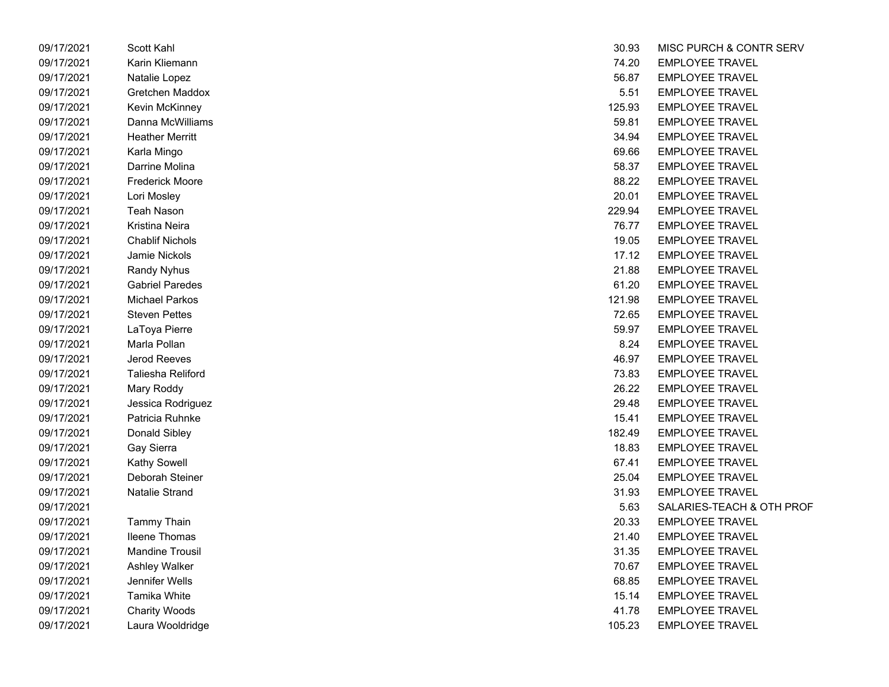| 09/17/2021 | Scott Kahl             | 30.93  | MISC PURCH & CON       |
|------------|------------------------|--------|------------------------|
| 09/17/2021 | Karin Kliemann         | 74.20  | <b>EMPLOYEE TRAVEL</b> |
| 09/17/2021 | Natalie Lopez          | 56.87  | <b>EMPLOYEE TRAVEL</b> |
| 09/17/2021 | Gretchen Maddox        | 5.51   | <b>EMPLOYEE TRAVEL</b> |
| 09/17/2021 | Kevin McKinney         | 125.93 | <b>EMPLOYEE TRAVEL</b> |
| 09/17/2021 | Danna McWilliams       | 59.81  | <b>EMPLOYEE TRAVEL</b> |
| 09/17/2021 | <b>Heather Merritt</b> | 34.94  | <b>EMPLOYEE TRAVEL</b> |
| 09/17/2021 | Karla Mingo            | 69.66  | <b>EMPLOYEE TRAVEL</b> |
| 09/17/2021 | Darrine Molina         | 58.37  | <b>EMPLOYEE TRAVEL</b> |
| 09/17/2021 | <b>Frederick Moore</b> | 88.22  | <b>EMPLOYEE TRAVEL</b> |
| 09/17/2021 | Lori Mosley            | 20.01  | <b>EMPLOYEE TRAVEL</b> |
| 09/17/2021 | <b>Teah Nason</b>      | 229.94 | <b>EMPLOYEE TRAVEL</b> |
| 09/17/2021 | Kristina Neira         | 76.77  | <b>EMPLOYEE TRAVEL</b> |
| 09/17/2021 | <b>Chablif Nichols</b> | 19.05  | <b>EMPLOYEE TRAVEL</b> |
| 09/17/2021 | Jamie Nickols          | 17.12  | <b>EMPLOYEE TRAVEL</b> |
| 09/17/2021 | <b>Randy Nyhus</b>     | 21.88  | <b>EMPLOYEE TRAVEL</b> |
| 09/17/2021 | <b>Gabriel Paredes</b> | 61.20  | <b>EMPLOYEE TRAVEL</b> |
| 09/17/2021 | <b>Michael Parkos</b>  | 121.98 | <b>EMPLOYEE TRAVEL</b> |
| 09/17/2021 | <b>Steven Pettes</b>   | 72.65  | <b>EMPLOYEE TRAVEL</b> |
| 09/17/2021 | LaToya Pierre          | 59.97  | <b>EMPLOYEE TRAVEL</b> |
| 09/17/2021 | Marla Pollan           | 8.24   | <b>EMPLOYEE TRAVEL</b> |
| 09/17/2021 | Jerod Reeves           | 46.97  | <b>EMPLOYEE TRAVEL</b> |
| 09/17/2021 | Taliesha Reliford      | 73.83  | <b>EMPLOYEE TRAVEL</b> |
| 09/17/2021 | Mary Roddy             | 26.22  | <b>EMPLOYEE TRAVEL</b> |
| 09/17/2021 | Jessica Rodriguez      | 29.48  | <b>EMPLOYEE TRAVEL</b> |
| 09/17/2021 | Patricia Ruhnke        | 15.41  | <b>EMPLOYEE TRAVEL</b> |
| 09/17/2021 | Donald Sibley          | 182.49 | <b>EMPLOYEE TRAVEL</b> |
| 09/17/2021 | Gay Sierra             | 18.83  | <b>EMPLOYEE TRAVEL</b> |
| 09/17/2021 | <b>Kathy Sowell</b>    | 67.41  | <b>EMPLOYEE TRAVEL</b> |
| 09/17/2021 | Deborah Steiner        | 25.04  | <b>EMPLOYEE TRAVEL</b> |
| 09/17/2021 | Natalie Strand         | 31.93  | <b>EMPLOYEE TRAVEL</b> |
| 09/17/2021 |                        | 5.63   | SALARIES-TEACH &       |
| 09/17/2021 | Tammy Thain            | 20.33  | <b>EMPLOYEE TRAVEL</b> |
| 09/17/2021 | <b>Ileene Thomas</b>   | 21.40  | <b>EMPLOYEE TRAVEL</b> |
| 09/17/2021 | <b>Mandine Trousil</b> | 31.35  | <b>EMPLOYEE TRAVEL</b> |
| 09/17/2021 | Ashley Walker          | 70.67  | <b>EMPLOYEE TRAVEL</b> |
| 09/17/2021 | Jennifer Wells         | 68.85  | <b>EMPLOYEE TRAVEL</b> |
| 09/17/2021 | Tamika White           | 15.14  | <b>EMPLOYEE TRAVEL</b> |
| 09/17/2021 | <b>Charity Woods</b>   | 41.78  | <b>EMPLOYEE TRAVEL</b> |
| 09/17/2021 | Laura Wooldridge       | 105.23 | <b>EMPLOYEE TRAVEL</b> |

| 09/17/2021 | Scott Kahl             | 30.93  | MISC PURCH & CONTR SERV   |
|------------|------------------------|--------|---------------------------|
| 09/17/2021 | Karin Kliemann         | 74.20  | <b>EMPLOYEE TRAVEL</b>    |
| 09/17/2021 | Natalie Lopez          | 56.87  | <b>EMPLOYEE TRAVEL</b>    |
| 09/17/2021 | Gretchen Maddox        | 5.51   | <b>EMPLOYEE TRAVEL</b>    |
| 09/17/2021 | Kevin McKinney         | 125.93 | <b>EMPLOYEE TRAVEL</b>    |
| 09/17/2021 | Danna McWilliams       | 59.81  | <b>EMPLOYEE TRAVEL</b>    |
| 09/17/2021 | <b>Heather Merritt</b> | 34.94  | <b>EMPLOYEE TRAVEL</b>    |
| 09/17/2021 | Karla Mingo            | 69.66  | <b>EMPLOYEE TRAVEL</b>    |
| 09/17/2021 | Darrine Molina         | 58.37  | <b>EMPLOYEE TRAVEL</b>    |
| 09/17/2021 | Frederick Moore        | 88.22  | <b>EMPLOYEE TRAVEL</b>    |
| 09/17/2021 | Lori Mosley            | 20.01  | <b>EMPLOYEE TRAVEL</b>    |
| 09/17/2021 | Teah Nason             | 229.94 | <b>EMPLOYEE TRAVEL</b>    |
| 09/17/2021 | Kristina Neira         | 76.77  | <b>EMPLOYEE TRAVEL</b>    |
| 09/17/2021 | <b>Chablif Nichols</b> | 19.05  | <b>EMPLOYEE TRAVEL</b>    |
| 09/17/2021 | Jamie Nickols          | 17.12  | <b>EMPLOYEE TRAVEL</b>    |
| 09/17/2021 | <b>Randy Nyhus</b>     | 21.88  | <b>EMPLOYEE TRAVEL</b>    |
| 09/17/2021 | <b>Gabriel Paredes</b> | 61.20  | <b>EMPLOYEE TRAVEL</b>    |
| 09/17/2021 | <b>Michael Parkos</b>  | 121.98 | <b>EMPLOYEE TRAVEL</b>    |
| 09/17/2021 | <b>Steven Pettes</b>   | 72.65  | <b>EMPLOYEE TRAVEL</b>    |
| 09/17/2021 | LaToya Pierre          | 59.97  | <b>EMPLOYEE TRAVEL</b>    |
| 09/17/2021 | Marla Pollan           | 8.24   | <b>EMPLOYEE TRAVEL</b>    |
| 09/17/2021 | Jerod Reeves           | 46.97  | <b>EMPLOYEE TRAVEL</b>    |
| 09/17/2021 | Taliesha Reliford      | 73.83  | <b>EMPLOYEE TRAVEL</b>    |
| 09/17/2021 | Mary Roddy             | 26.22  | <b>EMPLOYEE TRAVEL</b>    |
| 09/17/2021 | Jessica Rodriguez      | 29.48  | <b>EMPLOYEE TRAVEL</b>    |
| 09/17/2021 | Patricia Ruhnke        | 15.41  | <b>EMPLOYEE TRAVEL</b>    |
| 09/17/2021 | Donald Sibley          | 182.49 | <b>EMPLOYEE TRAVEL</b>    |
| 09/17/2021 | Gay Sierra             | 18.83  | <b>EMPLOYEE TRAVEL</b>    |
| 09/17/2021 | <b>Kathy Sowell</b>    | 67.41  | <b>EMPLOYEE TRAVEL</b>    |
| 09/17/2021 | Deborah Steiner        | 25.04  | <b>EMPLOYEE TRAVEL</b>    |
| 09/17/2021 | <b>Natalie Strand</b>  | 31.93  | <b>EMPLOYEE TRAVEL</b>    |
| 09/17/2021 |                        | 5.63   | SALARIES-TEACH & OTH PROF |
| 09/17/2021 | <b>Tammy Thain</b>     | 20.33  | <b>EMPLOYEE TRAVEL</b>    |
| 09/17/2021 | <b>Ileene Thomas</b>   | 21.40  | <b>EMPLOYEE TRAVEL</b>    |
| 09/17/2021 | <b>Mandine Trousil</b> | 31.35  | <b>EMPLOYEE TRAVEL</b>    |
| 09/17/2021 | Ashley Walker          | 70.67  | <b>EMPLOYEE TRAVEL</b>    |
| 09/17/2021 | Jennifer Wells         | 68.85  | <b>EMPLOYEE TRAVEL</b>    |
| 09/17/2021 | Tamika White           | 15.14  | <b>EMPLOYEE TRAVEL</b>    |
| 09/17/2021 | <b>Charity Woods</b>   | 41.78  | <b>EMPLOYEE TRAVEL</b>    |
| 09/17/2021 | Laura Wooldridge       | 105.23 | <b>EMPLOYEE TRAVEL</b>    |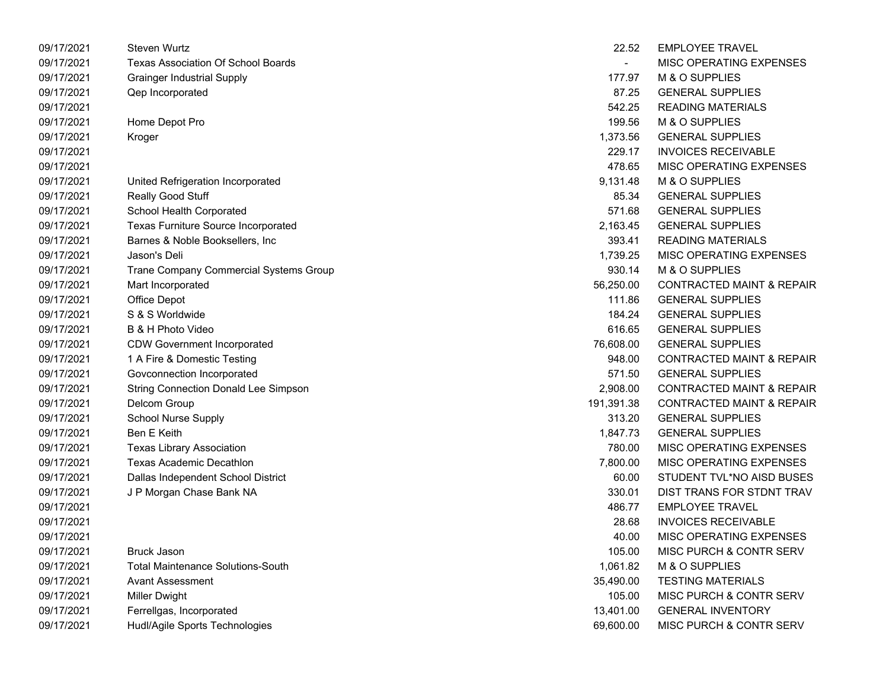| 09/17/2021 | <b>Steven Wurtz</b>                         | 22.52      | <b>EMPLOYEE TRAVEL</b>               |
|------------|---------------------------------------------|------------|--------------------------------------|
| 09/17/2021 | Texas Association Of School Boards          |            | MISC OPERATING EXPENSES              |
| 09/17/2021 | <b>Grainger Industrial Supply</b>           | 177.97     | M & O SUPPLIES                       |
| 09/17/2021 | Qep Incorporated                            | 87.25      | <b>GENERAL SUPPLIES</b>              |
| 09/17/2021 |                                             | 542.25     | <b>READING MATERIALS</b>             |
| 09/17/2021 | Home Depot Pro                              | 199.56     | M & O SUPPLIES                       |
| 09/17/2021 | Kroger                                      | 1,373.56   | <b>GENERAL SUPPLIES</b>              |
| 09/17/2021 |                                             | 229.17     | <b>INVOICES RECEIVABLE</b>           |
| 09/17/2021 |                                             | 478.65     | MISC OPERATING EXPENSES              |
| 09/17/2021 | United Refrigeration Incorporated           | 9,131.48   | M & O SUPPLIES                       |
| 09/17/2021 | Really Good Stuff                           | 85.34      | <b>GENERAL SUPPLIES</b>              |
| 09/17/2021 | School Health Corporated                    | 571.68     | <b>GENERAL SUPPLIES</b>              |
| 09/17/2021 | Texas Furniture Source Incorporated         | 2,163.45   | <b>GENERAL SUPPLIES</b>              |
| 09/17/2021 | Barnes & Noble Booksellers, Inc             | 393.41     | <b>READING MATERIALS</b>             |
| 09/17/2021 | Jason's Deli                                | 1,739.25   | MISC OPERATING EXPENSES              |
| 09/17/2021 | Trane Company Commercial Systems Group      | 930.14     | M & O SUPPLIES                       |
| 09/17/2021 | Mart Incorporated                           | 56,250.00  | <b>CONTRACTED MAINT &amp; REPAIR</b> |
| 09/17/2021 | <b>Office Depot</b>                         | 111.86     | <b>GENERAL SUPPLIES</b>              |
| 09/17/2021 | S & S Worldwide                             | 184.24     | <b>GENERAL SUPPLIES</b>              |
| 09/17/2021 | B & H Photo Video                           | 616.65     | <b>GENERAL SUPPLIES</b>              |
| 09/17/2021 | <b>CDW Government Incorporated</b>          | 76,608.00  | <b>GENERAL SUPPLIES</b>              |
| 09/17/2021 | 1 A Fire & Domestic Testing                 | 948.00     | <b>CONTRACTED MAINT &amp; REPAIR</b> |
| 09/17/2021 | Govconnection Incorporated                  | 571.50     | <b>GENERAL SUPPLIES</b>              |
| 09/17/2021 | <b>String Connection Donald Lee Simpson</b> | 2,908.00   | <b>CONTRACTED MAINT &amp; REPAIR</b> |
| 09/17/2021 | Delcom Group                                | 191,391.38 | <b>CONTRACTED MAINT &amp; REPAIR</b> |
| 09/17/2021 | <b>School Nurse Supply</b>                  | 313.20     | <b>GENERAL SUPPLIES</b>              |
| 09/17/2021 | Ben E Keith                                 | 1,847.73   | <b>GENERAL SUPPLIES</b>              |
| 09/17/2021 | <b>Texas Library Association</b>            | 780.00     | MISC OPERATING EXPENSES              |
| 09/17/2021 | <b>Texas Academic Decathlon</b>             | 7,800.00   | MISC OPERATING EXPENSES              |
| 09/17/2021 | Dallas Independent School District          | 60.00      | STUDENT TVL*NO AISD BUSES            |
| 09/17/2021 | J P Morgan Chase Bank NA                    | 330.01     | DIST TRANS FOR STDNT TRAV            |
| 09/17/2021 |                                             | 486.77     | <b>EMPLOYEE TRAVEL</b>               |
| 09/17/2021 |                                             | 28.68      | <b>INVOICES RECEIVABLE</b>           |
| 09/17/2021 |                                             | 40.00      | MISC OPERATING EXPENSES              |
| 09/17/2021 | <b>Bruck Jason</b>                          | 105.00     | MISC PURCH & CONTR SERV              |
| 09/17/2021 | <b>Total Maintenance Solutions-South</b>    | 1,061.82   | M & O SUPPLIES                       |
| 09/17/2021 | <b>Avant Assessment</b>                     | 35,490.00  | <b>TESTING MATERIALS</b>             |
| 09/17/2021 | <b>Miller Dwight</b>                        | 105.00     | MISC PURCH & CONTR SERV              |
| 09/17/2021 | Ferrellgas, Incorporated                    | 13,401.00  | <b>GENERAL INVENTORY</b>             |
| 09/17/2021 | Hudl/Agile Sports Technologies              | 69,600.00  | MISC PURCH & CONTR SERV              |

| 22.52      | <b>EMPLOYEE TRAVEL</b>               |
|------------|--------------------------------------|
|            | <b>MISC OPERATING EXPENSES</b>       |
| 177.97     | M & O SUPPLIES                       |
| 87.25      | <b>GENERAL SUPPLIES</b>              |
| 542.25     | <b>READING MATERIALS</b>             |
| 199.56     | M & O SUPPLIES                       |
|            | 1,373.56 GENERAL SUPPLIES            |
|            | 229.17 INVOICES RECEIVABLE           |
| 478.65     | MISC OPERATING EXPENSES              |
| 9,131.48   | M & O SUPPLIES                       |
| 85.34      | <b>GENERAL SUPPLIES</b>              |
| 571.68     | <b>GENERAL SUPPLIES</b>              |
| 2,163.45   | <b>GENERAL SUPPLIES</b>              |
| 393.41     | <b>READING MATERIALS</b>             |
| 1,739.25   | MISC OPERATING EXPENSES              |
|            | 930.14 M & O SUPPLIES                |
|            | 56,250.00 CONTRACTED MAINT & REPAIR  |
| 111.86     | <b>GENERAL SUPPLIES</b>              |
| 184.24     | <b>GENERAL SUPPLIES</b>              |
| 616.65     | <b>GENERAL SUPPLIES</b>              |
| 76,608.00  | <b>GENERAL SUPPLIES</b>              |
| 948.00     | <b>CONTRACTED MAINT &amp; REPAIR</b> |
| 571.50     | <b>GENERAL SUPPLIES</b>              |
| 2,908.00   | <b>CONTRACTED MAINT &amp; REPAIR</b> |
| 191,391.38 | <b>CONTRACTED MAINT &amp; REPAIR</b> |
| 313.20     | <b>GENERAL SUPPLIES</b>              |
| 1,847.73   | <b>GENERAL SUPPLIES</b>              |
| 780.00     | MISC OPERATING EXPENSES              |
| 7,800.00   | MISC OPERATING EXPENSES              |
| 60.00      | STUDENT TVL*NO AISD BUSES            |
| 330.01     | DIST TRANS FOR STDNT TRAV            |
| 486.77     | <b>EMPLOYEE TRAVEL</b>               |
| 28.68      | <b>INVOICES RECEIVABLE</b>           |
| 40.00      | <b>MISC OPERATING EXPENSES</b>       |
| 105.00     | <b>MISC PURCH &amp; CONTR SERV</b>   |
| 1,061.82   | M & O SUPPLIES                       |
| 35,490.00  | <b>TESTING MATERIALS</b>             |
| 105.00     | MISC PURCH & CONTR SERV              |
| 13,401.00  | <b>GENERAL INVENTORY</b>             |
| 69,600.00  | MISC PURCH & CONTR SERV              |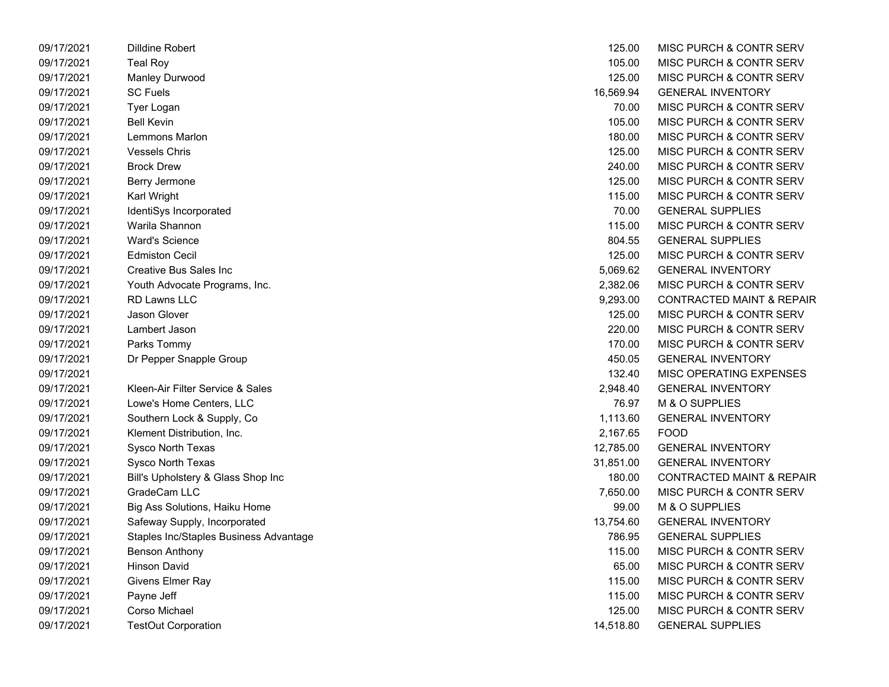| 09/17/2021 | <b>Dilldine Robert</b>                 | 125.00    | <b>MISC PURCH &amp; CONTR SERV</b>   |
|------------|----------------------------------------|-----------|--------------------------------------|
| 09/17/2021 | <b>Teal Roy</b>                        | 105.00    | MISC PURCH & CONTR SERV              |
| 09/17/2021 | Manley Durwood                         | 125.00    | MISC PURCH & CONTR SERV              |
| 09/17/2021 | <b>SC Fuels</b>                        | 16,569.94 | <b>GENERAL INVENTORY</b>             |
| 09/17/2021 | Tyer Logan                             | 70.00     | MISC PURCH & CONTR SERV              |
| 09/17/2021 | <b>Bell Kevin</b>                      | 105.00    | MISC PURCH & CONTR SERV              |
| 09/17/2021 | Lemmons Marlon                         | 180.00    | MISC PURCH & CONTR SERV              |
| 09/17/2021 | <b>Vessels Chris</b>                   | 125.00    | MISC PURCH & CONTR SERV              |
| 09/17/2021 | <b>Brock Drew</b>                      | 240.00    | MISC PURCH & CONTR SERV              |
| 09/17/2021 | Berry Jermone                          | 125.00    | MISC PURCH & CONTR SERV              |
| 09/17/2021 | Karl Wright                            | 115.00    | MISC PURCH & CONTR SERV              |
| 09/17/2021 | IdentiSys Incorporated                 | 70.00     | <b>GENERAL SUPPLIES</b>              |
| 09/17/2021 | Warila Shannon                         | 115.00    | MISC PURCH & CONTR SERV              |
| 09/17/2021 | <b>Ward's Science</b>                  | 804.55    | <b>GENERAL SUPPLIES</b>              |
| 09/17/2021 | <b>Edmiston Cecil</b>                  | 125.00    | MISC PURCH & CONTR SERV              |
| 09/17/2021 | Creative Bus Sales Inc                 | 5,069.62  | <b>GENERAL INVENTORY</b>             |
| 09/17/2021 | Youth Advocate Programs, Inc.          | 2,382.06  | MISC PURCH & CONTR SERV              |
| 09/17/2021 | RD Lawns LLC                           | 9,293.00  | <b>CONTRACTED MAINT &amp; REPAIR</b> |
| 09/17/2021 | Jason Glover                           | 125.00    | MISC PURCH & CONTR SERV              |
| 09/17/2021 | Lambert Jason                          | 220.00    | MISC PURCH & CONTR SERV              |
| 09/17/2021 | Parks Tommy                            | 170.00    | MISC PURCH & CONTR SERV              |
| 09/17/2021 | Dr Pepper Snapple Group                | 450.05    | <b>GENERAL INVENTORY</b>             |
| 09/17/2021 |                                        | 132.40    | MISC OPERATING EXPENSES              |
| 09/17/2021 | Kleen-Air Filter Service & Sales       | 2,948.40  | <b>GENERAL INVENTORY</b>             |
| 09/17/2021 | Lowe's Home Centers, LLC               | 76.97     | M & O SUPPLIES                       |
| 09/17/2021 | Southern Lock & Supply, Co             | 1,113.60  | <b>GENERAL INVENTORY</b>             |
| 09/17/2021 | Klement Distribution, Inc.             | 2,167.65  | <b>FOOD</b>                          |
| 09/17/2021 | Sysco North Texas                      | 12,785.00 | <b>GENERAL INVENTORY</b>             |
| 09/17/2021 | Sysco North Texas                      | 31,851.00 | <b>GENERAL INVENTORY</b>             |
| 09/17/2021 | Bill's Upholstery & Glass Shop Inc     | 180.00    | <b>CONTRACTED MAINT &amp; REPAIR</b> |
| 09/17/2021 | GradeCam LLC                           | 7,650.00  | MISC PURCH & CONTR SERV              |
| 09/17/2021 | Big Ass Solutions, Haiku Home          | 99.00     | M & O SUPPLIES                       |
| 09/17/2021 | Safeway Supply, Incorporated           | 13,754.60 | <b>GENERAL INVENTORY</b>             |
| 09/17/2021 | Staples Inc/Staples Business Advantage | 786.95    | <b>GENERAL SUPPLIES</b>              |
| 09/17/2021 | Benson Anthony                         | 115.00    | MISC PURCH & CONTR SERV              |
| 09/17/2021 | <b>Hinson David</b>                    | 65.00     | MISC PURCH & CONTR SERV              |
| 09/17/2021 | Givens Elmer Ray                       | 115.00    | MISC PURCH & CONTR SERV              |
| 09/17/2021 | Payne Jeff                             | 115.00    | MISC PURCH & CONTR SERV              |
| 09/17/2021 | Corso Michael                          | 125.00    | MISC PURCH & CONTR SERV              |
| 09/17/2021 | <b>TestOut Corporation</b>             | 14,518.80 | <b>GENERAL SUPPLIES</b>              |

| 125.00    | <b>MISC PURCH &amp; CONTR SERV</b>   |
|-----------|--------------------------------------|
| 105.00    | <b>MISC PURCH &amp; CONTR SERV</b>   |
| 125.00    | <b>MISC PURCH &amp; CONTR SERV</b>   |
| 16,569.94 | <b>GENERAL INVENTORY</b>             |
| 70.00     | <b>MISC PURCH &amp; CONTR SERV</b>   |
| 105.00    | MISC PURCH & CONTR SERV              |
| 180.00    | <b>MISC PURCH &amp; CONTR SERV</b>   |
| 125.00    | MISC PURCH & CONTR SERV              |
| 240.00    | <b>MISC PURCH &amp; CONTR SERV</b>   |
| 125.00    | <b>MISC PURCH &amp; CONTR SERV</b>   |
| 115.00    | MISC PURCH & CONTR SERV              |
| 70.00     | <b>GENERAL SUPPLIES</b>              |
| 115.00    | <b>MISC PURCH &amp; CONTR SERV</b>   |
| 804.55    | <b>GENERAL SUPPLIES</b>              |
| 125.00    | <b>MISC PURCH &amp; CONTR SERV</b>   |
| 5,069.62  | <b>GENERAL INVENTORY</b>             |
| 2,382.06  | MISC PURCH & CONTR SERV              |
| 9,293.00  | <b>CONTRACTED MAINT &amp; REPAIR</b> |
| 125.00    | <b>MISC PURCH &amp; CONTR SERV</b>   |
| 220.00    | <b>MISC PURCH &amp; CONTR SERV</b>   |
| 170.00    | MISC PURCH & CONTR SERV              |
| 450.05    | <b>GENERAL INVENTORY</b>             |
| 132.40    | MISC OPERATING EXPENSES              |
| 2,948.40  | <b>GENERAL INVENTORY</b>             |
| 76.97     | <b>M &amp; O SUPPLIES</b>            |
| 1,113.60  | <b>GENERAL INVENTORY</b>             |
| 2,167.65  | <b>FOOD</b>                          |
| 12,785.00 | <b>GENERAL INVENTORY</b>             |
| 31,851.00 | <b>GENERAL INVENTORY</b>             |
| 180.00    | <b>CONTRACTED MAINT &amp; REPAIR</b> |
| 7,650.00  | <b>MISC PURCH &amp; CONTR SERV</b>   |
| 99.00     | <b>M &amp; O SUPPLIES</b>            |
| 13,754.60 | <b>GENERAL INVENTORY</b>             |
| 786.95    | <b>GENERAL SUPPLIES</b>              |
| 115.00    | <b>MISC PURCH &amp; CONTR SERV</b>   |
| 65.00     | MISC PURCH & CONTR SERV              |
| 115.00    | <b>MISC PURCH &amp; CONTR SERV</b>   |
| 115.00    | <b>MISC PURCH &amp; CONTR SERV</b>   |
| 125.00    | MISC PURCH & CONTR SERV              |
| 14,518.80 | <b>GENERAL SUPPLIES</b>              |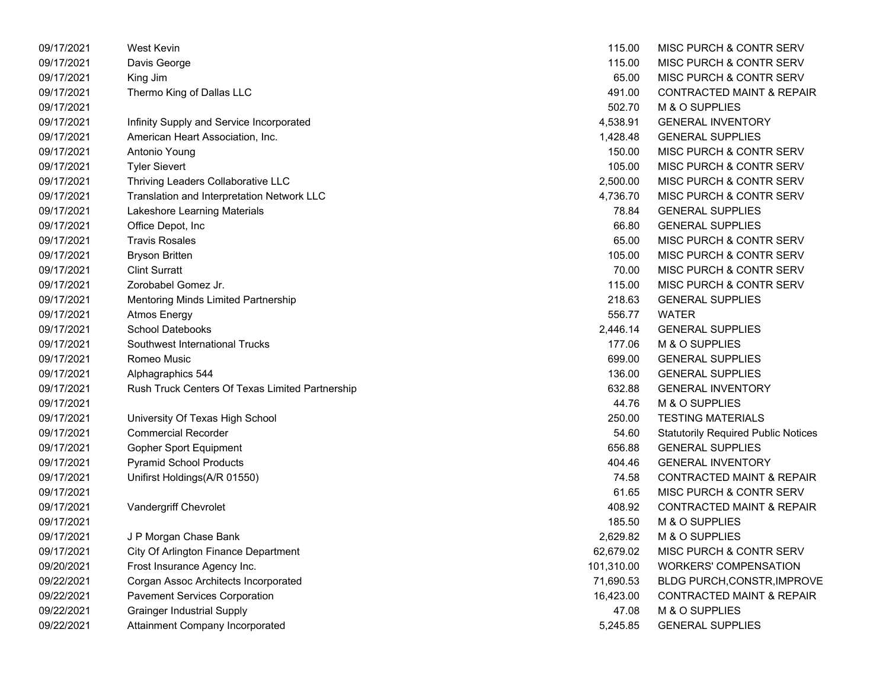| 09/17/2021 | <b>West Kevin</b>                               | 115.00     | MISC PURCH & CONTR SERV                    |
|------------|-------------------------------------------------|------------|--------------------------------------------|
| 09/17/2021 | Davis George                                    | 115.00     | MISC PURCH & CONTR SERV                    |
| 09/17/2021 | King Jim                                        | 65.00      | MISC PURCH & CONTR SERV                    |
| 09/17/2021 | Thermo King of Dallas LLC                       | 491.00     | <b>CONTRACTED MAINT &amp; REPAIR</b>       |
| 09/17/2021 |                                                 | 502.70     | M & O SUPPLIES                             |
| 09/17/2021 | Infinity Supply and Service Incorporated        | 4,538.91   | <b>GENERAL INVENTORY</b>                   |
| 09/17/2021 | American Heart Association, Inc.                | 1,428.48   | <b>GENERAL SUPPLIES</b>                    |
| 09/17/2021 | Antonio Young                                   | 150.00     | MISC PURCH & CONTR SERV                    |
| 09/17/2021 | <b>Tyler Sievert</b>                            | 105.00     | MISC PURCH & CONTR SERV                    |
| 09/17/2021 | Thriving Leaders Collaborative LLC              | 2,500.00   | MISC PURCH & CONTR SERV                    |
| 09/17/2021 | Translation and Interpretation Network LLC      | 4,736.70   | MISC PURCH & CONTR SERV                    |
| 09/17/2021 | Lakeshore Learning Materials                    | 78.84      | <b>GENERAL SUPPLIES</b>                    |
| 09/17/2021 | Office Depot, Inc                               | 66.80      | <b>GENERAL SUPPLIES</b>                    |
| 09/17/2021 | <b>Travis Rosales</b>                           | 65.00      | MISC PURCH & CONTR SERV                    |
| 09/17/2021 | <b>Bryson Britten</b>                           | 105.00     | MISC PURCH & CONTR SERV                    |
| 09/17/2021 | <b>Clint Surratt</b>                            | 70.00      | MISC PURCH & CONTR SERV                    |
| 09/17/2021 | Zorobabel Gomez Jr.                             | 115.00     | MISC PURCH & CONTR SERV                    |
| 09/17/2021 | Mentoring Minds Limited Partnership             | 218.63     | <b>GENERAL SUPPLIES</b>                    |
| 09/17/2021 | <b>Atmos Energy</b>                             | 556.77     | <b>WATER</b>                               |
| 09/17/2021 | <b>School Datebooks</b>                         | 2,446.14   | <b>GENERAL SUPPLIES</b>                    |
| 09/17/2021 | Southwest International Trucks                  | 177.06     | M & O SUPPLIES                             |
| 09/17/2021 | Romeo Music                                     | 699.00     | <b>GENERAL SUPPLIES</b>                    |
| 09/17/2021 | Alphagraphics 544                               | 136.00     | <b>GENERAL SUPPLIES</b>                    |
| 09/17/2021 | Rush Truck Centers Of Texas Limited Partnership | 632.88     | <b>GENERAL INVENTORY</b>                   |
| 09/17/2021 |                                                 | 44.76      | M & O SUPPLIES                             |
| 09/17/2021 | University Of Texas High School                 | 250.00     | <b>TESTING MATERIALS</b>                   |
| 09/17/2021 | <b>Commercial Recorder</b>                      | 54.60      | <b>Statutorily Required Public Notices</b> |
| 09/17/2021 | Gopher Sport Equipment                          | 656.88     | <b>GENERAL SUPPLIES</b>                    |
| 09/17/2021 | <b>Pyramid School Products</b>                  | 404.46     | <b>GENERAL INVENTORY</b>                   |
| 09/17/2021 | Unifirst Holdings(A/R 01550)                    | 74.58      | <b>CONTRACTED MAINT &amp; REPAIR</b>       |
| 09/17/2021 |                                                 | 61.65      | MISC PURCH & CONTR SERV                    |
| 09/17/2021 | Vandergriff Chevrolet                           | 408.92     | <b>CONTRACTED MAINT &amp; REPAIR</b>       |
| 09/17/2021 |                                                 | 185.50     | M & O SUPPLIES                             |
| 09/17/2021 | J P Morgan Chase Bank                           | 2,629.82   | M & O SUPPLIES                             |
| 09/17/2021 | City Of Arlington Finance Department            | 62,679.02  | MISC PURCH & CONTR SERV                    |
| 09/20/2021 | Frost Insurance Agency Inc.                     | 101,310.00 | <b>WORKERS' COMPENSATION</b>               |
| 09/22/2021 | Corgan Assoc Architects Incorporated            | 71,690.53  | BLDG PURCH, CONSTR, IMPROVE                |
| 09/22/2021 | <b>Pavement Services Corporation</b>            | 16,423.00  | <b>CONTRACTED MAINT &amp; REPAIR</b>       |
| 09/22/2021 | <b>Grainger Industrial Supply</b>               | 47.08      | M & O SUPPLIES                             |
| 09/22/2021 | Attainment Company Incorporated                 | 5,245.85   | <b>GENERAL SUPPLIES</b>                    |

| 115.00    | MISC PURCH & CONTR SERV                    |
|-----------|--------------------------------------------|
| 115.00    | MISC PURCH & CONTR SERV                    |
| 65.00     | MISC PURCH & CONTR SERV                    |
| 491.00    | <b>CONTRACTED MAINT &amp; REPAIR</b>       |
| 502.70    | M & O SUPPLIES                             |
| 4,538.91  | <b>GENERAL INVENTORY</b>                   |
| 1,428.48  | <b>GENERAL SUPPLIES</b>                    |
|           | 150.00 MISC PURCH & CONTR SERV             |
| 105.00    | MISC PURCH & CONTR SERV                    |
| 2,500.00  | MISC PURCH & CONTR SERV                    |
| 4,736.70  | MISC PURCH & CONTR SERV                    |
|           | 78.84 GENERAL SUPPLIES                     |
|           | 66.80 GENERAL SUPPLIES                     |
| 65.00     | MISC PURCH & CONTR SERV                    |
| 105.00    | MISC PURCH & CONTR SERV                    |
| 70.00     | MISC PURCH & CONTR SERV                    |
|           | 115.00 MISC PURCH & CONTR SERV             |
|           | 218.63 GENERAL SUPPLIES                    |
| 556.77    | WATER                                      |
| 2,446.14  | <b>GENERAL SUPPLIES</b>                    |
|           | 177.06 M & O SUPPLIES                      |
|           | 699.00 GENERAL SUPPLIES                    |
|           | 136.00 GENERAL SUPPLIES                    |
| 632.88    | GENERAL INVENTORY                          |
| 44.76     | M & O SUPPLIES                             |
| 250.00    | <b>TESTING MATERIALS</b>                   |
| 54.60     | <b>Statutorily Required Public Notices</b> |
| 656.88    | <b>GENERAL SUPPLIES</b>                    |
| 404.46    | <b>GENERAL INVENTORY</b>                   |
| 74.58     | <b>CONTRACTED MAINT &amp; REPAIR</b>       |
| 61.65     | MISC PURCH & CONTR SERV                    |
| 408.92    | <b>CONTRACTED MAINT &amp; REPAIR</b>       |
|           | 185.50 M & O SUPPLIES                      |
| 2,629.82  | M & O SUPPLIES                             |
| 62,679.02 | MISC PURCH & CONTR SERV                    |
| 01,310.00 | <b>WORKERS' COMPENSATION</b>               |
| 71,690.53 | BLDG PURCH, CONSTR, IMPROVE                |
| 16,423.00 | <b>CONTRACTED MAINT &amp; REPAIR</b>       |
| 47.08     | M & O SUPPLIES                             |
| 5,245.85  | <b>GENERAL SUPPLIES</b>                    |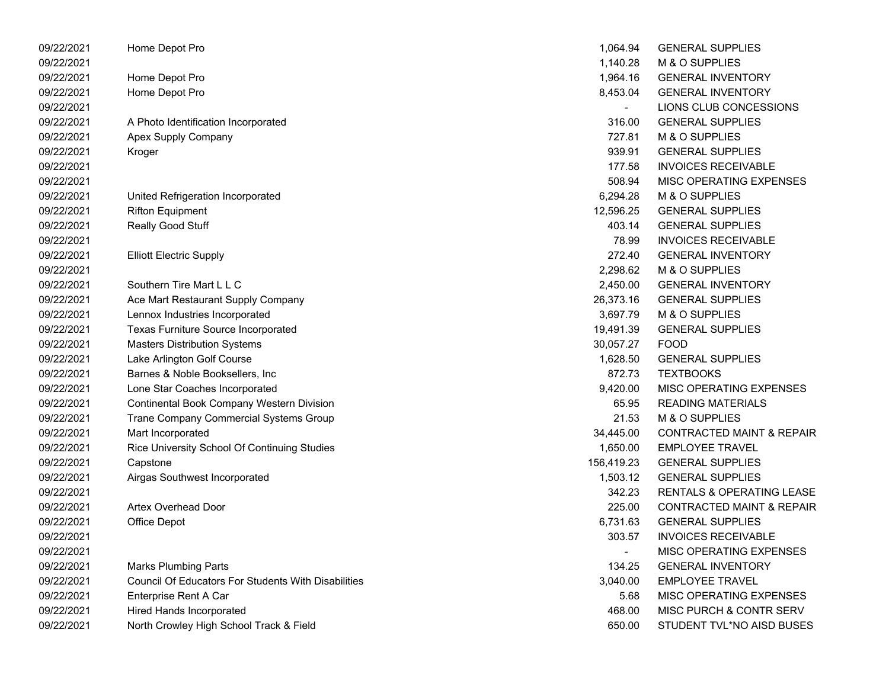| 09/22/2021 | Home Depot Pro                                             | 1,064.94       | <b>GENERAL SUPPLIES</b>              |
|------------|------------------------------------------------------------|----------------|--------------------------------------|
| 09/22/2021 |                                                            | 1,140.28       | M & O SUPPLIES                       |
| 09/22/2021 | Home Depot Pro                                             | 1,964.16       | <b>GENERAL INVENTORY</b>             |
| 09/22/2021 | Home Depot Pro                                             | 8,453.04       | <b>GENERAL INVENTORY</b>             |
| 09/22/2021 |                                                            |                | LIONS CLUB CONCESSIONS               |
| 09/22/2021 | A Photo Identification Incorporated                        | 316.00         | <b>GENERAL SUPPLIES</b>              |
| 09/22/2021 | Apex Supply Company                                        | 727.81         | M & O SUPPLIES                       |
| 09/22/2021 | Kroger                                                     | 939.91         | <b>GENERAL SUPPLIES</b>              |
| 09/22/2021 |                                                            | 177.58         | <b>INVOICES RECEIVABLE</b>           |
| 09/22/2021 |                                                            | 508.94         | MISC OPERATING EXPENSES              |
| 09/22/2021 | United Refrigeration Incorporated                          | 6,294.28       | M & O SUPPLIES                       |
| 09/22/2021 | <b>Rifton Equipment</b>                                    | 12,596.25      | <b>GENERAL SUPPLIES</b>              |
| 09/22/2021 | Really Good Stuff                                          | 403.14         | <b>GENERAL SUPPLIES</b>              |
| 09/22/2021 |                                                            | 78.99          | <b>INVOICES RECEIVABLE</b>           |
| 09/22/2021 | <b>Elliott Electric Supply</b>                             | 272.40         | <b>GENERAL INVENTORY</b>             |
| 09/22/2021 |                                                            | 2,298.62       | M & O SUPPLIES                       |
| 09/22/2021 | Southern Tire Mart L L C                                   | 2,450.00       | <b>GENERAL INVENTORY</b>             |
| 09/22/2021 | Ace Mart Restaurant Supply Company                         | 26,373.16      | <b>GENERAL SUPPLIES</b>              |
| 09/22/2021 | Lennox Industries Incorporated                             | 3,697.79       | M & O SUPPLIES                       |
| 09/22/2021 | Texas Furniture Source Incorporated                        | 19,491.39      | <b>GENERAL SUPPLIES</b>              |
| 09/22/2021 | <b>Masters Distribution Systems</b>                        | 30,057.27      | <b>FOOD</b>                          |
| 09/22/2021 | Lake Arlington Golf Course                                 | 1,628.50       | <b>GENERAL SUPPLIES</b>              |
| 09/22/2021 | Barnes & Noble Booksellers, Inc                            | 872.73         | <b>TEXTBOOKS</b>                     |
| 09/22/2021 | Lone Star Coaches Incorporated                             | 9,420.00       | MISC OPERATING EXPENSES              |
| 09/22/2021 | Continental Book Company Western Division                  | 65.95          | <b>READING MATERIALS</b>             |
| 09/22/2021 | Trane Company Commercial Systems Group                     | 21.53          | M & O SUPPLIES                       |
| 09/22/2021 | Mart Incorporated                                          | 34,445.00      | <b>CONTRACTED MAINT &amp; REPAIR</b> |
| 09/22/2021 | Rice University School Of Continuing Studies               | 1,650.00       | <b>EMPLOYEE TRAVEL</b>               |
| 09/22/2021 | Capstone                                                   | 156,419.23     | <b>GENERAL SUPPLIES</b>              |
| 09/22/2021 | Airgas Southwest Incorporated                              | 1,503.12       | <b>GENERAL SUPPLIES</b>              |
| 09/22/2021 |                                                            | 342.23         | <b>RENTALS &amp; OPERATING LEASE</b> |
| 09/22/2021 | <b>Artex Overhead Door</b>                                 | 225.00         | <b>CONTRACTED MAINT &amp; REPAIR</b> |
| 09/22/2021 | Office Depot                                               | 6,731.63       | <b>GENERAL SUPPLIES</b>              |
| 09/22/2021 |                                                            | 303.57         | <b>INVOICES RECEIVABLE</b>           |
| 09/22/2021 |                                                            | $\blacksquare$ | MISC OPERATING EXPENSES              |
| 09/22/2021 | <b>Marks Plumbing Parts</b>                                | 134.25         | <b>GENERAL INVENTORY</b>             |
| 09/22/2021 | <b>Council Of Educators For Students With Disabilities</b> | 3,040.00       | <b>EMPLOYEE TRAVEL</b>               |
| 09/22/2021 | Enterprise Rent A Car                                      | 5.68           | MISC OPERATING EXPENSES              |
| 09/22/2021 | <b>Hired Hands Incorporated</b>                            | 468.00         | MISC PURCH & CONTR SERV              |
| 09/22/2021 | North Crowley High School Track & Field                    | 650.00         | STUDENT TVL*NO AISD BUSES            |

| 1,064.94   | <b>GENERAL SUPPLIES</b>              |
|------------|--------------------------------------|
| 1,140.28   | M & O SUPPLIES                       |
| 1,964.16   | <b>GENERAL INVENTORY</b>             |
| 8,453.04   | <b>GENERAL INVENTORY</b>             |
|            | LIONS CLUB CONCESSIONS               |
| 316.00     | <b>GENERAL SUPPLIES</b>              |
| 727.81     | M & O SUPPLIES                       |
| 939.91     | <b>GENERAL SUPPLIES</b>              |
| 177.58     | <b>INVOICES RECEIVABLE</b>           |
| 508.94     | MISC OPERATING EXPENSES              |
| 6,294.28   | M & O SUPPLIES                       |
| 12,596.25  | <b>GENERAL SUPPLIES</b>              |
| 403.14     | <b>GENERAL SUPPLIES</b>              |
| 78.99      | <b>INVOICES RECEIVABLE</b>           |
| 272.40     | <b>GENERAL INVENTORY</b>             |
| 2,298.62   | M & O SUPPLIES                       |
| 2,450.00   | <b>GENERAL INVENTORY</b>             |
| 26,373.16  | <b>GENERAL SUPPLIES</b>              |
| 3,697.79   | M & O SUPPLIES                       |
| 19,491.39  | <b>GENERAL SUPPLIES</b>              |
| 30,057.27  | <b>FOOD</b>                          |
| 1,628.50   | <b>GENERAL SUPPLIES</b>              |
| 872.73     | <b>TEXTBOOKS</b>                     |
| 9,420.00   | MISC OPERATING EXPENSES              |
| 65.95      | <b>READING MATERIALS</b>             |
| 21.53      | M & O SUPPLIES                       |
| 34,445.00  | <b>CONTRACTED MAINT &amp; REPAIR</b> |
| 1,650.00   | <b>EMPLOYEE TRAVEL</b>               |
| 156,419.23 | <b>GENERAL SUPPLIES</b>              |
| 1,503.12   | <b>GENERAL SUPPLIES</b>              |
| 342.23     | <b>RENTALS &amp; OPERATING LEASE</b> |
| 225.00     | <b>CONTRACTED MAINT &amp; REPAIR</b> |
| 6,731.63   | <b>GENERAL SUPPLIES</b>              |
| 303.57     | <b>INVOICES RECEIVABLE</b>           |
|            | MISC OPERATING EXPENSES              |
| 134.25     | <b>GENERAL INVENTORY</b>             |
| 3,040.00   | <b>EMPLOYEE TRAVEL</b>               |
| 5.68       | <b>MISC OPERATING EXPENSES</b>       |
| 468.00     | <b>MISC PURCH &amp; CONTR SERV</b>   |
| 650.00     | STUDENT TVL*NO AISD BUSES            |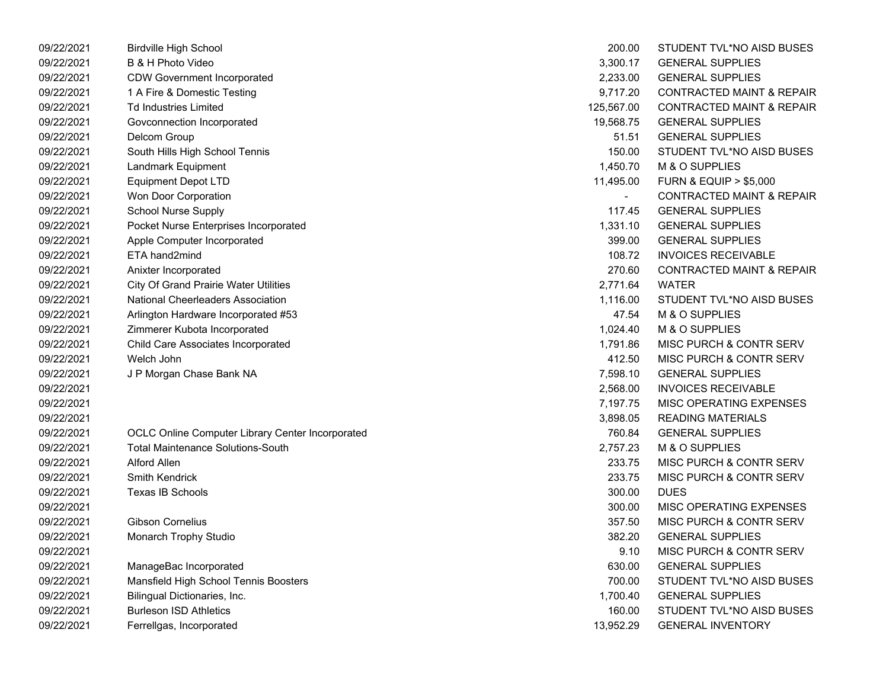| 09/22/2021 | <b>Birdville High School</b>                     | 200.00                   | STUDENT TVL*NO AISD BUSES            |
|------------|--------------------------------------------------|--------------------------|--------------------------------------|
| 09/22/2021 | B & H Photo Video                                | 3,300.17                 | <b>GENERAL SUPPLIES</b>              |
| 09/22/2021 | <b>CDW Government Incorporated</b>               | 2,233.00                 | <b>GENERAL SUPPLIES</b>              |
| 09/22/2021 | 1 A Fire & Domestic Testing                      | 9,717.20                 | <b>CONTRACTED MAINT &amp; REPAIR</b> |
| 09/22/2021 | <b>Td Industries Limited</b>                     | 125,567.00               | <b>CONTRACTED MAINT &amp; REPAIR</b> |
| 09/22/2021 | Govconnection Incorporated                       | 19,568.75                | <b>GENERAL SUPPLIES</b>              |
| 09/22/2021 | Delcom Group                                     | 51.51                    | <b>GENERAL SUPPLIES</b>              |
| 09/22/2021 | South Hills High School Tennis                   | 150.00                   | STUDENT TVL*NO AISD BUSES            |
| 09/22/2021 | Landmark Equipment                               | 1,450.70                 | M & O SUPPLIES                       |
| 09/22/2021 | <b>Equipment Depot LTD</b>                       | 11,495.00                | <b>FURN &amp; EQUIP &gt; \$5,000</b> |
| 09/22/2021 | Won Door Corporation                             | $\overline{\phantom{0}}$ | <b>CONTRACTED MAINT &amp; REPAIR</b> |
| 09/22/2021 | <b>School Nurse Supply</b>                       | 117.45                   | <b>GENERAL SUPPLIES</b>              |
| 09/22/2021 | Pocket Nurse Enterprises Incorporated            | 1,331.10                 | <b>GENERAL SUPPLIES</b>              |
| 09/22/2021 | Apple Computer Incorporated                      | 399.00                   | <b>GENERAL SUPPLIES</b>              |
| 09/22/2021 | ETA hand2mind                                    | 108.72                   | <b>INVOICES RECEIVABLE</b>           |
| 09/22/2021 | Anixter Incorporated                             | 270.60                   | <b>CONTRACTED MAINT &amp; REPAIR</b> |
| 09/22/2021 | <b>City Of Grand Prairie Water Utilities</b>     | 2,771.64                 | <b>WATER</b>                         |
| 09/22/2021 | <b>National Cheerleaders Association</b>         | 1,116.00                 | STUDENT TVL*NO AISD BUSES            |
| 09/22/2021 | Arlington Hardware Incorporated #53              | 47.54                    | M & O SUPPLIES                       |
| 09/22/2021 | Zimmerer Kubota Incorporated                     | 1,024.40                 | M & O SUPPLIES                       |
| 09/22/2021 | Child Care Associates Incorporated               | 1,791.86                 | MISC PURCH & CONTR SERV              |
| 09/22/2021 | Welch John                                       | 412.50                   | MISC PURCH & CONTR SERV              |
| 09/22/2021 | J P Morgan Chase Bank NA                         | 7,598.10                 | <b>GENERAL SUPPLIES</b>              |
| 09/22/2021 |                                                  | 2,568.00                 | <b>INVOICES RECEIVABLE</b>           |
| 09/22/2021 |                                                  | 7,197.75                 | MISC OPERATING EXPENSES              |
| 09/22/2021 |                                                  | 3,898.05                 | <b>READING MATERIALS</b>             |
| 09/22/2021 | OCLC Online Computer Library Center Incorporated | 760.84                   | <b>GENERAL SUPPLIES</b>              |
| 09/22/2021 | <b>Total Maintenance Solutions-South</b>         | 2,757.23                 | M & O SUPPLIES                       |
| 09/22/2021 | Alford Allen                                     | 233.75                   | MISC PURCH & CONTR SERV              |
| 09/22/2021 | Smith Kendrick                                   | 233.75                   | MISC PURCH & CONTR SERV              |
| 09/22/2021 | Texas IB Schools                                 | 300.00                   | <b>DUES</b>                          |
| 09/22/2021 |                                                  | 300.00                   | MISC OPERATING EXPENSES              |
| 09/22/2021 | Gibson Cornelius                                 | 357.50                   | MISC PURCH & CONTR SERV              |
| 09/22/2021 | Monarch Trophy Studio                            | 382.20                   | <b>GENERAL SUPPLIES</b>              |
| 09/22/2021 |                                                  | 9.10                     | MISC PURCH & CONTR SERV              |
| 09/22/2021 | ManageBac Incorporated                           | 630.00                   | <b>GENERAL SUPPLIES</b>              |
| 09/22/2021 | Mansfield High School Tennis Boosters            | 700.00                   | STUDENT TVL*NO AISD BUSES            |
| 09/22/2021 | Bilingual Dictionaries, Inc.                     | 1,700.40                 | <b>GENERAL SUPPLIES</b>              |
| 09/22/2021 | <b>Burleson ISD Athletics</b>                    | 160.00                   | STUDENT TVL*NO AISD BUSES            |
| 09/22/2021 | Ferrellgas, Incorporated                         | 13,952.29                | <b>GENERAL INVENTORY</b>             |
|            |                                                  |                          |                                      |

| 200.00     | STUDENT TVL*NO AISD BUSES            |
|------------|--------------------------------------|
| 3,300.17   | <b>GENERAL SUPPLIES</b>              |
| 2,233.00   | <b>GENERAL SUPPLIES</b>              |
| 9,717.20   | <b>CONTRACTED MAINT &amp; REPAIR</b> |
| 125,567.00 | <b>CONTRACTED MAINT &amp; REPAIR</b> |
| 19,568.75  | <b>GENERAL SUPPLIES</b>              |
| 51.51      | <b>GENERAL SUPPLIES</b>              |
| 150.00     | STUDENT TVL*NO AISD BUSES            |
| 1,450.70   | M & O SUPPLIES                       |
| 11,495.00  | <b>FURN &amp; EQUIP &gt; \$5,000</b> |
|            | <b>CONTRACTED MAINT &amp; REPAIR</b> |
| 117.45     | <b>GENERAL SUPPLIES</b>              |
| 1,331.10   | <b>GENERAL SUPPLIES</b>              |
| 399.00     | <b>GENERAL SUPPLIES</b>              |
| 108.72     | <b>INVOICES RECEIVABLE</b>           |
| 270.60     | <b>CONTRACTED MAINT &amp; REPAIR</b> |
| 2,771.64   | WATER                                |
| 1,116.00   | STUDENT TVL*NO AISD BUSES            |
| 47.54      | <b>M &amp; O SUPPLIES</b>            |
| 1,024.40   | <b>M &amp; O SUPPLIES</b>            |
| 1,791.86   | <b>MISC PURCH &amp; CONTR SERV</b>   |
| 412.50     | MISC PURCH & CONTR SERV              |
| 7,598.10   | <b>GENERAL SUPPLIES</b>              |
| 2,568.00   | <b>INVOICES RECEIVABLE</b>           |
| 7,197.75   | <b>MISC OPERATING EXPENSES</b>       |
| 3,898.05   | <b>READING MATERIALS</b>             |
| 760.84     | <b>GENERAL SUPPLIES</b>              |
| 2,757.23   | M & O SUPPLIES                       |
| 233.75     | <b>MISC PURCH &amp; CONTR SERV</b>   |
| 233.75     | <b>MISC PURCH &amp; CONTR SERV</b>   |
| 300.00     | <b>DUES</b>                          |
| 300.00     | <b>MISC OPERATING EXPENSES</b>       |
| 357.50     | <b>MISC PURCH &amp; CONTR SERV</b>   |
| 382.20     | <b>GENERAL SUPPLIES</b>              |
| 9.10       | <b>MISC PURCH &amp; CONTR SERV</b>   |
| 630.00     | <b>GENERAL SUPPLIES</b>              |
| 700.00     | STUDENT TVL*NO AISD BUSES            |
| 1,700.40   | <b>GENERAL SUPPLIES</b>              |
| 160.00     | STUDENT TVL*NO AISD BUSES            |
| 13,952.29  | <b>GENERAL INVENTORY</b>             |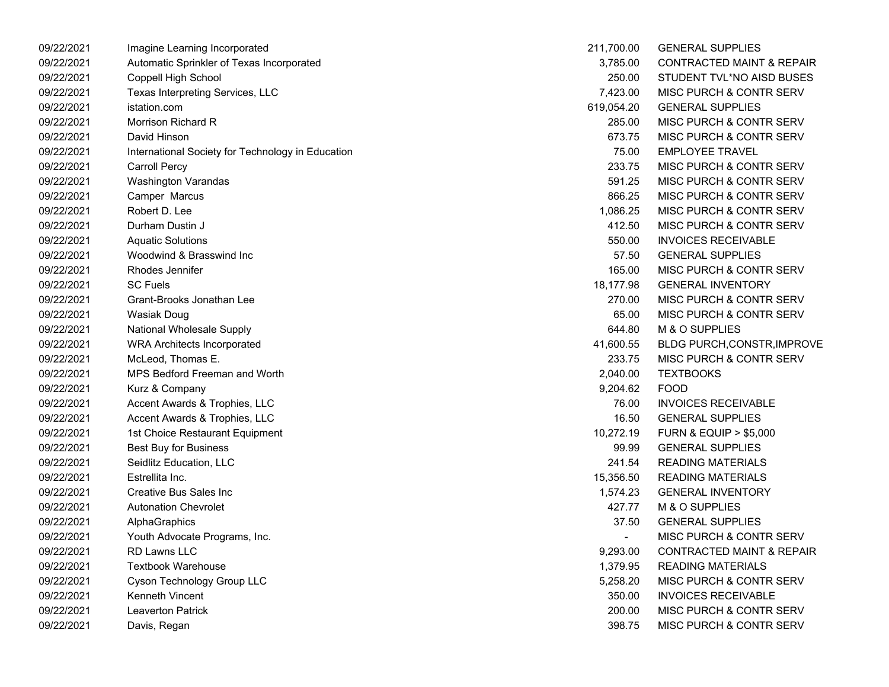| 09/22/2021 | Imagine Learning Incorporated                     | 211,700.00               | <b>GENERAL SUPPLIES</b>              |
|------------|---------------------------------------------------|--------------------------|--------------------------------------|
| 09/22/2021 | Automatic Sprinkler of Texas Incorporated         | 3,785.00                 | CONTRACTED MAINT & REPAIR            |
| 09/22/2021 | Coppell High School                               | 250.00                   | STUDENT TVL*NO AISD BUSES            |
| 09/22/2021 | Texas Interpreting Services, LLC                  | 7,423.00                 | <b>MISC PURCH &amp; CONTR SERV</b>   |
| 09/22/2021 | istation.com                                      | 619,054.20               | <b>GENERAL SUPPLIES</b>              |
| 09/22/2021 | Morrison Richard R                                | 285.00                   | MISC PURCH & CONTR SERV              |
| 09/22/2021 | David Hinson                                      | 673.75                   | MISC PURCH & CONTR SERV              |
| 09/22/2021 | International Society for Technology in Education | 75.00                    | <b>EMPLOYEE TRAVEL</b>               |
| 09/22/2021 | <b>Carroll Percy</b>                              | 233.75                   | <b>MISC PURCH &amp; CONTR SERV</b>   |
| 09/22/2021 | <b>Washington Varandas</b>                        | 591.25                   | MISC PURCH & CONTR SERV              |
| 09/22/2021 | Camper Marcus                                     | 866.25                   | <b>MISC PURCH &amp; CONTR SERV</b>   |
| 09/22/2021 | Robert D. Lee                                     | 1,086.25                 | <b>MISC PURCH &amp; CONTR SERV</b>   |
| 09/22/2021 | Durham Dustin J                                   | 412.50                   | <b>MISC PURCH &amp; CONTR SERV</b>   |
| 09/22/2021 | <b>Aquatic Solutions</b>                          | 550.00                   | <b>INVOICES RECEIVABLE</b>           |
| 09/22/2021 | Woodwind & Brasswind Inc                          | 57.50                    | <b>GENERAL SUPPLIES</b>              |
| 09/22/2021 | Rhodes Jennifer                                   | 165.00                   | <b>MISC PURCH &amp; CONTR SERV</b>   |
| 09/22/2021 | <b>SC Fuels</b>                                   | 18,177.98                | <b>GENERAL INVENTORY</b>             |
| 09/22/2021 | Grant-Brooks Jonathan Lee                         | 270.00                   | MISC PURCH & CONTR SERV              |
| 09/22/2021 | Wasiak Doug                                       | 65.00                    | <b>MISC PURCH &amp; CONTR SERV</b>   |
| 09/22/2021 | National Wholesale Supply                         | 644.80                   | M & O SUPPLIES                       |
| 09/22/2021 | <b>WRA Architects Incorporated</b>                | 41,600.55                | <b>BLDG PURCH, CONSTR, IMPROVE</b>   |
| 09/22/2021 | McLeod, Thomas E.                                 | 233.75                   | <b>MISC PURCH &amp; CONTR SERV</b>   |
| 09/22/2021 | <b>MPS Bedford Freeman and Worth</b>              | 2,040.00                 | <b>TEXTBOOKS</b>                     |
| 09/22/2021 | Kurz & Company                                    | 9,204.62                 | <b>FOOD</b>                          |
| 09/22/2021 | Accent Awards & Trophies, LLC                     | 76.00                    | <b>INVOICES RECEIVABLE</b>           |
| 09/22/2021 | Accent Awards & Trophies, LLC                     | 16.50                    | <b>GENERAL SUPPLIES</b>              |
| 09/22/2021 | 1st Choice Restaurant Equipment                   | 10,272.19                | <b>FURN &amp; EQUIP &gt; \$5,000</b> |
| 09/22/2021 | <b>Best Buy for Business</b>                      | 99.99                    | <b>GENERAL SUPPLIES</b>              |
| 09/22/2021 | Seidlitz Education, LLC                           | 241.54                   | <b>READING MATERIALS</b>             |
| 09/22/2021 | Estrellita Inc.                                   | 15,356.50                | <b>READING MATERIALS</b>             |
| 09/22/2021 | <b>Creative Bus Sales Inc.</b>                    | 1,574.23                 | <b>GENERAL INVENTORY</b>             |
| 09/22/2021 | <b>Autonation Chevrolet</b>                       | 427.77                   | M & O SUPPLIES                       |
| 09/22/2021 | AlphaGraphics                                     | 37.50                    | <b>GENERAL SUPPLIES</b>              |
| 09/22/2021 | Youth Advocate Programs, Inc.                     | $\overline{\phantom{a}}$ | MISC PURCH & CONTR SERV              |
| 09/22/2021 | <b>RD Lawns LLC</b>                               | 9,293.00                 | <b>CONTRACTED MAINT &amp; REPAIR</b> |
| 09/22/2021 | <b>Textbook Warehouse</b>                         | 1,379.95                 | <b>READING MATERIALS</b>             |
| 09/22/2021 | Cyson Technology Group LLC                        | 5,258.20                 | <b>MISC PURCH &amp; CONTR SERV</b>   |
| 09/22/2021 | Kenneth Vincent                                   | 350.00                   | <b>INVOICES RECEIVABLE</b>           |
| 09/22/2021 | <b>Leaverton Patrick</b>                          | 200.00                   | <b>MISC PURCH &amp; CONTR SERV</b>   |
| 09/22/2021 | Davis, Regan                                      | 398.75                   | MISC PURCH & CONTR SERV              |

| 211,700.00 | <b>GENERAL SUPPLIES</b>              |
|------------|--------------------------------------|
| 3,785.00   | <b>CONTRACTED MAINT &amp; REPAIR</b> |
| 250.00     | STUDENT TVL*NO AISD BUSES            |
| 7,423.00   | MISC PURCH & CONTR SERV              |
| 619,054.20 | <b>GENERAL SUPPLIES</b>              |
| 285.00     | MISC PURCH & CONTR SERV              |
| 673.75     | <b>MISC PURCH &amp; CONTR SERV</b>   |
| 75.00      | <b>EMPLOYEE TRAVEL</b>               |
| 233.75     | <b>MISC PURCH &amp; CONTR SERV</b>   |
| 591.25     | <b>MISC PURCH &amp; CONTR SERV</b>   |
| 866.25     | <b>MISC PURCH &amp; CONTR SERV</b>   |
| 1,086.25   | <b>MISC PURCH &amp; CONTR SERV</b>   |
| 412.50     | <b>MISC PURCH &amp; CONTR SERV</b>   |
| 550.00     | <b>INVOICES RECEIVABLE</b>           |
| 57.50      | <b>GENERAL SUPPLIES</b>              |
| 165.00     | MISC PURCH & CONTR SERV              |
| 18,177.98  | <b>GENERAL INVENTORY</b>             |
| 270.00     | <b>MISC PURCH &amp; CONTR SERV</b>   |
| 65.00      | <b>MISC PURCH &amp; CONTR SERV</b>   |
| 644.80     | M & O SUPPLIES                       |
| 41,600.55  | <b>BLDG PURCH, CONSTR, IMPROVE</b>   |
| 233.75     | <b>MISC PURCH &amp; CONTR SERV</b>   |
| 2,040.00   | <b>TEXTBOOKS</b>                     |
| 9,204.62   | <b>FOOD</b>                          |
| 76.00      | <b>INVOICES RECEIVABLE</b>           |
| 16.50      | <b>GENERAL SUPPLIES</b>              |
| 10,272.19  | <b>FURN &amp; EQUIP &gt; \$5,000</b> |
| 99.99      | <b>GENERAL SUPPLIES</b>              |
| 241.54     | <b>READING MATERIALS</b>             |
| 15,356.50  | <b>READING MATERIALS</b>             |
| 1,574.23   | <b>GENERAL INVENTORY</b>             |
| 427.77     | <b>M &amp; O SUPPLIES</b>            |
| 37.50      | <b>GENERAL SUPPLIES</b>              |
|            | <b>MISC PURCH &amp; CONTR SERV</b>   |
| 9,293.00   | <b>CONTRACTED MAINT &amp; REPAIR</b> |
| 1,379.95   | <b>READING MATERIALS</b>             |
| 5,258.20   | MISC PURCH & CONTR SERV              |
| 350.00     | <b>INVOICES RECEIVABLE</b>           |
| 200.00     | <b>MISC PURCH &amp; CONTR SERV</b>   |
| 398.75     | MISC PURCH & CONTR SERV              |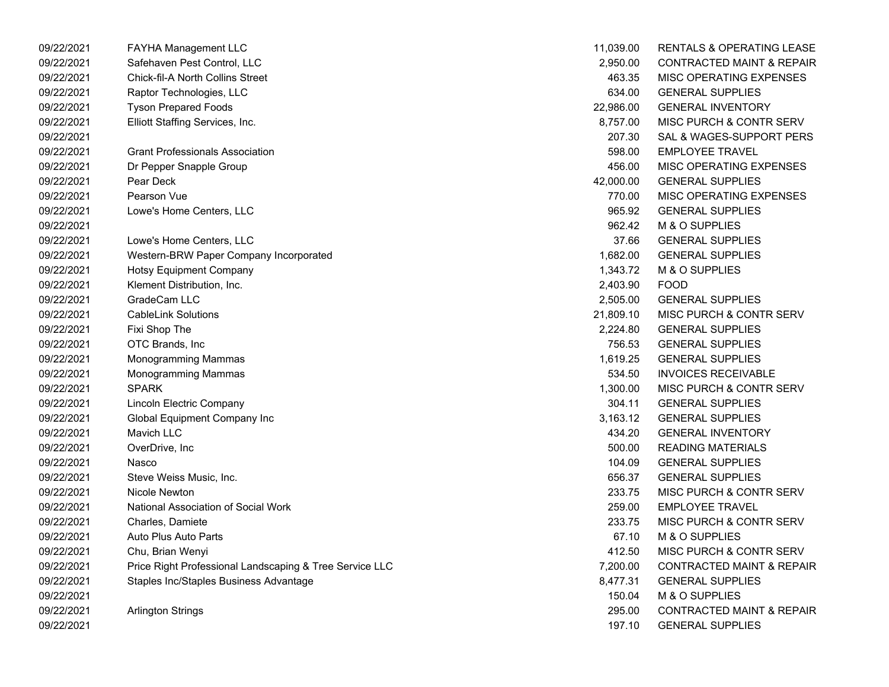| 09/22/2021 | <b>FAYHA Management LLC</b>                             | 11,039.00 | <b>RENTALS &amp; OPERATING LEASE</b> |
|------------|---------------------------------------------------------|-----------|--------------------------------------|
| 09/22/2021 | Safehaven Pest Control, LLC                             | 2,950.00  | <b>CONTRACTED MAINT &amp; REPAIR</b> |
| 09/22/2021 | <b>Chick-fil-A North Collins Street</b>                 | 463.35    | MISC OPERATING EXPENSES              |
| 09/22/2021 | Raptor Technologies, LLC                                | 634.00    | <b>GENERAL SUPPLIES</b>              |
| 09/22/2021 | <b>Tyson Prepared Foods</b>                             | 22,986.00 | <b>GENERAL INVENTORY</b>             |
| 09/22/2021 | Elliott Staffing Services, Inc.                         | 8,757.00  | <b>MISC PURCH &amp; CONTR SERV</b>   |
| 09/22/2021 |                                                         | 207.30    | SAL & WAGES-SUPPORT PERS             |
| 09/22/2021 | <b>Grant Professionals Association</b>                  | 598.00    | <b>EMPLOYEE TRAVEL</b>               |
| 09/22/2021 | Dr Pepper Snapple Group                                 | 456.00    | MISC OPERATING EXPENSES              |
| 09/22/2021 | Pear Deck                                               | 42,000.00 | <b>GENERAL SUPPLIES</b>              |
| 09/22/2021 | Pearson Vue                                             | 770.00    | MISC OPERATING EXPENSES              |
| 09/22/2021 | Lowe's Home Centers, LLC                                | 965.92    | <b>GENERAL SUPPLIES</b>              |
| 09/22/2021 |                                                         | 962.42    | M & O SUPPLIES                       |
| 09/22/2021 | Lowe's Home Centers, LLC                                | 37.66     | <b>GENERAL SUPPLIES</b>              |
| 09/22/2021 | Western-BRW Paper Company Incorporated                  | 1,682.00  | <b>GENERAL SUPPLIES</b>              |
| 09/22/2021 | <b>Hotsy Equipment Company</b>                          | 1,343.72  | M & O SUPPLIES                       |
| 09/22/2021 | Klement Distribution, Inc.                              | 2,403.90  | <b>FOOD</b>                          |
| 09/22/2021 | GradeCam LLC                                            | 2,505.00  | <b>GENERAL SUPPLIES</b>              |
| 09/22/2021 | <b>CableLink Solutions</b>                              | 21,809.10 | <b>MISC PURCH &amp; CONTR SERV</b>   |
| 09/22/2021 | Fixi Shop The                                           | 2,224.80  | <b>GENERAL SUPPLIES</b>              |
| 09/22/2021 | OTC Brands, Inc                                         | 756.53    | <b>GENERAL SUPPLIES</b>              |
| 09/22/2021 | Monogramming Mammas                                     | 1,619.25  | <b>GENERAL SUPPLIES</b>              |
| 09/22/2021 | <b>Monogramming Mammas</b>                              | 534.50    | <b>INVOICES RECEIVABLE</b>           |
| 09/22/2021 | <b>SPARK</b>                                            | 1,300.00  | <b>MISC PURCH &amp; CONTR SERV</b>   |
| 09/22/2021 | Lincoln Electric Company                                | 304.11    | <b>GENERAL SUPPLIES</b>              |
| 09/22/2021 | Global Equipment Company Inc                            | 3,163.12  | <b>GENERAL SUPPLIES</b>              |
| 09/22/2021 | <b>Mavich LLC</b>                                       | 434.20    | <b>GENERAL INVENTORY</b>             |
| 09/22/2021 | OverDrive, Inc                                          | 500.00    | <b>READING MATERIALS</b>             |
| 09/22/2021 | Nasco                                                   | 104.09    | <b>GENERAL SUPPLIES</b>              |
| 09/22/2021 | Steve Weiss Music, Inc.                                 | 656.37    | <b>GENERAL SUPPLIES</b>              |
| 09/22/2021 | Nicole Newton                                           | 233.75    | <b>MISC PURCH &amp; CONTR SERV</b>   |
| 09/22/2021 | National Association of Social Work                     | 259.00    | <b>EMPLOYEE TRAVEL</b>               |
| 09/22/2021 | Charles, Damiete                                        | 233.75    | MISC PURCH & CONTR SERV              |
| 09/22/2021 | Auto Plus Auto Parts                                    | 67.10     | M & O SUPPLIES                       |
| 09/22/2021 | Chu, Brian Wenyi                                        | 412.50    | MISC PURCH & CONTR SERV              |
| 09/22/2021 | Price Right Professional Landscaping & Tree Service LLC | 7,200.00  | <b>CONTRACTED MAINT &amp; REPAIR</b> |
| 09/22/2021 | Staples Inc/Staples Business Advantage                  | 8,477.31  | <b>GENERAL SUPPLIES</b>              |
| 09/22/2021 |                                                         | 150.04    | M & O SUPPLIES                       |
| 09/22/2021 | <b>Arlington Strings</b>                                | 295.00    | <b>CONTRACTED MAINT &amp; REPAIR</b> |
| 09/22/2021 |                                                         | 197.10    | <b>GENERAL SUPPLIES</b>              |

| 11,039.00 | <b>RENTALS &amp; OPERATING LEASE</b> |
|-----------|--------------------------------------|
| 2,950.00  | <b>CONTRACTED MAINT &amp; REPAIR</b> |
| 463.35    | <b>MISC OPERATING EXPENSES</b>       |
| 634.00    | <b>GENERAL SUPPLIES</b>              |
| 22,986.00 | <b>GENERAL INVENTORY</b>             |
| 8,757.00  | <b>MISC PURCH &amp; CONTR SERV</b>   |
| 207.30    | SAL & WAGES-SUPPORT PERS             |
| 598.00    | <b>EMPLOYEE TRAVEL</b>               |
| 456.00    | <b>MISC OPERATING EXPENSES</b>       |
| 42,000.00 | <b>GENERAL SUPPLIES</b>              |
| 770.00    | <b>MISC OPERATING EXPENSES</b>       |
| 965.92    | <b>GENERAL SUPPLIES</b>              |
| 962.42    | M & O SUPPLIES                       |
| 37.66     | <b>GENERAL SUPPLIES</b>              |
| 1,682.00  | <b>GENERAL SUPPLIES</b>              |
| 1,343.72  | M & O SUPPLIES                       |
| 2,403.90  | <b>FOOD</b>                          |
| 2,505.00  | <b>GENERAL SUPPLIES</b>              |
| 21,809.10 | <b>MISC PURCH &amp; CONTR SERV</b>   |
| 2,224.80  | <b>GENERAL SUPPLIES</b>              |
| 756.53    | <b>GENERAL SUPPLIES</b>              |
| 1.619.25  | <b>GENERAL SUPPLIES</b>              |
| 534.50    | <b>INVOICES RECEIVABLE</b>           |
| 1,300.00  | <b>MISC PURCH &amp; CONTR SERV</b>   |
| 304.11    | <b>GENERAL SUPPLIES</b>              |
| 3,163.12  | <b>GENERAL SUPPLIES</b>              |
| 434.20    | <b>GENERAL INVENTORY</b>             |
| 500.00    | <b>READING MATERIALS</b>             |
| 104.09    | <b>GENERAL SUPPLIES</b>              |
| 656.37    | <b>GENERAL SUPPLIES</b>              |
| 233.75    | <b>MISC PURCH &amp; CONTR SERV</b>   |
| 259.00    | <b>EMPLOYEE TRAVEL</b>               |
| 233.75    | <b>MISC PURCH &amp; CONTR SERV</b>   |
| 67.10     | <b>M &amp; O SUPPLIES</b>            |
| 412.50    | MISC PURCH & CONTR SERV              |
| 7,200.00  | <b>CONTRACTED MAINT &amp; REPAIR</b> |
| 8,477.31  | <b>GENERAL SUPPLIES</b>              |
| 150.04    | <b>M &amp; O SUPPLIES</b>            |
| 295.00    | <b>CONTRACTED MAINT &amp; REPAIR</b> |
| 197.10    | <b>GENERAL SUPPLIES</b>              |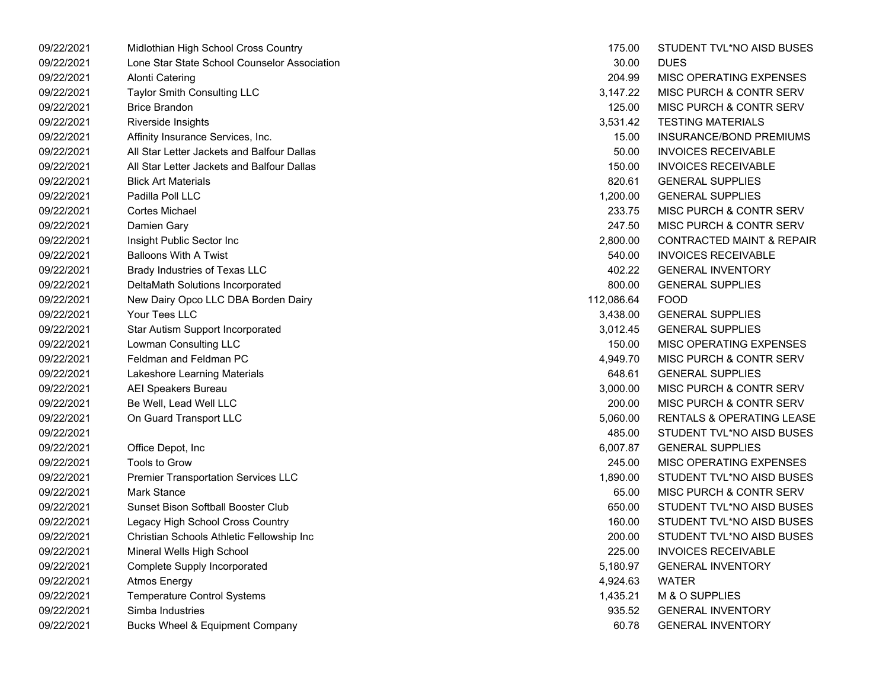| 09/22/2021 | Midlothian High School Cross Country         | 175.00     | STUDENT TVL*NO AISD BUSES            |
|------------|----------------------------------------------|------------|--------------------------------------|
| 09/22/2021 | Lone Star State School Counselor Association | 30.00      | <b>DUES</b>                          |
| 09/22/2021 | <b>Alonti Catering</b>                       | 204.99     | MISC OPERATING EXPENSES              |
| 09/22/2021 | Taylor Smith Consulting LLC                  | 3,147.22   | MISC PURCH & CONTR SERV              |
| 09/22/2021 | <b>Brice Brandon</b>                         | 125.00     | MISC PURCH & CONTR SERV              |
| 09/22/2021 | Riverside Insights                           | 3,531.42   | <b>TESTING MATERIALS</b>             |
| 09/22/2021 | Affinity Insurance Services, Inc.            | 15.00      | INSURANCE/BOND PREMIUMS              |
| 09/22/2021 | All Star Letter Jackets and Balfour Dallas   | 50.00      | <b>INVOICES RECEIVABLE</b>           |
| 09/22/2021 | All Star Letter Jackets and Balfour Dallas   | 150.00     | <b>INVOICES RECEIVABLE</b>           |
| 09/22/2021 | <b>Blick Art Materials</b>                   | 820.61     | <b>GENERAL SUPPLIES</b>              |
| 09/22/2021 | Padilla Poll LLC                             | 1,200.00   | <b>GENERAL SUPPLIES</b>              |
| 09/22/2021 | Cortes Michael                               | 233.75     | MISC PURCH & CONTR SERV              |
| 09/22/2021 | Damien Gary                                  | 247.50     | MISC PURCH & CONTR SERV              |
| 09/22/2021 | Insight Public Sector Inc                    | 2,800.00   | <b>CONTRACTED MAINT &amp; REPAIR</b> |
| 09/22/2021 | <b>Balloons With A Twist</b>                 | 540.00     | <b>INVOICES RECEIVABLE</b>           |
| 09/22/2021 | Brady Industries of Texas LLC                | 402.22     | <b>GENERAL INVENTORY</b>             |
| 09/22/2021 | DeltaMath Solutions Incorporated             | 800.00     | <b>GENERAL SUPPLIES</b>              |
| 09/22/2021 | New Dairy Opco LLC DBA Borden Dairy          | 112,086.64 | <b>FOOD</b>                          |
| 09/22/2021 | Your Tees LLC                                | 3,438.00   | <b>GENERAL SUPPLIES</b>              |
| 09/22/2021 | Star Autism Support Incorporated             | 3,012.45   | <b>GENERAL SUPPLIES</b>              |
| 09/22/2021 | Lowman Consulting LLC                        | 150.00     | MISC OPERATING EXPENSES              |
| 09/22/2021 | Feldman and Feldman PC                       | 4,949.70   | MISC PURCH & CONTR SERV              |
| 09/22/2021 | Lakeshore Learning Materials                 | 648.61     | <b>GENERAL SUPPLIES</b>              |
| 09/22/2021 | <b>AEI Speakers Bureau</b>                   | 3,000.00   | MISC PURCH & CONTR SERV              |
| 09/22/2021 | Be Well, Lead Well LLC                       | 200.00     | MISC PURCH & CONTR SERV              |
| 09/22/2021 | On Guard Transport LLC                       | 5,060.00   | RENTALS & OPERATING LEASE            |
| 09/22/2021 |                                              | 485.00     | STUDENT TVL*NO AISD BUSES            |
| 09/22/2021 | Office Depot, Inc                            | 6,007.87   | <b>GENERAL SUPPLIES</b>              |
| 09/22/2021 | Tools to Grow                                | 245.00     | MISC OPERATING EXPENSES              |
| 09/22/2021 | <b>Premier Transportation Services LLC</b>   | 1,890.00   | STUDENT TVL*NO AISD BUSES            |
| 09/22/2021 | <b>Mark Stance</b>                           | 65.00      | MISC PURCH & CONTR SERV              |
| 09/22/2021 | <b>Sunset Bison Softball Booster Club</b>    | 650.00     | STUDENT TVL*NO AISD BUSES            |
| 09/22/2021 | Legacy High School Cross Country             | 160.00     | STUDENT TVL*NO AISD BUSES            |
| 09/22/2021 | Christian Schools Athletic Fellowship Inc    | 200.00     | STUDENT TVL*NO AISD BUSES            |
| 09/22/2021 | Mineral Wells High School                    | 225.00     | <b>INVOICES RECEIVABLE</b>           |
| 09/22/2021 | Complete Supply Incorporated                 | 5,180.97   | <b>GENERAL INVENTORY</b>             |
| 09/22/2021 | <b>Atmos Energy</b>                          | 4,924.63   | <b>WATER</b>                         |
| 09/22/2021 | <b>Temperature Control Systems</b>           | 1,435.21   | M & O SUPPLIES                       |
| 09/22/2021 | Simba Industries                             | 935.52     | <b>GENERAL INVENTORY</b>             |
| 09/22/2021 | <b>Bucks Wheel &amp; Equipment Company</b>   | 60.78      | <b>GENERAL INVENTORY</b>             |
|            |                                              |            |                                      |

| 175.00     | STUDENT TVL*NO AISD BUSES            |
|------------|--------------------------------------|
| 30.00      | DUES                                 |
| 204.99     | <b>MISC OPERATING EXPENSES</b>       |
| 3,147.22   | <b>MISC PURCH &amp; CONTR SERV</b>   |
| 125.00     | <b>MISC PURCH &amp; CONTR SERV</b>   |
| 3,531.42   | <b>TESTING MATERIALS</b>             |
| 15.00      | <b>INSURANCE/BOND PREMIUMS</b>       |
| 50.00      | <b>INVOICES RECEIVABLE</b>           |
| 150.00     | <b>INVOICES RECEIVABLE</b>           |
| 820.61     | <b>GENERAL SUPPLIES</b>              |
| 1,200.00   | <b>GENERAL SUPPLIES</b>              |
| 233.75     | MISC PURCH & CONTR SERV              |
| 247.50     | MISC PURCH & CONTR SERV              |
| 2,800.00   | <b>CONTRACTED MAINT &amp; REPAIR</b> |
| 540.00     | <b>INVOICES RECEIVABLE</b>           |
| 402.22     | <b>GENERAL INVENTORY</b>             |
| 800.00     | <b>GENERAL SUPPLIES</b>              |
| 112,086.64 | <b>FOOD</b>                          |
| 3,438.00   | <b>GENERAL SUPPLIES</b>              |
| 3,012.45   | <b>GENERAL SUPPLIES</b>              |
| 150.00     | MISC OPERATING EXPENSES              |
| 4,949.70   | <b>MISC PURCH &amp; CONTR SERV</b>   |
| 648.61     | <b>GENERAL SUPPLIES</b>              |
| 3,000.00   | <b>MISC PURCH &amp; CONTR SERV</b>   |
| 200.00     | MISC PURCH & CONTR SERV              |
| 5,060.00   | <b>RENTALS &amp; OPERATING LEASE</b> |
| 485.00     | STUDENT TVL*NO AISD BUSES            |
| 6,007.87   | <b>GENERAL SUPPLIES</b>              |
| 245.00     | <b>MISC OPERATING EXPENSES</b>       |
| 1,890.00   | STUDENT TVL*NO AISD BUSES            |
| 65.00      | <b>MISC PURCH &amp; CONTR SERV</b>   |
| 650.00     | STUDENT TVL*NO AISD BUSES            |
| 160.00     | STUDENT TVL*NO AISD BUSES            |
| 200.00     | STUDENT TVL*NO AISD BUSES            |
| 225.00     | <b>INVOICES RECEIVABLE</b>           |
| 5,180.97   | <b>GENERAL INVENTORY</b>             |
| 4,924.63   | <b>WATER</b>                         |
| 1,435.21   | M & O SUPPLIES                       |
| 935.52     | <b>GENERAL INVENTORY</b>             |
| 60.78      | <b>GENERAL INVENTORY</b>             |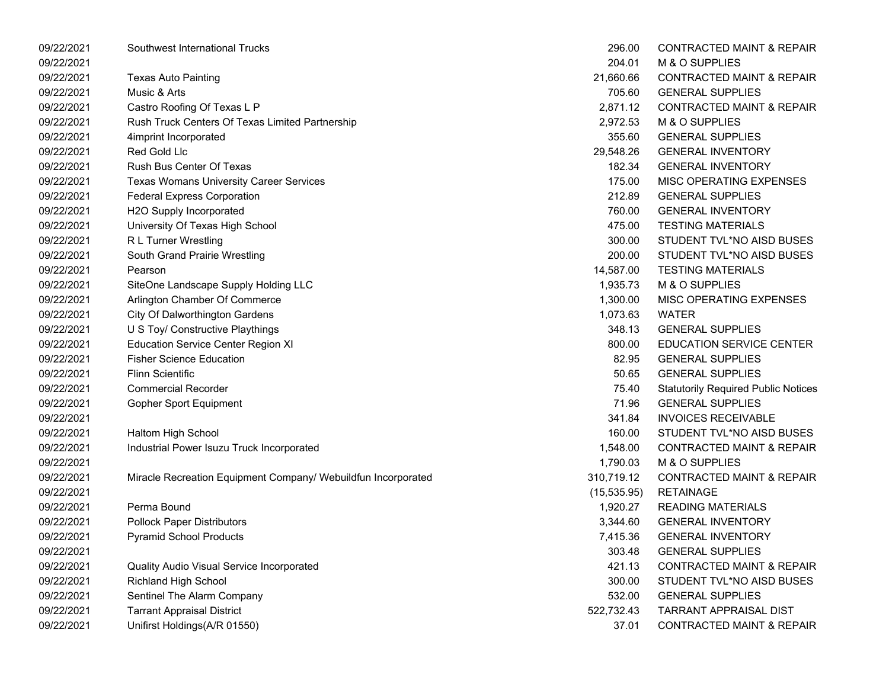| 09/22/2021 | Southwest International Trucks                                | 296.00       | <b>CONTRACTED MAINT &amp; REPAIR</b>       |
|------------|---------------------------------------------------------------|--------------|--------------------------------------------|
| 09/22/2021 |                                                               | 204.01       | M & O SUPPLIES                             |
| 09/22/2021 | Texas Auto Painting                                           | 21,660.66    | <b>CONTRACTED MAINT &amp; REPAIR</b>       |
| 09/22/2021 | Music & Arts                                                  | 705.60       | <b>GENERAL SUPPLIES</b>                    |
| 09/22/2021 | Castro Roofing Of Texas L P                                   | 2,871.12     | <b>CONTRACTED MAINT &amp; REPAIR</b>       |
| 09/22/2021 | Rush Truck Centers Of Texas Limited Partnership               | 2,972.53     | M & O SUPPLIES                             |
| 09/22/2021 | 4imprint Incorporated                                         | 355.60       | <b>GENERAL SUPPLIES</b>                    |
| 09/22/2021 | Red Gold Llc                                                  | 29,548.26    | <b>GENERAL INVENTORY</b>                   |
| 09/22/2021 | Rush Bus Center Of Texas                                      | 182.34       | <b>GENERAL INVENTORY</b>                   |
| 09/22/2021 | <b>Texas Womans University Career Services</b>                | 175.00       | MISC OPERATING EXPENSES                    |
| 09/22/2021 | <b>Federal Express Corporation</b>                            | 212.89       | <b>GENERAL SUPPLIES</b>                    |
| 09/22/2021 | H2O Supply Incorporated                                       | 760.00       | <b>GENERAL INVENTORY</b>                   |
| 09/22/2021 | University Of Texas High School                               | 475.00       | <b>TESTING MATERIALS</b>                   |
| 09/22/2021 | R L Turner Wrestling                                          | 300.00       | STUDENT TVL*NO AISD BUSES                  |
| 09/22/2021 | South Grand Prairie Wrestling                                 | 200.00       | STUDENT TVL*NO AISD BUSES                  |
| 09/22/2021 | Pearson                                                       | 14,587.00    | <b>TESTING MATERIALS</b>                   |
| 09/22/2021 | SiteOne Landscape Supply Holding LLC                          | 1,935.73     | M & O SUPPLIES                             |
| 09/22/2021 | Arlington Chamber Of Commerce                                 | 1,300.00     | MISC OPERATING EXPENSES                    |
| 09/22/2021 | <b>City Of Dalworthington Gardens</b>                         | 1,073.63     | <b>WATER</b>                               |
| 09/22/2021 | U S Toy/ Constructive Playthings                              | 348.13       | <b>GENERAL SUPPLIES</b>                    |
| 09/22/2021 | <b>Education Service Center Region XI</b>                     | 800.00       | <b>EDUCATION SERVICE CENTER</b>            |
| 09/22/2021 | <b>Fisher Science Education</b>                               | 82.95        | <b>GENERAL SUPPLIES</b>                    |
| 09/22/2021 | <b>Flinn Scientific</b>                                       | 50.65        | <b>GENERAL SUPPLIES</b>                    |
| 09/22/2021 | <b>Commercial Recorder</b>                                    | 75.40        | <b>Statutorily Required Public Notices</b> |
| 09/22/2021 | <b>Gopher Sport Equipment</b>                                 | 71.96        | <b>GENERAL SUPPLIES</b>                    |
| 09/22/2021 |                                                               | 341.84       | <b>INVOICES RECEIVABLE</b>                 |
| 09/22/2021 | Haltom High School                                            | 160.00       | STUDENT TVL*NO AISD BUSES                  |
| 09/22/2021 | Industrial Power Isuzu Truck Incorporated                     | 1,548.00     | <b>CONTRACTED MAINT &amp; REPAIR</b>       |
| 09/22/2021 |                                                               | 1,790.03     | M & O SUPPLIES                             |
| 09/22/2021 | Miracle Recreation Equipment Company/ Webuildfun Incorporated | 310,719.12   | <b>CONTRACTED MAINT &amp; REPAIR</b>       |
| 09/22/2021 |                                                               | (15, 535.95) | <b>RETAINAGE</b>                           |
| 09/22/2021 | Perma Bound                                                   | 1,920.27     | <b>READING MATERIALS</b>                   |
| 09/22/2021 | <b>Pollock Paper Distributors</b>                             | 3,344.60     | <b>GENERAL INVENTORY</b>                   |
| 09/22/2021 | <b>Pyramid School Products</b>                                | 7,415.36     | <b>GENERAL INVENTORY</b>                   |
| 09/22/2021 |                                                               | 303.48       | <b>GENERAL SUPPLIES</b>                    |
| 09/22/2021 | Quality Audio Visual Service Incorporated                     | 421.13       | <b>CONTRACTED MAINT &amp; REPAIR</b>       |
| 09/22/2021 | <b>Richland High School</b>                                   | 300.00       | STUDENT TVL*NO AISD BUSES                  |
| 09/22/2021 | Sentinel The Alarm Company                                    | 532.00       | <b>GENERAL SUPPLIES</b>                    |
| 09/22/2021 | <b>Tarrant Appraisal District</b>                             | 522,732.43   | <b>TARRANT APPRAISAL DIST</b>              |
| 09/22/2021 | Unifirst Holdings(A/R 01550)                                  | 37.01        | <b>CONTRACTED MAINT &amp; REPAIR</b>       |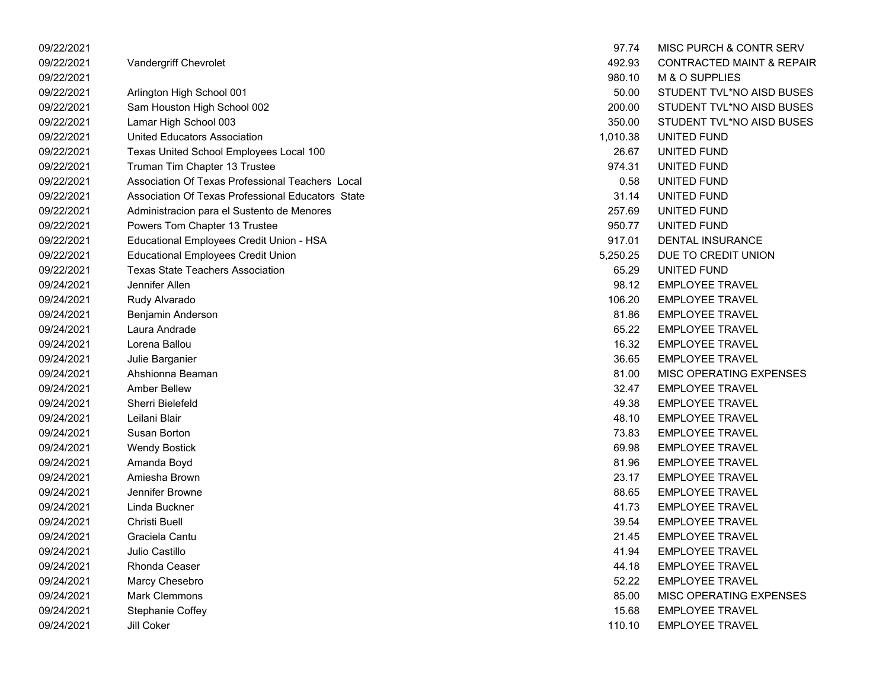| 09/22/2021 |                                                   | 97.74    | MISC PURCH & CONTR SERV              |
|------------|---------------------------------------------------|----------|--------------------------------------|
| 09/22/2021 | Vandergriff Chevrolet                             | 492.93   | <b>CONTRACTED MAINT &amp; REPAIR</b> |
| 09/22/2021 |                                                   | 980.10   | M & O SUPPLIES                       |
| 09/22/2021 | Arlington High School 001                         | 50.00    | STUDENT TVL*NO AISD BUSES            |
| 09/22/2021 | Sam Houston High School 002                       | 200.00   | STUDENT TVL*NO AISD BUSES            |
| 09/22/2021 | Lamar High School 003                             | 350.00   | STUDENT TVL*NO AISD BUSES            |
| 09/22/2021 | United Educators Association                      | 1,010.38 | UNITED FUND                          |
| 09/22/2021 | Texas United School Employees Local 100           | 26.67    | UNITED FUND                          |
| 09/22/2021 | Truman Tim Chapter 13 Trustee                     | 974.31   | UNITED FUND                          |
| 09/22/2021 | Association Of Texas Professional Teachers Local  | 0.58     | UNITED FUND                          |
| 09/22/2021 | Association Of Texas Professional Educators State | 31.14    | UNITED FUND                          |
| 09/22/2021 | Administracion para el Sustento de Menores        | 257.69   | UNITED FUND                          |
| 09/22/2021 | Powers Tom Chapter 13 Trustee                     | 950.77   | UNITED FUND                          |
| 09/22/2021 | Educational Employees Credit Union - HSA          | 917.01   | <b>DENTAL INSURANCE</b>              |
| 09/22/2021 | <b>Educational Employees Credit Union</b>         | 5,250.25 | DUE TO CREDIT UNION                  |
| 09/22/2021 | <b>Texas State Teachers Association</b>           | 65.29    | UNITED FUND                          |
| 09/24/2021 | Jennifer Allen                                    | 98.12    | <b>EMPLOYEE TRAVEL</b>               |
| 09/24/2021 | Rudy Alvarado                                     | 106.20   | <b>EMPLOYEE TRAVEL</b>               |
| 09/24/2021 | Benjamin Anderson                                 | 81.86    | <b>EMPLOYEE TRAVEL</b>               |
| 09/24/2021 | Laura Andrade                                     | 65.22    | <b>EMPLOYEE TRAVEL</b>               |
| 09/24/2021 | Lorena Ballou                                     | 16.32    | <b>EMPLOYEE TRAVEL</b>               |
| 09/24/2021 | Julie Barganier                                   | 36.65    | <b>EMPLOYEE TRAVEL</b>               |
| 09/24/2021 | Ahshionna Beaman                                  | 81.00    | MISC OPERATING EXPENSES              |
| 09/24/2021 | <b>Amber Bellew</b>                               | 32.47    | <b>EMPLOYEE TRAVEL</b>               |
| 09/24/2021 | Sherri Bielefeld                                  | 49.38    | <b>EMPLOYEE TRAVEL</b>               |
| 09/24/2021 | Leilani Blair                                     | 48.10    | <b>EMPLOYEE TRAVEL</b>               |
| 09/24/2021 | Susan Borton                                      | 73.83    | <b>EMPLOYEE TRAVEL</b>               |
| 09/24/2021 | <b>Wendy Bostick</b>                              | 69.98    | <b>EMPLOYEE TRAVEL</b>               |
| 09/24/2021 | Amanda Boyd                                       | 81.96    | <b>EMPLOYEE TRAVEL</b>               |
| 09/24/2021 | Amiesha Brown                                     | 23.17    | <b>EMPLOYEE TRAVEL</b>               |
| 09/24/2021 | Jennifer Browne                                   | 88.65    | <b>EMPLOYEE TRAVEL</b>               |
| 09/24/2021 | Linda Buckner                                     | 41.73    | <b>EMPLOYEE TRAVEL</b>               |
| 09/24/2021 | <b>Christi Buell</b>                              | 39.54    | <b>EMPLOYEE TRAVEL</b>               |
| 09/24/2021 | Graciela Cantu                                    | 21.45    | <b>EMPLOYEE TRAVEL</b>               |
| 09/24/2021 | Julio Castillo                                    | 41.94    | <b>EMPLOYEE TRAVEL</b>               |
| 09/24/2021 | Rhonda Ceaser                                     | 44.18    | <b>EMPLOYEE TRAVEL</b>               |
| 09/24/2021 | Marcy Chesebro                                    | 52.22    | <b>EMPLOYEE TRAVEL</b>               |
| 09/24/2021 | <b>Mark Clemmons</b>                              | 85.00    | MISC OPERATING EXPENSES              |
| 09/24/2021 | <b>Stephanie Coffey</b>                           | 15.68    | <b>EMPLOYEE TRAVEL</b>               |
| 09/24/2021 | Jill Coker                                        | 110.10   | <b>EMPLOYEE TRAVEL</b>               |

| 97.74    | <b>MISC PURCH &amp; CONTR SERV</b>   |
|----------|--------------------------------------|
| 492.93   | <b>CONTRACTED MAINT &amp; REPAIR</b> |
| 980.10   | M & O SUPPLIES                       |
| 50.00    | STUDENT TVL*NO AISD BUSES            |
| 200.00   | STUDENT TVL*NO AISD BUSES            |
| 350.00   | STUDENT TVL*NO AISD BUSES            |
| 1,010.38 | UNITED FUND                          |
| 26.67    | UNITED FUND                          |
| 974.31   | UNITED FUND                          |
| 0.58     | UNITED FUND                          |
| 31.14    | UNITED FUND                          |
| 257.69   | UNITED FUND                          |
| 950.77   | UNITED FUND                          |
| 917.01   | DENTAL INSURANCE                     |
| 5,250.25 | DUE TO CREDIT UNION                  |
| 65.29    | UNITED FUND                          |
| 98.12    | <b>EMPLOYEE TRAVEL</b>               |
| 106.20   | <b>EMPLOYEE TRAVEL</b>               |
| 81.86    | <b>EMPLOYEE TRAVEL</b>               |
| 65.22    | <b>EMPLOYEE TRAVEL</b>               |
| 16.32    | <b>FMPI OYFF TRAVEL</b>              |
| 36.65    | <b>EMPLOYEE TRAVEL</b>               |
| 81.00    | <b>MISC OPERATING EXPENSES</b>       |
| 32.47    | <b>EMPLOYEE TRAVEL</b>               |
| 49.38    | <b>EMPLOYEE TRAVEL</b>               |
| 48.10    | <b>EMPLOYEE TRAVEL</b>               |
| 73.83    | <b>EMPLOYEE TRAVEL</b>               |
| 69.98    | <b>EMPLOYEE TRAVEL</b>               |
| 81.96    | <b>EMPLOYEE TRAVEL</b>               |
| 23.17    | <b>EMPLOYEE TRAVEL</b>               |
| 88.65    | <b>EMPLOYEE TRAVEL</b>               |
| 41.73    | <b>EMPLOYEE TRAVEL</b>               |
| 39.54    | <b>EMPLOYEE TRAVEL</b>               |
| 21.45    | <b>EMPLOYEE TRAVEL</b>               |
| 41.94    | <b>EMPLOYEE TRAVEL</b>               |
| 44.18    | <b>EMPLOYEE TRAVEL</b>               |
| 52.22    | <b>EMPLOYEE TRAVEL</b>               |
| 85.00    | <b>MISC OPERATING EXPENSES</b>       |
| 15.68    | <b>EMPLOYEE TRAVEL</b>               |
| 110.10   | <b>EMPLOYEE TRAVEL</b>               |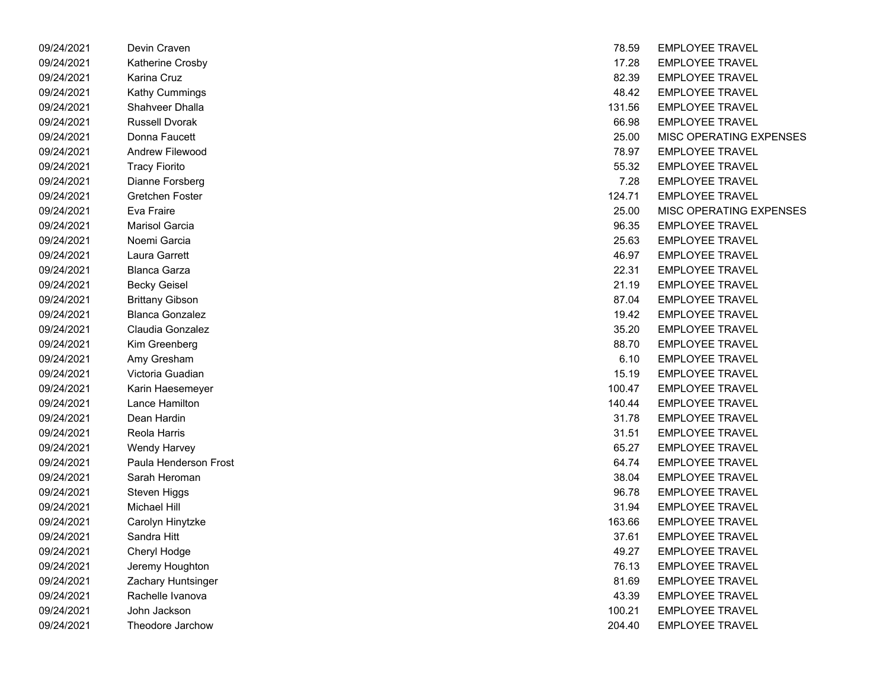| 09/24/2021 | Devin Craven           | 18.59  | EMPLUYEE IRAVEL         |
|------------|------------------------|--------|-------------------------|
| 09/24/2021 | Katherine Crosby       | 17.28  | <b>EMPLOYEE TRAVEL</b>  |
| 09/24/2021 | Karina Cruz            | 82.39  | <b>EMPLOYEE TRAVEL</b>  |
| 09/24/2021 | Kathy Cummings         | 48.42  | <b>EMPLOYEE TRAVEL</b>  |
| 09/24/2021 | Shahveer Dhalla        | 131.56 | <b>EMPLOYEE TRAVEL</b>  |
| 09/24/2021 | <b>Russell Dvorak</b>  | 66.98  | <b>EMPLOYEE TRAVEL</b>  |
| 09/24/2021 | Donna Faucett          | 25.00  | <b>MISC OPERATING E</b> |
| 09/24/2021 | Andrew Filewood        | 78.97  | <b>EMPLOYEE TRAVEL</b>  |
| 09/24/2021 | <b>Tracy Fiorito</b>   | 55.32  | <b>EMPLOYEE TRAVEL</b>  |
| 09/24/2021 | Dianne Forsberg        | 7.28   | <b>EMPLOYEE TRAVEL</b>  |
| 09/24/2021 | Gretchen Foster        | 124.71 | <b>EMPLOYEE TRAVEL</b>  |
| 09/24/2021 | Eva Fraire             | 25.00  | <b>MISC OPERATING E</b> |
| 09/24/2021 | Marisol Garcia         | 96.35  | <b>EMPLOYEE TRAVEL</b>  |
| 09/24/2021 | Noemi Garcia           | 25.63  | <b>EMPLOYEE TRAVEL</b>  |
| 09/24/2021 | Laura Garrett          | 46.97  | <b>EMPLOYEE TRAVEL</b>  |
| 09/24/2021 | <b>Blanca Garza</b>    | 22.31  | <b>EMPLOYEE TRAVEL</b>  |
| 09/24/2021 | <b>Becky Geisel</b>    | 21.19  | <b>EMPLOYEE TRAVEL</b>  |
| 09/24/2021 | <b>Brittany Gibson</b> | 87.04  | <b>EMPLOYEE TRAVEL</b>  |
| 09/24/2021 | <b>Blanca Gonzalez</b> | 19.42  | <b>EMPLOYEE TRAVEL</b>  |
| 09/24/2021 | Claudia Gonzalez       | 35.20  | <b>EMPLOYEE TRAVEL</b>  |
| 09/24/2021 | Kim Greenberg          | 88.70  | <b>EMPLOYEE TRAVEL</b>  |
| 09/24/2021 | Amy Gresham            | 6.10   | <b>EMPLOYEE TRAVEL</b>  |
| 09/24/2021 | Victoria Guadian       | 15.19  | <b>EMPLOYEE TRAVEL</b>  |
| 09/24/2021 | Karin Haesemeyer       | 100.47 | <b>EMPLOYEE TRAVEL</b>  |
| 09/24/2021 | Lance Hamilton         | 140.44 | <b>EMPLOYEE TRAVEL</b>  |
| 09/24/2021 | Dean Hardin            | 31.78  | <b>EMPLOYEE TRAVEL</b>  |
| 09/24/2021 | Reola Harris           | 31.51  | <b>EMPLOYEE TRAVEL</b>  |
| 09/24/2021 | Wendy Harvey           | 65.27  | <b>EMPLOYEE TRAVEL</b>  |
| 09/24/2021 | Paula Henderson Frost  | 64.74  | <b>EMPLOYEE TRAVEL</b>  |
| 09/24/2021 | Sarah Heroman          | 38.04  | <b>EMPLOYEE TRAVEL</b>  |
| 09/24/2021 | Steven Higgs           | 96.78  | <b>EMPLOYEE TRAVEL</b>  |
| 09/24/2021 | Michael Hill           | 31.94  | <b>EMPLOYEE TRAVEL</b>  |
| 09/24/2021 | Carolyn Hinytzke       | 163.66 | <b>EMPLOYEE TRAVEL</b>  |
| 09/24/2021 | Sandra Hitt            | 37.61  | <b>EMPLOYEE TRAVEL</b>  |
| 09/24/2021 | Cheryl Hodge           | 49.27  | <b>EMPLOYEE TRAVEL</b>  |
| 09/24/2021 | Jeremy Houghton        | 76.13  | <b>EMPLOYEE TRAVEL</b>  |
| 09/24/2021 | Zachary Huntsinger     | 81.69  | <b>EMPLOYEE TRAVEL</b>  |
| 09/24/2021 | Rachelle Ivanova       | 43.39  | <b>EMPLOYEE TRAVEL</b>  |
| 09/24/2021 | John Jackson           | 100.21 | <b>EMPLOYEE TRAVEL</b>  |
| 09/24/2021 | Theodore Jarchow       | 204.40 | <b>EMPLOYEE TRAVEL</b>  |

| 09/24/2021 | Devin Craven           | 78.59  | <b>EMPLOYEE TRAVEL</b>  |
|------------|------------------------|--------|-------------------------|
| 09/24/2021 | Katherine Crosby       | 17.28  | <b>EMPLOYEE TRAVEL</b>  |
| 09/24/2021 | Karina Cruz            | 82.39  | <b>EMPLOYEE TRAVEL</b>  |
| 09/24/2021 | Kathy Cummings         | 48.42  | <b>EMPLOYEE TRAVEL</b>  |
| 09/24/2021 | Shahveer Dhalla        | 131.56 | <b>EMPLOYEE TRAVEL</b>  |
| 09/24/2021 | <b>Russell Dvorak</b>  | 66.98  | <b>EMPLOYEE TRAVEL</b>  |
| 09/24/2021 | Donna Faucett          | 25.00  | MISC OPERATING EXPENSES |
| 09/24/2021 | Andrew Filewood        | 78.97  | <b>EMPLOYEE TRAVEL</b>  |
| 09/24/2021 | <b>Tracy Fiorito</b>   | 55.32  | <b>EMPLOYEE TRAVEL</b>  |
| 09/24/2021 | Dianne Forsberg        | 7.28   | <b>EMPLOYEE TRAVEL</b>  |
| 09/24/2021 | Gretchen Foster        | 124.71 | <b>EMPLOYEE TRAVEL</b>  |
| 09/24/2021 | Eva Fraire             | 25.00  | MISC OPERATING EXPENSES |
| 09/24/2021 | <b>Marisol Garcia</b>  | 96.35  | <b>EMPLOYEE TRAVEL</b>  |
| 09/24/2021 | Noemi Garcia           | 25.63  | <b>EMPLOYEE TRAVEL</b>  |
| 09/24/2021 | Laura Garrett          | 46.97  | <b>EMPLOYEE TRAVEL</b>  |
| 09/24/2021 | <b>Blanca Garza</b>    | 22.31  | <b>EMPLOYEE TRAVEL</b>  |
| 09/24/2021 | <b>Becky Geisel</b>    | 21.19  | <b>EMPLOYEE TRAVEL</b>  |
| 09/24/2021 | <b>Brittany Gibson</b> | 87.04  | <b>EMPLOYEE TRAVEL</b>  |
| 09/24/2021 | <b>Blanca Gonzalez</b> | 19.42  | <b>EMPLOYEE TRAVEL</b>  |
| 09/24/2021 | Claudia Gonzalez       | 35.20  | <b>EMPLOYEE TRAVEL</b>  |
| 09/24/2021 | Kim Greenberg          | 88.70  | <b>EMPLOYEE TRAVEL</b>  |
| 09/24/2021 | Amy Gresham            | 6.10   | <b>EMPLOYEE TRAVEL</b>  |
| 09/24/2021 | Victoria Guadian       | 15.19  | <b>EMPLOYEE TRAVEL</b>  |
| 09/24/2021 | Karin Haesemeyer       | 100.47 | <b>EMPLOYEE TRAVEL</b>  |
| 09/24/2021 | Lance Hamilton         | 140.44 | <b>EMPLOYEE TRAVEL</b>  |
| 09/24/2021 | Dean Hardin            | 31.78  | <b>EMPLOYEE TRAVEL</b>  |
| 09/24/2021 | Reola Harris           | 31.51  | <b>EMPLOYEE TRAVEL</b>  |
| 09/24/2021 | Wendy Harvey           | 65.27  | <b>EMPLOYEE TRAVEL</b>  |
| 09/24/2021 | Paula Henderson Frost  | 64.74  | <b>EMPLOYEE TRAVEL</b>  |
| 09/24/2021 | Sarah Heroman          | 38.04  | <b>EMPLOYEE TRAVEL</b>  |
| 09/24/2021 | Steven Higgs           | 96.78  | <b>EMPLOYEE TRAVEL</b>  |
| 09/24/2021 | <b>Michael Hill</b>    | 31.94  | <b>EMPLOYEE TRAVEL</b>  |
| 09/24/2021 | Carolyn Hinytzke       | 163.66 | <b>EMPLOYEE TRAVEL</b>  |
| 09/24/2021 | Sandra Hitt            | 37.61  | <b>EMPLOYEE TRAVEL</b>  |
| 09/24/2021 | Cheryl Hodge           | 49.27  | <b>EMPLOYEE TRAVEL</b>  |
| 09/24/2021 | Jeremy Houghton        | 76.13  | <b>EMPLOYEE TRAVEL</b>  |
| 09/24/2021 | Zachary Huntsinger     | 81.69  | <b>EMPLOYEE TRAVEL</b>  |
| 09/24/2021 | Rachelle Ivanova       | 43.39  | <b>EMPLOYEE TRAVEL</b>  |
| 09/24/2021 | John Jackson           | 100.21 | <b>EMPLOYEE TRAVEL</b>  |
| 09/24/2021 | Theodore Jarchow       | 204.40 | <b>EMPLOYEE TRAVEL</b>  |
|            |                        |        |                         |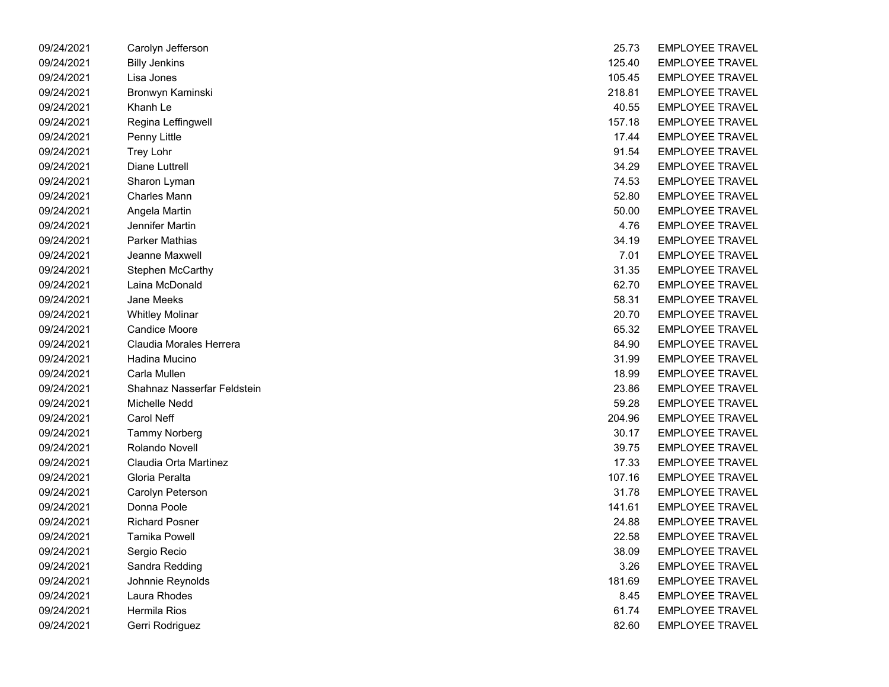| 09/24/2021 | Carolyn Jefferson           | 25.73  | <b>EMPLOYEE TRAVEL</b> |
|------------|-----------------------------|--------|------------------------|
| 09/24/2021 | <b>Billy Jenkins</b>        | 125.40 | <b>EMPLOYEE TRAVEL</b> |
| 09/24/2021 | Lisa Jones                  | 105.45 | <b>EMPLOYEE TRAVEL</b> |
| 09/24/2021 | Bronwyn Kaminski            | 218.81 | <b>EMPLOYEE TRAVEL</b> |
| 09/24/2021 | Khanh Le                    | 40.55  | <b>EMPLOYEE TRAVEL</b> |
| 09/24/2021 | Regina Leffingwell          | 157.18 | <b>EMPLOYEE TRAVEL</b> |
| 09/24/2021 | Penny Little                | 17.44  | <b>EMPLOYEE TRAVEL</b> |
| 09/24/2021 | Trey Lohr                   | 91.54  | <b>EMPLOYEE TRAVEL</b> |
| 09/24/2021 | Diane Luttrell              | 34.29  | <b>EMPLOYEE TRAVEL</b> |
| 09/24/2021 | Sharon Lyman                | 74.53  | <b>EMPLOYEE TRAVEL</b> |
| 09/24/2021 | <b>Charles Mann</b>         | 52.80  | <b>EMPLOYEE TRAVEL</b> |
| 09/24/2021 | Angela Martin               | 50.00  | <b>EMPLOYEE TRAVEL</b> |
| 09/24/2021 | Jennifer Martin             | 4.76   | <b>EMPLOYEE TRAVEL</b> |
| 09/24/2021 | <b>Parker Mathias</b>       | 34.19  | <b>EMPLOYEE TRAVEL</b> |
| 09/24/2021 | Jeanne Maxwell              | 7.01   | <b>EMPLOYEE TRAVEL</b> |
| 09/24/2021 | Stephen McCarthy            | 31.35  | <b>EMPLOYEE TRAVEL</b> |
| 09/24/2021 | Laina McDonald              | 62.70  | <b>EMPLOYEE TRAVEL</b> |
| 09/24/2021 | Jane Meeks                  | 58.31  | <b>EMPLOYEE TRAVEL</b> |
| 09/24/2021 | <b>Whitley Molinar</b>      | 20.70  | <b>EMPLOYEE TRAVEL</b> |
| 09/24/2021 | <b>Candice Moore</b>        | 65.32  | <b>EMPLOYEE TRAVEL</b> |
| 09/24/2021 | Claudia Morales Herrera     | 84.90  | <b>EMPLOYEE TRAVEL</b> |
| 09/24/2021 | Hadina Mucino               | 31.99  | <b>EMPLOYEE TRAVEL</b> |
| 09/24/2021 | Carla Mullen                | 18.99  | <b>EMPLOYEE TRAVEL</b> |
| 09/24/2021 | Shahnaz Nasserfar Feldstein | 23.86  | <b>EMPLOYEE TRAVEL</b> |
| 09/24/2021 | Michelle Nedd               | 59.28  | <b>EMPLOYEE TRAVEL</b> |
| 09/24/2021 | Carol Neff                  | 204.96 | <b>EMPLOYEE TRAVEL</b> |
| 09/24/2021 | <b>Tammy Norberg</b>        | 30.17  | <b>EMPLOYEE TRAVEL</b> |
| 09/24/2021 | Rolando Novell              | 39.75  | <b>EMPLOYEE TRAVEL</b> |
| 09/24/2021 | Claudia Orta Martinez       | 17.33  | <b>EMPLOYEE TRAVEL</b> |
| 09/24/2021 | Gloria Peralta              | 107.16 | <b>EMPLOYEE TRAVEL</b> |
| 09/24/2021 | Carolyn Peterson            | 31.78  | <b>EMPLOYEE TRAVEL</b> |
| 09/24/2021 | Donna Poole                 | 141.61 | <b>EMPLOYEE TRAVEL</b> |
| 09/24/2021 | <b>Richard Posner</b>       | 24.88  | <b>EMPLOYEE TRAVEL</b> |
| 09/24/2021 | Tamika Powell               | 22.58  | <b>EMPLOYEE TRAVEL</b> |
| 09/24/2021 | Sergio Recio                | 38.09  | <b>EMPLOYEE TRAVEL</b> |
| 09/24/2021 | Sandra Redding              | 3.26   | <b>EMPLOYEE TRAVEL</b> |
| 09/24/2021 | Johnnie Reynolds            | 181.69 | <b>EMPLOYEE TRAVEL</b> |
| 09/24/2021 | Laura Rhodes                | 8.45   | <b>EMPLOYEE TRAVEL</b> |
| 09/24/2021 | Hermila Rios                | 61.74  | <b>EMPLOYEE TRAVEL</b> |
| 09/24/2021 | Gerri Rodriguez             | 82.60  | <b>EMPLOYEE TRAVEL</b> |

| 25.73  | EMPLOYEE TRAVEL        |
|--------|------------------------|
| 125.40 | <b>EMPLOYEE TRAVEL</b> |
| 105.45 | <b>EMPLOYEE TRAVEL</b> |
| 218.81 | EMPLOYEE TRAVEL        |
| 40.55  | EMPLOYEE TRAVEL        |
| 157.18 | <b>EMPLOYEE TRAVEL</b> |
| 17.44  | <b>EMPLOYEE TRAVEL</b> |
| 91.54  | <b>EMPLOYEE TRAVEL</b> |
| 34.29  | <b>EMPLOYEE TRAVEL</b> |
| 74.53  | <b>EMPLOYEE TRAVEL</b> |
| 52.80  | <b>EMPLOYEE TRAVEL</b> |
| 50.00  | <b>EMPLOYEE TRAVEL</b> |
| 4.76   | <b>EMPLOYEE TRAVEL</b> |
| 34.19  | EMPLOYEE TRAVEL        |
| 7.01   | EMPLOYEE TRAVEL        |
| 31.35  | <b>EMPLOYEE TRAVEL</b> |
| 62.70  | <b>EMPLOYEE TRAVEL</b> |
| 58.31  | <b>EMPLOYEE TRAVEL</b> |
| 20.70  | <b>EMPLOYEE TRAVEL</b> |
| 65.32  | <b>EMPLOYEE TRAVEL</b> |
| 84.90  | <b>EMPLOYEE TRAVEL</b> |
| 31.99  | <b>EMPLOYEE TRAVEL</b> |
| 18.99  | <b>EMPLOYEE TRAVEL</b> |
| 23.86  | EMPLOYEE TRAVEL        |
| 59.28  | EMPLOYEE TRAVEL        |
| 204.96 | EMPLOYEE TRAVEL        |
| 30.17  | <b>EMPLOYEE TRAVEL</b> |
| 39.75  | <b>EMPLOYEE TRAVEL</b> |
| 17.33  | <b>EMPLOYEE TRAVEL</b> |
| 107.16 | <b>EMPLOYEE TRAVEL</b> |
| 31.78  | EMPLOYEE TRAVEL        |
| 141.61 | <b>EMPLOYEE TRAVEL</b> |
| 24.88  | <b>EMPLOYEE TRAVEL</b> |
| 22.58  | EMPLOYEE TRAVEL        |
| 38.09  | EMPLOYEE TRAVEL        |
| 3.26   | <b>EMPLOYEE TRAVEL</b> |
| 181.69 | <b>EMPLOYEE TRAVEL</b> |
| 8.45   | <b>EMPLOYEE TRAVEL</b> |
| 61.74  | <b>EMPLOYEE TRAVEL</b> |
| 82.60  | <b>EMPLOYEE TRAVEL</b> |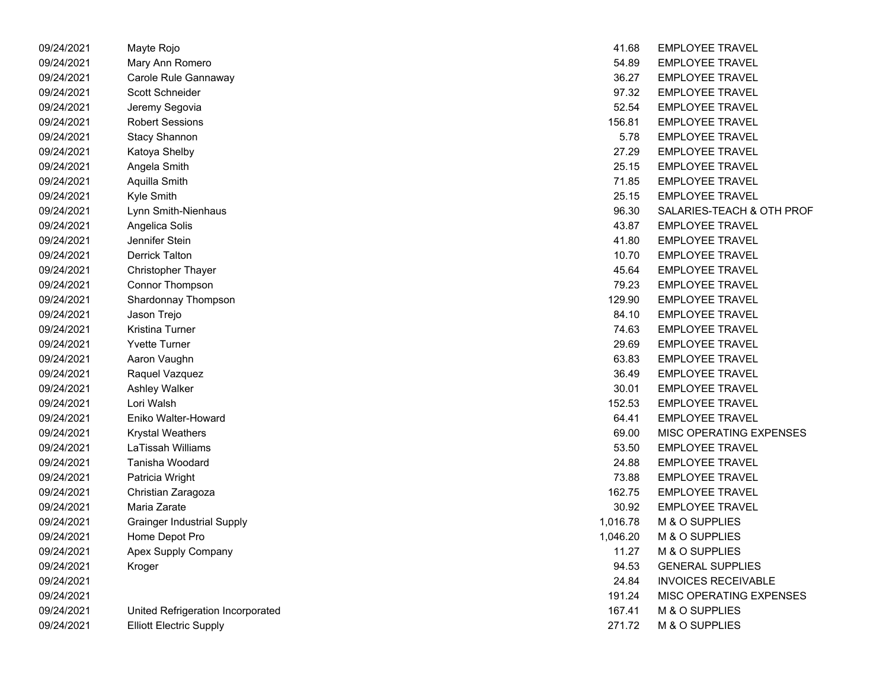| 09/24/2021 | Mayte Rojo                        | 41.68    | <b>EMPLOYEE TRAVEL</b>         |
|------------|-----------------------------------|----------|--------------------------------|
| 09/24/2021 | Mary Ann Romero                   | 54.89    | <b>EMPLOYEE TRAVEL</b>         |
| 09/24/2021 | Carole Rule Gannaway              | 36.27    | <b>EMPLOYEE TRAVEL</b>         |
| 09/24/2021 | Scott Schneider                   | 97.32    | <b>EMPLOYEE TRAVEL</b>         |
| 09/24/2021 | Jeremy Segovia                    | 52.54    | <b>EMPLOYEE TRAVEL</b>         |
| 09/24/2021 | <b>Robert Sessions</b>            | 156.81   | <b>EMPLOYEE TRAVEL</b>         |
| 09/24/2021 | <b>Stacy Shannon</b>              | 5.78     | <b>EMPLOYEE TRAVEL</b>         |
| 09/24/2021 | Katoya Shelby                     | 27.29    | <b>EMPLOYEE TRAVEL</b>         |
| 09/24/2021 | Angela Smith                      | 25.15    | <b>EMPLOYEE TRAVEL</b>         |
| 09/24/2021 | Aquilla Smith                     | 71.85    | <b>EMPLOYEE TRAVEL</b>         |
| 09/24/2021 | Kyle Smith                        | 25.15    | <b>EMPLOYEE TRAVEL</b>         |
| 09/24/2021 | Lynn Smith-Nienhaus               | 96.30    | SALARIES-TEACH & OTH PROF      |
| 09/24/2021 | Angelica Solis                    | 43.87    | <b>EMPLOYEE TRAVEL</b>         |
| 09/24/2021 | Jennifer Stein                    | 41.80    | <b>EMPLOYEE TRAVEL</b>         |
| 09/24/2021 | <b>Derrick Talton</b>             | 10.70    | <b>EMPLOYEE TRAVEL</b>         |
| 09/24/2021 | <b>Christopher Thayer</b>         | 45.64    | <b>EMPLOYEE TRAVEL</b>         |
| 09/24/2021 | Connor Thompson                   | 79.23    | <b>EMPLOYEE TRAVEL</b>         |
| 09/24/2021 | Shardonnay Thompson               | 129.90   | <b>EMPLOYEE TRAVEL</b>         |
| 09/24/2021 | Jason Trejo                       | 84.10    | <b>EMPLOYEE TRAVEL</b>         |
| 09/24/2021 | Kristina Turner                   | 74.63    | <b>EMPLOYEE TRAVEL</b>         |
| 09/24/2021 | <b>Yvette Turner</b>              | 29.69    | <b>EMPLOYEE TRAVEL</b>         |
| 09/24/2021 | Aaron Vaughn                      | 63.83    | <b>EMPLOYEE TRAVEL</b>         |
| 09/24/2021 | Raquel Vazquez                    | 36.49    | <b>EMPLOYEE TRAVEL</b>         |
| 09/24/2021 | <b>Ashley Walker</b>              | 30.01    | <b>EMPLOYEE TRAVEL</b>         |
| 09/24/2021 | Lori Walsh                        | 152.53   | <b>EMPLOYEE TRAVEL</b>         |
| 09/24/2021 | Eniko Walter-Howard               | 64.41    | <b>EMPLOYEE TRAVEL</b>         |
| 09/24/2021 | <b>Krystal Weathers</b>           | 69.00    | MISC OPERATING EXPENSES        |
| 09/24/2021 | LaTissah Williams                 | 53.50    | <b>EMPLOYEE TRAVEL</b>         |
| 09/24/2021 | Tanisha Woodard                   | 24.88    | <b>EMPLOYEE TRAVEL</b>         |
| 09/24/2021 | Patricia Wright                   | 73.88    | <b>EMPLOYEE TRAVEL</b>         |
| 09/24/2021 | Christian Zaragoza                | 162.75   | <b>EMPLOYEE TRAVEL</b>         |
| 09/24/2021 | Maria Zarate                      | 30.92    | <b>EMPLOYEE TRAVEL</b>         |
| 09/24/2021 | <b>Grainger Industrial Supply</b> | 1,016.78 | M & O SUPPLIES                 |
| 09/24/2021 | Home Depot Pro                    | 1,046.20 | M & O SUPPLIES                 |
| 09/24/2021 | Apex Supply Company               | 11.27    | M & O SUPPLIES                 |
| 09/24/2021 | Kroger                            | 94.53    | <b>GENERAL SUPPLIES</b>        |
| 09/24/2021 |                                   | 24.84    | <b>INVOICES RECEIVABLE</b>     |
| 09/24/2021 |                                   | 191.24   | <b>MISC OPERATING EXPENSES</b> |
| 09/24/2021 | United Refrigeration Incorporated | 167.41   | M & O SUPPLIES                 |
| 09/24/2021 | <b>Elliott Electric Supply</b>    | 271.72   | M & O SUPPLIES                 |

| 41.68  | EMPLOYEE TRAVEL            |
|--------|----------------------------|
| 54.89  | <b>EMPLOYEE TRAVEL</b>     |
|        | 36.27 EMPLOYEE TRAVEL      |
|        | 97.32 EMPLOYEE TRAVEL      |
| 52.54  | <b>EMPLOYEE TRAVEL</b>     |
| 156.81 | <b>EMPLOYEE TRAVEL</b>     |
|        | 5.78 EMPLOYEE TRAVEL       |
|        | 27.29 EMPLOYEE TRAVEL      |
|        | 25.15 EMPLOYEE TRAVEL      |
| 71.85  | <b>EMPLOYEE TRAVEL</b>     |
| 25.15  | <b>EMPLOYEE TRAVEL</b>     |
| 96.30  | SALARIES-TEACH & OTH PROF  |
|        | 43.87 EMPLOYEE TRAVEL      |
|        | 41.80 EMPLOYEE TRAVEL      |
| 10.70  | <b>EMPLOYEE TRAVEL</b>     |
| 45.64  | <b>EMPLOYEE TRAVEL</b>     |
|        | 79.23 EMPLOYEE TRAVEL      |
|        | 129.90 EMPLOYEE TRAVEL     |
|        | 84.10 EMPLOYEE TRAVEL      |
| 74.63  | <b>EMPLOYEE TRAVEL</b>     |
| 29.69  | <b>EMPLOYEE TRAVEL</b>     |
|        | 63.83 EMPLOYEE TRAVEL      |
|        | 36.49 EMPLOYEE TRAVEL      |
|        | 30.01 EMPLOYEE TRAVEL      |
| 152.53 | <b>EMPLOYEE TRAVEL</b>     |
| 64.41  | <b>EMPLOYEE TRAVEL</b>     |
| 69.00  | MISC OPERATING EXPENSES    |
|        | 53.50 EMPLOYEE TRAVEL      |
|        | 24.88 EMPLOYEE TRAVEL      |
| 73.88  | <b>EMPLOYEE TRAVEL</b>     |
| 162.75 | <b>EMPLOYEE TRAVEL</b>     |
|        | 30.92 EMPLOYEE TRAVEL      |
|        | 1,016.78 M & O SUPPLIES    |
|        | 1,046.20 M & O SUPPLIES    |
| 11.27  | M & O SUPPLIES             |
| 94.53  | <b>GENERAL SUPPLIES</b>    |
| 24.84  | <b>INVOICES RECEIVABLE</b> |
| 191.24 | MISC OPERATING EXPENSES    |
| 167.41 | M & O SUPPLIES             |
| 271.72 | M & O SUPPLIES             |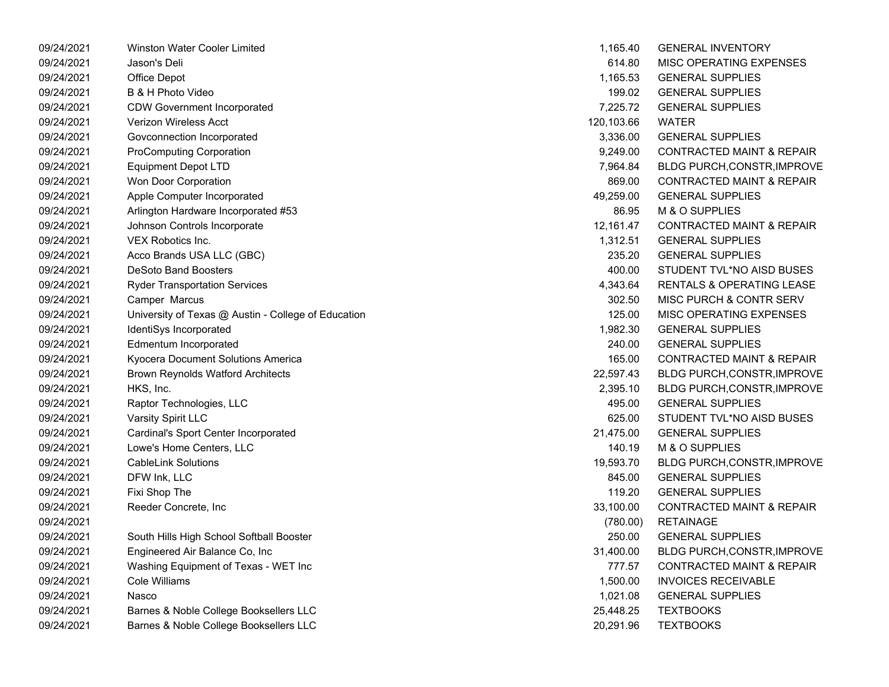09/24/2021 Winston Water Cooler Limited 09/24/2021 Jason's Deli 614.80 MISC OPERATING EXPENSES 09/24/2021 Office Depot 1,165.53 GENERAL SUPPLIES 09/24/2021 B & H Photo Video 09/24/2021 CDW Government Incorporated 09/24/2021 Verizon Wireless Acct 09/24/2021 Govconnection Incorporated 09/24/2021 ProComputing Corporation 09/24/2021 Equipment Depot LTD 09/24/2021 Won Door Corporation 09/24/2021 Apple Computer Incorporated 09/24/2021 Arlington Hardware Incorporated #53 09/24/2021 Johnson Controls Incorporate 09/24/2021 VEX Robotics Inc. 09/24/2021 Acco Brands USA LLC (GBC) 09/24/2021 DeSoto Band Boosters 09/24/2021 Ryder Transportation Services 09/24/2021 Camper Marcus 302.50 MISC PURCH & CONTR SERV 09/24/2021 University of Texas @ Austin - College of Education 09/24/2021 IdentiSys Incorporated 09/24/2021 Edmentum Incorporated 09/24/2021 Kyocera Document Solutions America 09/24/2021 Brown Reynolds Watford Architects 09/24/2021 HKS, Inc. 2,395.10 BLDG PURCH,CONSTR,IMPROVE 09/24/2021 Raptor Technologies, LLC 09/24/2021 Varsity Spirit LLC 625.00 STUDENT TVL\*NO AISD BUSES 09/24/2021 Cardinal's Sport Center Incorporated 09/24/2021 Lowe's Home Centers, LLC 09/24/2021 CableLink Solutions 09/24/2021 DFW Ink, LLC GENERAL SUPPLIES 845.00 09/24/2021 Fixi Shop The Georgia Superintent in the Georgia Superintent in the General Superintent in the G 09/24/2021 Reeder Concrete, Inc 09/24/2021 RETAINAGE09/24/2021 South Hills High School Softball Booster 09/24/2021 Engineered Air Balance Co, Inc 09/24/2021 Washing Equipment of Texas - WET Inc 09/24/2021 Cole Williams 1.500.00 INVOICES RECEIVABLE 09/24/2021 Nasco GENERAL SUPPLIES09/24/2021 Barnes & Noble College Booksellers LLC 09/24/2021 Barnes & Noble College Booksellers LLC

| 1,165.40   | <b>GENERAL INVENTORY</b>             |
|------------|--------------------------------------|
| 614.80     | MISC OPERATING EXPENSES              |
| 1,165.53   | <b>GENERAL SUPPLIES</b>              |
| 199.02     | <b>GENERAL SUPPLIES</b>              |
| 7,225.72   | <b>GENERAL SUPPLIES</b>              |
| 120,103.66 | WATFR                                |
| 3,336.00   | <b>GENERAL SUPPLIES</b>              |
| 9,249.00   | <b>CONTRACTED MAINT &amp; REPAIR</b> |
| 7,964.84   | BLDG PURCH, CONSTR, IMPROVE          |
| 869.00     | <b>CONTRACTED MAINT &amp; REPAIR</b> |
| 49,259.00  | <b>GENERAL SUPPLIES</b>              |
| 86.95      | <b>M &amp; O SUPPLIES</b>            |
| 12,161.47  | <b>CONTRACTED MAINT &amp; REPAIR</b> |
| 1,312.51   | <b>GENERAL SUPPLIES</b>              |
| 235.20     | <b>GENERAL SUPPLIES</b>              |
| 400.00     | STUDENT TVL*NO AISD BUSES            |
| 4,343.64   | <b>RENTALS &amp; OPERATING LEASE</b> |
| 302.50     | <b>MISC PURCH &amp; CONTR SERV</b>   |
| 125.00     | <b>MISC OPERATING EXPENSES</b>       |
| 1,982.30   | <b>GENERAL SUPPLIES</b>              |
| 240.00     | <b>GENERAL SUPPLIES</b>              |
| 165.00     | <b>CONTRACTED MAINT &amp; REPAIR</b> |
| 22,597.43  | BLDG PURCH, CONSTR, IMPROVE          |
| 2,395.10   | BLDG PURCH, CONSTR, IMPROVE          |
| 495.00     | <b>GENERAL SUPPLIES</b>              |
| 625.00     | STUDENT TVL*NO AISD BUSES            |
| 21,475.00  | <b>GENERAL SUPPLIES</b>              |
| 140.19     | M & O SUPPLIES                       |
| 19,593.70  | BLDG PURCH, CONSTR, IMPROVE          |
| 845.00     | <b>GENERAL SUPPLIES</b>              |
| 119.20     | <b>GENERAL SUPPLIES</b>              |
| 33,100.00  | <b>CONTRACTED MAINT &amp; REPAIR</b> |
| (780.00)   | <b>RETAINAGE</b>                     |
| 250.00     | <b>GENERAL SUPPLIES</b>              |
| 31,400.00  | BLDG PURCH, CONSTR, IMPROVE          |
| 777.57     | <b>CONTRACTED MAINT &amp; REPAIR</b> |
| 1,500.00   | <b>INVOICES RECEIVABLE</b>           |
| 1,021.08   | <b>GENERAL SUPPLIES</b>              |
| 25,448.25  | <b>TEXTBOOKS</b>                     |
| 20,291.96  | <b>TEXTBOOKS</b>                     |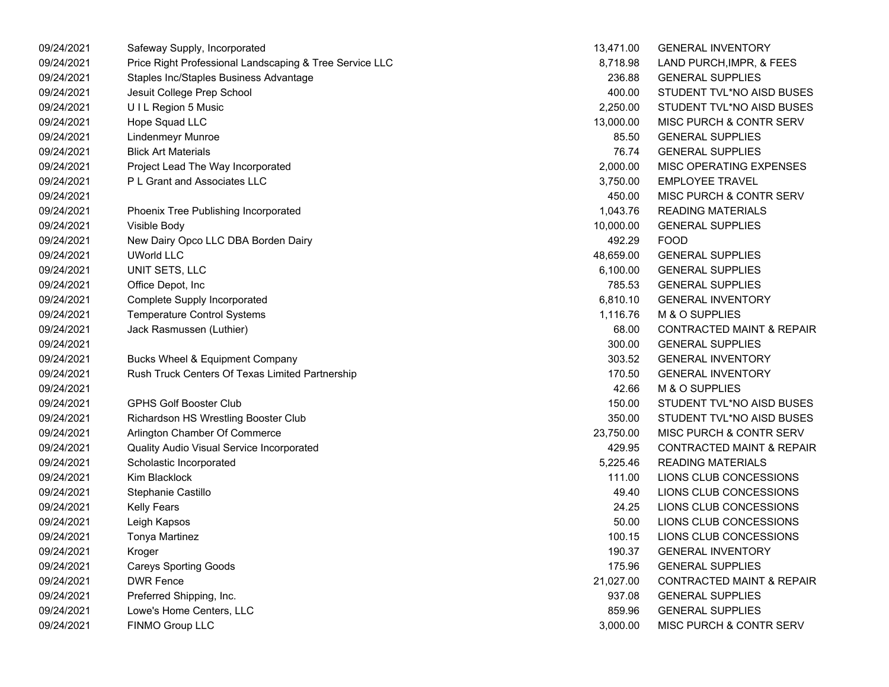| 09/24/2021 | Safeway Supply, Incorporated                            | 13,471.00 | <b>GENERAL INVENTORY</b>             |
|------------|---------------------------------------------------------|-----------|--------------------------------------|
| 09/24/2021 | Price Right Professional Landscaping & Tree Service LLC | 8,718.98  | LAND PURCH, IMPR, & FEES             |
| 09/24/2021 | Staples Inc/Staples Business Advantage                  | 236.88    | <b>GENERAL SUPPLIES</b>              |
| 09/24/2021 | Jesuit College Prep School                              | 400.00    | STUDENT TVL*NO AISD BUSES            |
| 09/24/2021 | UIL Region 5 Music                                      | 2,250.00  | STUDENT TVL*NO AISD BUSES            |
| 09/24/2021 | Hope Squad LLC                                          | 13,000.00 | MISC PURCH & CONTR SERV              |
| 09/24/2021 | <b>Lindenmeyr Munroe</b>                                | 85.50     | <b>GENERAL SUPPLIES</b>              |
| 09/24/2021 | <b>Blick Art Materials</b>                              | 76.74     | <b>GENERAL SUPPLIES</b>              |
| 09/24/2021 | Project Lead The Way Incorporated                       | 2,000.00  | MISC OPERATING EXPENSES              |
| 09/24/2021 | P L Grant and Associates LLC                            | 3,750.00  | <b>EMPLOYEE TRAVEL</b>               |
| 09/24/2021 |                                                         | 450.00    | MISC PURCH & CONTR SERV              |
| 09/24/2021 | Phoenix Tree Publishing Incorporated                    | 1,043.76  | <b>READING MATERIALS</b>             |
| 09/24/2021 | Visible Body                                            | 10,000.00 | <b>GENERAL SUPPLIES</b>              |
| 09/24/2021 | New Dairy Opco LLC DBA Borden Dairy                     | 492.29    | <b>FOOD</b>                          |
| 09/24/2021 | <b>UWorld LLC</b>                                       | 48,659.00 | <b>GENERAL SUPPLIES</b>              |
| 09/24/2021 | UNIT SETS, LLC                                          | 6,100.00  | <b>GENERAL SUPPLIES</b>              |
| 09/24/2021 | Office Depot, Inc.                                      | 785.53    | <b>GENERAL SUPPLIES</b>              |
| 09/24/2021 | <b>Complete Supply Incorporated</b>                     | 6,810.10  | <b>GENERAL INVENTORY</b>             |
| 09/24/2021 | <b>Temperature Control Systems</b>                      | 1,116.76  | M & O SUPPLIES                       |
| 09/24/2021 | Jack Rasmussen (Luthier)                                | 68.00     | <b>CONTRACTED MAINT &amp; REPAIR</b> |
| 09/24/2021 |                                                         | 300.00    | <b>GENERAL SUPPLIES</b>              |
| 09/24/2021 | <b>Bucks Wheel &amp; Equipment Company</b>              | 303.52    | <b>GENERAL INVENTORY</b>             |
| 09/24/2021 | Rush Truck Centers Of Texas Limited Partnership         | 170.50    | <b>GENERAL INVENTORY</b>             |
| 09/24/2021 |                                                         | 42.66     | M & O SUPPLIES                       |
| 09/24/2021 | <b>GPHS Golf Booster Club</b>                           | 150.00    | STUDENT TVL*NO AISD BUSES            |
| 09/24/2021 | Richardson HS Wrestling Booster Club                    | 350.00    | STUDENT TVL*NO AISD BUSES            |
| 09/24/2021 | Arlington Chamber Of Commerce                           | 23,750.00 | MISC PURCH & CONTR SERV              |
| 09/24/2021 | Quality Audio Visual Service Incorporated               | 429.95    | <b>CONTRACTED MAINT &amp; REPAIR</b> |
| 09/24/2021 | Scholastic Incorporated                                 | 5,225.46  | <b>READING MATERIALS</b>             |
| 09/24/2021 | Kim Blacklock                                           | 111.00    | LIONS CLUB CONCESSIONS               |
| 09/24/2021 | Stephanie Castillo                                      | 49.40     | LIONS CLUB CONCESSIONS               |
| 09/24/2021 | Kelly Fears                                             | 24.25     | LIONS CLUB CONCESSIONS               |
| 09/24/2021 | Leigh Kapsos                                            | 50.00     | LIONS CLUB CONCESSIONS               |
| 09/24/2021 | Tonya Martinez                                          | 100.15    | LIONS CLUB CONCESSIONS               |
| 09/24/2021 | Kroger                                                  | 190.37    | <b>GENERAL INVENTORY</b>             |
| 09/24/2021 | <b>Careys Sporting Goods</b>                            | 175.96    | <b>GENERAL SUPPLIES</b>              |
| 09/24/2021 | <b>DWR Fence</b>                                        | 21,027.00 | <b>CONTRACTED MAINT &amp; REPAIR</b> |
| 09/24/2021 | Preferred Shipping, Inc.                                | 937.08    | <b>GENERAL SUPPLIES</b>              |
| 09/24/2021 | Lowe's Home Centers, LLC                                | 859.96    | <b>GENERAL SUPPLIES</b>              |
| 09/24/2021 | <b>FINMO Group LLC</b>                                  | 3,000.00  | MISC PURCH & CONTR SERV              |

| 13,471.00 | <b>GENERAL INVENTORY</b>             |
|-----------|--------------------------------------|
| 8,718.98  | LAND PURCH, IMPR, & FEES             |
| 236.88    | <b>GENERAL SUPPLIES</b>              |
| 400.00    | STUDENT TVL*NO AISD BUSES            |
| 2,250.00  | STUDENT TVL*NO AISD BUSES            |
| 13,000.00 | MISC PURCH & CONTR SERV              |
| 85.50     | <b>GENERAL SUPPLIES</b>              |
| 76.74     | <b>GENERAL SUPPLIES</b>              |
| 2,000.00  | <b>MISC OPERATING EXPENSES</b>       |
| 3,750.00  | <b>EMPLOYEE TRAVEL</b>               |
| 450.00    | <b>MISC PURCH &amp; CONTR SERV</b>   |
| 1,043.76  | <b>READING MATERIALS</b>             |
| 10,000.00 | <b>GENERAL SUPPLIES</b>              |
| 492.29    | <b>FOOD</b>                          |
| 48,659.00 | <b>GENERAL SUPPLIES</b>              |
| 6,100.00  | <b>GENERAL SUPPLIES</b>              |
| 785.53    | <b>GENERAL SUPPLIES</b>              |
| 6,810.10  | <b>GENERAL INVENTORY</b>             |
| 1,116.76  | M & O SUPPLIES                       |
| 68.00     | <b>CONTRACTED MAINT &amp; REPAIR</b> |
| 300.00    | <b>GENERAL SUPPLIES</b>              |
| 303.52    | <b>GENERAL INVENTORY</b>             |
| 170.50    | <b>GENERAL INVENTORY</b>             |
| 42.66     | <b>M &amp; O SUPPLIES</b>            |
| 150.00    | STUDENT TVL*NO AISD BUSES            |
| 350.00    | STUDENT TVL*NO AISD BUSES            |
| 23,750.00 | <b>MISC PURCH &amp; CONTR SERV</b>   |
| 429.95    | <b>CONTRACTED MAINT &amp; REPAIR</b> |
| 5,225.46  | <b>READING MATERIALS</b>             |
| 111.00    | LIONS CLUB CONCESSIONS               |
| 49.40     | LIONS CLUB CONCESSIONS               |
| 24.25     | LIONS CLUB CONCESSIONS               |
| 50.00     | LIONS CLUB CONCESSIONS               |
| 100.15    | LIONS CLUB CONCESSIONS               |
| 190.37    | <b>GENERAL INVENTORY</b>             |
| 175.96    | <b>GENERAL SUPPLIES</b>              |
| 21,027.00 | <b>CONTRACTED MAINT &amp; REPAIR</b> |
| 937.08    | <b>GENERAL SUPPLIES</b>              |
| 859.96    | <b>GENERAL SUPPLIES</b>              |
| 3,000.00  | MISC PURCH & CONTR SERV              |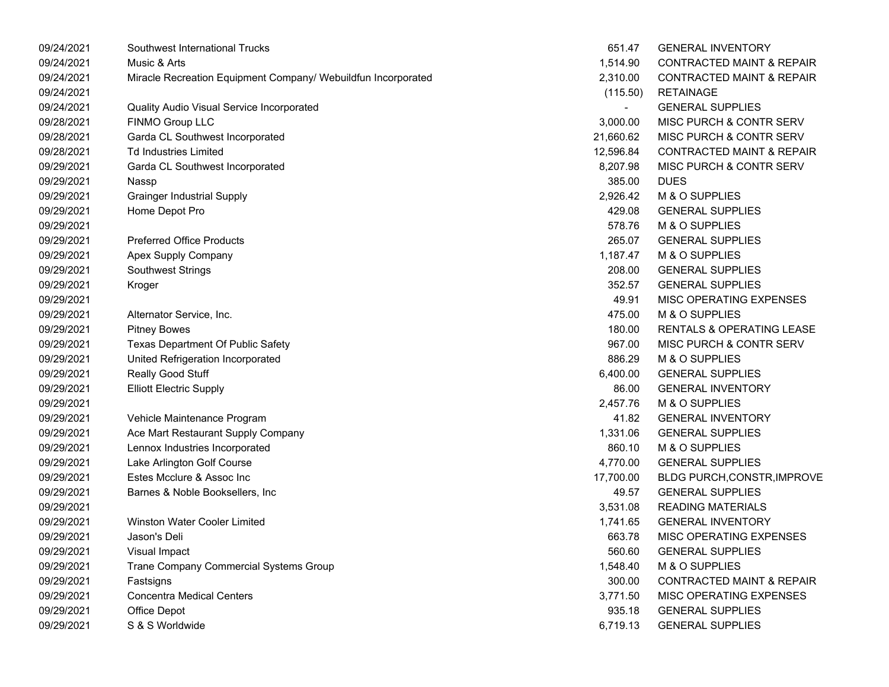| 09/24/2021 | Southwest International Trucks                                | 651.47    | <b>GENERAL INVENTORY</b>             |
|------------|---------------------------------------------------------------|-----------|--------------------------------------|
| 09/24/2021 | Music & Arts                                                  | 1,514.90  | <b>CONTRACTED MAINT &amp; REPAIR</b> |
| 09/24/2021 | Miracle Recreation Equipment Company/ Webuildfun Incorporated | 2,310.00  | CONTRACTED MAINT & REPAIR            |
| 09/24/2021 |                                                               | (115.50)  | <b>RETAINAGE</b>                     |
| 09/24/2021 | Quality Audio Visual Service Incorporated                     |           | <b>GENERAL SUPPLIES</b>              |
| 09/28/2021 | FINMO Group LLC                                               | 3,000.00  | MISC PURCH & CONTR SERV              |
| 09/28/2021 | Garda CL Southwest Incorporated                               | 21,660.62 | MISC PURCH & CONTR SERV              |
| 09/28/2021 | <b>Td Industries Limited</b>                                  | 12,596.84 | <b>CONTRACTED MAINT &amp; REPAIR</b> |
| 09/29/2021 | Garda CL Southwest Incorporated                               | 8,207.98  | MISC PURCH & CONTR SERV              |
| 09/29/2021 | Nassp                                                         | 385.00    | <b>DUES</b>                          |
| 09/29/2021 | <b>Grainger Industrial Supply</b>                             | 2,926.42  | M & O SUPPLIES                       |
| 09/29/2021 | Home Depot Pro                                                | 429.08    | <b>GENERAL SUPPLIES</b>              |
| 09/29/2021 |                                                               | 578.76    | M & O SUPPLIES                       |
| 09/29/2021 | <b>Preferred Office Products</b>                              | 265.07    | <b>GENERAL SUPPLIES</b>              |
| 09/29/2021 | Apex Supply Company                                           | 1,187.47  | M & O SUPPLIES                       |
| 09/29/2021 | <b>Southwest Strings</b>                                      | 208.00    | <b>GENERAL SUPPLIES</b>              |
| 09/29/2021 | Kroger                                                        | 352.57    | <b>GENERAL SUPPLIES</b>              |
| 09/29/2021 |                                                               | 49.91     | MISC OPERATING EXPENSES              |
| 09/29/2021 | Alternator Service, Inc.                                      | 475.00    | M & O SUPPLIES                       |
| 09/29/2021 | <b>Pitney Bowes</b>                                           | 180.00    | <b>RENTALS &amp; OPERATING LEASE</b> |
| 09/29/2021 | Texas Department Of Public Safety                             | 967.00    | MISC PURCH & CONTR SERV              |
| 09/29/2021 | United Refrigeration Incorporated                             | 886.29    | M & O SUPPLIES                       |
| 09/29/2021 | Really Good Stuff                                             | 6,400.00  | <b>GENERAL SUPPLIES</b>              |
| 09/29/2021 | <b>Elliott Electric Supply</b>                                | 86.00     | <b>GENERAL INVENTORY</b>             |
| 09/29/2021 |                                                               | 2,457.76  | M & O SUPPLIES                       |
| 09/29/2021 | Vehicle Maintenance Program                                   | 41.82     | <b>GENERAL INVENTORY</b>             |
| 09/29/2021 | Ace Mart Restaurant Supply Company                            | 1,331.06  | <b>GENERAL SUPPLIES</b>              |
| 09/29/2021 | Lennox Industries Incorporated                                | 860.10    | M & O SUPPLIES                       |
| 09/29/2021 | Lake Arlington Golf Course                                    | 4,770.00  | <b>GENERAL SUPPLIES</b>              |
| 09/29/2021 | Estes Mcclure & Assoc Inc                                     | 17,700.00 | <b>BLDG PURCH, CONSTR, IMPROVE</b>   |
| 09/29/2021 | Barnes & Noble Booksellers, Inc                               | 49.57     | <b>GENERAL SUPPLIES</b>              |
| 09/29/2021 |                                                               | 3,531.08  | <b>READING MATERIALS</b>             |
| 09/29/2021 | Winston Water Cooler Limited                                  | 1,741.65  | <b>GENERAL INVENTORY</b>             |
| 09/29/2021 | Jason's Deli                                                  | 663.78    | MISC OPERATING EXPENSES              |
| 09/29/2021 | Visual Impact                                                 | 560.60    | <b>GENERAL SUPPLIES</b>              |
| 09/29/2021 | Trane Company Commercial Systems Group                        | 1,548.40  | M & O SUPPLIES                       |
| 09/29/2021 | Fastsigns                                                     | 300.00    | <b>CONTRACTED MAINT &amp; REPAIR</b> |
| 09/29/2021 | <b>Concentra Medical Centers</b>                              | 3,771.50  | MISC OPERATING EXPENSES              |
| 09/29/2021 | Office Depot                                                  | 935.18    | <b>GENERAL SUPPLIES</b>              |
| 09/29/2021 | S & S Worldwide                                               | 6,719.13  | <b>GENERAL SUPPLIES</b>              |
|            |                                                               |           |                                      |

| 651.47    | GENERAL INVENTORY                    |
|-----------|--------------------------------------|
| 1,514.90  | <b>CONTRACTED MAINT &amp; REPAIR</b> |
| 2,310.00  | <b>CONTRACTED MAINT &amp; REPAIR</b> |
| (115.50)  | <b>RETAINAGE</b>                     |
|           | <b>GENERAL SUPPLIES</b>              |
| 3,000.00  | <b>MISC PURCH &amp; CONTR SERV</b>   |
| 21,660.62 | <b>MISC PURCH &amp; CONTR SERV</b>   |
| 12,596.84 | <b>CONTRACTED MAINT &amp; REPAIR</b> |
| 8,207.98  | MISC PURCH & CONTR SERV              |
| 385.00    | <b>DUES</b>                          |
| 2,926.42  | M & O SUPPLIES                       |
| 429.08    | <b>GENERAL SUPPLIES</b>              |
| 578.76    | M & O SUPPLIES                       |
| 265.07    | <b>GENERAL SUPPLIES</b>              |
| 1,187.47  | M & O SUPPLIES                       |
| 208.00    | <b>GENERAL SUPPLIES</b>              |
| 352.57    | <b>GENERAL SUPPLIES</b>              |
| 49.91     | <b>MISC OPERATING EXPENSES</b>       |
| 475.00    | <b>M &amp; O SUPPLIES</b>            |
| 180.00    | <b>RENTALS &amp; OPERATING LEASE</b> |
| 967.00    | MISC PURCH & CONTR SERV              |
| 886.29    | <b>M &amp; O SUPPLIES</b>            |
| 6,400.00  | <b>GENERAL SUPPLIES</b>              |
| 86.00     | <b>GENERAL INVENTORY</b>             |
| 2,457.76  | M & O SUPPLIES                       |
| 41.82     | <b>GENERAL INVENTORY</b>             |
| 1,331.06  | <b>GENERAL SUPPLIES</b>              |
| 860.10    | M & O SUPPLIES                       |
| 4,770.00  | <b>GENERAL SUPPLIES</b>              |
| 17,700.00 | BLDG PURCH, CONSTR, IMPROVE          |
| 49.57     | <b>GENERAL SUPPLIES</b>              |
| 3,531.08  | <b>READING MATERIALS</b>             |
| 1,741.65  | <b>GENERAL INVENTORY</b>             |
| 663.78    | <b>MISC OPERATING EXPENSES</b>       |
| 560.60    | <b>GENERAL SUPPLIES</b>              |
| 1,548.40  | M & O SUPPLIES                       |
| 300.00    | <b>CONTRACTED MAINT &amp; REPAIR</b> |
| 3,771.50  | <b>MISC OPERATING EXPENSES</b>       |
| 935.18    | <b>GENERAL SUPPLIES</b>              |
| 6,719.13  | <b>GENERAL SUPPLIES</b>              |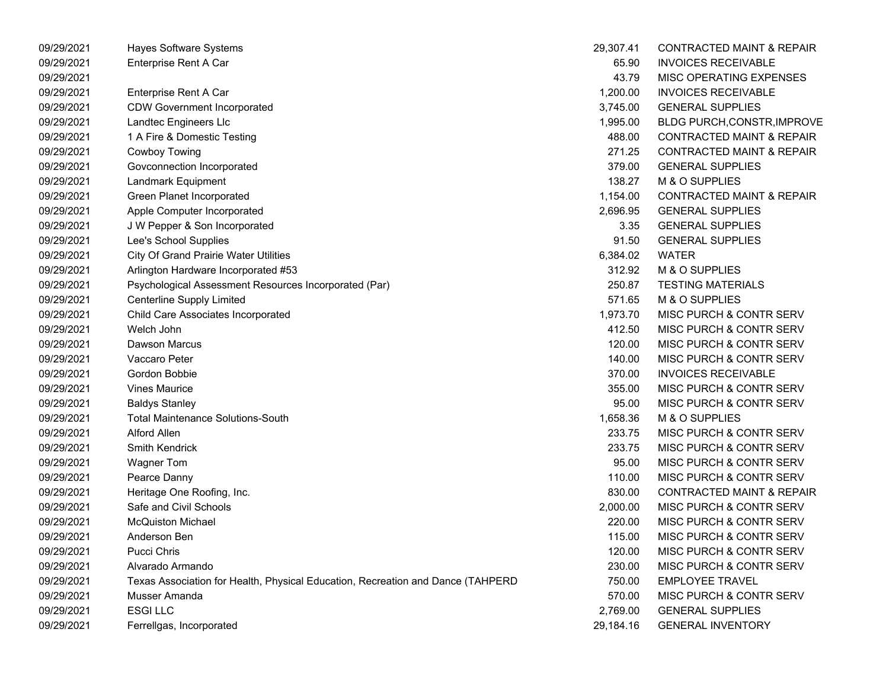| 09/29/2021 | Hayes Software Systems                                                          | 29,307.41 | <b>CONTRACTED MAINT &amp; REPAIR</b> |
|------------|---------------------------------------------------------------------------------|-----------|--------------------------------------|
| 09/29/2021 | Enterprise Rent A Car                                                           | 65.90     | <b>INVOICES RECEIVABLE</b>           |
| 09/29/2021 |                                                                                 | 43.79     | MISC OPERATING EXPENSES              |
| 09/29/2021 | Enterprise Rent A Car                                                           | 1,200.00  | <b>INVOICES RECEIVABLE</b>           |
| 09/29/2021 | <b>CDW Government Incorporated</b>                                              | 3,745.00  | <b>GENERAL SUPPLIES</b>              |
| 09/29/2021 | Landtec Engineers Llc                                                           | 1,995.00  | <b>BLDG PURCH, CONSTR, IMPROVE</b>   |
| 09/29/2021 | 1 A Fire & Domestic Testing                                                     | 488.00    | <b>CONTRACTED MAINT &amp; REPAIR</b> |
| 09/29/2021 | Cowboy Towing                                                                   | 271.25    | <b>CONTRACTED MAINT &amp; REPAIR</b> |
| 09/29/2021 | Govconnection Incorporated                                                      | 379.00    | <b>GENERAL SUPPLIES</b>              |
| 09/29/2021 | Landmark Equipment                                                              | 138.27    | M & O SUPPLIES                       |
| 09/29/2021 | Green Planet Incorporated                                                       | 1,154.00  | <b>CONTRACTED MAINT &amp; REPAIR</b> |
| 09/29/2021 | Apple Computer Incorporated                                                     | 2,696.95  | <b>GENERAL SUPPLIES</b>              |
| 09/29/2021 | J W Pepper & Son Incorporated                                                   | 3.35      | <b>GENERAL SUPPLIES</b>              |
| 09/29/2021 | Lee's School Supplies                                                           | 91.50     | <b>GENERAL SUPPLIES</b>              |
| 09/29/2021 | <b>City Of Grand Prairie Water Utilities</b>                                    | 6,384.02  | <b>WATER</b>                         |
| 09/29/2021 | Arlington Hardware Incorporated #53                                             | 312.92    | M & O SUPPLIES                       |
| 09/29/2021 | Psychological Assessment Resources Incorporated (Par)                           | 250.87    | <b>TESTING MATERIALS</b>             |
| 09/29/2021 | Centerline Supply Limited                                                       | 571.65    | M & O SUPPLIES                       |
| 09/29/2021 | Child Care Associates Incorporated                                              | 1,973.70  | MISC PURCH & CONTR SERV              |
| 09/29/2021 | Welch John                                                                      | 412.50    | MISC PURCH & CONTR SERV              |
| 09/29/2021 | <b>Dawson Marcus</b>                                                            | 120.00    | MISC PURCH & CONTR SERV              |
| 09/29/2021 | Vaccaro Peter                                                                   | 140.00    | MISC PURCH & CONTR SERV              |
| 09/29/2021 | Gordon Bobbie                                                                   | 370.00    | <b>INVOICES RECEIVABLE</b>           |
| 09/29/2021 | <b>Vines Maurice</b>                                                            | 355.00    | MISC PURCH & CONTR SERV              |
| 09/29/2021 | <b>Baldys Stanley</b>                                                           | 95.00     | MISC PURCH & CONTR SERV              |
| 09/29/2021 | <b>Total Maintenance Solutions-South</b>                                        | 1,658.36  | M & O SUPPLIES                       |
| 09/29/2021 | <b>Alford Allen</b>                                                             | 233.75    | MISC PURCH & CONTR SERV              |
| 09/29/2021 | Smith Kendrick                                                                  | 233.75    | MISC PURCH & CONTR SERV              |
| 09/29/2021 | <b>Wagner Tom</b>                                                               | 95.00     | MISC PURCH & CONTR SERV              |
| 09/29/2021 | Pearce Danny                                                                    | 110.00    | MISC PURCH & CONTR SERV              |
| 09/29/2021 | Heritage One Roofing, Inc.                                                      | 830.00    | <b>CONTRACTED MAINT &amp; REPAIR</b> |
| 09/29/2021 | Safe and Civil Schools                                                          | 2,000.00  | <b>MISC PURCH &amp; CONTR SERV</b>   |
| 09/29/2021 | <b>McQuiston Michael</b>                                                        | 220.00    | <b>MISC PURCH &amp; CONTR SERV</b>   |
| 09/29/2021 | Anderson Ben                                                                    | 115.00    | MISC PURCH & CONTR SERV              |
| 09/29/2021 | Pucci Chris                                                                     | 120.00    | MISC PURCH & CONTR SERV              |
| 09/29/2021 | Alvarado Armando                                                                | 230.00    | MISC PURCH & CONTR SERV              |
| 09/29/2021 | Texas Association for Health, Physical Education, Recreation and Dance (TAHPERD | 750.00    | <b>EMPLOYEE TRAVEL</b>               |
| 09/29/2021 | Musser Amanda                                                                   | 570.00    | MISC PURCH & CONTR SERV              |
| 09/29/2021 | <b>ESGILLC</b>                                                                  | 2,769.00  | <b>GENERAL SUPPLIES</b>              |
| 09/29/2021 | Ferrellgas, Incorporated                                                        | 29,184.16 | <b>GENERAL INVENTORY</b>             |
|            |                                                                                 |           |                                      |

| 9,307.41 | CONTRACTED MAINT & REPAIR            |
|----------|--------------------------------------|
| 65.90    | <b>INVOICES RECEIVABLE</b>           |
| 43.79    | <b>MISC OPERATING EXPENSES</b>       |
| 1,200.00 | <b>INVOICES RECEIVABLE</b>           |
| 3,745.00 | <b>GENERAL SUPPLIES</b>              |
| 1,995.00 | <b>BLDG PURCH, CONSTR, IMPROVE</b>   |
| 488.00   | <b>CONTRACTED MAINT &amp; REPAIR</b> |
| 271.25   | <b>CONTRACTED MAINT &amp; REPAIR</b> |
| 379.00   | <b>GENERAL SUPPLIES</b>              |
| 138.27   | <b>M &amp; O SUPPLIES</b>            |
| 1,154.00 | <b>CONTRACTED MAINT &amp; REPAIR</b> |
| 2,696.95 | <b>GENERAL SUPPLIES</b>              |
| 3.35     | <b>GENERAL SUPPLIES</b>              |
| 91.50    | <b>GENERAL SUPPLIES</b>              |
| 6,384.02 | WATER                                |
| 312.92   | M & O SUPPLIES                       |
| 250.87   | <b>TESTING MATERIALS</b>             |
| 571.65   | <b>M &amp; O SUPPLIES</b>            |
| 1.973.70 | <b>MISC PURCH &amp; CONTR SERV</b>   |
| 412.50   | <b>MISC PURCH &amp; CONTR SERV</b>   |
| 120.00   | <b>MISC PURCH &amp; CONTR SERV</b>   |
| 140.00   | MISC PURCH & CONTR SERV              |
| 370.00   | <b>INVOICES RECEIVABLE</b>           |
| 355.00   | MISC PURCH & CONTR SERV              |
| 95.00    | <b>MISC PURCH &amp; CONTR SERV</b>   |
| 1,658.36 | <b>M &amp; O SUPPLIES</b>            |
| 233.75   | <b>MISC PURCH &amp; CONTR SERV</b>   |
| 233.75   | <b>MISC PURCH &amp; CONTR SERV</b>   |
| 95.00    | <b>MISC PURCH &amp; CONTR SERV</b>   |
| 110.00   | MISC PURCH & CONTR SERV              |
| 830.00   | <b>CONTRACTED MAINT &amp; REPAIR</b> |
| 2.000.00 | MISC PURCH & CONTR SERV              |
| 220.00   | <b>MISC PURCH &amp; CONTR SERV</b>   |
| 115.00   | MISC PURCH & CONTR SERV              |
| 120.00   | MISC PURCH & CONTR SERV              |
| 230.00   | MISC PURCH & CONTR SERV              |
| 750.00   | <b>EMPLOYEE TRAVEL</b>               |
| 570.00   | MISC PURCH & CONTR SERV              |
| 2,769.00 | <b>GENERAL SUPPLIES</b>              |
| 9,184.16 | <b>GENERAL INVENTORY</b>             |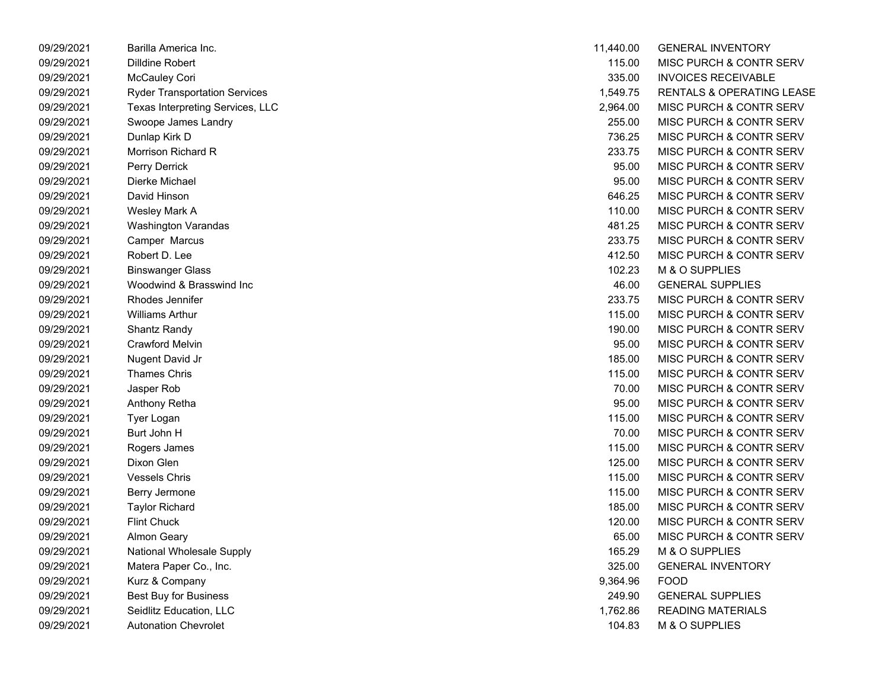| 09/29/2021 | Barilla America Inc.                 | 11,440.00 | <b>GENERAL INVENTORY</b>             |
|------------|--------------------------------------|-----------|--------------------------------------|
| 09/29/2021 | Dilldine Robert                      | 115.00    | MISC PURCH & CONTR SERV              |
| 09/29/2021 | McCauley Cori                        | 335.00    | <b>INVOICES RECEIVABLE</b>           |
| 09/29/2021 | <b>Ryder Transportation Services</b> | 1,549.75  | <b>RENTALS &amp; OPERATING LEASE</b> |
| 09/29/2021 | Texas Interpreting Services, LLC     | 2,964.00  | MISC PURCH & CONTR SERV              |
| 09/29/2021 | Swoope James Landry                  | 255.00    | MISC PURCH & CONTR SERV              |
| 09/29/2021 | Dunlap Kirk D                        | 736.25    | MISC PURCH & CONTR SERV              |
| 09/29/2021 | Morrison Richard R                   | 233.75    | MISC PURCH & CONTR SERV              |
| 09/29/2021 | Perry Derrick                        | 95.00     | MISC PURCH & CONTR SERV              |
| 09/29/2021 | Dierke Michael                       | 95.00     | MISC PURCH & CONTR SERV              |
| 09/29/2021 | David Hinson                         | 646.25    | MISC PURCH & CONTR SERV              |
| 09/29/2021 | Wesley Mark A                        | 110.00    | MISC PURCH & CONTR SERV              |
| 09/29/2021 | <b>Washington Varandas</b>           | 481.25    | MISC PURCH & CONTR SERV              |
| 09/29/2021 | Camper Marcus                        | 233.75    | MISC PURCH & CONTR SERV              |
| 09/29/2021 | Robert D. Lee                        | 412.50    | MISC PURCH & CONTR SERV              |
| 09/29/2021 | <b>Binswanger Glass</b>              | 102.23    | M & O SUPPLIES                       |
| 09/29/2021 | Woodwind & Brasswind Inc             | 46.00     | <b>GENERAL SUPPLIES</b>              |
| 09/29/2021 | Rhodes Jennifer                      | 233.75    | MISC PURCH & CONTR SERV              |
| 09/29/2021 | <b>Williams Arthur</b>               | 115.00    | MISC PURCH & CONTR SERV              |
| 09/29/2021 | Shantz Randy                         | 190.00    | MISC PURCH & CONTR SERV              |
| 09/29/2021 | <b>Crawford Melvin</b>               | 95.00     | MISC PURCH & CONTR SERV              |
| 09/29/2021 | Nugent David Jr                      | 185.00    | MISC PURCH & CONTR SERV              |
| 09/29/2021 | <b>Thames Chris</b>                  | 115.00    | MISC PURCH & CONTR SERV              |
| 09/29/2021 | Jasper Rob                           | 70.00     | MISC PURCH & CONTR SERV              |
| 09/29/2021 | Anthony Retha                        | 95.00     | MISC PURCH & CONTR SERV              |
| 09/29/2021 | Tyer Logan                           | 115.00    | MISC PURCH & CONTR SERV              |
| 09/29/2021 | Burt John H                          | 70.00     | MISC PURCH & CONTR SERV              |
| 09/29/2021 | Rogers James                         | 115.00    | MISC PURCH & CONTR SERV              |
| 09/29/2021 | Dixon Glen                           | 125.00    | MISC PURCH & CONTR SERV              |
| 09/29/2021 | <b>Vessels Chris</b>                 | 115.00    | MISC PURCH & CONTR SERV              |
| 09/29/2021 | Berry Jermone                        | 115.00    | MISC PURCH & CONTR SERV              |
| 09/29/2021 | <b>Taylor Richard</b>                | 185.00    | MISC PURCH & CONTR SERV              |
| 09/29/2021 | <b>Flint Chuck</b>                   | 120.00    | MISC PURCH & CONTR SERV              |
| 09/29/2021 | <b>Almon Geary</b>                   | 65.00     | MISC PURCH & CONTR SERV              |
| 09/29/2021 | National Wholesale Supply            | 165.29    | M & O SUPPLIES                       |
| 09/29/2021 | Matera Paper Co., Inc.               | 325.00    | <b>GENERAL INVENTORY</b>             |
| 09/29/2021 | Kurz & Company                       | 9,364.96  | <b>FOOD</b>                          |
| 09/29/2021 | <b>Best Buy for Business</b>         | 249.90    | <b>GENERAL SUPPLIES</b>              |
| 09/29/2021 | Seidlitz Education, LLC              | 1,762.86  | <b>READING MATERIALS</b>             |
| 09/29/2021 | <b>Autonation Chevrolet</b>          | 104.83    | M & O SUPPLIES                       |

| 11,440.00 | <b>GENERAL INVENTORY</b>           |
|-----------|------------------------------------|
| 115.00    | <b>MISC PURCH &amp; CONTR SERV</b> |
| 335.00    | <b>INVOICES RECEIVABLE</b>         |
| 1,549.75  | RENTALS & OPERATING LEASE          |
| 2,964.00  | MISC PURCH & CONTR SERV            |
| 255.00    | <b>MISC PURCH &amp; CONTR SERV</b> |
| 736.25    | <b>MISC PURCH &amp; CONTR SERV</b> |
| 233.75    | <b>MISC PURCH &amp; CONTR SERV</b> |
| 95.00     | <b>MISC PURCH &amp; CONTR SERV</b> |
| 95.00     | <b>MISC PURCH &amp; CONTR SERV</b> |
| 646.25    | <b>MISC PURCH &amp; CONTR SERV</b> |
| 110.00    | MISC PURCH & CONTR SERV            |
| 481.25    | MISC PURCH & CONTR SERV            |
| 233.75    | MISC PURCH & CONTR SERV            |
| 412.50    | MISC PURCH & CONTR SERV            |
| 102.23    | M & O SUPPLIES                     |
| 46.00     | <b>GENERAL SUPPLIES</b>            |
| 233.75    | MISC PURCH & CONTR SERV            |
| 115.00    | <b>MISC PURCH &amp; CONTR SERV</b> |
| 190.00    | MISC PURCH & CONTR SERV            |
| 95.00     | MISC PURCH & CONTR SERV            |
| 185.00    | <b>MISC PURCH &amp; CONTR SERV</b> |
| 115.00    | <b>MISC PURCH &amp; CONTR SERV</b> |
| 70.00     | <b>MISC PURCH &amp; CONTR SERV</b> |
| 95.00     | <b>MISC PURCH &amp; CONTR SERV</b> |
| 115.00    | <b>MISC PURCH &amp; CONTR SERV</b> |
| 70.00     | <b>MISC PURCH &amp; CONTR SERV</b> |
| 115.00    | <b>MISC PURCH &amp; CONTR SERV</b> |
| 125.00    | <b>MISC PURCH &amp; CONTR SERV</b> |
| 115.00    | <b>MISC PURCH &amp; CONTR SERV</b> |
| 115.00    | <b>MISC PURCH &amp; CONTR SERV</b> |
| 185.00    | <b>MISC PURCH &amp; CONTR SERV</b> |
| 120.00    | <b>MISC PURCH &amp; CONTR SERV</b> |
| 65.00     | <b>MISC PURCH &amp; CONTR SERV</b> |
| 165.29    | <b>M &amp; O SUPPLIES</b>          |
| 325.00    | <b>GENERAL INVENTORY</b>           |
| 9,364.96  | <b>FOOD</b>                        |
| 249.90    | <b>GENERAL SUPPLIES</b>            |
| 1,762.86  | <b>READING MATERIALS</b>           |
| 104.83    | M & O SUPPLIES                     |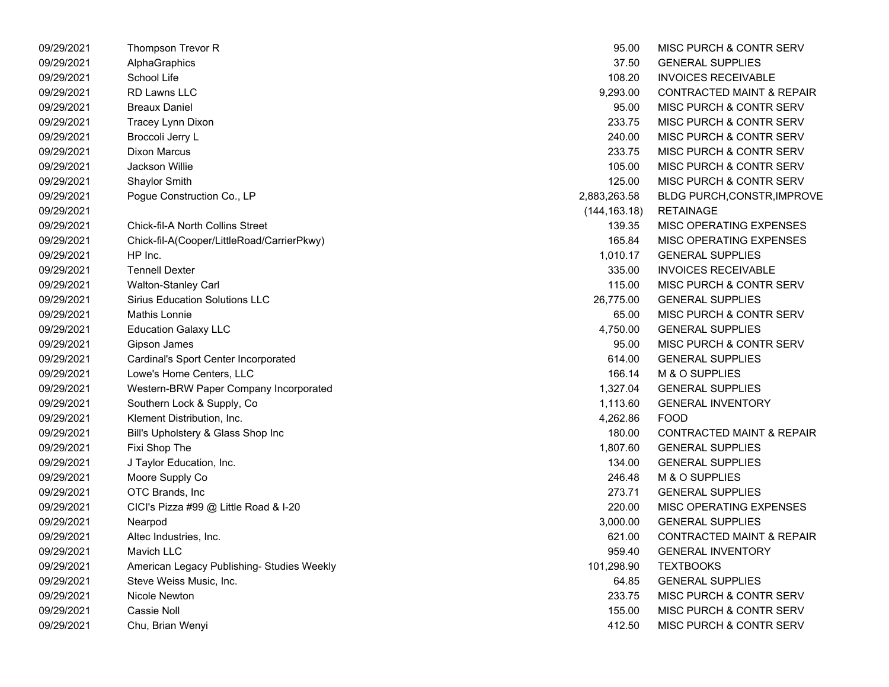| 09/29/2021 | Thompson Trevor R                          | 95.00         | <b>MISC PURCH &amp; CONTR SERV</b>   |
|------------|--------------------------------------------|---------------|--------------------------------------|
| 09/29/2021 | AlphaGraphics                              | 37.50         | <b>GENERAL SUPPLIES</b>              |
| 09/29/2021 | School Life                                | 108.20        | <b>INVOICES RECEIVABLE</b>           |
| 09/29/2021 | RD Lawns LLC                               | 9,293.00      | <b>CONTRACTED MAINT &amp; REPAIR</b> |
| 09/29/2021 | <b>Breaux Daniel</b>                       | 95.00         | <b>MISC PURCH &amp; CONTR SERV</b>   |
| 09/29/2021 | Tracey Lynn Dixon                          | 233.75        | <b>MISC PURCH &amp; CONTR SERV</b>   |
| 09/29/2021 | Broccoli Jerry L                           | 240.00        | <b>MISC PURCH &amp; CONTR SERV</b>   |
| 09/29/2021 | <b>Dixon Marcus</b>                        | 233.75        | MISC PURCH & CONTR SERV              |
| 09/29/2021 | <b>Jackson Willie</b>                      | 105.00        | MISC PURCH & CONTR SERV              |
| 09/29/2021 | Shaylor Smith                              | 125.00        | MISC PURCH & CONTR SERV              |
| 09/29/2021 | Pogue Construction Co., LP                 | 2,883,263.58  | BLDG PURCH, CONSTR, IMPROVE          |
| 09/29/2021 |                                            | (144, 163.18) | <b>RETAINAGE</b>                     |
| 09/29/2021 | <b>Chick-fil-A North Collins Street</b>    | 139.35        | MISC OPERATING EXPENSES              |
| 09/29/2021 | Chick-fil-A(Cooper/LittleRoad/CarrierPkwy) | 165.84        | MISC OPERATING EXPENSES              |
| 09/29/2021 | HP Inc.                                    | 1,010.17      | <b>GENERAL SUPPLIES</b>              |
| 09/29/2021 | <b>Tennell Dexter</b>                      | 335.00        | <b>INVOICES RECEIVABLE</b>           |
| 09/29/2021 | <b>Walton-Stanley Carl</b>                 | 115.00        | <b>MISC PURCH &amp; CONTR SERV</b>   |
| 09/29/2021 | <b>Sirius Education Solutions LLC</b>      | 26,775.00     | <b>GENERAL SUPPLIES</b>              |
| 09/29/2021 | <b>Mathis Lonnie</b>                       | 65.00         | <b>MISC PURCH &amp; CONTR SERV</b>   |
| 09/29/2021 | <b>Education Galaxy LLC</b>                | 4,750.00      | <b>GENERAL SUPPLIES</b>              |
| 09/29/2021 | Gipson James                               | 95.00         | <b>MISC PURCH &amp; CONTR SERV</b>   |
| 09/29/2021 | Cardinal's Sport Center Incorporated       | 614.00        | <b>GENERAL SUPPLIES</b>              |
| 09/29/2021 | Lowe's Home Centers, LLC                   | 166.14        | M & O SUPPLIES                       |
| 09/29/2021 | Western-BRW Paper Company Incorporated     | 1,327.04      | <b>GENERAL SUPPLIES</b>              |
| 09/29/2021 | Southern Lock & Supply, Co.                | 1,113.60      | <b>GENERAL INVENTORY</b>             |
| 09/29/2021 | Klement Distribution, Inc.                 | 4,262.86      | <b>FOOD</b>                          |
| 09/29/2021 | Bill's Upholstery & Glass Shop Inc         | 180.00        | <b>CONTRACTED MAINT &amp; REPAIR</b> |
| 09/29/2021 | Fixi Shop The                              | 1,807.60      | <b>GENERAL SUPPLIES</b>              |
| 09/29/2021 | J Taylor Education, Inc.                   | 134.00        | <b>GENERAL SUPPLIES</b>              |
| 09/29/2021 | Moore Supply Co                            | 246.48        | M & O SUPPLIES                       |
| 09/29/2021 | OTC Brands, Inc                            | 273.71        | <b>GENERAL SUPPLIES</b>              |
| 09/29/2021 | CICI's Pizza #99 @ Little Road & I-20      | 220.00        | <b>MISC OPERATING EXPENSES</b>       |
| 09/29/2021 | Nearpod                                    | 3,000.00      | <b>GENERAL SUPPLIES</b>              |
| 09/29/2021 | Altec Industries, Inc.                     | 621.00        | <b>CONTRACTED MAINT &amp; REPAIR</b> |
| 09/29/2021 | Mavich LLC                                 | 959.40        | <b>GENERAL INVENTORY</b>             |
| 09/29/2021 | American Legacy Publishing- Studies Weekly | 101,298.90    | <b>TEXTBOOKS</b>                     |
| 09/29/2021 | Steve Weiss Music, Inc.                    | 64.85         | <b>GENERAL SUPPLIES</b>              |
| 09/29/2021 | Nicole Newton                              | 233.75        | <b>MISC PURCH &amp; CONTR SERV</b>   |
| 09/29/2021 | Cassie Noll                                | 155.00        | <b>MISC PURCH &amp; CONTR SERV</b>   |
| 09/29/2021 | Chu, Brian Wenyi                           | 412.50        | <b>MISC PURCH &amp; CONTR SERV</b>   |

| 95.00       | <b>MISC PURCH &amp; CONTR SERV</b>   |
|-------------|--------------------------------------|
| 37.50       | <b>GENERAL SUPPLIES</b>              |
| 108.20      | <b>INVOICES RECEIVABLE</b>           |
| 9,293.00    | <b>CONTRACTED MAINT &amp; REPAIR</b> |
| 95.00       | MISC PURCH & CONTR SERV              |
| 233.75      | MISC PURCH & CONTR SERV              |
| 240.00      | MISC PURCH & CONTR SERV              |
| 233.75      | <b>MISC PURCH &amp; CONTR SERV</b>   |
| 105.00      | MISC PURCH & CONTR SERV              |
| 125.00      | MISC PURCH & CONTR SERV              |
| ,883,263.58 | BLDG PURCH, CONSTR, IMPROVE          |
|             | (144,163.18) RETAINAGE               |
| 139.35      | <b>MISC OPERATING EXPENSES</b>       |
| 165.84      | <b>MISC OPERATING EXPENSES</b>       |
| 1,010.17    | <b>GENERAL SUPPLIES</b>              |
| 335.00      | <b>INVOICES RECEIVABLE</b>           |
| 115.00      | MISC PURCH & CONTR SERV              |
|             | 26,775.00 GENERAL SUPPLIES           |
|             | 65.00 MISC PURCH & CONTR SERV        |
| 4,750.00    | <b>GENERAL SUPPLIES</b>              |
| 95.00       | MISC PURCH & CONTR SERV              |
| 614.00      | <b>GENERAL SUPPLIES</b>              |
| 166.14      | M & O SUPPLIES                       |
| 1,327.04    | <b>GENERAL SUPPLIES</b>              |
| 1,113.60    | <b>GENERAL INVENTORY</b>             |
| 4,262.86    | <b>FOOD</b>                          |
| 180.00      | <b>CONTRACTED MAINT &amp; REPAIR</b> |
|             | 1,807.60 GENERAL SUPPLIES            |
| 134.00      | <b>GENERAL SUPPLIES</b>              |
| 246.48      | M & O SUPPLIES                       |
| 273.71      | <b>GENERAL SUPPLIES</b>              |
| 220.00      | <b>MISC OPERATING EXPENSES</b>       |
| 3,000.00    | <b>GENERAL SUPPLIES</b>              |
| 621.00      | <b>CONTRACTED MAINT &amp; REPAIR</b> |
| 959.40      | <b>GENERAL INVENTORY</b>             |
| 101,298.90  | <b>TEXTBOOKS</b>                     |
| 64.85       | <b>GENERAL SUPPLIES</b>              |
| 233.75      | MISC PURCH & CONTR SERV              |
| 155.00      | <b>MISC PURCH &amp; CONTR SERV</b>   |
| 412.50      | MISC PURCH & CONTR SERV              |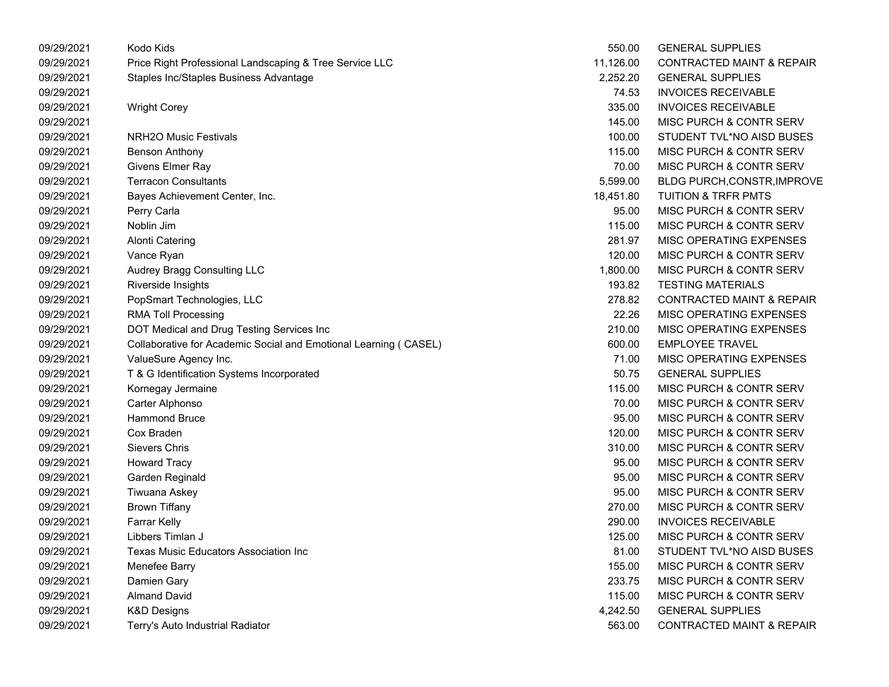| 09/29/2021 | Kodo Kids                                                        | 550.00    | <b>GENERAL SUPPLIES</b>              |
|------------|------------------------------------------------------------------|-----------|--------------------------------------|
| 09/29/2021 | Price Right Professional Landscaping & Tree Service LLC          | 11,126.00 | <b>CONTRACTED MAINT &amp; REPAIR</b> |
| 09/29/2021 | Staples Inc/Staples Business Advantage                           | 2,252.20  | <b>GENERAL SUPPLIES</b>              |
| 09/29/2021 |                                                                  | 74.53     | <b>INVOICES RECEIVABLE</b>           |
| 09/29/2021 | <b>Wright Corey</b>                                              | 335.00    | <b>INVOICES RECEIVABLE</b>           |
| 09/29/2021 |                                                                  | 145.00    | MISC PURCH & CONTR SERV              |
| 09/29/2021 | <b>NRH2O Music Festivals</b>                                     | 100.00    | STUDENT TVL*NO AISD BUSES            |
| 09/29/2021 | <b>Benson Anthony</b>                                            | 115.00    | MISC PURCH & CONTR SERV              |
| 09/29/2021 | Givens Elmer Ray                                                 | 70.00     | MISC PURCH & CONTR SERV              |
| 09/29/2021 | <b>Terracon Consultants</b>                                      | 5,599.00  | <b>BLDG PURCH, CONSTR, IMPROVE</b>   |
| 09/29/2021 | Bayes Achievement Center, Inc.                                   | 18,451.80 | <b>TUITION &amp; TRFR PMTS</b>       |
| 09/29/2021 | Perry Carla                                                      | 95.00     | MISC PURCH & CONTR SERV              |
| 09/29/2021 | Noblin Jim                                                       | 115.00    | MISC PURCH & CONTR SERV              |
| 09/29/2021 | <b>Alonti Catering</b>                                           | 281.97    | MISC OPERATING EXPENSES              |
| 09/29/2021 | Vance Ryan                                                       | 120.00    | MISC PURCH & CONTR SERV              |
| 09/29/2021 | Audrey Bragg Consulting LLC                                      | 1,800.00  | MISC PURCH & CONTR SERV              |
| 09/29/2021 | Riverside Insights                                               | 193.82    | <b>TESTING MATERIALS</b>             |
| 09/29/2021 | PopSmart Technologies, LLC                                       | 278.82    | <b>CONTRACTED MAINT &amp; REPAIR</b> |
| 09/29/2021 | <b>RMA Toll Processing</b>                                       | 22.26     | MISC OPERATING EXPENSES              |
| 09/29/2021 | DOT Medical and Drug Testing Services Inc                        | 210.00    | MISC OPERATING EXPENSES              |
| 09/29/2021 | Collaborative for Academic Social and Emotional Learning (CASEL) | 600.00    | <b>EMPLOYEE TRAVEL</b>               |
| 09/29/2021 | ValueSure Agency Inc.                                            | 71.00     | MISC OPERATING EXPENSES              |
| 09/29/2021 | T & G Identification Systems Incorporated                        | 50.75     | <b>GENERAL SUPPLIES</b>              |
| 09/29/2021 | Kornegay Jermaine                                                | 115.00    | MISC PURCH & CONTR SERV              |
| 09/29/2021 | Carter Alphonso                                                  | 70.00     | MISC PURCH & CONTR SERV              |
| 09/29/2021 | <b>Hammond Bruce</b>                                             | 95.00     | MISC PURCH & CONTR SERV              |
| 09/29/2021 | Cox Braden                                                       | 120.00    | MISC PURCH & CONTR SERV              |
| 09/29/2021 | <b>Sievers Chris</b>                                             | 310.00    | MISC PURCH & CONTR SERV              |
| 09/29/2021 | <b>Howard Tracy</b>                                              | 95.00     | MISC PURCH & CONTR SERV              |
| 09/29/2021 | Garden Reginald                                                  | 95.00     | MISC PURCH & CONTR SERV              |
| 09/29/2021 | Tiwuana Askey                                                    | 95.00     | MISC PURCH & CONTR SERV              |
| 09/29/2021 | <b>Brown Tiffany</b>                                             | 270.00    | MISC PURCH & CONTR SERV              |
| 09/29/2021 | Farrar Kelly                                                     | 290.00    | <b>INVOICES RECEIVABLE</b>           |
| 09/29/2021 | Libbers Timlan J                                                 | 125.00    | <b>MISC PURCH &amp; CONTR SERV</b>   |
| 09/29/2021 | Texas Music Educators Association Inc                            | 81.00     | STUDENT TVL*NO AISD BUSES            |
| 09/29/2021 | Menefee Barry                                                    | 155.00    | MISC PURCH & CONTR SERV              |
| 09/29/2021 | Damien Gary                                                      | 233.75    | MISC PURCH & CONTR SERV              |
| 09/29/2021 | <b>Almand David</b>                                              | 115.00    | MISC PURCH & CONTR SERV              |
| 09/29/2021 | <b>K&amp;D Designs</b>                                           | 4,242.50  | <b>GENERAL SUPPLIES</b>              |
| 09/29/2021 | Terry's Auto Industrial Radiator                                 | 563.00    | <b>CONTRACTED MAINT &amp; REPAIR</b> |
|            |                                                                  |           |                                      |

| 550.00    | <b>GENERAL SUPPLIES</b>              |
|-----------|--------------------------------------|
| 11,126.00 | <b>CONTRACTED MAINT &amp; REPAIR</b> |
| 2,252.20  | <b>GENERAL SUPPLIES</b>              |
| 74.53     | <b>INVOICES RECEIVABLE</b>           |
| 335.00    | <b>INVOICES RECEIVABLE</b>           |
| 145.00    | MISC PURCH & CONTR SERV              |
| 100.00    | STUDENT TVL*NO AISD BUSES            |
| 115.00    | <b>MISC PURCH &amp; CONTR SERV</b>   |
| 70.00     | <b>MISC PURCH &amp; CONTR SERV</b>   |
| 5,599.00  | BLDG PURCH, CONSTR, IMPROVE          |
| 18,451.80 | <b>TUITION &amp; TRFR PMTS</b>       |
| 95.00     | <b>MISC PURCH &amp; CONTR SERV</b>   |
| 115.00    | MISC PURCH & CONTR SERV              |
| 281.97    | MISC OPERATING EXPENSES              |
| 120.00    | MISC PURCH & CONTR SERV              |
| 1,800.00  | MISC PURCH & CONTR SERV              |
| 193.82    | <b>TESTING MATERIALS</b>             |
| 278.82    | <b>CONTRACTED MAINT &amp; REPAIR</b> |
| 22.26     | MISC OPERATING EXPENSES              |
| 210.00    | MISC OPERATING EXPENSES              |
| 600.00    | <b>EMPLOYEE TRAVEL</b>               |
| 71.00     | MISC OPERATING EXPENSES              |
| 50.75     | <b>GENERAL SUPPLIES</b>              |
| 115.00    | <b>MISC PURCH &amp; CONTR SERV</b>   |
| 70.00     | <b>MISC PURCH &amp; CONTR SERV</b>   |
| 95.00     | MISC PURCH & CONTR SERV              |
| 120.00    | <b>MISC PURCH &amp; CONTR SERV</b>   |
| 310.00    | <b>MISC PURCH &amp; CONTR SERV</b>   |
| 95.00     | <b>MISC PURCH &amp; CONTR SERV</b>   |
| 95.00     | <b>MISC PURCH &amp; CONTR SERV</b>   |
| 95.00     | <b>MISC PURCH &amp; CONTR SERV</b>   |
| 270.00    | <b>MISC PURCH &amp; CONTR SERV</b>   |
| 290.00    | <b>INVOICES RECEIVABLE</b>           |
| 125.00    | MISC PURCH & CONTR SERV              |
| 81.00     | STUDENT TVL*NO AISD BUSES            |
| 155.00    | <b>MISC PURCH &amp; CONTR SERV</b>   |
| 233.75    | <b>MISC PURCH &amp; CONTR SERV</b>   |
| 115.00    | MISC PURCH & CONTR SERV              |
| 4,242.50  | <b>GENERAL SUPPLIES</b>              |
| 563.00    | <b>CONTRACTED MAINT &amp; REPAIR</b> |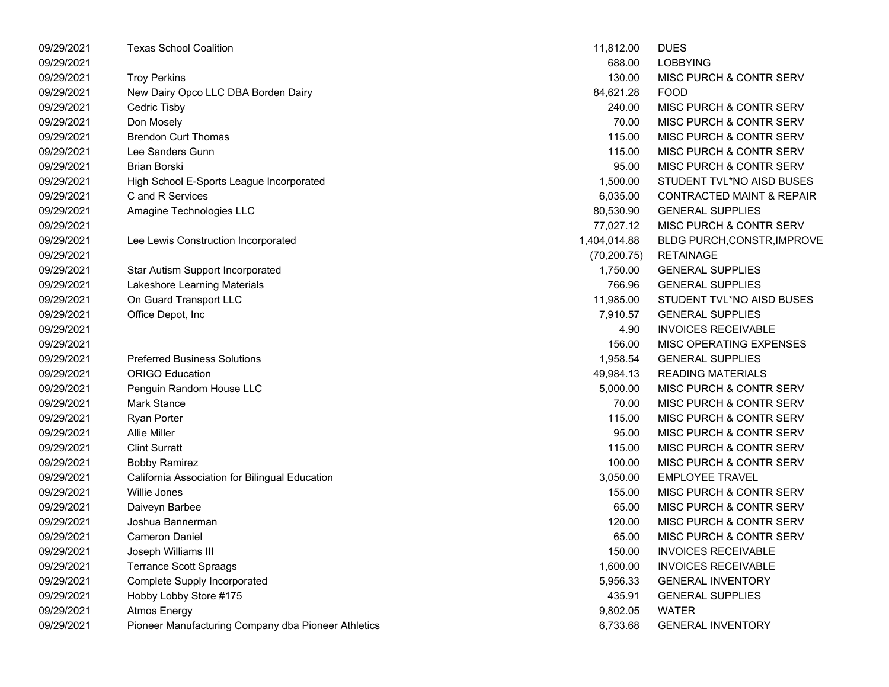| 09/29/2021 | <b>Texas School Coalition</b>                       | 11,812.00    | <b>DUES</b>                          |
|------------|-----------------------------------------------------|--------------|--------------------------------------|
| 09/29/2021 |                                                     | 688.00       | <b>LOBBYING</b>                      |
| 09/29/2021 | <b>Troy Perkins</b>                                 | 130.00       | <b>MISC PURCH &amp; CONTR SERV</b>   |
| 09/29/2021 | New Dairy Opco LLC DBA Borden Dairy                 | 84,621.28    | <b>FOOD</b>                          |
| 09/29/2021 | Cedric Tisby                                        | 240.00       | MISC PURCH & CONTR SERV              |
| 09/29/2021 | Don Mosely                                          | 70.00        | <b>MISC PURCH &amp; CONTR SERV</b>   |
| 09/29/2021 | <b>Brendon Curt Thomas</b>                          | 115.00       | MISC PURCH & CONTR SERV              |
| 09/29/2021 | Lee Sanders Gunn                                    | 115.00       | MISC PURCH & CONTR SERV              |
| 09/29/2021 | <b>Brian Borski</b>                                 | 95.00        | MISC PURCH & CONTR SERV              |
| 09/29/2021 | High School E-Sports League Incorporated            | 1,500.00     | STUDENT TVL*NO AISD BUSES            |
| 09/29/2021 | C and R Services                                    | 6,035.00     | <b>CONTRACTED MAINT &amp; REPAIR</b> |
| 09/29/2021 | Amagine Technologies LLC                            | 80,530.90    | <b>GENERAL SUPPLIES</b>              |
| 09/29/2021 |                                                     | 77,027.12    | MISC PURCH & CONTR SERV              |
| 09/29/2021 | Lee Lewis Construction Incorporated                 | 1,404,014.88 | BLDG PURCH, CONSTR, IMPROVE          |
| 09/29/2021 |                                                     | (70, 200.75) | <b>RETAINAGE</b>                     |
| 09/29/2021 | Star Autism Support Incorporated                    | 1,750.00     | <b>GENERAL SUPPLIES</b>              |
| 09/29/2021 | Lakeshore Learning Materials                        | 766.96       | <b>GENERAL SUPPLIES</b>              |
| 09/29/2021 | On Guard Transport LLC                              | 11,985.00    | STUDENT TVL*NO AISD BUSES            |
| 09/29/2021 | Office Depot, Inc                                   | 7,910.57     | <b>GENERAL SUPPLIES</b>              |
| 09/29/2021 |                                                     | 4.90         | <b>INVOICES RECEIVABLE</b>           |
| 09/29/2021 |                                                     | 156.00       | MISC OPERATING EXPENSES              |
| 09/29/2021 | <b>Preferred Business Solutions</b>                 | 1,958.54     | <b>GENERAL SUPPLIES</b>              |
| 09/29/2021 | <b>ORIGO Education</b>                              | 49,984.13    | <b>READING MATERIALS</b>             |
| 09/29/2021 | Penguin Random House LLC                            | 5,000.00     | MISC PURCH & CONTR SERV              |
| 09/29/2021 | <b>Mark Stance</b>                                  | 70.00        | <b>MISC PURCH &amp; CONTR SERV</b>   |
| 09/29/2021 | <b>Ryan Porter</b>                                  | 115.00       | <b>MISC PURCH &amp; CONTR SERV</b>   |
| 09/29/2021 | <b>Allie Miller</b>                                 | 95.00        | MISC PURCH & CONTR SERV              |
| 09/29/2021 | <b>Clint Surratt</b>                                | 115.00       | MISC PURCH & CONTR SERV              |
| 09/29/2021 | <b>Bobby Ramirez</b>                                | 100.00       | MISC PURCH & CONTR SERV              |
| 09/29/2021 | California Association for Bilingual Education      | 3,050.00     | <b>EMPLOYEE TRAVEL</b>               |
| 09/29/2021 | <b>Willie Jones</b>                                 | 155.00       | <b>MISC PURCH &amp; CONTR SERV</b>   |
| 09/29/2021 | Daiveyn Barbee                                      | 65.00        | MISC PURCH & CONTR SERV              |
| 09/29/2021 | Joshua Bannerman                                    | 120.00       | MISC PURCH & CONTR SERV              |
| 09/29/2021 | <b>Cameron Daniel</b>                               | 65.00        | <b>MISC PURCH &amp; CONTR SERV</b>   |
| 09/29/2021 | Joseph Williams III                                 | 150.00       | <b>INVOICES RECEIVABLE</b>           |
| 09/29/2021 | <b>Terrance Scott Spraags</b>                       | 1,600.00     | <b>INVOICES RECEIVABLE</b>           |
| 09/29/2021 | <b>Complete Supply Incorporated</b>                 | 5,956.33     | <b>GENERAL INVENTORY</b>             |
| 09/29/2021 | Hobby Lobby Store #175                              | 435.91       | <b>GENERAL SUPPLIES</b>              |
| 09/29/2021 | <b>Atmos Energy</b>                                 | 9,802.05     | <b>WATER</b>                         |
| 09/29/2021 | Pioneer Manufacturing Company dba Pioneer Athletics | 6,733.68     | <b>GENERAL INVENTORY</b>             |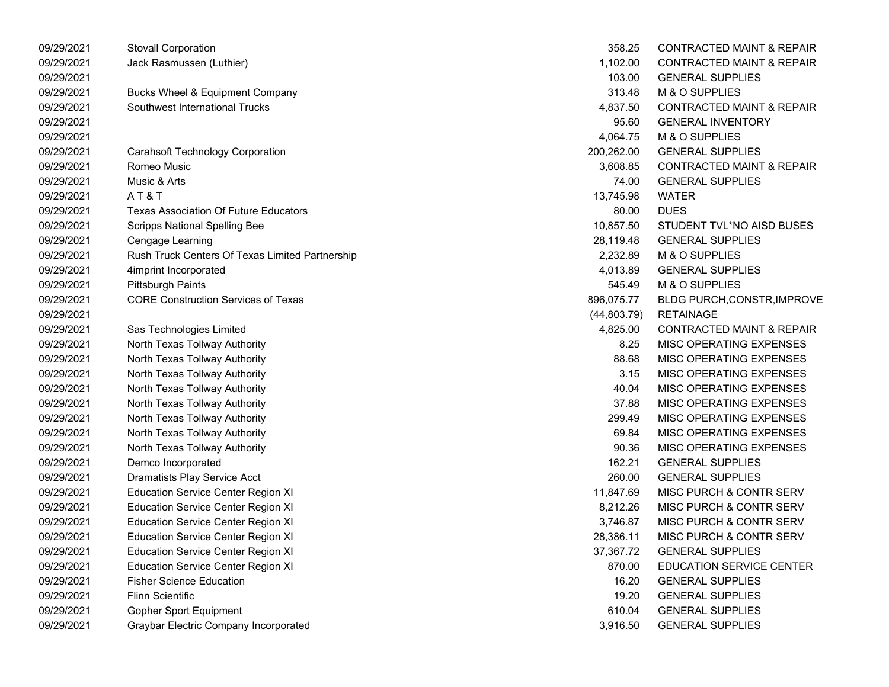| 09/29/2021 | <b>Stovall Corporation</b>                      | 358.25       | <b>CONTRACTED MAINT &amp; REPAIR</b> |
|------------|-------------------------------------------------|--------------|--------------------------------------|
| 09/29/2021 | Jack Rasmussen (Luthier)                        | 1,102.00     | <b>CONTRACTED MAINT &amp; REPAIR</b> |
| 09/29/2021 |                                                 | 103.00       | <b>GENERAL SUPPLIES</b>              |
| 09/29/2021 | Bucks Wheel & Equipment Company                 | 313.48       | M & O SUPPLIES                       |
| 09/29/2021 | Southwest International Trucks                  | 4,837.50     | <b>CONTRACTED MAINT &amp; REPAIR</b> |
| 09/29/2021 |                                                 | 95.60        | <b>GENERAL INVENTORY</b>             |
| 09/29/2021 |                                                 | 4,064.75     | M & O SUPPLIES                       |
| 09/29/2021 | <b>Carahsoft Technology Corporation</b>         | 200,262.00   | <b>GENERAL SUPPLIES</b>              |
| 09/29/2021 | Romeo Music                                     | 3,608.85     | <b>CONTRACTED MAINT &amp; REPAIR</b> |
| 09/29/2021 | Music & Arts                                    | 74.00        | <b>GENERAL SUPPLIES</b>              |
| 09/29/2021 | AT&T                                            | 13,745.98    | <b>WATER</b>                         |
| 09/29/2021 | <b>Texas Association Of Future Educators</b>    | 80.00        | <b>DUES</b>                          |
| 09/29/2021 | <b>Scripps National Spelling Bee</b>            | 10,857.50    | STUDENT TVL*NO AISD BUSES            |
| 09/29/2021 | Cengage Learning                                | 28,119.48    | <b>GENERAL SUPPLIES</b>              |
| 09/29/2021 | Rush Truck Centers Of Texas Limited Partnership | 2,232.89     | M & O SUPPLIES                       |
| 09/29/2021 | 4imprint Incorporated                           | 4,013.89     | <b>GENERAL SUPPLIES</b>              |
| 09/29/2021 | <b>Pittsburgh Paints</b>                        | 545.49       | M & O SUPPLIES                       |
| 09/29/2021 | <b>CORE Construction Services of Texas</b>      | 896,075.77   | BLDG PURCH, CONSTR, IMPROVE          |
| 09/29/2021 |                                                 | (44, 803.79) | <b>RETAINAGE</b>                     |
| 09/29/2021 | Sas Technologies Limited                        | 4,825.00     | <b>CONTRACTED MAINT &amp; REPAIR</b> |
| 09/29/2021 | North Texas Tollway Authority                   | 8.25         | MISC OPERATING EXPENSES              |
| 09/29/2021 | North Texas Tollway Authority                   | 88.68        | MISC OPERATING EXPENSES              |
| 09/29/2021 | North Texas Tollway Authority                   | 3.15         | MISC OPERATING EXPENSES              |
| 09/29/2021 | North Texas Tollway Authority                   | 40.04        | MISC OPERATING EXPENSES              |
| 09/29/2021 | North Texas Tollway Authority                   | 37.88        | MISC OPERATING EXPENSES              |
| 09/29/2021 | North Texas Tollway Authority                   | 299.49       | MISC OPERATING EXPENSES              |
| 09/29/2021 | North Texas Tollway Authority                   | 69.84        | MISC OPERATING EXPENSES              |
| 09/29/2021 | North Texas Tollway Authority                   | 90.36        | MISC OPERATING EXPENSES              |
| 09/29/2021 | Demco Incorporated                              | 162.21       | <b>GENERAL SUPPLIES</b>              |
| 09/29/2021 | Dramatists Play Service Acct                    | 260.00       | <b>GENERAL SUPPLIES</b>              |
| 09/29/2021 | <b>Education Service Center Region XI</b>       | 11,847.69    | MISC PURCH & CONTR SERV              |
| 09/29/2021 | <b>Education Service Center Region XI</b>       | 8,212.26     | MISC PURCH & CONTR SERV              |
| 09/29/2021 | <b>Education Service Center Region XI</b>       | 3,746.87     | MISC PURCH & CONTR SERV              |
| 09/29/2021 | <b>Education Service Center Region XI</b>       | 28,386.11    | MISC PURCH & CONTR SERV              |
| 09/29/2021 | <b>Education Service Center Region XI</b>       | 37,367.72    | <b>GENERAL SUPPLIES</b>              |
| 09/29/2021 | <b>Education Service Center Region XI</b>       | 870.00       | <b>EDUCATION SERVICE CENTER</b>      |
| 09/29/2021 | <b>Fisher Science Education</b>                 | 16.20        | <b>GENERAL SUPPLIES</b>              |
| 09/29/2021 | Flinn Scientific                                | 19.20        | <b>GENERAL SUPPLIES</b>              |
| 09/29/2021 | <b>Gopher Sport Equipment</b>                   | 610.04       | <b>GENERAL SUPPLIES</b>              |
| 09/29/2021 | Graybar Electric Company Incorporated           | 3,916.50     | <b>GENERAL SUPPLIES</b>              |

| 358.25       | <b>CONTRACTED MAINT &amp; REPAIR</b> |
|--------------|--------------------------------------|
| 1,102.00     | <b>CONTRACTED MAINT &amp; REPAIR</b> |
| 103.00       | <b>GENERAL SUPPLIES</b>              |
| 313.48       | <b>M &amp; O SUPPLIES</b>            |
| 4,837.50     | <b>CONTRACTED MAINT &amp; REPAIR</b> |
| 95.60        | <b>GENERAL INVENTORY</b>             |
| 4,064.75     | M & O SUPPLIES                       |
| 200,262.00   | <b>GENERAL SUPPLIES</b>              |
| 3,608.85     | <b>CONTRACTED MAINT &amp; REPAIR</b> |
| 74.00        | <b>GENERAL SUPPLIES</b>              |
| 13,745.98    | <b>WATER</b>                         |
| 80.00        | <b>DUES</b>                          |
| 10,857.50    | STUDENT TVL*NO AISD BUSES            |
| 28,119.48    | <b>GENERAL SUPPLIES</b>              |
| 2,232.89     | M & O SUPPLIES                       |
| 4,013.89     | <b>GENERAL SUPPLIES</b>              |
| 545.49       | <b>M &amp; O SUPPLIES</b>            |
| 896,075.77   | <b>BLDG PURCH, CONSTR, IMPROVE</b>   |
| (44, 803.79) | <b>RETAINAGE</b>                     |
| 4,825.00     | <b>CONTRACTED MAINT &amp; REPAIR</b> |
| 8.25         | <b>MISC OPERATING EXPENSES</b>       |
| 88.68        | <b>MISC OPERATING EXPENSES</b>       |
| 3.15         | <b>MISC OPERATING EXPENSES</b>       |
| 40.04        | <b>MISC OPERATING EXPENSES</b>       |
| 37.88        | <b>MISC OPERATING EXPENSES</b>       |
| 299.49       | <b>MISC OPERATING EXPENSES</b>       |
| 69.84        | <b>MISC OPERATING EXPENSES</b>       |
| 90.36        | <b>MISC OPERATING EXPENSES</b>       |
| 162.21       | <b>GENERAL SUPPLIES</b>              |
| 260.00       | <b>GENERAL SUPPLIES</b>              |
| 11,847.69    | <b>MISC PURCH &amp; CONTR SERV</b>   |
| 8,212.26     | <b>MISC PURCH &amp; CONTR SERV</b>   |
| 3,746.87     | <b>MISC PURCH &amp; CONTR SERV</b>   |
| 28,386.11    | MISC PURCH & CONTR SERV              |
| 37,367.72    | <b>GENERAL SUPPLIES</b>              |
| 870.00       | <b>EDUCATION SERVICE CENTER</b>      |
| 16.20        | <b>GENERAL SUPPLIES</b>              |
| 19.20        | <b>GENERAL SUPPLIES</b>              |
| 610.04       | <b>GENERAL SUPPLIES</b>              |
| 3,916.50     | <b>GENERAL SUPPLIES</b>              |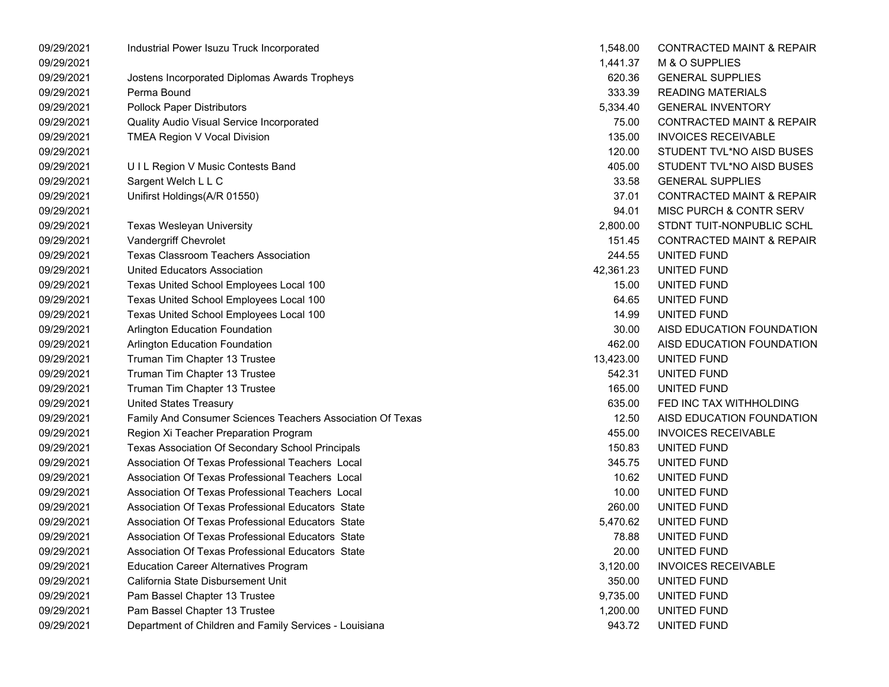| 09/29/2021 | Industrial Power Isuzu Truck Incorporated                  | 1,548.00  | <b>CONTRACTED MAINT &amp; REPAIR</b> |
|------------|------------------------------------------------------------|-----------|--------------------------------------|
| 09/29/2021 |                                                            | 1,441.37  | M & O SUPPLIES                       |
| 09/29/2021 | Jostens Incorporated Diplomas Awards Tropheys              | 620.36    | <b>GENERAL SUPPLIES</b>              |
| 09/29/2021 | Perma Bound                                                | 333.39    | <b>READING MATERIALS</b>             |
| 09/29/2021 | <b>Pollock Paper Distributors</b>                          | 5,334.40  | <b>GENERAL INVENTORY</b>             |
| 09/29/2021 | Quality Audio Visual Service Incorporated                  | 75.00     | <b>CONTRACTED MAINT &amp; REPAIR</b> |
| 09/29/2021 | TMEA Region V Vocal Division                               | 135.00    | <b>INVOICES RECEIVABLE</b>           |
| 09/29/2021 |                                                            | 120.00    | STUDENT TVL*NO AISD BUSES            |
| 09/29/2021 | U I L Region V Music Contests Band                         | 405.00    | STUDENT TVL*NO AISD BUSES            |
| 09/29/2021 | Sargent Welch L L C                                        | 33.58     | <b>GENERAL SUPPLIES</b>              |
| 09/29/2021 | Unifirst Holdings(A/R 01550)                               | 37.01     | <b>CONTRACTED MAINT &amp; REPAIR</b> |
| 09/29/2021 |                                                            | 94.01     | MISC PURCH & CONTR SERV              |
| 09/29/2021 | Texas Wesleyan University                                  | 2,800.00  | STDNT TUIT-NONPUBLIC SCHL            |
| 09/29/2021 | Vandergriff Chevrolet                                      | 151.45    | <b>CONTRACTED MAINT &amp; REPAIR</b> |
| 09/29/2021 | <b>Texas Classroom Teachers Association</b>                | 244.55    | UNITED FUND                          |
| 09/29/2021 | United Educators Association                               | 42,361.23 | UNITED FUND                          |
| 09/29/2021 | Texas United School Employees Local 100                    | 15.00     | UNITED FUND                          |
| 09/29/2021 | Texas United School Employees Local 100                    | 64.65     | UNITED FUND                          |
| 09/29/2021 | Texas United School Employees Local 100                    | 14.99     | UNITED FUND                          |
| 09/29/2021 | Arlington Education Foundation                             | 30.00     | AISD EDUCATION FOUNDATION            |
| 09/29/2021 | Arlington Education Foundation                             | 462.00    | AISD EDUCATION FOUNDATION            |
| 09/29/2021 | Truman Tim Chapter 13 Trustee                              | 13,423.00 | UNITED FUND                          |
| 09/29/2021 | Truman Tim Chapter 13 Trustee                              | 542.31    | UNITED FUND                          |
| 09/29/2021 | Truman Tim Chapter 13 Trustee                              | 165.00    | UNITED FUND                          |
| 09/29/2021 | <b>United States Treasury</b>                              | 635.00    | FED INC TAX WITHHOLDING              |
| 09/29/2021 | Family And Consumer Sciences Teachers Association Of Texas | 12.50     | AISD EDUCATION FOUNDATION            |
| 09/29/2021 | Region Xi Teacher Preparation Program                      | 455.00    | <b>INVOICES RECEIVABLE</b>           |
| 09/29/2021 | Texas Association Of Secondary School Principals           | 150.83    | UNITED FUND                          |
| 09/29/2021 | Association Of Texas Professional Teachers Local           | 345.75    | UNITED FUND                          |
| 09/29/2021 | Association Of Texas Professional Teachers Local           | 10.62     | UNITED FUND                          |
| 09/29/2021 | Association Of Texas Professional Teachers Local           | 10.00     | UNITED FUND                          |
| 09/29/2021 | Association Of Texas Professional Educators State          | 260.00    | UNITED FUND                          |
| 09/29/2021 | Association Of Texas Professional Educators State          | 5,470.62  | UNITED FUND                          |
| 09/29/2021 | Association Of Texas Professional Educators State          | 78.88     | UNITED FUND                          |
| 09/29/2021 | Association Of Texas Professional Educators State          | 20.00     | UNITED FUND                          |
| 09/29/2021 | <b>Education Career Alternatives Program</b>               | 3,120.00  | <b>INVOICES RECEIVABLE</b>           |
| 09/29/2021 | California State Disbursement Unit                         | 350.00    | UNITED FUND                          |
| 09/29/2021 | Pam Bassel Chapter 13 Trustee                              | 9,735.00  | UNITED FUND                          |
| 09/29/2021 | Pam Bassel Chapter 13 Trustee                              | 1,200.00  | UNITED FUND                          |
| 09/29/2021 | Department of Children and Family Services - Louisiana     | 943.72    | UNITED FUND                          |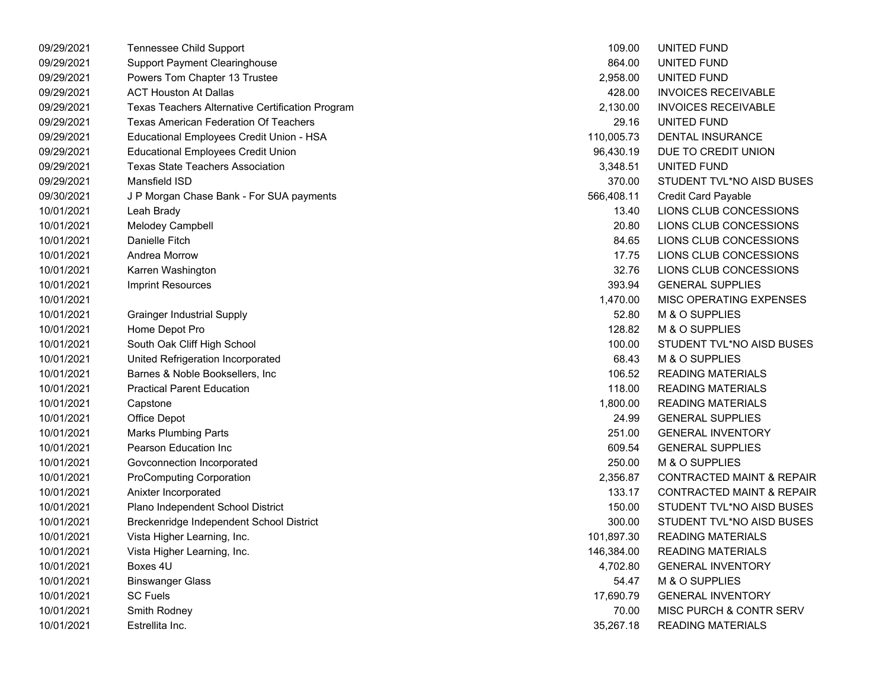| 09/29/2021 | Tennessee Child Support                          | 109.00     | UNITED FUND                          |
|------------|--------------------------------------------------|------------|--------------------------------------|
| 09/29/2021 | <b>Support Payment Clearinghouse</b>             | 864.00     | UNITED FUND                          |
| 09/29/2021 | Powers Tom Chapter 13 Trustee                    | 2,958.00   | UNITED FUND                          |
| 09/29/2021 | <b>ACT Houston At Dallas</b>                     | 428.00     | <b>INVOICES RECEIVABLE</b>           |
| 09/29/2021 | Texas Teachers Alternative Certification Program | 2,130.00   | <b>INVOICES RECEIVABLE</b>           |
| 09/29/2021 | Texas American Federation Of Teachers            | 29.16      | UNITED FUND                          |
| 09/29/2021 | Educational Employees Credit Union - HSA         | 110,005.73 | <b>DENTAL INSURANCE</b>              |
| 09/29/2021 | <b>Educational Employees Credit Union</b>        | 96,430.19  | DUE TO CREDIT UNION                  |
| 09/29/2021 | <b>Texas State Teachers Association</b>          | 3,348.51   | UNITED FUND                          |
| 09/29/2021 | Mansfield ISD                                    | 370.00     | STUDENT TVL*NO AISD BUSES            |
| 09/30/2021 | J P Morgan Chase Bank - For SUA payments         | 566,408.11 | Credit Card Payable                  |
| 10/01/2021 | Leah Brady                                       | 13.40      | LIONS CLUB CONCESSIONS               |
| 10/01/2021 | Melodey Campbell                                 | 20.80      | LIONS CLUB CONCESSIONS               |
| 10/01/2021 | Danielle Fitch                                   | 84.65      | LIONS CLUB CONCESSIONS               |
| 10/01/2021 | Andrea Morrow                                    | 17.75      | LIONS CLUB CONCESSIONS               |
| 10/01/2021 | Karren Washington                                | 32.76      | LIONS CLUB CONCESSIONS               |
| 10/01/2021 | Imprint Resources                                | 393.94     | <b>GENERAL SUPPLIES</b>              |
| 10/01/2021 |                                                  | 1,470.00   | MISC OPERATING EXPENSES              |
| 10/01/2021 | <b>Grainger Industrial Supply</b>                | 52.80      | M & O SUPPLIES                       |
| 10/01/2021 | Home Depot Pro                                   | 128.82     | M & O SUPPLIES                       |
| 10/01/2021 | South Oak Cliff High School                      | 100.00     | STUDENT TVL*NO AISD BUSES            |
| 10/01/2021 | United Refrigeration Incorporated                | 68.43      | M & O SUPPLIES                       |
| 10/01/2021 | Barnes & Noble Booksellers, Inc                  | 106.52     | <b>READING MATERIALS</b>             |
| 10/01/2021 | <b>Practical Parent Education</b>                | 118.00     | <b>READING MATERIALS</b>             |
| 10/01/2021 | Capstone                                         | 1,800.00   | <b>READING MATERIALS</b>             |
| 10/01/2021 | Office Depot                                     | 24.99      | <b>GENERAL SUPPLIES</b>              |
| 10/01/2021 | <b>Marks Plumbing Parts</b>                      | 251.00     | <b>GENERAL INVENTORY</b>             |
| 10/01/2021 | Pearson Education Inc                            | 609.54     | <b>GENERAL SUPPLIES</b>              |
| 10/01/2021 | Govconnection Incorporated                       | 250.00     | M & O SUPPLIES                       |
| 10/01/2021 | <b>ProComputing Corporation</b>                  | 2,356.87   | <b>CONTRACTED MAINT &amp; REPAIR</b> |
| 10/01/2021 | Anixter Incorporated                             | 133.17     | <b>CONTRACTED MAINT &amp; REPAIR</b> |
| 10/01/2021 | Plano Independent School District                | 150.00     | STUDENT TVL*NO AISD BUSES            |
| 10/01/2021 | Breckenridge Independent School District         | 300.00     | STUDENT TVL*NO AISD BUSES            |
| 10/01/2021 | Vista Higher Learning, Inc.                      | 101,897.30 | <b>READING MATERIALS</b>             |
| 10/01/2021 | Vista Higher Learning, Inc.                      | 146,384.00 | <b>READING MATERIALS</b>             |
| 10/01/2021 | Boxes 4U                                         | 4,702.80   | <b>GENERAL INVENTORY</b>             |
| 10/01/2021 | <b>Binswanger Glass</b>                          | 54.47      | M & O SUPPLIES                       |
| 10/01/2021 | <b>SC Fuels</b>                                  | 17,690.79  | <b>GENERAL INVENTORY</b>             |
| 10/01/2021 | Smith Rodney                                     | 70.00      | <b>MISC PURCH &amp; CONTR SERV</b>   |
| 10/01/2021 | Estrellita Inc.                                  | 35.267.18  | READING MATERIALS                    |

| 109.00     | UNITED FUND                          |
|------------|--------------------------------------|
| 864.00     | UNITED FUND                          |
|            | 2,958.00 UNITED FUND                 |
|            | 428.00 INVOICES RECEIVABLE           |
| 2,130.00   | <b>INVOICES RECEIVABLE</b>           |
| 29.16      | UNITED FUND                          |
|            | 110,005.73 DENTAL INSURANCE          |
|            | 96,430.19 DUE TO CREDIT UNION        |
|            | 3,348.51 UNITED FUND                 |
| 370.00     | STUDENT TVL*NO AISD BUSES            |
| 566,408.11 | <b>Credit Card Payable</b>           |
| 13.40      | LIONS CLUB CONCESSIONS               |
| 20.80      | LIONS CLUB CONCESSIONS               |
| 84.65      | LIONS CLUB CONCESSIONS               |
| 17.75      | LIONS CLUB CONCESSIONS               |
| 32.76      | LIONS CLUB CONCESSIONS               |
|            | 393.94 GENERAL SUPPLIES              |
|            | 1,470.00 MISC OPERATING EXPENSES     |
| 52.80      | M & O SUPPLIES                       |
| 128.82     | M & O SUPPLIES                       |
| 100.00     | STUDENT TVL*NO AISD BUSES            |
| 68.43      | M & O SUPPLIES                       |
|            | 106.52 READING MATERIALS             |
|            | 118.00 READING MATERIALS             |
| 1,800.00   | READING MATERIALS                    |
| 24.99      | <b>GENERAL SUPPLIES</b>              |
| 251.00     | <b>GENERAL INVENTORY</b>             |
|            | 609.54 GENERAL SUPPLIES              |
| 250.00     | M & O SUPPLIES                       |
| 2,356.87   | <b>CONTRACTED MAINT &amp; REPAIR</b> |
| 133.17     | <b>CONTRACTED MAINT &amp; REPAIR</b> |
| 150.00     | STUDENT TVL*NO AISD BUSES            |
|            | 300.00 STUDENT TVL*NO AISD BUSES     |
| 101,897.30 | READING MATERIALS                    |
| 146,384.00 | <b>READING MATERIALS</b>             |
| 4,702.80   | <b>GENERAL INVENTORY</b>             |
| 54.47      | M & O SUPPLIES                       |
| 17,690.79  | <b>GENERAL INVENTORY</b>             |
| 70.00      | MISC PURCH & CONTR SERV              |
| 35,267.18  | <b>READING MATERIALS</b>             |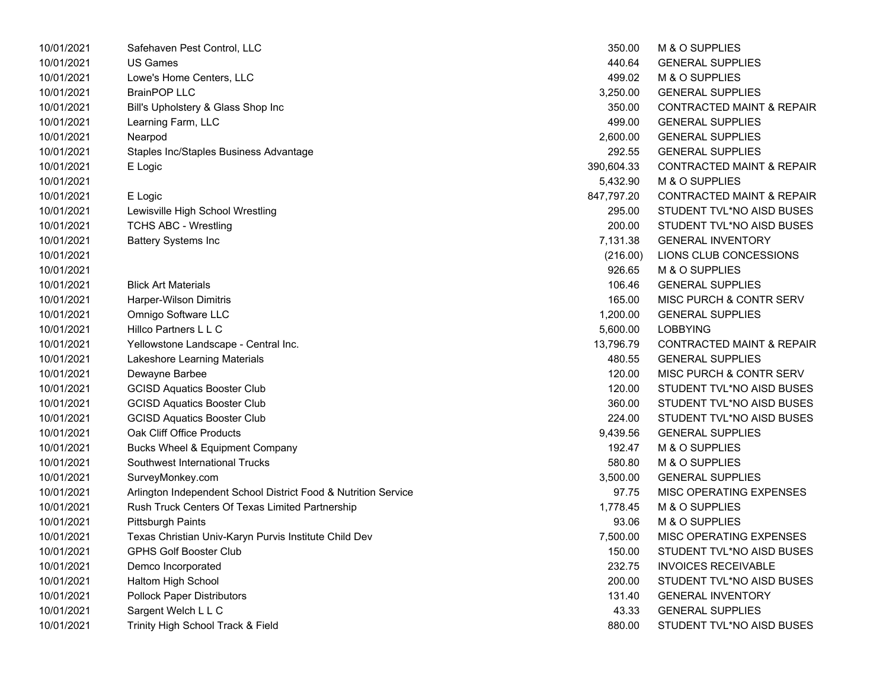| 10/01/2021 | Safehaven Pest Control, LLC                                    | 350.00     | M & O SUPPLIES                       |
|------------|----------------------------------------------------------------|------------|--------------------------------------|
| 10/01/2021 | <b>US Games</b>                                                | 440.64     | <b>GENERAL SUPPLIES</b>              |
| 10/01/2021 | Lowe's Home Centers, LLC                                       | 499.02     | M & O SUPPLIES                       |
| 10/01/2021 | <b>BrainPOP LLC</b>                                            | 3,250.00   | <b>GENERAL SUPPLIES</b>              |
| 10/01/2021 | Bill's Upholstery & Glass Shop Inc                             | 350.00     | <b>CONTRACTED MAINT &amp; REPAIR</b> |
| 10/01/2021 | Learning Farm, LLC                                             | 499.00     | <b>GENERAL SUPPLIES</b>              |
| 10/01/2021 | Nearpod                                                        | 2,600.00   | <b>GENERAL SUPPLIES</b>              |
| 10/01/2021 | Staples Inc/Staples Business Advantage                         | 292.55     | <b>GENERAL SUPPLIES</b>              |
| 10/01/2021 | E Logic                                                        | 390,604.33 | <b>CONTRACTED MAINT &amp; REPAIR</b> |
| 10/01/2021 |                                                                | 5,432.90   | M & O SUPPLIES                       |
| 10/01/2021 | E Logic                                                        | 847,797.20 | <b>CONTRACTED MAINT &amp; REPAIR</b> |
| 10/01/2021 | Lewisville High School Wrestling                               | 295.00     | STUDENT TVL*NO AISD BUSES            |
| 10/01/2021 | <b>TCHS ABC - Wrestling</b>                                    | 200.00     | STUDENT TVL*NO AISD BUSES            |
| 10/01/2021 | <b>Battery Systems Inc</b>                                     | 7,131.38   | <b>GENERAL INVENTORY</b>             |
| 10/01/2021 |                                                                | (216.00)   | LIONS CLUB CONCESSIONS               |
| 10/01/2021 |                                                                | 926.65     | M & O SUPPLIES                       |
| 10/01/2021 | <b>Blick Art Materials</b>                                     | 106.46     | <b>GENERAL SUPPLIES</b>              |
| 10/01/2021 | Harper-Wilson Dimitris                                         | 165.00     | MISC PURCH & CONTR SERV              |
| 10/01/2021 | Omnigo Software LLC                                            | 1,200.00   | <b>GENERAL SUPPLIES</b>              |
| 10/01/2021 | Hillco Partners L L C                                          | 5,600.00   | <b>LOBBYING</b>                      |
| 10/01/2021 | Yellowstone Landscape - Central Inc.                           | 13,796.79  | <b>CONTRACTED MAINT &amp; REPAIR</b> |
| 10/01/2021 | Lakeshore Learning Materials                                   | 480.55     | <b>GENERAL SUPPLIES</b>              |
| 10/01/2021 | Dewayne Barbee                                                 | 120.00     | MISC PURCH & CONTR SERV              |
| 10/01/2021 | <b>GCISD Aquatics Booster Club</b>                             | 120.00     | STUDENT TVL*NO AISD BUSES            |
| 10/01/2021 | <b>GCISD Aquatics Booster Club</b>                             | 360.00     | STUDENT TVL*NO AISD BUSES            |
| 10/01/2021 | <b>GCISD Aquatics Booster Club</b>                             | 224.00     | STUDENT TVL*NO AISD BUSES            |
| 10/01/2021 | Oak Cliff Office Products                                      | 9,439.56   | <b>GENERAL SUPPLIES</b>              |
| 10/01/2021 | <b>Bucks Wheel &amp; Equipment Company</b>                     | 192.47     | M & O SUPPLIES                       |
| 10/01/2021 | Southwest International Trucks                                 | 580.80     | M & O SUPPLIES                       |
| 10/01/2021 | SurveyMonkey.com                                               | 3,500.00   | <b>GENERAL SUPPLIES</b>              |
| 10/01/2021 | Arlington Independent School District Food & Nutrition Service | 97.75      | MISC OPERATING EXPENSES              |
| 10/01/2021 | Rush Truck Centers Of Texas Limited Partnership                | 1,778.45   | M & O SUPPLIES                       |
| 10/01/2021 | <b>Pittsburgh Paints</b>                                       | 93.06      | M & O SUPPLIES                       |
| 10/01/2021 | Texas Christian Univ-Karyn Purvis Institute Child Dev          | 7,500.00   | MISC OPERATING EXPENSES              |
| 10/01/2021 | <b>GPHS Golf Booster Club</b>                                  | 150.00     | STUDENT TVL*NO AISD BUSES            |
| 10/01/2021 | Demco Incorporated                                             | 232.75     | <b>INVOICES RECEIVABLE</b>           |
| 10/01/2021 | Haltom High School                                             | 200.00     | STUDENT TVL*NO AISD BUSES            |
| 10/01/2021 | <b>Pollock Paper Distributors</b>                              | 131.40     | <b>GENERAL INVENTORY</b>             |
| 10/01/2021 | Sargent Welch L L C                                            | 43.33      | <b>GENERAL SUPPLIES</b>              |
| 10/01/2021 | Trinity High School Track & Field                              | 880.00     | STUDENT TVL*NO AISD BUSES            |

| 350.00    | M & O SUPPLIES                       |
|-----------|--------------------------------------|
| 440.64    | <b>GENERAL SUPPLIES</b>              |
| 499.02    | <b>M &amp; O SUPPLIES</b>            |
| 3,250.00  | <b>GENERAL SUPPLIES</b>              |
| 350.00    | <b>CONTRACTED MAINT &amp; REPAIR</b> |
| 499.00    | <b>GENERAL SUPPLIES</b>              |
| 2,600.00  | <b>GENERAL SUPPLIES</b>              |
| 292.55    | <b>GENERAL SUPPLIES</b>              |
| 90,604.33 | <b>CONTRACTED MAINT &amp; REPAIR</b> |
| 5,432.90  | <b>M &amp; O SUPPLIES</b>            |
| 47,797.20 | <b>CONTRACTED MAINT &amp; REPAIR</b> |
| 295.00    | STUDENT TVL*NO AISD BUSES            |
| 200.00    | STUDENT TVL*NO AISD BUSES            |
| 7,131.38  | <b>GENERAL INVENTORY</b>             |
| (216.00)  | LIONS CLUB CONCESSIONS               |
| 926.65    | M & O SUPPLIES                       |
| 106.46    | <b>GENERAL SUPPLIES</b>              |
| 165.00    | MISC PURCH & CONTR SERV              |
| 1,200.00  | <b>GENERAL SUPPLIES</b>              |
| 5,600.00  | <b>LOBBYING</b>                      |
| 13,796.79 | <b>CONTRACTED MAINT &amp; REPAIR</b> |
| 480.55    | <b>GENERAL SUPPLIES</b>              |
| 120.00    | <b>MISC PURCH &amp; CONTR SERV</b>   |
| 120.00    | STUDENT TVL*NO AISD BUSES            |
| 360.00    | STUDENT TVL*NO AISD BUSES            |
| 224.00    | STUDENT TVL*NO AISD BUSES            |
| 9,439.56  | <b>GENERAL SUPPLIES</b>              |
| 192.47    | <b>M &amp; O SUPPLIES</b>            |
| 580.80    | <b>M &amp; O SUPPLIES</b>            |
| 3,500.00  | <b>GENERAL SUPPLIES</b>              |
| 97.75     | MISC OPERATING EXPENSES              |
| 1,778.45  | M & O SUPPLIES                       |
| 93.06     | M & O SUPPLIES                       |
| 7,500.00  | MISC OPERATING EXPENSES              |
| 150.00    | STUDENT TVL*NO AISD BUSES            |
| 232.75    | <b>INVOICES RECEIVABLE</b>           |
| 200.00    | STUDENT TVL*NO AISD BUSES            |
| 131.40    | <b>GENERAL INVENTORY</b>             |
| 43.33     | <b>GENERAL SUPPLIES</b>              |
| 880.00    | STUDENT TVL*NO AISD BUSES            |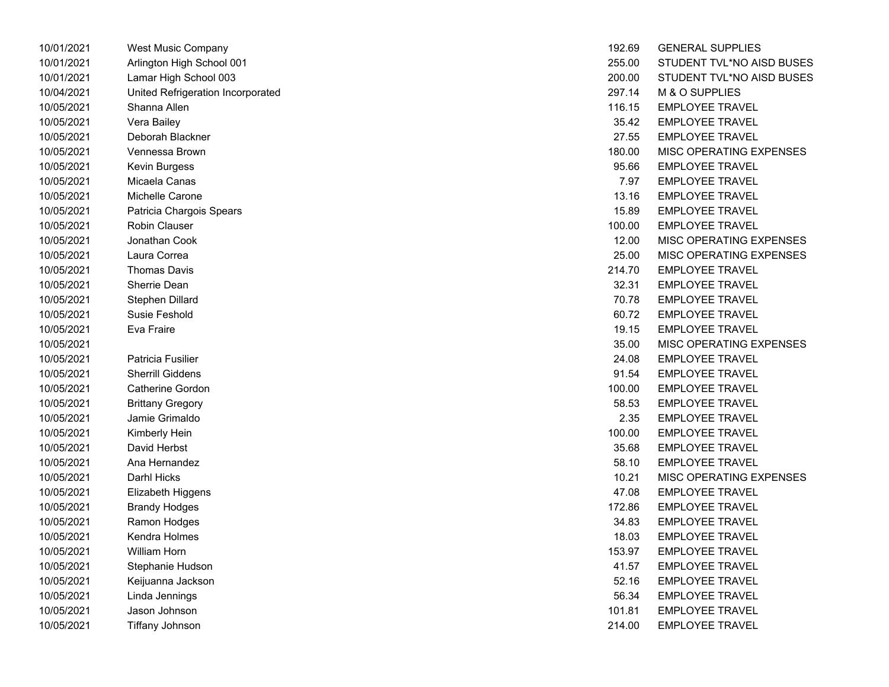| 10/01/2021 | West Music Company                | 192.69 | <b>GENERAL SUPPLIES</b> |
|------------|-----------------------------------|--------|-------------------------|
| 10/01/2021 | Arlington High School 001         | 255.00 | STUDENT TVL*NO AI       |
| 10/01/2021 | Lamar High School 003             | 200.00 | STUDENT TVL*NO AI       |
| 10/04/2021 | United Refrigeration Incorporated | 297.14 | M & O SUPPLIES          |
| 10/05/2021 | Shanna Allen                      | 116.15 | <b>EMPLOYEE TRAVEL</b>  |
| 10/05/2021 | Vera Bailey                       | 35.42  | <b>EMPLOYEE TRAVEL</b>  |
| 10/05/2021 | Deborah Blackner                  | 27.55  | <b>EMPLOYEE TRAVEL</b>  |
| 10/05/2021 | Vennessa Brown                    | 180.00 | MISC OPERATING EX       |
| 10/05/2021 | Kevin Burgess                     | 95.66  | <b>EMPLOYEE TRAVEL</b>  |
| 10/05/2021 | Micaela Canas                     | 7.97   | <b>EMPLOYEE TRAVEL</b>  |
| 10/05/2021 | Michelle Carone                   | 13.16  | <b>EMPLOYEE TRAVEL</b>  |
| 10/05/2021 | Patricia Chargois Spears          | 15.89  | <b>EMPLOYEE TRAVEL</b>  |
| 10/05/2021 | <b>Robin Clauser</b>              | 100.00 | <b>EMPLOYEE TRAVEL</b>  |
| 10/05/2021 | Jonathan Cook                     | 12.00  | MISC OPERATING EX       |
| 10/05/2021 | Laura Correa                      | 25.00  | MISC OPERATING EX       |
| 10/05/2021 | <b>Thomas Davis</b>               | 214.70 | <b>EMPLOYEE TRAVEL</b>  |
| 10/05/2021 | Sherrie Dean                      | 32.31  | <b>EMPLOYEE TRAVEL</b>  |
| 10/05/2021 | Stephen Dillard                   | 70.78  | <b>EMPLOYEE TRAVEL</b>  |
| 10/05/2021 | Susie Feshold                     | 60.72  | <b>EMPLOYEE TRAVEL</b>  |
| 10/05/2021 | Eva Fraire                        | 19.15  | <b>EMPLOYEE TRAVEL</b>  |
| 10/05/2021 |                                   | 35.00  | MISC OPERATING EX       |
| 10/05/2021 | Patricia Fusilier                 | 24.08  | <b>EMPLOYEE TRAVEL</b>  |
| 10/05/2021 | <b>Sherrill Giddens</b>           | 91.54  | <b>EMPLOYEE TRAVEL</b>  |
| 10/05/2021 | <b>Catherine Gordon</b>           | 100.00 | <b>EMPLOYEE TRAVEL</b>  |
| 10/05/2021 | <b>Brittany Gregory</b>           | 58.53  | <b>EMPLOYEE TRAVEL</b>  |
| 10/05/2021 | Jamie Grimaldo                    | 2.35   | <b>EMPLOYEE TRAVEL</b>  |
| 10/05/2021 | Kimberly Hein                     | 100.00 | <b>EMPLOYEE TRAVEL</b>  |
| 10/05/2021 | David Herbst                      | 35.68  | <b>EMPLOYEE TRAVEL</b>  |
| 10/05/2021 | Ana Hernandez                     | 58.10  | <b>EMPLOYEE TRAVEL</b>  |
| 10/05/2021 | Darhl Hicks                       | 10.21  | MISC OPERATING EX       |
| 10/05/2021 | Elizabeth Higgens                 | 47.08  | <b>EMPLOYEE TRAVEL</b>  |
| 10/05/2021 | <b>Brandy Hodges</b>              | 172.86 | <b>EMPLOYEE TRAVEL</b>  |
| 10/05/2021 | Ramon Hodges                      | 34.83  | <b>EMPLOYEE TRAVEL</b>  |
| 10/05/2021 | Kendra Holmes                     | 18.03  | <b>EMPLOYEE TRAVEL</b>  |
| 10/05/2021 | William Horn                      | 153.97 | <b>EMPLOYEE TRAVEL</b>  |
| 10/05/2021 | Stephanie Hudson                  | 41.57  | <b>EMPLOYEE TRAVEL</b>  |
| 10/05/2021 | Keijuanna Jackson                 | 52.16  | <b>EMPLOYEE TRAVEL</b>  |
| 10/05/2021 | Linda Jennings                    | 56.34  | <b>EMPLOYEE TRAVEL</b>  |
| 10/05/2021 | Jason Johnson                     | 101.81 | <b>EMPLOYEE TRAVEL</b>  |
| 10/05/2021 | Tiffany Johnson                   | 214.00 | FMPI OYFF TRAVFI        |

| 10/01/2021 | West Music Company                | 192.69 | <b>GENERAL SUPPLIES</b>   |
|------------|-----------------------------------|--------|---------------------------|
| 10/01/2021 | Arlington High School 001         | 255.00 | STUDENT TVL*NO AISD BUSES |
| 10/01/2021 | Lamar High School 003             | 200.00 | STUDENT TVL*NO AISD BUSES |
| 10/04/2021 | United Refrigeration Incorporated | 297.14 | M & O SUPPLIES            |
| 10/05/2021 | Shanna Allen                      | 116.15 | <b>EMPLOYEE TRAVEL</b>    |
| 10/05/2021 | Vera Bailey                       | 35.42  | <b>EMPLOYEE TRAVEL</b>    |
| 10/05/2021 | Deborah Blackner                  | 27.55  | <b>EMPLOYEE TRAVEL</b>    |
| 10/05/2021 | Vennessa Brown                    | 180.00 | MISC OPERATING EXPENSES   |
| 10/05/2021 | Kevin Burgess                     | 95.66  | <b>EMPLOYEE TRAVEL</b>    |
| 10/05/2021 | Micaela Canas                     | 7.97   | <b>EMPLOYEE TRAVEL</b>    |
| 10/05/2021 | Michelle Carone                   | 13.16  | <b>EMPLOYEE TRAVEL</b>    |
| 10/05/2021 | Patricia Chargois Spears          | 15.89  | <b>EMPLOYEE TRAVEL</b>    |
| 10/05/2021 | Robin Clauser                     | 100.00 | <b>EMPLOYEE TRAVEL</b>    |
| 10/05/2021 | Jonathan Cook                     | 12.00  | MISC OPERATING EXPENSES   |
| 10/05/2021 | Laura Correa                      | 25.00  | MISC OPERATING EXPENSES   |
| 10/05/2021 | <b>Thomas Davis</b>               | 214.70 | <b>EMPLOYEE TRAVEL</b>    |
| 10/05/2021 | Sherrie Dean                      | 32.31  | <b>EMPLOYEE TRAVEL</b>    |
| 10/05/2021 | Stephen Dillard                   | 70.78  | <b>EMPLOYEE TRAVEL</b>    |
| 10/05/2021 | Susie Feshold                     | 60.72  | <b>EMPLOYEE TRAVEL</b>    |
| 10/05/2021 | Eva Fraire                        | 19.15  | <b>EMPLOYEE TRAVEL</b>    |
| 10/05/2021 |                                   | 35.00  | MISC OPERATING EXPENSES   |
| 10/05/2021 | Patricia Fusilier                 | 24.08  | <b>EMPLOYEE TRAVEL</b>    |
| 10/05/2021 | <b>Sherrill Giddens</b>           | 91.54  | <b>EMPLOYEE TRAVEL</b>    |
| 10/05/2021 | <b>Catherine Gordon</b>           | 100.00 | <b>EMPLOYEE TRAVEL</b>    |
| 10/05/2021 | <b>Brittany Gregory</b>           | 58.53  | <b>EMPLOYEE TRAVEL</b>    |
| 10/05/2021 | Jamie Grimaldo                    | 2.35   | <b>EMPLOYEE TRAVEL</b>    |
| 10/05/2021 | Kimberly Hein                     | 100.00 | <b>EMPLOYEE TRAVEL</b>    |
| 10/05/2021 | David Herbst                      | 35.68  | <b>EMPLOYEE TRAVEL</b>    |
| 10/05/2021 | Ana Hernandez                     | 58.10  | <b>EMPLOYEE TRAVEL</b>    |
| 10/05/2021 | Darhl Hicks                       | 10.21  | MISC OPERATING EXPENSES   |
| 10/05/2021 | Elizabeth Higgens                 | 47.08  | <b>EMPLOYEE TRAVEL</b>    |
| 10/05/2021 | <b>Brandy Hodges</b>              | 172.86 | <b>EMPLOYEE TRAVEL</b>    |
| 10/05/2021 | Ramon Hodges                      | 34.83  | <b>EMPLOYEE TRAVEL</b>    |
| 10/05/2021 | Kendra Holmes                     | 18.03  | <b>EMPLOYEE TRAVEL</b>    |
| 10/05/2021 | William Horn                      | 153.97 | <b>EMPLOYEE TRAVEL</b>    |
| 10/05/2021 | Stephanie Hudson                  | 41.57  | <b>EMPLOYEE TRAVEL</b>    |
| 10/05/2021 | Keijuanna Jackson                 | 52.16  | <b>EMPLOYEE TRAVEL</b>    |
| 10/05/2021 | Linda Jennings                    | 56.34  | <b>EMPLOYEE TRAVEL</b>    |
| 10/05/2021 | Jason Johnson                     | 101.81 | <b>EMPLOYEE TRAVEL</b>    |
| 10/05/2021 | Tiffany Johnson                   | 214.00 | <b>EMPLOYEE TRAVEL</b>    |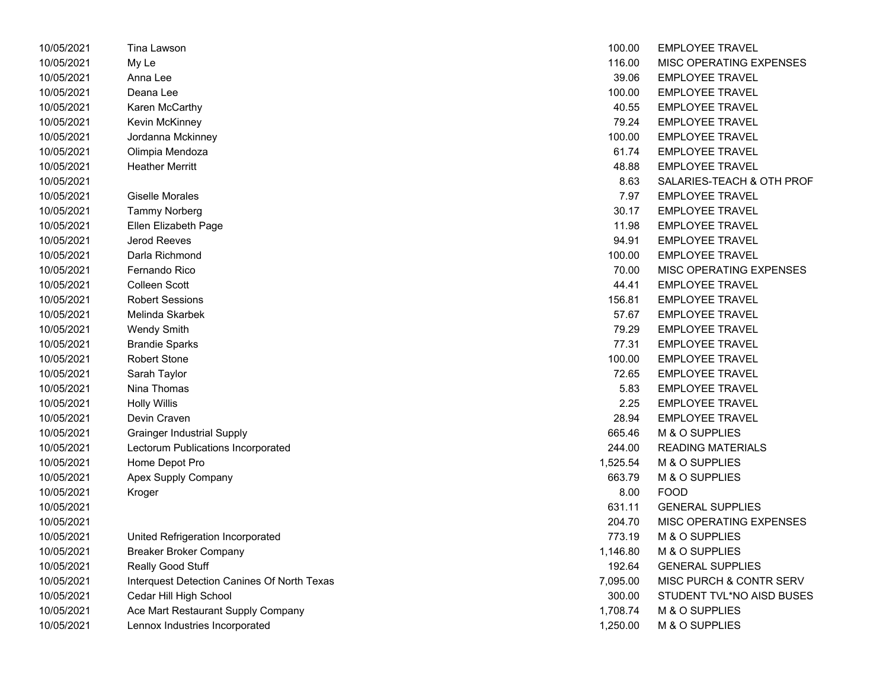| 10/05/2021 | Tina Lawson                                 | 100.00   | <b>EMPLOYEE TRAVEL</b>    |
|------------|---------------------------------------------|----------|---------------------------|
| 10/05/2021 | My Le                                       | 116.00   | MISC OPERATING EXPENSES   |
| 10/05/2021 | Anna Lee                                    | 39.06    | <b>EMPLOYEE TRAVEL</b>    |
| 10/05/2021 | Deana Lee                                   | 100.00   | <b>EMPLOYEE TRAVEL</b>    |
| 10/05/2021 | Karen McCarthy                              | 40.55    | <b>EMPLOYEE TRAVEL</b>    |
| 10/05/2021 | Kevin McKinney                              | 79.24    | <b>EMPLOYEE TRAVEL</b>    |
| 10/05/2021 | Jordanna Mckinney                           | 100.00   | <b>EMPLOYEE TRAVEL</b>    |
| 10/05/2021 | Olimpia Mendoza                             | 61.74    | <b>EMPLOYEE TRAVEL</b>    |
| 10/05/2021 | <b>Heather Merritt</b>                      | 48.88    | <b>EMPLOYEE TRAVEL</b>    |
| 10/05/2021 |                                             | 8.63     | SALARIES-TEACH & OTH PROF |
| 10/05/2021 | Giselle Morales                             | 7.97     | <b>EMPLOYEE TRAVEL</b>    |
| 10/05/2021 | <b>Tammy Norberg</b>                        | 30.17    | <b>EMPLOYEE TRAVEL</b>    |
| 10/05/2021 | Ellen Elizabeth Page                        | 11.98    | <b>EMPLOYEE TRAVEL</b>    |
| 10/05/2021 | <b>Jerod Reeves</b>                         | 94.91    | <b>EMPLOYEE TRAVEL</b>    |
| 10/05/2021 | Darla Richmond                              | 100.00   | <b>EMPLOYEE TRAVEL</b>    |
| 10/05/2021 | Fernando Rico                               | 70.00    | MISC OPERATING EXPENSES   |
| 10/05/2021 | <b>Colleen Scott</b>                        | 44.41    | <b>EMPLOYEE TRAVEL</b>    |
| 10/05/2021 | <b>Robert Sessions</b>                      | 156.81   | <b>EMPLOYEE TRAVEL</b>    |
| 10/05/2021 | Melinda Skarbek                             | 57.67    | <b>EMPLOYEE TRAVEL</b>    |
| 10/05/2021 | <b>Wendy Smith</b>                          | 79.29    | <b>EMPLOYEE TRAVEL</b>    |
| 10/05/2021 | <b>Brandie Sparks</b>                       | 77.31    | <b>EMPLOYEE TRAVEL</b>    |
| 10/05/2021 | <b>Robert Stone</b>                         | 100.00   | <b>EMPLOYEE TRAVEL</b>    |
| 10/05/2021 | Sarah Taylor                                | 72.65    | <b>EMPLOYEE TRAVEL</b>    |
| 10/05/2021 | Nina Thomas                                 | 5.83     | <b>EMPLOYEE TRAVEL</b>    |
| 10/05/2021 | <b>Holly Willis</b>                         | 2.25     | <b>EMPLOYEE TRAVEL</b>    |
| 10/05/2021 | Devin Craven                                | 28.94    | <b>EMPLOYEE TRAVEL</b>    |
| 10/05/2021 | <b>Grainger Industrial Supply</b>           | 665.46   | M & O SUPPLIES            |
| 10/05/2021 | Lectorum Publications Incorporated          | 244.00   | <b>READING MATERIALS</b>  |
| 10/05/2021 | Home Depot Pro                              | 1,525.54 | M & O SUPPLIES            |
| 10/05/2021 | Apex Supply Company                         | 663.79   | M & O SUPPLIES            |
| 10/05/2021 | Kroger                                      | 8.00     | <b>FOOD</b>               |
| 10/05/2021 |                                             | 631.11   | <b>GENERAL SUPPLIES</b>   |
| 10/05/2021 |                                             | 204.70   | MISC OPERATING EXPENSES   |
| 10/05/2021 | United Refrigeration Incorporated           | 773.19   | M & O SUPPLIES            |
| 10/05/2021 | <b>Breaker Broker Company</b>               | 1,146.80 | M & O SUPPLIES            |
| 10/05/2021 | Really Good Stuff                           | 192.64   | <b>GENERAL SUPPLIES</b>   |
| 10/05/2021 | Interquest Detection Canines Of North Texas | 7,095.00 | MISC PURCH & CONTR SERV   |
| 10/05/2021 | Cedar Hill High School                      | 300.00   | STUDENT TVL*NO AISD BUSES |
| 10/05/2021 | Ace Mart Restaurant Supply Company          | 1,708.74 | M & O SUPPLIES            |
| 10/05/2021 | Lennox Industries Incorporated              | 1,250.00 | M & O SUPPLIES            |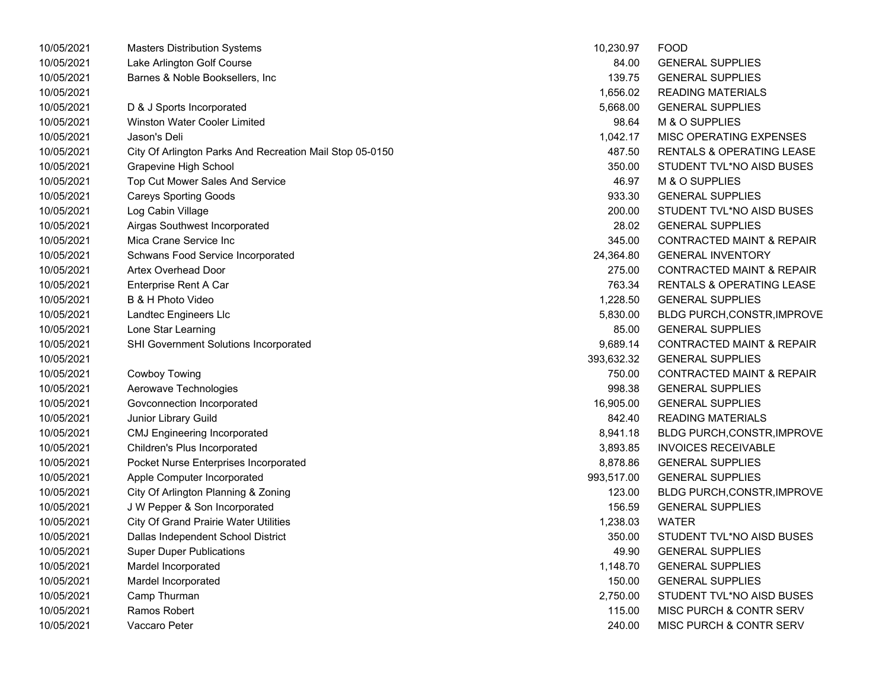| 10/05/2021 | <b>Masters Distribution Systems</b>                      | 10,230.97                         | <b>FOOD</b>                          |  |
|------------|----------------------------------------------------------|-----------------------------------|--------------------------------------|--|
| 10/05/2021 | Lake Arlington Golf Course                               | 84.00                             | <b>GENERAL SUPPLIES</b>              |  |
| 10/05/2021 | Barnes & Noble Booksellers, Inc                          | 139.75<br><b>GENERAL SUPPLIES</b> |                                      |  |
| 10/05/2021 |                                                          | 1,656.02                          | READING MATERIALS                    |  |
| 10/05/2021 | D & J Sports Incorporated                                | 5,668.00                          | <b>GENERAL SUPPLIES</b>              |  |
| 10/05/2021 | <b>Winston Water Cooler Limited</b>                      | 98.64                             | M & O SUPPLIES                       |  |
| 10/05/2021 | Jason's Deli                                             | 1,042.17                          | MISC OPERATING EXPENSES              |  |
| 10/05/2021 | City Of Arlington Parks And Recreation Mail Stop 05-0150 | 487.50                            | RENTALS & OPERATING LEASE            |  |
| 10/05/2021 | Grapevine High School                                    | 350.00                            | STUDENT TVL*NO AISD BUSES            |  |
| 10/05/2021 | Top Cut Mower Sales And Service                          | 46.97                             | M & O SUPPLIES                       |  |
| 10/05/2021 | <b>Careys Sporting Goods</b>                             | 933.30                            | <b>GENERAL SUPPLIES</b>              |  |
| 10/05/2021 | Log Cabin Village                                        | 200.00                            | STUDENT TVL*NO AISD BUSES            |  |
| 10/05/2021 | Airgas Southwest Incorporated                            | 28.02                             | <b>GENERAL SUPPLIES</b>              |  |
| 10/05/2021 | Mica Crane Service Inc                                   | 345.00                            | <b>CONTRACTED MAINT &amp; REPAIR</b> |  |
| 10/05/2021 | Schwans Food Service Incorporated                        | 24,364.80                         | <b>GENERAL INVENTORY</b>             |  |
| 10/05/2021 | <b>Artex Overhead Door</b>                               | 275.00                            | <b>CONTRACTED MAINT &amp; REPAIR</b> |  |
| 10/05/2021 | Enterprise Rent A Car                                    | 763.34                            | RENTALS & OPERATING LEASE            |  |
| 10/05/2021 | B & H Photo Video                                        | 1,228.50                          | <b>GENERAL SUPPLIES</b>              |  |
| 10/05/2021 | Landtec Engineers Llc                                    | 5,830.00                          | <b>BLDG PURCH, CONSTR, IMPROVE</b>   |  |
| 10/05/2021 | Lone Star Learning                                       | 85.00                             | <b>GENERAL SUPPLIES</b>              |  |
| 10/05/2021 | <b>SHI Government Solutions Incorporated</b>             | 9,689.14                          | <b>CONTRACTED MAINT &amp; REPAIR</b> |  |
| 10/05/2021 |                                                          | 393,632.32                        | <b>GENERAL SUPPLIES</b>              |  |
| 10/05/2021 | Cowboy Towing                                            | 750.00                            | <b>CONTRACTED MAINT &amp; REPAIR</b> |  |
| 10/05/2021 | Aerowave Technologies                                    | 998.38                            | <b>GENERAL SUPPLIES</b>              |  |
| 10/05/2021 | Govconnection Incorporated                               | 16,905.00                         | <b>GENERAL SUPPLIES</b>              |  |
| 10/05/2021 | Junior Library Guild                                     | 842.40                            | <b>READING MATERIALS</b>             |  |
| 10/05/2021 | <b>CMJ Engineering Incorporated</b>                      | 8,941.18                          | <b>BLDG PURCH, CONSTR, IMPROVE</b>   |  |
| 10/05/2021 | Children's Plus Incorporated                             | 3,893.85                          | <b>INVOICES RECEIVABLE</b>           |  |
| 10/05/2021 | Pocket Nurse Enterprises Incorporated                    | 8,878.86                          | <b>GENERAL SUPPLIES</b>              |  |
| 10/05/2021 | Apple Computer Incorporated                              | 993,517.00                        | <b>GENERAL SUPPLIES</b>              |  |
| 10/05/2021 | City Of Arlington Planning & Zoning                      | 123.00                            | <b>BLDG PURCH, CONSTR, IMPROVE</b>   |  |
| 10/05/2021 | J W Pepper & Son Incorporated                            | 156.59                            | <b>GENERAL SUPPLIES</b>              |  |
| 10/05/2021 | <b>City Of Grand Prairie Water Utilities</b>             | 1,238.03                          | WATER                                |  |
| 10/05/2021 | Dallas Independent School District                       | 350.00                            | STUDENT TVL*NO AISD BUSES            |  |
| 10/05/2021 | <b>Super Duper Publications</b>                          | 49.90                             | <b>GENERAL SUPPLIES</b>              |  |
| 10/05/2021 | Mardel Incorporated                                      | 1,148.70                          | <b>GENERAL SUPPLIES</b>              |  |
| 10/05/2021 | Mardel Incorporated                                      | 150.00                            | <b>GENERAL SUPPLIES</b>              |  |
| 10/05/2021 | Camp Thurman                                             | 2,750.00                          | STUDENT TVL*NO AISD BUSES            |  |
| 10/05/2021 | Ramos Robert                                             | 115.00                            | <b>MISC PURCH &amp; CONTR SERV</b>   |  |
| 10/05/2021 | Vaccaro Peter                                            | 240.00                            | <b>MISC PURCH &amp; CONTR SERV</b>   |  |

| 10,230.97  | FOOD                                 |
|------------|--------------------------------------|
| 84.00      | <b>GENERAL SUPPLIES</b>              |
| 139.75     | <b>GENERAL SUPPLIES</b>              |
| 1,656.02   | <b>READING MATERIALS</b>             |
| 5,668.00   | <b>GENERAL SUPPLIES</b>              |
| 98.64      | M & O SUPPLIES                       |
| 1,042.17   | MISC OPERATING EXPENSES              |
| 487.50     | <b>RENTALS &amp; OPERATING LEASE</b> |
| 350.00     | STUDENT TVL*NO AISD BUSES            |
| 46.97      | M & O SUPPLIES                       |
| 933.30     | <b>GENERAL SUPPLIES</b>              |
| 200.00     | STUDENT TVL*NO AISD BUSES            |
| 28.02      | <b>GENERAL SUPPLIES</b>              |
| 345.00     | <b>CONTRACTED MAINT &amp; REPAIR</b> |
| 24,364.80  | <b>GENERAL INVENTORY</b>             |
| 275.00     | <b>CONTRACTED MAINT &amp; REPAIR</b> |
| 763.34     | <b>RENTALS &amp; OPERATING LEASE</b> |
| 1,228.50   | <b>GENERAL SUPPLIES</b>              |
| 5,830.00   | BLDG PURCH, CONSTR, IMPROVE          |
| 85.00      | <b>GENERAL SUPPLIES</b>              |
| 9,689.14   | <b>CONTRACTED MAINT &amp; REPAIR</b> |
| 393,632.32 | <b>GENERAL SUPPLIES</b>              |
| 750.00     | <b>CONTRACTED MAINT &amp; REPAIR</b> |
| 998.38     | <b>GENERAL SUPPLIES</b>              |
| 16,905.00  | <b>GENERAL SUPPLIES</b>              |
| 842.40     | <b>READING MATERIALS</b>             |
| 8,941.18   | BLDG PURCH, CONSTR, IMPROVE          |
| 3,893.85   | <b>INVOICES RECEIVABLE</b>           |
| 8,878.86   | <b>GENERAL SUPPLIES</b>              |
| 993,517.00 | <b>GENERAL SUPPLIES</b>              |
| 123.00     | BLDG PURCH, CONSTR, IMPROVE          |
| 156.59     | <b>GENERAL SUPPLIES</b>              |
| 1,238.03   | WATER                                |
| 350.00     | STUDENT TVL*NO AISD BUSES            |
| 49.90      | <b>GENERAL SUPPLIES</b>              |
| 1,148.70   | <b>GENERAL SUPPLIES</b>              |
| 150.00     | <b>GENERAL SUPPLIES</b>              |
| 2,750.00   | STUDENT TVL*NO AISD BUSES            |
| 115.00     | MISC PURCH & CONTR SERV              |
| 240.00     | MISC PURCH & CONTR SERV              |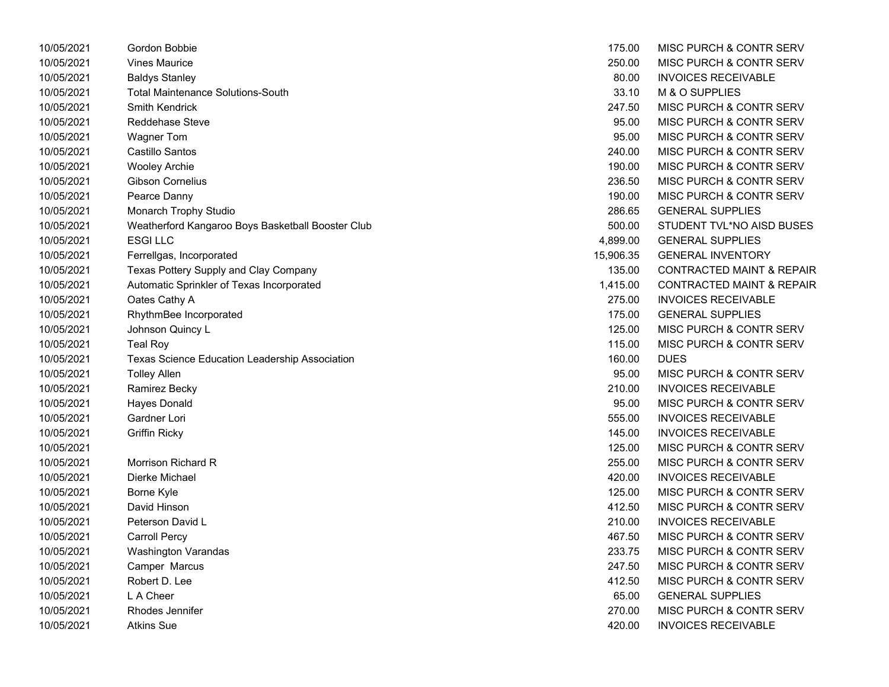| 10/05/2021 | Gordon Bobbie                                     | 175.00    | MISC PURCH & CONTR SERV              |
|------------|---------------------------------------------------|-----------|--------------------------------------|
| 10/05/2021 | <b>Vines Maurice</b>                              | 250.00    | MISC PURCH & CONTR SERV              |
| 10/05/2021 | <b>Baldys Stanley</b>                             | 80.00     | <b>INVOICES RECEIVABLE</b>           |
| 10/05/2021 | <b>Total Maintenance Solutions-South</b>          | 33.10     | M & O SUPPLIES                       |
| 10/05/2021 | <b>Smith Kendrick</b>                             | 247.50    | MISC PURCH & CONTR SERV              |
| 10/05/2021 | Reddehase Steve                                   | 95.00     | MISC PURCH & CONTR SERV              |
| 10/05/2021 | <b>Wagner Tom</b>                                 | 95.00     | MISC PURCH & CONTR SERV              |
| 10/05/2021 | Castillo Santos                                   | 240.00    | MISC PURCH & CONTR SERV              |
| 10/05/2021 | <b>Wooley Archie</b>                              | 190.00    | MISC PURCH & CONTR SERV              |
| 10/05/2021 | Gibson Cornelius                                  | 236.50    | MISC PURCH & CONTR SERV              |
| 10/05/2021 | Pearce Danny                                      | 190.00    | MISC PURCH & CONTR SERV              |
| 10/05/2021 | Monarch Trophy Studio                             | 286.65    | <b>GENERAL SUPPLIES</b>              |
| 10/05/2021 | Weatherford Kangaroo Boys Basketball Booster Club | 500.00    | STUDENT TVL*NO AISD BUSES            |
| 10/05/2021 | <b>ESGILLC</b>                                    | 4,899.00  | <b>GENERAL SUPPLIES</b>              |
| 10/05/2021 | Ferrellgas, Incorporated                          | 15,906.35 | <b>GENERAL INVENTORY</b>             |
| 10/05/2021 | Texas Pottery Supply and Clay Company             | 135.00    | <b>CONTRACTED MAINT &amp; REPAIR</b> |
| 10/05/2021 | Automatic Sprinkler of Texas Incorporated         | 1,415.00  | <b>CONTRACTED MAINT &amp; REPAIR</b> |
| 10/05/2021 | Oates Cathy A                                     | 275.00    | <b>INVOICES RECEIVABLE</b>           |
| 10/05/2021 | RhythmBee Incorporated                            | 175.00    | <b>GENERAL SUPPLIES</b>              |
| 10/05/2021 | Johnson Quincy L                                  | 125.00    | MISC PURCH & CONTR SERV              |
| 10/05/2021 | <b>Teal Roy</b>                                   | 115.00    | MISC PURCH & CONTR SERV              |
| 10/05/2021 | Texas Science Education Leadership Association    | 160.00    | <b>DUES</b>                          |
| 10/05/2021 | <b>Tolley Allen</b>                               | 95.00     | MISC PURCH & CONTR SERV              |
| 10/05/2021 | Ramirez Becky                                     | 210.00    | <b>INVOICES RECEIVABLE</b>           |
| 10/05/2021 | <b>Hayes Donald</b>                               | 95.00     | MISC PURCH & CONTR SERV              |
| 10/05/2021 | Gardner Lori                                      | 555.00    | <b>INVOICES RECEIVABLE</b>           |
| 10/05/2021 | <b>Griffin Ricky</b>                              | 145.00    | <b>INVOICES RECEIVABLE</b>           |
| 10/05/2021 |                                                   | 125.00    | MISC PURCH & CONTR SERV              |
| 10/05/2021 | Morrison Richard R                                | 255.00    | MISC PURCH & CONTR SERV              |
| 10/05/2021 | Dierke Michael                                    | 420.00    | <b>INVOICES RECEIVABLE</b>           |
| 10/05/2021 | Borne Kyle                                        | 125.00    | MISC PURCH & CONTR SERV              |
| 10/05/2021 | David Hinson                                      | 412.50    | MISC PURCH & CONTR SERV              |
| 10/05/2021 | Peterson David L                                  | 210.00    | <b>INVOICES RECEIVABLE</b>           |
| 10/05/2021 | <b>Carroll Percy</b>                              | 467.50    | MISC PURCH & CONTR SERV              |
| 10/05/2021 | Washington Varandas                               | 233.75    | MISC PURCH & CONTR SERV              |
| 10/05/2021 | Camper Marcus                                     | 247.50    | MISC PURCH & CONTR SERV              |
| 10/05/2021 | Robert D. Lee                                     | 412.50    | MISC PURCH & CONTR SERV              |
| 10/05/2021 | L A Cheer                                         | 65.00     | <b>GENERAL SUPPLIES</b>              |
| 10/05/2021 | Rhodes Jennifer                                   | 270.00    | MISC PURCH & CONTR SERV              |
| 10/05/2021 | <b>Atkins Sue</b>                                 | 420.00    | <b>INVOICES RECEIVABLE</b>           |

| 175.00    | MISC PURCH & CONTR SERV              |
|-----------|--------------------------------------|
| 250.00    | MISC PURCH & CONTR SERV              |
| 80.00     | <b>INVOICES RECEIVABLE</b>           |
| 33.10     | M & O SUPPLIES                       |
| 247.50    | <b>MISC PURCH &amp; CONTR SERV</b>   |
| 95.00     | MISC PURCH & CONTR SERV              |
| 95.00     | MISC PURCH & CONTR SERV              |
| 240.00    | MISC PURCH & CONTR SERV              |
| 190.00    | MISC PURCH & CONTR SERV              |
| 236.50    | MISC PURCH & CONTR SERV              |
| 190.00    | MISC PURCH & CONTR SERV              |
| 286.65    | <b>GENERAL SUPPLIES</b>              |
| 500.00    | STUDENT TVL*NO AISD BUSES            |
| 4,899.00  | <b>GENERAL SUPPLIES</b>              |
| 15,906.35 | <b>GENERAL INVENTORY</b>             |
| 135.00    | <b>CONTRACTED MAINT &amp; REPAIR</b> |
| 1,415.00  | <b>CONTRACTED MAINT &amp; REPAIR</b> |
| 275.00    | <b>INVOICES RECEIVABLE</b>           |
| 175.00    | <b>GENERAL SUPPLIES</b>              |
| 125.00    | <b>MISC PURCH &amp; CONTR SERV</b>   |
| 115.00    | MISC PURCH & CONTR SERV              |
| 160.00    | <b>DUES</b>                          |
| 95.00     | <b>MISC PURCH &amp; CONTR SERV</b>   |
| 210.00    | <b>INVOICES RECEIVABLE</b>           |
| 95.00     | MISC PURCH & CONTR SERV              |
| 555.00    | <b>INVOICES RECEIVABLE</b>           |
| 145.00    | <b>INVOICES RECEIVABLE</b>           |
| 125.00    | MISC PURCH & CONTR SERV              |
| 255.00    | MISC PURCH & CONTR SERV              |
| 420.00    | <b>INVOICES RECEIVABLE</b>           |
| 125.00    | MISC PURCH & CONTR SERV              |
| 412.50    | MISC PURCH & CONTR SERV              |
| 210.00    | <b>INVOICES RECEIVABLE</b>           |
| 467.50    | MISC PURCH & CONTR SERV              |
| 233.75    | <b>MISC PURCH &amp; CONTR SERV</b>   |
| 247.50    | MISC PURCH & CONTR SERV              |
| 412.50    | MISC PURCH & CONTR SERV              |
| 65.00     | <b>GENERAL SUPPLIES</b>              |
| 270.00    | MISC PURCH & CONTR SERV              |
| 420.00    | <b>INVOICES RECEIVABLE</b>           |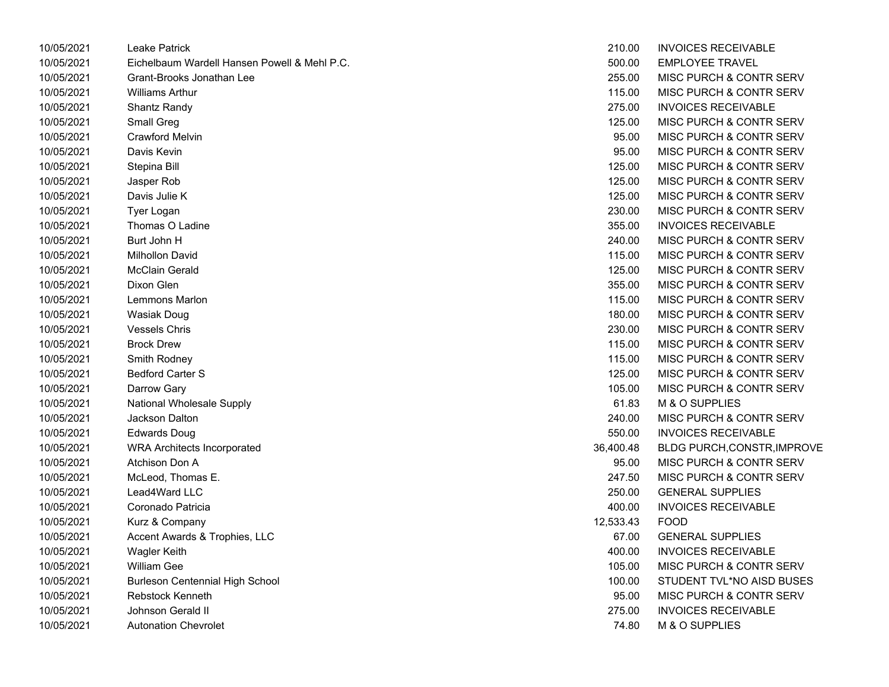| 10/05/2021 | Leake Patrick                                | 210.00    | <b>INVOICES RECEIVABLE</b>         |  |
|------------|----------------------------------------------|-----------|------------------------------------|--|
| 10/05/2021 | Eichelbaum Wardell Hansen Powell & Mehl P.C. | 500.00    | <b>EMPLOYEE TRAVEL</b>             |  |
| 10/05/2021 | Grant-Brooks Jonathan Lee                    | 255.00    | <b>MISC PURCH &amp; CONTR SERV</b> |  |
| 10/05/2021 | <b>Williams Arthur</b>                       | 115.00    | MISC PURCH & CONTR SERV            |  |
| 10/05/2021 | Shantz Randy                                 | 275.00    | <b>INVOICES RECEIVABLE</b>         |  |
| 10/05/2021 | Small Greg                                   | 125.00    | <b>MISC PURCH &amp; CONTR SERV</b> |  |
| 10/05/2021 | Crawford Melvin                              | 95.00     | <b>MISC PURCH &amp; CONTR SERV</b> |  |
| 10/05/2021 | Davis Kevin                                  | 95.00     | <b>MISC PURCH &amp; CONTR SERV</b> |  |
| 10/05/2021 | Stepina Bill                                 | 125.00    | <b>MISC PURCH &amp; CONTR SERV</b> |  |
| 10/05/2021 | Jasper Rob                                   | 125.00    | <b>MISC PURCH &amp; CONTR SERV</b> |  |
| 10/05/2021 | Davis Julie K                                | 125.00    | <b>MISC PURCH &amp; CONTR SERV</b> |  |
| 10/05/2021 | Tyer Logan                                   | 230.00    | <b>MISC PURCH &amp; CONTR SERV</b> |  |
| 10/05/2021 | Thomas O Ladine                              | 355.00    | <b>INVOICES RECEIVABLE</b>         |  |
| 10/05/2021 | Burt John H                                  | 240.00    | <b>MISC PURCH &amp; CONTR SERV</b> |  |
| 10/05/2021 | Milhollon David                              | 115.00    | <b>MISC PURCH &amp; CONTR SERV</b> |  |
| 10/05/2021 | <b>McClain Gerald</b>                        | 125.00    | <b>MISC PURCH &amp; CONTR SERV</b> |  |
| 10/05/2021 | Dixon Glen                                   | 355.00    | <b>MISC PURCH &amp; CONTR SERV</b> |  |
| 10/05/2021 | Lemmons Marlon                               | 115.00    | <b>MISC PURCH &amp; CONTR SERV</b> |  |
| 10/05/2021 | Wasiak Doug                                  | 180.00    | <b>MISC PURCH &amp; CONTR SERV</b> |  |
| 10/05/2021 | <b>Vessels Chris</b>                         | 230.00    | <b>MISC PURCH &amp; CONTR SERV</b> |  |
| 10/05/2021 | <b>Brock Drew</b>                            | 115.00    | <b>MISC PURCH &amp; CONTR SERV</b> |  |
| 10/05/2021 | Smith Rodney                                 | 115.00    | <b>MISC PURCH &amp; CONTR SERV</b> |  |
| 10/05/2021 | <b>Bedford Carter S</b>                      | 125.00    | <b>MISC PURCH &amp; CONTR SERV</b> |  |
| 10/05/2021 | Darrow Gary                                  | 105.00    | <b>MISC PURCH &amp; CONTR SERV</b> |  |
| 10/05/2021 | National Wholesale Supply                    | 61.83     | M & O SUPPLIES                     |  |
| 10/05/2021 | Jackson Dalton                               | 240.00    | MISC PURCH & CONTR SERV            |  |
| 10/05/2021 | Edwards Doug                                 | 550.00    | <b>INVOICES RECEIVABLE</b>         |  |
| 10/05/2021 | <b>WRA Architects Incorporated</b>           | 36,400.48 | <b>BLDG PURCH, CONSTR, IMPROVE</b> |  |
| 10/05/2021 | Atchison Don A                               | 95.00     | <b>MISC PURCH &amp; CONTR SERV</b> |  |
| 10/05/2021 | McLeod, Thomas E.                            | 247.50    | <b>MISC PURCH &amp; CONTR SERV</b> |  |
| 10/05/2021 | Lead4Ward LLC                                | 250.00    | <b>GENERAL SUPPLIES</b>            |  |
| 10/05/2021 | Coronado Patricia                            | 400.00    | <b>INVOICES RECEIVABLE</b>         |  |
| 10/05/2021 | Kurz & Company                               | 12,533.43 | <b>FOOD</b>                        |  |
| 10/05/2021 | Accent Awards & Trophies, LLC                | 67.00     | <b>GENERAL SUPPLIES</b>            |  |
| 10/05/2021 | <b>Wagler Keith</b>                          | 400.00    | <b>INVOICES RECEIVABLE</b>         |  |
| 10/05/2021 | William Gee                                  | 105.00    | <b>MISC PURCH &amp; CONTR SERV</b> |  |
| 10/05/2021 | Burleson Centennial High School              | 100.00    | STUDENT TVL*NO AISD BUSES          |  |
| 10/05/2021 | <b>Rebstock Kenneth</b>                      | 95.00     | <b>MISC PURCH &amp; CONTR SERV</b> |  |
| 10/05/2021 | Johnson Gerald II                            | 275.00    | <b>INVOICES RECEIVABLE</b>         |  |
| 10/05/2021 | <b>Autonation Chevrolet</b>                  | 74.80     | M & O SUPPLIES                     |  |

| 210.00    | <b>INVOICES RECEIVABLE</b>         |
|-----------|------------------------------------|
| 500.00    | <b>EMPLOYEE TRAVEL</b>             |
| 255.00    | MISC PURCH & CONTR SERV            |
| 115.00    | MISC PURCH & CONTR SERV            |
| 275.00    | <b>INVOICES RECEIVABLE</b>         |
| 125.00    | <b>MISC PURCH &amp; CONTR SERV</b> |
| 95.00     | <b>MISC PURCH &amp; CONTR SERV</b> |
| 95.00     | <b>MISC PURCH &amp; CONTR SERV</b> |
| 125.00    | <b>MISC PURCH &amp; CONTR SERV</b> |
| 125.00    | MISC PURCH & CONTR SERV            |
| 125.00    | <b>MISC PURCH &amp; CONTR SERV</b> |
| 230.00    | <b>MISC PURCH &amp; CONTR SERV</b> |
| 355.00    | <b>INVOICES RECEIVABLE</b>         |
| 240.00    | <b>MISC PURCH &amp; CONTR SERV</b> |
| 115.00    | <b>MISC PURCH &amp; CONTR SERV</b> |
| 125.00    | <b>MISC PURCH &amp; CONTR SERV</b> |
| 355.00    | <b>MISC PURCH &amp; CONTR SERV</b> |
| 115.00    | <b>MISC PURCH &amp; CONTR SERV</b> |
| 180.00    | <b>MISC PURCH &amp; CONTR SERV</b> |
| 230.00    | <b>MISC PURCH &amp; CONTR SERV</b> |
| 115.00    | <b>MISC PURCH &amp; CONTR SERV</b> |
| 115.00    | <b>MISC PURCH &amp; CONTR SERV</b> |
| 125.00    | MISC PURCH & CONTR SERV            |
| 105.00    | <b>MISC PURCH &amp; CONTR SERV</b> |
| 61.83     | <b>M &amp; O SUPPLIES</b>          |
| 240.00    | <b>MISC PURCH &amp; CONTR SERV</b> |
| 550.00    | <b>INVOICES RECEIVABLE</b>         |
| 36,400.48 | <b>BLDG PURCH, CONSTR, IMPROVE</b> |
| 95.00     | MISC PURCH & CONTR SERV            |
| 247.50    | <b>MISC PURCH &amp; CONTR SERV</b> |
| 250.00    | <b>GENERAL SUPPLIES</b>            |
| 400.00    | <b>INVOICES RECEIVABLE</b>         |
| 12,533.43 | <b>FOOD</b>                        |
| 67.00     | <b>GENERAL SUPPLIES</b>            |
| 400.00    | <b>INVOICES RECEIVABLE</b>         |
| 105.00    | <b>MISC PURCH &amp; CONTR SERV</b> |
| 100.00    | STUDENT TVL*NO AISD BUSES          |
| 95.00     | MISC PURCH & CONTR SERV            |
| 275.00    | <b>INVOICES RECEIVABLE</b>         |
| 74.80     | M & O SUPPLIES                     |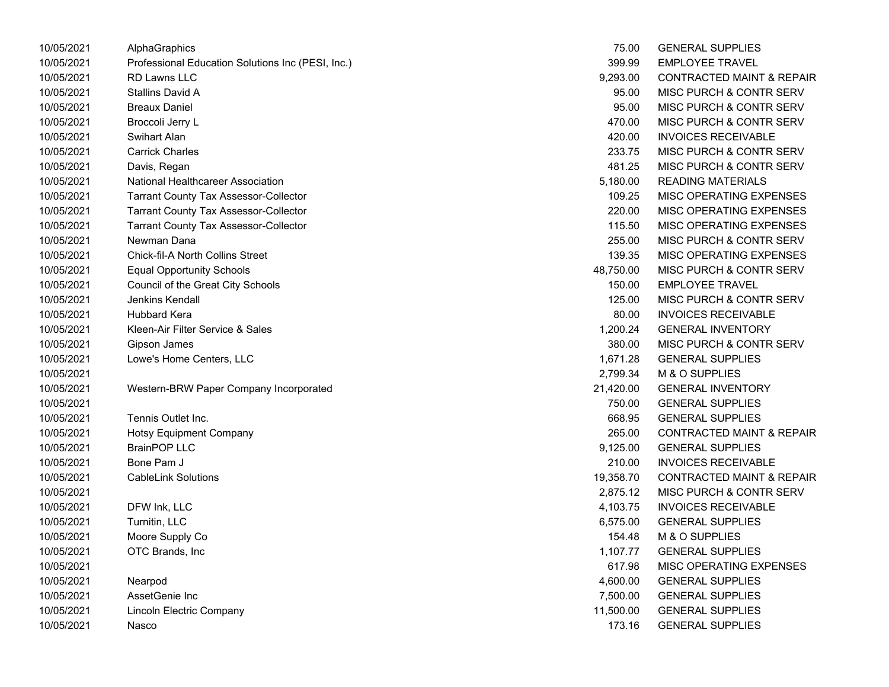| 10/05/2021 | AlphaGraphics                                     | 75.00     | <b>GENERAL SUPPLIES</b>              |
|------------|---------------------------------------------------|-----------|--------------------------------------|
| 10/05/2021 | Professional Education Solutions Inc (PESI, Inc.) | 399.99    | <b>EMPLOYEE TRAVEL</b>               |
| 10/05/2021 | <b>RD Lawns LLC</b>                               | 9,293.00  | <b>CONTRACTED MAINT &amp; REPAIR</b> |
| 10/05/2021 | Stallins David A                                  | 95.00     | MISC PURCH & CONTR SERV              |
| 10/05/2021 | <b>Breaux Daniel</b>                              | 95.00     | MISC PURCH & CONTR SERV              |
| 10/05/2021 | Broccoli Jerry L                                  | 470.00    | MISC PURCH & CONTR SERV              |
| 10/05/2021 | <b>Swihart Alan</b>                               | 420.00    | <b>INVOICES RECEIVABLE</b>           |
| 10/05/2021 | <b>Carrick Charles</b>                            | 233.75    | MISC PURCH & CONTR SERV              |
| 10/05/2021 | Davis, Regan                                      | 481.25    | MISC PURCH & CONTR SERV              |
| 10/05/2021 | National Healthcareer Association                 | 5,180.00  | <b>READING MATERIALS</b>             |
| 10/05/2021 | <b>Tarrant County Tax Assessor-Collector</b>      | 109.25    | MISC OPERATING EXPENSES              |
| 10/05/2021 | <b>Tarrant County Tax Assessor-Collector</b>      | 220.00    | MISC OPERATING EXPENSES              |
| 10/05/2021 | <b>Tarrant County Tax Assessor-Collector</b>      | 115.50    | MISC OPERATING EXPENSES              |
| 10/05/2021 | Newman Dana                                       | 255.00    | MISC PURCH & CONTR SERV              |
| 10/05/2021 | <b>Chick-fil-A North Collins Street</b>           | 139.35    | MISC OPERATING EXPENSES              |
| 10/05/2021 | <b>Equal Opportunity Schools</b>                  | 48,750.00 | MISC PURCH & CONTR SERV              |
| 10/05/2021 | Council of the Great City Schools                 | 150.00    | <b>EMPLOYEE TRAVEL</b>               |
| 10/05/2021 | Jenkins Kendall                                   | 125.00    | MISC PURCH & CONTR SERV              |
| 10/05/2021 | <b>Hubbard Kera</b>                               | 80.00     | <b>INVOICES RECEIVABLE</b>           |
| 10/05/2021 | Kleen-Air Filter Service & Sales                  | 1,200.24  | <b>GENERAL INVENTORY</b>             |
| 10/05/2021 | Gipson James                                      | 380.00    | MISC PURCH & CONTR SERV              |
| 10/05/2021 | Lowe's Home Centers, LLC                          | 1,671.28  | <b>GENERAL SUPPLIES</b>              |
| 10/05/2021 |                                                   | 2,799.34  | M & O SUPPLIES                       |
| 10/05/2021 | Western-BRW Paper Company Incorporated            | 21,420.00 | <b>GENERAL INVENTORY</b>             |
| 10/05/2021 |                                                   | 750.00    | <b>GENERAL SUPPLIES</b>              |
| 10/05/2021 | Tennis Outlet Inc.                                | 668.95    | <b>GENERAL SUPPLIES</b>              |
| 10/05/2021 | <b>Hotsy Equipment Company</b>                    | 265.00    | <b>CONTRACTED MAINT &amp; REPAIR</b> |
| 10/05/2021 | <b>BrainPOP LLC</b>                               | 9,125.00  | <b>GENERAL SUPPLIES</b>              |
| 10/05/2021 | Bone Pam J                                        | 210.00    | <b>INVOICES RECEIVABLE</b>           |
| 10/05/2021 | <b>CableLink Solutions</b>                        | 19,358.70 | <b>CONTRACTED MAINT &amp; REPAIR</b> |
| 10/05/2021 |                                                   | 2,875.12  | MISC PURCH & CONTR SERV              |
| 10/05/2021 | DFW Ink, LLC                                      | 4,103.75  | <b>INVOICES RECEIVABLE</b>           |
| 10/05/2021 | Turnitin, LLC                                     | 6,575.00  | <b>GENERAL SUPPLIES</b>              |
| 10/05/2021 | Moore Supply Co                                   | 154.48    | M & O SUPPLIES                       |
| 10/05/2021 | OTC Brands, Inc                                   | 1,107.77  | <b>GENERAL SUPPLIES</b>              |
| 10/05/2021 |                                                   | 617.98    | MISC OPERATING EXPENSES              |
| 10/05/2021 | Nearpod                                           | 4,600.00  | <b>GENERAL SUPPLIES</b>              |
| 10/05/2021 | AssetGenie Inc                                    | 7,500.00  | <b>GENERAL SUPPLIES</b>              |
| 10/05/2021 | <b>Lincoln Electric Company</b>                   | 11,500.00 | <b>GENERAL SUPPLIES</b>              |
| 10/05/2021 | Nasco                                             | 173.16    | <b>GENERAL SUPPLIES</b>              |

| 75.00     | <b>GENERAL SUPPLIES</b>              |
|-----------|--------------------------------------|
| 399.99    | <b>EMPLOYEE TRAVEL</b>               |
| 9,293.00  | <b>CONTRACTED MAINT &amp; REPAIR</b> |
| 95.00     | <b>MISC PURCH &amp; CONTR SERV</b>   |
| 95.00     | <b>MISC PURCH &amp; CONTR SERV</b>   |
| 470.00    | <b>MISC PURCH &amp; CONTR SERV</b>   |
| 420.00    | <b>INVOICES RECEIVABLE</b>           |
| 233.75    | <b>MISC PURCH &amp; CONTR SERV</b>   |
| 481.25    | MISC PURCH & CONTR SERV              |
| 5,180.00  | <b>READING MATERIALS</b>             |
| 109.25    | <b>MISC OPERATING EXPENSES</b>       |
| 220.00    | <b>MISC OPERATING EXPENSES</b>       |
| 115.50    | <b>MISC OPERATING EXPENSES</b>       |
| 255.00    | MISC PURCH & CONTR SERV              |
| 139.35    | <b>MISC OPERATING EXPENSES</b>       |
| 48,750.00 | <b>MISC PURCH &amp; CONTR SERV</b>   |
| 150.00    | <b>EMPLOYEE TRAVEL</b>               |
| 125.00    | MISC PURCH & CONTR SERV              |
| 80.00     | <b>INVOICES RECEIVABLE</b>           |
| 1,200.24  | <b>GENERAL INVENTORY</b>             |
| 380.00    | <b>MISC PURCH &amp; CONTR SERV</b>   |
| 1,671.28  | <b>GENERAL SUPPLIES</b>              |
| 2,799.34  | M & O SUPPLIES                       |
| 21,420.00 | <b>GENERAL INVENTORY</b>             |
| 750.00    | <b>GENERAL SUPPLIES</b>              |
| 668.95    | <b>GENERAL SUPPLIES</b>              |
| 265.00    | <b>CONTRACTED MAINT &amp; REPAIR</b> |
| 9,125.00  | <b>GENERAL SUPPLIES</b>              |
| 210.00    | <b>INVOICES RECEIVABLE</b>           |
| 19,358.70 | <b>CONTRACTED MAINT &amp; REPAIR</b> |
| 2,875.12  | MISC PURCH & CONTR SERV              |
| 4,103.75  | <b>INVOICES RECEIVABLE</b>           |
| 6,575.00  | <b>GENERAL SUPPLIES</b>              |
| 154.48    | <b>M &amp; O SUPPLIES</b>            |
| 1,107.77  | <b>GENERAL SUPPLIES</b>              |
| 617.98    | MISC OPERATING EXPENSES              |
| 4,600.00  | <b>GENERAL SUPPLIES</b>              |
| 7,500.00  | <b>GENERAL SUPPLIES</b>              |
| 11,500.00 | <b>GENERAL SUPPLIES</b>              |
| 173.16    | <b>GENERAL SUPPLIES</b>              |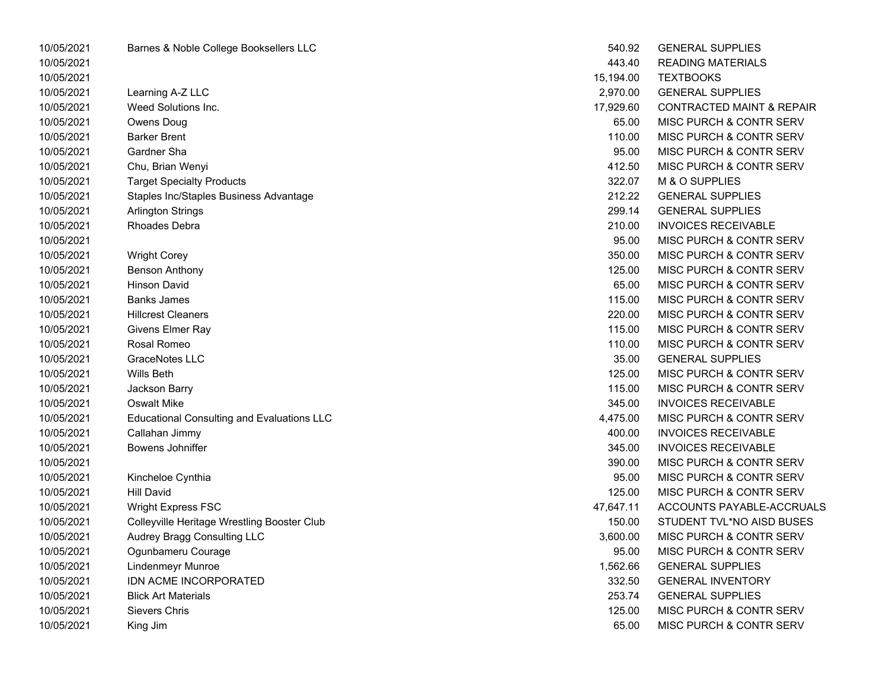| 10/05/2021 | Barnes & Noble College Booksellers LLC            | 540.92    | <b>GENERAL SUPPLIES</b>              |
|------------|---------------------------------------------------|-----------|--------------------------------------|
| 10/05/2021 |                                                   | 443.40    | <b>READING MATERIALS</b>             |
| 10/05/2021 |                                                   | 15,194.00 | <b>TEXTBOOKS</b>                     |
| 10/05/2021 | Learning A-Z LLC                                  | 2,970.00  | <b>GENERAL SUPPLIES</b>              |
| 10/05/2021 | Weed Solutions Inc.                               | 17,929.60 | <b>CONTRACTED MAINT &amp; REPAIR</b> |
| 10/05/2021 | Owens Doug                                        | 65.00     | MISC PURCH & CONTR SERV              |
| 10/05/2021 | <b>Barker Brent</b>                               | 110.00    | MISC PURCH & CONTR SERV              |
| 10/05/2021 | Gardner Sha                                       | 95.00     | MISC PURCH & CONTR SERV              |
| 10/05/2021 | Chu, Brian Wenyi                                  | 412.50    | MISC PURCH & CONTR SERV              |
| 10/05/2021 | <b>Target Specialty Products</b>                  | 322.07    | M & O SUPPLIES                       |
| 10/05/2021 | Staples Inc/Staples Business Advantage            | 212.22    | <b>GENERAL SUPPLIES</b>              |
| 10/05/2021 | <b>Arlington Strings</b>                          | 299.14    | <b>GENERAL SUPPLIES</b>              |
| 10/05/2021 | Rhoades Debra                                     | 210.00    | <b>INVOICES RECEIVABLE</b>           |
| 10/05/2021 |                                                   | 95.00     | MISC PURCH & CONTR SERV              |
| 10/05/2021 | <b>Wright Corey</b>                               | 350.00    | MISC PURCH & CONTR SERV              |
| 10/05/2021 | <b>Benson Anthony</b>                             | 125.00    | MISC PURCH & CONTR SERV              |
| 10/05/2021 | <b>Hinson David</b>                               | 65.00     | MISC PURCH & CONTR SERV              |
| 10/05/2021 | <b>Banks James</b>                                | 115.00    | MISC PURCH & CONTR SERV              |
| 10/05/2021 | <b>Hillcrest Cleaners</b>                         | 220.00    | MISC PURCH & CONTR SERV              |
| 10/05/2021 | Givens Elmer Ray                                  | 115.00    | MISC PURCH & CONTR SERV              |
| 10/05/2021 | Rosal Romeo                                       | 110.00    | MISC PURCH & CONTR SERV              |
| 10/05/2021 | GraceNotes LLC                                    | 35.00     | <b>GENERAL SUPPLIES</b>              |
| 10/05/2021 | Wills Beth                                        | 125.00    | MISC PURCH & CONTR SERV              |
| 10/05/2021 | Jackson Barry                                     | 115.00    | MISC PURCH & CONTR SERV              |
| 10/05/2021 | <b>Oswalt Mike</b>                                | 345.00    | <b>INVOICES RECEIVABLE</b>           |
| 10/05/2021 | <b>Educational Consulting and Evaluations LLC</b> | 4,475.00  | MISC PURCH & CONTR SERV              |
| 10/05/2021 | Callahan Jimmy                                    | 400.00    | <b>INVOICES RECEIVABLE</b>           |
| 10/05/2021 | Bowens Johniffer                                  | 345.00    | <b>INVOICES RECEIVABLE</b>           |
| 10/05/2021 |                                                   | 390.00    | MISC PURCH & CONTR SERV              |
| 10/05/2021 | Kincheloe Cynthia                                 | 95.00     | MISC PURCH & CONTR SERV              |
| 10/05/2021 | <b>Hill David</b>                                 | 125.00    | MISC PURCH & CONTR SERV              |
| 10/05/2021 | <b>Wright Express FSC</b>                         | 47,647.11 | ACCOUNTS PAYABLE-ACCRUALS            |
| 10/05/2021 | Colleyville Heritage Wrestling Booster Club       | 150.00    | STUDENT TVL*NO AISD BUSES            |
| 10/05/2021 | Audrey Bragg Consulting LLC                       | 3,600.00  | MISC PURCH & CONTR SERV              |
| 10/05/2021 | Ogunbameru Courage                                | 95.00     | MISC PURCH & CONTR SERV              |
| 10/05/2021 | <b>Lindenmeyr Munroe</b>                          | 1,562.66  | <b>GENERAL SUPPLIES</b>              |
| 10/05/2021 | IDN ACME INCORPORATED                             | 332.50    | <b>GENERAL INVENTORY</b>             |
| 10/05/2021 | <b>Blick Art Materials</b>                        | 253.74    | <b>GENERAL SUPPLIES</b>              |
| 10/05/2021 | Sievers Chris                                     | 125.00    | MISC PURCH & CONTR SERV              |
| 10/05/2021 | King Jim                                          | 65.00     | MISC PURCH & CONTR SERV              |

| 540.92    | <b>GENERAL SUPPLIES</b>              |
|-----------|--------------------------------------|
| 443.40    | <b>READING MATERIALS</b>             |
| 15,194.00 | <b>TEXTBOOKS</b>                     |
| 2,970.00  | <b>GENERAL SUPPLIES</b>              |
| 17,929.60 | <b>CONTRACTED MAINT &amp; REPAIR</b> |
| 65.00     | MISC PURCH & CONTR SERV              |
| 110.00    | MISC PURCH & CONTR SERV              |
| 95.00     | MISC PURCH & CONTR SERV              |
| 412.50    | MISC PURCH & CONTR SERV              |
| 322.07    | M & O SUPPLIES                       |
| 212.22    | <b>GENERAL SUPPLIES</b>              |
| 299.14    | <b>GENERAL SUPPLIES</b>              |
| 210.00    | <b>INVOICES RECEIVABLE</b>           |
| 95.00     | MISC PURCH & CONTR SERV              |
| 350.00    | <b>MISC PURCH &amp; CONTR SERV</b>   |
| 125.00    | MISC PURCH & CONTR SERV              |
| 65.00     | MISC PURCH & CONTR SERV              |
| 115.00    | MISC PURCH & CONTR SERV              |
| 220.00    | MISC PURCH & CONTR SERV              |
| 115.00    | MISC PURCH & CONTR SERV              |
| 110.00    | MISC PURCH & CONTR SERV              |
| 35.00     | <b>GENERAL SUPPLIES</b>              |
| 125.00    | <b>MISC PURCH &amp; CONTR SERV</b>   |
| 115.00    | <b>MISC PURCH &amp; CONTR SERV</b>   |
| 345.00    | <b>INVOICES RECEIVABLE</b>           |
| 4.475.00  | MISC PURCH & CONTR SERV              |
| 400.00    | <b>INVOICES RECEIVABLE</b>           |
| 345.00    | <b>INVOICES RECEIVABLE</b>           |
| 390.00    | MISC PURCH & CONTR SERV              |
| 95.00     | <b>MISC PURCH &amp; CONTR SERV</b>   |
| 125.00    | <b>MISC PURCH &amp; CONTR SERV</b>   |
| 47,647.11 | ACCOUNTS PAYABLE-ACCRUALS            |
| 150.00    | STUDENT TVL*NO AISD BUSES            |
| 3,600.00  | MISC PURCH & CONTR SERV              |
| 95.00     | MISC PURCH & CONTR SERV              |
| 1,562.66  | <b>GENERAL SUPPLIES</b>              |
| 332.50    | <b>GENERAL INVENTORY</b>             |
| 253.74    | <b>GENERAL SUPPLIES</b>              |
| 125.00    | <b>MISC PURCH &amp; CONTR SERV</b>   |
| 65.00     | MISC PURCH & CONTR SERV              |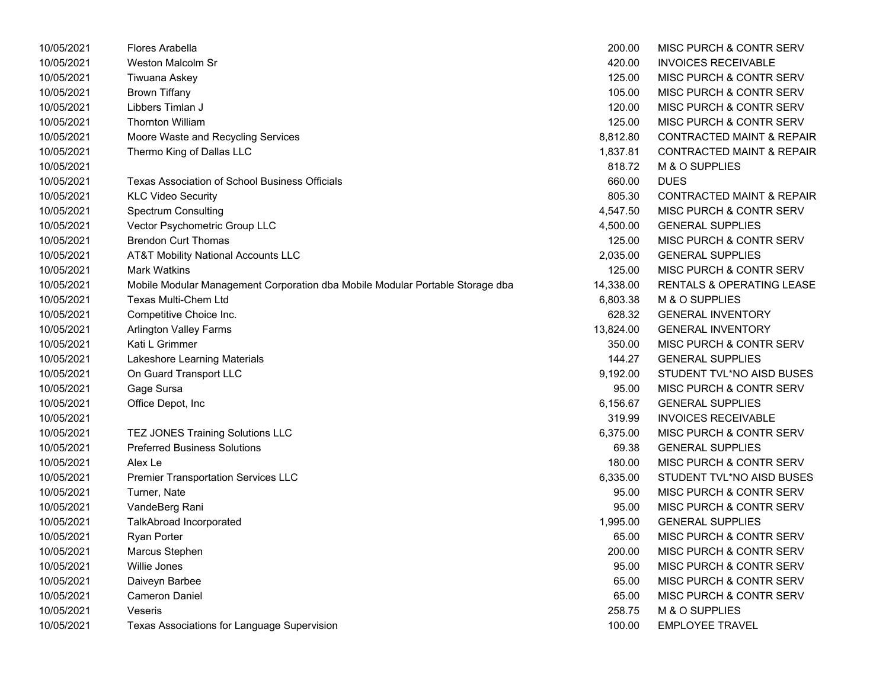| 10/05/2021 | Flores Arabella                                                               | 200.00    | MISC PURCH & CONTR SERV              |
|------------|-------------------------------------------------------------------------------|-----------|--------------------------------------|
| 10/05/2021 | Weston Malcolm Sr                                                             | 420.00    | <b>INVOICES RECEIVABLE</b>           |
| 10/05/2021 | Tiwuana Askey                                                                 | 125.00    | <b>MISC PURCH &amp; CONTR SERV</b>   |
| 10/05/2021 | <b>Brown Tiffany</b>                                                          | 105.00    | MISC PURCH & CONTR SERV              |
| 10/05/2021 | Libbers Timlan J                                                              | 120.00    | MISC PURCH & CONTR SERV              |
| 10/05/2021 | <b>Thornton William</b>                                                       | 125.00    | MISC PURCH & CONTR SERV              |
| 10/05/2021 | Moore Waste and Recycling Services                                            | 8,812.80  | <b>CONTRACTED MAINT &amp; REPAIR</b> |
| 10/05/2021 | Thermo King of Dallas LLC                                                     | 1,837.81  | <b>CONTRACTED MAINT &amp; REPAIR</b> |
| 10/05/2021 |                                                                               | 818.72    | M & O SUPPLIES                       |
| 10/05/2021 | Texas Association of School Business Officials                                | 660.00    | <b>DUES</b>                          |
| 10/05/2021 | <b>KLC Video Security</b>                                                     | 805.30    | <b>CONTRACTED MAINT &amp; REPAIR</b> |
| 10/05/2021 | <b>Spectrum Consulting</b>                                                    | 4,547.50  | MISC PURCH & CONTR SERV              |
| 10/05/2021 | Vector Psychometric Group LLC                                                 | 4,500.00  | <b>GENERAL SUPPLIES</b>              |
| 10/05/2021 | <b>Brendon Curt Thomas</b>                                                    | 125.00    | MISC PURCH & CONTR SERV              |
| 10/05/2021 | <b>AT&amp;T Mobility National Accounts LLC</b>                                | 2,035.00  | <b>GENERAL SUPPLIES</b>              |
| 10/05/2021 | <b>Mark Watkins</b>                                                           | 125.00    | MISC PURCH & CONTR SERV              |
| 10/05/2021 | Mobile Modular Management Corporation dba Mobile Modular Portable Storage dba | 14,338.00 | <b>RENTALS &amp; OPERATING LEASE</b> |
| 10/05/2021 | Texas Multi-Chem Ltd                                                          | 6,803.38  | M & O SUPPLIES                       |
| 10/05/2021 | Competitive Choice Inc.                                                       | 628.32    | <b>GENERAL INVENTORY</b>             |
| 10/05/2021 | <b>Arlington Valley Farms</b>                                                 | 13,824.00 | <b>GENERAL INVENTORY</b>             |
| 10/05/2021 | Kati L Grimmer                                                                | 350.00    | MISC PURCH & CONTR SERV              |
| 10/05/2021 | Lakeshore Learning Materials                                                  | 144.27    | <b>GENERAL SUPPLIES</b>              |
| 10/05/2021 | On Guard Transport LLC                                                        | 9,192.00  | STUDENT TVL*NO AISD BUSES            |
| 10/05/2021 | Gage Sursa                                                                    | 95.00     | MISC PURCH & CONTR SERV              |
| 10/05/2021 | Office Depot, Inc                                                             | 6,156.67  | <b>GENERAL SUPPLIES</b>              |
| 10/05/2021 |                                                                               | 319.99    | <b>INVOICES RECEIVABLE</b>           |
| 10/05/2021 | TEZ JONES Training Solutions LLC                                              | 6,375.00  | <b>MISC PURCH &amp; CONTR SERV</b>   |
| 10/05/2021 | <b>Preferred Business Solutions</b>                                           | 69.38     | <b>GENERAL SUPPLIES</b>              |
| 10/05/2021 | Alex Le                                                                       | 180.00    | MISC PURCH & CONTR SERV              |
| 10/05/2021 | <b>Premier Transportation Services LLC</b>                                    | 6,335.00  | STUDENT TVL*NO AISD BUSES            |
| 10/05/2021 | Turner, Nate                                                                  | 95.00     | MISC PURCH & CONTR SERV              |
| 10/05/2021 | VandeBerg Rani                                                                | 95.00     | MISC PURCH & CONTR SERV              |
| 10/05/2021 | TalkAbroad Incorporated                                                       | 1,995.00  | <b>GENERAL SUPPLIES</b>              |
| 10/05/2021 | <b>Ryan Porter</b>                                                            | 65.00     | MISC PURCH & CONTR SERV              |
| 10/05/2021 | Marcus Stephen                                                                | 200.00    | MISC PURCH & CONTR SERV              |
| 10/05/2021 | Willie Jones                                                                  | 95.00     | MISC PURCH & CONTR SERV              |
| 10/05/2021 | Daiveyn Barbee                                                                | 65.00     | MISC PURCH & CONTR SERV              |
| 10/05/2021 | <b>Cameron Daniel</b>                                                         | 65.00     | MISC PURCH & CONTR SERV              |
| 10/05/2021 | Veseris                                                                       | 258.75    | M & O SUPPLIES                       |
| 10/05/2021 | Texas Associations for Language Supervision                                   | 100.00    | <b>EMPLOYEE TRAVEL</b>               |

| 200.00    | <b>MISC PURCH &amp; CONTR SERV</b>   |
|-----------|--------------------------------------|
| 420.00    | <b>INVOICES RECEIVABLE</b>           |
| 125.00    | <b>MISC PURCH &amp; CONTR SERV</b>   |
| 105.00    | <b>MISC PURCH &amp; CONTR SERV</b>   |
| 120.00    | <b>MISC PURCH &amp; CONTR SERV</b>   |
| 125.00    | <b>MISC PURCH &amp; CONTR SERV</b>   |
| 8,812.80  | <b>CONTRACTED MAINT &amp; REPAIR</b> |
| 1,837.81  | <b>CONTRACTED MAINT &amp; REPAIR</b> |
| 818.72    | M & O SUPPLIES                       |
| 660.00    | <b>DUES</b>                          |
| 805.30    | <b>CONTRACTED MAINT &amp; REPAIR</b> |
| 4,547.50  | MISC PURCH & CONTR SERV              |
| 4,500.00  | <b>GENERAL SUPPLIES</b>              |
| 125.00    | <b>MISC PURCH &amp; CONTR SERV</b>   |
| 2,035.00  | <b>GENERAL SUPPLIES</b>              |
| 125.00    | <b>MISC PURCH &amp; CONTR SERV</b>   |
| 14,338.00 | <b>RENTALS &amp; OPERATING LEASE</b> |
| 6,803.38  | M & O SUPPLIES                       |
| 628.32    | <b>GENERAL INVENTORY</b>             |
| 13,824.00 | <b>GENERAL INVENTORY</b>             |
| 350.00    | <b>MISC PURCH &amp; CONTR SERV</b>   |
| 144.27    | <b>GENERAL SUPPLIES</b>              |
| 9,192.00  | STUDENT TVL*NO AISD BUSES            |
| 95.00     | <b>MISC PURCH &amp; CONTR SERV</b>   |
| 6,156.67  | <b>GENERAL SUPPLIES</b>              |
| 319.99    | <b>INVOICES RECEIVABLE</b>           |
| 6,375.00  | MISC PURCH & CONTR SERV              |
| 69.38     | <b>GENERAL SUPPLIES</b>              |
| 180.00    | <b>MISC PURCH &amp; CONTR SERV</b>   |
| 6,335.00  | STUDENT TVL*NO AISD BUSES            |
| 95.00     | MISC PURCH & CONTR SERV              |
| 95.00     | <b>MISC PURCH &amp; CONTR SERV</b>   |
| 1,995.00  | <b>GENERAL SUPPLIES</b>              |
| 65.00     | MISC PURCH & CONTR SERV              |
| 200.00    | MISC PURCH & CONTR SERV              |
| 95.00     | <b>MISC PURCH &amp; CONTR SERV</b>   |
| 65.00     | MISC PURCH & CONTR SERV              |
| 65.00     | <b>MISC PURCH &amp; CONTR SERV</b>   |
| 258.75    | <b>M &amp; O SUPPLIES</b>            |
| 100.00    | <b>EMPLOYEE TRAVEL</b>               |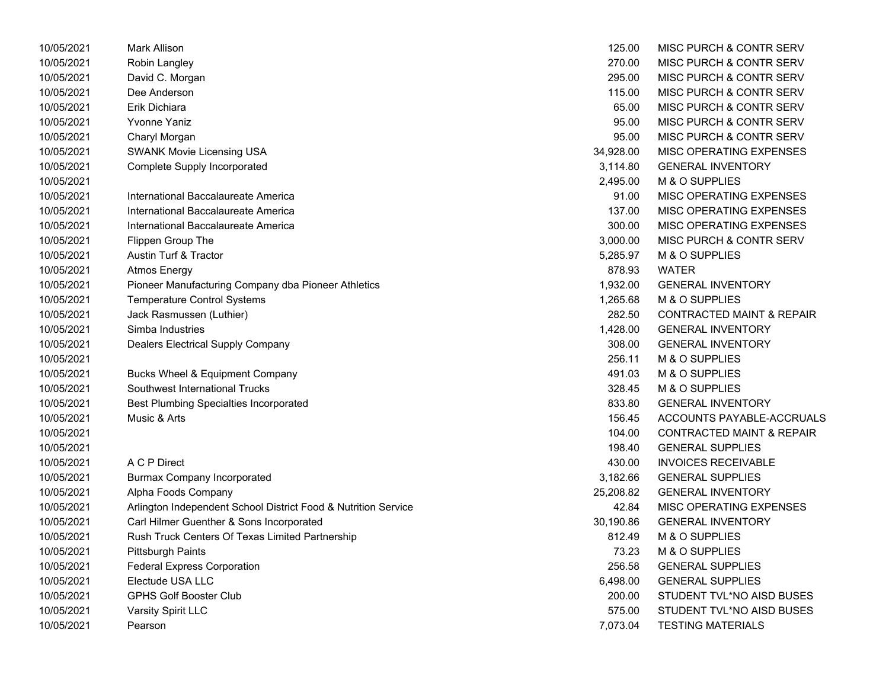| 10/05/2021 | <b>Mark Allison</b>                                            | 125.00    | MISC PURCH & CONTR SERV              |
|------------|----------------------------------------------------------------|-----------|--------------------------------------|
| 10/05/2021 | Robin Langley                                                  | 270.00    | MISC PURCH & CONTR SERV              |
| 10/05/2021 | David C. Morgan                                                | 295.00    | MISC PURCH & CONTR SERV              |
| 10/05/2021 | Dee Anderson                                                   | 115.00    | MISC PURCH & CONTR SERV              |
| 10/05/2021 | Erik Dichiara                                                  | 65.00     | MISC PURCH & CONTR SERV              |
| 10/05/2021 | <b>Yvonne Yaniz</b>                                            | 95.00     | MISC PURCH & CONTR SERV              |
| 10/05/2021 | Charyl Morgan                                                  | 95.00     | MISC PURCH & CONTR SERV              |
| 10/05/2021 | <b>SWANK Movie Licensing USA</b>                               | 34,928.00 | MISC OPERATING EXPENSES              |
| 10/05/2021 | <b>Complete Supply Incorporated</b>                            | 3,114.80  | <b>GENERAL INVENTORY</b>             |
| 10/05/2021 |                                                                | 2,495.00  | M & O SUPPLIES                       |
| 10/05/2021 | International Baccalaureate America                            | 91.00     | MISC OPERATING EXPENSES              |
| 10/05/2021 | International Baccalaureate America                            | 137.00    | MISC OPERATING EXPENSES              |
| 10/05/2021 | International Baccalaureate America                            | 300.00    | MISC OPERATING EXPENSES              |
| 10/05/2021 | Flippen Group The                                              | 3,000.00  | MISC PURCH & CONTR SERV              |
| 10/05/2021 | Austin Turf & Tractor                                          | 5,285.97  | M & O SUPPLIES                       |
| 10/05/2021 | Atmos Energy                                                   | 878.93    | <b>WATER</b>                         |
| 10/05/2021 | Pioneer Manufacturing Company dba Pioneer Athletics            | 1,932.00  | <b>GENERAL INVENTORY</b>             |
| 10/05/2021 | <b>Temperature Control Systems</b>                             | 1,265.68  | M & O SUPPLIES                       |
| 10/05/2021 | Jack Rasmussen (Luthier)                                       | 282.50    | <b>CONTRACTED MAINT &amp; REPAIR</b> |
| 10/05/2021 | Simba Industries                                               | 1,428.00  | <b>GENERAL INVENTORY</b>             |
| 10/05/2021 | Dealers Electrical Supply Company                              | 308.00    | <b>GENERAL INVENTORY</b>             |
| 10/05/2021 |                                                                | 256.11    | M & O SUPPLIES                       |
| 10/05/2021 | <b>Bucks Wheel &amp; Equipment Company</b>                     | 491.03    | M & O SUPPLIES                       |
| 10/05/2021 | Southwest International Trucks                                 | 328.45    | M & O SUPPLIES                       |
| 10/05/2021 | <b>Best Plumbing Specialties Incorporated</b>                  | 833.80    | <b>GENERAL INVENTORY</b>             |
| 10/05/2021 | Music & Arts                                                   | 156.45    | ACCOUNTS PAYABLE-ACCRUALS            |
| 10/05/2021 |                                                                | 104.00    | <b>CONTRACTED MAINT &amp; REPAIR</b> |
| 10/05/2021 |                                                                | 198.40    | <b>GENERAL SUPPLIES</b>              |
| 10/05/2021 | A C P Direct                                                   | 430.00    | <b>INVOICES RECEIVABLE</b>           |
| 10/05/2021 | <b>Burmax Company Incorporated</b>                             | 3,182.66  | <b>GENERAL SUPPLIES</b>              |
| 10/05/2021 | Alpha Foods Company                                            | 25,208.82 | <b>GENERAL INVENTORY</b>             |
| 10/05/2021 | Arlington Independent School District Food & Nutrition Service | 42.84     | MISC OPERATING EXPENSES              |
| 10/05/2021 | Carl Hilmer Guenther & Sons Incorporated                       | 30,190.86 | <b>GENERAL INVENTORY</b>             |
| 10/05/2021 | Rush Truck Centers Of Texas Limited Partnership                | 812.49    | M & O SUPPLIES                       |
| 10/05/2021 | <b>Pittsburgh Paints</b>                                       | 73.23     | M & O SUPPLIES                       |
| 10/05/2021 | <b>Federal Express Corporation</b>                             | 256.58    | <b>GENERAL SUPPLIES</b>              |
| 10/05/2021 | Electude USA LLC                                               | 6,498.00  | <b>GENERAL SUPPLIES</b>              |
| 10/05/2021 | <b>GPHS Golf Booster Club</b>                                  | 200.00    | STUDENT TVL*NO AISD BUSES            |
| 10/05/2021 | Varsity Spirit LLC                                             | 575.00    | STUDENT TVL*NO AISD BUSES            |
| 10/05/2021 | Pearson                                                        | 7.073.04  | <b>TESTING MATERIALS</b>             |

| 125.00    | MISC PURCH & CONTR SERV              |
|-----------|--------------------------------------|
| 270.00    | MISC PURCH & CONTR SERV              |
| 295.00    | <b>MISC PURCH &amp; CONTR SERV</b>   |
| 115.00    | MISC PURCH & CONTR SERV              |
| 65.00     | MISC PURCH & CONTR SERV              |
| 95.00     | <b>MISC PURCH &amp; CONTR SERV</b>   |
| 95.00     | <b>MISC PURCH &amp; CONTR SERV</b>   |
| 34,928.00 | <b>MISC OPERATING EXPENSES</b>       |
| 3,114.80  | <b>GENERAL INVENTORY</b>             |
| 2,495.00  | M & O SUPPLIES                       |
| 91.00     | <b>MISC OPERATING EXPENSES</b>       |
| 137.00    | <b>MISC OPERATING EXPENSES</b>       |
| 300.00    | <b>MISC OPERATING EXPENSES</b>       |
| 3,000.00  | <b>MISC PURCH &amp; CONTR SERV</b>   |
| 5,285.97  | M & O SUPPLIES                       |
| 878.93    | <b>WATER</b>                         |
| 1,932.00  | <b>GENERAL INVENTORY</b>             |
| 1,265.68  | <b>M &amp; O SUPPLIES</b>            |
| 282.50    | <b>CONTRACTED MAINT &amp; REPAIR</b> |
| 1,428.00  | <b>GENERAL INVENTORY</b>             |
| 308.00    | <b>GENERAL INVENTORY</b>             |
| 256.11    | <b>M &amp; O SUPPLIES</b>            |
| 491.03    | <b>M &amp; O SUPPLIES</b>            |
| 328.45    | <b>M &amp; O SUPPLIES</b>            |
| 833.80    | <b>GENERAL INVENTORY</b>             |
| 156.45    | ACCOUNTS PAYABLE-ACCRUALS            |
| 104.00    | <b>CONTRACTED MAINT &amp; REPAIR</b> |
| 198.40    | <b>GENERAL SUPPLIES</b>              |
| 430.00    | <b>INVOICES RECEIVABLE</b>           |
| 3,182.66  | <b>GENERAL SUPPLIES</b>              |
| 25,208.82 | <b>GENERAL INVENTORY</b>             |
| 42.84     | <b>MISC OPERATING EXPENSES</b>       |
| 30,190.86 | <b>GENERAL INVENTORY</b>             |
| 812.49    | <b>M &amp; O SUPPLIES</b>            |
| 73.23     | <b>M &amp; O SUPPLIES</b>            |
| 256.58    | <b>GENERAL SUPPLIES</b>              |
| 6,498.00  | <b>GENERAL SUPPLIES</b>              |
| 200.00    | STUDENT TVL*NO AISD BUSES            |
| 575.00    | STUDENT TVL*NO AISD BUSES            |
| 7,073.04  | <b>TESTING MATERIALS</b>             |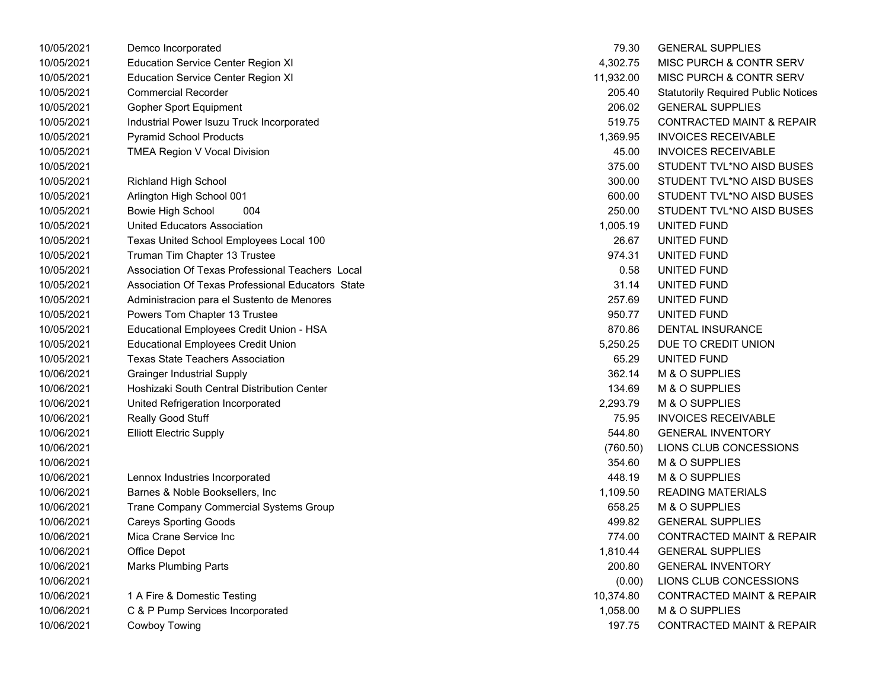| 10/05/2021 | Demco Incorporated                                | 79.30     | <b>GENERAL SUPPLIES</b>                    |
|------------|---------------------------------------------------|-----------|--------------------------------------------|
| 10/05/2021 | <b>Education Service Center Region XI</b>         | 4,302.75  | <b>MISC PURCH &amp; CONTR SERV</b>         |
| 10/05/2021 | <b>Education Service Center Region XI</b>         | 11,932.00 | MISC PURCH & CONTR SERV                    |
| 10/05/2021 | <b>Commercial Recorder</b>                        | 205.40    | <b>Statutorily Required Public Notices</b> |
| 10/05/2021 | <b>Gopher Sport Equipment</b>                     | 206.02    | <b>GENERAL SUPPLIES</b>                    |
| 10/05/2021 | Industrial Power Isuzu Truck Incorporated         | 519.75    | <b>CONTRACTED MAINT &amp; REPAIR</b>       |
| 10/05/2021 | <b>Pyramid School Products</b>                    | 1,369.95  | <b>INVOICES RECEIVABLE</b>                 |
| 10/05/2021 | TMEA Region V Vocal Division                      | 45.00     | <b>INVOICES RECEIVABLE</b>                 |
| 10/05/2021 |                                                   | 375.00    | STUDENT TVL*NO AISD BUSES                  |
| 10/05/2021 | <b>Richland High School</b>                       | 300.00    | STUDENT TVL*NO AISD BUSES                  |
| 10/05/2021 | Arlington High School 001                         | 600.00    | STUDENT TVL*NO AISD BUSES                  |
| 10/05/2021 | 004<br>Bowie High School                          | 250.00    | STUDENT TVL*NO AISD BUSES                  |
| 10/05/2021 | <b>United Educators Association</b>               | 1,005.19  | UNITED FUND                                |
| 10/05/2021 | Texas United School Employees Local 100           | 26.67     | UNITED FUND                                |
| 10/05/2021 | Truman Tim Chapter 13 Trustee                     | 974.31    | UNITED FUND                                |
| 10/05/2021 | Association Of Texas Professional Teachers Local  | 0.58      | UNITED FUND                                |
| 10/05/2021 | Association Of Texas Professional Educators State | 31.14     | UNITED FUND                                |
| 10/05/2021 | Administracion para el Sustento de Menores        | 257.69    | UNITED FUND                                |
| 10/05/2021 | Powers Tom Chapter 13 Trustee                     | 950.77    | UNITED FUND                                |
| 10/05/2021 | Educational Employees Credit Union - HSA          | 870.86    | <b>DENTAL INSURANCE</b>                    |
| 10/05/2021 | <b>Educational Employees Credit Union</b>         | 5,250.25  | DUE TO CREDIT UNION                        |
| 10/05/2021 | <b>Texas State Teachers Association</b>           | 65.29     | UNITED FUND                                |
| 10/06/2021 | <b>Grainger Industrial Supply</b>                 | 362.14    | M & O SUPPLIES                             |
| 10/06/2021 | Hoshizaki South Central Distribution Center       | 134.69    | M & O SUPPLIES                             |
| 10/06/2021 | United Refrigeration Incorporated                 | 2,293.79  | M & O SUPPLIES                             |
| 10/06/2021 | Really Good Stuff                                 | 75.95     | <b>INVOICES RECEIVABLE</b>                 |
| 10/06/2021 | <b>Elliott Electric Supply</b>                    | 544.80    | <b>GENERAL INVENTORY</b>                   |
| 10/06/2021 |                                                   | (760.50)  | LIONS CLUB CONCESSIONS                     |
| 10/06/2021 |                                                   | 354.60    | M & O SUPPLIES                             |
| 10/06/2021 | Lennox Industries Incorporated                    | 448.19    | M & O SUPPLIES                             |
| 10/06/2021 | Barnes & Noble Booksellers, Inc                   | 1,109.50  | <b>READING MATERIALS</b>                   |
| 10/06/2021 | Trane Company Commercial Systems Group            | 658.25    | M & O SUPPLIES                             |
| 10/06/2021 | <b>Careys Sporting Goods</b>                      | 499.82    | <b>GENERAL SUPPLIES</b>                    |
| 10/06/2021 | Mica Crane Service Inc                            | 774.00    | <b>CONTRACTED MAINT &amp; REPAIR</b>       |
| 10/06/2021 | Office Depot                                      | 1,810.44  | <b>GENERAL SUPPLIES</b>                    |
| 10/06/2021 | <b>Marks Plumbing Parts</b>                       | 200.80    | <b>GENERAL INVENTORY</b>                   |
| 10/06/2021 |                                                   | (0.00)    | LIONS CLUB CONCESSIONS                     |
| 10/06/2021 | 1 A Fire & Domestic Testing                       | 10,374.80 | <b>CONTRACTED MAINT &amp; REPAIR</b>       |
| 10/06/2021 | C & P Pump Services Incorporated                  | 1,058.00  | M & O SUPPLIES                             |
| 10/06/2021 | <b>Cowboy Towing</b>                              | 197.75    | <b>CONTRACTED MAINT &amp; REPAIR</b>       |
|            |                                                   |           |                                            |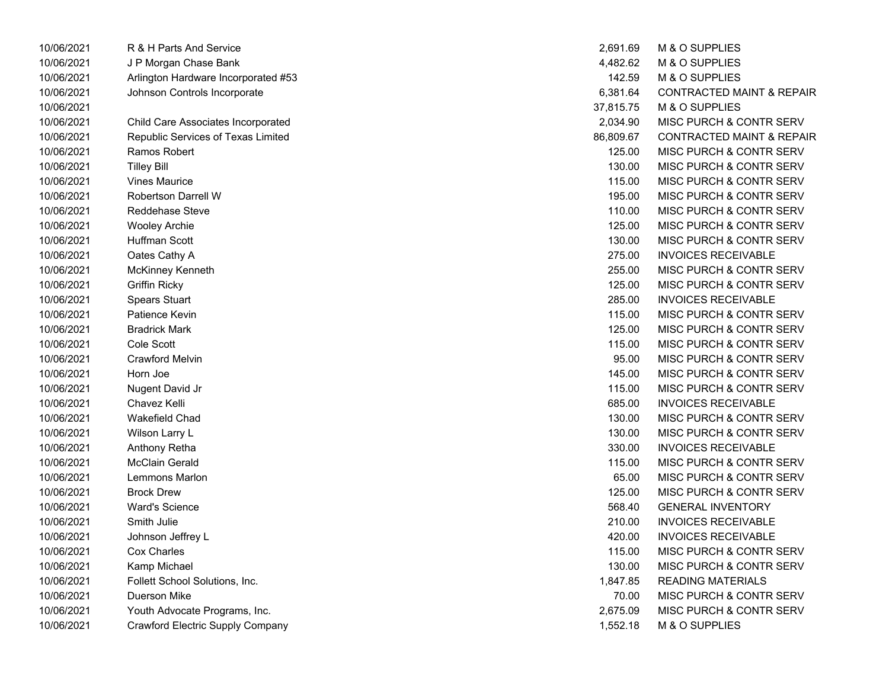| 10/06/2021 | R & H Parts And Service             | 2,691.69  | M & O SUPPLIES                       |
|------------|-------------------------------------|-----------|--------------------------------------|
| 10/06/2021 | J P Morgan Chase Bank               | 4,482.62  | M & O SUPPLIES                       |
| 10/06/2021 | Arlington Hardware Incorporated #53 | 142.59    | M & O SUPPLIES                       |
| 10/06/2021 | Johnson Controls Incorporate        | 6,381.64  | <b>CONTRACTED MAINT &amp; REPAIR</b> |
| 10/06/2021 |                                     | 37,815.75 | M & O SUPPLIES                       |
| 10/06/2021 | Child Care Associates Incorporated  | 2,034.90  | MISC PURCH & CONTR SERV              |
| 10/06/2021 | Republic Services of Texas Limited  | 86,809.67 | <b>CONTRACTED MAINT &amp; REPAIR</b> |
| 10/06/2021 | Ramos Robert                        | 125.00    | <b>MISC PURCH &amp; CONTR SERV</b>   |
| 10/06/2021 | <b>Tilley Bill</b>                  | 130.00    | <b>MISC PURCH &amp; CONTR SERV</b>   |
| 10/06/2021 | <b>Vines Maurice</b>                | 115.00    | <b>MISC PURCH &amp; CONTR SERV</b>   |
| 10/06/2021 | <b>Robertson Darrell W</b>          | 195.00    | <b>MISC PURCH &amp; CONTR SERV</b>   |
| 10/06/2021 | Reddehase Steve                     | 110.00    | <b>MISC PURCH &amp; CONTR SERV</b>   |
| 10/06/2021 | Wooley Archie                       | 125.00    | <b>MISC PURCH &amp; CONTR SERV</b>   |
| 10/06/2021 | Huffman Scott                       | 130.00    | MISC PURCH & CONTR SERV              |
| 10/06/2021 | Oates Cathy A                       | 275.00    | <b>INVOICES RECEIVABLE</b>           |
| 10/06/2021 | McKinney Kenneth                    | 255.00    | <b>MISC PURCH &amp; CONTR SERV</b>   |
| 10/06/2021 | <b>Griffin Ricky</b>                | 125.00    | <b>MISC PURCH &amp; CONTR SERV</b>   |
| 10/06/2021 | <b>Spears Stuart</b>                | 285.00    | <b>INVOICES RECEIVABLE</b>           |
| 10/06/2021 | Patience Kevin                      | 115.00    | <b>MISC PURCH &amp; CONTR SERV</b>   |
| 10/06/2021 | <b>Bradrick Mark</b>                | 125.00    | <b>MISC PURCH &amp; CONTR SERV</b>   |
| 10/06/2021 | Cole Scott                          | 115.00    | <b>MISC PURCH &amp; CONTR SERV</b>   |
| 10/06/2021 | <b>Crawford Melvin</b>              | 95.00     | MISC PURCH & CONTR SERV              |
| 10/06/2021 | Horn Joe                            | 145.00    | <b>MISC PURCH &amp; CONTR SERV</b>   |
| 10/06/2021 | Nugent David Jr                     | 115.00    | <b>MISC PURCH &amp; CONTR SERV</b>   |
| 10/06/2021 | Chavez Kelli                        | 685.00    | <b>INVOICES RECEIVABLE</b>           |
| 10/06/2021 | Wakefield Chad                      | 130.00    | <b>MISC PURCH &amp; CONTR SERV</b>   |
| 10/06/2021 | Wilson Larry L                      | 130.00    | MISC PURCH & CONTR SERV              |
| 10/06/2021 | Anthony Retha                       | 330.00    | <b>INVOICES RECEIVABLE</b>           |
| 10/06/2021 | <b>McClain Gerald</b>               | 115.00    | <b>MISC PURCH &amp; CONTR SERV</b>   |
| 10/06/2021 | Lemmons Marlon                      | 65.00     | MISC PURCH & CONTR SERV              |
| 10/06/2021 | <b>Brock Drew</b>                   | 125.00    | MISC PURCH & CONTR SERV              |
| 10/06/2021 | <b>Ward's Science</b>               | 568.40    | <b>GENERAL INVENTORY</b>             |
| 10/06/2021 | Smith Julie                         | 210.00    | INVOICES RECEIVABLE                  |
| 10/06/2021 | Johnson Jeffrey L                   | 420.00    | <b>INVOICES RECEIVABLE</b>           |
| 10/06/2021 | Cox Charles                         | 115.00    | <b>MISC PURCH &amp; CONTR SERV</b>   |
| 10/06/2021 | Kamp Michael                        | 130.00    | <b>MISC PURCH &amp; CONTR SERV</b>   |
| 10/06/2021 | Follett School Solutions, Inc.      | 1,847.85  | <b>READING MATERIALS</b>             |
| 10/06/2021 | Duerson Mike                        | 70.00     | <b>MISC PURCH &amp; CONTR SERV</b>   |
| 10/06/2021 | Youth Advocate Programs, Inc.       | 2,675.09  | <b>MISC PURCH &amp; CONTR SERV</b>   |
| 10/06/2021 | Crawford Electric Supply Company    | 1,552.18  | M & O SUPPLIES                       |

| 2,691.69  | M & O SUPPLIES                       |
|-----------|--------------------------------------|
| 4,482.62  | M & O SUPPLIES                       |
| 142.59    | M & O SUPPLIES                       |
| 6,381.64  | <b>CONTRACTED MAINT &amp; REPAIR</b> |
| 37,815.75 | M & O SUPPLIES                       |
| 2,034.90  | <b>MISC PURCH &amp; CONTR SERV</b>   |
| 86,809.67 | <b>CONTRACTED MAINT &amp; REPAIR</b> |
| 125.00    | <b>MISC PURCH &amp; CONTR SERV</b>   |
| 130.00    | <b>MISC PURCH &amp; CONTR SERV</b>   |
| 115.00    | <b>MISC PURCH &amp; CONTR SERV</b>   |
| 195.00    | MISC PURCH & CONTR SERV              |
| 110.00    | <b>MISC PURCH &amp; CONTR SERV</b>   |
| 125.00    | MISC PURCH & CONTR SERV              |
| 130.00    | <b>MISC PURCH &amp; CONTR SERV</b>   |
| 275.00    | <b>INVOICES RECEIVABLE</b>           |
| 255.00    | MISC PURCH & CONTR SERV              |
| 125.00    | <b>MISC PURCH &amp; CONTR SERV</b>   |
| 285.00    | <b>INVOICES RECEIVABLE</b>           |
| 115.00    | <b>MISC PURCH &amp; CONTR SERV</b>   |
| 125.00    | <b>MISC PURCH &amp; CONTR SERV</b>   |
| 115.00    | MISC PURCH & CONTR SERV              |
| 95.00     | MISC PURCH & CONTR SERV              |
| 145.00    | <b>MISC PURCH &amp; CONTR SERV</b>   |
| 115.00    | <b>MISC PURCH &amp; CONTR SERV</b>   |
| 685.00    | <b>INVOICES RECEIVABLE</b>           |
| 130.00    | <b>MISC PURCH &amp; CONTR SERV</b>   |
| 130.00    | <b>MISC PURCH &amp; CONTR SERV</b>   |
| 330.00    | <b>INVOICES RECEIVABLE</b>           |
| 115.00    | <b>MISC PURCH &amp; CONTR SERV</b>   |
| 65.00     | <b>MISC PURCH &amp; CONTR SERV</b>   |
| 125.00    | <b>MISC PURCH &amp; CONTR SERV</b>   |
| 568.40    | <b>GENERAL INVENTORY</b>             |
| 210.00    | <b>INVOICES RECEIVABLE</b>           |
| 420.00    | <b>INVOICES RECEIVABLE</b>           |
| 115.00    | MISC PURCH & CONTR SERV              |
| 130.00    | <b>MISC PURCH &amp; CONTR SERV</b>   |
| 1,847.85  | <b>READING MATERIALS</b>             |
| 70.00     | <b>MISC PURCH &amp; CONTR SERV</b>   |
| 2,675.09  | <b>MISC PURCH &amp; CONTR SERV</b>   |
| 1,552.18  | M & O SUPPLIES                       |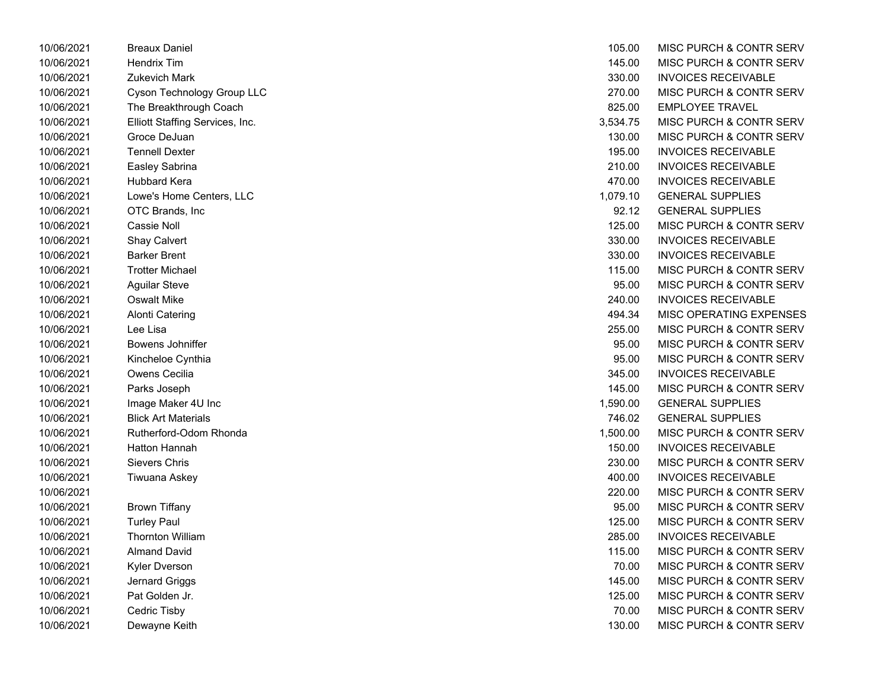| 10/06/2021 | Breaux Daniel                   | 105.00   | MISC PURCH & CONTR            |
|------------|---------------------------------|----------|-------------------------------|
| 10/06/2021 | Hendrix Tim                     | 145.00   | MISC PURCH & CONTR            |
| 10/06/2021 | <b>Zukevich Mark</b>            | 330.00   | <b>INVOICES RECEIVABLE</b>    |
| 10/06/2021 | Cyson Technology Group LLC      | 270.00   | <b>MISC PURCH &amp; CONTR</b> |
| 10/06/2021 | The Breakthrough Coach          | 825.00   | <b>EMPLOYEE TRAVEL</b>        |
| 10/06/2021 | Elliott Staffing Services, Inc. | 3,534.75 | MISC PURCH & CONTR            |
| 10/06/2021 | Groce DeJuan                    | 130.00   | MISC PURCH & CONTR            |
| 10/06/2021 | <b>Tennell Dexter</b>           | 195.00   | <b>INVOICES RECEIVABLE</b>    |
| 10/06/2021 | Easley Sabrina                  | 210.00   | <b>INVOICES RECEIVABLE</b>    |
| 10/06/2021 | Hubbard Kera                    | 470.00   | <b>INVOICES RECEIVABLE</b>    |
| 10/06/2021 | Lowe's Home Centers, LLC        | 1,079.10 | <b>GENERAL SUPPLIES</b>       |
| 10/06/2021 | OTC Brands, Inc                 | 92.12    | <b>GENERAL SUPPLIES</b>       |
| 10/06/2021 | Cassie Noll                     | 125.00   | MISC PURCH & CONTR            |
| 10/06/2021 | <b>Shay Calvert</b>             | 330.00   | <b>INVOICES RECEIVABLE</b>    |
| 10/06/2021 | <b>Barker Brent</b>             | 330.00   | <b>INVOICES RECEIVABLE</b>    |
| 10/06/2021 | <b>Trotter Michael</b>          | 115.00   | <b>MISC PURCH &amp; CONTR</b> |
| 10/06/2021 | <b>Aguilar Steve</b>            | 95.00    | MISC PURCH & CONTR            |
| 10/06/2021 | <b>Oswalt Mike</b>              | 240.00   | <b>INVOICES RECEIVABLE</b>    |
| 10/06/2021 | <b>Alonti Catering</b>          | 494.34   | MISC OPERATING EXPI           |
| 10/06/2021 | Lee Lisa                        | 255.00   | MISC PURCH & CONTR            |
| 10/06/2021 | Bowens Johniffer                | 95.00    | MISC PURCH & CONTR            |
| 10/06/2021 | Kincheloe Cynthia               | 95.00    | MISC PURCH & CONTR            |
| 10/06/2021 | Owens Cecilia                   | 345.00   | <b>INVOICES RECEIVABLE</b>    |
| 10/06/2021 | Parks Joseph                    | 145.00   | MISC PURCH & CONTR            |
| 10/06/2021 | Image Maker 4U Inc              | 1,590.00 | <b>GENERAL SUPPLIES</b>       |
| 10/06/2021 | <b>Blick Art Materials</b>      | 746.02   | <b>GENERAL SUPPLIES</b>       |
| 10/06/2021 | Rutherford-Odom Rhonda          | 1,500.00 | <b>MISC PURCH &amp; CONTR</b> |
| 10/06/2021 | <b>Hatton Hannah</b>            | 150.00   | <b>INVOICES RECEIVABLE</b>    |
| 10/06/2021 | Sievers Chris                   | 230.00   | MISC PURCH & CONTR            |
| 10/06/2021 | Tiwuana Askey                   | 400.00   | <b>INVOICES RECEIVABLE</b>    |
| 10/06/2021 |                                 | 220.00   | MISC PURCH & CONTR            |
| 10/06/2021 | <b>Brown Tiffany</b>            | 95.00    | MISC PURCH & CONTR            |
| 10/06/2021 | <b>Turley Paul</b>              | 125.00   | MISC PURCH & CONTR            |
| 10/06/2021 | <b>Thornton William</b>         | 285.00   | <b>INVOICES RECEIVABLE</b>    |
| 10/06/2021 | <b>Almand David</b>             | 115.00   | MISC PURCH & CONTR            |
| 10/06/2021 | Kyler Dverson                   | 70.00    | MISC PURCH & CONTR            |
| 10/06/2021 | Jernard Griggs                  | 145.00   | <b>MISC PURCH &amp; CONTR</b> |
| 10/06/2021 | Pat Golden Jr.                  | 125.00   | MISC PURCH & CONTR            |
| 10/06/2021 | Cedric Tisby                    | 70.00    | MISC PURCH & CONTR            |
| 10/06/2021 | Dewayne Keith                   | 130.00   | MISC PURCH & CONTR            |

| 10/06/2021 | <b>Breaux Daniel</b>            | 105.00   | MISC PURCH & CONTR SERV            |
|------------|---------------------------------|----------|------------------------------------|
| 10/06/2021 | <b>Hendrix Tim</b>              | 145.00   | <b>MISC PURCH &amp; CONTR SERV</b> |
| 10/06/2021 | <b>Zukevich Mark</b>            | 330.00   | <b>INVOICES RECEIVABLE</b>         |
| 10/06/2021 | Cyson Technology Group LLC      | 270.00   | MISC PURCH & CONTR SERV            |
| 10/06/2021 | The Breakthrough Coach          | 825.00   | <b>EMPLOYEE TRAVEL</b>             |
| 10/06/2021 | Elliott Staffing Services, Inc. | 3,534.75 | MISC PURCH & CONTR SERV            |
| 10/06/2021 | Groce DeJuan                    | 130.00   | MISC PURCH & CONTR SERV            |
| 10/06/2021 | <b>Tennell Dexter</b>           | 195.00   | <b>INVOICES RECEIVABLE</b>         |
| 10/06/2021 | Easley Sabrina                  | 210.00   | <b>INVOICES RECEIVABLE</b>         |
| 10/06/2021 | <b>Hubbard Kera</b>             | 470.00   | <b>INVOICES RECEIVABLE</b>         |
| 10/06/2021 | Lowe's Home Centers, LLC        | 1,079.10 | <b>GENERAL SUPPLIES</b>            |
| 10/06/2021 | OTC Brands, Inc.                | 92.12    | <b>GENERAL SUPPLIES</b>            |
| 10/06/2021 | Cassie Noll                     | 125.00   | MISC PURCH & CONTR SERV            |
| 10/06/2021 | Shay Calvert                    | 330.00   | <b>INVOICES RECEIVABLE</b>         |
| 10/06/2021 | <b>Barker Brent</b>             | 330.00   | <b>INVOICES RECEIVABLE</b>         |
| 10/06/2021 | <b>Trotter Michael</b>          | 115.00   | MISC PURCH & CONTR SERV            |
| 10/06/2021 | <b>Aguilar Steve</b>            | 95.00    | MISC PURCH & CONTR SERV            |
| 10/06/2021 | <b>Oswalt Mike</b>              | 240.00   | <b>INVOICES RECEIVABLE</b>         |
| 10/06/2021 | <b>Alonti Catering</b>          | 494.34   | MISC OPERATING EXPENSES            |
| 10/06/2021 | Lee Lisa                        | 255.00   | MISC PURCH & CONTR SERV            |
| 10/06/2021 | Bowens Johniffer                | 95.00    | MISC PURCH & CONTR SERV            |
| 10/06/2021 | Kincheloe Cynthia               | 95.00    | MISC PURCH & CONTR SERV            |
| 10/06/2021 | Owens Cecilia                   | 345.00   | <b>INVOICES RECEIVABLE</b>         |
| 10/06/2021 | Parks Joseph                    | 145.00   | MISC PURCH & CONTR SERV            |
| 10/06/2021 | Image Maker 4U Inc              | 1,590.00 | <b>GENERAL SUPPLIES</b>            |
| 10/06/2021 | <b>Blick Art Materials</b>      | 746.02   | <b>GENERAL SUPPLIES</b>            |
| 10/06/2021 | Rutherford-Odom Rhonda          | 1,500.00 | MISC PURCH & CONTR SERV            |
| 10/06/2021 | Hatton Hannah                   | 150.00   | <b>INVOICES RECEIVABLE</b>         |
| 10/06/2021 | <b>Sievers Chris</b>            | 230.00   | MISC PURCH & CONTR SERV            |
| 10/06/2021 | Tiwuana Askey                   | 400.00   | <b>INVOICES RECEIVABLE</b>         |
| 10/06/2021 |                                 | 220.00   | MISC PURCH & CONTR SERV            |
| 10/06/2021 | <b>Brown Tiffany</b>            | 95.00    | MISC PURCH & CONTR SERV            |
| 10/06/2021 | <b>Turley Paul</b>              | 125.00   | MISC PURCH & CONTR SERV            |
| 10/06/2021 | <b>Thornton William</b>         | 285.00   | <b>INVOICES RECEIVABLE</b>         |
| 10/06/2021 | <b>Almand David</b>             | 115.00   | MISC PURCH & CONTR SERV            |
| 10/06/2021 | Kyler Dverson                   | 70.00    | MISC PURCH & CONTR SERV            |
| 10/06/2021 | Jernard Griggs                  | 145.00   | MISC PURCH & CONTR SERV            |
| 10/06/2021 | Pat Golden Jr.                  | 125.00   | MISC PURCH & CONTR SERV            |
| 10/06/2021 | Cedric Tisby                    | 70.00    | MISC PURCH & CONTR SERV            |
| 10/06/2021 | Dewayne Keith                   | 130.00   | MISC PURCH & CONTR SERV            |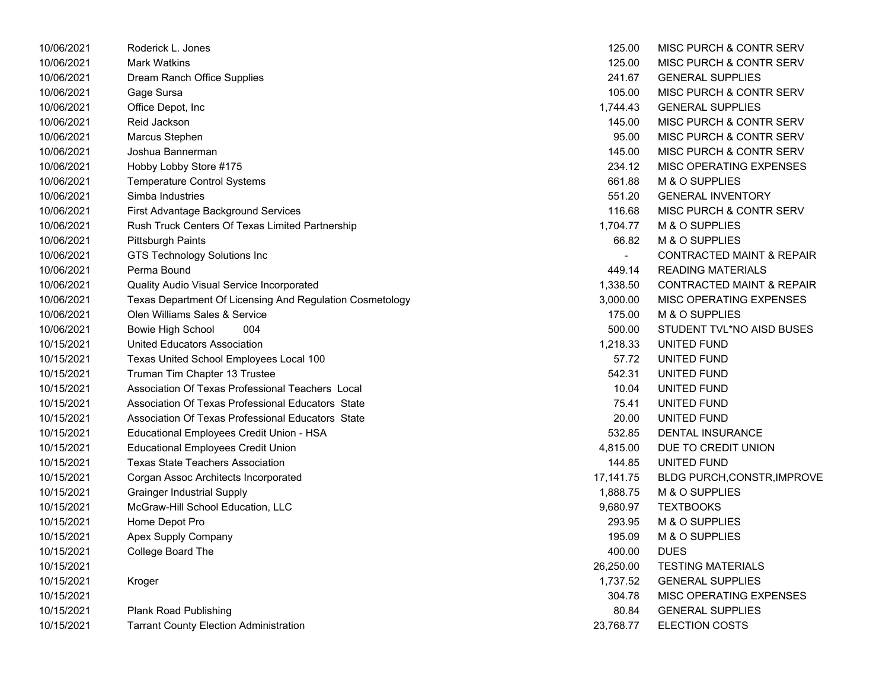| 10/06/2021 | Roderick L. Jones                                        | 125.00    | MISC PURCH & CONTR SERV              |
|------------|----------------------------------------------------------|-----------|--------------------------------------|
| 10/06/2021 | <b>Mark Watkins</b>                                      | 125.00    | MISC PURCH & CONTR SERV              |
| 10/06/2021 | Dream Ranch Office Supplies                              | 241.67    | <b>GENERAL SUPPLIES</b>              |
| 10/06/2021 | Gage Sursa                                               | 105.00    | MISC PURCH & CONTR SERV              |
| 10/06/2021 | Office Depot, Inc                                        | 1.744.43  | <b>GENERAL SUPPLIES</b>              |
| 10/06/2021 | Reid Jackson                                             | 145.00    | MISC PURCH & CONTR SERV              |
| 10/06/2021 | Marcus Stephen                                           | 95.00     | MISC PURCH & CONTR SERV              |
| 10/06/2021 | Joshua Bannerman                                         | 145.00    | MISC PURCH & CONTR SERV              |
| 10/06/2021 | Hobby Lobby Store #175                                   | 234.12    | MISC OPERATING EXPENSES              |
| 10/06/2021 | <b>Temperature Control Systems</b>                       | 661.88    | M & O SUPPLIES                       |
| 10/06/2021 | Simba Industries                                         | 551.20    | <b>GENERAL INVENTORY</b>             |
| 10/06/2021 | First Advantage Background Services                      | 116.68    | MISC PURCH & CONTR SERV              |
| 10/06/2021 | Rush Truck Centers Of Texas Limited Partnership          | 1,704.77  | M & O SUPPLIES                       |
| 10/06/2021 | <b>Pittsburgh Paints</b>                                 | 66.82     | M & O SUPPLIES                       |
| 10/06/2021 | GTS Technology Solutions Inc                             |           | <b>CONTRACTED MAINT &amp; REPAIR</b> |
| 10/06/2021 | Perma Bound                                              | 449.14    | <b>READING MATERIALS</b>             |
| 10/06/2021 | Quality Audio Visual Service Incorporated                | 1,338.50  | <b>CONTRACTED MAINT &amp; REPAIR</b> |
| 10/06/2021 | Texas Department Of Licensing And Regulation Cosmetology | 3,000.00  | MISC OPERATING EXPENSES              |
| 10/06/2021 | Olen Williams Sales & Service                            | 175.00    | M & O SUPPLIES                       |
| 10/06/2021 | <b>Bowie High School</b><br>004                          | 500.00    | STUDENT TVL*NO AISD BUSES            |
| 10/15/2021 | United Educators Association                             | 1,218.33  | UNITED FUND                          |
| 10/15/2021 | Texas United School Employees Local 100                  | 57.72     | UNITED FUND                          |
| 10/15/2021 | Truman Tim Chapter 13 Trustee                            | 542.31    | UNITED FUND                          |
| 10/15/2021 | Association Of Texas Professional Teachers Local         | 10.04     | UNITED FUND                          |
| 10/15/2021 | Association Of Texas Professional Educators State        | 75.41     | UNITED FUND                          |
| 10/15/2021 | Association Of Texas Professional Educators State        | 20.00     | UNITED FUND                          |
| 10/15/2021 | Educational Employees Credit Union - HSA                 | 532.85    | <b>DENTAL INSURANCE</b>              |
| 10/15/2021 | <b>Educational Employees Credit Union</b>                | 4,815.00  | DUE TO CREDIT UNION                  |
| 10/15/2021 | <b>Texas State Teachers Association</b>                  | 144.85    | UNITED FUND                          |
| 10/15/2021 | Corgan Assoc Architects Incorporated                     | 17,141.75 | <b>BLDG PURCH, CONSTR, IMPROVE</b>   |
| 10/15/2021 | <b>Grainger Industrial Supply</b>                        | 1,888.75  | M & O SUPPLIES                       |
| 10/15/2021 | McGraw-Hill School Education, LLC                        | 9,680.97  | <b>TEXTBOOKS</b>                     |
| 10/15/2021 | Home Depot Pro                                           | 293.95    | M & O SUPPLIES                       |
| 10/15/2021 | Apex Supply Company                                      | 195.09    | M & O SUPPLIES                       |
| 10/15/2021 | College Board The                                        | 400.00    | <b>DUES</b>                          |
| 10/15/2021 |                                                          | 26,250.00 | <b>TESTING MATERIALS</b>             |
| 10/15/2021 | Kroger                                                   | 1,737.52  | <b>GENERAL SUPPLIES</b>              |
| 10/15/2021 |                                                          | 304.78    | MISC OPERATING EXPENSES              |
| 10/15/2021 | <b>Plank Road Publishing</b>                             | 80.84     | <b>GENERAL SUPPLIES</b>              |
| 10/15/2021 | <b>Tarrant County Election Administration</b>            | 23,768.77 | <b>ELECTION COSTS</b>                |
|            |                                                          |           |                                      |

| 125.00    | <b>MISC PURCH &amp; CONTR SERV</b>    |
|-----------|---------------------------------------|
| 125.00    | MISC PURCH & CONTR SERV               |
| 241.67    | <b>GENERAL SUPPLIES</b>               |
| 105.00    | <b>MISC PURCH &amp; CONTR SERV</b>    |
| 1,744.43  | <b>GENERAL SUPPLIES</b>               |
| 145.00    | MISC PURCH & CONTR SERV               |
| 95.00     | <b>MISC PURCH &amp; CONTR SERV</b>    |
| 145.00    | MISC PURCH & CONTR SERV               |
| 234.12    | <b>MISC OPERATING EXPENSES</b>        |
| 661.88    | M & O SUPPLIES                        |
| 551.20    | <b>GENERAL INVENTORY</b>              |
| 116.68    | MISC PURCH & CONTR SERV               |
| 1,704.77  | <b>M &amp; O SUPPLIES</b>             |
| 66.82     | M & O SUPPLIES                        |
|           | <b>CONTRACTED MAINT &amp; REPAIR</b>  |
|           | 449.14 READING MATERIALS              |
| 1,338.50  | <b>CONTRACTED MAINT &amp; REPAIR</b>  |
| 3,000.00  | MISC OPERATING EXPENSES               |
|           | 175.00 M & O SUPPLIES                 |
|           | 500.00 STUDENT TVL*NO AISD BUSES      |
| 1,218.33  | UNITED FUND                           |
| 57.72     | UNITED FUND                           |
| 542.31    | UNITED FUND                           |
|           | 10.04 UNITED FUND                     |
| 75.41     | UNITED FUND                           |
| 20.00     | UNITED FUND                           |
| 532.85    | <b>DENTAL INSURANCE</b>               |
| 4,815.00  | DUE TO CREDIT UNION                   |
|           | 144.85 UNITED FUND                    |
|           | 17,141.75 BLDG PURCH, CONSTR, IMPROVE |
|           | 1,888.75 M & O SUPPLIES               |
| 9,680.97  | <b>TEXTBOOKS</b>                      |
|           | 293.95 M & O SUPPLIES                 |
|           | 195.09 M & O SUPPLIES                 |
| 400.00    | <b>DUES</b>                           |
| 26,250.00 | <b>TESTING MATERIALS</b>              |
| 1,737.52  | <b>GENERAL SUPPLIES</b>               |
| 304.78    | <b>MISC OPERATING EXPENSES</b>        |
| 80.84     | <b>GENERAL SUPPLIES</b>               |
| 23,768.77 | <b>ELECTION COSTS</b>                 |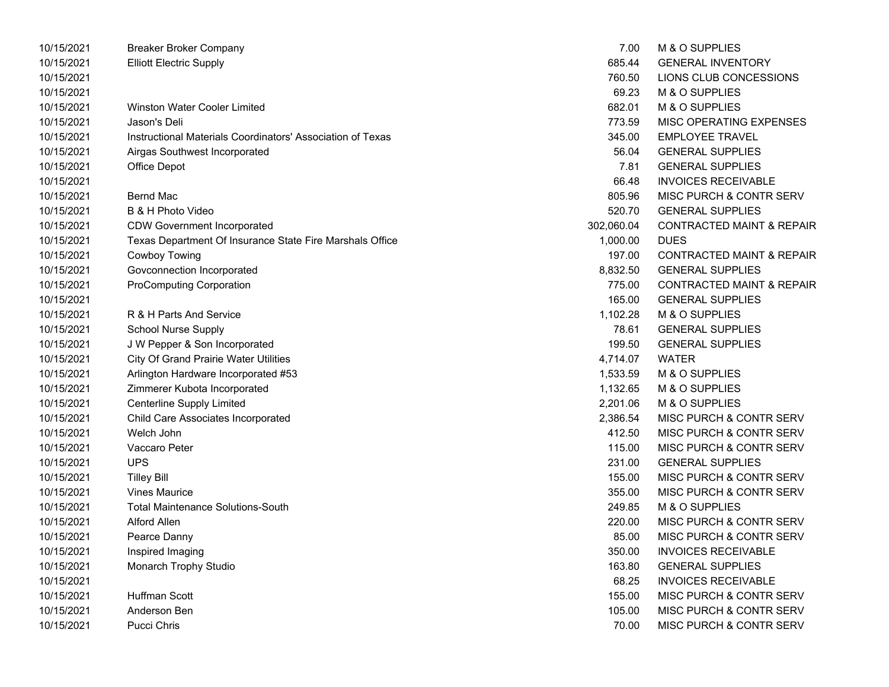| 10/15/2021 | <b>Breaker Broker Company</b>                              | 7.00       | M & O SUPPLIES                       |
|------------|------------------------------------------------------------|------------|--------------------------------------|
| 10/15/2021 | <b>Elliott Electric Supply</b>                             | 685.44     | <b>GENERAL INVENTORY</b>             |
| 10/15/2021 |                                                            | 760.50     | LIONS CLUB CONCESSIONS               |
| 10/15/2021 |                                                            | 69.23      | M & O SUPPLIES                       |
| 10/15/2021 | <b>Winston Water Cooler Limited</b>                        | 682.01     | M & O SUPPLIES                       |
| 10/15/2021 | Jason's Deli                                               | 773.59     | MISC OPERATING EXPENSES              |
| 10/15/2021 | Instructional Materials Coordinators' Association of Texas | 345.00     | <b>EMPLOYEE TRAVEL</b>               |
| 10/15/2021 | Airgas Southwest Incorporated                              | 56.04      | <b>GENERAL SUPPLIES</b>              |
| 10/15/2021 | Office Depot                                               | 7.81       | <b>GENERAL SUPPLIES</b>              |
| 10/15/2021 |                                                            | 66.48      | <b>INVOICES RECEIVABLE</b>           |
| 10/15/2021 | <b>Bernd Mac</b>                                           | 805.96     | MISC PURCH & CONTR SERV              |
| 10/15/2021 | B & H Photo Video                                          | 520.70     | <b>GENERAL SUPPLIES</b>              |
| 10/15/2021 | <b>CDW Government Incorporated</b>                         | 302,060.04 | <b>CONTRACTED MAINT &amp; REPAIR</b> |
| 10/15/2021 | Texas Department Of Insurance State Fire Marshals Office   | 1,000.00   | <b>DUES</b>                          |
| 10/15/2021 | Cowboy Towing                                              | 197.00     | <b>CONTRACTED MAINT &amp; REPAIR</b> |
| 10/15/2021 | Govconnection Incorporated                                 | 8,832.50   | <b>GENERAL SUPPLIES</b>              |
| 10/15/2021 | <b>ProComputing Corporation</b>                            | 775.00     | <b>CONTRACTED MAINT &amp; REPAIR</b> |
| 10/15/2021 |                                                            | 165.00     | <b>GENERAL SUPPLIES</b>              |
| 10/15/2021 | R & H Parts And Service                                    | 1,102.28   | M & O SUPPLIES                       |
| 10/15/2021 | School Nurse Supply                                        | 78.61      | <b>GENERAL SUPPLIES</b>              |
| 10/15/2021 | J W Pepper & Son Incorporated                              | 199.50     | <b>GENERAL SUPPLIES</b>              |
| 10/15/2021 | <b>City Of Grand Prairie Water Utilities</b>               | 4,714.07   | <b>WATER</b>                         |
| 10/15/2021 | Arlington Hardware Incorporated #53                        | 1,533.59   | M & O SUPPLIES                       |
| 10/15/2021 | Zimmerer Kubota Incorporated                               | 1,132.65   | M & O SUPPLIES                       |
| 10/15/2021 | <b>Centerline Supply Limited</b>                           | 2,201.06   | M & O SUPPLIES                       |
| 10/15/2021 | Child Care Associates Incorporated                         | 2,386.54   | MISC PURCH & CONTR SERV              |
| 10/15/2021 | Welch John                                                 | 412.50     | MISC PURCH & CONTR SERV              |
| 10/15/2021 | Vaccaro Peter                                              | 115.00     | MISC PURCH & CONTR SERV              |
| 10/15/2021 | <b>UPS</b>                                                 | 231.00     | <b>GENERAL SUPPLIES</b>              |
| 10/15/2021 | <b>Tilley Bill</b>                                         | 155.00     | MISC PURCH & CONTR SERV              |
| 10/15/2021 | <b>Vines Maurice</b>                                       | 355.00     | MISC PURCH & CONTR SERV              |
| 10/15/2021 | <b>Total Maintenance Solutions-South</b>                   | 249.85     | M & O SUPPLIES                       |
| 10/15/2021 | <b>Alford Allen</b>                                        | 220.00     | MISC PURCH & CONTR SERV              |
| 10/15/2021 | Pearce Danny                                               | 85.00      | <b>MISC PURCH &amp; CONTR SERV</b>   |
| 10/15/2021 | Inspired Imaging                                           | 350.00     | <b>INVOICES RECEIVABLE</b>           |
| 10/15/2021 | Monarch Trophy Studio                                      | 163.80     | <b>GENERAL SUPPLIES</b>              |
| 10/15/2021 |                                                            | 68.25      | <b>INVOICES RECEIVABLE</b>           |
| 10/15/2021 | Huffman Scott                                              | 155.00     | MISC PURCH & CONTR SERV              |
| 10/15/2021 | Anderson Ben                                               | 105.00     | MISC PURCH & CONTR SERV              |
| 10/15/2021 | Pucci Chris                                                | 70.00      | MISC PURCH & CONTR SERV              |

| 685.44   | <b>GENERAL INVENTORY</b>             |
|----------|--------------------------------------|
| 760.50   | LIONS CLUB CONCESSIONS               |
| 69.23    | <b>M &amp; O SUPPLIES</b>            |
| 682.01   | <b>M &amp; O SUPPLIES</b>            |
| 773.59   | MISC OPERATING EXPENSES              |
| 345.00   | <b>EMPLOYEE TRAVEL</b>               |
| 56.04    | <b>GENERAL SUPPLIES</b>              |
| 7.81     | <b>GENERAL SUPPLIES</b>              |
| 66.48    | <b>INVOICES RECEIVABLE</b>           |
| 805.96   | <b>MISC PURCH &amp; CONTR SERV</b>   |
| 520.70   | <b>GENERAL SUPPLIES</b>              |
| 2,060.04 | <b>CONTRACTED MAINT &amp; REPAIF</b> |
| 1,000.00 | <b>DUES</b>                          |
| 197.00   | <b>CONTRACTED MAINT &amp; REPAIR</b> |
| 8.832.50 | <b>GENERAL SUPPLIES</b>              |
| 775.00   | <b>CONTRACTED MAINT &amp; REPAIF</b> |
| 165.00   | <b>GENERAL SUPPLIES</b>              |
| 1,102.28 | M & O SUPPLIES                       |
| 78.61    | <b>GENERAL SUPPLIES</b>              |
| 199.50   | <b>GENERAL SUPPLIES</b>              |
| 4,714.07 | <b>WATER</b>                         |
| 1.533.59 | <b>M &amp; O SUPPLIES</b>            |
| 1,132.65 | M & O SUPPLIES                       |
| 2,201.06 | M & O SUPPLIES                       |
| 2,386.54 | <b>MISC PURCH &amp; CONTR SERV</b>   |
| 412.50   | <b>MISC PURCH &amp; CONTR SERV</b>   |
| 115.00   | <b>MISC PURCH &amp; CONTR SERV</b>   |
| 231.00   | <b>GENERAL SUPPLIES</b>              |
| 155.00   | <b>MISC PURCH &amp; CONTR SERV</b>   |
| 355.00   | <b>MISC PURCH &amp; CONTR SERV</b>   |
| 249.85   | M & O SUPPLIES                       |
| 220.00   | <b>MISC PURCH &amp; CONTR SERV</b>   |
| 85.00    | MISC PURCH & CONTR SERV              |
| 350.00   | <b>INVOICES RECEIVABLE</b>           |
| 163.80   | <b>GENERAL SUPPLIES</b>              |
| 68.25    | <b>INVOICES RECEIVABLE</b>           |
| 155.00   | <b>MISC PURCH &amp; CONTR SERV</b>   |
| 105.00   | <b>MISC PURCH &amp; CONTR SERV</b>   |
| 70.00    | MISC PURCH & CONTR SERV              |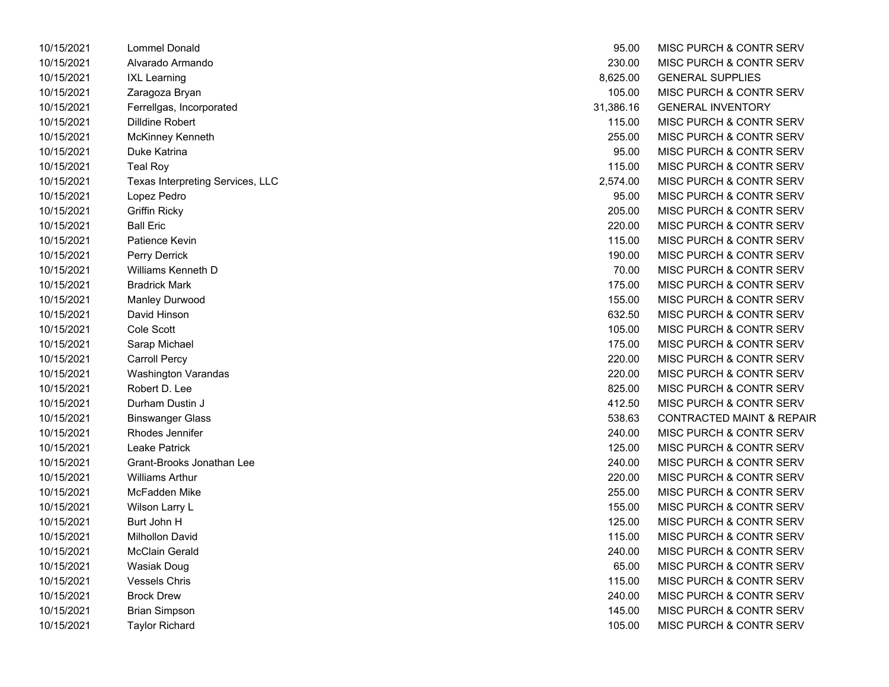| 10/15/2021 | Lommel Donald                    | 95.00     | <b>MISC PURCH &amp; CONTE</b> |
|------------|----------------------------------|-----------|-------------------------------|
| 10/15/2021 | Alvarado Armando                 | 230.00    | <b>MISC PURCH &amp; CONTF</b> |
| 10/15/2021 | <b>IXL Learning</b>              | 8,625.00  | <b>GENERAL SUPPLIES</b>       |
| 10/15/2021 | Zaragoza Bryan                   | 105.00    | <b>MISC PURCH &amp; CONTF</b> |
| 10/15/2021 | Ferrellgas, Incorporated         | 31,386.16 | <b>GENERAL INVENTORY</b>      |
| 10/15/2021 | Dilldine Robert                  | 115.00    | MISC PURCH & CONTF            |
| 10/15/2021 | McKinney Kenneth                 | 255.00    | <b>MISC PURCH &amp; CONTF</b> |
| 10/15/2021 | Duke Katrina                     | 95.00     | <b>MISC PURCH &amp; CONTF</b> |
| 10/15/2021 | <b>Teal Roy</b>                  | 115.00    | MISC PURCH & CONTF            |
| 10/15/2021 | Texas Interpreting Services, LLC | 2,574.00  | <b>MISC PURCH &amp; CONTF</b> |
| 10/15/2021 | Lopez Pedro                      | 95.00     | <b>MISC PURCH &amp; CONTF</b> |
| 10/15/2021 | <b>Griffin Ricky</b>             | 205.00    | <b>MISC PURCH &amp; CONTF</b> |
| 10/15/2021 | <b>Ball Eric</b>                 | 220.00    | <b>MISC PURCH &amp; CONTF</b> |
| 10/15/2021 | Patience Kevin                   | 115.00    | <b>MISC PURCH &amp; CONTF</b> |
| 10/15/2021 | Perry Derrick                    | 190.00    | <b>MISC PURCH &amp; CONTF</b> |
| 10/15/2021 | Williams Kenneth D               | 70.00     | <b>MISC PURCH &amp; CONTF</b> |
| 10/15/2021 | <b>Bradrick Mark</b>             | 175.00    | <b>MISC PURCH &amp; CONTF</b> |
| 10/15/2021 | Manley Durwood                   | 155.00    | <b>MISC PURCH &amp; CONTF</b> |
| 10/15/2021 | David Hinson                     | 632.50    | MISC PURCH & CONTF            |
| 10/15/2021 | Cole Scott                       | 105.00    | <b>MISC PURCH &amp; CONTF</b> |
| 10/15/2021 | Sarap Michael                    | 175.00    | MISC PURCH & CONTF            |
| 10/15/2021 | <b>Carroll Percy</b>             | 220.00    | MISC PURCH & CONTF            |
| 10/15/2021 | <b>Washington Varandas</b>       | 220.00    | <b>MISC PURCH &amp; CONTF</b> |
| 10/15/2021 | Robert D. Lee                    | 825.00    | <b>MISC PURCH &amp; CONTF</b> |
| 10/15/2021 | Durham Dustin J                  | 412.50    | <b>MISC PURCH &amp; CONTF</b> |
| 10/15/2021 | <b>Binswanger Glass</b>          | 538.63    | <b>CONTRACTED MAINT &amp;</b> |
| 10/15/2021 | Rhodes Jennifer                  | 240.00    | <b>MISC PURCH &amp; CONTF</b> |
| 10/15/2021 | Leake Patrick                    | 125.00    | <b>MISC PURCH &amp; CONTF</b> |
| 10/15/2021 | Grant-Brooks Jonathan Lee        | 240.00    | <b>MISC PURCH &amp; CONTF</b> |
| 10/15/2021 | <b>Williams Arthur</b>           | 220.00    | MISC PURCH & CONTF            |
| 10/15/2021 | McFadden Mike                    | 255.00    | <b>MISC PURCH &amp; CONTF</b> |
| 10/15/2021 | Wilson Larry L                   | 155.00    | <b>MISC PURCH &amp; CONTF</b> |
| 10/15/2021 | Burt John H                      | 125.00    | <b>MISC PURCH &amp; CONTF</b> |
| 10/15/2021 | <b>Milhollon David</b>           | 115.00    | <b>MISC PURCH &amp; CONTF</b> |
| 10/15/2021 | McClain Gerald                   | 240.00    | <b>MISC PURCH &amp; CONTF</b> |
| 10/15/2021 | Wasiak Doug                      | 65.00     | <b>MISC PURCH &amp; CONTF</b> |
| 10/15/2021 | <b>Vessels Chris</b>             | 115.00    | <b>MISC PURCH &amp; CONTF</b> |
| 10/15/2021 | <b>Brock Drew</b>                | 240.00    | MISC PURCH & CONTF            |
| 10/15/2021 | <b>Brian Simpson</b>             | 145.00    | <b>MISC PURCH &amp; CONTF</b> |
| 10/15/2021 | <b>Tavlor Richard</b>            | 105.00    | <b>MISC PURCH &amp; CONTF</b> |

| 10/15/2021 | Lommel Donald                    | 95.00     | MISC PURCH & CONTR SERV              |
|------------|----------------------------------|-----------|--------------------------------------|
| 10/15/2021 | Alvarado Armando                 | 230.00    | MISC PURCH & CONTR SERV              |
| 10/15/2021 | <b>IXL Learning</b>              | 8,625.00  | <b>GENERAL SUPPLIES</b>              |
| 10/15/2021 | Zaragoza Bryan                   | 105.00    | MISC PURCH & CONTR SERV              |
| 10/15/2021 | Ferrellgas, Incorporated         | 31,386.16 | <b>GENERAL INVENTORY</b>             |
| 10/15/2021 | <b>Dilldine Robert</b>           | 115.00    | MISC PURCH & CONTR SERV              |
| 10/15/2021 | McKinney Kenneth                 | 255.00    | MISC PURCH & CONTR SERV              |
| 10/15/2021 | Duke Katrina                     | 95.00     | MISC PURCH & CONTR SERV              |
| 10/15/2021 | <b>Teal Roy</b>                  | 115.00    | MISC PURCH & CONTR SERV              |
| 10/15/2021 | Texas Interpreting Services, LLC | 2,574.00  | MISC PURCH & CONTR SERV              |
| 10/15/2021 | Lopez Pedro                      | 95.00     | MISC PURCH & CONTR SERV              |
| 10/15/2021 | <b>Griffin Ricky</b>             | 205.00    | MISC PURCH & CONTR SERV              |
| 10/15/2021 | <b>Ball Eric</b>                 | 220.00    | MISC PURCH & CONTR SERV              |
| 10/15/2021 | Patience Kevin                   | 115.00    | MISC PURCH & CONTR SERV              |
| 10/15/2021 | Perry Derrick                    | 190.00    | MISC PURCH & CONTR SERV              |
| 10/15/2021 | Williams Kenneth D               | 70.00     | MISC PURCH & CONTR SERV              |
| 10/15/2021 | <b>Bradrick Mark</b>             | 175.00    | MISC PURCH & CONTR SERV              |
| 10/15/2021 | Manley Durwood                   | 155.00    | MISC PURCH & CONTR SERV              |
| 10/15/2021 | David Hinson                     | 632.50    | MISC PURCH & CONTR SERV              |
| 10/15/2021 | Cole Scott                       | 105.00    | <b>MISC PURCH &amp; CONTR SERV</b>   |
| 10/15/2021 | Sarap Michael                    | 175.00    | MISC PURCH & CONTR SERV              |
| 10/15/2021 | <b>Carroll Percy</b>             | 220.00    | MISC PURCH & CONTR SERV              |
| 10/15/2021 | <b>Washington Varandas</b>       | 220.00    | MISC PURCH & CONTR SERV              |
| 10/15/2021 | Robert D. Lee                    | 825.00    | MISC PURCH & CONTR SERV              |
| 10/15/2021 | Durham Dustin J                  | 412.50    | MISC PURCH & CONTR SERV              |
| 10/15/2021 | <b>Binswanger Glass</b>          | 538.63    | <b>CONTRACTED MAINT &amp; REPAIR</b> |
| 10/15/2021 | Rhodes Jennifer                  | 240.00    | MISC PURCH & CONTR SERV              |
| 10/15/2021 | Leake Patrick                    | 125.00    | MISC PURCH & CONTR SERV              |
| 10/15/2021 | Grant-Brooks Jonathan Lee        | 240.00    | MISC PURCH & CONTR SERV              |
| 10/15/2021 | <b>Williams Arthur</b>           | 220.00    | MISC PURCH & CONTR SERV              |
| 10/15/2021 | McFadden Mike                    | 255.00    | MISC PURCH & CONTR SERV              |
| 10/15/2021 | Wilson Larry L                   | 155.00    | MISC PURCH & CONTR SERV              |
| 10/15/2021 | Burt John H                      | 125.00    | MISC PURCH & CONTR SERV              |
| 10/15/2021 | Milhollon David                  | 115.00    | MISC PURCH & CONTR SERV              |
| 10/15/2021 | McClain Gerald                   | 240.00    | MISC PURCH & CONTR SERV              |
| 10/15/2021 | <b>Wasiak Doug</b>               | 65.00     | <b>MISC PURCH &amp; CONTR SERV</b>   |
| 10/15/2021 | <b>Vessels Chris</b>             | 115.00    | <b>MISC PURCH &amp; CONTR SERV</b>   |
| 10/15/2021 | <b>Brock Drew</b>                | 240.00    | MISC PURCH & CONTR SERV              |
| 10/15/2021 | <b>Brian Simpson</b>             | 145.00    | MISC PURCH & CONTR SERV              |
| 10/15/2021 | <b>Taylor Richard</b>            | 105.00    | MISC PURCH & CONTR SERV              |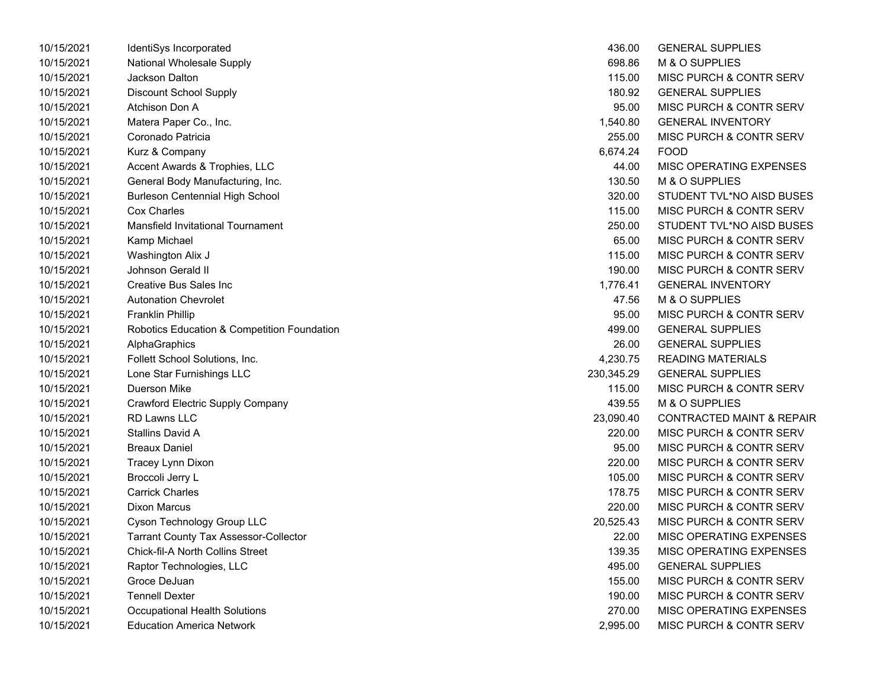| 10/15/2021 | IdentiSys Incorporated                       | 436.00     | <b>GENERAL SUPPLIES</b>              |
|------------|----------------------------------------------|------------|--------------------------------------|
| 10/15/2021 | National Wholesale Supply                    | 698.86     | M & O SUPPLIES                       |
| 10/15/2021 | Jackson Dalton                               | 115.00     | MISC PURCH & CONTR SERV              |
| 10/15/2021 | <b>Discount School Supply</b>                | 180.92     | <b>GENERAL SUPPLIES</b>              |
| 10/15/2021 | Atchison Don A                               | 95.00      | MISC PURCH & CONTR SERV              |
| 10/15/2021 | Matera Paper Co., Inc.                       | 1,540.80   | <b>GENERAL INVENTORY</b>             |
| 10/15/2021 | Coronado Patricia                            | 255.00     | MISC PURCH & CONTR SERV              |
| 10/15/2021 | Kurz & Company                               | 6,674.24   | <b>FOOD</b>                          |
| 10/15/2021 | Accent Awards & Trophies, LLC                | 44.00      | MISC OPERATING EXPENSES              |
| 10/15/2021 | General Body Manufacturing, Inc.             | 130.50     | M & O SUPPLIES                       |
| 10/15/2021 | <b>Burleson Centennial High School</b>       | 320.00     | STUDENT TVL*NO AISD BUSES            |
| 10/15/2021 | <b>Cox Charles</b>                           | 115.00     | MISC PURCH & CONTR SERV              |
| 10/15/2021 | <b>Mansfield Invitational Tournament</b>     | 250.00     | STUDENT TVL*NO AISD BUSES            |
| 10/15/2021 | Kamp Michael                                 | 65.00      | MISC PURCH & CONTR SERV              |
| 10/15/2021 | Washington Alix J                            | 115.00     | <b>MISC PURCH &amp; CONTR SERV</b>   |
| 10/15/2021 | Johnson Gerald II                            | 190.00     | <b>MISC PURCH &amp; CONTR SERV</b>   |
| 10/15/2021 | Creative Bus Sales Inc                       | 1,776.41   | <b>GENERAL INVENTORY</b>             |
| 10/15/2021 | <b>Autonation Chevrolet</b>                  | 47.56      | M & O SUPPLIES                       |
| 10/15/2021 | <b>Franklin Phillip</b>                      | 95.00      | <b>MISC PURCH &amp; CONTR SERV</b>   |
| 10/15/2021 | Robotics Education & Competition Foundation  | 499.00     | <b>GENERAL SUPPLIES</b>              |
| 10/15/2021 | AlphaGraphics                                | 26.00      | <b>GENERAL SUPPLIES</b>              |
| 10/15/2021 | Follett School Solutions, Inc.               | 4,230.75   | <b>READING MATERIALS</b>             |
| 10/15/2021 | Lone Star Furnishings LLC                    | 230,345.29 | <b>GENERAL SUPPLIES</b>              |
| 10/15/2021 | Duerson Mike                                 | 115.00     | MISC PURCH & CONTR SERV              |
| 10/15/2021 | Crawford Electric Supply Company             | 439.55     | M & O SUPPLIES                       |
| 10/15/2021 | <b>RD Lawns LLC</b>                          | 23,090.40  | <b>CONTRACTED MAINT &amp; REPAIR</b> |
| 10/15/2021 | <b>Stallins David A</b>                      | 220.00     | MISC PURCH & CONTR SERV              |
| 10/15/2021 | <b>Breaux Daniel</b>                         | 95.00      | MISC PURCH & CONTR SERV              |
| 10/15/2021 | Tracey Lynn Dixon                            | 220.00     | <b>MISC PURCH &amp; CONTR SERV</b>   |
| 10/15/2021 | Broccoli Jerry L                             | 105.00     | <b>MISC PURCH &amp; CONTR SERV</b>   |
| 10/15/2021 | <b>Carrick Charles</b>                       | 178.75     | <b>MISC PURCH &amp; CONTR SERV</b>   |
| 10/15/2021 | <b>Dixon Marcus</b>                          | 220.00     | <b>MISC PURCH &amp; CONTR SERV</b>   |
| 10/15/2021 | Cyson Technology Group LLC                   | 20,525.43  | MISC PURCH & CONTR SERV              |
| 10/15/2021 | <b>Tarrant County Tax Assessor-Collector</b> | 22.00      | MISC OPERATING EXPENSES              |
| 10/15/2021 | <b>Chick-fil-A North Collins Street</b>      | 139.35     | MISC OPERATING EXPENSES              |
| 10/15/2021 | Raptor Technologies, LLC                     | 495.00     | <b>GENERAL SUPPLIES</b>              |
| 10/15/2021 | Groce DeJuan                                 | 155.00     | MISC PURCH & CONTR SERV              |
| 10/15/2021 | <b>Tennell Dexter</b>                        | 190.00     | MISC PURCH & CONTR SERV              |
| 10/15/2021 | <b>Occupational Health Solutions</b>         | 270.00     | MISC OPERATING EXPENSES              |
| 10/15/2021 | Education America Network                    | 2.995.00   | MISC PURCH & CONTR SERV              |

| 436.00     | <b>GENERAL SUPPLIES</b>              |
|------------|--------------------------------------|
| 698.86     | <b>M &amp; O SUPPLIES</b>            |
| 115.00     | <b>MISC PURCH &amp; CONTR SERV</b>   |
| 180.92     | <b>GENERAL SUPPLIES</b>              |
| 95.00      | <b>MISC PURCH &amp; CONTR SERV</b>   |
| 1,540.80   | <b>GENERAL INVENTORY</b>             |
| 255.00     | <b>MISC PURCH &amp; CONTR SERV</b>   |
| 6,674.24   | FOOD                                 |
| 44.00      | <b>MISC OPERATING EXPENSES</b>       |
| 130.50     | M & O SUPPLIES                       |
| 320.00     | STUDENT TVL*NO AISD BUSES            |
| 115.00     | <b>MISC PURCH &amp; CONTR SERV</b>   |
| 250.00     | STUDENT TVL*NO AISD BUSES            |
| 65.00      | <b>MISC PURCH &amp; CONTR SERV</b>   |
| 115.00     | <b>MISC PURCH &amp; CONTR SERV</b>   |
| 190.00     | <b>MISC PURCH &amp; CONTR SERV</b>   |
| 1,776.41   | <b>GENERAL INVENTORY</b>             |
| 47.56      | <b>M &amp; O SUPPLIES</b>            |
| 95.00      | MISC PURCH & CONTR SERV              |
| 499.00     | <b>GENERAL SUPPLIES</b>              |
| 26.00      | <b>GENERAL SUPPLIES</b>              |
| 4,230.75   | READING MATERIALS                    |
| 230,345.29 | <b>GENERAL SUPPLIES</b>              |
| 115.00     | <b>MISC PURCH &amp; CONTR SERV</b>   |
| 439.55     | M & O SUPPLIES                       |
| 23,090.40  | <b>CONTRACTED MAINT &amp; REPAIR</b> |
| 220.00     | <b>MISC PURCH &amp; CONTR SERV</b>   |
| 95.00      | <b>MISC PURCH &amp; CONTR SERV</b>   |
| 220.00     | <b>MISC PURCH &amp; CONTR SERV</b>   |
| 105.00     | MISC PURCH & CONTR SERV              |
| 178.75     | MISC PURCH & CONTR SERV              |
| 220.00     | <b>MISC PURCH &amp; CONTR SERV</b>   |
| 20,525.43  | <b>MISC PURCH &amp; CONTR SERV</b>   |
| 22.00      | MISC OPERATING EXPENSES              |
| 139.35     | <b>MISC OPERATING EXPENSES</b>       |
| 495.00     | <b>GENERAL SUPPLIES</b>              |
| 155.00     | <b>MISC PURCH &amp; CONTR SERV</b>   |
| 190.00     | MISC PURCH & CONTR SERV              |
| 270.00     | <b>MISC OPERATING EXPENSES</b>       |
| 2,995.00   | MISC PURCH & CONTR SERV              |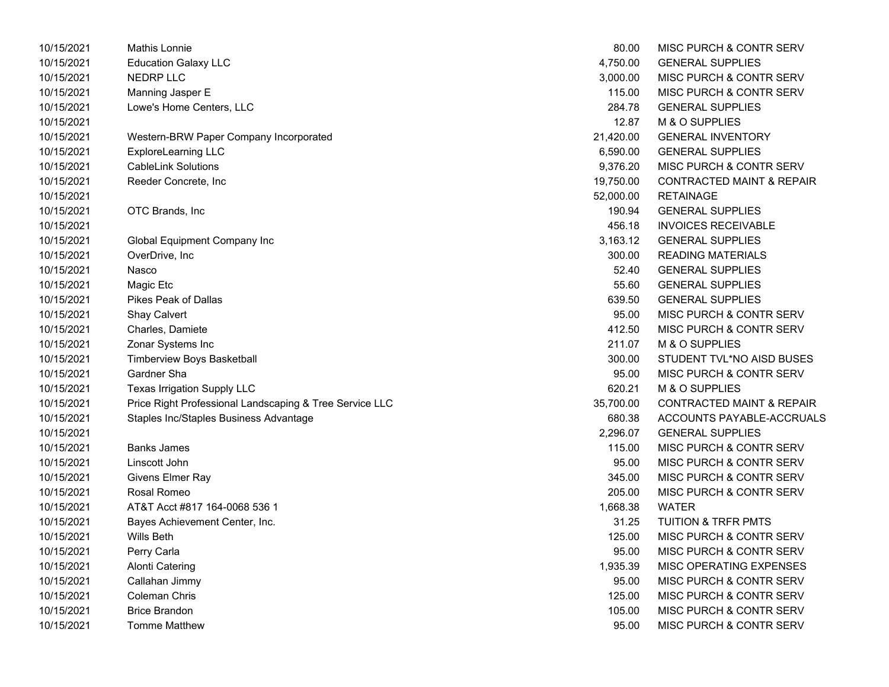| 10/15/2021 | Mathis Lonnie                                           | 80.00     | MISC PURCH & CONTR SERV              |
|------------|---------------------------------------------------------|-----------|--------------------------------------|
| 10/15/2021 | <b>Education Galaxy LLC</b>                             | 4,750.00  | <b>GENERAL SUPPLIES</b>              |
| 10/15/2021 | <b>NEDRP LLC</b>                                        | 3,000.00  | MISC PURCH & CONTR SERV              |
| 10/15/2021 | Manning Jasper E                                        | 115.00    | MISC PURCH & CONTR SERV              |
| 10/15/2021 | Lowe's Home Centers, LLC                                | 284.78    | <b>GENERAL SUPPLIES</b>              |
| 10/15/2021 |                                                         | 12.87     | M & O SUPPLIES                       |
| 10/15/2021 | Western-BRW Paper Company Incorporated                  | 21,420.00 | <b>GENERAL INVENTORY</b>             |
| 10/15/2021 | <b>ExploreLearning LLC</b>                              | 6,590.00  | <b>GENERAL SUPPLIES</b>              |
| 10/15/2021 | <b>CableLink Solutions</b>                              | 9,376.20  | MISC PURCH & CONTR SERV              |
| 10/15/2021 | Reeder Concrete, Inc.                                   | 19,750.00 | <b>CONTRACTED MAINT &amp; REPAIR</b> |
| 10/15/2021 |                                                         | 52,000.00 | <b>RETAINAGE</b>                     |
| 10/15/2021 | OTC Brands, Inc                                         | 190.94    | <b>GENERAL SUPPLIES</b>              |
| 10/15/2021 |                                                         | 456.18    | <b>INVOICES RECEIVABLE</b>           |
| 10/15/2021 | Global Equipment Company Inc                            | 3,163.12  | <b>GENERAL SUPPLIES</b>              |
| 10/15/2021 | OverDrive, Inc                                          | 300.00    | <b>READING MATERIALS</b>             |
| 10/15/2021 | Nasco                                                   | 52.40     | <b>GENERAL SUPPLIES</b>              |
| 10/15/2021 | Magic Etc                                               | 55.60     | <b>GENERAL SUPPLIES</b>              |
| 10/15/2021 | Pikes Peak of Dallas                                    | 639.50    | <b>GENERAL SUPPLIES</b>              |
| 10/15/2021 | Shay Calvert                                            | 95.00     | MISC PURCH & CONTR SERV              |
| 10/15/2021 | Charles, Damiete                                        | 412.50    | MISC PURCH & CONTR SERV              |
| 10/15/2021 | Zonar Systems Inc                                       | 211.07    | M & O SUPPLIES                       |
| 10/15/2021 | Timberview Boys Basketball                              | 300.00    | STUDENT TVL*NO AISD BUSES            |
| 10/15/2021 | Gardner Sha                                             | 95.00     | MISC PURCH & CONTR SERV              |
| 10/15/2021 | Texas Irrigation Supply LLC                             | 620.21    | M & O SUPPLIES                       |
| 10/15/2021 | Price Right Professional Landscaping & Tree Service LLC | 35,700.00 | <b>CONTRACTED MAINT &amp; REPAIR</b> |
| 10/15/2021 | Staples Inc/Staples Business Advantage                  | 680.38    | ACCOUNTS PAYABLE-ACCRUALS            |
| 10/15/2021 |                                                         | 2,296.07  | <b>GENERAL SUPPLIES</b>              |
| 10/15/2021 | <b>Banks James</b>                                      | 115.00    | MISC PURCH & CONTR SERV              |
| 10/15/2021 | Linscott John                                           | 95.00     | MISC PURCH & CONTR SERV              |
| 10/15/2021 | Givens Elmer Ray                                        | 345.00    | MISC PURCH & CONTR SERV              |
| 10/15/2021 | Rosal Romeo                                             | 205.00    | MISC PURCH & CONTR SERV              |
| 10/15/2021 | AT&T Acct #817 164-0068 536 1                           | 1,668.38  | <b>WATER</b>                         |
| 10/15/2021 | Bayes Achievement Center, Inc.                          | 31.25     | <b>TUITION &amp; TRFR PMTS</b>       |
| 10/15/2021 | Wills Beth                                              | 125.00    | MISC PURCH & CONTR SERV              |
| 10/15/2021 | Perry Carla                                             | 95.00     | MISC PURCH & CONTR SERV              |
| 10/15/2021 | <b>Alonti Catering</b>                                  | 1,935.39  | MISC OPERATING EXPENSES              |
| 10/15/2021 | Callahan Jimmy                                          | 95.00     | MISC PURCH & CONTR SERV              |
| 10/15/2021 | <b>Coleman Chris</b>                                    | 125.00    | MISC PURCH & CONTR SERV              |
| 10/15/2021 | <b>Brice Brandon</b>                                    | 105.00    | MISC PURCH & CONTR SERV              |
| 10/15/2021 | <b>Tomme Matthew</b>                                    | 95.00     | <b>MISC PURCH &amp; CONTR SERV</b>   |

| 80.00     | MISC PURCH & CONTR SERV              |
|-----------|--------------------------------------|
| 4,750.00  | <b>GENERAL SUPPLIES</b>              |
|           | 3,000.00 MISC PURCH & CONTR SERV     |
|           | 115.00 MISC PURCH & CONTR SERV       |
| 284.78    | <b>GENERAL SUPPLIES</b>              |
|           | 12.87 M & O SUPPLIES                 |
|           | 21,420.00 GENERAL INVENTORY          |
|           | 6,590.00 GENERAL SUPPLIES            |
|           | 9,376.20 MISC PURCH & CONTR SERV     |
| 19,750.00 | CONTRACTED MAINT & REPAIR            |
| 52.000.00 | <b>RETAINAGE</b>                     |
|           | 190.94 GENERAL SUPPLIES              |
|           | 456.18 INVOICES RECEIVABLE           |
|           | 3,163.12 GENERAL SUPPLIES            |
| 300.00    | READING MATERIALS                    |
| 52.40     | <b>GENERAL SUPPLIES</b>              |
|           | 55.60 GENERAL SUPPLIES               |
|           | 639.50 GENERAL SUPPLIES              |
|           | 95.00 MISC PURCH & CONTR SERV        |
| 412.50    | MISC PURCH & CONTR SERV              |
| 211.07    | M & O SUPPLIES                       |
| 300.00    | STUDENT TVL*NO AISD BUSES            |
|           | 95.00 MISC PURCH & CONTR SERV        |
| 620.21    | M & O SUPPLIES                       |
| 35,700.00 | <b>CONTRACTED MAINT &amp; REPAIR</b> |
| 680.38    | ACCOUNTS PAYABLE-ACCRUALS            |
|           | 2,296.07 GENERAL SUPPLIES            |
|           | 115.00 MISC PURCH & CONTR SERV       |
| 95.00     | MISC PURCH & CONTR SERV              |
| 345.00    | MISC PURCH & CONTR SERV              |
| 205.00    | <b>MISC PURCH &amp; CONTR SERV</b>   |
| 1,668.38  | WATER                                |
|           | 31.25 TUITION & TRFR PMTS            |
|           | 125.00 MISC PURCH & CONTR SERV       |
| 95.00     | <b>MISC PURCH &amp; CONTR SERV</b>   |
| 1,935.39  | <b>MISC OPERATING EXPENSES</b>       |
| 95.00     | MISC PURCH & CONTR SERV              |
| 125.00    | <b>MISC PURCH &amp; CONTR SERV</b>   |
| 105.00    | <b>MISC PURCH &amp; CONTR SERV</b>   |
| 95.00     | <b>MISC PURCH &amp; CONTR SERV</b>   |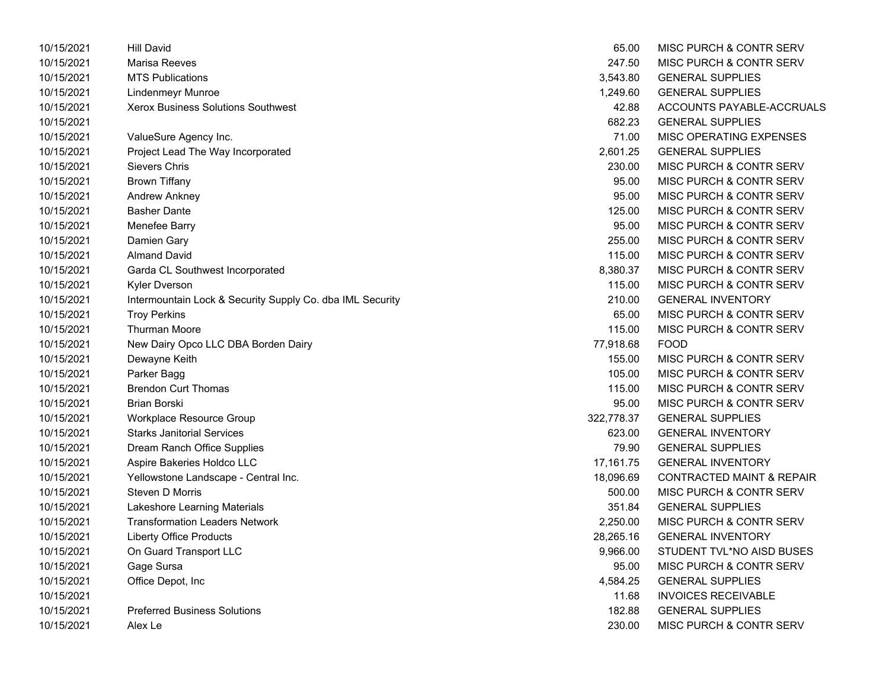| 10/15/2021 | <b>Hill David</b>                                         | 65.00      | MISC PURCH & CONTR SERV              |
|------------|-----------------------------------------------------------|------------|--------------------------------------|
| 10/15/2021 | Marisa Reeves                                             | 247.50     | <b>MISC PURCH &amp; CONTR SERV</b>   |
| 10/15/2021 | <b>MTS Publications</b>                                   | 3,543.80   | <b>GENERAL SUPPLIES</b>              |
| 10/15/2021 | <b>Lindenmeyr Munroe</b>                                  | 1,249.60   | <b>GENERAL SUPPLIES</b>              |
| 10/15/2021 | Xerox Business Solutions Southwest                        | 42.88      | ACCOUNTS PAYABLE-ACCRUALS            |
| 10/15/2021 |                                                           | 682.23     | <b>GENERAL SUPPLIES</b>              |
| 10/15/2021 | ValueSure Agency Inc.                                     | 71.00      | MISC OPERATING EXPENSES              |
| 10/15/2021 | Project Lead The Way Incorporated                         | 2,601.25   | <b>GENERAL SUPPLIES</b>              |
| 10/15/2021 | Sievers Chris                                             | 230.00     | MISC PURCH & CONTR SERV              |
| 10/15/2021 | <b>Brown Tiffany</b>                                      | 95.00      | MISC PURCH & CONTR SERV              |
| 10/15/2021 | Andrew Ankney                                             | 95.00      | MISC PURCH & CONTR SERV              |
| 10/15/2021 | <b>Basher Dante</b>                                       | 125.00     | <b>MISC PURCH &amp; CONTR SERV</b>   |
| 10/15/2021 | Menefee Barry                                             | 95.00      | <b>MISC PURCH &amp; CONTR SERV</b>   |
| 10/15/2021 | Damien Gary                                               | 255.00     | MISC PURCH & CONTR SERV              |
| 10/15/2021 | <b>Almand David</b>                                       | 115.00     | MISC PURCH & CONTR SERV              |
| 10/15/2021 | Garda CL Southwest Incorporated                           | 8,380.37   | MISC PURCH & CONTR SERV              |
| 10/15/2021 | <b>Kyler Dverson</b>                                      | 115.00     | <b>MISC PURCH &amp; CONTR SERV</b>   |
| 10/15/2021 | Intermountain Lock & Security Supply Co. dba IML Security | 210.00     | <b>GENERAL INVENTORY</b>             |
| 10/15/2021 | <b>Troy Perkins</b>                                       | 65.00      | MISC PURCH & CONTR SERV              |
| 10/15/2021 | <b>Thurman Moore</b>                                      | 115.00     | MISC PURCH & CONTR SERV              |
| 10/15/2021 | New Dairy Opco LLC DBA Borden Dairy                       | 77,918.68  | <b>FOOD</b>                          |
| 10/15/2021 | Dewayne Keith                                             | 155.00     | <b>MISC PURCH &amp; CONTR SERV</b>   |
| 10/15/2021 | Parker Bagg                                               | 105.00     | MISC PURCH & CONTR SERV              |
| 10/15/2021 | <b>Brendon Curt Thomas</b>                                | 115.00     | MISC PURCH & CONTR SERV              |
| 10/15/2021 | <b>Brian Borski</b>                                       | 95.00      | MISC PURCH & CONTR SERV              |
| 10/15/2021 | Workplace Resource Group                                  | 322,778.37 | <b>GENERAL SUPPLIES</b>              |
| 10/15/2021 | <b>Starks Janitorial Services</b>                         | 623.00     | <b>GENERAL INVENTORY</b>             |
| 10/15/2021 | Dream Ranch Office Supplies                               | 79.90      | <b>GENERAL SUPPLIES</b>              |
| 10/15/2021 | Aspire Bakeries Holdco LLC                                | 17,161.75  | <b>GENERAL INVENTORY</b>             |
| 10/15/2021 | Yellowstone Landscape - Central Inc.                      | 18,096.69  | <b>CONTRACTED MAINT &amp; REPAIR</b> |
| 10/15/2021 | Steven D Morris                                           | 500.00     | MISC PURCH & CONTR SERV              |
| 10/15/2021 | Lakeshore Learning Materials                              | 351.84     | <b>GENERAL SUPPLIES</b>              |
| 10/15/2021 | <b>Transformation Leaders Network</b>                     | 2,250.00   | MISC PURCH & CONTR SERV              |
| 10/15/2021 | <b>Liberty Office Products</b>                            | 28,265.16  | <b>GENERAL INVENTORY</b>             |
| 10/15/2021 | On Guard Transport LLC                                    | 9,966.00   | STUDENT TVL*NO AISD BUSES            |
| 10/15/2021 | Gage Sursa                                                | 95.00      | MISC PURCH & CONTR SERV              |
| 10/15/2021 | Office Depot, Inc                                         | 4,584.25   | <b>GENERAL SUPPLIES</b>              |
| 10/15/2021 |                                                           | 11.68      | <b>INVOICES RECEIVABLE</b>           |
| 10/15/2021 | <b>Preferred Business Solutions</b>                       | 182.88     | <b>GENERAL SUPPLIES</b>              |
| 10/15/2021 | Alex Le                                                   | 230.00     | MISC PURCH & CONTR SERV              |
|            |                                                           |            |                                      |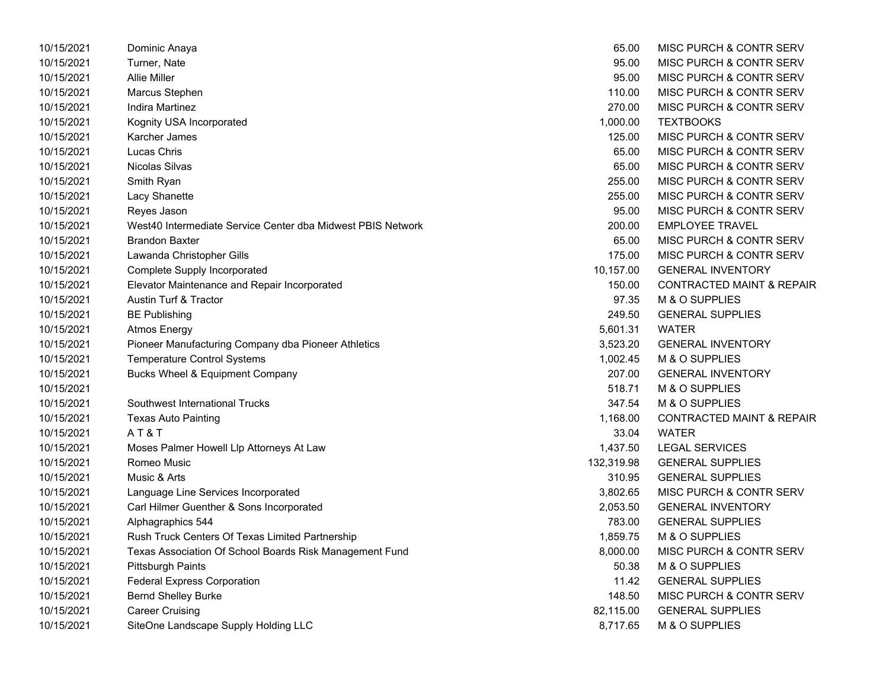| 10/15/2021 | Dominic Anaya                                               | 65.00      | MISC PURCH & CONTR SERV              |
|------------|-------------------------------------------------------------|------------|--------------------------------------|
| 10/15/2021 | Turner, Nate                                                | 95.00      | MISC PURCH & CONTR SERV              |
| 10/15/2021 | <b>Allie Miller</b>                                         | 95.00      | MISC PURCH & CONTR SERV              |
| 10/15/2021 | Marcus Stephen                                              | 110.00     | MISC PURCH & CONTR SERV              |
| 10/15/2021 | Indira Martinez                                             | 270.00     | MISC PURCH & CONTR SERV              |
| 10/15/2021 | Kognity USA Incorporated                                    | 1,000.00   | <b>TEXTBOOKS</b>                     |
| 10/15/2021 | Karcher James                                               | 125.00     | MISC PURCH & CONTR SERV              |
| 10/15/2021 | Lucas Chris                                                 | 65.00      | MISC PURCH & CONTR SERV              |
| 10/15/2021 | Nicolas Silvas                                              | 65.00      | MISC PURCH & CONTR SERV              |
| 10/15/2021 | Smith Ryan                                                  | 255.00     | MISC PURCH & CONTR SERV              |
| 10/15/2021 | Lacy Shanette                                               | 255.00     | MISC PURCH & CONTR SERV              |
| 10/15/2021 | Reyes Jason                                                 | 95.00      | MISC PURCH & CONTR SERV              |
| 10/15/2021 | West40 Intermediate Service Center dba Midwest PBIS Network | 200.00     | <b>EMPLOYEE TRAVEL</b>               |
| 10/15/2021 | <b>Brandon Baxter</b>                                       | 65.00      | MISC PURCH & CONTR SERV              |
| 10/15/2021 | Lawanda Christopher Gills                                   | 175.00     | MISC PURCH & CONTR SERV              |
| 10/15/2021 | <b>Complete Supply Incorporated</b>                         | 10,157.00  | <b>GENERAL INVENTORY</b>             |
| 10/15/2021 | Elevator Maintenance and Repair Incorporated                | 150.00     | <b>CONTRACTED MAINT &amp; REPAIR</b> |
| 10/15/2021 | Austin Turf & Tractor                                       | 97.35      | M & O SUPPLIES                       |
| 10/15/2021 | <b>BE Publishing</b>                                        | 249.50     | <b>GENERAL SUPPLIES</b>              |
| 10/15/2021 | <b>Atmos Energy</b>                                         | 5,601.31   | <b>WATER</b>                         |
| 10/15/2021 | Pioneer Manufacturing Company dba Pioneer Athletics         | 3,523.20   | <b>GENERAL INVENTORY</b>             |
| 10/15/2021 | <b>Temperature Control Systems</b>                          | 1,002.45   | M & O SUPPLIES                       |
| 10/15/2021 | Bucks Wheel & Equipment Company                             | 207.00     | <b>GENERAL INVENTORY</b>             |
| 10/15/2021 |                                                             | 518.71     | M & O SUPPLIES                       |
| 10/15/2021 | Southwest International Trucks                              | 347.54     | M & O SUPPLIES                       |
| 10/15/2021 | <b>Texas Auto Painting</b>                                  | 1,168.00   | <b>CONTRACTED MAINT &amp; REPAIR</b> |
| 10/15/2021 | AT&T                                                        | 33.04      | <b>WATER</b>                         |
| 10/15/2021 | Moses Palmer Howell Llp Attorneys At Law                    | 1,437.50   | <b>LEGAL SERVICES</b>                |
| 10/15/2021 | Romeo Music                                                 | 132,319.98 | <b>GENERAL SUPPLIES</b>              |
| 10/15/2021 | Music & Arts                                                | 310.95     | <b>GENERAL SUPPLIES</b>              |
| 10/15/2021 | Language Line Services Incorporated                         | 3,802.65   | MISC PURCH & CONTR SERV              |
| 10/15/2021 | Carl Hilmer Guenther & Sons Incorporated                    | 2,053.50   | <b>GENERAL INVENTORY</b>             |
| 10/15/2021 | Alphagraphics 544                                           | 783.00     | <b>GENERAL SUPPLIES</b>              |
| 10/15/2021 | Rush Truck Centers Of Texas Limited Partnership             | 1,859.75   | M & O SUPPLIES                       |
| 10/15/2021 | Texas Association Of School Boards Risk Management Fund     | 8,000.00   | MISC PURCH & CONTR SERV              |
| 10/15/2021 | <b>Pittsburgh Paints</b>                                    | 50.38      | M & O SUPPLIES                       |
| 10/15/2021 | <b>Federal Express Corporation</b>                          | 11.42      | <b>GENERAL SUPPLIES</b>              |
| 10/15/2021 | <b>Bernd Shelley Burke</b>                                  | 148.50     | MISC PURCH & CONTR SERV              |
| 10/15/2021 | <b>Career Cruising</b>                                      | 82,115.00  | <b>GENERAL SUPPLIES</b>              |
| 10/15/2021 | SiteOne Landscape Supply Holding LLC                        | 8,717.65   | M & O SUPPLIES                       |

| 65.00      | MISC PURCH & CONTR SERV              |
|------------|--------------------------------------|
| 95.00      | <b>MISC PURCH &amp; CONTR SERV</b>   |
| 95.00      | MISC PURCH & CONTR SERV              |
| 110.00     | <b>MISC PURCH &amp; CONTR SERV</b>   |
| 270.00     | <b>MISC PURCH &amp; CONTR SERV</b>   |
| 1,000.00   | <b>TEXTBOOKS</b>                     |
| 125.00     | <b>MISC PURCH &amp; CONTR SERV</b>   |
| 65.00      | <b>MISC PURCH &amp; CONTR SERV</b>   |
| 65.00      | <b>MISC PURCH &amp; CONTR SERV</b>   |
| 255.00     | <b>MISC PURCH &amp; CONTR SERV</b>   |
| 255.00     | MISC PURCH & CONTR SERV              |
| 95.00      | <b>MISC PURCH &amp; CONTR SERV</b>   |
| 200.00     | <b>EMPLOYEE TRAVEL</b>               |
| 65.00      | <b>MISC PURCH &amp; CONTR SERV</b>   |
| 175.00     | <b>MISC PURCH &amp; CONTR SERV</b>   |
| 10,157.00  | <b>GENERAL INVENTORY</b>             |
| 150.00     | <b>CONTRACTED MAINT &amp; REPAIR</b> |
| 97.35      | <b>M &amp; O SUPPLIES</b>            |
| 249.50     | <b>GENERAL SUPPLIES</b>              |
| 5,601.31   | WATER                                |
| 3,523.20   | <b>GENERAL INVENTORY</b>             |
| 1,002.45   | M & O SUPPLIES                       |
| 207.00     | <b>GENERAL INVENTORY</b>             |
| 518.71     | M & O SUPPLIES                       |
| 347.54     | M & O SUPPLIES                       |
| 1,168.00   | <b>CONTRACTED MAINT &amp; REPAIR</b> |
| 33.04      | <b>WATER</b>                         |
| 1,437.50   | <b>LEGAL SERVICES</b>                |
| 132,319.98 | <b>GENERAL SUPPLIES</b>              |
| 310.95     | <b>GENERAL SUPPLIES</b>              |
| 3,802.65   | MISC PURCH & CONTR SERV              |
| 2,053.50   | <b>GENERAL INVENTORY</b>             |
| 783.00     | <b>GENERAL SUPPLIES</b>              |
| 1,859.75   | M & O SUPPLIES                       |
| 8,000.00   | <b>MISC PURCH &amp; CONTR SERV</b>   |
| 50.38      | <b>M &amp; O SUPPLIES</b>            |
| 11.42      | <b>GENERAL SUPPLIES</b>              |
| 148.50     | MISC PURCH & CONTR SERV              |
| 82,115.00  | <b>GENERAL SUPPLIES</b>              |
| 8,717.65   | M & O SUPPLIES                       |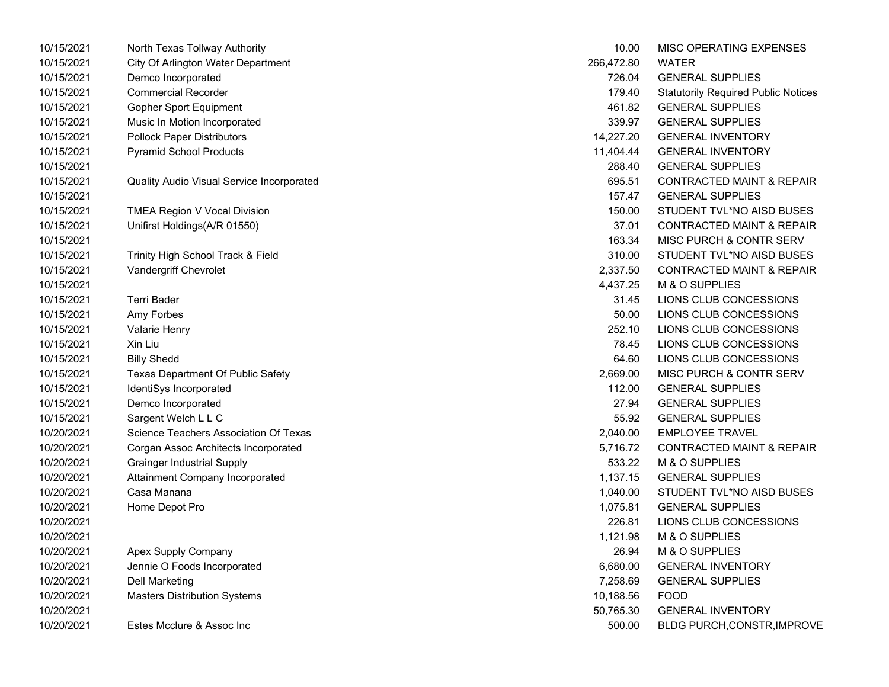| 10/15/2021 | North Texas Tollway Authority                    | 10.00      | MISC OPERATING EXPENSES                    |
|------------|--------------------------------------------------|------------|--------------------------------------------|
| 10/15/2021 | City Of Arlington Water Department               | 266,472.80 | WATER                                      |
| 10/15/2021 | Demco Incorporated                               | 726.04     | <b>GENERAL SUPPLIES</b>                    |
| 10/15/2021 | <b>Commercial Recorder</b>                       | 179.40     | <b>Statutorily Required Public Notices</b> |
| 10/15/2021 | <b>Gopher Sport Equipment</b>                    | 461.82     | <b>GENERAL SUPPLIES</b>                    |
| 10/15/2021 | Music In Motion Incorporated                     | 339.97     | <b>GENERAL SUPPLIES</b>                    |
| 10/15/2021 | <b>Pollock Paper Distributors</b>                | 14,227.20  | <b>GENERAL INVENTORY</b>                   |
| 10/15/2021 | <b>Pyramid School Products</b>                   | 11,404.44  | <b>GENERAL INVENTORY</b>                   |
| 10/15/2021 |                                                  | 288.40     | <b>GENERAL SUPPLIES</b>                    |
| 10/15/2021 | <b>Quality Audio Visual Service Incorporated</b> | 695.51     | <b>CONTRACTED MAINT &amp; REPAIR</b>       |
| 10/15/2021 |                                                  | 157.47     | <b>GENERAL SUPPLIES</b>                    |
| 10/15/2021 | TMEA Region V Vocal Division                     | 150.00     | STUDENT TVL*NO AISD BUSES                  |
| 10/15/2021 | Unifirst Holdings(A/R 01550)                     | 37.01      | <b>CONTRACTED MAINT &amp; REPAIR</b>       |
| 10/15/2021 |                                                  | 163.34     | MISC PURCH & CONTR SERV                    |
| 10/15/2021 | Trinity High School Track & Field                | 310.00     | STUDENT TVL*NO AISD BUSES                  |
| 10/15/2021 | Vandergriff Chevrolet                            | 2,337.50   | <b>CONTRACTED MAINT &amp; REPAIR</b>       |
| 10/15/2021 |                                                  | 4,437.25   | M & O SUPPLIES                             |
| 10/15/2021 | <b>Terri Bader</b>                               | 31.45      | LIONS CLUB CONCESSIONS                     |
| 10/15/2021 | Amy Forbes                                       | 50.00      | LIONS CLUB CONCESSIONS                     |
| 10/15/2021 | Valarie Henry                                    | 252.10     | LIONS CLUB CONCESSIONS                     |
| 10/15/2021 | Xin Liu                                          | 78.45      | LIONS CLUB CONCESSIONS                     |
| 10/15/2021 | <b>Billy Shedd</b>                               | 64.60      | LIONS CLUB CONCESSIONS                     |
| 10/15/2021 | Texas Department Of Public Safety                | 2,669.00   | MISC PURCH & CONTR SERV                    |
| 10/15/2021 | IdentiSys Incorporated                           | 112.00     | <b>GENERAL SUPPLIES</b>                    |
| 10/15/2021 | Demco Incorporated                               | 27.94      | <b>GENERAL SUPPLIES</b>                    |
| 10/15/2021 | Sargent Welch L L C                              | 55.92      | <b>GENERAL SUPPLIES</b>                    |
| 10/20/2021 | Science Teachers Association Of Texas            | 2,040.00   | <b>EMPLOYEE TRAVEL</b>                     |
| 10/20/2021 | Corgan Assoc Architects Incorporated             | 5,716.72   | CONTRACTED MAINT & REPAIR                  |
| 10/20/2021 | <b>Grainger Industrial Supply</b>                | 533.22     | M & O SUPPLIES                             |
| 10/20/2021 | Attainment Company Incorporated                  | 1,137.15   | <b>GENERAL SUPPLIES</b>                    |
| 10/20/2021 | Casa Manana                                      | 1,040.00   | STUDENT TVL*NO AISD BUSES                  |
| 10/20/2021 | Home Depot Pro                                   | 1,075.81   | <b>GENERAL SUPPLIES</b>                    |
| 10/20/2021 |                                                  | 226.81     | LIONS CLUB CONCESSIONS                     |
| 10/20/2021 |                                                  | 1,121.98   | M & O SUPPLIES                             |
| 10/20/2021 | Apex Supply Company                              | 26.94      | M & O SUPPLIES                             |
| 10/20/2021 | Jennie O Foods Incorporated                      | 6,680.00   | <b>GENERAL INVENTORY</b>                   |
| 10/20/2021 | Dell Marketing                                   | 7,258.69   | <b>GENERAL SUPPLIES</b>                    |
| 10/20/2021 | <b>Masters Distribution Systems</b>              | 10,188.56  | <b>FOOD</b>                                |
| 10/20/2021 |                                                  | 50,765.30  | <b>GENERAL INVENTORY</b>                   |
| 10/20/2021 | Estes Mcclure & Assoc Inc                        | 500.00     | BLDG PURCH, CONSTR, IMPROV                 |

| 10.00      | <b>MISC OPERATING EXPENSES</b>             |
|------------|--------------------------------------------|
| 266,472.80 | WATER                                      |
| 726.04     | <b>GENERAL SUPPLIES</b>                    |
| 179.40     | <b>Statutorily Required Public Notices</b> |
| 461.82     | <b>GENERAL SUPPLIES</b>                    |
| 339.97     | <b>GENERAL SUPPLIES</b>                    |
| 14,227.20  | <b>GENERAL INVENTORY</b>                   |
| 11,404.44  | <b>GENERAL INVENTORY</b>                   |
| 288.40     | <b>GENERAL SUPPLIES</b>                    |
| 695.51     | <b>CONTRACTED MAINT &amp; REPAIR</b>       |
| 157.47     | <b>GENERAL SUPPLIES</b>                    |
| 150.00     | STUDENT TVL*NO AISD BUSES                  |
| 37.01      | <b>CONTRACTED MAINT &amp; REPAIR</b>       |
| 163.34     | <b>MISC PURCH &amp; CONTR SERV</b>         |
| 310.00     | STUDENT TVL*NO AISD BUSES                  |
| 2,337.50   | <b>CONTRACTED MAINT &amp; REPAIR</b>       |
| 4,437.25   | M & O SUPPLIES                             |
| 31.45      | LIONS CLUB CONCESSIONS                     |
| 50.00      | LIONS CLUB CONCESSIONS                     |
| 252.10     | LIONS CLUB CONCESSIONS                     |
| 78.45      | LIONS CLUB CONCESSIONS                     |
| 64.60      | LIONS CLUB CONCESSIONS                     |
| 2,669.00   | <b>MISC PURCH &amp; CONTR SERV</b>         |
| 112.00     | <b>GENERAL SUPPLIES</b>                    |
| 27.94      | <b>GENERAL SUPPLIES</b>                    |
| 55.92      | <b>GENERAL SUPPLIES</b>                    |
| 2,040.00   | <b>EMPLOYEE TRAVEL</b>                     |
| 5,716.72   | <b>CONTRACTED MAINT &amp; REPAIR</b>       |
| 533.22     | M & O SUPPLIES                             |
| 1,137.15   | <b>GENERAL SUPPLIES</b>                    |
| 1,040.00   | STUDENT TVL*NO AISD BUSES                  |
| 1,075.81   | <b>GENERAL SUPPLIES</b>                    |
| 226.81     | LIONS CLUB CONCESSIONS                     |
| 1,121.98   | M & O SUPPLIES                             |
| 26.94      | <b>M &amp; O SUPPLIES</b>                  |
| 6,680.00   | <b>GENERAL INVENTORY</b>                   |
| 7,258.69   | <b>GENERAL SUPPLIES</b>                    |
| 10,188.56  | <b>FOOD</b>                                |
| 50,765.30  | <b>GENERAL INVENTORY</b>                   |
| 500.00     | BLDG PURCH, CONSTR, IMPROVE                |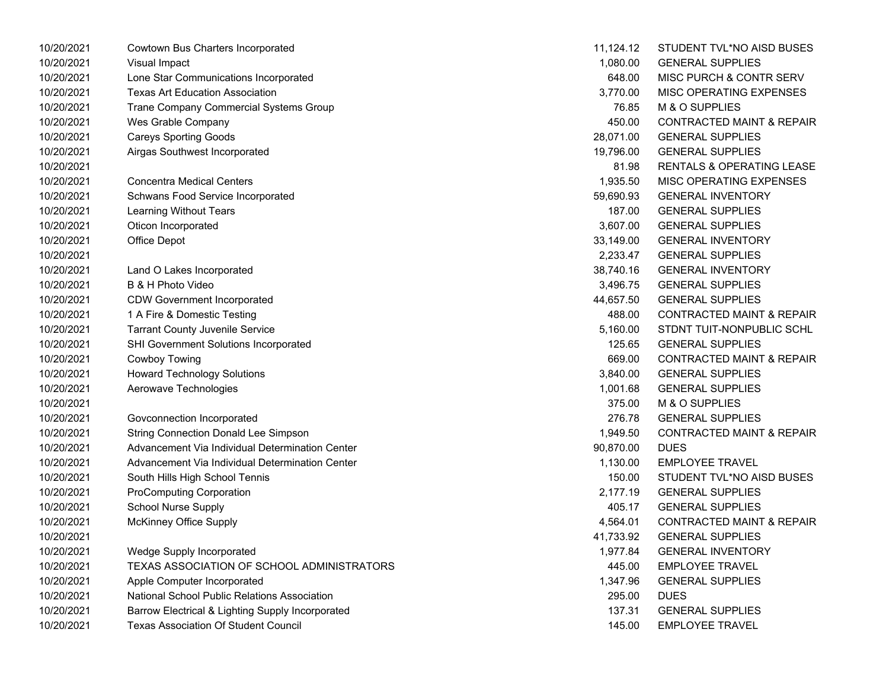| 10/20/2021 | Cowtown Bus Charters Incorporated                | 11,124.12 | STUDENT TVL*NO AISD BUSES            |
|------------|--------------------------------------------------|-----------|--------------------------------------|
| 10/20/2021 | Visual Impact                                    | 1,080.00  | <b>GENERAL SUPPLIES</b>              |
| 10/20/2021 | Lone Star Communications Incorporated            | 648.00    | MISC PURCH & CONTR SERV              |
| 10/20/2021 | <b>Texas Art Education Association</b>           | 3,770.00  | MISC OPERATING EXPENSES              |
| 10/20/2021 | Trane Company Commercial Systems Group           | 76.85     | M & O SUPPLIES                       |
| 10/20/2021 | Wes Grable Company                               | 450.00    | <b>CONTRACTED MAINT &amp; REPAIR</b> |
| 10/20/2021 | <b>Careys Sporting Goods</b>                     | 28,071.00 | <b>GENERAL SUPPLIES</b>              |
| 10/20/2021 | Airgas Southwest Incorporated                    | 19,796.00 | <b>GENERAL SUPPLIES</b>              |
| 10/20/2021 |                                                  | 81.98     | <b>RENTALS &amp; OPERATING LEASE</b> |
| 10/20/2021 | <b>Concentra Medical Centers</b>                 | 1,935.50  | MISC OPERATING EXPENSES              |
| 10/20/2021 | Schwans Food Service Incorporated                | 59,690.93 | <b>GENERAL INVENTORY</b>             |
| 10/20/2021 | Learning Without Tears                           | 187.00    | <b>GENERAL SUPPLIES</b>              |
| 10/20/2021 | Oticon Incorporated                              | 3,607.00  | <b>GENERAL SUPPLIES</b>              |
| 10/20/2021 | Office Depot                                     | 33,149.00 | <b>GENERAL INVENTORY</b>             |
| 10/20/2021 |                                                  | 2,233.47  | <b>GENERAL SUPPLIES</b>              |
| 10/20/2021 | Land O Lakes Incorporated                        | 38,740.16 | <b>GENERAL INVENTORY</b>             |
| 10/20/2021 | B & H Photo Video                                | 3,496.75  | <b>GENERAL SUPPLIES</b>              |
| 10/20/2021 | <b>CDW Government Incorporated</b>               | 44,657.50 | <b>GENERAL SUPPLIES</b>              |
| 10/20/2021 | 1 A Fire & Domestic Testing                      | 488.00    | <b>CONTRACTED MAINT &amp; REPAIR</b> |
| 10/20/2021 | <b>Tarrant County Juvenile Service</b>           | 5,160.00  | STDNT TUIT-NONPUBLIC SCHL            |
| 10/20/2021 | SHI Government Solutions Incorporated            | 125.65    | <b>GENERAL SUPPLIES</b>              |
| 10/20/2021 | Cowboy Towing                                    | 669.00    | <b>CONTRACTED MAINT &amp; REPAIR</b> |
| 10/20/2021 | <b>Howard Technology Solutions</b>               | 3,840.00  | <b>GENERAL SUPPLIES</b>              |
| 10/20/2021 | Aerowave Technologies                            | 1,001.68  | <b>GENERAL SUPPLIES</b>              |
| 10/20/2021 |                                                  | 375.00    | M & O SUPPLIES                       |
| 10/20/2021 | Govconnection Incorporated                       | 276.78    | <b>GENERAL SUPPLIES</b>              |
| 10/20/2021 | <b>String Connection Donald Lee Simpson</b>      | 1,949.50  | <b>CONTRACTED MAINT &amp; REPAIR</b> |
| 10/20/2021 | Advancement Via Individual Determination Center  | 90,870.00 | <b>DUES</b>                          |
| 10/20/2021 | Advancement Via Individual Determination Center  | 1,130.00  | <b>EMPLOYEE TRAVEL</b>               |
| 10/20/2021 | South Hills High School Tennis                   | 150.00    | STUDENT TVL*NO AISD BUSES            |
| 10/20/2021 | <b>ProComputing Corporation</b>                  | 2,177.19  | <b>GENERAL SUPPLIES</b>              |
| 10/20/2021 | <b>School Nurse Supply</b>                       | 405.17    | <b>GENERAL SUPPLIES</b>              |
| 10/20/2021 | <b>McKinney Office Supply</b>                    | 4,564.01  | <b>CONTRACTED MAINT &amp; REPAIR</b> |
| 10/20/2021 |                                                  | 41,733.92 | <b>GENERAL SUPPLIES</b>              |
| 10/20/2021 | Wedge Supply Incorporated                        | 1,977.84  | <b>GENERAL INVENTORY</b>             |
| 10/20/2021 | TEXAS ASSOCIATION OF SCHOOL ADMINISTRATORS       | 445.00    | <b>EMPLOYEE TRAVEL</b>               |
| 10/20/2021 | Apple Computer Incorporated                      | 1,347.96  | <b>GENERAL SUPPLIES</b>              |
| 10/20/2021 | National School Public Relations Association     | 295.00    | <b>DUES</b>                          |
| 10/20/2021 | Barrow Electrical & Lighting Supply Incorporated | 137.31    | <b>GENERAL SUPPLIES</b>              |
| 10/20/2021 | <b>Texas Association Of Student Council</b>      | 145.00    | <b>EMPLOYEE TRAVEL</b>               |

| 11,124.12 | STUDENT TVL*NO AISD BUSES            |
|-----------|--------------------------------------|
| 1,080.00  | <b>GENERAL SUPPLIES</b>              |
| 648.00    | MISC PURCH & CONTR SERV              |
| 3,770.00  | <b>MISC OPERATING EXPENSES</b>       |
| 76.85     | M & O SUPPLIES                       |
| 450.00    | <b>CONTRACTED MAINT &amp; REPAIR</b> |
| 28,071.00 | <b>GENERAL SUPPLIES</b>              |
| 19,796.00 | <b>GENERAL SUPPLIES</b>              |
| 81.98     | <b>RENTALS &amp; OPERATING LEASE</b> |
| 1,935.50  | <b>MISC OPERATING EXPENSES</b>       |
| 59,690.93 | <b>GENERAL INVENTORY</b>             |
| 187.00    | <b>GENERAL SUPPLIES</b>              |
| 3,607.00  | <b>GENERAL SUPPLIES</b>              |
| 33,149.00 | <b>GENERAL INVENTORY</b>             |
| 2,233.47  | <b>GENERAL SUPPLIES</b>              |
| 38,740.16 | <b>GENERAL INVENTORY</b>             |
| 3,496.75  | <b>GENERAL SUPPLIES</b>              |
| 44,657.50 | <b>GENERAL SUPPLIES</b>              |
| 488.00    | <b>CONTRACTED MAINT &amp; REPAIR</b> |
| 5.160.00  | STDNT TUIT-NONPUBLIC SCHL            |
| 125.65    | <b>GENERAL SUPPLIES</b>              |
| 669.00    | <b>CONTRACTED MAINT &amp; REPAIR</b> |
| 3,840.00  | <b>GENERAL SUPPLIES</b>              |
| 1,001.68  | <b>GENERAL SUPPLIES</b>              |
| 375.00    | M & O SUPPLIES                       |
| 276.78    | <b>GENERAL SUPPLIES</b>              |
| 1,949.50  | <b>CONTRACTED MAINT &amp; REPAIR</b> |
| 90,870.00 | DUES                                 |
| 1,130.00  | <b>EMPLOYEE TRAVEL</b>               |
| 150.00    | STUDENT TVL*NO AISD BUSES            |
| 2,177.19  | <b>GENERAL SUPPLIES</b>              |
| 405.17    | <b>GENERAL SUPPLIES</b>              |
| 4,564.01  | <b>CONTRACTED MAINT &amp; REPAIR</b> |
| 41,733.92 | <b>GENERAL SUPPLIES</b>              |
| 1,977.84  | <b>GENERAL INVENTORY</b>             |
| 445.00    | <b>EMPLOYEE TRAVEL</b>               |
| 1,347.96  | <b>GENERAL SUPPLIES</b>              |
| 295.00    | <b>DUES</b>                          |
| 137.31    | <b>GENERAL SUPPLIES</b>              |
| 145.00    | <b>EMPLOYEE TRAVEL</b>               |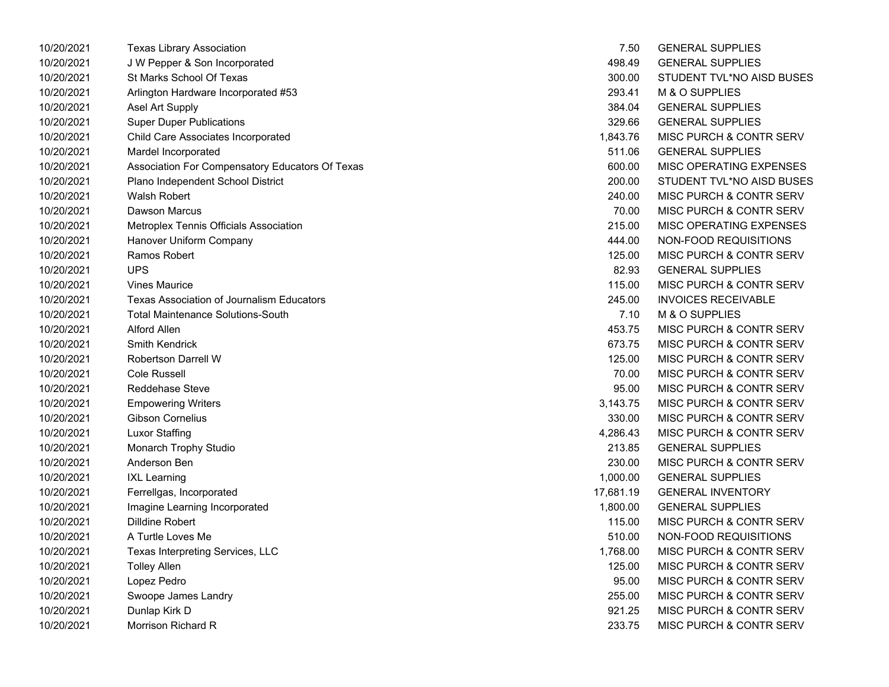| 10/20/2021 | Texas Library Association                        | 7.50      | <b>GENERAL SUPPLIES</b>            |
|------------|--------------------------------------------------|-----------|------------------------------------|
| 10/20/2021 | J W Pepper & Son Incorporated                    | 498.49    | <b>GENERAL SUPPLIES</b>            |
| 10/20/2021 | St Marks School Of Texas                         | 300.00    | STUDENT TVL*NO AISD BUSES          |
| 10/20/2021 | Arlington Hardware Incorporated #53              | 293.41    | M & O SUPPLIES                     |
| 10/20/2021 | Asel Art Supply                                  | 384.04    | <b>GENERAL SUPPLIES</b>            |
| 10/20/2021 | <b>Super Duper Publications</b>                  | 329.66    | <b>GENERAL SUPPLIES</b>            |
| 10/20/2021 | Child Care Associates Incorporated               | 1,843.76  | <b>MISC PURCH &amp; CONTR SERV</b> |
| 10/20/2021 | Mardel Incorporated                              | 511.06    | <b>GENERAL SUPPLIES</b>            |
| 10/20/2021 | Association For Compensatory Educators Of Texas  | 600.00    | MISC OPERATING EXPENSES            |
| 10/20/2021 | Plano Independent School District                | 200.00    | STUDENT TVL*NO AISD BUSES          |
| 10/20/2021 | <b>Walsh Robert</b>                              | 240.00    | MISC PURCH & CONTR SERV            |
| 10/20/2021 | Dawson Marcus                                    | 70.00     | MISC PURCH & CONTR SERV            |
| 10/20/2021 | Metroplex Tennis Officials Association           | 215.00    | MISC OPERATING EXPENSES            |
| 10/20/2021 | Hanover Uniform Company                          | 444.00    | NON-FOOD REQUISITIONS              |
| 10/20/2021 | Ramos Robert                                     | 125.00    | <b>MISC PURCH &amp; CONTR SERV</b> |
| 10/20/2021 | <b>UPS</b>                                       | 82.93     | <b>GENERAL SUPPLIES</b>            |
| 10/20/2021 | <b>Vines Maurice</b>                             | 115.00    | <b>MISC PURCH &amp; CONTR SERV</b> |
| 10/20/2021 | <b>Texas Association of Journalism Educators</b> | 245.00    | <b>INVOICES RECEIVABLE</b>         |
| 10/20/2021 | <b>Total Maintenance Solutions-South</b>         | 7.10      | M & O SUPPLIES                     |
| 10/20/2021 | Alford Allen                                     | 453.75    | MISC PURCH & CONTR SERV            |
| 10/20/2021 | <b>Smith Kendrick</b>                            | 673.75    | MISC PURCH & CONTR SERV            |
| 10/20/2021 | <b>Robertson Darrell W</b>                       | 125.00    | MISC PURCH & CONTR SERV            |
| 10/20/2021 | <b>Cole Russell</b>                              | 70.00     | MISC PURCH & CONTR SERV            |
| 10/20/2021 | <b>Reddehase Steve</b>                           | 95.00     | MISC PURCH & CONTR SERV            |
| 10/20/2021 | <b>Empowering Writers</b>                        | 3,143.75  | <b>MISC PURCH &amp; CONTR SERV</b> |
| 10/20/2021 | <b>Gibson Cornelius</b>                          | 330.00    | MISC PURCH & CONTR SERV            |
| 10/20/2021 | <b>Luxor Staffing</b>                            | 4,286.43  | <b>MISC PURCH &amp; CONTR SERV</b> |
| 10/20/2021 | Monarch Trophy Studio                            | 213.85    | <b>GENERAL SUPPLIES</b>            |
| 10/20/2021 | Anderson Ben                                     | 230.00    | MISC PURCH & CONTR SERV            |
| 10/20/2021 | <b>IXL Learning</b>                              | 1,000.00  | <b>GENERAL SUPPLIES</b>            |
| 10/20/2021 | Ferrellgas, Incorporated                         | 17,681.19 | <b>GENERAL INVENTORY</b>           |
| 10/20/2021 | Imagine Learning Incorporated                    | 1,800.00  | <b>GENERAL SUPPLIES</b>            |
| 10/20/2021 | <b>Dilldine Robert</b>                           | 115.00    | MISC PURCH & CONTR SERV            |
| 10/20/2021 | A Turtle Loves Me                                | 510.00    | NON-FOOD REQUISITIONS              |
| 10/20/2021 | Texas Interpreting Services, LLC                 | 1,768.00  | MISC PURCH & CONTR SERV            |
| 10/20/2021 | <b>Tolley Allen</b>                              | 125.00    | MISC PURCH & CONTR SERV            |
| 10/20/2021 | Lopez Pedro                                      | 95.00     | MISC PURCH & CONTR SERV            |
| 10/20/2021 | Swoope James Landry                              | 255.00    | MISC PURCH & CONTR SERV            |
| 10/20/2021 | Dunlap Kirk D                                    | 921.25    | <b>MISC PURCH &amp; CONTR SERV</b> |
| 10/20/2021 | Morrison Richard R                               | 233.75    | MISC PURCH & CONTR SERV            |

| 7.50     | <b>GENERAL SUPPLIES</b>            |
|----------|------------------------------------|
| 498.49   | <b>GENERAL SUPPLIES</b>            |
| 300.00   | STUDENT TVL*NO AISD BUSES          |
| 293.41   | M & O SUPPLIES                     |
| 384.04   | <b>GENERAL SUPPLIES</b>            |
| 329.66   | <b>GENERAL SUPPLIES</b>            |
| 1,843.76 | <b>MISC PURCH &amp; CONTR SERV</b> |
| 511.06   | <b>GENERAL SUPPLIES</b>            |
| 600.00   | MISC OPERATING EXPENSES            |
| 200.00   | STUDENT TVL*NO AISD BUSES          |
| 240.00   | MISC PURCH & CONTR SERV            |
| 70.00    | MISC PURCH & CONTR SERV            |
| 215.00   | <b>MISC OPERATING EXPENSES</b>     |
| 444.00   | NON-FOOD REQUISITIONS              |
| 125.00   | MISC PURCH & CONTR SERV            |
| 82.93    | <b>GENERAL SUPPLIES</b>            |
| 115.00   | MISC PURCH & CONTR SERV            |
| 245.00   | <b>INVOICES RECEIVABLE</b>         |
| 7.10     | M & O SUPPLIES                     |
| 453.75   | <b>MISC PURCH &amp; CONTR SERV</b> |
| 673.75   | <b>MISC PURCH &amp; CONTR SERV</b> |
| 125.00   | MISC PURCH & CONTR SERV            |
| 70.00    | <b>MISC PURCH &amp; CONTR SERV</b> |
| 95.00    | MISC PURCH & CONTR SERV            |
| 3,143.75 | <b>MISC PURCH &amp; CONTR SERV</b> |
| 330.00   | <b>MISC PURCH &amp; CONTR SERV</b> |
| 4,286.43 | <b>MISC PURCH &amp; CONTR SERV</b> |
| 213.85   | <b>GENERAL SUPPLIES</b>            |
| 230.00   | <b>MISC PURCH &amp; CONTR SERV</b> |
| 1,000.00 | <b>GENERAL SUPPLIES</b>            |
| 7.681.19 | <b>GENERAL INVENTORY</b>           |
| 1,800.00 | <b>GENERAL SUPPLIES</b>            |
| 115.00   | <b>MISC PURCH &amp; CONTR SERV</b> |
| 510.00   | NON-FOOD REQUISITIONS              |
| 1,768.00 | MISC PURCH & CONTR SERV            |
| 125.00   | <b>MISC PURCH &amp; CONTR SERV</b> |
| 95.00    | <b>MISC PURCH &amp; CONTR SERV</b> |
| 255.00   | MISC PURCH & CONTR SERV            |
| 921.25   | <b>MISC PURCH &amp; CONTR SERV</b> |
| 233.75   | MISC PURCH & CONTR SERV            |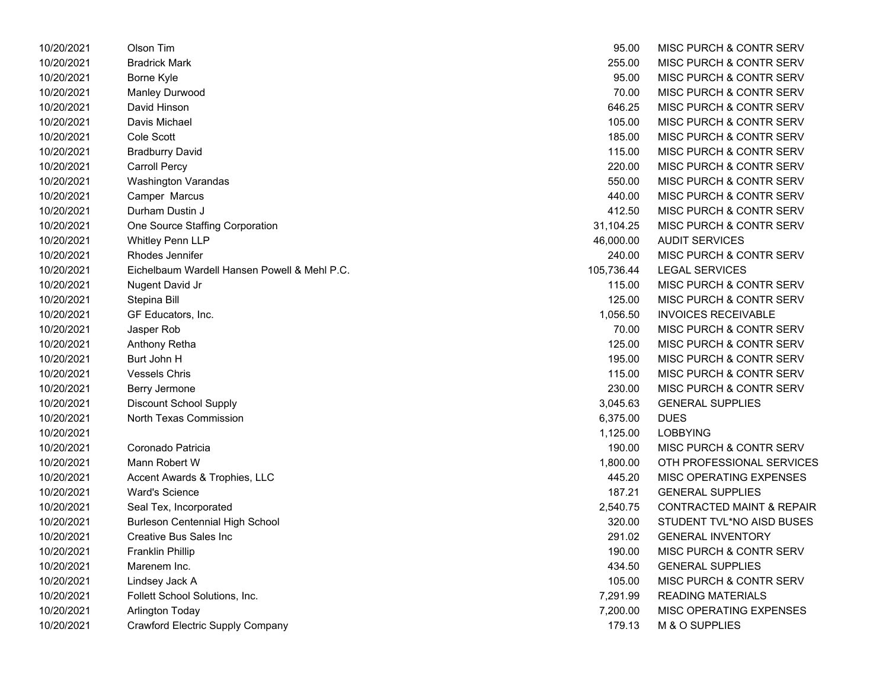| 10/20/2021 | Olson Tim                                    | 95.00      | MISC PURCH & CONTR SERV              |
|------------|----------------------------------------------|------------|--------------------------------------|
| 10/20/2021 | <b>Bradrick Mark</b>                         | 255.00     | <b>MISC PURCH &amp; CONTR SERV</b>   |
| 10/20/2021 | Borne Kyle                                   | 95.00      | <b>MISC PURCH &amp; CONTR SERV</b>   |
| 10/20/2021 | Manley Durwood                               | 70.00      | MISC PURCH & CONTR SERV              |
| 10/20/2021 | David Hinson                                 | 646.25     | MISC PURCH & CONTR SERV              |
| 10/20/2021 | Davis Michael                                | 105.00     | MISC PURCH & CONTR SERV              |
| 10/20/2021 | Cole Scott                                   | 185.00     | MISC PURCH & CONTR SERV              |
| 10/20/2021 | <b>Bradburry David</b>                       | 115.00     | MISC PURCH & CONTR SERV              |
| 10/20/2021 | Carroll Percy                                | 220.00     | MISC PURCH & CONTR SERV              |
| 10/20/2021 | <b>Washington Varandas</b>                   | 550.00     | <b>MISC PURCH &amp; CONTR SERV</b>   |
| 10/20/2021 | Camper Marcus                                | 440.00     | MISC PURCH & CONTR SERV              |
| 10/20/2021 | Durham Dustin J                              | 412.50     | <b>MISC PURCH &amp; CONTR SERV</b>   |
| 10/20/2021 | One Source Staffing Corporation              | 31,104.25  | MISC PURCH & CONTR SERV              |
| 10/20/2021 | <b>Whitley Penn LLP</b>                      | 46,000.00  | <b>AUDIT SERVICES</b>                |
| 10/20/2021 | Rhodes Jennifer                              | 240.00     | MISC PURCH & CONTR SERV              |
| 10/20/2021 | Eichelbaum Wardell Hansen Powell & Mehl P.C. | 105,736.44 | <b>LEGAL SERVICES</b>                |
| 10/20/2021 | Nugent David Jr                              | 115.00     | MISC PURCH & CONTR SERV              |
| 10/20/2021 | Stepina Bill                                 | 125.00     | MISC PURCH & CONTR SERV              |
| 10/20/2021 | GF Educators, Inc.                           | 1,056.50   | <b>INVOICES RECEIVABLE</b>           |
| 10/20/2021 | Jasper Rob                                   | 70.00      | MISC PURCH & CONTR SERV              |
| 10/20/2021 | Anthony Retha                                | 125.00     | <b>MISC PURCH &amp; CONTR SERV</b>   |
| 10/20/2021 | Burt John H                                  | 195.00     | MISC PURCH & CONTR SERV              |
| 10/20/2021 | <b>Vessels Chris</b>                         | 115.00     | MISC PURCH & CONTR SERV              |
| 10/20/2021 | Berry Jermone                                | 230.00     | MISC PURCH & CONTR SERV              |
| 10/20/2021 | Discount School Supply                       | 3,045.63   | <b>GENERAL SUPPLIES</b>              |
| 10/20/2021 | North Texas Commission                       | 6,375.00   | <b>DUES</b>                          |
| 10/20/2021 |                                              | 1,125.00   | <b>LOBBYING</b>                      |
| 10/20/2021 | Coronado Patricia                            | 190.00     | MISC PURCH & CONTR SERV              |
| 10/20/2021 | Mann Robert W                                | 1,800.00   | OTH PROFESSIONAL SERVICES            |
| 10/20/2021 | Accent Awards & Trophies, LLC                | 445.20     | MISC OPERATING EXPENSES              |
| 10/20/2021 | <b>Ward's Science</b>                        | 187.21     | <b>GENERAL SUPPLIES</b>              |
| 10/20/2021 | Seal Tex, Incorporated                       | 2,540.75   | <b>CONTRACTED MAINT &amp; REPAIR</b> |
| 10/20/2021 | Burleson Centennial High School              | 320.00     | STUDENT TVL*NO AISD BUSES            |
| 10/20/2021 | Creative Bus Sales Inc                       | 291.02     | <b>GENERAL INVENTORY</b>             |
| 10/20/2021 | <b>Franklin Phillip</b>                      | 190.00     | MISC PURCH & CONTR SERV              |
| 10/20/2021 | Marenem Inc.                                 | 434.50     | <b>GENERAL SUPPLIES</b>              |
| 10/20/2021 | Lindsey Jack A                               | 105.00     | MISC PURCH & CONTR SERV              |
| 10/20/2021 | Follett School Solutions, Inc.               | 7,291.99   | <b>READING MATERIALS</b>             |
| 10/20/2021 | Arlington Today                              | 7,200.00   | MISC OPERATING EXPENSES              |
| 10/20/2021 | Crawford Electric Supply Company             | 179.13     | M & O SUPPLIES                       |

| 95.00      | <b>MISC PURCH &amp; CONTR SERV</b>   |
|------------|--------------------------------------|
| 255.00     | <b>MISC PURCH &amp; CONTR SERV</b>   |
| 95.00      | <b>MISC PURCH &amp; CONTR SERV</b>   |
| 70.00      | <b>MISC PURCH &amp; CONTR SERV</b>   |
| 646.25     | MISC PURCH & CONTR SERV              |
| 105.00     | <b>MISC PURCH &amp; CONTR SERV</b>   |
| 185.00     | MISC PURCH & CONTR SERV              |
| 115.00     | <b>MISC PURCH &amp; CONTR SERV</b>   |
| 220.00     | <b>MISC PURCH &amp; CONTR SERV</b>   |
| 550.00     | <b>MISC PURCH &amp; CONTR SERV</b>   |
| 440.00     | <b>MISC PURCH &amp; CONTR SERV</b>   |
| 412.50     | <b>MISC PURCH &amp; CONTR SERV</b>   |
| 31,104.25  | <b>MISC PURCH &amp; CONTR SERV</b>   |
| 46,000.00  | <b>AUDIT SERVICES</b>                |
| 240.00     | <b>MISC PURCH &amp; CONTR SERV</b>   |
| 105,736.44 | <b>LEGAL SERVICES</b>                |
| 115.00     | <b>MISC PURCH &amp; CONTR SERV</b>   |
| 125.00     | <b>MISC PURCH &amp; CONTR SERV</b>   |
| 1,056.50   | <b>INVOICES RECEIVABLE</b>           |
| 70.00      | <b>MISC PURCH &amp; CONTR SERV</b>   |
| 125.00     | <b>MISC PURCH &amp; CONTR SERV</b>   |
| 195.00     | <b>MISC PURCH &amp; CONTR SERV</b>   |
| 115.00     | <b>MISC PURCH &amp; CONTR SERV</b>   |
| 230.00     | <b>MISC PURCH &amp; CONTR SERV</b>   |
| 3,045.63   | <b>GENERAL SUPPLIES</b>              |
| 6,375.00   | DUES                                 |
| 1,125.00   | <b>LOBBYING</b>                      |
| 190.00     | <b>MISC PURCH &amp; CONTR SERV</b>   |
| 1,800.00   | OTH PROFESSIONAL SERVICES            |
| 445.20     | <b>MISC OPERATING EXPENSES</b>       |
| 187.21     | <b>GENERAL SUPPLIES</b>              |
| 2,540.75   | <b>CONTRACTED MAINT &amp; REPAIR</b> |
| 320.00     | STUDENT TVL*NO AISD BUSES            |
| 291.02     | <b>GENERAL INVENTORY</b>             |
| 190.00     | <b>MISC PURCH &amp; CONTR SERV</b>   |
| 434.50     | <b>GENERAL SUPPLIES</b>              |
| 105.00     | MISC PURCH & CONTR SERV              |
| 7,291.99   | <b>READING MATERIALS</b>             |
| 7,200.00   | MISC OPERATING EXPENSES              |
| 179.13     | M & O SUPPLIES                       |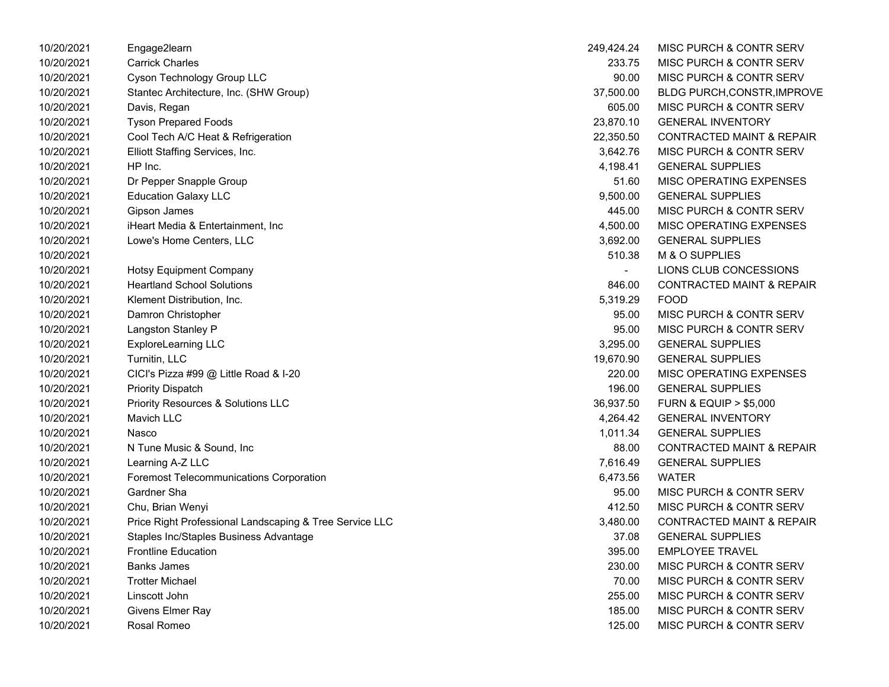| 10/20/2021 | Engage2learn                                            | 249,424.24     | MISC PURCH & CONTR SERV              |
|------------|---------------------------------------------------------|----------------|--------------------------------------|
| 10/20/2021 | <b>Carrick Charles</b>                                  | 233.75         | MISC PURCH & CONTR SERV              |
| 10/20/2021 | Cyson Technology Group LLC                              | 90.00          | <b>MISC PURCH &amp; CONTR SERV</b>   |
| 10/20/2021 | Stantec Architecture, Inc. (SHW Group)                  | 37,500.00      | <b>BLDG PURCH, CONSTR, IMPROVE</b>   |
| 10/20/2021 | Davis, Regan                                            | 605.00         | MISC PURCH & CONTR SERV              |
| 10/20/2021 | <b>Tyson Prepared Foods</b>                             | 23,870.10      | <b>GENERAL INVENTORY</b>             |
| 10/20/2021 | Cool Tech A/C Heat & Refrigeration                      | 22,350.50      | <b>CONTRACTED MAINT &amp; REPAIR</b> |
| 10/20/2021 | Elliott Staffing Services, Inc.                         | 3,642.76       | MISC PURCH & CONTR SERV              |
| 10/20/2021 | HP Inc.                                                 | 4,198.41       | <b>GENERAL SUPPLIES</b>              |
| 10/20/2021 | Dr Pepper Snapple Group                                 | 51.60          | MISC OPERATING EXPENSES              |
| 10/20/2021 | <b>Education Galaxy LLC</b>                             | 9,500.00       | <b>GENERAL SUPPLIES</b>              |
| 10/20/2021 | Gipson James                                            | 445.00         | MISC PURCH & CONTR SERV              |
| 10/20/2021 | iHeart Media & Entertainment, Inc                       | 4,500.00       | MISC OPERATING EXPENSES              |
| 10/20/2021 | Lowe's Home Centers, LLC                                | 3,692.00       | <b>GENERAL SUPPLIES</b>              |
| 10/20/2021 |                                                         | 510.38         | M & O SUPPLIES                       |
| 10/20/2021 | Hotsy Equipment Company                                 | $\overline{a}$ | LIONS CLUB CONCESSIONS               |
| 10/20/2021 | <b>Heartland School Solutions</b>                       | 846.00         | <b>CONTRACTED MAINT &amp; REPAIR</b> |
| 10/20/2021 | Klement Distribution, Inc.                              | 5,319.29       | <b>FOOD</b>                          |
| 10/20/2021 | Damron Christopher                                      | 95.00          | MISC PURCH & CONTR SERV              |
| 10/20/2021 | Langston Stanley P                                      | 95.00          | MISC PURCH & CONTR SERV              |
| 10/20/2021 | ExploreLearning LLC                                     | 3,295.00       | <b>GENERAL SUPPLIES</b>              |
| 10/20/2021 | Turnitin, LLC                                           | 19,670.90      | <b>GENERAL SUPPLIES</b>              |
| 10/20/2021 | CICI's Pizza #99 @ Little Road & I-20                   | 220.00         | MISC OPERATING EXPENSES              |
| 10/20/2021 | <b>Priority Dispatch</b>                                | 196.00         | <b>GENERAL SUPPLIES</b>              |
| 10/20/2021 | <b>Priority Resources &amp; Solutions LLC</b>           | 36,937.50      | <b>FURN &amp; EQUIP &gt; \$5,000</b> |
| 10/20/2021 | <b>Mavich LLC</b>                                       | 4,264.42       | <b>GENERAL INVENTORY</b>             |
| 10/20/2021 | Nasco                                                   | 1,011.34       | <b>GENERAL SUPPLIES</b>              |
| 10/20/2021 | N Tune Music & Sound, Inc                               | 88.00          | <b>CONTRACTED MAINT &amp; REPAIR</b> |
| 10/20/2021 | Learning A-Z LLC                                        | 7,616.49       | <b>GENERAL SUPPLIES</b>              |
| 10/20/2021 | <b>Foremost Telecommunications Corporation</b>          | 6,473.56       | <b>WATER</b>                         |
| 10/20/2021 | Gardner Sha                                             | 95.00          | <b>MISC PURCH &amp; CONTR SERV</b>   |
| 10/20/2021 | Chu, Brian Wenyi                                        | 412.50         | MISC PURCH & CONTR SERV              |
| 10/20/2021 | Price Right Professional Landscaping & Tree Service LLC | 3,480.00       | <b>CONTRACTED MAINT &amp; REPAIR</b> |
| 10/20/2021 | Staples Inc/Staples Business Advantage                  | 37.08          | <b>GENERAL SUPPLIES</b>              |
| 10/20/2021 | <b>Frontline Education</b>                              | 395.00         | <b>EMPLOYEE TRAVEL</b>               |
| 10/20/2021 | <b>Banks James</b>                                      | 230.00         | <b>MISC PURCH &amp; CONTR SERV</b>   |
| 10/20/2021 | <b>Trotter Michael</b>                                  | 70.00          | MISC PURCH & CONTR SERV              |
| 10/20/2021 | Linscott John                                           | 255.00         | MISC PURCH & CONTR SERV              |
| 10/20/2021 | Givens Elmer Ray                                        | 185.00         | MISC PURCH & CONTR SERV              |
| 10/20/2021 | Rosal Romeo                                             | 125.00         | MISC PURCH & CONTR SERV              |

| 249,424.24 | MISC PURCH & CONTR SERV              |
|------------|--------------------------------------|
| 233.75     | MISC PURCH & CONTR SERV              |
| 90.00      | MISC PURCH & CONTR SERV              |
| 37,500.00  | <b>BLDG PURCH,CONSTR,IMPROVE</b>     |
| 605.00     | <b>MISC PURCH &amp; CONTR SERV</b>   |
| 23,870.10  | <b>GENERAL INVENTORY</b>             |
| 22,350.50  | <b>CONTRACTED MAINT &amp; REPAIR</b> |
| 3,642.76   | <b>MISC PURCH &amp; CONTR SERV</b>   |
| 4,198.41   | <b>GENERAL SUPPLIES</b>              |
| 51.60      | <b>MISC OPERATING EXPENSES</b>       |
| 9,500.00   | <b>GENERAL SUPPLIES</b>              |
| 445.00     | <b>MISC PURCH &amp; CONTR SERV</b>   |
| 4,500.00   | <b>MISC OPERATING EXPENSES</b>       |
| 3,692.00   | <b>GENERAL SUPPLIES</b>              |
| 510.38     | <b>M &amp; O SUPPLIES</b>            |
|            | LIONS CLUB CONCESSIONS               |
| 846.00     | <b>CONTRACTED MAINT &amp; REPAIR</b> |
| 5,319.29   | <b>FOOD</b>                          |
| 95.00      | <b>MISC PURCH &amp; CONTR SERV</b>   |
| 95.00      | <b>MISC PURCH &amp; CONTR SERV</b>   |
| 3,295.00   | <b>GENERAL SUPPLIES</b>              |
| 19,670.90  | <b>GENERAL SUPPLIES</b>              |
| 220.00     | <b>MISC OPERATING EXPENSES</b>       |
| 196.00     | <b>GENERAL SUPPLIES</b>              |
| 36,937.50  | <b>FURN &amp; EQUIP &gt; \$5,000</b> |
| 4,264.42   | <b>GENERAL INVENTORY</b>             |
| 1,011.34   | <b>GENERAL SUPPLIES</b>              |
| 88.00      | <b>CONTRACTED MAINT &amp; REPAIR</b> |
| 7,616.49   | <b>GENERAL SUPPLIES</b>              |
| 6,473.56   | WATER                                |
| 95.00      | <b>MISC PURCH &amp; CONTR SERV</b>   |
| 412.50     | MISC PURCH & CONTR SERV              |
| 3,480.00   | <b>CONTRACTED MAINT &amp; REPAIR</b> |
| 37.08      | <b>GENERAL SUPPLIES</b>              |
| 395.00     | <b>EMPLOYEE TRAVEL</b>               |
| 230.00     | MISC PURCH & CONTR SERV              |
| 70.00      | <b>MISC PURCH &amp; CONTR SERV</b>   |
| 255.00     | MISC PURCH & CONTR SERV              |
| 185.00     | MISC PURCH & CONTR SERV              |
| 125.00     | MISC PURCH & CONTR SERV              |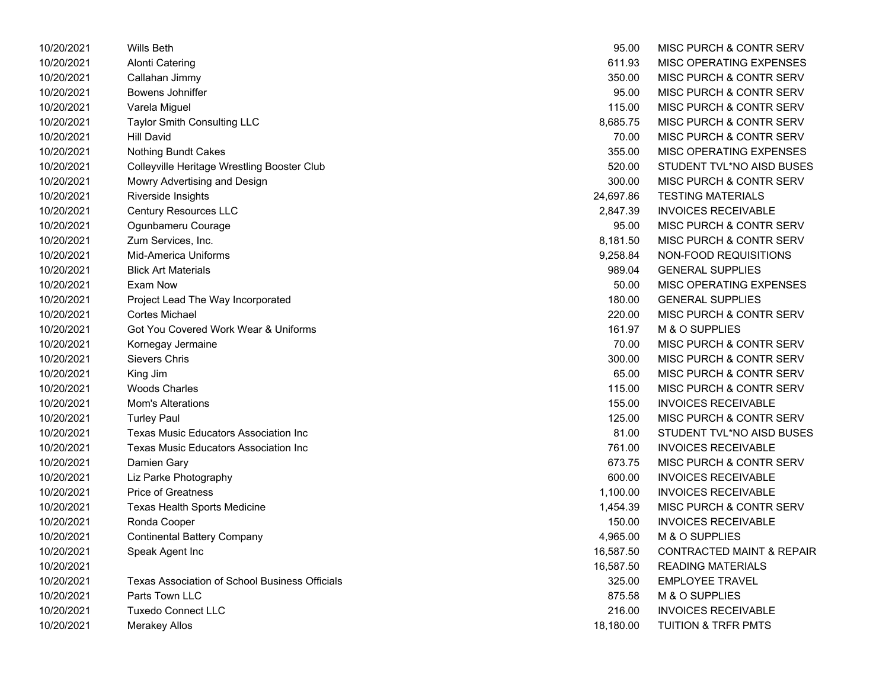| 10/20/2021 | <b>Wills Beth</b>                                     | 95.00     | MISC PURCH & CONTR SERV              |
|------------|-------------------------------------------------------|-----------|--------------------------------------|
| 10/20/2021 | <b>Alonti Catering</b>                                | 611.93    | MISC OPERATING EXPENSES              |
| 10/20/2021 | Callahan Jimmy                                        | 350.00    | MISC PURCH & CONTR SERV              |
| 10/20/2021 | Bowens Johniffer                                      | 95.00     | MISC PURCH & CONTR SERV              |
| 10/20/2021 | Varela Miguel                                         | 115.00    | MISC PURCH & CONTR SERV              |
| 10/20/2021 | Taylor Smith Consulting LLC                           | 8,685.75  | MISC PURCH & CONTR SERV              |
| 10/20/2021 | <b>Hill David</b>                                     | 70.00     | MISC PURCH & CONTR SERV              |
| 10/20/2021 | Nothing Bundt Cakes                                   | 355.00    | MISC OPERATING EXPENSES              |
| 10/20/2021 | Colleyville Heritage Wrestling Booster Club           | 520.00    | STUDENT TVL*NO AISD BUSES            |
| 10/20/2021 | Mowry Advertising and Design                          | 300.00    | MISC PURCH & CONTR SERV              |
| 10/20/2021 | Riverside Insights                                    | 24,697.86 | <b>TESTING MATERIALS</b>             |
| 10/20/2021 | <b>Century Resources LLC</b>                          | 2,847.39  | <b>INVOICES RECEIVABLE</b>           |
| 10/20/2021 | Ogunbameru Courage                                    | 95.00     | MISC PURCH & CONTR SERV              |
| 10/20/2021 | Zum Services, Inc.                                    | 8,181.50  | MISC PURCH & CONTR SERV              |
| 10/20/2021 | Mid-America Uniforms                                  | 9,258.84  | NON-FOOD REQUISITIONS                |
| 10/20/2021 | <b>Blick Art Materials</b>                            | 989.04    | <b>GENERAL SUPPLIES</b>              |
| 10/20/2021 | Exam Now                                              | 50.00     | MISC OPERATING EXPENSES              |
| 10/20/2021 | Project Lead The Way Incorporated                     | 180.00    | <b>GENERAL SUPPLIES</b>              |
| 10/20/2021 | <b>Cortes Michael</b>                                 | 220.00    | MISC PURCH & CONTR SERV              |
| 10/20/2021 | Got You Covered Work Wear & Uniforms                  | 161.97    | M & O SUPPLIES                       |
| 10/20/2021 | Kornegay Jermaine                                     | 70.00     | MISC PURCH & CONTR SERV              |
| 10/20/2021 | Sievers Chris                                         | 300.00    | MISC PURCH & CONTR SERV              |
| 10/20/2021 | King Jim                                              | 65.00     | MISC PURCH & CONTR SERV              |
| 10/20/2021 | <b>Woods Charles</b>                                  | 115.00    | <b>MISC PURCH &amp; CONTR SERV</b>   |
| 10/20/2021 | Mom's Alterations                                     | 155.00    | <b>INVOICES RECEIVABLE</b>           |
| 10/20/2021 | <b>Turley Paul</b>                                    | 125.00    | MISC PURCH & CONTR SERV              |
| 10/20/2021 | <b>Texas Music Educators Association Inc</b>          | 81.00     | STUDENT TVL*NO AISD BUSES            |
| 10/20/2021 | <b>Texas Music Educators Association Inc</b>          | 761.00    | <b>INVOICES RECEIVABLE</b>           |
| 10/20/2021 | Damien Gary                                           | 673.75    | MISC PURCH & CONTR SERV              |
| 10/20/2021 | Liz Parke Photography                                 | 600.00    | <b>INVOICES RECEIVABLE</b>           |
| 10/20/2021 | <b>Price of Greatness</b>                             | 1,100.00  | <b>INVOICES RECEIVABLE</b>           |
| 10/20/2021 | <b>Texas Health Sports Medicine</b>                   | 1,454.39  | MISC PURCH & CONTR SERV              |
| 10/20/2021 | Ronda Cooper                                          | 150.00    | <b>INVOICES RECEIVABLE</b>           |
| 10/20/2021 | <b>Continental Battery Company</b>                    | 4,965.00  | M & O SUPPLIES                       |
| 10/20/2021 | Speak Agent Inc                                       | 16,587.50 | <b>CONTRACTED MAINT &amp; REPAIR</b> |
| 10/20/2021 |                                                       | 16,587.50 | <b>READING MATERIALS</b>             |
| 10/20/2021 | <b>Texas Association of School Business Officials</b> | 325.00    | <b>EMPLOYEE TRAVEL</b>               |
| 10/20/2021 | Parts Town LLC                                        | 875.58    | M & O SUPPLIES                       |
| 10/20/2021 | <b>Tuxedo Connect LLC</b>                             | 216.00    | <b>INVOICES RECEIVABLE</b>           |
| 10/20/2021 | <b>Merakey Allos</b>                                  | 18,180.00 | TUITION & TRFR PMTS                  |

| 95.00     | <b>MISC PURCH &amp; CONTR SERV</b>   |
|-----------|--------------------------------------|
| 611.93    | <b>MISC OPERATING EXPENSES</b>       |
| 350.00    | <b>MISC PURCH &amp; CONTR SERV</b>   |
| 95.00     | <b>MISC PURCH &amp; CONTR SERV</b>   |
| 115.00    | <b>MISC PURCH &amp; CONTR SERV</b>   |
| 8,685.75  | MISC PURCH & CONTR SERV              |
| 70.00     | <b>MISC PURCH &amp; CONTR SERV</b>   |
| 355.00    | <b>MISC OPERATING EXPENSES</b>       |
| 520.00    | STUDENT TVL*NO AISD BUSES            |
| 300.00    | MISC PURCH & CONTR SERV              |
| 24,697.86 | <b>TESTING MATERIALS</b>             |
| 2,847.39  | <b>INVOICES RECEIVABLE</b>           |
| 95.00     | <b>MISC PURCH &amp; CONTR SERV</b>   |
| 8,181.50  | MISC PURCH & CONTR SERV              |
| 9,258.84  | NON-FOOD REQUISITIONS                |
| 989.04    | <b>GENERAL SUPPLIES</b>              |
| 50.00     | MISC OPERATING EXPENSES              |
| 180.00    | <b>GENERAL SUPPLIES</b>              |
| 220.00    | <b>MISC PURCH &amp; CONTR SERV</b>   |
| 161.97    | <b>M &amp; O SUPPLIES</b>            |
| 70.00     | <b>MISC PURCH &amp; CONTR SERV</b>   |
| 300.00    | MISC PURCH & CONTR SERV              |
| 65.00     | MISC PURCH & CONTR SERV              |
| 115.00    | <b>MISC PURCH &amp; CONTR SERV</b>   |
| 155.00    | <b>INVOICES RECEIVABLE</b>           |
| 125.00    | <b>MISC PURCH &amp; CONTR SERV</b>   |
| 81.00     | STUDENT TVL*NO AISD BUSES            |
| 761.00    | <b>INVOICES RECEIVABLE</b>           |
| 673.75    | <b>MISC PURCH &amp; CONTR SERV</b>   |
| 600.00    | <b>INVOICES RECEIVABLE</b>           |
| 1,100.00  | <b>INVOICES RECEIVABLE</b>           |
| 1,454.39  | MISC PURCH & CONTR SERV              |
| 150.00    | <b>INVOICES RECEIVABLE</b>           |
| 4,965.00  | M & O SUPPLIES                       |
| 16,587.50 | <b>CONTRACTED MAINT &amp; REPAIR</b> |
| 16,587.50 | <b>READING MATERIALS</b>             |
| 325.00    | <b>EMPLOYEE TRAVEL</b>               |
| 875.58    | M & O SUPPLIES                       |
| 216.00    | <b>INVOICES RECEIVABLE</b>           |
| 18,180.00 | <b>TUITION &amp; TRFR PMTS</b>       |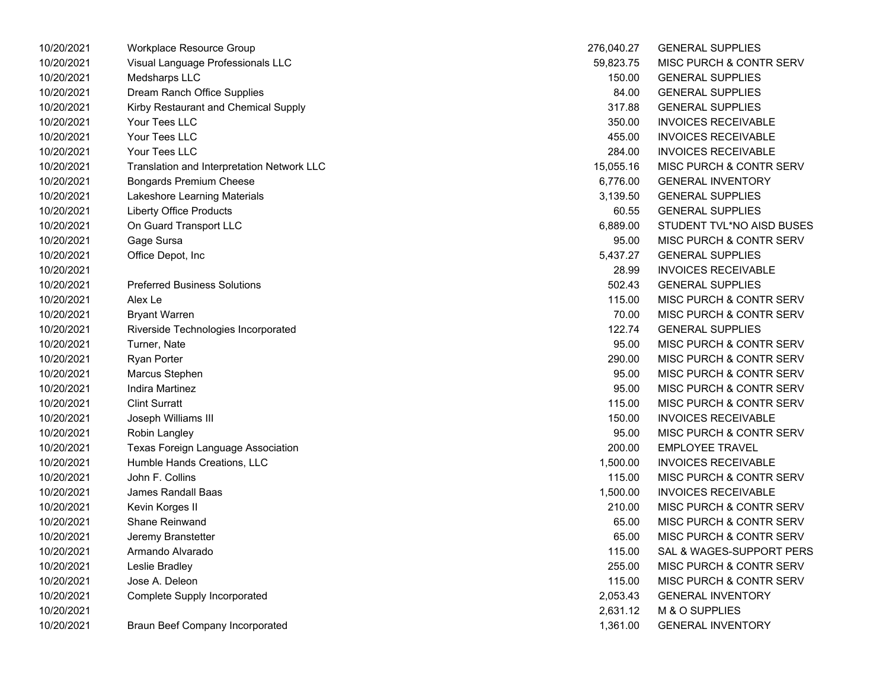| 10/20/2021 | Workplace Resource Group                   | 276,040.27 | <b>GENERAL SUPPLIES</b>            |
|------------|--------------------------------------------|------------|------------------------------------|
| 10/20/2021 | Visual Language Professionals LLC          | 59,823.75  | <b>MISC PURCH &amp; CONTR SERV</b> |
| 10/20/2021 | Medsharps LLC                              | 150.00     | <b>GENERAL SUPPLIES</b>            |
| 10/20/2021 | Dream Ranch Office Supplies                | 84.00      | <b>GENERAL SUPPLIES</b>            |
| 10/20/2021 | Kirby Restaurant and Chemical Supply       | 317.88     | <b>GENERAL SUPPLIES</b>            |
| 10/20/2021 | Your Tees LLC                              | 350.00     | <b>INVOICES RECEIVABLE</b>         |
| 10/20/2021 | Your Tees LLC                              | 455.00     | <b>INVOICES RECEIVABLE</b>         |
| 10/20/2021 | Your Tees LLC                              | 284.00     | <b>INVOICES RECEIVABLE</b>         |
| 10/20/2021 | Translation and Interpretation Network LLC | 15,055.16  | MISC PURCH & CONTR SERV            |
| 10/20/2021 | <b>Bongards Premium Cheese</b>             | 6,776.00   | <b>GENERAL INVENTORY</b>           |
| 10/20/2021 | Lakeshore Learning Materials               | 3,139.50   | <b>GENERAL SUPPLIES</b>            |
| 10/20/2021 | <b>Liberty Office Products</b>             | 60.55      | <b>GENERAL SUPPLIES</b>            |
| 10/20/2021 | On Guard Transport LLC                     | 6,889.00   | STUDENT TVL*NO AISD BUSES          |
| 10/20/2021 | Gage Sursa                                 | 95.00      | MISC PURCH & CONTR SERV            |
| 10/20/2021 | Office Depot, Inc                          | 5,437.27   | <b>GENERAL SUPPLIES</b>            |
| 10/20/2021 |                                            | 28.99      | <b>INVOICES RECEIVABLE</b>         |
| 10/20/2021 | <b>Preferred Business Solutions</b>        | 502.43     | <b>GENERAL SUPPLIES</b>            |
| 10/20/2021 | Alex Le                                    | 115.00     | <b>MISC PURCH &amp; CONTR SERV</b> |
| 10/20/2021 | <b>Bryant Warren</b>                       | 70.00      | MISC PURCH & CONTR SERV            |
| 10/20/2021 | Riverside Technologies Incorporated        | 122.74     | <b>GENERAL SUPPLIES</b>            |
| 10/20/2021 | Turner, Nate                               | 95.00      | MISC PURCH & CONTR SERV            |
| 10/20/2021 | <b>Ryan Porter</b>                         | 290.00     | MISC PURCH & CONTR SERV            |
| 10/20/2021 | Marcus Stephen                             | 95.00      | MISC PURCH & CONTR SERV            |
| 10/20/2021 | Indira Martinez                            | 95.00      | MISC PURCH & CONTR SERV            |
| 10/20/2021 | <b>Clint Surratt</b>                       | 115.00     | <b>MISC PURCH &amp; CONTR SERV</b> |
| 10/20/2021 | Joseph Williams III                        | 150.00     | <b>INVOICES RECEIVABLE</b>         |
| 10/20/2021 | Robin Langley                              | 95.00      | <b>MISC PURCH &amp; CONTR SERV</b> |
| 10/20/2021 | Texas Foreign Language Association         | 200.00     | <b>EMPLOYEE TRAVEL</b>             |
| 10/20/2021 | Humble Hands Creations, LLC                | 1,500.00   | <b>INVOICES RECEIVABLE</b>         |
| 10/20/2021 | John F. Collins                            | 115.00     | <b>MISC PURCH &amp; CONTR SERV</b> |
| 10/20/2021 | James Randall Baas                         | 1,500.00   | <b>INVOICES RECEIVABLE</b>         |
| 10/20/2021 | Kevin Korges II                            | 210.00     | MISC PURCH & CONTR SERV            |
| 10/20/2021 | Shane Reinwand                             | 65.00      | MISC PURCH & CONTR SERV            |
| 10/20/2021 | Jeremy Branstetter                         | 65.00      | MISC PURCH & CONTR SERV            |
| 10/20/2021 | Armando Alvarado                           | 115.00     | SAL & WAGES-SUPPORT PERS           |
| 10/20/2021 | Leslie Bradley                             | 255.00     | MISC PURCH & CONTR SERV            |
| 10/20/2021 | Jose A. Deleon                             | 115.00     | MISC PURCH & CONTR SERV            |
| 10/20/2021 | Complete Supply Incorporated               | 2,053.43   | <b>GENERAL INVENTORY</b>           |
| 10/20/2021 |                                            | 2,631.12   | M & O SUPPLIES                     |
| 10/20/2021 | <b>Braun Beef Company Incorporated</b>     | 1,361.00   | <b>GENERAL INVENTORY</b>           |

| 276,040.27 | <b>GENERAL SUPPLIES</b>            |
|------------|------------------------------------|
| 59,823.75  | <b>MISC PURCH &amp; CONTR SERV</b> |
| 150.00     | <b>GENERAL SUPPLIES</b>            |
| 84.00      | <b>GENERAL SUPPLIES</b>            |
| 317.88     | <b>GENERAL SUPPLIES</b>            |
| 350.00     | <b>INVOICES RECEIVABLE</b>         |
| 455.00     | <b>INVOICES RECEIVABLE</b>         |
| 284.00     | <b>INVOICES RECEIVABLE</b>         |
| 15,055.16  | <b>MISC PURCH &amp; CONTR SERV</b> |
| 6,776.00   | <b>GENERAL INVENTORY</b>           |
| 3,139.50   | <b>GENERAL SUPPLIES</b>            |
| 60.55      | <b>GENERAL SUPPLIES</b>            |
| 6,889.00   | STUDENT TVL*NO AISD BUSES          |
| 95.00      | MISC PURCH & CONTR SERV            |
| 5,437.27   | <b>GENERAL SUPPLIES</b>            |
| 28.99      | <b>INVOICES RECEIVABLE</b>         |
| 502.43     | <b>GENERAL SUPPLIES</b>            |
| 115.00     | <b>MISC PURCH &amp; CONTR SERV</b> |
| 70.00      | MISC PURCH & CONTR SERV            |
| 122.74     | <b>GENERAL SUPPLIES</b>            |
| 95.00      | MISC PURCH & CONTR SERV            |
| 290.00     | <b>MISC PURCH &amp; CONTR SERV</b> |
| 95.00      | <b>MISC PURCH &amp; CONTR SERV</b> |
| 95.00      | MISC PURCH & CONTR SERV            |
| 115.00     | <b>MISC PURCH &amp; CONTR SERV</b> |
| 150.00     | <b>INVOICES RECEIVABLE</b>         |
| 95.00      | <b>MISC PURCH &amp; CONTR SERV</b> |
| 200.00     | <b>EMPLOYEE TRAVEL</b>             |
| 1,500.00   | <b>INVOICES RECEIVABLE</b>         |
| 115.00     | <b>MISC PURCH &amp; CONTR SERV</b> |
| 1,500.00   | <b>INVOICES RECEIVABLE</b>         |
| 210.00     | MISC PURCH & CONTR SERV            |
| 65.00      | <b>MISC PURCH &amp; CONTR SERV</b> |
| 65.00      | <b>MISC PURCH &amp; CONTR SERV</b> |
| 115.00     | SAL & WAGES-SUPPORT PERS           |
| 255.00     | <b>MISC PURCH &amp; CONTR SERV</b> |
| 115.00     | MISC PURCH & CONTR SERV            |
| 2,053.43   | <b>GENERAL INVENTORY</b>           |
| 2,631.12   | M & O SUPPLIES                     |
| 1,361.00   | <b>GENERAL INVENTORY</b>           |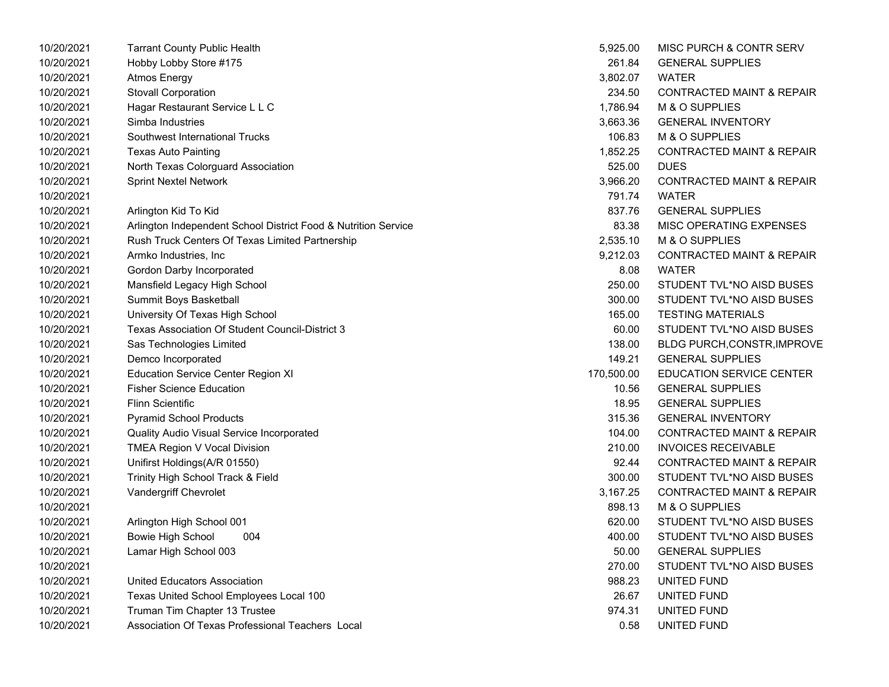| 10/20/2021 | <b>Tarrant County Public Health</b>                            | 5,925.00   | MISC PURCH & CONTR SERV              |
|------------|----------------------------------------------------------------|------------|--------------------------------------|
| 10/20/2021 | Hobby Lobby Store #175                                         | 261.84     | <b>GENERAL SUPPLIES</b>              |
| 10/20/2021 | <b>Atmos Energy</b>                                            | 3,802.07   | <b>WATER</b>                         |
| 10/20/2021 | Stovall Corporation                                            | 234.50     | <b>CONTRACTED MAINT &amp; REPAIR</b> |
| 10/20/2021 | Hagar Restaurant Service L L C                                 | 1,786.94   | M & O SUPPLIES                       |
| 10/20/2021 | Simba Industries                                               | 3,663.36   | <b>GENERAL INVENTORY</b>             |
| 10/20/2021 | Southwest International Trucks                                 | 106.83     | M & O SUPPLIES                       |
| 10/20/2021 | <b>Texas Auto Painting</b>                                     | 1,852.25   | <b>CONTRACTED MAINT &amp; REPAIR</b> |
| 10/20/2021 | North Texas Colorguard Association                             | 525.00     | <b>DUES</b>                          |
| 10/20/2021 | <b>Sprint Nextel Network</b>                                   | 3,966.20   | <b>CONTRACTED MAINT &amp; REPAIR</b> |
| 10/20/2021 |                                                                | 791.74     | <b>WATER</b>                         |
| 10/20/2021 | Arlington Kid To Kid                                           | 837.76     | <b>GENERAL SUPPLIES</b>              |
| 10/20/2021 | Arlington Independent School District Food & Nutrition Service | 83.38      | MISC OPERATING EXPENSES              |
| 10/20/2021 | Rush Truck Centers Of Texas Limited Partnership                | 2,535.10   | M & O SUPPLIES                       |
| 10/20/2021 | Armko Industries, Inc.                                         | 9,212.03   | <b>CONTRACTED MAINT &amp; REPAIR</b> |
| 10/20/2021 | Gordon Darby Incorporated                                      | 8.08       | <b>WATER</b>                         |
| 10/20/2021 | Mansfield Legacy High School                                   | 250.00     | STUDENT TVL*NO AISD BUSES            |
| 10/20/2021 | Summit Boys Basketball                                         | 300.00     | STUDENT TVL*NO AISD BUSES            |
| 10/20/2021 | University Of Texas High School                                | 165.00     | <b>TESTING MATERIALS</b>             |
| 10/20/2021 | Texas Association Of Student Council-District 3                | 60.00      | STUDENT TVL*NO AISD BUSES            |
| 10/20/2021 | Sas Technologies Limited                                       | 138.00     | <b>BLDG PURCH, CONSTR, IMPROVE</b>   |
| 10/20/2021 | Demco Incorporated                                             | 149.21     | <b>GENERAL SUPPLIES</b>              |
| 10/20/2021 | <b>Education Service Center Region XI</b>                      | 170,500.00 | <b>EDUCATION SERVICE CENTER</b>      |
| 10/20/2021 | <b>Fisher Science Education</b>                                | 10.56      | <b>GENERAL SUPPLIES</b>              |
| 10/20/2021 | <b>Flinn Scientific</b>                                        | 18.95      | <b>GENERAL SUPPLIES</b>              |
| 10/20/2021 | <b>Pyramid School Products</b>                                 | 315.36     | <b>GENERAL INVENTORY</b>             |
| 10/20/2021 | Quality Audio Visual Service Incorporated                      | 104.00     | <b>CONTRACTED MAINT &amp; REPAIR</b> |
| 10/20/2021 | TMEA Region V Vocal Division                                   | 210.00     | <b>INVOICES RECEIVABLE</b>           |
| 10/20/2021 | Unifirst Holdings(A/R 01550)                                   | 92.44      | <b>CONTRACTED MAINT &amp; REPAIR</b> |
| 10/20/2021 | Trinity High School Track & Field                              | 300.00     | STUDENT TVL*NO AISD BUSES            |
| 10/20/2021 | Vandergriff Chevrolet                                          | 3,167.25   | <b>CONTRACTED MAINT &amp; REPAIR</b> |
| 10/20/2021 |                                                                | 898.13     | M & O SUPPLIES                       |
| 10/20/2021 | Arlington High School 001                                      | 620.00     | STUDENT TVL*NO AISD BUSES            |
| 10/20/2021 | 004<br><b>Bowie High School</b>                                | 400.00     | STUDENT TVL*NO AISD BUSES            |
| 10/20/2021 | Lamar High School 003                                          | 50.00      | <b>GENERAL SUPPLIES</b>              |
| 10/20/2021 |                                                                | 270.00     | STUDENT TVL*NO AISD BUSES            |
| 10/20/2021 | United Educators Association                                   | 988.23     | UNITED FUND                          |
| 10/20/2021 | Texas United School Employees Local 100                        | 26.67      | UNITED FUND                          |
| 10/20/2021 | Truman Tim Chapter 13 Trustee                                  | 974.31     | UNITED FUND                          |
| 10/20/2021 | Association Of Texas Professional Teachers Local               | 0.58       | UNITED FUND                          |

| 5,925.00  | <b>MISC PURCH &amp; CONTR SERV</b>   |
|-----------|--------------------------------------|
| 261.84    | <b>GENERAL SUPPLIES</b>              |
| 3,802.07  | WATER                                |
| 234.50    | <b>CONTRACTED MAINT &amp; REPAIR</b> |
| 1,786.94  | M & O SUPPLIES                       |
| 3,663.36  | <b>GENERAL INVENTORY</b>             |
| 106.83    | <b>M &amp; O SUPPLIES</b>            |
| 1,852.25  | <b>CONTRACTED MAINT &amp; REPAIR</b> |
| 525.00    | <b>DUES</b>                          |
| 3,966.20  | <b>CONTRACTED MAINT &amp; REPAIR</b> |
| 791.74    | WATER                                |
| 837.76    | <b>GENERAL SUPPLIES</b>              |
| 83.38     | <b>MISC OPERATING EXPENSES</b>       |
| 2,535.10  | M & O SUPPLIES                       |
| 9,212.03  | <b>CONTRACTED MAINT &amp; REPAIR</b> |
| 8.08      | <b>WATER</b>                         |
| 250.00    | STUDENT TVL*NO AISD BUSES            |
| 300.00    | STUDENT TVL*NO AISD BUSES            |
| 165.00    | <b>TESTING MATERIALS</b>             |
| 60.00     | STUDENT TVL*NO AISD BUSES            |
| 138.00    | <b>BLDG PURCH, CONSTR, IMPROVE</b>   |
| 149.21    | <b>GENERAL SUPPLIES</b>              |
| 70,500.00 | <b>EDUCATION SERVICE CENTER</b>      |
| 10.56     | <b>GENERAL SUPPLIES</b>              |
| 18.95     | <b>GENERAL SUPPLIES</b>              |
| 315.36    | <b>GENERAL INVENTORY</b>             |
| 104.00    | <b>CONTRACTED MAINT &amp; REPAIR</b> |
| 210.00    | <b>INVOICES RECEIVABLE</b>           |
| 92.44     | <b>CONTRACTED MAINT &amp; REPAIR</b> |
| 300.00    | STUDENT TVL*NO AISD BUSES            |
| 3,167.25  | <b>CONTRACTED MAINT &amp; REPAIR</b> |
| 898.13    | M & O SUPPLIES                       |
| 620.00    | STUDENT TVL*NO AISD BUSES            |
| 400.00    | STUDENT TVL*NO AISD BUSES            |
| 50.00     | <b>GENERAL SUPPLIES</b>              |
| 270.00    | STUDENT TVL*NO AISD BUSES            |
| 988.23    | UNITED FUND                          |
| 26.67     | UNITED FUND                          |
| 974.31    | UNITED FUND                          |
| 0.58      | UNITED FUND                          |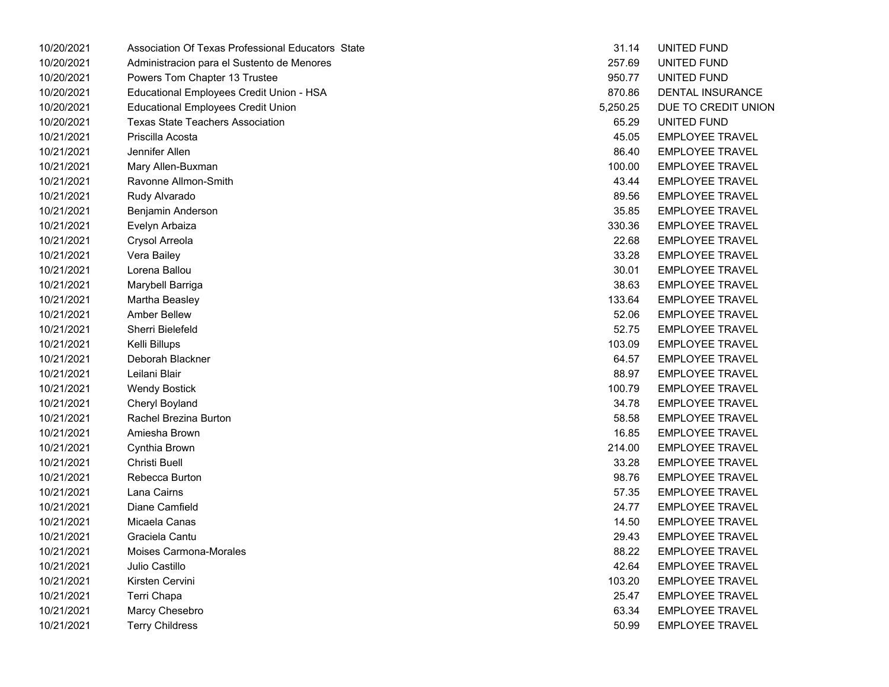| 10/20/2021 | Association Of Texas Professional Educators State | 31.14    | UNITED FUND            |
|------------|---------------------------------------------------|----------|------------------------|
| 10/20/2021 | Administracion para el Sustento de Menores        | 257.69   | UNITED FUND            |
| 10/20/2021 | Powers Tom Chapter 13 Trustee                     | 950.77   | UNITED FUND            |
| 10/20/2021 | Educational Employees Credit Union - HSA          | 870.86   | DENTAL INSURANCE       |
| 10/20/2021 | <b>Educational Employees Credit Union</b>         | 5,250.25 | DUE TO CREDIT UNION    |
| 10/20/2021 | <b>Texas State Teachers Association</b>           | 65.29    | UNITED FUND            |
| 10/21/2021 | Priscilla Acosta                                  | 45.05    | <b>EMPLOYEE TRAVEL</b> |
| 10/21/2021 | Jennifer Allen                                    | 86.40    | <b>EMPLOYEE TRAVEL</b> |
| 10/21/2021 | Mary Allen-Buxman                                 | 100.00   | <b>EMPLOYEE TRAVEL</b> |
| 10/21/2021 | Ravonne Allmon-Smith                              | 43.44    | <b>EMPLOYEE TRAVEL</b> |
| 10/21/2021 | Rudy Alvarado                                     | 89.56    | <b>EMPLOYEE TRAVEL</b> |
| 10/21/2021 | Benjamin Anderson                                 | 35.85    | <b>EMPLOYEE TRAVEL</b> |
| 10/21/2021 | Evelyn Arbaiza                                    | 330.36   | <b>EMPLOYEE TRAVEL</b> |
| 10/21/2021 | Crysol Arreola                                    | 22.68    | <b>EMPLOYEE TRAVEL</b> |
| 10/21/2021 | Vera Bailey                                       | 33.28    | <b>EMPLOYEE TRAVEL</b> |
| 10/21/2021 | Lorena Ballou                                     | 30.01    | <b>EMPLOYEE TRAVEL</b> |
| 10/21/2021 | Marybell Barriga                                  | 38.63    | <b>EMPLOYEE TRAVEL</b> |
| 10/21/2021 | Martha Beasley                                    | 133.64   | <b>EMPLOYEE TRAVEL</b> |
| 10/21/2021 | <b>Amber Bellew</b>                               | 52.06    | <b>EMPLOYEE TRAVEL</b> |
| 10/21/2021 | Sherri Bielefeld                                  | 52.75    | <b>EMPLOYEE TRAVEL</b> |
| 10/21/2021 | Kelli Billups                                     | 103.09   | <b>EMPLOYEE TRAVEL</b> |
| 10/21/2021 | Deborah Blackner                                  | 64.57    | <b>EMPLOYEE TRAVEL</b> |
| 10/21/2021 | Leilani Blair                                     | 88.97    | <b>EMPLOYEE TRAVEL</b> |
| 10/21/2021 | <b>Wendy Bostick</b>                              | 100.79   | <b>EMPLOYEE TRAVEL</b> |
| 10/21/2021 | Cheryl Boyland                                    | 34.78    | <b>EMPLOYEE TRAVEL</b> |
| 10/21/2021 | Rachel Brezina Burton                             | 58.58    | <b>EMPLOYEE TRAVEL</b> |
| 10/21/2021 | Amiesha Brown                                     | 16.85    | <b>EMPLOYEE TRAVEL</b> |
| 10/21/2021 | Cynthia Brown                                     | 214.00   | <b>EMPLOYEE TRAVEL</b> |
| 10/21/2021 | Christi Buell                                     | 33.28    | <b>EMPLOYEE TRAVEL</b> |
| 10/21/2021 | Rebecca Burton                                    | 98.76    | <b>EMPLOYEE TRAVEL</b> |
| 10/21/2021 | Lana Cairns                                       | 57.35    | <b>EMPLOYEE TRAVEL</b> |
| 10/21/2021 | Diane Camfield                                    | 24.77    | <b>EMPLOYEE TRAVEL</b> |
| 10/21/2021 | Micaela Canas                                     | 14.50    | <b>EMPLOYEE TRAVEL</b> |
| 10/21/2021 | Graciela Cantu                                    | 29.43    | <b>EMPLOYEE TRAVEL</b> |
| 10/21/2021 | Moises Carmona-Morales                            | 88.22    | <b>EMPLOYEE TRAVEL</b> |
| 10/21/2021 | Julio Castillo                                    | 42.64    | <b>EMPLOYEE TRAVEL</b> |
| 10/21/2021 | Kirsten Cervini                                   | 103.20   | <b>EMPLOYEE TRAVEL</b> |
| 10/21/2021 | Terri Chapa                                       | 25.47    | <b>EMPLOYEE TRAVEL</b> |
| 10/21/2021 | Marcy Chesebro                                    | 63.34    | <b>EMPLOYEE TRAVEL</b> |
| 10/21/2021 | <b>Terry Childress</b>                            | 50.99    | <b>EMPLOYEE TRAVEL</b> |
|            |                                                   |          |                        |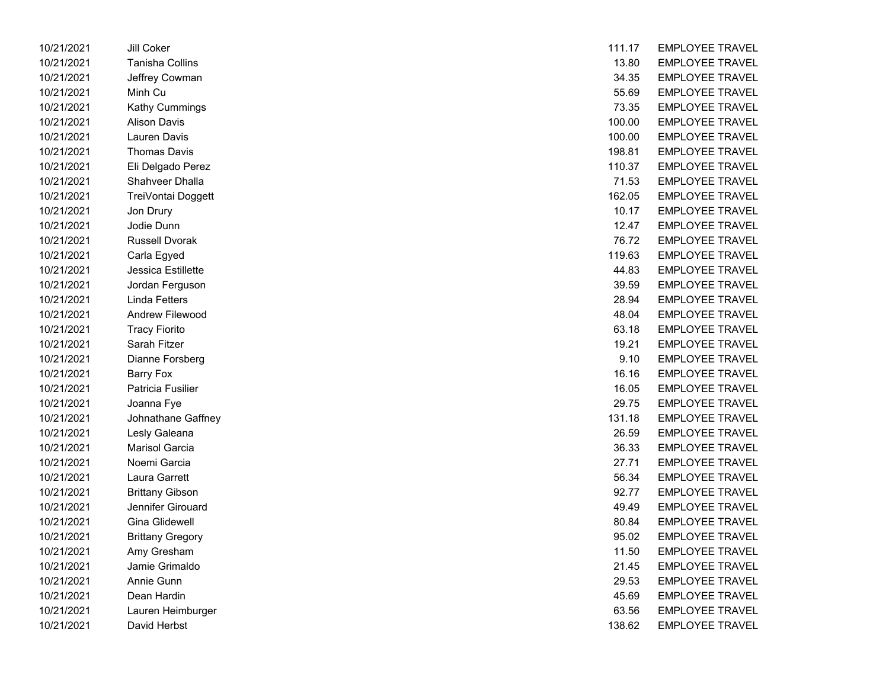| 10/21/2021 | JIII COKEI              | 111.17 | EMPLOYEE IRAVEL        |
|------------|-------------------------|--------|------------------------|
| 10/21/2021 | <b>Tanisha Collins</b>  | 13.80  | <b>EMPLOYEE TRAVEL</b> |
| 10/21/2021 | Jeffrey Cowman          | 34.35  | <b>EMPLOYEE TRAVEL</b> |
| 10/21/2021 | Minh Cu                 | 55.69  | <b>EMPLOYEE TRAVEL</b> |
| 10/21/2021 | Kathy Cummings          | 73.35  | <b>EMPLOYEE TRAVEL</b> |
| 10/21/2021 | <b>Alison Davis</b>     | 100.00 | <b>EMPLOYEE TRAVEL</b> |
| 10/21/2021 | <b>Lauren Davis</b>     | 100.00 | <b>EMPLOYEE TRAVEL</b> |
| 10/21/2021 | <b>Thomas Davis</b>     | 198.81 | <b>EMPLOYEE TRAVEL</b> |
| 10/21/2021 | Eli Delgado Perez       | 110.37 | <b>EMPLOYEE TRAVEL</b> |
| 10/21/2021 | Shahveer Dhalla         | 71.53  | <b>EMPLOYEE TRAVEL</b> |
| 10/21/2021 | TreiVontai Doggett      | 162.05 | <b>EMPLOYEE TRAVEL</b> |
| 10/21/2021 | Jon Drury               | 10.17  | <b>EMPLOYEE TRAVEL</b> |
| 10/21/2021 | Jodie Dunn              | 12.47  | <b>EMPLOYEE TRAVEL</b> |
| 10/21/2021 | <b>Russell Dvorak</b>   | 76.72  | <b>EMPLOYEE TRAVEL</b> |
| 10/21/2021 | Carla Egyed             | 119.63 | <b>EMPLOYEE TRAVEL</b> |
| 10/21/2021 | Jessica Estillette      | 44.83  | <b>EMPLOYEE TRAVEL</b> |
| 10/21/2021 | Jordan Ferguson         | 39.59  | <b>EMPLOYEE TRAVEL</b> |
| 10/21/2021 | Linda Fetters           | 28.94  | <b>EMPLOYEE TRAVEL</b> |
| 10/21/2021 | <b>Andrew Filewood</b>  | 48.04  | <b>EMPLOYEE TRAVEL</b> |
| 10/21/2021 | <b>Tracy Fiorito</b>    | 63.18  | <b>EMPLOYEE TRAVEL</b> |
| 10/21/2021 | Sarah Fitzer            | 19.21  | <b>EMPLOYEE TRAVEL</b> |
| 10/21/2021 | Dianne Forsberg         | 9.10   | <b>EMPLOYEE TRAVEL</b> |
| 10/21/2021 | <b>Barry Fox</b>        | 16.16  | <b>EMPLOYEE TRAVEL</b> |
| 10/21/2021 | Patricia Fusilier       | 16.05  | <b>EMPLOYEE TRAVEL</b> |
| 10/21/2021 | Joanna Fye              | 29.75  | <b>EMPLOYEE TRAVEL</b> |
| 10/21/2021 | Johnathane Gaffney      | 131.18 | <b>EMPLOYEE TRAVEL</b> |
| 10/21/2021 | Lesly Galeana           | 26.59  | <b>EMPLOYEE TRAVEL</b> |
| 10/21/2021 | <b>Marisol Garcia</b>   | 36.33  | <b>EMPLOYEE TRAVEL</b> |
| 10/21/2021 | Noemi Garcia            | 27.71  | <b>EMPLOYEE TRAVEL</b> |
| 10/21/2021 | Laura Garrett           | 56.34  | <b>EMPLOYEE TRAVEL</b> |
| 10/21/2021 | <b>Brittany Gibson</b>  | 92.77  | <b>EMPLOYEE TRAVEL</b> |
| 10/21/2021 | Jennifer Girouard       | 49.49  | <b>EMPLOYEE TRAVEL</b> |
| 10/21/2021 | Gina Glidewell          | 80.84  | <b>EMPLOYEE TRAVEL</b> |
| 10/21/2021 | <b>Brittany Gregory</b> | 95.02  | <b>EMPLOYEE TRAVEL</b> |
| 10/21/2021 | Amy Gresham             | 11.50  | <b>EMPLOYEE TRAVEL</b> |
| 10/21/2021 | Jamie Grimaldo          | 21.45  | <b>EMPLOYEE TRAVEL</b> |
| 10/21/2021 | Annie Gunn              | 29.53  | <b>EMPLOYEE TRAVEL</b> |
| 10/21/2021 | Dean Hardin             | 45.69  | <b>EMPLOYEE TRAVEL</b> |
| 10/21/2021 | Lauren Heimburger       | 63.56  | <b>EMPLOYEE TRAVEL</b> |
| 10/21/2021 | David Herbst            | 138.62 | <b>EMPLOYEE TRAVEL</b> |

| 10/21/2021 | Jill Coker              | 111.17 | <b>EMPLOYEE TRAVEL</b> |
|------------|-------------------------|--------|------------------------|
| 10/21/2021 | Tanisha Collins         | 13.80  | <b>EMPLOYEE TRAVEL</b> |
| 10/21/2021 | Jeffrey Cowman          | 34.35  | <b>EMPLOYEE TRAVEL</b> |
| 10/21/2021 | Minh Cu                 | 55.69  | <b>EMPLOYEE TRAVEL</b> |
| 10/21/2021 | Kathy Cummings          | 73.35  | <b>EMPLOYEE TRAVEL</b> |
| 10/21/2021 | <b>Alison Davis</b>     | 100.00 | <b>EMPLOYEE TRAVEL</b> |
| 10/21/2021 | Lauren Davis            | 100.00 | <b>EMPLOYEE TRAVEL</b> |
| 10/21/2021 | <b>Thomas Davis</b>     | 198.81 | <b>EMPLOYEE TRAVEL</b> |
| 10/21/2021 | Eli Delgado Perez       | 110.37 | <b>EMPLOYEE TRAVEL</b> |
| 10/21/2021 | Shahveer Dhalla         | 71.53  | <b>EMPLOYEE TRAVEL</b> |
| 10/21/2021 | TreiVontai Doggett      | 162.05 | <b>EMPLOYEE TRAVEL</b> |
| 10/21/2021 | Jon Drury               | 10.17  | <b>EMPLOYEE TRAVEL</b> |
| 10/21/2021 | Jodie Dunn              | 12.47  | <b>EMPLOYEE TRAVEL</b> |
| 10/21/2021 | <b>Russell Dvorak</b>   | 76.72  | <b>EMPLOYEE TRAVEL</b> |
| 10/21/2021 | Carla Egyed             | 119.63 | <b>EMPLOYEE TRAVEL</b> |
| 10/21/2021 | Jessica Estillette      | 44.83  | <b>EMPLOYEE TRAVEL</b> |
| 10/21/2021 | Jordan Ferguson         | 39.59  | <b>EMPLOYEE TRAVEL</b> |
| 10/21/2021 | Linda Fetters           | 28.94  | <b>EMPLOYEE TRAVEL</b> |
| 10/21/2021 | Andrew Filewood         | 48.04  | <b>EMPLOYEE TRAVEL</b> |
| 10/21/2021 | <b>Tracy Fiorito</b>    | 63.18  | <b>EMPLOYEE TRAVEL</b> |
| 10/21/2021 | Sarah Fitzer            | 19.21  | <b>EMPLOYEE TRAVEL</b> |
| 10/21/2021 | Dianne Forsberg         | 9.10   | <b>EMPLOYEE TRAVEL</b> |
| 10/21/2021 | <b>Barry Fox</b>        | 16.16  | <b>EMPLOYEE TRAVEL</b> |
| 10/21/2021 | Patricia Fusilier       | 16.05  | <b>EMPLOYEE TRAVEL</b> |
| 10/21/2021 | Joanna Fye              | 29.75  | <b>EMPLOYEE TRAVEL</b> |
| 10/21/2021 | Johnathane Gaffney      | 131.18 | <b>EMPLOYEE TRAVEL</b> |
| 10/21/2021 | Lesly Galeana           | 26.59  | <b>EMPLOYEE TRAVEL</b> |
| 10/21/2021 | Marisol Garcia          | 36.33  | <b>EMPLOYEE TRAVEL</b> |
| 10/21/2021 | Noemi Garcia            | 27.71  | <b>EMPLOYEE TRAVEL</b> |
| 10/21/2021 | Laura Garrett           | 56.34  | <b>EMPLOYEE TRAVEL</b> |
| 10/21/2021 | <b>Brittany Gibson</b>  | 92.77  | <b>EMPLOYEE TRAVEL</b> |
| 10/21/2021 | Jennifer Girouard       | 49.49  | <b>EMPLOYEE TRAVEL</b> |
| 10/21/2021 | Gina Glidewell          | 80.84  | <b>EMPLOYEE TRAVEL</b> |
| 10/21/2021 | <b>Brittany Gregory</b> | 95.02  | <b>EMPLOYEE TRAVEL</b> |
| 10/21/2021 | Amy Gresham             | 11.50  | <b>EMPLOYEE TRAVEL</b> |
| 10/21/2021 | Jamie Grimaldo          | 21.45  | <b>EMPLOYEE TRAVEL</b> |
| 10/21/2021 | Annie Gunn              | 29.53  | <b>EMPLOYEE TRAVEL</b> |
| 10/21/2021 | Dean Hardin             | 45.69  | <b>EMPLOYEE TRAVEL</b> |
| 10/21/2021 | Lauren Heimburger       | 63.56  | <b>EMPLOYEE TRAVEL</b> |
| 10/21/2021 | David Herbst            | 138.62 | <b>EMPLOYEE TRAVEL</b> |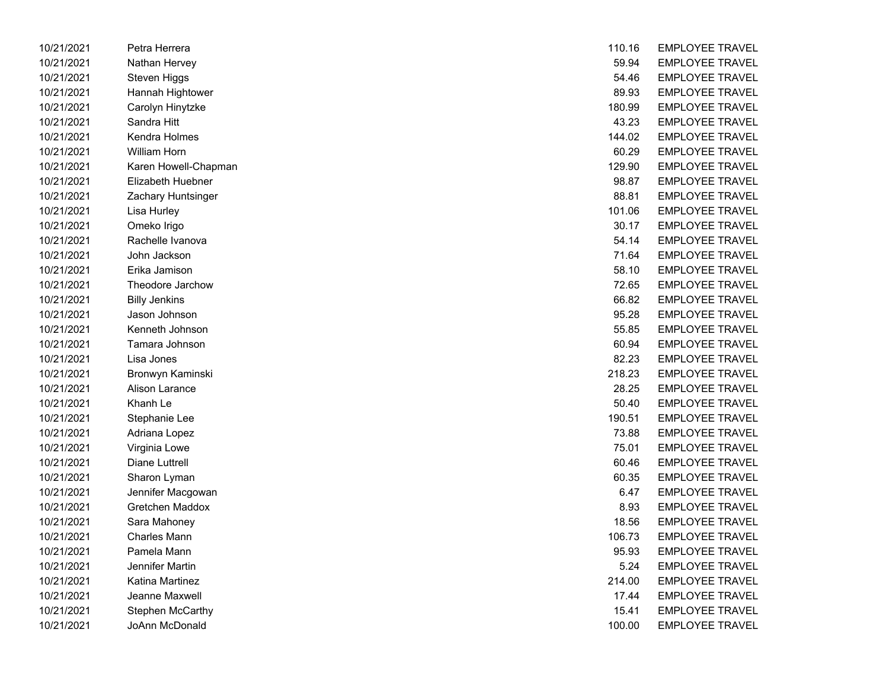| 10/21/2021 | Petra Herrera        | 110.16 | EMPLOYEE IRAVEL        |
|------------|----------------------|--------|------------------------|
| 10/21/2021 | Nathan Hervey        | 59.94  | <b>EMPLOYEE TRAVEL</b> |
| 10/21/2021 | Steven Higgs         | 54.46  | <b>EMPLOYEE TRAVEL</b> |
| 10/21/2021 | Hannah Hightower     | 89.93  | <b>EMPLOYEE TRAVEL</b> |
| 10/21/2021 | Carolyn Hinytzke     | 180.99 | <b>EMPLOYEE TRAVEL</b> |
| 10/21/2021 | Sandra Hitt          | 43.23  | <b>EMPLOYEE TRAVEL</b> |
| 10/21/2021 | Kendra Holmes        | 144.02 | <b>EMPLOYEE TRAVEL</b> |
| 10/21/2021 | William Horn         | 60.29  | <b>EMPLOYEE TRAVEL</b> |
| 10/21/2021 | Karen Howell-Chapman | 129.90 | <b>EMPLOYEE TRAVEL</b> |
| 10/21/2021 | Elizabeth Huebner    | 98.87  | <b>EMPLOYEE TRAVEL</b> |
| 10/21/2021 | Zachary Huntsinger   | 88.81  | <b>EMPLOYEE TRAVEL</b> |
| 10/21/2021 | Lisa Hurley          | 101.06 | <b>EMPLOYEE TRAVEL</b> |
| 10/21/2021 | Omeko Irigo          | 30.17  | <b>EMPLOYEE TRAVEL</b> |
| 10/21/2021 | Rachelle Ivanova     | 54.14  | <b>EMPLOYEE TRAVEL</b> |
| 10/21/2021 | John Jackson         | 71.64  | <b>EMPLOYEE TRAVEL</b> |
| 10/21/2021 | Erika Jamison        | 58.10  | <b>EMPLOYEE TRAVEL</b> |
| 10/21/2021 | Theodore Jarchow     | 72.65  | <b>EMPLOYEE TRAVEL</b> |
| 10/21/2021 | <b>Billy Jenkins</b> | 66.82  | <b>EMPLOYEE TRAVEL</b> |
| 10/21/2021 | Jason Johnson        | 95.28  | <b>EMPLOYEE TRAVEL</b> |
| 10/21/2021 | Kenneth Johnson      | 55.85  | <b>EMPLOYEE TRAVEL</b> |
| 10/21/2021 | Tamara Johnson       | 60.94  | <b>EMPLOYEE TRAVEL</b> |
| 10/21/2021 | Lisa Jones           | 82.23  | <b>EMPLOYEE TRAVEL</b> |
| 10/21/2021 | Bronwyn Kaminski     | 218.23 | <b>EMPLOYEE TRAVEL</b> |
| 10/21/2021 | Alison Larance       | 28.25  | <b>EMPLOYEE TRAVEL</b> |
| 10/21/2021 | Khanh Le             | 50.40  | <b>EMPLOYEE TRAVEL</b> |
| 10/21/2021 | Stephanie Lee        | 190.51 | <b>EMPLOYEE TRAVEL</b> |
| 10/21/2021 | Adriana Lopez        | 73.88  | <b>EMPLOYEE TRAVEL</b> |
| 10/21/2021 | Virginia Lowe        | 75.01  | <b>EMPLOYEE TRAVEL</b> |
| 10/21/2021 | Diane Luttrell       | 60.46  | <b>EMPLOYEE TRAVEL</b> |
| 10/21/2021 | Sharon Lyman         | 60.35  | <b>EMPLOYEE TRAVEL</b> |
| 10/21/2021 | Jennifer Macgowan    | 6.47   | <b>EMPLOYEE TRAVEL</b> |
| 10/21/2021 | Gretchen Maddox      | 8.93   | <b>EMPLOYEE TRAVEL</b> |
| 10/21/2021 | Sara Mahoney         | 18.56  | <b>EMPLOYEE TRAVEL</b> |
| 10/21/2021 | <b>Charles Mann</b>  | 106.73 | <b>EMPLOYEE TRAVEL</b> |
| 10/21/2021 | Pamela Mann          | 95.93  | <b>EMPLOYEE TRAVEL</b> |
| 10/21/2021 | Jennifer Martin      | 5.24   | <b>EMPLOYEE TRAVEL</b> |
| 10/21/2021 | Katina Martinez      | 214.00 | <b>EMPLOYEE TRAVEL</b> |
| 10/21/2021 | Jeanne Maxwell       | 17.44  | <b>EMPLOYEE TRAVEL</b> |
| 10/21/2021 | Stephen McCarthy     | 15.41  | <b>EMPLOYEE TRAVEL</b> |
| 10/21/2021 | JoAnn McDonald       | 100.00 | EMPLOYEE TRAVEL        |

| 10/21/2021 | Petra Herrera        | 110.16 | <b>EMPLOYEE TRAVEL</b> |
|------------|----------------------|--------|------------------------|
| 10/21/2021 | Nathan Hervey        | 59.94  | <b>EMPLOYEE TRAVEL</b> |
| 10/21/2021 | <b>Steven Higgs</b>  | 54.46  | <b>EMPLOYEE TRAVEL</b> |
| 10/21/2021 | Hannah Hightower     | 89.93  | <b>EMPLOYEE TRAVEL</b> |
| 10/21/2021 | Carolyn Hinytzke     | 180.99 | <b>EMPLOYEE TRAVEL</b> |
| 10/21/2021 | Sandra Hitt          | 43.23  | <b>EMPLOYEE TRAVEL</b> |
| 10/21/2021 | Kendra Holmes        | 144.02 | <b>EMPLOYEE TRAVEL</b> |
| 10/21/2021 | <b>William Horn</b>  | 60.29  | <b>EMPLOYEE TRAVEL</b> |
| 10/21/2021 | Karen Howell-Chapman | 129.90 | <b>EMPLOYEE TRAVEL</b> |
| 10/21/2021 | Elizabeth Huebner    | 98.87  | <b>EMPLOYEE TRAVEL</b> |
| 10/21/2021 | Zachary Huntsinger   | 88.81  | <b>EMPLOYEE TRAVEL</b> |
| 10/21/2021 | Lisa Hurley          | 101.06 | <b>EMPLOYEE TRAVEL</b> |
| 10/21/2021 | Omeko Irigo          | 30.17  | <b>EMPLOYEE TRAVEL</b> |
| 10/21/2021 | Rachelle Ivanova     | 54.14  | <b>EMPLOYEE TRAVEL</b> |
| 10/21/2021 | John Jackson         | 71.64  | <b>EMPLOYEE TRAVEL</b> |
| 10/21/2021 | Erika Jamison        | 58.10  | <b>EMPLOYEE TRAVEL</b> |
| 10/21/2021 | Theodore Jarchow     | 72.65  | <b>EMPLOYEE TRAVEL</b> |
| 10/21/2021 | <b>Billy Jenkins</b> | 66.82  | <b>EMPLOYEE TRAVEL</b> |
| 10/21/2021 | Jason Johnson        | 95.28  | <b>EMPLOYEE TRAVEL</b> |
| 10/21/2021 | Kenneth Johnson      | 55.85  | <b>EMPLOYEE TRAVEL</b> |
| 10/21/2021 | Tamara Johnson       | 60.94  | <b>EMPLOYEE TRAVEL</b> |
| 10/21/2021 | Lisa Jones           | 82.23  | <b>EMPLOYEE TRAVEL</b> |
| 10/21/2021 | Bronwyn Kaminski     | 218.23 | <b>EMPLOYEE TRAVEL</b> |
| 10/21/2021 | Alison Larance       | 28.25  | <b>EMPLOYEE TRAVEL</b> |
| 10/21/2021 | Khanh Le             | 50.40  | <b>EMPLOYEE TRAVEL</b> |
| 10/21/2021 | Stephanie Lee        | 190.51 | <b>EMPLOYEE TRAVEL</b> |
| 10/21/2021 | Adriana Lopez        | 73.88  | <b>EMPLOYEE TRAVEL</b> |
| 10/21/2021 | Virginia Lowe        | 75.01  | <b>EMPLOYEE TRAVEL</b> |
| 10/21/2021 | Diane Luttrell       | 60.46  | <b>EMPLOYEE TRAVEL</b> |
| 10/21/2021 | Sharon Lyman         | 60.35  | <b>EMPLOYEE TRAVEL</b> |
| 10/21/2021 | Jennifer Macgowan    | 6.47   | <b>EMPLOYEE TRAVEL</b> |
| 10/21/2021 | Gretchen Maddox      | 8.93   | <b>EMPLOYEE TRAVEL</b> |
| 10/21/2021 | Sara Mahoney         | 18.56  | <b>EMPLOYEE TRAVEL</b> |
| 10/21/2021 | <b>Charles Mann</b>  | 106.73 | <b>EMPLOYEE TRAVEL</b> |
| 10/21/2021 | Pamela Mann          | 95.93  | <b>EMPLOYEE TRAVEL</b> |
| 10/21/2021 | Jennifer Martin      | 5.24   | <b>EMPLOYEE TRAVEL</b> |
| 10/21/2021 | Katina Martinez      | 214.00 | <b>EMPLOYEE TRAVEL</b> |
| 10/21/2021 | Jeanne Maxwell       | 17.44  | <b>EMPLOYEE TRAVEL</b> |
| 10/21/2021 | Stephen McCarthy     | 15.41  | <b>EMPLOYEE TRAVEL</b> |
| 10/21/2021 | JoAnn McDonald       | 100.00 | EMPLOYEE TRAVEL        |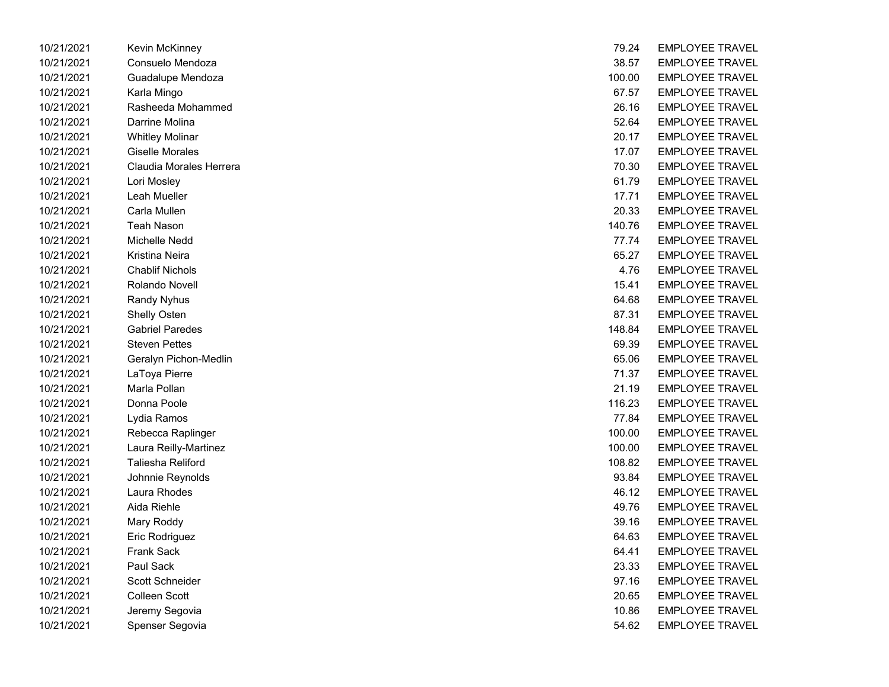| 10/21/2021 | Kevin McKinney          | 79.24  | <b>EMPLOYEE TRAVEL</b> |
|------------|-------------------------|--------|------------------------|
| 10/21/2021 | Consuelo Mendoza        | 38.57  | <b>EMPLOYEE TRAVEL</b> |
| 10/21/2021 | Guadalupe Mendoza       | 100.00 | <b>EMPLOYEE TRAVEL</b> |
| 10/21/2021 | Karla Mingo             | 67.57  | <b>EMPLOYEE TRAVEL</b> |
| 10/21/2021 | Rasheeda Mohammed       | 26.16  | <b>EMPLOYEE TRAVEL</b> |
| 10/21/2021 | Darrine Molina          | 52.64  | <b>EMPLOYEE TRAVEL</b> |
| 10/21/2021 | <b>Whitley Molinar</b>  | 20.17  | <b>EMPLOYEE TRAVEL</b> |
| 10/21/2021 | Giselle Morales         | 17.07  | <b>EMPLOYEE TRAVEL</b> |
| 10/21/2021 | Claudia Morales Herrera | 70.30  | <b>EMPLOYEE TRAVEL</b> |
| 10/21/2021 | Lori Mosley             | 61.79  | <b>EMPLOYEE TRAVEL</b> |
| 10/21/2021 | Leah Mueller            | 17.71  | <b>EMPLOYEE TRAVEL</b> |
| 10/21/2021 | Carla Mullen            | 20.33  | <b>EMPLOYEE TRAVEL</b> |
| 10/21/2021 | <b>Teah Nason</b>       | 140.76 | <b>EMPLOYEE TRAVEL</b> |
| 10/21/2021 | Michelle Nedd           | 77.74  | <b>EMPLOYEE TRAVEL</b> |
| 10/21/2021 | Kristina Neira          | 65.27  | <b>EMPLOYEE TRAVEL</b> |
| 10/21/2021 | <b>Chablif Nichols</b>  | 4.76   | <b>EMPLOYEE TRAVEL</b> |
| 10/21/2021 | Rolando Novell          | 15.41  | <b>EMPLOYEE TRAVEL</b> |
| 10/21/2021 | Randy Nyhus             | 64.68  | <b>EMPLOYEE TRAVEL</b> |
| 10/21/2021 | <b>Shelly Osten</b>     | 87.31  | <b>EMPLOYEE TRAVEL</b> |
| 10/21/2021 | <b>Gabriel Paredes</b>  | 148.84 | <b>EMPLOYEE TRAVEL</b> |
| 10/21/2021 | <b>Steven Pettes</b>    | 69.39  | <b>EMPLOYEE TRAVEL</b> |
| 10/21/2021 | Geralyn Pichon-Medlin   | 65.06  | <b>EMPLOYEE TRAVEL</b> |
| 10/21/2021 | LaToya Pierre           | 71.37  | <b>EMPLOYEE TRAVEL</b> |
| 10/21/2021 | Marla Pollan            | 21.19  | <b>EMPLOYEE TRAVEL</b> |
| 10/21/2021 | Donna Poole             | 116.23 | <b>EMPLOYEE TRAVEL</b> |
| 10/21/2021 | Lydia Ramos             | 77.84  | <b>EMPLOYEE TRAVEL</b> |
| 10/21/2021 | Rebecca Raplinger       | 100.00 | <b>EMPLOYEE TRAVEL</b> |
| 10/21/2021 | Laura Reilly-Martinez   | 100.00 | <b>EMPLOYEE TRAVEL</b> |
| 10/21/2021 | Taliesha Reliford       | 108.82 | <b>EMPLOYEE TRAVEL</b> |
| 10/21/2021 | Johnnie Reynolds        | 93.84  | <b>EMPLOYEE TRAVEL</b> |
| 10/21/2021 | Laura Rhodes            | 46.12  | <b>EMPLOYEE TRAVEL</b> |
| 10/21/2021 | Aida Riehle             | 49.76  | <b>EMPLOYEE TRAVEL</b> |
| 10/21/2021 | Mary Roddy              | 39.16  | <b>EMPLOYEE TRAVEL</b> |
| 10/21/2021 | Eric Rodriguez          | 64.63  | <b>EMPLOYEE TRAVEL</b> |
| 10/21/2021 | Frank Sack              | 64.41  | <b>EMPLOYEE TRAVEL</b> |
| 10/21/2021 | Paul Sack               | 23.33  | <b>EMPLOYEE TRAVEL</b> |
| 10/21/2021 | Scott Schneider         | 97.16  | <b>EMPLOYEE TRAVEL</b> |
| 10/21/2021 | Colleen Scott           | 20.65  | <b>EMPLOYEE TRAVEL</b> |
| 10/21/2021 | Jeremy Segovia          | 10.86  | <b>EMPLOYEE TRAVEL</b> |
| 10/21/2021 | Spenser Segovia         | 54.62  | <b>EMPLOYEE TRAVEL</b> |
|            |                         |        |                        |

| 79.24  | <b>EMPLOYEE TRAVEL</b> |
|--------|------------------------|
| 38.57  | <b>EMPLOYEE TRAVEL</b> |
| 100.00 | <b>EMPLOYEE TRAVEL</b> |
| 67.57  | EMPLOYEE TRAVEL        |
| 26.16  | <b>EMPLOYEE TRAVEL</b> |
| 52.64  | <b>EMPLOYEE TRAVEL</b> |
| 20.17  | <b>EMPLOYEE TRAVEL</b> |
| 17.07  | <b>EMPLOYEE TRAVEL</b> |
| 70.30  | <b>EMPLOYEE TRAVEL</b> |
| 61.79  | <b>EMPLOYEE TRAVEL</b> |
| 17.71  | <b>EMPLOYEE TRAVEL</b> |
| 20.33  | <b>EMPLOYEE TRAVEL</b> |
| 140.76 | EMPLOYEE TRAVEL        |
| 77.74  | EMPLOYEE TRAVEL        |
| 65.27  | <b>EMPLOYEE TRAVEL</b> |
| 4.76   | <b>EMPLOYEE TRAVEL</b> |
| 15.41  | <b>EMPLOYEE TRAVEL</b> |
| 64.68  | EMPLOYEE TRAVEL        |
| 87.31  | <b>EMPLOYEE TRAVEL</b> |
| 148.84 | <b>EMPLOYEE TRAVEL</b> |
| 69.39  | <b>EMPLOYEE TRAVEL</b> |
| 65.06  | <b>EMPLOYEE TRAVEL</b> |
| 71.37  | EMPLOYEE TRAVEL        |
| 21.19  | EMPLOYEE TRAVEL        |
| 116.23 | <b>EMPLOYEE TRAVEL</b> |
| 77.84  | <b>EMPLOYEE TRAVEL</b> |
| 100.00 | <b>EMPLOYEE TRAVEL</b> |
| 100.00 | EMPLOYEE TRAVEL        |
| 108.82 | <b>EMPLOYEE TRAVEL</b> |
| 93.84  | EMPLOYEE TRAVEL        |
| 46.12  | <b>EMPLOYEE TRAVEL</b> |
| 49.76  | <b>EMPLOYEE TRAVEL</b> |
| 39.16  | EMPLOYEE TRAVEL        |
| 64.63  | EMPLOYEE TRAVEL        |
| 64.41  | <b>EMPLOYEE TRAVEL</b> |
| 23.33  | <b>EMPLOYEE TRAVEL</b> |
| 97.16  | <b>EMPLOYEE TRAVEL</b> |
| 20.65  | <b>EMPLOYEE TRAVEL</b> |
| 10.86  | <b>EMPLOYEE TRAVEL</b> |
| 54.62  | <b>EMPLOYEE TRAVEL</b> |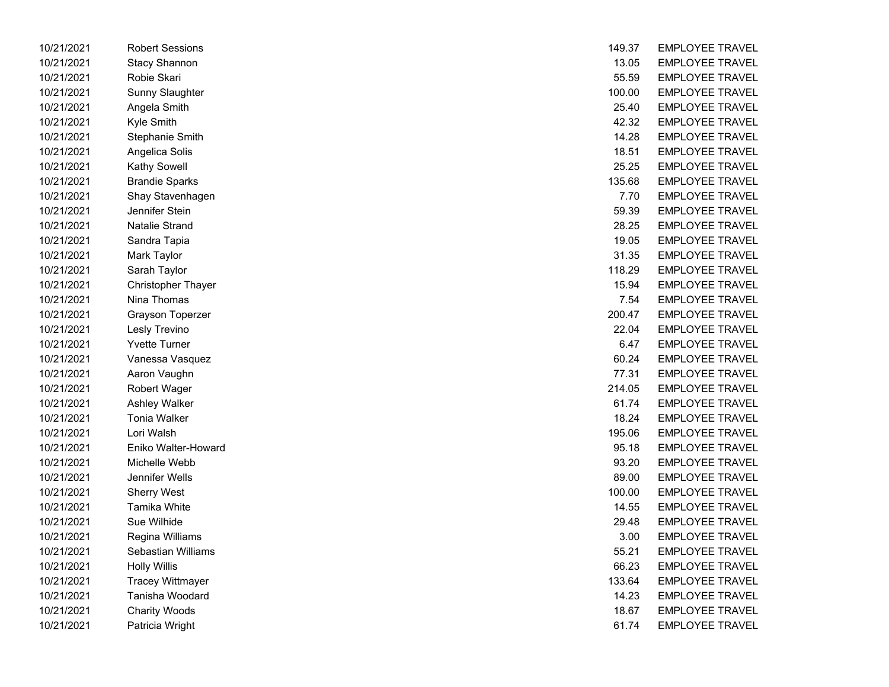| 10/21/2021 | Robert Sessions           | 149.37 | <b>EMPLOYEE TRAVEL</b> |
|------------|---------------------------|--------|------------------------|
| 10/21/2021 | <b>Stacy Shannon</b>      | 13.05  | <b>EMPLOYEE TRAVEL</b> |
| 10/21/2021 | Robie Skari               | 55.59  | <b>EMPLOYEE TRAVEL</b> |
| 10/21/2021 | Sunny Slaughter           | 100.00 | <b>EMPLOYEE TRAVEL</b> |
| 10/21/2021 | Angela Smith              | 25.40  | <b>EMPLOYEE TRAVEL</b> |
| 10/21/2021 | Kyle Smith                | 42.32  | <b>EMPLOYEE TRAVEL</b> |
| 10/21/2021 | Stephanie Smith           | 14.28  | <b>EMPLOYEE TRAVEL</b> |
| 10/21/2021 | Angelica Solis            | 18.51  | <b>EMPLOYEE TRAVEL</b> |
| 10/21/2021 | Kathy Sowell              | 25.25  | <b>EMPLOYEE TRAVEL</b> |
| 10/21/2021 | <b>Brandie Sparks</b>     | 135.68 | <b>EMPLOYEE TRAVEL</b> |
| 10/21/2021 | Shay Stavenhagen          | 7.70   | <b>EMPLOYEE TRAVEL</b> |
| 10/21/2021 | Jennifer Stein            | 59.39  | <b>EMPLOYEE TRAVEL</b> |
| 10/21/2021 | <b>Natalie Strand</b>     | 28.25  | <b>EMPLOYEE TRAVEL</b> |
| 10/21/2021 | Sandra Tapia              | 19.05  | <b>EMPLOYEE TRAVEL</b> |
| 10/21/2021 | Mark Taylor               | 31.35  | <b>EMPLOYEE TRAVEL</b> |
| 10/21/2021 | Sarah Taylor              | 118.29 | <b>EMPLOYEE TRAVEL</b> |
| 10/21/2021 | <b>Christopher Thayer</b> | 15.94  | <b>EMPLOYEE TRAVEL</b> |
| 10/21/2021 | Nina Thomas               | 7.54   | <b>EMPLOYEE TRAVEL</b> |
| 10/21/2021 | <b>Grayson Toperzer</b>   | 200.47 | <b>EMPLOYEE TRAVEL</b> |
| 10/21/2021 | Lesly Trevino             | 22.04  | <b>EMPLOYEE TRAVEL</b> |
| 10/21/2021 | <b>Yvette Turner</b>      | 6.47   | <b>EMPLOYEE TRAVEL</b> |
| 10/21/2021 | Vanessa Vasquez           | 60.24  | <b>EMPLOYEE TRAVEL</b> |
| 10/21/2021 | Aaron Vaughn              | 77.31  | <b>EMPLOYEE TRAVEL</b> |
| 10/21/2021 | <b>Robert Wager</b>       | 214.05 | <b>EMPLOYEE TRAVEL</b> |
| 10/21/2021 | Ashley Walker             | 61.74  | <b>EMPLOYEE TRAVEL</b> |
| 10/21/2021 | Tonia Walker              | 18.24  | <b>EMPLOYEE TRAVEL</b> |
| 10/21/2021 | Lori Walsh                | 195.06 | <b>EMPLOYEE TRAVEL</b> |
| 10/21/2021 | Eniko Walter-Howard       | 95.18  | <b>EMPLOYEE TRAVEL</b> |
| 10/21/2021 | Michelle Webb             | 93.20  | <b>EMPLOYEE TRAVEL</b> |
| 10/21/2021 | Jennifer Wells            | 89.00  | <b>EMPLOYEE TRAVEL</b> |
| 10/21/2021 | <b>Sherry West</b>        | 100.00 | <b>EMPLOYEE TRAVEL</b> |
| 10/21/2021 | Tamika White              | 14.55  | <b>EMPLOYEE TRAVEL</b> |
| 10/21/2021 | Sue Wilhide               | 29.48  | <b>EMPLOYEE TRAVEL</b> |
| 10/21/2021 | Regina Williams           | 3.00   | <b>EMPLOYEE TRAVEL</b> |
| 10/21/2021 | Sebastian Williams        | 55.21  | <b>EMPLOYEE TRAVEL</b> |
| 10/21/2021 | <b>Holly Willis</b>       | 66.23  | <b>EMPLOYEE TRAVEL</b> |
| 10/21/2021 | <b>Tracey Wittmayer</b>   | 133.64 | <b>EMPLOYEE TRAVEL</b> |
| 10/21/2021 | Tanisha Woodard           | 14.23  | <b>EMPLOYEE TRAVEL</b> |
| 10/21/2021 | <b>Charity Woods</b>      | 18.67  | <b>EMPLOYEE TRAVEL</b> |
| 10/21/2021 | Patricia Wright           | 61.74  | <b>EMPLOYEE TRAVEL</b> |

| 10/21/2021 | <b>Robert Sessions</b>    | 149.37 | <b>EMPLOYEE TRAVEL</b> |
|------------|---------------------------|--------|------------------------|
| 10/21/2021 | <b>Stacy Shannon</b>      | 13.05  | <b>EMPLOYEE TRAVEL</b> |
| 10/21/2021 | Robie Skari               | 55.59  | <b>EMPLOYEE TRAVEL</b> |
| 10/21/2021 | Sunny Slaughter           | 100.00 | <b>EMPLOYEE TRAVEL</b> |
| 10/21/2021 | Angela Smith              | 25.40  | <b>EMPLOYEE TRAVEL</b> |
| 10/21/2021 | Kyle Smith                | 42.32  | <b>EMPLOYEE TRAVEL</b> |
| 10/21/2021 | Stephanie Smith           | 14.28  | <b>EMPLOYEE TRAVEL</b> |
| 10/21/2021 | Angelica Solis            | 18.51  | <b>EMPLOYEE TRAVEL</b> |
| 10/21/2021 | Kathy Sowell              | 25.25  | <b>EMPLOYEE TRAVEL</b> |
| 10/21/2021 | <b>Brandie Sparks</b>     | 135.68 | <b>EMPLOYEE TRAVEL</b> |
| 10/21/2021 | Shay Stavenhagen          | 7.70   | <b>EMPLOYEE TRAVEL</b> |
| 10/21/2021 | Jennifer Stein            | 59.39  | <b>EMPLOYEE TRAVEL</b> |
| 10/21/2021 | <b>Natalie Strand</b>     | 28.25  | <b>EMPLOYEE TRAVEL</b> |
| 10/21/2021 | Sandra Tapia              | 19.05  | <b>EMPLOYEE TRAVEL</b> |
| 10/21/2021 | Mark Taylor               | 31.35  | <b>EMPLOYEE TRAVEL</b> |
| 10/21/2021 | Sarah Taylor              | 118.29 | <b>EMPLOYEE TRAVEL</b> |
| 10/21/2021 | <b>Christopher Thayer</b> | 15.94  | <b>EMPLOYEE TRAVEL</b> |
| 10/21/2021 | Nina Thomas               | 7.54   | <b>EMPLOYEE TRAVEL</b> |
| 10/21/2021 | Grayson Toperzer          | 200.47 | <b>EMPLOYEE TRAVEL</b> |
| 10/21/2021 | Lesly Trevino             | 22.04  | <b>EMPLOYEE TRAVEL</b> |
| 10/21/2021 | <b>Yvette Turner</b>      | 6.47   | <b>EMPLOYEE TRAVEL</b> |
| 10/21/2021 | Vanessa Vasquez           | 60.24  | <b>EMPLOYEE TRAVEL</b> |
| 10/21/2021 | Aaron Vaughn              | 77.31  | <b>EMPLOYEE TRAVEL</b> |
| 10/21/2021 | Robert Wager              | 214.05 | <b>EMPLOYEE TRAVEL</b> |
| 10/21/2021 | Ashley Walker             | 61.74  | <b>EMPLOYEE TRAVEL</b> |
| 10/21/2021 | <b>Tonia Walker</b>       | 18.24  | <b>EMPLOYEE TRAVEL</b> |
| 10/21/2021 | Lori Walsh                | 195.06 | <b>EMPLOYEE TRAVEL</b> |
| 10/21/2021 | Eniko Walter-Howard       | 95.18  | <b>EMPLOYEE TRAVEL</b> |
| 10/21/2021 | Michelle Webb             | 93.20  | <b>EMPLOYEE TRAVEL</b> |
| 10/21/2021 | Jennifer Wells            | 89.00  | <b>EMPLOYEE TRAVEL</b> |
| 10/21/2021 | <b>Sherry West</b>        | 100.00 | <b>EMPLOYEE TRAVEL</b> |
| 10/21/2021 | Tamika White              | 14.55  | <b>EMPLOYEE TRAVEL</b> |
| 10/21/2021 | Sue Wilhide               | 29.48  | <b>EMPLOYEE TRAVEL</b> |
| 10/21/2021 | Regina Williams           | 3.00   | <b>EMPLOYEE TRAVEL</b> |
| 10/21/2021 | Sebastian Williams        | 55.21  | <b>EMPLOYEE TRAVEL</b> |
| 10/21/2021 | <b>Holly Willis</b>       | 66.23  | <b>EMPLOYEE TRAVEL</b> |
| 10/21/2021 | <b>Tracey Wittmayer</b>   | 133.64 | <b>EMPLOYEE TRAVEL</b> |
| 10/21/2021 | Tanisha Woodard           | 14.23  | <b>EMPLOYEE TRAVEL</b> |
| 10/21/2021 | <b>Charity Woods</b>      | 18.67  | <b>EMPLOYEE TRAVEL</b> |
| 10/21/2021 | Patricia Wright           | 61.74  | EMPLOYEE TRAVEL        |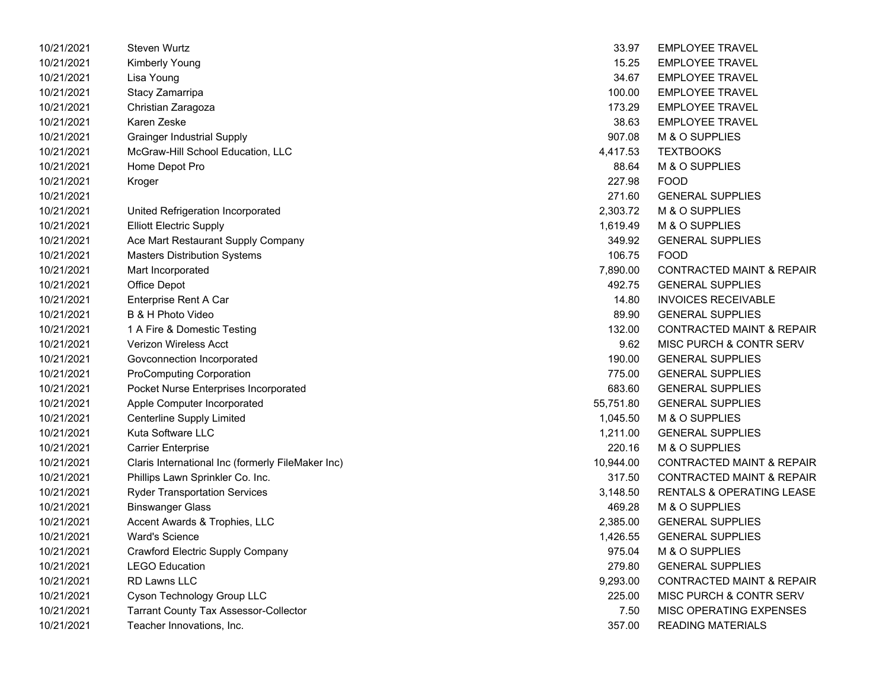| 10/21/2021 | <b>Steven Wurtz</b>                               | 33.97     | <b>EMPLOYEE TRAVEL</b>               |
|------------|---------------------------------------------------|-----------|--------------------------------------|
| 10/21/2021 | <b>Kimberly Young</b>                             | 15.25     | <b>EMPLOYEE TRAVEL</b>               |
| 10/21/2021 | Lisa Young                                        | 34.67     | <b>EMPLOYEE TRAVEL</b>               |
| 10/21/2021 | Stacy Zamarripa                                   | 100.00    | <b>EMPLOYEE TRAVEL</b>               |
| 10/21/2021 | Christian Zaragoza                                | 173.29    | <b>EMPLOYEE TRAVEL</b>               |
| 10/21/2021 | Karen Zeske                                       | 38.63     | <b>EMPLOYEE TRAVEL</b>               |
| 10/21/2021 | <b>Grainger Industrial Supply</b>                 | 907.08    | M & O SUPPLIES                       |
| 10/21/2021 | McGraw-Hill School Education, LLC                 | 4,417.53  | <b>TEXTBOOKS</b>                     |
| 10/21/2021 | Home Depot Pro                                    | 88.64     | M & O SUPPLIES                       |
| 10/21/2021 | Kroger                                            | 227.98    | <b>FOOD</b>                          |
| 10/21/2021 |                                                   | 271.60    | <b>GENERAL SUPPLIES</b>              |
| 10/21/2021 | United Refrigeration Incorporated                 | 2,303.72  | M & O SUPPLIES                       |
| 10/21/2021 | <b>Elliott Electric Supply</b>                    | 1,619.49  | M & O SUPPLIES                       |
| 10/21/2021 | Ace Mart Restaurant Supply Company                | 349.92    | <b>GENERAL SUPPLIES</b>              |
| 10/21/2021 | <b>Masters Distribution Systems</b>               | 106.75    | <b>FOOD</b>                          |
| 10/21/2021 | Mart Incorporated                                 | 7,890.00  | <b>CONTRACTED MAINT &amp; REPAIR</b> |
| 10/21/2021 | Office Depot                                      | 492.75    | <b>GENERAL SUPPLIES</b>              |
| 10/21/2021 | Enterprise Rent A Car                             | 14.80     | <b>INVOICES RECEIVABLE</b>           |
| 10/21/2021 | B & H Photo Video                                 | 89.90     | <b>GENERAL SUPPLIES</b>              |
| 10/21/2021 | 1 A Fire & Domestic Testing                       | 132.00    | <b>CONTRACTED MAINT &amp; REPAIR</b> |
| 10/21/2021 | Verizon Wireless Acct                             | 9.62      | MISC PURCH & CONTR SERV              |
| 10/21/2021 | Govconnection Incorporated                        | 190.00    | <b>GENERAL SUPPLIES</b>              |
| 10/21/2021 | <b>ProComputing Corporation</b>                   | 775.00    | <b>GENERAL SUPPLIES</b>              |
| 10/21/2021 | Pocket Nurse Enterprises Incorporated             | 683.60    | <b>GENERAL SUPPLIES</b>              |
| 10/21/2021 | Apple Computer Incorporated                       | 55,751.80 | <b>GENERAL SUPPLIES</b>              |
| 10/21/2021 | <b>Centerline Supply Limited</b>                  | 1,045.50  | M & O SUPPLIES                       |
| 10/21/2021 | Kuta Software LLC                                 | 1,211.00  | <b>GENERAL SUPPLIES</b>              |
| 10/21/2021 | <b>Carrier Enterprise</b>                         | 220.16    | M & O SUPPLIES                       |
| 10/21/2021 | Claris International Inc (formerly FileMaker Inc) | 10,944.00 | <b>CONTRACTED MAINT &amp; REPAIR</b> |
| 10/21/2021 | Phillips Lawn Sprinkler Co. Inc.                  | 317.50    | <b>CONTRACTED MAINT &amp; REPAIR</b> |
| 10/21/2021 | <b>Ryder Transportation Services</b>              | 3,148.50  | <b>RENTALS &amp; OPERATING LEASE</b> |
| 10/21/2021 | <b>Binswanger Glass</b>                           | 469.28    | M & O SUPPLIES                       |
| 10/21/2021 | Accent Awards & Trophies, LLC                     | 2,385.00  | <b>GENERAL SUPPLIES</b>              |
| 10/21/2021 | <b>Ward's Science</b>                             | 1,426.55  | <b>GENERAL SUPPLIES</b>              |
| 10/21/2021 | Crawford Electric Supply Company                  | 975.04    | M & O SUPPLIES                       |
| 10/21/2021 | <b>LEGO Education</b>                             | 279.80    | <b>GENERAL SUPPLIES</b>              |
| 10/21/2021 | <b>RD Lawns LLC</b>                               | 9,293.00  | <b>CONTRACTED MAINT &amp; REPAIR</b> |
| 10/21/2021 | Cyson Technology Group LLC                        | 225.00    | MISC PURCH & CONTR SERV              |
| 10/21/2021 | <b>Tarrant County Tax Assessor-Collector</b>      | 7.50      | MISC OPERATING EXPENSES              |
| 10/21/2021 | Teacher Innovations. Inc.                         | 357.00    | <b>READING MATERIALS</b>             |

| 33.97     | <b>EMPLOYEE TRAVEL</b>               |
|-----------|--------------------------------------|
| 15.25     | <b>EMPLOYEE TRAVEL</b>               |
| 34.67     | <b>EMPLOYEE TRAVEL</b>               |
| 100.00    | <b>EMPLOYEE TRAVEL</b>               |
| 173.29    | <b>EMPLOYEE TRAVEL</b>               |
|           | 38.63 EMPLOYEE TRAVEL                |
|           | 907.08 M & O SUPPLIES                |
| 4,417.53  | <b>TEXTBOOKS</b>                     |
| 88.64     | M & O SUPPLIES                       |
| 227.98    | <b>FOOD</b>                          |
|           | 271.60 GENERAL SUPPLIES              |
|           | 2,303.72 M & O SUPPLIES              |
| 1,619.49  | M & O SUPPLIES                       |
| 349.92    | <b>GENERAL SUPPLIES</b>              |
| 106.75    | <b>FOOD</b>                          |
|           | 7,890.00 CONTRACTED MAINT & REPAIR   |
|           | 492.75 GENERAL SUPPLIES              |
| 14.80     | <b>INVOICES RECEIVABLE</b>           |
| 89.90     | <b>GENERAL SUPPLIES</b>              |
| 132.00    | <b>CONTRACTED MAINT &amp; REPAIR</b> |
| 9.62      | MISC PURCH & CONTR SERV              |
| 190.00    | <b>GENERAL SUPPLIES</b>              |
| 775.00    | <b>GENERAL SUPPLIES</b>              |
| 683.60    | <b>GENERAL SUPPLIES</b>              |
| 55,751.80 | <b>GENERAL SUPPLIES</b>              |
| 1,045.50  | M & O SUPPLIES                       |
|           | 1,211.00 GENERAL SUPPLIES            |
| 220.16    | M & O SUPPLIES                       |
| 10,944.00 | <b>CONTRACTED MAINT &amp; REPAIR</b> |
| 317.50    | <b>CONTRACTED MAINT &amp; REPAIR</b> |
| 3,148.50  | <b>RENTALS &amp; OPERATING LEASE</b> |
| 469.28    | M & O SUPPLIES                       |
| 2,385.00  | <b>GENERAL SUPPLIES</b>              |
| 1,426.55  | <b>GENERAL SUPPLIES</b>              |
| 975.04    | <b>M &amp; O SUPPLIES</b>            |
| 279.80    | <b>GENERAL SUPPLIES</b>              |
| 9,293.00  | <b>CONTRACTED MAINT &amp; REPAIR</b> |
| 225.00    | <b>MISC PURCH &amp; CONTR SERV</b>   |
| 7.50      | <b>MISC OPERATING EXPENSES</b>       |
| 357.00    | <b>READING MATERIALS</b>             |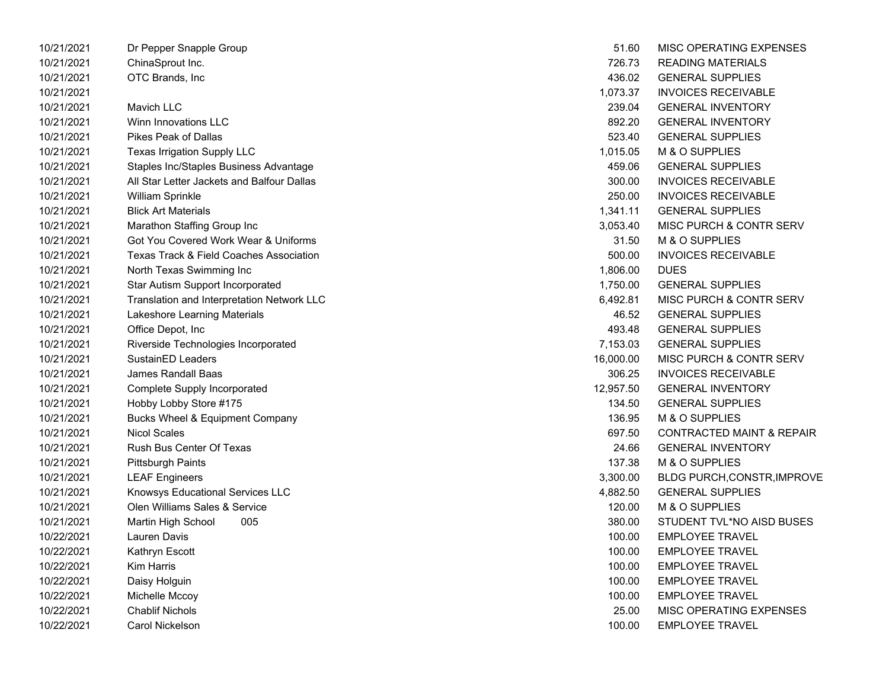| 10/21/2021 | Dr Pepper Snapple Group                            | 51.60     | MISC OPERATING EXPENSES              |
|------------|----------------------------------------------------|-----------|--------------------------------------|
| 10/21/2021 | ChinaSprout Inc.                                   | 726.73    | <b>READING MATERIALS</b>             |
| 10/21/2021 | OTC Brands, Inc                                    | 436.02    | <b>GENERAL SUPPLIES</b>              |
| 10/21/2021 |                                                    | 1,073.37  | <b>INVOICES RECEIVABLE</b>           |
| 10/21/2021 | Mavich LLC                                         | 239.04    | <b>GENERAL INVENTORY</b>             |
| 10/21/2021 | Winn Innovations LLC                               | 892.20    | <b>GENERAL INVENTORY</b>             |
| 10/21/2021 | <b>Pikes Peak of Dallas</b>                        | 523.40    | <b>GENERAL SUPPLIES</b>              |
| 10/21/2021 | <b>Texas Irrigation Supply LLC</b>                 | 1,015.05  | M & O SUPPLIES                       |
| 10/21/2021 | Staples Inc/Staples Business Advantage             | 459.06    | <b>GENERAL SUPPLIES</b>              |
| 10/21/2021 | All Star Letter Jackets and Balfour Dallas         | 300.00    | <b>INVOICES RECEIVABLE</b>           |
| 10/21/2021 | William Sprinkle                                   | 250.00    | <b>INVOICES RECEIVABLE</b>           |
| 10/21/2021 | <b>Blick Art Materials</b>                         | 1,341.11  | <b>GENERAL SUPPLIES</b>              |
| 10/21/2021 | Marathon Staffing Group Inc                        | 3,053.40  | <b>MISC PURCH &amp; CONTR SERV</b>   |
| 10/21/2021 | Got You Covered Work Wear & Uniforms               | 31.50     | M & O SUPPLIES                       |
| 10/21/2021 | <b>Texas Track &amp; Field Coaches Association</b> | 500.00    | <b>INVOICES RECEIVABLE</b>           |
| 10/21/2021 | North Texas Swimming Inc                           | 1,806.00  | <b>DUES</b>                          |
| 10/21/2021 | Star Autism Support Incorporated                   | 1,750.00  | <b>GENERAL SUPPLIES</b>              |
| 10/21/2021 | Translation and Interpretation Network LLC         | 6,492.81  | MISC PURCH & CONTR SERV              |
| 10/21/2021 | Lakeshore Learning Materials                       | 46.52     | <b>GENERAL SUPPLIES</b>              |
| 10/21/2021 | Office Depot, Inc                                  | 493.48    | <b>GENERAL SUPPLIES</b>              |
| 10/21/2021 | Riverside Technologies Incorporated                | 7,153.03  | <b>GENERAL SUPPLIES</b>              |
| 10/21/2021 | SustainED Leaders                                  | 16,000.00 | MISC PURCH & CONTR SERV              |
| 10/21/2021 | James Randall Baas                                 | 306.25    | <b>INVOICES RECEIVABLE</b>           |
| 10/21/2021 | Complete Supply Incorporated                       | 12,957.50 | <b>GENERAL INVENTORY</b>             |
| 10/21/2021 | Hobby Lobby Store #175                             | 134.50    | <b>GENERAL SUPPLIES</b>              |
| 10/21/2021 | <b>Bucks Wheel &amp; Equipment Company</b>         | 136.95    | M & O SUPPLIES                       |
| 10/21/2021 | <b>Nicol Scales</b>                                | 697.50    | <b>CONTRACTED MAINT &amp; REPAIR</b> |
| 10/21/2021 | Rush Bus Center Of Texas                           | 24.66     | <b>GENERAL INVENTORY</b>             |
| 10/21/2021 | <b>Pittsburgh Paints</b>                           | 137.38    | M & O SUPPLIES                       |
| 10/21/2021 | <b>LEAF Engineers</b>                              | 3,300.00  | BLDG PURCH,CONSTR, IMPROVE           |
| 10/21/2021 | Knowsys Educational Services LLC                   | 4,882.50  | <b>GENERAL SUPPLIES</b>              |
| 10/21/2021 | Olen Williams Sales & Service                      | 120.00    | M & O SUPPLIES                       |
| 10/21/2021 | 005<br>Martin High School                          | 380.00    | STUDENT TVL*NO AISD BUSES            |
| 10/22/2021 | Lauren Davis                                       | 100.00    | <b>EMPLOYEE TRAVEL</b>               |
| 10/22/2021 | Kathryn Escott                                     | 100.00    | <b>EMPLOYEE TRAVEL</b>               |
| 10/22/2021 | Kim Harris                                         | 100.00    | <b>EMPLOYEE TRAVEL</b>               |
| 10/22/2021 | Daisy Holguin                                      | 100.00    | <b>EMPLOYEE TRAVEL</b>               |
| 10/22/2021 | Michelle Mccoy                                     | 100.00    | <b>EMPLOYEE TRAVEL</b>               |
| 10/22/2021 | <b>Chablif Nichols</b>                             | 25.00     | <b>MISC OPERATING EXPENSES</b>       |
| 10/22/2021 | Carol Nickelson                                    | 100.00    | <b>EMPLOYEE TRAVEL</b>               |

| 51.60     | MISC OPERATING EXPENSES              |
|-----------|--------------------------------------|
| 726.73    | <b>READING MATERIALS</b>             |
| 436.02    | <b>GENERAL SUPPLIES</b>              |
| 1,073.37  | <b>INVOICES RECEIVABLE</b>           |
| 239.04    | <b>GENERAL INVENTORY</b>             |
| 892.20    | <b>GENERAL INVENTORY</b>             |
| 523.40    | <b>GENERAL SUPPLIES</b>              |
| 1,015.05  | M & O SUPPLIES                       |
| 459.06    | <b>GENERAL SUPPLIES</b>              |
| 300.00    | <b>INVOICES RECEIVABLE</b>           |
| 250.00    | <b>INVOICES RECEIVABLE</b>           |
| 1,341.11  | <b>GENERAL SUPPLIES</b>              |
|           | 3,053.40 MISC PURCH & CONTR SERV     |
| 31.50     | M & O SUPPLIES                       |
| 500.00    | <b>INVOICES RECEIVABLE</b>           |
| 1,806.00  | <b>DUES</b>                          |
|           | 1,750.00 GENERAL SUPPLIES            |
|           | 6,492.81 MISC PURCH & CONTR SERV     |
| 46.52     | <b>GENERAL SUPPLIES</b>              |
| 493.48    | <b>GENERAL SUPPLIES</b>              |
| 7,153.03  | <b>GENERAL SUPPLIES</b>              |
|           | 16,000.00 MISC PURCH & CONTR SERV    |
|           | 306.25 INVOICES RECEIVABLE           |
| 12,957.50 | <b>GENERAL INVENTORY</b>             |
| 134.50    | <b>GENERAL SUPPLIES</b>              |
| 136.95    | M & O SUPPLIES                       |
| 697.50    | <b>CONTRACTED MAINT &amp; REPAIR</b> |
| 24.66     | <b>GENERAL INVENTORY</b>             |
| 137.38    | M & O SUPPLIES                       |
| 3,300.00  | <b>BLDG PURCH, CONSTR, IMPROVE</b>   |
| 4,882.50  | <b>GENERAL SUPPLIES</b>              |
| 120.00    | M & O SUPPLIES                       |
| 380.00    | STUDENT TVL*NO AISD BUSES            |
| 100.00    | <b>EMPLOYEE TRAVEL</b>               |
| 100.00    | <b>EMPLOYEE TRAVEL</b>               |
| 100.00    | <b>EMPLOYEE TRAVEL</b>               |
| 100.00    | <b>EMPLOYEE TRAVEL</b>               |
| 100.00    | <b>EMPLOYEE TRAVEL</b>               |
| 25.00     | MISC OPERATING EXPENSES              |
| 100.00    | <b>EMPLOYEE TRAVEL</b>               |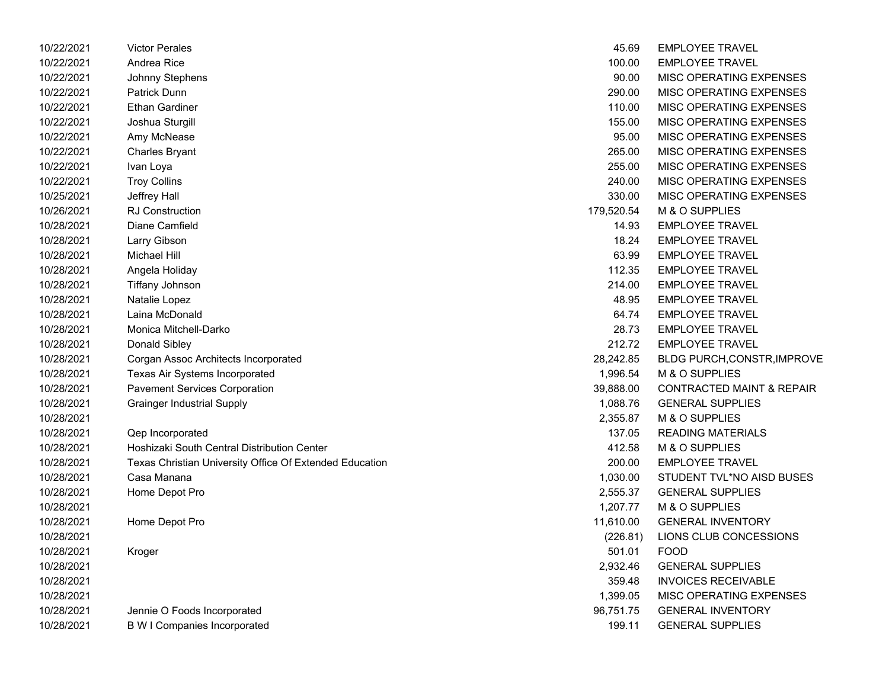| 10/22/2021 | <b>Victor Perales</b>                                   | 45.69      | <b>EMPLOYEE TRAVEL</b>               |
|------------|---------------------------------------------------------|------------|--------------------------------------|
| 10/22/2021 | Andrea Rice                                             | 100.00     | <b>EMPLOYEE TRAVEL</b>               |
| 10/22/2021 | Johnny Stephens                                         | 90.00      | MISC OPERATING EXPENSES              |
| 10/22/2021 | Patrick Dunn                                            | 290.00     | MISC OPERATING EXPENSES              |
| 10/22/2021 | <b>Ethan Gardiner</b>                                   | 110.00     | MISC OPERATING EXPENSES              |
| 10/22/2021 | Joshua Sturgill                                         | 155.00     | MISC OPERATING EXPENSES              |
| 10/22/2021 | Amy McNease                                             | 95.00      | MISC OPERATING EXPENSES              |
| 10/22/2021 | <b>Charles Bryant</b>                                   | 265.00     | MISC OPERATING EXPENSES              |
| 10/22/2021 | Ivan Loya                                               | 255.00     | MISC OPERATING EXPENSES              |
| 10/22/2021 | <b>Troy Collins</b>                                     | 240.00     | MISC OPERATING EXPENSES              |
| 10/25/2021 | Jeffrey Hall                                            | 330.00     | MISC OPERATING EXPENSES              |
| 10/26/2021 | <b>RJ Construction</b>                                  | 179,520.54 | M & O SUPPLIES                       |
| 10/28/2021 | Diane Camfield                                          | 14.93      | <b>EMPLOYEE TRAVEL</b>               |
| 10/28/2021 | Larry Gibson                                            | 18.24      | <b>EMPLOYEE TRAVEL</b>               |
| 10/28/2021 | Michael Hill                                            | 63.99      | <b>EMPLOYEE TRAVEL</b>               |
| 10/28/2021 | Angela Holiday                                          | 112.35     | <b>EMPLOYEE TRAVEL</b>               |
| 10/28/2021 | <b>Tiffany Johnson</b>                                  | 214.00     | <b>EMPLOYEE TRAVEL</b>               |
| 10/28/2021 | Natalie Lopez                                           | 48.95      | <b>EMPLOYEE TRAVEL</b>               |
| 10/28/2021 | Laina McDonald                                          | 64.74      | <b>EMPLOYEE TRAVEL</b>               |
| 10/28/2021 | Monica Mitchell-Darko                                   | 28.73      | <b>EMPLOYEE TRAVEL</b>               |
| 10/28/2021 | Donald Sibley                                           | 212.72     | <b>EMPLOYEE TRAVEL</b>               |
| 10/28/2021 | Corgan Assoc Architects Incorporated                    | 28,242.85  | <b>BLDG PURCH, CONSTR, IMPROVE</b>   |
| 10/28/2021 | Texas Air Systems Incorporated                          | 1,996.54   | M & O SUPPLIES                       |
| 10/28/2021 | <b>Pavement Services Corporation</b>                    | 39,888.00  | <b>CONTRACTED MAINT &amp; REPAIR</b> |
| 10/28/2021 | <b>Grainger Industrial Supply</b>                       | 1,088.76   | <b>GENERAL SUPPLIES</b>              |
| 10/28/2021 |                                                         | 2,355.87   | M & O SUPPLIES                       |
| 10/28/2021 | Qep Incorporated                                        | 137.05     | <b>READING MATERIALS</b>             |
| 10/28/2021 | Hoshizaki South Central Distribution Center             | 412.58     | M & O SUPPLIES                       |
| 10/28/2021 | Texas Christian University Office Of Extended Education | 200.00     | <b>EMPLOYEE TRAVEL</b>               |
| 10/28/2021 | Casa Manana                                             | 1,030.00   | STUDENT TVL*NO AISD BUSES            |
| 10/28/2021 | Home Depot Pro                                          | 2,555.37   | <b>GENERAL SUPPLIES</b>              |
| 10/28/2021 |                                                         | 1,207.77   | M & O SUPPLIES                       |
| 10/28/2021 | Home Depot Pro                                          | 11,610.00  | <b>GENERAL INVENTORY</b>             |
| 10/28/2021 |                                                         | (226.81)   | LIONS CLUB CONCESSIONS               |
| 10/28/2021 | Kroger                                                  | 501.01     | <b>FOOD</b>                          |
| 10/28/2021 |                                                         | 2,932.46   | <b>GENERAL SUPPLIES</b>              |
| 10/28/2021 |                                                         | 359.48     | <b>INVOICES RECEIVABLE</b>           |
| 10/28/2021 |                                                         | 1,399.05   | MISC OPERATING EXPENSES              |
| 10/28/2021 | Jennie O Foods Incorporated                             | 96,751.75  | <b>GENERAL INVENTORY</b>             |
| 10/28/2021 | <b>B W I Companies Incorporated</b>                     | 199.11     | <b>GENERAL SUPPLIES</b>              |
|            |                                                         |            |                                      |

| 45.69     | <b>EMPLOYEE TRAVEL</b>                |
|-----------|---------------------------------------|
| 100.00    | <b>EMPLOYEE TRAVEL</b>                |
| 90.00     | MISC OPERATING EXPENSES               |
| 290.00    | <b>MISC OPERATING EXPENSES</b>        |
| 110.00    | MISC OPERATING EXPENSES               |
|           | 155.00 MISC OPERATING EXPENSES        |
|           | 95.00 MISC OPERATING EXPENSES         |
| 265.00    | <b>MISC OPERATING EXPENSES</b>        |
| 255.00    | MISC OPERATING EXPENSES               |
| 240.00    | <b>MISC OPERATING EXPENSES</b>        |
|           | 330.00 MISC OPERATING EXPENSES        |
|           | 179,520.54 M & O SUPPLIES             |
| 14.93     | <b>EMPLOYEE TRAVEL</b>                |
| 18.24     | <b>EMPLOYEE TRAVEL</b>                |
|           | 63.99 EMPLOYEE TRAVEL                 |
|           | 112.35 EMPLOYEE TRAVEL                |
|           | 214.00 EMPLOYEE TRAVEL                |
| 48.95     | <b>EMPLOYEE TRAVEL</b>                |
| 64.74     | <b>EMPLOYEE TRAVEL</b>                |
|           | 28.73 EMPLOYEE TRAVEL                 |
|           | 212.72 EMPLOYEE TRAVEL                |
|           | 28,242.85 BLDG PURCH, CONSTR, IMPROVE |
| 1,996.54  | <b>M &amp; O SUPPLIES</b>             |
| 39,888.00 | <b>CONTRACTED MAINT &amp; REPAIR</b>  |
|           | 1,088.76 GENERAL SUPPLIES             |
|           | 2,355.87 M & O SUPPLIES               |
|           | 137.05 READING MATERIALS              |
| 412.58    | M & O SUPPLIES                        |
| 200.00    | <b>EMPLOYEE TRAVEL</b>                |
| 1,030.00  | STUDENT TVL*NO AISD BUSES             |
|           | 2,555.37 GENERAL SUPPLIES             |
| 1,207.77  | M & O SUPPLIES                        |
| 11,610.00 | <b>GENERAL INVENTORY</b>              |
| (226.81)  | LIONS CLUB CONCESSIONS                |
| 501.01    | FOOD                                  |
| 2,932.46  | <b>GENERAL SUPPLIES</b>               |
| 359.48    | <b>INVOICES RECEIVABLE</b>            |
| 1,399.05  | <b>MISC OPERATING EXPENSES</b>        |
| 96,751.75 | <b>GENERAL INVENTORY</b>              |
| 199.11    | <b>GENERAL SUPPLIES</b>               |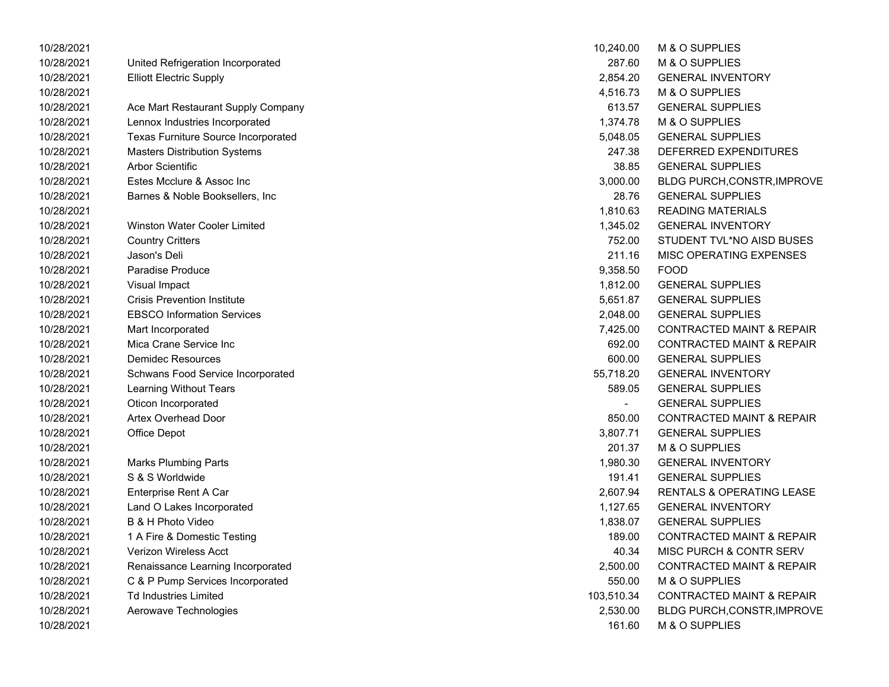| 10/28/2021 |                                     | 10,240.00      | M & O SUPPLIES                       |
|------------|-------------------------------------|----------------|--------------------------------------|
| 10/28/2021 | United Refrigeration Incorporated   | 287.60         | <b>M &amp; O SUPPLIES</b>            |
| 10/28/2021 | <b>Elliott Electric Supply</b>      | 2,854.20       | <b>GENERAL INVENTORY</b>             |
| 10/28/2021 |                                     | 4,516.73       | M & O SUPPLIES                       |
| 10/28/2021 | Ace Mart Restaurant Supply Company  | 613.57         | <b>GENERAL SUPPLIES</b>              |
| 10/28/2021 | Lennox Industries Incorporated      | 1,374.78       | M & O SUPPLIES                       |
| 10/28/2021 | Texas Furniture Source Incorporated | 5,048.05       | <b>GENERAL SUPPLIES</b>              |
| 10/28/2021 | <b>Masters Distribution Systems</b> | 247.38         | DEFERRED EXPENDITURES                |
| 10/28/2021 | Arbor Scientific                    | 38.85          | <b>GENERAL SUPPLIES</b>              |
| 10/28/2021 | Estes Mcclure & Assoc Inc           | 3,000.00       | BLDG PURCH,CONSTR,IMPROVE            |
| 10/28/2021 | Barnes & Noble Booksellers, Inc     | 28.76          | <b>GENERAL SUPPLIES</b>              |
| 10/28/2021 |                                     | 1,810.63       | <b>READING MATERIALS</b>             |
| 10/28/2021 | <b>Winston Water Cooler Limited</b> | 1,345.02       | <b>GENERAL INVENTORY</b>             |
| 10/28/2021 | <b>Country Critters</b>             | 752.00         | STUDENT TVL*NO AISD BUSES            |
| 10/28/2021 | Jason's Deli                        | 211.16         | MISC OPERATING EXPENSES              |
| 10/28/2021 | <b>Paradise Produce</b>             | 9,358.50       | <b>FOOD</b>                          |
| 10/28/2021 | Visual Impact                       | 1,812.00       | <b>GENERAL SUPPLIES</b>              |
| 10/28/2021 | <b>Crisis Prevention Institute</b>  | 5,651.87       | <b>GENERAL SUPPLIES</b>              |
| 10/28/2021 | <b>EBSCO Information Services</b>   | 2,048.00       | <b>GENERAL SUPPLIES</b>              |
| 10/28/2021 | Mart Incorporated                   | 7,425.00       | <b>CONTRACTED MAINT &amp; REPAIR</b> |
| 10/28/2021 | Mica Crane Service Inc              | 692.00         | <b>CONTRACTED MAINT &amp; REPAIR</b> |
| 10/28/2021 | <b>Demidec Resources</b>            | 600.00         | <b>GENERAL SUPPLIES</b>              |
| 10/28/2021 | Schwans Food Service Incorporated   | 55,718.20      | <b>GENERAL INVENTORY</b>             |
| 10/28/2021 | Learning Without Tears              | 589.05         | <b>GENERAL SUPPLIES</b>              |
| 10/28/2021 | Oticon Incorporated                 | $\blacksquare$ | <b>GENERAL SUPPLIES</b>              |
| 10/28/2021 | <b>Artex Overhead Door</b>          | 850.00         | <b>CONTRACTED MAINT &amp; REPAIR</b> |
| 10/28/2021 | Office Depot                        | 3,807.71       | <b>GENERAL SUPPLIES</b>              |
| 10/28/2021 |                                     | 201.37         | M & O SUPPLIES                       |
| 10/28/2021 | <b>Marks Plumbing Parts</b>         | 1,980.30       | <b>GENERAL INVENTORY</b>             |
| 10/28/2021 | S & S Worldwide                     | 191.41         | <b>GENERAL SUPPLIES</b>              |
| 10/28/2021 | Enterprise Rent A Car               | 2,607.94       | RENTALS & OPERATING LEASE            |
| 10/28/2021 | Land O Lakes Incorporated           | 1,127.65       | <b>GENERAL INVENTORY</b>             |
| 10/28/2021 | B & H Photo Video                   | 1,838.07       | <b>GENERAL SUPPLIES</b>              |
| 10/28/2021 | 1 A Fire & Domestic Testing         | 189.00         | <b>CONTRACTED MAINT &amp; REPAIR</b> |
| 10/28/2021 | Verizon Wireless Acct               | 40.34          | <b>MISC PURCH &amp; CONTR SERV</b>   |
| 10/28/2021 | Renaissance Learning Incorporated   | 2,500.00       | <b>CONTRACTED MAINT &amp; REPAIR</b> |
| 10/28/2021 | C & P Pump Services Incorporated    | 550.00         | M & O SUPPLIES                       |
| 10/28/2021 | <b>Td Industries Limited</b>        | 103,510.34     | CONTRACTED MAINT & REPAIR            |
| 10/28/2021 | Aerowave Technologies               | 2,530.00       | BLDG PURCH,CONSTR, IMPROVE           |
| 10/28/2021 |                                     | 161.60         | M & O SUPPLIES                       |

| 10,240.00     | <b>M &amp; O SUPPLIES</b>            |
|---------------|--------------------------------------|
| 287.60        | <b>M &amp; O SUPPLIES</b>            |
| 2,854.20      | <b>GENERAL INVENTORY</b>             |
| 4,516.73      | <b>M &amp; O SUPPLIES</b>            |
| 613.57        | <b>GENERAL SUPPLIES</b>              |
| 1,374.78      | M & O SUPPLIES                       |
| 5,048.05      | <b>GENERAL SUPPLIES</b>              |
| 247.38        | DEFERRED EXPENDITURES                |
| 38.85         | <b>GENERAL SUPPLIES</b>              |
| 3,000.00      | BLDG PURCH, CONSTR, IMPROVE          |
| 28.76         | <b>GENERAL SUPPLIES</b>              |
| 1,810.63      | READING MATERIALS                    |
| 1,345.02      | <b>GENERAL INVENTORY</b>             |
| 752.00        | STUDENT TVL*NO AISD BUSES            |
| 211.16        | <b>MISC OPERATING EXPENSES</b>       |
| 9,358.50 FOOD |                                      |
| 1,812.00      | <b>GENERAL SUPPLIES</b>              |
| 5,651.87      | <b>GENERAL SUPPLIES</b>              |
| 2,048.00      | <b>GENERAL SUPPLIES</b>              |
| 7,425.00      | CONTRACTED MAINT & REPAIR            |
| 692.00        | <b>CONTRACTED MAINT &amp; REPAIR</b> |
| 600.00        | <b>GENERAL SUPPLIES</b>              |
| 55,718.20     | <b>GENERAL INVENTORY</b>             |
| 589.05        | <b>GENERAL SUPPLIES</b>              |
|               | <b>GENERAL SUPPLIES</b>              |
| 850.00        | <b>CONTRACTED MAINT &amp; REPAIR</b> |
| 3,807.71      | <b>GENERAL SUPPLIES</b>              |
| 201.37        | M & O SUPPLIES                       |
| 1,980.30      | <b>GENERAL INVENTORY</b>             |
| 191.41        | <b>GENERAL SUPPLIES</b>              |
|               | 2,607.94 RENTALS & OPERATING LEASE   |
| 1,127.65      | <b>GENERAL INVENTORY</b>             |
| 1,838.07      | <b>GENERAL SUPPLIES</b>              |
| 189.00        | <b>CONTRACTED MAINT &amp; REPAIR</b> |
| 40.34         | <b>MISC PURCH &amp; CONTR SERV</b>   |
| 2,500.00      | <b>CONTRACTED MAINT &amp; REPAIR</b> |
| 550.00        | <b>M &amp; O SUPPLIES</b>            |
| 103,510.34    | <b>CONTRACTED MAINT &amp; REPAIR</b> |
| 2,530.00      | BLDG PURCH, CONSTR, IMPROVE          |
| 161.60        | M & O SUPPLIES                       |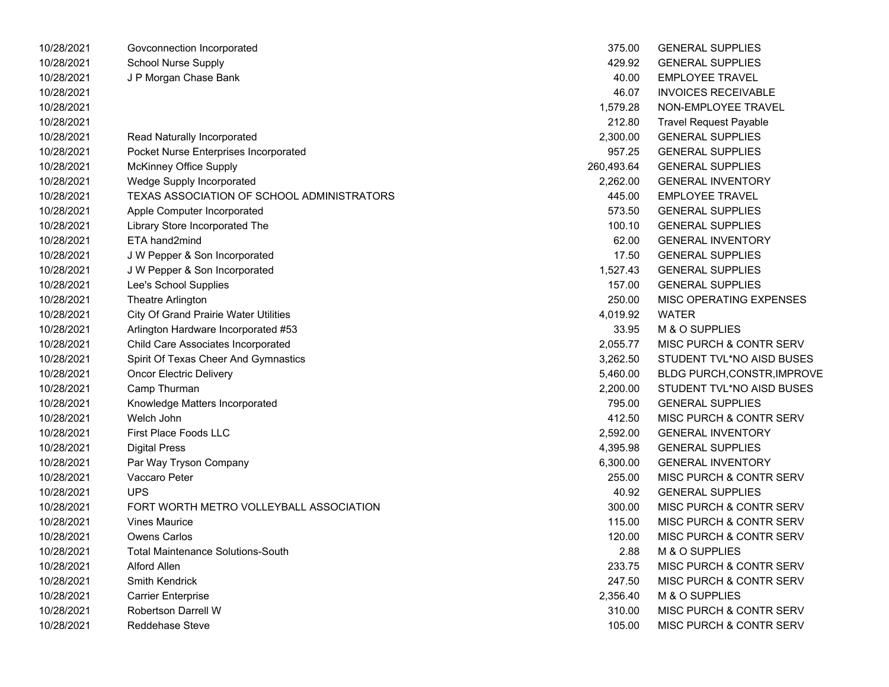| 10/28/2021 | Govconnection Incorporated                   | 375.00     | <b>GENERAL SUPPLIES</b>            |
|------------|----------------------------------------------|------------|------------------------------------|
| 10/28/2021 | <b>School Nurse Supply</b>                   | 429.92     | <b>GENERAL SUPPLIES</b>            |
| 10/28/2021 | J P Morgan Chase Bank                        | 40.00      | <b>EMPLOYEE TRAVEL</b>             |
| 10/28/2021 |                                              | 46.07      | <b>INVOICES RECEIVABLE</b>         |
| 10/28/2021 |                                              | 1,579.28   | NON-EMPLOYEE TRAVEL                |
| 10/28/2021 |                                              | 212.80     | <b>Travel Request Payable</b>      |
| 10/28/2021 | Read Naturally Incorporated                  | 2,300.00   | <b>GENERAL SUPPLIES</b>            |
| 10/28/2021 | Pocket Nurse Enterprises Incorporated        | 957.25     | <b>GENERAL SUPPLIES</b>            |
| 10/28/2021 | McKinney Office Supply                       | 260,493.64 | <b>GENERAL SUPPLIES</b>            |
| 10/28/2021 | Wedge Supply Incorporated                    | 2,262.00   | <b>GENERAL INVENTORY</b>           |
| 10/28/2021 | TEXAS ASSOCIATION OF SCHOOL ADMINISTRATORS   | 445.00     | <b>EMPLOYEE TRAVEL</b>             |
| 10/28/2021 | Apple Computer Incorporated                  | 573.50     | <b>GENERAL SUPPLIES</b>            |
| 10/28/2021 | Library Store Incorporated The               | 100.10     | <b>GENERAL SUPPLIES</b>            |
| 10/28/2021 | ETA hand2mind                                | 62.00      | <b>GENERAL INVENTORY</b>           |
| 10/28/2021 | J W Pepper & Son Incorporated                | 17.50      | <b>GENERAL SUPPLIES</b>            |
| 10/28/2021 | J W Pepper & Son Incorporated                | 1,527.43   | <b>GENERAL SUPPLIES</b>            |
| 10/28/2021 | Lee's School Supplies                        | 157.00     | <b>GENERAL SUPPLIES</b>            |
| 10/28/2021 | Theatre Arlington                            | 250.00     | MISC OPERATING EXPENSES            |
| 10/28/2021 | <b>City Of Grand Prairie Water Utilities</b> | 4,019.92   | <b>WATER</b>                       |
| 10/28/2021 | Arlington Hardware Incorporated #53          | 33.95      | M & O SUPPLIES                     |
| 10/28/2021 | Child Care Associates Incorporated           | 2,055.77   | <b>MISC PURCH &amp; CONTR SERV</b> |
| 10/28/2021 | Spirit Of Texas Cheer And Gymnastics         | 3,262.50   | STUDENT TVL*NO AISD BUSES          |
| 10/28/2021 | <b>Oncor Electric Delivery</b>               | 5,460.00   | <b>BLDG PURCH, CONSTR, IMPROVE</b> |
| 10/28/2021 | Camp Thurman                                 | 2,200.00   | STUDENT TVL*NO AISD BUSES          |
| 10/28/2021 | Knowledge Matters Incorporated               | 795.00     | <b>GENERAL SUPPLIES</b>            |
| 10/28/2021 | Welch John                                   | 412.50     | <b>MISC PURCH &amp; CONTR SERV</b> |
| 10/28/2021 | <b>First Place Foods LLC</b>                 | 2,592.00   | <b>GENERAL INVENTORY</b>           |
| 10/28/2021 | <b>Digital Press</b>                         | 4,395.98   | <b>GENERAL SUPPLIES</b>            |
| 10/28/2021 | Par Way Tryson Company                       | 6,300.00   | <b>GENERAL INVENTORY</b>           |
| 10/28/2021 | Vaccaro Peter                                | 255.00     | <b>MISC PURCH &amp; CONTR SERV</b> |
| 10/28/2021 | <b>UPS</b>                                   | 40.92      | <b>GENERAL SUPPLIES</b>            |
| 10/28/2021 | FORT WORTH METRO VOLLEYBALL ASSOCIATION      | 300.00     | MISC PURCH & CONTR SERV            |
| 10/28/2021 | <b>Vines Maurice</b>                         | 115.00     | <b>MISC PURCH &amp; CONTR SERV</b> |
| 10/28/2021 | <b>Owens Carlos</b>                          | 120.00     | MISC PURCH & CONTR SERV            |
| 10/28/2021 | <b>Total Maintenance Solutions-South</b>     | 2.88       | M & O SUPPLIES                     |
| 10/28/2021 | <b>Alford Allen</b>                          | 233.75     | <b>MISC PURCH &amp; CONTR SERV</b> |
| 10/28/2021 | Smith Kendrick                               | 247.50     | <b>MISC PURCH &amp; CONTR SERV</b> |
| 10/28/2021 | Carrier Enterprise                           | 2,356.40   | M & O SUPPLIES                     |
| 10/28/2021 | <b>Robertson Darrell W</b>                   | 310.00     | <b>MISC PURCH &amp; CONTR SERV</b> |
| 10/28/2021 | Reddehase Steve                              | 105.00     | MISC PURCH & CONTR SERV            |

| 375.00    | <b>GENERAL SUPPLIES</b>            |
|-----------|------------------------------------|
| 429.92    | <b>GENERAL SUPPLIES</b>            |
| 40.00     | <b>EMPLOYEE TRAVEL</b>             |
| 46.07     | <b>INVOICES RECEIVABLE</b>         |
| 1.579.28  | NON-EMPLOYEE TRAVEL                |
| 212.80    | <b>Travel Request Payable</b>      |
| 2,300.00  | <b>GENERAL SUPPLIES</b>            |
| 957.25    | <b>GENERAL SUPPLIES</b>            |
| 60.493.64 | <b>GENERAL SUPPLIES</b>            |
| 2,262.00  | <b>GENERAL INVENTORY</b>           |
| 445.00    | <b>EMPLOYEE TRAVEL</b>             |
| 573.50    | <b>GENERAL SUPPLIES</b>            |
| 100.10    | <b>GENERAL SUPPLIES</b>            |
| 62.00     | <b>GENERAL INVENTORY</b>           |
| 17.50     | <b>GENERAL SUPPLIES</b>            |
| 1,527.43  | <b>GENERAL SUPPLIES</b>            |
|           | 157.00 GENERAL SUPPLIES            |
| 250.00    | MISC OPERATING EXPENSES            |
| 4,019.92  | <b>WATER</b>                       |
| 33.95     | M & O SUPPLIES                     |
| 2,055.77  | MISC PURCH & CONTR SERV            |
| 3,262.50  | STUDENT TVL*NO AISD BUSES          |
| 5,460.00  | <b>BLDG PURCH, CONSTR, IMPROVE</b> |
| 2,200.00  | STUDENT TVL*NO AISD BUSES          |
| 795.00    | <b>GENERAL SUPPLIES</b>            |
| 412.50    | <b>MISC PURCH &amp; CONTR SERV</b> |
| 2,592.00  | <b>GENERAL INVENTORY</b>           |
| 4,395.98  | <b>GENERAL SUPPLIES</b>            |
| 6,300.00  | <b>GENERAL INVENTORY</b>           |
| 255.00    | MISC PURCH & CONTR SERV            |
| 40.92     | <b>GENERAL SUPPLIES</b>            |
| 300.00    | MISC PURCH & CONTR SERV            |
| 115.00    | MISC PURCH & CONTR SERV            |
| 120.00    | <b>MISC PURCH &amp; CONTR SERV</b> |
| 2.88      | M & O SUPPLIES                     |
| 233.75    | <b>MISC PURCH &amp; CONTR SERV</b> |
| 247.50    | <b>MISC PURCH &amp; CONTR SERV</b> |
| 2,356.40  | M & O SUPPLIES                     |
| 310.00    | <b>MISC PURCH &amp; CONTR SERV</b> |
| 105.00    | MISC PURCH & CONTR SERV            |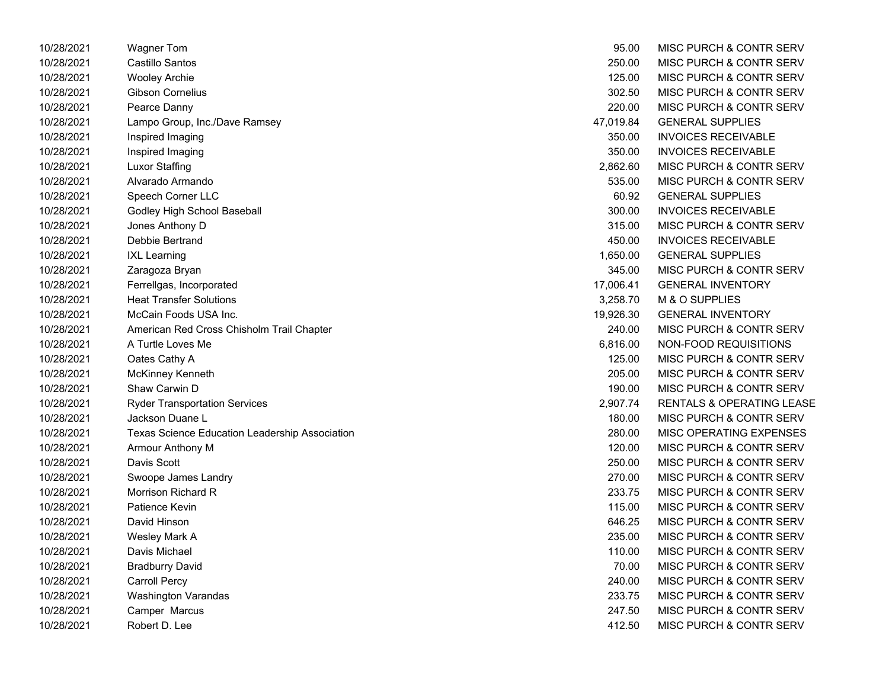| 10/28/2021 | Wagner Tom                                     | 95.00     | MISC PURCH & CONTR SERV              |
|------------|------------------------------------------------|-----------|--------------------------------------|
| 10/28/2021 | Castillo Santos                                | 250.00    | MISC PURCH & CONTR SERV              |
| 10/28/2021 | <b>Wooley Archie</b>                           | 125.00    | MISC PURCH & CONTR SERV              |
| 10/28/2021 | Gibson Cornelius                               | 302.50    | MISC PURCH & CONTR SERV              |
| 10/28/2021 | Pearce Danny                                   | 220.00    | MISC PURCH & CONTR SERV              |
| 10/28/2021 | Lampo Group, Inc./Dave Ramsey                  | 47,019.84 | <b>GENERAL SUPPLIES</b>              |
| 10/28/2021 | Inspired Imaging                               | 350.00    | <b>INVOICES RECEIVABLE</b>           |
| 10/28/2021 | Inspired Imaging                               | 350.00    | <b>INVOICES RECEIVABLE</b>           |
| 10/28/2021 | <b>Luxor Staffing</b>                          | 2,862.60  | MISC PURCH & CONTR SERV              |
| 10/28/2021 | Alvarado Armando                               | 535.00    | MISC PURCH & CONTR SERV              |
| 10/28/2021 | Speech Corner LLC                              | 60.92     | <b>GENERAL SUPPLIES</b>              |
| 10/28/2021 | Godley High School Baseball                    | 300.00    | <b>INVOICES RECEIVABLE</b>           |
| 10/28/2021 | Jones Anthony D                                | 315.00    | MISC PURCH & CONTR SERV              |
| 10/28/2021 | Debbie Bertrand                                | 450.00    | <b>INVOICES RECEIVABLE</b>           |
| 10/28/2021 | <b>IXL Learning</b>                            | 1,650.00  | <b>GENERAL SUPPLIES</b>              |
| 10/28/2021 | Zaragoza Bryan                                 | 345.00    | MISC PURCH & CONTR SERV              |
| 10/28/2021 | Ferrellgas, Incorporated                       | 17,006.41 | <b>GENERAL INVENTORY</b>             |
| 10/28/2021 | <b>Heat Transfer Solutions</b>                 | 3,258.70  | M & O SUPPLIES                       |
| 10/28/2021 | McCain Foods USA Inc.                          | 19,926.30 | <b>GENERAL INVENTORY</b>             |
| 10/28/2021 | American Red Cross Chisholm Trail Chapter      | 240.00    | MISC PURCH & CONTR SERV              |
| 10/28/2021 | A Turtle Loves Me                              | 6,816.00  | NON-FOOD REQUISITIONS                |
| 10/28/2021 | Oates Cathy A                                  | 125.00    | MISC PURCH & CONTR SERV              |
| 10/28/2021 | McKinney Kenneth                               | 205.00    | MISC PURCH & CONTR SERV              |
| 10/28/2021 | Shaw Carwin D                                  | 190.00    | MISC PURCH & CONTR SERV              |
| 10/28/2021 | <b>Ryder Transportation Services</b>           | 2,907.74  | <b>RENTALS &amp; OPERATING LEASE</b> |
| 10/28/2021 | Jackson Duane L                                | 180.00    | MISC PURCH & CONTR SERV              |
| 10/28/2021 | Texas Science Education Leadership Association | 280.00    | MISC OPERATING EXPENSES              |
| 10/28/2021 | Armour Anthony M                               | 120.00    | MISC PURCH & CONTR SERV              |
| 10/28/2021 | Davis Scott                                    | 250.00    | MISC PURCH & CONTR SERV              |
| 10/28/2021 | Swoope James Landry                            | 270.00    | MISC PURCH & CONTR SERV              |
| 10/28/2021 | Morrison Richard R                             | 233.75    | MISC PURCH & CONTR SERV              |
| 10/28/2021 | Patience Kevin                                 | 115.00    | MISC PURCH & CONTR SERV              |
| 10/28/2021 | David Hinson                                   | 646.25    | MISC PURCH & CONTR SERV              |
| 10/28/2021 | Wesley Mark A                                  | 235.00    | MISC PURCH & CONTR SERV              |
| 10/28/2021 | Davis Michael                                  | 110.00    | MISC PURCH & CONTR SERV              |
| 10/28/2021 | <b>Bradburry David</b>                         | 70.00     | MISC PURCH & CONTR SERV              |
| 10/28/2021 | <b>Carroll Percy</b>                           | 240.00    | MISC PURCH & CONTR SERV              |
| 10/28/2021 | <b>Washington Varandas</b>                     | 233.75    | MISC PURCH & CONTR SERV              |
| 10/28/2021 | Camper Marcus                                  | 247.50    | MISC PURCH & CONTR SERV              |
| 10/28/2021 | Robert D. Lee                                  | 412.50    | MISC PURCH & CONTR SERV              |

| 95.00     | <b>MISC PURCH &amp; CONTR SERV</b>   |
|-----------|--------------------------------------|
| 250.00    | <b>MISC PURCH &amp; CONTR SERV</b>   |
| 125.00    | MISC PURCH & CONTR SERV              |
| 302.50    | <b>MISC PURCH &amp; CONTR SERV</b>   |
| 220.00    | <b>MISC PURCH &amp; CONTR SERV</b>   |
| 47,019.84 | <b>GENERAL SUPPLIES</b>              |
| 350.00    | <b>INVOICES RECEIVABLE</b>           |
| 350.00    | <b>INVOICES RECEIVABLE</b>           |
| 2,862.60  | <b>MISC PURCH &amp; CONTR SERV</b>   |
| 535.00    | <b>MISC PURCH &amp; CONTR SERV</b>   |
| 60.92     | <b>GENERAL SUPPLIES</b>              |
| 300.00    | <b>INVOICES RECEIVABLE</b>           |
| 315.00    | MISC PURCH & CONTR SERV              |
| 450.00    | <b>INVOICES RECEIVABLE</b>           |
| 1,650.00  | <b>GENERAL SUPPLIES</b>              |
| 345.00    | <b>MISC PURCH &amp; CONTR SERV</b>   |
| 17,006.41 | <b>GENERAL INVENTORY</b>             |
| 3,258.70  | M & O SUPPLIES                       |
| 19,926.30 | <b>GENERAL INVENTORY</b>             |
| 240.00    | <b>MISC PURCH &amp; CONTR SERV</b>   |
| 6,816.00  | <b>NON-FOOD REQUISITIONS</b>         |
| 125.00    | MISC PURCH & CONTR SERV              |
| 205.00    | MISC PURCH & CONTR SERV              |
| 190.00    | MISC PURCH & CONTR SERV              |
| 2,907.74  | <b>RENTALS &amp; OPERATING LEASE</b> |
| 180.00    | <b>MISC PURCH &amp; CONTR SERV</b>   |
| 280.00    | <b>MISC OPERATING EXPENSES</b>       |
| 120.00    | <b>MISC PURCH &amp; CONTR SERV</b>   |
| 250.00    | <b>MISC PURCH &amp; CONTR SERV</b>   |
| 270.00    | <b>MISC PURCH &amp; CONTR SERV</b>   |
| 233.75    | <b>MISC PURCH &amp; CONTR SERV</b>   |
| 115.00    | MISC PURCH & CONTR SERV              |
| 646.25    | MISC PURCH & CONTR SERV              |
| 235.00    | <b>MISC PURCH &amp; CONTR SERV</b>   |
| 110.00    | MISC PURCH & CONTR SERV              |
| 70.00     | <b>MISC PURCH &amp; CONTR SERV</b>   |
| 240.00    | <b>MISC PURCH &amp; CONTR SERV</b>   |
| 233.75    | <b>MISC PURCH &amp; CONTR SERV</b>   |
| 247.50    | MISC PURCH & CONTR SERV              |
| 412.50    | MISC PURCH & CONTR SERV              |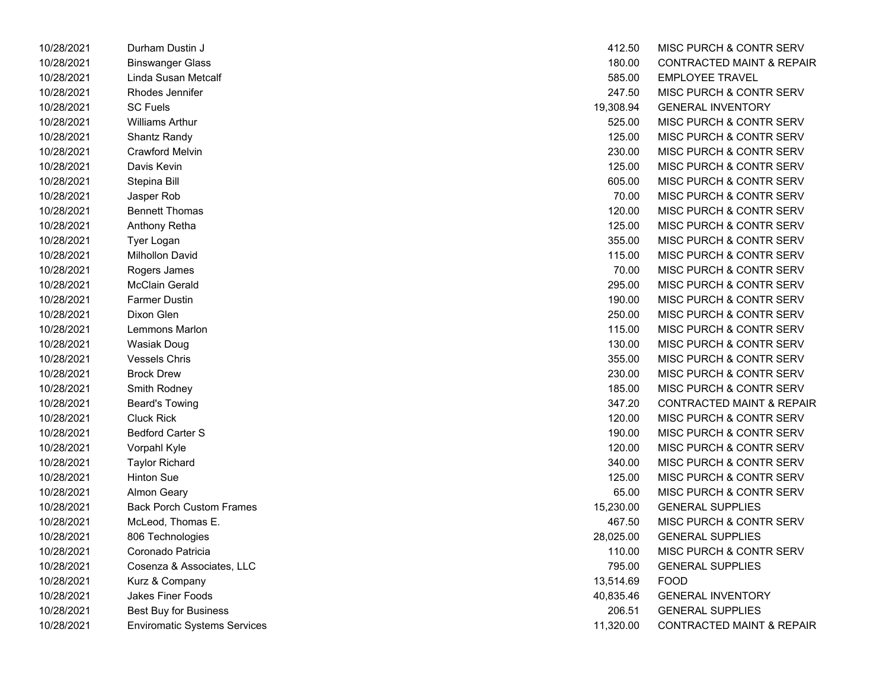| 10/28/2021 | Durham Dustin J                 | 412.50    | MISC PURCH & CONTF            |
|------------|---------------------------------|-----------|-------------------------------|
| 10/28/2021 | <b>Binswanger Glass</b>         | 180.00    | <b>CONTRACTED MAINT &amp;</b> |
| 10/28/2021 | Linda Susan Metcalf             | 585.00    | <b>EMPLOYEE TRAVEL</b>        |
| 10/28/2021 | Rhodes Jennifer                 | 247.50    | <b>MISC PURCH &amp; CONTF</b> |
| 10/28/2021 | <b>SC Fuels</b>                 | 19,308.94 | <b>GENERAL INVENTORY</b>      |
| 10/28/2021 | <b>Williams Arthur</b>          | 525.00    | <b>MISC PURCH &amp; CONTF</b> |
| 10/28/2021 | Shantz Randy                    | 125.00    | <b>MISC PURCH &amp; CONTF</b> |
| 10/28/2021 | <b>Crawford Melvin</b>          | 230.00    | <b>MISC PURCH &amp; CONTF</b> |
| 10/28/2021 | Davis Kevin                     | 125.00    | MISC PURCH & CONTF            |
| 10/28/2021 | Stepina Bill                    | 605.00    | <b>MISC PURCH &amp; CONTF</b> |
| 10/28/2021 | Jasper Rob                      | 70.00     | MISC PURCH & CONTF            |
| 10/28/2021 | <b>Bennett Thomas</b>           | 120.00    | <b>MISC PURCH &amp; CONTF</b> |
| 10/28/2021 | Anthony Retha                   | 125.00    | <b>MISC PURCH &amp; CONTF</b> |
| 10/28/2021 | Tyer Logan                      | 355.00    | <b>MISC PURCH &amp; CONTF</b> |
| 10/28/2021 | <b>Milhollon David</b>          | 115.00    | <b>MISC PURCH &amp; CONTF</b> |
| 10/28/2021 | Rogers James                    | 70.00     | <b>MISC PURCH &amp; CONTF</b> |
| 10/28/2021 | McClain Gerald                  | 295.00    | <b>MISC PURCH &amp; CONTF</b> |
| 10/28/2021 | <b>Farmer Dustin</b>            | 190.00    | <b>MISC PURCH &amp; CONTF</b> |
| 10/28/2021 | Dixon Glen                      | 250.00    | <b>MISC PURCH &amp; CONTF</b> |
| 10/28/2021 | Lemmons Marlon                  | 115.00    | <b>MISC PURCH &amp; CONTF</b> |
| 10/28/2021 | <b>Wasiak Doug</b>              | 130.00    | MISC PURCH & CONTF            |
| 10/28/2021 | <b>Vessels Chris</b>            | 355.00    | <b>MISC PURCH &amp; CONTF</b> |
| 10/28/2021 | <b>Brock Drew</b>               | 230.00    | MISC PURCH & CONTF            |
| 10/28/2021 | Smith Rodney                    | 185.00    | MISC PURCH & CONTF            |
| 10/28/2021 | <b>Beard's Towing</b>           | 347.20    | <b>CONTRACTED MAINT &amp;</b> |
| 10/28/2021 | <b>Cluck Rick</b>               | 120.00    | <b>MISC PURCH &amp; CONTF</b> |
| 10/28/2021 | <b>Bedford Carter S</b>         | 190.00    | <b>MISC PURCH &amp; CONTF</b> |
| 10/28/2021 | Vorpahl Kyle                    | 120.00    | MISC PURCH & CONTF            |
| 10/28/2021 | <b>Taylor Richard</b>           | 340.00    | <b>MISC PURCH &amp; CONTF</b> |
| 10/28/2021 | <b>Hinton Sue</b>               | 125.00    | <b>MISC PURCH &amp; CONTF</b> |
| 10/28/2021 | <b>Almon Geary</b>              | 65.00     | <b>MISC PURCH &amp; CONTF</b> |
| 10/28/2021 | <b>Back Porch Custom Frames</b> | 15,230.00 | <b>GENERAL SUPPLIES</b>       |
| 10/28/2021 | McLeod, Thomas E.               | 467.50    | <b>MISC PURCH &amp; CONTF</b> |
| 10/28/2021 | 806 Technologies                | 28,025.00 | <b>GENERAL SUPPLIES</b>       |
| 10/28/2021 | Coronado Patricia               | 110.00    | <b>MISC PURCH &amp; CONTF</b> |
| 10/28/2021 | Cosenza & Associates, LLC       | 795.00    | <b>GENERAL SUPPLIES</b>       |
| 10/28/2021 | Kurz & Company                  | 13,514.69 | <b>FOOD</b>                   |
| 10/28/2021 | Jakes Finer Foods               | 40,835.46 | <b>GENERAL INVENTORY</b>      |
| 10/28/2021 | Best Buy for Business           | 206.51    | <b>GENERAL SUPPLIES</b>       |
| 10/28/2021 | Enviromatic Svstems Services    | 11.320.00 | <b>CONTRACTED MAINT &amp;</b> |

| 10/28/2021 | Durham Dustin J                     | 412.50    | MISC PURCH & CONTR SERV              |
|------------|-------------------------------------|-----------|--------------------------------------|
| 10/28/2021 | <b>Binswanger Glass</b>             | 180.00    | <b>CONTRACTED MAINT &amp; REPAIR</b> |
| 10/28/2021 | Linda Susan Metcalf                 | 585.00    | <b>EMPLOYEE TRAVEL</b>               |
| 10/28/2021 | Rhodes Jennifer                     | 247.50    | <b>MISC PURCH &amp; CONTR SERV</b>   |
| 10/28/2021 | <b>SC Fuels</b>                     | 19,308.94 | <b>GENERAL INVENTORY</b>             |
| 10/28/2021 | <b>Williams Arthur</b>              | 525.00    | MISC PURCH & CONTR SERV              |
| 10/28/2021 | Shantz Randy                        | 125.00    | MISC PURCH & CONTR SERV              |
| 10/28/2021 | <b>Crawford Melvin</b>              | 230.00    | MISC PURCH & CONTR SERV              |
| 10/28/2021 | Davis Kevin                         | 125.00    | MISC PURCH & CONTR SERV              |
| 10/28/2021 | Stepina Bill                        | 605.00    | MISC PURCH & CONTR SERV              |
| 10/28/2021 | Jasper Rob                          | 70.00     | MISC PURCH & CONTR SERV              |
| 10/28/2021 | <b>Bennett Thomas</b>               | 120.00    | <b>MISC PURCH &amp; CONTR SERV</b>   |
| 10/28/2021 | Anthony Retha                       | 125.00    | MISC PURCH & CONTR SERV              |
| 10/28/2021 | Tyer Logan                          | 355.00    | MISC PURCH & CONTR SERV              |
| 10/28/2021 | <b>Milhollon David</b>              | 115.00    | MISC PURCH & CONTR SERV              |
| 10/28/2021 | Rogers James                        | 70.00     | MISC PURCH & CONTR SERV              |
| 10/28/2021 | <b>McClain Gerald</b>               | 295.00    | <b>MISC PURCH &amp; CONTR SERV</b>   |
| 10/28/2021 | <b>Farmer Dustin</b>                | 190.00    | MISC PURCH & CONTR SERV              |
| 10/28/2021 | Dixon Glen                          | 250.00    | MISC PURCH & CONTR SERV              |
| 10/28/2021 | Lemmons Marlon                      | 115.00    | MISC PURCH & CONTR SERV              |
| 10/28/2021 | <b>Wasiak Doug</b>                  | 130.00    | MISC PURCH & CONTR SERV              |
| 10/28/2021 | <b>Vessels Chris</b>                | 355.00    | <b>MISC PURCH &amp; CONTR SERV</b>   |
| 10/28/2021 | <b>Brock Drew</b>                   | 230.00    | <b>MISC PURCH &amp; CONTR SERV</b>   |
| 10/28/2021 | Smith Rodney                        | 185.00    | <b>MISC PURCH &amp; CONTR SERV</b>   |
| 10/28/2021 | <b>Beard's Towing</b>               | 347.20    | <b>CONTRACTED MAINT &amp; REPAIR</b> |
| 10/28/2021 | <b>Cluck Rick</b>                   | 120.00    | MISC PURCH & CONTR SERV              |
| 10/28/2021 | <b>Bedford Carter S</b>             | 190.00    | MISC PURCH & CONTR SERV              |
| 10/28/2021 | Vorpahl Kyle                        | 120.00    | MISC PURCH & CONTR SERV              |
| 10/28/2021 | <b>Taylor Richard</b>               | 340.00    | MISC PURCH & CONTR SERV              |
| 10/28/2021 | <b>Hinton Sue</b>                   | 125.00    | MISC PURCH & CONTR SERV              |
| 10/28/2021 | <b>Almon Geary</b>                  | 65.00     | MISC PURCH & CONTR SERV              |
| 10/28/2021 | <b>Back Porch Custom Frames</b>     | 15,230.00 | <b>GENERAL SUPPLIES</b>              |
| 10/28/2021 | McLeod, Thomas E.                   | 467.50    | <b>MISC PURCH &amp; CONTR SERV</b>   |
| 10/28/2021 | 806 Technologies                    | 28,025.00 | <b>GENERAL SUPPLIES</b>              |
| 10/28/2021 | Coronado Patricia                   | 110.00    | MISC PURCH & CONTR SERV              |
| 10/28/2021 | Cosenza & Associates, LLC           | 795.00    | <b>GENERAL SUPPLIES</b>              |
| 10/28/2021 | Kurz & Company                      | 13,514.69 | <b>FOOD</b>                          |
| 10/28/2021 | Jakes Finer Foods                   | 40,835.46 | <b>GENERAL INVENTORY</b>             |
| 10/28/2021 | <b>Best Buy for Business</b>        | 206.51    | <b>GENERAL SUPPLIES</b>              |
| 10/28/2021 | <b>Enviromatic Systems Services</b> | 11,320.00 | <b>CONTRACTED MAINT &amp; REPAIR</b> |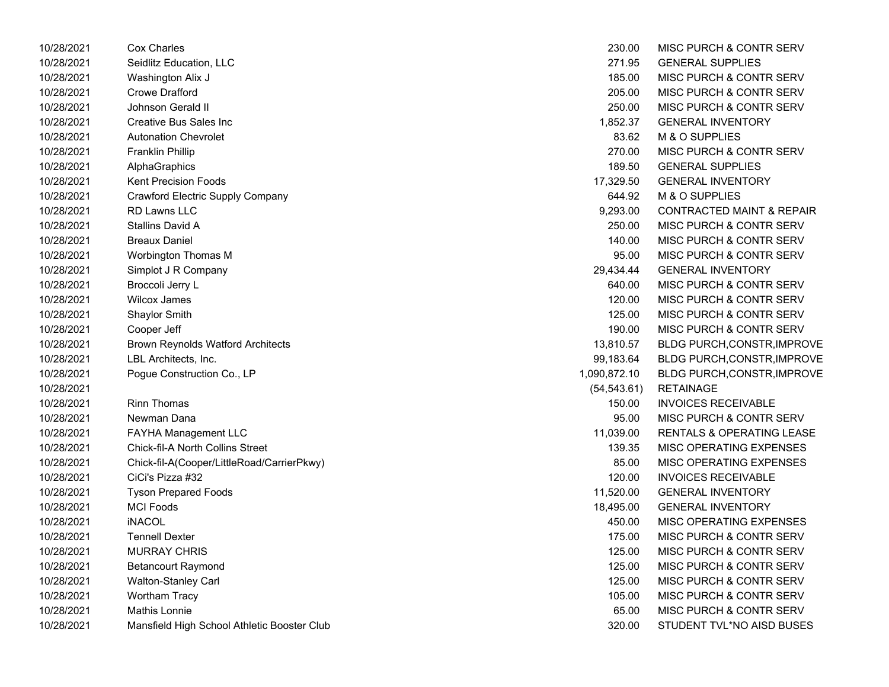| 10/28/2021 | Cox Charles                                 | 230.00       | MISC PURCH & CONTR SERV              |
|------------|---------------------------------------------|--------------|--------------------------------------|
| 10/28/2021 | Seidlitz Education, LLC                     | 271.95       | <b>GENERAL SUPPLIES</b>              |
| 10/28/2021 | Washington Alix J                           | 185.00       | MISC PURCH & CONTR SERV              |
| 10/28/2021 | <b>Crowe Drafford</b>                       | 205.00       | MISC PURCH & CONTR SERV              |
| 10/28/2021 | Johnson Gerald II                           | 250.00       | MISC PURCH & CONTR SERV              |
| 10/28/2021 | Creative Bus Sales Inc                      | 1,852.37     | <b>GENERAL INVENTORY</b>             |
| 10/28/2021 | <b>Autonation Chevrolet</b>                 | 83.62        | M & O SUPPLIES                       |
| 10/28/2021 | <b>Franklin Phillip</b>                     | 270.00       | <b>MISC PURCH &amp; CONTR SERV</b>   |
| 10/28/2021 | AlphaGraphics                               | 189.50       | <b>GENERAL SUPPLIES</b>              |
| 10/28/2021 | <b>Kent Precision Foods</b>                 | 17,329.50    | <b>GENERAL INVENTORY</b>             |
| 10/28/2021 | Crawford Electric Supply Company            | 644.92       | M & O SUPPLIES                       |
| 10/28/2021 | <b>RD Lawns LLC</b>                         | 9,293.00     | <b>CONTRACTED MAINT &amp; REPAIR</b> |
| 10/28/2021 | <b>Stallins David A</b>                     | 250.00       | MISC PURCH & CONTR SERV              |
| 10/28/2021 | <b>Breaux Daniel</b>                        | 140.00       | MISC PURCH & CONTR SERV              |
| 10/28/2021 | Worbington Thomas M                         | 95.00        | MISC PURCH & CONTR SERV              |
| 10/28/2021 | Simplot J R Company                         | 29,434.44    | <b>GENERAL INVENTORY</b>             |
| 10/28/2021 | Broccoli Jerry L                            | 640.00       | MISC PURCH & CONTR SERV              |
| 10/28/2021 | <b>Wilcox James</b>                         | 120.00       | MISC PURCH & CONTR SERV              |
| 10/28/2021 | <b>Shaylor Smith</b>                        | 125.00       | MISC PURCH & CONTR SERV              |
| 10/28/2021 | Cooper Jeff                                 | 190.00       | MISC PURCH & CONTR SERV              |
| 10/28/2021 | <b>Brown Reynolds Watford Architects</b>    | 13,810.57    | BLDG PURCH, CONSTR, IMPROVE          |
| 10/28/2021 | LBL Architects, Inc.                        | 99,183.64    | <b>BLDG PURCH, CONSTR, IMPROVE</b>   |
| 10/28/2021 | Pogue Construction Co., LP                  | 1,090,872.10 | <b>BLDG PURCH, CONSTR, IMPROVE</b>   |
| 10/28/2021 |                                             | (54, 543.61) | <b>RETAINAGE</b>                     |
| 10/28/2021 | <b>Rinn Thomas</b>                          | 150.00       | <b>INVOICES RECEIVABLE</b>           |
| 10/28/2021 | Newman Dana                                 | 95.00        | MISC PURCH & CONTR SERV              |
| 10/28/2021 | FAYHA Management LLC                        | 11,039.00    | <b>RENTALS &amp; OPERATING LEASE</b> |
| 10/28/2021 | <b>Chick-fil-A North Collins Street</b>     | 139.35       | MISC OPERATING EXPENSES              |
| 10/28/2021 | Chick-fil-A(Cooper/LittleRoad/CarrierPkwy)  | 85.00        | MISC OPERATING EXPENSES              |
| 10/28/2021 | CiCi's Pizza #32                            | 120.00       | <b>INVOICES RECEIVABLE</b>           |
| 10/28/2021 | <b>Tyson Prepared Foods</b>                 | 11,520.00    | <b>GENERAL INVENTORY</b>             |
| 10/28/2021 | <b>MCI Foods</b>                            | 18,495.00    | <b>GENERAL INVENTORY</b>             |
| 10/28/2021 | <b>iNACOL</b>                               | 450.00       | MISC OPERATING EXPENSES              |
| 10/28/2021 | <b>Tennell Dexter</b>                       | 175.00       | MISC PURCH & CONTR SERV              |
| 10/28/2021 | <b>MURRAY CHRIS</b>                         | 125.00       | MISC PURCH & CONTR SERV              |
| 10/28/2021 | <b>Betancourt Raymond</b>                   | 125.00       | <b>MISC PURCH &amp; CONTR SERV</b>   |
| 10/28/2021 | Walton-Stanley Carl                         | 125.00       | MISC PURCH & CONTR SERV              |
| 10/28/2021 | Wortham Tracy                               | 105.00       | MISC PURCH & CONTR SERV              |
| 10/28/2021 | Mathis Lonnie                               | 65.00        | MISC PURCH & CONTR SERV              |
| 10/28/2021 | Mansfield High School Athletic Booster Club | 320.00       | STUDENT TVL*NO AISD BUSES            |

| 230.00       | MISC PURCH & CONTR SERV              |
|--------------|--------------------------------------|
| 271.95       | <b>GENERAL SUPPLIES</b>              |
| 185.00       | <b>MISC PURCH &amp; CONTR SERV</b>   |
| 205.00       | <b>MISC PURCH &amp; CONTR SERV</b>   |
| 250.00       | <b>MISC PURCH &amp; CONTR SERV</b>   |
| 1,852.37     | <b>GENERAL INVENTORY</b>             |
| 83.62        | <b>M &amp; O SUPPLIES</b>            |
| 270.00       | <b>MISC PURCH &amp; CONTR SERV</b>   |
| 189.50       | <b>GENERAL SUPPLIES</b>              |
| 17.329.50    | <b>GENERAL INVENTORY</b>             |
| 644.92       | <b>M &amp; O SUPPLIES</b>            |
| 9,293.00     | <b>CONTRACTED MAINT &amp; REPAIR</b> |
| 250.00       | <b>MISC PURCH &amp; CONTR SERV</b>   |
| 140.00       | <b>MISC PURCH &amp; CONTR SERV</b>   |
| 95.00        | <b>MISC PURCH &amp; CONTR SERV</b>   |
| 29,434.44    | <b>GENERAL INVENTORY</b>             |
| 640.00       | <b>MISC PURCH &amp; CONTR SERV</b>   |
| 120.00       | <b>MISC PURCH &amp; CONTR SERV</b>   |
| 125.00       | MISC PURCH & CONTR SERV              |
| 190.00       | <b>MISC PURCH &amp; CONTR SERV</b>   |
| 13,810.57    | <b>BLDG PURCH, CONSTR, IMPROVE</b>   |
| 99,183.64    | BLDG PURCH, CONSTR, IMPROVE          |
| 090,872.10   | <b>BLDG PURCH, CONSTR, IMPROVE</b>   |
| (54, 543.61) | <b>RETAINAGE</b>                     |
| 150.00       | <b>INVOICES RECEIVABLE</b>           |
| 95.00        | <b>MISC PURCH &amp; CONTR SERV</b>   |
| 11,039.00    | RENTALS & OPERATING LEASE            |
| 139.35       | <b>MISC OPERATING EXPENSES</b>       |
| 85.00        | <b>MISC OPERATING EXPENSES</b>       |
| 120.00       | <b>INVOICES RECEIVABLE</b>           |
| 11,520.00    | <b>GENERAL INVENTORY</b>             |
| 18,495.00    | <b>GENERAL INVENTORY</b>             |
| 450.00       | <b>MISC OPERATING EXPENSES</b>       |
| 175.00       | <b>MISC PURCH &amp; CONTR SERV</b>   |
| 125.00       | <b>MISC PURCH &amp; CONTR SERV</b>   |
| 125.00       | <b>MISC PURCH &amp; CONTR SERV</b>   |
| 125.00       | MISC PURCH & CONTR SERV              |
| 105.00       | <b>MISC PURCH &amp; CONTR SERV</b>   |
| 65.00        | <b>MISC PURCH &amp; CONTR SERV</b>   |
| 320.00       | STUDENT TVL*NO AISD BUSES            |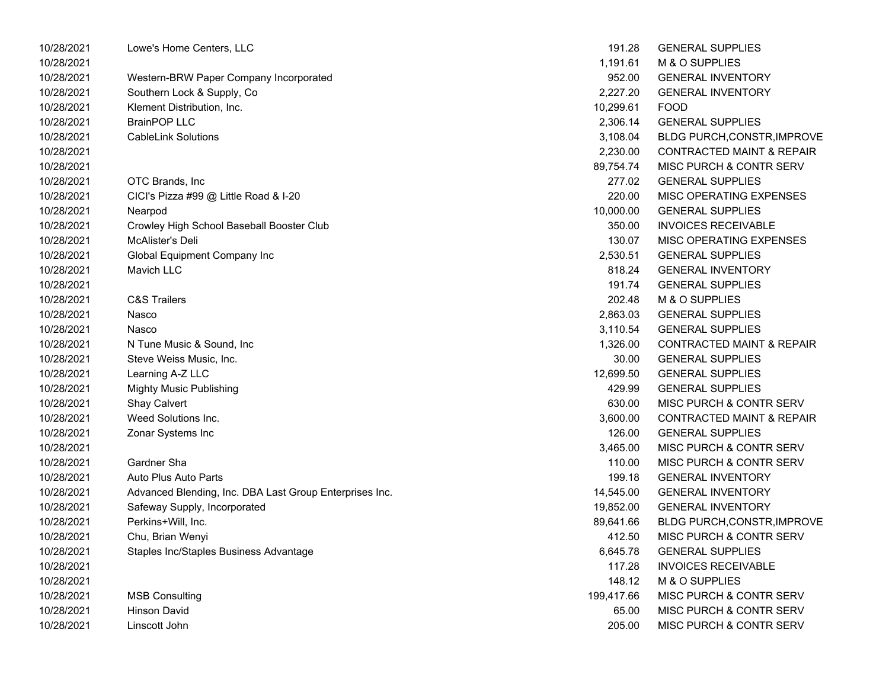| 10/28/2021 | Lowe's Home Centers, LLC                                | 191.28     | <b>GENERAL SUPPLIES</b>              |
|------------|---------------------------------------------------------|------------|--------------------------------------|
| 10/28/2021 |                                                         | 1,191.61   | M & O SUPPLIES                       |
| 10/28/2021 | Western-BRW Paper Company Incorporated                  | 952.00     | <b>GENERAL INVENTORY</b>             |
| 10/28/2021 | Southern Lock & Supply, Co                              | 2,227.20   | <b>GENERAL INVENTORY</b>             |
| 10/28/2021 | Klement Distribution, Inc.                              | 10,299.61  | <b>FOOD</b>                          |
| 10/28/2021 | <b>BrainPOP LLC</b>                                     | 2,306.14   | <b>GENERAL SUPPLIES</b>              |
| 10/28/2021 | <b>CableLink Solutions</b>                              | 3,108.04   | <b>BLDG PURCH, CONSTR, IMPROVE</b>   |
| 10/28/2021 |                                                         | 2,230.00   | <b>CONTRACTED MAINT &amp; REPAIR</b> |
| 10/28/2021 |                                                         | 89,754.74  | MISC PURCH & CONTR SERV              |
| 10/28/2021 | OTC Brands, Inc                                         | 277.02     | <b>GENERAL SUPPLIES</b>              |
| 10/28/2021 | CICI's Pizza #99 @ Little Road & I-20                   | 220.00     | MISC OPERATING EXPENSES              |
| 10/28/2021 | Nearpod                                                 | 10,000.00  | <b>GENERAL SUPPLIES</b>              |
| 10/28/2021 | Crowley High School Baseball Booster Club               | 350.00     | <b>INVOICES RECEIVABLE</b>           |
| 10/28/2021 | McAlister's Deli                                        | 130.07     | MISC OPERATING EXPENSES              |
| 10/28/2021 | Global Equipment Company Inc                            | 2,530.51   | <b>GENERAL SUPPLIES</b>              |
| 10/28/2021 | <b>Mavich LLC</b>                                       | 818.24     | <b>GENERAL INVENTORY</b>             |
| 10/28/2021 |                                                         | 191.74     | <b>GENERAL SUPPLIES</b>              |
| 10/28/2021 | <b>C&amp;S Trailers</b>                                 | 202.48     | M & O SUPPLIES                       |
| 10/28/2021 | Nasco                                                   | 2,863.03   | <b>GENERAL SUPPLIES</b>              |
| 10/28/2021 | Nasco                                                   | 3,110.54   | <b>GENERAL SUPPLIES</b>              |
| 10/28/2021 | N Tune Music & Sound, Inc.                              | 1,326.00   | <b>CONTRACTED MAINT &amp; REPAIR</b> |
| 10/28/2021 | Steve Weiss Music, Inc.                                 | 30.00      | <b>GENERAL SUPPLIES</b>              |
| 10/28/2021 | Learning A-Z LLC                                        | 12,699.50  | <b>GENERAL SUPPLIES</b>              |
| 10/28/2021 | <b>Mighty Music Publishing</b>                          | 429.99     | <b>GENERAL SUPPLIES</b>              |
| 10/28/2021 | Shay Calvert                                            | 630.00     | MISC PURCH & CONTR SERV              |
| 10/28/2021 | Weed Solutions Inc.                                     | 3,600.00   | <b>CONTRACTED MAINT &amp; REPAIR</b> |
| 10/28/2021 | Zonar Systems Inc                                       | 126.00     | <b>GENERAL SUPPLIES</b>              |
| 10/28/2021 |                                                         | 3,465.00   | MISC PURCH & CONTR SERV              |
| 10/28/2021 | Gardner Sha                                             | 110.00     | MISC PURCH & CONTR SERV              |
| 10/28/2021 | Auto Plus Auto Parts                                    | 199.18     | <b>GENERAL INVENTORY</b>             |
| 10/28/2021 | Advanced Blending, Inc. DBA Last Group Enterprises Inc. | 14,545.00  | <b>GENERAL INVENTORY</b>             |
| 10/28/2021 | Safeway Supply, Incorporated                            | 19,852.00  | <b>GENERAL INVENTORY</b>             |
| 10/28/2021 | Perkins+Will, Inc.                                      | 89,641.66  | BLDG PURCH, CONSTR, IMPROVE          |
| 10/28/2021 | Chu, Brian Wenyi                                        | 412.50     | MISC PURCH & CONTR SERV              |
| 10/28/2021 | Staples Inc/Staples Business Advantage                  | 6,645.78   | <b>GENERAL SUPPLIES</b>              |
| 10/28/2021 |                                                         | 117.28     | <b>INVOICES RECEIVABLE</b>           |
| 10/28/2021 |                                                         | 148.12     | M & O SUPPLIES                       |
| 10/28/2021 | <b>MSB Consulting</b>                                   | 199,417.66 | MISC PURCH & CONTR SERV              |
| 10/28/2021 | <b>Hinson David</b>                                     | 65.00      | MISC PURCH & CONTR SERV              |
| 10/28/2021 | Linscott John                                           | 205.00     | MISC PURCH & CONTR SERV              |
|            |                                                         |            |                                      |

| 191.28    | <b>GENERAL SUPPLIES</b>              |
|-----------|--------------------------------------|
| 1,191.61  | <b>M &amp; O SUPPLIES</b>            |
| 952.00    | <b>GENERAL INVENTORY</b>             |
| 2,227.20  | <b>GENERAL INVENTORY</b>             |
| 10,299.61 | <b>FOOD</b>                          |
| 2,306.14  | <b>GENERAL SUPPLIES</b>              |
| 3,108.04  | <b>BLDG PURCH, CONSTR, IMPROVE</b>   |
| 2,230.00  | <b>CONTRACTED MAINT &amp; REPAIR</b> |
| 89.754.74 | <b>MISC PURCH &amp; CONTR SERV</b>   |
| 277.02    | <b>GENERAL SUPPLIES</b>              |
| 220.00    | <b>MISC OPERATING EXPENSES</b>       |
| 10,000.00 | <b>GENERAL SUPPLIES</b>              |
| 350.00    | <b>INVOICES RECEIVABLE</b>           |
| 130.07    | <b>MISC OPERATING EXPENSES</b>       |
| 2,530.51  | <b>GENERAL SUPPLIES</b>              |
| 818.24    | <b>GENERAL INVENTORY</b>             |
| 191.74    | <b>GENERAL SUPPLIES</b>              |
| 202.48    | <b>M &amp; O SUPPLIES</b>            |
| 2,863.03  | <b>GENERAL SUPPLIES</b>              |
| 3,110.54  | <b>GENERAL SUPPLIES</b>              |
| 1,326.00  | <b>CONTRACTED MAINT &amp; REPAIR</b> |
| 30.00     | <b>GENERAL SUPPLIES</b>              |
| 12,699.50 | <b>GENERAL SUPPLIES</b>              |
| 429.99    | <b>GENERAL SUPPLIES</b>              |
| 630.00    | MISC PURCH & CONTR SERV              |
| 3,600.00  | <b>CONTRACTED MAINT &amp; REPAIR</b> |
| 126.00    | <b>GENERAL SUPPLIES</b>              |
| 3,465.00  | <b>MISC PURCH &amp; CONTR SERV</b>   |
| 110.00    | MISC PURCH & CONTR SERV              |
| 199.18    | <b>GENERAL INVENTORY</b>             |
| 14,545.00 | <b>GENERAL INVENTORY</b>             |
| 19.852.00 | <b>GENERAL INVENTORY</b>             |
| 89,641.66 | BLDG PURCH, CONSTR, IMPROVE          |
| 412.50    | MISC PURCH & CONTR SERV              |
| 6,645.78  | <b>GENERAL SUPPLIES</b>              |
| 117.28    | <b>INVOICES RECEIVABLE</b>           |
| 148.12    | M & O SUPPLIES                       |
| 99,417.66 | MISC PURCH & CONTR SERV              |
| 65.00     | <b>MISC PURCH &amp; CONTR SERV</b>   |
| 205.00 L  | MISC PHRCH & CONTR SERV              |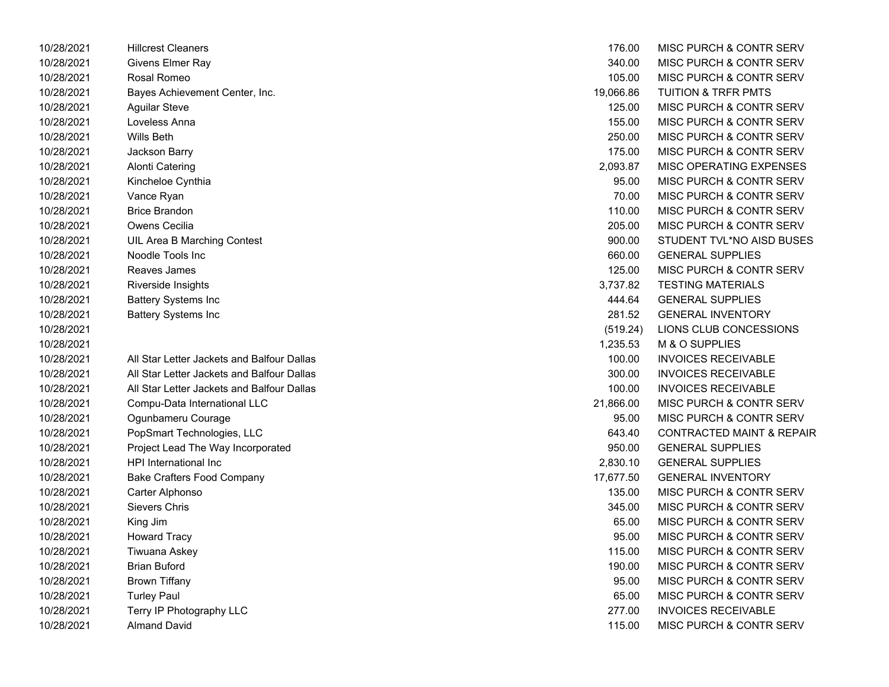| 10/28/2021 | <b>Hillcrest Cleaners</b>                  | 176.00    | <b>MISC PURCH &amp; CONTR SERV</b>   |
|------------|--------------------------------------------|-----------|--------------------------------------|
| 10/28/2021 | Givens Elmer Ray                           | 340.00    | <b>MISC PURCH &amp; CONTR SERV</b>   |
| 10/28/2021 | Rosal Romeo                                | 105.00    | <b>MISC PURCH &amp; CONTR SERV</b>   |
| 10/28/2021 | Bayes Achievement Center, Inc.             | 19,066.86 | <b>TUITION &amp; TRFR PMTS</b>       |
| 10/28/2021 | <b>Aguilar Steve</b>                       | 125.00    | <b>MISC PURCH &amp; CONTR SERV</b>   |
| 10/28/2021 | Loveless Anna                              | 155.00    | <b>MISC PURCH &amp; CONTR SERV</b>   |
| 10/28/2021 | Wills Beth                                 | 250.00    | MISC PURCH & CONTR SERV              |
| 10/28/2021 | Jackson Barry                              | 175.00    | <b>MISC PURCH &amp; CONTR SERV</b>   |
| 10/28/2021 | <b>Alonti Catering</b>                     | 2,093.87  | MISC OPERATING EXPENSES              |
| 10/28/2021 | Kincheloe Cynthia                          | 95.00     | <b>MISC PURCH &amp; CONTR SERV</b>   |
| 10/28/2021 | Vance Ryan                                 | 70.00     | <b>MISC PURCH &amp; CONTR SERV</b>   |
| 10/28/2021 | <b>Brice Brandon</b>                       | 110.00    | <b>MISC PURCH &amp; CONTR SERV</b>   |
| 10/28/2021 | Owens Cecilia                              | 205.00    | <b>MISC PURCH &amp; CONTR SERV</b>   |
| 10/28/2021 | UIL Area B Marching Contest                | 900.00    | STUDENT TVL*NO AISD BUSES            |
| 10/28/2021 | Noodle Tools Inc                           | 660.00    | <b>GENERAL SUPPLIES</b>              |
| 10/28/2021 | Reaves James                               | 125.00    | <b>MISC PURCH &amp; CONTR SERV</b>   |
| 10/28/2021 | Riverside Insights                         | 3,737.82  | <b>TESTING MATERIALS</b>             |
| 10/28/2021 | <b>Battery Systems Inc</b>                 | 444.64    | <b>GENERAL SUPPLIES</b>              |
| 10/28/2021 | <b>Battery Systems Inc</b>                 | 281.52    | <b>GENERAL INVENTORY</b>             |
| 10/28/2021 |                                            | (519.24)  | LIONS CLUB CONCESSIONS               |
| 10/28/2021 |                                            | 1,235.53  | <b>M &amp; O SUPPLIES</b>            |
| 10/28/2021 | All Star Letter Jackets and Balfour Dallas | 100.00    | <b>INVOICES RECEIVABLE</b>           |
| 10/28/2021 | All Star Letter Jackets and Balfour Dallas | 300.00    | <b>INVOICES RECEIVABLE</b>           |
| 10/28/2021 | All Star Letter Jackets and Balfour Dallas | 100.00    | <b>INVOICES RECEIVABLE</b>           |
| 10/28/2021 | Compu-Data International LLC               | 21,866.00 | <b>MISC PURCH &amp; CONTR SERV</b>   |
| 10/28/2021 | Ogunbameru Courage                         | 95.00     | <b>MISC PURCH &amp; CONTR SERV</b>   |
| 10/28/2021 | PopSmart Technologies, LLC                 | 643.40    | <b>CONTRACTED MAINT &amp; REPAIR</b> |
| 10/28/2021 | Project Lead The Way Incorporated          | 950.00    | <b>GENERAL SUPPLIES</b>              |
| 10/28/2021 | HPI International Inc                      | 2,830.10  | <b>GENERAL SUPPLIES</b>              |
| 10/28/2021 | <b>Bake Crafters Food Company</b>          | 17,677.50 | <b>GENERAL INVENTORY</b>             |
| 10/28/2021 | Carter Alphonso                            | 135.00    | <b>MISC PURCH &amp; CONTR SERV</b>   |
| 10/28/2021 | <b>Sievers Chris</b>                       | 345.00    | <b>MISC PURCH &amp; CONTR SERV</b>   |
| 10/28/2021 | King Jim                                   | 65.00     | <b>MISC PURCH &amp; CONTR SERV</b>   |
| 10/28/2021 | <b>Howard Tracy</b>                        | 95.00     | <b>MISC PURCH &amp; CONTR SERV</b>   |
| 10/28/2021 | Tiwuana Askey                              | 115.00    | <b>MISC PURCH &amp; CONTR SERV</b>   |
| 10/28/2021 | <b>Brian Buford</b>                        | 190.00    | <b>MISC PURCH &amp; CONTR SERV</b>   |
| 10/28/2021 | <b>Brown Tiffany</b>                       | 95.00     | <b>MISC PURCH &amp; CONTR SERV</b>   |
| 10/28/2021 | <b>Turley Paul</b>                         | 65.00     | MISC PURCH & CONTR SERV              |
| 10/28/2021 | Terry IP Photography LLC                   | 277.00    | <b>INVOICES RECEIVABLE</b>           |
| 10/28/2021 | Almand David                               | 115.00    | MISC PURCH & CONTR SERV              |

| 176.00    | MISC PURCH & CONTR SERV              |
|-----------|--------------------------------------|
| 340.00    | MISC PURCH & CONTR SERV              |
| 105.00    | <b>MISC PURCH &amp; CONTR SERV</b>   |
| 19,066.86 | <b>TUITION &amp; TRFR PMTS</b>       |
| 125.00    | <b>MISC PURCH &amp; CONTR SERV</b>   |
| 155.00    | <b>MISC PURCH &amp; CONTR SERV</b>   |
| 250.00    | <b>MISC PURCH &amp; CONTR SERV</b>   |
| 175.00    | <b>MISC PURCH &amp; CONTR SERV</b>   |
| 2,093.87  | <b>MISC OPERATING EXPENSES</b>       |
| 95.00     | MISC PURCH & CONTR SERV              |
| 70.00     | <b>MISC PURCH &amp; CONTR SERV</b>   |
| 110.00    | <b>MISC PURCH &amp; CONTR SERV</b>   |
| 205.00    | <b>MISC PURCH &amp; CONTR SERV</b>   |
| 900.00    | STUDENT TVL*NO AISD BUSES            |
| 660.00    | <b>GENERAL SUPPLIES</b>              |
| 125.00    | <b>MISC PURCH &amp; CONTR SERV</b>   |
| 3,737.82  | <b>TESTING MATERIALS</b>             |
| 444.64    | <b>GENERAL SUPPLIES</b>              |
| 281.52    | <b>GENERAL INVENTORY</b>             |
| (519.24)  | LIONS CLUB CONCESSIONS               |
| 1,235.53  | <b>M &amp; O SUPPLIES</b>            |
| 100.00    | <b>INVOICES RECEIVABLE</b>           |
| 300.00    | <b>INVOICES RECEIVABLE</b>           |
| 100.00    | <b>INVOICES RECEIVABLE</b>           |
| 21,866.00 | <b>MISC PURCH &amp; CONTR SERV</b>   |
| 95.00     | <b>MISC PURCH &amp; CONTR SERV</b>   |
| 643.40    | <b>CONTRACTED MAINT &amp; REPAIR</b> |
| 950.00    | <b>GENERAL SUPPLIES</b>              |
| 2,830.10  | <b>GENERAL SUPPLIES</b>              |
| 17,677.50 | <b>GENERAL INVENTORY</b>             |
| 135.00    | <b>MISC PURCH &amp; CONTR SERV</b>   |
| 345.00    | MISC PURCH & CONTR SERV              |
| 65.00     | <b>MISC PURCH &amp; CONTR SERV</b>   |
| 95.00     | <b>MISC PURCH &amp; CONTR SERV</b>   |
| 115.00    | MISC PURCH & CONTR SERV              |
| 190.00    | <b>MISC PURCH &amp; CONTR SERV</b>   |
| 95.00     | <b>MISC PURCH &amp; CONTR SERV</b>   |
| 65.00     | MISC PURCH & CONTR SERV              |
| 277.00    | <b>INVOICES RECEIVABLE</b>           |
| 115.00    | MISC PURCH & CONTR SERV              |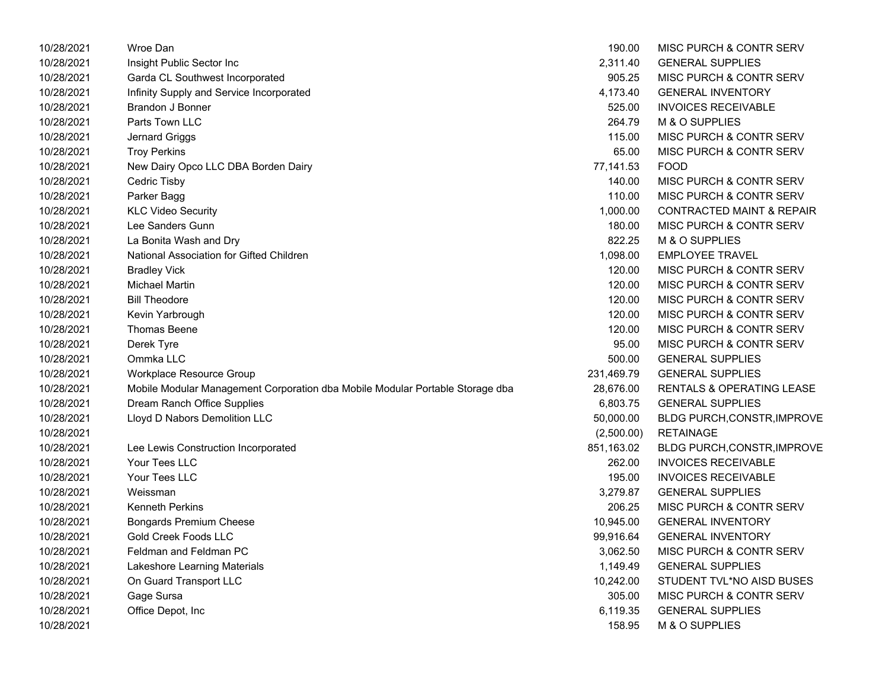| 10/28/2021 | Wroe Dan                                                                      | 190.00     | <b>MISC PURCH &amp; CONTR SERV</b>   |
|------------|-------------------------------------------------------------------------------|------------|--------------------------------------|
| 10/28/2021 | Insight Public Sector Inc                                                     | 2,311.40   | <b>GENERAL SUPPLIES</b>              |
| 10/28/2021 | Garda CL Southwest Incorporated                                               | 905.25     | <b>MISC PURCH &amp; CONTR SERV</b>   |
| 10/28/2021 | Infinity Supply and Service Incorporated                                      | 4,173.40   | <b>GENERAL INVENTORY</b>             |
| 10/28/2021 | Brandon J Bonner                                                              | 525.00     | <b>INVOICES RECEIVABLE</b>           |
| 10/28/2021 | Parts Town LLC                                                                | 264.79     | M & O SUPPLIES                       |
| 10/28/2021 | Jernard Griggs                                                                | 115.00     | <b>MISC PURCH &amp; CONTR SERV</b>   |
| 10/28/2021 | <b>Troy Perkins</b>                                                           | 65.00      | <b>MISC PURCH &amp; CONTR SERV</b>   |
| 10/28/2021 | New Dairy Opco LLC DBA Borden Dairy                                           | 77,141.53  | <b>FOOD</b>                          |
| 10/28/2021 | Cedric Tisby                                                                  | 140.00     | MISC PURCH & CONTR SERV              |
| 10/28/2021 | Parker Bagg                                                                   | 110.00     | <b>MISC PURCH &amp; CONTR SERV</b>   |
| 10/28/2021 | <b>KLC Video Security</b>                                                     | 1,000.00   | <b>CONTRACTED MAINT &amp; REPAIR</b> |
| 10/28/2021 | Lee Sanders Gunn                                                              | 180.00     | <b>MISC PURCH &amp; CONTR SERV</b>   |
| 10/28/2021 | La Bonita Wash and Dry                                                        | 822.25     | M & O SUPPLIES                       |
| 10/28/2021 | National Association for Gifted Children                                      | 1,098.00   | <b>EMPLOYEE TRAVEL</b>               |
| 10/28/2021 | <b>Bradley Vick</b>                                                           | 120.00     | <b>MISC PURCH &amp; CONTR SERV</b>   |
| 10/28/2021 | <b>Michael Martin</b>                                                         | 120.00     | <b>MISC PURCH &amp; CONTR SERV</b>   |
| 10/28/2021 | <b>Bill Theodore</b>                                                          | 120.00     | <b>MISC PURCH &amp; CONTR SERV</b>   |
| 10/28/2021 | Kevin Yarbrough                                                               | 120.00     | <b>MISC PURCH &amp; CONTR SERV</b>   |
| 10/28/2021 | Thomas Beene                                                                  | 120.00     | <b>MISC PURCH &amp; CONTR SERV</b>   |
| 10/28/2021 | Derek Tyre                                                                    | 95.00      | <b>MISC PURCH &amp; CONTR SERV</b>   |
| 10/28/2021 | Ommka LLC                                                                     | 500.00     | <b>GENERAL SUPPLIES</b>              |
| 10/28/2021 | Workplace Resource Group                                                      | 231,469.79 | <b>GENERAL SUPPLIES</b>              |
| 10/28/2021 | Mobile Modular Management Corporation dba Mobile Modular Portable Storage dba | 28,676.00  | RENTALS & OPERATING LEASE            |
| 10/28/2021 | Dream Ranch Office Supplies                                                   | 6,803.75   | <b>GENERAL SUPPLIES</b>              |
| 10/28/2021 | Lloyd D Nabors Demolition LLC                                                 | 50,000.00  | BLDG PURCH, CONSTR, IMPROVE          |
| 10/28/2021 |                                                                               | (2,500.00) | <b>RETAINAGE</b>                     |
| 10/28/2021 | Lee Lewis Construction Incorporated                                           | 851,163.02 | BLDG PURCH, CONSTR, IMPROVE          |
| 10/28/2021 | Your Tees LLC                                                                 | 262.00     | <b>INVOICES RECEIVABLE</b>           |
| 10/28/2021 | Your Tees LLC                                                                 | 195.00     | <b>INVOICES RECEIVABLE</b>           |
| 10/28/2021 | Weissman                                                                      | 3,279.87   | <b>GENERAL SUPPLIES</b>              |
| 10/28/2021 | <b>Kenneth Perkins</b>                                                        | 206.25     | <b>MISC PURCH &amp; CONTR SERV</b>   |
| 10/28/2021 | <b>Bongards Premium Cheese</b>                                                | 10,945.00  | <b>GENERAL INVENTORY</b>             |
| 10/28/2021 | <b>Gold Creek Foods LLC</b>                                                   | 99,916.64  | <b>GENERAL INVENTORY</b>             |
| 10/28/2021 | Feldman and Feldman PC                                                        | 3,062.50   | <b>MISC PURCH &amp; CONTR SERV</b>   |
| 10/28/2021 | Lakeshore Learning Materials                                                  | 1,149.49   | <b>GENERAL SUPPLIES</b>              |
| 10/28/2021 | On Guard Transport LLC                                                        | 10,242.00  | STUDENT TVL*NO AISD BUSES            |
| 10/28/2021 | Gage Sursa                                                                    | 305.00     | <b>MISC PURCH &amp; CONTR SERV</b>   |
| 10/28/2021 | Office Depot, Inc                                                             | 6,119.35   | <b>GENERAL SUPPLIES</b>              |
| 10/28/2021 |                                                                               | 158.95     | M & O SUPPLIES                       |

| 190.00     | MISC PURCH & CONTR SERV              |
|------------|--------------------------------------|
| 2,311.40   | <b>GENERAL SUPPLIES</b>              |
| 905.25     | MISC PURCH & CONTR SERV              |
| 4,173.40   | <b>GENERAL INVENTORY</b>             |
| 525.00     | <b>INVOICES RECEIVABLE</b>           |
| 264.79     | M & O SUPPLIES                       |
| 115.00     | <b>MISC PURCH &amp; CONTR SERV</b>   |
| 65.00      | MISC PURCH & CONTR SERV              |
| 77,141.53  | <b>FOOD</b>                          |
| 140.00     | MISC PURCH & CONTR SERV              |
| 110.00     | MISC PURCH & CONTR SERV              |
| 1,000.00   | <b>CONTRACTED MAINT &amp; REPAIR</b> |
| 180.00     | <b>MISC PURCH &amp; CONTR SERV</b>   |
| 822.25     | M & O SUPPLIES                       |
| 1,098.00   | <b>EMPLOYEE TRAVEL</b>               |
| 120.00     | MISC PURCH & CONTR SERV              |
| 120.00     | <b>MISC PURCH &amp; CONTR SERV</b>   |
| 120.00     | MISC PURCH & CONTR SERV              |
| 120.00     | <b>MISC PURCH &amp; CONTR SERV</b>   |
| 120.00     | MISC PURCH & CONTR SERV              |
| 95.00      | MISC PURCH & CONTR SERV              |
| 500.00     | <b>GENERAL SUPPLIES</b>              |
| 31,469.79  | <b>GENERAL SUPPLIES</b>              |
| 28,676.00  | <b>RENTALS &amp; OPERATING LEASE</b> |
| 6,803.75   | <b>GENERAL SUPPLIES</b>              |
| 50,000.00  | BLDG PURCH, CONSTR, IMPROVE          |
| (2,500.00) | <b>RETAINAGE</b>                     |
| 51,163.02  | BLDG PURCH, CONSTR, IMPROVE          |
| 262.00     | <b>INVOICES RECEIVABLE</b>           |
| 195.00     | <b>INVOICES RECEIVABLE</b>           |
| 3,279.87   | <b>GENERAL SUPPLIES</b>              |
| 206.25     | MISC PURCH & CONTR SERV              |
| 10,945.00  | <b>GENERAL INVENTORY</b>             |
| 99,916.64  | <b>GENERAL INVENTORY</b>             |
| 3,062.50   | <b>MISC PURCH &amp; CONTR SERV</b>   |
| 1,149.49   | <b>GENERAL SUPPLIES</b>              |
| 10,242.00  | STUDENT TVL*NO AISD BUSES            |
| 305.00     | MISC PURCH & CONTR SERV              |
| 6,119.35   | <b>GENERAL SUPPLIES</b>              |
| 158.95     | M & O SUPPLIES                       |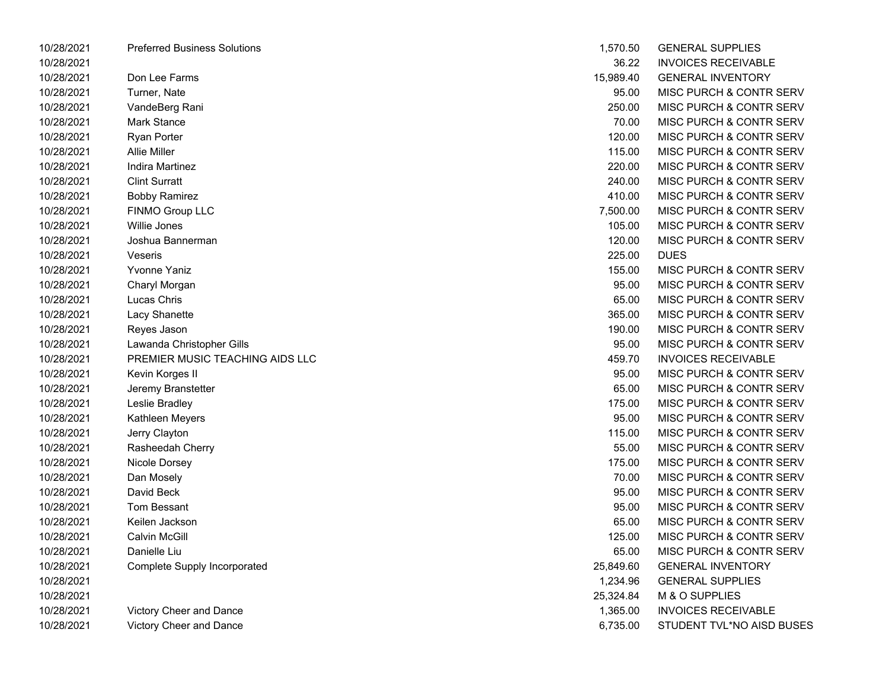| <b>Preferred Business Solutions</b> | 1,570.50  | <b>GENERAL SUPPLIES</b>            |
|-------------------------------------|-----------|------------------------------------|
|                                     | 36.22     | <b>INVOICES RECEIVABLE</b>         |
| Don Lee Farms                       | 15,989.40 | <b>GENERAL INVENTORY</b>           |
| Turner, Nate                        | 95.00     | MISC PURCH & CONTR SERV            |
| VandeBerg Rani                      | 250.00    | MISC PURCH & CONTR SERV            |
| Mark Stance                         | 70.00     | MISC PURCH & CONTR SERV            |
| <b>Ryan Porter</b>                  | 120.00    | MISC PURCH & CONTR SERV            |
| <b>Allie Miller</b>                 | 115.00    | MISC PURCH & CONTR SERV            |
| Indira Martinez                     | 220.00    | MISC PURCH & CONTR SERV            |
| <b>Clint Surratt</b>                | 240.00    | MISC PURCH & CONTR SERV            |
| <b>Bobby Ramirez</b>                | 410.00    | MISC PURCH & CONTR SERV            |
| FINMO Group LLC                     | 7,500.00  | <b>MISC PURCH &amp; CONTR SERV</b> |
| Willie Jones                        | 105.00    | MISC PURCH & CONTR SERV            |
| Joshua Bannerman                    | 120.00    | MISC PURCH & CONTR SERV            |
| Veseris                             | 225.00    | <b>DUES</b>                        |
| <b>Yvonne Yaniz</b>                 | 155.00    | MISC PURCH & CONTR SERV            |
| Charyl Morgan                       | 95.00     | MISC PURCH & CONTR SERV            |
| Lucas Chris                         | 65.00     | MISC PURCH & CONTR SERV            |
| Lacy Shanette                       | 365.00    | MISC PURCH & CONTR SERV            |
| Reyes Jason                         | 190.00    | MISC PURCH & CONTR SERV            |
| Lawanda Christopher Gills           | 95.00     | MISC PURCH & CONTR SERV            |
| PREMIER MUSIC TEACHING AIDS LLC     | 459.70    | <b>INVOICES RECEIVABLE</b>         |
| Kevin Korges II                     | 95.00     | MISC PURCH & CONTR SERV            |
| Jeremy Branstetter                  | 65.00     | MISC PURCH & CONTR SERV            |
| Leslie Bradley                      | 175.00    | MISC PURCH & CONTR SERV            |
| Kathleen Meyers                     | 95.00     | MISC PURCH & CONTR SERV            |
| Jerry Clayton                       | 115.00    | MISC PURCH & CONTR SERV            |
| Rasheedah Cherry                    | 55.00     | MISC PURCH & CONTR SERV            |
| Nicole Dorsey                       | 175.00    | MISC PURCH & CONTR SERV            |
| Dan Mosely                          | 70.00     | MISC PURCH & CONTR SERV            |
| David Beck                          | 95.00     | MISC PURCH & CONTR SERV            |
| Tom Bessant                         | 95.00     | MISC PURCH & CONTR SERV            |
| Keilen Jackson                      | 65.00     | <b>MISC PURCH &amp; CONTR SERV</b> |
| Calvin McGill                       | 125.00    | <b>MISC PURCH &amp; CONTR SERV</b> |
| Danielle Liu                        | 65.00     | MISC PURCH & CONTR SERV            |
| <b>Complete Supply Incorporated</b> | 25,849.60 | <b>GENERAL INVENTORY</b>           |
|                                     | 1,234.96  | <b>GENERAL SUPPLIES</b>            |
|                                     | 25,324.84 | M & O SUPPLIES                     |
| Victory Cheer and Dance             | 1,365.00  | <b>INVOICES RECEIVABLE</b>         |
| Victory Cheer and Dance             | 6,735.00  | STUDENT TVL*NO AISD BUSES          |
|                                     |           |                                    |

| 1,570.50  | <b>GENERAL SUPPLIES</b>            |
|-----------|------------------------------------|
| 36.22     | <b>INVOICES RECEIVABLE</b>         |
| 15,989.40 | <b>GENERAL INVENTORY</b>           |
| 95.00     | <b>MISC PURCH &amp; CONTR SERV</b> |
| 250.00    | MISC PURCH & CONTR SERV            |
| 70.00     | <b>MISC PURCH &amp; CONTR SERV</b> |
| 120.00    | <b>MISC PURCH &amp; CONTR SERV</b> |
| 115.00    | MISC PURCH & CONTR SERV            |
| 220.00    | MISC PURCH & CONTR SERV            |
| 240.00    | <b>MISC PURCH &amp; CONTR SERV</b> |
| 410.00    | <b>MISC PURCH &amp; CONTR SERV</b> |
| 7,500.00  | <b>MISC PURCH &amp; CONTR SERV</b> |
| 105.00    | <b>MISC PURCH &amp; CONTR SERV</b> |
| 120.00    | MISC PURCH & CONTR SERV            |
| 225.00    | <b>DUES</b>                        |
| 155.00    | <b>MISC PURCH &amp; CONTR SERV</b> |
| 95.00     | <b>MISC PURCH &amp; CONTR SERV</b> |
| 65.00     | MISC PURCH & CONTR SERV            |
| 365.00    | MISC PURCH & CONTR SERV            |
| 190.00    | MISC PURCH & CONTR SERV            |
| 95.00     | <b>MISC PURCH &amp; CONTR SERV</b> |
| 459.70    | <b>INVOICES RECEIVABLE</b>         |
| 95.00     | MISC PURCH & CONTR SERV            |
| 65.00     | MISC PURCH & CONTR SERV            |
| 175.00    | MISC PURCH & CONTR SERV            |
| 95.00     | <b>MISC PURCH &amp; CONTR SERV</b> |
| 115.00    | <b>MISC PURCH &amp; CONTR SERV</b> |
| 55.00     | <b>MISC PURCH &amp; CONTR SERV</b> |
| 175.00    | MISC PURCH & CONTR SERV            |
| 70.00     | <b>MISC PURCH &amp; CONTR SERV</b> |
| 95.00     | <b>MISC PURCH &amp; CONTR SERV</b> |
| 95.00     | <b>MISC PURCH &amp; CONTR SERV</b> |
| 65.00     | MISC PURCH & CONTR SERV            |
| 125.00    | MISC PURCH & CONTR SERV            |
| 65.00     | MISC PURCH & CONTR SERV            |
| 25,849.60 | <b>GENERAL INVENTORY</b>           |
| 1,234.96  | <b>GENERAL SUPPLIES</b>            |
| 25,324.84 | M & O SUPPLIES                     |
| 1,365.00  | <b>INVOICES RECEIVABLE</b>         |
| 6,735.00  | STUDENT TVL*NO AISD BUSES          |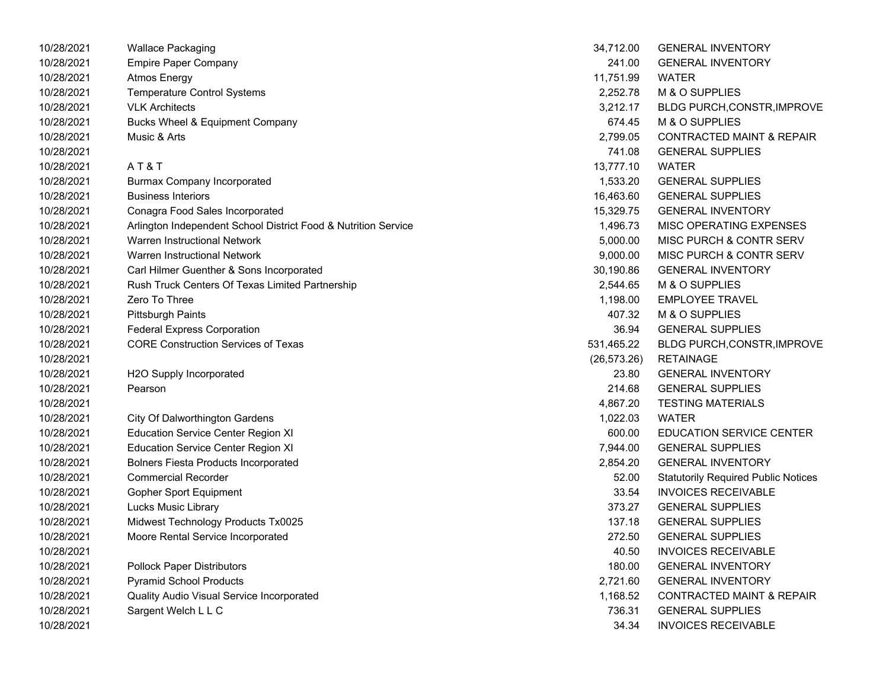| 10/28/2021 | <b>Wallace Packaging</b>                                       | 34,712.00    | <b>GENERAL INVENTORY</b>                   |
|------------|----------------------------------------------------------------|--------------|--------------------------------------------|
| 10/28/2021 | <b>Empire Paper Company</b>                                    | 241.00       | <b>GENERAL INVENTORY</b>                   |
| 10/28/2021 | <b>Atmos Energy</b>                                            | 11,751.99    | <b>WATER</b>                               |
| 10/28/2021 | <b>Temperature Control Systems</b>                             | 2,252.78     | M & O SUPPLIES                             |
| 10/28/2021 | <b>VLK Architects</b>                                          | 3,212.17     | <b>BLDG PURCH, CONSTR, IMPROVE</b>         |
| 10/28/2021 | Bucks Wheel & Equipment Company                                | 674.45       | M & O SUPPLIES                             |
| 10/28/2021 | Music & Arts                                                   | 2,799.05     | <b>CONTRACTED MAINT &amp; REPAIR</b>       |
| 10/28/2021 |                                                                | 741.08       | <b>GENERAL SUPPLIES</b>                    |
| 10/28/2021 | AT&T                                                           | 13,777.10    | <b>WATER</b>                               |
| 10/28/2021 | <b>Burmax Company Incorporated</b>                             | 1,533.20     | <b>GENERAL SUPPLIES</b>                    |
| 10/28/2021 | <b>Business Interiors</b>                                      | 16,463.60    | <b>GENERAL SUPPLIES</b>                    |
| 10/28/2021 | Conagra Food Sales Incorporated                                | 15,329.75    | <b>GENERAL INVENTORY</b>                   |
| 10/28/2021 | Arlington Independent School District Food & Nutrition Service | 1,496.73     | MISC OPERATING EXPENSES                    |
| 10/28/2021 | Warren Instructional Network                                   | 5,000.00     | MISC PURCH & CONTR SERV                    |
| 10/28/2021 | <b>Warren Instructional Network</b>                            | 9,000.00     | MISC PURCH & CONTR SERV                    |
| 10/28/2021 | Carl Hilmer Guenther & Sons Incorporated                       | 30,190.86    | <b>GENERAL INVENTORY</b>                   |
| 10/28/2021 | Rush Truck Centers Of Texas Limited Partnership                | 2,544.65     | M & O SUPPLIES                             |
| 10/28/2021 | Zero To Three                                                  | 1,198.00     | <b>EMPLOYEE TRAVEL</b>                     |
| 10/28/2021 | <b>Pittsburgh Paints</b>                                       | 407.32       | M & O SUPPLIES                             |
| 10/28/2021 | <b>Federal Express Corporation</b>                             | 36.94        | <b>GENERAL SUPPLIES</b>                    |
| 10/28/2021 | <b>CORE Construction Services of Texas</b>                     | 531,465.22   | <b>BLDG PURCH, CONSTR, IMPROVE</b>         |
| 10/28/2021 |                                                                | (26, 573.26) | <b>RETAINAGE</b>                           |
| 10/28/2021 | H2O Supply Incorporated                                        | 23.80        | <b>GENERAL INVENTORY</b>                   |
| 10/28/2021 | Pearson                                                        | 214.68       | <b>GENERAL SUPPLIES</b>                    |
| 10/28/2021 |                                                                | 4,867.20     | <b>TESTING MATERIALS</b>                   |
| 10/28/2021 | <b>City Of Dalworthington Gardens</b>                          | 1,022.03     | <b>WATER</b>                               |
| 10/28/2021 | <b>Education Service Center Region XI</b>                      | 600.00       | <b>EDUCATION SERVICE CENTER</b>            |
| 10/28/2021 | <b>Education Service Center Region XI</b>                      | 7,944.00     | <b>GENERAL SUPPLIES</b>                    |
| 10/28/2021 | <b>Bolners Fiesta Products Incorporated</b>                    | 2,854.20     | <b>GENERAL INVENTORY</b>                   |
| 10/28/2021 | <b>Commercial Recorder</b>                                     | 52.00        | <b>Statutorily Required Public Notices</b> |
| 10/28/2021 | Gopher Sport Equipment                                         | 33.54        | <b>INVOICES RECEIVABLE</b>                 |
| 10/28/2021 | Lucks Music Library                                            | 373.27       | <b>GENERAL SUPPLIES</b>                    |
| 10/28/2021 | Midwest Technology Products Tx0025                             | 137.18       | <b>GENERAL SUPPLIES</b>                    |
| 10/28/2021 | Moore Rental Service Incorporated                              | 272.50       | <b>GENERAL SUPPLIES</b>                    |
| 10/28/2021 |                                                                | 40.50        | <b>INVOICES RECEIVABLE</b>                 |
| 10/28/2021 | <b>Pollock Paper Distributors</b>                              | 180.00       | <b>GENERAL INVENTORY</b>                   |
| 10/28/2021 | <b>Pyramid School Products</b>                                 | 2,721.60     | <b>GENERAL INVENTORY</b>                   |
| 10/28/2021 | Quality Audio Visual Service Incorporated                      | 1,168.52     | <b>CONTRACTED MAINT &amp; REPAIR</b>       |
| 10/28/2021 | Sargent Welch L L C                                            | 736.31       | <b>GENERAL SUPPLIES</b>                    |
| 10/28/2021 |                                                                | 34.34        | <b>INVOICES RECEIVABLE</b>                 |

| 34,712.00  | <b>GENERAL INVENTORY</b>                   |
|------------|--------------------------------------------|
| 241.00     | <b>GENERAL INVENTORY</b>                   |
| 11,751.99  | WATER                                      |
| 2,252.78   | M & O SUPPLIES                             |
| 3,212.17   | BLDG PURCH, CONSTR, IMPROVE                |
| 674.45     | M & O SUPPLIES                             |
| 2,799.05   | <b>CONTRACTED MAINT &amp; REPAIR</b>       |
| 741.08     | <b>GENERAL SUPPLIES</b>                    |
| 13,777.10  | <b>WATER</b>                               |
| 1,533.20   | <b>GENERAL SUPPLIES</b>                    |
| 16,463.60  | <b>GENERAL SUPPLIES</b>                    |
| 15,329.75  | <b>GENERAL INVENTORY</b>                   |
| 1,496.73   | MISC OPERATING EXPENSES                    |
| 5,000.00   | MISC PURCH & CONTR SERV                    |
| 9,000.00   | MISC PURCH & CONTR SERV                    |
| 30,190.86  | <b>GENERAL INVENTORY</b>                   |
|            | 2,544.65 M & O SUPPLIES                    |
|            | 1,198.00 EMPLOYEE TRAVEL                   |
| 407.32     | M & O SUPPLIES                             |
| 36.94      | <b>GENERAL SUPPLIES</b>                    |
| 531,465.22 | BLDG PURCH,CONSTR, IMPROVE                 |
|            | (26,573.26) RETAINAGE                      |
|            | 23.80 GENERAL INVENTORY                    |
| 214.68     | <b>GENERAL SUPPLIES</b>                    |
| 4,867.20   | <b>TESTING MATERIALS</b>                   |
| 1,022.03   | <b>WATER</b>                               |
|            | 600.00 EDUCATION SERVICE CENTER            |
| 7,944.00   | <b>GENERAL SUPPLIES</b>                    |
| 2,854.20   | <b>GENERAL INVENTORY</b>                   |
| 52.00      | <b>Statutorily Required Public Notices</b> |
| 33.54      | <b>INVOICES RECEIVABLE</b>                 |
| 373.27     | <b>GENERAL SUPPLIES</b>                    |
| 137.18     | <b>GENERAL SUPPLIES</b>                    |
| 272.50     | <b>GENERAL SUPPLIES</b>                    |
| 40.50      | <b>INVOICES RECEIVABLE</b>                 |
| 180.00     | <b>GENERAL INVENTORY</b>                   |
| 2,721.60   | <b>GENERAL INVENTORY</b>                   |
| 1,168.52   | <b>CONTRACTED MAINT &amp; REPAIR</b>       |
| 736.31     | <b>GENERAL SUPPLIES</b>                    |
| 34.34      | <b>INVOICES RECEIVABLE</b>                 |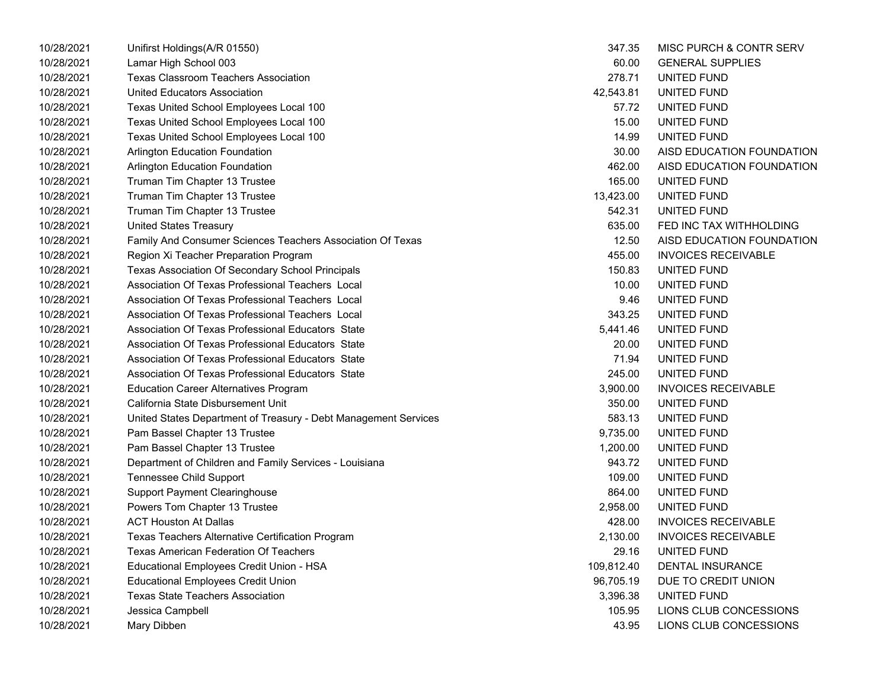| 10/28/2021 | Unifirst Holdings(A/R 01550)                                    | 347.35     | MISC PURCH & CONTR SERV    |
|------------|-----------------------------------------------------------------|------------|----------------------------|
| 10/28/2021 | Lamar High School 003                                           | 60.00      | <b>GENERAL SUPPLIES</b>    |
| 10/28/2021 | <b>Texas Classroom Teachers Association</b>                     | 278.71     | UNITED FUND                |
| 10/28/2021 | <b>United Educators Association</b>                             | 42,543.81  | UNITED FUND                |
| 10/28/2021 | Texas United School Employees Local 100                         | 57.72      | UNITED FUND                |
| 10/28/2021 | Texas United School Employees Local 100                         | 15.00      | UNITED FUND                |
| 10/28/2021 | Texas United School Employees Local 100                         | 14.99      | UNITED FUND                |
| 10/28/2021 | Arlington Education Foundation                                  | 30.00      | AISD EDUCATION FOUNDATION  |
| 10/28/2021 | <b>Arlington Education Foundation</b>                           | 462.00     | AISD EDUCATION FOUNDATION  |
| 10/28/2021 | Truman Tim Chapter 13 Trustee                                   | 165.00     | UNITED FUND                |
| 10/28/2021 | Truman Tim Chapter 13 Trustee                                   | 13,423.00  | UNITED FUND                |
| 10/28/2021 | Truman Tim Chapter 13 Trustee                                   | 542.31     | UNITED FUND                |
| 10/28/2021 | <b>United States Treasury</b>                                   | 635.00     | FED INC TAX WITHHOLDING    |
| 10/28/2021 | Family And Consumer Sciences Teachers Association Of Texas      | 12.50      | AISD EDUCATION FOUNDATION  |
| 10/28/2021 | Region Xi Teacher Preparation Program                           | 455.00     | <b>INVOICES RECEIVABLE</b> |
| 10/28/2021 | Texas Association Of Secondary School Principals                | 150.83     | UNITED FUND                |
| 10/28/2021 | Association Of Texas Professional Teachers Local                | 10.00      | UNITED FUND                |
| 10/28/2021 | Association Of Texas Professional Teachers Local                | 9.46       | UNITED FUND                |
| 10/28/2021 | Association Of Texas Professional Teachers Local                | 343.25     | UNITED FUND                |
| 10/28/2021 | Association Of Texas Professional Educators State               | 5,441.46   | UNITED FUND                |
| 10/28/2021 | Association Of Texas Professional Educators State               | 20.00      | UNITED FUND                |
| 10/28/2021 | Association Of Texas Professional Educators State               | 71.94      | UNITED FUND                |
| 10/28/2021 | Association Of Texas Professional Educators State               | 245.00     | UNITED FUND                |
| 10/28/2021 | <b>Education Career Alternatives Program</b>                    | 3,900.00   | <b>INVOICES RECEIVABLE</b> |
| 10/28/2021 | California State Disbursement Unit                              | 350.00     | UNITED FUND                |
| 10/28/2021 | United States Department of Treasury - Debt Management Services | 583.13     | UNITED FUND                |
| 10/28/2021 | Pam Bassel Chapter 13 Trustee                                   | 9,735.00   | UNITED FUND                |
| 10/28/2021 | Pam Bassel Chapter 13 Trustee                                   | 1,200.00   | UNITED FUND                |
| 10/28/2021 | Department of Children and Family Services - Louisiana          | 943.72     | UNITED FUND                |
| 10/28/2021 | <b>Tennessee Child Support</b>                                  | 109.00     | UNITED FUND                |
| 10/28/2021 | <b>Support Payment Clearinghouse</b>                            | 864.00     | UNITED FUND                |
| 10/28/2021 | Powers Tom Chapter 13 Trustee                                   | 2,958.00   | UNITED FUND                |
| 10/28/2021 | <b>ACT Houston At Dallas</b>                                    | 428.00     | <b>INVOICES RECEIVABLE</b> |
| 10/28/2021 | Texas Teachers Alternative Certification Program                | 2,130.00   | <b>INVOICES RECEIVABLE</b> |
| 10/28/2021 | <b>Texas American Federation Of Teachers</b>                    | 29.16      | UNITED FUND                |
| 10/28/2021 | Educational Employees Credit Union - HSA                        | 109,812.40 | <b>DENTAL INSURANCE</b>    |
| 10/28/2021 | <b>Educational Employees Credit Union</b>                       | 96,705.19  | DUE TO CREDIT UNION        |
| 10/28/2021 | <b>Texas State Teachers Association</b>                         | 3,396.38   | UNITED FUND                |
| 10/28/2021 | Jessica Campbell                                                | 105.95     | LIONS CLUB CONCESSIONS     |
| 10/28/2021 | Mary Dibben                                                     | 43.95      | LIONS CLUB CONCESSIONS     |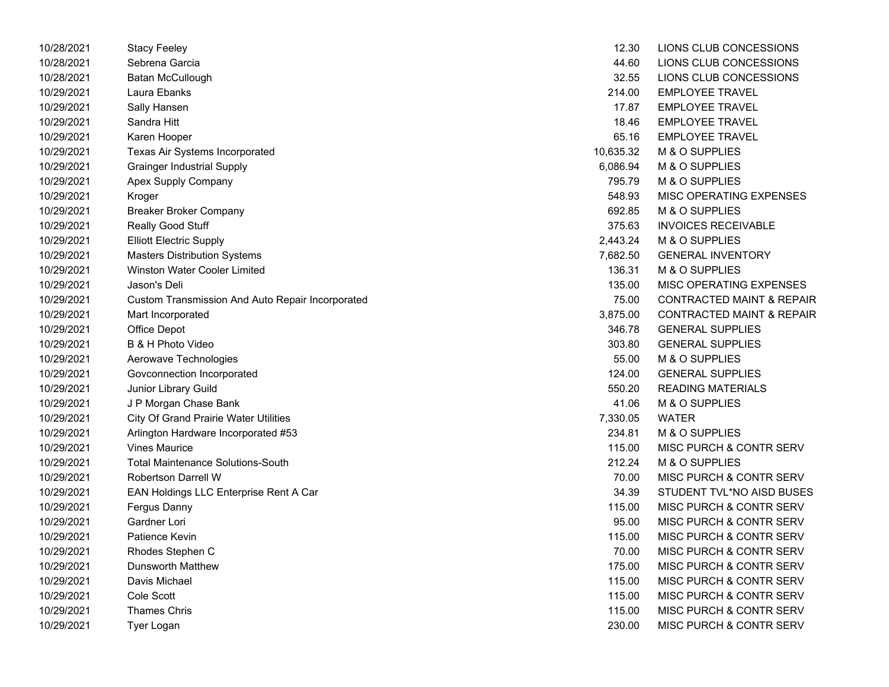| 10/28/2021 | Stacy Feeley                                     | 12.30     | LIONS CLUB CONCESSIONS               |
|------------|--------------------------------------------------|-----------|--------------------------------------|
| 10/28/2021 | Sebrena Garcia                                   | 44.60     | LIONS CLUB CONCESSIONS               |
| 10/28/2021 | Batan McCullough                                 | 32.55     | LIONS CLUB CONCESSIONS               |
| 10/29/2021 | Laura Ebanks                                     | 214.00    | <b>EMPLOYEE TRAVEL</b>               |
| 10/29/2021 | Sally Hansen                                     | 17.87     | <b>EMPLOYEE TRAVEL</b>               |
| 10/29/2021 | Sandra Hitt                                      | 18.46     | <b>EMPLOYEE TRAVEL</b>               |
| 10/29/2021 | Karen Hooper                                     | 65.16     | <b>EMPLOYEE TRAVEL</b>               |
| 10/29/2021 | Texas Air Systems Incorporated                   | 10,635.32 | M & O SUPPLIES                       |
| 10/29/2021 | <b>Grainger Industrial Supply</b>                | 6,086.94  | M & O SUPPLIES                       |
| 10/29/2021 | Apex Supply Company                              | 795.79    | M & O SUPPLIES                       |
| 10/29/2021 | Kroger                                           | 548.93    | MISC OPERATING EXPENSES              |
| 10/29/2021 | Breaker Broker Company                           | 692.85    | M & O SUPPLIES                       |
| 10/29/2021 | Really Good Stuff                                | 375.63    | <b>INVOICES RECEIVABLE</b>           |
| 10/29/2021 | <b>Elliott Electric Supply</b>                   | 2,443.24  | M & O SUPPLIES                       |
| 10/29/2021 | <b>Masters Distribution Systems</b>              | 7,682.50  | <b>GENERAL INVENTORY</b>             |
| 10/29/2021 | Winston Water Cooler Limited                     | 136.31    | M & O SUPPLIES                       |
| 10/29/2021 | Jason's Deli                                     | 135.00    | MISC OPERATING EXPENSES              |
| 10/29/2021 | Custom Transmission And Auto Repair Incorporated | 75.00     | <b>CONTRACTED MAINT &amp; REPAIR</b> |
| 10/29/2021 | Mart Incorporated                                | 3,875.00  | <b>CONTRACTED MAINT &amp; REPAIR</b> |
| 10/29/2021 | Office Depot                                     | 346.78    | <b>GENERAL SUPPLIES</b>              |
| 10/29/2021 | B & H Photo Video                                | 303.80    | <b>GENERAL SUPPLIES</b>              |
| 10/29/2021 | Aerowave Technologies                            | 55.00     | M & O SUPPLIES                       |
| 10/29/2021 | Govconnection Incorporated                       | 124.00    | <b>GENERAL SUPPLIES</b>              |
| 10/29/2021 | Junior Library Guild                             | 550.20    | <b>READING MATERIALS</b>             |
| 10/29/2021 | J P Morgan Chase Bank                            | 41.06     | M & O SUPPLIES                       |
| 10/29/2021 | <b>City Of Grand Prairie Water Utilities</b>     | 7,330.05  | <b>WATER</b>                         |
| 10/29/2021 | Arlington Hardware Incorporated #53              | 234.81    | M & O SUPPLIES                       |
| 10/29/2021 | <b>Vines Maurice</b>                             | 115.00    | <b>MISC PURCH &amp; CONTR SERV</b>   |
| 10/29/2021 | <b>Total Maintenance Solutions-South</b>         | 212.24    | M & O SUPPLIES                       |
| 10/29/2021 | <b>Robertson Darrell W</b>                       | 70.00     | MISC PURCH & CONTR SERV              |
| 10/29/2021 | EAN Holdings LLC Enterprise Rent A Car           | 34.39     | STUDENT TVL*NO AISD BUSES            |
| 10/29/2021 | Fergus Danny                                     | 115.00    | MISC PURCH & CONTR SERV              |
| 10/29/2021 | Gardner Lori                                     | 95.00     | MISC PURCH & CONTR SERV              |
| 10/29/2021 | Patience Kevin                                   | 115.00    | MISC PURCH & CONTR SERV              |
| 10/29/2021 | Rhodes Stephen C                                 | 70.00     | MISC PURCH & CONTR SERV              |
| 10/29/2021 | <b>Dunsworth Matthew</b>                         | 175.00    | MISC PURCH & CONTR SERV              |
| 10/29/2021 | Davis Michael                                    | 115.00    | MISC PURCH & CONTR SERV              |
| 10/29/2021 | Cole Scott                                       | 115.00    | <b>MISC PURCH &amp; CONTR SERV</b>   |
| 10/29/2021 | <b>Thames Chris</b>                              | 115.00    | <b>MISC PURCH &amp; CONTR SERV</b>   |
| 10/29/2021 | Tyer Logan                                       | 230.00    | MISC PURCH & CONTR SERV              |

| 12.30    | LIONS CLUB CONCESSIONS               |
|----------|--------------------------------------|
| 44.60    | LIONS CLUB CONCESSIONS               |
| 32.55    | LIONS CLUB CONCESSIONS               |
| 214.00   | <b>EMPLOYEE TRAVEL</b>               |
| 17.87    | <b>EMPLOYEE TRAVEL</b>               |
| 18.46    | <b>EMPLOYEE TRAVEL</b>               |
|          | 65.16 EMPLOYEE TRAVEL                |
|          | 10,635.32 M & O SUPPLIES             |
| 6,086.94 | M & O SUPPLIES                       |
| 795.79   | M & O SUPPLIES                       |
| 548.93   | MISC OPERATING EXPENSES              |
| 692.85   | M & O SUPPLIES                       |
|          | 375.63 INVOICES RECEIVABLE           |
| 2,443.24 | M & O SUPPLIES                       |
| 7,682.50 | <b>GENERAL INVENTORY</b>             |
| 136.31   | M & O SUPPLIES                       |
| 135.00   | MISC OPERATING EXPENSES              |
| 75.00    | <b>CONTRACTED MAINT &amp; REPAIR</b> |
| 3,875.00 | <b>CONTRACTED MAINT &amp; REPAIR</b> |
| 346.78   | <b>GENERAL SUPPLIES</b>              |
| 303.80   | <b>GENERAL SUPPLIES</b>              |
| 55.00    | M & O SUPPLIES                       |
| 124.00   | <b>GENERAL SUPPLIES</b>              |
| 550.20   | READING MATERIALS                    |
| 41.06    | M & O SUPPLIES                       |
| 7,330.05 | <b>WATER</b>                         |
| 234.81   | M & O SUPPLIES                       |
| 115.00   | MISC PURCH & CONTR SERV              |
| 212.24   | M & O SUPPLIES                       |
| 70.00    | <b>MISC PURCH &amp; CONTR SERV</b>   |
| 34.39    | STUDENT TVL*NO AISD BUSES            |
| 115.00   | MISC PURCH & CONTR SERV              |
| 95.00    | MISC PURCH & CONTR SERV              |
| 115.00   | MISC PURCH & CONTR SERV              |
| 70.00    | <b>MISC PURCH &amp; CONTR SERV</b>   |
| 175.00   | <b>MISC PURCH &amp; CONTR SERV</b>   |
| 115.00   | <b>MISC PURCH &amp; CONTR SERV</b>   |
| 115.00   | <b>MISC PURCH &amp; CONTR SERV</b>   |
| 115.00   | <b>MISC PURCH &amp; CONTR SERV</b>   |
| 230.00   | <b>MISC PURCH &amp; CONTR SERV</b>   |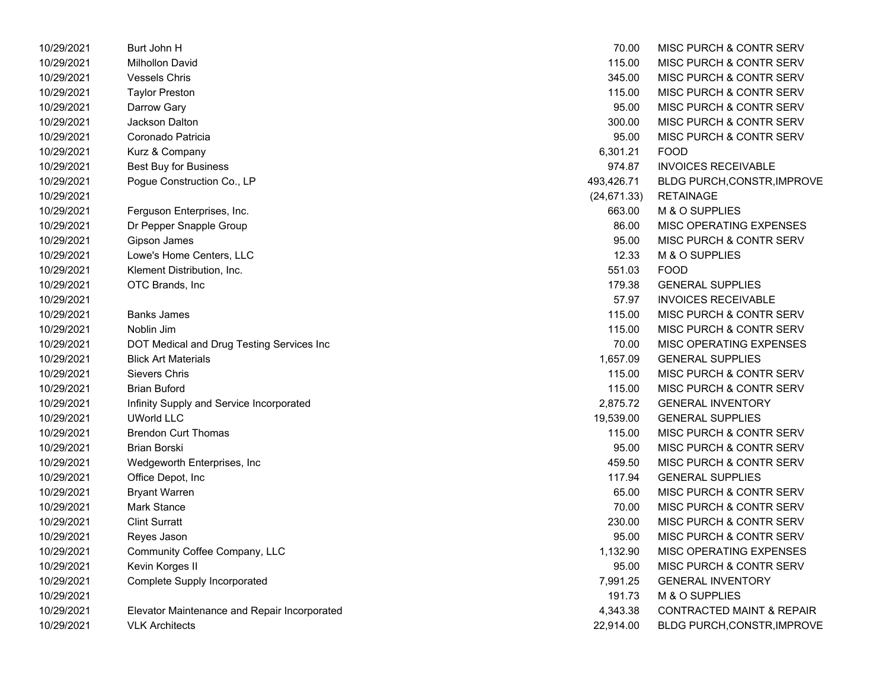| 10/29/2021 | Burt John H                                  | 70.00        | MISC PURCH & CONTR SERV              |
|------------|----------------------------------------------|--------------|--------------------------------------|
| 10/29/2021 | Milhollon David                              | 115.00       | MISC PURCH & CONTR SERV              |
| 10/29/2021 | <b>Vessels Chris</b>                         | 345.00       | MISC PURCH & CONTR SERV              |
| 10/29/2021 | <b>Taylor Preston</b>                        | 115.00       | MISC PURCH & CONTR SERV              |
| 10/29/2021 | Darrow Gary                                  | 95.00        | MISC PURCH & CONTR SERV              |
| 10/29/2021 | <b>Jackson Dalton</b>                        | 300.00       | MISC PURCH & CONTR SERV              |
| 10/29/2021 | Coronado Patricia                            | 95.00        | MISC PURCH & CONTR SERV              |
| 10/29/2021 | Kurz & Company                               | 6,301.21     | <b>FOOD</b>                          |
| 10/29/2021 | <b>Best Buy for Business</b>                 | 974.87       | <b>INVOICES RECEIVABLE</b>           |
| 10/29/2021 | Pogue Construction Co., LP                   | 493,426.71   | BLDG PURCH, CONSTR, IMPROVE          |
| 10/29/2021 |                                              | (24, 671.33) | <b>RETAINAGE</b>                     |
| 10/29/2021 | Ferguson Enterprises, Inc.                   | 663.00       | M & O SUPPLIES                       |
| 10/29/2021 | Dr Pepper Snapple Group                      | 86.00        | MISC OPERATING EXPENSES              |
| 10/29/2021 | Gipson James                                 | 95.00        | MISC PURCH & CONTR SERV              |
| 10/29/2021 | Lowe's Home Centers, LLC                     | 12.33        | M & O SUPPLIES                       |
| 10/29/2021 | Klement Distribution, Inc.                   | 551.03       | <b>FOOD</b>                          |
| 10/29/2021 | OTC Brands, Inc.                             | 179.38       | <b>GENERAL SUPPLIES</b>              |
| 10/29/2021 |                                              | 57.97        | <b>INVOICES RECEIVABLE</b>           |
| 10/29/2021 | <b>Banks James</b>                           | 115.00       | MISC PURCH & CONTR SERV              |
| 10/29/2021 | Noblin Jim                                   | 115.00       | MISC PURCH & CONTR SERV              |
| 10/29/2021 | DOT Medical and Drug Testing Services Inc    | 70.00        | MISC OPERATING EXPENSES              |
| 10/29/2021 | <b>Blick Art Materials</b>                   | 1,657.09     | <b>GENERAL SUPPLIES</b>              |
| 10/29/2021 | <b>Sievers Chris</b>                         | 115.00       | MISC PURCH & CONTR SERV              |
| 10/29/2021 | <b>Brian Buford</b>                          | 115.00       | MISC PURCH & CONTR SERV              |
| 10/29/2021 | Infinity Supply and Service Incorporated     | 2,875.72     | <b>GENERAL INVENTORY</b>             |
| 10/29/2021 | <b>UWorld LLC</b>                            | 19,539.00    | <b>GENERAL SUPPLIES</b>              |
| 10/29/2021 | <b>Brendon Curt Thomas</b>                   | 115.00       | MISC PURCH & CONTR SERV              |
| 10/29/2021 | <b>Brian Borski</b>                          | 95.00        | MISC PURCH & CONTR SERV              |
| 10/29/2021 | Wedgeworth Enterprises, Inc                  | 459.50       | MISC PURCH & CONTR SERV              |
| 10/29/2021 | Office Depot, Inc                            | 117.94       | <b>GENERAL SUPPLIES</b>              |
| 10/29/2021 | <b>Bryant Warren</b>                         | 65.00        | MISC PURCH & CONTR SERV              |
| 10/29/2021 | Mark Stance                                  | 70.00        | MISC PURCH & CONTR SERV              |
| 10/29/2021 | <b>Clint Surratt</b>                         | 230.00       | MISC PURCH & CONTR SERV              |
| 10/29/2021 | Reyes Jason                                  | 95.00        | MISC PURCH & CONTR SERV              |
| 10/29/2021 | Community Coffee Company, LLC                | 1,132.90     | MISC OPERATING EXPENSES              |
| 10/29/2021 | Kevin Korges II                              | 95.00        | MISC PURCH & CONTR SERV              |
| 10/29/2021 | Complete Supply Incorporated                 | 7,991.25     | <b>GENERAL INVENTORY</b>             |
| 10/29/2021 |                                              | 191.73       | M & O SUPPLIES                       |
| 10/29/2021 | Elevator Maintenance and Repair Incorporated | 4,343.38     | <b>CONTRACTED MAINT &amp; REPAIR</b> |
| 10/29/2021 | <b>VLK Architects</b>                        | 22,914.00    | BLDG PURCH,CONSTR, IMPROVE           |

| 70.00        | <b>MISC PURCH &amp; CONTR SERV</b>   |
|--------------|--------------------------------------|
| 115.00       | <b>MISC PURCH &amp; CONTR SERV</b>   |
| 345.00       | MISC PURCH & CONTR SERV              |
| 115.00       | <b>MISC PURCH &amp; CONTR SERV</b>   |
| 95.00        | <b>MISC PURCH &amp; CONTR SERV</b>   |
| 300.00       | <b>MISC PURCH &amp; CONTR SERV</b>   |
| 95.00        | <b>MISC PURCH &amp; CONTR SERV</b>   |
| 6,301.21     | FOOD                                 |
| 974.87       | <b>INVOICES RECEIVABLE</b>           |
| 493,426.71   | BLDG PURCH, CONSTR, IMPROVE          |
| (24, 671.33) | <b>RETAINAGE</b>                     |
| 663.00       | M & O SUPPLIES                       |
| 86.00        | <b>MISC OPERATING EXPENSES</b>       |
| 95.00        | <b>MISC PURCH &amp; CONTR SERV</b>   |
| 12.33        | <b>M &amp; O SUPPLIES</b>            |
| 551.03       | FOOD                                 |
| 179.38       | <b>GENERAL SUPPLIES</b>              |
| 57.97        | <b>INVOICES RECEIVABLE</b>           |
| 115.00       | <b>MISC PURCH &amp; CONTR SERV</b>   |
| 115.00       | <b>MISC PURCH &amp; CONTR SERV</b>   |
| 70.00        | <b>MISC OPERATING EXPENSES</b>       |
| 1,657.09     | <b>GENERAL SUPPLIES</b>              |
| 115.00       | <b>MISC PURCH &amp; CONTR SERV</b>   |
| 115.00       | <b>MISC PURCH &amp; CONTR SERV</b>   |
| 2,875.72     | <b>GENERAL INVENTORY</b>             |
| 19,539.00    | <b>GENERAL SUPPLIES</b>              |
| 115.00       | <b>MISC PURCH &amp; CONTR SERV</b>   |
| 95.00        | <b>MISC PURCH &amp; CONTR SERV</b>   |
| 459.50       | <b>MISC PURCH &amp; CONTR SERV</b>   |
| 117.94       | <b>GENERAL SUPPLIES</b>              |
| 65.00        | <b>MISC PURCH &amp; CONTR SERV</b>   |
| 70.00        | <b>MISC PURCH &amp; CONTR SERV</b>   |
| 230.00       | <b>MISC PURCH &amp; CONTR SERV</b>   |
| 95.00        | <b>MISC PURCH &amp; CONTR SERV</b>   |
| 1,132.90     | <b>MISC OPERATING EXPENSES</b>       |
| 95.00        | MISC PURCH & CONTR SERV              |
| 7,991.25     | <b>GENERAL INVENTORY</b>             |
| 191.73       | M & O SUPPLIES                       |
| 4,343.38     | <b>CONTRACTED MAINT &amp; REPAIR</b> |
| 22,914.00    | BLDG PURCH, CONSTR, IMPROVE          |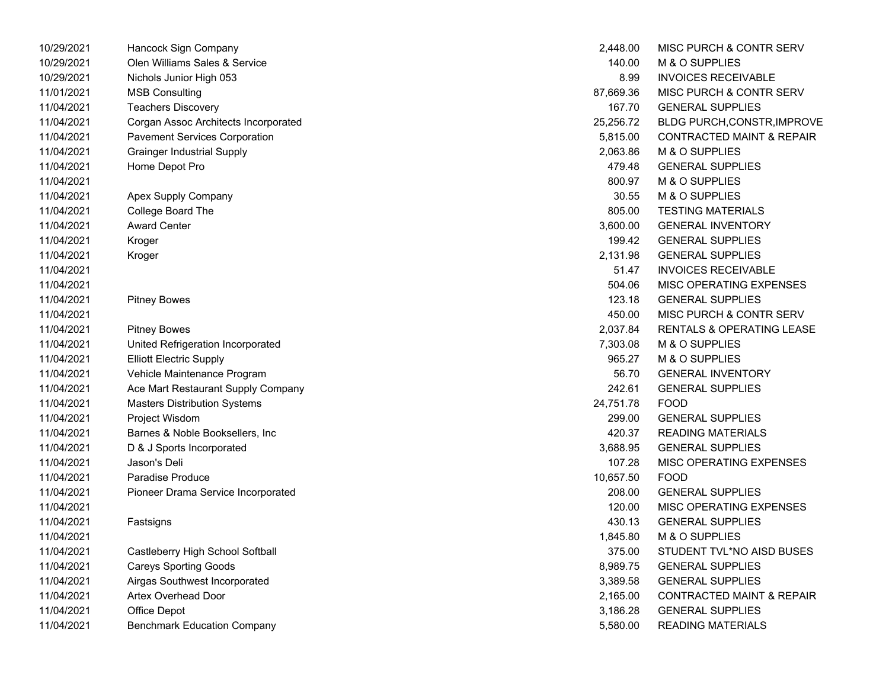| 10/29/2021 | Hancock Sign Company                 | 2,448.00  | MISC PURCH & CONTR SERV              |
|------------|--------------------------------------|-----------|--------------------------------------|
| 10/29/2021 | Olen Williams Sales & Service        | 140.00    | M & O SUPPLIES                       |
| 10/29/2021 | Nichols Junior High 053              | 8.99      | <b>INVOICES RECEIVABLE</b>           |
| 11/01/2021 | <b>MSB Consulting</b>                | 87,669.36 | <b>MISC PURCH &amp; CONTR SERV</b>   |
| 11/04/2021 | <b>Teachers Discovery</b>            | 167.70    | <b>GENERAL SUPPLIES</b>              |
| 11/04/2021 | Corgan Assoc Architects Incorporated | 25,256.72 | BLDG PURCH, CONSTR, IMPROVE          |
| 11/04/2021 | <b>Pavement Services Corporation</b> | 5,815.00  | <b>CONTRACTED MAINT &amp; REPAIR</b> |
| 11/04/2021 | <b>Grainger Industrial Supply</b>    | 2,063.86  | M & O SUPPLIES                       |
| 11/04/2021 | Home Depot Pro                       | 479.48    | <b>GENERAL SUPPLIES</b>              |
| 11/04/2021 |                                      | 800.97    | M & O SUPPLIES                       |
| 11/04/2021 | Apex Supply Company                  | 30.55     | M & O SUPPLIES                       |
| 11/04/2021 | College Board The                    | 805.00    | <b>TESTING MATERIALS</b>             |
| 11/04/2021 | <b>Award Center</b>                  | 3,600.00  | <b>GENERAL INVENTORY</b>             |
| 11/04/2021 | Kroger                               | 199.42    | <b>GENERAL SUPPLIES</b>              |
| 11/04/2021 | Kroger                               | 2,131.98  | <b>GENERAL SUPPLIES</b>              |
| 11/04/2021 |                                      | 51.47     | <b>INVOICES RECEIVABLE</b>           |
| 11/04/2021 |                                      | 504.06    | MISC OPERATING EXPENSES              |
| 11/04/2021 | <b>Pitney Bowes</b>                  | 123.18    | <b>GENERAL SUPPLIES</b>              |
| 11/04/2021 |                                      | 450.00    | <b>MISC PURCH &amp; CONTR SERV</b>   |
| 11/04/2021 | <b>Pitney Bowes</b>                  | 2,037.84  | <b>RENTALS &amp; OPERATING LEASE</b> |
| 11/04/2021 | United Refrigeration Incorporated    | 7,303.08  | M & O SUPPLIES                       |
| 11/04/2021 | <b>Elliott Electric Supply</b>       | 965.27    | M & O SUPPLIES                       |
| 11/04/2021 | Vehicle Maintenance Program          | 56.70     | <b>GENERAL INVENTORY</b>             |
| 11/04/2021 | Ace Mart Restaurant Supply Company   | 242.61    | <b>GENERAL SUPPLIES</b>              |
| 11/04/2021 | <b>Masters Distribution Systems</b>  | 24,751.78 | <b>FOOD</b>                          |
| 11/04/2021 | Project Wisdom                       | 299.00    | <b>GENERAL SUPPLIES</b>              |
| 11/04/2021 | Barnes & Noble Booksellers, Inc.     | 420.37    | <b>READING MATERIALS</b>             |
| 11/04/2021 | D & J Sports Incorporated            | 3,688.95  | <b>GENERAL SUPPLIES</b>              |
| 11/04/2021 | Jason's Deli                         | 107.28    | MISC OPERATING EXPENSES              |
| 11/04/2021 | Paradise Produce                     | 10,657.50 | <b>FOOD</b>                          |
| 11/04/2021 | Pioneer Drama Service Incorporated   | 208.00    | <b>GENERAL SUPPLIES</b>              |
| 11/04/2021 |                                      | 120.00    | <b>MISC OPERATING EXPENSES</b>       |
| 11/04/2021 | Fastsigns                            | 430.13    | <b>GENERAL SUPPLIES</b>              |
| 11/04/2021 |                                      | 1,845.80  | M & O SUPPLIES                       |
| 11/04/2021 | Castleberry High School Softball     | 375.00    | STUDENT TVL*NO AISD BUSES            |
| 11/04/2021 | <b>Careys Sporting Goods</b>         | 8,989.75  | <b>GENERAL SUPPLIES</b>              |
| 11/04/2021 | Airgas Southwest Incorporated        | 3,389.58  | <b>GENERAL SUPPLIES</b>              |
| 11/04/2021 | <b>Artex Overhead Door</b>           | 2,165.00  | <b>CONTRACTED MAINT &amp; REPAIR</b> |
| 11/04/2021 | Office Depot                         | 3,186.28  | <b>GENERAL SUPPLIES</b>              |
| 11/04/2021 | <b>Benchmark Education Company</b>   | 5,580.00  | <b>READING MATERIALS</b>             |

| 2,448.00  | <b>MISC PURCH &amp; CONTR SERV</b>   |
|-----------|--------------------------------------|
| 140.00    | M & O SUPPLIES                       |
| 8.99      | <b>INVOICES RECEIVABLE</b>           |
| 87,669.36 | <b>MISC PURCH &amp; CONTR SERV</b>   |
| 167.70    | <b>GENERAL SUPPLIES</b>              |
| 25,256.72 | <b>BLDG PURCH, CONSTR, IMPROVE</b>   |
| 5,815.00  | <b>CONTRACTED MAINT &amp; REPAIR</b> |
| 2,063.86  | M & O SUPPLIES                       |
| 479.48    | <b>GENERAL SUPPLIES</b>              |
| 800.97    | M & O SUPPLIES                       |
| 30.55     | M & O SUPPLIES                       |
| 805.00    | <b>TESTING MATERIALS</b>             |
| 3,600.00  | <b>GENERAL INVENTORY</b>             |
| 199.42    | <b>GENERAL SUPPLIES</b>              |
| 2,131.98  | <b>GENERAL SUPPLIES</b>              |
|           | 51.47 INVOICES RECEIVABLE            |
| 504.06    | <b>MISC OPERATING EXPENSES</b>       |
| 123.18    | <b>GENERAL SUPPLIES</b>              |
| 450.00    | MISC PURCH & CONTR SERV              |
| 2,037.84  | <b>RENTALS &amp; OPERATING LEASE</b> |
| 7,303.08  | M & O SUPPLIES                       |
| 965.27    | M & O SUPPLIES                       |
| 56.70     | <b>GENERAL INVENTORY</b>             |
| 242.61    | <b>GENERAL SUPPLIES</b>              |
| 24,751.78 | <b>FOOD</b>                          |
| 299.00    | <b>GENERAL SUPPLIES</b>              |
|           | 420.37 READING MATERIALS             |
| 3,688.95  | <b>GENERAL SUPPLIES</b>              |
| 107.28    | <b>MISC OPERATING EXPENSES</b>       |
| 10,657.50 | <b>FOOD</b>                          |
| 208.00    | <b>GENERAL SUPPLIES</b>              |
| 120.00    | MISC OPERATING EXPENSES              |
| 430.13    | <b>GENERAL SUPPLIES</b>              |
| 1,845.80  | M & O SUPPLIES                       |
| 375.00    | STUDENT TVL*NO AISD BUSES            |
| 8,989.75  | <b>GENERAL SUPPLIES</b>              |
| 3,389.58  | <b>GENERAL SUPPLIES</b>              |
| 2,165.00  | <b>CONTRACTED MAINT &amp; REPAIR</b> |
| 3,186.28  | <b>GENERAL SUPPLIES</b>              |
| 5,580.00  | <b>READING MATERIALS</b>             |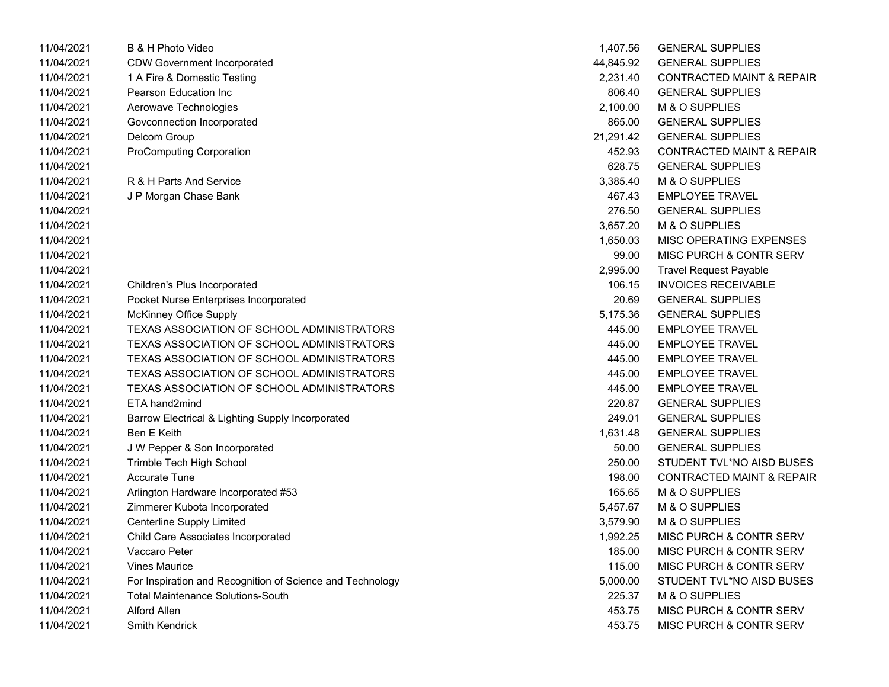| 11/04/2021 | B & H Photo Video                                         | 1,407.56  | <b>GENERAL SUPPLIES</b>              |
|------------|-----------------------------------------------------------|-----------|--------------------------------------|
| 11/04/2021 | <b>CDW Government Incorporated</b>                        | 44,845.92 | <b>GENERAL SUPPLIES</b>              |
| 11/04/2021 | 1 A Fire & Domestic Testing                               | 2,231.40  | <b>CONTRACTED MAINT &amp; REPAIR</b> |
| 11/04/2021 | Pearson Education Inc                                     | 806.40    | <b>GENERAL SUPPLIES</b>              |
| 11/04/2021 | Aerowave Technologies                                     | 2,100.00  | M & O SUPPLIES                       |
| 11/04/2021 | Govconnection Incorporated                                | 865.00    | <b>GENERAL SUPPLIES</b>              |
| 11/04/2021 | Delcom Group                                              | 21,291.42 | <b>GENERAL SUPPLIES</b>              |
| 11/04/2021 | <b>ProComputing Corporation</b>                           | 452.93    | CONTRACTED MAINT & REPAIR            |
| 11/04/2021 |                                                           | 628.75    | <b>GENERAL SUPPLIES</b>              |
| 11/04/2021 | R & H Parts And Service                                   | 3,385.40  | M & O SUPPLIES                       |
| 11/04/2021 | J P Morgan Chase Bank                                     | 467.43    | <b>EMPLOYEE TRAVEL</b>               |
| 11/04/2021 |                                                           | 276.50    | <b>GENERAL SUPPLIES</b>              |
| 11/04/2021 |                                                           | 3,657.20  | M & O SUPPLIES                       |
| 11/04/2021 |                                                           | 1,650.03  | MISC OPERATING EXPENSES              |
| 11/04/2021 |                                                           | 99.00     | MISC PURCH & CONTR SERV              |
| 11/04/2021 |                                                           | 2,995.00  | <b>Travel Request Payable</b>        |
| 11/04/2021 | Children's Plus Incorporated                              | 106.15    | <b>INVOICES RECEIVABLE</b>           |
| 11/04/2021 | Pocket Nurse Enterprises Incorporated                     | 20.69     | <b>GENERAL SUPPLIES</b>              |
| 11/04/2021 | McKinney Office Supply                                    | 5,175.36  | <b>GENERAL SUPPLIES</b>              |
| 11/04/2021 | TEXAS ASSOCIATION OF SCHOOL ADMINISTRATORS                | 445.00    | <b>EMPLOYEE TRAVEL</b>               |
| 11/04/2021 | TEXAS ASSOCIATION OF SCHOOL ADMINISTRATORS                | 445.00    | <b>EMPLOYEE TRAVEL</b>               |
| 11/04/2021 | TEXAS ASSOCIATION OF SCHOOL ADMINISTRATORS                | 445.00    | <b>EMPLOYEE TRAVEL</b>               |
| 11/04/2021 | TEXAS ASSOCIATION OF SCHOOL ADMINISTRATORS                | 445.00    | <b>EMPLOYEE TRAVEL</b>               |
| 11/04/2021 | TEXAS ASSOCIATION OF SCHOOL ADMINISTRATORS                | 445.00    | <b>EMPLOYEE TRAVEL</b>               |
| 11/04/2021 | ETA hand2mind                                             | 220.87    | <b>GENERAL SUPPLIES</b>              |
| 11/04/2021 | Barrow Electrical & Lighting Supply Incorporated          | 249.01    | <b>GENERAL SUPPLIES</b>              |
| 11/04/2021 | Ben E Keith                                               | 1,631.48  | <b>GENERAL SUPPLIES</b>              |
| 11/04/2021 | J W Pepper & Son Incorporated                             | 50.00     | <b>GENERAL SUPPLIES</b>              |
| 11/04/2021 | Trimble Tech High School                                  | 250.00    | STUDENT TVL*NO AISD BUSES            |
| 11/04/2021 | <b>Accurate Tune</b>                                      | 198.00    | <b>CONTRACTED MAINT &amp; REPAIR</b> |
| 11/04/2021 | Arlington Hardware Incorporated #53                       | 165.65    | M & O SUPPLIES                       |
| 11/04/2021 | Zimmerer Kubota Incorporated                              | 5,457.67  | M & O SUPPLIES                       |
| 11/04/2021 | <b>Centerline Supply Limited</b>                          | 3,579.90  | M & O SUPPLIES                       |
| 11/04/2021 | Child Care Associates Incorporated                        | 1,992.25  | MISC PURCH & CONTR SERV              |
| 11/04/2021 | Vaccaro Peter                                             | 185.00    | MISC PURCH & CONTR SERV              |
| 11/04/2021 | <b>Vines Maurice</b>                                      | 115.00    | MISC PURCH & CONTR SERV              |
| 11/04/2021 | For Inspiration and Recognition of Science and Technology | 5,000.00  | STUDENT TVL*NO AISD BUSES            |
| 11/04/2021 | <b>Total Maintenance Solutions-South</b>                  | 225.37    | M & O SUPPLIES                       |
| 11/04/2021 | <b>Alford Allen</b>                                       | 453.75    | MISC PURCH & CONTR SERV              |
| 11/04/2021 | Smith Kendrick                                            | 453.75    | MISC PURCH & CONTR SERV              |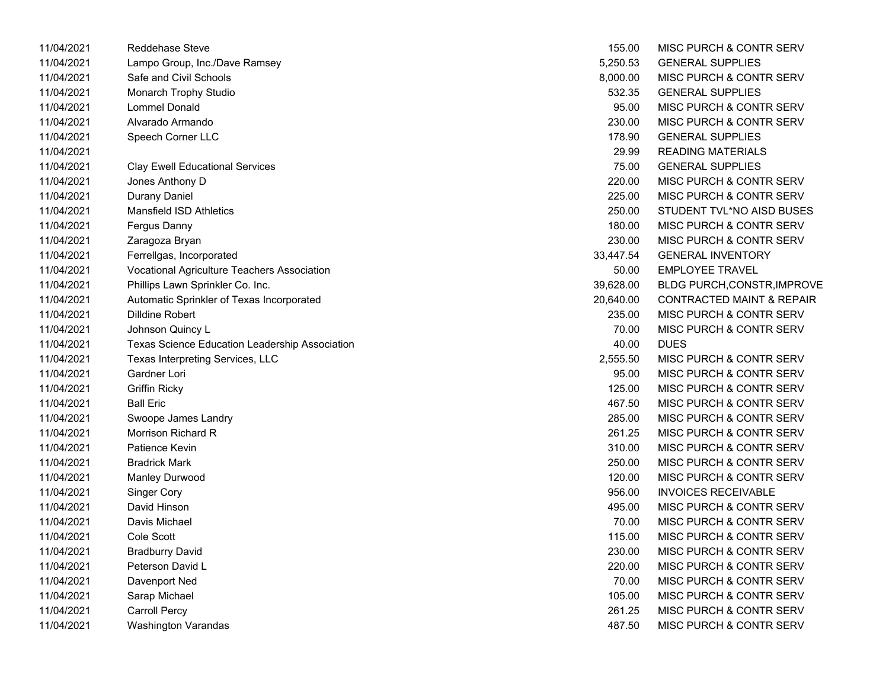| 11/04/2021 | Reddehase Steve                                | 155.00    | MISC PURCH & CONTR SERV              |
|------------|------------------------------------------------|-----------|--------------------------------------|
| 11/04/2021 | Lampo Group, Inc./Dave Ramsey                  | 5,250.53  | <b>GENERAL SUPPLIES</b>              |
| 11/04/2021 | Safe and Civil Schools                         | 8,000.00  | MISC PURCH & CONTR SERV              |
| 11/04/2021 | Monarch Trophy Studio                          | 532.35    | <b>GENERAL SUPPLIES</b>              |
| 11/04/2021 | <b>Lommel Donald</b>                           | 95.00     | MISC PURCH & CONTR SERV              |
| 11/04/2021 | Alvarado Armando                               | 230.00    | <b>MISC PURCH &amp; CONTR SERV</b>   |
| 11/04/2021 | Speech Corner LLC                              | 178.90    | <b>GENERAL SUPPLIES</b>              |
| 11/04/2021 |                                                | 29.99     | <b>READING MATERIALS</b>             |
| 11/04/2021 | <b>Clay Ewell Educational Services</b>         | 75.00     | <b>GENERAL SUPPLIES</b>              |
| 11/04/2021 | Jones Anthony D                                | 220.00    | MISC PURCH & CONTR SERV              |
| 11/04/2021 | <b>Durany Daniel</b>                           | 225.00    | MISC PURCH & CONTR SERV              |
| 11/04/2021 | <b>Mansfield ISD Athletics</b>                 | 250.00    | STUDENT TVL*NO AISD BUSES            |
| 11/04/2021 | Fergus Danny                                   | 180.00    | <b>MISC PURCH &amp; CONTR SERV</b>   |
| 11/04/2021 | Zaragoza Bryan                                 | 230.00    | MISC PURCH & CONTR SERV              |
| 11/04/2021 | Ferrellgas, Incorporated                       | 33,447.54 | <b>GENERAL INVENTORY</b>             |
| 11/04/2021 | Vocational Agriculture Teachers Association    | 50.00     | <b>EMPLOYEE TRAVEL</b>               |
| 11/04/2021 | Phillips Lawn Sprinkler Co. Inc.               | 39,628.00 | BLDG PURCH, CONSTR, IMPROVE          |
| 11/04/2021 | Automatic Sprinkler of Texas Incorporated      | 20,640.00 | <b>CONTRACTED MAINT &amp; REPAIR</b> |
| 11/04/2021 | <b>Dilldine Robert</b>                         | 235.00    | MISC PURCH & CONTR SERV              |
| 11/04/2021 | Johnson Quincy L                               | 70.00     | <b>MISC PURCH &amp; CONTR SERV</b>   |
| 11/04/2021 | Texas Science Education Leadership Association | 40.00     | <b>DUES</b>                          |
| 11/04/2021 | Texas Interpreting Services, LLC               | 2,555.50  | MISC PURCH & CONTR SERV              |
| 11/04/2021 | Gardner Lori                                   | 95.00     | MISC PURCH & CONTR SERV              |
| 11/04/2021 | <b>Griffin Ricky</b>                           | 125.00    | MISC PURCH & CONTR SERV              |
| 11/04/2021 | <b>Ball Eric</b>                               | 467.50    | MISC PURCH & CONTR SERV              |
| 11/04/2021 | Swoope James Landry                            | 285.00    | MISC PURCH & CONTR SERV              |
| 11/04/2021 | Morrison Richard R                             | 261.25    | MISC PURCH & CONTR SERV              |
| 11/04/2021 | Patience Kevin                                 | 310.00    | MISC PURCH & CONTR SERV              |
| 11/04/2021 | <b>Bradrick Mark</b>                           | 250.00    | <b>MISC PURCH &amp; CONTR SERV</b>   |
| 11/04/2021 | Manley Durwood                                 | 120.00    | MISC PURCH & CONTR SERV              |
| 11/04/2021 | <b>Singer Cory</b>                             | 956.00    | <b>INVOICES RECEIVABLE</b>           |
| 11/04/2021 | David Hinson                                   | 495.00    | MISC PURCH & CONTR SERV              |
| 11/04/2021 | Davis Michael                                  | 70.00     | MISC PURCH & CONTR SERV              |
| 11/04/2021 | Cole Scott                                     | 115.00    | <b>MISC PURCH &amp; CONTR SERV</b>   |
| 11/04/2021 | <b>Bradburry David</b>                         | 230.00    | MISC PURCH & CONTR SERV              |
| 11/04/2021 | Peterson David L                               | 220.00    | MISC PURCH & CONTR SERV              |
| 11/04/2021 | Davenport Ned                                  | 70.00     | MISC PURCH & CONTR SERV              |
| 11/04/2021 | Sarap Michael                                  | 105.00    | MISC PURCH & CONTR SERV              |
| 11/04/2021 | <b>Carroll Percy</b>                           | 261.25    | <b>MISC PURCH &amp; CONTR SERV</b>   |
| 11/04/2021 | Washington Varandas                            | 487.50    | MISC PURCH & CONTR SERV              |

| 155.00    | <b>MISC PURCH &amp; CONTR SERV</b>   |
|-----------|--------------------------------------|
| 5,250.53  | <b>GENERAL SUPPLIES</b>              |
| 8,000.00  | <b>MISC PURCH &amp; CONTR SERV</b>   |
| 532.35    | <b>GENERAL SUPPLIES</b>              |
| 95.00     | MISC PURCH & CONTR SERV              |
| 230.00    | <b>MISC PURCH &amp; CONTR SERV</b>   |
| 178.90    | <b>GENERAL SUPPLIES</b>              |
| 29.99     | <b>READING MATERIALS</b>             |
| 75.00     | <b>GENERAL SUPPLIES</b>              |
| 220.00    | <b>MISC PURCH &amp; CONTR SERV</b>   |
| 225.00    | <b>MISC PURCH &amp; CONTR SERV</b>   |
| 250.00    | STUDENT TVL*NO AISD BUSES            |
| 180.00    | MISC PURCH & CONTR SERV              |
| 230.00    | MISC PURCH & CONTR SERV              |
| 33,447.54 | <b>GENERAL INVENTORY</b>             |
| 50.00     | <b>FMPI OYFF TRAVEL</b>              |
| 39,628.00 | <b>BLDG PURCH, CONSTR, IMPROV</b>    |
| 20.640.00 | <b>CONTRACTED MAINT &amp; REPAIR</b> |
| 235.00    | MISC PURCH & CONTR SERV              |
| 70.00     | MISC PURCH & CONTR SERV              |
| 40.00     | <b>DUES</b>                          |
| 2,555.50  | <b>MISC PURCH &amp; CONTR SERV</b>   |
| 95.00     | <b>MISC PURCH &amp; CONTR SERV</b>   |
| 125.00    | MISC PURCH & CONTR SERV              |
| 467.50    | <b>MISC PURCH &amp; CONTR SERV</b>   |
| 285.00    | <b>MISC PURCH &amp; CONTR SERV</b>   |
| 261.25    | <b>MISC PURCH &amp; CONTR SERV</b>   |
| 310.00    | <b>MISC PURCH &amp; CONTR SERV</b>   |
| 250.00    | <b>MISC PURCH &amp; CONTR SERV</b>   |
| 120.00    | <b>MISC PURCH &amp; CONTR SERV</b>   |
| 956.00    | <b>INVOICES RECEIVABLE</b>           |
| 495.00    | MISC PURCH & CONTR SERV              |
| 70.00     | <b>MISC PURCH &amp; CONTR SERV</b>   |
| 115.00    | <b>MISC PURCH &amp; CONTR SERV</b>   |
| 230.00    | <b>MISC PURCH &amp; CONTR SERV</b>   |
| 220.00    | <b>MISC PURCH &amp; CONTR SERV</b>   |
| 70.00     | <b>MISC PURCH &amp; CONTR SERV</b>   |
| 105.00    | <b>MISC PURCH &amp; CONTR SERV</b>   |
| 261.25    | <b>MISC PURCH &amp; CONTR SERV</b>   |
| 487.50    | MISC PURCH & CONTR SERV              |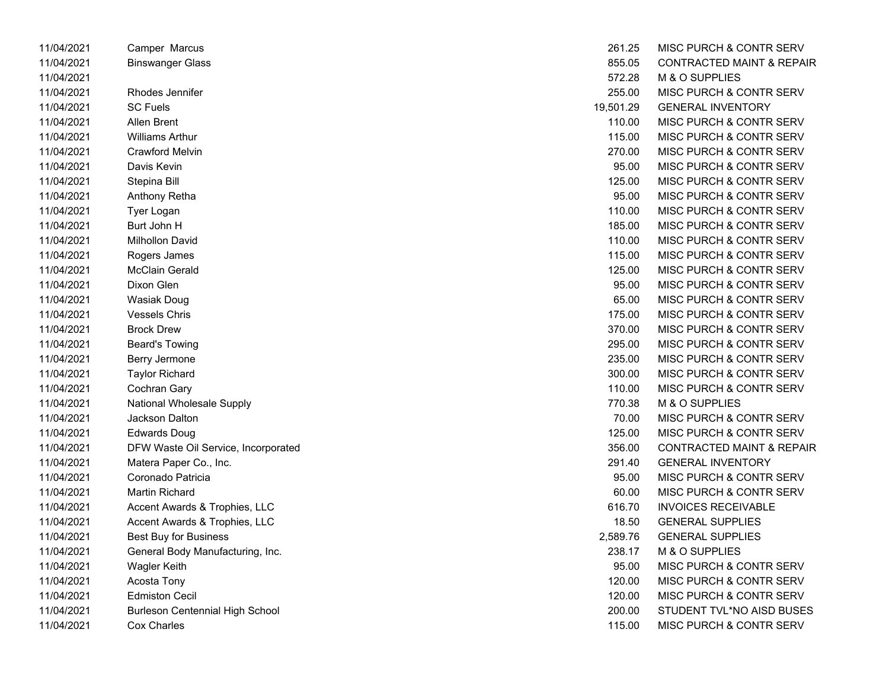| 11/04/2021 | Camper Marcus                          | 261.25    | MISC PURCH & CONTR SERV              |
|------------|----------------------------------------|-----------|--------------------------------------|
| 11/04/2021 | <b>Binswanger Glass</b>                | 855.05    | <b>CONTRACTED MAINT &amp; REPAIR</b> |
| 11/04/2021 |                                        | 572.28    | M & O SUPPLIES                       |
| 11/04/2021 | Rhodes Jennifer                        | 255.00    | MISC PURCH & CONTR SERV              |
| 11/04/2021 | SC Fuels                               | 19,501.29 | <b>GENERAL INVENTORY</b>             |
| 11/04/2021 | Allen Brent                            | 110.00    | MISC PURCH & CONTR SERV              |
| 11/04/2021 | <b>Williams Arthur</b>                 | 115.00    | MISC PURCH & CONTR SERV              |
| 11/04/2021 | Crawford Melvin                        | 270.00    | MISC PURCH & CONTR SERV              |
| 11/04/2021 | Davis Kevin                            | 95.00     | MISC PURCH & CONTR SERV              |
| 11/04/2021 | Stepina Bill                           | 125.00    | MISC PURCH & CONTR SERV              |
| 11/04/2021 | Anthony Retha                          | 95.00     | MISC PURCH & CONTR SERV              |
| 11/04/2021 | Tyer Logan                             | 110.00    | MISC PURCH & CONTR SERV              |
| 11/04/2021 | Burt John H                            | 185.00    | MISC PURCH & CONTR SERV              |
| 11/04/2021 | Milhollon David                        | 110.00    | MISC PURCH & CONTR SERV              |
| 11/04/2021 | Rogers James                           | 115.00    | MISC PURCH & CONTR SERV              |
| 11/04/2021 | <b>McClain Gerald</b>                  | 125.00    | MISC PURCH & CONTR SERV              |
| 11/04/2021 | Dixon Glen                             | 95.00     | MISC PURCH & CONTR SERV              |
| 11/04/2021 | Wasiak Doug                            | 65.00     | MISC PURCH & CONTR SERV              |
| 11/04/2021 | <b>Vessels Chris</b>                   | 175.00    | MISC PURCH & CONTR SERV              |
| 11/04/2021 | <b>Brock Drew</b>                      | 370.00    | MISC PURCH & CONTR SERV              |
| 11/04/2021 | <b>Beard's Towing</b>                  | 295.00    | MISC PURCH & CONTR SERV              |
| 11/04/2021 | Berry Jermone                          | 235.00    | MISC PURCH & CONTR SERV              |
| 11/04/2021 | <b>Taylor Richard</b>                  | 300.00    | MISC PURCH & CONTR SERV              |
| 11/04/2021 | Cochran Gary                           | 110.00    | MISC PURCH & CONTR SERV              |
| 11/04/2021 | National Wholesale Supply              | 770.38    | M & O SUPPLIES                       |
| 11/04/2021 | Jackson Dalton                         | 70.00     | MISC PURCH & CONTR SERV              |
| 11/04/2021 | <b>Edwards Doug</b>                    | 125.00    | MISC PURCH & CONTR SERV              |
| 11/04/2021 | DFW Waste Oil Service, Incorporated    | 356.00    | <b>CONTRACTED MAINT &amp; REPAIR</b> |
| 11/04/2021 | Matera Paper Co., Inc.                 | 291.40    | <b>GENERAL INVENTORY</b>             |
| 11/04/2021 | Coronado Patricia                      | 95.00     | MISC PURCH & CONTR SERV              |
| 11/04/2021 | Martin Richard                         | 60.00     | MISC PURCH & CONTR SERV              |
| 11/04/2021 | Accent Awards & Trophies, LLC          | 616.70    | <b>INVOICES RECEIVABLE</b>           |
| 11/04/2021 | Accent Awards & Trophies, LLC          | 18.50     | <b>GENERAL SUPPLIES</b>              |
| 11/04/2021 | <b>Best Buy for Business</b>           | 2,589.76  | <b>GENERAL SUPPLIES</b>              |
| 11/04/2021 | General Body Manufacturing, Inc.       | 238.17    | M & O SUPPLIES                       |
| 11/04/2021 | <b>Wagler Keith</b>                    | 95.00     | MISC PURCH & CONTR SERV              |
| 11/04/2021 | Acosta Tony                            | 120.00    | MISC PURCH & CONTR SERV              |
| 11/04/2021 | <b>Edmiston Cecil</b>                  | 120.00    | MISC PURCH & CONTR SERV              |
| 11/04/2021 | <b>Burleson Centennial High School</b> | 200.00    | STUDENT TVL*NO AISD BUSES            |
| 11/04/2021 | Cox Charles                            | 115.00    | <b>MISC PURCH &amp; CONTR SERV</b>   |

| 261.25    | <b>MISC PURCH &amp; CONTR SERV</b>   |
|-----------|--------------------------------------|
| 855.05    | <b>CONTRACTED MAINT &amp; REPAIR</b> |
| 572.28    | M & O SUPPLIES                       |
| 255.00    | <b>MISC PURCH &amp; CONTR SERV</b>   |
| 19,501.29 | <b>GENERAL INVENTORY</b>             |
| 110.00    | <b>MISC PURCH &amp; CONTR SERV</b>   |
| 115.00    | <b>MISC PURCH &amp; CONTR SERV</b>   |
| 270.00    | <b>MISC PURCH &amp; CONTR SERV</b>   |
| 95.00     | <b>MISC PURCH &amp; CONTR SERV</b>   |
| 125.00    | MISC PURCH & CONTR SERV              |
| 95.00     | MISC PURCH & CONTR SERV              |
| 110.00    | <b>MISC PURCH &amp; CONTR SERV</b>   |
| 185.00    | <b>MISC PURCH &amp; CONTR SERV</b>   |
| 110.00    | MISC PURCH & CONTR SERV              |
| 115.00    | <b>MISC PURCH &amp; CONTR SERV</b>   |
| 125.00    | <b>MISC PURCH &amp; CONTR SERV</b>   |
| 95.00     | <b>MISC PURCH &amp; CONTR SERV</b>   |
| 65.00     | <b>MISC PURCH &amp; CONTR SERV</b>   |
| 175.00    | <b>MISC PURCH &amp; CONTR SERV</b>   |
| 370.00    | MISC PURCH & CONTR SERV              |
| 295.00    | <b>MISC PURCH &amp; CONTR SERV</b>   |
| 235.00    | <b>MISC PURCH &amp; CONTR SERV</b>   |
| 300.00    | <b>MISC PURCH &amp; CONTR SERV</b>   |
| 110.00    | <b>MISC PURCH &amp; CONTR SERV</b>   |
| 770.38    | <b>M &amp; O SUPPLIES</b>            |
| 70.00     | <b>MISC PURCH &amp; CONTR SERV</b>   |
| 125.00    | <b>MISC PURCH &amp; CONTR SERV</b>   |
| 356.00    | <b>CONTRACTED MAINT &amp; REPAIR</b> |
| 291.40    | <b>GENERAL INVENTORY</b>             |
| 95.00     | <b>MISC PURCH &amp; CONTR SERV</b>   |
| 60.00     | <b>MISC PURCH &amp; CONTR SERV</b>   |
| 616.70    | <b>INVOICES RECEIVABLE</b>           |
| 18.50     | <b>GENERAL SUPPLIES</b>              |
| 2,589.76  | <b>GENERAL SUPPLIES</b>              |
| 238.17    | <b>M &amp; O SUPPLIES</b>            |
| 95.00     | <b>MISC PURCH &amp; CONTR SERV</b>   |
| 120.00    | <b>MISC PURCH &amp; CONTR SERV</b>   |
| 120.00    | MISC PURCH & CONTR SERV              |
| 200.00    | STUDENT TVL*NO AISD BUSES            |
| 115.00    | MISC PURCH & CONTR SERV              |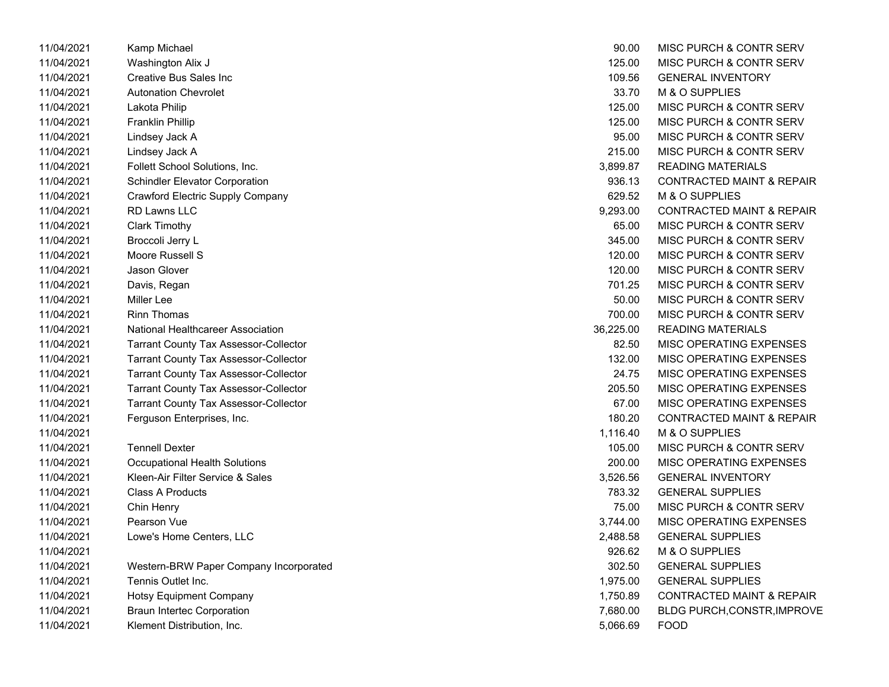| 11/04/2021 | Kamp Michael                                 | 90.00     | MISC PURCH & CONTR SERV              |
|------------|----------------------------------------------|-----------|--------------------------------------|
| 11/04/2021 | Washington Alix J                            | 125.00    | MISC PURCH & CONTR SERV              |
| 11/04/2021 | Creative Bus Sales Inc                       | 109.56    | <b>GENERAL INVENTORY</b>             |
| 11/04/2021 | <b>Autonation Chevrolet</b>                  | 33.70     | M & O SUPPLIES                       |
| 11/04/2021 | Lakota Philip                                | 125.00    | MISC PURCH & CONTR SERV              |
| 11/04/2021 | <b>Franklin Phillip</b>                      | 125.00    | MISC PURCH & CONTR SERV              |
| 11/04/2021 | Lindsey Jack A                               | 95.00     | MISC PURCH & CONTR SERV              |
| 11/04/2021 | Lindsey Jack A                               | 215.00    | MISC PURCH & CONTR SERV              |
| 11/04/2021 | Follett School Solutions, Inc.               | 3,899.87  | <b>READING MATERIALS</b>             |
| 11/04/2021 | <b>Schindler Elevator Corporation</b>        | 936.13    | <b>CONTRACTED MAINT &amp; REPAIR</b> |
| 11/04/2021 | <b>Crawford Electric Supply Company</b>      | 629.52    | M & O SUPPLIES                       |
| 11/04/2021 | RD Lawns LLC                                 | 9,293.00  | <b>CONTRACTED MAINT &amp; REPAIR</b> |
| 11/04/2021 | <b>Clark Timothy</b>                         | 65.00     | <b>MISC PURCH &amp; CONTR SERV</b>   |
| 11/04/2021 | Broccoli Jerry L                             | 345.00    | <b>MISC PURCH &amp; CONTR SERV</b>   |
| 11/04/2021 | Moore Russell S                              | 120.00    | MISC PURCH & CONTR SERV              |
| 11/04/2021 | Jason Glover                                 | 120.00    | MISC PURCH & CONTR SERV              |
| 11/04/2021 | Davis, Regan                                 | 701.25    | <b>MISC PURCH &amp; CONTR SERV</b>   |
| 11/04/2021 | Miller Lee                                   | 50.00     | <b>MISC PURCH &amp; CONTR SERV</b>   |
| 11/04/2021 | <b>Rinn Thomas</b>                           | 700.00    | <b>MISC PURCH &amp; CONTR SERV</b>   |
| 11/04/2021 | National Healthcareer Association            | 36,225.00 | <b>READING MATERIALS</b>             |
| 11/04/2021 | <b>Tarrant County Tax Assessor-Collector</b> | 82.50     | MISC OPERATING EXPENSES              |
| 11/04/2021 | <b>Tarrant County Tax Assessor-Collector</b> | 132.00    | MISC OPERATING EXPENSES              |
| 11/04/2021 | <b>Tarrant County Tax Assessor-Collector</b> | 24.75     | MISC OPERATING EXPENSES              |
| 11/04/2021 | <b>Tarrant County Tax Assessor-Collector</b> | 205.50    | MISC OPERATING EXPENSES              |
| 11/04/2021 | <b>Tarrant County Tax Assessor-Collector</b> | 67.00     | MISC OPERATING EXPENSES              |
| 11/04/2021 | Ferguson Enterprises, Inc.                   | 180.20    | <b>CONTRACTED MAINT &amp; REPAIR</b> |
| 11/04/2021 |                                              | 1,116.40  | M & O SUPPLIES                       |
| 11/04/2021 | <b>Tennell Dexter</b>                        | 105.00    | MISC PURCH & CONTR SERV              |
| 11/04/2021 | Occupational Health Solutions                | 200.00    | MISC OPERATING EXPENSES              |
| 11/04/2021 | Kleen-Air Filter Service & Sales             | 3,526.56  | <b>GENERAL INVENTORY</b>             |
| 11/04/2021 | Class A Products                             | 783.32    | <b>GENERAL SUPPLIES</b>              |
| 11/04/2021 | Chin Henry                                   | 75.00     | MISC PURCH & CONTR SERV              |
| 11/04/2021 | Pearson Vue                                  | 3,744.00  | MISC OPERATING EXPENSES              |
| 11/04/2021 | Lowe's Home Centers, LLC                     | 2,488.58  | <b>GENERAL SUPPLIES</b>              |
| 11/04/2021 |                                              | 926.62    | M & O SUPPLIES                       |
| 11/04/2021 | Western-BRW Paper Company Incorporated       | 302.50    | <b>GENERAL SUPPLIES</b>              |
| 11/04/2021 | Tennis Outlet Inc.                           | 1,975.00  | <b>GENERAL SUPPLIES</b>              |
| 11/04/2021 | <b>Hotsy Equipment Company</b>               | 1,750.89  | <b>CONTRACTED MAINT &amp; REPAIR</b> |
| 11/04/2021 | <b>Braun Intertec Corporation</b>            | 7,680.00  | BLDG PURCH, CONSTR, IMPROVE          |
| 11/04/2021 | Klement Distribution, Inc.                   | 5,066.69  | <b>FOOD</b>                          |

| 90.00     | MISC PURCH & CONTR SERV              |
|-----------|--------------------------------------|
| 125.00    | <b>MISC PURCH &amp; CONTR SERV</b>   |
| 109.56    | <b>GENERAL INVENTORY</b>             |
| 33.70     | <b>M &amp; O SUPPLIES</b>            |
| 125.00    | <b>MISC PURCH &amp; CONTR SERV</b>   |
| 125.00    | MISC PURCH & CONTR SERV              |
| 95.00     | <b>MISC PURCH &amp; CONTR SERV</b>   |
| 215.00    | MISC PURCH & CONTR SERV              |
| 3,899.87  | <b>READING MATERIALS</b>             |
| 936.13    | <b>CONTRACTED MAINT &amp; REPAIR</b> |
| 629.52    | M & O SUPPLIES                       |
| 9,293.00  | CONTRACTED MAINT & REPAIR            |
| 65.00     | <b>MISC PURCH &amp; CONTR SERV</b>   |
| 345.00    | <b>MISC PURCH &amp; CONTR SERV</b>   |
| 120.00    | <b>MISC PURCH &amp; CONTR SERV</b>   |
| 120.00    | <b>MISC PURCH &amp; CONTR SERV</b>   |
| 701.25    | MISC PURCH & CONTR SERV              |
| 50.00     | MISC PURCH & CONTR SERV              |
| 700.00    | <b>MISC PURCH &amp; CONTR SERV</b>   |
| 36,225.00 | <b>READING MATERIALS</b>             |
| 82.50     | <b>MISC OPERATING EXPENSES</b>       |
| 132.00    | <b>MISC OPERATING EXPENSES</b>       |
| 24.75     | <b>MISC OPERATING EXPENSES</b>       |
| 205.50    | <b>MISC OPERATING EXPENSES</b>       |
| 67.00     | <b>MISC OPERATING EXPENSES</b>       |
| 180.20    | <b>CONTRACTED MAINT &amp; REPAIR</b> |
| 1,116.40  | <b>M &amp; O SUPPLIES</b>            |
| 105.00    | <b>MISC PURCH &amp; CONTR SERV</b>   |
| 200.00    | <b>MISC OPERATING EXPENSES</b>       |
| 3,526.56  | <b>GENERAL INVENTORY</b>             |
| 783.32    | <b>GENERAL SUPPLIES</b>              |
| 75.00     | <b>MISC PURCH &amp; CONTR SERV</b>   |
| 3,744.00  | MISC OPERATING EXPENSES              |
| 2,488.58  | <b>GENERAL SUPPLIES</b>              |
| 926.62    | <b>M &amp; O SUPPLIES</b>            |
| 302.50    | <b>GENERAL SUPPLIES</b>              |
| 1,975.00  | <b>GENERAL SUPPLIES</b>              |
| 1,750.89  | <b>CONTRACTED MAINT &amp; REPAIR</b> |
| 7,680.00  | <b>BLDG PURCH, CONSTR, IMPROVE</b>   |
| 5,066.69  | <b>FOOD</b>                          |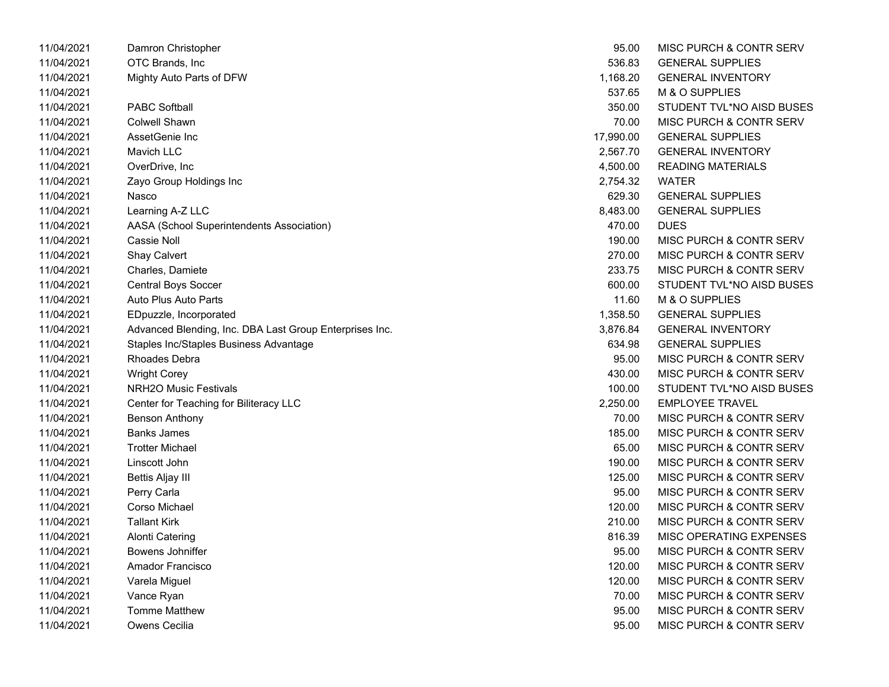| 11/04/2021 | Damron Christopher                                      | 95.00     | <b>MISC PURCH &amp; CONTR SERV</b> |
|------------|---------------------------------------------------------|-----------|------------------------------------|
| 11/04/2021 | OTC Brands, Inc                                         | 536.83    | <b>GENERAL SUPPLIES</b>            |
| 11/04/2021 | Mighty Auto Parts of DFW                                | 1,168.20  | <b>GENERAL INVENTORY</b>           |
| 11/04/2021 |                                                         | 537.65    | M & O SUPPLIES                     |
| 11/04/2021 | <b>PABC Softball</b>                                    | 350.00    | STUDENT TVL*NO AISD BUSES          |
| 11/04/2021 | <b>Colwell Shawn</b>                                    | 70.00     | MISC PURCH & CONTR SERV            |
| 11/04/2021 | AssetGenie Inc                                          | 17,990.00 | <b>GENERAL SUPPLIES</b>            |
| 11/04/2021 | Mavich LLC                                              | 2,567.70  | <b>GENERAL INVENTORY</b>           |
| 11/04/2021 | OverDrive, Inc                                          | 4,500.00  | <b>READING MATERIALS</b>           |
| 11/04/2021 | Zayo Group Holdings Inc                                 | 2,754.32  | <b>WATER</b>                       |
| 11/04/2021 | Nasco                                                   | 629.30    | <b>GENERAL SUPPLIES</b>            |
| 11/04/2021 | Learning A-Z LLC                                        | 8,483.00  | <b>GENERAL SUPPLIES</b>            |
| 11/04/2021 | AASA (School Superintendents Association)               | 470.00    | <b>DUES</b>                        |
| 11/04/2021 | Cassie Noll                                             | 190.00    | MISC PURCH & CONTR SERV            |
| 11/04/2021 | Shay Calvert                                            | 270.00    | MISC PURCH & CONTR SERV            |
| 11/04/2021 | Charles, Damiete                                        | 233.75    | MISC PURCH & CONTR SERV            |
| 11/04/2021 | Central Boys Soccer                                     | 600.00    | STUDENT TVL*NO AISD BUSES          |
| 11/04/2021 | Auto Plus Auto Parts                                    | 11.60     | M & O SUPPLIES                     |
| 11/04/2021 | EDpuzzle, Incorporated                                  | 1,358.50  | <b>GENERAL SUPPLIES</b>            |
| 11/04/2021 | Advanced Blending, Inc. DBA Last Group Enterprises Inc. | 3,876.84  | <b>GENERAL INVENTORY</b>           |
| 11/04/2021 | Staples Inc/Staples Business Advantage                  | 634.98    | <b>GENERAL SUPPLIES</b>            |
| 11/04/2021 | Rhoades Debra                                           | 95.00     | MISC PURCH & CONTR SERV            |
| 11/04/2021 | <b>Wright Corey</b>                                     | 430.00    | MISC PURCH & CONTR SERV            |
| 11/04/2021 | NRH2O Music Festivals                                   | 100.00    | STUDENT TVL*NO AISD BUSES          |
| 11/04/2021 | Center for Teaching for Biliteracy LLC                  | 2,250.00  | <b>EMPLOYEE TRAVEL</b>             |
| 11/04/2021 | <b>Benson Anthony</b>                                   | 70.00     | MISC PURCH & CONTR SERV            |
| 11/04/2021 | <b>Banks James</b>                                      | 185.00    | MISC PURCH & CONTR SERV            |
| 11/04/2021 | <b>Trotter Michael</b>                                  | 65.00     | MISC PURCH & CONTR SERV            |
| 11/04/2021 | Linscott John                                           | 190.00    | <b>MISC PURCH &amp; CONTR SERV</b> |
| 11/04/2021 | Bettis Aljay III                                        | 125.00    | MISC PURCH & CONTR SERV            |
| 11/04/2021 | Perry Carla                                             | 95.00     | MISC PURCH & CONTR SERV            |
| 11/04/2021 | Corso Michael                                           | 120.00    | MISC PURCH & CONTR SERV            |
| 11/04/2021 | <b>Tallant Kirk</b>                                     | 210.00    | MISC PURCH & CONTR SERV            |
| 11/04/2021 | <b>Alonti Catering</b>                                  | 816.39    | MISC OPERATING EXPENSES            |
| 11/04/2021 | Bowens Johniffer                                        | 95.00     | MISC PURCH & CONTR SERV            |
| 11/04/2021 | Amador Francisco                                        | 120.00    | MISC PURCH & CONTR SERV            |
| 11/04/2021 | Varela Miguel                                           | 120.00    | MISC PURCH & CONTR SERV            |
| 11/04/2021 | Vance Ryan                                              | 70.00     | MISC PURCH & CONTR SERV            |
| 11/04/2021 | <b>Tomme Matthew</b>                                    | 95.00     | MISC PURCH & CONTR SERV            |
| 11/04/2021 | Owens Cecilia                                           | 95.00     | <b>MISC PURCH &amp; CONTR SERV</b> |

| 95.00     | <b>MISC PURCH &amp; CONTR SERV</b> |
|-----------|------------------------------------|
| 536.83    | <b>GENERAL SUPPLIES</b>            |
| 1,168.20  | <b>GENERAL INVENTORY</b>           |
| 537.65    | M & O SUPPLIES                     |
| 350.00    | STUDENT TVL*NO AISD BUSES          |
| 70.00     | <b>MISC PURCH &amp; CONTR SERV</b> |
| 17,990.00 | <b>GENERAL SUPPLIES</b>            |
| 2,567.70  | <b>GENERAL INVENTORY</b>           |
| 4,500.00  | <b>READING MATERIALS</b>           |
| 2,754.32  | <b>WATER</b>                       |
| 629.30    | <b>GENERAL SUPPLIES</b>            |
| 8,483.00  | <b>GENERAL SUPPLIES</b>            |
| 470.00    | DUES                               |
| 190.00    | <b>MISC PURCH &amp; CONTR SERV</b> |
| 270.00    | <b>MISC PURCH &amp; CONTR SERV</b> |
| 233.75    | <b>MISC PURCH &amp; CONTR SERV</b> |
| 600.00    | STUDENT TVL*NO AISD BUSES          |
| 11.60     | M & O SUPPLIES                     |
| 1.358.50  | <b>GENERAL SUPPLIES</b>            |
| 3,876.84  | <b>GENERAL INVENTORY</b>           |
| 634.98    | <b>GENERAL SUPPLIES</b>            |
| 95.00     | <b>MISC PURCH &amp; CONTR SERV</b> |
| 430.00    | <b>MISC PURCH &amp; CONTR SERV</b> |
| 100.00    | STUDENT TVL*NO AISD BUSES          |
| 2,250.00  | <b>EMPLOYEE TRAVEL</b>             |
| 70.00     | <b>MISC PURCH &amp; CONTR SERV</b> |
| 185.00    | <b>MISC PURCH &amp; CONTR SERV</b> |
| 65.00     | <b>MISC PURCH &amp; CONTR SERV</b> |
| 190.00    | <b>MISC PURCH &amp; CONTR SERV</b> |
| 125.00    | <b>MISC PURCH &amp; CONTR SERV</b> |
| 95.00     | <b>MISC PURCH &amp; CONTR SERV</b> |
| 120.00    | <b>MISC PURCH &amp; CONTR SERV</b> |
| 210.00    | <b>MISC PURCH &amp; CONTR SERV</b> |
| 816.39    | <b>MISC OPERATING EXPENSES</b>     |
| 95.00     | MISC PURCH & CONTR SERV            |
| 120.00    | <b>MISC PURCH &amp; CONTR SERV</b> |
| 120.00    | MISC PURCH & CONTR SERV            |
| 70.00     | <b>MISC PURCH &amp; CONTR SERV</b> |
| 95.00     | <b>MISC PURCH &amp; CONTR SERV</b> |
| 95.00     | <b>MISC PURCH &amp; CONTR SERV</b> |
|           |                                    |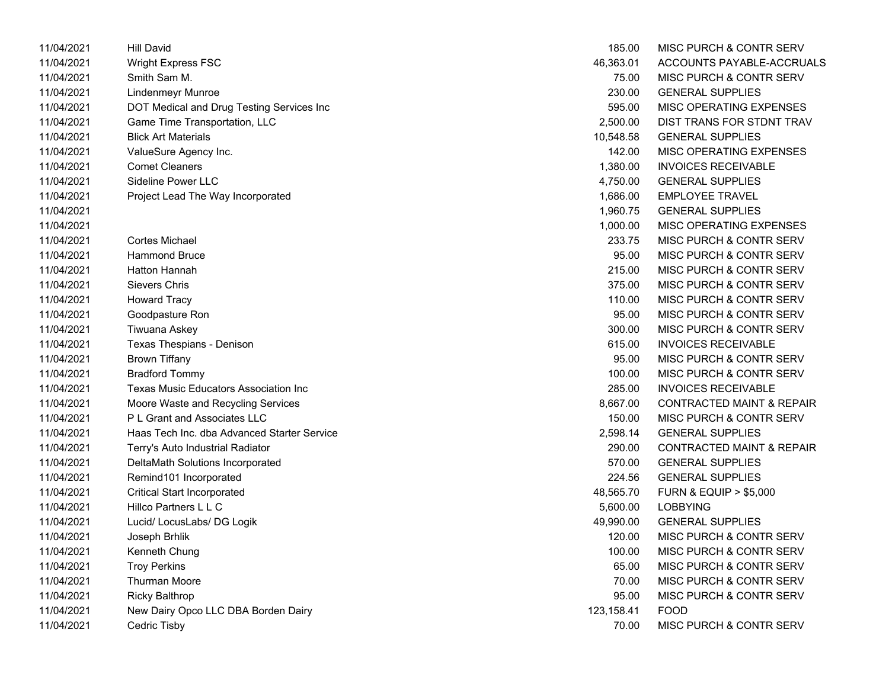| 11/04/2021 | <b>Hill David</b>                            | 185.00     | MISC PURCH & CONTR SERV              |
|------------|----------------------------------------------|------------|--------------------------------------|
| 11/04/2021 | <b>Wright Express FSC</b>                    | 46,363.01  | ACCOUNTS PAYABLE-ACCRUALS            |
| 11/04/2021 | Smith Sam M.                                 | 75.00      | MISC PURCH & CONTR SERV              |
| 11/04/2021 | <b>Lindenmeyr Munroe</b>                     | 230.00     | <b>GENERAL SUPPLIES</b>              |
| 11/04/2021 | DOT Medical and Drug Testing Services Inc    | 595.00     | MISC OPERATING EXPENSES              |
| 11/04/2021 | Game Time Transportation, LLC                | 2,500.00   | DIST TRANS FOR STDNT TRAV            |
| 11/04/2021 | <b>Blick Art Materials</b>                   | 10,548.58  | <b>GENERAL SUPPLIES</b>              |
| 11/04/2021 | ValueSure Agency Inc.                        | 142.00     | MISC OPERATING EXPENSES              |
| 11/04/2021 | <b>Comet Cleaners</b>                        | 1,380.00   | <b>INVOICES RECEIVABLE</b>           |
| 11/04/2021 | Sideline Power LLC                           | 4,750.00   | <b>GENERAL SUPPLIES</b>              |
| 11/04/2021 | Project Lead The Way Incorporated            | 1,686.00   | <b>EMPLOYEE TRAVEL</b>               |
| 11/04/2021 |                                              | 1,960.75   | <b>GENERAL SUPPLIES</b>              |
| 11/04/2021 |                                              | 1,000.00   | MISC OPERATING EXPENSES              |
| 11/04/2021 | Cortes Michael                               | 233.75     | MISC PURCH & CONTR SERV              |
| 11/04/2021 | <b>Hammond Bruce</b>                         | 95.00      | MISC PURCH & CONTR SERV              |
| 11/04/2021 | <b>Hatton Hannah</b>                         | 215.00     | MISC PURCH & CONTR SERV              |
| 11/04/2021 | <b>Sievers Chris</b>                         | 375.00     | MISC PURCH & CONTR SERV              |
| 11/04/2021 | <b>Howard Tracy</b>                          | 110.00     | MISC PURCH & CONTR SERV              |
| 11/04/2021 | Goodpasture Ron                              | 95.00      | MISC PURCH & CONTR SERV              |
| 11/04/2021 | Tiwuana Askey                                | 300.00     | MISC PURCH & CONTR SERV              |
| 11/04/2021 | Texas Thespians - Denison                    | 615.00     | <b>INVOICES RECEIVABLE</b>           |
| 11/04/2021 | <b>Brown Tiffany</b>                         | 95.00      | MISC PURCH & CONTR SERV              |
| 11/04/2021 | <b>Bradford Tommy</b>                        | 100.00     | MISC PURCH & CONTR SERV              |
| 11/04/2021 | <b>Texas Music Educators Association Inc</b> | 285.00     | <b>INVOICES RECEIVABLE</b>           |
| 11/04/2021 | Moore Waste and Recycling Services           | 8,667.00   | <b>CONTRACTED MAINT &amp; REPAIR</b> |
| 11/04/2021 | P L Grant and Associates LLC                 | 150.00     | MISC PURCH & CONTR SERV              |
| 11/04/2021 | Haas Tech Inc. dba Advanced Starter Service  | 2,598.14   | <b>GENERAL SUPPLIES</b>              |
| 11/04/2021 | Terry's Auto Industrial Radiator             | 290.00     | <b>CONTRACTED MAINT &amp; REPAIR</b> |
| 11/04/2021 | DeltaMath Solutions Incorporated             | 570.00     | <b>GENERAL SUPPLIES</b>              |
| 11/04/2021 | Remind101 Incorporated                       | 224.56     | <b>GENERAL SUPPLIES</b>              |
| 11/04/2021 | <b>Critical Start Incorporated</b>           | 48,565.70  | <b>FURN &amp; EQUIP &gt; \$5,000</b> |
| 11/04/2021 | Hillco Partners L L C                        | 5,600.00   | <b>LOBBYING</b>                      |
| 11/04/2021 | Lucid/ LocusLabs/ DG Logik                   | 49,990.00  | <b>GENERAL SUPPLIES</b>              |
| 11/04/2021 | Joseph Brhlik                                | 120.00     | MISC PURCH & CONTR SERV              |
| 11/04/2021 | Kenneth Chung                                | 100.00     | MISC PURCH & CONTR SERV              |
| 11/04/2021 | <b>Troy Perkins</b>                          | 65.00      | MISC PURCH & CONTR SERV              |
| 11/04/2021 | Thurman Moore                                | 70.00      | MISC PURCH & CONTR SERV              |
| 11/04/2021 | <b>Ricky Balthrop</b>                        | 95.00      | MISC PURCH & CONTR SERV              |
| 11/04/2021 | New Dairy Opco LLC DBA Borden Dairy          | 123,158.41 | <b>FOOD</b>                          |
| 11/04/2021 | Cedric Tisby                                 | 70.00      | MISC PURCH & CONTR SERV              |

| 185.00     | <b>MISC PURCH &amp; CONTR SERV</b>   |
|------------|--------------------------------------|
| 46,363.01  | ACCOUNTS PAYABLE-ACCRUALS            |
| 75.00      | <b>MISC PURCH &amp; CONTR SERV</b>   |
| 230.00     | <b>GENERAL SUPPLIES</b>              |
| 595.00     | <b>MISC OPERATING EXPENSES</b>       |
| 2,500.00   | DIST TRANS FOR STDNT TRAV            |
| 10,548.58  | <b>GENERAL SUPPLIES</b>              |
| 142.00     | <b>MISC OPERATING EXPENSES</b>       |
| 1.380.00   | <b>INVOICES RECEIVABLE</b>           |
| 4,750.00   | <b>GENERAL SUPPLIES</b>              |
| 1,686.00   | <b>EMPLOYEE TRAVEL</b>               |
| 1,960.75   | <b>GENERAL SUPPLIES</b>              |
| 1,000.00   | <b>MISC OPERATING EXPENSES</b>       |
| 233.75     | <b>MISC PURCH &amp; CONTR SERV</b>   |
| 95.00      | MISC PURCH & CONTR SERV              |
| 215.00     | MISC PURCH & CONTR SERV              |
| 375.00     | MISC PURCH & CONTR SERV              |
| 110.00     | MISC PURCH & CONTR SERV              |
| 95.00      | <b>MISC PURCH &amp; CONTR SERV</b>   |
| 300.00     | <b>MISC PURCH &amp; CONTR SERV</b>   |
| 615.00     | <b>INVOICES RECEIVABLE</b>           |
| 95.00      | MISC PURCH & CONTR SERV              |
| 100.00     | MISC PURCH & CONTR SERV              |
| 285.00     | <b>INVOICES RECEIVABLE</b>           |
| 8,667.00   | <b>CONTRACTED MAINT &amp; REPAIR</b> |
| 150.00     | <b>MISC PURCH &amp; CONTR SERV</b>   |
| 2,598.14   | <b>GENERAL SUPPLIES</b>              |
| 290.00     | <b>CONTRACTED MAINT &amp; REPAIR</b> |
| 570.00     | <b>GENERAL SUPPLIES</b>              |
| 224.56     | <b>GENERAL SUPPLIES</b>              |
| 48,565.70  | <b>FURN &amp; EQUIP &gt; \$5,000</b> |
| 5,600.00   | LOBBYING                             |
| 49,990.00  | <b>GENERAL SUPPLIES</b>              |
| 120.00     | MISC PURCH & CONTR SERV              |
| 100.00     | MISC PURCH & CONTR SERV              |
| 65.00      | <b>MISC PURCH &amp; CONTR SERV</b>   |
| 70.00      | <b>MISC PURCH &amp; CONTR SERV</b>   |
| 95.00      | MISC PURCH & CONTR SERV              |
| 123,158.41 | <b>FOOD</b>                          |
| 70.00      | MISC PURCH & CONTR SERV              |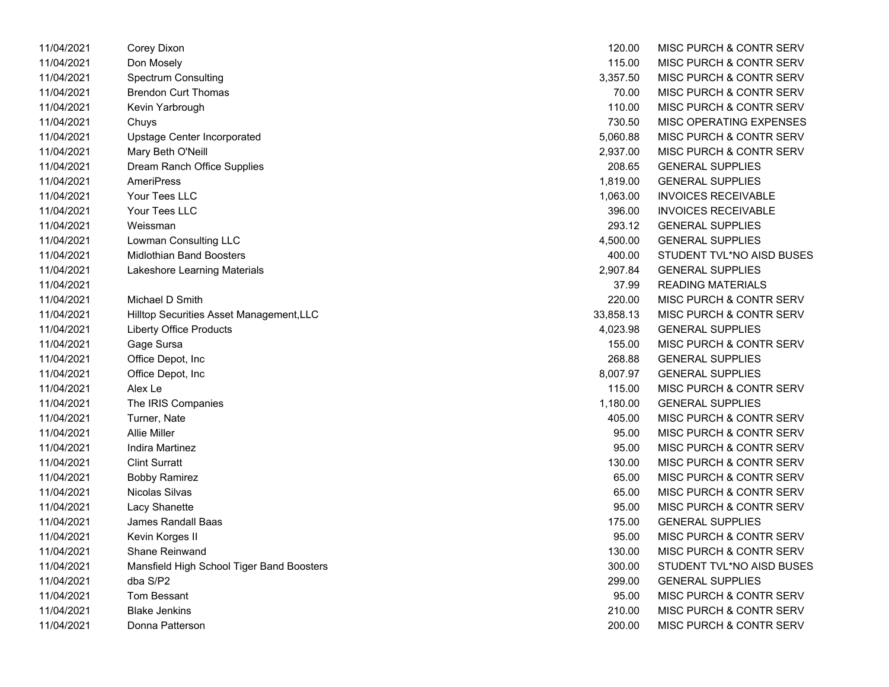| 11/04/2021 | Corey Dixon                               | 120.00    | MISC PURCH & CONTR SERV    |
|------------|-------------------------------------------|-----------|----------------------------|
| 11/04/2021 | Don Mosely                                | 115.00    | MISC PURCH & CONTR SERV    |
| 11/04/2021 | <b>Spectrum Consulting</b>                | 3,357.50  | MISC PURCH & CONTR SERV    |
| 11/04/2021 | <b>Brendon Curt Thomas</b>                | 70.00     | MISC PURCH & CONTR SERV    |
| 11/04/2021 | Kevin Yarbrough                           | 110.00    | MISC PURCH & CONTR SERV    |
| 11/04/2021 | Chuys                                     | 730.50    | MISC OPERATING EXPENSES    |
| 11/04/2021 | Upstage Center Incorporated               | 5,060.88  | MISC PURCH & CONTR SERV    |
| 11/04/2021 | Mary Beth O'Neill                         | 2,937.00  | MISC PURCH & CONTR SERV    |
| 11/04/2021 | Dream Ranch Office Supplies               | 208.65    | <b>GENERAL SUPPLIES</b>    |
| 11/04/2021 | <b>AmeriPress</b>                         | 1,819.00  | <b>GENERAL SUPPLIES</b>    |
| 11/04/2021 | Your Tees LLC                             | 1,063.00  | <b>INVOICES RECEIVABLE</b> |
| 11/04/2021 | Your Tees LLC                             | 396.00    | <b>INVOICES RECEIVABLE</b> |
| 11/04/2021 | Weissman                                  | 293.12    | <b>GENERAL SUPPLIES</b>    |
| 11/04/2021 | Lowman Consulting LLC                     | 4,500.00  | <b>GENERAL SUPPLIES</b>    |
| 11/04/2021 | <b>Midlothian Band Boosters</b>           | 400.00    | STUDENT TVL*NO AISD BUSES  |
| 11/04/2021 | Lakeshore Learning Materials              | 2,907.84  | <b>GENERAL SUPPLIES</b>    |
| 11/04/2021 |                                           | 37.99     | <b>READING MATERIALS</b>   |
| 11/04/2021 | Michael D Smith                           | 220.00    | MISC PURCH & CONTR SERV    |
| 11/04/2021 | Hilltop Securities Asset Management, LLC  | 33,858.13 | MISC PURCH & CONTR SERV    |
| 11/04/2021 | <b>Liberty Office Products</b>            | 4,023.98  | <b>GENERAL SUPPLIES</b>    |
| 11/04/2021 | Gage Sursa                                | 155.00    | MISC PURCH & CONTR SERV    |
| 11/04/2021 | Office Depot, Inc                         | 268.88    | <b>GENERAL SUPPLIES</b>    |
| 11/04/2021 | Office Depot, Inc                         | 8,007.97  | <b>GENERAL SUPPLIES</b>    |
| 11/04/2021 | Alex Le                                   | 115.00    | MISC PURCH & CONTR SERV    |
| 11/04/2021 | The IRIS Companies                        | 1,180.00  | <b>GENERAL SUPPLIES</b>    |
| 11/04/2021 | Turner, Nate                              | 405.00    | MISC PURCH & CONTR SERV    |
| 11/04/2021 | <b>Allie Miller</b>                       | 95.00     | MISC PURCH & CONTR SERV    |
| 11/04/2021 | Indira Martinez                           | 95.00     | MISC PURCH & CONTR SERV    |
| 11/04/2021 | <b>Clint Surratt</b>                      | 130.00    | MISC PURCH & CONTR SERV    |
| 11/04/2021 | <b>Bobby Ramirez</b>                      | 65.00     | MISC PURCH & CONTR SERV    |
| 11/04/2021 | Nicolas Silvas                            | 65.00     | MISC PURCH & CONTR SERV    |
| 11/04/2021 | Lacy Shanette                             | 95.00     | MISC PURCH & CONTR SERV    |
| 11/04/2021 | James Randall Baas                        | 175.00    | <b>GENERAL SUPPLIES</b>    |
| 11/04/2021 | Kevin Korges II                           | 95.00     | MISC PURCH & CONTR SERV    |
| 11/04/2021 | <b>Shane Reinwand</b>                     | 130.00    | MISC PURCH & CONTR SERV    |
| 11/04/2021 | Mansfield High School Tiger Band Boosters | 300.00    | STUDENT TVL*NO AISD BUSES  |
| 11/04/2021 | dba S/P2                                  | 299.00    | <b>GENERAL SUPPLIES</b>    |
| 11/04/2021 | <b>Tom Bessant</b>                        | 95.00     | MISC PURCH & CONTR SERV    |
| 11/04/2021 | <b>Blake Jenkins</b>                      | 210.00    | MISC PURCH & CONTR SERV    |
| 11/04/2021 | Donna Patterson                           | 200.00    | MISC PURCH & CONTR SERV    |

| 120.00    | MISC PURCH & CONTR SERV            |
|-----------|------------------------------------|
| 115.00    | MISC PURCH & CONTR SERV            |
| 3,357.50  | <b>MISC PURCH &amp; CONTR SERV</b> |
| 70.00     | <b>MISC PURCH &amp; CONTR SERV</b> |
| 110.00    | MISC PURCH & CONTR SERV            |
| 730.50    | MISC OPERATING EXPENSES            |
| 5,060.88  | <b>MISC PURCH &amp; CONTR SERV</b> |
| 2,937.00  | <b>MISC PURCH &amp; CONTR SERV</b> |
| 208.65    | <b>GENERAL SUPPLIES</b>            |
| 1,819.00  | <b>GENERAL SUPPLIES</b>            |
| 1,063.00  | INVOICES RECEIVABLE                |
| 396.00    | <b>INVOICES RECEIVABLE</b>         |
| 293.12    | <b>GENERAL SUPPLIES</b>            |
| 4,500.00  | <b>GENERAL SUPPLIES</b>            |
| 400.00    | STUDENT TVL*NO AISD BUSES          |
| 2,907.84  | <b>GENERAL SUPPLIES</b>            |
| 37.99     | <b>READING MATERIALS</b>           |
| 220.00    | <b>MISC PURCH &amp; CONTR SERV</b> |
| 33.858.13 | MISC PURCH & CONTR SERV            |
| 4,023.98  | <b>GENERAL SUPPLIES</b>            |
| 155.00    | <b>MISC PURCH &amp; CONTR SERV</b> |
| 268.88    | <b>GENERAL SUPPLIES</b>            |
| 8,007.97  | <b>GENERAL SUPPLIES</b>            |
| 115.00    | <b>MISC PURCH &amp; CONTR SERV</b> |
| 1,180.00  | <b>GENERAL SUPPLIES</b>            |
| 405.00    | MISC PURCH & CONTR SERV            |
| 95.00     | <b>MISC PURCH &amp; CONTR SERV</b> |
| 95.00     | <b>MISC PURCH &amp; CONTR SERV</b> |
| 130.00    | <b>MISC PURCH &amp; CONTR SERV</b> |
| 65.00     | <b>MISC PURCH &amp; CONTR SERV</b> |
| 65.00     | MISC PURCH & CONTR SERV            |
| 95.00     | <b>MISC PURCH &amp; CONTR SERV</b> |
| 175.00    | <b>GENERAL SUPPLIES</b>            |
| 95.00     | <b>MISC PURCH &amp; CONTR SERV</b> |
| 130.00    | <b>MISC PURCH &amp; CONTR SERV</b> |
| 300.00    | STUDENT TVL*NO AISD BUSES          |
| 299.00    | <b>GENERAL SUPPLIES</b>            |
| 95.00     | MISC PURCH & CONTR SERV            |
| 210.00    | MISC PURCH & CONTR SERV            |
| 200.00    | MISC PURCH & CONTR SERV            |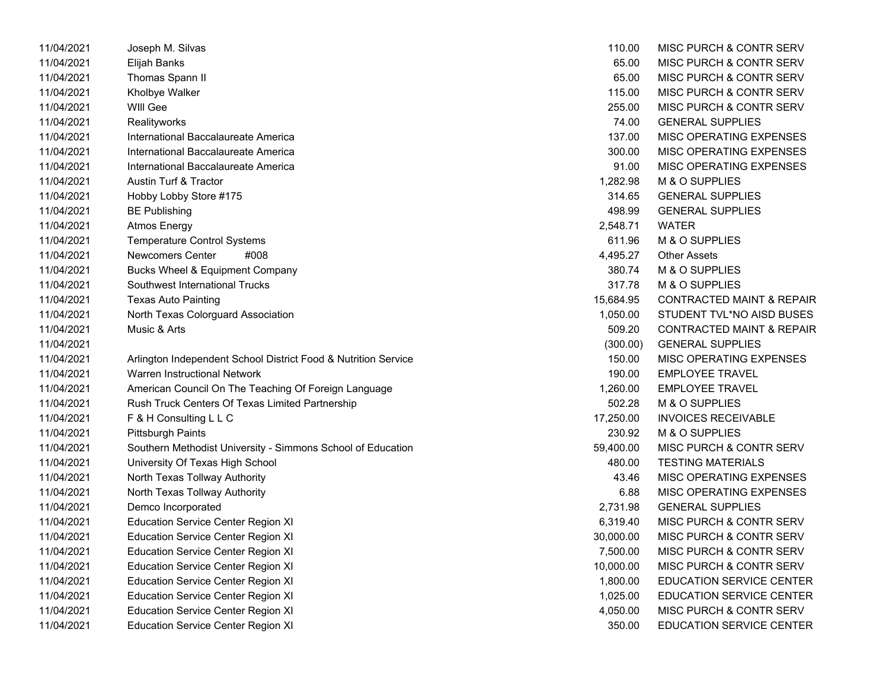| 11/04/2021 | Joseph M. Silvas                                               | 110.00    | MISC PURCH & CONTR SERV              |
|------------|----------------------------------------------------------------|-----------|--------------------------------------|
| 11/04/2021 | Elijah Banks                                                   | 65.00     | <b>MISC PURCH &amp; CONTR SERV</b>   |
| 11/04/2021 | Thomas Spann II                                                | 65.00     | MISC PURCH & CONTR SERV              |
| 11/04/2021 | Kholbye Walker                                                 | 115.00    | MISC PURCH & CONTR SERV              |
| 11/04/2021 | <b>WIII Gee</b>                                                | 255.00    | MISC PURCH & CONTR SERV              |
| 11/04/2021 | Realityworks                                                   | 74.00     | <b>GENERAL SUPPLIES</b>              |
| 11/04/2021 | International Baccalaureate America                            | 137.00    | MISC OPERATING EXPENSES              |
| 11/04/2021 | International Baccalaureate America                            | 300.00    | MISC OPERATING EXPENSES              |
| 11/04/2021 | International Baccalaureate America                            | 91.00     | MISC OPERATING EXPENSES              |
| 11/04/2021 | <b>Austin Turf &amp; Tractor</b>                               | 1,282.98  | M & O SUPPLIES                       |
| 11/04/2021 | Hobby Lobby Store #175                                         | 314.65    | <b>GENERAL SUPPLIES</b>              |
| 11/04/2021 | BE Publishing                                                  | 498.99    | <b>GENERAL SUPPLIES</b>              |
| 11/04/2021 | <b>Atmos Energy</b>                                            | 2,548.71  | <b>WATER</b>                         |
| 11/04/2021 | <b>Temperature Control Systems</b>                             | 611.96    | M & O SUPPLIES                       |
| 11/04/2021 | Newcomers Center<br>#008                                       | 4,495.27  | <b>Other Assets</b>                  |
| 11/04/2021 | <b>Bucks Wheel &amp; Equipment Company</b>                     | 380.74    | M & O SUPPLIES                       |
| 11/04/2021 | <b>Southwest International Trucks</b>                          | 317.78    | M & O SUPPLIES                       |
| 11/04/2021 | <b>Texas Auto Painting</b>                                     | 15,684.95 | <b>CONTRACTED MAINT &amp; REPAIR</b> |
| 11/04/2021 | North Texas Colorguard Association                             | 1,050.00  | STUDENT TVL*NO AISD BUSES            |
| 11/04/2021 | Music & Arts                                                   | 509.20    | <b>CONTRACTED MAINT &amp; REPAIR</b> |
| 11/04/2021 |                                                                | (300.00)  | <b>GENERAL SUPPLIES</b>              |
| 11/04/2021 | Arlington Independent School District Food & Nutrition Service | 150.00    | MISC OPERATING EXPENSES              |
| 11/04/2021 | Warren Instructional Network                                   | 190.00    | <b>EMPLOYEE TRAVEL</b>               |
| 11/04/2021 | American Council On The Teaching Of Foreign Language           | 1,260.00  | <b>EMPLOYEE TRAVEL</b>               |
| 11/04/2021 | Rush Truck Centers Of Texas Limited Partnership                | 502.28    | M & O SUPPLIES                       |
| 11/04/2021 | F & H Consulting L L C                                         | 17,250.00 | <b>INVOICES RECEIVABLE</b>           |
| 11/04/2021 | Pittsburgh Paints                                              | 230.92    | M & O SUPPLIES                       |
| 11/04/2021 | Southern Methodist University - Simmons School of Education    | 59,400.00 | <b>MISC PURCH &amp; CONTR SERV</b>   |
| 11/04/2021 | University Of Texas High School                                | 480.00    | <b>TESTING MATERIALS</b>             |
| 11/04/2021 | North Texas Tollway Authority                                  | 43.46     | MISC OPERATING EXPENSES              |
| 11/04/2021 | North Texas Tollway Authority                                  | 6.88      | MISC OPERATING EXPENSES              |
| 11/04/2021 | Demco Incorporated                                             | 2,731.98  | <b>GENERAL SUPPLIES</b>              |
| 11/04/2021 | <b>Education Service Center Region XI</b>                      | 6,319.40  | MISC PURCH & CONTR SERV              |
| 11/04/2021 | <b>Education Service Center Region XI</b>                      | 30,000.00 | MISC PURCH & CONTR SERV              |
| 11/04/2021 | <b>Education Service Center Region XI</b>                      | 7,500.00  | MISC PURCH & CONTR SERV              |
| 11/04/2021 | <b>Education Service Center Region XI</b>                      | 10,000.00 | MISC PURCH & CONTR SERV              |
| 11/04/2021 | <b>Education Service Center Region XI</b>                      | 1,800.00  | <b>EDUCATION SERVICE CENTER</b>      |
| 11/04/2021 | <b>Education Service Center Region XI</b>                      | 1,025.00  | EDUCATION SERVICE CENTER             |
| 11/04/2021 | <b>Education Service Center Region XI</b>                      | 4,050.00  | MISC PURCH & CONTR SERV              |
| 11/04/2021 | <b>Education Service Center Region XI</b>                      | 350.00    | EDUCATION SERVICE CENTER             |

| 110.00    | <b>MISC PURCH &amp; CONTR SERV</b>   |
|-----------|--------------------------------------|
| 65.00     | MISC PURCH & CONTR SERV              |
| 65.00     | <b>MISC PURCH &amp; CONTR SERV</b>   |
| 115.00    | <b>MISC PURCH &amp; CONTR SERV</b>   |
| 255.00    | <b>MISC PURCH &amp; CONTR SERV</b>   |
| 74.00     | <b>GENERAL SUPPLIES</b>              |
| 137.00    | <b>MISC OPERATING EXPENSES</b>       |
| 300.00    | <b>MISC OPERATING EXPENSES</b>       |
| 91.00     | MISC OPERATING EXPENSES              |
| 1,282.98  | <b>M &amp; O SUPPLIES</b>            |
| 314.65    | <b>GENERAL SUPPLIES</b>              |
| 498.99    | <b>GENERAL SUPPLIES</b>              |
| 2,548.71  | <b>WATER</b>                         |
| 611.96    | <b>M &amp; O SUPPLIES</b>            |
| 4,495.27  | <b>Other Assets</b>                  |
| 380.74    | <b>M &amp; O SUPPLIES</b>            |
| 317.78    | <b>M &amp; O SUPPLIES</b>            |
| 15,684.95 | <b>CONTRACTED MAINT &amp; REPAIR</b> |
| 1,050.00  | STUDENT TVL*NO AISD BUSES            |
| 509.20    | <b>CONTRACTED MAINT &amp; REPAIR</b> |
| (300.00)  | <b>GENERAL SUPPLIES</b>              |
| 150.00    | <b>MISC OPERATING EXPENSES</b>       |
| 190.00    | <b>EMPLOYEE TRAVEL</b>               |
| 1,260.00  | <b>EMPLOYEE TRAVEL</b>               |
| 502.28    | <b>M &amp; O SUPPLIES</b>            |
| 17,250.00 | <b>INVOICES RECEIVABLE</b>           |
| 230.92    | M & O SUPPLIES                       |
| 59,400.00 | MISC PURCH & CONTR SERV              |
| 480.00    | <b>TESTING MATERIALS</b>             |
| 43.46     | <b>MISC OPERATING EXPENSES</b>       |
| 6.88      | <b>MISC OPERATING EXPENSES</b>       |
| 2,731.98  | <b>GENERAL SUPPLIES</b>              |
| 6,319.40  | <b>MISC PURCH &amp; CONTR SERV</b>   |
| 30,000.00 | <b>MISC PURCH &amp; CONTR SERV</b>   |
| 7,500.00  | MISC PURCH & CONTR SERV              |
| 10,000.00 | <b>MISC PURCH &amp; CONTR SERV</b>   |
| 1,800.00  | <b>EDUCATION SERVICE CENTER</b>      |
| 1,025.00  | <b>EDUCATION SERVICE CENTER</b>      |
| 4,050.00  | MISC PURCH & CONTR SERV              |
| 350.00    | <b>EDUCATION SERVICE CENTER</b>      |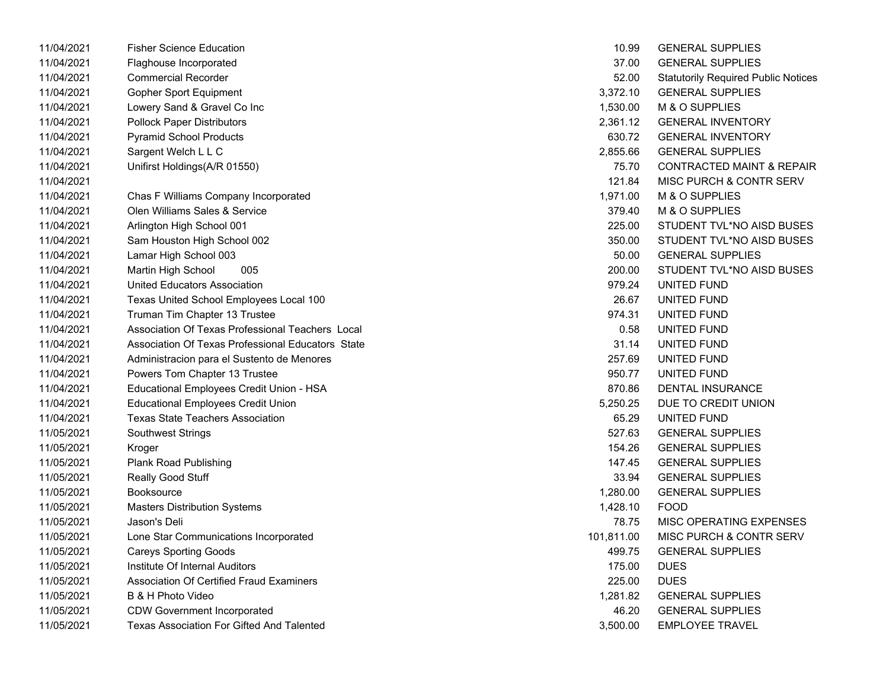| 11/04/2021 | <b>Fisher Science Education</b>                   | 10.99      | <b>GENERAL SUPPLIES</b>                    |
|------------|---------------------------------------------------|------------|--------------------------------------------|
| 11/04/2021 | Flaghouse Incorporated                            | 37.00      | <b>GENERAL SUPPLIES</b>                    |
| 11/04/2021 | <b>Commercial Recorder</b>                        | 52.00      | <b>Statutorily Required Public Notices</b> |
| 11/04/2021 | <b>Gopher Sport Equipment</b>                     | 3,372.10   | <b>GENERAL SUPPLIES</b>                    |
| 11/04/2021 | Lowery Sand & Gravel Co Inc                       | 1,530.00   | M & O SUPPLIES                             |
| 11/04/2021 | <b>Pollock Paper Distributors</b>                 | 2,361.12   | <b>GENERAL INVENTORY</b>                   |
| 11/04/2021 | <b>Pyramid School Products</b>                    | 630.72     | <b>GENERAL INVENTORY</b>                   |
| 11/04/2021 | Sargent Welch L L C                               | 2,855.66   | <b>GENERAL SUPPLIES</b>                    |
| 11/04/2021 | Unifirst Holdings(A/R 01550)                      | 75.70      | <b>CONTRACTED MAINT &amp; REPAIR</b>       |
| 11/04/2021 |                                                   | 121.84     | MISC PURCH & CONTR SERV                    |
| 11/04/2021 | Chas F Williams Company Incorporated              | 1,971.00   | M & O SUPPLIES                             |
| 11/04/2021 | Olen Williams Sales & Service                     | 379.40     | M & O SUPPLIES                             |
| 11/04/2021 | Arlington High School 001                         | 225.00     | STUDENT TVL*NO AISD BUSES                  |
| 11/04/2021 | Sam Houston High School 002                       | 350.00     | STUDENT TVL*NO AISD BUSES                  |
| 11/04/2021 | Lamar High School 003                             | 50.00      | <b>GENERAL SUPPLIES</b>                    |
| 11/04/2021 | Martin High School<br>005                         | 200.00     | STUDENT TVL*NO AISD BUSES                  |
| 11/04/2021 | <b>United Educators Association</b>               | 979.24     | UNITED FUND                                |
| 11/04/2021 | Texas United School Employees Local 100           | 26.67      | UNITED FUND                                |
| 11/04/2021 | Truman Tim Chapter 13 Trustee                     | 974.31     | UNITED FUND                                |
| 11/04/2021 | Association Of Texas Professional Teachers Local  | 0.58       | UNITED FUND                                |
| 11/04/2021 | Association Of Texas Professional Educators State | 31.14      | UNITED FUND                                |
| 11/04/2021 | Administracion para el Sustento de Menores        | 257.69     | UNITED FUND                                |
| 11/04/2021 | Powers Tom Chapter 13 Trustee                     | 950.77     | UNITED FUND                                |
| 11/04/2021 | Educational Employees Credit Union - HSA          | 870.86     | DENTAL INSURANCE                           |
| 11/04/2021 | <b>Educational Employees Credit Union</b>         | 5,250.25   | DUE TO CREDIT UNION                        |
| 11/04/2021 | <b>Texas State Teachers Association</b>           | 65.29      | UNITED FUND                                |
| 11/05/2021 | <b>Southwest Strings</b>                          | 527.63     | <b>GENERAL SUPPLIES</b>                    |
| 11/05/2021 | Kroger                                            | 154.26     | <b>GENERAL SUPPLIES</b>                    |
| 11/05/2021 | <b>Plank Road Publishing</b>                      | 147.45     | <b>GENERAL SUPPLIES</b>                    |
| 11/05/2021 | Really Good Stuff                                 | 33.94      | <b>GENERAL SUPPLIES</b>                    |
| 11/05/2021 | <b>Booksource</b>                                 | 1,280.00   | <b>GENERAL SUPPLIES</b>                    |
| 11/05/2021 | <b>Masters Distribution Systems</b>               | 1,428.10   | <b>FOOD</b>                                |
| 11/05/2021 | Jason's Deli                                      | 78.75      | MISC OPERATING EXPENSES                    |
| 11/05/2021 | Lone Star Communications Incorporated             | 101,811.00 | MISC PURCH & CONTR SERV                    |
| 11/05/2021 | <b>Careys Sporting Goods</b>                      | 499.75     | <b>GENERAL SUPPLIES</b>                    |
| 11/05/2021 | Institute Of Internal Auditors                    | 175.00     | <b>DUES</b>                                |
| 11/05/2021 | <b>Association Of Certified Fraud Examiners</b>   | 225.00     | <b>DUES</b>                                |
| 11/05/2021 | B & H Photo Video                                 | 1,281.82   | <b>GENERAL SUPPLIES</b>                    |
| 11/05/2021 | <b>CDW Government Incorporated</b>                | 46.20      | <b>GENERAL SUPPLIES</b>                    |
| 11/05/2021 | Texas Association For Gifted And Talented         | 3,500.00   | <b>EMPLOYEE TRAVEL</b>                     |

| 10.99      | <b>GENERAL SUPPLIES</b>                    |
|------------|--------------------------------------------|
| 37.00      | <b>GENERAL SUPPLIES</b>                    |
| 52.00      | <b>Statutorily Required Public Notices</b> |
| 3,372.10   | <b>GENERAL SUPPLIES</b>                    |
| 1,530.00   | M & O SUPPLIES                             |
| 2,361.12   | <b>GENERAL INVENTORY</b>                   |
| 630.72     | <b>GENERAL INVENTORY</b>                   |
| 2,855.66   | <b>GENERAL SUPPLIES</b>                    |
| 75.70      | <b>CONTRACTED MAINT &amp; REPAIR</b>       |
| 121.84     | MISC PURCH & CONTR SERV                    |
| 1,971.00   | M & O SUPPLIES                             |
| 379.40     | M & O SUPPLIES                             |
| 225.00     | STUDENT TVL*NO AISD BUSES                  |
| 350.00     | STUDENT TVL*NO AISD BUSES                  |
| 50.00      | <b>GENERAL SUPPLIES</b>                    |
| 200.00     | STUDENT TVL*NO AISD BUSES                  |
| 979.24     | UNITED FUND                                |
| 26.67      | UNITED FUND                                |
| 974.31     | UNITED FUND                                |
| 0.58       | UNITED FUND                                |
| 31.14      | UNITED FUND                                |
| 257.69     | UNITED FUND                                |
| 950.77     | UNITED FUND                                |
| 870.86     | <b>DENTAL INSURANCE</b>                    |
| 5,250.25   | DUE TO CREDIT UNION                        |
| 65.29      | UNITED FUND                                |
| 527.63     | <b>GENERAL SUPPLIES</b>                    |
| 154.26     | <b>GENERAL SUPPLIES</b>                    |
| 147.45     | <b>GENERAL SUPPLIES</b>                    |
| 33.94      | <b>GENERAL SUPPLIES</b>                    |
| 1,280.00   | <b>GENERAL SUPPLIES</b>                    |
| 1,428.10   | <b>FOOD</b>                                |
| 78.75      | <b>MISC OPERATING EXPENSES</b>             |
| 101,811.00 | <b>MISC PURCH &amp; CONTR SERV</b>         |
| 499.75     | <b>GENERAL SUPPLIES</b>                    |
| 175.00     | <b>DUES</b>                                |
| 225.00     | <b>DUES</b>                                |
| 1,281.82   | <b>GENERAL SUPPLIES</b>                    |
| 46.20      | <b>GENERAL SUPPLIES</b>                    |
| 3,500.00   | <b>EMPLOYEE TRAVEL</b>                     |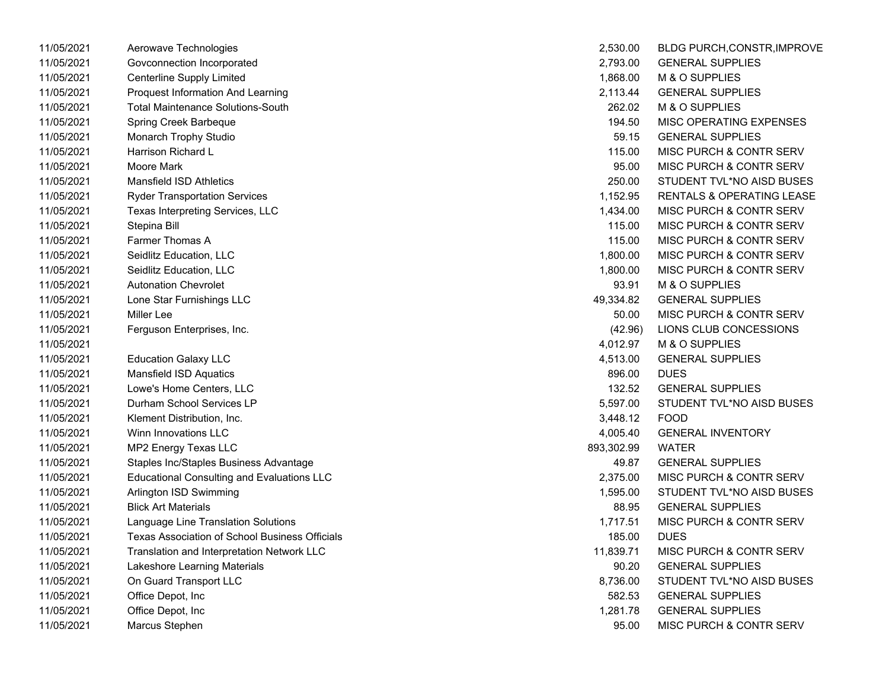| 11/05/2021 | Aerowave Technologies                             | 2,530.00   | BLDG PURCH,CONSTR,IMPROVE            |
|------------|---------------------------------------------------|------------|--------------------------------------|
| 11/05/2021 | Govconnection Incorporated                        | 2,793.00   | <b>GENERAL SUPPLIES</b>              |
| 11/05/2021 | <b>Centerline Supply Limited</b>                  | 1,868.00   | M & O SUPPLIES                       |
| 11/05/2021 | Proquest Information And Learning                 | 2,113.44   | <b>GENERAL SUPPLIES</b>              |
| 11/05/2021 | <b>Total Maintenance Solutions-South</b>          | 262.02     | M & O SUPPLIES                       |
| 11/05/2021 | Spring Creek Barbeque                             | 194.50     | MISC OPERATING EXPENSES              |
| 11/05/2021 | Monarch Trophy Studio                             | 59.15      | <b>GENERAL SUPPLIES</b>              |
| 11/05/2021 | Harrison Richard L                                | 115.00     | MISC PURCH & CONTR SERV              |
| 11/05/2021 | Moore Mark                                        | 95.00      | MISC PURCH & CONTR SERV              |
| 11/05/2021 | <b>Mansfield ISD Athletics</b>                    | 250.00     | STUDENT TVL*NO AISD BUSES            |
| 11/05/2021 | <b>Ryder Transportation Services</b>              | 1,152.95   | <b>RENTALS &amp; OPERATING LEASE</b> |
| 11/05/2021 | Texas Interpreting Services, LLC                  | 1,434.00   | MISC PURCH & CONTR SERV              |
| 11/05/2021 | Stepina Bill                                      | 115.00     | <b>MISC PURCH &amp; CONTR SERV</b>   |
| 11/05/2021 | Farmer Thomas A                                   | 115.00     | MISC PURCH & CONTR SERV              |
| 11/05/2021 | Seidlitz Education, LLC                           | 1,800.00   | MISC PURCH & CONTR SERV              |
| 11/05/2021 | Seidlitz Education, LLC                           | 1,800.00   | MISC PURCH & CONTR SERV              |
| 11/05/2021 | <b>Autonation Chevrolet</b>                       | 93.91      | M & O SUPPLIES                       |
| 11/05/2021 | Lone Star Furnishings LLC                         | 49,334.82  | <b>GENERAL SUPPLIES</b>              |
| 11/05/2021 | Miller Lee                                        | 50.00      | MISC PURCH & CONTR SERV              |
| 11/05/2021 | Ferguson Enterprises, Inc.                        | (42.96)    | LIONS CLUB CONCESSIONS               |
| 11/05/2021 |                                                   | 4,012.97   | M & O SUPPLIES                       |
| 11/05/2021 | <b>Education Galaxy LLC</b>                       | 4,513.00   | <b>GENERAL SUPPLIES</b>              |
| 11/05/2021 | <b>Mansfield ISD Aquatics</b>                     | 896.00     | <b>DUES</b>                          |
| 11/05/2021 | Lowe's Home Centers, LLC                          | 132.52     | <b>GENERAL SUPPLIES</b>              |
| 11/05/2021 | Durham School Services LP                         | 5,597.00   | STUDENT TVL*NO AISD BUSES            |
| 11/05/2021 | Klement Distribution, Inc.                        | 3,448.12   | <b>FOOD</b>                          |
| 11/05/2021 | Winn Innovations LLC                              | 4,005.40   | <b>GENERAL INVENTORY</b>             |
| 11/05/2021 | MP2 Energy Texas LLC                              | 893,302.99 | <b>WATER</b>                         |
| 11/05/2021 | Staples Inc/Staples Business Advantage            | 49.87      | <b>GENERAL SUPPLIES</b>              |
| 11/05/2021 | <b>Educational Consulting and Evaluations LLC</b> | 2,375.00   | MISC PURCH & CONTR SERV              |
| 11/05/2021 | Arlington ISD Swimming                            | 1,595.00   | STUDENT TVL*NO AISD BUSES            |
| 11/05/2021 | <b>Blick Art Materials</b>                        | 88.95      | <b>GENERAL SUPPLIES</b>              |
| 11/05/2021 | Language Line Translation Solutions               | 1,717.51   | MISC PURCH & CONTR SERV              |
| 11/05/2021 | Texas Association of School Business Officials    | 185.00     | <b>DUES</b>                          |
| 11/05/2021 | Translation and Interpretation Network LLC        | 11,839.71  | MISC PURCH & CONTR SERV              |
| 11/05/2021 | Lakeshore Learning Materials                      | 90.20      | <b>GENERAL SUPPLIES</b>              |
| 11/05/2021 | On Guard Transport LLC                            | 8,736.00   | STUDENT TVL*NO AISD BUSES            |
| 11/05/2021 | Office Depot, Inc                                 | 582.53     | <b>GENERAL SUPPLIES</b>              |
| 11/05/2021 | Office Depot, Inc                                 | 1,281.78   | <b>GENERAL SUPPLIES</b>              |
| 11/05/2021 | Marcus Stephen                                    | 95.00      | <b>MISC PURCH &amp; CONTR SERV</b>   |

| 2,530.00   | BLDG PURCH, CONSTR, IMPROVE          |
|------------|--------------------------------------|
| 2,793.00   | <b>GENERAL SUPPLIES</b>              |
| 1,868.00   | <b>M &amp; O SUPPLIES</b>            |
| 2,113.44   | <b>GENERAL SUPPLIES</b>              |
| 262.02     | <b>M &amp; O SUPPLIES</b>            |
| 194.50     | <b>MISC OPERATING EXPENSES</b>       |
| 59.15      | <b>GENERAL SUPPLIES</b>              |
| 115.00     | MISC PURCH & CONTR SERV              |
| 95.00      | <b>MISC PURCH &amp; CONTR SERV</b>   |
| 250.00     | STUDENT TVL*NO AISD BUSES            |
| 1,152.95   | <b>RENTALS &amp; OPERATING LEASE</b> |
| 1,434.00   | MISC PURCH & CONTR SERV              |
| 115.00     | <b>MISC PURCH &amp; CONTR SERV</b>   |
| 115.00     | <b>MISC PURCH &amp; CONTR SERV</b>   |
| 1,800.00   | MISC PURCH & CONTR SERV              |
| 1,800.00   | MISC PURCH & CONTR SERV              |
| 93.91      | <b>M &amp; O SUPPLIES</b>            |
| 49,334.82  | <b>GENERAL SUPPLIES</b>              |
| 50.00      | MISC PURCH & CONTR SERV              |
| (42.96)    | LIONS CLUB CONCESSIONS               |
| 4,012.97   | M & O SUPPLIES                       |
| 4,513.00   | <b>GENERAL SUPPLIES</b>              |
| 896.00     | <b>DUES</b>                          |
| 132.52     | <b>GENERAL SUPPLIES</b>              |
| 5,597.00   | STUDENT TVL*NO AISD BUSES            |
| 3.448.12   | FOOD                                 |
| 4,005.40   | <b>GENERAL INVENTORY</b>             |
| 893,302.99 | <b>WATER</b>                         |
| 49.87      | <b>GENERAL SUPPLIES</b>              |
| 2,375.00   | MISC PURCH & CONTR SERV              |
| 1,595.00   | STUDENT TVL*NO AISD BUSES            |
| 88.95      | <b>GENERAL SUPPLIES</b>              |
| 1,717.51   | MISC PURCH & CONTR SERV              |
| 185.00     | DUES                                 |
| 11,839.71  | <b>MISC PURCH &amp; CONTR SERV</b>   |
| 90.20      | <b>GENERAL SUPPLIES</b>              |
| 8,736.00   | STUDENT TVL*NO AISD BUSES            |
| 582.53     | <b>GENERAL SUPPLIES</b>              |
| 1,281.78   | <b>GENERAL SUPPLIES</b>              |
| 95.00      | MISC PURCH & CONTR SERV              |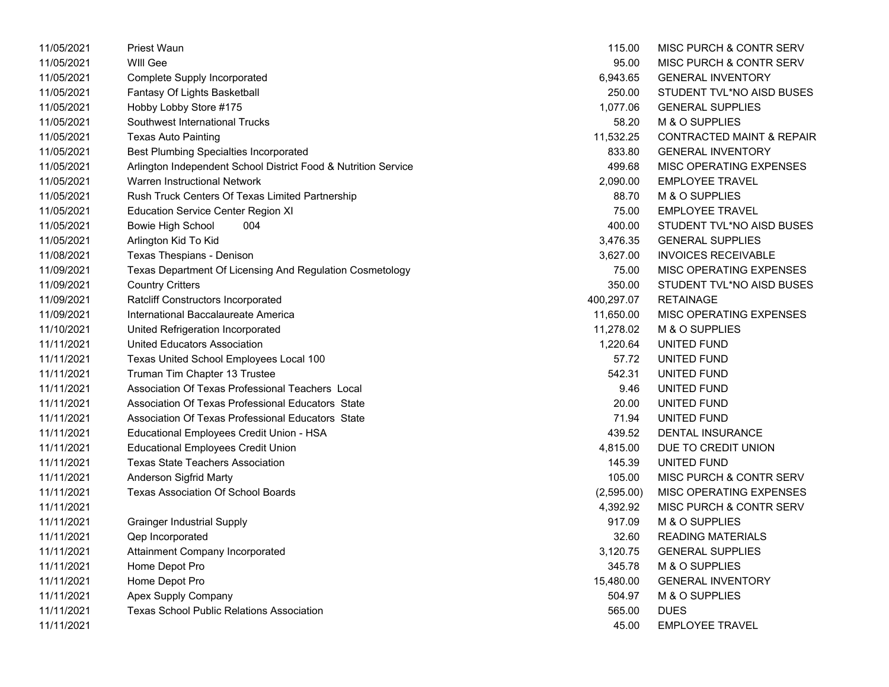| 11/05/2021 | <b>Priest Waun</b>                                             | 115.00     | MISC PURCH & CONTR SERV              |
|------------|----------------------------------------------------------------|------------|--------------------------------------|
| 11/05/2021 | WIII Gee                                                       | 95.00      | MISC PURCH & CONTR SERV              |
| 11/05/2021 | <b>Complete Supply Incorporated</b>                            | 6,943.65   | <b>GENERAL INVENTORY</b>             |
| 11/05/2021 | Fantasy Of Lights Basketball                                   | 250.00     | STUDENT TVL*NO AISD BUSES            |
| 11/05/2021 | Hobby Lobby Store #175                                         | 1,077.06   | <b>GENERAL SUPPLIES</b>              |
| 11/05/2021 | Southwest International Trucks                                 | 58.20      | M & O SUPPLIES                       |
| 11/05/2021 | <b>Texas Auto Painting</b>                                     | 11,532.25  | <b>CONTRACTED MAINT &amp; REPAIR</b> |
| 11/05/2021 | <b>Best Plumbing Specialties Incorporated</b>                  | 833.80     | <b>GENERAL INVENTORY</b>             |
| 11/05/2021 | Arlington Independent School District Food & Nutrition Service | 499.68     | MISC OPERATING EXPENSES              |
| 11/05/2021 | Warren Instructional Network                                   | 2,090.00   | <b>EMPLOYEE TRAVEL</b>               |
| 11/05/2021 | Rush Truck Centers Of Texas Limited Partnership                | 88.70      | M & O SUPPLIES                       |
| 11/05/2021 | <b>Education Service Center Region XI</b>                      | 75.00      | <b>EMPLOYEE TRAVEL</b>               |
| 11/05/2021 | 004<br><b>Bowie High School</b>                                | 400.00     | STUDENT TVL*NO AISD BUSES            |
| 11/05/2021 | Arlington Kid To Kid                                           | 3,476.35   | <b>GENERAL SUPPLIES</b>              |
| 11/08/2021 | Texas Thespians - Denison                                      | 3,627.00   | <b>INVOICES RECEIVABLE</b>           |
| 11/09/2021 | Texas Department Of Licensing And Regulation Cosmetology       | 75.00      | MISC OPERATING EXPENSES              |
| 11/09/2021 | <b>Country Critters</b>                                        | 350.00     | STUDENT TVL*NO AISD BUSES            |
| 11/09/2021 | Ratcliff Constructors Incorporated                             | 400,297.07 | <b>RETAINAGE</b>                     |
| 11/09/2021 | International Baccalaureate America                            | 11,650.00  | MISC OPERATING EXPENSES              |
| 11/10/2021 | United Refrigeration Incorporated                              | 11,278.02  | M & O SUPPLIES                       |
| 11/11/2021 | <b>United Educators Association</b>                            | 1,220.64   | UNITED FUND                          |
| 11/11/2021 | Texas United School Employees Local 100                        | 57.72      | UNITED FUND                          |
| 11/11/2021 | Truman Tim Chapter 13 Trustee                                  | 542.31     | UNITED FUND                          |
| 11/11/2021 | Association Of Texas Professional Teachers Local               | 9.46       | UNITED FUND                          |
| 11/11/2021 | Association Of Texas Professional Educators State              | 20.00      | UNITED FUND                          |
| 11/11/2021 | Association Of Texas Professional Educators State              | 71.94      | UNITED FUND                          |
| 11/11/2021 | Educational Employees Credit Union - HSA                       | 439.52     | <b>DENTAL INSURANCE</b>              |
| 11/11/2021 | <b>Educational Employees Credit Union</b>                      | 4,815.00   | DUE TO CREDIT UNION                  |
| 11/11/2021 | <b>Texas State Teachers Association</b>                        | 145.39     | UNITED FUND                          |
| 11/11/2021 | Anderson Sigfrid Marty                                         | 105.00     | MISC PURCH & CONTR SERV              |
| 11/11/2021 | <b>Texas Association Of School Boards</b>                      | (2,595.00) | MISC OPERATING EXPENSES              |
| 11/11/2021 |                                                                | 4,392.92   | MISC PURCH & CONTR SERV              |
| 11/11/2021 | <b>Grainger Industrial Supply</b>                              | 917.09     | M & O SUPPLIES                       |
| 11/11/2021 | <b>Qep Incorporated</b>                                        | 32.60      | <b>READING MATERIALS</b>             |
| 11/11/2021 | Attainment Company Incorporated                                | 3,120.75   | <b>GENERAL SUPPLIES</b>              |
| 11/11/2021 | Home Depot Pro                                                 | 345.78     | M & O SUPPLIES                       |
| 11/11/2021 | Home Depot Pro                                                 | 15,480.00  | <b>GENERAL INVENTORY</b>             |
| 11/11/2021 | Apex Supply Company                                            | 504.97     | M & O SUPPLIES                       |
| 11/11/2021 | <b>Texas School Public Relations Association</b>               | 565.00     | <b>DUES</b>                          |
| 11/11/2021 |                                                                | 45.00      | <b>EMPLOYEE TRAVEL</b>               |
|            |                                                                |            |                                      |

| 115.00    | MISC PURCH & CONTR SERV              |
|-----------|--------------------------------------|
| 95.00     | MISC PURCH & CONTR SERV              |
| 6.943.65  | <b>GENERAL INVENTORY</b>             |
| 250.00    | STUDENT TVL*NO AISD BUSES            |
| 1,077.06  | <b>GENERAL SUPPLIES</b>              |
| 58.20     | M & O SUPPLIES                       |
| 1,532.25  | <b>CONTRACTED MAINT &amp; REPAIR</b> |
| 833.80    | <b>GENERAL INVENTORY</b>             |
| 499.68    | MISC OPERATING EXPENSES              |
| 2,090.00  | <b>EMPLOYEE TRAVEL</b>               |
| 88.70     | M & O SUPPLIES                       |
| 75.00     | <b>EMPLOYEE TRAVEL</b>               |
| 400.00    | STUDENT TVL*NO AISD BUSES            |
|           | 3,476.35 GENERAL SUPPLIES            |
| 3.627.00  | <b>INVOICES RECEIVABLE</b>           |
| 75.00     | MISC OPERATING EXPENSES              |
| 350.00    | STUDENT TVL*NO AISD BUSES            |
| 0,297.07  | <b>RETAINAGE</b>                     |
| 1,650.00  | MISC OPERATING EXPENSES              |
| 1,278.02  | M & O SUPPLIES                       |
| 1,220.64  | UNITED FUND                          |
| 57.72     | <b>UNITED FUND</b>                   |
| 542.31    | UNITED FUND                          |
| 9.46      | UNITED FUND                          |
| 20.00     | UNITED FUND                          |
| 71.94     | UNITED FUND                          |
| 439.52    | <b>DENTAL INSURANCE</b>              |
| 4,815.00  | DUE TO CREDIT UNION                  |
| 145.39    | UNITED FUND                          |
| 105.00    | MISC PURCH & CONTR SERV              |
| 2,595.00) | MISC OPERATING EXPENSES              |
| 4.392.92  | MISC PURCH & CONTR SERV              |
| 917.09    | M & O SUPPLIES                       |
|           | 32.60 READING MATERIALS              |
| 3,120.75  | <b>GENERAL SUPPLIES</b>              |
| 345.78    | M & O SUPPLIES                       |
| 5,480.00  | <b>GENERAL INVENTORY</b>             |
| 504.97    | <b>M &amp; O SUPPLIES</b>            |
| 565.00    | <b>DUES</b>                          |
| 45.00     | <b>EMPLOYEE TRAVEL</b>               |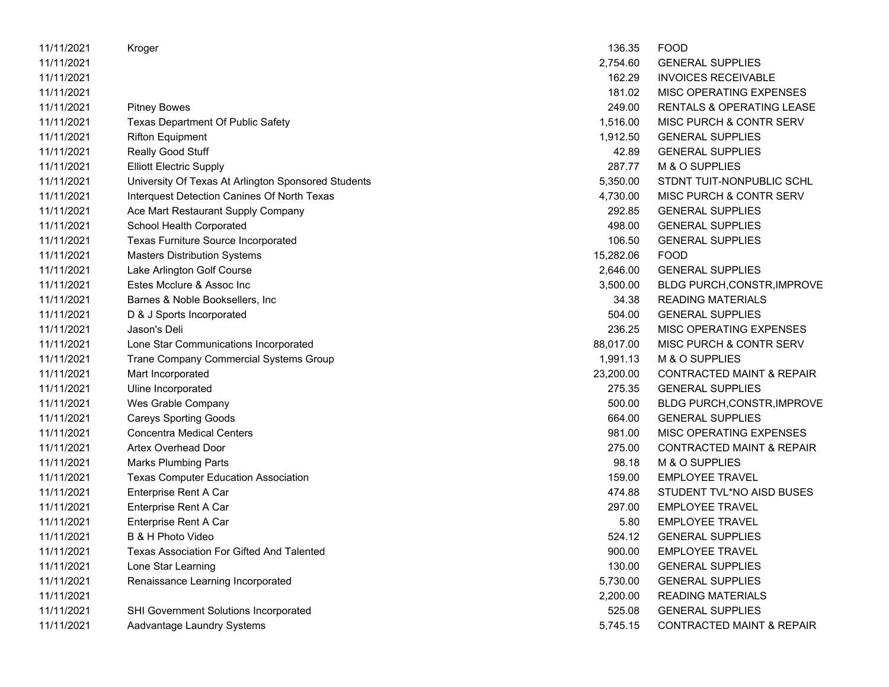| 11/11/2021 | Kroger                                              | 136.35    | <b>FOOD</b>                          |
|------------|-----------------------------------------------------|-----------|--------------------------------------|
| 11/11/2021 |                                                     | 2,754.60  | <b>GENERAL SUPPLIES</b>              |
| 11/11/2021 |                                                     | 162.29    | <b>INVOICES RECEIVABLE</b>           |
| 11/11/2021 |                                                     | 181.02    | MISC OPERATING EXPENSES              |
| 11/11/2021 | <b>Pitney Bowes</b>                                 | 249.00    | RENTALS & OPERATING LEASE            |
| 11/11/2021 | <b>Texas Department Of Public Safety</b>            | 1,516.00  | MISC PURCH & CONTR SERV              |
| 11/11/2021 | <b>Rifton Equipment</b>                             | 1,912.50  | <b>GENERAL SUPPLIES</b>              |
| 11/11/2021 | Really Good Stuff                                   | 42.89     | <b>GENERAL SUPPLIES</b>              |
| 11/11/2021 | <b>Elliott Electric Supply</b>                      | 287.77    | M & O SUPPLIES                       |
| 11/11/2021 | University Of Texas At Arlington Sponsored Students | 5,350.00  | STDNT TUIT-NONPUBLIC SCHL            |
| 11/11/2021 | Interquest Detection Canines Of North Texas         | 4,730.00  | MISC PURCH & CONTR SERV              |
| 11/11/2021 | Ace Mart Restaurant Supply Company                  | 292.85    | <b>GENERAL SUPPLIES</b>              |
| 11/11/2021 | School Health Corporated                            | 498.00    | <b>GENERAL SUPPLIES</b>              |
| 11/11/2021 | Texas Furniture Source Incorporated                 | 106.50    | <b>GENERAL SUPPLIES</b>              |
| 11/11/2021 | <b>Masters Distribution Systems</b>                 | 15,282.06 | <b>FOOD</b>                          |
| 11/11/2021 | Lake Arlington Golf Course                          | 2,646.00  | <b>GENERAL SUPPLIES</b>              |
| 11/11/2021 | Estes Mcclure & Assoc Inc                           | 3,500.00  | <b>BLDG PURCH, CONSTR, IMPROVE</b>   |
| 11/11/2021 | Barnes & Noble Booksellers, Inc.                    | 34.38     | <b>READING MATERIALS</b>             |
| 11/11/2021 | D & J Sports Incorporated                           | 504.00    | <b>GENERAL SUPPLIES</b>              |
| 11/11/2021 | Jason's Deli                                        | 236.25    | MISC OPERATING EXPENSES              |
| 11/11/2021 | Lone Star Communications Incorporated               | 88,017.00 | MISC PURCH & CONTR SERV              |
| 11/11/2021 | <b>Trane Company Commercial Systems Group</b>       | 1,991.13  | M & O SUPPLIES                       |
| 11/11/2021 | Mart Incorporated                                   | 23,200.00 | <b>CONTRACTED MAINT &amp; REPAIR</b> |
| 11/11/2021 | Uline Incorporated                                  | 275.35    | <b>GENERAL SUPPLIES</b>              |
| 11/11/2021 | Wes Grable Company                                  | 500.00    | <b>BLDG PURCH, CONSTR, IMPROVE</b>   |
| 11/11/2021 | <b>Careys Sporting Goods</b>                        | 664.00    | <b>GENERAL SUPPLIES</b>              |
| 11/11/2021 | <b>Concentra Medical Centers</b>                    | 981.00    | MISC OPERATING EXPENSES              |
| 11/11/2021 | Artex Overhead Door                                 | 275.00    | <b>CONTRACTED MAINT &amp; REPAIR</b> |
| 11/11/2021 | <b>Marks Plumbing Parts</b>                         | 98.18     | M & O SUPPLIES                       |
| 11/11/2021 | <b>Texas Computer Education Association</b>         | 159.00    | <b>EMPLOYEE TRAVEL</b>               |
| 11/11/2021 | Enterprise Rent A Car                               | 474.88    | STUDENT TVL*NO AISD BUSES            |
| 11/11/2021 | Enterprise Rent A Car                               | 297.00    | <b>EMPLOYEE TRAVEL</b>               |
| 11/11/2021 | Enterprise Rent A Car                               | 5.80      | <b>EMPLOYEE TRAVEL</b>               |
| 11/11/2021 | B & H Photo Video                                   | 524.12    | <b>GENERAL SUPPLIES</b>              |
| 11/11/2021 | Texas Association For Gifted And Talented           | 900.00    | <b>EMPLOYEE TRAVEL</b>               |
| 11/11/2021 | Lone Star Learning                                  | 130.00    | <b>GENERAL SUPPLIES</b>              |
| 11/11/2021 | Renaissance Learning Incorporated                   | 5,730.00  | <b>GENERAL SUPPLIES</b>              |
| 11/11/2021 |                                                     | 2,200.00  | <b>READING MATERIALS</b>             |
| 11/11/2021 | SHI Government Solutions Incorporated               | 525.08    | <b>GENERAL SUPPLIES</b>              |
| 11/11/2021 | Aadvantage Laundry Systems                          | 5,745.15  | <b>CONTRACTED MAINT &amp; REPAIR</b> |
|            |                                                     |           |                                      |

| 136.35    | FOOD                                 |
|-----------|--------------------------------------|
| 2,754.60  | <b>GENERAL SUPPLIES</b>              |
|           | 162.29 INVOICES RECEIVABLE           |
| 181.02    | MISC OPERATING EXPENSES              |
| 249.00    | <b>RENTALS &amp; OPERATING LEASE</b> |
| 1,516.00  | MISC PURCH & CONTR SERV              |
| 1,912.50  | <b>GENERAL SUPPLIES</b>              |
|           | 42.89 GENERAL SUPPLIES               |
|           | 287.77 M & O SUPPLIES                |
| 5,350.00  | STDNT TUIT-NONPUBLIC SCHL            |
| 4,730.00  | MISC PURCH & CONTR SERV              |
| 292.85    | <b>GENERAL SUPPLIES</b>              |
|           | 498.00 GENERAL SUPPLIES              |
|           | 106.50 GENERAL SUPPLIES              |
| 15,282.06 | FOOD                                 |
| 2,646.00  | <b>GENERAL SUPPLIES</b>              |
|           | 3,500.00 BLDG PURCH, CONSTR, IMPROVE |
|           | 34.38 READING MATERIALS              |
|           | 504.00 GENERAL SUPPLIES              |
| 236.25    | MISC OPERATING EXPENSES              |
| 88.017.00 | MISC PURCH & CONTR SERV              |
| 1,991.13  | M & O SUPPLIES                       |
| 23.200.00 | <b>CONTRACTED MAINT &amp; REPAIR</b> |
| 275.35    | <b>GENERAL SUPPLIES</b>              |
| 500.00    | BLDG PURCH, CONSTR, IMPROVE          |
| 664.00    | <b>GENERAL SUPPLIES</b>              |
| 981.00    | <b>MISC OPERATING EXPENSES</b>       |
|           | 275.00 CONTRACTED MAINT & REPAIR     |
| 98.18     | M & O SUPPLIES                       |
| 159.00    | <b>EMPLOYEE TRAVEL</b>               |
| 474.88    | STUDENT TVL*NO AISD BUSES            |
|           | 297.00 EMPLOYEE TRAVEL               |
|           | 5.80 EMPLOYEE TRAVEL                 |
| 524.12    | GENERAL SUPPLIES                     |
| 900.00    | <b>EMPLOYEE TRAVEL</b>               |
| 130.00    | <b>GENERAL SUPPLIES</b>              |
| 5,730.00  | <b>GENERAL SUPPLIES</b>              |
| 2,200.00  | <b>READING MATERIALS</b>             |
| 525.08    | <b>GENERAL SUPPLIES</b>              |
| 5,745.15  | <b>CONTRACTED MAINT &amp; REPAIR</b> |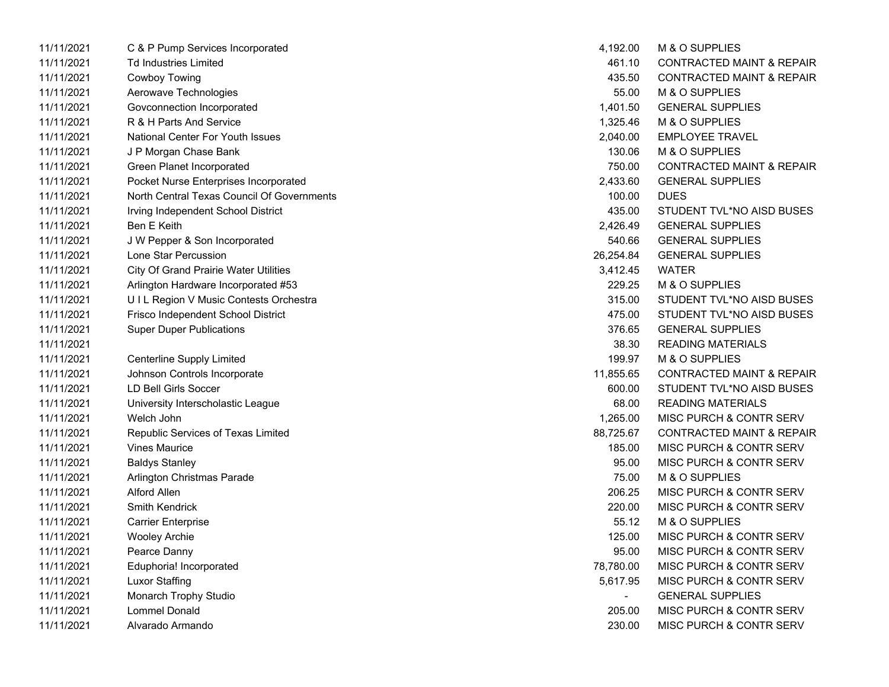| 11/11/2021 | C & P Pump Services Incorporated             | 4,192.00  | M & O SUPPLIES                       |
|------------|----------------------------------------------|-----------|--------------------------------------|
| 11/11/2021 | <b>Td Industries Limited</b>                 | 461.10    | <b>CONTRACTED MAINT &amp; REPAIR</b> |
| 11/11/2021 | Cowboy Towing                                | 435.50    | <b>CONTRACTED MAINT &amp; REPAIR</b> |
| 11/11/2021 | Aerowave Technologies                        | 55.00     | M & O SUPPLIES                       |
| 11/11/2021 | Govconnection Incorporated                   | 1,401.50  | <b>GENERAL SUPPLIES</b>              |
| 11/11/2021 | R & H Parts And Service                      | 1,325.46  | M & O SUPPLIES                       |
| 11/11/2021 | <b>National Center For Youth Issues</b>      | 2,040.00  | <b>EMPLOYEE TRAVEL</b>               |
| 11/11/2021 | J P Morgan Chase Bank                        | 130.06    | M & O SUPPLIES                       |
| 11/11/2021 | Green Planet Incorporated                    | 750.00    | <b>CONTRACTED MAINT &amp; REPAIR</b> |
| 11/11/2021 | Pocket Nurse Enterprises Incorporated        | 2,433.60  | <b>GENERAL SUPPLIES</b>              |
| 11/11/2021 | North Central Texas Council Of Governments   | 100.00    | <b>DUES</b>                          |
| 11/11/2021 | Irving Independent School District           | 435.00    | STUDENT TVL*NO AISD BUSES            |
| 11/11/2021 | Ben E Keith                                  | 2,426.49  | <b>GENERAL SUPPLIES</b>              |
| 11/11/2021 | J W Pepper & Son Incorporated                | 540.66    | <b>GENERAL SUPPLIES</b>              |
| 11/11/2021 | Lone Star Percussion                         | 26,254.84 | <b>GENERAL SUPPLIES</b>              |
| 11/11/2021 | <b>City Of Grand Prairie Water Utilities</b> | 3,412.45  | <b>WATER</b>                         |
| 11/11/2021 | Arlington Hardware Incorporated #53          | 229.25    | M & O SUPPLIES                       |
| 11/11/2021 | UIL Region V Music Contests Orchestra        | 315.00    | STUDENT TVL*NO AISD BUSES            |
| 11/11/2021 | Frisco Independent School District           | 475.00    | STUDENT TVL*NO AISD BUSES            |
| 11/11/2021 | <b>Super Duper Publications</b>              | 376.65    | <b>GENERAL SUPPLIES</b>              |
| 11/11/2021 |                                              | 38.30     | <b>READING MATERIALS</b>             |
| 11/11/2021 | <b>Centerline Supply Limited</b>             | 199.97    | M & O SUPPLIES                       |
| 11/11/2021 | Johnson Controls Incorporate                 | 11,855.65 | <b>CONTRACTED MAINT &amp; REPAIR</b> |
| 11/11/2021 | <b>LD Bell Girls Soccer</b>                  | 600.00    | STUDENT TVL*NO AISD BUSES            |
| 11/11/2021 | University Interscholastic League            | 68.00     | <b>READING MATERIALS</b>             |
| 11/11/2021 | Welch John                                   | 1,265.00  | MISC PURCH & CONTR SERV              |
| 11/11/2021 | Republic Services of Texas Limited           | 88,725.67 | <b>CONTRACTED MAINT &amp; REPAIR</b> |
| 11/11/2021 | <b>Vines Maurice</b>                         | 185.00    | MISC PURCH & CONTR SERV              |
| 11/11/2021 | <b>Baldys Stanley</b>                        | 95.00     | <b>MISC PURCH &amp; CONTR SERV</b>   |
| 11/11/2021 | Arlington Christmas Parade                   | 75.00     | M & O SUPPLIES                       |
| 11/11/2021 | <b>Alford Allen</b>                          | 206.25    | MISC PURCH & CONTR SERV              |
| 11/11/2021 | <b>Smith Kendrick</b>                        | 220.00    | <b>MISC PURCH &amp; CONTR SERV</b>   |
| 11/11/2021 | <b>Carrier Enterprise</b>                    | 55.12     | M & O SUPPLIES                       |
| 11/11/2021 | <b>Wooley Archie</b>                         | 125.00    | <b>MISC PURCH &amp; CONTR SERV</b>   |
| 11/11/2021 | Pearce Danny                                 | 95.00     | MISC PURCH & CONTR SERV              |
| 11/11/2021 | Eduphoria! Incorporated                      | 78,780.00 | MISC PURCH & CONTR SERV              |
| 11/11/2021 | Luxor Staffing                               | 5,617.95  | MISC PURCH & CONTR SERV              |
| 11/11/2021 | Monarch Trophy Studio                        | $\sim$    | <b>GENERAL SUPPLIES</b>              |
| 11/11/2021 | Lommel Donald                                | 205.00    | MISC PURCH & CONTR SERV              |
| 11/11/2021 | Alvarado Armando                             | 230.00    | MISC PURCH & CONTR SERV              |

| 4,192.00  | M & O SUPPLIES                       |
|-----------|--------------------------------------|
| 461.10    | <b>CONTRACTED MAINT &amp; REPAIR</b> |
| 435.50    | <b>CONTRACTED MAINT &amp; REPAIR</b> |
| 55.00     | M & O SUPPLIES                       |
| 1,401.50  | <b>GENERAL SUPPLIES</b>              |
| 1,325.46  | <b>M &amp; O SUPPLIES</b>            |
| 2,040.00  | <b>EMPLOYEE TRAVEL</b>               |
| 130.06    | M & O SUPPLIES                       |
| 750.00    | <b>CONTRACTED MAINT &amp; REPAIR</b> |
| 2,433.60  | <b>GENERAL SUPPLIES</b>              |
| 100.00    | DUES                                 |
| 435.00    | STUDENT TVL*NO AISD BUSES            |
| 2,426.49  | <b>GENERAL SUPPLIES</b>              |
| 540.66    | <b>GENERAL SUPPLIES</b>              |
| 26,254.84 | <b>GENERAL SUPPLIES</b>              |
| 3,412.45  | <b>WATER</b>                         |
| 229.25    | M & O SUPPLIES                       |
| 315.00    | STUDENT TVL*NO AISD BUSES            |
| 475.00    | STUDENT TVL*NO AISD BUSES            |
| 376.65    | <b>GENERAL SUPPLIES</b>              |
| 38.30     | <b>READING MATERIALS</b>             |
| 199.97    | M & O SUPPLIFS                       |
| 11,855.65 | <b>CONTRACTED MAINT &amp; REPAIR</b> |
| 600.00    | STUDENT TVL*NO AISD BUSES            |
| 68.00     | READING MATERIALS                    |
| 1,265.00  | <b>MISC PURCH &amp; CONTR SERV</b>   |
| 88,725.67 | <b>CONTRACTED MAINT &amp; REPAIR</b> |
| 185.00    | <b>MISC PURCH &amp; CONTR SERV</b>   |
| 95.00     | <b>MISC PURCH &amp; CONTR SERV</b>   |
| 75.00     | <b>M &amp; O SUPPLIES</b>            |
| 206.25    | MISC PURCH & CONTR SERV              |
| 220.00    | MISC PURCH & CONTR SERV              |
| 55.12     | M & O SUPPLIES                       |
| 125.00    | MISC PURCH & CONTR SERV              |
| 95.00     | MISC PURCH & CONTR SERV              |
| 78,780.00 | <b>MISC PURCH &amp; CONTR SERV</b>   |
| 5,617.95  | MISC PURCH & CONTR SERV              |
|           | <b>GENERAL SUPPLIES</b>              |
| 205.00    | <b>MISC PURCH &amp; CONTR SERV</b>   |
| 230.00    | MISC PURCH & CONTR SERV              |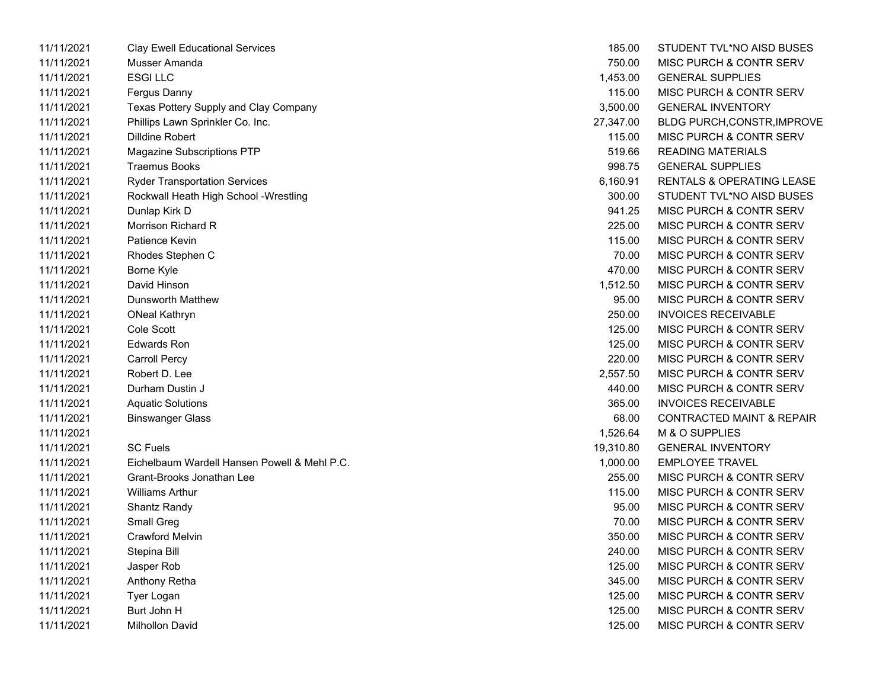| 11/11/2021 | <b>Clay Ewell Educational Services</b>       | 185.00    | STUDENT TVL*NO AISD BUSES            |
|------------|----------------------------------------------|-----------|--------------------------------------|
| 11/11/2021 | Musser Amanda                                | 750.00    | <b>MISC PURCH &amp; CONTR SERV</b>   |
| 11/11/2021 | <b>ESGILLC</b>                               | 1,453.00  | <b>GENERAL SUPPLIES</b>              |
| 11/11/2021 | Fergus Danny                                 | 115.00    | MISC PURCH & CONTR SERV              |
| 11/11/2021 | Texas Pottery Supply and Clay Company        | 3,500.00  | <b>GENERAL INVENTORY</b>             |
| 11/11/2021 | Phillips Lawn Sprinkler Co. Inc.             | 27,347.00 | BLDG PURCH,CONSTR,IMPROVE            |
| 11/11/2021 | Dilldine Robert                              | 115.00    | <b>MISC PURCH &amp; CONTR SERV</b>   |
| 11/11/2021 | <b>Magazine Subscriptions PTP</b>            | 519.66    | <b>READING MATERIALS</b>             |
| 11/11/2021 | <b>Traemus Books</b>                         | 998.75    | <b>GENERAL SUPPLIES</b>              |
| 11/11/2021 | <b>Ryder Transportation Services</b>         | 6,160.91  | RENTALS & OPERATING LEASE            |
| 11/11/2021 | Rockwall Heath High School -Wrestling        | 300.00    | STUDENT TVL*NO AISD BUSES            |
| 11/11/2021 | Dunlap Kirk D                                | 941.25    | <b>MISC PURCH &amp; CONTR SERV</b>   |
| 11/11/2021 | Morrison Richard R                           | 225.00    | <b>MISC PURCH &amp; CONTR SERV</b>   |
| 11/11/2021 | Patience Kevin                               | 115.00    | MISC PURCH & CONTR SERV              |
| 11/11/2021 | Rhodes Stephen C                             | 70.00     | MISC PURCH & CONTR SERV              |
| 11/11/2021 | Borne Kyle                                   | 470.00    | <b>MISC PURCH &amp; CONTR SERV</b>   |
| 11/11/2021 | David Hinson                                 | 1,512.50  | MISC PURCH & CONTR SERV              |
| 11/11/2021 | <b>Dunsworth Matthew</b>                     | 95.00     | <b>MISC PURCH &amp; CONTR SERV</b>   |
| 11/11/2021 | <b>ONeal Kathryn</b>                         | 250.00    | <b>INVOICES RECEIVABLE</b>           |
| 11/11/2021 | Cole Scott                                   | 125.00    | <b>MISC PURCH &amp; CONTR SERV</b>   |
| 11/11/2021 | Edwards Ron                                  | 125.00    | <b>MISC PURCH &amp; CONTR SERV</b>   |
| 11/11/2021 | <b>Carroll Percy</b>                         | 220.00    | <b>MISC PURCH &amp; CONTR SERV</b>   |
| 11/11/2021 | Robert D. Lee                                | 2,557.50  | <b>MISC PURCH &amp; CONTR SERV</b>   |
| 11/11/2021 | Durham Dustin J                              | 440.00    | MISC PURCH & CONTR SERV              |
| 11/11/2021 | <b>Aquatic Solutions</b>                     | 365.00    | <b>INVOICES RECEIVABLE</b>           |
| 11/11/2021 | Binswanger Glass                             | 68.00     | <b>CONTRACTED MAINT &amp; REPAIR</b> |
| 11/11/2021 |                                              | 1,526.64  | <b>M &amp; O SUPPLIES</b>            |
| 11/11/2021 | <b>SC Fuels</b>                              | 19,310.80 | <b>GENERAL INVENTORY</b>             |
| 11/11/2021 | Eichelbaum Wardell Hansen Powell & Mehl P.C. | 1,000.00  | <b>EMPLOYEE TRAVEL</b>               |
| 11/11/2021 | Grant-Brooks Jonathan Lee                    | 255.00    | <b>MISC PURCH &amp; CONTR SERV</b>   |
| 11/11/2021 | <b>Williams Arthur</b>                       | 115.00    | <b>MISC PURCH &amp; CONTR SERV</b>   |
| 11/11/2021 | Shantz Randy                                 | 95.00     | <b>MISC PURCH &amp; CONTR SERV</b>   |
| 11/11/2021 | Small Greg                                   | 70.00     | MISC PURCH & CONTR SERV              |
| 11/11/2021 | <b>Crawford Melvin</b>                       | 350.00    | MISC PURCH & CONTR SERV              |
| 11/11/2021 | Stepina Bill                                 | 240.00    | MISC PURCH & CONTR SERV              |
| 11/11/2021 | Jasper Rob                                   | 125.00    | MISC PURCH & CONTR SERV              |
| 11/11/2021 | Anthony Retha                                | 345.00    | <b>MISC PURCH &amp; CONTR SERV</b>   |
| 11/11/2021 | Tyer Logan                                   | 125.00    | <b>MISC PURCH &amp; CONTR SERV</b>   |
| 11/11/2021 | Burt John H                                  | 125.00    | <b>MISC PURCH &amp; CONTR SERV</b>   |
| 11/11/2021 | Milhollon David                              | 125.00    | MISC PURCH & CONTR SERV              |

| 185.00    | STUDENT TVL*NO AISD BUSES            |
|-----------|--------------------------------------|
| 750.00    | <b>MISC PURCH &amp; CONTR SERV</b>   |
| 1,453.00  | <b>GENERAL SUPPLIES</b>              |
| 115.00    | <b>MISC PURCH &amp; CONTR SERV</b>   |
| 3,500.00  | <b>GENERAL INVENTORY</b>             |
| 27,347.00 | <b>BLDG PURCH, CONSTR, IMPROVE</b>   |
| 115.00    | <b>MISC PURCH &amp; CONTR SERV</b>   |
| 519.66    | <b>READING MATERIALS</b>             |
| 998.75    | <b>GENERAL SUPPLIES</b>              |
| 6,160.91  | <b>RENTALS &amp; OPERATING LEASE</b> |
| 300.00    | STUDENT TVL*NO AISD BUSES            |
| 941.25    | <b>MISC PURCH &amp; CONTR SERV</b>   |
| 225.00    | <b>MISC PURCH &amp; CONTR SERV</b>   |
| 115.00    | <b>MISC PURCH &amp; CONTR SERV</b>   |
| 70.00     | <b>MISC PURCH &amp; CONTR SERV</b>   |
| 470.00    | <b>MISC PURCH &amp; CONTR SERV</b>   |
| 1,512.50  | <b>MISC PURCH &amp; CONTR SERV</b>   |
| 95.00     | <b>MISC PURCH &amp; CONTR SERV</b>   |
| 250.00    | <b>INVOICES RECEIVABLE</b>           |
| 125.00    | <b>MISC PURCH &amp; CONTR SERV</b>   |
| 125.00    | <b>MISC PURCH &amp; CONTR SERV</b>   |
| 220.00    | <b>MISC PURCH &amp; CONTR SERV</b>   |
| 2,557.50  | <b>MISC PURCH &amp; CONTR SERV</b>   |
| 440.00    | <b>MISC PURCH &amp; CONTR SERV</b>   |
| 365.00    | <b>INVOICES RECEIVABLE</b>           |
| 68.00     | <b>CONTRACTED MAINT &amp; REPAIR</b> |
| 1,526.64  | M & O SUPPLIES                       |
| 19,310.80 | <b>GENERAL INVENTORY</b>             |
| 1,000.00  | <b>EMPLOYEE TRAVEL</b>               |
| 255.00    | MISC PURCH & CONTR SERV              |
| 115.00    | <b>MISC PURCH &amp; CONTR SERV</b>   |
| 95.00     | MISC PURCH & CONTR SERV              |
| 70.00     | <b>MISC PURCH &amp; CONTR SERV</b>   |
| 350.00    | MISC PURCH & CONTR SERV              |
| 240.00    | <b>MISC PURCH &amp; CONTR SERV</b>   |
| 125.00    | <b>MISC PURCH &amp; CONTR SERV</b>   |
| 345.00    | MISC PURCH & CONTR SERV              |
| 125.00    | <b>MISC PURCH &amp; CONTR SERV</b>   |
| 125.00    | <b>MISC PURCH &amp; CONTR SERV</b>   |
| 125.00    | <b>MISC PURCH &amp; CONTR SERV</b>   |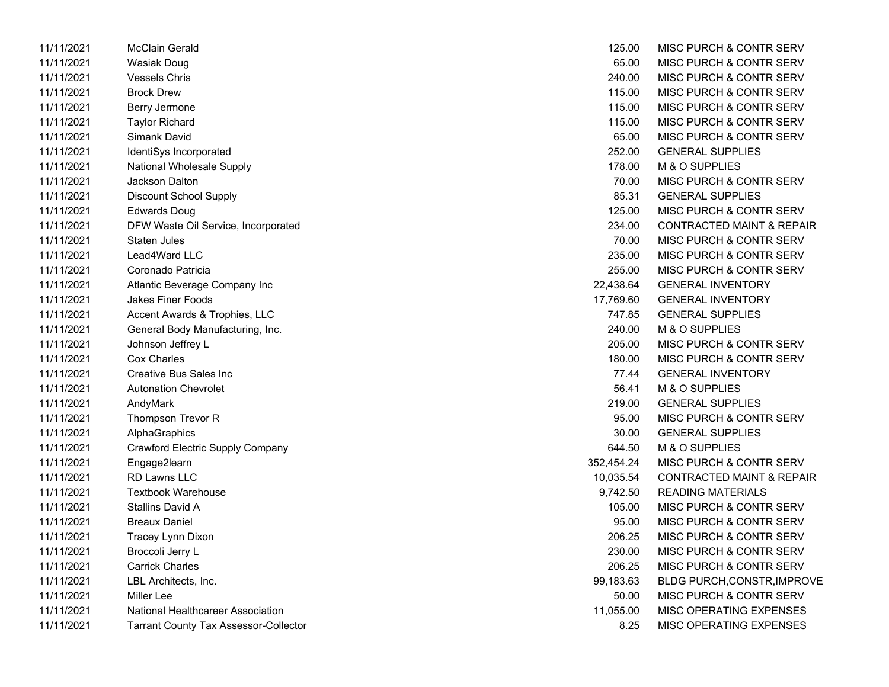| 11/11/2021 | McClain Gerald                               | 125.00     | MISC PURCH & CONTR SERV              |
|------------|----------------------------------------------|------------|--------------------------------------|
| 11/11/2021 | Wasiak Doug                                  | 65.00      | MISC PURCH & CONTR SERV              |
| 11/11/2021 | <b>Vessels Chris</b>                         | 240.00     | MISC PURCH & CONTR SERV              |
| 11/11/2021 | <b>Brock Drew</b>                            | 115.00     | MISC PURCH & CONTR SERV              |
| 11/11/2021 | Berry Jermone                                | 115.00     | MISC PURCH & CONTR SERV              |
| 11/11/2021 | <b>Taylor Richard</b>                        | 115.00     | MISC PURCH & CONTR SERV              |
| 11/11/2021 | Simank David                                 | 65.00      | MISC PURCH & CONTR SERV              |
| 11/11/2021 | IdentiSys Incorporated                       | 252.00     | <b>GENERAL SUPPLIES</b>              |
| 11/11/2021 | <b>National Wholesale Supply</b>             | 178.00     | M & O SUPPLIES                       |
| 11/11/2021 | Jackson Dalton                               | 70.00      | MISC PURCH & CONTR SERV              |
| 11/11/2021 | <b>Discount School Supply</b>                | 85.31      | <b>GENERAL SUPPLIES</b>              |
| 11/11/2021 | <b>Edwards Doug</b>                          | 125.00     | MISC PURCH & CONTR SERV              |
| 11/11/2021 | DFW Waste Oil Service, Incorporated          | 234.00     | <b>CONTRACTED MAINT &amp; REPAIR</b> |
| 11/11/2021 | Staten Jules                                 | 70.00      | MISC PURCH & CONTR SERV              |
| 11/11/2021 | Lead4Ward LLC                                | 235.00     | MISC PURCH & CONTR SERV              |
| 11/11/2021 | Coronado Patricia                            | 255.00     | MISC PURCH & CONTR SERV              |
| 11/11/2021 | Atlantic Beverage Company Inc                | 22,438.64  | <b>GENERAL INVENTORY</b>             |
| 11/11/2021 | <b>Jakes Finer Foods</b>                     | 17,769.60  | <b>GENERAL INVENTORY</b>             |
| 11/11/2021 | Accent Awards & Trophies, LLC                | 747.85     | <b>GENERAL SUPPLIES</b>              |
| 11/11/2021 | General Body Manufacturing, Inc.             | 240.00     | M & O SUPPLIES                       |
| 11/11/2021 | Johnson Jeffrey L                            | 205.00     | MISC PURCH & CONTR SERV              |
| 11/11/2021 | Cox Charles                                  | 180.00     | MISC PURCH & CONTR SERV              |
| 11/11/2021 | Creative Bus Sales Inc                       | 77.44      | <b>GENERAL INVENTORY</b>             |
| 11/11/2021 | <b>Autonation Chevrolet</b>                  | 56.41      | M & O SUPPLIES                       |
| 11/11/2021 | AndyMark                                     | 219.00     | <b>GENERAL SUPPLIES</b>              |
| 11/11/2021 | Thompson Trevor R                            | 95.00      | MISC PURCH & CONTR SERV              |
| 11/11/2021 | AlphaGraphics                                | 30.00      | <b>GENERAL SUPPLIES</b>              |
| 11/11/2021 | <b>Crawford Electric Supply Company</b>      | 644.50     | M & O SUPPLIES                       |
| 11/11/2021 | Engage2learn                                 | 352,454.24 | MISC PURCH & CONTR SERV              |
| 11/11/2021 | <b>RD Lawns LLC</b>                          | 10,035.54  | <b>CONTRACTED MAINT &amp; REPAIR</b> |
| 11/11/2021 | <b>Textbook Warehouse</b>                    | 9,742.50   | <b>READING MATERIALS</b>             |
| 11/11/2021 | Stallins David A                             | 105.00     | MISC PURCH & CONTR SERV              |
| 11/11/2021 | <b>Breaux Daniel</b>                         | 95.00      | MISC PURCH & CONTR SERV              |
| 11/11/2021 | Tracey Lynn Dixon                            | 206.25     | MISC PURCH & CONTR SERV              |
| 11/11/2021 | Broccoli Jerry L                             | 230.00     | MISC PURCH & CONTR SERV              |
| 11/11/2021 | <b>Carrick Charles</b>                       | 206.25     | <b>MISC PURCH &amp; CONTR SERV</b>   |
| 11/11/2021 | LBL Architects, Inc.                         | 99,183.63  | <b>BLDG PURCH, CONSTR, IMPROV</b>    |
| 11/11/2021 | Miller Lee                                   | 50.00      | MISC PURCH & CONTR SERV              |
| 11/11/2021 | National Healthcareer Association            | 11,055.00  | MISC OPERATING EXPENSES              |
| 11/11/2021 | <b>Tarrant County Tax Assessor-Collector</b> | 8.25       | MISC OPERATING EXPENSES              |
|            |                                              |            |                                      |

| 125.00     | MISC PURCH & CONTR SERV              |
|------------|--------------------------------------|
| 65.00      | MISC PURCH & CONTR SERV              |
| 240.00     | MISC PURCH & CONTR SERV              |
| 115.00     | MISC PURCH & CONTR SERV              |
| 115.00     | MISC PURCH & CONTR SERV              |
| 115.00     | MISC PURCH & CONTR SERV              |
| 65.00      | MISC PURCH & CONTR SERV              |
| 252.00     | <b>GENERAL SUPPLIES</b>              |
| 178.00     | M & O SUPPLIES                       |
| 70.00      | MISC PURCH & CONTR SERV              |
| 85.31      | <b>GENERAL SUPPLIES</b>              |
| 125.00     | MISC PURCH & CONTR SERV              |
| 234.00     | <b>CONTRACTED MAINT &amp; REPAIR</b> |
| 70.00      | MISC PURCH & CONTR SERV              |
| 235.00     | MISC PURCH & CONTR SERV              |
| 255.00     | MISC PURCH & CONTR SERV              |
| 22,438.64  | <b>GENERAL INVENTORY</b>             |
| 17,769.60  | <b>GENERAL INVENTORY</b>             |
| 747.85     | <b>GENERAL SUPPLIES</b>              |
| 240.00     | M & O SUPPLIES                       |
| 205.00     | MISC PURCH & CONTR SERV              |
| 180.00     | MISC PURCH & CONTR SERV              |
| 77.44      | <b>GENERAL INVENTORY</b>             |
| 56.41      | M & O SUPPLIES                       |
| 219.00     | <b>GENERAL SUPPLIES</b>              |
| 95.00      | MISC PURCH & CONTR SERV              |
| 30.00      | <b>GENERAL SUPPLIES</b>              |
| 644.50     | M & O SUPPLIES                       |
| 352,454.24 | MISC PURCH & CONTR SERV              |
| 10,035.54  | <b>CONTRACTED MAINT &amp; REPAIR</b> |
| 9,742.50   | <b>READING MATERIALS</b>             |
| 105.00     | MISC PURCH & CONTR SERV              |
| 95.00      | MISC PURCH & CONTR SERV              |
| 206.25     | MISC PURCH & CONTR SERV              |
| 230.00     | <b>MISC PURCH &amp; CONTR SERV</b>   |
| 206.25     | MISC PURCH & CONTR SERV              |
| 99,183.63  | BLDG PURCH, CONSTR, IMPROVE          |
| 50.00      | MISC PURCH & CONTR SERV              |
| 11,055.00  | MISC OPERATING EXPENSES              |
| 8.25       | MISC OPERATING EXPENSES              |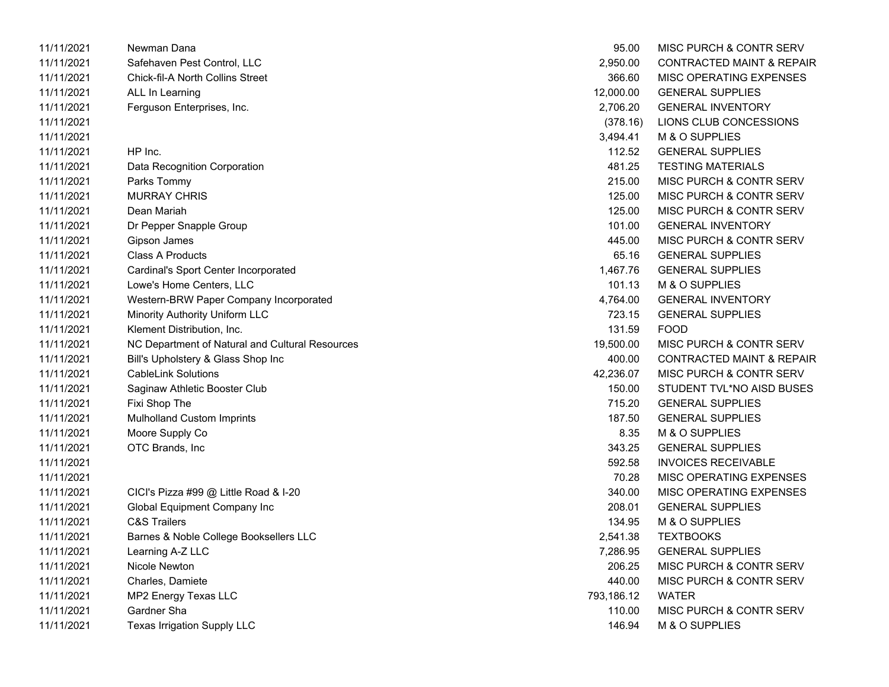| 11/11/2021 | Newman Dana                                     | 95.00      | MISC PURCH & CONTR SERV              |
|------------|-------------------------------------------------|------------|--------------------------------------|
| 11/11/2021 | Safehaven Pest Control, LLC                     | 2,950.00   | <b>CONTRACTED MAINT &amp; REPAIR</b> |
| 11/11/2021 | <b>Chick-fil-A North Collins Street</b>         | 366.60     | MISC OPERATING EXPENSES              |
| 11/11/2021 | ALL In Learning                                 | 12,000.00  | <b>GENERAL SUPPLIES</b>              |
| 11/11/2021 | Ferguson Enterprises, Inc.                      | 2,706.20   | <b>GENERAL INVENTORY</b>             |
| 11/11/2021 |                                                 | (378.16)   | LIONS CLUB CONCESSIONS               |
| 11/11/2021 |                                                 | 3,494.41   | M & O SUPPLIES                       |
| 11/11/2021 | HP Inc.                                         | 112.52     | <b>GENERAL SUPPLIES</b>              |
| 11/11/2021 | Data Recognition Corporation                    | 481.25     | <b>TESTING MATERIALS</b>             |
| 11/11/2021 | Parks Tommy                                     | 215.00     | MISC PURCH & CONTR SERV              |
| 11/11/2021 | <b>MURRAY CHRIS</b>                             | 125.00     | MISC PURCH & CONTR SERV              |
| 11/11/2021 | Dean Mariah                                     | 125.00     | MISC PURCH & CONTR SERV              |
| 11/11/2021 | Dr Pepper Snapple Group                         | 101.00     | <b>GENERAL INVENTORY</b>             |
| 11/11/2021 | Gipson James                                    | 445.00     | MISC PURCH & CONTR SERV              |
| 11/11/2021 | <b>Class A Products</b>                         | 65.16      | <b>GENERAL SUPPLIES</b>              |
| 11/11/2021 | Cardinal's Sport Center Incorporated            | 1,467.76   | <b>GENERAL SUPPLIES</b>              |
| 11/11/2021 | Lowe's Home Centers, LLC                        | 101.13     | M & O SUPPLIES                       |
| 11/11/2021 | Western-BRW Paper Company Incorporated          | 4,764.00   | <b>GENERAL INVENTORY</b>             |
| 11/11/2021 | Minority Authority Uniform LLC                  | 723.15     | <b>GENERAL SUPPLIES</b>              |
| 11/11/2021 | Klement Distribution, Inc.                      | 131.59     | <b>FOOD</b>                          |
| 11/11/2021 | NC Department of Natural and Cultural Resources | 19,500.00  | MISC PURCH & CONTR SERV              |
| 11/11/2021 | Bill's Upholstery & Glass Shop Inc              | 400.00     | <b>CONTRACTED MAINT &amp; REPAIR</b> |
| 11/11/2021 | <b>CableLink Solutions</b>                      | 42,236.07  | MISC PURCH & CONTR SERV              |
| 11/11/2021 | Saginaw Athletic Booster Club                   | 150.00     | STUDENT TVL*NO AISD BUSES            |
| 11/11/2021 | Fixi Shop The                                   | 715.20     | <b>GENERAL SUPPLIES</b>              |
| 11/11/2021 | Mulholland Custom Imprints                      | 187.50     | <b>GENERAL SUPPLIES</b>              |
| 11/11/2021 | Moore Supply Co                                 | 8.35       | M & O SUPPLIES                       |
| 11/11/2021 | OTC Brands, Inc                                 | 343.25     | <b>GENERAL SUPPLIES</b>              |
| 11/11/2021 |                                                 | 592.58     | <b>INVOICES RECEIVABLE</b>           |
| 11/11/2021 |                                                 | 70.28      | MISC OPERATING EXPENSES              |
| 11/11/2021 | CICI's Pizza #99 @ Little Road & I-20           | 340.00     | MISC OPERATING EXPENSES              |
| 11/11/2021 | Global Equipment Company Inc                    | 208.01     | <b>GENERAL SUPPLIES</b>              |
| 11/11/2021 | <b>C&amp;S Trailers</b>                         | 134.95     | M & O SUPPLIES                       |
| 11/11/2021 | Barnes & Noble College Booksellers LLC          | 2,541.38   | <b>TEXTBOOKS</b>                     |
| 11/11/2021 | Learning A-Z LLC                                | 7,286.95   | <b>GENERAL SUPPLIES</b>              |
| 11/11/2021 | Nicole Newton                                   | 206.25     | MISC PURCH & CONTR SERV              |
| 11/11/2021 | Charles, Damiete                                | 440.00     | MISC PURCH & CONTR SERV              |
| 11/11/2021 | MP2 Energy Texas LLC                            | 793,186.12 | <b>WATER</b>                         |
| 11/11/2021 | Gardner Sha                                     | 110.00     | MISC PURCH & CONTR SERV              |
| 11/11/2021 | Texas Irrigation Supply LLC                     | 146.94     | M & O SUPPLIES                       |
|            |                                                 |            |                                      |

| 95.00      | MISC PURCH & CONTR SERV              |
|------------|--------------------------------------|
| 2,950.00   | <b>CONTRACTED MAINT &amp; REPAIR</b> |
| 366.60     | <b>MISC OPERATING EXPENSES</b>       |
| 12,000.00  | <b>GENERAL SUPPLIES</b>              |
| 2,706.20   | <b>GENERAL INVENTORY</b>             |
| (378.16)   | LIONS CLUB CONCESSIONS               |
| 3,494.41   | M & O SUPPLIES                       |
| 112.52     | <b>GENERAL SUPPLIES</b>              |
| 481.25     | <b>TESTING MATERIALS</b>             |
| 215.00     | MISC PURCH & CONTR SERV              |
| 125.00     | MISC PURCH & CONTR SERV              |
| 125.00     | MISC PURCH & CONTR SERV              |
| 101.00     | <b>GENERAL INVENTORY</b>             |
| 445.00     | MISC PURCH & CONTR SERV              |
| 65.16      | <b>GENERAL SUPPLIES</b>              |
| 1,467.76   | <b>GENERAL SUPPLIES</b>              |
| 101.13     | M & O SUPPLIES                       |
| 4,764.00   | <b>GENERAL INVENTORY</b>             |
| 723.15     | <b>GENERAL SUPPLIES</b>              |
| 131.59     | <b>FOOD</b>                          |
| 19,500.00  | <b>MISC PURCH &amp; CONTR SERV</b>   |
| 400.00     | <b>CONTRACTED MAINT &amp; REPAIR</b> |
| 42,236.07  | <b>MISC PURCH &amp; CONTR SERV</b>   |
| 150.00     | STUDENT TVL*NO AISD BUSES            |
| 715.20     | <b>GENERAL SUPPLIES</b>              |
| 187.50     | <b>GENERAL SUPPLIES</b>              |
| 8.35       | M & O SUPPLIES                       |
| 343.25     | <b>GENERAL SUPPLIES</b>              |
| 592.58     | <b>INVOICES RECEIVABLE</b>           |
| 70.28      | MISC OPERATING EXPENSES              |
| 340.00     | <b>MISC OPERATING EXPENSES</b>       |
| 208.01     | <b>GENERAL SUPPLIES</b>              |
| 134.95     | M & O SUPPLIES                       |
| 2,541.38   | <b>TEXTBOOKS</b>                     |
| 7,286.95   | <b>GENERAL SUPPLIES</b>              |
| 206.25     | <b>MISC PURCH &amp; CONTR SERV</b>   |
| 440.00     | <b>MISC PURCH &amp; CONTR SERV</b>   |
| 793,186.12 | <b>WATER</b>                         |
| 110.00     | <b>MISC PURCH &amp; CONTR SERV</b>   |
| 146.94     | M & O SUPPLIES                       |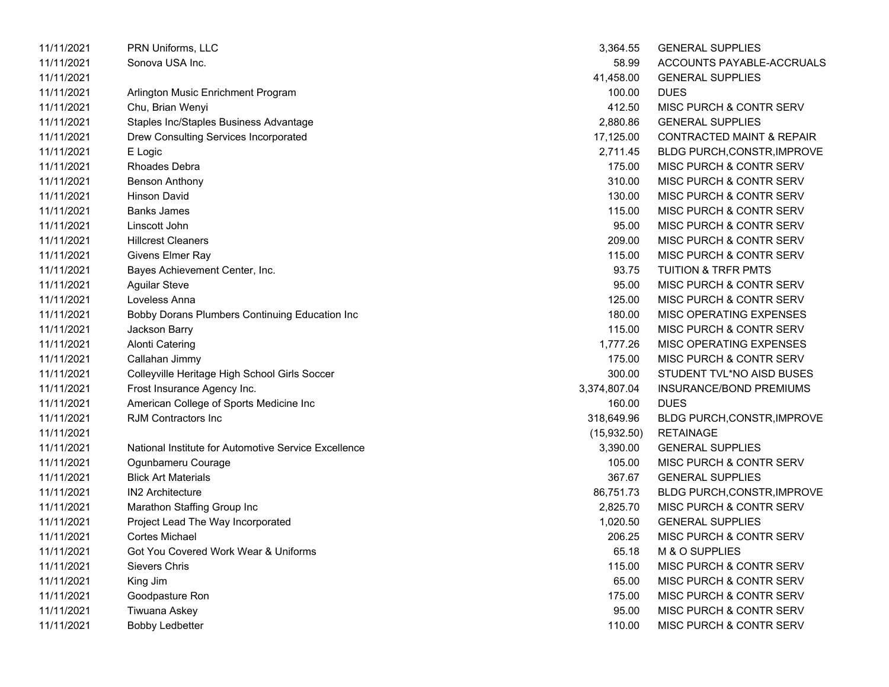| 11/11/2021 | PRN Uniforms, LLC                                    | 3,364.55     | <b>GENERAL SUPPLIES</b>              |
|------------|------------------------------------------------------|--------------|--------------------------------------|
| 11/11/2021 | Sonova USA Inc.                                      | 58.99        | ACCOUNTS PAYABLE-ACCRUALS            |
| 11/11/2021 |                                                      | 41,458.00    | <b>GENERAL SUPPLIES</b>              |
| 11/11/2021 | Arlington Music Enrichment Program                   | 100.00       | <b>DUES</b>                          |
| 11/11/2021 | Chu, Brian Wenyi                                     | 412.50       | MISC PURCH & CONTR SERV              |
| 11/11/2021 | Staples Inc/Staples Business Advantage               | 2,880.86     | <b>GENERAL SUPPLIES</b>              |
| 11/11/2021 | Drew Consulting Services Incorporated                | 17,125.00    | <b>CONTRACTED MAINT &amp; REPAIR</b> |
| 11/11/2021 | E Logic                                              | 2,711.45     | BLDG PURCH, CONSTR, IMPROVE          |
| 11/11/2021 | <b>Rhoades Debra</b>                                 | 175.00       | MISC PURCH & CONTR SERV              |
| 11/11/2021 | <b>Benson Anthony</b>                                | 310.00       | MISC PURCH & CONTR SERV              |
| 11/11/2021 | <b>Hinson David</b>                                  | 130.00       | MISC PURCH & CONTR SERV              |
| 11/11/2021 | <b>Banks James</b>                                   | 115.00       | MISC PURCH & CONTR SERV              |
| 11/11/2021 | Linscott John                                        | 95.00        | MISC PURCH & CONTR SERV              |
| 11/11/2021 | <b>Hillcrest Cleaners</b>                            | 209.00       | MISC PURCH & CONTR SERV              |
| 11/11/2021 | Givens Elmer Ray                                     | 115.00       | MISC PURCH & CONTR SERV              |
| 11/11/2021 | Bayes Achievement Center, Inc.                       | 93.75        | <b>TUITION &amp; TRFR PMTS</b>       |
| 11/11/2021 | <b>Aguilar Steve</b>                                 | 95.00        | MISC PURCH & CONTR SERV              |
| 11/11/2021 | Loveless Anna                                        | 125.00       | MISC PURCH & CONTR SERV              |
| 11/11/2021 | Bobby Dorans Plumbers Continuing Education Inc       | 180.00       | MISC OPERATING EXPENSES              |
| 11/11/2021 | Jackson Barry                                        | 115.00       | MISC PURCH & CONTR SERV              |
| 11/11/2021 | <b>Alonti Catering</b>                               | 1,777.26     | MISC OPERATING EXPENSES              |
| 11/11/2021 | Callahan Jimmy                                       | 175.00       | MISC PURCH & CONTR SERV              |
| 11/11/2021 | Colleyville Heritage High School Girls Soccer        | 300.00       | STUDENT TVL*NO AISD BUSES            |
| 11/11/2021 | Frost Insurance Agency Inc.                          | 3,374,807.04 | INSURANCE/BOND PREMIUMS              |
| 11/11/2021 | American College of Sports Medicine Inc              | 160.00       | <b>DUES</b>                          |
| 11/11/2021 | <b>RJM Contractors Inc.</b>                          | 318,649.96   | BLDG PURCH, CONSTR, IMPROVE          |
| 11/11/2021 |                                                      | (15,932.50)  | <b>RETAINAGE</b>                     |
| 11/11/2021 | National Institute for Automotive Service Excellence | 3,390.00     | <b>GENERAL SUPPLIES</b>              |
| 11/11/2021 | Ogunbameru Courage                                   | 105.00       | MISC PURCH & CONTR SERV              |
| 11/11/2021 | <b>Blick Art Materials</b>                           | 367.67       | <b>GENERAL SUPPLIES</b>              |
| 11/11/2021 | <b>IN2 Architecture</b>                              | 86,751.73    | BLDG PURCH, CONSTR, IMPROVE          |
| 11/11/2021 | Marathon Staffing Group Inc                          | 2,825.70     | <b>MISC PURCH &amp; CONTR SERV</b>   |
| 11/11/2021 | Project Lead The Way Incorporated                    | 1,020.50     | <b>GENERAL SUPPLIES</b>              |
| 11/11/2021 | <b>Cortes Michael</b>                                | 206.25       | <b>MISC PURCH &amp; CONTR SERV</b>   |
| 11/11/2021 | Got You Covered Work Wear & Uniforms                 | 65.18        | M & O SUPPLIES                       |
| 11/11/2021 | Sievers Chris                                        | 115.00       | MISC PURCH & CONTR SERV              |
| 11/11/2021 | King Jim                                             | 65.00        | MISC PURCH & CONTR SERV              |
| 11/11/2021 | Goodpasture Ron                                      | 175.00       | MISC PURCH & CONTR SERV              |
| 11/11/2021 | Tiwuana Askey                                        | 95.00        | MISC PURCH & CONTR SERV              |
| 11/11/2021 | <b>Bobby Ledbetter</b>                               | 110.00       | MISC PURCH & CONTR SERV              |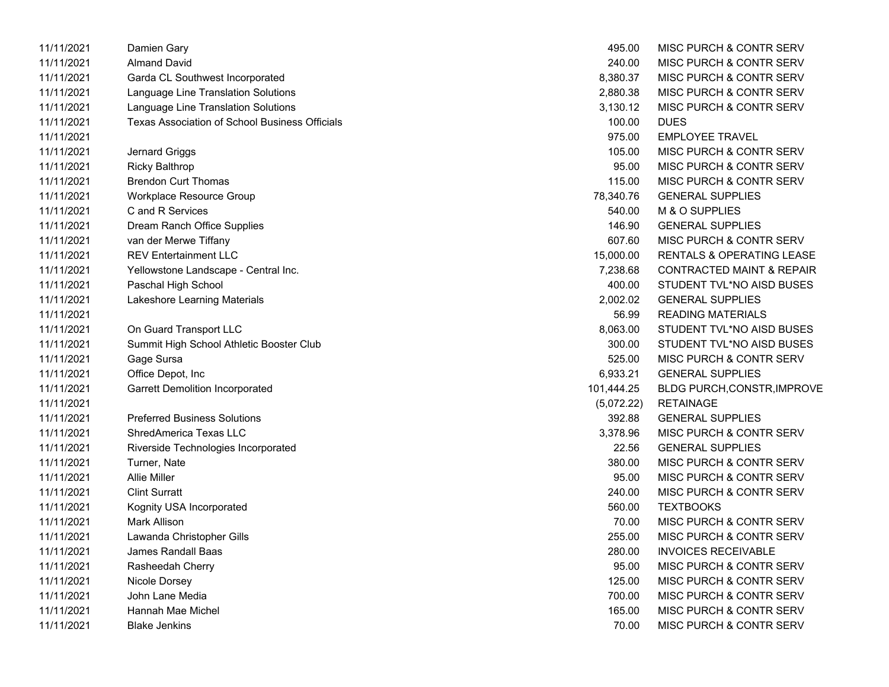| 11/11/2021 | Damien Gary                                           | 495.00     | <b>MISC PURCH &amp; CONTR SERV</b>   |
|------------|-------------------------------------------------------|------------|--------------------------------------|
| 11/11/2021 | <b>Almand David</b>                                   | 240.00     | <b>MISC PURCH &amp; CONTR SERV</b>   |
| 11/11/2021 | Garda CL Southwest Incorporated                       | 8,380.37   | MISC PURCH & CONTR SERV              |
| 11/11/2021 | Language Line Translation Solutions                   | 2,880.38   | MISC PURCH & CONTR SERV              |
| 11/11/2021 | Language Line Translation Solutions                   | 3,130.12   | <b>MISC PURCH &amp; CONTR SERV</b>   |
| 11/11/2021 | <b>Texas Association of School Business Officials</b> | 100.00     | <b>DUES</b>                          |
| 11/11/2021 |                                                       | 975.00     | <b>EMPLOYEE TRAVEL</b>               |
| 11/11/2021 | Jernard Griggs                                        | 105.00     | MISC PURCH & CONTR SERV              |
| 11/11/2021 | <b>Ricky Balthrop</b>                                 | 95.00      | MISC PURCH & CONTR SERV              |
| 11/11/2021 | <b>Brendon Curt Thomas</b>                            | 115.00     | <b>MISC PURCH &amp; CONTR SERV</b>   |
| 11/11/2021 | Workplace Resource Group                              | 78,340.76  | <b>GENERAL SUPPLIES</b>              |
| 11/11/2021 | C and R Services                                      | 540.00     | M & O SUPPLIES                       |
| 11/11/2021 | Dream Ranch Office Supplies                           | 146.90     | <b>GENERAL SUPPLIES</b>              |
| 11/11/2021 | van der Merwe Tiffany                                 | 607.60     | <b>MISC PURCH &amp; CONTR SERV</b>   |
| 11/11/2021 | <b>REV Entertainment LLC</b>                          | 15,000.00  | RENTALS & OPERATING LEASE            |
| 11/11/2021 | Yellowstone Landscape - Central Inc.                  | 7,238.68   | <b>CONTRACTED MAINT &amp; REPAIR</b> |
| 11/11/2021 | Paschal High School                                   | 400.00     | STUDENT TVL*NO AISD BUSES            |
| 11/11/2021 | Lakeshore Learning Materials                          | 2,002.02   | <b>GENERAL SUPPLIES</b>              |
| 11/11/2021 |                                                       | 56.99      | <b>READING MATERIALS</b>             |
| 11/11/2021 | On Guard Transport LLC                                | 8,063.00   | STUDENT TVL*NO AISD BUSES            |
| 11/11/2021 | Summit High School Athletic Booster Club              | 300.00     | STUDENT TVL*NO AISD BUSES            |
| 11/11/2021 | Gage Sursa                                            | 525.00     | MISC PURCH & CONTR SERV              |
| 11/11/2021 | Office Depot, Inc                                     | 6,933.21   | <b>GENERAL SUPPLIES</b>              |
| 11/11/2021 | <b>Garrett Demolition Incorporated</b>                | 101,444.25 | <b>BLDG PURCH, CONSTR, IMPROVE</b>   |
| 11/11/2021 |                                                       | (5,072.22) | <b>RETAINAGE</b>                     |
| 11/11/2021 | <b>Preferred Business Solutions</b>                   | 392.88     | <b>GENERAL SUPPLIES</b>              |
| 11/11/2021 | <b>ShredAmerica Texas LLC</b>                         | 3,378.96   | MISC PURCH & CONTR SERV              |
| 11/11/2021 | Riverside Technologies Incorporated                   | 22.56      | <b>GENERAL SUPPLIES</b>              |
| 11/11/2021 | Turner, Nate                                          | 380.00     | <b>MISC PURCH &amp; CONTR SERV</b>   |
| 11/11/2021 | <b>Allie Miller</b>                                   | 95.00      | MISC PURCH & CONTR SERV              |
| 11/11/2021 | <b>Clint Surratt</b>                                  | 240.00     | <b>MISC PURCH &amp; CONTR SERV</b>   |
| 11/11/2021 | Kognity USA Incorporated                              | 560.00     | <b>TEXTBOOKS</b>                     |
| 11/11/2021 | Mark Allison                                          | 70.00      | <b>MISC PURCH &amp; CONTR SERV</b>   |
| 11/11/2021 | Lawanda Christopher Gills                             | 255.00     | <b>MISC PURCH &amp; CONTR SERV</b>   |
| 11/11/2021 | James Randall Baas                                    | 280.00     | <b>INVOICES RECEIVABLE</b>           |
| 11/11/2021 | Rasheedah Cherry                                      | 95.00      | <b>MISC PURCH &amp; CONTR SERV</b>   |
| 11/11/2021 | Nicole Dorsey                                         | 125.00     | MISC PURCH & CONTR SERV              |
| 11/11/2021 | John Lane Media                                       | 700.00     | MISC PURCH & CONTR SERV              |
| 11/11/2021 | Hannah Mae Michel                                     | 165.00     | <b>MISC PURCH &amp; CONTR SERV</b>   |
| 11/11/2021 | <b>Blake Jenkins</b>                                  | 70.00      | <b>MISC PURCH &amp; CONTR SERV</b>   |

| 495.00     | MISC PURCH & CONTR SERV              |
|------------|--------------------------------------|
| 240.00     | <b>MISC PURCH &amp; CONTR SERV</b>   |
| 8,380.37   | <b>MISC PURCH &amp; CONTR SERV</b>   |
| 2,880.38   | <b>MISC PURCH &amp; CONTR SERV</b>   |
| 3,130.12   | <b>MISC PURCH &amp; CONTR SERV</b>   |
| 100.00     | <b>DUES</b>                          |
| 975.00     | <b>EMPLOYEE TRAVEL</b>               |
| 105.00     | <b>MISC PURCH &amp; CONTR SERV</b>   |
| 95.00      | <b>MISC PURCH &amp; CONTR SERV</b>   |
| 115.00     | <b>MISC PURCH &amp; CONTR SERV</b>   |
| 78,340.76  | <b>GENERAL SUPPLIES</b>              |
| 540.00     | M & O SUPPLIES                       |
| 146.90     | <b>GENERAL SUPPLIES</b>              |
| 607.60     | <b>MISC PURCH &amp; CONTR SERV</b>   |
| 15,000.00  | <b>RENTALS &amp; OPERATING LEASE</b> |
| 7,238.68   | <b>CONTRACTED MAINT &amp; REPAIR</b> |
| 400.00     | STUDENT TVL*NO AISD BUSES            |
|            | 2,002.02 GENERAL SUPPLIES            |
| 56.99      | <b>READING MATERIALS</b>             |
| 8,063.00   | STUDENT TVL*NO AISD BUSES            |
| 300.00     | STUDENT TVL*NO AISD BUSES            |
|            | 525.00 MISC PURCH & CONTR SERV       |
| 6,933.21   | <b>GENERAL SUPPLIES</b>              |
| 01,444.25  | <b>BLDG PURCH, CONSTR, IMPROV</b>    |
| (5,072.22) | <b>RETAINAGE</b>                     |
| 392.88     | <b>GENERAL SUPPLIES</b>              |
| 3,378.96   | MISC PURCH & CONTR SERV              |
| 22.56      | <b>GENERAL SUPPLIES</b>              |
| 380.00     | <b>MISC PURCH &amp; CONTR SERV</b>   |
| 95.00      | <b>MISC PURCH &amp; CONTR SERV</b>   |
| 240.00     | MISC PURCH & CONTR SERV              |
| 560.00     | TEXTBOOKS                            |
| 70.00      | <b>MISC PURCH &amp; CONTR SERV</b>   |
| 255.00     | <b>MISC PURCH &amp; CONTR SERV</b>   |
| 280.00     | <b>INVOICES RECEIVABLE</b>           |
| 95.00      | <b>MISC PURCH &amp; CONTR SERV</b>   |
| 125.00     | MISC PURCH & CONTR SERV              |
| 700.00     | MISC PURCH & CONTR SERV              |
| 165.00     | <b>MISC PURCH &amp; CONTR SERV</b>   |
| 70.00      | MISC PURCH & CONTR SERV              |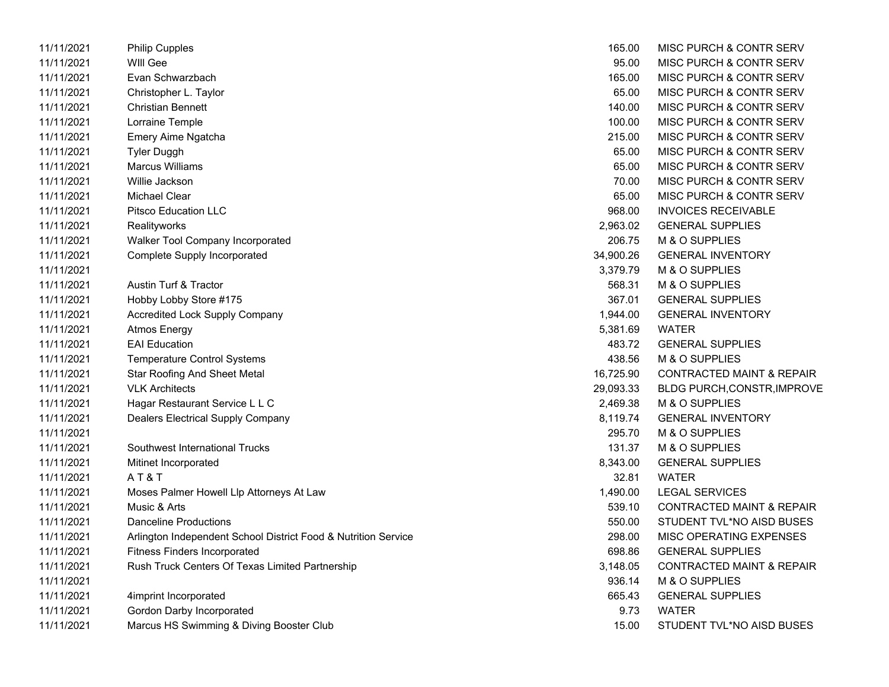| 11/11/2021 | <b>Philip Cupples</b>                                          | 165.00    | MISC PURCH & CONTR SERV              |
|------------|----------------------------------------------------------------|-----------|--------------------------------------|
| 11/11/2021 | <b>WIII Gee</b>                                                | 95.00     | MISC PURCH & CONTR SERV              |
| 11/11/2021 | Evan Schwarzbach                                               | 165.00    | MISC PURCH & CONTR SERV              |
| 11/11/2021 | Christopher L. Taylor                                          | 65.00     | MISC PURCH & CONTR SERV              |
| 11/11/2021 | <b>Christian Bennett</b>                                       | 140.00    | MISC PURCH & CONTR SERV              |
| 11/11/2021 | Lorraine Temple                                                | 100.00    | MISC PURCH & CONTR SERV              |
| 11/11/2021 | Emery Aime Ngatcha                                             | 215.00    | MISC PURCH & CONTR SERV              |
| 11/11/2021 | <b>Tyler Duggh</b>                                             | 65.00     | MISC PURCH & CONTR SERV              |
| 11/11/2021 | <b>Marcus Williams</b>                                         | 65.00     | MISC PURCH & CONTR SERV              |
| 11/11/2021 | Willie Jackson                                                 | 70.00     | MISC PURCH & CONTR SERV              |
| 11/11/2021 | <b>Michael Clear</b>                                           | 65.00     | <b>MISC PURCH &amp; CONTR SERV</b>   |
| 11/11/2021 | <b>Pitsco Education LLC</b>                                    | 968.00    | <b>INVOICES RECEIVABLE</b>           |
| 11/11/2021 | Realityworks                                                   | 2,963.02  | <b>GENERAL SUPPLIES</b>              |
| 11/11/2021 | Walker Tool Company Incorporated                               | 206.75    | M & O SUPPLIES                       |
| 11/11/2021 | <b>Complete Supply Incorporated</b>                            | 34,900.26 | <b>GENERAL INVENTORY</b>             |
| 11/11/2021 |                                                                | 3,379.79  | M & O SUPPLIES                       |
| 11/11/2021 | Austin Turf & Tractor                                          | 568.31    | M & O SUPPLIES                       |
| 11/11/2021 | Hobby Lobby Store #175                                         | 367.01    | <b>GENERAL SUPPLIES</b>              |
| 11/11/2021 | <b>Accredited Lock Supply Company</b>                          | 1,944.00  | <b>GENERAL INVENTORY</b>             |
| 11/11/2021 | Atmos Energy                                                   | 5,381.69  | <b>WATER</b>                         |
| 11/11/2021 | <b>EAI Education</b>                                           | 483.72    | <b>GENERAL SUPPLIES</b>              |
| 11/11/2021 | <b>Temperature Control Systems</b>                             | 438.56    | M & O SUPPLIES                       |
| 11/11/2021 | <b>Star Roofing And Sheet Metal</b>                            | 16,725.90 | <b>CONTRACTED MAINT &amp; REPAIR</b> |
| 11/11/2021 | <b>VLK Architects</b>                                          | 29,093.33 | <b>BLDG PURCH, CONSTR, IMPROVE</b>   |
| 11/11/2021 | Hagar Restaurant Service L L C                                 | 2,469.38  | M & O SUPPLIES                       |
| 11/11/2021 | <b>Dealers Electrical Supply Company</b>                       | 8,119.74  | <b>GENERAL INVENTORY</b>             |
| 11/11/2021 |                                                                | 295.70    | M & O SUPPLIES                       |
| 11/11/2021 | Southwest International Trucks                                 | 131.37    | M & O SUPPLIES                       |
| 11/11/2021 | Mitinet Incorporated                                           | 8,343.00  | <b>GENERAL SUPPLIES</b>              |
| 11/11/2021 | AT&T                                                           | 32.81     | <b>WATER</b>                         |
| 11/11/2021 | Moses Palmer Howell Llp Attorneys At Law                       | 1,490.00  | <b>LEGAL SERVICES</b>                |
| 11/11/2021 | Music & Arts                                                   | 539.10    | <b>CONTRACTED MAINT &amp; REPAIR</b> |
| 11/11/2021 | <b>Danceline Productions</b>                                   | 550.00    | STUDENT TVL*NO AISD BUSES            |
| 11/11/2021 | Arlington Independent School District Food & Nutrition Service | 298.00    | MISC OPERATING EXPENSES              |
| 11/11/2021 | <b>Fitness Finders Incorporated</b>                            | 698.86    | <b>GENERAL SUPPLIES</b>              |
| 11/11/2021 | Rush Truck Centers Of Texas Limited Partnership                | 3,148.05  | <b>CONTRACTED MAINT &amp; REPAIR</b> |
| 11/11/2021 |                                                                | 936.14    | M & O SUPPLIES                       |
| 11/11/2021 | 4imprint Incorporated                                          | 665.43    | <b>GENERAL SUPPLIES</b>              |
| 11/11/2021 | Gordon Darby Incorporated                                      | 9.73      | <b>WATER</b>                         |
| 11/11/2021 | Marcus HS Swimming & Diving Booster Club                       | 15.00     | STUDENT TVL*NO AISD BUSES            |

| 165.00    | MISC PURCH & CONTR SERV              |
|-----------|--------------------------------------|
| 95.00     | <b>MISC PURCH &amp; CONTR SERV</b>   |
| 165.00    | <b>MISC PURCH &amp; CONTR SERV</b>   |
| 65.00     | <b>MISC PURCH &amp; CONTR SERV</b>   |
| 140.00    | <b>MISC PURCH &amp; CONTR SERV</b>   |
| 100.00    | <b>MISC PURCH &amp; CONTR SERV</b>   |
| 215.00    | <b>MISC PURCH &amp; CONTR SERV</b>   |
| 65.00     | <b>MISC PURCH &amp; CONTR SERV</b>   |
| 65.00     | <b>MISC PURCH &amp; CONTR SERV</b>   |
| 70.00     | <b>MISC PURCH &amp; CONTR SERV</b>   |
| 65.00     | <b>MISC PURCH &amp; CONTR SERV</b>   |
| 968.00    | <b>INVOICES RECEIVABLE</b>           |
| 2,963.02  | <b>GENERAL SUPPLIES</b>              |
| 206.75    | M & O SUPPLIES                       |
| 34,900.26 | <b>GENERAL INVENTORY</b>             |
| 3,379.79  | <b>M &amp; O SUPPLIES</b>            |
| 568.31    | M & O SUPPLIES                       |
| 367.01    | <b>GENERAL SUPPLIES</b>              |
| 1,944.00  | <b>GENERAL INVENTORY</b>             |
| 5,381.69  | <b>WATFR</b>                         |
| 483.72    | <b>GENERAL SUPPLIES</b>              |
| 438.56    | M & O SUPPLIES                       |
| 16,725.90 | <b>CONTRACTED MAINT &amp; REPAIR</b> |
| 29,093.33 | BLDG PURCH, CONSTR, IMPROVE          |
| 2,469.38  | <b>M &amp; O SUPPLIES</b>            |
| 8,119.74  | <b>GENERAL INVENTORY</b>             |
| 295.70    | M & O SUPPLIES                       |
| 131.37    | M & O SUPPLIES                       |
| 8,343.00  | <b>GENERAL SUPPLIES</b>              |
| 32.81     | WATER                                |
| 1,490.00  | <b>LEGAL SERVICES</b>                |
| 539.10    | <b>CONTRACTED MAINT &amp; REPAIR</b> |
| 550.00    | STUDENT TVL*NO AISD BUSES            |
| 298.00    | MISC OPERATING EXPENSES              |
| 698.86    | <b>GENERAL SUPPLIES</b>              |
| 3,148.05  | <b>CONTRACTED MAINT &amp; REPAIR</b> |
| 936.14    | M & O SUPPLIES                       |
| 665.43    | <b>GENERAL SUPPLIES</b>              |
| 9.73      | <b>WATER</b>                         |
| 15.00     | STUDENT TVL*NO AISD BUSES            |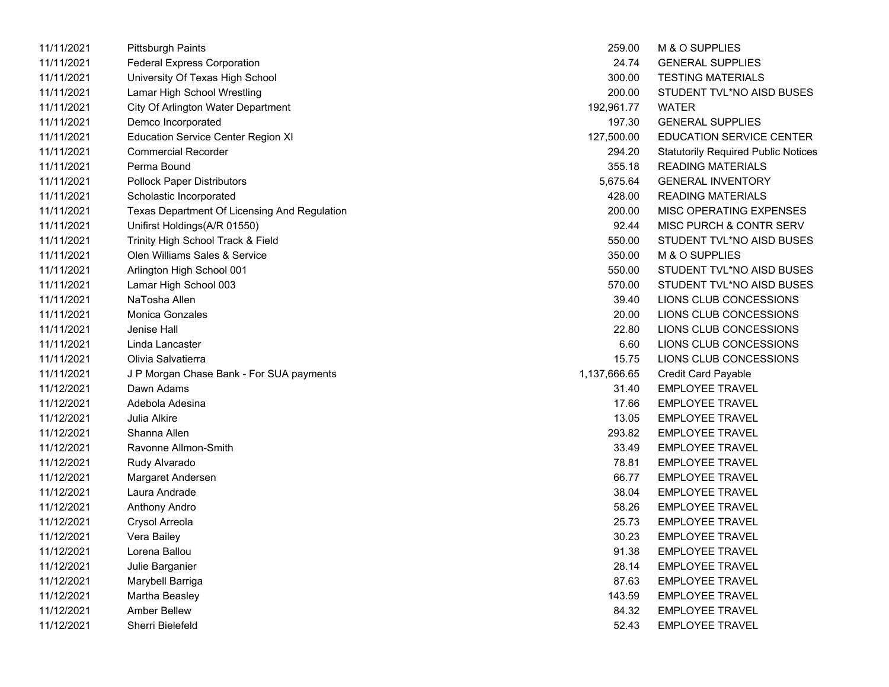| 11/11/2021 | Pittsburgh Paints                            | 259.00       | M & O SUPPLIES                             |
|------------|----------------------------------------------|--------------|--------------------------------------------|
| 11/11/2021 | <b>Federal Express Corporation</b>           | 24.74        | <b>GENERAL SUPPLIES</b>                    |
| 11/11/2021 | University Of Texas High School              | 300.00       | <b>TESTING MATERIALS</b>                   |
| 11/11/2021 | Lamar High School Wrestling                  | 200.00       | STUDENT TVL*NO AISD BUSES                  |
| 11/11/2021 | City Of Arlington Water Department           | 192,961.77   | WATER                                      |
| 11/11/2021 | Demco Incorporated                           | 197.30       | <b>GENERAL SUPPLIES</b>                    |
| 11/11/2021 | <b>Education Service Center Region XI</b>    | 127,500.00   | <b>EDUCATION SERVICE CENTER</b>            |
| 11/11/2021 | <b>Commercial Recorder</b>                   | 294.20       | <b>Statutorily Required Public Notices</b> |
| 11/11/2021 | Perma Bound                                  | 355.18       | <b>READING MATERIALS</b>                   |
| 11/11/2021 | <b>Pollock Paper Distributors</b>            | 5,675.64     | <b>GENERAL INVENTORY</b>                   |
| 11/11/2021 | Scholastic Incorporated                      | 428.00       | <b>READING MATERIALS</b>                   |
| 11/11/2021 | Texas Department Of Licensing And Regulation | 200.00       | MISC OPERATING EXPENSES                    |
| 11/11/2021 | Unifirst Holdings(A/R 01550)                 | 92.44        | MISC PURCH & CONTR SERV                    |
| 11/11/2021 | Trinity High School Track & Field            | 550.00       | STUDENT TVL*NO AISD BUSES                  |
| 11/11/2021 | Olen Williams Sales & Service                | 350.00       | M & O SUPPLIES                             |
| 11/11/2021 | Arlington High School 001                    | 550.00       | STUDENT TVL*NO AISD BUSES                  |
| 11/11/2021 | Lamar High School 003                        | 570.00       | STUDENT TVL*NO AISD BUSES                  |
| 11/11/2021 | NaTosha Allen                                | 39.40        | LIONS CLUB CONCESSIONS                     |
| 11/11/2021 | <b>Monica Gonzales</b>                       | 20.00        | LIONS CLUB CONCESSIONS                     |
| 11/11/2021 | Jenise Hall                                  | 22.80        | LIONS CLUB CONCESSIONS                     |
| 11/11/2021 | Linda Lancaster                              | 6.60         | LIONS CLUB CONCESSIONS                     |
| 11/11/2021 | Olivia Salvatierra                           | 15.75        | LIONS CLUB CONCESSIONS                     |
| 11/11/2021 | J P Morgan Chase Bank - For SUA payments     | 1,137,666.65 | <b>Credit Card Payable</b>                 |
| 11/12/2021 | Dawn Adams                                   | 31.40        | <b>EMPLOYEE TRAVEL</b>                     |
| 11/12/2021 | Adebola Adesina                              | 17.66        | <b>EMPLOYEE TRAVEL</b>                     |
| 11/12/2021 | Julia Alkire                                 | 13.05        | <b>EMPLOYEE TRAVEL</b>                     |
| 11/12/2021 | Shanna Allen                                 | 293.82       | <b>EMPLOYEE TRAVEL</b>                     |
| 11/12/2021 | Ravonne Allmon-Smith                         | 33.49        | <b>EMPLOYEE TRAVEL</b>                     |
| 11/12/2021 | Rudy Alvarado                                | 78.81        | <b>EMPLOYEE TRAVEL</b>                     |
| 11/12/2021 | Margaret Andersen                            | 66.77        | <b>EMPLOYEE TRAVEL</b>                     |
| 11/12/2021 | Laura Andrade                                | 38.04        | <b>EMPLOYEE TRAVEL</b>                     |
| 11/12/2021 | Anthony Andro                                | 58.26        | <b>EMPLOYEE TRAVEL</b>                     |
| 11/12/2021 | Crysol Arreola                               | 25.73        | <b>EMPLOYEE TRAVEL</b>                     |
| 11/12/2021 | Vera Bailey                                  | 30.23        | <b>EMPLOYEE TRAVEL</b>                     |
| 11/12/2021 | Lorena Ballou                                | 91.38        | <b>EMPLOYEE TRAVEL</b>                     |
| 11/12/2021 | Julie Barganier                              | 28.14        | <b>EMPLOYEE TRAVEL</b>                     |
| 11/12/2021 | Marybell Barriga                             | 87.63        | EMPLOYEE TRAVEL                            |
| 11/12/2021 | Martha Beasley                               | 143.59       | <b>EMPLOYEE TRAVEL</b>                     |
| 11/12/2021 | <b>Amber Bellew</b>                          | 84.32        | <b>EMPLOYEE TRAVEL</b>                     |
| 11/12/2021 | Sherri Bielefeld                             | 52.43        | <b>EMPLOYEE TRAVEL</b>                     |

| 259.00       | M & O SUPPLIES                            |
|--------------|-------------------------------------------|
| 24.74        | <b>GENERAL SUPPLIES</b>                   |
| 300.00       | <b>TESTING MATERIALS</b>                  |
| 200.00       | STUDENT TVL*NO AISD BUSES                 |
| 192,961.77   | WATER                                     |
| 197.30       | <b>GENERAL SUPPLIES</b>                   |
| 127,500.00   | <b>EDUCATION SERVICE CENTER</b>           |
| 294.20       | <b>Statutorily Required Public Notice</b> |
| 355.18       | <b>READING MATERIALS</b>                  |
| 5,675.64     | <b>GENERAL INVENTORY</b>                  |
| 428.00       | <b>READING MATERIALS</b>                  |
| 200.00       | MISC OPERATING EXPENSES                   |
| 92.44        | MISC PURCH & CONTR SERV                   |
| 550.00       | STUDENT TVL*NO AISD BUSES                 |
| 350.00       | M & O SUPPLIES                            |
| 550.00       | STUDENT TVL*NO AISD BUSES                 |
| 570.00       | STUDENT TVL*NO AISD BUSES                 |
| 39.40        | LIONS CLUB CONCESSIONS                    |
| 20.00        | LIONS CLUB CONCESSIONS                    |
| 22.80        | LIONS CLUB CONCESSIONS                    |
| 6.60         | LIONS CLUB CONCESSIONS                    |
| 15.75        | LIONS CLUB CONCESSIONS                    |
| 1,137,666.65 | <b>Credit Card Payable</b>                |
| 31.40        | <b>EMPLOYEE TRAVEL</b>                    |
| 17.66        | <b>EMPLOYEE TRAVEL</b>                    |
| 13.05        | <b>EMPLOYEE TRAVEL</b>                    |
| 293.82       | <b>EMPLOYEE TRAVEL</b>                    |
| 33.49        | <b>EMPLOYEE TRAVEL</b>                    |
| 78.81        | <b>EMPLOYEE TRAVEL</b>                    |
| 66.77        | <b>EMPLOYEE TRAVEL</b>                    |
| 38.04        | <b>EMPLOYEE TRAVEL</b>                    |
| 58.26        | <b>EMPLOYEE TRAVEL</b>                    |
|              | 25.73 EMPLOYEE TRAVEL                     |
| 30.23        | <b>EMPLOYEE TRAVEL</b>                    |
| 91.38        | <b>EMPLOYEE TRAVEL</b>                    |
| 28.14        | <b>EMPLOYEE TRAVEL</b>                    |
| 87.63        | <b>EMPLOYEE TRAVEL</b>                    |
| 143.59       | <b>EMPLOYEE TRAVEL</b>                    |
| 84.32        | <b>EMPLOYEE TRAVEL</b>                    |
| 52.43        | <b>EMPLOYEE TRAVEL</b>                    |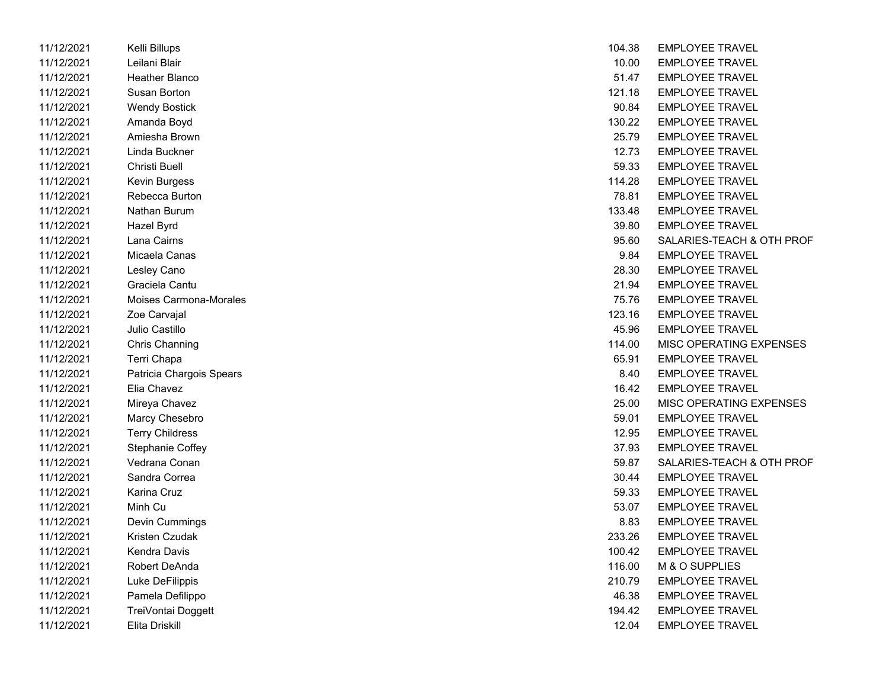| 11/12/2021 | Kelli Billups            | 104.38 | <b>EMPLOYEE TRAVEL</b> |
|------------|--------------------------|--------|------------------------|
| 11/12/2021 | Leilani Blair            | 10.00  | <b>EMPLOYEE TRAVEL</b> |
| 11/12/2021 | Heather Blanco           | 51.47  | <b>EMPLOYEE TRAVEL</b> |
| 11/12/2021 | Susan Borton             | 121.18 | <b>EMPLOYEE TRAVEL</b> |
| 11/12/2021 | <b>Wendy Bostick</b>     | 90.84  | <b>EMPLOYEE TRAVEL</b> |
| 11/12/2021 | Amanda Boyd              | 130.22 | <b>EMPLOYEE TRAVEL</b> |
| 11/12/2021 | Amiesha Brown            | 25.79  | <b>EMPLOYEE TRAVEL</b> |
| 11/12/2021 | Linda Buckner            | 12.73  | <b>EMPLOYEE TRAVEL</b> |
| 11/12/2021 | Christi Buell            | 59.33  | <b>EMPLOYEE TRAVEL</b> |
| 11/12/2021 | <b>Kevin Burgess</b>     | 114.28 | <b>EMPLOYEE TRAVEL</b> |
| 11/12/2021 | Rebecca Burton           | 78.81  | <b>EMPLOYEE TRAVEL</b> |
| 11/12/2021 | Nathan Burum             | 133.48 | <b>EMPLOYEE TRAVEL</b> |
| 11/12/2021 | Hazel Byrd               | 39.80  | <b>EMPLOYEE TRAVEL</b> |
| 11/12/2021 | Lana Cairns              | 95.60  | SALARIES-TEACH &       |
| 11/12/2021 | Micaela Canas            | 9.84   | <b>EMPLOYEE TRAVEL</b> |
| 11/12/2021 | Lesley Cano              | 28.30  | <b>EMPLOYEE TRAVEL</b> |
| 11/12/2021 | Graciela Cantu           | 21.94  | <b>EMPLOYEE TRAVEL</b> |
| 11/12/2021 | Moises Carmona-Morales   | 75.76  | <b>EMPLOYEE TRAVEL</b> |
| 11/12/2021 | Zoe Carvajal             | 123.16 | <b>EMPLOYEE TRAVEL</b> |
| 11/12/2021 | Julio Castillo           | 45.96  | <b>EMPLOYEE TRAVEL</b> |
| 11/12/2021 | <b>Chris Channing</b>    | 114.00 | MISC OPERATING E       |
| 11/12/2021 | Terri Chapa              | 65.91  | <b>EMPLOYEE TRAVEL</b> |
| 11/12/2021 | Patricia Chargois Spears | 8.40   | <b>EMPLOYEE TRAVEL</b> |
| 11/12/2021 | Elia Chavez              | 16.42  | <b>EMPLOYEE TRAVEL</b> |
| 11/12/2021 | Mireya Chavez            | 25.00  | MISC OPERATING E       |
| 11/12/2021 | Marcy Chesebro           | 59.01  | <b>EMPLOYEE TRAVEL</b> |
| 11/12/2021 | <b>Terry Childress</b>   | 12.95  | <b>EMPLOYEE TRAVEL</b> |
| 11/12/2021 | Stephanie Coffey         | 37.93  | <b>EMPLOYEE TRAVEL</b> |
| 11/12/2021 | Vedrana Conan            | 59.87  | SALARIES-TEACH &       |
| 11/12/2021 | Sandra Correa            | 30.44  | <b>EMPLOYEE TRAVEL</b> |
| 11/12/2021 | <b>Karina Cruz</b>       | 59.33  | <b>EMPLOYEE TRAVEL</b> |
| 11/12/2021 | Minh Cu                  | 53.07  | <b>EMPLOYEE TRAVEL</b> |
| 11/12/2021 | Devin Cummings           | 8.83   | <b>EMPLOYEE TRAVEL</b> |
| 11/12/2021 | Kristen Czudak           | 233.26 | <b>EMPLOYEE TRAVEL</b> |
| 11/12/2021 | Kendra Davis             | 100.42 | <b>EMPLOYEE TRAVEL</b> |
| 11/12/2021 | Robert DeAnda            | 116.00 | M & O SUPPLIES         |
| 11/12/2021 | Luke DeFilippis          | 210.79 | <b>EMPLOYEE TRAVEL</b> |
| 11/12/2021 | Pamela Defilippo         | 46.38  | <b>EMPLOYEE TRAVEL</b> |
| 11/12/2021 | TreiVontai Doggett       | 194.42 | <b>EMPLOYEE TRAVEL</b> |
| 11/12/2021 | Elita Driskill           | 12.04  | EMPLOYEE TRAVEL        |

| 11/12/2021 | Kelli Billups            | 104.38 | <b>EMPLOYEE TRAVEL</b>    |
|------------|--------------------------|--------|---------------------------|
| 11/12/2021 | Leilani Blair            | 10.00  | <b>EMPLOYEE TRAVEL</b>    |
| 11/12/2021 | Heather Blanco           | 51.47  | <b>EMPLOYEE TRAVEL</b>    |
| 11/12/2021 | Susan Borton             | 121.18 | <b>EMPLOYEE TRAVEL</b>    |
| 11/12/2021 | <b>Wendy Bostick</b>     | 90.84  | <b>EMPLOYEE TRAVEL</b>    |
| 11/12/2021 | Amanda Boyd              | 130.22 | <b>EMPLOYEE TRAVEL</b>    |
| 11/12/2021 | Amiesha Brown            | 25.79  | <b>EMPLOYEE TRAVEL</b>    |
| 11/12/2021 | Linda Buckner            | 12.73  | <b>EMPLOYEE TRAVEL</b>    |
| 11/12/2021 | Christi Buell            | 59.33  | <b>EMPLOYEE TRAVEL</b>    |
| 11/12/2021 | Kevin Burgess            | 114.28 | <b>EMPLOYEE TRAVEL</b>    |
| 11/12/2021 | Rebecca Burton           | 78.81  | <b>EMPLOYEE TRAVEL</b>    |
| 11/12/2021 | Nathan Burum             | 133.48 | <b>EMPLOYEE TRAVEL</b>    |
| 11/12/2021 | Hazel Byrd               | 39.80  | <b>EMPLOYEE TRAVEL</b>    |
| 11/12/2021 | Lana Cairns              | 95.60  | SALARIES-TEACH & OTH PROF |
| 11/12/2021 | Micaela Canas            | 9.84   | <b>EMPLOYEE TRAVEL</b>    |
| 11/12/2021 | Lesley Cano              | 28.30  | <b>EMPLOYEE TRAVEL</b>    |
| 11/12/2021 | Graciela Cantu           | 21.94  | <b>EMPLOYEE TRAVEL</b>    |
| 11/12/2021 | Moises Carmona-Morales   | 75.76  | <b>EMPLOYEE TRAVEL</b>    |
| 11/12/2021 | Zoe Carvajal             | 123.16 | <b>EMPLOYEE TRAVEL</b>    |
| 11/12/2021 | Julio Castillo           | 45.96  | <b>EMPLOYEE TRAVEL</b>    |
| 11/12/2021 | Chris Channing           | 114.00 | MISC OPERATING EXPENSES   |
| 11/12/2021 | Terri Chapa              | 65.91  | <b>EMPLOYEE TRAVEL</b>    |
| 11/12/2021 | Patricia Chargois Spears | 8.40   | <b>EMPLOYEE TRAVEL</b>    |
| 11/12/2021 | Elia Chavez              | 16.42  | <b>EMPLOYEE TRAVEL</b>    |
| 11/12/2021 | Mireya Chavez            | 25.00  | MISC OPERATING EXPENSES   |
| 11/12/2021 | Marcy Chesebro           | 59.01  | <b>EMPLOYEE TRAVEL</b>    |
| 11/12/2021 | <b>Terry Childress</b>   | 12.95  | <b>EMPLOYEE TRAVEL</b>    |
| 11/12/2021 | Stephanie Coffey         | 37.93  | <b>EMPLOYEE TRAVEL</b>    |
| 11/12/2021 | Vedrana Conan            | 59.87  | SALARIES-TEACH & OTH PROF |
| 11/12/2021 | Sandra Correa            | 30.44  | <b>EMPLOYEE TRAVEL</b>    |
| 11/12/2021 | Karina Cruz              | 59.33  | <b>EMPLOYEE TRAVEL</b>    |
| 11/12/2021 | Minh Cu                  | 53.07  | <b>EMPLOYEE TRAVEL</b>    |
| 11/12/2021 | Devin Cummings           | 8.83   | <b>EMPLOYEE TRAVEL</b>    |
| 11/12/2021 | Kristen Czudak           | 233.26 | <b>EMPLOYEE TRAVEL</b>    |
| 11/12/2021 | Kendra Davis             | 100.42 | <b>EMPLOYEE TRAVEL</b>    |
| 11/12/2021 | Robert DeAnda            | 116.00 | M & O SUPPLIES            |
| 11/12/2021 | Luke DeFilippis          | 210.79 | <b>EMPLOYEE TRAVEL</b>    |
| 11/12/2021 | Pamela Defilippo         | 46.38  | <b>EMPLOYEE TRAVEL</b>    |
| 11/12/2021 | TreiVontai Doggett       | 194.42 | <b>EMPLOYEE TRAVEL</b>    |
| 11/12/2021 | Elita Driskill           | 12.04  | <b>EMPLOYEE TRAVEL</b>    |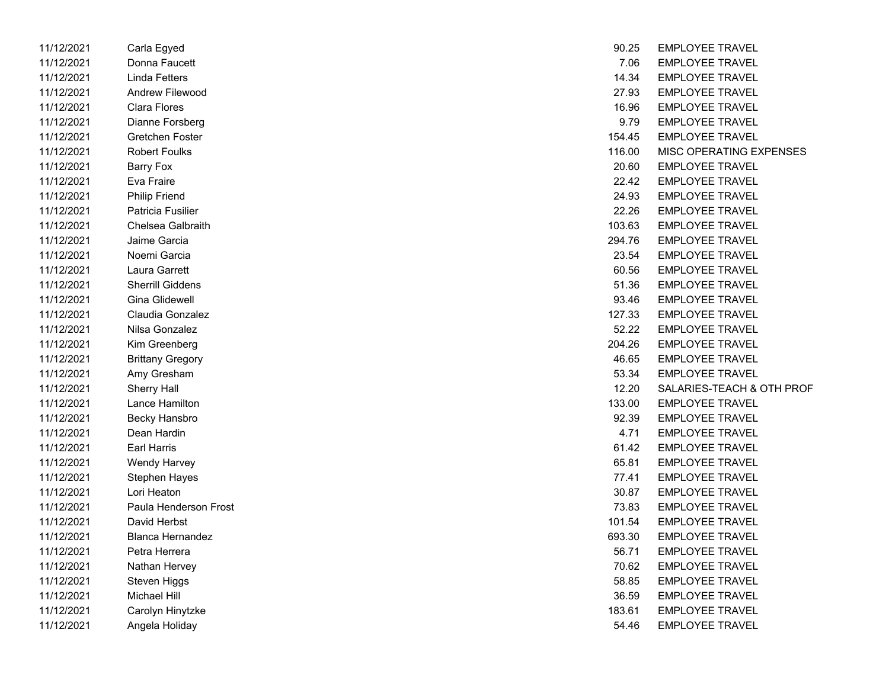| 11/12/2021 | Carla Egyed             | 90.25  | <b>EMPLOYEE TRAVEL</b> |
|------------|-------------------------|--------|------------------------|
| 11/12/2021 | Donna Faucett           | 7.06   | <b>EMPLOYEE TRAVEL</b> |
| 11/12/2021 | Linda Fetters           | 14.34  | <b>EMPLOYEE TRAVEL</b> |
| 11/12/2021 | <b>Andrew Filewood</b>  | 27.93  | <b>EMPLOYEE TRAVEL</b> |
| 11/12/2021 | <b>Clara Flores</b>     | 16.96  | <b>EMPLOYEE TRAVEL</b> |
| 11/12/2021 | Dianne Forsberg         | 9.79   | <b>EMPLOYEE TRAVEL</b> |
| 11/12/2021 | Gretchen Foster         | 154.45 | <b>EMPLOYEE TRAVEL</b> |
| 11/12/2021 | <b>Robert Foulks</b>    | 116.00 | MISC OPERATING E       |
| 11/12/2021 | Barry Fox               | 20.60  | <b>EMPLOYEE TRAVEL</b> |
| 11/12/2021 | Eva Fraire              | 22.42  | <b>EMPLOYEE TRAVEL</b> |
| 11/12/2021 | <b>Philip Friend</b>    | 24.93  | <b>EMPLOYEE TRAVEL</b> |
| 11/12/2021 | Patricia Fusilier       | 22.26  | <b>EMPLOYEE TRAVEL</b> |
| 11/12/2021 | Chelsea Galbraith       | 103.63 | <b>EMPLOYEE TRAVEL</b> |
| 11/12/2021 | Jaime Garcia            | 294.76 | <b>EMPLOYEE TRAVEL</b> |
| 11/12/2021 | Noemi Garcia            | 23.54  | <b>EMPLOYEE TRAVEL</b> |
| 11/12/2021 | Laura Garrett           | 60.56  | <b>EMPLOYEE TRAVEL</b> |
| 11/12/2021 | <b>Sherrill Giddens</b> | 51.36  | <b>EMPLOYEE TRAVEL</b> |
| 11/12/2021 | Gina Glidewell          | 93.46  | <b>EMPLOYEE TRAVEL</b> |
| 11/12/2021 | Claudia Gonzalez        | 127.33 | <b>EMPLOYEE TRAVEL</b> |
| 11/12/2021 | Nilsa Gonzalez          | 52.22  | <b>EMPLOYEE TRAVEL</b> |
| 11/12/2021 | Kim Greenberg           | 204.26 | <b>EMPLOYEE TRAVEL</b> |
| 11/12/2021 | <b>Brittany Gregory</b> | 46.65  | <b>EMPLOYEE TRAVEL</b> |
| 11/12/2021 | Amy Gresham             | 53.34  | <b>EMPLOYEE TRAVEL</b> |
| 11/12/2021 | <b>Sherry Hall</b>      | 12.20  | SALARIES-TEACH &       |
| 11/12/2021 | Lance Hamilton          | 133.00 | <b>EMPLOYEE TRAVEL</b> |
| 11/12/2021 | Becky Hansbro           | 92.39  | <b>EMPLOYEE TRAVEL</b> |
| 11/12/2021 | Dean Hardin             | 4.71   | <b>EMPLOYEE TRAVEL</b> |
| 11/12/2021 | <b>Earl Harris</b>      | 61.42  | <b>EMPLOYEE TRAVEL</b> |
| 11/12/2021 | Wendy Harvey            | 65.81  | <b>EMPLOYEE TRAVEL</b> |
| 11/12/2021 | Stephen Hayes           | 77.41  | <b>EMPLOYEE TRAVEL</b> |
| 11/12/2021 | Lori Heaton             | 30.87  | <b>EMPLOYEE TRAVEL</b> |
| 11/12/2021 | Paula Henderson Frost   | 73.83  | <b>EMPLOYEE TRAVEL</b> |
| 11/12/2021 | David Herbst            | 101.54 | <b>EMPLOYEE TRAVEL</b> |
| 11/12/2021 | <b>Blanca Hernandez</b> | 693.30 | <b>EMPLOYEE TRAVEL</b> |
| 11/12/2021 | Petra Herrera           | 56.71  | <b>EMPLOYEE TRAVEL</b> |
| 11/12/2021 | Nathan Hervey           | 70.62  | <b>EMPLOYEE TRAVEL</b> |
| 11/12/2021 | Steven Higgs            | 58.85  | <b>EMPLOYEE TRAVEL</b> |
| 11/12/2021 | Michael Hill            | 36.59  | <b>EMPLOYEE TRAVEL</b> |
| 11/12/2021 | Carolyn Hinytzke        | 183.61 | <b>EMPLOYEE TRAVEL</b> |
| 11/12/2021 | Angela Holiday          | 54.46  | <b>EMPLOYEE TRAVEL</b> |
|            |                         |        |                        |

| 11/12/2021 | Carla Egyed             | 90.25  | <b>EMPLOYEE TRAVEL</b>    |
|------------|-------------------------|--------|---------------------------|
| 11/12/2021 | Donna Faucett           | 7.06   | <b>EMPLOYEE TRAVEL</b>    |
| 11/12/2021 | Linda Fetters           | 14.34  | <b>EMPLOYEE TRAVEL</b>    |
| 11/12/2021 | Andrew Filewood         | 27.93  | <b>EMPLOYEE TRAVEL</b>    |
| 11/12/2021 | Clara Flores            | 16.96  | <b>EMPLOYEE TRAVEL</b>    |
| 11/12/2021 | Dianne Forsberg         | 9.79   | <b>EMPLOYEE TRAVEL</b>    |
| 11/12/2021 | Gretchen Foster         | 154.45 | <b>EMPLOYEE TRAVEL</b>    |
| 11/12/2021 | <b>Robert Foulks</b>    | 116.00 | MISC OPERATING EXPENSES   |
| 11/12/2021 | Barry Fox               | 20.60  | <b>EMPLOYEE TRAVEL</b>    |
| 11/12/2021 | Eva Fraire              | 22.42  | <b>EMPLOYEE TRAVEL</b>    |
| 11/12/2021 | <b>Philip Friend</b>    | 24.93  | <b>EMPLOYEE TRAVEL</b>    |
| 11/12/2021 | Patricia Fusilier       | 22.26  | <b>EMPLOYEE TRAVEL</b>    |
| 11/12/2021 | Chelsea Galbraith       | 103.63 | <b>EMPLOYEE TRAVEL</b>    |
| 11/12/2021 | Jaime Garcia            | 294.76 | <b>EMPLOYEE TRAVEL</b>    |
| 11/12/2021 | Noemi Garcia            | 23.54  | <b>EMPLOYEE TRAVEL</b>    |
| 11/12/2021 | Laura Garrett           | 60.56  | <b>EMPLOYEE TRAVEL</b>    |
| 11/12/2021 | <b>Sherrill Giddens</b> | 51.36  | <b>EMPLOYEE TRAVEL</b>    |
| 11/12/2021 | <b>Gina Glidewell</b>   | 93.46  | <b>EMPLOYEE TRAVEL</b>    |
| 11/12/2021 | Claudia Gonzalez        | 127.33 | <b>EMPLOYEE TRAVEL</b>    |
| 11/12/2021 | Nilsa Gonzalez          | 52.22  | <b>EMPLOYEE TRAVEL</b>    |
| 11/12/2021 | Kim Greenberg           | 204.26 | <b>EMPLOYEE TRAVEL</b>    |
| 11/12/2021 | <b>Brittany Gregory</b> | 46.65  | <b>EMPLOYEE TRAVEL</b>    |
| 11/12/2021 | Amy Gresham             | 53.34  | <b>EMPLOYEE TRAVEL</b>    |
| 11/12/2021 | <b>Sherry Hall</b>      | 12.20  | SALARIES-TEACH & OTH PROF |
| 11/12/2021 | Lance Hamilton          | 133.00 | <b>EMPLOYEE TRAVEL</b>    |
| 11/12/2021 | Becky Hansbro           | 92.39  | <b>EMPLOYEE TRAVEL</b>    |
| 11/12/2021 | Dean Hardin             | 4.71   | <b>EMPLOYEE TRAVEL</b>    |
| 11/12/2021 | Earl Harris             | 61.42  | <b>EMPLOYEE TRAVEL</b>    |
| 11/12/2021 | Wendy Harvey            | 65.81  | <b>EMPLOYEE TRAVEL</b>    |
| 11/12/2021 | <b>Stephen Hayes</b>    | 77.41  | <b>EMPLOYEE TRAVEL</b>    |
| 11/12/2021 | Lori Heaton             | 30.87  | <b>EMPLOYEE TRAVEL</b>    |
| 11/12/2021 | Paula Henderson Frost   | 73.83  | <b>EMPLOYEE TRAVEL</b>    |
| 11/12/2021 | David Herbst            | 101.54 | <b>EMPLOYEE TRAVEL</b>    |
| 11/12/2021 | <b>Blanca Hernandez</b> | 693.30 | <b>EMPLOYEE TRAVEL</b>    |
| 11/12/2021 | Petra Herrera           | 56.71  | <b>EMPLOYEE TRAVEL</b>    |
| 11/12/2021 | Nathan Hervey           | 70.62  | <b>EMPLOYEE TRAVEL</b>    |
| 11/12/2021 | Steven Higgs            | 58.85  | <b>EMPLOYEE TRAVEL</b>    |
| 11/12/2021 | Michael Hill            | 36.59  | <b>EMPLOYEE TRAVEL</b>    |
| 11/12/2021 | Carolyn Hinytzke        | 183.61 | <b>EMPLOYEE TRAVEL</b>    |
| 11/12/2021 | Angela Holiday          | 54.46  | <b>EMPLOYEE TRAVEL</b>    |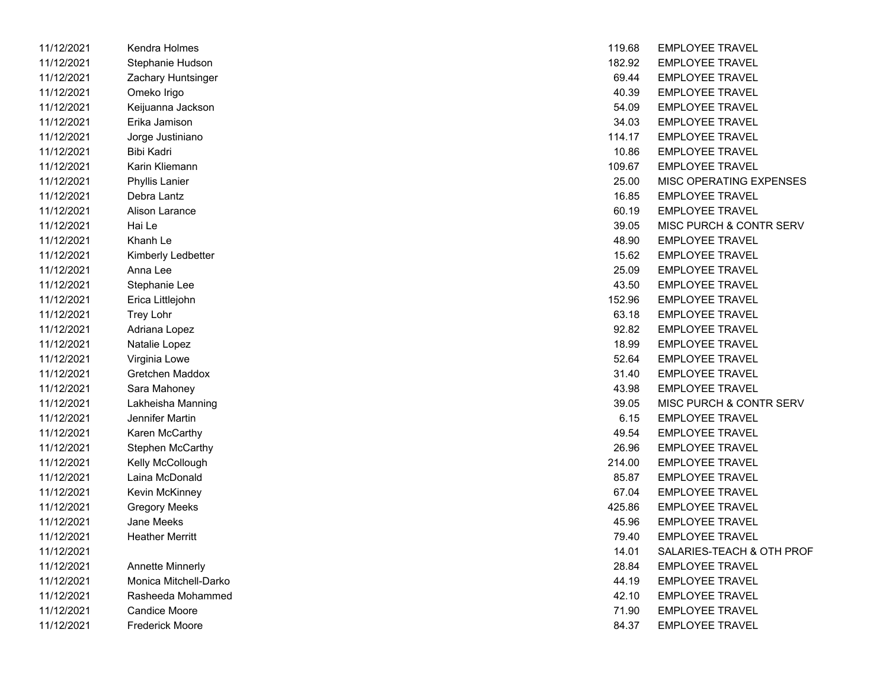| TI/TZ/ZUZT | Kendra Holmes           | 119.08 | EMPLOYEE IRAVEL        |
|------------|-------------------------|--------|------------------------|
| 11/12/2021 | Stephanie Hudson        | 182.92 | <b>EMPLOYEE TRAVEL</b> |
| 11/12/2021 | Zachary Huntsinger      | 69.44  | <b>EMPLOYEE TRAVEL</b> |
| 11/12/2021 | Omeko Irigo             | 40.39  | <b>EMPLOYEE TRAVEL</b> |
| 11/12/2021 | Keijuanna Jackson       | 54.09  | <b>EMPLOYEE TRAVEL</b> |
| 11/12/2021 | Erika Jamison           | 34.03  | <b>EMPLOYEE TRAVEL</b> |
| 11/12/2021 | Jorge Justiniano        | 114.17 | <b>EMPLOYEE TRAVEL</b> |
| 11/12/2021 | Bibi Kadri              | 10.86  | <b>EMPLOYEE TRAVEL</b> |
| 11/12/2021 | Karin Kliemann          | 109.67 | <b>EMPLOYEE TRAVEL</b> |
| 11/12/2021 | <b>Phyllis Lanier</b>   | 25.00  | MISC OPERATING E       |
| 11/12/2021 | Debra Lantz             | 16.85  | <b>EMPLOYEE TRAVEL</b> |
| 11/12/2021 | Alison Larance          | 60.19  | <b>EMPLOYEE TRAVEL</b> |
| 11/12/2021 | Hai Le                  | 39.05  | MISC PURCH & CON       |
| 11/12/2021 | Khanh Le                | 48.90  | <b>EMPLOYEE TRAVEL</b> |
| 11/12/2021 | Kimberly Ledbetter      | 15.62  | <b>EMPLOYEE TRAVEL</b> |
| 11/12/2021 | Anna Lee                | 25.09  | <b>EMPLOYEE TRAVEL</b> |
| 11/12/2021 | Stephanie Lee           | 43.50  | <b>EMPLOYEE TRAVEL</b> |
| 11/12/2021 | Erica Littlejohn        | 152.96 | <b>EMPLOYEE TRAVEL</b> |
| 11/12/2021 | <b>Trey Lohr</b>        | 63.18  | <b>EMPLOYEE TRAVEL</b> |
| 11/12/2021 | Adriana Lopez           | 92.82  | <b>EMPLOYEE TRAVEL</b> |
| 11/12/2021 | Natalie Lopez           | 18.99  | <b>EMPLOYEE TRAVEL</b> |
| 11/12/2021 | Virginia Lowe           | 52.64  | <b>EMPLOYEE TRAVEL</b> |
| 11/12/2021 | <b>Gretchen Maddox</b>  | 31.40  | <b>EMPLOYEE TRAVEL</b> |
| 11/12/2021 | Sara Mahoney            | 43.98  | <b>EMPLOYEE TRAVEL</b> |
| 11/12/2021 | Lakheisha Manning       | 39.05  | MISC PURCH & CON       |
| 11/12/2021 | Jennifer Martin         | 6.15   | <b>EMPLOYEE TRAVEL</b> |
| 11/12/2021 | Karen McCarthy          | 49.54  | <b>EMPLOYEE TRAVEL</b> |
| 11/12/2021 | Stephen McCarthy        | 26.96  | <b>EMPLOYEE TRAVEL</b> |
| 11/12/2021 | Kelly McCollough        | 214.00 | <b>EMPLOYEE TRAVEL</b> |
| 11/12/2021 | Laina McDonald          | 85.87  | <b>EMPLOYEE TRAVEL</b> |
| 11/12/2021 | Kevin McKinney          | 67.04  | <b>EMPLOYEE TRAVEL</b> |
| 11/12/2021 | <b>Gregory Meeks</b>    | 425.86 | <b>EMPLOYEE TRAVEL</b> |
| 11/12/2021 | Jane Meeks              | 45.96  | <b>EMPLOYEE TRAVEL</b> |
| 11/12/2021 | <b>Heather Merritt</b>  | 79.40  | <b>EMPLOYEE TRAVEL</b> |
| 11/12/2021 |                         | 14.01  | SALARIES-TEACH &       |
| 11/12/2021 | <b>Annette Minnerly</b> | 28.84  | <b>EMPLOYEE TRAVEL</b> |
| 11/12/2021 | Monica Mitchell-Darko   | 44.19  | <b>EMPLOYEE TRAVEL</b> |
| 11/12/2021 | Rasheeda Mohammed       | 42.10  | <b>EMPLOYEE TRAVEL</b> |
| 11/12/2021 | <b>Candice Moore</b>    | 71.90  | <b>EMPLOYEE TRAVEL</b> |
| 11/12/2021 | <b>Frederick Moore</b>  | 84.37  | <b>EMPLOYEE TRAVEL</b> |

| 11/12/2021 | Kendra Holmes           | 119.68 | <b>EMPLOYEE TRAVEL</b>             |
|------------|-------------------------|--------|------------------------------------|
| 11/12/2021 | Stephanie Hudson        | 182.92 | <b>EMPLOYEE TRAVEL</b>             |
| 11/12/2021 | Zachary Huntsinger      | 69.44  | <b>EMPLOYEE TRAVEL</b>             |
| 11/12/2021 | Omeko Irigo             | 40.39  | <b>EMPLOYEE TRAVEL</b>             |
| 11/12/2021 | Keijuanna Jackson       | 54.09  | <b>EMPLOYEE TRAVEL</b>             |
| 11/12/2021 | Erika Jamison           | 34.03  | <b>EMPLOYEE TRAVEL</b>             |
| 11/12/2021 | Jorge Justiniano        | 114.17 | <b>EMPLOYEE TRAVEL</b>             |
| 11/12/2021 | Bibi Kadri              | 10.86  | <b>EMPLOYEE TRAVEL</b>             |
| 11/12/2021 | Karin Kliemann          | 109.67 | <b>EMPLOYEE TRAVEL</b>             |
| 11/12/2021 | <b>Phyllis Lanier</b>   | 25.00  | MISC OPERATING EXPENSES            |
| 11/12/2021 | Debra Lantz             | 16.85  | <b>EMPLOYEE TRAVEL</b>             |
| 11/12/2021 | Alison Larance          | 60.19  | <b>EMPLOYEE TRAVEL</b>             |
| 11/12/2021 | Hai Le                  | 39.05  | <b>MISC PURCH &amp; CONTR SERV</b> |
| 11/12/2021 | Khanh Le                | 48.90  | <b>EMPLOYEE TRAVEL</b>             |
| 11/12/2021 | Kimberly Ledbetter      | 15.62  | <b>EMPLOYEE TRAVEL</b>             |
| 11/12/2021 | Anna Lee                | 25.09  | <b>EMPLOYEE TRAVEL</b>             |
| 11/12/2021 | Stephanie Lee           | 43.50  | <b>EMPLOYEE TRAVEL</b>             |
| 11/12/2021 | Erica Littlejohn        | 152.96 | <b>EMPLOYEE TRAVEL</b>             |
| 11/12/2021 | Trey Lohr               | 63.18  | <b>EMPLOYEE TRAVEL</b>             |
| 11/12/2021 | Adriana Lopez           | 92.82  | <b>EMPLOYEE TRAVEL</b>             |
| 11/12/2021 | Natalie Lopez           | 18.99  | <b>EMPLOYEE TRAVEL</b>             |
| 11/12/2021 | Virginia Lowe           | 52.64  | <b>EMPLOYEE TRAVEL</b>             |
| 11/12/2021 | Gretchen Maddox         | 31.40  | <b>EMPLOYEE TRAVEL</b>             |
| 11/12/2021 | Sara Mahoney            | 43.98  | <b>EMPLOYEE TRAVEL</b>             |
| 11/12/2021 | Lakheisha Manning       | 39.05  | MISC PURCH & CONTR SERV            |
| 11/12/2021 | Jennifer Martin         | 6.15   | <b>EMPLOYEE TRAVEL</b>             |
| 11/12/2021 | Karen McCarthy          | 49.54  | <b>EMPLOYEE TRAVEL</b>             |
| 11/12/2021 | Stephen McCarthy        | 26.96  | <b>EMPLOYEE TRAVEL</b>             |
| 11/12/2021 | Kelly McCollough        | 214.00 | <b>EMPLOYEE TRAVEL</b>             |
| 11/12/2021 | Laina McDonald          | 85.87  | <b>EMPLOYEE TRAVEL</b>             |
| 11/12/2021 | Kevin McKinney          | 67.04  | <b>EMPLOYEE TRAVEL</b>             |
| 11/12/2021 | <b>Gregory Meeks</b>    | 425.86 | <b>EMPLOYEE TRAVEL</b>             |
| 11/12/2021 | <b>Jane Meeks</b>       | 45.96  | <b>EMPLOYEE TRAVEL</b>             |
| 11/12/2021 | <b>Heather Merritt</b>  | 79.40  | <b>EMPLOYEE TRAVEL</b>             |
| 11/12/2021 |                         | 14.01  | SALARIES-TEACH & OTH PROF          |
| 11/12/2021 | <b>Annette Minnerly</b> | 28.84  | <b>EMPLOYEE TRAVEL</b>             |
| 11/12/2021 | Monica Mitchell-Darko   | 44.19  | <b>EMPLOYEE TRAVEL</b>             |
| 11/12/2021 | Rasheeda Mohammed       | 42.10  | <b>EMPLOYEE TRAVEL</b>             |
| 11/12/2021 | <b>Candice Moore</b>    | 71.90  | <b>EMPLOYEE TRAVEL</b>             |
| 11/12/2021 | <b>Frederick Moore</b>  | 84.37  | <b>EMPLOYEE TRAVEL</b>             |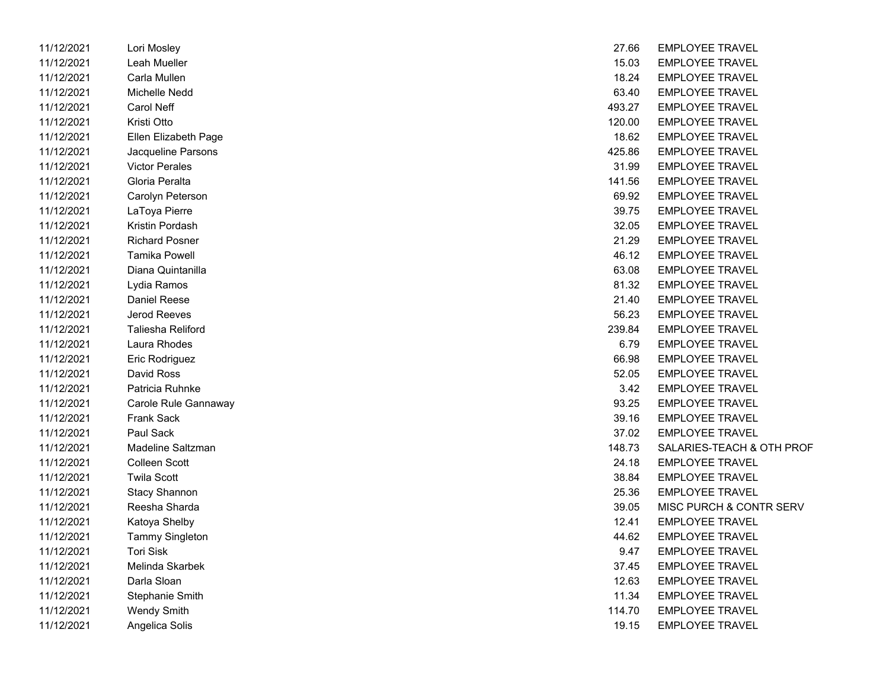| 11/12/2021 | Lori Mosley              | 27.66  | <b>EMPLOYEE TRAVEL</b> |
|------------|--------------------------|--------|------------------------|
| 11/12/2021 | Leah Mueller             | 15.03  | <b>EMPLOYEE TRAVEL</b> |
| 11/12/2021 | Carla Mullen             | 18.24  | <b>EMPLOYEE TRAVEL</b> |
| 11/12/2021 | <b>Michelle Nedd</b>     | 63.40  | <b>EMPLOYEE TRAVEL</b> |
| 11/12/2021 | Carol Neff               | 493.27 | <b>EMPLOYEE TRAVEL</b> |
| 11/12/2021 | Kristi Otto              | 120.00 | <b>EMPLOYEE TRAVEL</b> |
| 11/12/2021 | Ellen Elizabeth Page     | 18.62  | <b>EMPLOYEE TRAVEL</b> |
| 11/12/2021 | Jacqueline Parsons       | 425.86 | <b>EMPLOYEE TRAVEL</b> |
| 11/12/2021 | <b>Victor Perales</b>    | 31.99  | <b>EMPLOYEE TRAVEL</b> |
| 11/12/2021 | Gloria Peralta           | 141.56 | <b>EMPLOYEE TRAVEL</b> |
| 11/12/2021 | Carolyn Peterson         | 69.92  | <b>EMPLOYEE TRAVEL</b> |
| 11/12/2021 | LaToya Pierre            | 39.75  | <b>EMPLOYEE TRAVEL</b> |
| 11/12/2021 | Kristin Pordash          | 32.05  | <b>EMPLOYEE TRAVEL</b> |
| 11/12/2021 | <b>Richard Posner</b>    | 21.29  | <b>EMPLOYEE TRAVEL</b> |
| 11/12/2021 | <b>Tamika Powell</b>     | 46.12  | <b>EMPLOYEE TRAVEL</b> |
| 11/12/2021 | Diana Quintanilla        | 63.08  | <b>EMPLOYEE TRAVEL</b> |
| 11/12/2021 | Lydia Ramos              | 81.32  | <b>EMPLOYEE TRAVEL</b> |
| 11/12/2021 | Daniel Reese             | 21.40  | <b>EMPLOYEE TRAVEL</b> |
| 11/12/2021 | Jerod Reeves             | 56.23  | <b>EMPLOYEE TRAVEL</b> |
| 11/12/2021 | <b>Taliesha Reliford</b> | 239.84 | <b>EMPLOYEE TRAVEL</b> |
| 11/12/2021 | Laura Rhodes             | 6.79   | <b>EMPLOYEE TRAVEL</b> |
| 11/12/2021 | Eric Rodriguez           | 66.98  | <b>EMPLOYEE TRAVEL</b> |
| 11/12/2021 | David Ross               | 52.05  | <b>EMPLOYEE TRAVEL</b> |
| 11/12/2021 | Patricia Ruhnke          | 3.42   | <b>EMPLOYEE TRAVEL</b> |
| 11/12/2021 | Carole Rule Gannaway     | 93.25  | <b>EMPLOYEE TRAVEL</b> |
| 11/12/2021 | <b>Frank Sack</b>        | 39.16  | <b>EMPLOYEE TRAVEL</b> |
| 11/12/2021 | Paul Sack                | 37.02  | <b>EMPLOYEE TRAVEL</b> |
| 11/12/2021 | Madeline Saltzman        | 148.73 | SALARIES-TEACH &       |
| 11/12/2021 | Colleen Scott            | 24.18  | <b>EMPLOYEE TRAVEL</b> |
| 11/12/2021 | <b>Twila Scott</b>       | 38.84  | <b>EMPLOYEE TRAVEL</b> |
| 11/12/2021 | <b>Stacy Shannon</b>     | 25.36  | <b>EMPLOYEE TRAVEL</b> |
| 11/12/2021 | Reesha Sharda            | 39.05  | MISC PURCH & CON       |
| 11/12/2021 | Katoya Shelby            | 12.41  | <b>EMPLOYEE TRAVEL</b> |
| 11/12/2021 | <b>Tammy Singleton</b>   | 44.62  | <b>EMPLOYEE TRAVEL</b> |
| 11/12/2021 | <b>Tori Sisk</b>         | 9.47   | <b>EMPLOYEE TRAVEL</b> |
| 11/12/2021 | Melinda Skarbek          | 37.45  | <b>EMPLOYEE TRAVEL</b> |
| 11/12/2021 | Darla Sloan              | 12.63  | <b>EMPLOYEE TRAVEL</b> |
| 11/12/2021 | Stephanie Smith          | 11.34  | <b>EMPLOYEE TRAVEL</b> |
| 11/12/2021 | <b>Wendy Smith</b>       | 114.70 | <b>EMPLOYEE TRAVEL</b> |
| 11/12/2021 | Angelica Solis           | 19.15  | <b>EMPLOYEE TRAVEL</b> |

| 11/12/2021 | Lori Mosley            | 27.66  | <b>EMPLOYEE TRAVEL</b>    |
|------------|------------------------|--------|---------------------------|
| 11/12/2021 | Leah Mueller           | 15.03  | <b>EMPLOYEE TRAVEL</b>    |
| 11/12/2021 | Carla Mullen           | 18.24  | <b>EMPLOYEE TRAVEL</b>    |
| 11/12/2021 | Michelle Nedd          | 63.40  | <b>EMPLOYEE TRAVEL</b>    |
| 11/12/2021 | Carol Neff             | 493.27 | <b>EMPLOYEE TRAVEL</b>    |
| 11/12/2021 | Kristi Otto            | 120.00 | <b>EMPLOYEE TRAVEL</b>    |
| 11/12/2021 | Ellen Elizabeth Page   | 18.62  | <b>EMPLOYEE TRAVEL</b>    |
| 11/12/2021 | Jacqueline Parsons     | 425.86 | <b>EMPLOYEE TRAVEL</b>    |
| 11/12/2021 | <b>Victor Perales</b>  | 31.99  | <b>EMPLOYEE TRAVEL</b>    |
| 11/12/2021 | Gloria Peralta         | 141.56 | <b>EMPLOYEE TRAVEL</b>    |
| 11/12/2021 | Carolyn Peterson       | 69.92  | <b>EMPLOYEE TRAVEL</b>    |
| 11/12/2021 | LaToya Pierre          | 39.75  | <b>EMPLOYEE TRAVEL</b>    |
| 11/12/2021 | Kristin Pordash        | 32.05  | <b>EMPLOYEE TRAVEL</b>    |
| 11/12/2021 | <b>Richard Posner</b>  | 21.29  | <b>EMPLOYEE TRAVEL</b>    |
| 11/12/2021 | <b>Tamika Powell</b>   | 46.12  | <b>EMPLOYEE TRAVEL</b>    |
| 11/12/2021 | Diana Quintanilla      | 63.08  | <b>EMPLOYEE TRAVEL</b>    |
| 11/12/2021 | Lydia Ramos            | 81.32  | <b>EMPLOYEE TRAVEL</b>    |
| 11/12/2021 | Daniel Reese           | 21.40  | <b>EMPLOYEE TRAVEL</b>    |
| 11/12/2021 | <b>Jerod Reeves</b>    | 56.23  | <b>EMPLOYEE TRAVEL</b>    |
| 11/12/2021 | Taliesha Reliford      | 239.84 | <b>EMPLOYEE TRAVEL</b>    |
| 11/12/2021 | Laura Rhodes           | 6.79   | <b>EMPLOYEE TRAVEL</b>    |
| 11/12/2021 | Eric Rodriguez         | 66.98  | <b>EMPLOYEE TRAVEL</b>    |
| 11/12/2021 | David Ross             | 52.05  | <b>EMPLOYEE TRAVEL</b>    |
| 11/12/2021 | Patricia Ruhnke        | 3.42   | <b>EMPLOYEE TRAVEL</b>    |
| 11/12/2021 | Carole Rule Gannaway   | 93.25  | <b>EMPLOYEE TRAVEL</b>    |
| 11/12/2021 | <b>Frank Sack</b>      | 39.16  | <b>EMPLOYEE TRAVEL</b>    |
| 11/12/2021 | Paul Sack              | 37.02  | <b>EMPLOYEE TRAVEL</b>    |
| 11/12/2021 | Madeline Saltzman      | 148.73 | SALARIES-TEACH & OTH PROF |
| 11/12/2021 | <b>Colleen Scott</b>   | 24.18  | <b>EMPLOYEE TRAVEL</b>    |
| 11/12/2021 | <b>Twila Scott</b>     | 38.84  | <b>EMPLOYEE TRAVEL</b>    |
| 11/12/2021 | <b>Stacy Shannon</b>   | 25.36  | <b>EMPLOYEE TRAVEL</b>    |
| 11/12/2021 | Reesha Sharda          | 39.05  | MISC PURCH & CONTR SERV   |
| 11/12/2021 | Katoya Shelby          | 12.41  | <b>EMPLOYEE TRAVEL</b>    |
| 11/12/2021 | <b>Tammy Singleton</b> | 44.62  | <b>EMPLOYEE TRAVEL</b>    |
| 11/12/2021 | <b>Tori Sisk</b>       | 9.47   | <b>EMPLOYEE TRAVEL</b>    |
| 11/12/2021 | Melinda Skarbek        | 37.45  | <b>EMPLOYEE TRAVEL</b>    |
| 11/12/2021 | Darla Sloan            | 12.63  | <b>EMPLOYEE TRAVEL</b>    |
| 11/12/2021 | Stephanie Smith        | 11.34  | <b>EMPLOYEE TRAVEL</b>    |
| 11/12/2021 | <b>Wendy Smith</b>     | 114.70 | <b>EMPLOYEE TRAVEL</b>    |
| 11/12/2021 | Angelica Solis         | 19.15  | <b>EMPLOYEE TRAVEL</b>    |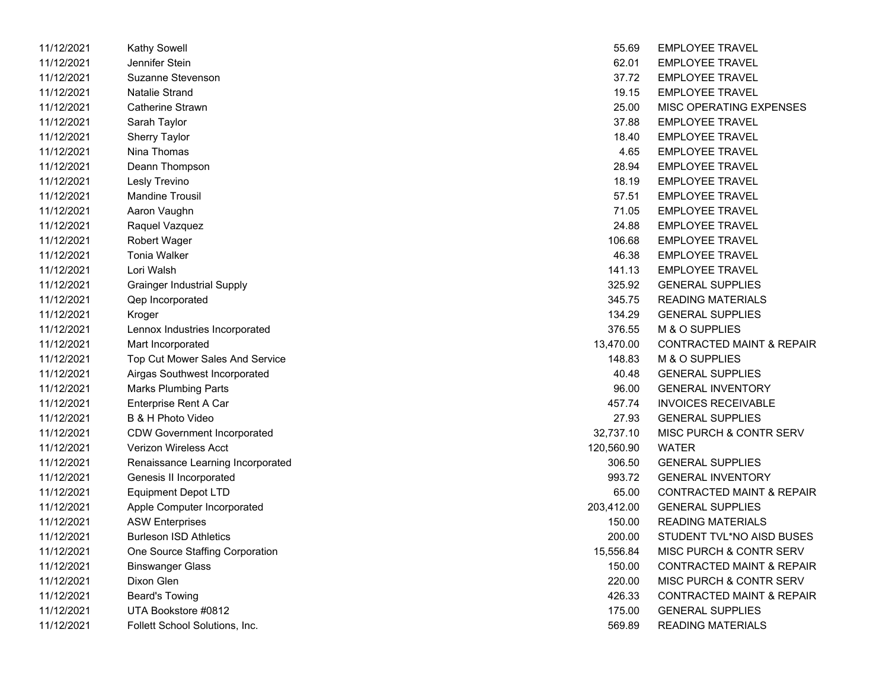| 11/12/2021 | Kathy Sowell                       | 55.69      | <b>EMPLOYEE TRAVEL</b>               |
|------------|------------------------------------|------------|--------------------------------------|
| 11/12/2021 | Jennifer Stein                     | 62.01      | <b>EMPLOYEE TRAVEL</b>               |
| 11/12/2021 | Suzanne Stevenson                  | 37.72      | <b>EMPLOYEE TRAVEL</b>               |
| 11/12/2021 | <b>Natalie Strand</b>              | 19.15      | <b>EMPLOYEE TRAVEL</b>               |
| 11/12/2021 | Catherine Strawn                   | 25.00      | MISC OPERATING EXPENSES              |
| 11/12/2021 | Sarah Taylor                       | 37.88      | <b>EMPLOYEE TRAVEL</b>               |
| 11/12/2021 | <b>Sherry Taylor</b>               | 18.40      | <b>EMPLOYEE TRAVEL</b>               |
| 11/12/2021 | Nina Thomas                        | 4.65       | <b>EMPLOYEE TRAVEL</b>               |
| 11/12/2021 | Deann Thompson                     | 28.94      | <b>EMPLOYEE TRAVEL</b>               |
| 11/12/2021 | Lesly Trevino                      | 18.19      | <b>EMPLOYEE TRAVEL</b>               |
| 11/12/2021 | <b>Mandine Trousil</b>             | 57.51      | <b>EMPLOYEE TRAVEL</b>               |
| 11/12/2021 | Aaron Vaughn                       | 71.05      | <b>EMPLOYEE TRAVEL</b>               |
| 11/12/2021 | Raquel Vazquez                     | 24.88      | <b>EMPLOYEE TRAVEL</b>               |
| 11/12/2021 | <b>Robert Wager</b>                | 106.68     | <b>EMPLOYEE TRAVEL</b>               |
| 11/12/2021 | <b>Tonia Walker</b>                | 46.38      | <b>EMPLOYEE TRAVEL</b>               |
| 11/12/2021 | Lori Walsh                         | 141.13     | <b>EMPLOYEE TRAVEL</b>               |
| 11/12/2021 | <b>Grainger Industrial Supply</b>  | 325.92     | <b>GENERAL SUPPLIES</b>              |
| 11/12/2021 | Qep Incorporated                   | 345.75     | <b>READING MATERIALS</b>             |
| 11/12/2021 | Kroger                             | 134.29     | <b>GENERAL SUPPLIES</b>              |
| 11/12/2021 | Lennox Industries Incorporated     | 376.55     | M & O SUPPLIES                       |
| 11/12/2021 | Mart Incorporated                  | 13,470.00  | <b>CONTRACTED MAINT &amp; REPAIR</b> |
| 11/12/2021 | Top Cut Mower Sales And Service    | 148.83     | M & O SUPPLIES                       |
| 11/12/2021 | Airgas Southwest Incorporated      | 40.48      | <b>GENERAL SUPPLIES</b>              |
| 11/12/2021 | <b>Marks Plumbing Parts</b>        | 96.00      | <b>GENERAL INVENTORY</b>             |
| 11/12/2021 | Enterprise Rent A Car              | 457.74     | <b>INVOICES RECEIVABLE</b>           |
| 11/12/2021 | B & H Photo Video                  | 27.93      | <b>GENERAL SUPPLIES</b>              |
| 11/12/2021 | <b>CDW Government Incorporated</b> | 32,737.10  | MISC PURCH & CONTR SERV              |
| 11/12/2021 | <b>Verizon Wireless Acct</b>       | 120,560.90 | <b>WATER</b>                         |
| 11/12/2021 | Renaissance Learning Incorporated  | 306.50     | <b>GENERAL SUPPLIES</b>              |
| 11/12/2021 | Genesis II Incorporated            | 993.72     | <b>GENERAL INVENTORY</b>             |
| 11/12/2021 | Equipment Depot LTD                | 65.00      | <b>CONTRACTED MAINT &amp; REPAIR</b> |
| 11/12/2021 | Apple Computer Incorporated        | 203,412.00 | <b>GENERAL SUPPLIES</b>              |
| 11/12/2021 | <b>ASW Enterprises</b>             | 150.00     | <b>READING MATERIALS</b>             |
| 11/12/2021 | <b>Burleson ISD Athletics</b>      | 200.00     | STUDENT TVL*NO AISD BUSES            |
| 11/12/2021 | One Source Staffing Corporation    | 15,556.84  | MISC PURCH & CONTR SERV              |
| 11/12/2021 | <b>Binswanger Glass</b>            | 150.00     | <b>CONTRACTED MAINT &amp; REPAIR</b> |
| 11/12/2021 | Dixon Glen                         | 220.00     | MISC PURCH & CONTR SERV              |
| 11/12/2021 | Beard's Towing                     | 426.33     | <b>CONTRACTED MAINT &amp; REPAIR</b> |
| 11/12/2021 | UTA Bookstore #0812                | 175.00     | <b>GENERAL SUPPLIES</b>              |
| 11/12/2021 | Follett School Solutions, Inc.     | 569.89     | <b>READING MATERIALS</b>             |

| 55.69      | <b>EMPLOYEE TRAVEL</b>               |
|------------|--------------------------------------|
| 62.01      | <b>EMPLOYEE TRAVEL</b>               |
| 37.72      | <b>EMPLOYEE TRAVEL</b>               |
| 19.15      | <b>EMPLOYEE TRAVEL</b>               |
| 25.00      | MISC OPERATING EXPENSES              |
| 37.88      | <b>EMPLOYEE TRAVEL</b>               |
| 18.40      | <b>EMPLOYEE TRAVEL</b>               |
| 4.65       | <b>EMPLOYEE TRAVEL</b>               |
| 28.94      | <b>EMPLOYEE TRAVEL</b>               |
| 18.19      | <b>EMPLOYEE TRAVEL</b>               |
| 57.51      | <b>EMPLOYEE TRAVEL</b>               |
| 71.05      | <b>EMPLOYEE TRAVEL</b>               |
| 24.88      | <b>EMPLOYEE TRAVEL</b>               |
| 106.68     | <b>EMPLOYEE TRAVEL</b>               |
| 46.38      | <b>EMPLOYEE TRAVEL</b>               |
| 141.13     | <b>EMPLOYEE TRAVEL</b>               |
| 325.92     | <b>GENERAL SUPPLIES</b>              |
| 345.75     | READING MATERIALS                    |
| 134.29     | <b>GENERAL SUPPLIES</b>              |
| 376.55     | M & O SUPPLIES                       |
| 13,470.00  | <b>CONTRACTED MAINT &amp; REPAIR</b> |
| 148.83     | M & O SUPPLIES                       |
| 40.48      | <b>GENERAL SUPPLIES</b>              |
| 96.00      | <b>GENERAL INVENTORY</b>             |
| 457.74     | <b>INVOICES RECEIVABLE</b>           |
| 27.93      | <b>GENERAL SUPPLIES</b>              |
| 32,737.10  | MISC PURCH & CONTR SERV              |
| 120.560.90 | <b>WATER</b>                         |
| 306.50     | <b>GENERAL SUPPLIES</b>              |
| 993.72     | <b>GENERAL INVENTORY</b>             |
| 65.00      | <b>CONTRACTED MAINT &amp; REPAIR</b> |
| 203,412.00 | <b>GENERAL SUPPLIES</b>              |
|            | 150.00 READING MATERIALS             |
| 200.00     | STUDENT TVL*NO AISD BUSES            |
| 15,556.84  | MISC PURCH & CONTR SERV              |
| 150.00     | <b>CONTRACTED MAINT &amp; REPAIR</b> |
| 220.00     | <b>MISC PURCH &amp; CONTR SERV</b>   |
| 426.33     | <b>CONTRACTED MAINT &amp; REPAIR</b> |
| 175.00     | <b>GENERAL SUPPLIES</b>              |
| 569.89     | <b>READING MATERIALS</b>             |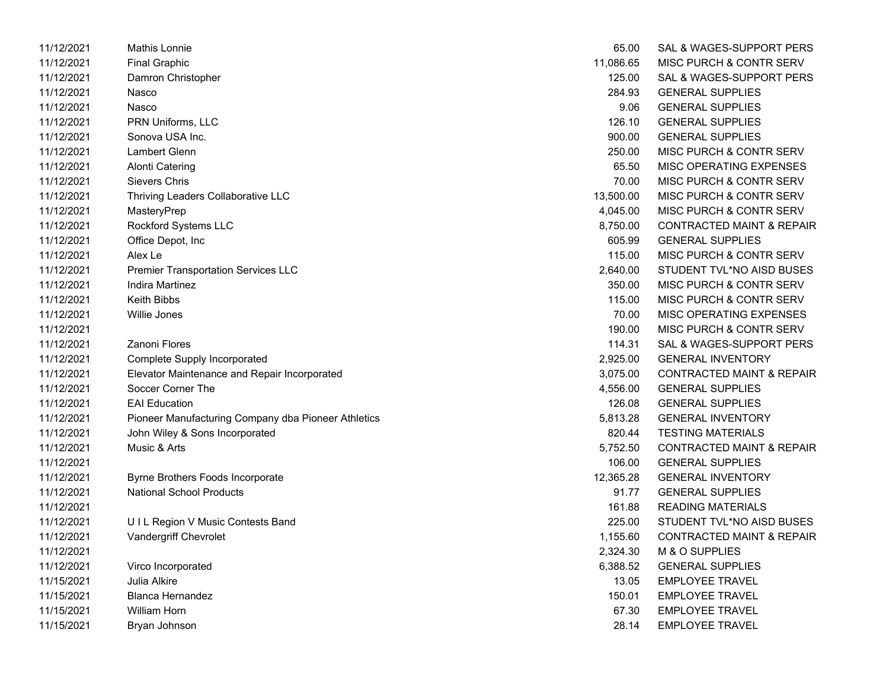| 11/12/2021 | Mathis Lonnie                                       | 65.00     | SAL & WAGES-SUPPORT PERS             |
|------------|-----------------------------------------------------|-----------|--------------------------------------|
| 11/12/2021 | <b>Final Graphic</b>                                | 11,086.65 | MISC PURCH & CONTR SERV              |
| 11/12/2021 | Damron Christopher                                  | 125.00    | SAL & WAGES-SUPPORT PERS             |
| 11/12/2021 | Nasco                                               | 284.93    | <b>GENERAL SUPPLIES</b>              |
| 11/12/2021 | Nasco                                               | 9.06      | <b>GENERAL SUPPLIES</b>              |
| 11/12/2021 | PRN Uniforms, LLC                                   | 126.10    | <b>GENERAL SUPPLIES</b>              |
| 11/12/2021 | Sonova USA Inc.                                     | 900.00    | <b>GENERAL SUPPLIES</b>              |
| 11/12/2021 | Lambert Glenn                                       | 250.00    | MISC PURCH & CONTR SERV              |
| 11/12/2021 | Alonti Catering                                     | 65.50     | MISC OPERATING EXPENSES              |
| 11/12/2021 | Sievers Chris                                       | 70.00     | MISC PURCH & CONTR SERV              |
| 11/12/2021 | Thriving Leaders Collaborative LLC                  | 13,500.00 | MISC PURCH & CONTR SERV              |
| 11/12/2021 | MasteryPrep                                         | 4,045.00  | MISC PURCH & CONTR SERV              |
| 11/12/2021 | Rockford Systems LLC                                | 8,750.00  | <b>CONTRACTED MAINT &amp; REPAIR</b> |
| 11/12/2021 | Office Depot, Inc.                                  | 605.99    | <b>GENERAL SUPPLIES</b>              |
| 11/12/2021 | Alex Le                                             | 115.00    | MISC PURCH & CONTR SERV              |
| 11/12/2021 | <b>Premier Transportation Services LLC</b>          | 2,640.00  | STUDENT TVL*NO AISD BUSES            |
| 11/12/2021 | Indira Martinez                                     | 350.00    | MISC PURCH & CONTR SERV              |
| 11/12/2021 | <b>Keith Bibbs</b>                                  | 115.00    | MISC PURCH & CONTR SERV              |
| 11/12/2021 | <b>Willie Jones</b>                                 | 70.00     | MISC OPERATING EXPENSES              |
| 11/12/2021 |                                                     | 190.00    | MISC PURCH & CONTR SERV              |
| 11/12/2021 | Zanoni Flores                                       | 114.31    | SAL & WAGES-SUPPORT PERS             |
| 11/12/2021 | Complete Supply Incorporated                        | 2,925.00  | <b>GENERAL INVENTORY</b>             |
| 11/12/2021 | Elevator Maintenance and Repair Incorporated        | 3,075.00  | <b>CONTRACTED MAINT &amp; REPAIR</b> |
| 11/12/2021 | Soccer Corner The                                   | 4,556.00  | <b>GENERAL SUPPLIES</b>              |
| 11/12/2021 | <b>EAI Education</b>                                | 126.08    | <b>GENERAL SUPPLIES</b>              |
| 11/12/2021 | Pioneer Manufacturing Company dba Pioneer Athletics | 5,813.28  | <b>GENERAL INVENTORY</b>             |
| 11/12/2021 | John Wiley & Sons Incorporated                      | 820.44    | <b>TESTING MATERIALS</b>             |
| 11/12/2021 | Music & Arts                                        | 5,752.50  | <b>CONTRACTED MAINT &amp; REPAIR</b> |
| 11/12/2021 |                                                     | 106.00    | <b>GENERAL SUPPLIES</b>              |
| 11/12/2021 | Byrne Brothers Foods Incorporate                    | 12,365.28 | <b>GENERAL INVENTORY</b>             |
| 11/12/2021 | <b>National School Products</b>                     | 91.77     | <b>GENERAL SUPPLIES</b>              |
| 11/12/2021 |                                                     | 161.88    | <b>READING MATERIALS</b>             |
| 11/12/2021 | UIL Region V Music Contests Band                    | 225.00    | STUDENT TVL*NO AISD BUSES            |
| 11/12/2021 | Vandergriff Chevrolet                               | 1,155.60  | <b>CONTRACTED MAINT &amp; REPAIR</b> |
| 11/12/2021 |                                                     | 2,324.30  | M & O SUPPLIES                       |
| 11/12/2021 | Virco Incorporated                                  | 6,388.52  | <b>GENERAL SUPPLIES</b>              |
| 11/15/2021 | Julia Alkire                                        | 13.05     | <b>EMPLOYEE TRAVEL</b>               |
| 11/15/2021 | <b>Blanca Hernandez</b>                             | 150.01    | <b>EMPLOYEE TRAVEL</b>               |
| 11/15/2021 | <b>William Horn</b>                                 | 67.30     | <b>EMPLOYEE TRAVEL</b>               |
| 11/15/2021 | Bryan Johnson                                       | 28.14     | EMPLOYEE TRAVEL                      |

| 65.00     | SAL & WAGES-SUPPORT PERS             |
|-----------|--------------------------------------|
| 11,086.65 | MISC PURCH & CONTR SERV              |
| 125.00    | <b>SAL &amp; WAGES-SUPPORT PERS</b>  |
| 284.93    | GENERAL SUPPLIES                     |
| 9.06      | <b>GENERAL SUPPLIES</b>              |
| 126.10    | <b>GENERAL SUPPLIES</b>              |
| 900.00    | <b>GENERAL SUPPLIES</b>              |
| 250.00    | <b>MISC PURCH &amp; CONTR SERV</b>   |
| 65.50     | <b>MISC OPERATING EXPENSES</b>       |
| 70.00     | MISC PURCH & CONTR SERV              |
| 13,500.00 | <b>MISC PURCH &amp; CONTR SERV</b>   |
| 4,045.00  | <b>MISC PURCH &amp; CONTR SERV</b>   |
| 8,750.00  | <b>CONTRACTED MAINT &amp; REPAIR</b> |
| 605.99    | <b>GENERAL SUPPLIES</b>              |
| 115.00    | <b>MISC PURCH &amp; CONTR SERV</b>   |
| 2,640.00  | <b>STUDENT TVL*NO AISD BUSES</b>     |
| 350.00    | <b>MISC PURCH &amp; CONTR SERV</b>   |
| 115.00    | <b>MISC PURCH &amp; CONTR SERV</b>   |
| 70.00     | <b>MISC OPERATING EXPENSES</b>       |
| 190.00    | MISC PURCH & CONTR SERV              |
| 114.31    | SAL & WAGES-SUPPORT PERS             |
| 2,925.00  | <b>GENERAL INVENTORY</b>             |
| 3,075.00  | CONTRACTED MAINT & REPAIR            |
| 4,556.00  | <b>GENERAL SUPPLIES</b>              |
| 126.08    | <b>GENERAL SUPPLIES</b>              |
| 5,813.28  | <b>GENERAL INVENTORY</b>             |
| 820.44    | <b>TESTING MATERIALS</b>             |
| 5,752.50  | <b>CONTRACTED MAINT &amp; REPAIR</b> |
| 106.00    | <b>GENERAL SUPPLIES</b>              |
| 12.365.28 | <b>GENERAL INVENTORY</b>             |
| 91.77     | <b>GENERAL SUPPLIES</b>              |
| 161.88    | <b>READING MATERIALS</b>             |
| 225.00    | STUDENT TVL*NO AISD BUSES            |
| 1,155.60  | <b>CONTRACTED MAINT &amp; REPAIR</b> |
| 2,324.30  | M & O SUPPLIES                       |
| 6,388.52  | <b>GENERAL SUPPLIES</b>              |
| 13.05     | <b>EMPLOYEE TRAVEL</b>               |
| 150.01    | <b>EMPLOYEE TRAVEL</b>               |
| 67.30     | <b>EMPLOYEE TRAVEL</b>               |
| 28.14     | <b>EMPLOYEE TRAVEL</b>               |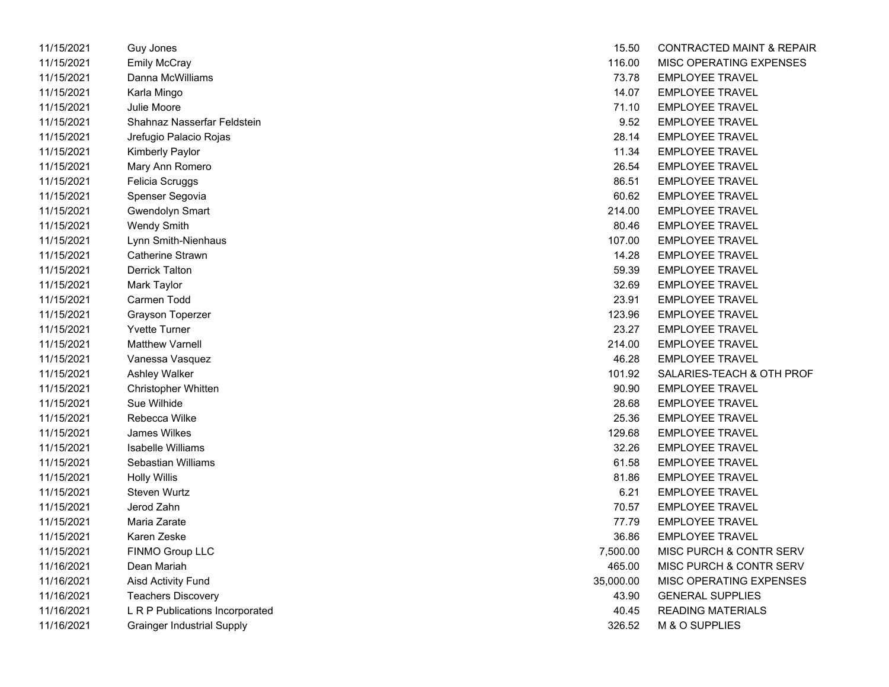| 11/15/2021 | Guy Jones                         | 15.50     | CONTRACTED MAINT & REPA  |
|------------|-----------------------------------|-----------|--------------------------|
| 11/15/2021 | <b>Emily McCray</b>               | 116.00    | MISC OPERATING EXPENSES  |
| 11/15/2021 | Danna McWilliams                  | 73.78     | <b>EMPLOYEE TRAVEL</b>   |
| 11/15/2021 | Karla Mingo                       | 14.07     | <b>EMPLOYEE TRAVEL</b>   |
| 11/15/2021 | <b>Julie Moore</b>                | 71.10     | <b>EMPLOYEE TRAVEL</b>   |
| 11/15/2021 | Shahnaz Nasserfar Feldstein       | 9.52      | <b>EMPLOYEE TRAVEL</b>   |
| 11/15/2021 | Jrefugio Palacio Rojas            | 28.14     | <b>EMPLOYEE TRAVEL</b>   |
| 11/15/2021 | Kimberly Paylor                   | 11.34     | <b>EMPLOYEE TRAVEL</b>   |
| 11/15/2021 | Mary Ann Romero                   | 26.54     | <b>EMPLOYEE TRAVEL</b>   |
| 11/15/2021 | Felicia Scruggs                   | 86.51     | <b>EMPLOYEE TRAVEL</b>   |
| 11/15/2021 | Spenser Segovia                   | 60.62     | <b>EMPLOYEE TRAVEL</b>   |
| 11/15/2021 | Gwendolyn Smart                   | 214.00    | <b>EMPLOYEE TRAVEL</b>   |
| 11/15/2021 | <b>Wendy Smith</b>                | 80.46     | <b>EMPLOYEE TRAVEL</b>   |
| 11/15/2021 | Lynn Smith-Nienhaus               | 107.00    | <b>EMPLOYEE TRAVEL</b>   |
| 11/15/2021 | Catherine Strawn                  | 14.28     | <b>EMPLOYEE TRAVEL</b>   |
| 11/15/2021 | <b>Derrick Talton</b>             | 59.39     | <b>EMPLOYEE TRAVEL</b>   |
| 11/15/2021 | Mark Taylor                       | 32.69     | <b>EMPLOYEE TRAVEL</b>   |
| 11/15/2021 | Carmen Todd                       | 23.91     | <b>EMPLOYEE TRAVEL</b>   |
| 11/15/2021 | Grayson Toperzer                  | 123.96    | <b>EMPLOYEE TRAVEL</b>   |
| 11/15/2021 | <b>Yvette Turner</b>              | 23.27     | <b>EMPLOYEE TRAVEL</b>   |
| 11/15/2021 | <b>Matthew Varnell</b>            | 214.00    | <b>EMPLOYEE TRAVEL</b>   |
| 11/15/2021 | Vanessa Vasquez                   | 46.28     | <b>EMPLOYEE TRAVEL</b>   |
| 11/15/2021 | Ashley Walker                     | 101.92    | SALARIES-TEACH & OTH PRC |
| 11/15/2021 | Christopher Whitten               | 90.90     | <b>EMPLOYEE TRAVEL</b>   |
| 11/15/2021 | Sue Wilhide                       | 28.68     | <b>EMPLOYEE TRAVEL</b>   |
| 11/15/2021 | Rebecca Wilke                     | 25.36     | <b>EMPLOYEE TRAVEL</b>   |
| 11/15/2021 | <b>James Wilkes</b>               | 129.68    | <b>EMPLOYEE TRAVEL</b>   |
| 11/15/2021 | Isabelle Williams                 | 32.26     | <b>EMPLOYEE TRAVEL</b>   |
| 11/15/2021 | Sebastian Williams                | 61.58     | <b>EMPLOYEE TRAVEL</b>   |
| 11/15/2021 | Holly Willis                      | 81.86     | <b>EMPLOYEE TRAVEL</b>   |
| 11/15/2021 | Steven Wurtz                      | 6.21      | <b>EMPLOYEE TRAVEL</b>   |
| 11/15/2021 | Jerod Zahn                        | 70.57     | <b>EMPLOYEE TRAVEL</b>   |
| 11/15/2021 | Maria Zarate                      | 77.79     | <b>EMPLOYEE TRAVEL</b>   |
| 11/15/2021 | Karen Zeske                       | 36.86     | <b>EMPLOYEE TRAVEL</b>   |
| 11/15/2021 | FINMO Group LLC                   | 7,500.00  | MISC PURCH & CONTR SERV  |
| 11/16/2021 | Dean Mariah                       | 465.00    | MISC PURCH & CONTR SERV  |
| 11/16/2021 | Aisd Activity Fund                | 35,000.00 | MISC OPERATING EXPENSES  |
| 11/16/2021 | <b>Teachers Discovery</b>         | 43.90     | <b>GENERAL SUPPLIES</b>  |
| 11/16/2021 | L R P Publications Incorporated   | 40.45     | <b>READING MATERIALS</b> |
| 11/16/2021 | <b>Grainger Industrial Supply</b> | 326.52    | M & O SUPPLIES           |

| 11/15/2021 | Guy Jones                         | 15.50     | <b>CONTRACTED MAINT &amp; REPAIR</b> |
|------------|-----------------------------------|-----------|--------------------------------------|
| 11/15/2021 | <b>Emily McCray</b>               | 116.00    | MISC OPERATING EXPENSES              |
| 11/15/2021 | Danna McWilliams                  | 73.78     | <b>EMPLOYEE TRAVEL</b>               |
| 11/15/2021 | Karla Mingo                       | 14.07     | <b>EMPLOYEE TRAVEL</b>               |
| 11/15/2021 | Julie Moore                       | 71.10     | <b>EMPLOYEE TRAVEL</b>               |
| 11/15/2021 | Shahnaz Nasserfar Feldstein       | 9.52      | <b>EMPLOYEE TRAVEL</b>               |
| 11/15/2021 | Jrefugio Palacio Rojas            | 28.14     | <b>EMPLOYEE TRAVEL</b>               |
| 11/15/2021 | Kimberly Paylor                   | 11.34     | <b>EMPLOYEE TRAVEL</b>               |
| 11/15/2021 | Mary Ann Romero                   | 26.54     | <b>EMPLOYEE TRAVEL</b>               |
| 11/15/2021 | Felicia Scruggs                   | 86.51     | <b>EMPLOYEE TRAVEL</b>               |
| 11/15/2021 | Spenser Segovia                   | 60.62     | <b>EMPLOYEE TRAVEL</b>               |
| 11/15/2021 | Gwendolyn Smart                   | 214.00    | <b>EMPLOYEE TRAVEL</b>               |
| 11/15/2021 | <b>Wendy Smith</b>                | 80.46     | <b>EMPLOYEE TRAVEL</b>               |
| 11/15/2021 | Lynn Smith-Nienhaus               | 107.00    | <b>EMPLOYEE TRAVEL</b>               |
| 11/15/2021 | Catherine Strawn                  | 14.28     | <b>EMPLOYEE TRAVEL</b>               |
| 11/15/2021 | <b>Derrick Talton</b>             | 59.39     | <b>EMPLOYEE TRAVEL</b>               |
| 11/15/2021 | Mark Taylor                       | 32.69     | <b>EMPLOYEE TRAVEL</b>               |
| 11/15/2021 | Carmen Todd                       | 23.91     | <b>EMPLOYEE TRAVEL</b>               |
| 11/15/2021 | Grayson Toperzer                  | 123.96    | <b>EMPLOYEE TRAVEL</b>               |
| 11/15/2021 | <b>Yvette Turner</b>              | 23.27     | <b>EMPLOYEE TRAVEL</b>               |
| 11/15/2021 | <b>Matthew Varnell</b>            | 214.00    | <b>EMPLOYEE TRAVEL</b>               |
| 11/15/2021 | Vanessa Vasquez                   | 46.28     | <b>EMPLOYEE TRAVEL</b>               |
| 11/15/2021 | Ashley Walker                     | 101.92    | SALARIES-TEACH & OTH PROF            |
| 11/15/2021 | <b>Christopher Whitten</b>        | 90.90     | <b>EMPLOYEE TRAVEL</b>               |
| 11/15/2021 | Sue Wilhide                       | 28.68     | <b>EMPLOYEE TRAVEL</b>               |
| 11/15/2021 | Rebecca Wilke                     | 25.36     | <b>EMPLOYEE TRAVEL</b>               |
| 11/15/2021 | James Wilkes                      | 129.68    | <b>EMPLOYEE TRAVEL</b>               |
| 11/15/2021 | Isabelle Williams                 | 32.26     | <b>EMPLOYEE TRAVEL</b>               |
| 11/15/2021 | Sebastian Williams                | 61.58     | <b>EMPLOYEE TRAVEL</b>               |
| 11/15/2021 | <b>Holly Willis</b>               | 81.86     | <b>EMPLOYEE TRAVEL</b>               |
| 11/15/2021 | Steven Wurtz                      | 6.21      | <b>EMPLOYEE TRAVEL</b>               |
| 11/15/2021 | Jerod Zahn                        | 70.57     | <b>EMPLOYEE TRAVEL</b>               |
| 11/15/2021 | Maria Zarate                      | 77.79     | <b>EMPLOYEE TRAVEL</b>               |
| 11/15/2021 | Karen Zeske                       | 36.86     | <b>EMPLOYEE TRAVEL</b>               |
| 11/15/2021 | FINMO Group LLC                   | 7,500.00  | MISC PURCH & CONTR SERV              |
| 11/16/2021 | Dean Mariah                       | 465.00    | MISC PURCH & CONTR SERV              |
| 11/16/2021 | Aisd Activity Fund                | 35,000.00 | MISC OPERATING EXPENSES              |
| 11/16/2021 | <b>Teachers Discovery</b>         | 43.90     | <b>GENERAL SUPPLIES</b>              |
| 11/16/2021 | L R P Publications Incorporated   | 40.45     | <b>READING MATERIALS</b>             |
| 11/16/2021 | <b>Grainger Industrial Supply</b> | 326.52    | M & O SUPPLIES                       |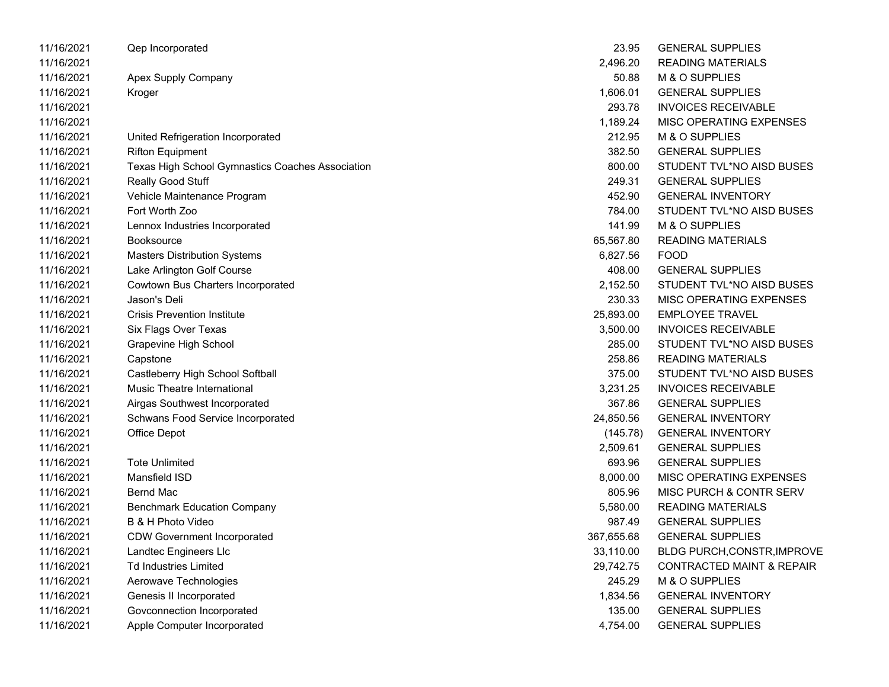| 11/16/2021 | Qep Incorporated                                 | 23.95      | <b>GENERAL SUPPLIES</b>              |
|------------|--------------------------------------------------|------------|--------------------------------------|
| 11/16/2021 |                                                  | 2,496.20   | <b>READING MATERIALS</b>             |
| 11/16/2021 | Apex Supply Company                              | 50.88      | M & O SUPPLIES                       |
| 11/16/2021 | Kroger                                           | 1,606.01   | <b>GENERAL SUPPLIES</b>              |
| 11/16/2021 |                                                  | 293.78     | <b>INVOICES RECEIVABLE</b>           |
| 11/16/2021 |                                                  | 1,189.24   | MISC OPERATING EXPENSES              |
| 11/16/2021 | United Refrigeration Incorporated                | 212.95     | M & O SUPPLIES                       |
| 11/16/2021 | <b>Rifton Equipment</b>                          | 382.50     | <b>GENERAL SUPPLIES</b>              |
| 11/16/2021 | Texas High School Gymnastics Coaches Association | 800.00     | STUDENT TVL*NO AISD BUSES            |
| 11/16/2021 | Really Good Stuff                                | 249.31     | <b>GENERAL SUPPLIES</b>              |
| 11/16/2021 | Vehicle Maintenance Program                      | 452.90     | <b>GENERAL INVENTORY</b>             |
| 11/16/2021 | Fort Worth Zoo                                   | 784.00     | STUDENT TVL*NO AISD BUSES            |
| 11/16/2021 | Lennox Industries Incorporated                   | 141.99     | M & O SUPPLIES                       |
| 11/16/2021 | <b>Booksource</b>                                | 65,567.80  | <b>READING MATERIALS</b>             |
| 11/16/2021 | <b>Masters Distribution Systems</b>              | 6,827.56   | <b>FOOD</b>                          |
| 11/16/2021 | Lake Arlington Golf Course                       | 408.00     | <b>GENERAL SUPPLIES</b>              |
| 11/16/2021 | Cowtown Bus Charters Incorporated                | 2,152.50   | STUDENT TVL*NO AISD BUSES            |
| 11/16/2021 | Jason's Deli                                     | 230.33     | MISC OPERATING EXPENSES              |
| 11/16/2021 | <b>Crisis Prevention Institute</b>               | 25,893.00  | <b>EMPLOYEE TRAVEL</b>               |
| 11/16/2021 | Six Flags Over Texas                             | 3,500.00   | <b>INVOICES RECEIVABLE</b>           |
| 11/16/2021 | Grapevine High School                            | 285.00     | STUDENT TVL*NO AISD BUSES            |
| 11/16/2021 | Capstone                                         | 258.86     | <b>READING MATERIALS</b>             |
| 11/16/2021 | Castleberry High School Softball                 | 375.00     | STUDENT TVL*NO AISD BUSES            |
| 11/16/2021 | <b>Music Theatre International</b>               | 3,231.25   | <b>INVOICES RECEIVABLE</b>           |
| 11/16/2021 | Airgas Southwest Incorporated                    | 367.86     | <b>GENERAL SUPPLIES</b>              |
| 11/16/2021 | Schwans Food Service Incorporated                | 24,850.56  | <b>GENERAL INVENTORY</b>             |
| 11/16/2021 | <b>Office Depot</b>                              | (145.78)   | <b>GENERAL INVENTORY</b>             |
| 11/16/2021 |                                                  | 2,509.61   | <b>GENERAL SUPPLIES</b>              |
| 11/16/2021 | <b>Tote Unlimited</b>                            | 693.96     | <b>GENERAL SUPPLIES</b>              |
| 11/16/2021 | Mansfield ISD                                    | 8,000.00   | MISC OPERATING EXPENSES              |
| 11/16/2021 | <b>Bernd Mac</b>                                 | 805.96     | MISC PURCH & CONTR SERV              |
| 11/16/2021 | <b>Benchmark Education Company</b>               | 5,580.00   | <b>READING MATERIALS</b>             |
| 11/16/2021 | B & H Photo Video                                | 987.49     | <b>GENERAL SUPPLIES</b>              |
| 11/16/2021 | <b>CDW Government Incorporated</b>               | 367,655.68 | <b>GENERAL SUPPLIES</b>              |
| 11/16/2021 | Landtec Engineers Llc                            | 33,110.00  | BLDG PURCH, CONSTR, IMPROVE          |
| 11/16/2021 | <b>Td Industries Limited</b>                     | 29,742.75  | <b>CONTRACTED MAINT &amp; REPAIR</b> |
| 11/16/2021 | Aerowave Technologies                            | 245.29     | M & O SUPPLIES                       |
| 11/16/2021 | Genesis II Incorporated                          | 1,834.56   | <b>GENERAL INVENTORY</b>             |
| 11/16/2021 | Govconnection Incorporated                       | 135.00     | <b>GENERAL SUPPLIES</b>              |
| 11/16/2021 | Apple Computer Incorporated                      | 4,754.00   | <b>GENERAL SUPPLIES</b>              |

| 23.95      | <b>GENERAL SUPPLIES</b>              |
|------------|--------------------------------------|
| 2,496.20   | <b>READING MATERIALS</b>             |
| 50.88      | <b>M &amp; O SUPPLIES</b>            |
| 1,606.01   | <b>GENERAL SUPPLIES</b>              |
| 293.78     | <b>INVOICES RECEIVABLE</b>           |
| 1,189.24   | <b>MISC OPERATING EXPENSES</b>       |
| 212.95     | <b>M &amp; O SUPPLIES</b>            |
| 382.50     | <b>GENERAL SUPPLIES</b>              |
| 800.00     | STUDENT TVL*NO AISD BUSES            |
| 249.31     | <b>GENERAL SUPPLIES</b>              |
| 452.90     | <b>GENERAL INVENTORY</b>             |
| 784.00     | STUDENT TVL*NO AISD BUSES            |
| 141.99     | M & O SUPPLIES                       |
| 65,567.80  | <b>READING MATERIALS</b>             |
| 6,827.56   | <b>FOOD</b>                          |
| 408.00     | <b>GENERAL SUPPLIES</b>              |
| 2,152.50   | STUDENT TVL*NO AISD BUSES            |
| 230.33     | <b>MISC OPERATING EXPENSES</b>       |
| 25,893.00  | <b>EMPLOYEE TRAVEL</b>               |
| 3,500.00   | <b>INVOICES RECEIVABLE</b>           |
| 285.00     | STUDENT TVL*NO AISD BUSES            |
| 258.86     | <b>READING MATERIALS</b>             |
| 375.00     | STUDENT TVL*NO AISD BUSES            |
| 3.231.25   | <b>INVOICES RECEIVABLE</b>           |
| 367.86     | <b>GENERAL SUPPLIES</b>              |
| 24,850.56  | <b>GENERAL INVENTORY</b>             |
| (145.78)   | <b>GENERAL INVENTORY</b>             |
| 2,509.61   | <b>GENERAL SUPPLIES</b>              |
| 693.96     | <b>GENERAL SUPPLIES</b>              |
| 8,000.00   | <b>MISC OPERATING EXPENSES</b>       |
| 805.96     | <b>MISC PURCH &amp; CONTR SERV</b>   |
| 5,580.00   | <b>READING MATERIALS</b>             |
| 987.49     | <b>GENERAL SUPPLIES</b>              |
| 367,655.68 | <b>GENERAL SUPPLIES</b>              |
| 33,110.00  | <b>BLDG PURCH, CONSTR, IMPROVE</b>   |
| 29,742.75  | <b>CONTRACTED MAINT &amp; REPAIR</b> |
| 245.29     | <b>M &amp; O SUPPLIES</b>            |
| 1,834.56   | <b>GENERAL INVENTORY</b>             |
| 135.00     | <b>GENERAL SUPPLIES</b>              |
| 4.754.00   | <b>GENERAL SUPPLIES</b>              |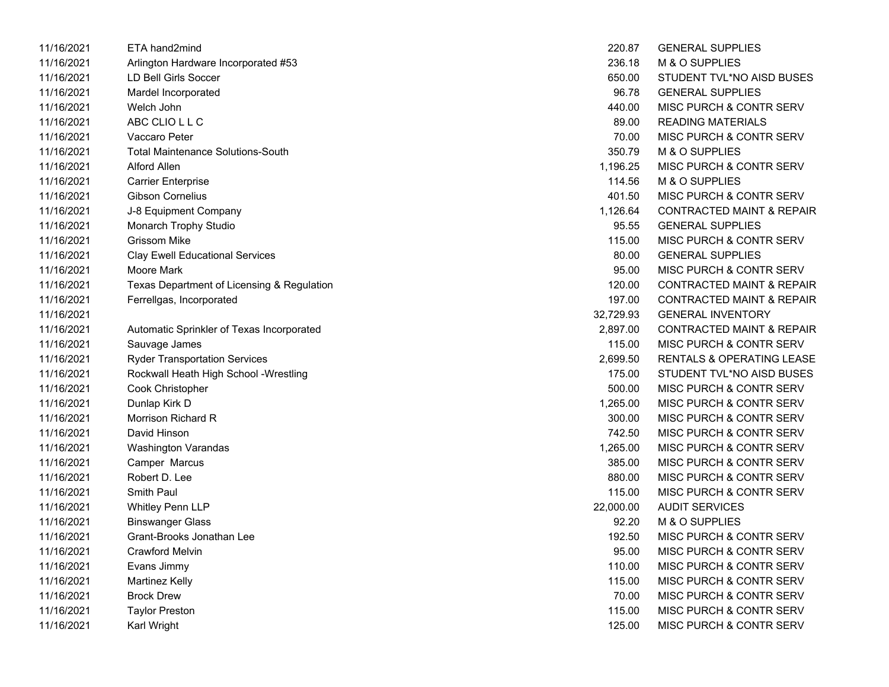| 11/16/2021 | ETA hand2mind                              | 220.87    | <b>GENERAL SUPPLIES</b>              |
|------------|--------------------------------------------|-----------|--------------------------------------|
| 11/16/2021 | Arlington Hardware Incorporated #53        | 236.18    | M & O SUPPLIES                       |
| 11/16/2021 | <b>LD Bell Girls Soccer</b>                | 650.00    | STUDENT TVL*NO AISD BUSES            |
| 11/16/2021 | Mardel Incorporated                        | 96.78     | <b>GENERAL SUPPLIES</b>              |
| 11/16/2021 | Welch John                                 | 440.00    | <b>MISC PURCH &amp; CONTR SERV</b>   |
| 11/16/2021 | ABC CLIO L L C                             | 89.00     | <b>READING MATERIALS</b>             |
| 11/16/2021 | Vaccaro Peter                              | 70.00     | <b>MISC PURCH &amp; CONTR SERV</b>   |
| 11/16/2021 | <b>Total Maintenance Solutions-South</b>   | 350.79    | M & O SUPPLIES                       |
| 11/16/2021 | Alford Allen                               | 1,196.25  | <b>MISC PURCH &amp; CONTR SERV</b>   |
| 11/16/2021 | <b>Carrier Enterprise</b>                  | 114.56    | M & O SUPPLIES                       |
| 11/16/2021 | <b>Gibson Cornelius</b>                    | 401.50    | <b>MISC PURCH &amp; CONTR SERV</b>   |
| 11/16/2021 | J-8 Equipment Company                      | 1,126.64  | <b>CONTRACTED MAINT &amp; REPAIR</b> |
| 11/16/2021 | Monarch Trophy Studio                      | 95.55     | <b>GENERAL SUPPLIES</b>              |
| 11/16/2021 | Grissom Mike                               | 115.00    | MISC PURCH & CONTR SERV              |
| 11/16/2021 | <b>Clay Ewell Educational Services</b>     | 80.00     | <b>GENERAL SUPPLIES</b>              |
| 11/16/2021 | Moore Mark                                 | 95.00     | MISC PURCH & CONTR SERV              |
| 11/16/2021 | Texas Department of Licensing & Regulation | 120.00    | <b>CONTRACTED MAINT &amp; REPAIR</b> |
| 11/16/2021 | Ferrellgas, Incorporated                   | 197.00    | <b>CONTRACTED MAINT &amp; REPAIR</b> |
| 11/16/2021 |                                            | 32,729.93 | <b>GENERAL INVENTORY</b>             |
| 11/16/2021 | Automatic Sprinkler of Texas Incorporated  | 2,897.00  | <b>CONTRACTED MAINT &amp; REPAIR</b> |
| 11/16/2021 | Sauvage James                              | 115.00    | <b>MISC PURCH &amp; CONTR SERV</b>   |
| 11/16/2021 | <b>Ryder Transportation Services</b>       | 2,699.50  | RENTALS & OPERATING LEASE            |
| 11/16/2021 | Rockwall Heath High School - Wrestling     | 175.00    | STUDENT TVL*NO AISD BUSES            |
| 11/16/2021 | Cook Christopher                           | 500.00    | MISC PURCH & CONTR SERV              |
| 11/16/2021 | Dunlap Kirk D                              | 1,265.00  | MISC PURCH & CONTR SERV              |
| 11/16/2021 | Morrison Richard R                         | 300.00    | MISC PURCH & CONTR SERV              |
| 11/16/2021 | David Hinson                               | 742.50    | MISC PURCH & CONTR SERV              |
| 11/16/2021 | <b>Washington Varandas</b>                 | 1,265.00  | <b>MISC PURCH &amp; CONTR SERV</b>   |
| 11/16/2021 | Camper Marcus                              | 385.00    | MISC PURCH & CONTR SERV              |
| 11/16/2021 | Robert D. Lee                              | 880.00    | MISC PURCH & CONTR SERV              |
| 11/16/2021 | Smith Paul                                 | 115.00    | <b>MISC PURCH &amp; CONTR SERV</b>   |
| 11/16/2021 | <b>Whitley Penn LLP</b>                    | 22,000.00 | <b>AUDIT SERVICES</b>                |
| 11/16/2021 | <b>Binswanger Glass</b>                    | 92.20     | M & O SUPPLIES                       |
| 11/16/2021 | Grant-Brooks Jonathan Lee                  | 192.50    | MISC PURCH & CONTR SERV              |
| 11/16/2021 | <b>Crawford Melvin</b>                     | 95.00     | MISC PURCH & CONTR SERV              |
| 11/16/2021 | Evans Jimmy                                | 110.00    | MISC PURCH & CONTR SERV              |
| 11/16/2021 | <b>Martinez Kelly</b>                      | 115.00    | MISC PURCH & CONTR SERV              |
| 11/16/2021 | <b>Brock Drew</b>                          | 70.00     | MISC PURCH & CONTR SERV              |
| 11/16/2021 | <b>Taylor Preston</b>                      | 115.00    | <b>MISC PURCH &amp; CONTR SERV</b>   |
| 11/16/2021 | Karl Wright                                | 125.00    | <b>MISC PURCH &amp; CONTR SERV</b>   |

| 220.87    | <b>GENERAL SUPPLIES</b>              |
|-----------|--------------------------------------|
| 236.18    | M & O SUPPLIES                       |
| 650.00    | STUDENT TVL*NO AISD BUSES            |
| 96.78     | <b>GENERAL SUPPLIES</b>              |
| 440.00    | MISC PURCH & CONTR SERV              |
| 89.00     | <b>READING MATERIALS</b>             |
| 70.00     | <b>MISC PURCH &amp; CONTR SERV</b>   |
| 350.79    | M & O SUPPLIES                       |
| 1,196.25  | <b>MISC PURCH &amp; CONTR SERV</b>   |
| 114.56    | <b>M &amp; O SUPPLIES</b>            |
| 401.50    | <b>MISC PURCH &amp; CONTR SERV</b>   |
| 1,126.64  | <b>CONTRACTED MAINT &amp; REPAIR</b> |
| 95.55     | <b>GENERAL SUPPLIES</b>              |
| 115.00    | MISC PURCH & CONTR SERV              |
| 80.00     | <b>GENERAL SUPPLIES</b>              |
| 95.00     | <b>MISC PURCH &amp; CONTR SERV</b>   |
| 120.00    | <b>CONTRACTED MAINT &amp; REPAIR</b> |
| 197.00    | <b>CONTRACTED MAINT &amp; REPAIR</b> |
| 32,729.93 | <b>GENERAL INVENTORY</b>             |
| 2,897.00  | <b>CONTRACTED MAINT &amp; REPAIR</b> |
| 115.00    | MISC PURCH & CONTR SERV              |
| 2.699.50  | <b>RENTALS &amp; OPERATING LEASE</b> |
| 175.00    | STUDENT TVL*NO AISD BUSES            |
| 500.00    | MISC PURCH & CONTR SERV              |
| 1,265.00  | <b>MISC PURCH &amp; CONTR SERV</b>   |
| 300.00    | <b>MISC PURCH &amp; CONTR SERV</b>   |
| 742.50    | <b>MISC PURCH &amp; CONTR SERV</b>   |
| 1,265.00  | <b>MISC PURCH &amp; CONTR SERV</b>   |
| 385.00    | <b>MISC PURCH &amp; CONTR SERV</b>   |
| 880.00    | <b>MISC PURCH &amp; CONTR SERV</b>   |
| 115.00    | <b>MISC PURCH &amp; CONTR SERV</b>   |
| 22,000.00 | <b>AUDIT SERVICES</b>                |
| 92.20     | M & O SUPPLIES                       |
| 192.50    | <b>MISC PURCH &amp; CONTR SERV</b>   |
| 95.00     | <b>MISC PURCH &amp; CONTR SERV</b>   |
| 110.00    | <b>MISC PURCH &amp; CONTR SERV</b>   |
| 115.00    | MISC PURCH & CONTR SERV              |
| 70.00     | <b>MISC PURCH &amp; CONTR SERV</b>   |
| 115.00    | <b>MISC PURCH &amp; CONTR SERV</b>   |
| 125.00    | MISC PURCH & CONTR SERV              |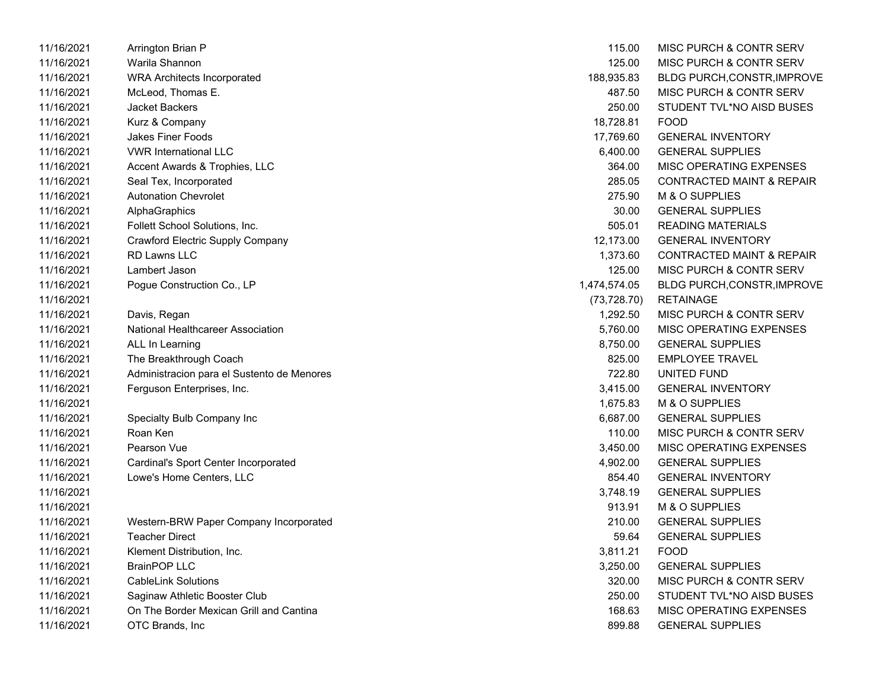| 11/16/2021 | Arrington Brian P                          | 115.00       | MISC PURCH & CONTR SERV              |
|------------|--------------------------------------------|--------------|--------------------------------------|
| 11/16/2021 | Warila Shannon                             | 125.00       | <b>MISC PURCH &amp; CONTR SERV</b>   |
| 11/16/2021 | <b>WRA Architects Incorporated</b>         | 188,935.83   | BLDG PURCH,CONSTR, IMPROVE           |
| 11/16/2021 | McLeod, Thomas E.                          | 487.50       | <b>MISC PURCH &amp; CONTR SERV</b>   |
| 11/16/2021 | <b>Jacket Backers</b>                      | 250.00       | STUDENT TVL*NO AISD BUSES            |
| 11/16/2021 | Kurz & Company                             | 18,728.81    | <b>FOOD</b>                          |
| 11/16/2021 | <b>Jakes Finer Foods</b>                   | 17,769.60    | <b>GENERAL INVENTORY</b>             |
| 11/16/2021 | <b>VWR International LLC</b>               | 6,400.00     | <b>GENERAL SUPPLIES</b>              |
| 11/16/2021 | Accent Awards & Trophies, LLC              | 364.00       | MISC OPERATING EXPENSES              |
| 11/16/2021 | Seal Tex, Incorporated                     | 285.05       | <b>CONTRACTED MAINT &amp; REPAIR</b> |
| 11/16/2021 | <b>Autonation Chevrolet</b>                | 275.90       | M & O SUPPLIES                       |
| 11/16/2021 | AlphaGraphics                              | 30.00        | <b>GENERAL SUPPLIES</b>              |
| 11/16/2021 | Follett School Solutions, Inc.             | 505.01       | <b>READING MATERIALS</b>             |
| 11/16/2021 | Crawford Electric Supply Company           | 12,173.00    | <b>GENERAL INVENTORY</b>             |
| 11/16/2021 | <b>RD Lawns LLC</b>                        | 1,373.60     | <b>CONTRACTED MAINT &amp; REPAIR</b> |
| 11/16/2021 | Lambert Jason                              | 125.00       | MISC PURCH & CONTR SERV              |
| 11/16/2021 | Pogue Construction Co., LP                 | 1,474,574.05 | <b>BLDG PURCH, CONSTR, IMPROVE</b>   |
| 11/16/2021 |                                            | (73, 728.70) | <b>RETAINAGE</b>                     |
| 11/16/2021 | Davis, Regan                               | 1,292.50     | MISC PURCH & CONTR SERV              |
| 11/16/2021 | National Healthcareer Association          | 5,760.00     | MISC OPERATING EXPENSES              |
| 11/16/2021 | ALL In Learning                            | 8,750.00     | <b>GENERAL SUPPLIES</b>              |
| 11/16/2021 | The Breakthrough Coach                     | 825.00       | <b>EMPLOYEE TRAVEL</b>               |
| 11/16/2021 | Administracion para el Sustento de Menores | 722.80       | UNITED FUND                          |
| 11/16/2021 | Ferguson Enterprises, Inc.                 | 3,415.00     | <b>GENERAL INVENTORY</b>             |
| 11/16/2021 |                                            | 1,675.83     | M & O SUPPLIES                       |
| 11/16/2021 | Specialty Bulb Company Inc                 | 6,687.00     | <b>GENERAL SUPPLIES</b>              |
| 11/16/2021 | Roan Ken                                   | 110.00       | MISC PURCH & CONTR SERV              |
| 11/16/2021 | Pearson Vue                                | 3,450.00     | MISC OPERATING EXPENSES              |
| 11/16/2021 | Cardinal's Sport Center Incorporated       | 4,902.00     | <b>GENERAL SUPPLIES</b>              |
| 11/16/2021 | Lowe's Home Centers, LLC                   | 854.40       | <b>GENERAL INVENTORY</b>             |
| 11/16/2021 |                                            | 3,748.19     | <b>GENERAL SUPPLIES</b>              |
| 11/16/2021 |                                            | 913.91       | M & O SUPPLIES                       |
| 11/16/2021 | Western-BRW Paper Company Incorporated     | 210.00       | <b>GENERAL SUPPLIES</b>              |
| 11/16/2021 | <b>Teacher Direct</b>                      | 59.64        | <b>GENERAL SUPPLIES</b>              |
| 11/16/2021 | Klement Distribution, Inc.                 | 3,811.21     | <b>FOOD</b>                          |
| 11/16/2021 | <b>BrainPOP LLC</b>                        | 3,250.00     | <b>GENERAL SUPPLIES</b>              |
| 11/16/2021 | <b>CableLink Solutions</b>                 | 320.00       | MISC PURCH & CONTR SERV              |
| 11/16/2021 | Saginaw Athletic Booster Club              | 250.00       | STUDENT TVL*NO AISD BUSES            |
| 11/16/2021 | On The Border Mexican Grill and Cantina    | 168.63       | MISC OPERATING EXPENSES              |
| 11/16/2021 | OTC Brands, Inc.                           | 899.88       | <b>GENERAL SUPPLIES</b>              |

| 115.00       | MISC PURCH & CONTR SERV              |
|--------------|--------------------------------------|
| 125.00       | MISC PURCH & CONTR SERV              |
| 188,935.83   | BLDG PURCH, CONSTR, IMPROVE          |
| 487.50       | <b>MISC PURCH &amp; CONTR SERV</b>   |
| 250.00       | STUDENT TVL*NO AISD BUSES            |
| 18.728.81    | FOOD                                 |
| 17,769.60    | <b>GENERAL INVENTORY</b>             |
| 6,400.00     | <b>GENERAL SUPPLIES</b>              |
| 364.00       | <b>MISC OPERATING EXPENSES</b>       |
| 285.05       | <b>CONTRACTED MAINT &amp; REPAIR</b> |
| 275.90       | M & O SUPPLIES                       |
| 30.00        | <b>GENERAL SUPPLIES</b>              |
| 505.01       | <b>READING MATERIALS</b>             |
| 12,173.00    | <b>GENERAL INVENTORY</b>             |
| 1,373.60     | <b>CONTRACTED MAINT &amp; REPAIR</b> |
| 125.00       | <b>MISC PURCH &amp; CONTR SERV</b>   |
| ,474,574.05  | BLDG PURCH, CONSTR, IMPROVE          |
| (73, 728.70) | <b>RETAINAGE</b>                     |
| 1,292.50     | MISC PURCH & CONTR SERV              |
| 5,760.00     | <b>MISC OPERATING EXPENSES</b>       |
| 8,750.00     | <b>GENERAL SUPPLIES</b>              |
| 825.00       | <b>FMPI OYFF TRAVEL</b>              |
| 722.80       | UNITED FUND                          |
| 3,415.00     | <b>GENERAL INVENTORY</b>             |
| 1,675.83     | M & O SUPPLIES                       |
| 6,687.00     | <b>GENERAL SUPPLIES</b>              |
| 110.00       | <b>MISC PURCH &amp; CONTR SERV</b>   |
| 3,450.00     | <b>MISC OPERATING EXPENSES</b>       |
| 4,902.00     | <b>GENERAL SUPPLIES</b>              |
| 854.40       | <b>GENERAL INVENTORY</b>             |
| 3,748.19     | <b>GENERAL SUPPLIES</b>              |
| 913.91       | M & O SUPPLIES                       |
| 210.00       | <b>GENERAL SUPPLIES</b>              |
| 59.64        | <b>GENERAL SUPPLIES</b>              |
| 3,811.21     | <b>FOOD</b>                          |
| 3,250.00     | <b>GENERAL SUPPLIES</b>              |
| 320.00       | MISC PURCH & CONTR SERV              |
| 250.00       | STUDENT TVL*NO AISD BUSES            |
| 168.63       | <b>MISC OPERATING EXPENSES</b>       |
| 899.88       | <b>GENERAL SUPPLIES</b>              |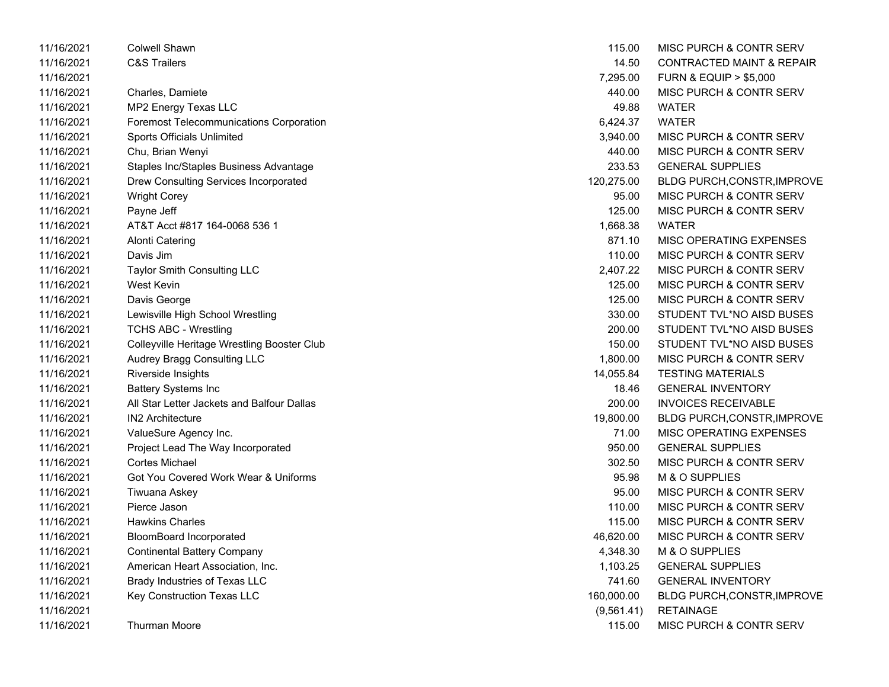| 11/16/2021 | <b>Colwell Shawn</b>                           | 115.00     | MISC PURCH & CONTR SERV              |
|------------|------------------------------------------------|------------|--------------------------------------|
| 11/16/2021 | <b>C&amp;S Trailers</b>                        | 14.50      | <b>CONTRACTED MAINT &amp; REPAIR</b> |
| 11/16/2021 |                                                | 7,295.00   | <b>FURN &amp; EQUIP &gt; \$5,000</b> |
| 11/16/2021 | Charles, Damiete                               | 440.00     | <b>MISC PURCH &amp; CONTR SERV</b>   |
| 11/16/2021 | MP2 Energy Texas LLC                           | 49.88      | <b>WATER</b>                         |
| 11/16/2021 | <b>Foremost Telecommunications Corporation</b> | 6,424.37   | <b>WATER</b>                         |
| 11/16/2021 | <b>Sports Officials Unlimited</b>              | 3,940.00   | <b>MISC PURCH &amp; CONTR SERV</b>   |
| 11/16/2021 | Chu, Brian Wenyi                               | 440.00     | <b>MISC PURCH &amp; CONTR SERV</b>   |
| 11/16/2021 | Staples Inc/Staples Business Advantage         | 233.53     | <b>GENERAL SUPPLIES</b>              |
| 11/16/2021 | Drew Consulting Services Incorporated          | 120,275.00 | <b>BLDG PURCH,CONSTR,IMPROVE</b>     |
| 11/16/2021 | <b>Wright Corey</b>                            | 95.00      | MISC PURCH & CONTR SERV              |
| 11/16/2021 | Payne Jeff                                     | 125.00     | <b>MISC PURCH &amp; CONTR SERV</b>   |
| 11/16/2021 | AT&T Acct #817 164-0068 536 1                  | 1,668.38   | <b>WATER</b>                         |
| 11/16/2021 | Alonti Catering                                | 871.10     | MISC OPERATING EXPENSES              |
| 11/16/2021 | Davis Jim                                      | 110.00     | MISC PURCH & CONTR SERV              |
| 11/16/2021 | Taylor Smith Consulting LLC                    | 2,407.22   | <b>MISC PURCH &amp; CONTR SERV</b>   |
| 11/16/2021 | <b>West Kevin</b>                              | 125.00     | <b>MISC PURCH &amp; CONTR SERV</b>   |
| 11/16/2021 | Davis George                                   | 125.00     | <b>MISC PURCH &amp; CONTR SERV</b>   |
| 11/16/2021 | Lewisville High School Wrestling               | 330.00     | STUDENT TVL*NO AISD BUSES            |
| 11/16/2021 | <b>TCHS ABC - Wrestling</b>                    | 200.00     | STUDENT TVL*NO AISD BUSES            |
| 11/16/2021 | Colleyville Heritage Wrestling Booster Club    | 150.00     | STUDENT TVL*NO AISD BUSES            |
| 11/16/2021 | Audrey Bragg Consulting LLC                    | 1,800.00   | <b>MISC PURCH &amp; CONTR SERV</b>   |
| 11/16/2021 | Riverside Insights                             | 14,055.84  | <b>TESTING MATERIALS</b>             |
| 11/16/2021 | <b>Battery Systems Inc</b>                     | 18.46      | <b>GENERAL INVENTORY</b>             |
| 11/16/2021 | All Star Letter Jackets and Balfour Dallas     | 200.00     | <b>INVOICES RECEIVABLE</b>           |
| 11/16/2021 | IN2 Architecture                               | 19,800.00  | <b>BLDG PURCH, CONSTR, IMPROVE</b>   |
| 11/16/2021 | ValueSure Agency Inc.                          | 71.00      | MISC OPERATING EXPENSES              |
| 11/16/2021 | Project Lead The Way Incorporated              | 950.00     | <b>GENERAL SUPPLIES</b>              |
| 11/16/2021 | <b>Cortes Michael</b>                          | 302.50     | <b>MISC PURCH &amp; CONTR SERV</b>   |
| 11/16/2021 | Got You Covered Work Wear & Uniforms           | 95.98      | M & O SUPPLIES                       |
| 11/16/2021 | Tiwuana Askey                                  | 95.00      | <b>MISC PURCH &amp; CONTR SERV</b>   |
| 11/16/2021 | Pierce Jason                                   | 110.00     | <b>MISC PURCH &amp; CONTR SERV</b>   |
| 11/16/2021 | <b>Hawkins Charles</b>                         | 115.00     | <b>MISC PURCH &amp; CONTR SERV</b>   |
| 11/16/2021 | <b>BloomBoard Incorporated</b>                 | 46,620.00  | <b>MISC PURCH &amp; CONTR SERV</b>   |
| 11/16/2021 | <b>Continental Battery Company</b>             | 4,348.30   | M & O SUPPLIES                       |
| 11/16/2021 | American Heart Association, Inc.               | 1,103.25   | <b>GENERAL SUPPLIES</b>              |
| 11/16/2021 | Brady Industries of Texas LLC                  | 741.60     | <b>GENERAL INVENTORY</b>             |
| 11/16/2021 | Key Construction Texas LLC                     | 160,000.00 | <b>BLDG PURCH,CONSTR,IMPROVE</b>     |
| 11/16/2021 |                                                | (9,561.41) | <b>RETAINAGE</b>                     |
| 11/16/2021 | <b>Thurman Moore</b>                           | 115.00     | MISC PURCH & CONTR SERV              |

| 115.00      | <b>MISC PURCH &amp; CONTR SERV</b>   |
|-------------|--------------------------------------|
| 14.50       | CONTRACTED MAINT & REPAIR            |
| 7,295.00    | <b>FURN &amp; EQUIP &gt; \$5,000</b> |
| 440.00      | <b>MISC PURCH &amp; CONTR SERV</b>   |
| 49.88       | WATER                                |
| 6,424.37    | <b>WATER</b>                         |
| 3,940.00    | <b>MISC PURCH &amp; CONTR SERV</b>   |
| 440.00      | <b>MISC PURCH &amp; CONTR SERV</b>   |
| 233.53      | <b>GENERAL SUPPLIES</b>              |
| 120,275.00  | BLDG PURCH, CONSTR, IMPROVE          |
| 95.00       | <b>MISC PURCH &amp; CONTR SERV</b>   |
| 125.00      | <b>MISC PURCH &amp; CONTR SERV</b>   |
| 1,668.38    | WATER                                |
| 871.10      | <b>MISC OPERATING EXPENSES</b>       |
| 110.00      | <b>MISC PURCH &amp; CONTR SERV</b>   |
| 2,407.22    | <b>MISC PURCH &amp; CONTR SERV</b>   |
| 125.00      | <b>MISC PURCH &amp; CONTR SERV</b>   |
| 125.00      | <b>MISC PURCH &amp; CONTR SERV</b>   |
| 330.00      | STUDENT TVL*NO AISD BUSES            |
| 200.00      | STUDENT TVL*NO AISD BUSES            |
| 150.00      | STUDENT TVL*NO AISD BUSES            |
| 1,800.00    | <b>MISC PURCH &amp; CONTR SERV</b>   |
| 14,055.84   | <b>TESTING MATERIALS</b>             |
| 18.46       | <b>GENERAL INVENTORY</b>             |
| 200.00      | <b>INVOICES RECEIVABLE</b>           |
| 19,800.00   | <b>BLDG PURCH, CONSTR, IMPROVE</b>   |
| 71.00       | <b>MISC OPERATING EXPENSES</b>       |
| 950.00      | <b>GENERAL SUPPLIES</b>              |
| 302.50      | <b>MISC PURCH &amp; CONTR SERV</b>   |
| 95.98       | M & O SUPPLIES                       |
| 95.00       | <b>MISC PURCH &amp; CONTR SERV</b>   |
| 110.00      | <b>MISC PURCH &amp; CONTR SERV</b>   |
| 115.00      | <b>MISC PURCH &amp; CONTR SERV</b>   |
| 46,620.00   | <b>MISC PURCH &amp; CONTR SERV</b>   |
| 4,348.30    | <b>M &amp; O SUPPLIES</b>            |
| 1,103.25    | <b>GENERAL SUPPLIES</b>              |
| 741.60      | <b>GENERAL INVENTORY</b>             |
| 160,000.00  | BLDG PURCH, CONSTR, IMPROVE          |
| (9, 561.41) | <b>RETAINAGE</b>                     |
| 115.00      | MISC PURCH & CONTR SERV              |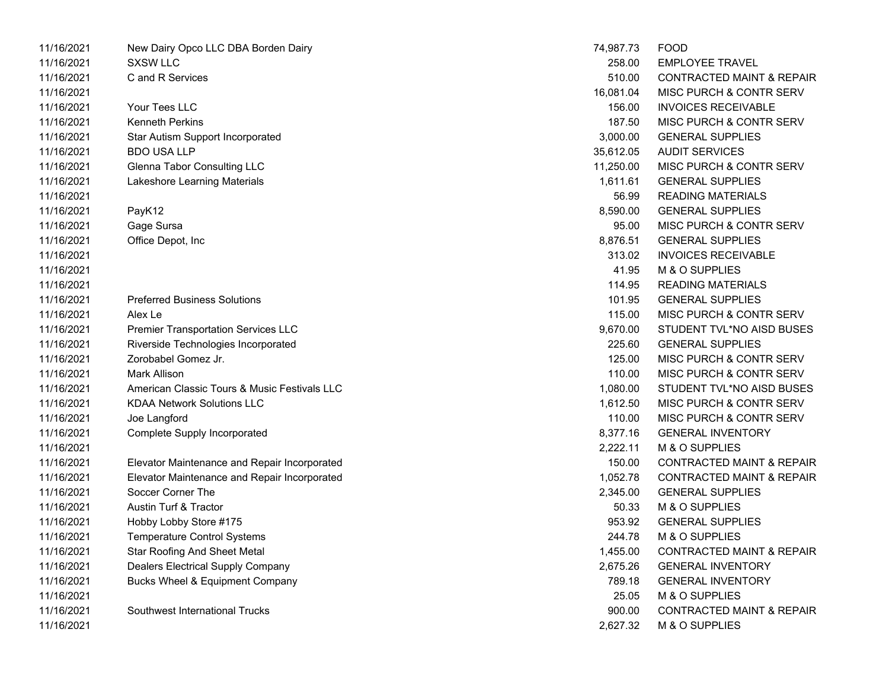| 11/16/2021 | New Dairy Opco LLC DBA Borden Dairy          | 74,987.73 | <b>FOOD</b>                          |
|------------|----------------------------------------------|-----------|--------------------------------------|
| 11/16/2021 | <b>SXSW LLC</b>                              | 258.00    | <b>EMPLOYEE TRAVEL</b>               |
| 11/16/2021 | C and R Services                             | 510.00    | <b>CONTRACTED MAINT &amp; REPAIR</b> |
| 11/16/2021 |                                              | 16,081.04 | MISC PURCH & CONTR SERV              |
| 11/16/2021 | Your Tees LLC                                | 156.00    | <b>INVOICES RECEIVABLE</b>           |
| 11/16/2021 | <b>Kenneth Perkins</b>                       | 187.50    | MISC PURCH & CONTR SERV              |
| 11/16/2021 | Star Autism Support Incorporated             | 3,000.00  | <b>GENERAL SUPPLIES</b>              |
| 11/16/2021 | <b>BDO USA LLP</b>                           | 35,612.05 | <b>AUDIT SERVICES</b>                |
| 11/16/2021 | <b>Glenna Tabor Consulting LLC</b>           | 11,250.00 | MISC PURCH & CONTR SERV              |
| 11/16/2021 | Lakeshore Learning Materials                 | 1,611.61  | <b>GENERAL SUPPLIES</b>              |
| 11/16/2021 |                                              | 56.99     | <b>READING MATERIALS</b>             |
| 11/16/2021 | PayK12                                       | 8,590.00  | <b>GENERAL SUPPLIES</b>              |
| 11/16/2021 | Gage Sursa                                   | 95.00     | MISC PURCH & CONTR SERV              |
| 11/16/2021 | Office Depot, Inc                            | 8,876.51  | <b>GENERAL SUPPLIES</b>              |
| 11/16/2021 |                                              | 313.02    | <b>INVOICES RECEIVABLE</b>           |
| 11/16/2021 |                                              | 41.95     | M & O SUPPLIES                       |
| 11/16/2021 |                                              | 114.95    | <b>READING MATERIALS</b>             |
| 11/16/2021 | <b>Preferred Business Solutions</b>          | 101.95    | <b>GENERAL SUPPLIES</b>              |
| 11/16/2021 | Alex Le                                      | 115.00    | MISC PURCH & CONTR SERV              |
| 11/16/2021 | <b>Premier Transportation Services LLC</b>   | 9,670.00  | STUDENT TVL*NO AISD BUSES            |
| 11/16/2021 | Riverside Technologies Incorporated          | 225.60    | <b>GENERAL SUPPLIES</b>              |
| 11/16/2021 | Zorobabel Gomez Jr.                          | 125.00    | MISC PURCH & CONTR SERV              |
| 11/16/2021 | <b>Mark Allison</b>                          | 110.00    | MISC PURCH & CONTR SERV              |
| 11/16/2021 | American Classic Tours & Music Festivals LLC | 1,080.00  | STUDENT TVL*NO AISD BUSES            |
| 11/16/2021 | <b>KDAA Network Solutions LLC</b>            | 1,612.50  | MISC PURCH & CONTR SERV              |
| 11/16/2021 | Joe Langford                                 | 110.00    | MISC PURCH & CONTR SERV              |
| 11/16/2021 | Complete Supply Incorporated                 | 8,377.16  | <b>GENERAL INVENTORY</b>             |
| 11/16/2021 |                                              | 2,222.11  | M & O SUPPLIES                       |
| 11/16/2021 | Elevator Maintenance and Repair Incorporated | 150.00    | <b>CONTRACTED MAINT &amp; REPAIR</b> |
| 11/16/2021 | Elevator Maintenance and Repair Incorporated | 1,052.78  | <b>CONTRACTED MAINT &amp; REPAIR</b> |
| 11/16/2021 | Soccer Corner The                            | 2,345.00  | <b>GENERAL SUPPLIES</b>              |
| 11/16/2021 | Austin Turf & Tractor                        | 50.33     | M & O SUPPLIES                       |
| 11/16/2021 | Hobby Lobby Store #175                       | 953.92    | <b>GENERAL SUPPLIES</b>              |
| 11/16/2021 | <b>Temperature Control Systems</b>           | 244.78    | M & O SUPPLIES                       |
| 11/16/2021 | <b>Star Roofing And Sheet Metal</b>          | 1,455.00  | <b>CONTRACTED MAINT &amp; REPAIR</b> |
| 11/16/2021 | Dealers Electrical Supply Company            | 2,675.26  | <b>GENERAL INVENTORY</b>             |
| 11/16/2021 | Bucks Wheel & Equipment Company              | 789.18    | <b>GENERAL INVENTORY</b>             |
| 11/16/2021 |                                              | 25.05     | M & O SUPPLIES                       |
| 11/16/2021 | Southwest International Trucks               | 900.00    | <b>CONTRACTED MAINT &amp; REPAIR</b> |
| 11/16/2021 |                                              | 2,627.32  | M & O SUPPLIES                       |

| 74,987.73 | FOOD                                 |
|-----------|--------------------------------------|
| 258.00    | <b>EMPLOYEE TRAVEL</b>               |
| 510.00    | <b>CONTRACTED MAINT &amp; REPAIR</b> |
| 16,081.04 | MISC PURCH & CONTR SERV              |
| 156.00    | <b>INVOICES RECEIVABLE</b>           |
| 187.50    | MISC PURCH & CONTR SERV              |
| 3,000.00  | <b>GENERAL SUPPLIES</b>              |
| 35,612.05 | <b>AUDIT SERVICES</b>                |
| 11,250.00 | MISC PURCH & CONTR SERV              |
| 1,611.61  | <b>GENERAL SUPPLIES</b>              |
| 56.99     | <b>READING MATERIALS</b>             |
| 8,590.00  | <b>GENERAL SUPPLIES</b>              |
|           | 95.00 MISC PURCH & CONTR SERV        |
| 8,876.51  | <b>GENERAL SUPPLIES</b>              |
| 313.02    | <b>INVOICES RECEIVABLE</b>           |
| 41.95     | M & O SUPPLIES                       |
| 114.95    | <b>READING MATERIALS</b>             |
| 101.95    | <b>GENERAL SUPPLIES</b>              |
| 115.00    | MISC PURCH & CONTR SERV              |
| 9,670.00  | STUDENT TVL*NO AISD BUSES            |
| 225.60    | <b>GENERAL SUPPLIES</b>              |
| 125.00    | MISC PURCH & CONTR SERV              |
| 110.00    | MISC PURCH & CONTR SERV              |
| 1,080.00  | STUDENT TVL*NO AISD BUSES            |
| 1,612.50  | MISC PURCH & CONTR SERV              |
| 110.00    | MISC PURCH & CONTR SERV              |
| 8,377.16  | <b>GENERAL INVENTORY</b>             |
| 2,222.11  | M & O SUPPLIES                       |
| 150.00    | <b>CONTRACTED MAINT &amp; REPAIR</b> |
| 1,052.78  | <b>CONTRACTED MAINT &amp; REPAIR</b> |
| 2,345.00  | <b>GENERAL SUPPLIES</b>              |
| 50.33     | M & O SUPPLIES                       |
| 953.92    | <b>GENERAL SUPPLIES</b>              |
| 244.78    | M & O SUPPLIES                       |
| 1,455.00  | <b>CONTRACTED MAINT &amp; REPAIR</b> |
| 2,675.26  | <b>GENERAL INVENTORY</b>             |
| 789.18    | <b>GENERAL INVENTORY</b>             |
| 25.05     | M & O SUPPLIES                       |
| 900.00    | <b>CONTRACTED MAINT &amp; REPAIR</b> |
| 2,627.32  | M & O SUPPLIES                       |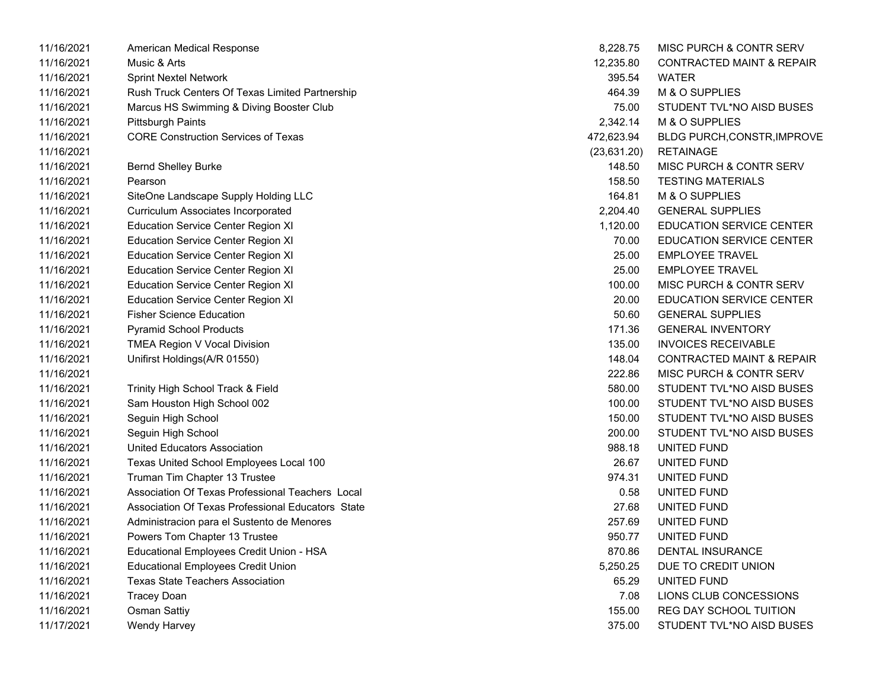| 11/16/2021 | American Medical Response                         | 8,228.75     | MISC PURCH & CONTR SERV              |
|------------|---------------------------------------------------|--------------|--------------------------------------|
| 11/16/2021 | Music & Arts                                      | 12,235.80    | <b>CONTRACTED MAINT &amp; REPAIR</b> |
| 11/16/2021 | <b>Sprint Nextel Network</b>                      | 395.54       | <b>WATER</b>                         |
| 11/16/2021 | Rush Truck Centers Of Texas Limited Partnership   | 464.39       | M & O SUPPLIES                       |
| 11/16/2021 | Marcus HS Swimming & Diving Booster Club          | 75.00        | STUDENT TVL*NO AISD BUSES            |
| 11/16/2021 | Pittsburgh Paints                                 | 2,342.14     | M & O SUPPLIES                       |
| 11/16/2021 | <b>CORE Construction Services of Texas</b>        | 472,623.94   | <b>BLDG PURCH, CONSTR, IMPROVE</b>   |
| 11/16/2021 |                                                   | (23, 631.20) | <b>RETAINAGE</b>                     |
| 11/16/2021 | <b>Bernd Shelley Burke</b>                        | 148.50       | MISC PURCH & CONTR SERV              |
| 11/16/2021 | Pearson                                           | 158.50       | <b>TESTING MATERIALS</b>             |
| 11/16/2021 | SiteOne Landscape Supply Holding LLC              | 164.81       | M & O SUPPLIES                       |
| 11/16/2021 | <b>Curriculum Associates Incorporated</b>         | 2,204.40     | <b>GENERAL SUPPLIES</b>              |
| 11/16/2021 | <b>Education Service Center Region XI</b>         | 1,120.00     | <b>EDUCATION SERVICE CENTER</b>      |
| 11/16/2021 | <b>Education Service Center Region XI</b>         | 70.00        | <b>EDUCATION SERVICE CENTER</b>      |
| 11/16/2021 | <b>Education Service Center Region XI</b>         | 25.00        | <b>EMPLOYEE TRAVEL</b>               |
| 11/16/2021 | <b>Education Service Center Region XI</b>         | 25.00        | <b>EMPLOYEE TRAVEL</b>               |
| 11/16/2021 | <b>Education Service Center Region XI</b>         | 100.00       | MISC PURCH & CONTR SERV              |
| 11/16/2021 | <b>Education Service Center Region XI</b>         | 20.00        | <b>EDUCATION SERVICE CENTER</b>      |
| 11/16/2021 | <b>Fisher Science Education</b>                   | 50.60        | <b>GENERAL SUPPLIES</b>              |
| 11/16/2021 | <b>Pyramid School Products</b>                    | 171.36       | <b>GENERAL INVENTORY</b>             |
| 11/16/2021 | <b>TMEA Region V Vocal Division</b>               | 135.00       | <b>INVOICES RECEIVABLE</b>           |
| 11/16/2021 | Unifirst Holdings(A/R 01550)                      | 148.04       | <b>CONTRACTED MAINT &amp; REPAIR</b> |
| 11/16/2021 |                                                   | 222.86       | MISC PURCH & CONTR SERV              |
| 11/16/2021 | Trinity High School Track & Field                 | 580.00       | STUDENT TVL*NO AISD BUSES            |
| 11/16/2021 | Sam Houston High School 002                       | 100.00       | STUDENT TVL*NO AISD BUSES            |
| 11/16/2021 | Seguin High School                                | 150.00       | STUDENT TVL*NO AISD BUSES            |
| 11/16/2021 | Seguin High School                                | 200.00       | STUDENT TVL*NO AISD BUSES            |
| 11/16/2021 | United Educators Association                      | 988.18       | UNITED FUND                          |
| 11/16/2021 | Texas United School Employees Local 100           | 26.67        | UNITED FUND                          |
| 11/16/2021 | Truman Tim Chapter 13 Trustee                     | 974.31       | UNITED FUND                          |
| 11/16/2021 | Association Of Texas Professional Teachers Local  | 0.58         | UNITED FUND                          |
| 11/16/2021 | Association Of Texas Professional Educators State | 27.68        | UNITED FUND                          |
| 11/16/2021 | Administracion para el Sustento de Menores        | 257.69       | UNITED FUND                          |
| 11/16/2021 | Powers Tom Chapter 13 Trustee                     | 950.77       | UNITED FUND                          |
| 11/16/2021 | Educational Employees Credit Union - HSA          | 870.86       | <b>DENTAL INSURANCE</b>              |
| 11/16/2021 | <b>Educational Employees Credit Union</b>         | 5,250.25     | DUE TO CREDIT UNION                  |
| 11/16/2021 | <b>Texas State Teachers Association</b>           | 65.29        | UNITED FUND                          |
| 11/16/2021 | <b>Tracey Doan</b>                                | 7.08         | LIONS CLUB CONCESSIONS               |
| 11/16/2021 | <b>Osman Sattiy</b>                               | 155.00       | REG DAY SCHOOL TUITION               |
| 11/17/2021 | Wendy Harvey                                      | 375.00       | STUDENT TVL*NO AISD BUSES            |

| 8,228.75     | <b>MISC PURCH &amp; CONTR SERV</b>   |
|--------------|--------------------------------------|
| 12,235.80    | <b>CONTRACTED MAINT &amp; REPAIR</b> |
| 395.54       | <b>WATFR</b>                         |
| 464.39       | M & O SUPPLIES                       |
| 75.00        | STUDENT TVL*NO AISD BUSES            |
| 2,342.14     | M & O SUPPLIES                       |
| 472,623.94   | BLDG PURCH, CONSTR, IMPROVE          |
| (23, 631.20) | RETAINAGE                            |
| 148.50       | <b>MISC PURCH &amp; CONTR SERV</b>   |
| 158.50       | <b>TESTING MATERIALS</b>             |
| 164.81       | M & O SUPPLIES                       |
| 2,204.40     | <b>GENERAL SUPPLIES</b>              |
| 1,120.00     | <b>EDUCATION SERVICE CENTER</b>      |
| 70.00        | <b>EDUCATION SERVICE CENTER</b>      |
| 25.00        | <b>EMPLOYEE TRAVEL</b>               |
| 25.00        | <b>EMPLOYEE TRAVEL</b>               |
| 100.00       | MISC PURCH & CONTR SERV              |
| 20.00        | <b>EDUCATION SERVICE CENTER</b>      |
| 50.60        | <b>GENERAL SUPPLIES</b>              |
| 171.36       | <b>GENERAL INVENTORY</b>             |
| 135.00       | <b>INVOICES RECEIVABLE</b>           |
| 148.04       | <b>CONTRACTED MAINT &amp; REPAIR</b> |
| 222.86       | <b>MISC PURCH &amp; CONTR SERV</b>   |
| 580.00       | STUDENT TVL*NO AISD BUSES            |
| 100.00       | STUDENT TVL*NO AISD BUSES            |
| 150.00       | STUDENT TVL*NO AISD BUSES            |
| 200.00       | STUDENT TVL*NO AISD BUSES            |
| 988.18       | UNITED FUND                          |
| 26.67        | UNITED FUND                          |
| 974.31       | UNITED FUND                          |
| 0.58         | UNITED FUND                          |
| 27.68        | UNITED FUND                          |
| 257.69       | UNITED FUND                          |
| 950.77       | UNITED FUND                          |
| 870.86       | <b>DENTAL INSURANCE</b>              |
| 5,250.25     | DUE TO CREDIT UNION                  |
| 65.29        | <b>UNITED FUND</b>                   |
| 7.08         | LIONS CLUB CONCESSIONS               |
| 155.00       | REG DAY SCHOOL TUITION               |
| 375.00       | STUDENT TVL*NO AISD BUSES            |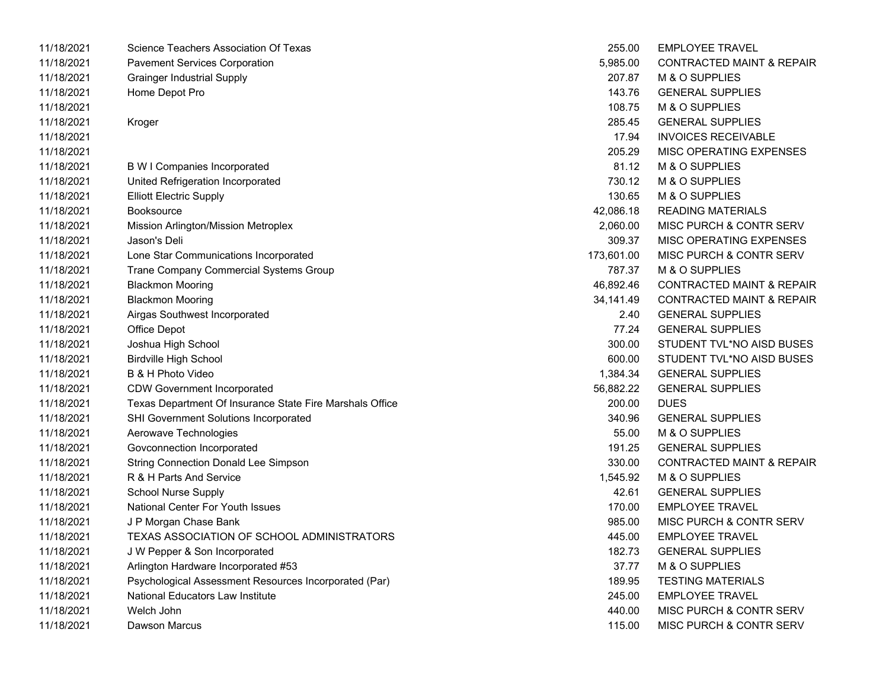| 11/18/2021 | Science Teachers Association Of Texas                    | 255.00     | <b>EMPLOYEE TRAVEL</b>               |
|------------|----------------------------------------------------------|------------|--------------------------------------|
| 11/18/2021 | <b>Pavement Services Corporation</b>                     | 5,985.00   | <b>CONTRACTED MAINT &amp; REPAIR</b> |
| 11/18/2021 | <b>Grainger Industrial Supply</b>                        | 207.87     | M & O SUPPLIES                       |
| 11/18/2021 | Home Depot Pro                                           | 143.76     | <b>GENERAL SUPPLIES</b>              |
| 11/18/2021 |                                                          | 108.75     | M & O SUPPLIES                       |
| 11/18/2021 | Kroger                                                   | 285.45     | <b>GENERAL SUPPLIES</b>              |
| 11/18/2021 |                                                          | 17.94      | <b>INVOICES RECEIVABLE</b>           |
| 11/18/2021 |                                                          | 205.29     | MISC OPERATING EXPENSES              |
| 11/18/2021 | <b>B W I Companies Incorporated</b>                      | 81.12      | M & O SUPPLIES                       |
| 11/18/2021 | United Refrigeration Incorporated                        | 730.12     | M & O SUPPLIES                       |
| 11/18/2021 | <b>Elliott Electric Supply</b>                           | 130.65     | M & O SUPPLIES                       |
| 11/18/2021 | Booksource                                               | 42,086.18  | <b>READING MATERIALS</b>             |
| 11/18/2021 | Mission Arlington/Mission Metroplex                      | 2,060.00   | MISC PURCH & CONTR SERV              |
| 11/18/2021 | Jason's Deli                                             | 309.37     | MISC OPERATING EXPENSES              |
| 11/18/2021 | Lone Star Communications Incorporated                    | 173,601.00 | MISC PURCH & CONTR SERV              |
| 11/18/2021 | Trane Company Commercial Systems Group                   | 787.37     | M & O SUPPLIES                       |
| 11/18/2021 | <b>Blackmon Mooring</b>                                  | 46,892.46  | <b>CONTRACTED MAINT &amp; REPAIR</b> |
| 11/18/2021 | <b>Blackmon Mooring</b>                                  | 34,141.49  | <b>CONTRACTED MAINT &amp; REPAIR</b> |
| 11/18/2021 | Airgas Southwest Incorporated                            | 2.40       | <b>GENERAL SUPPLIES</b>              |
| 11/18/2021 | Office Depot                                             | 77.24      | <b>GENERAL SUPPLIES</b>              |
| 11/18/2021 | Joshua High School                                       | 300.00     | STUDENT TVL*NO AISD BUSES            |
| 11/18/2021 | <b>Birdville High School</b>                             | 600.00     | STUDENT TVL*NO AISD BUSES            |
| 11/18/2021 | B & H Photo Video                                        | 1,384.34   | <b>GENERAL SUPPLIES</b>              |
| 11/18/2021 | <b>CDW Government Incorporated</b>                       | 56,882.22  | <b>GENERAL SUPPLIES</b>              |
| 11/18/2021 | Texas Department Of Insurance State Fire Marshals Office | 200.00     | <b>DUES</b>                          |
| 11/18/2021 | <b>SHI Government Solutions Incorporated</b>             | 340.96     | <b>GENERAL SUPPLIES</b>              |
| 11/18/2021 | Aerowave Technologies                                    | 55.00      | M & O SUPPLIES                       |
| 11/18/2021 | Govconnection Incorporated                               | 191.25     | <b>GENERAL SUPPLIES</b>              |
| 11/18/2021 | <b>String Connection Donald Lee Simpson</b>              | 330.00     | <b>CONTRACTED MAINT &amp; REPAIR</b> |
| 11/18/2021 | R & H Parts And Service                                  | 1,545.92   | M & O SUPPLIES                       |
| 11/18/2021 | <b>School Nurse Supply</b>                               | 42.61      | <b>GENERAL SUPPLIES</b>              |
| 11/18/2021 | <b>National Center For Youth Issues</b>                  | 170.00     | <b>EMPLOYEE TRAVEL</b>               |
| 11/18/2021 | J P Morgan Chase Bank                                    | 985.00     | MISC PURCH & CONTR SERV              |
| 11/18/2021 | <b>TEXAS ASSOCIATION OF SCHOOL ADMINISTRATORS</b>        | 445.00     | <b>EMPLOYEE TRAVEL</b>               |
| 11/18/2021 | J W Pepper & Son Incorporated                            | 182.73     | <b>GENERAL SUPPLIES</b>              |
| 11/18/2021 | Arlington Hardware Incorporated #53                      | 37.77      | M & O SUPPLIES                       |
| 11/18/2021 | Psychological Assessment Resources Incorporated (Par)    | 189.95     | <b>TESTING MATERIALS</b>             |
| 11/18/2021 | National Educators Law Institute                         | 245.00     | <b>EMPLOYEE TRAVEL</b>               |
| 11/18/2021 | Welch John                                               | 440.00     | MISC PURCH & CONTR SERV              |
| 11/18/2021 | Dawson Marcus                                            | 115.00     | MISC PURCH & CONTR SERV              |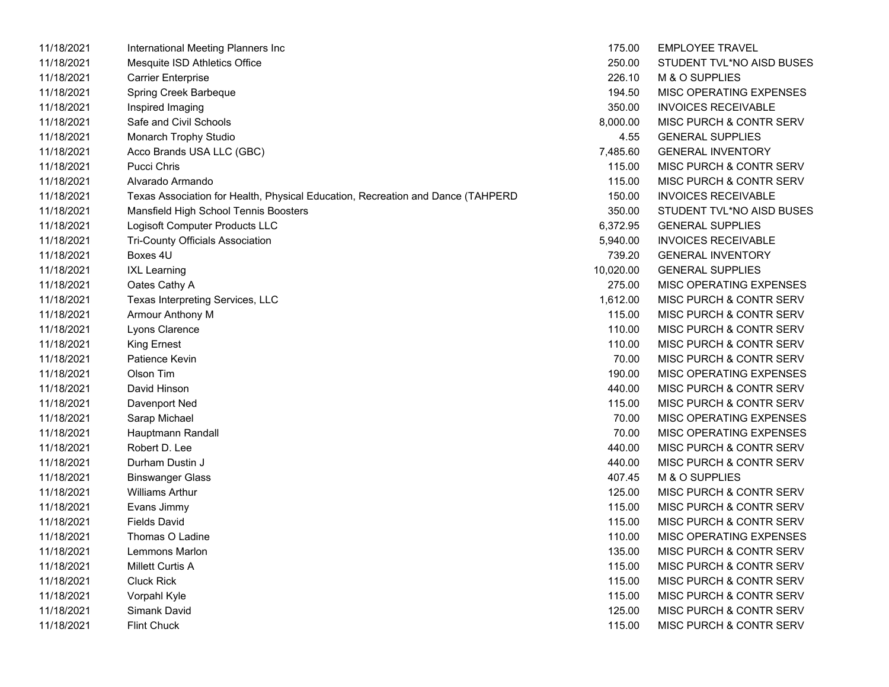| 11/18/2021 | International Meeting Planners Inc                                              | 175.00    | <b>EMPLOYEE TRAVEL</b>             |
|------------|---------------------------------------------------------------------------------|-----------|------------------------------------|
| 11/18/2021 | Mesquite ISD Athletics Office                                                   | 250.00    | STUDENT TVL*NO AISD BUSES          |
| 11/18/2021 | <b>Carrier Enterprise</b>                                                       | 226.10    | M & O SUPPLIES                     |
| 11/18/2021 | Spring Creek Barbeque                                                           | 194.50    | MISC OPERATING EXPENSES            |
| 11/18/2021 | Inspired Imaging                                                                | 350.00    | <b>INVOICES RECEIVABLE</b>         |
| 11/18/2021 | Safe and Civil Schools                                                          | 8,000.00  | MISC PURCH & CONTR SERV            |
| 11/18/2021 | Monarch Trophy Studio                                                           | 4.55      | <b>GENERAL SUPPLIES</b>            |
| 11/18/2021 | Acco Brands USA LLC (GBC)                                                       | 7,485.60  | <b>GENERAL INVENTORY</b>           |
| 11/18/2021 | Pucci Chris                                                                     | 115.00    | MISC PURCH & CONTR SERV            |
| 11/18/2021 | Alvarado Armando                                                                | 115.00    | <b>MISC PURCH &amp; CONTR SERV</b> |
| 11/18/2021 | Texas Association for Health, Physical Education, Recreation and Dance (TAHPERD | 150.00    | <b>INVOICES RECEIVABLE</b>         |
| 11/18/2021 | Mansfield High School Tennis Boosters                                           | 350.00    | STUDENT TVL*NO AISD BUSES          |
| 11/18/2021 | Logisoft Computer Products LLC                                                  | 6,372.95  | <b>GENERAL SUPPLIES</b>            |
| 11/18/2021 | <b>Tri-County Officials Association</b>                                         | 5,940.00  | <b>INVOICES RECEIVABLE</b>         |
| 11/18/2021 | Boxes 4U                                                                        | 739.20    | <b>GENERAL INVENTORY</b>           |
| 11/18/2021 | <b>IXL Learning</b>                                                             | 10,020.00 | <b>GENERAL SUPPLIES</b>            |
| 11/18/2021 | Oates Cathy A                                                                   | 275.00    | MISC OPERATING EXPENSES            |
| 11/18/2021 | Texas Interpreting Services, LLC                                                | 1,612.00  | MISC PURCH & CONTR SERV            |
| 11/18/2021 | Armour Anthony M                                                                | 115.00    | MISC PURCH & CONTR SERV            |
| 11/18/2021 | Lyons Clarence                                                                  | 110.00    | MISC PURCH & CONTR SERV            |
| 11/18/2021 | <b>King Ernest</b>                                                              | 110.00    | MISC PURCH & CONTR SERV            |
| 11/18/2021 | Patience Kevin                                                                  | 70.00     | MISC PURCH & CONTR SERV            |
| 11/18/2021 | Olson Tim                                                                       | 190.00    | MISC OPERATING EXPENSES            |
| 11/18/2021 | David Hinson                                                                    | 440.00    | MISC PURCH & CONTR SERV            |
| 11/18/2021 | Davenport Ned                                                                   | 115.00    | MISC PURCH & CONTR SERV            |
| 11/18/2021 | Sarap Michael                                                                   | 70.00     | MISC OPERATING EXPENSES            |
| 11/18/2021 | Hauptmann Randall                                                               | 70.00     | MISC OPERATING EXPENSES            |
| 11/18/2021 | Robert D. Lee                                                                   | 440.00    | MISC PURCH & CONTR SERV            |
| 11/18/2021 | Durham Dustin J                                                                 | 440.00    | <b>MISC PURCH &amp; CONTR SERV</b> |
| 11/18/2021 | <b>Binswanger Glass</b>                                                         | 407.45    | M & O SUPPLIES                     |
| 11/18/2021 | <b>Williams Arthur</b>                                                          | 125.00    | MISC PURCH & CONTR SERV            |
| 11/18/2021 | Evans Jimmy                                                                     | 115.00    | MISC PURCH & CONTR SERV            |
| 11/18/2021 | <b>Fields David</b>                                                             | 115.00    | MISC PURCH & CONTR SERV            |
| 11/18/2021 | Thomas O Ladine                                                                 | 110.00    | MISC OPERATING EXPENSES            |
| 11/18/2021 | Lemmons Marlon                                                                  | 135.00    | MISC PURCH & CONTR SERV            |
| 11/18/2021 | <b>Millett Curtis A</b>                                                         | 115.00    | MISC PURCH & CONTR SERV            |
| 11/18/2021 | <b>Cluck Rick</b>                                                               | 115.00    | MISC PURCH & CONTR SERV            |
| 11/18/2021 | Vorpahl Kyle                                                                    | 115.00    | MISC PURCH & CONTR SERV            |
| 11/18/2021 | Simank David                                                                    | 125.00    | MISC PURCH & CONTR SERV            |
| 11/18/2021 | <b>Flint Chuck</b>                                                              | 115.00    | <b>MISC PURCH &amp; CONTR SERV</b> |

|   | 175.00    | <b>EMPLOYEE TRAVEL</b>             |
|---|-----------|------------------------------------|
|   | 250.00    | STUDENT TVL*NO AISD BUSES          |
|   | 226.10    | M & O SUPPLIES                     |
|   | 194.50    | <b>MISC OPERATING EXPENSES</b>     |
|   | 350.00    | <b>INVOICES RECEIVABLE</b>         |
|   | 8,000.00  | MISC PURCH & CONTR SERV            |
|   | 4.55      | <b>GENERAL SUPPLIES</b>            |
|   | 7,485.60  | <b>GENERAL INVENTORY</b>           |
|   | 115.00    | <b>MISC PURCH &amp; CONTR SERV</b> |
|   | 115.00    | <b>MISC PURCH &amp; CONTR SERV</b> |
| כ | 150.00    | <b>INVOICES RECEIVABLE</b>         |
|   | 350.00    | STUDENT TVL*NO AISD BUSES          |
|   | 6,372.95  | <b>GENERAL SUPPLIES</b>            |
|   | 5,940.00  | <b>INVOICES RECEIVABLE</b>         |
|   | 739.20    | <b>GENERAL INVENTORY</b>           |
|   | 10,020.00 | <b>GENERAL SUPPLIES</b>            |
|   | 275.00    | <b>MISC OPERATING EXPENSES</b>     |
|   | 1,612.00  | MISC PURCH & CONTR SERV            |
|   | 115.00    | <b>MISC PURCH &amp; CONTR SERV</b> |
|   | 110.00    | <b>MISC PURCH &amp; CONTR SERV</b> |
|   | 110.00    | <b>MISC PURCH &amp; CONTR SERV</b> |
|   | 70.00     | MISC PURCH & CONTR SERV            |
|   | 190.00    | <b>MISC OPERATING EXPENSES</b>     |
|   | 440.00    | <b>MISC PURCH &amp; CONTR SERV</b> |
|   | 115.00    | <b>MISC PURCH &amp; CONTR SERV</b> |
|   | 70.00     | <b>MISC OPERATING EXPENSES</b>     |
|   | 70.00     | <b>MISC OPERATING EXPENSES</b>     |
|   | 440.00    | MISC PURCH & CONTR SERV            |
|   | 440.00    | <b>MISC PURCH &amp; CONTR SERV</b> |
|   | 407.45    | M & O SUPPLIES                     |
|   | 125.00    | <b>MISC PURCH &amp; CONTR SERV</b> |
|   | 115.00    | MISC PURCH & CONTR SERV            |
|   | 115.00    | MISC PURCH & CONTR SERV            |
|   | 110.00    | <b>MISC OPERATING EXPENSES</b>     |
|   | 135.00    | MISC PURCH & CONTR SERV            |
|   | 115.00    | <b>MISC PURCH &amp; CONTR SERV</b> |
|   | 115.00    | <b>MISC PURCH &amp; CONTR SERV</b> |
|   | 115.00    | <b>MISC PURCH &amp; CONTR SERV</b> |
|   | 125.00    | <b>MISC PURCH &amp; CONTR SERV</b> |
|   | 115.00    | MISC PURCH & CONTR SERV            |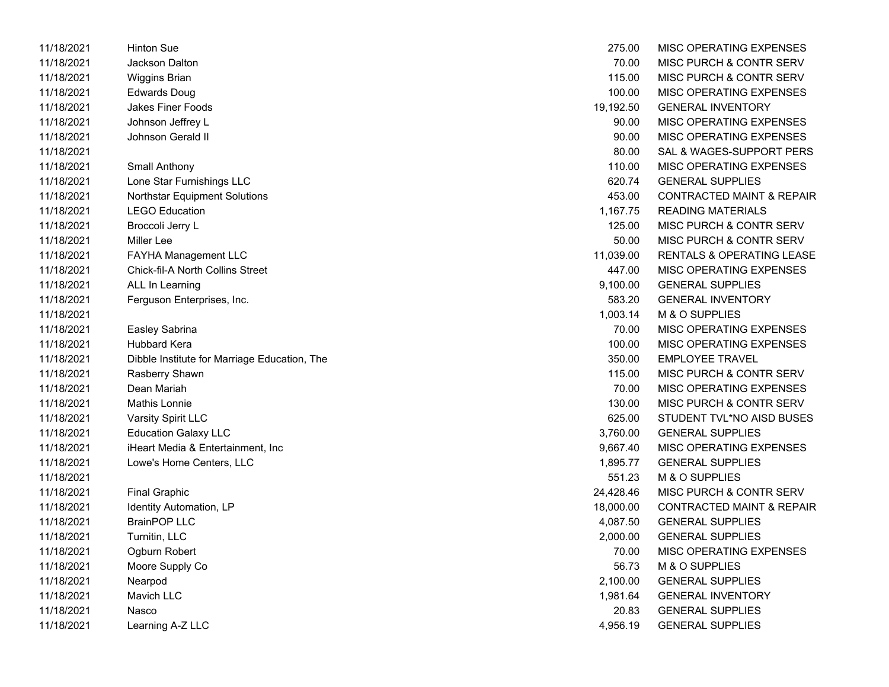| 11/18/2021 | Hinton Sue                                   | 275.00    | MISC OPERATING EXPENSES              |
|------------|----------------------------------------------|-----------|--------------------------------------|
| 11/18/2021 | Jackson Dalton                               | 70.00     | MISC PURCH & CONTR SERV              |
| 11/18/2021 | <b>Wiggins Brian</b>                         | 115.00    | MISC PURCH & CONTR SERV              |
| 11/18/2021 | Edwards Doug                                 | 100.00    | MISC OPERATING EXPENSES              |
| 11/18/2021 | <b>Jakes Finer Foods</b>                     | 19,192.50 | <b>GENERAL INVENTORY</b>             |
| 11/18/2021 | Johnson Jeffrey L                            | 90.00     | MISC OPERATING EXPENSES              |
| 11/18/2021 | Johnson Gerald II                            | 90.00     | MISC OPERATING EXPENSES              |
| 11/18/2021 |                                              | 80.00     | SAL & WAGES-SUPPORT PERS             |
| 11/18/2021 | Small Anthony                                | 110.00    | MISC OPERATING EXPENSES              |
| 11/18/2021 | Lone Star Furnishings LLC                    | 620.74    | <b>GENERAL SUPPLIES</b>              |
| 11/18/2021 | <b>Northstar Equipment Solutions</b>         | 453.00    | <b>CONTRACTED MAINT &amp; REPAIR</b> |
| 11/18/2021 | <b>LEGO Education</b>                        | 1,167.75  | <b>READING MATERIALS</b>             |
| 11/18/2021 | Broccoli Jerry L                             | 125.00    | MISC PURCH & CONTR SERV              |
| 11/18/2021 | Miller Lee                                   | 50.00     | MISC PURCH & CONTR SERV              |
| 11/18/2021 | FAYHA Management LLC                         | 11,039.00 | <b>RENTALS &amp; OPERATING LEASE</b> |
| 11/18/2021 | Chick-fil-A North Collins Street             | 447.00    | MISC OPERATING EXPENSES              |
| 11/18/2021 | ALL In Learning                              | 9,100.00  | <b>GENERAL SUPPLIES</b>              |
| 11/18/2021 | Ferguson Enterprises, Inc.                   | 583.20    | <b>GENERAL INVENTORY</b>             |
| 11/18/2021 |                                              | 1,003.14  | M & O SUPPLIES                       |
| 11/18/2021 | Easley Sabrina                               | 70.00     | MISC OPERATING EXPENSES              |
| 11/18/2021 | <b>Hubbard Kera</b>                          | 100.00    | MISC OPERATING EXPENSES              |
| 11/18/2021 | Dibble Institute for Marriage Education, The | 350.00    | <b>EMPLOYEE TRAVEL</b>               |
| 11/18/2021 | Rasberry Shawn                               | 115.00    | MISC PURCH & CONTR SERV              |
| 11/18/2021 | Dean Mariah                                  | 70.00     | MISC OPERATING EXPENSES              |
| 11/18/2021 | <b>Mathis Lonnie</b>                         | 130.00    | MISC PURCH & CONTR SERV              |
| 11/18/2021 | Varsity Spirit LLC                           | 625.00    | STUDENT TVL*NO AISD BUSES            |
| 11/18/2021 | <b>Education Galaxy LLC</b>                  | 3,760.00  | <b>GENERAL SUPPLIES</b>              |
| 11/18/2021 | iHeart Media & Entertainment, Inc.           | 9,667.40  | MISC OPERATING EXPENSES              |
| 11/18/2021 | Lowe's Home Centers, LLC                     | 1,895.77  | <b>GENERAL SUPPLIES</b>              |
| 11/18/2021 |                                              | 551.23    | M & O SUPPLIES                       |
| 11/18/2021 | <b>Final Graphic</b>                         | 24,428.46 | MISC PURCH & CONTR SERV              |
| 11/18/2021 | Identity Automation, LP                      | 18,000.00 | <b>CONTRACTED MAINT &amp; REPAIR</b> |
| 11/18/2021 | <b>BrainPOP LLC</b>                          | 4,087.50  | <b>GENERAL SUPPLIES</b>              |
| 11/18/2021 | Turnitin, LLC                                | 2,000.00  | <b>GENERAL SUPPLIES</b>              |
| 11/18/2021 | Ogburn Robert                                | 70.00     | MISC OPERATING EXPENSES              |
| 11/18/2021 | Moore Supply Co                              | 56.73     | M & O SUPPLIES                       |
| 11/18/2021 | Nearpod                                      | 2,100.00  | <b>GENERAL SUPPLIES</b>              |
| 11/18/2021 | Mavich LLC                                   | 1,981.64  | <b>GENERAL INVENTORY</b>             |
| 11/18/2021 | Nasco                                        | 20.83     | <b>GENERAL SUPPLIES</b>              |
| 11/18/2021 | Learning A-Z LLC                             | 4,956.19  | <b>GENERAL SUPPLIES</b>              |

| 275.00    | <b>MISC OPERATING EXPENSES</b>       |
|-----------|--------------------------------------|
| 70.00     | <b>MISC PURCH &amp; CONTR SERV</b>   |
| 115.00    | <b>MISC PURCH &amp; CONTR SERV</b>   |
| 100.00    | <b>MISC OPERATING EXPENSES</b>       |
| 19,192.50 | <b>GENERAL INVENTORY</b>             |
| 90.00     | <b>MISC OPERATING EXPENSES</b>       |
| 90.00     | <b>MISC OPERATING EXPENSES</b>       |
| 80.00     | SAL & WAGES-SUPPORT PERS             |
| 110.00    | <b>MISC OPERATING EXPENSES</b>       |
| 620.74    | <b>GENERAL SUPPLIES</b>              |
| 453.00    | <b>CONTRACTED MAINT &amp; REPAIR</b> |
| 1,167.75  | <b>READING MATERIALS</b>             |
| 125.00    | <b>MISC PURCH &amp; CONTR SERV</b>   |
| 50.00     | <b>MISC PURCH &amp; CONTR SERV</b>   |
| 11,039.00 | <b>RENTALS &amp; OPERATING LEASE</b> |
| 447.00    | <b>MISC OPERATING EXPENSES</b>       |
| 9,100.00  | <b>GENERAL SUPPLIES</b>              |
| 583.20    | <b>GENERAL INVENTORY</b>             |
| 1,003.14  | M & O SUPPLIES                       |
| 70.00     | <b>MISC OPERATING EXPENSES</b>       |
| 100.00    | MISC OPERATING EXPENSES              |
| 350.00    | <b>EMPLOYEE TRAVEL</b>               |
| 115.00    | <b>MISC PURCH &amp; CONTR SERV</b>   |
| 70.00     | <b>MISC OPERATING EXPENSES</b>       |
| 130.00    | <b>MISC PURCH &amp; CONTR SERV</b>   |
| 625.00    | STUDENT TVL*NO AISD BUSES            |
| 3,760.00  | <b>GENERAL SUPPLIES</b>              |
| 9,667.40  | <b>MISC OPERATING EXPENSES</b>       |
| 1,895.77  | <b>GENERAL SUPPLIES</b>              |
| 551.23    | M & O SUPPLIES                       |
| 24.428.46 | <b>MISC PURCH &amp; CONTR SERV</b>   |
| 18,000.00 | <b>CONTRACTED MAINT &amp; REPAIR</b> |
| 4,087.50  | <b>GENERAL SUPPLIES</b>              |
| 2,000.00  | <b>GENERAL SUPPLIES</b>              |
| 70.00     | <b>MISC OPERATING EXPENSES</b>       |
| 56.73     | <b>M &amp; O SUPPLIES</b>            |
| 2,100.00  | <b>GENERAL SUPPLIES</b>              |
| 1,981.64  | <b>GENERAL INVENTORY</b>             |
| 20.83     | <b>GENERAL SUPPLIES</b>              |
| 4,956.19  | <b>GENERAL SUPPLIES</b>              |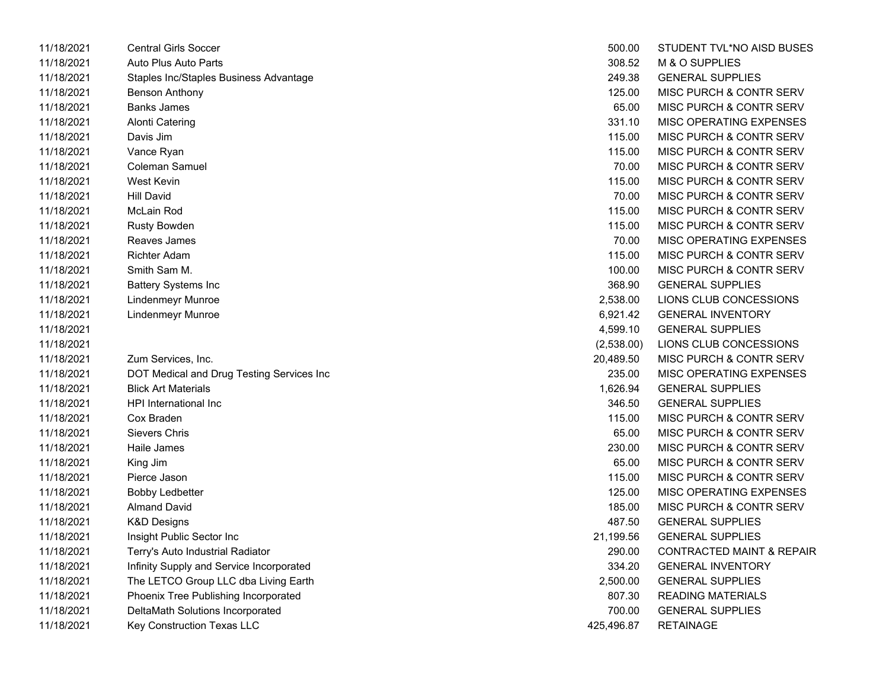| 11/18/2021 | <b>Central Girls Soccer</b>               | 500.00     | STUDENT TVL*NO AISD BUSES            |
|------------|-------------------------------------------|------------|--------------------------------------|
| 11/18/2021 | Auto Plus Auto Parts                      | 308.52     | M & O SUPPLIES                       |
| 11/18/2021 | Staples Inc/Staples Business Advantage    | 249.38     | <b>GENERAL SUPPLIES</b>              |
| 11/18/2021 | Benson Anthony                            | 125.00     | MISC PURCH & CONTR SERV              |
| 11/18/2021 | <b>Banks James</b>                        | 65.00      | MISC PURCH & CONTR SERV              |
| 11/18/2021 | <b>Alonti Catering</b>                    | 331.10     | MISC OPERATING EXPENSES              |
| 11/18/2021 | Davis Jim                                 | 115.00     | MISC PURCH & CONTR SERV              |
| 11/18/2021 | Vance Ryan                                | 115.00     | MISC PURCH & CONTR SERV              |
| 11/18/2021 | Coleman Samuel                            | 70.00      | MISC PURCH & CONTR SERV              |
| 11/18/2021 | West Kevin                                | 115.00     | MISC PURCH & CONTR SERV              |
| 11/18/2021 | <b>Hill David</b>                         | 70.00      | MISC PURCH & CONTR SERV              |
| 11/18/2021 | McLain Rod                                | 115.00     | MISC PURCH & CONTR SERV              |
| 11/18/2021 | <b>Rusty Bowden</b>                       | 115.00     | MISC PURCH & CONTR SERV              |
| 11/18/2021 | Reaves James                              | 70.00      | MISC OPERATING EXPENSES              |
| 11/18/2021 | <b>Richter Adam</b>                       | 115.00     | MISC PURCH & CONTR SERV              |
| 11/18/2021 | Smith Sam M.                              | 100.00     | MISC PURCH & CONTR SERV              |
| 11/18/2021 | <b>Battery Systems Inc</b>                | 368.90     | <b>GENERAL SUPPLIES</b>              |
| 11/18/2021 | <b>Lindenmeyr Munroe</b>                  | 2,538.00   | LIONS CLUB CONCESSIONS               |
| 11/18/2021 | <b>Lindenmeyr Munroe</b>                  | 6,921.42   | <b>GENERAL INVENTORY</b>             |
| 11/18/2021 |                                           | 4,599.10   | <b>GENERAL SUPPLIES</b>              |
| 11/18/2021 |                                           | (2,538.00) | LIONS CLUB CONCESSIONS               |
| 11/18/2021 | Zum Services, Inc.                        | 20,489.50  | MISC PURCH & CONTR SERV              |
| 11/18/2021 | DOT Medical and Drug Testing Services Inc | 235.00     | MISC OPERATING EXPENSES              |
| 11/18/2021 | <b>Blick Art Materials</b>                | 1,626.94   | <b>GENERAL SUPPLIES</b>              |
| 11/18/2021 | HPI International Inc                     | 346.50     | <b>GENERAL SUPPLIES</b>              |
| 11/18/2021 | Cox Braden                                | 115.00     | MISC PURCH & CONTR SERV              |
| 11/18/2021 | <b>Sievers Chris</b>                      | 65.00      | MISC PURCH & CONTR SERV              |
| 11/18/2021 | Haile James                               | 230.00     | MISC PURCH & CONTR SERV              |
| 11/18/2021 | King Jim                                  | 65.00      | MISC PURCH & CONTR SERV              |
| 11/18/2021 | Pierce Jason                              | 115.00     | MISC PURCH & CONTR SERV              |
| 11/18/2021 | <b>Bobby Ledbetter</b>                    | 125.00     | MISC OPERATING EXPENSES              |
| 11/18/2021 | <b>Almand David</b>                       | 185.00     | MISC PURCH & CONTR SERV              |
| 11/18/2021 | <b>K&amp;D Designs</b>                    | 487.50     | <b>GENERAL SUPPLIES</b>              |
| 11/18/2021 | Insight Public Sector Inc                 | 21,199.56  | <b>GENERAL SUPPLIES</b>              |
| 11/18/2021 | Terry's Auto Industrial Radiator          | 290.00     | <b>CONTRACTED MAINT &amp; REPAIR</b> |
| 11/18/2021 | Infinity Supply and Service Incorporated  | 334.20     | <b>GENERAL INVENTORY</b>             |
| 11/18/2021 | The LETCO Group LLC dba Living Earth      | 2,500.00   | <b>GENERAL SUPPLIES</b>              |
| 11/18/2021 | Phoenix Tree Publishing Incorporated      | 807.30     | <b>READING MATERIALS</b>             |
| 11/18/2021 | DeltaMath Solutions Incorporated          | 700.00     | <b>GENERAL SUPPLIES</b>              |
| 11/18/2021 | Key Construction Texas LLC                | 425,496.87 | <b>RETAINAGE</b>                     |

| 500.00     | STUDENT TVL*NO AISD BUSES            |
|------------|--------------------------------------|
| 308.52     | <b>M &amp; O SUPPLIES</b>            |
| 249.38     | <b>GENERAL SUPPLIES</b>              |
| 125.00     | MISC PURCH & CONTR SERV              |
| 65.00      | MISC PURCH & CONTR SERV              |
| 331.10     | <b>MISC OPERATING EXPENSES</b>       |
| 115.00     | <b>MISC PURCH &amp; CONTR SERV</b>   |
| 115.00     | <b>MISC PURCH &amp; CONTR SERV</b>   |
| 70.00      | <b>MISC PURCH &amp; CONTR SERV</b>   |
| 115.00     | <b>MISC PURCH &amp; CONTR SERV</b>   |
| 70.00      | <b>MISC PURCH &amp; CONTR SERV</b>   |
| 115.00     | <b>MISC PURCH &amp; CONTR SERV</b>   |
| 115.00     | <b>MISC PURCH &amp; CONTR SERV</b>   |
| 70.00      | <b>MISC OPERATING EXPENSES</b>       |
| 115.00     | MISC PURCH & CONTR SERV              |
| 100.00     | MISC PURCH & CONTR SERV              |
| 368.90     | <b>GENERAL SUPPLIES</b>              |
| 2,538.00   | LIONS CLUB CONCESSIONS               |
| 6,921.42   | <b>GENERAL INVENTORY</b>             |
| 4,599.10   | <b>GENERAL SUPPLIES</b>              |
| (2,538.00) | LIONS CLUB CONCESSIONS               |
| 20,489.50  | MISC PURCH & CONTR SERV              |
| 235.00     | MISC OPERATING EXPENSES              |
| 1,626.94   | <b>GENERAL SUPPLIES</b>              |
| 346.50     | <b>GENERAL SUPPLIES</b>              |
| 115.00     | <b>MISC PURCH &amp; CONTR SERV</b>   |
| 65.00      | <b>MISC PURCH &amp; CONTR SERV</b>   |
| 230.00     | <b>MISC PURCH &amp; CONTR SERV</b>   |
| 65.00      | <b>MISC PURCH &amp; CONTR SERV</b>   |
| 115.00     | <b>MISC PURCH &amp; CONTR SERV</b>   |
| 125.00     | <b>MISC OPERATING EXPENSES</b>       |
| 185.00     | MISC PURCH & CONTR SERV              |
| 487.50     | <b>GENERAL SUPPLIES</b>              |
| 21,199.56  | <b>GENERAL SUPPLIES</b>              |
| 290.00     | <b>CONTRACTED MAINT &amp; REPAIR</b> |
| 334.20     | <b>GENERAL INVENTORY</b>             |
| 2,500.00   | <b>GENERAL SUPPLIES</b>              |
| 807.30     | <b>READING MATERIALS</b>             |
| 700.00     | <b>GENERAL SUPPLIES</b>              |
| 425,496.87 | <b>RETAINAGE</b>                     |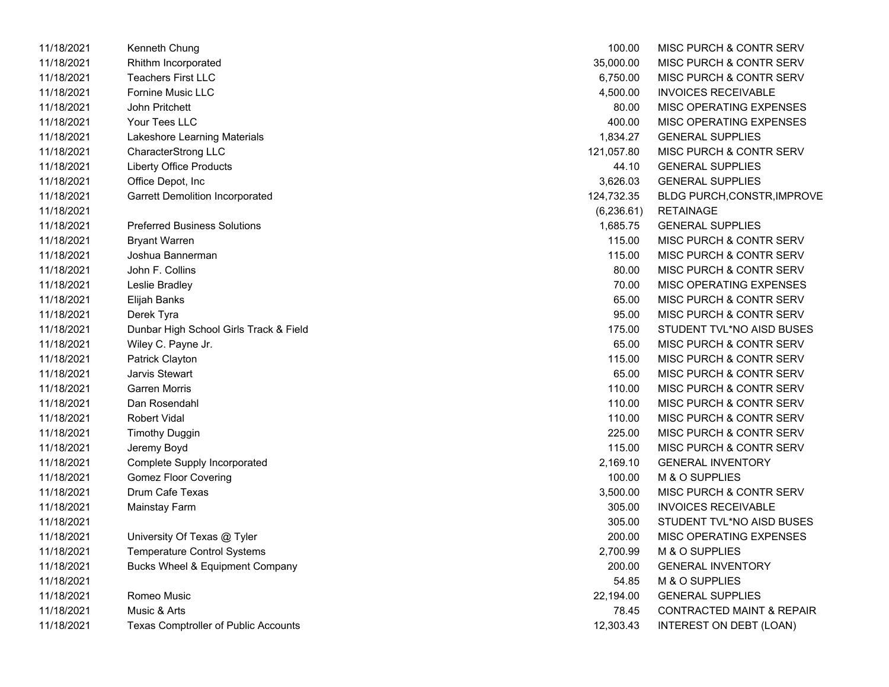| 11/18/2021 | Kenneth Chung                               | 100.00     | MISC PURCH & CONTR SERV              |
|------------|---------------------------------------------|------------|--------------------------------------|
| 11/18/2021 | Rhithm Incorporated                         | 35,000.00  | MISC PURCH & CONTR SERV              |
| 11/18/2021 | <b>Teachers First LLC</b>                   | 6,750.00   | MISC PURCH & CONTR SERV              |
| 11/18/2021 | Fornine Music LLC                           | 4,500.00   | <b>INVOICES RECEIVABLE</b>           |
| 11/18/2021 | <b>John Pritchett</b>                       | 80.00      | MISC OPERATING EXPENSES              |
| 11/18/2021 | Your Tees LLC                               | 400.00     | MISC OPERATING EXPENSES              |
| 11/18/2021 | Lakeshore Learning Materials                | 1,834.27   | <b>GENERAL SUPPLIES</b>              |
| 11/18/2021 | CharacterStrong LLC                         | 121,057.80 | MISC PURCH & CONTR SERV              |
| 11/18/2021 | <b>Liberty Office Products</b>              | 44.10      | <b>GENERAL SUPPLIES</b>              |
| 11/18/2021 | Office Depot, Inc                           | 3,626.03   | <b>GENERAL SUPPLIES</b>              |
| 11/18/2021 | <b>Garrett Demolition Incorporated</b>      | 124,732.35 | <b>BLDG PURCH, CONSTR, IMPROV</b>    |
| 11/18/2021 |                                             | (6,236.61) | <b>RETAINAGE</b>                     |
| 11/18/2021 | <b>Preferred Business Solutions</b>         | 1,685.75   | <b>GENERAL SUPPLIES</b>              |
| 11/18/2021 | <b>Bryant Warren</b>                        | 115.00     | MISC PURCH & CONTR SERV              |
| 11/18/2021 | Joshua Bannerman                            | 115.00     | MISC PURCH & CONTR SERV              |
| 11/18/2021 | John F. Collins                             | 80.00      | MISC PURCH & CONTR SERV              |
| 11/18/2021 | Leslie Bradley                              | 70.00      | MISC OPERATING EXPENSES              |
| 11/18/2021 | Elijah Banks                                | 65.00      | MISC PURCH & CONTR SERV              |
| 11/18/2021 | Derek Tyra                                  | 95.00      | MISC PURCH & CONTR SERV              |
| 11/18/2021 | Dunbar High School Girls Track & Field      | 175.00     | STUDENT TVL*NO AISD BUSES            |
| 11/18/2021 | Wiley C. Payne Jr.                          | 65.00      | MISC PURCH & CONTR SERV              |
| 11/18/2021 | Patrick Clayton                             | 115.00     | MISC PURCH & CONTR SERV              |
| 11/18/2021 | Jarvis Stewart                              | 65.00      | MISC PURCH & CONTR SERV              |
| 11/18/2021 | <b>Garren Morris</b>                        | 110.00     | MISC PURCH & CONTR SERV              |
| 11/18/2021 | Dan Rosendahl                               | 110.00     | MISC PURCH & CONTR SERV              |
| 11/18/2021 | <b>Robert Vidal</b>                         | 110.00     | MISC PURCH & CONTR SERV              |
| 11/18/2021 | <b>Timothy Duggin</b>                       | 225.00     | MISC PURCH & CONTR SERV              |
| 11/18/2021 | Jeremy Boyd                                 | 115.00     | MISC PURCH & CONTR SERV              |
| 11/18/2021 | <b>Complete Supply Incorporated</b>         | 2,169.10   | <b>GENERAL INVENTORY</b>             |
| 11/18/2021 | <b>Gomez Floor Covering</b>                 | 100.00     | M & O SUPPLIES                       |
| 11/18/2021 | Drum Cafe Texas                             | 3,500.00   | MISC PURCH & CONTR SERV              |
| 11/18/2021 | Mainstay Farm                               | 305.00     | <b>INVOICES RECEIVABLE</b>           |
| 11/18/2021 |                                             | 305.00     | STUDENT TVL*NO AISD BUSES            |
| 11/18/2021 | University Of Texas @ Tyler                 | 200.00     | MISC OPERATING EXPENSES              |
| 11/18/2021 | <b>Temperature Control Systems</b>          | 2,700.99   | M & O SUPPLIES                       |
| 11/18/2021 | <b>Bucks Wheel &amp; Equipment Company</b>  | 200.00     | <b>GENERAL INVENTORY</b>             |
| 11/18/2021 |                                             | 54.85      | M & O SUPPLIES                       |
| 11/18/2021 | Romeo Music                                 | 22,194.00  | <b>GENERAL SUPPLIES</b>              |
| 11/18/2021 | Music & Arts                                | 78.45      | <b>CONTRACTED MAINT &amp; REPAIR</b> |
| 11/18/2021 | <b>Texas Comptroller of Public Accounts</b> | 12,303.43  | INTEREST ON DEBT (LOAN)              |

| 100.00      | <b>MISC PURCH &amp; CONTR SERV</b>   |
|-------------|--------------------------------------|
| 35,000.00   | MISC PURCH & CONTR SERV              |
| 6,750.00    | <b>MISC PURCH &amp; CONTR SERV</b>   |
| 4,500.00    | <b>INVOICES RECEIVABLE</b>           |
| 80.00       | MISC OPERATING EXPENSES              |
| 400.00      | MISC OPERATING EXPENSES              |
| 1,834.27    | <b>GENERAL SUPPLIES</b>              |
| 121,057.80  | <b>MISC PURCH &amp; CONTR SERV</b>   |
| 44.10       | <b>GENERAL SUPPLIES</b>              |
| 3,626.03    | <b>GENERAL SUPPLIES</b>              |
| 124,732.35  | <b>BLDG PURCH, CONSTR, IMPROVE</b>   |
| (6, 236.61) | <b>RETAINAGE</b>                     |
| 1,685.75    | <b>GENERAL SUPPLIES</b>              |
| 115.00      | MISC PURCH & CONTR SERV              |
| 115.00      | MISC PURCH & CONTR SERV              |
| 80.00       | MISC PURCH & CONTR SERV              |
| 70.00       | <b>MISC OPERATING EXPENSES</b>       |
| 65.00       | <b>MISC PURCH &amp; CONTR SERV</b>   |
| 95.00       | <b>MISC PURCH &amp; CONTR SERV</b>   |
| 175.00      | STUDENT TVL*NO AISD BUSES            |
| 65.00       | MISC PURCH & CONTR SERV              |
| 115.00      | MISC PURCH & CONTR SERV              |
| 65.00       | <b>MISC PURCH &amp; CONTR SERV</b>   |
| 110.00      | MISC PURCH & CONTR SERV              |
| 110.00      | MISC PURCH & CONTR SERV              |
| 110.00      | <b>MISC PURCH &amp; CONTR SERV</b>   |
| 225.00      | <b>MISC PURCH &amp; CONTR SERV</b>   |
| 115.00      | <b>MISC PURCH &amp; CONTR SERV</b>   |
| 2,169.10    | <b>GENERAL INVENTORY</b>             |
| 100.00      | M & O SUPPLIES                       |
| 3,500.00    | <b>MISC PURCH &amp; CONTR SERV</b>   |
| 305.00      | <b>INVOICES RECEIVABLE</b>           |
| 305.00      | STUDENT TVL*NO AISD BUSES            |
| 200.00      | <b>MISC OPERATING EXPENSES</b>       |
| 2,700.99    | <b>M &amp; O SUPPLIES</b>            |
| 200.00      | <b>GENERAL INVENTORY</b>             |
| 54.85       | M & O SUPPLIES                       |
| 22,194.00   | <b>GENERAL SUPPLIES</b>              |
| 78.45       | <b>CONTRACTED MAINT &amp; REPAIR</b> |
| 12,303.43   | INTEREST ON DEBT (LOAN)              |
|             |                                      |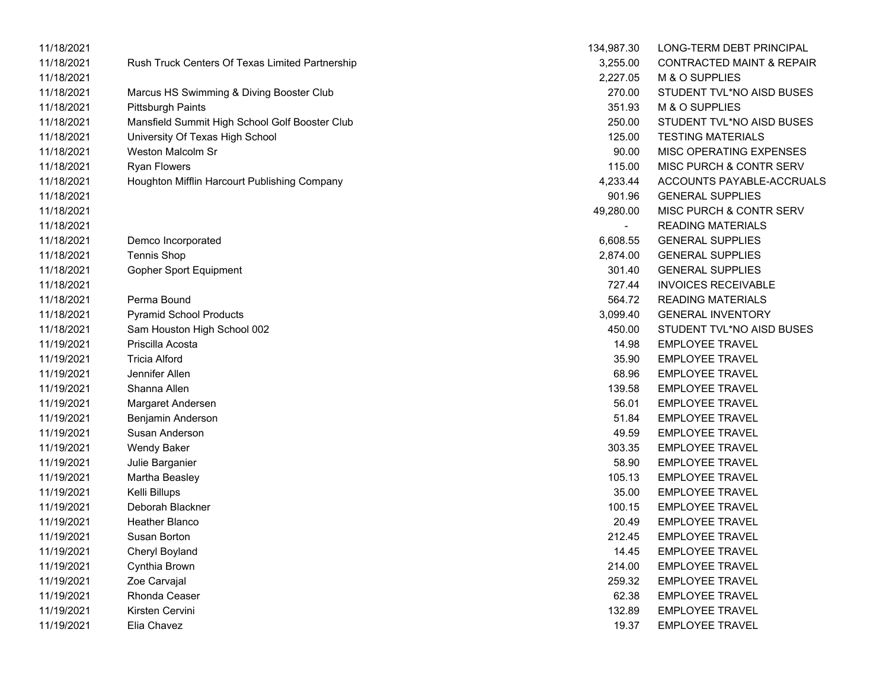| 11/18/2021 |                                                 | 134,987.30 | LONG-TERM DEBT PRINCIPAL             |
|------------|-------------------------------------------------|------------|--------------------------------------|
| 11/18/2021 | Rush Truck Centers Of Texas Limited Partnership | 3,255.00   | <b>CONTRACTED MAINT &amp; REPAIR</b> |
| 11/18/2021 |                                                 | 2,227.05   | M & O SUPPLIES                       |
| 11/18/2021 | Marcus HS Swimming & Diving Booster Club        | 270.00     | STUDENT TVL*NO AISD BUSES            |
| 11/18/2021 | <b>Pittsburgh Paints</b>                        | 351.93     | M & O SUPPLIES                       |
| 11/18/2021 | Mansfield Summit High School Golf Booster Club  | 250.00     | STUDENT TVL*NO AISD BUSES            |
| 11/18/2021 | University Of Texas High School                 | 125.00     | <b>TESTING MATERIALS</b>             |
| 11/18/2021 | <b>Weston Malcolm Sr</b>                        | 90.00      | MISC OPERATING EXPENSES              |
| 11/18/2021 | <b>Ryan Flowers</b>                             | 115.00     | MISC PURCH & CONTR SERV              |
| 11/18/2021 | Houghton Mifflin Harcourt Publishing Company    | 4,233.44   | ACCOUNTS PAYABLE-ACCRUALS            |
| 11/18/2021 |                                                 | 901.96     | <b>GENERAL SUPPLIES</b>              |
| 11/18/2021 |                                                 | 49,280.00  | MISC PURCH & CONTR SERV              |
| 11/18/2021 |                                                 |            | <b>READING MATERIALS</b>             |
| 11/18/2021 | Demco Incorporated                              | 6,608.55   | <b>GENERAL SUPPLIES</b>              |
| 11/18/2021 | <b>Tennis Shop</b>                              | 2,874.00   | <b>GENERAL SUPPLIES</b>              |
| 11/18/2021 | <b>Gopher Sport Equipment</b>                   | 301.40     | <b>GENERAL SUPPLIES</b>              |
| 11/18/2021 |                                                 | 727.44     | <b>INVOICES RECEIVABLE</b>           |
| 11/18/2021 | Perma Bound                                     | 564.72     | <b>READING MATERIALS</b>             |
| 11/18/2021 | <b>Pyramid School Products</b>                  | 3,099.40   | <b>GENERAL INVENTORY</b>             |
| 11/18/2021 | Sam Houston High School 002                     | 450.00     | STUDENT TVL*NO AISD BUSES            |
| 11/19/2021 | Priscilla Acosta                                | 14.98      | <b>EMPLOYEE TRAVEL</b>               |
| 11/19/2021 | <b>Tricia Alford</b>                            | 35.90      | <b>EMPLOYEE TRAVEL</b>               |
| 11/19/2021 | Jennifer Allen                                  | 68.96      | <b>EMPLOYEE TRAVEL</b>               |
| 11/19/2021 | Shanna Allen                                    | 139.58     | <b>EMPLOYEE TRAVEL</b>               |
| 11/19/2021 | Margaret Andersen                               | 56.01      | <b>EMPLOYEE TRAVEL</b>               |
| 11/19/2021 | Benjamin Anderson                               | 51.84      | <b>EMPLOYEE TRAVEL</b>               |
| 11/19/2021 | Susan Anderson                                  | 49.59      | <b>EMPLOYEE TRAVEL</b>               |
| 11/19/2021 | Wendy Baker                                     | 303.35     | <b>EMPLOYEE TRAVEL</b>               |
| 11/19/2021 | Julie Barganier                                 | 58.90      | <b>EMPLOYEE TRAVEL</b>               |
| 11/19/2021 | Martha Beasley                                  | 105.13     | <b>EMPLOYEE TRAVEL</b>               |
| 11/19/2021 | Kelli Billups                                   | 35.00      | <b>EMPLOYEE TRAVEL</b>               |
| 11/19/2021 | Deborah Blackner                                | 100.15     | <b>EMPLOYEE TRAVEL</b>               |
| 11/19/2021 | Heather Blanco                                  | 20.49      | <b>EMPLOYEE TRAVEL</b>               |
| 11/19/2021 | Susan Borton                                    | 212.45     | <b>EMPLOYEE TRAVEL</b>               |
| 11/19/2021 | Cheryl Boyland                                  | 14.45      | <b>EMPLOYEE TRAVEL</b>               |
| 11/19/2021 | Cynthia Brown                                   | 214.00     | <b>EMPLOYEE TRAVEL</b>               |
| 11/19/2021 | Zoe Carvajal                                    | 259.32     | <b>EMPLOYEE TRAVEL</b>               |
| 11/19/2021 | Rhonda Ceaser                                   | 62.38      | <b>EMPLOYEE TRAVEL</b>               |
| 11/19/2021 | Kirsten Cervini                                 | 132.89     | <b>EMPLOYEE TRAVEL</b>               |
| 11/19/2021 | Elia Chavez                                     | 19.37      | <b>EMPLOYEE TRAVEL</b>               |

| 134,987.30 | <b>LONG-TERM DEBT PRINCIPAL</b>      |
|------------|--------------------------------------|
| 3,255.00   | <b>CONTRACTED MAINT &amp; REPAIR</b> |
| 2,227.05   | M & O SUPPLIES                       |
| 270.00     | STUDENT TVL*NO AISD BUSES            |
| 351.93     | <b>M &amp; O SUPPLIES</b>            |
| 250.00     | STUDENT TVL*NO AISD BUSES            |
| 125.00     | <b>TESTING MATERIALS</b>             |
| 90.00      | MISC OPERATING EXPENSES              |
| 115.00     | MISC PURCH & CONTR SERV              |
| 4.233.44   | ACCOUNTS PAYABLE-ACCRUAL             |
| 901.96     | <b>GENERAL SUPPLIES</b>              |
|            | 49,280.00 MISC PURCH & CONTR SERV    |
|            | READING MATERIALS                    |
| 6,608.55   | <b>GENERAL SUPPLIES</b>              |
| 2,874.00   | <b>GENERAL SUPPLIES</b>              |
|            | 301.40 GENERAL SUPPLIES              |
|            | 727.44 INVOICES RECEIVABLE           |
|            | 564.72 READING MATERIALS             |
| 3,099.40   | <b>GENERAL INVENTORY</b>             |
| 450.00     | STUDENT TVL*NO AISD BUSES            |
| 14.98      | EMPLOYEE TRAVEL                      |
|            | 35.90 EMPLOYEE TRAVEL                |
| 68.96      | <b>EMPLOYEE TRAVEL</b>               |
| 139.58     | <b>EMPLOYEE TRAVEL</b>               |
| 56.01      | <b>EMPLOYEE TRAVEL</b>               |
|            | 51.84 EMPLOYEE TRAVEL                |
|            | 49.59 EMPLOYEE TRAVEL                |
| 303.35     | <b>EMPLOYEE TRAVEL</b>               |
| 58.90      | <b>EMPLOYEE TRAVEL</b>               |
| 105.13     | <b>EMPLOYEE TRAVEL</b>               |
|            | 35.00 EMPLOYEE TRAVEL                |
|            | 100.15 EMPLOYEE TRAVEL               |
|            | 20.49 EMPLOYEE TRAVEL                |
| 212.45     | <b>EMPLOYEE TRAVEL</b>               |
| 14.45      | <b>EMPLOYEE TRAVEL</b>               |
| 214.00     | <b>EMPLOYEE TRAVEL</b>               |
| 259.32     | <b>EMPLOYEE TRAVEL</b>               |
| 62.38      | <b>EMPLOYEE TRAVEL</b>               |
| 132.89     | <b>EMPLOYEE TRAVEL</b>               |
| 19.37      | <b>EMPLOYEE TRAVEL</b>               |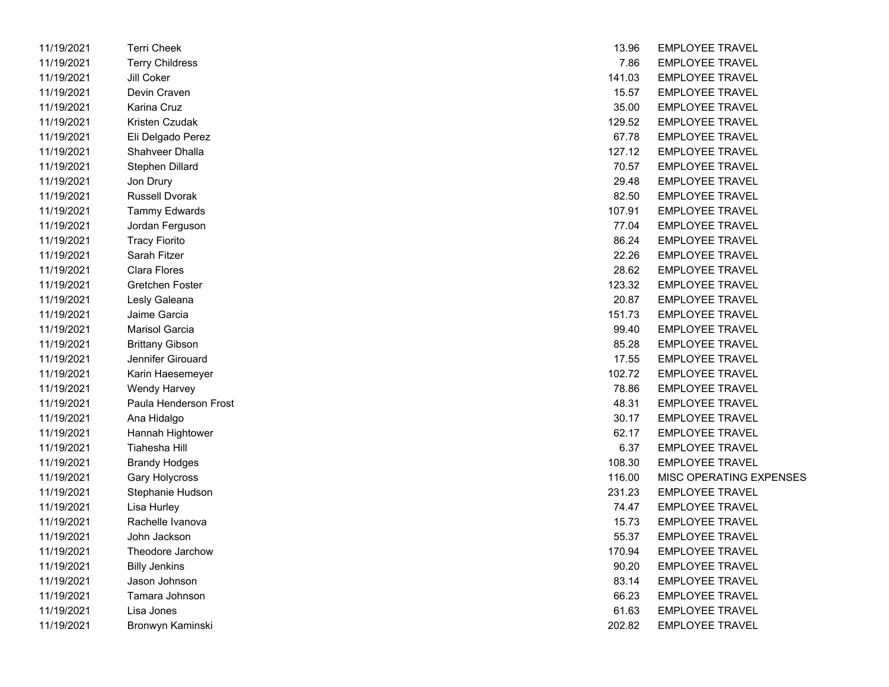| 11/19/2021 | Terri Cheek            | 13.96  | <b>EMPLOYEE TRAVEL</b> |
|------------|------------------------|--------|------------------------|
| 11/19/2021 | <b>Terry Childress</b> | 7.86   | <b>EMPLOYEE TRAVEL</b> |
| 11/19/2021 | Jill Coker             | 141.03 | <b>EMPLOYEE TRAVEL</b> |
| 11/19/2021 | Devin Craven           | 15.57  | <b>EMPLOYEE TRAVEL</b> |
| 11/19/2021 | Karina Cruz            | 35.00  | <b>EMPLOYEE TRAVEL</b> |
| 11/19/2021 | Kristen Czudak         | 129.52 | <b>EMPLOYEE TRAVEL</b> |
| 11/19/2021 | Eli Delgado Perez      | 67.78  | <b>EMPLOYEE TRAVEL</b> |
| 11/19/2021 | Shahveer Dhalla        | 127.12 | <b>EMPLOYEE TRAVEL</b> |
| 11/19/2021 | Stephen Dillard        | 70.57  | <b>EMPLOYEE TRAVEL</b> |
| 11/19/2021 | Jon Drury              | 29.48  | <b>EMPLOYEE TRAVEL</b> |
| 11/19/2021 | <b>Russell Dvorak</b>  | 82.50  | <b>EMPLOYEE TRAVEL</b> |
| 11/19/2021 | <b>Tammy Edwards</b>   | 107.91 | <b>EMPLOYEE TRAVEL</b> |
| 11/19/2021 | Jordan Ferguson        | 77.04  | <b>EMPLOYEE TRAVEL</b> |
| 11/19/2021 | <b>Tracy Fiorito</b>   | 86.24  | <b>EMPLOYEE TRAVEL</b> |
| 11/19/2021 | Sarah Fitzer           | 22.26  | <b>EMPLOYEE TRAVEL</b> |
| 11/19/2021 | <b>Clara Flores</b>    | 28.62  | <b>EMPLOYEE TRAVEL</b> |
| 11/19/2021 | Gretchen Foster        | 123.32 | <b>EMPLOYEE TRAVEL</b> |
| 11/19/2021 | Lesly Galeana          | 20.87  | <b>EMPLOYEE TRAVEL</b> |
| 11/19/2021 | Jaime Garcia           | 151.73 | <b>EMPLOYEE TRAVEL</b> |
| 11/19/2021 | <b>Marisol Garcia</b>  | 99.40  | <b>EMPLOYEE TRAVEL</b> |
| 11/19/2021 | <b>Brittany Gibson</b> | 85.28  | <b>EMPLOYEE TRAVEL</b> |
| 11/19/2021 | Jennifer Girouard      | 17.55  | <b>EMPLOYEE TRAVEL</b> |
| 11/19/2021 | Karin Haesemeyer       | 102.72 | <b>EMPLOYEE TRAVEL</b> |
| 11/19/2021 | Wendy Harvey           | 78.86  | <b>EMPLOYEE TRAVEL</b> |
| 11/19/2021 | Paula Henderson Frost  | 48.31  | <b>EMPLOYEE TRAVEL</b> |
| 11/19/2021 | Ana Hidalgo            | 30.17  | <b>EMPLOYEE TRAVEL</b> |
| 11/19/2021 | Hannah Hightower       | 62.17  | <b>EMPLOYEE TRAVEL</b> |
| 11/19/2021 | Tiahesha Hill          | 6.37   | <b>EMPLOYEE TRAVEL</b> |
| 11/19/2021 | <b>Brandy Hodges</b>   | 108.30 | <b>EMPLOYEE TRAVEL</b> |
| 11/19/2021 | Gary Holycross         | 116.00 | MISC OPERATING E       |
| 11/19/2021 | Stephanie Hudson       | 231.23 | <b>EMPLOYEE TRAVEL</b> |
| 11/19/2021 | Lisa Hurley            | 74.47  | <b>EMPLOYEE TRAVEL</b> |
| 11/19/2021 | Rachelle Ivanova       | 15.73  | <b>EMPLOYEE TRAVEL</b> |
| 11/19/2021 | John Jackson           | 55.37  | <b>EMPLOYEE TRAVEL</b> |
| 11/19/2021 | Theodore Jarchow       | 170.94 | <b>EMPLOYEE TRAVEL</b> |
| 11/19/2021 | <b>Billy Jenkins</b>   | 90.20  | <b>EMPLOYEE TRAVEL</b> |
| 11/19/2021 | Jason Johnson          | 83.14  | <b>EMPLOYEE TRAVEL</b> |
| 11/19/2021 | Tamara Johnson         | 66.23  | <b>EMPLOYEE TRAVEL</b> |
| 11/19/2021 | Lisa Jones             | 61.63  | <b>EMPLOYEE TRAVEL</b> |
| 11/19/2021 | Bronwyn Kaminski       | 202.82 | <b>EMPLOYEE TRAVEL</b> |

| 11/19/2021 | <b>Terri Cheek</b>     | 13.96  | <b>EMPLOYEE TRAVEL</b>         |
|------------|------------------------|--------|--------------------------------|
| 11/19/2021 | <b>Terry Childress</b> | 7.86   | <b>EMPLOYEE TRAVEL</b>         |
| 11/19/2021 | Jill Coker             | 141.03 | <b>EMPLOYEE TRAVEL</b>         |
| 11/19/2021 | Devin Craven           | 15.57  | <b>EMPLOYEE TRAVEL</b>         |
| 11/19/2021 | Karina Cruz            | 35.00  | <b>EMPLOYEE TRAVEL</b>         |
| 11/19/2021 | Kristen Czudak         | 129.52 | <b>EMPLOYEE TRAVEL</b>         |
| 11/19/2021 | Eli Delgado Perez      | 67.78  | <b>EMPLOYEE TRAVEL</b>         |
| 11/19/2021 | Shahveer Dhalla        | 127.12 | <b>EMPLOYEE TRAVEL</b>         |
| 11/19/2021 | Stephen Dillard        | 70.57  | <b>EMPLOYEE TRAVEL</b>         |
| 11/19/2021 | Jon Drury              | 29.48  | <b>EMPLOYEE TRAVEL</b>         |
| 11/19/2021 | <b>Russell Dvorak</b>  | 82.50  | <b>EMPLOYEE TRAVEL</b>         |
| 11/19/2021 | <b>Tammy Edwards</b>   | 107.91 | <b>EMPLOYEE TRAVEL</b>         |
| 11/19/2021 | Jordan Ferguson        | 77.04  | <b>EMPLOYEE TRAVEL</b>         |
| 11/19/2021 | <b>Tracy Fiorito</b>   | 86.24  | <b>EMPLOYEE TRAVEL</b>         |
| 11/19/2021 | Sarah Fitzer           | 22.26  | <b>EMPLOYEE TRAVEL</b>         |
| 11/19/2021 | Clara Flores           | 28.62  | <b>EMPLOYEE TRAVEL</b>         |
| 11/19/2021 | Gretchen Foster        | 123.32 | <b>EMPLOYEE TRAVEL</b>         |
| 11/19/2021 | Lesly Galeana          | 20.87  | <b>EMPLOYEE TRAVEL</b>         |
| 11/19/2021 | Jaime Garcia           | 151.73 | <b>EMPLOYEE TRAVEL</b>         |
| 11/19/2021 | Marisol Garcia         | 99.40  | <b>EMPLOYEE TRAVEL</b>         |
| 11/19/2021 | <b>Brittany Gibson</b> | 85.28  | <b>EMPLOYEE TRAVEL</b>         |
| 11/19/2021 | Jennifer Girouard      | 17.55  | <b>EMPLOYEE TRAVEL</b>         |
| 11/19/2021 | Karin Haesemeyer       | 102.72 | <b>EMPLOYEE TRAVEL</b>         |
| 11/19/2021 | Wendy Harvey           | 78.86  | <b>EMPLOYEE TRAVEL</b>         |
| 11/19/2021 | Paula Henderson Frost  | 48.31  | <b>EMPLOYEE TRAVEL</b>         |
| 11/19/2021 | Ana Hidalgo            | 30.17  | <b>EMPLOYEE TRAVEL</b>         |
| 11/19/2021 | Hannah Hightower       | 62.17  | <b>EMPLOYEE TRAVEL</b>         |
| 11/19/2021 | Tiahesha Hill          | 6.37   | <b>EMPLOYEE TRAVEL</b>         |
| 11/19/2021 | <b>Brandy Hodges</b>   | 108.30 | <b>EMPLOYEE TRAVEL</b>         |
| 11/19/2021 | Gary Holycross         | 116.00 | <b>MISC OPERATING EXPENSES</b> |
| 11/19/2021 | Stephanie Hudson       | 231.23 | <b>EMPLOYEE TRAVEL</b>         |
| 11/19/2021 | Lisa Hurley            | 74.47  | <b>EMPLOYEE TRAVEL</b>         |
| 11/19/2021 | Rachelle Ivanova       | 15.73  | <b>EMPLOYEE TRAVEL</b>         |
| 11/19/2021 | John Jackson           | 55.37  | <b>EMPLOYEE TRAVEL</b>         |
| 11/19/2021 | Theodore Jarchow       | 170.94 | <b>EMPLOYEE TRAVEL</b>         |
| 11/19/2021 | <b>Billy Jenkins</b>   | 90.20  | <b>EMPLOYEE TRAVEL</b>         |
| 11/19/2021 | Jason Johnson          | 83.14  | <b>EMPLOYEE TRAVEL</b>         |
| 11/19/2021 | Tamara Johnson         | 66.23  | <b>EMPLOYEE TRAVEL</b>         |
| 11/19/2021 | Lisa Jones             | 61.63  | <b>EMPLOYEE TRAVEL</b>         |
| 11/19/2021 | Bronwyn Kaminski       | 202.82 | <b>EMPLOYEE TRAVEL</b>         |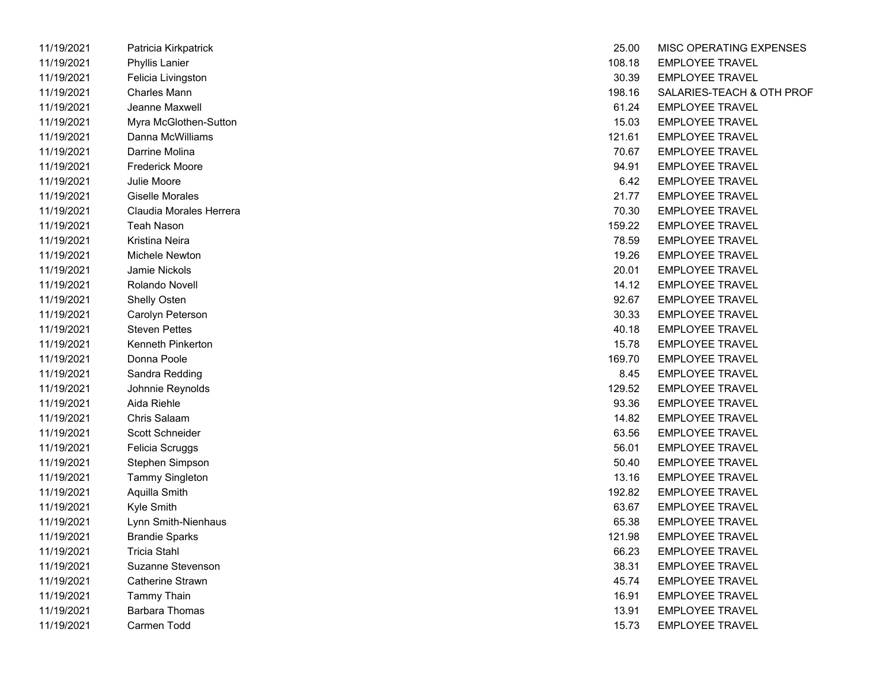| 11/19/2021 | Patricia Kirkpatrick     | 25.00  | MISC OPERATING E       |
|------------|--------------------------|--------|------------------------|
| 11/19/2021 | <b>Phyllis Lanier</b>    | 108.18 | <b>EMPLOYEE TRAVEL</b> |
| 11/19/2021 | Felicia Livingston       | 30.39  | <b>EMPLOYEE TRAVEL</b> |
| 11/19/2021 | <b>Charles Mann</b>      | 198.16 | SALARIES-TEACH &       |
| 11/19/2021 | Jeanne Maxwell           | 61.24  | <b>EMPLOYEE TRAVEL</b> |
| 11/19/2021 | Myra McGlothen-Sutton    | 15.03  | <b>EMPLOYEE TRAVEL</b> |
| 11/19/2021 | Danna McWilliams         | 121.61 | <b>EMPLOYEE TRAVEL</b> |
| 11/19/2021 | Darrine Molina           | 70.67  | <b>EMPLOYEE TRAVEL</b> |
| 11/19/2021 | <b>Frederick Moore</b>   | 94.91  | <b>EMPLOYEE TRAVEL</b> |
| 11/19/2021 | Julie Moore              | 6.42   | <b>EMPLOYEE TRAVEL</b> |
| 11/19/2021 | <b>Giselle Morales</b>   | 21.77  | <b>EMPLOYEE TRAVEL</b> |
| 11/19/2021 | Claudia Morales Herrera  | 70.30  | <b>EMPLOYEE TRAVEL</b> |
| 11/19/2021 | <b>Teah Nason</b>        | 159.22 | <b>EMPLOYEE TRAVEL</b> |
| 11/19/2021 | <b>Kristina Neira</b>    | 78.59  | <b>EMPLOYEE TRAVEL</b> |
| 11/19/2021 | Michele Newton           | 19.26  | <b>EMPLOYEE TRAVEL</b> |
| 11/19/2021 | <b>Jamie Nickols</b>     | 20.01  | <b>EMPLOYEE TRAVEL</b> |
| 11/19/2021 | Rolando Novell           | 14.12  | <b>EMPLOYEE TRAVEL</b> |
| 11/19/2021 | Shelly Osten             | 92.67  | <b>EMPLOYEE TRAVEL</b> |
| 11/19/2021 | Carolyn Peterson         | 30.33  | <b>EMPLOYEE TRAVEL</b> |
| 11/19/2021 | <b>Steven Pettes</b>     | 40.18  | <b>EMPLOYEE TRAVEL</b> |
| 11/19/2021 | <b>Kenneth Pinkerton</b> | 15.78  | <b>EMPLOYEE TRAVEL</b> |
| 11/19/2021 | Donna Poole              | 169.70 | <b>EMPLOYEE TRAVEL</b> |
| 11/19/2021 | Sandra Redding           | 8.45   | <b>EMPLOYEE TRAVEL</b> |
| 11/19/2021 | Johnnie Reynolds         | 129.52 | <b>EMPLOYEE TRAVEL</b> |
| 11/19/2021 | Aida Riehle              | 93.36  | <b>EMPLOYEE TRAVEL</b> |
| 11/19/2021 | Chris Salaam             | 14.82  | <b>EMPLOYEE TRAVEL</b> |
| 11/19/2021 | Scott Schneider          | 63.56  | <b>EMPLOYEE TRAVEL</b> |
| 11/19/2021 | Felicia Scruggs          | 56.01  | <b>EMPLOYEE TRAVEL</b> |
| 11/19/2021 | Stephen Simpson          | 50.40  | <b>EMPLOYEE TRAVEL</b> |
| 11/19/2021 | <b>Tammy Singleton</b>   | 13.16  | <b>EMPLOYEE TRAVEL</b> |
| 11/19/2021 | Aquilla Smith            | 192.82 | <b>EMPLOYEE TRAVEL</b> |
| 11/19/2021 | Kyle Smith               | 63.67  | <b>EMPLOYEE TRAVEL</b> |
| 11/19/2021 | Lynn Smith-Nienhaus      | 65.38  | <b>EMPLOYEE TRAVEL</b> |
| 11/19/2021 | <b>Brandie Sparks</b>    | 121.98 | <b>EMPLOYEE TRAVEL</b> |
| 11/19/2021 | <b>Tricia Stahl</b>      | 66.23  | <b>EMPLOYEE TRAVEL</b> |
| 11/19/2021 | Suzanne Stevenson        | 38.31  | <b>EMPLOYEE TRAVEL</b> |
| 11/19/2021 | Catherine Strawn         | 45.74  | <b>EMPLOYEE TRAVEL</b> |
| 11/19/2021 | <b>Tammy Thain</b>       | 16.91  | <b>EMPLOYEE TRAVEL</b> |
| 11/19/2021 | <b>Barbara Thomas</b>    | 13.91  | <b>EMPLOYEE TRAVEL</b> |
| 11/19/2021 | Carmen Todd              | 15.73  | <b>EMPLOYEE TRAVEL</b> |

| 11/19/2021 | Patricia Kirkpatrick    | 25.00  | MISC OPERATING EXPENSES   |
|------------|-------------------------|--------|---------------------------|
| 11/19/2021 | Phyllis Lanier          | 108.18 | <b>EMPLOYEE TRAVEL</b>    |
| 11/19/2021 | Felicia Livingston      | 30.39  | <b>EMPLOYEE TRAVEL</b>    |
| 11/19/2021 | <b>Charles Mann</b>     | 198.16 | SALARIES-TEACH & OTH PROF |
| 11/19/2021 | Jeanne Maxwell          | 61.24  | <b>EMPLOYEE TRAVEL</b>    |
| 11/19/2021 | Myra McGlothen-Sutton   | 15.03  | <b>EMPLOYEE TRAVEL</b>    |
| 11/19/2021 | Danna McWilliams        | 121.61 | <b>EMPLOYEE TRAVEL</b>    |
| 11/19/2021 | Darrine Molina          | 70.67  | <b>EMPLOYEE TRAVEL</b>    |
| 11/19/2021 | <b>Frederick Moore</b>  | 94.91  | <b>EMPLOYEE TRAVEL</b>    |
| 11/19/2021 | Julie Moore             | 6.42   | <b>EMPLOYEE TRAVEL</b>    |
| 11/19/2021 | <b>Giselle Morales</b>  | 21.77  | <b>EMPLOYEE TRAVEL</b>    |
| 11/19/2021 | Claudia Morales Herrera | 70.30  | <b>EMPLOYEE TRAVEL</b>    |
| 11/19/2021 | <b>Teah Nason</b>       | 159.22 | <b>EMPLOYEE TRAVEL</b>    |
| 11/19/2021 | Kristina Neira          | 78.59  | <b>EMPLOYEE TRAVEL</b>    |
| 11/19/2021 | Michele Newton          | 19.26  | <b>EMPLOYEE TRAVEL</b>    |
| 11/19/2021 | <b>Jamie Nickols</b>    | 20.01  | <b>EMPLOYEE TRAVEL</b>    |
| 11/19/2021 | Rolando Novell          | 14.12  | <b>EMPLOYEE TRAVEL</b>    |
| 11/19/2021 | Shelly Osten            | 92.67  | <b>EMPLOYEE TRAVEL</b>    |
| 11/19/2021 | Carolyn Peterson        | 30.33  | <b>EMPLOYEE TRAVEL</b>    |
| 11/19/2021 | <b>Steven Pettes</b>    | 40.18  | <b>EMPLOYEE TRAVEL</b>    |
| 11/19/2021 | Kenneth Pinkerton       | 15.78  | <b>EMPLOYEE TRAVEL</b>    |
| 11/19/2021 | Donna Poole             | 169.70 | <b>EMPLOYEE TRAVEL</b>    |
| 11/19/2021 | Sandra Redding          | 8.45   | <b>EMPLOYEE TRAVEL</b>    |
| 11/19/2021 | Johnnie Reynolds        | 129.52 | <b>EMPLOYEE TRAVEL</b>    |
| 11/19/2021 | Aida Riehle             | 93.36  | <b>EMPLOYEE TRAVEL</b>    |
| 11/19/2021 | Chris Salaam            | 14.82  | <b>EMPLOYEE TRAVEL</b>    |
| 11/19/2021 | Scott Schneider         | 63.56  | <b>EMPLOYEE TRAVEL</b>    |
| 11/19/2021 | Felicia Scruggs         | 56.01  | <b>EMPLOYEE TRAVEL</b>    |
| 11/19/2021 | Stephen Simpson         | 50.40  | <b>EMPLOYEE TRAVEL</b>    |
| 11/19/2021 | <b>Tammy Singleton</b>  | 13.16  | <b>EMPLOYEE TRAVEL</b>    |
| 11/19/2021 | Aquilla Smith           | 192.82 | <b>EMPLOYEE TRAVEL</b>    |
| 11/19/2021 | Kyle Smith              | 63.67  | <b>EMPLOYEE TRAVEL</b>    |
| 11/19/2021 | Lynn Smith-Nienhaus     | 65.38  | <b>EMPLOYEE TRAVEL</b>    |
| 11/19/2021 | <b>Brandie Sparks</b>   | 121.98 | <b>EMPLOYEE TRAVEL</b>    |
| 11/19/2021 | <b>Tricia Stahl</b>     | 66.23  | <b>EMPLOYEE TRAVEL</b>    |
| 11/19/2021 | Suzanne Stevenson       | 38.31  | <b>EMPLOYEE TRAVEL</b>    |
| 11/19/2021 | Catherine Strawn        | 45.74  | <b>EMPLOYEE TRAVEL</b>    |
| 11/19/2021 | <b>Tammy Thain</b>      | 16.91  | <b>EMPLOYEE TRAVEL</b>    |
| 11/19/2021 | <b>Barbara Thomas</b>   | 13.91  | <b>EMPLOYEE TRAVEL</b>    |
| 11/19/2021 | Carmen Todd             | 15.73  | <b>EMPLOYEE TRAVEL</b>    |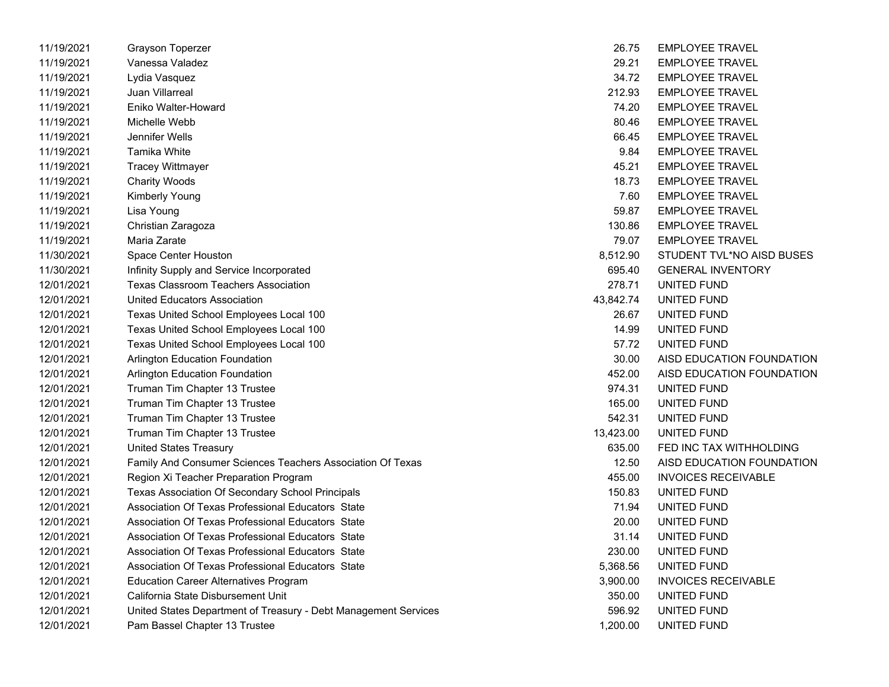| 11/19/2021 | <b>Grayson Toperzer</b>                                         | 26.75     | <b>EMPLOYEE TRAVEL</b>     |
|------------|-----------------------------------------------------------------|-----------|----------------------------|
| 11/19/2021 | Vanessa Valadez                                                 | 29.21     | <b>EMPLOYEE TRAVEL</b>     |
| 11/19/2021 | Lydia Vasquez                                                   | 34.72     | <b>EMPLOYEE TRAVEL</b>     |
| 11/19/2021 | Juan Villarreal                                                 | 212.93    | <b>EMPLOYEE TRAVEL</b>     |
| 11/19/2021 | Eniko Walter-Howard                                             | 74.20     | <b>EMPLOYEE TRAVEL</b>     |
| 11/19/2021 | Michelle Webb                                                   | 80.46     | <b>EMPLOYEE TRAVEL</b>     |
| 11/19/2021 | Jennifer Wells                                                  | 66.45     | <b>EMPLOYEE TRAVEL</b>     |
| 11/19/2021 | Tamika White                                                    | 9.84      | <b>EMPLOYEE TRAVEL</b>     |
| 11/19/2021 | <b>Tracey Wittmayer</b>                                         | 45.21     | <b>EMPLOYEE TRAVEL</b>     |
| 11/19/2021 | <b>Charity Woods</b>                                            | 18.73     | <b>EMPLOYEE TRAVEL</b>     |
| 11/19/2021 | Kimberly Young                                                  | 7.60      | <b>EMPLOYEE TRAVEL</b>     |
| 11/19/2021 | Lisa Young                                                      | 59.87     | <b>EMPLOYEE TRAVEL</b>     |
| 11/19/2021 | Christian Zaragoza                                              | 130.86    | <b>EMPLOYEE TRAVEL</b>     |
| 11/19/2021 | Maria Zarate                                                    | 79.07     | <b>EMPLOYEE TRAVEL</b>     |
| 11/30/2021 | Space Center Houston                                            | 8,512.90  | STUDENT TVL*NO AISD BUSES  |
| 11/30/2021 | Infinity Supply and Service Incorporated                        | 695.40    | <b>GENERAL INVENTORY</b>   |
| 12/01/2021 | <b>Texas Classroom Teachers Association</b>                     | 278.71    | UNITED FUND                |
| 12/01/2021 | United Educators Association                                    | 43,842.74 | UNITED FUND                |
| 12/01/2021 | Texas United School Employees Local 100                         | 26.67     | UNITED FUND                |
| 12/01/2021 | Texas United School Employees Local 100                         | 14.99     | UNITED FUND                |
| 12/01/2021 | Texas United School Employees Local 100                         | 57.72     | UNITED FUND                |
| 12/01/2021 | Arlington Education Foundation                                  | 30.00     | AISD EDUCATION FOUNDATION  |
| 12/01/2021 | Arlington Education Foundation                                  | 452.00    | AISD EDUCATION FOUNDATION  |
| 12/01/2021 | Truman Tim Chapter 13 Trustee                                   | 974.31    | UNITED FUND                |
| 12/01/2021 | Truman Tim Chapter 13 Trustee                                   | 165.00    | UNITED FUND                |
| 12/01/2021 | Truman Tim Chapter 13 Trustee                                   | 542.31    | UNITED FUND                |
| 12/01/2021 | Truman Tim Chapter 13 Trustee                                   | 13,423.00 | UNITED FUND                |
| 12/01/2021 | <b>United States Treasury</b>                                   | 635.00    | FED INC TAX WITHHOLDING    |
| 12/01/2021 | Family And Consumer Sciences Teachers Association Of Texas      | 12.50     | AISD EDUCATION FOUNDATION  |
| 12/01/2021 | Region Xi Teacher Preparation Program                           | 455.00    | <b>INVOICES RECEIVABLE</b> |
| 12/01/2021 | Texas Association Of Secondary School Principals                | 150.83    | UNITED FUND                |
| 12/01/2021 | Association Of Texas Professional Educators State               | 71.94     | UNITED FUND                |
| 12/01/2021 | Association Of Texas Professional Educators State               | 20.00     | UNITED FUND                |
| 12/01/2021 | Association Of Texas Professional Educators State               | 31.14     | UNITED FUND                |
| 12/01/2021 | Association Of Texas Professional Educators State               | 230.00    | UNITED FUND                |
| 12/01/2021 | Association Of Texas Professional Educators State               | 5,368.56  | UNITED FUND                |
| 12/01/2021 | <b>Education Career Alternatives Program</b>                    | 3,900.00  | <b>INVOICES RECEIVABLE</b> |
| 12/01/2021 | California State Disbursement Unit                              | 350.00    | UNITED FUND                |
| 12/01/2021 | United States Department of Treasury - Debt Management Services | 596.92    | UNITED FUND                |
| 12/01/2021 | Pam Bassel Chapter 13 Trustee                                   | 1,200.00  | UNITED FUND                |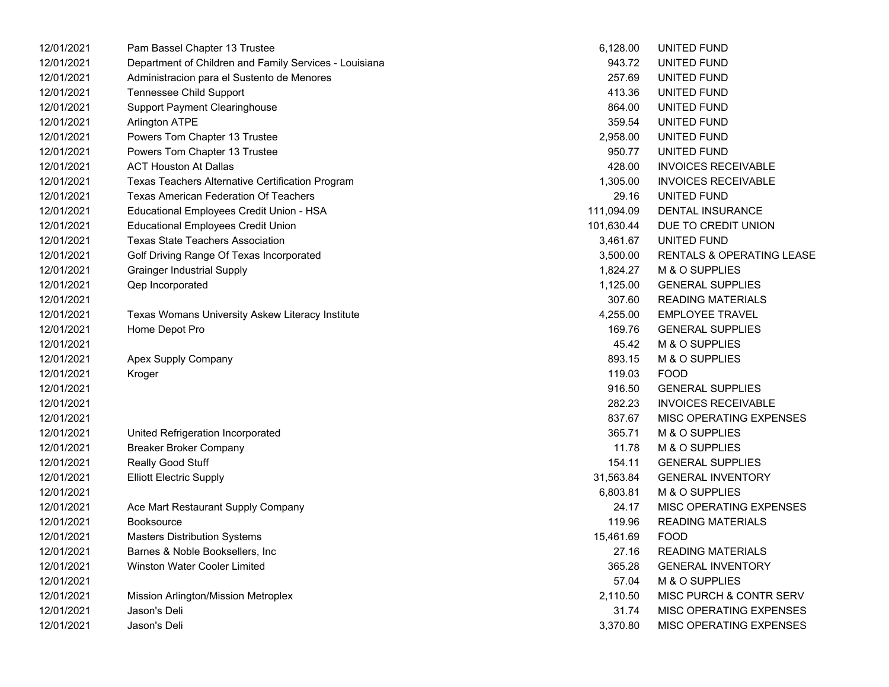| 12/01/2021 | Pam Bassel Chapter 13 Trustee                          | 6,128.00   | UNITED FUND                |
|------------|--------------------------------------------------------|------------|----------------------------|
| 12/01/2021 | Department of Children and Family Services - Louisiana | 943.72     | UNITED FUND                |
| 12/01/2021 | Administracion para el Sustento de Menores             | 257.69     | UNITED FUND                |
| 12/01/2021 | Tennessee Child Support                                | 413.36     | UNITED FUND                |
| 12/01/2021 | <b>Support Payment Clearinghouse</b>                   | 864.00     | UNITED FUND                |
| 12/01/2021 | Arlington ATPE                                         | 359.54     | UNITED FUND                |
| 12/01/2021 | Powers Tom Chapter 13 Trustee                          | 2,958.00   | UNITED FUND                |
| 12/01/2021 | Powers Tom Chapter 13 Trustee                          | 950.77     | UNITED FUND                |
| 12/01/2021 | <b>ACT Houston At Dallas</b>                           | 428.00     | <b>INVOICES RECEIVABLE</b> |
| 12/01/2021 | Texas Teachers Alternative Certification Program       | 1,305.00   | <b>INVOICES RECEIVABLE</b> |
| 12/01/2021 | <b>Texas American Federation Of Teachers</b>           | 29.16      | UNITED FUND                |
| 12/01/2021 | Educational Employees Credit Union - HSA               | 111,094.09 | DENTAL INSURANCE           |
| 12/01/2021 | <b>Educational Employees Credit Union</b>              | 101,630.44 | DUE TO CREDIT UNION        |
| 12/01/2021 | <b>Texas State Teachers Association</b>                | 3,461.67   | UNITED FUND                |
| 12/01/2021 | Golf Driving Range Of Texas Incorporated               | 3,500.00   | RENTALS & OPERATING LEASE  |
| 12/01/2021 | <b>Grainger Industrial Supply</b>                      | 1,824.27   | M & O SUPPLIES             |
| 12/01/2021 | Qep Incorporated                                       | 1,125.00   | <b>GENERAL SUPPLIES</b>    |
| 12/01/2021 |                                                        | 307.60     | <b>READING MATERIALS</b>   |
| 12/01/2021 | Texas Womans University Askew Literacy Institute       | 4,255.00   | <b>EMPLOYEE TRAVEL</b>     |
| 12/01/2021 | Home Depot Pro                                         | 169.76     | <b>GENERAL SUPPLIES</b>    |
| 12/01/2021 |                                                        | 45.42      | M & O SUPPLIES             |
| 12/01/2021 | Apex Supply Company                                    | 893.15     | M & O SUPPLIES             |
| 12/01/2021 | Kroger                                                 | 119.03     | <b>FOOD</b>                |
| 12/01/2021 |                                                        | 916.50     | <b>GENERAL SUPPLIES</b>    |
| 12/01/2021 |                                                        | 282.23     | <b>INVOICES RECEIVABLE</b> |
| 12/01/2021 |                                                        | 837.67     | MISC OPERATING EXPENSES    |
| 12/01/2021 | United Refrigeration Incorporated                      | 365.71     | M & O SUPPLIES             |
| 12/01/2021 | <b>Breaker Broker Company</b>                          | 11.78      | M & O SUPPLIES             |
| 12/01/2021 | Really Good Stuff                                      | 154.11     | <b>GENERAL SUPPLIES</b>    |
| 12/01/2021 | <b>Elliott Electric Supply</b>                         | 31,563.84  | <b>GENERAL INVENTORY</b>   |
| 12/01/2021 |                                                        | 6,803.81   | M & O SUPPLIES             |
| 12/01/2021 | Ace Mart Restaurant Supply Company                     | 24.17      | MISC OPERATING EXPENSES    |
| 12/01/2021 | <b>Booksource</b>                                      | 119.96     | <b>READING MATERIALS</b>   |
| 12/01/2021 | <b>Masters Distribution Systems</b>                    | 15,461.69  | <b>FOOD</b>                |
| 12/01/2021 | Barnes & Noble Booksellers, Inc                        | 27.16      | <b>READING MATERIALS</b>   |
| 12/01/2021 | Winston Water Cooler Limited                           | 365.28     | <b>GENERAL INVENTORY</b>   |
| 12/01/2021 |                                                        | 57.04      | M & O SUPPLIES             |
| 12/01/2021 | Mission Arlington/Mission Metroplex                    | 2,110.50   | MISC PURCH & CONTR SERV    |
| 12/01/2021 | Jason's Deli                                           | 31.74      | MISC OPERATING EXPENSES    |
| 12/01/2021 | Jason's Deli                                           | 3,370.80   | MISC OPERATING EXPENSES    |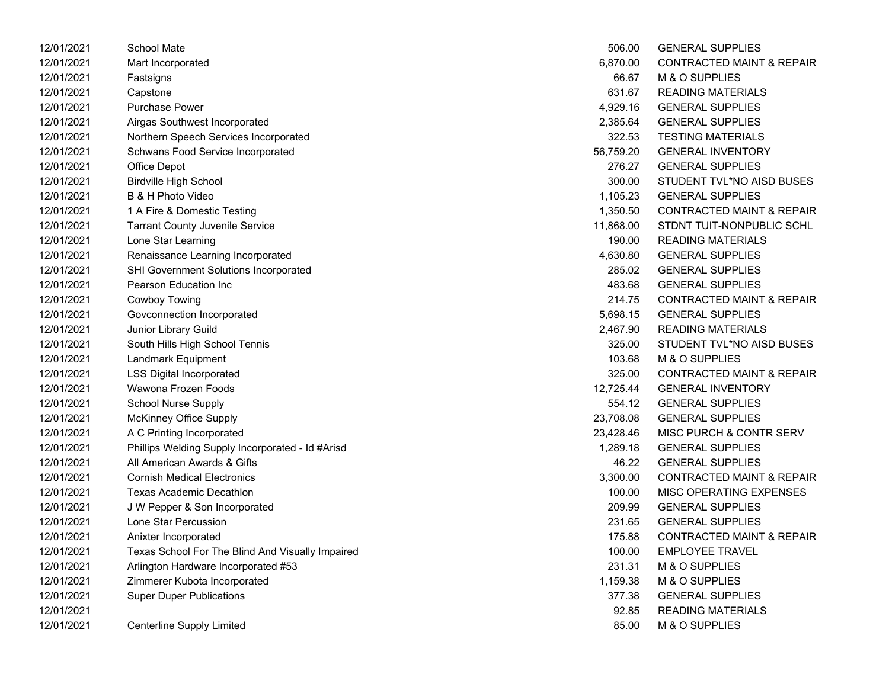| 12/01/2021 | School Mate                                      | 506.00    | <b>GENERAL SUPPLIES</b>              |
|------------|--------------------------------------------------|-----------|--------------------------------------|
| 12/01/2021 | Mart Incorporated                                | 6,870.00  | <b>CONTRACTED MAINT &amp; REPAIR</b> |
| 12/01/2021 | Fastsigns                                        | 66.67     | M & O SUPPLIES                       |
| 12/01/2021 | Capstone                                         | 631.67    | <b>READING MATERIALS</b>             |
| 12/01/2021 | <b>Purchase Power</b>                            | 4,929.16  | <b>GENERAL SUPPLIES</b>              |
| 12/01/2021 | Airgas Southwest Incorporated                    | 2,385.64  | <b>GENERAL SUPPLIES</b>              |
| 12/01/2021 | Northern Speech Services Incorporated            | 322.53    | <b>TESTING MATERIALS</b>             |
| 12/01/2021 | Schwans Food Service Incorporated                | 56,759.20 | <b>GENERAL INVENTORY</b>             |
| 12/01/2021 | Office Depot                                     | 276.27    | <b>GENERAL SUPPLIES</b>              |
| 12/01/2021 | <b>Birdville High School</b>                     | 300.00    | STUDENT TVL*NO AISD BUSES            |
| 12/01/2021 | B & H Photo Video                                | 1,105.23  | <b>GENERAL SUPPLIES</b>              |
| 12/01/2021 | 1 A Fire & Domestic Testing                      | 1,350.50  | <b>CONTRACTED MAINT &amp; REPAIR</b> |
| 12/01/2021 | <b>Tarrant County Juvenile Service</b>           | 11,868.00 | STDNT TUIT-NONPUBLIC SCHL            |
| 12/01/2021 | Lone Star Learning                               | 190.00    | <b>READING MATERIALS</b>             |
| 12/01/2021 | Renaissance Learning Incorporated                | 4,630.80  | <b>GENERAL SUPPLIES</b>              |
| 12/01/2021 | <b>SHI Government Solutions Incorporated</b>     | 285.02    | <b>GENERAL SUPPLIES</b>              |
| 12/01/2021 | Pearson Education Inc                            | 483.68    | <b>GENERAL SUPPLIES</b>              |
| 12/01/2021 | <b>Cowboy Towing</b>                             | 214.75    | <b>CONTRACTED MAINT &amp; REPAIR</b> |
| 12/01/2021 | Govconnection Incorporated                       | 5,698.15  | <b>GENERAL SUPPLIES</b>              |
| 12/01/2021 | Junior Library Guild                             | 2,467.90  | <b>READING MATERIALS</b>             |
| 12/01/2021 | South Hills High School Tennis                   | 325.00    | STUDENT TVL*NO AISD BUSES            |
| 12/01/2021 | Landmark Equipment                               | 103.68    | M & O SUPPLIES                       |
| 12/01/2021 | <b>LSS Digital Incorporated</b>                  | 325.00    | <b>CONTRACTED MAINT &amp; REPAIR</b> |
| 12/01/2021 | Wawona Frozen Foods                              | 12,725.44 | <b>GENERAL INVENTORY</b>             |
| 12/01/2021 | <b>School Nurse Supply</b>                       | 554.12    | <b>GENERAL SUPPLIES</b>              |
| 12/01/2021 | McKinney Office Supply                           | 23,708.08 | <b>GENERAL SUPPLIES</b>              |
| 12/01/2021 | A C Printing Incorporated                        | 23,428.46 | <b>MISC PURCH &amp; CONTR SERV</b>   |
| 12/01/2021 | Phillips Welding Supply Incorporated - Id #Arisd | 1,289.18  | <b>GENERAL SUPPLIES</b>              |
| 12/01/2021 | All American Awards & Gifts                      | 46.22     | <b>GENERAL SUPPLIES</b>              |
| 12/01/2021 | <b>Cornish Medical Electronics</b>               | 3,300.00  | <b>CONTRACTED MAINT &amp; REPAIR</b> |
| 12/01/2021 | <b>Texas Academic Decathlon</b>                  | 100.00    | MISC OPERATING EXPENSES              |
| 12/01/2021 | J W Pepper & Son Incorporated                    | 209.99    | <b>GENERAL SUPPLIES</b>              |
| 12/01/2021 | Lone Star Percussion                             | 231.65    | <b>GENERAL SUPPLIES</b>              |
| 12/01/2021 | Anixter Incorporated                             | 175.88    | <b>CONTRACTED MAINT &amp; REPAIR</b> |
| 12/01/2021 | Texas School For The Blind And Visually Impaired | 100.00    | <b>EMPLOYEE TRAVEL</b>               |
| 12/01/2021 | Arlington Hardware Incorporated #53              | 231.31    | M & O SUPPLIES                       |
| 12/01/2021 | Zimmerer Kubota Incorporated                     | 1,159.38  | M & O SUPPLIES                       |
| 12/01/2021 | <b>Super Duper Publications</b>                  | 377.38    | <b>GENERAL SUPPLIES</b>              |
| 12/01/2021 |                                                  | 92.85     | <b>READING MATERIALS</b>             |
| 12/01/2021 | <b>Centerline Supply Limited</b>                 | 85.00     | M & O SUPPLIES                       |

| 506.00    | <b>GENERAL SUPPLIES</b>              |
|-----------|--------------------------------------|
| 6,870.00  | <b>CONTRACTED MAINT &amp; REPAIR</b> |
| 66.67     | M & O SUPPLIES                       |
| 631.67    | <b>READING MATERIALS</b>             |
| 4,929.16  | <b>GENERAL SUPPLIES</b>              |
| 2,385.64  | <b>GENERAL SUPPLIES</b>              |
| 322.53    | <b>TESTING MATERIALS</b>             |
| 56,759.20 | <b>GENERAL INVENTORY</b>             |
| 276.27    | <b>GENERAL SUPPLIES</b>              |
| 300.00    | STUDENT TVL*NO AISD BUSES            |
| 1,105.23  | <b>GENERAL SUPPLIES</b>              |
| 1,350.50  | <b>CONTRACTED MAINT &amp; REPAIR</b> |
| 11,868.00 | STDNT TUIT-NONPUBLIC SCHL            |
| 190.00    | READING MATERIALS                    |
| 4,630.80  | <b>GENERAL SUPPLIES</b>              |
| 285.02    | <b>GENERAL SUPPLIES</b>              |
| 483.68    | <b>GENERAL SUPPLIES</b>              |
| 214.75    | <b>CONTRACTED MAINT &amp; REPAIR</b> |
| 5,698.15  | <b>GENERAL SUPPLIES</b>              |
| 2,467.90  | <b>READING MATERIALS</b>             |
| 325.00    | STUDENT TVL*NO AISD BUSES            |
| 103.68    | M & O SUPPLIES                       |
| 325.00    | <b>CONTRACTED MAINT &amp; REPAIR</b> |
| 12,725.44 | <b>GENERAL INVENTORY</b>             |
| 554.12    | <b>GENERAL SUPPLIES</b>              |
| 23,708.08 | <b>GENERAL SUPPLIES</b>              |
| 23,428.46 | <b>MISC PURCH &amp; CONTR SERV</b>   |
| 1,289.18  | <b>GENERAL SUPPLIES</b>              |
| 46.22     | <b>GENERAL SUPPLIES</b>              |
| 3,300.00  | <b>CONTRACTED MAINT &amp; REPAIR</b> |
| 100.00    | <b>MISC OPERATING EXPENSES</b>       |
| 209.99    | <b>GENERAL SUPPLIES</b>              |
| 231.65    | <b>GENERAL SUPPLIES</b>              |
| 175.88    | <b>CONTRACTED MAINT &amp; REPAIR</b> |
| 100.00    | <b>EMPLOYEE TRAVEL</b>               |
| 231.31    | <b>M &amp; O SUPPLIES</b>            |
| 1,159.38  | <b>M &amp; O SUPPLIES</b>            |
| 377.38    | <b>GENERAL SUPPLIES</b>              |
| 92.85     | <b>READING MATERIALS</b>             |
| 85.00     | M & O SUPPLIES                       |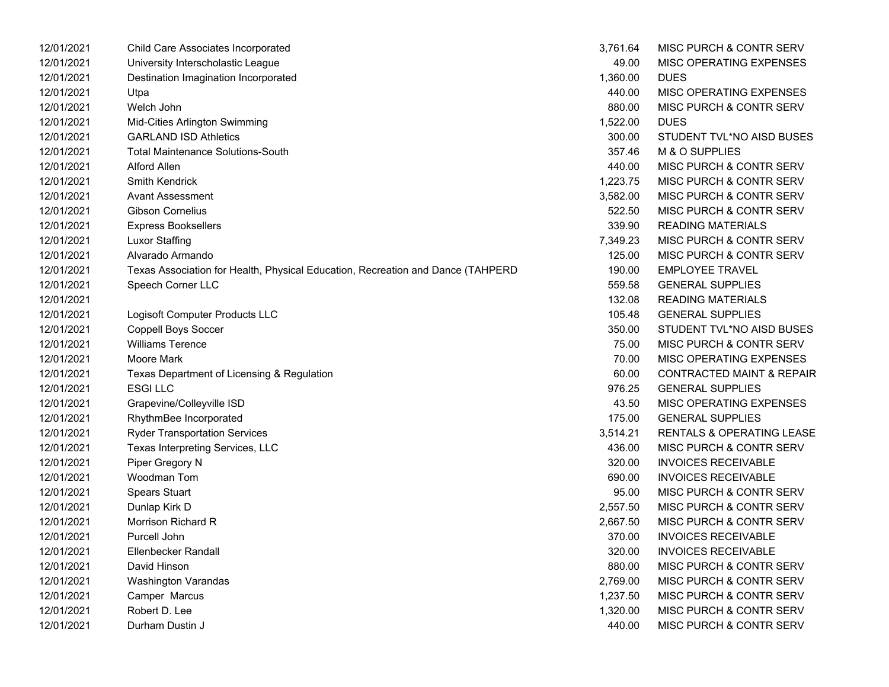| 12/01/2021 | Child Care Associates Incorporated                                              | 3,761.64 | <b>MISC PURCH &amp; CONTR SERV</b>   |
|------------|---------------------------------------------------------------------------------|----------|--------------------------------------|
| 12/01/2021 | University Interscholastic League                                               | 49.00    | MISC OPERATING EXPENSES              |
| 12/01/2021 | Destination Imagination Incorporated                                            | 1,360.00 | <b>DUES</b>                          |
| 12/01/2021 | Utpa                                                                            | 440.00   | MISC OPERATING EXPENSES              |
| 12/01/2021 | Welch John                                                                      | 880.00   | MISC PURCH & CONTR SERV              |
| 12/01/2021 | Mid-Cities Arlington Swimming                                                   | 1,522.00 | <b>DUES</b>                          |
| 12/01/2021 | <b>GARLAND ISD Athletics</b>                                                    | 300.00   | STUDENT TVL*NO AISD BUSES            |
| 12/01/2021 | <b>Total Maintenance Solutions-South</b>                                        | 357.46   | M & O SUPPLIES                       |
| 12/01/2021 | <b>Alford Allen</b>                                                             | 440.00   | MISC PURCH & CONTR SERV              |
| 12/01/2021 | <b>Smith Kendrick</b>                                                           | 1,223.75 | MISC PURCH & CONTR SERV              |
| 12/01/2021 | <b>Avant Assessment</b>                                                         | 3,582.00 | MISC PURCH & CONTR SERV              |
| 12/01/2021 | <b>Gibson Cornelius</b>                                                         | 522.50   | MISC PURCH & CONTR SERV              |
| 12/01/2021 | <b>Express Booksellers</b>                                                      | 339.90   | <b>READING MATERIALS</b>             |
| 12/01/2021 | <b>Luxor Staffing</b>                                                           | 7,349.23 | MISC PURCH & CONTR SERV              |
| 12/01/2021 | Alvarado Armando                                                                | 125.00   | MISC PURCH & CONTR SERV              |
| 12/01/2021 | Texas Association for Health, Physical Education, Recreation and Dance (TAHPERD | 190.00   | <b>EMPLOYEE TRAVEL</b>               |
| 12/01/2021 | Speech Corner LLC                                                               | 559.58   | <b>GENERAL SUPPLIES</b>              |
| 12/01/2021 |                                                                                 | 132.08   | <b>READING MATERIALS</b>             |
| 12/01/2021 | Logisoft Computer Products LLC                                                  | 105.48   | <b>GENERAL SUPPLIES</b>              |
| 12/01/2021 | <b>Coppell Boys Soccer</b>                                                      | 350.00   | STUDENT TVL*NO AISD BUSES            |
| 12/01/2021 | <b>Williams Terence</b>                                                         | 75.00    | MISC PURCH & CONTR SERV              |
| 12/01/2021 | Moore Mark                                                                      | 70.00    | MISC OPERATING EXPENSES              |
| 12/01/2021 | Texas Department of Licensing & Regulation                                      | 60.00    | <b>CONTRACTED MAINT &amp; REPAIR</b> |
| 12/01/2021 | <b>ESGILLC</b>                                                                  | 976.25   | <b>GENERAL SUPPLIES</b>              |
| 12/01/2021 | Grapevine/Colleyville ISD                                                       | 43.50    | MISC OPERATING EXPENSES              |
| 12/01/2021 | RhythmBee Incorporated                                                          | 175.00   | <b>GENERAL SUPPLIES</b>              |
| 12/01/2021 | <b>Ryder Transportation Services</b>                                            | 3,514.21 | <b>RENTALS &amp; OPERATING LEASE</b> |
| 12/01/2021 | Texas Interpreting Services, LLC                                                | 436.00   | MISC PURCH & CONTR SERV              |
| 12/01/2021 | Piper Gregory N                                                                 | 320.00   | <b>INVOICES RECEIVABLE</b>           |
| 12/01/2021 | Woodman Tom                                                                     | 690.00   | <b>INVOICES RECEIVABLE</b>           |
| 12/01/2021 | <b>Spears Stuart</b>                                                            | 95.00    | MISC PURCH & CONTR SERV              |
| 12/01/2021 | Dunlap Kirk D                                                                   | 2,557.50 | MISC PURCH & CONTR SERV              |
| 12/01/2021 | Morrison Richard R                                                              | 2,667.50 | <b>MISC PURCH &amp; CONTR SERV</b>   |
| 12/01/2021 | Purcell John                                                                    | 370.00   | <b>INVOICES RECEIVABLE</b>           |
| 12/01/2021 | Ellenbecker Randall                                                             | 320.00   | <b>INVOICES RECEIVABLE</b>           |
| 12/01/2021 | David Hinson                                                                    | 880.00   | MISC PURCH & CONTR SERV              |
| 12/01/2021 | <b>Washington Varandas</b>                                                      | 2,769.00 | <b>MISC PURCH &amp; CONTR SERV</b>   |
| 12/01/2021 | Camper Marcus                                                                   | 1,237.50 | <b>MISC PURCH &amp; CONTR SERV</b>   |
| 12/01/2021 | Robert D. Lee                                                                   | 1,320.00 | <b>MISC PURCH &amp; CONTR SERV</b>   |
| 12/01/2021 | Durham Dustin J                                                                 | 440.00   | MISC PURCH & CONTR SERV              |

| 3,761.64 | <b>MISC PURCH &amp; CONTR SERV</b>   |
|----------|--------------------------------------|
| 49.00    | <b>MISC OPERATING EXPENSES</b>       |
| 1.360.00 | DUES                                 |
| 440.00   | <b>MISC OPERATING EXPENSES</b>       |
| 880.00   | <b>MISC PURCH &amp; CONTR SERV</b>   |
| 1,522.00 | <b>DUES</b>                          |
| 300.00   | STUDENT TVL*NO AISD BUSES            |
| 357.46   | M & O SUPPLIES                       |
| 440.00   | <b>MISC PURCH &amp; CONTR SERV</b>   |
| 1,223.75 | MISC PURCH & CONTR SERV              |
| 3,582.00 | <b>MISC PURCH &amp; CONTR SERV</b>   |
| 522.50   | MISC PURCH & CONTR SERV              |
| 339.90   | <b>READING MATERIALS</b>             |
| 7,349.23 | MISC PURCH & CONTR SERV              |
| 125.00   | MISC PURCH & CONTR SERV              |
| 190.00   | <b>EMPLOYEE TRAVEL</b>               |
| 559.58   | <b>GENERAL SUPPLIES</b>              |
| 132.08   | <b>READING MATERIALS</b>             |
| 105.48   | <b>GENERAL SUPPLIES</b>              |
| 350.00   | STUDENT TVL*NO AISD BUSES            |
| 75.00    | <b>MISC PURCH &amp; CONTR SERV</b>   |
| 70.00    | <b>MISC OPERATING EXPENSES</b>       |
| 60.00    | <b>CONTRACTED MAINT &amp; REPAIR</b> |
| 976.25   | GENERAL SUPPLIES                     |
| 43.50    | <b>MISC OPERATING EXPENSES</b>       |
| 175.00   | <b>GENERAL SUPPLIES</b>              |
| 3,514.21 | <b>RENTALS &amp; OPERATING LEASE</b> |
| 436.00   | <b>MISC PURCH &amp; CONTR SERV</b>   |
| 320.00   | <b>INVOICES RECEIVABLE</b>           |
| 690.00   | <b>INVOICES RECEIVABLE</b>           |
| 95.00    | <b>MISC PURCH &amp; CONTR SERV</b>   |
| 2,557.50 | <b>MISC PURCH &amp; CONTR SERV</b>   |
| 2,667.50 | MISC PURCH & CONTR SERV              |
| 370.00   | <b>INVOICES RECEIVABLE</b>           |
| 320.00   | <b>INVOICES RECEIVABLE</b>           |
| 880.00   | <b>MISC PURCH &amp; CONTR SERV</b>   |
| 2,769.00 | <b>MISC PURCH &amp; CONTR SERV</b>   |
| 1,237.50 | <b>MISC PURCH &amp; CONTR SERV</b>   |
| 1,320.00 | MISC PURCH & CONTR SERV              |
| 440.00   | <b>MISC PURCH &amp; CONTR SERV</b>   |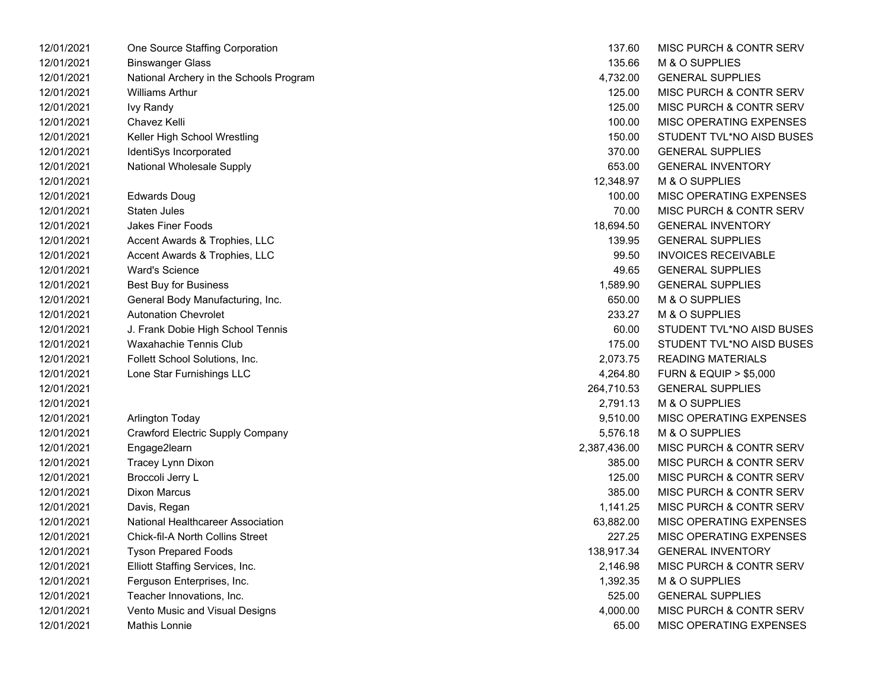| 12/01/2021 | One Source Staffing Corporation         | 137.60       | <b>MISC PURCH &amp; CONTR SERV</b>   |
|------------|-----------------------------------------|--------------|--------------------------------------|
| 12/01/2021 | <b>Binswanger Glass</b>                 | 135.66       | M & O SUPPLIES                       |
| 12/01/2021 | National Archery in the Schools Program | 4,732.00     | <b>GENERAL SUPPLIES</b>              |
| 12/01/2021 | <b>Williams Arthur</b>                  | 125.00       | <b>MISC PURCH &amp; CONTR SERV</b>   |
| 12/01/2021 | <b>Ivy Randy</b>                        | 125.00       | <b>MISC PURCH &amp; CONTR SERV</b>   |
| 12/01/2021 | Chavez Kelli                            | 100.00       | MISC OPERATING EXPENSES              |
| 12/01/2021 | Keller High School Wrestling            | 150.00       | STUDENT TVL*NO AISD BUSES            |
| 12/01/2021 | IdentiSys Incorporated                  | 370.00       | <b>GENERAL SUPPLIES</b>              |
| 12/01/2021 | <b>National Wholesale Supply</b>        | 653.00       | <b>GENERAL INVENTORY</b>             |
| 12/01/2021 |                                         | 12,348.97    | M & O SUPPLIES                       |
| 12/01/2021 | <b>Edwards Doug</b>                     | 100.00       | MISC OPERATING EXPENSES              |
| 12/01/2021 | Staten Jules                            | 70.00        | <b>MISC PURCH &amp; CONTR SERV</b>   |
| 12/01/2021 | <b>Jakes Finer Foods</b>                | 18,694.50    | <b>GENERAL INVENTORY</b>             |
| 12/01/2021 | Accent Awards & Trophies, LLC           | 139.95       | <b>GENERAL SUPPLIES</b>              |
| 12/01/2021 | Accent Awards & Trophies, LLC           | 99.50        | <b>INVOICES RECEIVABLE</b>           |
| 12/01/2021 | <b>Ward's Science</b>                   | 49.65        | <b>GENERAL SUPPLIES</b>              |
| 12/01/2021 | <b>Best Buy for Business</b>            | 1,589.90     | <b>GENERAL SUPPLIES</b>              |
| 12/01/2021 | General Body Manufacturing, Inc.        | 650.00       | <b>M &amp; O SUPPLIES</b>            |
| 12/01/2021 | <b>Autonation Chevrolet</b>             | 233.27       | <b>M &amp; O SUPPLIES</b>            |
| 12/01/2021 | J. Frank Dobie High School Tennis       | 60.00        | STUDENT TVL*NO AISD BUSES            |
| 12/01/2021 | <b>Waxahachie Tennis Club</b>           | 175.00       | STUDENT TVL*NO AISD BUSES            |
| 12/01/2021 | Follett School Solutions, Inc.          | 2,073.75     | <b>READING MATERIALS</b>             |
| 12/01/2021 | Lone Star Furnishings LLC               | 4,264.80     | <b>FURN &amp; EQUIP &gt; \$5,000</b> |
| 12/01/2021 |                                         | 264,710.53   | <b>GENERAL SUPPLIES</b>              |
| 12/01/2021 |                                         | 2,791.13     | M & O SUPPLIES                       |
| 12/01/2021 | Arlington Today                         | 9,510.00     | <b>MISC OPERATING EXPENSES</b>       |
| 12/01/2021 | Crawford Electric Supply Company        | 5,576.18     | M & O SUPPLIES                       |
| 12/01/2021 | Engage2learn                            | 2,387,436.00 | <b>MISC PURCH &amp; CONTR SERV</b>   |
| 12/01/2021 | Tracey Lynn Dixon                       | 385.00       | MISC PURCH & CONTR SERV              |
| 12/01/2021 | Broccoli Jerry L                        | 125.00       | <b>MISC PURCH &amp; CONTR SERV</b>   |
| 12/01/2021 | <b>Dixon Marcus</b>                     | 385.00       | <b>MISC PURCH &amp; CONTR SERV</b>   |
| 12/01/2021 | Davis, Regan                            | 1,141.25     | <b>MISC PURCH &amp; CONTR SERV</b>   |
| 12/01/2021 | National Healthcareer Association       | 63,882.00    | MISC OPERATING EXPENSES              |
| 12/01/2021 | <b>Chick-fil-A North Collins Street</b> | 227.25       | MISC OPERATING EXPENSES              |
| 12/01/2021 | <b>Tyson Prepared Foods</b>             | 138,917.34   | <b>GENERAL INVENTORY</b>             |
| 12/01/2021 | Elliott Staffing Services, Inc.         | 2,146.98     | MISC PURCH & CONTR SERV              |
| 12/01/2021 | Ferguson Enterprises, Inc.              | 1,392.35     | M & O SUPPLIES                       |
| 12/01/2021 | Teacher Innovations, Inc.               | 525.00       | <b>GENERAL SUPPLIES</b>              |
| 12/01/2021 | Vento Music and Visual Designs          | 4,000.00     | <b>MISC PURCH &amp; CONTR SERV</b>   |
| 12/01/2021 | Mathis Lonnie                           | 65.00        | MISC OPERATING EXPENSES              |

| 137.60      | MISC PURCH & CONTR SERV              |
|-------------|--------------------------------------|
| 135.66      | <b>M &amp; O SUPPLIES</b>            |
| 4,732.00    | <b>GENERAL SUPPLIES</b>              |
| 125.00      | <b>MISC PURCH &amp; CONTR SERV</b>   |
| 125.00      | <b>MISC PURCH &amp; CONTR SERV</b>   |
| 100.00      | <b>MISC OPERATING EXPENSES</b>       |
| 150.00      | STUDENT TVL*NO AISD BUSES            |
| 370.00      | <b>GENERAL SUPPLIES</b>              |
| 653.00      | <b>GENERAL INVENTORY</b>             |
| 12,348.97   | <b>M &amp; O SUPPLIES</b>            |
| 100.00      | <b>MISC OPERATING EXPENSES</b>       |
| 70.00       | <b>MISC PURCH &amp; CONTR SERV</b>   |
| 18,694.50   | <b>GENERAL INVENTORY</b>             |
| 139.95      | <b>GENERAL SUPPLIES</b>              |
| 99.50       | <b>INVOICES RECEIVABLE</b>           |
| 49.65       | <b>GENERAL SUPPLIES</b>              |
| 1,589.90    | <b>GENERAL SUPPLIES</b>              |
| 650.00      | M & O SUPPLIES                       |
| 233.27      | M & O SUPPLIES                       |
| 60.00       | STUDENT TVL*NO AISD BUSES            |
| 175.00      | STUDENT TVL*NO AISD BUSES            |
| 2,073.75    | <b>READING MATERIALS</b>             |
| 4,264.80    | <b>FURN &amp; EQUIP &gt; \$5,000</b> |
| 264,710.53  | <b>GENERAL SUPPLIES</b>              |
| 2,791.13    | M & O SUPPLIES                       |
| 9,510.00    | <b>MISC OPERATING EXPENSES</b>       |
| 5,576.18    | <b>M &amp; O SUPPLIES</b>            |
| ,387,436.00 | <b>MISC PURCH &amp; CONTR SERV</b>   |
| 385.00      | <b>MISC PURCH &amp; CONTR SERV</b>   |
| 125.00      | <b>MISC PURCH &amp; CONTR SERV</b>   |
| 385.00      | MISC PURCH & CONTR SERV              |
| 1,141.25    | <b>MISC PURCH &amp; CONTR SERV</b>   |
| 63,882.00   | <b>MISC OPERATING EXPENSES</b>       |
| 227.25      | <b>MISC OPERATING EXPENSES</b>       |
| 138,917.34  | <b>GENERAL INVENTORY</b>             |
| 2,146.98    | MISC PURCH & CONTR SERV              |
| 1,392.35    | <b>M &amp; O SUPPLIES</b>            |
| 525.00      | <b>GENERAL SUPPLIES</b>              |
| 4,000.00    | MISC PURCH & CONTR SERV              |
| 65.00       | <b>MISC OPERATING EXPENSES</b>       |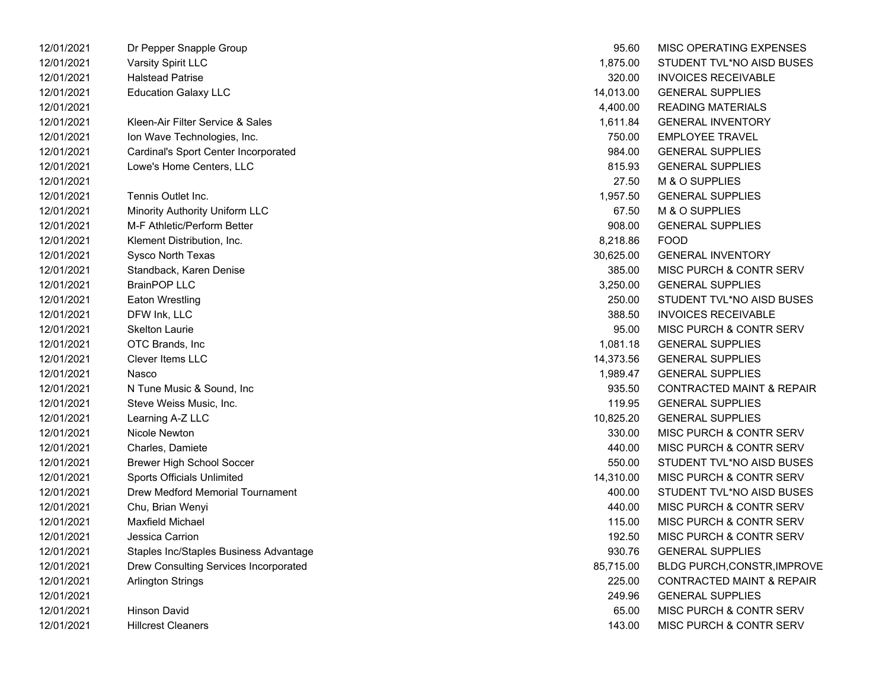| 12/01/2021 | Dr Pepper Shapple Group                | 95.60     | MISC OPERATING EXPENSES              |
|------------|----------------------------------------|-----------|--------------------------------------|
| 12/01/2021 | Varsity Spirit LLC                     | 1,875.00  | STUDENT TVL*NO AISD BUSES            |
| 12/01/2021 | <b>Halstead Patrise</b>                | 320.00    | <b>INVOICES RECEIVABLE</b>           |
| 12/01/2021 | <b>Education Galaxy LLC</b>            | 14,013.00 | <b>GENERAL SUPPLIES</b>              |
| 12/01/2021 |                                        | 4,400.00  | READING MATERIALS                    |
| 12/01/2021 | Kleen-Air Filter Service & Sales       | 1,611.84  | <b>GENERAL INVENTORY</b>             |
| 12/01/2021 | Ion Wave Technologies, Inc.            | 750.00    | <b>EMPLOYEE TRAVEL</b>               |
| 12/01/2021 | Cardinal's Sport Center Incorporated   | 984.00    | <b>GENERAL SUPPLIES</b>              |
| 12/01/2021 | Lowe's Home Centers, LLC               | 815.93    | <b>GENERAL SUPPLIES</b>              |
| 12/01/2021 |                                        | 27.50     | M & O SUPPLIES                       |
| 12/01/2021 | Tennis Outlet Inc.                     | 1,957.50  | <b>GENERAL SUPPLIES</b>              |
| 12/01/2021 | Minority Authority Uniform LLC         | 67.50     | M & O SUPPLIES                       |
| 12/01/2021 | M-F Athletic/Perform Better            | 908.00    | <b>GENERAL SUPPLIES</b>              |
| 12/01/2021 | Klement Distribution, Inc.             | 8,218.86  | <b>FOOD</b>                          |
| 12/01/2021 | Sysco North Texas                      | 30,625.00 | <b>GENERAL INVENTORY</b>             |
| 12/01/2021 | Standback, Karen Denise                | 385.00    | MISC PURCH & CONTR SERV              |
| 12/01/2021 | <b>BrainPOP LLC</b>                    | 3,250.00  | <b>GENERAL SUPPLIES</b>              |
| 12/01/2021 | <b>Eaton Wrestling</b>                 | 250.00    | STUDENT TVL*NO AISD BUSES            |
| 12/01/2021 | DFW Ink, LLC                           | 388.50    | <b>INVOICES RECEIVABLE</b>           |
| 12/01/2021 | <b>Skelton Laurie</b>                  | 95.00     | <b>MISC PURCH &amp; CONTR SERV</b>   |
| 12/01/2021 | OTC Brands, Inc                        | 1,081.18  | <b>GENERAL SUPPLIES</b>              |
| 12/01/2021 | <b>Clever Items LLC</b>                | 14,373.56 | <b>GENERAL SUPPLIES</b>              |
| 12/01/2021 | Nasco                                  | 1,989.47  | <b>GENERAL SUPPLIES</b>              |
| 12/01/2021 | N Tune Music & Sound, Inc.             | 935.50    | CONTRACTED MAINT & REPAIR            |
| 12/01/2021 | Steve Weiss Music, Inc.                | 119.95    | <b>GENERAL SUPPLIES</b>              |
| 12/01/2021 | Learning A-Z LLC                       | 10,825.20 | <b>GENERAL SUPPLIES</b>              |
| 12/01/2021 | Nicole Newton                          | 330.00    | <b>MISC PURCH &amp; CONTR SERV</b>   |
| 12/01/2021 | Charles, Damiete                       | 440.00    | <b>MISC PURCH &amp; CONTR SERV</b>   |
| 12/01/2021 | <b>Brewer High School Soccer</b>       | 550.00    | STUDENT TVL*NO AISD BUSES            |
| 12/01/2021 | <b>Sports Officials Unlimited</b>      | 14,310.00 | MISC PURCH & CONTR SERV              |
| 12/01/2021 | Drew Medford Memorial Tournament       | 400.00    | STUDENT TVL*NO AISD BUSES            |
| 12/01/2021 | Chu, Brian Wenyi                       | 440.00    | <b>MISC PURCH &amp; CONTR SERV</b>   |
| 12/01/2021 | Maxfield Michael                       | 115.00    | <b>MISC PURCH &amp; CONTR SERV</b>   |
| 12/01/2021 | Jessica Carrion                        | 192.50    | MISC PURCH & CONTR SERV              |
| 12/01/2021 | Staples Inc/Staples Business Advantage | 930.76    | <b>GENERAL SUPPLIES</b>              |
| 12/01/2021 | Drew Consulting Services Incorporated  | 85,715.00 | BLDG PURCH, CONSTR, IMPROVE          |
| 12/01/2021 | <b>Arlington Strings</b>               | 225.00    | <b>CONTRACTED MAINT &amp; REPAIR</b> |
| 12/01/2021 |                                        | 249.96    | <b>GENERAL SUPPLIES</b>              |
| 12/01/2021 | <b>Hinson David</b>                    | 65.00     | <b>MISC PURCH &amp; CONTR SERV</b>   |
| 12/01/2021 | <b>Hillcrest Cleaners</b>              | 143.00    | <b>MISC PURCH &amp; CONTR SERV</b>   |

| 12/01/2021 | Dr Pepper Snapple Group                 | 95.60     | MISC OPERATING EXPENSES              |
|------------|-----------------------------------------|-----------|--------------------------------------|
| 12/01/2021 | <b>Varsity Spirit LLC</b>               | 1,875.00  | STUDENT TVL*NO AISD BUSES            |
| 12/01/2021 | <b>Halstead Patrise</b>                 | 320.00    | <b>INVOICES RECEIVABLE</b>           |
| 12/01/2021 | <b>Education Galaxy LLC</b>             | 14,013.00 | <b>GENERAL SUPPLIES</b>              |
| 12/01/2021 |                                         | 4,400.00  | <b>READING MATERIALS</b>             |
| 12/01/2021 | Kleen-Air Filter Service & Sales        | 1,611.84  | <b>GENERAL INVENTORY</b>             |
| 12/01/2021 | Ion Wave Technologies, Inc.             | 750.00    | <b>EMPLOYEE TRAVEL</b>               |
| 12/01/2021 | Cardinal's Sport Center Incorporated    | 984.00    | <b>GENERAL SUPPLIES</b>              |
| 12/01/2021 | Lowe's Home Centers, LLC                | 815.93    | <b>GENERAL SUPPLIES</b>              |
| 12/01/2021 |                                         | 27.50     | M & O SUPPLIES                       |
| 12/01/2021 | Tennis Outlet Inc.                      | 1,957.50  | <b>GENERAL SUPPLIES</b>              |
| 12/01/2021 | Minority Authority Uniform LLC          | 67.50     | M & O SUPPLIES                       |
| 12/01/2021 | M-F Athletic/Perform Better             | 908.00    | <b>GENERAL SUPPLIES</b>              |
| 12/01/2021 | Klement Distribution, Inc.              | 8,218.86  | <b>FOOD</b>                          |
| 12/01/2021 | Sysco North Texas                       | 30,625.00 | <b>GENERAL INVENTORY</b>             |
| 12/01/2021 | Standback, Karen Denise                 | 385.00    | MISC PURCH & CONTR SERV              |
| 12/01/2021 | <b>BrainPOP LLC</b>                     | 3,250.00  | <b>GENERAL SUPPLIES</b>              |
| 12/01/2021 | <b>Eaton Wrestling</b>                  | 250.00    | STUDENT TVL*NO AISD BUSES            |
| 12/01/2021 | DFW Ink, LLC                            | 388.50    | <b>INVOICES RECEIVABLE</b>           |
| 12/01/2021 | <b>Skelton Laurie</b>                   | 95.00     | MISC PURCH & CONTR SERV              |
| 12/01/2021 | OTC Brands, Inc                         | 1,081.18  | <b>GENERAL SUPPLIES</b>              |
| 12/01/2021 | Clever Items LLC                        | 14,373.56 | <b>GENERAL SUPPLIES</b>              |
| 12/01/2021 | Nasco                                   | 1,989.47  | <b>GENERAL SUPPLIES</b>              |
| 12/01/2021 | N Tune Music & Sound, Inc               | 935.50    | <b>CONTRACTED MAINT &amp; REPAIR</b> |
| 12/01/2021 | Steve Weiss Music, Inc.                 | 119.95    | <b>GENERAL SUPPLIES</b>              |
| 12/01/2021 | Learning A-Z LLC                        | 10,825.20 | <b>GENERAL SUPPLIES</b>              |
| 12/01/2021 | Nicole Newton                           | 330.00    | MISC PURCH & CONTR SERV              |
| 12/01/2021 | Charles, Damiete                        | 440.00    | MISC PURCH & CONTR SERV              |
| 12/01/2021 | <b>Brewer High School Soccer</b>        | 550.00    | STUDENT TVL*NO AISD BUSES            |
| 12/01/2021 | <b>Sports Officials Unlimited</b>       | 14,310.00 | MISC PURCH & CONTR SERV              |
| 12/01/2021 | <b>Drew Medford Memorial Tournament</b> | 400.00    | STUDENT TVL*NO AISD BUSES            |
| 12/01/2021 | Chu, Brian Wenyi                        | 440.00    | MISC PURCH & CONTR SERV              |
| 12/01/2021 | <b>Maxfield Michael</b>                 | 115.00    | MISC PURCH & CONTR SERV              |
| 12/01/2021 | Jessica Carrion                         | 192.50    | MISC PURCH & CONTR SERV              |
| 12/01/2021 | Staples Inc/Staples Business Advantage  | 930.76    | <b>GENERAL SUPPLIES</b>              |
| 12/01/2021 | Drew Consulting Services Incorporated   | 85,715.00 | BLDG PURCH, CONSTR, IMPROVE          |
| 12/01/2021 | <b>Arlington Strings</b>                | 225.00    | <b>CONTRACTED MAINT &amp; REPAIR</b> |
| 12/01/2021 |                                         | 249.96    | <b>GENERAL SUPPLIES</b>              |
| 12/01/2021 | <b>Hinson David</b>                     | 65.00     | MISC PURCH & CONTR SERV              |
| 12/01/2021 | <b>Hillcrest Cleaners</b>               | 143.00    | MISC PURCH & CONTR SERV              |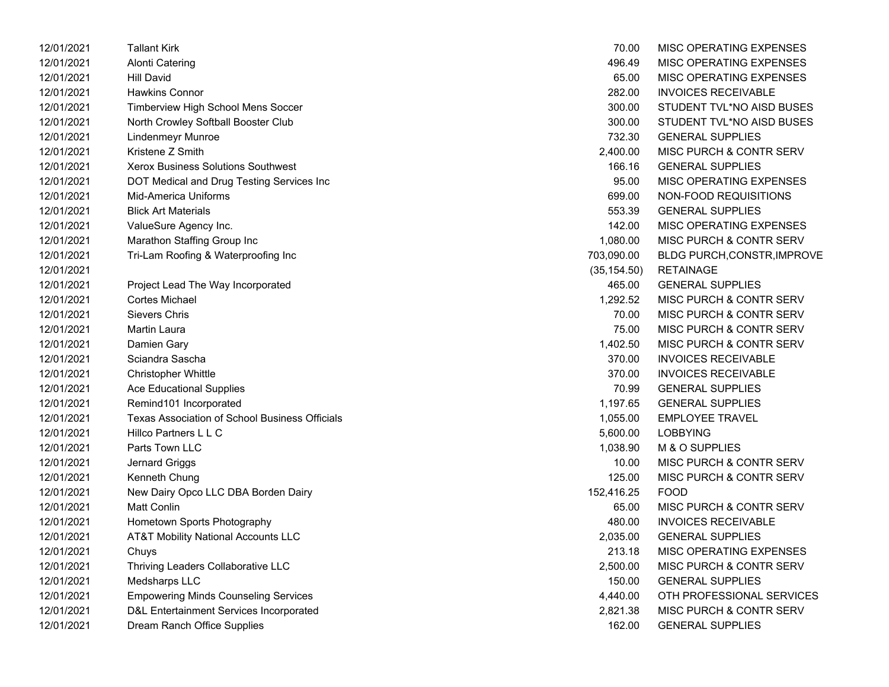| 12/01/2021 | Tallant Kirk                                          | 70.00        | MISC OPERATING EXPENSES            |
|------------|-------------------------------------------------------|--------------|------------------------------------|
| 12/01/2021 | <b>Alonti Catering</b>                                | 496.49       | MISC OPERATING EXPENSES            |
| 12/01/2021 | <b>Hill David</b>                                     | 65.00        | MISC OPERATING EXPENSES            |
| 12/01/2021 | <b>Hawkins Connor</b>                                 | 282.00       | <b>INVOICES RECEIVABLE</b>         |
| 12/01/2021 | Timberview High School Mens Soccer                    | 300.00       | STUDENT TVL*NO AISD BUSES          |
| 12/01/2021 | North Crowley Softball Booster Club                   | 300.00       | STUDENT TVL*NO AISD BUSES          |
| 12/01/2021 | Lindenmeyr Munroe                                     | 732.30       | <b>GENERAL SUPPLIES</b>            |
| 12/01/2021 | Kristene Z Smith                                      | 2,400.00     | <b>MISC PURCH &amp; CONTR SERV</b> |
| 12/01/2021 | <b>Xerox Business Solutions Southwest</b>             | 166.16       | <b>GENERAL SUPPLIES</b>            |
| 12/01/2021 | DOT Medical and Drug Testing Services Inc             | 95.00        | MISC OPERATING EXPENSES            |
| 12/01/2021 | <b>Mid-America Uniforms</b>                           | 699.00       | NON-FOOD REQUISITIONS              |
| 12/01/2021 | <b>Blick Art Materials</b>                            | 553.39       | <b>GENERAL SUPPLIES</b>            |
| 12/01/2021 | ValueSure Agency Inc.                                 | 142.00       | MISC OPERATING EXPENSES            |
| 12/01/2021 | Marathon Staffing Group Inc                           | 1,080.00     | MISC PURCH & CONTR SERV            |
| 12/01/2021 | Tri-Lam Roofing & Waterproofing Inc                   | 703,090.00   | <b>BLDG PURCH, CONSTR, IMPROVE</b> |
| 12/01/2021 |                                                       | (35, 154.50) | <b>RETAINAGE</b>                   |
| 12/01/2021 | Project Lead The Way Incorporated                     | 465.00       | <b>GENERAL SUPPLIES</b>            |
| 12/01/2021 | <b>Cortes Michael</b>                                 | 1,292.52     | MISC PURCH & CONTR SERV            |
| 12/01/2021 | <b>Sievers Chris</b>                                  | 70.00        | MISC PURCH & CONTR SERV            |
| 12/01/2021 | Martin Laura                                          | 75.00        | MISC PURCH & CONTR SERV            |
| 12/01/2021 | Damien Gary                                           | 1,402.50     | MISC PURCH & CONTR SERV            |
| 12/01/2021 | Sciandra Sascha                                       | 370.00       | <b>INVOICES RECEIVABLE</b>         |
| 12/01/2021 | <b>Christopher Whittle</b>                            | 370.00       | <b>INVOICES RECEIVABLE</b>         |
| 12/01/2021 | <b>Ace Educational Supplies</b>                       | 70.99        | <b>GENERAL SUPPLIES</b>            |
| 12/01/2021 | Remind101 Incorporated                                | 1,197.65     | <b>GENERAL SUPPLIES</b>            |
| 12/01/2021 | <b>Texas Association of School Business Officials</b> | 1,055.00     | <b>EMPLOYEE TRAVEL</b>             |
| 12/01/2021 | Hillco Partners L L C                                 | 5,600.00     | <b>LOBBYING</b>                    |
| 12/01/2021 | Parts Town LLC                                        | 1,038.90     | M & O SUPPLIES                     |
| 12/01/2021 | Jernard Griggs                                        | 10.00        | MISC PURCH & CONTR SERV            |
| 12/01/2021 | Kenneth Chung                                         | 125.00       | MISC PURCH & CONTR SERV            |
| 12/01/2021 | New Dairy Opco LLC DBA Borden Dairy                   | 152,416.25   | <b>FOOD</b>                        |
| 12/01/2021 | <b>Matt Conlin</b>                                    | 65.00        | MISC PURCH & CONTR SERV            |
| 12/01/2021 | Hometown Sports Photography                           | 480.00       | <b>INVOICES RECEIVABLE</b>         |
| 12/01/2021 | <b>AT&amp;T Mobility National Accounts LLC</b>        | 2,035.00     | <b>GENERAL SUPPLIES</b>            |
| 12/01/2021 | Chuys                                                 | 213.18       | MISC OPERATING EXPENSES            |
| 12/01/2021 | Thriving Leaders Collaborative LLC                    | 2,500.00     | MISC PURCH & CONTR SERV            |
| 12/01/2021 | Medsharps LLC                                         | 150.00       | <b>GENERAL SUPPLIES</b>            |
| 12/01/2021 | <b>Empowering Minds Counseling Services</b>           | 4,440.00     | OTH PROFESSIONAL SERVICES          |
| 12/01/2021 | D&L Entertainment Services Incorporated               | 2,821.38     | MISC PURCH & CONTR SERV            |
| 12/01/2021 | Dream Ranch Office Supplies                           | 162.00       | <b>GENERAL SUPPLIES</b>            |

| 70.00        | <b>MISC OPERATING EXPENSES</b>     |
|--------------|------------------------------------|
| 496.49       | <b>MISC OPERATING EXPENSES</b>     |
| 65.00        | <b>MISC OPERATING EXPENSES</b>     |
| 282.00       | <b>INVOICES RECEIVABLE</b>         |
| 300.00       | STUDENT TVL*NO AISD BUSES          |
| 300.00       | STUDENT TVL*NO AISD BUSES          |
| 732.30       | <b>GENERAL SUPPLIES</b>            |
| 2,400.00     | <b>MISC PURCH &amp; CONTR SERV</b> |
| 166.16       | <b>GENERAL SUPPLIES</b>            |
| 95.00        | <b>MISC OPERATING EXPENSES</b>     |
| 699.00       | NON-FOOD REQUISITIONS              |
| 553.39       | <b>GENERAL SUPPLIES</b>            |
| 142.00       | <b>MISC OPERATING EXPENSES</b>     |
| 1,080.00     | <b>MISC PURCH &amp; CONTR SERV</b> |
| 703,090.00   | <b>BLDG PURCH, CONSTR, IMPROVE</b> |
| (35, 154.50) | RETAINAGE                          |
| 465.00       | <b>GENERAL SUPPLIES</b>            |
| 1,292.52     | <b>MISC PURCH &amp; CONTR SERV</b> |
| 70.00        | <b>MISC PURCH &amp; CONTR SERV</b> |
| 75.00        | <b>MISC PURCH &amp; CONTR SERV</b> |
| 1,402.50     | <b>MISC PURCH &amp; CONTR SERV</b> |
| 370.00       | <b>INVOICES RECEIVABLE</b>         |
| 370.00       | <b>INVOICES RECEIVABLE</b>         |
| 70.99        | <b>GENERAL SUPPLIES</b>            |
| 1,197.65     | <b>GENERAL SUPPLIES</b>            |
| 1,055.00     | <b>EMPLOYEE TRAVEL</b>             |
| 5,600.00     | <b>LOBBYING</b>                    |
| 1,038.90     | M & O SUPPLIES                     |
| 10.00        | <b>MISC PURCH &amp; CONTR SERV</b> |
| 125.00       | <b>MISC PURCH &amp; CONTR SERV</b> |
| 152,416.25   | FOOD                               |
| 65.00        | MISC PURCH & CONTR SERV            |
| 480.00       | <b>INVOICES RECEIVABLE</b>         |
| 2,035.00     | <b>GENERAL SUPPLIES</b>            |
| 213.18       | <b>MISC OPERATING EXPENSES</b>     |
| 2,500.00     | <b>MISC PURCH &amp; CONTR SERV</b> |
| 150.00       | <b>GENERAL SUPPLIES</b>            |
| 4,440.00     | OTH PROFESSIONAL SERVICES          |
| 2,821.38     | MISC PURCH & CONTR SERV            |
| 162.00       | <b>GENERAL SUPPLIES</b>            |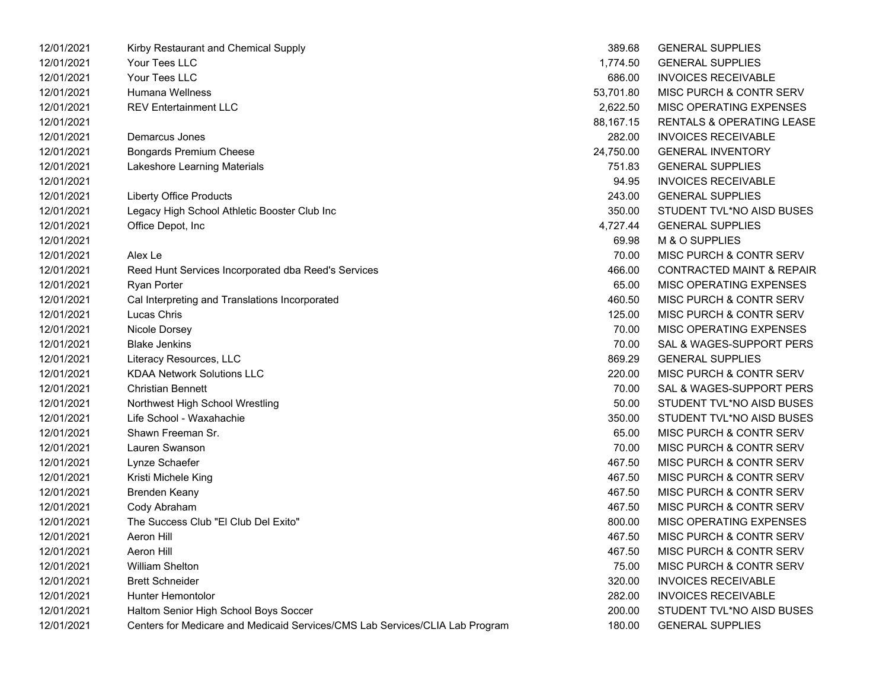| 12/01/2021 | Kirby Restaurant and Chemical Supply                                         | 389.68    | <b>GENERAL SUPPLIES</b>              |
|------------|------------------------------------------------------------------------------|-----------|--------------------------------------|
| 12/01/2021 | Your Tees LLC                                                                | 1,774.50  | <b>GENERAL SUPPLIES</b>              |
| 12/01/2021 | Your Tees LLC                                                                | 686.00    | <b>INVOICES RECEIVABLE</b>           |
| 12/01/2021 | Humana Wellness                                                              | 53,701.80 | MISC PURCH & CONTR SERV              |
| 12/01/2021 | <b>REV Entertainment LLC</b>                                                 | 2,622.50  | MISC OPERATING EXPENSES              |
| 12/01/2021 |                                                                              | 88,167.15 | <b>RENTALS &amp; OPERATING LEASE</b> |
| 12/01/2021 | Demarcus Jones                                                               | 282.00    | <b>INVOICES RECEIVABLE</b>           |
| 12/01/2021 | <b>Bongards Premium Cheese</b>                                               | 24,750.00 | <b>GENERAL INVENTORY</b>             |
| 12/01/2021 | Lakeshore Learning Materials                                                 | 751.83    | <b>GENERAL SUPPLIES</b>              |
| 12/01/2021 |                                                                              | 94.95     | <b>INVOICES RECEIVABLE</b>           |
| 12/01/2021 | <b>Liberty Office Products</b>                                               | 243.00    | <b>GENERAL SUPPLIES</b>              |
| 12/01/2021 | Legacy High School Athletic Booster Club Inc                                 | 350.00    | STUDENT TVL*NO AISD BUSES            |
| 12/01/2021 | Office Depot, Inc                                                            | 4,727.44  | <b>GENERAL SUPPLIES</b>              |
| 12/01/2021 |                                                                              | 69.98     | M & O SUPPLIES                       |
| 12/01/2021 | Alex Le                                                                      | 70.00     | MISC PURCH & CONTR SERV              |
| 12/01/2021 | Reed Hunt Services Incorporated dba Reed's Services                          | 466.00    | <b>CONTRACTED MAINT &amp; REPAIR</b> |
| 12/01/2021 | Ryan Porter                                                                  | 65.00     | MISC OPERATING EXPENSES              |
| 12/01/2021 | Cal Interpreting and Translations Incorporated                               | 460.50    | MISC PURCH & CONTR SERV              |
| 12/01/2021 | Lucas Chris                                                                  | 125.00    | MISC PURCH & CONTR SERV              |
| 12/01/2021 | Nicole Dorsey                                                                | 70.00     | MISC OPERATING EXPENSES              |
| 12/01/2021 | <b>Blake Jenkins</b>                                                         | 70.00     | SAL & WAGES-SUPPORT PERS             |
| 12/01/2021 | Literacy Resources, LLC                                                      | 869.29    | <b>GENERAL SUPPLIES</b>              |
| 12/01/2021 | <b>KDAA Network Solutions LLC</b>                                            | 220.00    | MISC PURCH & CONTR SERV              |
| 12/01/2021 | <b>Christian Bennett</b>                                                     | 70.00     | SAL & WAGES-SUPPORT PERS             |
| 12/01/2021 | Northwest High School Wrestling                                              | 50.00     | STUDENT TVL*NO AISD BUSES            |
| 12/01/2021 | Life School - Waxahachie                                                     | 350.00    | STUDENT TVL*NO AISD BUSES            |
| 12/01/2021 | Shawn Freeman Sr.                                                            | 65.00     | MISC PURCH & CONTR SERV              |
| 12/01/2021 | Lauren Swanson                                                               | 70.00     | MISC PURCH & CONTR SERV              |
| 12/01/2021 | Lynze Schaefer                                                               | 467.50    | <b>MISC PURCH &amp; CONTR SERV</b>   |
| 12/01/2021 | Kristi Michele King                                                          | 467.50    | <b>MISC PURCH &amp; CONTR SERV</b>   |
| 12/01/2021 | <b>Brenden Keany</b>                                                         | 467.50    | <b>MISC PURCH &amp; CONTR SERV</b>   |
| 12/01/2021 | Cody Abraham                                                                 | 467.50    | MISC PURCH & CONTR SERV              |
| 12/01/2021 | The Success Club "El Club Del Exito"                                         | 800.00    | MISC OPERATING EXPENSES              |
| 12/01/2021 | Aeron Hill                                                                   | 467.50    | MISC PURCH & CONTR SERV              |
| 12/01/2021 | Aeron Hill                                                                   | 467.50    | MISC PURCH & CONTR SERV              |
| 12/01/2021 | <b>William Shelton</b>                                                       | 75.00     | <b>MISC PURCH &amp; CONTR SERV</b>   |
| 12/01/2021 | <b>Brett Schneider</b>                                                       | 320.00    | <b>INVOICES RECEIVABLE</b>           |
| 12/01/2021 | Hunter Hemontolor                                                            | 282.00    | <b>INVOICES RECEIVABLE</b>           |
| 12/01/2021 | Haltom Senior High School Boys Soccer                                        | 200.00    | STUDENT TVL*NO AISD BUSES            |
| 12/01/2021 | Centers for Medicare and Medicaid Services/CMS Lab Services/CLIA Lab Program | 180.00    | <b>GENERAL SUPPLIES</b>              |

| 389.68    | <b>GENERAL SUPPLIES</b>              |
|-----------|--------------------------------------|
| 1.774.50  | <b>GENERAL SUPPLIES</b>              |
| 686.00    | INVOICES RECEIVABLE                  |
| 53.701.80 | <b>MISC PURCH &amp; CONTR SERV</b>   |
| 2,622.50  | MISC OPERATING EXPENSES              |
| 88.167.15 | <b>RENTALS &amp; OPERATING LEASE</b> |
| 282.00    | <b>INVOICES RECEIVABLE</b>           |
| 24.750.00 | <b>GENERAL INVENTORY</b>             |
| 751.83    | <b>GENERAL SUPPLIES</b>              |
| 94.95     | INVOICES RECEIVABLE                  |
| 243.00    | <b>GENERAL SUPPLIES</b>              |
| 350.00    | STUDENT TVL*NO AISD BUSES            |
| 4,727.44  | GENERAL SUPPLIES                     |
| 69.98     | M & O SUPPLIES                       |
| 70.00     | MISC PURCH & CONTR SERV              |
| 466.00    | <b>CONTRACTED MAINT &amp; REPAIR</b> |
| 65.00     | <b>MISC OPERATING EXPENSES</b>       |
| 460.50    | MISC PURCH & CONTR SERV              |
| 125.00    | MISC PURCH & CONTR SERV              |
| 70.00     | <b>MISC OPERATING EXPENSES</b>       |
| 70.00     | SAL & WAGES-SUPPORT PERS             |
| 869.29    | <b>GENERAL SUPPLIES</b>              |
| 220.00    | MISC PURCH & CONTR SERV              |
| 70.00     | SAL & WAGES-SUPPORT PERS             |
| 50.00     | STUDENT TVL*NO AISD BUSES            |
| 350.00    | STUDENT TVL*NO AISD BUSES            |
| 65.00     | <b>MISC PURCH &amp; CONTR SERV</b>   |
| 70.00     | MISC PURCH & CONTR SERV              |
| 467.50    | MISC PURCH & CONTR SERV              |
| 467.50    | <b>MISC PURCH &amp; CONTR SERV</b>   |
| 467.50    | <b>MISC PURCH &amp; CONTR SERV</b>   |
| 467.50    | MISC PURCH & CONTR SERV              |
| 800.00    | MISC OPERATING EXPENSES              |
| 467.50    | <b>MISC PURCH &amp; CONTR SERV</b>   |
| 467.50    | MISC PURCH & CONTR SERV              |
| 75.00     | MISC PURCH & CONTR SERV              |
| 320.00    | <b>INVOICES RECEIVABLE</b>           |
| 282.00    | <b>INVOICES RECEIVABLE</b>           |
| 200.00    | STUDENT TVL*NO AISD BUSES            |
| 180.00    | <b>GENERAL SUPPLIES</b>              |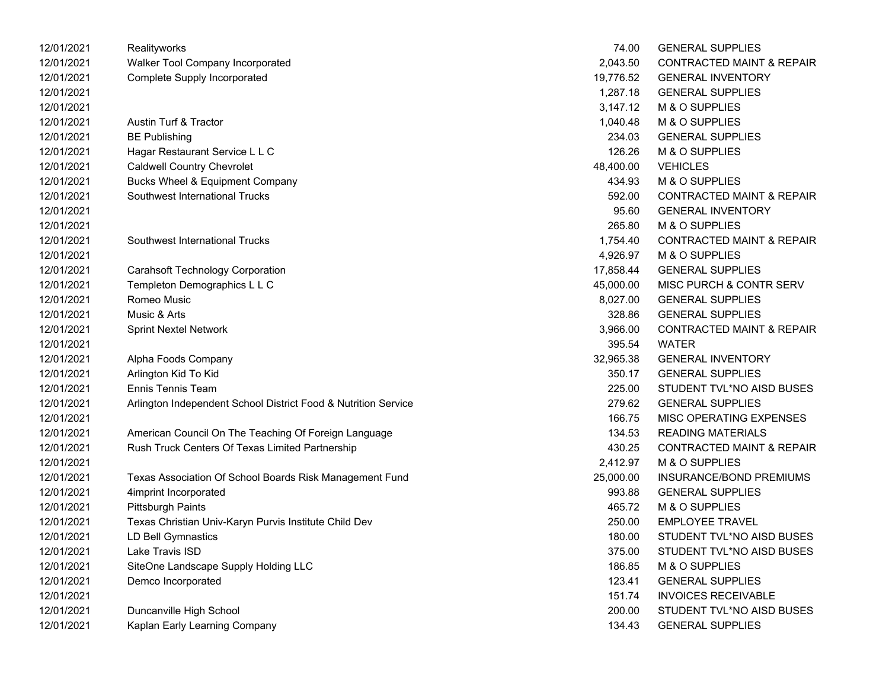| 12/01/2021 | Realityworks                                                   | 74.00     | <b>GENERAL SUPPLIES</b>              |
|------------|----------------------------------------------------------------|-----------|--------------------------------------|
| 12/01/2021 | Walker Tool Company Incorporated                               | 2,043.50  | <b>CONTRACTED MAINT &amp; REPAIR</b> |
| 12/01/2021 | <b>Complete Supply Incorporated</b>                            | 19,776.52 | <b>GENERAL INVENTORY</b>             |
| 12/01/2021 |                                                                | 1,287.18  | <b>GENERAL SUPPLIES</b>              |
| 12/01/2021 |                                                                | 3,147.12  | M & O SUPPLIES                       |
| 12/01/2021 | Austin Turf & Tractor                                          | 1,040.48  | M & O SUPPLIES                       |
| 12/01/2021 | <b>BE Publishing</b>                                           | 234.03    | <b>GENERAL SUPPLIES</b>              |
| 12/01/2021 | Hagar Restaurant Service L L C                                 | 126.26    | M & O SUPPLIES                       |
| 12/01/2021 | <b>Caldwell Country Chevrolet</b>                              | 48,400.00 | <b>VEHICLES</b>                      |
| 12/01/2021 | Bucks Wheel & Equipment Company                                | 434.93    | M & O SUPPLIES                       |
| 12/01/2021 | Southwest International Trucks                                 | 592.00    | <b>CONTRACTED MAINT &amp; REPAIR</b> |
| 12/01/2021 |                                                                | 95.60     | <b>GENERAL INVENTORY</b>             |
| 12/01/2021 |                                                                | 265.80    | M & O SUPPLIES                       |
| 12/01/2021 | Southwest International Trucks                                 | 1,754.40  | <b>CONTRACTED MAINT &amp; REPAIR</b> |
| 12/01/2021 |                                                                | 4,926.97  | M & O SUPPLIES                       |
| 12/01/2021 | <b>Carahsoft Technology Corporation</b>                        | 17,858.44 | <b>GENERAL SUPPLIES</b>              |
| 12/01/2021 | Templeton Demographics L L C                                   | 45,000.00 | MISC PURCH & CONTR SERV              |
| 12/01/2021 | Romeo Music                                                    | 8,027.00  | <b>GENERAL SUPPLIES</b>              |
| 12/01/2021 | Music & Arts                                                   | 328.86    | <b>GENERAL SUPPLIES</b>              |
| 12/01/2021 | <b>Sprint Nextel Network</b>                                   | 3,966.00  | <b>CONTRACTED MAINT &amp; REPAIR</b> |
| 12/01/2021 |                                                                | 395.54    | <b>WATER</b>                         |
| 12/01/2021 | Alpha Foods Company                                            | 32,965.38 | <b>GENERAL INVENTORY</b>             |
| 12/01/2021 | Arlington Kid To Kid                                           | 350.17    | <b>GENERAL SUPPLIES</b>              |
| 12/01/2021 | <b>Ennis Tennis Team</b>                                       | 225.00    | STUDENT TVL*NO AISD BUSES            |
| 12/01/2021 | Arlington Independent School District Food & Nutrition Service | 279.62    | <b>GENERAL SUPPLIES</b>              |
| 12/01/2021 |                                                                | 166.75    | MISC OPERATING EXPENSES              |
| 12/01/2021 | American Council On The Teaching Of Foreign Language           | 134.53    | <b>READING MATERIALS</b>             |
| 12/01/2021 | Rush Truck Centers Of Texas Limited Partnership                | 430.25    | <b>CONTRACTED MAINT &amp; REPAIR</b> |
| 12/01/2021 |                                                                | 2,412.97  | M & O SUPPLIES                       |
| 12/01/2021 | Texas Association Of School Boards Risk Management Fund        | 25,000.00 | <b>INSURANCE/BOND PREMIUMS</b>       |
| 12/01/2021 | 4imprint Incorporated                                          | 993.88    | <b>GENERAL SUPPLIES</b>              |
| 12/01/2021 | <b>Pittsburgh Paints</b>                                       | 465.72    | M & O SUPPLIES                       |
| 12/01/2021 | Texas Christian Univ-Karyn Purvis Institute Child Dev          | 250.00    | <b>EMPLOYEE TRAVEL</b>               |
| 12/01/2021 | LD Bell Gymnastics                                             | 180.00    | STUDENT TVL*NO AISD BUSES            |
| 12/01/2021 | Lake Travis ISD                                                | 375.00    | STUDENT TVL*NO AISD BUSES            |
| 12/01/2021 | SiteOne Landscape Supply Holding LLC                           | 186.85    | M & O SUPPLIES                       |
| 12/01/2021 | Demco Incorporated                                             | 123.41    | <b>GENERAL SUPPLIES</b>              |
| 12/01/2021 |                                                                | 151.74    | <b>INVOICES RECEIVABLE</b>           |
| 12/01/2021 | Duncanville High School                                        | 200.00    | STUDENT TVL*NO AISD BUSES            |
| 12/01/2021 | Kaplan Early Learning Company                                  | 134.43    | <b>GENERAL SUPPLIES</b>              |
|            |                                                                |           |                                      |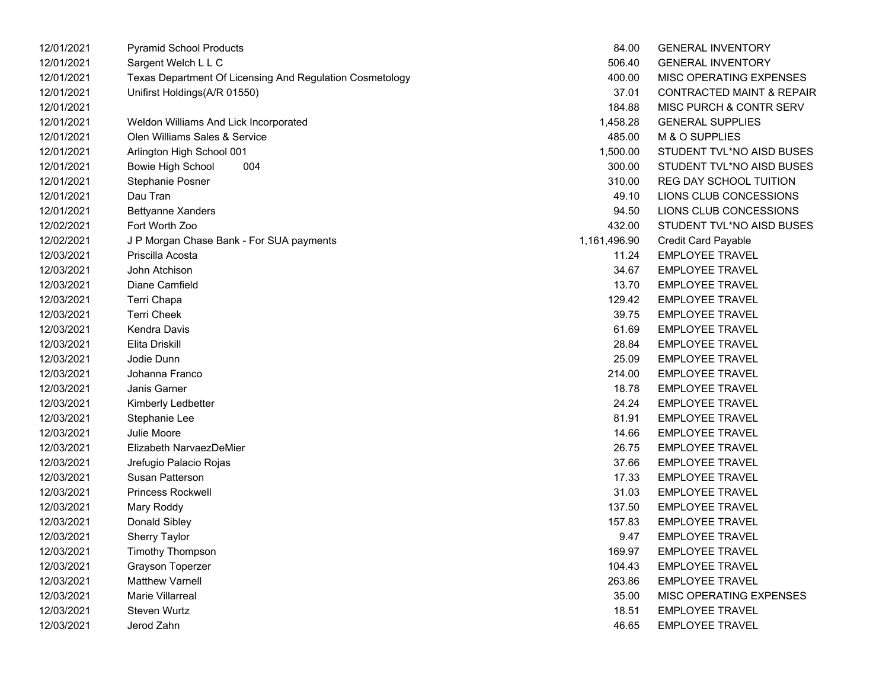| 12/01/2021 | <b>Pyramid School Products</b>                           | 84.00        | <b>GENERAL INVENTORY</b>             |
|------------|----------------------------------------------------------|--------------|--------------------------------------|
| 12/01/2021 | Sargent Welch L L C                                      | 506.40       | <b>GENERAL INVENTORY</b>             |
| 12/01/2021 | Texas Department Of Licensing And Regulation Cosmetology | 400.00       | MISC OPERATING EXPENSES              |
| 12/01/2021 | Unifirst Holdings(A/R 01550)                             | 37.01        | <b>CONTRACTED MAINT &amp; REPAIR</b> |
| 12/01/2021 |                                                          | 184.88       | MISC PURCH & CONTR SERV              |
| 12/01/2021 | Weldon Williams And Lick Incorporated                    | 1,458.28     | <b>GENERAL SUPPLIES</b>              |
| 12/01/2021 | Olen Williams Sales & Service                            | 485.00       | M & O SUPPLIES                       |
| 12/01/2021 | Arlington High School 001                                | 1,500.00     | STUDENT TVL*NO AISD BUSES            |
| 12/01/2021 | 004<br>Bowie High School                                 | 300.00       | STUDENT TVL*NO AISD BUSES            |
| 12/01/2021 | Stephanie Posner                                         | 310.00       | REG DAY SCHOOL TUITION               |
| 12/01/2021 | Dau Tran                                                 | 49.10        | LIONS CLUB CONCESSIONS               |
| 12/01/2021 | Bettyanne Xanders                                        | 94.50        | LIONS CLUB CONCESSIONS               |
| 12/02/2021 | Fort Worth Zoo                                           | 432.00       | STUDENT TVL*NO AISD BUSES            |
| 12/02/2021 | J P Morgan Chase Bank - For SUA payments                 | 1,161,496.90 | <b>Credit Card Payable</b>           |
| 12/03/2021 | Priscilla Acosta                                         | 11.24        | <b>EMPLOYEE TRAVEL</b>               |
| 12/03/2021 | John Atchison                                            | 34.67        | <b>EMPLOYEE TRAVEL</b>               |
| 12/03/2021 | Diane Camfield                                           | 13.70        | <b>EMPLOYEE TRAVEL</b>               |
| 12/03/2021 | Terri Chapa                                              | 129.42       | <b>EMPLOYEE TRAVEL</b>               |
| 12/03/2021 | <b>Terri Cheek</b>                                       | 39.75        | <b>EMPLOYEE TRAVEL</b>               |
| 12/03/2021 | Kendra Davis                                             | 61.69        | <b>EMPLOYEE TRAVEL</b>               |
| 12/03/2021 | Elita Driskill                                           | 28.84        | <b>EMPLOYEE TRAVEL</b>               |
| 12/03/2021 | Jodie Dunn                                               | 25.09        | <b>EMPLOYEE TRAVEL</b>               |
| 12/03/2021 | Johanna Franco                                           | 214.00       | <b>EMPLOYEE TRAVEL</b>               |
| 12/03/2021 | Janis Garner                                             | 18.78        | <b>EMPLOYEE TRAVEL</b>               |
| 12/03/2021 | Kimberly Ledbetter                                       | 24.24        | <b>EMPLOYEE TRAVEL</b>               |
| 12/03/2021 | Stephanie Lee                                            | 81.91        | <b>EMPLOYEE TRAVEL</b>               |
| 12/03/2021 | <b>Julie Moore</b>                                       | 14.66        | <b>EMPLOYEE TRAVEL</b>               |
| 12/03/2021 | Elizabeth NarvaezDeMier                                  | 26.75        | <b>EMPLOYEE TRAVEL</b>               |
| 12/03/2021 | Jrefugio Palacio Rojas                                   | 37.66        | <b>EMPLOYEE TRAVEL</b>               |
| 12/03/2021 | Susan Patterson                                          | 17.33        | <b>EMPLOYEE TRAVEL</b>               |
| 12/03/2021 | <b>Princess Rockwell</b>                                 | 31.03        | <b>EMPLOYEE TRAVEL</b>               |
| 12/03/2021 | Mary Roddy                                               | 137.50       | <b>EMPLOYEE TRAVEL</b>               |
| 12/03/2021 | Donald Sibley                                            | 157.83       | <b>EMPLOYEE TRAVEL</b>               |
| 12/03/2021 | Sherry Taylor                                            | 9.47         | <b>EMPLOYEE TRAVEL</b>               |
| 12/03/2021 | <b>Timothy Thompson</b>                                  | 169.97       | <b>EMPLOYEE TRAVEL</b>               |
| 12/03/2021 | Grayson Toperzer                                         | 104.43       | <b>EMPLOYEE TRAVEL</b>               |
| 12/03/2021 | <b>Matthew Varnell</b>                                   | 263.86       | <b>EMPLOYEE TRAVEL</b>               |
| 12/03/2021 | <b>Marie Villarreal</b>                                  | 35.00        | MISC OPERATING EXPENSES              |
| 12/03/2021 | <b>Steven Wurtz</b>                                      | 18.51        | <b>EMPLOYEE TRAVEL</b>               |
| 12/03/2021 | Jerod Zahn                                               | 46.65        | <b>EMPLOYEE TRAVEL</b>               |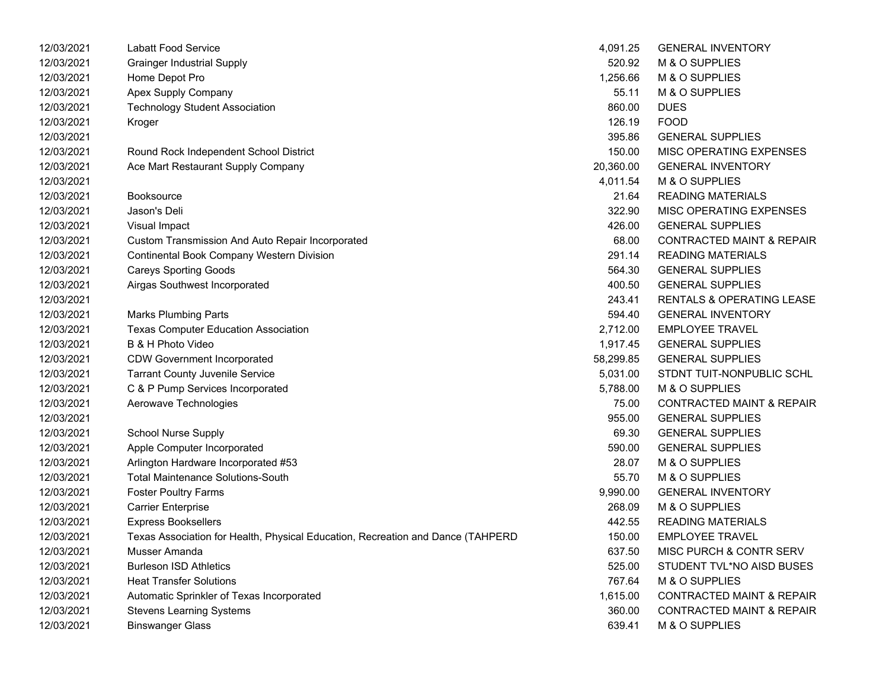| 12/03/2021 | <b>Labatt Food Service</b>                                                      | 4,091.25  | <b>GENERAL INVENTORY</b>             |
|------------|---------------------------------------------------------------------------------|-----------|--------------------------------------|
| 12/03/2021 | <b>Grainger Industrial Supply</b>                                               | 520.92    | M & O SUPPLIES                       |
| 12/03/2021 | Home Depot Pro                                                                  | 1,256.66  | M & O SUPPLIES                       |
| 12/03/2021 | Apex Supply Company                                                             | 55.11     | M & O SUPPLIES                       |
| 12/03/2021 | <b>Technology Student Association</b>                                           | 860.00    | <b>DUES</b>                          |
| 12/03/2021 | Kroger                                                                          | 126.19    | <b>FOOD</b>                          |
| 12/03/2021 |                                                                                 | 395.86    | <b>GENERAL SUPPLIES</b>              |
| 12/03/2021 | Round Rock Independent School District                                          | 150.00    | MISC OPERATING EXPENSES              |
| 12/03/2021 | Ace Mart Restaurant Supply Company                                              | 20,360.00 | <b>GENERAL INVENTORY</b>             |
| 12/03/2021 |                                                                                 | 4,011.54  | M & O SUPPLIES                       |
| 12/03/2021 | <b>Booksource</b>                                                               | 21.64     | <b>READING MATERIALS</b>             |
| 12/03/2021 | Jason's Deli                                                                    | 322.90    | MISC OPERATING EXPENSES              |
| 12/03/2021 | Visual Impact                                                                   | 426.00    | <b>GENERAL SUPPLIES</b>              |
| 12/03/2021 | Custom Transmission And Auto Repair Incorporated                                | 68.00     | <b>CONTRACTED MAINT &amp; REPAIR</b> |
| 12/03/2021 | Continental Book Company Western Division                                       | 291.14    | <b>READING MATERIALS</b>             |
| 12/03/2021 | <b>Careys Sporting Goods</b>                                                    | 564.30    | <b>GENERAL SUPPLIES</b>              |
| 12/03/2021 | Airgas Southwest Incorporated                                                   | 400.50    | <b>GENERAL SUPPLIES</b>              |
| 12/03/2021 |                                                                                 | 243.41    | RENTALS & OPERATING LEASE            |
| 12/03/2021 | <b>Marks Plumbing Parts</b>                                                     | 594.40    | <b>GENERAL INVENTORY</b>             |
| 12/03/2021 | <b>Texas Computer Education Association</b>                                     | 2,712.00  | <b>EMPLOYEE TRAVEL</b>               |
| 12/03/2021 | B & H Photo Video                                                               | 1,917.45  | <b>GENERAL SUPPLIES</b>              |
| 12/03/2021 | <b>CDW Government Incorporated</b>                                              | 58,299.85 | <b>GENERAL SUPPLIES</b>              |
| 12/03/2021 | <b>Tarrant County Juvenile Service</b>                                          | 5,031.00  | STDNT TUIT-NONPUBLIC SCHL            |
| 12/03/2021 | C & P Pump Services Incorporated                                                | 5,788.00  | M & O SUPPLIES                       |
| 12/03/2021 | Aerowave Technologies                                                           | 75.00     | CONTRACTED MAINT & REPAIR            |
| 12/03/2021 |                                                                                 | 955.00    | <b>GENERAL SUPPLIES</b>              |
| 12/03/2021 | <b>School Nurse Supply</b>                                                      | 69.30     | <b>GENERAL SUPPLIES</b>              |
| 12/03/2021 | Apple Computer Incorporated                                                     | 590.00    | <b>GENERAL SUPPLIES</b>              |
| 12/03/2021 | Arlington Hardware Incorporated #53                                             | 28.07     | M & O SUPPLIES                       |
| 12/03/2021 | <b>Total Maintenance Solutions-South</b>                                        | 55.70     | M & O SUPPLIES                       |
| 12/03/2021 | <b>Foster Poultry Farms</b>                                                     | 9,990.00  | <b>GENERAL INVENTORY</b>             |
| 12/03/2021 | <b>Carrier Enterprise</b>                                                       | 268.09    | M & O SUPPLIES                       |
| 12/03/2021 | <b>Express Booksellers</b>                                                      | 442.55    | <b>READING MATERIALS</b>             |
| 12/03/2021 | Texas Association for Health, Physical Education, Recreation and Dance (TAHPERD | 150.00    | <b>EMPLOYEE TRAVEL</b>               |
| 12/03/2021 | Musser Amanda                                                                   | 637.50    | MISC PURCH & CONTR SERV              |
| 12/03/2021 | <b>Burleson ISD Athletics</b>                                                   | 525.00    | STUDENT TVL*NO AISD BUSES            |
| 12/03/2021 | <b>Heat Transfer Solutions</b>                                                  | 767.64    | M & O SUPPLIES                       |
| 12/03/2021 | Automatic Sprinkler of Texas Incorporated                                       | 1,615.00  | <b>CONTRACTED MAINT &amp; REPAIR</b> |
| 12/03/2021 | <b>Stevens Learning Systems</b>                                                 | 360.00    | <b>CONTRACTED MAINT &amp; REPAIR</b> |
| 12/03/2021 | <b>Binswanger Glass</b>                                                         | 639.41    | M & O SUPPLIES                       |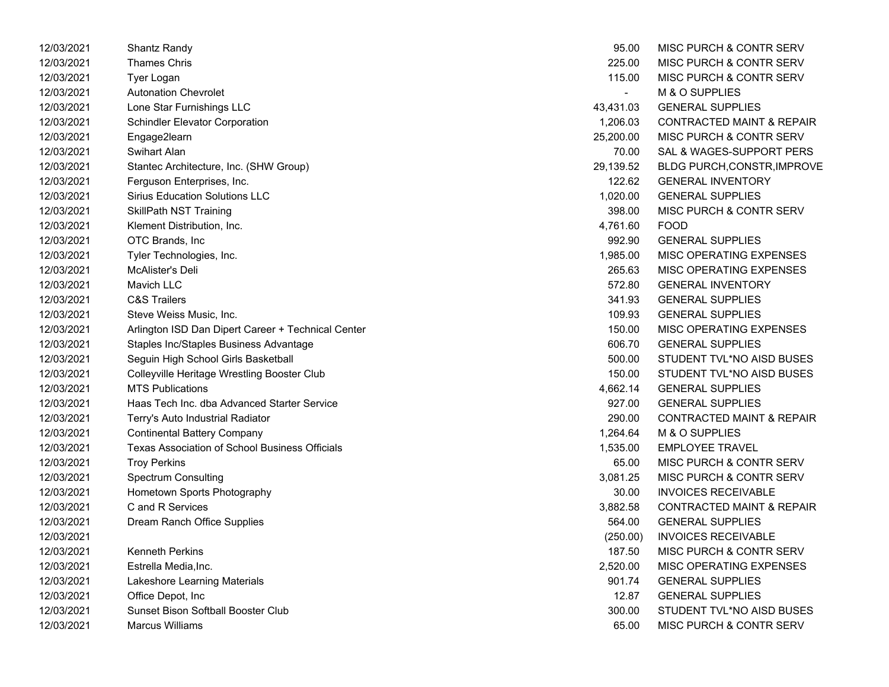| 12/03/2021 | Shantz Randy                                          | 95.00          | MISC PURCH & CONTR SERV              |
|------------|-------------------------------------------------------|----------------|--------------------------------------|
| 12/03/2021 | <b>Thames Chris</b>                                   | 225.00         | <b>MISC PURCH &amp; CONTR SERV</b>   |
| 12/03/2021 | Tyer Logan                                            | 115.00         | <b>MISC PURCH &amp; CONTR SERV</b>   |
| 12/03/2021 | <b>Autonation Chevrolet</b>                           | $\overline{a}$ | M & O SUPPLIES                       |
| 12/03/2021 | Lone Star Furnishings LLC                             | 43,431.03      | <b>GENERAL SUPPLIES</b>              |
| 12/03/2021 | <b>Schindler Elevator Corporation</b>                 | 1,206.03       | <b>CONTRACTED MAINT &amp; REPAIR</b> |
| 12/03/2021 | Engage2learn                                          | 25,200.00      | MISC PURCH & CONTR SERV              |
| 12/03/2021 | Swihart Alan                                          | 70.00          | SAL & WAGES-SUPPORT PERS             |
| 12/03/2021 | Stantec Architecture, Inc. (SHW Group)                | 29,139.52      | <b>BLDG PURCH, CONSTR, IMPROVE</b>   |
| 12/03/2021 | Ferguson Enterprises, Inc.                            | 122.62         | <b>GENERAL INVENTORY</b>             |
| 12/03/2021 | <b>Sirius Education Solutions LLC</b>                 | 1,020.00       | <b>GENERAL SUPPLIES</b>              |
| 12/03/2021 | <b>SkillPath NST Training</b>                         | 398.00         | <b>MISC PURCH &amp; CONTR SERV</b>   |
| 12/03/2021 | Klement Distribution, Inc.                            | 4,761.60       | <b>FOOD</b>                          |
| 12/03/2021 | OTC Brands, Inc                                       | 992.90         | <b>GENERAL SUPPLIES</b>              |
| 12/03/2021 | Tyler Technologies, Inc.                              | 1,985.00       | MISC OPERATING EXPENSES              |
| 12/03/2021 | McAlister's Deli                                      | 265.63         | MISC OPERATING EXPENSES              |
| 12/03/2021 | Mavich LLC                                            | 572.80         | <b>GENERAL INVENTORY</b>             |
| 12/03/2021 | <b>C&amp;S Trailers</b>                               | 341.93         | <b>GENERAL SUPPLIES</b>              |
| 12/03/2021 | Steve Weiss Music, Inc.                               | 109.93         | <b>GENERAL SUPPLIES</b>              |
| 12/03/2021 | Arlington ISD Dan Dipert Career + Technical Center    | 150.00         | MISC OPERATING EXPENSES              |
| 12/03/2021 | Staples Inc/Staples Business Advantage                | 606.70         | <b>GENERAL SUPPLIES</b>              |
| 12/03/2021 | Seguin High School Girls Basketball                   | 500.00         | STUDENT TVL*NO AISD BUSES            |
| 12/03/2021 | Colleyville Heritage Wrestling Booster Club           | 150.00         | STUDENT TVL*NO AISD BUSES            |
| 12/03/2021 | <b>MTS Publications</b>                               | 4,662.14       | <b>GENERAL SUPPLIES</b>              |
| 12/03/2021 | Haas Tech Inc. dba Advanced Starter Service           | 927.00         | <b>GENERAL SUPPLIES</b>              |
| 12/03/2021 | Terry's Auto Industrial Radiator                      | 290.00         | <b>CONTRACTED MAINT &amp; REPAIR</b> |
| 12/03/2021 | <b>Continental Battery Company</b>                    | 1,264.64       | M & O SUPPLIES                       |
| 12/03/2021 | <b>Texas Association of School Business Officials</b> | 1,535.00       | <b>EMPLOYEE TRAVEL</b>               |
| 12/03/2021 | <b>Troy Perkins</b>                                   | 65.00          | <b>MISC PURCH &amp; CONTR SERV</b>   |
| 12/03/2021 | <b>Spectrum Consulting</b>                            | 3,081.25       | <b>MISC PURCH &amp; CONTR SERV</b>   |
| 12/03/2021 | Hometown Sports Photography                           | 30.00          | <b>INVOICES RECEIVABLE</b>           |
| 12/03/2021 | C and R Services                                      | 3,882.58       | <b>CONTRACTED MAINT &amp; REPAIR</b> |
| 12/03/2021 | Dream Ranch Office Supplies                           | 564.00         | <b>GENERAL SUPPLIES</b>              |
| 12/03/2021 |                                                       | (250.00)       | <b>INVOICES RECEIVABLE</b>           |
| 12/03/2021 | <b>Kenneth Perkins</b>                                | 187.50         | <b>MISC PURCH &amp; CONTR SERV</b>   |
| 12/03/2021 | Estrella Media, Inc.                                  | 2,520.00       | MISC OPERATING EXPENSES              |
| 12/03/2021 | Lakeshore Learning Materials                          | 901.74         | <b>GENERAL SUPPLIES</b>              |
| 12/03/2021 | Office Depot, Inc.                                    | 12.87          | <b>GENERAL SUPPLIES</b>              |
| 12/03/2021 | <b>Sunset Bison Softball Booster Club</b>             | 300.00         | STUDENT TVL*NO AISD BUSES            |
| 12/03/2021 | <b>Marcus Williams</b>                                | 65.00          | <b>MISC PURCH &amp; CONTR SERV</b>   |

| 95.00     | MISC PURCH & CONTR SERV              |
|-----------|--------------------------------------|
| 225.00    | MISC PURCH & CONTR SERV              |
| 115.00    | MISC PURCH & CONTR SERV              |
|           | M & O SUPPLIES                       |
| 43,431.03 | <b>GENERAL SUPPLIES</b>              |
| 1,206.03  | <b>CONTRACTED MAINT &amp; REPAIR</b> |
| 25,200.00 | <b>MISC PURCH &amp; CONTR SERV</b>   |
| 70.00     | SAL & WAGES-SUPPORT PERS             |
| 29,139.52 | <b>BLDG PURCH, CONSTR, IMPROVE</b>   |
| 122.62    | <b>GENERAL INVENTORY</b>             |
| 1.020.00  | <b>GENERAL SUPPLIES</b>              |
| 398.00    | <b>MISC PURCH &amp; CONTR SERV</b>   |
| 4,761.60  | FOOD                                 |
| 992.90    | <b>GENERAL SUPPLIES</b>              |
| 1,985.00  | <b>MISC OPERATING EXPENSES</b>       |
| 265.63    | <b>MISC OPERATING EXPENSES</b>       |
| 572.80    | <b>GENERAL INVENTORY</b>             |
| 341.93    | <b>GENERAL SUPPLIES</b>              |
| 109.93    | <b>GENERAL SUPPLIES</b>              |
| 150.00    | <b>MISC OPERATING EXPENSES</b>       |
| 606.70    | <b>GENERAL SUPPLIES</b>              |
| 500.00    | STUDENT TVL*NO AISD BUSES            |
| 150.00    | STUDENT TVL*NO AISD BUSES            |
| 4,662.14  | <b>GENERAL SUPPLIES</b>              |
| 927.00    | <b>GENERAL SUPPLIES</b>              |
| 290.00    | <b>CONTRACTED MAINT &amp; REPAIR</b> |
| 1,264.64  | <b>M &amp; O SUPPLIES</b>            |
| 1,535.00  | <b>EMPLOYEE TRAVEL</b>               |
| 65.00     | <b>MISC PURCH &amp; CONTR SERV</b>   |
| 3,081.25  | <b>MISC PURCH &amp; CONTR SERV</b>   |
| 30.00     | <b>INVOICES RECEIVABLE</b>           |
| 3,882.58  | <b>CONTRACTED MAINT &amp; REPAIR</b> |
| 564.00    | <b>GENERAL SUPPLIES</b>              |
| (250.00)  | <b>INVOICES RECEIVABLE</b>           |
| 187.50    | <b>MISC PURCH &amp; CONTR SERV</b>   |
| 2,520.00  | MISC OPERATING EXPENSES              |
| 901.74    | <b>GENERAL SUPPLIES</b>              |
| 12.87     | <b>GENERAL SUPPLIES</b>              |
| 300.00    | STUDENT TVL*NO AISD BUSES            |
| 65.00     | <b>MISC PURCH &amp; CONTR SERV</b>   |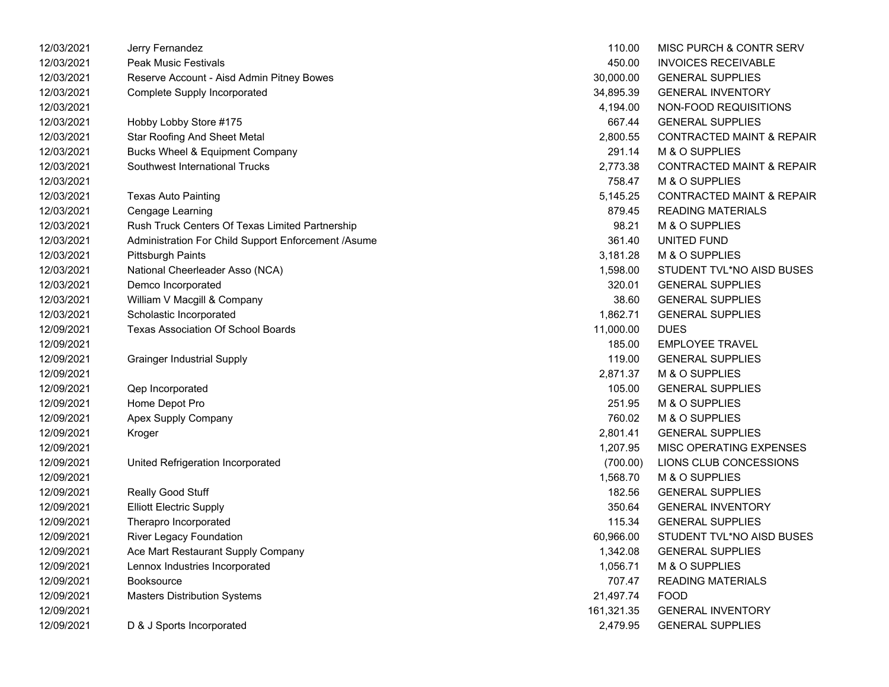| 12/03/2021 | Jerry Fernandez                                     | 110.00     | MISC PURCH & CONTR SERV              |
|------------|-----------------------------------------------------|------------|--------------------------------------|
| 12/03/2021 | <b>Peak Music Festivals</b>                         | 450.00     | <b>INVOICES RECEIVABLE</b>           |
| 12/03/2021 | Reserve Account - Aisd Admin Pitney Bowes           | 30,000.00  | <b>GENERAL SUPPLIES</b>              |
| 12/03/2021 | Complete Supply Incorporated                        | 34,895.39  | <b>GENERAL INVENTORY</b>             |
| 12/03/2021 |                                                     | 4,194.00   | NON-FOOD REQUISITIONS                |
| 12/03/2021 | Hobby Lobby Store #175                              | 667.44     | <b>GENERAL SUPPLIES</b>              |
| 12/03/2021 | <b>Star Roofing And Sheet Metal</b>                 | 2,800.55   | <b>CONTRACTED MAINT &amp; REPAIR</b> |
| 12/03/2021 | Bucks Wheel & Equipment Company                     | 291.14     | M & O SUPPLIES                       |
| 12/03/2021 | Southwest International Trucks                      | 2,773.38   | <b>CONTRACTED MAINT &amp; REPAIR</b> |
| 12/03/2021 |                                                     | 758.47     | M & O SUPPLIES                       |
| 12/03/2021 | <b>Texas Auto Painting</b>                          | 5,145.25   | <b>CONTRACTED MAINT &amp; REPAIR</b> |
| 12/03/2021 | Cengage Learning                                    | 879.45     | <b>READING MATERIALS</b>             |
| 12/03/2021 | Rush Truck Centers Of Texas Limited Partnership     | 98.21      | M & O SUPPLIES                       |
| 12/03/2021 | Administration For Child Support Enforcement /Asume | 361.40     | UNITED FUND                          |
| 12/03/2021 | <b>Pittsburgh Paints</b>                            | 3,181.28   | M & O SUPPLIES                       |
| 12/03/2021 | National Cheerleader Asso (NCA)                     | 1,598.00   | STUDENT TVL*NO AISD BUSES            |
| 12/03/2021 | Demco Incorporated                                  | 320.01     | <b>GENERAL SUPPLIES</b>              |
| 12/03/2021 | William V Macgill & Company                         | 38.60      | <b>GENERAL SUPPLIES</b>              |
| 12/03/2021 | Scholastic Incorporated                             | 1,862.71   | <b>GENERAL SUPPLIES</b>              |
| 12/09/2021 | <b>Texas Association Of School Boards</b>           | 11,000.00  | <b>DUES</b>                          |
| 12/09/2021 |                                                     | 185.00     | <b>EMPLOYEE TRAVEL</b>               |
| 12/09/2021 | <b>Grainger Industrial Supply</b>                   | 119.00     | <b>GENERAL SUPPLIES</b>              |
| 12/09/2021 |                                                     | 2,871.37   | M & O SUPPLIES                       |
| 12/09/2021 | Qep Incorporated                                    | 105.00     | <b>GENERAL SUPPLIES</b>              |
| 12/09/2021 | Home Depot Pro                                      | 251.95     | M & O SUPPLIES                       |
| 12/09/2021 | Apex Supply Company                                 | 760.02     | M & O SUPPLIES                       |
| 12/09/2021 | Kroger                                              | 2,801.41   | <b>GENERAL SUPPLIES</b>              |
| 12/09/2021 |                                                     | 1,207.95   | MISC OPERATING EXPENSES              |
| 12/09/2021 | United Refrigeration Incorporated                   | (700.00)   | LIONS CLUB CONCESSIONS               |
| 12/09/2021 |                                                     | 1,568.70   | M & O SUPPLIES                       |
| 12/09/2021 | Really Good Stuff                                   | 182.56     | <b>GENERAL SUPPLIES</b>              |
| 12/09/2021 | <b>Elliott Electric Supply</b>                      | 350.64     | <b>GENERAL INVENTORY</b>             |
| 12/09/2021 | Therapro Incorporated                               | 115.34     | <b>GENERAL SUPPLIES</b>              |
| 12/09/2021 | <b>River Legacy Foundation</b>                      | 60,966.00  | STUDENT TVL*NO AISD BUSES            |
| 12/09/2021 | Ace Mart Restaurant Supply Company                  | 1,342.08   | <b>GENERAL SUPPLIES</b>              |
| 12/09/2021 | Lennox Industries Incorporated                      | 1,056.71   | M & O SUPPLIES                       |
| 12/09/2021 | Booksource                                          | 707.47     | <b>READING MATERIALS</b>             |
| 12/09/2021 | <b>Masters Distribution Systems</b>                 | 21,497.74  | <b>FOOD</b>                          |
| 12/09/2021 |                                                     | 161,321.35 | <b>GENERAL INVENTORY</b>             |
| 12/09/2021 | D & J Sports Incorporated                           | 2,479.95   | <b>GENERAL SUPPLIES</b>              |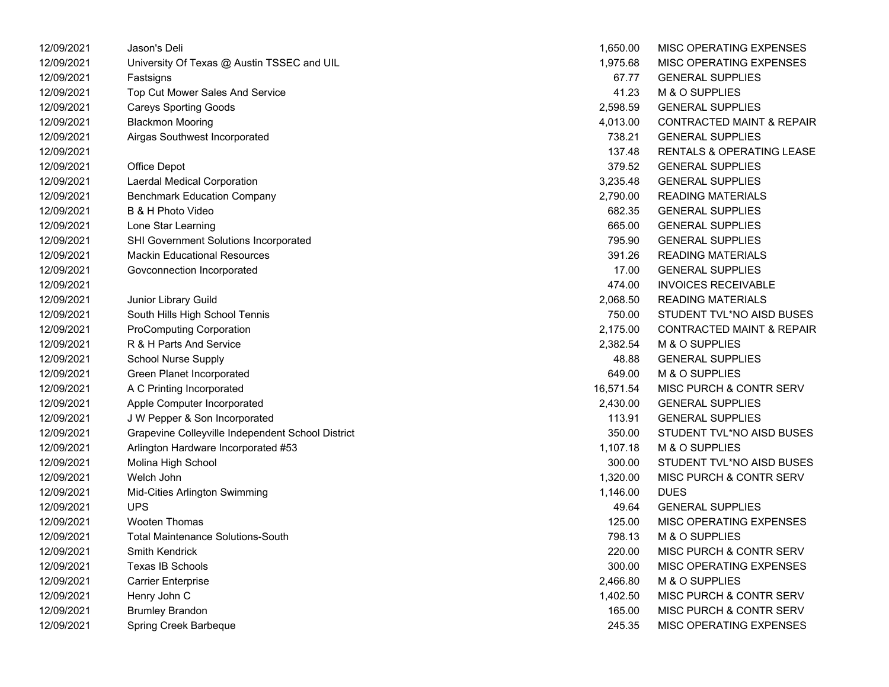| 12/09/2021 | Jason's Deli                                      | 1,650.00  | <b>MISC OPERATING EXPENSES</b>       |
|------------|---------------------------------------------------|-----------|--------------------------------------|
| 12/09/2021 | University Of Texas @ Austin TSSEC and UIL        | 1,975.68  | MISC OPERATING EXPENSES              |
| 12/09/2021 | Fastsigns                                         | 67.77     | <b>GENERAL SUPPLIES</b>              |
| 12/09/2021 | Top Cut Mower Sales And Service                   | 41.23     | M & O SUPPLIES                       |
| 12/09/2021 | <b>Careys Sporting Goods</b>                      | 2,598.59  | <b>GENERAL SUPPLIES</b>              |
| 12/09/2021 | <b>Blackmon Mooring</b>                           | 4,013.00  | <b>CONTRACTED MAINT &amp; REPAIR</b> |
| 12/09/2021 | Airgas Southwest Incorporated                     | 738.21    | <b>GENERAL SUPPLIES</b>              |
| 12/09/2021 |                                                   | 137.48    | <b>RENTALS &amp; OPERATING LEASE</b> |
| 12/09/2021 | Office Depot                                      | 379.52    | <b>GENERAL SUPPLIES</b>              |
| 12/09/2021 | Laerdal Medical Corporation                       | 3,235.48  | <b>GENERAL SUPPLIES</b>              |
| 12/09/2021 | <b>Benchmark Education Company</b>                | 2,790.00  | <b>READING MATERIALS</b>             |
| 12/09/2021 | B & H Photo Video                                 | 682.35    | <b>GENERAL SUPPLIES</b>              |
| 12/09/2021 | Lone Star Learning                                | 665.00    | <b>GENERAL SUPPLIES</b>              |
| 12/09/2021 | <b>SHI Government Solutions Incorporated</b>      | 795.90    | <b>GENERAL SUPPLIES</b>              |
| 12/09/2021 | <b>Mackin Educational Resources</b>               | 391.26    | <b>READING MATERIALS</b>             |
| 12/09/2021 | Govconnection Incorporated                        | 17.00     | <b>GENERAL SUPPLIES</b>              |
| 12/09/2021 |                                                   | 474.00    | <b>INVOICES RECEIVABLE</b>           |
| 12/09/2021 | Junior Library Guild                              | 2,068.50  | <b>READING MATERIALS</b>             |
| 12/09/2021 | South Hills High School Tennis                    | 750.00    | STUDENT TVL*NO AISD BUSES            |
| 12/09/2021 | <b>ProComputing Corporation</b>                   | 2,175.00  | <b>CONTRACTED MAINT &amp; REPAIR</b> |
| 12/09/2021 | R & H Parts And Service                           | 2,382.54  | M & O SUPPLIES                       |
| 12/09/2021 | <b>School Nurse Supply</b>                        | 48.88     | <b>GENERAL SUPPLIES</b>              |
| 12/09/2021 | Green Planet Incorporated                         | 649.00    | M & O SUPPLIES                       |
| 12/09/2021 | A C Printing Incorporated                         | 16,571.54 | <b>MISC PURCH &amp; CONTR SERV</b>   |
| 12/09/2021 | Apple Computer Incorporated                       | 2,430.00  | <b>GENERAL SUPPLIES</b>              |
| 12/09/2021 | J W Pepper & Son Incorporated                     | 113.91    | <b>GENERAL SUPPLIES</b>              |
| 12/09/2021 | Grapevine Colleyville Independent School District | 350.00    | STUDENT TVL*NO AISD BUSES            |
| 12/09/2021 | Arlington Hardware Incorporated #53               | 1,107.18  | <b>M &amp; O SUPPLIES</b>            |
| 12/09/2021 | Molina High School                                | 300.00    | STUDENT TVL*NO AISD BUSES            |
| 12/09/2021 | Welch John                                        | 1,320.00  | <b>MISC PURCH &amp; CONTR SERV</b>   |
| 12/09/2021 | Mid-Cities Arlington Swimming                     | 1,146.00  | <b>DUES</b>                          |
| 12/09/2021 | <b>UPS</b>                                        | 49.64     | <b>GENERAL SUPPLIES</b>              |
| 12/09/2021 | <b>Wooten Thomas</b>                              | 125.00    | MISC OPERATING EXPENSES              |
| 12/09/2021 | <b>Total Maintenance Solutions-South</b>          | 798.13    | M & O SUPPLIES                       |
| 12/09/2021 | <b>Smith Kendrick</b>                             | 220.00    | <b>MISC PURCH &amp; CONTR SERV</b>   |
| 12/09/2021 | <b>Texas IB Schools</b>                           | 300.00    | MISC OPERATING EXPENSES              |
| 12/09/2021 | <b>Carrier Enterprise</b>                         | 2,466.80  | M & O SUPPLIES                       |
| 12/09/2021 | Henry John C                                      | 1,402.50  | <b>MISC PURCH &amp; CONTR SERV</b>   |
| 12/09/2021 | <b>Brumley Brandon</b>                            | 165.00    | <b>MISC PURCH &amp; CONTR SERV</b>   |
| 12/09/2021 | Spring Creek Barbeque                             | 245.35    | <b>MISC OPERATING EXPENSES</b>       |

| 1,650.00  | <b>MISC OPERATING EXPENSES</b>       |
|-----------|--------------------------------------|
| 1,975.68  | <b>MISC OPERATING EXPENSES</b>       |
| 67.77     | <b>GENERAL SUPPLIES</b>              |
| 41.23     | M & O SUPPLIES                       |
| 2,598.59  | <b>GENERAL SUPPLIES</b>              |
| 4,013.00  | <b>CONTRACTED MAINT &amp; REPAIR</b> |
| 738.21    | <b>GENERAL SUPPLIES</b>              |
| 137.48    | <b>RENTALS &amp; OPERATING LEASE</b> |
| 379.52    | <b>GENERAL SUPPLIES</b>              |
| 3,235.48  | <b>GENERAL SUPPLIES</b>              |
| 2,790.00  | <b>READING MATERIALS</b>             |
| 682.35    | <b>GENERAL SUPPLIES</b>              |
| 665.00    | <b>GENERAL SUPPLIES</b>              |
| 795.90    | <b>GENERAL SUPPLIES</b>              |
| 391.26    | <b>READING MATERIALS</b>             |
| 17.00     | <b>GENERAL SUPPLIES</b>              |
| 474.00    | <b>INVOICES RECEIVABLE</b>           |
| 2,068.50  | <b>READING MATERIALS</b>             |
| 750.00    | STUDENT TVL*NO AISD BUSES            |
| 2,175.00  | <b>CONTRACTED MAINT &amp; REPAIR</b> |
| 2,382.54  | <b>M &amp; O SUPPLIES</b>            |
| 48.88     | <b>GENERAL SUPPLIES</b>              |
| 649.00    | M & O SUPPLIES                       |
| 16,571.54 | <b>MISC PURCH &amp; CONTR SERV</b>   |
| 2,430.00  | <b>GENERAL SUPPLIES</b>              |
| 113.91    | <b>GENERAL SUPPLIES</b>              |
| 350.00    | STUDENT TVL*NO AISD BUSES            |
| 1,107.18  | <b>M &amp; O SUPPLIES</b>            |
| 300.00    | STUDENT TVL*NO AISD BUSES            |
| 1,320.00  | MISC PURCH & CONTR SERV              |
| 1,146.00  | DUES                                 |
| 49.64     | <b>GENERAL SUPPLIES</b>              |
| 125.00    | <b>MISC OPERATING EXPENSES</b>       |
| 798.13    | <b>M &amp; O SUPPLIES</b>            |
| 220.00    | <b>MISC PURCH &amp; CONTR SERV</b>   |
| 300.00    | <b>MISC OPERATING EXPENSES</b>       |
| 2,466.80  | <b>M &amp; O SUPPLIES</b>            |
| 1,402.50  | <b>MISC PURCH &amp; CONTR SERV</b>   |
| 165.00    | <b>MISC PURCH &amp; CONTR SERV</b>   |
| 245.35    | <b>MISC OPERATING EXPENSES</b>       |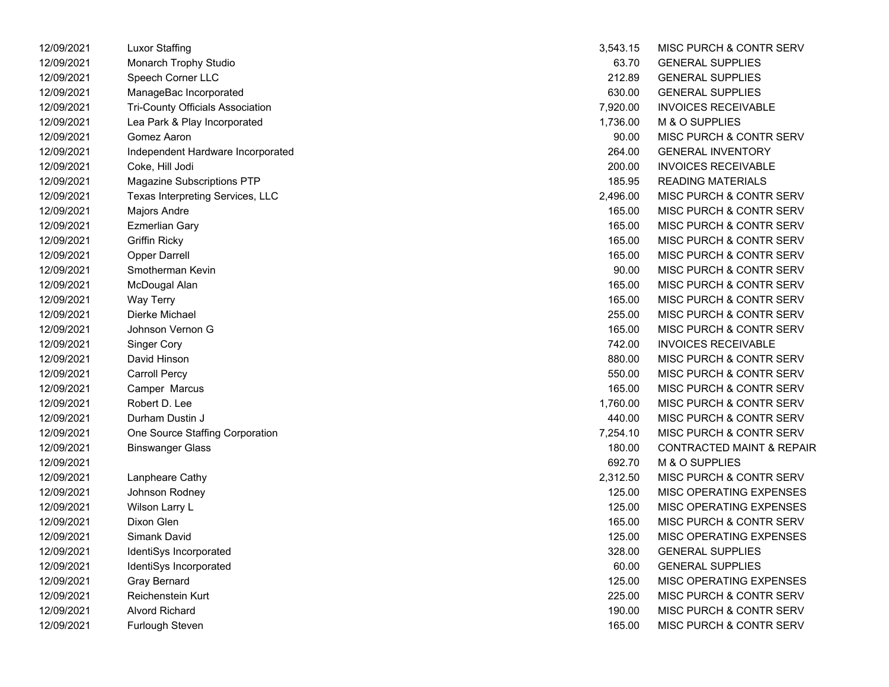| 1 <i>2</i> /09/2021 | Luxor Stamng                            | 3,543.15 | MISC PURCH & CONTR SERV              |
|---------------------|-----------------------------------------|----------|--------------------------------------|
| 12/09/2021          | Monarch Trophy Studio                   | 63.70    | <b>GENERAL SUPPLIES</b>              |
| 12/09/2021          | Speech Corner LLC                       | 212.89   | <b>GENERAL SUPPLIES</b>              |
| 12/09/2021          | ManageBac Incorporated                  | 630.00   | <b>GENERAL SUPPLIES</b>              |
| 12/09/2021          | <b>Tri-County Officials Association</b> | 7,920.00 | <b>INVOICES RECEIVABLE</b>           |
| 12/09/2021          | Lea Park & Play Incorporated            | 1,736.00 | M & O SUPPLIES                       |
| 12/09/2021          | Gomez Aaron                             | 90.00    | MISC PURCH & CONTR SERV              |
| 12/09/2021          | Independent Hardware Incorporated       | 264.00   | <b>GENERAL INVENTORY</b>             |
| 12/09/2021          | Coke, Hill Jodi                         | 200.00   | <b>INVOICES RECEIVABLE</b>           |
| 12/09/2021          | Magazine Subscriptions PTP              | 185.95   | <b>READING MATERIALS</b>             |
| 12/09/2021          | Texas Interpreting Services, LLC        | 2,496.00 | <b>MISC PURCH &amp; CONTR SERV</b>   |
| 12/09/2021          | Majors Andre                            | 165.00   | MISC PURCH & CONTR SERV              |
| 12/09/2021          | <b>Ezmerlian Gary</b>                   | 165.00   | MISC PURCH & CONTR SERV              |
| 12/09/2021          | <b>Griffin Ricky</b>                    | 165.00   | MISC PURCH & CONTR SERV              |
| 12/09/2021          | Opper Darrell                           | 165.00   | MISC PURCH & CONTR SERV              |
| 12/09/2021          | Smotherman Kevin                        | 90.00    | MISC PURCH & CONTR SERV              |
| 12/09/2021          | McDougal Alan                           | 165.00   | MISC PURCH & CONTR SERV              |
| 12/09/2021          | Way Terry                               | 165.00   | MISC PURCH & CONTR SERV              |
| 12/09/2021          | Dierke Michael                          | 255.00   | MISC PURCH & CONTR SERV              |
| 12/09/2021          | Johnson Vernon G                        | 165.00   | MISC PURCH & CONTR SERV              |
| 12/09/2021          | <b>Singer Cory</b>                      | 742.00   | <b>INVOICES RECEIVABLE</b>           |
| 12/09/2021          | David Hinson                            | 880.00   | MISC PURCH & CONTR SERV              |
| 12/09/2021          | <b>Carroll Percy</b>                    | 550.00   | MISC PURCH & CONTR SERV              |
| 12/09/2021          | Camper Marcus                           | 165.00   | MISC PURCH & CONTR SERV              |
| 12/09/2021          | Robert D. Lee                           | 1,760.00 | MISC PURCH & CONTR SERV              |
| 12/09/2021          | Durham Dustin J                         | 440.00   | MISC PURCH & CONTR SERV              |
| 12/09/2021          | One Source Staffing Corporation         | 7,254.10 | MISC PURCH & CONTR SERV              |
| 12/09/2021          | <b>Binswanger Glass</b>                 | 180.00   | <b>CONTRACTED MAINT &amp; REPAIR</b> |
| 12/09/2021          |                                         | 692.70   | M & O SUPPLIES                       |
| 12/09/2021          | Lanpheare Cathy                         | 2,312.50 | MISC PURCH & CONTR SERV              |
| 12/09/2021          | Johnson Rodney                          | 125.00   | MISC OPERATING EXPENSES              |
| 12/09/2021          | Wilson Larry L                          | 125.00   | MISC OPERATING EXPENSES              |
| 12/09/2021          | Dixon Glen                              | 165.00   | MISC PURCH & CONTR SERV              |
| 12/09/2021          | Simank David                            | 125.00   | <b>MISC OPERATING EXPENSES</b>       |
| 12/09/2021          | IdentiSys Incorporated                  | 328.00   | <b>GENERAL SUPPLIES</b>              |
| 12/09/2021          | IdentiSys Incorporated                  | 60.00    | <b>GENERAL SUPPLIES</b>              |
| 12/09/2021          | <b>Gray Bernard</b>                     | 125.00   | MISC OPERATING EXPENSES              |
| 12/09/2021          | Reichenstein Kurt                       | 225.00   | MISC PURCH & CONTR SERV              |
| 12/09/2021          | Alvord Richard                          | 190.00   | MISC PURCH & CONTR SERV              |
| 12/09/2021          | Furlough Steven                         | 165.00   | MISC PURCH & CONTR SERV              |

| 12/09/2021 | <b>Luxor Staffing</b>             | 3,543.15 | <b>MISC PURCH &amp; CONTR SERV</b>   |
|------------|-----------------------------------|----------|--------------------------------------|
| 12/09/2021 | Monarch Trophy Studio             | 63.70    | <b>GENERAL SUPPLIES</b>              |
| 12/09/2021 | Speech Corner LLC                 | 212.89   | <b>GENERAL SUPPLIES</b>              |
| 12/09/2021 | ManageBac Incorporated            | 630.00   | <b>GENERAL SUPPLIES</b>              |
| 12/09/2021 | Tri-County Officials Association  | 7,920.00 | <b>INVOICES RECEIVABLE</b>           |
| 12/09/2021 | Lea Park & Play Incorporated      | 1,736.00 | M & O SUPPLIES                       |
| 12/09/2021 | Gomez Aaron                       | 90.00    | MISC PURCH & CONTR SERV              |
| 12/09/2021 | Independent Hardware Incorporated | 264.00   | <b>GENERAL INVENTORY</b>             |
| 12/09/2021 | Coke, Hill Jodi                   | 200.00   | <b>INVOICES RECEIVABLE</b>           |
| 12/09/2021 | Magazine Subscriptions PTP        | 185.95   | <b>READING MATERIALS</b>             |
| 12/09/2021 | Texas Interpreting Services, LLC  | 2,496.00 | MISC PURCH & CONTR SERV              |
| 12/09/2021 | Majors Andre                      | 165.00   | MISC PURCH & CONTR SERV              |
| 12/09/2021 | <b>Ezmerlian Gary</b>             | 165.00   | MISC PURCH & CONTR SERV              |
| 12/09/2021 | <b>Griffin Ricky</b>              | 165.00   | MISC PURCH & CONTR SERV              |
| 12/09/2021 | <b>Opper Darrell</b>              | 165.00   | MISC PURCH & CONTR SERV              |
| 12/09/2021 | Smotherman Kevin                  | 90.00    | MISC PURCH & CONTR SERV              |
| 12/09/2021 | McDougal Alan                     | 165.00   | MISC PURCH & CONTR SERV              |
| 12/09/2021 | <b>Way Terry</b>                  | 165.00   | MISC PURCH & CONTR SERV              |
| 12/09/2021 | Dierke Michael                    | 255.00   | MISC PURCH & CONTR SERV              |
| 12/09/2021 | Johnson Vernon G                  | 165.00   | MISC PURCH & CONTR SERV              |
| 12/09/2021 | <b>Singer Cory</b>                | 742.00   | <b>INVOICES RECEIVABLE</b>           |
| 12/09/2021 | David Hinson                      | 880.00   | MISC PURCH & CONTR SERV              |
| 12/09/2021 | <b>Carroll Percy</b>              | 550.00   | MISC PURCH & CONTR SERV              |
| 12/09/2021 | Camper Marcus                     | 165.00   | MISC PURCH & CONTR SERV              |
| 12/09/2021 | Robert D. Lee                     | 1,760.00 | MISC PURCH & CONTR SERV              |
| 12/09/2021 | Durham Dustin J                   | 440.00   | MISC PURCH & CONTR SERV              |
| 12/09/2021 | One Source Staffing Corporation   | 7,254.10 | MISC PURCH & CONTR SERV              |
| 12/09/2021 | <b>Binswanger Glass</b>           | 180.00   | <b>CONTRACTED MAINT &amp; REPAIR</b> |
| 12/09/2021 |                                   | 692.70   | M & O SUPPLIES                       |
| 12/09/2021 | Lanpheare Cathy                   | 2,312.50 | MISC PURCH & CONTR SERV              |
| 12/09/2021 | Johnson Rodney                    | 125.00   | MISC OPERATING EXPENSES              |
| 12/09/2021 | Wilson Larry L                    | 125.00   | MISC OPERATING EXPENSES              |
| 12/09/2021 | Dixon Glen                        | 165.00   | MISC PURCH & CONTR SERV              |
| 12/09/2021 | Simank David                      | 125.00   | MISC OPERATING EXPENSES              |
| 12/09/2021 | IdentiSys Incorporated            | 328.00   | <b>GENERAL SUPPLIES</b>              |
| 12/09/2021 | IdentiSys Incorporated            | 60.00    | <b>GENERAL SUPPLIES</b>              |
| 12/09/2021 | <b>Gray Bernard</b>               | 125.00   | MISC OPERATING EXPENSES              |
| 12/09/2021 | Reichenstein Kurt                 | 225.00   | MISC PURCH & CONTR SERV              |
| 12/09/2021 | <b>Alvord Richard</b>             | 190.00   | MISC PURCH & CONTR SERV              |
| 12/09/2021 | Furlough Steven                   | 165.00   | MISC PURCH & CONTR SERV              |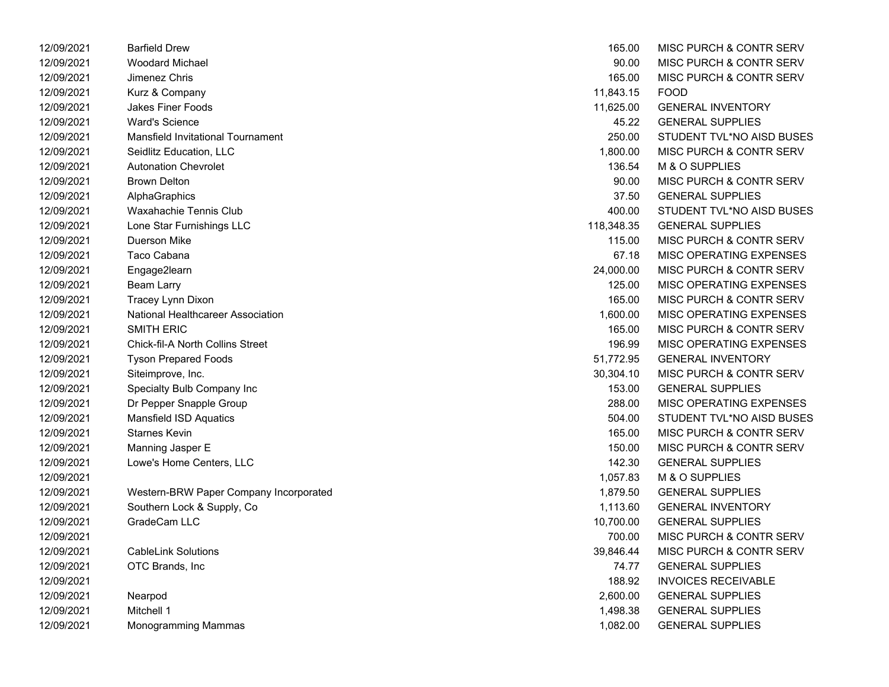| 12/09/2021 | <b>Barfield Drew</b>                     | 165.00     | MISC PURCH & CONTR SERV            |
|------------|------------------------------------------|------------|------------------------------------|
| 12/09/2021 | <b>Woodard Michael</b>                   | 90.00      | MISC PURCH & CONTR SERV            |
| 12/09/2021 | Jimenez Chris                            | 165.00     | MISC PURCH & CONTR SERV            |
| 12/09/2021 | Kurz & Company                           | 11,843.15  | <b>FOOD</b>                        |
| 12/09/2021 | Jakes Finer Foods                        | 11,625.00  | <b>GENERAL INVENTORY</b>           |
| 12/09/2021 | <b>Ward's Science</b>                    | 45.22      | <b>GENERAL SUPPLIES</b>            |
| 12/09/2021 | Mansfield Invitational Tournament        | 250.00     | STUDENT TVL*NO AISD BUSES          |
| 12/09/2021 | Seidlitz Education, LLC                  | 1,800.00   | MISC PURCH & CONTR SERV            |
| 12/09/2021 | <b>Autonation Chevrolet</b>              | 136.54     | M & O SUPPLIES                     |
| 12/09/2021 | <b>Brown Delton</b>                      | 90.00      | <b>MISC PURCH &amp; CONTR SERV</b> |
| 12/09/2021 | AlphaGraphics                            | 37.50      | <b>GENERAL SUPPLIES</b>            |
| 12/09/2021 | Waxahachie Tennis Club                   | 400.00     | STUDENT TVL*NO AISD BUSES          |
| 12/09/2021 | Lone Star Furnishings LLC                | 118,348.35 | <b>GENERAL SUPPLIES</b>            |
| 12/09/2021 | Duerson Mike                             | 115.00     | MISC PURCH & CONTR SERV            |
| 12/09/2021 | Taco Cabana                              | 67.18      | MISC OPERATING EXPENSES            |
| 12/09/2021 | Engage2learn                             | 24,000.00  | MISC PURCH & CONTR SERV            |
| 12/09/2021 | <b>Beam Larry</b>                        | 125.00     | MISC OPERATING EXPENSES            |
| 12/09/2021 | Tracey Lynn Dixon                        | 165.00     | MISC PURCH & CONTR SERV            |
| 12/09/2021 | <b>National Healthcareer Association</b> | 1,600.00   | <b>MISC OPERATING EXPENSES</b>     |
| 12/09/2021 | <b>SMITH ERIC</b>                        | 165.00     | MISC PURCH & CONTR SERV            |
| 12/09/2021 | Chick-fil-A North Collins Street         | 196.99     | <b>MISC OPERATING EXPENSES</b>     |
| 12/09/2021 | <b>Tyson Prepared Foods</b>              | 51,772.95  | <b>GENERAL INVENTORY</b>           |
| 12/09/2021 | Siteimprove, Inc.                        | 30,304.10  | MISC PURCH & CONTR SERV            |
| 12/09/2021 | Specialty Bulb Company Inc               | 153.00     | <b>GENERAL SUPPLIES</b>            |
| 12/09/2021 | Dr Pepper Snapple Group                  | 288.00     | MISC OPERATING EXPENSES            |
| 12/09/2021 | <b>Mansfield ISD Aquatics</b>            | 504.00     | STUDENT TVL*NO AISD BUSES          |
| 12/09/2021 | <b>Starnes Kevin</b>                     | 165.00     | MISC PURCH & CONTR SERV            |
| 12/09/2021 | Manning Jasper E                         | 150.00     | <b>MISC PURCH &amp; CONTR SERV</b> |
| 12/09/2021 | Lowe's Home Centers, LLC                 | 142.30     | <b>GENERAL SUPPLIES</b>            |
| 12/09/2021 |                                          | 1,057.83   | M & O SUPPLIES                     |
| 12/09/2021 | Western-BRW Paper Company Incorporated   | 1,879.50   | <b>GENERAL SUPPLIES</b>            |
| 12/09/2021 | Southern Lock & Supply, Co               | 1,113.60   | <b>GENERAL INVENTORY</b>           |
| 12/09/2021 | GradeCam LLC                             | 10,700.00  | <b>GENERAL SUPPLIES</b>            |
| 12/09/2021 |                                          | 700.00     | <b>MISC PURCH &amp; CONTR SERV</b> |
| 12/09/2021 | <b>CableLink Solutions</b>               | 39,846.44  | MISC PURCH & CONTR SERV            |
| 12/09/2021 | OTC Brands, Inc.                         | 74.77      | <b>GENERAL SUPPLIES</b>            |
| 12/09/2021 |                                          | 188.92     | <b>INVOICES RECEIVABLE</b>         |
| 12/09/2021 | Nearpod                                  | 2,600.00   | <b>GENERAL SUPPLIES</b>            |
| 12/09/2021 | Mitchell 1                               | 1,498.38   | <b>GENERAL SUPPLIES</b>            |
| 12/09/2021 | Monogramming Mammas                      | 1,082.00   | <b>GENERAL SUPPLIES</b>            |

| 12/09/2021 | <b>Barfield Drew</b>                    | 165.00     | MISC PURCH & CONTR SERV            |
|------------|-----------------------------------------|------------|------------------------------------|
| 12/09/2021 | <b>Woodard Michael</b>                  | 90.00      | <b>MISC PURCH &amp; CONTR SERV</b> |
| 12/09/2021 | Jimenez Chris                           | 165.00     | MISC PURCH & CONTR SERV            |
| 12/09/2021 | Kurz & Company                          | 11,843.15  | <b>FOOD</b>                        |
| 12/09/2021 | <b>Jakes Finer Foods</b>                | 11,625.00  | <b>GENERAL INVENTORY</b>           |
| 12/09/2021 | <b>Ward's Science</b>                   | 45.22      | <b>GENERAL SUPPLIES</b>            |
| 12/09/2021 | Mansfield Invitational Tournament       | 250.00     | STUDENT TVL*NO AISD BUSES          |
| 12/09/2021 | Seidlitz Education, LLC                 | 1,800.00   | <b>MISC PURCH &amp; CONTR SERV</b> |
| 12/09/2021 | <b>Autonation Chevrolet</b>             | 136.54     | M & O SUPPLIES                     |
| 12/09/2021 | <b>Brown Delton</b>                     | 90.00      | MISC PURCH & CONTR SERV            |
| 12/09/2021 | AlphaGraphics                           | 37.50      | <b>GENERAL SUPPLIES</b>            |
| 12/09/2021 | Waxahachie Tennis Club                  | 400.00     | STUDENT TVL*NO AISD BUSES          |
| 12/09/2021 | Lone Star Furnishings LLC               | 118,348.35 | <b>GENERAL SUPPLIES</b>            |
| 12/09/2021 | Duerson Mike                            | 115.00     | MISC PURCH & CONTR SERV            |
| 12/09/2021 | Taco Cabana                             | 67.18      | MISC OPERATING EXPENSES            |
| 12/09/2021 | Engage2learn                            | 24,000.00  | <b>MISC PURCH &amp; CONTR SERV</b> |
| 12/09/2021 | <b>Beam Larry</b>                       | 125.00     | MISC OPERATING EXPENSES            |
| 12/09/2021 | Tracey Lynn Dixon                       | 165.00     | MISC PURCH & CONTR SERV            |
| 12/09/2021 | National Healthcareer Association       | 1,600.00   | MISC OPERATING EXPENSES            |
| 12/09/2021 | <b>SMITH ERIC</b>                       | 165.00     | MISC PURCH & CONTR SERV            |
| 12/09/2021 | <b>Chick-fil-A North Collins Street</b> | 196.99     | MISC OPERATING EXPENSES            |
| 12/09/2021 | <b>Tyson Prepared Foods</b>             | 51,772.95  | <b>GENERAL INVENTORY</b>           |
| 12/09/2021 | Siteimprove, Inc.                       | 30,304.10  | MISC PURCH & CONTR SERV            |
| 12/09/2021 | Specialty Bulb Company Inc              | 153.00     | <b>GENERAL SUPPLIES</b>            |
| 12/09/2021 | Dr Pepper Snapple Group                 | 288.00     | MISC OPERATING EXPENSES            |
| 12/09/2021 | <b>Mansfield ISD Aquatics</b>           | 504.00     | STUDENT TVL*NO AISD BUSES          |
| 12/09/2021 | <b>Starnes Kevin</b>                    | 165.00     | MISC PURCH & CONTR SERV            |
| 12/09/2021 | Manning Jasper E                        | 150.00     | MISC PURCH & CONTR SERV            |
| 12/09/2021 | Lowe's Home Centers, LLC                | 142.30     | <b>GENERAL SUPPLIES</b>            |
| 12/09/2021 |                                         | 1,057.83   | M & O SUPPLIES                     |
| 12/09/2021 | Western-BRW Paper Company Incorporated  | 1,879.50   | <b>GENERAL SUPPLIES</b>            |
| 12/09/2021 | Southern Lock & Supply, Co              | 1,113.60   | <b>GENERAL INVENTORY</b>           |
| 12/09/2021 | GradeCam LLC                            | 10,700.00  | <b>GENERAL SUPPLIES</b>            |
| 12/09/2021 |                                         | 700.00     | <b>MISC PURCH &amp; CONTR SERV</b> |
| 12/09/2021 | <b>CableLink Solutions</b>              | 39,846.44  | MISC PURCH & CONTR SERV            |
| 12/09/2021 | OTC Brands, Inc                         | 74.77      | <b>GENERAL SUPPLIES</b>            |
| 12/09/2021 |                                         | 188.92     | <b>INVOICES RECEIVABLE</b>         |
| 12/09/2021 | Nearpod                                 | 2,600.00   | <b>GENERAL SUPPLIES</b>            |
| 12/09/2021 | Mitchell 1                              | 1,498.38   | <b>GENERAL SUPPLIES</b>            |
| 12/09/2021 | Monogramming Mammas                     | 1,082.00   | <b>GENERAL SUPPLIES</b>            |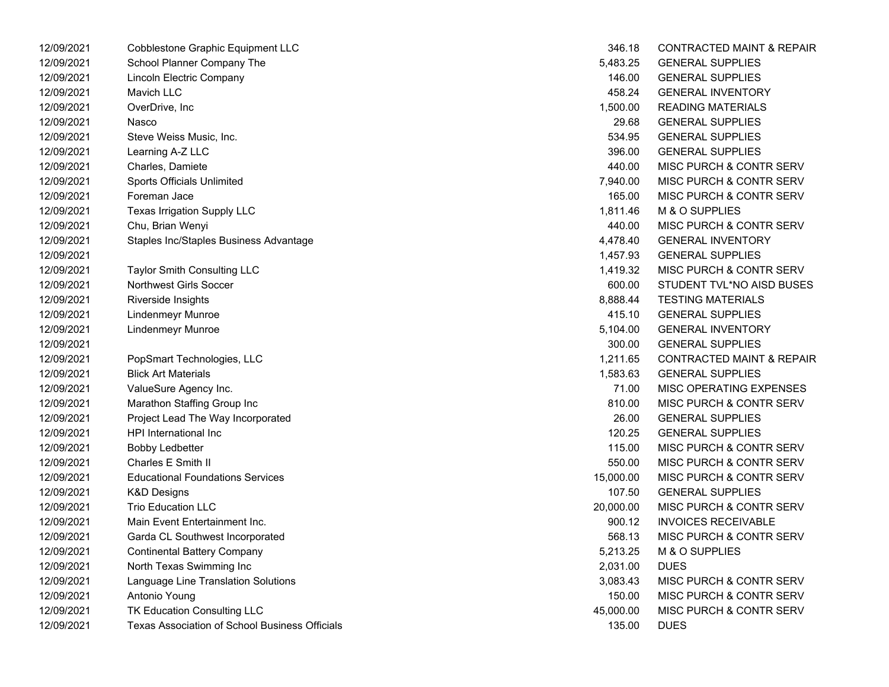| 12/09/2021 | <b>Cobblestone Graphic Equipment LLC</b>       | 346.18    | <b>CONTRACTED MAINT &amp; REPAIR</b> |
|------------|------------------------------------------------|-----------|--------------------------------------|
| 12/09/2021 | School Planner Company The                     | 5,483.25  | <b>GENERAL SUPPLIES</b>              |
| 12/09/2021 | Lincoln Electric Company                       | 146.00    | <b>GENERAL SUPPLIES</b>              |
| 12/09/2021 | Mavich LLC                                     | 458.24    | <b>GENERAL INVENTORY</b>             |
| 12/09/2021 | OverDrive, Inc                                 | 1,500.00  | <b>READING MATERIALS</b>             |
| 12/09/2021 | Nasco                                          | 29.68     | <b>GENERAL SUPPLIES</b>              |
| 12/09/2021 | Steve Weiss Music, Inc.                        | 534.95    | <b>GENERAL SUPPLIES</b>              |
| 12/09/2021 | Learning A-Z LLC                               | 396.00    | <b>GENERAL SUPPLIES</b>              |
| 12/09/2021 | Charles, Damiete                               | 440.00    | MISC PURCH & CONTR SERV              |
| 12/09/2021 | Sports Officials Unlimited                     | 7,940.00  | MISC PURCH & CONTR SERV              |
| 12/09/2021 | Foreman Jace                                   | 165.00    | MISC PURCH & CONTR SERV              |
| 12/09/2021 | Texas Irrigation Supply LLC                    | 1,811.46  | M & O SUPPLIES                       |
| 12/09/2021 | Chu, Brian Wenyi                               | 440.00    | MISC PURCH & CONTR SERV              |
| 12/09/2021 | Staples Inc/Staples Business Advantage         | 4,478.40  | <b>GENERAL INVENTORY</b>             |
| 12/09/2021 |                                                | 1,457.93  | <b>GENERAL SUPPLIES</b>              |
| 12/09/2021 | <b>Taylor Smith Consulting LLC</b>             | 1,419.32  | MISC PURCH & CONTR SERV              |
| 12/09/2021 | Northwest Girls Soccer                         | 600.00    | STUDENT TVL*NO AISD BUSES            |
| 12/09/2021 | Riverside Insights                             | 8,888.44  | <b>TESTING MATERIALS</b>             |
| 12/09/2021 | Lindenmeyr Munroe                              | 415.10    | <b>GENERAL SUPPLIES</b>              |
| 12/09/2021 | Lindenmeyr Munroe                              | 5,104.00  | <b>GENERAL INVENTORY</b>             |
| 12/09/2021 |                                                | 300.00    | <b>GENERAL SUPPLIES</b>              |
| 12/09/2021 | PopSmart Technologies, LLC                     | 1,211.65  | <b>CONTRACTED MAINT &amp; REPAIR</b> |
| 12/09/2021 | <b>Blick Art Materials</b>                     | 1,583.63  | <b>GENERAL SUPPLIES</b>              |
| 12/09/2021 | ValueSure Agency Inc.                          | 71.00     | MISC OPERATING EXPENSES              |
| 12/09/2021 | Marathon Staffing Group Inc                    | 810.00    | MISC PURCH & CONTR SERV              |
| 12/09/2021 | Project Lead The Way Incorporated              | 26.00     | <b>GENERAL SUPPLIES</b>              |
| 12/09/2021 | HPI International Inc                          | 120.25    | <b>GENERAL SUPPLIES</b>              |
| 12/09/2021 | <b>Bobby Ledbetter</b>                         | 115.00    | MISC PURCH & CONTR SERV              |
| 12/09/2021 | Charles E Smith II                             | 550.00    | MISC PURCH & CONTR SERV              |
| 12/09/2021 | <b>Educational Foundations Services</b>        | 15,000.00 | MISC PURCH & CONTR SERV              |
| 12/09/2021 | K&D Designs                                    | 107.50    | <b>GENERAL SUPPLIES</b>              |
| 12/09/2021 | <b>Trio Education LLC</b>                      | 20,000.00 | MISC PURCH & CONTR SERV              |
| 12/09/2021 | Main Event Entertainment Inc.                  | 900.12    | <b>INVOICES RECEIVABLE</b>           |
| 12/09/2021 | Garda CL Southwest Incorporated                | 568.13    | MISC PURCH & CONTR SERV              |
| 12/09/2021 | <b>Continental Battery Company</b>             | 5,213.25  | M & O SUPPLIES                       |
| 12/09/2021 | North Texas Swimming Inc                       | 2,031.00  | <b>DUES</b>                          |
| 12/09/2021 | Language Line Translation Solutions            | 3,083.43  | MISC PURCH & CONTR SERV              |
| 12/09/2021 | Antonio Young                                  | 150.00    | MISC PURCH & CONTR SERV              |
| 12/09/2021 | TK Education Consulting LLC                    | 45,000.00 | MISC PURCH & CONTR SERV              |
| 12/09/2021 | Texas Association of School Business Officials | 135.00    | <b>DUES</b>                          |

| 346.18    | <b>CONTRACTED MAINT &amp; REPAIR</b> |
|-----------|--------------------------------------|
| 5,483.25  | <b>GENERAL SUPPLIES</b>              |
| 146.00    | <b>GENERAL SUPPLIES</b>              |
| 458.24    | <b>GENERAL INVENTORY</b>             |
| 1,500.00  | <b>READING MATERIALS</b>             |
| 29.68     | <b>GENERAL SUPPLIES</b>              |
| 534.95    | <b>GENERAL SUPPLIES</b>              |
| 396.00    | <b>GENERAL SUPPLIES</b>              |
| 440.00    | MISC PURCH & CONTR SERV              |
| 7,940.00  | <b>MISC PURCH &amp; CONTR SERV</b>   |
| 165.00    | MISC PURCH & CONTR SERV              |
| 1,811.46  | M & O SUPPLIES                       |
| 440.00    | MISC PURCH & CONTR SERV              |
| 4,478.40  | <b>GENERAL INVENTORY</b>             |
| 1,457.93  | <b>GENERAL SUPPLIES</b>              |
| 1,419.32  | MISC PURCH & CONTR SERV              |
| 600.00    | STUDENT TVL*NO AISD BUSES            |
| 8,888.44  | <b>TESTING MATERIALS</b>             |
| 415.10    | <b>GENERAL SUPPLIES</b>              |
| 5,104.00  | <b>GENERAL INVENTORY</b>             |
| 300.00    | <b>GENERAL SUPPLIES</b>              |
| 1,211.65  | <b>CONTRACTED MAINT &amp; REPAIR</b> |
| 1,583.63  | <b>GENERAL SUPPLIES</b>              |
| 71.00     | <b>MISC OPERATING EXPENSES</b>       |
| 810.00    | MISC PURCH & CONTR SERV              |
| 26.00     | <b>GENERAL SUPPLIES</b>              |
| 120.25    | <b>GENERAL SUPPLIES</b>              |
| 115.00    | <b>MISC PURCH &amp; CONTR SERV</b>   |
| 550.00    | <b>MISC PURCH &amp; CONTR SERV</b>   |
| 15,000.00 | <b>MISC PURCH &amp; CONTR SERV</b>   |
| 107.50    | <b>GENERAL SUPPLIES</b>              |
| 20,000.00 | MISC PURCH & CONTR SERV              |
|           | 900.12 INVOICES RECEIVABLE           |
| 568.13    | MISC PURCH & CONTR SERV              |
| 5,213.25  | M & O SUPPLIES                       |
| 2,031.00  | <b>DUES</b>                          |
| 3,083.43  | MISC PURCH & CONTR SERV              |
| 150.00    | MISC PURCH & CONTR SERV              |
| 45,000.00 | <b>MISC PURCH &amp; CONTR SERV</b>   |
| 135.00    | <b>DUES</b>                          |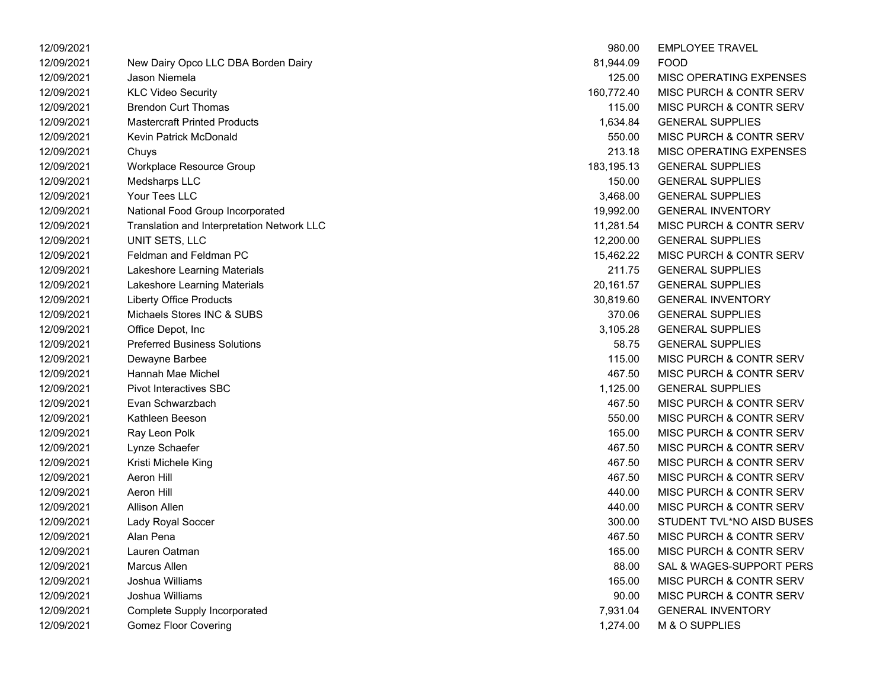| 12/09/2021 |                                            | 980.00     | <b>EMPLOYEE TRAVEL</b>             |
|------------|--------------------------------------------|------------|------------------------------------|
| 12/09/2021 | New Dairy Opco LLC DBA Borden Dairy        | 81,944.09  | <b>FOOD</b>                        |
| 12/09/2021 | Jason Niemela                              | 125.00     | MISC OPERATING EXPENSES            |
| 12/09/2021 | <b>KLC Video Security</b>                  | 160,772.40 | <b>MISC PURCH &amp; CONTR SERV</b> |
| 12/09/2021 | <b>Brendon Curt Thomas</b>                 | 115.00     | MISC PURCH & CONTR SERV            |
| 12/09/2021 | <b>Mastercraft Printed Products</b>        | 1,634.84   | <b>GENERAL SUPPLIES</b>            |
| 12/09/2021 | Kevin Patrick McDonald                     | 550.00     | MISC PURCH & CONTR SERV            |
| 12/09/2021 | Chuys                                      | 213.18     | MISC OPERATING EXPENSES            |
| 12/09/2021 | Workplace Resource Group                   | 183,195.13 | <b>GENERAL SUPPLIES</b>            |
| 12/09/2021 | Medsharps LLC                              | 150.00     | <b>GENERAL SUPPLIES</b>            |
| 12/09/2021 | Your Tees LLC                              | 3,468.00   | <b>GENERAL SUPPLIES</b>            |
| 12/09/2021 | National Food Group Incorporated           | 19,992.00  | <b>GENERAL INVENTORY</b>           |
| 12/09/2021 | Translation and Interpretation Network LLC | 11,281.54  | <b>MISC PURCH &amp; CONTR SERV</b> |
| 12/09/2021 | UNIT SETS, LLC                             | 12,200.00  | <b>GENERAL SUPPLIES</b>            |
| 12/09/2021 | Feldman and Feldman PC                     | 15,462.22  | <b>MISC PURCH &amp; CONTR SERV</b> |
| 12/09/2021 | Lakeshore Learning Materials               | 211.75     | <b>GENERAL SUPPLIES</b>            |
| 12/09/2021 | Lakeshore Learning Materials               | 20,161.57  | <b>GENERAL SUPPLIES</b>            |
| 12/09/2021 | <b>Liberty Office Products</b>             | 30,819.60  | <b>GENERAL INVENTORY</b>           |
| 12/09/2021 | Michaels Stores INC & SUBS                 | 370.06     | <b>GENERAL SUPPLIES</b>            |
| 12/09/2021 | Office Depot, Inc                          | 3,105.28   | <b>GENERAL SUPPLIES</b>            |
| 12/09/2021 | <b>Preferred Business Solutions</b>        | 58.75      | <b>GENERAL SUPPLIES</b>            |
| 12/09/2021 | Dewayne Barbee                             | 115.00     | MISC PURCH & CONTR SERV            |
| 12/09/2021 | Hannah Mae Michel                          | 467.50     | MISC PURCH & CONTR SERV            |
| 12/09/2021 | <b>Pivot Interactives SBC</b>              | 1,125.00   | <b>GENERAL SUPPLIES</b>            |
| 12/09/2021 | Evan Schwarzbach                           | 467.50     | MISC PURCH & CONTR SERV            |
| 12/09/2021 | Kathleen Beeson                            | 550.00     | MISC PURCH & CONTR SERV            |
| 12/09/2021 | Ray Leon Polk                              | 165.00     | MISC PURCH & CONTR SERV            |
| 12/09/2021 | Lynze Schaefer                             | 467.50     | MISC PURCH & CONTR SERV            |
| 12/09/2021 | Kristi Michele King                        | 467.50     | <b>MISC PURCH &amp; CONTR SERV</b> |
| 12/09/2021 | Aeron Hill                                 | 467.50     | <b>MISC PURCH &amp; CONTR SERV</b> |
| 12/09/2021 | <b>Aeron Hill</b>                          | 440.00     | MISC PURCH & CONTR SERV            |
| 12/09/2021 | Allison Allen                              | 440.00     | MISC PURCH & CONTR SERV            |
| 12/09/2021 | Lady Royal Soccer                          | 300.00     | STUDENT TVL*NO AISD BUSES          |
| 12/09/2021 | Alan Pena                                  | 467.50     | MISC PURCH & CONTR SERV            |
| 12/09/2021 | Lauren Oatman                              | 165.00     | MISC PURCH & CONTR SERV            |
| 12/09/2021 | <b>Marcus Allen</b>                        | 88.00      | SAL & WAGES-SUPPORT PERS           |
| 12/09/2021 | Joshua Williams                            | 165.00     | MISC PURCH & CONTR SERV            |
| 12/09/2021 | Joshua Williams                            | 90.00      | MISC PURCH & CONTR SERV            |
| 12/09/2021 | <b>Complete Supply Incorporated</b>        | 7,931.04   | <b>GENERAL INVENTORY</b>           |
| 12/09/2021 | <b>Gomez Floor Covering</b>                | 1,274.00   | M & O SUPPLIES                     |

| 980.00     | <b>EMPLOYEE TRAVEL</b>             |
|------------|------------------------------------|
| 81,944.09  | FOOD                               |
| 125.00     | <b>MISC OPERATING EXPENSES</b>     |
| 160,772.40 | <b>MISC PURCH &amp; CONTR SERV</b> |
| 115.00     | <b>MISC PURCH &amp; CONTR SERV</b> |
| 1,634.84   | <b>GENERAL SUPPLIES</b>            |
| 550.00     | <b>MISC PURCH &amp; CONTR SERV</b> |
| 213.18     | <b>MISC OPERATING EXPENSES</b>     |
| 183,195.13 | <b>GENERAL SUPPLIES</b>            |
| 150.00     | <b>GENERAL SUPPLIES</b>            |
| 3,468.00   | <b>GENERAL SUPPLIES</b>            |
| 19,992.00  | <b>GENERAL INVENTORY</b>           |
| 11,281.54  | <b>MISC PURCH &amp; CONTR SERV</b> |
| 12,200.00  | <b>GENERAL SUPPLIES</b>            |
| 15,462.22  | <b>MISC PURCH &amp; CONTR SERV</b> |
| 211.75     | <b>GENERAL SUPPLIES</b>            |
| 20,161.57  | <b>GENERAL SUPPLIES</b>            |
| 30,819.60  | <b>GENERAL INVENTORY</b>           |
| 370.06     | <b>GENERAL SUPPLIES</b>            |
| 3,105.28   | <b>GENERAL SUPPLIES</b>            |
| 58.75      | <b>GENERAL SUPPLIES</b>            |
| 115.00     | <b>MISC PURCH &amp; CONTR SERV</b> |
| 467.50     | <b>MISC PURCH &amp; CONTR SERV</b> |
| 1,125.00   | <b>GENERAL SUPPLIES</b>            |
| 467.50     | <b>MISC PURCH &amp; CONTR SERV</b> |
| 550.00     | <b>MISC PURCH &amp; CONTR SERV</b> |
| 165.00     | <b>MISC PURCH &amp; CONTR SERV</b> |
| 467.50     | <b>MISC PURCH &amp; CONTR SERV</b> |
| 467.50     | <b>MISC PURCH &amp; CONTR SERV</b> |
| 467.50     | MISC PURCH & CONTR SERV            |
| 440.00     | MISC PURCH & CONTR SERV            |
| 440.00     | <b>MISC PURCH &amp; CONTR SERV</b> |
| 300.00     | STUDENT TVL*NO AISD BUSES          |
| 467.50     | <b>MISC PURCH &amp; CONTR SERV</b> |
| 165.00     | <b>MISC PURCH &amp; CONTR SERV</b> |
| 88.00      | SAL & WAGES-SUPPORT PERS           |
| 165.00     | <b>MISC PURCH &amp; CONTR SERV</b> |
| 90.00      | MISC PURCH & CONTR SERV            |
| 7,931.04   | <b>GENERAL INVENTORY</b>           |
| 1,274.00   | M & O SUPPLIES                     |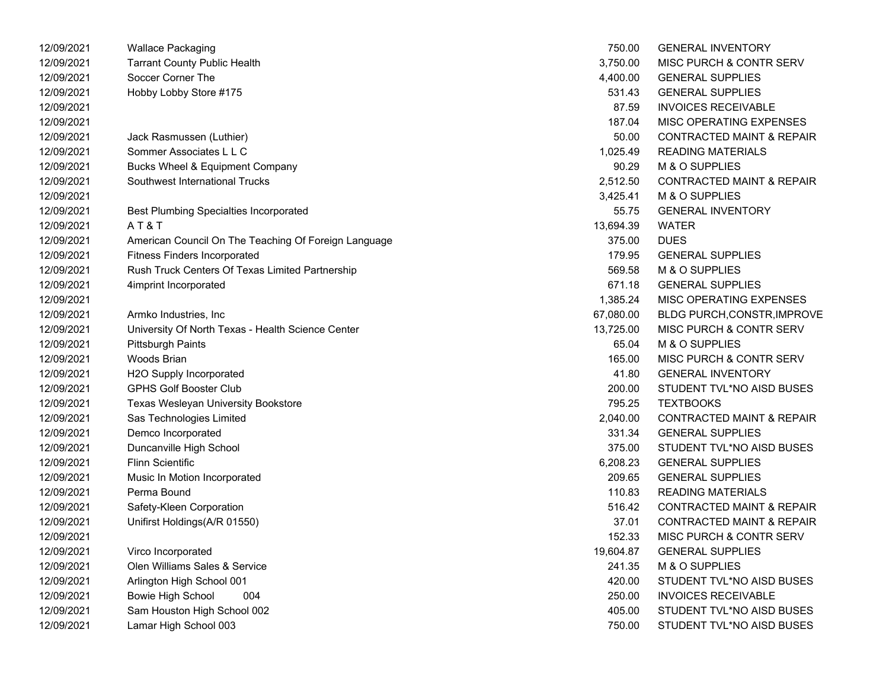| 12/09/2021 | <b>Wallace Packaging</b>                             | 750.00    | <b>GENERAL INVENTORY</b>             |
|------------|------------------------------------------------------|-----------|--------------------------------------|
| 12/09/2021 | <b>Tarrant County Public Health</b>                  | 3,750.00  | <b>MISC PURCH &amp; CONTR SERV</b>   |
| 12/09/2021 | Soccer Corner The                                    | 4,400.00  | <b>GENERAL SUPPLIES</b>              |
| 12/09/2021 | Hobby Lobby Store #175                               | 531.43    | <b>GENERAL SUPPLIES</b>              |
| 12/09/2021 |                                                      | 87.59     | <b>INVOICES RECEIVABLE</b>           |
| 12/09/2021 |                                                      | 187.04    | MISC OPERATING EXPENSES              |
| 12/09/2021 | Jack Rasmussen (Luthier)                             | 50.00     | <b>CONTRACTED MAINT &amp; REPAIR</b> |
| 12/09/2021 | Sommer Associates L L C                              | 1,025.49  | <b>READING MATERIALS</b>             |
| 12/09/2021 | Bucks Wheel & Equipment Company                      | 90.29     | M & O SUPPLIES                       |
| 12/09/2021 | Southwest International Trucks                       | 2,512.50  | <b>CONTRACTED MAINT &amp; REPAIR</b> |
| 12/09/2021 |                                                      | 3,425.41  | M & O SUPPLIES                       |
| 12/09/2021 | <b>Best Plumbing Specialties Incorporated</b>        | 55.75     | <b>GENERAL INVENTORY</b>             |
| 12/09/2021 | AT&T                                                 | 13,694.39 | <b>WATER</b>                         |
| 12/09/2021 | American Council On The Teaching Of Foreign Language | 375.00    | <b>DUES</b>                          |
| 12/09/2021 | <b>Fitness Finders Incorporated</b>                  | 179.95    | <b>GENERAL SUPPLIES</b>              |
| 12/09/2021 | Rush Truck Centers Of Texas Limited Partnership      | 569.58    | M & O SUPPLIES                       |
| 12/09/2021 | 4imprint Incorporated                                | 671.18    | <b>GENERAL SUPPLIES</b>              |
| 12/09/2021 |                                                      | 1,385.24  | MISC OPERATING EXPENSES              |
| 12/09/2021 | Armko Industries, Inc.                               | 67,080.00 | <b>BLDG PURCH, CONSTR, IMPROVE</b>   |
| 12/09/2021 | University Of North Texas - Health Science Center    | 13,725.00 | MISC PURCH & CONTR SERV              |
| 12/09/2021 | Pittsburgh Paints                                    | 65.04     | M & O SUPPLIES                       |
| 12/09/2021 | Woods Brian                                          | 165.00    | MISC PURCH & CONTR SERV              |
| 12/09/2021 | H2O Supply Incorporated                              | 41.80     | <b>GENERAL INVENTORY</b>             |
| 12/09/2021 | <b>GPHS Golf Booster Club</b>                        | 200.00    | STUDENT TVL*NO AISD BUSES            |
| 12/09/2021 | Texas Wesleyan University Bookstore                  | 795.25    | <b>TEXTBOOKS</b>                     |
| 12/09/2021 | Sas Technologies Limited                             | 2,040.00  | <b>CONTRACTED MAINT &amp; REPAIR</b> |
| 12/09/2021 | Demco Incorporated                                   | 331.34    | <b>GENERAL SUPPLIES</b>              |
| 12/09/2021 | Duncanville High School                              | 375.00    | STUDENT TVL*NO AISD BUSES            |
| 12/09/2021 | <b>Flinn Scientific</b>                              | 6,208.23  | <b>GENERAL SUPPLIES</b>              |
| 12/09/2021 | Music In Motion Incorporated                         | 209.65    | <b>GENERAL SUPPLIES</b>              |
| 12/09/2021 | Perma Bound                                          | 110.83    | <b>READING MATERIALS</b>             |
| 12/09/2021 | Safety-Kleen Corporation                             | 516.42    | <b>CONTRACTED MAINT &amp; REPAIR</b> |
| 12/09/2021 | Unifirst Holdings(A/R 01550)                         | 37.01     | <b>CONTRACTED MAINT &amp; REPAIR</b> |
| 12/09/2021 |                                                      | 152.33    | <b>MISC PURCH &amp; CONTR SERV</b>   |
| 12/09/2021 | Virco Incorporated                                   | 19,604.87 | <b>GENERAL SUPPLIES</b>              |
| 12/09/2021 | Olen Williams Sales & Service                        | 241.35    | M & O SUPPLIES                       |
| 12/09/2021 | Arlington High School 001                            | 420.00    | STUDENT TVL*NO AISD BUSES            |
| 12/09/2021 | Bowie High School<br>004                             | 250.00    | <b>INVOICES RECEIVABLE</b>           |
| 12/09/2021 | Sam Houston High School 002                          | 405.00    | STUDENT TVL*NO AISD BUSES            |
| 12/09/2021 | Lamar High School 003                                | 750.00    | STUDENT TVL*NO AISD BUSES            |
|            |                                                      |           |                                      |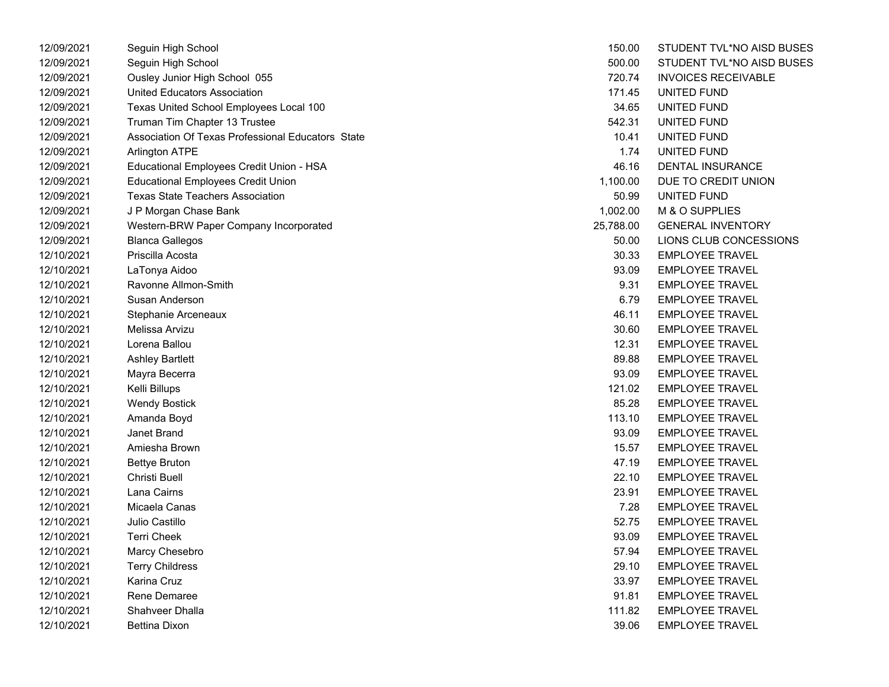| 12/09/2021 | Seguin High School                                | 150.00    | STUDENT TVL*NO AISD BUSES  |
|------------|---------------------------------------------------|-----------|----------------------------|
| 12/09/2021 | Seguin High School                                | 500.00    | STUDENT TVL*NO AISD BUSES  |
| 12/09/2021 | Ousley Junior High School 055                     | 720.74    | <b>INVOICES RECEIVABLE</b> |
| 12/09/2021 | United Educators Association                      | 171.45    | UNITED FUND                |
| 12/09/2021 | Texas United School Employees Local 100           | 34.65     | UNITED FUND                |
| 12/09/2021 | Truman Tim Chapter 13 Trustee                     | 542.31    | UNITED FUND                |
| 12/09/2021 | Association Of Texas Professional Educators State | 10.41     | UNITED FUND                |
| 12/09/2021 | Arlington ATPE                                    | 1.74      | UNITED FUND                |
| 12/09/2021 | Educational Employees Credit Union - HSA          | 46.16     | DENTAL INSURANCE           |
| 12/09/2021 | <b>Educational Employees Credit Union</b>         | 1,100.00  | DUE TO CREDIT UNION        |
| 12/09/2021 | <b>Texas State Teachers Association</b>           | 50.99     | <b>UNITED FUND</b>         |
| 12/09/2021 | J P Morgan Chase Bank                             | 1,002.00  | M & O SUPPLIES             |
| 12/09/2021 | Western-BRW Paper Company Incorporated            | 25,788.00 | <b>GENERAL INVENTORY</b>   |
| 12/09/2021 | <b>Blanca Gallegos</b>                            | 50.00     | LIONS CLUB CONCESSIONS     |
| 12/10/2021 | Priscilla Acosta                                  | 30.33     | <b>EMPLOYEE TRAVEL</b>     |
| 12/10/2021 | LaTonya Aidoo                                     | 93.09     | <b>EMPLOYEE TRAVEL</b>     |
| 12/10/2021 | Ravonne Allmon-Smith                              | 9.31      | <b>EMPLOYEE TRAVEL</b>     |
| 12/10/2021 | Susan Anderson                                    | 6.79      | <b>EMPLOYEE TRAVEL</b>     |
| 12/10/2021 | Stephanie Arceneaux                               | 46.11     | <b>EMPLOYEE TRAVEL</b>     |
| 12/10/2021 | Melissa Arvizu                                    | 30.60     | <b>EMPLOYEE TRAVEL</b>     |
| 12/10/2021 | Lorena Ballou                                     | 12.31     | <b>EMPLOYEE TRAVEL</b>     |
| 12/10/2021 | <b>Ashley Bartlett</b>                            | 89.88     | <b>EMPLOYEE TRAVEL</b>     |
| 12/10/2021 | Mayra Becerra                                     | 93.09     | <b>EMPLOYEE TRAVEL</b>     |
| 12/10/2021 | Kelli Billups                                     | 121.02    | <b>EMPLOYEE TRAVEL</b>     |
| 12/10/2021 | <b>Wendy Bostick</b>                              | 85.28     | <b>EMPLOYEE TRAVEL</b>     |
| 12/10/2021 | Amanda Boyd                                       | 113.10    | <b>EMPLOYEE TRAVEL</b>     |
| 12/10/2021 | Janet Brand                                       | 93.09     | <b>EMPLOYEE TRAVEL</b>     |
| 12/10/2021 | Amiesha Brown                                     | 15.57     | <b>EMPLOYEE TRAVEL</b>     |
| 12/10/2021 | <b>Bettye Bruton</b>                              | 47.19     | <b>EMPLOYEE TRAVEL</b>     |
| 12/10/2021 | Christi Buell                                     | 22.10     | <b>EMPLOYEE TRAVEL</b>     |
| 12/10/2021 | Lana Cairns                                       | 23.91     | <b>EMPLOYEE TRAVEL</b>     |
| 12/10/2021 | Micaela Canas                                     | 7.28      | <b>EMPLOYEE TRAVEL</b>     |
| 12/10/2021 | Julio Castillo                                    | 52.75     | <b>EMPLOYEE TRAVEL</b>     |
| 12/10/2021 | <b>Terri Cheek</b>                                | 93.09     | <b>EMPLOYEE TRAVEL</b>     |
| 12/10/2021 | Marcy Chesebro                                    | 57.94     | <b>EMPLOYEE TRAVEL</b>     |
| 12/10/2021 | <b>Terry Childress</b>                            | 29.10     | <b>EMPLOYEE TRAVEL</b>     |
| 12/10/2021 | Karina Cruz                                       | 33.97     | <b>EMPLOYEE TRAVEL</b>     |
| 12/10/2021 | <b>Rene Demaree</b>                               | 91.81     | <b>EMPLOYEE TRAVEL</b>     |
| 12/10/2021 | <b>Shahveer Dhalla</b>                            | 111.82    | <b>EMPLOYEE TRAVEL</b>     |
| 12/10/2021 | <b>Bettina Dixon</b>                              | 39.06     | <b>EMPLOYEE TRAVEL</b>     |

| 150.00   | STUDENT TVL*NO AISD BUS    |
|----------|----------------------------|
| 500.00   | STUDENT TVL*NO AISD BUS    |
| 720.74   | <b>INVOICES RECEIVABLE</b> |
| 171.45   | UNITED FUND                |
| 34.65    | UNITED FUND                |
| 542.31   | <b>UNITED FUND</b>         |
| 10.41    | UNITED FUND                |
| 1.74     | UNITED FUND                |
| 46.16    | <b>DENTAL INSURANCE</b>    |
| 1,100.00 | DUE TO CREDIT UNION        |
| 50.99    | UNITED FUND                |
| 1,002.00 | M & O SUPPLIES             |
| 5.788.00 | <b>GENERAL INVENTORY</b>   |
| 50.00    | LIONS CLUB CONCESSIONS     |
| 30.33    | <b>EMPLOYEE TRAVEL</b>     |
| 93.09    | <b>EMPLOYEE TRAVEL</b>     |
|          | 9.31 EMPLOYEE TRAVEL       |
|          | 6.79 EMPLOYEE TRAVEL       |
| 46.11    | <b>EMPLOYEE TRAVEL</b>     |
| 30.60    | <b>EMPLOYEE TRAVEL</b>     |
| 12.31    | <b>EMPLOYEE TRAVEL</b>     |
| 89.88    | <b>EMPLOYEE TRAVEL</b>     |
| 93.09    | <b>EMPLOYEE TRAVEL</b>     |
| 121.02   | <b>EMPLOYEE TRAVEL</b>     |
| 85.28    | <b>EMPLOYEE TRAVEL</b>     |
| 113.10   | <b>EMPLOYEE TRAVEL</b>     |
| 93.09    | <b>EMPLOYEE TRAVEL</b>     |
| 15.57    | <b>EMPLOYEE TRAVEL</b>     |
| 47.19    | <b>EMPLOYEE TRAVEL</b>     |
| 22.10    | <b>EMPLOYEE TRAVEL</b>     |
| 23.91    | <b>EMPLOYEE TRAVEL</b>     |
| 7.28     | <b>EMPLOYEE TRAVEL</b>     |
|          | 52.75 EMPLOYEE TRAVEL      |
| 93.09    | <b>EMPLOYEE TRAVEL</b>     |
| 57.94    | <b>EMPLOYEE TRAVEL</b>     |
| 29.10    | <b>EMPLOYEE TRAVEL</b>     |
| 33.97    | EMPLOYEE TRAVEL            |
| 91.81    | <b>EMPLOYEE TRAVEL</b>     |
| 111.82   | <b>EMPLOYEE TRAVEL</b>     |
| 39.06    | <b>EMPLOYEE TRAVEL</b>     |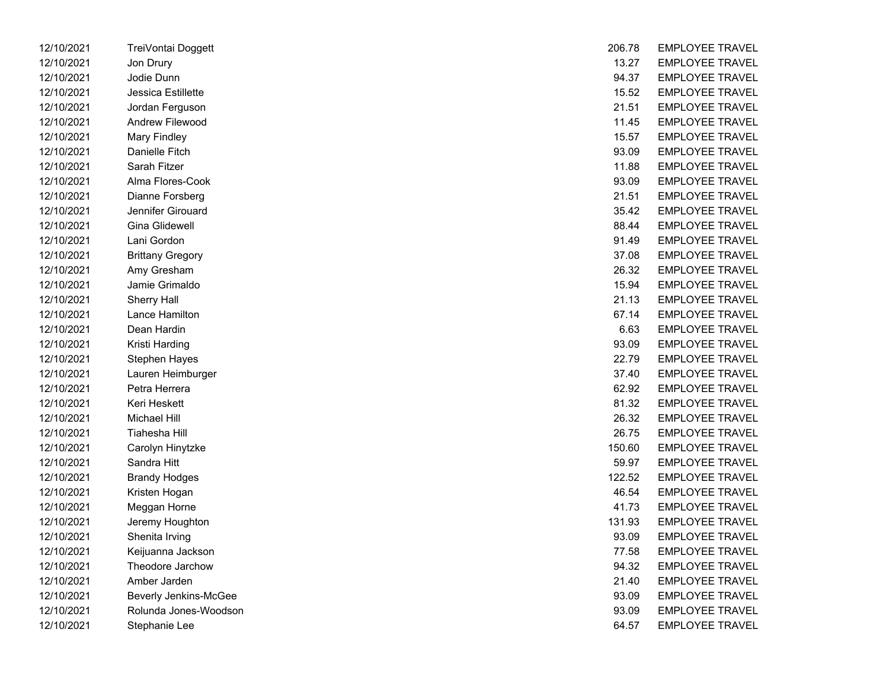| 12/10/2021 | TreiVontai Doggett           | 206.78 | <b>EMPLOYEE TRAVEL</b> |
|------------|------------------------------|--------|------------------------|
| 12/10/2021 | Jon Drury                    | 13.27  | <b>EMPLOYEE TRAVEL</b> |
| 12/10/2021 | Jodie Dunn                   | 94.37  | <b>EMPLOYEE TRAVEL</b> |
| 12/10/2021 | Jessica Estillette           | 15.52  | <b>EMPLOYEE TRAVEL</b> |
| 12/10/2021 | Jordan Ferguson              | 21.51  | <b>EMPLOYEE TRAVEL</b> |
| 12/10/2021 | Andrew Filewood              | 11.45  | <b>EMPLOYEE TRAVEL</b> |
| 12/10/2021 | <b>Mary Findley</b>          | 15.57  | <b>EMPLOYEE TRAVEL</b> |
| 12/10/2021 | Danielle Fitch               | 93.09  | <b>EMPLOYEE TRAVEL</b> |
| 12/10/2021 | Sarah Fitzer                 | 11.88  | <b>EMPLOYEE TRAVEL</b> |
| 12/10/2021 | Alma Flores-Cook             | 93.09  | <b>EMPLOYEE TRAVEL</b> |
| 12/10/2021 | Dianne Forsberg              | 21.51  | <b>EMPLOYEE TRAVEL</b> |
| 12/10/2021 | Jennifer Girouard            | 35.42  | <b>EMPLOYEE TRAVEL</b> |
| 12/10/2021 | Gina Glidewell               | 88.44  | <b>EMPLOYEE TRAVEL</b> |
| 12/10/2021 | Lani Gordon                  | 91.49  | <b>EMPLOYEE TRAVEL</b> |
| 12/10/2021 | <b>Brittany Gregory</b>      | 37.08  | <b>EMPLOYEE TRAVEL</b> |
| 12/10/2021 | Amy Gresham                  | 26.32  | <b>EMPLOYEE TRAVEL</b> |
| 12/10/2021 | Jamie Grimaldo               | 15.94  | <b>EMPLOYEE TRAVEL</b> |
| 12/10/2021 | <b>Sherry Hall</b>           | 21.13  | <b>EMPLOYEE TRAVEL</b> |
| 12/10/2021 | Lance Hamilton               | 67.14  | <b>EMPLOYEE TRAVEL</b> |
| 12/10/2021 | Dean Hardin                  | 6.63   | <b>EMPLOYEE TRAVEL</b> |
| 12/10/2021 | Kristi Harding               | 93.09  | <b>EMPLOYEE TRAVEL</b> |
| 12/10/2021 | Stephen Hayes                | 22.79  | <b>EMPLOYEE TRAVEL</b> |
| 12/10/2021 | Lauren Heimburger            | 37.40  | <b>EMPLOYEE TRAVEL</b> |
| 12/10/2021 | Petra Herrera                | 62.92  | <b>EMPLOYEE TRAVEL</b> |
| 12/10/2021 | Keri Heskett                 | 81.32  | <b>EMPLOYEE TRAVEL</b> |
| 12/10/2021 | Michael Hill                 | 26.32  | <b>EMPLOYEE TRAVEL</b> |
| 12/10/2021 | Tiahesha Hill                | 26.75  | <b>EMPLOYEE TRAVEL</b> |
| 12/10/2021 | Carolyn Hinytzke             | 150.60 | <b>EMPLOYEE TRAVEL</b> |
| 12/10/2021 | Sandra Hitt                  | 59.97  | <b>EMPLOYEE TRAVEL</b> |
| 12/10/2021 | <b>Brandy Hodges</b>         | 122.52 | <b>EMPLOYEE TRAVEL</b> |
| 12/10/2021 | Kristen Hogan                | 46.54  | <b>EMPLOYEE TRAVEL</b> |
| 12/10/2021 | Meggan Horne                 | 41.73  | <b>EMPLOYEE TRAVEL</b> |
| 12/10/2021 | Jeremy Houghton              | 131.93 | <b>EMPLOYEE TRAVEL</b> |
| 12/10/2021 | Shenita Irving               | 93.09  | <b>EMPLOYEE TRAVEL</b> |
| 12/10/2021 | Keijuanna Jackson            | 77.58  | <b>EMPLOYEE TRAVEL</b> |
| 12/10/2021 | Theodore Jarchow             | 94.32  | <b>EMPLOYEE TRAVEL</b> |
| 12/10/2021 | Amber Jarden                 | 21.40  | <b>EMPLOYEE TRAVEL</b> |
| 12/10/2021 | <b>Beverly Jenkins-McGee</b> | 93.09  | <b>EMPLOYEE TRAVEL</b> |
| 12/10/2021 | Rolunda Jones-Woodson        | 93.09  | <b>EMPLOYEE TRAVEL</b> |
| 12/10/2021 | Stephanie Lee                | 64.57  | <b>EMPLOYEE TRAVEL</b> |

| 12/10/2021 | TreiVontai Doggett      | 206.78 | <b>EMPLOYEE TRAVEL</b> |
|------------|-------------------------|--------|------------------------|
| 12/10/2021 | Jon Drury               | 13.27  | <b>EMPLOYEE TRAVEL</b> |
| 12/10/2021 | Jodie Dunn              | 94.37  | <b>EMPLOYEE TRAVEL</b> |
| 12/10/2021 | Jessica Estillette      | 15.52  | <b>EMPLOYEE TRAVEL</b> |
| 12/10/2021 | Jordan Ferguson         | 21.51  | <b>EMPLOYEE TRAVEL</b> |
| 12/10/2021 | Andrew Filewood         | 11.45  | <b>EMPLOYEE TRAVEL</b> |
| 12/10/2021 | <b>Mary Findley</b>     | 15.57  | <b>EMPLOYEE TRAVEL</b> |
| 12/10/2021 | Danielle Fitch          | 93.09  | <b>EMPLOYEE TRAVEL</b> |
| 12/10/2021 | Sarah Fitzer            | 11.88  | <b>EMPLOYEE TRAVEL</b> |
| 12/10/2021 | Alma Flores-Cook        | 93.09  | <b>EMPLOYEE TRAVEL</b> |
| 12/10/2021 | Dianne Forsberg         | 21.51  | <b>EMPLOYEE TRAVEL</b> |
| 12/10/2021 | Jennifer Girouard       | 35.42  | <b>EMPLOYEE TRAVEL</b> |
| 12/10/2021 | Gina Glidewell          | 88.44  | <b>EMPLOYEE TRAVEL</b> |
| 12/10/2021 | Lani Gordon             | 91.49  | <b>EMPLOYEE TRAVEL</b> |
| 12/10/2021 | <b>Brittany Gregory</b> | 37.08  | <b>EMPLOYEE TRAVEL</b> |
| 12/10/2021 | Amy Gresham             | 26.32  | <b>EMPLOYEE TRAVEL</b> |
| 12/10/2021 | Jamie Grimaldo          | 15.94  | <b>EMPLOYEE TRAVEL</b> |
| 12/10/2021 | Sherry Hall             | 21.13  | <b>EMPLOYEE TRAVEL</b> |
| 12/10/2021 | Lance Hamilton          | 67.14  | <b>EMPLOYEE TRAVEL</b> |
| 12/10/2021 | Dean Hardin             | 6.63   | <b>EMPLOYEE TRAVEL</b> |
| 12/10/2021 | Kristi Harding          | 93.09  | <b>EMPLOYEE TRAVEL</b> |
| 12/10/2021 | Stephen Hayes           | 22.79  | <b>EMPLOYEE TRAVEL</b> |
| 12/10/2021 | Lauren Heimburger       | 37.40  | <b>EMPLOYEE TRAVEL</b> |
| 12/10/2021 | Petra Herrera           | 62.92  | <b>EMPLOYEE TRAVEL</b> |
| 12/10/2021 | Keri Heskett            | 81.32  | <b>EMPLOYEE TRAVEL</b> |
| 12/10/2021 | <b>Michael Hill</b>     | 26.32  | <b>EMPLOYEE TRAVEL</b> |
| 12/10/2021 | Tiahesha Hill           | 26.75  | <b>EMPLOYEE TRAVEL</b> |
| 12/10/2021 | Carolyn Hinytzke        | 150.60 | <b>EMPLOYEE TRAVEL</b> |
| 12/10/2021 | Sandra Hitt             | 59.97  | <b>EMPLOYEE TRAVEL</b> |
| 12/10/2021 | <b>Brandy Hodges</b>    | 122.52 | <b>EMPLOYEE TRAVEL</b> |
| 12/10/2021 | Kristen Hogan           | 46.54  | <b>EMPLOYEE TRAVEL</b> |
| 12/10/2021 | Meggan Horne            | 41.73  | <b>EMPLOYEE TRAVEL</b> |
| 12/10/2021 | Jeremy Houghton         | 131.93 | <b>EMPLOYEE TRAVEL</b> |
| 12/10/2021 | Shenita Irving          | 93.09  | <b>EMPLOYEE TRAVEL</b> |
| 12/10/2021 | Keijuanna Jackson       | 77.58  | <b>EMPLOYEE TRAVEL</b> |
| 12/10/2021 | Theodore Jarchow        | 94.32  | <b>EMPLOYEE TRAVEL</b> |
| 12/10/2021 | Amber Jarden            | 21.40  | <b>EMPLOYEE TRAVEL</b> |
| 12/10/2021 | Beverly Jenkins-McGee   | 93.09  | <b>EMPLOYEE TRAVEL</b> |
| 12/10/2021 | Rolunda Jones-Woodson   | 93.09  | <b>EMPLOYEE TRAVEL</b> |
| 12/10/2021 | Stephanie Lee           | 64.57  | <b>EMPLOYEE TRAVEL</b> |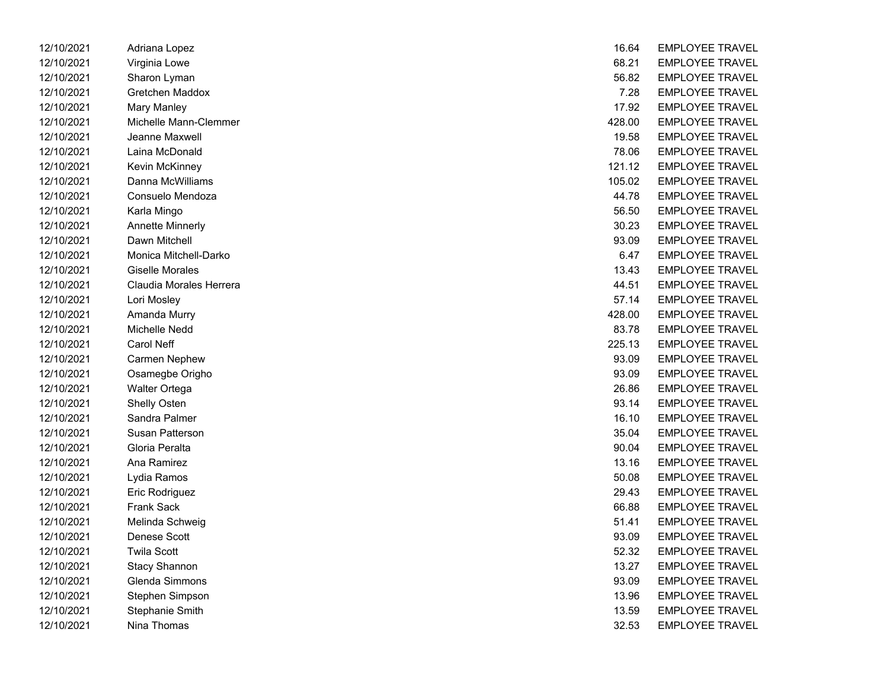| 12/10/2021 | Adriana Lopez           | 16.64  | <b>EMPLOYEE TRAVEL</b> |
|------------|-------------------------|--------|------------------------|
| 12/10/2021 | Virginia Lowe           | 68.21  | <b>EMPLOYEE TRAVEL</b> |
| 12/10/2021 | Sharon Lyman            | 56.82  | <b>EMPLOYEE TRAVEL</b> |
| 12/10/2021 | Gretchen Maddox         | 7.28   | <b>EMPLOYEE TRAVEL</b> |
| 12/10/2021 | <b>Mary Manley</b>      | 17.92  | <b>EMPLOYEE TRAVEL</b> |
| 12/10/2021 | Michelle Mann-Clemmer   | 428.00 | <b>EMPLOYEE TRAVEL</b> |
| 12/10/2021 | Jeanne Maxwell          | 19.58  | <b>EMPLOYEE TRAVEL</b> |
| 12/10/2021 | Laina McDonald          | 78.06  | <b>EMPLOYEE TRAVEL</b> |
| 12/10/2021 | Kevin McKinney          | 121.12 | <b>EMPLOYEE TRAVEL</b> |
| 12/10/2021 | Danna McWilliams        | 105.02 | <b>EMPLOYEE TRAVEL</b> |
| 12/10/2021 | Consuelo Mendoza        | 44.78  | <b>EMPLOYEE TRAVEL</b> |
| 12/10/2021 | Karla Mingo             | 56.50  | <b>EMPLOYEE TRAVEL</b> |
| 12/10/2021 | <b>Annette Minnerly</b> | 30.23  | <b>EMPLOYEE TRAVEL</b> |
| 12/10/2021 | Dawn Mitchell           | 93.09  | <b>EMPLOYEE TRAVEL</b> |
| 12/10/2021 | Monica Mitchell-Darko   | 6.47   | <b>EMPLOYEE TRAVEL</b> |
| 12/10/2021 | <b>Giselle Morales</b>  | 13.43  | <b>EMPLOYEE TRAVEL</b> |
| 12/10/2021 | Claudia Morales Herrera | 44.51  | <b>EMPLOYEE TRAVEL</b> |
| 12/10/2021 | Lori Mosley             | 57.14  | <b>EMPLOYEE TRAVEL</b> |
| 12/10/2021 | Amanda Murry            | 428.00 | <b>EMPLOYEE TRAVEL</b> |
| 12/10/2021 | Michelle Nedd           | 83.78  | <b>EMPLOYEE TRAVEL</b> |
| 12/10/2021 | Carol Neff              | 225.13 | <b>EMPLOYEE TRAVEL</b> |
| 12/10/2021 | <b>Carmen Nephew</b>    | 93.09  | <b>EMPLOYEE TRAVEL</b> |
| 12/10/2021 | Osamegbe Origho         | 93.09  | <b>EMPLOYEE TRAVEL</b> |
| 12/10/2021 | Walter Ortega           | 26.86  | <b>EMPLOYEE TRAVEL</b> |
| 12/10/2021 | Shelly Osten            | 93.14  | <b>EMPLOYEE TRAVEL</b> |
| 12/10/2021 | Sandra Palmer           | 16.10  | <b>EMPLOYEE TRAVEL</b> |
| 12/10/2021 | Susan Patterson         | 35.04  | <b>EMPLOYEE TRAVEL</b> |
| 12/10/2021 | Gloria Peralta          | 90.04  | <b>EMPLOYEE TRAVEL</b> |
| 12/10/2021 | Ana Ramirez             | 13.16  | <b>EMPLOYEE TRAVEL</b> |
| 12/10/2021 | Lydia Ramos             | 50.08  | <b>EMPLOYEE TRAVEL</b> |
| 12/10/2021 | Eric Rodriguez          | 29.43  | <b>EMPLOYEE TRAVEL</b> |
| 12/10/2021 | <b>Frank Sack</b>       | 66.88  | <b>EMPLOYEE TRAVEL</b> |
| 12/10/2021 | Melinda Schweig         | 51.41  | <b>EMPLOYEE TRAVEL</b> |
| 12/10/2021 | Denese Scott            | 93.09  | <b>EMPLOYEE TRAVEL</b> |
| 12/10/2021 | <b>Twila Scott</b>      | 52.32  | <b>EMPLOYEE TRAVEL</b> |
| 12/10/2021 | <b>Stacy Shannon</b>    | 13.27  | <b>EMPLOYEE TRAVEL</b> |
| 12/10/2021 | Glenda Simmons          | 93.09  | <b>EMPLOYEE TRAVEL</b> |
| 12/10/2021 | Stephen Simpson         | 13.96  | <b>EMPLOYEE TRAVEL</b> |
| 12/10/2021 | Stephanie Smith         | 13.59  | <b>EMPLOYEE TRAVEL</b> |
| 12/10/2021 | Nina Thomas             | 32.53  | <b>EMPLOYEE TRAVEL</b> |

| 16.64  | <b>EMPLOYEE TRAVEL</b> |
|--------|------------------------|
| 68.21  | <b>EMPLOYEE TRAVEL</b> |
| 56.82  | <b>EMPLOYEE TRAVEL</b> |
| 7.28   | EMPLOYEE TRAVEL        |
| 17.92  | <b>EMPLOYEE TRAVEL</b> |
| 428.00 | <b>EMPLOYEE TRAVEL</b> |
| 19.58  | <b>EMPLOYEE TRAVEL</b> |
| 78.06  | <b>EMPLOYEE TRAVEL</b> |
| 121.12 | EMPLOYEE TRAVEL        |
| 105.02 | <b>EMPLOYEE TRAVEL</b> |
| 44.78  | <b>EMPLOYEE TRAVEL</b> |
| 56.50  | <b>EMPLOYEE TRAVEL</b> |
| 30.23  | <b>EMPLOYEE TRAVEL</b> |
| 93.09  | EMPLOYEE TRAVEL        |
| 6.47   | <b>EMPLOYEE TRAVEL</b> |
| 13.43  | <b>EMPLOYEE TRAVEL</b> |
| 44.51  | <b>EMPLOYEE TRAVEL</b> |
| 57.14  | <b>EMPLOYEE TRAVEL</b> |
| 428.00 | <b>EMPLOYEE TRAVEL</b> |
| 83.78  | <b>EMPLOYEE TRAVEL</b> |
| 225.13 | <b>EMPLOYEE TRAVEL</b> |
| 93.09  | <b>EMPLOYEE TRAVEL</b> |
| 93.09  | <b>EMPLOYEE TRAVEL</b> |
| 26.86  | EMPLOYEE TRAVEL        |
| 93.14  | <b>EMPLOYEE TRAVEL</b> |
| 16.10  | <b>EMPLOYEE TRAVEL</b> |
| 35.04  | <b>EMPLOYEE TRAVEL</b> |
| 90.04  | <b>EMPLOYEE TRAVEL</b> |
| 13.16  | EMPLOYEE TRAVEL        |
| 50.08  | <b>EMPLOYEE TRAVEL</b> |
| 29.43  | <b>EMPLOYEE TRAVEL</b> |
| 66.88  | <b>EMPLOYEE TRAVEL</b> |
| 51.41  | EMPLOYEE TRAVEL        |
| 93.09  | <b>EMPLOYEE TRAVEL</b> |
| 52.32  | <b>EMPLOYEE TRAVEL</b> |
| 13.27  | <b>EMPLOYEE TRAVEL</b> |
| 93.09  | <b>EMPLOYEE TRAVEL</b> |
| 13.96  | <b>EMPLOYEE TRAVEL</b> |
| 13.59  | EMPLOYEE TRAVEL        |
| 32.53  | <b>EMPLOYEE TRAVEL</b> |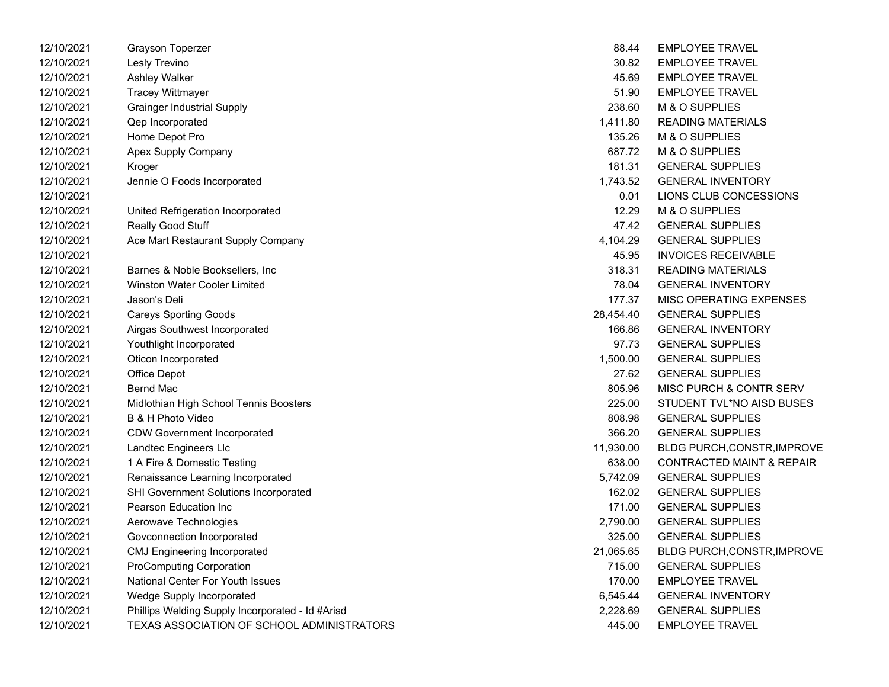| 12/10/2021 | Grayson Toperzer                                 | 88.44     | <b>EMPLOYEE TRAVEL</b>               |
|------------|--------------------------------------------------|-----------|--------------------------------------|
| 12/10/2021 | Lesly Trevino                                    | 30.82     | <b>EMPLOYEE TRAVEL</b>               |
| 12/10/2021 | Ashley Walker                                    | 45.69     | <b>EMPLOYEE TRAVEL</b>               |
| 12/10/2021 | <b>Tracey Wittmayer</b>                          | 51.90     | <b>EMPLOYEE TRAVEL</b>               |
| 12/10/2021 | <b>Grainger Industrial Supply</b>                | 238.60    | M & O SUPPLIES                       |
| 12/10/2021 | Qep Incorporated                                 | 1,411.80  | <b>READING MATERIALS</b>             |
| 12/10/2021 | Home Depot Pro                                   | 135.26    | M & O SUPPLIES                       |
| 12/10/2021 | Apex Supply Company                              | 687.72    | M & O SUPPLIES                       |
| 12/10/2021 | Kroger                                           | 181.31    | <b>GENERAL SUPPLIES</b>              |
| 12/10/2021 | Jennie O Foods Incorporated                      | 1,743.52  | <b>GENERAL INVENTORY</b>             |
| 12/10/2021 |                                                  | 0.01      | LIONS CLUB CONCESSIONS               |
| 12/10/2021 | United Refrigeration Incorporated                | 12.29     | M & O SUPPLIES                       |
| 12/10/2021 | Really Good Stuff                                | 47.42     | <b>GENERAL SUPPLIES</b>              |
| 12/10/2021 | Ace Mart Restaurant Supply Company               | 4,104.29  | <b>GENERAL SUPPLIES</b>              |
| 12/10/2021 |                                                  | 45.95     | <b>INVOICES RECEIVABLE</b>           |
| 12/10/2021 | Barnes & Noble Booksellers, Inc.                 | 318.31    | <b>READING MATERIALS</b>             |
| 12/10/2021 | <b>Winston Water Cooler Limited</b>              | 78.04     | <b>GENERAL INVENTORY</b>             |
| 12/10/2021 | Jason's Deli                                     | 177.37    | MISC OPERATING EXPENSES              |
| 12/10/2021 | <b>Careys Sporting Goods</b>                     | 28,454.40 | <b>GENERAL SUPPLIES</b>              |
| 12/10/2021 | Airgas Southwest Incorporated                    | 166.86    | <b>GENERAL INVENTORY</b>             |
| 12/10/2021 | Youthlight Incorporated                          | 97.73     | <b>GENERAL SUPPLIES</b>              |
| 12/10/2021 | Oticon Incorporated                              | 1,500.00  | <b>GENERAL SUPPLIES</b>              |
| 12/10/2021 | Office Depot                                     | 27.62     | <b>GENERAL SUPPLIES</b>              |
| 12/10/2021 | <b>Bernd Mac</b>                                 | 805.96    | MISC PURCH & CONTR SERV              |
| 12/10/2021 | Midlothian High School Tennis Boosters           | 225.00    | STUDENT TVL*NO AISD BUSES            |
| 12/10/2021 | B & H Photo Video                                | 808.98    | <b>GENERAL SUPPLIES</b>              |
| 12/10/2021 | <b>CDW Government Incorporated</b>               | 366.20    | <b>GENERAL SUPPLIES</b>              |
| 12/10/2021 | Landtec Engineers Llc                            | 11,930.00 | BLDG PURCH, CONSTR, IMPROVE          |
| 12/10/2021 | 1 A Fire & Domestic Testing                      | 638.00    | <b>CONTRACTED MAINT &amp; REPAIR</b> |
| 12/10/2021 | Renaissance Learning Incorporated                | 5,742.09  | <b>GENERAL SUPPLIES</b>              |
| 12/10/2021 | SHI Government Solutions Incorporated            | 162.02    | <b>GENERAL SUPPLIES</b>              |
| 12/10/2021 | Pearson Education Inc                            | 171.00    | <b>GENERAL SUPPLIES</b>              |
| 12/10/2021 | Aerowave Technologies                            | 2,790.00  | <b>GENERAL SUPPLIES</b>              |
| 12/10/2021 | Govconnection Incorporated                       | 325.00    | <b>GENERAL SUPPLIES</b>              |
| 12/10/2021 | <b>CMJ Engineering Incorporated</b>              | 21,065.65 | <b>BLDG PURCH, CONSTR, IMPROVE</b>   |
| 12/10/2021 | <b>ProComputing Corporation</b>                  | 715.00    | <b>GENERAL SUPPLIES</b>              |
| 12/10/2021 | National Center For Youth Issues                 | 170.00    | <b>EMPLOYEE TRAVEL</b>               |
| 12/10/2021 | Wedge Supply Incorporated                        | 6,545.44  | <b>GENERAL INVENTORY</b>             |
| 12/10/2021 | Phillips Welding Supply Incorporated - Id #Arisd | 2,228.69  | <b>GENERAL SUPPLIES</b>              |
| 12/10/2021 | TEXAS ASSOCIATION OF SCHOOL ADMINISTRATORS       | 445.00    | <b>EMPLOYEE TRAVEL</b>               |

| 88.44     | <b>EMPLOYEE TRAVEL</b>                |
|-----------|---------------------------------------|
|           | 30.82 EMPLOYEE TRAVEL                 |
|           | 45.69 EMPLOYEE TRAVEL                 |
| 51.90     | EMPLOYEE TRAVEL                       |
| 238.60    | M & O SUPPLIES                        |
|           | 1,411.80 READING MATERIALS            |
|           | 135.26 M & O SUPPLIES                 |
|           | 687.72 M & O SUPPLIES                 |
| 181.31    | <b>GENERAL SUPPLIES</b>               |
| 1,743.52  | <b>GENERAL INVENTORY</b>              |
|           | 0.01 LIONS CLUB CONCESSIONS           |
|           | 12.29 M & O SUPPLIES                  |
|           | 47.42 GENERAL SUPPLIES                |
| 4,104.29  | <b>GENERAL SUPPLIES</b>               |
|           | 45.95 INVOICES RECEIVABLE             |
|           | 318.31 READING MATERIALS              |
|           | 78.04 GENERAL INVENTORY               |
|           | 177.37 MISC OPERATING EXPENSES        |
| 28,454.40 | <b>GENERAL SUPPLIES</b>               |
| 166.86    | <b>GENERAL INVENTORY</b>              |
|           | 97.73 GENERAL SUPPLIES                |
|           | 1,500.00 GENERAL SUPPLIES             |
|           | 27.62 GENERAL SUPPLIES                |
| 805.96    | MISC PURCH & CONTR SERV               |
| 225.00    | STUDENT TVL*NO AISD BUSES             |
|           | 808.98 GENERAL SUPPLIES               |
|           | 366.20 GENERAL SUPPLIES               |
|           | 11,930.00 BLDG PURCH, CONSTR, IMPROVE |
|           | 638.00 CONTRACTED MAINT & REPAIR      |
| 5,742.09  | <b>GENERAL SUPPLIES</b>               |
|           | 162.02 GENERAL SUPPLIES               |
|           | 171.00 GENERAL SUPPLIES               |
|           | 2,790.00 GENERAL SUPPLIES             |
| 325.00    | <b>GENERAL SUPPLIES</b>               |
| 21,065.65 | BLDG PURCH,CONSTR, IMPROVE            |
| 715.00    | <b>GENERAL SUPPLIES</b>               |
| 170.00    | <b>EMPLOYEE TRAVEL</b>                |
| 6,545.44  | <b>GENERAL INVENTORY</b>              |
| 2,228.69  | <b>GENERAL SUPPLIES</b>               |
| 445.00    | <b>EMPLOYEE TRAVEL</b>                |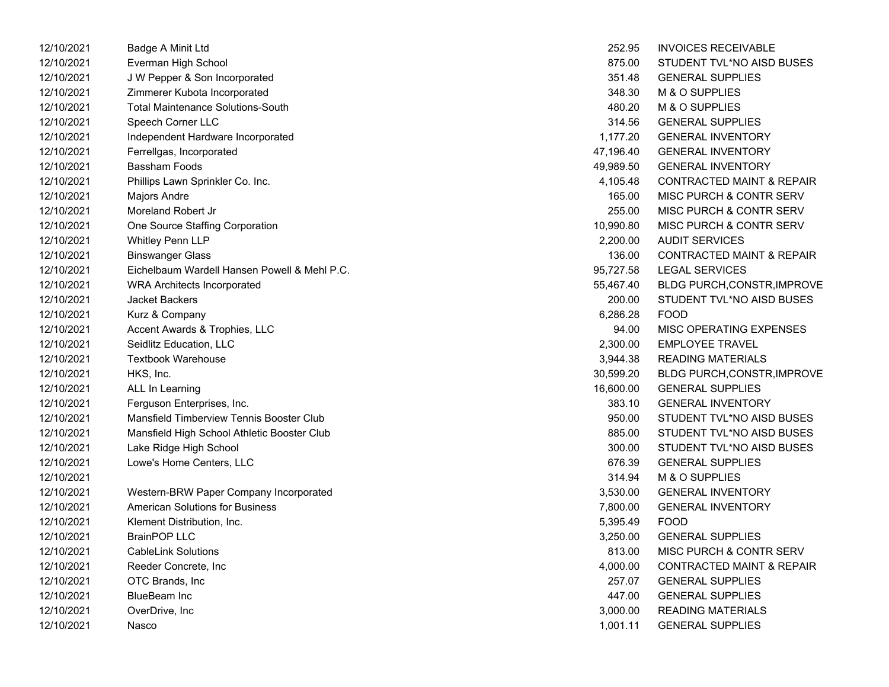| 12/10/2021 | Badge A Minit Ltd                            | 252.95    | <b>INVOICES RECEIVABLE</b>           |
|------------|----------------------------------------------|-----------|--------------------------------------|
| 12/10/2021 | Everman High School                          | 875.00    | STUDENT TVL*NO AISD BUSES            |
| 12/10/2021 | J W Pepper & Son Incorporated                | 351.48    | <b>GENERAL SUPPLIES</b>              |
| 12/10/2021 | Zimmerer Kubota Incorporated                 | 348.30    | M & O SUPPLIES                       |
| 12/10/2021 | <b>Total Maintenance Solutions-South</b>     | 480.20    | M & O SUPPLIES                       |
| 12/10/2021 | Speech Corner LLC                            | 314.56    | <b>GENERAL SUPPLIES</b>              |
| 12/10/2021 | Independent Hardware Incorporated            | 1,177.20  | <b>GENERAL INVENTORY</b>             |
| 12/10/2021 | Ferrellgas, Incorporated                     | 47,196.40 | <b>GENERAL INVENTORY</b>             |
| 12/10/2021 | <b>Bassham Foods</b>                         | 49,989.50 | <b>GENERAL INVENTORY</b>             |
| 12/10/2021 | Phillips Lawn Sprinkler Co. Inc.             | 4,105.48  | <b>CONTRACTED MAINT &amp; REPAIR</b> |
| 12/10/2021 | Majors Andre                                 | 165.00    | <b>MISC PURCH &amp; CONTR SERV</b>   |
| 12/10/2021 | Moreland Robert Jr                           | 255.00    | <b>MISC PURCH &amp; CONTR SERV</b>   |
| 12/10/2021 | One Source Staffing Corporation              | 10,990.80 | <b>MISC PURCH &amp; CONTR SERV</b>   |
| 12/10/2021 | Whitley Penn LLP                             | 2,200.00  | <b>AUDIT SERVICES</b>                |
| 12/10/2021 | <b>Binswanger Glass</b>                      | 136.00    | <b>CONTRACTED MAINT &amp; REPAIR</b> |
| 12/10/2021 | Eichelbaum Wardell Hansen Powell & Mehl P.C. | 95,727.58 | <b>LEGAL SERVICES</b>                |
| 12/10/2021 | <b>WRA Architects Incorporated</b>           | 55,467.40 | BLDG PURCH, CONSTR, IMPROVE          |
| 12/10/2021 | Jacket Backers                               | 200.00    | STUDENT TVL*NO AISD BUSES            |
| 12/10/2021 | Kurz & Company                               | 6,286.28  | <b>FOOD</b>                          |
| 12/10/2021 | Accent Awards & Trophies, LLC                | 94.00     | <b>MISC OPERATING EXPENSES</b>       |
| 12/10/2021 | Seidlitz Education, LLC                      | 2,300.00  | <b>EMPLOYEE TRAVEL</b>               |
| 12/10/2021 | <b>Textbook Warehouse</b>                    | 3,944.38  | READING MATERIALS                    |
| 12/10/2021 | HKS, Inc.                                    | 30,599.20 | BLDG PURCH,CONSTR, IMPROVE           |
| 12/10/2021 | ALL In Learning                              | 16,600.00 | <b>GENERAL SUPPLIES</b>              |
| 12/10/2021 | Ferguson Enterprises, Inc.                   | 383.10    | <b>GENERAL INVENTORY</b>             |
| 12/10/2021 | Mansfield Timberview Tennis Booster Club     | 950.00    | STUDENT TVL*NO AISD BUSES            |
| 12/10/2021 | Mansfield High School Athletic Booster Club  | 885.00    | STUDENT TVL*NO AISD BUSES            |
| 12/10/2021 | Lake Ridge High School                       | 300.00    | STUDENT TVL*NO AISD BUSES            |
| 12/10/2021 | Lowe's Home Centers, LLC                     | 676.39    | <b>GENERAL SUPPLIES</b>              |
| 12/10/2021 |                                              | 314.94    | M & O SUPPLIES                       |
| 12/10/2021 | Western-BRW Paper Company Incorporated       | 3,530.00  | <b>GENERAL INVENTORY</b>             |
| 12/10/2021 | <b>American Solutions for Business</b>       | 7,800.00  | <b>GENERAL INVENTORY</b>             |
| 12/10/2021 | Klement Distribution, Inc.                   | 5,395.49  | <b>FOOD</b>                          |
| 12/10/2021 | <b>BrainPOP LLC</b>                          | 3,250.00  | <b>GENERAL SUPPLIES</b>              |
| 12/10/2021 | <b>CableLink Solutions</b>                   | 813.00    | <b>MISC PURCH &amp; CONTR SERV</b>   |
| 12/10/2021 | Reeder Concrete, Inc                         | 4,000.00  | <b>CONTRACTED MAINT &amp; REPAIR</b> |
| 12/10/2021 | OTC Brands, Inc                              | 257.07    | <b>GENERAL SUPPLIES</b>              |
| 12/10/2021 | <b>BlueBeam Inc</b>                          | 447.00    | <b>GENERAL SUPPLIES</b>              |
| 12/10/2021 | OverDrive, Inc                               | 3,000.00  | <b>READING MATERIALS</b>             |
| 12/10/2021 | Nasco                                        | 1.001.11  | <b>GENERAL SUPPLIES</b>              |

| 252.95    | <b>INVOICES RECEIVABLE</b>           |
|-----------|--------------------------------------|
| 875.00    | STUDENT TVL*NO AISD BUSES            |
| 351.48    | <b>GENERAL SUPPLIES</b>              |
| 348.30    | <b>M &amp; O SUPPLIES</b>            |
| 480.20    | M & O SUPPLIES                       |
| 314.56    | <b>GENERAL SUPPLIES</b>              |
| 1,177.20  | <b>GENERAL INVENTORY</b>             |
| 47,196.40 | <b>GENERAL INVENTORY</b>             |
| 49,989.50 | <b>GENERAL INVENTORY</b>             |
| 4,105.48  | <b>CONTRACTED MAINT &amp; REPAIR</b> |
| 165.00    | <b>MISC PURCH &amp; CONTR SERV</b>   |
| 255.00    | <b>MISC PURCH &amp; CONTR SERV</b>   |
| 10,990.80 | <b>MISC PURCH &amp; CONTR SERV</b>   |
| 2,200.00  | <b>AUDIT SERVICES</b>                |
| 136.00    | <b>CONTRACTED MAINT &amp; REPAIR</b> |
| 95,727.58 | <b>LEGAL SERVICES</b>                |
| 55,467.40 | BLDG PURCH, CONSTR, IMPROVE          |
| 200.00    | STUDENT TVL*NO AISD BUSES            |
| 6,286.28  | <b>FOOD</b>                          |
| 94.00     | <b>MISC OPERATING EXPENSES</b>       |
| 2,300.00  | <b>EMPLOYEE TRAVEL</b>               |
| 3,944.38  | <b>READING MATERIALS</b>             |
| 30,599.20 | BLDG PURCH, CONSTR, IMPROVE          |
| 16,600.00 | <b>GENERAL SUPPLIES</b>              |
| 383.10    | <b>GENERAL INVENTORY</b>             |
| 950.00    | STUDENT TVL*NO AISD BUSES            |
| 885.00    | STUDENT TVL*NO AISD BUSES            |
| 300.00    | STUDENT TVL*NO AISD BUSES            |
| 676.39    | <b>GENERAL SUPPLIES</b>              |
| 314.94    | M & O SUPPLIES                       |
| 3,530.00  | <b>GENERAL INVENTORY</b>             |
| 7,800.00  | <b>GENERAL INVENTORY</b>             |
| 5,395.49  | <b>FOOD</b>                          |
| 3,250.00  | <b>GENERAL SUPPLIES</b>              |
| 813.00    | MISC PURCH & CONTR SERV              |
| 4,000.00  | <b>CONTRACTED MAINT &amp; REPAIR</b> |
| 257.07    | <b>GENERAL SUPPLIES</b>              |
| 447.00    | <b>GENERAL SUPPLIES</b>              |
| 3,000.00  | <b>READING MATERIALS</b>             |
| 1,001.11  | <b>GENERAL SUPPLIES</b>              |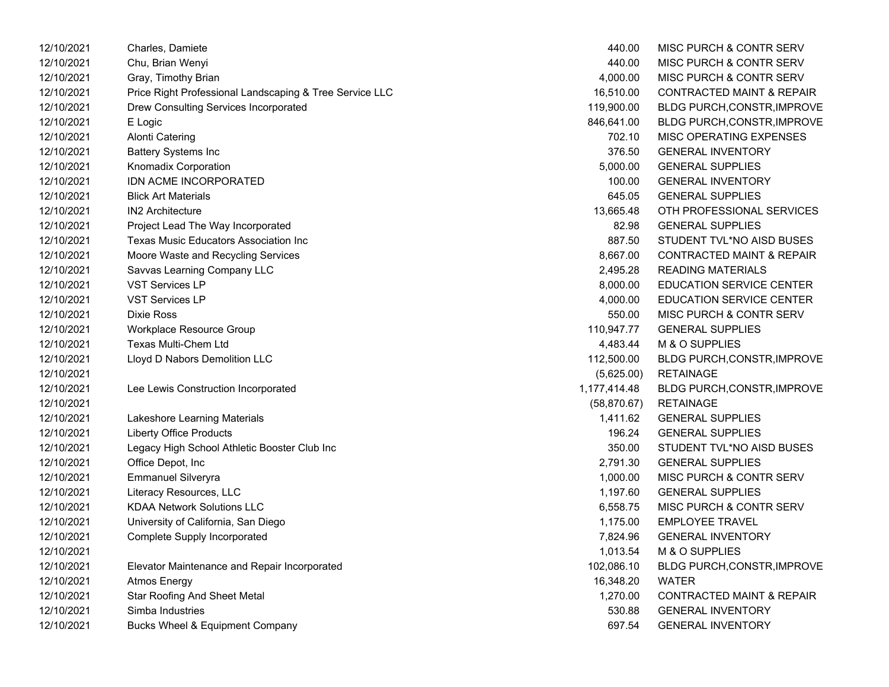| 12/10/2021 | Charles, Damiete                                        | 440.00       | MISC PURCH & CONTR SERV              |
|------------|---------------------------------------------------------|--------------|--------------------------------------|
| 12/10/2021 | Chu, Brian Wenyi                                        | 440.00       | MISC PURCH & CONTR SERV              |
| 12/10/2021 | Gray, Timothy Brian                                     | 4,000.00     | MISC PURCH & CONTR SERV              |
| 12/10/2021 | Price Right Professional Landscaping & Tree Service LLC | 16,510.00    | CONTRACTED MAINT & REPAIR            |
| 12/10/2021 | Drew Consulting Services Incorporated                   | 119,900.00   | BLDG PURCH, CONSTR, IMPROVE          |
| 12/10/2021 | E Logic                                                 | 846,641.00   | <b>BLDG PURCH, CONSTR, IMPROVE</b>   |
| 12/10/2021 | <b>Alonti Catering</b>                                  | 702.10       | MISC OPERATING EXPENSES              |
| 12/10/2021 | <b>Battery Systems Inc</b>                              | 376.50       | <b>GENERAL INVENTORY</b>             |
| 12/10/2021 | Knomadix Corporation                                    | 5,000.00     | <b>GENERAL SUPPLIES</b>              |
| 12/10/2021 | IDN ACME INCORPORATED                                   | 100.00       | <b>GENERAL INVENTORY</b>             |
| 12/10/2021 | <b>Blick Art Materials</b>                              | 645.05       | <b>GENERAL SUPPLIES</b>              |
| 12/10/2021 | <b>IN2 Architecture</b>                                 | 13,665.48    | OTH PROFESSIONAL SERVICES            |
| 12/10/2021 | Project Lead The Way Incorporated                       | 82.98        | <b>GENERAL SUPPLIES</b>              |
| 12/10/2021 | Texas Music Educators Association Inc                   | 887.50       | STUDENT TVL*NO AISD BUSES            |
| 12/10/2021 | Moore Waste and Recycling Services                      | 8,667.00     | <b>CONTRACTED MAINT &amp; REPAIR</b> |
| 12/10/2021 | Savvas Learning Company LLC                             | 2,495.28     | <b>READING MATERIALS</b>             |
| 12/10/2021 | <b>VST Services LP</b>                                  | 8,000.00     | <b>EDUCATION SERVICE CENTER</b>      |
| 12/10/2021 | <b>VST Services LP</b>                                  | 4,000.00     | <b>EDUCATION SERVICE CENTER</b>      |
| 12/10/2021 | Dixie Ross                                              | 550.00       | MISC PURCH & CONTR SERV              |
| 12/10/2021 | Workplace Resource Group                                | 110,947.77   | <b>GENERAL SUPPLIES</b>              |
| 12/10/2021 | <b>Texas Multi-Chem Ltd</b>                             | 4,483.44     | M & O SUPPLIES                       |
| 12/10/2021 | Lloyd D Nabors Demolition LLC                           | 112,500.00   | <b>BLDG PURCH, CONSTR, IMPROVE</b>   |
| 12/10/2021 |                                                         | (5,625.00)   | <b>RETAINAGE</b>                     |
| 12/10/2021 | Lee Lewis Construction Incorporated                     | 1,177,414.48 | <b>BLDG PURCH, CONSTR, IMPROVE</b>   |
| 12/10/2021 |                                                         | (58, 870.67) | <b>RETAINAGE</b>                     |
| 12/10/2021 | Lakeshore Learning Materials                            | 1,411.62     | <b>GENERAL SUPPLIES</b>              |
| 12/10/2021 | <b>Liberty Office Products</b>                          | 196.24       | <b>GENERAL SUPPLIES</b>              |
| 12/10/2021 | Legacy High School Athletic Booster Club Inc            | 350.00       | STUDENT TVL*NO AISD BUSES            |
| 12/10/2021 | Office Depot, Inc                                       | 2,791.30     | <b>GENERAL SUPPLIES</b>              |
| 12/10/2021 | <b>Emmanuel Silveryra</b>                               | 1,000.00     | MISC PURCH & CONTR SERV              |
| 12/10/2021 | Literacy Resources, LLC                                 | 1,197.60     | <b>GENERAL SUPPLIES</b>              |
| 12/10/2021 | <b>KDAA Network Solutions LLC</b>                       | 6,558.75     | MISC PURCH & CONTR SERV              |
| 12/10/2021 | University of California, San Diego                     | 1,175.00     | <b>EMPLOYEE TRAVEL</b>               |
| 12/10/2021 | Complete Supply Incorporated                            | 7,824.96     | <b>GENERAL INVENTORY</b>             |
| 12/10/2021 |                                                         | 1,013.54     | M & O SUPPLIES                       |
| 12/10/2021 | Elevator Maintenance and Repair Incorporated            | 102,086.10   | BLDG PURCH, CONSTR, IMPROVE          |
| 12/10/2021 | <b>Atmos Energy</b>                                     | 16,348.20    | <b>WATER</b>                         |
| 12/10/2021 | <b>Star Roofing And Sheet Metal</b>                     | 1,270.00     | <b>CONTRACTED MAINT &amp; REPAIR</b> |
| 12/10/2021 | Simba Industries                                        | 530.88       | <b>GENERAL INVENTORY</b>             |
| 12/10/2021 | <b>Bucks Wheel &amp; Equipment Company</b>              | 697.54       | <b>GENERAL INVENTORY</b>             |

| 440.00           | MISC PURCH & CONTR SERV              |
|------------------|--------------------------------------|
| 440.00           | <b>MISC PURCH &amp; CONTR SERV</b>   |
| 4,000.00         | <b>MISC PURCH &amp; CONTR SERV</b>   |
| 16,510.00        | <b>CONTRACTED MAINT &amp; REPAIR</b> |
| 119,900.00       | BLDG PURCH, CONSTR, IMPROVE          |
| 846,641.00       | <b>BLDG PURCH, CONSTR, IMPROVE</b>   |
| 702.10           | <b>MISC OPERATING EXPENSES</b>       |
| 376.50           | <b>GENERAL INVENTORY</b>             |
| 5,000.00         | <b>GENERAL SUPPLIES</b>              |
| 100.00           | <b>GENERAL INVENTORY</b>             |
| 645.05           | <b>GENERAL SUPPLIES</b>              |
| 13,665.48        | OTH PROFESSIONAL SERVICES            |
| 82.98            | <b>GENERAL SUPPLIES</b>              |
| 887.50           | STUDENT TVL*NO AISD BUSES            |
| 8,667.00         | <b>CONTRACTED MAINT &amp; REPAIR</b> |
| 2,495.28         | <b>READING MATERIALS</b>             |
| 8,000.00         | <b>EDUCATION SERVICE CENTER</b>      |
| 4,000.00         | <b>EDUCATION SERVICE CENTER</b>      |
| 550.00           | MISC PURCH & CONTR SERV              |
| 110,947.77       | <b>GENERAL SUPPLIES</b>              |
|                  |                                      |
| 4,483.44         | <b>M &amp; O SUPPLIES</b>            |
| 112,500.00       | BLDG PURCH, CONSTR, IMPROVE          |
| (5,625.00)       | RETAINAGE                            |
| ,177,414.48      | BLDG PURCH, CONSTR, IMPROVE          |
| (58, 870.67)     | RETAINAGE                            |
| 1,411.62         | <b>GENERAL SUPPLIES</b>              |
| 196.24           | <b>GENERAL SUPPLIES</b>              |
| 350.00           | STUDENT TVL*NO AISD BUSES            |
| 2,791.30         | <b>GENERAL SUPPLIES</b>              |
| 1,000.00         | <b>MISC PURCH &amp; CONTR SERV</b>   |
| 1,197.60         | <b>GENERAL SUPPLIES</b>              |
| 6,558.75         | <b>MISC PURCH &amp; CONTR SERV</b>   |
| 1,175.00         | <b>EMPLOYEE TRAVEL</b>               |
| 7,824.96         | <b>GENERAL INVENTORY</b>             |
| 1,013.54         | M & O SUPPLIES                       |
| 102,086.10       | BLDG PURCH, CONSTR, IMPROVE          |
| 16,348.20        | WATER                                |
| 1,270.00         | <b>CONTRACTED MAINT &amp; REPAIR</b> |
| 530.88<br>697.54 | <b>GENERAL INVENTORY</b>             |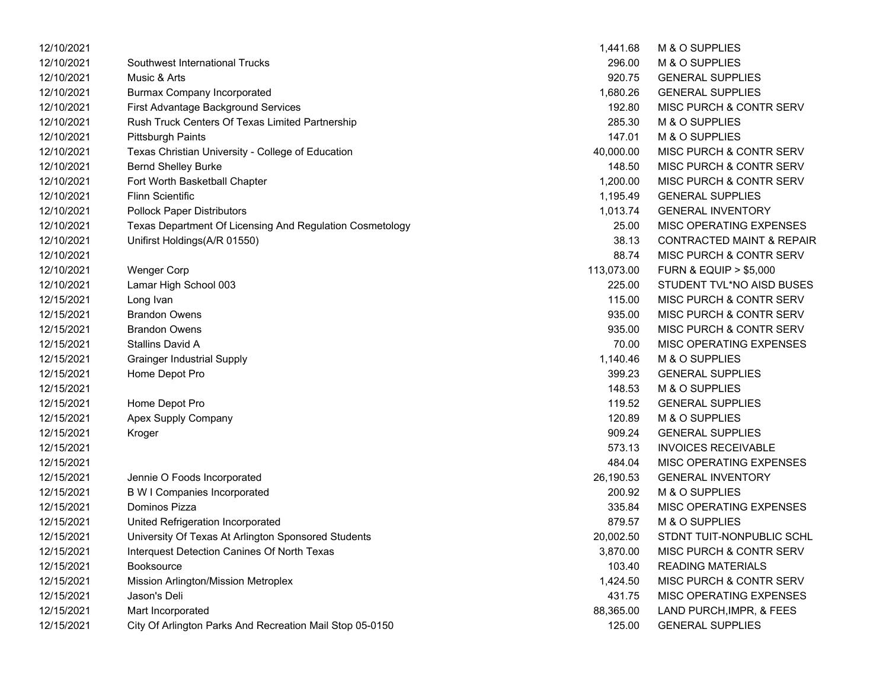| 12/10/2021 |                                                          | 1,441.68   | M & O SUPPLIES                       |
|------------|----------------------------------------------------------|------------|--------------------------------------|
| 12/10/2021 | Southwest International Trucks                           | 296.00     | M & O SUPPLIES                       |
| 12/10/2021 | Music & Arts                                             | 920.75     | <b>GENERAL SUPPLIES</b>              |
| 12/10/2021 | <b>Burmax Company Incorporated</b>                       | 1,680.26   | <b>GENERAL SUPPLIES</b>              |
| 12/10/2021 | First Advantage Background Services                      | 192.80     | MISC PURCH & CONTR SERV              |
| 12/10/2021 | Rush Truck Centers Of Texas Limited Partnership          | 285.30     | M & O SUPPLIES                       |
| 12/10/2021 | <b>Pittsburgh Paints</b>                                 | 147.01     | M & O SUPPLIES                       |
| 12/10/2021 | Texas Christian University - College of Education        | 40,000.00  | MISC PURCH & CONTR SERV              |
| 12/10/2021 | <b>Bernd Shelley Burke</b>                               | 148.50     | MISC PURCH & CONTR SERV              |
| 12/10/2021 | Fort Worth Basketball Chapter                            | 1,200.00   | MISC PURCH & CONTR SERV              |
| 12/10/2021 | <b>Flinn Scientific</b>                                  | 1,195.49   | <b>GENERAL SUPPLIES</b>              |
| 12/10/2021 | <b>Pollock Paper Distributors</b>                        | 1,013.74   | <b>GENERAL INVENTORY</b>             |
| 12/10/2021 | Texas Department Of Licensing And Regulation Cosmetology | 25.00      | MISC OPERATING EXPENSES              |
| 12/10/2021 | Unifirst Holdings(A/R 01550)                             | 38.13      | <b>CONTRACTED MAINT &amp; REPAIR</b> |
| 12/10/2021 |                                                          | 88.74      | MISC PURCH & CONTR SERV              |
| 12/10/2021 | <b>Wenger Corp</b>                                       | 113,073.00 | <b>FURN &amp; EQUIP &gt; \$5,000</b> |
| 12/10/2021 | Lamar High School 003                                    | 225.00     | STUDENT TVL*NO AISD BUSES            |
| 12/15/2021 | Long Ivan                                                | 115.00     | MISC PURCH & CONTR SERV              |
| 12/15/2021 | <b>Brandon Owens</b>                                     | 935.00     | MISC PURCH & CONTR SERV              |
| 12/15/2021 | <b>Brandon Owens</b>                                     | 935.00     | MISC PURCH & CONTR SERV              |
| 12/15/2021 | Stallins David A                                         | 70.00      | MISC OPERATING EXPENSES              |
| 12/15/2021 | <b>Grainger Industrial Supply</b>                        | 1,140.46   | M & O SUPPLIES                       |
| 12/15/2021 | Home Depot Pro                                           | 399.23     | <b>GENERAL SUPPLIES</b>              |
| 12/15/2021 |                                                          | 148.53     | M & O SUPPLIES                       |
| 12/15/2021 | Home Depot Pro                                           | 119.52     | <b>GENERAL SUPPLIES</b>              |
| 12/15/2021 | Apex Supply Company                                      | 120.89     | M & O SUPPLIES                       |
| 12/15/2021 | Kroger                                                   | 909.24     | <b>GENERAL SUPPLIES</b>              |
| 12/15/2021 |                                                          | 573.13     | <b>INVOICES RECEIVABLE</b>           |
| 12/15/2021 |                                                          | 484.04     | MISC OPERATING EXPENSES              |
| 12/15/2021 | Jennie O Foods Incorporated                              | 26,190.53  | <b>GENERAL INVENTORY</b>             |
| 12/15/2021 | <b>B W I Companies Incorporated</b>                      | 200.92     | M & O SUPPLIES                       |
| 12/15/2021 | Dominos Pizza                                            | 335.84     | MISC OPERATING EXPENSES              |
| 12/15/2021 | United Refrigeration Incorporated                        | 879.57     | M & O SUPPLIES                       |
| 12/15/2021 | University Of Texas At Arlington Sponsored Students      | 20,002.50  | STDNT TUIT-NONPUBLIC SCHL            |
| 12/15/2021 | Interquest Detection Canines Of North Texas              | 3,870.00   | MISC PURCH & CONTR SERV              |
| 12/15/2021 | Booksource                                               | 103.40     | <b>READING MATERIALS</b>             |
| 12/15/2021 | Mission Arlington/Mission Metroplex                      | 1,424.50   | MISC PURCH & CONTR SERV              |
| 12/15/2021 | Jason's Deli                                             | 431.75     | MISC OPERATING EXPENSES              |
| 12/15/2021 | Mart Incorporated                                        | 88,365.00  | LAND PURCH, IMPR, & FEES             |
| 12/15/2021 | City Of Arlington Parks And Recreation Mail Stop 05-0150 | 125.00     | <b>GENERAL SUPPLIES</b>              |

| 1,441.68  | M & O SUPPLIES                       |
|-----------|--------------------------------------|
| 296.00    | <b>M &amp; O SUPPLIES</b>            |
| 920.75    | <b>GENERAL SUPPLIES</b>              |
| 1,680.26  | <b>GENERAL SUPPLIES</b>              |
| 192.80    | MISC PURCH & CONTR SERV              |
| 285.30    | <b>M &amp; O SUPPLIES</b>            |
| 147.01    | <b>M &amp; O SUPPLIES</b>            |
| 40,000.00 | MISC PURCH & CONTR SERV              |
| 148.50    | MISC PURCH & CONTR SERV              |
| 1,200.00  | MISC PURCH & CONTR SERV              |
| 1,195.49  | <b>GENERAL SUPPLIES</b>              |
| 1,013.74  | <b>GENERAL INVENTORY</b>             |
| 25.00     | <b>MISC OPERATING EXPENSES</b>       |
| 38.13     | <b>CONTRACTED MAINT &amp; REPAIR</b> |
| 88.74     | <b>MISC PURCH &amp; CONTR SERV</b>   |
| 13,073.00 | <b>FURN &amp; EQUIP &gt; \$5,000</b> |
| 225.00    | STUDENT TVL*NO AISD BUSES            |
| 115.00    | <b>MISC PURCH &amp; CONTR SERV</b>   |
| 935.00    | <b>MISC PURCH &amp; CONTR SERV</b>   |
| 935.00    | MISC PURCH & CONTR SERV              |
| 70.00     | MISC OPERATING EXPENSES              |
| 1,140.46  | M & O SUPPLIES                       |
| 399.23    | <b>GENERAL SUPPLIES</b>              |
| 148.53    | M & O SUPPLIES                       |
| 119.52    | <b>GENERAL SUPPLIES</b>              |
| 120.89    | <b>M &amp; O SUPPLIES</b>            |
| 909.24    | <b>GENERAL SUPPLIES</b>              |
| 573.13    | <b>INVOICES RECEIVABLE</b>           |
| 484.04    | <b>MISC OPERATING EXPENSES</b>       |
| 26,190.53 | <b>GENERAL INVENTORY</b>             |
| 200.92    | M & O SUPPLIES                       |
| 335.84    | <b>MISC OPERATING EXPENSES</b>       |
| 879.57    | <b>M &amp; O SUPPLIES</b>            |
| 20,002.50 | STDNT TUIT-NONPUBLIC SCHL            |
| 3,870.00  | <b>MISC PURCH &amp; CONTR SERV</b>   |
| 103.40    | <b>READING MATERIALS</b>             |
| 1,424.50  | <b>MISC PURCH &amp; CONTR SERV</b>   |
| 431.75    | <b>MISC OPERATING EXPENSES</b>       |
| 88,365.00 | LAND PURCH, IMPR, & FEES             |
| 125.00    | <b>GENERAL SUPPLIES</b>              |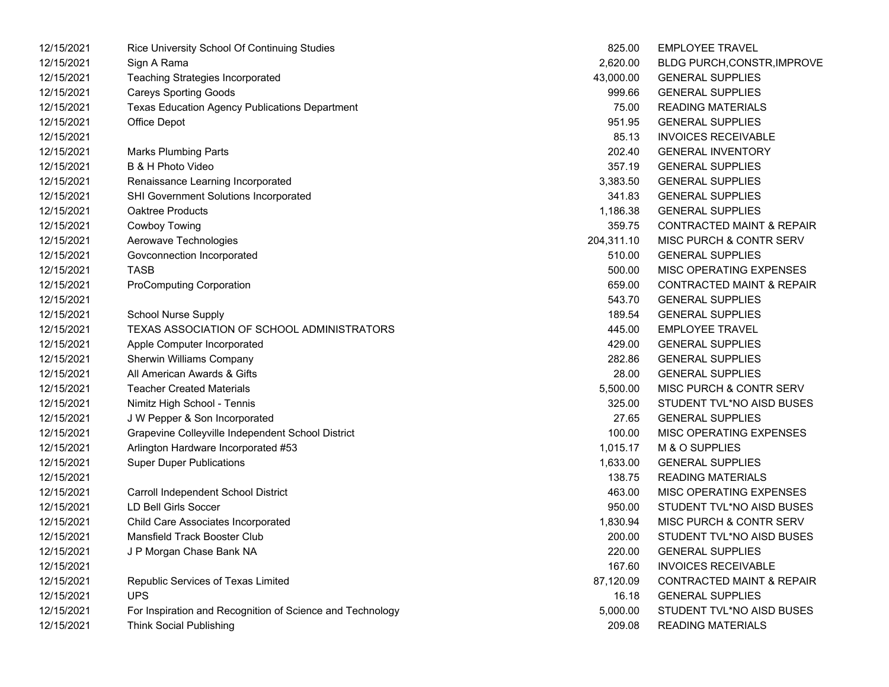| 12/15/2021 | Rice University School Of Continuing Studies              | 825.00     | <b>EMPLOYEE TRAVEL</b>               |
|------------|-----------------------------------------------------------|------------|--------------------------------------|
| 12/15/2021 | Sign A Rama                                               | 2,620.00   | <b>BLDG PURCH, CONSTR, IMPROVE</b>   |
| 12/15/2021 | <b>Teaching Strategies Incorporated</b>                   | 43,000.00  | <b>GENERAL SUPPLIES</b>              |
| 12/15/2021 | <b>Careys Sporting Goods</b>                              | 999.66     | <b>GENERAL SUPPLIES</b>              |
| 12/15/2021 | <b>Texas Education Agency Publications Department</b>     | 75.00      | <b>READING MATERIALS</b>             |
| 12/15/2021 | Office Depot                                              | 951.95     | <b>GENERAL SUPPLIES</b>              |
| 12/15/2021 |                                                           | 85.13      | <b>INVOICES RECEIVABLE</b>           |
| 12/15/2021 | <b>Marks Plumbing Parts</b>                               | 202.40     | <b>GENERAL INVENTORY</b>             |
| 12/15/2021 | B & H Photo Video                                         | 357.19     | <b>GENERAL SUPPLIES</b>              |
| 12/15/2021 | Renaissance Learning Incorporated                         | 3,383.50   | <b>GENERAL SUPPLIES</b>              |
| 12/15/2021 | SHI Government Solutions Incorporated                     | 341.83     | <b>GENERAL SUPPLIES</b>              |
| 12/15/2021 | Oaktree Products                                          | 1,186.38   | <b>GENERAL SUPPLIES</b>              |
| 12/15/2021 | Cowboy Towing                                             | 359.75     | <b>CONTRACTED MAINT &amp; REPAIR</b> |
| 12/15/2021 | Aerowave Technologies                                     | 204,311.10 | MISC PURCH & CONTR SERV              |
| 12/15/2021 | Govconnection Incorporated                                | 510.00     | <b>GENERAL SUPPLIES</b>              |
| 12/15/2021 | <b>TASB</b>                                               | 500.00     | MISC OPERATING EXPENSES              |
| 12/15/2021 | <b>ProComputing Corporation</b>                           | 659.00     | <b>CONTRACTED MAINT &amp; REPAIR</b> |
| 12/15/2021 |                                                           | 543.70     | <b>GENERAL SUPPLIES</b>              |
| 12/15/2021 | <b>School Nurse Supply</b>                                | 189.54     | <b>GENERAL SUPPLIES</b>              |
| 12/15/2021 | TEXAS ASSOCIATION OF SCHOOL ADMINISTRATORS                | 445.00     | <b>EMPLOYEE TRAVEL</b>               |
| 12/15/2021 | Apple Computer Incorporated                               | 429.00     | <b>GENERAL SUPPLIES</b>              |
| 12/15/2021 | Sherwin Williams Company                                  | 282.86     | <b>GENERAL SUPPLIES</b>              |
| 12/15/2021 | All American Awards & Gifts                               | 28.00      | <b>GENERAL SUPPLIES</b>              |
| 12/15/2021 | <b>Teacher Created Materials</b>                          | 5,500.00   | MISC PURCH & CONTR SERV              |
| 12/15/2021 | Nimitz High School - Tennis                               | 325.00     | STUDENT TVL*NO AISD BUSES            |
| 12/15/2021 | J W Pepper & Son Incorporated                             | 27.65      | <b>GENERAL SUPPLIES</b>              |
| 12/15/2021 | Grapevine Colleyville Independent School District         | 100.00     | MISC OPERATING EXPENSES              |
| 12/15/2021 | Arlington Hardware Incorporated #53                       | 1,015.17   | M & O SUPPLIES                       |
| 12/15/2021 | <b>Super Duper Publications</b>                           | 1,633.00   | <b>GENERAL SUPPLIES</b>              |
| 12/15/2021 |                                                           | 138.75     | <b>READING MATERIALS</b>             |
| 12/15/2021 | Carroll Independent School District                       | 463.00     | MISC OPERATING EXPENSES              |
| 12/15/2021 | <b>LD Bell Girls Soccer</b>                               | 950.00     | STUDENT TVL*NO AISD BUSES            |
| 12/15/2021 | Child Care Associates Incorporated                        | 1,830.94   | MISC PURCH & CONTR SERV              |
| 12/15/2021 | Mansfield Track Booster Club                              | 200.00     | STUDENT TVL*NO AISD BUSES            |
| 12/15/2021 | J P Morgan Chase Bank NA                                  | 220.00     | <b>GENERAL SUPPLIES</b>              |
| 12/15/2021 |                                                           | 167.60     | <b>INVOICES RECEIVABLE</b>           |
| 12/15/2021 | Republic Services of Texas Limited                        | 87,120.09  | <b>CONTRACTED MAINT &amp; REPAIR</b> |
| 12/15/2021 | <b>UPS</b>                                                | 16.18      | <b>GENERAL SUPPLIES</b>              |
| 12/15/2021 | For Inspiration and Recognition of Science and Technology | 5,000.00   | STUDENT TVL*NO AISD BUSES            |
| 12/15/2021 | <b>Think Social Publishing</b>                            | 209.08     | <b>READING MATERIALS</b>             |

| 825.00   | <b>EMPLOYEE TRAVEL</b>               |
|----------|--------------------------------------|
| 2,620.00 | <b>BLDG PURCH, CONSTR, IMPROVE</b>   |
| 3,000.00 | <b>GENERAL SUPPLIES</b>              |
| 999.66   | <b>GENERAL SUPPLIES</b>              |
| 75.00    | <b>READING MATERIALS</b>             |
| 951.95   | <b>GENERAL SUPPLIES</b>              |
| 85.13    | <b>INVOICES RECEIVABLE</b>           |
| 202.40   | <b>GENERAL INVENTORY</b>             |
| 357.19   | <b>GENERAL SUPPLIES</b>              |
| 3.383.50 | <b>GENERAL SUPPLIES</b>              |
| 341.83   | <b>GENERAL SUPPLIES</b>              |
| 1,186.38 | <b>GENERAL SUPPLIES</b>              |
| 359.75   | CONTRACTED MAINT & REPAIR            |
| 4,311.10 | <b>MISC PURCH &amp; CONTR SERV</b>   |
| 510.00   | <b>GENERAL SUPPLIES</b>              |
| 500.00   | <b>MISC OPERATING EXPENSES</b>       |
| 659.00   | <b>CONTRACTED MAINT &amp; REPAIR</b> |
| 543.70   | <b>GENERAL SUPPLIES</b>              |
| 189.54   | <b>GENERAL SUPPLIES</b>              |
| 445.00   | <b>EMPLOYEE TRAVEL</b>               |
| 429.00   | <b>GENERAL SUPPLIES</b>              |
| 282.86   | <b>GENERAL SUPPLIES</b>              |
| 28.00    | <b>GENERAL SUPPLIES</b>              |
| 5.500.00 | <b>MISC PURCH &amp; CONTR SERV</b>   |
| 325.00   | STUDENT TVL*NO AISD BUSES            |
| 27.65    | <b>GENERAL SUPPLIES</b>              |
| 100.00   | <b>MISC OPERATING EXPENSES</b>       |
| 1,015.17 | <b>M &amp; O SUPPLIES</b>            |
| 1,633.00 | <b>GENERAL SUPPLIES</b>              |
| 138.75   | <b>READING MATERIALS</b>             |
| 463.00   | <b>MISC OPERATING EXPENSES</b>       |
| 950.00   | STUDENT TVL*NO AISD BUSES            |
| 1,830.94 | <b>MISC PURCH &amp; CONTR SERV</b>   |
| 200.00   | STUDENT TVL*NO AISD BUSES            |
| 220.00   | <b>GENERAL SUPPLIES</b>              |
| 167.60   | <b>INVOICES RECEIVABLE</b>           |
| 7,120.09 | <b>CONTRACTED MAINT &amp; REPAIR</b> |
|          | 16.18 GENERAL SUPPLIES               |
| 5.000.00 | STUDENT TVL*NO AISD BUSES            |
| 209.08   | READING MATERIALS                    |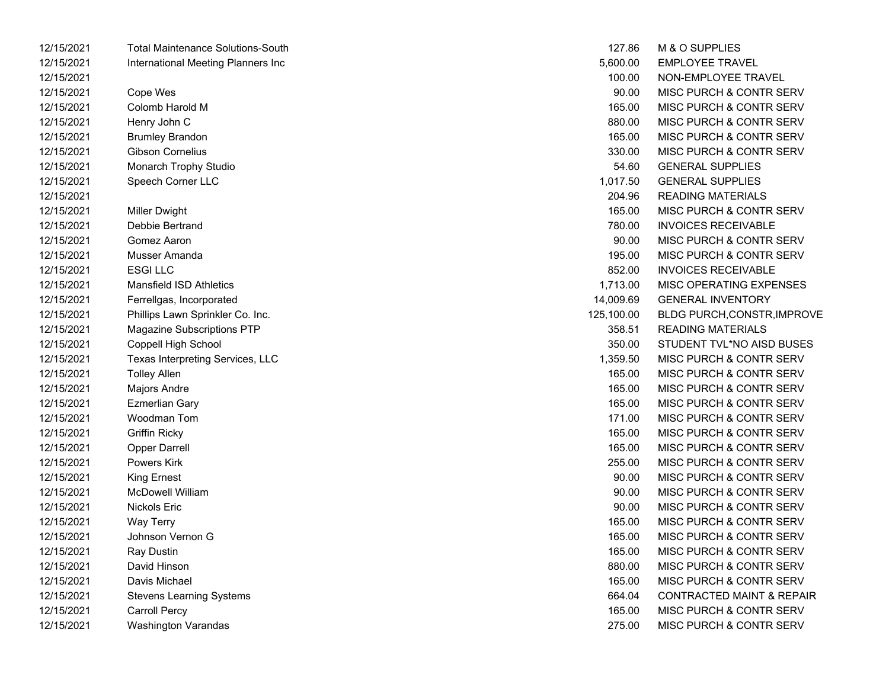| 12/15/2021 | <b>Total Maintenance Solutions-South</b> | 127.86     | M & O SUPPLIES                       |
|------------|------------------------------------------|------------|--------------------------------------|
| 12/15/2021 | International Meeting Planners Inc       | 5,600.00   | <b>EMPLOYEE TRAVEL</b>               |
| 12/15/2021 |                                          | 100.00     | NON-EMPLOYEE TRAVEL                  |
| 12/15/2021 | Cope Wes                                 | 90.00      | <b>MISC PURCH &amp; CONTR SERV</b>   |
| 12/15/2021 | Colomb Harold M                          | 165.00     | MISC PURCH & CONTR SERV              |
| 12/15/2021 | Henry John C                             | 880.00     | <b>MISC PURCH &amp; CONTR SERV</b>   |
| 12/15/2021 | <b>Brumley Brandon</b>                   | 165.00     | <b>MISC PURCH &amp; CONTR SERV</b>   |
| 12/15/2021 | Gibson Cornelius                         | 330.00     | <b>MISC PURCH &amp; CONTR SERV</b>   |
| 12/15/2021 | Monarch Trophy Studio                    | 54.60      | <b>GENERAL SUPPLIES</b>              |
| 12/15/2021 | Speech Corner LLC                        | 1,017.50   | <b>GENERAL SUPPLIES</b>              |
| 12/15/2021 |                                          | 204.96     | <b>READING MATERIALS</b>             |
| 12/15/2021 | Miller Dwight                            | 165.00     | <b>MISC PURCH &amp; CONTR SERV</b>   |
| 12/15/2021 | Debbie Bertrand                          | 780.00     | <b>INVOICES RECEIVABLE</b>           |
| 12/15/2021 | Gomez Aaron                              | 90.00      | <b>MISC PURCH &amp; CONTR SERV</b>   |
| 12/15/2021 | Musser Amanda                            | 195.00     | <b>MISC PURCH &amp; CONTR SERV</b>   |
| 12/15/2021 | <b>ESGILLC</b>                           | 852.00     | <b>INVOICES RECEIVABLE</b>           |
| 12/15/2021 | <b>Mansfield ISD Athletics</b>           | 1,713.00   | <b>MISC OPERATING EXPENSES</b>       |
| 12/15/2021 | Ferrellgas, Incorporated                 | 14,009.69  | <b>GENERAL INVENTORY</b>             |
| 12/15/2021 | Phillips Lawn Sprinkler Co. Inc.         | 125,100.00 | BLDG PURCH, CONSTR, IMPROVE          |
| 12/15/2021 | Magazine Subscriptions PTP               | 358.51     | <b>READING MATERIALS</b>             |
| 12/15/2021 | Coppell High School                      | 350.00     | STUDENT TVL*NO AISD BUSES            |
| 12/15/2021 | Texas Interpreting Services, LLC         | 1,359.50   | <b>MISC PURCH &amp; CONTR SERV</b>   |
| 12/15/2021 | <b>Tolley Allen</b>                      | 165.00     | MISC PURCH & CONTR SERV              |
| 12/15/2021 | Majors Andre                             | 165.00     | MISC PURCH & CONTR SERV              |
| 12/15/2021 | Ezmerlian Gary                           | 165.00     | MISC PURCH & CONTR SERV              |
| 12/15/2021 | Woodman Tom                              | 171.00     | <b>MISC PURCH &amp; CONTR SERV</b>   |
| 12/15/2021 | <b>Griffin Ricky</b>                     | 165.00     | MISC PURCH & CONTR SERV              |
| 12/15/2021 | <b>Opper Darrell</b>                     | 165.00     | MISC PURCH & CONTR SERV              |
| 12/15/2021 | Powers Kirk                              | 255.00     | MISC PURCH & CONTR SERV              |
| 12/15/2021 | <b>King Ernest</b>                       | 90.00      | MISC PURCH & CONTR SERV              |
| 12/15/2021 | <b>McDowell William</b>                  | 90.00      | <b>MISC PURCH &amp; CONTR SERV</b>   |
| 12/15/2021 | Nickols Eric                             | 90.00      | MISC PURCH & CONTR SERV              |
| 12/15/2021 | Way Terry                                | 165.00     | MISC PURCH & CONTR SERV              |
| 12/15/2021 | Johnson Vernon G                         | 165.00     | MISC PURCH & CONTR SERV              |
| 12/15/2021 | Ray Dustin                               | 165.00     | MISC PURCH & CONTR SERV              |
| 12/15/2021 | David Hinson                             | 880.00     | MISC PURCH & CONTR SERV              |
| 12/15/2021 | Davis Michael                            | 165.00     | MISC PURCH & CONTR SERV              |
| 12/15/2021 | <b>Stevens Learning Systems</b>          | 664.04     | <b>CONTRACTED MAINT &amp; REPAIR</b> |
| 12/15/2021 | <b>Carroll Percy</b>                     | 165.00     | <b>MISC PURCH &amp; CONTR SERV</b>   |
| 12/15/2021 | Washington Varandas                      | 275.00     | MISC PURCH & CONTR SERV              |

| 127.86    | M & O SUPPLIES                       |
|-----------|--------------------------------------|
| 5,600.00  | <b>FMPI OYFF TRAVFL</b>              |
| 100.00    | NON-EMPLOYEE TRAVEL                  |
| 90.00     | <b>MISC PURCH &amp; CONTR SERV</b>   |
| 165.00    | <b>MISC PURCH &amp; CONTR SERV</b>   |
| 880.00    | <b>MISC PURCH &amp; CONTR SERV</b>   |
| 165.00    | MISC PURCH & CONTR SERV              |
| 330.00    | MISC PURCH & CONTR SERV              |
| 54.60     | <b>GENERAL SUPPLIES</b>              |
| 1,017.50  | <b>GENERAL SUPPLIES</b>              |
| 204.96    | <b>READING MATERIALS</b>             |
| 165.00    | <b>MISC PURCH &amp; CONTR SERV</b>   |
| 780.00    | INVOICES RECEIVABLE                  |
| 90.00     | <b>MISC PURCH &amp; CONTR SERV</b>   |
| 195.00    | <b>MISC PURCH &amp; CONTR SERV</b>   |
| 852.00    | <b>INVOICES RECEIVABLE</b>           |
| 1,713.00  | <b>MISC OPERATING EXPENSES</b>       |
| 4,009.69  | <b>GENERAL INVENTORY</b>             |
| 25,100.00 | <b>BLDG PURCH, CONSTR, IMPROVE</b>   |
| 358.51    | READING MATERIALS                    |
| 350.00    | STUDENT TVL*NO AISD BUSES            |
| 1,359.50  | <b>MISC PURCH &amp; CONTR SERV</b>   |
| 165.00    | MISC PURCH & CONTR SERV              |
| 165.00    | <b>MISC PURCH &amp; CONTR SERV</b>   |
| 165.00    | <b>MISC PURCH &amp; CONTR SERV</b>   |
| 171.00    | <b>MISC PURCH &amp; CONTR SERV</b>   |
| 165.00    | MISC PURCH & CONTR SERV              |
| 165.00    | MISC PURCH & CONTR SERV              |
| 255.00    | MISC PURCH & CONTR SERV              |
| 90.00     | MISC PURCH & CONTR SERV              |
| 90.00     | MISC PURCH & CONTR SERV              |
| 90.00     | <b>MISC PURCH &amp; CONTR SERV</b>   |
| 165.00    | MISC PURCH & CONTR SERV              |
| 165.00    | MISC PURCH & CONTR SERV              |
| 165.00    | MISC PURCH & CONTR SERV              |
| 880.00    | <b>MISC PURCH &amp; CONTR SERV</b>   |
| 165.00    | <b>MISC PURCH &amp; CONTR SERV</b>   |
| 664.04    | <b>CONTRACTED MAINT &amp; REPAIR</b> |
| 165.00    | <b>MISC PURCH &amp; CONTR SERV</b>   |
| 275.00    | MISC PURCH & CONTR SERV              |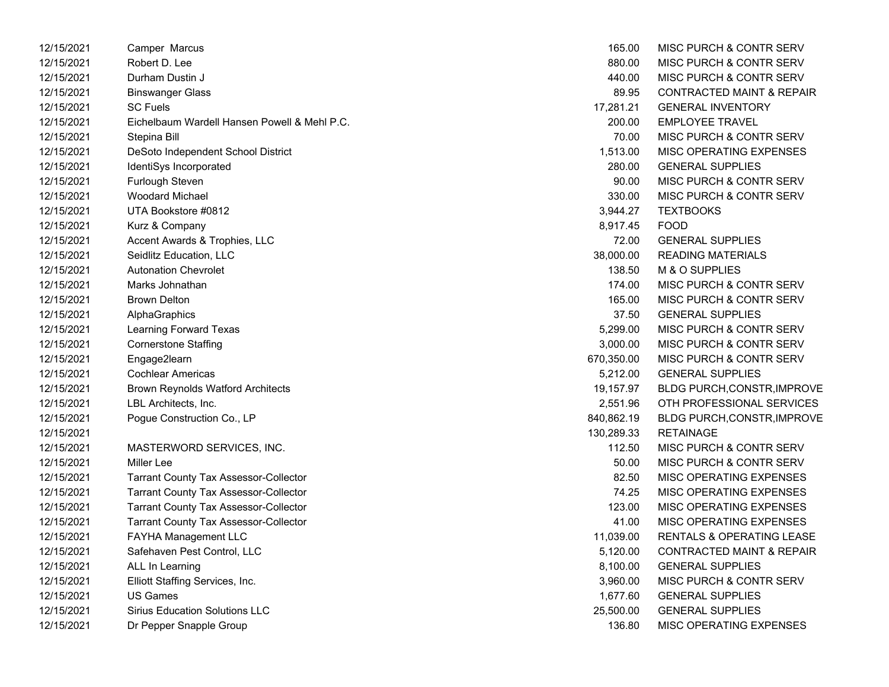| 12/15/2021 | Camper Marcus                                | 165.00     | MISC PURCH & CONTR SERV              |
|------------|----------------------------------------------|------------|--------------------------------------|
| 12/15/2021 | Robert D. Lee                                | 880.00     | <b>MISC PURCH &amp; CONTR SERV</b>   |
| 12/15/2021 | Durham Dustin J                              | 440.00     | MISC PURCH & CONTR SERV              |
| 12/15/2021 | <b>Binswanger Glass</b>                      | 89.95      | CONTRACTED MAINT & REPAIR            |
| 12/15/2021 | <b>SC Fuels</b>                              | 17,281.21  | <b>GENERAL INVENTORY</b>             |
| 12/15/2021 | Eichelbaum Wardell Hansen Powell & Mehl P.C. | 200.00     | <b>EMPLOYEE TRAVEL</b>               |
| 12/15/2021 | Stepina Bill                                 | 70.00      | MISC PURCH & CONTR SERV              |
| 12/15/2021 | DeSoto Independent School District           | 1,513.00   | MISC OPERATING EXPENSES              |
| 12/15/2021 | IdentiSys Incorporated                       | 280.00     | <b>GENERAL SUPPLIES</b>              |
| 12/15/2021 | Furlough Steven                              | 90.00      | MISC PURCH & CONTR SERV              |
| 12/15/2021 | <b>Woodard Michael</b>                       | 330.00     | <b>MISC PURCH &amp; CONTR SERV</b>   |
| 12/15/2021 | UTA Bookstore #0812                          | 3,944.27   | <b>TEXTBOOKS</b>                     |
| 12/15/2021 | Kurz & Company                               | 8,917.45   | <b>FOOD</b>                          |
| 12/15/2021 | Accent Awards & Trophies, LLC                | 72.00      | <b>GENERAL SUPPLIES</b>              |
| 12/15/2021 | Seidlitz Education, LLC                      | 38,000.00  | <b>READING MATERIALS</b>             |
| 12/15/2021 | <b>Autonation Chevrolet</b>                  | 138.50     | M & O SUPPLIES                       |
| 12/15/2021 | Marks Johnathan                              | 174.00     | MISC PURCH & CONTR SERV              |
| 12/15/2021 | <b>Brown Delton</b>                          | 165.00     | <b>MISC PURCH &amp; CONTR SERV</b>   |
| 12/15/2021 | AlphaGraphics                                | 37.50      | <b>GENERAL SUPPLIES</b>              |
| 12/15/2021 | Learning Forward Texas                       | 5,299.00   | <b>MISC PURCH &amp; CONTR SERV</b>   |
| 12/15/2021 | <b>Cornerstone Staffing</b>                  | 3,000.00   | MISC PURCH & CONTR SERV              |
| 12/15/2021 | Engage2learn                                 | 670,350.00 | <b>MISC PURCH &amp; CONTR SERV</b>   |
| 12/15/2021 | <b>Cochlear Americas</b>                     | 5,212.00   | <b>GENERAL SUPPLIES</b>              |
| 12/15/2021 | <b>Brown Reynolds Watford Architects</b>     | 19,157.97  | BLDG PURCH, CONSTR, IMPROVE          |
| 12/15/2021 | LBL Architects, Inc.                         | 2,551.96   | OTH PROFESSIONAL SERVICES            |
| 12/15/2021 | Pogue Construction Co., LP                   | 840,862.19 | BLDG PURCH, CONSTR, IMPROVE          |
| 12/15/2021 |                                              | 130,289.33 | <b>RETAINAGE</b>                     |
| 12/15/2021 | MASTERWORD SERVICES, INC.                    | 112.50     | MISC PURCH & CONTR SERV              |
| 12/15/2021 | Miller Lee                                   | 50.00      | <b>MISC PURCH &amp; CONTR SERV</b>   |
| 12/15/2021 | <b>Tarrant County Tax Assessor-Collector</b> | 82.50      | MISC OPERATING EXPENSES              |
| 12/15/2021 | <b>Tarrant County Tax Assessor-Collector</b> | 74.25      | MISC OPERATING EXPENSES              |
| 12/15/2021 | <b>Tarrant County Tax Assessor-Collector</b> | 123.00     | MISC OPERATING EXPENSES              |
| 12/15/2021 | <b>Tarrant County Tax Assessor-Collector</b> | 41.00      | MISC OPERATING EXPENSES              |
| 12/15/2021 | FAYHA Management LLC                         | 11,039.00  | RENTALS & OPERATING LEASE            |
| 12/15/2021 | Safehaven Pest Control, LLC                  | 5,120.00   | <b>CONTRACTED MAINT &amp; REPAIR</b> |
| 12/15/2021 | ALL In Learning                              | 8,100.00   | <b>GENERAL SUPPLIES</b>              |
| 12/15/2021 | Elliott Staffing Services, Inc.              | 3,960.00   | <b>MISC PURCH &amp; CONTR SERV</b>   |
| 12/15/2021 | <b>US Games</b>                              | 1,677.60   | <b>GENERAL SUPPLIES</b>              |
| 12/15/2021 | <b>Sirius Education Solutions LLC</b>        | 25,500.00  | <b>GENERAL SUPPLIES</b>              |
| 12/15/2021 | Dr Pepper Snapple Group                      | 136.80     | <b>MISC OPERATING EXPENSES</b>       |

| 165.00     | MISC PURCH & CONTR SERV              |
|------------|--------------------------------------|
| 880.00     | <b>MISC PURCH &amp; CONTR SERV</b>   |
| 440.00     | MISC PURCH & CONTR SERV              |
| 89.95      | <b>CONTRACTED MAINT &amp; REPAIR</b> |
| 17,281.21  | <b>GENERAL INVENTORY</b>             |
| 200.00     | <b>EMPLOYEE TRAVEL</b>               |
| 70.00      | <b>MISC PURCH &amp; CONTR SERV</b>   |
| 1,513.00   | <b>MISC OPERATING EXPENSES</b>       |
| 280.00     | <b>GENERAL SUPPLIES</b>              |
| 90.00      | <b>MISC PURCH &amp; CONTR SERV</b>   |
| 330.00     | <b>MISC PURCH &amp; CONTR SERV</b>   |
| 3,944.27   | <b>TEXTBOOKS</b>                     |
| 8,917.45   | FOOD                                 |
| 72.00      | <b>GENERAL SUPPLIES</b>              |
| 38,000.00  | <b>READING MATERIALS</b>             |
| 138.50     | M & O SUPPLIES                       |
| 174.00     | <b>MISC PURCH &amp; CONTR SERV</b>   |
| 165.00     | <b>MISC PURCH &amp; CONTR SERV</b>   |
| 37.50      | <b>GENERAL SUPPLIES</b>              |
| 5,299.00   | <b>MISC PURCH &amp; CONTR SERV</b>   |
| 3,000.00   | <b>MISC PURCH &amp; CONTR SERV</b>   |
| 370,350.00 | <b>MISC PURCH &amp; CONTR SERV</b>   |
| 5,212.00   | <b>GENERAL SUPPLIES</b>              |
| 19,157.97  | <b>BLDG PURCH, CONSTR, IMPROVE</b>   |
| 2,551.96   | OTH PROFESSIONAL SERVICES            |
| 840,862.19 | BLDG PURCH, CONSTR, IMPROVE          |
| 130,289.33 | <b>RETAINAGE</b>                     |
| 112.50     | <b>MISC PURCH &amp; CONTR SERV</b>   |
| 50.00      | <b>MISC PURCH &amp; CONTR SERV</b>   |
| 82.50      | <b>MISC OPERATING EXPENSES</b>       |
| 74.25      | <b>MISC OPERATING EXPENSES</b>       |
| 123.00     | <b>MISC OPERATING EXPENSES</b>       |
| 41.00      | <b>MISC OPERATING EXPENSES</b>       |
| 11,039.00  | RENTALS & OPERATING LEASE            |
| 5,120.00   | <b>CONTRACTED MAINT &amp; REPAIR</b> |
| 8,100.00   | <b>GENERAL SUPPLIES</b>              |
| 3,960.00   | MISC PURCH & CONTR SERV              |
| 1,677.60   | <b>GENERAL SUPPLIES</b>              |
| 25,500.00  | <b>GENERAL SUPPLIES</b>              |
| 136.80     | MISC OPERATING EXPENSES              |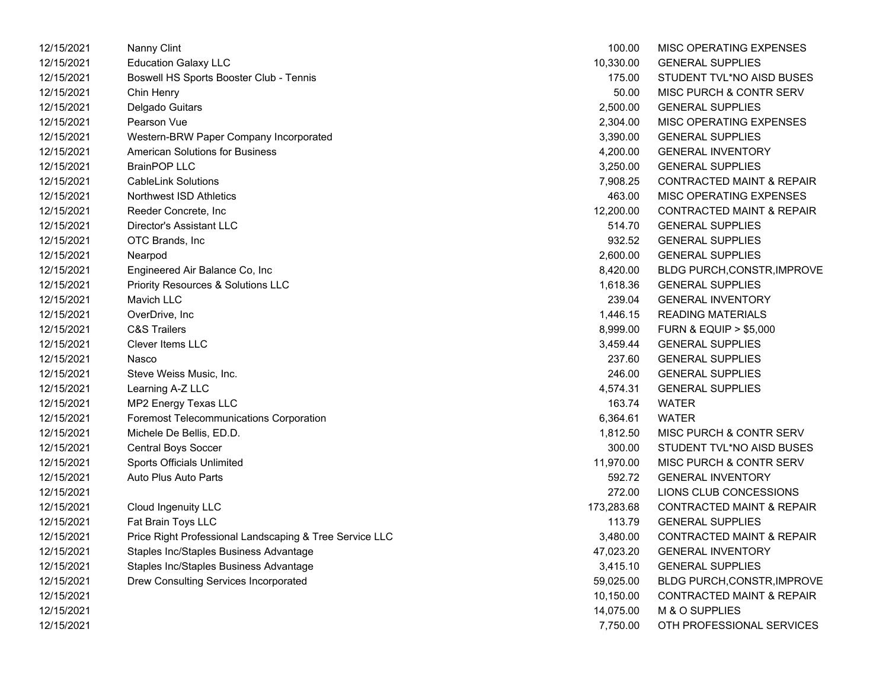| 12/15/2021 | Nanny Clint                                             | 100.00     | <b>MISC OPERATING EXPENSES</b>       |
|------------|---------------------------------------------------------|------------|--------------------------------------|
| 12/15/2021 | <b>Education Galaxy LLC</b>                             | 10,330.00  | <b>GENERAL SUPPLIES</b>              |
| 12/15/2021 | Boswell HS Sports Booster Club - Tennis                 | 175.00     | STUDENT TVL*NO AISD BUSES            |
| 12/15/2021 | Chin Henry                                              | 50.00      | MISC PURCH & CONTR SERV              |
| 12/15/2021 | Delgado Guitars                                         | 2,500.00   | <b>GENERAL SUPPLIES</b>              |
| 12/15/2021 | Pearson Vue                                             | 2,304.00   | MISC OPERATING EXPENSES              |
| 12/15/2021 | Western-BRW Paper Company Incorporated                  | 3,390.00   | <b>GENERAL SUPPLIES</b>              |
| 12/15/2021 | <b>American Solutions for Business</b>                  | 4,200.00   | <b>GENERAL INVENTORY</b>             |
| 12/15/2021 | <b>BrainPOP LLC</b>                                     | 3,250.00   | <b>GENERAL SUPPLIES</b>              |
| 12/15/2021 | <b>CableLink Solutions</b>                              | 7,908.25   | <b>CONTRACTED MAINT &amp; REPAIR</b> |
| 12/15/2021 | Northwest ISD Athletics                                 | 463.00     | MISC OPERATING EXPENSES              |
| 12/15/2021 | Reeder Concrete, Inc.                                   | 12,200.00  | <b>CONTRACTED MAINT &amp; REPAIR</b> |
| 12/15/2021 | Director's Assistant LLC                                | 514.70     | <b>GENERAL SUPPLIES</b>              |
| 12/15/2021 | OTC Brands, Inc.                                        | 932.52     | <b>GENERAL SUPPLIES</b>              |
| 12/15/2021 | Nearpod                                                 | 2,600.00   | <b>GENERAL SUPPLIES</b>              |
| 12/15/2021 | Engineered Air Balance Co, Inc                          | 8,420.00   | <b>BLDG PURCH,CONSTR,IMPROVE</b>     |
| 12/15/2021 | Priority Resources & Solutions LLC                      | 1,618.36   | <b>GENERAL SUPPLIES</b>              |
| 12/15/2021 | Mavich LLC                                              | 239.04     | <b>GENERAL INVENTORY</b>             |
| 12/15/2021 | OverDrive, Inc                                          | 1,446.15   | <b>READING MATERIALS</b>             |
| 12/15/2021 | <b>C&amp;S Trailers</b>                                 | 8,999.00   | <b>FURN &amp; EQUIP &gt; \$5,000</b> |
| 12/15/2021 | Clever Items LLC                                        | 3,459.44   | <b>GENERAL SUPPLIES</b>              |
| 12/15/2021 | Nasco                                                   | 237.60     | <b>GENERAL SUPPLIES</b>              |
| 12/15/2021 | Steve Weiss Music, Inc.                                 | 246.00     | <b>GENERAL SUPPLIES</b>              |
| 12/15/2021 | Learning A-Z LLC                                        | 4,574.31   | <b>GENERAL SUPPLIES</b>              |
| 12/15/2021 | MP2 Energy Texas LLC                                    | 163.74     | <b>WATER</b>                         |
| 12/15/2021 | <b>Foremost Telecommunications Corporation</b>          | 6,364.61   | <b>WATER</b>                         |
| 12/15/2021 | Michele De Bellis, ED.D.                                | 1,812.50   | <b>MISC PURCH &amp; CONTR SERV</b>   |
| 12/15/2021 | <b>Central Boys Soccer</b>                              | 300.00     | STUDENT TVL*NO AISD BUSES            |
| 12/15/2021 | Sports Officials Unlimited                              | 11,970.00  | <b>MISC PURCH &amp; CONTR SERV</b>   |
| 12/15/2021 | Auto Plus Auto Parts                                    | 592.72     | <b>GENERAL INVENTORY</b>             |
| 12/15/2021 |                                                         | 272.00     | LIONS CLUB CONCESSIONS               |
| 12/15/2021 | Cloud Ingenuity LLC                                     | 173,283.68 | <b>CONTRACTED MAINT &amp; REPAIR</b> |
| 12/15/2021 | Fat Brain Toys LLC                                      | 113.79     | <b>GENERAL SUPPLIES</b>              |
| 12/15/2021 | Price Right Professional Landscaping & Tree Service LLC | 3,480.00   | <b>CONTRACTED MAINT &amp; REPAIR</b> |
| 12/15/2021 | Staples Inc/Staples Business Advantage                  | 47,023.20  | <b>GENERAL INVENTORY</b>             |
| 12/15/2021 | Staples Inc/Staples Business Advantage                  | 3,415.10   | <b>GENERAL SUPPLIES</b>              |
| 12/15/2021 | Drew Consulting Services Incorporated                   | 59,025.00  | <b>BLDG PURCH, CONSTR, IMPROVE</b>   |
| 12/15/2021 |                                                         | 10,150.00  | <b>CONTRACTED MAINT &amp; REPAIR</b> |
| 12/15/2021 |                                                         | 14,075.00  | M & O SUPPLIES                       |
| 12/15/2021 |                                                         | 7.750.00   | OTH PROFESSIONAL SERVICES            |

| 100.00     | MISC OPFRATING FXPFNSFS              |
|------------|--------------------------------------|
| 10,330.00  | <b>GENERAL SUPPLIES</b>              |
| 175.00     | STUDENT TVL*NO AISD BUSES            |
| 50.00      | MISC PURCH & CONTR SERV              |
| 2,500.00   | <b>GENERAL SUPPLIES</b>              |
| 2,304.00   | <b>MISC OPERATING EXPENSES</b>       |
| 3,390.00   | <b>GENERAL SUPPLIES</b>              |
| 4,200.00   | <b>GENERAL INVENTORY</b>             |
| 3,250.00   | <b>GENERAL SUPPLIES</b>              |
| 7,908.25   | <b>CONTRACTED MAINT &amp; REPAIR</b> |
| 463.00     | <b>MISC OPERATING EXPENSES</b>       |
| 12,200.00  | <b>CONTRACTED MAINT &amp; REPAIR</b> |
| 514.70     | <b>GENERAL SUPPLIES</b>              |
| 932.52     | <b>GENERAL SUPPLIES</b>              |
| 2,600.00   | <b>GENERAL SUPPLIES</b>              |
| 8,420.00   | BLDG PURCH, CONSTR, IMPROVE          |
| 1,618.36   | <b>GENERAL SUPPLIES</b>              |
| 239.04     | <b>GENERAL INVENTORY</b>             |
| 1,446.15   | <b>READING MATERIALS</b>             |
| 8,999.00   | <b>FURN &amp; EQUIP &gt; \$5,000</b> |
| 3,459.44   | <b>GENERAL SUPPLIES</b>              |
| 237.60     | <b>GENERAL SUPPLIES</b>              |
| 246.00     | <b>GENERAL SUPPLIES</b>              |
| 4,574.31   | <b>GENERAL SUPPLIES</b>              |
| 163.74     | <b>WATER</b>                         |
| 6,364.61   | <b>WATER</b>                         |
| 1,812.50   | <b>MISC PURCH &amp; CONTR SERV</b>   |
| 300.00     | STUDENT TVL*NO AISD BUSES            |
| 11,970.00  | <b>MISC PURCH &amp; CONTR SERV</b>   |
| 592.72     | <b>GENERAL INVENTORY</b>             |
| 272.00     | LIONS CLUB CONCESSIONS               |
| 173,283.68 | <b>CONTRACTED MAINT &amp; REPAIR</b> |
| 113.79     | <b>GENERAL SUPPLIES</b>              |
| 3,480.00   | <b>CONTRACTED MAINT &amp; REPAIR</b> |
| 47,023.20  | <b>GENERAL INVENTORY</b>             |
| 3,415.10   | <b>GENERAL SUPPLIES</b>              |
| 59,025.00  | BLDG PURCH, CONSTR, IMPROVE          |
| 10,150.00  | <b>CONTRACTED MAINT &amp; REPAIR</b> |
| 14,075.00  | M & O SUPPLIES                       |
| 7,750.00   | OTH PROFESSIONAL SERVICES            |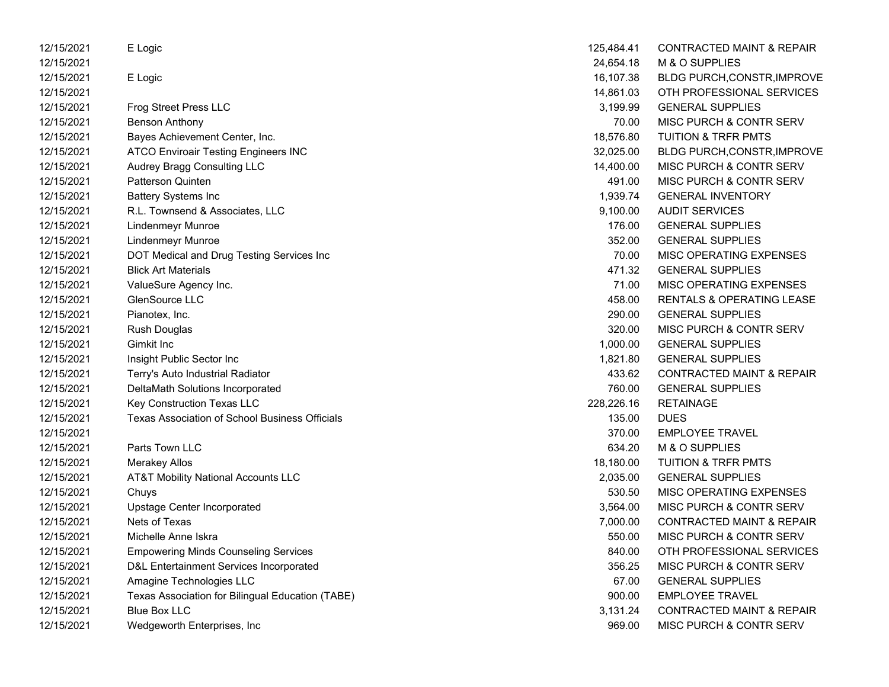| 12/15/2021 | E Logic                                          | 125,484.41 | <b>CONTRACTED MAINT &amp; REPAIR</b> |
|------------|--------------------------------------------------|------------|--------------------------------------|
| 12/15/2021 |                                                  | 24,654.18  | M & O SUPPLIES                       |
| 12/15/2021 | E Logic                                          | 16,107.38  | BLDG PURCH, CONSTR, IMPROVE          |
| 12/15/2021 |                                                  | 14,861.03  | OTH PROFESSIONAL SERVICES            |
| 12/15/2021 | <b>Frog Street Press LLC</b>                     | 3,199.99   | <b>GENERAL SUPPLIES</b>              |
| 12/15/2021 | <b>Benson Anthony</b>                            | 70.00      | MISC PURCH & CONTR SERV              |
| 12/15/2021 | Bayes Achievement Center, Inc.                   | 18,576.80  | <b>TUITION &amp; TRFR PMTS</b>       |
| 12/15/2021 | <b>ATCO Enviroair Testing Engineers INC</b>      | 32,025.00  | <b>BLDG PURCH, CONSTR, IMPROVE</b>   |
| 12/15/2021 | Audrey Bragg Consulting LLC                      | 14,400.00  | MISC PURCH & CONTR SERV              |
| 12/15/2021 | Patterson Quinten                                | 491.00     | MISC PURCH & CONTR SERV              |
| 12/15/2021 | <b>Battery Systems Inc</b>                       | 1,939.74   | <b>GENERAL INVENTORY</b>             |
| 12/15/2021 | R.L. Townsend & Associates, LLC                  | 9,100.00   | <b>AUDIT SERVICES</b>                |
| 12/15/2021 | <b>Lindenmeyr Munroe</b>                         | 176.00     | <b>GENERAL SUPPLIES</b>              |
| 12/15/2021 | Lindenmeyr Munroe                                | 352.00     | <b>GENERAL SUPPLIES</b>              |
| 12/15/2021 | DOT Medical and Drug Testing Services Inc        | 70.00      | MISC OPERATING EXPENSES              |
| 12/15/2021 | <b>Blick Art Materials</b>                       | 471.32     | <b>GENERAL SUPPLIES</b>              |
| 12/15/2021 | ValueSure Agency Inc.                            | 71.00      | MISC OPERATING EXPENSES              |
| 12/15/2021 | GlenSource LLC                                   | 458.00     | RENTALS & OPERATING LEASE            |
| 12/15/2021 | Pianotex, Inc.                                   | 290.00     | <b>GENERAL SUPPLIES</b>              |
| 12/15/2021 | <b>Rush Douglas</b>                              | 320.00     | MISC PURCH & CONTR SERV              |
| 12/15/2021 | Gimkit Inc                                       | 1,000.00   | <b>GENERAL SUPPLIES</b>              |
| 12/15/2021 | Insight Public Sector Inc                        | 1,821.80   | <b>GENERAL SUPPLIES</b>              |
| 12/15/2021 | Terry's Auto Industrial Radiator                 | 433.62     | <b>CONTRACTED MAINT &amp; REPAIR</b> |
| 12/15/2021 | DeltaMath Solutions Incorporated                 | 760.00     | <b>GENERAL SUPPLIES</b>              |
| 12/15/2021 | Key Construction Texas LLC                       | 228,226.16 | <b>RETAINAGE</b>                     |
| 12/15/2021 | Texas Association of School Business Officials   | 135.00     | <b>DUES</b>                          |
| 12/15/2021 |                                                  | 370.00     | <b>EMPLOYEE TRAVEL</b>               |
| 12/15/2021 | Parts Town LLC                                   | 634.20     | M & O SUPPLIES                       |
| 12/15/2021 | <b>Merakey Allos</b>                             | 18,180.00  | TUITION & TRFR PMTS                  |
| 12/15/2021 | <b>AT&amp;T Mobility National Accounts LLC</b>   | 2,035.00   | <b>GENERAL SUPPLIES</b>              |
| 12/15/2021 | Chuys                                            | 530.50     | MISC OPERATING EXPENSES              |
| 12/15/2021 | Upstage Center Incorporated                      | 3,564.00   | MISC PURCH & CONTR SERV              |
| 12/15/2021 | Nets of Texas                                    | 7,000.00   | <b>CONTRACTED MAINT &amp; REPAIR</b> |
| 12/15/2021 | Michelle Anne Iskra                              | 550.00     | MISC PURCH & CONTR SERV              |
| 12/15/2021 | <b>Empowering Minds Counseling Services</b>      | 840.00     | OTH PROFESSIONAL SERVICES            |
| 12/15/2021 | D&L Entertainment Services Incorporated          | 356.25     | MISC PURCH & CONTR SERV              |
| 12/15/2021 | Amagine Technologies LLC                         | 67.00      | <b>GENERAL SUPPLIES</b>              |
| 12/15/2021 | Texas Association for Bilingual Education (TABE) | 900.00     | <b>EMPLOYEE TRAVEL</b>               |
| 12/15/2021 | <b>Blue Box LLC</b>                              | 3,131.24   | <b>CONTRACTED MAINT &amp; REPAIR</b> |
| 12/15/2021 | Wedgeworth Enterprises, Inc                      | 969.00     | MISC PURCH & CONTR SERV              |
|            |                                                  |            |                                      |

| 125,484.41 | CONTRACTED MAINT & REPAIR            |
|------------|--------------------------------------|
| 24,654.18  | <b>M &amp; O SUPPLIES</b>            |
| 16,107.38  | BLDG PURCH, CONSTR, IMPROVE          |
| 14,861.03  | OTH PROFESSIONAL SERVICES            |
| 3,199.99   | <b>GENERAL SUPPLIES</b>              |
| 70.00      | <b>MISC PURCH &amp; CONTR SERV</b>   |
| 18,576.80  | <b>TUITION &amp; TRFR PMTS</b>       |
| 32,025.00  | BLDG PURCH, CONSTR, IMPROVE          |
| 14,400.00  | <b>MISC PURCH &amp; CONTR SERV</b>   |
| 491.00     | <b>MISC PURCH &amp; CONTR SERV</b>   |
| 1,939.74   | <b>GENERAL INVENTORY</b>             |
| 9,100.00   | <b>AUDIT SERVICES</b>                |
| 176.00     | <b>GENERAL SUPPLIES</b>              |
| 352.00     | <b>GENERAL SUPPLIES</b>              |
| 70.00      | <b>MISC OPERATING EXPENSES</b>       |
| 471.32     | <b>GENERAL SUPPLIES</b>              |
| 71.00      | <b>MISC OPERATING EXPENSES</b>       |
| 458.00     | <b>RENTALS &amp; OPERATING LEASE</b> |
| 290.00     | <b>GENERAL SUPPLIES</b>              |
| 320.00     | MISC PURCH & CONTR SERV              |
| 1,000.00   | <b>GENERAL SUPPLIES</b>              |
| 1,821.80   | <b>GENERAL SUPPLIES</b>              |
| 433.62     | <b>CONTRACTED MAINT &amp; REPAIR</b> |
| 760.00     | <b>GENERAL SUPPLIES</b>              |
| 228,226.16 | <b>RETAINAGE</b>                     |
| 135.00     | <b>DUES</b>                          |
| 370.00     | <b>EMPLOYEE TRAVEL</b>               |
| 634.20     | M & O SUPPLIES                       |
| 18,180.00  | <b>TUITION &amp; TRFR PMTS</b>       |
| 2,035.00   | <b>GENERAL SUPPLIES</b>              |
| 530.50     | <b>MISC OPERATING EXPENSES</b>       |
| 3,564.00   | <b>MISC PURCH &amp; CONTR SERV</b>   |
| 7,000.00   | <b>CONTRACTED MAINT &amp; REPAIR</b> |
| 550.00     | MISC PURCH & CONTR SERV              |
| 840.00     | OTH PROFESSIONAL SERVICES            |
| 356.25     | <b>MISC PURCH &amp; CONTR SERV</b>   |
| 67.00      | <b>GENERAL SUPPLIES</b>              |
| 900.00     | <b>EMPLOYEE TRAVEL</b>               |
| 3,131.24   | <b>CONTRACTED MAINT &amp; REPAIR</b> |
| 969.00     | <b>MISC PURCH &amp; CONTR SERV</b>   |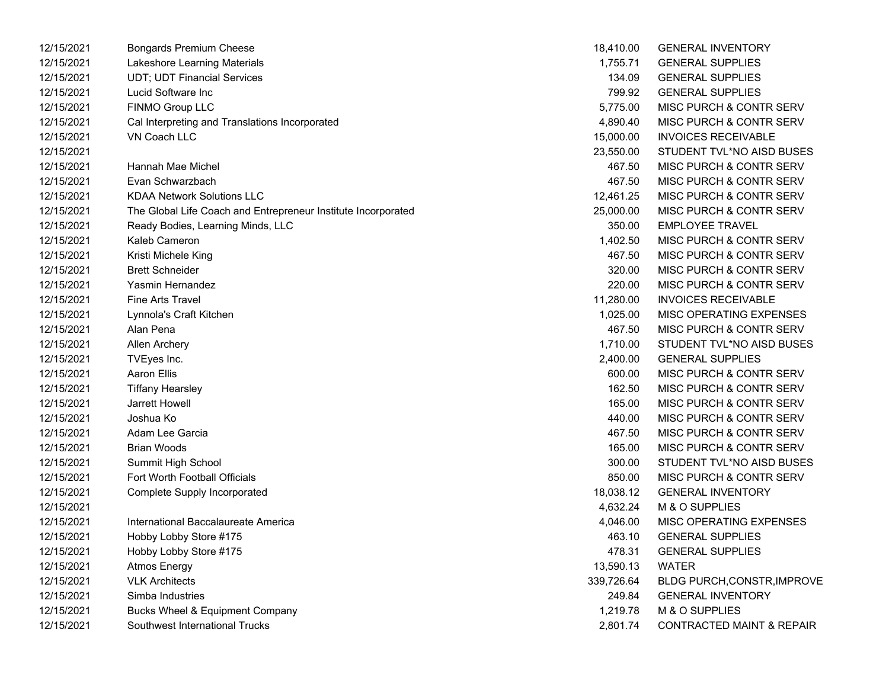| 12/15/2021 | <b>Bongards Premium Cheese</b>                                | 18,410.00  | <b>GENERAL INVENTORY</b>             |
|------------|---------------------------------------------------------------|------------|--------------------------------------|
| 12/15/2021 | Lakeshore Learning Materials                                  | 1,755.71   | <b>GENERAL SUPPLIES</b>              |
| 12/15/2021 | <b>UDT: UDT Financial Services</b>                            | 134.09     | <b>GENERAL SUPPLIES</b>              |
| 12/15/2021 | Lucid Software Inc                                            | 799.92     | <b>GENERAL SUPPLIES</b>              |
| 12/15/2021 | FINMO Group LLC                                               | 5,775.00   | <b>MISC PURCH &amp; CONTR SERV</b>   |
| 12/15/2021 | Cal Interpreting and Translations Incorporated                | 4,890.40   | <b>MISC PURCH &amp; CONTR SERV</b>   |
| 12/15/2021 | <b>VN Coach LLC</b>                                           | 15,000.00  | <b>INVOICES RECEIVABLE</b>           |
| 12/15/2021 |                                                               | 23,550.00  | STUDENT TVL*NO AISD BUSES            |
| 12/15/2021 | Hannah Mae Michel                                             | 467.50     | MISC PURCH & CONTR SERV              |
| 12/15/2021 | Evan Schwarzbach                                              | 467.50     | <b>MISC PURCH &amp; CONTR SERV</b>   |
| 12/15/2021 | <b>KDAA Network Solutions LLC</b>                             | 12,461.25  | <b>MISC PURCH &amp; CONTR SERV</b>   |
| 12/15/2021 | The Global Life Coach and Entrepreneur Institute Incorporated | 25,000.00  | <b>MISC PURCH &amp; CONTR SERV</b>   |
| 12/15/2021 | Ready Bodies, Learning Minds, LLC                             | 350.00     | <b>EMPLOYEE TRAVEL</b>               |
| 12/15/2021 | Kaleb Cameron                                                 | 1,402.50   | MISC PURCH & CONTR SERV              |
| 12/15/2021 | Kristi Michele King                                           | 467.50     | MISC PURCH & CONTR SERV              |
| 12/15/2021 | <b>Brett Schneider</b>                                        | 320.00     | MISC PURCH & CONTR SERV              |
| 12/15/2021 | Yasmin Hernandez                                              | 220.00     | MISC PURCH & CONTR SERV              |
| 12/15/2021 | Fine Arts Travel                                              | 11,280.00  | <b>INVOICES RECEIVABLE</b>           |
| 12/15/2021 | Lynnola's Craft Kitchen                                       | 1,025.00   | <b>MISC OPERATING EXPENSES</b>       |
| 12/15/2021 | Alan Pena                                                     | 467.50     | MISC PURCH & CONTR SERV              |
| 12/15/2021 | Allen Archery                                                 | 1,710.00   | STUDENT TVL*NO AISD BUSES            |
| 12/15/2021 | TVEyes Inc.                                                   | 2,400.00   | <b>GENERAL SUPPLIES</b>              |
| 12/15/2021 | Aaron Ellis                                                   | 600.00     | MISC PURCH & CONTR SERV              |
| 12/15/2021 | <b>Tiffany Hearsley</b>                                       | 162.50     | MISC PURCH & CONTR SERV              |
| 12/15/2021 | Jarrett Howell                                                | 165.00     | MISC PURCH & CONTR SERV              |
| 12/15/2021 | Joshua Ko                                                     | 440.00     | MISC PURCH & CONTR SERV              |
| 12/15/2021 | Adam Lee Garcia                                               | 467.50     | <b>MISC PURCH &amp; CONTR SERV</b>   |
| 12/15/2021 | <b>Brian Woods</b>                                            | 165.00     | MISC PURCH & CONTR SERV              |
| 12/15/2021 | Summit High School                                            | 300.00     | STUDENT TVL*NO AISD BUSES            |
| 12/15/2021 | Fort Worth Football Officials                                 | 850.00     | MISC PURCH & CONTR SERV              |
| 12/15/2021 | Complete Supply Incorporated                                  | 18,038.12  | <b>GENERAL INVENTORY</b>             |
| 12/15/2021 |                                                               | 4,632.24   | M & O SUPPLIES                       |
| 12/15/2021 | International Baccalaureate America                           | 4,046.00   | MISC OPERATING EXPENSES              |
| 12/15/2021 | Hobby Lobby Store #175                                        | 463.10     | <b>GENERAL SUPPLIES</b>              |
| 12/15/2021 | Hobby Lobby Store #175                                        | 478.31     | <b>GENERAL SUPPLIES</b>              |
| 12/15/2021 | <b>Atmos Energy</b>                                           | 13,590.13  | <b>WATER</b>                         |
| 12/15/2021 | <b>VLK Architects</b>                                         | 339,726.64 | BLDG PURCH,CONSTR,IMPROVE            |
| 12/15/2021 | Simba Industries                                              | 249.84     | <b>GENERAL INVENTORY</b>             |
| 12/15/2021 | Bucks Wheel & Equipment Company                               | 1,219.78   | M & O SUPPLIES                       |
| 12/15/2021 | Southwest International Trucks                                | 2,801.74   | <b>CONTRACTED MAINT &amp; REPAIR</b> |

| 18,410.00  | <b>GENERAL INVENTORY</b>             |
|------------|--------------------------------------|
| 1,755.71   | <b>GENERAL SUPPLIES</b>              |
| 134.09     | <b>GENERAL SUPPLIES</b>              |
| 799.92     | <b>GENERAL SUPPLIES</b>              |
| 5,775.00   | MISC PURCH & CONTR SERV              |
| 4,890.40   | <b>MISC PURCH &amp; CONTR SERV</b>   |
| 15,000.00  | <b>INVOICES RECEIVABLE</b>           |
| 23,550.00  | STUDENT TVL*NO AISD BUSES            |
| 467.50     | MISC PURCH & CONTR SERV              |
| 467.50     | MISC PURCH & CONTR SERV              |
| 12,461.25  | <b>MISC PURCH &amp; CONTR SERV</b>   |
| 25,000.00  | <b>MISC PURCH &amp; CONTR SERV</b>   |
| 350.00     | <b>EMPLOYEE TRAVEL</b>               |
| 1,402.50   | <b>MISC PURCH &amp; CONTR SERV</b>   |
| 467.50     | <b>MISC PURCH &amp; CONTR SERV</b>   |
| 320.00     | <b>MISC PURCH &amp; CONTR SERV</b>   |
| 220.00     | <b>MISC PURCH &amp; CONTR SERV</b>   |
| 11,280.00  | <b>INVOICES RECEIVABLE</b>           |
| 1,025.00   | <b>MISC OPERATING EXPENSES</b>       |
| 467.50     | <b>MISC PURCH &amp; CONTR SERV</b>   |
| 1,710.00   | STUDENT TVL*NO AISD BUSES            |
| 2,400.00   | <b>GENERAL SUPPLIES</b>              |
| 600.00     | <b>MISC PURCH &amp; CONTR SERV</b>   |
| 162.50     | <b>MISC PURCH &amp; CONTR SERV</b>   |
| 165.00     | <b>MISC PURCH &amp; CONTR SERV</b>   |
| 440.00     | <b>MISC PURCH &amp; CONTR SERV</b>   |
| 467.50     | <b>MISC PURCH &amp; CONTR SERV</b>   |
| 165.00     | <b>MISC PURCH &amp; CONTR SERV</b>   |
| 300.00     | STUDENT TVL*NO AISD BUSES            |
| 850.00     | <b>MISC PURCH &amp; CONTR SERV</b>   |
| 18,038.12  | <b>GENERAL INVENTORY</b>             |
| 4,632.24   | M & O SUPPLIES                       |
| 4,046.00   | <b>MISC OPERATING EXPENSES</b>       |
| 463.10     | <b>GENERAL SUPPLIES</b>              |
| 478.31     | <b>GENERAL SUPPLIES</b>              |
| 13,590.13  | <b>WATER</b>                         |
| 339,726.64 | BLDG PURCH, CONSTR, IMPROVE          |
| 249.84     | <b>GENERAL INVENTORY</b>             |
| 1,219.78   | M & O SUPPLIES                       |
| 2,801.74   | <b>CONTRACTED MAINT &amp; REPAIR</b> |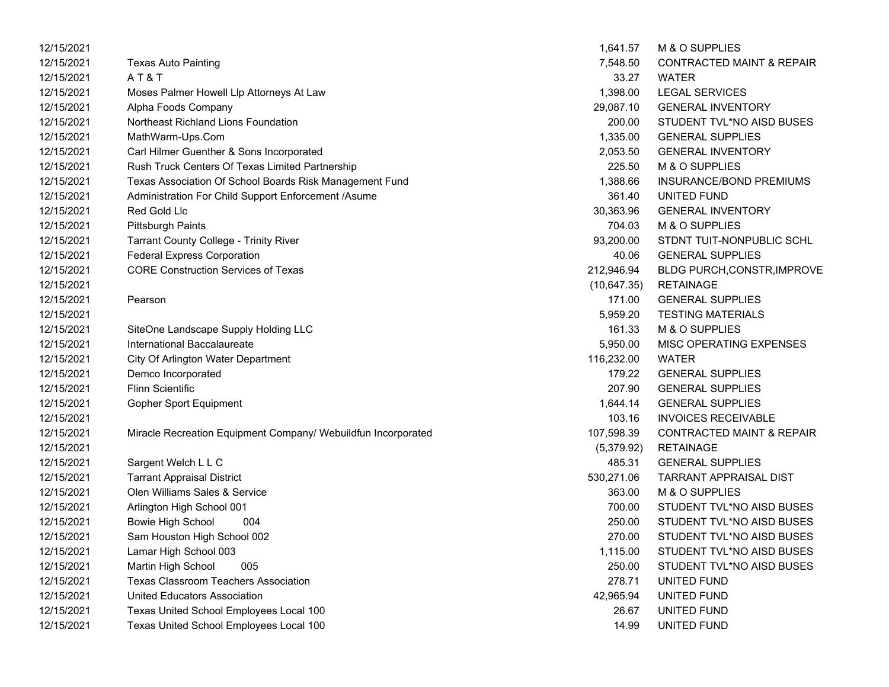| 12/15/2021 |                                                               | 1,641.57     | M & O SUPPLIES                       |
|------------|---------------------------------------------------------------|--------------|--------------------------------------|
| 12/15/2021 | <b>Texas Auto Painting</b>                                    | 7,548.50     | <b>CONTRACTED MAINT &amp; REPAIR</b> |
| 12/15/2021 | AT&T                                                          | 33.27        | <b>WATER</b>                         |
| 12/15/2021 | Moses Palmer Howell Llp Attorneys At Law                      | 1,398.00     | <b>LEGAL SERVICES</b>                |
| 12/15/2021 | Alpha Foods Company                                           | 29,087.10    | <b>GENERAL INVENTORY</b>             |
| 12/15/2021 | Northeast Richland Lions Foundation                           | 200.00       | STUDENT TVL*NO AISD BUSES            |
| 12/15/2021 | MathWarm-Ups.Com                                              | 1,335.00     | <b>GENERAL SUPPLIES</b>              |
| 12/15/2021 | Carl Hilmer Guenther & Sons Incorporated                      | 2,053.50     | <b>GENERAL INVENTORY</b>             |
| 12/15/2021 | Rush Truck Centers Of Texas Limited Partnership               | 225.50       | M & O SUPPLIES                       |
| 12/15/2021 | Texas Association Of School Boards Risk Management Fund       | 1,388.66     | INSURANCE/BOND PREMIUMS              |
| 12/15/2021 | Administration For Child Support Enforcement /Asume           | 361.40       | UNITED FUND                          |
| 12/15/2021 | Red Gold Llc                                                  | 30,363.96    | <b>GENERAL INVENTORY</b>             |
| 12/15/2021 | <b>Pittsburgh Paints</b>                                      | 704.03       | M & O SUPPLIES                       |
| 12/15/2021 | <b>Tarrant County College - Trinity River</b>                 | 93,200.00    | STDNT TUIT-NONPUBLIC SCHL            |
| 12/15/2021 | <b>Federal Express Corporation</b>                            | 40.06        | <b>GENERAL SUPPLIES</b>              |
| 12/15/2021 | <b>CORE Construction Services of Texas</b>                    | 212,946.94   | BLDG PURCH, CONSTR, IMPROVE          |
| 12/15/2021 |                                                               | (10, 647.35) | <b>RETAINAGE</b>                     |
| 12/15/2021 | Pearson                                                       | 171.00       | <b>GENERAL SUPPLIES</b>              |
| 12/15/2021 |                                                               | 5,959.20     | <b>TESTING MATERIALS</b>             |
| 12/15/2021 | SiteOne Landscape Supply Holding LLC                          | 161.33       | M & O SUPPLIES                       |
| 12/15/2021 | International Baccalaureate                                   | 5,950.00     | MISC OPERATING EXPENSES              |
| 12/15/2021 | City Of Arlington Water Department                            | 116,232.00   | <b>WATER</b>                         |
| 12/15/2021 | Demco Incorporated                                            | 179.22       | <b>GENERAL SUPPLIES</b>              |
| 12/15/2021 | <b>Flinn Scientific</b>                                       | 207.90       | <b>GENERAL SUPPLIES</b>              |
| 12/15/2021 | <b>Gopher Sport Equipment</b>                                 | 1,644.14     | <b>GENERAL SUPPLIES</b>              |
| 12/15/2021 |                                                               | 103.16       | <b>INVOICES RECEIVABLE</b>           |
| 12/15/2021 | Miracle Recreation Equipment Company/ Webuildfun Incorporated | 107,598.39   | <b>CONTRACTED MAINT &amp; REPAIR</b> |
| 12/15/2021 |                                                               | (5,379.92)   | <b>RETAINAGE</b>                     |
| 12/15/2021 | Sargent Welch L L C                                           | 485.31       | <b>GENERAL SUPPLIES</b>              |
| 12/15/2021 | <b>Tarrant Appraisal District</b>                             | 530,271.06   | <b>TARRANT APPRAISAL DIST</b>        |
| 12/15/2021 | Olen Williams Sales & Service                                 | 363.00       | M & O SUPPLIES                       |
| 12/15/2021 | Arlington High School 001                                     | 700.00       | STUDENT TVL*NO AISD BUSES            |
| 12/15/2021 | <b>Bowie High School</b><br>004                               | 250.00       | STUDENT TVL*NO AISD BUSES            |
| 12/15/2021 | Sam Houston High School 002                                   | 270.00       | STUDENT TVL*NO AISD BUSES            |
| 12/15/2021 | Lamar High School 003                                         | 1,115.00     | STUDENT TVL*NO AISD BUSES            |
| 12/15/2021 | Martin High School<br>005                                     | 250.00       | STUDENT TVL*NO AISD BUSES            |
| 12/15/2021 | <b>Texas Classroom Teachers Association</b>                   | 278.71       | UNITED FUND                          |
| 12/15/2021 | <b>United Educators Association</b>                           | 42,965.94    | UNITED FUND                          |
| 12/15/2021 | Texas United School Employees Local 100                       | 26.67        | UNITED FUND                          |
| 12/15/2021 | Texas United School Employees Local 100                       | 14.99        | UNITED FUND                          |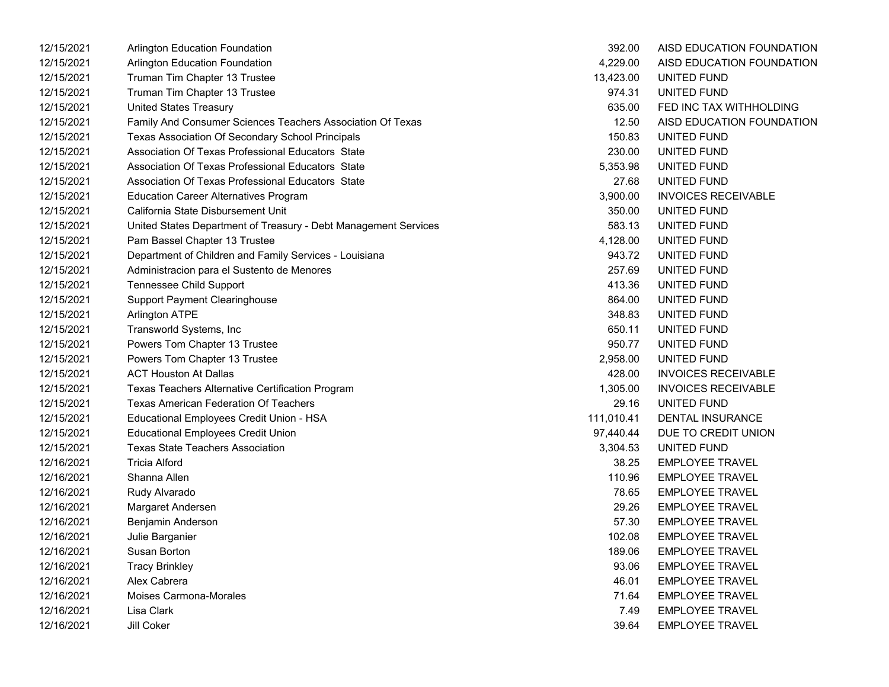| 12/15/2021 | Arlington Education Foundation                                  | 392.00     | AISD EDUCATION FOUNDATION  |
|------------|-----------------------------------------------------------------|------------|----------------------------|
| 12/15/2021 | <b>Arlington Education Foundation</b>                           | 4,229.00   | AISD EDUCATION FOUNDATION  |
| 12/15/2021 | Truman Tim Chapter 13 Trustee                                   | 13,423.00  | UNITED FUND                |
| 12/15/2021 | Truman Tim Chapter 13 Trustee                                   | 974.31     | UNITED FUND                |
| 12/15/2021 | <b>United States Treasury</b>                                   | 635.00     | FED INC TAX WITHHOLDING    |
| 12/15/2021 | Family And Consumer Sciences Teachers Association Of Texas      | 12.50      | AISD EDUCATION FOUNDATION  |
| 12/15/2021 | Texas Association Of Secondary School Principals                | 150.83     | UNITED FUND                |
| 12/15/2021 | Association Of Texas Professional Educators State               | 230.00     | UNITED FUND                |
| 12/15/2021 | Association Of Texas Professional Educators State               | 5,353.98   | UNITED FUND                |
| 12/15/2021 | Association Of Texas Professional Educators State               | 27.68      | UNITED FUND                |
| 12/15/2021 | <b>Education Career Alternatives Program</b>                    | 3,900.00   | <b>INVOICES RECEIVABLE</b> |
| 12/15/2021 | California State Disbursement Unit                              | 350.00     | UNITED FUND                |
| 12/15/2021 | United States Department of Treasury - Debt Management Services | 583.13     | UNITED FUND                |
| 12/15/2021 | Pam Bassel Chapter 13 Trustee                                   | 4,128.00   | UNITED FUND                |
| 12/15/2021 | Department of Children and Family Services - Louisiana          | 943.72     | UNITED FUND                |
| 12/15/2021 | Administracion para el Sustento de Menores                      | 257.69     | UNITED FUND                |
| 12/15/2021 | <b>Tennessee Child Support</b>                                  | 413.36     | UNITED FUND                |
| 12/15/2021 | <b>Support Payment Clearinghouse</b>                            | 864.00     | UNITED FUND                |
| 12/15/2021 | <b>Arlington ATPE</b>                                           | 348.83     | UNITED FUND                |
| 12/15/2021 | Transworld Systems, Inc                                         | 650.11     | <b>UNITED FUND</b>         |
| 12/15/2021 | Powers Tom Chapter 13 Trustee                                   | 950.77     | UNITED FUND                |
| 12/15/2021 | Powers Tom Chapter 13 Trustee                                   | 2,958.00   | UNITED FUND                |
| 12/15/2021 | <b>ACT Houston At Dallas</b>                                    | 428.00     | <b>INVOICES RECEIVABLE</b> |
| 12/15/2021 | Texas Teachers Alternative Certification Program                | 1,305.00   | <b>INVOICES RECEIVABLE</b> |
| 12/15/2021 | <b>Texas American Federation Of Teachers</b>                    | 29.16      | UNITED FUND                |
| 12/15/2021 | Educational Employees Credit Union - HSA                        | 111,010.41 | <b>DENTAL INSURANCE</b>    |
| 12/15/2021 | <b>Educational Employees Credit Union</b>                       | 97,440.44  | DUE TO CREDIT UNION        |
| 12/15/2021 | <b>Texas State Teachers Association</b>                         | 3,304.53   | UNITED FUND                |
| 12/16/2021 | <b>Tricia Alford</b>                                            | 38.25      | <b>EMPLOYEE TRAVEL</b>     |
| 12/16/2021 | Shanna Allen                                                    | 110.96     | <b>EMPLOYEE TRAVEL</b>     |
| 12/16/2021 | Rudy Alvarado                                                   | 78.65      | <b>EMPLOYEE TRAVEL</b>     |
| 12/16/2021 | Margaret Andersen                                               | 29.26      | <b>EMPLOYEE TRAVEL</b>     |
| 12/16/2021 | Benjamin Anderson                                               | 57.30      | <b>EMPLOYEE TRAVEL</b>     |
| 12/16/2021 | Julie Barganier                                                 | 102.08     | <b>EMPLOYEE TRAVEL</b>     |
| 12/16/2021 | Susan Borton                                                    | 189.06     | <b>EMPLOYEE TRAVEL</b>     |
| 12/16/2021 | <b>Tracy Brinkley</b>                                           | 93.06      | <b>EMPLOYEE TRAVEL</b>     |
| 12/16/2021 | Alex Cabrera                                                    | 46.01      | <b>EMPLOYEE TRAVEL</b>     |
| 12/16/2021 | Moises Carmona-Morales                                          | 71.64      | <b>EMPLOYEE TRAVEL</b>     |
| 12/16/2021 | Lisa Clark                                                      | 7.49       | <b>EMPLOYEE TRAVEL</b>     |
| 12/16/2021 | Jill Coker                                                      | 39.64      | <b>EMPLOYEE TRAVEL</b>     |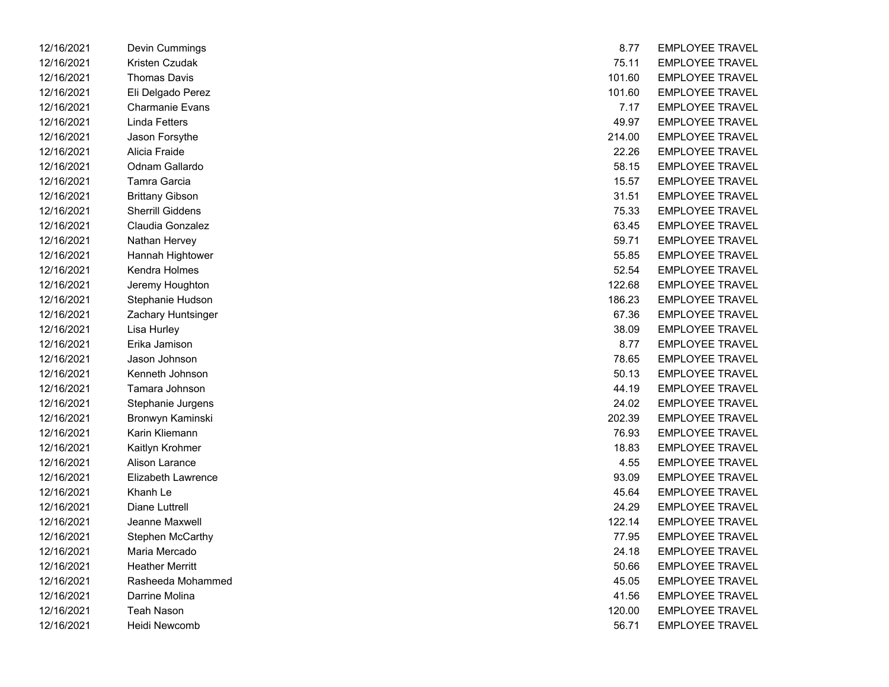| 12/16/2021 | Devin Cummings          | 8.11   | EMPLOYEE TRAVEL        |
|------------|-------------------------|--------|------------------------|
| 12/16/2021 | Kristen Czudak          | 75.11  | <b>EMPLOYEE TRAVEL</b> |
| 12/16/2021 | <b>Thomas Davis</b>     | 101.60 | <b>EMPLOYEE TRAVEL</b> |
| 12/16/2021 | Eli Delgado Perez       | 101.60 | <b>EMPLOYEE TRAVEL</b> |
| 12/16/2021 | <b>Charmanie Evans</b>  | 7.17   | <b>EMPLOYEE TRAVEL</b> |
| 12/16/2021 | <b>Linda Fetters</b>    | 49.97  | <b>EMPLOYEE TRAVEL</b> |
| 12/16/2021 | Jason Forsythe          | 214.00 | <b>EMPLOYEE TRAVEL</b> |
| 12/16/2021 | Alicia Fraide           | 22.26  | <b>EMPLOYEE TRAVEL</b> |
| 12/16/2021 | <b>Odnam Gallardo</b>   | 58.15  | <b>EMPLOYEE TRAVEL</b> |
| 12/16/2021 | Tamra Garcia            | 15.57  | <b>EMPLOYEE TRAVEL</b> |
| 12/16/2021 | <b>Brittany Gibson</b>  | 31.51  | <b>EMPLOYEE TRAVEL</b> |
| 12/16/2021 | <b>Sherrill Giddens</b> | 75.33  | <b>EMPLOYEE TRAVEL</b> |
| 12/16/2021 | Claudia Gonzalez        | 63.45  | <b>EMPLOYEE TRAVEL</b> |
| 12/16/2021 | Nathan Hervey           | 59.71  | <b>EMPLOYEE TRAVEL</b> |
| 12/16/2021 | Hannah Hightower        | 55.85  | <b>EMPLOYEE TRAVEL</b> |
| 12/16/2021 | Kendra Holmes           | 52.54  | <b>EMPLOYEE TRAVEL</b> |
| 12/16/2021 | Jeremy Houghton         | 122.68 | <b>EMPLOYEE TRAVEL</b> |
| 12/16/2021 | Stephanie Hudson        | 186.23 | <b>EMPLOYEE TRAVEL</b> |
| 12/16/2021 | Zachary Huntsinger      | 67.36  | <b>EMPLOYEE TRAVEL</b> |
| 12/16/2021 | Lisa Hurley             | 38.09  | <b>EMPLOYEE TRAVEL</b> |
| 12/16/2021 | Erika Jamison           | 8.77   | <b>EMPLOYEE TRAVEL</b> |
| 12/16/2021 | Jason Johnson           | 78.65  | <b>EMPLOYEE TRAVEL</b> |
| 12/16/2021 | Kenneth Johnson         | 50.13  | <b>EMPLOYEE TRAVEL</b> |
| 12/16/2021 | Tamara Johnson          | 44.19  | <b>EMPLOYEE TRAVEL</b> |
| 12/16/2021 | Stephanie Jurgens       | 24.02  | <b>EMPLOYEE TRAVEL</b> |
| 12/16/2021 | Bronwyn Kaminski        | 202.39 | <b>EMPLOYEE TRAVEL</b> |
| 12/16/2021 | Karin Kliemann          | 76.93  | <b>EMPLOYEE TRAVEL</b> |
| 12/16/2021 | Kaitlyn Krohmer         | 18.83  | <b>EMPLOYEE TRAVEL</b> |
| 12/16/2021 | Alison Larance          | 4.55   | <b>EMPLOYEE TRAVEL</b> |
| 12/16/2021 | Elizabeth Lawrence      | 93.09  | <b>EMPLOYEE TRAVEL</b> |
| 12/16/2021 | Khanh Le                | 45.64  | <b>EMPLOYEE TRAVEL</b> |
| 12/16/2021 | Diane Luttrell          | 24.29  | <b>EMPLOYEE TRAVEL</b> |
| 12/16/2021 | Jeanne Maxwell          | 122.14 | <b>EMPLOYEE TRAVEL</b> |
| 12/16/2021 | Stephen McCarthy        | 77.95  | <b>EMPLOYEE TRAVEL</b> |
| 12/16/2021 | Maria Mercado           | 24.18  | <b>EMPLOYEE TRAVEL</b> |
| 12/16/2021 | <b>Heather Merritt</b>  | 50.66  | <b>EMPLOYEE TRAVEL</b> |
| 12/16/2021 | Rasheeda Mohammed       | 45.05  | <b>EMPLOYEE TRAVEL</b> |
| 12/16/2021 | Darrine Molina          | 41.56  | <b>EMPLOYEE TRAVEL</b> |
| 12/16/2021 | <b>Teah Nason</b>       | 120.00 | <b>EMPLOYEE TRAVEL</b> |
| 12/16/2021 | Heidi Newcomb           | 56.71  | <b>EMPLOYEE TRAVEL</b> |

| 12/16/2021 | Devin Cummings          | 8.77   | <b>EMPLOYEE TRAVEL</b> |
|------------|-------------------------|--------|------------------------|
| 12/16/2021 | Kristen Czudak          | 75.11  | <b>EMPLOYEE TRAVEL</b> |
| 12/16/2021 | <b>Thomas Davis</b>     | 101.60 | <b>EMPLOYEE TRAVEL</b> |
| 12/16/2021 | Eli Delgado Perez       | 101.60 | <b>EMPLOYEE TRAVEL</b> |
| 12/16/2021 | Charmanie Evans         | 7.17   | <b>EMPLOYEE TRAVEL</b> |
| 12/16/2021 | Linda Fetters           | 49.97  | <b>EMPLOYEE TRAVEL</b> |
| 12/16/2021 | Jason Forsythe          | 214.00 | <b>EMPLOYEE TRAVEL</b> |
| 12/16/2021 | Alicia Fraide           | 22.26  | <b>EMPLOYEE TRAVEL</b> |
| 12/16/2021 | Odnam Gallardo          | 58.15  | <b>EMPLOYEE TRAVEL</b> |
| 12/16/2021 | Tamra Garcia            | 15.57  | <b>EMPLOYEE TRAVEL</b> |
| 12/16/2021 | <b>Brittany Gibson</b>  | 31.51  | <b>EMPLOYEE TRAVEL</b> |
| 12/16/2021 | <b>Sherrill Giddens</b> | 75.33  | <b>EMPLOYEE TRAVEL</b> |
| 12/16/2021 | Claudia Gonzalez        | 63.45  | <b>EMPLOYEE TRAVEL</b> |
| 12/16/2021 | Nathan Hervey           | 59.71  | <b>EMPLOYEE TRAVEL</b> |
| 12/16/2021 | Hannah Hightower        | 55.85  | <b>EMPLOYEE TRAVEL</b> |
| 12/16/2021 | Kendra Holmes           | 52.54  | <b>EMPLOYEE TRAVEL</b> |
| 12/16/2021 | Jeremy Houghton         | 122.68 | <b>EMPLOYEE TRAVEL</b> |
| 12/16/2021 | Stephanie Hudson        | 186.23 | <b>EMPLOYEE TRAVEL</b> |
| 12/16/2021 | Zachary Huntsinger      | 67.36  | <b>EMPLOYEE TRAVEL</b> |
| 12/16/2021 | Lisa Hurley             | 38.09  | <b>EMPLOYEE TRAVEL</b> |
| 12/16/2021 | Erika Jamison           | 8.77   | <b>EMPLOYEE TRAVEL</b> |
| 12/16/2021 | Jason Johnson           | 78.65  | <b>EMPLOYEE TRAVEL</b> |
| 12/16/2021 | Kenneth Johnson         | 50.13  | <b>EMPLOYEE TRAVEL</b> |
| 12/16/2021 | Tamara Johnson          | 44.19  | <b>EMPLOYEE TRAVEL</b> |
| 12/16/2021 | Stephanie Jurgens       | 24.02  | <b>EMPLOYEE TRAVEL</b> |
| 12/16/2021 | Bronwyn Kaminski        | 202.39 | <b>EMPLOYEE TRAVEL</b> |
| 12/16/2021 | Karin Kliemann          | 76.93  | <b>EMPLOYEE TRAVEL</b> |
| 12/16/2021 | Kaitlyn Krohmer         | 18.83  | <b>EMPLOYEE TRAVEL</b> |
| 12/16/2021 | Alison Larance          | 4.55   | <b>EMPLOYEE TRAVEL</b> |
| 12/16/2021 | Elizabeth Lawrence      | 93.09  | <b>EMPLOYEE TRAVEL</b> |
| 12/16/2021 | Khanh Le                | 45.64  | <b>EMPLOYEE TRAVEL</b> |
| 12/16/2021 | Diane Luttrell          | 24.29  | <b>EMPLOYEE TRAVEL</b> |
| 12/16/2021 | Jeanne Maxwell          | 122.14 | <b>EMPLOYEE TRAVEL</b> |
| 12/16/2021 | Stephen McCarthy        | 77.95  | <b>EMPLOYEE TRAVEL</b> |
| 12/16/2021 | Maria Mercado           | 24.18  | <b>EMPLOYEE TRAVEL</b> |
| 12/16/2021 | <b>Heather Merritt</b>  | 50.66  | <b>EMPLOYEE TRAVEL</b> |
| 12/16/2021 | Rasheeda Mohammed       | 45.05  | <b>EMPLOYEE TRAVEL</b> |
| 12/16/2021 | Darrine Molina          | 41.56  | <b>EMPLOYEE TRAVEL</b> |
| 12/16/2021 | <b>Teah Nason</b>       | 120.00 | <b>EMPLOYEE TRAVEL</b> |
| 12/16/2021 | Heidi Newcomb           | 56.71  | <b>EMPLOYEE TRAVEL</b> |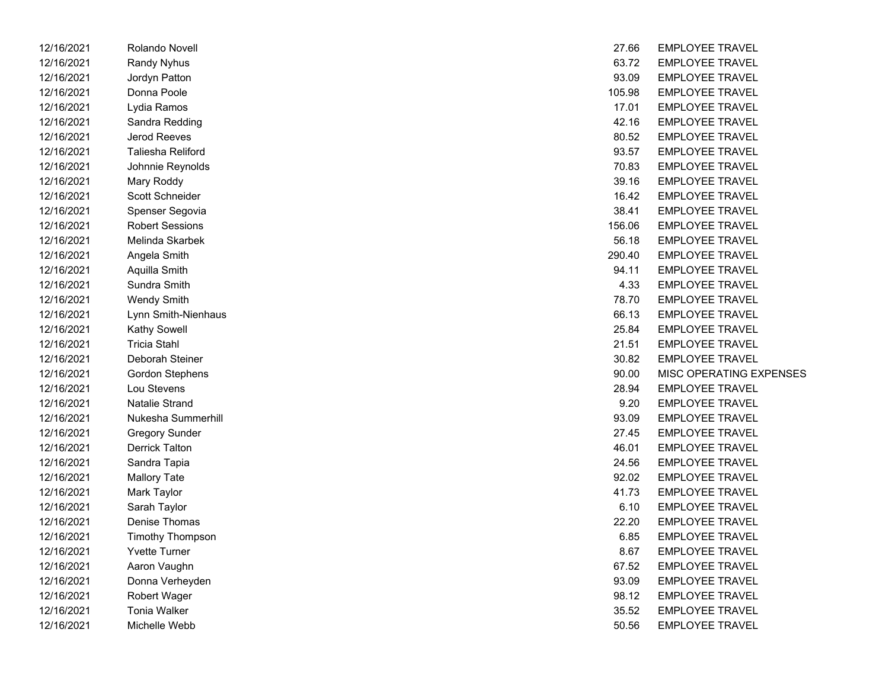| 12/16/2021 | Rolando Novell           | 27.66  | EMPLOYEE TRAVEL         |
|------------|--------------------------|--------|-------------------------|
| 12/16/2021 | Randy Nyhus              | 63.72  | <b>EMPLOYEE TRAVEL</b>  |
| 12/16/2021 | Jordyn Patton            | 93.09  | <b>EMPLOYEE TRAVEL</b>  |
| 12/16/2021 | Donna Poole              | 105.98 | <b>EMPLOYEE TRAVEL</b>  |
| 12/16/2021 | Lydia Ramos              | 17.01  | <b>EMPLOYEE TRAVEL</b>  |
| 12/16/2021 | Sandra Redding           | 42.16  | <b>EMPLOYEE TRAVEL</b>  |
| 12/16/2021 | Jerod Reeves             | 80.52  | <b>EMPLOYEE TRAVEL</b>  |
| 12/16/2021 | <b>Taliesha Reliford</b> | 93.57  | <b>EMPLOYEE TRAVEL</b>  |
| 12/16/2021 | Johnnie Reynolds         | 70.83  | <b>EMPLOYEE TRAVEL</b>  |
| 12/16/2021 | Mary Roddy               | 39.16  | <b>EMPLOYEE TRAVEL</b>  |
| 12/16/2021 | Scott Schneider          | 16.42  | <b>EMPLOYEE TRAVEL</b>  |
| 12/16/2021 | Spenser Segovia          | 38.41  | <b>EMPLOYEE TRAVEL</b>  |
| 12/16/2021 | <b>Robert Sessions</b>   | 156.06 | <b>EMPLOYEE TRAVEL</b>  |
| 12/16/2021 | Melinda Skarbek          | 56.18  | <b>EMPLOYEE TRAVEL</b>  |
| 12/16/2021 | Angela Smith             | 290.40 | <b>EMPLOYEE TRAVEL</b>  |
| 12/16/2021 | Aquilla Smith            | 94.11  | <b>EMPLOYEE TRAVEL</b>  |
| 12/16/2021 | Sundra Smith             | 4.33   | <b>EMPLOYEE TRAVEL</b>  |
| 12/16/2021 | <b>Wendy Smith</b>       | 78.70  | <b>EMPLOYEE TRAVEL</b>  |
| 12/16/2021 | Lynn Smith-Nienhaus      | 66.13  | <b>EMPLOYEE TRAVEL</b>  |
| 12/16/2021 | Kathy Sowell             | 25.84  | <b>EMPLOYEE TRAVEL</b>  |
| 12/16/2021 | <b>Tricia Stahl</b>      | 21.51  | <b>EMPLOYEE TRAVEL</b>  |
| 12/16/2021 | Deborah Steiner          | 30.82  | <b>EMPLOYEE TRAVEL</b>  |
| 12/16/2021 | Gordon Stephens          | 90.00  | <b>MISC OPERATING E</b> |
| 12/16/2021 | Lou Stevens              | 28.94  | <b>EMPLOYEE TRAVEL</b>  |
| 12/16/2021 | Natalie Strand           | 9.20   | <b>EMPLOYEE TRAVEL</b>  |
| 12/16/2021 | Nukesha Summerhill       | 93.09  | <b>EMPLOYEE TRAVEL</b>  |
| 12/16/2021 | <b>Gregory Sunder</b>    | 27.45  | <b>EMPLOYEE TRAVEL</b>  |
| 12/16/2021 | <b>Derrick Talton</b>    | 46.01  | <b>EMPLOYEE TRAVEL</b>  |
| 12/16/2021 | Sandra Tapia             | 24.56  | <b>EMPLOYEE TRAVEL</b>  |
| 12/16/2021 | <b>Mallory Tate</b>      | 92.02  | <b>EMPLOYEE TRAVEL</b>  |
| 12/16/2021 | Mark Taylor              | 41.73  | <b>EMPLOYEE TRAVEL</b>  |
| 12/16/2021 | Sarah Taylor             | 6.10   | <b>EMPLOYEE TRAVEL</b>  |
| 12/16/2021 | Denise Thomas            | 22.20  | <b>EMPLOYEE TRAVEL</b>  |
| 12/16/2021 | Timothy Thompson         | 6.85   | <b>EMPLOYEE TRAVEL</b>  |
| 12/16/2021 | <b>Yvette Turner</b>     | 8.67   | <b>EMPLOYEE TRAVEL</b>  |
| 12/16/2021 | Aaron Vaughn             | 67.52  | <b>EMPLOYEE TRAVEL</b>  |
| 12/16/2021 | Donna Verheyden          | 93.09  | <b>EMPLOYEE TRAVEL</b>  |
| 12/16/2021 | <b>Robert Wager</b>      | 98.12  | <b>EMPLOYEE TRAVEL</b>  |
| 12/16/2021 | Tonia Walker             | 35.52  | <b>EMPLOYEE TRAVEL</b>  |
| 12/16/2021 | Michelle Webb            | 50.56  | <b>EMPLOYEE TRAVEL</b>  |

| 12/16/2021 | Rolando Novell          | 27.66  | <b>EMPLOYEE TRAVEL</b>  |
|------------|-------------------------|--------|-------------------------|
| 12/16/2021 | <b>Randy Nyhus</b>      | 63.72  | <b>EMPLOYEE TRAVEL</b>  |
| 12/16/2021 | Jordyn Patton           | 93.09  | <b>EMPLOYEE TRAVEL</b>  |
| 12/16/2021 | Donna Poole             | 105.98 | <b>EMPLOYEE TRAVEL</b>  |
| 12/16/2021 | Lydia Ramos             | 17.01  | <b>EMPLOYEE TRAVEL</b>  |
| 12/16/2021 | Sandra Redding          | 42.16  | <b>EMPLOYEE TRAVEL</b>  |
| 12/16/2021 | Jerod Reeves            | 80.52  | <b>EMPLOYEE TRAVEL</b>  |
| 12/16/2021 | Taliesha Reliford       | 93.57  | <b>EMPLOYEE TRAVEL</b>  |
| 12/16/2021 | Johnnie Reynolds        | 70.83  | <b>EMPLOYEE TRAVEL</b>  |
| 12/16/2021 | Mary Roddy              | 39.16  | <b>EMPLOYEE TRAVEL</b>  |
| 12/16/2021 | Scott Schneider         | 16.42  | <b>EMPLOYEE TRAVEL</b>  |
| 12/16/2021 | Spenser Segovia         | 38.41  | <b>EMPLOYEE TRAVEL</b>  |
| 12/16/2021 | <b>Robert Sessions</b>  | 156.06 | <b>EMPLOYEE TRAVEL</b>  |
| 12/16/2021 | Melinda Skarbek         | 56.18  | <b>EMPLOYEE TRAVEL</b>  |
| 12/16/2021 | Angela Smith            | 290.40 | <b>EMPLOYEE TRAVEL</b>  |
| 12/16/2021 | Aquilla Smith           | 94.11  | <b>EMPLOYEE TRAVEL</b>  |
| 12/16/2021 | Sundra Smith            | 4.33   | <b>EMPLOYEE TRAVEL</b>  |
| 12/16/2021 | <b>Wendy Smith</b>      | 78.70  | <b>EMPLOYEE TRAVEL</b>  |
| 12/16/2021 | Lynn Smith-Nienhaus     | 66.13  | <b>EMPLOYEE TRAVEL</b>  |
| 12/16/2021 | <b>Kathy Sowell</b>     | 25.84  | <b>EMPLOYEE TRAVEL</b>  |
| 12/16/2021 | <b>Tricia Stahl</b>     | 21.51  | <b>EMPLOYEE TRAVEL</b>  |
| 12/16/2021 | Deborah Steiner         | 30.82  | <b>EMPLOYEE TRAVEL</b>  |
| 12/16/2021 | <b>Gordon Stephens</b>  | 90.00  | MISC OPERATING EXPENSES |
| 12/16/2021 | Lou Stevens             | 28.94  | <b>EMPLOYEE TRAVEL</b>  |
| 12/16/2021 | <b>Natalie Strand</b>   | 9.20   | <b>EMPLOYEE TRAVEL</b>  |
| 12/16/2021 | Nukesha Summerhill      | 93.09  | <b>EMPLOYEE TRAVEL</b>  |
| 12/16/2021 | <b>Gregory Sunder</b>   | 27.45  | <b>EMPLOYEE TRAVEL</b>  |
| 12/16/2021 | <b>Derrick Talton</b>   | 46.01  | <b>EMPLOYEE TRAVEL</b>  |
| 12/16/2021 | Sandra Tapia            | 24.56  | <b>EMPLOYEE TRAVEL</b>  |
| 12/16/2021 | <b>Mallory Tate</b>     | 92.02  | <b>EMPLOYEE TRAVEL</b>  |
| 12/16/2021 | Mark Taylor             | 41.73  | <b>EMPLOYEE TRAVEL</b>  |
| 12/16/2021 | Sarah Taylor            | 6.10   | <b>EMPLOYEE TRAVEL</b>  |
| 12/16/2021 | Denise Thomas           | 22.20  | <b>EMPLOYEE TRAVEL</b>  |
| 12/16/2021 | <b>Timothy Thompson</b> | 6.85   | <b>EMPLOYEE TRAVEL</b>  |
| 12/16/2021 | <b>Yvette Turner</b>    | 8.67   | <b>EMPLOYEE TRAVEL</b>  |
| 12/16/2021 | Aaron Vaughn            | 67.52  | <b>EMPLOYEE TRAVEL</b>  |
| 12/16/2021 | Donna Verheyden         | 93.09  | <b>EMPLOYEE TRAVEL</b>  |
| 12/16/2021 | Robert Wager            | 98.12  | <b>EMPLOYEE TRAVEL</b>  |
| 12/16/2021 | <b>Tonia Walker</b>     | 35.52  | <b>EMPLOYEE TRAVEL</b>  |
| 12/16/2021 | Michelle Webb           | 50.56  | <b>EMPLOYEE TRAVEL</b>  |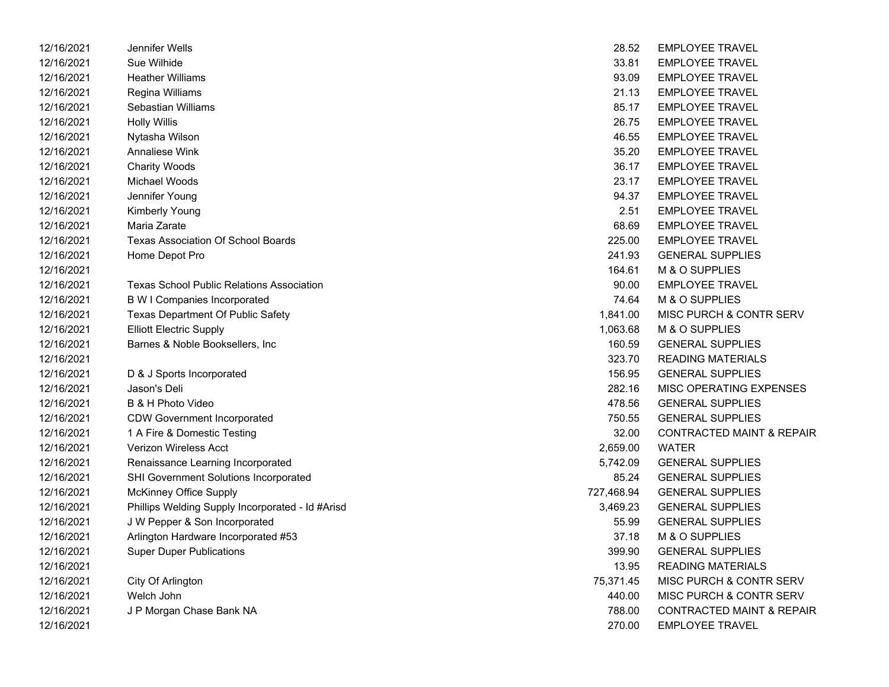| 12/16/2021 | Jennifer Wells                                   | 28.52      | <b>EMPLOYEE TRAVEL</b>               |
|------------|--------------------------------------------------|------------|--------------------------------------|
| 12/16/2021 | Sue Wilhide                                      | 33.81      | <b>EMPLOYEE TRAVEL</b>               |
| 12/16/2021 | <b>Heather Williams</b>                          | 93.09      | <b>EMPLOYEE TRAVEL</b>               |
| 12/16/2021 | Regina Williams                                  | 21.13      | <b>EMPLOYEE TRAVEL</b>               |
| 12/16/2021 | Sebastian Williams                               | 85.17      | <b>EMPLOYEE TRAVEL</b>               |
| 12/16/2021 | <b>Holly Willis</b>                              | 26.75      | <b>EMPLOYEE TRAVEL</b>               |
| 12/16/2021 | Nytasha Wilson                                   | 46.55      | <b>EMPLOYEE TRAVEL</b>               |
| 12/16/2021 | Annaliese Wink                                   | 35.20      | <b>EMPLOYEE TRAVEL</b>               |
| 12/16/2021 | <b>Charity Woods</b>                             | 36.17      | <b>EMPLOYEE TRAVEL</b>               |
| 12/16/2021 | Michael Woods                                    | 23.17      | <b>EMPLOYEE TRAVEL</b>               |
| 12/16/2021 | Jennifer Young                                   | 94.37      | <b>EMPLOYEE TRAVEL</b>               |
| 12/16/2021 | <b>Kimberly Young</b>                            | 2.51       | <b>EMPLOYEE TRAVEL</b>               |
| 12/16/2021 | Maria Zarate                                     | 68.69      | <b>EMPLOYEE TRAVEL</b>               |
| 12/16/2021 | <b>Texas Association Of School Boards</b>        | 225.00     | <b>EMPLOYEE TRAVEL</b>               |
| 12/16/2021 | Home Depot Pro                                   | 241.93     | <b>GENERAL SUPPLIES</b>              |
| 12/16/2021 |                                                  | 164.61     | M & O SUPPLIES                       |
| 12/16/2021 | <b>Texas School Public Relations Association</b> | 90.00      | <b>EMPLOYEE TRAVEL</b>               |
| 12/16/2021 | <b>B W I Companies Incorporated</b>              | 74.64      | M & O SUPPLIES                       |
| 12/16/2021 | <b>Texas Department Of Public Safety</b>         | 1,841.00   | MISC PURCH & CONTR SERV              |
| 12/16/2021 | <b>Elliott Electric Supply</b>                   | 1,063.68   | M & O SUPPLIES                       |
| 12/16/2021 | Barnes & Noble Booksellers, Inc                  | 160.59     | <b>GENERAL SUPPLIES</b>              |
| 12/16/2021 |                                                  | 323.70     | <b>READING MATERIALS</b>             |
| 12/16/2021 | D & J Sports Incorporated                        | 156.95     | <b>GENERAL SUPPLIES</b>              |
| 12/16/2021 | Jason's Deli                                     | 282.16     | MISC OPERATING EXPENSES              |
| 12/16/2021 | B & H Photo Video                                | 478.56     | <b>GENERAL SUPPLIES</b>              |
| 12/16/2021 | <b>CDW Government Incorporated</b>               | 750.55     | <b>GENERAL SUPPLIES</b>              |
| 12/16/2021 | 1 A Fire & Domestic Testing                      | 32.00      | <b>CONTRACTED MAINT &amp; REPAIR</b> |
| 12/16/2021 | Verizon Wireless Acct                            | 2,659.00   | <b>WATER</b>                         |
| 12/16/2021 | Renaissance Learning Incorporated                | 5,742.09   | <b>GENERAL SUPPLIES</b>              |
| 12/16/2021 | SHI Government Solutions Incorporated            | 85.24      | <b>GENERAL SUPPLIES</b>              |
| 12/16/2021 | <b>McKinney Office Supply</b>                    | 727,468.94 | <b>GENERAL SUPPLIES</b>              |
| 12/16/2021 | Phillips Welding Supply Incorporated - Id #Arisd | 3,469.23   | <b>GENERAL SUPPLIES</b>              |
| 12/16/2021 | J W Pepper & Son Incorporated                    | 55.99      | <b>GENERAL SUPPLIES</b>              |
| 12/16/2021 | Arlington Hardware Incorporated #53              | 37.18      | M & O SUPPLIES                       |
| 12/16/2021 | <b>Super Duper Publications</b>                  | 399.90     | <b>GENERAL SUPPLIES</b>              |
| 12/16/2021 |                                                  | 13.95      | <b>READING MATERIALS</b>             |
| 12/16/2021 | City Of Arlington                                | 75,371.45  | MISC PURCH & CONTR SERV              |
| 12/16/2021 | Welch John                                       | 440.00     | MISC PURCH & CONTR SERV              |
| 12/16/2021 | J P Morgan Chase Bank NA                         | 788.00     | <b>CONTRACTED MAINT &amp; REPAIR</b> |
| 12/16/2021 |                                                  | 270.00     | <b>EMPLOYEE TRAVEL</b>               |

| 28.52     | <b>EMPLOYEE TRAVEL</b>               |
|-----------|--------------------------------------|
| 33.81     | <b>EMPLOYEE TRAVEL</b>               |
| 93.09     | <b>EMPLOYEE TRAVEL</b>               |
| 21.13     | <b>EMPLOYEE TRAVEL</b>               |
| 85.17     | <b>EMPLOYEE TRAVEL</b>               |
| 26.75     | <b>EMPLOYEE TRAVEL</b>               |
| 46.55     | <b>EMPLOYEE TRAVEL</b>               |
| 35.20     | <b>EMPLOYEE TRAVEL</b>               |
| 36.17     | <b>EMPLOYEE TRAVEL</b>               |
| 23.17     | <b>EMPLOYEE TRAVEL</b>               |
| 94.37     | <b>EMPLOYEE TRAVEL</b>               |
| 2.51      | <b>EMPLOYEE TRAVEL</b>               |
| 68.69     | <b>EMPLOYEE TRAVEL</b>               |
| 225.00    | <b>EMPLOYEE TRAVEL</b>               |
| 241.93    | <b>GENERAL SUPPLIES</b>              |
| 164.61    | M & O SUPPLIES                       |
| 90.00     | <b>EMPLOYEE TRAVEL</b>               |
| 74.64     | <b>M &amp; O SUPPLIES</b>            |
| 1,841.00  | MISC PURCH & CONTR SERV              |
| 1,063.68  | M & O SUPPLIES                       |
| 160.59    | <b>GENERAL SUPPLIES</b>              |
|           | 323.70 READING MATERIALS             |
| 156.95    | <b>GENERAL SUPPLIES</b>              |
| 282.16    | <b>MISC OPERATING EXPENSES</b>       |
| 478.56    | <b>GENERAL SUPPLIES</b>              |
| 750.55    | <b>GENERAL SUPPLIES</b>              |
| 32.00     | <b>CONTRACTED MAINT &amp; REPAIR</b> |
| 2,659.00  | <b>WATER</b>                         |
| 5,742.09  | <b>GENERAL SUPPLIES</b>              |
| 85.24     | <b>GENERAL SUPPLIES</b>              |
| 27,468.94 | <b>GENERAL SUPPLIES</b>              |
| 3,469.23  | <b>GENERAL SUPPLIES</b>              |
| 55.99     | <b>GENERAL SUPPLIES</b>              |
| 37.18     | M & O SUPPLIES                       |
| 399.90    | <b>GENERAL SUPPLIES</b>              |
| 13.95     | <b>READING MATERIALS</b>             |
| 75,371.45 | MISC PURCH & CONTR SERV              |
| 440.00    | MISC PURCH & CONTR SERV              |
| 788.00    | CONTRACTED MAINT & REPAIR            |
| 270.00    | <b>EMPLOYEE TRAVEL</b>               |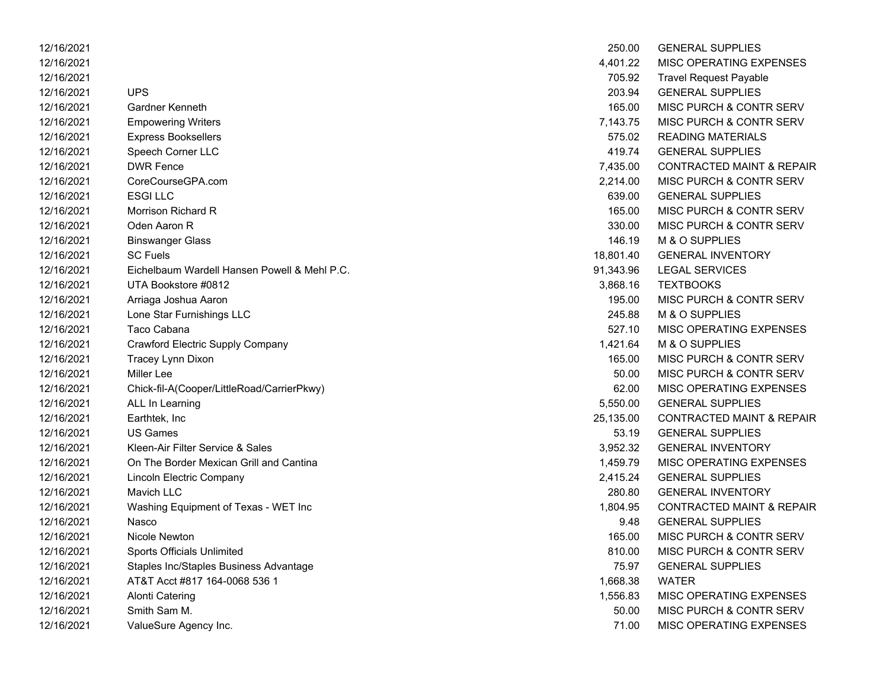| 12/16/2021 |                                              | 250.00    | <b>GENERAL SUPPLIES</b>              |
|------------|----------------------------------------------|-----------|--------------------------------------|
| 12/16/2021 |                                              | 4,401.22  | MISC OPERATING EXPENSES              |
| 12/16/2021 |                                              | 705.92    | <b>Travel Request Payable</b>        |
| 12/16/2021 | <b>UPS</b>                                   | 203.94    | <b>GENERAL SUPPLIES</b>              |
| 12/16/2021 | Gardner Kenneth                              | 165.00    | MISC PURCH & CONTR SERV              |
| 12/16/2021 | <b>Empowering Writers</b>                    | 7,143.75  | MISC PURCH & CONTR SERV              |
| 12/16/2021 | <b>Express Booksellers</b>                   | 575.02    | <b>READING MATERIALS</b>             |
| 12/16/2021 | Speech Corner LLC                            | 419.74    | <b>GENERAL SUPPLIES</b>              |
| 12/16/2021 | <b>DWR Fence</b>                             | 7,435.00  | <b>CONTRACTED MAINT &amp; REPAIR</b> |
| 12/16/2021 | CoreCourseGPA.com                            | 2,214.00  | MISC PURCH & CONTR SERV              |
| 12/16/2021 | <b>ESGILLC</b>                               | 639.00    | <b>GENERAL SUPPLIES</b>              |
| 12/16/2021 | Morrison Richard R                           | 165.00    | MISC PURCH & CONTR SERV              |
| 12/16/2021 | Oden Aaron R                                 | 330.00    | MISC PURCH & CONTR SERV              |
| 12/16/2021 | <b>Binswanger Glass</b>                      | 146.19    | M & O SUPPLIES                       |
| 12/16/2021 | <b>SC Fuels</b>                              | 18,801.40 | <b>GENERAL INVENTORY</b>             |
| 12/16/2021 | Eichelbaum Wardell Hansen Powell & Mehl P.C. | 91,343.96 | <b>LEGAL SERVICES</b>                |
| 12/16/2021 | UTA Bookstore #0812                          | 3,868.16  | <b>TEXTBOOKS</b>                     |
| 12/16/2021 | Arriaga Joshua Aaron                         | 195.00    | MISC PURCH & CONTR SERV              |
| 12/16/2021 | Lone Star Furnishings LLC                    | 245.88    | M & O SUPPLIES                       |
| 12/16/2021 | Taco Cabana                                  | 527.10    | MISC OPERATING EXPENSES              |
| 12/16/2021 | Crawford Electric Supply Company             | 1,421.64  | M & O SUPPLIES                       |
| 12/16/2021 | Tracey Lynn Dixon                            | 165.00    | MISC PURCH & CONTR SERV              |
| 12/16/2021 | <b>Miller</b> Lee                            | 50.00     | MISC PURCH & CONTR SERV              |
| 12/16/2021 | Chick-fil-A(Cooper/LittleRoad/CarrierPkwy)   | 62.00     | MISC OPERATING EXPENSES              |
| 12/16/2021 | ALL In Learning                              | 5,550.00  | <b>GENERAL SUPPLIES</b>              |
| 12/16/2021 | Earthtek, Inc                                | 25,135.00 | <b>CONTRACTED MAINT &amp; REPAIR</b> |
| 12/16/2021 | <b>US Games</b>                              | 53.19     | <b>GENERAL SUPPLIES</b>              |
| 12/16/2021 | Kleen-Air Filter Service & Sales             | 3,952.32  | <b>GENERAL INVENTORY</b>             |
| 12/16/2021 | On The Border Mexican Grill and Cantina      | 1,459.79  | MISC OPERATING EXPENSES              |
| 12/16/2021 | Lincoln Electric Company                     | 2,415.24  | <b>GENERAL SUPPLIES</b>              |
| 12/16/2021 | Mavich LLC                                   | 280.80    | <b>GENERAL INVENTORY</b>             |
| 12/16/2021 | Washing Equipment of Texas - WET Inc         | 1,804.95  | <b>CONTRACTED MAINT &amp; REPAIR</b> |
| 12/16/2021 | Nasco                                        | 9.48      | <b>GENERAL SUPPLIES</b>              |
| 12/16/2021 | Nicole Newton                                | 165.00    | MISC PURCH & CONTR SERV              |
| 12/16/2021 | <b>Sports Officials Unlimited</b>            | 810.00    | MISC PURCH & CONTR SERV              |
| 12/16/2021 | Staples Inc/Staples Business Advantage       | 75.97     | <b>GENERAL SUPPLIES</b>              |
| 12/16/2021 | AT&T Acct #817 164-0068 536 1                | 1,668.38  | <b>WATER</b>                         |
| 12/16/2021 | Alonti Catering                              | 1,556.83  | MISC OPERATING EXPENSES              |
| 12/16/2021 | Smith Sam M.                                 | 50.00     | MISC PURCH & CONTR SERV              |
| 12/16/2021 | ValueSure Agency Inc.                        | 71.00     | <b>MISC OPERATING EXPENSES</b>       |

| 250.00    | <b>GENERAL SUPPLIES</b>              |
|-----------|--------------------------------------|
| 4,401.22  | <b>MISC OPERATING EXPENSES</b>       |
| 705.92    | <b>Travel Request Payable</b>        |
| 203.94    | <b>GENERAL SUPPLIES</b>              |
| 165.00    | MISC PURCH & CONTR SERV              |
| 7,143.75  | MISC PURCH & CONTR SERV              |
| 575.02    | <b>READING MATERIALS</b>             |
| 419.74    | <b>GENERAL SUPPLIES</b>              |
| 7,435.00  | <b>CONTRACTED MAINT &amp; REPAIR</b> |
| 2,214.00  | <b>MISC PURCH &amp; CONTR SERV</b>   |
| 639.00    | <b>GENERAL SUPPLIES</b>              |
| 165.00    | <b>MISC PURCH &amp; CONTR SERV</b>   |
| 330.00    | MISC PURCH & CONTR SERV              |
| 146.19    | M & O SUPPLIES                       |
| 18,801.40 | <b>GENERAL INVENTORY</b>             |
| 91,343.96 | <b>LEGAL SERVICES</b>                |
| 3,868.16  | <b>TEXTBOOKS</b>                     |
| 195.00    | MISC PURCH & CONTR SERV              |
| 245.88    | M & O SUPPLIES                       |
| 527.10    | <b>MISC OPERATING EXPENSES</b>       |
| 1,421.64  | <b>M &amp; O SUPPLIES</b>            |
| 165.00    | <b>MISC PURCH &amp; CONTR SERV</b>   |
| 50.00     | MISC PURCH & CONTR SERV              |
| 62.00     | <b>MISC OPERATING EXPENSES</b>       |
| 5,550.00  | <b>GENERAL SUPPLIES</b>              |
| 25,135.00 | <b>CONTRACTED MAINT &amp; REPAIR</b> |
| 53.19     | <b>GENERAL SUPPLIES</b>              |
| 3,952.32  | <b>GENERAL INVENTORY</b>             |
| 1,459.79  | MISC OPERATING EXPENSES              |
| 2,415.24  | <b>GENERAL SUPPLIES</b>              |
| 280.80    | <b>GENERAL INVENTORY</b>             |
| 1,804.95  | <b>CONTRACTED MAINT &amp; REPAIR</b> |
| 9.48      | <b>GENERAL SUPPLIES</b>              |
| 165.00    | MISC PURCH & CONTR SERV              |
| 810.00    | MISC PURCH & CONTR SERV              |
| 75.97     | <b>GENERAL SUPPLIES</b>              |
| 1,668.38  | <b>WATER</b>                         |
| 1,556.83  | <b>MISC OPERATING EXPENSES</b>       |
| 50.00     | <b>MISC PURCH &amp; CONTR SERV</b>   |
| 71.00     | <b>MISC OPERATING EXPENSES</b>       |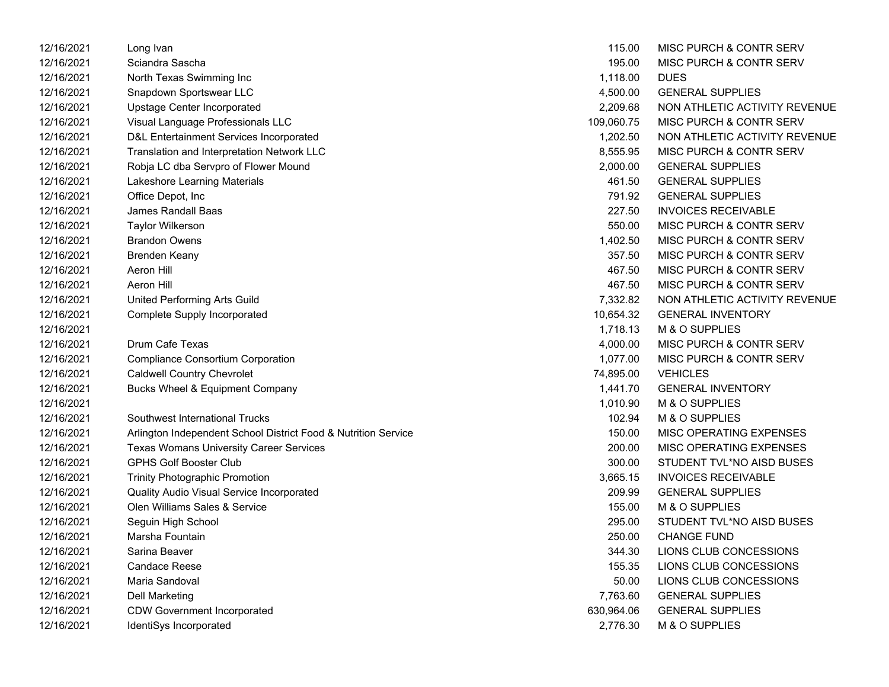| 12/16/2021 | Long Ivan                                                      | 115.00     | MISC PURCH & CONTR SERV       |
|------------|----------------------------------------------------------------|------------|-------------------------------|
| 12/16/2021 | Sciandra Sascha                                                | 195.00     | MISC PURCH & CONTR SERV       |
| 12/16/2021 | North Texas Swimming Inc                                       | 1,118.00   | <b>DUES</b>                   |
| 12/16/2021 | Snapdown Sportswear LLC                                        | 4,500.00   | <b>GENERAL SUPPLIES</b>       |
| 12/16/2021 | Upstage Center Incorporated                                    | 2,209.68   | NON ATHLETIC ACTIVITY REVENUE |
| 12/16/2021 | Visual Language Professionals LLC                              | 109,060.75 | MISC PURCH & CONTR SERV       |
| 12/16/2021 | D&L Entertainment Services Incorporated                        | 1,202.50   | NON ATHLETIC ACTIVITY REVENUE |
| 12/16/2021 | Translation and Interpretation Network LLC                     | 8,555.95   | MISC PURCH & CONTR SERV       |
| 12/16/2021 | Robja LC dba Servpro of Flower Mound                           | 2,000.00   | <b>GENERAL SUPPLIES</b>       |
| 12/16/2021 | Lakeshore Learning Materials                                   | 461.50     | <b>GENERAL SUPPLIES</b>       |
| 12/16/2021 | Office Depot, Inc                                              | 791.92     | <b>GENERAL SUPPLIES</b>       |
| 12/16/2021 | James Randall Baas                                             | 227.50     | <b>INVOICES RECEIVABLE</b>    |
| 12/16/2021 | <b>Taylor Wilkerson</b>                                        | 550.00     | MISC PURCH & CONTR SERV       |
| 12/16/2021 | <b>Brandon Owens</b>                                           | 1,402.50   | MISC PURCH & CONTR SERV       |
| 12/16/2021 | <b>Brenden Keany</b>                                           | 357.50     | MISC PURCH & CONTR SERV       |
| 12/16/2021 | Aeron Hill                                                     | 467.50     | MISC PURCH & CONTR SERV       |
| 12/16/2021 | Aeron Hill                                                     | 467.50     | MISC PURCH & CONTR SERV       |
| 12/16/2021 | United Performing Arts Guild                                   | 7,332.82   | NON ATHLETIC ACTIVITY REVENUE |
| 12/16/2021 | Complete Supply Incorporated                                   | 10,654.32  | <b>GENERAL INVENTORY</b>      |
| 12/16/2021 |                                                                | 1,718.13   | M & O SUPPLIES                |
| 12/16/2021 | <b>Drum Cafe Texas</b>                                         | 4,000.00   | MISC PURCH & CONTR SERV       |
| 12/16/2021 | <b>Compliance Consortium Corporation</b>                       | 1,077.00   | MISC PURCH & CONTR SERV       |
| 12/16/2021 | <b>Caldwell Country Chevrolet</b>                              | 74,895.00  | <b>VEHICLES</b>               |
| 12/16/2021 | <b>Bucks Wheel &amp; Equipment Company</b>                     | 1,441.70   | <b>GENERAL INVENTORY</b>      |
| 12/16/2021 |                                                                | 1,010.90   | M & O SUPPLIES                |
| 12/16/2021 | Southwest International Trucks                                 | 102.94     | M & O SUPPLIES                |
| 12/16/2021 | Arlington Independent School District Food & Nutrition Service | 150.00     | MISC OPERATING EXPENSES       |
| 12/16/2021 | <b>Texas Womans University Career Services</b>                 | 200.00     | MISC OPERATING EXPENSES       |
| 12/16/2021 | <b>GPHS Golf Booster Club</b>                                  | 300.00     | STUDENT TVL*NO AISD BUSES     |
| 12/16/2021 | <b>Trinity Photographic Promotion</b>                          | 3,665.15   | <b>INVOICES RECEIVABLE</b>    |
| 12/16/2021 | Quality Audio Visual Service Incorporated                      | 209.99     | <b>GENERAL SUPPLIES</b>       |
| 12/16/2021 | Olen Williams Sales & Service                                  | 155.00     | M & O SUPPLIES                |
| 12/16/2021 | Seguin High School                                             | 295.00     | STUDENT TVL*NO AISD BUSES     |
| 12/16/2021 | Marsha Fountain                                                | 250.00     | <b>CHANGE FUND</b>            |
| 12/16/2021 | Sarina Beaver                                                  | 344.30     | LIONS CLUB CONCESSIONS        |
| 12/16/2021 | <b>Candace Reese</b>                                           | 155.35     | LIONS CLUB CONCESSIONS        |
| 12/16/2021 | Maria Sandoval                                                 | 50.00      | LIONS CLUB CONCESSIONS        |
| 12/16/2021 | <b>Dell Marketing</b>                                          | 7,763.60   | <b>GENERAL SUPPLIES</b>       |
| 12/16/2021 | <b>CDW Government Incorporated</b>                             | 630,964.06 | <b>GENERAL SUPPLIES</b>       |
| 12/16/2021 | IdentiSys Incorporated                                         | 2,776.30   | M & O SUPPLIES                |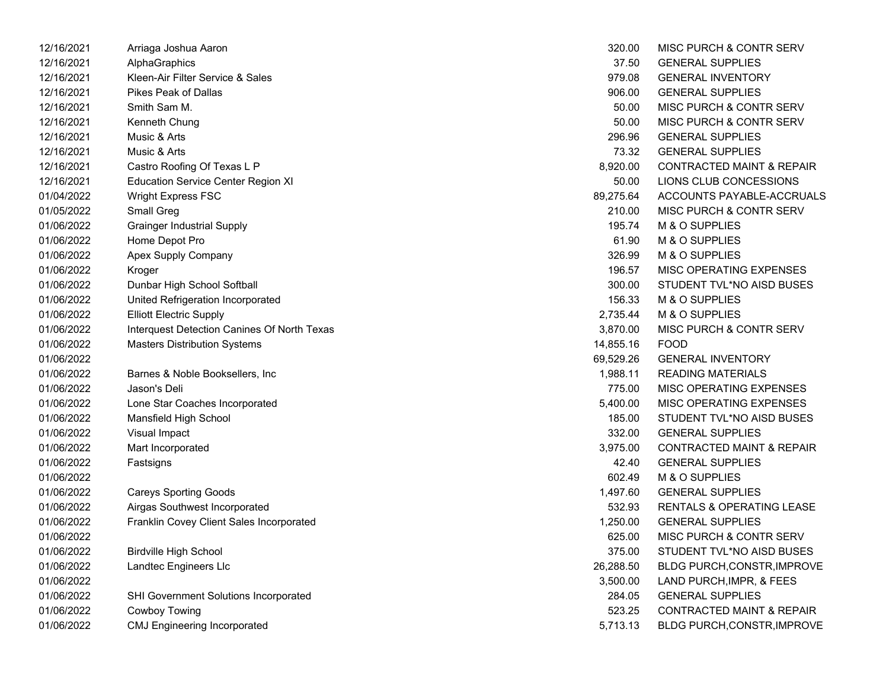| 12/16/2021 | Arriaga Joshua Aaron                        | 320.00    | MISC PURCH & CONTR SERV              |
|------------|---------------------------------------------|-----------|--------------------------------------|
| 12/16/2021 | AlphaGraphics                               | 37.50     | <b>GENERAL SUPPLIES</b>              |
| 12/16/2021 | Kleen-Air Filter Service & Sales            | 979.08    | <b>GENERAL INVENTORY</b>             |
| 12/16/2021 | <b>Pikes Peak of Dallas</b>                 | 906.00    | <b>GENERAL SUPPLIES</b>              |
| 12/16/2021 | Smith Sam M.                                | 50.00     | MISC PURCH & CONTR SERV              |
| 12/16/2021 | Kenneth Chung                               | 50.00     | MISC PURCH & CONTR SERV              |
| 12/16/2021 | Music & Arts                                | 296.96    | <b>GENERAL SUPPLIES</b>              |
| 12/16/2021 | Music & Arts                                | 73.32     | <b>GENERAL SUPPLIES</b>              |
| 12/16/2021 | Castro Roofing Of Texas L P                 | 8,920.00  | <b>CONTRACTED MAINT &amp; REPAIR</b> |
| 12/16/2021 | <b>Education Service Center Region XI</b>   | 50.00     | LIONS CLUB CONCESSIONS               |
| 01/04/2022 | Wright Express FSC                          | 89,275.64 | ACCOUNTS PAYABLE-ACCRUALS            |
| 01/05/2022 | Small Greg                                  | 210.00    | MISC PURCH & CONTR SERV              |
| 01/06/2022 | <b>Grainger Industrial Supply</b>           | 195.74    | M & O SUPPLIES                       |
| 01/06/2022 | Home Depot Pro                              | 61.90     | M & O SUPPLIES                       |
| 01/06/2022 | Apex Supply Company                         | 326.99    | M & O SUPPLIES                       |
| 01/06/2022 | Kroger                                      | 196.57    | MISC OPERATING EXPENSES              |
| 01/06/2022 | Dunbar High School Softball                 | 300.00    | STUDENT TVL*NO AISD BUSES            |
| 01/06/2022 | United Refrigeration Incorporated           | 156.33    | M & O SUPPLIES                       |
| 01/06/2022 | <b>Elliott Electric Supply</b>              | 2,735.44  | M & O SUPPLIES                       |
| 01/06/2022 | Interquest Detection Canines Of North Texas | 3,870.00  | MISC PURCH & CONTR SERV              |
| 01/06/2022 | <b>Masters Distribution Systems</b>         | 14,855.16 | <b>FOOD</b>                          |
| 01/06/2022 |                                             | 69,529.26 | <b>GENERAL INVENTORY</b>             |
| 01/06/2022 | Barnes & Noble Booksellers, Inc             | 1,988.11  | <b>READING MATERIALS</b>             |
| 01/06/2022 | Jason's Deli                                | 775.00    | MISC OPERATING EXPENSES              |
| 01/06/2022 | Lone Star Coaches Incorporated              | 5,400.00  | MISC OPERATING EXPENSES              |
| 01/06/2022 | Mansfield High School                       | 185.00    | STUDENT TVL*NO AISD BUSES            |
| 01/06/2022 | Visual Impact                               | 332.00    | <b>GENERAL SUPPLIES</b>              |
| 01/06/2022 | Mart Incorporated                           | 3,975.00  | <b>CONTRACTED MAINT &amp; REPAIR</b> |
| 01/06/2022 | Fastsigns                                   | 42.40     | <b>GENERAL SUPPLIES</b>              |
| 01/06/2022 |                                             | 602.49    | M & O SUPPLIES                       |
| 01/06/2022 | <b>Careys Sporting Goods</b>                | 1,497.60  | <b>GENERAL SUPPLIES</b>              |
| 01/06/2022 | Airgas Southwest Incorporated               | 532.93    | <b>RENTALS &amp; OPERATING LEASE</b> |
| 01/06/2022 | Franklin Covey Client Sales Incorporated    | 1,250.00  | <b>GENERAL SUPPLIES</b>              |
| 01/06/2022 |                                             | 625.00    | MISC PURCH & CONTR SERV              |
| 01/06/2022 | <b>Birdville High School</b>                | 375.00    | STUDENT TVL*NO AISD BUSES            |
| 01/06/2022 | Landtec Engineers Llc                       | 26,288.50 | <b>BLDG PURCH, CONSTR, IMPROVE</b>   |
| 01/06/2022 |                                             | 3,500.00  | LAND PURCH, IMPR, & FEES             |
| 01/06/2022 | SHI Government Solutions Incorporated       | 284.05    | <b>GENERAL SUPPLIES</b>              |
| 01/06/2022 | Cowboy Towing                               | 523.25    | <b>CONTRACTED MAINT &amp; REPAIR</b> |
| 01/06/2022 | CMJ Engineering Incorporated                | 5,713.13  | <b>BLDG PURCH, CONSTR, IMPROVE</b>   |

| 320.00         | MISC PURCH & CONTR SERV              |
|----------------|--------------------------------------|
| 37.50          | <b>GENERAL SUPPLIES</b>              |
| 979.08         | <b>GENERAL INVENTORY</b>             |
| 906.00         | <b>GENERAL SUPPLIES</b>              |
| 50.00          | MISC PURCH & CONTR SERV              |
| 50.00          | MISC PURCH & CONTR SERV              |
| 296.96         | <b>GENERAL SUPPLIES</b>              |
| 73.32          | <b>GENERAL SUPPLIES</b>              |
| 8,920.00       | <b>CONTRACTED MAINT &amp; REPAIR</b> |
| 50.00          | LIONS CLUB CONCESSIONS               |
| 89,275.64      | ACCOUNTS PAYABLE-ACCRUALS            |
| 210.00         | MISC PURCH & CONTR SERV              |
| 195.74         | M & O SUPPLIES                       |
| 61.90          | <b>M &amp; O SUPPLIES</b>            |
| 326.99         | M & O SUPPLIES                       |
|                | 196.57 MISC OPERATING EXPENSES       |
| 300.00         | STUDENT TVL*NO AISD BUSES            |
| 156.33         | M & O SUPPLIES                       |
| 2,735.44       | M & O SUPPLIES                       |
| 3,870.00       | MISC PURCH & CONTR SERV              |
| 14,855.16 FOOD |                                      |
|                | 69,529.26 GENERAL INVENTORY          |
| 1,988.11       | <b>READING MATERIALS</b>             |
| 775.00         | <b>MISC OPERATING EXPENSES</b>       |
|                | 5,400.00 MISC OPERATING EXPENSES     |
| 185.00         | STUDENT TVL*NO AISD BUSES            |
|                | 332.00 GENERAL SUPPLIES              |
| 3,975.00       | <b>CONTRACTED MAINT &amp; REPAIR</b> |
| 42.40          | <b>GENERAL SUPPLIES</b>              |
| 602.49         | M & O SUPPLIES                       |
| 1,497.60       | <b>GENERAL SUPPLIES</b>              |
| 532.93         | RENTALS & OPERATING LEASE            |
| 1,250.00       | <b>GENERAL SUPPLIES</b>              |
| 625.00         | <b>MISC PURCH &amp; CONTR SERV</b>   |
| 375.00         | STUDENT TVL*NO AISD BUSES            |
| 26,288.50      | BLDG PURCH, CONSTR, IMPROVE          |
| 3,500.00       | LAND PURCH, IMPR, & FEES             |
| 284.05         | <b>GENERAL SUPPLIES</b>              |
| 523.25         | <b>CONTRACTED MAINT &amp; REPAIR</b> |
| 5,713.13       | BLDG PURCH, CONSTR, IMPROVE          |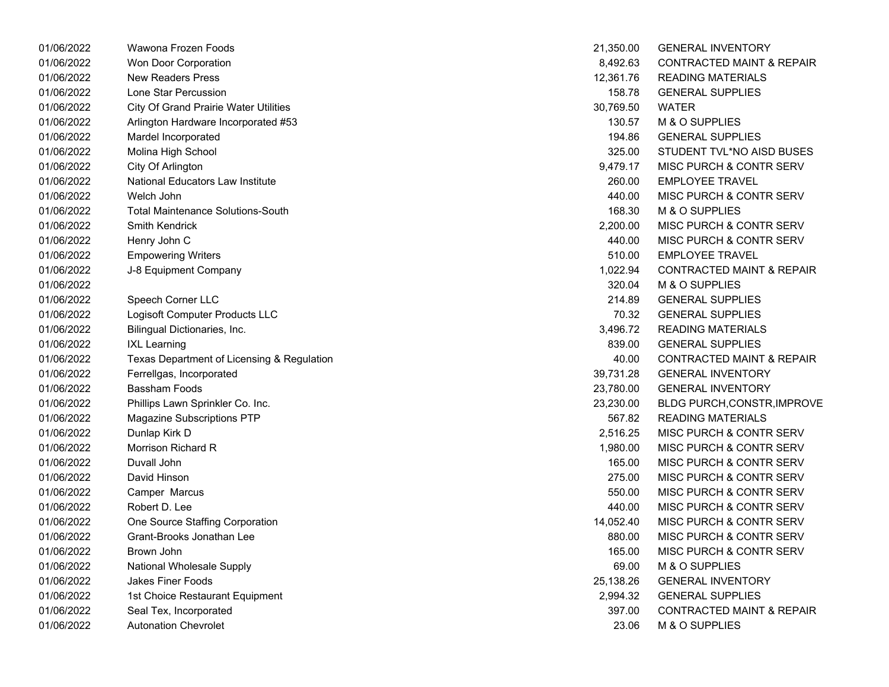| 01/06/2022 | Wawona Frozen Foods                          | 21,350.00 | <b>GENERAL INVENTORY</b>             |
|------------|----------------------------------------------|-----------|--------------------------------------|
| 01/06/2022 | Won Door Corporation                         | 8,492.63  | <b>CONTRACTED MAINT &amp; REPAIR</b> |
| 01/06/2022 | <b>New Readers Press</b>                     | 12,361.76 | <b>READING MATERIALS</b>             |
| 01/06/2022 | Lone Star Percussion                         | 158.78    | <b>GENERAL SUPPLIES</b>              |
| 01/06/2022 | <b>City Of Grand Prairie Water Utilities</b> | 30,769.50 | WATER                                |
| 01/06/2022 | Arlington Hardware Incorporated #53          | 130.57    | M & O SUPPLIES                       |
| 01/06/2022 | Mardel Incorporated                          | 194.86    | <b>GENERAL SUPPLIES</b>              |
| 01/06/2022 | Molina High School                           | 325.00    | STUDENT TVL*NO AISD BUSES            |
| 01/06/2022 | City Of Arlington                            | 9,479.17  | <b>MISC PURCH &amp; CONTR SERV</b>   |
| 01/06/2022 | National Educators Law Institute             | 260.00    | <b>EMPLOYEE TRAVEL</b>               |
| 01/06/2022 | Welch John                                   | 440.00    | <b>MISC PURCH &amp; CONTR SERV</b>   |
| 01/06/2022 | <b>Total Maintenance Solutions-South</b>     | 168.30    | M & O SUPPLIES                       |
| 01/06/2022 | <b>Smith Kendrick</b>                        | 2,200.00  | MISC PURCH & CONTR SERV              |
| 01/06/2022 | Henry John C                                 | 440.00    | <b>MISC PURCH &amp; CONTR SERV</b>   |
| 01/06/2022 | <b>Empowering Writers</b>                    | 510.00    | <b>EMPLOYEE TRAVEL</b>               |
| 01/06/2022 | J-8 Equipment Company                        | 1,022.94  | <b>CONTRACTED MAINT &amp; REPAIR</b> |
| 01/06/2022 |                                              | 320.04    | M & O SUPPLIES                       |
| 01/06/2022 | Speech Corner LLC                            | 214.89    | <b>GENERAL SUPPLIES</b>              |
| 01/06/2022 | Logisoft Computer Products LLC               | 70.32     | <b>GENERAL SUPPLIES</b>              |
| 01/06/2022 | Bilingual Dictionaries, Inc.                 | 3,496.72  | <b>READING MATERIALS</b>             |
| 01/06/2022 | <b>IXL Learning</b>                          | 839.00    | <b>GENERAL SUPPLIES</b>              |
| 01/06/2022 | Texas Department of Licensing & Regulation   | 40.00     | CONTRACTED MAINT & REPAIR            |
| 01/06/2022 | Ferrellgas, Incorporated                     | 39,731.28 | <b>GENERAL INVENTORY</b>             |
| 01/06/2022 | Bassham Foods                                | 23,780.00 | <b>GENERAL INVENTORY</b>             |
| 01/06/2022 | Phillips Lawn Sprinkler Co. Inc.             | 23,230.00 | BLDG PURCH, CONSTR, IMPROVE          |
| 01/06/2022 | Magazine Subscriptions PTP                   | 567.82    | <b>READING MATERIALS</b>             |
| 01/06/2022 | Dunlap Kirk D                                | 2,516.25  | <b>MISC PURCH &amp; CONTR SERV</b>   |
| 01/06/2022 | Morrison Richard R                           | 1,980.00  | <b>MISC PURCH &amp; CONTR SERV</b>   |
| 01/06/2022 | Duvall John                                  | 165.00    | <b>MISC PURCH &amp; CONTR SERV</b>   |
| 01/06/2022 | David Hinson                                 | 275.00    | <b>MISC PURCH &amp; CONTR SERV</b>   |
| 01/06/2022 | Camper Marcus                                | 550.00    | <b>MISC PURCH &amp; CONTR SERV</b>   |
| 01/06/2022 | Robert D. Lee                                | 440.00    | MISC PURCH & CONTR SERV              |
| 01/06/2022 | One Source Staffing Corporation              | 14,052.40 | <b>MISC PURCH &amp; CONTR SERV</b>   |
| 01/06/2022 | Grant-Brooks Jonathan Lee                    | 880.00    | MISC PURCH & CONTR SERV              |
| 01/06/2022 | Brown John                                   | 165.00    | <b>MISC PURCH &amp; CONTR SERV</b>   |
| 01/06/2022 | National Wholesale Supply                    | 69.00     | M & O SUPPLIES                       |
| 01/06/2022 | <b>Jakes Finer Foods</b>                     | 25,138.26 | <b>GENERAL INVENTORY</b>             |
| 01/06/2022 | 1st Choice Restaurant Equipment              | 2,994.32  | <b>GENERAL SUPPLIES</b>              |
| 01/06/2022 | Seal Tex, Incorporated                       | 397.00    | <b>CONTRACTED MAINT &amp; REPAIR</b> |
| 01/06/2022 | <b>Autonation Chevrolet</b>                  | 23.06     | M & O SUPPLIES                       |

| 21,350.00 | <b>GENERAL INVENTORY</b>             |
|-----------|--------------------------------------|
| 8,492.63  | <b>CONTRACTED MAINT &amp; REPAIR</b> |
| 12,361.76 | <b>READING MATERIALS</b>             |
| 158.78    | <b>GENERAL SUPPLIES</b>              |
| 30,769.50 | <b>WATER</b>                         |
| 130.57    | <b>M &amp; O SUPPLIES</b>            |
| 194.86    | <b>GENERAL SUPPLIES</b>              |
| 325.00    | STUDENT TVL*NO AISD BUSES            |
| 9,479.17  | <b>MISC PURCH &amp; CONTR SERV</b>   |
| 260.00    | <b>EMPLOYEE TRAVEL</b>               |
| 440.00    | MISC PURCH & CONTR SERV              |
| 168.30    | <b>M &amp; O SUPPLIES</b>            |
| 2,200.00  | <b>MISC PURCH &amp; CONTR SERV</b>   |
| 440.00    | <b>MISC PURCH &amp; CONTR SERV</b>   |
| 510.00    | <b>EMPLOYEE TRAVEL</b>               |
| 1,022.94  | <b>CONTRACTED MAINT &amp; REPAIR</b> |
| 320.04    | <b>M &amp; O SUPPLIES</b>            |
| 214.89    | <b>GENERAL SUPPLIES</b>              |
| 70.32     | <b>GENERAL SUPPLIES</b>              |
| 3,496.72  | <b>READING MATERIALS</b>             |
| 839.00    | <b>GENERAL SUPPLIES</b>              |
| 40.00     | <b>CONTRACTED MAINT &amp; REPAIR</b> |
| 39,731.28 | <b>GENERAL INVENTORY</b>             |
| 23,780.00 | <b>GENERAL INVENTORY</b>             |
| 23,230.00 | BLDG PURCH, CONSTR, IMPROVE          |
| 567.82    | <b>READING MATERIALS</b>             |
| 2,516.25  | <b>MISC PURCH &amp; CONTR SERV</b>   |
| 1,980.00  | <b>MISC PURCH &amp; CONTR SERV</b>   |
| 165.00    | <b>MISC PURCH &amp; CONTR SERV</b>   |
| 275.00    | <b>MISC PURCH &amp; CONTR SERV</b>   |
| 550.00    | <b>MISC PURCH &amp; CONTR SERV</b>   |
| 440.00    | MISC PURCH & CONTR SERV              |
| 14,052.40 | <b>MISC PURCH &amp; CONTR SERV</b>   |
| 880.00    | <b>MISC PURCH &amp; CONTR SERV</b>   |
| 165.00    | <b>MISC PURCH &amp; CONTR SERV</b>   |
| 69.00     | <b>M &amp; O SUPPLIES</b>            |
| 25,138.26 | <b>GENERAL INVENTORY</b>             |
| 2,994.32  | <b>GENERAL SUPPLIES</b>              |
| 397.00    | <b>CONTRACTED MAINT &amp; REPAIR</b> |
| 23.06     | M & O SUPPLIES                       |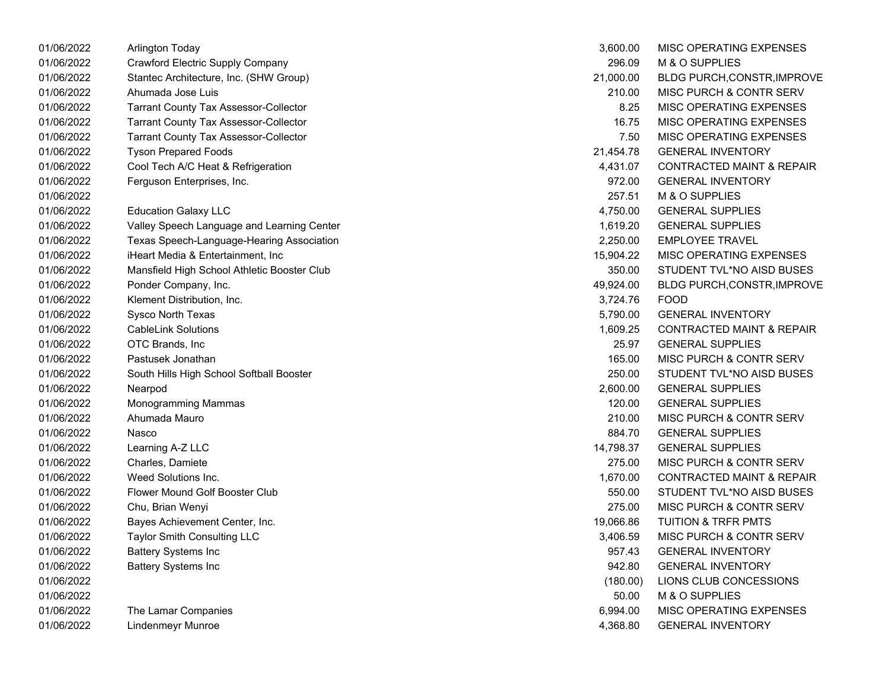| 01/06/2022 | Arlington Today                              | 3,600.00  | MISC OPERATING EXPENSES              |
|------------|----------------------------------------------|-----------|--------------------------------------|
| 01/06/2022 | <b>Crawford Electric Supply Company</b>      | 296.09    | M & O SUPPLIES                       |
| 01/06/2022 | Stantec Architecture, Inc. (SHW Group)       | 21,000.00 | <b>BLDG PURCH, CONSTR, IMPROVE</b>   |
| 01/06/2022 | Ahumada Jose Luis                            | 210.00    | MISC PURCH & CONTR SERV              |
| 01/06/2022 | <b>Tarrant County Tax Assessor-Collector</b> | 8.25      | MISC OPERATING EXPENSES              |
| 01/06/2022 | <b>Tarrant County Tax Assessor-Collector</b> | 16.75     | MISC OPERATING EXPENSES              |
| 01/06/2022 | <b>Tarrant County Tax Assessor-Collector</b> | 7.50      | MISC OPERATING EXPENSES              |
| 01/06/2022 | <b>Tyson Prepared Foods</b>                  | 21,454.78 | <b>GENERAL INVENTORY</b>             |
| 01/06/2022 | Cool Tech A/C Heat & Refrigeration           | 4,431.07  | CONTRACTED MAINT & REPAIR            |
| 01/06/2022 | Ferguson Enterprises, Inc.                   | 972.00    | <b>GENERAL INVENTORY</b>             |
| 01/06/2022 |                                              | 257.51    | M & O SUPPLIES                       |
| 01/06/2022 | <b>Education Galaxy LLC</b>                  | 4,750.00  | <b>GENERAL SUPPLIES</b>              |
| 01/06/2022 | Valley Speech Language and Learning Center   | 1,619.20  | <b>GENERAL SUPPLIES</b>              |
| 01/06/2022 | Texas Speech-Language-Hearing Association    | 2,250.00  | <b>EMPLOYEE TRAVEL</b>               |
| 01/06/2022 | iHeart Media & Entertainment, Inc.           | 15,904.22 | MISC OPERATING EXPENSES              |
| 01/06/2022 | Mansfield High School Athletic Booster Club  | 350.00    | STUDENT TVL*NO AISD BUSES            |
| 01/06/2022 | Ponder Company, Inc.                         | 49,924.00 | <b>BLDG PURCH, CONSTR, IMPROVE</b>   |
| 01/06/2022 | Klement Distribution, Inc.                   | 3,724.76  | <b>FOOD</b>                          |
| 01/06/2022 | Sysco North Texas                            | 5,790.00  | <b>GENERAL INVENTORY</b>             |
| 01/06/2022 | <b>CableLink Solutions</b>                   | 1,609.25  | <b>CONTRACTED MAINT &amp; REPAIR</b> |
| 01/06/2022 | OTC Brands, Inc                              | 25.97     | <b>GENERAL SUPPLIES</b>              |
| 01/06/2022 | Pastusek Jonathan                            | 165.00    | MISC PURCH & CONTR SERV              |
| 01/06/2022 | South Hills High School Softball Booster     | 250.00    | STUDENT TVL*NO AISD BUSES            |
| 01/06/2022 | Nearpod                                      | 2,600.00  | <b>GENERAL SUPPLIES</b>              |
| 01/06/2022 | Monogramming Mammas                          | 120.00    | <b>GENERAL SUPPLIES</b>              |
| 01/06/2022 | Ahumada Mauro                                | 210.00    | MISC PURCH & CONTR SERV              |
| 01/06/2022 | Nasco                                        | 884.70    | <b>GENERAL SUPPLIES</b>              |
| 01/06/2022 | Learning A-Z LLC                             | 14,798.37 | <b>GENERAL SUPPLIES</b>              |
| 01/06/2022 | Charles, Damiete                             | 275.00    | MISC PURCH & CONTR SERV              |
| 01/06/2022 | Weed Solutions Inc.                          | 1,670.00  | <b>CONTRACTED MAINT &amp; REPAIR</b> |
| 01/06/2022 | Flower Mound Golf Booster Club               | 550.00    | STUDENT TVL*NO AISD BUSES            |
| 01/06/2022 | Chu, Brian Wenyi                             | 275.00    | MISC PURCH & CONTR SERV              |
| 01/06/2022 | Bayes Achievement Center, Inc.               | 19,066.86 | <b>TUITION &amp; TRFR PMTS</b>       |
| 01/06/2022 | Taylor Smith Consulting LLC                  | 3,406.59  | MISC PURCH & CONTR SERV              |
| 01/06/2022 | <b>Battery Systems Inc</b>                   | 957.43    | <b>GENERAL INVENTORY</b>             |
| 01/06/2022 | <b>Battery Systems Inc</b>                   | 942.80    | <b>GENERAL INVENTORY</b>             |
| 01/06/2022 |                                              | (180.00)  | LIONS CLUB CONCESSIONS               |
| 01/06/2022 |                                              | 50.00     | M & O SUPPLIES                       |
| 01/06/2022 | The Lamar Companies                          | 6,994.00  | MISC OPERATING EXPENSES              |
| 01/06/2022 | <b>Lindenmeyr Munroe</b>                     | 4,368.80  | <b>GENERAL INVENTORY</b>             |
|            |                                              |           |                                      |

| 3,600.00  | <b>MISC OPERATING EXPENSES</b>       |
|-----------|--------------------------------------|
| 296.09    | <b>M &amp; O SUPPLIES</b>            |
| 21,000.00 | <b>BLDG PURCH, CONSTR, IMPROVE</b>   |
| 210.00    | <b>MISC PURCH &amp; CONTR SERV</b>   |
| 8.25      | <b>MISC OPERATING EXPENSES</b>       |
| 16.75     | <b>MISC OPERATING EXPENSES</b>       |
| 7.50      | <b>MISC OPERATING EXPENSES</b>       |
| 21,454.78 | <b>GENERAL INVENTORY</b>             |
| 4,431.07  | <b>CONTRACTED MAINT &amp; REPAIR</b> |
| 972.00    | <b>GENERAL INVENTORY</b>             |
| 257.51    | M & O SUPPLIES                       |
| 4,750.00  | <b>GENERAL SUPPLIES</b>              |
| 1,619.20  | <b>GENERAL SUPPLIES</b>              |
| 2,250.00  | <b>EMPLOYEE TRAVEL</b>               |
| 15,904.22 | <b>MISC OPERATING EXPENSES</b>       |
| 350.00    | STUDENT TVL*NO AISD BUSES            |
| 49,924.00 | BLDG PURCH, CONSTR, IMPROVE          |
| 3,724.76  | <b>FOOD</b>                          |
| 5,790.00  | <b>GENERAL INVENTORY</b>             |
| 1,609.25  | <b>CONTRACTED MAINT &amp; REPAIR</b> |
| 25.97     | <b>GENERAL SUPPLIES</b>              |
| 165.00    | <b>MISC PURCH &amp; CONTR SERV</b>   |
| 250.00    | STUDENT TVL*NO AISD BUSES            |
| 2,600.00  | <b>GENERAL SUPPLIES</b>              |
| 120.00    | <b>GENERAL SUPPLIES</b>              |
| 210.00    | <b>MISC PURCH &amp; CONTR SERV</b>   |
| 884.70    | <b>GENERAL SUPPLIES</b>              |
| 14,798.37 | <b>GENERAL SUPPLIES</b>              |
| 275.00    | <b>MISC PURCH &amp; CONTR SERV</b>   |
| 1,670.00  | <b>CONTRACTED MAINT &amp; REPAIR</b> |
| 550.00    | STUDENT TVL*NO AISD BUSES            |
| 275.00    | MISC PURCH & CONTR SERV              |
| 19,066.86 | <b>TUITION &amp; TRFR PMTS</b>       |
| 3,406.59  | <b>MISC PURCH &amp; CONTR SERV</b>   |
| 957.43    | <b>GENERAL INVENTORY</b>             |
| 942.80    | <b>GENERAL INVENTORY</b>             |
| (180.00)  | LIONS CLUB CONCESSIONS               |
| 50.00     | M & O SUPPLIES                       |
| 6,994.00  | MISC OPERATING EXPENSES              |
| 4,368.80  | <b>GENERAL INVENTORY</b>             |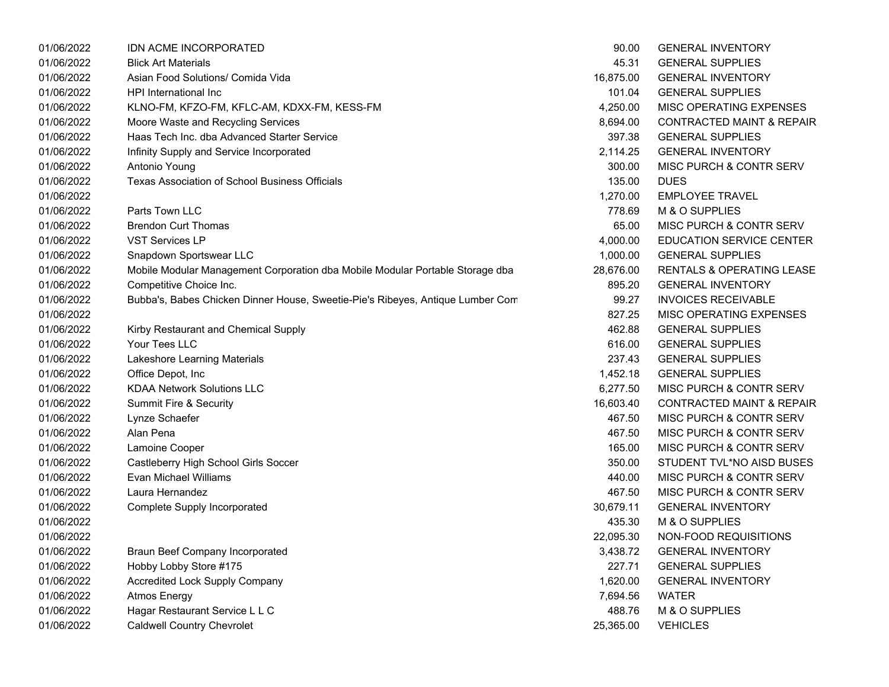| 01/06/2022 | <b>IDN ACME INCORPORATED</b>                                                   | 90.00     | <b>GENERAL INVENTORY</b>             |
|------------|--------------------------------------------------------------------------------|-----------|--------------------------------------|
| 01/06/2022 | <b>Blick Art Materials</b>                                                     | 45.31     | <b>GENERAL SUPPLIES</b>              |
| 01/06/2022 | Asian Food Solutions/ Comida Vida                                              | 16,875.00 | <b>GENERAL INVENTORY</b>             |
| 01/06/2022 | HPI International Inc                                                          | 101.04    | <b>GENERAL SUPPLIES</b>              |
| 01/06/2022 | KLNO-FM, KFZO-FM, KFLC-AM, KDXX-FM, KESS-FM                                    | 4,250.00  | MISC OPERATING EXPENSES              |
| 01/06/2022 | Moore Waste and Recycling Services                                             | 8,694.00  | <b>CONTRACTED MAINT &amp; REPAIR</b> |
| 01/06/2022 | Haas Tech Inc. dba Advanced Starter Service                                    | 397.38    | <b>GENERAL SUPPLIES</b>              |
| 01/06/2022 | Infinity Supply and Service Incorporated                                       | 2,114.25  | <b>GENERAL INVENTORY</b>             |
| 01/06/2022 | Antonio Young                                                                  | 300.00    | MISC PURCH & CONTR SERV              |
| 01/06/2022 | Texas Association of School Business Officials                                 | 135.00    | <b>DUES</b>                          |
| 01/06/2022 |                                                                                | 1,270.00  | <b>EMPLOYEE TRAVEL</b>               |
| 01/06/2022 | Parts Town LLC                                                                 | 778.69    | M & O SUPPLIES                       |
| 01/06/2022 | <b>Brendon Curt Thomas</b>                                                     | 65.00     | MISC PURCH & CONTR SERV              |
| 01/06/2022 | <b>VST Services LP</b>                                                         | 4,000.00  | <b>EDUCATION SERVICE CENTER</b>      |
| 01/06/2022 | Snapdown Sportswear LLC                                                        | 1,000.00  | <b>GENERAL SUPPLIES</b>              |
| 01/06/2022 | Mobile Modular Management Corporation dba Mobile Modular Portable Storage dba  | 28,676.00 | RENTALS & OPERATING LEASE            |
| 01/06/2022 | Competitive Choice Inc.                                                        | 895.20    | <b>GENERAL INVENTORY</b>             |
| 01/06/2022 | Bubba's, Babes Chicken Dinner House, Sweetie-Pie's Ribeyes, Antique Lumber Com | 99.27     | <b>INVOICES RECEIVABLE</b>           |
| 01/06/2022 |                                                                                | 827.25    | MISC OPERATING EXPENSES              |
| 01/06/2022 | Kirby Restaurant and Chemical Supply                                           | 462.88    | <b>GENERAL SUPPLIES</b>              |
| 01/06/2022 | Your Tees LLC                                                                  | 616.00    | <b>GENERAL SUPPLIES</b>              |
| 01/06/2022 | Lakeshore Learning Materials                                                   | 237.43    | <b>GENERAL SUPPLIES</b>              |
| 01/06/2022 | Office Depot, Inc                                                              | 1,452.18  | <b>GENERAL SUPPLIES</b>              |
| 01/06/2022 | <b>KDAA Network Solutions LLC</b>                                              | 6,277.50  | MISC PURCH & CONTR SERV              |
| 01/06/2022 | Summit Fire & Security                                                         | 16,603.40 | <b>CONTRACTED MAINT &amp; REPAIR</b> |
| 01/06/2022 | Lynze Schaefer                                                                 | 467.50    | MISC PURCH & CONTR SERV              |
| 01/06/2022 | Alan Pena                                                                      | 467.50    | MISC PURCH & CONTR SERV              |
| 01/06/2022 | Lamoine Cooper                                                                 | 165.00    | MISC PURCH & CONTR SERV              |
| 01/06/2022 | Castleberry High School Girls Soccer                                           | 350.00    | STUDENT TVL*NO AISD BUSES            |
| 01/06/2022 | <b>Evan Michael Williams</b>                                                   | 440.00    | MISC PURCH & CONTR SERV              |
| 01/06/2022 | Laura Hernandez                                                                | 467.50    | MISC PURCH & CONTR SERV              |
| 01/06/2022 | <b>Complete Supply Incorporated</b>                                            | 30,679.11 | <b>GENERAL INVENTORY</b>             |
| 01/06/2022 |                                                                                | 435.30    | M & O SUPPLIES                       |
| 01/06/2022 |                                                                                | 22,095.30 | NON-FOOD REQUISITIONS                |
| 01/06/2022 | <b>Braun Beef Company Incorporated</b>                                         | 3,438.72  | <b>GENERAL INVENTORY</b>             |
| 01/06/2022 | Hobby Lobby Store #175                                                         | 227.71    | <b>GENERAL SUPPLIES</b>              |
| 01/06/2022 | <b>Accredited Lock Supply Company</b>                                          | 1,620.00  | <b>GENERAL INVENTORY</b>             |
| 01/06/2022 | <b>Atmos Energy</b>                                                            | 7,694.56  | <b>WATER</b>                         |
| 01/06/2022 | Hagar Restaurant Service L L C                                                 | 488.76    | M & O SUPPLIES                       |
| 01/06/2022 | <b>Caldwell Country Chevrolet</b>                                              | 25,365.00 | <b>VEHICLES</b>                      |
|            |                                                                                |           |                                      |

| 90.00     | <b>GENERAL INVENTORY</b>             |
|-----------|--------------------------------------|
| 45.31     | <b>GENERAL SUPPLIES</b>              |
| 16,875.00 | <b>GENERAL INVENTORY</b>             |
| 101.04    | <b>GENERAL SUPPLIES</b>              |
| 4,250.00  | <b>MISC OPERATING EXPENSES</b>       |
| 8,694.00  | CONTRACTED MAINT & REPAIR            |
| 397.38    | <b>GENERAL SUPPLIES</b>              |
| 2,114.25  | <b>GENERAL INVENTORY</b>             |
| 300.00    | MISC PURCH & CONTR SERV              |
| 135.00    | <b>DUES</b>                          |
| 1,270.00  | <b>EMPLOYEE TRAVEL</b>               |
| 778.69    | <b>M &amp; O SUPPLIES</b>            |
| 65.00     | <b>MISC PURCH &amp; CONTR SERV</b>   |
| 4,000.00  | <b>EDUCATION SERVICE CENTER</b>      |
| 1,000.00  | <b>GENERAL SUPPLIES</b>              |
| 28.676.00 | <b>RENTALS &amp; OPERATING LEASE</b> |
| 895.20    | <b>GENERAL INVENTORY</b>             |
| 99.27     | <b>INVOICES RECEIVABLE</b>           |
| 827.25    | <b>MISC OPERATING EXPENSES</b>       |
| 462.88    | <b>GENERAL SUPPLIES</b>              |
| 616.00    | <b>GENERAL SUPPLIES</b>              |
| 237.43    | <b>GENERAL SUPPLIES</b>              |
| 1,452.18  | <b>GENERAL SUPPLIES</b>              |
| 6,277.50  | <b>MISC PURCH &amp; CONTR SERV</b>   |
| 16,603.40 | <b>CONTRACTED MAINT &amp; REPAIR</b> |
| 467.50    | <b>MISC PURCH &amp; CONTR SERV</b>   |
| 467.50    | <b>MISC PURCH &amp; CONTR SERV</b>   |
| 165.00    | MISC PURCH & CONTR SERV              |
| 350.00    | STUDENT TVL*NO AISD BUSES            |
| 440.00    | MISC PURCH & CONTR SERV              |
| 467.50    | <b>MISC PURCH &amp; CONTR SERV</b>   |
| 30,679.11 | <b>GENERAL INVENTORY</b>             |
| 435.30    | <b>M &amp; O SUPPLIES</b>            |
| 22,095.30 | NON-FOOD REQUISITIONS                |
| 3,438.72  | <b>GENERAL INVENTORY</b>             |
| 227.71    | <b>GENERAL SUPPLIES</b>              |
| 1,620.00  | <b>GENERAL INVENTORY</b>             |
| 7,694.56  | <b>WATER</b>                         |
| 488.76    | M & O SUPPLIES                       |
| 25,365.00 | <b>VEHICLES</b>                      |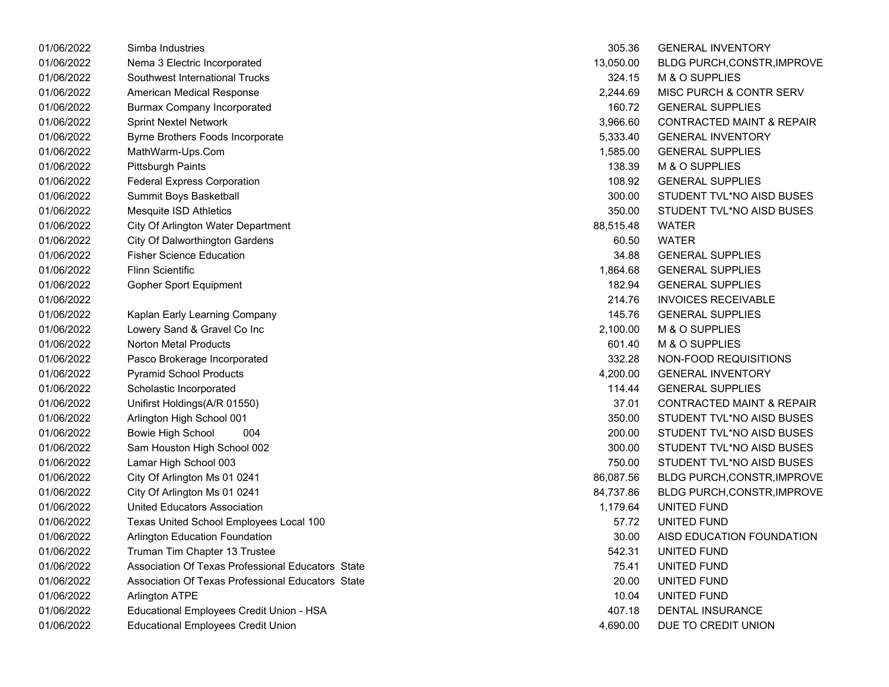| 01/06/2022 | Simba Industries                                  | 305.36    | <b>GENERAL INVENTORY</b>             |
|------------|---------------------------------------------------|-----------|--------------------------------------|
| 01/06/2022 | Nema 3 Electric Incorporated                      | 13,050.00 | BLDG PURCH, CONSTR, IMPROVE          |
| 01/06/2022 | Southwest International Trucks                    | 324.15    | M & O SUPPLIES                       |
| 01/06/2022 | American Medical Response                         | 2,244.69  | MISC PURCH & CONTR SERV              |
| 01/06/2022 | <b>Burmax Company Incorporated</b>                | 160.72    | <b>GENERAL SUPPLIES</b>              |
| 01/06/2022 | <b>Sprint Nextel Network</b>                      | 3,966.60  | <b>CONTRACTED MAINT &amp; REPAIR</b> |
| 01/06/2022 | Byrne Brothers Foods Incorporate                  | 5,333.40  | <b>GENERAL INVENTORY</b>             |
| 01/06/2022 | MathWarm-Ups.Com                                  | 1,585.00  | <b>GENERAL SUPPLIES</b>              |
| 01/06/2022 | <b>Pittsburgh Paints</b>                          | 138.39    | M & O SUPPLIES                       |
| 01/06/2022 | <b>Federal Express Corporation</b>                | 108.92    | <b>GENERAL SUPPLIES</b>              |
| 01/06/2022 | Summit Boys Basketball                            | 300.00    | STUDENT TVL*NO AISD BUSES            |
| 01/06/2022 | Mesquite ISD Athletics                            | 350.00    | STUDENT TVL*NO AISD BUSES            |
| 01/06/2022 | City Of Arlington Water Department                | 88,515.48 | WATER                                |
| 01/06/2022 | <b>City Of Dalworthington Gardens</b>             | 60.50     | <b>WATER</b>                         |
| 01/06/2022 | <b>Fisher Science Education</b>                   | 34.88     | <b>GENERAL SUPPLIES</b>              |
| 01/06/2022 | <b>Flinn Scientific</b>                           | 1,864.68  | <b>GENERAL SUPPLIES</b>              |
| 01/06/2022 | Gopher Sport Equipment                            | 182.94    | <b>GENERAL SUPPLIES</b>              |
| 01/06/2022 |                                                   | 214.76    | <b>INVOICES RECEIVABLE</b>           |
| 01/06/2022 | Kaplan Early Learning Company                     | 145.76    | <b>GENERAL SUPPLIES</b>              |
| 01/06/2022 | Lowery Sand & Gravel Co Inc                       | 2,100.00  | M & O SUPPLIES                       |
| 01/06/2022 | <b>Norton Metal Products</b>                      | 601.40    | M & O SUPPLIES                       |
| 01/06/2022 | Pasco Brokerage Incorporated                      | 332.28    | NON-FOOD REQUISITIONS                |
| 01/06/2022 | <b>Pyramid School Products</b>                    | 4,200.00  | <b>GENERAL INVENTORY</b>             |
| 01/06/2022 | Scholastic Incorporated                           | 114.44    | <b>GENERAL SUPPLIES</b>              |
| 01/06/2022 | Unifirst Holdings(A/R 01550)                      | 37.01     | <b>CONTRACTED MAINT &amp; REPAIR</b> |
| 01/06/2022 | Arlington High School 001                         | 350.00    | STUDENT TVL*NO AISD BUSES            |
| 01/06/2022 | Bowie High School<br>004                          | 200.00    | STUDENT TVL*NO AISD BUSES            |
| 01/06/2022 | Sam Houston High School 002                       | 300.00    | STUDENT TVL*NO AISD BUSES            |
| 01/06/2022 | Lamar High School 003                             | 750.00    | STUDENT TVL*NO AISD BUSES            |
| 01/06/2022 | City Of Arlington Ms 01 0241                      | 86,087.56 | BLDG PURCH, CONSTR, IMPROVE          |
| 01/06/2022 | City Of Arlington Ms 01 0241                      | 84,737.86 | BLDG PURCH, CONSTR, IMPROVE          |
| 01/06/2022 | United Educators Association                      | 1,179.64  | UNITED FUND                          |
| 01/06/2022 | Texas United School Employees Local 100           | 57.72     | UNITED FUND                          |
| 01/06/2022 | Arlington Education Foundation                    | 30.00     | AISD EDUCATION FOUNDATION            |
| 01/06/2022 | Truman Tim Chapter 13 Trustee                     | 542.31    | UNITED FUND                          |
| 01/06/2022 | Association Of Texas Professional Educators State | 75.41     | UNITED FUND                          |
| 01/06/2022 | Association Of Texas Professional Educators State | 20.00     | UNITED FUND                          |
| 01/06/2022 | Arlington ATPE                                    | 10.04     | UNITED FUND                          |
| 01/06/2022 | Educational Employees Credit Union - HSA          | 407.18    | <b>DENTAL INSURANCE</b>              |
| 01/06/2022 | Educational Employees Credit Union                | 4,690.00  | DUE TO CREDIT UNION                  |

| 305.36    | <b>GENERAL INVENTORY</b>             |
|-----------|--------------------------------------|
| 13,050.00 | <b>BLDG PURCH, CONSTR, IMPROVE</b>   |
| 324.15    | <b>M &amp; O SUPPLIES</b>            |
| 2,244.69  | MISC PURCH & CONTR SERV              |
| 160.72    | <b>GENERAL SUPPLIES</b>              |
| 3,966.60  | <b>CONTRACTED MAINT &amp; REPAIR</b> |
| 5,333.40  | <b>GENERAL INVENTORY</b>             |
| 1,585.00  | <b>GENERAL SUPPLIES</b>              |
| 138.39    | <b>M &amp; O SUPPLIES</b>            |
| 108.92    | <b>GENERAL SUPPLIES</b>              |
| 300.00    | STUDENT TVL*NO AISD BUSES            |
| 350.00    | STUDENT TVL*NO AISD BUSES            |
| 88,515.48 | WATER                                |
| 60.50     | <b>WATER</b>                         |
| 34.88     | <b>GENERAL SUPPLIES</b>              |
| 1,864.68  | <b>GENERAL SUPPLIES</b>              |
| 182.94    | <b>GENERAL SUPPLIES</b>              |
| 214.76    | <b>INVOICES RECEIVABLE</b>           |
| 145.76    | <b>GENERAL SUPPLIES</b>              |
| 2,100.00  | M & O SUPPLIES                       |
| 601.40    | <b>M &amp; O SUPPLIES</b>            |
| 332.28    | NON-FOOD REQUISITIONS                |
| 4,200.00  | <b>GENERAL INVENTORY</b>             |
| 114.44    | <b>GENERAL SUPPLIES</b>              |
| 37.01     | <b>CONTRACTED MAINT &amp; REPAIR</b> |
| 350.00    | STUDENT TVL*NO AISD BUSES            |
| 200.00    | STUDENT TVL*NO AISD BUSES            |
| 300.00    | STUDENT TVL*NO AISD BUSES            |
| 750.00    | STUDENT TVL*NO AISD BUSES            |
| 86,087.56 | <b>BLDG PURCH, CONSTR, IMPROVE</b>   |
| 84,737.86 | BLDG PURCH, CONSTR, IMPROVE          |
| 1,179.64  | UNITED FUND                          |
| 57.72     | UNITED FUND                          |
| 30.00     | AISD EDUCATION FOUNDATION            |
| 542.31    | UNITED FUND                          |
| 75.41     | UNITED FUND                          |
| 20.00     | UNITED FUND                          |
| 10.04     | UNITED FUND                          |
| 407.18    | <b>DENTAL INSURANCE</b>              |
| 4.690.00  | DUE TO CREDIT UNION                  |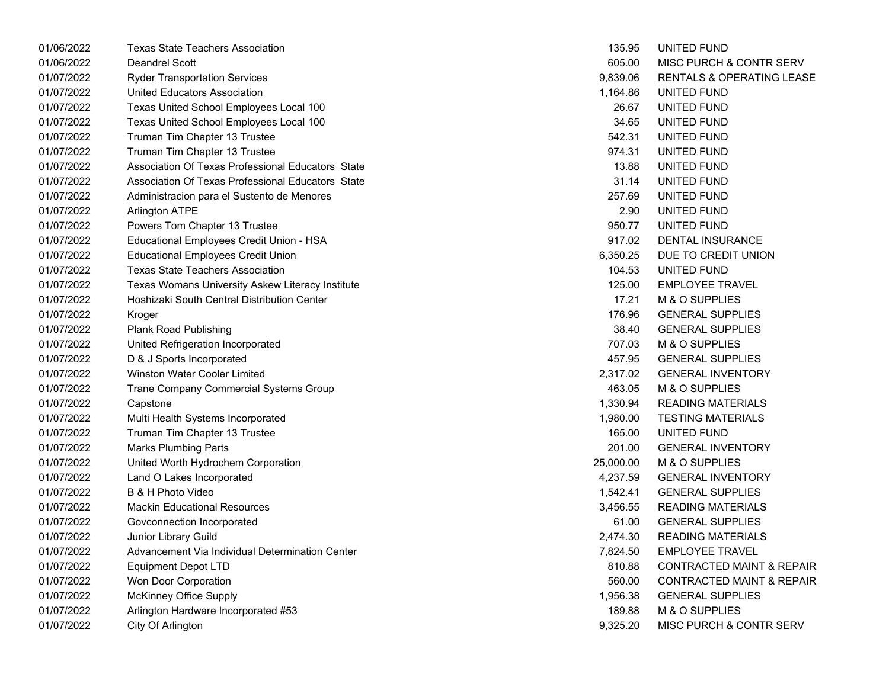| 01/06/2022 | <b>Texas State Teachers Association</b>           | 135.95    | UNITED FUND                          |
|------------|---------------------------------------------------|-----------|--------------------------------------|
| 01/06/2022 | <b>Deandrel Scott</b>                             | 605.00    | MISC PURCH & CONTR SERV              |
| 01/07/2022 | <b>Ryder Transportation Services</b>              | 9,839.06  | RENTALS & OPERATING LEASE            |
| 01/07/2022 | United Educators Association                      | 1,164.86  | UNITED FUND                          |
| 01/07/2022 | Texas United School Employees Local 100           | 26.67     | UNITED FUND                          |
| 01/07/2022 | Texas United School Employees Local 100           | 34.65     | UNITED FUND                          |
| 01/07/2022 | Truman Tim Chapter 13 Trustee                     | 542.31    | UNITED FUND                          |
| 01/07/2022 | Truman Tim Chapter 13 Trustee                     | 974.31    | UNITED FUND                          |
| 01/07/2022 | Association Of Texas Professional Educators State | 13.88     | UNITED FUND                          |
| 01/07/2022 | Association Of Texas Professional Educators State | 31.14     | UNITED FUND                          |
| 01/07/2022 | Administracion para el Sustento de Menores        | 257.69    | UNITED FUND                          |
| 01/07/2022 | <b>Arlington ATPE</b>                             | 2.90      | UNITED FUND                          |
| 01/07/2022 | Powers Tom Chapter 13 Trustee                     | 950.77    | UNITED FUND                          |
| 01/07/2022 | Educational Employees Credit Union - HSA          | 917.02    | DENTAL INSURANCE                     |
| 01/07/2022 | <b>Educational Employees Credit Union</b>         | 6,350.25  | DUE TO CREDIT UNION                  |
| 01/07/2022 | <b>Texas State Teachers Association</b>           | 104.53    | UNITED FUND                          |
| 01/07/2022 | Texas Womans University Askew Literacy Institute  | 125.00    | <b>EMPLOYEE TRAVEL</b>               |
| 01/07/2022 | Hoshizaki South Central Distribution Center       | 17.21     | M & O SUPPLIES                       |
| 01/07/2022 | Kroger                                            | 176.96    | <b>GENERAL SUPPLIES</b>              |
| 01/07/2022 | <b>Plank Road Publishing</b>                      | 38.40     | <b>GENERAL SUPPLIES</b>              |
| 01/07/2022 | United Refrigeration Incorporated                 | 707.03    | M & O SUPPLIES                       |
| 01/07/2022 | D & J Sports Incorporated                         | 457.95    | <b>GENERAL SUPPLIES</b>              |
| 01/07/2022 | Winston Water Cooler Limited                      | 2,317.02  | <b>GENERAL INVENTORY</b>             |
| 01/07/2022 | Trane Company Commercial Systems Group            | 463.05    | M & O SUPPLIES                       |
| 01/07/2022 | Capstone                                          | 1,330.94  | <b>READING MATERIALS</b>             |
| 01/07/2022 | Multi Health Systems Incorporated                 | 1,980.00  | <b>TESTING MATERIALS</b>             |
| 01/07/2022 | Truman Tim Chapter 13 Trustee                     | 165.00    | UNITED FUND                          |
| 01/07/2022 | <b>Marks Plumbing Parts</b>                       | 201.00    | <b>GENERAL INVENTORY</b>             |
| 01/07/2022 | United Worth Hydrochem Corporation                | 25,000.00 | M & O SUPPLIES                       |
| 01/07/2022 | Land O Lakes Incorporated                         | 4,237.59  | <b>GENERAL INVENTORY</b>             |
| 01/07/2022 | B & H Photo Video                                 | 1,542.41  | <b>GENERAL SUPPLIES</b>              |
| 01/07/2022 | <b>Mackin Educational Resources</b>               | 3,456.55  | <b>READING MATERIALS</b>             |
| 01/07/2022 | Govconnection Incorporated                        | 61.00     | <b>GENERAL SUPPLIES</b>              |
| 01/07/2022 | Junior Library Guild                              | 2,474.30  | <b>READING MATERIALS</b>             |
| 01/07/2022 | Advancement Via Individual Determination Center   | 7,824.50  | <b>EMPLOYEE TRAVEL</b>               |
| 01/07/2022 | <b>Equipment Depot LTD</b>                        | 810.88    | <b>CONTRACTED MAINT &amp; REPAIR</b> |
| 01/07/2022 | Won Door Corporation                              | 560.00    | <b>CONTRACTED MAINT &amp; REPAIR</b> |
| 01/07/2022 | McKinney Office Supply                            | 1,956.38  | <b>GENERAL SUPPLIES</b>              |
| 01/07/2022 | Arlington Hardware Incorporated #53               | 189.88    | M & O SUPPLIES                       |
| 01/07/2022 | City Of Arlington                                 | 9,325.20  | MISC PURCH & CONTR SERV              |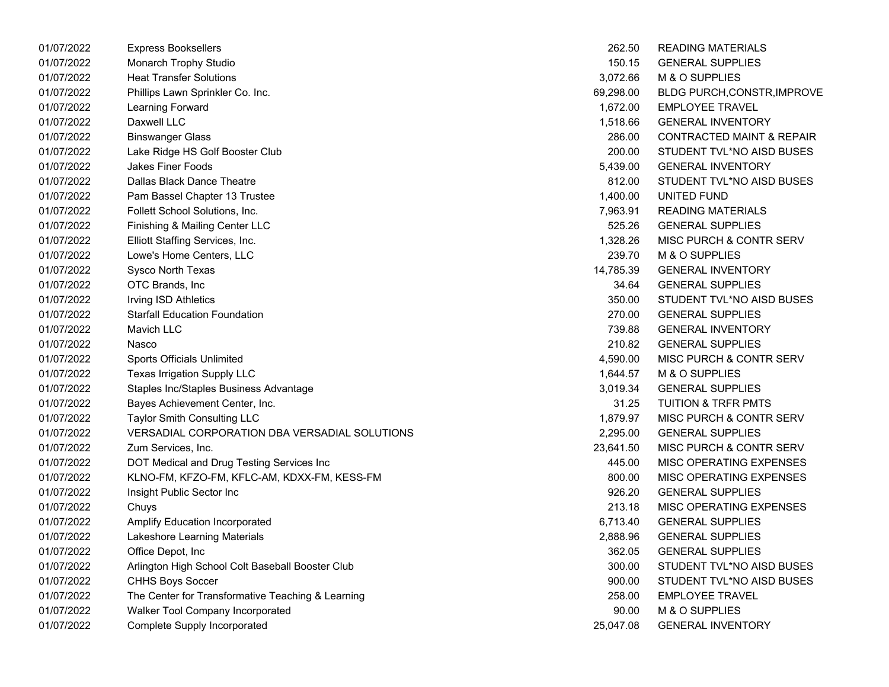| 01/07/2022 | <b>Express Booksellers</b>                        | 262.50    | READING MATERIALS                    |
|------------|---------------------------------------------------|-----------|--------------------------------------|
| 01/07/2022 | Monarch Trophy Studio                             | 150.15    | <b>GENERAL SUPPLIES</b>              |
| 01/07/2022 | <b>Heat Transfer Solutions</b>                    | 3,072.66  | M & O SUPPLIES                       |
| 01/07/2022 | Phillips Lawn Sprinkler Co. Inc.                  | 69,298.00 | <b>BLDG PURCH, CONSTR, IMPROVE</b>   |
| 01/07/2022 | Learning Forward                                  | 1,672.00  | <b>EMPLOYEE TRAVEL</b>               |
| 01/07/2022 | Daxwell LLC                                       | 1,518.66  | <b>GENERAL INVENTORY</b>             |
| 01/07/2022 | <b>Binswanger Glass</b>                           | 286.00    | <b>CONTRACTED MAINT &amp; REPAIR</b> |
| 01/07/2022 | Lake Ridge HS Golf Booster Club                   | 200.00    | STUDENT TVL*NO AISD BUSES            |
| 01/07/2022 | Jakes Finer Foods                                 | 5,439.00  | <b>GENERAL INVENTORY</b>             |
| 01/07/2022 | <b>Dallas Black Dance Theatre</b>                 | 812.00    | STUDENT TVL*NO AISD BUSES            |
| 01/07/2022 | Pam Bassel Chapter 13 Trustee                     | 1,400.00  | UNITED FUND                          |
| 01/07/2022 | Follett School Solutions, Inc.                    | 7,963.91  | <b>READING MATERIALS</b>             |
| 01/07/2022 | Finishing & Mailing Center LLC                    | 525.26    | <b>GENERAL SUPPLIES</b>              |
| 01/07/2022 | Elliott Staffing Services, Inc.                   | 1,328.26  | MISC PURCH & CONTR SERV              |
| 01/07/2022 | Lowe's Home Centers, LLC                          | 239.70    | M & O SUPPLIES                       |
| 01/07/2022 | Sysco North Texas                                 | 14,785.39 | <b>GENERAL INVENTORY</b>             |
| 01/07/2022 | OTC Brands, Inc                                   | 34.64     | <b>GENERAL SUPPLIES</b>              |
| 01/07/2022 | Irving ISD Athletics                              | 350.00    | STUDENT TVL*NO AISD BUSES            |
| 01/07/2022 | <b>Starfall Education Foundation</b>              | 270.00    | <b>GENERAL SUPPLIES</b>              |
| 01/07/2022 | Mavich LLC                                        | 739.88    | <b>GENERAL INVENTORY</b>             |
| 01/07/2022 | Nasco                                             | 210.82    | <b>GENERAL SUPPLIES</b>              |
| 01/07/2022 | Sports Officials Unlimited                        | 4,590.00  | MISC PURCH & CONTR SERV              |
| 01/07/2022 | Texas Irrigation Supply LLC                       | 1,644.57  | M & O SUPPLIES                       |
| 01/07/2022 | Staples Inc/Staples Business Advantage            | 3,019.34  | <b>GENERAL SUPPLIES</b>              |
| 01/07/2022 | Bayes Achievement Center, Inc.                    | 31.25     | <b>TUITION &amp; TRFR PMTS</b>       |
| 01/07/2022 | <b>Taylor Smith Consulting LLC</b>                | 1,879.97  | MISC PURCH & CONTR SERV              |
| 01/07/2022 | VERSADIAL CORPORATION DBA VERSADIAL SOLUTIONS     | 2,295.00  | <b>GENERAL SUPPLIES</b>              |
| 01/07/2022 | Zum Services, Inc.                                | 23,641.50 | MISC PURCH & CONTR SERV              |
| 01/07/2022 | DOT Medical and Drug Testing Services Inc         | 445.00    | MISC OPERATING EXPENSES              |
| 01/07/2022 | KLNO-FM, KFZO-FM, KFLC-AM, KDXX-FM, KESS-FM       | 800.00    | MISC OPERATING EXPENSES              |
| 01/07/2022 | Insight Public Sector Inc                         | 926.20    | <b>GENERAL SUPPLIES</b>              |
| 01/07/2022 | Chuys                                             | 213.18    | MISC OPERATING EXPENSES              |
| 01/07/2022 | <b>Amplify Education Incorporated</b>             | 6,713.40  | <b>GENERAL SUPPLIES</b>              |
| 01/07/2022 | Lakeshore Learning Materials                      | 2,888.96  | <b>GENERAL SUPPLIES</b>              |
| 01/07/2022 | Office Depot, Inc                                 | 362.05    | <b>GENERAL SUPPLIES</b>              |
| 01/07/2022 | Arlington High School Colt Baseball Booster Club  | 300.00    | STUDENT TVL*NO AISD BUSES            |
| 01/07/2022 | <b>CHHS Boys Soccer</b>                           | 900.00    | STUDENT TVL*NO AISD BUSES            |
| 01/07/2022 | The Center for Transformative Teaching & Learning | 258.00    | <b>EMPLOYEE TRAVEL</b>               |
| 01/07/2022 | Walker Tool Company Incorporated                  | 90.00     | M & O SUPPLIES                       |
| 01/07/2022 | Complete Supply Incorporated                      | 25,047.08 | <b>GENERAL INVENTORY</b>             |

| 262.50    | <b>READING MATERIALS</b>         |
|-----------|----------------------------------|
| 150.15    | <b>GENERAL SUPPLIES</b>          |
| 3,072.66  | M & O SUPPLIES                   |
| 69,298.00 | BLDG PURCH, CONSTR, IMPROVE      |
| 1,672.00  | <b>EMPLOYEE TRAVEL</b>           |
| 1,518.66  | <b>GENERAL INVENTORY</b>         |
|           | 286.00 CONTRACTED MAINT & REPAIR |
|           | 200.00 STUDENT TVL*NO AISD BUSES |
| 5,439.00  | <b>GENERAL INVENTORY</b>         |
| 812.00    | STUDENT TVL*NO AISD BUSES        |
| 1,400.00  | UNITED FUND                      |
| 7,963.91  | <b>READING MATERIALS</b>         |
| 525.26    | <b>GENERAL SUPPLIES</b>          |
| 1,328.26  | MISC PURCH & CONTR SERV          |
| 239.70    | M & O SUPPLIES                   |
| 14,785.39 | <b>GENERAL INVENTORY</b>         |
|           | 34.64 GENERAL SUPPLIES           |
|           | 350.00 STUDENT TVL*NO AISD BUSES |
| 270.00    | <b>GENERAL SUPPLIES</b>          |
| 739.88    | <b>GENERAL INVENTORY</b>         |
| 210.82    | <b>GENERAL SUPPLIES</b>          |
| 4,590.00  | MISC PURCH & CONTR SERV          |
| 1,644.57  | M & O SUPPLIES                   |
| 3,019.34  | <b>GENERAL SUPPLIES</b>          |
| 31.25     | <b>TUITION &amp; TRFR PMTS</b>   |
| 1,879.97  | MISC PURCH & CONTR SERV          |
| 2,295.00  | <b>GENERAL SUPPLIES</b>          |
| 23,641.50 | MISC PURCH & CONTR SERV          |
| 445.00    | <b>MISC OPERATING EXPENSES</b>   |
| 800.00    | <b>MISC OPERATING EXPENSES</b>   |
| 926.20    | <b>GENERAL SUPPLIES</b>          |
| 213.18    | MISC OPERATING EXPENSES          |
| 6,713.40  | <b>GENERAL SUPPLIES</b>          |
| 2,888.96  | <b>GENERAL SUPPLIES</b>          |
| 362.05    | <b>GENERAL SUPPLIES</b>          |
| 300.00    | STUDENT TVL*NO AISD BUSES        |
| 900.00    | STUDENT TVL*NO AISD BUSES        |
| 258.00    | <b>EMPLOYEE TRAVEL</b>           |
| 90.00     | M & O SUPPLIES                   |
| 25,047.08 | <b>GENERAL INVENTORY</b>         |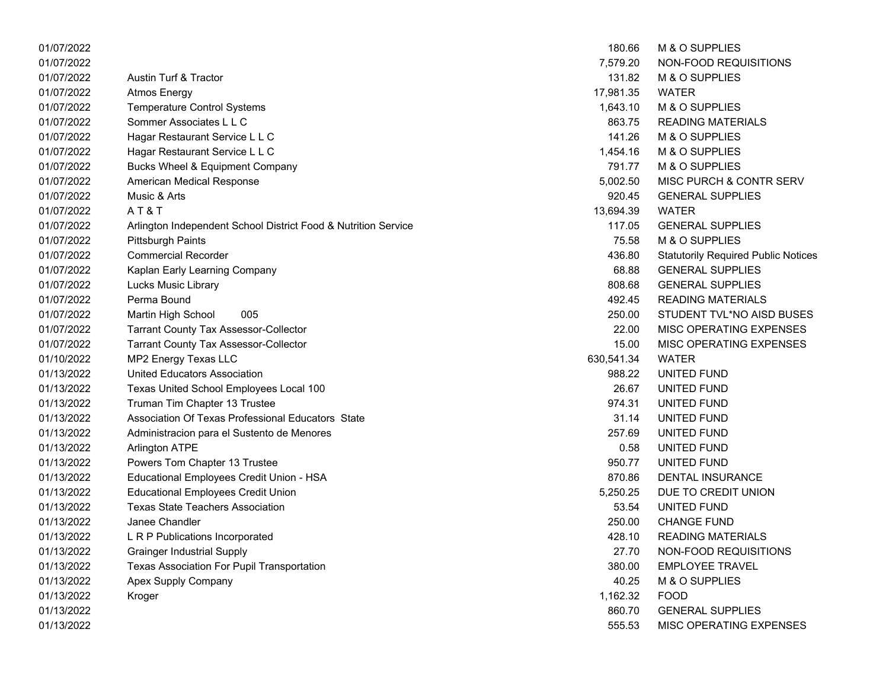| 01/07/2022 |                                                                | 180.66     | M & O SUPPLIES                             |
|------------|----------------------------------------------------------------|------------|--------------------------------------------|
| 01/07/2022 |                                                                | 7,579.20   | NON-FOOD REQUISITIONS                      |
| 01/07/2022 | <b>Austin Turf &amp; Tractor</b>                               | 131.82     | M & O SUPPLIES                             |
| 01/07/2022 | <b>Atmos Energy</b>                                            | 17,981.35  | <b>WATER</b>                               |
| 01/07/2022 | <b>Temperature Control Systems</b>                             | 1,643.10   | M & O SUPPLIES                             |
| 01/07/2022 | Sommer Associates L L C                                        | 863.75     | <b>READING MATERIALS</b>                   |
| 01/07/2022 | Hagar Restaurant Service L L C                                 | 141.26     | M & O SUPPLIES                             |
| 01/07/2022 | Hagar Restaurant Service L L C                                 | 1,454.16   | M & O SUPPLIES                             |
| 01/07/2022 | Bucks Wheel & Equipment Company                                | 791.77     | M & O SUPPLIES                             |
| 01/07/2022 | American Medical Response                                      | 5,002.50   | MISC PURCH & CONTR SERV                    |
| 01/07/2022 | Music & Arts                                                   | 920.45     | <b>GENERAL SUPPLIES</b>                    |
| 01/07/2022 | AT&T                                                           | 13,694.39  | <b>WATER</b>                               |
| 01/07/2022 | Arlington Independent School District Food & Nutrition Service | 117.05     | <b>GENERAL SUPPLIES</b>                    |
| 01/07/2022 | <b>Pittsburgh Paints</b>                                       | 75.58      | M & O SUPPLIES                             |
| 01/07/2022 | <b>Commercial Recorder</b>                                     | 436.80     | <b>Statutorily Required Public Notices</b> |
| 01/07/2022 | Kaplan Early Learning Company                                  | 68.88      | <b>GENERAL SUPPLIES</b>                    |
| 01/07/2022 | Lucks Music Library                                            | 808.68     | <b>GENERAL SUPPLIES</b>                    |
| 01/07/2022 | Perma Bound                                                    | 492.45     | <b>READING MATERIALS</b>                   |
| 01/07/2022 | 005<br>Martin High School                                      | 250.00     | STUDENT TVL*NO AISD BUSES                  |
| 01/07/2022 | <b>Tarrant County Tax Assessor-Collector</b>                   | 22.00      | MISC OPERATING EXPENSES                    |
| 01/07/2022 | <b>Tarrant County Tax Assessor-Collector</b>                   | 15.00      | MISC OPERATING EXPENSES                    |
| 01/10/2022 | MP2 Energy Texas LLC                                           | 630,541.34 | <b>WATER</b>                               |
| 01/13/2022 | United Educators Association                                   | 988.22     | UNITED FUND                                |
| 01/13/2022 | Texas United School Employees Local 100                        | 26.67      | UNITED FUND                                |
| 01/13/2022 | Truman Tim Chapter 13 Trustee                                  | 974.31     | UNITED FUND                                |
| 01/13/2022 | Association Of Texas Professional Educators State              | 31.14      | UNITED FUND                                |
| 01/13/2022 | Administracion para el Sustento de Menores                     | 257.69     | UNITED FUND                                |
| 01/13/2022 | <b>Arlington ATPE</b>                                          | 0.58       | UNITED FUND                                |
| 01/13/2022 | Powers Tom Chapter 13 Trustee                                  | 950.77     | UNITED FUND                                |
| 01/13/2022 | Educational Employees Credit Union - HSA                       | 870.86     | <b>DENTAL INSURANCE</b>                    |
| 01/13/2022 | <b>Educational Employees Credit Union</b>                      | 5,250.25   | DUE TO CREDIT UNION                        |
| 01/13/2022 | <b>Texas State Teachers Association</b>                        | 53.54      | UNITED FUND                                |
| 01/13/2022 | Janee Chandler                                                 | 250.00     | <b>CHANGE FUND</b>                         |
| 01/13/2022 | L R P Publications Incorporated                                | 428.10     | <b>READING MATERIALS</b>                   |
| 01/13/2022 | <b>Grainger Industrial Supply</b>                              | 27.70      | NON-FOOD REQUISITIONS                      |
| 01/13/2022 | Texas Association For Pupil Transportation                     | 380.00     | <b>EMPLOYEE TRAVEL</b>                     |
| 01/13/2022 | <b>Apex Supply Company</b>                                     | 40.25      | M & O SUPPLIES                             |
| 01/13/2022 | Kroger                                                         | 1,162.32   | <b>FOOD</b>                                |
| 01/13/2022 |                                                                | 860.70     | <b>GENERAL SUPPLIES</b>                    |
| 01/13/2022 |                                                                | 555.53     | MISC OPERATING EXPENSES                    |

| 180.66                  | M & O SUPPLIES                             |
|-------------------------|--------------------------------------------|
| 7,579.20                | NON-FOOD REQUISITIONS                      |
|                         | 131.82 M & O SUPPLIES                      |
| 17,981.35               | <b>WATER</b>                               |
|                         | 1,643.10 M & O SUPPLIES                    |
|                         | 863.75 READING MATERIALS                   |
|                         | 141.26 M & O SUPPLIES                      |
| 1,454.16                | M & O SUPPLIES                             |
| 791.77                  | <b>M &amp; O SUPPLIES</b>                  |
| 5,002.50                | <b>MISC PURCH &amp; CONTR SERV</b>         |
|                         | 920.45 GENERAL SUPPLIES                    |
| 13,694.39 WATER         |                                            |
|                         | 117.05 GENERAL SUPPLIES                    |
| 75.58                   | M & O SUPPLIES                             |
| 436.80                  | <b>Statutorily Required Public Notices</b> |
| 68.88                   | <b>GENERAL SUPPLIES</b>                    |
|                         | 808.68 GENERAL SUPPLIES                    |
|                         | 492.45 READING MATERIALS                   |
| 250.00                  | STUDENT TVL*NO AISD BUSES                  |
|                         | 22.00 MISC OPERATING EXPENSES              |
|                         | 15.00 MISC OPERATING EXPENSES              |
| i30,541.34        WATER |                                            |
| 988.22                  | UNITED FUND                                |
| 26.67                   | UNITED FUND                                |
| 974.31                  | UNITED FUND                                |
|                         | 31.14 UNITED FUND                          |
|                         | 257.69 UNITED FUND                         |
| 0.58                    | UNITED FUND                                |
| 950.77                  | UNITED FUND                                |
| 870.86                  | <b>DENTAL INSURANCE</b>                    |
|                         | 5,250.25 DUE TO CREDIT UNION               |
|                         | 53.54 UNITED FUND                          |
|                         | 250.00 CHANGE FUND                         |
| 428.10                  | <b>READING MATERIALS</b>                   |
| 27.70                   | NON-FOOD REQUISITIONS                      |
| 380.00                  | <b>EMPLOYEE TRAVEL</b>                     |
| 40.25                   | <b>M &amp; O SUPPLIES</b>                  |
| 1,162.32                | FOOD                                       |
| 860.70                  | <b>GENERAL SUPPLIES</b>                    |
| 555.53                  | <b>MISC OPERATING EXPENSES</b>             |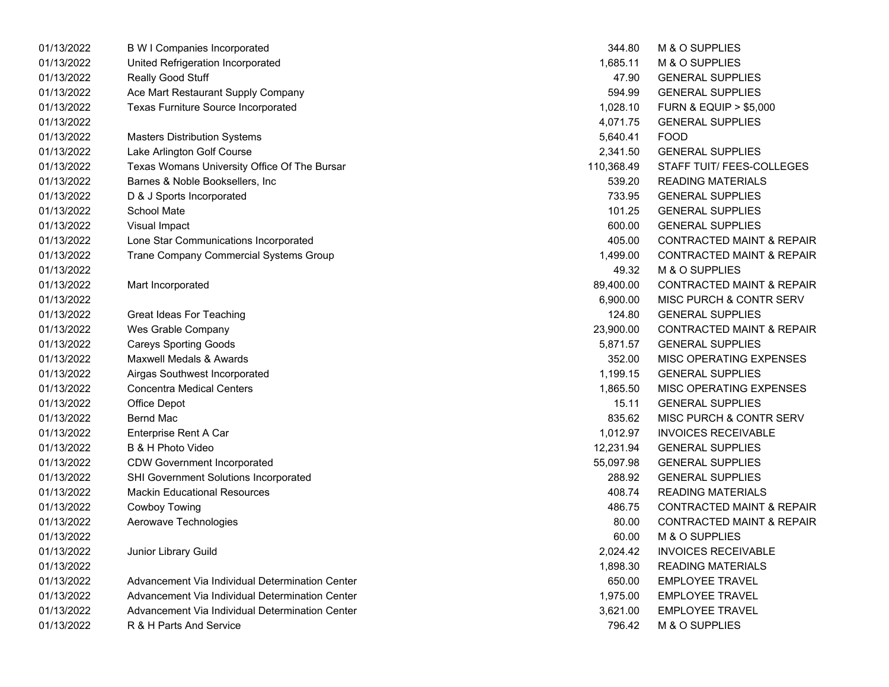| 01/13/2022 | <b>B W I Companies Incorporated</b>             | 344.80     | M & O SUPPLIES                       |
|------------|-------------------------------------------------|------------|--------------------------------------|
| 01/13/2022 | United Refrigeration Incorporated               | 1,685.11   | M & O SUPPLIES                       |
| 01/13/2022 | Really Good Stuff                               | 47.90      | <b>GENERAL SUPPLIES</b>              |
| 01/13/2022 | Ace Mart Restaurant Supply Company              | 594.99     | <b>GENERAL SUPPLIES</b>              |
| 01/13/2022 | Texas Furniture Source Incorporated             | 1,028.10   | <b>FURN &amp; EQUIP &gt; \$5,000</b> |
| 01/13/2022 |                                                 | 4,071.75   | <b>GENERAL SUPPLIES</b>              |
| 01/13/2022 | <b>Masters Distribution Systems</b>             | 5,640.41   | <b>FOOD</b>                          |
| 01/13/2022 | Lake Arlington Golf Course                      | 2,341.50   | <b>GENERAL SUPPLIES</b>              |
| 01/13/2022 | Texas Womans University Office Of The Bursar    | 110,368.49 | STAFF TUIT/ FEES-COLLEGES            |
| 01/13/2022 | Barnes & Noble Booksellers, Inc                 | 539.20     | <b>READING MATERIALS</b>             |
| 01/13/2022 | D & J Sports Incorporated                       | 733.95     | <b>GENERAL SUPPLIES</b>              |
| 01/13/2022 | School Mate                                     | 101.25     | <b>GENERAL SUPPLIES</b>              |
| 01/13/2022 | Visual Impact                                   | 600.00     | <b>GENERAL SUPPLIES</b>              |
| 01/13/2022 | Lone Star Communications Incorporated           | 405.00     | <b>CONTRACTED MAINT &amp; REPAIR</b> |
| 01/13/2022 | Trane Company Commercial Systems Group          | 1,499.00   | <b>CONTRACTED MAINT &amp; REPAIR</b> |
| 01/13/2022 |                                                 | 49.32      | M & O SUPPLIES                       |
| 01/13/2022 | Mart Incorporated                               | 89,400.00  | <b>CONTRACTED MAINT &amp; REPAIR</b> |
| 01/13/2022 |                                                 | 6,900.00   | MISC PURCH & CONTR SERV              |
| 01/13/2022 | Great Ideas For Teaching                        | 124.80     | <b>GENERAL SUPPLIES</b>              |
| 01/13/2022 | Wes Grable Company                              | 23,900.00  | <b>CONTRACTED MAINT &amp; REPAIR</b> |
| 01/13/2022 | <b>Careys Sporting Goods</b>                    | 5,871.57   | <b>GENERAL SUPPLIES</b>              |
| 01/13/2022 | Maxwell Medals & Awards                         | 352.00     | MISC OPERATING EXPENSES              |
| 01/13/2022 | Airgas Southwest Incorporated                   | 1,199.15   | <b>GENERAL SUPPLIES</b>              |
| 01/13/2022 | <b>Concentra Medical Centers</b>                | 1,865.50   | MISC OPERATING EXPENSES              |
| 01/13/2022 | Office Depot                                    | 15.11      | <b>GENERAL SUPPLIES</b>              |
| 01/13/2022 | <b>Bernd Mac</b>                                | 835.62     | MISC PURCH & CONTR SERV              |
| 01/13/2022 | Enterprise Rent A Car                           | 1,012.97   | <b>INVOICES RECEIVABLE</b>           |
| 01/13/2022 | B & H Photo Video                               | 12,231.94  | <b>GENERAL SUPPLIES</b>              |
| 01/13/2022 | <b>CDW Government Incorporated</b>              | 55,097.98  | <b>GENERAL SUPPLIES</b>              |
| 01/13/2022 | SHI Government Solutions Incorporated           | 288.92     | <b>GENERAL SUPPLIES</b>              |
| 01/13/2022 | <b>Mackin Educational Resources</b>             | 408.74     | <b>READING MATERIALS</b>             |
| 01/13/2022 | Cowboy Towing                                   | 486.75     | <b>CONTRACTED MAINT &amp; REPAIR</b> |
| 01/13/2022 | Aerowave Technologies                           | 80.00      | <b>CONTRACTED MAINT &amp; REPAIR</b> |
| 01/13/2022 |                                                 | 60.00      | M & O SUPPLIES                       |
| 01/13/2022 | Junior Library Guild                            | 2,024.42   | <b>INVOICES RECEIVABLE</b>           |
| 01/13/2022 |                                                 | 1,898.30   | <b>READING MATERIALS</b>             |
| 01/13/2022 | Advancement Via Individual Determination Center | 650.00     | <b>EMPLOYEE TRAVEL</b>               |
| 01/13/2022 | Advancement Via Individual Determination Center | 1,975.00   | <b>EMPLOYEE TRAVEL</b>               |
| 01/13/2022 | Advancement Via Individual Determination Center | 3,621.00   | <b>EMPLOYEE TRAVEL</b>               |
| 01/13/2022 | R & H Parts And Service                         | 796.42     | M & O SUPPLIES                       |
|            |                                                 |            |                                      |

| 344.80    | <b>M &amp; O SUPPLIES</b>            |
|-----------|--------------------------------------|
| 1,685.11  | <b>M &amp; O SUPPLIES</b>            |
| 47.90     | <b>GENERAL SUPPLIES</b>              |
| 594.99    | <b>GENERAL SUPPLIES</b>              |
| 1,028.10  | <b>FURN &amp; EQUIP &gt; \$5,000</b> |
| 4,071.75  | <b>GENERAL SUPPLIES</b>              |
| 5,640.41  | <b>FOOD</b>                          |
| 2,341.50  | <b>GENERAL SUPPLIES</b>              |
| 10,368.49 | <b>STAFF TUIT/ FEES-COLLEGES</b>     |
|           | 539.20 READING MATERIALS             |
| 733.95    | <b>GENERAL SUPPLIES</b>              |
| 101.25    | <b>GENERAL SUPPLIES</b>              |
| 600.00    | <b>GENERAL SUPPLIES</b>              |
| 405.00    | <b>CONTRACTED MAINT &amp; REPAIR</b> |
| 1,499.00  | <b>CONTRACTED MAINT &amp; REPAIR</b> |
| 49.32     | M & O SUPPLIES                       |
| 89,400.00 | <b>CONTRACTED MAINT &amp; REPAIR</b> |
| 6,900.00  | MISC PURCH & CONTR SERV              |
| 124.80    | <b>GENERAL SUPPLIES</b>              |
| 23,900.00 | <b>CONTRACTED MAINT &amp; REPAIR</b> |
| 5,871.57  | <b>GENERAL SUPPLIES</b>              |
| 352.00    | <b>MISC OPERATING EXPENSES</b>       |
| 1,199.15  | <b>GENERAL SUPPLIES</b>              |
| 1,865.50  | <b>MISC OPERATING EXPENSES</b>       |
| 15.11     | <b>GENERAL SUPPLIES</b>              |
| 835.62    | MISC PURCH & CONTR SERV              |
| 1,012.97  | <b>INVOICES RECEIVABLE</b>           |
| 12,231.94 | <b>GENERAL SUPPLIES</b>              |
| 55,097.98 | <b>GENERAL SUPPLIES</b>              |
| 288.92    | <b>GENERAL SUPPLIES</b>              |
| 408.74    | <b>READING MATERIALS</b>             |
| 486.75    | <b>CONTRACTED MAINT &amp; REPAIR</b> |
| 80.00     | <b>CONTRACTED MAINT &amp; REPAIR</b> |
| 60.00     | <b>M &amp; O SUPPLIES</b>            |
| 2,024.42  | <b>INVOICES RECEIVABLE</b>           |
| 1,898.30  | <b>READING MATERIALS</b>             |
| 650.00    | <b>EMPLOYEE TRAVEL</b>               |
| 1,975.00  | <b>EMPLOYEE TRAVEL</b>               |
| 3,621.00  | <b>EMPLOYEE TRAVEL</b>               |
| 796.42    | M & O SUPPLIES                       |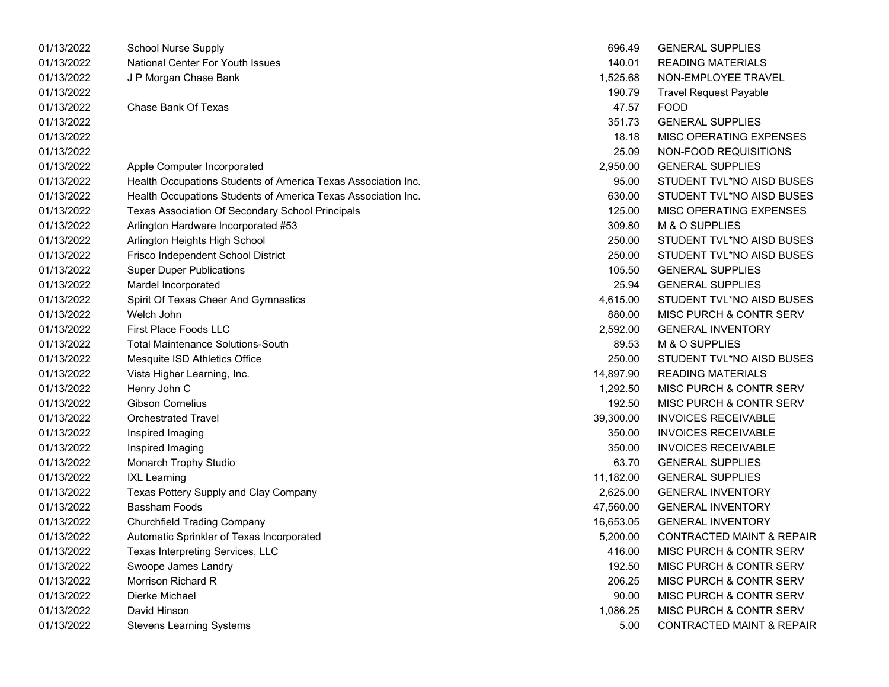| 01/13/2022 | <b>School Nurse Supply</b>                                    | 696.49    | <b>GENERAL SUPPLIES</b>              |
|------------|---------------------------------------------------------------|-----------|--------------------------------------|
| 01/13/2022 | National Center For Youth Issues                              | 140.01    | <b>READING MATERIALS</b>             |
| 01/13/2022 | J P Morgan Chase Bank                                         | 1,525.68  | NON-EMPLOYEE TRAVEL                  |
| 01/13/2022 |                                                               | 190.79    | <b>Travel Request Payable</b>        |
| 01/13/2022 | <b>Chase Bank Of Texas</b>                                    | 47.57     | <b>FOOD</b>                          |
| 01/13/2022 |                                                               | 351.73    | <b>GENERAL SUPPLIES</b>              |
| 01/13/2022 |                                                               | 18.18     | MISC OPERATING EXPENSES              |
| 01/13/2022 |                                                               | 25.09     | NON-FOOD REQUISITIONS                |
| 01/13/2022 | Apple Computer Incorporated                                   | 2,950.00  | <b>GENERAL SUPPLIES</b>              |
| 01/13/2022 | Health Occupations Students of America Texas Association Inc. | 95.00     | STUDENT TVL*NO AISD BUSES            |
| 01/13/2022 | Health Occupations Students of America Texas Association Inc. | 630.00    | STUDENT TVL*NO AISD BUSES            |
| 01/13/2022 | Texas Association Of Secondary School Principals              | 125.00    | MISC OPERATING EXPENSES              |
| 01/13/2022 | Arlington Hardware Incorporated #53                           | 309.80    | M & O SUPPLIES                       |
| 01/13/2022 | Arlington Heights High School                                 | 250.00    | STUDENT TVL*NO AISD BUSES            |
| 01/13/2022 | Frisco Independent School District                            | 250.00    | STUDENT TVL*NO AISD BUSES            |
| 01/13/2022 | <b>Super Duper Publications</b>                               | 105.50    | <b>GENERAL SUPPLIES</b>              |
| 01/13/2022 | Mardel Incorporated                                           | 25.94     | <b>GENERAL SUPPLIES</b>              |
| 01/13/2022 | Spirit Of Texas Cheer And Gymnastics                          | 4,615.00  | STUDENT TVL*NO AISD BUSES            |
| 01/13/2022 | Welch John                                                    | 880.00    | MISC PURCH & CONTR SERV              |
| 01/13/2022 | First Place Foods LLC                                         | 2,592.00  | <b>GENERAL INVENTORY</b>             |
| 01/13/2022 | <b>Total Maintenance Solutions-South</b>                      | 89.53     | M & O SUPPLIES                       |
| 01/13/2022 | Mesquite ISD Athletics Office                                 | 250.00    | STUDENT TVL*NO AISD BUSES            |
| 01/13/2022 | Vista Higher Learning, Inc.                                   | 14,897.90 | <b>READING MATERIALS</b>             |
| 01/13/2022 | Henry John C                                                  | 1,292.50  | MISC PURCH & CONTR SERV              |
| 01/13/2022 | <b>Gibson Cornelius</b>                                       | 192.50    | MISC PURCH & CONTR SERV              |
| 01/13/2022 | <b>Orchestrated Travel</b>                                    | 39,300.00 | <b>INVOICES RECEIVABLE</b>           |
| 01/13/2022 | Inspired Imaging                                              | 350.00    | <b>INVOICES RECEIVABLE</b>           |
| 01/13/2022 | Inspired Imaging                                              | 350.00    | <b>INVOICES RECEIVABLE</b>           |
| 01/13/2022 | Monarch Trophy Studio                                         | 63.70     | <b>GENERAL SUPPLIES</b>              |
| 01/13/2022 | <b>IXL Learning</b>                                           | 11,182.00 | <b>GENERAL SUPPLIES</b>              |
| 01/13/2022 | Texas Pottery Supply and Clay Company                         | 2,625.00  | <b>GENERAL INVENTORY</b>             |
| 01/13/2022 | <b>Bassham Foods</b>                                          | 47,560.00 | <b>GENERAL INVENTORY</b>             |
| 01/13/2022 | <b>Churchfield Trading Company</b>                            | 16,653.05 | <b>GENERAL INVENTORY</b>             |
| 01/13/2022 | Automatic Sprinkler of Texas Incorporated                     | 5,200.00  | <b>CONTRACTED MAINT &amp; REPAIR</b> |
| 01/13/2022 | Texas Interpreting Services, LLC                              | 416.00    | MISC PURCH & CONTR SERV              |
| 01/13/2022 | Swoope James Landry                                           | 192.50    | MISC PURCH & CONTR SERV              |
| 01/13/2022 | Morrison Richard R                                            | 206.25    | MISC PURCH & CONTR SERV              |
| 01/13/2022 | Dierke Michael                                                | 90.00     | MISC PURCH & CONTR SERV              |
| 01/13/2022 | David Hinson                                                  | 1,086.25  | MISC PURCH & CONTR SERV              |
| 01/13/2022 | <b>Stevens Learning Systems</b>                               | 5.00      | <b>CONTRACTED MAINT &amp; REPAIR</b> |

| 696.49    | <b>GENERAL SUPPLIES</b>              |
|-----------|--------------------------------------|
| 140.01    | READING MATERIALS                    |
| 1,525.68  | NON-EMPLOYEE TRAVEL                  |
| 190.79    | <b>Travel Request Payable</b>        |
| 47.57     | <b>FOOD</b>                          |
| 351.73    | <b>GENERAL SUPPLIES</b>              |
| 18.18     | <b>MISC OPERATING EXPENSES</b>       |
| 25.09     | NON-FOOD REQUISITIONS                |
| 2,950.00  | <b>GENERAL SUPPLIES</b>              |
| 95.00     | STUDENT TVL*NO AISD BUSES            |
| 630.00    | STUDENT TVL*NO AISD BUSES            |
| 125.00    | <b>MISC OPERATING EXPENSES</b>       |
| 309.80    | M & O SUPPLIES                       |
| 250.00    | STUDENT TVL*NO AISD BUSES            |
| 250.00    | STUDENT TVL*NO AISD BUSES            |
| 105.50    | <b>GENERAL SUPPLIES</b>              |
| 25.94     | <b>GENERAL SUPPLIES</b>              |
| 4,615.00  | STUDENT TVL*NO AISD BUSES            |
| 880.00    | MISC PURCH & CONTR SERV              |
| 2,592.00  | <b>GENERAL INVENTORY</b>             |
| 89.53     | <b>M &amp; O SUPPLIES</b>            |
| 250.00    | STUDENT TVL*NO AISD BUSES            |
| 14,897.90 | <b>READING MATERIALS</b>             |
| 1,292.50  | <b>MISC PURCH &amp; CONTR SERV</b>   |
| 192.50    | <b>MISC PURCH &amp; CONTR SERV</b>   |
| 39,300.00 | <b>INVOICES RECEIVABLE</b>           |
| 350.00    | <b>INVOICES RECEIVABLE</b>           |
| 350.00    | <b>INVOICES RECEIVABLE</b>           |
| 63.70     | <b>GENERAL SUPPLIES</b>              |
| 11,182.00 | <b>GENERAL SUPPLIES</b>              |
| 2,625.00  | <b>GENERAL INVENTORY</b>             |
| 47,560.00 | <b>GENERAL INVENTORY</b>             |
| 16,653.05 | <b>GENERAL INVENTORY</b>             |
| 5,200.00  | <b>CONTRACTED MAINT &amp; REPAIR</b> |
| 416.00    | MISC PURCH & CONTR SERV              |
| 192.50    | <b>MISC PURCH &amp; CONTR SERV</b>   |
| 206.25    | <b>MISC PURCH &amp; CONTR SERV</b>   |
| 90.00     | <b>MISC PURCH &amp; CONTR SERV</b>   |
| 1,086.25  | MISC PURCH & CONTR SERV              |
| 5.00      | <b>CONTRACTED MAINT &amp; REPAIR</b> |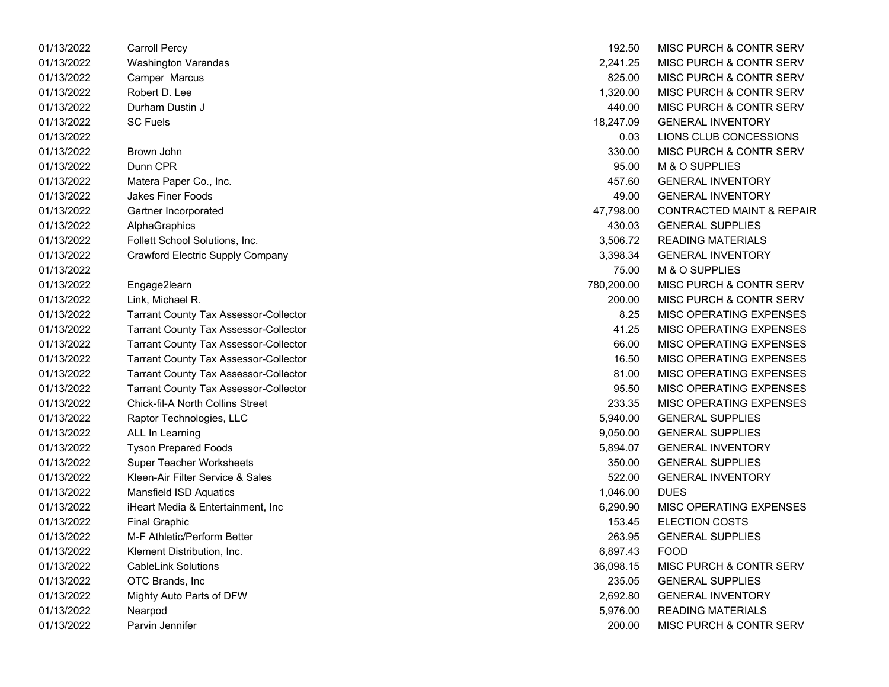| 01/13/2022 | Carroll Percy                                | 192.50     | MISC PURCH & CONTR SERV              |
|------------|----------------------------------------------|------------|--------------------------------------|
| 01/13/2022 | Washington Varandas                          | 2,241.25   | <b>MISC PURCH &amp; CONTR SERV</b>   |
| 01/13/2022 | Camper Marcus                                | 825.00     | MISC PURCH & CONTR SERV              |
| 01/13/2022 | Robert D. Lee                                | 1,320.00   | MISC PURCH & CONTR SERV              |
| 01/13/2022 | Durham Dustin J                              | 440.00     | MISC PURCH & CONTR SERV              |
| 01/13/2022 | <b>SC Fuels</b>                              | 18,247.09  | <b>GENERAL INVENTORY</b>             |
| 01/13/2022 |                                              | 0.03       | LIONS CLUB CONCESSIONS               |
| 01/13/2022 | Brown John                                   | 330.00     | <b>MISC PURCH &amp; CONTR SERV</b>   |
| 01/13/2022 | Dunn CPR                                     | 95.00      | M & O SUPPLIES                       |
| 01/13/2022 | Matera Paper Co., Inc.                       | 457.60     | <b>GENERAL INVENTORY</b>             |
| 01/13/2022 | <b>Jakes Finer Foods</b>                     | 49.00      | <b>GENERAL INVENTORY</b>             |
| 01/13/2022 | Gartner Incorporated                         | 47,798.00  | <b>CONTRACTED MAINT &amp; REPAIR</b> |
| 01/13/2022 | AlphaGraphics                                | 430.03     | <b>GENERAL SUPPLIES</b>              |
| 01/13/2022 | Follett School Solutions, Inc.               | 3,506.72   | <b>READING MATERIALS</b>             |
| 01/13/2022 | Crawford Electric Supply Company             | 3,398.34   | <b>GENERAL INVENTORY</b>             |
| 01/13/2022 |                                              | 75.00      | M & O SUPPLIES                       |
| 01/13/2022 | Engage2learn                                 | 780,200.00 | <b>MISC PURCH &amp; CONTR SERV</b>   |
| 01/13/2022 | Link, Michael R.                             | 200.00     | MISC PURCH & CONTR SERV              |
| 01/13/2022 | <b>Tarrant County Tax Assessor-Collector</b> | 8.25       | MISC OPERATING EXPENSES              |
| 01/13/2022 | <b>Tarrant County Tax Assessor-Collector</b> | 41.25      | MISC OPERATING EXPENSES              |
| 01/13/2022 | <b>Tarrant County Tax Assessor-Collector</b> | 66.00      | MISC OPERATING EXPENSES              |
| 01/13/2022 | <b>Tarrant County Tax Assessor-Collector</b> | 16.50      | MISC OPERATING EXPENSES              |
| 01/13/2022 | <b>Tarrant County Tax Assessor-Collector</b> | 81.00      | MISC OPERATING EXPENSES              |
| 01/13/2022 | <b>Tarrant County Tax Assessor-Collector</b> | 95.50      | MISC OPERATING EXPENSES              |
| 01/13/2022 | <b>Chick-fil-A North Collins Street</b>      | 233.35     | MISC OPERATING EXPENSES              |
| 01/13/2022 | Raptor Technologies, LLC                     | 5,940.00   | <b>GENERAL SUPPLIES</b>              |
| 01/13/2022 | ALL In Learning                              | 9,050.00   | <b>GENERAL SUPPLIES</b>              |
| 01/13/2022 | <b>Tyson Prepared Foods</b>                  | 5,894.07   | <b>GENERAL INVENTORY</b>             |
| 01/13/2022 | <b>Super Teacher Worksheets</b>              | 350.00     | <b>GENERAL SUPPLIES</b>              |
| 01/13/2022 | Kleen-Air Filter Service & Sales             | 522.00     | <b>GENERAL INVENTORY</b>             |
| 01/13/2022 | Mansfield ISD Aquatics                       | 1,046.00   | <b>DUES</b>                          |
| 01/13/2022 | iHeart Media & Entertainment, Inc            | 6,290.90   | MISC OPERATING EXPENSES              |
| 01/13/2022 | <b>Final Graphic</b>                         | 153.45     | <b>ELECTION COSTS</b>                |
| 01/13/2022 | M-F Athletic/Perform Better                  | 263.95     | <b>GENERAL SUPPLIES</b>              |
| 01/13/2022 | Klement Distribution, Inc.                   | 6,897.43   | <b>FOOD</b>                          |
| 01/13/2022 | <b>CableLink Solutions</b>                   | 36,098.15  | MISC PURCH & CONTR SERV              |
| 01/13/2022 | OTC Brands, Inc.                             | 235.05     | <b>GENERAL SUPPLIES</b>              |
| 01/13/2022 | Mighty Auto Parts of DFW                     | 2,692.80   | <b>GENERAL INVENTORY</b>             |
| 01/13/2022 | Nearpod                                      | 5,976.00   | <b>READING MATERIALS</b>             |
| 01/13/2022 | Parvin Jennifer                              | 200.00     | MISC PURCH & CONTR SERV              |

| 192.50     | MISC PURCH & CONTR SERV              |
|------------|--------------------------------------|
| 2,241.25   | <b>MISC PURCH &amp; CONTR SERV</b>   |
| 825.00     | MISC PURCH & CONTR SERV              |
| 1,320.00   | <b>MISC PURCH &amp; CONTR SERV</b>   |
| 440.00     | <b>MISC PURCH &amp; CONTR SERV</b>   |
| 18,247.09  | <b>GENERAL INVENTORY</b>             |
| 0.03       | LIONS CLUB CONCESSIONS               |
| 330.00     | <b>MISC PURCH &amp; CONTR SERV</b>   |
| 95.00      | M & O SUPPLIES                       |
| 457.60     | <b>GENERAL INVENTORY</b>             |
| 49.00      | <b>GENERAL INVENTORY</b>             |
| 47,798.00  | <b>CONTRACTED MAINT &amp; REPAIR</b> |
| 430.03     | <b>GENERAL SUPPLIES</b>              |
| 3,506.72   | <b>READING MATERIALS</b>             |
| 3,398.34   | <b>GENERAL INVENTORY</b>             |
| 75.00      | <b>M &amp; O SUPPLIES</b>            |
| 780,200.00 | <b>MISC PURCH &amp; CONTR SERV</b>   |
| 200.00     | <b>MISC PURCH &amp; CONTR SERV</b>   |
| 8.25       | <b>MISC OPERATING EXPENSES</b>       |
| 41.25      | <b>MISC OPERATING EXPENSES</b>       |
| 66.00      | <b>MISC OPERATING EXPENSES</b>       |
| 16.50      | <b>MISC OPERATING EXPENSES</b>       |
| 81.00      | <b>MISC OPERATING EXPENSES</b>       |
| 95.50      | <b>MISC OPERATING EXPENSES</b>       |
| 233.35     | <b>MISC OPERATING EXPENSES</b>       |
| 5,940.00   | <b>GENERAL SUPPLIES</b>              |
| 9,050.00   | <b>GENERAL SUPPLIES</b>              |
| 5,894.07   | <b>GENERAL INVENTORY</b>             |
| 350.00     | <b>GENERAL SUPPLIES</b>              |
| 522.00     | <b>GENERAL INVENTORY</b>             |
| 1,046.00   | <b>DUES</b>                          |
| 6,290.90   | <b>MISC OPERATING EXPENSES</b>       |
| 153.45     | <b>ELECTION COSTS</b>                |
| 263.95     | <b>GENERAL SUPPLIES</b>              |
| 6,897.43   | FOOD                                 |
| 36,098.15  | MISC PURCH & CONTR SERV              |
| 235.05     | <b>GENERAL SUPPLIES</b>              |
| 2,692.80   | <b>GENERAL INVENTORY</b>             |
| 5,976.00   | <b>READING MATERIALS</b>             |
| 200.00     | MISC PURCH & CONTR SERV              |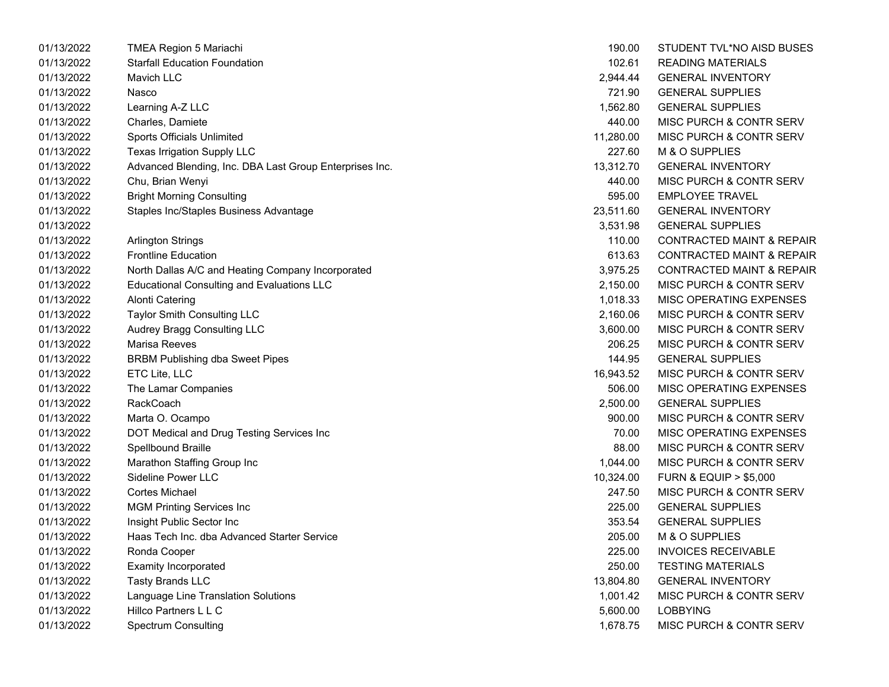| 01/13/2022 | TMEA Region 5 Mariachi                                  | 190.00    | STUDENT TVL*NO AISD BUSES            |
|------------|---------------------------------------------------------|-----------|--------------------------------------|
| 01/13/2022 | <b>Starfall Education Foundation</b>                    | 102.61    | <b>READING MATERIALS</b>             |
| 01/13/2022 | Mavich LLC                                              | 2,944.44  | <b>GENERAL INVENTORY</b>             |
| 01/13/2022 | Nasco                                                   | 721.90    | <b>GENERAL SUPPLIES</b>              |
| 01/13/2022 | Learning A-Z LLC                                        | 1,562.80  | <b>GENERAL SUPPLIES</b>              |
| 01/13/2022 | Charles, Damiete                                        | 440.00    | MISC PURCH & CONTR SERV              |
| 01/13/2022 | <b>Sports Officials Unlimited</b>                       | 11,280.00 | MISC PURCH & CONTR SERV              |
| 01/13/2022 | Texas Irrigation Supply LLC                             | 227.60    | M & O SUPPLIES                       |
| 01/13/2022 | Advanced Blending, Inc. DBA Last Group Enterprises Inc. | 13,312.70 | <b>GENERAL INVENTORY</b>             |
| 01/13/2022 | Chu, Brian Wenyi                                        | 440.00    | MISC PURCH & CONTR SERV              |
| 01/13/2022 | <b>Bright Morning Consulting</b>                        | 595.00    | <b>EMPLOYEE TRAVEL</b>               |
| 01/13/2022 | Staples Inc/Staples Business Advantage                  | 23,511.60 | <b>GENERAL INVENTORY</b>             |
| 01/13/2022 |                                                         | 3,531.98  | <b>GENERAL SUPPLIES</b>              |
| 01/13/2022 | <b>Arlington Strings</b>                                | 110.00    | <b>CONTRACTED MAINT &amp; REPAIR</b> |
| 01/13/2022 | <b>Frontline Education</b>                              | 613.63    | <b>CONTRACTED MAINT &amp; REPAIR</b> |
| 01/13/2022 | North Dallas A/C and Heating Company Incorporated       | 3,975.25  | <b>CONTRACTED MAINT &amp; REPAIR</b> |
| 01/13/2022 | <b>Educational Consulting and Evaluations LLC</b>       | 2,150.00  | MISC PURCH & CONTR SERV              |
| 01/13/2022 | <b>Alonti Catering</b>                                  | 1,018.33  | MISC OPERATING EXPENSES              |
| 01/13/2022 | Taylor Smith Consulting LLC                             | 2,160.06  | MISC PURCH & CONTR SERV              |
| 01/13/2022 | Audrey Bragg Consulting LLC                             | 3,600.00  | MISC PURCH & CONTR SERV              |
| 01/13/2022 | Marisa Reeves                                           | 206.25    | MISC PURCH & CONTR SERV              |
| 01/13/2022 | <b>BRBM Publishing dba Sweet Pipes</b>                  | 144.95    | <b>GENERAL SUPPLIES</b>              |
| 01/13/2022 | ETC Lite, LLC                                           | 16,943.52 | MISC PURCH & CONTR SERV              |
| 01/13/2022 | The Lamar Companies                                     | 506.00    | MISC OPERATING EXPENSES              |
| 01/13/2022 | <b>RackCoach</b>                                        | 2,500.00  | <b>GENERAL SUPPLIES</b>              |
| 01/13/2022 | Marta O. Ocampo                                         | 900.00    | MISC PURCH & CONTR SERV              |
| 01/13/2022 | DOT Medical and Drug Testing Services Inc               | 70.00     | MISC OPERATING EXPENSES              |
| 01/13/2022 | Spellbound Braille                                      | 88.00     | MISC PURCH & CONTR SERV              |
| 01/13/2022 | Marathon Staffing Group Inc                             | 1,044.00  | MISC PURCH & CONTR SERV              |
| 01/13/2022 | <b>Sideline Power LLC</b>                               | 10,324.00 | <b>FURN &amp; EQUIP &gt; \$5,000</b> |
| 01/13/2022 | Cortes Michael                                          | 247.50    | MISC PURCH & CONTR SERV              |
| 01/13/2022 | <b>MGM Printing Services Inc</b>                        | 225.00    | <b>GENERAL SUPPLIES</b>              |
| 01/13/2022 | Insight Public Sector Inc.                              | 353.54    | <b>GENERAL SUPPLIES</b>              |
| 01/13/2022 | Haas Tech Inc. dba Advanced Starter Service             | 205.00    | M & O SUPPLIES                       |
| 01/13/2022 | Ronda Cooper                                            | 225.00    | <b>INVOICES RECEIVABLE</b>           |
| 01/13/2022 | <b>Examity Incorporated</b>                             | 250.00    | <b>TESTING MATERIALS</b>             |
| 01/13/2022 | <b>Tasty Brands LLC</b>                                 | 13,804.80 | <b>GENERAL INVENTORY</b>             |
| 01/13/2022 | Language Line Translation Solutions                     | 1,001.42  | MISC PURCH & CONTR SERV              |
| 01/13/2022 | Hillco Partners L L C                                   | 5,600.00  | <b>LOBBYING</b>                      |
| 01/13/2022 | Spectrum Consulting                                     | 1,678.75  | MISC PURCH & CONTR SERV              |

| 190.00    | STUDENT TVL*NO AISD BUSES            |
|-----------|--------------------------------------|
| 102.61    | READING MATERIALS                    |
| 2.944.44  | <b>GENERAL INVENTORY</b>             |
| 721.90    | <b>GENERAL SUPPLIES</b>              |
| 1,562.80  | <b>GENERAL SUPPLIES</b>              |
| 440.00    | <b>MISC PURCH &amp; CONTR SERV</b>   |
| 11,280.00 | MISC PURCH & CONTR SERV              |
| 227.60    | M & O SUPPLIES                       |
| 13,312.70 | <b>GENERAL INVENTORY</b>             |
| 440.00    | MISC PURCH & CONTR SERV              |
| 595.00    | <b>EMPLOYEE TRAVEL</b>               |
| 23,511.60 | <b>GENERAL INVENTORY</b>             |
| 3,531.98  | <b>GENERAL SUPPLIES</b>              |
| 110.00    | <b>CONTRACTED MAINT &amp; REPAIR</b> |
| 613.63    | <b>CONTRACTED MAINT &amp; REPAIR</b> |
| 3,975.25  | <b>CONTRACTED MAINT &amp; REPAIR</b> |
| 2,150.00  | <b>MISC PURCH &amp; CONTR SERV</b>   |
| 1,018.33  | <b>MISC OPERATING EXPENSES</b>       |
| 2,160.06  | <b>MISC PURCH &amp; CONTR SERV</b>   |
| 3,600.00  | <b>MISC PURCH &amp; CONTR SERV</b>   |
| 206.25    | MISC PURCH & CONTR SERV              |
| 144.95    | <b>GENERAL SUPPLIES</b>              |
| 16,943.52 | <b>MISC PURCH &amp; CONTR SERV</b>   |
| 506.00    | <b>MISC OPERATING EXPENSES</b>       |
| 2,500.00  | <b>GENERAL SUPPLIES</b>              |
| 900.00    | <b>MISC PURCH &amp; CONTR SERV</b>   |
| 70.00     | <b>MISC OPERATING EXPENSES</b>       |
| 88.00     | <b>MISC PURCH &amp; CONTR SERV</b>   |
| 1,044.00  | MISC PURCH & CONTR SERV              |
| 10,324.00 | <b>FURN &amp; EQUIP &gt; \$5,000</b> |
| 247.50    | MISC PURCH & CONTR SERV              |
| 225.00    | <b>GENERAL SUPPLIES</b>              |
| 353.54    | <b>GENERAL SUPPLIES</b>              |
| 205.00    | <b>M &amp; O SUPPLIES</b>            |
| 225.00    | <b>INVOICES RECEIVABLE</b>           |
| 250.00    | <b>TESTING MATERIALS</b>             |
| 13,804.80 | <b>GENERAL INVENTORY</b>             |
| 1,001.42  | <b>MISC PURCH &amp; CONTR SERV</b>   |
| 5,600.00  | <b>LOBBYING</b>                      |
| 1,678.75  | MISC PURCH & CONTR SERV              |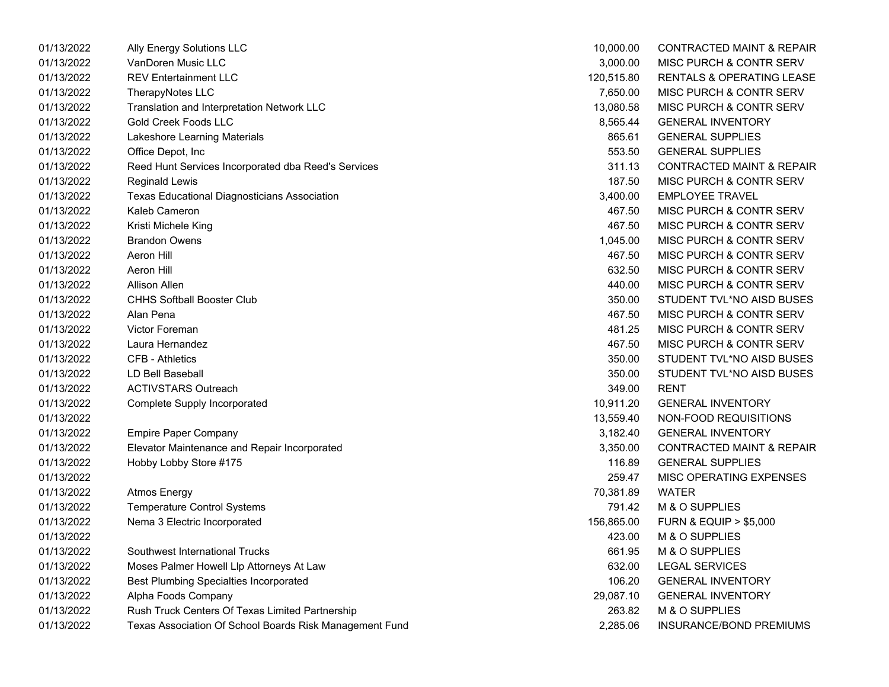| 01/13/2022 | Ally Energy Solutions LLC                               | 10,000.00  | <b>CONTRACTED MAINT &amp; REPAIR</b> |
|------------|---------------------------------------------------------|------------|--------------------------------------|
| 01/13/2022 | VanDoren Music LLC                                      | 3,000.00   | MISC PURCH & CONTR SERV              |
| 01/13/2022 | <b>REV Entertainment LLC</b>                            | 120,515.80 | <b>RENTALS &amp; OPERATING LEASE</b> |
| 01/13/2022 | TherapyNotes LLC                                        | 7,650.00   | MISC PURCH & CONTR SERV              |
| 01/13/2022 | Translation and Interpretation Network LLC              | 13,080.58  | MISC PURCH & CONTR SERV              |
| 01/13/2022 | <b>Gold Creek Foods LLC</b>                             | 8,565.44   | <b>GENERAL INVENTORY</b>             |
| 01/13/2022 | Lakeshore Learning Materials                            | 865.61     | <b>GENERAL SUPPLIES</b>              |
| 01/13/2022 | Office Depot, Inc                                       | 553.50     | <b>GENERAL SUPPLIES</b>              |
| 01/13/2022 | Reed Hunt Services Incorporated dba Reed's Services     | 311.13     | <b>CONTRACTED MAINT &amp; REPAIR</b> |
| 01/13/2022 | <b>Reginald Lewis</b>                                   | 187.50     | MISC PURCH & CONTR SERV              |
| 01/13/2022 | <b>Texas Educational Diagnosticians Association</b>     | 3,400.00   | <b>EMPLOYEE TRAVEL</b>               |
| 01/13/2022 | Kaleb Cameron                                           | 467.50     | MISC PURCH & CONTR SERV              |
| 01/13/2022 | Kristi Michele King                                     | 467.50     | MISC PURCH & CONTR SERV              |
| 01/13/2022 | <b>Brandon Owens</b>                                    | 1,045.00   | MISC PURCH & CONTR SERV              |
| 01/13/2022 | Aeron Hill                                              | 467.50     | MISC PURCH & CONTR SERV              |
| 01/13/2022 | <b>Aeron Hill</b>                                       | 632.50     | MISC PURCH & CONTR SERV              |
| 01/13/2022 | <b>Allison Allen</b>                                    | 440.00     | MISC PURCH & CONTR SERV              |
| 01/13/2022 | <b>CHHS Softball Booster Club</b>                       | 350.00     | STUDENT TVL*NO AISD BUSES            |
| 01/13/2022 | Alan Pena                                               | 467.50     | MISC PURCH & CONTR SERV              |
| 01/13/2022 | <b>Victor Foreman</b>                                   | 481.25     | MISC PURCH & CONTR SERV              |
| 01/13/2022 | Laura Hernandez                                         | 467.50     | MISC PURCH & CONTR SERV              |
| 01/13/2022 | <b>CFB - Athletics</b>                                  | 350.00     | STUDENT TVL*NO AISD BUSES            |
| 01/13/2022 | LD Bell Baseball                                        | 350.00     | STUDENT TVL*NO AISD BUSES            |
| 01/13/2022 | <b>ACTIVSTARS Outreach</b>                              | 349.00     | <b>RENT</b>                          |
| 01/13/2022 | <b>Complete Supply Incorporated</b>                     | 10,911.20  | <b>GENERAL INVENTORY</b>             |
| 01/13/2022 |                                                         | 13,559.40  | NON-FOOD REQUISITIONS                |
| 01/13/2022 | <b>Empire Paper Company</b>                             | 3,182.40   | <b>GENERAL INVENTORY</b>             |
| 01/13/2022 | Elevator Maintenance and Repair Incorporated            | 3,350.00   | <b>CONTRACTED MAINT &amp; REPAIR</b> |
| 01/13/2022 | Hobby Lobby Store #175                                  | 116.89     | <b>GENERAL SUPPLIES</b>              |
| 01/13/2022 |                                                         | 259.47     | MISC OPERATING EXPENSES              |
| 01/13/2022 | <b>Atmos Energy</b>                                     | 70,381.89  | <b>WATER</b>                         |
| 01/13/2022 | <b>Temperature Control Systems</b>                      | 791.42     | M & O SUPPLIES                       |
| 01/13/2022 | Nema 3 Electric Incorporated                            | 156,865.00 | <b>FURN &amp; EQUIP &gt; \$5,000</b> |
| 01/13/2022 |                                                         | 423.00     | M & O SUPPLIES                       |
| 01/13/2022 | Southwest International Trucks                          | 661.95     | M & O SUPPLIES                       |
| 01/13/2022 | Moses Palmer Howell Llp Attorneys At Law                | 632.00     | <b>LEGAL SERVICES</b>                |
| 01/13/2022 | <b>Best Plumbing Specialties Incorporated</b>           | 106.20     | <b>GENERAL INVENTORY</b>             |
| 01/13/2022 | Alpha Foods Company                                     | 29,087.10  | <b>GENERAL INVENTORY</b>             |
| 01/13/2022 | Rush Truck Centers Of Texas Limited Partnership         | 263.82     | M & O SUPPLIES                       |
| 01/13/2022 | Texas Association Of School Boards Risk Management Fund | 2,285.06   | INSURANCE/BOND PREMIUMS              |

| 10,000.00  | <b>CONTRACTED MAINT &amp; REPAIR</b> |
|------------|--------------------------------------|
| 3,000.00   | MISC PURCH & CONTR SERV              |
| 120,515.80 | <b>RENTALS &amp; OPERATING LEASE</b> |
| 7,650.00   | MISC PURCH & CONTR SERV              |
| 13,080.58  | MISC PURCH & CONTR SERV              |
| 8,565.44   | <b>GENERAL INVENTORY</b>             |
| 865.61     | <b>GENERAL SUPPLIES</b>              |
| 553.50     | <b>GENERAL SUPPLIES</b>              |
| 311.13     | <b>CONTRACTED MAINT &amp; REPAIR</b> |
| 187.50     | MISC PURCH & CONTR SERV              |
| 3,400.00   | <b>EMPLOYEE TRAVEL</b>               |
| 467.50     | MISC PURCH & CONTR SERV              |
| 467.50     | MISC PURCH & CONTR SERV              |
| 1,045.00   | MISC PURCH & CONTR SERV              |
| 467.50     | <b>MISC PURCH &amp; CONTR SERV</b>   |
| 632.50     | MISC PURCH & CONTR SERV              |
| 440.00     | <b>MISC PURCH &amp; CONTR SERV</b>   |
| 350.00     | STUDENT TVL*NO AISD BUSES            |
| 467.50     | <b>MISC PURCH &amp; CONTR SERV</b>   |
| 481.25     | MISC PURCH & CONTR SERV              |
| 467.50     | MISC PURCH & CONTR SERV              |
| 350.00     | STUDENT TVL*NO AISD BUSES            |
| 350.00     | STUDENT TVL*NO AISD BUSES            |
| 349.00     | <b>RENT</b>                          |
| 10,911.20  | <b>GENERAL INVENTORY</b>             |
| 13,559.40  | NON-FOOD REQUISITIONS                |
| 3,182.40   | <b>GENERAL INVENTORY</b>             |
| 3,350.00   | <b>CONTRACTED MAINT &amp; REPAIR</b> |
| 116.89     | <b>GENERAL SUPPLIES</b>              |
| 259.47     | MISC OPERATING EXPENSES              |
| 70,381.89  | <b>WATER</b>                         |
| 791.42     | M & O SUPPLIES                       |
|            | 156,865.00 FURN & EQUIP > \$5,000    |
| 423.00     | M & O SUPPLIES                       |
| 661.95     | M & O SUPPLIES                       |
| 632.00     | <b>LEGAL SERVICES</b>                |
| 106.20     | <b>GENERAL INVENTORY</b>             |
| 29,087.10  | <b>GENERAL INVENTORY</b>             |
| 263.82     | <b>M &amp; O SUPPLIES</b>            |
| 2,285.06   | INSURANCE/BOND PREMIUMS              |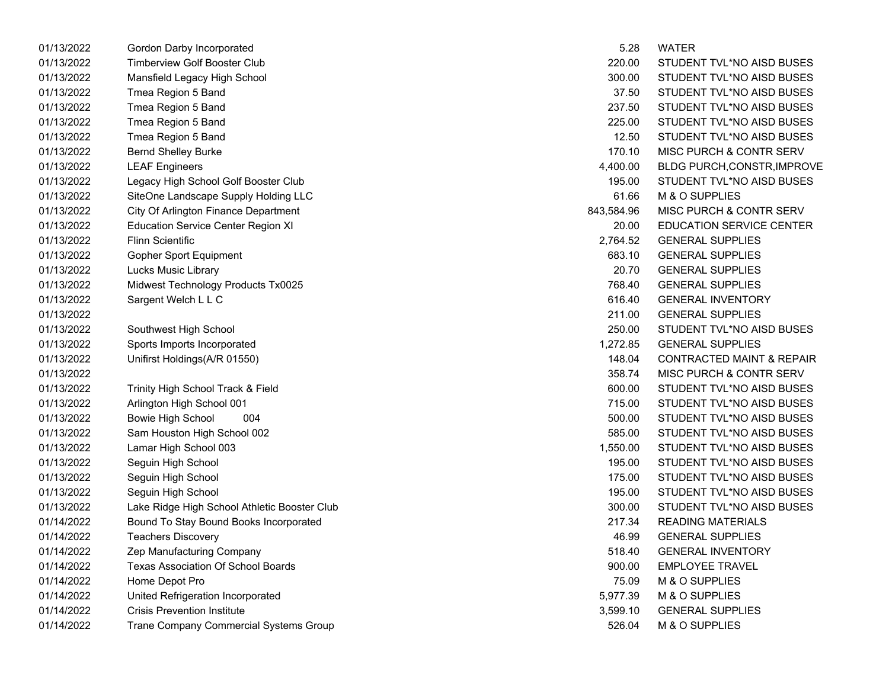| 01/13/2022 | Gordon Darby Incorporated                     | 5.28       | <b>WATER</b>                         |
|------------|-----------------------------------------------|------------|--------------------------------------|
| 01/13/2022 | <b>Timberview Golf Booster Club</b>           | 220.00     | STUDENT TVL*NO AISD BUSES            |
| 01/13/2022 | Mansfield Legacy High School                  | 300.00     | STUDENT TVL*NO AISD BUSES            |
| 01/13/2022 | Tmea Region 5 Band                            | 37.50      | STUDENT TVL*NO AISD BUSES            |
| 01/13/2022 | Tmea Region 5 Band                            | 237.50     | STUDENT TVL*NO AISD BUSES            |
| 01/13/2022 | Tmea Region 5 Band                            | 225.00     | STUDENT TVL*NO AISD BUSES            |
| 01/13/2022 | Tmea Region 5 Band                            | 12.50      | STUDENT TVL*NO AISD BUSES            |
| 01/13/2022 | <b>Bernd Shelley Burke</b>                    | 170.10     | MISC PURCH & CONTR SERV              |
| 01/13/2022 | <b>LEAF Engineers</b>                         | 4,400.00   | BLDG PURCH, CONSTR, IMPROVE          |
| 01/13/2022 | Legacy High School Golf Booster Club          | 195.00     | STUDENT TVL*NO AISD BUSES            |
| 01/13/2022 | SiteOne Landscape Supply Holding LLC          | 61.66      | M & O SUPPLIES                       |
| 01/13/2022 | City Of Arlington Finance Department          | 843,584.96 | MISC PURCH & CONTR SERV              |
| 01/13/2022 | <b>Education Service Center Region XI</b>     | 20.00      | <b>EDUCATION SERVICE CENTER</b>      |
| 01/13/2022 | <b>Flinn Scientific</b>                       | 2,764.52   | <b>GENERAL SUPPLIES</b>              |
| 01/13/2022 | Gopher Sport Equipment                        | 683.10     | <b>GENERAL SUPPLIES</b>              |
| 01/13/2022 | Lucks Music Library                           | 20.70      | <b>GENERAL SUPPLIES</b>              |
| 01/13/2022 | Midwest Technology Products Tx0025            | 768.40     | <b>GENERAL SUPPLIES</b>              |
| 01/13/2022 | Sargent Welch L L C                           | 616.40     | <b>GENERAL INVENTORY</b>             |
| 01/13/2022 |                                               | 211.00     | <b>GENERAL SUPPLIES</b>              |
| 01/13/2022 | Southwest High School                         | 250.00     | STUDENT TVL*NO AISD BUSES            |
| 01/13/2022 | Sports Imports Incorporated                   | 1,272.85   | <b>GENERAL SUPPLIES</b>              |
| 01/13/2022 | Unifirst Holdings(A/R 01550)                  | 148.04     | <b>CONTRACTED MAINT &amp; REPAIR</b> |
| 01/13/2022 |                                               | 358.74     | MISC PURCH & CONTR SERV              |
| 01/13/2022 | Trinity High School Track & Field             | 600.00     | STUDENT TVL*NO AISD BUSES            |
| 01/13/2022 | Arlington High School 001                     | 715.00     | STUDENT TVL*NO AISD BUSES            |
| 01/13/2022 | Bowie High School<br>004                      | 500.00     | STUDENT TVL*NO AISD BUSES            |
| 01/13/2022 | Sam Houston High School 002                   | 585.00     | STUDENT TVL*NO AISD BUSES            |
| 01/13/2022 | Lamar High School 003                         | 1,550.00   | STUDENT TVL*NO AISD BUSES            |
| 01/13/2022 | Seguin High School                            | 195.00     | STUDENT TVL*NO AISD BUSES            |
| 01/13/2022 | Seguin High School                            | 175.00     | STUDENT TVL*NO AISD BUSES            |
| 01/13/2022 | Seguin High School                            | 195.00     | STUDENT TVL*NO AISD BUSES            |
| 01/13/2022 | Lake Ridge High School Athletic Booster Club  | 300.00     | STUDENT TVL*NO AISD BUSES            |
| 01/14/2022 | Bound To Stay Bound Books Incorporated        | 217.34     | <b>READING MATERIALS</b>             |
| 01/14/2022 | <b>Teachers Discovery</b>                     | 46.99      | <b>GENERAL SUPPLIES</b>              |
| 01/14/2022 | Zep Manufacturing Company                     | 518.40     | <b>GENERAL INVENTORY</b>             |
| 01/14/2022 | Texas Association Of School Boards            | 900.00     | <b>EMPLOYEE TRAVEL</b>               |
| 01/14/2022 | Home Depot Pro                                | 75.09      | M & O SUPPLIES                       |
| 01/14/2022 | United Refrigeration Incorporated             | 5,977.39   | M & O SUPPLIES                       |
| 01/14/2022 | <b>Crisis Prevention Institute</b>            | 3,599.10   | <b>GENERAL SUPPLIES</b>              |
| 01/14/2022 | <b>Trane Company Commercial Systems Group</b> | 526.04     | M & O SUPPLIES                       |

|          | 5.28       | WATER                                |
|----------|------------|--------------------------------------|
|          | 220.00     | STUDENT TVL*NO AISD BUSES            |
|          | 300.00     | STUDENT TVL*NO AISD BUSES            |
|          | 37.50      | STUDENT TVL*NO AISD BUSES            |
|          | 237.50     | STUDENT TVL*NO AISD BUSES            |
|          | 225.00     | STUDENT TVL*NO AISD BUSES            |
|          | 12.50      | STUDENT TVL*NO AISD BUSES            |
|          | 170.10     | MISC PURCH & CONTR SERV              |
|          | 4,400.00   | BLDG PURCH, CONSTR, IMPROVI          |
|          | 195.00     | STUDENT TVL*NO AISD BUSES            |
| LC       | 61.66      | M & O SUPPLIES                       |
|          | 843,584.96 | MISC PURCH & CONTR SERV              |
|          | 20.00      | <b>EDUCATION SERVICE CENTER</b>      |
|          | 2,764.52   | <b>GENERAL SUPPLIES</b>              |
|          | 683.10     | <b>GENERAL SUPPLIES</b>              |
|          | 20.70      | <b>GENERAL SUPPLIES</b>              |
|          | 768.40     | <b>GENERAL SUPPLIES</b>              |
|          | 616.40     | <b>GENERAL INVENTORY</b>             |
|          | 211.00     | <b>GENERAL SUPPLIES</b>              |
|          | 250.00     | STUDENT TVL*NO AISD BUSES            |
|          | 1,272.85   | <b>GENERAL SUPPLIES</b>              |
|          | 148.04     | <b>CONTRACTED MAINT &amp; REPAIR</b> |
|          | 358.74     | MISC PURCH & CONTR SERV              |
|          | 600.00     | STUDENT TVL*NO AISD BUSES            |
|          | 715.00     | STUDENT TVL*NO AISD BUSES            |
|          | 500.00     | STUDENT TVL*NO AISD BUSES            |
|          | 585.00     | STUDENT TVL*NO AISD BUSES            |
|          | 1,550.00   | STUDENT TVL*NO AISD BUSES            |
|          | 195.00     | STUDENT TVL*NO AISD BUSES            |
|          | 175.00     | STUDENT TVL*NO AISD BUSES            |
|          | 195.00     | STUDENT TVL*NO AISD BUSES            |
| ter Club | 300.00     | STUDENT TVL*NO AISD BUSES            |
| ated     | 217.34     | <b>READING MATERIALS</b>             |
|          | 46.99      | <b>GENERAL SUPPLIES</b>              |
|          | 518.40     | <b>GENERAL INVENTORY</b>             |
|          | 900.00     | <b>EMPLOYEE TRAVEL</b>               |
|          | 75.09      | M & O SUPPLIES                       |
|          | 5,977.39   | M & O SUPPLIES                       |
|          | 3,599.10   | <b>GENERAL SUPPLIES</b>              |
| Group    | 526.04     | M & O SUPPLIES                       |
|          |            |                                      |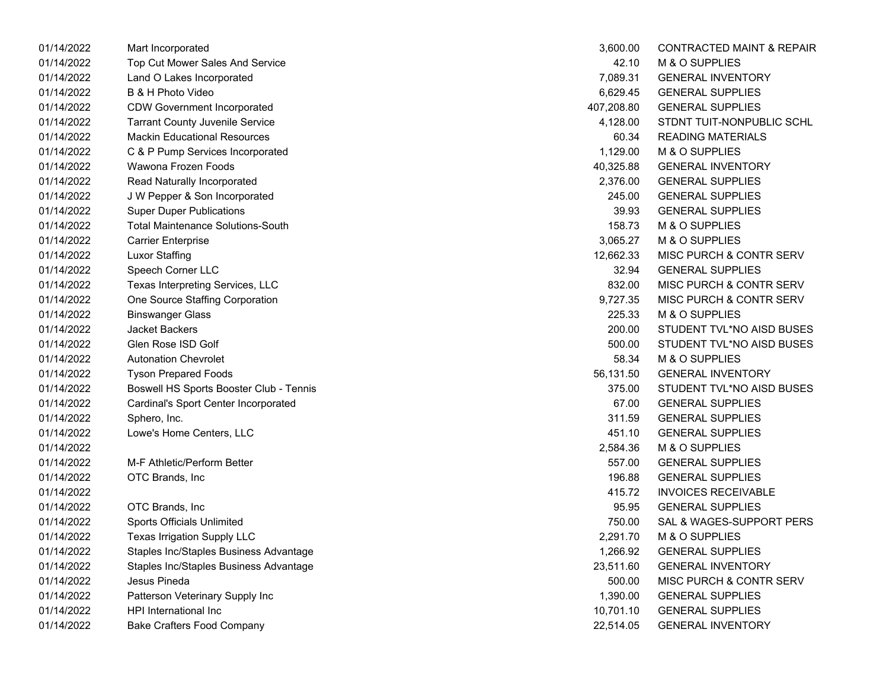| 01/14/2022 | Mart Incorporated                        | 3,600.00   | <b>CONTRACTED MAINT &amp; REPAIR</b> |
|------------|------------------------------------------|------------|--------------------------------------|
| 01/14/2022 | Top Cut Mower Sales And Service          | 42.10      | M & O SUPPLIES                       |
| 01/14/2022 | Land O Lakes Incorporated                | 7,089.31   | <b>GENERAL INVENTORY</b>             |
| 01/14/2022 | B & H Photo Video                        | 6,629.45   | <b>GENERAL SUPPLIES</b>              |
| 01/14/2022 | <b>CDW Government Incorporated</b>       | 407,208.80 | <b>GENERAL SUPPLIES</b>              |
| 01/14/2022 | <b>Tarrant County Juvenile Service</b>   | 4,128.00   | STDNT TUIT-NONPUBLIC SCHL            |
| 01/14/2022 | <b>Mackin Educational Resources</b>      | 60.34      | <b>READING MATERIALS</b>             |
| 01/14/2022 | C & P Pump Services Incorporated         | 1,129.00   | M & O SUPPLIES                       |
| 01/14/2022 | Wawona Frozen Foods                      | 40,325.88  | <b>GENERAL INVENTORY</b>             |
| 01/14/2022 | Read Naturally Incorporated              | 2,376.00   | <b>GENERAL SUPPLIES</b>              |
| 01/14/2022 | J W Pepper & Son Incorporated            | 245.00     | <b>GENERAL SUPPLIES</b>              |
| 01/14/2022 | <b>Super Duper Publications</b>          | 39.93      | <b>GENERAL SUPPLIES</b>              |
| 01/14/2022 | <b>Total Maintenance Solutions-South</b> | 158.73     | M & O SUPPLIES                       |
| 01/14/2022 | <b>Carrier Enterprise</b>                | 3,065.27   | M & O SUPPLIES                       |
| 01/14/2022 | <b>Luxor Staffing</b>                    | 12,662.33  | MISC PURCH & CONTR SERV              |
| 01/14/2022 | Speech Corner LLC                        | 32.94      | <b>GENERAL SUPPLIES</b>              |
| 01/14/2022 | Texas Interpreting Services, LLC         | 832.00     | MISC PURCH & CONTR SERV              |
| 01/14/2022 | One Source Staffing Corporation          | 9,727.35   | <b>MISC PURCH &amp; CONTR SERV</b>   |
| 01/14/2022 | <b>Binswanger Glass</b>                  | 225.33     | M & O SUPPLIES                       |
| 01/14/2022 | <b>Jacket Backers</b>                    | 200.00     | STUDENT TVL*NO AISD BUSES            |
| 01/14/2022 | Glen Rose ISD Golf                       | 500.00     | STUDENT TVL*NO AISD BUSES            |
| 01/14/2022 | <b>Autonation Chevrolet</b>              | 58.34      | M & O SUPPLIES                       |
| 01/14/2022 | <b>Tyson Prepared Foods</b>              | 56,131.50  | <b>GENERAL INVENTORY</b>             |
| 01/14/2022 | Boswell HS Sports Booster Club - Tennis  | 375.00     | STUDENT TVL*NO AISD BUSES            |
| 01/14/2022 | Cardinal's Sport Center Incorporated     | 67.00      | <b>GENERAL SUPPLIES</b>              |
| 01/14/2022 | Sphero, Inc.                             | 311.59     | <b>GENERAL SUPPLIES</b>              |
| 01/14/2022 | Lowe's Home Centers, LLC                 | 451.10     | <b>GENERAL SUPPLIES</b>              |
| 01/14/2022 |                                          | 2,584.36   | M & O SUPPLIES                       |
| 01/14/2022 | M-F Athletic/Perform Better              | 557.00     | <b>GENERAL SUPPLIES</b>              |
| 01/14/2022 | OTC Brands, Inc.                         | 196.88     | <b>GENERAL SUPPLIES</b>              |
| 01/14/2022 |                                          | 415.72     | <b>INVOICES RECEIVABLE</b>           |
| 01/14/2022 | OTC Brands, Inc                          | 95.95      | <b>GENERAL SUPPLIES</b>              |
| 01/14/2022 | <b>Sports Officials Unlimited</b>        | 750.00     | SAL & WAGES-SUPPORT PERS             |
| 01/14/2022 | Texas Irrigation Supply LLC              | 2,291.70   | M & O SUPPLIES                       |
| 01/14/2022 | Staples Inc/Staples Business Advantage   | 1,266.92   | <b>GENERAL SUPPLIES</b>              |
| 01/14/2022 | Staples Inc/Staples Business Advantage   | 23,511.60  | <b>GENERAL INVENTORY</b>             |
| 01/14/2022 | Jesus Pineda                             | 500.00     | MISC PURCH & CONTR SERV              |
| 01/14/2022 | Patterson Veterinary Supply Inc          | 1,390.00   | <b>GENERAL SUPPLIES</b>              |
| 01/14/2022 | HPI International Inc                    | 10,701.10  | <b>GENERAL SUPPLIES</b>              |
| 01/14/2022 | Bake Crafters Food Company               | 22,514.05  | <b>GENERAL INVENTORY</b>             |

| 3,600.00   | <b>CONTRACTED MAINT &amp; REPAIR</b> |
|------------|--------------------------------------|
| 42.10      | M & O SUPPLIES                       |
| 7.089.31   | <b>GENERAL INVENTORY</b>             |
| 6,629.45   | <b>GENERAL SUPPLIES</b>              |
| 407,208.80 | <b>GENERAL SUPPLIES</b>              |
| 4,128.00   | STDNT TUIT-NONPUBLIC SCHL            |
|            | 60.34 READING MATERIALS              |
|            | 1,129.00 M & O SUPPLIES              |
| 40,325.88  | <b>GENERAL INVENTORY</b>             |
| 2,376.00   | <b>GENERAL SUPPLIES</b>              |
| 245.00     | <b>GENERAL SUPPLIES</b>              |
| 39.93      | <b>GENERAL SUPPLIES</b>              |
| 158.73     | M & O SUPPLIES                       |
| 3,065.27   | M & O SUPPLIES                       |
| 12,662.33  | MISC PURCH & CONTR SERV              |
| 32.94      | <b>GENERAL SUPPLIES</b>              |
| 832.00     | MISC PURCH & CONTR SERV              |
| 9,727.35   | <b>MISC PURCH &amp; CONTR SERV</b>   |
| 225.33     | M & O SUPPLIES                       |
| 200.00     | STUDENT TVL*NO AISD BUSES            |
| 500.00     | STUDENT TVL*NO AISD BUSES            |
| 58.34      | M & O SUPPLIES                       |
| 56,131.50  | <b>GENERAL INVENTORY</b>             |
| 375.00     | STUDENT TVL*NO AISD BUSES            |
| 67.00      | <b>GENERAL SUPPLIES</b>              |
| 311.59     | <b>GENERAL SUPPLIES</b>              |
| 451.10     | <b>GENERAL SUPPLIES</b>              |
| 2,584.36   | M & O SUPPLIES                       |
| 557.00     | <b>GENERAL SUPPLIES</b>              |
| 196.88     | <b>GENERAL SUPPLIES</b>              |
| 415.72     | <b>INVOICES RECEIVABLE</b>           |
| 95.95      | <b>GENERAL SUPPLIES</b>              |
| 750.00     | SAL & WAGES-SUPPORT PERS             |
| 2,291.70   | M & O SUPPLIES                       |
| 1,266.92   | <b>GENERAL SUPPLIES</b>              |
| 23,511.60  | <b>GENERAL INVENTORY</b>             |
| 500.00     | <b>MISC PURCH &amp; CONTR SERV</b>   |
| 1,390.00   | <b>GENERAL SUPPLIES</b>              |
| 10,701.10  | <b>GENERAL SUPPLIES</b>              |
| 22,514.05  | <b>GENERAL INVENTORY</b>             |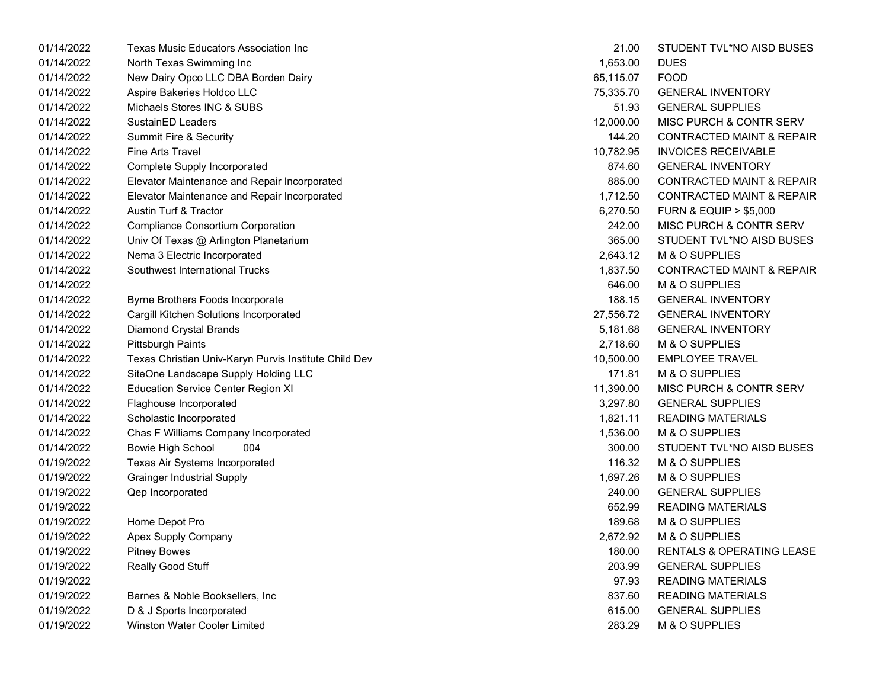| 01/14/2022 | Texas Music Educators Association Inc                 | 21.00     | STUDENT TVL*NO AISD BUSES            |
|------------|-------------------------------------------------------|-----------|--------------------------------------|
| 01/14/2022 | North Texas Swimming Inc                              | 1,653.00  | <b>DUES</b>                          |
| 01/14/2022 | New Dairy Opco LLC DBA Borden Dairy                   | 65,115.07 | <b>FOOD</b>                          |
| 01/14/2022 | Aspire Bakeries Holdco LLC                            | 75,335.70 | <b>GENERAL INVENTORY</b>             |
| 01/14/2022 | Michaels Stores INC & SUBS                            | 51.93     | <b>GENERAL SUPPLIES</b>              |
| 01/14/2022 | SustainED Leaders                                     | 12,000.00 | MISC PURCH & CONTR SERV              |
| 01/14/2022 | <b>Summit Fire &amp; Security</b>                     | 144.20    | <b>CONTRACTED MAINT &amp; REPAIR</b> |
| 01/14/2022 | <b>Fine Arts Travel</b>                               | 10,782.95 | <b>INVOICES RECEIVABLE</b>           |
| 01/14/2022 | Complete Supply Incorporated                          | 874.60    | <b>GENERAL INVENTORY</b>             |
| 01/14/2022 | Elevator Maintenance and Repair Incorporated          | 885.00    | <b>CONTRACTED MAINT &amp; REPAIR</b> |
| 01/14/2022 | Elevator Maintenance and Repair Incorporated          | 1,712.50  | <b>CONTRACTED MAINT &amp; REPAIR</b> |
| 01/14/2022 | Austin Turf & Tractor                                 | 6,270.50  | <b>FURN &amp; EQUIP &gt; \$5,000</b> |
| 01/14/2022 | <b>Compliance Consortium Corporation</b>              | 242.00    | MISC PURCH & CONTR SERV              |
| 01/14/2022 | Univ Of Texas @ Arlington Planetarium                 | 365.00    | STUDENT TVL*NO AISD BUSES            |
| 01/14/2022 | Nema 3 Electric Incorporated                          | 2,643.12  | M & O SUPPLIES                       |
| 01/14/2022 | Southwest International Trucks                        | 1,837.50  | <b>CONTRACTED MAINT &amp; REPAIR</b> |
| 01/14/2022 |                                                       | 646.00    | M & O SUPPLIES                       |
| 01/14/2022 | Byrne Brothers Foods Incorporate                      | 188.15    | <b>GENERAL INVENTORY</b>             |
| 01/14/2022 | Cargill Kitchen Solutions Incorporated                | 27,556.72 | <b>GENERAL INVENTORY</b>             |
| 01/14/2022 | <b>Diamond Crystal Brands</b>                         | 5,181.68  | <b>GENERAL INVENTORY</b>             |
| 01/14/2022 | <b>Pittsburgh Paints</b>                              | 2,718.60  | M & O SUPPLIES                       |
| 01/14/2022 | Texas Christian Univ-Karyn Purvis Institute Child Dev | 10,500.00 | <b>EMPLOYEE TRAVEL</b>               |
| 01/14/2022 | SiteOne Landscape Supply Holding LLC                  | 171.81    | M & O SUPPLIES                       |
| 01/14/2022 | <b>Education Service Center Region XI</b>             | 11,390.00 | <b>MISC PURCH &amp; CONTR SERV</b>   |
| 01/14/2022 | Flaghouse Incorporated                                | 3,297.80  | <b>GENERAL SUPPLIES</b>              |
| 01/14/2022 | Scholastic Incorporated                               | 1,821.11  | <b>READING MATERIALS</b>             |
| 01/14/2022 | Chas F Williams Company Incorporated                  | 1,536.00  | M & O SUPPLIES                       |
| 01/14/2022 | <b>Bowie High School</b><br>004                       | 300.00    | STUDENT TVL*NO AISD BUSES            |
| 01/19/2022 | Texas Air Systems Incorporated                        | 116.32    | M & O SUPPLIES                       |
| 01/19/2022 | <b>Grainger Industrial Supply</b>                     | 1,697.26  | M & O SUPPLIES                       |
| 01/19/2022 | Qep Incorporated                                      | 240.00    | <b>GENERAL SUPPLIES</b>              |
| 01/19/2022 |                                                       | 652.99    | <b>READING MATERIALS</b>             |
| 01/19/2022 | Home Depot Pro                                        | 189.68    | M & O SUPPLIES                       |
| 01/19/2022 | Apex Supply Company                                   | 2,672.92  | M & O SUPPLIES                       |
| 01/19/2022 | <b>Pitney Bowes</b>                                   | 180.00    | RENTALS & OPERATING LEASE            |
| 01/19/2022 | Really Good Stuff                                     | 203.99    | <b>GENERAL SUPPLIES</b>              |
| 01/19/2022 |                                                       | 97.93     | <b>READING MATERIALS</b>             |
| 01/19/2022 | Barnes & Noble Booksellers, Inc.                      | 837.60    | <b>READING MATERIALS</b>             |
| 01/19/2022 | D & J Sports Incorporated                             | 615.00    | <b>GENERAL SUPPLIES</b>              |
| 01/19/2022 | Winston Water Cooler Limited                          | 283.29    | M & O SUPPLIES                       |

| 21.00     | STUDENT TVL*NO AISD BUSES            |
|-----------|--------------------------------------|
| 1,653.00  | DUES                                 |
| 65,115.07 | <b>FOOD</b>                          |
| 75,335.70 | <b>GENERAL INVENTORY</b>             |
| 51.93     | <b>GENERAL SUPPLIES</b>              |
| 12,000.00 | <b>MISC PURCH &amp; CONTR SERV</b>   |
| 144.20    | <b>CONTRACTED MAINT &amp; REPAIR</b> |
| 10,782.95 | <b>INVOICES RECEIVABLE</b>           |
| 874.60    | <b>GENERAL INVENTORY</b>             |
| 885.00    | <b>CONTRACTED MAINT &amp; REPAIR</b> |
| 1,712.50  | <b>CONTRACTED MAINT &amp; REPAIR</b> |
| 6,270.50  | <b>FURN &amp; EQUIP &gt; \$5,000</b> |
| 242.00    | MISC PURCH & CONTR SERV              |
| 365.00    | STUDENT TVL*NO AISD BUSES            |
| 2,643.12  | M & O SUPPLIES                       |
| 1,837.50  | <b>CONTRACTED MAINT &amp; REPAIR</b> |
| 646.00    | M & O SUPPLIES                       |
| 188.15    | <b>GENERAL INVENTORY</b>             |
| 27,556.72 | <b>GENERAL INVENTORY</b>             |
| 5,181.68  | <b>GENERAL INVENTORY</b>             |
|           | 2,718.60 M & O SUPPLIES              |
|           | 10,500.00 EMPLOYEE TRAVEL            |
| 171.81    | M & O SUPPLIES                       |
| 11,390.00 | MISC PURCH & CONTR SERV              |
| 3,297.80  | <b>GENERAL SUPPLIES</b>              |
| 1,821.11  | <b>READING MATERIALS</b>             |
|           | 1,536.00 M & O SUPPLIES              |
| 300.00    | STUDENT TVL*NO AISD BUSES            |
| 116.32    | M & O SUPPLIES                       |
| 1,697.26  | M & O SUPPLIES                       |
| 240.00    | <b>GENERAL SUPPLIES</b>              |
| 652.99    | <b>READING MATERIALS</b>             |
| 189.68    | M & O SUPPLIES                       |
| 2,672.92  | M & O SUPPLIES                       |
| 180.00    | RENTALS & OPERATING LEASE            |
| 203.99    | <b>GENERAL SUPPLIES</b>              |
| 97.93     | <b>READING MATERIALS</b>             |
| 837.60    | <b>READING MATERIALS</b>             |
| 615.00    | <b>GENERAL SUPPLIES</b>              |
| 283.29    | M & O SUPPLIES                       |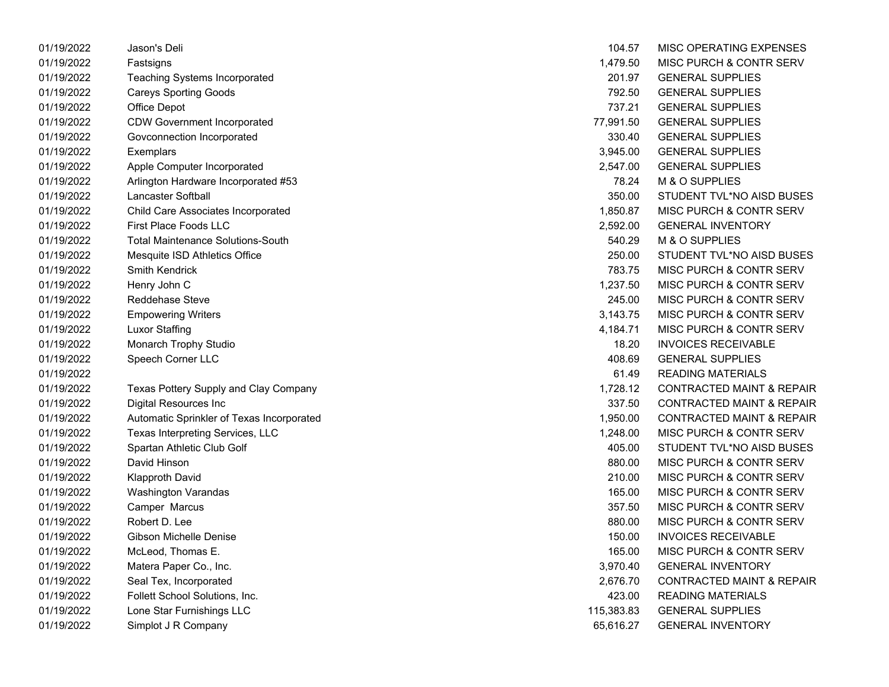| 01/19/2022 | Jason's Deli                              | 104.57     | MISC OPERATING EXPENSES              |
|------------|-------------------------------------------|------------|--------------------------------------|
| 01/19/2022 | Fastsigns                                 | 1,479.50   | MISC PURCH & CONTR SERV              |
| 01/19/2022 | <b>Teaching Systems Incorporated</b>      | 201.97     | <b>GENERAL SUPPLIES</b>              |
| 01/19/2022 | <b>Careys Sporting Goods</b>              | 792.50     | <b>GENERAL SUPPLIES</b>              |
| 01/19/2022 | Office Depot                              | 737.21     | <b>GENERAL SUPPLIES</b>              |
| 01/19/2022 | <b>CDW Government Incorporated</b>        | 77,991.50  | <b>GENERAL SUPPLIES</b>              |
| 01/19/2022 | Govconnection Incorporated                | 330.40     | <b>GENERAL SUPPLIES</b>              |
| 01/19/2022 | Exemplars                                 | 3,945.00   | <b>GENERAL SUPPLIES</b>              |
| 01/19/2022 | Apple Computer Incorporated               | 2,547.00   | <b>GENERAL SUPPLIES</b>              |
| 01/19/2022 | Arlington Hardware Incorporated #53       | 78.24      | M & O SUPPLIES                       |
| 01/19/2022 | <b>Lancaster Softball</b>                 | 350.00     | STUDENT TVL*NO AISD BUSES            |
| 01/19/2022 | Child Care Associates Incorporated        | 1,850.87   | MISC PURCH & CONTR SERV              |
| 01/19/2022 | <b>First Place Foods LLC</b>              | 2,592.00   | <b>GENERAL INVENTORY</b>             |
| 01/19/2022 | <b>Total Maintenance Solutions-South</b>  | 540.29     | M & O SUPPLIES                       |
| 01/19/2022 | Mesquite ISD Athletics Office             | 250.00     | STUDENT TVL*NO AISD BUSES            |
| 01/19/2022 | <b>Smith Kendrick</b>                     | 783.75     | MISC PURCH & CONTR SERV              |
| 01/19/2022 | Henry John C                              | 1,237.50   | MISC PURCH & CONTR SERV              |
| 01/19/2022 | <b>Reddehase Steve</b>                    | 245.00     | MISC PURCH & CONTR SERV              |
| 01/19/2022 | <b>Empowering Writers</b>                 | 3,143.75   | MISC PURCH & CONTR SERV              |
| 01/19/2022 | <b>Luxor Staffing</b>                     | 4,184.71   | MISC PURCH & CONTR SERV              |
| 01/19/2022 | Monarch Trophy Studio                     | 18.20      | <b>INVOICES RECEIVABLE</b>           |
| 01/19/2022 | Speech Corner LLC                         | 408.69     | <b>GENERAL SUPPLIES</b>              |
| 01/19/2022 |                                           | 61.49      | <b>READING MATERIALS</b>             |
| 01/19/2022 | Texas Pottery Supply and Clay Company     | 1,728.12   | <b>CONTRACTED MAINT &amp; REPAIR</b> |
| 01/19/2022 | <b>Digital Resources Inc</b>              | 337.50     | <b>CONTRACTED MAINT &amp; REPAIR</b> |
| 01/19/2022 | Automatic Sprinkler of Texas Incorporated | 1,950.00   | <b>CONTRACTED MAINT &amp; REPAIR</b> |
| 01/19/2022 | Texas Interpreting Services, LLC          | 1,248.00   | MISC PURCH & CONTR SERV              |
| 01/19/2022 | Spartan Athletic Club Golf                | 405.00     | STUDENT TVL*NO AISD BUSES            |
| 01/19/2022 | David Hinson                              | 880.00     | MISC PURCH & CONTR SERV              |
| 01/19/2022 | <b>Klapproth David</b>                    | 210.00     | MISC PURCH & CONTR SERV              |
| 01/19/2022 | Washington Varandas                       | 165.00     | MISC PURCH & CONTR SERV              |
| 01/19/2022 | Camper Marcus                             | 357.50     | MISC PURCH & CONTR SERV              |
| 01/19/2022 | Robert D. Lee                             | 880.00     | MISC PURCH & CONTR SERV              |
| 01/19/2022 | Gibson Michelle Denise                    | 150.00     | <b>INVOICES RECEIVABLE</b>           |
| 01/19/2022 | McLeod, Thomas E.                         | 165.00     | MISC PURCH & CONTR SERV              |
| 01/19/2022 | Matera Paper Co., Inc.                    | 3,970.40   | <b>GENERAL INVENTORY</b>             |
| 01/19/2022 | Seal Tex, Incorporated                    | 2,676.70   | <b>CONTRACTED MAINT &amp; REPAIR</b> |
| 01/19/2022 | Follett School Solutions, Inc.            | 423.00     | <b>READING MATERIALS</b>             |
| 01/19/2022 | Lone Star Furnishings LLC                 | 115,383.83 | <b>GENERAL SUPPLIES</b>              |
| 01/19/2022 | Simplot J R Company                       | 65,616.27  | <b>GENERAL INVENTORY</b>             |
|            |                                           |            |                                      |

| 104.57     | MISC OPERATING EXPENSES              |
|------------|--------------------------------------|
| 1,479.50   | <b>MISC PURCH &amp; CONTR SERV</b>   |
| 201.97     | <b>GENERAL SUPPLIES</b>              |
| 792.50     | <b>GENERAL SUPPLIES</b>              |
| 737.21     | <b>GENERAL SUPPLIES</b>              |
| 77,991.50  | <b>GENERAL SUPPLIES</b>              |
| 330.40     | <b>GENERAL SUPPLIES</b>              |
| 3,945.00   | <b>GENERAL SUPPLIES</b>              |
| 2,547.00   | <b>GENERAL SUPPLIES</b>              |
| 78.24      | M & O SUPPLIES                       |
| 350.00     | STUDENT TVL*NO AISD BUSES            |
| 1,850.87   | <b>MISC PURCH &amp; CONTR SERV</b>   |
| 2,592.00   | <b>GENERAL INVENTORY</b>             |
| 540.29     | M & O SUPPLIES                       |
| 250.00     | STUDENT TVL*NO AISD BUSES            |
| 783.75     | MISC PURCH & CONTR SERV              |
| 1,237.50   | <b>MISC PURCH &amp; CONTR SERV</b>   |
| 245.00     | MISC PURCH & CONTR SERV              |
| 3,143.75   | <b>MISC PURCH &amp; CONTR SERV</b>   |
| 4,184.71   | <b>MISC PURCH &amp; CONTR SERV</b>   |
| 18.20      | <b>INVOICES RECEIVABLE</b>           |
| 408.69     | <b>GENERAL SUPPLIES</b>              |
| 61.49      | READING MATERIALS                    |
| 1,728.12   | <b>CONTRACTED MAINT &amp; REPAIR</b> |
| 337.50     | <b>CONTRACTED MAINT &amp; REPAIR</b> |
| 1,950.00   | <b>CONTRACTED MAINT &amp; REPAIR</b> |
| 1,248.00   | <b>MISC PURCH &amp; CONTR SERV</b>   |
| 405.00     | STUDENT TVL*NO AISD BUSES            |
| 880.00     | MISC PURCH & CONTR SERV              |
| 210.00     | MISC PURCH & CONTR SERV              |
| 165.00     | <b>MISC PURCH &amp; CONTR SERV</b>   |
| 357.50     | <b>MISC PURCH &amp; CONTR SERV</b>   |
| 880.00     | MISC PURCH & CONTR SERV              |
| 150.00     | <b>INVOICES RECEIVABLE</b>           |
| 165.00     | MISC PURCH & CONTR SERV              |
| 3,970.40   | <b>GENERAL INVENTORY</b>             |
| 2,676.70   | <b>CONTRACTED MAINT &amp; REPAIR</b> |
| 423.00     | <b>READING MATERIALS</b>             |
| 115,383.83 | <b>GENERAL SUPPLIES</b>              |
| 65,616.27  | <b>GENERAL INVENTORY</b>             |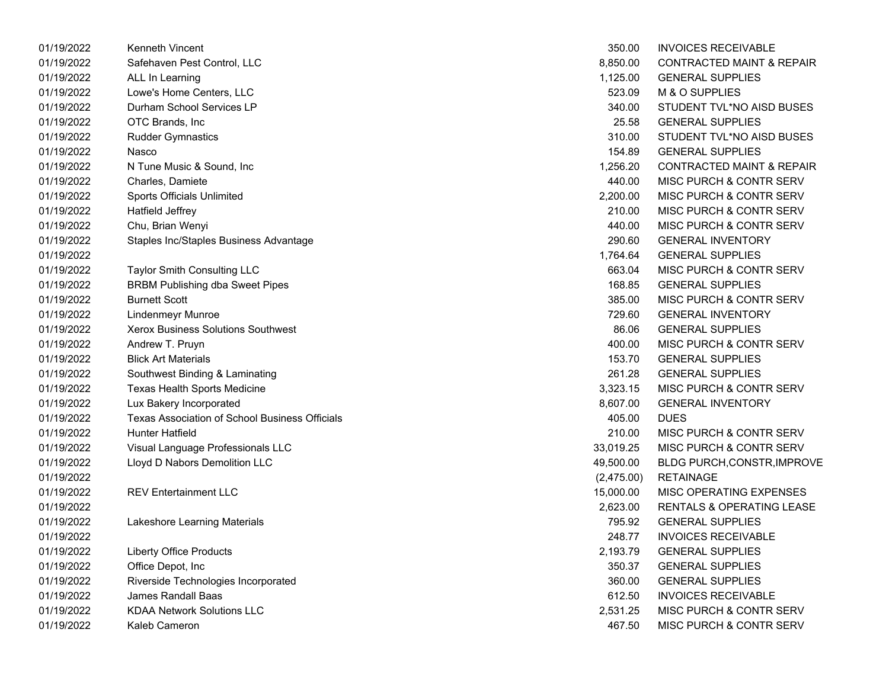| 01/19/2022 | Kenneth Vincent                                | 350.00     | <b>INVOICES RECEIVABLE</b>           |
|------------|------------------------------------------------|------------|--------------------------------------|
| 01/19/2022 | Safehaven Pest Control, LLC                    | 8,850.00   | <b>CONTRACTED MAINT &amp; REPAIR</b> |
| 01/19/2022 | ALL In Learning                                | 1,125.00   | <b>GENERAL SUPPLIES</b>              |
| 01/19/2022 | Lowe's Home Centers, LLC                       | 523.09     | M & O SUPPLIES                       |
| 01/19/2022 | Durham School Services LP                      | 340.00     | STUDENT TVL*NO AISD BUSES            |
| 01/19/2022 | OTC Brands, Inc.                               | 25.58      | <b>GENERAL SUPPLIES</b>              |
| 01/19/2022 | <b>Rudder Gymnastics</b>                       | 310.00     | STUDENT TVL*NO AISD BUSES            |
| 01/19/2022 | Nasco                                          | 154.89     | <b>GENERAL SUPPLIES</b>              |
| 01/19/2022 | N Tune Music & Sound, Inc.                     | 1,256.20   | <b>CONTRACTED MAINT &amp; REPAIR</b> |
| 01/19/2022 | Charles, Damiete                               | 440.00     | MISC PURCH & CONTR SERV              |
| 01/19/2022 | Sports Officials Unlimited                     | 2,200.00   | <b>MISC PURCH &amp; CONTR SERV</b>   |
| 01/19/2022 | Hatfield Jeffrey                               | 210.00     | MISC PURCH & CONTR SERV              |
| 01/19/2022 | Chu, Brian Wenyi                               | 440.00     | MISC PURCH & CONTR SERV              |
| 01/19/2022 | Staples Inc/Staples Business Advantage         | 290.60     | <b>GENERAL INVENTORY</b>             |
| 01/19/2022 |                                                | 1,764.64   | <b>GENERAL SUPPLIES</b>              |
| 01/19/2022 | Taylor Smith Consulting LLC                    | 663.04     | MISC PURCH & CONTR SERV              |
| 01/19/2022 | <b>BRBM Publishing dba Sweet Pipes</b>         | 168.85     | <b>GENERAL SUPPLIES</b>              |
| 01/19/2022 | <b>Burnett Scott</b>                           | 385.00     | MISC PURCH & CONTR SERV              |
| 01/19/2022 | <b>Lindenmeyr Munroe</b>                       | 729.60     | <b>GENERAL INVENTORY</b>             |
| 01/19/2022 | Xerox Business Solutions Southwest             | 86.06      | <b>GENERAL SUPPLIES</b>              |
| 01/19/2022 | Andrew T. Pruyn                                | 400.00     | MISC PURCH & CONTR SERV              |
| 01/19/2022 | <b>Blick Art Materials</b>                     | 153.70     | <b>GENERAL SUPPLIES</b>              |
| 01/19/2022 | Southwest Binding & Laminating                 | 261.28     | <b>GENERAL SUPPLIES</b>              |
| 01/19/2022 | Texas Health Sports Medicine                   | 3,323.15   | MISC PURCH & CONTR SERV              |
| 01/19/2022 | Lux Bakery Incorporated                        | 8,607.00   | <b>GENERAL INVENTORY</b>             |
| 01/19/2022 | Texas Association of School Business Officials | 405.00     | <b>DUES</b>                          |
| 01/19/2022 | <b>Hunter Hatfield</b>                         | 210.00     | MISC PURCH & CONTR SERV              |
| 01/19/2022 | Visual Language Professionals LLC              | 33,019.25  | MISC PURCH & CONTR SERV              |
| 01/19/2022 | Lloyd D Nabors Demolition LLC                  | 49,500.00  | <b>BLDG PURCH, CONSTR, IMPROVE</b>   |
| 01/19/2022 |                                                | (2,475.00) | <b>RETAINAGE</b>                     |
| 01/19/2022 | <b>REV Entertainment LLC</b>                   | 15,000.00  | MISC OPERATING EXPENSES              |
| 01/19/2022 |                                                | 2,623.00   | RENTALS & OPERATING LEASE            |
| 01/19/2022 | Lakeshore Learning Materials                   | 795.92     | <b>GENERAL SUPPLIES</b>              |
| 01/19/2022 |                                                | 248.77     | <b>INVOICES RECEIVABLE</b>           |
| 01/19/2022 | <b>Liberty Office Products</b>                 | 2,193.79   | <b>GENERAL SUPPLIES</b>              |
| 01/19/2022 | Office Depot, Inc                              | 350.37     | <b>GENERAL SUPPLIES</b>              |
| 01/19/2022 | Riverside Technologies Incorporated            | 360.00     | <b>GENERAL SUPPLIES</b>              |
| 01/19/2022 | James Randall Baas                             | 612.50     | <b>INVOICES RECEIVABLE</b>           |
| 01/19/2022 | <b>KDAA Network Solutions LLC</b>              | 2,531.25   | MISC PURCH & CONTR SERV              |
| 01/19/2022 | Kaleb Cameron                                  | 467.50     | MISC PURCH & CONTR SERV              |

| 350.00     | <b>INVOICES RECEIVABLE</b>           |
|------------|--------------------------------------|
| 8,850.00   | <b>CONTRACTED MAINT &amp; REPAIR</b> |
| 1,125.00   | <b>GENERAL SUPPLIES</b>              |
| 523.09     | <b>M &amp; O SUPPLIES</b>            |
| 340.00     | STUDENT TVL*NO AISD BUSES            |
| 25.58      | <b>GENERAL SUPPLIES</b>              |
| 310.00     | STUDENT TVL*NO AISD BUSES            |
| 154.89     | <b>GENERAL SUPPLIES</b>              |
| 1,256.20   | <b>CONTRACTED MAINT &amp; REPAIR</b> |
| 440.00     | <b>MISC PURCH &amp; CONTR SERV</b>   |
| 2,200.00   | <b>MISC PURCH &amp; CONTR SERV</b>   |
| 210.00     | <b>MISC PURCH &amp; CONTR SERV</b>   |
| 440.00     | <b>MISC PURCH &amp; CONTR SERV</b>   |
| 290.60     | <b>GENERAL INVENTORY</b>             |
| 1,764.64   | <b>GENERAL SUPPLIES</b>              |
| 663.04     | MISC PURCH & CONTR SERV              |
| 168.85     | <b>GENERAL SUPPLIES</b>              |
| 385.00     | <b>MISC PURCH &amp; CONTR SERV</b>   |
| 729.60     | <b>GENERAL INVENTORY</b>             |
| 86.06      | <b>GENERAL SUPPLIES</b>              |
| 400.00     | <b>MISC PURCH &amp; CONTR SERV</b>   |
| 153.70     | <b>GENERAL SUPPLIES</b>              |
| 261.28     | <b>GENERAL SUPPLIES</b>              |
| 3,323.15   | MISC PURCH & CONTR SERV              |
| 8,607.00   | <b>GENERAL INVENTORY</b>             |
| 405.00     | <b>DUES</b>                          |
| 210.00     | <b>MISC PURCH &amp; CONTR SERV</b>   |
| 33,019.25  | MISC PURCH & CONTR SERV              |
| 49,500.00  | <b>BLDG PURCH, CONSTR, IMPROVE</b>   |
| (2,475.00) | RETAINAGE                            |
| 15,000.00  | <b>MISC OPERATING EXPENSES</b>       |
| 2,623.00   | RENTALS & OPERATING LEASE            |
| 795.92     | <b>GENERAL SUPPLIES</b>              |
| 248.77     | <b>INVOICES RECEIVABLE</b>           |
| 2,193.79   | <b>GENERAL SUPPLIES</b>              |
| 350.37     | <b>GENERAL SUPPLIES</b>              |
| 360.00     | <b>GENERAL SUPPLIES</b>              |
| 612.50     | <b>INVOICES RECEIVABLE</b>           |
| 2.531.25   | MISC PURCH & CONTR SERV              |
| 467.50     | MISC PURCH & CONTR SERV              |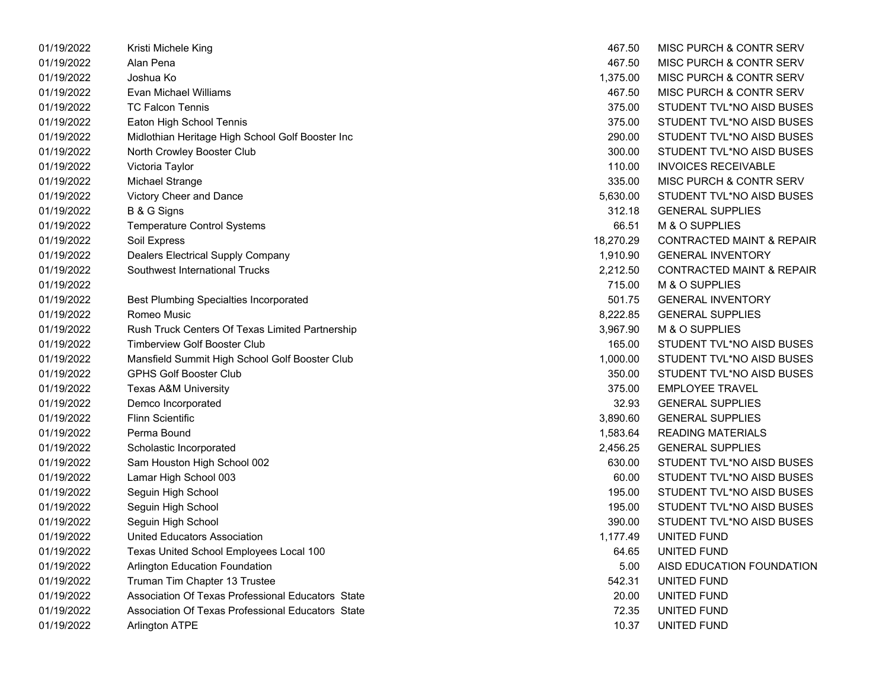| 01/19/2022 | Kristi Michele King                               | 467.50    | MISC PURCH & CONTR SERV              |
|------------|---------------------------------------------------|-----------|--------------------------------------|
| 01/19/2022 | Alan Pena                                         | 467.50    | <b>MISC PURCH &amp; CONTR SERV</b>   |
| 01/19/2022 | Joshua Ko                                         | 1,375.00  | MISC PURCH & CONTR SERV              |
| 01/19/2022 | Evan Michael Williams                             | 467.50    | MISC PURCH & CONTR SERV              |
| 01/19/2022 | <b>TC Falcon Tennis</b>                           | 375.00    | STUDENT TVL*NO AISD BUSES            |
| 01/19/2022 | Eaton High School Tennis                          | 375.00    | STUDENT TVL*NO AISD BUSES            |
| 01/19/2022 | Midlothian Heritage High School Golf Booster Inc  | 290.00    | STUDENT TVL*NO AISD BUSES            |
| 01/19/2022 | North Crowley Booster Club                        | 300.00    | STUDENT TVL*NO AISD BUSES            |
| 01/19/2022 | Victoria Taylor                                   | 110.00    | <b>INVOICES RECEIVABLE</b>           |
| 01/19/2022 | Michael Strange                                   | 335.00    | <b>MISC PURCH &amp; CONTR SERV</b>   |
| 01/19/2022 | Victory Cheer and Dance                           | 5,630.00  | STUDENT TVL*NO AISD BUSES            |
| 01/19/2022 | B & G Signs                                       | 312.18    | <b>GENERAL SUPPLIES</b>              |
| 01/19/2022 | <b>Temperature Control Systems</b>                | 66.51     | M & O SUPPLIES                       |
| 01/19/2022 | Soil Express                                      | 18,270.29 | <b>CONTRACTED MAINT &amp; REPAIR</b> |
| 01/19/2022 | <b>Dealers Electrical Supply Company</b>          | 1,910.90  | <b>GENERAL INVENTORY</b>             |
| 01/19/2022 | <b>Southwest International Trucks</b>             | 2,212.50  | <b>CONTRACTED MAINT &amp; REPAIR</b> |
| 01/19/2022 |                                                   | 715.00    | M & O SUPPLIES                       |
| 01/19/2022 | <b>Best Plumbing Specialties Incorporated</b>     | 501.75    | <b>GENERAL INVENTORY</b>             |
| 01/19/2022 | Romeo Music                                       | 8,222.85  | <b>GENERAL SUPPLIES</b>              |
| 01/19/2022 | Rush Truck Centers Of Texas Limited Partnership   | 3,967.90  | M & O SUPPLIES                       |
| 01/19/2022 | <b>Timberview Golf Booster Club</b>               | 165.00    | STUDENT TVL*NO AISD BUSES            |
| 01/19/2022 | Mansfield Summit High School Golf Booster Club    | 1,000.00  | STUDENT TVL*NO AISD BUSES            |
| 01/19/2022 | <b>GPHS Golf Booster Club</b>                     | 350.00    | STUDENT TVL*NO AISD BUSES            |
| 01/19/2022 | <b>Texas A&amp;M University</b>                   | 375.00    | <b>EMPLOYEE TRAVEL</b>               |
| 01/19/2022 | Demco Incorporated                                | 32.93     | <b>GENERAL SUPPLIES</b>              |
| 01/19/2022 | <b>Flinn Scientific</b>                           | 3,890.60  | <b>GENERAL SUPPLIES</b>              |
| 01/19/2022 | Perma Bound                                       | 1,583.64  | <b>READING MATERIALS</b>             |
| 01/19/2022 | Scholastic Incorporated                           | 2,456.25  | <b>GENERAL SUPPLIES</b>              |
| 01/19/2022 | Sam Houston High School 002                       | 630.00    | STUDENT TVL*NO AISD BUSES            |
| 01/19/2022 | Lamar High School 003                             | 60.00     | STUDENT TVL*NO AISD BUSES            |
| 01/19/2022 | Seguin High School                                | 195.00    | STUDENT TVL*NO AISD BUSES            |
| 01/19/2022 | Seguin High School                                | 195.00    | STUDENT TVL*NO AISD BUSES            |
| 01/19/2022 | Seguin High School                                | 390.00    | STUDENT TVL*NO AISD BUSES            |
| 01/19/2022 | United Educators Association                      | 1,177.49  | UNITED FUND                          |
| 01/19/2022 | Texas United School Employees Local 100           | 64.65     | UNITED FUND                          |
| 01/19/2022 | <b>Arlington Education Foundation</b>             | 5.00      | AISD EDUCATION FOUNDATION            |
| 01/19/2022 | Truman Tim Chapter 13 Trustee                     | 542.31    | UNITED FUND                          |
| 01/19/2022 | Association Of Texas Professional Educators State | 20.00     | UNITED FUND                          |
| 01/19/2022 | Association Of Texas Professional Educators State | 72.35     | UNITED FUND                          |
| 01/19/2022 | <b>Arlington ATPE</b>                             | 10.37     | UNITED FUND                          |

| 467.50    | MISC PURCH & CONTR SERV              |
|-----------|--------------------------------------|
| 467.50    | <b>MISC PURCH &amp; CONTR SERV</b>   |
| 1.375.00  | <b>MISC PURCH &amp; CONTR SERV</b>   |
| 467.50    | MISC PURCH & CONTR SERV              |
| 375.00    | STUDENT TVL*NO AISD BUSES            |
| 375.00    | STUDENT TVL*NO AISD BUSES            |
| 290.00    | STUDENT TVL*NO AISD BUSES            |
| 300.00    | STUDENT TVL*NO AISD BUSES            |
| 110.00    | <b>INVOICES RECEIVABLE</b>           |
| 335.00    | MISC PURCH & CONTR SERV              |
| 5,630.00  | STUDENT TVL*NO AISD BUSES            |
| 312.18    | <b>GENERAL SUPPLIES</b>              |
| 66.51     | M & O SUPPLIES                       |
| 18,270.29 | <b>CONTRACTED MAINT &amp; REPAIR</b> |
| 1,910.90  | <b>GENERAL INVENTORY</b>             |
| 2,212.50  | <b>CONTRACTED MAINT &amp; REPAIR</b> |
| 715.00    | M & O SUPPLIES                       |
| 501.75    | <b>GENERAL INVENTORY</b>             |
| 8,222.85  | <b>GENERAL SUPPLIES</b>              |
| 3,967.90  | M & O SUPPLIES                       |
| 165.00    | STUDENT TVL*NO AISD BUSES            |
| 1,000.00  | STUDENT TVL*NO AISD BUSES            |
| 350.00    | STUDENT TVL*NO AISD BUSES            |
| 375.00    | <b>EMPLOYEE TRAVEL</b>               |
| 32.93     | <b>GENERAL SUPPLIES</b>              |
| 3,890.60  | <b>GENERAL SUPPLIES</b>              |
| 1,583.64  | <b>READING MATERIALS</b>             |
| 2,456.25  | <b>GENERAL SUPPLIES</b>              |
| 630.00    | STUDENT TVL*NO AISD BUSES            |
| 60.00     | STUDENT TVL*NO AISD BUSES            |
| 195.00    | STUDENT TVL*NO AISD BUSES            |
| 195.00    | STUDENT TVL*NO AISD BUSES            |
| 390.00    | STUDENT TVL*NO AISD BUSES            |
| 1,177.49  | UNITED FUND                          |
| 64.65     | UNITED FUND                          |
| 5.00      | AISD EDUCATION FOUNDATION            |
| 542.31    | <b>UNITED FUND</b>                   |
| 20.00     | UNITED FUND                          |
| 72.35     | UNITED FUND                          |
| 10.37     | UNITED FUND                          |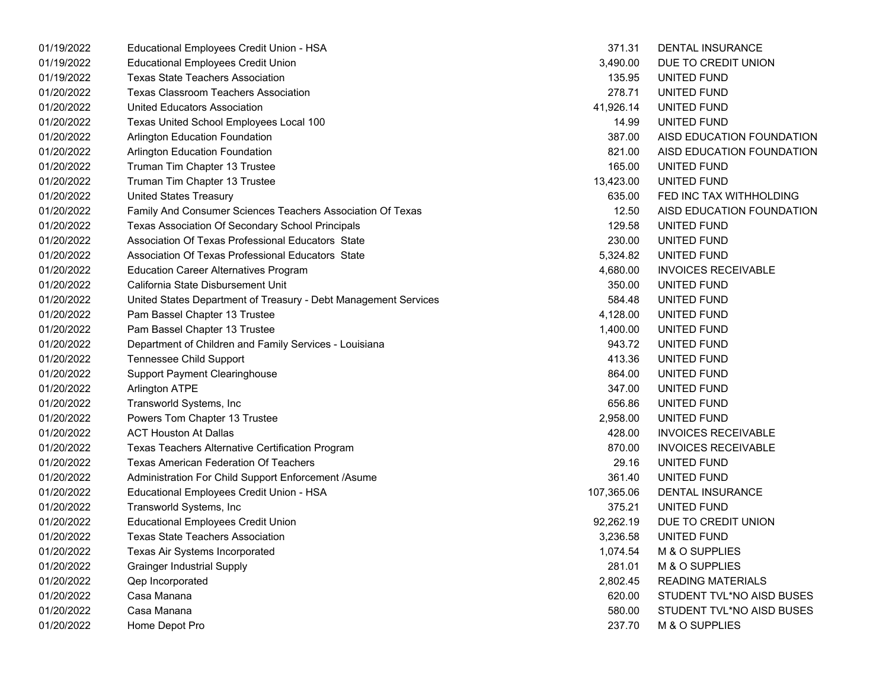| 01/19/2022 | Educational Employees Credit Union - HSA                        | 371.31     | <b>DENTAL INSURANCE</b>    |
|------------|-----------------------------------------------------------------|------------|----------------------------|
| 01/19/2022 | <b>Educational Employees Credit Union</b>                       | 3,490.00   | DUE TO CREDIT UNION        |
| 01/19/2022 | <b>Texas State Teachers Association</b>                         | 135.95     | UNITED FUND                |
| 01/20/2022 | <b>Texas Classroom Teachers Association</b>                     | 278.71     | UNITED FUND                |
| 01/20/2022 | United Educators Association                                    | 41,926.14  | UNITED FUND                |
| 01/20/2022 | Texas United School Employees Local 100                         | 14.99      | UNITED FUND                |
| 01/20/2022 | Arlington Education Foundation                                  | 387.00     | AISD EDUCATION FOUNDATION  |
| 01/20/2022 | Arlington Education Foundation                                  | 821.00     | AISD EDUCATION FOUNDATION  |
| 01/20/2022 | Truman Tim Chapter 13 Trustee                                   | 165.00     | UNITED FUND                |
| 01/20/2022 | Truman Tim Chapter 13 Trustee                                   | 13,423.00  | UNITED FUND                |
| 01/20/2022 | <b>United States Treasury</b>                                   | 635.00     | FED INC TAX WITHHOLDING    |
| 01/20/2022 | Family And Consumer Sciences Teachers Association Of Texas      | 12.50      | AISD EDUCATION FOUNDATION  |
| 01/20/2022 | Texas Association Of Secondary School Principals                | 129.58     | UNITED FUND                |
| 01/20/2022 | Association Of Texas Professional Educators State               | 230.00     | UNITED FUND                |
| 01/20/2022 | Association Of Texas Professional Educators State               | 5,324.82   | UNITED FUND                |
| 01/20/2022 | <b>Education Career Alternatives Program</b>                    | 4,680.00   | <b>INVOICES RECEIVABLE</b> |
| 01/20/2022 | California State Disbursement Unit                              | 350.00     | UNITED FUND                |
| 01/20/2022 | United States Department of Treasury - Debt Management Services | 584.48     | UNITED FUND                |
| 01/20/2022 | Pam Bassel Chapter 13 Trustee                                   | 4,128.00   | UNITED FUND                |
| 01/20/2022 | Pam Bassel Chapter 13 Trustee                                   | 1,400.00   | UNITED FUND                |
| 01/20/2022 | Department of Children and Family Services - Louisiana          | 943.72     | UNITED FUND                |
| 01/20/2022 | <b>Tennessee Child Support</b>                                  | 413.36     | UNITED FUND                |
| 01/20/2022 | <b>Support Payment Clearinghouse</b>                            | 864.00     | UNITED FUND                |
| 01/20/2022 | <b>Arlington ATPE</b>                                           | 347.00     | UNITED FUND                |
| 01/20/2022 | Transworld Systems, Inc                                         | 656.86     | UNITED FUND                |
| 01/20/2022 | Powers Tom Chapter 13 Trustee                                   | 2,958.00   | UNITED FUND                |
| 01/20/2022 | <b>ACT Houston At Dallas</b>                                    | 428.00     | <b>INVOICES RECEIVABLE</b> |
| 01/20/2022 | Texas Teachers Alternative Certification Program                | 870.00     | <b>INVOICES RECEIVABLE</b> |
| 01/20/2022 | <b>Texas American Federation Of Teachers</b>                    | 29.16      | UNITED FUND                |
| 01/20/2022 | Administration For Child Support Enforcement /Asume             | 361.40     | UNITED FUND                |
| 01/20/2022 | Educational Employees Credit Union - HSA                        | 107,365.06 | DENTAL INSURANCE           |
| 01/20/2022 | Transworld Systems, Inc                                         | 375.21     | UNITED FUND                |
| 01/20/2022 | <b>Educational Employees Credit Union</b>                       | 92,262.19  | DUE TO CREDIT UNION        |
| 01/20/2022 | <b>Texas State Teachers Association</b>                         | 3,236.58   | UNITED FUND                |
| 01/20/2022 | Texas Air Systems Incorporated                                  | 1,074.54   | M & O SUPPLIES             |
| 01/20/2022 | <b>Grainger Industrial Supply</b>                               | 281.01     | M & O SUPPLIES             |
| 01/20/2022 | Qep Incorporated                                                | 2,802.45   | <b>READING MATERIALS</b>   |
| 01/20/2022 | Casa Manana                                                     | 620.00     | STUDENT TVL*NO AISD BUSES  |
| 01/20/2022 | Casa Manana                                                     | 580.00     | STUDENT TVL*NO AISD BUSES  |
| 01/20/2022 | Home Depot Pro                                                  | 237.70     | M & O SUPPLIES             |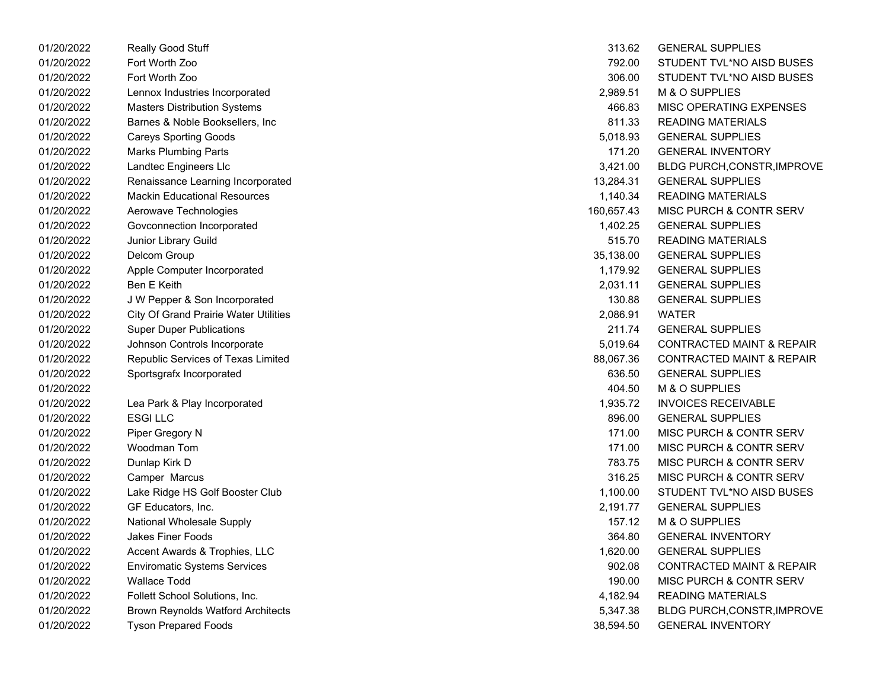| 01/20/2022 | Really Good Stuff                            | 313.62     | <b>GENERAL SUPPLIES</b>              |
|------------|----------------------------------------------|------------|--------------------------------------|
| 01/20/2022 | Fort Worth Zoo                               | 792.00     | STUDENT TVL*NO AISD BUSES            |
| 01/20/2022 | Fort Worth Zoo                               | 306.00     | STUDENT TVL*NO AISD BUSES            |
| 01/20/2022 | Lennox Industries Incorporated               | 2,989.51   | M & O SUPPLIES                       |
| 01/20/2022 | <b>Masters Distribution Systems</b>          | 466.83     | MISC OPERATING EXPENSES              |
| 01/20/2022 | Barnes & Noble Booksellers, Inc.             | 811.33     | <b>READING MATERIALS</b>             |
| 01/20/2022 | <b>Careys Sporting Goods</b>                 | 5,018.93   | <b>GENERAL SUPPLIES</b>              |
| 01/20/2022 | <b>Marks Plumbing Parts</b>                  | 171.20     | <b>GENERAL INVENTORY</b>             |
| 01/20/2022 | Landtec Engineers Llc                        | 3,421.00   | BLDG PURCH,CONSTR, IMPROVE           |
| 01/20/2022 | Renaissance Learning Incorporated            | 13,284.31  | <b>GENERAL SUPPLIES</b>              |
| 01/20/2022 | <b>Mackin Educational Resources</b>          | 1,140.34   | <b>READING MATERIALS</b>             |
| 01/20/2022 | Aerowave Technologies                        | 160,657.43 | <b>MISC PURCH &amp; CONTR SERV</b>   |
| 01/20/2022 | Govconnection Incorporated                   | 1,402.25   | <b>GENERAL SUPPLIES</b>              |
| 01/20/2022 | Junior Library Guild                         | 515.70     | <b>READING MATERIALS</b>             |
| 01/20/2022 | Delcom Group                                 | 35,138.00  | <b>GENERAL SUPPLIES</b>              |
| 01/20/2022 | Apple Computer Incorporated                  | 1,179.92   | <b>GENERAL SUPPLIES</b>              |
| 01/20/2022 | Ben E Keith                                  | 2,031.11   | <b>GENERAL SUPPLIES</b>              |
| 01/20/2022 | J W Pepper & Son Incorporated                | 130.88     | <b>GENERAL SUPPLIES</b>              |
| 01/20/2022 | <b>City Of Grand Prairie Water Utilities</b> | 2,086.91   | <b>WATER</b>                         |
| 01/20/2022 | <b>Super Duper Publications</b>              | 211.74     | <b>GENERAL SUPPLIES</b>              |
| 01/20/2022 | Johnson Controls Incorporate                 | 5,019.64   | <b>CONTRACTED MAINT &amp; REPAIR</b> |
| 01/20/2022 | Republic Services of Texas Limited           | 88,067.36  | <b>CONTRACTED MAINT &amp; REPAIR</b> |
| 01/20/2022 | Sportsgrafx Incorporated                     | 636.50     | <b>GENERAL SUPPLIES</b>              |
| 01/20/2022 |                                              | 404.50     | M & O SUPPLIES                       |
| 01/20/2022 | Lea Park & Play Incorporated                 | 1,935.72   | <b>INVOICES RECEIVABLE</b>           |
| 01/20/2022 | <b>ESGILLC</b>                               | 896.00     | <b>GENERAL SUPPLIES</b>              |
| 01/20/2022 | Piper Gregory N                              | 171.00     | <b>MISC PURCH &amp; CONTR SERV</b>   |
| 01/20/2022 | Woodman Tom                                  | 171.00     | <b>MISC PURCH &amp; CONTR SERV</b>   |
| 01/20/2022 | Dunlap Kirk D                                | 783.75     | <b>MISC PURCH &amp; CONTR SERV</b>   |
| 01/20/2022 | Camper Marcus                                | 316.25     | MISC PURCH & CONTR SERV              |
| 01/20/2022 | Lake Ridge HS Golf Booster Club              | 1,100.00   | STUDENT TVL*NO AISD BUSES            |
| 01/20/2022 | GF Educators, Inc.                           | 2,191.77   | <b>GENERAL SUPPLIES</b>              |
| 01/20/2022 | National Wholesale Supply                    | 157.12     | M & O SUPPLIES                       |
| 01/20/2022 | <b>Jakes Finer Foods</b>                     | 364.80     | <b>GENERAL INVENTORY</b>             |
| 01/20/2022 | Accent Awards & Trophies, LLC                | 1,620.00   | <b>GENERAL SUPPLIES</b>              |
| 01/20/2022 | <b>Enviromatic Systems Services</b>          | 902.08     | CONTRACTED MAINT & REPAIR            |
| 01/20/2022 | <b>Wallace Todd</b>                          | 190.00     | <b>MISC PURCH &amp; CONTR SERV</b>   |
| 01/20/2022 | Follett School Solutions, Inc.               | 4,182.94   | READING MATERIALS                    |
| 01/20/2022 | <b>Brown Reynolds Watford Architects</b>     | 5,347.38   | BLDG PURCH,CONSTR,IMPROVE            |
| 01/20/2022 | <b>Tyson Prepared Foods</b>                  | 38,594.50  | <b>GENERAL INVENTORY</b>             |

| 313.62         | <b>GENERAL SUPPLIES</b>              |
|----------------|--------------------------------------|
| 792.00         | STUDENT TVL*NO AISD BUSES            |
| 306.00         | STUDENT TVL*NO AISD BUSES            |
|                | 2,989.51 M & O SUPPLIES              |
| 466.83         | MISC OPERATING EXPENSES              |
| 811.33         | <b>READING MATERIALS</b>             |
| 5,018.93       | <b>GENERAL SUPPLIES</b>              |
| 171.20         | <b>GENERAL INVENTORY</b>             |
| 3,421.00       | <b>BLDG PURCH, CONSTR, IMPROVE</b>   |
| 13,284.31      | <b>GENERAL SUPPLIES</b>              |
|                | 1,140.34 READING MATERIALS           |
|                | 160,657.43 MISC PURCH & CONTR SERV   |
|                | 1,402.25 GENERAL SUPPLIES            |
|                | 515.70 READING MATERIALS             |
| 35,138.00      | <b>GENERAL SUPPLIES</b>              |
|                | 1,179.92 GENERAL SUPPLIES            |
|                | 2,031.11 GENERAL SUPPLIES            |
|                | 130.88 GENERAL SUPPLIES              |
| 2,086.91 WATER |                                      |
| 211.74         | <b>GENERAL SUPPLIES</b>              |
|                | 5,019.64 CONTRACTED MAINT & REPAIR   |
|                | 88,067.36 CONTRACTED MAINT & REPAIR  |
|                | 636.50 GENERAL SUPPLIES              |
| 404.50         | M & O SUPPLIES                       |
| 1,935.72       | <b>INVOICES RECEIVABLE</b>           |
| 896.00         | <b>GENERAL SUPPLIES</b>              |
| 171.00         | MISC PURCH & CONTR SERV              |
| 171.00         | MISC PURCH & CONTR SERV              |
| 783.75         | MISC PURCH & CONTR SERV              |
| 316.25         | MISC PURCH & CONTR SERV              |
| 1,100.00       | STUDENT TVL*NO AISD BUSES            |
|                | 2,191.77 GENERAL SUPPLIES            |
|                | 157.12 M & O SUPPLIES                |
| 364.80         | <b>GENERAL INVENTORY</b>             |
| 1,620.00       | <b>GENERAL SUPPLIES</b>              |
| 902.08         | <b>CONTRACTED MAINT &amp; REPAIR</b> |
| 190.00         | <b>MISC PURCH &amp; CONTR SERV</b>   |
| 4,182.94       | <b>READING MATERIALS</b>             |
| 5,347.38       | BLDG PURCH, CONSTR, IMPROVE          |
| 38,594.50      | <b>GENERAL INVENTORY</b>             |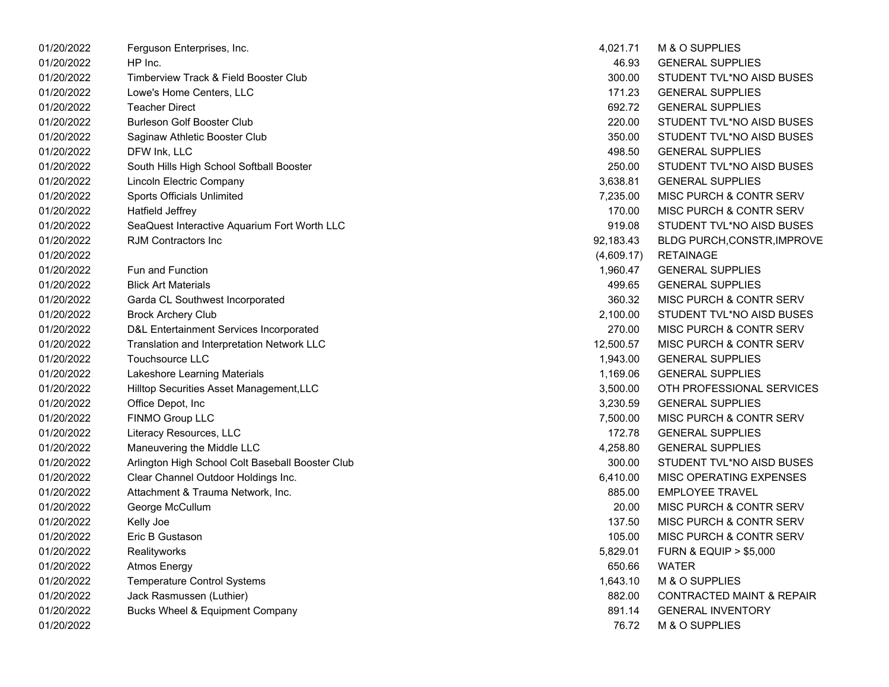| 01/20/2022 | Ferguson Enterprises, Inc.                       | 4,021.71   | M & O SUPPLIES                       |
|------------|--------------------------------------------------|------------|--------------------------------------|
| 01/20/2022 | HP Inc.                                          | 46.93      | <b>GENERAL SUPPLIES</b>              |
| 01/20/2022 | Timberview Track & Field Booster Club            | 300.00     | STUDENT TVL*NO AISD BUSES            |
| 01/20/2022 | Lowe's Home Centers, LLC                         | 171.23     | <b>GENERAL SUPPLIES</b>              |
| 01/20/2022 | <b>Teacher Direct</b>                            | 692.72     | <b>GENERAL SUPPLIES</b>              |
| 01/20/2022 | <b>Burleson Golf Booster Club</b>                | 220.00     | STUDENT TVL*NO AISD BUSES            |
| 01/20/2022 | Saginaw Athletic Booster Club                    | 350.00     | STUDENT TVL*NO AISD BUSES            |
| 01/20/2022 | DFW Ink, LLC                                     | 498.50     | <b>GENERAL SUPPLIES</b>              |
| 01/20/2022 | South Hills High School Softball Booster         | 250.00     | STUDENT TVL*NO AISD BUSES            |
| 01/20/2022 | Lincoln Electric Company                         | 3,638.81   | <b>GENERAL SUPPLIES</b>              |
| 01/20/2022 | Sports Officials Unlimited                       | 7,235.00   | MISC PURCH & CONTR SERV              |
| 01/20/2022 | Hatfield Jeffrey                                 | 170.00     | <b>MISC PURCH &amp; CONTR SERV</b>   |
| 01/20/2022 | SeaQuest Interactive Aquarium Fort Worth LLC     | 919.08     | STUDENT TVL*NO AISD BUSES            |
| 01/20/2022 | RJM Contractors Inc                              | 92,183.43  | BLDG PURCH, CONSTR, IMPROVE          |
| 01/20/2022 |                                                  | (4,609.17) | <b>RETAINAGE</b>                     |
| 01/20/2022 | <b>Fun and Function</b>                          | 1,960.47   | <b>GENERAL SUPPLIES</b>              |
| 01/20/2022 | <b>Blick Art Materials</b>                       | 499.65     | <b>GENERAL SUPPLIES</b>              |
| 01/20/2022 | Garda CL Southwest Incorporated                  | 360.32     | MISC PURCH & CONTR SERV              |
| 01/20/2022 | <b>Brock Archery Club</b>                        | 2,100.00   | STUDENT TVL*NO AISD BUSES            |
| 01/20/2022 | D&L Entertainment Services Incorporated          | 270.00     | <b>MISC PURCH &amp; CONTR SERV</b>   |
| 01/20/2022 | Translation and Interpretation Network LLC       | 12,500.57  | <b>MISC PURCH &amp; CONTR SERV</b>   |
| 01/20/2022 | Touchsource LLC                                  | 1,943.00   | <b>GENERAL SUPPLIES</b>              |
| 01/20/2022 | Lakeshore Learning Materials                     | 1,169.06   | <b>GENERAL SUPPLIES</b>              |
| 01/20/2022 | Hilltop Securities Asset Management, LLC         | 3,500.00   | OTH PROFESSIONAL SERVICES            |
| 01/20/2022 | Office Depot, Inc                                | 3,230.59   | <b>GENERAL SUPPLIES</b>              |
| 01/20/2022 | FINMO Group LLC                                  | 7,500.00   | <b>MISC PURCH &amp; CONTR SERV</b>   |
| 01/20/2022 | Literacy Resources, LLC                          | 172.78     | <b>GENERAL SUPPLIES</b>              |
| 01/20/2022 | Maneuvering the Middle LLC                       | 4,258.80   | <b>GENERAL SUPPLIES</b>              |
| 01/20/2022 | Arlington High School Colt Baseball Booster Club | 300.00     | STUDENT TVL*NO AISD BUSES            |
| 01/20/2022 | Clear Channel Outdoor Holdings Inc.              | 6,410.00   | <b>MISC OPERATING EXPENSES</b>       |
| 01/20/2022 | Attachment & Trauma Network, Inc.                | 885.00     | <b>EMPLOYEE TRAVEL</b>               |
| 01/20/2022 | George McCullum                                  | 20.00      | <b>MISC PURCH &amp; CONTR SERV</b>   |
| 01/20/2022 | Kelly Joe                                        | 137.50     | <b>MISC PURCH &amp; CONTR SERV</b>   |
| 01/20/2022 | Eric B Gustason                                  | 105.00     | <b>MISC PURCH &amp; CONTR SERV</b>   |
| 01/20/2022 | Realityworks                                     | 5,829.01   | <b>FURN &amp; EQUIP &gt; \$5,000</b> |
| 01/20/2022 | <b>Atmos Energy</b>                              | 650.66     | <b>WATER</b>                         |
| 01/20/2022 | <b>Temperature Control Systems</b>               | 1,643.10   | M & O SUPPLIES                       |
| 01/20/2022 | Jack Rasmussen (Luthier)                         | 882.00     | CONTRACTED MAINT & REPAIR            |
| 01/20/2022 | <b>Bucks Wheel &amp; Equipment Company</b>       | 891.14     | <b>GENERAL INVENTORY</b>             |
| 01/20/2022 |                                                  | 76.72      | M & O SUPPLIES                       |

| 4,021.71   | M & O SUPPLIES                       |
|------------|--------------------------------------|
| 46.93      | <b>GENERAL SUPPLIES</b>              |
| 300.00     | STUDENT TVL*NO AISD BUSES            |
| 171.23     | <b>GENERAL SUPPLIES</b>              |
| 692.72     | <b>GENERAL SUPPLIES</b>              |
| 220.00     | STUDENT TVL*NO AISD BUSES            |
| 350.00     | STUDENT TVL*NO AISD BUSES            |
| 498.50     | <b>GENERAL SUPPLIES</b>              |
| 250.00     | STUDENT TVL*NO AISD BUSES            |
| 3,638.81   | <b>GENERAL SUPPLIES</b>              |
| 7,235.00   | <b>MISC PURCH &amp; CONTR SERV</b>   |
| 170.00     | <b>MISC PURCH &amp; CONTR SERV</b>   |
| 919.08     | STUDENT TVL*NO AISD BUSES            |
| 92,183.43  | BLDG PURCH, CONSTR, IMPROVE          |
| (4,609.17) | <b>RETAINAGE</b>                     |
| 1,960.47   | <b>GENERAL SUPPLIES</b>              |
| 499.65     | <b>GENERAL SUPPLIES</b>              |
| 360.32     | <b>MISC PURCH &amp; CONTR SERV</b>   |
| 2,100.00   | STUDENT TVL*NO AISD BUSES            |
| 270.00     | <b>MISC PURCH &amp; CONTR SERV</b>   |
| 12,500.57  | <b>MISC PURCH &amp; CONTR SERV</b>   |
| 1,943.00   | <b>GENERAL SUPPLIES</b>              |
| 1,169.06   | <b>GENERAL SUPPLIES</b>              |
| 3,500.00   | OTH PROFESSIONAL SERVICES            |
| 3,230.59   | <b>GENERAL SUPPLIES</b>              |
| 7,500.00   | <b>MISC PURCH &amp; CONTR SERV</b>   |
| 172.78     | <b>GENERAL SUPPLIES</b>              |
| 4,258.80   | <b>GENERAL SUPPLIES</b>              |
| 300.00     | STUDENT TVL*NO AISD BUSES            |
| 6,410.00   | <b>MISC OPERATING EXPENSES</b>       |
| 885.00     | <b>EMPLOYEE TRAVEL</b>               |
| 20.00      | <b>MISC PURCH &amp; CONTR SERV</b>   |
| 137.50     | <b>MISC PURCH &amp; CONTR SERV</b>   |
| 105.00     | MISC PURCH & CONTR SERV              |
| 5,829.01   | <b>FURN &amp; EQUIP &gt; \$5,000</b> |
| 650.66     | <b>WATER</b>                         |
| 1,643.10   | M & O SUPPLIES                       |
| 882.00     | <b>CONTRACTED MAINT &amp; REPAIR</b> |
| 891.14     | <b>GENERAL INVENTORY</b>             |
| 76.72      | M & O SUPPLIES                       |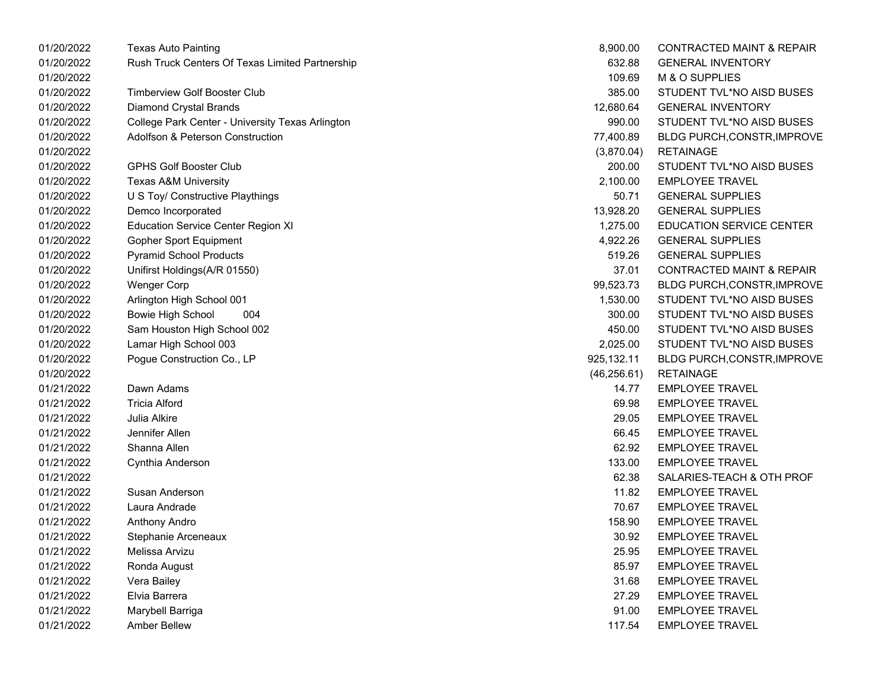| 01/20/2022 | <b>Texas Auto Painting</b>                       | 8,900.00     | <b>CONTRACTED MAINT &amp; REPAIR</b> |
|------------|--------------------------------------------------|--------------|--------------------------------------|
| 01/20/2022 | Rush Truck Centers Of Texas Limited Partnership  | 632.88       | <b>GENERAL INVENTORY</b>             |
| 01/20/2022 |                                                  | 109.69       | M & O SUPPLIES                       |
| 01/20/2022 | <b>Timberview Golf Booster Club</b>              | 385.00       | STUDENT TVL*NO AISD BUSES            |
| 01/20/2022 | <b>Diamond Crystal Brands</b>                    | 12,680.64    | <b>GENERAL INVENTORY</b>             |
| 01/20/2022 | College Park Center - University Texas Arlington | 990.00       | STUDENT TVL*NO AISD BUSES            |
| 01/20/2022 | <b>Adolfson &amp; Peterson Construction</b>      | 77,400.89    | <b>BLDG PURCH, CONSTR, IMPROVE</b>   |
| 01/20/2022 |                                                  | (3,870.04)   | <b>RETAINAGE</b>                     |
| 01/20/2022 | <b>GPHS Golf Booster Club</b>                    | 200.00       | STUDENT TVL*NO AISD BUSES            |
| 01/20/2022 | <b>Texas A&amp;M University</b>                  | 2,100.00     | <b>EMPLOYEE TRAVEL</b>               |
| 01/20/2022 | U S Toy/ Constructive Playthings                 | 50.71        | <b>GENERAL SUPPLIES</b>              |
| 01/20/2022 | Demco Incorporated                               | 13,928.20    | <b>GENERAL SUPPLIES</b>              |
| 01/20/2022 | <b>Education Service Center Region XI</b>        | 1,275.00     | <b>EDUCATION SERVICE CENTER</b>      |
| 01/20/2022 | Gopher Sport Equipment                           | 4,922.26     | <b>GENERAL SUPPLIES</b>              |
| 01/20/2022 | <b>Pyramid School Products</b>                   | 519.26       | <b>GENERAL SUPPLIES</b>              |
| 01/20/2022 | Unifirst Holdings(A/R 01550)                     | 37.01        | CONTRACTED MAINT & REPAIR            |
| 01/20/2022 | <b>Wenger Corp</b>                               | 99,523.73    | BLDG PURCH, CONSTR, IMPROVE          |
| 01/20/2022 | Arlington High School 001                        | 1,530.00     | STUDENT TVL*NO AISD BUSES            |
| 01/20/2022 | <b>Bowie High School</b><br>004                  | 300.00       | STUDENT TVL*NO AISD BUSES            |
| 01/20/2022 | Sam Houston High School 002                      | 450.00       | STUDENT TVL*NO AISD BUSES            |
| 01/20/2022 | Lamar High School 003                            | 2,025.00     | STUDENT TVL*NO AISD BUSES            |
| 01/20/2022 | Pogue Construction Co., LP                       | 925,132.11   | BLDG PURCH, CONSTR, IMPROVE          |
| 01/20/2022 |                                                  | (46, 256.61) | <b>RETAINAGE</b>                     |
| 01/21/2022 | Dawn Adams                                       | 14.77        | <b>EMPLOYEE TRAVEL</b>               |
| 01/21/2022 | <b>Tricia Alford</b>                             | 69.98        | <b>EMPLOYEE TRAVEL</b>               |
| 01/21/2022 | <b>Julia Alkire</b>                              | 29.05        | <b>EMPLOYEE TRAVEL</b>               |
| 01/21/2022 | Jennifer Allen                                   | 66.45        | <b>EMPLOYEE TRAVEL</b>               |
| 01/21/2022 | Shanna Allen                                     | 62.92        | <b>EMPLOYEE TRAVEL</b>               |
| 01/21/2022 | Cynthia Anderson                                 | 133.00       | <b>EMPLOYEE TRAVEL</b>               |
| 01/21/2022 |                                                  | 62.38        | SALARIES-TEACH & OTH PROF            |
| 01/21/2022 | Susan Anderson                                   | 11.82        | <b>EMPLOYEE TRAVEL</b>               |
| 01/21/2022 | Laura Andrade                                    | 70.67        | <b>EMPLOYEE TRAVEL</b>               |
| 01/21/2022 | <b>Anthony Andro</b>                             | 158.90       | <b>EMPLOYEE TRAVEL</b>               |
| 01/21/2022 | Stephanie Arceneaux                              | 30.92        | <b>EMPLOYEE TRAVEL</b>               |
| 01/21/2022 | Melissa Arvizu                                   | 25.95        | <b>EMPLOYEE TRAVEL</b>               |
| 01/21/2022 | Ronda August                                     | 85.97        | <b>EMPLOYEE TRAVEL</b>               |
| 01/21/2022 | Vera Bailey                                      | 31.68        | <b>EMPLOYEE TRAVEL</b>               |
| 01/21/2022 | Elvia Barrera                                    | 27.29        | <b>EMPLOYEE TRAVEL</b>               |
| 01/21/2022 | Marybell Barriga                                 | 91.00        | <b>EMPLOYEE TRAVEL</b>               |
| 01/21/2022 | Amber Bellew                                     | 117.54       | <b>EMPLOYEE TRAVEL</b>               |

| 8,900.00   | <b>CONTRACTED MAINT &amp; REPAIR</b> |
|------------|--------------------------------------|
| 632.88     | <b>GENERAL INVENTORY</b>             |
| 109.69     | M & O SUPPLIES                       |
| 385.00     | STUDENT TVL*NO AISD BUSES            |
| 12,680.64  | <b>GENERAL INVENTORY</b>             |
| 990.00     | STUDENT TVL*NO AISD BUSES            |
| 77,400.89  | BLDG PURCH, CONSTR, IMPROVE          |
| (3,870.04) | <b>RETAINAGE</b>                     |
| 200.00     | STUDENT TVL*NO AISD BUSES            |
| 2,100.00   | <b>EMPLOYEE TRAVEL</b>               |
| 50.71      | <b>GENERAL SUPPLIES</b>              |
|            | 13,928.20 GENERAL SUPPLIES           |
|            | 1,275.00 EDUCATION SERVICE CENTER    |
| 4,922.26   | <b>GENERAL SUPPLIES</b>              |
| 519.26     | <b>GENERAL SUPPLIES</b>              |
| 37.01      | <b>CONTRACTED MAINT &amp; REPAIR</b> |
| 99,523.73  | BLDG PURCH, CONSTR, IMPROVE          |
| 1,530.00   | STUDENT TVL*NO AISD BUSES            |
|            | 300.00 STUDENT TVL*NO AISD BUSES     |
| 450.00     | STUDENT TVL*NO AISD BUSES            |
| 2,025.00   | STUDENT TVL*NO AISD BUSES            |
| 925,132.11 | BLDG PURCH, CONSTR, IMPROVE          |
|            | (46,256.61) RETAINAGE                |
| 14.77      | <b>EMPLOYEE TRAVEL</b>               |
| 69.98      | <b>EMPLOYEE TRAVEL</b>               |
| 29.05      | <b>EMPLOYEE TRAVEL</b>               |
| 66.45      | <b>EMPLOYEE TRAVEL</b>               |
|            | 62.92 EMPLOYEE TRAVEL                |
|            | 133.00 EMPLOYEE TRAVEL               |
| 62.38      | SALARIES-TEACH & OTH PROF            |
| 11.82      | <b>FMPLOYFF TRAVEL</b>               |
| 70.67      | <b>EMPLOYEE TRAVEL</b>               |
|            | 158.90 EMPLOYEE TRAVEL               |
| 30.92      | <b>EMPLOYEE TRAVEL</b>               |
| 25.95      | <b>EMPLOYEE TRAVEL</b>               |
| 85.97      | <b>FMPLOYFF TRAVEL</b>               |
| 31.68      | <b>EMPLOYEE TRAVEL</b>               |
| 27.29      | <b>EMPLOYEE TRAVEL</b>               |
| 91.00      | <b>EMPLOYEE TRAVEL</b>               |
| 117.54     | <b>EMPLOYEE TRAVEL</b>               |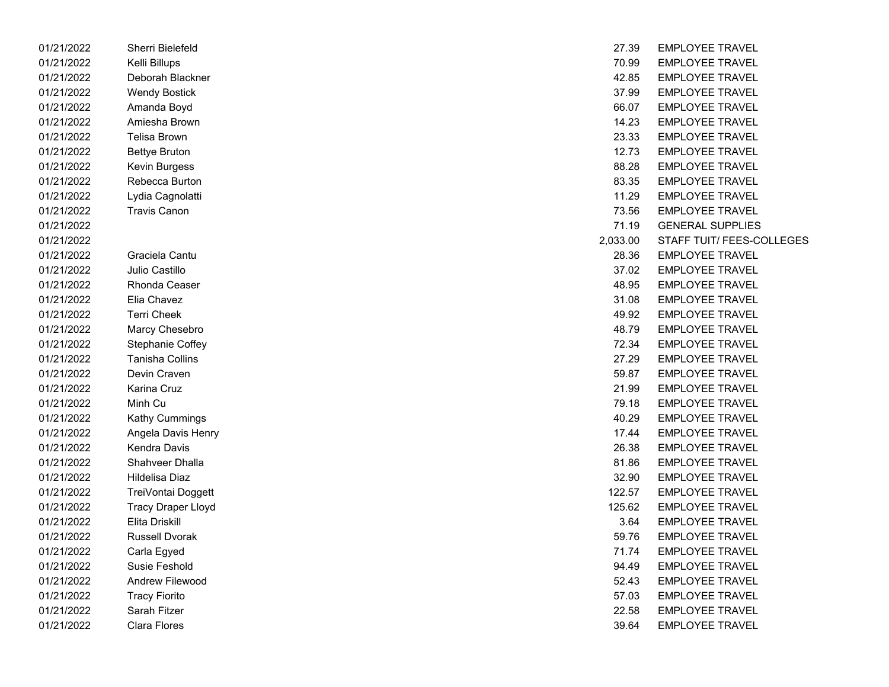| 01/21/2022 | Sherri Bielefeld          | 27.39    | <b>EMPLOYEE TRAVEL</b>    |
|------------|---------------------------|----------|---------------------------|
| 01/21/2022 | Kelli Billups             | 70.99    | <b>EMPLOYEE TRAVEL</b>    |
| 01/21/2022 | Deborah Blackner          | 42.85    | <b>EMPLOYEE TRAVEL</b>    |
| 01/21/2022 | <b>Wendy Bostick</b>      | 37.99    | <b>EMPLOYEE TRAVEL</b>    |
| 01/21/2022 | Amanda Boyd               | 66.07    | <b>EMPLOYEE TRAVEL</b>    |
| 01/21/2022 | Amiesha Brown             | 14.23    | <b>EMPLOYEE TRAVEL</b>    |
| 01/21/2022 | <b>Telisa Brown</b>       | 23.33    | <b>EMPLOYEE TRAVEL</b>    |
| 01/21/2022 | <b>Bettye Bruton</b>      | 12.73    | <b>EMPLOYEE TRAVEL</b>    |
| 01/21/2022 | Kevin Burgess             | 88.28    | <b>EMPLOYEE TRAVEL</b>    |
| 01/21/2022 | Rebecca Burton            | 83.35    | <b>EMPLOYEE TRAVEL</b>    |
| 01/21/2022 | Lydia Cagnolatti          | 11.29    | <b>EMPLOYEE TRAVEL</b>    |
| 01/21/2022 | <b>Travis Canon</b>       | 73.56    | <b>EMPLOYEE TRAVEL</b>    |
| 01/21/2022 |                           | 71.19    | <b>GENERAL SUPPLIES</b>   |
| 01/21/2022 |                           | 2,033.00 | <b>STAFF TUIT/ FEES-C</b> |
| 01/21/2022 | Graciela Cantu            | 28.36    | <b>EMPLOYEE TRAVEL</b>    |
| 01/21/2022 | Julio Castillo            | 37.02    | <b>EMPLOYEE TRAVEL</b>    |
| 01/21/2022 | <b>Rhonda Ceaser</b>      | 48.95    | <b>EMPLOYEE TRAVEL</b>    |
| 01/21/2022 | Elia Chavez               | 31.08    | <b>EMPLOYEE TRAVEL</b>    |
| 01/21/2022 | <b>Terri Cheek</b>        | 49.92    | <b>EMPLOYEE TRAVEL</b>    |
| 01/21/2022 | Marcy Chesebro            | 48.79    | <b>EMPLOYEE TRAVEL</b>    |
| 01/21/2022 | Stephanie Coffey          | 72.34    | <b>EMPLOYEE TRAVEL</b>    |
| 01/21/2022 | <b>Tanisha Collins</b>    | 27.29    | <b>EMPLOYEE TRAVEL</b>    |
| 01/21/2022 | Devin Craven              | 59.87    | <b>EMPLOYEE TRAVEL</b>    |
| 01/21/2022 | Karina Cruz               | 21.99    | <b>EMPLOYEE TRAVEL</b>    |
| 01/21/2022 | Minh Cu                   | 79.18    | <b>EMPLOYEE TRAVEL</b>    |
| 01/21/2022 | Kathy Cummings            | 40.29    | <b>EMPLOYEE TRAVEL</b>    |
| 01/21/2022 | Angela Davis Henry        | 17.44    | <b>EMPLOYEE TRAVEL</b>    |
| 01/21/2022 | Kendra Davis              | 26.38    | <b>EMPLOYEE TRAVEL</b>    |
| 01/21/2022 | Shahveer Dhalla           | 81.86    | <b>EMPLOYEE TRAVEL</b>    |
| 01/21/2022 | Hildelisa Diaz            | 32.90    | <b>EMPLOYEE TRAVEL</b>    |
| 01/21/2022 | TreiVontai Doggett        | 122.57   | <b>EMPLOYEE TRAVEL</b>    |
| 01/21/2022 | <b>Tracy Draper Lloyd</b> | 125.62   | <b>EMPLOYEE TRAVEL</b>    |
| 01/21/2022 | Elita Driskill            | 3.64     | <b>EMPLOYEE TRAVEL</b>    |
| 01/21/2022 | Russell Dvorak            | 59.76    | <b>EMPLOYEE TRAVEL</b>    |
| 01/21/2022 | Carla Egyed               | 71.74    | <b>EMPLOYEE TRAVEL</b>    |
| 01/21/2022 | Susie Feshold             | 94.49    | <b>EMPLOYEE TRAVEL</b>    |
| 01/21/2022 | Andrew Filewood           | 52.43    | <b>EMPLOYEE TRAVEL</b>    |
| 01/21/2022 | <b>Tracy Fiorito</b>      | 57.03    | <b>EMPLOYEE TRAVEL</b>    |
| 01/21/2022 | Sarah Fitzer              | 22.58    | <b>EMPLOYEE TRAVEL</b>    |
| 01/21/2022 | <b>Clara Flores</b>       | 39.64    | <b>EMPLOYEE TRAVEL</b>    |

| 01/21/2022 | Sherri Bielefeld          | 27.39    | <b>EMPLOYEE TRAVEL</b>    |
|------------|---------------------------|----------|---------------------------|
| 01/21/2022 | Kelli Billups             | 70.99    | <b>EMPLOYEE TRAVEL</b>    |
| 01/21/2022 | Deborah Blackner          | 42.85    | <b>EMPLOYEE TRAVEL</b>    |
| 01/21/2022 | <b>Wendy Bostick</b>      | 37.99    | <b>EMPLOYEE TRAVEL</b>    |
| 01/21/2022 | Amanda Boyd               | 66.07    | <b>EMPLOYEE TRAVEL</b>    |
| 01/21/2022 | Amiesha Brown             | 14.23    | <b>EMPLOYEE TRAVEL</b>    |
| 01/21/2022 | <b>Telisa Brown</b>       | 23.33    | <b>EMPLOYEE TRAVEL</b>    |
| 01/21/2022 | <b>Bettye Bruton</b>      | 12.73    | <b>EMPLOYEE TRAVEL</b>    |
| 01/21/2022 | Kevin Burgess             | 88.28    | <b>EMPLOYEE TRAVEL</b>    |
| 01/21/2022 | Rebecca Burton            | 83.35    | <b>EMPLOYEE TRAVEL</b>    |
| 01/21/2022 | Lydia Cagnolatti          | 11.29    | <b>EMPLOYEE TRAVEL</b>    |
| 01/21/2022 | <b>Travis Canon</b>       | 73.56    | <b>EMPLOYEE TRAVEL</b>    |
| 01/21/2022 |                           | 71.19    | <b>GENERAL SUPPLIES</b>   |
| 01/21/2022 |                           | 2,033.00 | STAFF TUIT/ FEES-COLLEGES |
| 01/21/2022 | Graciela Cantu            | 28.36    | <b>EMPLOYEE TRAVEL</b>    |
| 01/21/2022 | Julio Castillo            | 37.02    | <b>EMPLOYEE TRAVEL</b>    |
| 01/21/2022 | Rhonda Ceaser             | 48.95    | <b>EMPLOYEE TRAVEL</b>    |
| 01/21/2022 | Elia Chavez               | 31.08    | <b>EMPLOYEE TRAVEL</b>    |
| 01/21/2022 | <b>Terri Cheek</b>        | 49.92    | <b>EMPLOYEE TRAVEL</b>    |
| 01/21/2022 | Marcy Chesebro            | 48.79    | <b>EMPLOYEE TRAVEL</b>    |
| 01/21/2022 | Stephanie Coffey          | 72.34    | <b>EMPLOYEE TRAVEL</b>    |
| 01/21/2022 | Tanisha Collins           | 27.29    | <b>EMPLOYEE TRAVEL</b>    |
| 01/21/2022 | Devin Craven              | 59.87    | <b>EMPLOYEE TRAVEL</b>    |
| 01/21/2022 | Karina Cruz               | 21.99    | <b>EMPLOYEE TRAVEL</b>    |
| 01/21/2022 | Minh Cu                   | 79.18    | <b>EMPLOYEE TRAVEL</b>    |
| 01/21/2022 | Kathy Cummings            | 40.29    | <b>EMPLOYEE TRAVEL</b>    |
| 01/21/2022 | Angela Davis Henry        | 17.44    | <b>EMPLOYEE TRAVEL</b>    |
| 01/21/2022 | Kendra Davis              | 26.38    | <b>EMPLOYEE TRAVEL</b>    |
| 01/21/2022 | Shahveer Dhalla           | 81.86    | <b>EMPLOYEE TRAVEL</b>    |
| 01/21/2022 | Hildelisa Diaz            | 32.90    | <b>EMPLOYEE TRAVEL</b>    |
| 01/21/2022 | TreiVontai Doggett        | 122.57   | <b>EMPLOYEE TRAVEL</b>    |
| 01/21/2022 | <b>Tracy Draper Lloyd</b> | 125.62   | <b>EMPLOYEE TRAVEL</b>    |
| 01/21/2022 | Elita Driskill            | 3.64     | <b>EMPLOYEE TRAVEL</b>    |
| 01/21/2022 | <b>Russell Dvorak</b>     | 59.76    | <b>EMPLOYEE TRAVEL</b>    |
| 01/21/2022 | Carla Egyed               | 71.74    | <b>EMPLOYEE TRAVEL</b>    |
| 01/21/2022 | Susie Feshold             | 94.49    | <b>EMPLOYEE TRAVEL</b>    |
| 01/21/2022 | Andrew Filewood           | 52.43    | <b>EMPLOYEE TRAVEL</b>    |
| 01/21/2022 | <b>Tracy Fiorito</b>      | 57.03    | <b>EMPLOYEE TRAVEL</b>    |
| 01/21/2022 | Sarah Fitzer              | 22.58    | <b>EMPLOYEE TRAVEL</b>    |
| 01/21/2022 | Clara Flores              | 39.64    | <b>EMPLOYEE TRAVEL</b>    |
|            |                           |          |                           |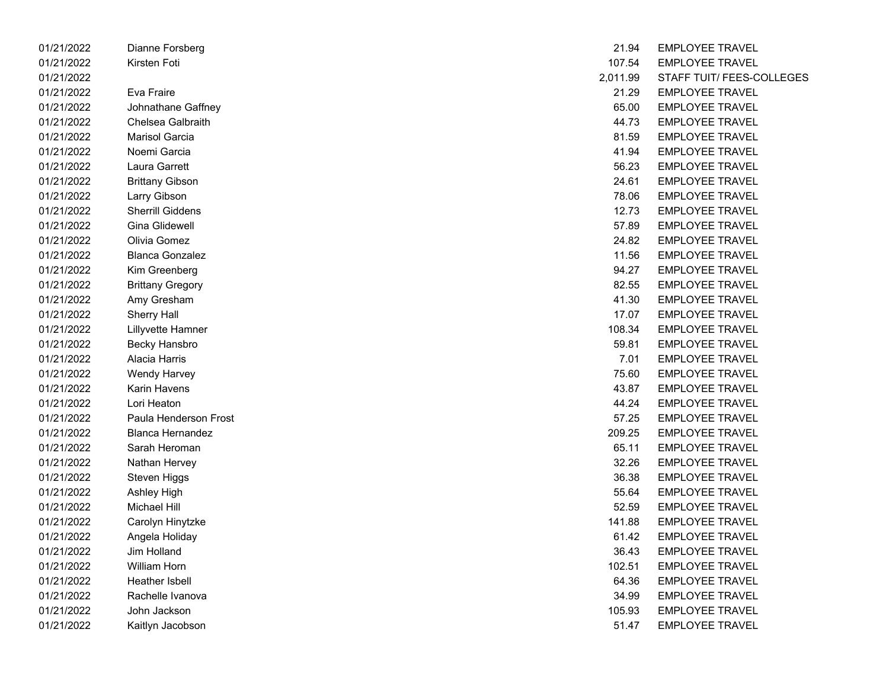| 01/21/2022 | Dianne Forsberg         | 21.94    | <b>EMPLOYEE TRAVEL</b> |
|------------|-------------------------|----------|------------------------|
| 01/21/2022 | Kirsten Foti            | 107.54   | <b>EMPLOYEE TRAVEL</b> |
| 01/21/2022 |                         | 2,011.99 | STAFF TUIT/ FEES-0     |
| 01/21/2022 | Eva Fraire              | 21.29    | <b>EMPLOYEE TRAVEL</b> |
| 01/21/2022 | Johnathane Gaffney      | 65.00    | <b>EMPLOYEE TRAVEL</b> |
| 01/21/2022 | Chelsea Galbraith       | 44.73    | <b>EMPLOYEE TRAVEL</b> |
| 01/21/2022 | <b>Marisol Garcia</b>   | 81.59    | <b>EMPLOYEE TRAVEL</b> |
| 01/21/2022 | Noemi Garcia            | 41.94    | <b>EMPLOYEE TRAVEL</b> |
| 01/21/2022 | Laura Garrett           | 56.23    | <b>EMPLOYEE TRAVEL</b> |
| 01/21/2022 | <b>Brittany Gibson</b>  | 24.61    | <b>EMPLOYEE TRAVEL</b> |
| 01/21/2022 | Larry Gibson            | 78.06    | <b>EMPLOYEE TRAVEL</b> |
| 01/21/2022 | <b>Sherrill Giddens</b> | 12.73    | <b>EMPLOYEE TRAVEL</b> |
| 01/21/2022 | <b>Gina Glidewell</b>   | 57.89    | <b>EMPLOYEE TRAVEL</b> |
| 01/21/2022 | Olivia Gomez            | 24.82    | <b>EMPLOYEE TRAVEL</b> |
| 01/21/2022 | <b>Blanca Gonzalez</b>  | 11.56    | <b>EMPLOYEE TRAVEL</b> |
| 01/21/2022 | Kim Greenberg           | 94.27    | <b>EMPLOYEE TRAVEL</b> |
| 01/21/2022 | <b>Brittany Gregory</b> | 82.55    | <b>EMPLOYEE TRAVEL</b> |
| 01/21/2022 | Amy Gresham             | 41.30    | <b>EMPLOYEE TRAVEL</b> |
| 01/21/2022 | <b>Sherry Hall</b>      | 17.07    | <b>EMPLOYEE TRAVEL</b> |
| 01/21/2022 | Lillyvette Hamner       | 108.34   | <b>EMPLOYEE TRAVEL</b> |
| 01/21/2022 | <b>Becky Hansbro</b>    | 59.81    | <b>EMPLOYEE TRAVEL</b> |
| 01/21/2022 | Alacia Harris           | 7.01     | <b>EMPLOYEE TRAVEL</b> |
| 01/21/2022 | <b>Wendy Harvey</b>     | 75.60    | <b>EMPLOYEE TRAVEL</b> |
| 01/21/2022 | Karin Havens            | 43.87    | <b>EMPLOYEE TRAVEL</b> |
| 01/21/2022 | Lori Heaton             | 44.24    | <b>EMPLOYEE TRAVEL</b> |
| 01/21/2022 | Paula Henderson Frost   | 57.25    | <b>EMPLOYEE TRAVEL</b> |
| 01/21/2022 | <b>Blanca Hernandez</b> | 209.25   | <b>EMPLOYEE TRAVEL</b> |
| 01/21/2022 | Sarah Heroman           | 65.11    | <b>EMPLOYEE TRAVEL</b> |
| 01/21/2022 | Nathan Hervey           | 32.26    | <b>EMPLOYEE TRAVEL</b> |
| 01/21/2022 | Steven Higgs            | 36.38    | <b>EMPLOYEE TRAVEL</b> |
| 01/21/2022 | Ashley High             | 55.64    | <b>EMPLOYEE TRAVEL</b> |
| 01/21/2022 | Michael Hill            | 52.59    | <b>EMPLOYEE TRAVEL</b> |
| 01/21/2022 | Carolyn Hinytzke        | 141.88   | <b>EMPLOYEE TRAVEL</b> |
| 01/21/2022 | Angela Holiday          | 61.42    | <b>EMPLOYEE TRAVEL</b> |
| 01/21/2022 | <b>Jim Holland</b>      | 36.43    | <b>EMPLOYEE TRAVEL</b> |
| 01/21/2022 | <b>William Horn</b>     | 102.51   | <b>EMPLOYEE TRAVEL</b> |
| 01/21/2022 | Heather Isbell          | 64.36    | <b>EMPLOYEE TRAVEL</b> |
| 01/21/2022 | Rachelle Ivanova        | 34.99    | <b>EMPLOYEE TRAVEL</b> |
| 01/21/2022 | John Jackson            | 105.93   | <b>EMPLOYEE TRAVEL</b> |
| 01/21/2022 | Kaitlvn Jacobson        | 51.47    | <b>EMPLOYEE TRAVEL</b> |

| 21.94    | <b>EMPLOYEE TRAVEL</b>    |
|----------|---------------------------|
| 107.54   | <b>EMPLOYEE TRAVEL</b>    |
| 2,011.99 | STAFF TUIT/ FEES-COLLEGES |
| 21.29    | <b>EMPLOYEE TRAVEL</b>    |
| 65.00    | <b>EMPLOYEE TRAVEL</b>    |
| 44.73    | <b>EMPLOYEE TRAVEL</b>    |
| 81.59    | <b>EMPLOYEE TRAVEL</b>    |
| 41.94    | <b>EMPLOYEE TRAVEL</b>    |
| 56.23    | <b>EMPLOYEE TRAVEL</b>    |
| 24.61    | <b>EMPLOYEE TRAVEL</b>    |
| 78.06    | <b>EMPLOYEE TRAVEL</b>    |
| 12.73    | <b>EMPLOYEE TRAVEL</b>    |
| 57.89    | <b>EMPLOYEE TRAVEL</b>    |
| 24.82    | <b>EMPLOYEE TRAVEL</b>    |
| 11.56    | <b>EMPLOYEE TRAVEL</b>    |
| 94.27    | <b>EMPLOYEE TRAVEL</b>    |
| 82.55    | <b>EMPLOYEE TRAVEL</b>    |
| 41.30    | <b>EMPLOYEE TRAVEL</b>    |
| 17.07    | <b>EMPLOYEE TRAVEL</b>    |
| 108.34   | <b>EMPLOYEE TRAVEL</b>    |
| 59.81    | <b>EMPLOYEE TRAVEL</b>    |
| 7.01     | <b>EMPLOYEE TRAVEL</b>    |
| 75.60    | <b>EMPLOYEE TRAVEL</b>    |
| 43.87    | <b>EMPLOYEE TRAVEL</b>    |
| 44.24    | <b>EMPLOYEE TRAVEL</b>    |
| 57.25    | <b>EMPLOYEE TRAVEL</b>    |
| 209.25   | <b>EMPLOYEE TRAVEL</b>    |
| 65.11    | <b>EMPLOYEE TRAVEL</b>    |
| 32.26    | <b>EMPLOYEE TRAVEL</b>    |
| 36.38    | <b>EMPLOYEE TRAVEL</b>    |
| 55.64    | <b>EMPLOYEE TRAVEL</b>    |
| 52.59    | <b>EMPLOYEE TRAVEL</b>    |
| 141.88   | <b>EMPLOYEE TRAVEL</b>    |
| 61.42    | <b>EMPLOYEE TRAVEL</b>    |
| 36.43    | <b>EMPLOYEE TRAVEL</b>    |
| 102.51   | <b>EMPLOYEE TRAVEL</b>    |
| 64.36    | <b>EMPLOYEE TRAVEL</b>    |
| 34.99    | <b>EMPLOYEE TRAVEL</b>    |
| 105.93   | <b>EMPLOYEE TRAVEL</b>    |
| 51.47    | <b>EMPLOYEE TRAVEL</b>    |
|          |                           |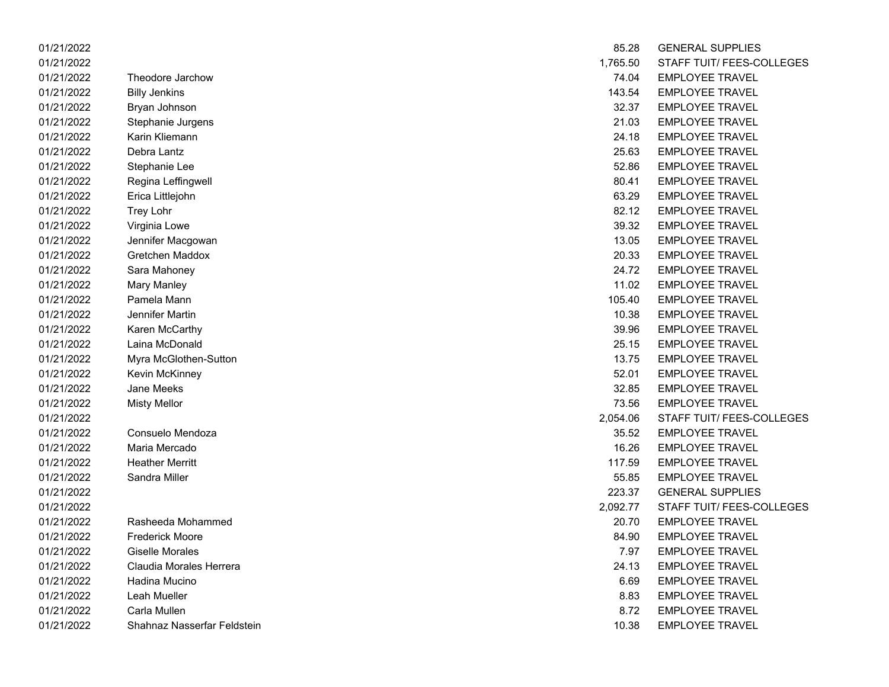| 01/21/2022 |                             | 85.28    | <b>GENERAL SUPPLIES</b>   |
|------------|-----------------------------|----------|---------------------------|
| 01/21/2022 |                             | 1,765.50 | <b>STAFF TUIT/ FEES-C</b> |
| 01/21/2022 | Theodore Jarchow            | 74.04    | <b>EMPLOYEE TRAVEL</b>    |
| 01/21/2022 | <b>Billy Jenkins</b>        | 143.54   | <b>EMPLOYEE TRAVEL</b>    |
| 01/21/2022 | Bryan Johnson               | 32.37    | <b>EMPLOYEE TRAVEL</b>    |
| 01/21/2022 | Stephanie Jurgens           | 21.03    | <b>EMPLOYEE TRAVEL</b>    |
| 01/21/2022 | Karin Kliemann              | 24.18    | <b>EMPLOYEE TRAVEL</b>    |
| 01/21/2022 | Debra Lantz                 | 25.63    | <b>EMPLOYEE TRAVEL</b>    |
| 01/21/2022 | Stephanie Lee               | 52.86    | <b>EMPLOYEE TRAVEL</b>    |
| 01/21/2022 | Regina Leffingwell          | 80.41    | <b>EMPLOYEE TRAVEL</b>    |
| 01/21/2022 | Erica Littlejohn            | 63.29    | <b>EMPLOYEE TRAVEL</b>    |
| 01/21/2022 | Trey Lohr                   | 82.12    | <b>EMPLOYEE TRAVEL</b>    |
| 01/21/2022 | Virginia Lowe               | 39.32    | <b>EMPLOYEE TRAVEL</b>    |
| 01/21/2022 | Jennifer Macgowan           | 13.05    | <b>EMPLOYEE TRAVEL</b>    |
| 01/21/2022 | Gretchen Maddox             | 20.33    | <b>EMPLOYEE TRAVEL</b>    |
| 01/21/2022 | Sara Mahoney                | 24.72    | <b>EMPLOYEE TRAVEL</b>    |
| 01/21/2022 | <b>Mary Manley</b>          | 11.02    | <b>EMPLOYEE TRAVEL</b>    |
| 01/21/2022 | Pamela Mann                 | 105.40   | <b>EMPLOYEE TRAVEL</b>    |
| 01/21/2022 | Jennifer Martin             | 10.38    | <b>EMPLOYEE TRAVEL</b>    |
| 01/21/2022 | Karen McCarthy              | 39.96    | <b>EMPLOYEE TRAVEL</b>    |
| 01/21/2022 | Laina McDonald              | 25.15    | <b>EMPLOYEE TRAVEL</b>    |
| 01/21/2022 | Myra McGlothen-Sutton       | 13.75    | <b>EMPLOYEE TRAVEL</b>    |
| 01/21/2022 | Kevin McKinney              | 52.01    | <b>EMPLOYEE TRAVEL</b>    |
| 01/21/2022 | Jane Meeks                  | 32.85    | <b>EMPLOYEE TRAVEL</b>    |
| 01/21/2022 | <b>Misty Mellor</b>         | 73.56    | <b>EMPLOYEE TRAVEL</b>    |
| 01/21/2022 |                             | 2,054.06 | <b>STAFF TUIT/ FEES-C</b> |
| 01/21/2022 | Consuelo Mendoza            | 35.52    | <b>EMPLOYEE TRAVEL</b>    |
| 01/21/2022 | Maria Mercado               | 16.26    | <b>EMPLOYEE TRAVEL</b>    |
| 01/21/2022 | <b>Heather Merritt</b>      | 117.59   | <b>EMPLOYEE TRAVEL</b>    |
| 01/21/2022 | Sandra Miller               | 55.85    | <b>EMPLOYEE TRAVEL</b>    |
| 01/21/2022 |                             | 223.37   | <b>GENERAL SUPPLIES</b>   |
| 01/21/2022 |                             | 2,092.77 | STAFF TUIT/ FEES-C        |
| 01/21/2022 | Rasheeda Mohammed           | 20.70    | <b>EMPLOYEE TRAVEL</b>    |
| 01/21/2022 | <b>Frederick Moore</b>      | 84.90    | <b>EMPLOYEE TRAVEL</b>    |
| 01/21/2022 | Giselle Morales             | 7.97     | <b>EMPLOYEE TRAVEL</b>    |
| 01/21/2022 | Claudia Morales Herrera     | 24.13    | <b>EMPLOYEE TRAVEL</b>    |
| 01/21/2022 | Hadina Mucino               | 6.69     | <b>EMPLOYEE TRAVEL</b>    |
| 01/21/2022 | Leah Mueller                | 8.83     | <b>EMPLOYEE TRAVEL</b>    |
| 01/21/2022 | Carla Mullen                | 8.72     | <b>EMPLOYEE TRAVEL</b>    |
| 01/21/2022 | Shahnaz Nasserfar Feldstein | 10.38    | EMPLOYEE TRAVEL           |

| 01/21/2022 |                             | 85.28    | <b>GENERAL SUPPLIES</b>   |
|------------|-----------------------------|----------|---------------------------|
| 01/21/2022 |                             | 1,765.50 | STAFF TUIT/ FEES-COLLEGES |
| 01/21/2022 | Theodore Jarchow            | 74.04    | <b>EMPLOYEE TRAVEL</b>    |
| 01/21/2022 | <b>Billy Jenkins</b>        | 143.54   | <b>EMPLOYEE TRAVEL</b>    |
| 01/21/2022 | Bryan Johnson               | 32.37    | <b>EMPLOYEE TRAVEL</b>    |
| 01/21/2022 | Stephanie Jurgens           | 21.03    | <b>EMPLOYEE TRAVEL</b>    |
| 01/21/2022 | Karin Kliemann              | 24.18    | <b>EMPLOYEE TRAVEL</b>    |
| 01/21/2022 | Debra Lantz                 | 25.63    | <b>EMPLOYEE TRAVEL</b>    |
| 01/21/2022 | Stephanie Lee               | 52.86    | <b>EMPLOYEE TRAVEL</b>    |
| 01/21/2022 | Regina Leffingwell          | 80.41    | <b>EMPLOYEE TRAVEL</b>    |
| 01/21/2022 | Erica Littlejohn            | 63.29    | <b>EMPLOYEE TRAVEL</b>    |
| 01/21/2022 | Trey Lohr                   | 82.12    | <b>EMPLOYEE TRAVEL</b>    |
| 01/21/2022 | Virginia Lowe               | 39.32    | <b>EMPLOYEE TRAVEL</b>    |
| 01/21/2022 | Jennifer Macgowan           | 13.05    | <b>EMPLOYEE TRAVEL</b>    |
| 01/21/2022 | Gretchen Maddox             | 20.33    | <b>EMPLOYEE TRAVEL</b>    |
| 01/21/2022 | Sara Mahoney                | 24.72    | <b>EMPLOYEE TRAVEL</b>    |
| 01/21/2022 | <b>Mary Manley</b>          | 11.02    | <b>EMPLOYEE TRAVEL</b>    |
| 01/21/2022 | Pamela Mann                 | 105.40   | <b>EMPLOYEE TRAVEL</b>    |
| 01/21/2022 | Jennifer Martin             | 10.38    | <b>EMPLOYEE TRAVEL</b>    |
| 01/21/2022 | Karen McCarthy              | 39.96    | <b>EMPLOYEE TRAVEL</b>    |
| 01/21/2022 | Laina McDonald              | 25.15    | <b>EMPLOYEE TRAVEL</b>    |
| 01/21/2022 | Myra McGlothen-Sutton       | 13.75    | <b>EMPLOYEE TRAVEL</b>    |
| 01/21/2022 | Kevin McKinney              | 52.01    | <b>EMPLOYEE TRAVEL</b>    |
| 01/21/2022 | <b>Jane Meeks</b>           | 32.85    | <b>EMPLOYEE TRAVEL</b>    |
| 01/21/2022 | <b>Misty Mellor</b>         | 73.56    | <b>EMPLOYEE TRAVEL</b>    |
| 01/21/2022 |                             | 2,054.06 | STAFF TUIT/ FEES-COLLEGES |
| 01/21/2022 | Consuelo Mendoza            | 35.52    | <b>EMPLOYEE TRAVEL</b>    |
| 01/21/2022 | Maria Mercado               | 16.26    | <b>EMPLOYEE TRAVEL</b>    |
| 01/21/2022 | <b>Heather Merritt</b>      | 117.59   | <b>EMPLOYEE TRAVEL</b>    |
| 01/21/2022 | Sandra Miller               | 55.85    | <b>EMPLOYEE TRAVEL</b>    |
| 01/21/2022 |                             | 223.37   | <b>GENERAL SUPPLIES</b>   |
| 01/21/2022 |                             | 2,092.77 | STAFF TUIT/ FEES-COLLEGES |
| 01/21/2022 | Rasheeda Mohammed           | 20.70    | <b>EMPLOYEE TRAVEL</b>    |
| 01/21/2022 | <b>Frederick Moore</b>      | 84.90    | <b>EMPLOYEE TRAVEL</b>    |
| 01/21/2022 | <b>Giselle Morales</b>      | 7.97     | <b>EMPLOYEE TRAVEL</b>    |
| 01/21/2022 | Claudia Morales Herrera     | 24.13    | <b>EMPLOYEE TRAVEL</b>    |
| 01/21/2022 | Hadina Mucino               | 6.69     | <b>EMPLOYEE TRAVEL</b>    |
| 01/21/2022 | Leah Mueller                | 8.83     | <b>EMPLOYEE TRAVEL</b>    |
| 01/21/2022 | Carla Mullen                | 8.72     | <b>EMPLOYEE TRAVEL</b>    |
| 01/21/2022 | Shahnaz Nasserfar Feldstein | 10.38    | <b>EMPLOYEE TRAVEL</b>    |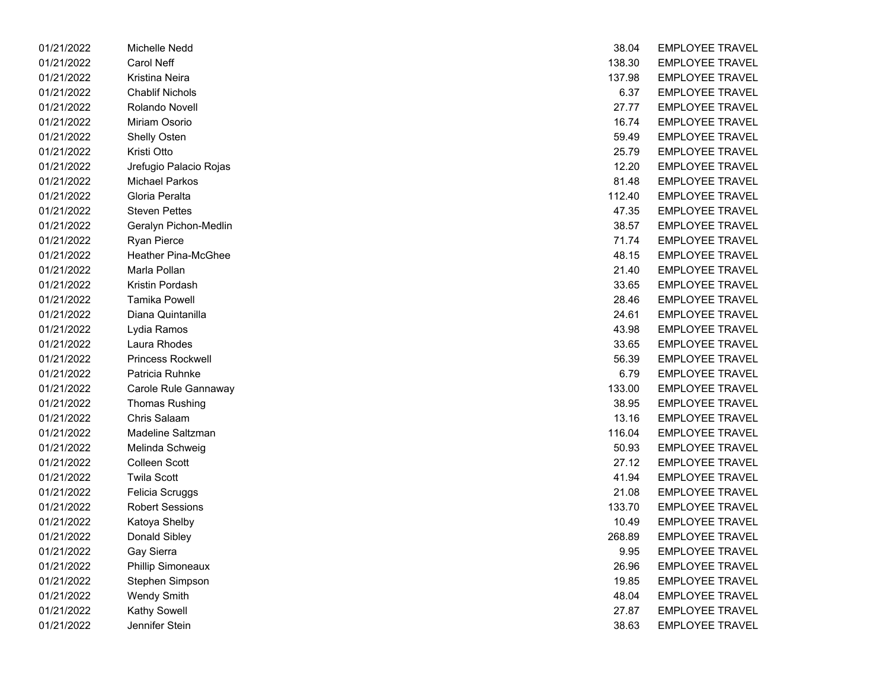| 01/21/2022 | Michelle Nedd            | 38.04  | <b>EMPLOYEE TRAVEL</b> |
|------------|--------------------------|--------|------------------------|
| 01/21/2022 | <b>Carol Neff</b>        | 138.30 | <b>EMPLOYEE TRAVEL</b> |
| 01/21/2022 | Kristina Neira           | 137.98 | <b>EMPLOYEE TRAVEL</b> |
| 01/21/2022 | <b>Chablif Nichols</b>   | 6.37   | <b>EMPLOYEE TRAVEL</b> |
| 01/21/2022 | Rolando Novell           | 27.77  | <b>EMPLOYEE TRAVEL</b> |
| 01/21/2022 | Miriam Osorio            | 16.74  | <b>EMPLOYEE TRAVEL</b> |
| 01/21/2022 | Shelly Osten             | 59.49  | <b>EMPLOYEE TRAVEL</b> |
| 01/21/2022 | Kristi Otto              | 25.79  | <b>EMPLOYEE TRAVEL</b> |
| 01/21/2022 | Jrefugio Palacio Rojas   | 12.20  | <b>EMPLOYEE TRAVEL</b> |
| 01/21/2022 | <b>Michael Parkos</b>    | 81.48  | <b>EMPLOYEE TRAVEL</b> |
| 01/21/2022 | Gloria Peralta           | 112.40 | <b>EMPLOYEE TRAVEL</b> |
| 01/21/2022 | <b>Steven Pettes</b>     | 47.35  | <b>EMPLOYEE TRAVEL</b> |
| 01/21/2022 | Geralyn Pichon-Medlin    | 38.57  | <b>EMPLOYEE TRAVEL</b> |
| 01/21/2022 | <b>Ryan Pierce</b>       | 71.74  | <b>EMPLOYEE TRAVEL</b> |
| 01/21/2022 | Heather Pina-McGhee      | 48.15  | <b>EMPLOYEE TRAVEL</b> |
| 01/21/2022 | Marla Pollan             | 21.40  | <b>EMPLOYEE TRAVEL</b> |
| 01/21/2022 | Kristin Pordash          | 33.65  | <b>EMPLOYEE TRAVEL</b> |
| 01/21/2022 | <b>Tamika Powell</b>     | 28.46  | <b>EMPLOYEE TRAVEL</b> |
| 01/21/2022 | Diana Quintanilla        | 24.61  | <b>EMPLOYEE TRAVEL</b> |
| 01/21/2022 | Lydia Ramos              | 43.98  | <b>EMPLOYEE TRAVEL</b> |
| 01/21/2022 | Laura Rhodes             | 33.65  | <b>EMPLOYEE TRAVEL</b> |
| 01/21/2022 | Princess Rockwell        | 56.39  | <b>EMPLOYEE TRAVEL</b> |
| 01/21/2022 | Patricia Ruhnke          | 6.79   | <b>EMPLOYEE TRAVEL</b> |
| 01/21/2022 | Carole Rule Gannaway     | 133.00 | <b>EMPLOYEE TRAVEL</b> |
| 01/21/2022 | <b>Thomas Rushing</b>    | 38.95  | <b>EMPLOYEE TRAVEL</b> |
| 01/21/2022 | Chris Salaam             | 13.16  | <b>EMPLOYEE TRAVEL</b> |
| 01/21/2022 | Madeline Saltzman        | 116.04 | <b>EMPLOYEE TRAVEL</b> |
| 01/21/2022 | Melinda Schweig          | 50.93  | <b>EMPLOYEE TRAVEL</b> |
| 01/21/2022 | <b>Colleen Scott</b>     | 27.12  | <b>EMPLOYEE TRAVEL</b> |
| 01/21/2022 | <b>Twila Scott</b>       | 41.94  | <b>EMPLOYEE TRAVEL</b> |
| 01/21/2022 | Felicia Scruggs          | 21.08  | <b>EMPLOYEE TRAVEL</b> |
| 01/21/2022 | <b>Robert Sessions</b>   | 133.70 | <b>EMPLOYEE TRAVEL</b> |
| 01/21/2022 | Katoya Shelby            | 10.49  | <b>EMPLOYEE TRAVEL</b> |
| 01/21/2022 | Donald Sibley            | 268.89 | <b>EMPLOYEE TRAVEL</b> |
| 01/21/2022 | Gay Sierra               | 9.95   | <b>EMPLOYEE TRAVEL</b> |
| 01/21/2022 | <b>Phillip Simoneaux</b> | 26.96  | <b>EMPLOYEE TRAVEL</b> |
| 01/21/2022 | Stephen Simpson          | 19.85  | <b>EMPLOYEE TRAVEL</b> |
| 01/21/2022 | <b>Wendy Smith</b>       | 48.04  | <b>EMPLOYEE TRAVEL</b> |
| 01/21/2022 | Kathy Sowell             | 27.87  | <b>EMPLOYEE TRAVEL</b> |
| 01/21/2022 | Jennifer Stein           | 38.63  | <b>EMPLOYEE TRAVEL</b> |

| 38.04  | <b>EMPLOYEE TRAVEL</b> |
|--------|------------------------|
| 138.30 | <b>EMPLOYEE TRAVEL</b> |
| 137.98 | EMPLOYEE TRAVEL        |
| 6.37   | EMPLOYEE TRAVEL        |
| 27.77  | <b>EMPLOYEE TRAVEL</b> |
| 16.74  | <b>EMPLOYEE TRAVEL</b> |
| 59.49  | <b>EMPLOYEE TRAVEL</b> |
| 25.79  | EMPLOYEE TRAVEL        |
| 12.20  | <b>EMPLOYEE TRAVEL</b> |
| 81.48  | <b>EMPLOYEE TRAVEL</b> |
| 112.40 | EMPLOYEE TRAVEL        |
| 47.35  | EMPLOYEE TRAVEL        |
| 38.57  | EMPLOYEE TRAVEL        |
| 71.74  | <b>EMPLOYEE TRAVEL</b> |
| 48.15  | <b>EMPLOYEE TRAVEL</b> |
| 21.40  | <b>EMPLOYEE TRAVEL</b> |
| 33.65  | <b>EMPLOYEE TRAVEL</b> |
| 28.46  | EMPLOYEE TRAVEL        |
| 24.61  | EMPLOYEE TRAVEL        |
| 43.98  | EMPLOYEE TRAVEL        |
| 33.65  | EMPLOYEE TRAVEL        |
| 56.39  | EMPLOYEE TRAVEL        |
| 6.79   | EMPLOYEE TRAVEL        |
| 133.00 | <b>EMPLOYEE TRAVEL</b> |
| 38.95  | <b>EMPLOYEE TRAVEL</b> |
| 13.16  | <b>EMPLOYEE TRAVEL</b> |
| 116.04 | <b>EMPLOYEE TRAVEL</b> |
| 50.93  | <b>EMPLOYEE TRAVEL</b> |
| 27.12  | EMPLOYEE TRAVEL        |
| 41.94  | <b>EMPLOYEE TRAVEL</b> |
| 21.08  | EMPLOYEE TRAVEL        |
| 133.70 | EMPLOYEE TRAVEL        |
| 10.49  | EMPLOYEE TRAVEL        |
| 268.89 | <b>EMPLOYEE TRAVEL</b> |
| 9.95   | <b>EMPLOYEE TRAVEL</b> |
| 26.96  | <b>EMPLOYEE TRAVEL</b> |
| 19.85  | <b>EMPLOYEE TRAVEL</b> |
| 48.04  | <b>EMPLOYEE TRAVEL</b> |
| 27.87  | <b>EMPLOYEE TRAVEL</b> |
| 38.63  | <b>EMPLOYEE TRAVEL</b> |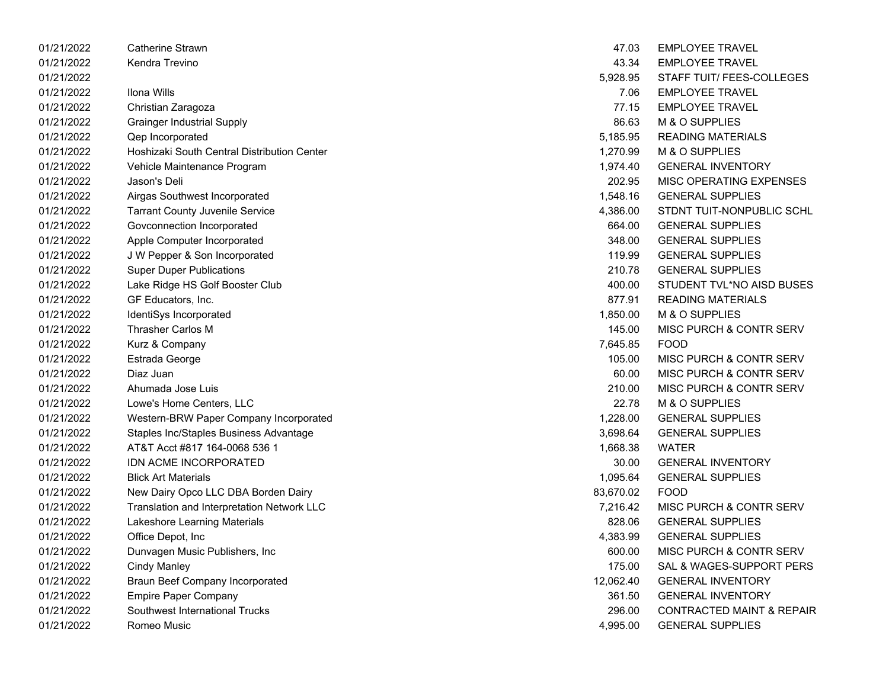| 01/21/2022 | Catherine Strawn                            | 47.03     | <b>EMPLOYEE TRAVEL</b>               |
|------------|---------------------------------------------|-----------|--------------------------------------|
| 01/21/2022 | Kendra Trevino                              | 43.34     | <b>EMPLOYEE TRAVEL</b>               |
| 01/21/2022 |                                             | 5,928.95  | STAFF TUIT/ FEES-COLLEGES            |
| 01/21/2022 | Ilona Wills                                 | 7.06      | <b>EMPLOYEE TRAVEL</b>               |
| 01/21/2022 | Christian Zaragoza                          | 77.15     | <b>EMPLOYEE TRAVEL</b>               |
| 01/21/2022 | <b>Grainger Industrial Supply</b>           | 86.63     | M & O SUPPLIES                       |
| 01/21/2022 | Qep Incorporated                            | 5,185.95  | <b>READING MATERIALS</b>             |
| 01/21/2022 | Hoshizaki South Central Distribution Center | 1,270.99  | M & O SUPPLIES                       |
| 01/21/2022 | Vehicle Maintenance Program                 | 1,974.40  | <b>GENERAL INVENTORY</b>             |
| 01/21/2022 | Jason's Deli                                | 202.95    | MISC OPERATING EXPENSES              |
| 01/21/2022 | Airgas Southwest Incorporated               | 1,548.16  | <b>GENERAL SUPPLIES</b>              |
| 01/21/2022 | <b>Tarrant County Juvenile Service</b>      | 4,386.00  | STDNT TUIT-NONPUBLIC SCHL            |
| 01/21/2022 | Govconnection Incorporated                  | 664.00    | <b>GENERAL SUPPLIES</b>              |
| 01/21/2022 | Apple Computer Incorporated                 | 348.00    | <b>GENERAL SUPPLIES</b>              |
| 01/21/2022 | J W Pepper & Son Incorporated               | 119.99    | <b>GENERAL SUPPLIES</b>              |
| 01/21/2022 | <b>Super Duper Publications</b>             | 210.78    | <b>GENERAL SUPPLIES</b>              |
| 01/21/2022 | Lake Ridge HS Golf Booster Club             | 400.00    | STUDENT TVL*NO AISD BUSES            |
| 01/21/2022 | GF Educators, Inc.                          | 877.91    | <b>READING MATERIALS</b>             |
| 01/21/2022 | IdentiSys Incorporated                      | 1,850.00  | M & O SUPPLIES                       |
| 01/21/2022 | <b>Thrasher Carlos M</b>                    | 145.00    | MISC PURCH & CONTR SERV              |
| 01/21/2022 | Kurz & Company                              | 7,645.85  | <b>FOOD</b>                          |
| 01/21/2022 | Estrada George                              | 105.00    | MISC PURCH & CONTR SERV              |
| 01/21/2022 | Diaz Juan                                   | 60.00     | MISC PURCH & CONTR SERV              |
| 01/21/2022 | Ahumada Jose Luis                           | 210.00    | MISC PURCH & CONTR SERV              |
| 01/21/2022 | Lowe's Home Centers, LLC                    | 22.78     | M & O SUPPLIES                       |
| 01/21/2022 | Western-BRW Paper Company Incorporated      | 1,228.00  | <b>GENERAL SUPPLIES</b>              |
| 01/21/2022 | Staples Inc/Staples Business Advantage      | 3,698.64  | <b>GENERAL SUPPLIES</b>              |
| 01/21/2022 | AT&T Acct #817 164-0068 536 1               | 1,668.38  | <b>WATER</b>                         |
| 01/21/2022 | IDN ACME INCORPORATED                       | 30.00     | <b>GENERAL INVENTORY</b>             |
| 01/21/2022 | <b>Blick Art Materials</b>                  | 1,095.64  | <b>GENERAL SUPPLIES</b>              |
| 01/21/2022 | New Dairy Opco LLC DBA Borden Dairy         | 83,670.02 | <b>FOOD</b>                          |
| 01/21/2022 | Translation and Interpretation Network LLC  | 7,216.42  | MISC PURCH & CONTR SERV              |
| 01/21/2022 | Lakeshore Learning Materials                | 828.06    | <b>GENERAL SUPPLIES</b>              |
| 01/21/2022 | Office Depot, Inc                           | 4,383.99  | <b>GENERAL SUPPLIES</b>              |
| 01/21/2022 | Dunvagen Music Publishers, Inc              | 600.00    | MISC PURCH & CONTR SERV              |
| 01/21/2022 | <b>Cindy Manley</b>                         | 175.00    | SAL & WAGES-SUPPORT PERS             |
| 01/21/2022 | <b>Braun Beef Company Incorporated</b>      | 12,062.40 | <b>GENERAL INVENTORY</b>             |
| 01/21/2022 | <b>Empire Paper Company</b>                 | 361.50    | <b>GENERAL INVENTORY</b>             |
| 01/21/2022 | Southwest International Trucks              | 296.00    | <b>CONTRACTED MAINT &amp; REPAIR</b> |
| 01/21/2022 | Romeo Music                                 | 4,995.00  | <b>GENERAL SUPPLIES</b>              |

| 47.03          | <b>EMPLOYEE TRAVEL</b>               |
|----------------|--------------------------------------|
| 43.34          | <b>EMPLOYEE TRAVEL</b>               |
| 5,928.95       | STAFF TUIT/ FEES-COLLEGES            |
| 7.06           | EMPLOYEE TRAVEL                      |
| 77.15          | <b>EMPLOYEE TRAVEL</b>               |
|                | 86.63 M & O SUPPLIES                 |
|                | 5,185.95 READING MATERIALS           |
|                | 1,270.99 M & O SUPPLIES              |
| 1,974.40       | <b>GENERAL INVENTORY</b>             |
| 202.95         | MISC OPERATING EXPENSES              |
|                | 1,548.16 GENERAL SUPPLIES            |
|                | 4,386.00 STDNT TUIT-NONPUBLIC SCHL   |
|                | 664.00 GENERAL SUPPLIES              |
| 348.00         | <b>GENERAL SUPPLIES</b>              |
| 119.99         | <b>GENERAL SUPPLIES</b>              |
|                | 210.78 GENERAL SUPPLIES              |
|                | 400.00 STUDENT TVL*NO AISD BUSES     |
|                | 877.91 READING MATERIALS             |
| 1,850.00       | M & O SUPPLIES                       |
| 145.00         | MISC PURCH & CONTR SERV              |
| 7,645.85 FOOD  |                                      |
|                | 105.00 MISC PURCH & CONTR SERV       |
|                | 60.00 MISC PURCH & CONTR SERV        |
| 210.00         | MISC PURCH & CONTR SERV              |
| 22.78          | M & O SUPPLIES                       |
| 1,228.00       | <b>GENERAL SUPPLIES</b>              |
|                | 3,698.64 GENERAL SUPPLIES            |
| 1,668.38 WATER |                                      |
|                | 30.00 GENERAL INVENTORY              |
| 1,095.64       | <b>GENERAL SUPPLIES</b>              |
| 83,670.02 FOOD |                                      |
|                | 7,216.42 MISC PURCH & CONTR SERV     |
|                | 828.06 GENERAL SUPPLIES              |
| 4,383.99       | <b>GENERAL SUPPLIES</b>              |
| 600.00         | MISC PURCH & CONTR SERV              |
| 175.00         | SAL & WAGES-SUPPORT PERS             |
| 12,062.40      | <b>GENERAL INVENTORY</b>             |
| 361.50         | <b>GENERAL INVENTORY</b>             |
| 296.00         | <b>CONTRACTED MAINT &amp; REPAIR</b> |
| 4,995.00       | <b>GENERAL SUPPLIES</b>              |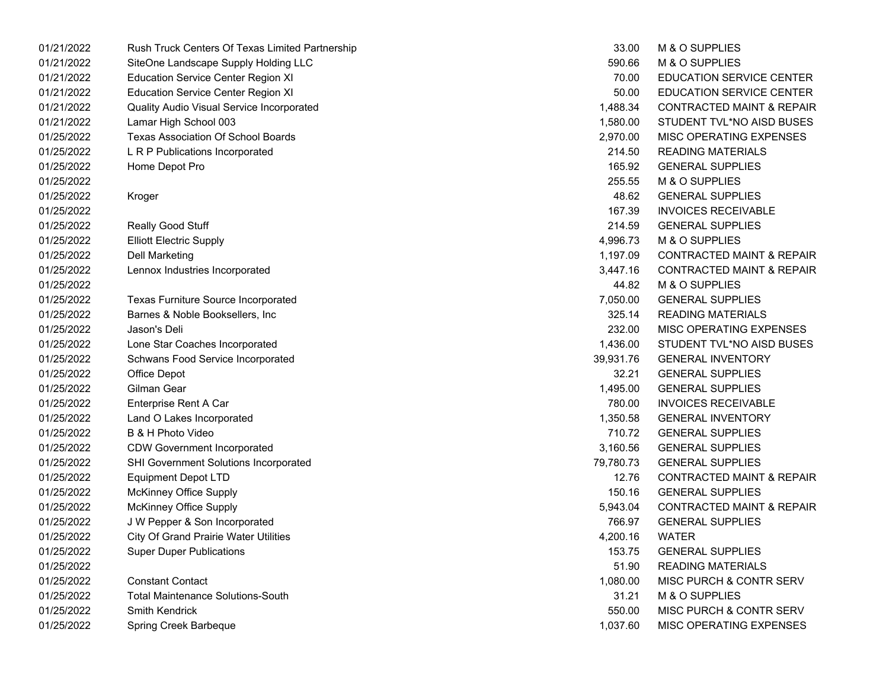| 01/21/2022 | Rush Truck Centers Of Texas Limited Partnership | 33.00     | M & O SUPPLIES                       |
|------------|-------------------------------------------------|-----------|--------------------------------------|
| 01/21/2022 | SiteOne Landscape Supply Holding LLC            | 590.66    | M & O SUPPLIES                       |
| 01/21/2022 | <b>Education Service Center Region XI</b>       | 70.00     | EDUCATION SERVICE CENTER             |
| 01/21/2022 | <b>Education Service Center Region XI</b>       | 50.00     | EDUCATION SERVICE CENTER             |
| 01/21/2022 | Quality Audio Visual Service Incorporated       | 1,488.34  | <b>CONTRACTED MAINT &amp; REPAIR</b> |
| 01/21/2022 | Lamar High School 003                           | 1,580.00  | STUDENT TVL*NO AISD BUSES            |
| 01/25/2022 | Texas Association Of School Boards              | 2,970.00  | MISC OPERATING EXPENSES              |
| 01/25/2022 | L R P Publications Incorporated                 | 214.50    | <b>READING MATERIALS</b>             |
| 01/25/2022 | Home Depot Pro                                  | 165.92    | <b>GENERAL SUPPLIES</b>              |
| 01/25/2022 |                                                 | 255.55    | M & O SUPPLIES                       |
| 01/25/2022 | Kroger                                          | 48.62     | <b>GENERAL SUPPLIES</b>              |
| 01/25/2022 |                                                 | 167.39    | <b>INVOICES RECEIVABLE</b>           |
| 01/25/2022 | Really Good Stuff                               | 214.59    | <b>GENERAL SUPPLIES</b>              |
| 01/25/2022 | <b>Elliott Electric Supply</b>                  | 4,996.73  | M & O SUPPLIES                       |
| 01/25/2022 | <b>Dell Marketing</b>                           | 1,197.09  | <b>CONTRACTED MAINT &amp; REPAIR</b> |
| 01/25/2022 | Lennox Industries Incorporated                  | 3,447.16  | <b>CONTRACTED MAINT &amp; REPAIR</b> |
| 01/25/2022 |                                                 | 44.82     | M & O SUPPLIES                       |
| 01/25/2022 | Texas Furniture Source Incorporated             | 7,050.00  | <b>GENERAL SUPPLIES</b>              |
| 01/25/2022 | Barnes & Noble Booksellers, Inc.                | 325.14    | <b>READING MATERIALS</b>             |
| 01/25/2022 | Jason's Deli                                    | 232.00    | MISC OPERATING EXPENSES              |
| 01/25/2022 | Lone Star Coaches Incorporated                  | 1,436.00  | STUDENT TVL*NO AISD BUSES            |
| 01/25/2022 | Schwans Food Service Incorporated               | 39,931.76 | <b>GENERAL INVENTORY</b>             |
| 01/25/2022 | Office Depot                                    | 32.21     | <b>GENERAL SUPPLIES</b>              |
| 01/25/2022 | Gilman Gear                                     | 1,495.00  | <b>GENERAL SUPPLIES</b>              |
| 01/25/2022 | Enterprise Rent A Car                           | 780.00    | <b>INVOICES RECEIVABLE</b>           |
| 01/25/2022 | Land O Lakes Incorporated                       | 1,350.58  | <b>GENERAL INVENTORY</b>             |
| 01/25/2022 | B & H Photo Video                               | 710.72    | <b>GENERAL SUPPLIES</b>              |
| 01/25/2022 | <b>CDW Government Incorporated</b>              | 3,160.56  | <b>GENERAL SUPPLIES</b>              |
| 01/25/2022 | SHI Government Solutions Incorporated           | 79,780.73 | <b>GENERAL SUPPLIES</b>              |
| 01/25/2022 | <b>Equipment Depot LTD</b>                      | 12.76     | <b>CONTRACTED MAINT &amp; REPAIR</b> |
| 01/25/2022 | <b>McKinney Office Supply</b>                   | 150.16    | <b>GENERAL SUPPLIES</b>              |
| 01/25/2022 | <b>McKinney Office Supply</b>                   | 5,943.04  | <b>CONTRACTED MAINT &amp; REPAIR</b> |
| 01/25/2022 | J W Pepper & Son Incorporated                   | 766.97    | <b>GENERAL SUPPLIES</b>              |
| 01/25/2022 | City Of Grand Prairie Water Utilities           | 4,200.16  | <b>WATER</b>                         |
| 01/25/2022 | <b>Super Duper Publications</b>                 | 153.75    | <b>GENERAL SUPPLIES</b>              |
| 01/25/2022 |                                                 | 51.90     | <b>READING MATERIALS</b>             |
| 01/25/2022 | <b>Constant Contact</b>                         | 1,080.00  | MISC PURCH & CONTR SERV              |
| 01/25/2022 | <b>Total Maintenance Solutions-South</b>        | 31.21     | M & O SUPPLIES                       |
| 01/25/2022 | <b>Smith Kendrick</b>                           | 550.00    | MISC PURCH & CONTR SERV              |
| 01/25/2022 | Spring Creek Barbeque                           | 1,037.60  | MISC OPERATING EXPENSES              |

| 33.00     | M & O SUPPLIES                       |
|-----------|--------------------------------------|
| 590.66    | M & O SUPPLIES                       |
| 70.00     | <b>EDUCATION SERVICE CENTER</b>      |
| 50.00     | <b>EDUCATION SERVICE CENTER</b>      |
| 1,488.34  | <b>CONTRACTED MAINT &amp; REPAIR</b> |
| 1,580.00  | STUDENT TVL*NO AISD BUSES            |
| 2,970.00  | <b>MISC OPERATING EXPENSES</b>       |
| 214.50    | <b>READING MATERIALS</b>             |
| 165.92    | <b>GENERAL SUPPLIES</b>              |
| 255.55    | <b>M &amp; O SUPPLIES</b>            |
| 48.62     | <b>GENERAL SUPPLIES</b>              |
| 167.39    | <b>INVOICES RECEIVABLE</b>           |
| 214.59    | <b>GENERAL SUPPLIES</b>              |
| 4,996.73  | <b>M &amp; O SUPPLIES</b>            |
| 1,197.09  | <b>CONTRACTED MAINT &amp; REPAIR</b> |
| 3,447.16  | <b>CONTRACTED MAINT &amp; REPAIR</b> |
| 44.82     | M & O SUPPLIES                       |
| 7,050.00  | <b>GENERAL SUPPLIES</b>              |
| 325.14    | <b>READING MATERIALS</b>             |
| 232.00    | <b>MISC OPERATING EXPENSES</b>       |
| 1.436.00  | STUDENT TVL*NO AISD BUSES            |
| 39,931.76 | <b>GENERAL INVENTORY</b>             |
| 32.21     | <b>GENERAL SUPPLIES</b>              |
| 1,495.00  | <b>GENERAL SUPPLIES</b>              |
| 780.00    | <b>INVOICES RECEIVABLE</b>           |
| 1,350.58  | <b>GENERAL INVENTORY</b>             |
| 710.72    | <b>GENERAL SUPPLIES</b>              |
| 3,160.56  | <b>GENERAL SUPPLIES</b>              |
| 79,780.73 | <b>GENERAL SUPPLIES</b>              |
| 12.76     | <b>CONTRACTED MAINT &amp; REPAIR</b> |
| 150.16    | <b>GENERAL SUPPLIES</b>              |
| 5,943.04  | <b>CONTRACTED MAINT &amp; REPAIR</b> |
| 766.97    | <b>GENERAL SUPPLIES</b>              |
| 4,200.16  | WATER                                |
| 153.75    | <b>GENERAL SUPPLIES</b>              |
| 51.90     | <b>READING MATERIALS</b>             |
| 1,080.00  | <b>MISC PURCH &amp; CONTR SERV</b>   |
| 31.21     | <b>M &amp; O SUPPLIES</b>            |
| 550.00    | <b>MISC PURCH &amp; CONTR SERV</b>   |
| 1,037.60  | MISC OPERATING EXPENSES              |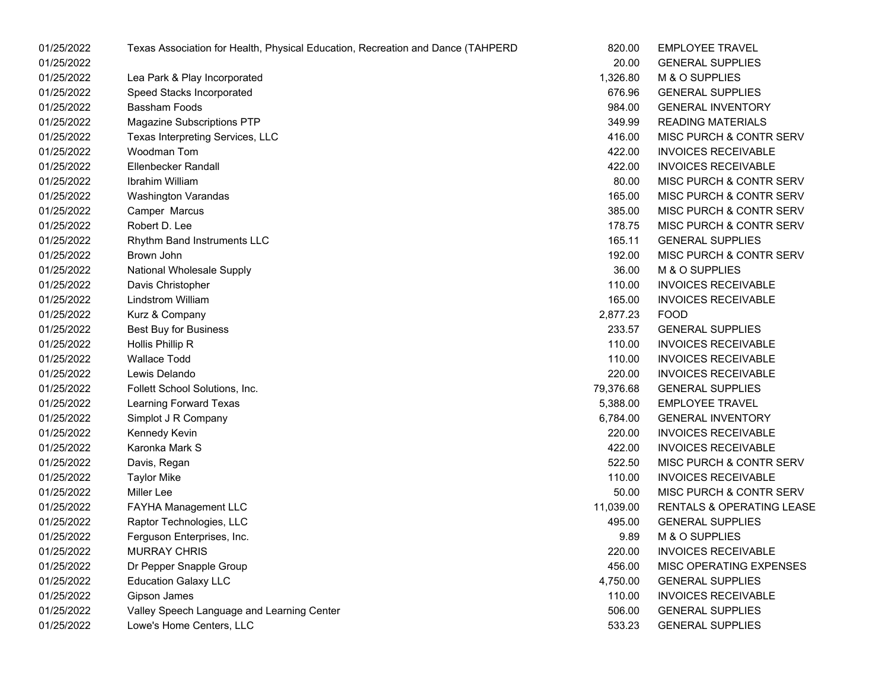| 01/25/2022 | Texas Association for Health, Physical Education, Recreation and Dance (TAHPERD | 820.00    | <b>EMPLOYEE TRAVEL</b>               |
|------------|---------------------------------------------------------------------------------|-----------|--------------------------------------|
| 01/25/2022 |                                                                                 | 20.00     | <b>GENERAL SUPPLIES</b>              |
| 01/25/2022 | Lea Park & Play Incorporated                                                    | 1,326.80  | M & O SUPPLIES                       |
| 01/25/2022 | Speed Stacks Incorporated                                                       | 676.96    | <b>GENERAL SUPPLIES</b>              |
| 01/25/2022 | <b>Bassham Foods</b>                                                            | 984.00    | <b>GENERAL INVENTORY</b>             |
| 01/25/2022 | Magazine Subscriptions PTP                                                      | 349.99    | <b>READING MATERIALS</b>             |
| 01/25/2022 | Texas Interpreting Services, LLC                                                | 416.00    | MISC PURCH & CONTR SERV              |
| 01/25/2022 | Woodman Tom                                                                     | 422.00    | <b>INVOICES RECEIVABLE</b>           |
| 01/25/2022 | <b>Ellenbecker Randall</b>                                                      | 422.00    | <b>INVOICES RECEIVABLE</b>           |
| 01/25/2022 | Ibrahim William                                                                 | 80.00     | MISC PURCH & CONTR SERV              |
| 01/25/2022 | <b>Washington Varandas</b>                                                      | 165.00    | MISC PURCH & CONTR SERV              |
| 01/25/2022 | Camper Marcus                                                                   | 385.00    | MISC PURCH & CONTR SERV              |
| 01/25/2022 | Robert D. Lee                                                                   | 178.75    | MISC PURCH & CONTR SERV              |
| 01/25/2022 | Rhythm Band Instruments LLC                                                     | 165.11    | <b>GENERAL SUPPLIES</b>              |
| 01/25/2022 | Brown John                                                                      | 192.00    | MISC PURCH & CONTR SERV              |
| 01/25/2022 | National Wholesale Supply                                                       | 36.00     | M & O SUPPLIES                       |
| 01/25/2022 | Davis Christopher                                                               | 110.00    | <b>INVOICES RECEIVABLE</b>           |
| 01/25/2022 | <b>Lindstrom William</b>                                                        | 165.00    | <b>INVOICES RECEIVABLE</b>           |
| 01/25/2022 | Kurz & Company                                                                  | 2,877.23  | <b>FOOD</b>                          |
| 01/25/2022 | <b>Best Buy for Business</b>                                                    | 233.57    | <b>GENERAL SUPPLIES</b>              |
| 01/25/2022 | Hollis Phillip R                                                                | 110.00    | <b>INVOICES RECEIVABLE</b>           |
| 01/25/2022 | <b>Wallace Todd</b>                                                             | 110.00    | <b>INVOICES RECEIVABLE</b>           |
| 01/25/2022 | Lewis Delando                                                                   | 220.00    | <b>INVOICES RECEIVABLE</b>           |
| 01/25/2022 | Follett School Solutions, Inc.                                                  | 79,376.68 | <b>GENERAL SUPPLIES</b>              |
| 01/25/2022 | Learning Forward Texas                                                          | 5,388.00  | <b>EMPLOYEE TRAVEL</b>               |
| 01/25/2022 | Simplot J R Company                                                             | 6,784.00  | <b>GENERAL INVENTORY</b>             |
| 01/25/2022 | Kennedy Kevin                                                                   | 220.00    | <b>INVOICES RECEIVABLE</b>           |
| 01/25/2022 | Karonka Mark S                                                                  | 422.00    | <b>INVOICES RECEIVABLE</b>           |
| 01/25/2022 | Davis, Regan                                                                    | 522.50    | MISC PURCH & CONTR SERV              |
| 01/25/2022 | <b>Taylor Mike</b>                                                              | 110.00    | <b>INVOICES RECEIVABLE</b>           |
| 01/25/2022 | Miller Lee                                                                      | 50.00     | MISC PURCH & CONTR SERV              |
| 01/25/2022 | FAYHA Management LLC                                                            | 11,039.00 | <b>RENTALS &amp; OPERATING LEASE</b> |
| 01/25/2022 | Raptor Technologies, LLC                                                        | 495.00    | <b>GENERAL SUPPLIES</b>              |
| 01/25/2022 | Ferguson Enterprises, Inc.                                                      | 9.89      | M & O SUPPLIES                       |
| 01/25/2022 | <b>MURRAY CHRIS</b>                                                             | 220.00    | <b>INVOICES RECEIVABLE</b>           |
| 01/25/2022 | Dr Pepper Snapple Group                                                         | 456.00    | MISC OPERATING EXPENSES              |
| 01/25/2022 | <b>Education Galaxy LLC</b>                                                     | 4,750.00  | <b>GENERAL SUPPLIES</b>              |
| 01/25/2022 | Gipson James                                                                    | 110.00    | <b>INVOICES RECEIVABLE</b>           |
| 01/25/2022 | Valley Speech Language and Learning Center                                      | 506.00    | <b>GENERAL SUPPLIES</b>              |
| 01/25/2022 | Lowe's Home Centers, LLC                                                        | 533.23    | <b>GENERAL SUPPLIES</b>              |

| :D | 820.00    | <b>EMPLOYEE TRAVEL</b>               |
|----|-----------|--------------------------------------|
|    | 20.00     | <b>GENERAL SUPPLIES</b>              |
|    | 1,326.80  | M & O SUPPLIES                       |
|    | 676.96    | <b>GENERAL SUPPLIES</b>              |
|    | 984.00    | <b>GENERAL INVENTORY</b>             |
|    | 349.99    | <b>READING MATERIALS</b>             |
|    | 416.00    | <b>MISC PURCH &amp; CONTR SERV</b>   |
|    | 422.00    | <b>INVOICES RECEIVABLE</b>           |
|    | 422.00    | <b>INVOICES RECEIVABLE</b>           |
|    | 80.00     | <b>MISC PURCH &amp; CONTR SERV</b>   |
|    | 165.00    | <b>MISC PURCH &amp; CONTR SERV</b>   |
|    | 385.00    | <b>MISC PURCH &amp; CONTR SERV</b>   |
|    | 178.75    | MISC PURCH & CONTR SERV              |
|    | 165.11    | <b>GENERAL SUPPLIES</b>              |
|    | 192.00    | <b>MISC PURCH &amp; CONTR SERV</b>   |
|    | 36.00     | M & O SUPPLIES                       |
|    | 110.00    | <b>INVOICES RECEIVABLE</b>           |
|    | 165.00    | <b>INVOICES RECEIVABLE</b>           |
|    | 2,877.23  | <b>FOOD</b>                          |
|    | 233.57    | <b>GENERAL SUPPLIES</b>              |
|    | 110.00    | <b>INVOICES RECEIVABLE</b>           |
|    | 110.00    | <b>INVOICES RECEIVABLE</b>           |
|    | 220.00    | <b>INVOICES RECEIVABLE</b>           |
|    | 79,376.68 | <b>GENERAL SUPPLIES</b>              |
|    | 5,388.00  | <b>EMPLOYEE TRAVEL</b>               |
|    | 6,784.00  | <b>GENERAL INVENTORY</b>             |
|    | 220.00    | <b>INVOICES RECEIVABLE</b>           |
|    | 422.00    | <b>INVOICES RECEIVABLE</b>           |
|    | 522.50    | <b>MISC PURCH &amp; CONTR SERV</b>   |
|    | 110.00    | <b>INVOICES RECEIVABLE</b>           |
|    | 50.00     | MISC PURCH & CONTR SERV              |
|    | 11,039.00 | <b>RENTALS &amp; OPERATING LEASE</b> |
|    | 495.00    | <b>GENERAL SUPPLIES</b>              |
|    | 9.89      | <b>M &amp; O SUPPLIES</b>            |
|    | 220.00    | <b>INVOICES RECEIVABLE</b>           |
|    | 456.00    | <b>MISC OPERATING EXPENSES</b>       |
|    | 4,750.00  | <b>GENERAL SUPPLIES</b>              |
|    | 110.00    | <b>INVOICES RECEIVABLE</b>           |
|    | 506.00    | <b>GENERAL SUPPLIES</b>              |
|    | 533.23    | <b>GENERAL SUPPLIES</b>              |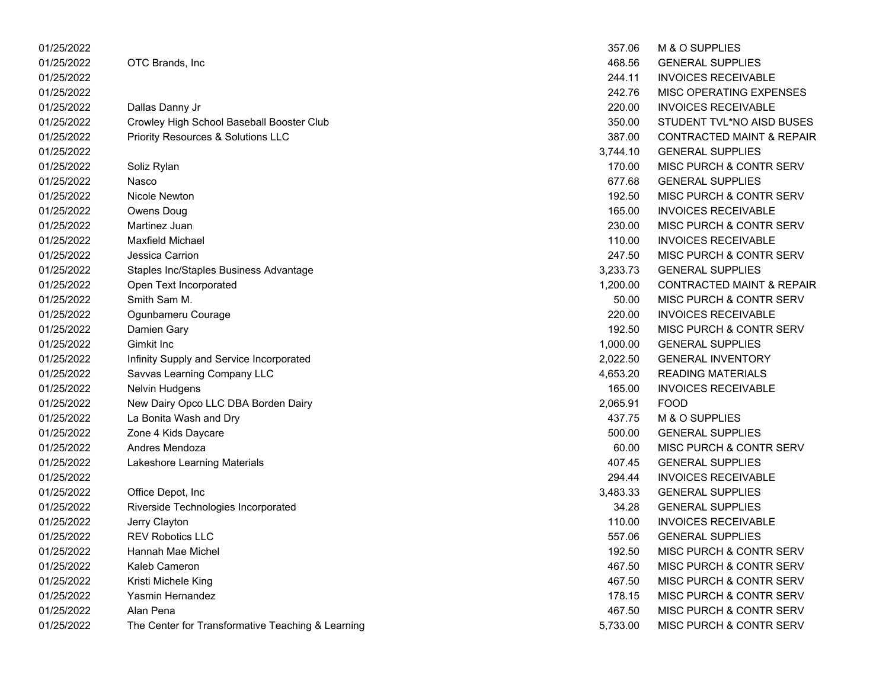| 01/25/2022 |                                                   | 357.06   | M & O SUPPLIES                       |
|------------|---------------------------------------------------|----------|--------------------------------------|
| 01/25/2022 | OTC Brands, Inc                                   | 468.56   | <b>GENERAL SUPPLIES</b>              |
| 01/25/2022 |                                                   | 244.11   | <b>INVOICES RECEIVABLE</b>           |
| 01/25/2022 |                                                   | 242.76   | MISC OPERATING EXPENSES              |
| 01/25/2022 | Dallas Danny Jr                                   | 220.00   | <b>INVOICES RECEIVABLE</b>           |
| 01/25/2022 | Crowley High School Baseball Booster Club         | 350.00   | STUDENT TVL*NO AISD BUSES            |
| 01/25/2022 | Priority Resources & Solutions LLC                | 387.00   | <b>CONTRACTED MAINT &amp; REPAIR</b> |
| 01/25/2022 |                                                   | 3,744.10 | <b>GENERAL SUPPLIES</b>              |
| 01/25/2022 | Soliz Rylan                                       | 170.00   | MISC PURCH & CONTR SERV              |
| 01/25/2022 | Nasco                                             | 677.68   | <b>GENERAL SUPPLIES</b>              |
| 01/25/2022 | Nicole Newton                                     | 192.50   | MISC PURCH & CONTR SERV              |
| 01/25/2022 | Owens Doug                                        | 165.00   | <b>INVOICES RECEIVABLE</b>           |
| 01/25/2022 | Martinez Juan                                     | 230.00   | MISC PURCH & CONTR SERV              |
| 01/25/2022 | <b>Maxfield Michael</b>                           | 110.00   | <b>INVOICES RECEIVABLE</b>           |
| 01/25/2022 | Jessica Carrion                                   | 247.50   | MISC PURCH & CONTR SERV              |
| 01/25/2022 | Staples Inc/Staples Business Advantage            | 3,233.73 | <b>GENERAL SUPPLIES</b>              |
| 01/25/2022 | Open Text Incorporated                            | 1,200.00 | <b>CONTRACTED MAINT &amp; REPAIR</b> |
| 01/25/2022 | Smith Sam M.                                      | 50.00    | MISC PURCH & CONTR SERV              |
| 01/25/2022 | Ogunbameru Courage                                | 220.00   | <b>INVOICES RECEIVABLE</b>           |
| 01/25/2022 | Damien Gary                                       | 192.50   | MISC PURCH & CONTR SERV              |
| 01/25/2022 | Gimkit Inc                                        | 1,000.00 | <b>GENERAL SUPPLIES</b>              |
| 01/25/2022 | Infinity Supply and Service Incorporated          | 2,022.50 | <b>GENERAL INVENTORY</b>             |
| 01/25/2022 | Savvas Learning Company LLC                       | 4,653.20 | <b>READING MATERIALS</b>             |
| 01/25/2022 | <b>Nelvin Hudgens</b>                             | 165.00   | <b>INVOICES RECEIVABLE</b>           |
| 01/25/2022 | New Dairy Opco LLC DBA Borden Dairy               | 2,065.91 | <b>FOOD</b>                          |
| 01/25/2022 | La Bonita Wash and Dry                            | 437.75   | M & O SUPPLIES                       |
| 01/25/2022 | Zone 4 Kids Daycare                               | 500.00   | <b>GENERAL SUPPLIES</b>              |
| 01/25/2022 | Andres Mendoza                                    | 60.00    | MISC PURCH & CONTR SERV              |
| 01/25/2022 | Lakeshore Learning Materials                      | 407.45   | <b>GENERAL SUPPLIES</b>              |
| 01/25/2022 |                                                   | 294.44   | <b>INVOICES RECEIVABLE</b>           |
| 01/25/2022 | Office Depot, Inc                                 | 3,483.33 | <b>GENERAL SUPPLIES</b>              |
| 01/25/2022 | Riverside Technologies Incorporated               | 34.28    | <b>GENERAL SUPPLIES</b>              |
| 01/25/2022 | Jerry Clayton                                     | 110.00   | <b>INVOICES RECEIVABLE</b>           |
| 01/25/2022 | <b>REV Robotics LLC</b>                           | 557.06   | <b>GENERAL SUPPLIES</b>              |
| 01/25/2022 | Hannah Mae Michel                                 | 192.50   | MISC PURCH & CONTR SERV              |
| 01/25/2022 | Kaleb Cameron                                     | 467.50   | MISC PURCH & CONTR SERV              |
| 01/25/2022 | Kristi Michele King                               | 467.50   | MISC PURCH & CONTR SERV              |
| 01/25/2022 | Yasmin Hernandez                                  | 178.15   | MISC PURCH & CONTR SERV              |
| 01/25/2022 | Alan Pena                                         | 467.50   | MISC PURCH & CONTR SERV              |
| 01/25/2022 | The Center for Transformative Teaching & Learning | 5,733.00 | MISC PURCH & CONTR SERV              |

| 357.06   | <b>M &amp; O SUPPLIES</b>            |
|----------|--------------------------------------|
| 468.56   | <b>GENERAL SUPPLIES</b>              |
| 244.11   | <b>INVOICES RECEIVABLE</b>           |
| 242.76   | <b>MISC OPERATING EXPENSES</b>       |
| 220.00   | <b>INVOICES RECEIVABLE</b>           |
| 350.00   | STUDENT TVL*NO AISD BUSES            |
| 387.00   | <b>CONTRACTED MAINT &amp; REPAIF</b> |
| 3,744.10 | <b>GENERAL SUPPLIES</b>              |
| 170.00   | MISC PURCH & CONTR SERV              |
| 677.68   | <b>GENERAL SUPPLIES</b>              |
| 192.50   | MISC PURCH & CONTR SERV              |
| 165.00   | <b>INVOICES RECEIVABLE</b>           |
| 230.00   | MISC PURCH & CONTR SERV              |
| 110.00   | <b>INVOICES RECEIVABLE</b>           |
| 247.50   | MISC PURCH & CONTR SERV              |
| 3.233.73 | <b>GENERAL SUPPLIES</b>              |
| 1,200.00 | <b>CONTRACTED MAINT &amp; REPAIF</b> |
| 50.00    | MISC PURCH & CONTR SERV              |
| 220.00   | <b>INVOICES RECEIVABLE</b>           |
| 192.50   | MISC PURCH & CONTR SERV              |
| 1,000.00 | <b>GENERAL SUPPLIES</b>              |
| 2,022.50 | <b>GENERAL INVENTORY</b>             |
| 4,653.20 | READING MATERIALS                    |
| 165.00   | <b>INVOICES RECEIVABLE</b>           |
| 2,065.91 | <b>FOOD</b>                          |
| 437.75   | M & O SUPPLIES                       |
| 500.00   | <b>GENERAL SUPPLIES</b>              |
| 60.00    | MISC PURCH & CONTR SERV              |
| 407.45   | <b>GENERAL SUPPLIES</b>              |
| 294.44   | <b>INVOICES RECEIVABLE</b>           |
| 3,483.33 | <b>GENERAL SUPPLIES</b>              |
| 34.28    | <b>GENERAL SUPPLIES</b>              |
|          | 110.00 INVOICES RECEIVABLE           |
| 557.06   | <b>GENERAL SUPPLIES</b>              |
| 192.50   | <b>MISC PURCH &amp; CONTR SERV</b>   |
| 467.50   | <b>MISC PURCH &amp; CONTR SERV</b>   |
| 467.50   | MISC PURCH & CONTR SERV              |
| 178.15   | <b>MISC PURCH &amp; CONTR SERV</b>   |
| 467.50   | <b>MISC PURCH &amp; CONTR SERV</b>   |
| 5,733.00 | <b>MISC PURCH &amp; CONTR SERV</b>   |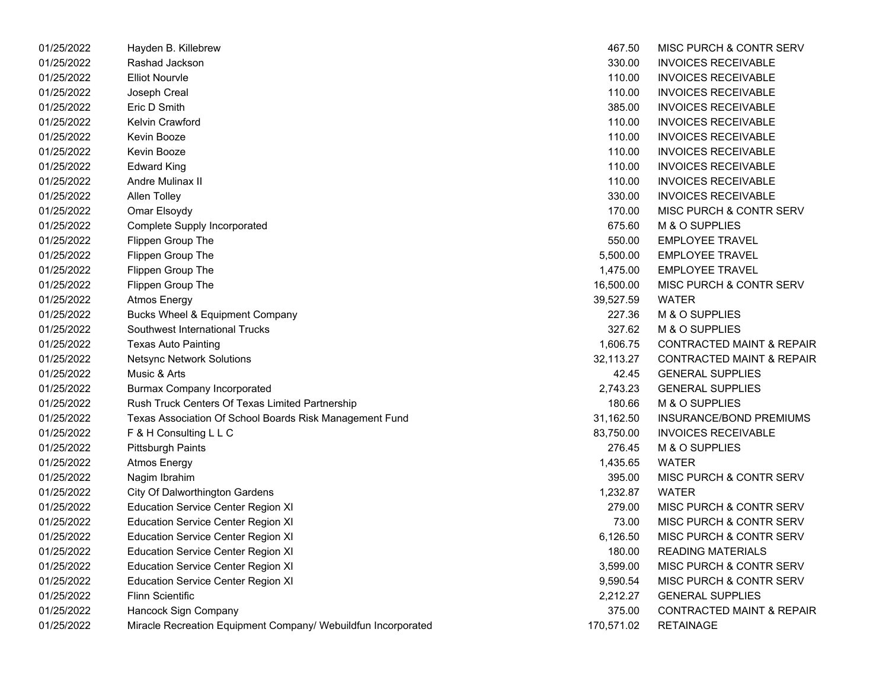| 01/25/2022 | Hayden B. Killebrew                                           | 467.50     | MISC PURCH & CONTR SERV              |
|------------|---------------------------------------------------------------|------------|--------------------------------------|
| 01/25/2022 | Rashad Jackson                                                | 330.00     | <b>INVOICES RECEIVABLE</b>           |
| 01/25/2022 | <b>Elliot Nourvle</b>                                         | 110.00     | <b>INVOICES RECEIVABLE</b>           |
| 01/25/2022 | Joseph Creal                                                  | 110.00     | <b>INVOICES RECEIVABLE</b>           |
| 01/25/2022 | Eric D Smith                                                  | 385.00     | <b>INVOICES RECEIVABLE</b>           |
| 01/25/2022 | Kelvin Crawford                                               | 110.00     | <b>INVOICES RECEIVABLE</b>           |
| 01/25/2022 | Kevin Booze                                                   | 110.00     | <b>INVOICES RECEIVABLE</b>           |
| 01/25/2022 | Kevin Booze                                                   | 110.00     | <b>INVOICES RECEIVABLE</b>           |
| 01/25/2022 | <b>Edward King</b>                                            | 110.00     | <b>INVOICES RECEIVABLE</b>           |
| 01/25/2022 | Andre Mulinax II                                              | 110.00     | <b>INVOICES RECEIVABLE</b>           |
| 01/25/2022 | Allen Tolley                                                  | 330.00     | <b>INVOICES RECEIVABLE</b>           |
| 01/25/2022 | Omar Elsoydy                                                  | 170.00     | <b>MISC PURCH &amp; CONTR SERV</b>   |
| 01/25/2022 | Complete Supply Incorporated                                  | 675.60     | M & O SUPPLIES                       |
| 01/25/2022 | Flippen Group The                                             | 550.00     | <b>EMPLOYEE TRAVEL</b>               |
| 01/25/2022 | Flippen Group The                                             | 5,500.00   | <b>EMPLOYEE TRAVEL</b>               |
| 01/25/2022 | Flippen Group The                                             | 1,475.00   | <b>EMPLOYEE TRAVEL</b>               |
| 01/25/2022 | Flippen Group The                                             | 16,500.00  | MISC PURCH & CONTR SERV              |
| 01/25/2022 | <b>Atmos Energy</b>                                           | 39,527.59  | <b>WATER</b>                         |
| 01/25/2022 | <b>Bucks Wheel &amp; Equipment Company</b>                    | 227.36     | M & O SUPPLIES                       |
| 01/25/2022 | Southwest International Trucks                                | 327.62     | M & O SUPPLIES                       |
| 01/25/2022 | <b>Texas Auto Painting</b>                                    | 1,606.75   | <b>CONTRACTED MAINT &amp; REPAIR</b> |
| 01/25/2022 | <b>Netsync Network Solutions</b>                              | 32,113.27  | <b>CONTRACTED MAINT &amp; REPAIR</b> |
| 01/25/2022 | Music & Arts                                                  | 42.45      | <b>GENERAL SUPPLIES</b>              |
| 01/25/2022 | <b>Burmax Company Incorporated</b>                            | 2,743.23   | <b>GENERAL SUPPLIES</b>              |
| 01/25/2022 | Rush Truck Centers Of Texas Limited Partnership               | 180.66     | M & O SUPPLIES                       |
| 01/25/2022 | Texas Association Of School Boards Risk Management Fund       | 31,162.50  | INSURANCE/BOND PREMIUMS              |
| 01/25/2022 | F & H Consulting L L C                                        | 83,750.00  | <b>INVOICES RECEIVABLE</b>           |
| 01/25/2022 | <b>Pittsburgh Paints</b>                                      | 276.45     | M & O SUPPLIES                       |
| 01/25/2022 | <b>Atmos Energy</b>                                           | 1,435.65   | WATER                                |
| 01/25/2022 | Nagim Ibrahim                                                 | 395.00     | MISC PURCH & CONTR SERV              |
| 01/25/2022 | City Of Dalworthington Gardens                                | 1,232.87   | <b>WATER</b>                         |
| 01/25/2022 | <b>Education Service Center Region XI</b>                     | 279.00     | MISC PURCH & CONTR SERV              |
| 01/25/2022 | <b>Education Service Center Region XI</b>                     | 73.00      | MISC PURCH & CONTR SERV              |
| 01/25/2022 | <b>Education Service Center Region XI</b>                     | 6,126.50   | <b>MISC PURCH &amp; CONTR SERV</b>   |
| 01/25/2022 | <b>Education Service Center Region XI</b>                     | 180.00     | <b>READING MATERIALS</b>             |
| 01/25/2022 | <b>Education Service Center Region XI</b>                     | 3,599.00   | <b>MISC PURCH &amp; CONTR SERV</b>   |
| 01/25/2022 | <b>Education Service Center Region XI</b>                     | 9,590.54   | MISC PURCH & CONTR SERV              |
| 01/25/2022 | <b>Flinn Scientific</b>                                       | 2,212.27   | <b>GENERAL SUPPLIES</b>              |
| 01/25/2022 | Hancock Sign Company                                          | 375.00     | <b>CONTRACTED MAINT &amp; REPAIR</b> |
| 01/25/2022 | Miracle Recreation Equipment Company/ Webuildfun Incorporated | 170,571.02 | <b>RETAINAGE</b>                     |

| 467.50    | MISC PURCH & CONTR SERV              |
|-----------|--------------------------------------|
| 330.00    | <b>INVOICES RECEIVABLE</b>           |
| 110.00    | <b>INVOICES RECEIVABLE</b>           |
| 110.00    | <b>INVOICES RECEIVABLE</b>           |
| 385.00    | <b>INVOICES RECEIVABLE</b>           |
| 110.00    | <b>INVOICES RECEIVABLE</b>           |
| 110.00    | <b>INVOICES RECEIVABLE</b>           |
| 110.00    | <b>INVOICES RECEIVABLE</b>           |
| 110.00    | <b>INVOICES RECEIVABLE</b>           |
| 110.00    | <b>INVOICES RECEIVABLE</b>           |
| 330.00    | <b>INVOICES RECEIVABLE</b>           |
| 170.00    | <b>MISC PURCH &amp; CONTR SERV</b>   |
| 675.60    | M & O SUPPLIES                       |
| 550.00    | <b>EMPLOYEE TRAVEL</b>               |
| 5,500.00  | <b>EMPLOYEE TRAVEL</b>               |
| 1,475.00  | <b>EMPLOYEE TRAVEL</b>               |
| 16,500.00 | <b>MISC PURCH &amp; CONTR SERV</b>   |
| 39,527.59 | <b>WATER</b>                         |
| 227.36    | M & O SUPPLIES                       |
| 327.62    | M & O SUPPLIES                       |
| 1,606.75  | <b>CONTRACTED MAINT &amp; REPAIR</b> |
| 32,113.27 | <b>CONTRACTED MAINT &amp; REPAIR</b> |
| 42.45     | <b>GENERAL SUPPLIES</b>              |
| 2,743.23  | <b>GENERAL SUPPLIES</b>              |
| 180.66    | M & O SUPPLIES                       |
| 31,162.50 | <b>INSURANCE/BOND PREMIUMS</b>       |
| 83,750.00 | <b>INVOICES RECEIVABLE</b>           |
| 276.45    | M & O SUPPLIES                       |
| 1,435.65  | WATER                                |
| 395.00    | <b>MISC PURCH &amp; CONTR SERV</b>   |
| 1,232.87  | WATER                                |
| 279.00    | <b>MISC PURCH &amp; CONTR SERV</b>   |
| 73.00     | <b>MISC PURCH &amp; CONTR SERV</b>   |
| 6,126.50  | <b>MISC PURCH &amp; CONTR SERV</b>   |
| 180.00    | <b>READING MATERIALS</b>             |
| 3,599.00  | <b>MISC PURCH &amp; CONTR SERV</b>   |
| 9,590.54  | <b>MISC PURCH &amp; CONTR SERV</b>   |
| 2,212.27  | <b>GENERAL SUPPLIES</b>              |
| 375.00    | <b>CONTRACTED MAINT &amp; REPAIR</b> |
| 70,571.02 | <b>RETAINAGE</b>                     |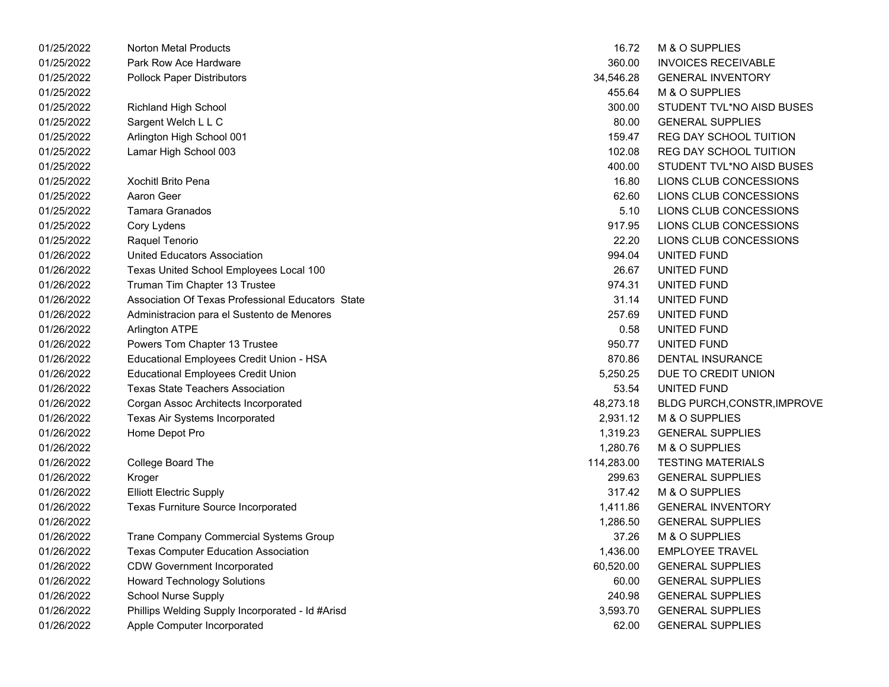| 01/25/2022 | <b>Norton Metal Products</b>                      | 16.72      | M & O SUPPLIES                |
|------------|---------------------------------------------------|------------|-------------------------------|
| 01/25/2022 | Park Row Ace Hardware                             | 360.00     | <b>INVOICES RECEIVABLE</b>    |
| 01/25/2022 | <b>Pollock Paper Distributors</b>                 | 34,546.28  | <b>GENERAL INVENTORY</b>      |
| 01/25/2022 |                                                   | 455.64     | M & O SUPPLIES                |
| 01/25/2022 | <b>Richland High School</b>                       | 300.00     | STUDENT TVL*NO AISD BUSES     |
| 01/25/2022 | Sargent Welch L L C                               | 80.00      | <b>GENERAL SUPPLIES</b>       |
| 01/25/2022 | Arlington High School 001                         | 159.47     | <b>REG DAY SCHOOL TUITION</b> |
| 01/25/2022 | Lamar High School 003                             | 102.08     | REG DAY SCHOOL TUITION        |
| 01/25/2022 |                                                   | 400.00     | STUDENT TVL*NO AISD BUSES     |
| 01/25/2022 | <b>Xochitl Brito Pena</b>                         | 16.80      | LIONS CLUB CONCESSIONS        |
| 01/25/2022 | Aaron Geer                                        | 62.60      | LIONS CLUB CONCESSIONS        |
| 01/25/2022 | Tamara Granados                                   | 5.10       | LIONS CLUB CONCESSIONS        |
| 01/25/2022 | Cory Lydens                                       | 917.95     | LIONS CLUB CONCESSIONS        |
| 01/25/2022 | Raquel Tenorio                                    | 22.20      | LIONS CLUB CONCESSIONS        |
| 01/26/2022 | United Educators Association                      | 994.04     | UNITED FUND                   |
| 01/26/2022 | Texas United School Employees Local 100           | 26.67      | UNITED FUND                   |
| 01/26/2022 | Truman Tim Chapter 13 Trustee                     | 974.31     | UNITED FUND                   |
| 01/26/2022 | Association Of Texas Professional Educators State | 31.14      | UNITED FUND                   |
| 01/26/2022 | Administracion para el Sustento de Menores        | 257.69     | UNITED FUND                   |
| 01/26/2022 | Arlington ATPE                                    | 0.58       | UNITED FUND                   |
| 01/26/2022 | Powers Tom Chapter 13 Trustee                     | 950.77     | UNITED FUND                   |
| 01/26/2022 | Educational Employees Credit Union - HSA          | 870.86     | <b>DENTAL INSURANCE</b>       |
| 01/26/2022 | Educational Employees Credit Union                | 5,250.25   | DUE TO CREDIT UNION           |
| 01/26/2022 | <b>Texas State Teachers Association</b>           | 53.54      | UNITED FUND                   |
| 01/26/2022 | Corgan Assoc Architects Incorporated              | 48,273.18  | BLDG PURCH, CONSTR, IMPROVE   |
| 01/26/2022 | Texas Air Systems Incorporated                    | 2,931.12   | M & O SUPPLIES                |
| 01/26/2022 | Home Depot Pro                                    | 1,319.23   | <b>GENERAL SUPPLIES</b>       |
| 01/26/2022 |                                                   | 1,280.76   | M & O SUPPLIES                |
| 01/26/2022 | College Board The                                 | 114,283.00 | <b>TESTING MATERIALS</b>      |
| 01/26/2022 | Kroger                                            | 299.63     | <b>GENERAL SUPPLIES</b>       |
| 01/26/2022 | <b>Elliott Electric Supply</b>                    | 317.42     | M & O SUPPLIES                |
| 01/26/2022 | Texas Furniture Source Incorporated               | 1,411.86   | <b>GENERAL INVENTORY</b>      |
| 01/26/2022 |                                                   | 1,286.50   | <b>GENERAL SUPPLIES</b>       |
| 01/26/2022 | Trane Company Commercial Systems Group            | 37.26      | M & O SUPPLIES                |
| 01/26/2022 | <b>Texas Computer Education Association</b>       | 1,436.00   | <b>EMPLOYEE TRAVEL</b>        |
| 01/26/2022 | <b>CDW Government Incorporated</b>                | 60,520.00  | <b>GENERAL SUPPLIES</b>       |
| 01/26/2022 | <b>Howard Technology Solutions</b>                | 60.00      | <b>GENERAL SUPPLIES</b>       |
| 01/26/2022 | <b>School Nurse Supply</b>                        | 240.98     | <b>GENERAL SUPPLIES</b>       |
| 01/26/2022 | Phillips Welding Supply Incorporated - Id #Arisd  | 3,593.70   | <b>GENERAL SUPPLIES</b>       |
| 01/26/2022 | Apple Computer Incorporated                       | 62.00      | <b>GENERAL SUPPLIES</b>       |

| 16.72     | <b>M &amp; O SUPPLIES</b>          |
|-----------|------------------------------------|
| 360.00    | <b>INVOICES RECEIVABLE</b>         |
| 34.546.28 | <b>GENERAL INVENTORY</b>           |
| 455.64    | M & O SUPPLIES                     |
| 300.00    | STUDENT TVL*NO AISD BUSES          |
|           | 80.00 GENERAL SUPPLIES             |
|           | 159.47 REG DAY SCHOOL TUITION      |
|           | 102.08 REG DAY SCHOOL TUITION      |
| 400.00    | STUDENT TVL*NO AISD BUSES          |
| 16.80     | LIONS CLUB CONCESSIONS             |
| 62.60     | LIONS CLUB CONCESSIONS             |
| 5.10      | LIONS CLUB CONCESSIONS             |
| 917.95    | LIONS CLUB CONCESSIONS             |
| 22.20     | LIONS CLUB CONCESSIONS             |
| 994.04    | UNITED FUND                        |
|           | 26.67 UNITED FUND                  |
|           | 974.31 UNITED FUND                 |
| 31.14     | UNITED FUND                        |
| 257.69    | <b>UNITED FUND</b>                 |
| 0.58      | UNITED FUND                        |
| 950.77    | <b>UNITED FUND</b>                 |
| 870.86    | <b>DENTAL INSURANCE</b>            |
| 5,250.25  | DUE TO CREDIT UNION                |
| 53.54     | UNITED FUND                        |
| 48,273.18 | <b>BLDG PURCH, CONSTR, IMPROVE</b> |
| 2,931.12  | M & O SUPPLIES                     |
| 1,319.23  | <b>GENERAL SUPPLIES</b>            |
| 1,280.76  | M & O SUPPLIES                     |
| 14,283.00 | <b>TESTING MATERIALS</b>           |
| 299.63    | <b>GENERAL SUPPLIES</b>            |
| 317.42    | M & O SUPPLIES                     |
| 1,411.86  | <b>GENERAL INVENTORY</b>           |
|           | 1,286.50 GENERAL SUPPLIES          |
| 37.26     | M & O SUPPLIES                     |
| 1,436.00  | <b>EMPLOYEE TRAVEL</b>             |
| 60,520.00 | <b>GENERAL SUPPLIES</b>            |
| 60.00     | <b>GENERAL SUPPLIES</b>            |
| 240.98    | <b>GENERAL SUPPLIES</b>            |
| 3,593.70  | <b>GENERAL SUPPLIES</b>            |
| 62.00     | <b>GENERAL SUPPLIES</b>            |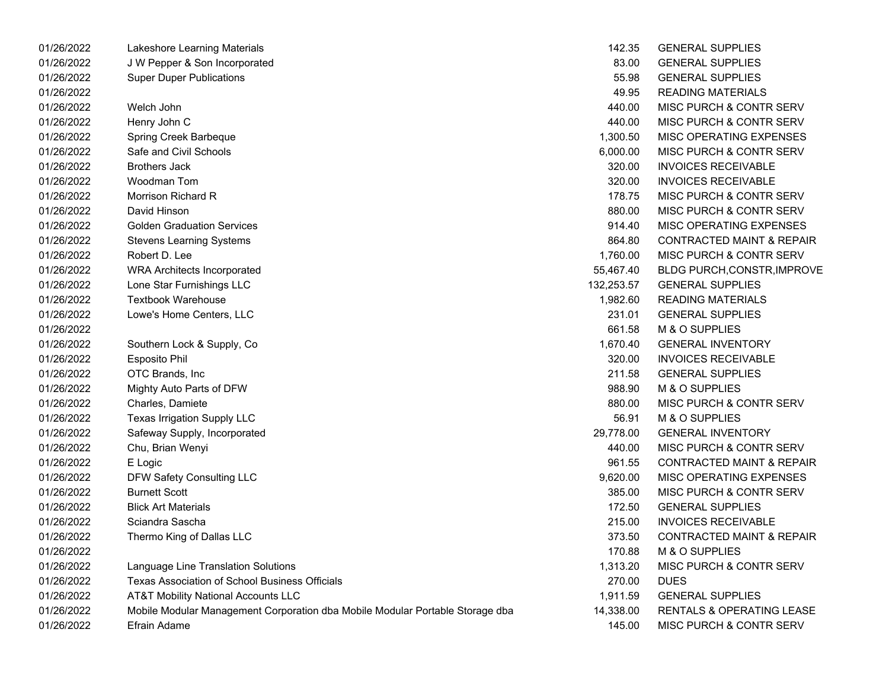| 01/26/2022 | Lakeshore Learning Materials                                                  | 142.35     | <b>GENERAL SUPPLIES</b>              |
|------------|-------------------------------------------------------------------------------|------------|--------------------------------------|
| 01/26/2022 | J W Pepper & Son Incorporated                                                 | 83.00      | <b>GENERAL SUPPLIES</b>              |
| 01/26/2022 | <b>Super Duper Publications</b>                                               | 55.98      | <b>GENERAL SUPPLIES</b>              |
| 01/26/2022 |                                                                               | 49.95      | <b>READING MATERIALS</b>             |
| 01/26/2022 | Welch John                                                                    | 440.00     | MISC PURCH & CONTR SERV              |
| 01/26/2022 | Henry John C                                                                  | 440.00     | <b>MISC PURCH &amp; CONTR SERV</b>   |
| 01/26/2022 | Spring Creek Barbeque                                                         | 1,300.50   | MISC OPERATING EXPENSES              |
| 01/26/2022 | Safe and Civil Schools                                                        | 6,000.00   | <b>MISC PURCH &amp; CONTR SERV</b>   |
| 01/26/2022 | <b>Brothers Jack</b>                                                          | 320.00     | <b>INVOICES RECEIVABLE</b>           |
| 01/26/2022 | Woodman Tom                                                                   | 320.00     | <b>INVOICES RECEIVABLE</b>           |
| 01/26/2022 | Morrison Richard R                                                            | 178.75     | MISC PURCH & CONTR SERV              |
| 01/26/2022 | David Hinson                                                                  | 880.00     | MISC PURCH & CONTR SERV              |
| 01/26/2022 | <b>Golden Graduation Services</b>                                             | 914.40     | MISC OPERATING EXPENSES              |
| 01/26/2022 | <b>Stevens Learning Systems</b>                                               | 864.80     | <b>CONTRACTED MAINT &amp; REPAIR</b> |
| 01/26/2022 | Robert D. Lee                                                                 | 1,760.00   | <b>MISC PURCH &amp; CONTR SERV</b>   |
| 01/26/2022 | <b>WRA Architects Incorporated</b>                                            | 55,467.40  | <b>BLDG PURCH, CONSTR, IMPROVE</b>   |
| 01/26/2022 | Lone Star Furnishings LLC                                                     | 132,253.57 | <b>GENERAL SUPPLIES</b>              |
| 01/26/2022 | <b>Textbook Warehouse</b>                                                     | 1,982.60   | <b>READING MATERIALS</b>             |
| 01/26/2022 | Lowe's Home Centers, LLC                                                      | 231.01     | <b>GENERAL SUPPLIES</b>              |
| 01/26/2022 |                                                                               | 661.58     | M & O SUPPLIES                       |
| 01/26/2022 | Southern Lock & Supply, Co                                                    | 1,670.40   | <b>GENERAL INVENTORY</b>             |
| 01/26/2022 | <b>Esposito Phil</b>                                                          | 320.00     | <b>INVOICES RECEIVABLE</b>           |
| 01/26/2022 | OTC Brands, Inc                                                               | 211.58     | <b>GENERAL SUPPLIES</b>              |
| 01/26/2022 | Mighty Auto Parts of DFW                                                      | 988.90     | M & O SUPPLIES                       |
| 01/26/2022 | Charles, Damiete                                                              | 880.00     | MISC PURCH & CONTR SERV              |
| 01/26/2022 | Texas Irrigation Supply LLC                                                   | 56.91      | M & O SUPPLIES                       |
| 01/26/2022 | Safeway Supply, Incorporated                                                  | 29,778.00  | <b>GENERAL INVENTORY</b>             |
| 01/26/2022 | Chu, Brian Wenyi                                                              | 440.00     | MISC PURCH & CONTR SERV              |
| 01/26/2022 | E Logic                                                                       | 961.55     | CONTRACTED MAINT & REPAIR            |
| 01/26/2022 | DFW Safety Consulting LLC                                                     | 9,620.00   | MISC OPERATING EXPENSES              |
| 01/26/2022 | <b>Burnett Scott</b>                                                          | 385.00     | MISC PURCH & CONTR SERV              |
| 01/26/2022 | <b>Blick Art Materials</b>                                                    | 172.50     | <b>GENERAL SUPPLIES</b>              |
| 01/26/2022 | Sciandra Sascha                                                               | 215.00     | <b>INVOICES RECEIVABLE</b>           |
| 01/26/2022 | Thermo King of Dallas LLC                                                     | 373.50     | <b>CONTRACTED MAINT &amp; REPAIR</b> |
| 01/26/2022 |                                                                               | 170.88     | M & O SUPPLIES                       |
| 01/26/2022 | Language Line Translation Solutions                                           | 1,313.20   | MISC PURCH & CONTR SERV              |
| 01/26/2022 | Texas Association of School Business Officials                                | 270.00     | <b>DUES</b>                          |
| 01/26/2022 | <b>AT&amp;T Mobility National Accounts LLC</b>                                | 1,911.59   | <b>GENERAL SUPPLIES</b>              |
| 01/26/2022 | Mobile Modular Management Corporation dba Mobile Modular Portable Storage dba | 14,338.00  | RENTALS & OPERATING LEASE            |
| 01/26/2022 | Efrain Adame                                                                  | 145.00     | MISC PURCH & CONTR SERV              |

| 142.35    | <b>GENERAL SUPPLIES</b>               |
|-----------|---------------------------------------|
| 83.00     | <b>GENERAL SUPPLIES</b>               |
| 55.98     | <b>GENERAL SUPPLIES</b>               |
| 49.95     | <b>READING MATERIALS</b>              |
| 440.00    | MISC PURCH & CONTR SERV               |
| 440.00    | MISC PURCH & CONTR SERV               |
|           | 1,300.50 MISC OPERATING EXPENSES      |
| 6,000.00  | MISC PURCH & CONTR SERV               |
| 320.00    | <b>INVOICES RECEIVABLE</b>            |
| 320.00    | <b>INVOICES RECEIVABLE</b>            |
| 178.75    | MISC PURCH & CONTR SERV               |
| 880.00    | MISC PURCH & CONTR SERV               |
| 914.40    | <b>MISC OPERATING EXPENSES</b>        |
| 864.80    | <b>CONTRACTED MAINT &amp; REPAIR</b>  |
| 1,760.00  | MISC PURCH & CONTR SERV               |
|           | 55,467.40 BLDG PURCH, CONSTR, IMPROVE |
|           | 32,253.57 GENERAL SUPPLIES            |
|           | 1,982.60 READING MATERIALS            |
| 231.01    | <b>GENERAL SUPPLIES</b>               |
| 661.58    | M & O SUPPLIES                        |
| 1,670.40  | <b>GENERAL INVENTORY</b>              |
| 320.00    | <b>INVOICES RECEIVABLE</b>            |
| 211.58    | <b>GENERAL SUPPLIES</b>               |
| 988.90    | M & O SUPPLIES                        |
| 880.00    | <b>MISC PURCH &amp; CONTR SERV</b>    |
| 56.91     | M & O SUPPLIES                        |
| 29,778.00 | <b>GENERAL INVENTORY</b>              |
| 440.00    | MISC PURCH & CONTR SERV               |
| 961.55    | <b>CONTRACTED MAINT &amp; REPAIR</b>  |
| 9,620.00  | <b>MISC OPERATING EXPENSES</b>        |
| 385.00    | MISC PURCH & CONTR SERV               |
| 172.50    | <b>GENERAL SUPPLIES</b>               |
| 215.00    | <b>INVOICES RECEIVABLE</b>            |
| 373.50    | <b>CONTRACTED MAINT &amp; REPAIR</b>  |
| 170.88    | M & O SUPPLIES                        |
| 1,313.20  | MISC PURCH & CONTR SERV               |
| 270.00    | <b>DUES</b>                           |
| 1,911.59  | <b>GENERAL SUPPLIES</b>               |
| 14,338.00 | <b>RENTALS &amp; OPERATING LEASE</b>  |
| 145.00    | MISC PURCH & CONTR SERV               |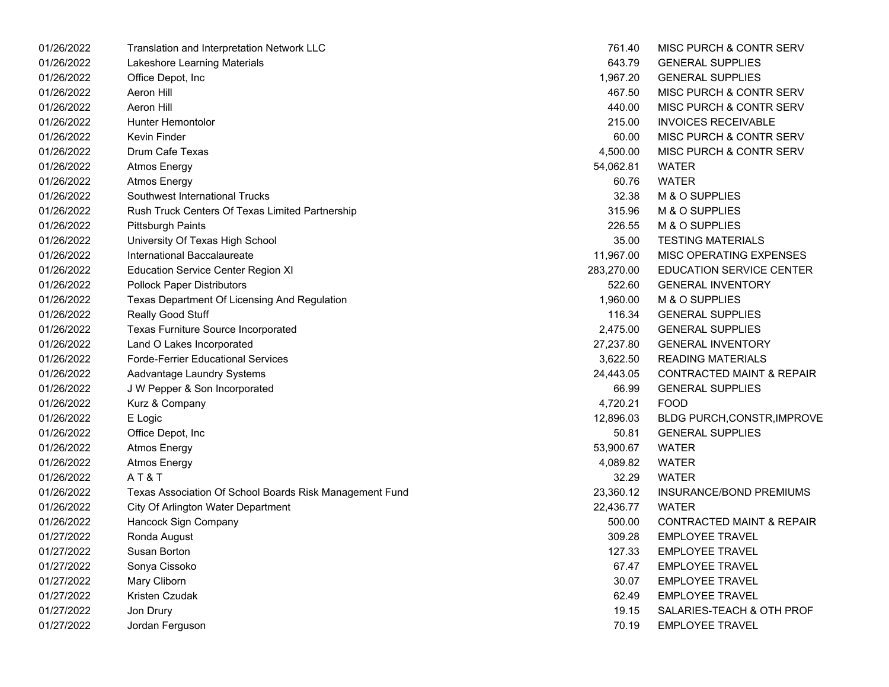| 01/26/2022 | Translation and Interpretation Network LLC              | 761.40     | MISC PURCH & CONTR SERV              |
|------------|---------------------------------------------------------|------------|--------------------------------------|
| 01/26/2022 | Lakeshore Learning Materials                            | 643.79     | <b>GENERAL SUPPLIES</b>              |
| 01/26/2022 | Office Depot, Inc                                       | 1,967.20   | <b>GENERAL SUPPLIES</b>              |
| 01/26/2022 | Aeron Hill                                              | 467.50     | MISC PURCH & CONTR SERV              |
| 01/26/2022 | <b>Aeron Hill</b>                                       | 440.00     | MISC PURCH & CONTR SERV              |
| 01/26/2022 | Hunter Hemontolor                                       | 215.00     | <b>INVOICES RECEIVABLE</b>           |
| 01/26/2022 | Kevin Finder                                            | 60.00      | MISC PURCH & CONTR SERV              |
| 01/26/2022 | <b>Drum Cafe Texas</b>                                  | 4,500.00   | MISC PURCH & CONTR SERV              |
| 01/26/2022 | <b>Atmos Energy</b>                                     | 54,062.81  | <b>WATER</b>                         |
| 01/26/2022 | <b>Atmos Energy</b>                                     | 60.76      | <b>WATER</b>                         |
| 01/26/2022 | Southwest International Trucks                          | 32.38      | M & O SUPPLIES                       |
| 01/26/2022 | Rush Truck Centers Of Texas Limited Partnership         | 315.96     | M & O SUPPLIES                       |
| 01/26/2022 | <b>Pittsburgh Paints</b>                                | 226.55     | M & O SUPPLIES                       |
| 01/26/2022 | University Of Texas High School                         | 35.00      | <b>TESTING MATERIALS</b>             |
| 01/26/2022 | International Baccalaureate                             | 11,967.00  | MISC OPERATING EXPENSES              |
| 01/26/2022 | <b>Education Service Center Region XI</b>               | 283,270.00 | <b>EDUCATION SERVICE CENTER</b>      |
| 01/26/2022 | <b>Pollock Paper Distributors</b>                       | 522.60     | <b>GENERAL INVENTORY</b>             |
| 01/26/2022 | Texas Department Of Licensing And Regulation            | 1,960.00   | M & O SUPPLIES                       |
| 01/26/2022 | Really Good Stuff                                       | 116.34     | <b>GENERAL SUPPLIES</b>              |
| 01/26/2022 | <b>Texas Furniture Source Incorporated</b>              | 2,475.00   | <b>GENERAL SUPPLIES</b>              |
| 01/26/2022 | Land O Lakes Incorporated                               | 27,237.80  | <b>GENERAL INVENTORY</b>             |
| 01/26/2022 | <b>Forde-Ferrier Educational Services</b>               | 3,622.50   | <b>READING MATERIALS</b>             |
| 01/26/2022 | Aadvantage Laundry Systems                              | 24,443.05  | <b>CONTRACTED MAINT &amp; REPAIR</b> |
| 01/26/2022 | J W Pepper & Son Incorporated                           | 66.99      | <b>GENERAL SUPPLIES</b>              |
| 01/26/2022 | Kurz & Company                                          | 4,720.21   | <b>FOOD</b>                          |
| 01/26/2022 | E Logic                                                 | 12,896.03  | BLDG PURCH, CONSTR, IMPROVE          |
| 01/26/2022 | Office Depot, Inc                                       | 50.81      | <b>GENERAL SUPPLIES</b>              |
| 01/26/2022 | <b>Atmos Energy</b>                                     | 53,900.67  | <b>WATER</b>                         |
| 01/26/2022 | <b>Atmos Energy</b>                                     | 4,089.82   | <b>WATER</b>                         |
| 01/26/2022 | AT&T                                                    | 32.29      | <b>WATER</b>                         |
| 01/26/2022 | Texas Association Of School Boards Risk Management Fund | 23,360.12  | INSURANCE/BOND PREMIUMS              |
| 01/26/2022 | City Of Arlington Water Department                      | 22,436.77  | <b>WATER</b>                         |
| 01/26/2022 | Hancock Sign Company                                    | 500.00     | <b>CONTRACTED MAINT &amp; REPAIR</b> |
| 01/27/2022 | Ronda August                                            | 309.28     | <b>EMPLOYEE TRAVEL</b>               |
| 01/27/2022 | Susan Borton                                            | 127.33     | <b>EMPLOYEE TRAVEL</b>               |
| 01/27/2022 | Sonya Cissoko                                           | 67.47      | <b>EMPLOYEE TRAVEL</b>               |
| 01/27/2022 | Mary Cliborn                                            | 30.07      | <b>EMPLOYEE TRAVEL</b>               |
| 01/27/2022 | Kristen Czudak                                          | 62.49      | <b>EMPLOYEE TRAVEL</b>               |
| 01/27/2022 | Jon Drury                                               | 19.15      | SALARIES-TEACH & OTH PROF            |
| 01/27/2022 | Jordan Ferguson                                         | 70.19      | <b>EMPLOYEE TRAVEL</b>               |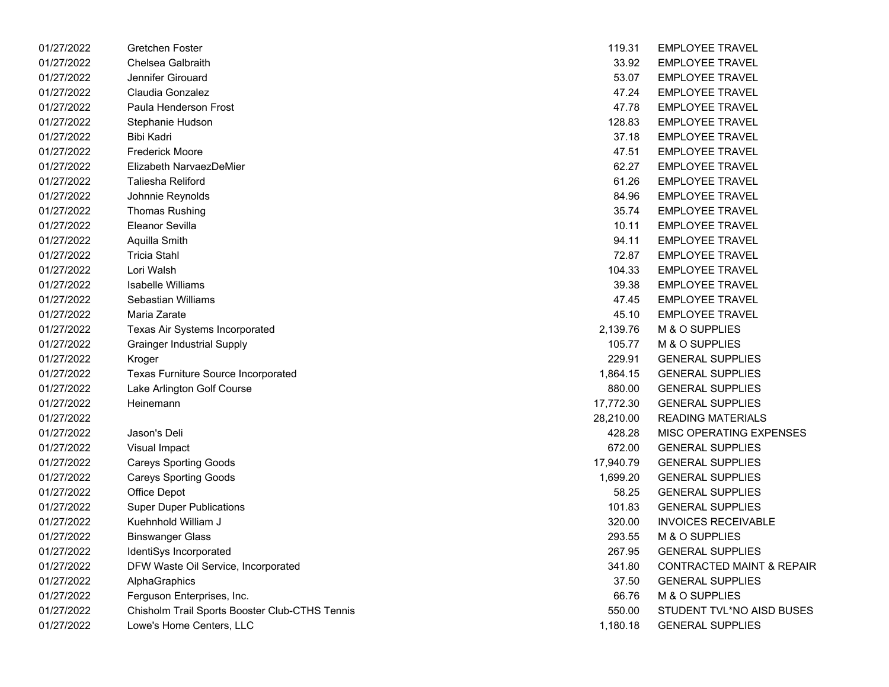| 01/27/2022 | Gretchen Foster                                | 119.31    | <b>EMPLOYEE TRAVEL</b>               |
|------------|------------------------------------------------|-----------|--------------------------------------|
| 01/27/2022 | <b>Chelsea Galbraith</b>                       | 33.92     | <b>EMPLOYEE TRAVEL</b>               |
| 01/27/2022 | Jennifer Girouard                              | 53.07     | <b>EMPLOYEE TRAVEL</b>               |
| 01/27/2022 | Claudia Gonzalez                               | 47.24     | <b>EMPLOYEE TRAVEL</b>               |
| 01/27/2022 | Paula Henderson Frost                          | 47.78     | <b>EMPLOYEE TRAVEL</b>               |
| 01/27/2022 | Stephanie Hudson                               | 128.83    | <b>EMPLOYEE TRAVEL</b>               |
| 01/27/2022 | Bibi Kadri                                     | 37.18     | <b>EMPLOYEE TRAVEL</b>               |
| 01/27/2022 | <b>Frederick Moore</b>                         | 47.51     | <b>EMPLOYEE TRAVEL</b>               |
| 01/27/2022 | Elizabeth NarvaezDeMier                        | 62.27     | <b>EMPLOYEE TRAVEL</b>               |
| 01/27/2022 | Taliesha Reliford                              | 61.26     | <b>EMPLOYEE TRAVEL</b>               |
| 01/27/2022 | Johnnie Reynolds                               | 84.96     | <b>EMPLOYEE TRAVEL</b>               |
| 01/27/2022 | <b>Thomas Rushing</b>                          | 35.74     | <b>EMPLOYEE TRAVEL</b>               |
| 01/27/2022 | Eleanor Sevilla                                | 10.11     | <b>EMPLOYEE TRAVEL</b>               |
| 01/27/2022 | Aquilla Smith                                  | 94.11     | <b>EMPLOYEE TRAVEL</b>               |
| 01/27/2022 | <b>Tricia Stahl</b>                            | 72.87     | <b>EMPLOYEE TRAVEL</b>               |
| 01/27/2022 | Lori Walsh                                     | 104.33    | <b>EMPLOYEE TRAVEL</b>               |
| 01/27/2022 | <b>Isabelle Williams</b>                       | 39.38     | <b>EMPLOYEE TRAVEL</b>               |
| 01/27/2022 | Sebastian Williams                             | 47.45     | <b>EMPLOYEE TRAVEL</b>               |
| 01/27/2022 | Maria Zarate                                   | 45.10     | <b>EMPLOYEE TRAVEL</b>               |
| 01/27/2022 | Texas Air Systems Incorporated                 | 2,139.76  | M & O SUPPLIES                       |
| 01/27/2022 | <b>Grainger Industrial Supply</b>              | 105.77    | M & O SUPPLIES                       |
| 01/27/2022 | Kroger                                         | 229.91    | <b>GENERAL SUPPLIES</b>              |
| 01/27/2022 | <b>Texas Furniture Source Incorporated</b>     | 1,864.15  | <b>GENERAL SUPPLIES</b>              |
| 01/27/2022 | Lake Arlington Golf Course                     | 880.00    | <b>GENERAL SUPPLIES</b>              |
| 01/27/2022 | Heinemann                                      | 17,772.30 | <b>GENERAL SUPPLIES</b>              |
| 01/27/2022 |                                                | 28,210.00 | <b>READING MATERIALS</b>             |
| 01/27/2022 | Jason's Deli                                   | 428.28    | MISC OPERATING EXPENSES              |
| 01/27/2022 | Visual Impact                                  | 672.00    | <b>GENERAL SUPPLIES</b>              |
| 01/27/2022 | <b>Careys Sporting Goods</b>                   | 17,940.79 | <b>GENERAL SUPPLIES</b>              |
| 01/27/2022 | <b>Careys Sporting Goods</b>                   | 1,699.20  | <b>GENERAL SUPPLIES</b>              |
| 01/27/2022 | Office Depot                                   | 58.25     | <b>GENERAL SUPPLIES</b>              |
| 01/27/2022 | <b>Super Duper Publications</b>                | 101.83    | <b>GENERAL SUPPLIES</b>              |
| 01/27/2022 | Kuehnhold William J                            | 320.00    | <b>INVOICES RECEIVABLE</b>           |
| 01/27/2022 | <b>Binswanger Glass</b>                        | 293.55    | M & O SUPPLIES                       |
| 01/27/2022 | IdentiSys Incorporated                         | 267.95    | <b>GENERAL SUPPLIES</b>              |
| 01/27/2022 | DFW Waste Oil Service, Incorporated            | 341.80    | <b>CONTRACTED MAINT &amp; REPAIR</b> |
| 01/27/2022 | AlphaGraphics                                  | 37.50     | <b>GENERAL SUPPLIES</b>              |
| 01/27/2022 | Ferguson Enterprises, Inc.                     | 66.76     | M & O SUPPLIES                       |
| 01/27/2022 | Chisholm Trail Sports Booster Club-CTHS Tennis | 550.00    | STUDENT TVL*NO AISD BUSES            |
| 01/27/2022 | Lowe's Home Centers, LLC                       | 1,180.18  | <b>GENERAL SUPPLIES</b>              |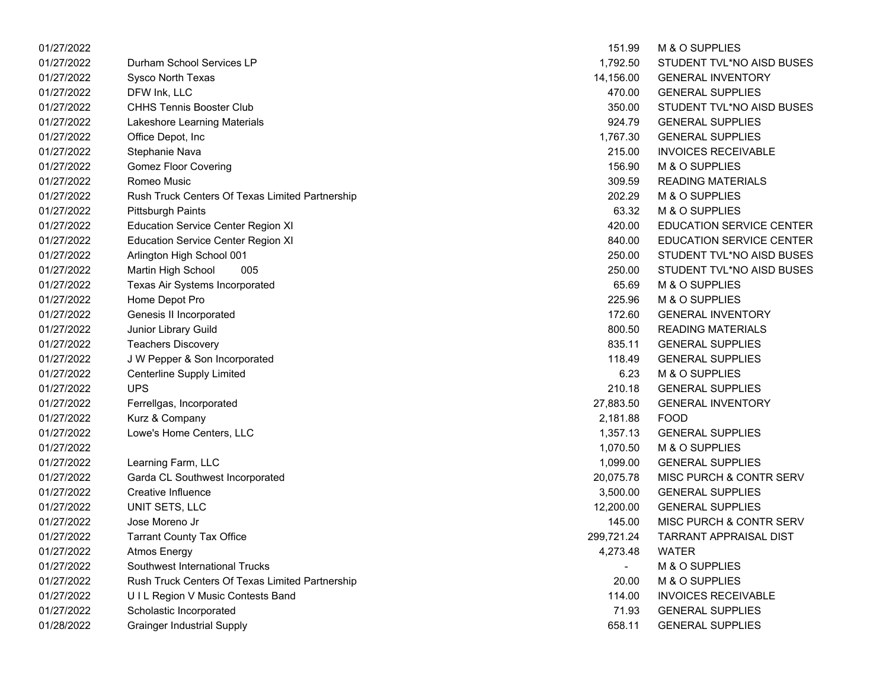| 01/27/2022 |                                                 | 151.99     | M & O SUPPLIES                |
|------------|-------------------------------------------------|------------|-------------------------------|
| 01/27/2022 | Durham School Services LP                       | 1,792.50   | STUDENT TVL*NO AISD BUSES     |
| 01/27/2022 | <b>Sysco North Texas</b>                        | 14,156.00  | <b>GENERAL INVENTORY</b>      |
| 01/27/2022 | DFW Ink, LLC                                    | 470.00     | <b>GENERAL SUPPLIES</b>       |
| 01/27/2022 | <b>CHHS Tennis Booster Club</b>                 | 350.00     | STUDENT TVL*NO AISD BUSES     |
| 01/27/2022 | Lakeshore Learning Materials                    | 924.79     | <b>GENERAL SUPPLIES</b>       |
| 01/27/2022 | Office Depot, Inc                               | 1,767.30   | <b>GENERAL SUPPLIES</b>       |
| 01/27/2022 | Stephanie Nava                                  | 215.00     | <b>INVOICES RECEIVABLE</b>    |
| 01/27/2022 | <b>Gomez Floor Covering</b>                     | 156.90     | M & O SUPPLIES                |
| 01/27/2022 | Romeo Music                                     | 309.59     | <b>READING MATERIALS</b>      |
| 01/27/2022 | Rush Truck Centers Of Texas Limited Partnership | 202.29     | M & O SUPPLIES                |
| 01/27/2022 | <b>Pittsburgh Paints</b>                        | 63.32      | M & O SUPPLIES                |
| 01/27/2022 | <b>Education Service Center Region XI</b>       | 420.00     | EDUCATION SERVICE CENTER      |
| 01/27/2022 | <b>Education Service Center Region XI</b>       | 840.00     | EDUCATION SERVICE CENTER      |
| 01/27/2022 | Arlington High School 001                       | 250.00     | STUDENT TVL*NO AISD BUSES     |
| 01/27/2022 | Martin High School<br>005                       | 250.00     | STUDENT TVL*NO AISD BUSES     |
| 01/27/2022 | Texas Air Systems Incorporated                  | 65.69      | M & O SUPPLIES                |
| 01/27/2022 | Home Depot Pro                                  | 225.96     | M & O SUPPLIES                |
| 01/27/2022 | Genesis II Incorporated                         | 172.60     | <b>GENERAL INVENTORY</b>      |
| 01/27/2022 | Junior Library Guild                            | 800.50     | <b>READING MATERIALS</b>      |
| 01/27/2022 | <b>Teachers Discovery</b>                       | 835.11     | <b>GENERAL SUPPLIES</b>       |
| 01/27/2022 | J W Pepper & Son Incorporated                   | 118.49     | <b>GENERAL SUPPLIES</b>       |
| 01/27/2022 | <b>Centerline Supply Limited</b>                | 6.23       | M & O SUPPLIES                |
| 01/27/2022 | <b>UPS</b>                                      | 210.18     | <b>GENERAL SUPPLIES</b>       |
| 01/27/2022 | Ferrellgas, Incorporated                        | 27,883.50  | <b>GENERAL INVENTORY</b>      |
| 01/27/2022 | Kurz & Company                                  | 2,181.88   | <b>FOOD</b>                   |
| 01/27/2022 | Lowe's Home Centers, LLC                        | 1,357.13   | <b>GENERAL SUPPLIES</b>       |
| 01/27/2022 |                                                 | 1,070.50   | M & O SUPPLIES                |
| 01/27/2022 | Learning Farm, LLC                              | 1,099.00   | <b>GENERAL SUPPLIES</b>       |
| 01/27/2022 | Garda CL Southwest Incorporated                 | 20,075.78  | MISC PURCH & CONTR SERV       |
| 01/27/2022 | Creative Influence                              | 3,500.00   | <b>GENERAL SUPPLIES</b>       |
| 01/27/2022 | UNIT SETS, LLC                                  | 12,200.00  | <b>GENERAL SUPPLIES</b>       |
| 01/27/2022 | Jose Moreno Jr                                  | 145.00     | MISC PURCH & CONTR SERV       |
| 01/27/2022 | <b>Tarrant County Tax Office</b>                | 299,721.24 | <b>TARRANT APPRAISAL DIST</b> |
| 01/27/2022 | <b>Atmos Energy</b>                             | 4,273.48   | <b>WATER</b>                  |
| 01/27/2022 | Southwest International Trucks                  |            | M & O SUPPLIES                |
| 01/27/2022 | Rush Truck Centers Of Texas Limited Partnership | 20.00      | M & O SUPPLIES                |
| 01/27/2022 | UIL Region V Music Contests Band                | 114.00     | <b>INVOICES RECEIVABLE</b>    |
| 01/27/2022 | Scholastic Incorporated                         | 71.93      | <b>GENERAL SUPPLIES</b>       |
| 01/28/2022 | <b>Grainger Industrial Supply</b>               | 658.11     | <b>GENERAL SUPPLIES</b>       |
|            |                                                 |            |                               |

| 151.99    | <b>M &amp; O SUPPLIES</b>          |
|-----------|------------------------------------|
| 1.792.50  | STUDENT TVL*NO AISD BUSES          |
| 14,156.00 | <b>GENERAL INVENTORY</b>           |
| 470.00    | <b>GENERAL SUPPLIES</b>            |
| 350.00    | STUDENT TVL*NO AISD BUSES          |
| 924.79    | <b>GENERAL SUPPLIES</b>            |
| 1,767.30  | <b>GENERAL SUPPLIES</b>            |
| 215.00    | <b>INVOICES RECEIVABLE</b>         |
| 156.90    | M & O SUPPLIES                     |
| 309.59    | <b>READING MATERIALS</b>           |
| 202.29    | M & O SUPPLIES                     |
| 63.32     | M & O SUPPLIES                     |
| 420.00    | <b>EDUCATION SERVICE CENTER</b>    |
| 840.00    | <b>EDUCATION SERVICE CENTER</b>    |
| 250.00    | STUDENT TVL*NO AISD BUSES          |
| 250.00    | STUDENT TVL*NO AISD BUSES          |
| 65.69     | M & O SUPPLIES                     |
| 225.96    | M & O SUPPLIES                     |
|           | 172.60 GENERAL INVENTORY           |
| 800.50    | <b>READING MATERIALS</b>           |
| 835.11    | <b>GENERAL SUPPLIES</b>            |
| 118.49    | <b>GENERAL SUPPLIES</b>            |
| 6.23      | M & O SUPPLIES                     |
| 210.18    | <b>GENERAL SUPPLIES</b>            |
| 27,883.50 | <b>GENERAL INVENTORY</b>           |
| 2,181.88  | <b>FOOD</b>                        |
|           | 1,357.13 GENERAL SUPPLIES          |
|           | 1,070.50 M & O SUPPLIES            |
|           | 1,099.00 GENERAL SUPPLIES          |
| 20,075.78 | <b>MISC PURCH &amp; CONTR SERV</b> |
|           | 3,500.00 GENERAL SUPPLIES          |
|           | 12,200.00 GENERAL SUPPLIES         |
|           | 145.00 MISC PURCH & CONTR SERV     |
|           | 299,721.24 TARRANT APPRAISAL DIST  |
| 4,273.48  | WATER                              |
|           | <b>M &amp; O SUPPLIES</b>          |
| 20.00     | <b>M &amp; O SUPPLIES</b>          |
| 114.00    | <b>INVOICES RECEIVABLE</b>         |
| 71.93     | <b>GENERAL SUPPLIES</b>            |
| 658.11    | <b>GENERAL SUPPLIES</b>            |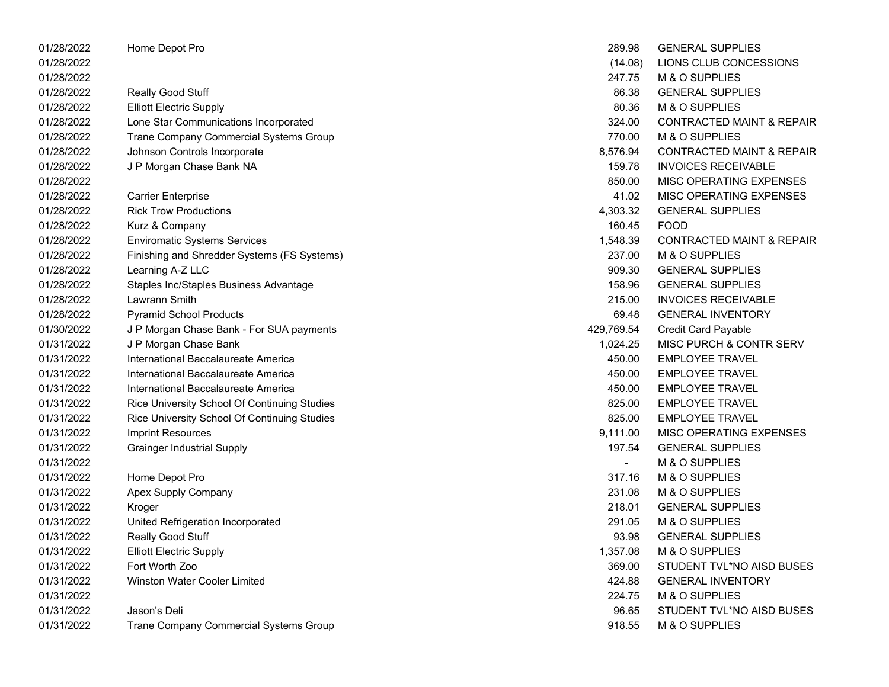| 01/28/2022 | Home Depot Pro                               | 289.98         | <b>GENERAL SUPPLIES</b>              |
|------------|----------------------------------------------|----------------|--------------------------------------|
| 01/28/2022 |                                              | (14.08)        | LIONS CLUB CONCESSIONS               |
| 01/28/2022 |                                              | 247.75         | M & O SUPPLIES                       |
| 01/28/2022 | <b>Really Good Stuff</b>                     | 86.38          | <b>GENERAL SUPPLIES</b>              |
| 01/28/2022 | <b>Elliott Electric Supply</b>               | 80.36          | M & O SUPPLIES                       |
| 01/28/2022 | Lone Star Communications Incorporated        | 324.00         | <b>CONTRACTED MAINT &amp; REPAIR</b> |
| 01/28/2022 | Trane Company Commercial Systems Group       | 770.00         | M & O SUPPLIES                       |
| 01/28/2022 | Johnson Controls Incorporate                 | 8,576.94       | <b>CONTRACTED MAINT &amp; REPAIR</b> |
| 01/28/2022 | J P Morgan Chase Bank NA                     | 159.78         | <b>INVOICES RECEIVABLE</b>           |
| 01/28/2022 |                                              | 850.00         | MISC OPERATING EXPENSES              |
| 01/28/2022 | <b>Carrier Enterprise</b>                    | 41.02          | MISC OPERATING EXPENSES              |
| 01/28/2022 | <b>Rick Trow Productions</b>                 | 4,303.32       | <b>GENERAL SUPPLIES</b>              |
| 01/28/2022 | Kurz & Company                               | 160.45         | <b>FOOD</b>                          |
| 01/28/2022 | <b>Enviromatic Systems Services</b>          | 1,548.39       | <b>CONTRACTED MAINT &amp; REPAIR</b> |
| 01/28/2022 | Finishing and Shredder Systems (FS Systems)  | 237.00         | M & O SUPPLIES                       |
| 01/28/2022 | Learning A-Z LLC                             | 909.30         | <b>GENERAL SUPPLIES</b>              |
| 01/28/2022 | Staples Inc/Staples Business Advantage       | 158.96         | <b>GENERAL SUPPLIES</b>              |
| 01/28/2022 | Lawrann Smith                                | 215.00         | <b>INVOICES RECEIVABLE</b>           |
| 01/28/2022 | <b>Pyramid School Products</b>               | 69.48          | <b>GENERAL INVENTORY</b>             |
| 01/30/2022 | J P Morgan Chase Bank - For SUA payments     | 429,769.54     | Credit Card Payable                  |
| 01/31/2022 | J P Morgan Chase Bank                        | 1,024.25       | MISC PURCH & CONTR SERV              |
| 01/31/2022 | International Baccalaureate America          | 450.00         | <b>EMPLOYEE TRAVEL</b>               |
| 01/31/2022 | International Baccalaureate America          | 450.00         | <b>EMPLOYEE TRAVEL</b>               |
| 01/31/2022 | International Baccalaureate America          | 450.00         | <b>EMPLOYEE TRAVEL</b>               |
| 01/31/2022 | Rice University School Of Continuing Studies | 825.00         | <b>EMPLOYEE TRAVEL</b>               |
| 01/31/2022 | Rice University School Of Continuing Studies | 825.00         | <b>EMPLOYEE TRAVEL</b>               |
| 01/31/2022 | <b>Imprint Resources</b>                     | 9,111.00       | MISC OPERATING EXPENSES              |
| 01/31/2022 | <b>Grainger Industrial Supply</b>            | 197.54         | <b>GENERAL SUPPLIES</b>              |
| 01/31/2022 |                                              | $\blacksquare$ | M & O SUPPLIES                       |
| 01/31/2022 | Home Depot Pro                               | 317.16         | M & O SUPPLIES                       |
| 01/31/2022 | Apex Supply Company                          | 231.08         | M & O SUPPLIES                       |
| 01/31/2022 | Kroger                                       | 218.01         | <b>GENERAL SUPPLIES</b>              |
| 01/31/2022 | United Refrigeration Incorporated            | 291.05         | M & O SUPPLIES                       |
| 01/31/2022 | Really Good Stuff                            | 93.98          | <b>GENERAL SUPPLIES</b>              |
| 01/31/2022 | <b>Elliott Electric Supply</b>               | 1,357.08       | M & O SUPPLIES                       |
| 01/31/2022 | Fort Worth Zoo                               | 369.00         | STUDENT TVL*NO AISD BUSES            |
| 01/31/2022 | Winston Water Cooler Limited                 | 424.88         | <b>GENERAL INVENTORY</b>             |
| 01/31/2022 |                                              | 224.75         | M & O SUPPLIES                       |
| 01/31/2022 | Jason's Deli                                 | 96.65          | STUDENT TVL*NO AISD BUSES            |
| 01/31/2022 | Trane Company Commercial Systems Group       | 918.55         | M & O SUPPLIES                       |
|            |                                              |                |                                      |

| 289.98      | <b>GENERAL SUPPLIES</b>              |
|-------------|--------------------------------------|
|             | (14.08) LIONS CLUB CONCESSIONS       |
| 247.75      | M & O SUPPLIES                       |
| 86.38       | <b>GENERAL SUPPLIES</b>              |
| 80.36       | M & O SUPPLIES                       |
| 324.00      | <b>CONTRACTED MAINT &amp; REPAIR</b> |
| 770.00      | M & O SUPPLIES                       |
| 8,576.94    | <b>CONTRACTED MAINT &amp; REPAIR</b> |
|             | 159.78 INVOICES RECEIVABLE           |
|             | 850.00 MISC OPERATING EXPENSES       |
|             | 41.02 MISC OPERATING EXPENSES        |
| 4,303.32    | <b>GENERAL SUPPLIES</b>              |
| 160.45 FOOD |                                      |
|             | 1,548.39 CONTRACTED MAINT & REPAIR   |
|             | 237.00 M & O SUPPLIES                |
| 909.30      | <b>GENERAL SUPPLIES</b>              |
| 158.96      | <b>GENERAL SUPPLIES</b>              |
|             | 215.00 INVOICES RECEIVABLE           |
|             | 69.48 GENERAL INVENTORY              |
|             | 9,769.54 Credit Card Payable         |
| 1,024.25    | <b>MISC PURCH &amp; CONTR SERV</b>   |
| 450.00      | <b>EMPLOYEE TRAVEL</b>               |
|             | 450.00 EMPLOYEE TRAVEL               |
|             | 450.00 EMPLOYEE TRAVEL               |
|             | 825.00 EMPLOYEE TRAVEL               |
| 825.00      | <b>EMPLOYEE TRAVEL</b>               |
| 9,111.00    | MISC OPERATING EXPENSES              |
| 197.54      | <b>GENERAL SUPPLIES</b>              |
|             | M & O SUPPLIES                       |
| 317.16      | M & O SUPPLIES                       |
| 231.08      | M & O SUPPLIES                       |
| 218.01      | <b>GENERAL SUPPLIES</b>              |
| 291.05      | M & O SUPPLIES                       |
| 93.98       | <b>GENERAL SUPPLIES</b>              |
| 1,357.08    | M & O SUPPLIES                       |
| 369.00      | STUDENT TVL*NO AISD BUSES            |
| 424.88      | <b>GENERAL INVENTORY</b>             |
| 224.75      | <b>M &amp; O SUPPLIES</b>            |
| 96.65       | STUDENT TVL*NO AISD BUSES            |
| 918.55      | M & O SUPPLIES                       |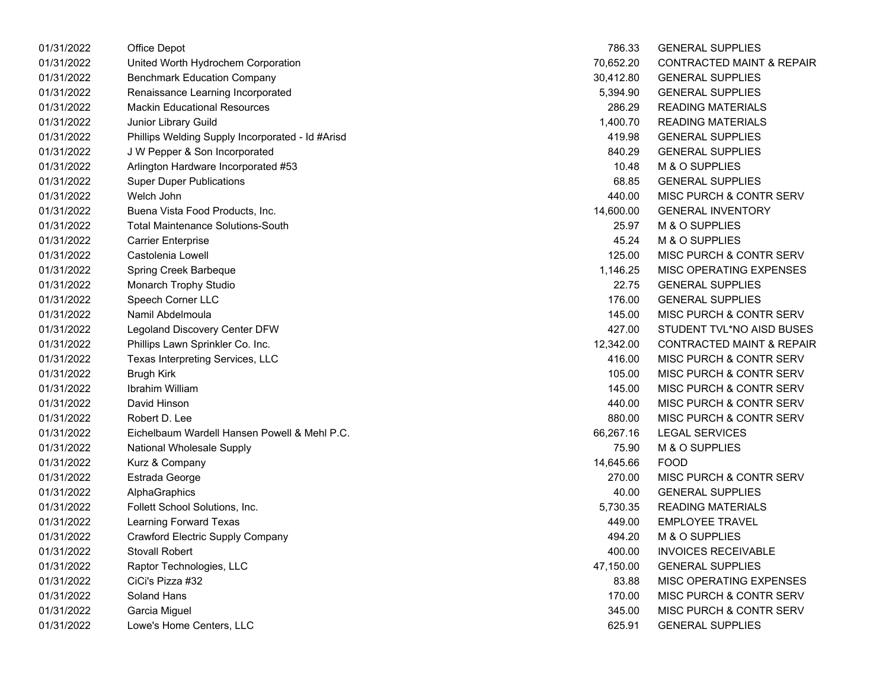| 01/31/2022 | Office Depot                                     | 786.33    | <b>GENERAL SUPPLIES</b>              |
|------------|--------------------------------------------------|-----------|--------------------------------------|
| 01/31/2022 | United Worth Hydrochem Corporation               | 70,652.20 | <b>CONTRACTED MAINT &amp; REPAIR</b> |
| 01/31/2022 | <b>Benchmark Education Company</b>               | 30,412.80 | <b>GENERAL SUPPLIES</b>              |
| 01/31/2022 | Renaissance Learning Incorporated                | 5,394.90  | <b>GENERAL SUPPLIES</b>              |
| 01/31/2022 | <b>Mackin Educational Resources</b>              | 286.29    | <b>READING MATERIALS</b>             |
| 01/31/2022 | Junior Library Guild                             | 1,400.70  | <b>READING MATERIALS</b>             |
| 01/31/2022 | Phillips Welding Supply Incorporated - Id #Arisd | 419.98    | <b>GENERAL SUPPLIES</b>              |
| 01/31/2022 | J W Pepper & Son Incorporated                    | 840.29    | <b>GENERAL SUPPLIES</b>              |
| 01/31/2022 | Arlington Hardware Incorporated #53              | 10.48     | M & O SUPPLIES                       |
| 01/31/2022 | <b>Super Duper Publications</b>                  | 68.85     | <b>GENERAL SUPPLIES</b>              |
| 01/31/2022 | Welch John                                       | 440.00    | MISC PURCH & CONTR SERV              |
| 01/31/2022 | Buena Vista Food Products, Inc.                  | 14,600.00 | <b>GENERAL INVENTORY</b>             |
| 01/31/2022 | <b>Total Maintenance Solutions-South</b>         | 25.97     | M & O SUPPLIES                       |
| 01/31/2022 | <b>Carrier Enterprise</b>                        | 45.24     | M & O SUPPLIES                       |
| 01/31/2022 | Castolenia Lowell                                | 125.00    | MISC PURCH & CONTR SERV              |
| 01/31/2022 | Spring Creek Barbeque                            | 1,146.25  | MISC OPERATING EXPENSES              |
| 01/31/2022 | Monarch Trophy Studio                            | 22.75     | <b>GENERAL SUPPLIES</b>              |
| 01/31/2022 | Speech Corner LLC                                | 176.00    | <b>GENERAL SUPPLIES</b>              |
| 01/31/2022 | Namil Abdelmoula                                 | 145.00    | MISC PURCH & CONTR SERV              |
| 01/31/2022 | Legoland Discovery Center DFW                    | 427.00    | STUDENT TVL*NO AISD BUSES            |
| 01/31/2022 | Phillips Lawn Sprinkler Co. Inc.                 | 12,342.00 | <b>CONTRACTED MAINT &amp; REPAIR</b> |
| 01/31/2022 | Texas Interpreting Services, LLC                 | 416.00    | MISC PURCH & CONTR SERV              |
| 01/31/2022 | <b>Brugh Kirk</b>                                | 105.00    | MISC PURCH & CONTR SERV              |
| 01/31/2022 | Ibrahim William                                  | 145.00    | MISC PURCH & CONTR SERV              |
| 01/31/2022 | David Hinson                                     | 440.00    | MISC PURCH & CONTR SERV              |
| 01/31/2022 | Robert D. Lee                                    | 880.00    | MISC PURCH & CONTR SERV              |
| 01/31/2022 | Eichelbaum Wardell Hansen Powell & Mehl P.C.     | 66,267.16 | <b>LEGAL SERVICES</b>                |
| 01/31/2022 | <b>National Wholesale Supply</b>                 | 75.90     | M & O SUPPLIES                       |
| 01/31/2022 | Kurz & Company                                   | 14,645.66 | <b>FOOD</b>                          |
| 01/31/2022 | Estrada George                                   | 270.00    | MISC PURCH & CONTR SERV              |
| 01/31/2022 | AlphaGraphics                                    | 40.00     | <b>GENERAL SUPPLIES</b>              |
| 01/31/2022 | Follett School Solutions, Inc.                   | 5,730.35  | <b>READING MATERIALS</b>             |
| 01/31/2022 | Learning Forward Texas                           | 449.00    | <b>EMPLOYEE TRAVEL</b>               |
| 01/31/2022 | <b>Crawford Electric Supply Company</b>          | 494.20    | M & O SUPPLIES                       |
| 01/31/2022 | <b>Stovall Robert</b>                            | 400.00    | <b>INVOICES RECEIVABLE</b>           |
| 01/31/2022 | Raptor Technologies, LLC                         | 47,150.00 | <b>GENERAL SUPPLIES</b>              |
| 01/31/2022 | CiCi's Pizza #32                                 | 83.88     | MISC OPERATING EXPENSES              |
| 01/31/2022 | Soland Hans                                      | 170.00    | MISC PURCH & CONTR SERV              |
| 01/31/2022 | Garcia Miguel                                    | 345.00    | MISC PURCH & CONTR SERV              |
| 01/31/2022 | Lowe's Home Centers, LLC                         | 625.91    | <b>GENERAL SUPPLIES</b>              |

| 786.33    | <b>GENERAL SUPPLIES</b>              |
|-----------|--------------------------------------|
| 70.652.20 | <b>CONTRACTED MAINT &amp; REPAIR</b> |
| 30,412.80 | <b>GENERAL SUPPLIES</b>              |
| 5,394.90  | <b>GENERAL SUPPLIES</b>              |
| 286.29    | <b>READING MATERIALS</b>             |
| 1,400.70  | <b>READING MATERIALS</b>             |
| 419.98    | <b>GENERAL SUPPLIES</b>              |
| 840.29    | <b>GENERAL SUPPLIES</b>              |
| 10.48     | <b>M &amp; O SUPPLIES</b>            |
| 68.85     | <b>GENERAL SUPPLIES</b>              |
| 440.00    | <b>MISC PURCH &amp; CONTR SERV</b>   |
| 14,600.00 | <b>GENERAL INVENTORY</b>             |
| 25.97     | M & O SUPPLIES                       |
| 45.24     | M & O SUPPLIES                       |
| 125.00    | MISC PURCH & CONTR SERV              |
| 1.146.25  | <b>MISC OPERATING EXPENSES</b>       |
| 22.75     | <b>GENERAL SUPPLIES</b>              |
| 176.00    | <b>GENERAL SUPPLIES</b>              |
| 145.00    | <b>MISC PURCH &amp; CONTR SERV</b>   |
| 427.00    | STUDENT TVL*NO AISD BUSES            |
| 12.342.00 | <b>CONTRACTED MAINT &amp; REPAIR</b> |
| 416.00    | <b>MISC PURCH &amp; CONTR SERV</b>   |
| 105.00    | <b>MISC PURCH &amp; CONTR SERV</b>   |
| 145.00    | <b>MISC PURCH &amp; CONTR SERV</b>   |
| 440.00    | <b>MISC PURCH &amp; CONTR SERV</b>   |
| 880.00    | <b>MISC PURCH &amp; CONTR SERV</b>   |
| 66,267.16 | <b>LEGAL SERVICES</b>                |
| 75.90     | <b>M &amp; O SUPPLIES</b>            |
| 14,645.66 | FOOD                                 |
| 270.00    | <b>MISC PURCH &amp; CONTR SERV</b>   |
| 40.00     | <b>GENERAL SUPPLIES</b>              |
| 5,730.35  | <b>READING MATERIALS</b>             |
| 449.00    | <b>EMPLOYEE TRAVEL</b>               |
| 494.20    | <b>M &amp; O SUPPLIES</b>            |
| 400.00    | <b>INVOICES RECEIVABLE</b>           |
| 47,150.00 | <b>GENERAL SUPPLIES</b>              |
| 83.88     | <b>MISC OPERATING EXPENSES</b>       |
| 170.00    | <b>MISC PURCH &amp; CONTR SERV</b>   |
| 345.00    | <b>MISC PURCH &amp; CONTR SERV</b>   |
| 625.91    | <b>GENERAL SUPPLIES</b>              |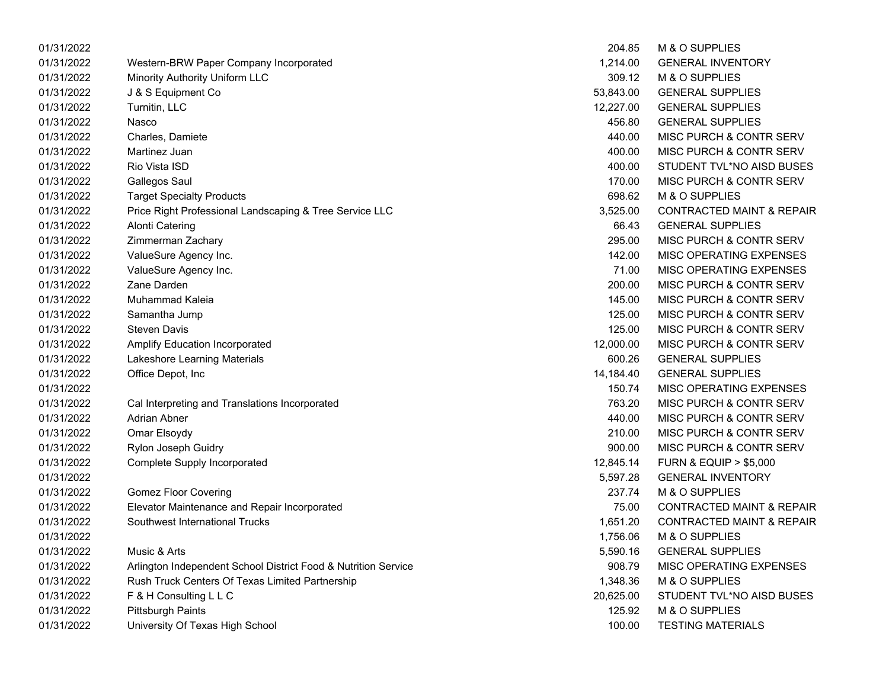| 01/31/2022 |                                                                | 204.85    | M & O SUPPLIES                       |
|------------|----------------------------------------------------------------|-----------|--------------------------------------|
| 01/31/2022 | Western-BRW Paper Company Incorporated                         | 1,214.00  | <b>GENERAL INVENTORY</b>             |
| 01/31/2022 | Minority Authority Uniform LLC                                 | 309.12    | M & O SUPPLIES                       |
| 01/31/2022 | J & S Equipment Co                                             | 53,843.00 | <b>GENERAL SUPPLIES</b>              |
| 01/31/2022 | Turnitin, LLC                                                  | 12,227.00 | <b>GENERAL SUPPLIES</b>              |
| 01/31/2022 | Nasco                                                          | 456.80    | <b>GENERAL SUPPLIES</b>              |
| 01/31/2022 | Charles, Damiete                                               | 440.00    | MISC PURCH & CONTR SERV              |
| 01/31/2022 | Martinez Juan                                                  | 400.00    | MISC PURCH & CONTR SERV              |
| 01/31/2022 | Rio Vista ISD                                                  | 400.00    | STUDENT TVL*NO AISD BUSES            |
| 01/31/2022 | <b>Gallegos Saul</b>                                           | 170.00    | MISC PURCH & CONTR SERV              |
| 01/31/2022 | <b>Target Specialty Products</b>                               | 698.62    | M & O SUPPLIES                       |
| 01/31/2022 | Price Right Professional Landscaping & Tree Service LLC        | 3,525.00  | <b>CONTRACTED MAINT &amp; REPAIR</b> |
| 01/31/2022 | <b>Alonti Catering</b>                                         | 66.43     | <b>GENERAL SUPPLIES</b>              |
| 01/31/2022 | Zimmerman Zachary                                              | 295.00    | MISC PURCH & CONTR SERV              |
| 01/31/2022 | ValueSure Agency Inc.                                          | 142.00    | MISC OPERATING EXPENSES              |
| 01/31/2022 | ValueSure Agency Inc.                                          | 71.00     | MISC OPERATING EXPENSES              |
| 01/31/2022 | Zane Darden                                                    | 200.00    | MISC PURCH & CONTR SERV              |
| 01/31/2022 | Muhammad Kaleia                                                | 145.00    | MISC PURCH & CONTR SERV              |
| 01/31/2022 | Samantha Jump                                                  | 125.00    | MISC PURCH & CONTR SERV              |
| 01/31/2022 | <b>Steven Davis</b>                                            | 125.00    | MISC PURCH & CONTR SERV              |
| 01/31/2022 | Amplify Education Incorporated                                 | 12,000.00 | MISC PURCH & CONTR SERV              |
| 01/31/2022 | Lakeshore Learning Materials                                   | 600.26    | <b>GENERAL SUPPLIES</b>              |
| 01/31/2022 | Office Depot, Inc                                              | 14,184.40 | <b>GENERAL SUPPLIES</b>              |
| 01/31/2022 |                                                                | 150.74    | MISC OPERATING EXPENSES              |
| 01/31/2022 | Cal Interpreting and Translations Incorporated                 | 763.20    | MISC PURCH & CONTR SERV              |
| 01/31/2022 | Adrian Abner                                                   | 440.00    | MISC PURCH & CONTR SERV              |
| 01/31/2022 | Omar Elsoydy                                                   | 210.00    | MISC PURCH & CONTR SERV              |
| 01/31/2022 | Rylon Joseph Guidry                                            | 900.00    | MISC PURCH & CONTR SERV              |
| 01/31/2022 | <b>Complete Supply Incorporated</b>                            | 12,845.14 | <b>FURN &amp; EQUIP &gt; \$5,000</b> |
| 01/31/2022 |                                                                | 5,597.28  | <b>GENERAL INVENTORY</b>             |
| 01/31/2022 | <b>Gomez Floor Covering</b>                                    | 237.74    | M & O SUPPLIES                       |
| 01/31/2022 | Elevator Maintenance and Repair Incorporated                   | 75.00     | <b>CONTRACTED MAINT &amp; REPAIR</b> |
| 01/31/2022 | Southwest International Trucks                                 | 1,651.20  | <b>CONTRACTED MAINT &amp; REPAIR</b> |
| 01/31/2022 |                                                                | 1,756.06  | M & O SUPPLIES                       |
| 01/31/2022 | Music & Arts                                                   | 5,590.16  | <b>GENERAL SUPPLIES</b>              |
| 01/31/2022 | Arlington Independent School District Food & Nutrition Service | 908.79    | MISC OPERATING EXPENSES              |
| 01/31/2022 | Rush Truck Centers Of Texas Limited Partnership                | 1,348.36  | M & O SUPPLIES                       |
| 01/31/2022 | F & H Consulting L L C                                         | 20,625.00 | STUDENT TVL*NO AISD BUSES            |
| 01/31/2022 | <b>Pittsburgh Paints</b>                                       | 125.92    | M & O SUPPLIES                       |
| 01/31/2022 | University Of Texas High School                                | 100.00    | <b>TESTING MATERIALS</b>             |

| 204.85    | <b>M &amp; O SUPPLIES</b>            |
|-----------|--------------------------------------|
| 1,214.00  | <b>GENERAL INVENTORY</b>             |
| 309.12    | M & O SUPPLIES                       |
| 53,843.00 | <b>GENERAL SUPPLIES</b>              |
| 12,227.00 | <b>GENERAL SUPPLIES</b>              |
| 456.80    | <b>GENERAL SUPPLIES</b>              |
| 440.00    | <b>MISC PURCH &amp; CONTR SERV</b>   |
| 400.00    | <b>MISC PURCH &amp; CONTR SERV</b>   |
| 400.00    | STUDENT TVL*NO AISD BUSES            |
| 170.00    | MISC PURCH & CONTR SERV              |
| 698.62    | M & O SUPPLIES                       |
| 3,525.00  | <b>CONTRACTED MAINT &amp; REPAIR</b> |
| 66.43     | <b>GENERAL SUPPLIES</b>              |
| 295.00    | <b>MISC PURCH &amp; CONTR SERV</b>   |
| 142.00    | <b>MISC OPERATING EXPENSES</b>       |
| 71.00     | <b>MISC OPERATING EXPENSES</b>       |
| 200.00    | <b>MISC PURCH &amp; CONTR SERV</b>   |
| 145.00    | MISC PURCH & CONTR SERV              |
| 125.00    | <b>MISC PURCH &amp; CONTR SERV</b>   |
| 125.00    | <b>MISC PURCH &amp; CONTR SERV</b>   |
| 12,000.00 | <b>MISC PURCH &amp; CONTR SERV</b>   |
| 600.26    | <b>GENERAL SUPPLIES</b>              |
| 14,184.40 | <b>GENERAL SUPPLIES</b>              |
| 150.74    | <b>MISC OPERATING EXPENSES</b>       |
| 763.20    | <b>MISC PURCH &amp; CONTR SERV</b>   |
| 440.00    | <b>MISC PURCH &amp; CONTR SERV</b>   |
| 210.00    | <b>MISC PURCH &amp; CONTR SERV</b>   |
| 900.00    | <b>MISC PURCH &amp; CONTR SERV</b>   |
| 12,845.14 | <b>FURN &amp; EQUIP &gt; \$5,000</b> |
| 5,597.28  | <b>GENERAL INVENTORY</b>             |
| 237.74    | M & O SUPPLIES                       |
| 75.00     | <b>CONTRACTED MAINT &amp; REPAIR</b> |
| 1,651.20  | <b>CONTRACTED MAINT &amp; REPAIR</b> |
| 1,756.06  | M & O SUPPLIES                       |
| 5,590.16  | <b>GENERAL SUPPLIES</b>              |
| 908.79    | <b>MISC OPERATING EXPENSES</b>       |
| 1,348.36  | <b>M &amp; O SUPPLIES</b>            |
| 20,625.00 | STUDENT TVL*NO AISD BUSES            |
| 125.92    | M & O SUPPLIES                       |
| 100.00    | <b>TESTING MATERIALS</b>             |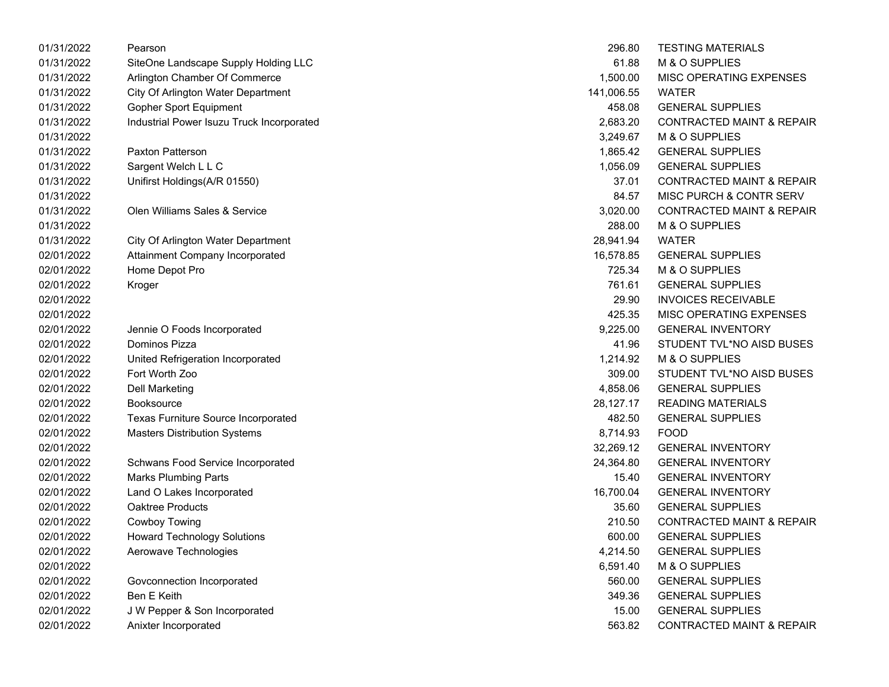| 01/31/2022 | Pearson                                   | 296.80     | <b>TESTING MATERIALS</b>             |
|------------|-------------------------------------------|------------|--------------------------------------|
| 01/31/2022 | SiteOne Landscape Supply Holding LLC      | 61.88      | M & O SUPPLIES                       |
| 01/31/2022 | Arlington Chamber Of Commerce             | 1,500.00   | MISC OPERATING EXPENSES              |
| 01/31/2022 | City Of Arlington Water Department        | 141,006.55 | <b>WATER</b>                         |
| 01/31/2022 | <b>Gopher Sport Equipment</b>             | 458.08     | <b>GENERAL SUPPLIES</b>              |
| 01/31/2022 | Industrial Power Isuzu Truck Incorporated | 2,683.20   | <b>CONTRACTED MAINT &amp; REPAIR</b> |
| 01/31/2022 |                                           | 3,249.67   | M & O SUPPLIES                       |
| 01/31/2022 | Paxton Patterson                          | 1,865.42   | <b>GENERAL SUPPLIES</b>              |
| 01/31/2022 | Sargent Welch L L C                       | 1,056.09   | <b>GENERAL SUPPLIES</b>              |
| 01/31/2022 | Unifirst Holdings(A/R 01550)              | 37.01      | <b>CONTRACTED MAINT &amp; REPAIR</b> |
| 01/31/2022 |                                           | 84.57      | MISC PURCH & CONTR SERV              |
| 01/31/2022 | Olen Williams Sales & Service             | 3,020.00   | <b>CONTRACTED MAINT &amp; REPAIR</b> |
| 01/31/2022 |                                           | 288.00     | M & O SUPPLIES                       |
| 01/31/2022 | City Of Arlington Water Department        | 28,941.94  | <b>WATER</b>                         |
| 02/01/2022 | Attainment Company Incorporated           | 16,578.85  | <b>GENERAL SUPPLIES</b>              |
| 02/01/2022 | Home Depot Pro                            | 725.34     | M & O SUPPLIES                       |
| 02/01/2022 | Kroger                                    | 761.61     | <b>GENERAL SUPPLIES</b>              |
| 02/01/2022 |                                           | 29.90      | <b>INVOICES RECEIVABLE</b>           |
| 02/01/2022 |                                           | 425.35     | MISC OPERATING EXPENSES              |
| 02/01/2022 | Jennie O Foods Incorporated               | 9,225.00   | <b>GENERAL INVENTORY</b>             |
| 02/01/2022 | Dominos Pizza                             | 41.96      | STUDENT TVL*NO AISD BUSES            |
| 02/01/2022 | United Refrigeration Incorporated         | 1,214.92   | M & O SUPPLIES                       |
| 02/01/2022 | Fort Worth Zoo                            | 309.00     | STUDENT TVL*NO AISD BUSES            |
| 02/01/2022 | <b>Dell Marketing</b>                     | 4,858.06   | <b>GENERAL SUPPLIES</b>              |
| 02/01/2022 | <b>Booksource</b>                         | 28,127.17  | <b>READING MATERIALS</b>             |
| 02/01/2022 | Texas Furniture Source Incorporated       | 482.50     | <b>GENERAL SUPPLIES</b>              |
| 02/01/2022 | <b>Masters Distribution Systems</b>       | 8,714.93   | <b>FOOD</b>                          |
| 02/01/2022 |                                           | 32,269.12  | <b>GENERAL INVENTORY</b>             |
| 02/01/2022 | Schwans Food Service Incorporated         | 24,364.80  | <b>GENERAL INVENTORY</b>             |
| 02/01/2022 | <b>Marks Plumbing Parts</b>               | 15.40      | <b>GENERAL INVENTORY</b>             |
| 02/01/2022 | Land O Lakes Incorporated                 | 16,700.04  | <b>GENERAL INVENTORY</b>             |
| 02/01/2022 | Oaktree Products                          | 35.60      | <b>GENERAL SUPPLIES</b>              |
| 02/01/2022 | Cowboy Towing                             | 210.50     | <b>CONTRACTED MAINT &amp; REPAIR</b> |
| 02/01/2022 | <b>Howard Technology Solutions</b>        | 600.00     | <b>GENERAL SUPPLIES</b>              |
| 02/01/2022 | Aerowave Technologies                     | 4,214.50   | <b>GENERAL SUPPLIES</b>              |
| 02/01/2022 |                                           | 6,591.40   | M & O SUPPLIES                       |
| 02/01/2022 | Govconnection Incorporated                | 560.00     | <b>GENERAL SUPPLIES</b>              |
| 02/01/2022 | Ben E Keith                               | 349.36     | <b>GENERAL SUPPLIES</b>              |
| 02/01/2022 | J W Pepper & Son Incorporated             | 15.00      | <b>GENERAL SUPPLIES</b>              |
| 02/01/2022 | Anixter Incorporated                      | 563.82     | <b>CONTRACTED MAINT &amp; REPAIR</b> |

| 296.80     | <b>TESTING MATERIALS</b>             |
|------------|--------------------------------------|
| 61.88      | <b>M &amp; O SUPPLIES</b>            |
| 1,500.00   | <b>MISC OPERATING EXPENSES</b>       |
| 141,006.55 | WATER                                |
| 458.08     | <b>GENERAL SUPPLIES</b>              |
| 2,683.20   | <b>CONTRACTED MAINT &amp; REPAIR</b> |
| 3,249.67   | <b>M &amp; O SUPPLIES</b>            |
| 1,865.42   | <b>GENERAL SUPPLIES</b>              |
| 1,056.09   | <b>GENERAL SUPPLIES</b>              |
| 37.01      | <b>CONTRACTED MAINT &amp; REPAIR</b> |
| 84.57      | <b>MISC PURCH &amp; CONTR SERV</b>   |
| 3,020.00   | <b>CONTRACTED MAINT &amp; REPAIR</b> |
| 288.00     | <b>M &amp; O SUPPLIES</b>            |
| 28,941.94  | <b>WATER</b>                         |
| 16,578.85  | <b>GENERAL SUPPLIES</b>              |
| 725.34     | M & O SUPPLIES                       |
| 761.61     | <b>GENERAL SUPPLIES</b>              |
| 29.90      | <b>INVOICES RECEIVABLE</b>           |
| 425.35     | <b>MISC OPERATING EXPENSES</b>       |
| 9,225.00   | <b>GENERAL INVENTORY</b>             |
| 41.96      | STUDENT TVL*NO AISD BUSES            |
| 1,214.92   | <b>M &amp; O SUPPLIES</b>            |
| 309.00     | STUDENT TVL*NO AISD BUSES            |
| 4,858.06   | <b>GENERAL SUPPLIES</b>              |
| 28,127.17  | <b>READING MATERIALS</b>             |
| 482.50     | <b>GENERAL SUPPLIES</b>              |
| 8,714.93   | FOOD                                 |
| 32,269.12  | <b>GENERAL INVENTORY</b>             |
| 24,364.80  | <b>GENERAL INVENTORY</b>             |
| 15.40      | <b>GENERAL INVENTORY</b>             |
| 16,700.04  | <b>GENERAL INVENTORY</b>             |
| 35.60      | <b>GENERAL SUPPLIES</b>              |
| 210.50     | CONTRACTED MAINT & REPAIR            |
| 600.00     | <b>GENERAL SUPPLIES</b>              |
| 4,214.50   | <b>GENERAL SUPPLIES</b>              |
| 6,591.40   | <b>M &amp; O SUPPLIES</b>            |
| 560.00     | <b>GENERAL SUPPLIES</b>              |
| 349.36     | <b>GENERAL SUPPLIES</b>              |
| 15.00      | <b>GENERAL SUPPLIES</b>              |
| 563.82     | <b>CONTRACTED MAINT &amp; REPAIR</b> |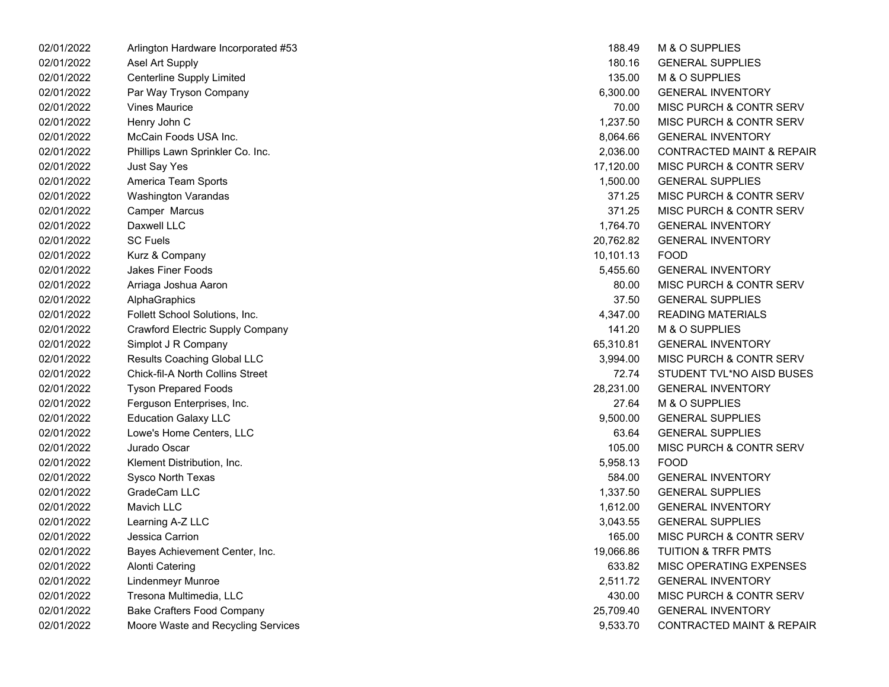| 02/01/2022 | Arlington Hardware Incorporated #53     | 188.49    | M & O SUPPLIES                       |
|------------|-----------------------------------------|-----------|--------------------------------------|
| 02/01/2022 | Asel Art Supply                         | 180.16    | <b>GENERAL SUPPLIES</b>              |
| 02/01/2022 | Centerline Supply Limited               | 135.00    | M & O SUPPLIES                       |
| 02/01/2022 | Par Way Tryson Company                  | 6,300.00  | <b>GENERAL INVENTORY</b>             |
| 02/01/2022 | <b>Vines Maurice</b>                    | 70.00     | MISC PURCH & CONTR SERV              |
| 02/01/2022 | Henry John C                            | 1,237.50  | MISC PURCH & CONTR SERV              |
| 02/01/2022 | McCain Foods USA Inc.                   | 8,064.66  | <b>GENERAL INVENTORY</b>             |
| 02/01/2022 | Phillips Lawn Sprinkler Co. Inc.        | 2,036.00  | <b>CONTRACTED MAINT &amp; REPAIR</b> |
| 02/01/2022 | Just Say Yes                            | 17,120.00 | MISC PURCH & CONTR SERV              |
| 02/01/2022 | America Team Sports                     | 1,500.00  | <b>GENERAL SUPPLIES</b>              |
| 02/01/2022 | <b>Washington Varandas</b>              | 371.25    | MISC PURCH & CONTR SERV              |
| 02/01/2022 | Camper Marcus                           | 371.25    | MISC PURCH & CONTR SERV              |
| 02/01/2022 | Daxwell LLC                             | 1,764.70  | <b>GENERAL INVENTORY</b>             |
| 02/01/2022 | <b>SC Fuels</b>                         | 20,762.82 | <b>GENERAL INVENTORY</b>             |
| 02/01/2022 | Kurz & Company                          | 10,101.13 | <b>FOOD</b>                          |
| 02/01/2022 | <b>Jakes Finer Foods</b>                | 5,455.60  | <b>GENERAL INVENTORY</b>             |
| 02/01/2022 | Arriaga Joshua Aaron                    | 80.00     | MISC PURCH & CONTR SERV              |
| 02/01/2022 | AlphaGraphics                           | 37.50     | <b>GENERAL SUPPLIES</b>              |
| 02/01/2022 | Follett School Solutions, Inc.          | 4,347.00  | <b>READING MATERIALS</b>             |
| 02/01/2022 | Crawford Electric Supply Company        | 141.20    | M & O SUPPLIES                       |
| 02/01/2022 | Simplot J R Company                     | 65,310.81 | <b>GENERAL INVENTORY</b>             |
| 02/01/2022 | Results Coaching Global LLC             | 3,994.00  | MISC PURCH & CONTR SERV              |
| 02/01/2022 | <b>Chick-fil-A North Collins Street</b> | 72.74     | STUDENT TVL*NO AISD BUSES            |
| 02/01/2022 | <b>Tyson Prepared Foods</b>             | 28,231.00 | <b>GENERAL INVENTORY</b>             |
| 02/01/2022 | Ferguson Enterprises, Inc.              | 27.64     | M & O SUPPLIES                       |
| 02/01/2022 | <b>Education Galaxy LLC</b>             | 9,500.00  | <b>GENERAL SUPPLIES</b>              |
| 02/01/2022 | Lowe's Home Centers, LLC                | 63.64     | <b>GENERAL SUPPLIES</b>              |
| 02/01/2022 | Jurado Oscar                            | 105.00    | MISC PURCH & CONTR SERV              |
| 02/01/2022 | Klement Distribution, Inc.              | 5,958.13  | <b>FOOD</b>                          |
| 02/01/2022 | Sysco North Texas                       | 584.00    | <b>GENERAL INVENTORY</b>             |
| 02/01/2022 | GradeCam LLC                            | 1,337.50  | <b>GENERAL SUPPLIES</b>              |
| 02/01/2022 | Mavich LLC                              | 1,612.00  | <b>GENERAL INVENTORY</b>             |
| 02/01/2022 | Learning A-Z LLC                        | 3,043.55  | <b>GENERAL SUPPLIES</b>              |
| 02/01/2022 | <b>Jessica Carrion</b>                  | 165.00    | MISC PURCH & CONTR SERV              |
| 02/01/2022 | Bayes Achievement Center, Inc.          | 19,066.86 | <b>TUITION &amp; TRFR PMTS</b>       |
| 02/01/2022 | <b>Alonti Catering</b>                  | 633.82    | MISC OPERATING EXPENSES              |
| 02/01/2022 | <b>Lindenmeyr Munroe</b>                | 2,511.72  | <b>GENERAL INVENTORY</b>             |
| 02/01/2022 | Tresona Multimedia, LLC                 | 430.00    | MISC PURCH & CONTR SERV              |
| 02/01/2022 | <b>Bake Crafters Food Company</b>       | 25,709.40 | <b>GENERAL INVENTORY</b>             |
| 02/01/2022 | Moore Waste and Recycling Services      | 9,533.70  | <b>CONTRACTED MAINT &amp; REPAIR</b> |
|            |                                         |           |                                      |

| 188.49    | <b>M &amp; O SUPPLIES</b>            |
|-----------|--------------------------------------|
| 180.16    | <b>GENERAL SUPPLIES</b>              |
| 135.00    | <b>M &amp; O SUPPLIES</b>            |
| 6,300.00  | <b>GENERAL INVENTORY</b>             |
| 70.00     | <b>MISC PURCH &amp; CONTR SERV</b>   |
| 1,237.50  | <b>MISC PURCH &amp; CONTR SERV</b>   |
| 8,064.66  | <b>GENERAL INVENTORY</b>             |
| 2,036.00  | <b>CONTRACTED MAINT &amp; REPAIR</b> |
| 17,120.00 | <b>MISC PURCH &amp; CONTR SERV</b>   |
| 1,500.00  | <b>GENERAL SUPPLIES</b>              |
| 371.25    | <b>MISC PURCH &amp; CONTR SERV</b>   |
| 371.25    | <b>MISC PURCH &amp; CONTR SERV</b>   |
| 1,764.70  | <b>GENERAL INVENTORY</b>             |
| 20,762.82 | <b>GENERAL INVENTORY</b>             |
| 10,101.13 | FOOD                                 |
| 5,455.60  | <b>GENERAL INVENTORY</b>             |
| 80.00     | <b>MISC PURCH &amp; CONTR SERV</b>   |
| 37.50     | <b>GENERAL SUPPLIES</b>              |
| 4,347.00  | <b>READING MATERIALS</b>             |
| 141.20    | <b>M &amp; O SUPPLIES</b>            |
| 65,310.81 | <b>GENERAL INVENTORY</b>             |
| 3,994.00  | <b>MISC PURCH &amp; CONTR SERV</b>   |
| 72.74     | STUDENT TVL*NO AISD BUSES            |
| 28,231.00 | <b>GENERAL INVENTORY</b>             |
| 27.64     | <b>M &amp; O SUPPLIES</b>            |
| 9,500.00  | <b>GENERAL SUPPLIES</b>              |
| 63.64     | <b>GENERAL SUPPLIES</b>              |
| 105.00    | <b>MISC PURCH &amp; CONTR SERV</b>   |
| 5,958.13  | FOOD                                 |
| 584.00    | <b>GENERAL INVENTORY</b>             |
| 1,337.50  | <b>GENERAL SUPPLIES</b>              |
| 1,612.00  | <b>GENERAL INVENTORY</b>             |
| 3,043.55  | <b>GENERAL SUPPLIES</b>              |
| 165.00    | <b>MISC PURCH &amp; CONTR SERV</b>   |
| 19,066.86 | <b>TUITION &amp; TRFR PMTS</b>       |
| 633.82    | <b>MISC OPERATING EXPENSES</b>       |
| 2,511.72  | <b>GENERAL INVENTORY</b>             |
| 430.00    | <b>MISC PURCH &amp; CONTR SERV</b>   |
| 25,709.40 | <b>GENERAL INVENTORY</b>             |
| 9,533.70  | <b>CONTRACTED MAINT &amp; REPAIR</b> |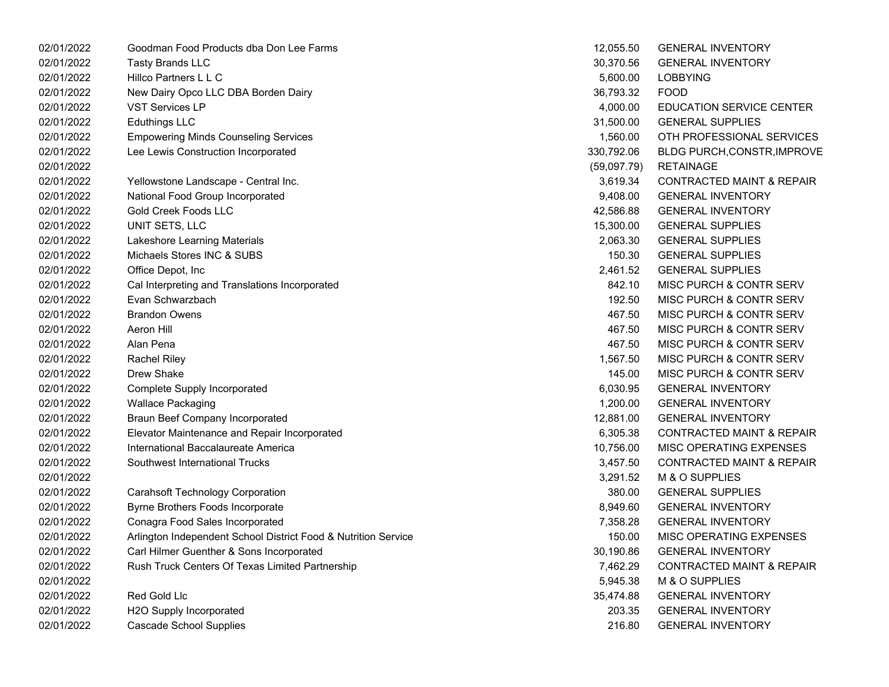| 02/01/2022 | Goodman Food Products dba Don Lee Farms                        | 12,055.50   | <b>GENERAL INVENTORY</b>             |
|------------|----------------------------------------------------------------|-------------|--------------------------------------|
| 02/01/2022 | <b>Tasty Brands LLC</b>                                        | 30,370.56   | <b>GENERAL INVENTORY</b>             |
| 02/01/2022 | Hillco Partners L L C                                          | 5,600.00    | <b>LOBBYING</b>                      |
| 02/01/2022 | New Dairy Opco LLC DBA Borden Dairy                            | 36,793.32   | <b>FOOD</b>                          |
| 02/01/2022 | <b>VST Services LP</b>                                         | 4,000.00    | <b>EDUCATION SERVICE CENTER</b>      |
| 02/01/2022 | <b>Eduthings LLC</b>                                           | 31,500.00   | <b>GENERAL SUPPLIES</b>              |
| 02/01/2022 | <b>Empowering Minds Counseling Services</b>                    | 1,560.00    | OTH PROFESSIONAL SERVICES            |
| 02/01/2022 | Lee Lewis Construction Incorporated                            | 330,792.06  | <b>BLDG PURCH, CONSTR, IMPROVE</b>   |
| 02/01/2022 |                                                                | (59,097.79) | <b>RETAINAGE</b>                     |
| 02/01/2022 | Yellowstone Landscape - Central Inc.                           | 3,619.34    | <b>CONTRACTED MAINT &amp; REPAIR</b> |
| 02/01/2022 | National Food Group Incorporated                               | 9,408.00    | <b>GENERAL INVENTORY</b>             |
| 02/01/2022 | Gold Creek Foods LLC                                           | 42,586.88   | <b>GENERAL INVENTORY</b>             |
| 02/01/2022 | UNIT SETS, LLC                                                 | 15,300.00   | <b>GENERAL SUPPLIES</b>              |
| 02/01/2022 | Lakeshore Learning Materials                                   | 2,063.30    | <b>GENERAL SUPPLIES</b>              |
| 02/01/2022 | Michaels Stores INC & SUBS                                     | 150.30      | <b>GENERAL SUPPLIES</b>              |
| 02/01/2022 | Office Depot, Inc                                              | 2,461.52    | <b>GENERAL SUPPLIES</b>              |
| 02/01/2022 | Cal Interpreting and Translations Incorporated                 | 842.10      | MISC PURCH & CONTR SERV              |
| 02/01/2022 | Evan Schwarzbach                                               | 192.50      | MISC PURCH & CONTR SERV              |
| 02/01/2022 | <b>Brandon Owens</b>                                           | 467.50      | MISC PURCH & CONTR SERV              |
| 02/01/2022 | Aeron Hill                                                     | 467.50      | MISC PURCH & CONTR SERV              |
| 02/01/2022 | Alan Pena                                                      | 467.50      | MISC PURCH & CONTR SERV              |
| 02/01/2022 | <b>Rachel Riley</b>                                            | 1,567.50    | MISC PURCH & CONTR SERV              |
| 02/01/2022 | Drew Shake                                                     | 145.00      | MISC PURCH & CONTR SERV              |
| 02/01/2022 | Complete Supply Incorporated                                   | 6,030.95    | <b>GENERAL INVENTORY</b>             |
| 02/01/2022 | <b>Wallace Packaging</b>                                       | 1,200.00    | <b>GENERAL INVENTORY</b>             |
| 02/01/2022 | <b>Braun Beef Company Incorporated</b>                         | 12,881.00   | <b>GENERAL INVENTORY</b>             |
| 02/01/2022 | Elevator Maintenance and Repair Incorporated                   | 6,305.38    | CONTRACTED MAINT & REPAIR            |
| 02/01/2022 | International Baccalaureate America                            | 10,756.00   | MISC OPERATING EXPENSES              |
| 02/01/2022 | Southwest International Trucks                                 | 3,457.50    | <b>CONTRACTED MAINT &amp; REPAIR</b> |
| 02/01/2022 |                                                                | 3,291.52    | M & O SUPPLIES                       |
| 02/01/2022 | <b>Carahsoft Technology Corporation</b>                        | 380.00      | <b>GENERAL SUPPLIES</b>              |
| 02/01/2022 | Byrne Brothers Foods Incorporate                               | 8,949.60    | <b>GENERAL INVENTORY</b>             |
| 02/01/2022 | Conagra Food Sales Incorporated                                | 7,358.28    | <b>GENERAL INVENTORY</b>             |
| 02/01/2022 | Arlington Independent School District Food & Nutrition Service | 150.00      | MISC OPERATING EXPENSES              |
| 02/01/2022 | Carl Hilmer Guenther & Sons Incorporated                       | 30,190.86   | <b>GENERAL INVENTORY</b>             |
| 02/01/2022 | Rush Truck Centers Of Texas Limited Partnership                | 7,462.29    | <b>CONTRACTED MAINT &amp; REPAIR</b> |
| 02/01/2022 |                                                                | 5,945.38    | M & O SUPPLIES                       |
| 02/01/2022 | Red Gold Llc                                                   | 35,474.88   | <b>GENERAL INVENTORY</b>             |
| 02/01/2022 | H2O Supply Incorporated                                        | 203.35      | <b>GENERAL INVENTORY</b>             |
| 02/01/2022 | <b>Cascade School Supplies</b>                                 | 216.80      | <b>GENERAL INVENTORY</b>             |

| 12,055.50   | <b>GENERAL INVENTORY</b>             |
|-------------|--------------------------------------|
| 30,370.56   | <b>GENERAL INVENTORY</b>             |
| 5,600.00    | LOBBYING                             |
| 36,793.32   | FOOD                                 |
| 4,000.00    | EDUCATION SERVICE CENTER             |
| 31,500.00   | <b>GENERAL SUPPLIES</b>              |
| 1,560.00    | OTH PROFESSIONAL SERVICES            |
| 330,792.06  | <b>BLDG PURCH, CONSTR, IMPROVE</b>   |
| (59,097.79) | RETAINAGE                            |
| 3,619.34    | <b>CONTRACTED MAINT &amp; REPAIR</b> |
| 9,408.00    | <b>GENERAL INVENTORY</b>             |
| 42,586.88   | <b>GENERAL INVENTORY</b>             |
| 15,300.00   | <b>GENERAL SUPPLIES</b>              |
| 2,063.30    | <b>GENERAL SUPPLIES</b>              |
| 150.30      | <b>GENERAL SUPPLIES</b>              |
| 2,461.52    | <b>GENERAL SUPPLIES</b>              |
| 842.10      | <b>MISC PURCH &amp; CONTR SERV</b>   |
| 192.50      | MISC PURCH & CONTR SERV              |
| 467.50      | <b>MISC PURCH &amp; CONTR SERV</b>   |
| 467.50      | <b>MISC PURCH &amp; CONTR SERV</b>   |
| 467.50      | MISC PURCH & CONTR SERV              |
| 1,567.50    | MISC PURCH & CONTR SERV              |
| 145.00      | MISC PURCH & CONTR SERV              |
| 6,030.95    | <b>GENERAL INVENTORY</b>             |
| 1,200.00    | <b>GENERAL INVENTORY</b>             |
| 12,881.00   | <b>GENERAL INVENTORY</b>             |
| 6,305.38    | <b>CONTRACTED MAINT &amp; REPAIR</b> |
| 10,756.00   | <b>MISC OPERATING EXPENSES</b>       |
| 3,457.50    | <b>CONTRACTED MAINT &amp; REPAIR</b> |
| 3,291.52    | <b>M &amp; O SUPPLIES</b>            |
| 380.00      | <b>GENERAL SUPPLIES</b>              |
| 8,949.60    | <b>GENERAL INVENTORY</b>             |
| 7,358.28    | <b>GENERAL INVENTORY</b>             |
| 150.00      | <b>MISC OPERATING EXPENSES</b>       |
| 30,190.86   | <b>GENERAL INVENTORY</b>             |
| 7,462.29    | <b>CONTRACTED MAINT &amp; REPAIR</b> |
| 5,945.38    | <b>M &amp; O SUPPLIES</b>            |
| 35,474.88   | <b>GENERAL INVENTORY</b>             |
| 203.35      | <b>GENERAL INVENTORY</b>             |
| 216.80      | <b>GENERAL INVENTORY</b>             |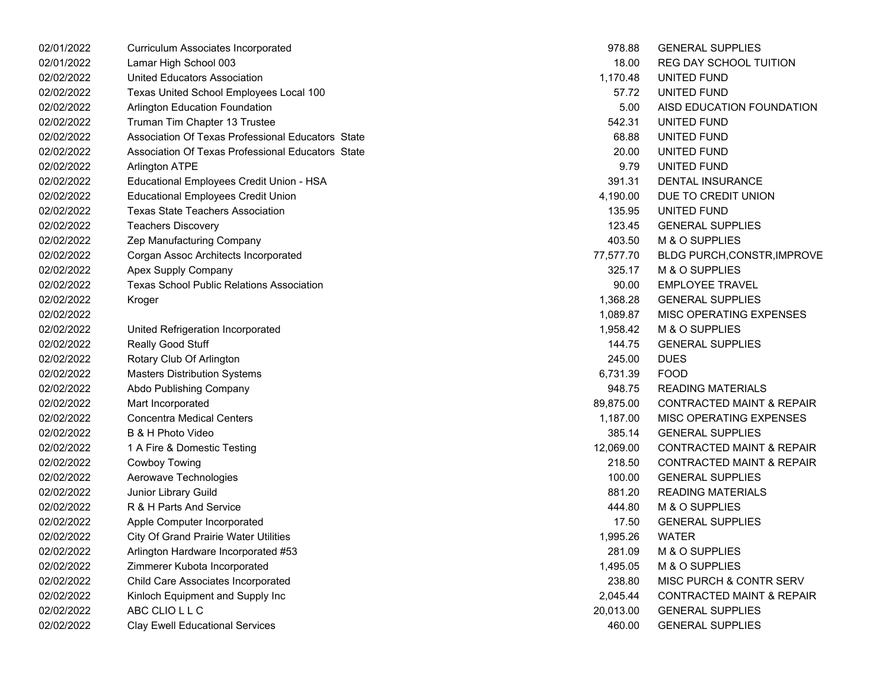| 02/01/2022 | Curriculum Associates Incorporated                | 978.88    | <b>GENERAL SUPPLIES</b>              |
|------------|---------------------------------------------------|-----------|--------------------------------------|
| 02/01/2022 | Lamar High School 003                             | 18.00     | <b>REG DAY SCHOOL TUITION</b>        |
| 02/02/2022 | United Educators Association                      | 1,170.48  | UNITED FUND                          |
| 02/02/2022 | Texas United School Employees Local 100           | 57.72     | UNITED FUND                          |
| 02/02/2022 | <b>Arlington Education Foundation</b>             | 5.00      | AISD EDUCATION FOUNDATION            |
| 02/02/2022 | Truman Tim Chapter 13 Trustee                     | 542.31    | UNITED FUND                          |
| 02/02/2022 | Association Of Texas Professional Educators State | 68.88     | UNITED FUND                          |
| 02/02/2022 | Association Of Texas Professional Educators State | 20.00     | UNITED FUND                          |
| 02/02/2022 | <b>Arlington ATPE</b>                             | 9.79      | UNITED FUND                          |
| 02/02/2022 | Educational Employees Credit Union - HSA          | 391.31    | <b>DENTAL INSURANCE</b>              |
| 02/02/2022 | <b>Educational Employees Credit Union</b>         | 4,190.00  | DUE TO CREDIT UNION                  |
| 02/02/2022 | <b>Texas State Teachers Association</b>           | 135.95    | UNITED FUND                          |
| 02/02/2022 | <b>Teachers Discovery</b>                         | 123.45    | <b>GENERAL SUPPLIES</b>              |
| 02/02/2022 | Zep Manufacturing Company                         | 403.50    | M & O SUPPLIES                       |
| 02/02/2022 | Corgan Assoc Architects Incorporated              | 77,577.70 | <b>BLDG PURCH, CONSTR, IMPROVE</b>   |
| 02/02/2022 | Apex Supply Company                               | 325.17    | M & O SUPPLIES                       |
| 02/02/2022 | <b>Texas School Public Relations Association</b>  | 90.00     | <b>EMPLOYEE TRAVEL</b>               |
| 02/02/2022 | Kroger                                            | 1,368.28  | <b>GENERAL SUPPLIES</b>              |
| 02/02/2022 |                                                   | 1,089.87  | MISC OPERATING EXPENSES              |
| 02/02/2022 | United Refrigeration Incorporated                 | 1,958.42  | M & O SUPPLIES                       |
| 02/02/2022 | Really Good Stuff                                 | 144.75    | <b>GENERAL SUPPLIES</b>              |
| 02/02/2022 | Rotary Club Of Arlington                          | 245.00    | <b>DUES</b>                          |
| 02/02/2022 | <b>Masters Distribution Systems</b>               | 6,731.39  | <b>FOOD</b>                          |
| 02/02/2022 | Abdo Publishing Company                           | 948.75    | <b>READING MATERIALS</b>             |
| 02/02/2022 | Mart Incorporated                                 | 89,875.00 | <b>CONTRACTED MAINT &amp; REPAIR</b> |
| 02/02/2022 | <b>Concentra Medical Centers</b>                  | 1,187.00  | MISC OPERATING EXPENSES              |
| 02/02/2022 | B & H Photo Video                                 | 385.14    | <b>GENERAL SUPPLIES</b>              |
| 02/02/2022 | 1 A Fire & Domestic Testing                       | 12,069.00 | <b>CONTRACTED MAINT &amp; REPAIR</b> |
| 02/02/2022 | <b>Cowboy Towing</b>                              | 218.50    | <b>CONTRACTED MAINT &amp; REPAIR</b> |
| 02/02/2022 | Aerowave Technologies                             | 100.00    | <b>GENERAL SUPPLIES</b>              |
| 02/02/2022 | Junior Library Guild                              | 881.20    | <b>READING MATERIALS</b>             |
| 02/02/2022 | R & H Parts And Service                           | 444.80    | M & O SUPPLIES                       |
| 02/02/2022 | Apple Computer Incorporated                       | 17.50     | <b>GENERAL SUPPLIES</b>              |
| 02/02/2022 | <b>City Of Grand Prairie Water Utilities</b>      | 1,995.26  | <b>WATER</b>                         |
| 02/02/2022 | Arlington Hardware Incorporated #53               | 281.09    | M & O SUPPLIES                       |
| 02/02/2022 | Zimmerer Kubota Incorporated                      | 1,495.05  | M & O SUPPLIES                       |
| 02/02/2022 | Child Care Associates Incorporated                | 238.80    | MISC PURCH & CONTR SERV              |
| 02/02/2022 | Kinloch Equipment and Supply Inc                  | 2,045.44  | <b>CONTRACTED MAINT &amp; REPAIR</b> |
| 02/02/2022 | ABC CLIO L L C                                    | 20,013.00 | <b>GENERAL SUPPLIES</b>              |
| 02/02/2022 | <b>Clay Ewell Educational Services</b>            | 460.00    | <b>GENERAL SUPPLIES</b>              |
|            |                                                   |           |                                      |

| 978.88        | <b>GENERAL SUPPLIES</b>              |
|---------------|--------------------------------------|
| 18.00         | <b>REG DAY SCHOOL TUITION</b>        |
|               | 1,170.48 UNITED FUND                 |
| 57.72         | UNITED FUND                          |
| 5.00          | AISD EDUCATION FOUNDATION            |
|               | 542.31 UNITED FUND                   |
|               | 68.88 UNITED FUND                    |
|               | 20.00 UNITED FUND                    |
| 9.79          | <b>UNITED FUND</b>                   |
| 391.31        | <b>DENTAL INSURANCE</b>              |
| 4,190.00      | DUE TO CREDIT UNION                  |
|               | 135.95 UNITED FUND                   |
| 123.45        | <b>GENERAL SUPPLIES</b>              |
| 403.50        | <b>M &amp; O SUPPLIES</b>            |
| 77,577.70     | BLDG PURCH, CONSTR, IMPROVE          |
| 325.17        | M & O SUPPLIES                       |
|               | 90.00 EMPLOYEE TRAVEL                |
|               | 1,368.28 GENERAL SUPPLIES            |
| 1,089.87      | MISC OPERATING EXPENSES              |
| 1,958.42      | <b>M &amp; O SUPPLIES</b>            |
| 144.75        | <b>GENERAL SUPPLIES</b>              |
| 245.00 DUES   |                                      |
| 6,731.39 FOOD |                                      |
| 948.75        | READING MATERIALS                    |
| 89,875.00     | <b>CONTRACTED MAINT &amp; REPAIR</b> |
|               | 1,187.00 MISC OPERATING EXPENSES     |
|               | 385.14 GENERAL SUPPLIES              |
| 12,069.00     | <b>CONTRACTED MAINT &amp; REPAIR</b> |
| 218.50        | <b>CONTRACTED MAINT &amp; REPAIR</b> |
| 100.00        | <b>GENERAL SUPPLIES</b>              |
| 881.20        | READING MATERIALS                    |
| 444.80        | <b>M &amp; O SUPPLIES</b>            |
|               | 17.50 GENERAL SUPPLIES               |
| 1,995.26      | <b>WATER</b>                         |
| 281.09        | <b>M &amp; O SUPPLIES</b>            |
| 1,495.05      | M & O SUPPLIES                       |
| 238.80        | MISC PURCH & CONTR SERV              |
| 2,045.44      | <b>CONTRACTED MAINT &amp; REPAIR</b> |
| 20,013.00     | <b>GENERAL SUPPLIES</b>              |
| 460.00        | <b>GENERAL SUPPLIES</b>              |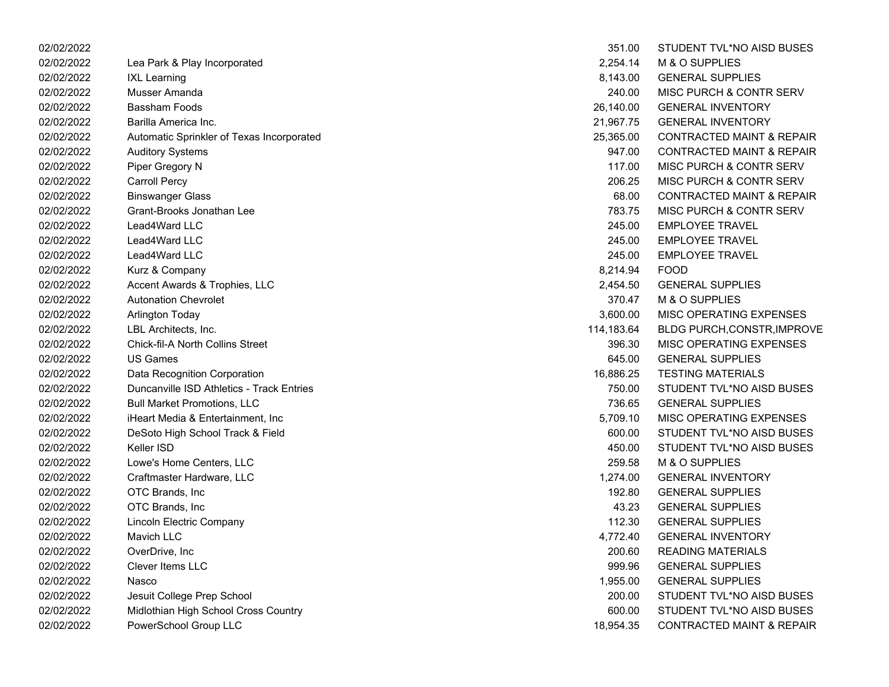| 02/02/2022 |                                           | 351.00     | STUDENT TVL*NO AISD BUSES            |
|------------|-------------------------------------------|------------|--------------------------------------|
| 02/02/2022 | Lea Park & Play Incorporated              | 2,254.14   | M & O SUPPLIES                       |
| 02/02/2022 | <b>IXL Learning</b>                       | 8,143.00   | <b>GENERAL SUPPLIES</b>              |
| 02/02/2022 | Musser Amanda                             | 240.00     | <b>MISC PURCH &amp; CONTR SERV</b>   |
| 02/02/2022 | Bassham Foods                             | 26,140.00  | <b>GENERAL INVENTORY</b>             |
| 02/02/2022 | Barilla America Inc.                      | 21,967.75  | <b>GENERAL INVENTORY</b>             |
| 02/02/2022 | Automatic Sprinkler of Texas Incorporated | 25,365.00  | <b>CONTRACTED MAINT &amp; REPAIR</b> |
| 02/02/2022 | <b>Auditory Systems</b>                   | 947.00     | <b>CONTRACTED MAINT &amp; REPAIR</b> |
| 02/02/2022 | Piper Gregory N                           | 117.00     | <b>MISC PURCH &amp; CONTR SERV</b>   |
| 02/02/2022 | <b>Carroll Percy</b>                      | 206.25     | <b>MISC PURCH &amp; CONTR SERV</b>   |
| 02/02/2022 | <b>Binswanger Glass</b>                   | 68.00      | <b>CONTRACTED MAINT &amp; REPAIR</b> |
| 02/02/2022 | Grant-Brooks Jonathan Lee                 | 783.75     | MISC PURCH & CONTR SERV              |
| 02/02/2022 | Lead4Ward LLC                             | 245.00     | <b>EMPLOYEE TRAVEL</b>               |
| 02/02/2022 | Lead4Ward LLC                             | 245.00     | <b>EMPLOYEE TRAVEL</b>               |
| 02/02/2022 | Lead4Ward LLC                             | 245.00     | <b>EMPLOYEE TRAVEL</b>               |
| 02/02/2022 | Kurz & Company                            | 8,214.94   | <b>FOOD</b>                          |
| 02/02/2022 | Accent Awards & Trophies, LLC             | 2,454.50   | <b>GENERAL SUPPLIES</b>              |
| 02/02/2022 | <b>Autonation Chevrolet</b>               | 370.47     | M & O SUPPLIES                       |
| 02/02/2022 | <b>Arlington Today</b>                    | 3,600.00   | MISC OPERATING EXPENSES              |
| 02/02/2022 | LBL Architects, Inc.                      | 114,183.64 | <b>BLDG PURCH, CONSTR, IMPROVE</b>   |
| 02/02/2022 | <b>Chick-fil-A North Collins Street</b>   | 396.30     | <b>MISC OPERATING EXPENSES</b>       |
| 02/02/2022 | <b>US Games</b>                           | 645.00     | <b>GENERAL SUPPLIES</b>              |
| 02/02/2022 | Data Recognition Corporation              | 16,886.25  | <b>TESTING MATERIALS</b>             |
| 02/02/2022 | Duncanville ISD Athletics - Track Entries | 750.00     | STUDENT TVL*NO AISD BUSES            |
| 02/02/2022 | <b>Bull Market Promotions, LLC</b>        | 736.65     | <b>GENERAL SUPPLIES</b>              |
| 02/02/2022 | iHeart Media & Entertainment, Inc.        | 5,709.10   | MISC OPERATING EXPENSES              |
| 02/02/2022 | DeSoto High School Track & Field          | 600.00     | STUDENT TVL*NO AISD BUSES            |
| 02/02/2022 | Keller ISD                                | 450.00     | STUDENT TVL*NO AISD BUSES            |
| 02/02/2022 | Lowe's Home Centers, LLC                  | 259.58     | M & O SUPPLIES                       |
| 02/02/2022 | Craftmaster Hardware, LLC                 | 1,274.00   | <b>GENERAL INVENTORY</b>             |
| 02/02/2022 | OTC Brands, Inc                           | 192.80     | <b>GENERAL SUPPLIES</b>              |
| 02/02/2022 | OTC Brands, Inc                           | 43.23      | <b>GENERAL SUPPLIES</b>              |
| 02/02/2022 | Lincoln Electric Company                  | 112.30     | <b>GENERAL SUPPLIES</b>              |
| 02/02/2022 | Mavich LLC                                | 4,772.40   | <b>GENERAL INVENTORY</b>             |
| 02/02/2022 | OverDrive, Inc.                           | 200.60     | <b>READING MATERIALS</b>             |
| 02/02/2022 | <b>Clever Items LLC</b>                   | 999.96     | <b>GENERAL SUPPLIES</b>              |
| 02/02/2022 | Nasco                                     | 1,955.00   | <b>GENERAL SUPPLIES</b>              |
| 02/02/2022 | Jesuit College Prep School                | 200.00     | STUDENT TVL*NO AISD BUSES            |
| 02/02/2022 | Midlothian High School Cross Country      | 600.00     | STUDENT TVL*NO AISD BUSES            |
| 02/02/2022 | PowerSchool Group LLC                     | 18.954.35  | <b>CONTRACTED MAINT &amp; REPAIR</b> |

| 351.00     | STUDENT TVL*NO AISD BUSES            |
|------------|--------------------------------------|
| 2,254.14   | M & O SUPPLIES                       |
| 8,143.00   | <b>GENERAL SUPPLIES</b>              |
| 240.00     | MISC PURCH & CONTR SERV              |
| 26,140.00  | <b>GENERAL INVENTORY</b>             |
| 21,967.75  | <b>GENERAL INVENTORY</b>             |
| 25,365.00  | <b>CONTRACTED MAINT &amp; REPAIR</b> |
| 947.00     | <b>CONTRACTED MAINT &amp; REPAIR</b> |
| 117.00     | <b>MISC PURCH &amp; CONTR SERV</b>   |
| 206.25     | MISC PURCH & CONTR SERV              |
| 68.00      | <b>CONTRACTED MAINT &amp; REPAIR</b> |
| 783.75     | MISC PURCH & CONTR SERV              |
| 245.00     | <b>EMPLOYEE TRAVEL</b>               |
| 245.00     | <b>EMPLOYEE TRAVEL</b>               |
| 245.00     | <b>EMPLOYEE TRAVEL</b>               |
| 8,214.94   | <b>FOOD</b>                          |
| 2,454.50   | <b>GENERAL SUPPLIES</b>              |
| 370.47     | M & O SUPPLIES                       |
| 3,600.00   | <b>MISC OPERATING EXPENSES</b>       |
| 114,183.64 | <b>BLDG PURCH, CONSTR, IMPROVE</b>   |
| 396.30     | <b>MISC OPERATING EXPENSES</b>       |
| 645.00     | <b>GENERAL SUPPLIES</b>              |
| 16,886.25  | <b>TESTING MATERIALS</b>             |
| 750.00     | STUDENT TVL*NO AISD BUSES            |
| 736.65     | <b>GENERAL SUPPLIES</b>              |
| 5,709.10   | <b>MISC OPERATING EXPENSES</b>       |
| 600.00     | STUDENT TVL*NO AISD BUSES            |
| 450.00     | STUDENT TVL*NO AISD BUSES            |
| 259.58     | M & O SUPPLIES                       |
| 1,274.00   | <b>GENERAL INVENTORY</b>             |
| 192.80     | <b>GENERAL SUPPLIES</b>              |
| 43.23      | <b>GENERAL SUPPLIES</b>              |
| 112.30     | <b>GENERAL SUPPLIES</b>              |
| 4,772.40   | <b>GENERAL INVENTORY</b>             |
| 200.60     | <b>READING MATERIALS</b>             |
| 999.96     | <b>GENERAL SUPPLIES</b>              |
| 1,955.00   | <b>GENERAL SUPPLIES</b>              |
| 200.00     | <b>STUDENT TVL*NO AISD BUSES</b>     |
| 600.00     | STUDENT TVL*NO AISD BUSES            |
| 18,954.35  | <b>CONTRACTED MAINT &amp; REPAIR</b> |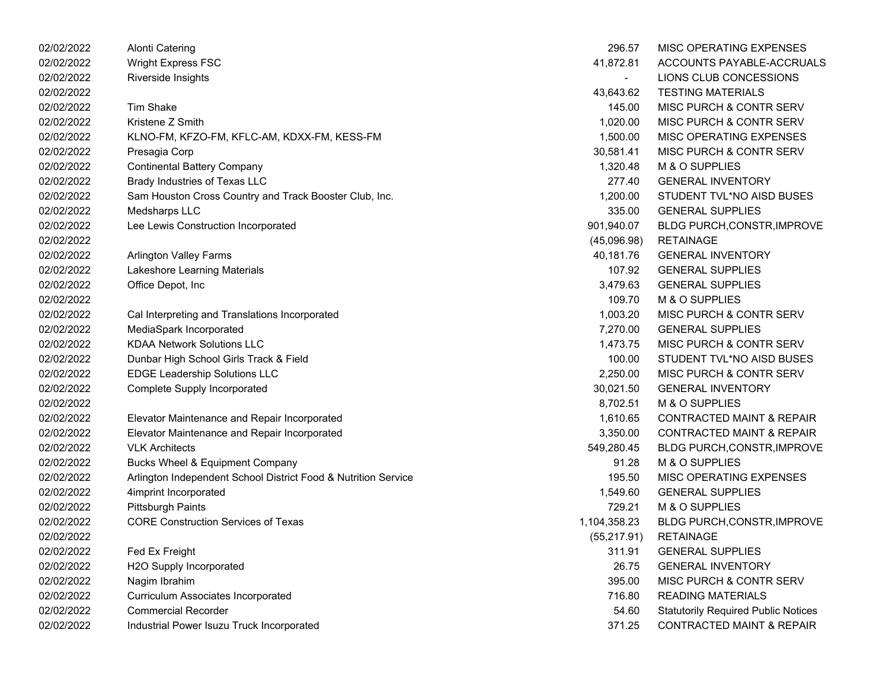| 02/02/2022 | <b>Alonti Catering</b>                                         | 296.57       | MISC OPERATING EXPENSES                    |
|------------|----------------------------------------------------------------|--------------|--------------------------------------------|
| 02/02/2022 | <b>Wright Express FSC</b>                                      | 41,872.81    | ACCOUNTS PAYABLE-ACCRUALS                  |
| 02/02/2022 | Riverside Insights                                             |              | LIONS CLUB CONCESSIONS                     |
| 02/02/2022 |                                                                | 43,643.62    | <b>TESTING MATERIALS</b>                   |
| 02/02/2022 | <b>Tim Shake</b>                                               | 145.00       | MISC PURCH & CONTR SERV                    |
| 02/02/2022 | Kristene Z Smith                                               | 1,020.00     | MISC PURCH & CONTR SERV                    |
| 02/02/2022 | KLNO-FM, KFZO-FM, KFLC-AM, KDXX-FM, KESS-FM                    | 1,500.00     | <b>MISC OPERATING EXPENSES</b>             |
| 02/02/2022 | Presagia Corp                                                  | 30,581.41    | MISC PURCH & CONTR SERV                    |
| 02/02/2022 | <b>Continental Battery Company</b>                             | 1,320.48     | M & O SUPPLIES                             |
| 02/02/2022 | Brady Industries of Texas LLC                                  | 277.40       | <b>GENERAL INVENTORY</b>                   |
| 02/02/2022 | Sam Houston Cross Country and Track Booster Club, Inc.         | 1,200.00     | STUDENT TVL*NO AISD BUSES                  |
| 02/02/2022 | Medsharps LLC                                                  | 335.00       | <b>GENERAL SUPPLIES</b>                    |
| 02/02/2022 | Lee Lewis Construction Incorporated                            | 901,940.07   | BLDG PURCH, CONSTR, IMPROVE                |
| 02/02/2022 |                                                                | (45,096.98)  | <b>RETAINAGE</b>                           |
| 02/02/2022 | <b>Arlington Valley Farms</b>                                  | 40,181.76    | <b>GENERAL INVENTORY</b>                   |
| 02/02/2022 | Lakeshore Learning Materials                                   | 107.92       | <b>GENERAL SUPPLIES</b>                    |
| 02/02/2022 | Office Depot, Inc                                              | 3,479.63     | <b>GENERAL SUPPLIES</b>                    |
| 02/02/2022 |                                                                | 109.70       | M & O SUPPLIES                             |
| 02/02/2022 | Cal Interpreting and Translations Incorporated                 | 1,003.20     | <b>MISC PURCH &amp; CONTR SERV</b>         |
| 02/02/2022 | MediaSpark Incorporated                                        | 7,270.00     | <b>GENERAL SUPPLIES</b>                    |
| 02/02/2022 | <b>KDAA Network Solutions LLC</b>                              | 1,473.75     | <b>MISC PURCH &amp; CONTR SERV</b>         |
| 02/02/2022 | Dunbar High School Girls Track & Field                         | 100.00       | STUDENT TVL*NO AISD BUSES                  |
| 02/02/2022 | <b>EDGE Leadership Solutions LLC</b>                           | 2,250.00     | MISC PURCH & CONTR SERV                    |
| 02/02/2022 | <b>Complete Supply Incorporated</b>                            | 30,021.50    | <b>GENERAL INVENTORY</b>                   |
| 02/02/2022 |                                                                | 8,702.51     | M & O SUPPLIES                             |
| 02/02/2022 | Elevator Maintenance and Repair Incorporated                   | 1,610.65     | <b>CONTRACTED MAINT &amp; REPAIR</b>       |
| 02/02/2022 | Elevator Maintenance and Repair Incorporated                   | 3,350.00     | <b>CONTRACTED MAINT &amp; REPAIR</b>       |
| 02/02/2022 | <b>VLK Architects</b>                                          | 549,280.45   | BLDG PURCH, CONSTR, IMPROVE                |
| 02/02/2022 | <b>Bucks Wheel &amp; Equipment Company</b>                     | 91.28        | M & O SUPPLIES                             |
| 02/02/2022 | Arlington Independent School District Food & Nutrition Service | 195.50       | MISC OPERATING EXPENSES                    |
| 02/02/2022 | 4imprint Incorporated                                          | 1,549.60     | <b>GENERAL SUPPLIES</b>                    |
| 02/02/2022 | <b>Pittsburgh Paints</b>                                       | 729.21       | M & O SUPPLIES                             |
| 02/02/2022 | <b>CORE Construction Services of Texas</b>                     | 1,104,358.23 | BLDG PURCH, CONSTR, IMPROVE                |
| 02/02/2022 |                                                                | (55, 217.91) | <b>RETAINAGE</b>                           |
| 02/02/2022 | Fed Ex Freight                                                 | 311.91       | <b>GENERAL SUPPLIES</b>                    |
| 02/02/2022 | H2O Supply Incorporated                                        | 26.75        | <b>GENERAL INVENTORY</b>                   |
| 02/02/2022 | Nagim Ibrahim                                                  | 395.00       | MISC PURCH & CONTR SERV                    |
| 02/02/2022 | <b>Curriculum Associates Incorporated</b>                      | 716.80       | <b>READING MATERIALS</b>                   |
| 02/02/2022 | <b>Commercial Recorder</b>                                     | 54.60        | <b>Statutorily Required Public Notices</b> |
| 02/02/2022 | Industrial Power Isuzu Truck Incorporated                      | 371.25       | <b>CONTRACTED MAINT &amp; REPAIR</b>       |

| 296.57       | MISC OPERATING EXPENSES                    |
|--------------|--------------------------------------------|
| 41,872.81    | ACCOUNTS PAYABLE-ACCRUALS                  |
| -            | LIONS CLUB CONCESSIONS                     |
| 43,643.62    | <b>TESTING MATERIALS</b>                   |
| 145.00       | <b>MISC PURCH &amp; CONTR SERV</b>         |
| 1,020.00     | <b>MISC PURCH &amp; CONTR SERV</b>         |
| 1,500.00     | <b>MISC OPERATING EXPENSES</b>             |
| 30,581.41    | <b>MISC PURCH &amp; CONTR SERV</b>         |
| 1,320.48     | M & O SUPPLIES                             |
| 277.40       | <b>GENERAL INVENTORY</b>                   |
| 1,200.00     | STUDENT TVL*NO AISD BUSES                  |
| 335.00       | <b>GENERAL SUPPLIES</b>                    |
| 901,940.07   | <b>BLDG PURCH,CONSTR,IMPROVE</b>           |
| (45,096.98)  | <b>RETAINAGE</b>                           |
| 40,181.76    | <b>GENERAL INVENTORY</b>                   |
| 107.92       | <b>GENERAL SUPPLIES</b>                    |
| 3,479.63     | <b>GENERAL SUPPLIES</b>                    |
| 109.70       | M & O SUPPLIES                             |
| 1,003.20     | <b>MISC PURCH &amp; CONTR SERV</b>         |
| 7,270.00     | <b>GENERAL SUPPLIES</b>                    |
| 1,473.75     | <b>MISC PURCH &amp; CONTR SERV</b>         |
| 100.00       | STUDENT TVL*NO AISD BUSES                  |
| 2,250.00     | <b>MISC PURCH &amp; CONTR SERV</b>         |
| 30,021.50    | <b>GENERAL INVENTORY</b>                   |
| 8,702.51     | <b>M &amp; O SUPPLIES</b>                  |
| 1,610.65     | <b>CONTRACTED MAINT &amp; REPAIR</b>       |
| 3,350.00     | <b>CONTRACTED MAINT &amp; REPAIR</b>       |
| 549,280.45   | BLDG PURCH, CONSTR, IMPROVE                |
| 91.28        | <b>M &amp; O SUPPLIES</b>                  |
| 195.50       | <b>MISC OPERATING EXPENSES</b>             |
| 1,549.60     | <b>GENERAL SUPPLIES</b>                    |
| 729.21       | M & O SUPPLIES                             |
| 104,358.23   | BLDG PURCH, CONSTR, IMPROVE                |
| (55, 217.91) | <b>RETAINAGE</b>                           |
| 311.91       | <b>GENERAL SUPPLIES</b>                    |
| 26.75        | <b>GENERAL INVENTORY</b>                   |
| 395.00       | <b>MISC PURCH &amp; CONTR SERV</b>         |
| 716.80       | <b>READING MATERIALS</b>                   |
| 54.60        | <b>Statutorily Required Public Notices</b> |
| 371.25       | CONTRACTED MAINT & REPAIR                  |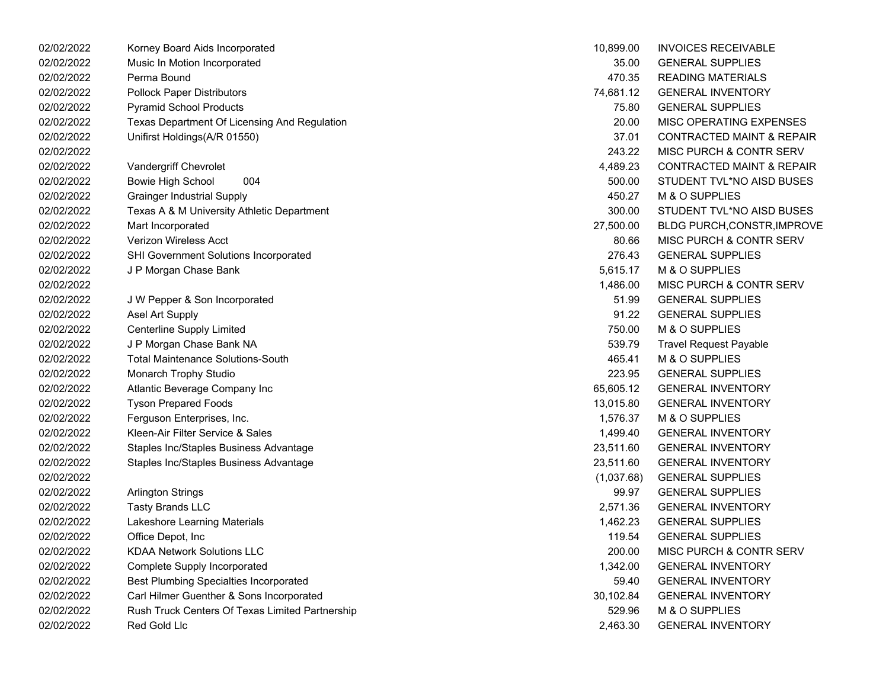| 02/02/2022 | Korney Board Aids Incorporated                  | 10,899.00  | <b>INVOICES RECEIVABLE</b>           |
|------------|-------------------------------------------------|------------|--------------------------------------|
| 02/02/2022 | Music In Motion Incorporated                    | 35.00      | <b>GENERAL SUPPLIES</b>              |
| 02/02/2022 | Perma Bound                                     | 470.35     | <b>READING MATERIALS</b>             |
| 02/02/2022 | <b>Pollock Paper Distributors</b>               | 74,681.12  | <b>GENERAL INVENTORY</b>             |
| 02/02/2022 | <b>Pyramid School Products</b>                  | 75.80      | <b>GENERAL SUPPLIES</b>              |
| 02/02/2022 | Texas Department Of Licensing And Regulation    | 20.00      | MISC OPERATING EXPENSES              |
| 02/02/2022 | Unifirst Holdings(A/R 01550)                    | 37.01      | <b>CONTRACTED MAINT &amp; REPAIR</b> |
| 02/02/2022 |                                                 | 243.22     | MISC PURCH & CONTR SERV              |
| 02/02/2022 | Vandergriff Chevrolet                           | 4,489.23   | <b>CONTRACTED MAINT &amp; REPAIR</b> |
| 02/02/2022 | 004<br><b>Bowie High School</b>                 | 500.00     | STUDENT TVL*NO AISD BUSES            |
| 02/02/2022 | <b>Grainger Industrial Supply</b>               | 450.27     | M & O SUPPLIES                       |
| 02/02/2022 | Texas A & M University Athletic Department      | 300.00     | STUDENT TVL*NO AISD BUSES            |
| 02/02/2022 | Mart Incorporated                               | 27,500.00  | <b>BLDG PURCH, CONSTR, IMPROVE</b>   |
| 02/02/2022 | Verizon Wireless Acct                           | 80.66      | MISC PURCH & CONTR SERV              |
| 02/02/2022 | SHI Government Solutions Incorporated           | 276.43     | <b>GENERAL SUPPLIES</b>              |
| 02/02/2022 | J P Morgan Chase Bank                           | 5,615.17   | M & O SUPPLIES                       |
| 02/02/2022 |                                                 | 1,486.00   | <b>MISC PURCH &amp; CONTR SERV</b>   |
| 02/02/2022 | J W Pepper & Son Incorporated                   | 51.99      | <b>GENERAL SUPPLIES</b>              |
| 02/02/2022 | Asel Art Supply                                 | 91.22      | <b>GENERAL SUPPLIES</b>              |
| 02/02/2022 | Centerline Supply Limited                       | 750.00     | M & O SUPPLIES                       |
| 02/02/2022 | J P Morgan Chase Bank NA                        | 539.79     | <b>Travel Request Payable</b>        |
| 02/02/2022 | <b>Total Maintenance Solutions-South</b>        | 465.41     | M & O SUPPLIES                       |
| 02/02/2022 | Monarch Trophy Studio                           | 223.95     | <b>GENERAL SUPPLIES</b>              |
| 02/02/2022 | Atlantic Beverage Company Inc                   | 65,605.12  | <b>GENERAL INVENTORY</b>             |
| 02/02/2022 | <b>Tyson Prepared Foods</b>                     | 13,015.80  | <b>GENERAL INVENTORY</b>             |
| 02/02/2022 | Ferguson Enterprises, Inc.                      | 1,576.37   | M & O SUPPLIES                       |
| 02/02/2022 | Kleen-Air Filter Service & Sales                | 1,499.40   | <b>GENERAL INVENTORY</b>             |
| 02/02/2022 | Staples Inc/Staples Business Advantage          | 23,511.60  | <b>GENERAL INVENTORY</b>             |
| 02/02/2022 | Staples Inc/Staples Business Advantage          | 23,511.60  | <b>GENERAL INVENTORY</b>             |
| 02/02/2022 |                                                 | (1,037.68) | <b>GENERAL SUPPLIES</b>              |
| 02/02/2022 | <b>Arlington Strings</b>                        | 99.97      | <b>GENERAL SUPPLIES</b>              |
| 02/02/2022 | <b>Tasty Brands LLC</b>                         | 2,571.36   | <b>GENERAL INVENTORY</b>             |
| 02/02/2022 | Lakeshore Learning Materials                    | 1,462.23   | <b>GENERAL SUPPLIES</b>              |
| 02/02/2022 | Office Depot, Inc                               | 119.54     | <b>GENERAL SUPPLIES</b>              |
| 02/02/2022 | <b>KDAA Network Solutions LLC</b>               | 200.00     | MISC PURCH & CONTR SERV              |
| 02/02/2022 | <b>Complete Supply Incorporated</b>             | 1,342.00   | <b>GENERAL INVENTORY</b>             |
| 02/02/2022 | <b>Best Plumbing Specialties Incorporated</b>   | 59.40      | <b>GENERAL INVENTORY</b>             |
| 02/02/2022 | Carl Hilmer Guenther & Sons Incorporated        | 30,102.84  | <b>GENERAL INVENTORY</b>             |
| 02/02/2022 | Rush Truck Centers Of Texas Limited Partnership | 529.96     | M & O SUPPLIES                       |
| 02/02/2022 | Red Gold Llc                                    | 2,463.30   | <b>GENERAL INVENTORY</b>             |

| 10,899.00  | <b>INVOICES RECEIVABLE</b>           |
|------------|--------------------------------------|
| 35.00      | <b>GENERAL SUPPLIES</b>              |
| 470.35     | <b>READING MATERIALS</b>             |
| 74,681.12  | <b>GENERAL INVENTORY</b>             |
| 75.80      | <b>GENERAL SUPPLIES</b>              |
| 20.00      | <b>MISC OPERATING EXPENSES</b>       |
| 37.01      | <b>CONTRACTED MAINT &amp; REPAIR</b> |
| 243.22     | <b>MISC PURCH &amp; CONTR SERV</b>   |
| 4,489.23   | <b>CONTRACTED MAINT &amp; REPAIR</b> |
| 500.00     | STUDENT TVL*NO AISD BUSES            |
| 450.27     | <b>M &amp; O SUPPLIES</b>            |
| 300.00     | STUDENT TVL*NO AISD BUSES            |
| 27,500.00  | <b>BLDG PURCH, CONSTR, IMPROVI</b>   |
| 80.66      | <b>MISC PURCH &amp; CONTR SERV</b>   |
| 276.43     | <b>GENERAL SUPPLIES</b>              |
| 5,615.17   | <b>M &amp; O SUPPLIES</b>            |
| 1,486.00   | <b>MISC PURCH &amp; CONTR SERV</b>   |
| 51.99      | <b>GENERAL SUPPLIES</b>              |
| 91.22      | <b>GENERAL SUPPLIES</b>              |
| 750.00     | M & O SUPPLIES                       |
| 539.79     | <b>Travel Request Payable</b>        |
| 465.41     | <b>M &amp; O SUPPLIES</b>            |
| 223.95     | <b>GENERAL SUPPLIES</b>              |
| 65,605.12  | <b>GENERAL INVENTORY</b>             |
| 13,015.80  | <b>GENERAL INVENTORY</b>             |
| 1,576.37   | M & O SUPPLIES                       |
| 1,499.40   | <b>GENERAL INVENTORY</b>             |
| 23,511.60  | <b>GENERAL INVENTORY</b>             |
| 23,511.60  | <b>GENERAL INVENTORY</b>             |
| (1,037.68) | <b>GENERAL SUPPLIES</b>              |
| 99.97      | <b>GENERAL SUPPLIES</b>              |
| 2,571.36   | <b>GENERAL INVENTORY</b>             |
| 1,462.23   | <b>GENERAL SUPPLIES</b>              |
| 119.54     | <b>GENERAL SUPPLIES</b>              |
| 200.00     | <b>MISC PURCH &amp; CONTR SERV</b>   |
| 1,342.00   | <b>GENERAL INVENTORY</b>             |
| 59.40      | <b>GENERAL INVENTORY</b>             |
| 30,102.84  | <b>GENERAL INVENTORY</b>             |
| 529.96     | <b>M &amp; O SUPPLIES</b>            |
| 2,463.30   | <b>GENERAL INVENTORY</b>             |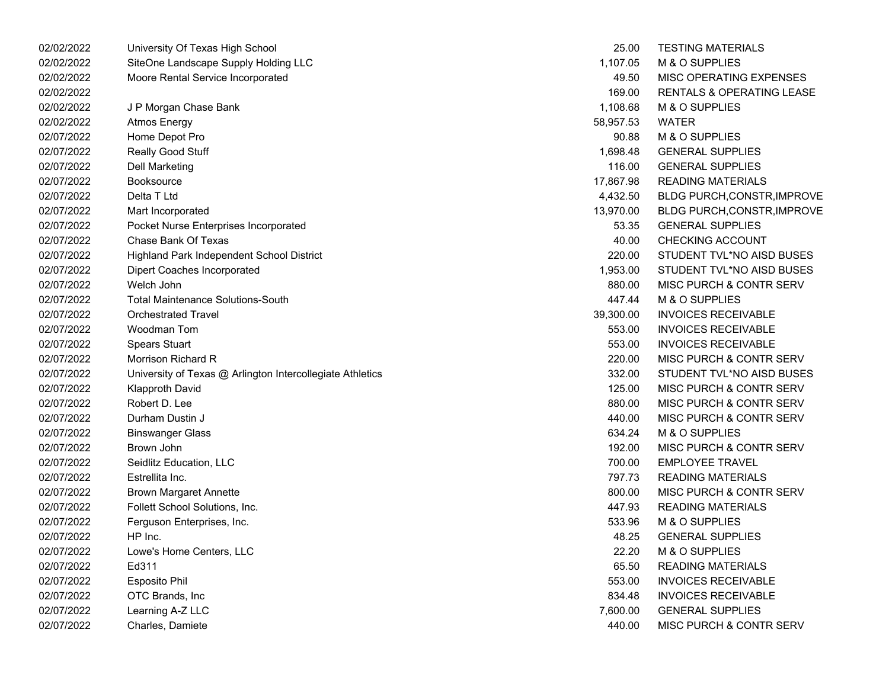| 02/02/2022 | University Of Texas High School                           | 25.00     | <b>TESTING MATERIALS</b>           |
|------------|-----------------------------------------------------------|-----------|------------------------------------|
| 02/02/2022 | SiteOne Landscape Supply Holding LLC                      | 1,107.05  | M & O SUPPLIES                     |
| 02/02/2022 | Moore Rental Service Incorporated                         | 49.50     | MISC OPERATING EXPENSES            |
| 02/02/2022 |                                                           | 169.00    | RENTALS & OPERATING LEASE          |
| 02/02/2022 | J P Morgan Chase Bank                                     | 1,108.68  | M & O SUPPLIES                     |
| 02/02/2022 | <b>Atmos Energy</b>                                       | 58,957.53 | <b>WATER</b>                       |
| 02/07/2022 | Home Depot Pro                                            | 90.88     | M & O SUPPLIES                     |
| 02/07/2022 | Really Good Stuff                                         | 1,698.48  | <b>GENERAL SUPPLIES</b>            |
| 02/07/2022 | <b>Dell Marketing</b>                                     | 116.00    | <b>GENERAL SUPPLIES</b>            |
| 02/07/2022 | <b>Booksource</b>                                         | 17,867.98 | <b>READING MATERIALS</b>           |
| 02/07/2022 | Delta T Ltd                                               | 4,432.50  | <b>BLDG PURCH, CONSTR, IMPROVE</b> |
| 02/07/2022 | Mart Incorporated                                         | 13,970.00 | <b>BLDG PURCH, CONSTR, IMPROVE</b> |
| 02/07/2022 | Pocket Nurse Enterprises Incorporated                     | 53.35     | <b>GENERAL SUPPLIES</b>            |
| 02/07/2022 | Chase Bank Of Texas                                       | 40.00     | <b>CHECKING ACCOUNT</b>            |
| 02/07/2022 | Highland Park Independent School District                 | 220.00    | STUDENT TVL*NO AISD BUSES          |
| 02/07/2022 | Dipert Coaches Incorporated                               | 1,953.00  | STUDENT TVL*NO AISD BUSES          |
| 02/07/2022 | Welch John                                                | 880.00    | MISC PURCH & CONTR SERV            |
| 02/07/2022 | <b>Total Maintenance Solutions-South</b>                  | 447.44    | M & O SUPPLIES                     |
| 02/07/2022 | <b>Orchestrated Travel</b>                                | 39,300.00 | <b>INVOICES RECEIVABLE</b>         |
| 02/07/2022 | Woodman Tom                                               | 553.00    | <b>INVOICES RECEIVABLE</b>         |
| 02/07/2022 | <b>Spears Stuart</b>                                      | 553.00    | <b>INVOICES RECEIVABLE</b>         |
| 02/07/2022 | Morrison Richard R                                        | 220.00    | MISC PURCH & CONTR SERV            |
| 02/07/2022 | University of Texas @ Arlington Intercollegiate Athletics | 332.00    | STUDENT TVL*NO AISD BUSES          |
| 02/07/2022 | <b>Klapproth David</b>                                    | 125.00    | MISC PURCH & CONTR SERV            |
| 02/07/2022 | Robert D. Lee                                             | 880.00    | MISC PURCH & CONTR SERV            |
| 02/07/2022 | Durham Dustin J                                           | 440.00    | MISC PURCH & CONTR SERV            |
| 02/07/2022 | <b>Binswanger Glass</b>                                   | 634.24    | M & O SUPPLIES                     |
| 02/07/2022 | Brown John                                                | 192.00    | MISC PURCH & CONTR SERV            |
| 02/07/2022 | Seidlitz Education, LLC                                   | 700.00    | <b>EMPLOYEE TRAVEL</b>             |
| 02/07/2022 | Estrellita Inc.                                           | 797.73    | <b>READING MATERIALS</b>           |
| 02/07/2022 | <b>Brown Margaret Annette</b>                             | 800.00    | MISC PURCH & CONTR SERV            |
| 02/07/2022 | Follett School Solutions, Inc.                            | 447.93    | <b>READING MATERIALS</b>           |
| 02/07/2022 | Ferguson Enterprises, Inc.                                | 533.96    | M & O SUPPLIES                     |
| 02/07/2022 | HP Inc.                                                   | 48.25     | <b>GENERAL SUPPLIES</b>            |
| 02/07/2022 | Lowe's Home Centers, LLC                                  | 22.20     | M & O SUPPLIES                     |
| 02/07/2022 | Ed311                                                     | 65.50     | <b>READING MATERIALS</b>           |
| 02/07/2022 | <b>Esposito Phil</b>                                      | 553.00    | <b>INVOICES RECEIVABLE</b>         |
| 02/07/2022 | OTC Brands, Inc                                           | 834.48    | <b>INVOICES RECEIVABLE</b>         |
| 02/07/2022 | Learning A-Z LLC                                          | 7,600.00  | <b>GENERAL SUPPLIES</b>            |
| 02/07/2022 | Charles, Damiete                                          | 440.00    | MISC PURCH & CONTR SERV            |

| 25.00     | <b>TESTING MATERIALS</b>           |
|-----------|------------------------------------|
| 1,107.05  | M & O SUPPLIES                     |
| 49.50     | MISC OPERATING EXPENSES            |
| 169.00    | RENTALS & OPERATING LEASE          |
| 1,108.68  | M & O SUPPLIES                     |
| 58,957.53 | <b>WATER</b>                       |
| 90.88     | M & O SUPPLIES                     |
| 1,698.48  | <b>GENERAL SUPPLIES</b>            |
| 116.00    | <b>GENERAL SUPPLIES</b>            |
| 17,867.98 | <b>READING MATERIALS</b>           |
| 4,432.50  | <b>BLDG PURCH, CONSTR, IMPROVE</b> |
| 13,970.00 | <b>BLDG PURCH, CONSTR, IMPROVE</b> |
| 53.35     | <b>GENERAL SUPPLIES</b>            |
| 40.00     | <b>CHECKING ACCOUNT</b>            |
| 220.00    | STUDENT TVL*NO AISD BUSES          |
| 1,953.00  | STUDENT TVL*NO AISD BUSES          |
| 880.00    | MISC PURCH & CONTR SERV            |
| 447.44    | M & O SUPPLIES                     |
| 39,300.00 | <b>INVOICES RECEIVABLE</b>         |
| 553.00    | <b>INVOICES RECEIVABLE</b>         |
| 553.00    | <b>INVOICES RECEIVABLE</b>         |
| 220.00    | MISC PURCH & CONTR SERV            |
| 332.00    | STUDENT TVL*NO AISD BUSES          |
| 125.00    | MISC PURCH & CONTR SERV            |
| 880.00    | MISC PURCH & CONTR SERV            |
| 440.00    | <b>MISC PURCH &amp; CONTR SERV</b> |
| 634.24    | M & O SUPPLIES                     |
| 192.00    | MISC PURCH & CONTR SERV            |
| 700.00    | <b>EMPLOYEE TRAVEL</b>             |
| 797.73    | <b>READING MATERIALS</b>           |
| 800.00    | <b>MISC PURCH &amp; CONTR SERV</b> |
| 447.93    | <b>READING MATERIALS</b>           |
| 533.96    | M & O SUPPLIES                     |
| 48.25     | <b>GENERAL SUPPLIES</b>            |
| 22.20     | M & O SUPPLIES                     |
| 65.50     | <b>READING MATERIALS</b>           |
| 553.00    | <b>INVOICES RECEIVABLE</b>         |
| 834.48    | <b>INVOICES RECEIVABLE</b>         |
| 7,600.00  | <b>GENERAL SUPPLIES</b>            |
| 440.00    | <b>MISC PURCH &amp; CONTR SERV</b> |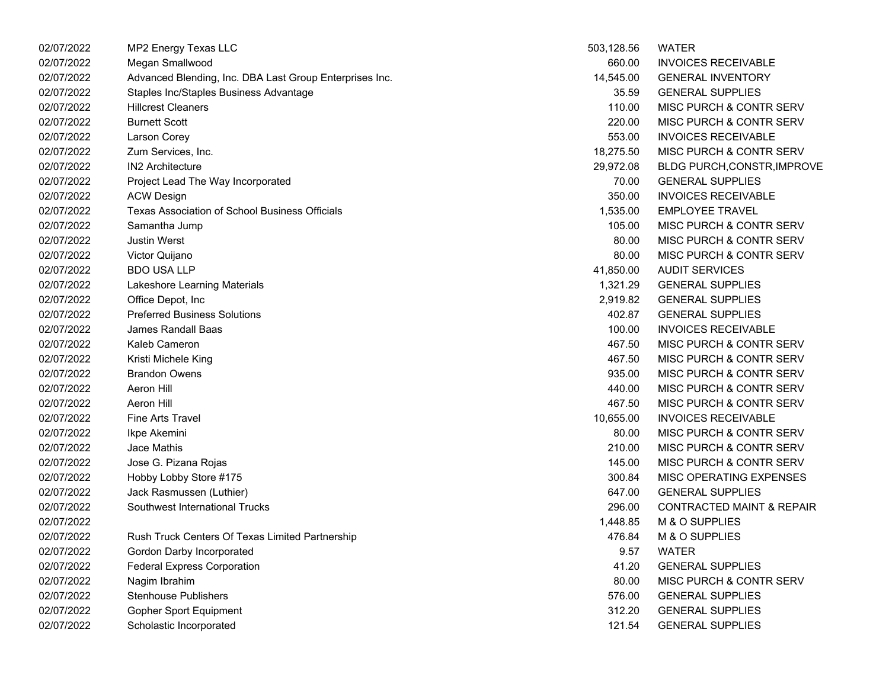| 02/07/2022 | MP2 Energy Texas LLC                                    | 503,128.56 | <b>WATER</b>                         |
|------------|---------------------------------------------------------|------------|--------------------------------------|
| 02/07/2022 | Megan Smallwood                                         | 660.00     | <b>INVOICES RECEIVABLE</b>           |
| 02/07/2022 | Advanced Blending, Inc. DBA Last Group Enterprises Inc. | 14,545.00  | <b>GENERAL INVENTORY</b>             |
| 02/07/2022 | Staples Inc/Staples Business Advantage                  | 35.59      | <b>GENERAL SUPPLIES</b>              |
| 02/07/2022 | <b>Hillcrest Cleaners</b>                               | 110.00     | MISC PURCH & CONTR SERV              |
| 02/07/2022 | <b>Burnett Scott</b>                                    | 220.00     | MISC PURCH & CONTR SERV              |
| 02/07/2022 | Larson Corey                                            | 553.00     | <b>INVOICES RECEIVABLE</b>           |
| 02/07/2022 | Zum Services, Inc.                                      | 18,275.50  | MISC PURCH & CONTR SERV              |
| 02/07/2022 | <b>IN2 Architecture</b>                                 | 29,972.08  | <b>BLDG PURCH, CONSTR, IMPROVE</b>   |
| 02/07/2022 | Project Lead The Way Incorporated                       | 70.00      | <b>GENERAL SUPPLIES</b>              |
| 02/07/2022 | <b>ACW Design</b>                                       | 350.00     | <b>INVOICES RECEIVABLE</b>           |
| 02/07/2022 | Texas Association of School Business Officials          | 1,535.00   | <b>EMPLOYEE TRAVEL</b>               |
| 02/07/2022 | Samantha Jump                                           | 105.00     | MISC PURCH & CONTR SERV              |
| 02/07/2022 | <b>Justin Werst</b>                                     | 80.00      | MISC PURCH & CONTR SERV              |
| 02/07/2022 | Victor Quijano                                          | 80.00      | MISC PURCH & CONTR SERV              |
| 02/07/2022 | <b>BDO USA LLP</b>                                      | 41,850.00  | <b>AUDIT SERVICES</b>                |
| 02/07/2022 | Lakeshore Learning Materials                            | 1,321.29   | <b>GENERAL SUPPLIES</b>              |
| 02/07/2022 | Office Depot, Inc                                       | 2,919.82   | <b>GENERAL SUPPLIES</b>              |
| 02/07/2022 | <b>Preferred Business Solutions</b>                     | 402.87     | <b>GENERAL SUPPLIES</b>              |
| 02/07/2022 | James Randall Baas                                      | 100.00     | <b>INVOICES RECEIVABLE</b>           |
| 02/07/2022 | Kaleb Cameron                                           | 467.50     | MISC PURCH & CONTR SERV              |
| 02/07/2022 | Kristi Michele King                                     | 467.50     | MISC PURCH & CONTR SERV              |
| 02/07/2022 | <b>Brandon Owens</b>                                    | 935.00     | MISC PURCH & CONTR SERV              |
| 02/07/2022 | Aeron Hill                                              | 440.00     | MISC PURCH & CONTR SERV              |
| 02/07/2022 | Aeron Hill                                              | 467.50     | MISC PURCH & CONTR SERV              |
| 02/07/2022 | <b>Fine Arts Travel</b>                                 | 10,655.00  | <b>INVOICES RECEIVABLE</b>           |
| 02/07/2022 | Ikpe Akemini                                            | 80.00      | MISC PURCH & CONTR SERV              |
| 02/07/2022 | Jace Mathis                                             | 210.00     | MISC PURCH & CONTR SERV              |
| 02/07/2022 | Jose G. Pizana Rojas                                    | 145.00     | MISC PURCH & CONTR SERV              |
| 02/07/2022 | Hobby Lobby Store #175                                  | 300.84     | MISC OPERATING EXPENSES              |
| 02/07/2022 | Jack Rasmussen (Luthier)                                | 647.00     | <b>GENERAL SUPPLIES</b>              |
| 02/07/2022 | Southwest International Trucks                          | 296.00     | <b>CONTRACTED MAINT &amp; REPAIR</b> |
| 02/07/2022 |                                                         | 1,448.85   | M & O SUPPLIES                       |
| 02/07/2022 | Rush Truck Centers Of Texas Limited Partnership         | 476.84     | M & O SUPPLIES                       |
| 02/07/2022 | Gordon Darby Incorporated                               | 9.57       | <b>WATER</b>                         |
| 02/07/2022 | <b>Federal Express Corporation</b>                      | 41.20      | <b>GENERAL SUPPLIES</b>              |
| 02/07/2022 | Nagim Ibrahim                                           | 80.00      | MISC PURCH & CONTR SERV              |
| 02/07/2022 | <b>Stenhouse Publishers</b>                             | 576.00     | <b>GENERAL SUPPLIES</b>              |
| 02/07/2022 | <b>Gopher Sport Equipment</b>                           | 312.20     | <b>GENERAL SUPPLIES</b>              |
| 02/07/2022 | Scholastic Incorporated                                 | 121.54     | <b>GENERAL SUPPLIES</b>              |

| 503,128.56 | WATER                                |
|------------|--------------------------------------|
| 660.00     | <b>INVOICES RECEIVABLE</b>           |
| 14,545.00  | <b>GENERAL INVENTORY</b>             |
| 35.59      | <b>GENERAL SUPPLIES</b>              |
| 110.00     | <b>MISC PURCH &amp; CONTR SERV</b>   |
| 220.00     | MISC PURCH & CONTR SERV              |
| 553.00     | <b>INVOICES RECEIVABLE</b>           |
| 18,275.50  | <b>MISC PURCH &amp; CONTR SERV</b>   |
| 29,972.08  | BLDG PURCH, CONSTR, IMPROVE          |
| 70.00      | <b>GENERAL SUPPLIES</b>              |
| 350.00     | <b>INVOICES RECEIVABLE</b>           |
|            | 1,535.00 EMPLOYEE TRAVEL             |
| 105.00     | MISC PURCH & CONTR SERV              |
| 80.00      | MISC PURCH & CONTR SERV              |
| 80.00      | MISC PURCH & CONTR SERV              |
| 41,850.00  | <b>AUDIT SERVICES</b>                |
| 1,321.29   | <b>GENERAL SUPPLIES</b>              |
| 2,919.82   | <b>GENERAL SUPPLIES</b>              |
| 402.87     | <b>GENERAL SUPPLIES</b>              |
| 100.00     | <b>INVOICES RECEIVABLE</b>           |
| 467.50     | MISC PURCH & CONTR SERV              |
| 467.50     | MISC PURCH & CONTR SERV              |
| 935.00     | <b>MISC PURCH &amp; CONTR SERV</b>   |
| 440.00     | MISC PURCH & CONTR SERV              |
| 467.50     | MISC PURCH & CONTR SERV              |
| 10,655.00  | <b>INVOICES RECEIVABLE</b>           |
| 80.00      | MISC PURCH & CONTR SERV              |
| 210.00     | <b>MISC PURCH &amp; CONTR SERV</b>   |
| 145.00     | MISC PURCH & CONTR SERV              |
| 300.84     | MISC OPERATING EXPENSES              |
| 647.00     | <b>GENERAL SUPPLIES</b>              |
| 296.00     | <b>CONTRACTED MAINT &amp; REPAIR</b> |
| 1,448.85   | M & O SUPPLIES                       |
| 476.84     | M & O SUPPLIES                       |
| 9.57       | <b>WATFR</b>                         |
| 41.20      | <b>GENERAL SUPPLIES</b>              |
| 80.00      | <b>MISC PURCH &amp; CONTR SERV</b>   |
| 576.00     | <b>GENERAL SUPPLIES</b>              |
| 312.20     | <b>GENERAL SUPPLIES</b>              |
| 121.54     | <b>GENERAL SUPPLIES</b>              |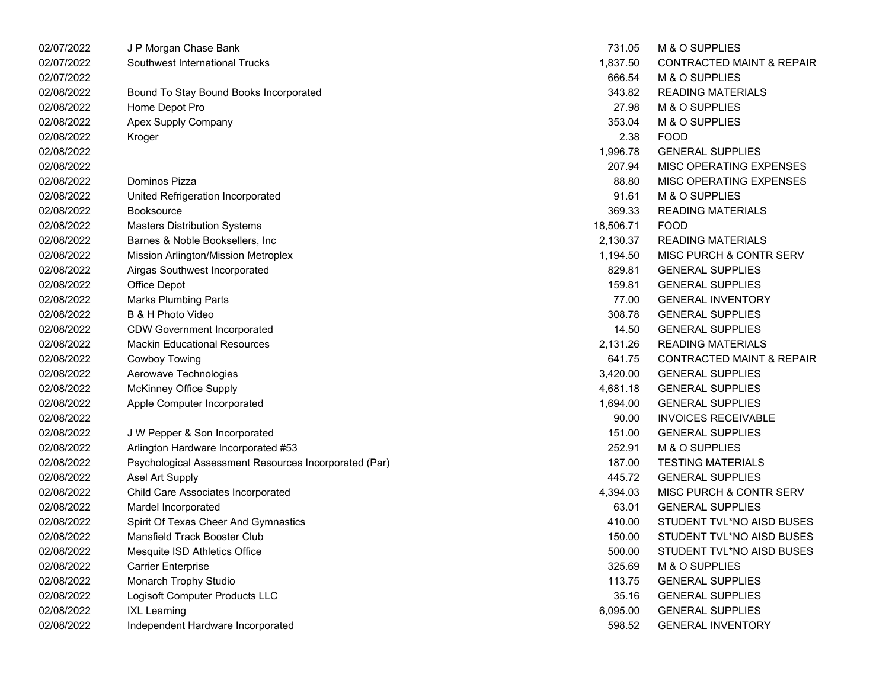| 02/07/2022 | J P Morgan Chase Bank                                 | 731.05    | M & O SUPPLIES                       |
|------------|-------------------------------------------------------|-----------|--------------------------------------|
| 02/07/2022 | Southwest International Trucks                        | 1,837.50  | <b>CONTRACTED MAINT &amp; REPAIR</b> |
| 02/07/2022 |                                                       | 666.54    | M & O SUPPLIES                       |
| 02/08/2022 | Bound To Stay Bound Books Incorporated                | 343.82    | <b>READING MATERIALS</b>             |
| 02/08/2022 | Home Depot Pro                                        | 27.98     | M & O SUPPLIES                       |
| 02/08/2022 | Apex Supply Company                                   | 353.04    | M & O SUPPLIES                       |
| 02/08/2022 | Kroger                                                | 2.38      | <b>FOOD</b>                          |
| 02/08/2022 |                                                       | 1,996.78  | <b>GENERAL SUPPLIES</b>              |
| 02/08/2022 |                                                       | 207.94    | MISC OPERATING EXPENSES              |
| 02/08/2022 | Dominos Pizza                                         | 88.80     | MISC OPERATING EXPENSES              |
| 02/08/2022 | United Refrigeration Incorporated                     | 91.61     | M & O SUPPLIES                       |
| 02/08/2022 | Booksource                                            | 369.33    | <b>READING MATERIALS</b>             |
| 02/08/2022 | <b>Masters Distribution Systems</b>                   | 18,506.71 | <b>FOOD</b>                          |
| 02/08/2022 | Barnes & Noble Booksellers, Inc.                      | 2,130.37  | <b>READING MATERIALS</b>             |
| 02/08/2022 | Mission Arlington/Mission Metroplex                   | 1,194.50  | MISC PURCH & CONTR SERV              |
| 02/08/2022 | Airgas Southwest Incorporated                         | 829.81    | <b>GENERAL SUPPLIES</b>              |
| 02/08/2022 | Office Depot                                          | 159.81    | <b>GENERAL SUPPLIES</b>              |
| 02/08/2022 | <b>Marks Plumbing Parts</b>                           | 77.00     | <b>GENERAL INVENTORY</b>             |
| 02/08/2022 | B & H Photo Video                                     | 308.78    | <b>GENERAL SUPPLIES</b>              |
| 02/08/2022 | <b>CDW Government Incorporated</b>                    | 14.50     | <b>GENERAL SUPPLIES</b>              |
| 02/08/2022 | <b>Mackin Educational Resources</b>                   | 2,131.26  | <b>READING MATERIALS</b>             |
| 02/08/2022 | Cowboy Towing                                         | 641.75    | <b>CONTRACTED MAINT &amp; REPAIR</b> |
| 02/08/2022 | Aerowave Technologies                                 | 3,420.00  | <b>GENERAL SUPPLIES</b>              |
| 02/08/2022 | <b>McKinney Office Supply</b>                         | 4,681.18  | <b>GENERAL SUPPLIES</b>              |
| 02/08/2022 | Apple Computer Incorporated                           | 1,694.00  | <b>GENERAL SUPPLIES</b>              |
| 02/08/2022 |                                                       | 90.00     | <b>INVOICES RECEIVABLE</b>           |
| 02/08/2022 | J W Pepper & Son Incorporated                         | 151.00    | <b>GENERAL SUPPLIES</b>              |
| 02/08/2022 | Arlington Hardware Incorporated #53                   | 252.91    | M & O SUPPLIES                       |
| 02/08/2022 | Psychological Assessment Resources Incorporated (Par) | 187.00    | <b>TESTING MATERIALS</b>             |
| 02/08/2022 | Asel Art Supply                                       | 445.72    | <b>GENERAL SUPPLIES</b>              |
| 02/08/2022 | Child Care Associates Incorporated                    | 4,394.03  | MISC PURCH & CONTR SERV              |
| 02/08/2022 | Mardel Incorporated                                   | 63.01     | <b>GENERAL SUPPLIES</b>              |
| 02/08/2022 | Spirit Of Texas Cheer And Gymnastics                  | 410.00    | STUDENT TVL*NO AISD BUSES            |
| 02/08/2022 | Mansfield Track Booster Club                          | 150.00    | STUDENT TVL*NO AISD BUSES            |
| 02/08/2022 | Mesquite ISD Athletics Office                         | 500.00    | STUDENT TVL*NO AISD BUSES            |
| 02/08/2022 | <b>Carrier Enterprise</b>                             | 325.69    | M & O SUPPLIES                       |
| 02/08/2022 | Monarch Trophy Studio                                 | 113.75    | <b>GENERAL SUPPLIES</b>              |
| 02/08/2022 | Logisoft Computer Products LLC                        | 35.16     | <b>GENERAL SUPPLIES</b>              |
| 02/08/2022 | <b>IXL Learning</b>                                   | 6,095.00  | <b>GENERAL SUPPLIES</b>              |
| 02/08/2022 | Independent Hardware Incorporated                     | 598.52    | <b>GENERAL INVENTORY</b>             |
|            |                                                       |           |                                      |

| 731.05    | M & O SUPPLIES                       |
|-----------|--------------------------------------|
| 1,837.50  | <b>CONTRACTED MAINT &amp; REPAIR</b> |
| 666.54    | <b>M &amp; O SUPPLIES</b>            |
| 343.82    | <b>READING MATERIALS</b>             |
| 27.98     | <b>M &amp; O SUPPLIES</b>            |
| 353.04    | <b>M &amp; O SUPPLIES</b>            |
| 2.38      | <b>FOOD</b>                          |
| 1,996.78  | <b>GENERAL SUPPLIES</b>              |
| 207.94    | <b>MISC OPERATING EXPENSES</b>       |
| 88.80     | <b>MISC OPERATING EXPENSES</b>       |
| 91.61     | <b>M &amp; O SUPPLIES</b>            |
| 369.33    | <b>READING MATERIALS</b>             |
| 18.506.71 | <b>FOOD</b>                          |
| 2,130.37  | <b>READING MATERIALS</b>             |
| 1,194.50  | MISC PURCH & CONTR SERV              |
| 829.81    | <b>GENERAL SUPPLIES</b>              |
| 159.81    | <b>GENERAL SUPPLIES</b>              |
| 77.00     | <b>GENERAL INVENTORY</b>             |
| 308.78    | <b>GENERAL SUPPLIES</b>              |
| 14.50     | <b>GENERAL SUPPLIES</b>              |
| 2,131.26  | READING MATERIALS                    |
| 641.75    | <b>CONTRACTED MAINT &amp; REPAIR</b> |
| 3,420.00  | <b>GENERAL SUPPLIES</b>              |
| 4,681.18  | <b>GENERAL SUPPLIES</b>              |
| 1,694.00  | <b>GENERAL SUPPLIES</b>              |
| 90.00     | <b>INVOICES RECEIVABLE</b>           |
| 151.00    | <b>GENERAL SUPPLIES</b>              |
| 252.91    | M & O SUPPLIES                       |
| 187.00    | <b>TESTING MATERIALS</b>             |
| 445.72    | <b>GENERAL SUPPLIES</b>              |
| 4.394.03  | <b>MISC PURCH &amp; CONTR SERV</b>   |
| 63.01     | <b>GENERAL SUPPLIES</b>              |
| 410.00    | STUDENT TVL*NO AISD BUSES            |
| 150.00    | STUDENT TVL*NO AISD BUSES            |
| 500.00    | STUDENT TVL*NO AISD BUSES            |
| 325.69    | <b>M &amp; O SUPPLIES</b>            |
| 113.75    | <b>GENERAL SUPPLIES</b>              |
| 35.16     | <b>GENERAL SUPPLIES</b>              |
| 6,095.00  | <b>GENERAL SUPPLIES</b>              |
| 598.52    | <b>GENERAL INVENTORY</b>             |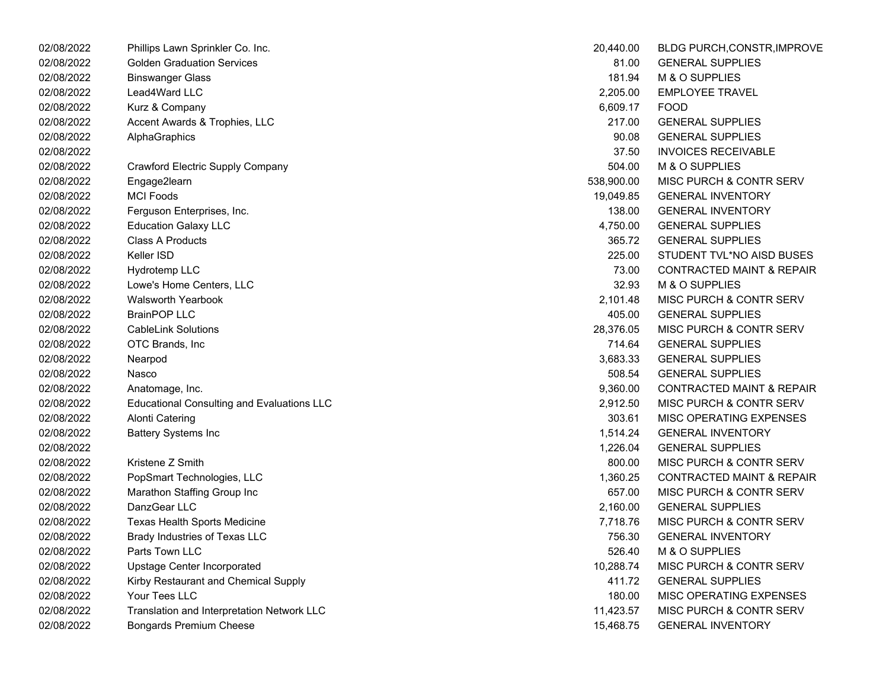| 02/08/2022 | Phillips Lawn Sprinkler Co. Inc.                  | 20,440.00  | BLDG PURCH, CONSTR, IMPROVE          |
|------------|---------------------------------------------------|------------|--------------------------------------|
| 02/08/2022 | <b>Golden Graduation Services</b>                 | 81.00      | <b>GENERAL SUPPLIES</b>              |
| 02/08/2022 | <b>Binswanger Glass</b>                           | 181.94     | M & O SUPPLIES                       |
| 02/08/2022 | Lead4Ward LLC                                     | 2,205.00   | <b>EMPLOYEE TRAVEL</b>               |
| 02/08/2022 | Kurz & Company                                    | 6,609.17   | <b>FOOD</b>                          |
| 02/08/2022 | Accent Awards & Trophies, LLC                     | 217.00     | <b>GENERAL SUPPLIES</b>              |
| 02/08/2022 | AlphaGraphics                                     | 90.08      | <b>GENERAL SUPPLIES</b>              |
| 02/08/2022 |                                                   | 37.50      | <b>INVOICES RECEIVABLE</b>           |
| 02/08/2022 | <b>Crawford Electric Supply Company</b>           | 504.00     | M & O SUPPLIES                       |
| 02/08/2022 | Engage2learn                                      | 538,900.00 | MISC PURCH & CONTR SERV              |
| 02/08/2022 | <b>MCI Foods</b>                                  | 19,049.85  | <b>GENERAL INVENTORY</b>             |
| 02/08/2022 | Ferguson Enterprises, Inc.                        | 138.00     | <b>GENERAL INVENTORY</b>             |
| 02/08/2022 | <b>Education Galaxy LLC</b>                       | 4,750.00   | <b>GENERAL SUPPLIES</b>              |
| 02/08/2022 | <b>Class A Products</b>                           | 365.72     | <b>GENERAL SUPPLIES</b>              |
| 02/08/2022 | Keller ISD                                        | 225.00     | STUDENT TVL*NO AISD BUSES            |
| 02/08/2022 | Hydrotemp LLC                                     | 73.00      | <b>CONTRACTED MAINT &amp; REPAIR</b> |
| 02/08/2022 | Lowe's Home Centers, LLC                          | 32.93      | M & O SUPPLIES                       |
| 02/08/2022 | <b>Walsworth Yearbook</b>                         | 2,101.48   | MISC PURCH & CONTR SERV              |
| 02/08/2022 | <b>BrainPOP LLC</b>                               | 405.00     | <b>GENERAL SUPPLIES</b>              |
| 02/08/2022 | <b>CableLink Solutions</b>                        | 28,376.05  | <b>MISC PURCH &amp; CONTR SERV</b>   |
| 02/08/2022 | OTC Brands, Inc.                                  | 714.64     | <b>GENERAL SUPPLIES</b>              |
| 02/08/2022 | Nearpod                                           | 3,683.33   | <b>GENERAL SUPPLIES</b>              |
| 02/08/2022 | Nasco                                             | 508.54     | <b>GENERAL SUPPLIES</b>              |
| 02/08/2022 | Anatomage, Inc.                                   | 9,360.00   | <b>CONTRACTED MAINT &amp; REPAIR</b> |
| 02/08/2022 | <b>Educational Consulting and Evaluations LLC</b> | 2,912.50   | MISC PURCH & CONTR SERV              |
| 02/08/2022 | <b>Alonti Catering</b>                            | 303.61     | <b>MISC OPERATING EXPENSES</b>       |
| 02/08/2022 | <b>Battery Systems Inc</b>                        | 1,514.24   | <b>GENERAL INVENTORY</b>             |
| 02/08/2022 |                                                   | 1,226.04   | <b>GENERAL SUPPLIES</b>              |
| 02/08/2022 | Kristene Z Smith                                  | 800.00     | <b>MISC PURCH &amp; CONTR SERV</b>   |
| 02/08/2022 | PopSmart Technologies, LLC                        | 1,360.25   | <b>CONTRACTED MAINT &amp; REPAIR</b> |
| 02/08/2022 | Marathon Staffing Group Inc                       | 657.00     | <b>MISC PURCH &amp; CONTR SERV</b>   |
| 02/08/2022 | DanzGear LLC                                      | 2,160.00   | <b>GENERAL SUPPLIES</b>              |
| 02/08/2022 | Texas Health Sports Medicine                      | 7,718.76   | <b>MISC PURCH &amp; CONTR SERV</b>   |
| 02/08/2022 | Brady Industries of Texas LLC                     | 756.30     | <b>GENERAL INVENTORY</b>             |
| 02/08/2022 | Parts Town LLC                                    | 526.40     | M & O SUPPLIES                       |
| 02/08/2022 | Upstage Center Incorporated                       | 10,288.74  | <b>MISC PURCH &amp; CONTR SERV</b>   |
| 02/08/2022 | Kirby Restaurant and Chemical Supply              | 411.72     | <b>GENERAL SUPPLIES</b>              |
| 02/08/2022 | Your Tees LLC                                     | 180.00     | MISC OPERATING EXPENSES              |
| 02/08/2022 | Translation and Interpretation Network LLC        | 11,423.57  | MISC PURCH & CONTR SERV              |
| 02/08/2022 | Bongards Premium Cheese                           | 15,468.75  | <b>GENERAL INVENTORY</b>             |

| 20,440.00  | <b>BLDG PURCH, CONSTR, IMPROVE</b>   |
|------------|--------------------------------------|
| 81.00      | <b>GENERAL SUPPLIES</b>              |
| 181.94     | M & O SUPPLIES                       |
| 2,205.00   | <b>EMPLOYEE TRAVEL</b>               |
| 6,609.17   | <b>FOOD</b>                          |
| 217.00     | <b>GENERAL SUPPLIES</b>              |
| 90.08      | <b>GENERAL SUPPLIES</b>              |
| 37.50      | <b>INVOICES RECEIVABLE</b>           |
| 504.00     | M & O SUPPLIES                       |
| 538,900.00 | <b>MISC PURCH &amp; CONTR SERV</b>   |
| 19,049.85  | <b>GENERAL INVENTORY</b>             |
| 138.00     | <b>GENERAL INVENTORY</b>             |
| 4,750.00   | <b>GENERAL SUPPLIES</b>              |
| 365.72     | <b>GENERAL SUPPLIES</b>              |
| 225.00     | STUDENT TVL*NO AISD BUSES            |
| 73.00      | <b>CONTRACTED MAINT &amp; REPAIR</b> |
| 32.93      | M & O SUPPLIES                       |
| 2,101.48   | MISC PURCH & CONTR SERV              |
| 405.00     | <b>GENERAL SUPPLIES</b>              |
| 28,376.05  | MISC PURCH & CONTR SERV              |
| 714.64     | <b>GENERAL SUPPLIES</b>              |
| 3,683.33   | <b>GENERAL SUPPLIES</b>              |
| 508.54     | <b>GENERAL SUPPLIES</b>              |
| 9,360.00   | <b>CONTRACTED MAINT &amp; REPAIR</b> |
| 2,912.50   | <b>MISC PURCH &amp; CONTR SERV</b>   |
| 303.61     | <b>MISC OPERATING EXPENSES</b>       |
| 1,514.24   | <b>GENERAL INVENTORY</b>             |
| 1,226.04   | <b>GENERAL SUPPLIES</b>              |
| 800.00     | MISC PURCH & CONTR SERV              |
| 1,360.25   | <b>CONTRACTED MAINT &amp; REPAIR</b> |
| 657.00     | <b>MISC PURCH &amp; CONTR SERV</b>   |
| 2,160.00   | <b>GENERAL SUPPLIES</b>              |
| 7,718.76   | MISC PURCH & CONTR SERV              |
| 756.30     | <b>GENERAL INVENTORY</b>             |
| 526.40     | M & O SUPPLIES                       |
| 10,288.74  | <b>MISC PURCH &amp; CONTR SERV</b>   |
| 411.72     | <b>GENERAL SUPPLIES</b>              |
| 180.00     | <b>MISC OPERATING EXPENSES</b>       |
| 11,423.57  | <b>MISC PURCH &amp; CONTR SERV</b>   |
| 15,468.75  | <b>GENERAL INVENTORY</b>             |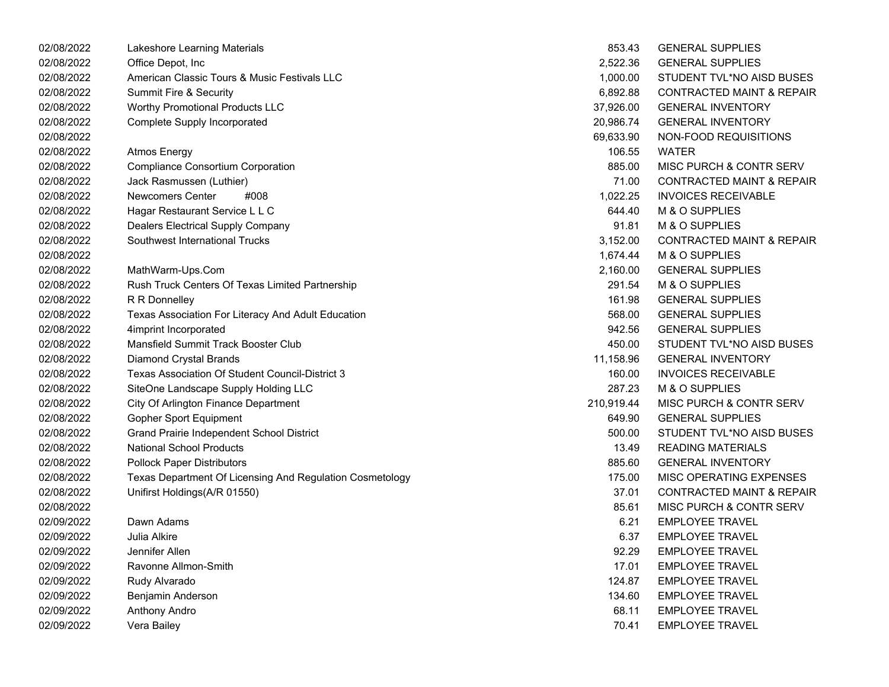| 02/08/2022 | Lakeshore Learning Materials                             | 853.43     | <b>GENERAL SUPPLIES</b>              |
|------------|----------------------------------------------------------|------------|--------------------------------------|
| 02/08/2022 | Office Depot, Inc                                        | 2,522.36   | <b>GENERAL SUPPLIES</b>              |
| 02/08/2022 | American Classic Tours & Music Festivals LLC             | 1,000.00   | STUDENT TVL*NO AISD BUSES            |
| 02/08/2022 | Summit Fire & Security                                   | 6,892.88   | <b>CONTRACTED MAINT &amp; REPAIR</b> |
| 02/08/2022 | <b>Worthy Promotional Products LLC</b>                   | 37,926.00  | <b>GENERAL INVENTORY</b>             |
| 02/08/2022 | <b>Complete Supply Incorporated</b>                      | 20,986.74  | <b>GENERAL INVENTORY</b>             |
| 02/08/2022 |                                                          | 69,633.90  | NON-FOOD REQUISITIONS                |
| 02/08/2022 | <b>Atmos Energy</b>                                      | 106.55     | <b>WATER</b>                         |
| 02/08/2022 | <b>Compliance Consortium Corporation</b>                 | 885.00     | MISC PURCH & CONTR SERV              |
| 02/08/2022 | Jack Rasmussen (Luthier)                                 | 71.00      | <b>CONTRACTED MAINT &amp; REPAIR</b> |
| 02/08/2022 | <b>Newcomers Center</b><br>#008                          | 1,022.25   | <b>INVOICES RECEIVABLE</b>           |
| 02/08/2022 | Hagar Restaurant Service L L C                           | 644.40     | M & O SUPPLIES                       |
| 02/08/2022 | <b>Dealers Electrical Supply Company</b>                 | 91.81      | M & O SUPPLIES                       |
| 02/08/2022 | Southwest International Trucks                           | 3,152.00   | <b>CONTRACTED MAINT &amp; REPAIR</b> |
| 02/08/2022 |                                                          | 1,674.44   | M & O SUPPLIES                       |
| 02/08/2022 | MathWarm-Ups.Com                                         | 2,160.00   | <b>GENERAL SUPPLIES</b>              |
| 02/08/2022 | Rush Truck Centers Of Texas Limited Partnership          | 291.54     | M & O SUPPLIES                       |
| 02/08/2022 | R R Donnelley                                            | 161.98     | <b>GENERAL SUPPLIES</b>              |
| 02/08/2022 | Texas Association For Literacy And Adult Education       | 568.00     | <b>GENERAL SUPPLIES</b>              |
| 02/08/2022 | 4imprint Incorporated                                    | 942.56     | <b>GENERAL SUPPLIES</b>              |
| 02/08/2022 | Mansfield Summit Track Booster Club                      | 450.00     | STUDENT TVL*NO AISD BUSES            |
| 02/08/2022 | <b>Diamond Crystal Brands</b>                            | 11,158.96  | <b>GENERAL INVENTORY</b>             |
| 02/08/2022 | Texas Association Of Student Council-District 3          | 160.00     | <b>INVOICES RECEIVABLE</b>           |
| 02/08/2022 | SiteOne Landscape Supply Holding LLC                     | 287.23     | M & O SUPPLIES                       |
| 02/08/2022 | City Of Arlington Finance Department                     | 210,919.44 | MISC PURCH & CONTR SERV              |
| 02/08/2022 | <b>Gopher Sport Equipment</b>                            | 649.90     | <b>GENERAL SUPPLIES</b>              |
| 02/08/2022 | Grand Prairie Independent School District                | 500.00     | STUDENT TVL*NO AISD BUSES            |
| 02/08/2022 | <b>National School Products</b>                          | 13.49      | <b>READING MATERIALS</b>             |
| 02/08/2022 | <b>Pollock Paper Distributors</b>                        | 885.60     | <b>GENERAL INVENTORY</b>             |
| 02/08/2022 | Texas Department Of Licensing And Regulation Cosmetology | 175.00     | MISC OPERATING EXPENSES              |
| 02/08/2022 | Unifirst Holdings(A/R 01550)                             | 37.01      | <b>CONTRACTED MAINT &amp; REPAIR</b> |
| 02/08/2022 |                                                          | 85.61      | MISC PURCH & CONTR SERV              |
| 02/09/2022 | Dawn Adams                                               | 6.21       | <b>EMPLOYEE TRAVEL</b>               |
| 02/09/2022 | Julia Alkire                                             | 6.37       | <b>EMPLOYEE TRAVEL</b>               |
| 02/09/2022 | Jennifer Allen                                           | 92.29      | <b>EMPLOYEE TRAVEL</b>               |
| 02/09/2022 | Ravonne Allmon-Smith                                     | 17.01      | <b>EMPLOYEE TRAVEL</b>               |
| 02/09/2022 | Rudy Alvarado                                            | 124.87     | <b>EMPLOYEE TRAVEL</b>               |
| 02/09/2022 | Benjamin Anderson                                        | 134.60     | <b>EMPLOYEE TRAVEL</b>               |
| 02/09/2022 | Anthony Andro                                            | 68.11      | <b>EMPLOYEE TRAVEL</b>               |
| 02/09/2022 | Vera Bailey                                              | 70.41      | <b>EMPLOYEE TRAVEL</b>               |
|            |                                                          |            |                                      |

| 853.43    | <b>GENERAL SUPPLIES</b>              |
|-----------|--------------------------------------|
| 2,522.36  | <b>GENERAL SUPPLIES</b>              |
| 1,000.00  | STUDENT TVL*NO AISD BUSES            |
|           | 6,892.88 CONTRACTED MAINT & REPAIR   |
| 37,926.00 | <b>GENERAL INVENTORY</b>             |
| 20,986.74 | <b>GENERAL INVENTORY</b>             |
| 69,633.90 | NON-FOOD REQUISITIONS                |
|           | 106.55 WATER                         |
| 885.00    | MISC PURCH & CONTR SERV              |
| 71.00     | <b>CONTRACTED MAINT &amp; REPAIR</b> |
| 1,022.25  | <b>INVOICES RECEIVABLE</b>           |
| 644.40    | M & O SUPPLIES                       |
| 91.81     | M & O SUPPLIES                       |
| 3,152.00  | <b>CONTRACTED MAINT &amp; REPAIR</b> |
| 1,674.44  | M & O SUPPLIES                       |
| 2,160.00  | <b>GENERAL SUPPLIES</b>              |
| 291.54    | M & O SUPPLIES                       |
| 161.98    | <b>GENERAL SUPPLIES</b>              |
| 568.00    | <b>GENERAL SUPPLIES</b>              |
| 942.56    | <b>GENERAL SUPPLIES</b>              |
| 450.00    | STUDENT TVL*NO AISD BUSES            |
| 11.158.96 | <b>GENERAL INVENTORY</b>             |
| 160.00    | <b>INVOICES RECEIVABLE</b>           |
| 287.23    | M & O SUPPLIES                       |
| 10,919.44 | <b>MISC PURCH &amp; CONTR SERV</b>   |
| 649.90    | <b>GENERAL SUPPLIES</b>              |
| 500.00    | STUDENT TVL*NO AISD BUSES            |
| 13.49     | <b>READING MATERIALS</b>             |
| 885.60    | <b>GENERAL INVENTORY</b>             |
| 175.00    | <b>MISC OPERATING EXPENSES</b>       |
| 37.01     | <b>CONTRACTED MAINT &amp; REPAIR</b> |
| 85.61     | MISC PURCH & CONTR SERV              |
|           | 6.21 EMPLOYEE TRAVEL                 |
| 6.37      | <b>EMPLOYEE TRAVEL</b>               |
| 92.29     | <b>EMPLOYEE TRAVEL</b>               |
| 17.01     | <b>FMPLOYFF TRAVEL</b>               |
| 124.87    | <b>EMPLOYEE TRAVEL</b>               |
| 134.60    | <b>EMPLOYEE TRAVEL</b>               |
| 68.11     | <b>EMPLOYEE TRAVEL</b>               |
| 70.41     | <b>EMPLOYEE TRAVEL</b>               |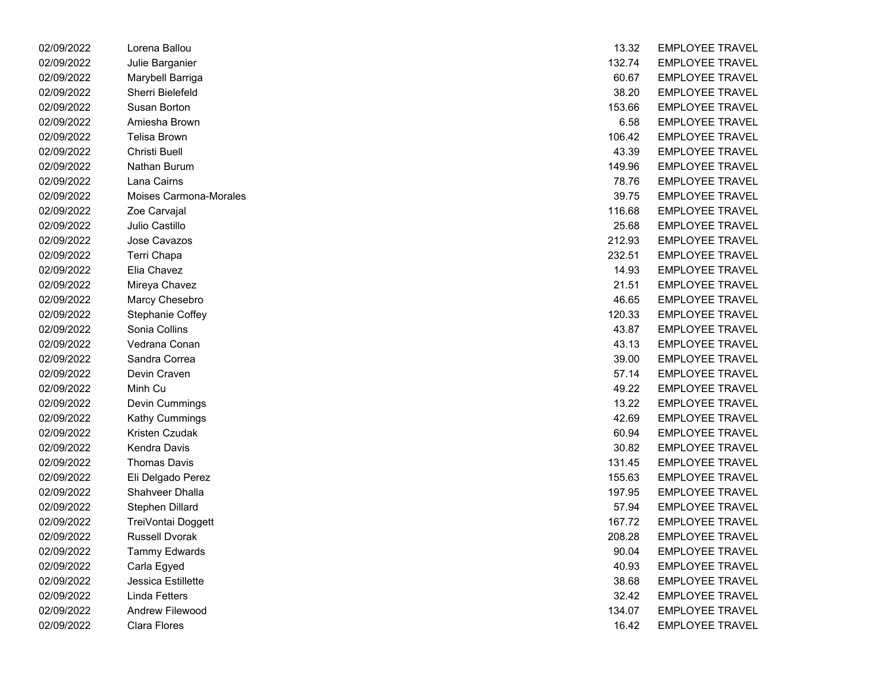| 02/09/2022 | Lorena Ballou          | 13.32  | <b>EMPLOYEE IRAVEL</b> |
|------------|------------------------|--------|------------------------|
| 02/09/2022 | Julie Barganier        | 132.74 | <b>EMPLOYEE TRAVEL</b> |
| 02/09/2022 | Marybell Barriga       | 60.67  | <b>EMPLOYEE TRAVEL</b> |
| 02/09/2022 | Sherri Bielefeld       | 38.20  | <b>EMPLOYEE TRAVEL</b> |
| 02/09/2022 | Susan Borton           | 153.66 | <b>EMPLOYEE TRAVEL</b> |
| 02/09/2022 | Amiesha Brown          | 6.58   | <b>EMPLOYEE TRAVEL</b> |
| 02/09/2022 | Telisa Brown           | 106.42 | <b>EMPLOYEE TRAVEL</b> |
| 02/09/2022 | Christi Buell          | 43.39  | <b>EMPLOYEE TRAVEL</b> |
| 02/09/2022 | Nathan Burum           | 149.96 | <b>EMPLOYEE TRAVEL</b> |
| 02/09/2022 | Lana Cairns            | 78.76  | <b>EMPLOYEE TRAVEL</b> |
| 02/09/2022 | Moises Carmona-Morales | 39.75  | <b>EMPLOYEE TRAVEL</b> |
| 02/09/2022 | Zoe Carvajal           | 116.68 | <b>EMPLOYEE TRAVEL</b> |
| 02/09/2022 | Julio Castillo         | 25.68  | <b>EMPLOYEE TRAVEL</b> |
| 02/09/2022 | Jose Cavazos           | 212.93 | <b>EMPLOYEE TRAVEL</b> |
| 02/09/2022 | Terri Chapa            | 232.51 | <b>EMPLOYEE TRAVEL</b> |
| 02/09/2022 | Elia Chavez            | 14.93  | <b>EMPLOYEE TRAVEL</b> |
| 02/09/2022 | Mireya Chavez          | 21.51  | <b>EMPLOYEE TRAVEL</b> |
| 02/09/2022 | Marcy Chesebro         | 46.65  | <b>EMPLOYEE TRAVEL</b> |
| 02/09/2022 | Stephanie Coffey       | 120.33 | <b>EMPLOYEE TRAVEL</b> |
| 02/09/2022 | Sonia Collins          | 43.87  | <b>EMPLOYEE TRAVEL</b> |
| 02/09/2022 | Vedrana Conan          | 43.13  | <b>EMPLOYEE TRAVEL</b> |
| 02/09/2022 | Sandra Correa          | 39.00  | <b>EMPLOYEE TRAVEL</b> |
| 02/09/2022 | Devin Craven           | 57.14  | <b>EMPLOYEE TRAVEL</b> |
| 02/09/2022 | Minh Cu                | 49.22  | <b>EMPLOYEE TRAVEL</b> |
| 02/09/2022 | Devin Cummings         | 13.22  | <b>EMPLOYEE TRAVEL</b> |
| 02/09/2022 | <b>Kathy Cummings</b>  | 42.69  | <b>EMPLOYEE TRAVEL</b> |
| 02/09/2022 | Kristen Czudak         | 60.94  | <b>EMPLOYEE TRAVEL</b> |
| 02/09/2022 | Kendra Davis           | 30.82  | <b>EMPLOYEE TRAVEL</b> |
| 02/09/2022 | <b>Thomas Davis</b>    | 131.45 | <b>EMPLOYEE TRAVEL</b> |
| 02/09/2022 | Eli Delgado Perez      | 155.63 | <b>EMPLOYEE TRAVEL</b> |
| 02/09/2022 | Shahveer Dhalla        | 197.95 | <b>EMPLOYEE TRAVEL</b> |
| 02/09/2022 | Stephen Dillard        | 57.94  | <b>EMPLOYEE TRAVEL</b> |
| 02/09/2022 | TreiVontai Doggett     | 167.72 | <b>EMPLOYEE TRAVEL</b> |
| 02/09/2022 | <b>Russell Dvorak</b>  | 208.28 | <b>EMPLOYEE TRAVEL</b> |
| 02/09/2022 | <b>Tammy Edwards</b>   | 90.04  | <b>EMPLOYEE TRAVEL</b> |
| 02/09/2022 | Carla Egyed            | 40.93  | <b>EMPLOYEE TRAVEL</b> |
| 02/09/2022 | Jessica Estillette     | 38.68  | <b>EMPLOYEE TRAVEL</b> |
| 02/09/2022 | <b>Linda Fetters</b>   | 32.42  | <b>EMPLOYEE TRAVEL</b> |
| 02/09/2022 | Andrew Filewood        | 134.07 | <b>EMPLOYEE TRAVEL</b> |
| 02/09/2022 | Clara Flores           | 16.42  | EMPLOYEE TRAVEL        |

| 02/09/2022 | Lorena Ballou          | 13.32  | <b>EMPLOYEE TRAVEL</b> |
|------------|------------------------|--------|------------------------|
| 02/09/2022 | Julie Barganier        | 132.74 | <b>EMPLOYEE TRAVEL</b> |
| 02/09/2022 | Marybell Barriga       | 60.67  | <b>EMPLOYEE TRAVEL</b> |
| 02/09/2022 | Sherri Bielefeld       | 38.20  | <b>EMPLOYEE TRAVEL</b> |
| 02/09/2022 | Susan Borton           | 153.66 | <b>EMPLOYEE TRAVEL</b> |
| 02/09/2022 | Amiesha Brown          | 6.58   | <b>EMPLOYEE TRAVEL</b> |
| 02/09/2022 | <b>Telisa Brown</b>    | 106.42 | <b>EMPLOYEE TRAVEL</b> |
| 02/09/2022 | Christi Buell          | 43.39  | <b>EMPLOYEE TRAVEL</b> |
| 02/09/2022 | Nathan Burum           | 149.96 | <b>EMPLOYEE TRAVEL</b> |
| 02/09/2022 | Lana Cairns            | 78.76  | <b>EMPLOYEE TRAVEL</b> |
| 02/09/2022 | Moises Carmona-Morales | 39.75  | <b>EMPLOYEE TRAVEL</b> |
| 02/09/2022 | Zoe Carvajal           | 116.68 | <b>EMPLOYEE TRAVEL</b> |
| 02/09/2022 | Julio Castillo         | 25.68  | <b>EMPLOYEE TRAVEL</b> |
| 02/09/2022 | Jose Cavazos           | 212.93 | <b>EMPLOYEE TRAVEL</b> |
| 02/09/2022 | Terri Chapa            | 232.51 | <b>EMPLOYEE TRAVEL</b> |
| 02/09/2022 | Elia Chavez            | 14.93  | <b>EMPLOYEE TRAVEL</b> |
| 02/09/2022 | Mireya Chavez          | 21.51  | <b>EMPLOYEE TRAVEL</b> |
| 02/09/2022 | Marcy Chesebro         | 46.65  | <b>EMPLOYEE TRAVEL</b> |
| 02/09/2022 | Stephanie Coffey       | 120.33 | <b>EMPLOYEE TRAVEL</b> |
| 02/09/2022 | Sonia Collins          | 43.87  | <b>EMPLOYEE TRAVEL</b> |
| 02/09/2022 | Vedrana Conan          | 43.13  | <b>EMPLOYEE TRAVEL</b> |
| 02/09/2022 | Sandra Correa          | 39.00  | <b>EMPLOYEE TRAVEL</b> |
| 02/09/2022 | Devin Craven           | 57.14  | <b>EMPLOYEE TRAVEL</b> |
| 02/09/2022 | Minh Cu                | 49.22  | <b>EMPLOYEE TRAVEL</b> |
| 02/09/2022 | Devin Cummings         | 13.22  | <b>EMPLOYEE TRAVEL</b> |
| 02/09/2022 | Kathy Cummings         | 42.69  | <b>EMPLOYEE TRAVEL</b> |
| 02/09/2022 | Kristen Czudak         | 60.94  | <b>EMPLOYEE TRAVEL</b> |
| 02/09/2022 | Kendra Davis           | 30.82  | <b>EMPLOYEE TRAVEL</b> |
| 02/09/2022 | <b>Thomas Davis</b>    | 131.45 | <b>EMPLOYEE TRAVEL</b> |
| 02/09/2022 | Eli Delgado Perez      | 155.63 | <b>EMPLOYEE TRAVEL</b> |
| 02/09/2022 | Shahveer Dhalla        | 197.95 | <b>EMPLOYEE TRAVEL</b> |
| 02/09/2022 | Stephen Dillard        | 57.94  | <b>EMPLOYEE TRAVEL</b> |
| 02/09/2022 | TreiVontai Doggett     | 167.72 | <b>EMPLOYEE TRAVEL</b> |
| 02/09/2022 | <b>Russell Dvorak</b>  | 208.28 | <b>EMPLOYEE TRAVEL</b> |
| 02/09/2022 | <b>Tammy Edwards</b>   | 90.04  | <b>EMPLOYEE TRAVEL</b> |
| 02/09/2022 | Carla Egyed            | 40.93  | <b>EMPLOYEE TRAVEL</b> |
| 02/09/2022 | Jessica Estillette     | 38.68  | <b>EMPLOYEE TRAVEL</b> |
| 02/09/2022 | <b>Linda Fetters</b>   | 32.42  | <b>EMPLOYEE TRAVEL</b> |
| 02/09/2022 | Andrew Filewood        | 134.07 | <b>EMPLOYEE TRAVEL</b> |
| 02/09/2022 | Clara Flores           | 16.42  | <b>EMPLOYEE TRAVEL</b> |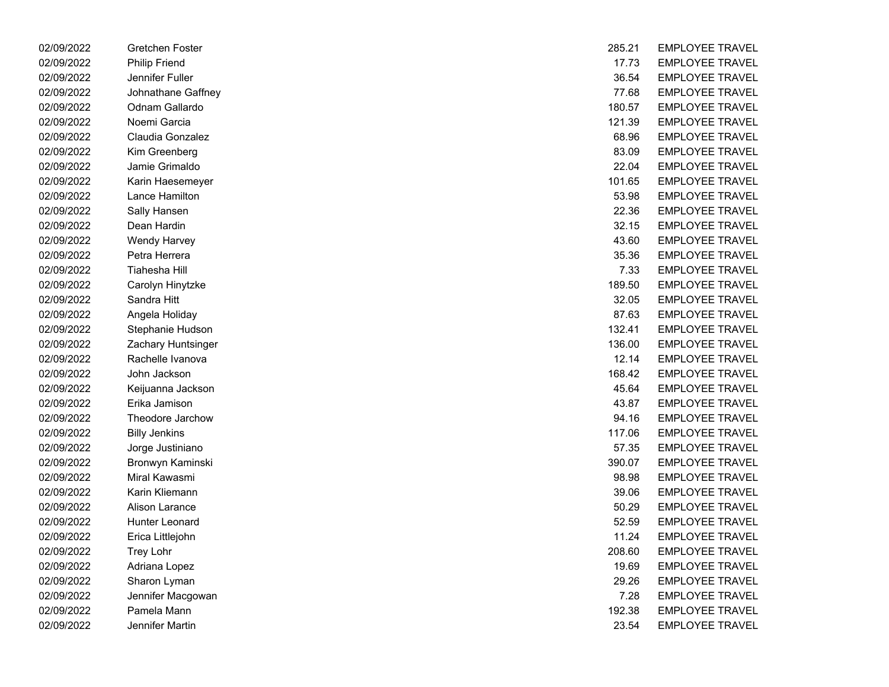| 02/09/2022 | Gretchen Foster      | 285.21 | EMPLOYEE IRAVEL        |
|------------|----------------------|--------|------------------------|
| 02/09/2022 | <b>Philip Friend</b> | 17.73  | <b>EMPLOYEE TRAVEL</b> |
| 02/09/2022 | Jennifer Fuller      | 36.54  | <b>EMPLOYEE TRAVEL</b> |
| 02/09/2022 | Johnathane Gaffney   | 77.68  | <b>EMPLOYEE TRAVEL</b> |
| 02/09/2022 | Odnam Gallardo       | 180.57 | <b>EMPLOYEE TRAVEL</b> |
| 02/09/2022 | Noemi Garcia         | 121.39 | <b>EMPLOYEE TRAVEL</b> |
| 02/09/2022 | Claudia Gonzalez     | 68.96  | <b>EMPLOYEE TRAVEL</b> |
| 02/09/2022 | Kim Greenberg        | 83.09  | <b>EMPLOYEE TRAVEL</b> |
| 02/09/2022 | Jamie Grimaldo       | 22.04  | <b>EMPLOYEE TRAVEL</b> |
| 02/09/2022 | Karin Haesemeyer     | 101.65 | <b>EMPLOYEE TRAVEL</b> |
| 02/09/2022 | Lance Hamilton       | 53.98  | <b>EMPLOYEE TRAVEL</b> |
| 02/09/2022 | Sally Hansen         | 22.36  | <b>EMPLOYEE TRAVEL</b> |
| 02/09/2022 | Dean Hardin          | 32.15  | <b>EMPLOYEE TRAVEL</b> |
| 02/09/2022 | <b>Wendy Harvey</b>  | 43.60  | <b>EMPLOYEE TRAVEL</b> |
| 02/09/2022 | Petra Herrera        | 35.36  | <b>EMPLOYEE TRAVEL</b> |
| 02/09/2022 | <b>Tiahesha Hill</b> | 7.33   | <b>EMPLOYEE TRAVEL</b> |
| 02/09/2022 | Carolyn Hinytzke     | 189.50 | <b>EMPLOYEE TRAVEL</b> |
| 02/09/2022 | Sandra Hitt          | 32.05  | <b>EMPLOYEE TRAVEL</b> |
| 02/09/2022 | Angela Holiday       | 87.63  | <b>EMPLOYEE TRAVEL</b> |
| 02/09/2022 | Stephanie Hudson     | 132.41 | <b>EMPLOYEE TRAVEL</b> |
| 02/09/2022 | Zachary Huntsinger   | 136.00 | <b>EMPLOYEE TRAVEL</b> |
| 02/09/2022 | Rachelle Ivanova     | 12.14  | <b>EMPLOYEE TRAVEL</b> |
| 02/09/2022 | John Jackson         | 168.42 | <b>EMPLOYEE TRAVEL</b> |
| 02/09/2022 | Keijuanna Jackson    | 45.64  | <b>EMPLOYEE TRAVEL</b> |
| 02/09/2022 | Erika Jamison        | 43.87  | <b>EMPLOYEE TRAVEL</b> |
| 02/09/2022 | Theodore Jarchow     | 94.16  | <b>EMPLOYEE TRAVEL</b> |
| 02/09/2022 | <b>Billy Jenkins</b> | 117.06 | <b>EMPLOYEE TRAVEL</b> |
| 02/09/2022 | Jorge Justiniano     | 57.35  | <b>EMPLOYEE TRAVEL</b> |
| 02/09/2022 | Bronwyn Kaminski     | 390.07 | <b>EMPLOYEE TRAVEL</b> |
| 02/09/2022 | Miral Kawasmi        | 98.98  | <b>EMPLOYEE TRAVEL</b> |
| 02/09/2022 | Karin Kliemann       | 39.06  | <b>EMPLOYEE TRAVEL</b> |
| 02/09/2022 | Alison Larance       | 50.29  | <b>EMPLOYEE TRAVEL</b> |
| 02/09/2022 | Hunter Leonard       | 52.59  | <b>EMPLOYEE TRAVEL</b> |
| 02/09/2022 | Erica Littlejohn     | 11.24  | <b>EMPLOYEE TRAVEL</b> |
| 02/09/2022 | Trey Lohr            | 208.60 | <b>EMPLOYEE TRAVEL</b> |
| 02/09/2022 | Adriana Lopez        | 19.69  | <b>EMPLOYEE TRAVEL</b> |
| 02/09/2022 | Sharon Lyman         | 29.26  | <b>EMPLOYEE TRAVEL</b> |
| 02/09/2022 | Jennifer Macgowan    | 7.28   | <b>EMPLOYEE TRAVEL</b> |
| 02/09/2022 | Pamela Mann          | 192.38 | <b>EMPLOYEE TRAVEL</b> |
| 02/09/2022 | Jennifer Martin      | 23.54  | <b>EMPLOYEE TRAVEL</b> |

| 02/09/2022 | Gretchen Foster      | 285.21 | <b>EMPLOYEE TRAVEL</b> |
|------------|----------------------|--------|------------------------|
| 02/09/2022 | <b>Philip Friend</b> | 17.73  | <b>EMPLOYEE TRAVEL</b> |
| 02/09/2022 | Jennifer Fuller      | 36.54  | <b>EMPLOYEE TRAVEL</b> |
| 02/09/2022 | Johnathane Gaffney   | 77.68  | <b>EMPLOYEE TRAVEL</b> |
| 02/09/2022 | Odnam Gallardo       | 180.57 | <b>EMPLOYEE TRAVEL</b> |
| 02/09/2022 | Noemi Garcia         | 121.39 | <b>EMPLOYEE TRAVEL</b> |
| 02/09/2022 | Claudia Gonzalez     | 68.96  | <b>EMPLOYEE TRAVEL</b> |
| 02/09/2022 | Kim Greenberg        | 83.09  | <b>EMPLOYEE TRAVEL</b> |
| 02/09/2022 | Jamie Grimaldo       | 22.04  | <b>EMPLOYEE TRAVEL</b> |
| 02/09/2022 | Karin Haesemeyer     | 101.65 | <b>EMPLOYEE TRAVEL</b> |
| 02/09/2022 | Lance Hamilton       | 53.98  | <b>EMPLOYEE TRAVEL</b> |
| 02/09/2022 | Sally Hansen         | 22.36  | <b>EMPLOYEE TRAVEL</b> |
| 02/09/2022 | Dean Hardin          | 32.15  | <b>EMPLOYEE TRAVEL</b> |
| 02/09/2022 | <b>Wendy Harvey</b>  | 43.60  | <b>EMPLOYEE TRAVEL</b> |
| 02/09/2022 | Petra Herrera        | 35.36  | <b>EMPLOYEE TRAVEL</b> |
| 02/09/2022 | Tiahesha Hill        | 7.33   | <b>EMPLOYEE TRAVEL</b> |
| 02/09/2022 | Carolyn Hinytzke     | 189.50 | <b>EMPLOYEE TRAVEL</b> |
| 02/09/2022 | Sandra Hitt          | 32.05  | <b>EMPLOYEE TRAVEL</b> |
| 02/09/2022 | Angela Holiday       | 87.63  | <b>EMPLOYEE TRAVEL</b> |
| 02/09/2022 | Stephanie Hudson     | 132.41 | <b>EMPLOYEE TRAVEL</b> |
| 02/09/2022 | Zachary Huntsinger   | 136.00 | <b>EMPLOYEE TRAVEL</b> |
| 02/09/2022 | Rachelle Ivanova     | 12.14  | <b>EMPLOYEE TRAVEL</b> |
| 02/09/2022 | John Jackson         | 168.42 | <b>EMPLOYEE TRAVEL</b> |
| 02/09/2022 | Keijuanna Jackson    | 45.64  | <b>EMPLOYEE TRAVEL</b> |
| 02/09/2022 | Erika Jamison        | 43.87  | <b>EMPLOYEE TRAVEL</b> |
| 02/09/2022 | Theodore Jarchow     | 94.16  | <b>EMPLOYEE TRAVEL</b> |
| 02/09/2022 | <b>Billy Jenkins</b> | 117.06 | <b>EMPLOYEE TRAVEL</b> |
| 02/09/2022 | Jorge Justiniano     | 57.35  | <b>EMPLOYEE TRAVEL</b> |
| 02/09/2022 | Bronwyn Kaminski     | 390.07 | <b>EMPLOYEE TRAVEL</b> |
| 02/09/2022 | Miral Kawasmi        | 98.98  | <b>EMPLOYEE TRAVEL</b> |
| 02/09/2022 | Karin Kliemann       | 39.06  | <b>EMPLOYEE TRAVEL</b> |
| 02/09/2022 | Alison Larance       | 50.29  | <b>EMPLOYEE TRAVEL</b> |
| 02/09/2022 | Hunter Leonard       | 52.59  | <b>EMPLOYEE TRAVEL</b> |
| 02/09/2022 | Erica Littlejohn     | 11.24  | <b>EMPLOYEE TRAVEL</b> |
| 02/09/2022 | Trey Lohr            | 208.60 | <b>EMPLOYEE TRAVEL</b> |
| 02/09/2022 | Adriana Lopez        | 19.69  | <b>EMPLOYEE TRAVEL</b> |
| 02/09/2022 | Sharon Lyman         | 29.26  | <b>EMPLOYEE TRAVEL</b> |
| 02/09/2022 | Jennifer Macgowan    | 7.28   | <b>EMPLOYEE TRAVEL</b> |
| 02/09/2022 | Pamela Mann          | 192.38 | <b>EMPLOYEE TRAVEL</b> |
| 02/09/2022 | Jennifer Martin      | 23.54  | <b>EMPLOYEE TRAVEL</b> |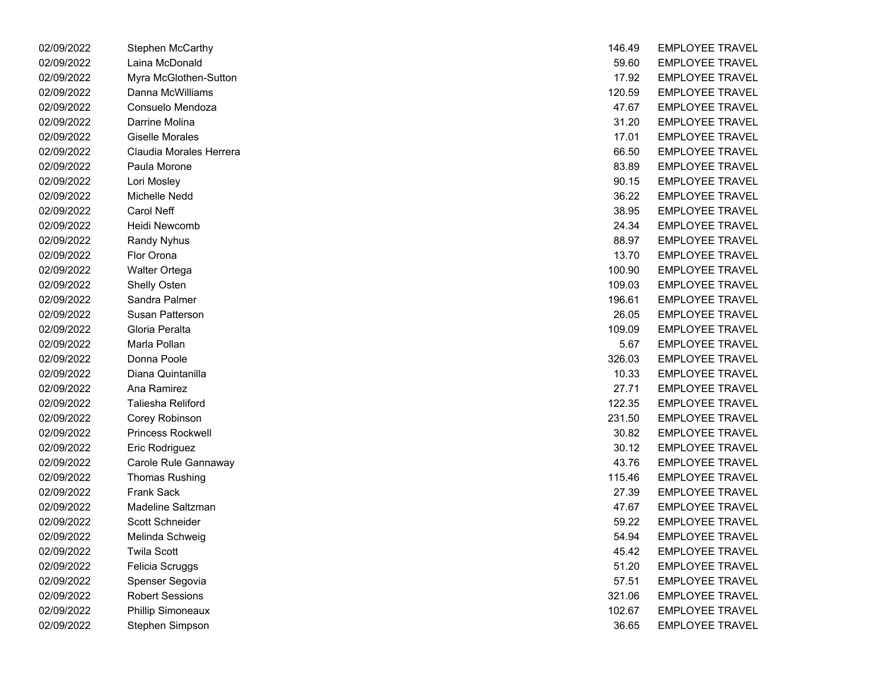| 02/09/2022 | Stephen McCarthy         | 146.49 | <b>EMPLOYEE TRAVEL</b>  |
|------------|--------------------------|--------|-------------------------|
| 02/09/2022 | Laina McDonald           | 59.60  | <b>EMPLOYEE TRAVEL</b>  |
| 02/09/2022 | Myra McGlothen-Sutton    | 17.92  | <b>EMPLOYEE TRAVEL</b>  |
| 02/09/2022 | Danna McWilliams         | 120.59 | <b>EMPLOYEE TRAVEL</b>  |
| 02/09/2022 | Consuelo Mendoza         | 47.67  | <b>EMPLOYEE TRAVEL</b>  |
| 02/09/2022 | Darrine Molina           | 31.20  | <b>EMPLOYEE TRAVEL</b>  |
| 02/09/2022 | Giselle Morales          | 17.01  | <b>EMPLOYEE TRAVEL</b>  |
| 02/09/2022 | Claudia Morales Herrera  | 66.50  | <b>EMPLOYEE TRAVEL</b>  |
| 02/09/2022 | Paula Morone             | 83.89  | <b>EMPLOYEE TRAVEL</b>  |
| 02/09/2022 | Lori Mosley              | 90.15  | <b>EMPLOYEE TRAVEL</b>  |
| 02/09/2022 | Michelle Nedd            | 36.22  | <b>EMPLOYEE TRAVEL</b>  |
| 02/09/2022 | <b>Carol Neff</b>        | 38.95  | <b>EMPLOYEE TRAVEL</b>  |
| 02/09/2022 | Heidi Newcomb            | 24.34  | <b>EMPLOYEE TRAVEL</b>  |
| 02/09/2022 | <b>Randy Nyhus</b>       | 88.97  | <b>EMPLOYEE TRAVEL</b>  |
| 02/09/2022 | Flor Orona               | 13.70  | <b>EMPLOYEE TRAVEL</b>  |
| 02/09/2022 | <b>Walter Ortega</b>     | 100.90 | <b>EMPLOYEE TRAVEL</b>  |
| 02/09/2022 | Shelly Osten             | 109.03 | <b>EMPLOYEE TRAVEL</b>  |
| 02/09/2022 | Sandra Palmer            | 196.61 | <b>EMPLOYEE TRAVEL</b>  |
| 02/09/2022 | Susan Patterson          | 26.05  | <b>EMPLOYEE TRAVEL</b>  |
| 02/09/2022 | Gloria Peralta           | 109.09 | <b>EMPLOYEE TRAVEL</b>  |
| 02/09/2022 | Marla Pollan             | 5.67   | <b>EMPLOYEE TRAVEL</b>  |
| 02/09/2022 | Donna Poole              | 326.03 | <b>EMPLOYEE TRAVEL</b>  |
| 02/09/2022 | Diana Quintanilla        | 10.33  | <b>EMPLOYEE TRAVEL</b>  |
| 02/09/2022 | Ana Ramirez              | 27.71  | <b>EMPLOYEE TRAVEL</b>  |
| 02/09/2022 | Taliesha Reliford        | 122.35 | <b>EMPLOYEE TRAVEL</b>  |
| 02/09/2022 | Corey Robinson           | 231.50 | <b>EMPLOYEE TRAVEL</b>  |
| 02/09/2022 | <b>Princess Rockwell</b> | 30.82  | <b>EMPLOYEE TRAVEL</b>  |
| 02/09/2022 | Eric Rodriguez           | 30.12  | <b>EMPLOYEE TRAVEL</b>  |
| 02/09/2022 | Carole Rule Gannaway     | 43.76  | <b>EMPLOYEE TRAVEL</b>  |
| 02/09/2022 | <b>Thomas Rushing</b>    | 115.46 | <b>EMPLOYEE TRAVEL</b>  |
| 02/09/2022 | <b>Frank Sack</b>        | 27.39  | <b>EMPLOYEE TRAVEL</b>  |
| 02/09/2022 | Madeline Saltzman        | 47.67  | <b>EMPLOYEE TRAVEL</b>  |
| 02/09/2022 | <b>Scott Schneider</b>   | 59.22  | <b>EMPLOYEE TRAVEL</b>  |
| 02/09/2022 | Melinda Schweig          | 54.94  | <b>EMPLOYEE TRAVEL</b>  |
| 02/09/2022 | <b>Twila Scott</b>       | 45.42  | <b>EMPLOYEE TRAVEL</b>  |
| 02/09/2022 | Felicia Scruggs          | 51.20  | <b>EMPLOYEE TRAVEL</b>  |
| 02/09/2022 | Spenser Segovia          | 57.51  | <b>EMPLOYEE TRAVEL</b>  |
| 02/09/2022 | <b>Robert Sessions</b>   | 321.06 | <b>EMPLOYEE TRAVEL</b>  |
| 02/09/2022 | <b>Phillip Simoneaux</b> | 102.67 | <b>EMPLOYEE TRAVEL</b>  |
| 02/09/2022 | Stephen Simpson          | 36.65  | <b>FMPI OYFF TRAVEL</b> |

| 02/09/2022 | Stephen McCarthy         | 146.49 | <b>EMPLOYEE TRAVEL</b> |
|------------|--------------------------|--------|------------------------|
| 02/09/2022 | Laina McDonald           | 59.60  | <b>EMPLOYEE TRAVEL</b> |
| 02/09/2022 | Myra McGlothen-Sutton    | 17.92  | <b>EMPLOYEE TRAVEL</b> |
| 02/09/2022 | Danna McWilliams         | 120.59 | <b>EMPLOYEE TRAVEL</b> |
| 02/09/2022 | Consuelo Mendoza         | 47.67  | <b>EMPLOYEE TRAVEL</b> |
| 02/09/2022 | Darrine Molina           | 31.20  | <b>EMPLOYEE TRAVEL</b> |
| 02/09/2022 | <b>Giselle Morales</b>   | 17.01  | <b>EMPLOYEE TRAVEL</b> |
| 02/09/2022 | Claudia Morales Herrera  | 66.50  | <b>EMPLOYEE TRAVEL</b> |
| 02/09/2022 | Paula Morone             | 83.89  | <b>EMPLOYEE TRAVEL</b> |
| 02/09/2022 | Lori Mosley              | 90.15  | <b>EMPLOYEE TRAVEL</b> |
| 02/09/2022 | Michelle Nedd            | 36.22  | <b>EMPLOYEE TRAVEL</b> |
| 02/09/2022 | <b>Carol Neff</b>        | 38.95  | <b>EMPLOYEE TRAVEL</b> |
| 02/09/2022 | Heidi Newcomb            | 24.34  | <b>EMPLOYEE TRAVEL</b> |
| 02/09/2022 | <b>Randy Nyhus</b>       | 88.97  | <b>EMPLOYEE TRAVEL</b> |
| 02/09/2022 | Flor Orona               | 13.70  | <b>EMPLOYEE TRAVEL</b> |
| 02/09/2022 | Walter Ortega            | 100.90 | <b>EMPLOYEE TRAVEL</b> |
| 02/09/2022 | Shelly Osten             | 109.03 | <b>EMPLOYEE TRAVEL</b> |
| 02/09/2022 | Sandra Palmer            | 196.61 | <b>EMPLOYEE TRAVEL</b> |
| 02/09/2022 | Susan Patterson          | 26.05  | <b>EMPLOYEE TRAVEL</b> |
| 02/09/2022 | Gloria Peralta           | 109.09 | <b>EMPLOYEE TRAVEL</b> |
| 02/09/2022 | Marla Pollan             | 5.67   | <b>EMPLOYEE TRAVEL</b> |
| 02/09/2022 | Donna Poole              | 326.03 | <b>EMPLOYEE TRAVEL</b> |
| 02/09/2022 | Diana Quintanilla        | 10.33  | <b>EMPLOYEE TRAVEL</b> |
| 02/09/2022 | Ana Ramirez              | 27.71  | <b>EMPLOYEE TRAVEL</b> |
| 02/09/2022 | Taliesha Reliford        | 122.35 | <b>EMPLOYEE TRAVEL</b> |
| 02/09/2022 | Corey Robinson           | 231.50 | <b>EMPLOYEE TRAVEL</b> |
| 02/09/2022 | <b>Princess Rockwell</b> | 30.82  | <b>EMPLOYEE TRAVEL</b> |
| 02/09/2022 | Eric Rodriguez           | 30.12  | <b>EMPLOYEE TRAVEL</b> |
| 02/09/2022 | Carole Rule Gannaway     | 43.76  | <b>EMPLOYEE TRAVEL</b> |
| 02/09/2022 | <b>Thomas Rushing</b>    | 115.46 | <b>EMPLOYEE TRAVEL</b> |
| 02/09/2022 | <b>Frank Sack</b>        | 27.39  | <b>EMPLOYEE TRAVEL</b> |
| 02/09/2022 | Madeline Saltzman        | 47.67  | <b>EMPLOYEE TRAVEL</b> |
| 02/09/2022 | Scott Schneider          | 59.22  | <b>EMPLOYEE TRAVEL</b> |
| 02/09/2022 | Melinda Schweig          | 54.94  | <b>EMPLOYEE TRAVEL</b> |
| 02/09/2022 | <b>Twila Scott</b>       | 45.42  | <b>EMPLOYEE TRAVEL</b> |
| 02/09/2022 | Felicia Scruggs          | 51.20  | <b>EMPLOYEE TRAVEL</b> |
| 02/09/2022 | Spenser Segovia          | 57.51  | <b>EMPLOYEE TRAVEL</b> |
| 02/09/2022 | <b>Robert Sessions</b>   | 321.06 | <b>EMPLOYEE TRAVEL</b> |
| 02/09/2022 | <b>Phillip Simoneaux</b> | 102.67 | <b>EMPLOYEE TRAVEL</b> |
| 02/09/2022 | Stephen Simpson          | 36.65  | EMPLOYEE TRAVEL        |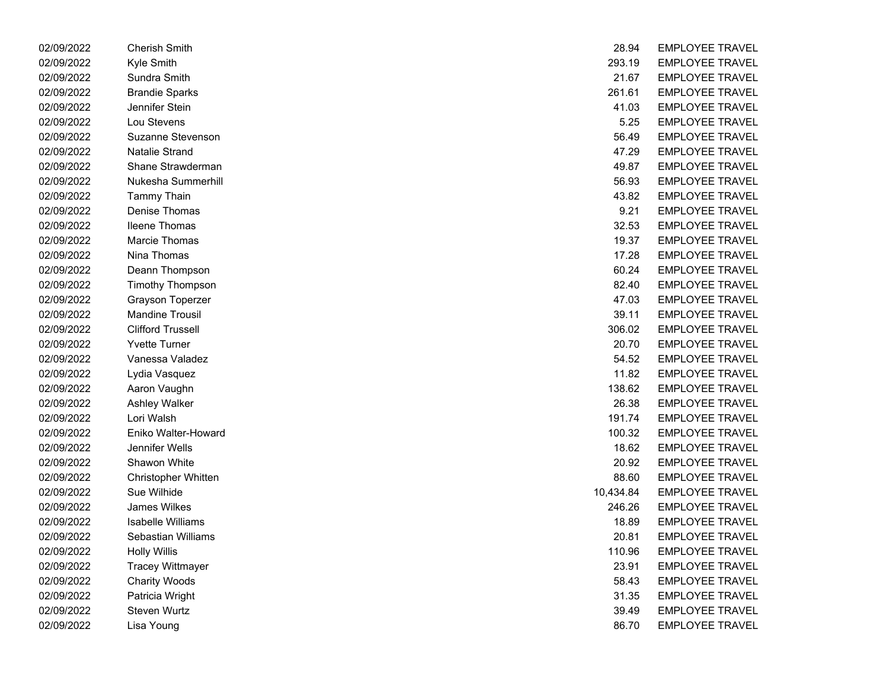| 02/09/2022 | <b>Cherish Smith</b>     | 28.94     | <b>EMPLOYEE TRAVEL</b> |
|------------|--------------------------|-----------|------------------------|
| 02/09/2022 | Kyle Smith               | 293.19    | <b>EMPLOYEE TRAVEL</b> |
| 02/09/2022 | Sundra Smith             | 21.67     | <b>EMPLOYEE TRAVEL</b> |
| 02/09/2022 | <b>Brandie Sparks</b>    | 261.61    | <b>EMPLOYEE TRAVEL</b> |
| 02/09/2022 | Jennifer Stein           | 41.03     | <b>EMPLOYEE TRAVEL</b> |
| 02/09/2022 | Lou Stevens              | 5.25      | <b>EMPLOYEE TRAVEL</b> |
| 02/09/2022 | Suzanne Stevenson        | 56.49     | <b>EMPLOYEE TRAVEL</b> |
| 02/09/2022 | <b>Natalie Strand</b>    | 47.29     | <b>EMPLOYEE TRAVEL</b> |
| 02/09/2022 | Shane Strawderman        | 49.87     | <b>EMPLOYEE TRAVEL</b> |
| 02/09/2022 | Nukesha Summerhill       | 56.93     | <b>EMPLOYEE TRAVEL</b> |
| 02/09/2022 | <b>Tammy Thain</b>       | 43.82     | <b>EMPLOYEE TRAVEL</b> |
| 02/09/2022 | Denise Thomas            | 9.21      | <b>EMPLOYEE TRAVEL</b> |
| 02/09/2022 | <b>Ileene Thomas</b>     | 32.53     | <b>EMPLOYEE TRAVEL</b> |
| 02/09/2022 | Marcie Thomas            | 19.37     | <b>EMPLOYEE TRAVEL</b> |
| 02/09/2022 | Nina Thomas              | 17.28     | <b>EMPLOYEE TRAVEL</b> |
| 02/09/2022 | Deann Thompson           | 60.24     | <b>EMPLOYEE TRAVEL</b> |
| 02/09/2022 | <b>Timothy Thompson</b>  | 82.40     | <b>EMPLOYEE TRAVEL</b> |
| 02/09/2022 | Grayson Toperzer         | 47.03     | <b>EMPLOYEE TRAVEL</b> |
| 02/09/2022 | <b>Mandine Trousil</b>   | 39.11     | <b>EMPLOYEE TRAVEL</b> |
| 02/09/2022 | <b>Clifford Trussell</b> | 306.02    | <b>EMPLOYEE TRAVEL</b> |
| 02/09/2022 | <b>Yvette Turner</b>     | 20.70     | <b>EMPLOYEE TRAVEL</b> |
| 02/09/2022 | Vanessa Valadez          | 54.52     | <b>EMPLOYEE TRAVEL</b> |
| 02/09/2022 | Lydia Vasquez            | 11.82     | <b>EMPLOYEE TRAVEL</b> |
| 02/09/2022 | Aaron Vaughn             | 138.62    | <b>EMPLOYEE TRAVEL</b> |
| 02/09/2022 | <b>Ashley Walker</b>     | 26.38     | <b>EMPLOYEE TRAVEL</b> |
| 02/09/2022 | Lori Walsh               | 191.74    | <b>EMPLOYEE TRAVEL</b> |
| 02/09/2022 | Eniko Walter-Howard      | 100.32    | <b>EMPLOYEE TRAVEL</b> |
| 02/09/2022 | Jennifer Wells           | 18.62     | <b>EMPLOYEE TRAVEL</b> |
| 02/09/2022 | Shawon White             | 20.92     | <b>EMPLOYEE TRAVEL</b> |
| 02/09/2022 | Christopher Whitten      | 88.60     | <b>EMPLOYEE TRAVEL</b> |
| 02/09/2022 | Sue Wilhide              | 10,434.84 | <b>EMPLOYEE TRAVEL</b> |
| 02/09/2022 | James Wilkes             | 246.26    | <b>EMPLOYEE TRAVEL</b> |
| 02/09/2022 | Isabelle Williams        | 18.89     | <b>EMPLOYEE TRAVEL</b> |
| 02/09/2022 | Sebastian Williams       | 20.81     | <b>EMPLOYEE TRAVEL</b> |
| 02/09/2022 | <b>Holly Willis</b>      | 110.96    | <b>EMPLOYEE TRAVEL</b> |
| 02/09/2022 | <b>Tracey Wittmayer</b>  | 23.91     | <b>EMPLOYEE TRAVEL</b> |
| 02/09/2022 | <b>Charity Woods</b>     | 58.43     | <b>EMPLOYEE TRAVEL</b> |
| 02/09/2022 | Patricia Wright          | 31.35     | <b>EMPLOYEE TRAVEL</b> |
| 02/09/2022 | Steven Wurtz             | 39.49     | <b>EMPLOYEE TRAVEL</b> |
| 02/09/2022 | Lisa Young               | 86.70     | EMPLOYEE TRAVEL        |

| 02/09/2022 | <b>Cherish Smith</b>     | 28.94     | <b>EMPLOYEE TRAVEL</b> |
|------------|--------------------------|-----------|------------------------|
| 02/09/2022 | Kyle Smith               | 293.19    | <b>EMPLOYEE TRAVEL</b> |
| 02/09/2022 | Sundra Smith             | 21.67     | <b>EMPLOYEE TRAVEL</b> |
| 02/09/2022 | <b>Brandie Sparks</b>    | 261.61    | <b>EMPLOYEE TRAVEL</b> |
| 02/09/2022 | Jennifer Stein           | 41.03     | <b>EMPLOYEE TRAVEL</b> |
| 02/09/2022 | Lou Stevens              | 5.25      | <b>EMPLOYEE TRAVEL</b> |
| 02/09/2022 | Suzanne Stevenson        | 56.49     | <b>EMPLOYEE TRAVEL</b> |
| 02/09/2022 | <b>Natalie Strand</b>    | 47.29     | <b>EMPLOYEE TRAVEL</b> |
| 02/09/2022 | Shane Strawderman        | 49.87     | <b>EMPLOYEE TRAVEL</b> |
| 02/09/2022 | Nukesha Summerhill       | 56.93     | <b>EMPLOYEE TRAVEL</b> |
| 02/09/2022 | <b>Tammy Thain</b>       | 43.82     | <b>EMPLOYEE TRAVEL</b> |
| 02/09/2022 | Denise Thomas            | 9.21      | <b>EMPLOYEE TRAVEL</b> |
| 02/09/2022 | <b>Ileene Thomas</b>     | 32.53     | <b>EMPLOYEE TRAVEL</b> |
| 02/09/2022 | Marcie Thomas            | 19.37     | <b>EMPLOYEE TRAVEL</b> |
| 02/09/2022 | Nina Thomas              | 17.28     | <b>EMPLOYEE TRAVEL</b> |
| 02/09/2022 | Deann Thompson           | 60.24     | <b>EMPLOYEE TRAVEL</b> |
| 02/09/2022 | <b>Timothy Thompson</b>  | 82.40     | <b>EMPLOYEE TRAVEL</b> |
| 02/09/2022 | Grayson Toperzer         | 47.03     | <b>EMPLOYEE TRAVEL</b> |
| 02/09/2022 | <b>Mandine Trousil</b>   | 39.11     | <b>EMPLOYEE TRAVEL</b> |
| 02/09/2022 | <b>Clifford Trussell</b> | 306.02    | <b>EMPLOYEE TRAVEL</b> |
| 02/09/2022 | <b>Yvette Turner</b>     | 20.70     | <b>EMPLOYEE TRAVEL</b> |
| 02/09/2022 | Vanessa Valadez          | 54.52     | <b>EMPLOYEE TRAVEL</b> |
| 02/09/2022 | Lydia Vasquez            | 11.82     | <b>EMPLOYEE TRAVEL</b> |
| 02/09/2022 | Aaron Vaughn             | 138.62    | <b>EMPLOYEE TRAVEL</b> |
| 02/09/2022 | Ashley Walker            | 26.38     | <b>EMPLOYEE TRAVEL</b> |
| 02/09/2022 | Lori Walsh               | 191.74    | <b>EMPLOYEE TRAVEL</b> |
| 02/09/2022 | Eniko Walter-Howard      | 100.32    | <b>EMPLOYEE TRAVEL</b> |
| 02/09/2022 | Jennifer Wells           | 18.62     | <b>EMPLOYEE TRAVEL</b> |
| 02/09/2022 | Shawon White             | 20.92     | <b>EMPLOYEE TRAVEL</b> |
| 02/09/2022 | Christopher Whitten      | 88.60     | <b>EMPLOYEE TRAVEL</b> |
| 02/09/2022 | Sue Wilhide              | 10,434.84 | <b>EMPLOYEE TRAVEL</b> |
| 02/09/2022 | <b>James Wilkes</b>      | 246.26    | <b>EMPLOYEE TRAVEL</b> |
| 02/09/2022 | Isabelle Williams        | 18.89     | <b>EMPLOYEE TRAVEL</b> |
| 02/09/2022 | Sebastian Williams       | 20.81     | <b>EMPLOYEE TRAVEL</b> |
| 02/09/2022 | <b>Holly Willis</b>      | 110.96    | <b>EMPLOYEE TRAVEL</b> |
| 02/09/2022 | <b>Tracey Wittmayer</b>  | 23.91     | <b>EMPLOYEE TRAVEL</b> |
| 02/09/2022 | <b>Charity Woods</b>     | 58.43     | <b>EMPLOYEE TRAVEL</b> |
| 02/09/2022 | Patricia Wright          | 31.35     | <b>EMPLOYEE TRAVEL</b> |
| 02/09/2022 | Steven Wurtz             | 39.49     | <b>EMPLOYEE TRAVEL</b> |
| 02/09/2022 | Lisa Young               | 86.70     | <b>EMPLOYEE TRAVEL</b> |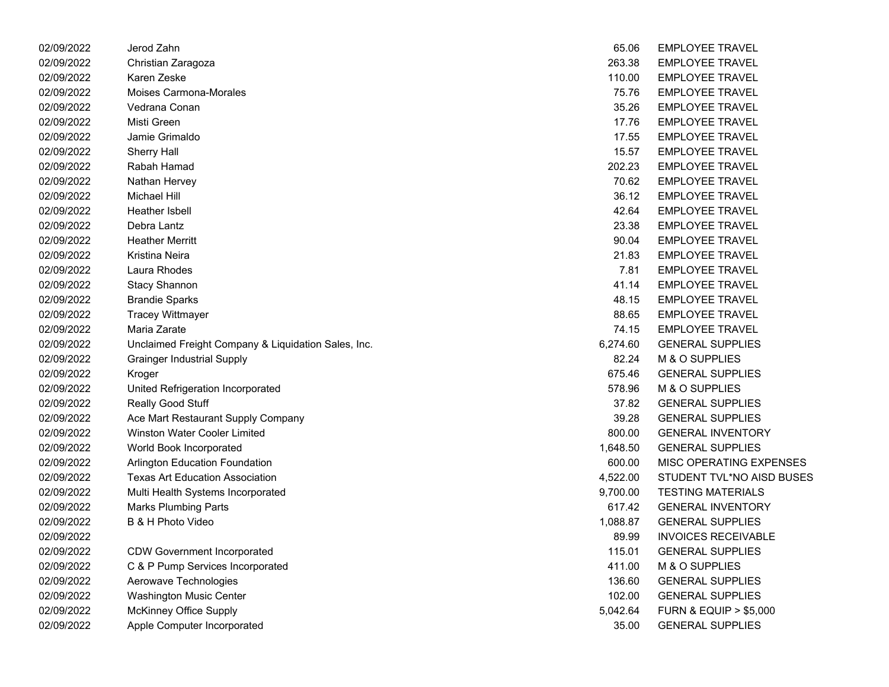| 02/09/2022 | Jerod Zahn                                          | 65.06    | <b>EMPLOYEE TRAVEL</b>               |
|------------|-----------------------------------------------------|----------|--------------------------------------|
| 02/09/2022 | Christian Zaragoza                                  | 263.38   | <b>EMPLOYEE TRAVEL</b>               |
| 02/09/2022 | Karen Zeske                                         | 110.00   | <b>EMPLOYEE TRAVEL</b>               |
| 02/09/2022 | Moises Carmona-Morales                              | 75.76    | <b>EMPLOYEE TRAVEL</b>               |
| 02/09/2022 | Vedrana Conan                                       | 35.26    | <b>EMPLOYEE TRAVEL</b>               |
| 02/09/2022 | Misti Green                                         | 17.76    | <b>EMPLOYEE TRAVEL</b>               |
| 02/09/2022 | Jamie Grimaldo                                      | 17.55    | <b>EMPLOYEE TRAVEL</b>               |
| 02/09/2022 | <b>Sherry Hall</b>                                  | 15.57    | <b>EMPLOYEE TRAVEL</b>               |
| 02/09/2022 | Rabah Hamad                                         | 202.23   | <b>EMPLOYEE TRAVEL</b>               |
| 02/09/2022 | Nathan Hervey                                       | 70.62    | <b>EMPLOYEE TRAVEL</b>               |
| 02/09/2022 | <b>Michael Hill</b>                                 | 36.12    | <b>EMPLOYEE TRAVEL</b>               |
| 02/09/2022 | Heather Isbell                                      | 42.64    | <b>EMPLOYEE TRAVEL</b>               |
| 02/09/2022 | Debra Lantz                                         | 23.38    | <b>EMPLOYEE TRAVEL</b>               |
| 02/09/2022 | <b>Heather Merritt</b>                              | 90.04    | <b>EMPLOYEE TRAVEL</b>               |
| 02/09/2022 | Kristina Neira                                      | 21.83    | <b>EMPLOYEE TRAVEL</b>               |
| 02/09/2022 | Laura Rhodes                                        | 7.81     | <b>EMPLOYEE TRAVEL</b>               |
| 02/09/2022 | <b>Stacy Shannon</b>                                | 41.14    | <b>EMPLOYEE TRAVEL</b>               |
| 02/09/2022 | <b>Brandie Sparks</b>                               | 48.15    | <b>EMPLOYEE TRAVEL</b>               |
| 02/09/2022 | <b>Tracey Wittmayer</b>                             | 88.65    | <b>EMPLOYEE TRAVEL</b>               |
| 02/09/2022 | Maria Zarate                                        | 74.15    | <b>EMPLOYEE TRAVEL</b>               |
| 02/09/2022 | Unclaimed Freight Company & Liquidation Sales, Inc. | 6,274.60 | <b>GENERAL SUPPLIES</b>              |
| 02/09/2022 | <b>Grainger Industrial Supply</b>                   | 82.24    | M & O SUPPLIES                       |
| 02/09/2022 | Kroger                                              | 675.46   | <b>GENERAL SUPPLIES</b>              |
| 02/09/2022 | United Refrigeration Incorporated                   | 578.96   | M & O SUPPLIES                       |
| 02/09/2022 | Really Good Stuff                                   | 37.82    | <b>GENERAL SUPPLIES</b>              |
| 02/09/2022 | Ace Mart Restaurant Supply Company                  | 39.28    | <b>GENERAL SUPPLIES</b>              |
| 02/09/2022 | <b>Winston Water Cooler Limited</b>                 | 800.00   | <b>GENERAL INVENTORY</b>             |
| 02/09/2022 | World Book Incorporated                             | 1,648.50 | <b>GENERAL SUPPLIES</b>              |
| 02/09/2022 | <b>Arlington Education Foundation</b>               | 600.00   | MISC OPERATING EXPENSES              |
| 02/09/2022 | <b>Texas Art Education Association</b>              | 4,522.00 | STUDENT TVL*NO AISD BUSES            |
| 02/09/2022 | Multi Health Systems Incorporated                   | 9,700.00 | <b>TESTING MATERIALS</b>             |
| 02/09/2022 | <b>Marks Plumbing Parts</b>                         | 617.42   | <b>GENERAL INVENTORY</b>             |
| 02/09/2022 | B & H Photo Video                                   | 1,088.87 | <b>GENERAL SUPPLIES</b>              |
| 02/09/2022 |                                                     | 89.99    | <b>INVOICES RECEIVABLE</b>           |
| 02/09/2022 | <b>CDW Government Incorporated</b>                  | 115.01   | <b>GENERAL SUPPLIES</b>              |
| 02/09/2022 | C & P Pump Services Incorporated                    | 411.00   | M & O SUPPLIES                       |
| 02/09/2022 | Aerowave Technologies                               | 136.60   | <b>GENERAL SUPPLIES</b>              |
| 02/09/2022 | Washington Music Center                             | 102.00   | <b>GENERAL SUPPLIES</b>              |
| 02/09/2022 | <b>McKinney Office Supply</b>                       | 5,042.64 | <b>FURN &amp; EQUIP &gt; \$5,000</b> |
| 02/09/2022 | Apple Computer Incorporated                         | 35.00    | <b>GENERAL SUPPLIES</b>              |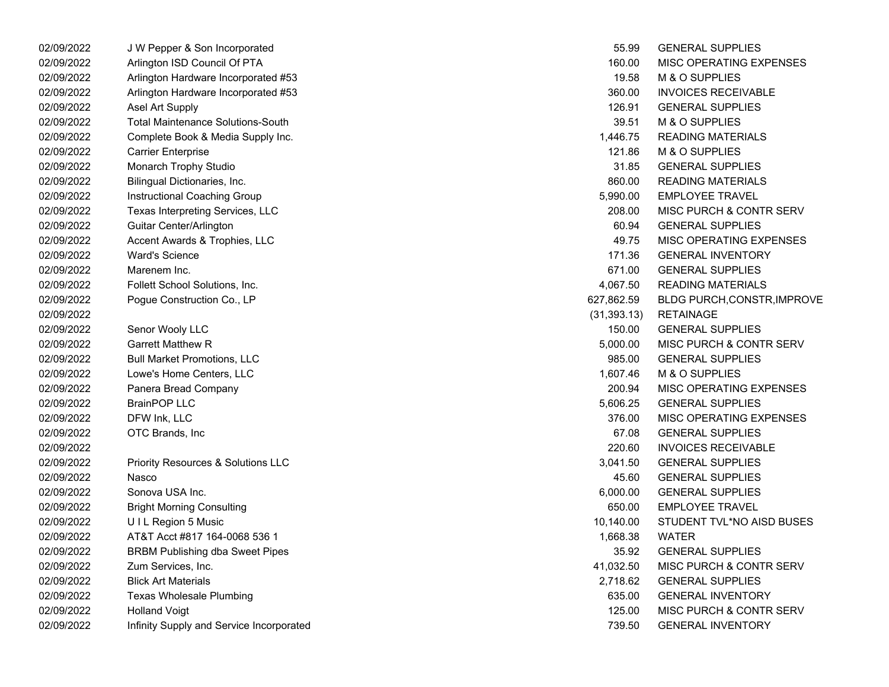| 02/09/2022 | J W Pepper & Son Incorporated            | 55.99        | <b>GENERAL SUPPLIES</b>            |
|------------|------------------------------------------|--------------|------------------------------------|
| 02/09/2022 | Arlington ISD Council Of PTA             | 160.00       | MISC OPERATING EXPENSES            |
| 02/09/2022 | Arlington Hardware Incorporated #53      | 19.58        | M & O SUPPLIES                     |
| 02/09/2022 | Arlington Hardware Incorporated #53      | 360.00       | <b>INVOICES RECEIVABLE</b>         |
| 02/09/2022 | Asel Art Supply                          | 126.91       | <b>GENERAL SUPPLIES</b>            |
| 02/09/2022 | <b>Total Maintenance Solutions-South</b> | 39.51        | M & O SUPPLIES                     |
| 02/09/2022 | Complete Book & Media Supply Inc.        | 1,446.75     | <b>READING MATERIALS</b>           |
| 02/09/2022 | <b>Carrier Enterprise</b>                | 121.86       | M & O SUPPLIES                     |
| 02/09/2022 | Monarch Trophy Studio                    | 31.85        | <b>GENERAL SUPPLIES</b>            |
| 02/09/2022 | Bilingual Dictionaries, Inc.             | 860.00       | <b>READING MATERIALS</b>           |
| 02/09/2022 | Instructional Coaching Group             | 5,990.00     | <b>EMPLOYEE TRAVEL</b>             |
| 02/09/2022 | Texas Interpreting Services, LLC         | 208.00       | MISC PURCH & CONTR SERV            |
| 02/09/2022 | Guitar Center/Arlington                  | 60.94        | <b>GENERAL SUPPLIES</b>            |
| 02/09/2022 | Accent Awards & Trophies, LLC            | 49.75        | MISC OPERATING EXPENSES            |
| 02/09/2022 | <b>Ward's Science</b>                    | 171.36       | <b>GENERAL INVENTORY</b>           |
| 02/09/2022 | Marenem Inc.                             | 671.00       | <b>GENERAL SUPPLIES</b>            |
| 02/09/2022 | Follett School Solutions, Inc.           | 4,067.50     | <b>READING MATERIALS</b>           |
| 02/09/2022 | Pogue Construction Co., LP               | 627,862.59   | <b>BLDG PURCH, CONSTR, IMPROVE</b> |
| 02/09/2022 |                                          | (31, 393.13) | <b>RETAINAGE</b>                   |
| 02/09/2022 | Senor Wooly LLC                          | 150.00       | <b>GENERAL SUPPLIES</b>            |
| 02/09/2022 | <b>Garrett Matthew R</b>                 | 5,000.00     | MISC PURCH & CONTR SERV            |
| 02/09/2022 | <b>Bull Market Promotions, LLC</b>       | 985.00       | <b>GENERAL SUPPLIES</b>            |
| 02/09/2022 | Lowe's Home Centers, LLC                 | 1,607.46     | M & O SUPPLIES                     |
| 02/09/2022 | Panera Bread Company                     | 200.94       | <b>MISC OPERATING EXPENSES</b>     |
| 02/09/2022 | <b>BrainPOP LLC</b>                      | 5,606.25     | <b>GENERAL SUPPLIES</b>            |
| 02/09/2022 | DFW Ink, LLC                             | 376.00       | MISC OPERATING EXPENSES            |
| 02/09/2022 | OTC Brands, Inc.                         | 67.08        | <b>GENERAL SUPPLIES</b>            |
| 02/09/2022 |                                          | 220.60       | <b>INVOICES RECEIVABLE</b>         |
| 02/09/2022 | Priority Resources & Solutions LLC       | 3,041.50     | <b>GENERAL SUPPLIES</b>            |
| 02/09/2022 | Nasco                                    | 45.60        | <b>GENERAL SUPPLIES</b>            |
| 02/09/2022 | Sonova USA Inc.                          | 6,000.00     | <b>GENERAL SUPPLIES</b>            |
| 02/09/2022 | <b>Bright Morning Consulting</b>         | 650.00       | <b>EMPLOYEE TRAVEL</b>             |
| 02/09/2022 | UIL Region 5 Music                       | 10,140.00    | STUDENT TVL*NO AISD BUSES          |
| 02/09/2022 | AT&T Acct #817 164-0068 536 1            | 1,668.38     | <b>WATER</b>                       |
| 02/09/2022 | <b>BRBM Publishing dba Sweet Pipes</b>   | 35.92        | <b>GENERAL SUPPLIES</b>            |
| 02/09/2022 | Zum Services, Inc.                       | 41,032.50    | MISC PURCH & CONTR SERV            |
| 02/09/2022 | <b>Blick Art Materials</b>               | 2,718.62     | <b>GENERAL SUPPLIES</b>            |
| 02/09/2022 | <b>Texas Wholesale Plumbing</b>          | 635.00       | <b>GENERAL INVENTORY</b>           |
| 02/09/2022 | <b>Holland Voigt</b>                     | 125.00       | MISC PURCH & CONTR SERV            |
| 02/09/2022 | Infinity Supply and Service Incorporated | 739.50       | <b>GENERAL INVENTORY</b>           |
|            |                                          |              |                                    |

| 55.99        | <b>GENERAL SUPPLIES</b>            |
|--------------|------------------------------------|
| 160.00       | MISC OPERATING EXPENSES            |
| 19.58        | M & O SUPPLIES                     |
| 360.00       | <b>INVOICES RECEIVABLE</b>         |
| 126.91       | <b>GENERAL SUPPLIES</b>            |
|              | 39.51 M & O SUPPLIES               |
| 1,446.75     | <b>READING MATERIALS</b>           |
| 121.86       | M & O SUPPLIES                     |
| 31.85        | <b>GENERAL SUPPLIES</b>            |
| 860.00       | <b>READING MATERIALS</b>           |
|              | 5,990.00 EMPLOYEE TRAVEL           |
|              | 208.00 MISC PURCH & CONTR SERV     |
| 60.94        | <b>GENERAL SUPPLIES</b>            |
| 49.75        | MISC OPERATING EXPENSES            |
|              | 171.36 GENERAL INVENTORY           |
|              | 671.00 GENERAL SUPPLIES            |
|              | 4,067.50 READING MATERIALS         |
| 627,862.59   | <b>BLDG PURCH, CONSTR, IMPROVE</b> |
| (31, 393.13) | <b>RETAINAGE</b>                   |
| 150.00       | <b>GENERAL SUPPLIES</b>            |
|              | 5,000.00 MISC PURCH & CONTR SERV   |
|              | 985.00 GENERAL SUPPLIES            |
| 1,607.46     | M & O SUPPLIES                     |
| 200.94       | <b>MISC OPERATING EXPENSES</b>     |
| 5,606.25     | <b>GENERAL SUPPLIES</b>            |
|              | 376.00 MISC OPERATING EXPENSES     |
| 67.08        | <b>GENERAL SUPPLIES</b>            |
| 220.60       | <b>INVOICES RECEIVABLE</b>         |
| 3,041.50     | <b>GENERAL SUPPLIES</b>            |
| 45.60        | <b>GENERAL SUPPLIES</b>            |
|              | 6,000.00 GENERAL SUPPLIES          |
|              | 650.00 EMPLOYEE TRAVEL             |
| 10,140.00    | STUDENT TVL*NO AISD BUSES          |
| 1,668.38     | WATER                              |
| 35.92        | <b>GENERAL SUPPLIES</b>            |
| 41,032.50    | <b>MISC PURCH &amp; CONTR SERV</b> |
| 2,718.62     | <b>GENERAL SUPPLIES</b>            |
| 635.00       | <b>GENERAL INVENTORY</b>           |
| 125.00       | <b>MISC PURCH &amp; CONTR SERV</b> |
| 739.50       | <b>GENERAL INVENTORY</b>           |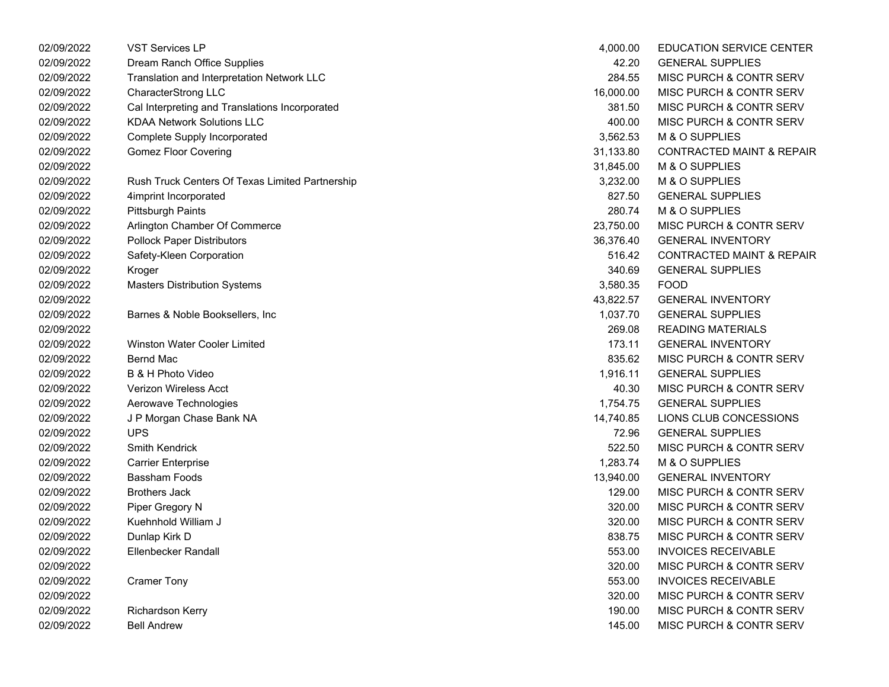| 02/09/2022 | <b>VST Services LP</b>                          | 4,000.00  | <b>EDUCATION SERVICE CENTER</b>      |
|------------|-------------------------------------------------|-----------|--------------------------------------|
| 02/09/2022 | Dream Ranch Office Supplies                     | 42.20     | <b>GENERAL SUPPLIES</b>              |
| 02/09/2022 | Translation and Interpretation Network LLC      | 284.55    | MISC PURCH & CONTR SERV              |
| 02/09/2022 | CharacterStrong LLC                             | 16,000.00 | MISC PURCH & CONTR SERV              |
| 02/09/2022 | Cal Interpreting and Translations Incorporated  | 381.50    | MISC PURCH & CONTR SERV              |
| 02/09/2022 | <b>KDAA Network Solutions LLC</b>               | 400.00    | MISC PURCH & CONTR SERV              |
| 02/09/2022 | Complete Supply Incorporated                    | 3,562.53  | M & O SUPPLIES                       |
| 02/09/2022 | <b>Gomez Floor Covering</b>                     | 31,133.80 | <b>CONTRACTED MAINT &amp; REPAIR</b> |
| 02/09/2022 |                                                 | 31,845.00 | M & O SUPPLIES                       |
| 02/09/2022 | Rush Truck Centers Of Texas Limited Partnership | 3,232.00  | M & O SUPPLIES                       |
| 02/09/2022 | 4imprint Incorporated                           | 827.50    | <b>GENERAL SUPPLIES</b>              |
| 02/09/2022 | <b>Pittsburgh Paints</b>                        | 280.74    | M & O SUPPLIES                       |
| 02/09/2022 | Arlington Chamber Of Commerce                   | 23,750.00 | MISC PURCH & CONTR SERV              |
| 02/09/2022 | <b>Pollock Paper Distributors</b>               | 36,376.40 | <b>GENERAL INVENTORY</b>             |
| 02/09/2022 | Safety-Kleen Corporation                        | 516.42    | <b>CONTRACTED MAINT &amp; REPAIR</b> |
| 02/09/2022 | Kroger                                          | 340.69    | <b>GENERAL SUPPLIES</b>              |
| 02/09/2022 | <b>Masters Distribution Systems</b>             | 3,580.35  | <b>FOOD</b>                          |
| 02/09/2022 |                                                 | 43,822.57 | <b>GENERAL INVENTORY</b>             |
| 02/09/2022 | Barnes & Noble Booksellers, Inc                 | 1,037.70  | <b>GENERAL SUPPLIES</b>              |
| 02/09/2022 |                                                 | 269.08    | <b>READING MATERIALS</b>             |
| 02/09/2022 | <b>Winston Water Cooler Limited</b>             | 173.11    | <b>GENERAL INVENTORY</b>             |
| 02/09/2022 | <b>Bernd Mac</b>                                | 835.62    | MISC PURCH & CONTR SERV              |
| 02/09/2022 | B & H Photo Video                               | 1,916.11  | <b>GENERAL SUPPLIES</b>              |
| 02/09/2022 | Verizon Wireless Acct                           | 40.30     | MISC PURCH & CONTR SERV              |
| 02/09/2022 | Aerowave Technologies                           | 1,754.75  | <b>GENERAL SUPPLIES</b>              |
| 02/09/2022 | J P Morgan Chase Bank NA                        | 14,740.85 | LIONS CLUB CONCESSIONS               |
| 02/09/2022 | <b>UPS</b>                                      | 72.96     | <b>GENERAL SUPPLIES</b>              |
| 02/09/2022 | Smith Kendrick                                  | 522.50    | MISC PURCH & CONTR SERV              |
| 02/09/2022 | <b>Carrier Enterprise</b>                       | 1,283.74  | M & O SUPPLIES                       |
| 02/09/2022 | Bassham Foods                                   | 13,940.00 | <b>GENERAL INVENTORY</b>             |
| 02/09/2022 | <b>Brothers Jack</b>                            | 129.00    | MISC PURCH & CONTR SERV              |
| 02/09/2022 | Piper Gregory N                                 | 320.00    | MISC PURCH & CONTR SERV              |
| 02/09/2022 | Kuehnhold William J                             | 320.00    | MISC PURCH & CONTR SERV              |
| 02/09/2022 | Dunlap Kirk D                                   | 838.75    | <b>MISC PURCH &amp; CONTR SERV</b>   |
| 02/09/2022 | Ellenbecker Randall                             | 553.00    | <b>INVOICES RECEIVABLE</b>           |
| 02/09/2022 |                                                 | 320.00    | MISC PURCH & CONTR SERV              |
| 02/09/2022 | <b>Cramer Tony</b>                              | 553.00    | <b>INVOICES RECEIVABLE</b>           |
| 02/09/2022 |                                                 | 320.00    | MISC PURCH & CONTR SERV              |
| 02/09/2022 | <b>Richardson Kerry</b>                         | 190.00    | MISC PURCH & CONTR SERV              |
| 02/09/2022 | <b>Bell Andrew</b>                              | 145.00    | MISC PURCH & CONTR SERV              |
|            |                                                 |           |                                      |

| 4,000.00  | <b>EDUCATION SERVICE CENTER</b>      |
|-----------|--------------------------------------|
| 42.20     | <b>GENERAL SUPPLIES</b>              |
| 284.55    | <b>MISC PURCH &amp; CONTR SERV</b>   |
| 16,000.00 | <b>MISC PURCH &amp; CONTR SERV</b>   |
| 381.50    | MISC PURCH & CONTR SERV              |
| 400.00    | <b>MISC PURCH &amp; CONTR SERV</b>   |
| 3,562.53  | <b>M &amp; O SUPPLIES</b>            |
| 31,133.80 | <b>CONTRACTED MAINT &amp; REPAIR</b> |
| 31,845.00 | <b>M &amp; O SUPPLIES</b>            |
| 3,232.00  | <b>M &amp; O SUPPLIES</b>            |
| 827.50    | <b>GENERAL SUPPLIES</b>              |
| 280.74    | M & O SUPPLIES                       |
| 23,750.00 | <b>MISC PURCH &amp; CONTR SERV</b>   |
| 36,376.40 | <b>GENERAL INVENTORY</b>             |
| 516.42    | <b>CONTRACTED MAINT &amp; REPAIR</b> |
| 340.69    | <b>GENERAL SUPPLIES</b>              |
| 3,580.35  | FOOD                                 |
| 43,822.57 | <b>GENERAL INVENTORY</b>             |
| 1,037.70  | <b>GENERAL SUPPLIES</b>              |
| 269.08    | <b>READING MATERIALS</b>             |
| 173.11    | <b>GENERAL INVENTORY</b>             |
| 835.62    | <b>MISC PURCH &amp; CONTR SERV</b>   |
| 1,916.11  | <b>GENERAL SUPPLIES</b>              |
| 40.30     | <b>MISC PURCH &amp; CONTR SERV</b>   |
| 1,754.75  | <b>GENERAL SUPPLIES</b>              |
| 14,740.85 | LIONS CLUB CONCESSIONS               |
| 72.96     | <b>GENERAL SUPPLIES</b>              |
| 522.50    | <b>MISC PURCH &amp; CONTR SERV</b>   |
| 1,283.74  | <b>M &amp; O SUPPLIES</b>            |
| 13,940.00 | <b>GENERAL INVENTORY</b>             |
| 129.00    | <b>MISC PURCH &amp; CONTR SERV</b>   |
| 320.00    | <b>MISC PURCH &amp; CONTR SERV</b>   |
| 320.00    | <b>MISC PURCH &amp; CONTR SERV</b>   |
| 838.75    | <b>MISC PURCH &amp; CONTR SERV</b>   |
| 553.00    | <b>INVOICES RECEIVABLE</b>           |
| 320.00    | <b>MISC PURCH &amp; CONTR SERV</b>   |
| 553.00    | <b>INVOICES RECEIVABLE</b>           |
| 320.00    | <b>MISC PURCH &amp; CONTR SERV</b>   |
| 190.00    | <b>MISC PURCH &amp; CONTR SERV</b>   |
| 145.00    | MISC PURCH & CONTR SERV              |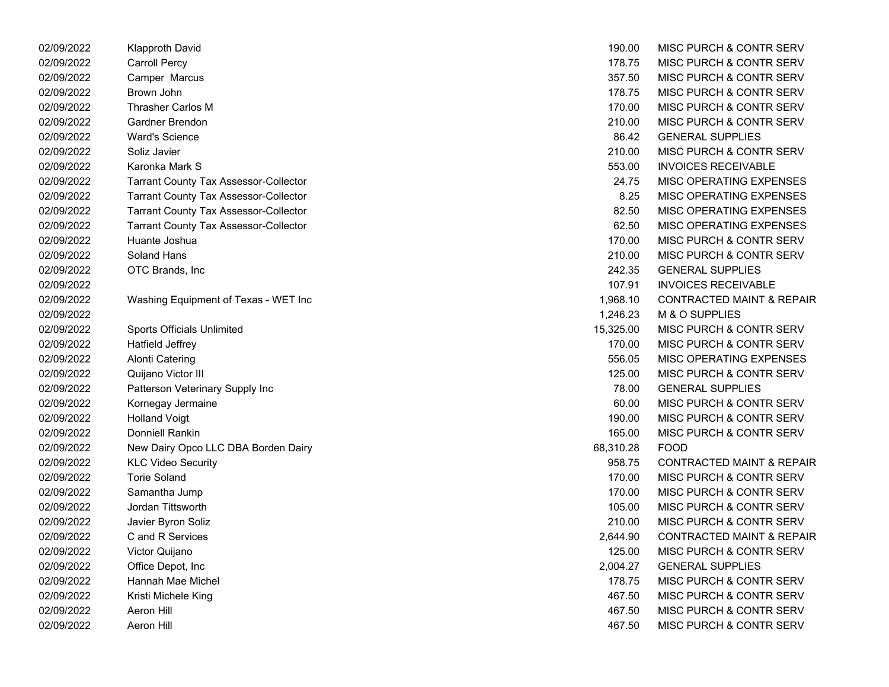| 02/09/2022 | Klapproth David                              | 190.00    | MISC PURCH & CONTR SERV              |
|------------|----------------------------------------------|-----------|--------------------------------------|
| 02/09/2022 | <b>Carroll Percy</b>                         | 178.75    | <b>MISC PURCH &amp; CONTR SERV</b>   |
| 02/09/2022 | Camper Marcus                                | 357.50    | <b>MISC PURCH &amp; CONTR SERV</b>   |
| 02/09/2022 | Brown John                                   | 178.75    | <b>MISC PURCH &amp; CONTR SERV</b>   |
| 02/09/2022 | <b>Thrasher Carlos M</b>                     | 170.00    | <b>MISC PURCH &amp; CONTR SERV</b>   |
| 02/09/2022 | Gardner Brendon                              | 210.00    | <b>MISC PURCH &amp; CONTR SERV</b>   |
| 02/09/2022 | <b>Ward's Science</b>                        | 86.42     | <b>GENERAL SUPPLIES</b>              |
| 02/09/2022 | Soliz Javier                                 | 210.00    | MISC PURCH & CONTR SERV              |
| 02/09/2022 | Karonka Mark S                               | 553.00    | <b>INVOICES RECEIVABLE</b>           |
| 02/09/2022 | <b>Tarrant County Tax Assessor-Collector</b> | 24.75     | MISC OPERATING EXPENSES              |
| 02/09/2022 | <b>Tarrant County Tax Assessor-Collector</b> | 8.25      | MISC OPERATING EXPENSES              |
| 02/09/2022 | <b>Tarrant County Tax Assessor-Collector</b> | 82.50     | <b>MISC OPERATING EXPENSES</b>       |
| 02/09/2022 | <b>Tarrant County Tax Assessor-Collector</b> | 62.50     | MISC OPERATING EXPENSES              |
| 02/09/2022 | Huante Joshua                                | 170.00    | MISC PURCH & CONTR SERV              |
| 02/09/2022 | Soland Hans                                  | 210.00    | <b>MISC PURCH &amp; CONTR SERV</b>   |
| 02/09/2022 | OTC Brands, Inc                              | 242.35    | <b>GENERAL SUPPLIES</b>              |
| 02/09/2022 |                                              | 107.91    | <b>INVOICES RECEIVABLE</b>           |
| 02/09/2022 | Washing Equipment of Texas - WET Inc         | 1,968.10  | <b>CONTRACTED MAINT &amp; REPAIR</b> |
| 02/09/2022 |                                              | 1,246.23  | <b>M &amp; O SUPPLIES</b>            |
| 02/09/2022 | Sports Officials Unlimited                   | 15,325.00 | MISC PURCH & CONTR SERV              |
| 02/09/2022 | <b>Hatfield Jeffrey</b>                      | 170.00    | <b>MISC PURCH &amp; CONTR SERV</b>   |
| 02/09/2022 | <b>Alonti Catering</b>                       | 556.05    | MISC OPERATING EXPENSES              |
| 02/09/2022 | Quijano Victor III                           | 125.00    | MISC PURCH & CONTR SERV              |
| 02/09/2022 | Patterson Veterinary Supply Inc              | 78.00     | <b>GENERAL SUPPLIES</b>              |
| 02/09/2022 | Kornegay Jermaine                            | 60.00     | <b>MISC PURCH &amp; CONTR SERV</b>   |
| 02/09/2022 | <b>Holland Voigt</b>                         | 190.00    | <b>MISC PURCH &amp; CONTR SERV</b>   |
| 02/09/2022 | Donniell Rankin                              | 165.00    | <b>MISC PURCH &amp; CONTR SERV</b>   |
| 02/09/2022 | New Dairy Opco LLC DBA Borden Dairy          | 68,310.28 | <b>FOOD</b>                          |
| 02/09/2022 | <b>KLC Video Security</b>                    | 958.75    | <b>CONTRACTED MAINT &amp; REPAIR</b> |
| 02/09/2022 | Torie Soland                                 | 170.00    | <b>MISC PURCH &amp; CONTR SERV</b>   |
| 02/09/2022 | Samantha Jump                                | 170.00    | <b>MISC PURCH &amp; CONTR SERV</b>   |
| 02/09/2022 | Jordan Tittsworth                            | 105.00    | MISC PURCH & CONTR SERV              |
| 02/09/2022 | Javier Byron Soliz                           | 210.00    | MISC PURCH & CONTR SERV              |
| 02/09/2022 | C and R Services                             | 2,644.90  | <b>CONTRACTED MAINT &amp; REPAIR</b> |
| 02/09/2022 | Victor Quijano                               | 125.00    | <b>MISC PURCH &amp; CONTR SERV</b>   |
| 02/09/2022 | Office Depot, Inc                            | 2,004.27  | <b>GENERAL SUPPLIES</b>              |
| 02/09/2022 | Hannah Mae Michel                            | 178.75    | <b>MISC PURCH &amp; CONTR SERV</b>   |
| 02/09/2022 | Kristi Michele King                          | 467.50    | MISC PURCH & CONTR SERV              |
| 02/09/2022 | Aeron Hill                                   | 467.50    | <b>MISC PURCH &amp; CONTR SERV</b>   |
| 02/09/2022 | Aeron Hill                                   | 467.50    | MISC PURCH & CONTR SERV              |

| 190.00    | MISC PURCH & CONTR SERV              |
|-----------|--------------------------------------|
| 178.75    | MISC PURCH & CONTR SERV              |
| 357.50    | <b>MISC PURCH &amp; CONTR SERV</b>   |
| 178.75    | <b>MISC PURCH &amp; CONTR SERV</b>   |
| 170.00    | <b>MISC PURCH &amp; CONTR SERV</b>   |
| 210.00    | <b>MISC PURCH &amp; CONTR SERV</b>   |
| 86.42     | <b>GENERAL SUPPLIES</b>              |
| 210.00    | <b>MISC PURCH &amp; CONTR SERV</b>   |
| 553.00    | <b>INVOICES RECEIVABLE</b>           |
| 24.75     | <b>MISC OPERATING EXPENSES</b>       |
| 8.25      | <b>MISC OPERATING EXPENSES</b>       |
| 82.50     | <b>MISC OPERATING EXPENSES</b>       |
| 62.50     | <b>MISC OPERATING EXPENSES</b>       |
| 170.00    | MISC PURCH & CONTR SERV              |
| 210.00    | <b>MISC PURCH &amp; CONTR SERV</b>   |
| 242.35    | <b>GENERAL SUPPLIES</b>              |
| 107.91    | <b>INVOICES RECEIVABLE</b>           |
| 1,968.10  | <b>CONTRACTED MAINT &amp; REPAIR</b> |
| 1,246.23  | M & O SUPPLIES                       |
| 15,325.00 | <b>MISC PURCH &amp; CONTR SERV</b>   |
| 170.00    | <b>MISC PURCH &amp; CONTR SERV</b>   |
| 556.05    | <b>MISC OPERATING EXPENSES</b>       |
| 125.00    | MISC PURCH & CONTR SERV              |
| 78.00     | <b>GENERAL SUPPLIES</b>              |
| 60.00     | <b>MISC PURCH &amp; CONTR SERV</b>   |
| 190.00    | <b>MISC PURCH &amp; CONTR SERV</b>   |
| 165.00    | <b>MISC PURCH &amp; CONTR SERV</b>   |
| 68,310.28 | FOOD                                 |
| 958.75    | <b>CONTRACTED MAINT &amp; REPAIR</b> |
| 170.00    | <b>MISC PURCH &amp; CONTR SERV</b>   |
| 170.00    | <b>MISC PURCH &amp; CONTR SERV</b>   |
| 105.00    | <b>MISC PURCH &amp; CONTR SERV</b>   |
| 210.00    | MISC PURCH & CONTR SERV              |
| 2,644.90  | <b>CONTRACTED MAINT &amp; REPAIR</b> |
| 125.00    | <b>MISC PURCH &amp; CONTR SERV</b>   |
| 2,004.27  | <b>GENERAL SUPPLIES</b>              |
| 178.75    | <b>MISC PURCH &amp; CONTR SERV</b>   |
| 467.50    | <b>MISC PURCH &amp; CONTR SERV</b>   |
| 467.50    | <b>MISC PURCH &amp; CONTR SERV</b>   |
| 467.50    | <b>MISC PURCH &amp; CONTR SERV</b>   |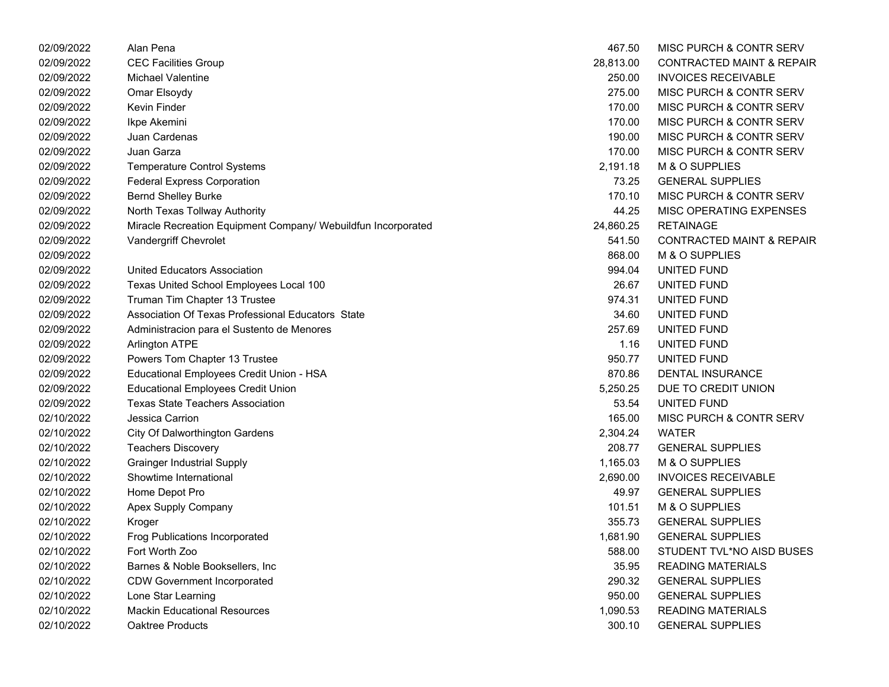| 02/09/2022 | Alan Pena                                                     | 467.50    | MISC PURCH & CONTR SERV              |
|------------|---------------------------------------------------------------|-----------|--------------------------------------|
| 02/09/2022 | <b>CEC Facilities Group</b>                                   | 28,813.00 | <b>CONTRACTED MAINT &amp; REPAIR</b> |
| 02/09/2022 | Michael Valentine                                             | 250.00    | <b>INVOICES RECEIVABLE</b>           |
| 02/09/2022 | Omar Elsoydy                                                  | 275.00    | MISC PURCH & CONTR SERV              |
| 02/09/2022 | Kevin Finder                                                  | 170.00    | MISC PURCH & CONTR SERV              |
| 02/09/2022 | Ikpe Akemini                                                  | 170.00    | MISC PURCH & CONTR SERV              |
| 02/09/2022 | Juan Cardenas                                                 | 190.00    | MISC PURCH & CONTR SERV              |
| 02/09/2022 | Juan Garza                                                    | 170.00    | MISC PURCH & CONTR SERV              |
| 02/09/2022 | <b>Temperature Control Systems</b>                            | 2,191.18  | M & O SUPPLIES                       |
| 02/09/2022 | <b>Federal Express Corporation</b>                            | 73.25     | <b>GENERAL SUPPLIES</b>              |
| 02/09/2022 | <b>Bernd Shelley Burke</b>                                    | 170.10    | MISC PURCH & CONTR SERV              |
| 02/09/2022 | North Texas Tollway Authority                                 | 44.25     | MISC OPERATING EXPENSES              |
| 02/09/2022 | Miracle Recreation Equipment Company/ Webuildfun Incorporated | 24,860.25 | <b>RETAINAGE</b>                     |
| 02/09/2022 | Vandergriff Chevrolet                                         | 541.50    | <b>CONTRACTED MAINT &amp; REPAIR</b> |
| 02/09/2022 |                                                               | 868.00    | M & O SUPPLIES                       |
| 02/09/2022 | <b>United Educators Association</b>                           | 994.04    | UNITED FUND                          |
| 02/09/2022 | Texas United School Employees Local 100                       | 26.67     | UNITED FUND                          |
| 02/09/2022 | Truman Tim Chapter 13 Trustee                                 | 974.31    | UNITED FUND                          |
| 02/09/2022 | Association Of Texas Professional Educators State             | 34.60     | UNITED FUND                          |
| 02/09/2022 | Administracion para el Sustento de Menores                    | 257.69    | UNITED FUND                          |
| 02/09/2022 | <b>Arlington ATPE</b>                                         | 1.16      | UNITED FUND                          |
| 02/09/2022 | Powers Tom Chapter 13 Trustee                                 | 950.77    | UNITED FUND                          |
| 02/09/2022 | Educational Employees Credit Union - HSA                      | 870.86    | DENTAL INSURANCE                     |
| 02/09/2022 | <b>Educational Employees Credit Union</b>                     | 5,250.25  | DUE TO CREDIT UNION                  |
| 02/09/2022 | <b>Texas State Teachers Association</b>                       | 53.54     | UNITED FUND                          |
| 02/10/2022 | Jessica Carrion                                               | 165.00    | MISC PURCH & CONTR SERV              |
| 02/10/2022 | <b>City Of Dalworthington Gardens</b>                         | 2,304.24  | <b>WATER</b>                         |
| 02/10/2022 | <b>Teachers Discovery</b>                                     | 208.77    | <b>GENERAL SUPPLIES</b>              |
| 02/10/2022 | <b>Grainger Industrial Supply</b>                             | 1,165.03  | M & O SUPPLIES                       |
| 02/10/2022 | Showtime International                                        | 2,690.00  | <b>INVOICES RECEIVABLE</b>           |
| 02/10/2022 | Home Depot Pro                                                | 49.97     | <b>GENERAL SUPPLIES</b>              |
| 02/10/2022 | Apex Supply Company                                           | 101.51    | M & O SUPPLIES                       |
| 02/10/2022 | Kroger                                                        | 355.73    | <b>GENERAL SUPPLIES</b>              |
| 02/10/2022 | Frog Publications Incorporated                                | 1,681.90  | <b>GENERAL SUPPLIES</b>              |
| 02/10/2022 | Fort Worth Zoo                                                | 588.00    | STUDENT TVL*NO AISD BUSES            |
| 02/10/2022 | Barnes & Noble Booksellers, Inc                               | 35.95     | <b>READING MATERIALS</b>             |
| 02/10/2022 | <b>CDW Government Incorporated</b>                            | 290.32    | <b>GENERAL SUPPLIES</b>              |
| 02/10/2022 | Lone Star Learning                                            | 950.00    | <b>GENERAL SUPPLIES</b>              |
| 02/10/2022 | <b>Mackin Educational Resources</b>                           | 1,090.53  | <b>READING MATERIALS</b>             |
| 02/10/2022 | <b>Oaktree Products</b>                                       | 300.10    | <b>GENERAL SUPPLIES</b>              |

| 467.50    | MISC PURCH & CONTR SERV              |
|-----------|--------------------------------------|
| 28,813.00 | <b>CONTRACTED MAINT &amp; REPAIR</b> |
| 250.00    | <b>INVOICES RECEIVABLE</b>           |
| 275.00    | MISC PURCH & CONTR SERV              |
| 170.00    | MISC PURCH & CONTR SERV              |
| 170.00    | MISC PURCH & CONTR SERV              |
| 190.00    | MISC PURCH & CONTR SERV              |
| 170.00    | MISC PURCH & CONTR SERV              |
| 2,191.18  | M & O SUPPLIES                       |
| 73.25     | <b>GENERAL SUPPLIES</b>              |
| 170.10    | MISC PURCH & CONTR SERV              |
| 44.25     | MISC OPERATING EXPENSES              |
| 24,860.25 | <b>RETAINAGE</b>                     |
| 541.50    | <b>CONTRACTED MAINT &amp; REPAIR</b> |
| 868.00    | M & O SUPPLIES                       |
| 994.04    | UNITED FUND                          |
| 26.67     | UNITED FUND                          |
| 974.31    | UNITED FUND                          |
| 34.60     | UNITED FUND                          |
| 257.69    | UNITED FUND                          |
| 1.16      | UNITED FUND                          |
| 950.77    | <b>UNITED FUND</b>                   |
| 870.86    | <b>DENTAL INSURANCE</b>              |
| 5,250.25  | DUE TO CREDIT UNION                  |
| 53.54     | UNITED FUND                          |
| 165.00    | MISC PURCH & CONTR SERV              |
| 2,304.24  | <b>WATER</b>                         |
| 208.77    | <b>GENERAL SUPPLIES</b>              |
| 1,165.03  | M & O SUPPLIES                       |
| 2,690.00  | <b>INVOICES RECEIVABLE</b>           |
| 49.97     | <b>GENERAL SUPPLIES</b>              |
| 101.51    | M & O SUPPLIES                       |
| 355.73    | <b>GENERAL SUPPLIES</b>              |
| 1,681.90  | <b>GENERAL SUPPLIES</b>              |
| 588.00    | STUDENT TVL*NO AISD BUSES            |
| 35.95     | <b>READING MATERIALS</b>             |
| 290.32    | <b>GENERAL SUPPLIES</b>              |
| 950.00    | <b>GENERAL SUPPLIES</b>              |
| 1,090.53  | <b>READING MATERIALS</b>             |
| 300.10    | <b>GENERAL SUPPLIES</b>              |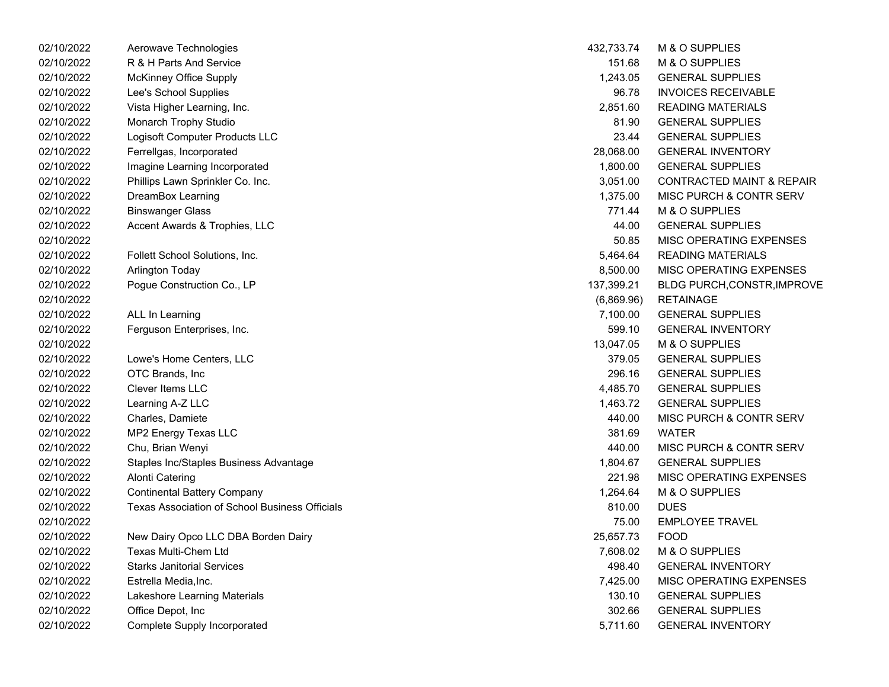| 02/10/2022 | Aerowave Technologies                          | 432,733.74 | M & O SUPPLIES                       |
|------------|------------------------------------------------|------------|--------------------------------------|
| 02/10/2022 | R & H Parts And Service                        | 151.68     | M & O SUPPLIES                       |
| 02/10/2022 | <b>McKinney Office Supply</b>                  | 1,243.05   | <b>GENERAL SUPPLIES</b>              |
| 02/10/2022 | Lee's School Supplies                          | 96.78      | <b>INVOICES RECEIVABLE</b>           |
| 02/10/2022 | Vista Higher Learning, Inc.                    | 2,851.60   | <b>READING MATERIALS</b>             |
| 02/10/2022 | Monarch Trophy Studio                          | 81.90      | <b>GENERAL SUPPLIES</b>              |
| 02/10/2022 | Logisoft Computer Products LLC                 | 23.44      | <b>GENERAL SUPPLIES</b>              |
| 02/10/2022 | Ferrellgas, Incorporated                       | 28,068.00  | <b>GENERAL INVENTORY</b>             |
| 02/10/2022 | Imagine Learning Incorporated                  | 1,800.00   | <b>GENERAL SUPPLIES</b>              |
| 02/10/2022 | Phillips Lawn Sprinkler Co. Inc.               | 3,051.00   | <b>CONTRACTED MAINT &amp; REPAIR</b> |
| 02/10/2022 | DreamBox Learning                              | 1,375.00   | MISC PURCH & CONTR SERV              |
| 02/10/2022 | <b>Binswanger Glass</b>                        | 771.44     | M & O SUPPLIES                       |
| 02/10/2022 | Accent Awards & Trophies, LLC                  | 44.00      | <b>GENERAL SUPPLIES</b>              |
| 02/10/2022 |                                                | 50.85      | MISC OPERATING EXPENSES              |
| 02/10/2022 | Follett School Solutions, Inc.                 | 5,464.64   | <b>READING MATERIALS</b>             |
| 02/10/2022 | Arlington Today                                | 8,500.00   | MISC OPERATING EXPENSES              |
| 02/10/2022 | Pogue Construction Co., LP                     | 137,399.21 | <b>BLDG PURCH, CONSTR, IMPROVE</b>   |
| 02/10/2022 |                                                | (6,869.96) | <b>RETAINAGE</b>                     |
| 02/10/2022 | ALL In Learning                                | 7,100.00   | <b>GENERAL SUPPLIES</b>              |
| 02/10/2022 | Ferguson Enterprises, Inc.                     | 599.10     | <b>GENERAL INVENTORY</b>             |
| 02/10/2022 |                                                | 13,047.05  | M & O SUPPLIES                       |
| 02/10/2022 | Lowe's Home Centers, LLC                       | 379.05     | <b>GENERAL SUPPLIES</b>              |
| 02/10/2022 | OTC Brands, Inc                                | 296.16     | <b>GENERAL SUPPLIES</b>              |
| 02/10/2022 | Clever Items LLC                               | 4,485.70   | <b>GENERAL SUPPLIES</b>              |
| 02/10/2022 | Learning A-Z LLC                               | 1,463.72   | <b>GENERAL SUPPLIES</b>              |
| 02/10/2022 | Charles, Damiete                               | 440.00     | MISC PURCH & CONTR SERV              |
| 02/10/2022 | MP2 Energy Texas LLC                           | 381.69     | <b>WATER</b>                         |
| 02/10/2022 | Chu, Brian Wenyi                               | 440.00     | MISC PURCH & CONTR SERV              |
| 02/10/2022 | Staples Inc/Staples Business Advantage         | 1,804.67   | <b>GENERAL SUPPLIES</b>              |
| 02/10/2022 | <b>Alonti Catering</b>                         | 221.98     | MISC OPERATING EXPENSES              |
| 02/10/2022 | <b>Continental Battery Company</b>             | 1,264.64   | M & O SUPPLIES                       |
| 02/10/2022 | Texas Association of School Business Officials | 810.00     | <b>DUES</b>                          |
| 02/10/2022 |                                                | 75.00      | <b>EMPLOYEE TRAVEL</b>               |
| 02/10/2022 | New Dairy Opco LLC DBA Borden Dairy            | 25,657.73  | <b>FOOD</b>                          |
| 02/10/2022 | Texas Multi-Chem Ltd                           | 7,608.02   | M & O SUPPLIES                       |
| 02/10/2022 | <b>Starks Janitorial Services</b>              | 498.40     | <b>GENERAL INVENTORY</b>             |
| 02/10/2022 | Estrella Media, Inc.                           | 7,425.00   | MISC OPERATING EXPENSES              |
| 02/10/2022 | Lakeshore Learning Materials                   | 130.10     | <b>GENERAL SUPPLIES</b>              |
| 02/10/2022 | Office Depot, Inc                              | 302.66     | <b>GENERAL SUPPLIES</b>              |
| 02/10/2022 | Complete Supply Incorporated                   | 5,711.60   | <b>GENERAL INVENTORY</b>             |

| 432,733.74 | <b>M &amp; O SUPPLIES</b>            |
|------------|--------------------------------------|
| 151.68     | <b>M &amp; O SUPPLIES</b>            |
| 1,243.05   | <b>GENERAL SUPPLIES</b>              |
| 96.78      | <b>INVOICES RECEIVABLE</b>           |
| 2,851.60   | <b>READING MATERIALS</b>             |
| 81.90      | <b>GENERAL SUPPLIES</b>              |
| 23.44      | <b>GENERAL SUPPLIES</b>              |
| 28,068.00  | <b>GENERAL INVENTORY</b>             |
| 1,800.00   | <b>GENERAL SUPPLIES</b>              |
| 3,051.00   | <b>CONTRACTED MAINT &amp; REPAIR</b> |
| 1,375.00   | MISC PURCH & CONTR SERV              |
| 771.44     | <b>M &amp; O SUPPLIES</b>            |
| 44.00      | <b>GENERAL SUPPLIES</b>              |
| 50.85      | <b>MISC OPERATING EXPENSES</b>       |
| 5,464.64   | <b>READING MATERIALS</b>             |
| 8,500.00   | MISC OPERATING EXPENSES              |
| 137,399.21 | <b>BLDG PURCH, CONSTR, IMPROVE</b>   |
| (6,869.96) | <b>RETAINAGE</b>                     |
| 7,100.00   | <b>GENERAL SUPPLIES</b>              |
| 599.10     | <b>GENERAL INVENTORY</b>             |
| 13,047.05  | M & O SUPPLIES                       |
| 379.05     | <b>GENERAL SUPPLIES</b>              |
| 296.16     | <b>GENERAL SUPPLIES</b>              |
| 4,485.70   | <b>GENERAL SUPPLIES</b>              |
| 1,463.72   | <b>GENERAL SUPPLIES</b>              |
| 440.00     | <b>MISC PURCH &amp; CONTR SERV</b>   |
| 381.69     | WATER                                |
| 440.00     | <b>MISC PURCH &amp; CONTR SERV</b>   |
| 1,804.67   | <b>GENERAL SUPPLIES</b>              |
| 221.98     | <b>MISC OPERATING EXPENSES</b>       |
| 1,264.64   | <b>M &amp; O SUPPLIES</b>            |
| 810.00     | DUES                                 |
| 75.00      | <b>EMPLOYEE TRAVEL</b>               |
| 25,657.73  | <b>FOOD</b>                          |
| 7,608.02   | <b>M &amp; O SUPPLIES</b>            |
| 498.40     | <b>GENERAL INVENTORY</b>             |
| 7,425.00   | <b>MISC OPERATING EXPENSES</b>       |
| 130.10     | <b>GENERAL SUPPLIES</b>              |
| 302.66     | <b>GENERAL SUPPLIES</b>              |
| 5.711.60   | <b>GENERAL INVENTORY</b>             |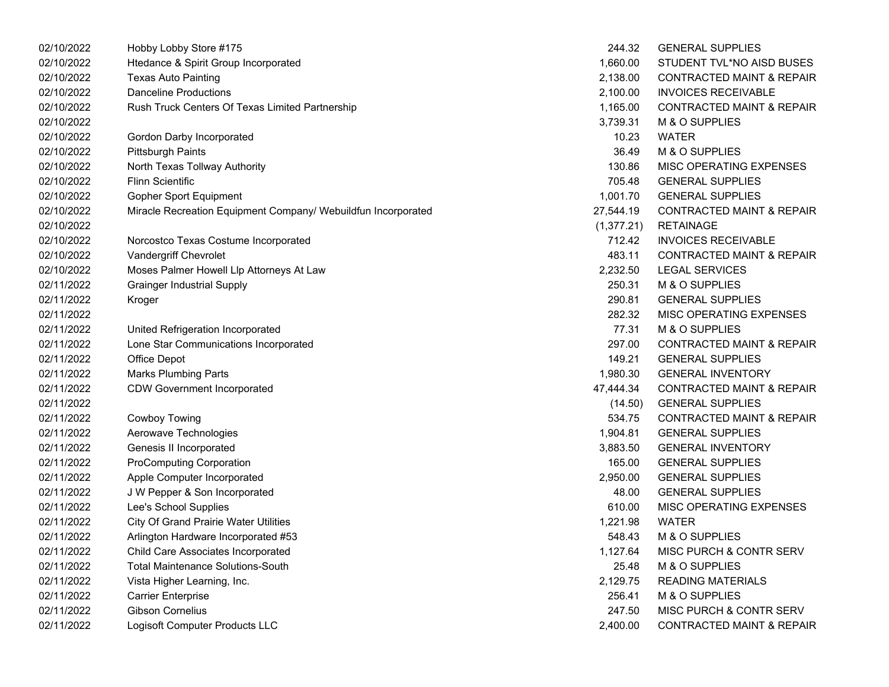| 02/10/2022 | Hobby Lobby Store #175                                        | 244.32     | <b>GENERAL SUPPLIES</b>              |
|------------|---------------------------------------------------------------|------------|--------------------------------------|
| 02/10/2022 | Htedance & Spirit Group Incorporated                          | 1,660.00   | STUDENT TVL*NO AISD BUSES            |
| 02/10/2022 | <b>Texas Auto Painting</b>                                    | 2,138.00   | <b>CONTRACTED MAINT &amp; REPAIR</b> |
| 02/10/2022 | <b>Danceline Productions</b>                                  | 2,100.00   | <b>INVOICES RECEIVABLE</b>           |
| 02/10/2022 | Rush Truck Centers Of Texas Limited Partnership               | 1,165.00   | <b>CONTRACTED MAINT &amp; REPAIR</b> |
| 02/10/2022 |                                                               | 3,739.31   | M & O SUPPLIES                       |
| 02/10/2022 | Gordon Darby Incorporated                                     | 10.23      | <b>WATER</b>                         |
| 02/10/2022 | <b>Pittsburgh Paints</b>                                      | 36.49      | M & O SUPPLIES                       |
| 02/10/2022 | North Texas Tollway Authority                                 | 130.86     | MISC OPERATING EXPENSES              |
| 02/10/2022 | <b>Flinn Scientific</b>                                       | 705.48     | <b>GENERAL SUPPLIES</b>              |
| 02/10/2022 | <b>Gopher Sport Equipment</b>                                 | 1,001.70   | <b>GENERAL SUPPLIES</b>              |
| 02/10/2022 | Miracle Recreation Equipment Company/ Webuildfun Incorporated | 27,544.19  | <b>CONTRACTED MAINT &amp; REPAIR</b> |
| 02/10/2022 |                                                               | (1,377.21) | <b>RETAINAGE</b>                     |
| 02/10/2022 | Norcostco Texas Costume Incorporated                          | 712.42     | <b>INVOICES RECEIVABLE</b>           |
| 02/10/2022 | Vandergriff Chevrolet                                         | 483.11     | <b>CONTRACTED MAINT &amp; REPAIR</b> |
| 02/10/2022 | Moses Palmer Howell Llp Attorneys At Law                      | 2,232.50   | <b>LEGAL SERVICES</b>                |
| 02/11/2022 | <b>Grainger Industrial Supply</b>                             | 250.31     | M & O SUPPLIES                       |
| 02/11/2022 | Kroger                                                        | 290.81     | <b>GENERAL SUPPLIES</b>              |
| 02/11/2022 |                                                               | 282.32     | MISC OPERATING EXPENSES              |
| 02/11/2022 | United Refrigeration Incorporated                             | 77.31      | M & O SUPPLIES                       |
| 02/11/2022 | Lone Star Communications Incorporated                         | 297.00     | <b>CONTRACTED MAINT &amp; REPAIR</b> |
| 02/11/2022 | Office Depot                                                  | 149.21     | <b>GENERAL SUPPLIES</b>              |
| 02/11/2022 | <b>Marks Plumbing Parts</b>                                   | 1,980.30   | <b>GENERAL INVENTORY</b>             |
| 02/11/2022 | <b>CDW Government Incorporated</b>                            | 47,444.34  | <b>CONTRACTED MAINT &amp; REPAIR</b> |
| 02/11/2022 |                                                               | (14.50)    | <b>GENERAL SUPPLIES</b>              |
| 02/11/2022 | <b>Cowboy Towing</b>                                          | 534.75     | <b>CONTRACTED MAINT &amp; REPAIR</b> |
| 02/11/2022 | Aerowave Technologies                                         | 1,904.81   | <b>GENERAL SUPPLIES</b>              |
| 02/11/2022 | Genesis II Incorporated                                       | 3,883.50   | <b>GENERAL INVENTORY</b>             |
| 02/11/2022 | <b>ProComputing Corporation</b>                               | 165.00     | <b>GENERAL SUPPLIES</b>              |
| 02/11/2022 | Apple Computer Incorporated                                   | 2,950.00   | <b>GENERAL SUPPLIES</b>              |
| 02/11/2022 | J W Pepper & Son Incorporated                                 | 48.00      | <b>GENERAL SUPPLIES</b>              |
| 02/11/2022 | Lee's School Supplies                                         | 610.00     | MISC OPERATING EXPENSES              |
| 02/11/2022 | <b>City Of Grand Prairie Water Utilities</b>                  | 1,221.98   | <b>WATER</b>                         |
| 02/11/2022 | Arlington Hardware Incorporated #53                           | 548.43     | M & O SUPPLIES                       |
| 02/11/2022 | Child Care Associates Incorporated                            | 1,127.64   | MISC PURCH & CONTR SERV              |
| 02/11/2022 | <b>Total Maintenance Solutions-South</b>                      | 25.48      | M & O SUPPLIES                       |
| 02/11/2022 | Vista Higher Learning, Inc.                                   | 2,129.75   | <b>READING MATERIALS</b>             |
| 02/11/2022 | <b>Carrier Enterprise</b>                                     | 256.41     | M & O SUPPLIES                       |
| 02/11/2022 | Gibson Cornelius                                              | 247.50     | MISC PURCH & CONTR SERV              |
| 02/11/2022 | Logisoft Computer Products LLC                                | 2,400.00   | <b>CONTRACTED MAINT &amp; REPAIR</b> |
|            |                                                               |            |                                      |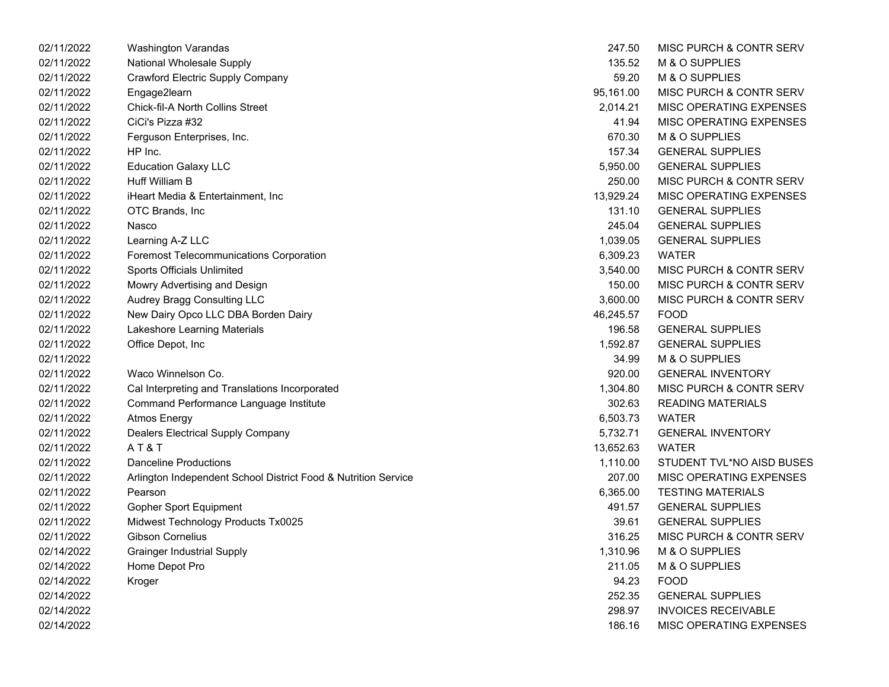| 02/11/2022 | Washington Varandas                                            | 247.50    | MISC PURCH & CONTR SERV    |
|------------|----------------------------------------------------------------|-----------|----------------------------|
| 02/11/2022 | National Wholesale Supply                                      | 135.52    | M & O SUPPLIES             |
| 02/11/2022 | Crawford Electric Supply Company                               | 59.20     | M & O SUPPLIES             |
| 02/11/2022 | Engage2learn                                                   | 95,161.00 | MISC PURCH & CONTR SERV    |
| 02/11/2022 | Chick-fil-A North Collins Street                               | 2,014.21  | MISC OPERATING EXPENSES    |
| 02/11/2022 | CiCi's Pizza #32                                               | 41.94     | MISC OPERATING EXPENSES    |
| 02/11/2022 | Ferguson Enterprises, Inc.                                     | 670.30    | M & O SUPPLIES             |
| 02/11/2022 | HP Inc.                                                        | 157.34    | <b>GENERAL SUPPLIES</b>    |
| 02/11/2022 | <b>Education Galaxy LLC</b>                                    | 5,950.00  | <b>GENERAL SUPPLIES</b>    |
| 02/11/2022 | Huff William B                                                 | 250.00    | MISC PURCH & CONTR SERV    |
| 02/11/2022 | iHeart Media & Entertainment, Inc                              | 13,929.24 | MISC OPERATING EXPENSES    |
| 02/11/2022 | OTC Brands, Inc                                                | 131.10    | <b>GENERAL SUPPLIES</b>    |
| 02/11/2022 | Nasco                                                          | 245.04    | <b>GENERAL SUPPLIES</b>    |
| 02/11/2022 | Learning A-Z LLC                                               | 1,039.05  | <b>GENERAL SUPPLIES</b>    |
| 02/11/2022 | Foremost Telecommunications Corporation                        | 6,309.23  | <b>WATER</b>               |
| 02/11/2022 | <b>Sports Officials Unlimited</b>                              | 3,540.00  | MISC PURCH & CONTR SERV    |
| 02/11/2022 | Mowry Advertising and Design                                   | 150.00    | MISC PURCH & CONTR SERV    |
| 02/11/2022 | Audrey Bragg Consulting LLC                                    | 3,600.00  | MISC PURCH & CONTR SERV    |
| 02/11/2022 | New Dairy Opco LLC DBA Borden Dairy                            | 46,245.57 | <b>FOOD</b>                |
| 02/11/2022 | Lakeshore Learning Materials                                   | 196.58    | <b>GENERAL SUPPLIES</b>    |
| 02/11/2022 | Office Depot, Inc                                              | 1,592.87  | <b>GENERAL SUPPLIES</b>    |
| 02/11/2022 |                                                                | 34.99     | M & O SUPPLIES             |
| 02/11/2022 | Waco Winnelson Co.                                             | 920.00    | <b>GENERAL INVENTORY</b>   |
| 02/11/2022 | Cal Interpreting and Translations Incorporated                 | 1,304.80  | MISC PURCH & CONTR SERV    |
| 02/11/2022 | Command Performance Language Institute                         | 302.63    | <b>READING MATERIALS</b>   |
| 02/11/2022 | <b>Atmos Energy</b>                                            | 6,503.73  | <b>WATER</b>               |
| 02/11/2022 | Dealers Electrical Supply Company                              | 5,732.71  | <b>GENERAL INVENTORY</b>   |
| 02/11/2022 | AT&T                                                           | 13,652.63 | <b>WATER</b>               |
| 02/11/2022 | <b>Danceline Productions</b>                                   | 1,110.00  | STUDENT TVL*NO AISD BUSES  |
| 02/11/2022 | Arlington Independent School District Food & Nutrition Service | 207.00    | MISC OPERATING EXPENSES    |
| 02/11/2022 | Pearson                                                        | 6,365.00  | <b>TESTING MATERIALS</b>   |
| 02/11/2022 | <b>Gopher Sport Equipment</b>                                  | 491.57    | <b>GENERAL SUPPLIES</b>    |
| 02/11/2022 | Midwest Technology Products Tx0025                             | 39.61     | <b>GENERAL SUPPLIES</b>    |
| 02/11/2022 | <b>Gibson Cornelius</b>                                        | 316.25    | MISC PURCH & CONTR SERV    |
| 02/14/2022 | <b>Grainger Industrial Supply</b>                              | 1,310.96  | M & O SUPPLIES             |
| 02/14/2022 | Home Depot Pro                                                 | 211.05    | M & O SUPPLIES             |
| 02/14/2022 | Kroger                                                         | 94.23     | <b>FOOD</b>                |
| 02/14/2022 |                                                                | 252.35    | <b>GENERAL SUPPLIES</b>    |
| 02/14/2022 |                                                                | 298.97    | <b>INVOICES RECEIVABLE</b> |
| 02/14/2022 |                                                                | 186.16    | MISC OPERATING EXPENSES    |

| 247.50         | <b>MISC PURCH &amp; CONTR SERV</b> |
|----------------|------------------------------------|
| 135.52         | <b>M &amp; O SUPPLIES</b>          |
| 59.20          | M & O SUPPLIES                     |
| 95,161.00      | MISC PURCH & CONTR SERV            |
| 2,014.21       | MISC OPERATING EXPENSES            |
| 41.94          | <b>MISC OPERATING EXPENSES</b>     |
| 670.30         | M & O SUPPLIES                     |
| 157.34         | <b>GENERAL SUPPLIES</b>            |
| 5,950.00       | <b>GENERAL SUPPLIES</b>            |
| 250.00         | MISC PURCH & CONTR SERV            |
| 13.929.24      | <b>MISC OPERATING EXPENSES</b>     |
| 131.10         | <b>GENERAL SUPPLIES</b>            |
| 245.04         | <b>GENERAL SUPPLIES</b>            |
|                | 1,039.05 GENERAL SUPPLIES          |
| 6,309.23       | WATER                              |
|                | 3,540.00 MISC PURCH & CONTR SERV   |
|                | 150.00 MISC PURCH & CONTR SERV     |
| 3,600.00       | MISC PURCH & CONTR SERV            |
| 46,245.57 FOOD |                                    |
| 196.58         | <b>GENERAL SUPPLIES</b>            |
| 1.592.87       | <b>GENERAL SUPPLIES</b>            |
| 34.99          | <b>M &amp; O SUPPLIES</b>          |
| 920.00         | <b>GENERAL INVENTORY</b>           |
| 1,304.80       | <b>MISC PURCH &amp; CONTR SERV</b> |
| 302.63         | <b>READING MATERIALS</b>           |
| 6,503.73       | WATER                              |
| 5,732.71       | <b>GENERAL INVENTORY</b>           |
| 13,652.63      | <b>WATER</b>                       |
| 1,110.00       | STUDENT TVL*NO AISD BUSES          |
| 207.00         | <b>MISC OPERATING EXPENSES</b>     |
| 6.365.00       | <b>TESTING MATERIALS</b>           |
| 491.57         | <b>GENERAL SUPPLIES</b>            |
| 39.61          | <b>GENERAL SUPPLIES</b>            |
| 316.25         | <b>MISC PURCH &amp; CONTR SERV</b> |
| 1,310.96       | M & O SUPPLIES                     |
| 211.05         | <b>M &amp; O SUPPLIES</b>          |
| 94.23          | <b>FOOD</b>                        |
| 252.35         | <b>GENERAL SUPPLIES</b>            |
| 298.97         | <b>INVOICES RECEIVABLE</b>         |
| 186.16         | <b>MISC OPERATING EXPENSES</b>     |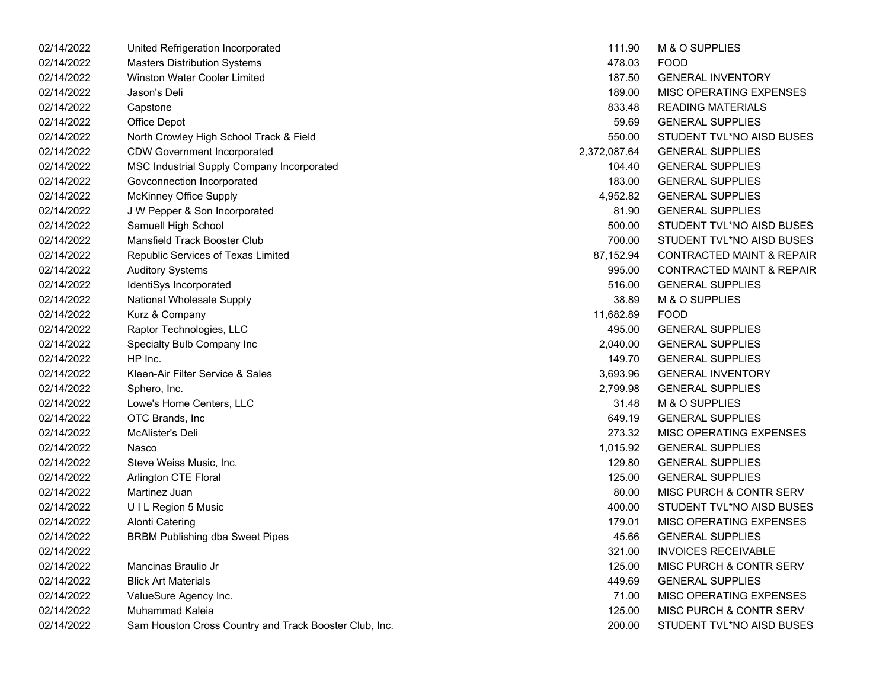| 02/14/2022 | United Refrigeration Incorporated                      | 111.90       | M & O SUPPLIES                       |
|------------|--------------------------------------------------------|--------------|--------------------------------------|
| 02/14/2022 | <b>Masters Distribution Systems</b>                    | 478.03       | <b>FOOD</b>                          |
| 02/14/2022 | <b>Winston Water Cooler Limited</b>                    | 187.50       | <b>GENERAL INVENTORY</b>             |
| 02/14/2022 | Jason's Deli                                           | 189.00       | MISC OPERATING EXPENSES              |
| 02/14/2022 | Capstone                                               | 833.48       | <b>READING MATERIALS</b>             |
| 02/14/2022 | Office Depot                                           | 59.69        | <b>GENERAL SUPPLIES</b>              |
| 02/14/2022 | North Crowley High School Track & Field                | 550.00       | STUDENT TVL*NO AISD BUSES            |
| 02/14/2022 | <b>CDW Government Incorporated</b>                     | 2,372,087.64 | <b>GENERAL SUPPLIES</b>              |
| 02/14/2022 | MSC Industrial Supply Company Incorporated             | 104.40       | <b>GENERAL SUPPLIES</b>              |
| 02/14/2022 | Govconnection Incorporated                             | 183.00       | <b>GENERAL SUPPLIES</b>              |
| 02/14/2022 | McKinney Office Supply                                 | 4,952.82     | <b>GENERAL SUPPLIES</b>              |
| 02/14/2022 | J W Pepper & Son Incorporated                          | 81.90        | <b>GENERAL SUPPLIES</b>              |
| 02/14/2022 | Samuell High School                                    | 500.00       | STUDENT TVL*NO AISD BUSES            |
| 02/14/2022 | Mansfield Track Booster Club                           | 700.00       | STUDENT TVL*NO AISD BUSES            |
| 02/14/2022 | Republic Services of Texas Limited                     | 87,152.94    | <b>CONTRACTED MAINT &amp; REPAIR</b> |
| 02/14/2022 | <b>Auditory Systems</b>                                | 995.00       | <b>CONTRACTED MAINT &amp; REPAIR</b> |
| 02/14/2022 | IdentiSys Incorporated                                 | 516.00       | <b>GENERAL SUPPLIES</b>              |
| 02/14/2022 | National Wholesale Supply                              | 38.89        | M & O SUPPLIES                       |
| 02/14/2022 | Kurz & Company                                         | 11,682.89    | <b>FOOD</b>                          |
| 02/14/2022 | Raptor Technologies, LLC                               | 495.00       | <b>GENERAL SUPPLIES</b>              |
| 02/14/2022 | Specialty Bulb Company Inc                             | 2,040.00     | <b>GENERAL SUPPLIES</b>              |
| 02/14/2022 | HP Inc.                                                | 149.70       | <b>GENERAL SUPPLIES</b>              |
| 02/14/2022 | Kleen-Air Filter Service & Sales                       | 3,693.96     | <b>GENERAL INVENTORY</b>             |
| 02/14/2022 | Sphero, Inc.                                           | 2,799.98     | <b>GENERAL SUPPLIES</b>              |
| 02/14/2022 | Lowe's Home Centers, LLC                               | 31.48        | M & O SUPPLIES                       |
| 02/14/2022 | OTC Brands, Inc.                                       | 649.19       | <b>GENERAL SUPPLIES</b>              |
| 02/14/2022 | McAlister's Deli                                       | 273.32       | MISC OPERATING EXPENSES              |
| 02/14/2022 | Nasco                                                  | 1,015.92     | <b>GENERAL SUPPLIES</b>              |
| 02/14/2022 | Steve Weiss Music, Inc.                                | 129.80       | <b>GENERAL SUPPLIES</b>              |
| 02/14/2022 | Arlington CTE Floral                                   | 125.00       | <b>GENERAL SUPPLIES</b>              |
| 02/14/2022 | Martinez Juan                                          | 80.00        | MISC PURCH & CONTR SERV              |
| 02/14/2022 | UIL Region 5 Music                                     | 400.00       | STUDENT TVL*NO AISD BUSES            |
| 02/14/2022 | <b>Alonti Catering</b>                                 | 179.01       | MISC OPERATING EXPENSES              |
| 02/14/2022 | <b>BRBM Publishing dba Sweet Pipes</b>                 | 45.66        | <b>GENERAL SUPPLIES</b>              |
| 02/14/2022 |                                                        | 321.00       | <b>INVOICES RECEIVABLE</b>           |
| 02/14/2022 | Mancinas Braulio Jr                                    | 125.00       | MISC PURCH & CONTR SERV              |
| 02/14/2022 | <b>Blick Art Materials</b>                             | 449.69       | <b>GENERAL SUPPLIES</b>              |
| 02/14/2022 | ValueSure Agency Inc.                                  | 71.00        | MISC OPERATING EXPENSES              |
| 02/14/2022 | Muhammad Kaleia                                        | 125.00       | MISC PURCH & CONTR SERV              |
| 02/14/2022 | Sam Houston Cross Country and Track Booster Club, Inc. | 200.00       | STUDENT TVL*NO AISD BUSES            |

| 111.90       | <b>M &amp; O SUPPLIES</b>            |
|--------------|--------------------------------------|
| 478.03       | FOOD                                 |
| 187.50       | <b>GENERAL INVENTORY</b>             |
| 189.00       | MISC OPERATING EXPENSES              |
| 833.48       | <b>READING MATERIALS</b>             |
| 59.69        | <b>GENERAL SUPPLIES</b>              |
| 550.00       | STUDENT TVL*NO AISD BUSES            |
| 2,372,087.64 | <b>GENERAL SUPPLIES</b>              |
| 104.40       | <b>GENERAL SUPPLIES</b>              |
| 183.00       | <b>GENERAL SUPPLIES</b>              |
| 4.952.82     | <b>GENERAL SUPPLIES</b>              |
| 81.90        | <b>GENERAL SUPPLIES</b>              |
| 500.00       | STUDENT TVL*NO AISD BUSES            |
| 700.00       | STUDENT TVL*NO AISD BUSES            |
| 87.152.94    | <b>CONTRACTED MAINT &amp; REPAIR</b> |
| 995.00       | CONTRACTED MAINT & REPAIR            |
| 516.00       | <b>GENERAL SUPPLIES</b>              |
| 38.89        | <b>M &amp; O SUPPLIES</b>            |
| 11,682.89    | FOOD                                 |
| 495.00       | <b>GENERAL SUPPLIES</b>              |
| 2,040.00     | <b>GENERAL SUPPLIES</b>              |
| 149.70       | <b>GENERAL SUPPLIES</b>              |
| 3,693.96     | <b>GENERAL INVENTORY</b>             |
| 2,799.98     | <b>GENERAL SUPPLIES</b>              |
| 31.48        | M & O SUPPLIES                       |
| 649.19       | <b>GENERAL SUPPLIES</b>              |
| 273.32       | MISC OPERATING EXPENSES              |
| 1,015.92     | <b>GENERAL SUPPLIES</b>              |
| 129.80       | <b>GENERAL SUPPLIES</b>              |
| 125.00       | <b>GENERAL SUPPLIES</b>              |
| 80.00        | <b>MISC PURCH &amp; CONTR SERV</b>   |
| 400.00       | STUDENT TVL*NO AISD BUSES            |
| 179.01       | MISC OPERATING EXPENSES              |
| 45.66        | <b>GENERAL SUPPLIES</b>              |
| 321.00       | <b>INVOICES RECEIVABLE</b>           |
| 125.00       | MISC PURCH & CONTR SERV              |
| 449.69       | <b>GENERAL SUPPLIES</b>              |
| 71.00        | MISC OPERATING EXPENSES              |
| 125.00       | <b>MISC PURCH &amp; CONTR SERV</b>   |
| 200.00       | STUDENT TVL*NO AISD BUSES            |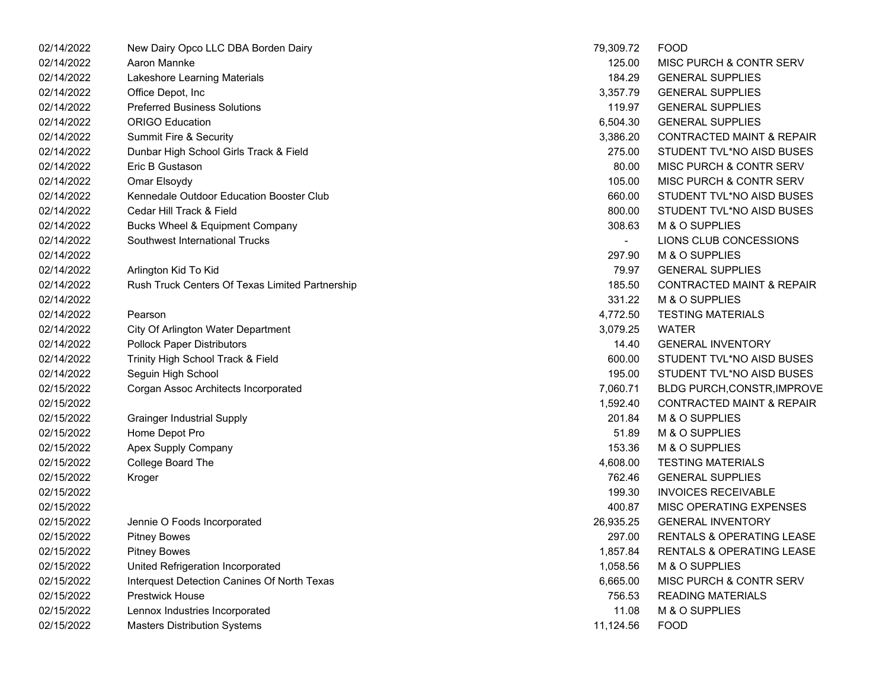| 02/14/2022 | New Dairy Opco LLC DBA Borden Dairy             | 79,309.72 | <b>FOOD</b>                          |
|------------|-------------------------------------------------|-----------|--------------------------------------|
| 02/14/2022 | Aaron Mannke                                    | 125.00    | MISC PURCH & CONTR SERV              |
| 02/14/2022 | Lakeshore Learning Materials                    | 184.29    | <b>GENERAL SUPPLIES</b>              |
| 02/14/2022 | Office Depot, Inc                               | 3,357.79  | <b>GENERAL SUPPLIES</b>              |
| 02/14/2022 | <b>Preferred Business Solutions</b>             | 119.97    | <b>GENERAL SUPPLIES</b>              |
| 02/14/2022 | <b>ORIGO Education</b>                          | 6,504.30  | <b>GENERAL SUPPLIES</b>              |
| 02/14/2022 | Summit Fire & Security                          | 3,386.20  | <b>CONTRACTED MAINT &amp; REPAIR</b> |
| 02/14/2022 | Dunbar High School Girls Track & Field          | 275.00    | STUDENT TVL*NO AISD BUSES            |
| 02/14/2022 | Eric B Gustason                                 | 80.00     | MISC PURCH & CONTR SERV              |
| 02/14/2022 | Omar Elsoydy                                    | 105.00    | MISC PURCH & CONTR SERV              |
| 02/14/2022 | Kennedale Outdoor Education Booster Club        | 660.00    | STUDENT TVL*NO AISD BUSES            |
| 02/14/2022 | Cedar Hill Track & Field                        | 800.00    | STUDENT TVL*NO AISD BUSES            |
| 02/14/2022 | Bucks Wheel & Equipment Company                 | 308.63    | M & O SUPPLIES                       |
| 02/14/2022 | Southwest International Trucks                  | $\sim$    | LIONS CLUB CONCESSIONS               |
| 02/14/2022 |                                                 | 297.90    | M & O SUPPLIES                       |
| 02/14/2022 | Arlington Kid To Kid                            | 79.97     | <b>GENERAL SUPPLIES</b>              |
| 02/14/2022 | Rush Truck Centers Of Texas Limited Partnership | 185.50    | <b>CONTRACTED MAINT &amp; REPAIR</b> |
| 02/14/2022 |                                                 | 331.22    | M & O SUPPLIES                       |
| 02/14/2022 | Pearson                                         | 4,772.50  | <b>TESTING MATERIALS</b>             |
| 02/14/2022 | City Of Arlington Water Department              | 3,079.25  | <b>WATER</b>                         |
| 02/14/2022 | <b>Pollock Paper Distributors</b>               | 14.40     | <b>GENERAL INVENTORY</b>             |
| 02/14/2022 | Trinity High School Track & Field               | 600.00    | STUDENT TVL*NO AISD BUSES            |
| 02/14/2022 | Seguin High School                              | 195.00    | STUDENT TVL*NO AISD BUSES            |
| 02/15/2022 | Corgan Assoc Architects Incorporated            | 7,060.71  | BLDG PURCH, CONSTR, IMPROVE          |
| 02/15/2022 |                                                 | 1,592.40  | <b>CONTRACTED MAINT &amp; REPAIR</b> |
| 02/15/2022 | <b>Grainger Industrial Supply</b>               | 201.84    | M & O SUPPLIES                       |
| 02/15/2022 | Home Depot Pro                                  | 51.89     | M & O SUPPLIES                       |
| 02/15/2022 | Apex Supply Company                             | 153.36    | M & O SUPPLIES                       |
| 02/15/2022 | College Board The                               | 4,608.00  | <b>TESTING MATERIALS</b>             |
| 02/15/2022 | Kroger                                          | 762.46    | <b>GENERAL SUPPLIES</b>              |
| 02/15/2022 |                                                 | 199.30    | <b>INVOICES RECEIVABLE</b>           |
| 02/15/2022 |                                                 | 400.87    | MISC OPERATING EXPENSES              |
| 02/15/2022 | Jennie O Foods Incorporated                     | 26,935.25 | <b>GENERAL INVENTORY</b>             |
| 02/15/2022 | <b>Pitney Bowes</b>                             | 297.00    | <b>RENTALS &amp; OPERATING LEASE</b> |
| 02/15/2022 | <b>Pitney Bowes</b>                             | 1,857.84  | <b>RENTALS &amp; OPERATING LEASE</b> |
| 02/15/2022 | United Refrigeration Incorporated               | 1,058.56  | M & O SUPPLIES                       |
| 02/15/2022 | Interquest Detection Canines Of North Texas     | 6,665.00  | MISC PURCH & CONTR SERV              |
| 02/15/2022 | <b>Prestwick House</b>                          | 756.53    | <b>READING MATERIALS</b>             |
| 02/15/2022 | Lennox Industries Incorporated                  | 11.08     | M & O SUPPLIES                       |
| 02/15/2022 | <b>Masters Distribution Systems</b>             | 11,124.56 | <b>FOOD</b>                          |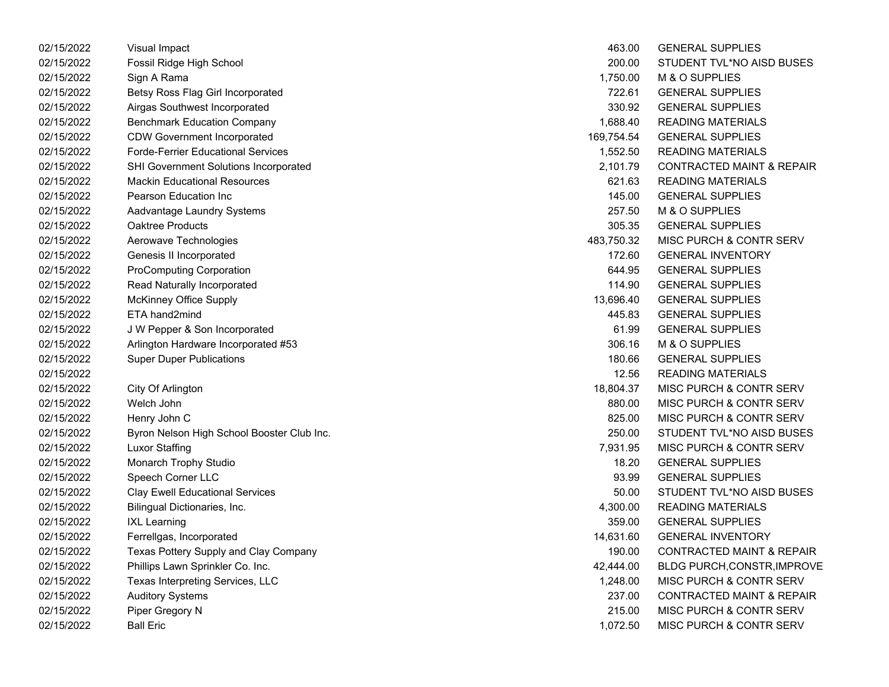| 02/15/2022 | Visual Impact                              | 463.00     | <b>GENERAL SUPPLIES</b>              |
|------------|--------------------------------------------|------------|--------------------------------------|
| 02/15/2022 | Fossil Ridge High School                   | 200.00     | STUDENT TVL*NO AISD BUSES            |
| 02/15/2022 | Sign A Rama                                | 1,750.00   | M & O SUPPLIES                       |
| 02/15/2022 | Betsy Ross Flag Girl Incorporated          | 722.61     | <b>GENERAL SUPPLIES</b>              |
| 02/15/2022 | Airgas Southwest Incorporated              | 330.92     | <b>GENERAL SUPPLIES</b>              |
| 02/15/2022 | <b>Benchmark Education Company</b>         | 1,688.40   | <b>READING MATERIALS</b>             |
| 02/15/2022 | <b>CDW Government Incorporated</b>         | 169,754.54 | <b>GENERAL SUPPLIES</b>              |
| 02/15/2022 | <b>Forde-Ferrier Educational Services</b>  | 1,552.50   | <b>READING MATERIALS</b>             |
| 02/15/2022 | SHI Government Solutions Incorporated      | 2,101.79   | <b>CONTRACTED MAINT &amp; REPAIR</b> |
| 02/15/2022 | <b>Mackin Educational Resources</b>        | 621.63     | <b>READING MATERIALS</b>             |
| 02/15/2022 | Pearson Education Inc                      | 145.00     | <b>GENERAL SUPPLIES</b>              |
| 02/15/2022 | Aadvantage Laundry Systems                 | 257.50     | M & O SUPPLIES                       |
| 02/15/2022 | <b>Oaktree Products</b>                    | 305.35     | <b>GENERAL SUPPLIES</b>              |
| 02/15/2022 | Aerowave Technologies                      | 483,750.32 | <b>MISC PURCH &amp; CONTR SERV</b>   |
| 02/15/2022 | Genesis II Incorporated                    | 172.60     | <b>GENERAL INVENTORY</b>             |
| 02/15/2022 | <b>ProComputing Corporation</b>            | 644.95     | <b>GENERAL SUPPLIES</b>              |
| 02/15/2022 | Read Naturally Incorporated                | 114.90     | <b>GENERAL SUPPLIES</b>              |
| 02/15/2022 | <b>McKinney Office Supply</b>              | 13,696.40  | <b>GENERAL SUPPLIES</b>              |
| 02/15/2022 | ETA hand2mind                              | 445.83     | <b>GENERAL SUPPLIES</b>              |
| 02/15/2022 | J W Pepper & Son Incorporated              | 61.99      | <b>GENERAL SUPPLIES</b>              |
| 02/15/2022 | Arlington Hardware Incorporated #53        | 306.16     | M & O SUPPLIES                       |
| 02/15/2022 | <b>Super Duper Publications</b>            | 180.66     | <b>GENERAL SUPPLIES</b>              |
| 02/15/2022 |                                            | 12.56      | <b>READING MATERIALS</b>             |
| 02/15/2022 | City Of Arlington                          | 18,804.37  | <b>MISC PURCH &amp; CONTR SERV</b>   |
| 02/15/2022 | Welch John                                 | 880.00     | <b>MISC PURCH &amp; CONTR SERV</b>   |
| 02/15/2022 | Henry John C                               | 825.00     | <b>MISC PURCH &amp; CONTR SERV</b>   |
| 02/15/2022 | Byron Nelson High School Booster Club Inc. | 250.00     | STUDENT TVL*NO AISD BUSES            |
| 02/15/2022 | Luxor Staffing                             | 7,931.95   | MISC PURCH & CONTR SERV              |
| 02/15/2022 | Monarch Trophy Studio                      | 18.20      | <b>GENERAL SUPPLIES</b>              |
| 02/15/2022 | Speech Corner LLC                          | 93.99      | <b>GENERAL SUPPLIES</b>              |
| 02/15/2022 | <b>Clay Ewell Educational Services</b>     | 50.00      | STUDENT TVL*NO AISD BUSES            |
| 02/15/2022 | Bilingual Dictionaries, Inc.               | 4,300.00   | <b>READING MATERIALS</b>             |
| 02/15/2022 | <b>IXL Learning</b>                        | 359.00     | <b>GENERAL SUPPLIES</b>              |
| 02/15/2022 | Ferrellgas, Incorporated                   | 14,631.60  | <b>GENERAL INVENTORY</b>             |
| 02/15/2022 | Texas Pottery Supply and Clay Company      | 190.00     | CONTRACTED MAINT & REPAIR            |
| 02/15/2022 | Phillips Lawn Sprinkler Co. Inc.           | 42,444.00  | BLDG PURCH, CONSTR, IMPROVE          |
| 02/15/2022 | Texas Interpreting Services, LLC           | 1,248.00   | <b>MISC PURCH &amp; CONTR SERV</b>   |
| 02/15/2022 | <b>Auditory Systems</b>                    | 237.00     | <b>CONTRACTED MAINT &amp; REPAIR</b> |
| 02/15/2022 | Piper Gregory N                            | 215.00     | <b>MISC PURCH &amp; CONTR SERV</b>   |
| 02/15/2022 | Ball Eric                                  | 1.072.50   | MISC PURCH & CONTR SERV              |

| 463.00     | <b>GENERAL SUPPLIES</b>              |
|------------|--------------------------------------|
| 200.00     | STUDENT TVL*NO AISD BUSES            |
| 1,750.00   | <b>M &amp; O SUPPLIES</b>            |
| 722.61     | <b>GENERAL SUPPLIES</b>              |
| 330.92     | <b>GENERAL SUPPLIES</b>              |
| 1,688.40   | <b>READING MATERIALS</b>             |
| 169,754.54 | <b>GENERAL SUPPLIES</b>              |
| 1,552.50   | <b>READING MATERIALS</b>             |
| 2,101.79   | <b>CONTRACTED MAINT &amp; REPAIR</b> |
| 621.63     | <b>READING MATERIALS</b>             |
| 145.00     | <b>GENERAL SUPPLIES</b>              |
| 257.50     | M & O SUPPLIES                       |
| 305.35     | <b>GENERAL SUPPLIES</b>              |
| 483,750.32 | MISC PURCH & CONTR SERV              |
| 172.60     | <b>GENERAL INVENTORY</b>             |
| 644.95     | <b>GENERAL SUPPLIES</b>              |
| 114.90     | <b>GENERAL SUPPLIES</b>              |
| 13,696.40  | <b>GENERAL SUPPLIES</b>              |
| 445.83     | <b>GENERAL SUPPLIES</b>              |
| 61.99      | <b>GENERAL SUPPLIES</b>              |
| 306.16     | <b>M &amp; O SUPPLIES</b>            |
| 180.66     | <b>GENERAL SUPPLIES</b>              |
| 12.56      | <b>READING MATERIALS</b>             |
| 18,804.37  | MISC PURCH & CONTR SERV              |
| 880.00     | <b>MISC PURCH &amp; CONTR SERV</b>   |
| 825.00     | MISC PURCH & CONTR SERV              |
| 250.00     | STUDENT TVL*NO AISD BUSES            |
| 7,931.95   | MISC PURCH & CONTR SERV              |
| 18.20      | <b>GENERAL SUPPLIES</b>              |
| 93.99      | <b>GENERAL SUPPLIES</b>              |
| 50.00      | STUDENT TVL*NO AISD BUSES            |
| 4,300.00   | <b>READING MATERIALS</b>             |
| 359.00     | <b>GENERAL SUPPLIES</b>              |
| 14,631.60  | <b>GENERAL INVENTORY</b>             |
| 190.00     | <b>CONTRACTED MAINT &amp; REPAIR</b> |
| 42,444.00  | BLDG PURCH,CONSTR,IMPROVE            |
| 1,248.00   | MISC PURCH & CONTR SERV              |
| 237.00     | <b>CONTRACTED MAINT &amp; REPAIR</b> |
| 215.00     | MISC PURCH & CONTR SERV              |
| 1,072.50   | MISC PURCH & CONTR SERV              |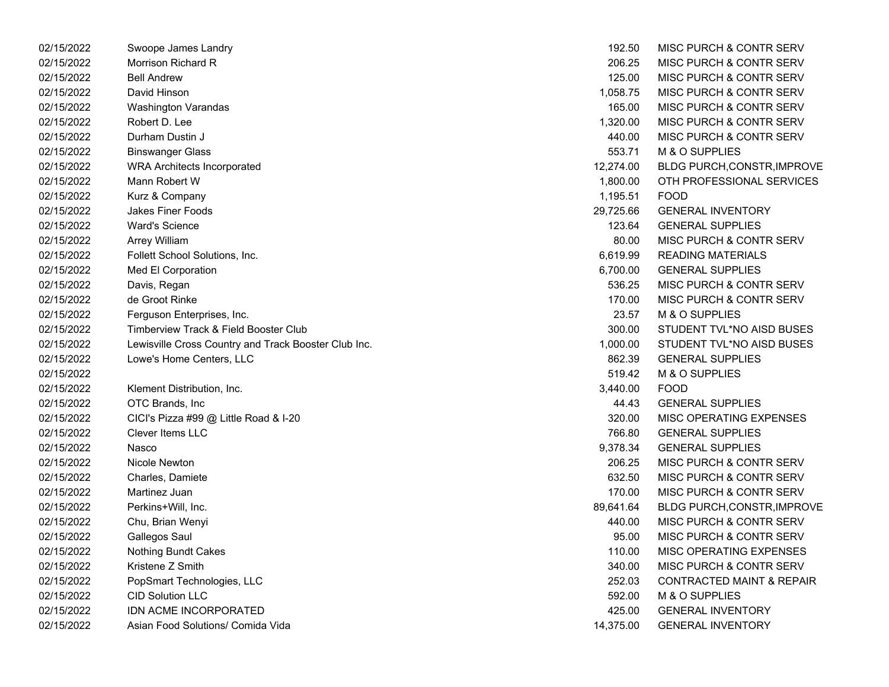| 02/15/2022 | Swoope James Landry                                  | 192.50    | MISC PURCH & CONTR SERV              |
|------------|------------------------------------------------------|-----------|--------------------------------------|
| 02/15/2022 | Morrison Richard R                                   | 206.25    | <b>MISC PURCH &amp; CONTR SERV</b>   |
| 02/15/2022 | <b>Bell Andrew</b>                                   | 125.00    | MISC PURCH & CONTR SERV              |
| 02/15/2022 | David Hinson                                         | 1,058.75  | MISC PURCH & CONTR SERV              |
| 02/15/2022 | <b>Washington Varandas</b>                           | 165.00    | MISC PURCH & CONTR SERV              |
| 02/15/2022 | Robert D. Lee                                        | 1,320.00  | <b>MISC PURCH &amp; CONTR SERV</b>   |
| 02/15/2022 | Durham Dustin J                                      | 440.00    | MISC PURCH & CONTR SERV              |
| 02/15/2022 | <b>Binswanger Glass</b>                              | 553.71    | M & O SUPPLIES                       |
| 02/15/2022 | <b>WRA Architects Incorporated</b>                   | 12,274.00 | BLDG PURCH, CONSTR, IMPROVE          |
| 02/15/2022 | Mann Robert W                                        | 1,800.00  | OTH PROFESSIONAL SERVICES            |
| 02/15/2022 | Kurz & Company                                       | 1,195.51  | <b>FOOD</b>                          |
| 02/15/2022 | Jakes Finer Foods                                    | 29,725.66 | <b>GENERAL INVENTORY</b>             |
| 02/15/2022 | <b>Ward's Science</b>                                | 123.64    | <b>GENERAL SUPPLIES</b>              |
| 02/15/2022 | Arrey William                                        | 80.00     | <b>MISC PURCH &amp; CONTR SERV</b>   |
| 02/15/2022 | Follett School Solutions, Inc.                       | 6,619.99  | <b>READING MATERIALS</b>             |
| 02/15/2022 | Med El Corporation                                   | 6,700.00  | <b>GENERAL SUPPLIES</b>              |
| 02/15/2022 | Davis, Regan                                         | 536.25    | MISC PURCH & CONTR SERV              |
| 02/15/2022 | de Groot Rinke                                       | 170.00    | MISC PURCH & CONTR SERV              |
| 02/15/2022 | Ferguson Enterprises, Inc.                           | 23.57     | M & O SUPPLIES                       |
| 02/15/2022 | Timberview Track & Field Booster Club                | 300.00    | STUDENT TVL*NO AISD BUSES            |
| 02/15/2022 | Lewisville Cross Country and Track Booster Club Inc. | 1,000.00  | STUDENT TVL*NO AISD BUSES            |
| 02/15/2022 | Lowe's Home Centers, LLC                             | 862.39    | <b>GENERAL SUPPLIES</b>              |
| 02/15/2022 |                                                      | 519.42    | M & O SUPPLIES                       |
| 02/15/2022 | Klement Distribution, Inc.                           | 3,440.00  | <b>FOOD</b>                          |
| 02/15/2022 | OTC Brands, Inc.                                     | 44.43     | <b>GENERAL SUPPLIES</b>              |
| 02/15/2022 | CICI's Pizza #99 @ Little Road & I-20                | 320.00    | MISC OPERATING EXPENSES              |
| 02/15/2022 | <b>Clever Items LLC</b>                              | 766.80    | <b>GENERAL SUPPLIES</b>              |
| 02/15/2022 | Nasco                                                | 9,378.34  | <b>GENERAL SUPPLIES</b>              |
| 02/15/2022 | Nicole Newton                                        | 206.25    | <b>MISC PURCH &amp; CONTR SERV</b>   |
| 02/15/2022 | Charles, Damiete                                     | 632.50    | <b>MISC PURCH &amp; CONTR SERV</b>   |
| 02/15/2022 | Martinez Juan                                        | 170.00    | MISC PURCH & CONTR SERV              |
| 02/15/2022 | Perkins+Will, Inc.                                   | 89,641.64 | BLDG PURCH, CONSTR, IMPROVE          |
| 02/15/2022 | Chu, Brian Wenyi                                     | 440.00    | MISC PURCH & CONTR SERV              |
| 02/15/2022 | Gallegos Saul                                        | 95.00     | MISC PURCH & CONTR SERV              |
| 02/15/2022 | <b>Nothing Bundt Cakes</b>                           | 110.00    | MISC OPERATING EXPENSES              |
| 02/15/2022 | Kristene Z Smith                                     | 340.00    | MISC PURCH & CONTR SERV              |
| 02/15/2022 | PopSmart Technologies, LLC                           | 252.03    | <b>CONTRACTED MAINT &amp; REPAIR</b> |
| 02/15/2022 | <b>CID Solution LLC</b>                              | 592.00    | M & O SUPPLIES                       |
| 02/15/2022 | <b>IDN ACME INCORPORATED</b>                         | 425.00    | <b>GENERAL INVENTORY</b>             |
| 02/15/2022 | Asian Food Solutions/ Comida Vida                    | 14,375.00 | <b>GENERAL INVENTORY</b>             |

| 192.50    | <b>MISC PURCH &amp; CONTR SERV</b>   |
|-----------|--------------------------------------|
| 206.25    | <b>MISC PURCH &amp; CONTR SERV</b>   |
| 125.00    | <b>MISC PURCH &amp; CONTR SERV</b>   |
| 1,058.75  | <b>MISC PURCH &amp; CONTR SERV</b>   |
| 165.00    | <b>MISC PURCH &amp; CONTR SERV</b>   |
| 1,320.00  | <b>MISC PURCH &amp; CONTR SERV</b>   |
| 440.00    | <b>MISC PURCH &amp; CONTR SERV</b>   |
| 553.71    | M & O SUPPLIES                       |
| 12,274.00 | <b>BLDG PURCH, CONSTR, IMPROVE</b>   |
| 1.800.00  | OTH PROFESSIONAL SERVICES            |
| 1,195.51  | <b>FOOD</b>                          |
| 29,725.66 | <b>GENERAL INVENTORY</b>             |
| 123.64    | <b>GENERAL SUPPLIES</b>              |
| 80.00     | MISC PURCH & CONTR SERV              |
| 6,619.99  | <b>READING MATERIALS</b>             |
| 6,700.00  | <b>GENERAL SUPPLIES</b>              |
| 536.25    | MISC PURCH & CONTR SERV              |
| 170.00    | MISC PURCH & CONTR SERV              |
| 23.57     | <b>M &amp; O SUPPLIES</b>            |
| 300.00    | STUDENT TVL*NO AISD BUSES            |
| 1,000.00  | STUDENT TVL*NO AISD BUSES            |
| 862.39    | <b>GENERAL SUPPLIES</b>              |
| 519.42    | M & O SUPPLIES                       |
| 3,440.00  | <b>FOOD</b>                          |
| 44.43     | <b>GENERAL SUPPLIES</b>              |
| 320.00    | <b>MISC OPERATING EXPENSES</b>       |
| 766.80    | <b>GENERAL SUPPLIES</b>              |
| 9,378.34  | <b>GENERAL SUPPLIES</b>              |
| 206.25    | <b>MISC PURCH &amp; CONTR SERV</b>   |
| 632.50    | <b>MISC PURCH &amp; CONTR SERV</b>   |
| 170.00    | <b>MISC PURCH &amp; CONTR SERV</b>   |
| 89,641.64 | BLDG PURCH, CONSTR, IMPROVE          |
| 440.00    | MISC PURCH & CONTR SERV              |
| 95.00     | <b>MISC PURCH &amp; CONTR SERV</b>   |
| 110.00    | MISC OPERATING EXPENSES              |
| 340.00    | <b>MISC PURCH &amp; CONTR SERV</b>   |
| 252.03    | <b>CONTRACTED MAINT &amp; REPAIR</b> |
| 592.00    | M & O SUPPLIES                       |
| 425.00    | <b>GENERAL INVENTORY</b>             |
| 14,375.00 | <b>GENERAL INVENTORY</b>             |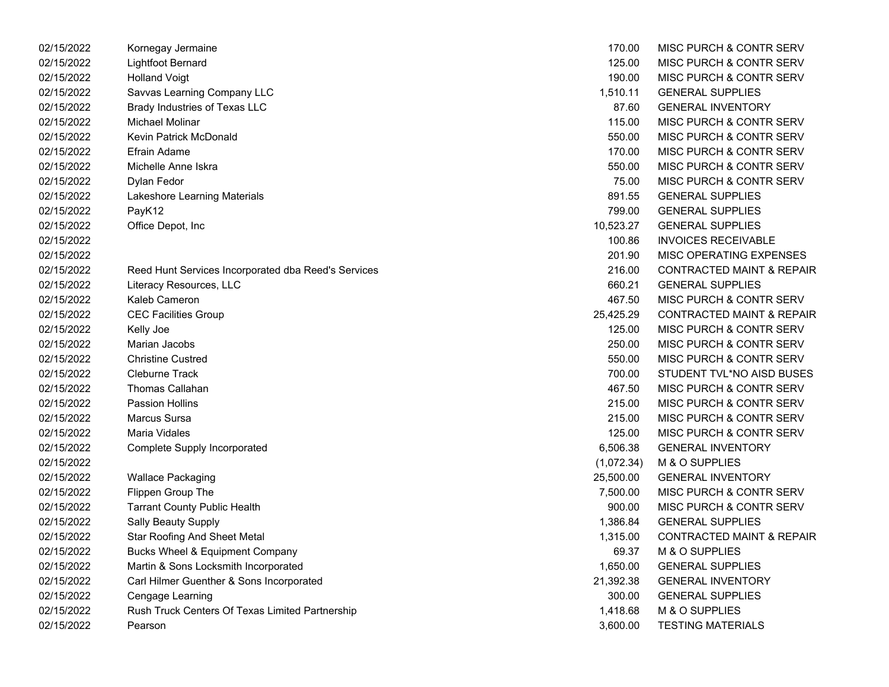| 02/15/2022 | Kornegay Jermaine                                   | 170.00     | MISC PURCH & CONTR SERV              |
|------------|-----------------------------------------------------|------------|--------------------------------------|
| 02/15/2022 | <b>Lightfoot Bernard</b>                            | 125.00     | MISC PURCH & CONTR SERV              |
| 02/15/2022 | <b>Holland Voigt</b>                                | 190.00     | MISC PURCH & CONTR SERV              |
| 02/15/2022 | Savvas Learning Company LLC                         | 1,510.11   | <b>GENERAL SUPPLIES</b>              |
| 02/15/2022 | Brady Industries of Texas LLC                       | 87.60      | <b>GENERAL INVENTORY</b>             |
| 02/15/2022 | Michael Molinar                                     | 115.00     | MISC PURCH & CONTR SERV              |
| 02/15/2022 | Kevin Patrick McDonald                              | 550.00     | MISC PURCH & CONTR SERV              |
| 02/15/2022 | Efrain Adame                                        | 170.00     | MISC PURCH & CONTR SERV              |
| 02/15/2022 | Michelle Anne Iskra                                 | 550.00     | MISC PURCH & CONTR SERV              |
| 02/15/2022 | Dylan Fedor                                         | 75.00      | MISC PURCH & CONTR SERV              |
| 02/15/2022 | Lakeshore Learning Materials                        | 891.55     | <b>GENERAL SUPPLIES</b>              |
| 02/15/2022 | PayK12                                              | 799.00     | <b>GENERAL SUPPLIES</b>              |
| 02/15/2022 | Office Depot, Inc                                   | 10,523.27  | <b>GENERAL SUPPLIES</b>              |
| 02/15/2022 |                                                     | 100.86     | <b>INVOICES RECEIVABLE</b>           |
| 02/15/2022 |                                                     | 201.90     | MISC OPERATING EXPENSES              |
| 02/15/2022 | Reed Hunt Services Incorporated dba Reed's Services | 216.00     | <b>CONTRACTED MAINT &amp; REPAIR</b> |
| 02/15/2022 | Literacy Resources, LLC                             | 660.21     | <b>GENERAL SUPPLIES</b>              |
| 02/15/2022 | Kaleb Cameron                                       | 467.50     | MISC PURCH & CONTR SERV              |
| 02/15/2022 | <b>CEC Facilities Group</b>                         | 25,425.29  | <b>CONTRACTED MAINT &amp; REPAIR</b> |
| 02/15/2022 | Kelly Joe                                           | 125.00     | MISC PURCH & CONTR SERV              |
| 02/15/2022 | Marian Jacobs                                       | 250.00     | MISC PURCH & CONTR SERV              |
| 02/15/2022 | <b>Christine Custred</b>                            | 550.00     | MISC PURCH & CONTR SERV              |
| 02/15/2022 | <b>Cleburne Track</b>                               | 700.00     | STUDENT TVL*NO AISD BUSES            |
| 02/15/2022 | <b>Thomas Callahan</b>                              | 467.50     | MISC PURCH & CONTR SERV              |
| 02/15/2022 | <b>Passion Hollins</b>                              | 215.00     | MISC PURCH & CONTR SERV              |
| 02/15/2022 | <b>Marcus Sursa</b>                                 | 215.00     | MISC PURCH & CONTR SERV              |
| 02/15/2022 | <b>Maria Vidales</b>                                | 125.00     | MISC PURCH & CONTR SERV              |
| 02/15/2022 | Complete Supply Incorporated                        | 6,506.38   | <b>GENERAL INVENTORY</b>             |
| 02/15/2022 |                                                     | (1,072.34) | M & O SUPPLIES                       |
| 02/15/2022 | <b>Wallace Packaging</b>                            | 25,500.00  | <b>GENERAL INVENTORY</b>             |
| 02/15/2022 | Flippen Group The                                   | 7,500.00   | MISC PURCH & CONTR SERV              |
| 02/15/2022 | <b>Tarrant County Public Health</b>                 | 900.00     | MISC PURCH & CONTR SERV              |
| 02/15/2022 | <b>Sally Beauty Supply</b>                          | 1,386.84   | <b>GENERAL SUPPLIES</b>              |
| 02/15/2022 | <b>Star Roofing And Sheet Metal</b>                 | 1,315.00   | <b>CONTRACTED MAINT &amp; REPAIR</b> |
| 02/15/2022 | Bucks Wheel & Equipment Company                     | 69.37      | M & O SUPPLIES                       |
| 02/15/2022 | Martin & Sons Locksmith Incorporated                | 1,650.00   | <b>GENERAL SUPPLIES</b>              |
| 02/15/2022 | Carl Hilmer Guenther & Sons Incorporated            | 21,392.38  | <b>GENERAL INVENTORY</b>             |
| 02/15/2022 | Cengage Learning                                    | 300.00     | <b>GENERAL SUPPLIES</b>              |
| 02/15/2022 | Rush Truck Centers Of Texas Limited Partnership     | 1,418.68   | M & O SUPPLIES                       |
| 02/15/2022 | Pearson                                             | 3,600.00   | <b>TESTING MATERIALS</b>             |

| 170.00     | MISC PURCH & CONTR SERV              |
|------------|--------------------------------------|
| 125.00     | <b>MISC PURCH &amp; CONTR SERV</b>   |
| 190.00     | <b>MISC PURCH &amp; CONTR SERV</b>   |
| 1,510.11   | <b>GENERAL SUPPLIES</b>              |
| 87.60      | <b>GENERAL INVENTORY</b>             |
| 115.00     | <b>MISC PURCH &amp; CONTR SERV</b>   |
| 550.00     | <b>MISC PURCH &amp; CONTR SERV</b>   |
| 170.00     | MISC PURCH & CONTR SERV              |
| 550.00     | <b>MISC PURCH &amp; CONTR SERV</b>   |
| 75.00      | <b>MISC PURCH &amp; CONTR SERV</b>   |
| 891.55     | <b>GENERAL SUPPLIES</b>              |
| 799.00     | <b>GENERAL SUPPLIES</b>              |
| 10,523.27  | <b>GENERAL SUPPLIES</b>              |
| 100.86     | INVOICES RECEIVABLE                  |
| 201.90     | <b>MISC OPERATING EXPENSES</b>       |
| 216.00     | <b>CONTRACTED MAINT &amp; REPAIR</b> |
| 660.21     | <b>GENERAL SUPPLIES</b>              |
| 467.50     | MISC PURCH & CONTR SERV              |
| 25,425.29  | <b>CONTRACTED MAINT &amp; REPAIR</b> |
| 125.00     | <b>MISC PURCH &amp; CONTR SERV</b>   |
| 250.00     | <b>MISC PURCH &amp; CONTR SERV</b>   |
| 550.00     | <b>MISC PURCH &amp; CONTR SERV</b>   |
| 700.00     | STUDENT TVL*NO AISD BUSES            |
| 467.50     | <b>MISC PURCH &amp; CONTR SERV</b>   |
| 215.00     | <b>MISC PURCH &amp; CONTR SERV</b>   |
| 215.00     | <b>MISC PURCH &amp; CONTR SERV</b>   |
| 125.00     | <b>MISC PURCH &amp; CONTR SERV</b>   |
| 6,506.38   | <b>GENERAL INVENTORY</b>             |
| (1,072.34) | <b>M &amp; O SUPPLIES</b>            |
| 25,500.00  | <b>GENERAL INVENTORY</b>             |
| 7,500.00   | <b>MISC PURCH &amp; CONTR SERV</b>   |
| 900.00     | MISC PURCH & CONTR SERV              |
| 1,386.84   | <b>GENERAL SUPPLIES</b>              |
| 1,315.00   | <b>CONTRACTED MAINT &amp; REPAIR</b> |
| 69.37      | M & O SUPPLIES                       |
| 1,650.00   | <b>GENERAL SUPPLIES</b>              |
| 21,392.38  | <b>GENERAL INVENTORY</b>             |
| 300.00     | <b>GENERAL SUPPLIES</b>              |
| 1,418.68   | M & O SUPPLIES                       |
| 3,600.00   | <b>TESTING MATERIALS</b>             |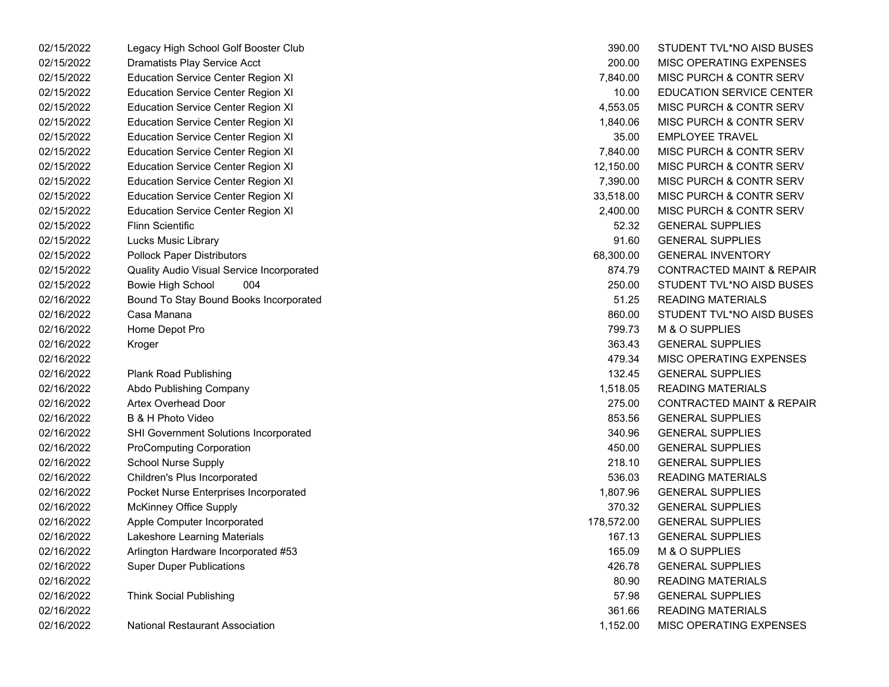02/15/2022 Legacy High School Golf Booster Club 02/15/2022 Dramatists Play Service Acct 02/15/2022 Education Service Center Region XI 02/15/2022 Education Service Center Region XI 02/15/2022 Education Service Center Region XI 02/15/2022 Education Service Center Region XI 02/15/2022 Education Service Center Region XI 02/15/2022 Education Service Center Region XI 02/15/2022 Education Service Center Region XI 02/15/2022 Education Service Center Region XI 02/15/2022 Education Service Center Region XI 02/15/2022 Education Service Center Region XI 02/15/2022 Flinn Scientific GENERAL SUPPLIES02/15/2022 Lucks Music Library 02/15/2022 Pollock Paper Distributors 02/15/2022 Quality Audio Visual Service Incorporated 02/15/2022 Bowie High School 004 250.00 STUDENT TVL\*NO AISD BUSES 02/16/2022 Bound To Stay Bound Books Incorporated 02/16/2022 Casa Manana STUDENT TVL\*NO AISD BUSES02/16/2022 Home Depot Pro 02/16/2022 Kroger GENERAL SUPPLIES 363.43 02/16/2022 MISC OPERATING EXPENSES02/16/2022 Plank Road Publishing 02/16/2022 Abdo Publishing Company 02/16/2022 Artex Overhead Door 02/16/2022 B & H Photo Video 02/16/2022 SHI Government Solutions Incorporated 02/16/2022 ProComputing Corporation 02/16/2022 School Nurse Supply 02/16/2022 Children's Plus Incorporated 02/16/2022 Pocket Nurse Enterprises Incorporated 02/16/2022 McKinney Office Supply 02/16/2022 Apple Computer Incorporated 02/16/2022 Lakeshore Learning Materials 02/16/2022 Arlington Hardware Incorporated #53 02/16/2022 Super Duper Publications 02/16/2022 READING MATERIALS02/16/2022 Think Social Publishing 02/16/2022 READING MATERIALS02/16/2022 National Restaurant Association

| 390.00     | STUDENT TVL*NO AISD BUSES            |
|------------|--------------------------------------|
| 200.00     | <b>MISC OPERATING EXPENSES</b>       |
| 7,840.00   | <b>MISC PURCH &amp; CONTR SERV</b>   |
| 10.00      | <b>EDUCATION SERVICE CENTER</b>      |
| 4,553.05   | <b>MISC PURCH &amp; CONTR SERV</b>   |
| 1,840.06   | <b>MISC PURCH &amp; CONTR SERV</b>   |
| 35.00      | <b>EMPLOYEE TRAVEL</b>               |
| 7,840.00   | <b>MISC PURCH &amp; CONTR SERV</b>   |
| 12,150.00  | <b>MISC PURCH &amp; CONTR SERV</b>   |
| 7,390.00   | <b>MISC PURCH &amp; CONTR SERV</b>   |
| 33,518.00  | <b>MISC PURCH &amp; CONTR SERV</b>   |
| 2,400.00   | <b>MISC PURCH &amp; CONTR SERV</b>   |
| 52.32      | <b>GENERAL SUPPLIES</b>              |
| 91.60      | <b>GENERAL SUPPLIES</b>              |
| 68,300.00  | <b>GENERAL INVENTORY</b>             |
| 874.79     | <b>CONTRACTED MAINT &amp; REPAIR</b> |
| 250.00     | STUDENT TVL*NO AISD BUSES            |
| 51.25      | <b>READING MATERIALS</b>             |
| 860.00     | STUDENT TVL*NO AISD BUSES            |
| 799.73     | <b>M &amp; O SUPPLIES</b>            |
| 363.43     | <b>GENERAL SUPPLIES</b>              |
| 479.34     | <b>MISC OPERATING EXPENSES</b>       |
| 132.45     | <b>GENERAL SUPPLIES</b>              |
| 1,518.05   | <b>READING MATERIALS</b>             |
| 275.00     | <b>CONTRACTED MAINT &amp; REPAIR</b> |
| 853.56     | <b>GENERAL SUPPLIES</b>              |
| 340.96     | <b>GENERAL SUPPLIES</b>              |
| 450.00     | <b>GENERAL SUPPLIES</b>              |
| 218.10     | <b>GENERAL SUPPLIES</b>              |
| 536.03     | <b>READING MATERIALS</b>             |
| 1,807.96   | <b>GENERAL SUPPLIES</b>              |
| 370.32     | <b>GENERAL SUPPLIES</b>              |
| 178,572.00 | <b>GENERAL SUPPLIES</b>              |
| 167.13     | <b>GENERAL SUPPLIES</b>              |
| 165.09     | <b>M &amp; O SUPPLIES</b>            |
| 426.78     | <b>GENERAL SUPPLIES</b>              |
| 80.90      | <b>READING MATERIALS</b>             |
| 57.98      | <b>GENERAL SUPPLIES</b>              |
| 361.66     | <b>READING MATERIALS</b>             |
| 1,152.00   | <b>MISC OPERATING EXPENSES</b>       |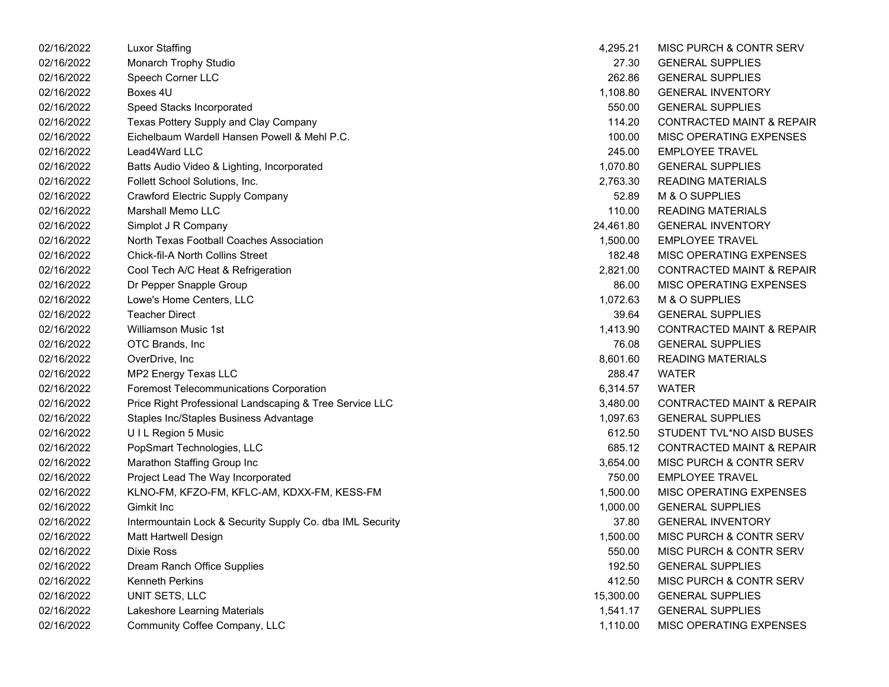| 02/16/2022 | Luxor Staffing                                            | 4,295.21  | MISC PURCH & CONTR SERV              |
|------------|-----------------------------------------------------------|-----------|--------------------------------------|
| 02/16/2022 | Monarch Trophy Studio                                     | 27.30     | <b>GENERAL SUPPLIES</b>              |
| 02/16/2022 | Speech Corner LLC                                         | 262.86    | <b>GENERAL SUPPLIES</b>              |
| 02/16/2022 | Boxes 4U                                                  | 1,108.80  | <b>GENERAL INVENTORY</b>             |
| 02/16/2022 | Speed Stacks Incorporated                                 | 550.00    | <b>GENERAL SUPPLIES</b>              |
| 02/16/2022 | Texas Pottery Supply and Clay Company                     | 114.20    | <b>CONTRACTED MAINT &amp; REPAIR</b> |
| 02/16/2022 | Eichelbaum Wardell Hansen Powell & Mehl P.C.              | 100.00    | MISC OPERATING EXPENSES              |
| 02/16/2022 | Lead4Ward LLC                                             | 245.00    | <b>EMPLOYEE TRAVEL</b>               |
| 02/16/2022 | Batts Audio Video & Lighting, Incorporated                | 1,070.80  | <b>GENERAL SUPPLIES</b>              |
| 02/16/2022 | Follett School Solutions, Inc.                            | 2,763.30  | <b>READING MATERIALS</b>             |
| 02/16/2022 | Crawford Electric Supply Company                          | 52.89     | M & O SUPPLIES                       |
| 02/16/2022 | <b>Marshall Memo LLC</b>                                  | 110.00    | <b>READING MATERIALS</b>             |
| 02/16/2022 | Simplot J R Company                                       | 24,461.80 | <b>GENERAL INVENTORY</b>             |
| 02/16/2022 | North Texas Football Coaches Association                  | 1,500.00  | <b>EMPLOYEE TRAVEL</b>               |
| 02/16/2022 | <b>Chick-fil-A North Collins Street</b>                   | 182.48    | MISC OPERATING EXPENSES              |
| 02/16/2022 | Cool Tech A/C Heat & Refrigeration                        | 2,821.00  | <b>CONTRACTED MAINT &amp; REPAIR</b> |
| 02/16/2022 | Dr Pepper Snapple Group                                   | 86.00     | MISC OPERATING EXPENSES              |
| 02/16/2022 | Lowe's Home Centers, LLC                                  | 1,072.63  | M & O SUPPLIES                       |
| 02/16/2022 | <b>Teacher Direct</b>                                     | 39.64     | <b>GENERAL SUPPLIES</b>              |
| 02/16/2022 | <b>Williamson Music 1st</b>                               | 1,413.90  | <b>CONTRACTED MAINT &amp; REPAIR</b> |
| 02/16/2022 | OTC Brands, Inc                                           | 76.08     | <b>GENERAL SUPPLIES</b>              |
| 02/16/2022 | OverDrive, Inc                                            | 8,601.60  | <b>READING MATERIALS</b>             |
| 02/16/2022 | MP2 Energy Texas LLC                                      | 288.47    | <b>WATER</b>                         |
| 02/16/2022 | <b>Foremost Telecommunications Corporation</b>            | 6,314.57  | <b>WATER</b>                         |
| 02/16/2022 | Price Right Professional Landscaping & Tree Service LLC   | 3,480.00  | <b>CONTRACTED MAINT &amp; REPAIR</b> |
| 02/16/2022 | Staples Inc/Staples Business Advantage                    | 1,097.63  | <b>GENERAL SUPPLIES</b>              |
| 02/16/2022 | UIL Region 5 Music                                        | 612.50    | STUDENT TVL*NO AISD BUSES            |
| 02/16/2022 | PopSmart Technologies, LLC                                | 685.12    | <b>CONTRACTED MAINT &amp; REPAIR</b> |
| 02/16/2022 | Marathon Staffing Group Inc                               | 3,654.00  | MISC PURCH & CONTR SERV              |
| 02/16/2022 | Project Lead The Way Incorporated                         | 750.00    | <b>EMPLOYEE TRAVEL</b>               |
| 02/16/2022 | KLNO-FM, KFZO-FM, KFLC-AM, KDXX-FM, KESS-FM               | 1,500.00  | MISC OPERATING EXPENSES              |
| 02/16/2022 | Gimkit Inc                                                | 1,000.00  | <b>GENERAL SUPPLIES</b>              |
| 02/16/2022 | Intermountain Lock & Security Supply Co. dba IML Security | 37.80     | <b>GENERAL INVENTORY</b>             |
| 02/16/2022 | Matt Hartwell Design                                      | 1,500.00  | MISC PURCH & CONTR SERV              |
| 02/16/2022 | Dixie Ross                                                | 550.00    | MISC PURCH & CONTR SERV              |
| 02/16/2022 | Dream Ranch Office Supplies                               | 192.50    | <b>GENERAL SUPPLIES</b>              |
| 02/16/2022 | <b>Kenneth Perkins</b>                                    | 412.50    | MISC PURCH & CONTR SERV              |
| 02/16/2022 | UNIT SETS, LLC                                            | 15,300.00 | <b>GENERAL SUPPLIES</b>              |
| 02/16/2022 | Lakeshore Learning Materials                              | 1,541.17  | <b>GENERAL SUPPLIES</b>              |
| 02/16/2022 | Community Coffee Company, LLC                             | 1,110.00  | MISC OPERATING EXPENSES              |
|            |                                                           |           |                                      |

| 4,295.21  | MISC PURCH & CONTR SERV              |
|-----------|--------------------------------------|
| 27.30     | <b>GENERAL SUPPLIES</b>              |
| 262.86    | <b>GENERAL SUPPLIES</b>              |
| 1,108.80  | <b>GENERAL INVENTORY</b>             |
| 550.00    | <b>GENERAL SUPPLIES</b>              |
| 114.20    | <b>CONTRACTED MAINT &amp; REPAIR</b> |
| 100.00    | <b>MISC OPERATING EXPENSES</b>       |
| 245.00    | <b>EMPLOYEE TRAVEL</b>               |
| 1.070.80  | <b>GENERAL SUPPLIES</b>              |
| 2,763.30  | <b>READING MATERIALS</b>             |
| 52.89     | <b>M &amp; O SUPPLIES</b>            |
| 110.00    | <b>READING MATERIALS</b>             |
| 24,461.80 | <b>GENERAL INVENTORY</b>             |
| 1,500.00  | <b>EMPLOYEE TRAVEL</b>               |
| 182.48    | <b>MISC OPERATING EXPENSES</b>       |
| 2,821.00  | <b>CONTRACTED MAINT &amp; REPAIR</b> |
| 86.00     | <b>MISC OPERATING EXPENSES</b>       |
| 1,072.63  | <b>M &amp; O SUPPLIES</b>            |
| 39.64     | <b>GENERAL SUPPLIES</b>              |
| 1,413.90  | <b>CONTRACTED MAINT &amp; REPAIR</b> |
| 76.08     | <b>GENERAL SUPPLIES</b>              |
| 8,601.60  | <b>READING MATERIALS</b>             |
| 288.47    | <b>WATER</b>                         |
| 6,314.57  | WATER                                |
| 3,480.00  | <b>CONTRACTED MAINT &amp; REPAIR</b> |
| 1,097.63  | <b>GENERAL SUPPLIES</b>              |
| 612.50    | STUDENT TVL*NO AISD BUSES            |
| 685.12    | <b>CONTRACTED MAINT &amp; REPAIR</b> |
| 3,654.00  | <b>MISC PURCH &amp; CONTR SERV</b>   |
| 750.00    | <b>EMPLOYEE TRAVEL</b>               |
| 1,500.00  | <b>MISC OPERATING EXPENSES</b>       |
| 1,000.00  | <b>GENERAL SUPPLIES</b>              |
| 37.80     | <b>GENERAL INVENTORY</b>             |
| 1,500.00  | <b>MISC PURCH &amp; CONTR SERV</b>   |
| 550.00    | <b>MISC PURCH &amp; CONTR SERV</b>   |
| 192.50    | <b>GENERAL SUPPLIES</b>              |
| 412.50    | <b>MISC PURCH &amp; CONTR SERV</b>   |
| 15,300.00 | <b>GENERAL SUPPLIES</b>              |
| 1,541.17  | <b>GENERAL SUPPLIES</b>              |
| 1,110.00  | MISC OPERATING EXPENSES              |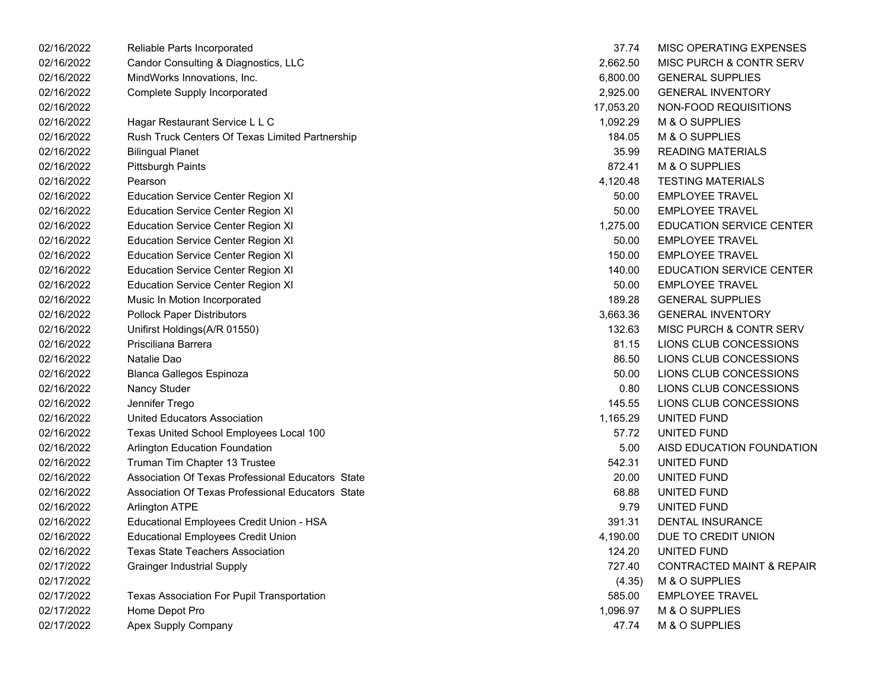| 02/16/2022 | Reliable Parts Incorporated                       | 37.74     | MISC OPERATING EXPENSES              |
|------------|---------------------------------------------------|-----------|--------------------------------------|
| 02/16/2022 | Candor Consulting & Diagnostics, LLC              | 2,662.50  | MISC PURCH & CONTR SERV              |
| 02/16/2022 | MindWorks Innovations, Inc.                       | 6,800.00  | <b>GENERAL SUPPLIES</b>              |
| 02/16/2022 | <b>Complete Supply Incorporated</b>               | 2,925.00  | <b>GENERAL INVENTORY</b>             |
| 02/16/2022 |                                                   | 17,053.20 | NON-FOOD REQUISITIONS                |
| 02/16/2022 | Hagar Restaurant Service L L C                    | 1,092.29  | M & O SUPPLIES                       |
| 02/16/2022 | Rush Truck Centers Of Texas Limited Partnership   | 184.05    | M & O SUPPLIES                       |
| 02/16/2022 | <b>Bilingual Planet</b>                           | 35.99     | <b>READING MATERIALS</b>             |
| 02/16/2022 | <b>Pittsburgh Paints</b>                          | 872.41    | M & O SUPPLIES                       |
| 02/16/2022 | Pearson                                           | 4,120.48  | <b>TESTING MATERIALS</b>             |
| 02/16/2022 | <b>Education Service Center Region XI</b>         | 50.00     | <b>EMPLOYEE TRAVEL</b>               |
| 02/16/2022 | <b>Education Service Center Region XI</b>         | 50.00     | <b>EMPLOYEE TRAVEL</b>               |
| 02/16/2022 | <b>Education Service Center Region XI</b>         | 1,275.00  | <b>EDUCATION SERVICE CENTER</b>      |
| 02/16/2022 | <b>Education Service Center Region XI</b>         | 50.00     | <b>EMPLOYEE TRAVEL</b>               |
| 02/16/2022 | <b>Education Service Center Region XI</b>         | 150.00    | <b>EMPLOYEE TRAVEL</b>               |
| 02/16/2022 | <b>Education Service Center Region XI</b>         | 140.00    | <b>EDUCATION SERVICE CENTER</b>      |
| 02/16/2022 | <b>Education Service Center Region XI</b>         | 50.00     | <b>EMPLOYEE TRAVEL</b>               |
| 02/16/2022 | Music In Motion Incorporated                      | 189.28    | <b>GENERAL SUPPLIES</b>              |
| 02/16/2022 | <b>Pollock Paper Distributors</b>                 | 3,663.36  | <b>GENERAL INVENTORY</b>             |
| 02/16/2022 | Unifirst Holdings(A/R 01550)                      | 132.63    | <b>MISC PURCH &amp; CONTR SERV</b>   |
| 02/16/2022 | Prisciliana Barrera                               | 81.15     | LIONS CLUB CONCESSIONS               |
| 02/16/2022 | Natalie Dao                                       | 86.50     | LIONS CLUB CONCESSIONS               |
| 02/16/2022 | <b>Blanca Gallegos Espinoza</b>                   | 50.00     | LIONS CLUB CONCESSIONS               |
| 02/16/2022 | Nancy Studer                                      | 0.80      | LIONS CLUB CONCESSIONS               |
| 02/16/2022 | Jennifer Trego                                    | 145.55    | LIONS CLUB CONCESSIONS               |
| 02/16/2022 | United Educators Association                      | 1,165.29  | UNITED FUND                          |
| 02/16/2022 | Texas United School Employees Local 100           | 57.72     | UNITED FUND                          |
| 02/16/2022 | <b>Arlington Education Foundation</b>             | 5.00      | AISD EDUCATION FOUNDATION            |
| 02/16/2022 | Truman Tim Chapter 13 Trustee                     | 542.31    | UNITED FUND                          |
| 02/16/2022 | Association Of Texas Professional Educators State | 20.00     | UNITED FUND                          |
| 02/16/2022 | Association Of Texas Professional Educators State | 68.88     | UNITED FUND                          |
| 02/16/2022 | <b>Arlington ATPE</b>                             | 9.79      | UNITED FUND                          |
| 02/16/2022 | Educational Employees Credit Union - HSA          | 391.31    | <b>DENTAL INSURANCE</b>              |
| 02/16/2022 | <b>Educational Employees Credit Union</b>         | 4,190.00  | DUE TO CREDIT UNION                  |
| 02/16/2022 | <b>Texas State Teachers Association</b>           | 124.20    | UNITED FUND                          |
| 02/17/2022 | <b>Grainger Industrial Supply</b>                 | 727.40    | <b>CONTRACTED MAINT &amp; REPAIR</b> |
| 02/17/2022 |                                                   | (4.35)    | M & O SUPPLIES                       |
| 02/17/2022 | Texas Association For Pupil Transportation        | 585.00    | <b>EMPLOYEE TRAVEL</b>               |
| 02/17/2022 | Home Depot Pro                                    | 1,096.97  | M & O SUPPLIES                       |
| 02/17/2022 | Apex Supply Company                               | 47.74     | M & O SUPPLIES                       |

| 37.74     | MISC OPERATING EXPENSES              |
|-----------|--------------------------------------|
| 2,662.50  | <b>MISC PURCH &amp; CONTR SERV</b>   |
|           | 6,800.00 GENERAL SUPPLIES            |
|           | 2,925.00 GENERAL INVENTORY           |
| 17,053.20 | NON-FOOD REQUISITIONS                |
| 1,092.29  | M & O SUPPLIES                       |
| 184.05    | M & O SUPPLIES                       |
|           | 35.99 READING MATERIALS              |
| 872.41    | M & O SUPPLIES                       |
| 4,120.48  | <b>TESTING MATERIALS</b>             |
| 50.00     | <b>EMPLOYEE TRAVEL</b>               |
| 50.00     | <b>EMPLOYEE TRAVEL</b>               |
|           | 1,275.00 EDUCATION SERVICE CENTER    |
| 50.00     | <b>EMPLOYEE TRAVEL</b>               |
| 150.00    | <b>EMPLOYEE TRAVEL</b>               |
| 140.00    | <b>EDUCATION SERVICE CENTER</b>      |
|           | 50.00 EMPLOYEE TRAVEL                |
|           | 189.28 GENERAL SUPPLIES              |
| 3,663.36  | GENERAL INVENTORY                    |
| 132.63    | MISC PURCH & CONTR SERV              |
| 81.15     | LIONS CLUB CONCESSIONS               |
| 86.50     | <b>LIONS CLUB CONCESSIONS</b>        |
| 50.00     | LIONS CLUB CONCESSIONS               |
| 0.80      | LIONS CLUB CONCESSIONS               |
| 145.55    | LIONS CLUB CONCESSIONS               |
| 1,165.29  | UNITED FUND                          |
| 57.72     | UNITED FUND                          |
| 5.00      | AISD EDUCATION FOUNDATION            |
| 542.31    | UNITED FUND                          |
| 20.00     | UNITED FUND                          |
| 68.88     | UNITED FUND                          |
| 9.79      | UNITED FUND                          |
| 391.31    | <b>DENTAL INSURANCE</b>              |
| 4,190.00  | DUE TO CREDIT UNION                  |
| 124.20    | UNITED FUND                          |
| 727.40    | <b>CONTRACTED MAINT &amp; REPAIR</b> |
| (4.35)    | M & O SUPPLIES                       |
| 585.00    | <b>EMPLOYEE TRAVEL</b>               |
| 1,096.97  | M & O SUPPLIES                       |
| 47.74     | M & O SUPPLIES                       |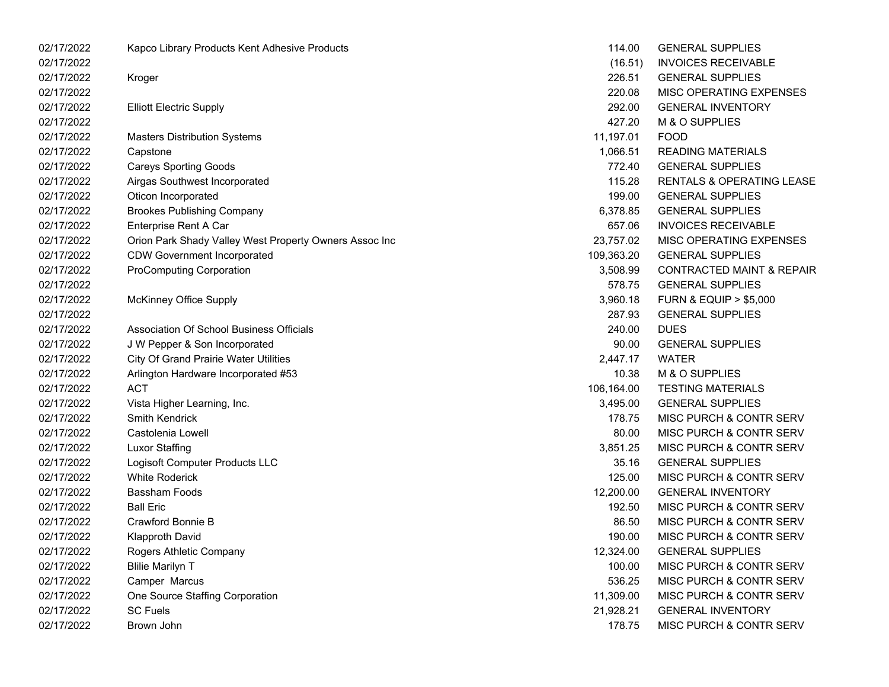| 02/17/2022 | Kapco Library Products Kent Adhesive Products          | 114.00     | <b>GENERAL SUPPLIES</b>              |
|------------|--------------------------------------------------------|------------|--------------------------------------|
| 02/17/2022 |                                                        | (16.51)    | <b>INVOICES RECEIVABLE</b>           |
| 02/17/2022 | Kroger                                                 | 226.51     | <b>GENERAL SUPPLIES</b>              |
| 02/17/2022 |                                                        | 220.08     | MISC OPERATING EXPENSES              |
| 02/17/2022 | <b>Elliott Electric Supply</b>                         | 292.00     | <b>GENERAL INVENTORY</b>             |
| 02/17/2022 |                                                        | 427.20     | M & O SUPPLIES                       |
| 02/17/2022 | <b>Masters Distribution Systems</b>                    | 11,197.01  | <b>FOOD</b>                          |
| 02/17/2022 | Capstone                                               | 1,066.51   | <b>READING MATERIALS</b>             |
| 02/17/2022 | <b>Careys Sporting Goods</b>                           | 772.40     | <b>GENERAL SUPPLIES</b>              |
| 02/17/2022 | Airgas Southwest Incorporated                          | 115.28     | <b>RENTALS &amp; OPERATING LEASE</b> |
| 02/17/2022 | Oticon Incorporated                                    | 199.00     | <b>GENERAL SUPPLIES</b>              |
| 02/17/2022 | <b>Brookes Publishing Company</b>                      | 6,378.85   | <b>GENERAL SUPPLIES</b>              |
| 02/17/2022 | Enterprise Rent A Car                                  | 657.06     | <b>INVOICES RECEIVABLE</b>           |
| 02/17/2022 | Orion Park Shady Valley West Property Owners Assoc Inc | 23,757.02  | MISC OPERATING EXPENSES              |
| 02/17/2022 | <b>CDW Government Incorporated</b>                     | 109,363.20 | <b>GENERAL SUPPLIES</b>              |
| 02/17/2022 | <b>ProComputing Corporation</b>                        | 3,508.99   | <b>CONTRACTED MAINT &amp; REPAIR</b> |
| 02/17/2022 |                                                        | 578.75     | <b>GENERAL SUPPLIES</b>              |
| 02/17/2022 | <b>McKinney Office Supply</b>                          | 3,960.18   | <b>FURN &amp; EQUIP &gt; \$5,000</b> |
| 02/17/2022 |                                                        | 287.93     | <b>GENERAL SUPPLIES</b>              |
| 02/17/2022 | Association Of School Business Officials               | 240.00     | <b>DUES</b>                          |
| 02/17/2022 | J W Pepper & Son Incorporated                          | 90.00      | <b>GENERAL SUPPLIES</b>              |
| 02/17/2022 | <b>City Of Grand Prairie Water Utilities</b>           | 2,447.17   | <b>WATER</b>                         |
| 02/17/2022 | Arlington Hardware Incorporated #53                    | 10.38      | M & O SUPPLIES                       |
| 02/17/2022 | <b>ACT</b>                                             | 106,164.00 | <b>TESTING MATERIALS</b>             |
| 02/17/2022 | Vista Higher Learning, Inc.                            | 3,495.00   | <b>GENERAL SUPPLIES</b>              |
| 02/17/2022 | Smith Kendrick                                         | 178.75     | MISC PURCH & CONTR SERV              |
| 02/17/2022 | Castolenia Lowell                                      | 80.00      | MISC PURCH & CONTR SERV              |
| 02/17/2022 | <b>Luxor Staffing</b>                                  | 3,851.25   | MISC PURCH & CONTR SERV              |
| 02/17/2022 | Logisoft Computer Products LLC                         | 35.16      | <b>GENERAL SUPPLIES</b>              |
| 02/17/2022 | <b>White Roderick</b>                                  | 125.00     | MISC PURCH & CONTR SERV              |
| 02/17/2022 | <b>Bassham Foods</b>                                   | 12,200.00  | <b>GENERAL INVENTORY</b>             |
| 02/17/2022 | <b>Ball Eric</b>                                       | 192.50     | MISC PURCH & CONTR SERV              |
| 02/17/2022 | Crawford Bonnie B                                      | 86.50      | MISC PURCH & CONTR SERV              |
| 02/17/2022 | <b>Klapproth David</b>                                 | 190.00     | <b>MISC PURCH &amp; CONTR SERV</b>   |
| 02/17/2022 | Rogers Athletic Company                                | 12,324.00  | <b>GENERAL SUPPLIES</b>              |
| 02/17/2022 | <b>Blilie Marilyn T</b>                                | 100.00     | MISC PURCH & CONTR SERV              |
| 02/17/2022 | Camper Marcus                                          | 536.25     | MISC PURCH & CONTR SERV              |
| 02/17/2022 | One Source Staffing Corporation                        | 11,309.00  | MISC PURCH & CONTR SERV              |
| 02/17/2022 | <b>SC Fuels</b>                                        | 21,928.21  | <b>GENERAL INVENTORY</b>             |
| 02/17/2022 | Brown John                                             | 178.75     | MISC PURCH & CONTR SERV              |

| 114.00     | GENERAL SUPPLIES                     |
|------------|--------------------------------------|
| (16.51)    | <b>INVOICES RECEIVABLE</b>           |
| 226.51     | <b>GENERAL SUPPLIES</b>              |
| 220.08     | <b>MISC OPERATING EXPENSES</b>       |
| 292.00     | <b>GENERAL INVENTORY</b>             |
| 427.20     | <b>M &amp; O SUPPLIES</b>            |
| 11,197.01  | <b>FOOD</b>                          |
| 1,066.51   | <b>READING MATERIALS</b>             |
| 772.40     | <b>GENERAL SUPPLIES</b>              |
| 115.28     | <b>RENTALS &amp; OPERATING LEASE</b> |
| 199.00     | <b>GENERAL SUPPLIES</b>              |
| 6.378.85   | <b>GENERAL SUPPLIES</b>              |
| 657.06     | <b>INVOICES RECEIVABLE</b>           |
| 23,757.02  | <b>MISC OPERATING EXPENSES</b>       |
| 109,363.20 | <b>GENERAL SUPPLIES</b>              |
| 3,508.99   | <b>CONTRACTED MAINT &amp; REPAIR</b> |
| 578.75     | <b>GENERAL SUPPLIES</b>              |
| 3,960.18   | <b>FURN &amp; EQUIP &gt; \$5,000</b> |
| 287.93     | <b>GENERAL SUPPLIES</b>              |
| 240.00     | <b>DUES</b>                          |
| 90.00      | <b>GENERAL SUPPLIES</b>              |
| 2,447.17   | <b>WATER</b>                         |
| 10.38      | <b>M &amp; O SUPPLIES</b>            |
| 106,164.00 | <b>TESTING MATERIALS</b>             |
| 3,495.00   | <b>GENERAL SUPPLIES</b>              |
| 178.75     | <b>MISC PURCH &amp; CONTR SERV</b>   |
| 80.00      | <b>MISC PURCH &amp; CONTR SERV</b>   |
| 3,851.25   | MISC PURCH & CONTR SERV              |
| 35.16      | <b>GENERAL SUPPLIES</b>              |
| 125.00     | <b>MISC PURCH &amp; CONTR SERV</b>   |
| 12,200.00  | <b>GENERAL INVENTORY</b>             |
| 192.50     | <b>MISC PURCH &amp; CONTR SERV</b>   |
| 86.50      | <b>MISC PURCH &amp; CONTR SERV</b>   |
| 190.00     | MISC PURCH & CONTR SERV              |
| 12,324.00  | <b>GENERAL SUPPLIES</b>              |
| 100.00     | MISC PURCH & CONTR SERV              |
| 536.25     | <b>MISC PURCH &amp; CONTR SERV</b>   |
| 11,309.00  | <b>MISC PURCH &amp; CONTR SERV</b>   |
| 21,928.21  | <b>GENERAL INVENTORY</b>             |
| 178.75     | MISC PURCH & CONTR SERV              |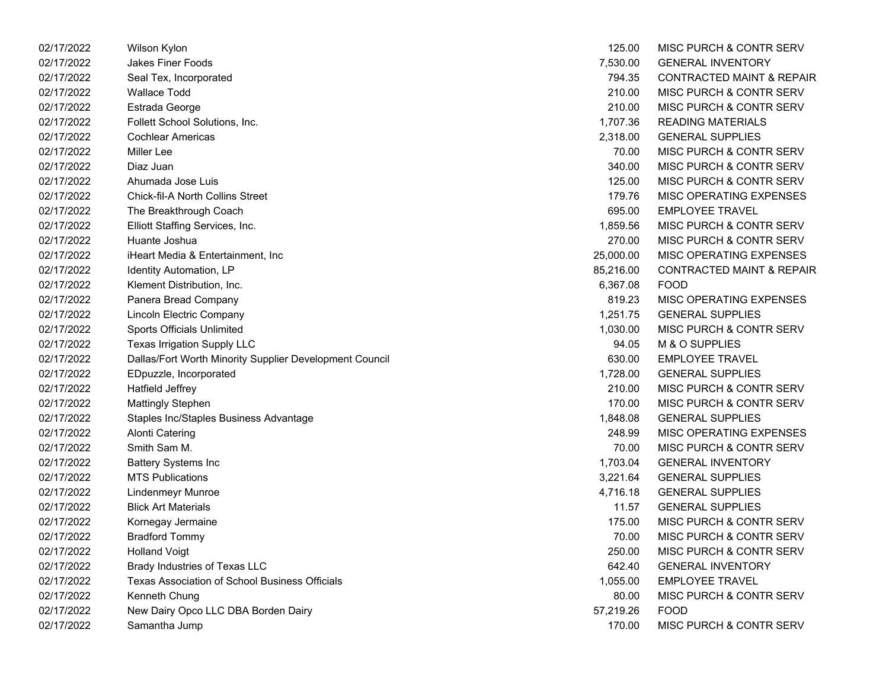| 02/17/2022 | Wilson Kylon                                            | 125.00    | MISC PURCH & CONTR SERV              |
|------------|---------------------------------------------------------|-----------|--------------------------------------|
| 02/17/2022 | <b>Jakes Finer Foods</b>                                | 7,530.00  | <b>GENERAL INVENTORY</b>             |
| 02/17/2022 | Seal Tex, Incorporated                                  | 794.35    | <b>CONTRACTED MAINT &amp; REPAIR</b> |
| 02/17/2022 | <b>Wallace Todd</b>                                     | 210.00    | MISC PURCH & CONTR SERV              |
| 02/17/2022 | Estrada George                                          | 210.00    | MISC PURCH & CONTR SERV              |
| 02/17/2022 | Follett School Solutions, Inc.                          | 1,707.36  | <b>READING MATERIALS</b>             |
| 02/17/2022 | <b>Cochlear Americas</b>                                | 2,318.00  | <b>GENERAL SUPPLIES</b>              |
| 02/17/2022 | Miller Lee                                              | 70.00     | <b>MISC PURCH &amp; CONTR SERV</b>   |
| 02/17/2022 | Diaz Juan                                               | 340.00    | MISC PURCH & CONTR SERV              |
| 02/17/2022 | Ahumada Jose Luis                                       | 125.00    | MISC PURCH & CONTR SERV              |
| 02/17/2022 | <b>Chick-fil-A North Collins Street</b>                 | 179.76    | <b>MISC OPERATING EXPENSES</b>       |
| 02/17/2022 | The Breakthrough Coach                                  | 695.00    | <b>EMPLOYEE TRAVEL</b>               |
| 02/17/2022 | Elliott Staffing Services, Inc.                         | 1,859.56  | MISC PURCH & CONTR SERV              |
| 02/17/2022 | Huante Joshua                                           | 270.00    | MISC PURCH & CONTR SERV              |
| 02/17/2022 | iHeart Media & Entertainment, Inc                       | 25,000.00 | <b>MISC OPERATING EXPENSES</b>       |
| 02/17/2022 | Identity Automation, LP                                 | 85,216.00 | <b>CONTRACTED MAINT &amp; REPAIR</b> |
| 02/17/2022 | Klement Distribution, Inc.                              | 6,367.08  | <b>FOOD</b>                          |
| 02/17/2022 | Panera Bread Company                                    | 819.23    | <b>MISC OPERATING EXPENSES</b>       |
| 02/17/2022 | Lincoln Electric Company                                | 1,251.75  | <b>GENERAL SUPPLIES</b>              |
| 02/17/2022 | <b>Sports Officials Unlimited</b>                       | 1,030.00  | MISC PURCH & CONTR SERV              |
| 02/17/2022 | <b>Texas Irrigation Supply LLC</b>                      | 94.05     | M & O SUPPLIES                       |
| 02/17/2022 | Dallas/Fort Worth Minority Supplier Development Council | 630.00    | <b>EMPLOYEE TRAVEL</b>               |
| 02/17/2022 | EDpuzzle, Incorporated                                  | 1,728.00  | <b>GENERAL SUPPLIES</b>              |
| 02/17/2022 | Hatfield Jeffrey                                        | 210.00    | MISC PURCH & CONTR SERV              |
| 02/17/2022 | <b>Mattingly Stephen</b>                                | 170.00    | MISC PURCH & CONTR SERV              |
| 02/17/2022 | Staples Inc/Staples Business Advantage                  | 1,848.08  | <b>GENERAL SUPPLIES</b>              |
| 02/17/2022 | Alonti Catering                                         | 248.99    | <b>MISC OPERATING EXPENSES</b>       |
| 02/17/2022 | Smith Sam M.                                            | 70.00     | MISC PURCH & CONTR SERV              |
| 02/17/2022 | <b>Battery Systems Inc</b>                              | 1,703.04  | <b>GENERAL INVENTORY</b>             |
| 02/17/2022 | <b>MTS Publications</b>                                 | 3,221.64  | <b>GENERAL SUPPLIES</b>              |
| 02/17/2022 | Lindenmeyr Munroe                                       | 4,716.18  | <b>GENERAL SUPPLIES</b>              |
| 02/17/2022 | <b>Blick Art Materials</b>                              | 11.57     | <b>GENERAL SUPPLIES</b>              |
| 02/17/2022 | Kornegay Jermaine                                       | 175.00    | MISC PURCH & CONTR SERV              |
| 02/17/2022 | <b>Bradford Tommy</b>                                   | 70.00     | MISC PURCH & CONTR SERV              |
| 02/17/2022 | <b>Holland Voigt</b>                                    | 250.00    | MISC PURCH & CONTR SERV              |
| 02/17/2022 | Brady Industries of Texas LLC                           | 642.40    | <b>GENERAL INVENTORY</b>             |
| 02/17/2022 | <b>Texas Association of School Business Officials</b>   | 1,055.00  | <b>EMPLOYEE TRAVEL</b>               |
| 02/17/2022 | Kenneth Chung                                           | 80.00     | MISC PURCH & CONTR SERV              |
| 02/17/2022 | New Dairy Opco LLC DBA Borden Dairy                     | 57,219.26 | <b>FOOD</b>                          |
| 02/17/2022 | Samantha Jump                                           | 170.00    | MISC PURCH & CONTR SERV              |

| 125.00    | MISC PURCH & CONTR SERV              |
|-----------|--------------------------------------|
| 7,530.00  | <b>GENERAL INVENTORY</b>             |
| 794.35    | <b>CONTRACTED MAINT &amp; REPAIR</b> |
| 210.00    | MISC PURCH & CONTR SERV              |
| 210.00    | <b>MISC PURCH &amp; CONTR SERV</b>   |
| 1,707.36  | <b>READING MATERIALS</b>             |
| 2,318.00  | <b>GENERAL SUPPLIES</b>              |
| 70.00     | MISC PURCH & CONTR SERV              |
| 340.00    | <b>MISC PURCH &amp; CONTR SERV</b>   |
| 125.00    | <b>MISC PURCH &amp; CONTR SERV</b>   |
| 179.76    | <b>MISC OPERATING EXPENSES</b>       |
| 695.00    | <b>EMPLOYEE TRAVEL</b>               |
| 1,859.56  | <b>MISC PURCH &amp; CONTR SERV</b>   |
| 270.00    | <b>MISC PURCH &amp; CONTR SERV</b>   |
| 25,000.00 | MISC OPERATING EXPENSES              |
| 85,216.00 | <b>CONTRACTED MAINT &amp; REPAIR</b> |
| 6,367.08  | <b>FOOD</b>                          |
|           | 819.23 MISC OPERATING EXPENSES       |
| 1.251.75  | <b>GENERAL SUPPLIES</b>              |
| 1.030.00  | MISC PURCH & CONTR SERV              |
| 94.05     | M & O SUPPLIES                       |
| 630.00    | <b>EMPLOYEE TRAVEL</b>               |
| 1,728.00  | <b>GENERAL SUPPLIES</b>              |
| 210.00    | MISC PURCH & CONTR SERV              |
| 170.00    | <b>MISC PURCH &amp; CONTR SERV</b>   |
| 1,848.08  | <b>GENERAL SUPPLIES</b>              |
| 248.99    | <b>MISC OPERATING EXPENSES</b>       |
| 70.00     | MISC PURCH & CONTR SERV              |
| 1,703.04  | <b>GENERAL INVENTORY</b>             |
| 3,221.64  | <b>GENERAL SUPPLIES</b>              |
| 4,716.18  | <b>GENERAL SUPPLIES</b>              |
| 11.57     | <b>GENERAL SUPPLIES</b>              |
| 175.00    | MISC PURCH & CONTR SERV              |
| 70.00     | MISC PURCH & CONTR SERV              |
| 250.00    | <b>MISC PURCH &amp; CONTR SERV</b>   |
| 642.40    | <b>GENERAL INVENTORY</b>             |
| 1,055.00  | <b>EMPLOYEE TRAVEL</b>               |
| 80.00     | <b>MISC PURCH &amp; CONTR SERV</b>   |
| 57,219.26 | <b>FOOD</b>                          |
| 170.00    | MISC PURCH & CONTR SERV              |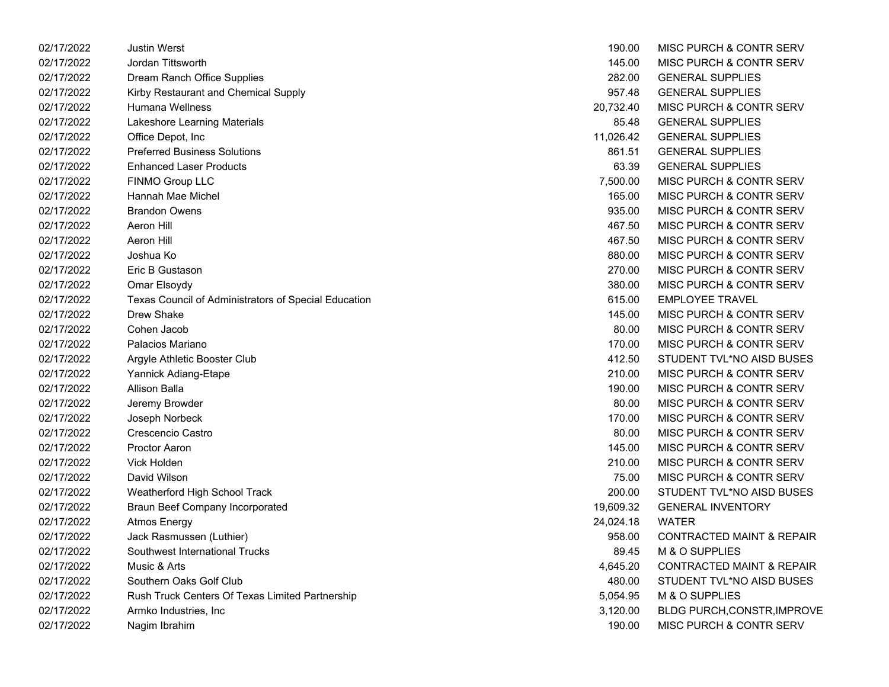| 02/17/2022 | <b>Justin Werst</b>                                  | 190.00    | <b>MISC PURCH &amp; CONTR SERV</b>   |
|------------|------------------------------------------------------|-----------|--------------------------------------|
| 02/17/2022 | Jordan Tittsworth                                    | 145.00    | MISC PURCH & CONTR SERV              |
| 02/17/2022 | Dream Ranch Office Supplies                          | 282.00    | <b>GENERAL SUPPLIES</b>              |
| 02/17/2022 | Kirby Restaurant and Chemical Supply                 | 957.48    | <b>GENERAL SUPPLIES</b>              |
| 02/17/2022 | Humana Wellness                                      | 20,732.40 | MISC PURCH & CONTR SERV              |
| 02/17/2022 | Lakeshore Learning Materials                         | 85.48     | <b>GENERAL SUPPLIES</b>              |
| 02/17/2022 | Office Depot, Inc                                    | 11,026.42 | <b>GENERAL SUPPLIES</b>              |
| 02/17/2022 | <b>Preferred Business Solutions</b>                  | 861.51    | <b>GENERAL SUPPLIES</b>              |
| 02/17/2022 | <b>Enhanced Laser Products</b>                       | 63.39     | <b>GENERAL SUPPLIES</b>              |
| 02/17/2022 | FINMO Group LLC                                      | 7,500.00  | <b>MISC PURCH &amp; CONTR SERV</b>   |
| 02/17/2022 | Hannah Mae Michel                                    | 165.00    | <b>MISC PURCH &amp; CONTR SERV</b>   |
| 02/17/2022 | <b>Brandon Owens</b>                                 | 935.00    | <b>MISC PURCH &amp; CONTR SERV</b>   |
| 02/17/2022 | Aeron Hill                                           | 467.50    | MISC PURCH & CONTR SERV              |
| 02/17/2022 | Aeron Hill                                           | 467.50    | <b>MISC PURCH &amp; CONTR SERV</b>   |
| 02/17/2022 | Joshua Ko                                            | 880.00    | <b>MISC PURCH &amp; CONTR SERV</b>   |
| 02/17/2022 | Eric B Gustason                                      | 270.00    | <b>MISC PURCH &amp; CONTR SERV</b>   |
| 02/17/2022 | Omar Elsoydy                                         | 380.00    | MISC PURCH & CONTR SERV              |
| 02/17/2022 | Texas Council of Administrators of Special Education | 615.00    | <b>EMPLOYEE TRAVEL</b>               |
| 02/17/2022 | Drew Shake                                           | 145.00    | <b>MISC PURCH &amp; CONTR SERV</b>   |
| 02/17/2022 | Cohen Jacob                                          | 80.00     | <b>MISC PURCH &amp; CONTR SERV</b>   |
| 02/17/2022 | Palacios Mariano                                     | 170.00    | MISC PURCH & CONTR SERV              |
| 02/17/2022 | Argyle Athletic Booster Club                         | 412.50    | STUDENT TVL*NO AISD BUSES            |
| 02/17/2022 | Yannick Adiang-Etape                                 | 210.00    | MISC PURCH & CONTR SERV              |
| 02/17/2022 | Allison Balla                                        | 190.00    | MISC PURCH & CONTR SERV              |
| 02/17/2022 | Jeremy Browder                                       | 80.00     | MISC PURCH & CONTR SERV              |
| 02/17/2022 | Joseph Norbeck                                       | 170.00    | MISC PURCH & CONTR SERV              |
| 02/17/2022 | Crescencio Castro                                    | 80.00     | MISC PURCH & CONTR SERV              |
| 02/17/2022 | <b>Proctor Aaron</b>                                 | 145.00    | MISC PURCH & CONTR SERV              |
| 02/17/2022 | <b>Vick Holden</b>                                   | 210.00    | MISC PURCH & CONTR SERV              |
| 02/17/2022 | David Wilson                                         | 75.00     | MISC PURCH & CONTR SERV              |
| 02/17/2022 | Weatherford High School Track                        | 200.00    | STUDENT TVL*NO AISD BUSES            |
| 02/17/2022 | <b>Braun Beef Company Incorporated</b>               | 19,609.32 | <b>GENERAL INVENTORY</b>             |
| 02/17/2022 | <b>Atmos Energy</b>                                  | 24,024.18 | <b>WATER</b>                         |
| 02/17/2022 | Jack Rasmussen (Luthier)                             | 958.00    | <b>CONTRACTED MAINT &amp; REPAIR</b> |
| 02/17/2022 | Southwest International Trucks                       | 89.45     | M & O SUPPLIES                       |
| 02/17/2022 | Music & Arts                                         | 4,645.20  | <b>CONTRACTED MAINT &amp; REPAIR</b> |
| 02/17/2022 | Southern Oaks Golf Club                              | 480.00    | STUDENT TVL*NO AISD BUSES            |
| 02/17/2022 | Rush Truck Centers Of Texas Limited Partnership      | 5,054.95  | M & O SUPPLIES                       |
| 02/17/2022 | Armko Industries, Inc.                               | 3,120.00  | <b>BLDG PURCH, CONSTR, IMPROVE</b>   |
| 02/17/2022 | Nagim Ibrahim                                        | 190.00    | <b>MISC PURCH &amp; CONTR SERV</b>   |

| 190.00    | <b>MISC PURCH &amp; CONTR SERV</b>   |
|-----------|--------------------------------------|
| 145.00    | <b>MISC PURCH &amp; CONTR SERV</b>   |
| 282.00    | <b>GENERAL SUPPLIES</b>              |
| 957.48    | <b>GENERAL SUPPLIES</b>              |
| 20,732.40 | MISC PURCH & CONTR SERV              |
| 85.48     | <b>GENERAL SUPPLIES</b>              |
| 11,026.42 | <b>GENERAL SUPPLIES</b>              |
| 861.51    | <b>GENERAL SUPPLIES</b>              |
| 63.39     | <b>GENERAL SUPPLIES</b>              |
| 7.500.00  | MISC PURCH & CONTR SERV              |
| 165.00    | <b>MISC PURCH &amp; CONTR SERV</b>   |
| 935.00    | <b>MISC PURCH &amp; CONTR SERV</b>   |
| 467.50    | MISC PURCH & CONTR SERV              |
| 467.50    | MISC PURCH & CONTR SERV              |
| 880.00    | <b>MISC PURCH &amp; CONTR SERV</b>   |
| 270.00    | <b>MISC PURCH &amp; CONTR SERV</b>   |
| 380.00    | <b>MISC PURCH &amp; CONTR SERV</b>   |
| 615.00    | <b>EMPLOYEE TRAVEL</b>               |
| 145.00    | MISC PURCH & CONTR SERV              |
| 80.00     | MISC PURCH & CONTR SERV              |
| 170.00    | <b>MISC PURCH &amp; CONTR SERV</b>   |
| 412.50    | STUDENT TVL*NO AISD BUSES            |
| 210.00    | MISC PURCH & CONTR SERV              |
| 190.00    | MISC PURCH & CONTR SERV              |
| 80.00     | MISC PURCH & CONTR SERV              |
| 170.00    | <b>MISC PURCH &amp; CONTR SERV</b>   |
| 80.00     | <b>MISC PURCH &amp; CONTR SERV</b>   |
| 145.00    | MISC PURCH & CONTR SERV              |
| 210.00    | MISC PURCH & CONTR SERV              |
| 75.00     | MISC PURCH & CONTR SERV              |
| 200.00    | STUDENT TVL*NO AISD BUSES            |
| 19,609.32 | <b>GENERAL INVENTORY</b>             |
| 24,024.18 | WATER                                |
| 958.00    | CONTRACTED MAINT & REPAIR            |
| 89.45     | M & O SUPPLIES                       |
| 4.645.20  | <b>CONTRACTED MAINT &amp; REPAIR</b> |
| 480.00    | STUDENT TVL*NO AISD BUSES            |
| 5.054.95  | <b>M &amp; O SUPPLIES</b>            |
| 3.120.00  | <b>BLDG PURCH, CONSTR, IMPROVE</b>   |
| 190.00    | MISC PURCH & CONTR SERV              |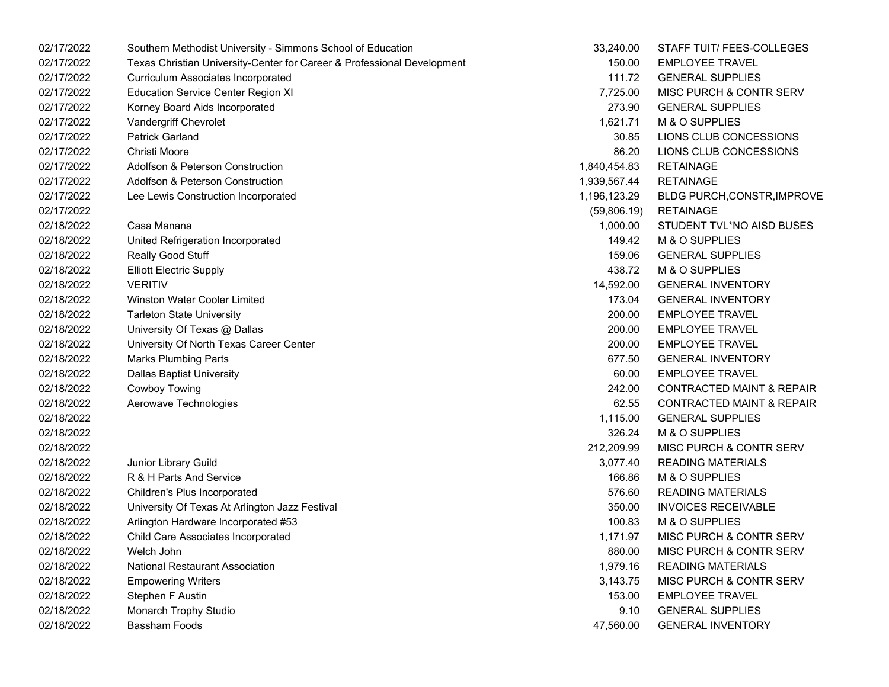| 02/17/2022 | Southern Methodist University - Simmons School of Education             | 33,240.00    | STAFF TUIT/ FEES-COLLEGES            |
|------------|-------------------------------------------------------------------------|--------------|--------------------------------------|
| 02/17/2022 | Texas Christian University-Center for Career & Professional Development | 150.00       | <b>EMPLOYEE TRAVEL</b>               |
| 02/17/2022 | Curriculum Associates Incorporated                                      | 111.72       | <b>GENERAL SUPPLIES</b>              |
| 02/17/2022 | <b>Education Service Center Region XI</b>                               | 7,725.00     | MISC PURCH & CONTR SERV              |
| 02/17/2022 | Korney Board Aids Incorporated                                          | 273.90       | <b>GENERAL SUPPLIES</b>              |
| 02/17/2022 | Vandergriff Chevrolet                                                   | 1,621.71     | M & O SUPPLIES                       |
| 02/17/2022 | <b>Patrick Garland</b>                                                  | 30.85        | LIONS CLUB CONCESSIONS               |
| 02/17/2022 | Christi Moore                                                           | 86.20        | LIONS CLUB CONCESSIONS               |
| 02/17/2022 | Adolfson & Peterson Construction                                        | 1,840,454.83 | <b>RETAINAGE</b>                     |
| 02/17/2022 | Adolfson & Peterson Construction                                        | 1,939,567.44 | <b>RETAINAGE</b>                     |
| 02/17/2022 | Lee Lewis Construction Incorporated                                     | 1,196,123.29 | <b>BLDG PURCH, CONSTR, IMPROVE</b>   |
| 02/17/2022 |                                                                         | (59,806.19)  | <b>RETAINAGE</b>                     |
| 02/18/2022 | Casa Manana                                                             | 1,000.00     | STUDENT TVL*NO AISD BUSES            |
| 02/18/2022 | United Refrigeration Incorporated                                       | 149.42       | M & O SUPPLIES                       |
| 02/18/2022 | Really Good Stuff                                                       | 159.06       | <b>GENERAL SUPPLIES</b>              |
| 02/18/2022 | <b>Elliott Electric Supply</b>                                          | 438.72       | M & O SUPPLIES                       |
| 02/18/2022 | <b>VERITIV</b>                                                          | 14,592.00    | <b>GENERAL INVENTORY</b>             |
| 02/18/2022 | Winston Water Cooler Limited                                            | 173.04       | <b>GENERAL INVENTORY</b>             |
| 02/18/2022 | <b>Tarleton State University</b>                                        | 200.00       | <b>EMPLOYEE TRAVEL</b>               |
| 02/18/2022 | University Of Texas @ Dallas                                            | 200.00       | <b>EMPLOYEE TRAVEL</b>               |
| 02/18/2022 | University Of North Texas Career Center                                 | 200.00       | <b>EMPLOYEE TRAVEL</b>               |
| 02/18/2022 | <b>Marks Plumbing Parts</b>                                             | 677.50       | <b>GENERAL INVENTORY</b>             |
| 02/18/2022 | <b>Dallas Baptist University</b>                                        | 60.00        | <b>EMPLOYEE TRAVEL</b>               |
| 02/18/2022 | Cowboy Towing                                                           | 242.00       | <b>CONTRACTED MAINT &amp; REPAIR</b> |
| 02/18/2022 | Aerowave Technologies                                                   | 62.55        | <b>CONTRACTED MAINT &amp; REPAIR</b> |
| 02/18/2022 |                                                                         | 1,115.00     | <b>GENERAL SUPPLIES</b>              |
| 02/18/2022 |                                                                         | 326.24       | M & O SUPPLIES                       |
| 02/18/2022 |                                                                         | 212,209.99   | MISC PURCH & CONTR SERV              |
| 02/18/2022 | Junior Library Guild                                                    | 3,077.40     | <b>READING MATERIALS</b>             |
| 02/18/2022 | R & H Parts And Service                                                 | 166.86       | M & O SUPPLIES                       |
| 02/18/2022 | Children's Plus Incorporated                                            | 576.60       | <b>READING MATERIALS</b>             |
| 02/18/2022 | University Of Texas At Arlington Jazz Festival                          | 350.00       | <b>INVOICES RECEIVABLE</b>           |
| 02/18/2022 | Arlington Hardware Incorporated #53                                     | 100.83       | M & O SUPPLIES                       |
| 02/18/2022 | <b>Child Care Associates Incorporated</b>                               | 1,171.97     | MISC PURCH & CONTR SERV              |
| 02/18/2022 | Welch John                                                              | 880.00       | MISC PURCH & CONTR SERV              |
| 02/18/2022 | National Restaurant Association                                         | 1,979.16     | <b>READING MATERIALS</b>             |
| 02/18/2022 | <b>Empowering Writers</b>                                               | 3,143.75     | MISC PURCH & CONTR SERV              |
| 02/18/2022 | Stephen F Austin                                                        | 153.00       | <b>EMPLOYEE TRAVEL</b>               |
| 02/18/2022 | Monarch Trophy Studio                                                   | 9.10         | <b>GENERAL SUPPLIES</b>              |
| 02/18/2022 | <b>Bassham Foods</b>                                                    | 47,560.00    | <b>GENERAL INVENTORY</b>             |

| 33,240.00  | STAFF TUIT/ FEES-COLLEGES            |
|------------|--------------------------------------|
| 150.00     | <b>EMPLOYEE TRAVEL</b>               |
| 111.72     | <b>GENERAL SUPPLIES</b>              |
| 7,725.00   | MISC PURCH & CONTR SERV              |
| 273.90     | <b>GENERAL SUPPLIES</b>              |
| 1,621.71   | M & O SUPPLIES                       |
| 30.85      | LIONS CLUB CONCESSIONS               |
| 86.20      | LIONS CLUB CONCESSIONS               |
| 840,454.83 | <b>RETAINAGE</b>                     |
| 939,567.44 | <b>RETAINAGE</b>                     |
| 196,123.29 | BLDG PURCH, CONSTR, IMPROVE          |
|            | (59,806.19) RETAINAGE                |
|            | 1,000.00 STUDENT TVL*NO AISD BUSES   |
| 149.42     | M & O SUPPLIES                       |
| 159.06     | <b>GENERAL SUPPLIES</b>              |
| 438.72     | M & O SUPPLIES                       |
| 14,592.00  | <b>GENERAL INVENTORY</b>             |
| 173.04     | <b>GENERAL INVENTORY</b>             |
| 200.00     | <b>EMPLOYEE TRAVEL</b>               |
| 200.00     | <b>EMPLOYEE TRAVEL</b>               |
| 200.00     | <b>EMPLOYEE TRAVEL</b>               |
| 677.50     | <b>GENERAL INVENTORY</b>             |
| 60.00      | <b>EMPLOYEE TRAVEL</b>               |
| 242.00     | <b>CONTRACTED MAINT &amp; REPAIR</b> |
| 62.55      | <b>CONTRACTED MAINT &amp; REPAIR</b> |
| 1,115.00   | <b>GENERAL SUPPLIES</b>              |
| 326.24     | M & O SUPPLIES                       |
| 212,209.99 | <b>MISC PURCH &amp; CONTR SERV</b>   |
| 3,077.40   | <b>READING MATERIALS</b>             |
| 166.86     | M & O SUPPLIES                       |
| 576.60     | <b>READING MATERIALS</b>             |
| 350.00     | <b>INVOICES RECEIVABLE</b>           |
| 100.83     | M & O SUPPLIES                       |
| 1,171.97   | <b>MISC PURCH &amp; CONTR SERV</b>   |
| 880.00     | <b>MISC PURCH &amp; CONTR SERV</b>   |
| 1,979.16   | <b>READING MATERIALS</b>             |
| 3,143.75   | <b>MISC PURCH &amp; CONTR SERV</b>   |
| 153.00     | <b>EMPLOYEE TRAVEL</b>               |
| 9.10       | <b>GENERAL SUPPLIES</b>              |
| 47,560.00  | <b>GENERAL INVENTORY</b>             |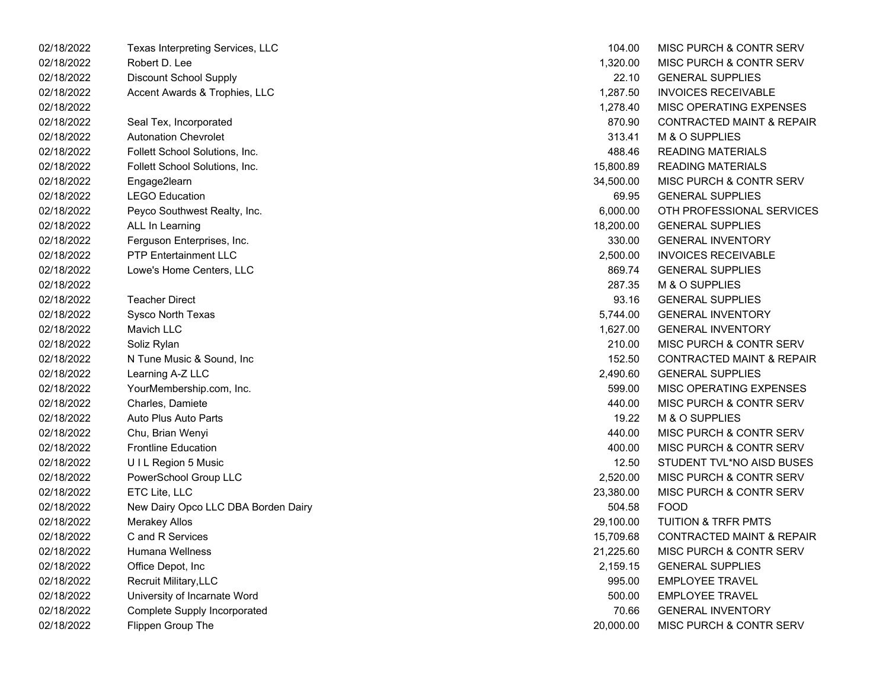| 02/18/2022 | Texas Interpreting Services, LLC    | 104.00    | MISC PURCH & CONTR SERV              |
|------------|-------------------------------------|-----------|--------------------------------------|
| 02/18/2022 | Robert D. Lee                       | 1,320.00  | MISC PURCH & CONTR SERV              |
| 02/18/2022 | <b>Discount School Supply</b>       | 22.10     | <b>GENERAL SUPPLIES</b>              |
| 02/18/2022 | Accent Awards & Trophies, LLC       | 1,287.50  | <b>INVOICES RECEIVABLE</b>           |
| 02/18/2022 |                                     | 1,278.40  | MISC OPERATING EXPENSES              |
| 02/18/2022 | Seal Tex, Incorporated              | 870.90    | <b>CONTRACTED MAINT &amp; REPAIR</b> |
| 02/18/2022 | <b>Autonation Chevrolet</b>         | 313.41    | M & O SUPPLIES                       |
| 02/18/2022 | Follett School Solutions, Inc.      | 488.46    | <b>READING MATERIALS</b>             |
| 02/18/2022 | Follett School Solutions, Inc.      | 15,800.89 | <b>READING MATERIALS</b>             |
| 02/18/2022 | Engage2learn                        | 34,500.00 | MISC PURCH & CONTR SERV              |
| 02/18/2022 | <b>LEGO Education</b>               | 69.95     | <b>GENERAL SUPPLIES</b>              |
| 02/18/2022 | Peyco Southwest Realty, Inc.        | 6,000.00  | OTH PROFESSIONAL SERVICES            |
| 02/18/2022 | ALL In Learning                     | 18,200.00 | <b>GENERAL SUPPLIES</b>              |
| 02/18/2022 | Ferguson Enterprises, Inc.          | 330.00    | <b>GENERAL INVENTORY</b>             |
| 02/18/2022 | <b>PTP Entertainment LLC</b>        | 2,500.00  | <b>INVOICES RECEIVABLE</b>           |
| 02/18/2022 | Lowe's Home Centers, LLC            | 869.74    | <b>GENERAL SUPPLIES</b>              |
| 02/18/2022 |                                     | 287.35    | M & O SUPPLIES                       |
| 02/18/2022 | <b>Teacher Direct</b>               | 93.16     | <b>GENERAL SUPPLIES</b>              |
| 02/18/2022 | Sysco North Texas                   | 5,744.00  | <b>GENERAL INVENTORY</b>             |
| 02/18/2022 | Mavich LLC                          | 1,627.00  | <b>GENERAL INVENTORY</b>             |
| 02/18/2022 | Soliz Rylan                         | 210.00    | MISC PURCH & CONTR SERV              |
| 02/18/2022 | N Tune Music & Sound, Inc.          | 152.50    | <b>CONTRACTED MAINT &amp; REPAIR</b> |
| 02/18/2022 | Learning A-Z LLC                    | 2,490.60  | <b>GENERAL SUPPLIES</b>              |
| 02/18/2022 | YourMembership.com, Inc.            | 599.00    | MISC OPERATING EXPENSES              |
| 02/18/2022 | Charles, Damiete                    | 440.00    | MISC PURCH & CONTR SERV              |
| 02/18/2022 | Auto Plus Auto Parts                | 19.22     | M & O SUPPLIES                       |
| 02/18/2022 | Chu, Brian Wenyi                    | 440.00    | MISC PURCH & CONTR SERV              |
| 02/18/2022 | <b>Frontline Education</b>          | 400.00    | MISC PURCH & CONTR SERV              |
| 02/18/2022 | UIL Region 5 Music                  | 12.50     | STUDENT TVL*NO AISD BUSES            |
| 02/18/2022 | PowerSchool Group LLC               | 2,520.00  | MISC PURCH & CONTR SERV              |
| 02/18/2022 | ETC Lite, LLC                       | 23,380.00 | MISC PURCH & CONTR SERV              |
| 02/18/2022 | New Dairy Opco LLC DBA Borden Dairy | 504.58    | <b>FOOD</b>                          |
| 02/18/2022 | <b>Merakey Allos</b>                | 29,100.00 | <b>TUITION &amp; TRFR PMTS</b>       |
| 02/18/2022 | C and R Services                    | 15,709.68 | <b>CONTRACTED MAINT &amp; REPAIR</b> |
| 02/18/2022 | Humana Wellness                     | 21,225.60 | MISC PURCH & CONTR SERV              |
| 02/18/2022 | Office Depot, Inc                   | 2,159.15  | <b>GENERAL SUPPLIES</b>              |
| 02/18/2022 | Recruit Military, LLC               | 995.00    | <b>EMPLOYEE TRAVEL</b>               |
| 02/18/2022 | University of Incarnate Word        | 500.00    | <b>EMPLOYEE TRAVEL</b>               |
| 02/18/2022 | <b>Complete Supply Incorporated</b> | 70.66     | <b>GENERAL INVENTORY</b>             |
| 02/18/2022 | Flippen Group The                   | 20,000.00 | MISC PURCH & CONTR SERV              |
|            |                                     |           |                                      |

| 104.00    | <b>MISC PURCH &amp; CONTR SERV</b>   |
|-----------|--------------------------------------|
| 1,320.00  | <b>MISC PURCH &amp; CONTR SERV</b>   |
| 22.10     | <b>GENERAL SUPPLIES</b>              |
| 1,287.50  | <b>INVOICES RECEIVABLE</b>           |
| 1,278.40  | <b>MISC OPERATING EXPENSES</b>       |
| 870.90    | <b>CONTRACTED MAINT &amp; REPAIR</b> |
| 313.41    | <b>M &amp; O SUPPLIES</b>            |
| 488.46    | <b>READING MATERIALS</b>             |
| 15,800.89 | <b>READING MATERIALS</b>             |
| 34,500.00 | <b>MISC PURCH &amp; CONTR SERV</b>   |
| 69.95     | <b>GENERAL SUPPLIES</b>              |
| 6,000.00  | OTH PROFESSIONAL SERVICES            |
| 18,200.00 | <b>GENERAL SUPPLIES</b>              |
| 330.00    | <b>GENERAL INVENTORY</b>             |
| 2,500.00  | <b>INVOICES RECEIVABLE</b>           |
| 869.74    | <b>GENERAL SUPPLIES</b>              |
| 287.35    | M & O SUPPLIES                       |
| 93.16     | <b>GENERAL SUPPLIES</b>              |
| 5,744.00  | <b>GENERAL INVENTORY</b>             |
| 1,627.00  | <b>GENERAL INVENTORY</b>             |
| 210.00    | <b>MISC PURCH &amp; CONTR SERV</b>   |
| 152.50    | <b>CONTRACTED MAINT &amp; REPAIR</b> |
| 2,490.60  | <b>GENERAL SUPPLIES</b>              |
| 599.00    | <b>MISC OPERATING EXPENSES</b>       |
| 440.00    | <b>MISC PURCH &amp; CONTR SERV</b>   |
| 19.22     | <b>M &amp; O SUPPLIES</b>            |
| 440.00    | <b>MISC PURCH &amp; CONTR SERV</b>   |
| 400.00    | <b>MISC PURCH &amp; CONTR SERV</b>   |
| 12.50     | STUDENT TVL*NO AISD BUSES            |
| 2,520.00  | <b>MISC PURCH &amp; CONTR SERV</b>   |
| 23,380.00 | <b>MISC PURCH &amp; CONTR SERV</b>   |
| 504.58    | <b>FOOD</b>                          |
| 29,100.00 | <b>TUITION &amp; TRFR PMTS</b>       |
| 15,709.68 | <b>CONTRACTED MAINT &amp; REPAIR</b> |
| 21,225.60 | <b>MISC PURCH &amp; CONTR SERV</b>   |
| 2,159.15  | <b>GENERAL SUPPLIES</b>              |
| 995.00    | <b>EMPLOYEE TRAVEL</b>               |
| 500.00    | <b>EMPLOYEE TRAVEL</b>               |
| 70.66     | <b>GENERAL INVENTORY</b>             |
| 20.000.00 | <b>MISC PURCH &amp; CONTR SERV</b>   |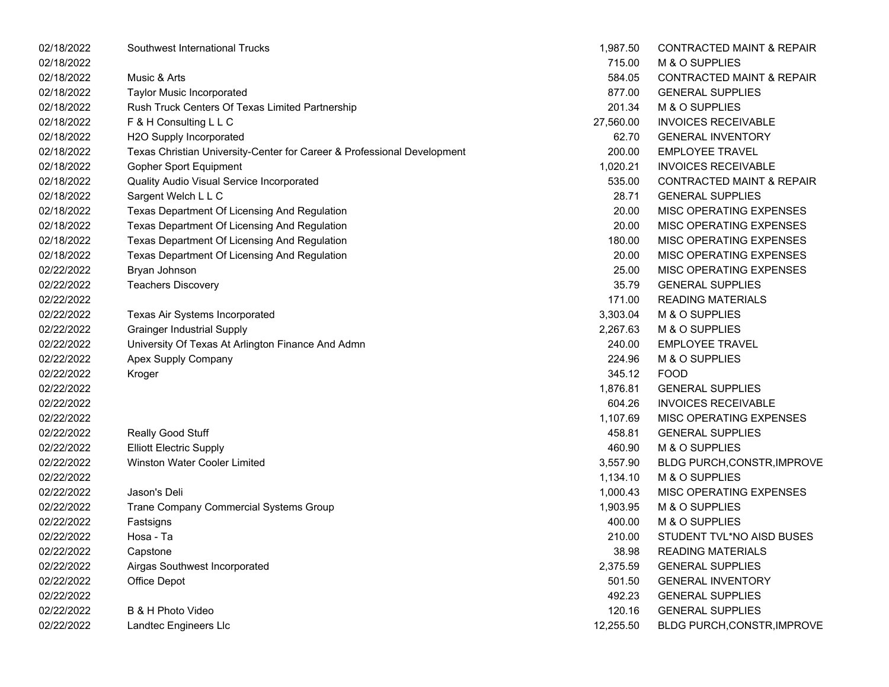| 02/18/2022 | Southwest International Trucks                                          | 1,987.50  | <b>CONTRACTED MAINT &amp; REPAIR</b> |
|------------|-------------------------------------------------------------------------|-----------|--------------------------------------|
| 02/18/2022 |                                                                         | 715.00    | M & O SUPPLIES                       |
| 02/18/2022 | Music & Arts                                                            | 584.05    | <b>CONTRACTED MAINT &amp; REPAIR</b> |
| 02/18/2022 | <b>Taylor Music Incorporated</b>                                        | 877.00    | <b>GENERAL SUPPLIES</b>              |
| 02/18/2022 | Rush Truck Centers Of Texas Limited Partnership                         | 201.34    | M & O SUPPLIES                       |
| 02/18/2022 | F & H Consulting L L C                                                  | 27,560.00 | <b>INVOICES RECEIVABLE</b>           |
| 02/18/2022 | H2O Supply Incorporated                                                 | 62.70     | <b>GENERAL INVENTORY</b>             |
| 02/18/2022 | Texas Christian University-Center for Career & Professional Development | 200.00    | <b>EMPLOYEE TRAVEL</b>               |
| 02/18/2022 | <b>Gopher Sport Equipment</b>                                           | 1,020.21  | <b>INVOICES RECEIVABLE</b>           |
| 02/18/2022 | Quality Audio Visual Service Incorporated                               | 535.00    | <b>CONTRACTED MAINT &amp; REPAIR</b> |
| 02/18/2022 | Sargent Welch L L C                                                     | 28.71     | <b>GENERAL SUPPLIES</b>              |
| 02/18/2022 | Texas Department Of Licensing And Regulation                            | 20.00     | MISC OPERATING EXPENSES              |
| 02/18/2022 | Texas Department Of Licensing And Regulation                            | 20.00     | MISC OPERATING EXPENSES              |
| 02/18/2022 | Texas Department Of Licensing And Regulation                            | 180.00    | MISC OPERATING EXPENSES              |
| 02/18/2022 | Texas Department Of Licensing And Regulation                            | 20.00     | MISC OPERATING EXPENSES              |
| 02/22/2022 | Bryan Johnson                                                           | 25.00     | MISC OPERATING EXPENSES              |
| 02/22/2022 | <b>Teachers Discovery</b>                                               | 35.79     | <b>GENERAL SUPPLIES</b>              |
| 02/22/2022 |                                                                         | 171.00    | <b>READING MATERIALS</b>             |
| 02/22/2022 | Texas Air Systems Incorporated                                          | 3,303.04  | M & O SUPPLIES                       |
| 02/22/2022 | <b>Grainger Industrial Supply</b>                                       | 2,267.63  | M & O SUPPLIES                       |
| 02/22/2022 | University Of Texas At Arlington Finance And Admn                       | 240.00    | <b>EMPLOYEE TRAVEL</b>               |
| 02/22/2022 | Apex Supply Company                                                     | 224.96    | M & O SUPPLIES                       |
| 02/22/2022 | Kroger                                                                  | 345.12    | <b>FOOD</b>                          |
| 02/22/2022 |                                                                         | 1,876.81  | <b>GENERAL SUPPLIES</b>              |
| 02/22/2022 |                                                                         | 604.26    | <b>INVOICES RECEIVABLE</b>           |
| 02/22/2022 |                                                                         | 1,107.69  | MISC OPERATING EXPENSES              |
| 02/22/2022 | Really Good Stuff                                                       | 458.81    | <b>GENERAL SUPPLIES</b>              |
| 02/22/2022 | <b>Elliott Electric Supply</b>                                          | 460.90    | M & O SUPPLIES                       |
| 02/22/2022 | Winston Water Cooler Limited                                            | 3,557.90  | <b>BLDG PURCH, CONSTR, IMPROVE</b>   |
| 02/22/2022 |                                                                         | 1,134.10  | M & O SUPPLIES                       |
| 02/22/2022 | Jason's Deli                                                            | 1,000.43  | MISC OPERATING EXPENSES              |
| 02/22/2022 | Trane Company Commercial Systems Group                                  | 1,903.95  | M & O SUPPLIES                       |
| 02/22/2022 | Fastsigns                                                               | 400.00    | M & O SUPPLIES                       |
| 02/22/2022 | Hosa - Ta                                                               | 210.00    | STUDENT TVL*NO AISD BUSES            |
| 02/22/2022 | Capstone                                                                | 38.98     | <b>READING MATERIALS</b>             |
| 02/22/2022 | Airgas Southwest Incorporated                                           | 2,375.59  | <b>GENERAL SUPPLIES</b>              |
| 02/22/2022 | Office Depot                                                            | 501.50    | <b>GENERAL INVENTORY</b>             |
| 02/22/2022 |                                                                         | 492.23    | <b>GENERAL SUPPLIES</b>              |
| 02/22/2022 | B & H Photo Video                                                       | 120.16    | <b>GENERAL SUPPLIES</b>              |
| 02/22/2022 | Landtec Engineers Llc                                                   | 12,255.50 | BLDG PURCH, CONSTR, IMPROVE          |

| 1,987.50  | <b>CONTRACTED MAINT &amp; REPAIR</b> |
|-----------|--------------------------------------|
| 715.00    | <b>M &amp; O SUPPLIES</b>            |
| 584.05    | <b>CONTRACTED MAINT &amp; REPAIR</b> |
| 877.00    | <b>GENERAL SUPPLIES</b>              |
| 201.34    | M & O SUPPLIES                       |
| 27,560.00 | <b>INVOICES RECEIVABLE</b>           |
| 62.70     | <b>GENERAL INVENTORY</b>             |
| 200.00    | <b>EMPLOYEE TRAVEL</b>               |
| 1,020.21  | <b>INVOICES RECEIVABLE</b>           |
| 535.00    | <b>CONTRACTED MAINT &amp; REPAIR</b> |
| 28.71     | <b>GENERAL SUPPLIES</b>              |
| 20.00     | <b>MISC OPERATING EXPENSES</b>       |
| 20.00     | <b>MISC OPERATING EXPENSES</b>       |
| 180.00    | <b>MISC OPERATING EXPENSES</b>       |
| 20.00     | <b>MISC OPERATING EXPENSES</b>       |
| 25.00     | <b>MISC OPERATING EXPENSES</b>       |
| 35.79     | <b>GENERAL SUPPLIES</b>              |
| 171.00    | <b>READING MATERIALS</b>             |
| 3,303.04  | M & O SUPPLIES                       |
| 2,267.63  | M & O SUPPLIES                       |
| 240.00    | <b>EMPLOYEE TRAVEL</b>               |
| 224.96    | M & O SUPPLIES                       |
| 345.12    | <b>FOOD</b>                          |
| 1,876.81  | <b>GENERAL SUPPLIES</b>              |
| 604.26    | <b>INVOICES RECEIVABLE</b>           |
| 1,107.69  | <b>MISC OPERATING EXPENSES</b>       |
| 458.81    | <b>GENERAL SUPPLIES</b>              |
| 460.90    | M & O SUPPLIES                       |
| 3,557.90  | BLDG PURCH, CONSTR, IMPROVE          |
| 1,134.10  | M & O SUPPLIES                       |
| 1,000.43  | MISC OPERATING EXPENSES              |
| 1,903.95  | M & O SUPPLIES                       |
| 400.00    | M & O SUPPLIES                       |
| 210.00    | STUDENT TVL*NO AISD BUSES            |
| 38.98     | <b>READING MATERIALS</b>             |
| 2,375.59  | <b>GENERAL SUPPLIES</b>              |
| 501.50    | <b>GENERAL INVENTORY</b>             |
| 492.23    | <b>GENERAL SUPPLIES</b>              |
| 120.16    | <b>GENERAL SUPPLIES</b>              |
| 12.255.50 | BLDG PURCH, CONSTR, IMPROVE          |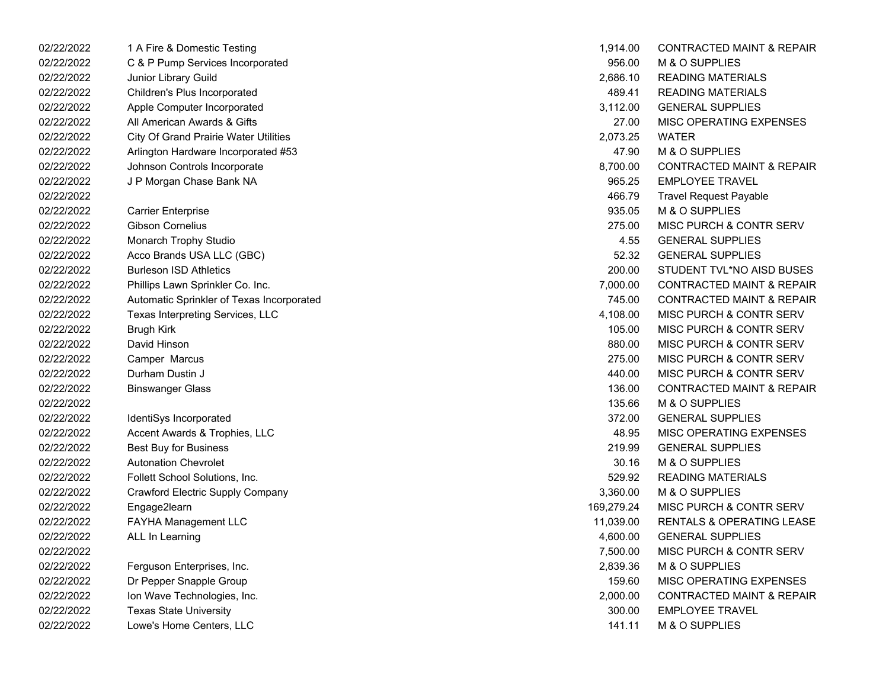02/22/2022 1 A Fire & Domestic Testing 02/22/2022 C & P Pump Services Incorporated 02/22/2022 Junior Library Guild 02/22/2022 Children's Plus Incorporated 02/22/2022 Apple Computer Incorporated 02/22/2022 All American Awards & Gifts 02/22/2022 City Of Grand Prairie Water Utilities 02/22/2022 Arlington Hardware Incorporated #53 02/22/2022 Johnson Controls Incorporate 02/22/2022 J P Morgan Chase Bank NA 02/22/2022 Travel Request Payable 466.79 02/22/2022 Carrier Enterprise 02/22/2022 Gibson Cornelius 02/22/2022 Monarch Trophy Studio 02/22/2022 Acco Brands USA LLC (GBC) 02/22/2022 Burleson ISD Athletics 02/22/2022 Phillips Lawn Sprinkler Co. Inc. 02/22/2022 Automatic Sprinkler of Texas Incorporated 02/22/2022 Texas Interpreting Services, LLC 02/22/2022 Brugh Kirk MISC PURCH & CONTR SERV 105.00 02/22/2022 David Hinson MISC PURCH & CONTR SERV02/22/2022 Camper Marcus MISC PURCH & CONTR SERV 275.00 02/22/2022 Durham Dustin J 02/22/2022 Binswanger Glass 02/22/2022 M & O SUPPLIES02/22/2022 IdentiSys Incorporated 02/22/2022 Accent Awards & Trophies, LLC 02/22/2022 Best Buy for Business 02/22/2022 Autonation Chevrolet 02/22/2022 Follett School Solutions, Inc. 02/22/2022 Crawford Electric Supply Company 02/22/2022 Engage2learn 169,279.24 MISC PURCH & CONTR SERV 02/22/2022 FAYHA Management LLC 02/22/2022 ALL In Learning 4,600.00 GENERAL SUPPLIES 02/22/2022 MISC PURCH & CONTR SERV02/22/2022 Ferguson Enterprises, Inc. 02/22/2022 Dr Pepper Snapple Group 02/22/2022 Ion Wave Technologies, Inc. 02/22/2022 Texas State University 02/22/2022 Lowe's Home Centers, LLC

| 1,914.00   | <b>CONTRACTED MAINT &amp; REPAIR</b> |
|------------|--------------------------------------|
| 956.00     | M & O SUPPLIES                       |
| 2,686.10   | <b>READING MATERIALS</b>             |
| 489.41     | <b>READING MATERIALS</b>             |
| 3,112.00   | <b>GENERAL SUPPLIES</b>              |
| 27.00      | <b>MISC OPERATING EXPENSES</b>       |
| 2,073.25   | WATER                                |
|            | 47.90 M & O SUPPLIES                 |
| 8,700.00   | <b>CONTRACTED MAINT &amp; REPAIR</b> |
| 965.25     | <b>EMPLOYEE TRAVEL</b>               |
| 466.79     | <b>Travel Request Payable</b>        |
| 935.05     | M & O SUPPLIES                       |
| 275.00     | <b>MISC PURCH &amp; CONTR SERV</b>   |
| 4.55       | <b>GENERAL SUPPLIES</b>              |
| 52.32      | <b>GENERAL SUPPLIES</b>              |
| 200.00     | STUDENT TVL*NO AISD BUSES            |
| 7,000.00   | <b>CONTRACTED MAINT &amp; REPAIR</b> |
| 745.00     | <b>CONTRACTED MAINT &amp; REPAIR</b> |
| 4,108.00   | MISC PURCH & CONTR SERV              |
| 105.00     | MISC PURCH & CONTR SERV              |
| 880.00     | MISC PURCH & CONTR SERV              |
| 275.00     | MISC PURCH & CONTR SERV              |
| 440.00     | <b>MISC PURCH &amp; CONTR SERV</b>   |
| 136.00     | <b>CONTRACTED MAINT &amp; REPAIR</b> |
| 135.66     | M & O SUPPLIES                       |
| 372.00     | <b>GENERAL SUPPLIES</b>              |
| 48.95      | <b>MISC OPERATING EXPENSES</b>       |
| 219.99     | <b>GENERAL SUPPLIES</b>              |
| 30.16      | M & O SUPPLIES                       |
| 529.92     | <b>READING MATERIALS</b>             |
| 3,360.00   | M & O SUPPLIES                       |
| 169,279.24 | MISC PURCH & CONTR SERV              |
| 11,039.00  | RENTALS & OPERATING LEASE            |
| 4,600.00   | <b>GENERAL SUPPLIES</b>              |
| 7,500.00   | <b>MISC PURCH &amp; CONTR SERV</b>   |
| 2,839.36   | M & O SUPPLIES                       |
| 159.60     | <b>MISC OPERATING EXPENSES</b>       |
| 2,000.00   | <b>CONTRACTED MAINT &amp; REPAIR</b> |
| 300.00     | <b>EMPLOYEE TRAVEL</b>               |
| 141.11     | M & O SUPPLIES                       |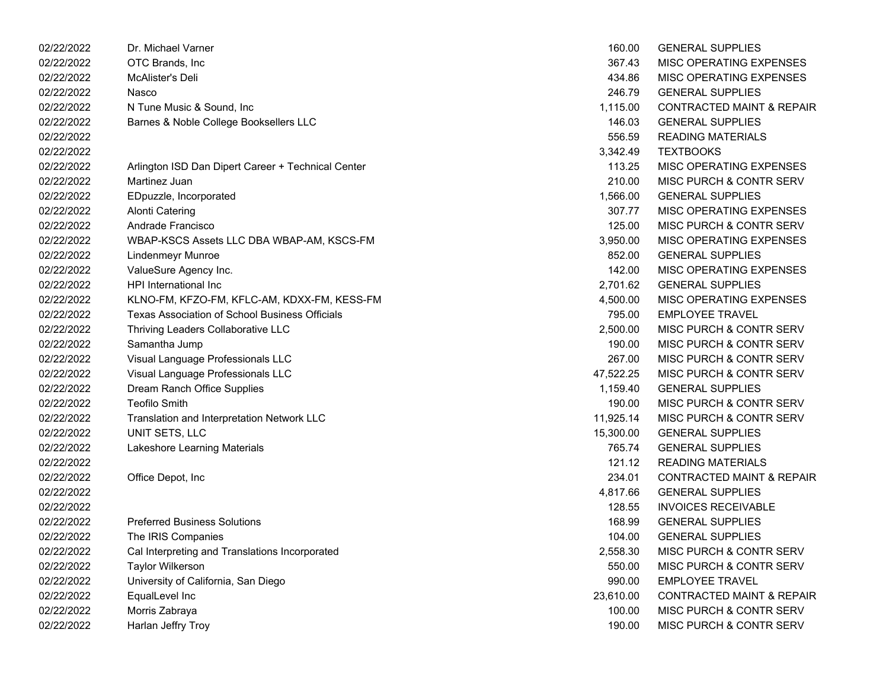| 02/22/2022 | Dr. Michael Varner                                    | 160.00    | <b>GENERAL SUPPLIES</b>              |
|------------|-------------------------------------------------------|-----------|--------------------------------------|
| 02/22/2022 | OTC Brands, Inc.                                      | 367.43    | MISC OPERATING EXPENSES              |
| 02/22/2022 | McAlister's Deli                                      | 434.86    | MISC OPERATING EXPENSES              |
| 02/22/2022 | Nasco                                                 | 246.79    | <b>GENERAL SUPPLIES</b>              |
| 02/22/2022 | N Tune Music & Sound, Inc                             | 1,115.00  | <b>CONTRACTED MAINT &amp; REPAIR</b> |
| 02/22/2022 | Barnes & Noble College Booksellers LLC                | 146.03    | <b>GENERAL SUPPLIES</b>              |
| 02/22/2022 |                                                       | 556.59    | <b>READING MATERIALS</b>             |
| 02/22/2022 |                                                       | 3,342.49  | <b>TEXTBOOKS</b>                     |
| 02/22/2022 | Arlington ISD Dan Dipert Career + Technical Center    | 113.25    | MISC OPERATING EXPENSES              |
| 02/22/2022 | Martinez Juan                                         | 210.00    | MISC PURCH & CONTR SERV              |
| 02/22/2022 | EDpuzzle, Incorporated                                | 1,566.00  | <b>GENERAL SUPPLIES</b>              |
| 02/22/2022 | <b>Alonti Catering</b>                                | 307.77    | MISC OPERATING EXPENSES              |
| 02/22/2022 | Andrade Francisco                                     | 125.00    | MISC PURCH & CONTR SERV              |
| 02/22/2022 | WBAP-KSCS Assets LLC DBA WBAP-AM, KSCS-FM             | 3,950.00  | MISC OPERATING EXPENSES              |
| 02/22/2022 | Lindenmeyr Munroe                                     | 852.00    | <b>GENERAL SUPPLIES</b>              |
| 02/22/2022 | ValueSure Agency Inc.                                 | 142.00    | MISC OPERATING EXPENSES              |
| 02/22/2022 | <b>HPI</b> International Inc                          | 2,701.62  | <b>GENERAL SUPPLIES</b>              |
| 02/22/2022 | KLNO-FM, KFZO-FM, KFLC-AM, KDXX-FM, KESS-FM           | 4,500.00  | MISC OPERATING EXPENSES              |
| 02/22/2022 | <b>Texas Association of School Business Officials</b> | 795.00    | <b>EMPLOYEE TRAVEL</b>               |
| 02/22/2022 | Thriving Leaders Collaborative LLC                    | 2,500.00  | MISC PURCH & CONTR SERV              |
| 02/22/2022 | Samantha Jump                                         | 190.00    | MISC PURCH & CONTR SERV              |
| 02/22/2022 | Visual Language Professionals LLC                     | 267.00    | MISC PURCH & CONTR SERV              |
| 02/22/2022 | Visual Language Professionals LLC                     | 47,522.25 | MISC PURCH & CONTR SERV              |
| 02/22/2022 | Dream Ranch Office Supplies                           | 1,159.40  | <b>GENERAL SUPPLIES</b>              |
| 02/22/2022 | <b>Teofilo Smith</b>                                  | 190.00    | MISC PURCH & CONTR SERV              |
| 02/22/2022 | Translation and Interpretation Network LLC            | 11,925.14 | MISC PURCH & CONTR SERV              |
| 02/22/2022 | UNIT SETS, LLC                                        | 15,300.00 | <b>GENERAL SUPPLIES</b>              |
| 02/22/2022 | Lakeshore Learning Materials                          | 765.74    | <b>GENERAL SUPPLIES</b>              |
| 02/22/2022 |                                                       | 121.12    | <b>READING MATERIALS</b>             |
| 02/22/2022 | Office Depot, Inc                                     | 234.01    | <b>CONTRACTED MAINT &amp; REPAIR</b> |
| 02/22/2022 |                                                       | 4,817.66  | <b>GENERAL SUPPLIES</b>              |
| 02/22/2022 |                                                       | 128.55    | <b>INVOICES RECEIVABLE</b>           |
| 02/22/2022 | <b>Preferred Business Solutions</b>                   | 168.99    | <b>GENERAL SUPPLIES</b>              |
| 02/22/2022 | The IRIS Companies                                    | 104.00    | <b>GENERAL SUPPLIES</b>              |
| 02/22/2022 | Cal Interpreting and Translations Incorporated        | 2,558.30  | MISC PURCH & CONTR SERV              |
| 02/22/2022 | <b>Taylor Wilkerson</b>                               | 550.00    | MISC PURCH & CONTR SERV              |
| 02/22/2022 | University of California, San Diego                   | 990.00    | <b>EMPLOYEE TRAVEL</b>               |
| 02/22/2022 | EqualLevel Inc                                        | 23,610.00 | <b>CONTRACTED MAINT &amp; REPAIR</b> |
| 02/22/2022 | Morris Zabraya                                        | 100.00    | MISC PURCH & CONTR SERV              |
| 02/22/2022 | Harlan Jeffry Troy                                    | 190.00    | MISC PURCH & CONTR SERV              |

| 160.00    | <b>GENERAL SUPPLIES</b>              |
|-----------|--------------------------------------|
| 367.43    | <b>MISC OPERATING EXPENSES</b>       |
| 434.86    | <b>MISC OPERATING EXPENSES</b>       |
| 246.79    | <b>GENERAL SUPPLIES</b>              |
| 1,115.00  | <b>CONTRACTED MAINT &amp; REPAIR</b> |
| 146.03    | <b>GENERAL SUPPLIES</b>              |
| 556.59    | <b>READING MATERIALS</b>             |
| 3,342.49  | <b>TEXTBOOKS</b>                     |
| 113.25    | MISC OPERATING EXPENSES              |
| 210.00    | MISC PURCH & CONTR SERV              |
| 1,566.00  | <b>GENERAL SUPPLIES</b>              |
| 307.77    | <b>MISC OPERATING EXPENSES</b>       |
| 125.00    | <b>MISC PURCH &amp; CONTR SERV</b>   |
| 3,950.00  | <b>MISC OPERATING EXPENSES</b>       |
| 852.00    | <b>GENERAL SUPPLIES</b>              |
| 142.00    | MISC OPERATING EXPENSES              |
| 2,701.62  | <b>GENERAL SUPPLIES</b>              |
| 4,500.00  | MISC OPERATING EXPENSES              |
| 795.00    | <b>EMPLOYEE TRAVEL</b>               |
| 2,500.00  | <b>MISC PURCH &amp; CONTR SERV</b>   |
| 190.00    | <b>MISC PURCH &amp; CONTR SERV</b>   |
| 267.00    | MISC PURCH & CONTR SERV              |
| 47,522.25 | <b>MISC PURCH &amp; CONTR SERV</b>   |
| 1,159.40  | <b>GENERAL SUPPLIES</b>              |
| 190.00    | MISC PURCH & CONTR SERV              |
| 11,925.14 | MISC PURCH & CONTR SERV              |
| 15,300.00 | <b>GENERAL SUPPLIES</b>              |
| 765.74    | <b>GENERAL SUPPLIES</b>              |
| 121.12    | <b>READING MATERIALS</b>             |
| 234.01    | <b>CONTRACTED MAINT &amp; REPAIR</b> |
| 4,817.66  | <b>GENERAL SUPPLIES</b>              |
| 128.55    | <b>INVOICES RECEIVABLE</b>           |
| 168.99    | <b>GENERAL SUPPLIES</b>              |
| 104.00    | <b>GENERAL SUPPLIES</b>              |
| 2,558.30  | MISC PURCH & CONTR SERV              |
| 550.00    | <b>MISC PURCH &amp; CONTR SERV</b>   |
| 990.00    | <b>EMPLOYEE TRAVEL</b>               |
| 23,610.00 | <b>CONTRACTED MAINT &amp; REPAIR</b> |
| 100.00    | <b>MISC PURCH &amp; CONTR SERV</b>   |
| 190.00    | <b>MISC PURCH &amp; CONTR SERV</b>   |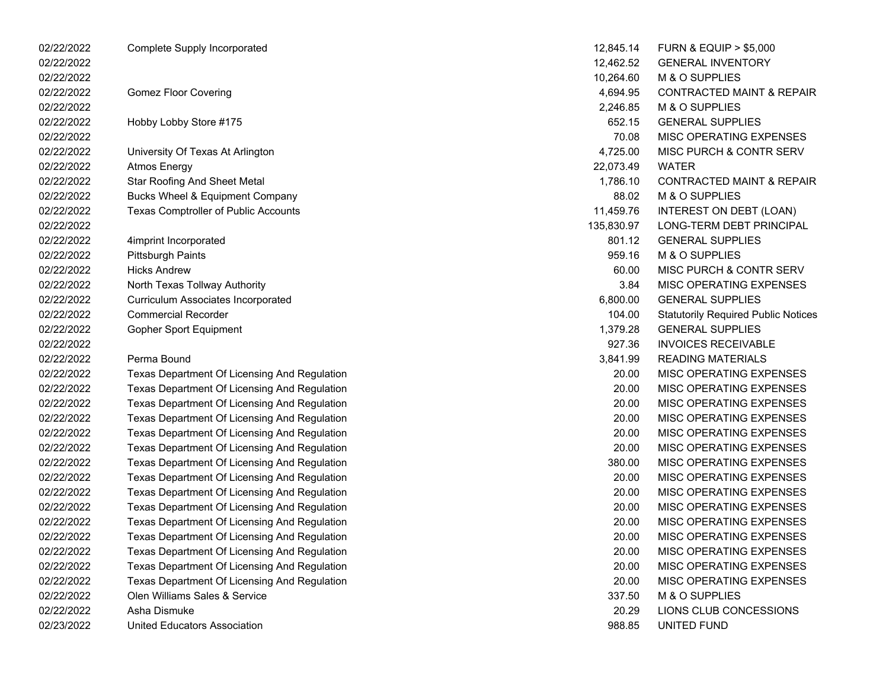| 02/22/2022 | <b>Complete Supply Incorporated</b>          | 12,845.14  | <b>FURN &amp; EQUIP &gt; \$5,000</b>       |
|------------|----------------------------------------------|------------|--------------------------------------------|
| 02/22/2022 |                                              | 12,462.52  | <b>GENERAL INVENTORY</b>                   |
| 02/22/2022 |                                              | 10,264.60  | M & O SUPPLIES                             |
| 02/22/2022 | <b>Gomez Floor Covering</b>                  | 4,694.95   | <b>CONTRACTED MAINT &amp; REPAIR</b>       |
| 02/22/2022 |                                              | 2,246.85   | M & O SUPPLIES                             |
| 02/22/2022 | Hobby Lobby Store #175                       | 652.15     | <b>GENERAL SUPPLIES</b>                    |
| 02/22/2022 |                                              | 70.08      | MISC OPERATING EXPENSES                    |
| 02/22/2022 | University Of Texas At Arlington             | 4,725.00   | MISC PURCH & CONTR SERV                    |
| 02/22/2022 | <b>Atmos Energy</b>                          | 22,073.49  | <b>WATER</b>                               |
| 02/22/2022 | <b>Star Roofing And Sheet Metal</b>          | 1,786.10   | <b>CONTRACTED MAINT &amp; REPAIR</b>       |
| 02/22/2022 | <b>Bucks Wheel &amp; Equipment Company</b>   | 88.02      | M & O SUPPLIES                             |
| 02/22/2022 | Texas Comptroller of Public Accounts         | 11,459.76  | INTEREST ON DEBT (LOAN)                    |
| 02/22/2022 |                                              | 135,830.97 | LONG-TERM DEBT PRINCIPAL                   |
| 02/22/2022 | 4imprint Incorporated                        | 801.12     | <b>GENERAL SUPPLIES</b>                    |
| 02/22/2022 | <b>Pittsburgh Paints</b>                     | 959.16     | M & O SUPPLIES                             |
| 02/22/2022 | <b>Hicks Andrew</b>                          | 60.00      | MISC PURCH & CONTR SERV                    |
| 02/22/2022 | North Texas Tollway Authority                | 3.84       | MISC OPERATING EXPENSES                    |
| 02/22/2022 | Curriculum Associates Incorporated           | 6,800.00   | <b>GENERAL SUPPLIES</b>                    |
| 02/22/2022 | <b>Commercial Recorder</b>                   | 104.00     | <b>Statutorily Required Public Notices</b> |
| 02/22/2022 | Gopher Sport Equipment                       | 1,379.28   | <b>GENERAL SUPPLIES</b>                    |
| 02/22/2022 |                                              | 927.36     | <b>INVOICES RECEIVABLE</b>                 |
| 02/22/2022 | Perma Bound                                  | 3,841.99   | <b>READING MATERIALS</b>                   |
| 02/22/2022 | Texas Department Of Licensing And Regulation | 20.00      | MISC OPERATING EXPENSES                    |
| 02/22/2022 | Texas Department Of Licensing And Regulation | 20.00      | MISC OPERATING EXPENSES                    |
| 02/22/2022 | Texas Department Of Licensing And Regulation | 20.00      | MISC OPERATING EXPENSES                    |
| 02/22/2022 | Texas Department Of Licensing And Regulation | 20.00      | MISC OPERATING EXPENSES                    |
| 02/22/2022 | Texas Department Of Licensing And Regulation | 20.00      | MISC OPERATING EXPENSES                    |
| 02/22/2022 | Texas Department Of Licensing And Regulation | 20.00      | MISC OPERATING EXPENSES                    |
| 02/22/2022 | Texas Department Of Licensing And Regulation | 380.00     | MISC OPERATING EXPENSES                    |
| 02/22/2022 | Texas Department Of Licensing And Regulation | 20.00      | MISC OPERATING EXPENSES                    |
| 02/22/2022 | Texas Department Of Licensing And Regulation | 20.00      | MISC OPERATING EXPENSES                    |
| 02/22/2022 | Texas Department Of Licensing And Regulation | 20.00      | MISC OPERATING EXPENSES                    |
| 02/22/2022 | Texas Department Of Licensing And Regulation | 20.00      | MISC OPERATING EXPENSES                    |
| 02/22/2022 | Texas Department Of Licensing And Regulation | 20.00      | <b>MISC OPERATING EXPENSES</b>             |
| 02/22/2022 | Texas Department Of Licensing And Regulation | 20.00      | MISC OPERATING EXPENSES                    |
| 02/22/2022 | Texas Department Of Licensing And Regulation | 20.00      | MISC OPERATING EXPENSES                    |
| 02/22/2022 | Texas Department Of Licensing And Regulation | 20.00      | MISC OPERATING EXPENSES                    |
| 02/22/2022 | Olen Williams Sales & Service                | 337.50     | M & O SUPPLIES                             |
| 02/22/2022 | Asha Dismuke                                 | 20.29      | LIONS CLUB CONCESSIONS                     |
| 02/23/2022 | <b>United Educators Association</b>          | 988.85     | UNITED FUND                                |

| 12,845.14  | <b>FURN &amp; EQUIP &gt; \$5,000</b>       |
|------------|--------------------------------------------|
| 12,462.52  | <b>GENERAL INVENTORY</b>                   |
| 10,264.60  | <b>M &amp; O SUPPLIES</b>                  |
| 4,694.95   | <b>CONTRACTED MAINT &amp; REPAIR</b>       |
| 2,246.85   | M & O SUPPLIES                             |
| 652.15     | <b>GENERAL SUPPLIES</b>                    |
| 70.08      | <b>MISC OPERATING EXPENSES</b>             |
| 4,725.00   | <b>MISC PURCH &amp; CONTR SERV</b>         |
| 22,073.49  | WATER                                      |
| 1,786.10   | <b>CONTRACTED MAINT &amp; REPAIR</b>       |
| 88.02      | M & O SUPPLIES                             |
| 11,459.76  | INTEREST ON DEBT (LOAN)                    |
| 135,830.97 | LONG-TERM DEBT PRINCIPAL                   |
| 801.12     | <b>GENERAL SUPPLIES</b>                    |
| 959.16     | M & O SUPPLIES                             |
| 60.00      | <b>MISC PURCH &amp; CONTR SERV</b>         |
| 3.84       | <b>MISC OPERATING EXPENSES</b>             |
| 6,800.00   | <b>GENERAL SUPPLIES</b>                    |
| 104.00     | <b>Statutorily Required Public Notices</b> |
| 1,379.28   | <b>GENERAL SUPPLIES</b>                    |
| 927.36     | <b>INVOICES RECEIVABLE</b>                 |
| 3,841.99   | <b>READING MATERIALS</b>                   |
| 20.00      | <b>MISC OPERATING EXPENSES</b>             |
| 20.00      | <b>MISC OPERATING EXPENSES</b>             |
| 20.00      | <b>MISC OPERATING EXPENSES</b>             |
| 20.00      | <b>MISC OPERATING EXPENSES</b>             |
| 20.00      | <b>MISC OPERATING EXPENSES</b>             |
| 20.00      | <b>MISC OPERATING EXPENSES</b>             |
| 380.00     | <b>MISC OPERATING EXPENSES</b>             |
| 20.00      | <b>MISC OPERATING EXPENSES</b>             |
| 20.00      | <b>MISC OPERATING EXPENSES</b>             |
| 20.00      | <b>MISC OPERATING EXPENSES</b>             |
| 20.00      | <b>MISC OPERATING EXPENSES</b>             |
| 20.00      | <b>MISC OPERATING EXPENSES</b>             |
| 20.00      | MISC OPERATING EXPENSES                    |
| 20.00      | <b>MISC OPERATING EXPENSES</b>             |
| 20.00      | <b>MISC OPERATING EXPENSES</b>             |
| 337.50     | M & O SUPPLIES                             |
| 20.29      | LIONS CLUB CONCESSIONS                     |
| 988.85     | UNITED FUND                                |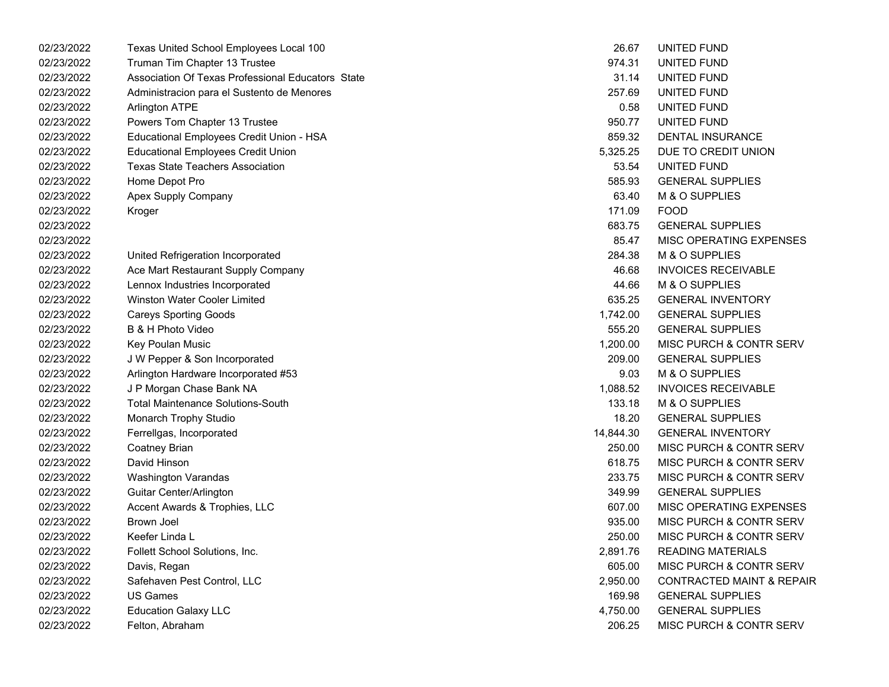| 02/23/2022 | Texas United School Employees Local 100           | 26.67     | UNITED FUND                          |
|------------|---------------------------------------------------|-----------|--------------------------------------|
| 02/23/2022 | Truman Tim Chapter 13 Trustee                     | 974.31    | UNITED FUND                          |
| 02/23/2022 | Association Of Texas Professional Educators State | 31.14     | UNITED FUND                          |
| 02/23/2022 | Administracion para el Sustento de Menores        | 257.69    | UNITED FUND                          |
| 02/23/2022 | <b>Arlington ATPE</b>                             | 0.58      | UNITED FUND                          |
| 02/23/2022 | Powers Tom Chapter 13 Trustee                     | 950.77    | UNITED FUND                          |
| 02/23/2022 | Educational Employees Credit Union - HSA          | 859.32    | <b>DENTAL INSURANCE</b>              |
| 02/23/2022 | <b>Educational Employees Credit Union</b>         | 5,325.25  | DUE TO CREDIT UNION                  |
| 02/23/2022 | <b>Texas State Teachers Association</b>           | 53.54     | UNITED FUND                          |
| 02/23/2022 | Home Depot Pro                                    | 585.93    | <b>GENERAL SUPPLIES</b>              |
| 02/23/2022 | Apex Supply Company                               | 63.40     | M & O SUPPLIES                       |
| 02/23/2022 | Kroger                                            | 171.09    | <b>FOOD</b>                          |
| 02/23/2022 |                                                   | 683.75    | <b>GENERAL SUPPLIES</b>              |
| 02/23/2022 |                                                   | 85.47     | MISC OPERATING EXPENSES              |
| 02/23/2022 | United Refrigeration Incorporated                 | 284.38    | M & O SUPPLIES                       |
| 02/23/2022 | Ace Mart Restaurant Supply Company                | 46.68     | <b>INVOICES RECEIVABLE</b>           |
| 02/23/2022 | Lennox Industries Incorporated                    | 44.66     | M & O SUPPLIES                       |
| 02/23/2022 | <b>Winston Water Cooler Limited</b>               | 635.25    | <b>GENERAL INVENTORY</b>             |
| 02/23/2022 | <b>Careys Sporting Goods</b>                      | 1,742.00  | <b>GENERAL SUPPLIES</b>              |
| 02/23/2022 | B & H Photo Video                                 | 555.20    | <b>GENERAL SUPPLIES</b>              |
| 02/23/2022 | Key Poulan Music                                  | 1,200.00  | MISC PURCH & CONTR SERV              |
| 02/23/2022 | J W Pepper & Son Incorporated                     | 209.00    | <b>GENERAL SUPPLIES</b>              |
| 02/23/2022 | Arlington Hardware Incorporated #53               | 9.03      | M & O SUPPLIES                       |
| 02/23/2022 | J P Morgan Chase Bank NA                          | 1,088.52  | <b>INVOICES RECEIVABLE</b>           |
| 02/23/2022 | <b>Total Maintenance Solutions-South</b>          | 133.18    | M & O SUPPLIES                       |
| 02/23/2022 | Monarch Trophy Studio                             | 18.20     | <b>GENERAL SUPPLIES</b>              |
| 02/23/2022 | Ferrellgas, Incorporated                          | 14,844.30 | <b>GENERAL INVENTORY</b>             |
| 02/23/2022 | Coatney Brian                                     | 250.00    | MISC PURCH & CONTR SERV              |
| 02/23/2022 | David Hinson                                      | 618.75    | MISC PURCH & CONTR SERV              |
| 02/23/2022 | <b>Washington Varandas</b>                        | 233.75    | MISC PURCH & CONTR SERV              |
| 02/23/2022 | Guitar Center/Arlington                           | 349.99    | <b>GENERAL SUPPLIES</b>              |
| 02/23/2022 | Accent Awards & Trophies, LLC                     | 607.00    | MISC OPERATING EXPENSES              |
| 02/23/2022 | Brown Joel                                        | 935.00    | <b>MISC PURCH &amp; CONTR SERV</b>   |
| 02/23/2022 | Keefer Linda L                                    | 250.00    | <b>MISC PURCH &amp; CONTR SERV</b>   |
| 02/23/2022 | Follett School Solutions, Inc.                    | 2,891.76  | <b>READING MATERIALS</b>             |
| 02/23/2022 | Davis, Regan                                      | 605.00    | MISC PURCH & CONTR SERV              |
| 02/23/2022 | Safehaven Pest Control, LLC                       | 2,950.00  | <b>CONTRACTED MAINT &amp; REPAIR</b> |
| 02/23/2022 | <b>US Games</b>                                   | 169.98    | <b>GENERAL SUPPLIES</b>              |
| 02/23/2022 | <b>Education Galaxy LLC</b>                       | 4,750.00  | <b>GENERAL SUPPLIES</b>              |
| 02/23/2022 | Felton, Abraham                                   | 206.25    | MISC PURCH & CONTR SERV              |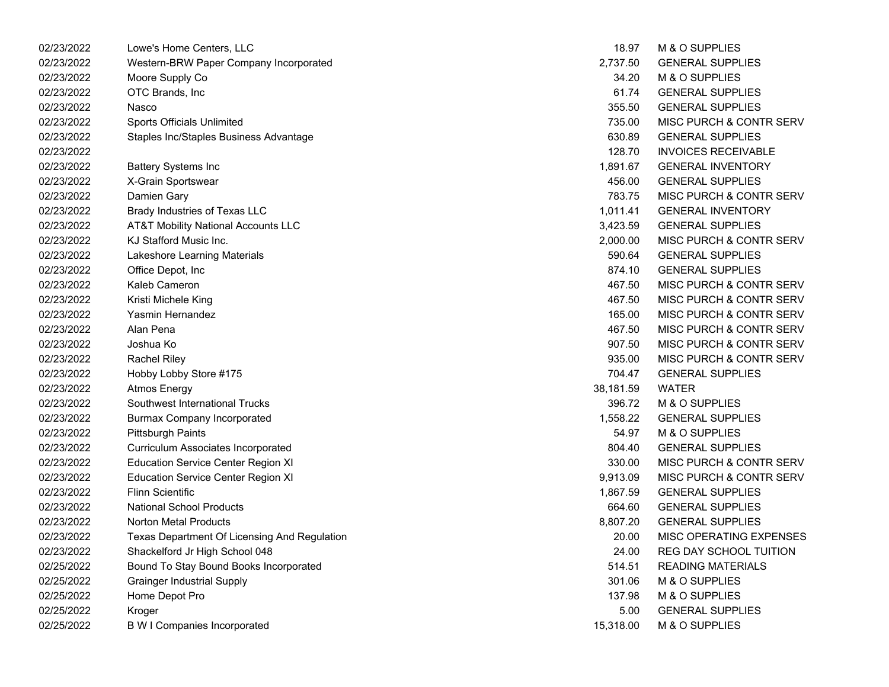| 02/23/2022 | Lowe's Home Centers, LLC                       | 18.97     | M & O SUPPLIES             |
|------------|------------------------------------------------|-----------|----------------------------|
| 02/23/2022 | Western-BRW Paper Company Incorporated         | 2,737.50  | <b>GENERAL SUPPLIES</b>    |
| 02/23/2022 | Moore Supply Co                                | 34.20     | M & O SUPPLIES             |
| 02/23/2022 | OTC Brands, Inc                                | 61.74     | <b>GENERAL SUPPLIES</b>    |
| 02/23/2022 | Nasco                                          | 355.50    | <b>GENERAL SUPPLIES</b>    |
| 02/23/2022 | Sports Officials Unlimited                     | 735.00    | MISC PURCH & CONTR SERV    |
| 02/23/2022 | Staples Inc/Staples Business Advantage         | 630.89    | <b>GENERAL SUPPLIES</b>    |
| 02/23/2022 |                                                | 128.70    | <b>INVOICES RECEIVABLE</b> |
| 02/23/2022 | <b>Battery Systems Inc</b>                     | 1,891.67  | <b>GENERAL INVENTORY</b>   |
| 02/23/2022 | X-Grain Sportswear                             | 456.00    | <b>GENERAL SUPPLIES</b>    |
| 02/23/2022 | Damien Gary                                    | 783.75    | MISC PURCH & CONTR SERV    |
| 02/23/2022 | Brady Industries of Texas LLC                  | 1,011.41  | <b>GENERAL INVENTORY</b>   |
| 02/23/2022 | <b>AT&amp;T Mobility National Accounts LLC</b> | 3,423.59  | <b>GENERAL SUPPLIES</b>    |
| 02/23/2022 | KJ Stafford Music Inc.                         | 2,000.00  | MISC PURCH & CONTR SERV    |
| 02/23/2022 | Lakeshore Learning Materials                   | 590.64    | <b>GENERAL SUPPLIES</b>    |
| 02/23/2022 | Office Depot, Inc                              | 874.10    | <b>GENERAL SUPPLIES</b>    |
| 02/23/2022 | Kaleb Cameron                                  | 467.50    | MISC PURCH & CONTR SERV    |
| 02/23/2022 | Kristi Michele King                            | 467.50    | MISC PURCH & CONTR SERV    |
| 02/23/2022 | Yasmin Hernandez                               | 165.00    | MISC PURCH & CONTR SERV    |
| 02/23/2022 | Alan Pena                                      | 467.50    | MISC PURCH & CONTR SERV    |
| 02/23/2022 | Joshua Ko                                      | 907.50    | MISC PURCH & CONTR SERV    |
| 02/23/2022 | <b>Rachel Riley</b>                            | 935.00    | MISC PURCH & CONTR SERV    |
| 02/23/2022 | Hobby Lobby Store #175                         | 704.47    | <b>GENERAL SUPPLIES</b>    |
| 02/23/2022 | <b>Atmos Energy</b>                            | 38,181.59 | <b>WATER</b>               |
| 02/23/2022 | Southwest International Trucks                 | 396.72    | M & O SUPPLIES             |
| 02/23/2022 | <b>Burmax Company Incorporated</b>             | 1,558.22  | <b>GENERAL SUPPLIES</b>    |
| 02/23/2022 | <b>Pittsburgh Paints</b>                       | 54.97     | M & O SUPPLIES             |
| 02/23/2022 | Curriculum Associates Incorporated             | 804.40    | <b>GENERAL SUPPLIES</b>    |
| 02/23/2022 | <b>Education Service Center Region XI</b>      | 330.00    | MISC PURCH & CONTR SERV    |
| 02/23/2022 | <b>Education Service Center Region XI</b>      | 9,913.09  | MISC PURCH & CONTR SERV    |
| 02/23/2022 | <b>Flinn Scientific</b>                        | 1,867.59  | <b>GENERAL SUPPLIES</b>    |
| 02/23/2022 | <b>National School Products</b>                | 664.60    | <b>GENERAL SUPPLIES</b>    |
| 02/23/2022 | <b>Norton Metal Products</b>                   | 8,807.20  | <b>GENERAL SUPPLIES</b>    |
| 02/23/2022 | Texas Department Of Licensing And Regulation   | 20.00     | MISC OPERATING EXPENSES    |
| 02/23/2022 | Shackelford Jr High School 048                 | 24.00     | REG DAY SCHOOL TUITION     |
| 02/25/2022 | Bound To Stay Bound Books Incorporated         | 514.51    | <b>READING MATERIALS</b>   |
| 02/25/2022 | <b>Grainger Industrial Supply</b>              | 301.06    | M & O SUPPLIES             |
| 02/25/2022 | Home Depot Pro                                 | 137.98    | M & O SUPPLIES             |
| 02/25/2022 | Kroger                                         | 5.00      | <b>GENERAL SUPPLIES</b>    |
| 02/25/2022 | <b>B W I Companies Incorporated</b>            | 15,318.00 | M & O SUPPLIES             |

| 18.97     | <b>M &amp; O SUPPLIES</b>          |
|-----------|------------------------------------|
| 2,737.50  | <b>GENERAL SUPPLIES</b>            |
| 34.20     | <b>M &amp; O SUPPLIES</b>          |
| 61.74     | <b>GENERAL SUPPLIES</b>            |
| 355.50    | <b>GENERAL SUPPLIES</b>            |
| 735.00    | MISC PURCH & CONTR SERV            |
| 630.89    | <b>GENERAL SUPPLIES</b>            |
| 128.70    | <b>INVOICES RECEIVABLE</b>         |
| 1,891.67  | <b>GENERAL INVENTORY</b>           |
| 456.00    | <b>GENERAL SUPPLIES</b>            |
| 783.75    | <b>MISC PURCH &amp; CONTR SERV</b> |
| 1,011.41  | <b>GENERAL INVENTORY</b>           |
| 3,423.59  | <b>GENERAL SUPPLIES</b>            |
| 2,000.00  | <b>MISC PURCH &amp; CONTR SERV</b> |
| 590.64    | <b>GENERAL SUPPLIES</b>            |
| 874.10    | <b>GENERAL SUPPLIES</b>            |
| 467.50    | <b>MISC PURCH &amp; CONTR SERV</b> |
| 467.50    | <b>MISC PURCH &amp; CONTR SERV</b> |
| 165.00    | <b>MISC PURCH &amp; CONTR SERV</b> |
| 467.50    | <b>MISC PURCH &amp; CONTR SERV</b> |
| 907.50    | MISC PURCH & CONTR SERV            |
| 935.00    | <b>MISC PURCH &amp; CONTR SERV</b> |
| 704.47    | <b>GENERAL SUPPLIES</b>            |
| 38,181.59 | <b>WATER</b>                       |
| 396.72    | M & O SUPPLIES                     |
| 1,558.22  | <b>GENERAL SUPPLIES</b>            |
| 54.97     | M & O SUPPLIES                     |
| 804.40    | <b>GENERAL SUPPLIES</b>            |
| 330.00    | <b>MISC PURCH &amp; CONTR SERV</b> |
| 9,913.09  | <b>MISC PURCH &amp; CONTR SERV</b> |
| 1,867.59  | <b>GENERAL SUPPLIES</b>            |
| 664.60    | <b>GENERAL SUPPLIES</b>            |
| 8,807.20  | <b>GENERAL SUPPLIES</b>            |
| 20.00     | <b>MISC OPERATING EXPENSES</b>     |
| 24.00     | <b>REG DAY SCHOOL TUITION</b>      |
| 514.51    | <b>READING MATERIALS</b>           |
| 301.06    | <b>M &amp; O SUPPLIES</b>          |
| 137.98    | M & O SUPPLIES                     |
| 5.00      | <b>GENERAL SUPPLIES</b>            |
| 15 318 00 | M & O SUPPLIES                     |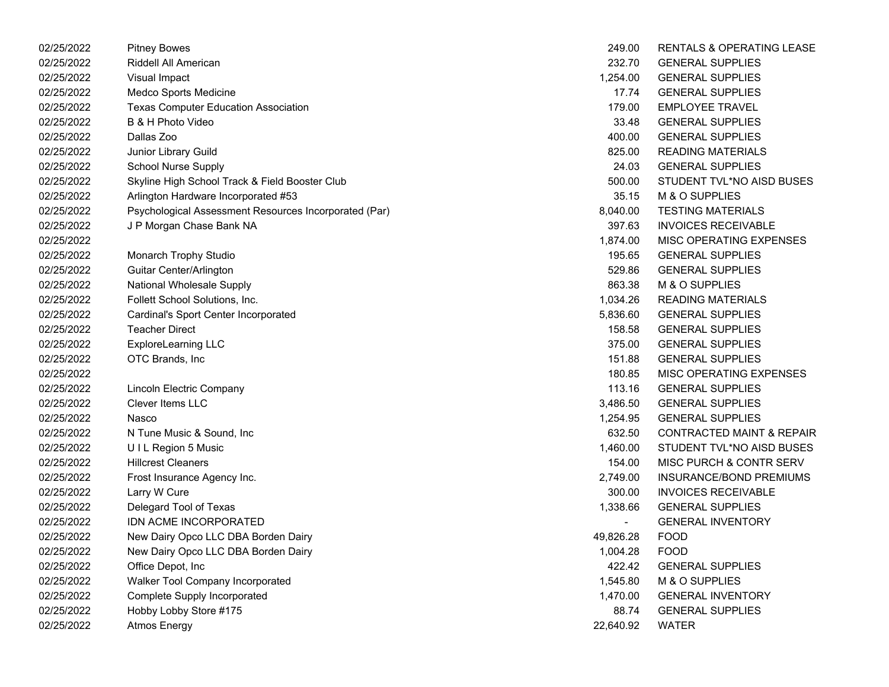| 02/25/2022 | <b>Pitney Bowes</b>                                   | 249.00    | <b>RENTALS &amp; OPERATING LEASE</b> |
|------------|-------------------------------------------------------|-----------|--------------------------------------|
| 02/25/2022 | Riddell All American                                  | 232.70    | <b>GENERAL SUPPLIES</b>              |
| 02/25/2022 | Visual Impact                                         | 1,254.00  | <b>GENERAL SUPPLIES</b>              |
| 02/25/2022 | Medco Sports Medicine                                 | 17.74     | <b>GENERAL SUPPLIES</b>              |
| 02/25/2022 | <b>Texas Computer Education Association</b>           | 179.00    | <b>EMPLOYEE TRAVEL</b>               |
| 02/25/2022 | B & H Photo Video                                     | 33.48     | <b>GENERAL SUPPLIES</b>              |
| 02/25/2022 | Dallas Zoo                                            | 400.00    | <b>GENERAL SUPPLIES</b>              |
| 02/25/2022 | Junior Library Guild                                  | 825.00    | <b>READING MATERIALS</b>             |
| 02/25/2022 | <b>School Nurse Supply</b>                            | 24.03     | <b>GENERAL SUPPLIES</b>              |
| 02/25/2022 | Skyline High School Track & Field Booster Club        | 500.00    | STUDENT TVL*NO AISD BUSES            |
| 02/25/2022 | Arlington Hardware Incorporated #53                   | 35.15     | M & O SUPPLIES                       |
| 02/25/2022 | Psychological Assessment Resources Incorporated (Par) | 8,040.00  | <b>TESTING MATERIALS</b>             |
| 02/25/2022 | J P Morgan Chase Bank NA                              | 397.63    | <b>INVOICES RECEIVABLE</b>           |
| 02/25/2022 |                                                       | 1,874.00  | MISC OPERATING EXPENSES              |
| 02/25/2022 | Monarch Trophy Studio                                 | 195.65    | <b>GENERAL SUPPLIES</b>              |
| 02/25/2022 | Guitar Center/Arlington                               | 529.86    | <b>GENERAL SUPPLIES</b>              |
| 02/25/2022 | National Wholesale Supply                             | 863.38    | M & O SUPPLIES                       |
| 02/25/2022 | Follett School Solutions, Inc.                        | 1,034.26  | <b>READING MATERIALS</b>             |
| 02/25/2022 | Cardinal's Sport Center Incorporated                  | 5,836.60  | <b>GENERAL SUPPLIES</b>              |
| 02/25/2022 | <b>Teacher Direct</b>                                 | 158.58    | <b>GENERAL SUPPLIES</b>              |
| 02/25/2022 | <b>ExploreLearning LLC</b>                            | 375.00    | <b>GENERAL SUPPLIES</b>              |
| 02/25/2022 | OTC Brands, Inc.                                      | 151.88    | <b>GENERAL SUPPLIES</b>              |
| 02/25/2022 |                                                       | 180.85    | MISC OPERATING EXPENSES              |
| 02/25/2022 | Lincoln Electric Company                              | 113.16    | <b>GENERAL SUPPLIES</b>              |
| 02/25/2022 | <b>Clever Items LLC</b>                               | 3,486.50  | <b>GENERAL SUPPLIES</b>              |
| 02/25/2022 | Nasco                                                 | 1,254.95  | <b>GENERAL SUPPLIES</b>              |
| 02/25/2022 | N Tune Music & Sound, Inc                             | 632.50    | <b>CONTRACTED MAINT &amp; REPAIR</b> |
| 02/25/2022 | UIL Region 5 Music                                    | 1,460.00  | STUDENT TVL*NO AISD BUSES            |
| 02/25/2022 | <b>Hillcrest Cleaners</b>                             | 154.00    | MISC PURCH & CONTR SERV              |
| 02/25/2022 | Frost Insurance Agency Inc.                           | 2,749.00  | <b>INSURANCE/BOND PREMIUMS</b>       |
| 02/25/2022 | Larry W Cure                                          | 300.00    | <b>INVOICES RECEIVABLE</b>           |
| 02/25/2022 | Delegard Tool of Texas                                | 1,338.66  | <b>GENERAL SUPPLIES</b>              |
| 02/25/2022 | IDN ACME INCORPORATED                                 |           | <b>GENERAL INVENTORY</b>             |
| 02/25/2022 | New Dairy Opco LLC DBA Borden Dairy                   | 49,826.28 | <b>FOOD</b>                          |
| 02/25/2022 | New Dairy Opco LLC DBA Borden Dairy                   | 1,004.28  | <b>FOOD</b>                          |
| 02/25/2022 | Office Depot, Inc                                     | 422.42    | <b>GENERAL SUPPLIES</b>              |
| 02/25/2022 | Walker Tool Company Incorporated                      | 1,545.80  | M & O SUPPLIES                       |
| 02/25/2022 | Complete Supply Incorporated                          | 1,470.00  | <b>GENERAL INVENTORY</b>             |
| 02/25/2022 | Hobby Lobby Store #175                                | 88.74     | <b>GENERAL SUPPLIES</b>              |
| 02/25/2022 | <b>Atmos Energy</b>                                   | 22,640.92 | <b>WATER</b>                         |

| 249.00    | <b>RENTALS &amp; OPERATING LEASE</b> |
|-----------|--------------------------------------|
| 232.70    | <b>GENERAL SUPPLIES</b>              |
| 1.254.00  | <b>GENERAL SUPPLIES</b>              |
| 17.74     | <b>GENERAL SUPPLIES</b>              |
| 179.00    | <b>EMPLOYEE TRAVEL</b>               |
| 33.48     | <b>GENERAL SUPPLIES</b>              |
| 400.00    | <b>GENERAL SUPPLIES</b>              |
| 825.00    | <b>READING MATERIALS</b>             |
| 24.03     | <b>GENERAL SUPPLIES</b>              |
| 500.00    | STUDENT TVL*NO AISD BUSES            |
| 35.15     | M & O SUPPLIES                       |
| 8,040.00  | <b>TESTING MATERIALS</b>             |
| 397.63    | <b>INVOICES RECEIVABLE</b>           |
| 1,874.00  | <b>MISC OPERATING EXPENSES</b>       |
| 195.65    | <b>GENERAL SUPPLIES</b>              |
| 529.86    | <b>GENERAL SUPPLIES</b>              |
| 863.38    | M & O SUPPLIES                       |
| 1,034.26  | <b>READING MATERIALS</b>             |
| 5,836.60  | <b>GENERAL SUPPLIES</b>              |
| 158.58    | <b>GENERAL SUPPLIES</b>              |
| 375.00    | <b>GENERAL SUPPLIES</b>              |
| 151.88    | <b>GENERAL SUPPLIES</b>              |
| 180.85    | <b>MISC OPERATING EXPENSES</b>       |
| 113.16    | <b>GENERAL SUPPLIES</b>              |
| 3,486.50  | <b>GENERAL SUPPLIES</b>              |
| 1,254.95  | <b>GENERAL SUPPLIES</b>              |
| 632.50    | <b>CONTRACTED MAINT &amp; REPAIR</b> |
| 1,460.00  | STUDENT TVL*NO AISD BUSES            |
| 154.00    | <b>MISC PURCH &amp; CONTR SERV</b>   |
| 2.749.00  | <b>INSURANCE/BOND PREMIUMS</b>       |
| 300.00    | <b>INVOICES RECEIVABLE</b>           |
| 1,338.66  | <b>GENERAL SUPPLIES</b>              |
|           | <b>GENERAL INVENTORY</b>             |
| 49,826.28 | <b>FOOD</b>                          |
| 1,004.28  | FOOD                                 |
| 422.42    | <b>GENERAL SUPPLIES</b>              |
| 1,545.80  | M & O SUPPLIES                       |
| 1,470.00  | <b>GENERAL INVENTORY</b>             |
| 88.74     | <b>GENERAL SUPPLIES</b>              |
| 22,640.92 | WATER                                |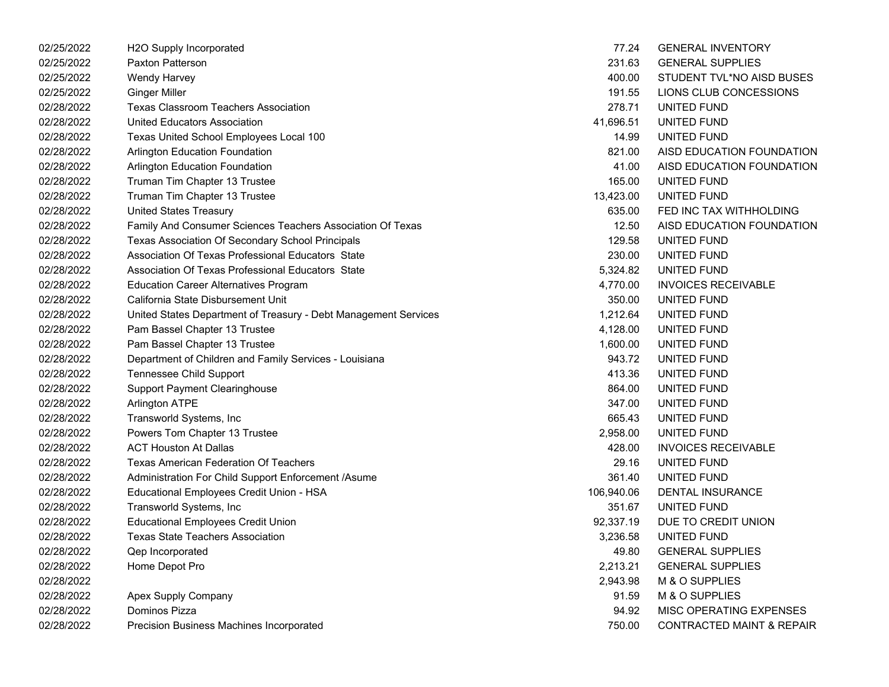| 02/25/2022 | H2O Supply Incorporated                                         | 77.24      | <b>GENERAL INVENTORY</b>             |
|------------|-----------------------------------------------------------------|------------|--------------------------------------|
| 02/25/2022 | <b>Paxton Patterson</b>                                         | 231.63     | <b>GENERAL SUPPLIES</b>              |
| 02/25/2022 | <b>Wendy Harvey</b>                                             | 400.00     | STUDENT TVL*NO AISD BUSES            |
| 02/25/2022 | <b>Ginger Miller</b>                                            | 191.55     | LIONS CLUB CONCESSIONS               |
| 02/28/2022 | <b>Texas Classroom Teachers Association</b>                     | 278.71     | UNITED FUND                          |
| 02/28/2022 | <b>United Educators Association</b>                             | 41,696.51  | UNITED FUND                          |
| 02/28/2022 | Texas United School Employees Local 100                         | 14.99      | UNITED FUND                          |
| 02/28/2022 | Arlington Education Foundation                                  | 821.00     | AISD EDUCATION FOUNDATION            |
| 02/28/2022 | Arlington Education Foundation                                  | 41.00      | AISD EDUCATION FOUNDATION            |
| 02/28/2022 | Truman Tim Chapter 13 Trustee                                   | 165.00     | UNITED FUND                          |
| 02/28/2022 | Truman Tim Chapter 13 Trustee                                   | 13,423.00  | UNITED FUND                          |
| 02/28/2022 | <b>United States Treasury</b>                                   | 635.00     | FED INC TAX WITHHOLDING              |
| 02/28/2022 | Family And Consumer Sciences Teachers Association Of Texas      | 12.50      | AISD EDUCATION FOUNDATION            |
| 02/28/2022 | Texas Association Of Secondary School Principals                | 129.58     | UNITED FUND                          |
| 02/28/2022 | Association Of Texas Professional Educators State               | 230.00     | UNITED FUND                          |
| 02/28/2022 | Association Of Texas Professional Educators State               | 5,324.82   | UNITED FUND                          |
| 02/28/2022 | <b>Education Career Alternatives Program</b>                    | 4,770.00   | <b>INVOICES RECEIVABLE</b>           |
| 02/28/2022 | California State Disbursement Unit                              | 350.00     | UNITED FUND                          |
| 02/28/2022 | United States Department of Treasury - Debt Management Services | 1,212.64   | UNITED FUND                          |
| 02/28/2022 | Pam Bassel Chapter 13 Trustee                                   | 4,128.00   | UNITED FUND                          |
| 02/28/2022 | Pam Bassel Chapter 13 Trustee                                   | 1,600.00   | UNITED FUND                          |
| 02/28/2022 | Department of Children and Family Services - Louisiana          | 943.72     | UNITED FUND                          |
| 02/28/2022 | Tennessee Child Support                                         | 413.36     | UNITED FUND                          |
| 02/28/2022 | <b>Support Payment Clearinghouse</b>                            | 864.00     | UNITED FUND                          |
| 02/28/2022 | <b>Arlington ATPE</b>                                           | 347.00     | UNITED FUND                          |
| 02/28/2022 | Transworld Systems, Inc                                         | 665.43     | UNITED FUND                          |
| 02/28/2022 | Powers Tom Chapter 13 Trustee                                   | 2,958.00   | UNITED FUND                          |
| 02/28/2022 | <b>ACT Houston At Dallas</b>                                    | 428.00     | <b>INVOICES RECEIVABLE</b>           |
| 02/28/2022 | <b>Texas American Federation Of Teachers</b>                    | 29.16      | UNITED FUND                          |
| 02/28/2022 | Administration For Child Support Enforcement /Asume             | 361.40     | UNITED FUND                          |
| 02/28/2022 | Educational Employees Credit Union - HSA                        | 106,940.06 | DENTAL INSURANCE                     |
| 02/28/2022 | Transworld Systems, Inc                                         | 351.67     | UNITED FUND                          |
| 02/28/2022 | <b>Educational Employees Credit Union</b>                       | 92,337.19  | DUE TO CREDIT UNION                  |
| 02/28/2022 | <b>Texas State Teachers Association</b>                         | 3,236.58   | UNITED FUND                          |
| 02/28/2022 | Qep Incorporated                                                | 49.80      | <b>GENERAL SUPPLIES</b>              |
| 02/28/2022 | Home Depot Pro                                                  | 2,213.21   | <b>GENERAL SUPPLIES</b>              |
| 02/28/2022 |                                                                 | 2,943.98   | M & O SUPPLIES                       |
| 02/28/2022 | Apex Supply Company                                             | 91.59      | M & O SUPPLIES                       |
| 02/28/2022 | Dominos Pizza                                                   | 94.92      | MISC OPERATING EXPENSES              |
| 02/28/2022 | Precision Business Machines Incorporated                        | 750.00     | <b>CONTRACTED MAINT &amp; REPAIR</b> |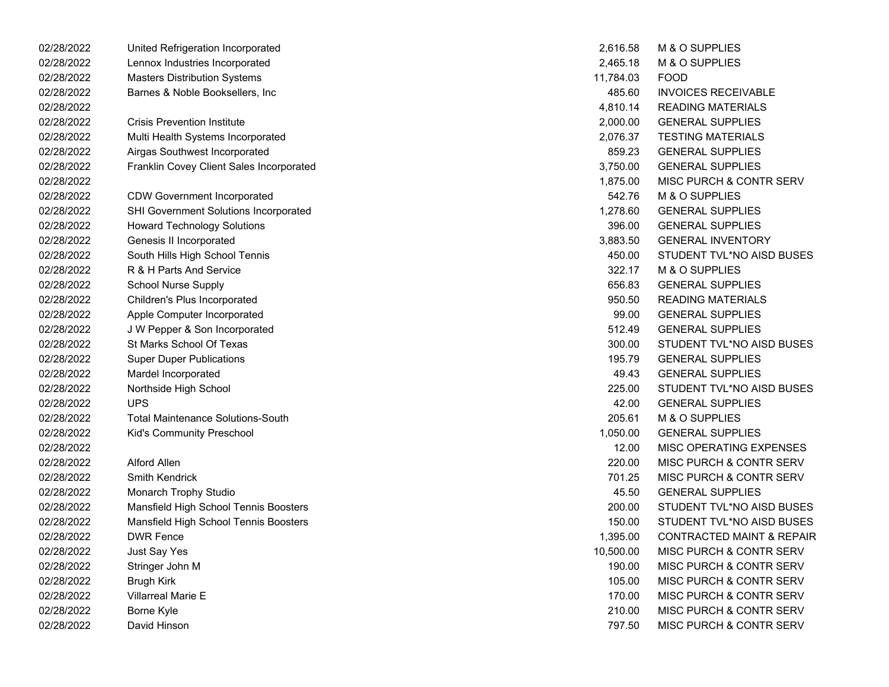| 02/28/2022 | United Refrigeration Incorporated        | 2,616.58  | M & O SUPPLIES                       |
|------------|------------------------------------------|-----------|--------------------------------------|
| 02/28/2022 | Lennox Industries Incorporated           | 2,465.18  | <b>M &amp; O SUPPLIES</b>            |
| 02/28/2022 | <b>Masters Distribution Systems</b>      | 11,784.03 | <b>FOOD</b>                          |
| 02/28/2022 | Barnes & Noble Booksellers, Inc.         | 485.60    | <b>INVOICES RECEIVABLE</b>           |
| 02/28/2022 |                                          | 4,810.14  | <b>READING MATERIALS</b>             |
| 02/28/2022 | <b>Crisis Prevention Institute</b>       | 2,000.00  | <b>GENERAL SUPPLIES</b>              |
| 02/28/2022 | Multi Health Systems Incorporated        | 2,076.37  | <b>TESTING MATERIALS</b>             |
| 02/28/2022 | Airgas Southwest Incorporated            | 859.23    | <b>GENERAL SUPPLIES</b>              |
| 02/28/2022 | Franklin Covey Client Sales Incorporated | 3,750.00  | <b>GENERAL SUPPLIES</b>              |
| 02/28/2022 |                                          | 1,875.00  | <b>MISC PURCH &amp; CONTR SERV</b>   |
| 02/28/2022 | <b>CDW Government Incorporated</b>       | 542.76    | M & O SUPPLIES                       |
| 02/28/2022 | SHI Government Solutions Incorporated    | 1,278.60  | <b>GENERAL SUPPLIES</b>              |
| 02/28/2022 | <b>Howard Technology Solutions</b>       | 396.00    | <b>GENERAL SUPPLIES</b>              |
| 02/28/2022 | Genesis II Incorporated                  | 3,883.50  | <b>GENERAL INVENTORY</b>             |
| 02/28/2022 | South Hills High School Tennis           | 450.00    | STUDENT TVL*NO AISD BUSES            |
| 02/28/2022 | R & H Parts And Service                  | 322.17    | M & O SUPPLIES                       |
| 02/28/2022 | <b>School Nurse Supply</b>               | 656.83    | <b>GENERAL SUPPLIES</b>              |
| 02/28/2022 | Children's Plus Incorporated             | 950.50    | <b>READING MATERIALS</b>             |
| 02/28/2022 | Apple Computer Incorporated              | 99.00     | <b>GENERAL SUPPLIES</b>              |
| 02/28/2022 | J W Pepper & Son Incorporated            | 512.49    | <b>GENERAL SUPPLIES</b>              |
| 02/28/2022 | St Marks School Of Texas                 | 300.00    | STUDENT TVL*NO AISD BUSES            |
| 02/28/2022 | <b>Super Duper Publications</b>          | 195.79    | <b>GENERAL SUPPLIES</b>              |
| 02/28/2022 | Mardel Incorporated                      | 49.43     | <b>GENERAL SUPPLIES</b>              |
| 02/28/2022 | Northside High School                    | 225.00    | STUDENT TVL*NO AISD BUSES            |
| 02/28/2022 | <b>UPS</b>                               | 42.00     | <b>GENERAL SUPPLIES</b>              |
| 02/28/2022 | <b>Total Maintenance Solutions-South</b> | 205.61    | <b>M &amp; O SUPPLIES</b>            |
| 02/28/2022 | Kid's Community Preschool                | 1,050.00  | <b>GENERAL SUPPLIES</b>              |
| 02/28/2022 |                                          | 12.00     | MISC OPERATING EXPENSES              |
| 02/28/2022 | <b>Alford Allen</b>                      | 220.00    | <b>MISC PURCH &amp; CONTR SERV</b>   |
| 02/28/2022 | <b>Smith Kendrick</b>                    | 701.25    | <b>MISC PURCH &amp; CONTR SERV</b>   |
| 02/28/2022 | Monarch Trophy Studio                    | 45.50     | <b>GENERAL SUPPLIES</b>              |
| 02/28/2022 | Mansfield High School Tennis Boosters    | 200.00    | STUDENT TVL*NO AISD BUSES            |
| 02/28/2022 | Mansfield High School Tennis Boosters    | 150.00    | STUDENT TVL*NO AISD BUSES            |
| 02/28/2022 | <b>DWR Fence</b>                         | 1,395.00  | <b>CONTRACTED MAINT &amp; REPAIR</b> |
| 02/28/2022 | Just Say Yes                             | 10,500.00 | MISC PURCH & CONTR SERV              |
| 02/28/2022 | Stringer John M                          | 190.00    | MISC PURCH & CONTR SERV              |
| 02/28/2022 | Brugh Kirk                               | 105.00    | <b>MISC PURCH &amp; CONTR SERV</b>   |
| 02/28/2022 | <b>Villarreal Marie E</b>                | 170.00    | MISC PURCH & CONTR SERV              |
| 02/28/2022 | Borne Kyle                               | 210.00    | <b>MISC PURCH &amp; CONTR SERV</b>   |
| 02/28/2022 | David Hinson                             | 797.50    | MISC PURCH & CONTR SERV              |

| 2,616.58       | <b>M &amp; O SUPPLIES</b>            |
|----------------|--------------------------------------|
| 2,465.18       | <b>M &amp; O SUPPLIES</b>            |
| 11,784.03 FOOD |                                      |
|                | 485.60 INVOICES RECEIVABLE           |
| 4,810.14       | <b>READING MATERIALS</b>             |
| 2,000.00       | <b>GENERAL SUPPLIES</b>              |
| 2,076.37       | <b>TESTING MATERIALS</b>             |
|                | 859.23 GENERAL SUPPLIES              |
|                | 3,750.00 GENERAL SUPPLIES            |
| 1,875.00       | MISC PURCH & CONTR SERV              |
| 542.76         | <b>M &amp; O SUPPLIES</b>            |
| 1,278.60       | <b>GENERAL SUPPLIES</b>              |
| 396.00         | <b>GENERAL SUPPLIES</b>              |
| 3,883.50       | <b>GENERAL INVENTORY</b>             |
| 450.00         | STUDENT TVL*NO AISD BUSES            |
| 322.17         | <b>M &amp; O SUPPLIES</b>            |
| 656.83         | <b>GENERAL SUPPLIES</b>              |
| 950.50         | <b>READING MATERIALS</b>             |
|                | 99.00 GENERAL SUPPLIES               |
| 512.49         | <b>GENERAL SUPPLIES</b>              |
| 300.00         | STUDENT TVL*NO AISD BUSES            |
| 195.79         | <b>GENERAL SUPPLIES</b>              |
| 49.43          | <b>GENERAL SUPPLIES</b>              |
| 225.00         | STUDENT TVL*NO AISD BUSES            |
| 42.00          | <b>GENERAL SUPPLIES</b>              |
| 205.61         | M & O SUPPLIES                       |
| 1,050.00       | <b>GENERAL SUPPLIES</b>              |
| 12.00          | <b>MISC OPERATING EXPENSES</b>       |
| 220.00         | MISC PURCH & CONTR SERV              |
| 701.25         | <b>MISC PURCH &amp; CONTR SERV</b>   |
| 45.50          | <b>GENERAL SUPPLIES</b>              |
| 200.00         | STUDENT TVL*NO AISD BUSES            |
| 150.00         | STUDENT TVL*NO AISD BUSES            |
| 1,395.00       | <b>CONTRACTED MAINT &amp; REPAIR</b> |
| 10,500.00      | MISC PURCH & CONTR SERV              |
| 190.00         | <b>MISC PURCH &amp; CONTR SERV</b>   |
| 105.00         | <b>MISC PURCH &amp; CONTR SERV</b>   |
| 170.00         | <b>MISC PURCH &amp; CONTR SERV</b>   |
| 210.00         | <b>MISC PURCH &amp; CONTR SERV</b>   |
| 797.50         | MISC PURCH & CONTR SERV              |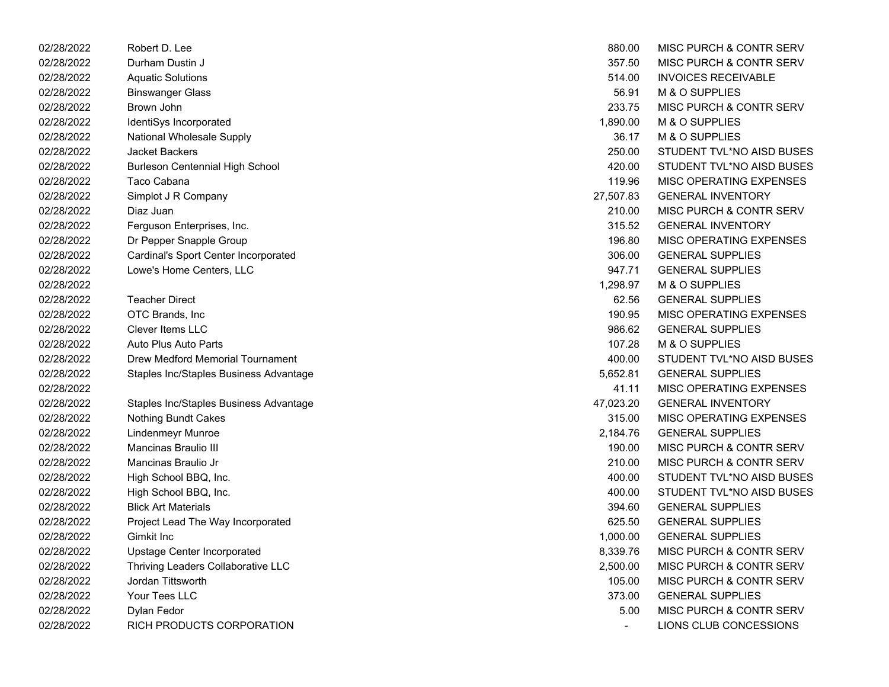| 02/28/2022 | Robert D. Lee                          | 880.00    | MISC PURCH & CONTR SERV            |
|------------|----------------------------------------|-----------|------------------------------------|
| 02/28/2022 | Durham Dustin J                        | 357.50    | <b>MISC PURCH &amp; CONTR SERV</b> |
| 02/28/2022 | <b>Aquatic Solutions</b>               | 514.00    | <b>INVOICES RECEIVABLE</b>         |
| 02/28/2022 | <b>Binswanger Glass</b>                | 56.91     | M & O SUPPLIES                     |
| 02/28/2022 | Brown John                             | 233.75    | MISC PURCH & CONTR SERV            |
| 02/28/2022 | IdentiSys Incorporated                 | 1,890.00  | M & O SUPPLIES                     |
| 02/28/2022 | National Wholesale Supply              | 36.17     | M & O SUPPLIES                     |
| 02/28/2022 | Jacket Backers                         | 250.00    | STUDENT TVL*NO AISD BUSES          |
| 02/28/2022 | <b>Burleson Centennial High School</b> | 420.00    | STUDENT TVL*NO AISD BUSES          |
| 02/28/2022 | Taco Cabana                            | 119.96    | MISC OPERATING EXPENSES            |
| 02/28/2022 | Simplot J R Company                    | 27,507.83 | <b>GENERAL INVENTORY</b>           |
| 02/28/2022 | Diaz Juan                              | 210.00    | <b>MISC PURCH &amp; CONTR SERV</b> |
| 02/28/2022 | Ferguson Enterprises, Inc.             | 315.52    | <b>GENERAL INVENTORY</b>           |
| 02/28/2022 | Dr Pepper Snapple Group                | 196.80    | <b>MISC OPERATING EXPENSES</b>     |
| 02/28/2022 | Cardinal's Sport Center Incorporated   | 306.00    | <b>GENERAL SUPPLIES</b>            |
| 02/28/2022 | Lowe's Home Centers, LLC               | 947.71    | <b>GENERAL SUPPLIES</b>            |
| 02/28/2022 |                                        | 1,298.97  | M & O SUPPLIES                     |
| 02/28/2022 | <b>Teacher Direct</b>                  | 62.56     | <b>GENERAL SUPPLIES</b>            |
| 02/28/2022 | OTC Brands, Inc.                       | 190.95    | <b>MISC OPERATING EXPENSES</b>     |
| 02/28/2022 | Clever Items LLC                       | 986.62    | <b>GENERAL SUPPLIES</b>            |
| 02/28/2022 | <b>Auto Plus Auto Parts</b>            | 107.28    | M & O SUPPLIES                     |
| 02/28/2022 | Drew Medford Memorial Tournament       | 400.00    | STUDENT TVL*NO AISD BUSES          |
| 02/28/2022 | Staples Inc/Staples Business Advantage | 5,652.81  | <b>GENERAL SUPPLIES</b>            |
| 02/28/2022 |                                        | 41.11     | MISC OPERATING EXPENSES            |
| 02/28/2022 | Staples Inc/Staples Business Advantage | 47,023.20 | <b>GENERAL INVENTORY</b>           |
| 02/28/2022 | <b>Nothing Bundt Cakes</b>             | 315.00    | <b>MISC OPERATING EXPENSES</b>     |
| 02/28/2022 | <b>Lindenmeyr Munroe</b>               | 2,184.76  | <b>GENERAL SUPPLIES</b>            |
| 02/28/2022 | <b>Mancinas Braulio III</b>            | 190.00    | MISC PURCH & CONTR SERV            |
| 02/28/2022 | Mancinas Braulio Jr                    | 210.00    | MISC PURCH & CONTR SERV            |
| 02/28/2022 | High School BBQ, Inc.                  | 400.00    | STUDENT TVL*NO AISD BUSES          |
| 02/28/2022 | High School BBQ, Inc.                  | 400.00    | STUDENT TVL*NO AISD BUSES          |
| 02/28/2022 | <b>Blick Art Materials</b>             | 394.60    | <b>GENERAL SUPPLIES</b>            |
| 02/28/2022 | Project Lead The Way Incorporated      | 625.50    | <b>GENERAL SUPPLIES</b>            |
| 02/28/2022 | Gimkit Inc                             | 1,000.00  | <b>GENERAL SUPPLIES</b>            |
| 02/28/2022 | Upstage Center Incorporated            | 8,339.76  | MISC PURCH & CONTR SERV            |
| 02/28/2022 | Thriving Leaders Collaborative LLC     | 2,500.00  | MISC PURCH & CONTR SERV            |
| 02/28/2022 | Jordan Tittsworth                      | 105.00    | MISC PURCH & CONTR SERV            |
| 02/28/2022 | Your Tees LLC                          | 373.00    | <b>GENERAL SUPPLIES</b>            |
| 02/28/2022 | Dylan Fedor                            | 5.00      | MISC PURCH & CONTR SERV            |
| 02/28/2022 | RICH PRODUCTS CORPORATION              |           | LIONS CLUB CONCESSIONS             |

| 880.00    | MISC PURCH & CONTR SERV            |
|-----------|------------------------------------|
| 357.50    | MISC PURCH & CONTR SERV            |
| 514.00    | INVOICES RECEIVABLE                |
| 56.91     | <b>M &amp; O SUPPLIES</b>          |
| 233.75    | <b>MISC PURCH &amp; CONTR SERV</b> |
| 1,890.00  | <b>M &amp; O SUPPLIES</b>          |
| 36.17     | M & O SUPPLIES                     |
| 250.00    | STUDENT TVL*NO AISD BUSES          |
| 420.00    | STUDENT TVL*NO AISD BUSES          |
| 119.96    | <b>MISC OPERATING EXPENSES</b>     |
| 27,507.83 | <b>GENERAL INVENTORY</b>           |
| 210.00    | <b>MISC PURCH &amp; CONTR SERV</b> |
| 315.52    | <b>GENERAL INVENTORY</b>           |
| 196.80    | MISC OPERATING EXPENSES            |
| 306.00    | <b>GENERAL SUPPLIES</b>            |
| 947.71    | <b>GENERAL SUPPLIES</b>            |
| 1.298.97  | M & O SUPPLIES                     |
| 62.56     | <b>GENERAL SUPPLIES</b>            |
| 190.95    | <b>MISC OPERATING EXPENSES</b>     |
| 986.62    | <b>GENERAL SUPPLIES</b>            |
| 107.28    | M & O SUPPLIES                     |
| 400.00    | STUDENT TVL*NO AISD BUSES          |
| 5,652.81  | <b>GENERAL SUPPLIES</b>            |
| 41.11     | <b>MISC OPERATING EXPENSES</b>     |
| 47,023.20 | <b>GENERAL INVENTORY</b>           |
| 315.00    | <b>MISC OPERATING EXPENSES</b>     |
| 2,184.76  | <b>GENERAL SUPPLIES</b>            |
| 190.00    | <b>MISC PURCH &amp; CONTR SERV</b> |
| 210.00    | <b>MISC PURCH &amp; CONTR SERV</b> |
| 400.00    | STUDENT TVL*NO AISD BUSES          |
| 400.00    | STUDENT TVL*NO AISD BUSES          |
| 394.60    | <b>GENERAL SUPPLIES</b>            |
| 625.50    | <b>GENERAL SUPPLIES</b>            |
| 1,000.00  | <b>GENERAL SUPPLIES</b>            |
| 8,339.76  | <b>MISC PURCH &amp; CONTR SERV</b> |
| 2,500.00  | <b>MISC PURCH &amp; CONTR SERV</b> |
| 105.00    | <b>MISC PURCH &amp; CONTR SERV</b> |
| 373.00    | <b>GENERAL SUPPLIES</b>            |
| 5.00      | <b>MISC PURCH &amp; CONTR SERV</b> |
|           | LIONS CLUB CONCESSIONS             |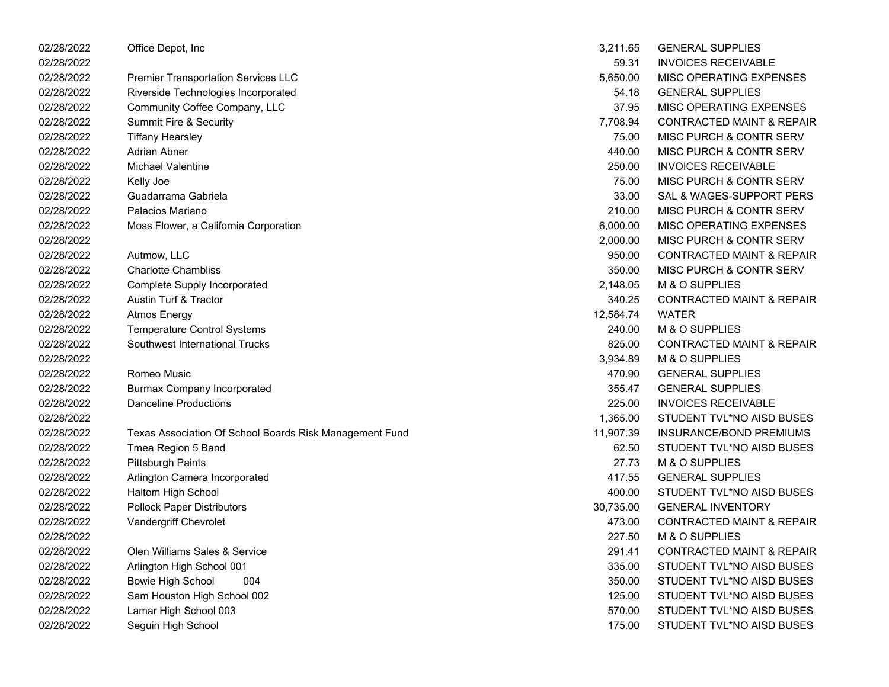| 02/28/2022 | Office Depot, Inc                                       | 3,211.65  | <b>GENERAL SUPPLIES</b>              |
|------------|---------------------------------------------------------|-----------|--------------------------------------|
| 02/28/2022 |                                                         | 59.31     | <b>INVOICES RECEIVABLE</b>           |
| 02/28/2022 | <b>Premier Transportation Services LLC</b>              | 5,650.00  | MISC OPERATING EXPENSES              |
| 02/28/2022 | Riverside Technologies Incorporated                     | 54.18     | <b>GENERAL SUPPLIES</b>              |
| 02/28/2022 | Community Coffee Company, LLC                           | 37.95     | MISC OPERATING EXPENSES              |
| 02/28/2022 | <b>Summit Fire &amp; Security</b>                       | 7,708.94  | <b>CONTRACTED MAINT &amp; REPAIR</b> |
| 02/28/2022 | <b>Tiffany Hearsley</b>                                 | 75.00     | MISC PURCH & CONTR SERV              |
| 02/28/2022 | <b>Adrian Abner</b>                                     | 440.00    | MISC PURCH & CONTR SERV              |
| 02/28/2022 | <b>Michael Valentine</b>                                | 250.00    | <b>INVOICES RECEIVABLE</b>           |
| 02/28/2022 | Kelly Joe                                               | 75.00     | MISC PURCH & CONTR SERV              |
| 02/28/2022 | Guadarrama Gabriela                                     | 33.00     | SAL & WAGES-SUPPORT PERS             |
| 02/28/2022 | Palacios Mariano                                        | 210.00    | MISC PURCH & CONTR SERV              |
| 02/28/2022 | Moss Flower, a California Corporation                   | 6,000.00  | MISC OPERATING EXPENSES              |
| 02/28/2022 |                                                         | 2,000.00  | MISC PURCH & CONTR SERV              |
| 02/28/2022 | Autmow, LLC                                             | 950.00    | <b>CONTRACTED MAINT &amp; REPAIR</b> |
| 02/28/2022 | <b>Charlotte Chambliss</b>                              | 350.00    | MISC PURCH & CONTR SERV              |
| 02/28/2022 | <b>Complete Supply Incorporated</b>                     | 2,148.05  | M & O SUPPLIES                       |
| 02/28/2022 | Austin Turf & Tractor                                   | 340.25    | <b>CONTRACTED MAINT &amp; REPAIR</b> |
| 02/28/2022 | <b>Atmos Energy</b>                                     | 12,584.74 | <b>WATER</b>                         |
| 02/28/2022 | <b>Temperature Control Systems</b>                      | 240.00    | M & O SUPPLIES                       |
| 02/28/2022 | Southwest International Trucks                          | 825.00    | <b>CONTRACTED MAINT &amp; REPAIR</b> |
| 02/28/2022 |                                                         | 3,934.89  | M & O SUPPLIES                       |
| 02/28/2022 | Romeo Music                                             | 470.90    | <b>GENERAL SUPPLIES</b>              |
| 02/28/2022 | <b>Burmax Company Incorporated</b>                      | 355.47    | <b>GENERAL SUPPLIES</b>              |
| 02/28/2022 | <b>Danceline Productions</b>                            | 225.00    | <b>INVOICES RECEIVABLE</b>           |
| 02/28/2022 |                                                         | 1,365.00  | STUDENT TVL*NO AISD BUSES            |
| 02/28/2022 | Texas Association Of School Boards Risk Management Fund | 11,907.39 | INSURANCE/BOND PREMIUMS              |
| 02/28/2022 | Tmea Region 5 Band                                      | 62.50     | STUDENT TVL*NO AISD BUSES            |
| 02/28/2022 | <b>Pittsburgh Paints</b>                                | 27.73     | M & O SUPPLIES                       |
| 02/28/2022 | Arlington Camera Incorporated                           | 417.55    | <b>GENERAL SUPPLIES</b>              |
| 02/28/2022 | Haltom High School                                      | 400.00    | STUDENT TVL*NO AISD BUSES            |
| 02/28/2022 | <b>Pollock Paper Distributors</b>                       | 30,735.00 | <b>GENERAL INVENTORY</b>             |
| 02/28/2022 | Vandergriff Chevrolet                                   | 473.00    | <b>CONTRACTED MAINT &amp; REPAIR</b> |
| 02/28/2022 |                                                         | 227.50    | M & O SUPPLIES                       |
| 02/28/2022 | Olen Williams Sales & Service                           | 291.41    | <b>CONTRACTED MAINT &amp; REPAIR</b> |
| 02/28/2022 | Arlington High School 001                               | 335.00    | STUDENT TVL*NO AISD BUSES            |
| 02/28/2022 | <b>Bowie High School</b><br>004                         | 350.00    | STUDENT TVL*NO AISD BUSES            |
| 02/28/2022 | Sam Houston High School 002                             | 125.00    | STUDENT TVL*NO AISD BUSES            |
| 02/28/2022 | Lamar High School 003                                   | 570.00    | STUDENT TVL*NO AISD BUSES            |
| 02/28/2022 | Seguin High School                                      | 175.00    | STUDENT TVL*NO AISD BUSES            |
|            |                                                         |           |                                      |

| 3,211.65  | <b>GENERAL SUPPLIES</b>              |
|-----------|--------------------------------------|
| 59.31     | <b>INVOICES RECEIVABLE</b>           |
| 5,650.00  | MISC OPERATING EXPENSES              |
| 54.18     | <b>GENERAL SUPPLIES</b>              |
| 37.95     | <b>MISC OPERATING EXPENSES</b>       |
| 7,708.94  | <b>CONTRACTED MAINT &amp; REPAIR</b> |
| 75.00     | <b>MISC PURCH &amp; CONTR SERV</b>   |
| 440.00    | MISC PURCH & CONTR SERV              |
| 250.00    | <b>INVOICES RECEIVABLE</b>           |
| 75.00     | <b>MISC PURCH &amp; CONTR SERV</b>   |
| 33.00     | SAL & WAGES-SUPPORT PERS             |
| 210.00    | <b>MISC PURCH &amp; CONTR SERV</b>   |
| 6,000.00  | MISC OPERATING EXPENSES              |
| 2,000.00  | <b>MISC PURCH &amp; CONTR SERV</b>   |
| 950.00    | <b>CONTRACTED MAINT &amp; REPAIR</b> |
| 350.00    | <b>MISC PURCH &amp; CONTR SERV</b>   |
| 2,148.05  | <b>M &amp; O SUPPLIES</b>            |
| 340.25    | <b>CONTRACTED MAINT &amp; REPAIR</b> |
| 12,584.74 | WATFR                                |
| 240.00    | <b>M &amp; O SUPPLIES</b>            |
| 825.00    | <b>CONTRACTED MAINT &amp; REPAIR</b> |
| 3,934.89  | <b>M &amp; O SUPPLIES</b>            |
| 470.90    | <b>GENERAL SUPPLIES</b>              |
| 355.47    | <b>GENERAL SUPPLIES</b>              |
| 225.00    | <b>INVOICES RECEIVABLE</b>           |
| 1,365.00  | STUDENT TVL*NO AISD BUSES            |
| 11,907.39 | INSURANCE/BOND PREMIUMS              |
| 62.50     | STUDENT TVL*NO AISD BUSES            |
| 27.73     | <b>M &amp; O SUPPLIES</b>            |
| 417.55    | <b>GENERAL SUPPLIES</b>              |
| 400.00    | STUDENT TVL*NO AISD BUSES            |
| 30,735.00 | <b>GENERAL INVENTORY</b>             |
| 473.00    | <b>CONTRACTED MAINT &amp; REPAIR</b> |
| 227.50    | <b>M &amp; O SUPPLIES</b>            |
| 291.41    | CONTRACTED MAINT & REPAIR            |
| 335.00    | STUDENT TVL*NO AISD BUSES            |
| 350.00    | STUDENT TVL*NO AISD BUSES            |
| 125.00    | STUDENT TVL*NO AISD BUSES            |
| 570.00    | STUDENT TVL*NO AISD BUSES            |
| 175.00    | STUDENT TVL*NO AISD BUSES            |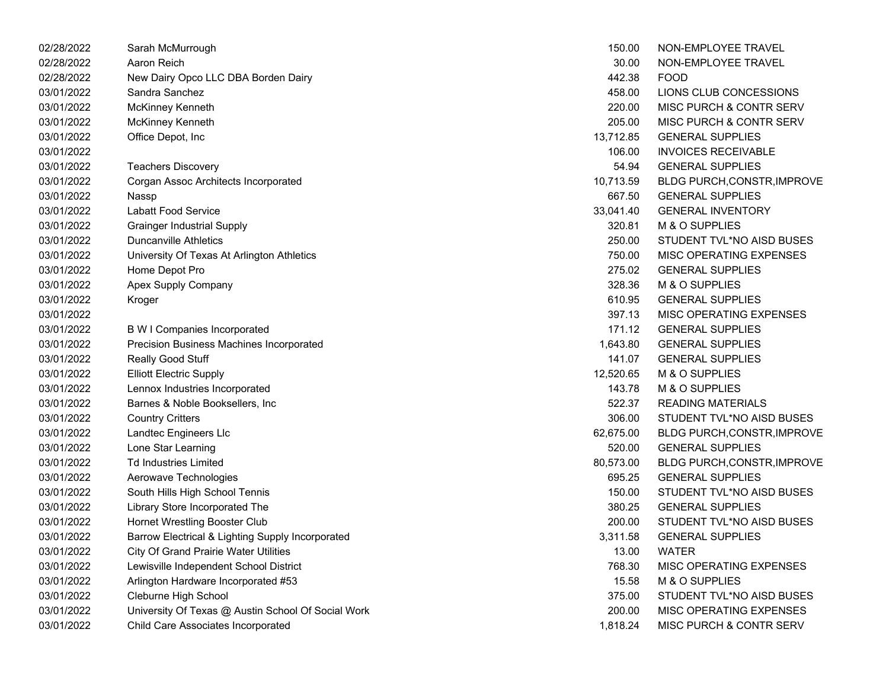| 02/28/2022 | Sarah McMurrough                                   | 150.00    | NON-EMPLOYEE TRAVEL                |
|------------|----------------------------------------------------|-----------|------------------------------------|
| 02/28/2022 | Aaron Reich                                        | 30.00     | NON-EMPLOYEE TRAVEL                |
| 02/28/2022 | New Dairy Opco LLC DBA Borden Dairy                | 442.38    | <b>FOOD</b>                        |
| 03/01/2022 | Sandra Sanchez                                     | 458.00    | LIONS CLUB CONCESSIONS             |
| 03/01/2022 | McKinney Kenneth                                   | 220.00    | <b>MISC PURCH &amp; CONTR SERV</b> |
| 03/01/2022 | McKinney Kenneth                                   | 205.00    | <b>MISC PURCH &amp; CONTR SERV</b> |
| 03/01/2022 | Office Depot, Inc                                  | 13,712.85 | <b>GENERAL SUPPLIES</b>            |
| 03/01/2022 |                                                    | 106.00    | <b>INVOICES RECEIVABLE</b>         |
| 03/01/2022 | <b>Teachers Discovery</b>                          | 54.94     | <b>GENERAL SUPPLIES</b>            |
| 03/01/2022 | Corgan Assoc Architects Incorporated               | 10,713.59 | BLDG PURCH, CONSTR, IMPROVE        |
| 03/01/2022 | Nassp                                              | 667.50    | <b>GENERAL SUPPLIES</b>            |
| 03/01/2022 | <b>Labatt Food Service</b>                         | 33,041.40 | <b>GENERAL INVENTORY</b>           |
| 03/01/2022 | <b>Grainger Industrial Supply</b>                  | 320.81    | M & O SUPPLIES                     |
| 03/01/2022 | Duncanville Athletics                              | 250.00    | STUDENT TVL*NO AISD BUSES          |
| 03/01/2022 | University Of Texas At Arlington Athletics         | 750.00    | MISC OPERATING EXPENSES            |
| 03/01/2022 | Home Depot Pro                                     | 275.02    | <b>GENERAL SUPPLIES</b>            |
| 03/01/2022 | Apex Supply Company                                | 328.36    | M & O SUPPLIES                     |
| 03/01/2022 | Kroger                                             | 610.95    | <b>GENERAL SUPPLIES</b>            |
| 03/01/2022 |                                                    | 397.13    | MISC OPERATING EXPENSES            |
| 03/01/2022 | <b>B W I Companies Incorporated</b>                | 171.12    | <b>GENERAL SUPPLIES</b>            |
| 03/01/2022 | <b>Precision Business Machines Incorporated</b>    | 1,643.80  | <b>GENERAL SUPPLIES</b>            |
| 03/01/2022 | Really Good Stuff                                  | 141.07    | <b>GENERAL SUPPLIES</b>            |
| 03/01/2022 | <b>Elliott Electric Supply</b>                     | 12,520.65 | M & O SUPPLIES                     |
| 03/01/2022 | Lennox Industries Incorporated                     | 143.78    | M & O SUPPLIES                     |
| 03/01/2022 | Barnes & Noble Booksellers, Inc.                   | 522.37    | <b>READING MATERIALS</b>           |
| 03/01/2022 | <b>Country Critters</b>                            | 306.00    | STUDENT TVL*NO AISD BUSES          |
| 03/01/2022 | Landtec Engineers Llc                              | 62,675.00 | BLDG PURCH, CONSTR, IMPROVE        |
| 03/01/2022 | Lone Star Learning                                 | 520.00    | <b>GENERAL SUPPLIES</b>            |
| 03/01/2022 | <b>Td Industries Limited</b>                       | 80,573.00 | BLDG PURCH, CONSTR, IMPROVE        |
| 03/01/2022 | Aerowave Technologies                              | 695.25    | <b>GENERAL SUPPLIES</b>            |
| 03/01/2022 | South Hills High School Tennis                     | 150.00    | STUDENT TVL*NO AISD BUSES          |
| 03/01/2022 | Library Store Incorporated The                     | 380.25    | <b>GENERAL SUPPLIES</b>            |
| 03/01/2022 | Hornet Wrestling Booster Club                      | 200.00    | STUDENT TVL*NO AISD BUSES          |
| 03/01/2022 | Barrow Electrical & Lighting Supply Incorporated   | 3,311.58  | <b>GENERAL SUPPLIES</b>            |
| 03/01/2022 | <b>City Of Grand Prairie Water Utilities</b>       | 13.00     | <b>WATER</b>                       |
| 03/01/2022 | Lewisville Independent School District             | 768.30    | MISC OPERATING EXPENSES            |
| 03/01/2022 | Arlington Hardware Incorporated #53                | 15.58     | M & O SUPPLIES                     |
| 03/01/2022 | Cleburne High School                               | 375.00    | STUDENT TVL*NO AISD BUSES          |
| 03/01/2022 | University Of Texas @ Austin School Of Social Work | 200.00    | MISC OPERATING EXPENSES            |
| 03/01/2022 | Child Care Associates Incorporated                 | 1.818.24  | MISC PURCH & CONTR SERV            |

|                                | 150.00    | NON-EMPLOYEE TRAVEL                |
|--------------------------------|-----------|------------------------------------|
|                                | 30.00     | NON-EMPLOYEE TRAVEL                |
| <b>DBA Borden Dairy</b>        | 442.38    | <b>FOOD</b>                        |
|                                | 458.00    | LIONS CLUB CONCESSIONS             |
|                                | 220.00    | MISC PURCH & CONTR SERV            |
|                                | 205.00    | <b>MISC PURCH &amp; CONTR SERV</b> |
|                                | 13,712.85 | <b>GENERAL SUPPLIES</b>            |
|                                | 106.00    | <b>INVOICES RECEIVABLE</b>         |
|                                | 54.94     | <b>GENERAL SUPPLIES</b>            |
| cts Incorporated               | 10,713.59 | BLDG PURCH, CONSTR, IMPROVE        |
|                                | 667.50    | <b>GENERAL SUPPLIES</b>            |
|                                | 33,041.40 | <b>GENERAL INVENTORY</b>           |
| pply                           | 320.81    | M & O SUPPLIES                     |
|                                | 250.00    | STUDENT TVL*NO AISD BUSES          |
| t Arlington Athletics          | 750.00    | MISC OPERATING EXPENSES            |
|                                | 275.02    | <b>GENERAL SUPPLIES</b>            |
| у                              | 328.36    | M & O SUPPLIES                     |
|                                | 610.95    | <b>GENERAL SUPPLIES</b>            |
|                                | 397.13    | MISC OPERATING EXPENSES            |
| prporated                      | 171.12    | <b>GENERAL SUPPLIES</b>            |
| achines Incorporated           | 1,643.80  | <b>GENERAL SUPPLIES</b>            |
|                                | 141.07    | <b>GENERAL SUPPLIES</b>            |
|                                | 12,520.65 | M & O SUPPLIES                     |
| orporated                      | 143.78    | M & O SUPPLIES                     |
| sellers, Inc                   | 522.37    | <b>READING MATERIALS</b>           |
|                                | 306.00    | STUDENT TVL*NO AISD BUSES          |
|                                | 62,675.00 | BLDG PURCH, CONSTR, IMPROVE        |
|                                | 520.00    | <b>GENERAL SUPPLIES</b>            |
|                                | 80,573.00 | <b>BLDG PURCH, CONSTR, IMPROVE</b> |
| es                             | 695.25    | <b>GENERAL SUPPLIES</b>            |
| ol Tennis                      | 150.00    | STUDENT TVL*NO AISD BUSES          |
| ated The                       | 380.25    | <b>GENERAL SUPPLIES</b>            |
| ster Club                      | 200.00    | STUDENT TVL*NO AISD BUSES          |
| ghting Supply Incorporated     | 3,311.58  | <b>GENERAL SUPPLIES</b>            |
| Water Utilities                | 13.00     | <b>WATER</b>                       |
| it School District             | 768.30    | MISC OPERATING EXPENSES            |
| corporated #53                 | 15.58     | M & O SUPPLIES                     |
|                                | 375.00    | STUDENT TVL*NO AISD BUSES          |
| ) Austin School Of Social Work | 200.00    | MISC OPERATING EXPENSES            |
| Incorporated<br>ś              | 1,818.24  | <b>MISC PURCH &amp; CONTR SERV</b> |
|                                |           |                                    |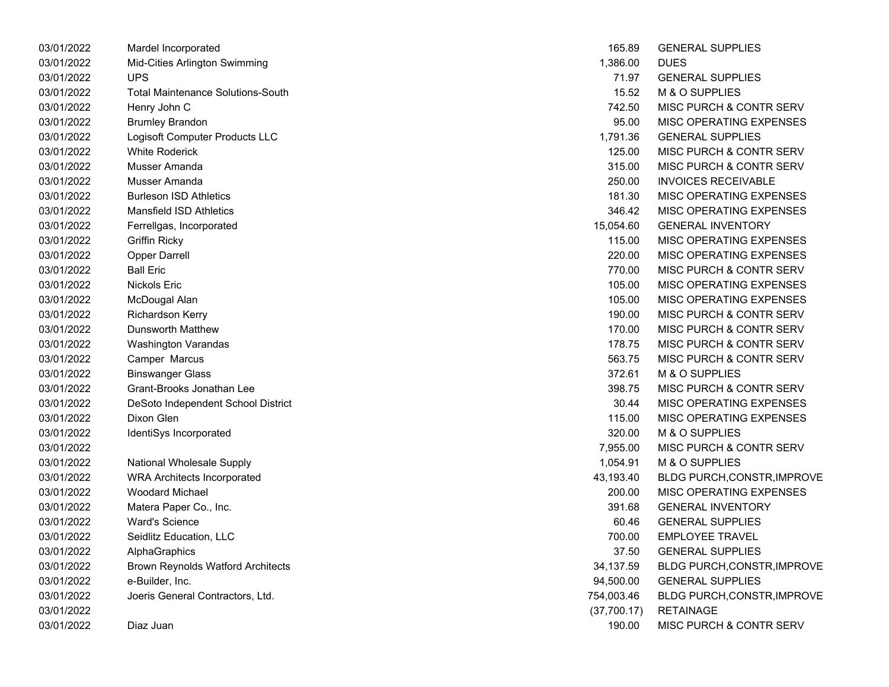| 03/01/2022 | Mardel Incorporated                      | 165.89      | <b>GENERAL SUPPLIES</b>            |
|------------|------------------------------------------|-------------|------------------------------------|
| 03/01/2022 | Mid-Cities Arlington Swimming            | 1,386.00    | <b>DUES</b>                        |
| 03/01/2022 | <b>UPS</b>                               | 71.97       | <b>GENERAL SUPPLIES</b>            |
| 03/01/2022 | <b>Total Maintenance Solutions-South</b> | 15.52       | M & O SUPPLIES                     |
| 03/01/2022 | Henry John C                             | 742.50      | MISC PURCH & CONTR SERV            |
| 03/01/2022 | <b>Brumley Brandon</b>                   | 95.00       | <b>MISC OPERATING EXPENSES</b>     |
| 03/01/2022 | Logisoft Computer Products LLC           | 1,791.36    | <b>GENERAL SUPPLIES</b>            |
| 03/01/2022 | <b>White Roderick</b>                    | 125.00      | <b>MISC PURCH &amp; CONTR SERV</b> |
| 03/01/2022 | Musser Amanda                            | 315.00      | <b>MISC PURCH &amp; CONTR SERV</b> |
| 03/01/2022 | Musser Amanda                            | 250.00      | <b>INVOICES RECEIVABLE</b>         |
| 03/01/2022 | <b>Burleson ISD Athletics</b>            | 181.30      | <b>MISC OPERATING EXPENSES</b>     |
| 03/01/2022 | Mansfield ISD Athletics                  | 346.42      | <b>MISC OPERATING EXPENSES</b>     |
| 03/01/2022 | Ferrellgas, Incorporated                 | 15,054.60   | <b>GENERAL INVENTORY</b>           |
| 03/01/2022 | <b>Griffin Ricky</b>                     | 115.00      | MISC OPERATING EXPENSES            |
| 03/01/2022 | <b>Opper Darrell</b>                     | 220.00      | <b>MISC OPERATING EXPENSES</b>     |
| 03/01/2022 | <b>Ball Eric</b>                         | 770.00      | <b>MISC PURCH &amp; CONTR SERV</b> |
| 03/01/2022 | Nickols Eric                             | 105.00      | <b>MISC OPERATING EXPENSES</b>     |
| 03/01/2022 | McDougal Alan                            | 105.00      | <b>MISC OPERATING EXPENSES</b>     |
| 03/01/2022 | Richardson Kerry                         | 190.00      | MISC PURCH & CONTR SERV            |
| 03/01/2022 | Dunsworth Matthew                        | 170.00      | <b>MISC PURCH &amp; CONTR SERV</b> |
| 03/01/2022 | Washington Varandas                      | 178.75      | <b>MISC PURCH &amp; CONTR SERV</b> |
| 03/01/2022 | Camper Marcus                            | 563.75      | <b>MISC PURCH &amp; CONTR SERV</b> |
| 03/01/2022 | <b>Binswanger Glass</b>                  | 372.61      | M & O SUPPLIES                     |
| 03/01/2022 | Grant-Brooks Jonathan Lee                | 398.75      | MISC PURCH & CONTR SERV            |
| 03/01/2022 | DeSoto Independent School District       | 30.44       | MISC OPERATING EXPENSES            |
| 03/01/2022 | Dixon Glen                               | 115.00      | MISC OPERATING EXPENSES            |
| 03/01/2022 | IdentiSys Incorporated                   | 320.00      | M & O SUPPLIES                     |
| 03/01/2022 |                                          | 7,955.00    | <b>MISC PURCH &amp; CONTR SERV</b> |
| 03/01/2022 | National Wholesale Supply                | 1,054.91    | M & O SUPPLIES                     |
| 03/01/2022 | <b>WRA Architects Incorporated</b>       | 43,193.40   | <b>BLDG PURCH,CONSTR,IMPROVE</b>   |
| 03/01/2022 | <b>Woodard Michael</b>                   | 200.00      | MISC OPERATING EXPENSES            |
| 03/01/2022 | Matera Paper Co., Inc.                   | 391.68      | <b>GENERAL INVENTORY</b>           |
| 03/01/2022 | <b>Ward's Science</b>                    | 60.46       | <b>GENERAL SUPPLIES</b>            |
| 03/01/2022 | Seidlitz Education, LLC                  | 700.00      | <b>EMPLOYEE TRAVEL</b>             |
| 03/01/2022 | AlphaGraphics                            | 37.50       | <b>GENERAL SUPPLIES</b>            |
| 03/01/2022 | <b>Brown Reynolds Watford Architects</b> | 34,137.59   | <b>BLDG PURCH, CONSTR, IMPROVE</b> |
| 03/01/2022 | e-Builder, Inc.                          | 94,500.00   | <b>GENERAL SUPPLIES</b>            |
| 03/01/2022 | Joeris General Contractors, Ltd.         | 754,003.46  | BLDG PURCH, CONSTR, IMPROVE        |
| 03/01/2022 |                                          | (37,700.17) | <b>RETAINAGE</b>                   |
| 03/01/2022 | Diaz Juan                                | 190.00      | MISC PURCH & CONTR SERV            |

| 165.89      | <b>GENERAL SUPPLIES</b>            |
|-------------|------------------------------------|
| 1,386.00    | <b>DUES</b>                        |
| 71.97       | <b>GENERAL SUPPLIES</b>            |
| 15.52       | M & O SUPPLIES                     |
| 742.50      | MISC PURCH & CONTR SERV            |
| 95.00       | <b>MISC OPERATING EXPENSES</b>     |
| 1,791.36    | <b>GENERAL SUPPLIES</b>            |
| 125.00      | MISC PURCH & CONTR SERV            |
| 315.00      | MISC PURCH & CONTR SERV            |
| 250.00      | <b>INVOICES RECEIVABLE</b>         |
| 181.30      | <b>MISC OPERATING EXPENSES</b>     |
| 346.42      | MISC OPERATING EXPENSES            |
| 15,054.60   | <b>GENERAL INVENTORY</b>           |
| 115.00      | <b>MISC OPERATING EXPENSES</b>     |
| 220.00      | <b>MISC OPERATING EXPENSES</b>     |
| 770.00      | MISC PURCH & CONTR SERV            |
| 105.00      | <b>MISC OPERATING EXPENSES</b>     |
| 105.00      | <b>MISC OPERATING EXPENSES</b>     |
| 190.00      | MISC PURCH & CONTR SERV            |
| 170.00      | MISC PURCH & CONTR SERV            |
| 178.75      | MISC PURCH & CONTR SERV            |
| 563.75      | MISC PURCH & CONTR SERV            |
| 372.61      | M & O SUPPLIES                     |
| 398.75      | MISC PURCH & CONTR SERV            |
| 30.44       | <b>MISC OPERATING EXPENSES</b>     |
| 115.00      | <b>MISC OPERATING EXPENSES</b>     |
| 320.00      | M & O SUPPLIES                     |
| 7,955.00    | <b>MISC PURCH &amp; CONTR SERV</b> |
| 1,054.91    | M & O SUPPLIES                     |
| 43,193.40   | <b>BLDG PURCH, CONSTR, IMPROVE</b> |
| 200.00      | <b>MISC OPERATING EXPENSES</b>     |
| 391.68      | <b>GENERAL INVENTORY</b>           |
| 60.46       | <b>GENERAL SUPPLIES</b>            |
| 700.00      | <b>EMPLOYEE TRAVEL</b>             |
| 37.50       | <b>GENERAL SUPPLIES</b>            |
| 34,137.59   | <b>BLDG PURCH, CONSTR, IMPROVE</b> |
| 94,500.00   | <b>GENERAL SUPPLIES</b>            |
| 754,003.46  | BLDG PURCH, CONSTR, IMPROVE        |
| (37,700.17) | <b>RETAINAGE</b>                   |
| 190.00      | MISC PURCH & CONTR SERV            |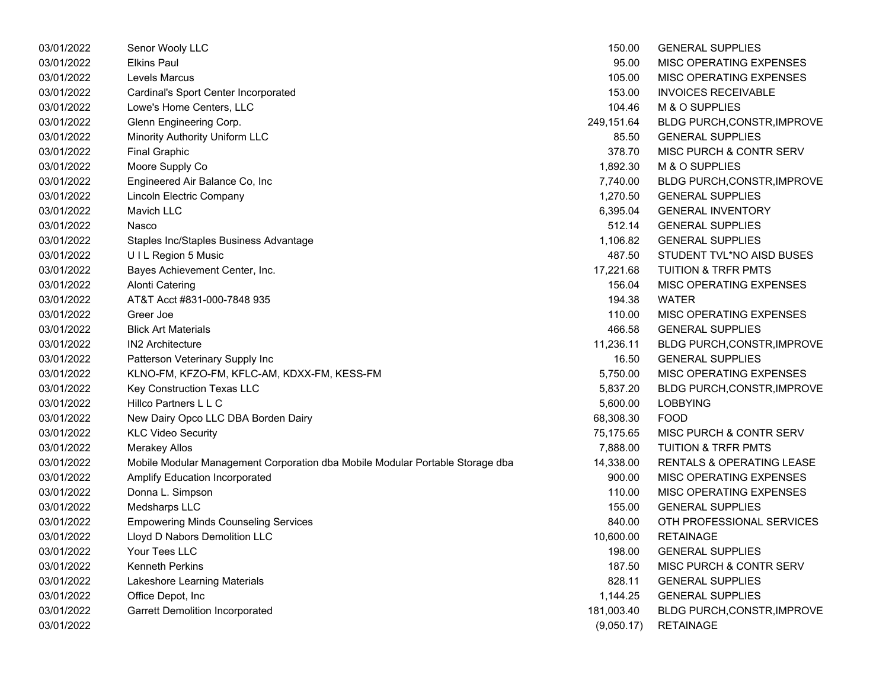| 03/01/2022 | Senor Wooly LLC                                                               | 150.00     | <b>GENERAL SUPPLIES</b>            |
|------------|-------------------------------------------------------------------------------|------------|------------------------------------|
| 03/01/2022 | <b>Elkins Paul</b>                                                            | 95.00      | MISC OPERATING EXPENSES            |
| 03/01/2022 | Levels Marcus                                                                 | 105.00     | MISC OPERATING EXPENSES            |
| 03/01/2022 | Cardinal's Sport Center Incorporated                                          | 153.00     | <b>INVOICES RECEIVABLE</b>         |
| 03/01/2022 | Lowe's Home Centers, LLC                                                      | 104.46     | M & O SUPPLIES                     |
| 03/01/2022 | Glenn Engineering Corp.                                                       | 249,151.64 | BLDG PURCH, CONSTR, IMPROVE        |
| 03/01/2022 | Minority Authority Uniform LLC                                                | 85.50      | <b>GENERAL SUPPLIES</b>            |
| 03/01/2022 | <b>Final Graphic</b>                                                          | 378.70     | MISC PURCH & CONTR SERV            |
| 03/01/2022 | Moore Supply Co                                                               | 1,892.30   | M & O SUPPLIES                     |
| 03/01/2022 | Engineered Air Balance Co, Inc                                                | 7,740.00   | BLDG PURCH, CONSTR, IMPROVE        |
| 03/01/2022 | <b>Lincoln Electric Company</b>                                               | 1,270.50   | <b>GENERAL SUPPLIES</b>            |
| 03/01/2022 | <b>Mavich LLC</b>                                                             | 6,395.04   | <b>GENERAL INVENTORY</b>           |
| 03/01/2022 | Nasco                                                                         | 512.14     | <b>GENERAL SUPPLIES</b>            |
| 03/01/2022 | Staples Inc/Staples Business Advantage                                        | 1,106.82   | <b>GENERAL SUPPLIES</b>            |
| 03/01/2022 | UIL Region 5 Music                                                            | 487.50     | STUDENT TVL*NO AISD BUSES          |
| 03/01/2022 | Bayes Achievement Center, Inc.                                                | 17,221.68  | <b>TUITION &amp; TRFR PMTS</b>     |
| 03/01/2022 | Alonti Catering                                                               | 156.04     | MISC OPERATING EXPENSES            |
| 03/01/2022 | AT&T Acct #831-000-7848 935                                                   | 194.38     | WATER                              |
| 03/01/2022 | Greer Joe                                                                     | 110.00     | <b>MISC OPERATING EXPENSES</b>     |
| 03/01/2022 | <b>Blick Art Materials</b>                                                    | 466.58     | <b>GENERAL SUPPLIES</b>            |
| 03/01/2022 | <b>IN2 Architecture</b>                                                       | 11,236.11  | <b>BLDG PURCH, CONSTR, IMPROVE</b> |
| 03/01/2022 | Patterson Veterinary Supply Inc                                               | 16.50      | <b>GENERAL SUPPLIES</b>            |
| 03/01/2022 | KLNO-FM, KFZO-FM, KFLC-AM, KDXX-FM, KESS-FM                                   | 5,750.00   | MISC OPERATING EXPENSES            |
| 03/01/2022 | Key Construction Texas LLC                                                    | 5,837.20   | BLDG PURCH, CONSTR, IMPROVE        |
| 03/01/2022 | Hillco Partners L L C                                                         | 5,600.00   | <b>LOBBYING</b>                    |
| 03/01/2022 | New Dairy Opco LLC DBA Borden Dairy                                           | 68,308.30  | <b>FOOD</b>                        |
| 03/01/2022 | <b>KLC Video Security</b>                                                     | 75,175.65  | MISC PURCH & CONTR SERV            |
| 03/01/2022 | <b>Merakey Allos</b>                                                          | 7,888.00   | <b>TUITION &amp; TRFR PMTS</b>     |
| 03/01/2022 | Mobile Modular Management Corporation dba Mobile Modular Portable Storage dba | 14,338.00  | RENTALS & OPERATING LEASE          |
| 03/01/2022 | <b>Amplify Education Incorporated</b>                                         | 900.00     | MISC OPERATING EXPENSES            |
| 03/01/2022 | Donna L. Simpson                                                              | 110.00     | MISC OPERATING EXPENSES            |
| 03/01/2022 | Medsharps LLC                                                                 | 155.00     | <b>GENERAL SUPPLIES</b>            |
| 03/01/2022 | <b>Empowering Minds Counseling Services</b>                                   | 840.00     | OTH PROFESSIONAL SERVICES          |
| 03/01/2022 | Lloyd D Nabors Demolition LLC                                                 | 10,600.00  | <b>RETAINAGE</b>                   |
| 03/01/2022 | Your Tees LLC                                                                 | 198.00     | <b>GENERAL SUPPLIES</b>            |
| 03/01/2022 | <b>Kenneth Perkins</b>                                                        | 187.50     | MISC PURCH & CONTR SERV            |
| 03/01/2022 | Lakeshore Learning Materials                                                  | 828.11     | <b>GENERAL SUPPLIES</b>            |
| 03/01/2022 | Office Depot, Inc                                                             | 1,144.25   | <b>GENERAL SUPPLIES</b>            |
| 03/01/2022 | <b>Garrett Demolition Incorporated</b>                                        | 181,003.40 | <b>BLDG PURCH, CONSTR, IMPROVE</b> |
| 03/01/2022 |                                                                               | (9,050.17) | <b>RETAINAGE</b>                   |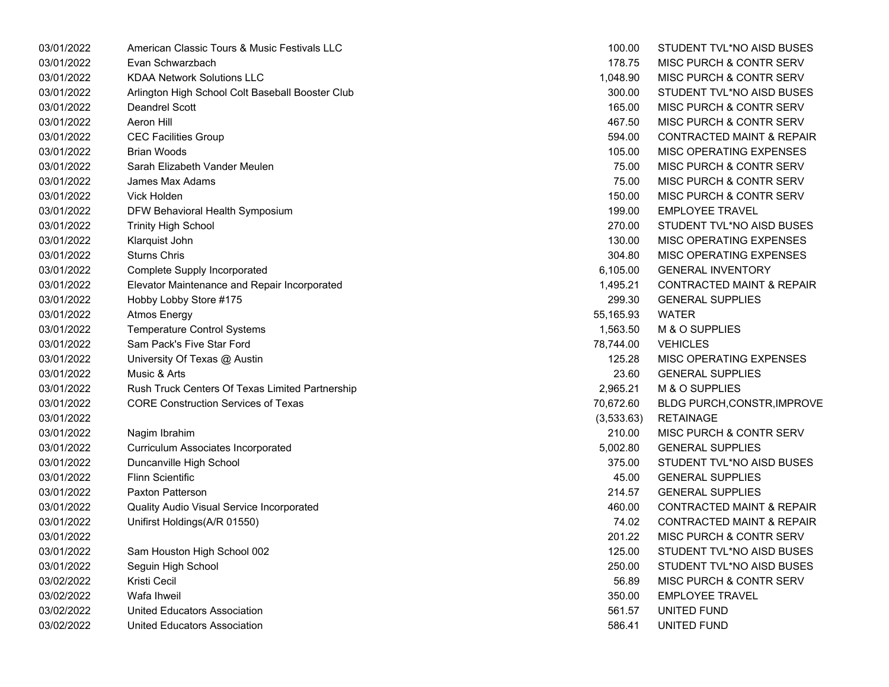| 03/01/2022 | American Classic Tours & Music Festivals LLC     | 100.00     | STUDENT TVL*NO AISD BUSES            |
|------------|--------------------------------------------------|------------|--------------------------------------|
| 03/01/2022 | Evan Schwarzbach                                 | 178.75     | <b>MISC PURCH &amp; CONTR SERV</b>   |
| 03/01/2022 | <b>KDAA Network Solutions LLC</b>                | 1,048.90   | MISC PURCH & CONTR SERV              |
| 03/01/2022 | Arlington High School Colt Baseball Booster Club | 300.00     | STUDENT TVL*NO AISD BUSES            |
| 03/01/2022 | Deandrel Scott                                   | 165.00     | MISC PURCH & CONTR SERV              |
| 03/01/2022 | Aeron Hill                                       | 467.50     | MISC PURCH & CONTR SERV              |
| 03/01/2022 | <b>CEC Facilities Group</b>                      | 594.00     | CONTRACTED MAINT & REPAIR            |
| 03/01/2022 | Brian Woods                                      | 105.00     | MISC OPERATING EXPENSES              |
| 03/01/2022 | Sarah Elizabeth Vander Meulen                    | 75.00      | MISC PURCH & CONTR SERV              |
| 03/01/2022 | James Max Adams                                  | 75.00      | MISC PURCH & CONTR SERV              |
| 03/01/2022 | Vick Holden                                      | 150.00     | MISC PURCH & CONTR SERV              |
| 03/01/2022 | DFW Behavioral Health Symposium                  | 199.00     | <b>EMPLOYEE TRAVEL</b>               |
| 03/01/2022 | <b>Trinity High School</b>                       | 270.00     | STUDENT TVL*NO AISD BUSES            |
| 03/01/2022 | Klarquist John                                   | 130.00     | MISC OPERATING EXPENSES              |
| 03/01/2022 | <b>Sturns Chris</b>                              | 304.80     | MISC OPERATING EXPENSES              |
| 03/01/2022 | <b>Complete Supply Incorporated</b>              | 6,105.00   | <b>GENERAL INVENTORY</b>             |
| 03/01/2022 | Elevator Maintenance and Repair Incorporated     | 1,495.21   | <b>CONTRACTED MAINT &amp; REPAIR</b> |
| 03/01/2022 | Hobby Lobby Store #175                           | 299.30     | <b>GENERAL SUPPLIES</b>              |
| 03/01/2022 | <b>Atmos Energy</b>                              | 55,165.93  | <b>WATER</b>                         |
| 03/01/2022 | <b>Temperature Control Systems</b>               | 1,563.50   | M & O SUPPLIES                       |
| 03/01/2022 | Sam Pack's Five Star Ford                        | 78,744.00  | <b>VEHICLES</b>                      |
| 03/01/2022 | University Of Texas @ Austin                     | 125.28     | MISC OPERATING EXPENSES              |
| 03/01/2022 | Music & Arts                                     | 23.60      | <b>GENERAL SUPPLIES</b>              |
| 03/01/2022 | Rush Truck Centers Of Texas Limited Partnership  | 2,965.21   | M & O SUPPLIES                       |
| 03/01/2022 | <b>CORE Construction Services of Texas</b>       | 70,672.60  | BLDG PURCH, CONSTR, IMPROVE          |
| 03/01/2022 |                                                  | (3,533.63) | <b>RETAINAGE</b>                     |
| 03/01/2022 | Nagim Ibrahim                                    | 210.00     | MISC PURCH & CONTR SERV              |
| 03/01/2022 | Curriculum Associates Incorporated               | 5,002.80   | <b>GENERAL SUPPLIES</b>              |
| 03/01/2022 | Duncanville High School                          | 375.00     | STUDENT TVL*NO AISD BUSES            |
| 03/01/2022 | <b>Flinn Scientific</b>                          | 45.00      | <b>GENERAL SUPPLIES</b>              |
| 03/01/2022 | Paxton Patterson                                 | 214.57     | <b>GENERAL SUPPLIES</b>              |
| 03/01/2022 | Quality Audio Visual Service Incorporated        | 460.00     | CONTRACTED MAINT & REPAIR            |
| 03/01/2022 | Unifirst Holdings(A/R 01550)                     | 74.02      | <b>CONTRACTED MAINT &amp; REPAIR</b> |
| 03/01/2022 |                                                  | 201.22     | MISC PURCH & CONTR SERV              |
| 03/01/2022 | Sam Houston High School 002                      | 125.00     | STUDENT TVL*NO AISD BUSES            |
| 03/01/2022 | Seguin High School                               | 250.00     | STUDENT TVL*NO AISD BUSES            |
| 03/02/2022 | Kristi Cecil                                     | 56.89      | MISC PURCH & CONTR SERV              |
| 03/02/2022 | Wafa Ihweil                                      | 350.00     | <b>EMPLOYEE TRAVEL</b>               |
| 03/02/2022 | <b>United Educators Association</b>              | 561.57     | UNITED FUND                          |
| 03/02/2022 | United Educators Association                     | 586.41     | UNITED FUND                          |

| 100.00     | STUDENT TVL*NO AISD BUSES            |
|------------|--------------------------------------|
| 178.75     | <b>MISC PURCH &amp; CONTR SERV</b>   |
| 1,048.90   | <b>MISC PURCH &amp; CONTR SERV</b>   |
| 300.00     | STUDENT TVL*NO AISD BUSES            |
| 165.00     | <b>MISC PURCH &amp; CONTR SERV</b>   |
| 467.50     | <b>MISC PURCH &amp; CONTR SERV</b>   |
| 594.00     | <b>CONTRACTED MAINT &amp; REPAIR</b> |
| 105.00     | <b>MISC OPERATING EXPENSES</b>       |
| 75.00      | <b>MISC PURCH &amp; CONTR SERV</b>   |
| 75.00      | <b>MISC PURCH &amp; CONTR SERV</b>   |
| 150.00     | <b>MISC PURCH &amp; CONTR SERV</b>   |
| 199.00     | <b>EMPLOYEE TRAVEL</b>               |
| 270.00     | STUDENT TVL*NO AISD BUSES            |
| 130.00     | <b>MISC OPERATING EXPENSES</b>       |
| 304.80     | <b>MISC OPERATING EXPENSES</b>       |
| 6,105.00   | <b>GENERAL INVENTORY</b>             |
| 1,495.21   | <b>CONTRACTED MAINT &amp; REPAIR</b> |
|            | 299.30 GENERAL SUPPLIES              |
| 55,165.93  | WATER                                |
| 1,563.50   | M & O SUPPLIES                       |
| 78,744.00  | <b>VEHICLES</b>                      |
| 125.28     | <b>MISC OPERATING EXPENSES</b>       |
|            | 23.60 GENERAL SUPPLIES               |
| 2,965.21   | M & O SUPPLIES                       |
| 70,672.60  | BLDG PURCH, CONSTR, IMPROVE          |
| (3,533.63) | <b>RETAINAGE</b>                     |
| 210.00     | MISC PURCH & CONTR SERV              |
|            | 5,002.80 GENERAL SUPPLIES            |
| 375.00     | STUDENT TVL*NO AISD BUSES            |
| 45.00      | <b>GENERAL SUPPLIES</b>              |
| 214.57     | <b>GENERAL SUPPLIES</b>              |
| 460.00     | <b>CONTRACTED MAINT &amp; REPAIR</b> |
| 74.02      | <b>CONTRACTED MAINT &amp; REPAIR</b> |
| 201.22     | MISC PURCH & CONTR SERV              |
| 125.00     | STUDENT TVL*NO AISD BUSES            |
| 250.00     | STUDENT TVL*NO AISD BUSES            |
| 56.89      | <b>MISC PURCH &amp; CONTR SERV</b>   |
| 350.00     | <b>EMPLOYEE TRAVEL</b>               |
| 561.57     | UNITED FUND                          |
| 586.41     | UNITED FUND                          |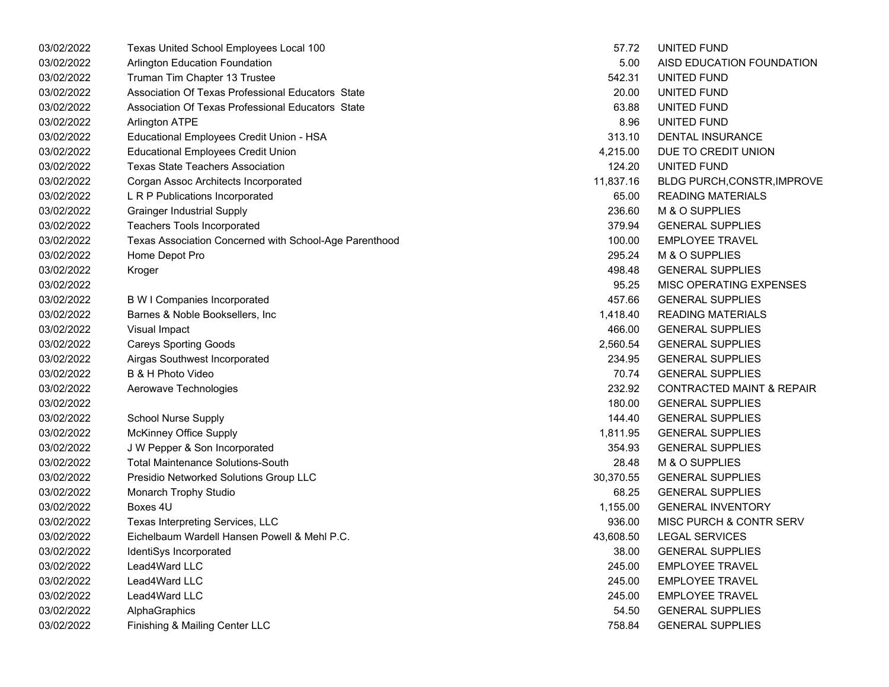| 5.00<br>542.31 | AISD EDUCATION FOUNDATION<br>UNITED FUND |
|----------------|------------------------------------------|
|                |                                          |
|                |                                          |
|                | UNITED FUND                              |
| 63.88          | UNITED FUND                              |
| 8.96           | UNITED FUND                              |
| 313.10         | <b>DENTAL INSURANCE</b>                  |
| 4,215.00       | DUE TO CREDIT UNION                      |
| 124.20         | UNITED FUND                              |
| 11,837.16      | BLDG PURCH, CONSTR, IMPROVE              |
| 65.00          | <b>READING MATERIALS</b>                 |
| 236.60         | M & O SUPPLIES                           |
| 379.94         | <b>GENERAL SUPPLIES</b>                  |
| 100.00         | <b>EMPLOYEE TRAVEL</b>                   |
| 295.24         | M & O SUPPLIES                           |
| 498.48         | <b>GENERAL SUPPLIES</b>                  |
| 95.25          | MISC OPERATING EXPENSES                  |
| 457.66         | <b>GENERAL SUPPLIES</b>                  |
| 1,418.40       | <b>READING MATERIALS</b>                 |
| 466.00         | <b>GENERAL SUPPLIES</b>                  |
| 2,560.54       | <b>GENERAL SUPPLIES</b>                  |
| 234.95         | <b>GENERAL SUPPLIES</b>                  |
| 70.74          | <b>GENERAL SUPPLIES</b>                  |
| 232.92         | <b>CONTRACTED MAINT &amp; REPAIR</b>     |
| 180.00         | <b>GENERAL SUPPLIES</b>                  |
| 144.40         | <b>GENERAL SUPPLIES</b>                  |
| 1,811.95       | <b>GENERAL SUPPLIES</b>                  |
| 354.93         | <b>GENERAL SUPPLIES</b>                  |
| 28.48          | M & O SUPPLIES                           |
| 30,370.55      | <b>GENERAL SUPPLIES</b>                  |
| 68.25          | <b>GENERAL SUPPLIES</b>                  |
| 1,155.00       | <b>GENERAL INVENTORY</b>                 |
| 936.00         | MISC PURCH & CONTR SERV                  |
| 43,608.50      | <b>LEGAL SERVICES</b>                    |
| 38.00          | <b>GENERAL SUPPLIES</b>                  |
| 245.00         | <b>EMPLOYEE TRAVEL</b>                   |
| 245.00         | <b>EMPLOYEE TRAVEL</b>                   |
| 245.00         | <b>EMPLOYEE TRAVEL</b>                   |
| 54.50          | <b>GENERAL SUPPLIES</b>                  |
| 758.84         | <b>GENERAL SUPPLIES</b>                  |
|                | 20.00                                    |

| 57.72     | UNITED FUND                          |
|-----------|--------------------------------------|
| 5.00      | AISD EDUCATION FOUNDATION            |
| 542.31    | UNITED FUND                          |
| 20.00     | UNITED FUND                          |
| 63.88     | UNITED FUND                          |
| 8.96      | UNITED FUND                          |
| 313.10    | <b>DENTAL INSURANCE</b>              |
| 4,215.00  | DUE TO CREDIT UNION                  |
| 124.20    | UNITED FUND                          |
| 11,837.16 | BLDG PURCH, CONSTR, IMPROVE          |
| 65.00     | <b>READING MATERIALS</b>             |
| 236.60    | M & O SUPPLIES                       |
| 379.94    | <b>GENERAL SUPPLIES</b>              |
| 100.00    | <b>EMPLOYEE TRAVEL</b>               |
| 295.24    | M & O SUPPLIES                       |
| 498.48    | <b>GENERAL SUPPLIES</b>              |
| 95.25     | MISC OPERATING EXPENSES              |
| 457.66    | <b>GENERAL SUPPLIES</b>              |
| 1,418.40  | <b>READING MATERIALS</b>             |
| 466.00    | <b>GENERAL SUPPLIES</b>              |
| 2,560.54  | <b>GENERAL SUPPLIES</b>              |
| 234.95    | <b>GENERAL SUPPLIES</b>              |
| 70.74     | <b>GENERAL SUPPLIES</b>              |
| 232.92    | <b>CONTRACTED MAINT &amp; REPAIR</b> |
| 180.00    | <b>GENERAL SUPPLIES</b>              |
| 144.40    | <b>GENERAL SUPPLIES</b>              |
| 1,811.95  | <b>GENERAL SUPPLIES</b>              |
| 354.93    | <b>GENERAL SUPPLIES</b>              |
| 28.48     | <b>M &amp; O SUPPLIES</b>            |
| 30,370.55 | <b>GENERAL SUPPLIES</b>              |
| 68.25     | <b>GENERAL SUPPLIES</b>              |
| 1,155.00  | <b>GENERAL INVENTORY</b>             |
| 936.00    | <b>MISC PURCH &amp; CONTR SERV</b>   |
| 43,608.50 | <b>LEGAL SERVICES</b>                |
| 38.00     | <b>GENERAL SUPPLIES</b>              |
| 245.00    | <b>EMPLOYEE TRAVEL</b>               |
| 245.00    | <b>EMPLOYEE TRAVEL</b>               |
| 245.00    | <b>EMPLOYEE TRAVEL</b>               |
| 54.50     | <b>GENERAL SUPPLIES</b>              |
| 758.84    | <b>GENERAL SUPPLIES</b>              |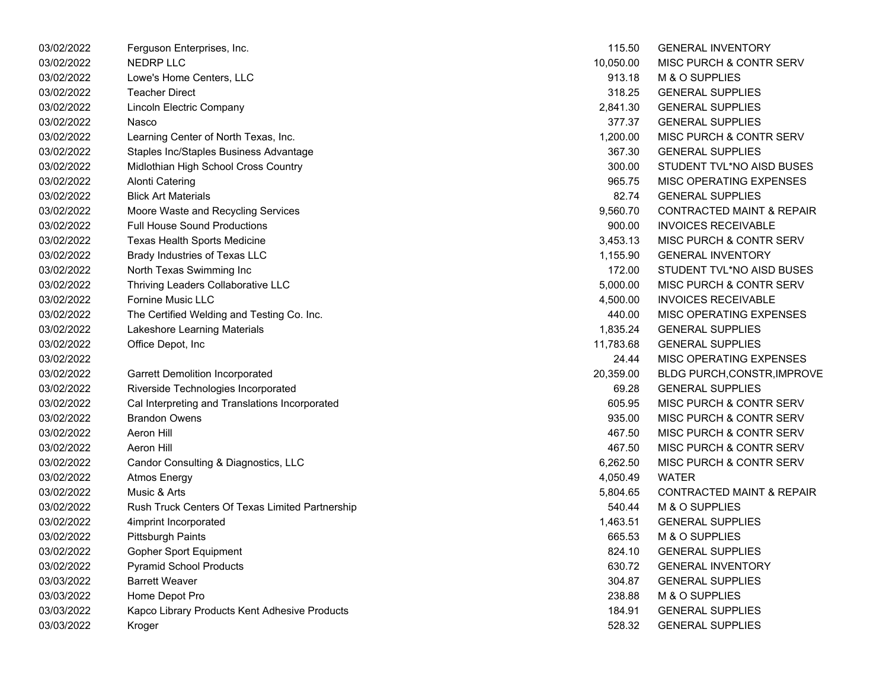| 03/02/2022 | Ferguson Enterprises, Inc.                      | 115.50    | <b>GENERAL INVENTORY</b>             |
|------------|-------------------------------------------------|-----------|--------------------------------------|
| 03/02/2022 | <b>NEDRP LLC</b>                                | 10,050.00 | <b>MISC PURCH &amp; CONTR SERV</b>   |
| 03/02/2022 | Lowe's Home Centers, LLC                        | 913.18    | M & O SUPPLIES                       |
| 03/02/2022 | <b>Teacher Direct</b>                           | 318.25    | <b>GENERAL SUPPLIES</b>              |
| 03/02/2022 | Lincoln Electric Company                        | 2,841.30  | <b>GENERAL SUPPLIES</b>              |
| 03/02/2022 | Nasco                                           | 377.37    | <b>GENERAL SUPPLIES</b>              |
| 03/02/2022 | Learning Center of North Texas, Inc.            | 1,200.00  | MISC PURCH & CONTR SERV              |
| 03/02/2022 | Staples Inc/Staples Business Advantage          | 367.30    | <b>GENERAL SUPPLIES</b>              |
| 03/02/2022 | Midlothian High School Cross Country            | 300.00    | STUDENT TVL*NO AISD BUSES            |
| 03/02/2022 | Alonti Catering                                 | 965.75    | MISC OPERATING EXPENSES              |
| 03/02/2022 | <b>Blick Art Materials</b>                      | 82.74     | <b>GENERAL SUPPLIES</b>              |
| 03/02/2022 | Moore Waste and Recycling Services              | 9,560.70  | <b>CONTRACTED MAINT &amp; REPAIR</b> |
| 03/02/2022 | <b>Full House Sound Productions</b>             | 900.00    | <b>INVOICES RECEIVABLE</b>           |
| 03/02/2022 | Texas Health Sports Medicine                    | 3,453.13  | <b>MISC PURCH &amp; CONTR SERV</b>   |
| 03/02/2022 | Brady Industries of Texas LLC                   | 1,155.90  | <b>GENERAL INVENTORY</b>             |
| 03/02/2022 | North Texas Swimming Inc                        | 172.00    | STUDENT TVL*NO AISD BUSES            |
| 03/02/2022 | Thriving Leaders Collaborative LLC              | 5,000.00  | <b>MISC PURCH &amp; CONTR SERV</b>   |
| 03/02/2022 | Fornine Music LLC                               | 4,500.00  | <b>INVOICES RECEIVABLE</b>           |
| 03/02/2022 | The Certified Welding and Testing Co. Inc.      | 440.00    | <b>MISC OPERATING EXPENSES</b>       |
| 03/02/2022 | Lakeshore Learning Materials                    | 1,835.24  | <b>GENERAL SUPPLIES</b>              |
| 03/02/2022 | Office Depot, Inc                               | 11,783.68 | <b>GENERAL SUPPLIES</b>              |
| 03/02/2022 |                                                 | 24.44     | <b>MISC OPERATING EXPENSES</b>       |
| 03/02/2022 | <b>Garrett Demolition Incorporated</b>          | 20,359.00 | BLDG PURCH,CONSTR, IMPROVE           |
| 03/02/2022 | Riverside Technologies Incorporated             | 69.28     | <b>GENERAL SUPPLIES</b>              |
| 03/02/2022 | Cal Interpreting and Translations Incorporated  | 605.95    | <b>MISC PURCH &amp; CONTR SERV</b>   |
| 03/02/2022 | <b>Brandon Owens</b>                            | 935.00    | <b>MISC PURCH &amp; CONTR SERV</b>   |
| 03/02/2022 | <b>Aeron Hill</b>                               | 467.50    | MISC PURCH & CONTR SERV              |
| 03/02/2022 | <b>Aeron Hill</b>                               | 467.50    | MISC PURCH & CONTR SERV              |
| 03/02/2022 | Candor Consulting & Diagnostics, LLC            | 6,262.50  | <b>MISC PURCH &amp; CONTR SERV</b>   |
| 03/02/2022 | Atmos Energy                                    | 4,050.49  | <b>WATER</b>                         |
| 03/02/2022 | Music & Arts                                    | 5,804.65  | <b>CONTRACTED MAINT &amp; REPAIR</b> |
| 03/02/2022 | Rush Truck Centers Of Texas Limited Partnership | 540.44    | M & O SUPPLIES                       |
| 03/02/2022 | 4imprint Incorporated                           | 1,463.51  | <b>GENERAL SUPPLIES</b>              |
| 03/02/2022 | Pittsburgh Paints                               | 665.53    | M & O SUPPLIES                       |
| 03/02/2022 | <b>Gopher Sport Equipment</b>                   | 824.10    | <b>GENERAL SUPPLIES</b>              |
| 03/02/2022 | <b>Pyramid School Products</b>                  | 630.72    | <b>GENERAL INVENTORY</b>             |
| 03/03/2022 | <b>Barrett Weaver</b>                           | 304.87    | <b>GENERAL SUPPLIES</b>              |
| 03/03/2022 | Home Depot Pro                                  | 238.88    | M & O SUPPLIES                       |
| 03/03/2022 | Kapco Library Products Kent Adhesive Products   | 184.91    | <b>GENERAL SUPPLIES</b>              |
| 03/03/2022 | Kroger                                          | 528.32    | <b>GENERAL SUPPLIES</b>              |

| 115.50    | <b>GENERAL INVENTORY</b>             |
|-----------|--------------------------------------|
| 10,050.00 | <b>MISC PURCH &amp; CONTR SERV</b>   |
| 913.18    | M & O SUPPLIES                       |
| 318.25    | <b>GENERAL SUPPLIES</b>              |
| 2,841.30  | <b>GENERAL SUPPLIES</b>              |
| 377.37    | <b>GENERAL SUPPLIES</b>              |
| 1,200.00  | <b>MISC PURCH &amp; CONTR SERV</b>   |
| 367.30    | <b>GENERAL SUPPLIES</b>              |
| 300.00    | STUDENT TVL*NO AISD BUSES            |
| 965.75    | <b>MISC OPERATING EXPENSES</b>       |
| 82.74     | <b>GENERAL SUPPLIES</b>              |
| 9,560.70  | <b>CONTRACTED MAINT &amp; REPAIR</b> |
| 900.00    | <b>INVOICES RECEIVABLE</b>           |
| 3,453.13  | <b>MISC PURCH &amp; CONTR SERV</b>   |
| 1,155.90  | <b>GENERAL INVENTORY</b>             |
| 172.00    | <b>STUDENT TVL*NO AISD BUSES</b>     |
| 5,000.00  | <b>MISC PURCH &amp; CONTR SERV</b>   |
| 4,500.00  | <b>INVOICES RECEIVABLE</b>           |
| 440.00    | <b>MISC OPERATING EXPENSES</b>       |
| 1,835.24  | <b>GENERAL SUPPLIES</b>              |
| 11,783.68 | <b>GENERAL SUPPLIES</b>              |
| 24.44     | <b>MISC OPERATING EXPENSES</b>       |
| 20,359.00 | <b>BLDG PURCH, CONSTR, IMPROVE</b>   |
| 69.28     | <b>GENERAL SUPPLIES</b>              |
| 605.95    | <b>MISC PURCH &amp; CONTR SERV</b>   |
| 935.00    | <b>MISC PURCH &amp; CONTR SERV</b>   |
| 467.50    | <b>MISC PURCH &amp; CONTR SERV</b>   |
| 467.50    | <b>MISC PURCH &amp; CONTR SERV</b>   |
| 6,262.50  | <b>MISC PURCH &amp; CONTR SERV</b>   |
| 4,050.49  | WATER                                |
| 5,804.65  | <b>CONTRACTED MAINT &amp; REPAIR</b> |
| 540.44    | M & O SUPPLIES                       |
| 1,463.51  | <b>GENERAL SUPPLIES</b>              |
| 665.53    | M & O SUPPLIES                       |
| 824.10    | <b>GENERAL SUPPLIES</b>              |
| 630.72    | <b>GENERAL INVENTORY</b>             |
| 304.87    | <b>GENERAL SUPPLIES</b>              |
| 238.88    | M & O SUPPLIES                       |
| 184.91    | <b>GENERAL SUPPLIES</b>              |
| 528.32    | <b>GENERAL SUPPLIES</b>              |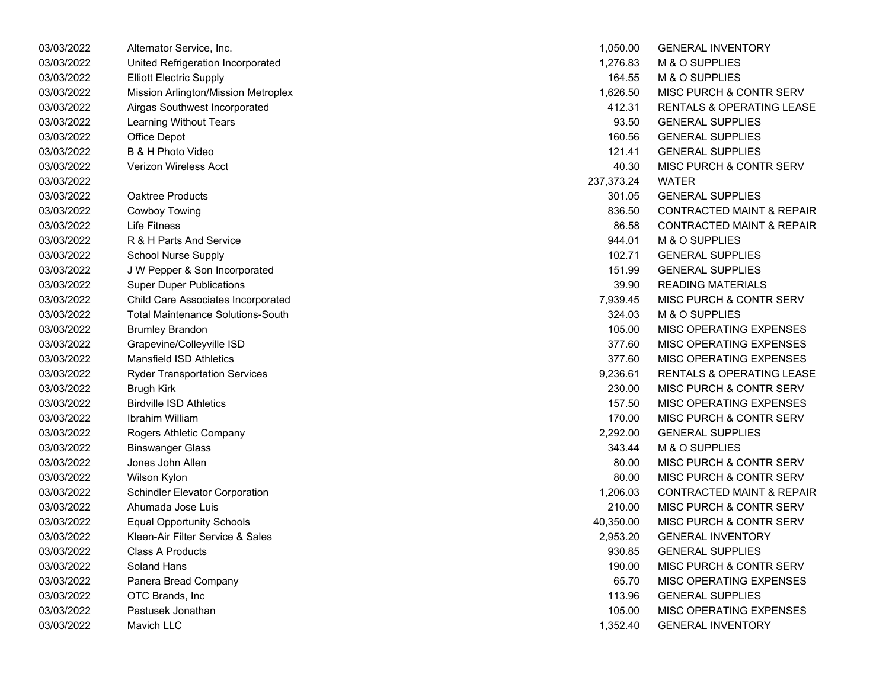| 03/03/2022 | Alternator Service, Inc.                 | 1,050.00   | <b>GENERAL INVENTORY</b>             |
|------------|------------------------------------------|------------|--------------------------------------|
| 03/03/2022 | United Refrigeration Incorporated        | 1,276.83   | M & O SUPPLIES                       |
| 03/03/2022 | <b>Elliott Electric Supply</b>           | 164.55     | M & O SUPPLIES                       |
| 03/03/2022 | Mission Arlington/Mission Metroplex      | 1,626.50   | MISC PURCH & CONTR SERV              |
| 03/03/2022 | Airgas Southwest Incorporated            | 412.31     | <b>RENTALS &amp; OPERATING LEASE</b> |
| 03/03/2022 | Learning Without Tears                   | 93.50      | <b>GENERAL SUPPLIES</b>              |
| 03/03/2022 | Office Depot                             | 160.56     | <b>GENERAL SUPPLIES</b>              |
| 03/03/2022 | <b>B &amp; H Photo Video</b>             | 121.41     | <b>GENERAL SUPPLIES</b>              |
| 03/03/2022 | Verizon Wireless Acct                    | 40.30      | <b>MISC PURCH &amp; CONTR SERV</b>   |
| 03/03/2022 |                                          | 237,373.24 | <b>WATER</b>                         |
| 03/03/2022 | Oaktree Products                         | 301.05     | <b>GENERAL SUPPLIES</b>              |
| 03/03/2022 | <b>Cowboy Towing</b>                     | 836.50     | <b>CONTRACTED MAINT &amp; REPAIR</b> |
| 03/03/2022 | <b>Life Fitness</b>                      | 86.58      | <b>CONTRACTED MAINT &amp; REPAIR</b> |
| 03/03/2022 | R & H Parts And Service                  | 944.01     | M & O SUPPLIES                       |
| 03/03/2022 | School Nurse Supply                      | 102.71     | <b>GENERAL SUPPLIES</b>              |
| 03/03/2022 | J W Pepper & Son Incorporated            | 151.99     | <b>GENERAL SUPPLIES</b>              |
| 03/03/2022 | <b>Super Duper Publications</b>          | 39.90      | <b>READING MATERIALS</b>             |
| 03/03/2022 | Child Care Associates Incorporated       | 7,939.45   | <b>MISC PURCH &amp; CONTR SERV</b>   |
| 03/03/2022 | <b>Total Maintenance Solutions-South</b> | 324.03     | M & O SUPPLIES                       |
| 03/03/2022 | <b>Brumley Brandon</b>                   | 105.00     | MISC OPERATING EXPENSES              |
| 03/03/2022 | Grapevine/Colleyville ISD                | 377.60     | MISC OPERATING EXPENSES              |
| 03/03/2022 | <b>Mansfield ISD Athletics</b>           | 377.60     | MISC OPERATING EXPENSES              |
| 03/03/2022 | <b>Ryder Transportation Services</b>     | 9,236.61   | <b>RENTALS &amp; OPERATING LEASE</b> |
| 03/03/2022 | Brugh Kirk                               | 230.00     | MISC PURCH & CONTR SERV              |
| 03/03/2022 | <b>Birdville ISD Athletics</b>           | 157.50     | MISC OPERATING EXPENSES              |
| 03/03/2022 | <b>Ibrahim William</b>                   | 170.00     | MISC PURCH & CONTR SERV              |
| 03/03/2022 | Rogers Athletic Company                  | 2,292.00   | <b>GENERAL SUPPLIES</b>              |
| 03/03/2022 | <b>Binswanger Glass</b>                  | 343.44     | M & O SUPPLIES                       |
| 03/03/2022 | Jones John Allen                         | 80.00      | MISC PURCH & CONTR SERV              |
| 03/03/2022 | Wilson Kylon                             | 80.00      | MISC PURCH & CONTR SERV              |
| 03/03/2022 | <b>Schindler Elevator Corporation</b>    | 1,206.03   | <b>CONTRACTED MAINT &amp; REPAIR</b> |
| 03/03/2022 | Ahumada Jose Luis                        | 210.00     | MISC PURCH & CONTR SERV              |
| 03/03/2022 | <b>Equal Opportunity Schools</b>         | 40,350.00  | MISC PURCH & CONTR SERV              |
| 03/03/2022 | Kleen-Air Filter Service & Sales         | 2,953.20   | <b>GENERAL INVENTORY</b>             |
| 03/03/2022 | <b>Class A Products</b>                  | 930.85     | <b>GENERAL SUPPLIES</b>              |
| 03/03/2022 | <b>Soland Hans</b>                       | 190.00     | MISC PURCH & CONTR SERV              |
| 03/03/2022 | Panera Bread Company                     | 65.70      | MISC OPERATING EXPENSES              |
| 03/03/2022 | OTC Brands, Inc                          | 113.96     | <b>GENERAL SUPPLIES</b>              |
| 03/03/2022 | Pastusek Jonathan                        | 105.00     | MISC OPERATING EXPENSES              |
| 03/03/2022 | Mavich LLC                               | 1.352.40   | <b>GENERAL INVENTORY</b>             |

| 1,050.00   | <b>GENERAL INVENTORY</b>             |
|------------|--------------------------------------|
| 1,276.83   | M & O SUPPLIES                       |
| 164.55     | <b>M &amp; O SUPPLIES</b>            |
| 1,626.50   | <b>MISC PURCH &amp; CONTR SERV</b>   |
| 412.31     | <b>RENTALS &amp; OPERATING LEASE</b> |
| 93.50      | <b>GENERAL SUPPLIES</b>              |
| 160.56     | <b>GENERAL SUPPLIES</b>              |
| 121.41     | <b>GENERAL SUPPLIES</b>              |
| 40.30      | <b>MISC PURCH &amp; CONTR SERV</b>   |
| 237,373.24 | WATER                                |
| 301.05     | <b>GENERAL SUPPLIES</b>              |
| 836.50     | <b>CONTRACTED MAINT &amp; REPAIR</b> |
| 86.58      | <b>CONTRACTED MAINT &amp; REPAIR</b> |
| 944.01     | <b>M &amp; O SUPPLIES</b>            |
| 102.71     | <b>GENERAL SUPPLIES</b>              |
| 151.99     | <b>GENERAL SUPPLIES</b>              |
| 39.90      | <b>READING MATERIALS</b>             |
| 7,939.45   | <b>MISC PURCH &amp; CONTR SERV</b>   |
| 324.03     | <b>M &amp; O SUPPLIES</b>            |
| 105.00     | <b>MISC OPERATING EXPENSES</b>       |
| 377.60     | <b>MISC OPERATING EXPENSES</b>       |
| 377.60     | <b>MISC OPERATING EXPENSES</b>       |
| 9,236.61   | <b>RENTALS &amp; OPERATING LEASE</b> |
| 230.00     | MISC PURCH & CONTR SERV              |
| 157.50     | <b>MISC OPERATING EXPENSES</b>       |
| 170.00     | <b>MISC PURCH &amp; CONTR SERV</b>   |
| 2,292.00   | <b>GENERAL SUPPLIES</b>              |
| 343.44     | <b>M &amp; O SUPPLIES</b>            |
| 80.00      | <b>MISC PURCH &amp; CONTR SERV</b>   |
| 80.00      | <b>MISC PURCH &amp; CONTR SERV</b>   |
| 1.206.03   | <b>CONTRACTED MAINT &amp; REPAIR</b> |
| 210.00     | <b>MISC PURCH &amp; CONTR SERV</b>   |
| 40,350.00  | <b>MISC PURCH &amp; CONTR SERV</b>   |
| 2,953.20   | <b>GENERAL INVENTORY</b>             |
| 930.85     | <b>GENERAL SUPPLIES</b>              |
| 190.00     | <b>MISC PURCH &amp; CONTR SERV</b>   |
| 65.70      | <b>MISC OPERATING EXPENSES</b>       |
| 113.96     | <b>GENERAL SUPPLIES</b>              |
| 105.00     | <b>MISC OPERATING EXPENSES</b>       |
| 1,352.40   | <b>GENERAL INVENTORY</b>             |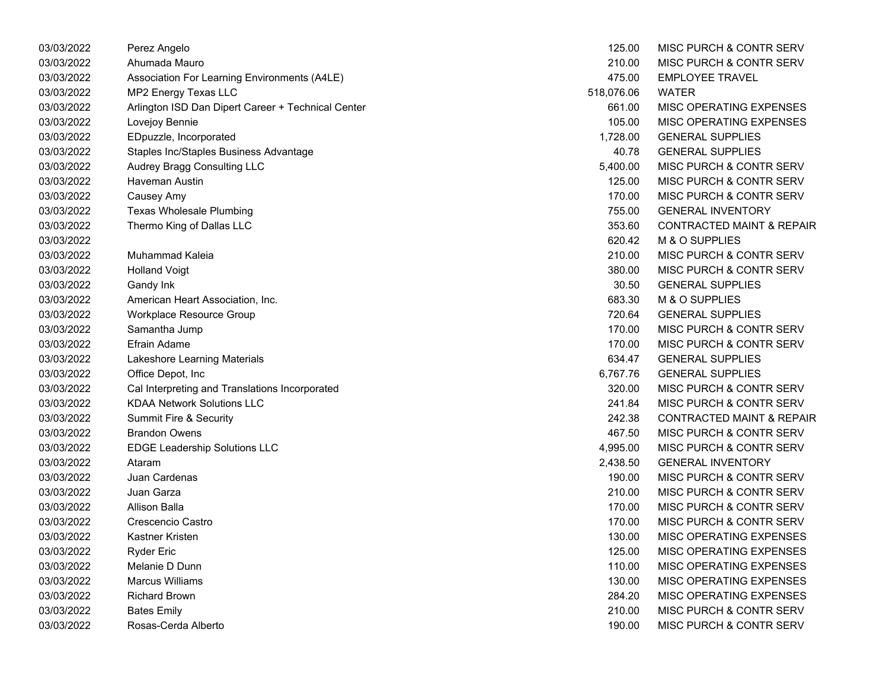| 03/03/2022 | Perez Angelo                                       | 125.00     | <b>MISC PURCH &amp; CONTR SERV</b>   |
|------------|----------------------------------------------------|------------|--------------------------------------|
| 03/03/2022 | Ahumada Mauro                                      | 210.00     | MISC PURCH & CONTR SERV              |
| 03/03/2022 | Association For Learning Environments (A4LE)       | 475.00     | <b>EMPLOYEE TRAVEL</b>               |
| 03/03/2022 | MP2 Energy Texas LLC                               | 518,076.06 | <b>WATER</b>                         |
| 03/03/2022 | Arlington ISD Dan Dipert Career + Technical Center | 661.00     | MISC OPERATING EXPENSES              |
| 03/03/2022 | Lovejoy Bennie                                     | 105.00     | MISC OPERATING EXPENSES              |
| 03/03/2022 | EDpuzzle, Incorporated                             | 1,728.00   | <b>GENERAL SUPPLIES</b>              |
| 03/03/2022 | Staples Inc/Staples Business Advantage             | 40.78      | <b>GENERAL SUPPLIES</b>              |
| 03/03/2022 | Audrey Bragg Consulting LLC                        | 5,400.00   | <b>MISC PURCH &amp; CONTR SERV</b>   |
| 03/03/2022 | Haveman Austin                                     | 125.00     | MISC PURCH & CONTR SERV              |
| 03/03/2022 | Causey Amy                                         | 170.00     | MISC PURCH & CONTR SERV              |
| 03/03/2022 | <b>Texas Wholesale Plumbing</b>                    | 755.00     | <b>GENERAL INVENTORY</b>             |
| 03/03/2022 | Thermo King of Dallas LLC                          | 353.60     | <b>CONTRACTED MAINT &amp; REPAIR</b> |
| 03/03/2022 |                                                    | 620.42     | M & O SUPPLIES                       |
| 03/03/2022 | Muhammad Kaleia                                    | 210.00     | MISC PURCH & CONTR SERV              |
| 03/03/2022 | <b>Holland Voigt</b>                               | 380.00     | MISC PURCH & CONTR SERV              |
| 03/03/2022 | Gandy Ink                                          | 30.50      | <b>GENERAL SUPPLIES</b>              |
| 03/03/2022 | American Heart Association, Inc.                   | 683.30     | M & O SUPPLIES                       |
| 03/03/2022 | Workplace Resource Group                           | 720.64     | <b>GENERAL SUPPLIES</b>              |
| 03/03/2022 | Samantha Jump                                      | 170.00     | MISC PURCH & CONTR SERV              |
| 03/03/2022 | <b>Efrain Adame</b>                                | 170.00     | MISC PURCH & CONTR SERV              |
| 03/03/2022 | Lakeshore Learning Materials                       | 634.47     | <b>GENERAL SUPPLIES</b>              |
| 03/03/2022 | Office Depot, Inc.                                 | 6,767.76   | <b>GENERAL SUPPLIES</b>              |
| 03/03/2022 | Cal Interpreting and Translations Incorporated     | 320.00     | MISC PURCH & CONTR SERV              |
| 03/03/2022 | <b>KDAA Network Solutions LLC</b>                  | 241.84     | MISC PURCH & CONTR SERV              |
| 03/03/2022 | Summit Fire & Security                             | 242.38     | <b>CONTRACTED MAINT &amp; REPAIR</b> |
| 03/03/2022 | <b>Brandon Owens</b>                               | 467.50     | MISC PURCH & CONTR SERV              |
| 03/03/2022 | <b>EDGE Leadership Solutions LLC</b>               | 4,995.00   | MISC PURCH & CONTR SERV              |
| 03/03/2022 | Ataram                                             | 2,438.50   | <b>GENERAL INVENTORY</b>             |
| 03/03/2022 | Juan Cardenas                                      | 190.00     | MISC PURCH & CONTR SERV              |
| 03/03/2022 | Juan Garza                                         | 210.00     | MISC PURCH & CONTR SERV              |
| 03/03/2022 | Allison Balla                                      | 170.00     | MISC PURCH & CONTR SERV              |
| 03/03/2022 | Crescencio Castro                                  | 170.00     | MISC PURCH & CONTR SERV              |
| 03/03/2022 | Kastner Kristen                                    | 130.00     | MISC OPERATING EXPENSES              |
| 03/03/2022 | <b>Ryder Eric</b>                                  | 125.00     | MISC OPERATING EXPENSES              |
| 03/03/2022 | Melanie D Dunn                                     | 110.00     | MISC OPERATING EXPENSES              |
| 03/03/2022 | <b>Marcus Williams</b>                             | 130.00     | MISC OPERATING EXPENSES              |
| 03/03/2022 | <b>Richard Brown</b>                               | 284.20     | MISC OPERATING EXPENSES              |
| 03/03/2022 | <b>Bates Emily</b>                                 | 210.00     | MISC PURCH & CONTR SERV              |
| 03/03/2022 | Rosas-Cerda Alberto                                | 190.00     | MISC PURCH & CONTR SERV              |

| 125.00    | MISC PURCH & CONTR SERV              |
|-----------|--------------------------------------|
| 210.00    | MISC PURCH & CONTR SERV              |
| 475.00    | <b>EMPLOYEE TRAVEL</b>               |
| 18,076.06 | <b>WATER</b>                         |
| 661.00    | MISC OPERATING EXPENSES              |
| 105.00    | <b>MISC OPERATING EXPENSES</b>       |
| 1,728.00  | <b>GENERAL SUPPLIES</b>              |
| 40.78     | <b>GENERAL SUPPLIES</b>              |
| 5,400.00  | MISC PURCH & CONTR SERV              |
| 125.00    | MISC PURCH & CONTR SERV              |
| 170.00    | <b>MISC PURCH &amp; CONTR SERV</b>   |
| 755.00    | <b>GENERAL INVENTORY</b>             |
| 353.60    | <b>CONTRACTED MAINT &amp; REPAIR</b> |
| 620.42    | M & O SUPPLIES                       |
| 210.00    | <b>MISC PURCH &amp; CONTR SERV</b>   |
| 380.00    | <b>MISC PURCH &amp; CONTR SERV</b>   |
| 30.50     | <b>GENERAL SUPPLIES</b>              |
| 683.30    | M & O SUPPLIES                       |
| 720.64    | <b>GENERAL SUPPLIES</b>              |
| 170.00    | <b>MISC PURCH &amp; CONTR SERV</b>   |
| 170.00    | <b>MISC PURCH &amp; CONTR SERV</b>   |
| 634.47    | <b>GENERAL SUPPLIES</b>              |
| 6,767.76  | <b>GENERAL SUPPLIES</b>              |
| 320.00    | MISC PURCH & CONTR SERV              |
| 241.84    | <b>MISC PURCH &amp; CONTR SERV</b>   |
| 242.38    | <b>CONTRACTED MAINT &amp; REPAIR</b> |
| 467.50    | <b>MISC PURCH &amp; CONTR SERV</b>   |
| 4,995.00  | <b>MISC PURCH &amp; CONTR SERV</b>   |
| 2,438.50  | <b>GENERAL INVENTORY</b>             |
| 190.00    | MISC PURCH & CONTR SERV              |
| 210.00    | MISC PURCH & CONTR SERV              |
| 170.00    | <b>MISC PURCH &amp; CONTR SERV</b>   |
| 170.00    | <b>MISC PURCH &amp; CONTR SERV</b>   |
| 130.00    | <b>MISC OPERATING EXPENSES</b>       |
| 125.00    | MISC OPERATING EXPENSES              |
| 110.00    | <b>MISC OPERATING EXPENSES</b>       |
| 130.00    | <b>MISC OPERATING EXPENSES</b>       |
| 284.20    | <b>MISC OPERATING EXPENSES</b>       |
| 210.00    | <b>MISC PURCH &amp; CONTR SERV</b>   |
| 190.00    | MISC PURCH & CONTR SERV              |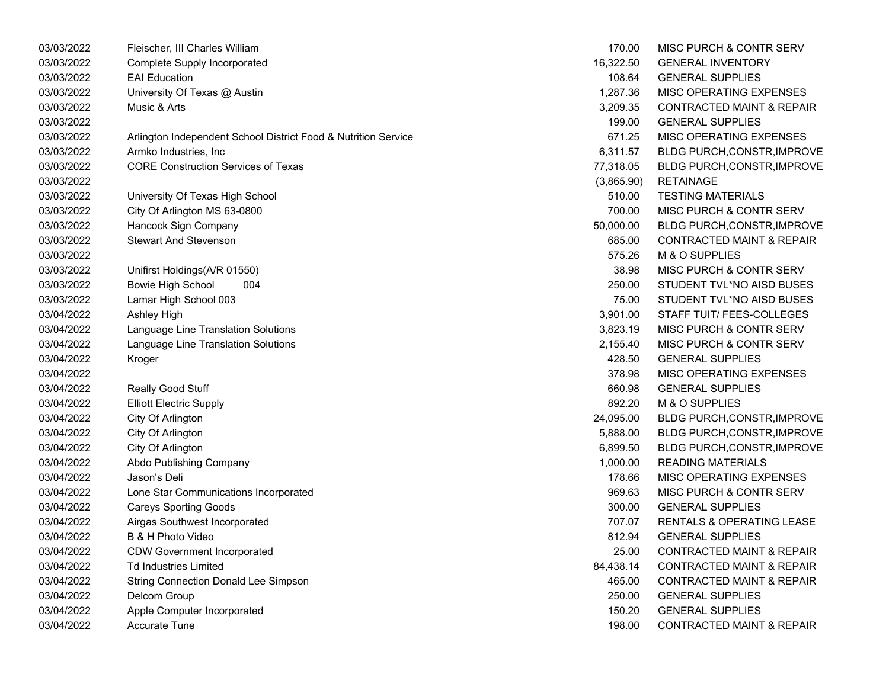| 03/03/2022 | Fleischer, III Charles William                                 | 170.00     | MISC PURCH & CONTR SERV              |
|------------|----------------------------------------------------------------|------------|--------------------------------------|
| 03/03/2022 | <b>Complete Supply Incorporated</b>                            | 16,322.50  | <b>GENERAL INVENTORY</b>             |
| 03/03/2022 | <b>EAI Education</b>                                           | 108.64     | <b>GENERAL SUPPLIES</b>              |
| 03/03/2022 | University Of Texas @ Austin                                   | 1,287.36   | MISC OPERATING EXPENSES              |
| 03/03/2022 | Music & Arts                                                   | 3,209.35   | <b>CONTRACTED MAINT &amp; REPAIR</b> |
| 03/03/2022 |                                                                | 199.00     | <b>GENERAL SUPPLIES</b>              |
| 03/03/2022 | Arlington Independent School District Food & Nutrition Service | 671.25     | MISC OPERATING EXPENSES              |
| 03/03/2022 | Armko Industries, Inc                                          | 6,311.57   | <b>BLDG PURCH, CONSTR, IMPROVE</b>   |
| 03/03/2022 | <b>CORE Construction Services of Texas</b>                     | 77,318.05  | <b>BLDG PURCH, CONSTR, IMPROVE</b>   |
| 03/03/2022 |                                                                | (3,865.90) | <b>RETAINAGE</b>                     |
| 03/03/2022 | University Of Texas High School                                | 510.00     | <b>TESTING MATERIALS</b>             |
| 03/03/2022 | City Of Arlington MS 63-0800                                   | 700.00     | MISC PURCH & CONTR SERV              |
| 03/03/2022 | Hancock Sign Company                                           | 50,000.00  | <b>BLDG PURCH, CONSTR, IMPROVE</b>   |
| 03/03/2022 | <b>Stewart And Stevenson</b>                                   | 685.00     | <b>CONTRACTED MAINT &amp; REPAIR</b> |
| 03/03/2022 |                                                                | 575.26     | M & O SUPPLIES                       |
| 03/03/2022 | Unifirst Holdings(A/R 01550)                                   | 38.98      | MISC PURCH & CONTR SERV              |
| 03/03/2022 | <b>Bowie High School</b><br>004                                | 250.00     | STUDENT TVL*NO AISD BUSES            |
| 03/03/2022 | Lamar High School 003                                          | 75.00      | STUDENT TVL*NO AISD BUSES            |
| 03/04/2022 | Ashley High                                                    | 3,901.00   | STAFF TUIT/ FEES-COLLEGES            |
| 03/04/2022 | Language Line Translation Solutions                            | 3,823.19   | MISC PURCH & CONTR SERV              |
| 03/04/2022 | Language Line Translation Solutions                            | 2,155.40   | MISC PURCH & CONTR SERV              |
| 03/04/2022 | Kroger                                                         | 428.50     | <b>GENERAL SUPPLIES</b>              |
| 03/04/2022 |                                                                | 378.98     | MISC OPERATING EXPENSES              |
| 03/04/2022 | Really Good Stuff                                              | 660.98     | <b>GENERAL SUPPLIES</b>              |
| 03/04/2022 | <b>Elliott Electric Supply</b>                                 | 892.20     | M & O SUPPLIES                       |
| 03/04/2022 | City Of Arlington                                              | 24,095.00  | BLDG PURCH, CONSTR, IMPROVE          |
| 03/04/2022 | City Of Arlington                                              | 5,888.00   | <b>BLDG PURCH, CONSTR, IMPROVE</b>   |
| 03/04/2022 | City Of Arlington                                              | 6,899.50   | <b>BLDG PURCH, CONSTR, IMPROVE</b>   |
| 03/04/2022 | Abdo Publishing Company                                        | 1,000.00   | <b>READING MATERIALS</b>             |
| 03/04/2022 | Jason's Deli                                                   | 178.66     | MISC OPERATING EXPENSES              |
| 03/04/2022 | Lone Star Communications Incorporated                          | 969.63     | MISC PURCH & CONTR SERV              |
| 03/04/2022 | <b>Careys Sporting Goods</b>                                   | 300.00     | <b>GENERAL SUPPLIES</b>              |
| 03/04/2022 | Airgas Southwest Incorporated                                  | 707.07     | <b>RENTALS &amp; OPERATING LEASE</b> |
| 03/04/2022 | B & H Photo Video                                              | 812.94     | <b>GENERAL SUPPLIES</b>              |
| 03/04/2022 | <b>CDW Government Incorporated</b>                             | 25.00      | <b>CONTRACTED MAINT &amp; REPAIR</b> |
| 03/04/2022 | <b>Td Industries Limited</b>                                   | 84,438.14  | <b>CONTRACTED MAINT &amp; REPAIR</b> |
| 03/04/2022 | <b>String Connection Donald Lee Simpson</b>                    | 465.00     | <b>CONTRACTED MAINT &amp; REPAIR</b> |
| 03/04/2022 | Delcom Group                                                   | 250.00     | <b>GENERAL SUPPLIES</b>              |
| 03/04/2022 | Apple Computer Incorporated                                    | 150.20     | <b>GENERAL SUPPLIES</b>              |
| 03/04/2022 | Accurate Tune                                                  | 198.00     | <b>CONTRACTED MAINT &amp; REPAIR</b> |
|            |                                                                |            |                                      |

| 170.00     | <b>MISC PURCH &amp; CONTR SERV</b>   |
|------------|--------------------------------------|
| 16,322.50  | <b>GENERAL INVENTORY</b>             |
| 108.64     | <b>GENERAL SUPPLIES</b>              |
| 1,287.36   | <b>MISC OPERATING EXPENSES</b>       |
| 3.209.35   | <b>CONTRACTED MAINT &amp; REPAIR</b> |
| 199.00     | <b>GENERAL SUPPLIES</b>              |
| 671.25     | <b>MISC OPERATING EXPENSES</b>       |
| 6,311.57   | BLDG PURCH, CONSTR, IMPROVE          |
| 77,318.05  | BLDG PURCH, CONSTR, IMPROVE          |
| (3,865.90) | <b>RETAINAGE</b>                     |
| 510.00     | <b>TESTING MATERIALS</b>             |
| 700.00     | <b>MISC PURCH &amp; CONTR SERV</b>   |
| 50,000.00  | <b>BLDG PURCH, CONSTR, IMPROVE</b>   |
| 685.00     | <b>CONTRACTED MAINT &amp; REPAIR</b> |
| 575.26     | <b>M &amp; O SUPPLIES</b>            |
| 38.98      | <b>MISC PURCH &amp; CONTR SERV</b>   |
| 250.00     | STUDENT TVL*NO AISD BUSES            |
| 75.00      | STUDENT TVL*NO AISD BUSES            |
| 3,901.00   | <b>STAFF TUIT/ FEES-COLLEGES</b>     |
| 3,823.19   | <b>MISC PURCH &amp; CONTR SERV</b>   |
| 2,155.40   | <b>MISC PURCH &amp; CONTR SERV</b>   |
| 428.50     | <b>GENERAL SUPPLIES</b>              |
| 378.98     | <b>MISC OPERATING EXPENSES</b>       |
| 660.98     | <b>GENERAL SUPPLIES</b>              |
| 892.20     | M & O SUPPLIES                       |
| 24,095.00  | BLDG PURCH, CONSTR, IMPROVE          |
| 5,888.00   | BLDG PURCH, CONSTR, IMPROVE          |
| 6,899.50   | BLDG PURCH, CONSTR, IMPROVE          |
| 1,000.00   | <b>READING MATERIALS</b>             |
| 178.66     | <b>MISC OPERATING EXPENSES</b>       |
| 969.63     | MISC PURCH & CONTR SERV              |
| 300.00     | <b>GENERAL SUPPLIES</b>              |
| 707.07     | <b>RENTALS &amp; OPERATING LEASE</b> |
| 812.94     | <b>GENERAL SUPPLIES</b>              |
| 25.00      | <b>CONTRACTED MAINT &amp; REPAIR</b> |
| 84,438.14  | <b>CONTRACTED MAINT &amp; REPAIR</b> |
| 465.00     | <b>CONTRACTED MAINT &amp; REPAIR</b> |
| 250.00     | <b>GENERAL SUPPLIES</b>              |
| 150.20     | <b>GENERAL SUPPLIES</b>              |
| 198.00     | <b>CONTRACTED MAINT &amp; REPAIR</b> |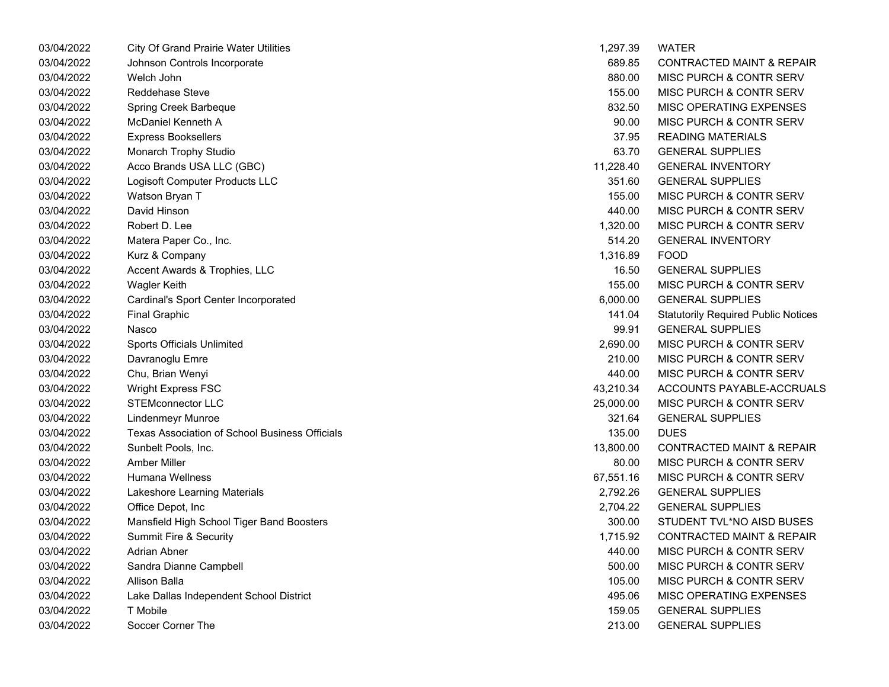| 03/04/2022 | <b>City Of Grand Prairie Water Utilities</b>   | 1,297.39  | WATER                                      |
|------------|------------------------------------------------|-----------|--------------------------------------------|
| 03/04/2022 | Johnson Controls Incorporate                   | 689.85    | <b>CONTRACTED MAINT &amp; REPAIR</b>       |
| 03/04/2022 | Welch John                                     | 880.00    | MISC PURCH & CONTR SERV                    |
| 03/04/2022 | <b>Reddehase Steve</b>                         | 155.00    | MISC PURCH & CONTR SERV                    |
| 03/04/2022 | Spring Creek Barbeque                          | 832.50    | MISC OPERATING EXPENSES                    |
| 03/04/2022 | McDaniel Kenneth A                             | 90.00     | MISC PURCH & CONTR SERV                    |
| 03/04/2022 | <b>Express Booksellers</b>                     | 37.95     | <b>READING MATERIALS</b>                   |
| 03/04/2022 | Monarch Trophy Studio                          | 63.70     | <b>GENERAL SUPPLIES</b>                    |
| 03/04/2022 | Acco Brands USA LLC (GBC)                      | 11,228.40 | <b>GENERAL INVENTORY</b>                   |
| 03/04/2022 | Logisoft Computer Products LLC                 | 351.60    | <b>GENERAL SUPPLIES</b>                    |
| 03/04/2022 | Watson Bryan T                                 | 155.00    | MISC PURCH & CONTR SERV                    |
| 03/04/2022 | David Hinson                                   | 440.00    | MISC PURCH & CONTR SERV                    |
| 03/04/2022 | Robert D. Lee                                  | 1,320.00  | MISC PURCH & CONTR SERV                    |
| 03/04/2022 | Matera Paper Co., Inc.                         | 514.20    | <b>GENERAL INVENTORY</b>                   |
| 03/04/2022 | Kurz & Company                                 | 1,316.89  | <b>FOOD</b>                                |
| 03/04/2022 | Accent Awards & Trophies, LLC                  | 16.50     | <b>GENERAL SUPPLIES</b>                    |
| 03/04/2022 | <b>Wagler Keith</b>                            | 155.00    | MISC PURCH & CONTR SERV                    |
| 03/04/2022 | Cardinal's Sport Center Incorporated           | 6,000.00  | <b>GENERAL SUPPLIES</b>                    |
| 03/04/2022 | <b>Final Graphic</b>                           | 141.04    | <b>Statutorily Required Public Notices</b> |
| 03/04/2022 | Nasco                                          | 99.91     | <b>GENERAL SUPPLIES</b>                    |
| 03/04/2022 | Sports Officials Unlimited                     | 2,690.00  | MISC PURCH & CONTR SERV                    |
| 03/04/2022 | Davranoglu Emre                                | 210.00    | MISC PURCH & CONTR SERV                    |
| 03/04/2022 | Chu, Brian Wenyi                               | 440.00    | MISC PURCH & CONTR SERV                    |
| 03/04/2022 | <b>Wright Express FSC</b>                      | 43,210.34 | ACCOUNTS PAYABLE-ACCRUALS                  |
| 03/04/2022 | <b>STEMconnector LLC</b>                       | 25,000.00 | <b>MISC PURCH &amp; CONTR SERV</b>         |
| 03/04/2022 | Lindenmeyr Munroe                              | 321.64    | <b>GENERAL SUPPLIES</b>                    |
| 03/04/2022 | Texas Association of School Business Officials | 135.00    | <b>DUES</b>                                |
| 03/04/2022 | Sunbelt Pools, Inc.                            | 13,800.00 | <b>CONTRACTED MAINT &amp; REPAIR</b>       |
| 03/04/2022 | <b>Amber Miller</b>                            | 80.00     | MISC PURCH & CONTR SERV                    |
| 03/04/2022 | Humana Wellness                                | 67,551.16 | MISC PURCH & CONTR SERV                    |
| 03/04/2022 | Lakeshore Learning Materials                   | 2,792.26  | <b>GENERAL SUPPLIES</b>                    |
| 03/04/2022 | Office Depot, Inc.                             | 2,704.22  | <b>GENERAL SUPPLIES</b>                    |
| 03/04/2022 | Mansfield High School Tiger Band Boosters      | 300.00    | STUDENT TVL*NO AISD BUSES                  |
| 03/04/2022 | Summit Fire & Security                         | 1,715.92  | <b>CONTRACTED MAINT &amp; REPAIR</b>       |
| 03/04/2022 | Adrian Abner                                   | 440.00    | MISC PURCH & CONTR SERV                    |
| 03/04/2022 | Sandra Dianne Campbell                         | 500.00    | MISC PURCH & CONTR SERV                    |
| 03/04/2022 | Allison Balla                                  | 105.00    | MISC PURCH & CONTR SERV                    |
| 03/04/2022 | Lake Dallas Independent School District        | 495.06    | MISC OPERATING EXPENSES                    |
| 03/04/2022 | T Mobile                                       | 159.05    | <b>GENERAL SUPPLIES</b>                    |
| 03/04/2022 | Soccer Corner The                              | 213.00    | <b>GENERAL SUPPLIES</b>                    |

| 1,297.39  | WATER                                      |
|-----------|--------------------------------------------|
| 689.85    | <b>CONTRACTED MAINT &amp; REPAIR</b>       |
| 880.00    | <b>MISC PURCH &amp; CONTR SERV</b>         |
| 155.00    | <b>MISC PURCH &amp; CONTR SERV</b>         |
| 832.50    | <b>MISC OPERATING EXPENSES</b>             |
| 90.00     | <b>MISC PURCH &amp; CONTR SERV</b>         |
| 37.95     | <b>READING MATERIALS</b>                   |
| 63.70     | <b>GENERAL SUPPLIES</b>                    |
| 11,228.40 | <b>GENERAL INVENTORY</b>                   |
| 351.60    | <b>GENERAL SUPPLIES</b>                    |
| 155.00    | <b>MISC PURCH &amp; CONTR SERV</b>         |
| 440.00    | <b>MISC PURCH &amp; CONTR SERV</b>         |
| 1,320.00  | <b>MISC PURCH &amp; CONTR SERV</b>         |
| 514.20    | <b>GENERAL INVENTORY</b>                   |
| 1,316.89  | <b>FOOD</b>                                |
| 16.50     | <b>GENERAL SUPPLIES</b>                    |
| 155.00    | MISC PURCH & CONTR SERV                    |
| 6,000.00  | <b>GENERAL SUPPLIES</b>                    |
| 141.04    | <b>Statutorily Required Public Notices</b> |
| 99.91     | <b>GENERAL SUPPLIES</b>                    |
| 2,690.00  | <b>MISC PURCH &amp; CONTR SERV</b>         |
| 210.00    | <b>MISC PURCH &amp; CONTR SERV</b>         |
| 440.00    | <b>MISC PURCH &amp; CONTR SERV</b>         |
| 43,210.34 | ACCOUNTS PAYABLE-ACCRUALS                  |
| 25,000.00 | <b>MISC PURCH &amp; CONTR SERV</b>         |
| 321.64    | <b>GENERAL SUPPLIES</b>                    |
| 135.00    | <b>DUES</b>                                |
| 13,800.00 | <b>CONTRACTED MAINT &amp; REPAIR</b>       |
| 80.00     | <b>MISC PURCH &amp; CONTR SERV</b>         |
| 67.551.16 | <b>MISC PURCH &amp; CONTR SERV</b>         |
| 2.792.26  | <b>GENERAL SUPPLIES</b>                    |
| 2,704.22  | <b>GENERAL SUPPLIES</b>                    |
| 300.00    | STUDENT TVL*NO AISD BUSES                  |
| 1,715.92  | <b>CONTRACTED MAINT &amp; REPAIR</b>       |
| 440.00    | MISC PURCH & CONTR SERV                    |
| 500.00    | <b>MISC PURCH &amp; CONTR SERV</b>         |
| 105.00    | <b>MISC PURCH &amp; CONTR SERV</b>         |
| 495.06    | <b>MISC OPERATING EXPENSES</b>             |
| 159.05    | <b>GENERAL SUPPLIES</b>                    |
| 213.00    | <b>GENERAL SUPPLIES</b>                    |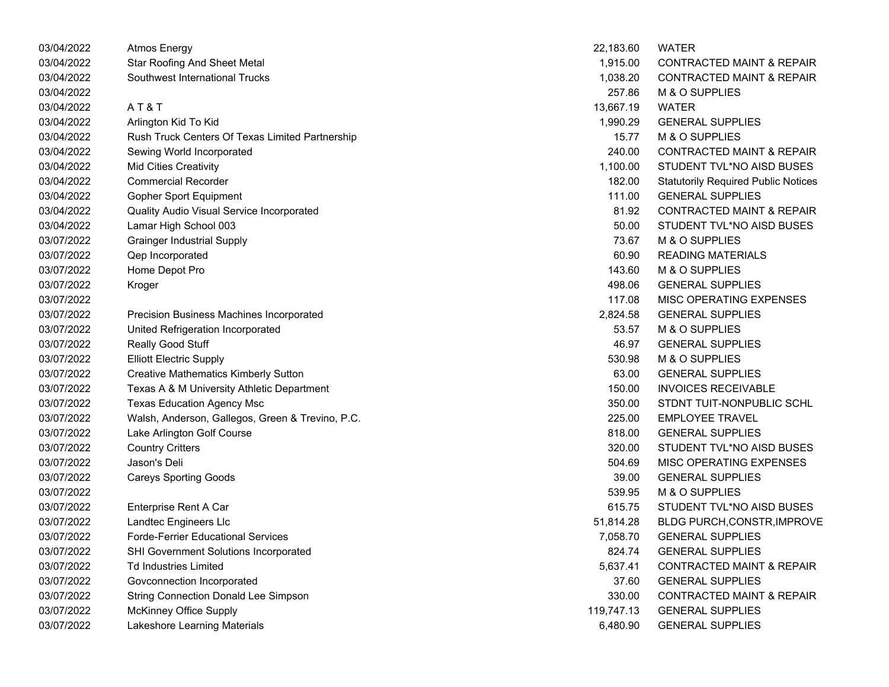| 03/04/2022 | <b>Atmos Energy</b>                              | 22,183.60  | <b>WATER</b>                               |
|------------|--------------------------------------------------|------------|--------------------------------------------|
| 03/04/2022 | <b>Star Roofing And Sheet Metal</b>              | 1,915.00   | <b>CONTRACTED MAINT &amp; REPAIR</b>       |
| 03/04/2022 | Southwest International Trucks                   | 1,038.20   | <b>CONTRACTED MAINT &amp; REPAIR</b>       |
| 03/04/2022 |                                                  | 257.86     | M & O SUPPLIES                             |
| 03/04/2022 | AT&T                                             | 13,667.19  | <b>WATER</b>                               |
| 03/04/2022 | Arlington Kid To Kid                             | 1,990.29   | <b>GENERAL SUPPLIES</b>                    |
| 03/04/2022 | Rush Truck Centers Of Texas Limited Partnership  | 15.77      | M & O SUPPLIES                             |
| 03/04/2022 | Sewing World Incorporated                        | 240.00     | <b>CONTRACTED MAINT &amp; REPAIR</b>       |
| 03/04/2022 | <b>Mid Cities Creativity</b>                     | 1,100.00   | STUDENT TVL*NO AISD BUSES                  |
| 03/04/2022 | <b>Commercial Recorder</b>                       | 182.00     | <b>Statutorily Required Public Notices</b> |
| 03/04/2022 | <b>Gopher Sport Equipment</b>                    | 111.00     | <b>GENERAL SUPPLIES</b>                    |
| 03/04/2022 | Quality Audio Visual Service Incorporated        | 81.92      | <b>CONTRACTED MAINT &amp; REPAIR</b>       |
| 03/04/2022 | Lamar High School 003                            | 50.00      | STUDENT TVL*NO AISD BUSES                  |
| 03/07/2022 | <b>Grainger Industrial Supply</b>                | 73.67      | M & O SUPPLIES                             |
| 03/07/2022 | Qep Incorporated                                 | 60.90      | <b>READING MATERIALS</b>                   |
| 03/07/2022 | Home Depot Pro                                   | 143.60     | M & O SUPPLIES                             |
| 03/07/2022 | Kroger                                           | 498.06     | <b>GENERAL SUPPLIES</b>                    |
| 03/07/2022 |                                                  | 117.08     | MISC OPERATING EXPENSES                    |
| 03/07/2022 | Precision Business Machines Incorporated         | 2,824.58   | <b>GENERAL SUPPLIES</b>                    |
| 03/07/2022 | United Refrigeration Incorporated                | 53.57      | M & O SUPPLIES                             |
| 03/07/2022 | Really Good Stuff                                | 46.97      | <b>GENERAL SUPPLIES</b>                    |
| 03/07/2022 | <b>Elliott Electric Supply</b>                   | 530.98     | M & O SUPPLIES                             |
| 03/07/2022 | <b>Creative Mathematics Kimberly Sutton</b>      | 63.00      | <b>GENERAL SUPPLIES</b>                    |
| 03/07/2022 | Texas A & M University Athletic Department       | 150.00     | <b>INVOICES RECEIVABLE</b>                 |
| 03/07/2022 | <b>Texas Education Agency Msc</b>                | 350.00     | STDNT TUIT-NONPUBLIC SCHL                  |
| 03/07/2022 | Walsh, Anderson, Gallegos, Green & Trevino, P.C. | 225.00     | <b>EMPLOYEE TRAVEL</b>                     |
| 03/07/2022 | Lake Arlington Golf Course                       | 818.00     | <b>GENERAL SUPPLIES</b>                    |
| 03/07/2022 | <b>Country Critters</b>                          | 320.00     | STUDENT TVL*NO AISD BUSES                  |
| 03/07/2022 | Jason's Deli                                     | 504.69     | MISC OPERATING EXPENSES                    |
| 03/07/2022 | <b>Careys Sporting Goods</b>                     | 39.00      | <b>GENERAL SUPPLIES</b>                    |
| 03/07/2022 |                                                  | 539.95     | M & O SUPPLIES                             |
| 03/07/2022 | Enterprise Rent A Car                            | 615.75     | STUDENT TVL*NO AISD BUSES                  |
| 03/07/2022 | Landtec Engineers Llc                            | 51,814.28  | <b>BLDG PURCH, CONSTR, IMPROVE</b>         |
| 03/07/2022 | <b>Forde-Ferrier Educational Services</b>        | 7,058.70   | <b>GENERAL SUPPLIES</b>                    |
| 03/07/2022 | SHI Government Solutions Incorporated            | 824.74     | <b>GENERAL SUPPLIES</b>                    |
| 03/07/2022 | <b>Td Industries Limited</b>                     | 5,637.41   | <b>CONTRACTED MAINT &amp; REPAIR</b>       |
| 03/07/2022 | Govconnection Incorporated                       | 37.60      | <b>GENERAL SUPPLIES</b>                    |
| 03/07/2022 | <b>String Connection Donald Lee Simpson</b>      | 330.00     | <b>CONTRACTED MAINT &amp; REPAIR</b>       |
| 03/07/2022 | <b>McKinney Office Supply</b>                    | 119,747.13 | <b>GENERAL SUPPLIES</b>                    |
| 03/07/2022 | Lakeshore Learning Materials                     | 6,480.90   | <b>GENERAL SUPPLIES</b>                    |

| 22,183.60 | WATER                                      |
|-----------|--------------------------------------------|
| 1,915.00  | <b>CONTRACTED MAINT &amp; REPAIR</b>       |
| 1,038.20  | <b>CONTRACTED MAINT &amp; REPAIR</b>       |
| 257.86    | <b>M &amp; O SUPPLIES</b>                  |
| 13,667.19 | <b>WATER</b>                               |
| 1,990.29  | <b>GENERAL SUPPLIES</b>                    |
| 15.77     | <b>M &amp; O SUPPLIES</b>                  |
| 240.00    | <b>CONTRACTED MAINT &amp; REPAIR</b>       |
| 1,100.00  | STUDENT TVL*NO AISD BUSES                  |
| 182.00    | <b>Statutorily Required Public Notices</b> |
| 111.00    | <b>GENERAL SUPPLIES</b>                    |
| 81.92     | <b>CONTRACTED MAINT &amp; REPAIR</b>       |
| 50.00     | STUDENT TVL*NO AISD BUSES                  |
| 73.67     | <b>M &amp; O SUPPLIES</b>                  |
| 60.90     | <b>READING MATERIALS</b>                   |
| 143.60    | M & O SUPPLIES                             |
| 498.06    | <b>GENERAL SUPPLIES</b>                    |
| 117.08    | <b>MISC OPERATING EXPENSES</b>             |
| 2,824.58  | <b>GENERAL SUPPLIES</b>                    |
| 53.57     | M & O SUPPLIES                             |
| 46.97     | <b>GENERAL SUPPLIES</b>                    |
| 530.98    | <b>M &amp; O SUPPLIES</b>                  |
| 63.00     | <b>GENERAL SUPPLIES</b>                    |
| 150.00    | <b>INVOICES RECEIVABLE</b>                 |
| 350.00    | STDNT TUIT-NONPUBLIC SCHL                  |
| 225.00    | <b>EMPLOYEE TRAVEL</b>                     |
| 818.00    | <b>GENERAL SUPPLIES</b>                    |
| 320.00    | STUDENT TVL*NO AISD BUSES                  |
| 504.69    | <b>MISC OPERATING EXPENSES</b>             |
| 39.00     | <b>GENERAL SUPPLIES</b>                    |
| 539.95    | <b>M &amp; O SUPPLIES</b>                  |
| 615.75    | STUDENT TVL*NO AISD BUSES                  |
| 51,814.28 | BLDG PURCH, CONSTR, IMPROVE                |
| 7,058.70  | <b>GENERAL SUPPLIES</b>                    |
| 824.74    | <b>GENERAL SUPPLIES</b>                    |
| 5,637.41  | <b>CONTRACTED MAINT &amp; REPAIR</b>       |
| 37.60     | <b>GENERAL SUPPLIES</b>                    |
| 330.00    | <b>CONTRACTED MAINT &amp; REPAIR</b>       |
| 19,747.13 | <b>GENERAL SUPPLIES</b>                    |
| 6,480.90  | <b>GENERAL SUPPLIES</b>                    |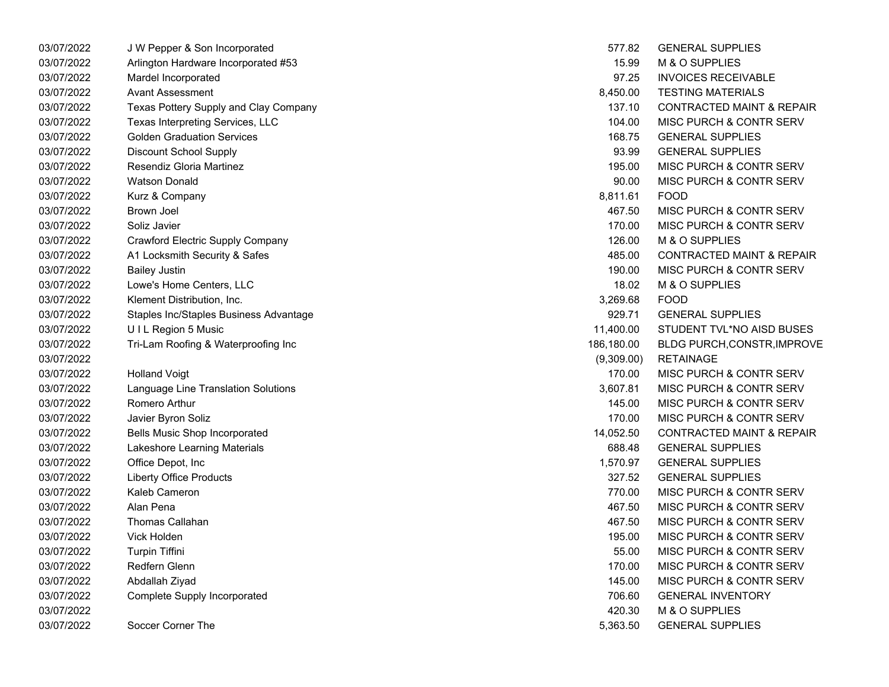| 03/07/2022 | J W Pepper & Son Incorporated           | 577.82     | <b>GENERAL SUPPLIES</b>              |
|------------|-----------------------------------------|------------|--------------------------------------|
| 03/07/2022 | Arlington Hardware Incorporated #53     | 15.99      | <b>M &amp; O SUPPLIES</b>            |
| 03/07/2022 | Mardel Incorporated                     | 97.25      | <b>INVOICES RECEIVABLE</b>           |
| 03/07/2022 | <b>Avant Assessment</b>                 | 8,450.00   | <b>TESTING MATERIALS</b>             |
| 03/07/2022 | Texas Pottery Supply and Clay Company   | 137.10     | <b>CONTRACTED MAINT &amp; REPAIR</b> |
| 03/07/2022 | Texas Interpreting Services, LLC        | 104.00     | <b>MISC PURCH &amp; CONTR SERV</b>   |
| 03/07/2022 | <b>Golden Graduation Services</b>       | 168.75     | <b>GENERAL SUPPLIES</b>              |
| 03/07/2022 | <b>Discount School Supply</b>           | 93.99      | <b>GENERAL SUPPLIES</b>              |
| 03/07/2022 | Resendiz Gloria Martinez                | 195.00     | <b>MISC PURCH &amp; CONTR SERV</b>   |
| 03/07/2022 | <b>Watson Donald</b>                    | 90.00      | <b>MISC PURCH &amp; CONTR SERV</b>   |
| 03/07/2022 | Kurz & Company                          | 8,811.61   | <b>FOOD</b>                          |
| 03/07/2022 | Brown Joel                              | 467.50     | <b>MISC PURCH &amp; CONTR SERV</b>   |
| 03/07/2022 | Soliz Javier                            | 170.00     | <b>MISC PURCH &amp; CONTR SERV</b>   |
| 03/07/2022 | <b>Crawford Electric Supply Company</b> | 126.00     | M & O SUPPLIES                       |
| 03/07/2022 | A1 Locksmith Security & Safes           | 485.00     | CONTRACTED MAINT & REPAIR            |
| 03/07/2022 | <b>Bailey Justin</b>                    | 190.00     | <b>MISC PURCH &amp; CONTR SERV</b>   |
| 03/07/2022 | Lowe's Home Centers, LLC                | 18.02      | M & O SUPPLIES                       |
| 03/07/2022 | Klement Distribution, Inc.              | 3,269.68   | <b>FOOD</b>                          |
| 03/07/2022 | Staples Inc/Staples Business Advantage  | 929.71     | <b>GENERAL SUPPLIES</b>              |
| 03/07/2022 | UIL Region 5 Music                      | 11,400.00  | STUDENT TVL*NO AISD BUSES            |
| 03/07/2022 | Tri-Lam Roofing & Waterproofing Inc     | 186,180.00 | BLDG PURCH,CONSTR, IMPROVE           |
| 03/07/2022 |                                         | (9,309.00) | <b>RETAINAGE</b>                     |
| 03/07/2022 | <b>Holland Voigt</b>                    | 170.00     | <b>MISC PURCH &amp; CONTR SERV</b>   |
| 03/07/2022 | Language Line Translation Solutions     | 3,607.81   | <b>MISC PURCH &amp; CONTR SERV</b>   |
| 03/07/2022 | Romero Arthur                           | 145.00     | <b>MISC PURCH &amp; CONTR SERV</b>   |
| 03/07/2022 | Javier Byron Soliz                      | 170.00     | <b>MISC PURCH &amp; CONTR SERV</b>   |
| 03/07/2022 | <b>Bells Music Shop Incorporated</b>    | 14,052.50  | <b>CONTRACTED MAINT &amp; REPAIR</b> |
| 03/07/2022 | Lakeshore Learning Materials            | 688.48     | <b>GENERAL SUPPLIES</b>              |
| 03/07/2022 | Office Depot, Inc                       | 1,570.97   | <b>GENERAL SUPPLIES</b>              |
| 03/07/2022 | <b>Liberty Office Products</b>          | 327.52     | <b>GENERAL SUPPLIES</b>              |
| 03/07/2022 | Kaleb Cameron                           | 770.00     | MISC PURCH & CONTR SERV              |
| 03/07/2022 | Alan Pena                               | 467.50     | <b>MISC PURCH &amp; CONTR SERV</b>   |
| 03/07/2022 | <b>Thomas Callahan</b>                  | 467.50     | <b>MISC PURCH &amp; CONTR SERV</b>   |
| 03/07/2022 | Vick Holden                             | 195.00     | <b>MISC PURCH &amp; CONTR SERV</b>   |
| 03/07/2022 | <b>Turpin Tiffini</b>                   | 55.00      | <b>MISC PURCH &amp; CONTR SERV</b>   |
| 03/07/2022 | Redfern Glenn                           | 170.00     | <b>MISC PURCH &amp; CONTR SERV</b>   |
| 03/07/2022 | Abdallah Ziyad                          | 145.00     | <b>MISC PURCH &amp; CONTR SERV</b>   |
| 03/07/2022 | Complete Supply Incorporated            | 706.60     | <b>GENERAL INVENTORY</b>             |
| 03/07/2022 |                                         | 420.30     | M & O SUPPLIES                       |
| 03/07/2022 | Soccer Corner The                       | 5,363.50   | <b>GENERAL SUPPLIES</b>              |

| 577.82     | <b>GENERAL SUPPLIES</b>              |
|------------|--------------------------------------|
| 15.99      | M & O SUPPLIES                       |
| 97.25      | <b>INVOICES RECEIVABLE</b>           |
| 8,450.00   | <b>TESTING MATERIALS</b>             |
| 137.10     | <b>CONTRACTED MAINT &amp; REPAIR</b> |
| 104.00     | <b>MISC PURCH &amp; CONTR SERV</b>   |
| 168.75     | <b>GENERAL SUPPLIES</b>              |
| 93.99      | <b>GENERAL SUPPLIES</b>              |
| 195.00     | <b>MISC PURCH &amp; CONTR SERV</b>   |
| 90.00      | <b>MISC PURCH &amp; CONTR SERV</b>   |
| 8,811.61   | FOOD                                 |
| 467.50     | <b>MISC PURCH &amp; CONTR SERV</b>   |
| 170.00     | <b>MISC PURCH &amp; CONTR SERV</b>   |
| 126.00     | M & O SUPPLIES                       |
| 485.00     | <b>CONTRACTED MAINT &amp; REPAIR</b> |
| 190.00     | <b>MISC PURCH &amp; CONTR SERV</b>   |
| 18.02      | <b>M &amp; O SUPPLIES</b>            |
| 3,269.68   | FOOD                                 |
| 929.71     | <b>GENERAL SUPPLIES</b>              |
| 1,400.00   | STUDENT TVL*NO AISD BUSES            |
| 86,180.00  | <b>BLDG PURCH, CONSTR, IMPROVE</b>   |
| (9,309.00) | <b>RETAINAGE</b>                     |
| 170.00     | MISC PURCH & CONTR SERV              |
| 3,607.81   | <b>MISC PURCH &amp; CONTR SERV</b>   |
| 145.00     | <b>MISC PURCH &amp; CONTR SERV</b>   |
| 170.00     | <b>MISC PURCH &amp; CONTR SERV</b>   |
| 4,052.50   | <b>CONTRACTED MAINT &amp; REPAIR</b> |
| 688.48     | <b>GENERAL SUPPLIES</b>              |
| 1,570.97   | <b>GENERAL SUPPLIES</b>              |
| 327.52     | <b>GENERAL SUPPLIES</b>              |
| 770.00     | <b>MISC PURCH &amp; CONTR SERV</b>   |
| 467.50     | MISC PURCH & CONTR SERV              |
| 467.50     | MISC PURCH & CONTR SERV              |
| 195.00     | <b>MISC PURCH &amp; CONTR SERV</b>   |
| 55.00      | <b>MISC PURCH &amp; CONTR SERV</b>   |
| 170.00     | <b>MISC PURCH &amp; CONTR SERV</b>   |
| 145.00     | <b>MISC PURCH &amp; CONTR SERV</b>   |
| 706.60     | <b>GENERAL INVENTORY</b>             |
| 420.30     | M & O SUPPLIES                       |
| 5,363.50   | <b>GENERAL SUPPLIES</b>              |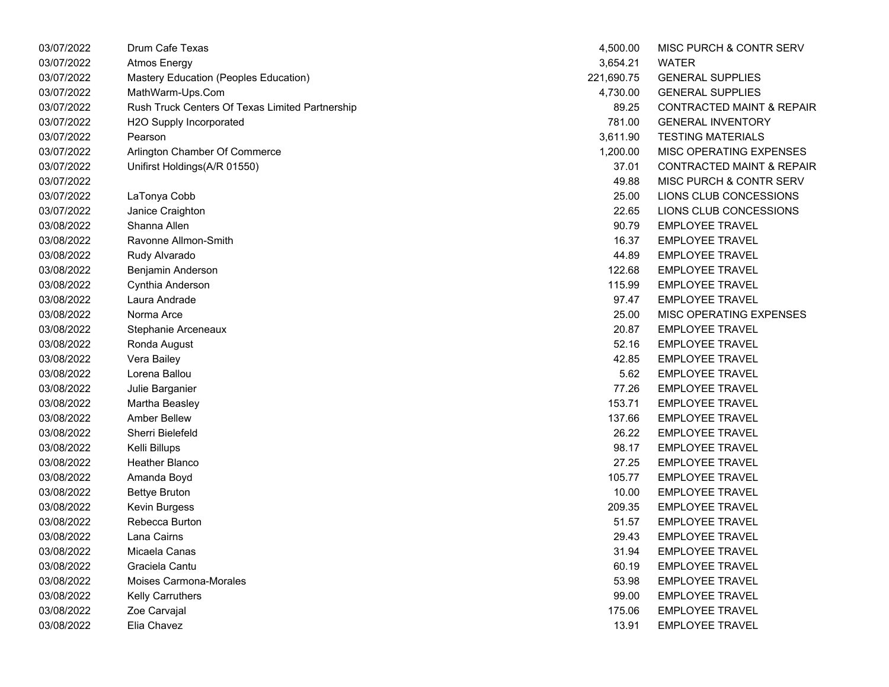| 03/07/2022 | Drum Cafe Texas                                 | 4,500.00   | MISC PURCH & CONTR SERV              |
|------------|-------------------------------------------------|------------|--------------------------------------|
| 03/07/2022 | <b>Atmos Energy</b>                             | 3,654.21   | <b>WATER</b>                         |
| 03/07/2022 | Mastery Education (Peoples Education)           | 221,690.75 | <b>GENERAL SUPPLIES</b>              |
| 03/07/2022 | MathWarm-Ups.Com                                | 4,730.00   | <b>GENERAL SUPPLIES</b>              |
| 03/07/2022 | Rush Truck Centers Of Texas Limited Partnership | 89.25      | <b>CONTRACTED MAINT &amp; REPAIR</b> |
| 03/07/2022 | H2O Supply Incorporated                         | 781.00     | <b>GENERAL INVENTORY</b>             |
| 03/07/2022 | Pearson                                         | 3,611.90   | <b>TESTING MATERIALS</b>             |
| 03/07/2022 | Arlington Chamber Of Commerce                   | 1,200.00   | MISC OPERATING EXPENSES              |
| 03/07/2022 | Unifirst Holdings(A/R 01550)                    | 37.01      | <b>CONTRACTED MAINT &amp; REPAIR</b> |
| 03/07/2022 |                                                 | 49.88      | MISC PURCH & CONTR SERV              |
| 03/07/2022 | LaTonya Cobb                                    | 25.00      | LIONS CLUB CONCESSIONS               |
| 03/07/2022 | Janice Craighton                                | 22.65      | LIONS CLUB CONCESSIONS               |
| 03/08/2022 | Shanna Allen                                    | 90.79      | <b>EMPLOYEE TRAVEL</b>               |
| 03/08/2022 | Ravonne Allmon-Smith                            | 16.37      | <b>EMPLOYEE TRAVEL</b>               |
| 03/08/2022 | Rudy Alvarado                                   | 44.89      | <b>EMPLOYEE TRAVEL</b>               |
| 03/08/2022 | Benjamin Anderson                               | 122.68     | <b>EMPLOYEE TRAVEL</b>               |
| 03/08/2022 | Cynthia Anderson                                | 115.99     | <b>EMPLOYEE TRAVEL</b>               |
| 03/08/2022 | Laura Andrade                                   | 97.47      | <b>EMPLOYEE TRAVEL</b>               |
| 03/08/2022 | Norma Arce                                      | 25.00      | MISC OPERATING EXPENSES              |
| 03/08/2022 | Stephanie Arceneaux                             | 20.87      | <b>EMPLOYEE TRAVEL</b>               |
| 03/08/2022 | Ronda August                                    | 52.16      | <b>EMPLOYEE TRAVEL</b>               |
| 03/08/2022 | Vera Bailey                                     | 42.85      | <b>EMPLOYEE TRAVEL</b>               |
| 03/08/2022 | Lorena Ballou                                   | 5.62       | <b>EMPLOYEE TRAVEL</b>               |
| 03/08/2022 | Julie Barganier                                 | 77.26      | <b>EMPLOYEE TRAVEL</b>               |
| 03/08/2022 | Martha Beasley                                  | 153.71     | <b>EMPLOYEE TRAVEL</b>               |
| 03/08/2022 | <b>Amber Bellew</b>                             | 137.66     | <b>EMPLOYEE TRAVEL</b>               |
| 03/08/2022 | Sherri Bielefeld                                | 26.22      | <b>EMPLOYEE TRAVEL</b>               |
| 03/08/2022 | Kelli Billups                                   | 98.17      | <b>EMPLOYEE TRAVEL</b>               |
| 03/08/2022 | Heather Blanco                                  | 27.25      | <b>EMPLOYEE TRAVEL</b>               |
| 03/08/2022 | Amanda Boyd                                     | 105.77     | <b>EMPLOYEE TRAVEL</b>               |
| 03/08/2022 | <b>Bettye Bruton</b>                            | 10.00      | <b>EMPLOYEE TRAVEL</b>               |
| 03/08/2022 | Kevin Burgess                                   | 209.35     | <b>EMPLOYEE TRAVEL</b>               |
| 03/08/2022 | Rebecca Burton                                  | 51.57      | <b>EMPLOYEE TRAVEL</b>               |
| 03/08/2022 | Lana Cairns                                     | 29.43      | <b>EMPLOYEE TRAVEL</b>               |
| 03/08/2022 | Micaela Canas                                   | 31.94      | <b>EMPLOYEE TRAVEL</b>               |
| 03/08/2022 | Graciela Cantu                                  | 60.19      | <b>EMPLOYEE TRAVEL</b>               |
| 03/08/2022 | Moises Carmona-Morales                          | 53.98      | <b>EMPLOYEE TRAVEL</b>               |
| 03/08/2022 | <b>Kelly Carruthers</b>                         | 99.00      | <b>EMPLOYEE TRAVEL</b>               |
| 03/08/2022 | Zoe Carvajal                                    | 175.06     | <b>EMPLOYEE TRAVEL</b>               |
| 03/08/2022 | Elia Chavez                                     | 13.91      | <b>EMPLOYEE TRAVEL</b>               |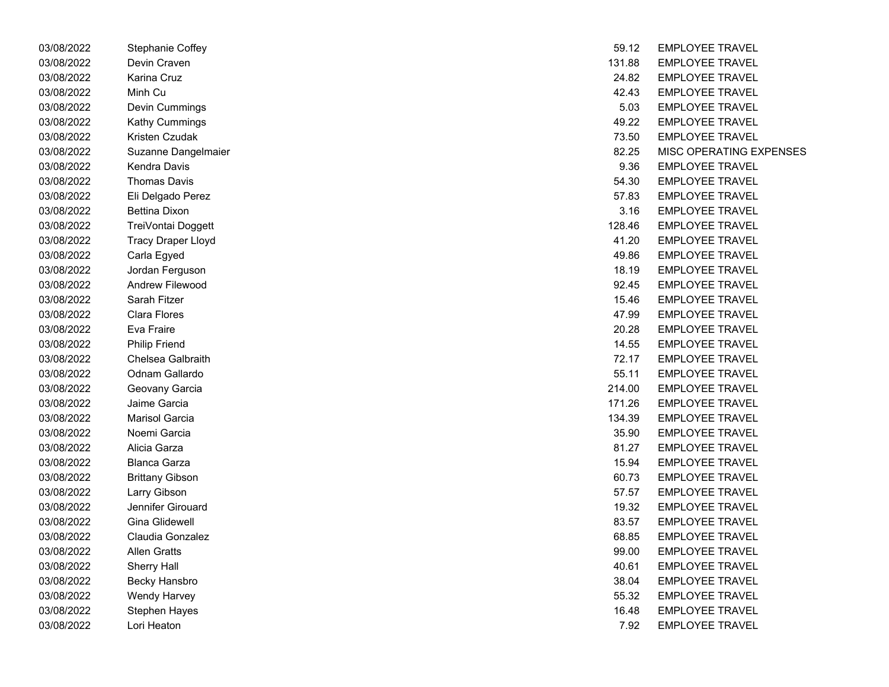| 03/08/2022 | Stephanie Coffey       | 59.12  | <b>EMPLOYEE TRAVEL</b>  |
|------------|------------------------|--------|-------------------------|
| 03/08/2022 | Devin Craven           | 131.88 | <b>EMPLOYEE TRAVEL</b>  |
| 03/08/2022 | Karina Cruz            | 24.82  | <b>EMPLOYEE TRAVEL</b>  |
| 03/08/2022 | Minh Cu                | 42.43  | <b>EMPLOYEE TRAVEL</b>  |
| 03/08/2022 | Devin Cummings         | 5.03   | <b>EMPLOYEE TRAVEL</b>  |
| 03/08/2022 | Kathy Cummings         | 49.22  | <b>EMPLOYEE TRAVEL</b>  |
| 03/08/2022 | Kristen Czudak         | 73.50  | <b>EMPLOYEE TRAVEL</b>  |
| 03/08/2022 | Suzanne Dangelmaier    | 82.25  | <b>MISC OPERATING E</b> |
| 03/08/2022 | Kendra Davis           | 9.36   | <b>EMPLOYEE TRAVEL</b>  |
| 03/08/2022 | <b>Thomas Davis</b>    | 54.30  | <b>EMPLOYEE TRAVEL</b>  |
| 03/08/2022 | Eli Delgado Perez      | 57.83  | <b>EMPLOYEE TRAVEL</b>  |
| 03/08/2022 | <b>Bettina Dixon</b>   | 3.16   | <b>EMPLOYEE TRAVEL</b>  |
| 03/08/2022 | TreiVontai Doggett     | 128.46 | <b>EMPLOYEE TRAVEL</b>  |
| 03/08/2022 | Tracy Draper Lloyd     | 41.20  | <b>EMPLOYEE TRAVEL</b>  |
| 03/08/2022 | Carla Egyed            | 49.86  | <b>EMPLOYEE TRAVEL</b>  |
| 03/08/2022 | Jordan Ferguson        | 18.19  | <b>EMPLOYEE TRAVEL</b>  |
| 03/08/2022 | Andrew Filewood        | 92.45  | <b>EMPLOYEE TRAVEL</b>  |
| 03/08/2022 | Sarah Fitzer           | 15.46  | <b>EMPLOYEE TRAVEL</b>  |
| 03/08/2022 | <b>Clara Flores</b>    | 47.99  | <b>EMPLOYEE TRAVEL</b>  |
| 03/08/2022 | Eva Fraire             | 20.28  | <b>EMPLOYEE TRAVEL</b>  |
| 03/08/2022 | <b>Philip Friend</b>   | 14.55  | <b>EMPLOYEE TRAVEL</b>  |
| 03/08/2022 | Chelsea Galbraith      | 72.17  | <b>EMPLOYEE TRAVEL</b>  |
| 03/08/2022 | Odnam Gallardo         | 55.11  | <b>EMPLOYEE TRAVEL</b>  |
| 03/08/2022 | Geovany Garcia         | 214.00 | <b>EMPLOYEE TRAVEL</b>  |
| 03/08/2022 | Jaime Garcia           | 171.26 | <b>EMPLOYEE TRAVEL</b>  |
| 03/08/2022 | Marisol Garcia         | 134.39 | <b>EMPLOYEE TRAVEL</b>  |
| 03/08/2022 | Noemi Garcia           | 35.90  | <b>EMPLOYEE TRAVEL</b>  |
| 03/08/2022 | Alicia Garza           | 81.27  | <b>EMPLOYEE TRAVEL</b>  |
| 03/08/2022 | <b>Blanca Garza</b>    | 15.94  | <b>EMPLOYEE TRAVEL</b>  |
| 03/08/2022 | <b>Brittany Gibson</b> | 60.73  | <b>EMPLOYEE TRAVEL</b>  |
| 03/08/2022 | Larry Gibson           | 57.57  | <b>EMPLOYEE TRAVEL</b>  |
| 03/08/2022 | Jennifer Girouard      | 19.32  | <b>EMPLOYEE TRAVEL</b>  |
| 03/08/2022 | Gina Glidewell         | 83.57  | <b>EMPLOYEE TRAVEL</b>  |
| 03/08/2022 | Claudia Gonzalez       | 68.85  | <b>EMPLOYEE TRAVEL</b>  |
| 03/08/2022 | <b>Allen Gratts</b>    | 99.00  | <b>EMPLOYEE TRAVEL</b>  |
| 03/08/2022 | <b>Sherry Hall</b>     | 40.61  | <b>EMPLOYEE TRAVEL</b>  |
| 03/08/2022 | <b>Becky Hansbro</b>   | 38.04  | <b>EMPLOYEE TRAVEL</b>  |
| 03/08/2022 | <b>Wendy Harvey</b>    | 55.32  | <b>EMPLOYEE TRAVEL</b>  |
| 03/08/2022 | Stephen Hayes          | 16.48  | <b>EMPLOYEE TRAVEL</b>  |
| 03/08/2022 | Lori Heaton            | 7.92   | <b>EMPLOYEE TRAVEL</b>  |

| 03/08/2022 | Stephanie Coffey       | 59.12  | <b>EMPLOYEE TRAVEL</b>  |
|------------|------------------------|--------|-------------------------|
| 03/08/2022 | Devin Craven           | 131.88 | <b>EMPLOYEE TRAVEL</b>  |
| 03/08/2022 | Karina Cruz            | 24.82  | <b>EMPLOYEE TRAVEL</b>  |
| 03/08/2022 | Minh Cu                | 42.43  | <b>EMPLOYEE TRAVEL</b>  |
| 03/08/2022 | Devin Cummings         | 5.03   | <b>EMPLOYEE TRAVEL</b>  |
| 03/08/2022 | Kathy Cummings         | 49.22  | <b>EMPLOYEE TRAVEL</b>  |
| 03/08/2022 | Kristen Czudak         | 73.50  | <b>EMPLOYEE TRAVEL</b>  |
| 03/08/2022 | Suzanne Dangelmaier    | 82.25  | MISC OPERATING EXPENSES |
| 03/08/2022 | Kendra Davis           | 9.36   | <b>EMPLOYEE TRAVEL</b>  |
| 03/08/2022 | Thomas Davis           | 54.30  | <b>EMPLOYEE TRAVEL</b>  |
| 03/08/2022 | Eli Delgado Perez      | 57.83  | <b>EMPLOYEE TRAVEL</b>  |
| 03/08/2022 | <b>Bettina Dixon</b>   | 3.16   | <b>EMPLOYEE TRAVEL</b>  |
| 03/08/2022 | TreiVontai Doggett     | 128.46 | <b>EMPLOYEE TRAVEL</b>  |
| 03/08/2022 | Tracy Draper Lloyd     | 41.20  | <b>EMPLOYEE TRAVEL</b>  |
| 03/08/2022 | Carla Egyed            | 49.86  | <b>EMPLOYEE TRAVEL</b>  |
| 03/08/2022 | Jordan Ferguson        | 18.19  | <b>EMPLOYEE TRAVEL</b>  |
| 03/08/2022 | Andrew Filewood        | 92.45  | <b>EMPLOYEE TRAVEL</b>  |
| 03/08/2022 | Sarah Fitzer           | 15.46  | <b>EMPLOYEE TRAVEL</b>  |
| 03/08/2022 | Clara Flores           | 47.99  | <b>EMPLOYEE TRAVEL</b>  |
| 03/08/2022 | Eva Fraire             | 20.28  | <b>EMPLOYEE TRAVEL</b>  |
| 03/08/2022 | <b>Philip Friend</b>   | 14.55  | <b>EMPLOYEE TRAVEL</b>  |
| 03/08/2022 | Chelsea Galbraith      | 72.17  | <b>EMPLOYEE TRAVEL</b>  |
| 03/08/2022 | Odnam Gallardo         | 55.11  | <b>EMPLOYEE TRAVEL</b>  |
| 03/08/2022 | Geovany Garcia         | 214.00 | <b>EMPLOYEE TRAVEL</b>  |
| 03/08/2022 | Jaime Garcia           | 171.26 | <b>EMPLOYEE TRAVEL</b>  |
| 03/08/2022 | <b>Marisol Garcia</b>  | 134.39 | <b>EMPLOYEE TRAVEL</b>  |
| 03/08/2022 | Noemi Garcia           | 35.90  | <b>EMPLOYEE TRAVEL</b>  |
| 03/08/2022 | Alicia Garza           | 81.27  | <b>EMPLOYEE TRAVEL</b>  |
| 03/08/2022 | <b>Blanca Garza</b>    | 15.94  | <b>EMPLOYEE TRAVEL</b>  |
| 03/08/2022 | <b>Brittany Gibson</b> | 60.73  | <b>EMPLOYEE TRAVEL</b>  |
| 03/08/2022 | Larry Gibson           | 57.57  | <b>EMPLOYEE TRAVEL</b>  |
| 03/08/2022 | Jennifer Girouard      | 19.32  | <b>EMPLOYEE TRAVEL</b>  |
| 03/08/2022 | <b>Gina Glidewell</b>  | 83.57  | <b>EMPLOYEE TRAVEL</b>  |
| 03/08/2022 | Claudia Gonzalez       | 68.85  | <b>EMPLOYEE TRAVEL</b>  |
| 03/08/2022 | <b>Allen Gratts</b>    | 99.00  | <b>EMPLOYEE TRAVEL</b>  |
| 03/08/2022 | Sherry Hall            | 40.61  | <b>EMPLOYEE TRAVEL</b>  |
| 03/08/2022 | <b>Becky Hansbro</b>   | 38.04  | <b>EMPLOYEE TRAVEL</b>  |
| 03/08/2022 | <b>Wendy Harvey</b>    | 55.32  | <b>EMPLOYEE TRAVEL</b>  |
| 03/08/2022 | <b>Stephen Hayes</b>   | 16.48  | <b>EMPLOYEE TRAVEL</b>  |
| 03/08/2022 | Lori Heaton            | 7.92   | <b>EMPLOYEE TRAVEL</b>  |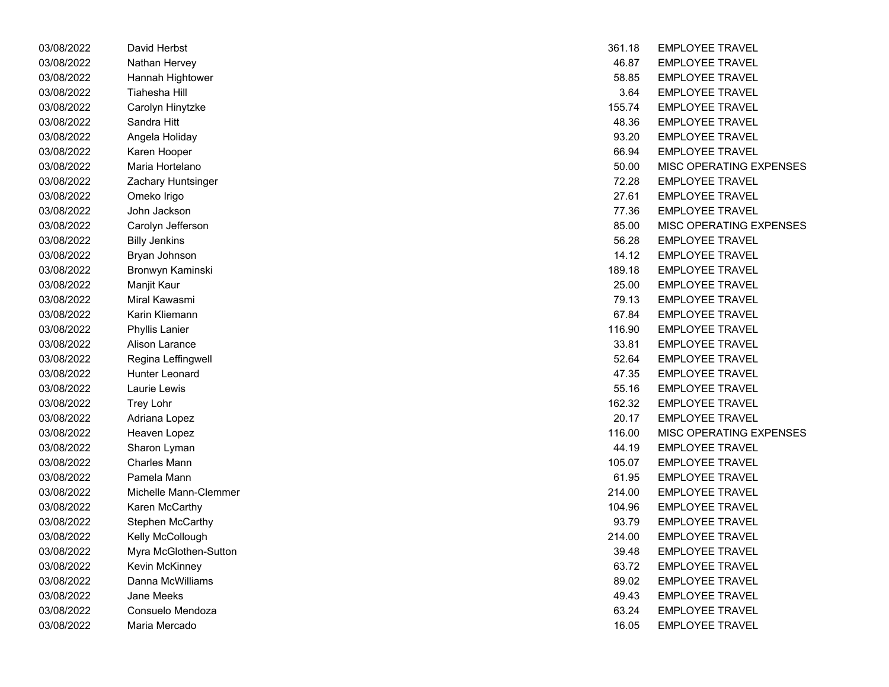| 03/08/2022 | David Herbst          | 361.18 | <b>EMPLOYEE TRAVEL</b>  |
|------------|-----------------------|--------|-------------------------|
| 03/08/2022 | Nathan Hervey         | 46.87  | <b>EMPLOYEE TRAVEL</b>  |
| 03/08/2022 | Hannah Hightower      | 58.85  | <b>EMPLOYEE TRAVEL</b>  |
| 03/08/2022 | Tiahesha Hill         | 3.64   | <b>EMPLOYEE TRAVEL</b>  |
| 03/08/2022 | Carolyn Hinytzke      | 155.74 | <b>EMPLOYEE TRAVEL</b>  |
| 03/08/2022 | Sandra Hitt           | 48.36  | <b>EMPLOYEE TRAVEL</b>  |
| 03/08/2022 | Angela Holiday        | 93.20  | <b>EMPLOYEE TRAVEL</b>  |
| 03/08/2022 | Karen Hooper          | 66.94  | <b>EMPLOYEE TRAVEL</b>  |
| 03/08/2022 | Maria Hortelano       | 50.00  | MISC OPERATING E        |
| 03/08/2022 | Zachary Huntsinger    | 72.28  | <b>EMPLOYEE TRAVEL</b>  |
| 03/08/2022 | Omeko Irigo           | 27.61  | <b>EMPLOYEE TRAVEL</b>  |
| 03/08/2022 | John Jackson          | 77.36  | <b>EMPLOYEE TRAVEL</b>  |
| 03/08/2022 | Carolyn Jefferson     | 85.00  | MISC OPERATING E        |
| 03/08/2022 | <b>Billy Jenkins</b>  | 56.28  | <b>EMPLOYEE TRAVEL</b>  |
| 03/08/2022 | Bryan Johnson         | 14.12  | <b>EMPLOYEE TRAVEL</b>  |
| 03/08/2022 | Bronwyn Kaminski      | 189.18 | <b>EMPLOYEE TRAVEL</b>  |
| 03/08/2022 | Manjit Kaur           | 25.00  | <b>EMPLOYEE TRAVEL</b>  |
| 03/08/2022 | Miral Kawasmi         | 79.13  | <b>EMPLOYEE TRAVEL</b>  |
| 03/08/2022 | Karin Kliemann        | 67.84  | <b>EMPLOYEE TRAVEL</b>  |
| 03/08/2022 | Phyllis Lanier        | 116.90 | <b>EMPLOYEE TRAVEL</b>  |
| 03/08/2022 | Alison Larance        | 33.81  | <b>EMPLOYEE TRAVEL</b>  |
| 03/08/2022 | Regina Leffingwell    | 52.64  | <b>EMPLOYEE TRAVEL</b>  |
| 03/08/2022 | Hunter Leonard        | 47.35  | <b>EMPLOYEE TRAVEL</b>  |
| 03/08/2022 | Laurie Lewis          | 55.16  | <b>EMPLOYEE TRAVEL</b>  |
| 03/08/2022 | Trey Lohr             | 162.32 | <b>EMPLOYEE TRAVEL</b>  |
| 03/08/2022 | Adriana Lopez         | 20.17  | <b>EMPLOYEE TRAVEL</b>  |
| 03/08/2022 | Heaven Lopez          | 116.00 | <b>MISC OPERATING E</b> |
| 03/08/2022 | Sharon Lyman          | 44.19  | <b>EMPLOYEE TRAVEL</b>  |
| 03/08/2022 | <b>Charles Mann</b>   | 105.07 | <b>EMPLOYEE TRAVEL</b>  |
| 03/08/2022 | Pamela Mann           | 61.95  | <b>EMPLOYEE TRAVEL</b>  |
| 03/08/2022 | Michelle Mann-Clemmer | 214.00 | <b>EMPLOYEE TRAVEL</b>  |
| 03/08/2022 | Karen McCarthy        | 104.96 | <b>EMPLOYEE TRAVEL</b>  |
| 03/08/2022 | Stephen McCarthy      | 93.79  | <b>EMPLOYEE TRAVEL</b>  |
| 03/08/2022 | Kelly McCollough      | 214.00 | <b>EMPLOYEE TRAVEL</b>  |
| 03/08/2022 | Myra McGlothen-Sutton | 39.48  | <b>EMPLOYEE TRAVEL</b>  |
| 03/08/2022 | Kevin McKinney        | 63.72  | <b>EMPLOYEE TRAVEL</b>  |
| 03/08/2022 | Danna McWilliams      | 89.02  | <b>EMPLOYEE TRAVEL</b>  |
| 03/08/2022 | <b>Jane Meeks</b>     | 49.43  | <b>EMPLOYEE TRAVEL</b>  |
| 03/08/2022 | Consuelo Mendoza      | 63.24  | <b>EMPLOYEE TRAVEL</b>  |
| 03/08/2022 | Maria Mercado.        | 16.05  | <b>FMPI OVEF TRAVEL</b> |

| 03/08/2022 | David Herbst          | 361.18 | <b>EMPLOYEE TRAVEL</b>         |
|------------|-----------------------|--------|--------------------------------|
| 03/08/2022 | Nathan Hervey         | 46.87  | <b>EMPLOYEE TRAVEL</b>         |
| 03/08/2022 | Hannah Hightower      | 58.85  | <b>EMPLOYEE TRAVEL</b>         |
| 03/08/2022 | Tiahesha Hill         | 3.64   | <b>EMPLOYEE TRAVEL</b>         |
| 03/08/2022 | Carolyn Hinytzke      | 155.74 | <b>EMPLOYEE TRAVEL</b>         |
| 03/08/2022 | Sandra Hitt           | 48.36  | <b>EMPLOYEE TRAVEL</b>         |
| 03/08/2022 | Angela Holiday        | 93.20  | <b>EMPLOYEE TRAVEL</b>         |
| 03/08/2022 | Karen Hooper          | 66.94  | <b>EMPLOYEE TRAVEL</b>         |
| 03/08/2022 | Maria Hortelano       | 50.00  | MISC OPERATING EXPENSES        |
| 03/08/2022 | Zachary Huntsinger    | 72.28  | <b>EMPLOYEE TRAVEL</b>         |
| 03/08/2022 | Omeko Irigo           | 27.61  | <b>EMPLOYEE TRAVEL</b>         |
| 03/08/2022 | John Jackson          | 77.36  | <b>EMPLOYEE TRAVEL</b>         |
| 03/08/2022 | Carolyn Jefferson     | 85.00  | <b>MISC OPERATING EXPENSES</b> |
| 03/08/2022 | <b>Billy Jenkins</b>  | 56.28  | <b>EMPLOYEE TRAVEL</b>         |
| 03/08/2022 | Bryan Johnson         | 14.12  | <b>EMPLOYEE TRAVEL</b>         |
| 03/08/2022 | Bronwyn Kaminski      | 189.18 | <b>EMPLOYEE TRAVEL</b>         |
| 03/08/2022 | Manjit Kaur           | 25.00  | <b>EMPLOYEE TRAVEL</b>         |
| 03/08/2022 | Miral Kawasmi         | 79.13  | <b>EMPLOYEE TRAVEL</b>         |
| 03/08/2022 | Karin Kliemann        | 67.84  | <b>EMPLOYEE TRAVEL</b>         |
| 03/08/2022 | <b>Phyllis Lanier</b> | 116.90 | <b>EMPLOYEE TRAVEL</b>         |
| 03/08/2022 | Alison Larance        | 33.81  | <b>EMPLOYEE TRAVEL</b>         |
| 03/08/2022 | Regina Leffingwell    | 52.64  | <b>EMPLOYEE TRAVEL</b>         |
| 03/08/2022 | <b>Hunter Leonard</b> | 47.35  | <b>EMPLOYEE TRAVEL</b>         |
| 03/08/2022 | Laurie Lewis          | 55.16  | <b>EMPLOYEE TRAVEL</b>         |
| 03/08/2022 | Trey Lohr             | 162.32 | <b>EMPLOYEE TRAVEL</b>         |
| 03/08/2022 | Adriana Lopez         | 20.17  | <b>EMPLOYEE TRAVEL</b>         |
| 03/08/2022 | Heaven Lopez          | 116.00 | <b>MISC OPERATING EXPENSES</b> |
| 03/08/2022 | Sharon Lyman          | 44.19  | <b>EMPLOYEE TRAVEL</b>         |
| 03/08/2022 | <b>Charles Mann</b>   | 105.07 | <b>EMPLOYEE TRAVEL</b>         |
| 03/08/2022 | Pamela Mann           | 61.95  | <b>EMPLOYEE TRAVEL</b>         |
| 03/08/2022 | Michelle Mann-Clemmer | 214.00 | <b>EMPLOYEE TRAVEL</b>         |
| 03/08/2022 | Karen McCarthy        | 104.96 | <b>EMPLOYEE TRAVEL</b>         |
| 03/08/2022 | Stephen McCarthy      | 93.79  | <b>EMPLOYEE TRAVEL</b>         |
| 03/08/2022 | Kelly McCollough      | 214.00 | <b>EMPLOYEE TRAVEL</b>         |
| 03/08/2022 | Myra McGlothen-Sutton | 39.48  | <b>EMPLOYEE TRAVEL</b>         |
| 03/08/2022 | Kevin McKinney        | 63.72  | <b>EMPLOYEE TRAVEL</b>         |
| 03/08/2022 | Danna McWilliams      | 89.02  | <b>EMPLOYEE TRAVEL</b>         |
| 03/08/2022 | Jane Meeks            | 49.43  | <b>EMPLOYEE TRAVEL</b>         |
| 03/08/2022 | Consuelo Mendoza      | 63.24  | <b>EMPLOYEE TRAVEL</b>         |
| 03/08/2022 | Maria Mercado         | 16.05  | <b>EMPLOYEE TRAVEL</b>         |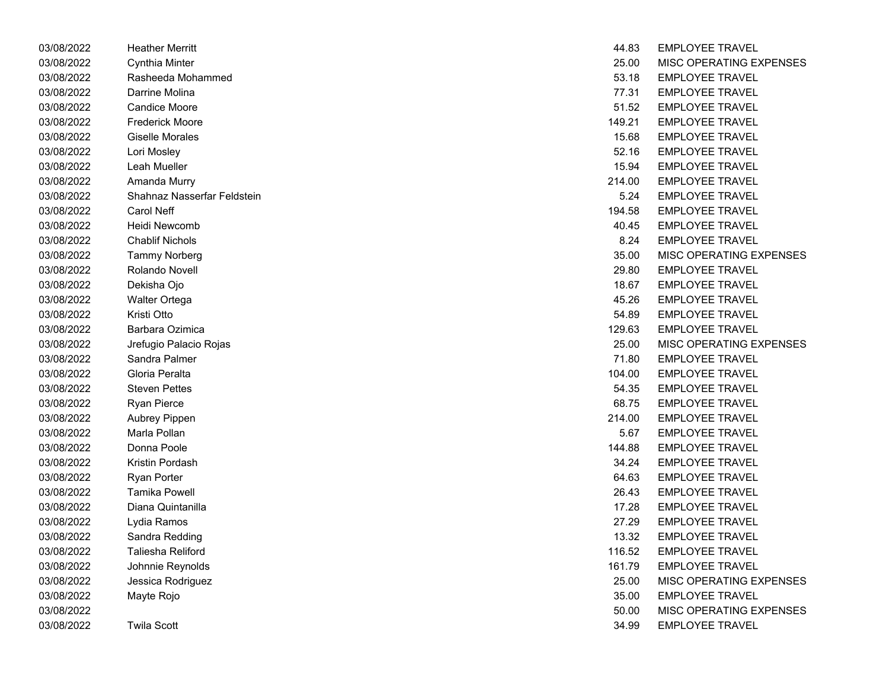| 03/08/2022 | <b>Heather Merritt</b>      | 44.83  | <b>EMPLOYEE IRAVEL</b>  |
|------------|-----------------------------|--------|-------------------------|
| 03/08/2022 | Cynthia Minter              | 25.00  | <b>MISC OPERATING E</b> |
| 03/08/2022 | Rasheeda Mohammed           | 53.18  | <b>EMPLOYEE TRAVEL</b>  |
| 03/08/2022 | Darrine Molina              | 77.31  | <b>EMPLOYEE TRAVEL</b>  |
| 03/08/2022 | <b>Candice Moore</b>        | 51.52  | <b>EMPLOYEE TRAVEL</b>  |
| 03/08/2022 | <b>Frederick Moore</b>      | 149.21 | <b>EMPLOYEE TRAVEL</b>  |
| 03/08/2022 | <b>Giselle Morales</b>      | 15.68  | <b>EMPLOYEE TRAVEL</b>  |
| 03/08/2022 | Lori Mosley                 | 52.16  | <b>EMPLOYEE TRAVEL</b>  |
| 03/08/2022 | Leah Mueller                | 15.94  | <b>EMPLOYEE TRAVEL</b>  |
| 03/08/2022 | Amanda Murry                | 214.00 | <b>EMPLOYEE TRAVEL</b>  |
| 03/08/2022 | Shahnaz Nasserfar Feldstein | 5.24   | <b>EMPLOYEE TRAVEL</b>  |
| 03/08/2022 | <b>Carol Neff</b>           | 194.58 | <b>EMPLOYEE TRAVEL</b>  |
| 03/08/2022 | Heidi Newcomb               | 40.45  | <b>EMPLOYEE TRAVEL</b>  |
| 03/08/2022 | <b>Chablif Nichols</b>      | 8.24   | <b>EMPLOYEE TRAVEL</b>  |
| 03/08/2022 | <b>Tammy Norberg</b>        | 35.00  | MISC OPERATING E        |
| 03/08/2022 | Rolando Novell              | 29.80  | <b>EMPLOYEE TRAVEL</b>  |
| 03/08/2022 | Dekisha Ojo                 | 18.67  | <b>EMPLOYEE TRAVEL</b>  |
| 03/08/2022 | <b>Walter Ortega</b>        | 45.26  | <b>EMPLOYEE TRAVEL</b>  |
| 03/08/2022 | Kristi Otto                 | 54.89  | <b>EMPLOYEE TRAVEL</b>  |
| 03/08/2022 | Barbara Ozimica             | 129.63 | <b>EMPLOYEE TRAVEL</b>  |
| 03/08/2022 | Jrefugio Palacio Rojas      | 25.00  | MISC OPERATING E        |
| 03/08/2022 | Sandra Palmer               | 71.80  | <b>EMPLOYEE TRAVEL</b>  |
| 03/08/2022 | Gloria Peralta              | 104.00 | <b>EMPLOYEE TRAVEL</b>  |
| 03/08/2022 | <b>Steven Pettes</b>        | 54.35  | <b>EMPLOYEE TRAVEL</b>  |
| 03/08/2022 | <b>Ryan Pierce</b>          | 68.75  | <b>EMPLOYEE TRAVEL</b>  |
| 03/08/2022 | Aubrey Pippen               | 214.00 | <b>EMPLOYEE TRAVEL</b>  |
| 03/08/2022 | Marla Pollan                | 5.67   | <b>EMPLOYEE TRAVEL</b>  |
| 03/08/2022 | Donna Poole                 | 144.88 | <b>EMPLOYEE TRAVEL</b>  |
| 03/08/2022 | Kristin Pordash             | 34.24  | <b>EMPLOYEE TRAVEL</b>  |
| 03/08/2022 | <b>Ryan Porter</b>          | 64.63  | <b>EMPLOYEE TRAVEL</b>  |
| 03/08/2022 | <b>Tamika Powell</b>        | 26.43  | <b>EMPLOYEE TRAVEL</b>  |
| 03/08/2022 | Diana Quintanilla           | 17.28  | <b>EMPLOYEE TRAVEL</b>  |
| 03/08/2022 | Lydia Ramos                 | 27.29  | <b>EMPLOYEE TRAVEL</b>  |
| 03/08/2022 | Sandra Redding              | 13.32  | <b>EMPLOYEE TRAVEL</b>  |
| 03/08/2022 | Taliesha Reliford           | 116.52 | <b>EMPLOYEE TRAVEL</b>  |
| 03/08/2022 | Johnnie Reynolds            | 161.79 | <b>EMPLOYEE TRAVEL</b>  |
| 03/08/2022 | Jessica Rodriguez           | 25.00  | MISC OPERATING E        |
| 03/08/2022 | Mayte Rojo                  | 35.00  | <b>EMPLOYEE TRAVEL</b>  |
| 03/08/2022 |                             | 50.00  | MISC OPERATING E        |
| 03/08/2022 | Twila Scott                 | 34.99  | <b>EMPLOYEE TRAVEL</b>  |

| 03/08/2022 | <b>Heather Merritt</b>      | 44.83  | <b>EMPLOYEE TRAVEL</b>  |
|------------|-----------------------------|--------|-------------------------|
| 03/08/2022 | Cynthia Minter              | 25.00  | MISC OPERATING EXPENSES |
| 03/08/2022 | Rasheeda Mohammed           | 53.18  | <b>EMPLOYEE TRAVEL</b>  |
| 03/08/2022 | Darrine Molina              | 77.31  | <b>EMPLOYEE TRAVEL</b>  |
| 03/08/2022 | <b>Candice Moore</b>        | 51.52  | <b>EMPLOYEE TRAVEL</b>  |
| 03/08/2022 | <b>Frederick Moore</b>      | 149.21 | <b>EMPLOYEE TRAVEL</b>  |
| 03/08/2022 | <b>Giselle Morales</b>      | 15.68  | <b>EMPLOYEE TRAVEL</b>  |
| 03/08/2022 | Lori Mosley                 | 52.16  | <b>EMPLOYEE TRAVEL</b>  |
| 03/08/2022 | Leah Mueller                | 15.94  | <b>EMPLOYEE TRAVEL</b>  |
| 03/08/2022 | Amanda Murry                | 214.00 | <b>EMPLOYEE TRAVEL</b>  |
| 03/08/2022 | Shahnaz Nasserfar Feldstein | 5.24   | <b>EMPLOYEE TRAVEL</b>  |
| 03/08/2022 | Carol Neff                  | 194.58 | <b>EMPLOYEE TRAVEL</b>  |
| 03/08/2022 | Heidi Newcomb               | 40.45  | <b>EMPLOYEE TRAVEL</b>  |
| 03/08/2022 | <b>Chablif Nichols</b>      | 8.24   | <b>EMPLOYEE TRAVEL</b>  |
| 03/08/2022 | <b>Tammy Norberg</b>        | 35.00  | MISC OPERATING EXPENSES |
| 03/08/2022 | Rolando Novell              | 29.80  | <b>EMPLOYEE TRAVEL</b>  |
| 03/08/2022 | Dekisha Ojo                 | 18.67  | <b>EMPLOYEE TRAVEL</b>  |
| 03/08/2022 | <b>Walter Ortega</b>        | 45.26  | <b>EMPLOYEE TRAVEL</b>  |
| 03/08/2022 | Kristi Otto                 | 54.89  | <b>EMPLOYEE TRAVEL</b>  |
| 03/08/2022 | Barbara Ozimica             | 129.63 | <b>EMPLOYEE TRAVEL</b>  |
| 03/08/2022 | Jrefugio Palacio Rojas      | 25.00  | MISC OPERATING EXPENSES |
| 03/08/2022 | Sandra Palmer               | 71.80  | <b>EMPLOYEE TRAVEL</b>  |
| 03/08/2022 | Gloria Peralta              | 104.00 | <b>EMPLOYEE TRAVEL</b>  |
| 03/08/2022 | <b>Steven Pettes</b>        | 54.35  | <b>EMPLOYEE TRAVEL</b>  |
| 03/08/2022 | <b>Ryan Pierce</b>          | 68.75  | <b>EMPLOYEE TRAVEL</b>  |
| 03/08/2022 | Aubrey Pippen               | 214.00 | <b>EMPLOYEE TRAVEL</b>  |
| 03/08/2022 | Marla Pollan                | 5.67   | <b>EMPLOYEE TRAVEL</b>  |
| 03/08/2022 | Donna Poole                 | 144.88 | <b>EMPLOYEE TRAVEL</b>  |
| 03/08/2022 | Kristin Pordash             | 34.24  | <b>EMPLOYEE TRAVEL</b>  |
| 03/08/2022 | <b>Ryan Porter</b>          | 64.63  | <b>EMPLOYEE TRAVEL</b>  |
| 03/08/2022 | <b>Tamika Powell</b>        | 26.43  | <b>EMPLOYEE TRAVEL</b>  |
| 03/08/2022 | Diana Quintanilla           | 17.28  | <b>EMPLOYEE TRAVEL</b>  |
| 03/08/2022 | Lydia Ramos                 | 27.29  | <b>EMPLOYEE TRAVEL</b>  |
| 03/08/2022 | Sandra Redding              | 13.32  | <b>EMPLOYEE TRAVEL</b>  |
| 03/08/2022 | Taliesha Reliford           | 116.52 | <b>EMPLOYEE TRAVEL</b>  |
| 03/08/2022 | Johnnie Reynolds            | 161.79 | <b>EMPLOYEE TRAVEL</b>  |
| 03/08/2022 | Jessica Rodriguez           | 25.00  | MISC OPERATING EXPENSES |
| 03/08/2022 | Mayte Rojo                  | 35.00  | <b>EMPLOYEE TRAVEL</b>  |
| 03/08/2022 |                             | 50.00  | MISC OPERATING EXPENSES |
| 03/08/2022 | <b>Twila Scott</b>          | 34.99  | <b>EMPLOYEE TRAVEL</b>  |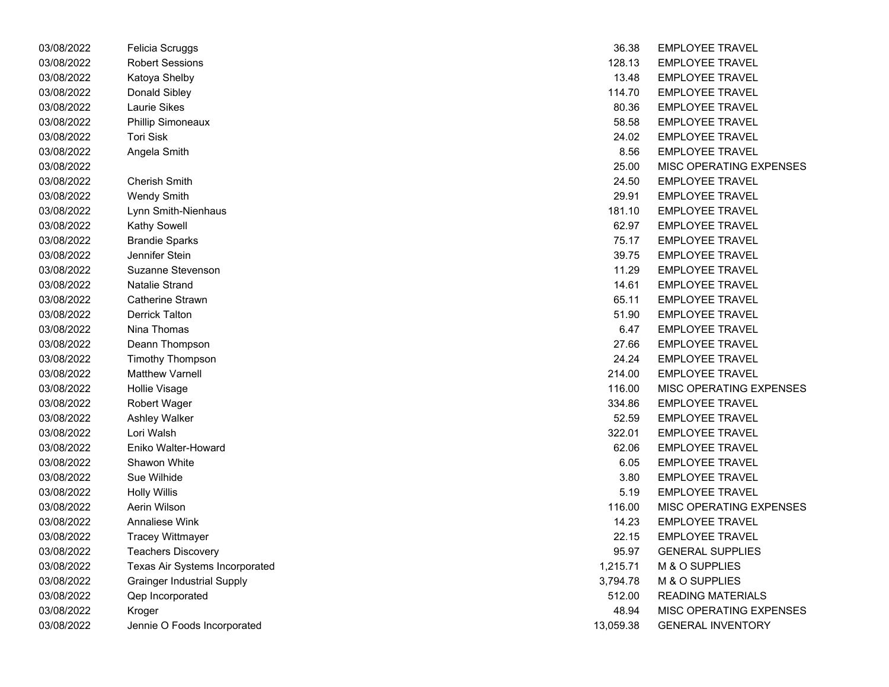| 03/08/2022 | Felicia Scruggs                   | 36.38     | <b>EMPLOYEE TRAVEL</b>   |
|------------|-----------------------------------|-----------|--------------------------|
| 03/08/2022 | <b>Robert Sessions</b>            | 128.13    | <b>EMPLOYEE TRAVEL</b>   |
| 03/08/2022 | Katoya Shelby                     | 13.48     | <b>EMPLOYEE TRAVEL</b>   |
| 03/08/2022 | Donald Sibley                     | 114.70    | <b>EMPLOYEE TRAVEL</b>   |
| 03/08/2022 | <b>Laurie Sikes</b>               | 80.36     | <b>EMPLOYEE TRAVEL</b>   |
| 03/08/2022 | Phillip Simoneaux                 | 58.58     | <b>EMPLOYEE TRAVEL</b>   |
| 03/08/2022 | Tori Sisk                         | 24.02     | <b>EMPLOYEE TRAVEL</b>   |
| 03/08/2022 | Angela Smith                      | 8.56      | <b>EMPLOYEE TRAVEL</b>   |
| 03/08/2022 |                                   | 25.00     | MISC OPERATING EXPENSES  |
| 03/08/2022 | <b>Cherish Smith</b>              | 24.50     | <b>EMPLOYEE TRAVEL</b>   |
| 03/08/2022 | <b>Wendy Smith</b>                | 29.91     | <b>EMPLOYEE TRAVEL</b>   |
| 03/08/2022 | Lynn Smith-Nienhaus               | 181.10    | <b>EMPLOYEE TRAVEL</b>   |
| 03/08/2022 | Kathy Sowell                      | 62.97     | <b>EMPLOYEE TRAVEL</b>   |
| 03/08/2022 | <b>Brandie Sparks</b>             | 75.17     | <b>EMPLOYEE TRAVEL</b>   |
| 03/08/2022 | Jennifer Stein                    | 39.75     | <b>EMPLOYEE TRAVEL</b>   |
| 03/08/2022 | Suzanne Stevenson                 | 11.29     | <b>EMPLOYEE TRAVEL</b>   |
| 03/08/2022 | <b>Natalie Strand</b>             | 14.61     | <b>EMPLOYEE TRAVEL</b>   |
| 03/08/2022 | Catherine Strawn                  | 65.11     | <b>EMPLOYEE TRAVEL</b>   |
| 03/08/2022 | <b>Derrick Talton</b>             | 51.90     | <b>EMPLOYEE TRAVEL</b>   |
| 03/08/2022 | Nina Thomas                       | 6.47      | <b>EMPLOYEE TRAVEL</b>   |
| 03/08/2022 | Deann Thompson                    | 27.66     | <b>EMPLOYEE TRAVEL</b>   |
| 03/08/2022 | Timothy Thompson                  | 24.24     | <b>EMPLOYEE TRAVEL</b>   |
| 03/08/2022 | <b>Matthew Varnell</b>            | 214.00    | <b>EMPLOYEE TRAVEL</b>   |
| 03/08/2022 | <b>Hollie Visage</b>              | 116.00    | MISC OPERATING EXPENSES  |
| 03/08/2022 | Robert Wager                      | 334.86    | <b>EMPLOYEE TRAVEL</b>   |
| 03/08/2022 | Ashley Walker                     | 52.59     | <b>EMPLOYEE TRAVEL</b>   |
| 03/08/2022 | Lori Walsh                        | 322.01    | <b>EMPLOYEE TRAVEL</b>   |
| 03/08/2022 | Eniko Walter-Howard               | 62.06     | <b>EMPLOYEE TRAVEL</b>   |
| 03/08/2022 | <b>Shawon White</b>               | 6.05      | <b>EMPLOYEE TRAVEL</b>   |
| 03/08/2022 | Sue Wilhide                       | 3.80      | <b>EMPLOYEE TRAVEL</b>   |
| 03/08/2022 | <b>Holly Willis</b>               | 5.19      | <b>EMPLOYEE TRAVEL</b>   |
| 03/08/2022 | Aerin Wilson                      | 116.00    | MISC OPERATING EXPENSES  |
| 03/08/2022 | Annaliese Wink                    | 14.23     | <b>EMPLOYEE TRAVEL</b>   |
| 03/08/2022 | <b>Tracey Wittmayer</b>           | 22.15     | <b>EMPLOYEE TRAVEL</b>   |
| 03/08/2022 | <b>Teachers Discovery</b>         | 95.97     | <b>GENERAL SUPPLIES</b>  |
| 03/08/2022 | Texas Air Systems Incorporated    | 1,215.71  | M & O SUPPLIES           |
| 03/08/2022 | <b>Grainger Industrial Supply</b> | 3,794.78  | M & O SUPPLIES           |
| 03/08/2022 | <b>Qep Incorporated</b>           | 512.00    | <b>READING MATERIALS</b> |
| 03/08/2022 | Kroger                            | 48.94     | MISC OPERATING EXPENSES  |
| 03/08/2022 | Jennie O Foods Incorporated       | 13,059.38 | <b>GENERAL INVENTORY</b> |

| 36.38    | <b>EMPLOYEE TRAVEL</b>         |
|----------|--------------------------------|
| 128.13   | <b>EMPLOYEE TRAVEL</b>         |
| 13.48    | <b>EMPLOYEE TRAVEL</b>         |
| 114.70   | <b>EMPLOYEE TRAVEL</b>         |
| 80.36    | <b>EMPLOYEE TRAVEL</b>         |
| 58.58    | <b>EMPLOYEE TRAVEL</b>         |
| 24.02    | <b>EMPLOYEE TRAVEL</b>         |
| 8.56     | <b>EMPLOYEE TRAVEL</b>         |
| 25.00    | MISC OPERATING EXPENSES        |
| 24.50    | <b>EMPLOYEE TRAVEL</b>         |
| 29.91    | <b>EMPLOYEE TRAVEL</b>         |
| 181.10   | <b>EMPLOYEE TRAVEL</b>         |
| 62.97    | <b>EMPLOYEE TRAVEL</b>         |
| 75.17    | <b>EMPLOYEE TRAVEL</b>         |
| 39.75    | <b>EMPLOYEE TRAVEL</b>         |
| 11.29    | <b>EMPLOYEE TRAVEL</b>         |
| 14.61    | <b>EMPLOYEE TRAVEL</b>         |
| 65.11    | <b>EMPLOYEE TRAVEL</b>         |
| 51.90    | <b>EMPLOYEE TRAVEL</b>         |
| 6.47     | <b>EMPLOYEE TRAVEL</b>         |
| 27.66    | <b>EMPLOYEE TRAVEL</b>         |
| 24.24    | <b>EMPLOYEE TRAVEL</b>         |
| 214.00   | <b>EMPLOYEE TRAVEL</b>         |
| 116.00   | <b>MISC OPERATING EXPENSES</b> |
| 334.86   | <b>EMPLOYEE TRAVEL</b>         |
| 52.59    | <b>EMPLOYEE TRAVEL</b>         |
| 322.01   | <b>EMPLOYEE TRAVEL</b>         |
| 62.06    | <b>EMPLOYEE TRAVEL</b>         |
| 6.05     | <b>EMPLOYEE TRAVEL</b>         |
| 3.80     | <b>EMPLOYEE TRAVEL</b>         |
| 5.19     | <b>EMPLOYEE TRAVEL</b>         |
| 116.00   | <b>MISC OPERATING EXPENSES</b> |
| 14.23    | <b>EMPLOYEE TRAVEL</b>         |
| 22.15    | <b>FMPLOYFF TRAVEL</b>         |
| 95.97    | <b>GENERAL SUPPLIES</b>        |
| 1,215.71 | M & O SUPPLIES                 |
| 3,794.78 | M & O SUPPLIES                 |
| 512.00   | <b>READING MATERIALS</b>       |
| 48.94    | MISC OPERATING EXPENSES        |
| 3.059.38 | <b>GENERAL INVENTORY</b>       |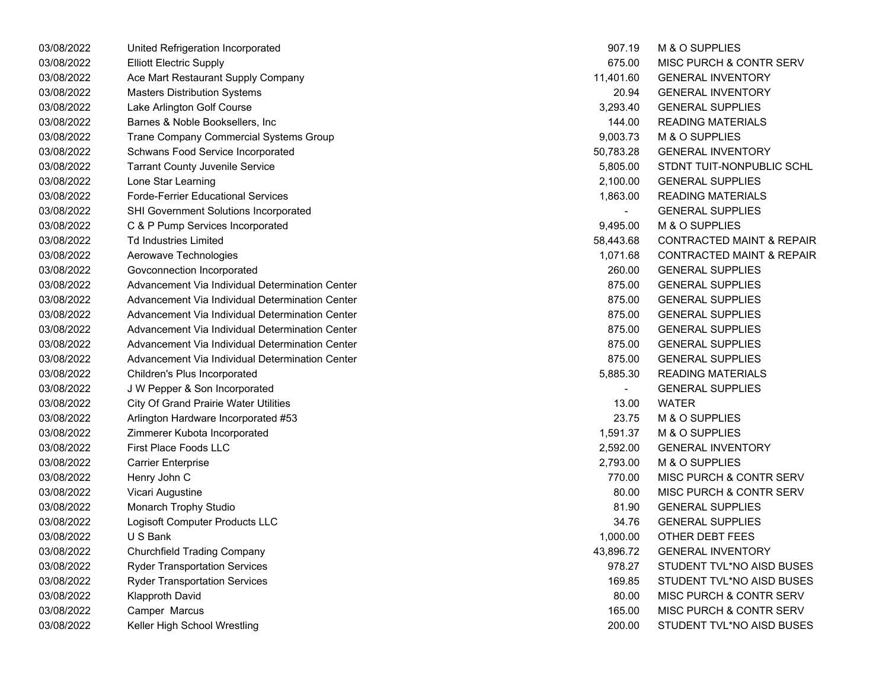| 03/08/2022 | United Refrigeration Incorporated               | 907.19    | M & O SUPPLIES                       |
|------------|-------------------------------------------------|-----------|--------------------------------------|
| 03/08/2022 | <b>Elliott Electric Supply</b>                  | 675.00    | MISC PURCH & CONTR SERV              |
| 03/08/2022 | Ace Mart Restaurant Supply Company              | 11,401.60 | <b>GENERAL INVENTORY</b>             |
| 03/08/2022 | <b>Masters Distribution Systems</b>             | 20.94     | <b>GENERAL INVENTORY</b>             |
| 03/08/2022 | Lake Arlington Golf Course                      | 3,293.40  | <b>GENERAL SUPPLIES</b>              |
| 03/08/2022 | Barnes & Noble Booksellers, Inc                 | 144.00    | <b>READING MATERIALS</b>             |
| 03/08/2022 | Trane Company Commercial Systems Group          | 9,003.73  | M & O SUPPLIES                       |
| 03/08/2022 | Schwans Food Service Incorporated               | 50,783.28 | <b>GENERAL INVENTORY</b>             |
| 03/08/2022 | <b>Tarrant County Juvenile Service</b>          | 5,805.00  | STDNT TUIT-NONPUBLIC SCHL            |
| 03/08/2022 | Lone Star Learning                              | 2,100.00  | <b>GENERAL SUPPLIES</b>              |
| 03/08/2022 | <b>Forde-Ferrier Educational Services</b>       | 1,863.00  | <b>READING MATERIALS</b>             |
| 03/08/2022 | SHI Government Solutions Incorporated           |           | <b>GENERAL SUPPLIES</b>              |
| 03/08/2022 | C & P Pump Services Incorporated                | 9,495.00  | M & O SUPPLIES                       |
| 03/08/2022 | <b>Td Industries Limited</b>                    | 58,443.68 | <b>CONTRACTED MAINT &amp; REPAIR</b> |
| 03/08/2022 | Aerowave Technologies                           | 1,071.68  | <b>CONTRACTED MAINT &amp; REPAIR</b> |
| 03/08/2022 | Govconnection Incorporated                      | 260.00    | <b>GENERAL SUPPLIES</b>              |
| 03/08/2022 | Advancement Via Individual Determination Center | 875.00    | <b>GENERAL SUPPLIES</b>              |
| 03/08/2022 | Advancement Via Individual Determination Center | 875.00    | <b>GENERAL SUPPLIES</b>              |
| 03/08/2022 | Advancement Via Individual Determination Center | 875.00    | <b>GENERAL SUPPLIES</b>              |
| 03/08/2022 | Advancement Via Individual Determination Center | 875.00    | <b>GENERAL SUPPLIES</b>              |
| 03/08/2022 | Advancement Via Individual Determination Center | 875.00    | <b>GENERAL SUPPLIES</b>              |
| 03/08/2022 | Advancement Via Individual Determination Center | 875.00    | <b>GENERAL SUPPLIES</b>              |
| 03/08/2022 | Children's Plus Incorporated                    | 5,885.30  | <b>READING MATERIALS</b>             |
| 03/08/2022 | J W Pepper & Son Incorporated                   |           | <b>GENERAL SUPPLIES</b>              |
| 03/08/2022 | <b>City Of Grand Prairie Water Utilities</b>    | 13.00     | <b>WATER</b>                         |
| 03/08/2022 | Arlington Hardware Incorporated #53             | 23.75     | M & O SUPPLIES                       |
| 03/08/2022 | Zimmerer Kubota Incorporated                    | 1,591.37  | M & O SUPPLIES                       |
| 03/08/2022 | First Place Foods LLC                           | 2,592.00  | <b>GENERAL INVENTORY</b>             |
| 03/08/2022 | <b>Carrier Enterprise</b>                       | 2,793.00  | M & O SUPPLIES                       |
| 03/08/2022 | Henry John C                                    | 770.00    | MISC PURCH & CONTR SERV              |
| 03/08/2022 | Vicari Augustine                                | 80.00     | MISC PURCH & CONTR SERV              |
| 03/08/2022 | Monarch Trophy Studio                           | 81.90     | <b>GENERAL SUPPLIES</b>              |
| 03/08/2022 | Logisoft Computer Products LLC                  | 34.76     | <b>GENERAL SUPPLIES</b>              |
| 03/08/2022 | U S Bank                                        | 1,000.00  | OTHER DEBT FEES                      |
| 03/08/2022 | <b>Churchfield Trading Company</b>              | 43,896.72 | <b>GENERAL INVENTORY</b>             |
| 03/08/2022 | <b>Ryder Transportation Services</b>            | 978.27    | STUDENT TVL*NO AISD BUSES            |
| 03/08/2022 | <b>Ryder Transportation Services</b>            | 169.85    | STUDENT TVL*NO AISD BUSES            |
| 03/08/2022 | <b>Klapproth David</b>                          | 80.00     | MISC PURCH & CONTR SERV              |
| 03/08/2022 | Camper Marcus                                   | 165.00    | MISC PURCH & CONTR SERV              |
| 03/08/2022 | Keller High School Wrestling                    | 200.00    | STUDENT TVL*NO AISD BUSES            |

| 907.19    | <b>M &amp; O SUPPLIES</b>            |
|-----------|--------------------------------------|
| 675.00    | <b>MISC PURCH &amp; CONTR SERV</b>   |
| 11,401.60 | <b>GENERAL INVENTORY</b>             |
| 20.94     | <b>GENERAL INVENTORY</b>             |
| 3,293.40  | <b>GENERAL SUPPLIES</b>              |
| 144.00    | <b>READING MATERIALS</b>             |
| 9,003.73  | M & O SUPPLIES                       |
| 50,783.28 | <b>GENERAL INVENTORY</b>             |
| 5,805.00  | STDNT TUIT-NONPUBLIC SCHL            |
| 2,100.00  | <b>GENERAL SUPPLIES</b>              |
| 1,863.00  | <b>READING MATERIALS</b>             |
|           | <b>GENERAL SUPPLIES</b>              |
| 9,495.00  | M & O SUPPLIES                       |
| 58,443.68 | <b>CONTRACTED MAINT &amp; REPAIR</b> |
| 1,071.68  | <b>CONTRACTED MAINT &amp; REPAIR</b> |
| 260.00    | <b>GENERAL SUPPLIES</b>              |
| 875.00    | <b>GENERAL SUPPLIES</b>              |
| 875.00    | <b>GENERAL SUPPLIES</b>              |
| 875.00    | <b>GENERAL SUPPLIES</b>              |
| 875.00    | <b>GENERAL SUPPLIES</b>              |
| 875.00    | <b>GENERAL SUPPLIES</b>              |
| 875.00    | <b>GENERAL SUPPLIES</b>              |
| 5,885.30  | <b>READING MATERIALS</b>             |
| -         | <b>GENERAL SUPPLIES</b>              |
| 13.00     | <b>WATER</b>                         |
| 23.75     | M & O SUPPLIES                       |
| 1,591.37  | M & O SUPPLIES                       |
| 2,592.00  | <b>GENERAL INVENTORY</b>             |
| 2,793.00  | M & O SUPPLIES                       |
| 770.00    | <b>MISC PURCH &amp; CONTR SERV</b>   |
| 80.00     | <b>MISC PURCH &amp; CONTR SERV</b>   |
| 81.90     | <b>GENERAL SUPPLIES</b>              |
| 34.76     | <b>GENERAL SUPPLIES</b>              |
| 1,000.00  | <b>OTHER DEBT FEES</b>               |
| 43,896.72 | <b>GENERAL INVENTORY</b>             |
| 978.27    | STUDENT TVL*NO AISD BUSES            |
| 169.85    | STUDENT TVL*NO AISD BUSES            |
| 80.00     | <b>MISC PURCH &amp; CONTR SERV</b>   |
| 165.00    | <b>MISC PURCH &amp; CONTR SERV</b>   |
| 200.00    | STUDENT TVL*NO AISD BUSES            |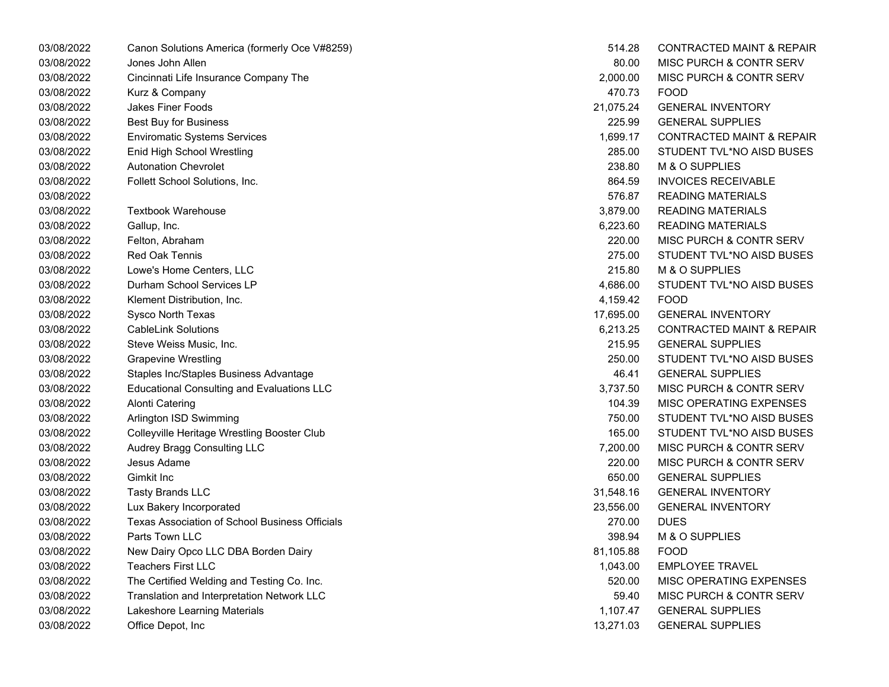| 03/08/2022 | Canon Solutions America (formerly Oce V#8259)     | 514.28    | <b>CONTRACTED MAINT &amp; REPAIR</b> |
|------------|---------------------------------------------------|-----------|--------------------------------------|
| 03/08/2022 | Jones John Allen                                  | 80.00     | MISC PURCH & CONTR SERV              |
| 03/08/2022 | Cincinnati Life Insurance Company The             | 2,000.00  | MISC PURCH & CONTR SERV              |
| 03/08/2022 | Kurz & Company                                    | 470.73    | <b>FOOD</b>                          |
| 03/08/2022 | <b>Jakes Finer Foods</b>                          | 21,075.24 | <b>GENERAL INVENTORY</b>             |
| 03/08/2022 | <b>Best Buy for Business</b>                      | 225.99    | <b>GENERAL SUPPLIES</b>              |
| 03/08/2022 | <b>Enviromatic Systems Services</b>               | 1,699.17  | <b>CONTRACTED MAINT &amp; REPAIR</b> |
| 03/08/2022 | Enid High School Wrestling                        | 285.00    | STUDENT TVL*NO AISD BUSES            |
| 03/08/2022 | <b>Autonation Chevrolet</b>                       | 238.80    | M & O SUPPLIES                       |
| 03/08/2022 | Follett School Solutions, Inc.                    | 864.59    | <b>INVOICES RECEIVABLE</b>           |
| 03/08/2022 |                                                   | 576.87    | <b>READING MATERIALS</b>             |
| 03/08/2022 | <b>Textbook Warehouse</b>                         | 3,879.00  | <b>READING MATERIALS</b>             |
| 03/08/2022 | Gallup, Inc.                                      | 6,223.60  | <b>READING MATERIALS</b>             |
| 03/08/2022 | Felton, Abraham                                   | 220.00    | MISC PURCH & CONTR SERV              |
| 03/08/2022 | <b>Red Oak Tennis</b>                             | 275.00    | STUDENT TVL*NO AISD BUSES            |
| 03/08/2022 | Lowe's Home Centers, LLC                          | 215.80    | M & O SUPPLIES                       |
| 03/08/2022 | Durham School Services LP                         | 4,686.00  | STUDENT TVL*NO AISD BUSES            |
| 03/08/2022 | Klement Distribution, Inc.                        | 4,159.42  | <b>FOOD</b>                          |
| 03/08/2022 | Sysco North Texas                                 | 17,695.00 | <b>GENERAL INVENTORY</b>             |
| 03/08/2022 | <b>CableLink Solutions</b>                        | 6,213.25  | <b>CONTRACTED MAINT &amp; REPAIR</b> |
| 03/08/2022 | Steve Weiss Music, Inc.                           | 215.95    | <b>GENERAL SUPPLIES</b>              |
| 03/08/2022 | <b>Grapevine Wrestling</b>                        | 250.00    | STUDENT TVL*NO AISD BUSES            |
| 03/08/2022 | Staples Inc/Staples Business Advantage            | 46.41     | <b>GENERAL SUPPLIES</b>              |
| 03/08/2022 | <b>Educational Consulting and Evaluations LLC</b> | 3,737.50  | MISC PURCH & CONTR SERV              |
| 03/08/2022 | <b>Alonti Catering</b>                            | 104.39    | MISC OPERATING EXPENSES              |
| 03/08/2022 | Arlington ISD Swimming                            | 750.00    | STUDENT TVL*NO AISD BUSES            |
| 03/08/2022 | Colleyville Heritage Wrestling Booster Club       | 165.00    | STUDENT TVL*NO AISD BUSES            |
| 03/08/2022 | Audrey Bragg Consulting LLC                       | 7,200.00  | MISC PURCH & CONTR SERV              |
| 03/08/2022 | Jesus Adame                                       | 220.00    | MISC PURCH & CONTR SERV              |
| 03/08/2022 | Gimkit Inc                                        | 650.00    | <b>GENERAL SUPPLIES</b>              |
| 03/08/2022 | <b>Tasty Brands LLC</b>                           | 31,548.16 | <b>GENERAL INVENTORY</b>             |
| 03/08/2022 | Lux Bakery Incorporated                           | 23,556.00 | <b>GENERAL INVENTORY</b>             |
| 03/08/2022 | Texas Association of School Business Officials    | 270.00    | <b>DUES</b>                          |
| 03/08/2022 | Parts Town LLC                                    | 398.94    | M & O SUPPLIES                       |
| 03/08/2022 | New Dairy Opco LLC DBA Borden Dairy               | 81,105.88 | <b>FOOD</b>                          |
| 03/08/2022 | <b>Teachers First LLC</b>                         | 1,043.00  | <b>EMPLOYEE TRAVEL</b>               |
| 03/08/2022 | The Certified Welding and Testing Co. Inc.        | 520.00    | MISC OPERATING EXPENSES              |
| 03/08/2022 | Translation and Interpretation Network LLC        | 59.40     | MISC PURCH & CONTR SERV              |
| 03/08/2022 | Lakeshore Learning Materials                      | 1,107.47  | <b>GENERAL SUPPLIES</b>              |
| 03/08/2022 | Office Depot, Inc                                 | 13,271.03 | <b>GENERAL SUPPLIES</b>              |
|            |                                                   |           |                                      |

| 514.28    | CONTRACTED MAINT & REPAIR            |
|-----------|--------------------------------------|
| 80.00     | MISC PURCH & CONTR SERV              |
| 2,000.00  | <b>MISC PURCH &amp; CONTR SERV</b>   |
| 470.73    | FOOD                                 |
| 21,075.24 | <b>GENERAL INVENTORY</b>             |
| 225.99    | <b>GENERAL SUPPLIES</b>              |
| 1,699.17  | <b>CONTRACTED MAINT &amp; REPAIR</b> |
| 285.00    | STUDENT TVL*NO AISD BUSES            |
| 238.80    | <b>M &amp; O SUPPLIES</b>            |
| 864.59    | <b>INVOICES RECEIVABLE</b>           |
| 576.87    | READING MATERIALS                    |
| 3,879.00  | <b>READING MATERIALS</b>             |
| 6,223.60  | <b>READING MATERIALS</b>             |
| 220.00    | <b>MISC PURCH &amp; CONTR SERV</b>   |
| 275.00    | STUDENT TVL*NO AISD BUSES            |
| 215.80    | <b>M &amp; O SUPPLIES</b>            |
| 4,686.00  | STUDENT TVL*NO AISD BUSES            |
| 4,159.42  | <b>FOOD</b>                          |
| 17,695.00 | <b>GENERAL INVENTORY</b>             |
| 6,213.25  | <b>CONTRACTED MAINT &amp; REPAIR</b> |
| 215.95    | <b>GENERAL SUPPLIES</b>              |
| 250.00    | STUDENT TVL*NO AISD BUSES            |
| 46.41     | <b>GENERAL SUPPLIES</b>              |
| 3,737.50  | MISC PURCH & CONTR SERV              |
| 104.39    | <b>MISC OPERATING EXPENSES</b>       |
| 750.00    | STUDENT TVL*NO AISD BUSES            |
| 165.00    | STUDENT TVL*NO AISD BUSES            |
| 7,200.00  | <b>MISC PURCH &amp; CONTR SERV</b>   |
| 220.00    | MISC PURCH & CONTR SERV              |
| 650.00    | <b>GENERAL SUPPLIES</b>              |
| 31,548.16 | <b>GENERAL INVENTORY</b>             |
| 23,556.00 | <b>GENERAL INVENTORY</b>             |
| 270.00    | DUES                                 |
| 398.94    | <b>M &amp; O SUPPLIES</b>            |
| 81,105.88 | <b>FOOD</b>                          |
| 1,043.00  | EMPLOYEE TRAVEL                      |
| 520.00    | <b>MISC OPERATING EXPENSES</b>       |
| 59.40     | MISC PURCH & CONTR SERV              |
| 1,107.47  | <b>GENERAL SUPPLIES</b>              |
| 13,271.03 | <b>GENERAL SUPPLIES</b>              |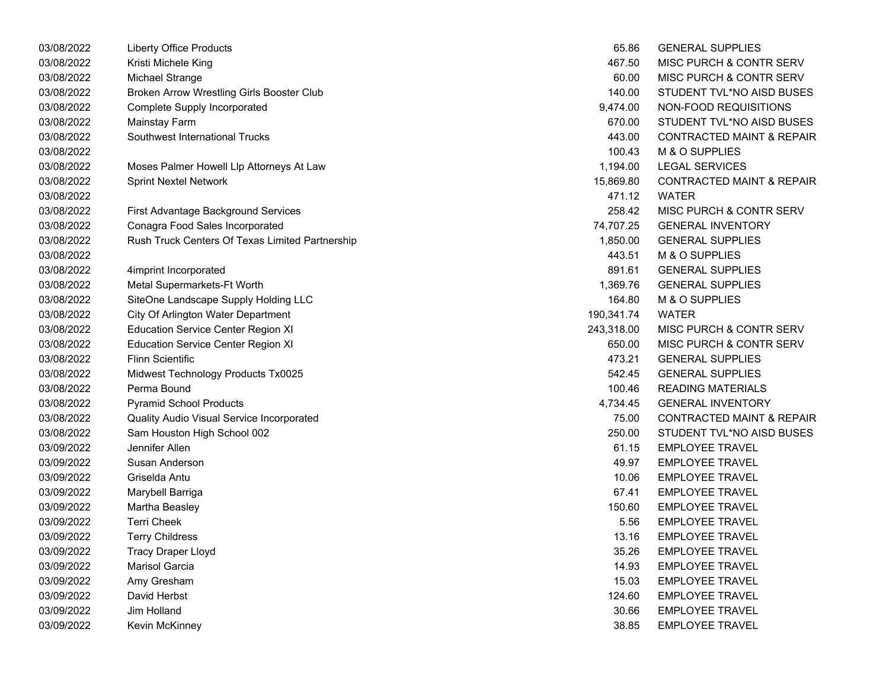| 03/08/2022 | <b>Liberty Office Products</b>                  | 65.86      | <b>GENERAL SUPPLIES</b>              |
|------------|-------------------------------------------------|------------|--------------------------------------|
| 03/08/2022 | Kristi Michele King                             | 467.50     | MISC PURCH & CONTR SERV              |
| 03/08/2022 | Michael Strange                                 | 60.00      | MISC PURCH & CONTR SERV              |
| 03/08/2022 | Broken Arrow Wrestling Girls Booster Club       | 140.00     | STUDENT TVL*NO AISD BUSES            |
| 03/08/2022 | <b>Complete Supply Incorporated</b>             | 9,474.00   | NON-FOOD REQUISITIONS                |
| 03/08/2022 | Mainstay Farm                                   | 670.00     | STUDENT TVL*NO AISD BUSES            |
| 03/08/2022 | Southwest International Trucks                  | 443.00     | <b>CONTRACTED MAINT &amp; REPAIR</b> |
| 03/08/2022 |                                                 | 100.43     | M & O SUPPLIES                       |
| 03/08/2022 | Moses Palmer Howell Llp Attorneys At Law        | 1,194.00   | <b>LEGAL SERVICES</b>                |
| 03/08/2022 | <b>Sprint Nextel Network</b>                    | 15,869.80  | <b>CONTRACTED MAINT &amp; REPAIR</b> |
| 03/08/2022 |                                                 | 471.12     | <b>WATER</b>                         |
| 03/08/2022 | First Advantage Background Services             | 258.42     | MISC PURCH & CONTR SERV              |
| 03/08/2022 | Conagra Food Sales Incorporated                 | 74,707.25  | <b>GENERAL INVENTORY</b>             |
| 03/08/2022 | Rush Truck Centers Of Texas Limited Partnership | 1,850.00   | <b>GENERAL SUPPLIES</b>              |
| 03/08/2022 |                                                 | 443.51     | M & O SUPPLIES                       |
| 03/08/2022 | 4imprint Incorporated                           | 891.61     | <b>GENERAL SUPPLIES</b>              |
| 03/08/2022 | Metal Supermarkets-Ft Worth                     | 1,369.76   | <b>GENERAL SUPPLIES</b>              |
| 03/08/2022 | SiteOne Landscape Supply Holding LLC            | 164.80     | M & O SUPPLIES                       |
| 03/08/2022 | City Of Arlington Water Department              | 190,341.74 | <b>WATER</b>                         |
| 03/08/2022 | <b>Education Service Center Region XI</b>       | 243,318.00 | MISC PURCH & CONTR SERV              |
| 03/08/2022 | <b>Education Service Center Region XI</b>       | 650.00     | MISC PURCH & CONTR SERV              |
| 03/08/2022 | <b>Flinn Scientific</b>                         | 473.21     | <b>GENERAL SUPPLIES</b>              |
| 03/08/2022 | Midwest Technology Products Tx0025              | 542.45     | <b>GENERAL SUPPLIES</b>              |
| 03/08/2022 | Perma Bound                                     | 100.46     | <b>READING MATERIALS</b>             |
| 03/08/2022 | <b>Pyramid School Products</b>                  | 4,734.45   | <b>GENERAL INVENTORY</b>             |
| 03/08/2022 | Quality Audio Visual Service Incorporated       | 75.00      | <b>CONTRACTED MAINT &amp; REPAIR</b> |
| 03/08/2022 | Sam Houston High School 002                     | 250.00     | STUDENT TVL*NO AISD BUSES            |
| 03/09/2022 | Jennifer Allen                                  | 61.15      | <b>EMPLOYEE TRAVEL</b>               |
| 03/09/2022 | Susan Anderson                                  | 49.97      | <b>EMPLOYEE TRAVEL</b>               |
| 03/09/2022 | Griselda Antu                                   | 10.06      | <b>EMPLOYEE TRAVEL</b>               |
| 03/09/2022 | Marybell Barriga                                | 67.41      | <b>EMPLOYEE TRAVEL</b>               |
| 03/09/2022 | Martha Beasley                                  | 150.60     | <b>EMPLOYEE TRAVEL</b>               |
| 03/09/2022 | <b>Terri Cheek</b>                              | 5.56       | <b>EMPLOYEE TRAVEL</b>               |
| 03/09/2022 | <b>Terry Childress</b>                          | 13.16      | <b>EMPLOYEE TRAVEL</b>               |
| 03/09/2022 | <b>Tracy Draper Lloyd</b>                       | 35.26      | <b>EMPLOYEE TRAVEL</b>               |
| 03/09/2022 | <b>Marisol Garcia</b>                           | 14.93      | <b>EMPLOYEE TRAVEL</b>               |
| 03/09/2022 | Amy Gresham                                     | 15.03      | <b>EMPLOYEE TRAVEL</b>               |
| 03/09/2022 | David Herbst                                    | 124.60     | <b>EMPLOYEE TRAVEL</b>               |
| 03/09/2022 | <b>Jim Holland</b>                              | 30.66      | <b>EMPLOYEE TRAVEL</b>               |
| 03/09/2022 | Kevin McKinney                                  | 38.85      | <b>EMPLOYEE TRAVEL</b>               |

| 65.86     | <b>GENERAL SUPPLIES</b>              |
|-----------|--------------------------------------|
| 467.50    | MISC PURCH & CONTR SERV              |
| 60.00     | MISC PURCH & CONTR SERV              |
| 140.00    | STUDENT TVL*NO AISD BUSES            |
| 9,474.00  | NON-FOOD REQUISITIONS                |
|           | 670.00 STUDENT TVL*NO AISD BUSES     |
|           | 443.00 CONTRACTED MAINT & REPAIR     |
|           | 100.43 M & O SUPPLIES                |
| 1,194.00  | <b>LEGAL SERVICES</b>                |
| 5,869.80  | <b>CONTRACTED MAINT &amp; REPAIR</b> |
| 471.12    | <b>WATER</b>                         |
|           | 258.42 MISC PURCH & CONTR SERV       |
|           | 74,707.25 GENERAL INVENTORY          |
| 1,850.00  | <b>GENERAL SUPPLIES</b>              |
| 443.51    | M & O SUPPLIES                       |
|           | 891.61 GENERAL SUPPLIES              |
|           | 1,369.76 GENERAL SUPPLIES            |
|           | 164.80 M & O SUPPLIES                |
| 90,341.74 | <b>WATER</b>                         |
|           | 13,318.00 MISC PURCH & CONTR SERV    |
|           | 650.00 MISC PURCH & CONTR SERV       |
|           | 473.21 GENERAL SUPPLIES              |
|           | 542.45 GENERAL SUPPLIES              |
| 100.46    | READING MATERIALS                    |
| 4,734.45  | <b>GENERAL INVENTORY</b>             |
|           | 75.00 CONTRACTED MAINT & REPAIR      |
|           | 250.00 STUDENT TVL*NO AISD BUSES     |
|           | 61.15 EMPLOYEE TRAVEL                |
| 49.97     | <b>EMPLOYEE TRAVEL</b>               |
| 10.06     | <b>EMPLOYEE TRAVEL</b>               |
| 67.41     | EMPLOYEE TRAVEL                      |
|           | 150.60 EMPLOYEE TRAVEL               |
|           | 5.56 EMPLOYEE TRAVEL                 |
| 13.16     | <b>EMPLOYEE TRAVEL</b>               |
| 35.26     | <b>EMPLOYEE TRAVEL</b>               |
| 14.93     | <b>EMPLOYEE TRAVEL</b>               |
| 15.03     | <b>EMPLOYEE TRAVEL</b>               |
| 124.60    | <b>EMPLOYEE TRAVEL</b>               |
| 30.66     | <b>EMPLOYEE TRAVEL</b>               |
| 38.85     | <b>EMPLOYEE TRAVEL</b>               |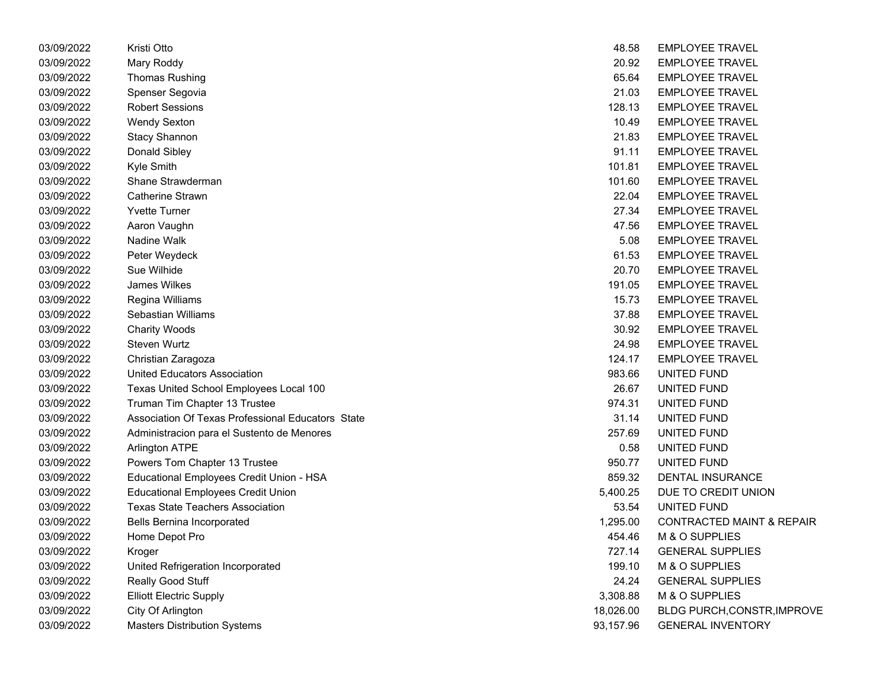| 03/09/2022 | Kristi Otto                                       | 48.58     | <b>EMPLOYEE TRAVEL</b>               |
|------------|---------------------------------------------------|-----------|--------------------------------------|
| 03/09/2022 | Mary Roddy                                        | 20.92     | <b>EMPLOYEE TRAVEL</b>               |
| 03/09/2022 | <b>Thomas Rushing</b>                             | 65.64     | <b>EMPLOYEE TRAVEL</b>               |
| 03/09/2022 | Spenser Segovia                                   | 21.03     | <b>EMPLOYEE TRAVEL</b>               |
| 03/09/2022 | <b>Robert Sessions</b>                            | 128.13    | <b>EMPLOYEE TRAVEL</b>               |
| 03/09/2022 | <b>Wendy Sexton</b>                               | 10.49     | <b>EMPLOYEE TRAVEL</b>               |
| 03/09/2022 | <b>Stacy Shannon</b>                              | 21.83     | <b>EMPLOYEE TRAVEL</b>               |
| 03/09/2022 | Donald Sibley                                     | 91.11     | <b>EMPLOYEE TRAVEL</b>               |
| 03/09/2022 | Kyle Smith                                        | 101.81    | <b>EMPLOYEE TRAVEL</b>               |
| 03/09/2022 | Shane Strawderman                                 | 101.60    | <b>EMPLOYEE TRAVEL</b>               |
| 03/09/2022 | Catherine Strawn                                  | 22.04     | <b>EMPLOYEE TRAVEL</b>               |
| 03/09/2022 | <b>Yvette Turner</b>                              | 27.34     | <b>EMPLOYEE TRAVEL</b>               |
| 03/09/2022 | Aaron Vaughn                                      | 47.56     | <b>EMPLOYEE TRAVEL</b>               |
| 03/09/2022 | Nadine Walk                                       | 5.08      | <b>EMPLOYEE TRAVEL</b>               |
| 03/09/2022 | Peter Weydeck                                     | 61.53     | <b>EMPLOYEE TRAVEL</b>               |
| 03/09/2022 | Sue Wilhide                                       | 20.70     | <b>EMPLOYEE TRAVEL</b>               |
| 03/09/2022 | James Wilkes                                      | 191.05    | <b>EMPLOYEE TRAVEL</b>               |
| 03/09/2022 | Regina Williams                                   | 15.73     | <b>EMPLOYEE TRAVEL</b>               |
| 03/09/2022 | Sebastian Williams                                | 37.88     | <b>EMPLOYEE TRAVEL</b>               |
| 03/09/2022 | <b>Charity Woods</b>                              | 30.92     | <b>EMPLOYEE TRAVEL</b>               |
| 03/09/2022 | Steven Wurtz                                      | 24.98     | <b>EMPLOYEE TRAVEL</b>               |
| 03/09/2022 | Christian Zaragoza                                | 124.17    | <b>EMPLOYEE TRAVEL</b>               |
| 03/09/2022 | <b>United Educators Association</b>               | 983.66    | UNITED FUND                          |
| 03/09/2022 | Texas United School Employees Local 100           | 26.67     | UNITED FUND                          |
| 03/09/2022 | Truman Tim Chapter 13 Trustee                     | 974.31    | UNITED FUND                          |
| 03/09/2022 | Association Of Texas Professional Educators State | 31.14     | UNITED FUND                          |
| 03/09/2022 | Administracion para el Sustento de Menores        | 257.69    | UNITED FUND                          |
| 03/09/2022 | <b>Arlington ATPE</b>                             | 0.58      | UNITED FUND                          |
| 03/09/2022 | Powers Tom Chapter 13 Trustee                     | 950.77    | UNITED FUND                          |
| 03/09/2022 | Educational Employees Credit Union - HSA          | 859.32    | DENTAL INSURANCE                     |
| 03/09/2022 | <b>Educational Employees Credit Union</b>         | 5,400.25  | DUE TO CREDIT UNION                  |
| 03/09/2022 | <b>Texas State Teachers Association</b>           | 53.54     | UNITED FUND                          |
| 03/09/2022 | Bells Bernina Incorporated                        | 1,295.00  | <b>CONTRACTED MAINT &amp; REPAIR</b> |
| 03/09/2022 | Home Depot Pro                                    | 454.46    | M & O SUPPLIES                       |
| 03/09/2022 | Kroger                                            | 727.14    | <b>GENERAL SUPPLIES</b>              |
| 03/09/2022 | United Refrigeration Incorporated                 | 199.10    | M & O SUPPLIES                       |
| 03/09/2022 | Really Good Stuff                                 | 24.24     | <b>GENERAL SUPPLIES</b>              |
| 03/09/2022 | <b>Elliott Electric Supply</b>                    | 3,308.88  | M & O SUPPLIES                       |
| 03/09/2022 | City Of Arlington                                 | 18,026.00 | BLDG PURCH, CONSTR, IMPROVE          |
| 03/09/2022 | <b>Masters Distribution Systems</b>               | 93,157.96 | <b>GENERAL INVENTORY</b>             |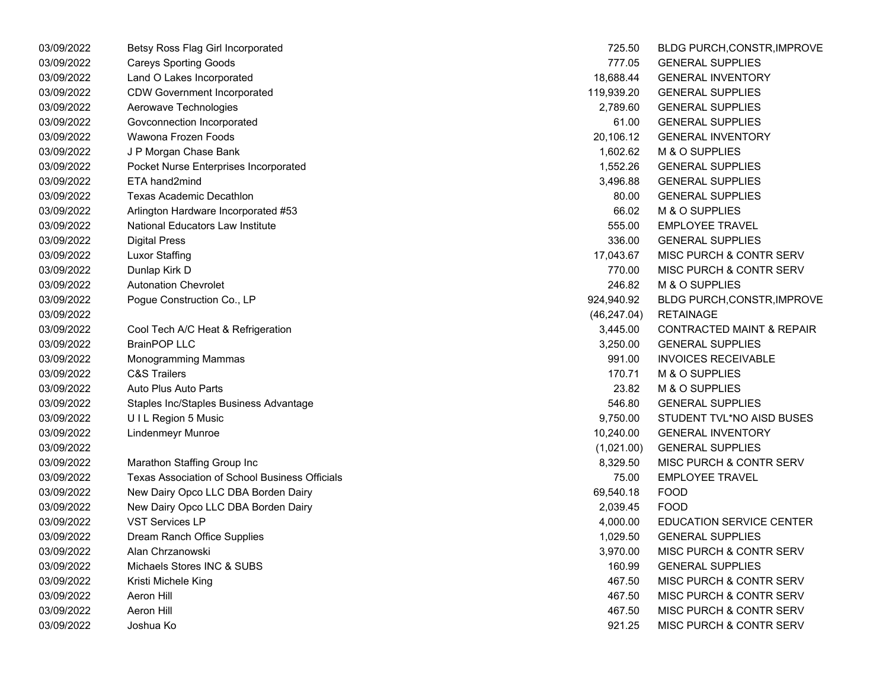| 03/09/2022 | Betsy Ross Flag Girl Incorporated              | 725.50       | BLDG PURCH, CONSTR, IMPROVE          |
|------------|------------------------------------------------|--------------|--------------------------------------|
| 03/09/2022 | <b>Careys Sporting Goods</b>                   | 777.05       | <b>GENERAL SUPPLIES</b>              |
| 03/09/2022 | Land O Lakes Incorporated                      | 18,688.44    | <b>GENERAL INVENTORY</b>             |
| 03/09/2022 | <b>CDW Government Incorporated</b>             | 119,939.20   | <b>GENERAL SUPPLIES</b>              |
| 03/09/2022 | Aerowave Technologies                          | 2,789.60     | <b>GENERAL SUPPLIES</b>              |
| 03/09/2022 | Govconnection Incorporated                     | 61.00        | <b>GENERAL SUPPLIES</b>              |
| 03/09/2022 | Wawona Frozen Foods                            | 20,106.12    | <b>GENERAL INVENTORY</b>             |
| 03/09/2022 | J P Morgan Chase Bank                          | 1,602.62     | M & O SUPPLIES                       |
| 03/09/2022 | Pocket Nurse Enterprises Incorporated          | 1,552.26     | <b>GENERAL SUPPLIES</b>              |
| 03/09/2022 | ETA hand2mind                                  | 3,496.88     | <b>GENERAL SUPPLIES</b>              |
| 03/09/2022 | Texas Academic Decathlon                       | 80.00        | <b>GENERAL SUPPLIES</b>              |
| 03/09/2022 | Arlington Hardware Incorporated #53            | 66.02        | M & O SUPPLIES                       |
| 03/09/2022 | National Educators Law Institute               | 555.00       | <b>EMPLOYEE TRAVEL</b>               |
| 03/09/2022 | <b>Digital Press</b>                           | 336.00       | <b>GENERAL SUPPLIES</b>              |
| 03/09/2022 | <b>Luxor Staffing</b>                          | 17,043.67    | <b>MISC PURCH &amp; CONTR SERV</b>   |
| 03/09/2022 | Dunlap Kirk D                                  | 770.00       | MISC PURCH & CONTR SERV              |
| 03/09/2022 | <b>Autonation Chevrolet</b>                    | 246.82       | M & O SUPPLIES                       |
| 03/09/2022 | Pogue Construction Co., LP                     | 924,940.92   | BLDG PURCH, CONSTR, IMPROVE          |
| 03/09/2022 |                                                | (46, 247.04) | <b>RETAINAGE</b>                     |
| 03/09/2022 | Cool Tech A/C Heat & Refrigeration             | 3,445.00     | <b>CONTRACTED MAINT &amp; REPAIR</b> |
| 03/09/2022 | <b>BrainPOP LLC</b>                            | 3,250.00     | <b>GENERAL SUPPLIES</b>              |
| 03/09/2022 | Monogramming Mammas                            | 991.00       | <b>INVOICES RECEIVABLE</b>           |
| 03/09/2022 | <b>C&amp;S Trailers</b>                        | 170.71       | M & O SUPPLIES                       |
| 03/09/2022 | Auto Plus Auto Parts                           | 23.82        | M & O SUPPLIES                       |
| 03/09/2022 | Staples Inc/Staples Business Advantage         | 546.80       | <b>GENERAL SUPPLIES</b>              |
| 03/09/2022 | UIL Region 5 Music                             | 9,750.00     | STUDENT TVL*NO AISD BUSES            |
| 03/09/2022 | <b>Lindenmeyr Munroe</b>                       | 10,240.00    | <b>GENERAL INVENTORY</b>             |
| 03/09/2022 |                                                | (1,021.00)   | <b>GENERAL SUPPLIES</b>              |
| 03/09/2022 | Marathon Staffing Group Inc                    | 8,329.50     | <b>MISC PURCH &amp; CONTR SERV</b>   |
| 03/09/2022 | Texas Association of School Business Officials | 75.00        | <b>EMPLOYEE TRAVEL</b>               |
| 03/09/2022 | New Dairy Opco LLC DBA Borden Dairy            | 69,540.18    | FOOD                                 |
| 03/09/2022 | New Dairy Opco LLC DBA Borden Dairy            | 2,039.45     | <b>FOOD</b>                          |
| 03/09/2022 | <b>VST Services LP</b>                         | 4,000.00     | <b>EDUCATION SERVICE CENTER</b>      |
| 03/09/2022 | Dream Ranch Office Supplies                    | 1,029.50     | <b>GENERAL SUPPLIES</b>              |
| 03/09/2022 | Alan Chrzanowski                               | 3,970.00     | <b>MISC PURCH &amp; CONTR SERV</b>   |
| 03/09/2022 | Michaels Stores INC & SUBS                     | 160.99       | <b>GENERAL SUPPLIES</b>              |
| 03/09/2022 | Kristi Michele King                            | 467.50       | MISC PURCH & CONTR SERV              |
| 03/09/2022 | Aeron Hill                                     | 467.50       | <b>MISC PURCH &amp; CONTR SERV</b>   |
| 03/09/2022 | Aeron Hill                                     | 467.50       | <b>MISC PURCH &amp; CONTR SERV</b>   |
| 03/09/2022 | Joshua Ko                                      | 921.25       | MISC PURCH & CONTR SERV              |

| 725.50       | BLDG PURCH, CONSTR, IMPROVE          |
|--------------|--------------------------------------|
| 777.05       | <b>GENERAL SUPPLIES</b>              |
| 18,688.44    | <b>GENERAL INVENTORY</b>             |
| 119,939.20   | <b>GENERAL SUPPLIES</b>              |
| 2,789.60     | <b>GENERAL SUPPLIES</b>              |
| 61.00        | <b>GENERAL SUPPLIES</b>              |
| 20,106.12    | <b>GENERAL INVENTORY</b>             |
| 1,602.62     | M & O SUPPLIES                       |
| 1,552.26     | <b>GENERAL SUPPLIES</b>              |
| 3,496.88     | <b>GENERAL SUPPLIES</b>              |
| 80.00        | <b>GENERAL SUPPLIES</b>              |
| 66.02        | M & O SUPPLIES                       |
| 555.00       | <b>EMPLOYEE TRAVEL</b>               |
| 336.00       | <b>GENERAL SUPPLIES</b>              |
| 17,043.67    | <b>MISC PURCH &amp; CONTR SERV</b>   |
| 770.00       | <b>MISC PURCH &amp; CONTR SERV</b>   |
| 246.82       | <b>M &amp; O SUPPLIES</b>            |
| 924,940.92   | BLDG PURCH, CONSTR, IMPROVE          |
| (46, 247.04) | <b>RETAINAGE</b>                     |
| 3,445.00     | <b>CONTRACTED MAINT &amp; REPAIR</b> |
| 3,250.00     | <b>GENERAL SUPPLIES</b>              |
| 991.00       | <b>INVOICES RECEIVABLE</b>           |
| 170.71       | <b>M &amp; O SUPPLIES</b>            |
| 23.82        | M & O SUPPLIES                       |
| 546.80       | <b>GENERAL SUPPLIES</b>              |
| 9,750.00     | STUDENT TVL*NO AISD BUSES            |
| 10,240.00    | <b>GENERAL INVENTORY</b>             |
| (1,021.00)   | <b>GENERAL SUPPLIES</b>              |
| 8,329.50     | <b>MISC PURCH &amp; CONTR SERV</b>   |
| 75.00        | <b>EMPLOYEE TRAVEL</b>               |
| 69,540.18    | <b>FOOD</b>                          |
| 2,039.45     | <b>FOOD</b>                          |
| 4,000.00     | <b>EDUCATION SERVICE CENTER</b>      |
| 1,029.50     | <b>GENERAL SUPPLIES</b>              |
| 3,970.00     | <b>MISC PURCH &amp; CONTR SERV</b>   |
| 160.99       | <b>GENERAL SUPPLIES</b>              |
| 467.50       | MISC PURCH & CONTR SERV              |
| 467.50       | <b>MISC PURCH &amp; CONTR SERV</b>   |
| 467.50       | <b>MISC PURCH &amp; CONTR SERV</b>   |
| 921.25       | MISC PURCH & CONTR SERV              |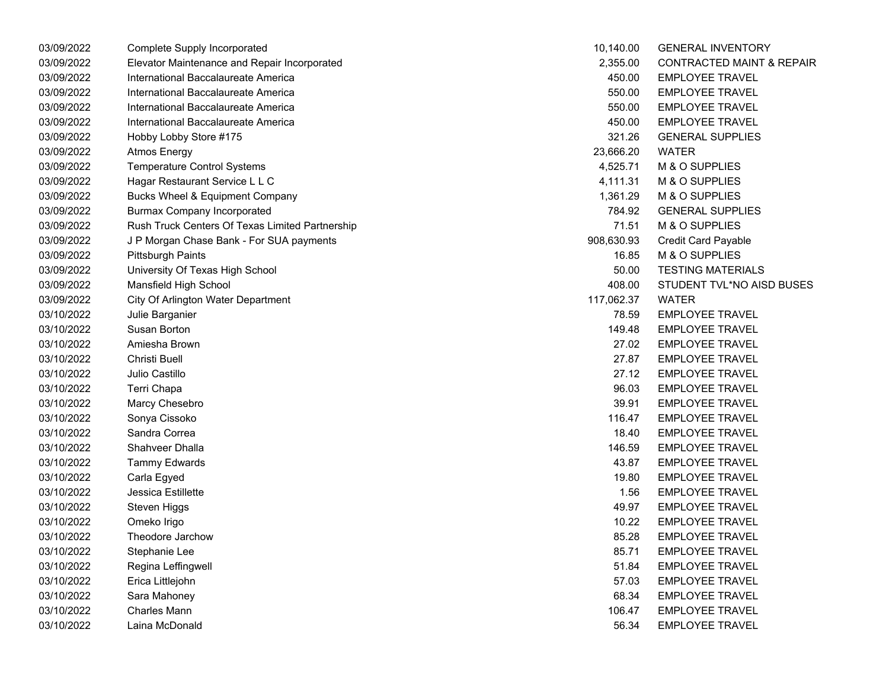| 03/09/2022 | Complete Supply Incorporated                    | 10,140.00  | <b>GENERAL INVENTORY</b>             |
|------------|-------------------------------------------------|------------|--------------------------------------|
| 03/09/2022 | Elevator Maintenance and Repair Incorporated    | 2,355.00   | <b>CONTRACTED MAINT &amp; REPAIR</b> |
| 03/09/2022 | International Baccalaureate America             | 450.00     | <b>EMPLOYEE TRAVEL</b>               |
| 03/09/2022 | International Baccalaureate America             | 550.00     | <b>EMPLOYEE TRAVEL</b>               |
| 03/09/2022 | International Baccalaureate America             | 550.00     | <b>EMPLOYEE TRAVEL</b>               |
| 03/09/2022 | International Baccalaureate America             | 450.00     | <b>EMPLOYEE TRAVEL</b>               |
| 03/09/2022 | Hobby Lobby Store #175                          | 321.26     | <b>GENERAL SUPPLIES</b>              |
| 03/09/2022 | <b>Atmos Energy</b>                             | 23,666.20  | <b>WATER</b>                         |
| 03/09/2022 | <b>Temperature Control Systems</b>              | 4,525.71   | M & O SUPPLIES                       |
| 03/09/2022 | Hagar Restaurant Service L L C                  | 4,111.31   | M & O SUPPLIES                       |
| 03/09/2022 | <b>Bucks Wheel &amp; Equipment Company</b>      | 1,361.29   | M & O SUPPLIES                       |
| 03/09/2022 | <b>Burmax Company Incorporated</b>              | 784.92     | <b>GENERAL SUPPLIES</b>              |
| 03/09/2022 | Rush Truck Centers Of Texas Limited Partnership | 71.51      | M & O SUPPLIES                       |
| 03/09/2022 | J P Morgan Chase Bank - For SUA payments        | 908,630.93 | <b>Credit Card Payable</b>           |
| 03/09/2022 | <b>Pittsburgh Paints</b>                        | 16.85      | M & O SUPPLIES                       |
| 03/09/2022 | University Of Texas High School                 | 50.00      | <b>TESTING MATERIALS</b>             |
| 03/09/2022 | Mansfield High School                           | 408.00     | STUDENT TVL*NO AISD BUSES            |
| 03/09/2022 | City Of Arlington Water Department              | 117,062.37 | <b>WATER</b>                         |
| 03/10/2022 | Julie Barganier                                 | 78.59      | <b>EMPLOYEE TRAVEL</b>               |
| 03/10/2022 | Susan Borton                                    | 149.48     | <b>EMPLOYEE TRAVEL</b>               |
| 03/10/2022 | Amiesha Brown                                   | 27.02      | <b>EMPLOYEE TRAVEL</b>               |
| 03/10/2022 | Christi Buell                                   | 27.87      | <b>EMPLOYEE TRAVEL</b>               |
| 03/10/2022 | Julio Castillo                                  | 27.12      | <b>EMPLOYEE TRAVEL</b>               |
| 03/10/2022 | Terri Chapa                                     | 96.03      | <b>EMPLOYEE TRAVEL</b>               |
| 03/10/2022 | Marcy Chesebro                                  | 39.91      | <b>EMPLOYEE TRAVEL</b>               |
| 03/10/2022 | Sonya Cissoko                                   | 116.47     | <b>EMPLOYEE TRAVEL</b>               |
| 03/10/2022 | Sandra Correa                                   | 18.40      | <b>EMPLOYEE TRAVEL</b>               |
| 03/10/2022 | Shahveer Dhalla                                 | 146.59     | <b>EMPLOYEE TRAVEL</b>               |
| 03/10/2022 | <b>Tammy Edwards</b>                            | 43.87      | <b>EMPLOYEE TRAVEL</b>               |
| 03/10/2022 | Carla Egyed                                     | 19.80      | <b>EMPLOYEE TRAVEL</b>               |
| 03/10/2022 | Jessica Estillette                              | 1.56       | <b>EMPLOYEE TRAVEL</b>               |
| 03/10/2022 | Steven Higgs                                    | 49.97      | <b>EMPLOYEE TRAVEL</b>               |
| 03/10/2022 | Omeko Irigo                                     | 10.22      | <b>EMPLOYEE TRAVEL</b>               |
| 03/10/2022 | Theodore Jarchow                                | 85.28      | <b>EMPLOYEE TRAVEL</b>               |
| 03/10/2022 | Stephanie Lee                                   | 85.71      | <b>EMPLOYEE TRAVEL</b>               |
| 03/10/2022 | Regina Leffingwell                              | 51.84      | <b>EMPLOYEE TRAVEL</b>               |
| 03/10/2022 | Erica Littlejohn                                | 57.03      | <b>EMPLOYEE TRAVEL</b>               |
| 03/10/2022 | Sara Mahoney                                    | 68.34      | <b>EMPLOYEE TRAVEL</b>               |
| 03/10/2022 | <b>Charles Mann</b>                             | 106.47     | <b>EMPLOYEE TRAVEL</b>               |
| 03/10/2022 | Laina McDonald                                  | 56.34      | <b>EMPLOYEE TRAVEL</b>               |

| 10,140.00       | <b>GENERAL INVENTORY</b>            |
|-----------------|-------------------------------------|
| 2,355.00        | <b>CONTRACTED MAINT &amp; REPAI</b> |
| 450.00          | <b>EMPLOYEE TRAVEL</b>              |
| 550.00          | <b>EMPLOYEE TRAVEL</b>              |
| 550.00          | <b>EMPLOYEE TRAVEL</b>              |
| 450.00          | <b>EMPLOYEE TRAVEL</b>              |
| 321.26          | <b>GENERAL SUPPLIES</b>             |
| 23,666.20 WATER |                                     |
|                 | 4,525.71 M & O SUPPLIES             |
| 4,111.31        | M & O SUPPLIES                      |
| 1,361.29        | M & O SUPPLIES                      |
| 784.92          | <b>GENERAL SUPPLIES</b>             |
| 71.51           | M & O SUPPLIES                      |
| 08,630.93       | <b>Credit Card Payable</b>          |
| 16.85           | M & O SUPPLIES                      |
| 50.00           | <b>TESTING MATERIALS</b>            |
| 408.00          | STUDENT TVL*NO AISD BUSES           |
| 17,062.37 WATER |                                     |
|                 | 78.59 EMPLOYEE TRAVEL               |
| 149.48          | <b>EMPLOYEE TRAVEL</b>              |
| 27.02           | <b>EMPLOYEE TRAVEL</b>              |
| 27.87           | <b>EMPLOYEE TRAVEL</b>              |
| 27.12           | <b>EMPLOYEE TRAVEL</b>              |
| 96.03           | <b>EMPLOYEE TRAVEL</b>              |
| 39.91           | <b>EMPLOYEE TRAVEL</b>              |
| 116.47          | <b>EMPLOYEE TRAVEL</b>              |
| 18.40           | <b>EMPLOYEE TRAVEL</b>              |
| 146.59          | <b>EMPLOYEE TRAVEL</b>              |
| 43.87           | <b>EMPLOYEE TRAVEL</b>              |
| 19.80           | <b>EMPLOYEE TRAVEL</b>              |
| 1.56            | <b>EMPLOYEE TRAVEL</b>              |
| 49.97           | <b>EMPLOYEE TRAVEL</b>              |
|                 | 10.22 EMPLOYEE TRAVEL               |
|                 | 85.28 EMPLOYEE TRAVEL               |
| 85.71           | <b>EMPLOYEE TRAVEL</b>              |
| 51.84           | <b>EMPLOYEE TRAVEL</b>              |
| 57.03           | <b>EMPLOYEE TRAVEL</b>              |
| 68.34           | <b>EMPLOYEE TRAVEL</b>              |
| 106.47          | <b>EMPLOYEE TRAVEL</b>              |
| 56.34           | <b>EMPLOYEE TRAVEL</b>              |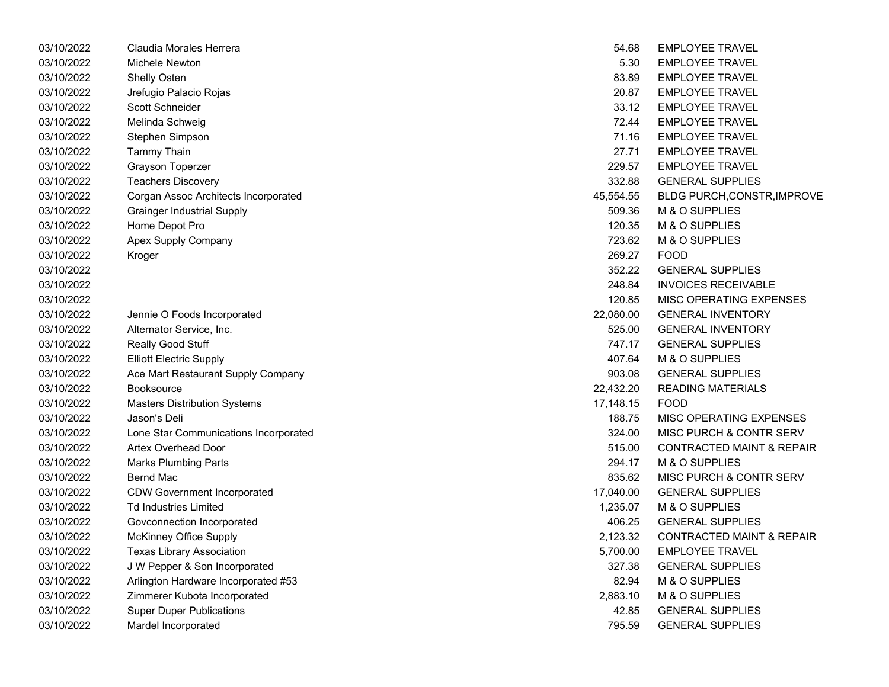| 03/10/2022 | Claudia Morales Herrera               | 54.68     | <b>EMPLOYEE TRAVEL</b>               |
|------------|---------------------------------------|-----------|--------------------------------------|
| 03/10/2022 | Michele Newton                        | 5.30      | <b>EMPLOYEE TRAVEL</b>               |
| 03/10/2022 | Shelly Osten                          | 83.89     | <b>EMPLOYEE TRAVEL</b>               |
| 03/10/2022 | Jrefugio Palacio Rojas                | 20.87     | <b>EMPLOYEE TRAVEL</b>               |
| 03/10/2022 | Scott Schneider                       | 33.12     | <b>EMPLOYEE TRAVEL</b>               |
| 03/10/2022 | Melinda Schweig                       | 72.44     | <b>EMPLOYEE TRAVEL</b>               |
| 03/10/2022 | Stephen Simpson                       | 71.16     | <b>EMPLOYEE TRAVEL</b>               |
| 03/10/2022 | <b>Tammy Thain</b>                    | 27.71     | <b>EMPLOYEE TRAVEL</b>               |
| 03/10/2022 | <b>Grayson Toperzer</b>               | 229.57    | <b>EMPLOYEE TRAVEL</b>               |
| 03/10/2022 | <b>Teachers Discovery</b>             | 332.88    | <b>GENERAL SUPPLIES</b>              |
| 03/10/2022 | Corgan Assoc Architects Incorporated  | 45,554.55 | <b>BLDG PURCH, CONSTR, IMPROVE</b>   |
| 03/10/2022 | <b>Grainger Industrial Supply</b>     | 509.36    | M & O SUPPLIES                       |
| 03/10/2022 | Home Depot Pro                        | 120.35    | M & O SUPPLIES                       |
| 03/10/2022 | Apex Supply Company                   | 723.62    | M & O SUPPLIES                       |
| 03/10/2022 | Kroger                                | 269.27    | <b>FOOD</b>                          |
| 03/10/2022 |                                       | 352.22    | <b>GENERAL SUPPLIES</b>              |
| 03/10/2022 |                                       | 248.84    | <b>INVOICES RECEIVABLE</b>           |
| 03/10/2022 |                                       | 120.85    | MISC OPERATING EXPENSES              |
| 03/10/2022 | Jennie O Foods Incorporated           | 22,080.00 | <b>GENERAL INVENTORY</b>             |
| 03/10/2022 | Alternator Service, Inc.              | 525.00    | <b>GENERAL INVENTORY</b>             |
| 03/10/2022 | Really Good Stuff                     | 747.17    | <b>GENERAL SUPPLIES</b>              |
| 03/10/2022 | <b>Elliott Electric Supply</b>        | 407.64    | M & O SUPPLIES                       |
| 03/10/2022 | Ace Mart Restaurant Supply Company    | 903.08    | <b>GENERAL SUPPLIES</b>              |
| 03/10/2022 | <b>Booksource</b>                     | 22,432.20 | <b>READING MATERIALS</b>             |
| 03/10/2022 | <b>Masters Distribution Systems</b>   | 17,148.15 | <b>FOOD</b>                          |
| 03/10/2022 | Jason's Deli                          | 188.75    | <b>MISC OPERATING EXPENSES</b>       |
| 03/10/2022 | Lone Star Communications Incorporated | 324.00    | MISC PURCH & CONTR SERV              |
| 03/10/2022 | <b>Artex Overhead Door</b>            | 515.00    | <b>CONTRACTED MAINT &amp; REPAIR</b> |
| 03/10/2022 | <b>Marks Plumbing Parts</b>           | 294.17    | M & O SUPPLIES                       |
| 03/10/2022 | Bernd Mac                             | 835.62    | <b>MISC PURCH &amp; CONTR SERV</b>   |
| 03/10/2022 | <b>CDW Government Incorporated</b>    | 17,040.00 | <b>GENERAL SUPPLIES</b>              |
| 03/10/2022 | <b>Td Industries Limited</b>          | 1,235.07  | M & O SUPPLIES                       |
| 03/10/2022 | Govconnection Incorporated            | 406.25    | <b>GENERAL SUPPLIES</b>              |
| 03/10/2022 | <b>McKinney Office Supply</b>         | 2,123.32  | <b>CONTRACTED MAINT &amp; REPAIR</b> |
| 03/10/2022 | <b>Texas Library Association</b>      | 5,700.00  | <b>EMPLOYEE TRAVEL</b>               |
| 03/10/2022 | J W Pepper & Son Incorporated         | 327.38    | <b>GENERAL SUPPLIES</b>              |
| 03/10/2022 | Arlington Hardware Incorporated #53   | 82.94     | M & O SUPPLIES                       |
| 03/10/2022 | Zimmerer Kubota Incorporated          | 2,883.10  | M & O SUPPLIES                       |
| 03/10/2022 | <b>Super Duper Publications</b>       | 42.85     | <b>GENERAL SUPPLIES</b>              |
| 03/10/2022 | Mardel Incorporated                   | 795.59    | <b>GENERAL SUPPLIES</b>              |

| 54.68     | <b>EMPLOYEE TRAVEL</b>               |
|-----------|--------------------------------------|
| 5.30      | <b>EMPLOYEE TRAVEL</b>               |
| 83.89     | <b>EMPLOYEE TRAVEL</b>               |
| 20.87     | <b>EMPLOYEE TRAVEL</b>               |
| 33.12     | <b>EMPLOYEE TRAVEL</b>               |
|           | 72.44 EMPLOYEE TRAVEL                |
|           | 71.16 EMPLOYEE TRAVEL                |
| 27.71     | <b>EMPLOYEE TRAVEL</b>               |
| 229.57    | <b>EMPLOYEE TRAVEL</b>               |
| 332.88    | <b>GENERAL SUPPLIES</b>              |
| 45,554.55 | <b>BLDG PURCH, CONSTR, IMPROVE</b>   |
| 509.36    | M & O SUPPLIES                       |
| 120.35    | M & O SUPPLIES                       |
| 723.62    | M & O SUPPLIES                       |
| 269.27    | <b>FOOD</b>                          |
|           | 352.22 GENERAL SUPPLIES              |
| 248.84    | <b>INVOICES RECEIVABLE</b>           |
| 120.85    | <b>MISC OPERATING EXPENSES</b>       |
| 22,080.00 | <b>GENERAL INVENTORY</b>             |
| 525.00    | <b>GENERAL INVENTORY</b>             |
| 747.17    | <b>GENERAL SUPPLIES</b>              |
| 407.64    | M & O SUPPLIES                       |
| 903.08    | <b>GENERAL SUPPLIES</b>              |
| 22,432.20 | <b>READING MATERIALS</b>             |
| 17,148.15 | <b>FOOD</b>                          |
| 188.75    | MISC OPERATING EXPENSES              |
| 324.00    | MISC PURCH & CONTR SERV              |
| 515.00    | <b>CONTRACTED MAINT &amp; REPAIR</b> |
| 294.17    | M & O SUPPLIES                       |
| 835.62    | MISC PURCH & CONTR SERV              |
| 17,040.00 | <b>GENERAL SUPPLIES</b>              |
| 1,235.07  | M & O SUPPLIES                       |
|           | 406.25 GENERAL SUPPLIES              |
| 2,123.32  | <b>CONTRACTED MAINT &amp; REPAIR</b> |
| 5,700.00  | <b>EMPLOYEE TRAVEL</b>               |
| 327.38    | <b>GENERAL SUPPLIES</b>              |
| 82.94     | M & O SUPPLIES                       |
| 2.883.10  | <b>M &amp; O SUPPLIES</b>            |
| 42.85     | <b>GENERAL SUPPLIES</b>              |
| 795.59    | <b>GENERAL SUPPLIES</b>              |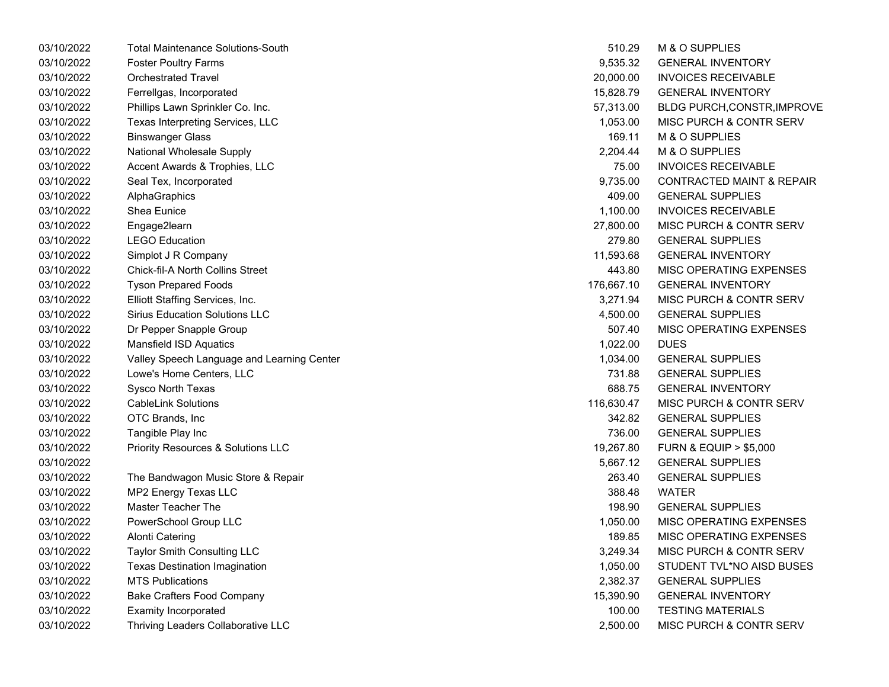| 03/10/2022 | <b>Total Maintenance Solutions-South</b>   | 510.29     | M & O SUPPLIES                       |
|------------|--------------------------------------------|------------|--------------------------------------|
| 03/10/2022 | <b>Foster Poultry Farms</b>                | 9,535.32   | <b>GENERAL INVENTORY</b>             |
| 03/10/2022 | <b>Orchestrated Travel</b>                 | 20,000.00  | <b>INVOICES RECEIVABLE</b>           |
| 03/10/2022 | Ferrellgas, Incorporated                   | 15,828.79  | <b>GENERAL INVENTORY</b>             |
| 03/10/2022 | Phillips Lawn Sprinkler Co. Inc.           | 57,313.00  | BLDG PURCH, CONSTR, IMPROVE          |
| 03/10/2022 | Texas Interpreting Services, LLC           | 1,053.00   | <b>MISC PURCH &amp; CONTR SERV</b>   |
| 03/10/2022 | <b>Binswanger Glass</b>                    | 169.11     | M & O SUPPLIES                       |
| 03/10/2022 | National Wholesale Supply                  | 2,204.44   | M & O SUPPLIES                       |
| 03/10/2022 | Accent Awards & Trophies, LLC              | 75.00      | <b>INVOICES RECEIVABLE</b>           |
| 03/10/2022 | Seal Tex, Incorporated                     | 9,735.00   | <b>CONTRACTED MAINT &amp; REPAIR</b> |
| 03/10/2022 | AlphaGraphics                              | 409.00     | <b>GENERAL SUPPLIES</b>              |
| 03/10/2022 | Shea Eunice                                | 1,100.00   | <b>INVOICES RECEIVABLE</b>           |
| 03/10/2022 | Engage2learn                               | 27,800.00  | MISC PURCH & CONTR SERV              |
| 03/10/2022 | <b>LEGO Education</b>                      | 279.80     | <b>GENERAL SUPPLIES</b>              |
| 03/10/2022 | Simplot J R Company                        | 11,593.68  | <b>GENERAL INVENTORY</b>             |
| 03/10/2022 | Chick-fil-A North Collins Street           | 443.80     | MISC OPERATING EXPENSES              |
| 03/10/2022 | <b>Tyson Prepared Foods</b>                | 176,667.10 | <b>GENERAL INVENTORY</b>             |
| 03/10/2022 | Elliott Staffing Services, Inc.            | 3,271.94   | MISC PURCH & CONTR SERV              |
| 03/10/2022 | <b>Sirius Education Solutions LLC</b>      | 4,500.00   | <b>GENERAL SUPPLIES</b>              |
| 03/10/2022 | Dr Pepper Snapple Group                    | 507.40     | MISC OPERATING EXPENSES              |
| 03/10/2022 | Mansfield ISD Aquatics                     | 1,022.00   | <b>DUES</b>                          |
| 03/10/2022 | Valley Speech Language and Learning Center | 1,034.00   | <b>GENERAL SUPPLIES</b>              |
| 03/10/2022 | Lowe's Home Centers, LLC                   | 731.88     | <b>GENERAL SUPPLIES</b>              |
| 03/10/2022 | Sysco North Texas                          | 688.75     | <b>GENERAL INVENTORY</b>             |
| 03/10/2022 | <b>CableLink Solutions</b>                 | 116,630.47 | MISC PURCH & CONTR SERV              |
| 03/10/2022 | OTC Brands, Inc                            | 342.82     | <b>GENERAL SUPPLIES</b>              |
| 03/10/2022 | Tangible Play Inc                          | 736.00     | <b>GENERAL SUPPLIES</b>              |
| 03/10/2022 | Priority Resources & Solutions LLC         | 19,267.80  | <b>FURN &amp; EQUIP &gt; \$5,000</b> |
| 03/10/2022 |                                            | 5,667.12   | <b>GENERAL SUPPLIES</b>              |
| 03/10/2022 | The Bandwagon Music Store & Repair         | 263.40     | <b>GENERAL SUPPLIES</b>              |
| 03/10/2022 | MP2 Energy Texas LLC                       | 388.48     | <b>WATER</b>                         |
| 03/10/2022 | Master Teacher The                         | 198.90     | <b>GENERAL SUPPLIES</b>              |
| 03/10/2022 | PowerSchool Group LLC                      | 1,050.00   | MISC OPERATING EXPENSES              |
| 03/10/2022 | Alonti Catering                            | 189.85     | MISC OPERATING EXPENSES              |
| 03/10/2022 | Taylor Smith Consulting LLC                | 3,249.34   | MISC PURCH & CONTR SERV              |
| 03/10/2022 | <b>Texas Destination Imagination</b>       | 1,050.00   | STUDENT TVL*NO AISD BUSES            |
| 03/10/2022 | <b>MTS Publications</b>                    | 2,382.37   | <b>GENERAL SUPPLIES</b>              |
| 03/10/2022 | <b>Bake Crafters Food Company</b>          | 15,390.90  | <b>GENERAL INVENTORY</b>             |
| 03/10/2022 | <b>Examity Incorporated</b>                | 100.00     | <b>TESTING MATERIALS</b>             |
| 03/10/2022 | Thriving Leaders Collaborative LLC         | 2,500.00   | MISC PURCH & CONTR SERV              |

| 510.29     | <b>M &amp; O SUPPLIES</b>            |
|------------|--------------------------------------|
| 9,535.32   | <b>GENERAL INVENTORY</b>             |
| 20,000.00  | <b>INVOICES RECEIVABLE</b>           |
| 15,828.79  | <b>GENERAL INVENTORY</b>             |
| 57,313.00  | <b>BLDG PURCH, CONSTR, IMPROVE</b>   |
| 1,053.00   | <b>MISC PURCH &amp; CONTR SERV</b>   |
| 169.11     | M & O SUPPLIES                       |
| 2,204.44   | <b>M &amp; O SUPPLIES</b>            |
| 75.00      | <b>INVOICES RECEIVABLE</b>           |
| 9,735.00   | <b>CONTRACTED MAINT &amp; REPAIR</b> |
| 409.00     | <b>GENERAL SUPPLIES</b>              |
| 1,100.00   | <b>INVOICES RECEIVABLE</b>           |
| 27,800.00  | <b>MISC PURCH &amp; CONTR SERV</b>   |
| 279.80     | <b>GENERAL SUPPLIES</b>              |
| 11,593.68  | <b>GENERAL INVENTORY</b>             |
| 443.80     | <b>MISC OPERATING EXPENSES</b>       |
| 176,667.10 | <b>GENERAL INVENTORY</b>             |
| 3,271.94   | MISC PURCH & CONTR SERV              |
| 4,500.00   | <b>GENERAL SUPPLIES</b>              |
| 507.40     | <b>MISC OPERATING EXPENSES</b>       |
| 1,022.00   | DUES                                 |
| 1,034.00   | <b>GENERAL SUPPLIES</b>              |
| 731.88     | <b>GENERAL SUPPLIES</b>              |
| 688.75     | <b>GENERAL INVENTORY</b>             |
| 116,630.47 | <b>MISC PURCH &amp; CONTR SERV</b>   |
| 342.82     | <b>GENERAL SUPPLIES</b>              |
| 736.00     | <b>GENERAL SUPPLIES</b>              |
| 19,267.80  | <b>FURN &amp; EQUIP &gt; \$5,000</b> |
| 5,667.12   | <b>GENERAL SUPPLIES</b>              |
| 263.40     | <b>GENERAL SUPPLIES</b>              |
| 388.48     | WATFR                                |
| 198.90     | <b>GENERAL SUPPLIES</b>              |
| 1,050.00   | <b>MISC OPERATING EXPENSES</b>       |
| 189.85     | <b>MISC OPERATING EXPENSES</b>       |
| 3,249.34   | MISC PURCH & CONTR SERV              |
| 1,050.00   | STUDENT TVL*NO AISD BUSES            |
| 2,382.37   | <b>GENERAL SUPPLIES</b>              |
| 15,390.90  | <b>GENERAL INVENTORY</b>             |
| 100.00     | <b>TESTING MATERIALS</b>             |
| 2,500.00   | MISC PURCH & CONTR SERV              |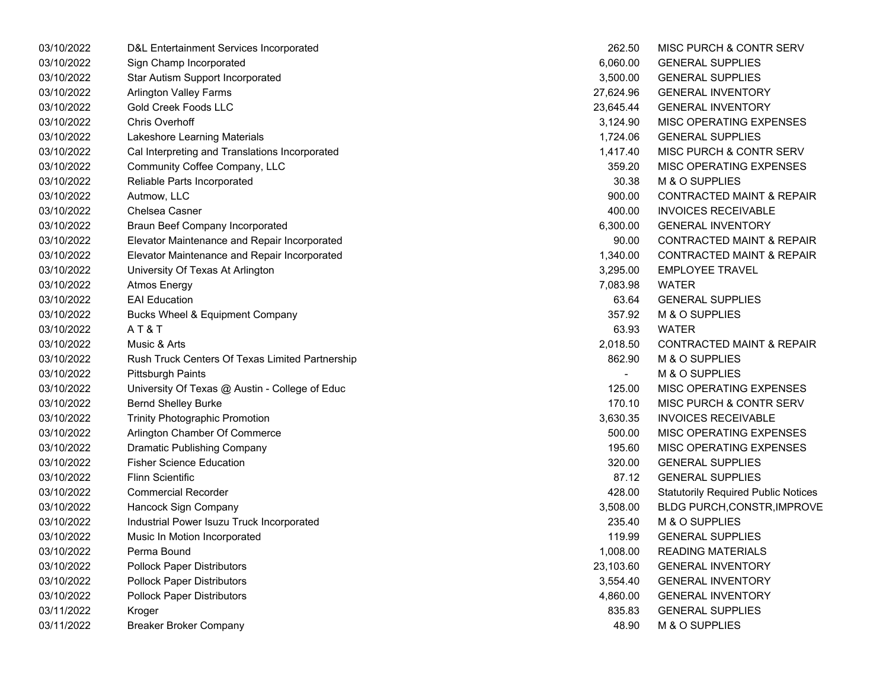| 03/10/2022 | D&L Entertainment Services Incorporated         | 262.50         | MISC PURCH & CONTR SERV                    |
|------------|-------------------------------------------------|----------------|--------------------------------------------|
| 03/10/2022 | Sign Champ Incorporated                         | 6,060.00       | <b>GENERAL SUPPLIES</b>                    |
| 03/10/2022 | Star Autism Support Incorporated                | 3,500.00       | <b>GENERAL SUPPLIES</b>                    |
| 03/10/2022 | <b>Arlington Valley Farms</b>                   | 27,624.96      | <b>GENERAL INVENTORY</b>                   |
| 03/10/2022 | <b>Gold Creek Foods LLC</b>                     | 23,645.44      | <b>GENERAL INVENTORY</b>                   |
| 03/10/2022 | <b>Chris Overhoff</b>                           | 3,124.90       | MISC OPERATING EXPENSES                    |
| 03/10/2022 | Lakeshore Learning Materials                    | 1,724.06       | <b>GENERAL SUPPLIES</b>                    |
| 03/10/2022 | Cal Interpreting and Translations Incorporated  | 1,417.40       | MISC PURCH & CONTR SERV                    |
| 03/10/2022 | Community Coffee Company, LLC                   | 359.20         | MISC OPERATING EXPENSES                    |
| 03/10/2022 | Reliable Parts Incorporated                     | 30.38          | M & O SUPPLIES                             |
| 03/10/2022 | Autmow, LLC                                     | 900.00         | <b>CONTRACTED MAINT &amp; REPAIR</b>       |
| 03/10/2022 | Chelsea Casner                                  | 400.00         | <b>INVOICES RECEIVABLE</b>                 |
| 03/10/2022 | <b>Braun Beef Company Incorporated</b>          | 6,300.00       | <b>GENERAL INVENTORY</b>                   |
| 03/10/2022 | Elevator Maintenance and Repair Incorporated    | 90.00          | <b>CONTRACTED MAINT &amp; REPAIR</b>       |
| 03/10/2022 | Elevator Maintenance and Repair Incorporated    | 1,340.00       | <b>CONTRACTED MAINT &amp; REPAIR</b>       |
| 03/10/2022 | University Of Texas At Arlington                | 3,295.00       | <b>EMPLOYEE TRAVEL</b>                     |
| 03/10/2022 | <b>Atmos Energy</b>                             | 7,083.98       | <b>WATER</b>                               |
| 03/10/2022 | <b>EAI</b> Education                            | 63.64          | <b>GENERAL SUPPLIES</b>                    |
| 03/10/2022 | <b>Bucks Wheel &amp; Equipment Company</b>      | 357.92         | M & O SUPPLIES                             |
| 03/10/2022 | AT&T                                            | 63.93          | <b>WATER</b>                               |
| 03/10/2022 | Music & Arts                                    | 2,018.50       | <b>CONTRACTED MAINT &amp; REPAIR</b>       |
| 03/10/2022 | Rush Truck Centers Of Texas Limited Partnership | 862.90         | M & O SUPPLIES                             |
| 03/10/2022 | <b>Pittsburgh Paints</b>                        | $\blacksquare$ | M & O SUPPLIES                             |
| 03/10/2022 | University Of Texas @ Austin - College of Educ  | 125.00         | MISC OPERATING EXPENSES                    |
| 03/10/2022 | <b>Bernd Shelley Burke</b>                      | 170.10         | MISC PURCH & CONTR SERV                    |
| 03/10/2022 | <b>Trinity Photographic Promotion</b>           | 3,630.35       | <b>INVOICES RECEIVABLE</b>                 |
| 03/10/2022 | Arlington Chamber Of Commerce                   | 500.00         | MISC OPERATING EXPENSES                    |
| 03/10/2022 | <b>Dramatic Publishing Company</b>              | 195.60         | MISC OPERATING EXPENSES                    |
| 03/10/2022 | <b>Fisher Science Education</b>                 | 320.00         | <b>GENERAL SUPPLIES</b>                    |
| 03/10/2022 | <b>Flinn Scientific</b>                         | 87.12          | <b>GENERAL SUPPLIES</b>                    |
| 03/10/2022 | <b>Commercial Recorder</b>                      | 428.00         | <b>Statutorily Required Public Notices</b> |
| 03/10/2022 | Hancock Sign Company                            | 3,508.00       | BLDG PURCH, CONSTR, IMPROVE                |
| 03/10/2022 | Industrial Power Isuzu Truck Incorporated       | 235.40         | M & O SUPPLIES                             |
| 03/10/2022 | Music In Motion Incorporated                    | 119.99         | <b>GENERAL SUPPLIES</b>                    |
| 03/10/2022 | Perma Bound                                     | 1,008.00       | <b>READING MATERIALS</b>                   |
| 03/10/2022 | <b>Pollock Paper Distributors</b>               | 23,103.60      | <b>GENERAL INVENTORY</b>                   |
| 03/10/2022 | <b>Pollock Paper Distributors</b>               | 3,554.40       | <b>GENERAL INVENTORY</b>                   |
| 03/10/2022 | <b>Pollock Paper Distributors</b>               | 4,860.00       | <b>GENERAL INVENTORY</b>                   |
| 03/11/2022 | Kroger                                          | 835.83         | <b>GENERAL SUPPLIES</b>                    |
| 03/11/2022 | <b>Breaker Broker Company</b>                   | 48.90          | M & O SUPPLIES                             |
|            |                                                 |                |                                            |

| 262.50    | MISC PURCH & CONTR SERV                    |
|-----------|--------------------------------------------|
| 6,060.00  | <b>GENERAL SUPPLIES</b>                    |
| 3,500.00  | <b>GENERAL SUPPLIES</b>                    |
| 27,624.96 | <b>GENERAL INVENTORY</b>                   |
| 23,645.44 | <b>GENERAL INVENTORY</b>                   |
| 3,124.90  | <b>MISC OPERATING EXPENSES</b>             |
| 1,724.06  | <b>GENERAL SUPPLIES</b>                    |
| 1,417.40  | <b>MISC PURCH &amp; CONTR SERV</b>         |
| 359.20    | MISC OPERATING EXPENSES                    |
| 30.38     | M & O SUPPLIES                             |
| 900.00    | <b>CONTRACTED MAINT &amp; REPAIR</b>       |
| 400.00    | <b>INVOICES RECEIVABLE</b>                 |
| 6,300.00  | <b>GENERAL INVENTORY</b>                   |
| 90.00     | <b>CONTRACTED MAINT &amp; REPAIR</b>       |
| 1,340.00  | <b>CONTRACTED MAINT &amp; REPAIR</b>       |
| 3,295.00  | <b>EMPLOYEE TRAVEL</b>                     |
| 7,083.98  | <b>WATER</b>                               |
|           | 63.64 GENERAL SUPPLIES                     |
| 357.92    | M & O SUPPLIES                             |
| 63.93     | <b>WATER</b>                               |
| 2,018.50  | <b>CONTRACTED MAINT &amp; REPAIR</b>       |
| 862.90    | <b>M &amp; O SUPPLIES</b>                  |
|           | <b>M &amp; O SUPPLIES</b>                  |
| 125.00    | <b>MISC OPERATING EXPENSES</b>             |
| 170.10    | <b>MISC PURCH &amp; CONTR SERV</b>         |
| 3,630.35  | <b>INVOICES RECEIVABLE</b>                 |
| 500.00    | <b>MISC OPERATING EXPENSES</b>             |
| 195.60    | MISC OPERATING EXPENSES                    |
| 320.00    | <b>GENERAL SUPPLIES</b>                    |
| 87.12     | <b>GENERAL SUPPLIES</b>                    |
| 428.00    | <b>Statutorily Required Public Notices</b> |
| 3,508.00  | <b>BLDG PURCH, CONSTR, IMPROVE</b>         |
| 235.40    | <b>M &amp; O SUPPLIES</b>                  |
| 119.99    | <b>GENERAL SUPPLIES</b>                    |
| 1,008.00  | <b>READING MATERIALS</b>                   |
| 23,103.60 | <b>GENERAL INVENTORY</b>                   |
| 3,554.40  | <b>GENERAL INVENTORY</b>                   |
| 4,860.00  | <b>GENERAL INVENTORY</b>                   |
| 835.83    | <b>GENERAL SUPPLIES</b>                    |
| 48.90     | M & O SUPPLIES                             |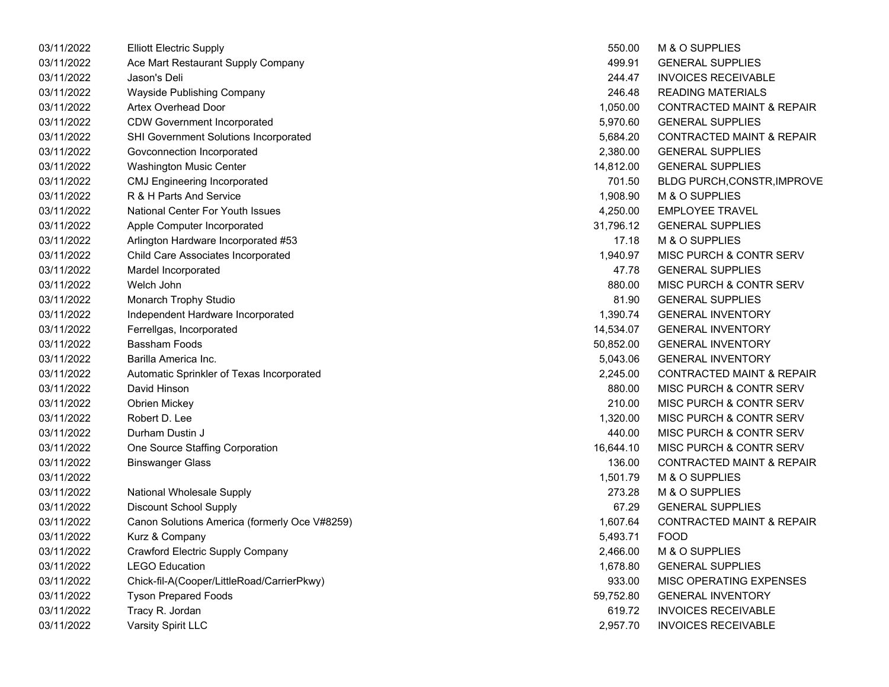| 03/11/2022 | <b>Elliott Electric Supply</b>                | 550.00    | M & O SUPPLIES                       |
|------------|-----------------------------------------------|-----------|--------------------------------------|
| 03/11/2022 | Ace Mart Restaurant Supply Company            | 499.91    | <b>GENERAL SUPPLIES</b>              |
| 03/11/2022 | Jason's Deli                                  | 244.47    | <b>INVOICES RECEIVABLE</b>           |
| 03/11/2022 | Wayside Publishing Company                    | 246.48    | <b>READING MATERIALS</b>             |
| 03/11/2022 | Artex Overhead Door                           | 1,050.00  | CONTRACTED MAINT & REPAIR            |
| 03/11/2022 | <b>CDW Government Incorporated</b>            | 5,970.60  | <b>GENERAL SUPPLIES</b>              |
| 03/11/2022 | SHI Government Solutions Incorporated         | 5,684.20  | <b>CONTRACTED MAINT &amp; REPAIR</b> |
| 03/11/2022 | Govconnection Incorporated                    | 2,380.00  | <b>GENERAL SUPPLIES</b>              |
| 03/11/2022 | Washington Music Center                       | 14,812.00 | <b>GENERAL SUPPLIES</b>              |
| 03/11/2022 | <b>CMJ Engineering Incorporated</b>           | 701.50    | <b>BLDG PURCH, CONSTR, IMPROVE</b>   |
| 03/11/2022 | R & H Parts And Service                       | 1,908.90  | M & O SUPPLIES                       |
| 03/11/2022 | National Center For Youth Issues              | 4,250.00  | <b>EMPLOYEE TRAVEL</b>               |
| 03/11/2022 | Apple Computer Incorporated                   | 31,796.12 | <b>GENERAL SUPPLIES</b>              |
| 03/11/2022 | Arlington Hardware Incorporated #53           | 17.18     | M & O SUPPLIES                       |
| 03/11/2022 | Child Care Associates Incorporated            | 1,940.97  | MISC PURCH & CONTR SERV              |
| 03/11/2022 | Mardel Incorporated                           | 47.78     | <b>GENERAL SUPPLIES</b>              |
| 03/11/2022 | Welch John                                    | 880.00    | MISC PURCH & CONTR SERV              |
| 03/11/2022 | Monarch Trophy Studio                         | 81.90     | <b>GENERAL SUPPLIES</b>              |
| 03/11/2022 | Independent Hardware Incorporated             | 1,390.74  | <b>GENERAL INVENTORY</b>             |
| 03/11/2022 | Ferrellgas, Incorporated                      | 14,534.07 | <b>GENERAL INVENTORY</b>             |
| 03/11/2022 | <b>Bassham Foods</b>                          | 50,852.00 | <b>GENERAL INVENTORY</b>             |
| 03/11/2022 | Barilla America Inc.                          | 5,043.06  | <b>GENERAL INVENTORY</b>             |
| 03/11/2022 | Automatic Sprinkler of Texas Incorporated     | 2,245.00  | <b>CONTRACTED MAINT &amp; REPAIR</b> |
| 03/11/2022 | David Hinson                                  | 880.00    | <b>MISC PURCH &amp; CONTR SERV</b>   |
| 03/11/2022 | <b>Obrien Mickey</b>                          | 210.00    | <b>MISC PURCH &amp; CONTR SERV</b>   |
| 03/11/2022 | Robert D. Lee                                 | 1,320.00  | MISC PURCH & CONTR SERV              |
| 03/11/2022 | Durham Dustin J                               | 440.00    | MISC PURCH & CONTR SERV              |
| 03/11/2022 | One Source Staffing Corporation               | 16,644.10 | MISC PURCH & CONTR SERV              |
| 03/11/2022 | <b>Binswanger Glass</b>                       | 136.00    | <b>CONTRACTED MAINT &amp; REPAIR</b> |
| 03/11/2022 |                                               | 1,501.79  | M & O SUPPLIES                       |
| 03/11/2022 | National Wholesale Supply                     | 273.28    | M & O SUPPLIES                       |
| 03/11/2022 | <b>Discount School Supply</b>                 | 67.29     | <b>GENERAL SUPPLIES</b>              |
| 03/11/2022 | Canon Solutions America (formerly Oce V#8259) | 1,607.64  | <b>CONTRACTED MAINT &amp; REPAIR</b> |
| 03/11/2022 | Kurz & Company                                | 5,493.71  | <b>FOOD</b>                          |
| 03/11/2022 | Crawford Electric Supply Company              | 2,466.00  | M & O SUPPLIES                       |
| 03/11/2022 | <b>LEGO Education</b>                         | 1,678.80  | <b>GENERAL SUPPLIES</b>              |
| 03/11/2022 | Chick-fil-A(Cooper/LittleRoad/CarrierPkwy)    | 933.00    | MISC OPERATING EXPENSES              |
| 03/11/2022 | <b>Tyson Prepared Foods</b>                   | 59,752.80 | <b>GENERAL INVENTORY</b>             |
| 03/11/2022 | Tracy R. Jordan                               | 619.72    | <b>INVOICES RECEIVABLE</b>           |
| 03/11/2022 | Varsity Spirit LLC                            | 2,957.70  | <b>INVOICES RECEIVABLE</b>           |
|            |                                               |           |                                      |

| 550.00    | M & O SUPPLIES                       |
|-----------|--------------------------------------|
| 499.91    | <b>GENERAL SUPPLIES</b>              |
| 244.47    | <b>INVOICES RECEIVABLE</b>           |
| 246.48    | <b>READING MATERIALS</b>             |
| 1,050.00  | <b>CONTRACTED MAINT &amp; REPAIR</b> |
| 5,970.60  | <b>GENERAL SUPPLIES</b>              |
| 5,684.20  | <b>CONTRACTED MAINT &amp; REPAIR</b> |
| 2,380.00  | <b>GENERAL SUPPLIES</b>              |
| 14,812.00 | <b>GENERAL SUPPLIES</b>              |
| 701.50    | BLDG PURCH, CONSTR, IMPROVE          |
| 1.908.90  | M & O SUPPLIES                       |
| 4,250.00  | <b>EMPLOYEE TRAVEL</b>               |
| 31,796.12 | <b>GENERAL SUPPLIES</b>              |
| 17.18     | M & O SUPPLIES                       |
| 1,940.97  | MISC PURCH & CONTR SERV              |
| 47.78     | <b>GENERAL SUPPLIES</b>              |
| 880.00    | MISC PURCH & CONTR SERV              |
| 81.90     | <b>GENERAL SUPPLIES</b>              |
| 1,390.74  | <b>GENERAL INVENTORY</b>             |
| 14,534.07 | <b>GENERAL INVENTORY</b>             |
| 50,852.00 | <b>GENERAL INVENTORY</b>             |
| 5,043.06  | <b>GENERAL INVENTORY</b>             |
| 2,245.00  | <b>CONTRACTED MAINT &amp; REPAIR</b> |
| 880.00    | MISC PURCH & CONTR SERV              |
| 210.00    | MISC PURCH & CONTR SERV              |
| 1,320.00  | MISC PURCH & CONTR SERV              |
| 440.00    | MISC PURCH & CONTR SERV              |
| 16,644.10 | MISC PURCH & CONTR SERV              |
| 136.00    | <b>CONTRACTED MAINT &amp; REPAIR</b> |
| 1,501.79  | M & O SUPPLIES                       |
| 273.28    | <b>M &amp; O SUPPLIES</b>            |
| 67.29     | <b>GENERAL SUPPLIES</b>              |
| 1,607.64  | CONTRACTED MAINT & REPAIR            |
| 5,493.71  | <b>FOOD</b>                          |
| 2,466.00  | M & O SUPPLIES                       |
| 1,678.80  | <b>GENERAL SUPPLIES</b>              |
| 933.00    | <b>MISC OPERATING EXPENSES</b>       |
| 59,752.80 | <b>GENERAL INVENTORY</b>             |
| 619.72    | <b>INVOICES RECEIVABLE</b>           |
| 2.957.70  | <b>INVOICES RECEIVABLE</b>           |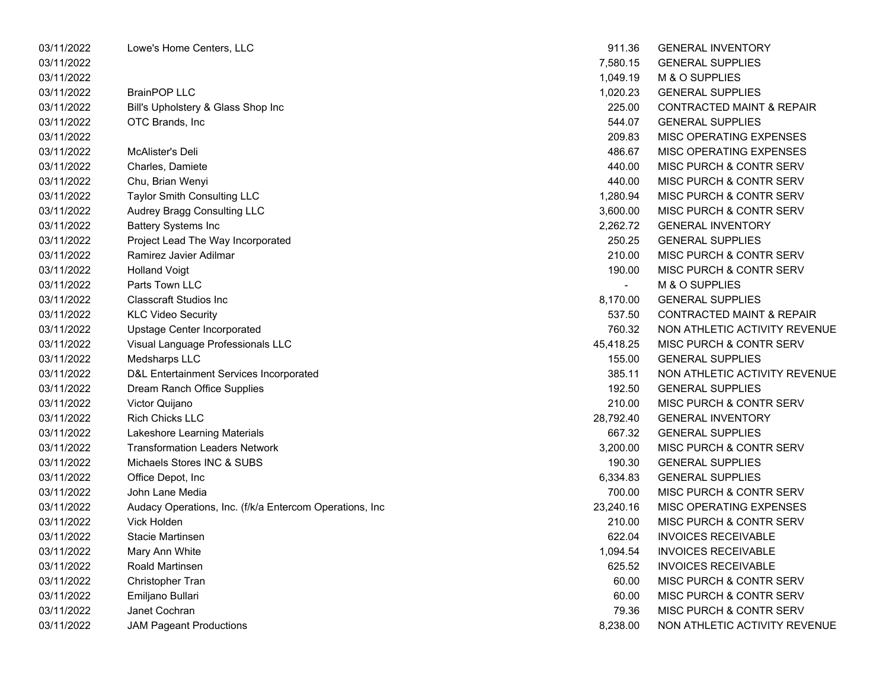| 03/11/2022 | Lowe's Home Centers, LLC                                 | 911.36    | <b>GENERAL INVENTORY</b>             |
|------------|----------------------------------------------------------|-----------|--------------------------------------|
| 03/11/2022 |                                                          | 7,580.15  | <b>GENERAL SUPPLIES</b>              |
| 03/11/2022 |                                                          | 1,049.19  | M & O SUPPLIES                       |
| 03/11/2022 | <b>BrainPOP LLC</b>                                      | 1,020.23  | <b>GENERAL SUPPLIES</b>              |
| 03/11/2022 | Bill's Upholstery & Glass Shop Inc                       | 225.00    | <b>CONTRACTED MAINT &amp; REPAIR</b> |
| 03/11/2022 | OTC Brands, Inc.                                         | 544.07    | <b>GENERAL SUPPLIES</b>              |
| 03/11/2022 |                                                          | 209.83    | MISC OPERATING EXPENSES              |
| 03/11/2022 | McAlister's Deli                                         | 486.67    | MISC OPERATING EXPENSES              |
| 03/11/2022 | Charles, Damiete                                         | 440.00    | MISC PURCH & CONTR SERV              |
| 03/11/2022 | Chu, Brian Wenyi                                         | 440.00    | MISC PURCH & CONTR SERV              |
| 03/11/2022 | Taylor Smith Consulting LLC                              | 1,280.94  | MISC PURCH & CONTR SERV              |
| 03/11/2022 | Audrey Bragg Consulting LLC                              | 3,600.00  | MISC PURCH & CONTR SERV              |
| 03/11/2022 | <b>Battery Systems Inc</b>                               | 2,262.72  | <b>GENERAL INVENTORY</b>             |
| 03/11/2022 | Project Lead The Way Incorporated                        | 250.25    | <b>GENERAL SUPPLIES</b>              |
| 03/11/2022 | Ramirez Javier Adilmar                                   | 210.00    | MISC PURCH & CONTR SERV              |
| 03/11/2022 | <b>Holland Voigt</b>                                     | 190.00    | MISC PURCH & CONTR SERV              |
| 03/11/2022 | Parts Town LLC                                           | $\sim$    | M & O SUPPLIES                       |
| 03/11/2022 | <b>Classcraft Studios Inc.</b>                           | 8,170.00  | <b>GENERAL SUPPLIES</b>              |
| 03/11/2022 | <b>KLC Video Security</b>                                | 537.50    | <b>CONTRACTED MAINT &amp; REPAIR</b> |
| 03/11/2022 | Upstage Center Incorporated                              | 760.32    | NON ATHLETIC ACTIVITY REVENUE        |
| 03/11/2022 | Visual Language Professionals LLC                        | 45,418.25 | MISC PURCH & CONTR SERV              |
| 03/11/2022 | Medsharps LLC                                            | 155.00    | <b>GENERAL SUPPLIES</b>              |
| 03/11/2022 | D&L Entertainment Services Incorporated                  | 385.11    | NON ATHLETIC ACTIVITY REVENUE        |
| 03/11/2022 | Dream Ranch Office Supplies                              | 192.50    | <b>GENERAL SUPPLIES</b>              |
| 03/11/2022 | Victor Quijano                                           | 210.00    | MISC PURCH & CONTR SERV              |
| 03/11/2022 | <b>Rich Chicks LLC</b>                                   | 28,792.40 | <b>GENERAL INVENTORY</b>             |
| 03/11/2022 | Lakeshore Learning Materials                             | 667.32    | <b>GENERAL SUPPLIES</b>              |
| 03/11/2022 | <b>Transformation Leaders Network</b>                    | 3,200.00  | MISC PURCH & CONTR SERV              |
| 03/11/2022 | Michaels Stores INC & SUBS                               | 190.30    | <b>GENERAL SUPPLIES</b>              |
| 03/11/2022 | Office Depot, Inc.                                       | 6,334.83  | <b>GENERAL SUPPLIES</b>              |
| 03/11/2022 | John Lane Media                                          | 700.00    | MISC PURCH & CONTR SERV              |
| 03/11/2022 | Audacy Operations, Inc. (f/k/a Entercom Operations, Inc. | 23,240.16 | MISC OPERATING EXPENSES              |
| 03/11/2022 | <b>Vick Holden</b>                                       | 210.00    | MISC PURCH & CONTR SERV              |
| 03/11/2022 | Stacie Martinsen                                         | 622.04    | <b>INVOICES RECEIVABLE</b>           |
| 03/11/2022 | Mary Ann White                                           | 1,094.54  | <b>INVOICES RECEIVABLE</b>           |
| 03/11/2022 | Roald Martinsen                                          | 625.52    | <b>INVOICES RECEIVABLE</b>           |
| 03/11/2022 | Christopher Tran                                         | 60.00     | MISC PURCH & CONTR SERV              |
| 03/11/2022 | Emiljano Bullari                                         | 60.00     | MISC PURCH & CONTR SERV              |
| 03/11/2022 | Janet Cochran                                            | 79.36     | MISC PURCH & CONTR SERV              |
| 03/11/2022 | <b>JAM Pageant Productions</b>                           | 8,238.00  | NON ATHLETIC ACTIVITY REVENUE        |
|            |                                                          |           |                                      |

| 911.36    | <b>GENERAL INVENTORY</b>             |
|-----------|--------------------------------------|
| 7,580.15  | <b>GENERAL SUPPLIES</b>              |
| 1,049.19  | M & O SUPPLIES                       |
| 1,020.23  | <b>GENERAL SUPPLIES</b>              |
| 225.00    | <b>CONTRACTED MAINT &amp; REPAIR</b> |
| 544.07    | <b>GENERAL SUPPLIES</b>              |
| 209.83    | <b>MISC OPERATING EXPENSES</b>       |
| 486.67    | <b>MISC OPERATING EXPENSES</b>       |
| 440.00    | MISC PURCH & CONTR SERV              |
| 440.00    | MISC PURCH & CONTR SERV              |
| 1.280.94  | <b>MISC PURCH &amp; CONTR SERV</b>   |
| 3,600.00  | <b>MISC PURCH &amp; CONTR SERV</b>   |
| 2,262.72  | <b>GENERAL INVENTORY</b>             |
| 250.25    | <b>GENERAL SUPPLIES</b>              |
| 210.00    | MISC PURCH & CONTR SERV              |
| 190.00    | MISC PURCH & CONTR SERV              |
|           | M & O SUPPLIES                       |
| 8,170.00  | <b>GENERAL SUPPLIES</b>              |
| 537.50    | <b>CONTRACTED MAINT &amp; REPAIR</b> |
| 760.32    | NON ATHLETIC ACTIVITY REVENUE        |
| 45,418.25 | <b>MISC PURCH &amp; CONTR SERV</b>   |
| 155.00    | <b>GENERAL SUPPLIES</b>              |
| 385.11    | NON ATHLETIC ACTIVITY REVENUE        |
| 192.50    | <b>GENERAL SUPPLIES</b>              |
| 210.00    | MISC PURCH & CONTR SERV              |
| 28,792.40 | <b>GENERAL INVENTORY</b>             |
| 667.32    | <b>GENERAL SUPPLIES</b>              |
| 3,200.00  | <b>MISC PURCH &amp; CONTR SERV</b>   |
| 190.30    | <b>GENERAL SUPPLIES</b>              |
| 6,334.83  | <b>GENERAL SUPPLIES</b>              |
| 700.00    | MISC PURCH & CONTR SERV              |
| 23,240.16 | <b>MISC OPERATING EXPENSES</b>       |
| 210.00    | <b>MISC PURCH &amp; CONTR SERV</b>   |
| 622.04    | <b>INVOICES RECEIVABLE</b>           |
| 1,094.54  | <b>INVOICES RECEIVABLE</b>           |
| 625.52    | <b>INVOICES RECEIVABLE</b>           |
| 60.00     | <b>MISC PURCH &amp; CONTR SERV</b>   |
| 60.00     | <b>MISC PURCH &amp; CONTR SERV</b>   |
| 79.36     | <b>MISC PURCH &amp; CONTR SERV</b>   |
| 8.238.00  | NON ATHLETIC ACTIVITY REVENUE        |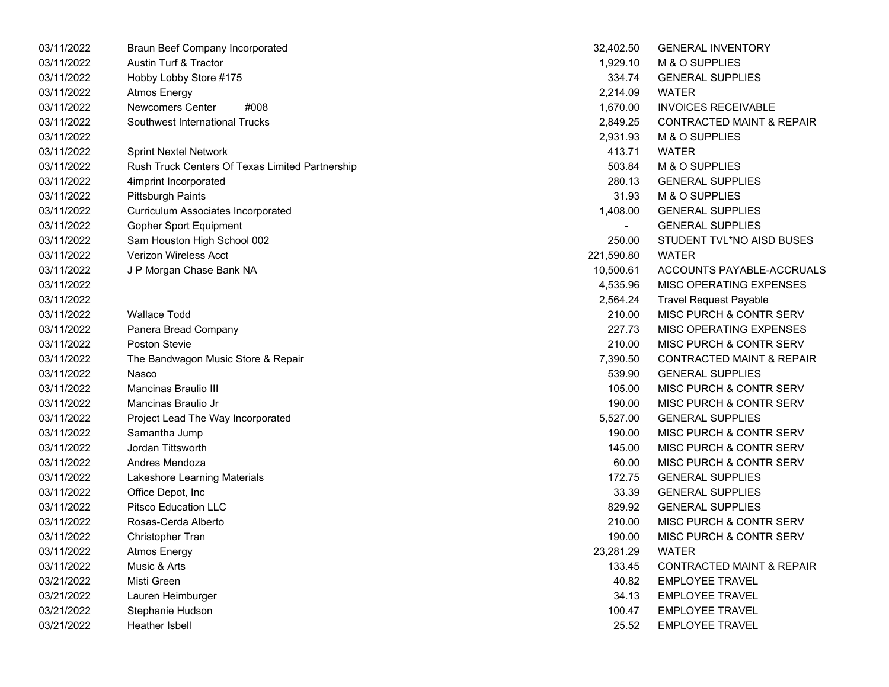| 03/11/2022 | Braun Beef Company Incorporated                 | 32,402.50  | <b>GENERAL INVENTORY</b>             |
|------------|-------------------------------------------------|------------|--------------------------------------|
| 03/11/2022 | Austin Turf & Tractor                           | 1,929.10   | M & O SUPPLIES                       |
| 03/11/2022 | Hobby Lobby Store #175                          | 334.74     | <b>GENERAL SUPPLIES</b>              |
| 03/11/2022 | Atmos Energy                                    | 2,214.09   | <b>WATER</b>                         |
| 03/11/2022 | <b>Newcomers Center</b><br>#008                 | 1,670.00   | <b>INVOICES RECEIVABLE</b>           |
| 03/11/2022 | Southwest International Trucks                  | 2,849.25   | <b>CONTRACTED MAINT &amp; REPAIR</b> |
| 03/11/2022 |                                                 | 2,931.93   | M & O SUPPLIES                       |
| 03/11/2022 | <b>Sprint Nextel Network</b>                    | 413.71     | <b>WATER</b>                         |
| 03/11/2022 | Rush Truck Centers Of Texas Limited Partnership | 503.84     | M & O SUPPLIES                       |
| 03/11/2022 | 4imprint Incorporated                           | 280.13     | <b>GENERAL SUPPLIES</b>              |
| 03/11/2022 | <b>Pittsburgh Paints</b>                        | 31.93      | M & O SUPPLIES                       |
| 03/11/2022 | <b>Curriculum Associates Incorporated</b>       | 1,408.00   | <b>GENERAL SUPPLIES</b>              |
| 03/11/2022 | <b>Gopher Sport Equipment</b>                   |            | <b>GENERAL SUPPLIES</b>              |
| 03/11/2022 | Sam Houston High School 002                     | 250.00     | STUDENT TVL*NO AISD BUSES            |
| 03/11/2022 | Verizon Wireless Acct                           | 221,590.80 | <b>WATER</b>                         |
| 03/11/2022 | J P Morgan Chase Bank NA                        | 10,500.61  | ACCOUNTS PAYABLE-ACCRUALS            |
| 03/11/2022 |                                                 | 4,535.96   | MISC OPERATING EXPENSES              |
| 03/11/2022 |                                                 | 2,564.24   | <b>Travel Request Payable</b>        |
| 03/11/2022 | <b>Wallace Todd</b>                             | 210.00     | MISC PURCH & CONTR SERV              |
| 03/11/2022 | Panera Bread Company                            | 227.73     | <b>MISC OPERATING EXPENSES</b>       |
| 03/11/2022 | Poston Stevie                                   | 210.00     | <b>MISC PURCH &amp; CONTR SERV</b>   |
| 03/11/2022 | The Bandwagon Music Store & Repair              | 7,390.50   | <b>CONTRACTED MAINT &amp; REPAIR</b> |
| 03/11/2022 | Nasco                                           | 539.90     | <b>GENERAL SUPPLIES</b>              |
| 03/11/2022 | Mancinas Braulio III                            | 105.00     | MISC PURCH & CONTR SERV              |
| 03/11/2022 | Mancinas Braulio Jr                             | 190.00     | <b>MISC PURCH &amp; CONTR SERV</b>   |
| 03/11/2022 | Project Lead The Way Incorporated               | 5,527.00   | <b>GENERAL SUPPLIES</b>              |
| 03/11/2022 | Samantha Jump                                   | 190.00     | <b>MISC PURCH &amp; CONTR SERV</b>   |
| 03/11/2022 | Jordan Tittsworth                               | 145.00     | <b>MISC PURCH &amp; CONTR SERV</b>   |
| 03/11/2022 | Andres Mendoza                                  | 60.00      | <b>MISC PURCH &amp; CONTR SERV</b>   |
| 03/11/2022 | Lakeshore Learning Materials                    | 172.75     | <b>GENERAL SUPPLIES</b>              |
| 03/11/2022 | Office Depot, Inc                               | 33.39      | <b>GENERAL SUPPLIES</b>              |
| 03/11/2022 | <b>Pitsco Education LLC</b>                     | 829.92     | <b>GENERAL SUPPLIES</b>              |
| 03/11/2022 | Rosas-Cerda Alberto                             | 210.00     | <b>MISC PURCH &amp; CONTR SERV</b>   |
| 03/11/2022 | Christopher Tran                                | 190.00     | <b>MISC PURCH &amp; CONTR SERV</b>   |
| 03/11/2022 | <b>Atmos Energy</b>                             | 23,281.29  | <b>WATER</b>                         |
| 03/11/2022 | Music & Arts                                    | 133.45     | <b>CONTRACTED MAINT &amp; REPAIR</b> |
| 03/21/2022 | Misti Green                                     | 40.82      | <b>EMPLOYEE TRAVEL</b>               |
| 03/21/2022 | Lauren Heimburger                               | 34.13      | <b>EMPLOYEE TRAVEL</b>               |
| 03/21/2022 | Stephanie Hudson                                | 100.47     | <b>EMPLOYEE TRAVEL</b>               |
| 03/21/2022 | Heather Isbell                                  | 25.52      | <b>EMPLOYEE TRAVEL</b>               |

| 32,402.50  | <b>GENERAL INVENTORY</b>             |
|------------|--------------------------------------|
| 1,929.10   | <b>M &amp; O SUPPLIES</b>            |
| 334.74     | <b>GENERAL SUPPLIES</b>              |
| 2,214.09   | WATER                                |
| 1,670.00   | <b>INVOICES RECEIVABLE</b>           |
| 2,849.25   | <b>CONTRACTED MAINT &amp; REPAIR</b> |
| 2,931.93   | M & O SUPPLIES                       |
| 413.71     | <b>WATER</b>                         |
| 503.84     | M & O SUPPLIES                       |
| 280.13     | <b>GENERAL SUPPLIES</b>              |
| 31.93      | M & O SUPPLIES                       |
| 1,408.00   | <b>GENERAL SUPPLIES</b>              |
|            | <b>GENERAL SUPPLIES</b>              |
| 250.00     | STUDENT TVL*NO AISD BUSES            |
| 221,590.80 | <b>WATER</b>                         |
| 10,500.61  | ACCOUNTS PAYABLE-ACCRUALS            |
| 4,535.96   | <b>MISC OPERATING EXPENSES</b>       |
| 2,564.24   | <b>Travel Request Payable</b>        |
| 210.00     | <b>MISC PURCH &amp; CONTR SERV</b>   |
| 227.73     | <b>MISC OPERATING EXPENSES</b>       |
| 210.00     | <b>MISC PURCH &amp; CONTR SERV</b>   |
| 7,390.50   | <b>CONTRACTED MAINT &amp; REPAIR</b> |
| 539.90     | <b>GENERAL SUPPLIES</b>              |
| 105.00     | <b>MISC PURCH &amp; CONTR SERV</b>   |
| 190.00     | <b>MISC PURCH &amp; CONTR SERV</b>   |
| 5,527.00   | <b>GENERAL SUPPLIES</b>              |
| 190.00     | <b>MISC PURCH &amp; CONTR SERV</b>   |
| 145.00     | <b>MISC PURCH &amp; CONTR SERV</b>   |
| 60.00      | <b>MISC PURCH &amp; CONTR SERV</b>   |
| 172.75     | <b>GENERAL SUPPLIES</b>              |
| 33.39      | <b>GENERAL SUPPLIES</b>              |
| 829.92     | <b>GENERAL SUPPLIES</b>              |
| 210.00     | MISC PURCH & CONTR SERV              |
| 190.00     | MISC PURCH & CONTR SERV              |
| 23,281.29  | <b>WATER</b>                         |
| 133.45     | <b>CONTRACTED MAINT &amp; REPAIR</b> |
| 40.82      | <b>EMPLOYEE TRAVEL</b>               |
| 34.13      | <b>EMPLOYEE TRAVEL</b>               |
| 100.47     | <b>EMPLOYEE TRAVEL</b>               |
| 25.52      | <b>EMPLOYEE TRAVEL</b>               |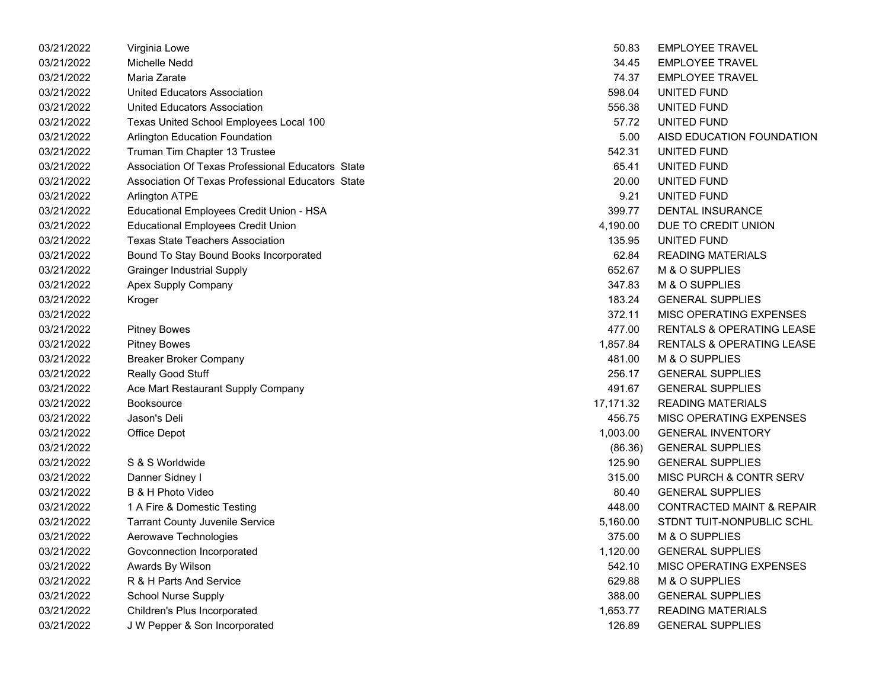| 03/21/2022 | Virginia Lowe                                     | 50.83     | <b>EMPLOYEE TRAVEL</b>               |
|------------|---------------------------------------------------|-----------|--------------------------------------|
| 03/21/2022 | Michelle Nedd                                     | 34.45     | <b>EMPLOYEE TRAVEL</b>               |
| 03/21/2022 | Maria Zarate                                      | 74.37     | <b>EMPLOYEE TRAVEL</b>               |
| 03/21/2022 | United Educators Association                      | 598.04    | UNITED FUND                          |
| 03/21/2022 | <b>United Educators Association</b>               | 556.38    | UNITED FUND                          |
| 03/21/2022 | Texas United School Employees Local 100           | 57.72     | UNITED FUND                          |
| 03/21/2022 | Arlington Education Foundation                    | 5.00      | AISD EDUCATION FOUNDATION            |
| 03/21/2022 | Truman Tim Chapter 13 Trustee                     | 542.31    | UNITED FUND                          |
| 03/21/2022 | Association Of Texas Professional Educators State | 65.41     | UNITED FUND                          |
| 03/21/2022 | Association Of Texas Professional Educators State | 20.00     | UNITED FUND                          |
| 03/21/2022 | <b>Arlington ATPE</b>                             | 9.21      | UNITED FUND                          |
| 03/21/2022 | Educational Employees Credit Union - HSA          | 399.77    | <b>DENTAL INSURANCE</b>              |
| 03/21/2022 | <b>Educational Employees Credit Union</b>         | 4,190.00  | DUE TO CREDIT UNION                  |
| 03/21/2022 | <b>Texas State Teachers Association</b>           | 135.95    | UNITED FUND                          |
| 03/21/2022 | Bound To Stay Bound Books Incorporated            | 62.84     | <b>READING MATERIALS</b>             |
| 03/21/2022 | <b>Grainger Industrial Supply</b>                 | 652.67    | M & O SUPPLIES                       |
| 03/21/2022 | Apex Supply Company                               | 347.83    | M & O SUPPLIES                       |
| 03/21/2022 | Kroger                                            | 183.24    | <b>GENERAL SUPPLIES</b>              |
| 03/21/2022 |                                                   | 372.11    | MISC OPERATING EXPENSES              |
| 03/21/2022 | <b>Pitney Bowes</b>                               | 477.00    | <b>RENTALS &amp; OPERATING LEASE</b> |
| 03/21/2022 | <b>Pitney Bowes</b>                               | 1,857.84  | RENTALS & OPERATING LEASE            |
| 03/21/2022 | <b>Breaker Broker Company</b>                     | 481.00    | M & O SUPPLIES                       |
| 03/21/2022 | Really Good Stuff                                 | 256.17    | <b>GENERAL SUPPLIES</b>              |
| 03/21/2022 | Ace Mart Restaurant Supply Company                | 491.67    | <b>GENERAL SUPPLIES</b>              |
| 03/21/2022 | <b>Booksource</b>                                 | 17,171.32 | <b>READING MATERIALS</b>             |
| 03/21/2022 | Jason's Deli                                      | 456.75    | MISC OPERATING EXPENSES              |
| 03/21/2022 | Office Depot                                      | 1,003.00  | <b>GENERAL INVENTORY</b>             |
| 03/21/2022 |                                                   | (86.36)   | <b>GENERAL SUPPLIES</b>              |
| 03/21/2022 | S & S Worldwide                                   | 125.90    | <b>GENERAL SUPPLIES</b>              |
| 03/21/2022 | Danner Sidney I                                   | 315.00    | <b>MISC PURCH &amp; CONTR SERV</b>   |
| 03/21/2022 | B & H Photo Video                                 | 80.40     | <b>GENERAL SUPPLIES</b>              |
| 03/21/2022 | 1 A Fire & Domestic Testing                       | 448.00    | <b>CONTRACTED MAINT &amp; REPAIR</b> |
| 03/21/2022 | <b>Tarrant County Juvenile Service</b>            | 5,160.00  | STDNT TUIT-NONPUBLIC SCHL            |
| 03/21/2022 | Aerowave Technologies                             | 375.00    | M & O SUPPLIES                       |
| 03/21/2022 | Govconnection Incorporated                        | 1,120.00  | <b>GENERAL SUPPLIES</b>              |
| 03/21/2022 | Awards By Wilson                                  | 542.10    | MISC OPERATING EXPENSES              |
| 03/21/2022 | R & H Parts And Service                           | 629.88    | M & O SUPPLIES                       |
| 03/21/2022 | <b>School Nurse Supply</b>                        | 388.00    | <b>GENERAL SUPPLIES</b>              |
| 03/21/2022 | Children's Plus Incorporated                      | 1,653.77  | <b>READING MATERIALS</b>             |
| 03/21/2022 | J W Pepper & Son Incorporated                     | 126.89    | <b>GENERAL SUPPLIES</b>              |
|            |                                                   |           |                                      |

| 50.83    | <b>EMPLOYEE TRAVEL</b>             |
|----------|------------------------------------|
|          | 34.45 EMPLOYEE TRAVEL              |
| 74.37    | <b>EMPLOYEE TRAVEL</b>             |
| 598.04   | UNITED FUND                        |
|          | 556.38 UNITED FUND                 |
|          | 57.72 UNITED FUND                  |
| 5.00     | AISD EDUCATION FOUNDATION          |
| 542.31   | UNITED FUND                        |
| 65.41    | UNITED FUND                        |
| 20.00    | UNITED FUND                        |
|          | 9.21 UNITED FUND                   |
|          | 399.77 DENTAL INSURANCE            |
| 4,190.00 | DUE TO CREDIT UNION                |
| 135.95   | UNITED FUND                        |
|          | 62.84 READING MATERIALS            |
|          | 652.67 M & O SUPPLIES              |
|          | 347.83 M & O SUPPLIES              |
| 183.24   | <b>GENERAL SUPPLIES</b>            |
| 372.11   | <b>MISC OPERATING EXPENSES</b>     |
|          | 477.00 RENTALS & OPERATING LEASE   |
|          | 1,857.84 RENTALS & OPERATING LEASE |
|          | 481.00 M & O SUPPLIES              |
| 256.17   | <b>GENERAL SUPPLIES</b>            |
| 491.67   | <b>GENERAL SUPPLIES</b>            |
|          | 17,171.32 READING MATERIALS        |
|          | 456.75 MISC OPERATING EXPENSES     |
|          | 1,003.00 GENERAL INVENTORY         |
| (86.36)  | <b>GENERAL SUPPLIES</b>            |
| 125.90   | <b>GENERAL SUPPLIES</b>            |
|          | 315.00 MISC PURCH & CONTR SERV     |
|          | 80.40 GENERAL SUPPLIES             |
|          | 448.00 CONTRACTED MAINT & REPAIR   |
| 5,160.00 | STDNT TUIT-NONPUBLIC SCHL          |
| 375.00   | M & O SUPPLIES                     |
| 1,120.00 | <b>GENERAL SUPPLIES</b>            |
| 542.10   | <b>MISC OPERATING EXPENSES</b>     |
| 629.88   | M & O SUPPLIES                     |
| 388.00   | <b>GENERAL SUPPLIES</b>            |
| 1,653.77 | <b>READING MATERIALS</b>           |
| 126.89   | <b>GENERAL SUPPLIES</b>            |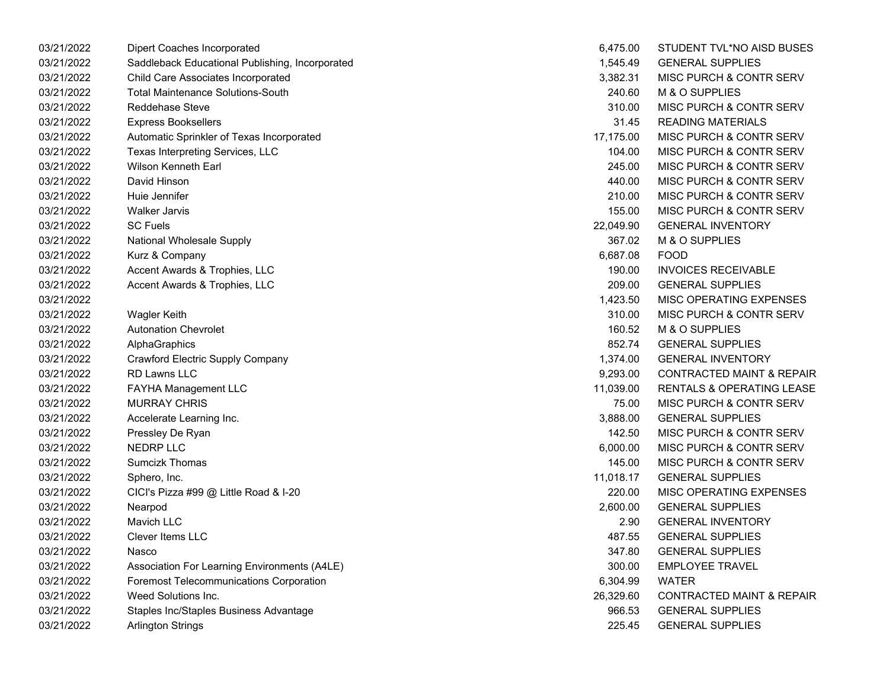| 03/21/2022 | Dipert Coaches Incorporated                     | 6,475.00  | STUDENT TVL*NO AISD BUSES            |
|------------|-------------------------------------------------|-----------|--------------------------------------|
| 03/21/2022 | Saddleback Educational Publishing, Incorporated | 1,545.49  | <b>GENERAL SUPPLIES</b>              |
| 03/21/2022 | Child Care Associates Incorporated              | 3,382.31  | <b>MISC PURCH &amp; CONTR SERV</b>   |
| 03/21/2022 | <b>Total Maintenance Solutions-South</b>        | 240.60    | M & O SUPPLIES                       |
| 03/21/2022 | <b>Reddehase Steve</b>                          | 310.00    | <b>MISC PURCH &amp; CONTR SERV</b>   |
| 03/21/2022 | <b>Express Booksellers</b>                      | 31.45     | <b>READING MATERIALS</b>             |
| 03/21/2022 | Automatic Sprinkler of Texas Incorporated       | 17,175.00 | <b>MISC PURCH &amp; CONTR SERV</b>   |
| 03/21/2022 | Texas Interpreting Services, LLC                | 104.00    | MISC PURCH & CONTR SERV              |
| 03/21/2022 | Wilson Kenneth Earl                             | 245.00    | MISC PURCH & CONTR SERV              |
| 03/21/2022 | David Hinson                                    | 440.00    | MISC PURCH & CONTR SERV              |
| 03/21/2022 | Huie Jennifer                                   | 210.00    | <b>MISC PURCH &amp; CONTR SERV</b>   |
| 03/21/2022 | <b>Walker Jarvis</b>                            | 155.00    | MISC PURCH & CONTR SERV              |
| 03/21/2022 | <b>SC Fuels</b>                                 | 22,049.90 | <b>GENERAL INVENTORY</b>             |
| 03/21/2022 | National Wholesale Supply                       | 367.02    | M & O SUPPLIES                       |
| 03/21/2022 | Kurz & Company                                  | 6,687.08  | <b>FOOD</b>                          |
| 03/21/2022 | Accent Awards & Trophies, LLC                   | 190.00    | <b>INVOICES RECEIVABLE</b>           |
| 03/21/2022 | Accent Awards & Trophies, LLC                   | 209.00    | <b>GENERAL SUPPLIES</b>              |
| 03/21/2022 |                                                 | 1,423.50  | <b>MISC OPERATING EXPENSES</b>       |
| 03/21/2022 | Wagler Keith                                    | 310.00    | MISC PURCH & CONTR SERV              |
| 03/21/2022 | <b>Autonation Chevrolet</b>                     | 160.52    | M & O SUPPLIES                       |
| 03/21/2022 | AlphaGraphics                                   | 852.74    | <b>GENERAL SUPPLIES</b>              |
| 03/21/2022 | Crawford Electric Supply Company                | 1,374.00  | <b>GENERAL INVENTORY</b>             |
| 03/21/2022 | RD Lawns LLC                                    | 9,293.00  | <b>CONTRACTED MAINT &amp; REPAIR</b> |
| 03/21/2022 | <b>FAYHA Management LLC</b>                     | 11,039.00 | <b>RENTALS &amp; OPERATING LEASE</b> |
| 03/21/2022 | <b>MURRAY CHRIS</b>                             | 75.00     | <b>MISC PURCH &amp; CONTR SERV</b>   |
| 03/21/2022 | Accelerate Learning Inc.                        | 3,888.00  | <b>GENERAL SUPPLIES</b>              |
| 03/21/2022 | Pressley De Ryan                                | 142.50    | MISC PURCH & CONTR SERV              |
| 03/21/2022 | <b>NEDRP LLC</b>                                | 6,000.00  | MISC PURCH & CONTR SERV              |
| 03/21/2022 | <b>Sumcizk Thomas</b>                           | 145.00    | MISC PURCH & CONTR SERV              |
| 03/21/2022 | Sphero, Inc.                                    | 11,018.17 | <b>GENERAL SUPPLIES</b>              |
| 03/21/2022 | CICI's Pizza #99 @ Little Road & I-20           | 220.00    | MISC OPERATING EXPENSES              |
| 03/21/2022 | Nearpod                                         | 2,600.00  | <b>GENERAL SUPPLIES</b>              |
| 03/21/2022 | <b>Mavich LLC</b>                               | 2.90      | <b>GENERAL INVENTORY</b>             |
| 03/21/2022 | <b>Clever Items LLC</b>                         | 487.55    | <b>GENERAL SUPPLIES</b>              |
| 03/21/2022 | Nasco                                           | 347.80    | <b>GENERAL SUPPLIES</b>              |
| 03/21/2022 | Association For Learning Environments (A4LE)    | 300.00    | <b>EMPLOYEE TRAVEL</b>               |
| 03/21/2022 | <b>Foremost Telecommunications Corporation</b>  | 6,304.99  | <b>WATER</b>                         |
| 03/21/2022 | Weed Solutions Inc.                             | 26,329.60 | <b>CONTRACTED MAINT &amp; REPAIR</b> |
| 03/21/2022 | Staples Inc/Staples Business Advantage          | 966.53    | <b>GENERAL SUPPLIES</b>              |
| 03/21/2022 | Arlington Strings                               | 225.45    | <b>GENERAL SUPPLIES</b>              |

| 6,475.00  | STUDENT TVL*NO AISD BUSES            |
|-----------|--------------------------------------|
| 1,545.49  | <b>GENERAL SUPPLIES</b>              |
| 3,382.31  | <b>MISC PURCH &amp; CONTR SERV</b>   |
| 240.60    | M & O SUPPLIES                       |
| 310.00    | MISC PURCH & CONTR SERV              |
| 31.45     | <b>READING MATERIALS</b>             |
| 17,175.00 | <b>MISC PURCH &amp; CONTR SERV</b>   |
| 104.00    | <b>MISC PURCH &amp; CONTR SERV</b>   |
| 245.00    | <b>MISC PURCH &amp; CONTR SERV</b>   |
| 440.00    | <b>MISC PURCH &amp; CONTR SERV</b>   |
| 210.00    | MISC PURCH & CONTR SERV              |
| 155.00    | <b>MISC PURCH &amp; CONTR SERV</b>   |
| 22,049.90 | <b>GENERAL INVENTORY</b>             |
| 367.02    | M & O SUPPLIES                       |
| 6,687.08  | <b>FOOD</b>                          |
| 190.00    | <b>INVOICES RECEIVABLE</b>           |
| 209.00    | <b>GENERAL SUPPLIES</b>              |
| 1,423.50  | <b>MISC OPERATING EXPENSES</b>       |
| 310.00    | <b>MISC PURCH &amp; CONTR SERV</b>   |
| 160.52    | M & O SUPPLIES                       |
| 852.74    | <b>GENERAL SUPPLIES</b>              |
| 1.374.00  | <b>GENERAL INVENTORY</b>             |
| 9,293.00  | <b>CONTRACTED MAINT &amp; REPAIR</b> |
| 11,039.00 | <b>RENTALS &amp; OPERATING LEASE</b> |
| 75.00     | <b>MISC PURCH &amp; CONTR SERV</b>   |
| 3,888.00  | <b>GENERAL SUPPLIES</b>              |
| 142.50    | <b>MISC PURCH &amp; CONTR SERV</b>   |
| 6,000.00  | <b>MISC PURCH &amp; CONTR SERV</b>   |
| 145.00    | <b>MISC PURCH &amp; CONTR SERV</b>   |
| 11,018.17 | <b>GENERAL SUPPLIES</b>              |
| 220.00    | <b>MISC OPERATING EXPENSES</b>       |
| 2,600.00  | <b>GENERAL SUPPLIES</b>              |
| 2.90      | <b>GENERAL INVENTORY</b>             |
| 487.55    | <b>GENERAL SUPPLIES</b>              |
| 347.80    | <b>GENERAL SUPPLIES</b>              |
| 300.00    | <b>EMPLOYEE TRAVEL</b>               |
| 6,304.99  | <b>WATER</b>                         |
| 26,329.60 | <b>CONTRACTED MAINT &amp; REPAIR</b> |
| 966.53    | <b>GENERAL SUPPLIES</b>              |
| 225.45    | <b>GENERAL SUPPLIES</b>              |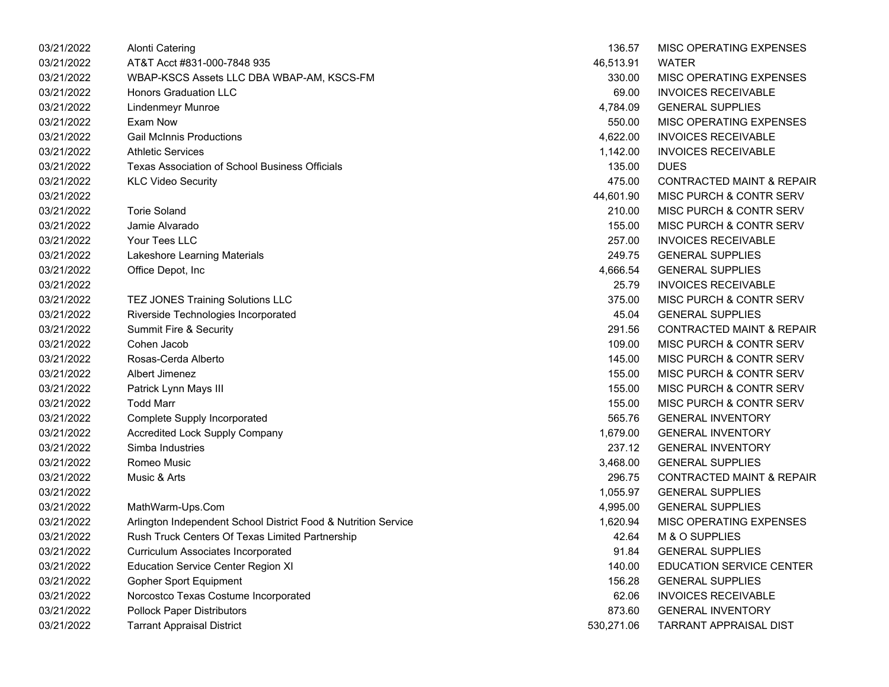| 03/21/2022 | Alonti Catering                                                | 136.57     | MISC OPERATING EXPENSES              |
|------------|----------------------------------------------------------------|------------|--------------------------------------|
| 03/21/2022 | AT&T Acct #831-000-7848 935                                    | 46,513.91  | <b>WATER</b>                         |
| 03/21/2022 | WBAP-KSCS Assets LLC DBA WBAP-AM, KSCS-FM                      | 330.00     | MISC OPERATING EXPENSES              |
| 03/21/2022 | <b>Honors Graduation LLC</b>                                   | 69.00      | <b>INVOICES RECEIVABLE</b>           |
| 03/21/2022 | Lindenmeyr Munroe                                              | 4,784.09   | <b>GENERAL SUPPLIES</b>              |
| 03/21/2022 | Exam Now                                                       | 550.00     | MISC OPERATING EXPENSES              |
| 03/21/2022 | <b>Gail McInnis Productions</b>                                | 4,622.00   | <b>INVOICES RECEIVABLE</b>           |
| 03/21/2022 | <b>Athletic Services</b>                                       | 1,142.00   | <b>INVOICES RECEIVABLE</b>           |
| 03/21/2022 | Texas Association of School Business Officials                 | 135.00     | <b>DUES</b>                          |
| 03/21/2022 | <b>KLC Video Security</b>                                      | 475.00     | <b>CONTRACTED MAINT &amp; REPAIR</b> |
| 03/21/2022 |                                                                | 44,601.90  | MISC PURCH & CONTR SERV              |
| 03/21/2022 | <b>Torie Soland</b>                                            | 210.00     | MISC PURCH & CONTR SERV              |
| 03/21/2022 | Jamie Alvarado                                                 | 155.00     | MISC PURCH & CONTR SERV              |
| 03/21/2022 | Your Tees LLC                                                  | 257.00     | <b>INVOICES RECEIVABLE</b>           |
| 03/21/2022 | Lakeshore Learning Materials                                   | 249.75     | <b>GENERAL SUPPLIES</b>              |
| 03/21/2022 | Office Depot, Inc                                              | 4,666.54   | <b>GENERAL SUPPLIES</b>              |
| 03/21/2022 |                                                                | 25.79      | <b>INVOICES RECEIVABLE</b>           |
| 03/21/2022 | TEZ JONES Training Solutions LLC                               | 375.00     | MISC PURCH & CONTR SERV              |
| 03/21/2022 | Riverside Technologies Incorporated                            | 45.04      | <b>GENERAL SUPPLIES</b>              |
| 03/21/2022 | Summit Fire & Security                                         | 291.56     | <b>CONTRACTED MAINT &amp; REPAIR</b> |
| 03/21/2022 | Cohen Jacob                                                    | 109.00     | MISC PURCH & CONTR SERV              |
| 03/21/2022 | Rosas-Cerda Alberto                                            | 145.00     | MISC PURCH & CONTR SERV              |
| 03/21/2022 | Albert Jimenez                                                 | 155.00     | MISC PURCH & CONTR SERV              |
| 03/21/2022 | Patrick Lynn Mays III                                          | 155.00     | MISC PURCH & CONTR SERV              |
| 03/21/2022 | <b>Todd Marr</b>                                               | 155.00     | MISC PURCH & CONTR SERV              |
| 03/21/2022 | <b>Complete Supply Incorporated</b>                            | 565.76     | <b>GENERAL INVENTORY</b>             |
| 03/21/2022 | <b>Accredited Lock Supply Company</b>                          | 1,679.00   | <b>GENERAL INVENTORY</b>             |
| 03/21/2022 | Simba Industries                                               | 237.12     | <b>GENERAL INVENTORY</b>             |
| 03/21/2022 | Romeo Music                                                    | 3,468.00   | <b>GENERAL SUPPLIES</b>              |
| 03/21/2022 | Music & Arts                                                   | 296.75     | <b>CONTRACTED MAINT &amp; REPAIR</b> |
| 03/21/2022 |                                                                | 1,055.97   | <b>GENERAL SUPPLIES</b>              |
| 03/21/2022 | MathWarm-Ups.Com                                               | 4,995.00   | <b>GENERAL SUPPLIES</b>              |
| 03/21/2022 | Arlington Independent School District Food & Nutrition Service | 1,620.94   | MISC OPERATING EXPENSES              |
| 03/21/2022 | Rush Truck Centers Of Texas Limited Partnership                | 42.64      | M & O SUPPLIES                       |
| 03/21/2022 | <b>Curriculum Associates Incorporated</b>                      | 91.84      | <b>GENERAL SUPPLIES</b>              |
| 03/21/2022 | <b>Education Service Center Region XI</b>                      | 140.00     | <b>EDUCATION SERVICE CENTER</b>      |
| 03/21/2022 | Gopher Sport Equipment                                         | 156.28     | <b>GENERAL SUPPLIES</b>              |
| 03/21/2022 | Norcostco Texas Costume Incorporated                           | 62.06      | <b>INVOICES RECEIVABLE</b>           |
| 03/21/2022 | <b>Pollock Paper Distributors</b>                              | 873.60     | <b>GENERAL INVENTORY</b>             |
| 03/21/2022 | Tarrant Appraisal District                                     | 530,271.06 | TARRANT APPRAISAL DIST               |

| 136.57    | MISC OPERATING EXPENSES              |
|-----------|--------------------------------------|
| 46.513.91 | WATER                                |
| 330.00    | <b>MISC OPERATING EXPENSES</b>       |
| 69.00     | <b>INVOICES RECEIVABLE</b>           |
| 4,784.09  | <b>GENERAL SUPPLIES</b>              |
| 550.00    | MISC OPERATING EXPENSES              |
| 4,622.00  | <b>INVOICES RECEIVABLE</b>           |
| 1,142.00  | <b>INVOICES RECEIVABLE</b>           |
| 135.00    | <b>DUES</b>                          |
| 475.00    | <b>CONTRACTED MAINT &amp; REPAIR</b> |
| 44,601.90 | <b>MISC PURCH &amp; CONTR SERV</b>   |
| 210.00    | MISC PURCH & CONTR SERV              |
| 155.00    | <b>MISC PURCH &amp; CONTR SERV</b>   |
| 257.00    | <b>INVOICES RECEIVABLE</b>           |
| 249.75    | <b>GENERAL SUPPLIES</b>              |
| 4,666.54  | <b>GENERAL SUPPLIES</b>              |
| 25.79     | <b>INVOICES RECEIVABLE</b>           |
| 375.00    | MISC PURCH & CONTR SERV              |
| 45.04     | <b>GENERAL SUPPLIES</b>              |
| 291.56    | <b>CONTRACTED MAINT &amp; REPAIR</b> |
| 109.00    | <b>MISC PURCH &amp; CONTR SERV</b>   |
| 145.00    | MISC PURCH & CONTR SERV              |
| 155.00    | MISC PURCH & CONTR SERV              |
| 155.00    | <b>MISC PURCH &amp; CONTR SERV</b>   |
| 155.00    | <b>MISC PURCH &amp; CONTR SERV</b>   |
| 565.76    | <b>GENERAL INVENTORY</b>             |
| 1,679.00  | <b>GENERAL INVENTORY</b>             |
| 237.12    | <b>GENERAL INVENTORY</b>             |
| 3,468.00  | <b>GENERAL SUPPLIES</b>              |
| 296.75    | <b>CONTRACTED MAINT &amp; REPAIR</b> |
| 1,055.97  | <b>GENERAL SUPPLIES</b>              |
| 4,995.00  | <b>GENERAL SUPPLIES</b>              |
| 1,620.94  | MISC OPERATING EXPENSES              |
| 42.64     | <b>M &amp; O SUPPLIES</b>            |
| 91.84     | <b>GENERAL SUPPLIES</b>              |
| 140.00    | <b>EDUCATION SERVICE CENTER</b>      |
| 156.28    | <b>GENERAL SUPPLIES</b>              |
| 62.06     | <b>INVOICES RECEIVABLE</b>           |
| 873.60    | <b>GENERAL INVENTORY</b>             |
| 30,271.06 | <b>TARRANT APPRAISAL DIST</b>        |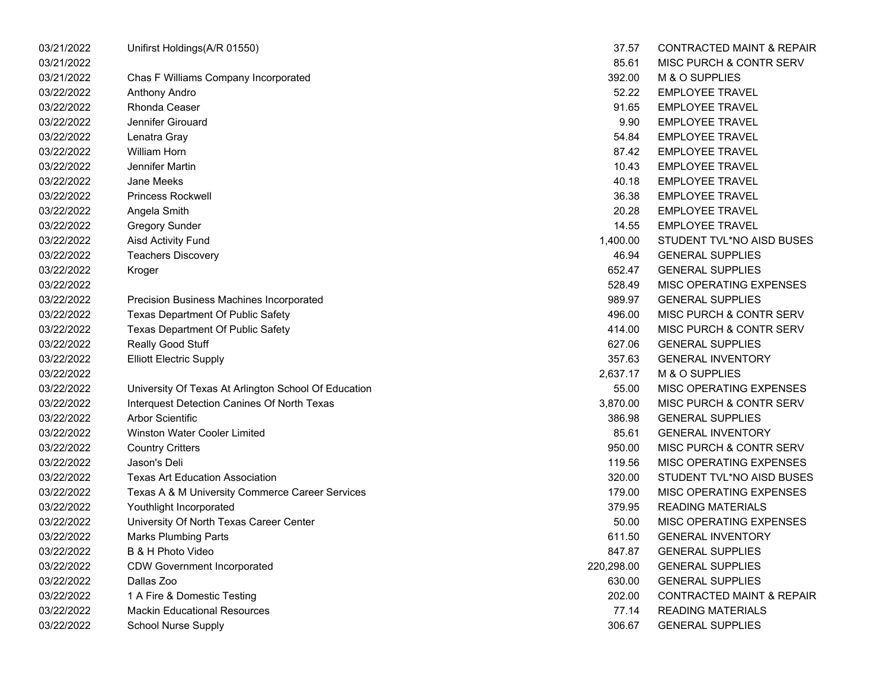| 03/21/2022 | Unifirst Holdings(A/R 01550)                         | 37.57      | <b>CONTRACTED MAINT &amp; REPAIR</b> |
|------------|------------------------------------------------------|------------|--------------------------------------|
| 03/21/2022 |                                                      | 85.61      | MISC PURCH & CONTR SERV              |
| 03/21/2022 | Chas F Williams Company Incorporated                 | 392.00     | M & O SUPPLIES                       |
| 03/22/2022 | Anthony Andro                                        | 52.22      | <b>EMPLOYEE TRAVEL</b>               |
| 03/22/2022 | Rhonda Ceaser                                        | 91.65      | <b>EMPLOYEE TRAVEL</b>               |
| 03/22/2022 | Jennifer Girouard                                    | 9.90       | <b>EMPLOYEE TRAVEL</b>               |
| 03/22/2022 | Lenatra Gray                                         | 54.84      | <b>EMPLOYEE TRAVEL</b>               |
| 03/22/2022 | <b>William Horn</b>                                  | 87.42      | <b>EMPLOYEE TRAVEL</b>               |
| 03/22/2022 | Jennifer Martin                                      | 10.43      | <b>EMPLOYEE TRAVEL</b>               |
| 03/22/2022 | Jane Meeks                                           | 40.18      | <b>EMPLOYEE TRAVEL</b>               |
| 03/22/2022 | <b>Princess Rockwell</b>                             | 36.38      | <b>EMPLOYEE TRAVEL</b>               |
| 03/22/2022 | Angela Smith                                         | 20.28      | <b>EMPLOYEE TRAVEL</b>               |
| 03/22/2022 | <b>Gregory Sunder</b>                                | 14.55      | <b>EMPLOYEE TRAVEL</b>               |
| 03/22/2022 | Aisd Activity Fund                                   | 1,400.00   | STUDENT TVL*NO AISD BUSES            |
| 03/22/2022 | <b>Teachers Discovery</b>                            | 46.94      | <b>GENERAL SUPPLIES</b>              |
| 03/22/2022 | Kroger                                               | 652.47     | <b>GENERAL SUPPLIES</b>              |
| 03/22/2022 |                                                      | 528.49     | MISC OPERATING EXPENSES              |
| 03/22/2022 | Precision Business Machines Incorporated             | 989.97     | <b>GENERAL SUPPLIES</b>              |
| 03/22/2022 | <b>Texas Department Of Public Safety</b>             | 496.00     | MISC PURCH & CONTR SERV              |
| 03/22/2022 | <b>Texas Department Of Public Safety</b>             | 414.00     | MISC PURCH & CONTR SERV              |
| 03/22/2022 | Really Good Stuff                                    | 627.06     | <b>GENERAL SUPPLIES</b>              |
| 03/22/2022 | <b>Elliott Electric Supply</b>                       | 357.63     | <b>GENERAL INVENTORY</b>             |
| 03/22/2022 |                                                      | 2,637.17   | M & O SUPPLIES                       |
| 03/22/2022 | University Of Texas At Arlington School Of Education | 55.00      | MISC OPERATING EXPENSES              |
| 03/22/2022 | Interquest Detection Canines Of North Texas          | 3,870.00   | MISC PURCH & CONTR SERV              |
| 03/22/2022 | <b>Arbor Scientific</b>                              | 386.98     | <b>GENERAL SUPPLIES</b>              |
| 03/22/2022 | Winston Water Cooler Limited                         | 85.61      | <b>GENERAL INVENTORY</b>             |
| 03/22/2022 | <b>Country Critters</b>                              | 950.00     | MISC PURCH & CONTR SERV              |
| 03/22/2022 | Jason's Deli                                         | 119.56     | MISC OPERATING EXPENSES              |
| 03/22/2022 | <b>Texas Art Education Association</b>               | 320.00     | STUDENT TVL*NO AISD BUSES            |
| 03/22/2022 | Texas A & M University Commerce Career Services      | 179.00     | MISC OPERATING EXPENSES              |
| 03/22/2022 | Youthlight Incorporated                              | 379.95     | <b>READING MATERIALS</b>             |
| 03/22/2022 | University Of North Texas Career Center              | 50.00      | MISC OPERATING EXPENSES              |
| 03/22/2022 | <b>Marks Plumbing Parts</b>                          | 611.50     | <b>GENERAL INVENTORY</b>             |
| 03/22/2022 | B & H Photo Video                                    | 847.87     | <b>GENERAL SUPPLIES</b>              |
| 03/22/2022 | <b>CDW Government Incorporated</b>                   | 220,298.00 | <b>GENERAL SUPPLIES</b>              |
| 03/22/2022 | Dallas Zoo                                           | 630.00     | <b>GENERAL SUPPLIES</b>              |
| 03/22/2022 | 1 A Fire & Domestic Testing                          | 202.00     | <b>CONTRACTED MAINT &amp; REPAIR</b> |
| 03/22/2022 | <b>Mackin Educational Resources</b>                  | 77.14      | <b>READING MATERIALS</b>             |
| 03/22/2022 | <b>School Nurse Supply</b>                           | 306.67     | <b>GENERAL SUPPLIES</b>              |
|            |                                                      |            |                                      |

| 37.57    | CONTRACTED MAINT & REPAIR            |
|----------|--------------------------------------|
| 85.61    | MISC PURCH & CONTR SERV              |
| 392.00   | M & O SUPPLIES                       |
| 52.22    | <b>EMPLOYEE TRAVEL</b>               |
| 91.65    | <b>EMPLOYEE TRAVEL</b>               |
| 9.90     | <b>EMPLOYEE TRAVEL</b>               |
| 54.84    | <b>EMPLOYEE TRAVEL</b>               |
| 87.42    | <b>EMPLOYEE TRAVEL</b>               |
| 10.43    | <b>EMPLOYEE TRAVEL</b>               |
| 40.18    | <b>EMPLOYEE TRAVEL</b>               |
| 36.38    | <b>EMPLOYEE TRAVEL</b>               |
| 20.28    | <b>EMPLOYEE TRAVEL</b>               |
| 14.55    | <b>EMPLOYEE TRAVEL</b>               |
| 1.400.00 | STUDENT TVL*NO AISD BUSES            |
| 46.94    | <b>GENERAL SUPPLIES</b>              |
| 652.47   | <b>GENERAL SUPPLIES</b>              |
| 528.49   | MISC OPERATING EXPENSES              |
| 989.97   | <b>GENERAL SUPPLIES</b>              |
| 496.00   | MISC PURCH & CONTR SERV              |
| 414.00   | MISC PURCH & CONTR SERV              |
| 627.06   | <b>GENERAL SUPPLIES</b>              |
| 357.63   | <b>GENERAL INVENTORY</b>             |
| 2.637.17 | M & O SUPPLIES                       |
| 55.00    | MISC OPERATING EXPENSES              |
| 3,870.00 | MISC PURCH & CONTR SERV              |
| 386.98   | <b>GENERAL SUPPLIES</b>              |
| 85.61    | <b>GENERAL INVENTORY</b>             |
| 950.00   | MISC PURCH & CONTR SERV              |
| 119.56   | MISC OPERATING EXPENSES              |
| 320.00   | STUDENT TVL*NO AISD BUSES            |
| 179.00   | <b>MISC OPERATING EXPENSES</b>       |
| 379.95   | <b>READING MATERIALS</b>             |
| 50.00    | MISC OPERATING EXPENSES              |
| 611.50   | <b>GENERAL INVENTORY</b>             |
| 847.87   | <b>GENERAL SUPPLIES</b>              |
| 0.298.00 | <b>GENERAL SUPPLIES</b>              |
| 630.00   | <b>GENERAL SUPPLIES</b>              |
| 202.00   | <b>CONTRACTED MAINT &amp; REPAIR</b> |
| 77.14    | <b>READING MATERIALS</b>             |
| 306.67   | <b>GENERAL SUPPLIES</b>              |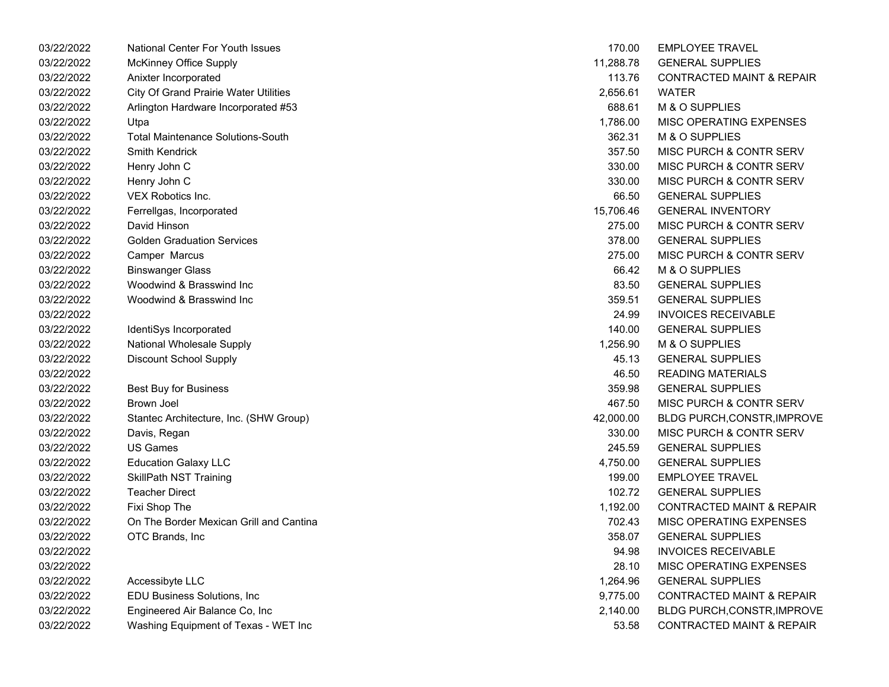| 03/22/2022 | <b>National Center For Youth Issues</b>      | 170.00    | <b>EMPLOYEE TRAVEL</b>               |
|------------|----------------------------------------------|-----------|--------------------------------------|
| 03/22/2022 | <b>McKinney Office Supply</b>                | 11,288.78 | <b>GENERAL SUPPLIES</b>              |
| 03/22/2022 | Anixter Incorporated                         | 113.76    | <b>CONTRACTED MAINT &amp; REPAIR</b> |
| 03/22/2022 | <b>City Of Grand Prairie Water Utilities</b> | 2,656.61  | <b>WATER</b>                         |
| 03/22/2022 | Arlington Hardware Incorporated #53          | 688.61    | M & O SUPPLIES                       |
| 03/22/2022 | Utpa                                         | 1,786.00  | MISC OPERATING EXPENSES              |
| 03/22/2022 | <b>Total Maintenance Solutions-South</b>     | 362.31    | M & O SUPPLIES                       |
| 03/22/2022 | <b>Smith Kendrick</b>                        | 357.50    | MISC PURCH & CONTR SERV              |
| 03/22/2022 | Henry John C                                 | 330.00    | MISC PURCH & CONTR SERV              |
| 03/22/2022 | Henry John C                                 | 330.00    | MISC PURCH & CONTR SERV              |
| 03/22/2022 | VEX Robotics Inc.                            | 66.50     | <b>GENERAL SUPPLIES</b>              |
| 03/22/2022 | Ferrellgas, Incorporated                     | 15,706.46 | <b>GENERAL INVENTORY</b>             |
| 03/22/2022 | David Hinson                                 | 275.00    | MISC PURCH & CONTR SERV              |
| 03/22/2022 | <b>Golden Graduation Services</b>            | 378.00    | <b>GENERAL SUPPLIES</b>              |
| 03/22/2022 | Camper Marcus                                | 275.00    | MISC PURCH & CONTR SERV              |
| 03/22/2022 | <b>Binswanger Glass</b>                      | 66.42     | M & O SUPPLIES                       |
| 03/22/2022 | Woodwind & Brasswind Inc.                    | 83.50     | <b>GENERAL SUPPLIES</b>              |
| 03/22/2022 | Woodwind & Brasswind Inc                     | 359.51    | <b>GENERAL SUPPLIES</b>              |
| 03/22/2022 |                                              | 24.99     | <b>INVOICES RECEIVABLE</b>           |
| 03/22/2022 | IdentiSys Incorporated                       | 140.00    | <b>GENERAL SUPPLIES</b>              |
| 03/22/2022 | National Wholesale Supply                    | 1,256.90  | M & O SUPPLIES                       |
| 03/22/2022 | <b>Discount School Supply</b>                | 45.13     | <b>GENERAL SUPPLIES</b>              |
| 03/22/2022 |                                              | 46.50     | <b>READING MATERIALS</b>             |
| 03/22/2022 | <b>Best Buy for Business</b>                 | 359.98    | <b>GENERAL SUPPLIES</b>              |
| 03/22/2022 | Brown Joel                                   | 467.50    | MISC PURCH & CONTR SERV              |
| 03/22/2022 | Stantec Architecture, Inc. (SHW Group)       | 42,000.00 | <b>BLDG PURCH, CONSTR, IMPROVE</b>   |
| 03/22/2022 | Davis, Regan                                 | 330.00    | <b>MISC PURCH &amp; CONTR SERV</b>   |
| 03/22/2022 | <b>US Games</b>                              | 245.59    | <b>GENERAL SUPPLIES</b>              |
| 03/22/2022 | <b>Education Galaxy LLC</b>                  | 4,750.00  | <b>GENERAL SUPPLIES</b>              |
| 03/22/2022 | <b>SkillPath NST Training</b>                | 199.00    | <b>EMPLOYEE TRAVEL</b>               |
| 03/22/2022 | <b>Teacher Direct</b>                        | 102.72    | <b>GENERAL SUPPLIES</b>              |
| 03/22/2022 | Fixi Shop The                                | 1,192.00  | <b>CONTRACTED MAINT &amp; REPAIR</b> |
| 03/22/2022 | On The Border Mexican Grill and Cantina      | 702.43    | MISC OPERATING EXPENSES              |
| 03/22/2022 | OTC Brands, Inc                              | 358.07    | <b>GENERAL SUPPLIES</b>              |
| 03/22/2022 |                                              | 94.98     | <b>INVOICES RECEIVABLE</b>           |
| 03/22/2022 |                                              | 28.10     | MISC OPERATING EXPENSES              |
| 03/22/2022 | Accessibyte LLC                              | 1,264.96  | <b>GENERAL SUPPLIES</b>              |
| 03/22/2022 | EDU Business Solutions, Inc                  | 9,775.00  | <b>CONTRACTED MAINT &amp; REPAIR</b> |
| 03/22/2022 | Engineered Air Balance Co, Inc               | 2,140.00  | <b>BLDG PURCH, CONSTR, IMPROVE</b>   |
| 03/22/2022 | Washing Equipment of Texas - WET Inc         | 53.58     | <b>CONTRACTED MAINT &amp; REPAIR</b> |
|            |                                              |           |                                      |

| 170.00    | <b>EMPLOYEE TRAVEL</b>               |
|-----------|--------------------------------------|
| 11.288.78 | <b>GENERAL SUPPLIES</b>              |
| 113.76    | <b>CONTRACTED MAINT &amp; REPAIR</b> |
| 2,656.61  | <b>WATER</b>                         |
| 688.61    | M & O SUPPLIES                       |
| 1,786.00  | <b>MISC OPERATING EXPENSES</b>       |
| 362.31    | <b>M &amp; O SUPPLIES</b>            |
| 357.50    | <b>MISC PURCH &amp; CONTR SERV</b>   |
| 330.00    | <b>MISC PURCH &amp; CONTR SERV</b>   |
| 330.00    | <b>MISC PURCH &amp; CONTR SERV</b>   |
| 66.50     | <b>GENERAL SUPPLIES</b>              |
| 15,706.46 | <b>GENERAL INVENTORY</b>             |
| 275.00    | MISC PURCH & CONTR SERV              |
| 378.00    | <b>GENERAL SUPPLIES</b>              |
| 275.00    | MISC PURCH & CONTR SERV              |
| 66.42     | <b>M &amp; O SUPPLIES</b>            |
| 83.50     | <b>GENERAL SUPPLIES</b>              |
| 359.51    | <b>GENERAL SUPPLIES</b>              |
| 24.99     | <b>INVOICES RECEIVABLE</b>           |
| 140.00    | <b>GENERAL SUPPLIES</b>              |
| 1,256.90  | M & O SUPPLIES                       |
| 45.13     | <b>GENERAL SUPPLIES</b>              |
| 46.50     | <b>READING MATERIALS</b>             |
| 359.98    | <b>GENERAL SUPPLIES</b>              |
| 467.50    | MISC PURCH & CONTR SERV              |
| 42,000.00 | BLDG PURCH, CONSTR, IMPROVE          |
| 330.00    | <b>MISC PURCH &amp; CONTR SERV</b>   |
| 245.59    | <b>GENERAL SUPPLIES</b>              |
| 4,750.00  | <b>GENERAL SUPPLIES</b>              |
| 199.00    | <b>EMPLOYEE TRAVEL</b>               |
| 102.72    | <b>GENERAL SUPPLIES</b>              |
| 1,192.00  | <b>CONTRACTED MAINT &amp; REPAIR</b> |
| 702.43    | <b>MISC OPERATING EXPENSES</b>       |
| 358.07    | <b>GENERAL SUPPLIES</b>              |
| 94.98     | <b>INVOICES RECEIVABLE</b>           |
| 28.10     | <b>MISC OPERATING EXPENSES</b>       |
| 1,264.96  | <b>GENERAL SUPPLIES</b>              |
| 9,775.00  | <b>CONTRACTED MAINT &amp; REPAIR</b> |
| 2,140.00  | <b>BLDG PURCH, CONSTR, IMPROVE</b>   |
| 53.58     | CONTRACTED MAINT & REPAIR            |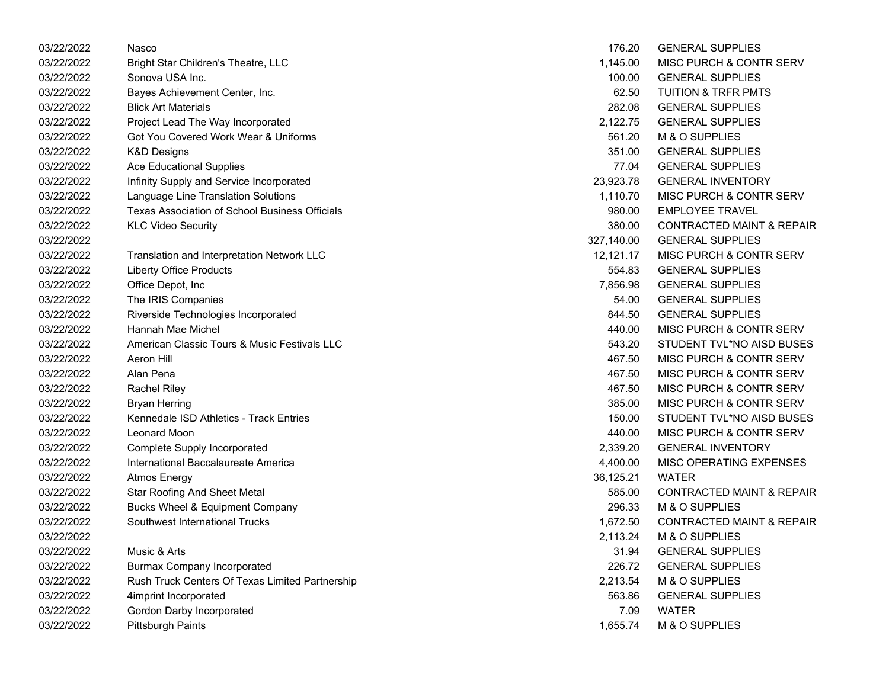| 03/22/2022 | Nasco                                                 | 176.20     | <b>GENERAL SUPPLIES</b>              |
|------------|-------------------------------------------------------|------------|--------------------------------------|
| 03/22/2022 | Bright Star Children's Theatre, LLC                   | 1,145.00   | MISC PURCH & CONTR SERV              |
| 03/22/2022 | Sonova USA Inc.                                       | 100.00     | <b>GENERAL SUPPLIES</b>              |
| 03/22/2022 | Bayes Achievement Center, Inc.                        | 62.50      | <b>TUITION &amp; TRFR PMTS</b>       |
| 03/22/2022 | <b>Blick Art Materials</b>                            | 282.08     | <b>GENERAL SUPPLIES</b>              |
| 03/22/2022 | Project Lead The Way Incorporated                     | 2,122.75   | <b>GENERAL SUPPLIES</b>              |
| 03/22/2022 | Got You Covered Work Wear & Uniforms                  | 561.20     | M & O SUPPLIES                       |
| 03/22/2022 | <b>K&amp;D Designs</b>                                | 351.00     | <b>GENERAL SUPPLIES</b>              |
| 03/22/2022 | <b>Ace Educational Supplies</b>                       | 77.04      | <b>GENERAL SUPPLIES</b>              |
| 03/22/2022 | Infinity Supply and Service Incorporated              | 23,923.78  | <b>GENERAL INVENTORY</b>             |
| 03/22/2022 | Language Line Translation Solutions                   | 1,110.70   | MISC PURCH & CONTR SERV              |
| 03/22/2022 | <b>Texas Association of School Business Officials</b> | 980.00     | <b>EMPLOYEE TRAVEL</b>               |
| 03/22/2022 | <b>KLC Video Security</b>                             | 380.00     | <b>CONTRACTED MAINT &amp; REPAIR</b> |
| 03/22/2022 |                                                       | 327,140.00 | <b>GENERAL SUPPLIES</b>              |
| 03/22/2022 | Translation and Interpretation Network LLC            | 12,121.17  | MISC PURCH & CONTR SERV              |
| 03/22/2022 | <b>Liberty Office Products</b>                        | 554.83     | <b>GENERAL SUPPLIES</b>              |
| 03/22/2022 | Office Depot, Inc                                     | 7,856.98   | <b>GENERAL SUPPLIES</b>              |
| 03/22/2022 | The IRIS Companies                                    | 54.00      | <b>GENERAL SUPPLIES</b>              |
| 03/22/2022 | Riverside Technologies Incorporated                   | 844.50     | <b>GENERAL SUPPLIES</b>              |
| 03/22/2022 | Hannah Mae Michel                                     | 440.00     | MISC PURCH & CONTR SERV              |
| 03/22/2022 | American Classic Tours & Music Festivals LLC          | 543.20     | STUDENT TVL*NO AISD BUSES            |
| 03/22/2022 | Aeron Hill                                            | 467.50     | MISC PURCH & CONTR SERV              |
| 03/22/2022 | Alan Pena                                             | 467.50     | MISC PURCH & CONTR SERV              |
| 03/22/2022 | <b>Rachel Riley</b>                                   | 467.50     | MISC PURCH & CONTR SERV              |
| 03/22/2022 | <b>Bryan Herring</b>                                  | 385.00     | MISC PURCH & CONTR SERV              |
| 03/22/2022 | Kennedale ISD Athletics - Track Entries               | 150.00     | STUDENT TVL*NO AISD BUSES            |
| 03/22/2022 | <b>Leonard Moon</b>                                   | 440.00     | MISC PURCH & CONTR SERV              |
| 03/22/2022 | Complete Supply Incorporated                          | 2,339.20   | <b>GENERAL INVENTORY</b>             |
| 03/22/2022 | International Baccalaureate America                   | 4,400.00   | MISC OPERATING EXPENSES              |
| 03/22/2022 | <b>Atmos Energy</b>                                   | 36,125.21  | <b>WATER</b>                         |
| 03/22/2022 | <b>Star Roofing And Sheet Metal</b>                   | 585.00     | <b>CONTRACTED MAINT &amp; REPAIR</b> |
| 03/22/2022 | Bucks Wheel & Equipment Company                       | 296.33     | M & O SUPPLIES                       |
| 03/22/2022 | Southwest International Trucks                        | 1,672.50   | <b>CONTRACTED MAINT &amp; REPAIR</b> |
| 03/22/2022 |                                                       | 2,113.24   | M & O SUPPLIES                       |
| 03/22/2022 | Music & Arts                                          | 31.94      | <b>GENERAL SUPPLIES</b>              |
| 03/22/2022 | <b>Burmax Company Incorporated</b>                    | 226.72     | <b>GENERAL SUPPLIES</b>              |
| 03/22/2022 | Rush Truck Centers Of Texas Limited Partnership       | 2,213.54   | M & O SUPPLIES                       |
| 03/22/2022 | 4imprint Incorporated                                 | 563.86     | <b>GENERAL SUPPLIES</b>              |
| 03/22/2022 | Gordon Darby Incorporated                             | 7.09       | <b>WATER</b>                         |
| 03/22/2022 | <b>Pittsburgh Paints</b>                              | 1,655.74   | M & O SUPPLIES                       |

| 176.20     | <b>GENERAL SUPPLIES</b>              |
|------------|--------------------------------------|
| 1,145.00   | <b>MISC PURCH &amp; CONTR SERV</b>   |
| 100.00     | <b>GENERAL SUPPLIES</b>              |
| 62.50      | <b>TUITION &amp; TRFR PMTS</b>       |
| 282.08     | <b>GENERAL SUPPLIES</b>              |
| 2,122.75   | <b>GENERAL SUPPLIES</b>              |
| 561.20     | <b>M &amp; O SUPPLIES</b>            |
| 351.00     | <b>GENERAL SUPPLIES</b>              |
| 77.04      | <b>GENERAL SUPPLIES</b>              |
| 23,923.78  | <b>GENERAL INVENTORY</b>             |
| 1,110.70   | <b>MISC PURCH &amp; CONTR SERV</b>   |
| 980.00     | <b>EMPLOYEE TRAVEL</b>               |
| 380.00     | <b>CONTRACTED MAINT &amp; REPAIR</b> |
| 327,140.00 | <b>GENERAL SUPPLIES</b>              |
| 12,121.17  | MISC PURCH & CONTR SERV              |
| 554.83     | <b>GENERAL SUPPLIES</b>              |
| 7,856.98   | <b>GENERAL SUPPLIES</b>              |
| 54.00      | <b>GENERAL SUPPLIES</b>              |
| 844.50     | <b>GENERAL SUPPLIES</b>              |
| 440.00     | MISC PURCH & CONTR SERV              |
| 543.20     | STUDENT TVL*NO AISD BUSES            |
| 467.50     | <b>MISC PURCH &amp; CONTR SERV</b>   |
| 467.50     | <b>MISC PURCH &amp; CONTR SERV</b>   |
| 467.50     | MISC PURCH & CONTR SERV              |
| 385.00     | MISC PURCH & CONTR SERV              |
| 150.00     | STUDENT TVL*NO AISD BUSES            |
| 440.00     | <b>MISC PURCH &amp; CONTR SERV</b>   |
| 2,339.20   | <b>GENERAL INVENTORY</b>             |
| 4,400.00   | MISC OPERATING EXPENSES              |
| 36,125.21  | <b>WATER</b>                         |
| 585.00     | <b>CONTRACTED MAINT &amp; REPAIR</b> |
| 296.33     | M & O SUPPLIES                       |
| 1,672.50   | <b>CONTRACTED MAINT &amp; REPAIR</b> |
| 2,113.24   | <b>M &amp; O SUPPLIES</b>            |
| 31.94      | <b>GENERAL SUPPLIES</b>              |
| 226.72     | <b>GENERAL SUPPLIES</b>              |
| 2,213.54   | <b>M &amp; O SUPPLIES</b>            |
| 563.86     | <b>GENERAL SUPPLIES</b>              |
| 7.09       | <b>WATER</b>                         |
| 1,655.74   | M & O SUPPLIES                       |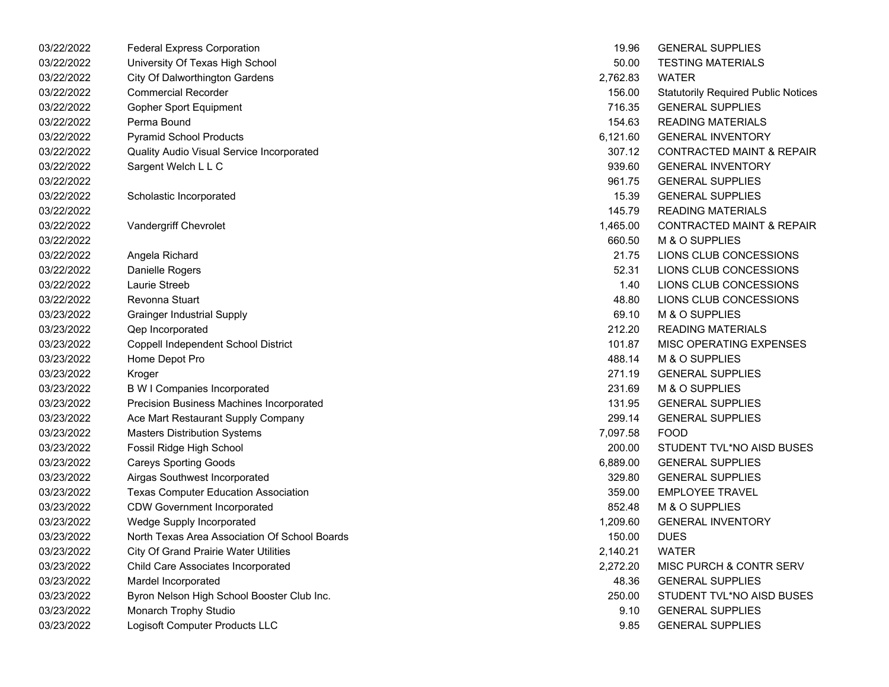| 03/22/2022 | <b>Federal Express Corporation</b>            | 19.96    | <b>GENERAL SUPPLIES</b>                    |
|------------|-----------------------------------------------|----------|--------------------------------------------|
| 03/22/2022 | University Of Texas High School               | 50.00    | <b>TESTING MATERIALS</b>                   |
| 03/22/2022 | <b>City Of Dalworthington Gardens</b>         | 2,762.83 | <b>WATER</b>                               |
| 03/22/2022 | <b>Commercial Recorder</b>                    | 156.00   | <b>Statutorily Required Public Notices</b> |
| 03/22/2022 | <b>Gopher Sport Equipment</b>                 | 716.35   | <b>GENERAL SUPPLIES</b>                    |
| 03/22/2022 | Perma Bound                                   | 154.63   | <b>READING MATERIALS</b>                   |
| 03/22/2022 | <b>Pyramid School Products</b>                | 6,121.60 | <b>GENERAL INVENTORY</b>                   |
| 03/22/2022 | Quality Audio Visual Service Incorporated     | 307.12   | <b>CONTRACTED MAINT &amp; REPAIR</b>       |
| 03/22/2022 | Sargent Welch L L C                           | 939.60   | <b>GENERAL INVENTORY</b>                   |
| 03/22/2022 |                                               | 961.75   | <b>GENERAL SUPPLIES</b>                    |
| 03/22/2022 | Scholastic Incorporated                       | 15.39    | <b>GENERAL SUPPLIES</b>                    |
| 03/22/2022 |                                               | 145.79   | <b>READING MATERIALS</b>                   |
| 03/22/2022 | Vandergriff Chevrolet                         | 1,465.00 | <b>CONTRACTED MAINT &amp; REPAIR</b>       |
| 03/22/2022 |                                               | 660.50   | M & O SUPPLIES                             |
| 03/22/2022 | Angela Richard                                | 21.75    | LIONS CLUB CONCESSIONS                     |
| 03/22/2022 | Danielle Rogers                               | 52.31    | LIONS CLUB CONCESSIONS                     |
| 03/22/2022 | Laurie Streeb                                 | 1.40     | LIONS CLUB CONCESSIONS                     |
| 03/22/2022 | Revonna Stuart                                | 48.80    | LIONS CLUB CONCESSIONS                     |
| 03/23/2022 | <b>Grainger Industrial Supply</b>             | 69.10    | M & O SUPPLIES                             |
| 03/23/2022 | Qep Incorporated                              | 212.20   | <b>READING MATERIALS</b>                   |
| 03/23/2022 | Coppell Independent School District           | 101.87   | MISC OPERATING EXPENSES                    |
| 03/23/2022 | Home Depot Pro                                | 488.14   | M & O SUPPLIES                             |
| 03/23/2022 | Kroger                                        | 271.19   | <b>GENERAL SUPPLIES</b>                    |
| 03/23/2022 | <b>B W I Companies Incorporated</b>           | 231.69   | M & O SUPPLIES                             |
| 03/23/2022 | Precision Business Machines Incorporated      | 131.95   | <b>GENERAL SUPPLIES</b>                    |
| 03/23/2022 | Ace Mart Restaurant Supply Company            | 299.14   | <b>GENERAL SUPPLIES</b>                    |
| 03/23/2022 | <b>Masters Distribution Systems</b>           | 7,097.58 | <b>FOOD</b>                                |
| 03/23/2022 | Fossil Ridge High School                      | 200.00   | STUDENT TVL*NO AISD BUSES                  |
| 03/23/2022 | <b>Careys Sporting Goods</b>                  | 6,889.00 | <b>GENERAL SUPPLIES</b>                    |
| 03/23/2022 | Airgas Southwest Incorporated                 | 329.80   | <b>GENERAL SUPPLIES</b>                    |
| 03/23/2022 | <b>Texas Computer Education Association</b>   | 359.00   | <b>EMPLOYEE TRAVEL</b>                     |
| 03/23/2022 | <b>CDW Government Incorporated</b>            | 852.48   | M & O SUPPLIES                             |
| 03/23/2022 | Wedge Supply Incorporated                     | 1,209.60 | <b>GENERAL INVENTORY</b>                   |
| 03/23/2022 | North Texas Area Association Of School Boards | 150.00   | <b>DUES</b>                                |
| 03/23/2022 | <b>City Of Grand Prairie Water Utilities</b>  | 2,140.21 | <b>WATER</b>                               |
| 03/23/2022 | Child Care Associates Incorporated            | 2,272.20 | <b>MISC PURCH &amp; CONTR SERV</b>         |
| 03/23/2022 | Mardel Incorporated                           | 48.36    | <b>GENERAL SUPPLIES</b>                    |
| 03/23/2022 | Byron Nelson High School Booster Club Inc.    | 250.00   | STUDENT TVL*NO AISD BUSES                  |
| 03/23/2022 | Monarch Trophy Studio                         | 9.10     | <b>GENERAL SUPPLIES</b>                    |
| 03/23/2022 | Logisoft Computer Products LLC                | 9.85     | <b>GENERAL SUPPLIES</b>                    |

| 19.96          | <b>GENERAL SUPPLIES</b>                    |
|----------------|--------------------------------------------|
| 50.00          | <b>TESTING MATERIALS</b>                   |
| 2,762.83 WATER |                                            |
| 156.00         | <b>Statutorily Required Public Notices</b> |
| 716.35         | <b>GENERAL SUPPLIES</b>                    |
| 154.63         | <b>READING MATERIALS</b>                   |
|                | 6,121.60 GENERAL INVENTORY                 |
|                | 307.12 CONTRACTED MAINT & REPAIR           |
|                | 939.60 GENERAL INVENTORY                   |
| 961.75         | <b>GENERAL SUPPLIES</b>                    |
| 15.39          | <b>GENERAL SUPPLIES</b>                    |
| 145.79         | <b>READING MATERIALS</b>                   |
|                | 1,465.00 CONTRACTED MAINT & REPAIR         |
|                | 660.50 M & O SUPPLIES                      |
| 21.75          | LIONS CLUB CONCESSIONS                     |
| 52.31          | LIONS CLUB CONCESSIONS                     |
| 1.40           | LIONS CLUB CONCESSIONS                     |
|                | 48.80 LIONS CLUB CONCESSIONS               |
|                | 69.10 M & O SUPPLIES                       |
| 212.20         | READING MATERIALS                          |
| 101.87         | <b>MISC OPERATING EXPENSES</b>             |
| 488.14         | M & O SUPPLIES                             |
| 271.19         | <b>GENERAL SUPPLIES</b>                    |
| 231.69         | M & O SUPPLIES                             |
| 131.95         | <b>GENERAL SUPPLIES</b>                    |
| 299.14         | <b>GENERAL SUPPLIES</b>                    |
| 7,097.58       | FOOD                                       |
| 200.00         | STUDENT TVL*NO AISD BUSES                  |
|                | 6,889.00 GENERAL SUPPLIES                  |
|                | 329.80 GENERAL SUPPLIES                    |
| 359.00         | <b>EMPLOYEE TRAVEL</b>                     |
| 852.48         | M & O SUPPLIES                             |
|                | 1,209.60 GENERAL INVENTORY                 |
| 150.00 DUES    |                                            |
| 2,140.21       | <b>WATER</b>                               |
| 2,272.20       | <b>MISC PURCH &amp; CONTR SERV</b>         |
| 48.36          | <b>GENERAL SUPPLIES</b>                    |
| 250.00         | STUDENT TVL*NO AISD BUSES                  |
| 9.10           | <b>GENERAL SUPPLIES</b>                    |
| 9.85           | <b>GENERAL SUPPLIES</b>                    |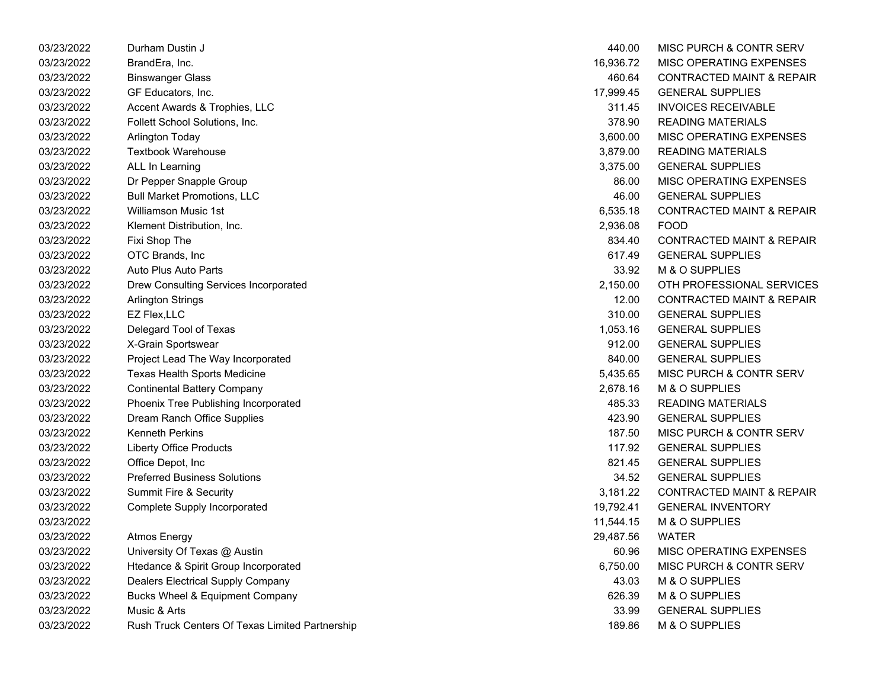| 03/23/2022 | Durham Dustin J                                 | 440.00    | MISC PURCH & CONTR SERV              |
|------------|-------------------------------------------------|-----------|--------------------------------------|
| 03/23/2022 | BrandEra, Inc.                                  | 16,936.72 | MISC OPERATING EXPENSES              |
| 03/23/2022 | <b>Binswanger Glass</b>                         | 460.64    | <b>CONTRACTED MAINT &amp; REPAIR</b> |
| 03/23/2022 | GF Educators, Inc.                              | 17,999.45 | <b>GENERAL SUPPLIES</b>              |
| 03/23/2022 | Accent Awards & Trophies, LLC                   | 311.45    | <b>INVOICES RECEIVABLE</b>           |
| 03/23/2022 | Follett School Solutions, Inc.                  | 378.90    | <b>READING MATERIALS</b>             |
| 03/23/2022 | Arlington Today                                 | 3,600.00  | MISC OPERATING EXPENSES              |
| 03/23/2022 | <b>Textbook Warehouse</b>                       | 3,879.00  | <b>READING MATERIALS</b>             |
| 03/23/2022 | ALL In Learning                                 | 3,375.00  | <b>GENERAL SUPPLIES</b>              |
| 03/23/2022 | Dr Pepper Snapple Group                         | 86.00     | MISC OPERATING EXPENSES              |
| 03/23/2022 | <b>Bull Market Promotions, LLC</b>              | 46.00     | <b>GENERAL SUPPLIES</b>              |
| 03/23/2022 | <b>Williamson Music 1st</b>                     | 6,535.18  | <b>CONTRACTED MAINT &amp; REPAIR</b> |
| 03/23/2022 | Klement Distribution, Inc.                      | 2,936.08  | <b>FOOD</b>                          |
| 03/23/2022 | Fixi Shop The                                   | 834.40    | <b>CONTRACTED MAINT &amp; REPAIR</b> |
| 03/23/2022 | OTC Brands, Inc                                 | 617.49    | <b>GENERAL SUPPLIES</b>              |
| 03/23/2022 | <b>Auto Plus Auto Parts</b>                     | 33.92     | M & O SUPPLIES                       |
| 03/23/2022 | Drew Consulting Services Incorporated           | 2,150.00  | OTH PROFESSIONAL SERVICES            |
| 03/23/2022 | <b>Arlington Strings</b>                        | 12.00     | <b>CONTRACTED MAINT &amp; REPAIR</b> |
| 03/23/2022 | EZ Flex, LLC                                    | 310.00    | <b>GENERAL SUPPLIES</b>              |
| 03/23/2022 | Delegard Tool of Texas                          | 1,053.16  | <b>GENERAL SUPPLIES</b>              |
| 03/23/2022 | X-Grain Sportswear                              | 912.00    | <b>GENERAL SUPPLIES</b>              |
| 03/23/2022 | Project Lead The Way Incorporated               | 840.00    | <b>GENERAL SUPPLIES</b>              |
| 03/23/2022 | Texas Health Sports Medicine                    | 5,435.65  | <b>MISC PURCH &amp; CONTR SERV</b>   |
| 03/23/2022 | <b>Continental Battery Company</b>              | 2,678.16  | M & O SUPPLIES                       |
| 03/23/2022 | Phoenix Tree Publishing Incorporated            | 485.33    | <b>READING MATERIALS</b>             |
| 03/23/2022 | Dream Ranch Office Supplies                     | 423.90    | <b>GENERAL SUPPLIES</b>              |
| 03/23/2022 | <b>Kenneth Perkins</b>                          | 187.50    | MISC PURCH & CONTR SERV              |
| 03/23/2022 | <b>Liberty Office Products</b>                  | 117.92    | <b>GENERAL SUPPLIES</b>              |
| 03/23/2022 | Office Depot, Inc                               | 821.45    | <b>GENERAL SUPPLIES</b>              |
| 03/23/2022 | <b>Preferred Business Solutions</b>             | 34.52     | <b>GENERAL SUPPLIES</b>              |
| 03/23/2022 | Summit Fire & Security                          | 3,181.22  | <b>CONTRACTED MAINT &amp; REPAIR</b> |
| 03/23/2022 | <b>Complete Supply Incorporated</b>             | 19,792.41 | <b>GENERAL INVENTORY</b>             |
| 03/23/2022 |                                                 | 11,544.15 | M & O SUPPLIES                       |
| 03/23/2022 | <b>Atmos Energy</b>                             | 29,487.56 | <b>WATER</b>                         |
| 03/23/2022 | University Of Texas @ Austin                    | 60.96     | MISC OPERATING EXPENSES              |
| 03/23/2022 | Htedance & Spirit Group Incorporated            | 6,750.00  | MISC PURCH & CONTR SERV              |
| 03/23/2022 | <b>Dealers Electrical Supply Company</b>        | 43.03     | M & O SUPPLIES                       |
| 03/23/2022 | Bucks Wheel & Equipment Company                 | 626.39    | M & O SUPPLIES                       |
| 03/23/2022 | Music & Arts                                    | 33.99     | <b>GENERAL SUPPLIES</b>              |
| 03/23/2022 | Rush Truck Centers Of Texas Limited Partnership | 189.86    | <b>M &amp; O SUPPLIES</b>            |

| 440.00    | <b>MISC PURCH &amp; CONTR SERV</b>   |
|-----------|--------------------------------------|
| 16,936.72 | MISC OPERATING EXPENSES              |
| 460.64    | <b>CONTRACTED MAINT &amp; REPAIR</b> |
| 17,999.45 | <b>GENERAL SUPPLIES</b>              |
| 311.45    | <b>INVOICES RECEIVABLE</b>           |
| 378.90    | <b>READING MATERIALS</b>             |
| 3,600.00  | <b>MISC OPERATING EXPENSES</b>       |
| 3,879.00  | <b>READING MATERIALS</b>             |
| 3,375.00  | <b>GENERAL SUPPLIES</b>              |
| 86.00     | <b>MISC OPERATING EXPENSES</b>       |
| 46.00     | <b>GENERAL SUPPLIES</b>              |
| 6,535.18  | <b>CONTRACTED MAINT &amp; REPAIR</b> |
| 2,936.08  | FOOD                                 |
| 834.40    | <b>CONTRACTED MAINT &amp; REPAIR</b> |
| 617.49    | <b>GENERAL SUPPLIES</b>              |
| 33.92     | M & O SUPPLIES                       |
| 2,150.00  | OTH PROFESSIONAL SERVICES            |
| 12.00     | <b>CONTRACTED MAINT &amp; REPAIR</b> |
| 310.00    | <b>GENERAL SUPPLIES</b>              |
| 1,053.16  | <b>GENERAL SUPPLIES</b>              |
| 912.00    | <b>GENERAL SUPPLIES</b>              |
| 840.00    | <b>GENERAL SUPPLIES</b>              |
| 5,435.65  | <b>MISC PURCH &amp; CONTR SERV</b>   |
| 2,678.16  | <b>M &amp; O SUPPLIES</b>            |
| 485.33    | <b>READING MATERIALS</b>             |
| 423.90    | <b>GENERAL SUPPLIES</b>              |
| 187.50    | MISC PURCH & CONTR SERV              |
| 117.92    | <b>GENERAL SUPPLIES</b>              |
| 821.45    | <b>GENERAL SUPPLIES</b>              |
| 34.52     | <b>GENERAL SUPPLIES</b>              |
| 3,181.22  | <b>CONTRACTED MAINT &amp; REPAIR</b> |
| 19,792.41 | <b>GENERAL INVENTORY</b>             |
| 11,544.15 | M & O SUPPLIES                       |
| 29,487.56 | <b>WATER</b>                         |
| 60.96     | <b>MISC OPERATING EXPENSES</b>       |
| 6,750.00  | <b>MISC PURCH &amp; CONTR SERV</b>   |
| 43.03     | M & O SUPPLIES                       |
| 626.39    | M & O SUPPLIES                       |
| 33.99     | <b>GENERAL SUPPLIES</b>              |
| 189.86    | M & O SUPPLIES                       |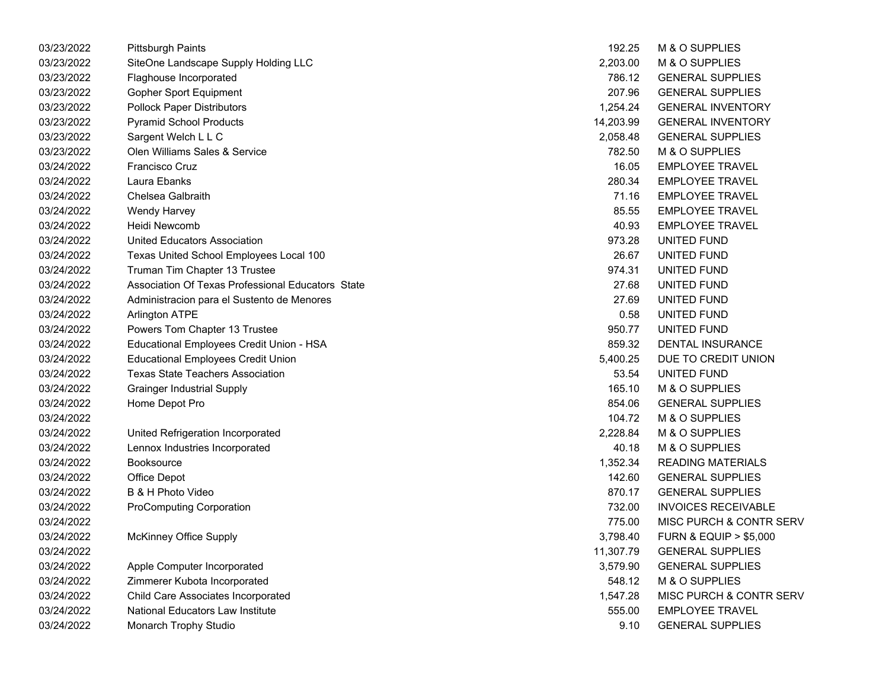| <b>Pittsburgh Paints</b>                          | 192.25    | M & O SUPPLIES                       |
|---------------------------------------------------|-----------|--------------------------------------|
| SiteOne Landscape Supply Holding LLC              | 2,203.00  | M & O SUPPLIES                       |
| Flaghouse Incorporated                            | 786.12    | <b>GENERAL SUPPLIES</b>              |
| Gopher Sport Equipment                            | 207.96    | <b>GENERAL SUPPLIES</b>              |
| <b>Pollock Paper Distributors</b>                 | 1,254.24  | <b>GENERAL INVENTORY</b>             |
| <b>Pyramid School Products</b>                    | 14,203.99 | <b>GENERAL INVENTORY</b>             |
| Sargent Welch L L C                               | 2,058.48  | <b>GENERAL SUPPLIES</b>              |
| Olen Williams Sales & Service                     | 782.50    | M & O SUPPLIES                       |
| <b>Francisco Cruz</b>                             | 16.05     | <b>EMPLOYEE TRAVEL</b>               |
| Laura Ebanks                                      | 280.34    | <b>EMPLOYEE TRAVEL</b>               |
| Chelsea Galbraith                                 | 71.16     | <b>EMPLOYEE TRAVEL</b>               |
| Wendy Harvey                                      | 85.55     | <b>EMPLOYEE TRAVEL</b>               |
| Heidi Newcomb                                     | 40.93     | <b>EMPLOYEE TRAVEL</b>               |
| <b>United Educators Association</b>               | 973.28    | UNITED FUND                          |
| Texas United School Employees Local 100           | 26.67     | UNITED FUND                          |
| Truman Tim Chapter 13 Trustee                     | 974.31    | UNITED FUND                          |
| Association Of Texas Professional Educators State | 27.68     | UNITED FUND                          |
| Administracion para el Sustento de Menores        | 27.69     | UNITED FUND                          |
| <b>Arlington ATPE</b>                             | 0.58      | UNITED FUND                          |
| Powers Tom Chapter 13 Trustee                     | 950.77    | UNITED FUND                          |
| Educational Employees Credit Union - HSA          | 859.32    | DENTAL INSURANCE                     |
| <b>Educational Employees Credit Union</b>         | 5,400.25  | DUE TO CREDIT UNION                  |
| <b>Texas State Teachers Association</b>           | 53.54     | UNITED FUND                          |
| <b>Grainger Industrial Supply</b>                 | 165.10    | M & O SUPPLIES                       |
| Home Depot Pro                                    | 854.06    | <b>GENERAL SUPPLIES</b>              |
|                                                   | 104.72    | M & O SUPPLIES                       |
| United Refrigeration Incorporated                 | 2,228.84  | M & O SUPPLIES                       |
| Lennox Industries Incorporated                    | 40.18     | M & O SUPPLIES                       |
| Booksource                                        | 1,352.34  | <b>READING MATERIALS</b>             |
| Office Depot                                      | 142.60    | <b>GENERAL SUPPLIES</b>              |
| B & H Photo Video                                 | 870.17    | <b>GENERAL SUPPLIES</b>              |
| <b>ProComputing Corporation</b>                   | 732.00    | <b>INVOICES RECEIVABLE</b>           |
|                                                   | 775.00    | MISC PURCH & CONTR SERV              |
| <b>McKinney Office Supply</b>                     | 3,798.40  | <b>FURN &amp; EQUIP &gt; \$5,000</b> |
|                                                   | 11,307.79 | <b>GENERAL SUPPLIES</b>              |
| Apple Computer Incorporated                       | 3,579.90  | <b>GENERAL SUPPLIES</b>              |
| Zimmerer Kubota Incorporated                      | 548.12    | M & O SUPPLIES                       |
| Child Care Associates Incorporated                | 1,547.28  | MISC PURCH & CONTR SERV              |
| <b>National Educators Law Institute</b>           | 555.00    | <b>EMPLOYEE TRAVEL</b>               |
| Monarch Trophy Studio                             | 9.10      | <b>GENERAL SUPPLIES</b>              |
|                                                   |           |                                      |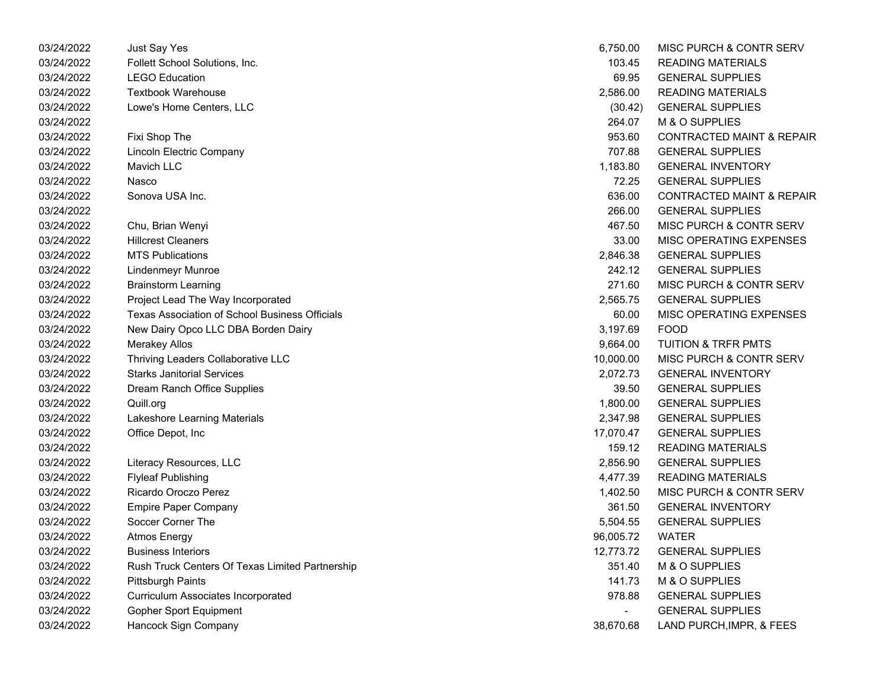| 03/24/2022 | Just Say Yes                                    | 6,750.00  | MISC PURCH & CONTR SERV              |
|------------|-------------------------------------------------|-----------|--------------------------------------|
| 03/24/2022 | Follett School Solutions, Inc.                  | 103.45    | <b>READING MATERIALS</b>             |
| 03/24/2022 | <b>LEGO Education</b>                           | 69.95     | <b>GENERAL SUPPLIES</b>              |
| 03/24/2022 | <b>Textbook Warehouse</b>                       | 2,586.00  | <b>READING MATERIALS</b>             |
| 03/24/2022 | Lowe's Home Centers, LLC                        | (30.42)   | <b>GENERAL SUPPLIES</b>              |
| 03/24/2022 |                                                 | 264.07    | M & O SUPPLIES                       |
| 03/24/2022 | Fixi Shop The                                   | 953.60    | <b>CONTRACTED MAINT &amp; REPAIR</b> |
| 03/24/2022 | Lincoln Electric Company                        | 707.88    | <b>GENERAL SUPPLIES</b>              |
| 03/24/2022 | Mavich LLC                                      | 1,183.80  | <b>GENERAL INVENTORY</b>             |
| 03/24/2022 | Nasco                                           | 72.25     | <b>GENERAL SUPPLIES</b>              |
| 03/24/2022 | Sonova USA Inc.                                 | 636.00    | <b>CONTRACTED MAINT &amp; REPAIR</b> |
| 03/24/2022 |                                                 | 266.00    | <b>GENERAL SUPPLIES</b>              |
| 03/24/2022 | Chu, Brian Wenyi                                | 467.50    | MISC PURCH & CONTR SERV              |
| 03/24/2022 | <b>Hillcrest Cleaners</b>                       | 33.00     | MISC OPERATING EXPENSES              |
| 03/24/2022 | <b>MTS Publications</b>                         | 2,846.38  | <b>GENERAL SUPPLIES</b>              |
| 03/24/2022 | <b>Lindenmeyr Munroe</b>                        | 242.12    | <b>GENERAL SUPPLIES</b>              |
| 03/24/2022 | <b>Brainstorm Learning</b>                      | 271.60    | MISC PURCH & CONTR SERV              |
| 03/24/2022 | Project Lead The Way Incorporated               | 2,565.75  | <b>GENERAL SUPPLIES</b>              |
| 03/24/2022 | Texas Association of School Business Officials  | 60.00     | MISC OPERATING EXPENSES              |
| 03/24/2022 | New Dairy Opco LLC DBA Borden Dairy             | 3,197.69  | <b>FOOD</b>                          |
| 03/24/2022 | <b>Merakey Allos</b>                            | 9,664.00  | <b>TUITION &amp; TRFR PMTS</b>       |
| 03/24/2022 | Thriving Leaders Collaborative LLC              | 10,000.00 | MISC PURCH & CONTR SERV              |
| 03/24/2022 | <b>Starks Janitorial Services</b>               | 2,072.73  | <b>GENERAL INVENTORY</b>             |
| 03/24/2022 | Dream Ranch Office Supplies                     | 39.50     | <b>GENERAL SUPPLIES</b>              |
| 03/24/2022 | Quill.org                                       | 1,800.00  | <b>GENERAL SUPPLIES</b>              |
| 03/24/2022 | Lakeshore Learning Materials                    | 2,347.98  | <b>GENERAL SUPPLIES</b>              |
| 03/24/2022 | Office Depot, Inc                               | 17,070.47 | <b>GENERAL SUPPLIES</b>              |
| 03/24/2022 |                                                 | 159.12    | <b>READING MATERIALS</b>             |
| 03/24/2022 | Literacy Resources, LLC                         | 2,856.90  | <b>GENERAL SUPPLIES</b>              |
| 03/24/2022 | <b>Flyleaf Publishing</b>                       | 4,477.39  | <b>READING MATERIALS</b>             |
| 03/24/2022 | Ricardo Oroczo Perez                            | 1,402.50  | MISC PURCH & CONTR SERV              |
| 03/24/2022 | <b>Empire Paper Company</b>                     | 361.50    | <b>GENERAL INVENTORY</b>             |
| 03/24/2022 | Soccer Corner The                               | 5,504.55  | <b>GENERAL SUPPLIES</b>              |
| 03/24/2022 | <b>Atmos Energy</b>                             | 96,005.72 | <b>WATER</b>                         |
| 03/24/2022 | <b>Business Interiors</b>                       | 12,773.72 | <b>GENERAL SUPPLIES</b>              |
| 03/24/2022 | Rush Truck Centers Of Texas Limited Partnership | 351.40    | M & O SUPPLIES                       |
| 03/24/2022 | <b>Pittsburgh Paints</b>                        | 141.73    | M & O SUPPLIES                       |
| 03/24/2022 | <b>Curriculum Associates Incorporated</b>       | 978.88    | <b>GENERAL SUPPLIES</b>              |
| 03/24/2022 | Gopher Sport Equipment                          |           | <b>GENERAL SUPPLIES</b>              |
| 03/24/2022 | Hancock Sign Company                            | 38,670.68 | LAND PURCH, IMPR, & FEES             |
|            |                                                 |           |                                      |

| 6,750.00  | MISC PURCH & CONTR SERV              |
|-----------|--------------------------------------|
| 103.45    | <b>READING MATERIALS</b>             |
| 69.95     | <b>GENERAL SUPPLIES</b>              |
| 2,586.00  | <b>READING MATERIALS</b>             |
| (30.42)   | <b>GENERAL SUPPLIES</b>              |
| 264.07    | <b>M &amp; O SUPPLIES</b>            |
| 953.60    | <b>CONTRACTED MAINT &amp; REPAIF</b> |
| 707.88    | <b>GENERAL SUPPLIES</b>              |
| 1,183.80  | <b>GENERAL INVENTORY</b>             |
| 72.25     | <b>GENERAL SUPPLIES</b>              |
| 636.00    | <b>CONTRACTED MAINT &amp; REPAIF</b> |
| 266.00    | <b>GENERAL SUPPLIES</b>              |
| 467.50    | <b>MISC PURCH &amp; CONTR SERV</b>   |
| 33.00     | MISC OPERATING EXPENSES              |
| 2,846.38  | <b>GENERAL SUPPLIES</b>              |
| 242.12    | <b>GENERAL SUPPLIES</b>              |
| 271.60    | MISC PURCH & CONTR SERV              |
| 2.565.75  | <b>GENERAL SUPPLIES</b>              |
| 60.00     | <b>MISC OPERATING EXPENSES</b>       |
| 3,197.69  | FOOD                                 |
| 9,664.00  | <b>TUITION &amp; TRFR PMTS</b>       |
| 10,000.00 | <b>MISC PURCH &amp; CONTR SERV</b>   |
| 2,072.73  | <b>GENERAL INVENTORY</b>             |
| 39.50     | <b>GENERAL SUPPLIES</b>              |
| 1,800.00  | <b>GENERAL SUPPLIES</b>              |
| 2,347.98  | <b>GENERAL SUPPLIES</b>              |
| 17,070.47 | <b>GENERAL SUPPLIES</b>              |
| 159.12    | <b>READING MATERIALS</b>             |
| 2,856.90  | <b>GENERAL SUPPLIES</b>              |
| 4,477.39  | <b>READING MATERIALS</b>             |
| 1,402.50  | <b>MISC PURCH &amp; CONTR SERV</b>   |
| 361.50    | <b>GENERAL INVENTORY</b>             |
| 5,504.55  | <b>GENERAL SUPPLIES</b>              |
| 96,005.72 | WATER                                |
| 12,773.72 | <b>GENERAL SUPPLIES</b>              |
| 351.40    | <b>M &amp; O SUPPLIES</b>            |
| 141.73    | <b>M &amp; O SUPPLIES</b>            |
| 978.88    | <b>GENERAL SUPPLIES</b>              |
|           | <b>GENERAL SUPPLIES</b>              |
| 38 670 68 | LAND PHRCH IMPR & FFFS               |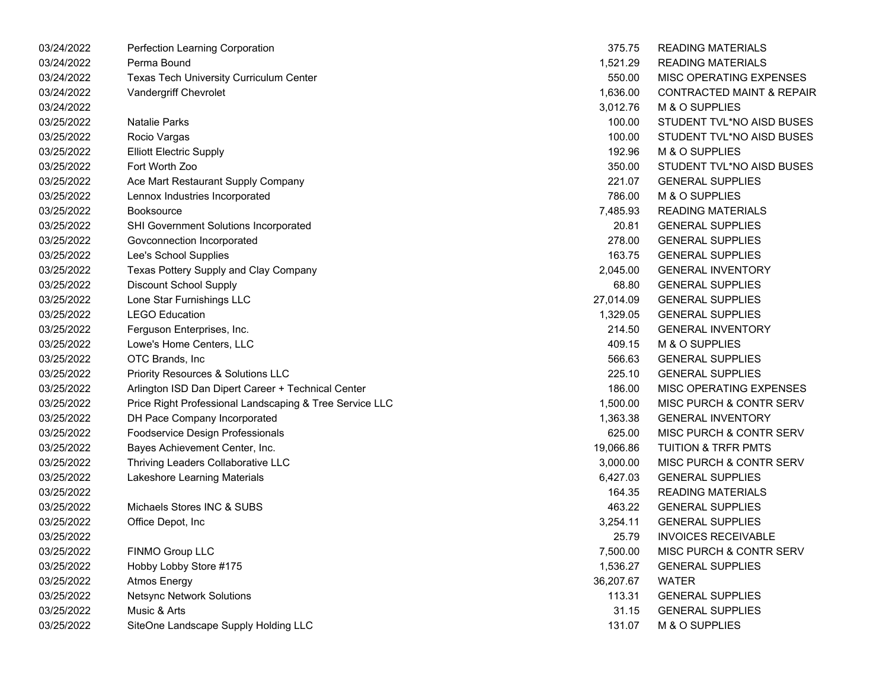| 03/24/2022 | Perfection Learning Corporation                         | 375.75    | <b>READING MATERIALS</b>             |
|------------|---------------------------------------------------------|-----------|--------------------------------------|
| 03/24/2022 | Perma Bound                                             | 1,521.29  | <b>READING MATERIALS</b>             |
| 03/24/2022 | Texas Tech University Curriculum Center                 | 550.00    | MISC OPERATING EXPENSES              |
| 03/24/2022 | Vandergriff Chevrolet                                   | 1,636.00  | <b>CONTRACTED MAINT &amp; REPAIR</b> |
| 03/24/2022 |                                                         | 3,012.76  | M & O SUPPLIES                       |
| 03/25/2022 | <b>Natalie Parks</b>                                    | 100.00    | STUDENT TVL*NO AISD BUSES            |
| 03/25/2022 | Rocio Vargas                                            | 100.00    | STUDENT TVL*NO AISD BUSES            |
| 03/25/2022 | <b>Elliott Electric Supply</b>                          | 192.96    | M & O SUPPLIES                       |
| 03/25/2022 | Fort Worth Zoo                                          | 350.00    | STUDENT TVL*NO AISD BUSES            |
| 03/25/2022 | Ace Mart Restaurant Supply Company                      | 221.07    | <b>GENERAL SUPPLIES</b>              |
| 03/25/2022 | Lennox Industries Incorporated                          | 786.00    | M & O SUPPLIES                       |
| 03/25/2022 | <b>Booksource</b>                                       | 7,485.93  | <b>READING MATERIALS</b>             |
| 03/25/2022 | SHI Government Solutions Incorporated                   | 20.81     | <b>GENERAL SUPPLIES</b>              |
| 03/25/2022 | Govconnection Incorporated                              | 278.00    | <b>GENERAL SUPPLIES</b>              |
| 03/25/2022 | Lee's School Supplies                                   | 163.75    | <b>GENERAL SUPPLIES</b>              |
| 03/25/2022 | Texas Pottery Supply and Clay Company                   | 2,045.00  | <b>GENERAL INVENTORY</b>             |
| 03/25/2022 | <b>Discount School Supply</b>                           | 68.80     | <b>GENERAL SUPPLIES</b>              |
| 03/25/2022 | Lone Star Furnishings LLC                               | 27,014.09 | <b>GENERAL SUPPLIES</b>              |
| 03/25/2022 | <b>LEGO Education</b>                                   | 1,329.05  | <b>GENERAL SUPPLIES</b>              |
| 03/25/2022 | Ferguson Enterprises, Inc.                              | 214.50    | <b>GENERAL INVENTORY</b>             |
| 03/25/2022 | Lowe's Home Centers, LLC                                | 409.15    | M & O SUPPLIES                       |
| 03/25/2022 | OTC Brands, Inc                                         | 566.63    | <b>GENERAL SUPPLIES</b>              |
| 03/25/2022 | Priority Resources & Solutions LLC                      | 225.10    | <b>GENERAL SUPPLIES</b>              |
| 03/25/2022 | Arlington ISD Dan Dipert Career + Technical Center      | 186.00    | MISC OPERATING EXPENSES              |
| 03/25/2022 | Price Right Professional Landscaping & Tree Service LLC | 1,500.00  | MISC PURCH & CONTR SERV              |
| 03/25/2022 | DH Pace Company Incorporated                            | 1,363.38  | <b>GENERAL INVENTORY</b>             |
| 03/25/2022 | Foodservice Design Professionals                        | 625.00    | MISC PURCH & CONTR SERV              |
| 03/25/2022 | Bayes Achievement Center, Inc.                          | 19,066.86 | TUITION & TRFR PMTS                  |
| 03/25/2022 | Thriving Leaders Collaborative LLC                      | 3,000.00  | MISC PURCH & CONTR SERV              |
| 03/25/2022 | Lakeshore Learning Materials                            | 6,427.03  | <b>GENERAL SUPPLIES</b>              |
| 03/25/2022 |                                                         | 164.35    | <b>READING MATERIALS</b>             |
| 03/25/2022 | Michaels Stores INC & SUBS                              | 463.22    | <b>GENERAL SUPPLIES</b>              |
| 03/25/2022 | Office Depot, Inc                                       | 3,254.11  | <b>GENERAL SUPPLIES</b>              |
| 03/25/2022 |                                                         | 25.79     | <b>INVOICES RECEIVABLE</b>           |
| 03/25/2022 | FINMO Group LLC                                         | 7,500.00  | MISC PURCH & CONTR SERV              |
| 03/25/2022 | Hobby Lobby Store #175                                  | 1,536.27  | <b>GENERAL SUPPLIES</b>              |
| 03/25/2022 | <b>Atmos Energy</b>                                     | 36,207.67 | <b>WATER</b>                         |
| 03/25/2022 | <b>Netsync Network Solutions</b>                        | 113.31    | <b>GENERAL SUPPLIES</b>              |
| 03/25/2022 | Music & Arts                                            | 31.15     | <b>GENERAL SUPPLIES</b>              |
| 03/25/2022 | SiteOne Landscape Supply Holding LLC                    | 131.07    | M & O SUPPLIES                       |

| 375.75    | <b>READING MATERIALS</b>             |
|-----------|--------------------------------------|
| 1,521.29  | <b>READING MATERIALS</b>             |
| 550.00    | MISC OPERATING EXPENSES              |
| 1,636.00  | <b>CONTRACTED MAINT &amp; REPAIR</b> |
| 3,012.76  | <b>M &amp; O SUPPLIES</b>            |
| 100.00    | STUDENT TVL*NO AISD BUSES            |
| 100.00    | STUDENT TVL*NO AISD BUSES            |
| 192.96    | <b>M &amp; O SUPPLIES</b>            |
| 350.00    | STUDENT TVL*NO AISD BUSES            |
| 221.07    | <b>GENERAL SUPPLIES</b>              |
| 786.00    | <b>M &amp; O SUPPLIES</b>            |
| 7,485.93  | <b>READING MATERIALS</b>             |
| 20.81     | <b>GENERAL SUPPLIES</b>              |
| 278.00    | <b>GENERAL SUPPLIES</b>              |
| 163.75    | <b>GENERAL SUPPLIES</b>              |
| 2,045.00  | <b>GENERAL INVENTORY</b>             |
| 68.80     | <b>GENERAL SUPPLIES</b>              |
| 27,014.09 | <b>GENERAL SUPPLIES</b>              |
| 1,329.05  | <b>GENERAL SUPPLIES</b>              |
| 214.50    | <b>GENERAL INVENTORY</b>             |
| 409.15    | <b>M &amp; O SUPPLIES</b>            |
| 566.63    | <b>GENERAL SUPPLIES</b>              |
| 225.10    | <b>GENERAL SUPPLIES</b>              |
| 186.00    | MISC OPERATING EXPENSES              |
| 1,500.00  | MISC PURCH & CONTR SERV              |
| 1,363.38  | <b>GENERAL INVENTORY</b>             |
| 625.00    | <b>MISC PURCH &amp; CONTR SERV</b>   |
| 19,066.86 | <b>TUITION &amp; TRFR PMTS</b>       |
| 3,000.00  | MISC PURCH & CONTR SERV              |
| 6,427.03  | <b>GENERAL SUPPLIES</b>              |
| 164.35    | <b>READING MATERIALS</b>             |
| 463.22    | <b>GENERAL SUPPLIES</b>              |
| 3,254.11  | <b>GENERAL SUPPLIES</b>              |
| 25.79     | <b>INVOICES RECEIVABLE</b>           |
| 7,500.00  | <b>MISC PURCH &amp; CONTR SERV</b>   |
| 1,536.27  | <b>GENERAL SUPPLIES</b>              |
| 36,207.67 | <b>WATER</b>                         |
| 113.31    | <b>GENERAL SUPPLIES</b>              |
| 31.15     | <b>GENERAL SUPPLIES</b>              |
| 131.07    | M & O SUPPLIES                       |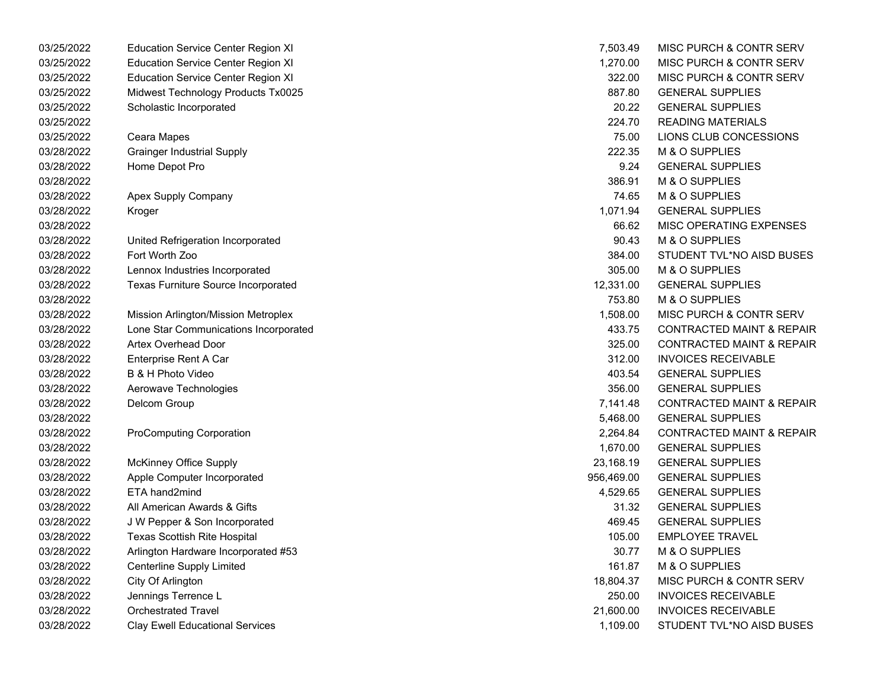| 03/25/2022 | <b>Education Service Center Region XI</b>  | 7,503.49   | MISC PURCH & CONTR SERV              |
|------------|--------------------------------------------|------------|--------------------------------------|
| 03/25/2022 | <b>Education Service Center Region XI</b>  | 1,270.00   | MISC PURCH & CONTR SERV              |
| 03/25/2022 | <b>Education Service Center Region XI</b>  | 322.00     | MISC PURCH & CONTR SERV              |
| 03/25/2022 | Midwest Technology Products Tx0025         | 887.80     | <b>GENERAL SUPPLIES</b>              |
| 03/25/2022 | Scholastic Incorporated                    | 20.22      | <b>GENERAL SUPPLIES</b>              |
| 03/25/2022 |                                            | 224.70     | <b>READING MATERIALS</b>             |
| 03/25/2022 | Ceara Mapes                                | 75.00      | LIONS CLUB CONCESSIONS               |
| 03/28/2022 | <b>Grainger Industrial Supply</b>          | 222.35     | M & O SUPPLIES                       |
| 03/28/2022 | Home Depot Pro                             | 9.24       | <b>GENERAL SUPPLIES</b>              |
| 03/28/2022 |                                            | 386.91     | M & O SUPPLIES                       |
| 03/28/2022 | Apex Supply Company                        | 74.65      | M & O SUPPLIES                       |
| 03/28/2022 | Kroger                                     | 1,071.94   | <b>GENERAL SUPPLIES</b>              |
| 03/28/2022 |                                            | 66.62      | MISC OPERATING EXPENSES              |
| 03/28/2022 | United Refrigeration Incorporated          | 90.43      | M & O SUPPLIES                       |
| 03/28/2022 | Fort Worth Zoo                             | 384.00     | STUDENT TVL*NO AISD BUSES            |
| 03/28/2022 | Lennox Industries Incorporated             | 305.00     | M & O SUPPLIES                       |
| 03/28/2022 | <b>Texas Furniture Source Incorporated</b> | 12,331.00  | <b>GENERAL SUPPLIES</b>              |
| 03/28/2022 |                                            | 753.80     | M & O SUPPLIES                       |
| 03/28/2022 | Mission Arlington/Mission Metroplex        | 1,508.00   | MISC PURCH & CONTR SERV              |
| 03/28/2022 | Lone Star Communications Incorporated      | 433.75     | <b>CONTRACTED MAINT &amp; REPAIR</b> |
| 03/28/2022 | <b>Artex Overhead Door</b>                 | 325.00     | <b>CONTRACTED MAINT &amp; REPAIR</b> |
| 03/28/2022 | Enterprise Rent A Car                      | 312.00     | <b>INVOICES RECEIVABLE</b>           |
| 03/28/2022 | B & H Photo Video                          | 403.54     | <b>GENERAL SUPPLIES</b>              |
| 03/28/2022 | Aerowave Technologies                      | 356.00     | <b>GENERAL SUPPLIES</b>              |
| 03/28/2022 | Delcom Group                               | 7,141.48   | <b>CONTRACTED MAINT &amp; REPAIR</b> |
| 03/28/2022 |                                            | 5,468.00   | <b>GENERAL SUPPLIES</b>              |
| 03/28/2022 | <b>ProComputing Corporation</b>            | 2,264.84   | <b>CONTRACTED MAINT &amp; REPAIR</b> |
| 03/28/2022 |                                            | 1,670.00   | <b>GENERAL SUPPLIES</b>              |
| 03/28/2022 | <b>McKinney Office Supply</b>              | 23,168.19  | <b>GENERAL SUPPLIES</b>              |
| 03/28/2022 | Apple Computer Incorporated                | 956,469.00 | <b>GENERAL SUPPLIES</b>              |
| 03/28/2022 | ETA hand2mind                              | 4,529.65   | <b>GENERAL SUPPLIES</b>              |
| 03/28/2022 | All American Awards & Gifts                | 31.32      | <b>GENERAL SUPPLIES</b>              |
| 03/28/2022 | J W Pepper & Son Incorporated              | 469.45     | <b>GENERAL SUPPLIES</b>              |
| 03/28/2022 | <b>Texas Scottish Rite Hospital</b>        | 105.00     | <b>EMPLOYEE TRAVEL</b>               |
| 03/28/2022 | Arlington Hardware Incorporated #53        | 30.77      | M & O SUPPLIES                       |
| 03/28/2022 | Centerline Supply Limited                  | 161.87     | M & O SUPPLIES                       |
| 03/28/2022 | City Of Arlington                          | 18,804.37  | MISC PURCH & CONTR SERV              |
| 03/28/2022 | Jennings Terrence L                        | 250.00     | <b>INVOICES RECEIVABLE</b>           |
| 03/28/2022 | <b>Orchestrated Travel</b>                 | 21,600.00  | <b>INVOICES RECEIVABLE</b>           |
| 03/28/2022 | <b>Clay Ewell Educational Services</b>     | 1,109.00   | STUDENT TVL*NO AISD BUSES            |

| 7,503.49  | MISC PURCH & CONTR SERV              |
|-----------|--------------------------------------|
| 1,270.00  | <b>MISC PURCH &amp; CONTR SERV</b>   |
| 322.00    | <b>MISC PURCH &amp; CONTR SERV</b>   |
| 887.80    | <b>GENERAL SUPPLIES</b>              |
| 20.22     | <b>GENERAL SUPPLIES</b>              |
| 224.70    | <b>READING MATERIALS</b>             |
| 75.00     | LIONS CLUB CONCESSIONS               |
| 222.35    | <b>M &amp; O SUPPLIES</b>            |
| 9.24      | <b>GENERAL SUPPLIES</b>              |
| 386.91    | <b>M &amp; O SUPPLIES</b>            |
| 74.65     | <b>M &amp; O SUPPLIES</b>            |
| 1,071.94  | <b>GENERAL SUPPLIES</b>              |
| 66.62     | <b>MISC OPERATING EXPENSES</b>       |
| 90.43     | M & O SUPPLIES                       |
| 384.00    | STUDENT TVL*NO AISD BUSES            |
| 305.00    | <b>M &amp; O SUPPLIES</b>            |
| 12,331.00 | <b>GENERAL SUPPLIES</b>              |
| 753.80    | <b>M &amp; O SUPPLIES</b>            |
| 1,508.00  | MISC PURCH & CONTR SERV              |
| 433.75    | <b>CONTRACTED MAINT &amp; REPAIR</b> |
| 325.00    | <b>CONTRACTED MAINT &amp; REPAIR</b> |
| 312.00    | <b>INVOICES RECEIVABLE</b>           |
| 403.54    | <b>GENERAL SUPPLIES</b>              |
| 356.00    | <b>GENERAL SUPPLIES</b>              |
| 7,141.48  | <b>CONTRACTED MAINT &amp; REPAIR</b> |
| 5,468.00  | <b>GENERAL SUPPLIES</b>              |
| 2,264.84  | <b>CONTRACTED MAINT &amp; REPAIR</b> |
| 1,670.00  | <b>GENERAL SUPPLIES</b>              |
| 23,168.19 | <b>GENERAL SUPPLIES</b>              |
| 56,469.00 | <b>GENERAL SUPPLIES</b>              |
| 4,529.65  | <b>GENERAL SUPPLIES</b>              |
| 31.32     | <b>GENERAL SUPPLIES</b>              |
| 469.45    | <b>GENERAL SUPPLIES</b>              |
| 105.00    | <b>EMPLOYEE TRAVEL</b>               |
| 30.77     | <b>M &amp; O SUPPLIES</b>            |
| 161.87    | <b>M &amp; O SUPPLIES</b>            |
| 18.804.37 | MISC PURCH & CONTR SERV              |
| 250.00    | <b>INVOICES RECEIVABLE</b>           |
| 21,600.00 | <b>INVOICES RECEIVABLE</b>           |
| 1.109.00  | STUDENT TVL*NO AISD BUSES            |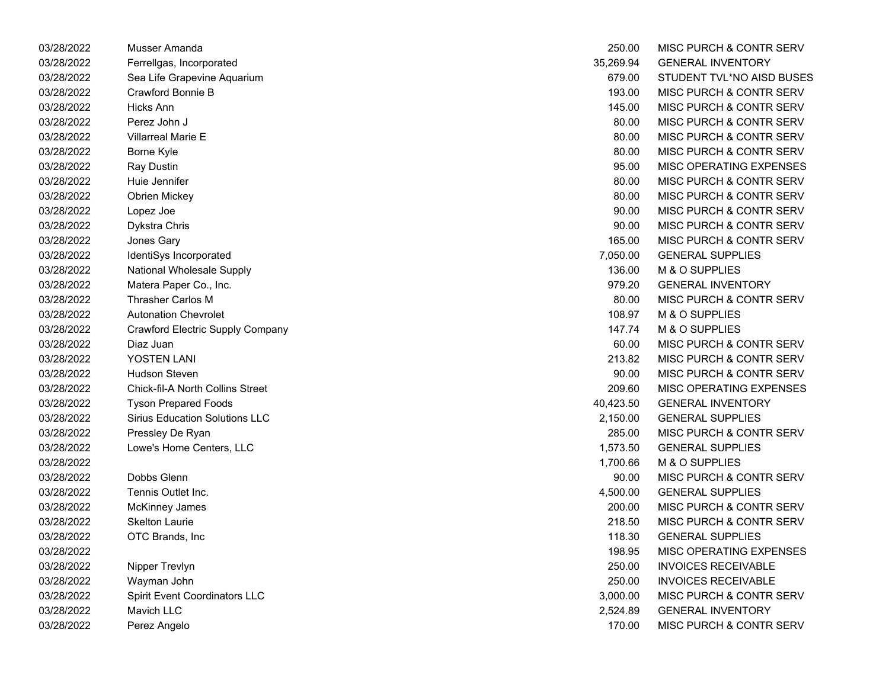| 03/28/2022 | Musser Amanda                           | 250.00    | MISC PURCH & CONTR SERV            |
|------------|-----------------------------------------|-----------|------------------------------------|
| 03/28/2022 | Ferrellgas, Incorporated                | 35,269.94 | <b>GENERAL INVENTORY</b>           |
| 03/28/2022 | Sea Life Grapevine Aquarium             | 679.00    | STUDENT TVL*NO AISD BUSES          |
| 03/28/2022 | Crawford Bonnie B                       | 193.00    | MISC PURCH & CONTR SERV            |
| 03/28/2022 | <b>Hicks Ann</b>                        | 145.00    | MISC PURCH & CONTR SERV            |
| 03/28/2022 | Perez John J                            | 80.00     | MISC PURCH & CONTR SERV            |
| 03/28/2022 | Villarreal Marie E                      | 80.00     | MISC PURCH & CONTR SERV            |
| 03/28/2022 | Borne Kyle                              | 80.00     | MISC PURCH & CONTR SERV            |
| 03/28/2022 | Ray Dustin                              | 95.00     | MISC OPERATING EXPENSES            |
| 03/28/2022 | Huie Jennifer                           | 80.00     | MISC PURCH & CONTR SERV            |
| 03/28/2022 | Obrien Mickey                           | 80.00     | MISC PURCH & CONTR SERV            |
| 03/28/2022 | Lopez Joe                               | 90.00     | MISC PURCH & CONTR SERV            |
| 03/28/2022 | Dykstra Chris                           | 90.00     | MISC PURCH & CONTR SERV            |
| 03/28/2022 | Jones Gary                              | 165.00    | MISC PURCH & CONTR SERV            |
| 03/28/2022 | IdentiSys Incorporated                  | 7,050.00  | <b>GENERAL SUPPLIES</b>            |
| 03/28/2022 | <b>National Wholesale Supply</b>        | 136.00    | M & O SUPPLIES                     |
| 03/28/2022 | Matera Paper Co., Inc.                  | 979.20    | <b>GENERAL INVENTORY</b>           |
| 03/28/2022 | Thrasher Carlos M                       | 80.00     | MISC PURCH & CONTR SERV            |
| 03/28/2022 | <b>Autonation Chevrolet</b>             | 108.97    | M & O SUPPLIES                     |
| 03/28/2022 | <b>Crawford Electric Supply Company</b> | 147.74    | M & O SUPPLIES                     |
| 03/28/2022 | Diaz Juan                               | 60.00     | MISC PURCH & CONTR SERV            |
| 03/28/2022 | YOSTEN LANI                             | 213.82    | MISC PURCH & CONTR SERV            |
| 03/28/2022 | <b>Hudson Steven</b>                    | 90.00     | MISC PURCH & CONTR SERV            |
| 03/28/2022 | <b>Chick-fil-A North Collins Street</b> | 209.60    | MISC OPERATING EXPENSES            |
| 03/28/2022 | <b>Tyson Prepared Foods</b>             | 40,423.50 | <b>GENERAL INVENTORY</b>           |
| 03/28/2022 | <b>Sirius Education Solutions LLC</b>   | 2,150.00  | <b>GENERAL SUPPLIES</b>            |
| 03/28/2022 | Pressley De Ryan                        | 285.00    | MISC PURCH & CONTR SERV            |
| 03/28/2022 | Lowe's Home Centers, LLC                | 1,573.50  | <b>GENERAL SUPPLIES</b>            |
| 03/28/2022 |                                         | 1,700.66  | M & O SUPPLIES                     |
| 03/28/2022 | Dobbs Glenn                             | 90.00     | <b>MISC PURCH &amp; CONTR SERV</b> |
| 03/28/2022 | Tennis Outlet Inc.                      | 4,500.00  | <b>GENERAL SUPPLIES</b>            |
| 03/28/2022 | <b>McKinney James</b>                   | 200.00    | MISC PURCH & CONTR SERV            |
| 03/28/2022 | <b>Skelton Laurie</b>                   | 218.50    | MISC PURCH & CONTR SERV            |
| 03/28/2022 | OTC Brands, Inc                         | 118.30    | <b>GENERAL SUPPLIES</b>            |
| 03/28/2022 |                                         | 198.95    | MISC OPERATING EXPENSES            |
| 03/28/2022 | Nipper Trevlyn                          | 250.00    | <b>INVOICES RECEIVABLE</b>         |
| 03/28/2022 | Wayman John                             | 250.00    | <b>INVOICES RECEIVABLE</b>         |
| 03/28/2022 | Spirit Event Coordinators LLC           | 3,000.00  | <b>MISC PURCH &amp; CONTR SERV</b> |
| 03/28/2022 | Mavich LLC                              | 2,524.89  | <b>GENERAL INVENTORY</b>           |
| 03/28/2022 | Perez Angelo                            | 170.00    | MISC PURCH & CONTR SERV            |

| 250.00    | MISC PURCH & CONTR SERV            |
|-----------|------------------------------------|
| 35,269.94 | <b>GENERAL INVENTORY</b>           |
| 679.00    | STUDENT TVL*NO AISD BUSES          |
| 193.00    | <b>MISC PURCH &amp; CONTR SERV</b> |
| 145.00    | <b>MISC PURCH &amp; CONTR SERV</b> |
| 80.00     | MISC PURCH & CONTR SERV            |
| 80.00     | <b>MISC PURCH &amp; CONTR SERV</b> |
| 80.00     | <b>MISC PURCH &amp; CONTR SERV</b> |
| 95.00     | <b>MISC OPERATING EXPENSES</b>     |
| 80.00     | <b>MISC PURCH &amp; CONTR SERV</b> |
| 80.00     | <b>MISC PURCH &amp; CONTR SERV</b> |
| 90.00     | <b>MISC PURCH &amp; CONTR SERV</b> |
| 90.00     | <b>MISC PURCH &amp; CONTR SERV</b> |
| 165.00    | <b>MISC PURCH &amp; CONTR SERV</b> |
| 7,050.00  | <b>GENERAL SUPPLIES</b>            |
| 136.00    | <b>M &amp; O SUPPLIES</b>          |
| 979.20    | <b>GENERAL INVENTORY</b>           |
| 80.00     | MISC PURCH & CONTR SERV            |
| 108.97    | M & O SUPPLIES                     |
| 147.74    | <b>M &amp; O SUPPLIES</b>          |
| 60.00     | MISC PURCH & CONTR SERV            |
| 213.82    | <b>MISC PURCH &amp; CONTR SERV</b> |
| 90.00     | <b>MISC PURCH &amp; CONTR SERV</b> |
| 209.60    | MISC OPERATING EXPENSES            |
| 40,423.50 | <b>GENERAL INVENTORY</b>           |
| 2,150.00  | <b>GENERAL SUPPLIES</b>            |
| 285.00    | <b>MISC PURCH &amp; CONTR SERV</b> |
| 1,573.50  | <b>GENERAL SUPPLIES</b>            |
| 1,700.66  | <b>M &amp; O SUPPLIES</b>          |
| 90.00     | <b>MISC PURCH &amp; CONTR SERV</b> |
| 4,500.00  | <b>GENERAL SUPPLIES</b>            |
| 200.00    | <b>MISC PURCH &amp; CONTR SERV</b> |
| 218.50    | <b>MISC PURCH &amp; CONTR SERV</b> |
| 118.30    | <b>GENERAL SUPPLIES</b>            |
| 198.95    | MISC OPERATING EXPENSES            |
| 250.00    | <b>INVOICES RECEIVABLE</b>         |
| 250.00    | <b>INVOICES RECEIVABLE</b>         |
| 3,000.00  | MISC PURCH & CONTR SERV            |
| 2,524.89  | <b>GENERAL INVENTORY</b>           |
| 170.00    | MISC PURCH & CONTR SERV            |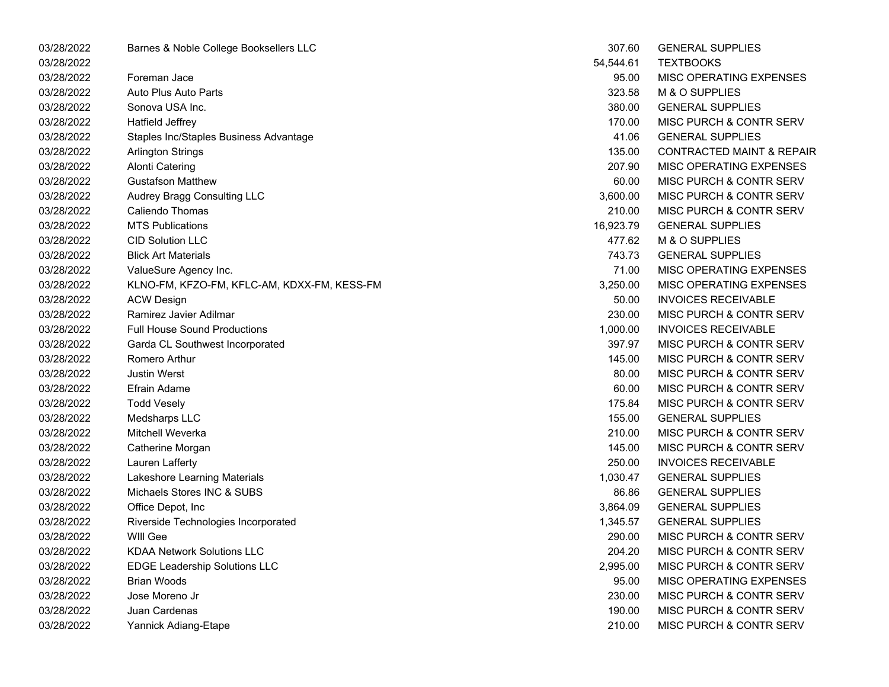| 03/28/2022 | Barnes & Noble College Booksellers LLC      | 307.60    | <b>GENERAL SUPPLIES</b>              |
|------------|---------------------------------------------|-----------|--------------------------------------|
| 03/28/2022 |                                             | 54,544.61 | <b>TEXTBOOKS</b>                     |
| 03/28/2022 | Foreman Jace                                | 95.00     | MISC OPERATING EXPENSES              |
| 03/28/2022 | Auto Plus Auto Parts                        | 323.58    | M & O SUPPLIES                       |
| 03/28/2022 | Sonova USA Inc.                             | 380.00    | <b>GENERAL SUPPLIES</b>              |
| 03/28/2022 | Hatfield Jeffrey                            | 170.00    | MISC PURCH & CONTR SERV              |
| 03/28/2022 | Staples Inc/Staples Business Advantage      | 41.06     | <b>GENERAL SUPPLIES</b>              |
| 03/28/2022 | <b>Arlington Strings</b>                    | 135.00    | <b>CONTRACTED MAINT &amp; REPAIR</b> |
| 03/28/2022 | <b>Alonti Catering</b>                      | 207.90    | MISC OPERATING EXPENSES              |
| 03/28/2022 | <b>Gustafson Matthew</b>                    | 60.00     | MISC PURCH & CONTR SERV              |
| 03/28/2022 | Audrey Bragg Consulting LLC                 | 3,600.00  | MISC PURCH & CONTR SERV              |
| 03/28/2022 | Caliendo Thomas                             | 210.00    | MISC PURCH & CONTR SERV              |
| 03/28/2022 | <b>MTS Publications</b>                     | 16,923.79 | <b>GENERAL SUPPLIES</b>              |
| 03/28/2022 | <b>CID Solution LLC</b>                     | 477.62    | M & O SUPPLIES                       |
| 03/28/2022 | <b>Blick Art Materials</b>                  | 743.73    | <b>GENERAL SUPPLIES</b>              |
| 03/28/2022 | ValueSure Agency Inc.                       | 71.00     | MISC OPERATING EXPENSES              |
| 03/28/2022 | KLNO-FM, KFZO-FM, KFLC-AM, KDXX-FM, KESS-FM | 3,250.00  | MISC OPERATING EXPENSES              |
| 03/28/2022 | <b>ACW Design</b>                           | 50.00     | <b>INVOICES RECEIVABLE</b>           |
| 03/28/2022 | Ramirez Javier Adilmar                      | 230.00    | MISC PURCH & CONTR SERV              |
| 03/28/2022 | <b>Full House Sound Productions</b>         | 1,000.00  | <b>INVOICES RECEIVABLE</b>           |
| 03/28/2022 | Garda CL Southwest Incorporated             | 397.97    | MISC PURCH & CONTR SERV              |
| 03/28/2022 | Romero Arthur                               | 145.00    | MISC PURCH & CONTR SERV              |
| 03/28/2022 | <b>Justin Werst</b>                         | 80.00     | MISC PURCH & CONTR SERV              |
| 03/28/2022 | Efrain Adame                                | 60.00     | MISC PURCH & CONTR SERV              |
| 03/28/2022 | <b>Todd Vesely</b>                          | 175.84    | MISC PURCH & CONTR SERV              |
| 03/28/2022 | Medsharps LLC                               | 155.00    | <b>GENERAL SUPPLIES</b>              |
| 03/28/2022 | Mitchell Weverka                            | 210.00    | MISC PURCH & CONTR SERV              |
| 03/28/2022 | Catherine Morgan                            | 145.00    | MISC PURCH & CONTR SERV              |
| 03/28/2022 | Lauren Lafferty                             | 250.00    | <b>INVOICES RECEIVABLE</b>           |
| 03/28/2022 | Lakeshore Learning Materials                | 1,030.47  | <b>GENERAL SUPPLIES</b>              |
| 03/28/2022 | Michaels Stores INC & SUBS                  | 86.86     | <b>GENERAL SUPPLIES</b>              |
| 03/28/2022 | Office Depot, Inc                           | 3,864.09  | <b>GENERAL SUPPLIES</b>              |
| 03/28/2022 | Riverside Technologies Incorporated         | 1,345.57  | <b>GENERAL SUPPLIES</b>              |
| 03/28/2022 | WIII Gee                                    | 290.00    | <b>MISC PURCH &amp; CONTR SERV</b>   |
| 03/28/2022 | <b>KDAA Network Solutions LLC</b>           | 204.20    | MISC PURCH & CONTR SERV              |
| 03/28/2022 | <b>EDGE Leadership Solutions LLC</b>        | 2,995.00  | MISC PURCH & CONTR SERV              |
| 03/28/2022 | <b>Brian Woods</b>                          | 95.00     | MISC OPERATING EXPENSES              |
| 03/28/2022 | Jose Moreno Jr                              | 230.00    | MISC PURCH & CONTR SERV              |
| 03/28/2022 | Juan Cardenas                               | 190.00    | MISC PURCH & CONTR SERV              |
| 03/28/2022 | Yannick Adiang-Etape                        | 210.00    | MISC PURCH & CONTR SERV              |

| 307.60    | <b>GENERAL SUPPLIES</b>              |
|-----------|--------------------------------------|
| 54.544.61 | TEXTBOOKS                            |
| 95.00     | <b>MISC OPERATING EXPENSES</b>       |
| 323.58    | M & O SUPPLIES                       |
| 380.00    | <b>GENERAL SUPPLIES</b>              |
| 170.00    | <b>MISC PURCH &amp; CONTR SERV</b>   |
| 41.06     | <b>GENERAL SUPPLIES</b>              |
| 135.00    | <b>CONTRACTED MAINT &amp; REPAIF</b> |
| 207.90    | <b>MISC OPERATING EXPENSES</b>       |
| 60.00     | <b>MISC PURCH &amp; CONTR SERV</b>   |
| 3.600.00  | <b>MISC PURCH &amp; CONTR SERV</b>   |
| 210.00    | MISC PURCH & CONTR SERV              |
| 16,923.79 | <b>GENERAL SUPPLIES</b>              |
| 477.62    | M & O SUPPLIES                       |
| 743.73    | <b>GENERAL SUPPLIES</b>              |
| 71.00     | <b>MISC OPERATING EXPENSES</b>       |
| 3,250.00  | <b>MISC OPERATING EXPENSES</b>       |
| 50.00     | <b>INVOICES RECEIVABLE</b>           |
| 230.00    | MISC PURCH & CONTR SERV              |
| 1,000.00  | <b>INVOICES RECEIVABLE</b>           |
| 397.97    | <b>MISC PURCH &amp; CONTR SERV</b>   |
| 145.00    | MISC PURCH & CONTR SERV              |
| 80.00     | MISC PURCH & CONTR SERV              |
| 60.00     | MISC PURCH & CONTR SERV              |
| 175.84    | MISC PURCH & CONTR SERV              |
| 155.00    | <b>GENERAL SUPPLIES</b>              |
| 210.00    | MISC PURCH & CONTR SERV              |
| 145.00    | MISC PURCH & CONTR SERV              |
| 250.00    | INVOICES RECEIVABLE                  |
| 1,030.47  | <b>GENERAL SUPPLIES</b>              |
| 86.86     | <b>GENERAL SUPPLIES</b>              |
| 3,864.09  | <b>GENERAL SUPPLIES</b>              |
| 1,345.57  | <b>GENERAL SUPPLIES</b>              |
| 290.00    | MISC PURCH & CONTR SERV              |
| 204.20    | <b>MISC PURCH &amp; CONTR SERV</b>   |
| 2.995.00  | MISC PURCH & CONTR SERV              |
| 95.00     | <b>MISC OPERATING EXPENSES</b>       |
| 230.00    | <b>MISC PURCH &amp; CONTR SERV</b>   |
| 190.00    | <b>MISC PURCH &amp; CONTR SERV</b>   |
| 210.00    | MISC PURCH & CONTR SERV              |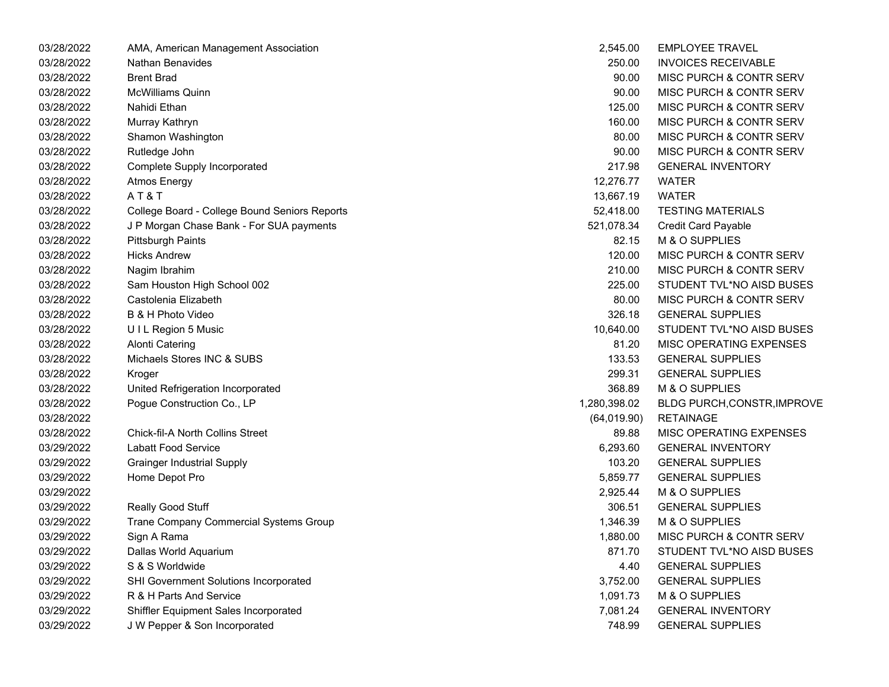| 03/28/2022 | AMA, American Management Association          | 2,545.00     | <b>EMPLOYEE TRAVEL</b>             |
|------------|-----------------------------------------------|--------------|------------------------------------|
| 03/28/2022 | Nathan Benavides                              | 250.00       | <b>INVOICES RECEIVABLE</b>         |
| 03/28/2022 | <b>Brent Brad</b>                             | 90.00        | <b>MISC PURCH &amp; CONTR SERV</b> |
| 03/28/2022 | <b>McWilliams Quinn</b>                       | 90.00        | <b>MISC PURCH &amp; CONTR SERV</b> |
| 03/28/2022 | Nahidi Ethan                                  | 125.00       | <b>MISC PURCH &amp; CONTR SERV</b> |
| 03/28/2022 | Murray Kathryn                                | 160.00       | <b>MISC PURCH &amp; CONTR SERV</b> |
| 03/28/2022 | Shamon Washington                             | 80.00        | <b>MISC PURCH &amp; CONTR SERV</b> |
| 03/28/2022 | Rutledge John                                 | 90.00        | <b>MISC PURCH &amp; CONTR SERV</b> |
| 03/28/2022 | <b>Complete Supply Incorporated</b>           | 217.98       | <b>GENERAL INVENTORY</b>           |
| 03/28/2022 | <b>Atmos Energy</b>                           | 12,276.77    | <b>WATER</b>                       |
| 03/28/2022 | AT&T                                          | 13,667.19    | <b>WATER</b>                       |
| 03/28/2022 | College Board - College Bound Seniors Reports | 52,418.00    | <b>TESTING MATERIALS</b>           |
| 03/28/2022 | J P Morgan Chase Bank - For SUA payments      | 521,078.34   | Credit Card Payable                |
| 03/28/2022 | Pittsburgh Paints                             | 82.15        | M & O SUPPLIES                     |
| 03/28/2022 | <b>Hicks Andrew</b>                           | 120.00       | <b>MISC PURCH &amp; CONTR SERV</b> |
| 03/28/2022 | Nagim Ibrahim                                 | 210.00       | <b>MISC PURCH &amp; CONTR SERV</b> |
| 03/28/2022 | Sam Houston High School 002                   | 225.00       | STUDENT TVL*NO AISD BUSES          |
| 03/28/2022 | Castolenia Elizabeth                          | 80.00        | <b>MISC PURCH &amp; CONTR SERV</b> |
| 03/28/2022 | B & H Photo Video                             | 326.18       | <b>GENERAL SUPPLIES</b>            |
| 03/28/2022 | UIL Region 5 Music                            | 10,640.00    | STUDENT TVL*NO AISD BUSES          |
| 03/28/2022 | <b>Alonti Catering</b>                        | 81.20        | MISC OPERATING EXPENSES            |
| 03/28/2022 | Michaels Stores INC & SUBS                    | 133.53       | <b>GENERAL SUPPLIES</b>            |
| 03/28/2022 | Kroger                                        | 299.31       | <b>GENERAL SUPPLIES</b>            |
| 03/28/2022 | United Refrigeration Incorporated             | 368.89       | M & O SUPPLIES                     |
| 03/28/2022 | Pogue Construction Co., LP                    | 1,280,398.02 | BLDG PURCH, CONSTR, IMPROVE        |
| 03/28/2022 |                                               | (64, 019.90) | <b>RETAINAGE</b>                   |
| 03/28/2022 | <b>Chick-fil-A North Collins Street</b>       | 89.88        | <b>MISC OPERATING EXPENSES</b>     |
| 03/29/2022 | <b>Labatt Food Service</b>                    | 6,293.60     | <b>GENERAL INVENTORY</b>           |
| 03/29/2022 | <b>Grainger Industrial Supply</b>             | 103.20       | <b>GENERAL SUPPLIES</b>            |
| 03/29/2022 | Home Depot Pro                                | 5,859.77     | <b>GENERAL SUPPLIES</b>            |
| 03/29/2022 |                                               | 2,925.44     | M & O SUPPLIES                     |
| 03/29/2022 | Really Good Stuff                             | 306.51       | <b>GENERAL SUPPLIES</b>            |
| 03/29/2022 | Trane Company Commercial Systems Group        | 1,346.39     | M & O SUPPLIES                     |
| 03/29/2022 | Sign A Rama                                   | 1,880.00     | <b>MISC PURCH &amp; CONTR SERV</b> |
| 03/29/2022 | Dallas World Aquarium                         | 871.70       | STUDENT TVL*NO AISD BUSES          |
| 03/29/2022 | S & S Worldwide                               | 4.40         | <b>GENERAL SUPPLIES</b>            |
| 03/29/2022 | SHI Government Solutions Incorporated         | 3,752.00     | <b>GENERAL SUPPLIES</b>            |
| 03/29/2022 | R & H Parts And Service                       | 1,091.73     | M & O SUPPLIES                     |
| 03/29/2022 | Shiffler Equipment Sales Incorporated         | 7,081.24     | <b>GENERAL INVENTORY</b>           |
| 03/29/2022 | J W Pepper & Son Incorporated                 | 748.99       | <b>GENERAL SUPPLIES</b>            |

| 2,545.00     | <b>EMPLOYEE TRAVEL</b>             |
|--------------|------------------------------------|
| 250.00       | <b>INVOICES RECEIVABLE</b>         |
| 90.00        | <b>MISC PURCH &amp; CONTR SERV</b> |
| 90.00        | <b>MISC PURCH &amp; CONTR SERV</b> |
| 125.00       | <b>MISC PURCH &amp; CONTR SERV</b> |
| 160.00       | <b>MISC PURCH &amp; CONTR SERV</b> |
| 80.00        | <b>MISC PURCH &amp; CONTR SERV</b> |
| 90.00        | <b>MISC PURCH &amp; CONTR SERV</b> |
| 217.98       | <b>GENERAL INVENTORY</b>           |
| 12,276.77    | <b>WATER</b>                       |
| 13,667.19    | <b>WATER</b>                       |
| 52,418.00    | <b>TESTING MATERIALS</b>           |
| 521,078.34   | <b>Credit Card Payable</b>         |
| 82.15        | M & O SUPPLIES                     |
| 120.00       | MISC PURCH & CONTR SERV            |
| 210.00       | MISC PURCH & CONTR SERV            |
| 225.00       | STUDENT TVL*NO AISD BUSES          |
| 80.00        | <b>MISC PURCH &amp; CONTR SERV</b> |
| 326.18       | <b>GENERAL SUPPLIES</b>            |
| 10,640.00    | STUDENT TVL*NO AISD BUSES          |
| 81.20        | <b>MISC OPERATING EXPENSES</b>     |
| 133.53       | <b>GENERAL SUPPLIES</b>            |
| 299.31       | <b>GENERAL SUPPLIES</b>            |
| 368.89       | M & O SUPPLIES                     |
| 1,280,398.02 | <b>BLDG PURCH, CONSTR, IMPROVE</b> |
| (64, 019.90) | <b>RETAINAGE</b>                   |
| 89.88        | MISC OPERATING EXPENSES            |
| 6,293.60     | <b>GENERAL INVENTORY</b>           |
| 103.20       | <b>GENERAL SUPPLIES</b>            |
| 5,859.77     | <b>GENERAL SUPPLIES</b>            |
| 2,925.44     | M & O SUPPLIES                     |
| 306.51       | <b>GENERAL SUPPLIES</b>            |
| 1,346.39     | M & O SUPPLIES                     |
| 1,880.00     | <b>MISC PURCH &amp; CONTR SERV</b> |
| 871.70       | STUDENT TVL*NO AISD BUSES          |
| 4.40         | <b>GENERAL SUPPLIES</b>            |
| 3,752.00     | <b>GENERAL SUPPLIES</b>            |
| 1,091.73     | M & O SUPPLIES                     |
| 7,081.24     | <b>GENERAL INVENTORY</b>           |
| 748.99       | <b>GENERAL SUPPLIES</b>            |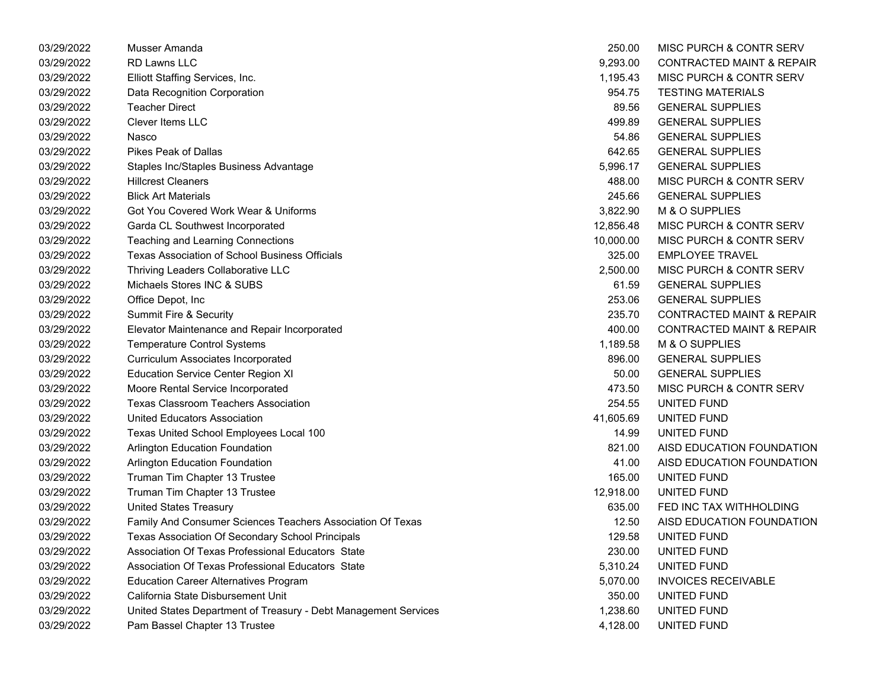| 03/29/2022 | Musser Amanda                                                   | 250.00    | MISC PURCH & CONTR SERV              |
|------------|-----------------------------------------------------------------|-----------|--------------------------------------|
| 03/29/2022 | <b>RD Lawns LLC</b>                                             | 9,293.00  | <b>CONTRACTED MAINT &amp; REPAIR</b> |
| 03/29/2022 | Elliott Staffing Services, Inc.                                 | 1,195.43  | MISC PURCH & CONTR SERV              |
| 03/29/2022 | Data Recognition Corporation                                    | 954.75    | <b>TESTING MATERIALS</b>             |
| 03/29/2022 | <b>Teacher Direct</b>                                           | 89.56     | <b>GENERAL SUPPLIES</b>              |
| 03/29/2022 | <b>Clever Items LLC</b>                                         | 499.89    | <b>GENERAL SUPPLIES</b>              |
| 03/29/2022 | Nasco                                                           | 54.86     | <b>GENERAL SUPPLIES</b>              |
| 03/29/2022 | <b>Pikes Peak of Dallas</b>                                     | 642.65    | <b>GENERAL SUPPLIES</b>              |
| 03/29/2022 | Staples Inc/Staples Business Advantage                          | 5,996.17  | <b>GENERAL SUPPLIES</b>              |
| 03/29/2022 | <b>Hillcrest Cleaners</b>                                       | 488.00    | MISC PURCH & CONTR SERV              |
| 03/29/2022 | <b>Blick Art Materials</b>                                      | 245.66    | <b>GENERAL SUPPLIES</b>              |
| 03/29/2022 | Got You Covered Work Wear & Uniforms                            | 3,822.90  | M & O SUPPLIES                       |
| 03/29/2022 | Garda CL Southwest Incorporated                                 | 12,856.48 | MISC PURCH & CONTR SERV              |
| 03/29/2022 | Teaching and Learning Connections                               | 10,000.00 | MISC PURCH & CONTR SERV              |
| 03/29/2022 | <b>Texas Association of School Business Officials</b>           | 325.00    | <b>EMPLOYEE TRAVEL</b>               |
| 03/29/2022 | Thriving Leaders Collaborative LLC                              | 2,500.00  | MISC PURCH & CONTR SERV              |
| 03/29/2022 | Michaels Stores INC & SUBS                                      | 61.59     | <b>GENERAL SUPPLIES</b>              |
| 03/29/2022 | Office Depot, Inc                                               | 253.06    | <b>GENERAL SUPPLIES</b>              |
| 03/29/2022 | Summit Fire & Security                                          | 235.70    | <b>CONTRACTED MAINT &amp; REPAIR</b> |
| 03/29/2022 | Elevator Maintenance and Repair Incorporated                    | 400.00    | <b>CONTRACTED MAINT &amp; REPAIR</b> |
| 03/29/2022 | <b>Temperature Control Systems</b>                              | 1,189.58  | M & O SUPPLIES                       |
| 03/29/2022 | <b>Curriculum Associates Incorporated</b>                       | 896.00    | <b>GENERAL SUPPLIES</b>              |
| 03/29/2022 | <b>Education Service Center Region XI</b>                       | 50.00     | <b>GENERAL SUPPLIES</b>              |
| 03/29/2022 | Moore Rental Service Incorporated                               | 473.50    | MISC PURCH & CONTR SERV              |
| 03/29/2022 | <b>Texas Classroom Teachers Association</b>                     | 254.55    | UNITED FUND                          |
| 03/29/2022 | United Educators Association                                    | 41,605.69 | UNITED FUND                          |
| 03/29/2022 | Texas United School Employees Local 100                         | 14.99     | UNITED FUND                          |
| 03/29/2022 | Arlington Education Foundation                                  | 821.00    | AISD EDUCATION FOUNDATION            |
| 03/29/2022 | Arlington Education Foundation                                  | 41.00     | AISD EDUCATION FOUNDATION            |
| 03/29/2022 | Truman Tim Chapter 13 Trustee                                   | 165.00    | UNITED FUND                          |
| 03/29/2022 | Truman Tim Chapter 13 Trustee                                   | 12,918.00 | UNITED FUND                          |
| 03/29/2022 | <b>United States Treasury</b>                                   | 635.00    | FED INC TAX WITHHOLDING              |
| 03/29/2022 | Family And Consumer Sciences Teachers Association Of Texas      | 12.50     | AISD EDUCATION FOUNDATION            |
| 03/29/2022 | Texas Association Of Secondary School Principals                | 129.58    | UNITED FUND                          |
| 03/29/2022 | Association Of Texas Professional Educators State               | 230.00    | UNITED FUND                          |
| 03/29/2022 | Association Of Texas Professional Educators State               | 5,310.24  | UNITED FUND                          |
| 03/29/2022 | <b>Education Career Alternatives Program</b>                    | 5,070.00  | <b>INVOICES RECEIVABLE</b>           |
| 03/29/2022 | California State Disbursement Unit                              | 350.00    | UNITED FUND                          |
| 03/29/2022 | United States Department of Treasury - Debt Management Services | 1,238.60  | UNITED FUND                          |
| 03/29/2022 | Pam Bassel Chapter 13 Trustee                                   | 4,128.00  | UNITED FUND                          |
|            |                                                                 |           |                                      |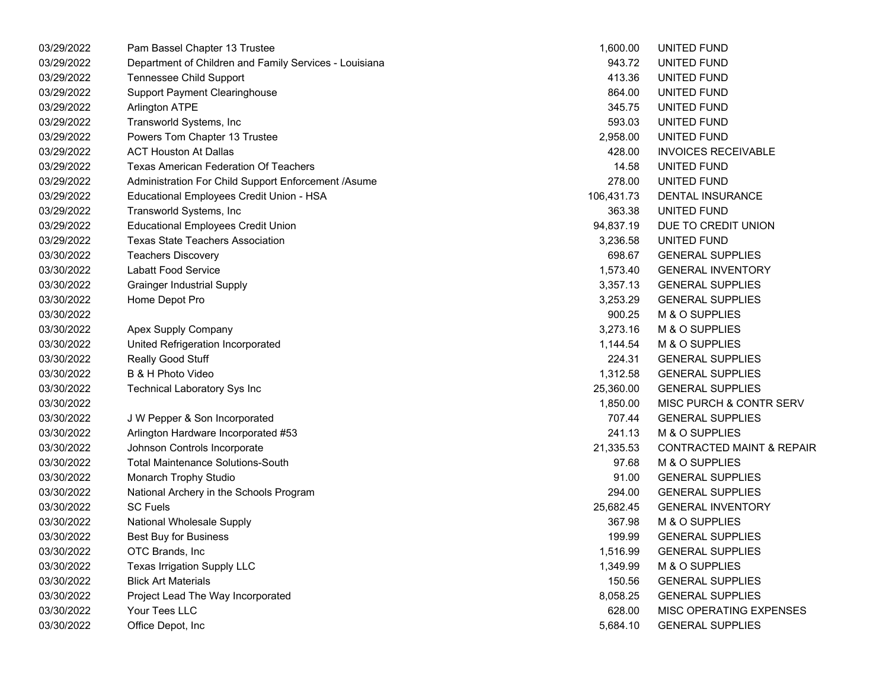| Pam Bassel Chapter 13 Trustee                          | 1,600.00                                                 | UNITED FUND                          |
|--------------------------------------------------------|----------------------------------------------------------|--------------------------------------|
| Department of Children and Family Services - Louisiana | 943.72                                                   | UNITED FUND                          |
| <b>Tennessee Child Support</b>                         | 413.36                                                   | UNITED FUND                          |
| <b>Support Payment Clearinghouse</b>                   | 864.00                                                   | UNITED FUND                          |
| <b>Arlington ATPE</b>                                  | 345.75                                                   | UNITED FUND                          |
| Transworld Systems, Inc                                | 593.03                                                   | UNITED FUND                          |
| Powers Tom Chapter 13 Trustee                          | 2,958.00                                                 | UNITED FUND                          |
| <b>ACT Houston At Dallas</b>                           | 428.00                                                   | <b>INVOICES RECEIVABLE</b>           |
| <b>Texas American Federation Of Teachers</b>           | 14.58                                                    | UNITED FUND                          |
| Administration For Child Support Enforcement /Asume    | 278.00                                                   | UNITED FUND                          |
| Educational Employees Credit Union - HSA               | 106,431.73                                               | DENTAL INSURANCE                     |
| Transworld Systems, Inc                                | 363.38                                                   | UNITED FUND                          |
| <b>Educational Employees Credit Union</b>              | 94,837.19                                                | DUE TO CREDIT UNION                  |
| <b>Texas State Teachers Association</b>                | 3,236.58                                                 | UNITED FUND                          |
| <b>Teachers Discovery</b>                              | 698.67                                                   | <b>GENERAL SUPPLIES</b>              |
| <b>Labatt Food Service</b>                             | 1,573.40                                                 | <b>GENERAL INVENTORY</b>             |
| <b>Grainger Industrial Supply</b>                      | 3,357.13                                                 | <b>GENERAL SUPPLIES</b>              |
| Home Depot Pro                                         | 3,253.29                                                 | <b>GENERAL SUPPLIES</b>              |
|                                                        | 900.25                                                   | M & O SUPPLIES                       |
|                                                        | 3,273.16                                                 | M & O SUPPLIES                       |
|                                                        | 1,144.54                                                 | M & O SUPPLIES                       |
| Really Good Stuff                                      | 224.31                                                   | <b>GENERAL SUPPLIES</b>              |
| B & H Photo Video                                      | 1,312.58                                                 | <b>GENERAL SUPPLIES</b>              |
| <b>Technical Laboratory Sys Inc</b>                    | 25,360.00                                                | <b>GENERAL SUPPLIES</b>              |
|                                                        | 1,850.00                                                 | MISC PURCH & CONTR SERV              |
| J W Pepper & Son Incorporated                          | 707.44                                                   | <b>GENERAL SUPPLIES</b>              |
| Arlington Hardware Incorporated #53                    | 241.13                                                   | M & O SUPPLIES                       |
| Johnson Controls Incorporate                           | 21,335.53                                                | <b>CONTRACTED MAINT &amp; REPAIR</b> |
| <b>Total Maintenance Solutions-South</b>               | 97.68                                                    | M & O SUPPLIES                       |
| Monarch Trophy Studio                                  | 91.00                                                    | <b>GENERAL SUPPLIES</b>              |
| National Archery in the Schools Program                | 294.00                                                   | <b>GENERAL SUPPLIES</b>              |
| <b>SC Fuels</b>                                        | 25,682.45                                                | <b>GENERAL INVENTORY</b>             |
| National Wholesale Supply                              | 367.98                                                   | M & O SUPPLIES                       |
| <b>Best Buy for Business</b>                           | 199.99                                                   | <b>GENERAL SUPPLIES</b>              |
| OTC Brands, Inc                                        | 1,516.99                                                 | <b>GENERAL SUPPLIES</b>              |
| Texas Irrigation Supply LLC                            | 1,349.99                                                 | M & O SUPPLIES                       |
| <b>Blick Art Materials</b>                             | 150.56                                                   | <b>GENERAL SUPPLIES</b>              |
| Project Lead The Way Incorporated                      | 8,058.25                                                 | <b>GENERAL SUPPLIES</b>              |
| Your Tees LLC                                          | 628.00                                                   | MISC OPERATING EXPENSES              |
| Office Depot, Inc                                      | 5,684.10                                                 | <b>GENERAL SUPPLIES</b>              |
|                                                        | Apex Supply Company<br>United Refrigeration Incorporated |                                      |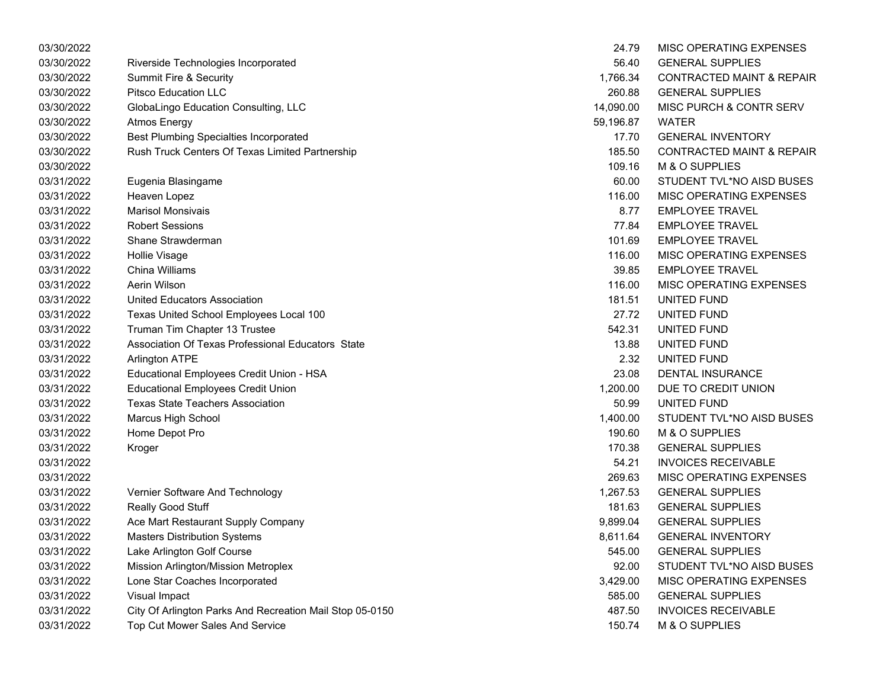| 03/30/2022 |                                                          | 24.79     | MISC OPERATING EXPENSES              |
|------------|----------------------------------------------------------|-----------|--------------------------------------|
| 03/30/2022 | Riverside Technologies Incorporated                      | 56.40     | <b>GENERAL SUPPLIES</b>              |
| 03/30/2022 | Summit Fire & Security                                   | 1,766.34  | <b>CONTRACTED MAINT &amp; REPAIR</b> |
| 03/30/2022 | <b>Pitsco Education LLC</b>                              | 260.88    | <b>GENERAL SUPPLIES</b>              |
| 03/30/2022 | GlobaLingo Education Consulting, LLC                     | 14,090.00 | MISC PURCH & CONTR SERV              |
| 03/30/2022 | Atmos Energy                                             | 59,196.87 | <b>WATER</b>                         |
| 03/30/2022 | <b>Best Plumbing Specialties Incorporated</b>            | 17.70     | <b>GENERAL INVENTORY</b>             |
| 03/30/2022 | Rush Truck Centers Of Texas Limited Partnership          | 185.50    | <b>CONTRACTED MAINT &amp; REPAIR</b> |
| 03/30/2022 |                                                          | 109.16    | M & O SUPPLIES                       |
| 03/31/2022 | Eugenia Blasingame                                       | 60.00     | STUDENT TVL*NO AISD BUSES            |
| 03/31/2022 | Heaven Lopez                                             | 116.00    | MISC OPERATING EXPENSES              |
| 03/31/2022 | <b>Marisol Monsivais</b>                                 | 8.77      | <b>EMPLOYEE TRAVEL</b>               |
| 03/31/2022 | <b>Robert Sessions</b>                                   | 77.84     | <b>EMPLOYEE TRAVEL</b>               |
| 03/31/2022 | Shane Strawderman                                        | 101.69    | <b>EMPLOYEE TRAVEL</b>               |
| 03/31/2022 | Hollie Visage                                            | 116.00    | MISC OPERATING EXPENSES              |
| 03/31/2022 | China Williams                                           | 39.85     | <b>EMPLOYEE TRAVEL</b>               |
| 03/31/2022 | Aerin Wilson                                             | 116.00    | MISC OPERATING EXPENSES              |
| 03/31/2022 | <b>United Educators Association</b>                      | 181.51    | UNITED FUND                          |
| 03/31/2022 | Texas United School Employees Local 100                  | 27.72     | UNITED FUND                          |
| 03/31/2022 | Truman Tim Chapter 13 Trustee                            | 542.31    | UNITED FUND                          |
| 03/31/2022 | Association Of Texas Professional Educators State        | 13.88     | UNITED FUND                          |
| 03/31/2022 | <b>Arlington ATPE</b>                                    | 2.32      | UNITED FUND                          |
| 03/31/2022 | Educational Employees Credit Union - HSA                 | 23.08     | DENTAL INSURANCE                     |
| 03/31/2022 | <b>Educational Employees Credit Union</b>                | 1,200.00  | DUE TO CREDIT UNION                  |
| 03/31/2022 | <b>Texas State Teachers Association</b>                  | 50.99     | UNITED FUND                          |
| 03/31/2022 | Marcus High School                                       | 1,400.00  | STUDENT TVL*NO AISD BUSES            |
| 03/31/2022 | Home Depot Pro                                           | 190.60    | M & O SUPPLIES                       |
| 03/31/2022 | Kroger                                                   | 170.38    | <b>GENERAL SUPPLIES</b>              |
| 03/31/2022 |                                                          | 54.21     | <b>INVOICES RECEIVABLE</b>           |
| 03/31/2022 |                                                          | 269.63    | MISC OPERATING EXPENSES              |
| 03/31/2022 | Vernier Software And Technology                          | 1,267.53  | <b>GENERAL SUPPLIES</b>              |
| 03/31/2022 | Really Good Stuff                                        | 181.63    | <b>GENERAL SUPPLIES</b>              |
| 03/31/2022 | Ace Mart Restaurant Supply Company                       | 9,899.04  | <b>GENERAL SUPPLIES</b>              |
| 03/31/2022 | <b>Masters Distribution Systems</b>                      | 8,611.64  | <b>GENERAL INVENTORY</b>             |
| 03/31/2022 | Lake Arlington Golf Course                               | 545.00    | <b>GENERAL SUPPLIES</b>              |
| 03/31/2022 | Mission Arlington/Mission Metroplex                      | 92.00     | STUDENT TVL*NO AISD BUSES            |
| 03/31/2022 | Lone Star Coaches Incorporated                           | 3,429.00  | MISC OPERATING EXPENSES              |
| 03/31/2022 | <b>Visual Impact</b>                                     | 585.00    | <b>GENERAL SUPPLIES</b>              |
| 03/31/2022 | City Of Arlington Parks And Recreation Mail Stop 05-0150 | 487.50    | <b>INVOICES RECEIVABLE</b>           |
| 03/31/2022 | Top Cut Mower Sales And Service                          | 150.74    | M & O SUPPLIES                       |

| 24.79     | <b>MISC OPERATING EXPENSES</b>       |
|-----------|--------------------------------------|
| 56.40     | <b>GENERAL SUPPLIES</b>              |
| 1,766.34  | <b>CONTRACTED MAINT &amp; REPAIR</b> |
| 260.88    | <b>GENERAL SUPPLIES</b>              |
| 14,090.00 | MISC PURCH & CONTR SERV              |
| 59,196.87 | <b>WATFR</b>                         |
| 17.70     | <b>GENERAL INVENTORY</b>             |
| 185.50    | <b>CONTRACTED MAINT &amp; REPAIR</b> |
| 109.16    | <b>M &amp; O SUPPLIES</b>            |
| 60.00     | STUDENT TVL*NO AISD BUSES            |
| 116.00    | <b>MISC OPERATING EXPENSES</b>       |
| 8.77      | <b>EMPLOYEE TRAVEL</b>               |
| 77.84     | <b>EMPLOYEE TRAVEL</b>               |
| 101.69    | <b>EMPLOYEE TRAVEL</b>               |
| 116.00    | <b>MISC OPERATING EXPENSES</b>       |
| 39.85     | <b>EMPLOYEE TRAVEL</b>               |
| 116.00    | <b>MISC OPERATING EXPENSES</b>       |
| 181.51    | UNITED FUND                          |
| 27.72     | UNITED FUND                          |
| 542.31    | UNITED FUND                          |
| 13.88     | <b>UNITED FUND</b>                   |
| 2.32      | UNITED FUND                          |
| 23.08     | <b>DENTAL INSURANCE</b>              |
| 1,200.00  | DUE TO CREDIT UNION                  |
| 50.99     | UNITED FUND                          |
| 1,400.00  | STUDENT TVL*NO AISD BUSES            |
| 190.60    | <b>M &amp; O SUPPLIES</b>            |
| 170.38    | <b>GENERAL SUPPLIES</b>              |
| 54.21     | <b>INVOICES RECEIVABLE</b>           |
| 269.63    | <b>MISC OPERATING EXPENSES</b>       |
| 1,267.53  | <b>GENERAL SUPPLIES</b>              |
| 181.63    | <b>GENERAL SUPPLIES</b>              |
|           | 9,899.04 GENERAL SUPPLIES            |
| 8,611.64  | <b>GENERAL INVENTORY</b>             |
| 545.00    | <b>GENERAL SUPPLIES</b>              |
| 92.00     | STUDENT TVL*NO AISD BUSES            |
| 3,429.00  | <b>MISC OPERATING EXPENSES</b>       |
| 585.00    | <b>GENERAL SUPPLIES</b>              |
| 487.50    | <b>INVOICES RECEIVABLE</b>           |
| 150.74    | M & O SUPPLIES                       |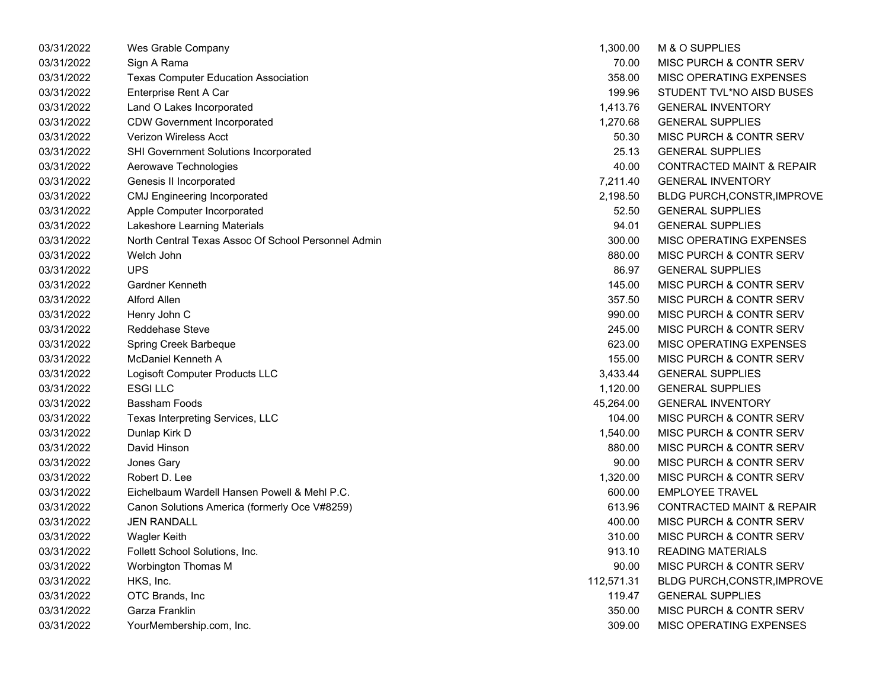| 03/31/2022 | Wes Grable Company                                  | 1,300.00   | M & O SUPPLIES                       |
|------------|-----------------------------------------------------|------------|--------------------------------------|
| 03/31/2022 | Sign A Rama                                         | 70.00      | MISC PURCH & CONTR SERV              |
| 03/31/2022 | <b>Texas Computer Education Association</b>         | 358.00     | MISC OPERATING EXPENSES              |
| 03/31/2022 | Enterprise Rent A Car                               | 199.96     | STUDENT TVL*NO AISD BUSES            |
| 03/31/2022 | Land O Lakes Incorporated                           | 1,413.76   | <b>GENERAL INVENTORY</b>             |
| 03/31/2022 | <b>CDW Government Incorporated</b>                  | 1,270.68   | <b>GENERAL SUPPLIES</b>              |
| 03/31/2022 | <b>Verizon Wireless Acct</b>                        | 50.30      | <b>MISC PURCH &amp; CONTR SERV</b>   |
| 03/31/2022 | SHI Government Solutions Incorporated               | 25.13      | <b>GENERAL SUPPLIES</b>              |
| 03/31/2022 | Aerowave Technologies                               | 40.00      | CONTRACTED MAINT & REPAIR            |
| 03/31/2022 | Genesis II Incorporated                             | 7,211.40   | <b>GENERAL INVENTORY</b>             |
| 03/31/2022 | <b>CMJ Engineering Incorporated</b>                 | 2,198.50   | <b>BLDG PURCH, CONSTR, IMPROVE</b>   |
| 03/31/2022 | Apple Computer Incorporated                         | 52.50      | <b>GENERAL SUPPLIES</b>              |
| 03/31/2022 | Lakeshore Learning Materials                        | 94.01      | <b>GENERAL SUPPLIES</b>              |
| 03/31/2022 | North Central Texas Assoc Of School Personnel Admin | 300.00     | MISC OPERATING EXPENSES              |
| 03/31/2022 | Welch John                                          | 880.00     | MISC PURCH & CONTR SERV              |
| 03/31/2022 | <b>UPS</b>                                          | 86.97      | <b>GENERAL SUPPLIES</b>              |
| 03/31/2022 | Gardner Kenneth                                     | 145.00     | <b>MISC PURCH &amp; CONTR SERV</b>   |
| 03/31/2022 | Alford Allen                                        | 357.50     | MISC PURCH & CONTR SERV              |
| 03/31/2022 | Henry John C                                        | 990.00     | MISC PURCH & CONTR SERV              |
| 03/31/2022 | Reddehase Steve                                     | 245.00     | MISC PURCH & CONTR SERV              |
| 03/31/2022 | Spring Creek Barbeque                               | 623.00     | MISC OPERATING EXPENSES              |
| 03/31/2022 | <b>McDaniel Kenneth A</b>                           | 155.00     | <b>MISC PURCH &amp; CONTR SERV</b>   |
| 03/31/2022 | Logisoft Computer Products LLC                      | 3,433.44   | <b>GENERAL SUPPLIES</b>              |
| 03/31/2022 | <b>ESGILLC</b>                                      | 1,120.00   | <b>GENERAL SUPPLIES</b>              |
| 03/31/2022 | Bassham Foods                                       | 45,264.00  | <b>GENERAL INVENTORY</b>             |
| 03/31/2022 | Texas Interpreting Services, LLC                    | 104.00     | MISC PURCH & CONTR SERV              |
| 03/31/2022 | Dunlap Kirk D                                       | 1,540.00   | <b>MISC PURCH &amp; CONTR SERV</b>   |
| 03/31/2022 | David Hinson                                        | 880.00     | MISC PURCH & CONTR SERV              |
| 03/31/2022 | Jones Gary                                          | 90.00      | MISC PURCH & CONTR SERV              |
| 03/31/2022 | Robert D. Lee                                       | 1,320.00   | MISC PURCH & CONTR SERV              |
| 03/31/2022 | Eichelbaum Wardell Hansen Powell & Mehl P.C.        | 600.00     | <b>EMPLOYEE TRAVEL</b>               |
| 03/31/2022 | Canon Solutions America (formerly Oce V#8259)       | 613.96     | <b>CONTRACTED MAINT &amp; REPAIR</b> |
| 03/31/2022 | <b>JEN RANDALL</b>                                  | 400.00     | MISC PURCH & CONTR SERV              |
| 03/31/2022 | <b>Wagler Keith</b>                                 | 310.00     | <b>MISC PURCH &amp; CONTR SERV</b>   |
| 03/31/2022 | Follett School Solutions, Inc.                      | 913.10     | <b>READING MATERIALS</b>             |
| 03/31/2022 | Worbington Thomas M                                 | 90.00      | MISC PURCH & CONTR SERV              |
| 03/31/2022 | HKS, Inc.                                           | 112,571.31 | <b>BLDG PURCH, CONSTR, IMPROVE</b>   |
| 03/31/2022 | OTC Brands, Inc                                     | 119.47     | <b>GENERAL SUPPLIES</b>              |
| 03/31/2022 | Garza Franklin                                      | 350.00     | MISC PURCH & CONTR SERV              |
| 03/31/2022 | YourMembership.com, Inc.                            | 309.00     | MISC OPERATING EXPENSES              |
|            |                                                     |            |                                      |

| 1.300.00   | <b>M &amp; O SUPPLIES</b>            |
|------------|--------------------------------------|
| 70.00      | <b>MISC PURCH &amp; CONTR SERV</b>   |
| 358.00     | MISC OPERATING EXPENSES              |
| 199.96     | STUDENT TVL*NO AISD BUSES            |
| 1,413.76   | <b>GENERAL INVENTORY</b>             |
| 1,270.68   | <b>GENERAL SUPPLIES</b>              |
|            | 50.30 MISC PURCH & CONTR SERV        |
| 25.13      | <b>GENERAL SUPPLIES</b>              |
| 40.00      | <b>CONTRACTED MAINT &amp; REPAIR</b> |
| 7,211.40   | <b>GENERAL INVENTORY</b>             |
| 2,198.50   | BLDG PURCH, CONSTR, IMPROVE          |
| 52.50      | <b>GENERAL SUPPLIES</b>              |
| 94.01      | <b>GENERAL SUPPLIES</b>              |
| 300.00     | MISC OPERATING EXPENSES              |
| 880.00     | MISC PURCH & CONTR SERV              |
| 86.97      | <b>GENERAL SUPPLIES</b>              |
| 145.00     | MISC PURCH & CONTR SERV              |
| 357.50     | <b>MISC PURCH &amp; CONTR SERV</b>   |
| 990.00     | MISC PURCH & CONTR SERV              |
| 245.00     | <b>MISC PURCH &amp; CONTR SERV</b>   |
| 623.00     | <b>MISC OPERATING EXPENSES</b>       |
| 155.00     | MISC PURCH & CONTR SERV              |
| 3,433.44   | <b>GENERAL SUPPLIES</b>              |
| 1,120.00   | <b>GENERAL SUPPLIES</b>              |
| 45,264.00  | <b>GENERAL INVENTORY</b>             |
| 104.00     | MISC PURCH & CONTR SERV              |
| 1,540.00   | MISC PURCH & CONTR SERV              |
| 880.00     | <b>MISC PURCH &amp; CONTR SERV</b>   |
| 90.00      | <b>MISC PURCH &amp; CONTR SERV</b>   |
| 1,320.00   | <b>MISC PURCH &amp; CONTR SERV</b>   |
| 600.00     | <b>EMPLOYEE TRAVEL</b>               |
| 613.96     | <b>CONTRACTED MAINT &amp; REPAIR</b> |
| 400.00     | MISC PURCH & CONTR SERV              |
| 310.00     | MISC PURCH & CONTR SERV              |
| 913.10     | <b>READING MATERIALS</b>             |
| 90.00      | <b>MISC PURCH &amp; CONTR SERV</b>   |
| 112,571.31 | BLDG PURCH, CONSTR, IMPROVE          |
| 119.47     | <b>GENERAL SUPPLIES</b>              |
| 350.00     | <b>MISC PURCH &amp; CONTR SERV</b>   |
| 309.00     | MISC OPERATING EXPENSES              |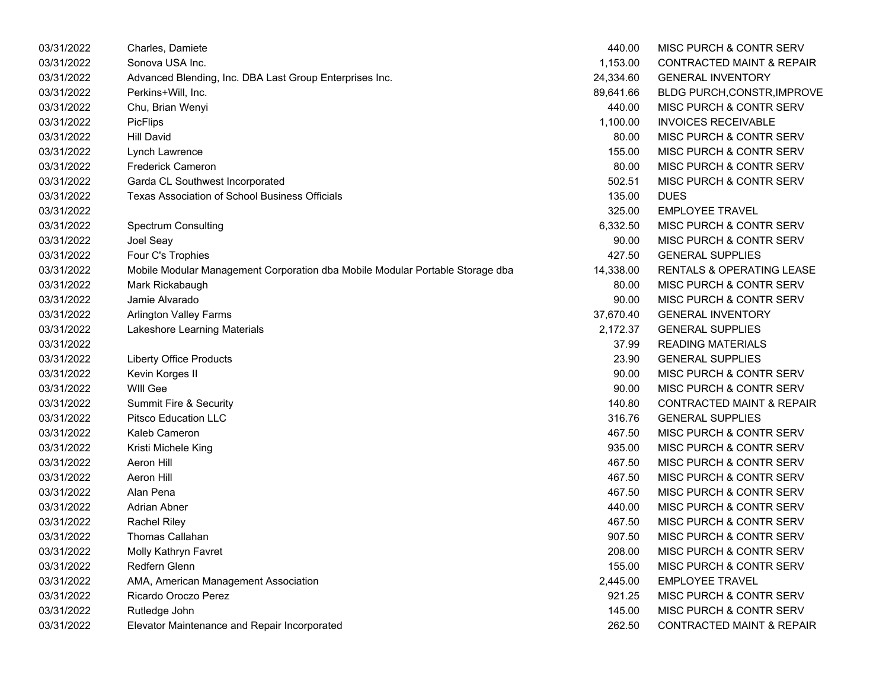| 03/31/2022 | Charles, Damiete                                                              | 440.00    | MISC PURCH & CONTR SERV              |
|------------|-------------------------------------------------------------------------------|-----------|--------------------------------------|
| 03/31/2022 | Sonova USA Inc.                                                               | 1,153.00  | <b>CONTRACTED MAINT &amp; REPAIR</b> |
| 03/31/2022 | Advanced Blending, Inc. DBA Last Group Enterprises Inc.                       | 24,334.60 | <b>GENERAL INVENTORY</b>             |
| 03/31/2022 | Perkins+Will, Inc.                                                            | 89,641.66 | <b>BLDG PURCH, CONSTR, IMPROVE</b>   |
| 03/31/2022 | Chu, Brian Wenyi                                                              | 440.00    | MISC PURCH & CONTR SERV              |
| 03/31/2022 | <b>PicFlips</b>                                                               | 1,100.00  | <b>INVOICES RECEIVABLE</b>           |
| 03/31/2022 | <b>Hill David</b>                                                             | 80.00     | MISC PURCH & CONTR SERV              |
| 03/31/2022 | Lynch Lawrence                                                                | 155.00    | MISC PURCH & CONTR SERV              |
| 03/31/2022 | <b>Frederick Cameron</b>                                                      | 80.00     | MISC PURCH & CONTR SERV              |
| 03/31/2022 | Garda CL Southwest Incorporated                                               | 502.51    | MISC PURCH & CONTR SERV              |
| 03/31/2022 | Texas Association of School Business Officials                                | 135.00    | <b>DUES</b>                          |
| 03/31/2022 |                                                                               | 325.00    | <b>EMPLOYEE TRAVEL</b>               |
| 03/31/2022 | <b>Spectrum Consulting</b>                                                    | 6,332.50  | MISC PURCH & CONTR SERV              |
| 03/31/2022 | Joel Seay                                                                     | 90.00     | MISC PURCH & CONTR SERV              |
| 03/31/2022 | Four C's Trophies                                                             | 427.50    | <b>GENERAL SUPPLIES</b>              |
| 03/31/2022 | Mobile Modular Management Corporation dba Mobile Modular Portable Storage dba | 14,338.00 | <b>RENTALS &amp; OPERATING LEASE</b> |
| 03/31/2022 | Mark Rickabaugh                                                               | 80.00     | MISC PURCH & CONTR SERV              |
| 03/31/2022 | Jamie Alvarado                                                                | 90.00     | <b>MISC PURCH &amp; CONTR SERV</b>   |
| 03/31/2022 | <b>Arlington Valley Farms</b>                                                 | 37,670.40 | <b>GENERAL INVENTORY</b>             |
| 03/31/2022 | Lakeshore Learning Materials                                                  | 2,172.37  | <b>GENERAL SUPPLIES</b>              |
| 03/31/2022 |                                                                               | 37.99     | <b>READING MATERIALS</b>             |
| 03/31/2022 | <b>Liberty Office Products</b>                                                | 23.90     | <b>GENERAL SUPPLIES</b>              |
| 03/31/2022 | Kevin Korges II                                                               | 90.00     | MISC PURCH & CONTR SERV              |
| 03/31/2022 | WIII Gee                                                                      | 90.00     | MISC PURCH & CONTR SERV              |
| 03/31/2022 | Summit Fire & Security                                                        | 140.80    | <b>CONTRACTED MAINT &amp; REPAIR</b> |
| 03/31/2022 | <b>Pitsco Education LLC</b>                                                   | 316.76    | <b>GENERAL SUPPLIES</b>              |
| 03/31/2022 | Kaleb Cameron                                                                 | 467.50    | MISC PURCH & CONTR SERV              |
| 03/31/2022 | Kristi Michele King                                                           | 935.00    | MISC PURCH & CONTR SERV              |
| 03/31/2022 | Aeron Hill                                                                    | 467.50    | MISC PURCH & CONTR SERV              |
| 03/31/2022 | Aeron Hill                                                                    | 467.50    | MISC PURCH & CONTR SERV              |
| 03/31/2022 | Alan Pena                                                                     | 467.50    | MISC PURCH & CONTR SERV              |
| 03/31/2022 | <b>Adrian Abner</b>                                                           | 440.00    | MISC PURCH & CONTR SERV              |
| 03/31/2022 | <b>Rachel Riley</b>                                                           | 467.50    | MISC PURCH & CONTR SERV              |
| 03/31/2022 | <b>Thomas Callahan</b>                                                        | 907.50    | MISC PURCH & CONTR SERV              |
| 03/31/2022 | Molly Kathryn Favret                                                          | 208.00    | MISC PURCH & CONTR SERV              |
| 03/31/2022 | Redfern Glenn                                                                 | 155.00    | MISC PURCH & CONTR SERV              |
| 03/31/2022 | AMA, American Management Association                                          | 2,445.00  | <b>EMPLOYEE TRAVEL</b>               |
| 03/31/2022 | Ricardo Oroczo Perez                                                          | 921.25    | MISC PURCH & CONTR SERV              |
| 03/31/2022 | Rutledge John                                                                 | 145.00    | MISC PURCH & CONTR SERV              |
| 03/31/2022 | Elevator Maintenance and Repair Incorporated                                  | 262.50    | <b>CONTRACTED MAINT &amp; REPAIR</b> |

|   | 440.00    | MISC PURCH & CONTR SERV              |
|---|-----------|--------------------------------------|
|   | 1,153.00  | <b>CONTRACTED MAINT &amp; REPAIR</b> |
|   | 24,334.60 | <b>GENERAL INVENTORY</b>             |
|   | 89,641.66 | BLDG PURCH, CONSTR, IMPROVE          |
|   | 440.00    | <b>MISC PURCH &amp; CONTR SERV</b>   |
|   | 1,100.00  | <b>INVOICES RECEIVABLE</b>           |
|   | 80.00     | <b>MISC PURCH &amp; CONTR SERV</b>   |
|   | 155.00    | MISC PURCH & CONTR SERV              |
|   | 80.00     | <b>MISC PURCH &amp; CONTR SERV</b>   |
|   | 502.51    | <b>MISC PURCH &amp; CONTR SERV</b>   |
|   | 135.00    | <b>DUES</b>                          |
|   | 325.00    | <b>EMPLOYEE TRAVEL</b>               |
|   | 6,332.50  | MISC PURCH & CONTR SERV              |
|   | 90.00     | <b>MISC PURCH &amp; CONTR SERV</b>   |
|   | 427.50    | <b>GENERAL SUPPLIES</b>              |
| а | 14,338.00 | <b>RENTALS &amp; OPERATING LEASE</b> |
|   | 80.00     | MISC PURCH & CONTR SERV              |
|   | 90.00     | MISC PURCH & CONTR SERV              |
|   | 37,670.40 | <b>GENERAL INVENTORY</b>             |
|   | 2,172.37  | <b>GENERAL SUPPLIES</b>              |
|   | 37.99     | <b>READING MATERIALS</b>             |
|   | 23.90     | <b>GENERAL SUPPLIES</b>              |
|   | 90.00     | MISC PURCH & CONTR SERV              |
|   | 90.00     | <b>MISC PURCH &amp; CONTR SERV</b>   |
|   | 140.80    | <b>CONTRACTED MAINT &amp; REPAIR</b> |
|   | 316.76    | <b>GENERAL SUPPLIES</b>              |
|   | 467.50    | <b>MISC PURCH &amp; CONTR SERV</b>   |
|   | 935.00    | MISC PURCH & CONTR SERV              |
|   | 467.50    | <b>MISC PURCH &amp; CONTR SERV</b>   |
|   | 467.50    | <b>MISC PURCH &amp; CONTR SERV</b>   |
|   | 467.50    | MISC PURCH & CONTR SERV              |
|   | 440.00    | <b>MISC PURCH &amp; CONTR SERV</b>   |
|   | 467.50    | <b>MISC PURCH &amp; CONTR SERV</b>   |
|   | 907.50    | <b>MISC PURCH &amp; CONTR SERV</b>   |
|   | 208.00    | <b>MISC PURCH &amp; CONTR SERV</b>   |
|   | 155.00    | <b>MISC PURCH &amp; CONTR SERV</b>   |
|   | 2,445.00  | <b>EMPLOYEE TRAVEL</b>               |
|   | 921.25    | <b>MISC PURCH &amp; CONTR SERV</b>   |
|   | 145.00    | <b>MISC PURCH &amp; CONTR SERV</b>   |
|   | 262.50    | CONTRACTED MAINT & REPAIR            |